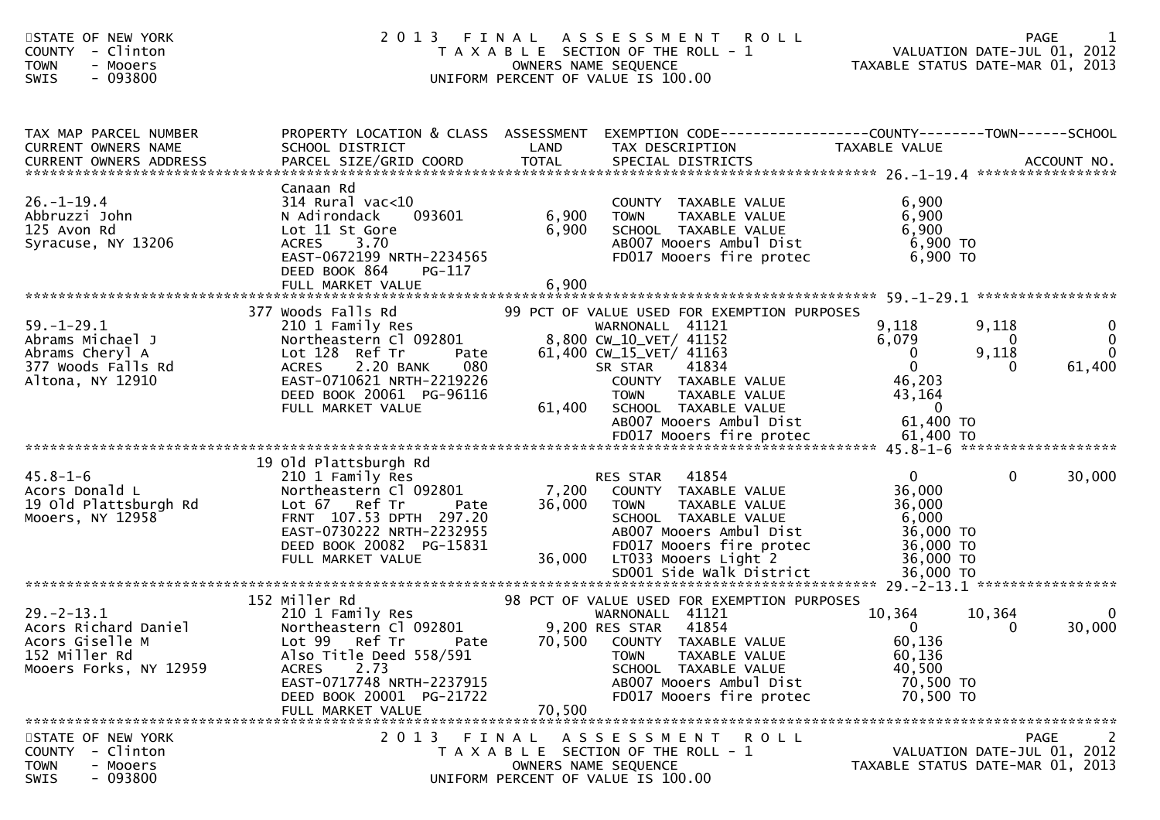| STATE OF NEW YORK<br><b>COUNTY</b><br>- Clinton<br>- Mooers<br><b>TOWN</b><br>$-093800$<br>SWIS        |                                                                                                                                                                                                                                                                    |                | 2013 FINAL ASSESSMENT ROLL<br>T A X A B L E SECTION OF THE ROLL - 1<br>OWNERS NAME SEQUENCE<br>UNIFORM PERCENT OF VALUE IS 100.00                                                                                                                         |                                                                                                               | N T R O L L<br>VALUATION DATE-JUL 01, 2012<br>TAXABLE STATUS DATE-MAR 01, 2013                         |
|--------------------------------------------------------------------------------------------------------|--------------------------------------------------------------------------------------------------------------------------------------------------------------------------------------------------------------------------------------------------------------------|----------------|-----------------------------------------------------------------------------------------------------------------------------------------------------------------------------------------------------------------------------------------------------------|---------------------------------------------------------------------------------------------------------------|--------------------------------------------------------------------------------------------------------|
| TAX MAP PARCEL NUMBER<br>CURRENT OWNERS NAME<br><b>CURRENT OWNERS ADDRESS</b>                          | SCHOOL DISTRICT                                                                                                                                                                                                                                                    | LAND           | PROPERTY LOCATION & CLASS ASSESSMENT EXEMPTION CODE---------------COUNTY-------TOWN------SCHOOL<br>TAX DESCRIPTION                                                                                                                                        | TAXABLE VALUE                                                                                                 |                                                                                                        |
| $26. - 1 - 19.4$<br>Abbruzzi John<br>125 Avon Rd<br>Syracuse, NY 13206                                 | Canaan Rd<br>$314$ Rural vac< $10$<br>093601<br>N Adirondack<br>Lot 11 St Gore<br>3.70<br>ACRES<br>EAST-0672199 NRTH-2234565<br>DEED BOOK 864<br>PG-117                                                                                                            | 6,900<br>6,900 | COUNTY TAXABLE VALUE<br>TAXABLE VALUE<br><b>TOWN</b><br>SCHOOL TAXABLE VALUE<br>AB007 Mooers Ambul Dist<br>FD017 Mooers fire protec                                                                                                                       | 6,900<br>6,900<br>6,900<br>6,900 TO<br>6,900 TO                                                               |                                                                                                        |
| $59. - 1 - 29.1$<br>Abrams Michael J<br>Abrams Cheryl A<br>377 Woods Falls Rd<br>Altona, NY 12910      | 377 Woods Falls Rd<br>210 1 Family Res<br>Northeastern Cl 092801<br>Lot 128 Ref Tr<br>Pate<br>080<br>2.20 BANK<br><b>ACRES</b><br>EAST-0710621 NRTH-2219226<br>DEED BOOK 20061 PG-96116<br>FULL MARKET VALUE                                                       |                | 99 PCT OF VALUE USED FOR EXEMPTION PURPOSES<br>WARNONALL 41121<br>8,800 CW_10_VET/ 41152<br>61,400 CW_15_VET/ 41163<br>41834<br>SR STAR<br>COUNTY TAXABLE VALUE<br><b>TOWN</b><br>TAXABLE VALUE<br>61,400 SCHOOL TAXABLE VALUE<br>AB007 Mooers Ambul Dist | 9,118<br>6,079<br>$\mathbf{0}$<br>$\overline{0}$<br>46,203<br>43,164<br>$\overline{\phantom{0}}$<br>61,400 TO | 9,118<br>$\mathbf{0}$<br>$\overline{0}$<br>$\mathbf{0}$<br>$\mathbf{0}$<br>9,118<br>61,400<br>$\Omega$ |
| $45.8 - 1 - 6$<br>Acors Donald L<br>19 Old Plattsburgh Rd<br>Mooers, NY 12958                          | 19 Old Plattsburgh Rd<br>210 1 Family Res<br>Northeastern Cl 092801<br>Lot 67 Ref Tr<br>Pate<br>FRNT 107.53 DPTH 297.20<br>EAST-0730222 NRTH-2232955<br>DEED BOOK 20082 PG-15831<br>FULL MARKET VALUE                                                              |                | RES STAR 41854<br>7,200 COUNTY TAXABLE VALUE<br>36,000 TOWN<br>TAXABLE VALUE<br>SCHOOL TAXABLE VALUE<br>AB007 Mooers Ambul Dist<br>FD017 Mooers fire protec<br>36,000 LT033 Mooers Light 2                                                                | $\mathbf{0}$<br>36,000<br>36,000<br>6,000<br>36,000 TO<br>36,000 TO<br>36,000 TO                              | $\mathbf{0}$<br>30,000                                                                                 |
| $29. - 2 - 13.1$<br>Acors Richard Daniel<br>Acors Giselle M<br>152 Miller Rd<br>Mooers Forks, NY 12959 | 152 Miller Rd<br>210 1 Family Res<br>Northeastern Cl 092801<br>Lot 99 Ref Tr        Pate         70,500    COUNTY   TAXABLE VALUE<br>Also Title Deed 558/591<br><b>ACRES</b><br>2.73<br>EAST-0717748 NRTH-2237915<br>DEED BOOK 20001 PG-21722<br>FULL MARKET VALUE | 70,500         | 98 PCT OF VALUE USED FOR EXEMPTION PURPOSES<br>WARNONALL 41121<br>9,200 RES STAR 41854<br>TAXABLE VALUE<br>TOWN<br>SCHOOL TAXABLE VALUE<br>AB007 Mooers Ambul Dist<br>FD017 Mooers fire protec                                                            | 10,364<br>$\overline{0}$<br>60,136<br>60,136<br>40,500<br>70,500 TO<br>70,500 TO                              | 10,364<br>0<br>30,000<br>$\Omega$                                                                      |
| STATE OF NEW YORK<br>COUNTY - Clinton<br><b>TOWN</b><br>- Mooers<br>- 093800<br><b>SWIS</b>            | 2013                                                                                                                                                                                                                                                               | FINAL          | ASSESSMENT ROLL<br>T A X A B L E SECTION OF THE ROLL - 1<br>OWNERS NAME SEQUENCE<br>UNIFORM PERCENT OF VALUE IS 100.00                                                                                                                                    |                                                                                                               | <b>PAGE</b><br>2<br>VALUATION DATE-JUL 01, 2012<br>TAXABLE STATUS DATE-MAR 01, 2013                    |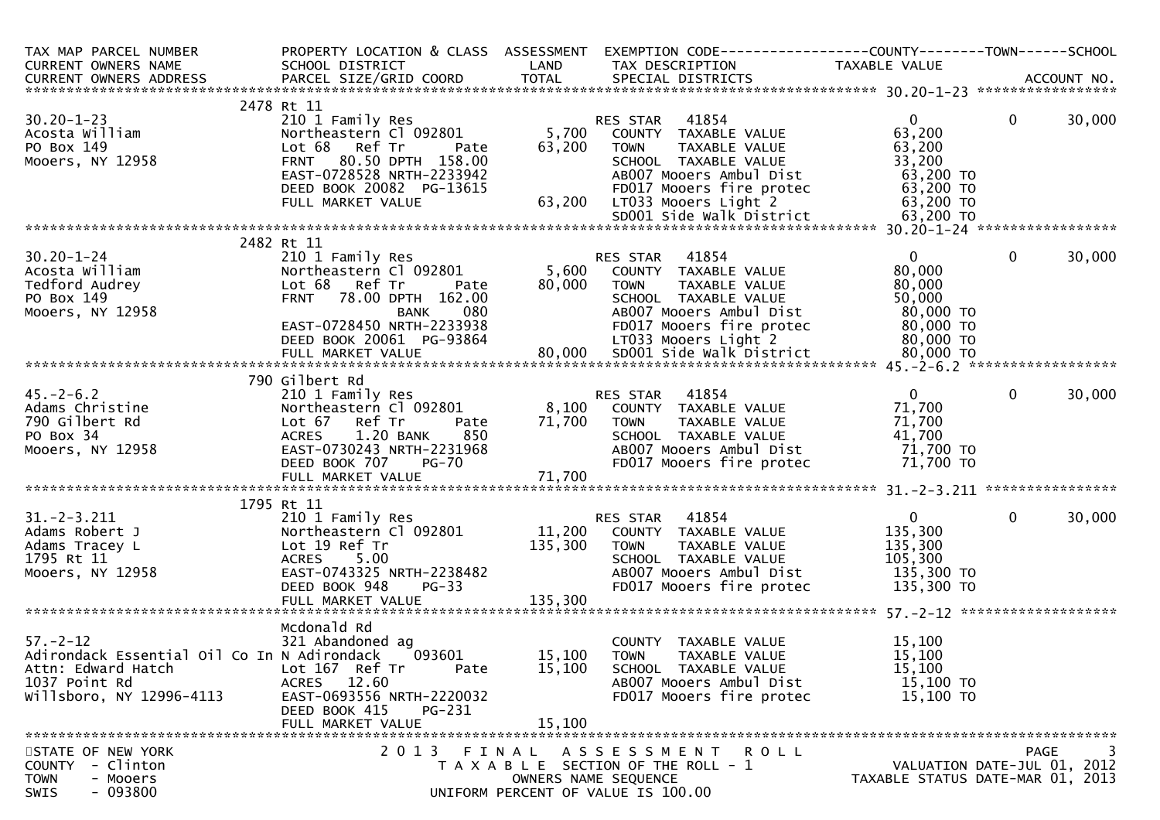| TAX MAP PARCEL NUMBER<br>CURRENT OWNERS NAME<br>CURRENT OWNERS ADDRESS | PROPERTY LOCATION & CLASS ASSESSMENT<br>SCHOOL DISTRICT    | LAND            | EXEMPTION CODE------------------COUNTY--------TOWN------SCHOOL<br>TAX DESCRIPTION | TAXABLE VALUE                    |              |        |
|------------------------------------------------------------------------|------------------------------------------------------------|-----------------|-----------------------------------------------------------------------------------|----------------------------------|--------------|--------|
|                                                                        |                                                            |                 |                                                                                   |                                  |              |        |
|                                                                        | 2478 Rt 11                                                 |                 |                                                                                   |                                  |              |        |
| $30.20 - 1 - 23$                                                       | 210 1 Family Res                                           |                 | 41854<br>RES STAR                                                                 | $\mathbf{0}$                     | $\mathbf{0}$ | 30,000 |
| Acosta William<br>PO Box 149                                           | Northeastern Cl 092801<br>Lot 68 Ref Tr<br>Pate            | 5,700<br>63,200 | COUNTY TAXABLE VALUE<br>TAXABLE VALUE<br><b>TOWN</b>                              | 63,200<br>63,200                 |              |        |
| Mooers, NY 12958                                                       | 80.50 DPTH 158.00<br><b>FRNT</b>                           |                 | SCHOOL TAXABLE VALUE                                                              | 33,200                           |              |        |
|                                                                        | EAST-0728528 NRTH-2233942                                  |                 | AB007 Mooers Ambul Dist                                                           | 63,200 TO                        |              |        |
|                                                                        | DEED BOOK 20082 PG-13615                                   |                 | FD017 Mooers fire protec                                                          | 63,200 TO                        |              |        |
|                                                                        | FULL MARKET VALUE                                          | 63,200          | LT033 Mooers Light 2                                                              | 63,200 TO                        |              |        |
|                                                                        |                                                            |                 |                                                                                   |                                  |              |        |
|                                                                        | 2482 Rt 11                                                 |                 |                                                                                   |                                  |              |        |
| $30.20 - 1 - 24$                                                       | 210 1 Family Res                                           |                 | 41854<br>RES STAR                                                                 | $\Omega$                         | $\mathbf{0}$ | 30,000 |
| Acosta William                                                         | Northeastern Cl 092801                                     | 5,600           | COUNTY TAXABLE VALUE                                                              | 80,000                           |              |        |
| Tedford Audrey                                                         | Lot 68<br>Ref Tr<br>Pate                                   | 80,000          | <b>TOWN</b><br>TAXABLE VALUE                                                      | 80,000                           |              |        |
| PO Box 149                                                             | 78.00 DPTH 162.00<br><b>FRNT</b>                           |                 | SCHOOL TAXABLE VALUE                                                              | 50,000                           |              |        |
| Mooers, NY 12958                                                       | 080<br><b>BANK</b>                                         |                 | AB007 Mooers Ambul Dist                                                           | 80,000 TO                        |              |        |
|                                                                        | EAST-0728450 NRTH-2233938                                  |                 | FD017 Mooers fire protec                                                          | 80,000 TO                        |              |        |
|                                                                        | DEED BOOK 20061 PG-93864                                   |                 | LT033 Mooers Light 2                                                              | 80,000 TO                        |              |        |
|                                                                        |                                                            |                 |                                                                                   |                                  |              |        |
|                                                                        | 790 Gilbert Rd                                             |                 |                                                                                   |                                  |              |        |
| $45. - 2 - 6.2$                                                        | 210 1 Family Res                                           |                 | 41854<br>RES STAR                                                                 | $\mathbf{0}$                     | $\mathbf{0}$ | 30,000 |
| Adams Christine                                                        | Northeastern Cl 092801                                     |                 | 8,100 COUNTY TAXABLE VALUE                                                        | 71,700                           |              |        |
| 790 Gilbert Rd                                                         | Lot 67 Ref Tr<br>Pate                                      | 71,700          | TAXABLE VALUE<br>TOWN                                                             | 71,700                           |              |        |
| PO Box 34                                                              | 1.20 BANK<br><b>ACRES</b><br>850                           |                 | SCHOOL TAXABLE VALUE                                                              | 41,700                           |              |        |
| Mooers, NY 12958                                                       | EAST-0730243 NRTH-2231968<br>DEED BOOK 707<br><b>PG-70</b> |                 | AB007 Mooers Ambul Dist<br>FD017 Mooers fire protec                               | 71,700 TO<br>71,700 TO           |              |        |
|                                                                        | FULL MARKET VALUE                                          | 71,700          |                                                                                   |                                  |              |        |
|                                                                        |                                                            |                 |                                                                                   |                                  |              |        |
|                                                                        | 1795 Rt 11                                                 |                 |                                                                                   |                                  |              |        |
| $31. - 2 - 3.211$                                                      | 210 1 Family Res                                           |                 | 41854<br>RES STAR                                                                 | $\mathbf{0}$                     | $\mathbf{0}$ | 30,000 |
| Adams Robert J                                                         | Northeastern Cl 092801                                     | 11,200          | COUNTY TAXABLE VALUE                                                              | 135,300                          |              |        |
| Adams Tracey L<br>1795 Rt 11                                           | Lot 19 Ref Tr<br><b>ACRES</b><br>5.00                      | 135,300         | <b>TOWN</b><br>TAXABLE VALUE<br>SCHOOL TAXABLE VALUE                              | 135,300<br>105,300               |              |        |
| Mooers, NY 12958                                                       | EAST-0743325 NRTH-2238482                                  |                 | AB007 Mooers Ambul Dist                                                           | 135,300 TO                       |              |        |
|                                                                        | $PG-33$<br>DEED BOOK 948                                   |                 | FD017 Mooers fire protec                                                          | 135,300 TO                       |              |        |
|                                                                        |                                                            |                 |                                                                                   |                                  |              |        |
|                                                                        |                                                            |                 |                                                                                   |                                  |              |        |
|                                                                        | Mcdonald Rd                                                |                 |                                                                                   |                                  |              |        |
| $57. - 2 - 12$<br>Adirondack Essential Oil Co In N Adirondack          | 321 Abandoned ag<br>093601                                 | 15,100          | COUNTY TAXABLE VALUE<br><b>TOWN</b>                                               | 15,100<br>15,100                 |              |        |
| Attn: Edward Hatch                                                     | Lot 167 Ref Tr<br>Pate                                     | 15,100          | TAXABLE VALUE<br>SCHOOL TAXABLE VALUE                                             | 15,100                           |              |        |
| 1037 Point Rd                                                          | ACRES 12.60                                                |                 | AB007 Mooers Ambul Dist                                                           | 15,100 TO                        |              |        |
| Willsboro, NY 12996-4113                                               | EAST-0693556 NRTH-2220032                                  |                 | FD017 Mooers fire protec                                                          | 15,100 TO                        |              |        |
|                                                                        | DEED BOOK 415<br>PG-231                                    |                 |                                                                                   |                                  |              |        |
|                                                                        | FULL MARKET VALUE                                          | 15,100          |                                                                                   |                                  |              |        |
|                                                                        |                                                            |                 |                                                                                   |                                  |              |        |
| STATE OF NEW YORK<br>- Clinton<br><b>COUNTY</b>                        | 2 0 1 3                                                    |                 | FINAL ASSESSMENT<br><b>ROLL</b><br>T A X A B L E SECTION OF THE ROLL - 1          | VALUATION DATE-JUL 01, 2012      | <b>PAGE</b>  | 3      |
| <b>TOWN</b><br>- Mooers                                                |                                                            |                 | OWNERS NAME SEQUENCE                                                              | TAXABLE STATUS DATE-MAR 01, 2013 |              |        |
| $-093800$<br>SWIS                                                      |                                                            |                 | UNIFORM PERCENT OF VALUE IS 100.00                                                |                                  |              |        |
|                                                                        |                                                            |                 |                                                                                   |                                  |              |        |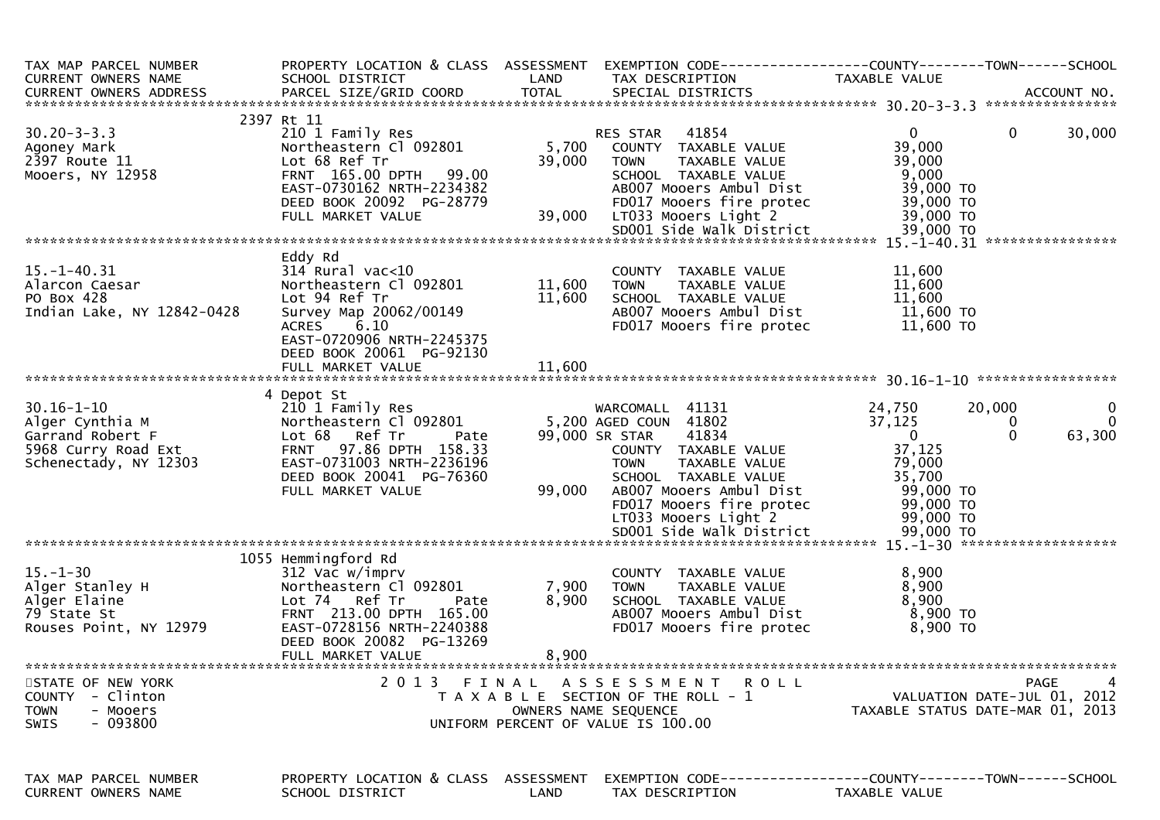| TAX MAP PARCEL NUMBER<br>CURRENT OWNERS NAME<br>CURRENT OWNERS ADDRESS                                  | PROPERTY LOCATION & CLASS ASSESSMENT<br>SCHOOL DISTRICT                                                                                                                                                  | LAND                       | TAX DESCRIPTION                                                                                                                                                                  | TAXABLE VALUE                                                                    |                                                                            |
|---------------------------------------------------------------------------------------------------------|----------------------------------------------------------------------------------------------------------------------------------------------------------------------------------------------------------|----------------------------|----------------------------------------------------------------------------------------------------------------------------------------------------------------------------------|----------------------------------------------------------------------------------|----------------------------------------------------------------------------|
|                                                                                                         |                                                                                                                                                                                                          |                            |                                                                                                                                                                                  |                                                                                  |                                                                            |
| $30.20 - 3 - 3.3$<br>Agoney Mark<br>2397 Route 11<br>Mooers, NY 12958                                   | 2397 Rt 11<br>210 1 Family Res<br>Northeastern Cl 092801<br>Lot 68 Ref Tr<br>FRNT 165.00 DPTH<br>99.00<br>EAST-0730162 NRTH-2234382<br>DEED BOOK 20092 PG-28779<br>FULL MARKET VALUE                     | 5,700<br>39,000<br>39,000  | 41854<br>RES STAR<br>COUNTY TAXABLE VALUE<br>TAXABLE VALUE<br><b>TOWN</b><br>SCHOOL TAXABLE VALUE<br>AB007 Mooers Ambul Dist<br>FD017 Mooers fire protec<br>LT033 Mooers Light 2 | $\mathbf{0}$<br>39,000<br>39,000<br>9,000<br>39,000 TO<br>39,000 TO<br>39,000 TO | 30,000<br>$\Omega$                                                         |
|                                                                                                         |                                                                                                                                                                                                          |                            |                                                                                                                                                                                  |                                                                                  |                                                                            |
| $15. - 1 - 40.31$<br>Alarcon Caesar<br>PO Box 428<br>Indian Lake, NY 12842-0428                         | Eddy Rd<br>$314$ Rural vac<10<br>Northeastern Cl 092801<br>Lot 94 Ref Tr<br>Survey Map 20062/00149<br><b>ACRES</b><br>6.10<br>EAST-0720906 NRTH-2245375<br>DEED BOOK 20061 PG-92130<br>FULL MARKET VALUE | 11,600<br>11,600<br>11,600 | COUNTY TAXABLE VALUE<br><b>TOWN</b><br>TAXABLE VALUE<br>SCHOOL TAXABLE VALUE<br>AB007 Mooers Ambul Dist<br>FD017 Mooers fire protec                                              | 11,600<br>11,600<br>11,600<br>11,600 TO<br>11,600 TO                             |                                                                            |
|                                                                                                         |                                                                                                                                                                                                          |                            |                                                                                                                                                                                  |                                                                                  |                                                                            |
| $30.16 - 1 - 10$<br>Alger Cynthia M<br>Garrand Robert F<br>5968 Curry Road Ext<br>Schenectady, NY 12303 | 4 Depot St<br>210 1 Family Res<br>Northeastern Cl 092801<br>Lot 68 Ref Tr<br>Pate<br>FRNT 97.86 DPTH 158.33<br>EAST-0731003 NRTH-2236196<br>DEED BOOK 20041 PG-76360<br>FULL MARKET VALUE                | 99,000                     | WARCOMALL 41131<br>5,200 AGED COUN 41802<br>99,000 SR STAR<br>41834<br>COUNTY TAXABLE VALUE<br><b>TOWN</b><br>TAXABLE VALUE<br>SCHOOL TAXABLE VALUE<br>AB007 Mooers Ambul Dist   | 24,750<br>37,125<br>$\mathbf{0}$<br>37,125<br>79,000<br>35,700<br>99,000 TO      | 20,000<br>$\mathbf{0}$<br>$\overline{0}$<br>$\Omega$<br>$\Omega$<br>63,300 |
|                                                                                                         |                                                                                                                                                                                                          |                            | FD017 Mooers fire protec<br>LT033 Mooers Light 2                                                                                                                                 | 99,000 TO<br>99,000 TO                                                           |                                                                            |
|                                                                                                         | 1055 Hemmingford Rd                                                                                                                                                                                      |                            |                                                                                                                                                                                  |                                                                                  |                                                                            |
| $15. - 1 - 30$<br>Alger Stanley H<br>Alger Elaine<br>79 State St<br>Rouses Point, NY 12979              | 312 Vac w/imprv<br>Northeastern Cl 092801<br>Lot 74 Ref Tr<br>Pate<br>FRNT 213.00 DPTH 165.00<br>EAST-0728156 NRTH-2240388<br>DEED BOOK 20082 PG-13269<br>FULL MARKET VALUE                              | 7,900<br>8,900<br>8,900    | COUNTY TAXABLE VALUE<br>TAXABLE VALUE<br><b>TOWN</b><br>SCHOOL TAXABLE VALUE<br>AB007 Mooers Ambul Dist<br>FD017 Mooers fire protec                                              | 8,900<br>8,900<br>8,900<br>8,900 TO<br>8,900 TO                                  |                                                                            |
| STATE OF NEW YORK                                                                                       | 2013 FINAL                                                                                                                                                                                               |                            | A S S E S S M E N T<br><b>ROLL</b>                                                                                                                                               |                                                                                  | 4<br>PAGE                                                                  |
| - Clinton<br><b>COUNTY</b><br><b>TOWN</b><br>- Mooers<br>- 093800<br>SWIS                               |                                                                                                                                                                                                          |                            | T A X A B L E SECTION OF THE ROLL - 1<br>OWNERS NAME SEQUENCE<br>UNIFORM PERCENT OF VALUE IS 100.00                                                                              |                                                                                  | VALUATION DATE-JUL 01, 2012<br>TAXABLE STATUS DATE-MAR 01, 2013            |
| TAX MAP PARCEL NUMBER<br>CURRENT OWNERS NAME                                                            | PROPERTY LOCATION & CLASS ASSESSMENT<br>SCHOOL DISTRICT                                                                                                                                                  | LAND                       | EXEMPTION        CODE------------------COUNTY-------TOWN------SCHOOL<br>TAX DESCRIPTION                                                                                          | TAXABLE VALUE                                                                    |                                                                            |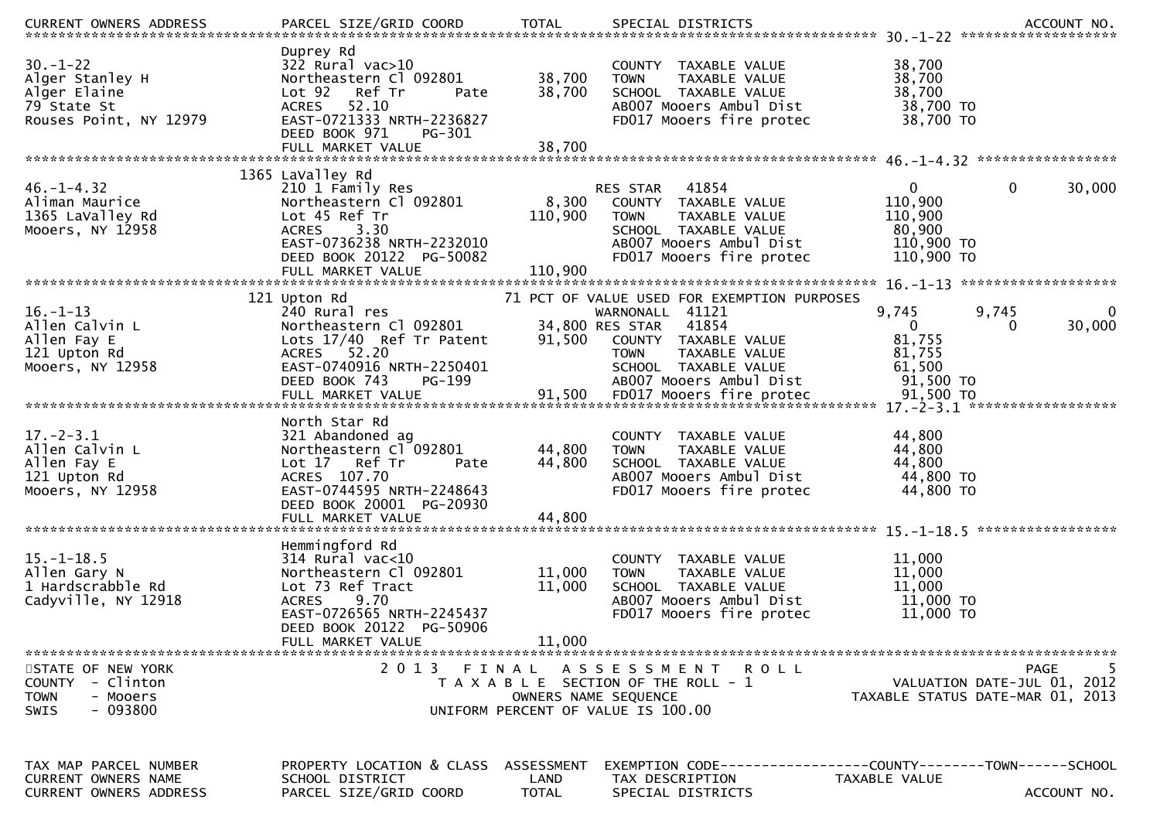| $30. - 1 - 22$<br>Alger Stanley H<br>Alger Elaine<br>79 State St<br>Rouses Point, NY 12979             | Duprey Rd<br>$322$ Rural vac $>10$<br>Northeastern Cl 092801<br>Lot 92<br>Ref Tr<br>Pate<br>52.10<br><b>ACRES</b><br>EAST-0721333 NRTH-2236827<br>DEED BOOK 971<br>PG-301                | 38,700<br>38,700<br>38,700         | COUNTY TAXABLE VALUE<br>TAXABLE VALUE<br><b>TOWN</b><br>SCHOOL TAXABLE VALUE<br>AB007 Mooers Ambul Dist<br>FD017 Mooers fire protec                                                                   | 38,700<br>38,700<br>38,700<br>38,700 TO<br>38,700 TO                       |                                                 |
|--------------------------------------------------------------------------------------------------------|------------------------------------------------------------------------------------------------------------------------------------------------------------------------------------------|------------------------------------|-------------------------------------------------------------------------------------------------------------------------------------------------------------------------------------------------------|----------------------------------------------------------------------------|-------------------------------------------------|
|                                                                                                        | FULL MARKET VALUE                                                                                                                                                                        |                                    |                                                                                                                                                                                                       |                                                                            |                                                 |
| $46. - 1 - 4.32$<br>Aliman Maurice<br>1365 LaValley Rd<br>Mooers, NY 12958                             | 1365 LaValley Rd<br>210 1 Family Res<br>Northeastern Cl 092801<br>Lot 45 Ref Tr<br>3.30<br><b>ACRES</b><br>EAST-0736238 NRTH-2232010<br>DEED BOOK 20122 PG-50082                         | 8,300<br>110,900                   | RES STAR<br>41854<br>COUNTY TAXABLE VALUE<br><b>TOWN</b><br>TAXABLE VALUE<br>SCHOOL TAXABLE VALUE<br>AB007 Mooers Ambul Dist<br>FD017 Mooers fire protec                                              | $\overline{0}$<br>110,900<br>110,900<br>80,900<br>110,900 TO<br>110,900 TO | $\mathbf 0$<br>30,000                           |
|                                                                                                        |                                                                                                                                                                                          |                                    |                                                                                                                                                                                                       |                                                                            |                                                 |
| $16. - 1 - 13$<br>Allen Calvin L<br>Allen Fay E<br>121 Upton Rd<br>Mooers, NY 12958                    | 121 Upton Rd<br>240 Rural res<br>Northeastern Cl 092801<br>Lots 17/40 Ref Tr Patent<br>ACRES 52.20<br>EAST-0740916 NRTH-2250401<br>DEED BOOK 743<br>PG-199                               | 91,500                             | 71 PCT OF VALUE USED FOR EXEMPTION PURPOSES<br>WARNONALL 41121<br>41854<br>34,800 RES STAR<br>COUNTY TAXABLE VALUE<br>TAXABLE VALUE<br><b>TOWN</b><br>SCHOOL TAXABLE VALUE<br>AB007 Mooers Ambul Dist | 9,745<br>$\mathbf{0}$<br>81,755<br>81,755<br>61,500<br>91,500 TO           | 9,745<br>0<br>30,000<br>0                       |
| $17. - 2 - 3.1$<br>Allen Calvin L<br>Allen Fay E<br>121 Upton Rd<br>Mooers, NY 12958                   | North Star Rd<br>321 Abandoned ag<br>Northeastern Cl 092801<br>Ref Tr<br>Lot 17<br>Pate<br>ACRES 107.70<br>EAST-0744595 NRTH-2248643<br>DEED BOOK 20001 PG-20930<br>FULL MARKET VALUE    | 44,800<br>44,800<br>44,800         | COUNTY TAXABLE VALUE<br><b>TOWN</b><br>TAXABLE VALUE<br>SCHOOL TAXABLE VALUE<br>AB007 Mooers Ambul Dist<br>FD017 Mooers fire protec                                                                   | 44,800<br>44,800<br>44,800<br>44,800 TO<br>44,800 TO                       | *****************                               |
| $15. - 1 - 18.5$<br>Allen Gary N<br>1 Hardscrabble Rd<br>Cadyville, NY 12918                           | Hemmingford Rd<br>$314$ Rural vac<10<br>Northeastern Cl 092801<br>Lot 73 Ref Tract<br><b>ACRES</b><br>9.70<br>EAST-0726565 NRTH-2245437<br>DEED BOOK 20122 PG-50906<br>FULL MARKET VALUE | 11,000<br>11,000<br>11,000         | COUNTY<br>TAXABLE VALUE<br>TAXABLE VALUE<br><b>TOWN</b><br>SCHOOL TAXABLE VALUE<br>AB007 Mooers Ambul Dist<br>FD017 Mooers fire protec                                                                | 11,000<br>11,000<br>11,000<br>11,000 TO<br>11,000 TO                       |                                                 |
| STATE OF NEW YORK<br>- Clinton<br><b>COUNTY</b><br><b>TOWN</b><br>- Mooers<br>$-093800$<br><b>SWIS</b> | 2 0 1 3<br>FINAL                                                                                                                                                                         |                                    | ASSESSMENT ROLL<br>T A X A B L E SECTION OF THE ROLL - 1<br>OWNERS NAME SEQUENCE<br>UNIFORM PERCENT OF VALUE IS 100.00                                                                                | TAXABLE STATUS DATE-MAR 01, 2013                                           | <b>PAGE</b><br>5<br>VALUATION DATE-JUL 01, 2012 |
| TAX MAP PARCEL NUMBER<br>CURRENT OWNERS NAME<br><b>CURRENT OWNERS ADDRESS</b>                          | PROPERTY LOCATION & CLASS<br>SCHOOL DISTRICT<br>PARCEL SIZE/GRID COORD                                                                                                                   | ASSESSMENT<br>LAND<br><b>TOTAL</b> | EXEMPTION        CODE------------------COUNTY-------TOWN------SCHOOL<br>TAX DESCRIPTION<br>SPECIAL DISTRICTS                                                                                          | TAXABLE VALUE                                                              | ACCOUNT NO.                                     |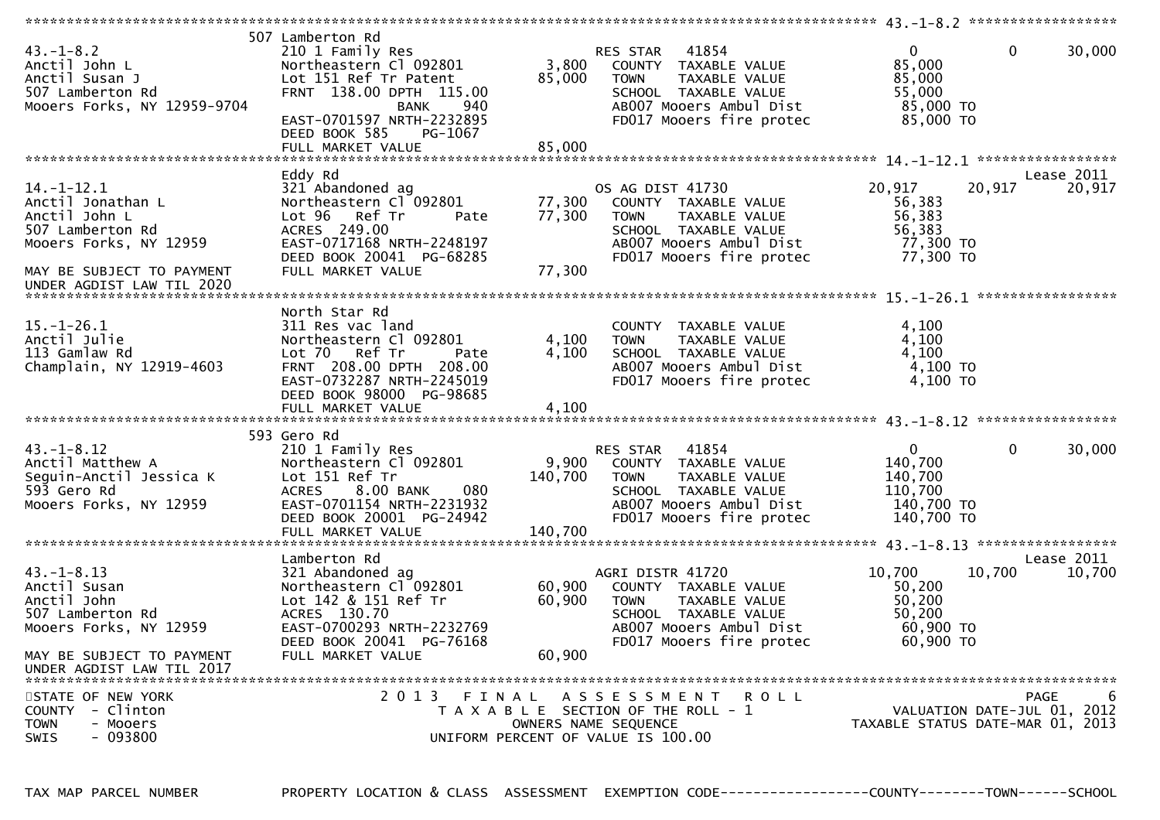| $43. - 1 - 8.2$<br>Anctil John L<br>Anctil Susan J<br>507 Lamberton Rd<br>Mooers Forks, NY 12959-9704    | 507 Lamberton Rd<br>210 1 Family Res<br>Northeastern Cl 092801<br>Lot 151 Ref Tr Patent<br>FRNT 138.00 DPTH 115.00<br>940<br><b>BANK</b><br>EAST-0701597 NRTH-2232895               | 3,800<br>85,000             | RES STAR<br>41854<br>COUNTY TAXABLE VALUE<br><b>TOWN</b><br>TAXABLE VALUE<br>SCHOOL TAXABLE VALUE<br>AB007 Mooers Ambul Dist<br>FD017 Mooers fire protec | $\mathbf{0}$<br>$\mathbf{0}$<br>85,000<br>85,000<br>55,000<br>85,000 TO<br>85,000 TO      | 30,000               |
|----------------------------------------------------------------------------------------------------------|-------------------------------------------------------------------------------------------------------------------------------------------------------------------------------------|-----------------------------|----------------------------------------------------------------------------------------------------------------------------------------------------------|-------------------------------------------------------------------------------------------|----------------------|
|                                                                                                          | DEED BOOK 585<br>PG-1067                                                                                                                                                            |                             |                                                                                                                                                          |                                                                                           |                      |
|                                                                                                          | FULL MARKET VALUE                                                                                                                                                                   | 85,000                      |                                                                                                                                                          |                                                                                           |                      |
|                                                                                                          | Eddy Rd                                                                                                                                                                             |                             |                                                                                                                                                          |                                                                                           | Lease 2011           |
| $14. - 1 - 12.1$<br>Anctil Jonathan L<br>Anctil John L<br>507 Lamberton Rd<br>Mooers Forks, NY 12959     | 321 Abandoned ag<br>Northeastern Cl 092801<br>Lot 96 Ref Tr<br>Pate<br>ACRES 249.00<br>EAST-0717168 NRTH-2248197<br>DEED BOOK 20041 PG-68285                                        | 77,300<br>77,300            | OS AG DIST 41730<br>COUNTY TAXABLE VALUE<br>TAXABLE VALUE<br><b>TOWN</b><br>SCHOOL TAXABLE VALUE<br>AB007 Mooers Ambul Dist<br>FD017 Mooers fire protec  | 20,917<br>20,917<br>56,383<br>56,383<br>56,383<br>77,300 TO<br>77,300 TO                  | 20,917               |
| MAY BE SUBJECT TO PAYMENT                                                                                | FULL MARKET VALUE                                                                                                                                                                   | 77,300                      |                                                                                                                                                          |                                                                                           |                      |
| UNDER AGDIST LAW TIL 2020                                                                                |                                                                                                                                                                                     |                             |                                                                                                                                                          |                                                                                           |                      |
|                                                                                                          | North Star Rd                                                                                                                                                                       |                             |                                                                                                                                                          |                                                                                           |                      |
| $15.-1-26.1$<br>Anctil Julie<br>113 Gamlaw Rd<br>Champlain, NY 12919-4603                                | 311 Res vac land<br>Northeastern Cl 092801<br>Ref Tr<br>Lot 70<br>Pate<br>FRNT 208.00 DPTH 208.00<br>EAST-0732287 NRTH-2245019                                                      | 4,100<br>4,100              | COUNTY TAXABLE VALUE<br>TAXABLE VALUE<br><b>TOWN</b><br>SCHOOL TAXABLE VALUE<br>AB007 Mooers Ambul Dist<br>FD017 Mooers fire protec                      | 4,100<br>4,100<br>4,100<br>4,100 TO<br>$4,100$ TO                                         |                      |
|                                                                                                          | DEED BOOK 98000 PG-98685<br>FULL MARKET VALUE                                                                                                                                       | 4,100                       |                                                                                                                                                          |                                                                                           |                      |
|                                                                                                          |                                                                                                                                                                                     |                             |                                                                                                                                                          |                                                                                           |                      |
| $43. - 1 - 8.12$<br>Anctil Matthew A<br>Seguin-Anctil Jessica K<br>593 Gero Rd<br>Mooers Forks, NY 12959 | 593 Gero Rd<br>210 1 Family Res<br>Northeastern Cl 092801<br>Lot 151 Ref Tr<br>ACRES 8.00 BANK<br>080<br>EAST-0701154 NRTH-2231932<br>DEED BOOK 20001 PG-24942<br>FULL MARKET VALUE | 9,900<br>140,700<br>140,700 | 41854<br>RES STAR<br>COUNTY TAXABLE VALUE<br><b>TOWN</b><br>TAXABLE VALUE<br>SCHOOL TAXABLE VALUE<br>AB007 Mooers Ambul Dist<br>FD017 Mooers fire protec | $\mathbf{0}$<br>$\mathbf{0}$<br>140,700<br>140,700<br>110,700<br>140,700 TO<br>140,700 TO | 30,000               |
|                                                                                                          |                                                                                                                                                                                     |                             |                                                                                                                                                          |                                                                                           |                      |
| $43. - 1 - 8.13$<br>Anctil Susan<br>Anctil John<br>507 Lamberton Rd<br>Mooers Forks, NY 12959            | Lamberton Rd<br>321 Abandoned ag<br>Northeastern Cl 092801<br>Lot 142 & 151 Ref Tr<br>ACRES 130.70<br>EAST-0700293 NRTH-2232769<br>DEED BOOK 20041 PG-76168                         | 60,900<br>60,900            | AGRI DISTR 41720<br>COUNTY TAXABLE VALUE<br><b>TOWN</b><br>TAXABLE VALUE<br>SCHOOL TAXABLE VALUE<br>AB007 Mooers Ambul Dist<br>FD017 Mooers fire protec  | 10,700<br>10,700<br>50,200<br>50,200<br>50,200<br>60,900 TO<br>60,900 ТО                  | Lease 2011<br>10,700 |
| MAY BE SUBJECT TO PAYMENT<br>UNDER AGDIST LAW TIL 2017                                                   | FULL MARKET VALUE                                                                                                                                                                   | 60,900                      |                                                                                                                                                          |                                                                                           |                      |
| STATE OF NEW YORK                                                                                        | 2013                                                                                                                                                                                |                             | FINAL ASSESSMENT ROLL                                                                                                                                    |                                                                                           | 6<br>PAGE            |
| <b>COUNTY</b><br>- Clinton<br><b>TOWN</b><br>- Mooers                                                    |                                                                                                                                                                                     |                             | T A X A B L E SECTION OF THE ROLL - 1<br>OWNERS NAME SEQUENCE                                                                                            | VALUATION DATE-JUL 01, 2012<br>TAXABLE STATUS DATE-MAR 01, 2013                           |                      |
| $-093800$<br><b>SWIS</b>                                                                                 |                                                                                                                                                                                     |                             | UNIFORM PERCENT OF VALUE IS 100.00                                                                                                                       |                                                                                           |                      |

TAX MAP PARCEL NUMBER PROPERTY LOCATION & CLASS ASSESSMENT EXEMPTION CODE------------------COUNTY--------TOWN------SCHOOL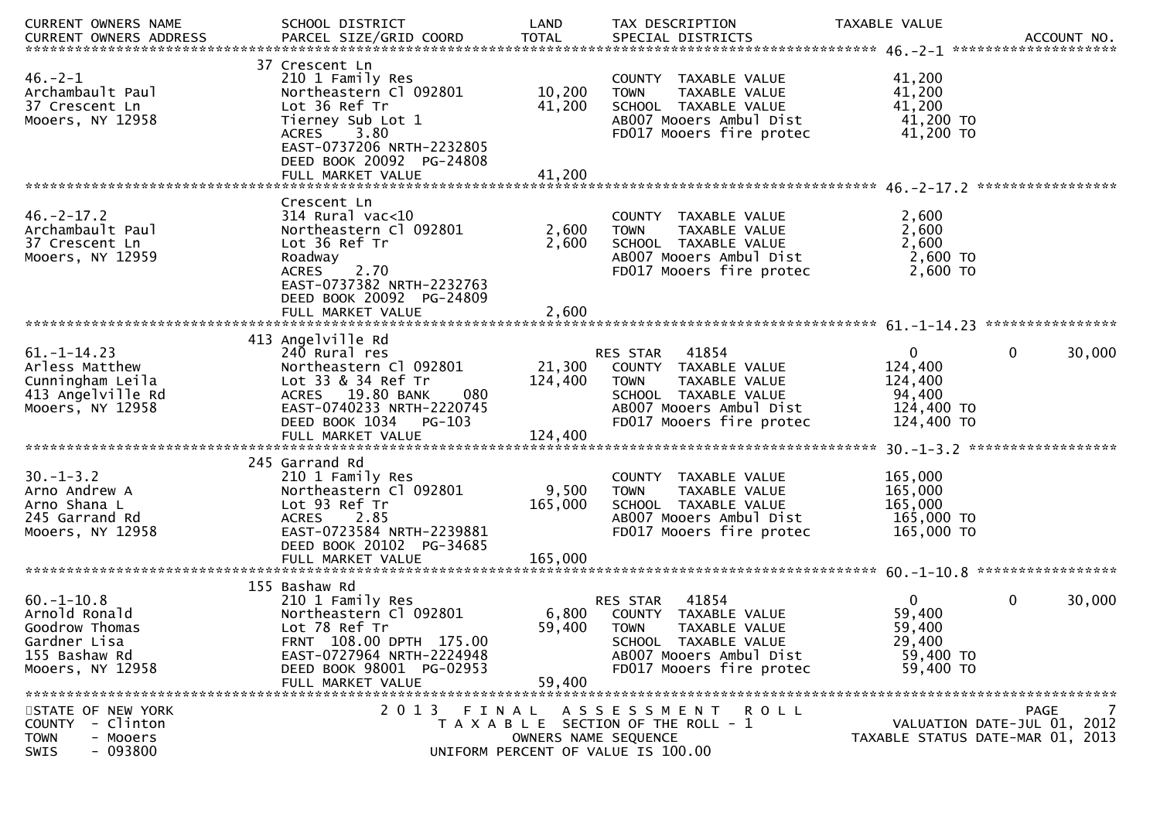| CURRENT OWNERS NAME                                                                                     | SCHOOL DISTRICT                                                                                                                                                              | LAND                        | TAX DESCRIPTION                                                                                                                                          | TAXABLE VALUE                                                            |                                                                              |
|---------------------------------------------------------------------------------------------------------|------------------------------------------------------------------------------------------------------------------------------------------------------------------------------|-----------------------------|----------------------------------------------------------------------------------------------------------------------------------------------------------|--------------------------------------------------------------------------|------------------------------------------------------------------------------|
| $46. - 2 - 1$<br>Archambault Paul<br>37 Crescent Ln<br>Mooers, NY 12958                                 | 37 Crescent Ln<br>210 1 Family Res<br>Northeastern Cl 092801<br>Lot 36 Ref Tr<br>Tierney Sub Lot 1<br>3.80<br>ACRES<br>EAST-0737206 NRTH-2232805<br>DEED BOOK 20092 PG-24808 | 10,200<br>41,200            | COUNTY TAXABLE VALUE<br><b>TOWN</b><br>TAXABLE VALUE<br>SCHOOL TAXABLE VALUE<br>AB007 Mooers Ambul Dist<br>FD017 Mooers fire protec                      | 41,200<br>41,200<br>41,200<br>41,200 TO<br>41,200 TO                     |                                                                              |
|                                                                                                         | Crescent Ln                                                                                                                                                                  |                             |                                                                                                                                                          |                                                                          |                                                                              |
| $46. -2 - 17.2$<br>Archambault Paul<br>37 Crescent Ln<br>Mooers, NY 12959                               | $314$ Rural vac<10<br>Northeastern Cl 092801<br>Lot 36 Ref Tr<br>Roadway<br>2.70<br><b>ACRES</b><br>EAST-0737382 NRTH-2232763<br>DEED BOOK 20092 PG-24809                    | 2,600<br>2,600              | COUNTY TAXABLE VALUE<br><b>TOWN</b><br>TAXABLE VALUE<br>SCHOOL TAXABLE VALUE<br>AB007 Mooers Ambul Dist<br>FD017 Mooers fire protec                      | 2,600<br>2,600<br>2,600<br>2,600 TO<br>2,600 TO                          |                                                                              |
|                                                                                                         | 413 Angelville Rd                                                                                                                                                            |                             |                                                                                                                                                          |                                                                          |                                                                              |
| $61. -1 - 14.23$<br>Arless Matthew<br>Cunningham Leila<br>413 Angelville Rd<br>Mooers, NY 12958         | 240 Rural res<br>Northeastern Cl 092801<br>Lot 33 & 34 Ref Tr<br>ACRES 19.80 BANK<br>080<br>EAST-0740233 NRTH-2220745<br>PG-103<br>DEED BOOK 1034                            | 21,300<br>124,400           | 41854<br>RES STAR<br>COUNTY TAXABLE VALUE<br><b>TOWN</b><br>TAXABLE VALUE<br>SCHOOL TAXABLE VALUE<br>AB007 Mooers Ambul Dist<br>FD017 Mooers fire protec | $\mathbf{0}$<br>124,400<br>124,400<br>94,400<br>124,400 TO<br>124,400 TO | $\mathbf{0}$<br>30,000                                                       |
|                                                                                                         | 245 Garrand Rd                                                                                                                                                               |                             |                                                                                                                                                          |                                                                          |                                                                              |
| $30. -1 - 3.2$<br>Arno Andrew A<br>Arno Shana L<br>245 Garrand Rd<br>Mooers, NY 12958                   | 210 1 Family Res<br>Northeastern Cl 092801<br>Lot 93 Ref Tr<br>ACRES 2.85<br>EAST-0723584 NRTH-2239881<br>DEED BOOK 20102 PG-34685<br>FULL MARKET VALUE                      | 9,500<br>165,000<br>165,000 | COUNTY TAXABLE VALUE<br><b>TOWN</b><br>TAXABLE VALUE<br>SCHOOL TAXABLE VALUE<br>AB007 Mooers Ambul Dist<br>FD017 Mooers fire protec                      | 165,000<br>165,000<br>165,000<br>165,000 TO<br>165,000 TO                |                                                                              |
|                                                                                                         | 155 Bashaw Rd                                                                                                                                                                |                             |                                                                                                                                                          |                                                                          |                                                                              |
| $60. -1 - 10.8$<br>Arnold Ronald<br>Goodrow Thomas<br>Gardner Lisa<br>155 Bashaw Rd<br>Mooers, NY 12958 | 210 1 Family Res<br>Northeastern Cl 092801<br>Lot 78 Ref Tr<br>FRNT 108.00 DPTH 175.00<br>EAST-0727964 NRTH-2224948<br>DEED BOOK 98001 PG-02953<br>FULL MARKET VALUE         | 6,800<br>59,400<br>59,400   | 41854<br>RES STAR<br>COUNTY TAXABLE VALUE<br><b>TOWN</b><br>TAXABLE VALUE<br>SCHOOL TAXABLE VALUE<br>AB007 Mooers Ambul Dist<br>FD017 Mooers fire protec | $\mathbf{0}$<br>59,400<br>59,400<br>29,400<br>59,400 TO<br>59,400 TO     | $\mathbf{0}$<br>30,000                                                       |
| STATE OF NEW YORK<br>COUNTY - Clinton<br><b>TOWN</b><br>- Mooers<br>$-093800$<br>SWIS                   |                                                                                                                                                                              | OWNERS NAME SEQUENCE        | 2013 FINAL ASSESSMENT ROLL<br>T A X A B L E SECTION OF THE ROLL - 1<br>UNIFORM PERCENT OF VALUE IS 100.00                                                |                                                                          | 7<br>PAGE<br>VALUATION DATE-JUL 01, 2012<br>TAXABLE STATUS DATE-MAR 01, 2013 |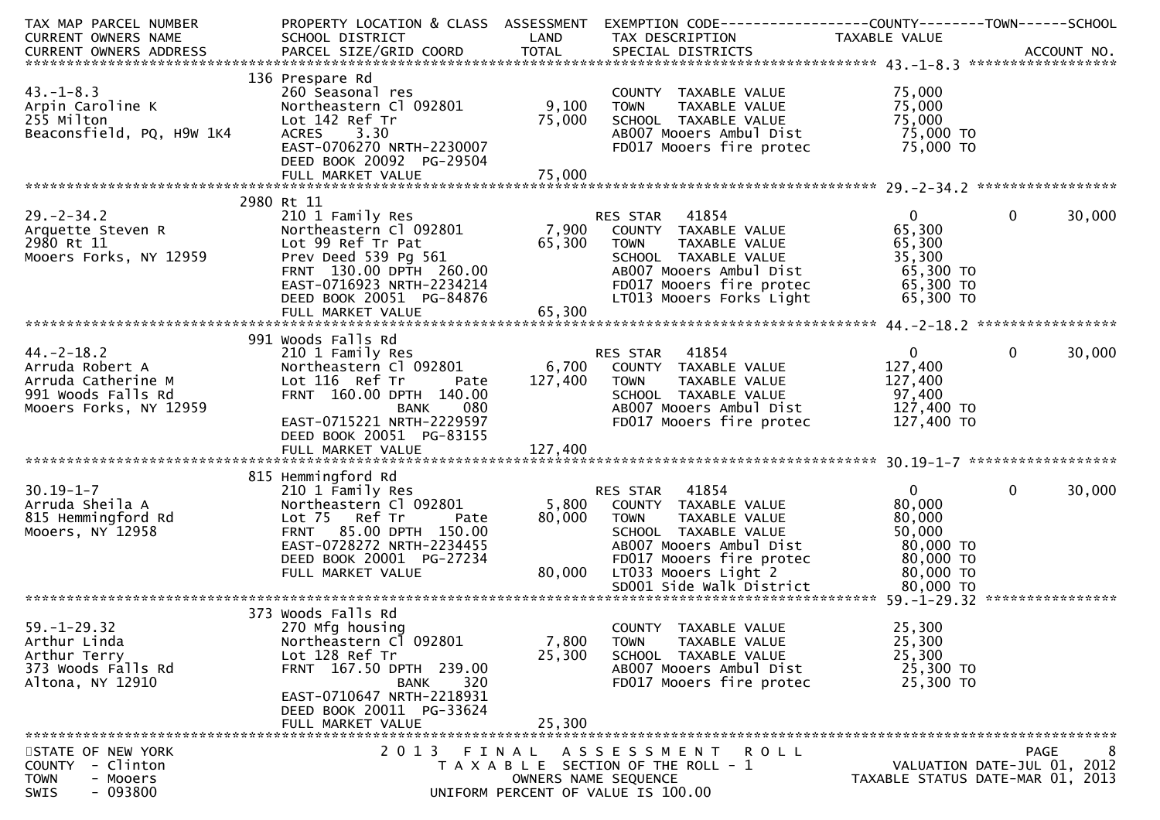| TAXABLE VALUE<br>136 Prespare Rd<br>$43. - 1 - 8.3$<br>75,000<br>260 Seasonal res<br>COUNTY TAXABLE VALUE<br>9,100<br>75,000<br>Arpin Caroline K<br>Northeastern Cl 092801<br><b>TOWN</b><br>TAXABLE VALUE<br>255 Milton<br>SCHOOL TAXABLE VALUE<br>75,000<br>75,000<br>Lot 142 Ref Tr<br>Beaconsfield, PQ, H9W 1K4<br>AB007 Mooers Ambul Dist<br>75,000 TO<br>ACRES 3.30<br>EAST-0706270 NRTH-2230007<br>75,000 TO<br>FD017 Mooers fire protec<br>DEED BOOK 20092 PG-29504<br>2980 Rt 11<br>210 1 Family Res<br>$\mathbf{0}$<br>0<br>30,000<br>KES STAR 41854<br>7,900 COUNTY TAXABLE VALUE<br>65,200 TOUN TAXABLE VALUE<br>Northeastern Cl 092801<br>65,300<br>Arquette Steven R<br>2980 Pt 11<br>Lot 99 Ref Tr Pat<br>65,300<br>65,300<br><b>TOWN</b><br>TAXABLE VALUE<br>Mooers Forks, NY 12959<br>Prev Deed 539 Pg 561<br>SCHOOL TAXABLE VALUE<br>35,300<br>FRNT 130.00 DPTH 260.00<br>65,300 TO<br>AB007 Mooers Ambul Dist<br>EAST-0716923 NRTH-2234214<br>FD017 Mooers fire protec<br>65,300 TO<br>LT013 Mooers Forks Light<br>DEED BOOK 20051 PG-84876<br>65,300 TO<br>65,300<br>FULL MARKET VALUE<br>991 Woods Falls Rd<br>$44. -2 - 18.2$<br><b>RES STAR 41854</b><br>$\mathbf{0}$<br>$\mathbf{0}$<br>30,000<br>210 1 Family Res<br>6,700 COUNTY TAXABLE VALUE<br>Northeastern Cl 092801<br>127,400<br>Arruda Robert A<br>Lot 116 Ref Tr<br>127,400<br>Arruda Catherine M<br>127,400<br><b>TOWN</b><br>TAXABLE VALUE<br>Pate<br>97,400<br>FRNT 160.00 DPTH 140.00<br>991 Woods Falls Rd<br>SCHOOL TAXABLE VALUE<br>AB007 Mooers Ambul Dist 127,400 TO<br>Mooers Forks, NY 12959<br><b>BANK</b><br>080<br>EAST-0715221 NRTH-2229597<br>FD017 Mooers fire protec<br>127,400 TO<br>DEED BOOK 20051 PG-83155<br>815 Hemmingford Rd<br>$30.19 - 1 - 7$<br>RES STAR 41854<br>$\mathbf{0}$<br>$\mathbf{0}$<br>30,000<br>210 1 Family Res<br>Arruda Sheila A<br>Northeastern Cl 092801<br>5,800 COUNTY TAXABLE VALUE<br>80,000<br>815 Hemmingford Rd<br>Lot 75 Ref Tr<br>80,000<br>80,000<br>Pate<br><b>TOWN</b><br>TAXABLE VALUE<br>50,000<br>FRNT 85.00 DPTH 150.00<br>SCHOOL TAXABLE VALUE<br>EAST-0728272 NRTH-2234455<br>AB007 Mooers Ambul Dist<br>80,000 TO<br>DEED BOOK 20001 PG-27234<br>80,000 TO<br>FD017 Mooers fire protec<br>80,000<br>LT033 Mooers Light 2<br>FULL MARKET VALUE<br>80,000 TO<br>373 Woods Falls Rd<br>270 Mfg housing<br>25,300<br>COUNTY TAXABLE VALUE<br>7,800<br>25,300<br>Northeastern Cl 092801<br><b>TOWN</b><br>TAXABLE VALUE<br>25,300<br>Lot 128 Ref Tr<br>25,300<br>Arthur Terry<br>SCHOOL TAXABLE VALUE<br>FRNT 167.50 DPTH 239.00<br>25,300 TO<br>373 Woods Falls Rd<br>AB007 Mooers Ambul Dist<br>Altona, NY 12910<br>FD017 Mooers fire protec<br>25,300 TO<br>320<br><b>BANK</b><br>EAST-0710647 NRTH-2218931<br>DEED BOOK 20011 PG-33624<br>25,300<br>FULL MARKET VALUE | TAX MAP PARCEL NUMBER |                 |      | PROPERTY LOCATION & CLASS ASSESSMENT EXEMPTION CODE----------------COUNTY-------TOWN------SCHOOL |  |
|-------------------------------------------------------------------------------------------------------------------------------------------------------------------------------------------------------------------------------------------------------------------------------------------------------------------------------------------------------------------------------------------------------------------------------------------------------------------------------------------------------------------------------------------------------------------------------------------------------------------------------------------------------------------------------------------------------------------------------------------------------------------------------------------------------------------------------------------------------------------------------------------------------------------------------------------------------------------------------------------------------------------------------------------------------------------------------------------------------------------------------------------------------------------------------------------------------------------------------------------------------------------------------------------------------------------------------------------------------------------------------------------------------------------------------------------------------------------------------------------------------------------------------------------------------------------------------------------------------------------------------------------------------------------------------------------------------------------------------------------------------------------------------------------------------------------------------------------------------------------------------------------------------------------------------------------------------------------------------------------------------------------------------------------------------------------------------------------------------------------------------------------------------------------------------------------------------------------------------------------------------------------------------------------------------------------------------------------------------------------------------------------------------------------------------------------------------------------------------------------------------------------------------------------------------------------------------------------------------------------------------------------------------------------------------------------------------------------------------------------------------------------------------------------------------------------------|-----------------------|-----------------|------|--------------------------------------------------------------------------------------------------|--|
|                                                                                                                                                                                                                                                                                                                                                                                                                                                                                                                                                                                                                                                                                                                                                                                                                                                                                                                                                                                                                                                                                                                                                                                                                                                                                                                                                                                                                                                                                                                                                                                                                                                                                                                                                                                                                                                                                                                                                                                                                                                                                                                                                                                                                                                                                                                                                                                                                                                                                                                                                                                                                                                                                                                                                                                                                         | CURRENT OWNERS NAME   | SCHOOL DISTRICT | LAND | TAX DESCRIPTION                                                                                  |  |
|                                                                                                                                                                                                                                                                                                                                                                                                                                                                                                                                                                                                                                                                                                                                                                                                                                                                                                                                                                                                                                                                                                                                                                                                                                                                                                                                                                                                                                                                                                                                                                                                                                                                                                                                                                                                                                                                                                                                                                                                                                                                                                                                                                                                                                                                                                                                                                                                                                                                                                                                                                                                                                                                                                                                                                                                                         |                       |                 |      |                                                                                                  |  |
|                                                                                                                                                                                                                                                                                                                                                                                                                                                                                                                                                                                                                                                                                                                                                                                                                                                                                                                                                                                                                                                                                                                                                                                                                                                                                                                                                                                                                                                                                                                                                                                                                                                                                                                                                                                                                                                                                                                                                                                                                                                                                                                                                                                                                                                                                                                                                                                                                                                                                                                                                                                                                                                                                                                                                                                                                         |                       |                 |      |                                                                                                  |  |
|                                                                                                                                                                                                                                                                                                                                                                                                                                                                                                                                                                                                                                                                                                                                                                                                                                                                                                                                                                                                                                                                                                                                                                                                                                                                                                                                                                                                                                                                                                                                                                                                                                                                                                                                                                                                                                                                                                                                                                                                                                                                                                                                                                                                                                                                                                                                                                                                                                                                                                                                                                                                                                                                                                                                                                                                                         |                       |                 |      |                                                                                                  |  |
|                                                                                                                                                                                                                                                                                                                                                                                                                                                                                                                                                                                                                                                                                                                                                                                                                                                                                                                                                                                                                                                                                                                                                                                                                                                                                                                                                                                                                                                                                                                                                                                                                                                                                                                                                                                                                                                                                                                                                                                                                                                                                                                                                                                                                                                                                                                                                                                                                                                                                                                                                                                                                                                                                                                                                                                                                         |                       |                 |      |                                                                                                  |  |
|                                                                                                                                                                                                                                                                                                                                                                                                                                                                                                                                                                                                                                                                                                                                                                                                                                                                                                                                                                                                                                                                                                                                                                                                                                                                                                                                                                                                                                                                                                                                                                                                                                                                                                                                                                                                                                                                                                                                                                                                                                                                                                                                                                                                                                                                                                                                                                                                                                                                                                                                                                                                                                                                                                                                                                                                                         |                       |                 |      |                                                                                                  |  |
|                                                                                                                                                                                                                                                                                                                                                                                                                                                                                                                                                                                                                                                                                                                                                                                                                                                                                                                                                                                                                                                                                                                                                                                                                                                                                                                                                                                                                                                                                                                                                                                                                                                                                                                                                                                                                                                                                                                                                                                                                                                                                                                                                                                                                                                                                                                                                                                                                                                                                                                                                                                                                                                                                                                                                                                                                         |                       |                 |      |                                                                                                  |  |
|                                                                                                                                                                                                                                                                                                                                                                                                                                                                                                                                                                                                                                                                                                                                                                                                                                                                                                                                                                                                                                                                                                                                                                                                                                                                                                                                                                                                                                                                                                                                                                                                                                                                                                                                                                                                                                                                                                                                                                                                                                                                                                                                                                                                                                                                                                                                                                                                                                                                                                                                                                                                                                                                                                                                                                                                                         |                       |                 |      |                                                                                                  |  |
|                                                                                                                                                                                                                                                                                                                                                                                                                                                                                                                                                                                                                                                                                                                                                                                                                                                                                                                                                                                                                                                                                                                                                                                                                                                                                                                                                                                                                                                                                                                                                                                                                                                                                                                                                                                                                                                                                                                                                                                                                                                                                                                                                                                                                                                                                                                                                                                                                                                                                                                                                                                                                                                                                                                                                                                                                         |                       |                 |      |                                                                                                  |  |
|                                                                                                                                                                                                                                                                                                                                                                                                                                                                                                                                                                                                                                                                                                                                                                                                                                                                                                                                                                                                                                                                                                                                                                                                                                                                                                                                                                                                                                                                                                                                                                                                                                                                                                                                                                                                                                                                                                                                                                                                                                                                                                                                                                                                                                                                                                                                                                                                                                                                                                                                                                                                                                                                                                                                                                                                                         |                       |                 |      |                                                                                                  |  |
|                                                                                                                                                                                                                                                                                                                                                                                                                                                                                                                                                                                                                                                                                                                                                                                                                                                                                                                                                                                                                                                                                                                                                                                                                                                                                                                                                                                                                                                                                                                                                                                                                                                                                                                                                                                                                                                                                                                                                                                                                                                                                                                                                                                                                                                                                                                                                                                                                                                                                                                                                                                                                                                                                                                                                                                                                         | $29. - 2 - 34.2$      |                 |      |                                                                                                  |  |
|                                                                                                                                                                                                                                                                                                                                                                                                                                                                                                                                                                                                                                                                                                                                                                                                                                                                                                                                                                                                                                                                                                                                                                                                                                                                                                                                                                                                                                                                                                                                                                                                                                                                                                                                                                                                                                                                                                                                                                                                                                                                                                                                                                                                                                                                                                                                                                                                                                                                                                                                                                                                                                                                                                                                                                                                                         |                       |                 |      |                                                                                                  |  |
|                                                                                                                                                                                                                                                                                                                                                                                                                                                                                                                                                                                                                                                                                                                                                                                                                                                                                                                                                                                                                                                                                                                                                                                                                                                                                                                                                                                                                                                                                                                                                                                                                                                                                                                                                                                                                                                                                                                                                                                                                                                                                                                                                                                                                                                                                                                                                                                                                                                                                                                                                                                                                                                                                                                                                                                                                         | 2980 Rt 11            |                 |      |                                                                                                  |  |
|                                                                                                                                                                                                                                                                                                                                                                                                                                                                                                                                                                                                                                                                                                                                                                                                                                                                                                                                                                                                                                                                                                                                                                                                                                                                                                                                                                                                                                                                                                                                                                                                                                                                                                                                                                                                                                                                                                                                                                                                                                                                                                                                                                                                                                                                                                                                                                                                                                                                                                                                                                                                                                                                                                                                                                                                                         |                       |                 |      |                                                                                                  |  |
|                                                                                                                                                                                                                                                                                                                                                                                                                                                                                                                                                                                                                                                                                                                                                                                                                                                                                                                                                                                                                                                                                                                                                                                                                                                                                                                                                                                                                                                                                                                                                                                                                                                                                                                                                                                                                                                                                                                                                                                                                                                                                                                                                                                                                                                                                                                                                                                                                                                                                                                                                                                                                                                                                                                                                                                                                         |                       |                 |      |                                                                                                  |  |
|                                                                                                                                                                                                                                                                                                                                                                                                                                                                                                                                                                                                                                                                                                                                                                                                                                                                                                                                                                                                                                                                                                                                                                                                                                                                                                                                                                                                                                                                                                                                                                                                                                                                                                                                                                                                                                                                                                                                                                                                                                                                                                                                                                                                                                                                                                                                                                                                                                                                                                                                                                                                                                                                                                                                                                                                                         |                       |                 |      |                                                                                                  |  |
|                                                                                                                                                                                                                                                                                                                                                                                                                                                                                                                                                                                                                                                                                                                                                                                                                                                                                                                                                                                                                                                                                                                                                                                                                                                                                                                                                                                                                                                                                                                                                                                                                                                                                                                                                                                                                                                                                                                                                                                                                                                                                                                                                                                                                                                                                                                                                                                                                                                                                                                                                                                                                                                                                                                                                                                                                         |                       |                 |      |                                                                                                  |  |
|                                                                                                                                                                                                                                                                                                                                                                                                                                                                                                                                                                                                                                                                                                                                                                                                                                                                                                                                                                                                                                                                                                                                                                                                                                                                                                                                                                                                                                                                                                                                                                                                                                                                                                                                                                                                                                                                                                                                                                                                                                                                                                                                                                                                                                                                                                                                                                                                                                                                                                                                                                                                                                                                                                                                                                                                                         |                       |                 |      |                                                                                                  |  |
|                                                                                                                                                                                                                                                                                                                                                                                                                                                                                                                                                                                                                                                                                                                                                                                                                                                                                                                                                                                                                                                                                                                                                                                                                                                                                                                                                                                                                                                                                                                                                                                                                                                                                                                                                                                                                                                                                                                                                                                                                                                                                                                                                                                                                                                                                                                                                                                                                                                                                                                                                                                                                                                                                                                                                                                                                         |                       |                 |      |                                                                                                  |  |
|                                                                                                                                                                                                                                                                                                                                                                                                                                                                                                                                                                                                                                                                                                                                                                                                                                                                                                                                                                                                                                                                                                                                                                                                                                                                                                                                                                                                                                                                                                                                                                                                                                                                                                                                                                                                                                                                                                                                                                                                                                                                                                                                                                                                                                                                                                                                                                                                                                                                                                                                                                                                                                                                                                                                                                                                                         |                       |                 |      |                                                                                                  |  |
|                                                                                                                                                                                                                                                                                                                                                                                                                                                                                                                                                                                                                                                                                                                                                                                                                                                                                                                                                                                                                                                                                                                                                                                                                                                                                                                                                                                                                                                                                                                                                                                                                                                                                                                                                                                                                                                                                                                                                                                                                                                                                                                                                                                                                                                                                                                                                                                                                                                                                                                                                                                                                                                                                                                                                                                                                         |                       |                 |      |                                                                                                  |  |
|                                                                                                                                                                                                                                                                                                                                                                                                                                                                                                                                                                                                                                                                                                                                                                                                                                                                                                                                                                                                                                                                                                                                                                                                                                                                                                                                                                                                                                                                                                                                                                                                                                                                                                                                                                                                                                                                                                                                                                                                                                                                                                                                                                                                                                                                                                                                                                                                                                                                                                                                                                                                                                                                                                                                                                                                                         |                       |                 |      |                                                                                                  |  |
|                                                                                                                                                                                                                                                                                                                                                                                                                                                                                                                                                                                                                                                                                                                                                                                                                                                                                                                                                                                                                                                                                                                                                                                                                                                                                                                                                                                                                                                                                                                                                                                                                                                                                                                                                                                                                                                                                                                                                                                                                                                                                                                                                                                                                                                                                                                                                                                                                                                                                                                                                                                                                                                                                                                                                                                                                         |                       |                 |      |                                                                                                  |  |
|                                                                                                                                                                                                                                                                                                                                                                                                                                                                                                                                                                                                                                                                                                                                                                                                                                                                                                                                                                                                                                                                                                                                                                                                                                                                                                                                                                                                                                                                                                                                                                                                                                                                                                                                                                                                                                                                                                                                                                                                                                                                                                                                                                                                                                                                                                                                                                                                                                                                                                                                                                                                                                                                                                                                                                                                                         |                       |                 |      |                                                                                                  |  |
|                                                                                                                                                                                                                                                                                                                                                                                                                                                                                                                                                                                                                                                                                                                                                                                                                                                                                                                                                                                                                                                                                                                                                                                                                                                                                                                                                                                                                                                                                                                                                                                                                                                                                                                                                                                                                                                                                                                                                                                                                                                                                                                                                                                                                                                                                                                                                                                                                                                                                                                                                                                                                                                                                                                                                                                                                         |                       |                 |      |                                                                                                  |  |
|                                                                                                                                                                                                                                                                                                                                                                                                                                                                                                                                                                                                                                                                                                                                                                                                                                                                                                                                                                                                                                                                                                                                                                                                                                                                                                                                                                                                                                                                                                                                                                                                                                                                                                                                                                                                                                                                                                                                                                                                                                                                                                                                                                                                                                                                                                                                                                                                                                                                                                                                                                                                                                                                                                                                                                                                                         |                       |                 |      |                                                                                                  |  |
|                                                                                                                                                                                                                                                                                                                                                                                                                                                                                                                                                                                                                                                                                                                                                                                                                                                                                                                                                                                                                                                                                                                                                                                                                                                                                                                                                                                                                                                                                                                                                                                                                                                                                                                                                                                                                                                                                                                                                                                                                                                                                                                                                                                                                                                                                                                                                                                                                                                                                                                                                                                                                                                                                                                                                                                                                         |                       |                 |      |                                                                                                  |  |
|                                                                                                                                                                                                                                                                                                                                                                                                                                                                                                                                                                                                                                                                                                                                                                                                                                                                                                                                                                                                                                                                                                                                                                                                                                                                                                                                                                                                                                                                                                                                                                                                                                                                                                                                                                                                                                                                                                                                                                                                                                                                                                                                                                                                                                                                                                                                                                                                                                                                                                                                                                                                                                                                                                                                                                                                                         |                       |                 |      |                                                                                                  |  |
|                                                                                                                                                                                                                                                                                                                                                                                                                                                                                                                                                                                                                                                                                                                                                                                                                                                                                                                                                                                                                                                                                                                                                                                                                                                                                                                                                                                                                                                                                                                                                                                                                                                                                                                                                                                                                                                                                                                                                                                                                                                                                                                                                                                                                                                                                                                                                                                                                                                                                                                                                                                                                                                                                                                                                                                                                         |                       |                 |      |                                                                                                  |  |
|                                                                                                                                                                                                                                                                                                                                                                                                                                                                                                                                                                                                                                                                                                                                                                                                                                                                                                                                                                                                                                                                                                                                                                                                                                                                                                                                                                                                                                                                                                                                                                                                                                                                                                                                                                                                                                                                                                                                                                                                                                                                                                                                                                                                                                                                                                                                                                                                                                                                                                                                                                                                                                                                                                                                                                                                                         |                       |                 |      |                                                                                                  |  |
|                                                                                                                                                                                                                                                                                                                                                                                                                                                                                                                                                                                                                                                                                                                                                                                                                                                                                                                                                                                                                                                                                                                                                                                                                                                                                                                                                                                                                                                                                                                                                                                                                                                                                                                                                                                                                                                                                                                                                                                                                                                                                                                                                                                                                                                                                                                                                                                                                                                                                                                                                                                                                                                                                                                                                                                                                         | Mooers, NY 12958      |                 |      |                                                                                                  |  |
|                                                                                                                                                                                                                                                                                                                                                                                                                                                                                                                                                                                                                                                                                                                                                                                                                                                                                                                                                                                                                                                                                                                                                                                                                                                                                                                                                                                                                                                                                                                                                                                                                                                                                                                                                                                                                                                                                                                                                                                                                                                                                                                                                                                                                                                                                                                                                                                                                                                                                                                                                                                                                                                                                                                                                                                                                         |                       |                 |      |                                                                                                  |  |
|                                                                                                                                                                                                                                                                                                                                                                                                                                                                                                                                                                                                                                                                                                                                                                                                                                                                                                                                                                                                                                                                                                                                                                                                                                                                                                                                                                                                                                                                                                                                                                                                                                                                                                                                                                                                                                                                                                                                                                                                                                                                                                                                                                                                                                                                                                                                                                                                                                                                                                                                                                                                                                                                                                                                                                                                                         |                       |                 |      |                                                                                                  |  |
|                                                                                                                                                                                                                                                                                                                                                                                                                                                                                                                                                                                                                                                                                                                                                                                                                                                                                                                                                                                                                                                                                                                                                                                                                                                                                                                                                                                                                                                                                                                                                                                                                                                                                                                                                                                                                                                                                                                                                                                                                                                                                                                                                                                                                                                                                                                                                                                                                                                                                                                                                                                                                                                                                                                                                                                                                         |                       |                 |      |                                                                                                  |  |
|                                                                                                                                                                                                                                                                                                                                                                                                                                                                                                                                                                                                                                                                                                                                                                                                                                                                                                                                                                                                                                                                                                                                                                                                                                                                                                                                                                                                                                                                                                                                                                                                                                                                                                                                                                                                                                                                                                                                                                                                                                                                                                                                                                                                                                                                                                                                                                                                                                                                                                                                                                                                                                                                                                                                                                                                                         |                       |                 |      |                                                                                                  |  |
|                                                                                                                                                                                                                                                                                                                                                                                                                                                                                                                                                                                                                                                                                                                                                                                                                                                                                                                                                                                                                                                                                                                                                                                                                                                                                                                                                                                                                                                                                                                                                                                                                                                                                                                                                                                                                                                                                                                                                                                                                                                                                                                                                                                                                                                                                                                                                                                                                                                                                                                                                                                                                                                                                                                                                                                                                         |                       |                 |      |                                                                                                  |  |
|                                                                                                                                                                                                                                                                                                                                                                                                                                                                                                                                                                                                                                                                                                                                                                                                                                                                                                                                                                                                                                                                                                                                                                                                                                                                                                                                                                                                                                                                                                                                                                                                                                                                                                                                                                                                                                                                                                                                                                                                                                                                                                                                                                                                                                                                                                                                                                                                                                                                                                                                                                                                                                                                                                                                                                                                                         | $59. - 1 - 29.32$     |                 |      |                                                                                                  |  |
|                                                                                                                                                                                                                                                                                                                                                                                                                                                                                                                                                                                                                                                                                                                                                                                                                                                                                                                                                                                                                                                                                                                                                                                                                                                                                                                                                                                                                                                                                                                                                                                                                                                                                                                                                                                                                                                                                                                                                                                                                                                                                                                                                                                                                                                                                                                                                                                                                                                                                                                                                                                                                                                                                                                                                                                                                         | Arthur Linda          |                 |      |                                                                                                  |  |
|                                                                                                                                                                                                                                                                                                                                                                                                                                                                                                                                                                                                                                                                                                                                                                                                                                                                                                                                                                                                                                                                                                                                                                                                                                                                                                                                                                                                                                                                                                                                                                                                                                                                                                                                                                                                                                                                                                                                                                                                                                                                                                                                                                                                                                                                                                                                                                                                                                                                                                                                                                                                                                                                                                                                                                                                                         |                       |                 |      |                                                                                                  |  |
|                                                                                                                                                                                                                                                                                                                                                                                                                                                                                                                                                                                                                                                                                                                                                                                                                                                                                                                                                                                                                                                                                                                                                                                                                                                                                                                                                                                                                                                                                                                                                                                                                                                                                                                                                                                                                                                                                                                                                                                                                                                                                                                                                                                                                                                                                                                                                                                                                                                                                                                                                                                                                                                                                                                                                                                                                         |                       |                 |      |                                                                                                  |  |
|                                                                                                                                                                                                                                                                                                                                                                                                                                                                                                                                                                                                                                                                                                                                                                                                                                                                                                                                                                                                                                                                                                                                                                                                                                                                                                                                                                                                                                                                                                                                                                                                                                                                                                                                                                                                                                                                                                                                                                                                                                                                                                                                                                                                                                                                                                                                                                                                                                                                                                                                                                                                                                                                                                                                                                                                                         |                       |                 |      |                                                                                                  |  |
|                                                                                                                                                                                                                                                                                                                                                                                                                                                                                                                                                                                                                                                                                                                                                                                                                                                                                                                                                                                                                                                                                                                                                                                                                                                                                                                                                                                                                                                                                                                                                                                                                                                                                                                                                                                                                                                                                                                                                                                                                                                                                                                                                                                                                                                                                                                                                                                                                                                                                                                                                                                                                                                                                                                                                                                                                         |                       |                 |      |                                                                                                  |  |
|                                                                                                                                                                                                                                                                                                                                                                                                                                                                                                                                                                                                                                                                                                                                                                                                                                                                                                                                                                                                                                                                                                                                                                                                                                                                                                                                                                                                                                                                                                                                                                                                                                                                                                                                                                                                                                                                                                                                                                                                                                                                                                                                                                                                                                                                                                                                                                                                                                                                                                                                                                                                                                                                                                                                                                                                                         |                       |                 |      |                                                                                                  |  |
|                                                                                                                                                                                                                                                                                                                                                                                                                                                                                                                                                                                                                                                                                                                                                                                                                                                                                                                                                                                                                                                                                                                                                                                                                                                                                                                                                                                                                                                                                                                                                                                                                                                                                                                                                                                                                                                                                                                                                                                                                                                                                                                                                                                                                                                                                                                                                                                                                                                                                                                                                                                                                                                                                                                                                                                                                         |                       |                 |      |                                                                                                  |  |
| 2 0 1 3<br>8<br>STATE OF NEW YORK<br><b>PAGE</b><br>FINAL<br>A S S E S S M E N T R O L L                                                                                                                                                                                                                                                                                                                                                                                                                                                                                                                                                                                                                                                                                                                                                                                                                                                                                                                                                                                                                                                                                                                                                                                                                                                                                                                                                                                                                                                                                                                                                                                                                                                                                                                                                                                                                                                                                                                                                                                                                                                                                                                                                                                                                                                                                                                                                                                                                                                                                                                                                                                                                                                                                                                                |                       |                 |      |                                                                                                  |  |
| VALUATION DATE-JUL 01, 2012<br>T A X A B L E SECTION OF THE ROLL - 1                                                                                                                                                                                                                                                                                                                                                                                                                                                                                                                                                                                                                                                                                                                                                                                                                                                                                                                                                                                                                                                                                                                                                                                                                                                                                                                                                                                                                                                                                                                                                                                                                                                                                                                                                                                                                                                                                                                                                                                                                                                                                                                                                                                                                                                                                                                                                                                                                                                                                                                                                                                                                                                                                                                                                    | COUNTY - Clinton      |                 |      |                                                                                                  |  |
| - Mooers<br>OWNERS NAME SEQUENCE<br>TAXABLE STATUS DATE-MAR 01, 2013<br>$-093800$<br>UNIFORM PERCENT OF VALUE IS 100.00                                                                                                                                                                                                                                                                                                                                                                                                                                                                                                                                                                                                                                                                                                                                                                                                                                                                                                                                                                                                                                                                                                                                                                                                                                                                                                                                                                                                                                                                                                                                                                                                                                                                                                                                                                                                                                                                                                                                                                                                                                                                                                                                                                                                                                                                                                                                                                                                                                                                                                                                                                                                                                                                                                 | <b>TOWN</b><br>SWIS   |                 |      |                                                                                                  |  |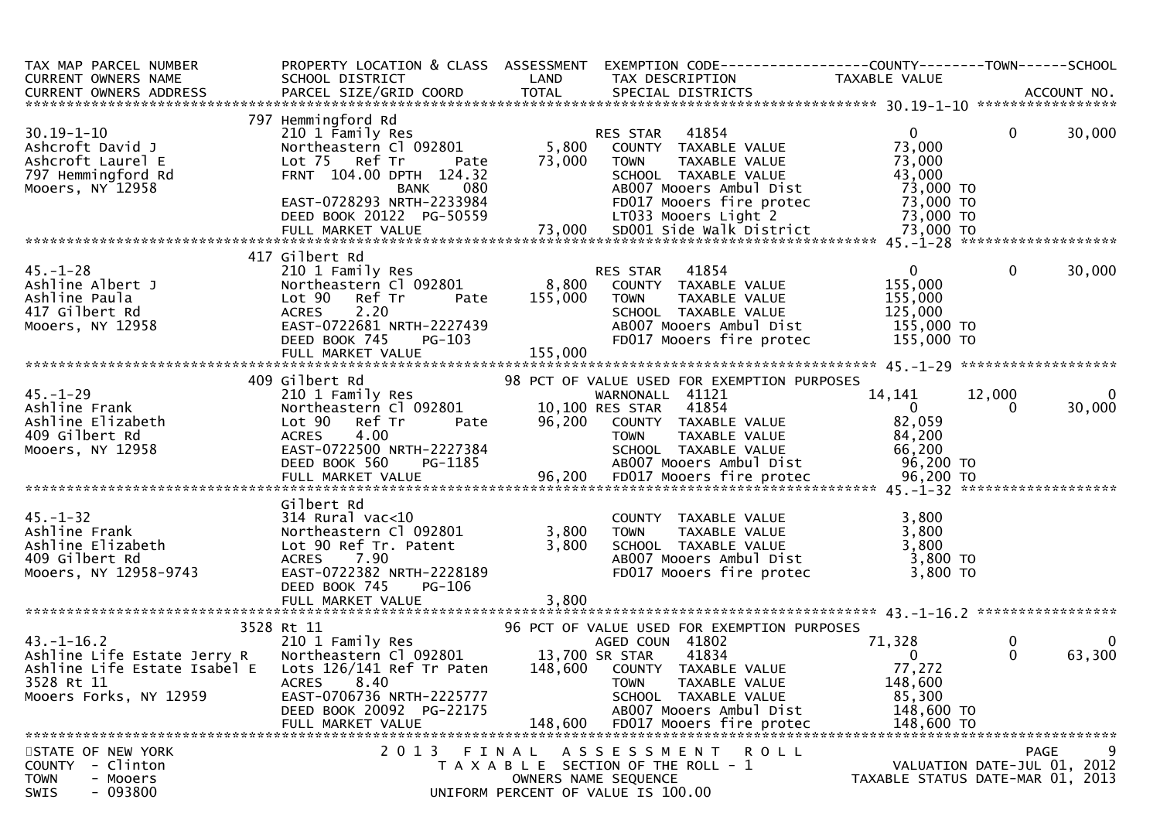| TAX MAP PARCEL NUMBER<br>CURRENT OWNERS NAME                                                                                                                                                                                                               | SCHOOL DISTRICT                                                                                                                                              |         | PROPERTY LOCATION & CLASS ASSESSMENT EXEMPTION CODE----------------COUNTY-------TOWN------SCHOOL |                    |                                  |
|------------------------------------------------------------------------------------------------------------------------------------------------------------------------------------------------------------------------------------------------------------|--------------------------------------------------------------------------------------------------------------------------------------------------------------|---------|--------------------------------------------------------------------------------------------------|--------------------|----------------------------------|
| CURRENT OWNERS ADDRESS                                                                                                                                                                                                                                     |                                                                                                                                                              |         | LAND TAX DESCRIPTION TAXABLE VALUE<br>COORD TOTAL SPECIAL DISTRICTS                              |                    |                                  |
|                                                                                                                                                                                                                                                            | 797 Hemmingford Rd<br>Hemmingford Rd<br>210 1 Family Res<br>Northeastern Cl 092801 5,800 COUNTY TAXABLE VALUE<br>CL TE Pet Tr Pate 73,000 TOWN TAXABLE VALUE |         |                                                                                                  |                    |                                  |
| $30.19 - 1 - 10$                                                                                                                                                                                                                                           |                                                                                                                                                              |         |                                                                                                  | $\mathbf{0}$       | $\overline{0}$<br>30,000         |
| Ashcroft David J                                                                                                                                                                                                                                           |                                                                                                                                                              |         |                                                                                                  | 73,000             |                                  |
|                                                                                                                                                                                                                                                            |                                                                                                                                                              |         |                                                                                                  |                    |                                  |
|                                                                                                                                                                                                                                                            |                                                                                                                                                              |         |                                                                                                  |                    |                                  |
|                                                                                                                                                                                                                                                            |                                                                                                                                                              |         |                                                                                                  |                    |                                  |
|                                                                                                                                                                                                                                                            |                                                                                                                                                              |         |                                                                                                  |                    |                                  |
|                                                                                                                                                                                                                                                            |                                                                                                                                                              |         |                                                                                                  |                    |                                  |
| Ashcroft David J<br>Ashcroft Laurel E Lot 75,000 To 2801 COUNITY IAXABLE VALUE<br>Ashcroft Laurel E Lot 75 Ref Tr Pate 73,000 TOWN TAXABLE VALUE<br>The FRNT 104.00 DPTH 124.32<br>Mooers, NY 12958 EAST-0728293 NRTH-2233984 BADOZ Mo                     |                                                                                                                                                              |         |                                                                                                  |                    |                                  |
|                                                                                                                                                                                                                                                            |                                                                                                                                                              |         |                                                                                                  |                    |                                  |
|                                                                                                                                                                                                                                                            | 210 1 Family Res<br>210 1 Family Res<br>Northeastern Cl 092801 28,800 COUNTY TAXABLE VALUE                                                                   |         |                                                                                                  | $\overline{0}$     | $\mathbf{0}$<br>30,000           |
|                                                                                                                                                                                                                                                            |                                                                                                                                                              |         |                                                                                                  | 155,000            |                                  |
|                                                                                                                                                                                                                                                            | Lot 90 Ref Tr Pate 155,000 TOWN                                                                                                                              |         | TAXABLE VALUE                                                                                    | 155,000<br>125.000 |                                  |
|                                                                                                                                                                                                                                                            |                                                                                                                                                              |         | SCHOOL TAXABLE VALUE                                                                             | 125,000            |                                  |
|                                                                                                                                                                                                                                                            |                                                                                                                                                              |         | AB007 Mooers Ambul Dist 155,000 TO                                                               |                    |                                  |
|                                                                                                                                                                                                                                                            |                                                                                                                                                              |         | FD017 Mooers fire protec 155,000 TO                                                              |                    |                                  |
| 45.-1-28<br>Ashline Albert J<br>Ashline Paula<br>417 Gilbert Rd<br>Mooers, NY 12958<br>Mooers, NY 12958<br>Ackes 2.20<br>EAST-0722681 NRTH-2227439<br>DEED BOOK 745<br>PULL MARKET VALUE<br>FULL MARKET VALUE<br>2011<br>PULL MARKET VALUE<br>2013<br>PULL |                                                                                                                                                              |         |                                                                                                  |                    |                                  |
|                                                                                                                                                                                                                                                            |                                                                                                                                                              |         |                                                                                                  |                    |                                  |
|                                                                                                                                                                                                                                                            |                                                                                                                                                              |         |                                                                                                  |                    |                                  |
|                                                                                                                                                                                                                                                            |                                                                                                                                                              |         |                                                                                                  |                    |                                  |
|                                                                                                                                                                                                                                                            |                                                                                                                                                              |         |                                                                                                  |                    |                                  |
|                                                                                                                                                                                                                                                            |                                                                                                                                                              |         |                                                                                                  |                    |                                  |
|                                                                                                                                                                                                                                                            |                                                                                                                                                              |         |                                                                                                  |                    |                                  |
|                                                                                                                                                                                                                                                            |                                                                                                                                                              |         |                                                                                                  |                    |                                  |
|                                                                                                                                                                                                                                                            |                                                                                                                                                              |         |                                                                                                  |                    |                                  |
| 103.1 12958<br>Ashine Frank 210 1 Family Res<br>Ashine Frank 210 1 Family Res<br>Ashine Frank 2006 10 1 Family Res<br>Ashine Elizabeth 1092801 10,100 RES STAR 41854<br>ASHine Elizabeth 10 100 Res STAR 41854<br>ASHine Elizabeth 10 100                  |                                                                                                                                                              |         |                                                                                                  |                    |                                  |
|                                                                                                                                                                                                                                                            | Gilbert Rd                                                                                                                                                   |         |                                                                                                  |                    |                                  |
|                                                                                                                                                                                                                                                            | 311bert Rd<br>314 Rural vac<10<br>Northeastern Cl 092801                                                                                                     | 3,800   | COUNTY TAXABLE VALUE<br>TOWN      TAXABLE VALUE                                                  | 3,800              |                                  |
|                                                                                                                                                                                                                                                            |                                                                                                                                                              | 3,800   |                                                                                                  | 3,800              |                                  |
|                                                                                                                                                                                                                                                            | Lot 90 Ref Tr. Patent<br>ACRES 7.90                                                                                                                          |         | SCHOOL TAXABLE VALUE 3,800<br>ABOO7 Mooers Ambul Dist 3,800 TO                                   |                    |                                  |
| 45.-1-32<br>Ashline Frank<br>Ashline Elizabeth<br>409 Gilbert Rd<br>Mooers, NY 12958-9743                                                                                                                                                                  | ACRES  7.90<br>EAST-0722382_NRTH-2228189                                                                                                                     |         | FD017 Mooers fire protec 3,800 TO                                                                |                    |                                  |
|                                                                                                                                                                                                                                                            | DEED BOOK 745<br>PG-106                                                                                                                                      |         |                                                                                                  |                    |                                  |
|                                                                                                                                                                                                                                                            | FULL MARKET VALUE                                                                                                                                            | 3,800   |                                                                                                  |                    |                                  |
|                                                                                                                                                                                                                                                            |                                                                                                                                                              |         |                                                                                                  |                    |                                  |
| 96 PCT OF VALUE USED<br>3528 Rt 11<br>43.-1-16.2 210 1 Family Res AGED COUM<br>Ashline Life Estate Jerry R Northeastern Cl 092801 13,700 SR STAR<br>48,600 COUNTY                                                                                          |                                                                                                                                                              |         | 96 PCT OF VALUE USED FOR EXEMPTION PURPOSES                                                      |                    |                                  |
|                                                                                                                                                                                                                                                            |                                                                                                                                                              |         | AGED COUN 41802                                                                                  | 71,328             | $\mathbf{0}$<br>0                |
|                                                                                                                                                                                                                                                            |                                                                                                                                                              |         | 41834                                                                                            | $\Omega$           | 63,300<br>$\Omega$               |
|                                                                                                                                                                                                                                                            |                                                                                                                                                              |         | 148,600 COUNTY TAXABLE VALUE                                                                     | 77,272             |                                  |
| 3528 Rt 11                                                                                                                                                                                                                                                 | 8.40<br><b>ACRES</b>                                                                                                                                         |         | TAXABLE VALUE<br><b>TOWN</b>                                                                     | 148,600            |                                  |
| Mooers Forks, NY 12959                                                                                                                                                                                                                                     | EAST-0706736 NRTH-2225777                                                                                                                                    |         | SCHOOL TAXABLE VALUE                                                                             | 85,300             |                                  |
|                                                                                                                                                                                                                                                            | DEED BOOK 20092 PG-22175                                                                                                                                     |         | AB007 Mooers Ambul Dist                                                                          | 148,600 TO         |                                  |
|                                                                                                                                                                                                                                                            | FULL MARKET VALUE                                                                                                                                            | 148,600 | FD017 Mooers fire protec                                                                         | 148,600 TO         |                                  |
| STATE OF NEW YORK                                                                                                                                                                                                                                          | 2 0 1 3                                                                                                                                                      | FINAL   | A S S E S S M E N T<br><b>ROLL</b>                                                               |                    | 9<br>PAGE                        |
| - Clinton<br><b>COUNTY</b>                                                                                                                                                                                                                                 |                                                                                                                                                              |         | T A X A B L E SECTION OF THE ROLL - 1                                                            |                    | VALUATION DATE-JUL 01, 2012      |
| <b>TOWN</b><br>- Mooers                                                                                                                                                                                                                                    |                                                                                                                                                              |         | OWNERS NAME SEQUENCE                                                                             |                    | TAXABLE STATUS DATE-MAR 01, 2013 |
| $-093800$<br><b>SWIS</b>                                                                                                                                                                                                                                   |                                                                                                                                                              |         | UNIFORM PERCENT OF VALUE IS 100.00                                                               |                    |                                  |
|                                                                                                                                                                                                                                                            |                                                                                                                                                              |         |                                                                                                  |                    |                                  |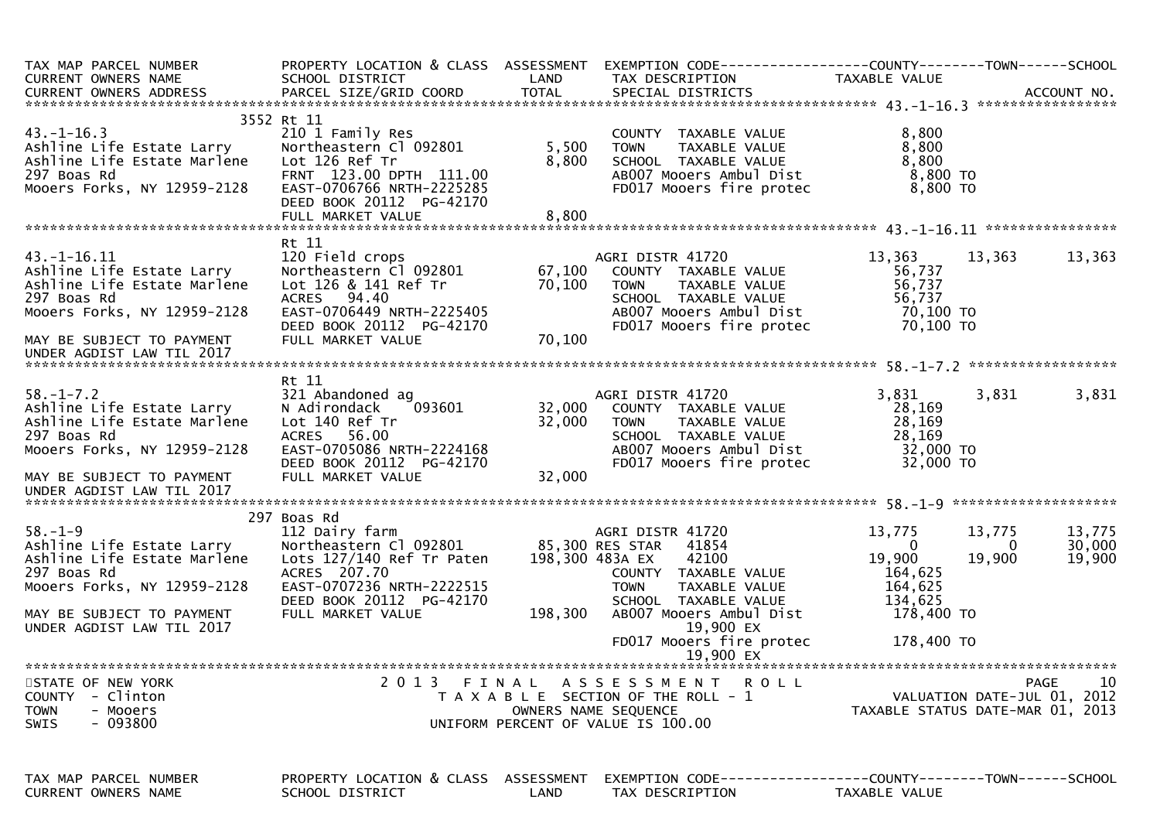| TAX MAP PARCEL NUMBER<br>CURRENT OWNERS NAME                                                                              | PROPERTY LOCATION & CLASS ASSESSMENT<br>SCHOOL DISTRICT                                                                                                                             | LAND                    | EXEMPTION        CODE------------------COUNTY-------TOWN------SCHOOL<br>TAX DESCRIPTION                                                                 | TAXABLE VALUE                                                  |                       |                                                        |
|---------------------------------------------------------------------------------------------------------------------------|-------------------------------------------------------------------------------------------------------------------------------------------------------------------------------------|-------------------------|---------------------------------------------------------------------------------------------------------------------------------------------------------|----------------------------------------------------------------|-----------------------|--------------------------------------------------------|
| $43.-1-16.3$<br>Ashline Life Estate Larry<br>Ashline Life Estate Marlene<br>297 Boas Rd<br>Mooers Forks, NY 12959-2128    | 3552 Rt 11<br>210 1 Family Res<br>Northeastern Cl 092801<br>Lot 126 Ref Tr<br>FRNT 123.00 DPTH 111.00<br>EAST-0706766 NRTH-2225285<br>DEED BOOK 20112 PG-42170<br>FULL MARKET VALUE | 5,500<br>8,800<br>8,800 | COUNTY TAXABLE VALUE<br><b>TOWN</b><br>TAXABLE VALUE<br>SCHOOL TAXABLE VALUE<br>AB007 Mooers Ambul Dist<br>FD017 Mooers fire protec                     | 8,800<br>8,800<br>8,800<br>8,800 TO<br>8,800 TO                |                       |                                                        |
|                                                                                                                           |                                                                                                                                                                                     |                         |                                                                                                                                                         |                                                                |                       |                                                        |
| $43.-1-16.11$<br>Ashline Life Estate Larry<br>Ashline Life Estate Marlene<br>297 Boas Rd<br>Mooers Forks, NY 12959-2128   | Rt 11<br>120 Field crops<br>Northeastern Cl 092801<br>Lot 126 & 141 Ref Tr<br><b>ACRES</b><br>94.40<br>EAST-0706449 NRTH-2225405<br>DEED BOOK 20112 PG-42170                        | 67,100<br>70,100        | AGRI DISTR 41720<br>COUNTY TAXABLE VALUE<br>TAXABLE VALUE<br><b>TOWN</b><br>SCHOOL TAXABLE VALUE<br>AB007 Mooers Ambul Dist<br>FD017 Mooers fire protec | 13,363<br>56,737<br>56,737<br>56,737<br>70,100 TO<br>70,100 TO | 13,363                | 13,363                                                 |
| MAY BE SUBJECT TO PAYMENT<br>UNDER AGDIST LAW TIL 2017                                                                    | FULL MARKET VALUE                                                                                                                                                                   | 70,100                  |                                                                                                                                                         |                                                                |                       |                                                        |
|                                                                                                                           | Rt 11                                                                                                                                                                               |                         |                                                                                                                                                         |                                                                |                       |                                                        |
| $58. - 1 - 7.2$<br>Ashline Life Estate Larry<br>Ashline Life Estate Marlene<br>297 Boas Rd<br>Mooers Forks, NY 12959-2128 | 321 Abandoned ag<br>N Adirondack<br>093601<br>Lot 140 Ref Tr<br>ACRES 56.00<br>EAST-0705086 NRTH-2224168                                                                            | 32,000<br>32,000        | AGRI DISTR 41720<br>COUNTY TAXABLE VALUE<br><b>TOWN</b><br>TAXABLE VALUE<br>SCHOOL TAXABLE VALUE<br>AB007 Mooers Ambul Dist                             | 3,831<br>28,169<br>28,169<br>28,169<br>32,000 TO               | 3,831                 | 3,831                                                  |
| MAY BE SUBJECT TO PAYMENT<br>UNDER AGDIST LAW TIL 2017                                                                    | DEED BOOK 20112 PG-42170<br>FULL MARKET VALUE                                                                                                                                       | 32,000                  | FD017 Mooers fire protec                                                                                                                                | 32,000 TO                                                      |                       |                                                        |
|                                                                                                                           | 297 Boas Rd                                                                                                                                                                         |                         |                                                                                                                                                         |                                                                |                       |                                                        |
| $58. - 1 - 9$<br>Ashline Life Estate Larry<br>Ashline Life Estate Marlene<br>297 Boas Rd<br>Mooers Forks, NY 12959-2128   | 112 Dairy farm<br>Northeastern Cl 092801<br>Lots 127/140 Ref Tr Paten<br>ACRES 207.70<br>EAST-0707236 NRTH-2222515                                                                  |                         | AGRI DISTR 41720<br>85,300 RES STAR<br>41854<br>198,300 483A EX<br>42100<br>COUNTY TAXABLE VALUE<br><b>TOWN</b><br>TAXABLE VALUE                        | 13,775<br>$\overline{0}$<br>19,900<br>164,625<br>164,625       | 13,775<br>0<br>19,900 | 13,775<br>30,000<br>19,900                             |
| MAY BE SUBJECT TO PAYMENT<br>UNDER AGDIST LAW TIL 2017                                                                    | DEED BOOK 20112 PG-42170<br>FULL MARKET VALUE                                                                                                                                       | 198,300                 | SCHOOL TAXABLE VALUE<br>AB007 Mooers Ambul Dist<br>19,900 EX                                                                                            | 134,625<br>178,400 TO                                          |                       |                                                        |
|                                                                                                                           |                                                                                                                                                                                     |                         | FD017 Mooers fire protec                                                                                                                                | 178,400 TO                                                     |                       |                                                        |
|                                                                                                                           |                                                                                                                                                                                     |                         | 19,900 EX                                                                                                                                               |                                                                |                       |                                                        |
| STATE OF NEW YORK<br><b>COUNTY</b><br>- Clinton<br><b>TOWN</b><br>- Mooers<br>$-093800$<br>SWIS                           | 2013 FINAL                                                                                                                                                                          |                         | A S S E S S M E N T<br><b>ROLL</b><br>T A X A B L E SECTION OF THE ROLL - 1<br>OWNERS NAME SEQUENCE<br>UNIFORM PERCENT OF VALUE IS 100.00               | TAXABLE STATUS DATE-MAR 01, 2013                               |                       | 10 <sup>°</sup><br>PAGE<br>VALUATION DATE-JUL 01, 2012 |
| TAX MAP PARCEL NUMBER<br><b>CURRENT OWNERS NAME</b>                                                                       | PROPERTY LOCATION & CLASS<br>SCHOOL DISTRICT                                                                                                                                        | ASSESSMENT<br>LAND      | EXEMPTION        CODE-----------------COUNTY-------TOWN------SCHOOL<br>TAX DESCRIPTION                                                                  | TAXABLE VALUE                                                  |                       |                                                        |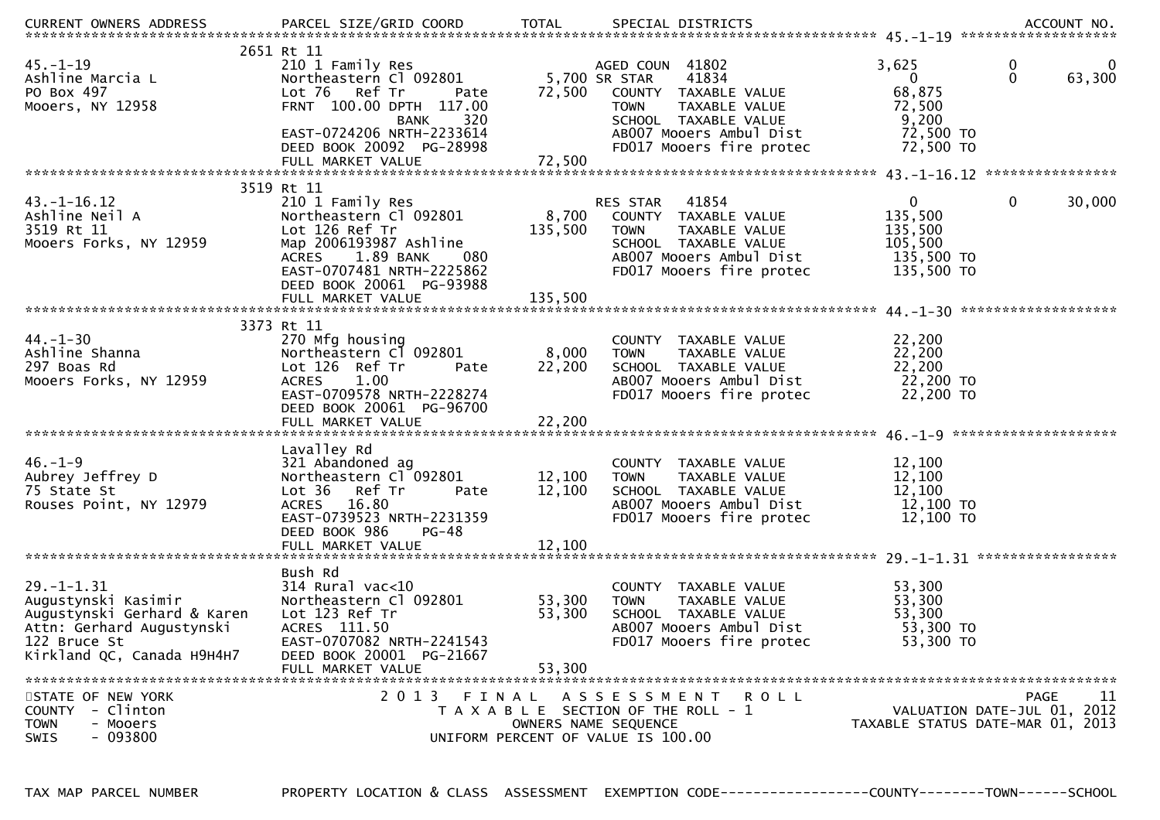| <b>CURRENT OWNERS ADDRESS</b>                                                                                                                     | PARCEL SIZE/GRID COORD                                                                                                                                                                                   | <b>TOTAL</b>               | SPECIAL DISTRICTS                                                                                                                                                                |                                                                              | ACCOUNT NO.                                      |
|---------------------------------------------------------------------------------------------------------------------------------------------------|----------------------------------------------------------------------------------------------------------------------------------------------------------------------------------------------------------|----------------------------|----------------------------------------------------------------------------------------------------------------------------------------------------------------------------------|------------------------------------------------------------------------------|--------------------------------------------------|
| $45. - 1 - 19$<br>Ashline Marcia L<br>PO Box 497<br>Mooers, NY 12958                                                                              | 2651 Rt 11<br>210 1 Family Res<br>Northeastern Cl 092801<br>Lot 76 Ref Tr<br>Pate<br>FRNT 100.00 DPTH 117.00<br>320<br><b>BANK</b><br>EAST-0724206 NRTH-2233614<br>DEED BOOK 20092 PG-28998              | 72,500                     | AGED COUN 41802<br>5,700 SR STAR<br>41834<br>COUNTY TAXABLE VALUE<br>TAXABLE VALUE<br><b>TOWN</b><br>SCHOOL TAXABLE VALUE<br>AB007 Mooers Ambul Dist<br>FD017 Mooers fire protec | 3,625<br>$\mathbf{0}$<br>68,875<br>72,500<br>9,200<br>72,500 TO<br>72,500 TO | 0<br>$\bf{0}$<br>$\mathbf{0}$<br>63,300          |
|                                                                                                                                                   | FULL MARKET VALUE                                                                                                                                                                                        | 72,500                     |                                                                                                                                                                                  |                                                                              |                                                  |
|                                                                                                                                                   | 3519 Rt 11                                                                                                                                                                                               |                            |                                                                                                                                                                                  |                                                                              |                                                  |
| $43. - 1 - 16.12$<br>Ashline Neil A<br>3519 Rt 11<br>Mooers Forks, NY 12959                                                                       | 210 1 Family Res<br>Northeastern Cl 092801<br>Lot 126 Ref Tr<br>Map 2006193987 Ashline<br>1.89 BANK<br><b>ACRES</b><br>080<br>EAST-0707481 NRTH-2225862<br>DEED BOOK 20061 PG-93988<br>FULL MARKET VALUE | 135,500<br>135,500         | RES STAR<br>41854<br>8,700 COUNTY TAXABLE VALUE<br><b>TOWN</b><br>TAXABLE VALUE<br>SCHOOL TAXABLE VALUE<br>AB007 Mooers Ambul Dist<br>FD017 Mooers fire protec                   | $\mathbf{0}$<br>135,500<br>135,500<br>105,500<br>135,500 TO<br>135,500 TO    | $\mathbf 0$<br>30,000                            |
|                                                                                                                                                   |                                                                                                                                                                                                          |                            |                                                                                                                                                                                  |                                                                              |                                                  |
| $44. - 1 - 30$<br>Ashline Shanna<br>297 Boas Rd<br>Mooers Forks, NY 12959                                                                         | 3373 Rt 11<br>270 Mfg housing<br>Northeastern Cl 092801<br>Lot 126 Ref Tr<br>Pate<br>1.00<br><b>ACRES</b><br>EAST-0709578 NRTH-2228274<br>DEED BOOK 20061 PG-96700                                       | 8,000<br>22,200            | COUNTY TAXABLE VALUE<br>TAXABLE VALUE<br><b>TOWN</b><br>SCHOOL TAXABLE VALUE<br>AB007 Mooers Ambul Dist<br>FD017 Mooers fire protec                                              | 22,200<br>22,200<br>22,200<br>22,200 TO<br>22,200 TO                         |                                                  |
|                                                                                                                                                   |                                                                                                                                                                                                          |                            |                                                                                                                                                                                  |                                                                              |                                                  |
| $46. - 1 - 9$<br>Aubrey Jeffrey D<br>75 State St<br>Rouses Point, NY 12979                                                                        | Lavalley Rd<br>321 Abandoned ag<br>Northeastern Cl 092801<br>Lot 36<br>Ref Tr<br>Pate<br>ACRES 16.80<br>EAST-0739523 NRTH-2231359<br>DEED BOOK 986<br>$PG-48$<br>FULL MARKET VALUE                       | 12,100<br>12,100<br>12,100 | COUNTY TAXABLE VALUE<br>TAXABLE VALUE<br><b>TOWN</b><br>SCHOOL TAXABLE VALUE<br>AB007 Mooers Ambul Dist<br>FD017 Mooers fire protec                                              | 12,100<br>12,100<br>12,100<br>12,100 TO<br>12,100 TO                         |                                                  |
|                                                                                                                                                   |                                                                                                                                                                                                          |                            |                                                                                                                                                                                  |                                                                              |                                                  |
| $29. - 1 - 1.31$<br>Augustynski Kasimir<br>Augustynski Gerhard & Karen<br>Attn: Gerhard Augustynski<br>122 Bruce St<br>Kirkland QC, Canada H9H4H7 | Bush Rd<br>$314$ Rural vac<10<br>Northeastern Cl 092801<br>Lot 123 Ref Tr<br>ACRES 111.50<br>EAST-0707082 NRTH-2241543<br>DEED BOOK 20001 PG-21667                                                       | 53,300<br>53,300           | COUNTY TAXABLE VALUE<br><b>TOWN</b><br>TAXABLE VALUE<br>SCHOOL TAXABLE VALUE<br>AB007 Mooers Ambul Dist<br>FD017 Mooers fire protec                                              | 53,300<br>53,300<br>53,300<br>53,300 TO<br>53,300 TO                         |                                                  |
|                                                                                                                                                   | FULL MARKET VALUE                                                                                                                                                                                        | 53,300                     |                                                                                                                                                                                  |                                                                              |                                                  |
|                                                                                                                                                   |                                                                                                                                                                                                          |                            |                                                                                                                                                                                  |                                                                              |                                                  |
| STATE OF NEW YORK<br>COUNTY - Clinton<br><b>TOWN</b><br>- Mooers<br>$-093800$<br>SWIS                                                             | 2013 FINAL                                                                                                                                                                                               |                            | ASSESSMENT ROLL<br>T A X A B L E SECTION OF THE ROLL - 1<br>OWNERS NAME SEQUENCE<br>UNIFORM PERCENT OF VALUE IS 100.00                                                           | TAXABLE STATUS DATE-MAR 01, 2013                                             | 11<br><b>PAGE</b><br>VALUATION DATE-JUL 01, 2012 |

PROPERTY LOCATION & CLASS ASSESSMENT EXEMPTION CODE----------------COUNTY-------TOWN------SCHOOL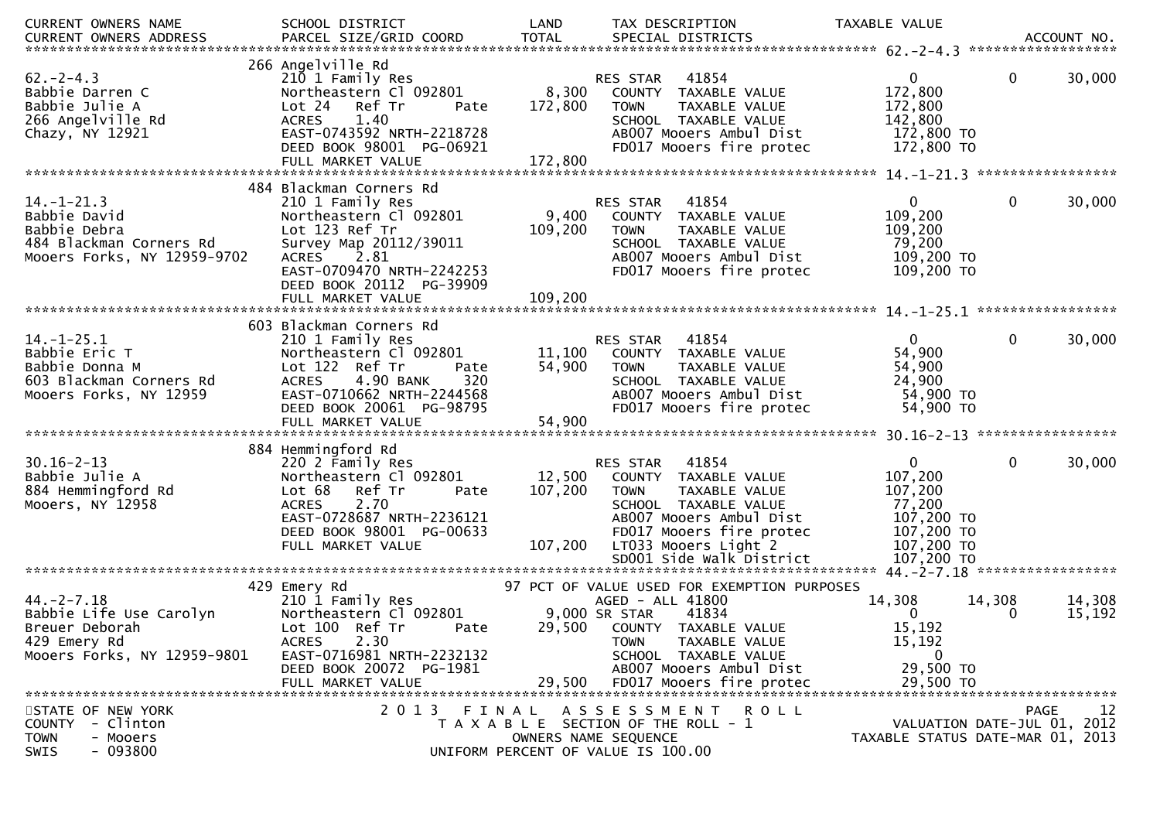| CURRENT OWNERS NAME         | SCHOOL DISTRICT                  | LAND         | TAX DESCRIPTION                             | TAXABLE VALUE                    |                             |             |
|-----------------------------|----------------------------------|--------------|---------------------------------------------|----------------------------------|-----------------------------|-------------|
| CURRENT OWNERS ADDRESS      | PARCEL SIZE/GRID COORD           | <b>TOTAL</b> | SPECIAL DISTRICTS                           |                                  |                             | ACCOUNT NO. |
|                             |                                  |              |                                             |                                  |                             |             |
|                             | 266 Angelville Rd                |              |                                             |                                  |                             |             |
| $62 - 2 - 4.3$              | 210 1 Family Res                 |              | 41854<br><b>RES STAR</b>                    | $\mathbf{0}$                     | $\Omega$                    | 30,000      |
| Babbie Darren C             | Northeastern Cl 092801           | 8,300        | COUNTY TAXABLE VALUE                        | 172,800                          |                             |             |
| Babbie Julie A              | Lot 24 Ref Tr<br>Pate            | 172,800      | TAXABLE VALUE<br><b>TOWN</b>                | 172,800                          |                             |             |
| 266 Angelville Rd           | 1.40<br><b>ACRES</b>             |              | SCHOOL TAXABLE VALUE                        | 142,800                          |                             |             |
| Chazy, NY 12921             | EAST-0743592 NRTH-2218728        |              | AB007 Mooers Ambul Dist                     | 172,800 TO                       |                             |             |
|                             | DEED BOOK 98001 PG-06921         |              | FD017 Mooers fire protec                    | 172,800 TO                       |                             |             |
|                             | FULL MARKET VALUE                | 172,800      |                                             |                                  |                             |             |
|                             |                                  |              |                                             |                                  |                             |             |
|                             | 484 Blackman Corners Rd          |              |                                             |                                  |                             |             |
| $14. - 1 - 21.3$            | 210 1 Family Res                 |              | 41854<br><b>RES STAR</b>                    | $\Omega$                         | $\mathbf{0}$                | 30,000      |
| Babbie David                | Northeastern Cl 092801           | 9,400        | COUNTY TAXABLE VALUE                        | 109,200                          |                             |             |
| Babbie Debra                | Lot 123 Ref Tr                   | 109,200      | TAXABLE VALUE<br><b>TOWN</b>                | 109,200                          |                             |             |
| 484 Blackman Corners Rd     | Survey Map 20112/39011           |              | SCHOOL TAXABLE VALUE                        | 79,200                           |                             |             |
| Mooers Forks, NY 12959-9702 | <b>ACRES</b><br>2.81             |              | AB007 Mooers Ambul Dist                     | 109,200 TO                       |                             |             |
|                             | EAST-0709470 NRTH-2242253        |              | FD017 Mooers fire protec                    | 109,200 TO                       |                             |             |
|                             | DEED BOOK 20112 PG-39909         |              |                                             |                                  |                             |             |
|                             |                                  |              |                                             |                                  |                             |             |
|                             |                                  |              |                                             |                                  |                             |             |
|                             | 603 Blackman Corners Rd          |              |                                             |                                  |                             |             |
| $14. - 1 - 25.1$            | 210 1 Family Res                 |              | 41854<br>RES STAR                           | $\Omega$                         | $\mathbf{0}$                | 30,000      |
| Babbie Eric T               | Northeastern Cl 092801           | 11,100       | COUNTY TAXABLE VALUE                        | 54,900                           |                             |             |
| Babbie Donna M              | Lot 122 Ref Tr<br>Pate           | 54,900       | <b>TOWN</b><br>TAXABLE VALUE                | 54,900                           |                             |             |
| 603 Blackman Corners Rd     | 320<br>4.90 BANK<br><b>ACRES</b> |              | SCHOOL TAXABLE VALUE                        | 24,900                           |                             |             |
| Mooers Forks, NY 12959      | EAST-0710662 NRTH-2244568        |              | AB007 Mooers Ambul Dist                     | 54,900 TO                        |                             |             |
|                             | DEED BOOK 20061 PG-98795         |              | FD017 Mooers fire protec                    | 54,900 TO                        |                             |             |
|                             |                                  |              |                                             |                                  |                             |             |
|                             |                                  |              |                                             |                                  |                             |             |
|                             | 884 Hemmingford Rd               |              |                                             |                                  |                             |             |
| $30.16 - 2 - 13$            | 220 2 Family Res                 |              | 41854<br><b>RES STAR</b>                    | $\Omega$                         | $\mathbf{0}$                | 30,000      |
| Babbie Julie A              | Northeastern Cl 092801           | 12,500       | TAXABLE VALUE<br><b>COUNTY</b>              | 107,200                          |                             |             |
| 884 Hemmingford Rd          | Lot 68<br>Ref Tr<br>Pate         | 107,200      | <b>TOWN</b><br>TAXABLE VALUE                | 107,200                          |                             |             |
| Mooers, NY 12958            | 2.70<br><b>ACRES</b>             |              | SCHOOL TAXABLE VALUE                        | 77,200                           |                             |             |
|                             | EAST-0728687 NRTH-2236121        |              | AB007 Mooers Ambul Dist                     | 107,200 TO                       |                             |             |
|                             | DEED BOOK 98001 PG-00633         |              | FD017 Mooers fire protec                    | 107,200 TO                       |                             |             |
|                             | FULL MARKET VALUE                | 107,200      | LTO33 Mooers Light 2                        | 107,200 TO                       |                             |             |
|                             |                                  |              |                                             |                                  |                             |             |
|                             |                                  |              |                                             |                                  |                             |             |
|                             | 429 Emery Rd                     |              | 97 PCT OF VALUE USED FOR EXEMPTION PURPOSES |                                  |                             |             |
| $44. -2 - 7.18$             | 210 1 Family Res                 |              | AGED - ALL 41800                            | 14,308                           | 14,308                      | 14,308      |
| Babbie Life Use Carolyn     | Northeastern Cl 092801           |              | 9,000 SR STAR<br>41834                      | 0                                | $\Omega$                    | 15,192      |
| Breuer Deborah              | Lot 100 Ref Tr<br>Pate           | 29,500       | COUNTY TAXABLE VALUE                        | 15,192                           |                             |             |
| 429 Emery Rd                | <b>ACRES</b><br>2.30             |              | TAXABLE VALUE<br>TOWN                       | 15,192                           |                             |             |
| Mooers Forks, NY 12959-9801 | EAST-0716981 NRTH-2232132        |              | SCHOOL TAXABLE VALUE                        | $\mathbf{0}$                     |                             |             |
|                             | DEED BOOK 20072 PG-1981          |              | AB007 Mooers Ambul Dist                     | 29,500 TO                        |                             |             |
|                             | FULL MARKET VALUE                | 29,500       | FD017 Mooers fire protec                    | 29,500 TO                        |                             |             |
| STATE OF NEW YORK           |                                  |              | 2013 FINAL ASSESSMENT ROLL                  |                                  | <b>PAGE</b>                 | 12          |
| COUNTY - Clinton            |                                  |              | T A X A B L E SECTION OF THE ROLL - 1       |                                  | VALUATION DATE-JUL 01, 2012 |             |
| <b>TOWN</b><br>- Mooers     |                                  |              | OWNERS NAME SEQUENCE                        | TAXABLE STATUS DATE-MAR 01, 2013 |                             |             |
| $-093800$<br>SWIS           |                                  |              | UNIFORM PERCENT OF VALUE IS 100.00          |                                  |                             |             |
|                             |                                  |              |                                             |                                  |                             |             |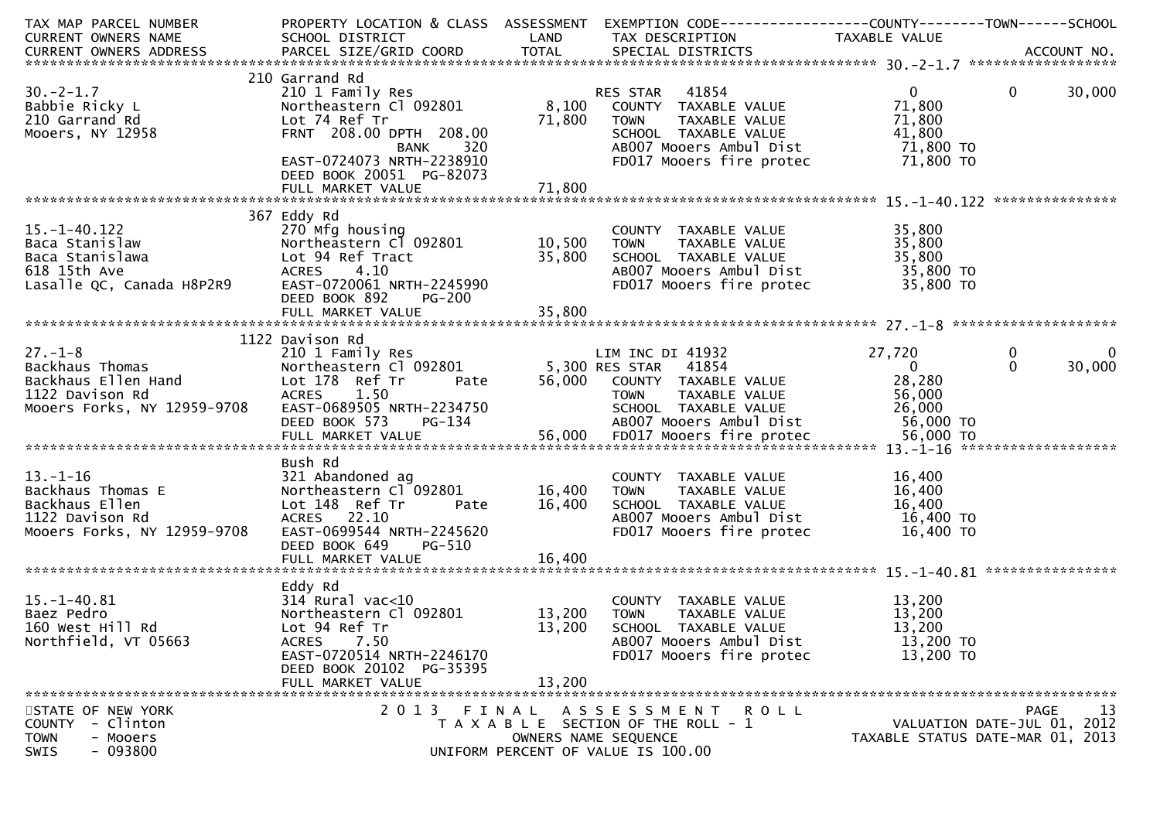| TAX MAP PARCEL NUMBER<br>CURRENT OWNERS NAME                                                                         | SCHOOL DISTRICT<br><b>Example 18 The LAND</b>                                                                                                                                                                          |                            | PROPERTY LOCATION & CLASS ASSESSMENT EXEMPTION CODE---------------COUNTY-------TOWN-----SCHOOL<br>TAX DESCRIPTION                                                                            | TAXABLE VALUE                                             |                                                                                      |
|----------------------------------------------------------------------------------------------------------------------|------------------------------------------------------------------------------------------------------------------------------------------------------------------------------------------------------------------------|----------------------------|----------------------------------------------------------------------------------------------------------------------------------------------------------------------------------------------|-----------------------------------------------------------|--------------------------------------------------------------------------------------|
|                                                                                                                      |                                                                                                                                                                                                                        |                            |                                                                                                                                                                                              |                                                           |                                                                                      |
|                                                                                                                      |                                                                                                                                                                                                                        |                            |                                                                                                                                                                                              |                                                           |                                                                                      |
| $30. -2 - 1.7$<br>Babbie Ricky L<br>210 Garrand Rd<br>Mooers, NY 12958                                               | 210 Garrand Rd<br>210 1 Family Res<br>Lot 74 Ref Tr<br>FRNT 208.00 DPTH 208.00<br>BANK 320<br>EAST-0724073 NRTH-2238910<br>DEED BOOK 20051 PG-82073<br>FULL MARKET VALUE                                               | 71,800<br>71,800           | RES STAR 41854<br>Northeastern C1 092801 8,100 COUNTY TAXABLE VALUE<br>TAXABLE VALUE<br><b>TOWN</b><br>SCHOOL TAXABLE VALUE<br>ABOO7 Mooers Ambul Dist<br>FD017 Mooers fire protec 71,800 TO | $\overline{0}$<br>71,800<br>71,800<br>41,800<br>71,800 TO | $\mathbf 0$<br>30,000                                                                |
|                                                                                                                      |                                                                                                                                                                                                                        |                            |                                                                                                                                                                                              |                                                           |                                                                                      |
| $15. - 1 - 40.122$<br>Baca Stanislaw<br>Baca Stanislawa<br>618 15th Ave<br>Lasalle QC, Canada H8P2R9                 | 367 Eddy Rd<br>270 Mfg housing<br>Northeastern C1 092801 10,500<br>Lot 94 Ref Tract<br>4.10<br><b>ACRES</b><br>EAST-0720061 NRTH-2245990<br>DEED BOOK 892<br><b>PG-200</b>                                             | 35,800                     | COUNTY TAXABLE VALUE<br><b>TOWN</b><br>TAXABLE VALUE<br>SCHOOL TAXABLE VALUE<br>SCHOOL TAXABLE VALUE<br>ABOO7 Mooers Ambul Dist<br>FD017 Mooers fire protec 35,800 TO                        | 35,800<br>35,800<br>35,800<br>35,800 TO                   |                                                                                      |
|                                                                                                                      | 1122 Davison Rd                                                                                                                                                                                                        |                            |                                                                                                                                                                                              |                                                           |                                                                                      |
| $27. - 1 - 8$<br>27.-1-8<br>Backhaus Thomas<br>Backhaus Ellen Hand<br>1123 Davison Rd<br>Mooers Forks, NY 12959-9708 | 210 1 Family Res<br>Northeastern Cl 092801 5,300 RES STAR 41854<br>Lot 178 Ref Tr Pate 56,000 COUNTY TAXABLE VALUE<br>Lot 178 Ref Tr<br>ACRES 1.50<br>EAST-0689505 NRTH-2234750<br>DEED BOOK 573<br>PG-134<br>$PG-134$ |                            | LIM INC DI 41932<br>TAXABLE VALUE<br>TOWN<br>SCHOOL   TAXABLE VALUE                         26,000<br>ABOO7 Mooers Ambul Dist                   56,000 TO                                    | 27,720<br>$\mathbf{0}$<br>28,280<br>56,000<br>26,000      | $\bf{0}$<br>$\bf{0}$<br>30,000<br>$\Omega$                                           |
| $13.-1-16$<br>Backhaus Thomas E<br>Backhaus Ellen<br>1122 Davison Rd<br>Mooers Forks, NY 12959-9708                  | Bush Rd<br>321 Abandoned ag<br>Northeastern Cl 092801 16,400<br>Lot 148 Ref Tr Pate 16,400<br>Lot 148 Ref Tr<br>ACRES 22.10<br>EAST-0699544 NRTH-2245620<br><b>PG-510</b><br>DEED BOOK 649                             |                            | COUNTY TAXABLE VALUE<br><b>TOWN</b><br>TAXABLE VALUE<br>SCHOOL TAXABLE VALUE<br>AB007 Mooers Ambul Dist<br>FD017 Mooers fire protec 16,400 TO                                                | 16,400<br>16,400<br>16,400<br>16,400 TO                   |                                                                                      |
| $15. - 1 - 40.81$<br>Baez Pedro<br>160 West Hill Rd<br>Northfield, VT 05663                                          | Eddy Rd<br>$314$ Rural vac< $10$<br>Northeastern Cl 092801<br>Lot 94 Ref Tr<br><b>ACRES</b><br>7.50<br>EAST-0720514 NRTH-2246170<br>DEED BOOK 20102 PG-35395<br>FULL MARKET VALUE                                      | 13,200<br>13,200<br>13,200 | COUNTY TAXABLE VALUE<br>TAXABLE VALUE<br>TOWN<br>SCHOOL TAXABLE VALUE<br>AB007 Mooers Ambul Dist<br>FD017 Mooers fire protec                                                                 | 13,200<br>13,200<br>13,200<br>13,200 TO<br>13,200 TO      |                                                                                      |
| STATE OF NEW YORK<br>- Clinton<br><b>COUNTY</b><br>- Mooers<br><b>TOWN</b><br>$-093800$<br>SWIS                      |                                                                                                                                                                                                                        | OWNERS NAME SEQUENCE       | 2013 FINAL ASSESSMENT ROLL<br>T A X A B L E SECTION OF THE ROLL - 1<br>UNIFORM PERCENT OF VALUE IS 100.00                                                                                    |                                                           | 13<br><b>PAGE</b><br>VALUATION DATE-JUL 01, 2012<br>TAXABLE STATUS DATE-MAR 01, 2013 |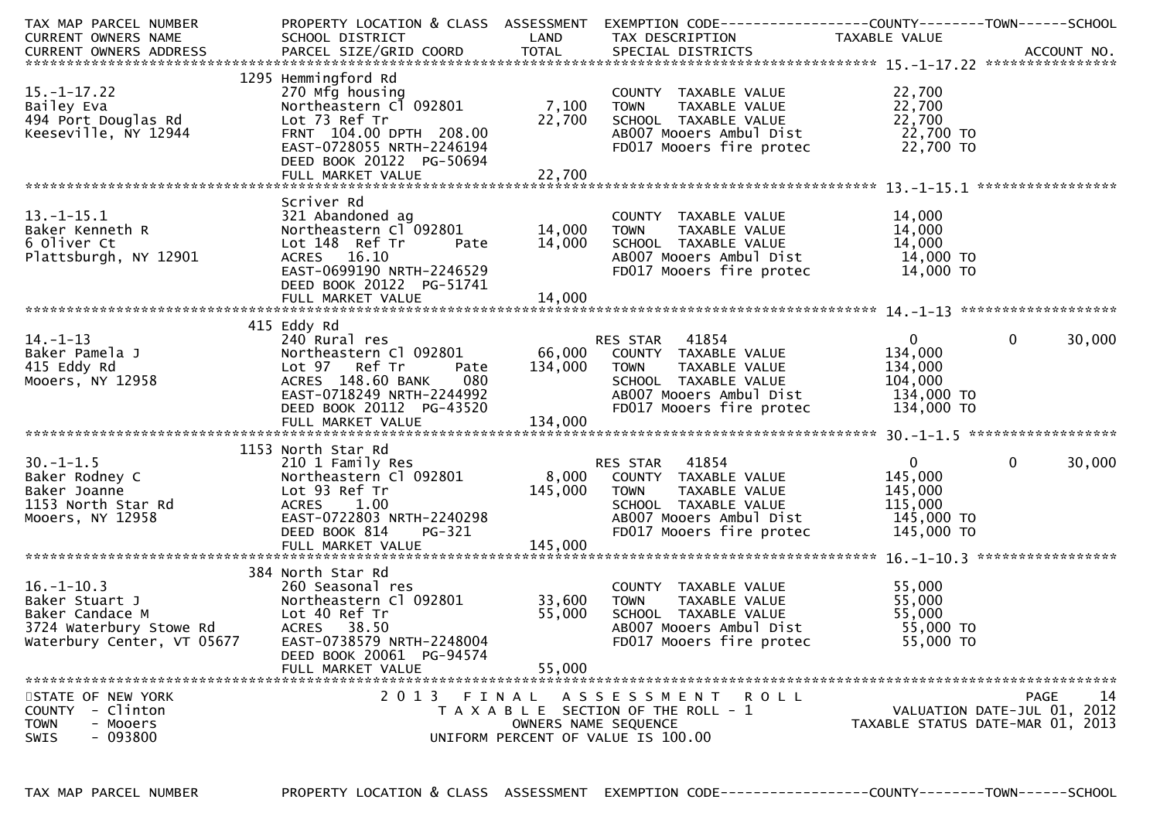| TAX MAP PARCEL NUMBER                                                                         | PROPERTY LOCATION & CLASS ASSESSMENT |         | EXEMPTION CODE------------------COUNTY--------TOWN------SCHOOL |                |                                  |
|-----------------------------------------------------------------------------------------------|--------------------------------------|---------|----------------------------------------------------------------|----------------|----------------------------------|
| CURRENT OWNERS NAME                                                                           | SCHOOL DISTRICT                      | LAND    | TAX DESCRIPTION                                                | TAXABLE VALUE  |                                  |
|                                                                                               |                                      |         |                                                                |                |                                  |
|                                                                                               |                                      |         |                                                                |                |                                  |
|                                                                                               | 1295 Hemmingford Rd                  |         |                                                                |                |                                  |
| $15. - 1 - 17.22$                                                                             | 270 Mfg housing                      |         | COUNTY TAXABLE VALUE                                           | 22,700         |                                  |
| Bailey Eva                                                                                    | Northeastern Cl 092801               | 7,100   | <b>TOWN</b><br>TAXABLE VALUE                                   | 22,700         |                                  |
| 494 Port Douglas Rd                                                                           | Lot 73 Ref Tr                        | 22,700  | SCHOOL TAXABLE VALUE                                           | 22,700         |                                  |
| Keeseville, NY 12944                                                                          | FRNT 104.00 DPTH 208.00              |         | AB007 Mooers Ambul Dist                                        | 22,700 TO      |                                  |
|                                                                                               | EAST-0728055 NRTH-2246194            |         | FD017 Mooers fire protec                                       | 22,700 TO      |                                  |
|                                                                                               |                                      |         |                                                                |                |                                  |
|                                                                                               | DEED BOOK 20122 PG-50694             |         |                                                                |                |                                  |
|                                                                                               |                                      |         |                                                                |                |                                  |
|                                                                                               |                                      |         |                                                                |                |                                  |
|                                                                                               | Scriver Rd                           |         |                                                                |                |                                  |
| $13.-1-15.1$                                                                                  | 321 Abandoned ag                     |         | COUNTY TAXABLE VALUE                                           | 14,000         |                                  |
| Baker Kenneth R                                                                               | Northeastern Cl 092801               | 14,000  | TAXABLE VALUE<br><b>TOWN</b>                                   | 14,000         |                                  |
| 6 Oliver Ct                                                                                   | Lot 148 Ref Tr<br>Pate               | 14,000  | SCHOOL TAXABLE VALUE                                           | 14,000         |                                  |
| Plattsburgh, NY 12901                                                                         | ACRES 16.10                          |         | AB007 Mooers Ambul Dist                                        | 14,000 TO      |                                  |
|                                                                                               | EAST-0699190 NRTH-2246529            |         | FD017 Mooers fire protec                                       | 14,000 TO      |                                  |
|                                                                                               | DEED BOOK 20122 PG-51741             |         |                                                                |                |                                  |
|                                                                                               |                                      |         |                                                                |                |                                  |
|                                                                                               |                                      |         |                                                                |                |                                  |
|                                                                                               | 415 Eddy Rd                          |         |                                                                |                |                                  |
| $14. - 1 - 13$                                                                                | 240 Rural res                        |         | RES STAR 41854                                                 | $\overline{0}$ | $\mathbf{0}$<br>30,000           |
| Baker Pamela J                                                                                | Northeastern Cl 092801               |         | 66,000 COUNTY TAXABLE VALUE                                    | 134,000        |                                  |
| 415 Eddy Rd                                                                                   | Lot 97 Ref Tr                        | 134,000 | TAXABLE VALUE                                                  | 134,000        |                                  |
|                                                                                               | Pate                                 |         | TOWN                                                           |                |                                  |
| Mooers, NY 12958                                                                              | ACRES 148.60 BANK<br>080             |         | SCHOOL TAXABLE VALUE                                           | 104,000        |                                  |
|                                                                                               | EAST-0718249 NRTH-2244992            |         | AB007 Mooers Ambul Dist                                        | 134,000 TO     |                                  |
|                                                                                               | DEED BOOK 20112 PG-43520             |         | FD017 Mooers fire protec                                       | 134,000 TO     |                                  |
|                                                                                               |                                      |         |                                                                |                |                                  |
|                                                                                               |                                      |         |                                                                |                |                                  |
|                                                                                               | 1153 North Star Rd                   |         |                                                                |                |                                  |
| $30. - 1 - 1.5$                                                                               | 210 1 Family Res                     |         | RES STAR 41854                                                 | $\mathbf{0}$   | 30,000<br>$\Omega$               |
| Baker Rodney C                                                                                | Northeastern Cl 092801               | 8,000   | COUNTY TAXABLE VALUE                                           | 145,000        |                                  |
| Baker Joanne                                                                                  | Lot 93 Ref Tr                        | 145,000 | <b>TOWN</b><br>TAXABLE VALUE                                   | 145,000        |                                  |
| 1153 North Star Rd                                                                            | ACRES 1.00                           |         | SCHOOL TAXABLE VALUE                                           | 115,000        |                                  |
| Mooers, NY 12958                                                                              | EAST-0722803 NRTH-2240298            |         | AB007 Mooers Ambul Dist                                        | 145,000 TO     |                                  |
|                                                                                               | DEED BOOK 814<br>PG-321              |         | FD017 Mooers fire protec                                       | 145,000 TO     |                                  |
|                                                                                               | FULL MARKET VALUE                    | 145,000 |                                                                |                |                                  |
|                                                                                               |                                      |         |                                                                |                |                                  |
|                                                                                               | 384 North Star Rd                    |         |                                                                |                |                                  |
|                                                                                               |                                      |         |                                                                |                |                                  |
| $16. - 1 - 10.3$<br>Northeas<br>Lot 40 Ref Tr<br>Lot 40 Ref Tr<br>ACRES 38.50<br>FACT-0738579 | 260 Seasonal res                     |         | COUNTY TAXABLE VALUE                                           | 55,000         |                                  |
| Baker Stuart J                                                                                | Northeastern Cl 092801               | 33,600  | TAXABLE VALUE<br><b>TOWN</b>                                   | 55,000         |                                  |
| Baker Candace M                                                                               |                                      | 55,000  | SCHOOL TAXABLE VALUE                                           | 55,000         |                                  |
| 3724 Waterbury Stowe Rd                                                                       |                                      |         | AB007 Mooers Ambul Dist                                        | 55,000 TO      |                                  |
| Waterbury Center, VT 05677                                                                    | EAST-0738579 NRTH-2248004            |         | FD017 Mooers fire protec                                       | 55,000 TO      |                                  |
|                                                                                               | DEED BOOK 20061 PG-94574             |         |                                                                |                |                                  |
|                                                                                               | FULL MARKET VALUE                    | 55,000  |                                                                |                |                                  |
|                                                                                               |                                      |         |                                                                |                |                                  |
| STATE OF NEW YORK                                                                             | 2013 FINAL                           |         | ASSESSMENT ROLL                                                |                | 14<br>PAGE                       |
| - Clinton<br><b>COUNTY</b>                                                                    |                                      |         | T A X A B L E SECTION OF THE ROLL - 1                          |                | VALUATION DATE-JUL 01, 2012      |
| <b>TOWN</b><br>- Mooers                                                                       |                                      |         | OWNERS NAME SEQUENCE                                           |                | TAXABLE STATUS DATE-MAR 01, 2013 |
| $-093800$<br>SWIS                                                                             |                                      |         | UNIFORM PERCENT OF VALUE IS 100.00                             |                |                                  |
|                                                                                               |                                      |         |                                                                |                |                                  |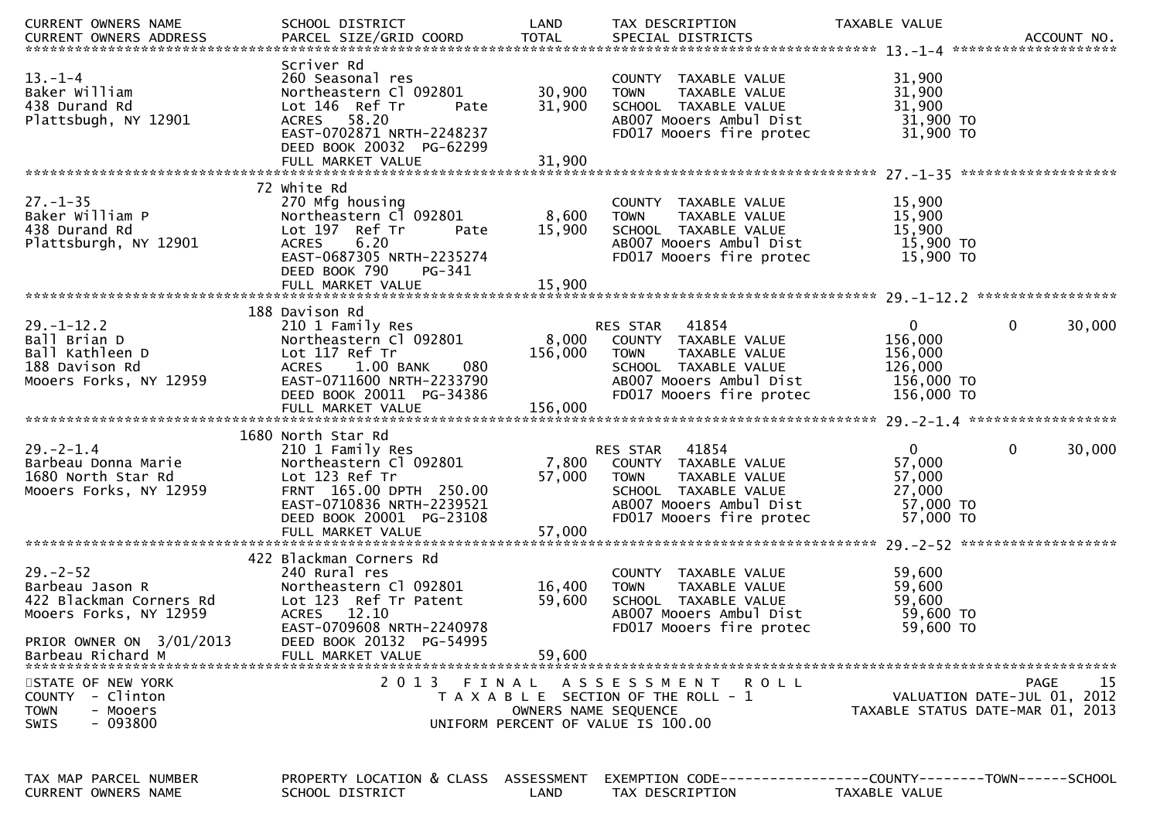| <b>CURRENT OWNERS NAME</b>                                                                                        | SCHOOL DISTRICT                                                                                                                                                                         | LAND                       | TAX DESCRIPTION                                                                                                                                       | TAXABLE VALUE                                                             |                                           |
|-------------------------------------------------------------------------------------------------------------------|-----------------------------------------------------------------------------------------------------------------------------------------------------------------------------------------|----------------------------|-------------------------------------------------------------------------------------------------------------------------------------------------------|---------------------------------------------------------------------------|-------------------------------------------|
| $13 - 1 - 4$<br>Baker William<br>438 Durand Rd<br>Plattsbugh, NY 12901                                            | Scriver Rd<br>260 Seasonal res<br>Northeastern Cl 092801<br>Lot 146 Ref Tr<br>Pate<br>ACRES 58.20<br>EAST-0702871 NRTH-2248237<br>DEED BOOK 20032 PG-62299<br>FULL MARKET VALUE         | 30,900<br>31,900<br>31,900 | COUNTY TAXABLE VALUE<br><b>TOWN</b><br>TAXABLE VALUE<br>SCHOOL TAXABLE VALUE<br>AB007 Mooers Ambul Dist<br>FD017 Mooers fire protec                   | 31,900<br>31,900<br>31,900<br>31,900 TO<br>31,900 TO                      |                                           |
| $27. - 1 - 35$<br>Baker William P<br>438 Durand Rd<br>Plattsburgh, NY 12901                                       | 72 white Rd<br>270 Mfg housing<br>Northeastern Cl 092801<br>Lot 197 Ref Tr<br>Pate<br><b>ACRES</b><br>6.20<br>EAST-0687305 NRTH-2235274<br>DEED BOOK 790<br>PG-341<br>FULL MARKET VALUE | 8,600<br>15,900<br>15,900  | COUNTY TAXABLE VALUE<br><b>TOWN</b><br>TAXABLE VALUE<br>SCHOOL TAXABLE VALUE<br>AB007 Mooers Ambul Dist<br>FD017 Mooers fire protec                   | 15,900<br>15,900<br>15,900<br>15,900 TO<br>15,900 TO                      |                                           |
|                                                                                                                   | 188 Davison Rd                                                                                                                                                                          |                            |                                                                                                                                                       |                                                                           |                                           |
| $29. - 1 - 12.2$<br>Ball Brian D<br>Ball Kathleen D<br>188 Davison Rd<br>Mooers Forks, NY 12959                   | 210 1 Family Res<br>Northeastern Cl 092801<br>Lot 117 Ref Tr<br>ACRES 1.00 BANK<br>080<br>EAST-0711600 NRTH-2233790<br>DEED BOOK 20011 PG-34386                                         | 8,000<br>156,000           | RES STAR 41854<br>COUNTY TAXABLE VALUE<br><b>TOWN</b><br>TAXABLE VALUE<br>SCHOOL TAXABLE VALUE<br>AB007 Mooers Ambul Dist<br>FD017 Mooers fire protec | $\mathbf{0}$<br>156,000<br>156,000<br>126,000<br>156,000 TO<br>156,000 TO | 30,000<br>0                               |
|                                                                                                                   | 1680 North Star Rd                                                                                                                                                                      |                            |                                                                                                                                                       |                                                                           |                                           |
| $29. - 2 - 1.4$<br>Barbeau Donna Marie<br>1680 North Star Rd<br>Mooers Forks, NY 12959                            | 210 1 Family Res<br>Northeastern Cl 092801<br>Lot 123 Ref Tr<br>FRNT 165.00 DPTH 250.00<br>EAST-0710836 NRTH-2239521<br>DEED BOOK 20001 PG-23108                                        | 7,800<br>57,000            | RES STAR 41854<br>COUNTY TAXABLE VALUE<br>TAXABLE VALUE<br><b>TOWN</b><br>SCHOOL TAXABLE VALUE<br>AB007 Mooers Ambul Dist<br>FD017 Mooers fire protec | $\mathbf{0}$<br>57,000<br>57,000<br>27,000<br>57,000 TO<br>57,000 TO      | 30,000<br>$\mathbf{0}$                    |
|                                                                                                                   | FULL MARKET VALUE                                                                                                                                                                       | 57,000                     |                                                                                                                                                       |                                                                           |                                           |
| $29 - 2 - 52$<br>Barbeau Jason R<br>422 Blackman Corners Rd<br>Mooers Forks, NY 12959<br>PRIOR OWNER ON 3/01/2013 | 422 Blackman Corners Rd<br>240 Rural res<br>Northeastern Cl 092801<br>Lot 123 Ref Tr Patent<br>ACRES 12.10<br>EAST-0709608 NRTH-2240978<br>DEED BOOK 20132 PG-54995                     | 16,400<br>59,600           | COUNTY TAXABLE VALUE<br><b>TOWN</b><br>TAXABLE VALUE<br>SCHOOL TAXABLE VALUE<br>AB007 Mooers Ambul Dist<br>FD017 Mooers fire protec                   | 59,600<br>59,600<br>59,600<br>59,600 TO<br>59,600 TO                      |                                           |
| Barbeau Richard M                                                                                                 | FULL MARKET VALUE                                                                                                                                                                       | 59,600                     |                                                                                                                                                       |                                                                           |                                           |
| STATE OF NEW YORK<br>- Clinton<br><b>COUNTY</b><br>- Mooers<br><b>TOWN</b><br>$-093800$<br><b>SWIS</b>            | 2 0 1 3<br>FINAL                                                                                                                                                                        | OWNERS NAME SEQUENCE       | A S S E S S M E N T<br><b>ROLL</b><br>T A X A B L E SECTION OF THE ROLL - 1<br>UNIFORM PERCENT OF VALUE IS 100.00                                     | TAXABLE STATUS DATE-MAR 01, 2013                                          | 15<br>PAGE<br>VALUATION DATE-JUL 01, 2012 |
|                                                                                                                   |                                                                                                                                                                                         |                            |                                                                                                                                                       |                                                                           |                                           |
| TAX MAP PARCEL NUMBER                                                                                             | PROPERTY LOCATION & CLASS ASSESSMENT EXEMPTION CODE----------------COUNTY-------TOWN------SCHOOL                                                                                        |                            |                                                                                                                                                       |                                                                           |                                           |

CURRENT OWNERS NAME SCHOOL DISTRICT LAND TAX DESCRIPTION TAXABLE VALUE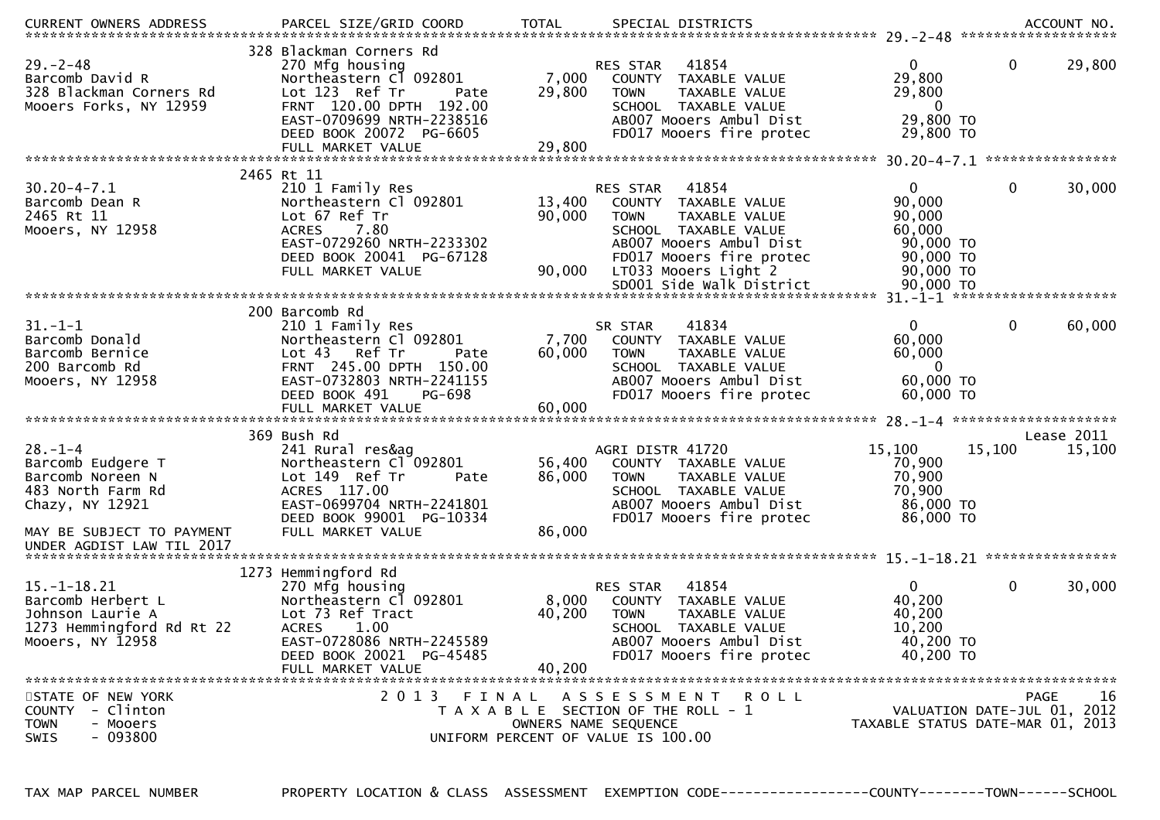| $29. - 2 - 48$<br>Barcomb David R<br>328 Blackman Corners Rd<br>Mooers Forks, NY 12959                      | 328 Blackman Corners Rd<br>270 Mfg housing<br>Northeastern Cl 092801<br>Lot 123 Ref Tr<br>Pate<br>FRNT 120.00 DPTH 192.00<br>EAST-0709699 NRTH-2238516<br>DEED BOOK 20072 PG-6605          | 7,000<br>29,800           | <b>RES STAR</b><br>COUNTY<br><b>TOWN</b> | 41854<br>TAXABLE VALUE<br>TAXABLE VALUE<br>SCHOOL TAXABLE VALUE<br>AB007 Mooers Ambul Dist<br>FD017 Mooers fire protec               | $\mathbf{0}$<br>29,800<br>29,800<br>$\overline{0}$<br>29,800 TO<br>29,800 TO | $\mathbf 0$                                | 29,800     |
|-------------------------------------------------------------------------------------------------------------|--------------------------------------------------------------------------------------------------------------------------------------------------------------------------------------------|---------------------------|------------------------------------------|--------------------------------------------------------------------------------------------------------------------------------------|------------------------------------------------------------------------------|--------------------------------------------|------------|
|                                                                                                             | FULL MARKET VALUE                                                                                                                                                                          | 29,800                    |                                          |                                                                                                                                      |                                                                              |                                            |            |
|                                                                                                             | 2465 Rt 11                                                                                                                                                                                 |                           |                                          |                                                                                                                                      |                                                                              |                                            |            |
| $30.20 - 4 - 7.1$<br>Barcomb Dean R<br>2465 Rt 11<br>Mooers, NY 12958                                       | 210 1 Family Res<br>Northeastern Cl 092801<br>Lot 67 Ref Tr<br>7.80<br><b>ACRES</b><br>EAST-0729260 NRTH-2233302<br>DEED BOOK 20041 PG-67128                                               | 13,400<br>90,000          | RES STAR<br><b>TOWN</b>                  | 41854<br>COUNTY TAXABLE VALUE<br><b>TAXABLE VALUE</b><br>SCHOOL TAXABLE VALUE<br>AB007 Mooers Ambul Dist<br>FD017 Mooers fire protec | $\mathbf{0}$<br>90,000<br>90,000<br>60,000<br>90,000 TO<br>90,000 TO         | 0                                          | 30,000     |
|                                                                                                             | FULL MARKET VALUE                                                                                                                                                                          | 90,000                    |                                          | LT033 Mooers Light 2<br>SD001 Side Walk District                                                                                     | 90,000 TO<br>90,000 TO                                                       |                                            |            |
|                                                                                                             |                                                                                                                                                                                            |                           |                                          |                                                                                                                                      |                                                                              |                                            |            |
| $31 - 1 - 1$<br>Barcomb Donald<br>Barcomb Bernice<br>200 Barcomb Rd<br>Mooers, NY 12958                     | 200 Barcomb Rd<br>210 1 Family Res<br>Northeastern Cl 092801<br>Lot 43 Ref Tr<br>Pate<br>FRNT 245.00 DPTH 150.00<br>EAST-0732803 NRTH-2241155<br>DEED BOOK 491<br>PG-698                   | 7,700<br>60,000           | SR STAR<br><b>TOWN</b>                   | 41834<br>COUNTY TAXABLE VALUE<br>TAXABLE VALUE<br>SCHOOL TAXABLE VALUE<br>AB007 Mooers Ambul Dist<br>FD017 Mooers fire protec        | $\overline{0}$<br>60,000<br>60,000<br>$\bf{0}$<br>60,000 TO<br>60,000 TO     | $\mathbf{0}$                               | 60,000     |
|                                                                                                             |                                                                                                                                                                                            |                           |                                          |                                                                                                                                      |                                                                              |                                            |            |
|                                                                                                             | 369 Bush Rd                                                                                                                                                                                |                           |                                          |                                                                                                                                      |                                                                              |                                            | Lease 2011 |
| $28. - 1 - 4$<br>Barcomb Eudgere T<br>Barcomb Noreen N<br>483 North Farm Rd<br>Chazy, NY 12921              | 241 Rural res&ag<br>Northeastern Cl <sup>-</sup> 092801<br>Lot 149 Ref Tr<br>Pate<br>ACRES 117.00<br>EAST-0699704 NRTH-2241801<br>DEED BOOK 99001 PG-10334                                 | 56,400<br>86,000          | AGRI DISTR 41720<br><b>TOWN</b>          | COUNTY TAXABLE VALUE<br>TAXABLE VALUE<br>SCHOOL TAXABLE VALUE<br>AB007 Mooers Ambul Dist<br>FD017 Mooers fire protec                 | 15,100<br>70,900<br>70,900<br>70,900<br>86,000 TO<br>86,000 TO               | 15,100                                     | 15,100     |
| MAY BE SUBJECT TO PAYMENT<br>UNDER AGDIST LAW TIL 2017                                                      | FULL MARKET VALUE                                                                                                                                                                          | 86,000                    |                                          |                                                                                                                                      |                                                                              |                                            |            |
|                                                                                                             |                                                                                                                                                                                            |                           |                                          |                                                                                                                                      |                                                                              |                                            |            |
| $15. - 1 - 18.21$<br>Barcomb Herbert L<br>Johnson Laurie A<br>1273 Hemmingford Rd Rt 22<br>Mooers, NY 12958 | 1273 Hemmingford Rd<br>270 Mfg housing<br>Northeastern Cl 092801<br>Lot 73 Ref Tract<br><b>ACRES</b><br>1.00<br>EAST-0728086 NRTH-2245589<br>DEED BOOK 20021 PG-45485<br>FULL MARKET VALUE | 8,000<br>40,200<br>40,200 | <b>RES STAR</b><br>COUNTY<br><b>TOWN</b> | 41854<br>TAXABLE VALUE<br>TAXABLE VALUE<br>SCHOOL TAXABLE VALUE<br>AB007 Mooers Ambul Dist<br>FD017 Mooers fire protec               | $\overline{0}$<br>40,200<br>40,200<br>10,200<br>40,200 TO<br>40,200 TO       | $\mathbf 0$                                | 30,000     |
| STATE OF NEW YORK<br>COUNTY - Clinton<br><b>TOWN</b><br>- Mooers<br>$-093800$<br>SWIS                       | 2013 FINAL<br>UNIFORM PERCENT OF VALUE IS 100.00                                                                                                                                           | OWNERS NAME SEQUENCE      |                                          | ASSESSMENT ROLL<br>T A X A B L E SECTION OF THE ROLL - 1                                                                             | TAXABLE STATUS DATE-MAR 01, 2013                                             | <b>PAGE</b><br>VALUATION DATE-JUL 01, 2012 | 16         |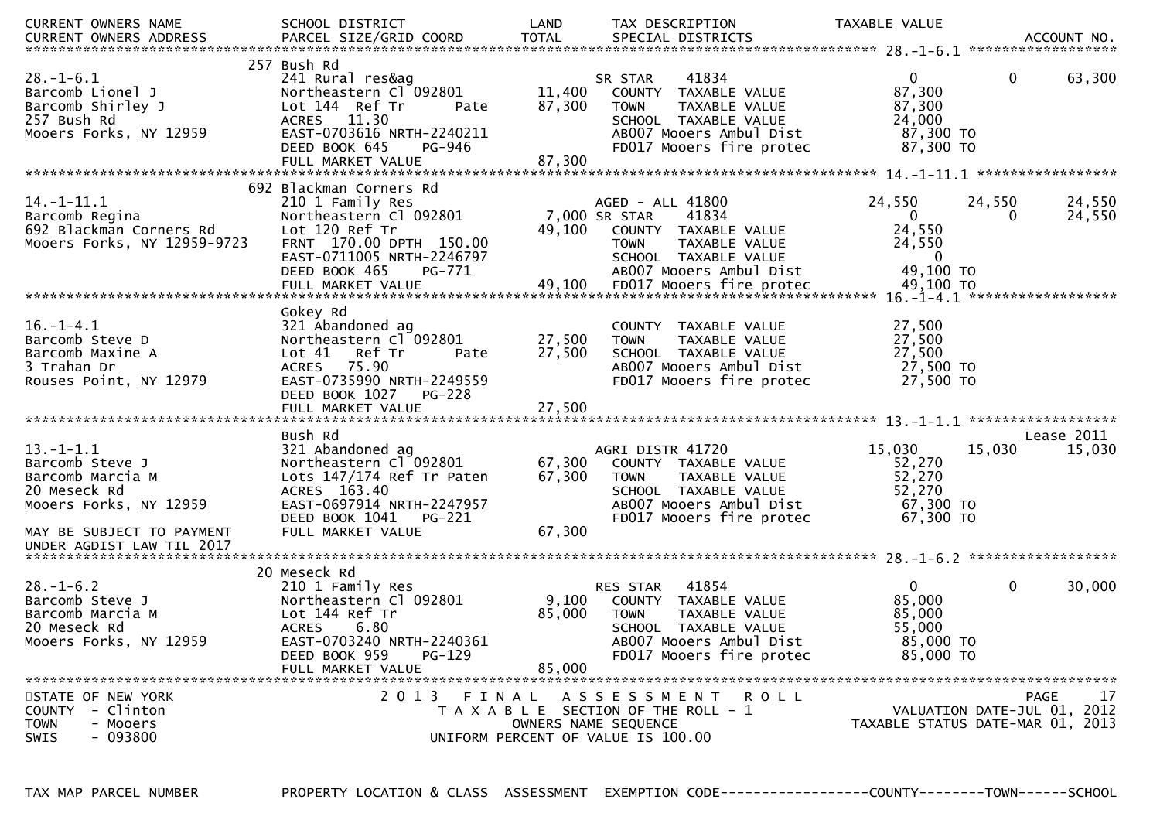| CURRENT OWNERS NAME         | SCHOOL DISTRICT                     | LAND   | TAX DESCRIPTION                       | TAXABLE VALUE                    |              |                             |
|-----------------------------|-------------------------------------|--------|---------------------------------------|----------------------------------|--------------|-----------------------------|
|                             |                                     |        |                                       |                                  |              |                             |
|                             | 257 Bush Rd                         |        |                                       |                                  |              |                             |
| $28. - 1 - 6.1$             | 241 Rural res&ag                    |        | 41834<br>SR STAR                      | $\mathbf{0}$                     | $\mathbf{0}$ | 63,300                      |
| Barcomb Lionel J            | Northeastern Cl <sup>-</sup> 092801 | 11,400 | COUNTY TAXABLE VALUE                  | 87,300                           |              |                             |
| Barcomb Shirley J           | Lot 144 Ref Tr<br>Pate              | 87,300 | TAXABLE VALUE<br><b>TOWN</b>          | 87,300                           |              |                             |
| 257 Bush Rd                 | ACRES 11.30                         |        | SCHOOL TAXABLE VALUE                  | 24,000                           |              |                             |
| Mooers Forks, NY 12959      | EAST-0703616 NRTH-2240211           |        | AB007 Mooers Ambul Dist               | 87,300 TO                        |              |                             |
|                             | PG-946<br>DEED BOOK 645             |        | FD017 Mooers fire protec              | 87,300 TO                        |              |                             |
|                             |                                     |        |                                       |                                  |              |                             |
|                             |                                     |        |                                       |                                  |              |                             |
|                             | 692 Blackman Corners Rd             |        |                                       |                                  |              |                             |
| $14. - 1 - 11.1$            | 210 1 Family Res                    |        | AGED - ALL 41800                      | 24,550                           | 24,550       | 24,550                      |
| Barcomb Regina              | Northeastern Cl 092801              |        | 7,000 SR STAR<br>41834                | $\mathbf{0}$                     | 0            | 24,550                      |
| 692 Blackman Corners Rd     | Lot 120 Ref Tr                      |        | 49,100 COUNTY TAXABLE VALUE           | 24,550                           |              |                             |
| Mooers Forks, NY 12959-9723 | FRNT 170.00 DPTH 150.00             |        | TAXABLE VALUE<br><b>TOWN</b>          | 24,550                           |              |                             |
|                             | EAST-0711005 NRTH-2246797           |        | SCHOOL TAXABLE VALUE                  | $\bf{0}$                         |              |                             |
|                             | DEED BOOK 465<br>PG-771             |        | AB007 Mooers Ambul Dist               | 49,100 TO                        |              |                             |
|                             |                                     |        |                                       |                                  |              |                             |
|                             |                                     |        |                                       |                                  |              |                             |
|                             | Gokey Rd                            |        |                                       |                                  |              |                             |
| $16. - 1 - 4.1$             | 321 Abandoned ag                    |        | COUNTY TAXABLE VALUE                  | 27,500                           |              |                             |
| Barcomb Steve D             | Northeastern Cl 092801              | 27,500 | <b>TOWN</b><br>TAXABLE VALUE          | 27,500                           |              |                             |
| Barcomb Maxine A            | Lot 41 Ref Tr<br>Pate               | 27,500 | SCHOOL TAXABLE VALUE                  | 27,500                           |              |                             |
| 3 Trahan Dr                 | ACRES 75.90                         |        | AB007 Mooers Ambul Dist               | 27,500 TO                        |              |                             |
| Rouses Point, NY 12979      | EAST-0735990 NRTH-2249559           |        | FD017 Mooers fire protec              | 27,500 TO                        |              |                             |
|                             | DEED BOOK 1027<br><b>PG-228</b>     |        |                                       |                                  |              |                             |
|                             |                                     |        |                                       |                                  |              |                             |
|                             |                                     |        |                                       |                                  |              |                             |
|                             | Bush Rd                             |        |                                       |                                  |              | Lease 2011                  |
| $13.-1-1.1$                 | 321 Abandoned ag                    |        | AGRI DISTR 41720                      | 15,030                           | 15,030       | 15,030                      |
| Barcomb Steve J             | Northeastern Cl 092801              | 67,300 | COUNTY TAXABLE VALUE                  | 52,270                           |              |                             |
| Barcomb Marcia M            | Lots 147/174 Ref Tr Paten           | 67,300 | TAXABLE VALUE<br><b>TOWN</b>          | 52,270                           |              |                             |
| 20 Meseck Rd                | ACRES 163.40                        |        | SCHOOL TAXABLE VALUE                  | 52,270                           |              |                             |
| Mooers Forks, NY 12959      | EAST-0697914 NRTH-2247957           |        | AB007 Mooers Ambul Dist               | 67,300 TO                        |              |                             |
|                             | DEED BOOK 1041 PG-221               |        | FD017 Mooers fire protec              | 67,300 TO                        |              |                             |
| MAY BE SUBJECT TO PAYMENT   | FULL MARKET VALUE                   | 67,300 |                                       |                                  |              |                             |
| UNDER AGDIST LAW TIL 2017   |                                     |        |                                       |                                  |              |                             |
|                             |                                     |        |                                       |                                  |              |                             |
|                             | 20 Meseck Rd                        |        |                                       |                                  |              |                             |
| $28. - 1 - 6.2$             | 210 1 Family Res                    |        | 41854<br>RES STAR                     | $\mathbf{0}$                     | $\mathbf 0$  | 30,000                      |
| Barcomb Steve J             | Northeastern Cl 092801              | 9,100  | COUNTY TAXABLE VALUE                  | 85,000                           |              |                             |
| Barcomb Marcia M            | Lot 144 Ref Tr                      | 85,000 | <b>TOWN</b><br>TAXABLE VALUE          | 85,000                           |              |                             |
| 20 Meseck Rd                | <b>ACRES</b><br>6.80                |        | SCHOOL TAXABLE VALUE                  | 55,000                           |              |                             |
| Mooers Forks, NY 12959      | EAST-0703240 NRTH-2240361           |        | AB007 Mooers Ambul Dist               | 85,000 TO                        |              |                             |
|                             | DEED BOOK 959<br><b>PG-129</b>      |        | FD017 Mooers fire protec              | 85,000 TO                        |              |                             |
|                             | FULL MARKET VALUE                   | 85,000 |                                       |                                  |              |                             |
|                             |                                     |        |                                       |                                  |              |                             |
| STATE OF NEW YORK           | 2013 FINAL                          |        | ASSESSMENT ROLL                       |                                  |              | 17<br><b>PAGE</b>           |
| <b>COUNTY</b><br>- Clinton  |                                     |        | T A X A B L E SECTION OF THE ROLL - 1 |                                  |              | VALUATION DATE-JUL 01, 2012 |
| <b>TOWN</b><br>- Mooers     |                                     |        | OWNERS NAME SEQUENCE                  | TAXABLE STATUS DATE-MAR 01, 2013 |              |                             |
| $-093800$<br><b>SWIS</b>    |                                     |        | UNIFORM PERCENT OF VALUE IS 100.00    |                                  |              |                             |
|                             |                                     |        |                                       |                                  |              |                             |

PROPERTY LOCATION & CLASS ASSESSMENT EXEMPTION CODE----------------COUNTY-------TOWN------SCHOOL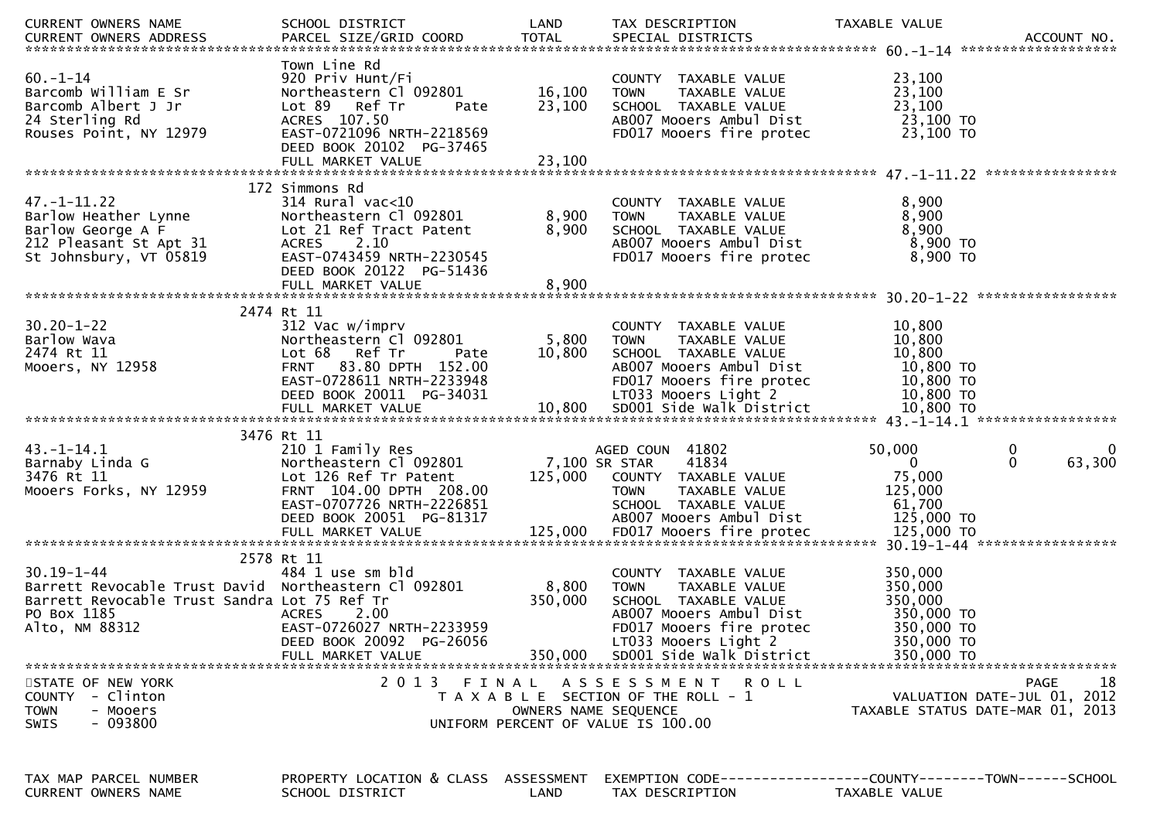| CURRENT OWNERS NAME                                                                                                                                       | SCHOOL DISTRICT                                                                                                                                                                   | LAND                       | TAX DESCRIPTION                                                                                                                     | TAXABLE VALUE                                              |
|-----------------------------------------------------------------------------------------------------------------------------------------------------------|-----------------------------------------------------------------------------------------------------------------------------------------------------------------------------------|----------------------------|-------------------------------------------------------------------------------------------------------------------------------------|------------------------------------------------------------|
| $60. -1 - 14$<br>Barcomb William E Sr<br>Barcomb Albert J Jr<br>24 Sterling Rd<br>Rouses Point, NY 12979                                                  | Town Line Rd<br>920 Priv Hunt/Fi<br>Northeastern Cl 092801<br>Lot 89 Ref Tr<br>Pate<br>ACRES 107.50<br>EAST-0721096 NRTH-2218569<br>DEED BOOK 20102 PG-37465<br>FULL MARKET VALUE | 16,100<br>23,100<br>23,100 | COUNTY TAXABLE VALUE<br>TAXABLE VALUE<br><b>TOWN</b><br>SCHOOL TAXABLE VALUE<br>AB007 Mooers Ambul Dist<br>FD017 Mooers fire protec | 23,100<br>23,100<br>23,100<br>23,100 TO<br>23,100 TO       |
|                                                                                                                                                           |                                                                                                                                                                                   |                            |                                                                                                                                     |                                                            |
| $47. - 1 - 11.22$<br>Barlow Heather Lynne<br>Barlow George A F<br>212 Pleasant St Apt 31<br>St Johnsbury, VT 05819                                        | 172 Simmons Rd<br>$314$ Rural vac< $10$<br>Northeastern Cl 092801<br>Lot 21 Ref Tract Patent<br>ACRES 2.10<br>EAST-0743459 NRTH-2230545<br>DEED BOOK 20122 PG-51436               | 8,900<br>8,900             | COUNTY TAXABLE VALUE<br><b>TOWN</b><br>TAXABLE VALUE<br>SCHOOL TAXABLE VALUE<br>AB007 Mooers Ambul Dist<br>FD017 Mooers fire protec | 8,900<br>8,900<br>8,900<br>8,900 TO<br>8,900 TO            |
|                                                                                                                                                           | FULL MARKET VALUE                                                                                                                                                                 | 8,900                      |                                                                                                                                     |                                                            |
|                                                                                                                                                           |                                                                                                                                                                                   |                            |                                                                                                                                     |                                                            |
| $30.20 - 1 - 22$<br>Barlow Wava<br>2474 Rt 11<br>Mooers, NY 12958                                                                                         | 2474 Rt 11<br>312 Vac w/imprv<br>Northeastern Cl 092801<br>Lot 68 Ref Tr<br>Pate<br>FRNT 83.80 DPTH 152.00<br>EAST-0728611 NRTH-2233948                                           | 5,800<br>10,800            | COUNTY TAXABLE VALUE<br><b>TOWN</b><br>TAXABLE VALUE<br>SCHOOL TAXABLE VALUE<br>AB007 Mooers Ambul Dist<br>FD017 Mooers fire protec | 10,800<br>10,800<br>10,800<br>10,800 TO<br>10,800 TO       |
|                                                                                                                                                           | DEED BOOK 20011 PG-34031                                                                                                                                                          |                            | LT033 Mooers Light 2                                                                                                                | 10,800 TO                                                  |
|                                                                                                                                                           | 3476 Rt 11                                                                                                                                                                        |                            |                                                                                                                                     |                                                            |
| $43. - 1 - 14.1$<br>Barnaby Linda G                                                                                                                       | 210 1 Family Res<br>Northeastern Cl 092801                                                                                                                                        |                            | AGED COUN 41802<br>7,100 SR STAR<br>41834                                                                                           | 50,000<br>0<br>0<br>63,300<br>$\mathbf{0}$<br>$\mathbf{0}$ |
| 3476 Rt 11                                                                                                                                                | Lot 126 Ref Tr Patent                                                                                                                                                             | 125,000                    | COUNTY TAXABLE VALUE                                                                                                                | 75,000                                                     |
| Mooers Forks, NY 12959                                                                                                                                    | FRNT 104.00 DPTH 208.00<br>EAST-0707726 NRTH-2226851                                                                                                                              |                            | TAXABLE VALUE<br><b>TOWN</b><br>SCHOOL TAXABLE VALUE                                                                                | 125,000<br>61,700                                          |
|                                                                                                                                                           | DEED BOOK 20051 PG-81317                                                                                                                                                          |                            | AB007 Mooers Ambul Dist                                                                                                             | 125,000 TO                                                 |
|                                                                                                                                                           |                                                                                                                                                                                   |                            |                                                                                                                                     |                                                            |
|                                                                                                                                                           | 2578 Rt 11                                                                                                                                                                        |                            |                                                                                                                                     |                                                            |
| $30.19 - 1 - 44$<br>Barrett Revocable Trust David Northeastern Cl 092801<br>Barrett Revocable Trust Sandra Lot 75 Ref Tr<br>PO Box 1185<br>Alto, NM 88312 | 484 1 use sm bld<br><b>ACRES</b><br>2.00<br>EAST-0726027 NRTH-2233959                                                                                                             | 8,800<br>350,000           | COUNTY TAXABLE VALUE<br>TAXABLE VALUE<br><b>TOWN</b><br>SCHOOL TAXABLE VALUE<br>AB007 Mooers Ambul Dist<br>FD017 Mooers fire protec | 350,000<br>350,000<br>350,000<br>350,000 TO<br>350,000 TO  |
|                                                                                                                                                           | DEED BOOK 20092 PG-26056<br>FULL MARKET VALUE                                                                                                                                     | 350,000                    | LT033 Mooers Light 2<br>SD001 Side Walk District                                                                                    | 350,000 TO<br>350,000 TO                                   |
|                                                                                                                                                           |                                                                                                                                                                                   |                            |                                                                                                                                     |                                                            |
| STATE OF NEW YORK<br>- Clinton<br><b>COUNTY</b>                                                                                                           | 2 0 1 3                                                                                                                                                                           | FINAL                      | A S S E S S M E N T<br>R O L L<br>T A X A B L E SECTION OF THE ROLL - 1                                                             | 18<br><b>PAGE</b><br>VALUATION DATE-JUL 01, 2012           |
| <b>TOWN</b><br>- Mooers<br>$-093800$<br><b>SWIS</b>                                                                                                       |                                                                                                                                                                                   |                            | OWNERS NAME SEQUENCE<br>UNIFORM PERCENT OF VALUE IS 100.00                                                                          | TAXABLE STATUS DATE-MAR 01, 2013                           |
|                                                                                                                                                           |                                                                                                                                                                                   |                            |                                                                                                                                     |                                                            |
| TAX MAP PARCEL NUMBER<br>CURRENT OWNERS NAME                                                                                                              | PROPERTY LOCATION & CLASS ASSESSMENT<br>SCHOOL DISTRICT                                                                                                                           | LAND                       | TAX DESCRIPTION                                                                                                                     | TAXABLE VALUE                                              |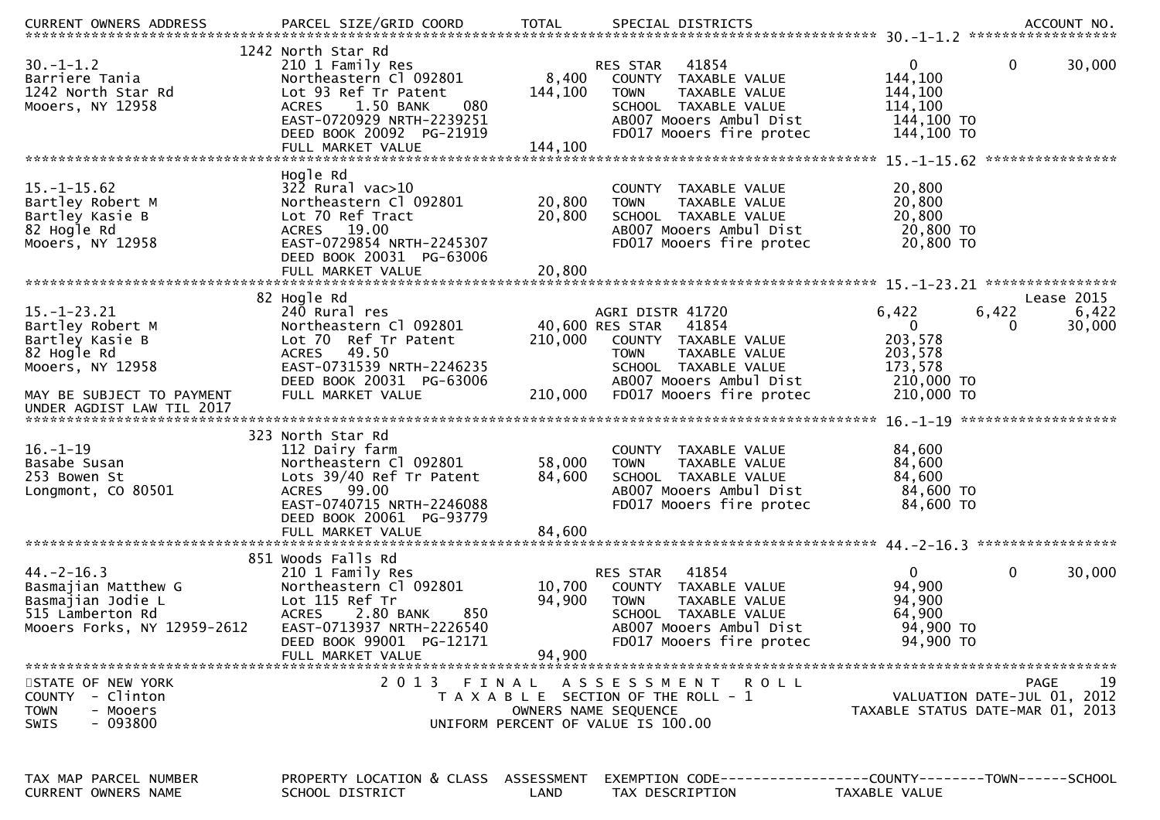| <b>CURRENT OWNERS ADDRESS</b>                                                                                                                         | PARCEL SIZE/GRID COORD                                                                                                                                                                               | <b>TOTAL</b>               | SPECIAL DISTRICTS                                                                                                                                                                   | ACCOUNT NO.                                                                                                                   |
|-------------------------------------------------------------------------------------------------------------------------------------------------------|------------------------------------------------------------------------------------------------------------------------------------------------------------------------------------------------------|----------------------------|-------------------------------------------------------------------------------------------------------------------------------------------------------------------------------------|-------------------------------------------------------------------------------------------------------------------------------|
| $30. - 1 - 1.2$<br>Barriere Tania<br>1242 North Star Rd<br>Mooers, NY 12958                                                                           | 1242 North Star Rd<br>210 1 Family Res<br>Northeastern Cl 092801<br>Lot 93 Ref Tr Patent<br>1.50 BANK<br>080<br><b>ACRES</b><br>EAST-0720929 NRTH-2239251<br>DEED BOOK 20092 PG-21919                | 8,400<br>144,100           | 41854<br>RES STAR<br>COUNTY TAXABLE VALUE<br>TAXABLE VALUE<br><b>TOWN</b><br>SCHOOL TAXABLE VALUE<br>AB007 Mooers Ambul Dist<br>FD017 Mooers fire protec                            | $\mathbf{0}$<br>$\mathbf 0$<br>30,000<br>144,100<br>144,100<br>114,100<br>144,100 TO<br>144,100 TO                            |
| $15. - 1 - 15.62$<br>Bartley Robert M<br>Bartley Kasie B<br>82 Hogle Rd<br>Mooers, NY 12958                                                           | Hogle Rd<br>$32\overline{2}$ Rural vac $>10$<br>Northeastern Cl 092801<br>Lot 70 Ref Tract<br>ACRES 19.00<br>EAST-0729854 NRTH-2245307<br>DEED BOOK 20031 PG-63006                                   | 20,800<br>20,800           | COUNTY TAXABLE VALUE<br>TAXABLE VALUE<br><b>TOWN</b><br>SCHOOL TAXABLE VALUE<br>AB007 Mooers Ambul Dist<br>FD017 Mooers fire protec                                                 | 20,800<br>20,800<br>20,800<br>20,800 TO<br>20,800 TO                                                                          |
| $15. - 1 - 23.21$<br>Bartley Robert M<br>Bartley Kasie B<br>82 Hogle Rd<br>Mooers, NY 12958<br>MAY BE SUBJECT TO PAYMENT<br>UNDER AGDIST LAW TIL 2017 | 82 Hogle Rd<br>240 Rural res<br>Northeastern Cl 092801<br>Lot 70 Ref Tr Patent<br>49.50<br><b>ACRES</b><br>EAST-0731539 NRTH-2246235<br>DEED BOOK 20031 PG-63006<br>FULL MARKET VALUE                | 210,000<br>210,000         | AGRI DISTR 41720<br>40,600 RES STAR<br>41854<br>COUNTY TAXABLE VALUE<br><b>TOWN</b><br>TAXABLE VALUE<br>SCHOOL TAXABLE VALUE<br>AB007 Mooers Ambul Dist<br>FD017 Mooers fire protec | Lease 2015<br>6,422<br>6,422<br>6,422<br>$\Omega$<br>30,000<br>0<br>203,578<br>203,578<br>173,578<br>210,000 TO<br>210,000 TO |
| $16. - 1 - 19$<br>Basabe Susan<br>253 Bowen St<br>Longmont, CO 80501                                                                                  | 323 North Star Rd<br>112 Dairy farm<br>Northeastern Cl 092801<br>Lots 39/40 Ref Tr Patent<br>ACRES 99.00<br>EAST-0740715 NRTH-2246088<br>DEED BOOK 20061 PG-93779<br>FULL MARKET VALUE               | 58,000<br>84,600<br>84,600 | COUNTY TAXABLE VALUE<br><b>TOWN</b><br>TAXABLE VALUE<br>SCHOOL TAXABLE VALUE<br>AB007 Mooers Ambul Dist<br>FD017 Mooers fire protec                                                 | 84,600<br>84,600<br>84,600<br>84,600 TO<br>84,600 TO                                                                          |
| $44. -2 - 16.3$<br>Basmajian Matthew G<br>Basmajian Jodie L<br>515 Lamberton Rd<br>Mooers Forks, NY 12959-2612                                        | 851 Woods Falls Rd<br>210 1 Family Res<br>Northeastern Cl 092801<br>Lot 115 Ref Tr<br><b>ACRES</b><br>2.80 BANK<br>850<br>EAST-0713937 NRTH-2226540<br>DEED BOOK 99001 PG-12171<br>FULL MARKET VALUE | 10,700<br>94,900<br>94,900 | 41854<br>RES STAR<br>COUNTY TAXABLE VALUE<br>TAXABLE VALUE<br><b>TOWN</b><br>SCHOOL TAXABLE VALUE<br>AB007 Mooers Ambul Dist<br>FD017 Mooers fire protec                            | 0<br>0<br>30,000<br>94,900<br>94,900<br>64,900<br>94,900 TO<br>94,900 TO                                                      |
| STATE OF NEW YORK<br><b>COUNTY</b><br>- Clinton<br>- Mooers<br><b>TOWN</b><br>$-093800$<br>SWIS                                                       | 2013                                                                                                                                                                                                 | FINAL                      | ASSESSMENT ROLL<br>T A X A B L E SECTION OF THE ROLL - 1<br>OWNERS NAME SEQUENCE<br>UNIFORM PERCENT OF VALUE IS 100.00                                                              | 19<br>PAGE<br>VALUATION DATE-JUL 01, 2012<br>TAXABLE STATUS DATE-MAR 01, 2013                                                 |
| TAX MAP PARCEL NUMBER<br>CURRENT OWNERS NAME                                                                                                          | PROPERTY LOCATION & CLASS ASSESSMENT<br>SCHOOL DISTRICT                                                                                                                                              | LAND                       | TAX DESCRIPTION                                                                                                                                                                     | EXEMPTION CODE-----------------COUNTY-------TOWN------SCHOOL<br>TAXABLE VALUE                                                 |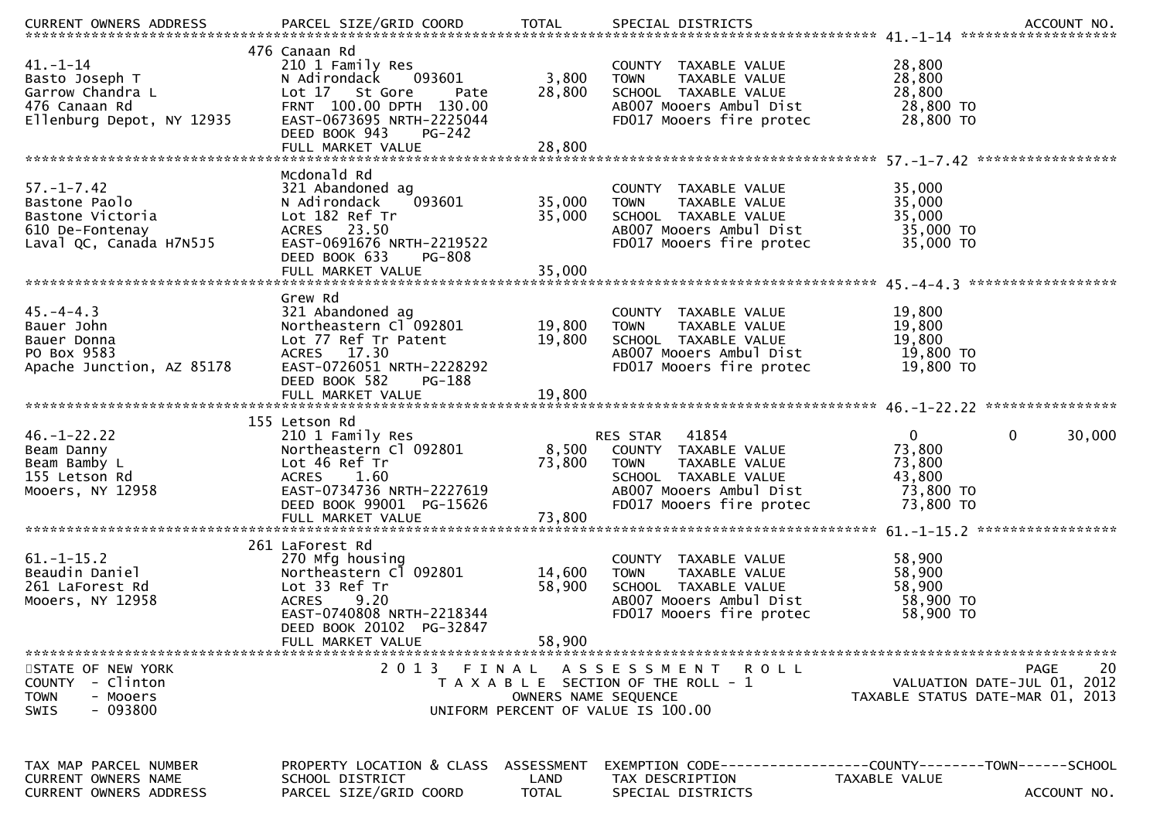| 41.-1-14<br>n: 17<br>Basto Joseph T<br>Garrow Chandra L<br>476 Canaan Rd<br>Ellenburg Depot, NY 12935  | 476 Canaan Rd<br>210 1 Family Res<br>093601<br>N Adirondack<br>Lot 17 St Gore<br>Pate<br>FRNT 100.00 DPTH 130.00<br>EAST-0673695 NRTH-2225044<br>DEED BOOK 943<br>PG-242 | 3,800<br>28,800                    | COUNTY TAXABLE VALUE<br><b>TOWN</b><br>TAXABLE VALUE<br>SCHOOL TAXABLE VALUE<br>AB007 Mooers Ambul Dist<br>FD017 Mooers fire protec                                   | 28,800<br>28,800<br>28,800<br>28,800 TO<br>28,800 TO            |                       |
|--------------------------------------------------------------------------------------------------------|--------------------------------------------------------------------------------------------------------------------------------------------------------------------------|------------------------------------|-----------------------------------------------------------------------------------------------------------------------------------------------------------------------|-----------------------------------------------------------------|-----------------------|
|                                                                                                        | Mcdonald Rd                                                                                                                                                              |                                    |                                                                                                                                                                       |                                                                 |                       |
| $57. - 1 - 7.42$<br>Bastone Paolo<br>Bastone Victoria<br>610 De-Fontenay<br>Laval QC, Canada H7N5J5    | 321 Abandoned ag<br>N Adirondack<br>093601<br>Lot 182 Ref Tr<br>ACRES 23.50<br>EAST-0691676 NRTH-2219522<br>DEED BOOK 633<br><b>PG-808</b>                               | 35,000<br>35,000                   | COUNTY TAXABLE VALUE<br>TAXABLE VALUE<br><b>TOWN</b><br>SCHOOL TAXABLE VALUE<br>AB007 Mooers Ambul Dist<br>FD017 Mooers fire protec                                   | 35,000<br>35,000<br>35,000<br>35,000 TO<br>35,000 TO            |                       |
|                                                                                                        |                                                                                                                                                                          |                                    |                                                                                                                                                                       |                                                                 |                       |
| $45. -4 - 4.3$<br>Bauer John<br>Bauer Donna<br>PO Box 9583<br>Apache Junction, AZ 85178                | Grew Rd<br>321 Abandoned ag<br>Northeastern Cl 092801<br>Lot 77 Ref Tr Patent<br>ACRES 17.30<br>EAST-0726051 NRTH-2228292<br>DEED BOOK 582<br>PG-188                     | 19,800<br>19,800                   | COUNTY TAXABLE VALUE<br>TAXABLE VALUE<br><b>TOWN</b><br>SCHOOL TAXABLE VALUE<br>AB007 Mooers Ambul Dist<br>FD017 Mooers fire protec                                   | 19,800<br>19,800<br>19,800<br>19,800 TO<br>19,800 TO            |                       |
|                                                                                                        | 155 Letson Rd                                                                                                                                                            |                                    |                                                                                                                                                                       |                                                                 |                       |
| $46. - 1 - 22.22$<br>Beam Danny<br>Beam Bamby L<br>155 Letson Rd<br>Mooers, NY 12958                   | 210 1 Family Res<br>Northeastern Cl 092801<br>Lot 46 Ref Tr<br>ACRES 1.60<br>EAST-0734736 NRTH-2227619<br>DEED BOOK 99001 PG-15626                                       | 73,800                             | <b>RES STAR 41854</b><br>8,500 COUNTY TAXABLE VALUE<br>TOWN<br>TAXABLE VALUE<br>SCHOOL TAXABLE VALUE<br>AB007 Mooers Ambul Dist<br>FD017 Mooers fire protec 73,800 TO | $\overline{0}$<br>73,800<br>73,800<br>43,800<br>73,800 TO       | $\mathbf 0$<br>30,000 |
|                                                                                                        |                                                                                                                                                                          |                                    |                                                                                                                                                                       |                                                                 |                       |
| $61.-1-15.2$<br>Beaudin Daniel<br>261 LaForest Rd<br>Mooers, NY 12958                                  | 261 LaForest Rd<br>270 Mfg housing<br>Northeastern Cl 092801<br>Lot 33 Ref Tr<br><b>ACRES</b><br>9.20<br>EAST-0740808 NRTH-2218344<br>DEED BOOK 20102 PG-32847           | 14,600<br>58,900                   | COUNTY TAXABLE VALUE<br>TAXABLE VALUE<br><b>TOWN</b><br>SCHOOL TAXABLE VALUE<br>AB007 Mooers Ambul Dist<br>FD017 Mooers fire protec                                   | 58,900<br>58,900<br>58,900<br>58,900 TO<br>58,900 TO            |                       |
|                                                                                                        | FULL MARKET VALUE                                                                                                                                                        | 58,900                             |                                                                                                                                                                       |                                                                 |                       |
| STATE OF NEW YORK<br><b>COUNTY</b><br>- Clinton<br><b>TOWN</b><br>- Mooers<br>$-093800$<br><b>SWIS</b> | 2 0 1 3                                                                                                                                                                  | FINAL<br>OWNERS NAME SEQUENCE      | ASSESSMENT ROLL<br>T A X A B L E SECTION OF THE ROLL - 1<br>UNIFORM PERCENT OF VALUE IS 100.00                                                                        | VALUATION DATE-JUL 01, 2012<br>TAXABLE STATUS DATE-MAR 01, 2013 | 20<br>PAGE            |
| TAX MAP PARCEL NUMBER<br>CURRENT OWNERS NAME<br><b>CURRENT OWNERS ADDRESS</b>                          | PROPERTY LOCATION & CLASS<br>SCHOOL DISTRICT<br>PARCEL SIZE/GRID COORD                                                                                                   | ASSESSMENT<br>LAND<br><b>TOTAL</b> | EXEMPTION CODE-----<br>TAX DESCRIPTION<br>SPECIAL DISTRICTS                                                                                                           | ----------COUNTY--------TOWN------SCHOOL<br>TAXABLE VALUE       | ACCOUNT NO.           |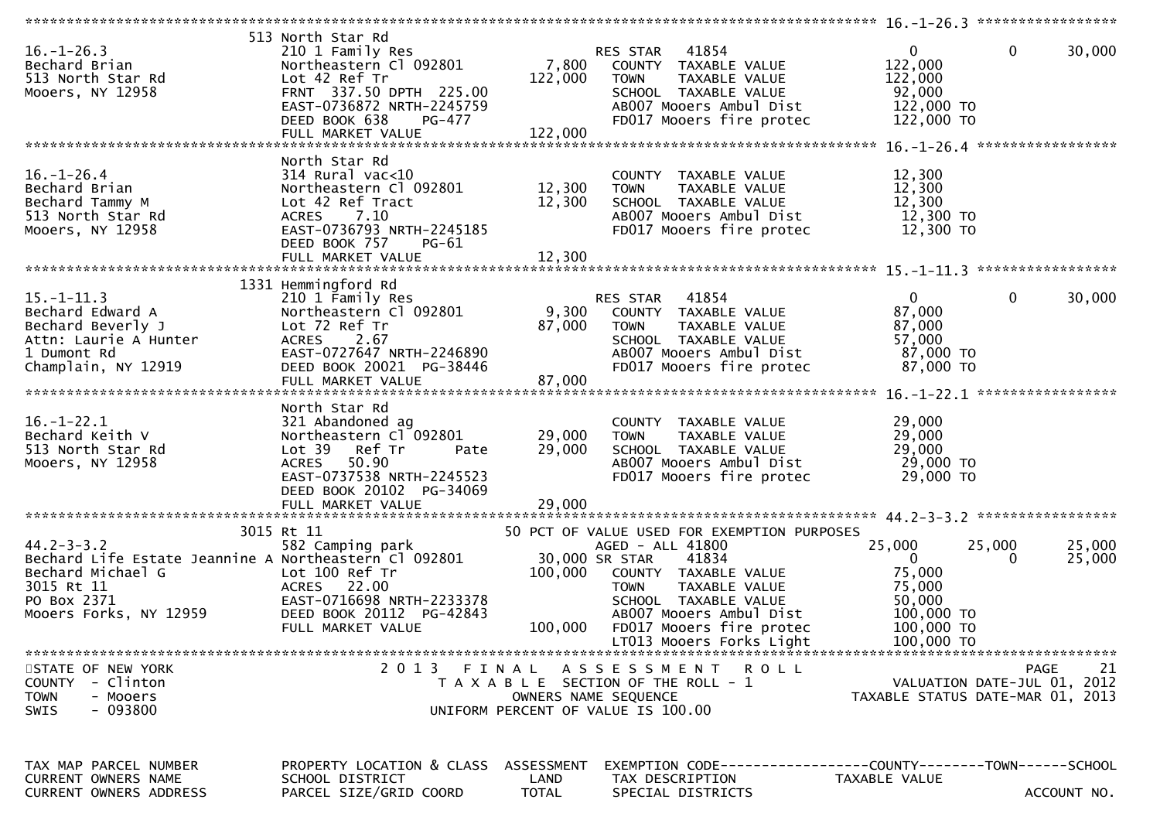| $16. - 1 - 26.3$<br>Bechard Brian<br>513 North Star Rd<br>Mooers, NY 12958                                                                            | 513 North Star Rd<br>210 1 Family Res<br>Northeastern Cl 092801<br>Lot 42 Ref Tr<br>FRNT 337.50 DPTH 225.00<br>EAST-0736872 NRTH-2245759<br>DEED BOOK 638<br>PG-477                  | 7,800<br>122,000                   | RES STAR 41854<br>COUNTY TAXABLE VALUE<br>TAXABLE VALUE<br><b>TOWN</b><br>SCHOOL TAXABLE VALUE<br>AB007 Mooers Ambul Dist<br>FD017 Mooers fire protec                                                                                                         | $\mathbf{0}$<br>122,000<br>122,000<br>92,000<br>122,000 TO<br>122,000 TO                             | $\mathbf 0$<br>30,000 |
|-------------------------------------------------------------------------------------------------------------------------------------------------------|--------------------------------------------------------------------------------------------------------------------------------------------------------------------------------------|------------------------------------|---------------------------------------------------------------------------------------------------------------------------------------------------------------------------------------------------------------------------------------------------------------|------------------------------------------------------------------------------------------------------|-----------------------|
| $16. - 1 - 26.4$<br>Bechard Brian<br>Bechard Tammy M<br>513 North Star Rd<br>Mooers, NY 12958                                                         | North Star Rd<br>$314$ Rural vac<10<br>Northeastern Cl 092801<br>Lot 42 Ref Tract<br>ACRES 7.10<br>EAST-0736793 NRTH-2245185<br>DEED BOOK 757<br>PG-61                               | 12,300<br>12,300                   | COUNTY TAXABLE VALUE<br>TAXABLE VALUE<br><b>TOWN</b><br>SCHOOL TAXABLE VALUE<br>AB007 Mooers Ambul Dist<br>FD017 Mooers fire protec                                                                                                                           | 12,300<br>12,300<br>12,300<br>12,300 TO<br>12,300 TO                                                 |                       |
| $15. - 1 - 11.3$<br>Bechard Edward A<br>Bechard Beverly J<br>Attn: Laurie A Hunter<br>1 Dumont Rd<br>Champlain, NY 12919                              | 1331 Hemmingford Rd<br>210 1 Family Res<br>Northeastern Cl 092801<br>Lot 72 Ref Tr<br>ACRES 2.67<br>EAST-0727647 NRTH-2246890<br>DEED BOOK 20021 PG-38446<br>FULL MARKET VALUE       | 9,300<br>87,000<br>87,000          | <b>RES STAR 41854</b><br>COUNTY TAXABLE VALUE<br><b>TOWN</b><br>TAXABLE VALUE<br>SCHOOL TAXABLE VALUE<br>AB007 Mooers Ambul Dist<br>FD017 Mooers fire protec                                                                                                  | $\mathbf{0}$<br>87,000<br>87,000<br>57,000<br>87,000 TO<br>87,000 TO                                 | $\mathbf 0$<br>30,000 |
| $16. - 1 - 22.1$<br>Bechard Keith V<br>513 North Star Rd<br>Mooers, NY 12958                                                                          | North Star Rd<br>321 Abandoned ag<br>Northeastern Cl 092801<br>Lot 39<br>Ref Tr<br>Pate<br>ACRES 50.90<br>EAST-0737538 NRTH-2245523<br>DEED BOOK 20102 PG-34069<br>FULL MARKET VALUE | 29,000<br>29,000<br>29,000         | COUNTY TAXABLE VALUE<br>TAXABLE VALUE<br><b>TOWN</b><br>SCHOOL TAXABLE VALUE<br>AB007 Mooers Ambul Dist<br>FD017 Mooers fire protec                                                                                                                           | 29,000<br>29,000<br>29,000<br>29,000 TO<br>29,000 TO                                                 |                       |
| $44.2 - 3 - 3.2$<br>Bechard Life Estate Jeannine A Northeastern Cl 092801<br>Bechard Michael G<br>3015 Rt 11<br>PO Box 2371<br>Mooers Forks, NY 12959 | 3015 Rt 11<br>582 Camping park<br>Lot 100 Ref Tr<br>ACRES 22.00<br>EAST-0716698 NRTH-2233378<br>DEED BOOK 20112 PG-42843<br>FULL MARKET VALUE                                        | 100,000<br>100,000                 | 50 PCT OF VALUE USED FOR EXEMPTION PURPOSES<br>AGED - ALL 41800<br>30,000 SR STAR<br>41834<br>COUNTY TAXABLE VALUE<br>TAXABLE VALUE<br><b>TOWN</b><br>SCHOOL TAXABLE VALUE<br>AB007 Mooers Ambul Dist<br>FD017 Mooers fire protec<br>LT013 Mooers Forks Light | 25,000<br>25,000<br>$\Omega$<br>75,000<br>75,000<br>50,000<br>100,000 TO<br>100,000 TO<br>100,000 TO | 25,000<br>25,000      |
| STATE OF NEW YORK<br><b>COUNTY</b><br>- Clinton<br><b>TOWN</b><br>- Mooers<br>$-093800$<br>SWIS                                                       |                                                                                                                                                                                      |                                    | 2013 FINAL ASSESSMENT ROLL<br>T A X A B L E SECTION OF THE ROLL - 1<br>OWNERS NAME SEQUENCE<br>UNIFORM PERCENT OF VALUE IS 100.00                                                                                                                             | VALUATION DATE-JUL 01, 2012<br>TAXABLE STATUS DATE-MAR 01, 2013                                      | 21<br>PAGE            |
| TAX MAP PARCEL NUMBER<br><b>CURRENT OWNERS NAME</b><br>CURRENT OWNERS ADDRESS                                                                         | PROPERTY LOCATION & CLASS<br>SCHOOL DISTRICT<br>PARCEL SIZE/GRID COORD                                                                                                               | ASSESSMENT<br>LAND<br><b>TOTAL</b> | EXEMPTION        CODE-----------------COUNTY-------TOWN------SCHOOL<br>TAX DESCRIPTION<br>SPECIAL DISTRICTS                                                                                                                                                   | TAXABLE VALUE                                                                                        | ACCOUNT NO.           |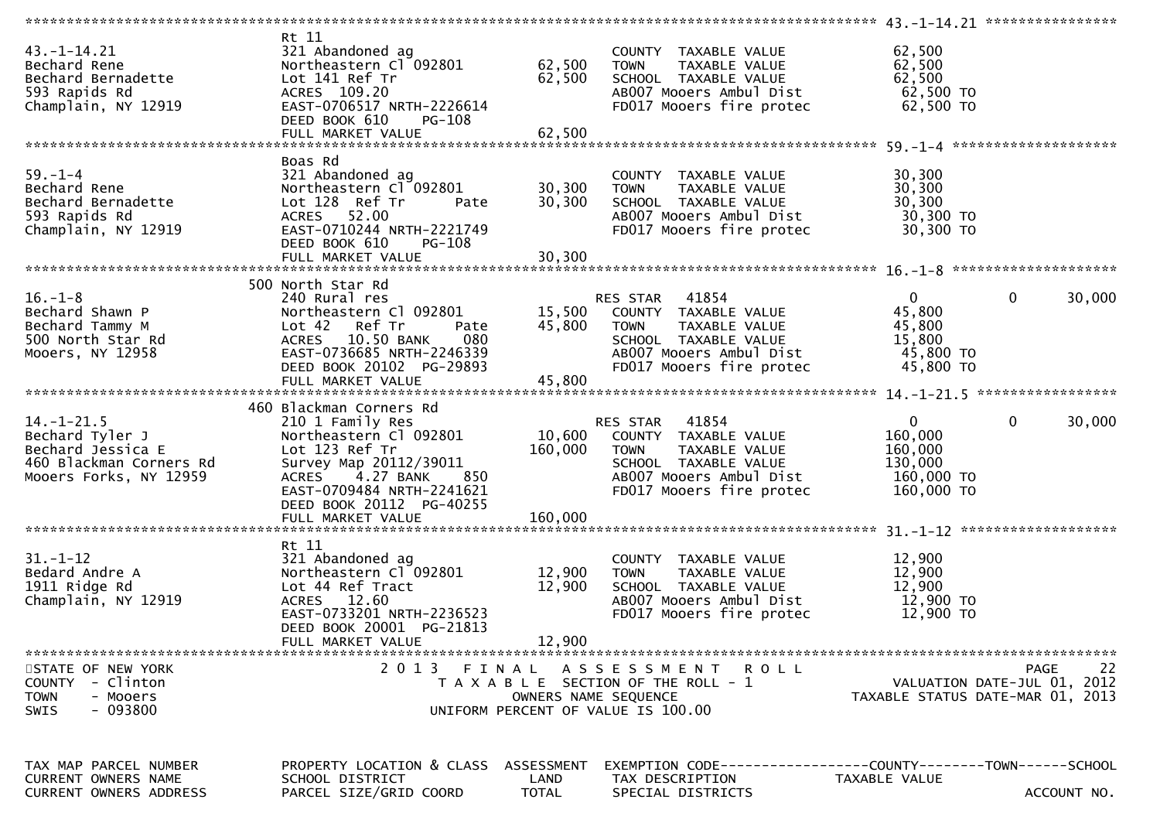| $43. -1 - 14.21$<br>Bechard Rene<br>Bechard Bernadette<br>593 Rapids Rd<br>Champlain, NY 12919                | Rt 11<br>321 Abandoned ag<br>Lot 141 Ref Tr<br>ACRES 109.20<br>EAST-0706517 NRTH-2226614<br>DEED BOOK 610<br>PG-108                                                  | 62,500                             | COUNTY TAXABLE VALUE<br>SCHOOL TAXABLE VALUE<br>ABOO7 Mooers Ambul Dist<br>FDO17 Mooers fire protec 62,500 TO                                                 | 62,500<br>62,500<br>62,500                                                        |                                                  |
|---------------------------------------------------------------------------------------------------------------|----------------------------------------------------------------------------------------------------------------------------------------------------------------------|------------------------------------|---------------------------------------------------------------------------------------------------------------------------------------------------------------|-----------------------------------------------------------------------------------|--------------------------------------------------|
| $59. - 1 - 4$<br>Bechard Rene<br>Bechard Bernadette<br>593 Rapids Rd<br>Champlain, NY 12919                   | Boas Rd<br>321 Abandoned ag<br>Northeastern Cl 092801<br>Pate<br>Lot 128 Ref Tr<br>ACRES 52.00<br>EAST-0710244 NRTH-2221749<br>PG-108<br>DEED BOOK 610               | 30,300<br>30,300                   | COUNTY TAXABLE VALUE<br>TAXABLE VALUE<br><b>TOWN</b><br>SCHOOL TAXABLE VALUE<br>AB007 Mooers Ambul Dist<br>FD017 Mooers fire protec                           | 30,300<br>30,300<br>30,300<br>ט <sub>יך</sub> - 30, 300<br>30, 300 TO<br>30 ב^2 ה |                                                  |
| $16. - 1 - 8$<br>Bechard Shawn P<br>Bechard Tammy M<br>500 North Star Rd<br>Mooers, NY 12958                  | 500 North Star Rd<br>Lot 42<br>Ref Tr<br>Pate<br>ACRES 10.50 BANK<br>080<br>EAST-0736685 NRTH-2246339<br>DEED BOOK 20102 PG-29893                                    |                                    | 45,800 TOWN<br>TAXABLE VALUE<br>SCHOOL TAXABLE VALUE<br>SCHOOL TAXABLE VALUE<br>ABOO7 Mooers Ambul Dist<br>FD017 Mooers fire protec 45,800 TO                 | $\mathbf{0}$<br>45,800<br>45,800<br>15,800<br>$45,800$ TO                         | $\mathbf 0$<br>30,000                            |
| $14. - 1 - 21.5$<br>Bechard Tyler J<br>Bechard Jessica E<br>460 Blackman Corners Rd<br>Mooers Forks, NY 12959 | 460 Blackman Corners Rd<br>210 1 Family Res<br>Northeastern Cl 092801<br>Lot 123 Ref Tr<br>EAST-0709484 NRTH-2241621<br>DEED BOOK 20112 PG-40255                     |                                    | RES STAR 41854<br>10,600 COUNTY TAXABLE VALUE<br>160,000 TOWN<br>TAXABLE VALUE<br>SCHOOL TAXABLE VALUE<br>ABOO7 Mooers Ambul Dist<br>FD017 Mooers fire protec | $\mathbf{0}$<br>160,000<br>160,000<br>130,000<br>160,000 TO<br>160,000 TO         | $\mathbf 0$<br>30,000                            |
| $31. - 1 - 12$<br>Bedard Andre A<br>1911 Ridge Rd<br>Champlain, NY 12919                                      | Rt 11<br>321 Abandoned ag<br>Northeastern Cl 092801<br>Lot 44 Ref Tract<br>ACRES 12.60<br>EAST-0733201 NRTH-2236523<br>DEED BOOK 20001 PG-21813<br>FULL MARKET VALUE | 12,900<br>12,900<br>12,900         | COUNTY TAXABLE VALUE<br><b>TOWN</b><br>TAXABLE VALUE<br>SCHOOL TAXABLE VALUE<br>AB007 Mooers Ambul Dist<br>FD017 Mooers fire protec 12,900 TO                 | 12,900<br>12,900<br>12,900<br>12,900 TO                                           |                                                  |
| STATE OF NEW YORK<br><b>COUNTY</b><br>- Clinton<br><b>TOWN</b><br>- Mooers<br>- 093800<br><b>SWIS</b>         | 2 0 1 3                                                                                                                                                              | FINAL                              | A S S E S S M E N T<br>R O L L<br>T A X A B L E SECTION OF THE ROLL - 1<br>OWNERS NAME SEQUENCE<br>UNIFORM PERCENT OF VALUE IS 100.00                         | TAXABLE STATUS DATE-MAR 01, 2013                                                  | 22<br><b>PAGE</b><br>VALUATION DATE-JUL 01, 2012 |
| TAX MAP PARCEL NUMBER<br>CURRENT OWNERS NAME<br><b>CURRENT OWNERS ADDRESS</b>                                 | PROPERTY LOCATION & CLASS<br>SCHOOL DISTRICT<br>PARCEL SIZE/GRID COORD                                                                                               | ASSESSMENT<br>LAND<br><b>TOTAL</b> | EXEMPTION CODE-----------------COUNTY-------TOWN------SCHOOL<br>TAX DESCRIPTION<br>SPECIAL DISTRICTS                                                          | TAXABLE VALUE                                                                     | ACCOUNT NO.                                      |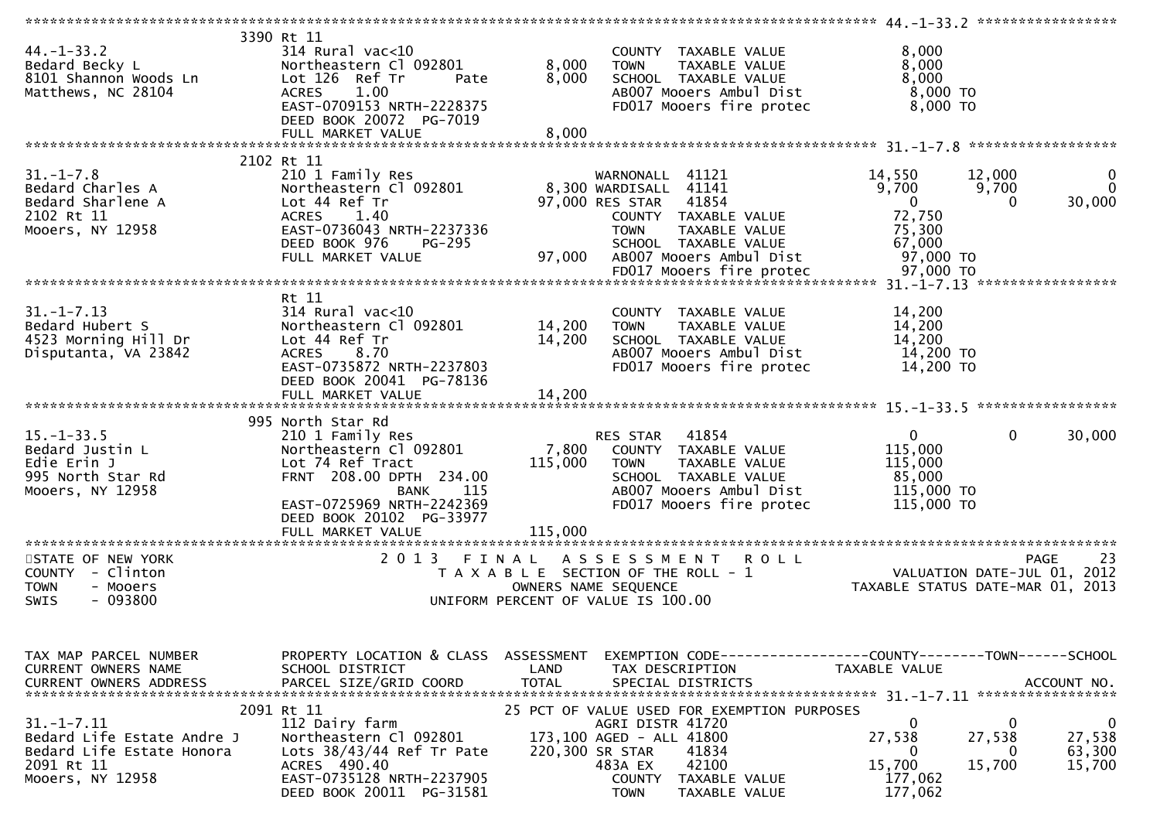| $44. - 1 - 33.2$<br>Bedard Becky L<br>8101 Shannon Woods Ln<br>Matthews, NC 28104                             | 3390 Rt 11<br>$314$ Rural vac<10<br>Northeastern Cl 092801<br>Lot 126 Ref Tr<br>Pate<br><b>ACRES</b><br>1.00<br>EAST-0709153 NRTH-2228375<br>DEED BOOK 20072 PG-7019                                               | 8,000<br>8,000                     | COUNTY TAXABLE VALUE<br><b>TOWN</b><br>TAXABLE VALUE<br>SCHOOL TAXABLE VALUE<br>AB007 Mooers Ambul Dist<br>FD017 Mooers fire protec                                                                           | 8,000<br>8,000<br>8,000<br>$8,000$ TO<br>8,000 TO                            |                                                                                |
|---------------------------------------------------------------------------------------------------------------|--------------------------------------------------------------------------------------------------------------------------------------------------------------------------------------------------------------------|------------------------------------|---------------------------------------------------------------------------------------------------------------------------------------------------------------------------------------------------------------|------------------------------------------------------------------------------|--------------------------------------------------------------------------------|
|                                                                                                               |                                                                                                                                                                                                                    |                                    |                                                                                                                                                                                                               |                                                                              |                                                                                |
| $31. - 1 - 7.8$<br>Bedard Charles A<br>Bedard Sharlene A<br>2102 Rt 11<br>Mooers, NY 12958                    | 2102 Rt 11<br>210 1 Family Res<br>Northeastern Cl 092801<br>Lot 44 Ref Tr<br>1.40<br>ACRES<br>EAST-0736043 NRTH-2237336<br>DEED BOOK 976<br>PG-295<br>FULL MARKET VALUE                                            | 97,000                             | WARNONALL 41121<br>8,300 WARDISALL 41141<br>97,000 RES STAR 41854<br>COUNTY TAXABLE VALUE<br><b>TOWN</b><br>TAXABLE VALUE<br>SCHOOL TAXABLE VALUE<br>AB007 Mooers Ambul Dist                                  | 14,550<br>9,700<br>$\overline{0}$<br>72,750<br>75,300<br>67,000<br>97,000 TO | 12,000<br>0<br>$\mathbf{0}$<br>9,700<br>30,000<br>$\Omega$                     |
|                                                                                                               | Rt 11                                                                                                                                                                                                              |                                    |                                                                                                                                                                                                               |                                                                              |                                                                                |
| $31. - 1 - 7.13$<br>Bedard Hubert S<br>4523 Morning Hill Dr<br>Disputanta, VA 23842                           | $314$ Rural vac< $10$<br>Northeastern Cl 092801<br>Lot 44 Ref Tr<br>ACRES 8.70<br>EAST-0735872 NRTH-2237803<br>DEED BOOK 20041 PG-78136                                                                            | 14,200<br>14,200                   | COUNTY TAXABLE VALUE<br>TAXABLE VALUE<br>TOWN<br>SCHOOL TAXABLE VALUE<br>AB007 Mooers Ambul Dist<br>FD017 Mooers fire protec                                                                                  | 14,200<br>14,200<br>14,200<br>14,200 TO<br>14,200 TO                         |                                                                                |
|                                                                                                               |                                                                                                                                                                                                                    |                                    |                                                                                                                                                                                                               |                                                                              |                                                                                |
| $15. - 1 - 33.5$<br>Bedard Justin L<br>Edie Erin J<br>995 North Star Rd<br>Mooers, NY 12958                   | 995 North Star Rd<br>210 1 Family Res<br>Northeastern Cl 092801<br>Lot 74 Ref Tract<br>FRNT 208.00 DPTH 234.00<br><b>BANK</b><br>115<br>EAST-0725969 NRTH-2242369<br>DEED BOOK 20102 PG-33977<br>FULL MARKET VALUE | 115,000<br>115,000                 | RES STAR 41854<br>7,800 COUNTY TAXABLE VALUE<br><b>TOWN</b><br>TAXABLE VALUE<br>SCHOOL TAXABLE VALUE<br>AB007 Mooers Ambul Dist<br>FD017 Mooers fire protec                                                   | $\overline{0}$<br>115,000<br>115,000<br>85,000<br>115,000 TO<br>115,000 TO   | 30,000<br>$\overline{0}$                                                       |
| ************************                                                                                      | ******************************                                                                                                                                                                                     |                                    |                                                                                                                                                                                                               |                                                                              |                                                                                |
| STATE OF NEW YORK<br>COUNTY - Clinton<br><b>TOWN</b><br>- Mooers<br>$-093800$<br><b>SWIS</b>                  | 2013 FINAL                                                                                                                                                                                                         |                                    | ASSESSMENT ROLL<br>T A X A B L E SECTION OF THE ROLL - 1<br>OWNERS NAME SEQUENCE<br>UNIFORM PERCENT OF VALUE IS 100.00                                                                                        | رے ہے<br>2012 , 2011–VALUATION DATE-JUL<br>2013 ,TAXABLE STATUS DATE-MAR     | -23<br><b>PAGE</b>                                                             |
| TAX MAP PARCEL NUMBER<br>CURRENT OWNERS NAME<br><b>CURRENT OWNERS ADDRESS</b>                                 | PROPERTY LOCATION & CLASS<br>SCHOOL DISTRICT<br>PARCEL SIZE/GRID COORD                                                                                                                                             | ASSESSMENT<br>LAND<br><b>TOTAL</b> | EXEMPTION CODE------------------COUNTY--------TOWN------SCHOOL<br>TAX DESCRIPTION<br>SPECIAL DISTRICTS                                                                                                        | TAXABLE VALUE                                                                | ACCOUNT NO.                                                                    |
| $31. - 1 - 7.11$<br>Bedard Life Estate Andre J<br>Bedard Life Estate Honora<br>2091 Rt 11<br>Mooers, NY 12958 | 2091 Rt 11<br>112 Dairy farm<br>Northeastern Cl 092801<br>Lots $38/43/44$ Ref Tr Pate<br>ACRES 490.40<br>EAST-0735128 NRTH-2237905<br>DEED BOOK 20011 PG-31581                                                     |                                    | 25 PCT OF VALUE USED FOR EXEMPTION PURPOSES<br>AGRI DISTR 41720<br>173,100 AGED - ALL 41800<br>220,300 SR STAR<br>41834<br>42100<br>483A EX<br><b>COUNTY</b><br>TAXABLE VALUE<br><b>TOWN</b><br>TAXABLE VALUE | 0<br>27,538<br>0<br>15,700<br>177,062<br>177,062                             | $\mathbf 0$<br>$\bf{0}$<br>27,538<br>27,538<br>63,300<br>0<br>15,700<br>15,700 |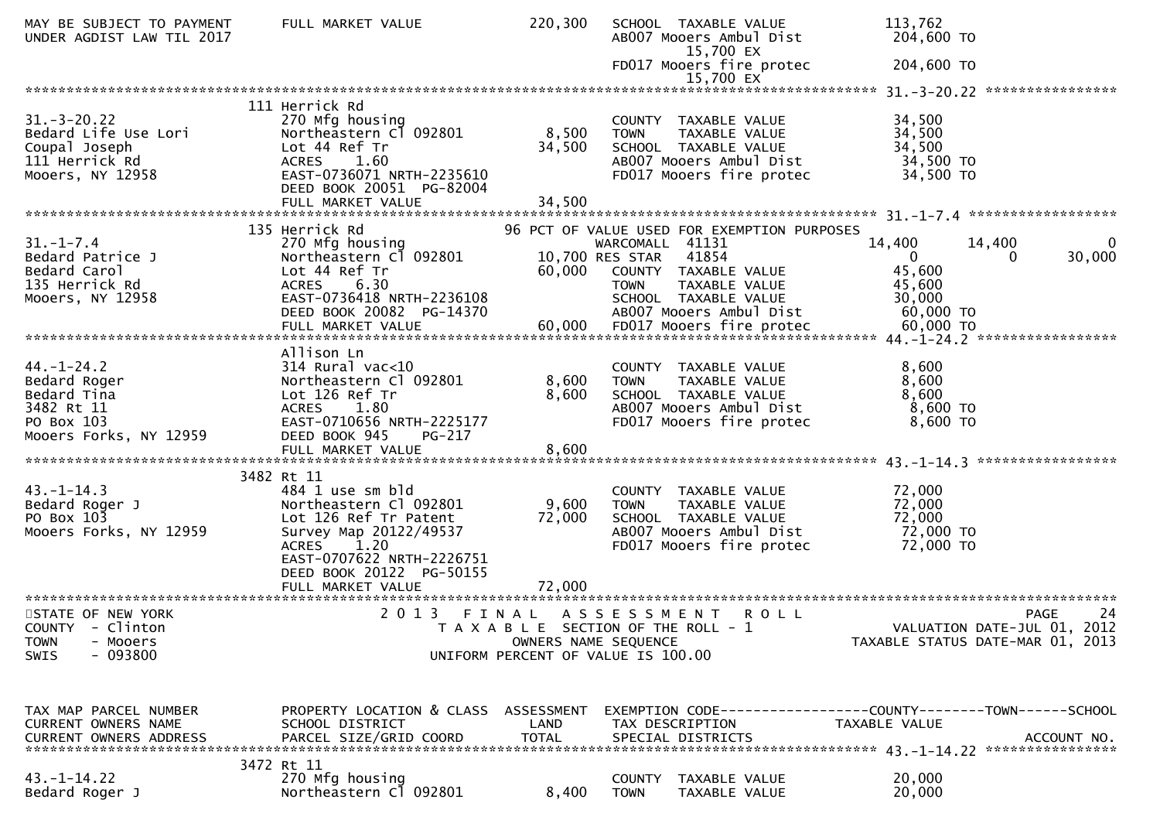| MAY BE SUBJECT TO PAYMENT<br>UNDER AGDIST LAW TIL 2017                                                | FULL MARKET VALUE                                                                                                                                                    | 220,300         | SCHOOL TAXABLE VALUE<br>AB007 Mooers Ambul Dist<br>15,700 EX                                                                                                                                       | 113,762<br>204,600 TO                                                                                         |
|-------------------------------------------------------------------------------------------------------|----------------------------------------------------------------------------------------------------------------------------------------------------------------------|-----------------|----------------------------------------------------------------------------------------------------------------------------------------------------------------------------------------------------|---------------------------------------------------------------------------------------------------------------|
|                                                                                                       |                                                                                                                                                                      |                 | FD017 Mooers fire protec<br>15,700 EX                                                                                                                                                              | 204,600 TO                                                                                                    |
|                                                                                                       | 111 Herrick Rd                                                                                                                                                       |                 |                                                                                                                                                                                                    |                                                                                                               |
| $31 - 3 - 20.22$<br>Bedard Life Use Lori<br>Coupal Joseph<br>111 Herrick Rd<br>Mooers, NY 12958       | 270 Mfg housing<br>Northeastern Cl 092801<br>Lot 44 Ref Tr<br>ACRES 1.60<br>EAST-0736071 NRTH-2235610<br>DEED BOOK 20051 PG-82004                                    | 8,500<br>34,500 | COUNTY TAXABLE VALUE<br>TAXABLE VALUE<br><b>TOWN</b><br>SCHOOL TAXABLE VALUE<br>AB007 Mooers Ambul Dist<br>FD017 Mooers fire protec                                                                | 34,500<br>34,500<br>34,500<br>34,500 TO<br>34,500 TO                                                          |
|                                                                                                       |                                                                                                                                                                      |                 |                                                                                                                                                                                                    |                                                                                                               |
| $31. - 1 - 7.4$<br>Bedard Patrice J<br>Bedard Carol<br>135 Herrick Rd<br>Mooers, NY 12958             | 135 Herrick Rd<br>270 Mfg housing<br>Northeastern Cl 092801<br>Lot 44 Ref Tr<br><b>ACRES</b><br>6.30<br>EAST-0736418 NRTH-2236108<br>DEED BOOK 20082 PG-14370        | 60,000          | 96 PCT OF VALUE USED FOR EXEMPTION PURPOSES<br>WARCOMALL 41131<br>10,700 RES STAR 41854<br>COUNTY TAXABLE VALUE<br>TAXABLE VALUE<br><b>TOWN</b><br>SCHOOL TAXABLE VALUE<br>AB007 Mooers Ambul Dist | 14,400<br>14,400<br>$\Omega$<br>30,000<br>$\mathbf{0}$<br>$\Omega$<br>45,600<br>45,600<br>30,000<br>60,000 TO |
|                                                                                                       |                                                                                                                                                                      |                 |                                                                                                                                                                                                    |                                                                                                               |
| $44. - 1 - 24.2$<br>Bedard Roger<br>Bedard Tina<br>3482 Rt 11<br>PO Box 103<br>Mooers Forks, NY 12959 | Allison Ln<br>$314$ Rural vac<10<br>Northeastern Cl 092801<br>Lot 126 Ref Tr<br>ACRES 1.80<br>EAST-0710656 NRTH-2225177<br>DEED BOOK 945<br>$PG-217$                 | 8,600<br>8,600  | COUNTY TAXABLE VALUE<br>TAXABLE VALUE<br><b>TOWN</b><br>SCHOOL TAXABLE VALUE<br>AB007 Mooers Ambul Dist<br>FD017 Mooers fire protec                                                                | 8,600<br>8,600<br>8,600<br>$8,600$ TO<br>8,600 TO                                                             |
|                                                                                                       | 3482 Rt 11                                                                                                                                                           |                 |                                                                                                                                                                                                    |                                                                                                               |
| $43. - 1 - 14.3$<br>Bedard Roger J<br>PO Box 103<br>Mooers Forks, NY 12959                            | 484 1 use sm bld<br>Northeastern Cl 092801<br>Lot 126 Ref Tr Patent<br>Survey Map 20122/49537<br>ACRES 1.20<br>EAST-0707622 NRTH-2226751<br>DEED BOOK 20122 PG-50155 | 9,600<br>72,000 | COUNTY TAXABLE VALUE<br><b>TOWN</b><br>TAXABLE VALUE<br>SCHOOL TAXABLE VALUE<br>AB007 Mooers Ambul Dist<br>FD017 Mooers fire protec                                                                | 72,000<br>72,000<br>72,000<br>72,000 TO<br>72,000 TO                                                          |
|                                                                                                       | FULL MARKET VALUE                                                                                                                                                    | 72,000          |                                                                                                                                                                                                    |                                                                                                               |
| STATE OF NEW YORK<br>COUNTY - Clinton<br>- Mooers<br><b>TOWN</b><br>$-093800$<br>SWIS                 | 2 0 1 3<br>F I N A L                                                                                                                                                 |                 | A S S E S S M E N T<br><b>ROLL</b><br>T A X A B L E SECTION OF THE ROLL - 1<br>OWNERS NAME SEQUENCE<br>UNIFORM PERCENT OF VALUE IS 100.00                                                          | 24<br><b>PAGE</b><br>VALUATION DATE-JUL 01, 2012<br>TAXABLE STATUS DATE-MAR 01, 2013                          |
| TAX MAP PARCEL NUMBER<br>CURRENT OWNERS NAME                                                          | PROPERTY LOCATION & CLASS ASSESSMENT<br>SCHOOL DISTRICT                                                                                                              | LAND            | TAX DESCRIPTION                                                                                                                                                                                    | EXEMPTION CODE-----------------COUNTY-------TOWN-----SCHOOL<br>TAXABLE VALUE                                  |
| $43. - 1 - 14.22$<br>Bedard Roger J                                                                   | 3472 Rt 11<br>270 Mfg housing<br>Northeastern Cl 092801                                                                                                              | 8,400           | COUNTY TAXABLE VALUE<br><b>TOWN</b><br>TAXABLE VALUE                                                                                                                                               | 20,000<br>20,000                                                                                              |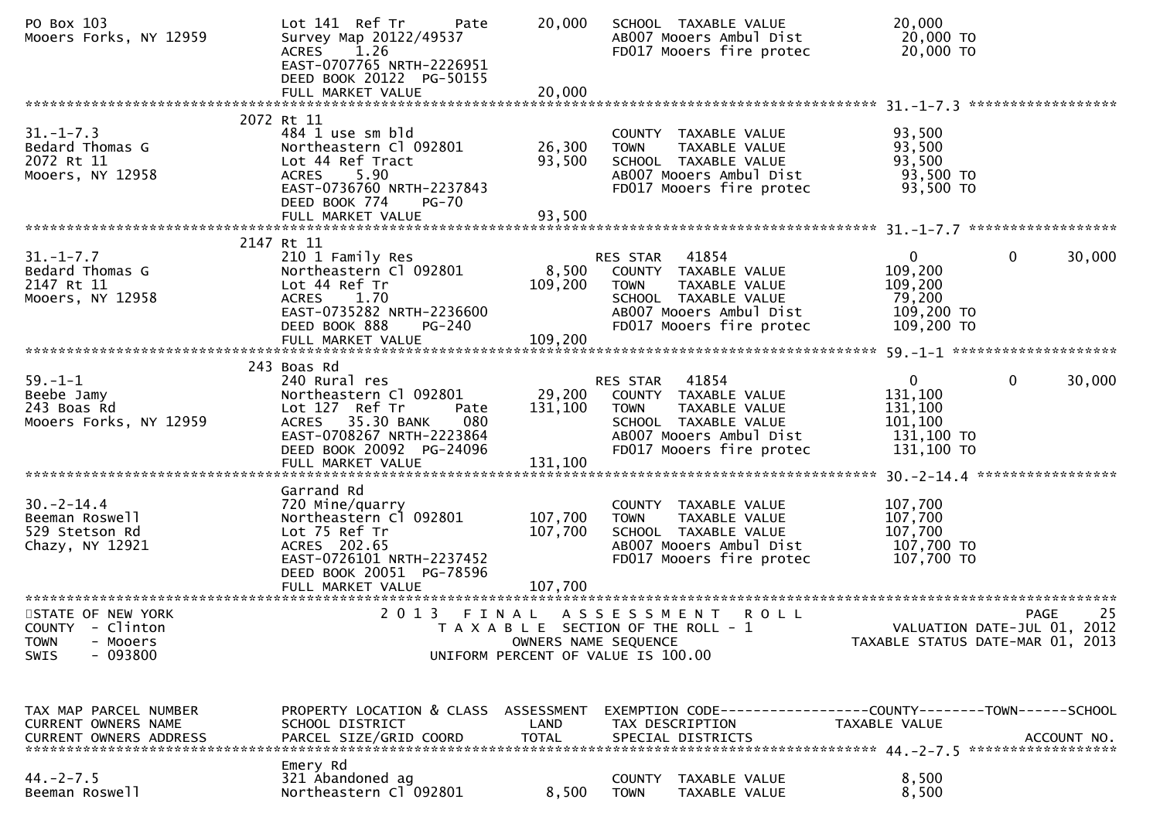| PO Box 103<br>Mooers Forks, NY 12959                                                         | Lot 141 Ref Tr<br>Pate<br>Survey Map 20122/49537<br>1.26<br>ACRES<br>EAST-0707765 NRTH-2226951<br>DEED BOOK 20122 PG-50155<br>FULL MARKET VALUE                                         | 20,000<br>20,000           | SCHOOL TAXABLE VALUE<br>AB007 Mooers Ambul Dist<br>FD017 Mooers fire protec                                                                                  | 20,000<br>20,000 TO<br>20,000 TO                                                          |             |
|----------------------------------------------------------------------------------------------|-----------------------------------------------------------------------------------------------------------------------------------------------------------------------------------------|----------------------------|--------------------------------------------------------------------------------------------------------------------------------------------------------------|-------------------------------------------------------------------------------------------|-------------|
|                                                                                              |                                                                                                                                                                                         |                            |                                                                                                                                                              |                                                                                           |             |
| $31. - 1 - 7.3$<br>Bedard Thomas G<br>2072 Rt 11<br>Mooers, NY 12958                         | 2072 Rt 11<br>484 1 use sm bld<br>Northeastern Cl 092801<br>Lot 44 Ref Tract<br>5.90<br><b>ACRES</b><br>EAST-0736760 NRTH-2237843<br>DEED BOOK 774<br><b>PG-70</b><br>FULL MARKET VALUE | 26,300<br>93,500<br>93,500 | COUNTY TAXABLE VALUE<br>TAXABLE VALUE<br><b>TOWN</b><br>SCHOOL TAXABLE VALUE<br>AB007 Mooers Ambul Dist<br>FD017 Mooers fire protec                          | 93,500<br>93,500<br>93,500<br>93,500 TO<br>93,500 TO                                      |             |
|                                                                                              |                                                                                                                                                                                         |                            |                                                                                                                                                              |                                                                                           |             |
| $31. - 1 - 7.7$<br>Bedard Thomas G<br>2147 Rt 11<br>Mooers, NY 12958                         | 2147 Rt 11<br>210 1 Family Res<br>Northeastern Cl 092801<br>Lot 44 Ref Tr<br>ACRES 1.70<br>EAST-0735282 NRTH-2236600<br>PG-240<br>DEED BOOK 888                                         | 8,500<br>109,200           | 41854<br>RES STAR<br>COUNTY TAXABLE VALUE<br><b>TOWN</b><br>TAXABLE VALUE<br>SCHOOL TAXABLE VALUE<br>AB007 Mooers Ambul Dist<br>FD017 Mooers fire protec     | $\mathbf{0}$<br>$\Omega$<br>109,200<br>109,200<br>79,200<br>109,200 TO<br>109,200 TO      | 30,000      |
|                                                                                              | 243 Boas Rd                                                                                                                                                                             |                            |                                                                                                                                                              |                                                                                           |             |
| $59. - 1 - 1$<br>Beebe Jamy<br>243 Boas Rd<br>Mooers Forks, NY 12959                         | 240 Rural res<br>Northeastern Cl 092801<br>Lot 127 Ref Tr<br>Pate<br>080<br>ACRES 35.30 BANK<br>EAST-0708267 NRTH-2223864<br>DEED BOOK 20092 PG-24096<br>FULL MARKET VALUE              | 131,100<br>131,100         | RES STAR 41854<br>29,200 COUNTY TAXABLE VALUE<br>TAXABLE VALUE<br><b>TOWN</b><br>SCHOOL TAXABLE VALUE<br>AB007 Mooers Ambul Dist<br>FD017 Mooers fire protec | $\mathbf{0}$<br>$\mathbf{0}$<br>131,100<br>131,100<br>101,100<br>131,100 TO<br>131,100 TO | 30,000      |
|                                                                                              | Garrand Rd                                                                                                                                                                              |                            |                                                                                                                                                              |                                                                                           |             |
| $30 - 2 - 14.4$<br>Beeman Roswell<br>529 Stetson Rd<br>Chazy, NY 12921                       | 720 Mine/quarry<br>Northeastern Cl 092801<br>Lot 75 Ref Tr<br>ACRES 202.65<br>EAST-0726101 NRTH-2237452<br>DEED BOOK 20051 PG-78596                                                     | 107,700<br>107,700         | COUNTY TAXABLE VALUE<br><b>TOWN</b><br>TAXABLE VALUE<br>SCHOOL TAXABLE VALUE<br>AB007 Mooers Ambul Dist<br>FD017 Mooers fire protec                          | 107,700<br>107,700<br>107,700<br>107,700 TO<br>107,700 TO                                 |             |
|                                                                                              |                                                                                                                                                                                         |                            |                                                                                                                                                              |                                                                                           |             |
| STATE OF NEW YORK<br>COUNTY - Clinton<br><b>TOWN</b><br>- Mooers<br>$-093800$<br><b>SWIS</b> | 2013                                                                                                                                                                                    | OWNERS NAME SEQUENCE       | FINAL ASSESSMENT ROLL<br>T A X A B L E SECTION OF THE ROLL - 1<br>UNIFORM PERCENT OF VALUE IS 100.00                                                         | VALUATION DATE-JUL 01, 2012<br>TAXABLE STATUS DATE-MAR 01, 2013                           | 25<br>PAGE  |
| TAX MAP PARCEL NUMBER<br><b>CURRENT OWNERS NAME</b><br>CURRENT OWNERS ADDRESS                | PROPERTY LOCATION & CLASS ASSESSMENT<br>SCHOOL DISTRICT<br>PARCEL SIZE/GRID COORD                                                                                                       | LAND<br><b>TOTAL</b>       | EXEMPTION CODE-----------------COUNTY-------TOWN------SCHOOL<br>TAX DESCRIPTION<br>SPECIAL DISTRICTS                                                         | TAXABLE VALUE                                                                             | ACCOUNT NO. |
| $44. -2 - 7.5$<br>Beeman Roswell                                                             | Emery Rd<br>321 Abandoned ag<br>Northeastern Cl 092801                                                                                                                                  | 8,500                      | COUNTY<br>TAXABLE VALUE<br><b>TOWN</b><br>TAXABLE VALUE                                                                                                      | 8,500<br>8,500                                                                            |             |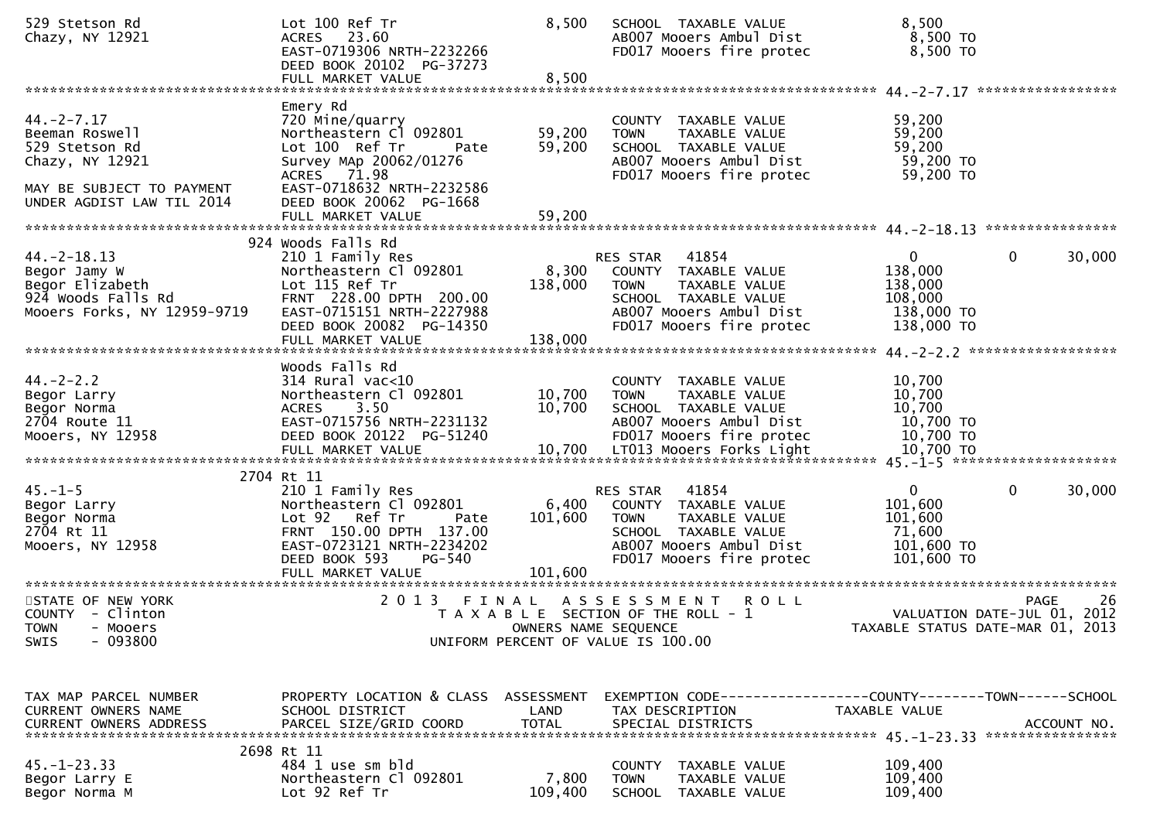| 529 Stetson Rd<br>Chazy, NY 12921                                                                                                | Lot 100 Ref Tr<br>ACRES 23.60<br>EAST-0719306 NRTH-2232266<br>DEED BOOK 20102 PG-37273                                                                                                                | 8,500                       | SCHOOL TAXABLE VALUE<br>AB007 Mooers Ambul Dist<br>FD017 Mooers fire protec                                                                              | 8,500<br>8,500 TO<br>8,500 TO                                                             |                    |
|----------------------------------------------------------------------------------------------------------------------------------|-------------------------------------------------------------------------------------------------------------------------------------------------------------------------------------------------------|-----------------------------|----------------------------------------------------------------------------------------------------------------------------------------------------------|-------------------------------------------------------------------------------------------|--------------------|
|                                                                                                                                  |                                                                                                                                                                                                       |                             |                                                                                                                                                          |                                                                                           |                    |
| $44. -2 - 7.17$<br>Beeman Roswell<br>529 Stetson Rd<br>Chazy, NY 12921<br>MAY BE SUBJECT TO PAYMENT<br>UNDER AGDIST LAW TIL 2014 | Emery Rd<br>720 Mine/quarry<br>Northeastern Cl 092801<br>Lot 100 Ref Tr<br>Pate<br>Survey MAp 20062/01276<br>ACRES 71.98<br>EAST-0718632 NRTH-2232586<br>DEED BOOK 20062 PG-1668<br>FULL MARKET VALUE | 59,200<br>59,200<br>59,200  | COUNTY TAXABLE VALUE<br><b>TOWN</b><br>TAXABLE VALUE<br>SCHOOL TAXABLE VALUE<br>AB007 Mooers Ambul Dist<br>FD017 Mooers fire protec                      | 59,200<br>59,200<br>59,200<br>59,200 TO<br>59,200 TO                                      |                    |
|                                                                                                                                  | 924 Woods Falls Rd                                                                                                                                                                                    |                             |                                                                                                                                                          |                                                                                           |                    |
| $44. - 2 - 18.13$<br>Begor Jamy W<br>Begor Elizabeth<br>924 Woods Falls Rd<br>Mooers Forks, NY 12959-9719                        | 210 1 Family Res<br>Northeastern Cl 092801<br>Lot 115 Ref Tr<br>FRNT 228.00 DPTH 200.00<br>EAST-0715151 NRTH-2227988<br>DEED BOOK 20082 PG-14350<br>FULL MARKET VALUE                                 | 8,300<br>138,000<br>138,000 | RES STAR<br>41854<br>COUNTY TAXABLE VALUE<br>TAXABLE VALUE<br><b>TOWN</b><br>SCHOOL TAXABLE VALUE<br>AB007 Mooers Ambul Dist<br>FD017 Mooers fire protec | $\mathbf{0}$<br>$\mathbf{0}$<br>138,000<br>138,000<br>108,000<br>138,000 TO<br>138,000 TO | 30,000             |
|                                                                                                                                  |                                                                                                                                                                                                       |                             |                                                                                                                                                          |                                                                                           |                    |
| $44. -2 - 2.2$<br>Begor Larry<br>Begor Norma<br>2704 Route 11<br>Mooers, NY 12958                                                | Woods Falls Rd<br>$314$ Rural vac<10<br>Northeastern Cl 092801<br>3.50<br><b>ACRES</b><br>EAST-0715756 NRTH-2231132<br>DEED BOOK 20122 PG-51240                                                       | 10,700<br>10,700            | COUNTY TAXABLE VALUE<br><b>TOWN</b><br>TAXABLE VALUE<br>SCHOOL TAXABLE VALUE<br>AB007 Mooers Ambul Dist<br>FD017 Mooers fire protec                      | 10,700<br>10,700<br>10,700<br>10,700 TO<br>$10,700$ TO                                    |                    |
|                                                                                                                                  | 2704 Rt 11                                                                                                                                                                                            |                             |                                                                                                                                                          |                                                                                           |                    |
| $45. - 1 - 5$<br>Begor Larry<br>Begor Norma<br>2704 Rt 11<br>Mooers, NY 12958                                                    | 210 1 Family Res<br>Northeastern Cl 092801<br>Lot 92 Ref Tr<br>Pate<br>FRNT 150.00 DPTH 137.00<br>EAST-0723121 NRTH-2234202<br>DEED BOOK 593<br><b>PG-540</b><br>FULL MARKET VALUE                    | 6,400<br>101,600<br>101,600 | 41854<br>RES STAR<br>COUNTY TAXABLE VALUE<br>TAXABLE VALUE<br><b>TOWN</b><br>SCHOOL TAXABLE VALUE<br>AB007 Mooers Ambul Dist<br>FD017 Mooers fire protec | $\mathbf{0}$<br>$\mathbf{0}$<br>101,600<br>101,600<br>71,600<br>101,600 TO<br>101,600 TO  | 30,000             |
| STATE OF NEW YORK<br>COUNTY - Clinton<br>- Mooers<br><b>TOWN</b><br>$-093800$<br><b>SWIS</b>                                     |                                                                                                                                                                                                       |                             | 2013 FINAL ASSESSMENT ROLL<br>T A X A B L E SECTION OF THE ROLL - 1<br>OWNERS NAME SEQUENCE<br>UNIFORM PERCENT OF VALUE IS 100.00                        | VALUATION DATE-JUL 01, 2012<br>TAXABLE STATUS DATE-MAR 01, 2013                           | -26<br><b>PAGE</b> |
| TAX MAP PARCEL NUMBER<br>CURRENT OWNERS NAME<br><b>CURRENT OWNERS ADDRESS</b>                                                    | PROPERTY LOCATION & CLASS ASSESSMENT<br>SCHOOL DISTRICT<br>PARCEL SIZE/GRID COORD                                                                                                                     | LAND<br><b>TOTAL</b>        | EXEMPTION CODE-----------------COUNTY-------TOWN------SCHOOL<br>TAX DESCRIPTION<br>SPECIAL DISTRICTS                                                     | TAXABLE VALUE                                                                             | ACCOUNT NO.        |
| $45. - 1 - 23.33$<br>Begor Larry E<br>Begor Norma M                                                                              | 2698 Rt 11<br>484 1 use sm bld<br>Northeastern Cl 092801<br>Lot 92 Ref Tr                                                                                                                             | 7,800<br>109,400            | <b>COUNTY</b><br>TAXABLE VALUE<br><b>TOWN</b><br>TAXABLE VALUE<br>SCHOOL TAXABLE VALUE                                                                   | 109,400<br>109,400<br>109,400                                                             |                    |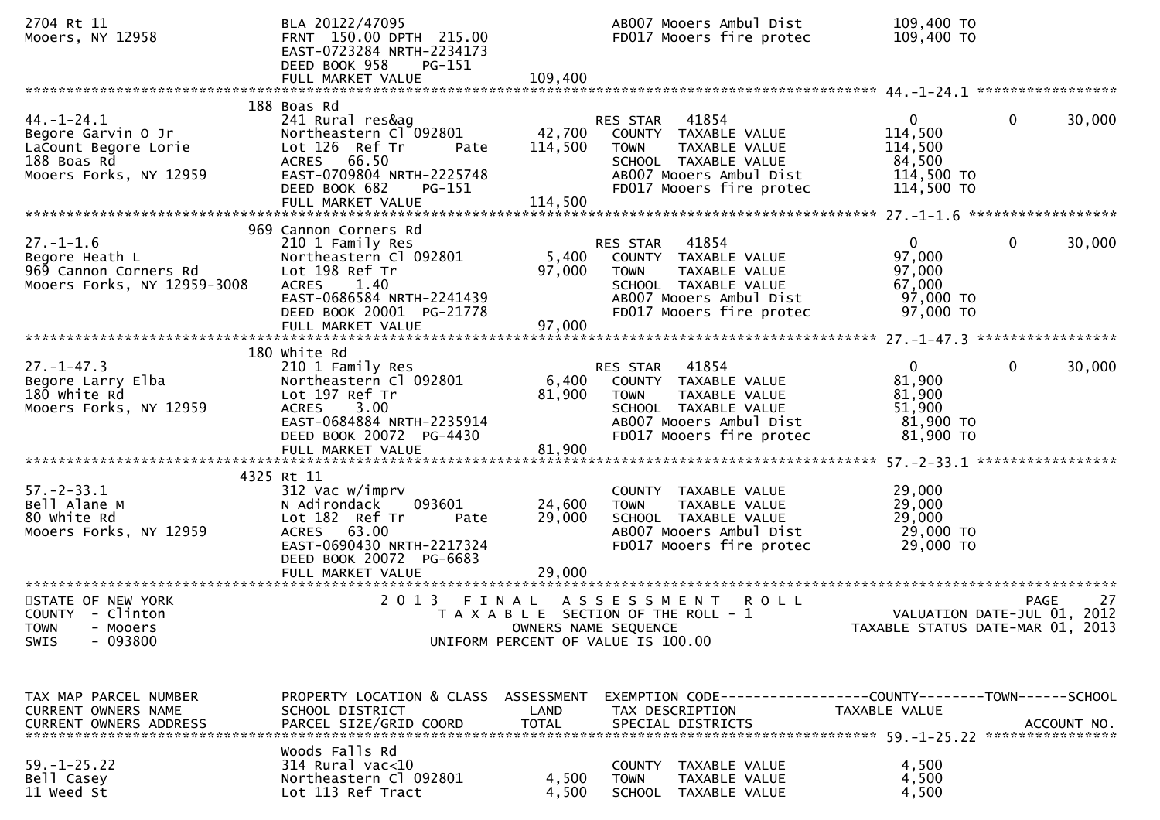| 2704 Rt 11<br>Mooers, NY 12958                                                                          | BLA 20122/47095<br>FRNT 150.00 DPTH 215.00<br>EAST-0723284 NRTH-2234173<br>DEED BOOK 958<br>$PG-151$                                                                              |                            | AB007 Mooers Ambul Dist<br>FD017 Mooers fire protec                                                                                                      | 109,400 TO<br>109,400 TO                                                 |                                                |
|---------------------------------------------------------------------------------------------------------|-----------------------------------------------------------------------------------------------------------------------------------------------------------------------------------|----------------------------|----------------------------------------------------------------------------------------------------------------------------------------------------------|--------------------------------------------------------------------------|------------------------------------------------|
|                                                                                                         |                                                                                                                                                                                   |                            |                                                                                                                                                          |                                                                          |                                                |
| $44. - 1 - 24.1$<br>Begore Garvin O Jr<br>LaCount Begore Lorie<br>188 Boas Rd<br>Mooers Forks, NY 12959 | 188 Boas Rd<br>241 Rural res&ag<br>Northeastern Cl 092801<br>Lot 126 Ref Tr<br>Pate<br>ACRES 66.50<br>EAST-0709804 NRTH-2225748<br>DEED BOOK 682<br><b>PG-151</b>                 | 42,700<br>114,500          | 41854<br>RES STAR<br>COUNTY TAXABLE VALUE<br><b>TOWN</b><br>TAXABLE VALUE<br>SCHOOL TAXABLE VALUE<br>AB007 Mooers Ambul Dist<br>FD017 Mooers fire protec | $\mathbf{0}$<br>114,500<br>114,500<br>84,500<br>114,500 TO<br>114,500 TO | $\mathbf{0}$<br>30,000                         |
|                                                                                                         |                                                                                                                                                                                   |                            |                                                                                                                                                          |                                                                          |                                                |
| $27. - 1 - 1.6$<br>Begore Heath L<br>969 Cannon Corners Rd<br>Mooers Forks, NY 12959-3008               | 969 Cannon Corners Rd<br>210 1 Family Res<br>Northeastern Cl 092801<br>Lot 198 Ref Tr<br>ACRES 1.40<br>EAST-0686584 NRTH-2241439<br>DEED BOOK 20001 PG-21778<br>FULL MARKET VALUE | 5,400<br>97,000<br>97,000  | 41854<br>RES STAR<br>COUNTY TAXABLE VALUE<br><b>TOWN</b><br>TAXABLE VALUE<br>SCHOOL TAXABLE VALUE<br>AB007 Mooers Ambul Dist<br>FD017 Mooers fire protec | $\mathbf{0}$<br>97,000<br>97,000<br>67,000<br>97,000 TO<br>97,000 TO     | $\mathbf{0}$<br>30,000                         |
|                                                                                                         |                                                                                                                                                                                   |                            |                                                                                                                                                          |                                                                          |                                                |
| $27. - 1 - 47.3$<br>Begore Larry Elba<br>180 white Rd<br>Mooers Forks, NY 12959                         | 180 White Rd<br>210 1 Family Res<br>Northeastern Cl 092801<br>Lot 197 Ref Tr<br>ACRES 3.00<br>EAST-0684884 NRTH-2235914<br>DEED BOOK 20072 PG-4430                                | 6,400<br>81,900            | 41854<br>RES STAR<br>COUNTY TAXABLE VALUE<br>TAXABLE VALUE<br>TOWN<br>SCHOOL TAXABLE VALUE<br>AB007 Mooers Ambul Dist<br>FD017 Mooers fire protec        | $\overline{0}$<br>81,900<br>81,900<br>51,900<br>81,900 TO<br>81,900 TO   | $\mathbf{0}$<br>30,000                         |
|                                                                                                         | 4325 Rt 11                                                                                                                                                                        |                            |                                                                                                                                                          |                                                                          |                                                |
| $57. - 2 - 33.1$<br>Bell Alane M<br>80 white Rd<br>Mooers Forks, NY 12959                               | 312 Vac w/imprv<br>093601<br>N Adirondack<br>Lot 182 Ref Tr<br>Pate<br>ACRES 63.00<br>EAST-0690430 NRTH-2217324<br>DEED BOOK 20072 PG-6683<br>FULL MARKET VALUE                   | 24,600<br>29,000<br>29,000 | COUNTY TAXABLE VALUE<br>TAXABLE VALUE<br><b>TOWN</b><br>SCHOOL TAXABLE VALUE<br>AB007 Mooers Ambul Dist<br>FD017 Mooers fire protec                      | 29,000<br>29,000<br>29,000<br>29,000 TO<br>29,000 TO                     |                                                |
|                                                                                                         |                                                                                                                                                                                   |                            |                                                                                                                                                          |                                                                          |                                                |
| STATE OF NEW YORK<br>COUNTY - Clinton<br><b>TOWN</b><br>- Mooers<br>$-093800$<br><b>SWIS</b>            |                                                                                                                                                                                   | OWNERS NAME SEQUENCE       | 2013 FINAL ASSESSMENT<br><b>ROLL</b><br>T A X A B L E SECTION OF THE ROLL - 1<br>UNIFORM PERCENT OF VALUE IS 100.00                                      | VALUATION DATE-JUL $01, 2012$                                            | 27<br>PAGE<br>TAXABLE STATUS DATE-MAR 01, 2013 |
| TAX MAP PARCEL NUMBER<br>CURRENT OWNERS NAME                                                            | PROPERTY LOCATION & CLASS ASSESSMENT<br>SCHOOL DISTRICT                                                                                                                           | LAND                       | EXEMPTION CODE------------------COUNTY--------TOWN------SCHOOL<br>TAX DESCRIPTION                                                                        | TAXABLE VALUE                                                            |                                                |
| $59. - 1 - 25.22$<br>Bell Casey<br>11 weed St                                                           | Woods Falls Rd<br>314 Rural vac<10<br>Northeastern Cl 092801<br>Lot 113 Ref Tract                                                                                                 | 4,500<br>4,500             | COUNTY TAXABLE VALUE<br>TAXABLE VALUE<br><b>TOWN</b><br><b>SCHOOL</b><br>TAXABLE VALUE                                                                   | 4,500<br>4,500<br>4,500                                                  |                                                |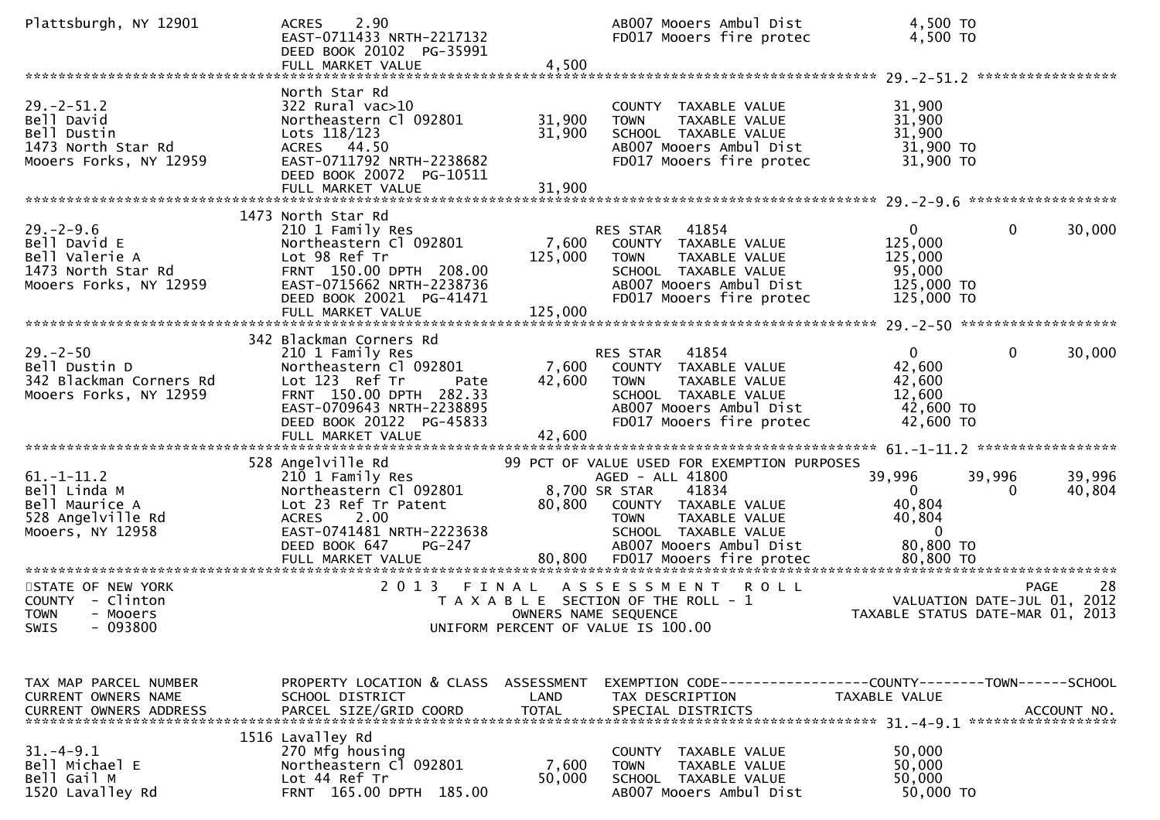| Plattsburgh, NY 12901                                                                             | 2.90<br><b>ACRES</b><br>EAST-0711433 NRTH-2217132<br>DEED BOOK 20102 PG-35991<br>FULL MARKET VALUE                                                                                  | 4,500                         | AB007 Mooers Ambul Dist<br>FD017 Mooers fire protec                                                                                                                                 | 4,500 TO<br>4,500 TO                                                                     |                    |
|---------------------------------------------------------------------------------------------------|-------------------------------------------------------------------------------------------------------------------------------------------------------------------------------------|-------------------------------|-------------------------------------------------------------------------------------------------------------------------------------------------------------------------------------|------------------------------------------------------------------------------------------|--------------------|
| $29. -2 - 51.2$<br>Bell David<br>Bell Dustin<br>1473 North Star Rd<br>Mooers Forks, NY 12959      | North Star Rd<br>$322$ Rural vac $>10$<br>Northeastern Cl 092801<br>Lots 118/123<br>ACRES 44.50<br>EAST-0711792 NRTH-2238682<br>DEED BOOK 20072 PG-10511                            | 31,900<br>31,900              | COUNTY TAXABLE VALUE<br>TAXABLE VALUE<br><b>TOWN</b><br>SCHOOL TAXABLE VALUE<br>AB007 Mooers Ambul Dist<br>FD017 Mooers fire protec                                                 | 31,900<br>31,900<br>31,900<br>31,900 TO<br>31,900 TO                                     |                    |
| $29. - 2 - 9.6$<br>Bell David E<br>Bell Valerie A<br>1473 North Star Rd<br>Mooers Forks, NY 12959 | 1473 North Star Rd<br>210 1 Family Res<br>Northeastern Cl 092801<br>Lot 98 Ref Tr<br>FRNT 150.00 DPTH 208.00<br>EAST-0715662 NRTH-2238736<br>DEED BOOK 20021 PG-41471               | 7,600<br>125,000              | RES STAR<br>41854<br>COUNTY TAXABLE VALUE<br>TAXABLE VALUE<br><b>TOWN</b><br>SCHOOL TAXABLE VALUE<br>AB007 Mooers Ambul Dist<br>FD017 Mooers fire protec                            | $\mathbf{0}$<br>$\mathbf{0}$<br>125,000<br>125,000<br>95,000<br>125,000 TO<br>125,000 TO | 30,000             |
| $29. - 2 - 50$<br>Bell Dustin D<br>342 Blackman Corners Rd<br>Mooers Forks, NY 12959              | 342 Blackman Corners Rd<br>210 1 Family Res<br>Northeastern Cl 092801<br>Lot 123 Ref Tr<br>Pate<br>FRNT 150.00 DPTH 282.33<br>EAST-0709643 NRTH-2238895<br>DEED BOOK 20122 PG-45833 | 7,600<br>42,600               | 41854<br>RES STAR<br>COUNTY TAXABLE VALUE<br><b>TOWN</b><br>TAXABLE VALUE<br>SCHOOL TAXABLE VALUE<br>AB007 Mooers Ambul Dist<br>FD017 Mooers fire protec                            | $\overline{0}$<br>$\mathbf{0}$<br>42,600<br>42,600<br>12,600<br>42,600 TO<br>42,600 TO   | 30,000             |
| $61. - 1 - 11.2$<br>Bell Linda M<br>Bell Maurice A<br>528 Angelville Rd<br>Mooers, NY 12958       | 528 Angelville Rd<br>210 1 Family Res<br>Northeastern Cl 092801<br>Lot 23 Ref Tr Patent<br>2.00<br><b>ACRES</b><br>EAST-0741481 NRTH-2223638<br>DEED BOOK 647<br>PG-247             | 8,700 SR STAR<br>80,800       | 99 PCT OF VALUE USED FOR EXEMPTION PURPOSES<br>AGED - ALL 41800<br>41834<br>COUNTY TAXABLE VALUE<br>TAXABLE VALUE<br><b>TOWN</b><br>SCHOOL TAXABLE VALUE<br>AB007 Mooers Ambul Dist | 39,996<br>39,996<br>0<br>$\mathbf{0}$<br>40,804<br>40,804<br>$\Omega$<br>80,800 TO       | 39,996<br>40,804   |
| STATE OF NEW YORK<br>COUNTY - Clinton<br><b>TOWN</b><br>- Mooers<br>$-093800$<br>SWIS             | 2 0 1 3                                                                                                                                                                             | FINAL<br>OWNERS NAME SEQUENCE | ASSESSMENT<br><b>ROLL</b><br>T A X A B L E SECTION OF THE ROLL - 1<br>UNIFORM PERCENT OF VALUE IS 100.00                                                                            | VALUATION DATE-JUL 01, 2012<br>TAXABLE STATUS DATE-MAR 01, 2013                          | <b>PAGE</b><br>-28 |
| TAX MAP PARCEL NUMBER<br><b>CURRENT OWNERS NAME</b>                                               | PROPERTY LOCATION & CLASS ASSESSMENT<br>SCHOOL DISTRICT                                                                                                                             | LAND                          | TAX DESCRIPTION                                                                                                                                                                     | EXEMPTION CODE-----------------COUNTY-------TOWN------SCHOOL<br><b>TAXABLE VALUE</b>     |                    |
| $31.-4-9.1$<br>Bell Michael E<br>Bell Gail M<br>1520 Lavalley Rd                                  | 1516 Lavalley Rd<br>270 Mfg housing<br>Northeastern Cl 092801<br>Lot 44 Ref Tr<br>FRNT 165.00 DPTH 185.00                                                                           | 7,600<br>50,000               | COUNTY TAXABLE VALUE<br>TAXABLE VALUE<br><b>TOWN</b><br>SCHOOL TAXABLE VALUE<br>AB007 Mooers Ambul Dist                                                                             | 50,000<br>50,000<br>50,000<br>50,000 TO                                                  |                    |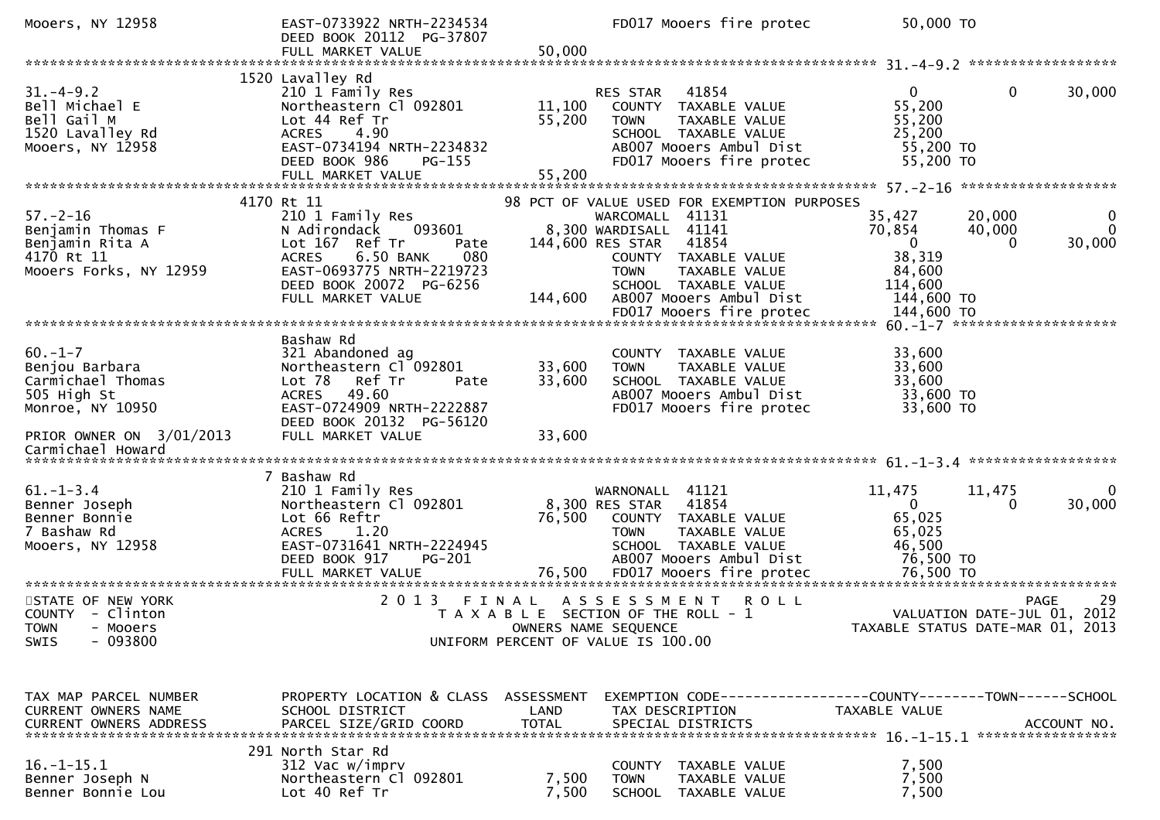| Mooers, NY 12958                                                                               | EAST-0733922 NRTH-2234534<br>DEED BOOK 20112 PG-37807                                                                                                                                               | FD017 Mooers fire protec                                                                                                                                                                                                                | 50,000 TO                                                                                                                                            |
|------------------------------------------------------------------------------------------------|-----------------------------------------------------------------------------------------------------------------------------------------------------------------------------------------------------|-----------------------------------------------------------------------------------------------------------------------------------------------------------------------------------------------------------------------------------------|------------------------------------------------------------------------------------------------------------------------------------------------------|
|                                                                                                | FULL MARKET VALUE                                                                                                                                                                                   | 50,000                                                                                                                                                                                                                                  |                                                                                                                                                      |
| $31. - 4 - 9.2$<br>Bell Michael E<br>Bell Gail M<br>1520 Lavalley Rd<br>Mooers, NY 12958       | 1520 Lavalley Rd<br>210 1 Family Res<br>Northeastern Cl 092801<br>Lot 44 Ref Tr<br><b>ACRES</b><br>4.90<br>EAST-0734194 NRTH-2234832<br>DEED BOOK 986<br>PG-155                                     | 41854<br><b>RES STAR</b><br>11,100<br>COUNTY TAXABLE VALUE<br>55,200<br>TAXABLE VALUE<br><b>TOWN</b><br>SCHOOL TAXABLE VALUE<br>AB007 Mooers Ambul Dist<br>FD017 Mooers fire protec                                                     | 30,000<br>$\mathbf{0}$<br>0<br>55,200<br>55,200<br>25,200<br>55,200 TO<br>55,200 TO                                                                  |
|                                                                                                |                                                                                                                                                                                                     |                                                                                                                                                                                                                                         |                                                                                                                                                      |
| $57. - 2 - 16$<br>Benjamin Thomas F<br>Benjamin Rita A<br>4170 Rt 11<br>Mooers Forks, NY 12959 | 4170 Rt 11<br>210 1 Family Res<br>N Adirondack<br>093601<br>Lot 167 Ref Tr<br>Pate<br>6.50 BANK<br>080<br><b>ACRES</b><br>EAST-0693775 NRTH-2219723<br>DEED BOOK 20072 PG-6256<br>FULL MARKET VALUE | 98 PCT OF VALUE USED FOR EXEMPTION PURPOSES<br>WARCOMALL 41131<br>8,300 WARDISALL 41141<br>144,600 RES STAR 41854<br>COUNTY TAXABLE VALUE<br><b>TOWN</b><br>TAXABLE VALUE<br>SCHOOL TAXABLE VALUE<br>144,600<br>AB007 Mooers Ambul Dist | 35,427<br>20,000<br>$\mathbf 0$<br>$\Omega$<br>70,854<br>40,000<br>30,000<br>$\overline{0}$<br>$\Omega$<br>38,319<br>84,600<br>114,600<br>144,600 TO |
|                                                                                                | Bashaw Rd                                                                                                                                                                                           |                                                                                                                                                                                                                                         |                                                                                                                                                      |
| $60. -1 - 7$<br>Benjou Barbara<br>Carmichael Thomas<br>505 High St<br>Monroe, NY 10950         | 321 Abandoned ag<br>Northeastern Cl 092801<br>Lot 78<br>Ref Tr<br>Pate<br>49.60<br><b>ACRES</b><br>EAST-0724909 NRTH-2222887<br>DEED BOOK 20132 PG-56120                                            | COUNTY TAXABLE VALUE<br>33,600<br>TAXABLE VALUE<br><b>TOWN</b><br>33,600<br>SCHOOL TAXABLE VALUE<br>AB007 Mooers Ambul Dist<br>FD017 Mooers fire protec                                                                                 | 33,600<br>33,600<br>33,600<br>33,600 TO<br>33,600 TO                                                                                                 |
| PRIOR OWNER ON 3/01/2013<br>Carmichael Howard                                                  | FULL MARKET VALUE                                                                                                                                                                                   | 33,600                                                                                                                                                                                                                                  |                                                                                                                                                      |
| $61. - 1 - 3.4$<br>Benner Joseph<br>Benner Bonnie<br>7 Bashaw Rd<br>Mooers, NY 12958           | 7 Bashaw Rd<br>210 1 Family Res<br>Northeastern Cl 092801<br>Lot 66 Reftr<br><b>ACRES</b><br>1.20<br>EAST-0731641 NRTH-2224945<br>DEED BOOK 917<br>PG-201<br>FULL MARKET VALUE                      | WARNONALL 41121<br>8,300 RES STAR<br>41854<br>76,500<br>COUNTY TAXABLE VALUE<br>TAXABLE VALUE<br><b>TOWN</b><br>SCHOOL TAXABLE VALUE<br>AB007 Mooers Ambul Dist<br>76,500<br>FD017 Mooers fire protec                                   | 11,475<br>11,475<br>0<br>30,000<br>$\Omega$<br>0<br>65,025<br>65,025<br>46,500<br>76,500 TO<br>76,500 TO                                             |
| STATE OF NEW YORK<br>COUNTY - Clinton<br><b>TOWN</b><br>- Mooers<br>$-093800$<br><b>SWIS</b>   | 2 0 1 3                                                                                                                                                                                             | ASSESSMENT<br>FINAL<br>R O L L<br>T A X A B L E SECTION OF THE ROLL - 1<br>OWNERS NAME SEQUENCE<br>UNIFORM PERCENT OF VALUE IS 100.00                                                                                                   | 29<br><b>PAGE</b><br>VALUATION DATE-JUL 01, 2012<br>TAXABLE STATUS DATE-MAR 01, 2013                                                                 |
| TAX MAP PARCEL NUMBER<br>CURRENT OWNERS NAME                                                   | PROPERTY LOCATION & CLASS ASSESSMENT<br>SCHOOL DISTRICT                                                                                                                                             | LAND<br>TAX DESCRIPTION                                                                                                                                                                                                                 | EXEMPTION CODE-----------------COUNTY-------TOWN------SCHOOL<br>TAXABLE VALUE                                                                        |
| $16. - 1 - 15.1$<br>Benner Joseph N<br>Benner Bonnie Lou                                       | 291 North Star Rd<br>312 Vac w/imprv<br>Northeastern Cl 092801<br>Lot 40 Ref Tr                                                                                                                     | COUNTY TAXABLE VALUE<br>7,500<br><b>TOWN</b><br><b>TAXABLE VALUE</b><br>7,500<br>SCHOOL TAXABLE VALUE                                                                                                                                   | 7,500<br>7,500<br>7,500                                                                                                                              |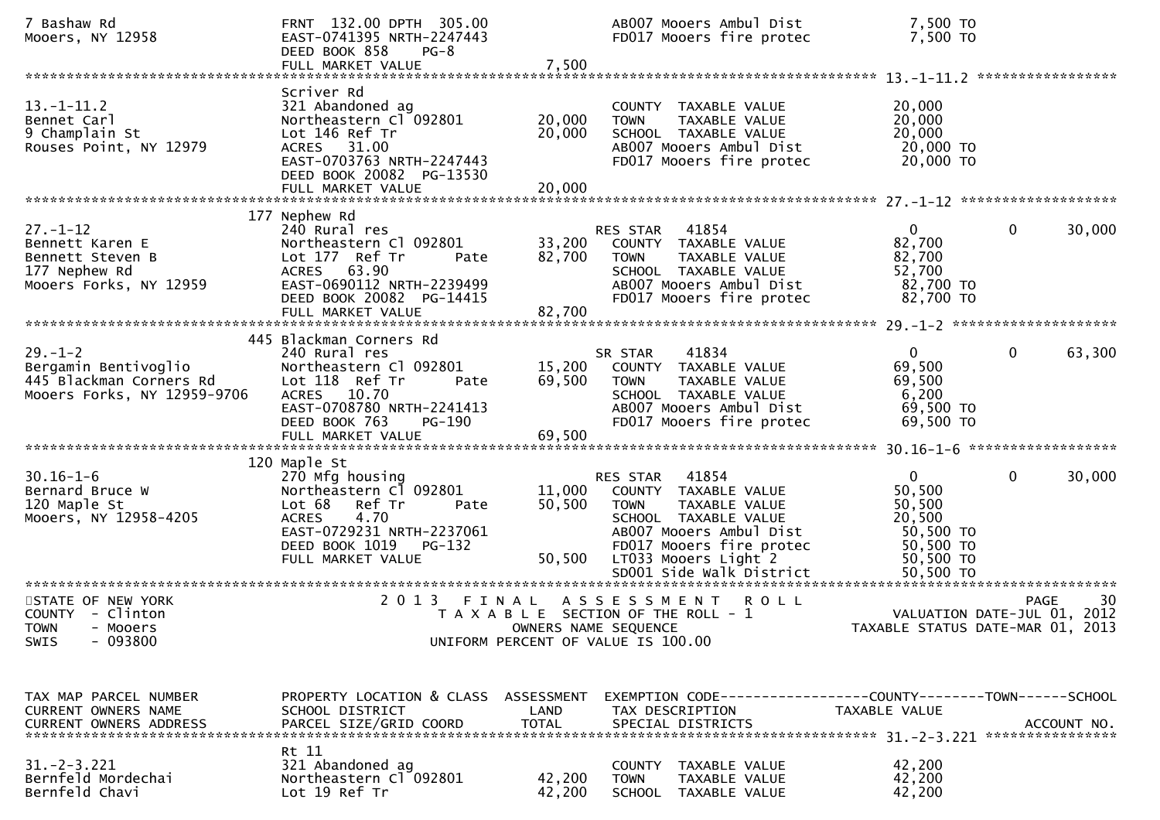| 7 Bashaw Rd<br>Mooers, NY 12958                                                                  | FRNT 132.00 DPTH 305.00<br>EAST-0741395 NRTH-2247443<br>DEED BOOK 858<br>$PG-8$<br>FULL MARKET VALUE                                                                                        | 7,500                      | AB007 Mooers Ambul Dist<br>FD017 Mooers fire protec                                                                                                                                                          | 7,500 TO<br>7,500 TO                                                                           |                                                  |
|--------------------------------------------------------------------------------------------------|---------------------------------------------------------------------------------------------------------------------------------------------------------------------------------------------|----------------------------|--------------------------------------------------------------------------------------------------------------------------------------------------------------------------------------------------------------|------------------------------------------------------------------------------------------------|--------------------------------------------------|
| $13.-1-11.2$<br>Bennet Carl<br>9 Champlain St<br>Rouses Point, NY 12979                          | Scriver Rd<br>321 Abandoned ag<br>Northeastern Cl 092801<br>Lot 146 Ref Tr<br>ACRES 31.00<br>EAST-0703763 NRTH-2247443<br>DEED BOOK 20082 PG-13530<br>FULL MARKET VALUE                     | 20,000<br>20,000<br>20,000 | COUNTY TAXABLE VALUE<br>TAXABLE VALUE<br><b>TOWN</b><br>SCHOOL TAXABLE VALUE<br>AB007 Mooers Ambul Dist<br>FD017 Mooers fire protec                                                                          | 20,000<br>20,000<br>20,000<br>20,000 TO<br>20,000 TO                                           |                                                  |
| $27. - 1 - 12$<br>Bennett Karen E<br>Bennett Steven B<br>177 Nephew Rd<br>Mooers Forks, NY 12959 | 177 Nephew Rd<br>240 Rural res<br>Northeastern Cl 092801<br>Lot 177 Ref Tr<br>Pate<br>ACRES 63.90<br>EAST-0690112 NRTH-2239499<br>DEED BOOK 20082 PG-14415<br>FULL MARKET VALUE             | 82,700<br>82,700           | 41854<br>RES STAR<br>33,200 COUNTY TAXABLE VALUE<br>TAXABLE VALUE<br><b>TOWN</b><br>SCHOOL TAXABLE VALUE<br>AB007 Mooers Ambul Dist<br>FD017 Mooers fire protec                                              | 0<br>82,700<br>82,700<br>52,700<br>82,700 TO<br>82,700 TO                                      | $\mathbf{0}$<br>30,000                           |
| $29. - 1 - 2$<br>Bergamin Bentivoglio<br>445 Blackman Corners Rd<br>Mooers Forks, NY 12959-9706  | 445 Blackman Corners Rd<br>240 Rural res<br>Northeastern Cl 092801<br>Lot 118 Ref Tr<br>Pate<br>ACRES 10.70<br>EAST-0708780 NRTH-2241413<br>DEED BOOK 763<br>PG-190                         | 15,200<br>69,500           | 41834<br>SR STAR<br>COUNTY TAXABLE VALUE<br>TAXABLE VALUE<br><b>TOWN</b><br>SCHOOL TAXABLE VALUE<br>AB007 Mooers Ambul Dist<br>FD017 Mooers fire protec                                                      | $\mathbf{0}$<br>69,500<br>69,500<br>6,200<br>69,500 TO<br>69,500 TO                            | $\mathbf{0}$<br>63,300                           |
| $30.16 - 1 - 6$<br>Bernard Bruce W<br>120 Maple St<br>Mooers, NY 12958-4205                      | 120 Maple St<br>270 Mfg housing<br>Northeastern Cl 092801<br>Lot 68<br>Ref Tr<br>Pate<br>4.70<br><b>ACRES</b><br>EAST-0729231 NRTH-2237061<br>DEED BOOK 1019<br>PG-132<br>FULL MARKET VALUE | 11,000<br>50,500           | RES STAR<br>41854<br>COUNTY TAXABLE VALUE<br>TAXABLE VALUE<br>TOWN<br>SCHOOL TAXABLE VALUE<br>AB007 Mooers Ambul Dist<br>FD017 Mooers fire protec<br>50,500 LT033 Mooers Light 2<br>SD001 Side Walk District | $\mathbf{0}$<br>50,500<br>50,500<br>20,500<br>50,500 TO<br>50,500 TO<br>50,500 TO<br>50,500 TO | $\mathbf{0}$<br>30,000                           |
| STATE OF NEW YORK<br>COUNTY - Clinton<br>TOWN - Mooers<br>- 093800<br><b>SWIS</b>                | 2 0 1 3<br>FINAL                                                                                                                                                                            |                            | ASSESSMENT<br><b>ROLL</b><br>T A X A B L E SECTION OF THE ROLL - 1<br>OWNERS NAME SEQUENCE<br>UNIFORM PERCENT OF VALUE IS 100.00                                                                             | TAXABLE STATUS DATE-MAR 01, 2013                                                               | 30<br><b>PAGE</b><br>VALUATION DATE-JUL 01, 2012 |
| TAX MAP PARCEL NUMBER<br>CURRENT OWNERS NAME<br>CURRENT OWNERS ADDRESS                           | PROPERTY LOCATION & CLASS ASSESSMENT<br>SCHOOL DISTRICT<br>PARCEL SIZE/GRID COORD<br>Rt 11                                                                                                  | LAND<br><b>TOTAL</b>       | TAX DESCRIPTION<br>SPECIAL DISTRICTS                                                                                                                                                                         | TAXABLE VALUE                                                                                  | ACCOUNT NO.                                      |
| $31. -2 - 3.221$<br>Bernfeld Mordechai<br>Bernfeld Chavi                                         | 321 Abandoned ag<br>Northeastern Cl 092801<br>Lot 19 Ref Tr                                                                                                                                 | 42,200<br>42,200           | COUNTY TAXABLE VALUE<br><b>TOWN</b><br>TAXABLE VALUE<br>SCHOOL TAXABLE VALUE                                                                                                                                 | 42,200<br>42,200<br>42,200                                                                     |                                                  |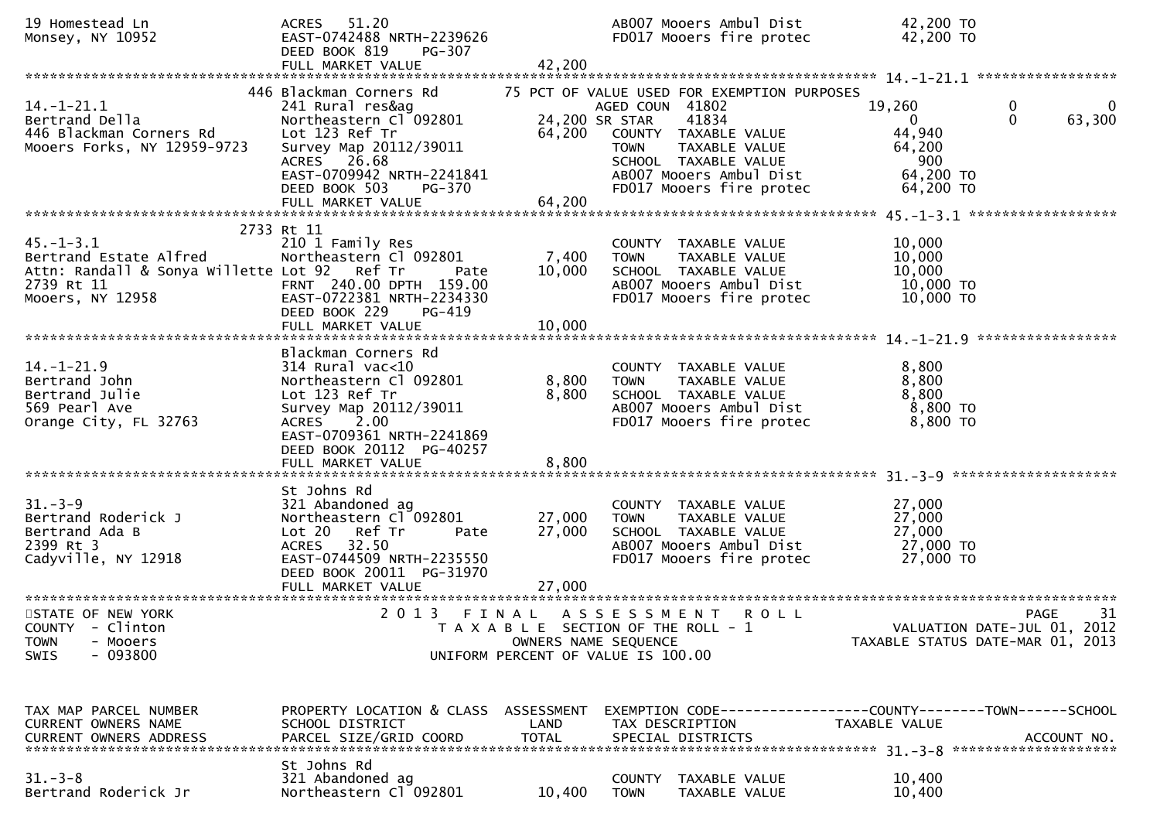| 19 Homestead Ln<br>Monsey, NY 10952                                                                                         | ACRES 51.20<br>EAST-0742488 NRTH-2239626<br>DEED BOOK 819<br>PG-307<br>FULL MARKET VALUE                                                                                                                              | 42,200                   | AB007 Mooers Ambul Dist<br>FD017 Mooers fire protec                                                                                                                                                     | 42,200 TO<br>42,200 TO                                                      |                                                  |
|-----------------------------------------------------------------------------------------------------------------------------|-----------------------------------------------------------------------------------------------------------------------------------------------------------------------------------------------------------------------|--------------------------|---------------------------------------------------------------------------------------------------------------------------------------------------------------------------------------------------------|-----------------------------------------------------------------------------|--------------------------------------------------|
|                                                                                                                             |                                                                                                                                                                                                                       |                          |                                                                                                                                                                                                         |                                                                             |                                                  |
| $14. - 1 - 21.1$<br>Bertrand Della<br>446 Blackman Corners Rd<br>Mooers Forks, NY 12959-9723                                | 446 Blackman Corners Rd<br>241 Rural res&ag<br>Northeastern Cl <sup>-</sup> 092801<br>Lot 123 Ref Tr<br>Survey Map 20112/39011<br>ACRES 26.68<br>EAST-0709942 NRTH-2241841<br>DEED BOOK 503<br>PG-370                 | 24,200 SR STAR<br>64,200 | 75 PCT OF VALUE USED FOR EXEMPTION PURPOSES<br>AGED COUN 41802<br>41834<br>COUNTY TAXABLE VALUE<br>TAXABLE VALUE<br>TOWN<br>SCHOOL TAXABLE VALUE<br>AB007 Mooers Ambul Dist<br>FD017 Mooers fire protec | 19,260<br>$\mathbf{0}$<br>44,940<br>64,200<br>900<br>64,200 TO<br>64,200 TO | 0<br>$\mathbf 0$<br>63,300                       |
|                                                                                                                             |                                                                                                                                                                                                                       |                          |                                                                                                                                                                                                         |                                                                             |                                                  |
| $45. - 1 - 3.1$<br>Bertrand Estate Alfred<br>Attn: Randall & Sonya Willette Lot 92 Ref Tr<br>2739 Rt 11<br>Mooers, NY 12958 | 2733 Rt 11<br>210 1 Family Res<br>Northeastern Cl 092801<br>Pate<br>FRNT 240.00 DPTH 159.00<br>EAST-0722381 NRTH-2234330<br>DEED BOOK 229<br>PG-419                                                                   | 7,400<br>10,000          | COUNTY TAXABLE VALUE<br>TAXABLE VALUE<br><b>TOWN</b><br>SCHOOL TAXABLE VALUE<br>AB007 Mooers Ambul Dist<br>FD017 Mooers fire protec                                                                     | 10,000<br>10,000<br>10,000<br>10,000 TO<br>$10,000$ TO                      |                                                  |
|                                                                                                                             |                                                                                                                                                                                                                       |                          |                                                                                                                                                                                                         |                                                                             |                                                  |
| $14. - 1 - 21.9$<br>Bertrand John<br>Bertrand Julie<br>569 Pearl Ave<br>Orange City, FL 32763                               | Blackman Corners Rd<br>$314$ Rural vac<10<br>Northeastern Cl 092801<br>Lot 123 Ref Tr<br>Survey Map 20112/39011<br>2.00<br><b>ACRES</b><br>EAST-0709361 NRTH-2241869<br>DEED BOOK 20112 PG-40257<br>FULL MARKET VALUE | 8,800<br>8,800<br>8,800  | COUNTY TAXABLE VALUE<br><b>TOWN</b><br>TAXABLE VALUE<br>SCHOOL TAXABLE VALUE<br>AB007 Mooers Ambul Dist<br>FD017 Mooers fire protec                                                                     | 8,800<br>8,800<br>8,800<br>8,800 TO<br>8,800 TO                             |                                                  |
|                                                                                                                             |                                                                                                                                                                                                                       |                          |                                                                                                                                                                                                         |                                                                             |                                                  |
| $31 - 3 - 9$<br>Bertrand Roderick J<br>Bertrand Ada B<br>2399 Rt 3<br>Cadyville, NY 12918                                   | St Johns Rd<br>321 Abandoned ag<br>Northeastern Cl 092801<br>Lot 20 Ref Tr<br>Pate<br>ACRES 32.50<br>EAST-0744509 NRTH-2235550<br>DEED BOOK 20011 PG-31970                                                            | 27,000<br>27,000         | COUNTY TAXABLE VALUE<br><b>TOWN</b><br>TAXABLE VALUE<br>SCHOOL TAXABLE VALUE<br>AB007 Mooers Ambul Dist<br>FD017 Mooers fire protec                                                                     | 27,000<br>27,000<br>27,000<br>27,000 TO<br>27,000 TO                        |                                                  |
|                                                                                                                             |                                                                                                                                                                                                                       |                          |                                                                                                                                                                                                         |                                                                             |                                                  |
| STATE OF NEW YORK<br>COUNTY - Clinton<br><b>TOWN</b><br>- Mooers<br>$-093800$<br><b>SWIS</b>                                |                                                                                                                                                                                                                       | OWNERS NAME SEQUENCE     | 2013 FINAL ASSESSMENT<br><b>ROLL</b><br>T A X A B L E SECTION OF THE ROLL - 1<br>UNIFORM PERCENT OF VALUE IS 100.00                                                                                     | TAXABLE STATUS DATE-MAR 01, 2013                                            | 31<br><b>PAGE</b><br>VALUATION DATE-JUL 01, 2012 |
| TAX MAP PARCEL NUMBER<br>CURRENT OWNERS NAME<br><b>CURRENT OWNERS ADDRESS</b>                                               | PROPERTY LOCATION & CLASS ASSESSMENT<br>SCHOOL DISTRICT<br>PARCEL SIZE/GRID COORD                                                                                                                                     | LAND<br><b>TOTAL</b>     | EXEMPTION CODE-----------------COUNTY-------TOWN------SCHOOL<br>TAX DESCRIPTION<br>SPECIAL DISTRICTS                                                                                                    | TAXABLE VALUE                                                               | ACCOUNT NO.                                      |
| $31 - 3 - 8$<br>Bertrand Roderick Jr                                                                                        | St Johns Rd<br>321 Abandoned ag<br>Northeastern Cl 092801                                                                                                                                                             | 10,400                   | COUNTY TAXABLE VALUE<br><b>TOWN</b><br>TAXABLE VALUE                                                                                                                                                    | 10,400<br>10,400                                                            |                                                  |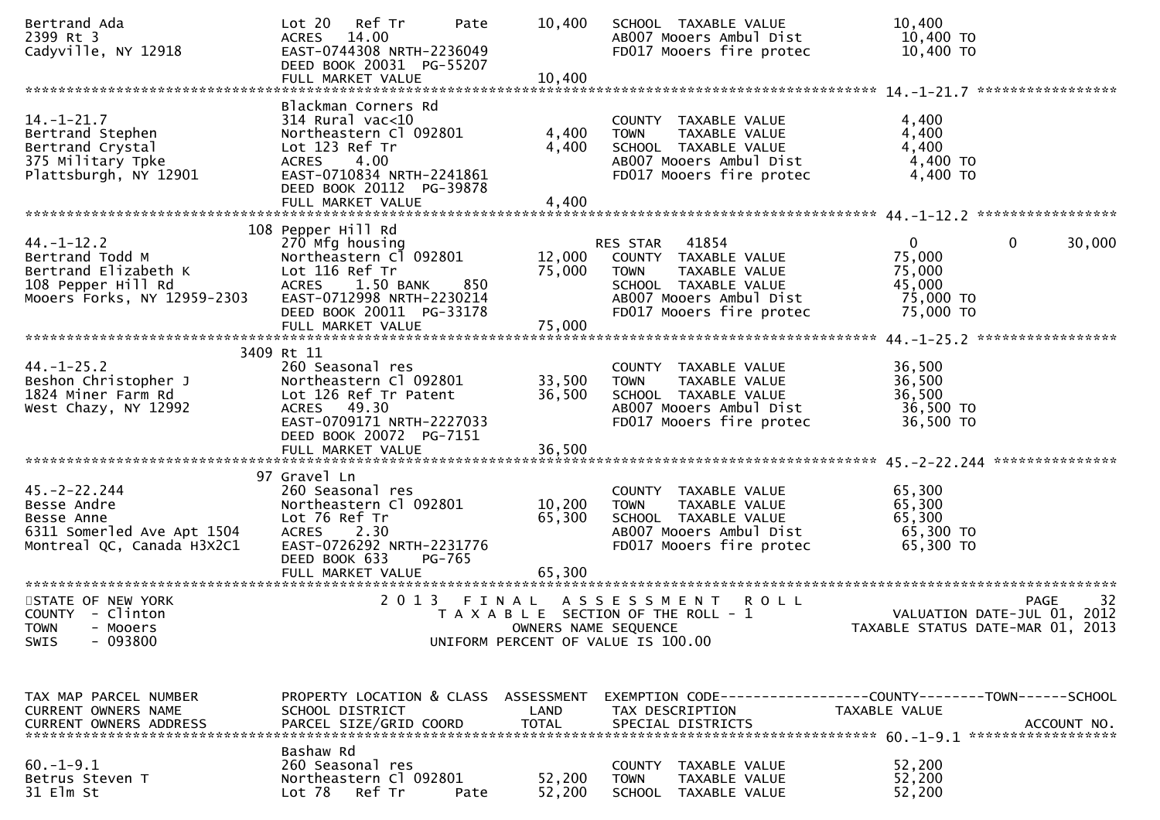| Bertrand Ada<br>2399 Rt 3<br>Cadyville, NY 12918                                                                 | Ref Tr<br>Lot 20<br>Pate<br>14.00<br><b>ACRES</b><br>EAST-0744308 NRTH-2236049<br>DEED BOOK 20031 PG-55207                                                                                | 10,400                        | SCHOOL TAXABLE VALUE<br>AB007 Mooers Ambul Dist<br>FD017 Mooers fire protec                                                                              | 10,400<br>10,400 TO<br>10,400 TO                                     |                    |
|------------------------------------------------------------------------------------------------------------------|-------------------------------------------------------------------------------------------------------------------------------------------------------------------------------------------|-------------------------------|----------------------------------------------------------------------------------------------------------------------------------------------------------|----------------------------------------------------------------------|--------------------|
| $14. - 1 - 21.7$<br>Bertrand Stephen<br>Bertrand Crystal<br>375 Military Tpke<br>Plattsburgh, NY 12901           | Blackman Corners Rd<br>$314$ Rural vac<10<br>Northeastern Cl 092801<br>Lot 123 Ref Tr<br>ACRES 4.00<br>EAST-0710834 NRTH-2241861                                                          | 4,400<br>4,400                | COUNTY TAXABLE VALUE<br>TAXABLE VALUE<br><b>TOWN</b><br>SCHOOL TAXABLE VALUE<br>AB007 Mooers Ambul Dist<br>FD017 Mooers fire protec                      | 4,400<br>4,400<br>4,400<br>4,400 TO<br>4,400 TO                      | ****************** |
|                                                                                                                  | DEED BOOK 20112 PG-39878<br>FULL MARKET VALUE                                                                                                                                             | 4,400                         |                                                                                                                                                          |                                                                      |                    |
| $44. - 1 - 12.2$<br>Bertrand Todd M<br>Bertrand Elizabeth K<br>108 Pepper Hill Rd<br>Mooers Forks, NY 12959-2303 | 108 Pepper Hill Rd<br>270 Mfg housing<br>Northeastern C1 092801<br>Lot 116 Ref Tr<br>ACRES 1.50 BANK<br>850<br>EAST-0712998 NRTH-2230214<br>DEED BOOK 20011 PG-33178<br>FULL MARKET VALUE | 12,000<br>75,000<br>75,000    | RES STAR<br>41854<br>COUNTY TAXABLE VALUE<br><b>TOWN</b><br>TAXABLE VALUE<br>SCHOOL TAXABLE VALUE<br>AB007 Mooers Ambul Dist<br>FD017 Mooers fire protec | $\mathbf{0}$<br>75,000<br>75,000<br>45,000<br>75,000 TO<br>75,000 TO | 30,000<br>0        |
|                                                                                                                  | 3409 Rt 11                                                                                                                                                                                |                               |                                                                                                                                                          |                                                                      |                    |
| $44. - 1 - 25.2$<br>Beshon Christopher J<br>1824 Miner Farm Rd<br>West Chazy, NY 12992                           | 260 Seasonal res<br>Northeastern Cl 092801<br>Lot 126 Ref Tr Patent<br>ACRES 49.30<br>EAST-0709171 NRTH-2227033<br>DEED BOOK 20072 PG-7151                                                | 33,500<br>36,500              | COUNTY TAXABLE VALUE<br>TAXABLE VALUE<br><b>TOWN</b><br>SCHOOL TAXABLE VALUE<br>AB007 Mooers Ambul Dist<br>FD017 Mooers fire protec                      | 36,500<br>36,500<br>36,500<br>36,500 TO<br>36,500 TO                 |                    |
|                                                                                                                  | 97 Gravel Ln                                                                                                                                                                              |                               |                                                                                                                                                          |                                                                      |                    |
| $45. - 2 - 22.244$<br>Besse Andre<br>Besse Anne<br>6311 Somerled Ave Apt 1504<br>Montreal QC, Canada H3X2C1      | 260 Seasonal res<br>Northeastern Cl 092801<br>Lot 76 Ref Tr<br>ACRES<br>2.30<br>EAST-0726292 NRTH-2231776<br>DEED BOOK 633<br>PG-765                                                      | 10,200<br>65,300              | COUNTY TAXABLE VALUE<br><b>TOWN</b><br>TAXABLE VALUE<br>SCHOOL TAXABLE VALUE<br>AB007 Mooers Ambul Dist<br>FD017 Mooers fire protec                      | 65,300<br>65,300<br>65,300<br>65,300 TO<br>65,300 TO                 |                    |
|                                                                                                                  | FULL MARKET VALUE                                                                                                                                                                         | 65,300                        |                                                                                                                                                          |                                                                      |                    |
| STATE OF NEW YORK<br>COUNTY - Clinton<br><b>TOWN</b><br>- Mooers<br>$-093800$<br><b>SWIS</b>                     | 2 0 1 3                                                                                                                                                                                   | FINAL<br>OWNERS NAME SEQUENCE | A S S E S S M E N T<br><b>ROLL</b><br>T A X A B L E SECTION OF THE ROLL - 1<br>UNIFORM PERCENT OF VALUE IS 100.00                                        | VALUATION DATE-JUL 01, 2012<br>TAXABLE STATUS DATE-MAR 01, 2013      | 32<br><b>PAGE</b>  |
|                                                                                                                  |                                                                                                                                                                                           |                               |                                                                                                                                                          |                                                                      |                    |
| TAX MAP PARCEL NUMBER<br>CURRENT OWNERS NAME<br>CURRENT OWNERS ADDRESS                                           | PROPERTY LOCATION & CLASS ASSESSMENT<br>SCHOOL DISTRICT<br>PARCEL SIZE/GRID COORD                                                                                                         | LAND<br><b>TOTAL</b>          | EXEMPTION CODE-----------------COUNTY-------TOWN------SCHOOL<br>TAX DESCRIPTION<br>SPECIAL DISTRICTS                                                     | TAXABLE VALUE                                                        | ACCOUNT NO.        |
| $60. -1 - 9.1$<br>Betrus Steven T<br>31 Elm St                                                                   | Bashaw Rd<br>260 Seasonal res<br>Northeastern Cl 092801<br>Ref Tr<br>Lot 78<br>Pate                                                                                                       | 52,200<br>52,200              | COUNTY TAXABLE VALUE<br><b>TOWN</b><br>TAXABLE VALUE<br>SCHOOL TAXABLE VALUE                                                                             | 52,200<br>52,200<br>52,200                                           |                    |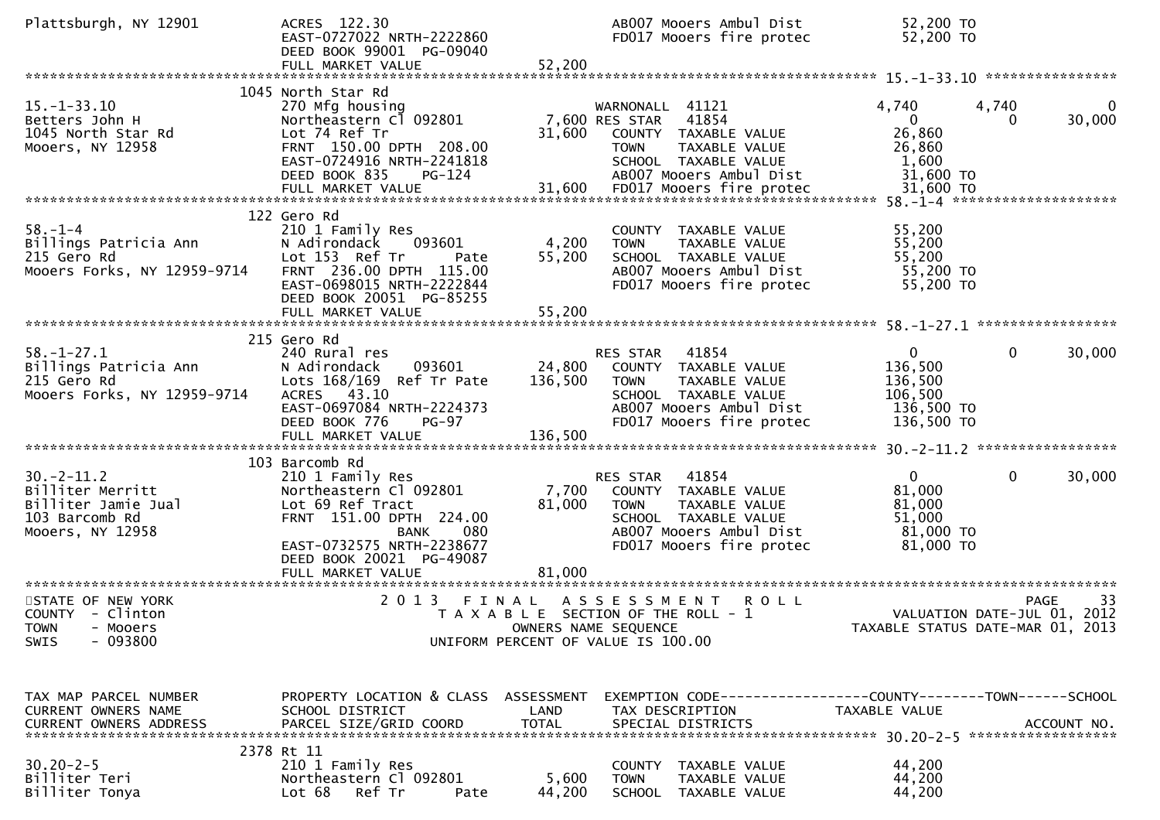| Plattsburgh, NY 12901                                                                               | ACRES 122.30<br>EAST-0727022 NRTH-2222860<br>DEED BOOK 99001 PG-09040<br>FULL MARKET VALUE                                                                                                                      | AB007 Mooers Ambul Dist<br>FD017 Mooers fire protec<br>52,200                                                                                                                  | 52,200 TO<br>52,200 TO                                                                              |
|-----------------------------------------------------------------------------------------------------|-----------------------------------------------------------------------------------------------------------------------------------------------------------------------------------------------------------------|--------------------------------------------------------------------------------------------------------------------------------------------------------------------------------|-----------------------------------------------------------------------------------------------------|
| $15. - 1 - 33.10$<br>Betters John H<br>1045 North Star Rd<br>Mooers, NY 12958                       | 1045 North Star Rd<br>270 Mfg housing<br>Northeastern Cl 092801<br>Lot 74 Ref Tr<br>FRNT 150.00 DPTH 208.00<br>EAST-0724916 NRTH-2241818<br>DEED BOOK 835<br>PG-124                                             | WARNONALL 41121<br>7,600 RES STAR<br>41854<br>31,600<br>COUNTY TAXABLE VALUE<br>TAXABLE VALUE<br><b>TOWN</b><br>SCHOOL TAXABLE VALUE<br>AB007 Mooers Ambul Dist                | 4,740<br>4,740<br>30,000<br>$\mathbf{0}$<br>0<br>26,860<br>26,860<br>1,600<br>31,600 TO             |
| $58. - 1 - 4$<br>Billings Patricia Ann<br>215 Gero Rd<br>215 Gero Rd<br>Mooers Forks, NY 12959-9714 | 122 Gero Rd<br>210 1 Family Res<br>093601<br>N Adirondack<br>Lot 153 Ref Tr<br>Pate<br>FRNT 236.00 DPTH 115.00<br>EAST-0698015 NRTH-2222844<br>DEED BOOK 20051 PG-85255<br>FULL MARKET VALUE                    | COUNTY TAXABLE VALUE<br>4,200<br>TAXABLE VALUE<br>TOWN<br>55,200<br>SCHOOL TAXABLE VALUE<br>AB007 Mooers Ambul Dist<br>FD017 Mooers fire protec<br>55,200                      | 55,200<br>55,200<br>55,200<br>55,200 TO<br>55,200 TO                                                |
| $58. - 1 - 27.1$<br>Billings Patricia Ann<br>215 Gero Rd<br>Mooers Forks, NY 12959-9714             | 215 Gero Rd<br>240 Rural res<br>093601<br>N Adirondack<br>Lots 168/169 Ref Tr Pate<br>ACRES 43.10<br>EAST-0697084 NRTH-2224373<br>DEED BOOK 776<br><b>PG-97</b>                                                 | 41854<br>RES STAR<br>24,800<br>COUNTY TAXABLE VALUE<br>136,500<br>TAXABLE VALUE<br>TOWN<br>SCHOOL TAXABLE VALUE<br>AB007 Mooers Ambul Dist<br>FD017 Mooers fire protec         | $\mathbf{0}$<br>$\mathbf{0}$<br>30,000<br>136,500<br>136,500<br>106,500<br>136,500 TO<br>136,500 TO |
| $30. -2 - 11.2$<br>Billiter Merritt<br>Billiter Jamie Jual<br>103 Barcomb Rd<br>Mooers, NY 12958    | 103 Barcomb Rd<br>210 1 Family Res<br>Northeastern Cl 092801<br>Lot 69 Ref Tract<br>FRNT 151.00 DPTH 224.00<br>080<br><b>BANK</b><br>EAST-0732575 NRTH-2238677<br>DEED BOOK 20021 PG-49087<br>FULL MARKET VALUE | RES STAR<br>41854<br>7,700<br>COUNTY TAXABLE VALUE<br>81,000<br>TAXABLE VALUE<br>TOWN<br>SCHOOL TAXABLE VALUE<br>AB007 Mooers Ambul Dist<br>FD017 Mooers fire protec<br>81,000 | $\mathbf{0}$<br>$\mathbf 0$<br>30,000<br>81,000<br>81,000<br>51,000<br>81,000 TO<br>81,000 TO       |
| STATE OF NEW YORK<br>COUNTY - Clinton<br>TOWN - Mooers<br>- 093800<br><b>SWIS</b>                   | 2 0 1 3                                                                                                                                                                                                         | <b>ROLL</b><br>FINAL<br>A S S E S S M E N T<br>T A X A B L E SECTION OF THE ROLL - 1<br>OWNERS NAME SEQUENCE<br>UNIFORM PERCENT OF VALUE IS 100.00                             | 33<br>PAGE<br>VALUATION DATE-JUL 01, 2012<br>TAXABLE STATUS DATE-MAR 01, 2013                       |
| TAX MAP PARCEL NUMBER<br>CURRENT OWNERS NAME<br>CURRENT OWNERS ADDRESS                              | PROPERTY LOCATION & CLASS ASSESSMENT<br>SCHOOL DISTRICT<br>PARCEL SIZE/GRID COORD<br>2378 Rt 11                                                                                                                 | LAND<br>TAX DESCRIPTION<br><b>TOTAL</b><br>SPECIAL DISTRICTS                                                                                                                   | EXEMPTION CODE------------------COUNTY--------TOWN------SCHOOL<br>TAXABLE VALUE<br>ACCOUNT NO.      |
| $30.20 - 2 - 5$<br>Billiter Teri<br>Billiter Tonya                                                  | 210 1 Family Res<br>Northeastern Cl 092801<br>Lot 68<br>Ref Tr<br>Pate                                                                                                                                          | COUNTY TAXABLE VALUE<br>5,600<br><b>TOWN</b><br>TAXABLE VALUE<br>44,200<br>SCHOOL TAXABLE VALUE                                                                                | 44,200<br>44,200<br>44,200                                                                          |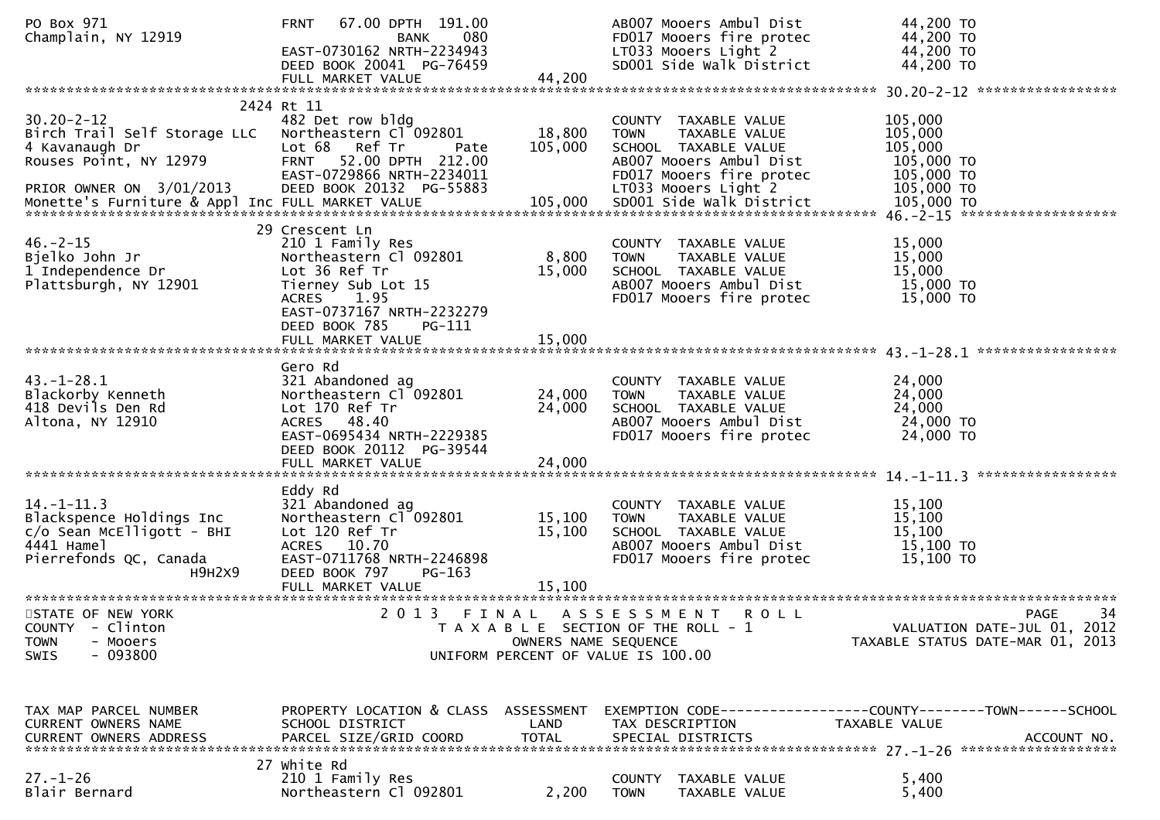| PO Box 971<br>Champlain, NY 12919                                                                                                               | 67.00 DPTH 191.00<br><b>FRNT</b><br>080<br>BANK<br>EAST-0730162 NRTH-2234943<br>DEED BOOK 20041 PG-76459<br>FULL MARKET VALUE                                                                         | 44,200                    | AB007 Mooers Ambul Dist<br>FD017 Mooers fire protec<br>LT033 Mooers Light 2<br>SD001 Side Walk District                                                     | 44,200 TO<br>44,200 TO<br>44,200 TO<br>44,200 TO                                               |
|-------------------------------------------------------------------------------------------------------------------------------------------------|-------------------------------------------------------------------------------------------------------------------------------------------------------------------------------------------------------|---------------------------|-------------------------------------------------------------------------------------------------------------------------------------------------------------|------------------------------------------------------------------------------------------------|
|                                                                                                                                                 |                                                                                                                                                                                                       |                           |                                                                                                                                                             |                                                                                                |
| $30.20 - 2 - 12$<br>Birch Trail Self Storage LLC Northeastern Cl 092801<br>4 Kavanaugh Dr<br>Rouses Point, NY 12979<br>PRIOR OWNER ON 3/01/2013 | 2424 Rt 11<br>482 Det row bldg<br>Lot 68 Ref Tr<br>Pate<br>FRNT 52.00 DPTH 212.00<br>EAST-0729866 NRTH-2234011<br>DEED BOOK 20132 PG-55883                                                            | 18,800<br>105,000         | COUNTY TAXABLE VALUE<br>TAXABLE VALUE<br><b>TOWN</b><br>SCHOOL TAXABLE VALUE<br>AB007 Mooers Ambul Dist<br>FD017 Mooers fire protec<br>LT033 Mooers Light 2 | 105,000<br>105,000<br>105,000<br>105,000 TO<br>105,000 TO<br>105,000 TO                        |
| $46. -2 - 15$<br>Bjelko John Jr<br>1 Independence Dr<br>Plattsburgh, NY 12901                                                                   | 29 Crescent Ln<br>210 1 Family Res<br>Northeastern Cl 092801<br>Lot 36 Ref Tr<br>Tierney Sub Lot 15<br>ACRES 1.95<br>EAST-0737167 NRTH-2232279<br>DEED BOOK 785<br><b>PG-111</b><br>FULL MARKET VALUE | 8,800<br>15,000<br>15,000 | COUNTY TAXABLE VALUE<br><b>TOWN</b><br>TAXABLE VALUE<br>SCHOOL TAXABLE VALUE<br>AB007 Mooers Ambul Dist<br>FD017 Mooers fire protec                         | 15,000<br>15,000<br>15,000<br>15,000 TO<br>15,000 TO                                           |
|                                                                                                                                                 | Gero Rd                                                                                                                                                                                               |                           |                                                                                                                                                             |                                                                                                |
| $43. - 1 - 28.1$<br>Blackorby Kenneth<br>418 Devils Den Rd<br>Altona, NY 12910                                                                  | 321 Abandoned ag<br>Northeastern Cl 092801<br>Lot 170 Ref Tr<br>ACRES 48.40<br>EAST-0695434 NRTH-2229385<br>DEED BOOK 20112 PG-39544                                                                  | 24,000<br>24,000          | COUNTY TAXABLE VALUE<br><b>TOWN</b><br>TAXABLE VALUE<br>SCHOOL TAXABLE VALUE<br>AB007 Mooers Ambul Dist<br>FD017 Mooers fire protec                         | 24,000<br>24,000<br>24,000<br>24,000 TO<br>24,000 TO                                           |
|                                                                                                                                                 | FULL MARKET VALUE                                                                                                                                                                                     | 24,000                    |                                                                                                                                                             |                                                                                                |
| $14. - 1 - 11.3$<br>Blackspence Holdings Inc<br>$c/o$ Sean McElligott - BHI<br>4441 Hamel<br>Pierrefonds QC, Canada<br>H9H2X9                   | Eddy Rd<br>321 Abandoned ag<br>Northeastern Cl 092801<br>Lot 120 Ref Tr<br>ACRES 10.70<br>EAST-0711768 NRTH-2246898<br>DEED BOOK 797<br>PG-163                                                        | 15,100<br>15,100          | COUNTY TAXABLE VALUE<br><b>TOWN</b><br>TAXABLE VALUE<br>SCHOOL TAXABLE VALUE<br>AB007 Mooers Ambul Dist<br>FD017 Mooers fire protec                         | 15,100<br>15,100<br>15,100<br>15,100 TO<br>15,100 TO                                           |
|                                                                                                                                                 | FULL MARKET VALUE                                                                                                                                                                                     | 15,100                    |                                                                                                                                                             |                                                                                                |
| STATE OF NEW YORK<br>COUNTY - Clinton<br><b>TOWN</b><br>- Mooers<br>$-093800$<br><b>SWIS</b>                                                    |                                                                                                                                                                                                       | OWNERS NAME SEQUENCE      | 2013 FINAL ASSESSMENT<br>R O L L<br>T A X A B L E SECTION OF THE ROLL - 1<br>UNIFORM PERCENT OF VALUE IS 100.00                                             | 34<br><b>PAGE</b><br>VALUATION DATE-JUL 01, 2012<br>TAXABLE STATUS DATE-MAR 01, 2013           |
| TAX MAP PARCEL NUMBER<br>CURRENT OWNERS NAME<br><b>CURRENT OWNERS ADDRESS</b>                                                                   | PROPERTY LOCATION & CLASS ASSESSMENT<br>SCHOOL DISTRICT<br>PARCEL SIZE/GRID COORD                                                                                                                     | LAND<br><b>TOTAL</b>      | TAX DESCRIPTION<br>SPECIAL DISTRICTS                                                                                                                        | EXEMPTION CODE------------------COUNTY--------TOWN------SCHOOL<br>TAXABLE VALUE<br>ACCOUNT NO. |
| $27. - 1 - 26$<br>Blair Bernard                                                                                                                 | 27 white Rd<br>210 1 Family Res<br>Northeastern Cl 092801                                                                                                                                             | 2,200                     | COUNTY TAXABLE VALUE<br><b>TOWN</b><br>TAXABLE VALUE                                                                                                        | 5,400<br>5,400                                                                                 |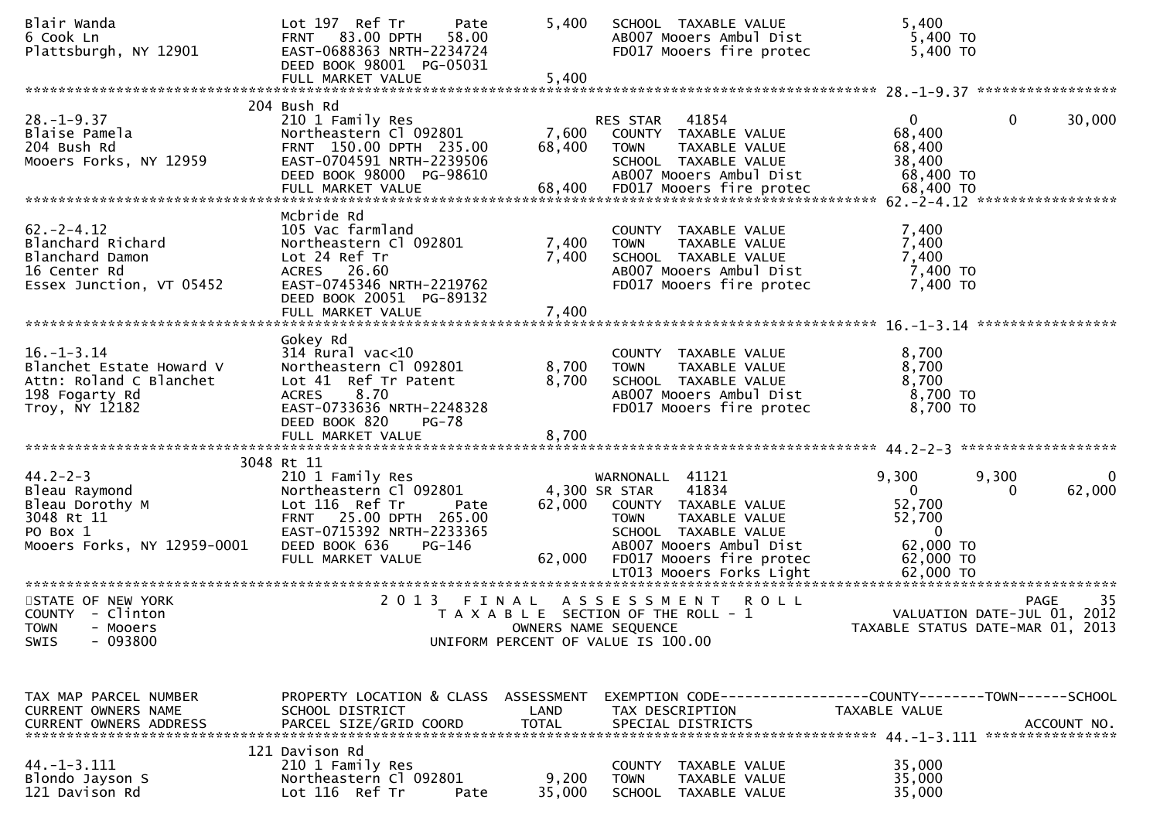| Blair Wanda<br>6 Cook Ln<br>Plattsburgh, NY 12901                                                           | Lot 197 Ref Tr<br>Pate<br><b>FRNT 83.00 DPTH</b><br>58.00<br>EAST-0688363 NRTH-2234724<br>DEED BOOK 98001 PG-05031<br>FULL MARKET VALUE                                                   | 5,400<br>5,400       | SCHOOL TAXABLE VALUE<br>AB007 Mooers Ambul Dist<br>FD017 Mooers fire protec                                                                                                      | 5,400<br>5,400 TO<br>5,400 TO                                                                          |                       |
|-------------------------------------------------------------------------------------------------------------|-------------------------------------------------------------------------------------------------------------------------------------------------------------------------------------------|----------------------|----------------------------------------------------------------------------------------------------------------------------------------------------------------------------------|--------------------------------------------------------------------------------------------------------|-----------------------|
|                                                                                                             |                                                                                                                                                                                           |                      |                                                                                                                                                                                  |                                                                                                        |                       |
| $28. - 1 - 9.37$<br>Blaise Pamela<br>204 Bush Rd<br>Mooers Forks, NY 12959                                  | 204 Bush Rd<br>210 1 Family Res<br>Northeastern Cl 092801<br>FRNT 150.00 DPTH 235.00<br>EAST-0704591 NRTH-2239506<br>DEED BOOK 98000 PG-98610                                             | 7,600<br>68,400      | RES STAR<br>41854<br>COUNTY TAXABLE VALUE<br><b>TOWN</b><br>TAXABLE VALUE<br>SCHOOL TAXABLE VALUE<br>AB007 Mooers Ambul Dist                                                     | $\mathbf{0}$<br>$\mathbf{0}$<br>68,400<br>68,400<br>38,400<br>68,400 TO                                | 30,000                |
|                                                                                                             | Mcbride Rd                                                                                                                                                                                |                      |                                                                                                                                                                                  |                                                                                                        |                       |
| $62 - 2 - 4.12$<br>Blanchard Richard<br>Blanchard Damon<br>16 Center Rd<br>Essex Junction, VT 05452         | 105 Vac farmland<br>Northeastern Cl 092801<br>Lot 24 Ref Tr<br>ACRES 26.60<br>EAST-0745346 NRTH-2219762<br>DEED BOOK 20051 PG-89132                                                       | 7,400<br>7,400       | COUNTY TAXABLE VALUE<br>TAXABLE VALUE<br><b>TOWN</b><br>SCHOOL TAXABLE VALUE<br>AB007 Mooers Ambul Dist<br>FD017 Mooers fire protec                                              | 7,400<br>7,400<br>7,400<br>7,400 TO<br>7,400 TO                                                        |                       |
|                                                                                                             |                                                                                                                                                                                           |                      |                                                                                                                                                                                  |                                                                                                        |                       |
| $16. - 1 - 3.14$<br>Blanchet Estate Howard V<br>Attn: Roland C Blanchet<br>198 Fogarty Rd<br>Troy, NY 12182 | Gokey Rd<br>$314$ Rural vac<10<br>Northeastern Cl 092801<br>Lot 41 Ref Tr Patent<br>8.70<br><b>ACRES</b><br>EAST-0733636 NRTH-2248328<br>DEED BOOK 820<br><b>PG-78</b>                    | 8,700<br>8,700       | COUNTY TAXABLE VALUE<br><b>TOWN</b><br>TAXABLE VALUE<br>SCHOOL TAXABLE VALUE<br>AB007 Mooers Ambul Dist<br>FD017 Mooers fire protec                                              | 8,700<br>8,700<br>8,700<br>8,700 TO<br>8,700 TO                                                        |                       |
|                                                                                                             | FULL MARKET VALUE                                                                                                                                                                         | 8,700                |                                                                                                                                                                                  |                                                                                                        |                       |
|                                                                                                             |                                                                                                                                                                                           |                      |                                                                                                                                                                                  |                                                                                                        |                       |
| $44.2 - 2 - 3$<br>Bleau Raymond<br>Bleau Dorothy M<br>3048 Rt 11<br>PO Box 1<br>Mooers Forks, NY 12959-0001 | 3048 Rt 11<br>210 1 Family Res<br>Northeastern Cl 092801<br>Lot 116 Ref Tr<br>Pate<br>FRNT 25.00 DPTH 265.00<br>EAST-0715392 NRTH-2233365<br>DEED BOOK 636<br>PG-146<br>FULL MARKET VALUE | 62,000<br>62,000     | WARNONALL 41121<br>41834<br>4,300 SR STAR<br>COUNTY TAXABLE VALUE<br>TAXABLE VALUE<br><b>TOWN</b><br>SCHOOL TAXABLE VALUE<br>AB007 Mooers Ambul Dist<br>FD017 Mooers fire protec | 9,300<br>9,300<br>$\overline{0}$<br>$\Omega$<br>52,700<br>52,700<br>$\Omega$<br>62,000 TO<br>62,000 TO | $\mathbf 0$<br>62,000 |
| STATE OF NEW YORK                                                                                           | 2 0 1 3                                                                                                                                                                                   | FINAL                | ASSESSMENT<br><b>ROLL</b>                                                                                                                                                        |                                                                                                        | 35<br><b>PAGE</b>     |
| COUNTY - Clinton<br><b>TOWN</b><br>- Mooers<br>$-093800$<br>SWIS                                            |                                                                                                                                                                                           |                      | T A X A B L E SECTION OF THE ROLL - 1<br>OWNERS NAME SEQUENCE<br>UNIFORM PERCENT OF VALUE IS 100.00                                                                              | VALUATION DATE-JUL 01, 2012<br>TAXABLE STATUS DATE-MAR 01, 2013                                        |                       |
|                                                                                                             |                                                                                                                                                                                           |                      |                                                                                                                                                                                  |                                                                                                        |                       |
| TAX MAP PARCEL NUMBER<br>CURRENT OWNERS NAME<br><b>CURRENT OWNERS ADDRESS</b>                               | PROPERTY LOCATION & CLASS ASSESSMENT<br>SCHOOL DISTRICT<br>PARCEL SIZE/GRID COORD                                                                                                         | LAND<br><b>TOTAL</b> | EXEMPTION CODE------------------COUNTY--------TOWN------SCHOOL<br>TAX DESCRIPTION<br>SPECIAL DISTRICTS                                                                           | TAXABLE VALUE                                                                                          | ACCOUNT NO.           |
|                                                                                                             | 121 Davison Rd                                                                                                                                                                            |                      |                                                                                                                                                                                  |                                                                                                        |                       |
| $44. -1 - 3.111$<br>Blondo Jayson S<br>121 Davison Rd                                                       | 210 1 Family Res<br>Northeastern Cl 092801<br>Lot 116 Ref Tr<br>Pate                                                                                                                      | 9,200<br>35,000      | <b>COUNTY</b><br>TAXABLE VALUE<br><b>TOWN</b><br>TAXABLE VALUE<br>SCHOOL<br>TAXABLE VALUE                                                                                        | 35,000<br>35,000<br>35,000                                                                             |                       |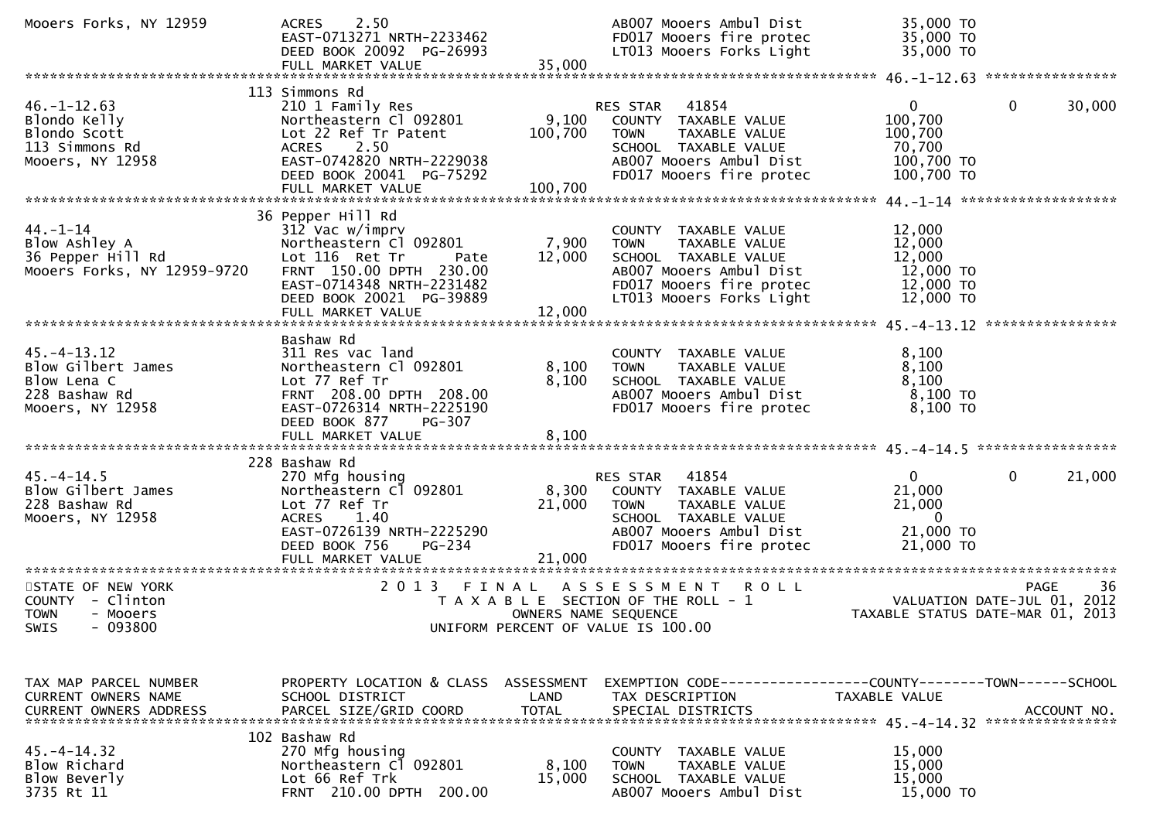| Mooers Forks, NY 12959                                                                                                    | 2.50<br><b>ACRES</b><br>EAST-0713271 NRTH-2233462<br>DEED BOOK 20092 PG-26993<br>FULL MARKET VALUE                                                                                                | 35,000                        | AB007 Mooers Ambul Dist<br>FD017 Mooers fire protec<br>LT013 Mooers Forks Light                                                                                | 35,000 TO<br>35,000 TO<br>35,000 TO                                                    |                        |
|---------------------------------------------------------------------------------------------------------------------------|---------------------------------------------------------------------------------------------------------------------------------------------------------------------------------------------------|-------------------------------|----------------------------------------------------------------------------------------------------------------------------------------------------------------|----------------------------------------------------------------------------------------|------------------------|
| $46. - 1 - 12.63$<br>Blondo Kelly<br>Blondo Scott<br>113 Simmons Rd<br>Mooers, NY 12958                                   | 113 Simmons Rd<br>210 1 Family Res<br>Northeastern Cl 092801<br>Lot 22 Ref Tr Patent<br>ACRES 2.50<br>EAST-0742820 NRTH-2229038<br>DEED BOOK 20041 PG-75292<br>FULL MARKET VALUE                  | 9,100<br>100,700<br>100,700   | 41854<br>RES STAR<br>COUNTY TAXABLE VALUE<br>TAXABLE VALUE<br>TOWN<br>SCHOOL TAXABLE VALUE<br>AB007 Mooers Ambul Dist<br>FD017 Mooers fire protec              | $\mathbf{0}$<br>100,700<br>100,700<br>70,700<br>100,700 TO<br>100,700 TO               | $\mathbf{0}$<br>30,000 |
| $44 - 1 - 14$<br>Blow Ashley A<br>36 Pepper Hill Rd<br>Mooers Forks, NY 12959-9720                                        | 36 Pepper Hill Rd<br>312 Vac w/imprv<br>Northeastern Cl 092801<br>Lot 116 Ret Tr<br>Pate<br>FRNT 150.00 DPTH 230.00<br>EAST-0714348 NRTH-2231482<br>DEED BOOK 20021 PG-39889<br>FULL MARKET VALUE | 7,900<br>12,000<br>12,000     | COUNTY TAXABLE VALUE<br>TAXABLE VALUE<br>TOWN<br>SCHOOL TAXABLE VALUE<br>AB007 Mooers Ambul Dist<br>FD017 Mooers fire protec<br>LT013 Mooers Forks Light       | 12,000<br>12,000<br>12,000<br>12,000 TO<br>12,000 TO<br>12,000 TO                      |                        |
| $45. - 4 - 13.12$<br>Blow Gilbert James<br>Blow Lena C<br>228 Bashaw Rd<br>Mooers, NY 12958                               | Bashaw Rd<br>311 Res vac land<br>Northeastern Cl 092801<br>Lot 77 Ref Tr<br>FRNT 208.00 DPTH 208.00<br>EAST-0726314 NRTH-2225190<br>DEED BOOK 877<br>PG-307                                       | 8,100<br>8,100                | COUNTY TAXABLE VALUE<br><b>TOWN</b><br>TAXABLE VALUE<br>SCHOOL TAXABLE VALUE<br>AB007 Mooers Ambul Dist<br>FD017 Mooers fire protec                            | 8,100<br>8,100<br>8,100<br>$8,100$ TO<br>8,100 TO                                      |                        |
| $45. - 4 - 14.5$<br>Blow Gilbert James<br>228 Bashaw Rd<br>Mooers, NY 12958                                               | 228 Bashaw Rd<br>270 Mfg housing<br>Northeastern C1 092801<br>Lot 77 Ref Tr<br><b>ACRES</b><br>1.40<br>EAST-0726139 NRTH-2225290<br>DEED BOOK 756<br><b>PG-234</b><br>FULL MARKET VALUE           | 21,000<br>21,000              | RES STAR<br>41854<br>8,300 COUNTY TAXABLE VALUE<br>TAXABLE VALUE<br><b>TOWN</b><br>SCHOOL TAXABLE VALUE<br>AB007 Mooers Ambul Dist<br>FD017 Mooers fire protec | $\mathbf{0}$<br>21,000<br>21,000<br>$\overline{\phantom{0}}$<br>21,000 TO<br>21,000 TO | $\mathbf 0$<br>21,000  |
| STATE OF NEW YORK<br>COUNTY - Clinton<br>- Mooers<br><b>TOWN</b><br>SWIS<br>$-093800$                                     | 2 0 1 3                                                                                                                                                                                           | FINAL<br>OWNERS NAME SEQUENCE | A S S E S S M E N T<br><b>ROLL</b><br>T A X A B L E SECTION OF THE ROLL - 1<br>UNIFORM PERCENT OF VALUE IS 100.00                                              | VALUATION DATE-JUL $\overline{01}$ , 2012<br>TAXABLE STATUS DATE-MAR 01, 2013          | <b>PAGE</b><br>36      |
| TAX MAP PARCEL NUMBER<br><b>CURRENT OWNERS NAME</b><br><b>CURRENT OWNERS ADDRESS</b><br>$45. - 4 - 14.32$<br>Blow Richard | PROPERTY LOCATION & CLASS ASSESSMENT<br>SCHOOL DISTRICT<br>PARCEL SIZE/GRID COORD<br>102 Bashaw Rd<br>270 Mfg housing<br>Northeastern Cl 092801                                                   | LAND<br><b>TOTAL</b><br>8,100 | EXEMPTION CODE-----------------COUNTY-------TOWN------SCHOOL<br>TAX DESCRIPTION<br>SPECIAL DISTRICTS<br>COUNTY TAXABLE VALUE<br>TAXABLE VALUE<br><b>TOWN</b>   | TAXABLE VALUE<br>15,000<br>15,000                                                      | ACCOUNT NO.            |
| Blow Beverly<br>3735 Rt 11                                                                                                | Lot 66 Ref Trk<br>FRNT 210.00 DPTH 200.00                                                                                                                                                         | 15,000                        | SCHOOL TAXABLE VALUE<br>AB007 Mooers Ambul Dist                                                                                                                | 15,000<br>15,000 TO                                                                    |                        |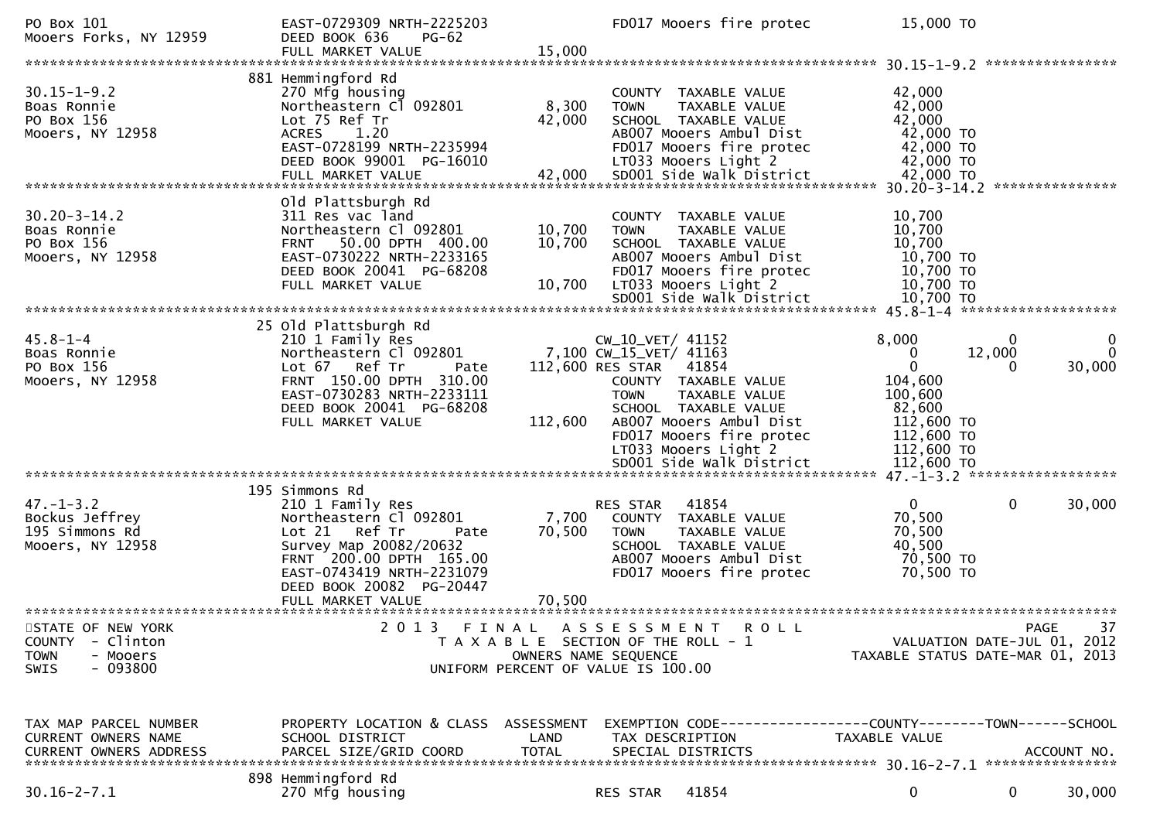| PO Box 101<br>Mooers Forks, NY 12959                                                         | EAST-0729309 NRTH-2225203<br>DEED BOOK 636<br><b>PG-62</b><br>FULL MARKET VALUE                                                                                                                       | 15,000                     | FD017 Mooers fire protec                                                                                                                                                                                                                                        | 15,000 TO                                                                                                         |                                                                                      |
|----------------------------------------------------------------------------------------------|-------------------------------------------------------------------------------------------------------------------------------------------------------------------------------------------------------|----------------------------|-----------------------------------------------------------------------------------------------------------------------------------------------------------------------------------------------------------------------------------------------------------------|-------------------------------------------------------------------------------------------------------------------|--------------------------------------------------------------------------------------|
|                                                                                              |                                                                                                                                                                                                       |                            |                                                                                                                                                                                                                                                                 |                                                                                                                   | ****************                                                                     |
| $30.15 - 1 - 9.2$<br>Boas Ronnie<br>PO Box 156<br>Mooers, NY 12958                           | 881 Hemmingford Rd<br>270 Mfg housing<br>Northeastern Cl 092801<br>Lot 75 Ref Tr<br>ACRES 1.20<br>EAST-0728199 NRTH-2235994<br>DEED BOOK 99001 PG-16010                                               | 8,300<br>42,000            | COUNTY TAXABLE VALUE<br>TAXABLE VALUE<br><b>TOWN</b><br>SCHOOL TAXABLE VALUE<br>AB007 Mooers Ambul Dist<br>FD017 Mooers fire protec<br>LT033 Mooers Light 2                                                                                                     | 42,000<br>42,000<br>42,000<br>42,000 TO<br>42,000 TO<br>42,000 TO<br>42,000 TO                                    | ***************                                                                      |
|                                                                                              | Old Plattsburgh Rd                                                                                                                                                                                    |                            |                                                                                                                                                                                                                                                                 | $30.20 - 3 - 14.2$                                                                                                |                                                                                      |
| $30.20 - 3 - 14.2$<br>Boas Ronnie<br>PO Box 156<br>Mooers, NY 12958                          | 311 Res vac land<br>Northeastern Cl 092801<br>50.00 DPTH 400.00<br><b>FRNT</b><br>EAST-0730222 NRTH-2233165<br>DEED BOOK 20041 PG-68208<br>FULL MARKET VALUE                                          | 10,700<br>10,700<br>10,700 | COUNTY TAXABLE VALUE<br>TAXABLE VALUE<br><b>TOWN</b><br>SCHOOL TAXABLE VALUE<br>AB007 Mooers Ambul Dist<br>FD017 Mooers fire protec<br>LT033 Mooers Light 2<br>SD001 Side Walk District                                                                         | 10,700<br>10,700<br>10,700<br>10,700 TO<br>10,700 TO<br>10,700 TO<br>10,700 TO                                    |                                                                                      |
|                                                                                              |                                                                                                                                                                                                       |                            |                                                                                                                                                                                                                                                                 |                                                                                                                   |                                                                                      |
| $45.8 - 1 - 4$<br>Boas Ronnie<br>PO Box 156<br>Mooers, NY 12958                              | 25 Old Plattsburgh Rd<br>210 1 Family Res<br>Northeastern Cl 092801<br>Lot 67 Ref Tr<br>Pate<br>FRNT 150.00 DPTH 310.00<br>EAST-0730283 NRTH-2233111<br>DEED BOOK 20041 PG-68208<br>FULL MARKET VALUE | 112,600                    | CW_10_VET/ 41152<br>7,100 CW_15_VET/ 41163<br>112,600 RES STAR 41854<br>COUNTY TAXABLE VALUE<br><b>TOWN</b><br>TAXABLE VALUE<br>SCHOOL TAXABLE VALUE<br>AB007 Mooers Ambul Dist<br>FD017 Mooers fire protec<br>LT033 Mooers Light 2<br>SD001 Side Walk District | 8,000<br>0<br>$\mathbf 0$<br>104,600<br>100,600<br>82,600<br>112,600 TO<br>112,600 TO<br>112,600 TO<br>112,600 TO | 0<br>$\bf{0}$<br>12,000<br>$\Omega$<br>30,000<br>$\Omega$                            |
|                                                                                              |                                                                                                                                                                                                       |                            |                                                                                                                                                                                                                                                                 |                                                                                                                   |                                                                                      |
| $47. - 1 - 3.2$<br>Bockus Jeffrey<br>195 Simmons Rd<br>Mooers, NY 12958                      | 195 Simmons Rd<br>210 1 Family Res<br>Northeastern Cl 092801<br>Lot 21 Ref Tr<br>Pate<br>Survey Map 20082/20632<br>FRNT 200.00 DPTH 165.00<br>EAST-0743419 NRTH-2231079<br>DEED BOOK 20082 PG-20447   | 7,700<br>70,500            | 41854<br>RES STAR<br>COUNTY TAXABLE VALUE<br><b>TOWN</b><br>TAXABLE VALUE<br>SCHOOL TAXABLE VALUE<br>AB007 Mooers Ambul Dist<br>FD017 Mooers fire protec                                                                                                        | 0<br>70,500<br>70,500<br>40,500<br>70,500 TO<br>70,500 TO                                                         | 30,000<br>0                                                                          |
|                                                                                              | FULL MARKET VALUE                                                                                                                                                                                     | 70,500                     |                                                                                                                                                                                                                                                                 |                                                                                                                   |                                                                                      |
| STATE OF NEW YORK<br>COUNTY - Clinton<br><b>TOWN</b><br>- Mooers<br>$-093800$<br><b>SWIS</b> |                                                                                                                                                                                                       |                            | 2013 FINAL ASSESSMENT ROLL<br>T A X A B L E SECTION OF THE ROLL - 1<br>OWNERS NAME SEQUENCE<br>UNIFORM PERCENT OF VALUE IS 100.00                                                                                                                               |                                                                                                                   | 37<br><b>PAGE</b><br>VALUATION DATE-JUL 01, 2012<br>TAXABLE STATUS DATE-MAR 01, 2013 |
| TAX MAP PARCEL NUMBER<br>CURRENT OWNERS NAME<br><b>CURRENT OWNERS ADDRESS</b>                | PROPERTY LOCATION & CLASS ASSESSMENT<br>SCHOOL DISTRICT<br>PARCEL SIZE/GRID COORD                                                                                                                     | LAND<br><b>TOTAL</b>       | EXEMPTION CODE-----------------COUNTY-------TOWN------SCHOOL<br>TAX DESCRIPTION<br>SPECIAL DISTRICTS                                                                                                                                                            | TAXABLE VALUE                                                                                                     | ACCOUNT NO.                                                                          |
| $30.16 - 2 - 7.1$                                                                            | 898 Hemmingford Rd<br>270 Mfg housing                                                                                                                                                                 |                            | 41854<br>RES STAR                                                                                                                                                                                                                                               | 0                                                                                                                 | 30,000<br>$\mathbf{0}$                                                               |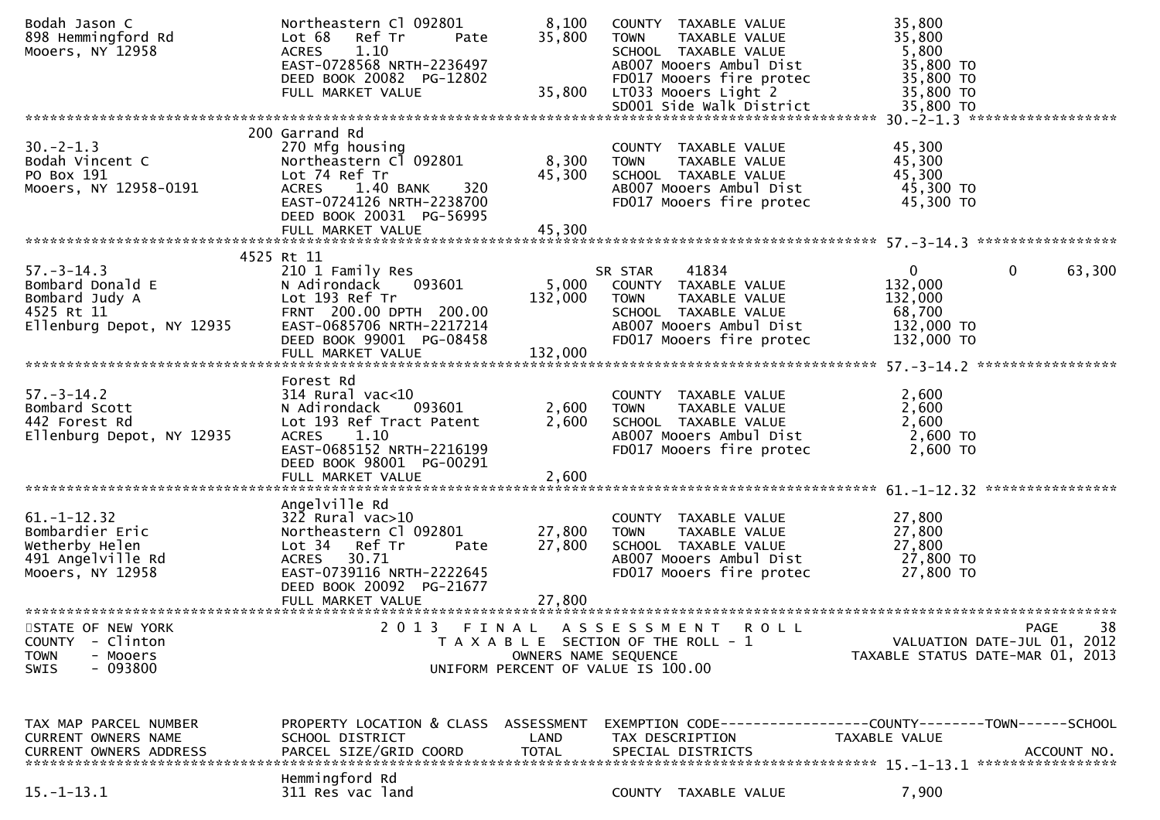| Bodah Jason C<br>898 Hemmingford Rd<br>Mooers, NY 12958                                           | Northeastern Cl 092801<br>Ref Tr<br>Lot 68<br>Pate<br>1.10<br><b>ACRES</b><br>EAST-0728568 NRTH-2236497<br>DEED BOOK 20082 PG-12802                                                            | 8,100<br>35,800             | COUNTY TAXABLE VALUE<br><b>TOWN</b><br>TAXABLE VALUE<br>SCHOOL TAXABLE VALUE<br>AB007 Mooers Ambul Dist<br>FD017 Mooers fire protec                     | 35,800<br>35,800<br>5,800<br>35,800 TO<br>35,800 TO                                     |             |
|---------------------------------------------------------------------------------------------------|------------------------------------------------------------------------------------------------------------------------------------------------------------------------------------------------|-----------------------------|---------------------------------------------------------------------------------------------------------------------------------------------------------|-----------------------------------------------------------------------------------------|-------------|
|                                                                                                   | FULL MARKET VALUE                                                                                                                                                                              | 35,800                      | LT033 Mooers Light 2<br>SD001 Side Walk District                                                                                                        | 35,800 TO<br>35,800 TO                                                                  |             |
|                                                                                                   |                                                                                                                                                                                                |                             |                                                                                                                                                         |                                                                                         |             |
| $30. -2 - 1.3$<br>Bodah Vincent C<br>PO Box 191<br>Mooers, NY 12958-0191                          | 200 Garrand Rd<br>270 Mfg housing<br>Northeastern Cl 092801<br>Lot 74 Ref Tr<br>1.40 BANK<br>320<br><b>ACRES</b><br>EAST-0724126 NRTH-2238700<br>DEED BOOK 20031 PG-56995<br>FULL MARKET VALUE | 8,300<br>45,300<br>45,300   | COUNTY TAXABLE VALUE<br>TAXABLE VALUE<br><b>TOWN</b><br>SCHOOL TAXABLE VALUE<br>AB007 Mooers Ambul Dist<br>FD017 Mooers fire protec                     | 45,300<br>45,300<br>45,300<br>45,300 TO<br>45,300 TO                                    |             |
|                                                                                                   |                                                                                                                                                                                                |                             |                                                                                                                                                         |                                                                                         |             |
| $57. - 3 - 14.3$<br>Bombard Donald E<br>Bombard Judy A<br>4525 Rt 11<br>Ellenburg Depot, NY 12935 | 4525 Rt 11<br>210 1 Family Res<br>N Adirondack<br>093601<br>Lot 193 Ref Tr<br>FRNT 200.00 DPTH 200.00<br>EAST-0685706 NRTH-2217214<br>DEED BOOK 99001 PG-08458<br>FULL MARKET VALUE            | 5,000<br>132,000<br>132,000 | 41834<br>SR STAR<br>COUNTY TAXABLE VALUE<br>TAXABLE VALUE<br><b>TOWN</b><br>SCHOOL TAXABLE VALUE<br>AB007 Mooers Ambul Dist<br>FD017 Mooers fire protec | $\mathbf 0$<br>$\mathbf{0}$<br>132,000<br>132,000<br>68,700<br>132,000 TO<br>132,000 TO | 63,300      |
|                                                                                                   |                                                                                                                                                                                                |                             |                                                                                                                                                         |                                                                                         |             |
| $57. - 3 - 14.2$<br>Bombard Scott<br>442 Forest Rd<br>Ellenburg Depot, NY 12935                   | Forest Rd<br>$314$ Rural vac< $10$<br>093601<br>N Adirondack<br>Lot 193 Ref Tract Patent<br>ACRES 1.10<br>EAST-0685152 NRTH-2216199<br>DEED BOOK 98001 PG-00291<br>FULL MARKET VALUE           | 2,600<br>2,600<br>2,600     | COUNTY TAXABLE VALUE<br><b>TOWN</b><br>TAXABLE VALUE<br>SCHOOL TAXABLE VALUE<br>AB007 Mooers Ambul Dist<br>FD017 Mooers fire protec                     | 2,600<br>2,600<br>2,600<br>2,600 TO<br>2,600 TO                                         |             |
|                                                                                                   |                                                                                                                                                                                                |                             |                                                                                                                                                         |                                                                                         |             |
| $61. - 1 - 12.32$<br>Bombardier Eric<br>Wetherby Helen<br>491 Angelville Rd<br>Mooers, NY 12958   | Angelville Rd<br>$322$ Rural vac $>10$<br>Northeastern Cl 092801<br>Lot 34 Ref Tr<br>Pate<br>30.71<br>ACRES<br>EAST-0739116 NRTH-2222645<br>DEED BOOK 20092 PG-21677<br>FULL MARKET VALUE      | 27,800<br>27,800<br>27,800  | COUNTY TAXABLE VALUE<br><b>TOWN</b><br>TAXABLE VALUE<br>SCHOOL TAXABLE VALUE<br>AB007 Mooers Ambul Dist<br>FD017 Mooers fire protec                     | 27,800<br>27,800<br>27,800<br>27,800 TO<br>27,800 TO                                    |             |
| STATE OF NEW YORK                                                                                 | 2 0 1 3                                                                                                                                                                                        |                             |                                                                                                                                                         |                                                                                         | 38<br>PAGE  |
| <b>COUNTY</b><br>- Clinton<br><b>TOWN</b><br>- Mooers<br>$-093800$<br><b>SWIS</b>                 | FINAL                                                                                                                                                                                          | OWNERS NAME SEQUENCE        | A S S E S S M E N T<br>R O L L<br>T A X A B L E SECTION OF THE ROLL - 1<br>UNIFORM PERCENT OF VALUE IS 100.00                                           | VALUATION DATE-JUL 01, 2012<br>TAXABLE STATUS DATE-MAR 01, 2013                         |             |
| TAX MAP PARCEL NUMBER<br>CURRENT OWNERS NAME<br><b>CURRENT OWNERS ADDRESS</b>                     | PROPERTY LOCATION & CLASS ASSESSMENT<br>SCHOOL DISTRICT<br>PARCEL SIZE/GRID COORD                                                                                                              | LAND<br><b>TOTAL</b>        | EXEMPTION        CODE-----------------COUNTY-------TOWN------SCHOOL<br>TAX DESCRIPTION<br>SPECIAL DISTRICTS                                             | TAXABLE VALUE                                                                           | ACCOUNT NO. |
| $15. - 1 - 13.1$                                                                                  | Hemmingford Rd<br>311 Res vac land                                                                                                                                                             |                             | COUNTY TAXABLE VALUE                                                                                                                                    | 7,900                                                                                   |             |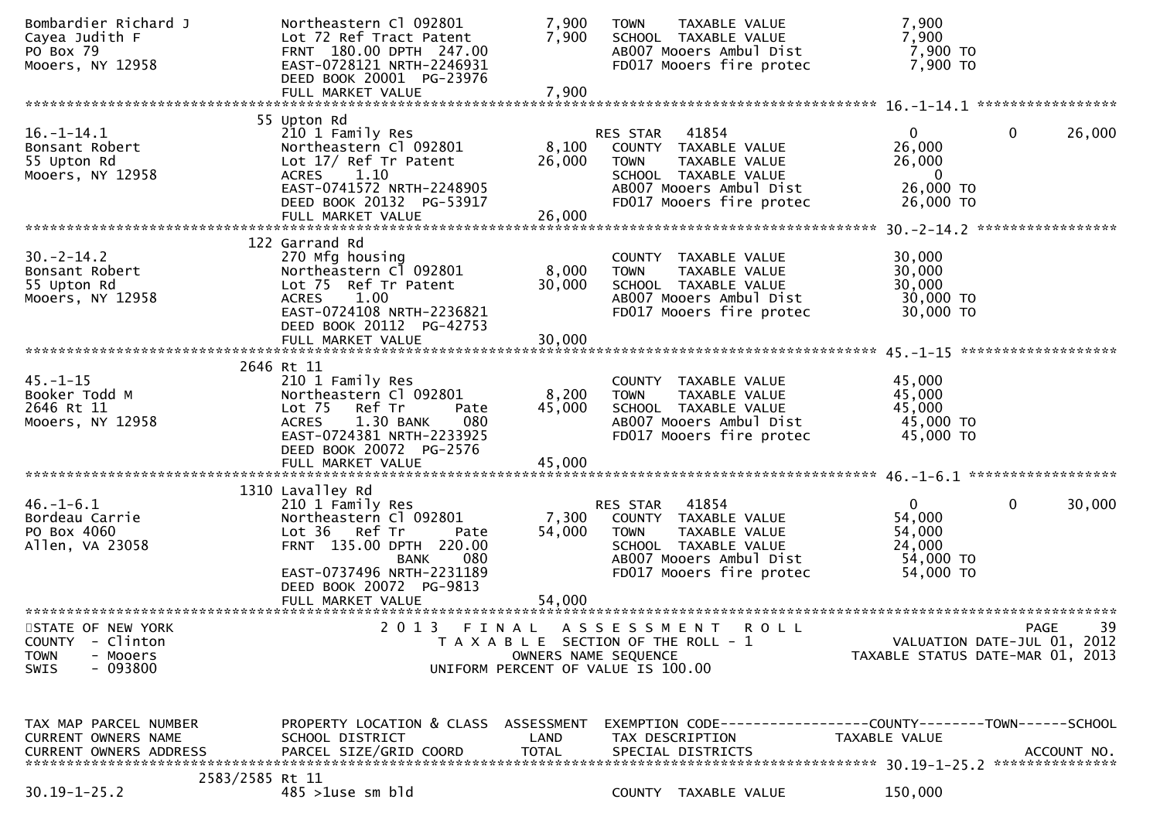| Bombardier Richard J<br>Cayea Judith F<br>PO Box 79<br>Mooers, NY 12958                                | Northeastern Cl 092801<br>Lot 72 Ref Tract Patent<br>FRNT 180.00 DPTH 247.00<br>EAST-0728121 NRTH-2246931<br>DEED BOOK 20001 PG-23976                                                       | 7,900<br>7,900       | TAXABLE VALUE<br><b>TOWN</b><br>SCHOOL TAXABLE VALUE<br>AB007 Mooers Ambul Dist<br>FD017 Mooers fire protec                                                     | 7,900<br>7,900<br>7,900 TO<br>7,900 TO                                       |                                           |
|--------------------------------------------------------------------------------------------------------|---------------------------------------------------------------------------------------------------------------------------------------------------------------------------------------------|----------------------|-----------------------------------------------------------------------------------------------------------------------------------------------------------------|------------------------------------------------------------------------------|-------------------------------------------|
|                                                                                                        | FULL MARKET VALUE                                                                                                                                                                           | 7,900                |                                                                                                                                                                 |                                                                              |                                           |
|                                                                                                        | 55 Upton Rd                                                                                                                                                                                 |                      |                                                                                                                                                                 |                                                                              |                                           |
| $16. - 1 - 14.1$<br>Bonsant Robert<br>55 Upton Rd<br>Mooers, NY 12958                                  | 210 1 Family Res<br>Northeastern Cl 092801<br>Lot 17/ Ref Tr Patent<br><b>ACRES</b><br>1.10<br>EAST-0741572 NRTH-2248905<br>DEED BOOK 20132 PG-53917                                        | 8,100<br>26,000      | 41854<br>RES STAR<br>COUNTY TAXABLE VALUE<br><b>TOWN</b><br><b>TAXABLE VALUE</b><br>SCHOOL TAXABLE VALUE<br>AB007 Mooers Ambul Dist<br>FD017 Mooers fire protec | $\overline{0}$<br>26,000<br>26,000<br>$\mathbf{0}$<br>26,000 TO<br>26,000 TO | 26,000<br>0                               |
|                                                                                                        | FULL MARKET VALUE                                                                                                                                                                           | 26,000               |                                                                                                                                                                 |                                                                              |                                           |
|                                                                                                        |                                                                                                                                                                                             |                      |                                                                                                                                                                 |                                                                              |                                           |
| $30. -2 - 14.2$<br>Bonsant Robert<br>55 Upton Rd<br>Mooers, NY 12958                                   | 122 Garrand Rd<br>270 Mfg housing<br>Northeastern Cl 092801<br>Lot 75 Ref Tr Patent<br><b>ACRES</b><br>1.00<br>EAST-0724108 NRTH-2236821<br>DEED BOOK 20112 PG-42753                        | 8,000<br>30,000      | COUNTY TAXABLE VALUE<br>TAXABLE VALUE<br><b>TOWN</b><br>SCHOOL TAXABLE VALUE<br>AB007 Mooers Ambul Dist<br>FD017 Mooers fire protec                             | 30,000<br>30,000<br>30,000<br>30,000 TO<br>30,000 TO                         |                                           |
|                                                                                                        | FULL MARKET VALUE                                                                                                                                                                           | 30,000               |                                                                                                                                                                 |                                                                              |                                           |
|                                                                                                        |                                                                                                                                                                                             |                      |                                                                                                                                                                 |                                                                              |                                           |
| $45. - 1 - 15$<br>Booker Todd M<br>2646 Rt 11<br>Mooers, NY 12958                                      | 2646 Rt 11<br>210 1 Family Res<br>Northeastern Cl 092801<br>Lot <sub>75</sub><br>Ref Tr<br>Pate<br>1.30 BANK<br>080<br><b>ACRES</b><br>EAST-0724381 NRTH-2233925<br>DEED BOOK 20072 PG-2576 | 8,200<br>45,000      | COUNTY TAXABLE VALUE<br>TAXABLE VALUE<br><b>TOWN</b><br>SCHOOL TAXABLE VALUE<br>AB007 Mooers Ambul Dist<br>FD017 Mooers fire protec                             | 45,000<br>45,000<br>45,000<br>45,000 TO<br>45,000 TO                         |                                           |
|                                                                                                        | FULL MARKET VALUE                                                                                                                                                                           | 45,000               |                                                                                                                                                                 |                                                                              |                                           |
|                                                                                                        | 1310 Lavalley Rd                                                                                                                                                                            |                      |                                                                                                                                                                 |                                                                              |                                           |
| $46. - 1 - 6.1$<br>Bordeau Carrie<br>PO Box 4060<br>Allen, VA 23058                                    | 210 1 Family Res<br>Northeastern Cl 092801<br>Lot 36 Ref Tr<br>Pate<br>FRNT 135.00 DPTH 220.00<br>080<br><b>BANK</b><br>EAST-0737496 NRTH-2231189<br>DEED BOOK 20072 PG-9813                | 7,300<br>54,000      | 41854<br>RES STAR<br>COUNTY TAXABLE VALUE<br>TAXABLE VALUE<br><b>TOWN</b><br>SCHOOL TAXABLE VALUE<br>AB007 Mooers Ambul Dist<br>FD017 Mooers fire protec        | $\mathbf{0}$<br>54,000<br>54,000<br>24,000<br>54,000 TO<br>54,000 TO         | $\mathbf{0}$<br>30,000                    |
|                                                                                                        | FULL MARKET VALUE                                                                                                                                                                           | 54,000               |                                                                                                                                                                 |                                                                              |                                           |
| STATE OF NEW YORK<br><b>COUNTY</b><br>- Clinton<br><b>TOWN</b><br>- Mooers<br>$-093800$<br><b>SWIS</b> | 2 0 1 3<br>FINAL                                                                                                                                                                            | OWNERS NAME SEQUENCE | A S S E S S M E N T<br><b>ROLL</b><br>T A X A B L E SECTION OF THE ROLL - 1<br>UNIFORM PERCENT OF VALUE IS 100.00                                               | TAXABLE STATUS DATE-MAR 01, 2013                                             | 39<br>PAGE<br>VALUATION DATE-JUL 01, 2012 |
| TAX MAP PARCEL NUMBER<br>CURRENT OWNERS NAME<br><b>CURRENT OWNERS ADDRESS</b>                          | PROPERTY LOCATION & CLASS ASSESSMENT<br>SCHOOL DISTRICT<br>PARCEL SIZE/GRID COORD                                                                                                           | LAND<br><b>TOTAL</b> | EXEMPTION CODE-----------------COUNTY-------TOWN------SCHOOL<br>TAX DESCRIPTION<br>SPECIAL DISTRICTS                                                            | TAXABLE VALUE                                                                | ACCOUNT NO.                               |
| 2583/2585 Rt 11<br>$30.19 - 1 - 25.2$                                                                  | $485$ >1use sm bld                                                                                                                                                                          |                      | COUNTY TAXABLE VALUE                                                                                                                                            | 150,000                                                                      |                                           |
|                                                                                                        |                                                                                                                                                                                             |                      |                                                                                                                                                                 |                                                                              |                                           |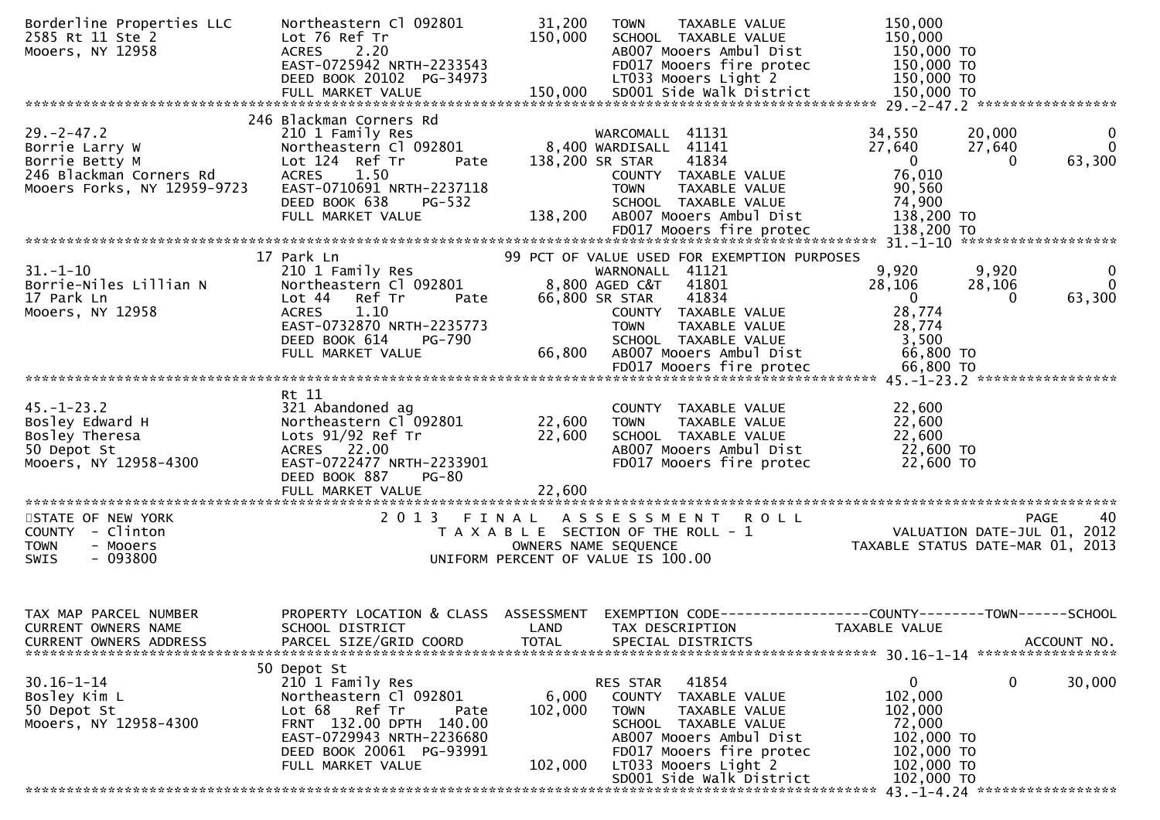| Borderline Properties LLC<br>2585 Rt 11 Ste 2<br>Mooers, NY 12958 | Northeastern Cl 092801<br>Lot 76 Ref Tr<br>2.20<br><b>ACRES</b><br>EAST-0725942 NRTH-2233543 | 31,200<br>150,000    | TAXABLE VALUE<br><b>TOWN</b><br>SCHOOL TAXABLE VALUE<br>AB007 Mooers Ambul Dist<br>FD017 Mooers fire protec | 150,000<br>150,000<br>150,000 TO<br>150,000 TO                 |                              |
|-------------------------------------------------------------------|----------------------------------------------------------------------------------------------|----------------------|-------------------------------------------------------------------------------------------------------------|----------------------------------------------------------------|------------------------------|
|                                                                   | DEED BOOK 20102 PG-34973                                                                     |                      | LT033 Mooers Light 2                                                                                        | 150,000 TO                                                     |                              |
|                                                                   |                                                                                              |                      |                                                                                                             |                                                                |                              |
|                                                                   | 246 Blackman Corners Rd                                                                      |                      |                                                                                                             |                                                                |                              |
| $29. -2 - 47.2$<br>Borrie Larry W                                 | 210 1 Family Res<br>Northeastern Cl 092801                                                   |                      | WARCOMALL 41131<br>8,400 WARDISALL 41141                                                                    | 34,550<br>20,000<br>27,640<br>27,640                           | $\mathbf{0}$<br>$\mathbf{0}$ |
| Borrie Betty M                                                    | Lot 124 Ref Tr<br>Pate                                                                       | 138,200 SR STAR      | 41834                                                                                                       | $\mathbf{0}$<br>$\Omega$                                       | 63,300                       |
| 246 Blackman Corners Rd<br>Mooers Forks, NY 12959-9723            | <b>ACRES</b><br>1.50<br>EAST-0710691 NRTH-2237118                                            |                      | COUNTY TAXABLE VALUE<br><b>TOWN</b><br>TAXABLE VALUE                                                        | 76,010<br>90,560                                               |                              |
|                                                                   | DEED BOOK 638<br>PG-532                                                                      |                      | SCHOOL TAXABLE VALUE                                                                                        | 74,900                                                         |                              |
|                                                                   | FULL MARKET VALUE                                                                            | 138,200              | AB007 Mooers Ambul Dist                                                                                     | 138,200 TO                                                     |                              |
|                                                                   | 17 Park Ln                                                                                   |                      | 99 PCT OF VALUE USED FOR EXEMPTION PURPOSES                                                                 |                                                                |                              |
| $31. - 1 - 10$                                                    | 210 1 Family Res                                                                             |                      | WARNONALL 41121                                                                                             | 9,920<br>9,920                                                 | - 0                          |
| Borrie-Niles Lillian N<br>17 Park Ln                              | Northeastern Cl 092801<br>Lot 44<br>Ref Tr<br>Pate                                           |                      | 8,800 AGED C&T<br>41801<br>41834<br>66,800 SR STAR                                                          | 28,106<br>28,106<br>$\mathbf{0}$<br>$\overline{0}$             | $\Omega$<br>63,300           |
| Mooers, NY 12958                                                  | <b>ACRES</b><br>1.10                                                                         |                      | COUNTY TAXABLE VALUE                                                                                        | 28,774                                                         |                              |
|                                                                   | EAST-0732870 NRTH-2235773<br>DEED BOOK 614<br>PG-790                                         |                      | TAXABLE VALUE<br><b>TOWN</b><br>SCHOOL TAXABLE VALUE                                                        | 28,774<br>3,500                                                |                              |
|                                                                   | FULL MARKET VALUE                                                                            | 66,800               | AB007 Mooers Ambul Dist                                                                                     | 66,800 TO                                                      |                              |
|                                                                   |                                                                                              |                      |                                                                                                             |                                                                |                              |
|                                                                   | Rt 11                                                                                        |                      |                                                                                                             |                                                                |                              |
| $45. - 1 - 23.2$<br>Bosley Edward H                               | 321 Abandoned ag<br>Northeastern Cl 092801                                                   | 22,600               | COUNTY TAXABLE VALUE<br><b>TOWN</b><br>TAXABLE VALUE                                                        | 22,600<br>22,600                                               |                              |
| Bosley Theresa<br>50 Depot St                                     | Lots $91/92$ Ref Tr<br>ACRES 22.00                                                           | 22,600               | SCHOOL TAXABLE VALUE<br>AB007 Mooers Ambul Dist                                                             | 22,600<br>22,600 TO                                            |                              |
| Mooers, NY 12958-4300                                             | EAST-0722477 NRTH-2233901                                                                    |                      | FD017 Mooers fire protec                                                                                    | 22,600 TO                                                      |                              |
|                                                                   | DEED BOOK 887<br><b>PG-80</b>                                                                |                      |                                                                                                             |                                                                |                              |
|                                                                   |                                                                                              |                      |                                                                                                             |                                                                |                              |
| STATE OF NEW YORK<br>COUNTY - Clinton                             | 2013                                                                                         |                      | FINAL ASSESSMENT ROLL<br>T A X A B L E SECTION OF THE ROLL - 1                                              | <b>PAGE</b><br>VALUATION DATE-JUL 01, 2012                     | 40                           |
| - Mooers<br><b>TOWN</b>                                           |                                                                                              |                      | OWNERS NAME SEQUENCE                                                                                        | TAXABLE STATUS DATE-MAR 01, 2013                               |                              |
| $-093800$<br>SWIS                                                 |                                                                                              |                      | UNIFORM PERCENT OF VALUE IS 100.00                                                                          |                                                                |                              |
|                                                                   |                                                                                              |                      |                                                                                                             |                                                                |                              |
| TAX MAP PARCEL NUMBER                                             | PROPERTY LOCATION & CLASS                                                                    | ASSESSMENT           |                                                                                                             | EXEMPTION CODE------------------COUNTY--------TOWN------SCHOOL |                              |
| <b>CURRENT OWNERS NAME</b><br><b>CURRENT OWNERS ADDRESS</b>       | SCHOOL DISTRICT<br>PARCEL SIZE/GRID COORD                                                    | LAND<br><b>TOTAL</b> | TAX DESCRIPTION<br>SPECIAL DISTRICTS                                                                        | TAXABLE VALUE                                                  | ACCOUNT NO.                  |
|                                                                   |                                                                                              |                      |                                                                                                             |                                                                |                              |
| $30.16 - 1 - 14$                                                  | 50 Depot St<br>210 1 Family Res                                                              |                      | 41854<br>RES STAR                                                                                           | 0<br>0                                                         | 30,000                       |
| Bosley Kim L                                                      | Northeastern Cl 092801                                                                       | 6,000                | TAXABLE VALUE<br>COUNTY                                                                                     | 102,000                                                        |                              |
| 50 Depot St<br>Mooers, NY 12958-4300                              | Lot 68<br>Ref Tr<br>Pate<br>FRNT 132.00 DPTH 140.00                                          | 102,000              | <b>TOWN</b><br>TAXABLE VALUE<br>SCHOOL TAXABLE VALUE                                                        | 102,000<br>72,000                                              |                              |
|                                                                   | EAST-0729943 NRTH-2236680                                                                    |                      | AB007 Mooers Ambul Dist                                                                                     | 102,000 TO                                                     |                              |
|                                                                   | DEED BOOK 20061 PG-93991<br>FULL MARKET VALUE                                                | 102,000              | FD017 Mooers fire protec<br>LT033 Mooers Light 2                                                            | 102,000 TO<br>102,000 TO                                       |                              |
|                                                                   |                                                                                              |                      | SD001 Side Walk District                                                                                    | 102,000 TO<br>43. -1-4. 24 *******************                 |                              |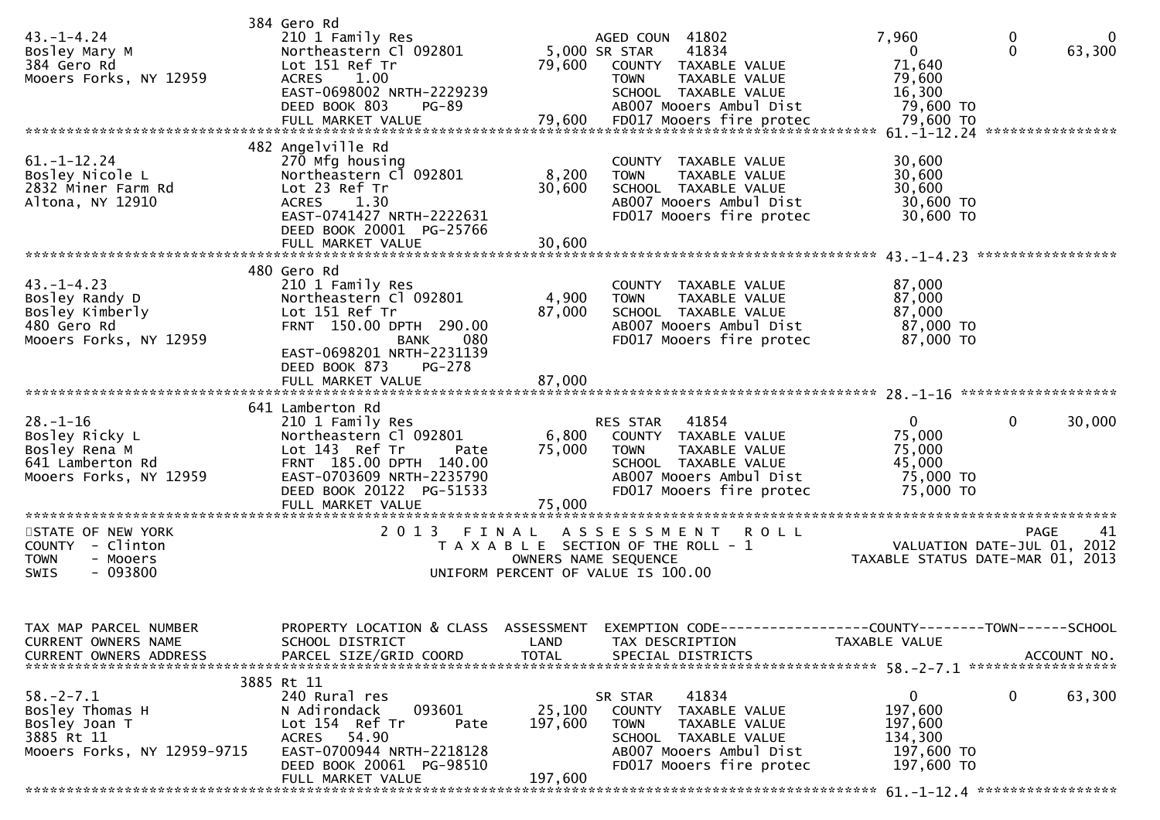| $43. - 1 - 4.24$<br>Bosley Mary M<br>384 Gero Rd<br>Mooers Forks, NY 12959                       | 384 Gero Rd<br>210 1 Family Res<br>Northeastern Cl 092801<br>Lot 151 Ref Tr<br>ACRES 1.00<br>EAST-0698002 NRTH-2229239<br>DEED BOOK 803<br>PG-89                                                   | 79,600                       | AGED COUN 41802<br>41834<br>5,000 SR STAR<br>COUNTY TAXABLE VALUE<br>TAXABLE VALUE<br><b>TOWN</b><br>SCHOOL TAXABLE VALUE<br>AB007 Mooers Ambul Dist     | 7,960<br>$\overline{0}$<br>71,640<br>79,600<br>16,300<br>79,600 TO        | $\mathbf 0$<br>0<br>$\mathbf{0}$<br>63,300     |
|--------------------------------------------------------------------------------------------------|----------------------------------------------------------------------------------------------------------------------------------------------------------------------------------------------------|------------------------------|----------------------------------------------------------------------------------------------------------------------------------------------------------|---------------------------------------------------------------------------|------------------------------------------------|
| $61. - 1 - 12.24$<br>Bosley Nicole L<br>2832 Miner Farm Rd<br>Altona, NY 12910                   | 482 Angelville Rd<br>270 Mfg housing<br>Northeastern Cl 092801<br>Lot 23 Ref Tr<br>ACRES 1.30<br>EAST-0741427 NRTH-2222631<br>DEED BOOK 20001 PG-25766<br>FULL MARKET VALUE                        | 8,200<br>30,600<br>30,600    | COUNTY TAXABLE VALUE<br>TAXABLE VALUE<br><b>TOWN</b><br>SCHOOL TAXABLE VALUE<br>AB007 Mooers Ambul Dist<br>FD017 Mooers fire protec                      | 30,600<br>30,600<br>30,600<br>30,600 TO<br>30,600 TO                      |                                                |
| $43. - 1 - 4.23$<br>Bosley Randy D<br>Bosley Kimberly<br>480 Gero Rd<br>Mooers Forks, NY 12959   | 480 Gero Rd<br>210 1 Family Res<br>Northeastern Cl 092801<br>Lot 151 Ref Tr<br>FRNT 150.00 DPTH 290.00<br>BANK<br>080<br>EAST-0698201 NRTH-2231139<br>DEED BOOK 873<br>PG-278<br>FULL MARKET VALUE | 4,900<br>87,000<br>87,000    | COUNTY TAXABLE VALUE<br>TAXABLE VALUE<br><b>TOWN</b><br>SCHOOL TAXABLE VALUE<br>AB007 Mooers Ambul Dist<br>FD017 Mooers fire protec                      | 87,000<br>87,000<br>87,000<br>87,000 TO<br>87,000 TO                      |                                                |
| $28. - 1 - 16$<br>Bosley Ricky L<br>Bosley Rena M<br>641 Lamberton Rd<br>Mooers Forks, NY 12959  | 641 Lamberton Rd<br>210 1 Family Res<br>Northeastern Cl 092801<br>Lot 143 Ref Tr<br>Pate<br>FRNT 185.00 DPTH 140.00<br>EAST-0703609 NRTH-2235790<br>DEED BOOK 20122 PG-51533<br>FULL MARKET VALUE  | 6,800<br>75,000<br>75,000    | RES STAR<br>41854<br>COUNTY TAXABLE VALUE<br><b>TOWN</b><br>TAXABLE VALUE<br>SCHOOL TAXABLE VALUE<br>AB007 Mooers Ambul Dist<br>FD017 Mooers fire protec | $\mathbf{0}$<br>75,000<br>75,000<br>45,000<br>75,000 TO<br>75,000 TO      | 0<br>30,000                                    |
| STATE OF NEW YORK<br>COUNTY - Clinton<br><b>TOWN</b><br>- Mooers<br>$-093800$<br><b>SWIS</b>     | 2013 FINAL                                                                                                                                                                                         | OWNERS NAME SEQUENCE         | <b>ROLL</b><br>A S S E S S M E N T<br>T A X A B L E SECTION OF THE ROLL - 1<br>UNIFORM PERCENT OF VALUE IS 100.00                                        | VALUATION DATE-JUL 01, 2012                                               | PAGE<br>41<br>TAXABLE STATUS DATE-MAR 01, 2013 |
| TAX MAP PARCEL NUMBER<br>CURRENT OWNERS NAME                                                     | SCHOOL DISTRICT<br>3885 Rt 11                                                                                                                                                                      | LAND                         | PROPERTY LOCATION & CLASS ASSESSMENT EXEMPTION CODE----------------COUNTY-------TOWN-----SCHOOL<br>TAX DESCRIPTION                                       | TAXABLE VALUE                                                             |                                                |
| $58. - 2 - 7.1$<br>Bosley Thomas H<br>Bosley Joan T<br>3885 Rt 11<br>Mooers Forks, NY 12959-9715 | 240 Rural res<br>093601<br>N Adirondack<br>Lot 154 Ref Tr<br>Pate<br>ACRES 54.90<br>EAST-0700944 NRTH-2218128<br>DEED BOOK 20061 PG-98510<br>FULL MARKET VALUE                                     | 25,100<br>197,600<br>197,600 | 41834<br>SR STAR<br>COUNTY TAXABLE VALUE<br><b>TOWN</b><br>TAXABLE VALUE<br>SCHOOL TAXABLE VALUE<br>AB007 Mooers Ambul Dist<br>FD017 Mooers fire protec  | $\mathbf{0}$<br>197,600<br>197,600<br>134,300<br>197,600 то<br>197,600 TO | 0<br>63,300                                    |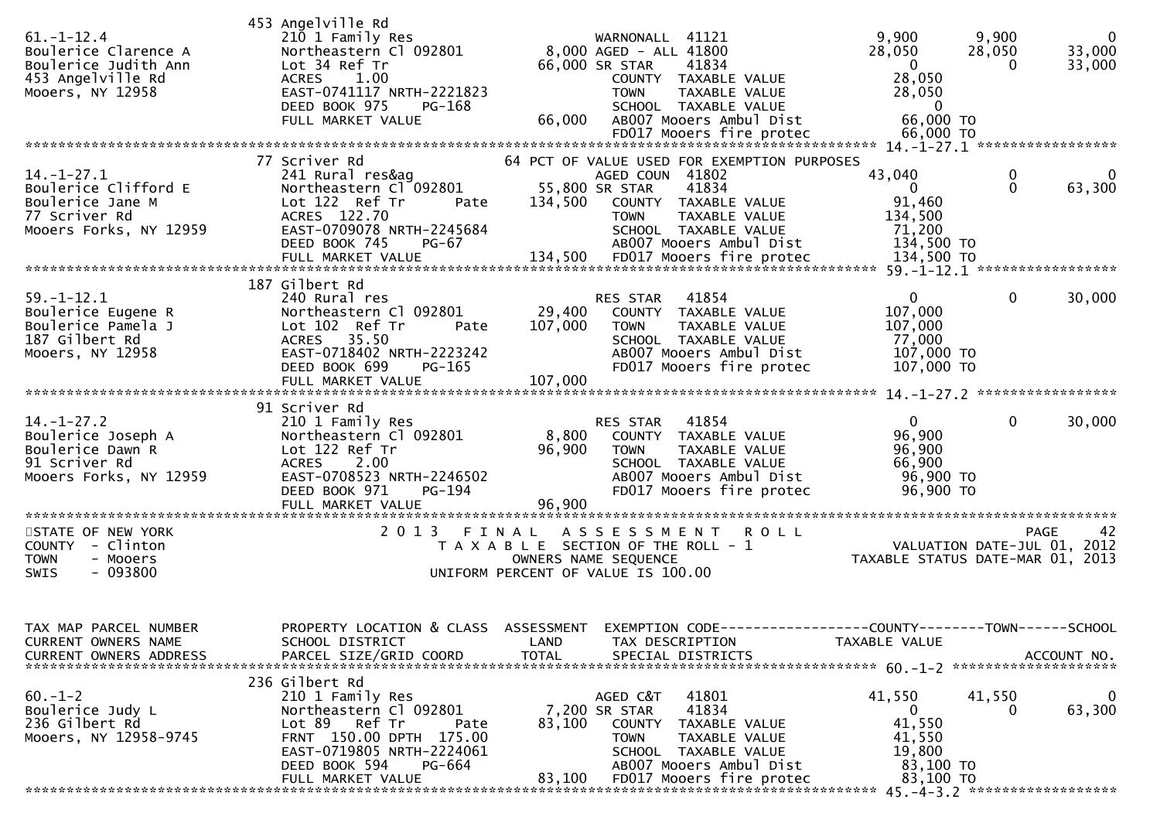| $61.-1-12.4$<br>Boulerice Clarence A<br>Boulerice Judith Ann<br>453 Angelville Rd<br>Mooers, NY 12958   | 453 Angelville Rd<br>210 1 Family Res<br>Northeastern Cl 092801<br>Lot 34 Ref Tr<br>ACRES 1.00<br>EAST-0741117 NRTH-2221823<br>DEED BOOK 975<br>PG-168<br>FULL MARKET VALUE                   | WARNONALL 41121<br>8,000 AGED - ALL 41800<br>66,000 SR STAR<br>41834<br>COUNTY TAXABLE VALUE<br>TAXABLE VALUE<br><b>TOWN</b><br>SCHOOL TAXABLE VALUE<br>AB007 Mooers Ambul Dist<br>66,000              | 9,900<br>9,900<br>$\mathbf 0$<br>33,000<br>28,050<br>28,050<br>$\mathbf 0$<br>33,000<br>0<br>28,050<br>28,050<br>$\mathbf 0$<br>66,000 TO |
|---------------------------------------------------------------------------------------------------------|-----------------------------------------------------------------------------------------------------------------------------------------------------------------------------------------------|--------------------------------------------------------------------------------------------------------------------------------------------------------------------------------------------------------|-------------------------------------------------------------------------------------------------------------------------------------------|
| $14. - 1 - 27.1$<br>Boulerice Clifford E<br>Boulerice Jane M<br>77 Scriver Rd<br>Mooers Forks, NY 12959 | 77 Scriver Rd<br>241 Rural res&ag<br>Northeastern Cl 092801<br>Lot 122 Ref Tr<br>Pate<br>ACRES 122.70<br>EAST-0709078 NRTH-2245684                                                            | 64 PCT OF VALUE USED FOR EXEMPTION PURPOSES<br>AGED COUN 41802<br>55,800 SR STAR<br>41834<br>134,500<br>COUNTY TAXABLE VALUE<br><b>TOWN</b><br>TAXABLE VALUE<br>SCHOOL TAXABLE VALUE                   | 43,040<br>0<br>$\Omega$<br>$\Omega$<br>63,300<br>91,460<br>134,500<br>71,200                                                              |
|                                                                                                         | DEED BOOK 745<br>PG-67                                                                                                                                                                        | AB007 Mooers Ambul Dist<br>= 111 MARKET VALUE<br>FULL MARKET VALUE 134,500 FD017 Mooers fire protec 134,500 TO FX 134,500 FULL MARKET VALUE                                                            | 134,500 TO                                                                                                                                |
| $59. - 1 - 12.1$<br>Boulerice Eugene R<br>Boulerice Pamela J<br>187 Gilbert Rd<br>Mooers, NY 12958      | 187 Gilbert Rd<br>240 Rural res<br>Northeastern Cl 092801<br>Lot 102 Ref Tr<br>Pate<br>ACRES 35.50<br>EAST-0718402 NRTH-2223242<br>DEED BOOK 699<br>PG-165<br>FULL MARKET VALUE               | RES STAR<br>41854<br>29,400<br>COUNTY TAXABLE VALUE<br>107,000<br><b>TOWN</b><br><b>TAXABLE VALUE</b><br>SCHOOL TAXABLE VALUE<br>AB007 Mooers Ambul Dist<br>FD017 Mooers fire protec<br>107,000        | $\overline{0}$<br>$\mathbf{0}$<br>30,000<br>107,000<br>107,000<br>77,000<br>107,000 TO<br>107,000 TO                                      |
|                                                                                                         |                                                                                                                                                                                               |                                                                                                                                                                                                        |                                                                                                                                           |
| $14. - 1 - 27.2$<br>Boulerice Joseph A<br>Boulerice Dawn R<br>91 Scriver Rd<br>Mooers Forks, NY 12959   | 91 Scriver Rd<br>210 1 Family Res<br>Northeastern Cl 092801<br>Lot 122 Ref Tr<br>ACRES 2.00<br>EAST-0708523 NRTH-2246502<br>DEED BOOK 971<br><b>PG-194</b><br>FULL MARKET VALUE               | RES STAR<br>41854<br>8,800<br>COUNTY TAXABLE VALUE<br>96,900<br><b>TOWN</b><br>TAXABLE VALUE<br>SCHOOL TAXABLE VALUE<br>AB007 Mooers Ambul Dist<br>FD017 Mooers fire protec<br>96,900                  | $\mathbf{0}$<br>$\mathbf{0}$<br>30,000<br>96,900<br>96,900<br>66,900<br>96,900 TO<br>96,900 TO                                            |
| STATE OF NEW YORK<br>COUNTY - Clinton<br>- Mooers<br><b>TOWN</b><br>$-093800$<br><b>SWIS</b>            | 2013 FINAL                                                                                                                                                                                    | ASSESSMENT ROLL<br>T A X A B L E SECTION OF THE ROLL - 1<br>OWNERS NAME SEQUENCE<br>UNIFORM PERCENT OF VALUE IS 100.00                                                                                 | PAGE<br>42<br>VALUATION DATE-JUL 01, 2012<br>TAXABLE STATUS DATE-MAR 01, 2013                                                             |
| TAX MAP PARCEL NUMBER<br>CURRENT OWNERS NAME<br>CURRENT OWNERS ADDRESS                                  | SCHOOL DISTRICT<br>PARCEL SIZE/GRID COORD                                                                                                                                                     | PROPERTY LOCATION & CLASS ASSESSMENT EXEMPTION CODE----------------COUNTY-------TOWN------SCHOOL<br>LAND<br>TAX DESCRIPTION<br><b>TOTAL</b><br>SPECIAL DISTRICTS                                       | TAXABLE VALUE<br>ACCOUNT NO.                                                                                                              |
| $60. -1 - 2$<br>Boulerice Judy L<br>236 Gilbert Rd<br>Mooers, NY 12958-9745                             | 236 Gilbert Rd<br>210 1 Family Res<br>Northeastern Cl 092801<br>Lot 89 Ref Tr<br>Pate<br>FRNT 150.00 DPTH 175.00<br>EAST-0719805 NRTH-2224061<br>DEED BOOK 594<br>PG-664<br>FULL MARKET VALUE | 41801<br>AGED C&T<br>41834<br>7,200 SR STAR<br>83,100<br>COUNTY TAXABLE VALUE<br><b>TOWN</b><br>TAXABLE VALUE<br>SCHOOL TAXABLE VALUE<br>AB007 Mooers Ambul Dist<br>83,100<br>FD017 Mooers fire protec | 41,550<br>41,550<br>$\bf{0}$<br>63,300<br>$\overline{0}$<br>41,550<br>41,550<br>19,800<br>83,100 TO<br>83,100 TO                          |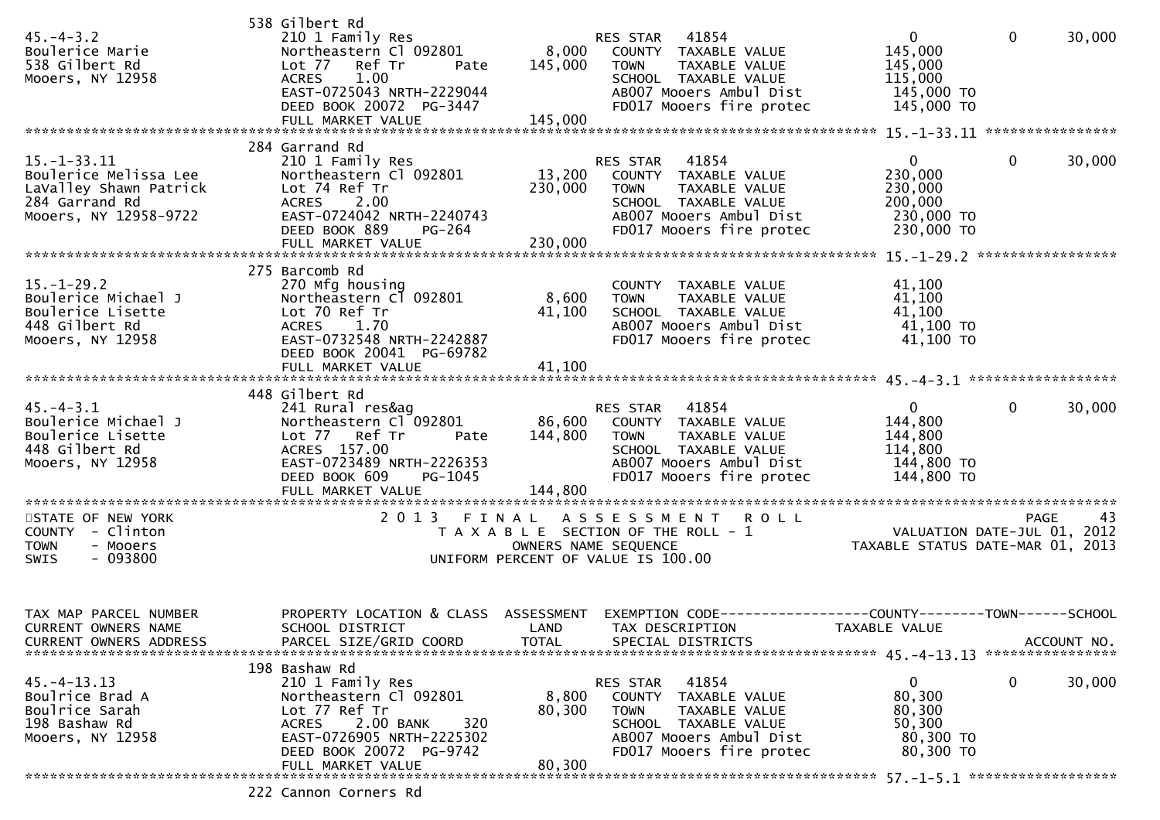| $45. - 4 - 3.2$<br>Boulerice Marie<br>538 Gilbert Rd<br>Mooers, NY 12958                                        | 538 Gilbert Rd<br>210 1 Family Res<br>Northeastern Cl 092801<br>Lot 77 Ref Tr<br>Pate<br><b>ACRES</b><br>1.00<br>EAST-0725043 NRTH-2229044<br>DEED BOOK 20072 PG-3447<br>FULL MARKET VALUE | 8,000<br>145,000<br>145,000 | 41854<br>RES STAR<br>COUNTY TAXABLE VALUE<br>TAXABLE VALUE<br><b>TOWN</b><br>SCHOOL TAXABLE VALUE<br>AB007 Mooers Ambul Dist<br>FD017 Mooers fire protec        | $\mathbf 0$<br>145,000<br>145,000<br>115,000<br>145,000 TO<br>145,000 TO                                       | $\mathbf{0}$ | 30,000      |
|-----------------------------------------------------------------------------------------------------------------|--------------------------------------------------------------------------------------------------------------------------------------------------------------------------------------------|-----------------------------|-----------------------------------------------------------------------------------------------------------------------------------------------------------------|----------------------------------------------------------------------------------------------------------------|--------------|-------------|
|                                                                                                                 |                                                                                                                                                                                            |                             |                                                                                                                                                                 |                                                                                                                |              |             |
| $15. - 1 - 33.11$<br>Boulerice Melissa Lee<br>LaValley Shawn Patrick<br>284 Garrand Rd<br>Mooers, NY 12958-9722 | 284 Garrand Rd<br>210 1 Family Res<br>Northeastern Cl 092801<br>Lot 74 Ref Tr<br>2.00<br>ACRES<br>EAST-0724042 NRTH-2240743<br>DEED BOOK 889<br>PG-264                                     | 13,200<br>230,000           | 41854<br>RES STAR<br>COUNTY TAXABLE VALUE<br>TAXABLE VALUE<br><b>TOWN</b><br>SCHOOL TAXABLE VALUE<br>AB007 Mooers Ambul Dist<br>FD017 Mooers fire protec        | $\overline{0}$<br>230,000<br>230,000<br>200,000<br>230,000 TO<br>230,000 TO                                    | $\mathbf{0}$ | 30,000      |
|                                                                                                                 | 275 Barcomb Rd                                                                                                                                                                             |                             |                                                                                                                                                                 |                                                                                                                |              |             |
| $15. - 1 - 29.2$<br>Boulerice Michael J<br>Boulerice Lisette<br>448 Gilbert Rd<br>Mooers, NY 12958              | 270 Mfg housing<br>Northeastern C1 092801<br>Lot 70 Ref Tr<br><b>ACRES</b><br>1.70<br>EAST-0732548 NRTH-2242887<br>DEED BOOK 20041 PG-69782                                                | 8,600<br>41,100             | COUNTY TAXABLE VALUE<br><b>TOWN</b><br>TAXABLE VALUE<br>SCHOOL TAXABLE VALUE<br>AB007 Mooers Ambul Dist<br>FD017 Mooers fire protec                             | 41,100<br>41,100<br>41,100<br>41,100 TO<br>41,100 TO                                                           |              |             |
|                                                                                                                 | FULL MARKET VALUE                                                                                                                                                                          | 41,100                      |                                                                                                                                                                 |                                                                                                                |              |             |
|                                                                                                                 | 448 Gilbert Rd                                                                                                                                                                             |                             |                                                                                                                                                                 |                                                                                                                |              |             |
| $45. - 4 - 3.1$<br>Boulerice Michael J<br>Boulerice Lisette<br>448 Gilbert Rd<br>Mooers, NY 12958               | 241 Rural res&ag<br>Northeastern Cl 092801<br>Lot 77 Ref Tr<br>Pate<br>ACRES 157.00<br>EAST-0723489 NRTH-2226353<br>PG-1045<br>DEED BOOK 609                                               | 144,800                     | 41854<br>RES STAR<br>86,600 COUNTY TAXABLE VALUE<br><b>TOWN</b><br>TAXABLE VALUE<br>SCHOOL TAXABLE VALUE<br>AB007 Mooers Ambul Dist<br>FD017 Mooers fire protec | $\overline{0}$<br>144,800<br>144,800<br>114,800<br>144,800 TO<br>144,800 TO                                    | $\mathbf{0}$ | 30,000      |
|                                                                                                                 |                                                                                                                                                                                            |                             |                                                                                                                                                                 |                                                                                                                |              |             |
| STATE OF NEW YORK<br>COUNTY - Clinton<br>- Mooers<br><b>TOWN</b><br>SWIS<br>$-093800$                           | 2 0 1 3                                                                                                                                                                                    | FINAL                       | A S S E S S M E N T R O L L<br>T A X A B L E SECTION OF THE ROLL - 1<br>OWNERS NAME SEQUENCE<br>UNIFORM PERCENT OF VALUE IS 100.00                              | PAGE 43<br>VALUATION DATE-JUL 01, 2012<br>TAXARLE STATIS BITE 101 01, 2012<br>TAXABLE STATUS DATE-MAR 01, 2013 | <b>PAGE</b>  | 43          |
| TAX MAP PARCEL NUMBER                                                                                           | PROPERTY LOCATION & CLASS                                                                                                                                                                  | ASSESSMENT                  | EXEMPTION CODE--                                                                                                                                                | -------------COUNTY--------TOWN------SCHOOL                                                                    |              |             |
| CURRENT OWNERS NAME<br><b>CURRENT OWNERS ADDRESS</b>                                                            | SCHOOL DISTRICT<br>PARCEL SIZE/GRID COORD                                                                                                                                                  | LAND<br><b>TOTAL</b>        | TAX DESCRIPTION<br>SPECIAL DISTRICTS                                                                                                                            | TAXABLE VALUE                                                                                                  |              | ACCOUNT NO. |
|                                                                                                                 | 198 Bashaw Rd                                                                                                                                                                              |                             |                                                                                                                                                                 |                                                                                                                |              |             |
| $45. - 4 - 13.13$<br>Boulrice Brad A<br>Boulrice Sarah<br>198 Bashaw Rd<br>Mooers, NY 12958                     | 210 1 Family Res<br>Northeastern Cl 092801<br>Lot 77 Ref Tr<br>320<br><b>ACRES</b><br>2.00 BANK<br>EAST-0726905 NRTH-2225302<br>DEED BOOK 20072 PG-9742<br>FULL MARKET VALUE               | 8,800<br>80,300<br>80,300   | 41854<br>RES STAR<br>COUNTY TAXABLE VALUE<br><b>TOWN</b><br>TAXABLE VALUE<br>SCHOOL TAXABLE VALUE<br>AB007 Mooers Ambul Dist<br>FD017 Mooers fire protec        | 0<br>80,300<br>80,300<br>50,300<br>80,300 TO<br>80,300 TO                                                      | 0            | 30,000      |
|                                                                                                                 | ר ר                                                                                                                                                                                        |                             |                                                                                                                                                                 |                                                                                                                |              |             |

222 Cannon Corners Rd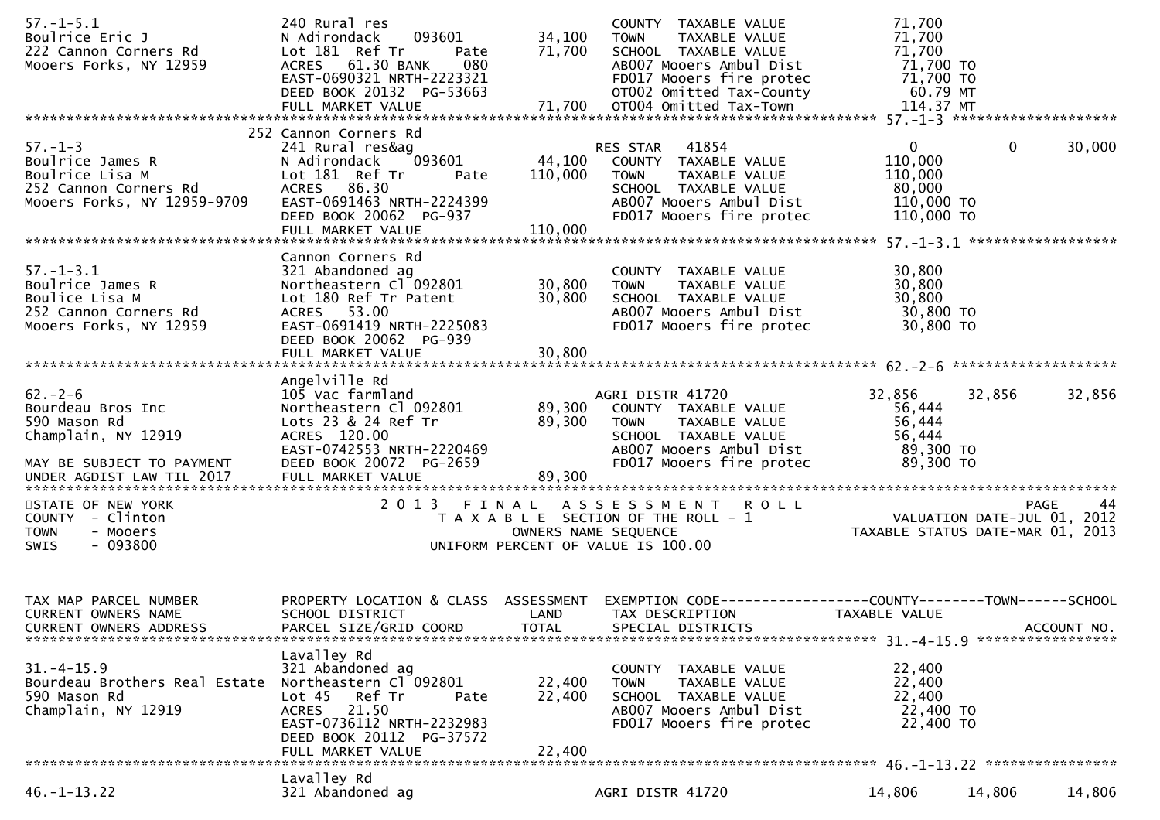| $57. - 1 - 5.1$<br>Boulrice Eric J<br>222 Cannon Corners Rd<br>Mooers Forks, NY 12959                                              | 240 Rural res<br>093601<br>N Adirondack<br>Lot 181 Ref Tr<br>Pate<br>ACRES 61.30 BANK<br>080<br>EAST-0690321 NRTH-2223321<br>DEED BOOK 20132 PG-53663                                    | 34,100<br>71,700             | COUNTY TAXABLE VALUE<br><b>TOWN</b><br>TAXABLE VALUE<br>SCHOOL TAXABLE VALUE<br>AB007 Mooers Ambul Dist<br>FD017 Mooers fire protec<br>OT002 Omitted Tax-County | 71,700<br>71,700<br>71,700<br>71,700 TO<br>71,700 TO<br>60.79 MT                                           |                       |
|------------------------------------------------------------------------------------------------------------------------------------|------------------------------------------------------------------------------------------------------------------------------------------------------------------------------------------|------------------------------|-----------------------------------------------------------------------------------------------------------------------------------------------------------------|------------------------------------------------------------------------------------------------------------|-----------------------|
| $57. - 1 - 3$<br>Boulrice James R<br>Boulrice Lisa M<br>252 Cannon Corners Rd<br>Mooers Forks, NY 12959-9709                       | 252 Cannon Corners Rd<br>241 Rural res&ag<br>093601<br>N Adirondack<br>Lot 181 Ref Tr<br>Pate<br>ACRES 86.30<br>EAST-0691463 NRTH-2224399<br>DEED BOOK 20062 PG-937<br>FULL MARKET VALUE | 44,100<br>110,000<br>110,000 | RES STAR 41854<br>COUNTY TAXABLE VALUE<br><b>TOWN</b><br>TAXABLE VALUE<br>SCHOOL TAXABLE VALUE<br>AB007 Mooers Ambul Dist<br>FD017 Mooers fire protec           | $\mathbf{0}$<br>110,000<br>110,000<br>80,000<br>110,000 TO<br>110,000 TO                                   | $\mathbf 0$<br>30,000 |
| $57. - 1 - 3.1$<br>Boulrice James R<br>Boulice Lisa M<br>252 Cannon Corners Rd<br>Mooers Forks, NY 12959                           | Cannon Corners Rd<br>321 Abandoned ag<br>Northeastern Cl 092801<br>Lot 180 Ref Tr Patent<br>ACRES 53.00<br>EAST-0691419 NRTH-2225083<br>DEED BOOK 20062 PG-939<br>FULL MARKET VALUE      | 30,800<br>30,800<br>30,800   | COUNTY TAXABLE VALUE<br>TAXABLE VALUE<br><b>TOWN</b><br>SCHOOL TAXABLE VALUE<br>AB007 Mooers Ambul Dist<br>FD017 Mooers fire protec                             | 30,800<br>30,800<br>30,800<br>30,800 TO<br>30,800 TO                                                       |                       |
| $62 - 2 - 6$<br>Bourdeau Bros Inc<br>590 Mason Rd<br>Champlain, NY 12919<br>MAY BE SUBJECT TO PAYMENT<br>UNDER AGDIST LAW TIL 2017 | Angelville Rd<br>105 Vac farmland<br>Northeastern Cl 092801<br>Lots 23 & 24 Ref Tr<br>ACRES 120.00<br>EAST-0742553 NRTH-2220469<br>DEED BOOK 20072 PG-2659<br>FULL MARKET VALUE          | 89,300<br>89,300<br>89,300   | AGRI DISTR 41720<br>COUNTY TAXABLE VALUE<br><b>TOWN</b><br>TAXABLE VALUE<br>SCHOOL TAXABLE VALUE<br>AB007 Mooers Ambul Dist<br>FD017 Mooers fire protec         | 32,856<br>56,444<br>56,444<br>56,444<br>89,300 TO<br>89,300 TO                                             | 32,856<br>32,856      |
| STATE OF NEW YORK<br>COUNTY - Clinton<br><b>TOWN</b><br>- Mooers<br>$-093800$<br><b>SWIS</b>                                       |                                                                                                                                                                                          |                              | 2013 FINAL ASSESSMENT ROLL<br>T A X A B L E SECTION OF THE ROLL - 1<br>OWNERS NAME SEQUENCE<br>UNIFORM PERCENT OF VALUE IS 100.00                               | PAGE 44<br>VALUATION DATE-JUL 01, 2012<br>TAXABLE STATUS DATE 115 24 1<br>TAXABLE STATUS DATE-MAR 01, 2013 |                       |
| TAX MAP PARCEL NUMBER<br><b>CURRENT OWNERS NAME</b><br><b>CURRENT OWNERS ADDRESS</b>                                               | PROPERTY LOCATION & CLASS ASSESSMENT<br>SCHOOL DISTRICT<br>PARCEL SIZE/GRID COORD                                                                                                        | LAND<br><b>TOTAL</b>         | EXEMPTION CODE-----------------COUNTY--------TOWN------SCHOOL<br>TAX DESCRIPTION<br>SPECIAL DISTRICTS                                                           | TAXABLE VALUE                                                                                              | ACCOUNT NO.           |
| $31. - 4 - 15.9$<br>Bourdeau Brothers Real Estate Northeastern Cl 092801<br>590 Mason Rd<br>Champlain, NY 12919                    | Lavalley Rd<br>321 Abandoned ag<br>Lot <sub>45</sub><br>Ref Tr<br>Pate<br>ACRES 21.50<br>EAST-0736112 NRTH-2232983<br>DEED BOOK 20112 PG-37572<br>FULL MARKET VALUE                      | 22,400<br>22,400<br>22,400   | COUNTY TAXABLE VALUE<br>TAXABLE VALUE<br><b>TOWN</b><br>SCHOOL TAXABLE VALUE<br>AB007 Mooers Ambul Dist<br>FD017 Mooers fire protec                             | 22,400<br>22,400<br>22,400<br>22,400 TO<br>22,400 TO                                                       |                       |
| $46. - 1 - 13.22$                                                                                                                  | Lavalley Rd<br>321 Abandoned ag                                                                                                                                                          |                              | AGRI DISTR 41720                                                                                                                                                | 14,806                                                                                                     | 14,806<br>14,806      |
|                                                                                                                                    |                                                                                                                                                                                          |                              |                                                                                                                                                                 |                                                                                                            |                       |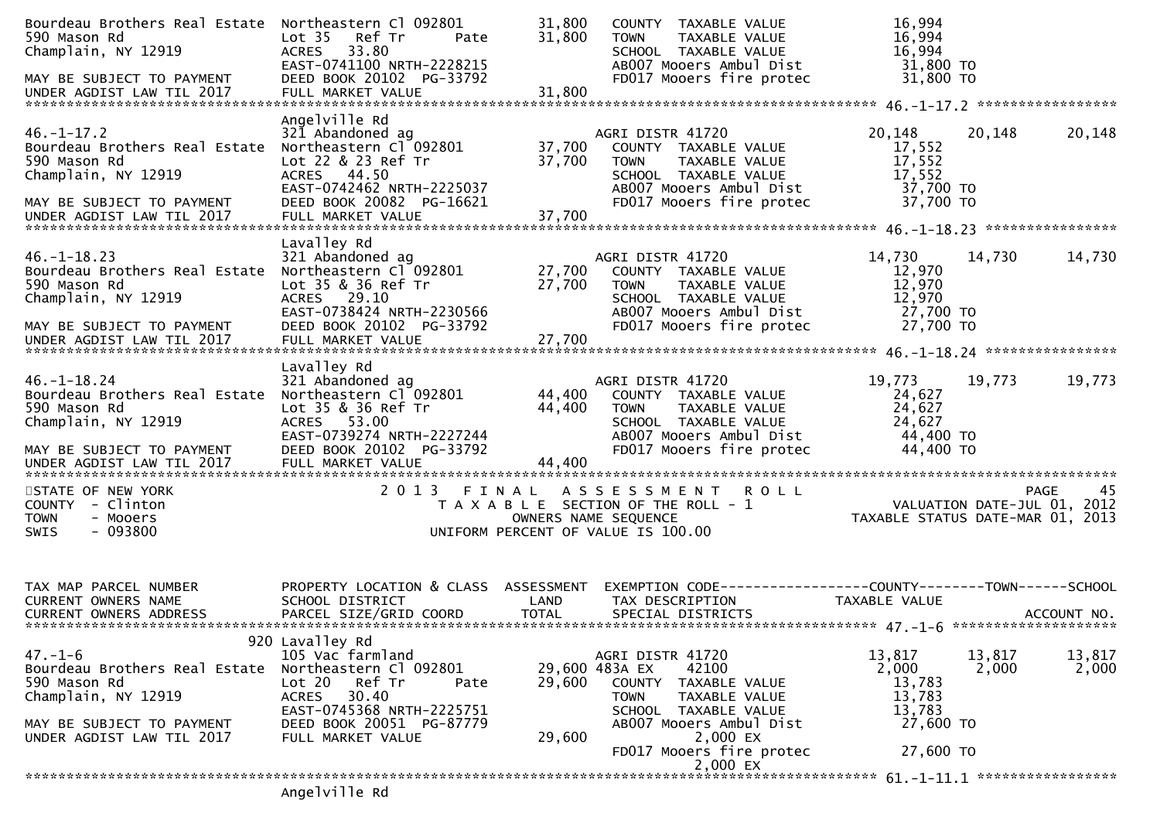| Bourdeau Brothers Real Estate<br>590 Mason Rd<br>Champlain, NY 12919                                                                               | Northeastern Cl 092801<br>Ref Tr<br>Lot <sub>35</sub><br>Pate<br>33.80<br><b>ACRES</b><br>EAST-0741100 NRTH-2228215                                                                              | 31,800<br>31,800     | COUNTY TAXABLE VALUE<br>TAXABLE VALUE<br><b>TOWN</b><br>SCHOOL TAXABLE VALUE<br>AB007 Mooers Ambul Dist                                                               | 16,994<br>16,994<br>16,994<br>31,800 TO                         |                 |                   |
|----------------------------------------------------------------------------------------------------------------------------------------------------|--------------------------------------------------------------------------------------------------------------------------------------------------------------------------------------------------|----------------------|-----------------------------------------------------------------------------------------------------------------------------------------------------------------------|-----------------------------------------------------------------|-----------------|-------------------|
| MAY BE SUBJECT TO PAYMENT                                                                                                                          | DEED BOOK 20102 PG-33792                                                                                                                                                                         |                      | FD017 Mooers fire protec                                                                                                                                              | 31,800 TO                                                       |                 |                   |
| $46. - 1 - 17.2$<br>Bourdeau Brothers Real Estate<br>590 Mason Rd<br>Champlain, NY 12919<br>MAY BE SUBJECT TO PAYMENT<br>UNDER AGDIST LAW TIL 2017 | Angelville Rd<br>321 Abandoned ag<br>Northeastern Cl 092801<br>Lot 22 & 23 Ref Tr<br>ACRES 44.50<br>EAST-0742462 NRTH-2225037<br>DEED BOOK 20082 PG-16621                                        | 37,700<br>37,700     | AGRI DISTR 41720<br>COUNTY TAXABLE VALUE<br>TAXABLE VALUE<br><b>TOWN</b><br>SCHOOL TAXABLE VALUE<br>AB007 Mooers Ambul Dist<br>FD017 Mooers fire protec               | 20,148<br>17,552<br>17,552<br>17,552<br>37,700 TO<br>37,700 TO  | 20,148          | 20,148            |
|                                                                                                                                                    | Lavalley Rd                                                                                                                                                                                      |                      |                                                                                                                                                                       |                                                                 |                 |                   |
| $46. - 1 - 18.23$<br>Bourdeau Brothers Real Estate<br>590 Mason Rd<br>Champlain, NY 12919                                                          | 321 Abandoned ag<br>Northeastern Cl 092801<br>Lot 35 & 36 Ref Tr<br>ACRES 29.10<br>EAST-0738424 NRTH-2230566                                                                                     | 27,700<br>27,700     | AGRI DISTR 41720<br>COUNTY TAXABLE VALUE<br><b>TOWN</b><br>TAXABLE VALUE<br>SCHOOL TAXABLE VALUE<br>AB007 Mooers Ambul Dist                                           | 14,730<br>12,970<br>12,970<br>12,970<br>27,700 TO               | 14,730          | 14,730            |
| MAY BE SUBJECT TO PAYMENT                                                                                                                          | DEED BOOK 20102 PG-33792                                                                                                                                                                         |                      | FD017 Mooers fire protec                                                                                                                                              | 27,700 TO                                                       |                 |                   |
| $46. - 1 - 18.24$<br>Bourdeau Brothers Real Estate<br>590 Mason Rd<br>Champlain, NY 12919<br>MAY BE SUBJECT TO PAYMENT                             | Lavalley Rd<br>321 Abandoned ag<br>Northeastern Cl 092801<br>Lot 35 & 36 Ref Tr<br>ACRES 53.00<br>EAST-0739274 NRTH-2227244<br>DEED BOOK 20102 PG-33792                                          | 44,400<br>44,400     | AGRI DISTR 41720<br>COUNTY TAXABLE VALUE<br><b>TOWN</b><br>TAXABLE VALUE<br>SCHOOL TAXABLE VALUE<br>AB007 Mooers Ambul Dist<br>FD017 Mooers fire protec               | 19,773<br>24,627<br>24,627<br>24,627<br>44,400 TO<br>44,400 TO  | 19,773          | 19,773            |
| UNDER AGDIST LAW TIL 2017                                                                                                                          | FULL MARKET VALUE                                                                                                                                                                                | 44,400               |                                                                                                                                                                       |                                                                 |                 |                   |
| STATE OF NEW YORK<br>COUNTY - Clinton<br><b>TOWN</b><br>- Mooers<br>$-093800$<br><b>SWIS</b>                                                       | 2 0 1 3<br>FINAL                                                                                                                                                                                 |                      | ASSESSMENT ROLL<br>T A X A B L E SECTION OF THE ROLL - 1<br>OWNERS NAME SEQUENCE<br>UNIFORM PERCENT OF VALUE IS 100.00                                                | VALUATION DATE-JUL 01, 2012<br>TAXABLE STATUS DATE-MAR 01, 2013 |                 | <b>PAGE</b><br>45 |
| TAX MAP PARCEL NUMBER<br>CURRENT OWNERS NAME<br>CURRENT OWNERS ADDRESS                                                                             | PROPERTY LOCATION & CLASS ASSESSMENT<br>SCHOOL DISTRICT<br>PARCEL SIZE/GRID COORD                                                                                                                | LAND<br><b>TOTAL</b> | EXEMPTION CODE-----------------COUNTY-------TOWN------SCHOOL<br>TAX DESCRIPTION<br>SPECIAL DISTRICTS                                                                  | TAXABLE VALUE                                                   |                 | ACCOUNT NO.       |
| $47. - 1 - 6$<br>Bourdeau Brothers Real Estate<br>590 Mason Rd<br>Champlain, NY 12919<br>MAY BE SUBJECT TO PAYMENT<br>UNDER AGDIST LAW TIL 2017    | 920 Lavalley Rd<br>105 Vac farmland<br>Northeastern Cl 092801<br>Ref Tr<br>Lot 20<br>Pate<br>30.40<br><b>ACRES</b><br>EAST-0745368 NRTH-2225751<br>DEED BOOK 20051 PG-87779<br>FULL MARKET VALUE | 29,600<br>29,600     | AGRI DISTR 41720<br>42100<br>29,600 483A EX<br>COUNTY<br>TAXABLE VALUE<br>TAXABLE VALUE<br><b>TOWN</b><br>SCHOOL TAXABLE VALUE<br>AB007 Mooers Ambul Dist<br>2,000 EX | 13,817<br>2,000<br>13,783<br>13,783<br>13,783<br>27,600 TO      | 13,817<br>2,000 | 13,817<br>2,000   |
|                                                                                                                                                    |                                                                                                                                                                                                  |                      | FD017 Mooers fire protec<br>2,000 EX                                                                                                                                  | 27,600 TO                                                       |                 |                   |
|                                                                                                                                                    | ha alliuland                                                                                                                                                                                     |                      |                                                                                                                                                                       |                                                                 |                 |                   |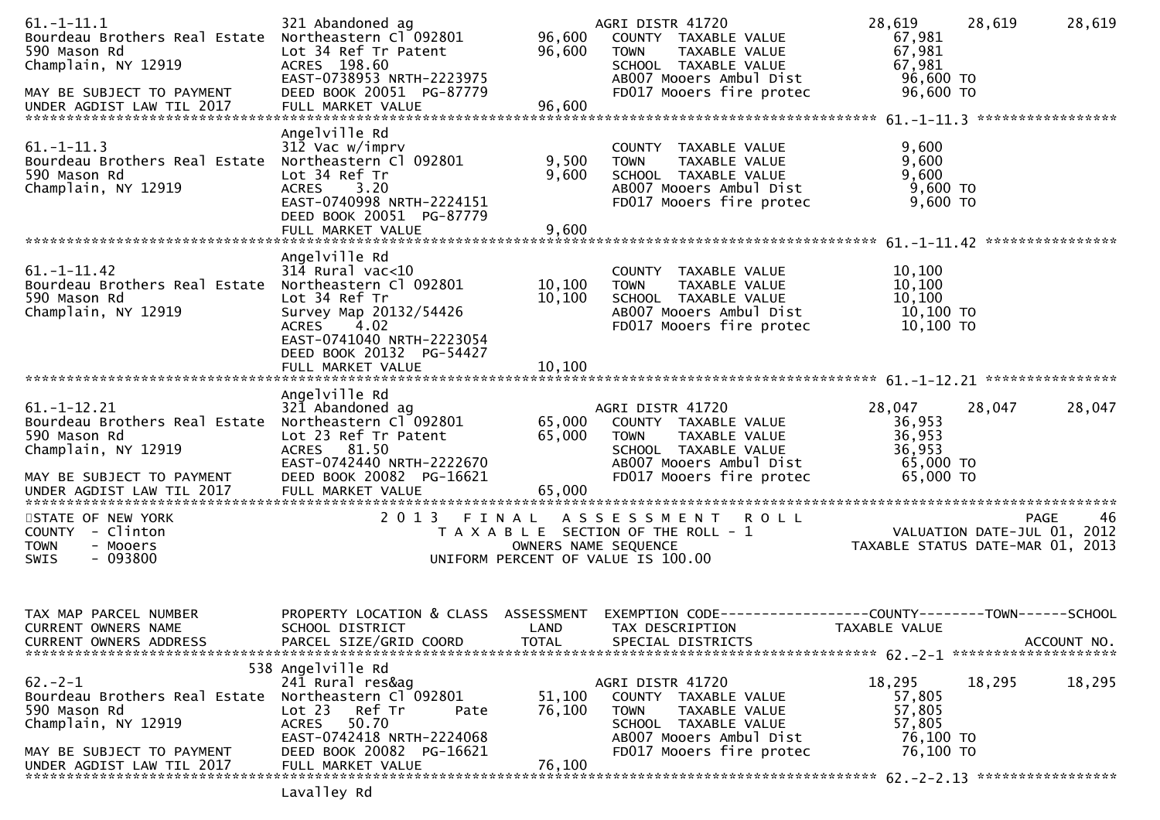| $61. -1 - 11.1$<br>Bourdeau Brothers Real Estate<br>590 Mason Rd<br>Champlain, NY 12919<br>MAY BE SUBJECT TO PAYMENT<br>UNDER AGDIST LAW TIL 2017 | 321 Abandoned ag<br>Northeastern Cl 092801<br>Lot 34 Ref Tr Patent<br>ACRES 198.60<br>EAST-0738953 NRTH-2223975<br>DEED BOOK 20051 PG-87779<br>FULL MARKET VALUE                                               | 96,600<br>96,600<br>96,600 | AGRI DISTR 41720<br>COUNTY TAXABLE VALUE<br><b>TOWN</b><br>TAXABLE VALUE<br>SCHOOL TAXABLE VALUE<br>AB007 Mooers Ambul Dist<br>FD017 Mooers fire protec | 28,619<br>28,619<br>67,981<br>67,981<br>67,981<br>96,600 TO<br>$96,600$ TO | 28,619      |
|---------------------------------------------------------------------------------------------------------------------------------------------------|----------------------------------------------------------------------------------------------------------------------------------------------------------------------------------------------------------------|----------------------------|---------------------------------------------------------------------------------------------------------------------------------------------------------|----------------------------------------------------------------------------|-------------|
| $61. - 1 - 11.3$<br>Bourdeau Brothers Real Estate<br>590 Mason Rd<br>Champlain, NY 12919                                                          | Angelville Rd<br>312 Vac w/imprv<br>Northeastern Cl 092801<br>Lot 34 Ref Tr<br>ACRES 3.20<br>EAST-0740998 NRTH-2224151<br>DEED BOOK 20051 PG-87779<br>FULL MARKET VALUE                                        | 9,500<br>9,600<br>9,600    | COUNTY TAXABLE VALUE<br>TAXABLE VALUE<br><b>TOWN</b><br>SCHOOL TAXABLE VALUE<br>AB007 Mooers Ambul Dist<br>FD017 Mooers fire protec                     | 9,600<br>9,600<br>9,600<br>9,600 TO<br>9,600 TO                            |             |
| $61. -1 - 11.42$<br>Bourdeau Brothers Real Estate<br>590 Mason Rd<br>Champlain, NY 12919                                                          | Angelville Rd<br>$314$ Rural vac<10<br>Northeastern Cl 092801<br>Lot 34 Ref Tr<br>Survey Map 20132/54426<br><b>ACRES</b><br>4.02<br>EAST-0741040 NRTH-2223054<br>DEED BOOK 20132 PG-54427<br>FULL MARKET VALUE | 10,100<br>10,100<br>10,100 | COUNTY TAXABLE VALUE<br><b>TOWN</b><br>TAXABLE VALUE<br>SCHOOL TAXABLE VALUE<br>AB007 Mooers Ambul Dist<br>FD017 Mooers fire protec                     | 10,100<br>10,100<br>10,100<br>10,100 TO<br>10,100 TO                       |             |
| $61. - 1 - 12.21$<br>Bourdeau Brothers Real Estate Northeastern Cl 092801<br>590 Mason Rd<br>Champlain, NY 12919<br>MAY BE SUBJECT TO PAYMENT     | Angelville Rd<br>321 Abandoned ag<br>Lot 23 Ref Tr Patent<br>ACRES 81.50<br>EAST-0742440 NRTH-2222670<br>DEED BOOK 20082 PG-16621                                                                              | 65,000<br>65,000           | AGRI DISTR 41720<br>COUNTY TAXABLE VALUE<br>TAXABLE VALUE<br><b>TOWN</b><br>SCHOOL TAXABLE VALUE<br>AB007 Mooers Ambul Dist<br>FD017 Mooers fire protec | 28,047<br>28,047<br>36,953<br>36,953<br>36,953<br>65,000 TO<br>65,000 TO   | 28,047      |
| STATE OF NEW YORK<br>COUNTY - Clinton<br>- Mooers<br><b>TOWN</b><br>$-093800$<br>SWIS                                                             |                                                                                                                                                                                                                | OWNERS NAME SEQUENCE       | 2013 FINAL ASSESSMENT ROLL<br>T A X A B L E SECTION OF THE ROLL - 1<br>UNIFORM PERCENT OF VALUE IS 100.00                                               | VALUATION DATE-JUL 01, 2012<br>TAXABLE STATUS DATE-MAR 01, 2013            | PAGE<br>46  |
| TAX MAP PARCEL NUMBER<br>CURRENT OWNERS NAME<br><b>CURRENT OWNERS ADDRESS</b>                                                                     | PROPERTY LOCATION & CLASS ASSESSMENT<br>SCHOOL DISTRICT<br>PARCEL SIZE/GRID COORD                                                                                                                              | LAND<br><b>TOTAL</b>       | EXEMPTION CODE-----------------COUNTY--------TOWN------SCHOOL<br>TAX DESCRIPTION<br>SPECIAL DISTRICTS                                                   | TAXABLE VALUE                                                              | ACCOUNT NO. |
| $62 - 2 - 1$<br>Bourdeau Brothers Real Estate<br>590 Mason Rd<br>Champlain, NY 12919<br>MAY BE SUBJECT TO PAYMENT<br>UNDER AGDIST LAW TIL 2017    | 538 Angelville Rd<br>241 Rural res&ag<br>Northeastern Cl 092801<br>Lot 23<br>Ref Tr<br>Pate<br>50.70<br>ACRES<br>EAST-0742418 NRTH-2224068<br>DEED BOOK 20082 PG-16621<br>FULL MARKET VALUE                    | 51,100<br>76,100<br>76,100 | AGRI DISTR 41720<br>COUNTY TAXABLE VALUE<br>TAXABLE VALUE<br><b>TOWN</b><br>SCHOOL TAXABLE VALUE<br>AB007 Mooers Ambul Dist<br>FD017 Mooers fire protec | 18,295<br>18,295<br>57,805<br>57,805<br>57,805<br>76,100 TO<br>76,100 TO   | 18,295      |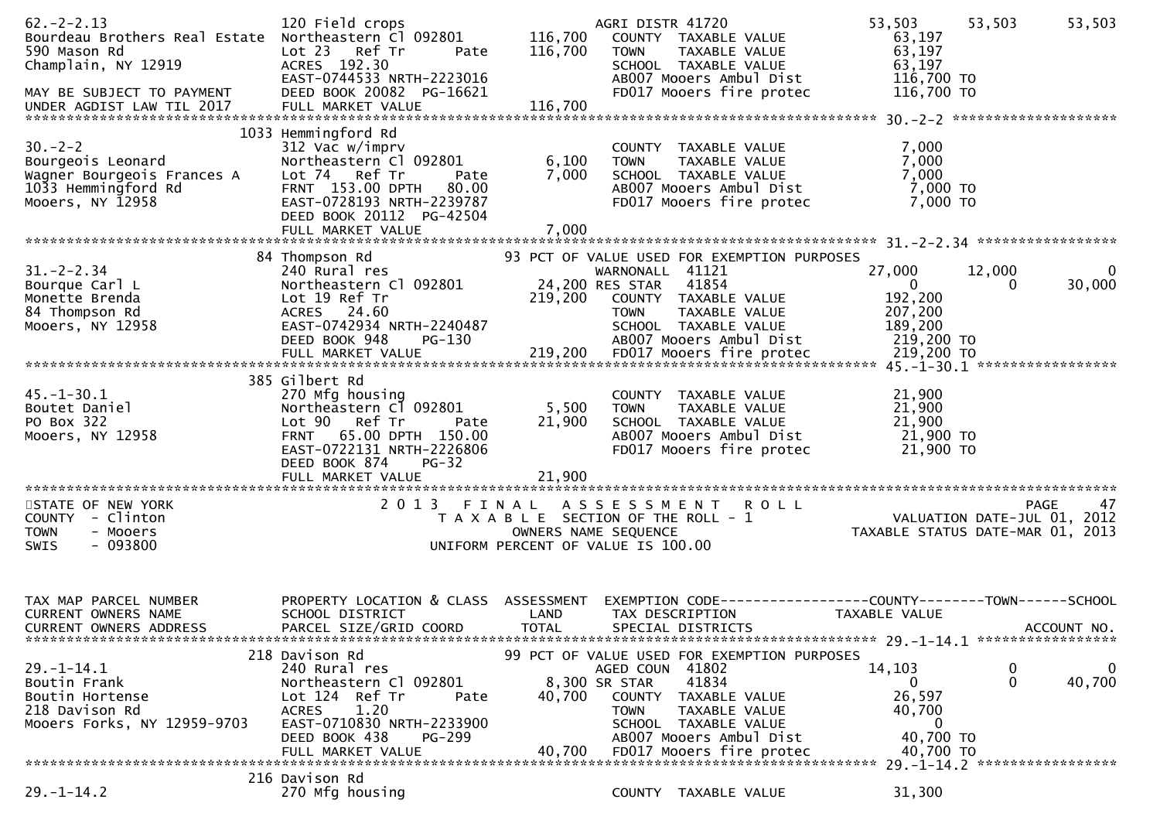| $62 - 2 - 2.13$<br>Bourdeau Brothers Real Estate Northeastern Cl 092801<br>590 Mason Rd<br>Champlain, NY 12919<br>MAY BE SUBJECT TO PAYMENT<br>UNDER AGDIST LAW TIL 2017 | 120 Field crops<br>Lot 23 Ref Tr<br>Pate<br>ACRES 192.30<br>EAST-0744533 NRTH-2223016<br>DEED BOOK 20082 PG-16621                                                                                    | 116,700<br>116,700      | AGRI DISTR 41720<br>COUNTY TAXABLE VALUE<br><b>TOWN</b><br>TAXABLE VALUE<br>SCHOOL TAXABLE VALUE<br>AB007 Mooers Ambul Dist<br>FD017 Mooers fire protec | 53,503<br>53,503<br>63,197<br>63,197<br>63,197<br>116,700 TO<br>116,700 TO | 53,503      |
|--------------------------------------------------------------------------------------------------------------------------------------------------------------------------|------------------------------------------------------------------------------------------------------------------------------------------------------------------------------------------------------|-------------------------|---------------------------------------------------------------------------------------------------------------------------------------------------------|----------------------------------------------------------------------------|-------------|
| $30 - 2 - 2$<br>Bourgeois Leonard<br>Wagner Bourgeois Frances A<br>1033 Hemmingford Rd<br>Mooers, NY 12958                                                               | 1033 Hemmingford Rd<br>312 Vac w/imprv<br>Northeastern Cl 092801<br>Lot 74 Ref Tr<br>Pate<br>80.00<br>FRNT 153.00 DPTH<br>EAST-0728193 NRTH-2239787<br>DEED BOOK 20112 PG-42504<br>FULL MARKET VALUE | 6,100<br>7,000<br>7,000 | COUNTY TAXABLE VALUE<br>TAXABLE VALUE<br><b>TOWN</b><br>SCHOOL TAXABLE VALUE<br>AB007 Mooers Ambul Dist<br>FD017 Mooers fire protec                     | 7,000<br>7,000<br>7,000<br>7,000 TO<br>7,000 TO                            |             |
|                                                                                                                                                                          | 84 Thompson Rd                                                                                                                                                                                       |                         | 93 PCT OF VALUE USED FOR EXEMPTION PURPOSES                                                                                                             |                                                                            |             |
| $31. - 2 - 2.34$<br>Bourque Carl L<br>Monette Brenda<br>84 Thompson Rd<br>Mooers, NY 12958                                                                               | 240 Rural res<br>Northeastern Cl 092801<br>Lot 19 Ref Tr<br>ACRES 24.60<br>EAST-0742934 NRTH-2240487<br>DEED BOOK 948<br>PG-130                                                                      | 219,200                 | WARNONALL 41121<br>24,200 RES STAR 41854<br>COUNTY TAXABLE VALUE<br><b>TOWN</b><br>TAXABLE VALUE<br>SCHOOL TAXABLE VALUE<br>AB007 Mooers Ambul Dist     | 27,000<br>12,000<br>$\mathbf 0$<br>0<br>192,200<br>207,200<br>189,200      | 0<br>30,000 |
|                                                                                                                                                                          |                                                                                                                                                                                                      |                         |                                                                                                                                                         | 219,200 то<br>219,200 то                                                   |             |
|                                                                                                                                                                          |                                                                                                                                                                                                      |                         |                                                                                                                                                         |                                                                            |             |
| $45. - 1 - 30.1$<br>Boutet Daniel<br>PO Box 322<br>Mooers, NY 12958                                                                                                      | 385 Gilbert Rd<br>270 Mfg housing<br>Northeastern Cl 092801<br>Lot 90 Ref Tr<br>Pate<br>FRNT 65.00 DPTH 150.00<br>EAST-0722131 NRTH-2226806<br>DEED BOOK 874<br><b>PG-32</b>                         | 5,500<br>21,900         | COUNTY TAXABLE VALUE<br>TAXABLE VALUE<br><b>TOWN</b><br>SCHOOL TAXABLE VALUE<br>AB007 Mooers Ambul Dist<br>FD017 Mooers fire protec                     | 21,900<br>21,900<br>21,900<br>21,900 TO<br>21,900 TO                       |             |
|                                                                                                                                                                          | FULL MARKET VALUE                                                                                                                                                                                    | 21,900                  |                                                                                                                                                         |                                                                            |             |
|                                                                                                                                                                          |                                                                                                                                                                                                      |                         |                                                                                                                                                         |                                                                            |             |
| STATE OF NEW YORK<br>COUNTY - Clinton<br><b>TOWN</b><br>- Mooers<br>$-093800$<br>SWIS                                                                                    | 2013 FINAL                                                                                                                                                                                           |                         | ASSESSMENT ROLL<br>T A X A B L E SECTION OF THE ROLL - 1<br>OWNERS NAME SEQUENCE<br>UNIFORM PERCENT OF VALUE IS 100.00                                  | TAXABLE STATUS DATE-MAR 01, 2013                                           | 47<br>PAGE  |
|                                                                                                                                                                          |                                                                                                                                                                                                      |                         |                                                                                                                                                         |                                                                            |             |
| TAX MAP PARCEL NUMBER<br><b>CURRENT OWNERS NAME</b><br><b>CURRENT OWNERS ADDRESS</b>                                                                                     | PROPERTY LOCATION & CLASS ASSESSMENT<br>SCHOOL DISTRICT<br>PARCEL SIZE/GRID COORD                                                                                                                    | LAND<br><b>TOTAL</b>    | EXEMPTION CODE-----------------COUNTY--------TOWN------SCHOOL<br>TAX DESCRIPTION<br>SPECIAL DISTRICTS                                                   | TAXABLE VALUE                                                              | ACCOUNT NO. |
|                                                                                                                                                                          | 218 Davison Rd                                                                                                                                                                                       |                         | 99 PCT OF VALUE USED FOR EXEMPTION PURPOSES                                                                                                             |                                                                            |             |
| $29. - 1 - 14.1$<br>Boutin Frank<br>Boutin Hortense<br>218 Davison Rd                                                                                                    | 240 Rural res<br>Northeastern Cl 092801<br>Lot 124 Ref Tr<br>Pate<br>1.20<br><b>ACRES</b><br>EAST-0710830 NRTH-2233900                                                                               | 40,700                  | AGED COUN 41802<br>41834<br>8,300 SR STAR<br>COUNTY<br>TAXABLE VALUE<br><b>TOWN</b><br>TAXABLE VALUE                                                    | 14,103<br>0<br>0<br>0<br>26,597<br>40,700                                  | 0<br>40,700 |
| Mooers Forks, NY 12959-9703                                                                                                                                              | DEED BOOK 438<br>PG-299                                                                                                                                                                              |                         | SCHOOL TAXABLE VALUE<br>AB007 Mooers Ambul Dist                                                                                                         | 0<br>40,700 TO                                                             |             |
|                                                                                                                                                                          | FULL MARKET VALUE                                                                                                                                                                                    | 40.700                  | FD017 Mooers fire protec                                                                                                                                | 40,700 TO                                                                  |             |
| $29. - 1 - 14.2$                                                                                                                                                         | 216 Davison Rd<br>270 Mfg housing                                                                                                                                                                    |                         | COUNTY TAXABLE VALUE                                                                                                                                    | 31,300                                                                     |             |
|                                                                                                                                                                          |                                                                                                                                                                                                      |                         |                                                                                                                                                         |                                                                            |             |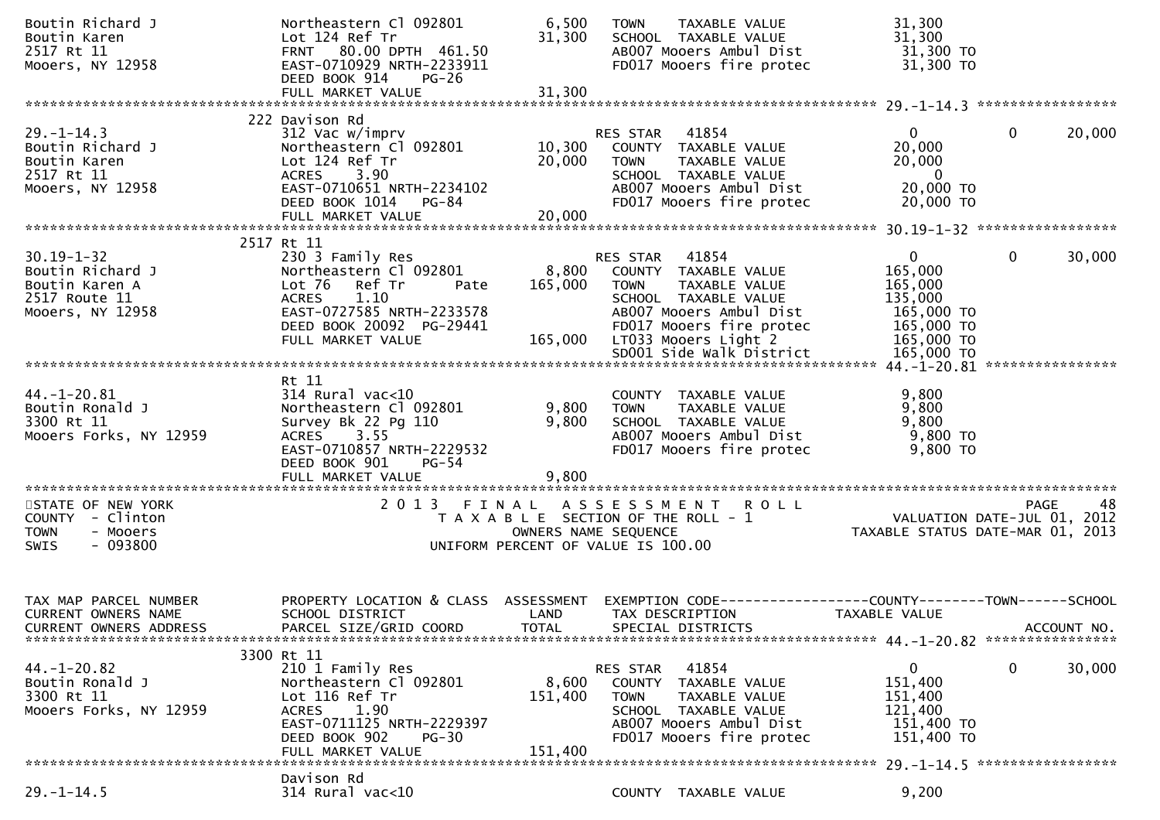| Boutin Richard J<br>Boutin Karen                            | Northeastern Cl 092801<br>Lot 124 Ref Tr              | 6,500<br>31,300      | TAXABLE VALUE<br><b>TOWN</b><br>SCHOOL TAXABLE VALUE                 | 31,300<br>31,300                                                       |                        |
|-------------------------------------------------------------|-------------------------------------------------------|----------------------|----------------------------------------------------------------------|------------------------------------------------------------------------|------------------------|
| 2517 Rt 11                                                  | FRNT 80.00 DPTH 461.50                                |                      | AB007 Mooers Ambul Dist                                              | 31,300 TO                                                              |                        |
| Mooers, NY 12958                                            | EAST-0710929 NRTH-2233911<br>DEED BOOK 914<br>$PG-26$ |                      | FD017 Mooers fire protec                                             | 31,300 TO                                                              |                        |
|                                                             |                                                       |                      |                                                                      |                                                                        |                        |
|                                                             |                                                       |                      |                                                                      |                                                                        |                        |
| $29. - 1 - 14.3$                                            | 222 Davison Rd<br>312 Vac w/imprv                     |                      | RES STAR 41854                                                       | $\mathbf{0}$                                                           | 0<br>20,000            |
| Boutin Richard J                                            | Northeastern Cl 092801                                |                      | 10,300 COUNTY TAXABLE VALUE                                          | 20,000                                                                 |                        |
| Boutin Karen                                                | Lot 124 Ref Tr                                        | 20,000               | <b>TOWN</b><br>TAXABLE VALUE                                         | 20,000                                                                 |                        |
| 2517 Rt 11                                                  | <b>ACRES</b><br>3.90                                  |                      | SCHOOL TAXABLE VALUE<br>AB007 Mooers Ambul Dist                      | $\overline{\mathbf{0}}$<br>20,000 TO                                   |                        |
| Mooers, NY 12958                                            | EAST-0710651 NRTH-2234102<br>DEED BOOK 1014 PG-84     |                      | FD017 Mooers fire protec                                             | 20,000 TO                                                              |                        |
|                                                             | FULL MARKET VALUE                                     | 20,000               |                                                                      |                                                                        |                        |
|                                                             |                                                       |                      |                                                                      |                                                                        |                        |
| $30.19 - 1 - 32$                                            | 2517 Rt 11<br>230 3 Family Res                        |                      | RES STAR 41854                                                       | $\mathbf{0}$                                                           | $\mathbf{0}$<br>30,000 |
| Boutin Richard J                                            | Northeastern Cl 092801                                |                      | 8,800 COUNTY TAXABLE VALUE                                           | 165,000                                                                |                        |
| Boutin Karen A                                              | Lot 76 Ref Tr<br>Pate                                 | 165,000              | TAXABLE VALUE<br><b>TOWN</b>                                         | 165,000                                                                |                        |
| 2517 Route 11                                               | 1.10<br><b>ACRES</b>                                  |                      | SCHOOL TAXABLE VALUE                                                 | 135,000                                                                |                        |
| Mooers, NY 12958                                            | EAST-0727585 NRTH-2233578<br>DEED BOOK 20092 PG-29441 |                      | AB007 Mooers Ambul Dist<br>FD017 Mooers fire protec                  | 165,000 TO<br>165,000 TO                                               |                        |
|                                                             | FULL MARKET VALUE                                     | 165,000              | LT033 Mooers Light 2                                                 | 165,000 TO                                                             |                        |
|                                                             |                                                       |                      | SD001 Side Walk District                                             | 165,000 TO                                                             |                        |
|                                                             |                                                       |                      |                                                                      |                                                                        |                        |
| $44. - 1 - 20.81$                                           | Rt 11<br>$314$ Rural vac<10                           |                      | COUNTY TAXABLE VALUE                                                 | 9,800                                                                  |                        |
| Boutin Ronald J                                             | Northeastern Cl 092801                                | 9,800                | <b>TOWN</b><br>TAXABLE VALUE                                         | 9,800                                                                  |                        |
| 3300 Rt 11                                                  | Survey Bk 22 Pg 110                                   | 9,800                | SCHOOL TAXABLE VALUE                                                 | 9,800                                                                  |                        |
| Mooers Forks, NY 12959                                      | ACRES 3.55<br>EAST-0710857 NRTH-2229532               |                      | AB007 Mooers Ambul Dist<br>FD017 Mooers fire protec                  | 9,800 TO<br>9,800 TO                                                   |                        |
|                                                             | DEED BOOK 901<br>PG-54                                |                      |                                                                      |                                                                        |                        |
|                                                             | FULL MARKET VALUE                                     | 9,800                |                                                                      |                                                                        |                        |
|                                                             |                                                       |                      |                                                                      |                                                                        |                        |
| STATE OF NEW YORK<br>COUNTY - Clinton                       | 2013 FINAL                                            |                      | A S S E S S M E N T R O L L<br>T A X A B L E SECTION OF THE ROLL - 1 | 98 PAGE<br>VALUATION DATE-JUL 01, 2012<br>TAXABLE STATUS DATE USE 2012 |                        |
| - Mooers<br><b>TOWN</b>                                     |                                                       |                      | OWNERS NAME SEQUENCE                                                 | TAXABLE STATUS DATE-MAR 01, 2013                                       |                        |
| $-093800$<br><b>SWIS</b>                                    |                                                       |                      | UNIFORM PERCENT OF VALUE IS 100.00                                   |                                                                        |                        |
|                                                             |                                                       |                      |                                                                      |                                                                        |                        |
|                                                             |                                                       |                      |                                                                      |                                                                        |                        |
| TAX MAP PARCEL NUMBER                                       | PROPERTY LOCATION & CLASS ASSESSMENT                  |                      | EXEMPTION CODE------------------COUNTY-------TOWN------SCHOOL        |                                                                        |                        |
| <b>CURRENT OWNERS NAME</b><br><b>CURRENT OWNERS ADDRESS</b> | SCHOOL DISTRICT<br>PARCEL SIZE/GRID COORD             | LAND<br><b>TOTAL</b> | TAX DESCRIPTION<br>SPECIAL DISTRICTS                                 | TAXABLE VALUE                                                          | ACCOUNT NO.            |
|                                                             |                                                       |                      |                                                                      |                                                                        |                        |
|                                                             | 3300 Rt 11                                            |                      |                                                                      |                                                                        |                        |
| $44. - 1 - 20.82$                                           | 210 1 Family Res                                      |                      | RES STAR 41854                                                       | 0<br>151,400                                                           | 0<br>30,000            |
| Boutin Ronald J<br>3300 Rt 11                               | Northeastern Cl 092801<br>Lot 116 Ref Tr              | 8,600<br>151,400     | COUNTY TAXABLE VALUE<br>TAXABLE VALUE<br><b>TOWN</b>                 | 151,400                                                                |                        |
| Mooers Forks, NY 12959                                      | ACRES 1.90                                            |                      | SCHOOL TAXABLE VALUE                                                 | 121,400                                                                |                        |
|                                                             | EAST-0711125 NRTH-2229397                             |                      | AB007 Mooers Ambul Dist                                              | 151,400 TO                                                             |                        |
|                                                             | DEED BOOK 902<br>$PG-30$<br>FULL MARKET VALUE         | 151,400              | FD017 Mooers fire protec                                             | 151,400 TO                                                             |                        |
|                                                             |                                                       |                      |                                                                      |                                                                        |                        |
|                                                             | Davison Rd                                            |                      |                                                                      |                                                                        |                        |
| $29. - 1 - 14.5$                                            | 314 Rural vac<10                                      |                      | COUNTY TAXABLE VALUE                                                 | 9,200                                                                  |                        |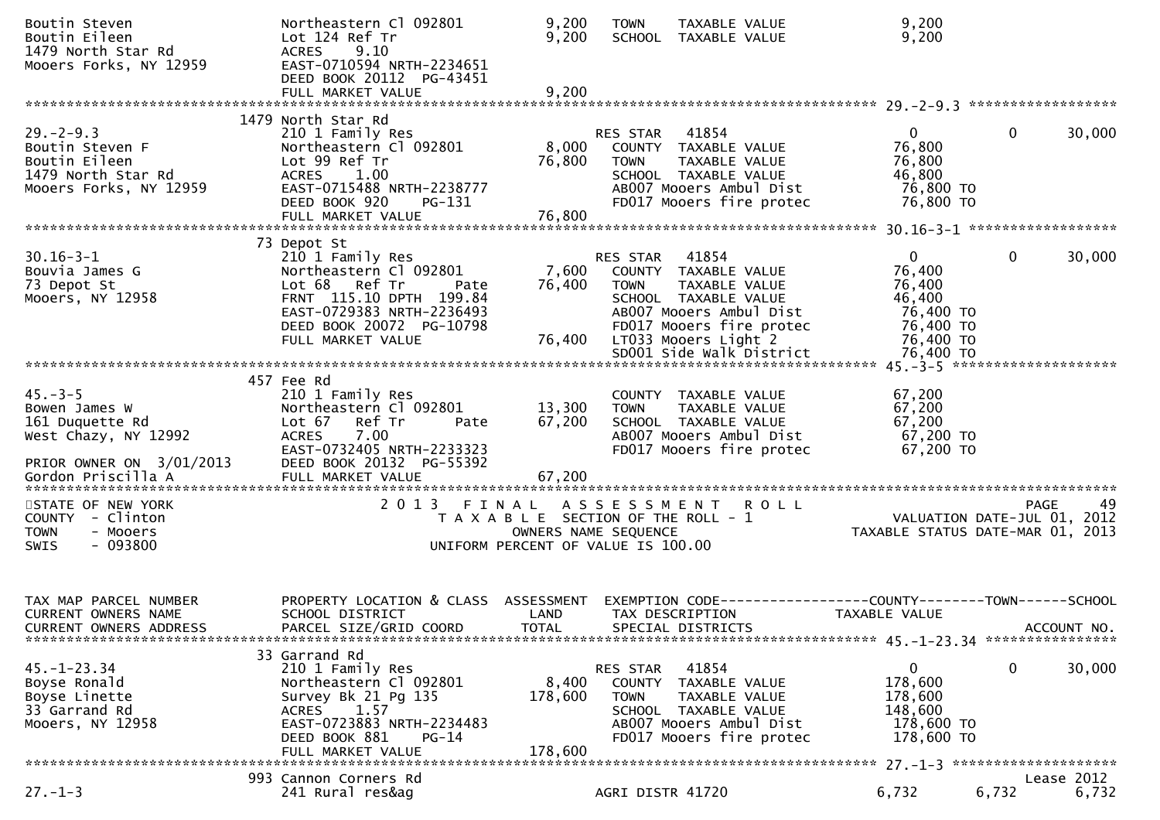| Boutin Steven<br>Boutin Eileen<br>1479 North Star Rd<br>Mooers Forks, NY 12959                                             | Northeastern Cl 092801<br>Lot 124 Ref Tr<br><b>ACRES</b><br>9.10<br>EAST-0710594 NRTH-2234651<br>DEED BOOK 20112 PG-43451                                                                   | 9,200<br>9,200              | TAXABLE VALUE<br><b>TOWN</b><br>SCHOOL TAXABLE VALUE                                                                                                                                                         | 9,200<br>9,200                                                                                   |                                                                 |
|----------------------------------------------------------------------------------------------------------------------------|---------------------------------------------------------------------------------------------------------------------------------------------------------------------------------------------|-----------------------------|--------------------------------------------------------------------------------------------------------------------------------------------------------------------------------------------------------------|--------------------------------------------------------------------------------------------------|-----------------------------------------------------------------|
|                                                                                                                            | FULL MARKET VALUE                                                                                                                                                                           | 9,200                       |                                                                                                                                                                                                              |                                                                                                  |                                                                 |
| $29. - 2 - 9.3$<br>Boutin Steven F<br>Boutin Eileen<br>1479 North Star Rd<br>Mooers Forks, NY 12959                        | 1479 North Star Rd<br>210 1 Family Res<br>Northeastern Cl 092801<br>Lot 99 Ref Tr<br><b>ACRES</b><br>1.00<br>EAST-0715488 NRTH-2238777<br>DEED BOOK 920<br>PG-131<br>FULL MARKET VALUE      | 8,000<br>76,800<br>76,800   | 41854<br>RES STAR<br>COUNTY TAXABLE VALUE<br>TAXABLE VALUE<br><b>TOWN</b><br>SCHOOL TAXABLE VALUE<br>AB007 Mooers Ambul Dist<br>FD017 Mooers fire protec                                                     | $\Omega$<br>76,800<br>76,800<br>46,800<br>76,800 TO<br>76,800 TO                                 | $\Omega$<br>30,000                                              |
|                                                                                                                            |                                                                                                                                                                                             |                             |                                                                                                                                                                                                              |                                                                                                  |                                                                 |
| $30.16 - 3 - 1$<br>Bouvia James G<br>73 Depot St<br>Mooers, NY 12958                                                       | 73 Depot St<br>210 1 Family Res<br>Northeastern Cl 092801<br>Lot 68 Ref Tr<br>Pate<br>FRNT 115.10 DPTH 199.84<br>EAST-0729383 NRTH-2236493<br>DEED BOOK 20072 PG-10798<br>FULL MARKET VALUE | 7,600<br>76,400<br>76,400   | 41854<br>RES STAR<br>COUNTY TAXABLE VALUE<br><b>TOWN</b><br>TAXABLE VALUE<br>SCHOOL TAXABLE VALUE<br>AB007 Mooers Ambul Dist<br>FD017 Mooers fire protec<br>LT033 Mooers Light 2<br>SD001 Side Walk District | $\overline{0}$<br>76,400<br>76,400<br>46,400<br>76,400 TO<br>76,400 TO<br>76,400 TO<br>76,400 TO | $\mathbf{0}$<br>30,000                                          |
|                                                                                                                            |                                                                                                                                                                                             |                             |                                                                                                                                                                                                              |                                                                                                  |                                                                 |
| $45 - 3 - 5$<br>Bowen James W<br>161 Duquette Rd<br>West Chazy, NY 12992<br>PRIOR OWNER ON 3/01/2013<br>Gordon Priscilla A | 457 Fee Rd<br>210 1 Family Res<br>Northeastern Cl 092801<br>Lot 67<br>Ref Tr<br>Pate<br>7.00<br><b>ACRES</b><br>EAST-0732405 NRTH-2233323<br>DEED BOOK 20132 PG-55392<br>FULL MARKET VALUE  | 13,300<br>67,200<br>67,200  | COUNTY TAXABLE VALUE<br>TAXABLE VALUE<br><b>TOWN</b><br>SCHOOL TAXABLE VALUE<br>AB007 Mooers Ambul Dist<br>FD017 Mooers fire protec                                                                          | 67,200<br>67,200<br>67,200<br>67,200 TO<br>67,200 TO                                             |                                                                 |
| STATE OF NEW YORK                                                                                                          | 2013 FINAL                                                                                                                                                                                  |                             | A S S E S S M E N T R O L L                                                                                                                                                                                  |                                                                                                  | 49<br><b>PAGE</b>                                               |
| COUNTY - Clinton<br><b>TOWN</b><br>- Mooers<br>$-093800$<br><b>SWIS</b>                                                    |                                                                                                                                                                                             |                             | T A X A B L E SECTION OF THE ROLL - 1<br>OWNERS NAME SEQUENCE<br>UNIFORM PERCENT OF VALUE IS 100.00                                                                                                          |                                                                                                  | VALUATION DATE-JUL 01, 2012<br>TAXABLE STATUS DATE-MAR 01, 2013 |
| TAX MAP PARCEL NUMBER<br>CURRENT OWNERS NAME<br><b>CURRENT OWNERS ADDRESS</b>                                              | PROPERTY LOCATION & CLASS ASSESSMENT<br>SCHOOL DISTRICT<br>PARCEL SIZE/GRID COORD                                                                                                           | LAND<br><b>TOTAL</b>        | EXEMPTION CODE-----------------COUNTY--------TOWN------SCHOOL<br>TAX DESCRIPTION<br>SPECIAL DISTRICTS                                                                                                        | TAXABLE VALUE                                                                                    | ACCOUNT NO.                                                     |
| $45. - 1 - 23.34$<br>Boyse Ronald<br>Boyse Linette<br>33 Garrand Rd<br>Mooers, NY 12958                                    | 33 Garrand Rd<br>210 1 Family Res<br>Northeastern Cl 092801<br>Survey Bk 21 Pg 135<br>1.57<br><b>ACRES</b><br>EAST-0723883 NRTH-2234483<br>DEED BOOK 881<br>$PG-14$<br>FULL MARKET VALUE    | 8,400<br>178,600<br>178,600 | 41854<br>RES STAR<br>COUNTY TAXABLE VALUE<br>TAXABLE VALUE<br><b>TOWN</b><br>SCHOOL TAXABLE VALUE<br>AB007 Mooers Ambul Dist<br>FD017 Mooers fire protec                                                     | 0<br>178,600<br>178,600<br>148,600<br>178,600 TO<br>178,600 TO                                   | $\mathbf 0$<br>30,000                                           |
|                                                                                                                            | 993 Cannon Corners Rd                                                                                                                                                                       |                             |                                                                                                                                                                                                              |                                                                                                  | Lease 2012                                                      |
| $27. - 1 - 3$                                                                                                              | 241 Rural res&ag                                                                                                                                                                            |                             | AGRI DISTR 41720                                                                                                                                                                                             | 6,732                                                                                            | 6,732<br>6,732                                                  |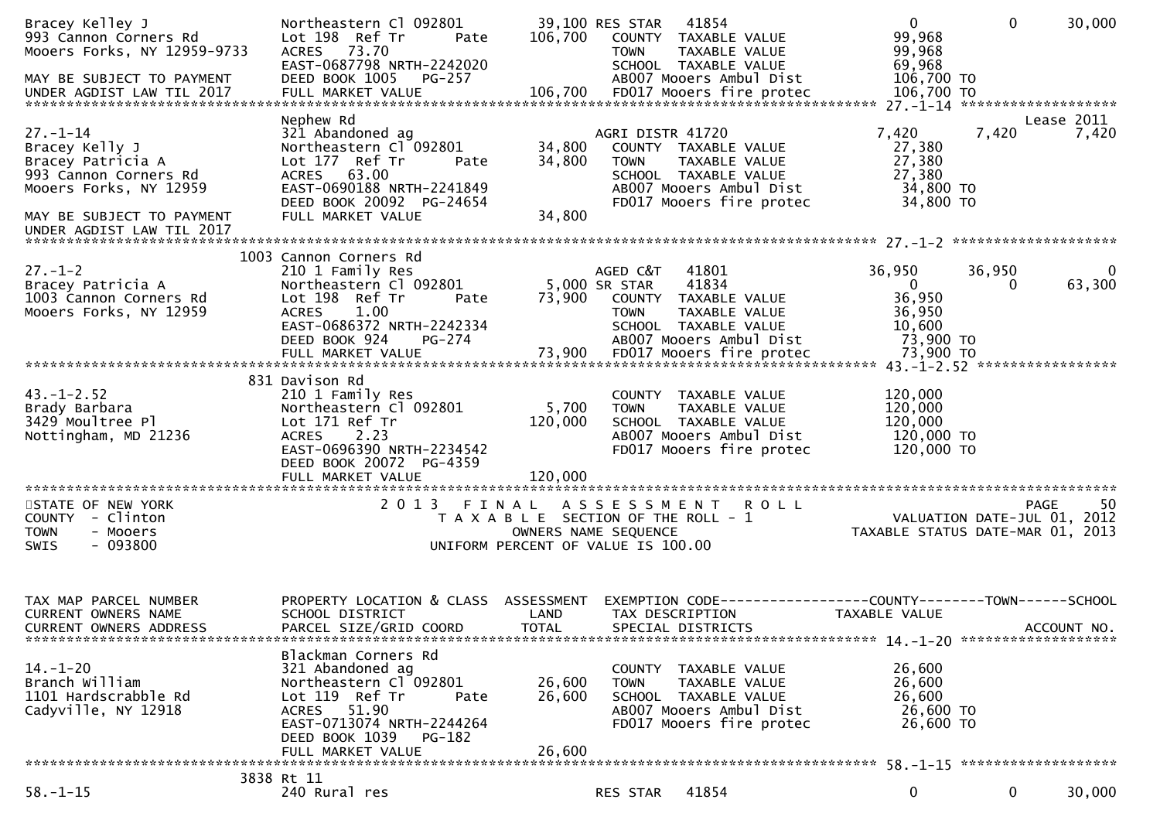| Bracey Kelley J<br>993 Cannon Corners Rd<br>Mooers Forks, NY 12959-9733<br>MAY BE SUBJECT TO PAYMENT<br>UNDER AGDIST LAW TIL 2017 | Northeastern Cl 092801<br>Lot 198 Ref Tr<br>Pate<br>ACRES 73.70<br>EAST-0687798 NRTH-2242020<br>DEED BOOK 1005<br>PG-257<br>FULL MARKET VALUE                                  | 106,700<br>106,700   | 39,100 RES STAR 41854<br>COUNTY TAXABLE VALUE<br>TAXABLE VALUE<br><b>TOWN</b><br>SCHOOL TAXABLE VALUE<br>AB007 Mooers Ambul Dist<br>FD017 Mooers fire protec | $\overline{0}$<br>99,968<br>99,968<br>69,968<br>106,700 TO<br>106,700 TO | $\overline{0}$     | 30,000                   |
|-----------------------------------------------------------------------------------------------------------------------------------|--------------------------------------------------------------------------------------------------------------------------------------------------------------------------------|----------------------|--------------------------------------------------------------------------------------------------------------------------------------------------------------|--------------------------------------------------------------------------|--------------------|--------------------------|
|                                                                                                                                   |                                                                                                                                                                                |                      |                                                                                                                                                              |                                                                          |                    |                          |
| $27. - 1 - 14$<br>Bracey Kelly J<br>Bracey Patricia A<br>993 Cannon Corners Rd<br>Mooers Forks, NY 12959                          | Nephew Rd<br>321 Abandoned ag<br>Northeastern Cl 092801<br>Lot 177 Ref Tr<br>Pate<br>ACRES 63.00<br>EAST-0690188 NRTH-2241849                                                  | 34,800<br>34,800     | AGRI DISTR 41720<br>COUNTY TAXABLE VALUE<br>TAXABLE VALUE<br><b>TOWN</b><br>SCHOOL TAXABLE VALUE<br>AB007 Mooers Ambul Dist                                  | 7,420<br>27,380<br>27,380<br>27,380<br>34,800 TO                         | 7,420              | Lease 2011<br>7,420      |
| MAY BE SUBJECT TO PAYMENT                                                                                                         | DEED BOOK 20092 PG-24654<br>FULL MARKET VALUE                                                                                                                                  | 34,800               | FD017 Mooers fire protec                                                                                                                                     | 34,800 TO                                                                |                    |                          |
|                                                                                                                                   |                                                                                                                                                                                |                      |                                                                                                                                                              |                                                                          |                    |                          |
| $27. - 1 - 2$<br>Bracey Patricia A<br>1003 Cannon Corners Rd<br>Mooers Forks, NY 12959                                            | 1003 Cannon Corners Rd<br>210 1 Family Res<br>Northeastern Cl 092801<br>Lot 198 Ref Tr<br>Pate<br><b>ACRES</b><br>1.00<br>EAST-0686372 NRTH-2242334<br>DEED BOOK 924<br>PG-274 | 73,900               | AGED C&T<br>41801<br>5,000 SR STAR<br>41834<br>COUNTY TAXABLE VALUE<br><b>TOWN</b><br>TAXABLE VALUE<br>SCHOOL TAXABLE VALUE<br>AB007 Mooers Ambul Dist       | 36,950<br>$\overline{0}$<br>36,950<br>36,950<br>10,600<br>73,900 TO      | 36,950<br>$\Omega$ | $\overline{0}$<br>63,300 |
|                                                                                                                                   |                                                                                                                                                                                |                      |                                                                                                                                                              |                                                                          |                    |                          |
|                                                                                                                                   |                                                                                                                                                                                |                      |                                                                                                                                                              |                                                                          |                    |                          |
| $43. - 1 - 2.52$<br>Brady Barbara<br>3429 Moultree Pl<br>Nottingham, MD 21236                                                     | 831 Davison Rd<br>210 1 Family Res<br>Northeastern Cl 092801<br>Lot 171 Ref Tr<br>ACRES 2.23<br>EAST-0696390 NRTH-2234542<br>DEED BOOK 20072 PG-4359                           | 5,700<br>120,000     | COUNTY TAXABLE VALUE<br>TAXABLE VALUE<br><b>TOWN</b><br>SCHOOL TAXABLE VALUE<br>AB007 Mooers Ambul Dist<br>FD017 Mooers fire protec                          | 120,000<br>120,000<br>120,000<br>120,000 TO<br>120,000 TO                |                    |                          |
|                                                                                                                                   | FULL MARKET VALUE                                                                                                                                                              | 120,000              |                                                                                                                                                              |                                                                          |                    |                          |
| STATE OF NEW YORK<br>COUNTY - Clinton<br><b>TOWN</b><br>- Mooers<br>$-093800$<br><b>SWIS</b>                                      | 2013 FINAL                                                                                                                                                                     |                      | ASSESSMENT ROLL<br>T A X A B L E SECTION OF THE ROLL - 1<br>OWNERS NAME SEQUENCE<br>UNIFORM PERCENT OF VALUE IS 100.00                                       | VALUATION DATE-JUL 01, 2012<br>TAXABLE STATUS DATE-MAR 01, 2013          |                    | -50<br>PAGE              |
|                                                                                                                                   |                                                                                                                                                                                |                      |                                                                                                                                                              |                                                                          |                    |                          |
| TAX MAP PARCEL NUMBER<br>CURRENT OWNERS NAME<br>CURRENT OWNERS ADDRESS                                                            | PROPERTY LOCATION & CLASS ASSESSMENT<br>SCHOOL DISTRICT<br>PARCEL SIZE/GRID COORD                                                                                              | LAND<br><b>TOTAL</b> | EXEMPTION CODE-----------------COUNTY-------TOWN------SCHOOL<br>TAX DESCRIPTION<br>SPECIAL DISTRICTS                                                         | TAXABLE VALUE                                                            |                    | ACCOUNT NO.              |
|                                                                                                                                   | Blackman Corners Rd                                                                                                                                                            |                      |                                                                                                                                                              |                                                                          |                    |                          |
| $14. - 1 - 20$<br>Branch William<br>1101 Hardscrabble Rd<br>Cadyville, NY 12918                                                   | 321 Abandoned ag<br>Northeastern Cl 092801<br>Lot 119 Ref Tr<br>Pate<br>ACRES 51.90<br>EAST-0713074 NRTH-2244264<br>DEED BOOK 1039<br><b>PG-182</b>                            | 26,600<br>26,600     | COUNTY TAXABLE VALUE<br>TAXABLE VALUE<br>TOWN<br>SCHOOL TAXABLE VALUE<br>AB007 Mooers Ambul Dist<br>FD017 Mooers fire protec                                 | 26,600<br>26,600<br>26,600<br>26,600 TO<br>26,600 TO                     |                    |                          |
|                                                                                                                                   | FULL MARKET VALUE                                                                                                                                                              | 26,600               |                                                                                                                                                              |                                                                          |                    |                          |
|                                                                                                                                   |                                                                                                                                                                                |                      |                                                                                                                                                              |                                                                          |                    |                          |
| $58. - 1 - 15$                                                                                                                    | 3838 Rt 11<br>240 Rural res                                                                                                                                                    |                      | 41854<br>RES STAR                                                                                                                                            | $\mathbf 0$                                                              | $\mathbf{0}$       | 30,000                   |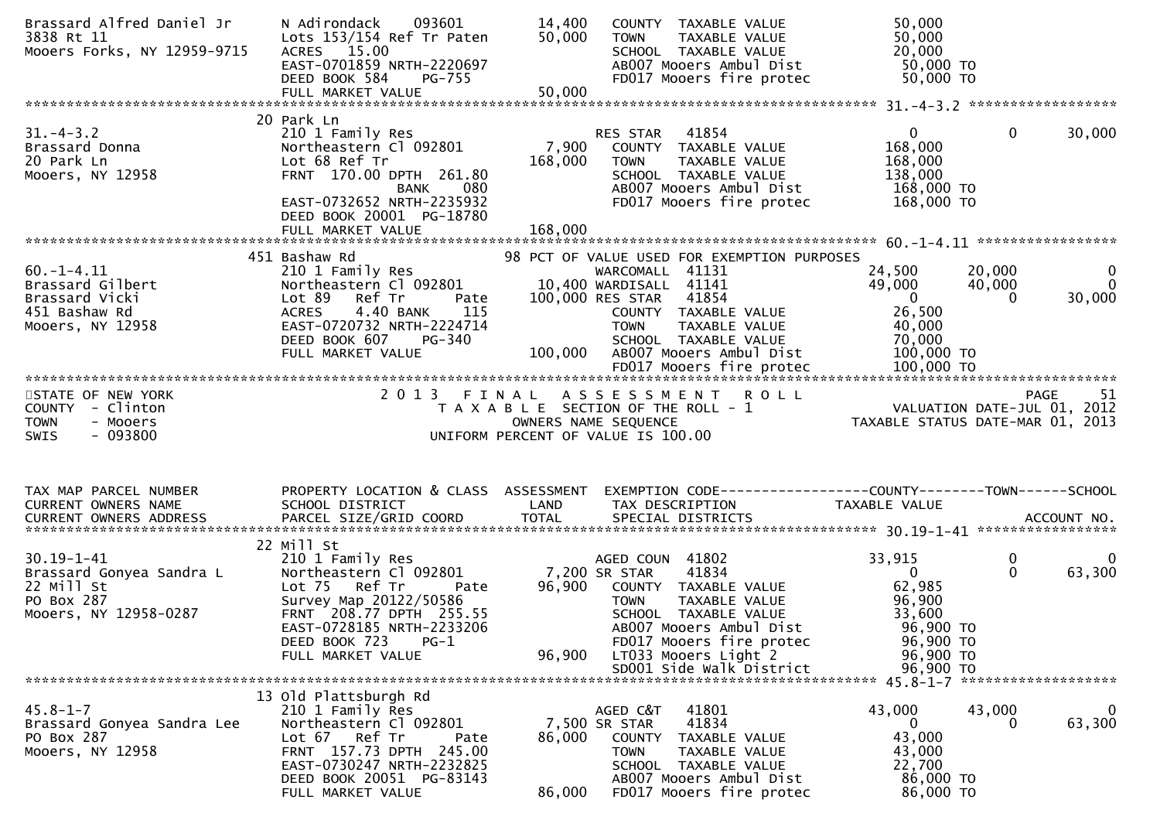| Brassard Alfred Daniel Jr<br>3838 Rt 11<br>Mooers Forks, NY 12959-9715                            | N Adirondack<br>093601<br>Lots 153/154 Ref Tr Paten<br>ACRES 15.00<br>EAST-0701859 NRTH-2220697<br>DEED BOOK 584<br>PG-755                                                                               | 14,400<br>50,000            | COUNTY TAXABLE VALUE<br>TAXABLE VALUE<br><b>TOWN</b><br>SCHOOL TAXABLE VALUE<br>AB007 Mooers Ambul Dist<br>FD017 Mooers fire protec                                                                                                   | 50,000<br>50,000<br>20,000<br>50,000 TO<br>50,000 TO                                                                                                 |
|---------------------------------------------------------------------------------------------------|----------------------------------------------------------------------------------------------------------------------------------------------------------------------------------------------------------|-----------------------------|---------------------------------------------------------------------------------------------------------------------------------------------------------------------------------------------------------------------------------------|------------------------------------------------------------------------------------------------------------------------------------------------------|
|                                                                                                   |                                                                                                                                                                                                          |                             |                                                                                                                                                                                                                                       |                                                                                                                                                      |
| $31. - 4 - 3.2$<br>אול ד-<br>Brassard Donna<br>הולח ה- הולח ה- ה<br>Mooers, NY 12958              | 20 Park Ln<br>210 1 Family Res<br>Northeastern Cl 092801<br>Lot 68 Ref Tr<br>FRNT 170.00 DPTH 261.80<br><b>BANK</b><br>080<br>EAST-0732652 NRTH-2235932<br>DEED BOOK 20001 PG-18780<br>FULL MARKET VALUE | 7,900<br>168,000<br>168,000 | RES STAR<br>41854<br>COUNTY TAXABLE VALUE<br>TAXABLE VALUE<br><b>TOWN</b><br>SCHOOL TAXABLE VALUE<br>AB007 Mooers Ambul Dist<br>FD017 Mooers fire protec                                                                              | $\mathbf{0}$<br>$\mathbf{0}$<br>30,000<br>168,000<br>168,000<br>138,000<br>168,000 TO<br>168,000 TO                                                  |
|                                                                                                   |                                                                                                                                                                                                          |                             |                                                                                                                                                                                                                                       |                                                                                                                                                      |
| $60. -1 - 4.11$<br>Brassard Gilbert<br>Brassard Vicki<br>451 Bashaw Rd<br>Mooers, NY 12958        | 451 Bashaw Rd<br>210 1 Family Res<br>Northeastern Cl 092801<br>Ref Tr<br>Lot 89<br>Pate<br>4.40 BANK<br>115<br>ACRES<br>EAST-0720732 NRTH-2224714<br>DEED BOOK 607<br>PG-340<br>FULL MARKET VALUE        |                             | 98 PCT OF VALUE USED FOR EXEMPTION PURPOSES<br>WARCOMALL 41131<br>10,400 WARDISALL 41141<br>100,000 RES STAR 41854<br>COUNTY TAXABLE VALUE<br><b>TOWN</b><br>TAXABLE VALUE<br>SCHOOL TAXABLE VALUE<br>100,000 AB007 Mooers Ambul Dist | 24,500<br>20,000<br>$\mathbf{0}$<br>$\Omega$<br>49,000<br>40,000<br>30,000<br>$\overline{0}$<br>$\Omega$<br>26,500<br>40,000<br>70,000<br>100,000 TO |
|                                                                                                   |                                                                                                                                                                                                          |                             |                                                                                                                                                                                                                                       |                                                                                                                                                      |
| STATE OF NEW YORK<br>COUNTY - Clinton<br><b>TOWN</b><br>- Mooers<br>$-093800$<br>SWIS             | 2 0 1 3                                                                                                                                                                                                  | FINAL                       | ASSESSMENT ROLL<br>T A X A B L E SECTION OF THE ROLL - 1<br>OWNERS NAME SEQUENCE<br>UNIFORM PERCENT OF VALUE IS 100.00                                                                                                                | PAGE<br>51<br>9 PAGE 51<br>2012 VALUATION DATE-JUL 01, 2012<br>2013 TAXABLE STATUS DATE-MAR 01, 2013                                                 |
|                                                                                                   |                                                                                                                                                                                                          |                             |                                                                                                                                                                                                                                       |                                                                                                                                                      |
| TAX MAP PARCEL NUMBER<br>CURRENT OWNERS NAME                                                      | PROPERTY LOCATION & CLASS ASSESSMENT<br>SCHOOL DISTRICT                                                                                                                                                  | LAND                        | TAX DESCRIPTION                                                                                                                                                                                                                       | EXEMPTION CODE-----------------COUNTY--------TOWN------SCHOOL<br>TAXABLE VALUE                                                                       |
| $30.19 - 1 - 41$<br>Brassard Gonyea Sandra L<br>22 Mill St<br>PO Box 287<br>Mooers, NY 12958-0287 | 22 Mill St<br>210 1 Family Res<br>Northeastern Cl 092801<br>Lot 75 Ref Tr<br>Pate<br>Survey Map 20122/50586<br>FRNT 208.77 DPTH 255.55<br>EAST-0728185 NRTH-2233206<br>DEED BOOK 723<br>$PG-1$           | 7,200 SR STAR<br>96,900     | AGED COUN 41802<br>41834<br>COUNTY TAXABLE VALUE<br>TAXABLE VALUE<br><b>TOWN</b><br>SCHOOL TAXABLE VALUE<br>AB007 Mooers Ambul Dist<br>FD017 Mooers fire protec                                                                       | 33,915<br>0<br>0<br>$\Omega$<br>63,300<br>$\Omega$<br>62,985<br>96,900<br>33,600<br>96,900 TO<br>96,900 TO                                           |
|                                                                                                   | FULL MARKET VALUE                                                                                                                                                                                        | 96,900                      | LT033 Mooers Light 2<br>SD001 Side Walk District                                                                                                                                                                                      | 96,900 TO<br>96,900 TO                                                                                                                               |
|                                                                                                   |                                                                                                                                                                                                          |                             |                                                                                                                                                                                                                                       |                                                                                                                                                      |
| $45.8 - 1 - 7$<br>Brassard Gonyea Sandra Lee<br>PO Box 287<br>Mooers, NY 12958                    | 13 Old Plattsburgh Rd<br>210 1 Family Res<br>Northeastern Cl 092801<br>Lot 67<br>Ref Tr<br>Pate<br>FRNT 157.73 DPTH 245.00<br>EAST-0730247 NRTH-2232825<br>DEED BOOK 20051 PG-83143<br>FULL MARKET VALUE | 86,000<br>86,000            | AGED C&T<br>41801<br>41834<br>7,500 SR STAR<br>COUNTY<br>TAXABLE VALUE<br><b>TOWN</b><br>TAXABLE VALUE<br>SCHOOL TAXABLE VALUE<br>AB007 Mooers Ambul Dist<br>FD017 Mooers fire protec                                                 | 43,000<br>43,000<br>$\bf{0}$<br>63,300<br>$\mathbf{0}$<br>0<br>43,000<br>43,000<br>22,700<br>86,000 TO<br>86,000 TO                                  |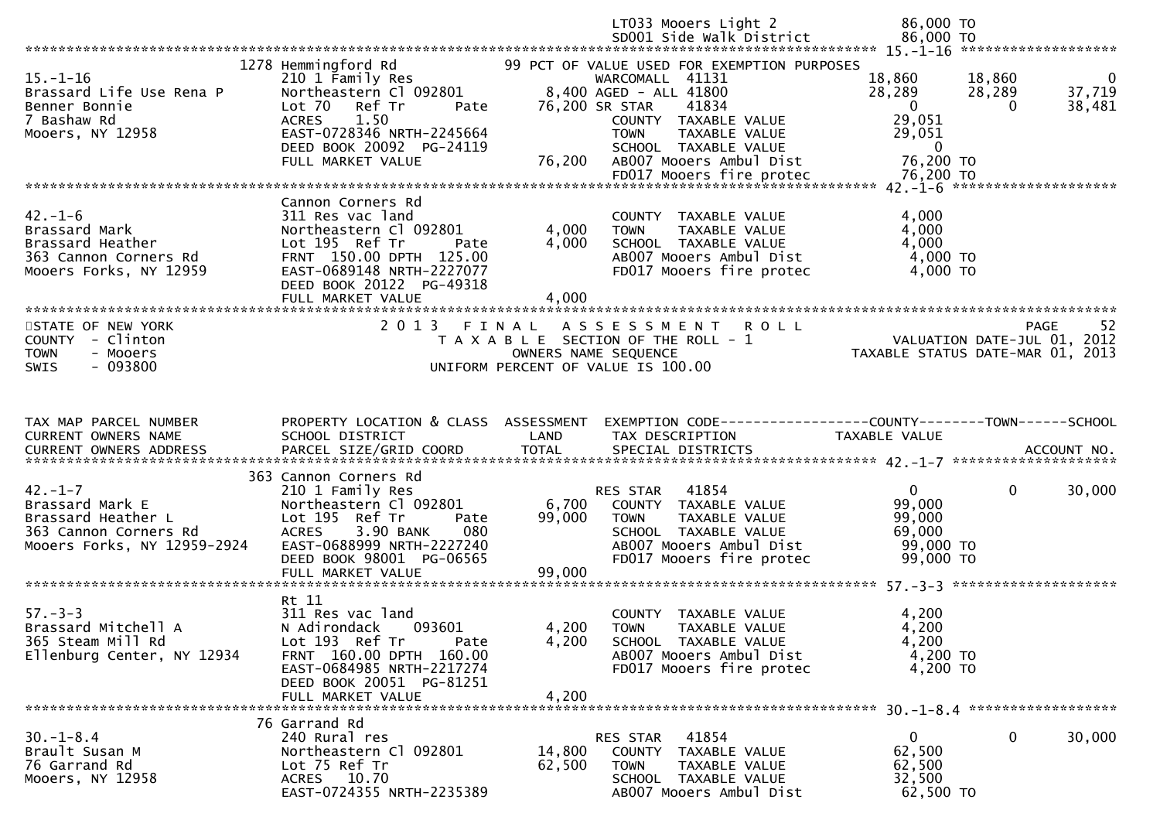|                                                                                                                |                                                                                                                                                                                                     |                         | LT033 Mooers Light 2<br>SD001 Side Walk District                                                                                                                                                                               | 86,000 TO<br>86,000 TO                                                 |                                                                    |
|----------------------------------------------------------------------------------------------------------------|-----------------------------------------------------------------------------------------------------------------------------------------------------------------------------------------------------|-------------------------|--------------------------------------------------------------------------------------------------------------------------------------------------------------------------------------------------------------------------------|------------------------------------------------------------------------|--------------------------------------------------------------------|
|                                                                                                                |                                                                                                                                                                                                     |                         |                                                                                                                                                                                                                                |                                                                        |                                                                    |
| $15. - 1 - 16$<br>Brassard Life Use Rena P<br>Benner Bonnie<br>7 Bashaw Rd<br>Mooers, NY 12958                 | 1278 Hemmingford Rd<br>210 1 Family Res<br>Northeastern Cl 092801<br>Ref Tr<br>Lot 70<br>Pate<br><b>ACRES</b><br>1.50<br>EAST-0728346 NRTH-2245664<br>DEED BOOK 20092 PG-24119<br>FULL MARKET VALUE | 76,200                  | 99 PCT OF VALUE USED FOR EXEMPTION PURPOSES<br>WARCOMALL 41131<br>8,400 AGED - ALL 41800<br>76,200 SR STAR<br>41834<br>COUNTY TAXABLE VALUE<br><b>TOWN</b><br>TAXABLE VALUE<br>SCHOOL TAXABLE VALUE<br>AB007 Mooers Ambul Dist | 18,860<br>28,289<br>$\mathbf{0}$<br>29,051<br>29,051<br>0<br>76,200 TO | 18,860<br>$\overline{0}$<br>37,719<br>28,289<br>38,481<br>$\Omega$ |
|                                                                                                                |                                                                                                                                                                                                     |                         |                                                                                                                                                                                                                                |                                                                        |                                                                    |
|                                                                                                                |                                                                                                                                                                                                     |                         |                                                                                                                                                                                                                                |                                                                        |                                                                    |
| $42. - 1 - 6$<br>Brassard Mark<br>Brassard Heather<br>363 Cannon Corners Rd<br>Mooers Forks, NY 12959          | Cannon Corners Rd<br>311 Res vac land<br>Northeastern Cl 092801<br>Lot 195 Ref Tr<br>Pate<br>FRNT 150.00 DPTH 125.00<br>EAST-0689148 NRTH-2227077<br>DEED BOOK 20122 PG-49318<br>FULL MARKET VALUE  | 4,000<br>4,000<br>4,000 | COUNTY TAXABLE VALUE<br>TAXABLE VALUE<br><b>TOWN</b><br>SCHOOL TAXABLE VALUE<br>AB007 Mooers Ambul Dist<br>FD017 Mooers fire protec                                                                                            | 4,000<br>4,000<br>4,000<br>4,000 TO<br>4,000 TO                        |                                                                    |
|                                                                                                                |                                                                                                                                                                                                     |                         |                                                                                                                                                                                                                                |                                                                        |                                                                    |
| STATE OF NEW YORK<br>COUNTY - Clinton<br>- Mooers<br><b>TOWN</b>                                               | 2 0 1 3                                                                                                                                                                                             | FINAL                   | <b>ROLL</b><br>A S S E S S M E N T<br>T A X A B L E SECTION OF THE ROLL - 1<br>OWNERS NAME SEQUENCE                                                                                                                            | VALUATION DATE-JUL 01, 2012<br>TAXABLE STATUS DATE-MAR 01, 2013        | <b>PAGE</b><br>52                                                  |
| $-093800$<br><b>SWIS</b>                                                                                       |                                                                                                                                                                                                     |                         | UNIFORM PERCENT OF VALUE IS 100.00                                                                                                                                                                                             |                                                                        |                                                                    |
|                                                                                                                |                                                                                                                                                                                                     |                         |                                                                                                                                                                                                                                |                                                                        |                                                                    |
| TAX MAP PARCEL NUMBER<br>CURRENT OWNERS NAME<br>CURRENT OWNERS ADDRESS                                         | PROPERTY LOCATION & CLASS ASSESSMENT<br>SCHOOL DISTRICT                                                                                                                                             | LAND                    | EXEMPTION CODE-----------------COUNTY--------TOWN------SCHOOL<br>TAX DESCRIPTION                                                                                                                                               | TAXABLE VALUE                                                          |                                                                    |
|                                                                                                                | 363 Cannon Corners Rd                                                                                                                                                                               |                         |                                                                                                                                                                                                                                |                                                                        |                                                                    |
| $42. - 1 - 7$<br>Brassard Mark E<br>Brassard Heather L<br>363 Cannon Corners Rd<br>Mooers Forks, NY 12959-2924 | 210 1 Family Res<br>Northeastern Cl 092801<br>Lot 195 Ref Tr<br>Pate<br><b>ACRES</b><br>3.90 BANK<br>080<br>EAST-0688999 NRTH-2227240<br>DEED BOOK 98001 PG-06565                                   | 6,700<br>99,000         | 41854<br>RES STAR<br>COUNTY TAXABLE VALUE<br>TAXABLE VALUE<br><b>TOWN</b><br>SCHOOL TAXABLE VALUE<br>AB007 Mooers Ambul Dist<br>FD017 Mooers fire protec                                                                       | $\mathbf{0}$<br>99,000<br>99,000<br>69,000<br>99,000 TO<br>99,000 TO   | $\mathbf 0$<br>30,000                                              |
|                                                                                                                | FULL MARKET VALUE                                                                                                                                                                                   | 99,000                  |                                                                                                                                                                                                                                |                                                                        |                                                                    |
| $57 - 3 - 3$<br>Brassard Mitchell A<br>365 Steam Mill Rd<br>Ellenburg Center, NY 12934                         | Rt 11<br>311 Res vac land<br>N Adirondack<br>093601<br>Lot 193 Ref Tr<br>Pate<br>FRNT 160.00 DPTH 160.00<br>EAST-0684985 NRTH-2217274<br>DEED BOOK 20051 PG-81251                                   | 4,200<br>4,200          | COUNTY<br>TAXABLE VALUE<br><b>TOWN</b><br>TAXABLE VALUE<br>SCHOOL TAXABLE VALUE<br>AB007 Mooers Ambul Dist<br>FD017 Mooers fire protec                                                                                         | 4,200<br>4,200<br>4,200<br>4,200 TO<br>4,200 TO                        |                                                                    |
|                                                                                                                | FULL MARKET VALUE                                                                                                                                                                                   | 4,200                   |                                                                                                                                                                                                                                |                                                                        |                                                                    |
|                                                                                                                | 76 Garrand Rd                                                                                                                                                                                       |                         |                                                                                                                                                                                                                                |                                                                        |                                                                    |
| $30. - 1 - 8.4$<br>Brault Susan M<br>76 Garrand Rd<br>Mooers, NY 12958                                         | 240 Rural res<br>Northeastern Cl 092801<br>Lot 75 Ref Tr<br>ACRES 10.70<br>EAST-0724355 NRTH-2235389                                                                                                | 14,800<br>62,500        | 41854<br>RES STAR<br>COUNTY TAXABLE VALUE<br>TAXABLE VALUE<br><b>TOWN</b><br>SCHOOL TAXABLE VALUE<br>AB007 Mooers Ambul Dist                                                                                                   | $\mathbf{0}$<br>62,500<br>62,500<br>32,500<br>62,500 TO                | 0<br>30,000                                                        |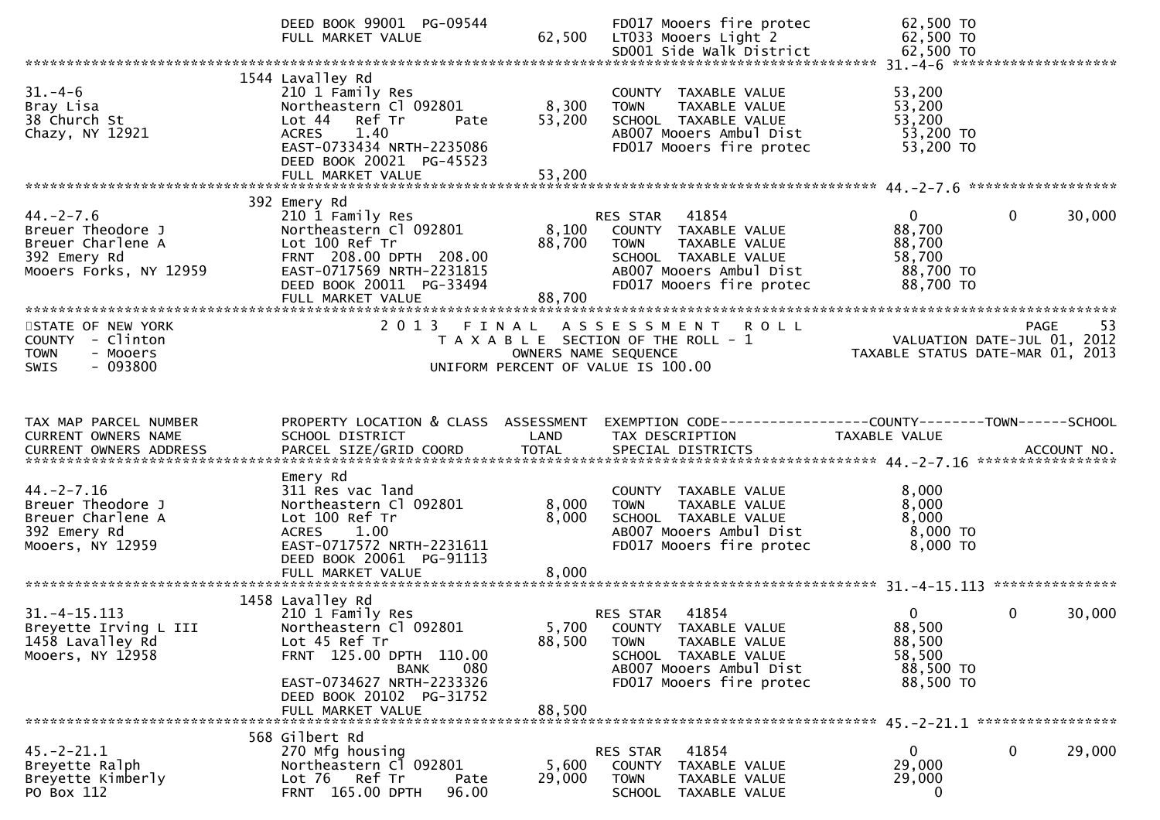|                                                                                                    | DEED BOOK 99001 PG-09544<br>FULL MARKET VALUE                                                                                                                                                               | 62,500                    | FD017 Mooers fire protec<br>LT033 Mooers Light 2<br>SD001 Side Walk District                                                                                   | 62,500 TO<br>62,500 TO<br>62,500 TO                                         |             |
|----------------------------------------------------------------------------------------------------|-------------------------------------------------------------------------------------------------------------------------------------------------------------------------------------------------------------|---------------------------|----------------------------------------------------------------------------------------------------------------------------------------------------------------|-----------------------------------------------------------------------------|-------------|
|                                                                                                    |                                                                                                                                                                                                             |                           |                                                                                                                                                                |                                                                             |             |
| $31. - 4 - 6$<br>Bray Lisa<br>38 Church St<br>Chazy, NY 12921                                      | 1544 Lavalley Rd<br>210 1 Family Res<br>Northeastern Cl 092801<br>Ref Tr<br>Lot <sub>44</sub><br>Pate<br><b>ACRES</b><br>1.40<br>EAST-0733434 NRTH-2235086<br>DEED BOOK 20021 PG-45523<br>FULL MARKET VALUE | 8,300<br>53,200<br>53,200 | COUNTY TAXABLE VALUE<br>TAXABLE VALUE<br><b>TOWN</b><br>SCHOOL TAXABLE VALUE<br>AB007 Mooers Ambul Dist<br>FD017 Mooers fire protec                            | 53,200<br>53,200<br>53,200<br>53,200 TO<br>53,200 TO                        |             |
|                                                                                                    | 392 Emery Rd                                                                                                                                                                                                |                           |                                                                                                                                                                |                                                                             |             |
| $44. -2 - 7.6$<br>Breuer Theodore J<br>Breuer Charlene A<br>392 Emery Rd<br>Mooers Forks, NY 12959 | 210 1 Family Res<br>Northeastern Cl 092801<br>Lot 100 Ref Tr<br>FRNT 208.00 DPTH 208.00<br>EAST-0717569 NRTH-2231815<br>DEED BOOK 20011 PG-33494<br>FULL MARKET VALUE                                       | 8,100<br>88,700<br>88,700 | 41854<br>RES STAR<br>COUNTY TAXABLE VALUE<br><b>TOWN</b><br>TAXABLE VALUE<br>SCHOOL TAXABLE VALUE<br>AB007 Mooers Ambul Dist<br>FD017 Mooers fire protec       | $\overline{0}$<br>0<br>88,700<br>88,700<br>58,700<br>88,700 TO<br>88,700 TO | 30,000      |
|                                                                                                    |                                                                                                                                                                                                             |                           |                                                                                                                                                                |                                                                             |             |
| STATE OF NEW YORK<br>COUNTY - Clinton<br><b>TOWN</b><br>- Mooers<br>$-093800$<br><b>SWIS</b>       | 2013 FINAL                                                                                                                                                                                                  | OWNERS NAME SEQUENCE      | A S S E S S M E N T R O L L<br>T A X A B L E SECTION OF THE ROLL - 1<br>UNIFORM PERCENT OF VALUE IS 100.00                                                     | VALUATION DATE-JUL 01, 2012<br>TAXABLE STATUS DATE-MAR 01, 2013             | -53<br>PAGE |
|                                                                                                    |                                                                                                                                                                                                             |                           |                                                                                                                                                                |                                                                             |             |
|                                                                                                    |                                                                                                                                                                                                             |                           |                                                                                                                                                                |                                                                             |             |
| TAX MAP PARCEL NUMBER<br>CURRENT OWNERS NAME                                                       | PROPERTY LOCATION & CLASS ASSESSMENT<br>SCHOOL DISTRICT                                                                                                                                                     | LAND                      | EXEMPTION        CODE------------------COUNTY-------TOWN------SCHOOL<br>TAX DESCRIPTION                                                                        | TAXABLE VALUE                                                               |             |
|                                                                                                    |                                                                                                                                                                                                             |                           |                                                                                                                                                                |                                                                             |             |
| $44. -2 - 7.16$<br>Breuer Theodore J<br>Breuer Charlene A<br>392 Emery Rd<br>Mooers, NY 12959      | Emery Rd<br>311 Res vac land<br>Northeastern Cl 092801<br>Lot 100 Ref Tr<br>ACRES 1.00<br>EAST-0717572 NRTH-2231611<br>DEED BOOK 20061 PG-91113                                                             | 8,000<br>8,000            | COUNTY TAXABLE VALUE<br><b>TOWN</b><br>TAXABLE VALUE<br>SCHOOL TAXABLE VALUE<br>AB007 Mooers Ambul Dist<br>FD017 Mooers fire protec                            | 8,000<br>8,000<br>8,000<br>$8,000$ TO<br>8,000 TO                           |             |
|                                                                                                    | FULL MARKET VALUE                                                                                                                                                                                           | 8,000                     |                                                                                                                                                                |                                                                             |             |
|                                                                                                    |                                                                                                                                                                                                             |                           |                                                                                                                                                                |                                                                             |             |
| $31. -4 - 15.113$<br>Breyette Irving L III<br>1458 Lavalley Rd<br>Mooers, NY 12958                 | 1458 Lavalley Rd<br>210 1 Family Res<br>Northeastern Cl 092801<br>Lot 45 Ref Tr<br>FRNT 125.00 DPTH 110.00<br><b>BANK</b><br>080<br>EAST-0734627 NRTH-2233326                                               | 88,500                    | 41854<br>RES STAR<br>5,700 COUNTY TAXABLE VALUE<br>TAXABLE VALUE<br><b>TOWN</b><br>SCHOOL TAXABLE VALUE<br>AB007 Mooers Ambul Dist<br>FD017 Mooers fire protec | $\mathbf{0}$<br>0<br>88,500<br>88,500<br>58,500<br>88,500 TO<br>88,500 TO   | 30,000      |
|                                                                                                    | DEED BOOK 20102 PG-31752<br>FULL MARKET VALUE                                                                                                                                                               | 88,500                    |                                                                                                                                                                |                                                                             |             |
|                                                                                                    | 568 Gilbert Rd                                                                                                                                                                                              |                           |                                                                                                                                                                |                                                                             |             |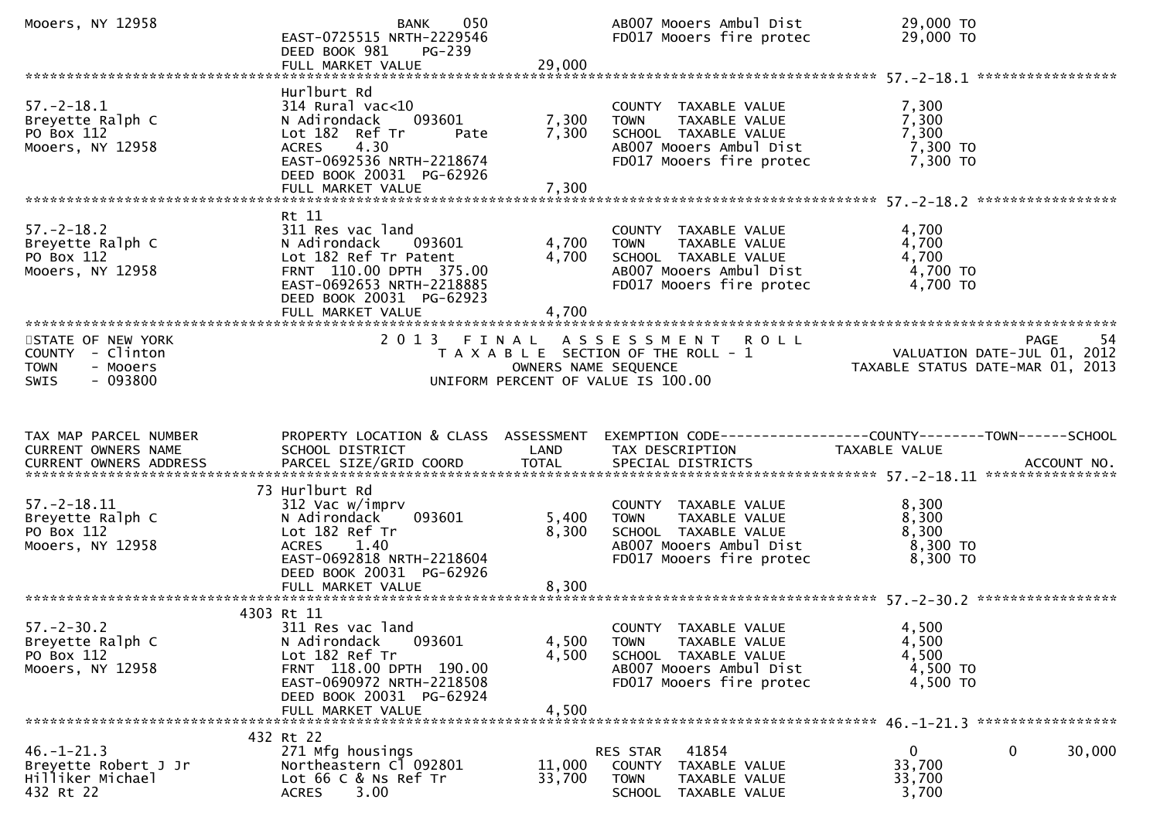| Mooers, NY 12958                                                        | 050<br><b>BANK</b><br>EAST-0725515 NRTH-2229546<br>DEED BOOK 981<br>PG-239<br>FULL MARKET VALUE                                                                                             | 29,000                  | AB007 Mooers Ambul Dist<br>FD017 Mooers fire protec                                                                                 | 29,000 TO<br>29,000 TO                                                   |                   |
|-------------------------------------------------------------------------|---------------------------------------------------------------------------------------------------------------------------------------------------------------------------------------------|-------------------------|-------------------------------------------------------------------------------------------------------------------------------------|--------------------------------------------------------------------------|-------------------|
|                                                                         |                                                                                                                                                                                             |                         |                                                                                                                                     |                                                                          |                   |
| $57. - 2 - 18.1$<br>Breyette Ralph C<br>PO Box 112<br>Mooers, NY 12958  | Hurlburt Rd<br>$314$ Rural vac<10<br>093601<br>N Adirondack<br>Lot 182 Ref Tr<br>Pate<br>4.30<br><b>ACRES</b><br>EAST-0692536 NRTH-2218674<br>DEED BOOK 20031 PG-62926<br>FULL MARKET VALUE | 7,300<br>7,300<br>7,300 | COUNTY TAXABLE VALUE<br>TAXABLE VALUE<br>TOWN<br>SCHOOL TAXABLE VALUE<br>AB007 Mooers Ambul Dist<br>FD017 Mooers fire protec        | 7,300<br>7,300<br>7,300<br>7,300 TO<br>7,300 TO                          |                   |
|                                                                         | Rt 11                                                                                                                                                                                       |                         |                                                                                                                                     |                                                                          |                   |
| $57. - 2 - 18.2$<br>Breyette Ralph C<br>PO Box 112<br>Mooers, NY 12958  | 311 Res vac land<br>N Adirondack 093601<br>Lot 182 Ref Tr Patent<br>FRNT 110.00 DPTH 375.00<br>EAST-0692653 NRTH-2218885<br>DEED BOOK 20031 PG-62923<br>FULL MARKET VALUE                   | 4,700<br>4,700<br>4,700 | COUNTY TAXABLE VALUE<br><b>TOWN</b><br>TAXABLE VALUE<br>SCHOOL TAXABLE VALUE<br>AB007 Mooers Ambul Dist<br>FD017 Mooers fire protec | 4,700<br>4,700<br>4,700<br>4,700 TO<br>$4,700$ TO                        |                   |
| STATE OF NEW YORK                                                       |                                                                                                                                                                                             |                         | 2013 FINAL ASSESSMENT ROLL                                                                                                          |                                                                          | <b>PAGE</b><br>54 |
| COUNTY - Clinton<br><b>TOWN</b><br>- Mooers<br>$-093800$<br><b>SWIS</b> |                                                                                                                                                                                             | OWNERS NAME SEQUENCE    | T A X A B L E SECTION OF THE ROLL - 1<br>UNIFORM PERCENT OF VALUE IS 100.00                                                         | ہے ہے<br>2012 ,VALUATION DATE-JUL 01<br>2013 ,TAXABLE STATUS DATE-MAR 01 |                   |
|                                                                         |                                                                                                                                                                                             |                         |                                                                                                                                     |                                                                          |                   |
| TAX MAP PARCEL NUMBER<br>CURRENT OWNERS NAME                            | SCHOOL DISTRICT                                                                                                                                                                             | LAND                    | PROPERTY LOCATION & CLASS ASSESSMENT EXEMPTION CODE----------------COUNTY-------TOWN------SCHOOL<br>TAX DESCRIPTION                 | TAXABLE VALUE                                                            |                   |
|                                                                         |                                                                                                                                                                                             |                         |                                                                                                                                     |                                                                          |                   |
| $57. - 2 - 18.11$<br>Breyette Ralph C<br>PO Box 112<br>Mooers, NY 12958 | 73 Hurlburt Rd<br>312 Vac w/imprv<br>N Adirondack<br>093601<br>Lot 182 Ref Tr<br>ACRES 1.40<br>EAST-0692818 NRTH-2218604<br>DEED BOOK 20031 PG-62926                                        | 5,400<br>8,300          | COUNTY TAXABLE VALUE<br>TAXABLE VALUE<br><b>TOWN</b><br>SCHOOL TAXABLE VALUE<br>AB007 Mooers Ambul Dist<br>FD017 Mooers fire protec | 8,300<br>8,300<br>8,300<br>8,300 TO<br>8,300 TO                          |                   |
|                                                                         |                                                                                                                                                                                             |                         |                                                                                                                                     |                                                                          |                   |
| $57. - 2 - 30.2$<br>Breyette Ralph C<br>PO Box 112<br>Mooers, NY 12958  | 4303 Rt 11<br>311 Res vac land<br>093601<br>N Adirondack<br>Lot 182 Ref Tr<br>FRNT 118.00 DPTH 190.00<br>EAST-0690972 NRTH-2218508<br>DEED BOOK 20031 PG-62924                              | 4,500<br>4,500          | COUNTY TAXABLE VALUE<br>TAXABLE VALUE<br><b>TOWN</b><br>SCHOOL TAXABLE VALUE<br>AB007 Mooers Ambul Dist<br>FD017 Mooers fire protec | 4,500<br>4,500<br>4,500<br>4,500 TO<br>4,500 TO                          |                   |
|                                                                         | 432 Rt 22                                                                                                                                                                                   |                         |                                                                                                                                     |                                                                          |                   |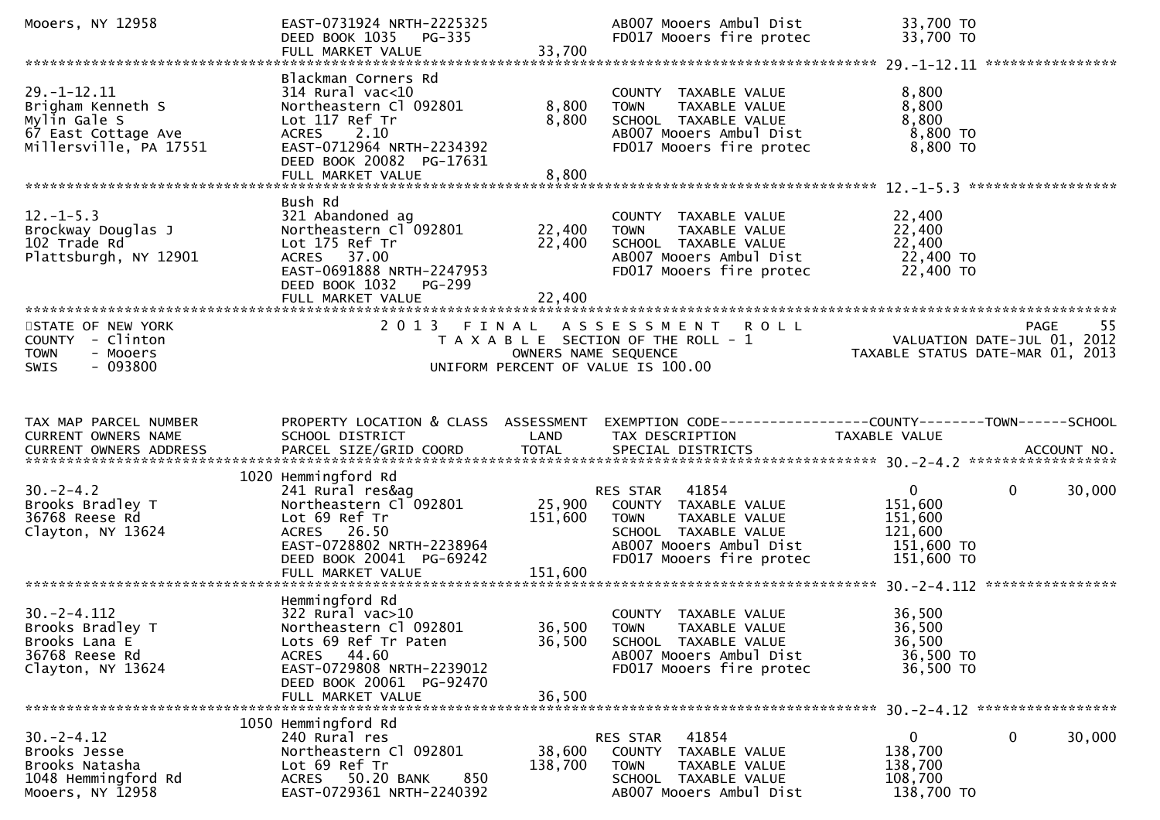| Mooers, NY 12958                                                                                                                        | EAST-0731924 NRTH-2225325<br>DEED BOOK 1035 PG-335<br>FULL MARKET VALUE                                                                                             | 33,700                     | AB007 Mooers Ambul Dist<br>FD017 Mooers fire protec                                                                                                   | 33,700 TO<br>33,700 TO                                                         |                   |
|-----------------------------------------------------------------------------------------------------------------------------------------|---------------------------------------------------------------------------------------------------------------------------------------------------------------------|----------------------------|-------------------------------------------------------------------------------------------------------------------------------------------------------|--------------------------------------------------------------------------------|-------------------|
|                                                                                                                                         |                                                                                                                                                                     |                            |                                                                                                                                                       |                                                                                |                   |
| $29. - 1 - 12.11$<br>Brigham Kenneth S<br>Mylin Gale S<br>67 East Cottage Ave<br>Millersville, PA 17551                                 | Blackman Corners Rd<br>$314$ Rural vac<10<br>Northeastern Cl 092801<br>Lot 117 Ref Tr<br>ACRES 2.10<br>EAST-0712964 NRTH-2234392<br>DEED BOOK 20082 PG-17631        | 8,800<br>8,800             | COUNTY TAXABLE VALUE<br>TAXABLE VALUE<br><b>TOWN</b><br>SCHOOL TAXABLE VALUE<br>AB007 Mooers Ambul Dist<br>FD017 Mooers fire protec                   | 8,800<br>8,800<br>8,800<br>8,800 TO<br>8,800 TO                                |                   |
|                                                                                                                                         | Bush Rd                                                                                                                                                             |                            |                                                                                                                                                       |                                                                                |                   |
| $12. - 1 - 5.3$<br>Brockway Douglas J<br>102 Trade Rd<br>Plattsburgh, NY 12901                                                          | 321 Abandoned ag<br>Northeastern Cl <sup>-</sup> 092801<br>Lot 175 Ref Tr<br>ACRES 37.00<br>EAST-0691888 NRTH-2247953<br>DEED BOOK 1032 PG-299<br>FULL MARKET VALUE | 22,400<br>22,400<br>22,400 | COUNTY TAXABLE VALUE<br><b>TOWN</b><br>TAXABLE VALUE<br>SCHOOL TAXABLE VALUE<br>AB007 Mooers Ambul Dist<br>FD017 Mooers fire protec                   | 22,400<br>22,400<br>22,400<br>22,400 TO<br>22,400 TO                           |                   |
|                                                                                                                                         |                                                                                                                                                                     |                            |                                                                                                                                                       |                                                                                |                   |
| STATE OF NEW YORK<br>COUNTY - Clinton<br><b>TOWN</b><br>- Mooers<br>$-093800$<br>SWIS                                                   |                                                                                                                                                                     | OWNERS NAME SEQUENCE       | 2013 FINAL ASSESSMENT ROLL<br>T A X A B L E SECTION OF THE ROLL - 1<br>UNIFORM PERCENT OF VALUE IS 100.00                                             | رر<br>2012 ,VALUATION DATE-JUL 01<br>2013 ,TAXABLE STATUS DATE-MAR 01          | <b>PAGE</b><br>55 |
|                                                                                                                                         |                                                                                                                                                                     |                            |                                                                                                                                                       |                                                                                |                   |
|                                                                                                                                         |                                                                                                                                                                     |                            |                                                                                                                                                       |                                                                                |                   |
| TAX MAP PARCEL NUMBER<br>CURRENT OWNERS NAME<br>CURRENT OWNERS ADDRESS PARCEL SIZE/GRID COORD TOTAL SPECIAL DISTRICTS 70-12 ACCOUNT NO. | PROPERTY LOCATION & CLASS ASSESSMENT<br>SCHOOL DISTRICT                                                                                                             | LAND                       | EXEMPTION CODE-----------------COUNTY-------TOWN------SCHOOL<br>TAX DESCRIPTION                                                                       | TAXABLE VALUE                                                                  |                   |
|                                                                                                                                         | 1020 Hemmingford Rd                                                                                                                                                 |                            |                                                                                                                                                       |                                                                                |                   |
| $30. -2 - 4.2$<br>Brooks Bradley T<br>36768 Reese Rd<br>Clayton, NY 13624                                                               | 241 Rural res&ag<br>Northeastern Cl 092801<br>Lot 69 Ref Tr<br>ACRES 26.50<br>EAST-0728802 NRTH-2238964<br>DEED BOOK 20041 PG-69242                                 | 25,900<br>151,600          | RES STAR 41854<br>COUNTY TAXABLE VALUE<br><b>TOWN</b><br>TAXABLE VALUE<br>SCHOOL TAXABLE VALUE<br>AB007 Mooers Ambul Dist<br>FD017 Mooers fire protec | $\mathbf{0}$<br>0<br>151,600<br>151,600<br>121,600<br>151,600 TO<br>151,600 TO | 30,000            |
|                                                                                                                                         | FULL MARKET VALUE                                                                                                                                                   | 151,600                    |                                                                                                                                                       |                                                                                |                   |
|                                                                                                                                         | Hemmingford Rd                                                                                                                                                      |                            |                                                                                                                                                       |                                                                                |                   |
| $30. -2 - 4.112$<br>Brooks Bradley T<br>Brooks Lana E<br>36768 Reese Rd<br>Clayton, NY 13624                                            | 322 Rural vac>10<br>Northeastern Cl 092801<br>Lots 69 Ref Tr Paten<br>ACRES 44.60<br>EAST-0729808 NRTH-2239012<br>DEED BOOK 20061 PG-92470                          | 36,500<br>36,500           | COUNTY TAXABLE VALUE<br><b>TOWN</b><br>TAXABLE VALUE<br>SCHOOL TAXABLE VALUE<br>AB007 Mooers Ambul Dist<br>FD017 Mooers fire protec                   | 36,500<br>36,500<br>36,500<br>36,500 TO<br>36,500 TO                           |                   |
|                                                                                                                                         | FULL MARKET VALUE                                                                                                                                                   | 36,500                     |                                                                                                                                                       |                                                                                |                   |
|                                                                                                                                         | 1050 Hemmingford Rd                                                                                                                                                 |                            |                                                                                                                                                       |                                                                                |                   |
| $30. -2 - 4.12$<br>Brooks Jesse<br>Brooks Natasha<br>1048 Hemmingford Rd<br>Mooers, NY 12958                                            | 240 Rural res<br>Northeastern Cl 092801<br>Lot 69 Ref Tr<br>ACRES 50.20 BANK<br>850<br>EAST-0729361 NRTH-2240392                                                    | 38,600<br>138,700          | 41854<br>RES STAR<br>COUNTY TAXABLE VALUE<br><b>TOWN</b><br>TAXABLE VALUE<br>SCHOOL TAXABLE VALUE<br>AB007 Mooers Ambul Dist                          | 0<br>0<br>138,700<br>138,700<br>108,700<br>138,700 TO                          | 30,000            |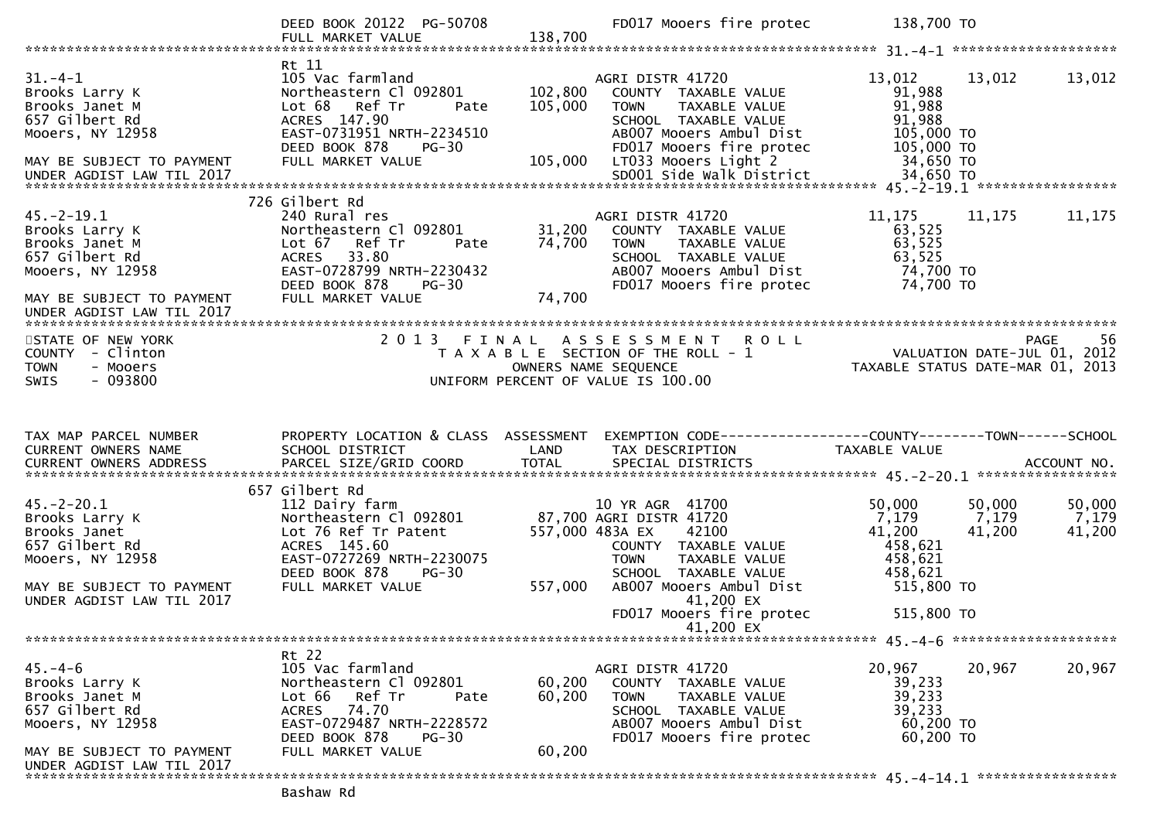|                                                                                                                                                   | DEED BOOK 20122 PG-50708                                                                                                                                                         |                               | FD017 Mooers fire protec                                                                                                                                                                       | 138,700 TO                                                                                 |                                                        |
|---------------------------------------------------------------------------------------------------------------------------------------------------|----------------------------------------------------------------------------------------------------------------------------------------------------------------------------------|-------------------------------|------------------------------------------------------------------------------------------------------------------------------------------------------------------------------------------------|--------------------------------------------------------------------------------------------|--------------------------------------------------------|
|                                                                                                                                                   |                                                                                                                                                                                  |                               |                                                                                                                                                                                                |                                                                                            |                                                        |
| $31 - 4 - 1$<br>Brooks Larry K<br>Brooks Janet M<br>657 Gilbert Rd<br>Mooers, NY 12958<br>MAY BE SUBJECT TO PAYMENT                               | Rt 11<br>105 Vac farmland<br>Northeastern Cl 092801<br>Lot 68<br>Ref Tr<br>Pate<br>ACRES 147.90<br>EAST-0731951 NRTH-2234510<br>DEED BOOK 878<br>$PG-30$<br>FULL MARKET VALUE    | 102,800<br>105,000<br>105,000 | AGRI DISTR 41720<br>COUNTY TAXABLE VALUE<br>TAXABLE VALUE<br><b>TOWN</b><br>SCHOOL TAXABLE VALUE<br>AB007 Mooers Ambul Dist<br>FD017 Mooers fire protec<br>LT033 Mooers Light 2                | 13,012<br>91,988<br>91,988<br>91,988<br>105,000 TO<br>105,000 TO<br>34,650 TO<br>34,650 TO | 13,012<br>13,012                                       |
|                                                                                                                                                   |                                                                                                                                                                                  |                               |                                                                                                                                                                                                |                                                                                            |                                                        |
| $45.-2-19.1$<br>Brooks Larry K<br>Brooks Janet M<br>657 Gilbert Rd<br>Mooers, NY 12958<br>MAY BE SUBJECT TO PAYMENT<br>UNDER AGDIST LAW TIL 2017  | 726 Gilbert Rd<br>240 Rural res<br>Northeastern Cl 092801<br>Lot 67 Ref Tr<br>Pate<br>ACRES 33.80<br>EAST-0728799 NRTH-2230432<br>DEED BOOK 878<br>PG-30<br>FULL MARKET VALUE    | 31,200<br>74,700<br>74,700    | AGRI DISTR 41720<br>COUNTY TAXABLE VALUE<br><b>TOWN</b><br>TAXABLE VALUE<br>SCHOOL TAXABLE VALUE<br>AB007 Mooers Ambul Dist<br>FD017 Mooers fire protec                                        | 11, 175<br>63,525<br>63,525<br>63,525<br>74,700 TO<br>74,700 TO                            | 11,175<br>11,175                                       |
| STATE OF NEW YORK<br>COUNTY - Clinton<br><b>TOWN</b><br>- Mooers<br>$-093800$<br><b>SWIS</b>                                                      | 2 0 1 3                                                                                                                                                                          |                               | FINAL ASSESSMENT ROLL<br>T A X A B L E SECTION OF THE ROLL - 1<br>OWNERS NAME SEQUENCE<br>UNIFORM PERCENT OF VALUE IS 100.00                                                                   | N I K O L L<br>VALUATION DATE-JUL 01, 2012<br>TAXABLE STATUS DATE-MAR 01, 2013             | 56<br>PAGE                                             |
|                                                                                                                                                   |                                                                                                                                                                                  |                               |                                                                                                                                                                                                |                                                                                            |                                                        |
| TAX MAP PARCEL NUMBER<br>CURRENT OWNERS NAME                                                                                                      | PROPERTY LOCATION & CLASS ASSESSMENT<br>SCHOOL DISTRICT                                                                                                                          | LAND                          | EXEMPTION CODE------------------COUNTY--------TOWN------SCHOOL<br>TAX DESCRIPTION                                                                                                              | TAXABLE VALUE                                                                              |                                                        |
| $45. -2 - 20.1$<br>Brooks Larry K<br>Brooks Janet<br>657 Gilbert Rd<br>Mooers, NY 12958<br>MAY BE SUBJECT TO PAYMENT<br>UNDER AGDIST LAW TIL 2017 | 657 Gilbert Rd<br>112 Dairy farm<br>Northeastern Cl 092801<br>Lot 76 Ref Tr Patent<br>ACRES 145.60<br>EAST-0727269 NRTH-2230075<br>$PG-30$<br>DEED BOOK 878<br>FULL MARKET VALUE | 557,000                       | 10 YR AGR 41700<br>87,700 AGRI DISTR 41720<br>557,000 483A EX<br>42100<br>COUNTY TAXABLE VALUE<br><b>TOWN</b><br>TAXABLE VALUE<br>SCHOOL TAXABLE VALUE<br>AB007 Mooers Ambul Dist<br>41,200 EX | 50,000<br>7,179<br>41,200<br>458,621<br>458,621<br>458,621<br>515,800 TO                   | 50,000<br>50,000<br>7,179<br>7,179<br>41,200<br>41,200 |
|                                                                                                                                                   |                                                                                                                                                                                  |                               | FD017 Mooers fire protec<br>41,200 EX                                                                                                                                                          | 515,800 TO                                                                                 |                                                        |
|                                                                                                                                                   |                                                                                                                                                                                  |                               |                                                                                                                                                                                                |                                                                                            |                                                        |
| $45. - 4 - 6$<br>Brooks Larry K<br>Brooks Janet M<br>657 Gilbert Rd<br>Mooers, NY 12958                                                           | Rt 22<br>105 Vac farmland<br>Northeastern Cl 092801<br>Lot 66 Ref Tr<br>Pate<br>ACRES 74.70<br>EAST-0729487 NRTH-2228572<br>DEED BOOK 878<br><b>PG-30</b>                        | 60,200<br>60,200              | AGRI DISTR 41720<br>COUNTY TAXABLE VALUE<br><b>TOWN</b><br>TAXABLE VALUE<br>SCHOOL TAXABLE VALUE<br>AB007 Mooers Ambul Dist<br>FD017 Mooers fire protec                                        | 20,967<br>39,233<br>39,233<br>39,233<br>60,200 TO<br>60,200 TO                             | 20,967<br>20,967                                       |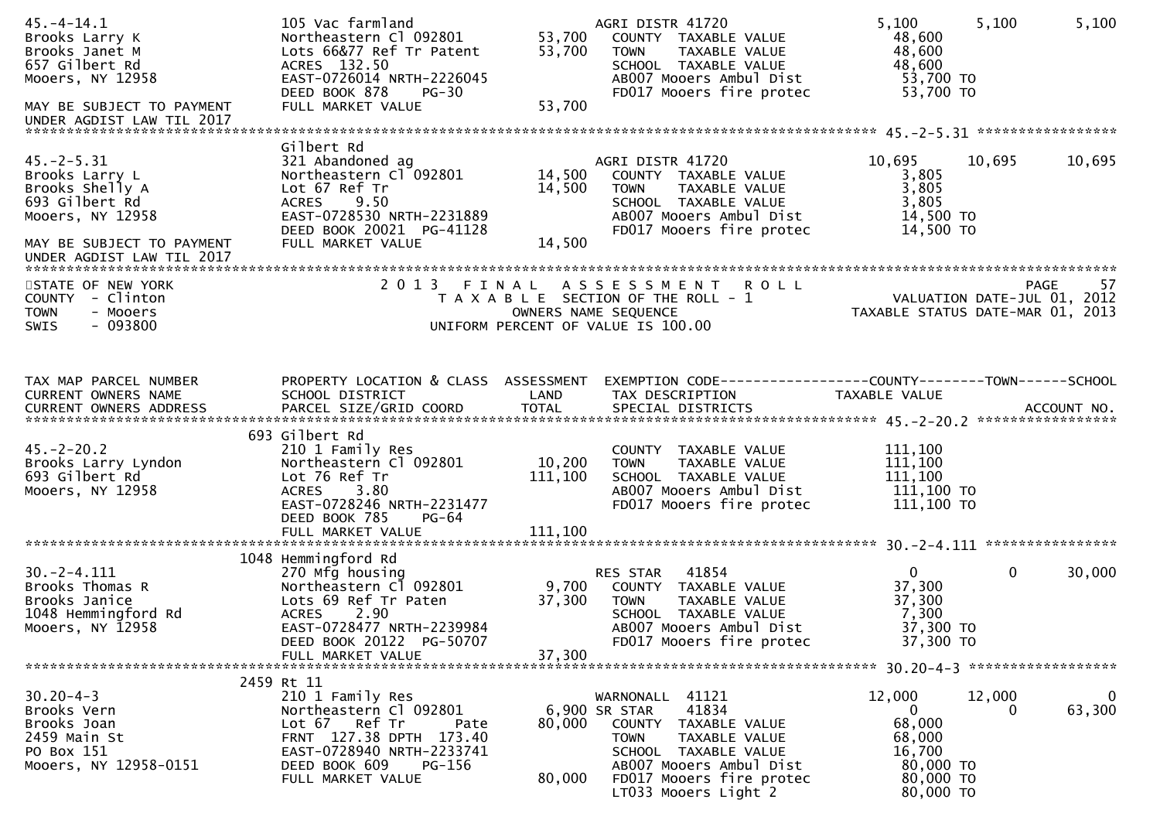| $45. - 4 - 14.1$<br>Brooks Larry K<br>Brooks Janet M<br>657 Gilbert Rd<br>Mooers, NY 12958<br>MAY BE SUBJECT TO PAYMENT<br>UNDER AGDIST LAW TIL 2017 | 105 Vac farmland<br>Northeastern Cl 092801<br>Lots 66&77 Ref Tr Patent<br>ACRES 132.50<br>EAST-0726014 NRTH-2226045<br>DEED BOOK 878<br><b>PG-30</b><br>FULL MARKET VALUE                    | 53,700<br>53,700<br>53,700 | AGRI DISTR 41720<br>COUNTY TAXABLE VALUE<br><b>TOWN</b><br>TAXABLE VALUE<br>SCHOOL TAXABLE VALUE<br>AB007 Mooers Ambul Dist<br>FD017 Mooers fire protec                                                  | 5,100<br>48,600<br>48,600<br>48,600<br>53,700 TO<br>53,700 TO                               | 5,100       | 5,100                                     |
|------------------------------------------------------------------------------------------------------------------------------------------------------|----------------------------------------------------------------------------------------------------------------------------------------------------------------------------------------------|----------------------------|----------------------------------------------------------------------------------------------------------------------------------------------------------------------------------------------------------|---------------------------------------------------------------------------------------------|-------------|-------------------------------------------|
|                                                                                                                                                      | Gilbert Rd                                                                                                                                                                                   |                            |                                                                                                                                                                                                          |                                                                                             |             |                                           |
| $45. -2 - 5.31$<br>Brooks Larry L<br>Brooks Shelly A<br>693 Gilbert Rd<br>Mooers, NY 12958                                                           | 321 Abandoned ag<br>Northeastern Cl 092801<br>Lot 67 Ref Tr<br>9.50<br><b>ACRES</b><br>EAST-0728530 NRTH-2231889<br>DEED BOOK 20021 PG-41128                                                 | 14,500<br>14,500           | AGRI DISTR 41720<br>COUNTY TAXABLE VALUE<br>TAXABLE VALUE<br><b>TOWN</b><br>SCHOOL TAXABLE VALUE<br>AB007 Mooers Ambul Dist<br>FD017 Mooers fire protec                                                  | 10,695<br>3,805<br>3,805<br>3,805<br>14,500 TO<br>14,500 TO                                 | 10,695      | 10,695                                    |
| MAY BE SUBJECT TO PAYMENT<br>UNDER AGDIST LAW TIL 2017                                                                                               | FULL MARKET VALUE                                                                                                                                                                            | 14,500                     |                                                                                                                                                                                                          |                                                                                             |             |                                           |
| STATE OF NEW YORK<br>COUNTY - Clinton<br><b>TOWN</b><br>- Mooers<br>$-093800$<br>SWIS                                                                | 2013 FINAL                                                                                                                                                                                   |                            | ASSESSMENT ROLL<br>T A X A B L E SECTION OF THE ROLL - 1<br>OWNERS NAME SEQUENCE<br>UNIFORM PERCENT OF VALUE IS 100.00                                                                                   | TAXABLE STATUS DATE-MAR 01, 2013                                                            |             | 57<br>PAGE<br>VALUATION DATE-JUL 01, 2012 |
| TAX MAP PARCEL NUMBER                                                                                                                                | PROPERTY LOCATION & CLASS ASSESSMENT                                                                                                                                                         |                            | EXEMPTION CODE-----------------COUNTY-------TOWN------SCHOOL                                                                                                                                             |                                                                                             |             |                                           |
| CURRENT OWNERS NAME                                                                                                                                  | SCHOOL DISTRICT                                                                                                                                                                              | LAND                       | TAX DESCRIPTION                                                                                                                                                                                          | TAXABLE VALUE                                                                               |             |                                           |
| $45. -2 - 20.2$<br>Brooks Larry Lyndon<br>693 Gilbert Rd<br>Mooers, NY 12958                                                                         | 693 Gilbert Rd<br>210 1 Family Res<br>Northeastern Cl 092801<br>Lot 76 Ref Tr<br>3.80<br><b>ACRES</b><br>EAST-0728246 NRTH-2231477<br>DEED BOOK 785<br>$PG-64$                               | 10,200<br>111,100          | COUNTY TAXABLE VALUE<br>TAXABLE VALUE<br><b>TOWN</b><br>SCHOOL TAXABLE VALUE<br>AB007 Mooers Ambul Dist<br>FD017 Mooers fire protec                                                                      | 111,100<br>111,100<br>111,100<br>111,100 TO<br>111,100 TO                                   |             |                                           |
|                                                                                                                                                      | FULL MARKET VALUE                                                                                                                                                                            | 111,100                    |                                                                                                                                                                                                          |                                                                                             |             |                                           |
| $30. -2 - 4.111$<br>Brooks Thomas R<br>Brooks Janice<br>1048 Hemmingford Rd<br>Mooers, NY 12958                                                      | 1048 Hemmingford Rd<br>270 Mfg housing<br>Northeastern Cl 092801<br>Lots 69 Ref Tr Paten<br>2.90<br><b>ACRES</b><br>EAST-0728477 NRTH-2239984<br>DEED BOOK 20122 PG-50707                    | 37,300                     | 41854<br>RES STAR<br>9,700 COUNTY TAXABLE VALUE<br><b>TOWN</b><br>TAXABLE VALUE<br>SCHOOL TAXABLE VALUE<br>AB007 Mooers Ambul Dist<br>FD017 Mooers fire protec                                           | $\mathbf{0}$<br>37,300<br>37,300<br>7,300<br>37,300 TO<br>37,300 TO                         | $\mathbf 0$ | 30,000                                    |
|                                                                                                                                                      | FULL MARKET VALUE                                                                                                                                                                            | 37,300                     |                                                                                                                                                                                                          |                                                                                             |             |                                           |
| $30.20 - 4 - 3$<br>Brooks Vern<br>Brooks Joan<br>2459 Main St<br>PO Box 151<br>Mooers, NY 12958-0151                                                 | 2459 Rt 11<br>210 1 Family Res<br>Northeastern Cl 092801<br>Ref Tr<br>Lot 67<br>Pate<br>FRNT 127.38 DPTH 173.40<br>EAST-0728940 NRTH-2233741<br>DEED BOOK 609<br>PG-156<br>FULL MARKET VALUE | 80,000<br>80,000           | WARNONALL 41121<br>41834<br>6,900 SR STAR<br>COUNTY TAXABLE VALUE<br><b>TOWN</b><br>TAXABLE VALUE<br>SCHOOL TAXABLE VALUE<br>AB007 Mooers Ambul Dist<br>FD017 Mooers fire protec<br>LT033 Mooers Light 2 | 12,000<br>$\mathbf{0}$<br>68,000<br>68,000<br>16,700<br>80,000 TO<br>80,000 TO<br>80,000 TO | 12,000<br>0 | $\overline{0}$<br>63,300                  |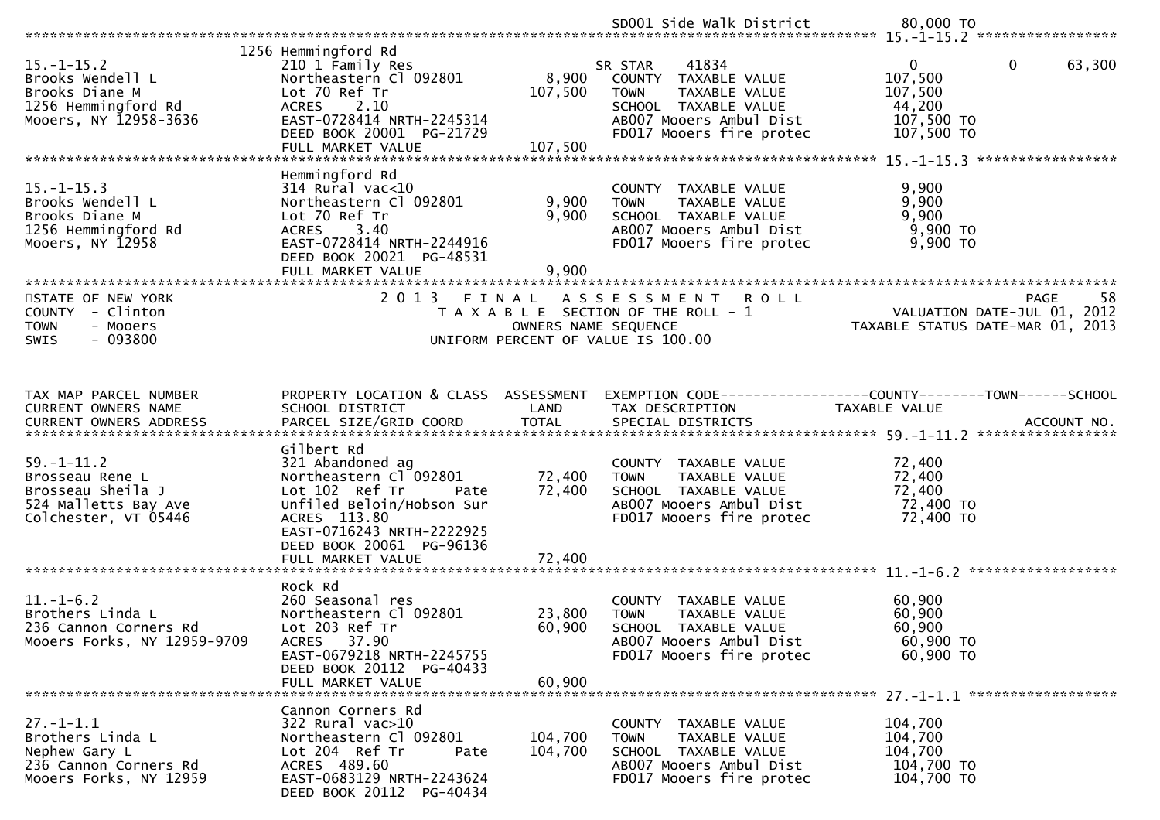|                                                                                                          |                                                                                                                                                                                                               |                             | SD001 Side Walk District                                                                                                                                | 80,000 TO                                                                               |
|----------------------------------------------------------------------------------------------------------|---------------------------------------------------------------------------------------------------------------------------------------------------------------------------------------------------------------|-----------------------------|---------------------------------------------------------------------------------------------------------------------------------------------------------|-----------------------------------------------------------------------------------------|
|                                                                                                          |                                                                                                                                                                                                               |                             |                                                                                                                                                         |                                                                                         |
| $15. - 1 - 15.2$<br>Brooks Wendell L<br>Brooks Diane M<br>1256 Hemmingford Rd<br>Mooers, NY 12958-3636   | 1256 Hemmingford Rd<br>210 1 Family Res<br>Northeastern Cl 092801<br>Lot 70 Ref Tr<br>ACRES 2.10<br>EAST-0728414 NRTH-2245314<br>DEED BOOK 20001 PG-21729<br>FULL MARKET VALUE                                | 8,900<br>107,500<br>107,500 | 41834<br>SR STAR<br>COUNTY TAXABLE VALUE<br><b>TOWN</b><br>TAXABLE VALUE<br>SCHOOL TAXABLE VALUE<br>AB007 Mooers Ambul Dist<br>FD017 Mooers fire protec | $\mathbf{0}$<br>63,300<br>0<br>107,500<br>107,500<br>44,200<br>107,500 TO<br>107,500 TO |
|                                                                                                          |                                                                                                                                                                                                               |                             |                                                                                                                                                         |                                                                                         |
| $15. - 1 - 15.3$<br>Brooks Wendell L<br>Brooks Diane M<br>1256 Hemmingford Rd<br>Mooers, NY 12958        | Hemmingford Rd<br>314 Rural vac<10<br>Northeastern Cl 092801<br>Lot 70 Ref Tr<br>3.40<br><b>ACRES</b><br>EAST-0728414 NRTH-2244916<br>DEED BOOK 20021 PG-48531<br>FULL MARKET VALUE                           | 9,900<br>9,900<br>9,900     | COUNTY TAXABLE VALUE<br>TAXABLE VALUE<br><b>TOWN</b><br>SCHOOL TAXABLE VALUE<br>AB007 Mooers Ambul Dist<br>FD017 Mooers fire protec                     | 9,900<br>9,900<br>9,900<br>9,900 TO<br>9,900 TO                                         |
|                                                                                                          |                                                                                                                                                                                                               |                             |                                                                                                                                                         |                                                                                         |
| STATE OF NEW YORK<br>- Clinton<br><b>COUNTY</b><br><b>TOWN</b><br>- Mooers<br>$-093800$<br>SWIS          | 2013 FINAL                                                                                                                                                                                                    | OWNERS NAME SEQUENCE        | A S S E S S M E N T<br><b>ROLL</b><br>T A X A B L E SECTION OF THE ROLL - 1<br>UNIFORM PERCENT OF VALUE IS 100.00                                       | -58<br>PAGE<br>VALUATION DATE-JUL 01, 2012<br>TAXABLE STATUS DATE-MAR 01, 2013          |
| TAX MAP PARCEL NUMBER                                                                                    | PROPERTY LOCATION & CLASS ASSESSMENT                                                                                                                                                                          |                             |                                                                                                                                                         | EXEMPTION CODE-----------------COUNTY-------TOWN------SCHOOL                            |
| CURRENT OWNERS NAME                                                                                      | SCHOOL DISTRICT                                                                                                                                                                                               | LAND                        | TAX DESCRIPTION                                                                                                                                         | TAXABLE VALUE                                                                           |
| $59. - 1 - 11.2$<br>Brosseau Rene L<br>Brosseau Sheila J<br>524 Malletts Bay Ave<br>Colchester, VT 05446 | Gilbert Rd<br>321 Abandoned ag<br>Northeastern Cl 092801<br>Lot 102 Ref Tr<br>Pate<br>Unfiled Beloin/Hobson Sur<br>ACRES 113.80<br>EAST-0716243 NRTH-2222925<br>DEED BOOK 20061 PG-96136<br>FULL MARKET VALUE | 72,400<br>72,400<br>72,400  | COUNTY TAXABLE VALUE<br>TAXABLE VALUE<br><b>TOWN</b><br>SCHOOL TAXABLE VALUE<br>AB007 Mooers Ambul Dist<br>FD017 Mooers fire protec                     | 72,400<br>72,400<br>72,400<br>72,400 TO<br>72,400 TO                                    |
|                                                                                                          |                                                                                                                                                                                                               |                             |                                                                                                                                                         |                                                                                         |
| $11.-1-6.2$<br>Brothers Linda L<br>236 Cannon Corners Rd<br>Mooers Forks, NY 12959-9709                  | Rock Rd<br>260 Seasonal res<br>Northeastern Cl 092801<br>Lot 203 Ref Tr<br>ACRES 37.90<br>EAST-0679218 NRTH-2245755<br>DEED BOOK 20112 PG-40433<br>FULL MARKET VALUE                                          | 23,800<br>60,900<br>60,900  | COUNTY TAXABLE VALUE<br><b>TOWN</b><br>TAXABLE VALUE<br>SCHOOL TAXABLE VALUE<br>AB007 Mooers Ambul Dist<br>FD017 Mooers fire protec                     | 60,900<br>60,900<br>60,900<br>60,900 ТО<br>60,900 TO                                    |
|                                                                                                          | Cannon Corners Rd                                                                                                                                                                                             |                             |                                                                                                                                                         |                                                                                         |
| $27. - 1 - 1.1$<br>Brothers Linda L<br>Nephew Gary L<br>236 Cannon Corners Rd<br>Mooers Forks, NY 12959  | 322 Rural vac>10<br>Northeastern Cl 092801<br>Lot 204 Ref Tr<br>Pate<br>ACRES 489.60<br>EAST-0683129 NRTH-2243624<br>DEED BOOK 20112 PG-40434                                                                 | 104,700<br>104,700          | COUNTY TAXABLE VALUE<br><b>TOWN</b><br>TAXABLE VALUE<br>SCHOOL TAXABLE VALUE<br>AB007 Mooers Ambul Dist<br>FD017 Mooers fire protec                     | 104,700<br>104,700<br>104,700<br>104,700 TO<br>104,700 TO                               |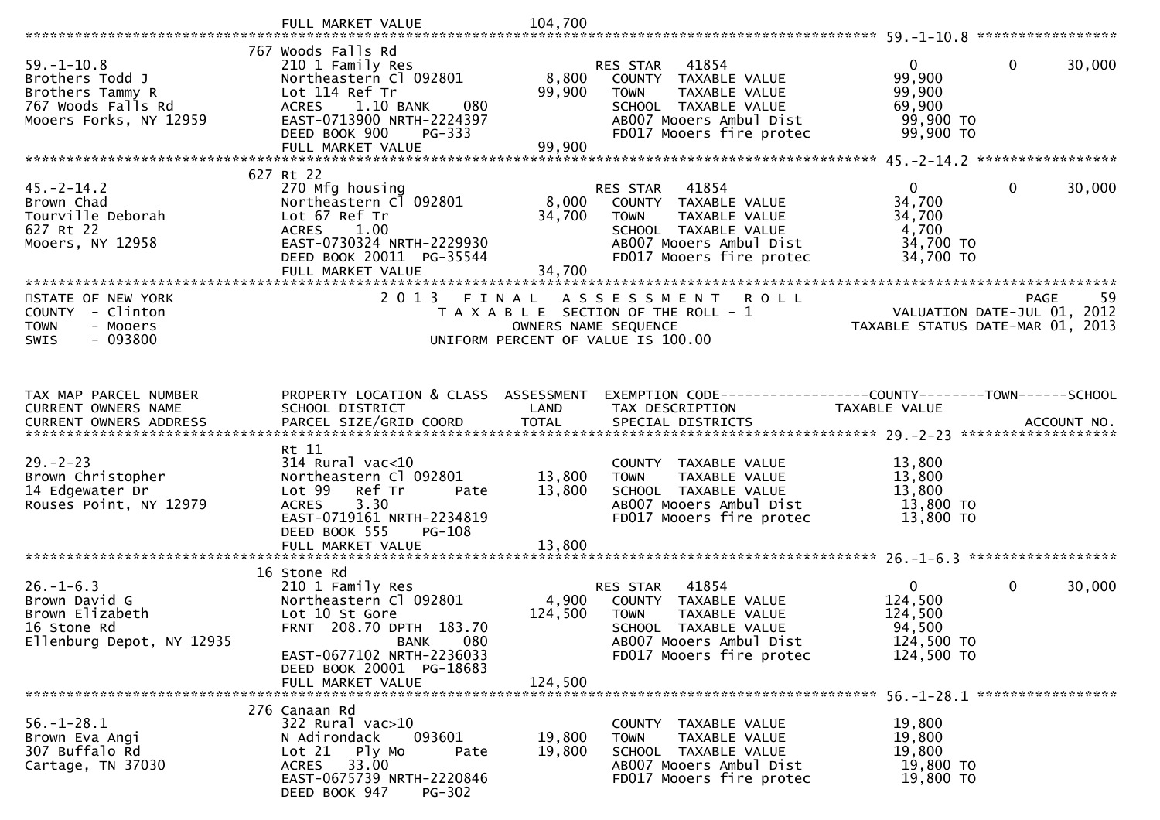|                                             | FULL MARKET VALUE                                           | 104,700              |                                                      |                                                                 |        |
|---------------------------------------------|-------------------------------------------------------------|----------------------|------------------------------------------------------|-----------------------------------------------------------------|--------|
| $59. - 1 - 10.8$                            | 767 Woods Falls Rd<br>210 1 Family Res                      |                      | 41854<br>RES STAR                                    | $\mathbf{0}$<br>0                                               | 30,000 |
| Brothers Todd J                             | Northeastern Cl 092801                                      | 8,800                | COUNTY TAXABLE VALUE                                 | 99,900                                                          |        |
| Brothers Tammy R<br>767 Woods Falls Rd      | Lot 114 Ref Tr                                              | 99,900               | <b>TOWN</b><br>TAXABLE VALUE<br>SCHOOL TAXABLE VALUE | 99,900                                                          |        |
| Mooers Forks, NY 12959                      | ACRES 1.10 BANK<br>080<br>EAST-0713900 NRTH-2224397         |                      | AB007 Mooers Ambul Dist                              | 69,900<br>99,900 TO                                             |        |
|                                             | DEED BOOK 900<br>PG-333                                     |                      | FD017 Mooers fire protec                             | 99,900 TO                                                       |        |
|                                             | FULL MARKET VALUE                                           | 99,900               |                                                      |                                                                 |        |
|                                             | 627 Rt 22                                                   |                      |                                                      |                                                                 |        |
| $45. -2 - 14.2$                             | 270 Mfg housing                                             |                      | RES STAR<br>41854                                    | 0<br>0                                                          | 30,000 |
| Brown Chad                                  | Northeastern Cl 092801                                      | 8,000                | COUNTY TAXABLE VALUE                                 | 34,700                                                          |        |
| Tourville Deborah                           | Lot 67 Ref Tr                                               | 34,700               | TAXABLE VALUE<br><b>TOWN</b>                         | 34,700                                                          |        |
| 627 Rt 22                                   | <b>ACRES</b><br>1.00<br>EAST-0730324 NRTH-2229930           |                      | SCHOOL TAXABLE VALUE<br>AB007 Mooers Ambul Dist      | 4,700<br>34,700 TO                                              |        |
| Mooers, NY 12958                            | DEED BOOK 20011 PG-35544                                    |                      | FD017 Mooers fire protec                             | 34,700 TO                                                       |        |
|                                             | FULL MARKET VALUE                                           | 34,700               |                                                      |                                                                 |        |
|                                             | ******************************                              |                      |                                                      |                                                                 |        |
| STATE OF NEW YORK                           | 2 0 1 3                                                     | FINAL                | A S S E S S M E N T<br><b>ROLL</b>                   | <b>PAGE</b>                                                     | 59     |
| COUNTY - Clinton<br><b>TOWN</b><br>- Mooers |                                                             | OWNERS NAME SEQUENCE | T A X A B L E SECTION OF THE ROLL - 1                | VALUATION DATE-JUL 01, 2012<br>TAXABLE STATUS DATE-MAR 01, 2013 |        |
| $-093800$<br><b>SWIS</b>                    |                                                             |                      | UNIFORM PERCENT OF VALUE IS 100.00                   |                                                                 |        |
|                                             |                                                             |                      |                                                      |                                                                 |        |
|                                             |                                                             |                      |                                                      |                                                                 |        |
| TAX MAP PARCEL NUMBER                       | PROPERTY LOCATION & CLASS ASSESSMENT                        |                      |                                                      | EXEMPTION CODE-----------------COUNTY-------TOWN------SCHOOL    |        |
| CURRENT OWNERS NAME                         | SCHOOL DISTRICT                                             | LAND                 | TAX DESCRIPTION                                      | TAXABLE VALUE                                                   |        |
| <b>CURRENT OWNERS ADDRESS</b>               |                                                             |                      |                                                      |                                                                 |        |
|                                             | Rt 11                                                       |                      |                                                      |                                                                 |        |
| $29. - 2 - 23$                              | $314$ Rural vac<10                                          |                      | COUNTY TAXABLE VALUE                                 | 13,800                                                          |        |
| Brown Christopher                           | Northeastern Cl 092801                                      | 13,800               | TAXABLE VALUE<br><b>TOWN</b>                         | 13,800                                                          |        |
| 14 Edgewater Dr                             | Ref Tr<br>Lot 99<br>Pate                                    | 13,800               | SCHOOL TAXABLE VALUE                                 | 13,800                                                          |        |
| Rouses Point, NY 12979                      | 3.30<br><b>ACRES</b><br>EAST-0719161 NRTH-2234819           |                      | AB007 Mooers Ambul Dist<br>FD017 Mooers fire protec  | 13,800 TO<br>13,800 TO                                          |        |
|                                             | DEED BOOK 555<br><b>PG-108</b>                              |                      |                                                      |                                                                 |        |
|                                             | FULL MARKET VALUE                                           | 13,800               |                                                      |                                                                 |        |
|                                             |                                                             |                      |                                                      |                                                                 |        |
| $26 - 1 - 6.3$                              | 16 Stone Rd<br>210 1 Family Res                             |                      | 41854<br>RES STAR                                    | $\mathbf{0}$<br>0                                               | 30,000 |
| Brown David G                               | Northeastern Cl 092801                                      | 4,900                | COUNTY TAXABLE VALUE                                 | 124,500                                                         |        |
| Brown Elizabeth                             | Lot 10 St Gore                                              | 124,500              | <b>TOWN</b><br>TAXABLE VALUE                         | 124,500                                                         |        |
| 16 Stone Rd                                 | FRNT 208.70 DPTH 183.70                                     |                      | <b>SCHOOL</b><br>TAXABLE VALUE                       | 94,500                                                          |        |
| Ellenburg Depot, NY 12935                   | <b>BANK</b><br>080                                          |                      | AB007 Mooers Ambul Dist                              | 124,500 TO                                                      |        |
|                                             | EAST-0677102 NRTH-2236033<br>DEED BOOK 20001 PG-18683       |                      | FD017 Mooers fire protec                             | 124,500 TO                                                      |        |
|                                             | FULL MARKET VALUE                                           | 124,500              |                                                      |                                                                 |        |
|                                             |                                                             |                      |                                                      |                                                                 |        |
|                                             | 276 Canaan Rd                                               |                      |                                                      |                                                                 |        |
|                                             |                                                             |                      |                                                      |                                                                 |        |
| $56. - 1 - 28.1$                            | 322 Rural vac>10                                            |                      | COUNTY TAXABLE VALUE                                 | 19,800                                                          |        |
| Brown Eva Angi                              | N Adirondack<br>093601<br>Pate                              | 19,800               | TAXABLE VALUE<br><b>TOWN</b>                         | 19,800                                                          |        |
| 307 Buffalo Rd<br>Cartage, TN 37030         | Lot 21 Ply Mo<br>33.00<br><b>ACRES</b>                      | 19,800               | SCHOOL TAXABLE VALUE<br>AB007 Mooers Ambul Dist      | 19,800<br>19,800 TO                                             |        |
|                                             | EAST-0675739 NRTH-2220846<br>DEED BOOK 947<br><b>PG-302</b> |                      | FD017 Mooers fire protec                             | 19,800 TO                                                       |        |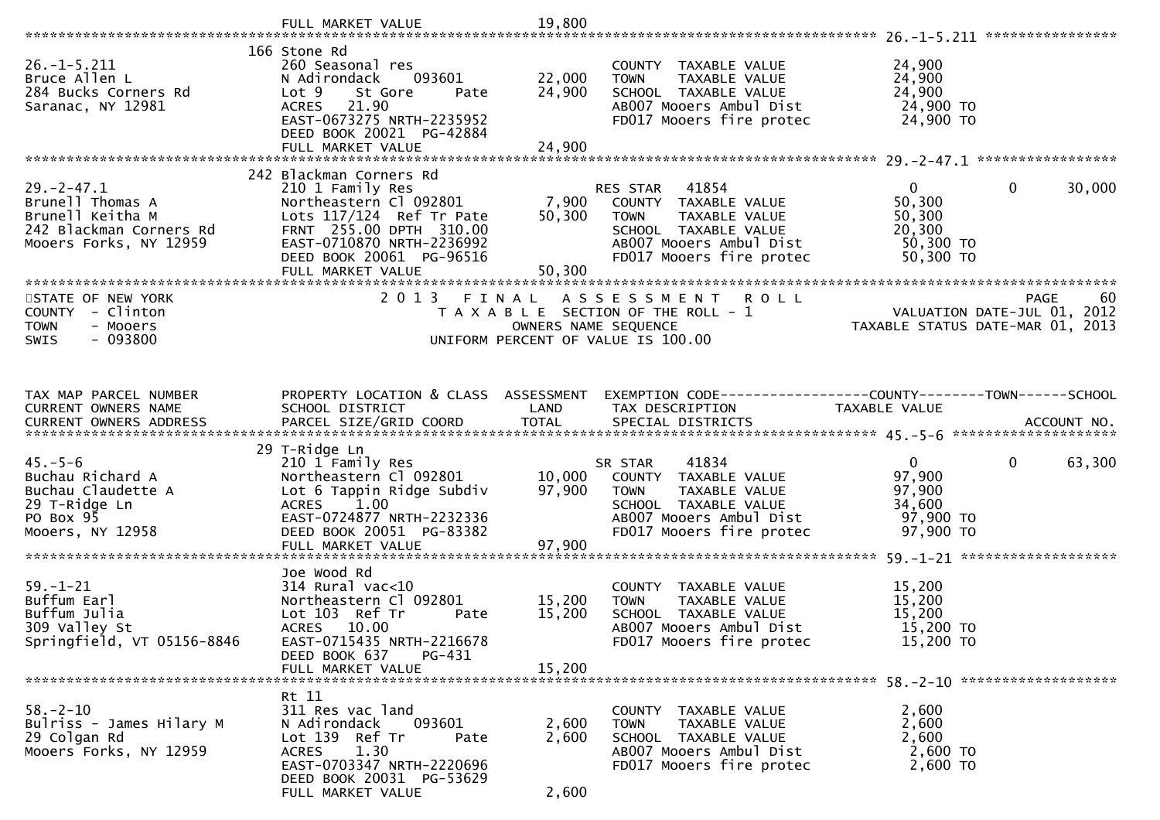|                                                                                                              | FULL MARKET VALUE                                                                                                                                                                   | 19,800                     |                                                                                                                                                       |                                                                      |                                                                                      |
|--------------------------------------------------------------------------------------------------------------|-------------------------------------------------------------------------------------------------------------------------------------------------------------------------------------|----------------------------|-------------------------------------------------------------------------------------------------------------------------------------------------------|----------------------------------------------------------------------|--------------------------------------------------------------------------------------|
|                                                                                                              |                                                                                                                                                                                     |                            |                                                                                                                                                       |                                                                      |                                                                                      |
| $26. -1 - 5.211$<br>Bruce Allen L<br>284 Bucks Corners Rd<br>Saranac, NY 12981                               | 166 Stone Rd<br>260 Seasonal res<br>093601<br>N Adirondack<br>Lot 9<br>St Gore<br>Pate<br>21.90<br><b>ACRES</b><br>EAST-0673275 NRTH-2235952<br>DEED BOOK 20021 PG-42884            | 22,000<br>24,900           | COUNTY TAXABLE VALUE<br>TAXABLE VALUE<br><b>TOWN</b><br>SCHOOL TAXABLE VALUE<br>AB007 Mooers Ambul Dist<br>FD017 Mooers fire protec                   | 24,900<br>24,900<br>24,900<br>24,900 TO<br>24,900 TO                 |                                                                                      |
|                                                                                                              |                                                                                                                                                                                     |                            |                                                                                                                                                       |                                                                      |                                                                                      |
|                                                                                                              | 242 Blackman Corners Rd                                                                                                                                                             |                            |                                                                                                                                                       |                                                                      |                                                                                      |
| $29. -2 - 47.1$<br>Brunell Thomas A<br>Brunell Keitha M<br>242 Blackman Corners Rd<br>Mooers Forks, NY 12959 | 210 1 Family Res<br>Northeastern Cl 092801<br>Lots $117/124$ Ref Tr Pate<br>FRNT 255.00 DPTH 310.00<br>EAST-0710870 NRTH-2236992<br>DEED BOOK 20061 PG-96516                        | 7,900<br>50,300            | RES STAR 41854<br>COUNTY TAXABLE VALUE<br>TAXABLE VALUE<br><b>TOWN</b><br>SCHOOL TAXABLE VALUE<br>AB007 Mooers Ambul Dist<br>FD017 Mooers fire protec | $\mathbf{0}$<br>50,300<br>50,300<br>20,300<br>50,300 TO<br>50,300 TO | $\mathbf{0}$<br>30,000                                                               |
|                                                                                                              |                                                                                                                                                                                     |                            |                                                                                                                                                       |                                                                      |                                                                                      |
| STATE OF NEW YORK<br>COUNTY - Clinton<br><b>TOWN</b><br>- Mooers<br>$-093800$<br><b>SWIS</b>                 |                                                                                                                                                                                     |                            | 2013 FINAL ASSESSMENT ROLL<br>T A X A B L E SECTION OF THE ROLL - 1<br>OWNERS NAME SEQUENCE<br>UNIFORM PERCENT OF VALUE IS 100.00                     |                                                                      | 60<br><b>PAGE</b><br>VALUATION DATE-JUL 01, 2012<br>TAXABLE STATUS DATE-MAR 01, 2013 |
|                                                                                                              |                                                                                                                                                                                     |                            |                                                                                                                                                       |                                                                      |                                                                                      |
| TAX MAP PARCEL NUMBER<br>CURRENT OWNERS NAME<br>CURRENT OWNERS ADDRESS                                       | PROPERTY LOCATION & CLASS ASSESSMENT<br>SCHOOL DISTRICT                                                                                                                             | LAND                       | EXEMPTION CODE------------------COUNTY-------TOWN------SCHOOL<br>TAX DESCRIPTION                                                                      | TAXABLE VALUE                                                        |                                                                                      |
|                                                                                                              | 29 T-Ridge Ln                                                                                                                                                                       |                            |                                                                                                                                                       |                                                                      |                                                                                      |
| $45. - 5 - 6$<br>Buchau Richard A<br>Buchau Claudette A<br>29 T-Ridge Ln<br>PO Box 95<br>Mooers, NY 12958    | 210 1 Family Res<br>Northeastern Cl 092801<br>Lot 6 Tappin Ridge Subdiv<br>ACRES 1.00<br>EAST-0724877 NRTH-2232336<br>DEED BOOK 20051 PG-83382<br>FULL MARKET VALUE                 | 10,000<br>97,900<br>97,900 | 41834<br>SR STAR<br>COUNTY TAXABLE VALUE<br>TAXABLE VALUE<br>TOWN<br>SCHOOL TAXABLE VALUE<br>AB007 Mooers Ambul Dist<br>FD017 Mooers fire protec      | $\mathbf{0}$<br>97,900<br>97,900<br>34,600<br>97,900 TO<br>97,900 TO | $\mathbf 0$<br>63,300                                                                |
|                                                                                                              | Joe Wood Rd                                                                                                                                                                         |                            |                                                                                                                                                       |                                                                      |                                                                                      |
| $59. - 1 - 21$<br>Buffum Earl<br>Buffum Julia<br>309 Valley St<br>Springfield, VT 05156-8846                 | $314$ Rural vac<10<br>Northeastern Cl 092801<br>Lot 103 Ref Tr<br>Pate<br>ACRES 10.00<br>EAST-0715435 NRTH-2216678<br>DEED BOOK 637<br>PG-431                                       | 15,200<br>15,200           | COUNTY TAXABLE VALUE<br>TAXABLE VALUE<br><b>TOWN</b><br>SCHOOL TAXABLE VALUE<br>AB007 Mooers Ambul Dist<br>FD017 Mooers fire protec                   | 15,200<br>15,200<br>15,200<br>15,200 TO<br>15,200 TO                 |                                                                                      |
|                                                                                                              | FULL MARKET VALUE                                                                                                                                                                   | 15,200                     |                                                                                                                                                       |                                                                      |                                                                                      |
| $58. - 2 - 10$<br>Bulriss - James Hilary M<br>29 Colgan Rd<br>Mooers Forks, NY 12959                         | Rt 11<br>311 Res vac land<br>093601<br>N Adirondack<br>Lot 139 Ref Tr<br>Pate<br>1.30<br><b>ACRES</b><br>EAST-0703347 NRTH-2220696<br>DEED BOOK 20031 PG-53629<br>FULL MARKET VALUE | 2,600<br>2,600<br>2,600    | COUNTY TAXABLE VALUE<br>TAXABLE VALUE<br><b>TOWN</b><br>SCHOOL TAXABLE VALUE<br>AB007 Mooers Ambul Dist<br>FD017 Mooers fire protec                   | 2,600<br>2,600<br>2,600<br>2,600 TO<br>2,600 TO                      |                                                                                      |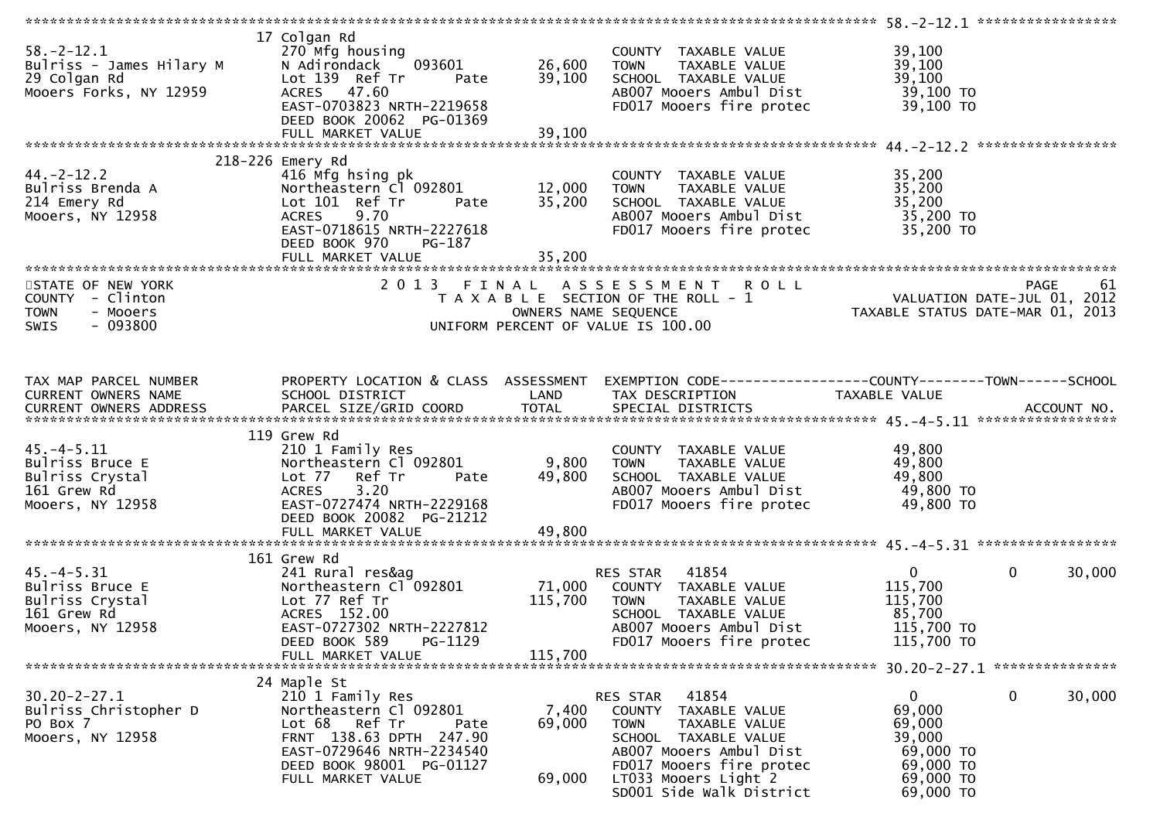| $58. - 2 - 12.1$<br>Bulriss - James Hilary M<br>29 Colgan Rd<br>Mooers Forks, NY 12959   | 17 Colgan Rd<br>270 Mfg housing<br>093601<br>N Adirondack<br>Lot 139 Ref Tr<br>Pate<br>ACRES 47.60<br>EAST-0703823 NRTH-2219658<br>DEED BOOK 20062 PG-01369                                 | 26,600<br>39,100             | COUNTY TAXABLE VALUE<br>TAXABLE VALUE<br><b>TOWN</b><br>SCHOOL TAXABLE VALUE<br>AB007 Mooers Ambul Dist<br>FD017 Mooers fire protec                                                                          | 39,100<br>39,100<br>39,100<br>39,100 TO<br>39,100 TO                                |                        |
|------------------------------------------------------------------------------------------|---------------------------------------------------------------------------------------------------------------------------------------------------------------------------------------------|------------------------------|--------------------------------------------------------------------------------------------------------------------------------------------------------------------------------------------------------------|-------------------------------------------------------------------------------------|------------------------|
|                                                                                          |                                                                                                                                                                                             |                              |                                                                                                                                                                                                              |                                                                                     |                        |
| $44. -2 - 12.2$<br>Bulriss Brenda A<br>214 Emery Rd<br>Mooers, NY 12958                  | 218-226 Emery Rd<br>416 Mfg hsing pk<br>Northeastern Cl 092801<br>Lot 101 Ref Tr<br>Pate<br>9.70<br><b>ACRES</b><br>EAST-0718615 NRTH-2227618<br>DEED BOOK 970<br>PG-187                    | 12,000<br>35,200             | COUNTY TAXABLE VALUE<br>TAXABLE VALUE<br><b>TOWN</b><br>SCHOOL TAXABLE VALUE<br>AB007 Mooers Ambul Dist<br>FD017 Mooers fire protec                                                                          | 35,200<br>35,200<br>35,200<br>35,200 TO<br>35,200 TO                                |                        |
|                                                                                          |                                                                                                                                                                                             |                              |                                                                                                                                                                                                              |                                                                                     |                        |
| STATE OF NEW YORK<br>COUNTY - Clinton<br><b>TOWN</b><br>- Mooers<br>SWIS<br>$-093800$    |                                                                                                                                                                                             | OWNERS NAME SEQUENCE         | 2013 FINAL ASSESSMENT ROLL<br>T A X A B L E SECTION OF THE ROLL - 1<br>UNIFORM PERCENT OF VALUE IS 100.00                                                                                                    | VALUATION DATE-JUL 01, 2012<br>TAXABLE STATUS DATE-MAR 01, 2013                     | <b>PAGE</b><br>61      |
| TAX MAP PARCEL NUMBER<br>CURRENT OWNERS NAME                                             | SCHOOL DISTRICT                                                                                                                                                                             | <b>Example 12 DE LAND</b>    | PROPERTY LOCATION & CLASS ASSESSMENT EXEMPTION CODE----------------COUNTY-------TOWN------SCHOOL<br>TAX DESCRIPTION                                                                                          | TAXABLE VALUE                                                                       |                        |
|                                                                                          |                                                                                                                                                                                             |                              |                                                                                                                                                                                                              |                                                                                     |                        |
| $45. -4 - 5.11$<br>Bulriss Bruce E<br>Bulriss Crystal<br>161 Grew Rd                     | 119 Grew Rd<br>210 1 Family Res<br>Northeastern Cl 092801<br>Lot 77 Ref Tr<br>Pate<br>3.20<br><b>ACRES</b><br>EAST-0727474 NRTH-2229168                                                     | 9,800<br>49,800              | COUNTY TAXABLE VALUE<br><b>TOWN</b><br>TAXABLE VALUE<br>SCHOOL TAXABLE VALUE<br>AB007 Mooers Ambul Dist                                                                                                      | 49,800<br>49,800<br>49,800<br>49,800 TO<br>49,800 TO                                |                        |
| Mooers, NY 12958                                                                         | DEED BOOK 20082 PG-21212<br>FULL MARKET VALUE                                                                                                                                               | 49,800                       | FD017 Mooers fire protec                                                                                                                                                                                     |                                                                                     |                        |
| $45. -4 - 5.31$<br>Bulriss Bruce E<br>Bulriss Crystal<br>161 Grew Rd<br>Mooers, NY 12958 | 161 Grew Rd<br>241 Rural res&ag<br>Northeastern Cl 092801<br>Lot 77 Ref Tr<br>ACRES 152.00<br>EAST-0727302 NRTH-2227812<br>PG-1129<br>DEED BOOK 589<br>FULL MARKET VALUE                    | 71,000<br>115,700<br>115,700 | 41854<br>RES STAR<br>COUNTY TAXABLE VALUE<br>TAXABLE VALUE<br><b>TOWN</b><br>SCHOOL TAXABLE VALUE<br>AB007 Mooers Ambul Dist<br>FD017 Mooers fire protec                                                     | $\mathbf{0}$<br>115,700<br>115,700<br>85,700<br>115,700 TO<br>115,700 TO            | $\mathbf{0}$<br>30,000 |
|                                                                                          |                                                                                                                                                                                             |                              |                                                                                                                                                                                                              |                                                                                     |                        |
| $30.20 - 2 - 27.1$<br>Bulriss Christopher D<br>PO Box 7<br>Mooers, NY 12958              | 24 Maple St<br>210 1 Family Res<br>Northeastern Cl 092801<br>Lot 68 Ref Tr<br>Pate<br>FRNT 138.63 DPTH 247.90<br>EAST-0729646 NRTH-2234540<br>DEED BOOK 98001 PG-01127<br>FULL MARKET VALUE | 7,400<br>69,000<br>69,000    | RES STAR<br>41854<br>COUNTY TAXABLE VALUE<br><b>TOWN</b><br>TAXABLE VALUE<br>SCHOOL TAXABLE VALUE<br>AB007 Mooers Ambul Dist<br>FD017 Mooers fire protec<br>LT033 Mooers Light 2<br>SD001 Side Walk District | 0<br>69,000<br>69,000<br>39,000<br>69,000 TO<br>69,000 TO<br>69,000 TO<br>69,000 TO | 0<br>30,000            |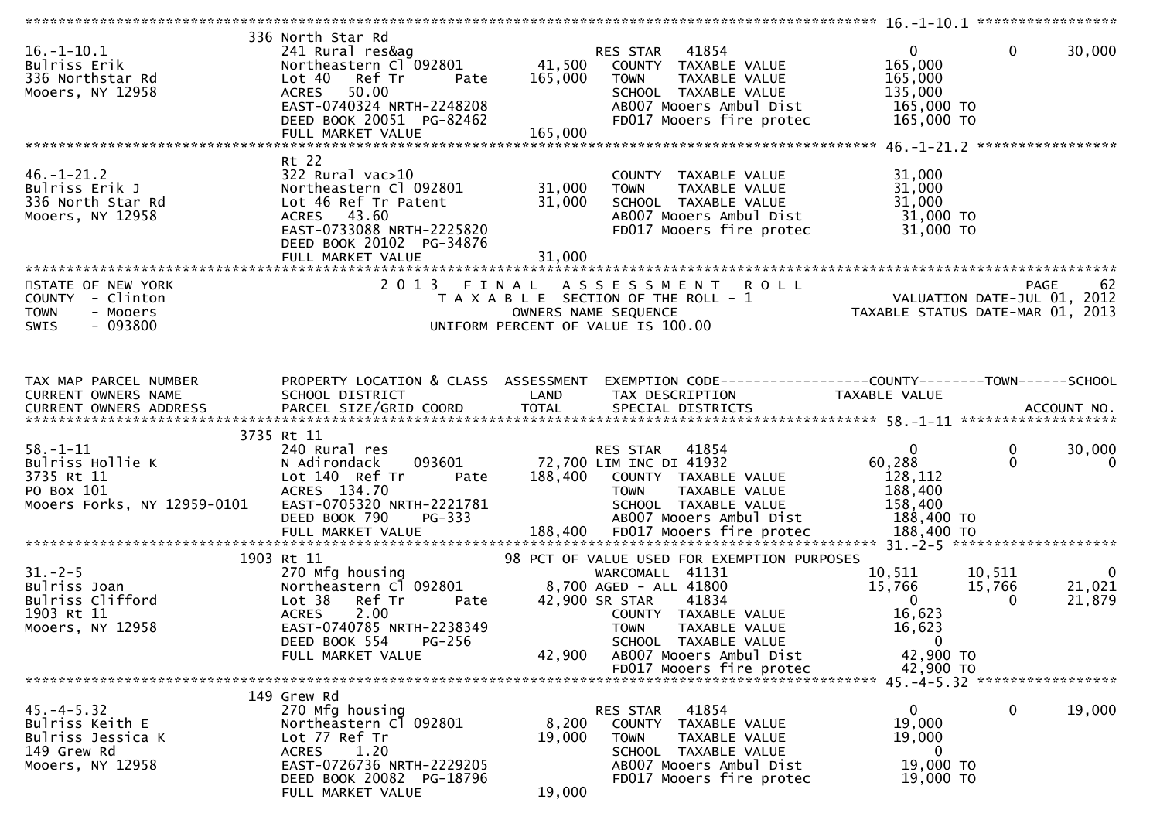|                                                                                               |                                                                                                                                                                                                    |                              |                                                                                                                                                                                                                    | ********************* 16.-1-10.1 ******************                                            |                                                  |                       |
|-----------------------------------------------------------------------------------------------|----------------------------------------------------------------------------------------------------------------------------------------------------------------------------------------------------|------------------------------|--------------------------------------------------------------------------------------------------------------------------------------------------------------------------------------------------------------------|------------------------------------------------------------------------------------------------|--------------------------------------------------|-----------------------|
| $16. - 1 - 10.1$<br>Bulriss Erik<br>336 Northstar Rd<br>Mooers, NY 12958                      | 336 North Star Rd<br>241 Rural res&ag<br>Northeastern Cl 092801<br>Lot 40<br>Ref Tr<br>Pate<br><b>ACRES</b><br>50.00<br>EAST-0740324 NRTH-2248208<br>DEED BOOK 20051 PG-82462<br>FULL MARKET VALUE | 41,500<br>165,000<br>165,000 | 41854<br>RES STAR<br>COUNTY TAXABLE VALUE<br>TAXABLE VALUE<br><b>TOWN</b><br>SCHOOL TAXABLE VALUE<br>AB007 Mooers Ambul Dist<br>FD017 Mooers fire protec                                                           | $\mathbf{0}$<br>165,000<br>165,000<br>135,000<br>165,000 TO<br>165,000 TO                      | $\mathbf 0$                                      | 30,000                |
|                                                                                               |                                                                                                                                                                                                    |                              |                                                                                                                                                                                                                    |                                                                                                |                                                  |                       |
| $46. - 1 - 21.2$<br>Bulriss Erik J<br>336 North Star Rd<br>Mooers, NY 12958                   | Rt 22<br>$322$ Rural vac $>10$<br>Northeastern Cl 092801<br>Lot 46 Ref Tr Patent<br>ACRES 43.60<br>EAST-0733088 NRTH-2225820<br>DEED BOOK 20102 PG-34876<br>FULL MARKET VALUE                      | 31,000<br>31,000<br>31,000   | COUNTY TAXABLE VALUE<br>TAXABLE VALUE<br><b>TOWN</b><br>SCHOOL TAXABLE VALUE<br>AB007 Mooers Ambul Dist<br>FD017 Mooers fire protec                                                                                | 31,000<br>31,000<br>31,000<br>31,000 TO<br>31,000 TO                                           |                                                  |                       |
| STATE OF NEW YORK                                                                             | 2 0 1 3<br>FINAL                                                                                                                                                                                   |                              | ASSESSMENT ROLL                                                                                                                                                                                                    |                                                                                                | PAGE                                             | 62                    |
| COUNTY - Clinton<br><b>TOWN</b><br>- Mooers<br><b>SWIS</b><br>- 093800                        |                                                                                                                                                                                                    |                              | T A X A B L E SECTION OF THE ROLL - 1<br>OWNERS NAME SEQUENCE<br>UNIFORM PERCENT OF VALUE IS 100.00                                                                                                                | VALUATION DATE-JUL 01, 2012<br>TAXABLE STATUS DATE-MAR 01, 2013                                |                                                  |                       |
| TAX MAP PARCEL NUMBER                                                                         | PROPERTY LOCATION & CLASS ASSESSMENT                                                                                                                                                               |                              | EXEMPTION CODE------------------COUNTY--------TOWN------SCHOOL                                                                                                                                                     |                                                                                                |                                                  |                       |
| CURRENT OWNERS NAME<br>CURRENT OWNERS ADDRESS                                                 | SCHOOL DISTRICT                                                                                                                                                                                    | LAND                         | TAX DESCRIPTION                                                                                                                                                                                                    | TAXABLE VALUE                                                                                  |                                                  |                       |
|                                                                                               | 3735 Rt 11                                                                                                                                                                                         |                              |                                                                                                                                                                                                                    |                                                                                                |                                                  |                       |
| $58. - 1 - 11$<br>Bulriss Hollie K<br>3735 Rt 11<br>PO Box 101<br>Mooers Forks, NY 12959-0101 | 240 Rural res<br>093601<br>N Adirondack<br>Lot 140 Ref Tr<br>Pate<br>ACRES 134.70<br>EAST-0705320 NRTH-2221781<br>DEED BOOK 790<br>PG-333                                                          | 188,400                      | RES STAR<br>41854<br>72,700 LIM INC DI 41932<br>COUNTY TAXABLE VALUE<br><b>TOWN</b><br>TAXABLE VALUE<br>SCHOOL TAXABLE VALUE<br>AB007 Mooers Ambul Dist                                                            | $\mathbf{0}$<br>60,288<br>128,112<br>188,400<br>158,400<br>188,400 TO                          | 0<br>$\mathbf 0$                                 | 30,000<br>$\mathbf 0$ |
|                                                                                               | 1903 Rt 11                                                                                                                                                                                         |                              | 98 PCT OF VALUE USED FOR EXEMPTION PURPOSES                                                                                                                                                                        |                                                                                                |                                                  |                       |
| $31 - 2 - 5$<br>Bulriss Joan<br>Bulriss Clifford<br>1903 Rt 11<br>Mooers, NY 12958            | 270 Mfg housing<br>Northeastern Cl 092801<br>Ref Tr<br>Lot 38<br>Pate<br><b>ACRES</b><br>2.00<br>EAST-0740785 NRTH-2238349<br>DEED BOOK 554<br>PG-256<br>FULL MARKET VALUE                         | 42,900                       | WARCOMALL 41131<br>8,700 AGED - ALL 41800<br>42,900 SR STAR<br>41834<br>COUNTY TAXABLE VALUE<br><b>TOWN</b><br><b>TAXABLE VALUE</b><br>SCHOOL TAXABLE VALUE<br>AB007 Mooers Ambul Dist<br>FD017 Mooers fire protec | 10,511<br>15,766<br>$\mathbf{0}$<br>16,623<br>16,623<br>$\mathbf{0}$<br>42,900 TO<br>42,900 TO | 10,511<br>15,766<br>21,021<br>21,879<br>$\Omega$ | 0                     |
|                                                                                               |                                                                                                                                                                                                    |                              |                                                                                                                                                                                                                    |                                                                                                |                                                  |                       |
| $45. -4 - 5.32$<br>Bulriss Keith E<br>Bulriss Jessica K<br>149 Grew Rd<br>Mooers, NY 12958    | 149 Grew Rd<br>270 Mfg housing<br>Northeastern Cl 092801<br>Lot 77 Ref Tr<br>1.20<br><b>ACRES</b><br>EAST-0726736 NRTH-2229205<br>DEED BOOK 20082 PG-18796<br>FULL MARKET VALUE                    | 8,200<br>19,000<br>19,000    | 41854<br>RES STAR<br>COUNTY TAXABLE VALUE<br><b>TOWN</b><br>TAXABLE VALUE<br>SCHOOL TAXABLE VALUE<br>AB007 Mooers Ambul Dist<br>FD017 Mooers fire protec                                                           | 0<br>19,000<br>19,000<br>$\bf{0}$<br>19,000 TO<br>19,000 TO                                    | 0                                                | 19,000                |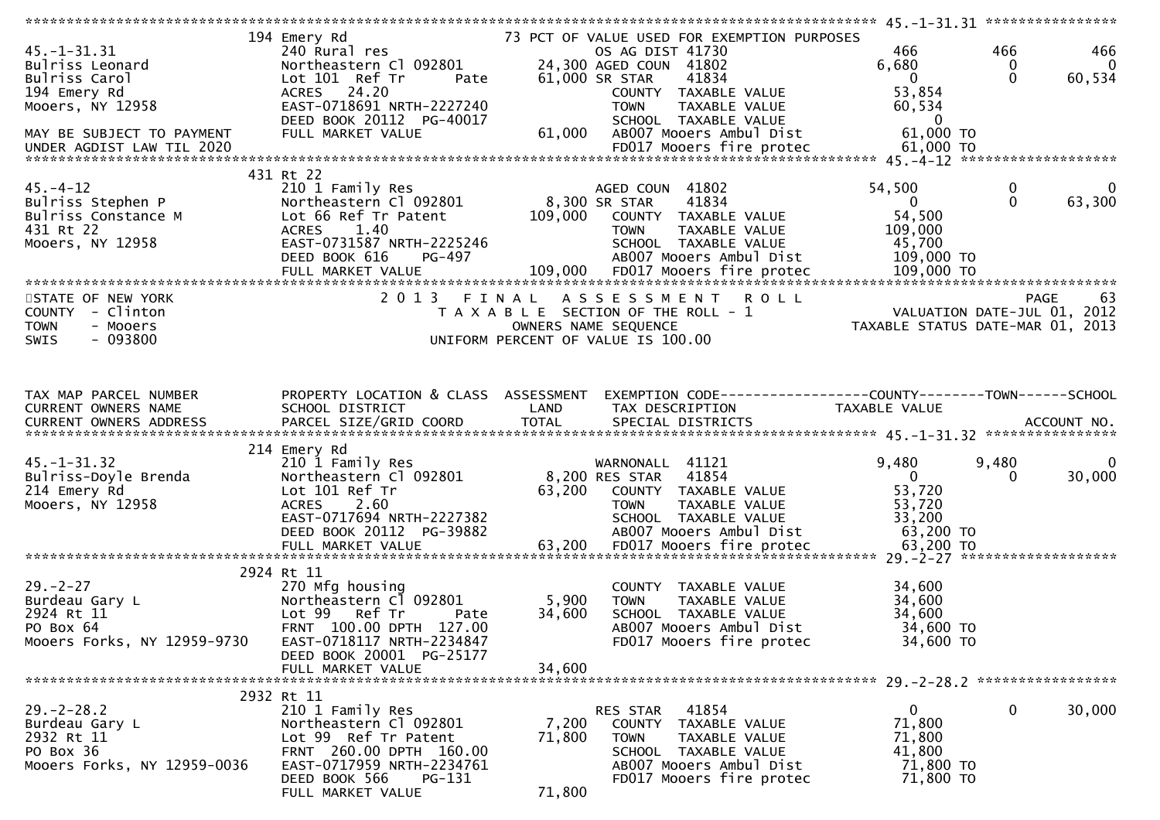|                                                                                              |                                                                                                                                                                                              |                           |                                                                                                                                                          | ***********                                                                     | 45. -1 -31. 31 *****************                                                     |
|----------------------------------------------------------------------------------------------|----------------------------------------------------------------------------------------------------------------------------------------------------------------------------------------------|---------------------------|----------------------------------------------------------------------------------------------------------------------------------------------------------|---------------------------------------------------------------------------------|--------------------------------------------------------------------------------------|
| $45. - 1 - 31.31$<br>Bulriss Leonard<br>Bulriss Carol<br>194 Emery Rd                        | 194 Emery Rd<br>240 Rural res<br>Northeastern Cl 092801<br>Lot 101 Ref Tr<br>Pate<br>ACRES 24.20                                                                                             |                           | 73 PCT OF VALUE USED FOR EXEMPTION PURPOSES<br>OS AG DIST 41730<br>24,300 AGED COUN 41802<br>61,000 SR STAR<br>41834<br>COUNTY TAXABLE VALUE             | 466<br>6,680<br>$\overline{0}$<br>53,854                                        | 466<br>466<br>0<br>$\overline{0}$<br>$\Omega$<br>60,534                              |
| Mooers, NY 12958<br>MAY BE SUBJECT TO PAYMENT                                                | EAST-0718691 NRTH-2227240<br>DEED BOOK 20112 PG-40017<br>FULL MARKET VALUE                                                                                                                   | 61,000                    | TAXABLE VALUE<br><b>TOWN</b><br>SCHOOL TAXABLE VALUE<br>AB007 Mooers Ambul Dist                                                                          | 60,534<br>$\overline{\phantom{0}}$<br>61,000 TO                                 |                                                                                      |
| $45. - 4 - 12$<br>Bulriss Stephen P<br>Bulriss Constance M<br>431 Rt 22<br>Mooers, NY 12958  | 431 Rt 22<br>210 1 Family Res<br>Northeastern Cl 092801<br>Lot 66 Ref Tr Patent<br>1.40<br><b>ACRES</b><br>EAST-0731587 NRTH-2225246<br>PG-497<br>DEED BOOK 616                              | 109,000                   | AGED COUN 41802<br>8,300 SR STAR<br>41834<br>COUNTY TAXABLE VALUE<br><b>TOWN</b><br>TAXABLE VALUE<br>SCHOOL TAXABLE VALUE<br>AB007 Mooers Ambul Dist     | 54,500<br>$\mathbf{0}$<br>54,500<br>109,000<br>45,700<br>109,000 TO             | 0<br>0<br>$\mathbf{0}$<br>63,300                                                     |
|                                                                                              | FULL MARKET VALUE                                                                                                                                                                            | 109,000                   | FD017 Mooers fire protec                                                                                                                                 | 109,000 TO                                                                      |                                                                                      |
| STATE OF NEW YORK<br>COUNTY - Clinton<br><b>TOWN</b><br>- Mooers<br>$-093800$<br><b>SWIS</b> | 2 0 1 3<br>FINAL                                                                                                                                                                             |                           | ASSESSMENT<br><b>ROLL</b><br>T A X A B L E SECTION OF THE ROLL - 1<br>OWNERS NAME SEQUENCE<br>UNIFORM PERCENT OF VALUE IS 100.00                         |                                                                                 | <b>PAGE</b><br>63<br>VALUATION DATE-JUL 01, 2012<br>TAXABLE STATUS DATE-MAR 01, 2013 |
| TAX MAP PARCEL NUMBER<br>CURRENT OWNERS NAME                                                 | PROPERTY LOCATION & CLASS ASSESSMENT<br>SCHOOL DISTRICT                                                                                                                                      | LAND                      | EXEMPTION CODE-----------------COUNTY-------TOWN------SCHOOL<br>TAX DESCRIPTION                                                                          | TAXABLE VALUE                                                                   |                                                                                      |
| $45. - 1 - 31.32$<br>Bulriss-Doyle Brenda<br>214 Emery Rd<br>Mooers, NY 12958                | 214 Emery Rd<br>210 1 Family Res<br>Northeastern Cl 092801<br>Lot 101 Ref Tr<br>2.60<br><b>ACRES</b><br>EAST-0717694 NRTH-2227382<br>DEED BOOK 20112 PG-39882                                | 63,200                    | WARNONALL 41121<br>8,200 RES STAR<br>41854<br>COUNTY TAXABLE VALUE<br>TAXABLE VALUE<br><b>TOWN</b><br>SCHOOL TAXABLE VALUE<br>AB007 Mooers Ambul Dist    | 9,480<br>$\overline{0}$<br>53,720<br>53,720<br>33,200<br>63,200 TO<br>63,200 TO | 9,480<br>0<br>30,000<br>0                                                            |
| $29. - 2 - 27$<br>Burdeau Gary L<br>2924 Rt 11<br>PO Box 64<br>Mooers Forks, NY 12959-9730   | 2924 Rt 11<br>270 Mfg housing<br>Northeastern Cl 092801<br>Lot 99<br>Ref Tr<br>Pate<br>FRNT 100.00 DPTH 127.00<br>EAST-0718117 NRTH-2234847<br>DEED BOOK 20001 PG-25177<br>FULL MARKET VALUE | 5,900<br>34,600<br>34,600 | COUNTY TAXABLE VALUE<br><b>TOWN</b><br>TAXABLE VALUE<br>SCHOOL TAXABLE VALUE<br>AB007 Mooers Ambul Dist<br>FD017 Mooers fire protec                      | 34,600<br>34,600<br>34,600<br>34,600 TO<br>34,600 TO                            | *******************                                                                  |
|                                                                                              |                                                                                                                                                                                              |                           |                                                                                                                                                          |                                                                                 |                                                                                      |
| $29. - 2 - 28.2$<br>Burdeau Gary L<br>2932 Rt 11<br>PO Box 36<br>Mooers Forks, NY 12959-0036 | 2932 Rt 11<br>210 1 Family Res<br>Northeastern Cl 092801<br>Lot 99 Ref Tr Patent<br>FRNT 260.00 DPTH 160.00<br>EAST-0717959 NRTH-2234761<br>DEED BOOK 566<br>PG-131<br>FULL MARKET VALUE     | 7,200<br>71,800<br>71,800 | 41854<br>RES STAR<br>COUNTY TAXABLE VALUE<br><b>TOWN</b><br>TAXABLE VALUE<br>SCHOOL TAXABLE VALUE<br>AB007 Mooers Ambul Dist<br>FD017 Mooers fire protec | $\mathbf{0}$<br>71,800<br>71,800<br>41,800<br>71,800 TO<br>71,800 TO            | 30,000<br>0                                                                          |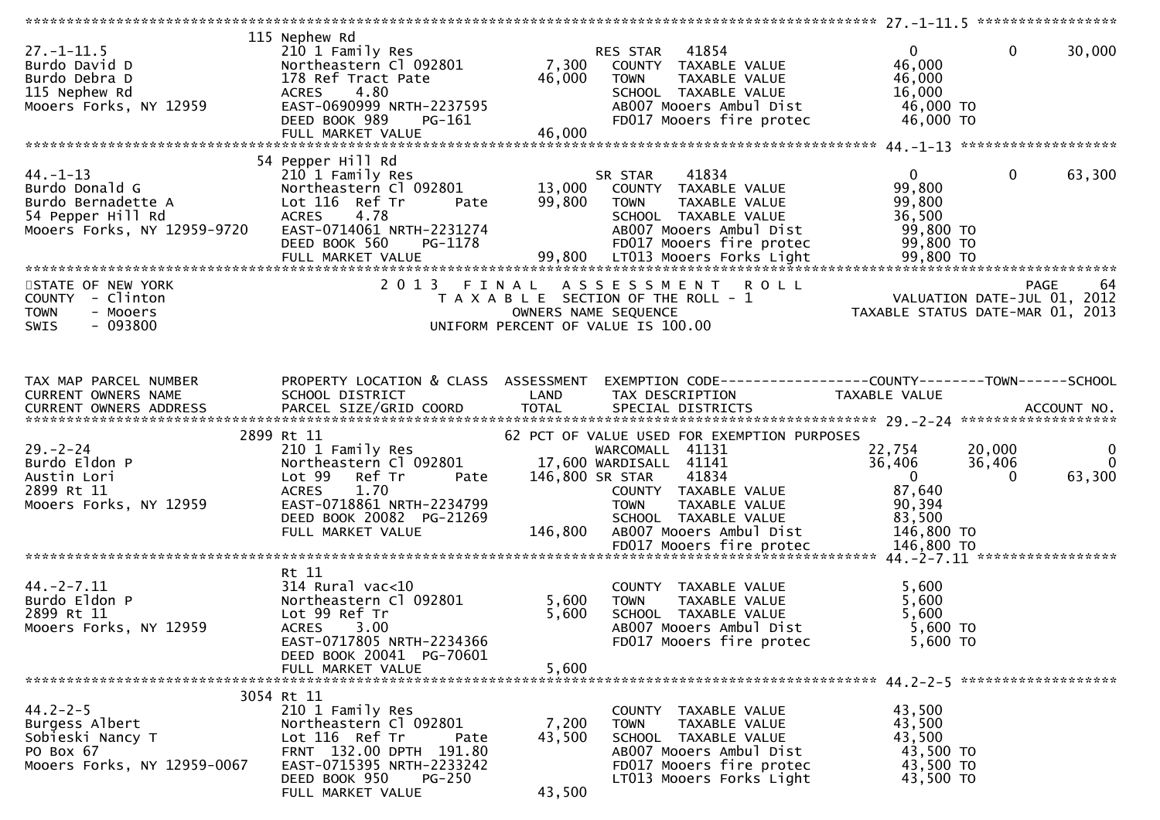| $27. - 1 - 11.5$<br>Burdo David D<br>Burdo Debra D<br>115 Nephew Rd<br>Mooers Forks, NY 12959              | 115 Nephew Rd<br>210 1 Family Res<br>Northeastern Cl 092801<br>178 Ref Tract Pate<br>4.80<br><b>ACRES</b><br>EAST-0690999 NRTH-2237595<br>DEED BOOK 989<br>PG-161                                 | 46,000                    | 41854<br>RES STAR<br>7,300 COUNTY TAXABLE VALUE<br>TAXABLE VALUE<br><b>TOWN</b><br>SCHOOL TAXABLE VALUE<br>AB007 Mooers Ambul Dist<br>FD017 Mooers fire protec                   | $\mathbf{0}$<br>46,000<br>46,000<br>16,000<br>46,000 TO<br>46,000 TO                    | $\mathbf{0}$<br>30,000                                                   |
|------------------------------------------------------------------------------------------------------------|---------------------------------------------------------------------------------------------------------------------------------------------------------------------------------------------------|---------------------------|----------------------------------------------------------------------------------------------------------------------------------------------------------------------------------|-----------------------------------------------------------------------------------------|--------------------------------------------------------------------------|
|                                                                                                            | 54 Pepper Hill Rd                                                                                                                                                                                 |                           |                                                                                                                                                                                  |                                                                                         |                                                                          |
| $44. - 1 - 13$<br>Burdo Donald G<br>Burdo Bernadette A<br>54 Pepper Hill Rd<br>Mooers Forks, NY 12959-9720 | 210 1 Family Res<br>Northeastern Cl 092801<br>Lot 116 Ref Tr<br>Pate<br><b>ACRES</b><br>4.78<br>EAST-0714061 NRTH-2231274<br>DEED BOOK 560<br>PG-1178                                             | 99,800                    | 41834<br>SR STAR<br>13,000 COUNTY TAXABLE VALUE<br><b>TAXABLE VALUE</b><br>TOWN<br>SCHOOL TAXABLE VALUE<br>AB007 Mooers Ambul Dist<br>FD017 Mooers fire protec                   | $\mathbf{0}$<br>99,800<br>99,800<br>36,500<br>99,800 TO<br>99,800 TO                    | $\mathbf 0$<br>63,300                                                    |
|                                                                                                            |                                                                                                                                                                                                   |                           |                                                                                                                                                                                  |                                                                                         |                                                                          |
| STATE OF NEW YORK<br>COUNTY - Clinton<br>- Mooers<br><b>TOWN</b><br>$-093800$<br>SWIS                      | 2 0 1 3                                                                                                                                                                                           | FINAL                     | A S S E S S M E N T<br><b>ROLL</b><br>T A X A B L E SECTION OF THE ROLL - 1<br>OWNERS NAME SEQUENCE<br>UNIFORM PERCENT OF VALUE IS 100.00                                        | PAGE 64<br>VALUATION DATE-JUL 01, 2012<br>TAXARLE STATUS DATE :::- 21, 2012             | TAXABLE STATUS DATE-MAR 01, 2013                                         |
| TAX MAP PARCEL NUMBER<br>CURRENT OWNERS NAME                                                               | PROPERTY LOCATION & CLASS ASSESSMENT<br>SCHOOL DISTRICT                                                                                                                                           | <b>Example 12 DE LAND</b> | EXEMPTION CODE-----------------COUNTY--------TOWN------SCHOOL<br>TAX DESCRIPTION                                                                                                 | TAXABLE VALUE                                                                           |                                                                          |
|                                                                                                            | 2899 Rt 11                                                                                                                                                                                        |                           | 62 PCT OF VALUE USED FOR EXEMPTION PURPOSES                                                                                                                                      |                                                                                         |                                                                          |
| $29. - 2 - 24$<br>Burdo Eldon P<br>Austin Lori<br>2899 Rt 11<br>Mooers Forks, NY 12959                     | 210 1 Family Res<br>Northeastern Cl 092801<br>Lot 99 Ref Tr<br>Pate<br><b>ACRES</b><br>1.70<br>EAST-0718861 NRTH-2234799<br>DEED BOOK 20082 PG-21269<br>FULL MARKET VALUE                         | 146,800                   | WARCOMALL 41131<br>17,600 WARDISALL 41141<br>146,800 SR STAR<br>41834<br>COUNTY TAXABLE VALUE<br><b>TOWN</b><br>TAXABLE VALUE<br>SCHOOL TAXABLE VALUE<br>AB007 Mooers Ambul Dist | 22,754<br>36,406<br>$\overline{\mathbf{0}}$<br>87,640<br>90,394<br>83,500<br>146,800 TO | 20,000<br>$\mathbf{0}$<br>$\overline{0}$<br>36,406<br>63,300<br>$\Omega$ |
|                                                                                                            |                                                                                                                                                                                                   |                           |                                                                                                                                                                                  |                                                                                         |                                                                          |
| $44. -2 - 7.11$<br>Burdo Eldon P<br>2899 Rt 11<br>Mooers Forks, NY 12959                                   | Rt 11<br>$314$ Rural vac<10<br>Northeastern Cl 092801<br>Lot 99 Ref Tr<br><b>ACRES</b><br>3.00<br>EAST-0717805 NRTH-2234366<br>DEED BOOK 20041 PG-70601                                           | 5,600<br>5,600            | COUNTY TAXABLE VALUE<br>TAXABLE VALUE<br><b>TOWN</b><br>SCHOOL TAXABLE VALUE<br>AB007 Mooers Ambul Dist<br>FD017 Mooers fire protec                                              | 5,600<br>5,600<br>5,600<br>5,600 TO<br>$5,600$ TO                                       |                                                                          |
|                                                                                                            | FULL MARKET VALUE                                                                                                                                                                                 | 5,600                     |                                                                                                                                                                                  |                                                                                         |                                                                          |
|                                                                                                            |                                                                                                                                                                                                   |                           |                                                                                                                                                                                  |                                                                                         |                                                                          |
| $44.2 - 2 - 5$<br>Burgess Albert<br>Sobieski Nancy T<br>PO Box 67<br>Mooers Forks, NY 12959-0067           | 3054 Rt 11<br>210 1 Family Res<br>Northeastern Cl 092801<br>Lot 116 Ref Tr<br>Pate<br>FRNT 132.00 DPTH 191.80<br>EAST-0715395 NRTH-2233242<br>DEED BOOK 950<br><b>PG-250</b><br>FULL MARKET VALUE | 7,200<br>43,500<br>43,500 | COUNTY TAXABLE VALUE<br>TAXABLE VALUE<br><b>TOWN</b><br>SCHOOL TAXABLE VALUE<br>AB007 Mooers Ambul Dist<br>FD017 Mooers fire protec<br>LT013 Mooers Forks Light                  | 43,500<br>43,500<br>43,500<br>43,500 TO<br>43,500 TO<br>43,500 TO                       |                                                                          |
|                                                                                                            |                                                                                                                                                                                                   |                           |                                                                                                                                                                                  |                                                                                         |                                                                          |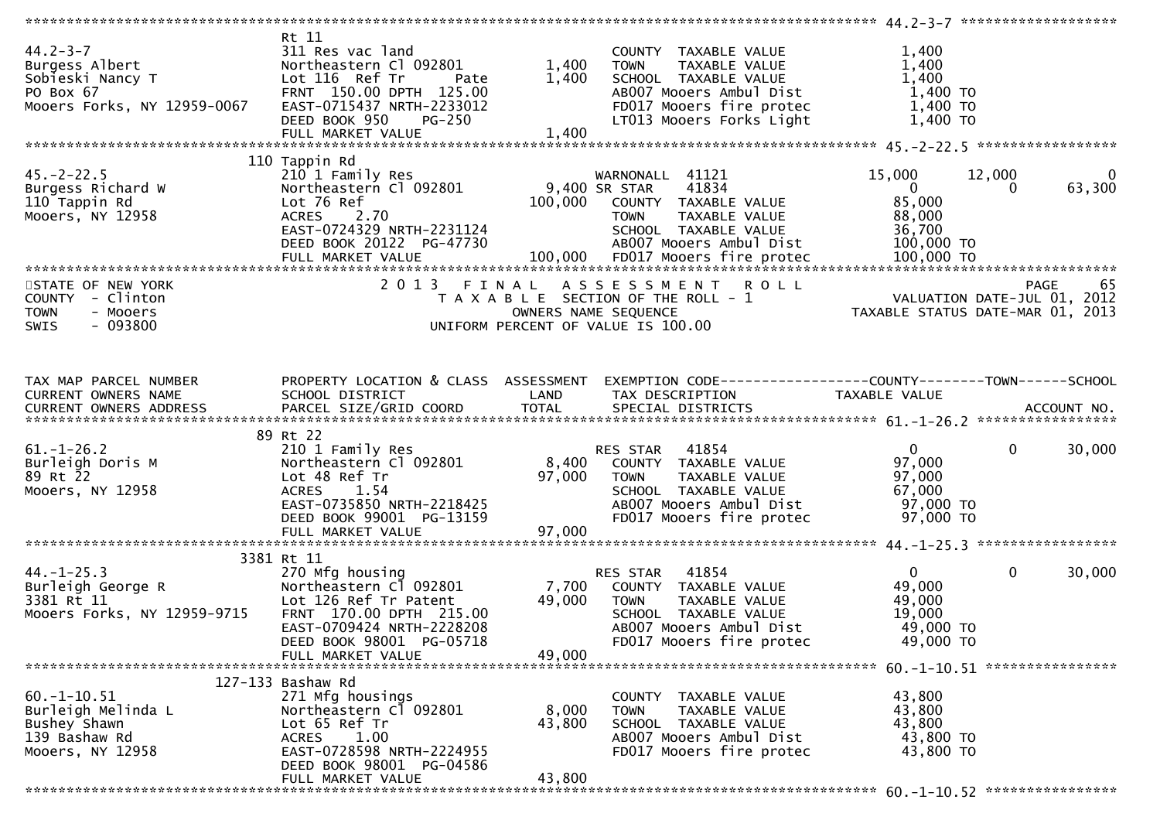| $44.2 - 3 - 7$<br>Burgess Albert<br>Sobieski Nancy T<br>PO Box 67<br>Mooers Forks, NY 12959-0067               | Rt 11<br>311 Res vac land<br>Northeastern Cl 092801<br>Lot 116 Ref Tr<br>Pate<br>FRNT 150.00 DPTH 125.00<br>EAST-0715437 NRTH-2233012<br>DEED BOOK 950<br><b>PG-250</b><br>FULL MARKET VALUE | 1,400<br>1,400<br>1,400   | COUNTY TAXABLE VALUE<br><b>TOWN</b><br>TAXABLE VALUE<br>SCHOOL TAXABLE VALUE<br>AB007 Mooers Ambul Dist<br>FD017 Mooers fire protec<br>LT013 Mooers Forks Light | 1,400<br>1,400<br>1,400<br>$1,400$ TO<br>1,400 TO<br>$1,400$ TO            |                                  |
|----------------------------------------------------------------------------------------------------------------|----------------------------------------------------------------------------------------------------------------------------------------------------------------------------------------------|---------------------------|-----------------------------------------------------------------------------------------------------------------------------------------------------------------|----------------------------------------------------------------------------|----------------------------------|
|                                                                                                                |                                                                                                                                                                                              |                           |                                                                                                                                                                 |                                                                            |                                  |
| $45. -2 - 22.5$<br>Burgess Richard W<br>110 Tappin Rd<br>Mooers, NY 12958                                      | 110 Tappin Rd<br>210 1 Family Res<br>Northeastern Cl 092801<br>Lot 76 Ref<br>ACRES 2.70<br>EAST-0724329 NRTH-2231124<br>DEED BOOK 20122 PG-47730                                             | 100,000                   | WARNONALL 41121<br>9,400 SR STAR<br>41834<br>COUNTY TAXABLE VALUE<br><b>TOWN</b><br>TAXABLE VALUE<br>SCHOOL TAXABLE VALUE<br>AB007 Mooers Ambul Dist            | 15,000<br>$\overline{0}$<br>85,000<br>88,000<br>36,700<br>100,000 TO       | 12,000<br>0<br>63,300<br>0       |
| STATE OF NEW YORK<br>COUNTY - Clinton<br>- Mooers<br><b>TOWN</b><br>$-093800$<br><b>SWIS</b>                   |                                                                                                                                                                                              |                           | 2013 FINAL ASSESSMENT ROLL<br>T A X A B L E SECTION OF THE ROLL - 1<br>OWNERS NAME SEQUENCE<br>UNIFORM PERCENT OF VALUE IS 100.00                               | PAGE 65<br>VALUATION DATE-JUL 01, 2012<br>TAXARLE STATUS DATE :::- 1::- 1: | TAXABLE STATUS DATE-MAR 01, 2013 |
| TAX MAP PARCEL NUMBER<br><b>CURRENT OWNERS NAME</b>                                                            | PROPERTY LOCATION & CLASS ASSESSMENT<br>SCHOOL DISTRICT                                                                                                                                      | <b>Example 12 DE LAND</b> | EXEMPTION CODE------------------COUNTY--------TOWN------SCHOOL<br>TAX DESCRIPTION                                                                               | TAXABLE VALUE                                                              |                                  |
| $61.-1-26.2$<br>Burleigh Doris M<br>89 Rt 22<br>Mooers, NY 12958                                               | 89 Rt 22<br>210 1 Family Res<br>Northeastern Cl 092801<br>Lot 48 Ref Tr<br><b>ACRES</b><br>1.54<br>EAST-0735850 NRTH-2218425<br>DEED BOOK 99001 PG-13159<br>FULL MARKET VALUE                | 97,000<br>97,000          | 41854<br>RES STAR<br>8,400 COUNTY TAXABLE VALUE<br>TAXABLE VALUE<br><b>TOWN</b><br>SCHOOL TAXABLE VALUE<br>AB007 Mooers Ambul Dist<br>FD017 Mooers fire protec  | $\mathbf{0}$<br>97,000<br>97,000<br>67,000<br>97,000 TO<br>97,000 TO       | $\Omega$<br>30,000               |
|                                                                                                                |                                                                                                                                                                                              |                           |                                                                                                                                                                 |                                                                            |                                  |
| $44. - 1 - 25.3$<br>44.-1-25.3<br>Burleigh George R<br>3381 Rt 11<br>3381 Rt 11<br>Mooers Forks, NY 12959-9715 | 3381 Rt 11<br>270 Mfg housing<br>Northeastern Cl 092801<br>Lot 126 Ref Tr Patent<br>FRNT 170.00 DPTH 215.00<br>EAST-0709424 NRTH-2228208<br>DEED BOOK 98001 PG-05718                         | 7,700<br>49,000           | 41854<br>RES STAR<br>COUNTY TAXABLE VALUE<br><b>TOWN</b><br>TAXABLE VALUE<br>SCHOOL TAXABLE VALUE<br>AB007 Mooers Ambul Dist<br>FD017 Mooers fire protec        | $\mathbf{0}$<br>49,000<br>49,000<br>19,000<br>49,000 TO<br>49,000 TO       | $\Omega$<br>30,000               |
|                                                                                                                | FULL MARKET VALUE                                                                                                                                                                            | 49,000                    |                                                                                                                                                                 |                                                                            |                                  |
| $60. -1 - 10.51$<br>Burleigh Melinda L<br>Bushey Shawn<br>139 Bashaw Rd<br>Mooers, NY 12958                    | 127-133 Bashaw Rd<br>271 Mfg housings<br>Northeastern Cl 092801<br>Lot 65 Ref Tr<br><b>ACRES</b><br>1.00<br>EAST-0728598 NRTH-2224955<br>DEED BOOK 98001 PG-04586<br>FULL MARKET VALUE       | 8,000<br>43,800<br>43,800 | COUNTY TAXABLE VALUE<br><b>TOWN</b><br>TAXABLE VALUE<br>SCHOOL TAXABLE VALUE<br>AB007 Mooers Ambul Dist<br>FD017 Mooers fire protec                             | 43,800<br>43,800<br>43,800<br>43,800 TO<br>43,800 TO                       |                                  |
|                                                                                                                |                                                                                                                                                                                              |                           |                                                                                                                                                                 |                                                                            |                                  |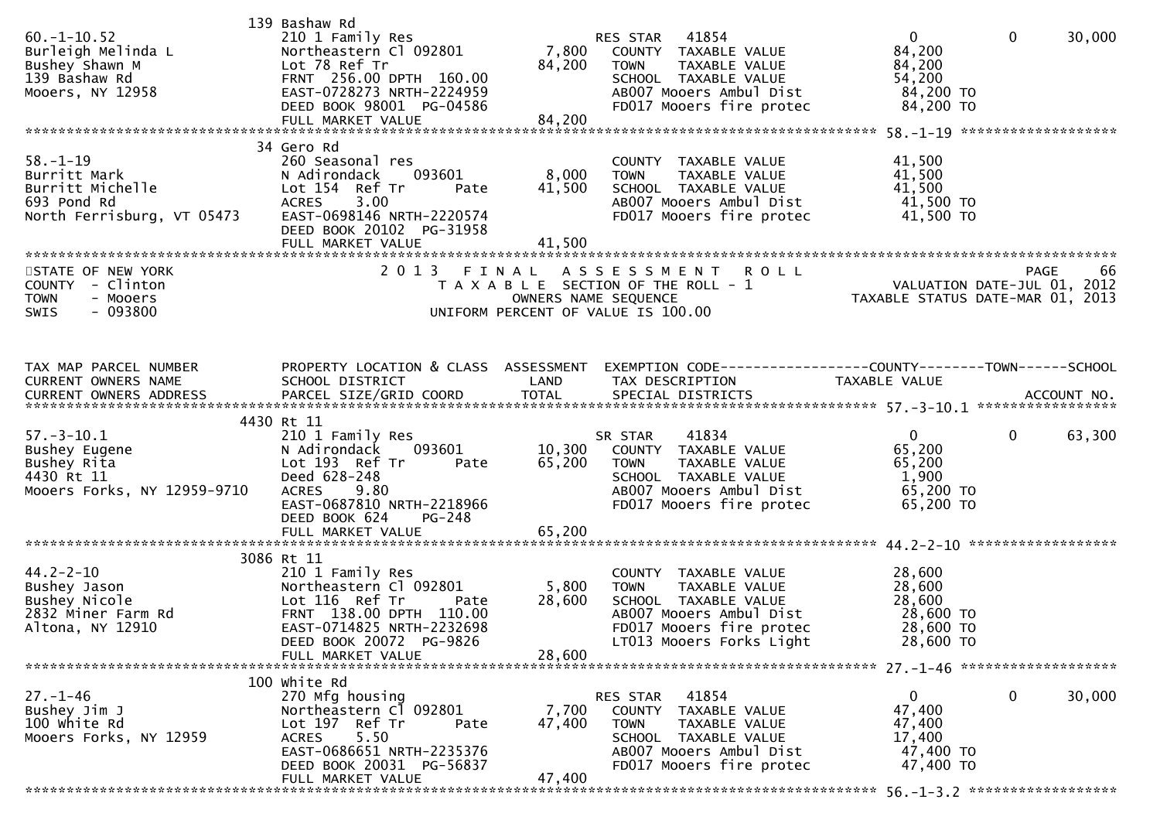| $60. -1 - 10.52$<br>Burleigh Melinda L<br>Bushey Shawn M<br>139 Bashaw Rd<br>Mooers, NY 12958   | 139 Bashaw Rd<br>210 1 Family Res<br>Northeastern Cl 092801<br>Lot 78 Ref Tr<br>FRNT 256.00 DPTH 160.00<br>EAST-0728273 NRTH-2224959<br>DEED BOOK 98001 PG-04586<br>FULL MARKET VALUE    | 84,200<br>84,200          | RES STAR 41854<br>7,800 COUNTY TAXABLE VALUE<br>TAXABLE VALUE<br><b>TOWN</b><br>SCHOOL TAXABLE VALUE<br>AB007 Mooers Ambul Dist<br>FD017 Mooers fire protec     | $\overline{0}$<br>84,200<br>84,200<br>54,200<br>84,200 TO<br>84,200 TO | $\mathbf 0$<br>30,000  |
|-------------------------------------------------------------------------------------------------|------------------------------------------------------------------------------------------------------------------------------------------------------------------------------------------|---------------------------|-----------------------------------------------------------------------------------------------------------------------------------------------------------------|------------------------------------------------------------------------|------------------------|
|                                                                                                 |                                                                                                                                                                                          |                           |                                                                                                                                                                 |                                                                        |                        |
| $58. - 1 - 19$<br>Burritt Mark<br>Burritt Michelle<br>693 Pond Rd<br>North Ferrisburg, VT 05473 | 34 Gero Rd<br>260 Seasonal res<br>N Adirondack<br>093601<br>Lot 154 Ref Tr<br>Pate<br><b>ACRES</b><br>3.00<br>EAST-0698146 NRTH-2220574<br>DEED BOOK 20102 PG-31958<br>FULL MARKET VALUE | 8,000<br>41,500<br>41,500 | COUNTY TAXABLE VALUE<br>TAXABLE VALUE<br><b>TOWN</b><br>SCHOOL TAXABLE VALUE<br>AB007 Mooers Ambul Dist<br>FD017 Mooers fire protec                             | 41,500<br>41,500<br>41,500<br>41,500 TO<br>41,500 TO                   |                        |
| STATE OF NEW YORK                                                                               | 2 0 1 3<br>FINAL                                                                                                                                                                         |                           | ASSESSMENT ROLL                                                                                                                                                 |                                                                        | PAGE<br>66             |
| COUNTY - Clinton<br>- Mooers<br><b>TOWN</b><br>$-093800$<br><b>SWIS</b>                         |                                                                                                                                                                                          | OWNERS NAME SEQUENCE      | T A X A B L E SECTION OF THE ROLL - 1<br>UNIFORM PERCENT OF VALUE IS 100.00                                                                                     | VALUATION DATE-JUL 01, 2012<br>TAXABLE STATUS DATE-MAR 01, 2013        |                        |
| TAX MAP PARCEL NUMBER<br>CURRENT OWNERS NAME<br>CURRENT OWNERS ADDRESS                          | SCHOOL DISTRICT                                                                                                                                                                          | LAND                      | PROPERTY LOCATION & CLASS ASSESSMENT EXEMPTION CODE----------------COUNTY-------TOWN------SCHOOL<br>TAX DESCRIPTION                                             | TAXABLE VALUE                                                          |                        |
| $57. - 3 - 10.1$<br>Bushey Eugene<br>Bushey Rita<br>4430 Rt 11<br>Mooers Forks, NY 12959-9710   | 4430 Rt 11<br>210 1 Family Res<br>093601<br>N Adirondack<br>Lot 193 Ref Tr<br>Pate<br>Deed 628-248<br>9.80<br><b>ACRES</b><br>EAST-0687810 NRTH-2218966<br>DEED BOOK 624<br>PG-248       | 65,200                    | 41834<br>SR STAR<br>10,300 COUNTY TAXABLE VALUE<br>TAXABLE VALUE<br>TOWN<br>SCHOOL TAXABLE VALUE<br>AB007 Mooers Ambul Dist<br>FD017 Mooers fire protec         | $\mathbf{0}$<br>65,200<br>65,200<br>1,900<br>65,200 TO<br>65,200 TO    | $\mathbf{0}$<br>63,300 |
|                                                                                                 | FULL MARKET VALUE                                                                                                                                                                        | 65,200                    |                                                                                                                                                                 |                                                                        |                        |
|                                                                                                 |                                                                                                                                                                                          |                           |                                                                                                                                                                 |                                                                        |                        |
| $44.2 - 2 - 10$<br>Bushey Jason<br>Bushey Nicole<br>2832 Miner Farm Rd<br>Altona, NY 12910      | 3086 Rt 11<br>210 1 Family Res<br>Northeastern C1 092801 5,800<br>Lot 116 Ref Tr<br>Pate<br>FRNT 138.00 DPTH 110.00<br>EAST-0714825 NRTH-2232698<br>DEED BOOK 20072 PG-9826              | 28,600                    | COUNTY TAXABLE VALUE<br>TAXABLE VALUE<br><b>TOWN</b><br>SCHOOL TAXABLE VALUE<br>AB007 Mooers Ambul Dist<br>FD017 Mooers fire protec<br>LT013 Mooers Forks Light | 28,600<br>28,600<br>28,600<br>28,600 TO<br>28,600 TO<br>28,600 TO      |                        |
|                                                                                                 | FULL MARKET VALUE                                                                                                                                                                        | 28,600                    |                                                                                                                                                                 |                                                                        |                        |
| $27. - 1 - 46$<br>Bushey Jim J<br>100 white Rd<br>Mooers Forks, NY 12959                        | 100 white Rd<br>270 Mfg housing<br>Northeastern Cl 092801<br>Lot 197 Ref Tr<br>Pate<br>5.50<br>ACRES<br>EAST-0686651 NRTH-2235376<br>DEED BOOK 20031 PG-56837<br>FULL MARKET VALUE       | 7,700<br>47,400<br>47,400 | RES STAR<br>41854<br>COUNTY TAXABLE VALUE<br><b>TOWN</b><br>TAXABLE VALUE<br>SCHOOL TAXABLE VALUE<br>AB007 Mooers Ambul Dist<br>FD017 Mooers fire protec        | $\mathbf 0$<br>47,400<br>47,400<br>17,400<br>47,400 TO<br>47,400 TO    | 30,000<br>$\mathbf{0}$ |
|                                                                                                 |                                                                                                                                                                                          |                           |                                                                                                                                                                 |                                                                        |                        |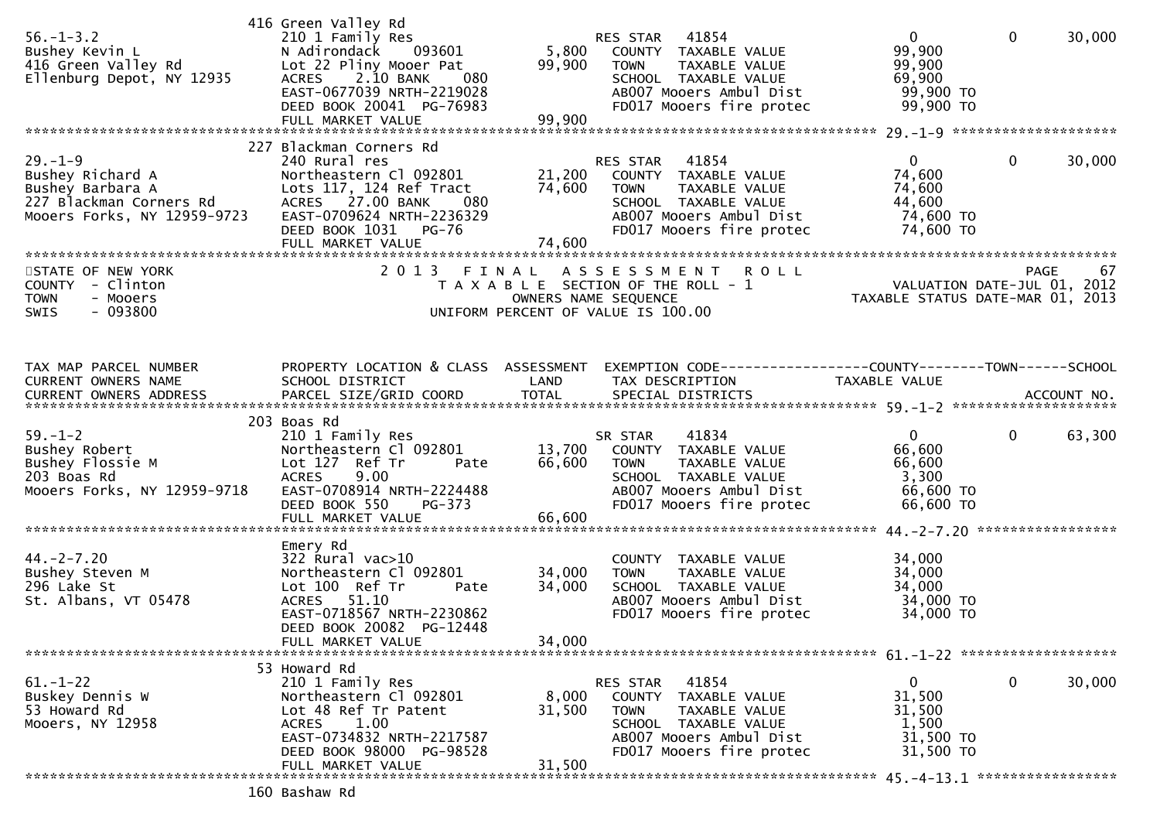| $56. - 1 - 3.2$<br>Bushey Kevin L<br>416 Green Valley Rd<br>Ellenburg Depot, NY 12935                           | 416 Green Valley Rd<br>210 1 Family Res<br>N Adirondack<br>093601<br>Lot 22 Pliny Mooer Pat<br>2.10 BANK<br><b>ACRES</b><br>080<br>EAST-0677039 NRTH-2219028<br>DEED BOOK 20041 PG-76983<br>FULL MARKET VALUE | 5,800<br>99,900<br>99,900  | RES STAR 41854<br>COUNTY TAXABLE VALUE<br><b>TOWN</b><br>TAXABLE VALUE<br>SCHOOL TAXABLE VALUE<br>AB007 Mooers Ambul Dist<br>FD017 Mooers fire protec          | $\overline{0}$<br>99,900<br>99,900<br>69,900<br>99,900 TO<br>99,900 TO     | $\mathbf 0$<br>30,000  |
|-----------------------------------------------------------------------------------------------------------------|---------------------------------------------------------------------------------------------------------------------------------------------------------------------------------------------------------------|----------------------------|----------------------------------------------------------------------------------------------------------------------------------------------------------------|----------------------------------------------------------------------------|------------------------|
|                                                                                                                 | 227 Blackman Corners Rd                                                                                                                                                                                       |                            |                                                                                                                                                                |                                                                            |                        |
| $29. - 1 - 9$<br>Bushey Richard A<br>Bushey Barbara A<br>227 Blackman Corners Rd<br>Mooers Forks, NY 12959-9723 | 240 Rural res<br>Northeastern Cl 092801<br>Lots 117, 124 Ref Tract<br>ACRES 27.00 BANK<br>080<br>EAST-0709624 NRTH-2236329<br>DEED BOOK 1031 PG-76<br>FULL MARKET VALUE                                       | 21,200<br>74,600<br>74,600 | RES STAR<br>41854<br>COUNTY TAXABLE VALUE<br><b>TOWN</b><br>TAXABLE VALUE<br>SCHOOL TAXABLE VALUE<br>AB007 Mooers Ambul Dist<br>FD017 Mooers fire protec       | $\mathbf{0}$<br>74,600<br>74,600<br>44,600<br>74,600 TO<br>74,600 TO       | 0<br>30,000            |
|                                                                                                                 |                                                                                                                                                                                                               |                            |                                                                                                                                                                |                                                                            |                        |
| STATE OF NEW YORK<br>COUNTY - Clinton<br><b>TOWN</b><br>- Mooers<br>$-093800$<br><b>SWIS</b>                    | 2 0 1 3                                                                                                                                                                                                       | FINAL                      | <b>ROLL</b><br>A S S E S S M E N T<br>T A X A B L E SECTION OF THE ROLL - 1<br>OWNERS NAME SEQUENCE<br>UNIFORM PERCENT OF VALUE IS 100.00                      | PAGE 67<br>VALUATION DATE-JUL 01, 2012<br>TAXABLE STATIIS DATE 110 00 2012 |                        |
| TAX MAP PARCEL NUMBER                                                                                           | PROPERTY LOCATION & CLASS ASSESSMENT                                                                                                                                                                          |                            | EXEMPTION CODE-----------------COUNTY-------TOWN------SCHOOL                                                                                                   |                                                                            |                        |
| CURRENT OWNERS NAME                                                                                             | SCHOOL DISTRICT                                                                                                                                                                                               | LAND                       | TAX DESCRIPTION                                                                                                                                                | TAXABLE VALUE                                                              |                        |
| $59. - 1 - 2$<br>Bushey Robert<br>Bushey Flossie M<br>203 Boas Rd<br>Mooers Forks, NY 12959-9718                | 203 Boas Rd<br>210 1 Family Res<br>Northeastern Cl 092801<br>Lot 127 Ref Tr<br>Pate<br>9.00<br><b>ACRES</b><br>EAST-0708914 NRTH-2224488<br>DEED BOOK 550<br>PG-373                                           | 66,600                     | 41834<br>SR STAR<br>13,700 COUNTY TAXABLE VALUE<br>TAXABLE VALUE<br><b>TOWN</b><br>SCHOOL TAXABLE VALUE<br>AB007 Mooers Ambul Dist<br>FD017 Mooers fire protec | $\mathbf{0}$<br>66,600<br>66,600<br>3,300<br>66,600 TO<br>66,600 TO        | $\mathbf{0}$<br>63,300 |
|                                                                                                                 |                                                                                                                                                                                                               |                            |                                                                                                                                                                |                                                                            |                        |
| $44. -2 - 7.20$<br>Bushey Steven M<br>296 Lake St<br>St. Albans, VT 05478                                       | Emery Rd<br>$322$ Rural vac $>10$<br>Northeastern Cl 092801<br>Lot 100 Ref Tr<br>Pate<br>ACRES 51.10<br>EAST-0718567 NRTH-2230862<br>DEED BOOK 20082 PG-12448<br>FULL MARKET VALUE                            | 34,000<br>34,000<br>34,000 | COUNTY TAXABLE VALUE<br>TAXABLE VALUE<br><b>TOWN</b><br>SCHOOL TAXABLE VALUE<br>AB007 Mooers Ambul Dist<br>FD017 Mooers fire protec                            | 34,000<br>34,000<br>34,000<br>34,000 TO<br>34,000 TO                       |                        |
|                                                                                                                 |                                                                                                                                                                                                               |                            |                                                                                                                                                                |                                                                            |                        |
| $61. - 1 - 22$<br>Buskey Dennis W<br>53 Howard Rd<br>Mooers, NY 12958                                           | 53 Howard Rd<br>210 1 Family Res<br>Northeastern Cl 092801<br>Lot 48 Ref Tr Patent<br>1.00<br><b>ACRES</b><br>EAST-0734832 NRTH-2217587<br>DEED BOOK 98000 PG-98528<br>FULL MARKET VALUE                      | 8,000<br>31,500<br>31,500  | 41854<br>RES STAR<br>COUNTY TAXABLE VALUE<br><b>TOWN</b><br>TAXABLE VALUE<br>SCHOOL TAXABLE VALUE<br>AB007 Mooers Ambul Dist<br>FD017 Mooers fire protec       | $\bf{0}$<br>31,500<br>31,500<br>1,500<br>31,500 TO<br>31,500 TO            | 0<br>30,000            |
|                                                                                                                 |                                                                                                                                                                                                               |                            |                                                                                                                                                                |                                                                            |                        |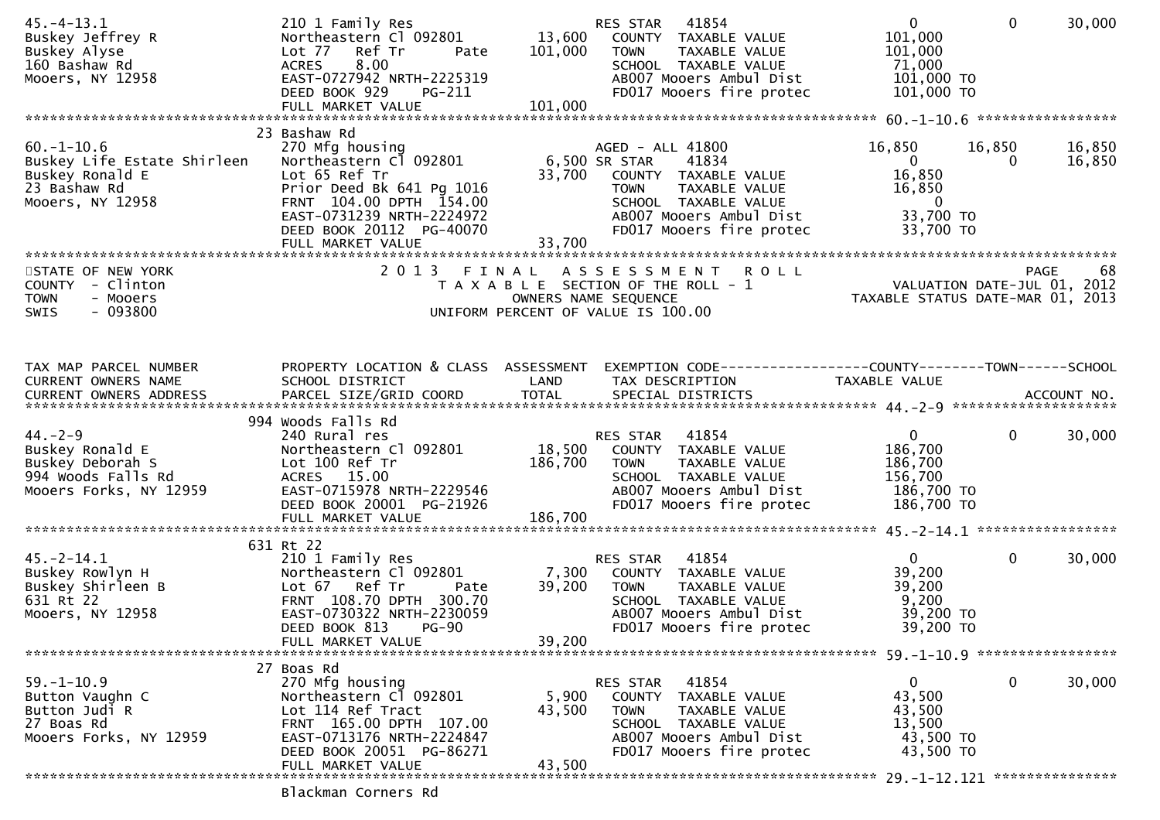| $45. - 4 - 13.1$<br>Buskey Jeffrey R<br>Buskey Alyse<br>160 Bashaw Rd<br>Mooers, NY 12958             | 210 1 Family Res<br>Northeastern C1 092801 13,600<br>Lot 77 Ref Tr<br>Pate<br>8.00<br>ACRES<br>EAST-0727942 NRTH-2225319<br>DEED BOOK 929<br><b>PG-211</b><br>FULL MARKET VALUE | 101,000<br>101,000      | 41854<br>RES STAR<br>COUNTY TAXABLE VALUE<br><b>TOWN</b><br>TAXABLE VALUE<br>SCHOOL TAXABLE VALUE<br>AB007 Mooers Ambul Dist<br>FD017 Mooers fire protec | $\mathbf{0}$<br>101,000<br>101,000<br>71,000<br>101,000 TO<br>101,000 TO    | 30,000<br>$\mathbf{0}$          |
|-------------------------------------------------------------------------------------------------------|---------------------------------------------------------------------------------------------------------------------------------------------------------------------------------|-------------------------|----------------------------------------------------------------------------------------------------------------------------------------------------------|-----------------------------------------------------------------------------|---------------------------------|
|                                                                                                       | 23 Bashaw Rd                                                                                                                                                                    |                         |                                                                                                                                                          |                                                                             |                                 |
| $60. -1 - 10.6$<br>Buskey Life Estate Shirleen<br>Buskey Ronald E<br>23 Bashaw Rd<br>Mooers, NY 12958 | 270 Mfg housing<br>Northeastern Cl 092801<br>Lot 65 Ref Tr<br>Prior Deed Bk 641 Pg 1016<br>FRNT 104.00 DPTH 154.00<br>EAST-0731239 NRTH-2224972                                 | 6,500 SR STAR<br>33,700 | AGED - ALL 41800<br>41834<br>COUNTY TAXABLE VALUE<br><b>TOWN</b><br>TAXABLE VALUE<br>SCHOOL TAXABLE VALUE<br>AB007 Mooers Ambul Dist                     | 16,850<br>$\overline{0}$<br>16,850<br>16,850<br>$\overline{0}$<br>33,700 TO | 16,850<br>16,850<br>16,850<br>0 |
|                                                                                                       | DEED BOOK 20112 PG-40070                                                                                                                                                        | 33,700                  | FD017 Mooers fire protec                                                                                                                                 | 33,700 TO                                                                   |                                 |
|                                                                                                       | FULL MARKET VALUE                                                                                                                                                               |                         |                                                                                                                                                          |                                                                             |                                 |
| STATE OF NEW YORK                                                                                     |                                                                                                                                                                                 |                         | 2013 FINAL ASSESSMENT<br><b>ROLL</b>                                                                                                                     | 88 PAGE 68<br>VALUATION DATE-JUL 01, 2012<br>TAXARLE STATUS DATE WAS 2012   |                                 |
| COUNTY - Clinton                                                                                      |                                                                                                                                                                                 |                         | T A X A B L E SECTION OF THE ROLL - 1                                                                                                                    |                                                                             |                                 |
| - Mooers<br><b>TOWN</b><br>$-093800$<br>SWIS                                                          |                                                                                                                                                                                 |                         | OWNERS NAME SEQUENCE<br>UNIFORM PERCENT OF VALUE IS 100.00                                                                                               | TAXABLE STATUS DATE-MAR 01, 2013                                            |                                 |
|                                                                                                       |                                                                                                                                                                                 |                         |                                                                                                                                                          |                                                                             |                                 |
| TAX MAP PARCEL NUMBER                                                                                 | PROPERTY LOCATION & CLASS ASSESSMENT                                                                                                                                            |                         | EXEMPTION CODE-----------------COUNTY-------TOWN-----SCHOOL                                                                                              |                                                                             |                                 |
| CURRENT OWNERS NAME                                                                                   | SCHOOL DISTRICT                                                                                                                                                                 | LAND                    | TAX DESCRIPTION                                                                                                                                          | TAXABLE VALUE                                                               |                                 |
|                                                                                                       |                                                                                                                                                                                 |                         |                                                                                                                                                          |                                                                             |                                 |
|                                                                                                       | 994 Woods Falls Rd                                                                                                                                                              |                         |                                                                                                                                                          |                                                                             |                                 |
| $44. -2 - 9$                                                                                          | 240 Rural res<br>Northeastern Cl 092801                                                                                                                                         |                         | 41854<br>RES STAR                                                                                                                                        | $\overline{0}$<br>186,700                                                   | $\mathbf{0}$<br>30,000          |
| Buskey Ronald E<br>Buskey Deborah S                                                                   | Lot 100 Ref Tr                                                                                                                                                                  | 186,700                 | 18,500 COUNTY TAXABLE VALUE<br>TOWN<br>TAXABLE VALUE                                                                                                     | 186,700                                                                     |                                 |
| 994 Woods Falls Rd                                                                                    | ACRES 15.00                                                                                                                                                                     |                         | SCHOOL TAXABLE VALUE                                                                                                                                     | 156,700                                                                     |                                 |
| Mooers Forks, NY 12959                                                                                | EAST-0715978 NRTH-2229546                                                                                                                                                       |                         | AB007 Mooers Ambul Dist                                                                                                                                  | 186,700 TO                                                                  |                                 |
|                                                                                                       | DEED BOOK 20001 PG-21926                                                                                                                                                        | 186,700                 | FD017 Mooers fire protec                                                                                                                                 | 186,700 TO                                                                  |                                 |
|                                                                                                       | FULL MARKET VALUE                                                                                                                                                               |                         |                                                                                                                                                          |                                                                             |                                 |
|                                                                                                       | 631 Rt 22                                                                                                                                                                       |                         |                                                                                                                                                          |                                                                             |                                 |
| $45. -2 - 14.1$                                                                                       | 210 1 Family Res                                                                                                                                                                |                         | 41854<br>RES STAR                                                                                                                                        | $\mathbf{0}$                                                                | $\mathbf{0}$<br>30,000          |
| Buskey Rowlyn H                                                                                       | Northeastern Cl 092801<br>Lot 67 Ref Tr                                                                                                                                         | 7,300<br>39,200         | COUNTY TAXABLE VALUE<br>TAXABLE VALUE<br>TOWN                                                                                                            | 39,200<br>39,200                                                            |                                 |
| Buskey Shirleen B<br>631 Rt 22                                                                        | Pate<br>FRNT 108.70 DPTH 300.70                                                                                                                                                 |                         | SCHOOL TAXABLE VALUE                                                                                                                                     | 9,200                                                                       |                                 |
| Mooers, NY 12958                                                                                      | EAST-0730322 NRTH-2230059                                                                                                                                                       |                         | AB007 Mooers Ambul Dist                                                                                                                                  | 39,200 TO                                                                   |                                 |
|                                                                                                       | DEED BOOK 813<br><b>PG-90</b>                                                                                                                                                   |                         | FD017 Mooers fire protec                                                                                                                                 | 39,200 TO                                                                   |                                 |
|                                                                                                       | FULL MARKET VALUE                                                                                                                                                               | 39,200                  |                                                                                                                                                          |                                                                             |                                 |
|                                                                                                       | 27 Boas Rd                                                                                                                                                                      |                         |                                                                                                                                                          |                                                                             |                                 |
| $59. - 1 - 10.9$                                                                                      | 270 Mfg housing                                                                                                                                                                 |                         | 41854<br>RES STAR                                                                                                                                        | $\mathbf{0}$                                                                | $\mathbf 0$<br>30,000           |
| Button Vaughn C                                                                                       | Northeastern Cl 092801                                                                                                                                                          | 5,900                   | COUNTY TAXABLE VALUE                                                                                                                                     | 43,500                                                                      |                                 |
| Button Judi R<br>27 Boas Rd                                                                           | Lot 114 Ref Tract<br>FRNT 165.00 DPTH 107.00                                                                                                                                    | 43,500                  | <b>TOWN</b><br>TAXABLE VALUE<br>SCHOOL TAXABLE VALUE                                                                                                     | 43,500<br>13,500                                                            |                                 |
| Mooers Forks, NY 12959                                                                                | EAST-0713176 NRTH-2224847                                                                                                                                                       |                         | AB007 Mooers Ambul Dist                                                                                                                                  | 43,500 TO                                                                   |                                 |
|                                                                                                       | DEED BOOK 20051 PG-86271                                                                                                                                                        |                         | FD017 Mooers fire protec                                                                                                                                 | 43,500 TO                                                                   |                                 |
|                                                                                                       | FULL MARKET VALUE                                                                                                                                                               | 43,500                  |                                                                                                                                                          |                                                                             |                                 |
|                                                                                                       |                                                                                                                                                                                 |                         |                                                                                                                                                          |                                                                             |                                 |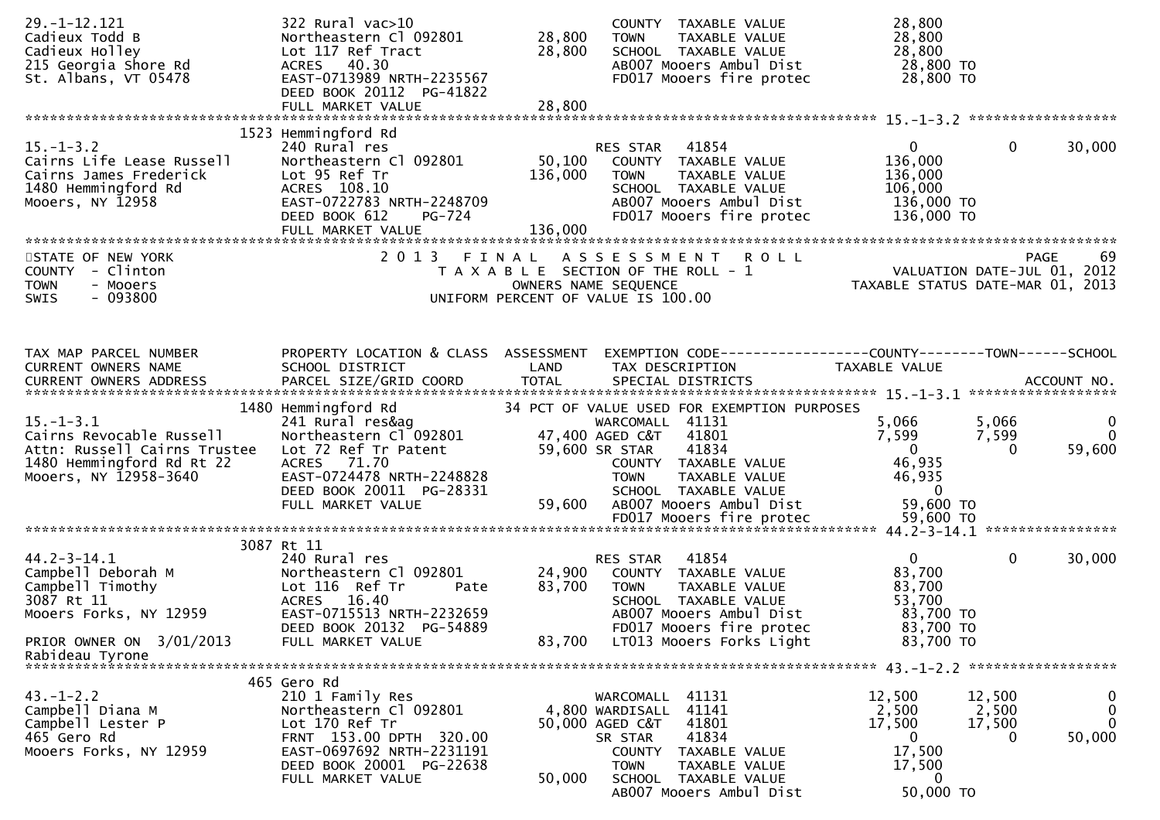| $29. - 1 - 12.121$<br>Cadieux Todd B<br>Cadieux Holley<br>215 Georgia Shore Rd<br>St. Albans, VT 05478                            | $322$ Rural vac $>10$<br>Northeastern Cl 092801<br>Lot 117 Ref Tract<br>ACRES 40.30<br>EAST-0713989 NRTH-2235567<br>DEED BOOK 20112 PG-41822<br>FULL MARKET VALUE                      | 28,800<br>28,800<br>28,800   | COUNTY TAXABLE VALUE<br><b>TOWN</b><br>TAXABLE VALUE<br>SCHOOL TAXABLE VALUE<br>AB007 Mooers Ambul Dist<br>FD017 Mooers fire protec                                                                                              | 28,800<br>28,800<br>28,800<br>28,800 TO<br>28,800 TO                                                     |                                                                  |
|-----------------------------------------------------------------------------------------------------------------------------------|----------------------------------------------------------------------------------------------------------------------------------------------------------------------------------------|------------------------------|----------------------------------------------------------------------------------------------------------------------------------------------------------------------------------------------------------------------------------|----------------------------------------------------------------------------------------------------------|------------------------------------------------------------------|
| $15. - 1 - 3.2$<br>Cairns Life Lease Russell<br>Cairns James Frederick<br>1480 Hemmingford Rd<br>Mooers, NY 12958                 | 1523 Hemmingford Rd<br>240 Rural res<br>Northeastern Cl 092801<br>Lot 95 Ref Tr<br>ACRES 108.10<br>EAST-0722783 NRTH-2248709<br>DEED BOOK 612<br>PG-724<br>FULL MARKET VALUE           | 50,100<br>136,000<br>136,000 | RES STAR<br>41854<br>COUNTY TAXABLE VALUE<br><b>TOWN</b><br>TAXABLE VALUE<br>SCHOOL TAXABLE VALUE<br>AB007 Mooers Ambul Dist<br>FD017 Mooers fire protec                                                                         | $\overline{0}$<br>136,000<br>136,000<br>106,000<br>136,000 TO<br>136,000 TO                              | $\mathbf{0}$<br>30,000                                           |
| STATE OF NEW YORK<br>COUNTY - Clinton<br><b>TOWN</b><br>- Mooers<br>$-093800$<br><b>SWIS</b>                                      | 2013 FINAL                                                                                                                                                                             |                              | A S S E S S M E N T R O L L<br>T A X A B L E SECTION OF THE ROLL - 1<br>OWNERS NAME SEQUENCE<br>UNIFORM PERCENT OF VALUE IS 100.00                                                                                               | 99 PAGE<br>VALUATION DATE-JUL 01, 2012<br>TAXARLE STATUS DATE :::- 2<br>TAXABLE STATUS DATE-MAR 01, 2013 |                                                                  |
| TAX MAP PARCEL NUMBER<br>CURRENT OWNERS NAME                                                                                      | PROPERTY LOCATION & CLASS ASSESSMENT<br>SCHOOL DISTRICT                                                                                                                                | LAND                         | TAX DESCRIPTION                                                                                                                                                                                                                  | TAXABLE VALUE                                                                                            |                                                                  |
| $15. - 1 - 3.1$<br>Cairns Revocable Russell<br>Attn: Russell Cairns Trustee<br>1480 Hemmingford Rd Rt 22<br>Mooers, NY 12958-3640 | 1480 Hemmingford Rd<br>241 Rural res&ag<br>Northeastern Cl 092801<br>Lot 72 Ref Tr Patent<br>ACRES 71.70<br>EAST-0724478 NRTH-2248828<br>DEED BOOK 20011 PG-28331<br>FULL MARKET VALUE | 59,600                       | 34 PCT OF VALUE USED FOR EXEMPTION PURPOSES<br>WARCOMALL 41131<br>47,400 AGED C&T<br>41801<br>59,600 SR STAR<br>41834<br>COUNTY TAXABLE VALUE<br><b>TOWN</b><br>TAXABLE VALUE<br>SCHOOL TAXABLE VALUE<br>AB007 Mooers Ambul Dist | 5,066<br>7,599<br>$\overline{0}$<br>46,935<br>46,935<br>- 0<br>59,600 TO                                 | 5,066<br>$\mathbf{0}$<br>$\Omega$<br>7,599<br>59,600<br>$\Omega$ |
|                                                                                                                                   | 3087 Rt 11                                                                                                                                                                             |                              |                                                                                                                                                                                                                                  |                                                                                                          |                                                                  |
| $44.2 - 3 - 14.1$<br>Campbell Deborah M<br>Campbell Timothy<br>3087 Rt 11<br>Mooers Forks, NY 12959<br>PRIOR OWNER ON 3/01/2013   | 240 Rural res<br>Northeastern Cl 092801<br>Lot 116 Ref Tr<br>Pate<br>ACRES 16.40<br>EAST-0715513 NRTH-2232659<br>DEED BOOK 20132 PG-54889<br>FULL MARKET VALUE                         | 24,900<br>83,700<br>83,700   | 41854<br>RES STAR<br>COUNTY TAXABLE VALUE<br>TAXABLE VALUE<br><b>TOWN</b><br>SCHOOL TAXABLE VALUE<br>AB007 Mooers Ambul Dist<br>FD017 Mooers fire protec<br>LT013 Mooers Forks Light                                             | $\mathbf{0}$<br>83,700<br>83,700<br>53,700<br>83,700 TO<br>83,700 TO<br>83,700 TO                        | $\mathbf{0}$<br>30,000                                           |
| Rabideau Tyrone                                                                                                                   |                                                                                                                                                                                        |                              |                                                                                                                                                                                                                                  |                                                                                                          |                                                                  |
| $43. - 1 - 2.2$<br>Campbell Diana M<br>Campbell Lester P<br>465 Gero Rd<br>Mooers Forks, NY 12959                                 | 465 Gero Rd<br>210 1 Family Res<br>Northeastern Cl 092801<br>Lot 170 Ref Tr<br>FRNT 153.00 DPTH 320.00<br>EAST-0697692 NRTH-2231191<br>DEED BOOK 20001 PG-22638<br>FULL MARKET VALUE   | 50,000                       | WARCOMALL 41131<br>4,800 WARDISALL 41141<br>50,000 AGED C&T<br>41801<br>41834<br>SR STAR<br>COUNTY TAXABLE VALUE<br>TAXABLE VALUE<br>TOWN<br>SCHOOL TAXABLE VALUE                                                                | 12,500<br>12,500<br>2,500<br>17,500<br>17,500<br>$\mathbf{0}$<br>17,500<br>17,500<br>$\bf{0}$            | $\bf{0}$<br>$\bf{0}$<br>2,500<br>$\mathbf 0$<br>50,000<br>0      |
|                                                                                                                                   |                                                                                                                                                                                        |                              | AB007 Mooers Ambul Dist                                                                                                                                                                                                          | 50,000 TO                                                                                                |                                                                  |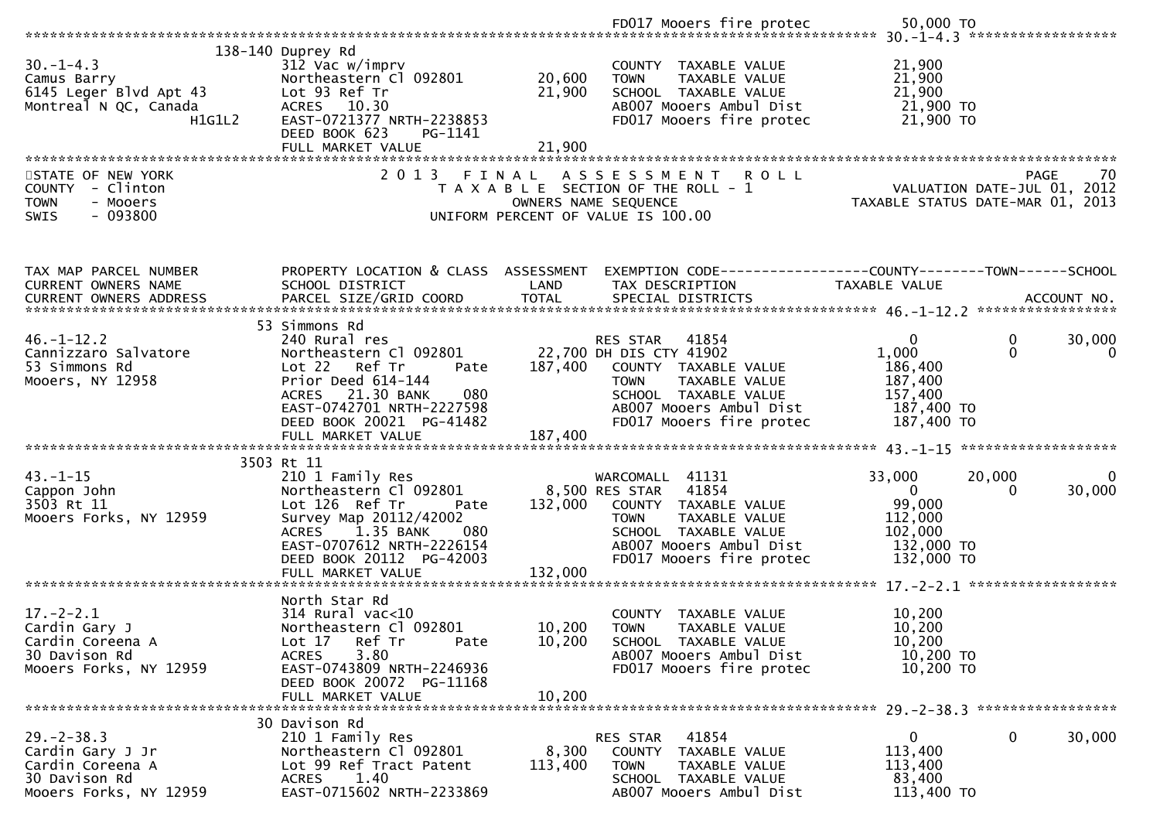|                                                                                                     |                                                                                                                                                                                                                     |                                | FD017 Mooers fire protec                                                                                                                                                                 | 50,000 TO                                                                                                |                        |
|-----------------------------------------------------------------------------------------------------|---------------------------------------------------------------------------------------------------------------------------------------------------------------------------------------------------------------------|--------------------------------|------------------------------------------------------------------------------------------------------------------------------------------------------------------------------------------|----------------------------------------------------------------------------------------------------------|------------------------|
| $30. -1 - 4.3$<br>Camus Barry<br>6145 Leger Blvd Apt 43<br>Montreal N QC, Canada<br>H1G1L2          | 138-140 Duprey Rd<br>312 Vac w/imprv<br>Northeastern Cl 092801<br>Lot 93 Ref Tr<br>ACRES 10.30<br>EAST-0721377 NRTH-2238853<br>DEED BOOK 623<br>PG-1141                                                             | 20,600<br>21,900               | COUNTY TAXABLE VALUE<br>TAXABLE VALUE<br><b>TOWN</b><br>SCHOOL TAXABLE VALUE<br>AB007 Mooers Ambul Dist<br>FD017 Mooers fire protec                                                      | 21,900<br>21,900<br>21,900<br>21,900 то<br>21,900 TO                                                     |                        |
| STATE OF NEW YORK<br>COUNTY - Clinton<br><b>TOWN</b><br>- Mooers<br>$-093800$<br>SWIS               | FULL MARKET VALUE<br>2013 FINAL                                                                                                                                                                                     | 21,900<br>OWNERS NAME SEQUENCE | ASSESSMENT ROLL<br>T A X A B L E SECTION OF THE ROLL - 1<br>UNIFORM PERCENT OF VALUE IS 100.00                                                                                           | VALUATION DATE-JUL 01, 2012<br>TAXABLE STATUS DATE-MAR 01, 2013                                          | 70<br><b>PAGE</b>      |
| TAX MAP PARCEL NUMBER<br><b>CURRENT OWNERS NAME</b>                                                 | PROPERTY LOCATION & CLASS ASSESSMENT<br>SCHOOL DISTRICT                                                                                                                                                             | LAND                           | EXEMPTION CODE-----------------COUNTY-------TOWN------SCHOOL<br>TAX DESCRIPTION                                                                                                          | TAXABLE VALUE                                                                                            |                        |
| $46. - 1 - 12.2$<br>Cannizzaro Salvatore<br>53 Simmons Rd<br>Mooers, NY 12958                       | 53 Simmons Rd<br>240 Rural res<br>Northeastern Cl 092801<br>Ref Tr<br>Lot 22<br>Pate<br>Prior Deed 614-144<br>ACRES 21.30 BANK<br>080<br>EAST-0742701 NRTH-2227598<br>DEED BOOK 20021 PG-41482<br>FULL MARKET VALUE | 187,400<br>187,400             | RES STAR<br>41854<br>22,700 DH DIS CTY 41902<br>COUNTY TAXABLE VALUE<br><b>TOWN</b><br>TAXABLE VALUE<br>SCHOOL TAXABLE VALUE<br>AB007 Mooers Ambul Dist<br>FD017 Mooers fire protec      | $\mathbf{0}$<br>0<br>$\mathbf 0$<br>1,000<br>186,400<br>187,400<br>157,400<br>187,400 TO<br>187,400 TO   | 30,000<br>$\mathbf{0}$ |
| $43. - 1 - 15$<br>Cappon John<br>3503 Rt 11<br>Mooers Forks, NY 12959                               | 3503 Rt 11<br>210 1 Family Res<br>Northeastern Cl 092801<br>Lot 126 Ref Tr<br>Pate<br>Survey Map 20112/42002<br>1.35 BANK<br>080<br>ACRES<br>EAST-0707612 NRTH-2226154<br>DEED BOOK 20112 PG-42003                  | 132,000                        | WARCOMALL 41131<br>8,500 RES STAR<br>41854<br>COUNTY TAXABLE VALUE<br><b>TAXABLE VALUE</b><br><b>TOWN</b><br>SCHOOL TAXABLE VALUE<br>AB007 Mooers Ambul Dist<br>FD017 Mooers fire protec | 33,000<br>20,000<br>$\mathbf{0}$<br>$\Omega$<br>99,000<br>112,000<br>102,000<br>132,000 TO<br>132,000 TO | $\Omega$<br>30,000     |
| $17 - 2 - 2.1$<br>Cardin Gary J<br>Cardin Coreena A<br>30 Davison Rd<br>Mooers Forks, NY 12959      | North Star Rd<br>$314$ Rural vac<10<br>Northeastern Cl 092801<br>Lot 17<br>Ref Tr<br>Pate<br>3.80<br><b>ACRES</b><br>EAST-0743809 NRTH-2246936<br>DEED BOOK 20072 PG-11168<br>FULL MARKET VALUE                     | 10,200<br>10,200<br>10,200     | <b>COUNTY</b><br>TAXABLE VALUE<br><b>TOWN</b><br>TAXABLE VALUE<br>SCHOOL TAXABLE VALUE<br>AB007 Mooers Ambul Dist<br>FD017 Mooers fire protec                                            | 10,200<br>10,200<br>10,200<br>10,200 TO<br>10,200 TO                                                     |                        |
| $29. - 2 - 38.3$<br>Cardin Gary J Jr<br>Cardin Coreena A<br>30 Davison Rd<br>Mooers Forks, NY 12959 | 30 Davison Rd<br>210 1 Family Res<br>Northeastern Cl 092801<br>Lot 99 Ref Tract Patent<br>1.40<br><b>ACRES</b><br>EAST-0715602 NRTH-2233869                                                                         | 8,300<br>113,400               | 41854<br>RES STAR<br>COUNTY TAXABLE VALUE<br>TAXABLE VALUE<br><b>TOWN</b><br>SCHOOL TAXABLE VALUE<br>AB007 Mooers Ambul Dist                                                             | 0<br>0<br>113,400<br>113,400<br>83,400<br>113,400 TO                                                     | 30,000                 |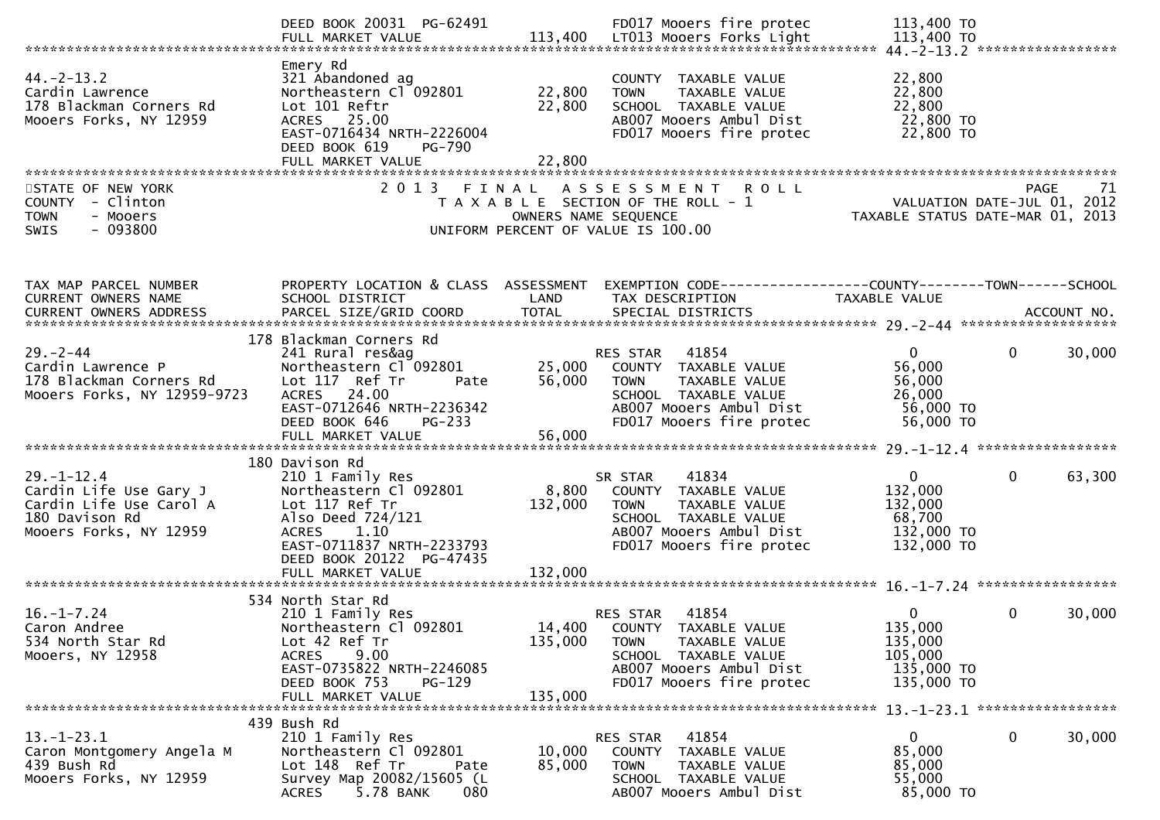|                                                                                                                                          | DEED BOOK 20031 PG-62491                                                                                                                                                   |                               | FD017 Mooers fire protec                                                                                                                                        | 113,400 TO                                                                  |                        |
|------------------------------------------------------------------------------------------------------------------------------------------|----------------------------------------------------------------------------------------------------------------------------------------------------------------------------|-------------------------------|-----------------------------------------------------------------------------------------------------------------------------------------------------------------|-----------------------------------------------------------------------------|------------------------|
| $44. -2 - 13.2$<br>Cardin Lawrence<br>178 Blackman Corners Rd<br>Mooers Forks, NY 12959                                                  | Emery Rd<br>321 Abandoned ag<br>Northeastern Cl <sup>-</sup> 092801<br>Lot 101 Reftr<br>ACRES 25.00<br>EAST-0716434 NRTH-2226004<br>DEED BOOK 619<br>PG-790                | 22,800<br>22,800              | COUNTY TAXABLE VALUE<br><b>TOWN</b><br>TAXABLE VALUE<br>SCHOOL TAXABLE VALUE<br>AB007 Mooers Ambul Dist<br>FD017 Mooers fire protec                             | 22,800<br>22,800<br>22,800<br>22,800 TO<br>22,800 TO                        |                        |
|                                                                                                                                          | FULL MARKET VALUE                                                                                                                                                          | 22,800                        |                                                                                                                                                                 |                                                                             |                        |
| STATE OF NEW YORK<br>COUNTY - Clinton<br><b>TOWN</b><br>- Mooers<br>$-093800$<br><b>SWIS</b>                                             | 2 0 1 3                                                                                                                                                                    | FINAL<br>OWNERS NAME SEQUENCE | <b>ROLL</b><br>A S S E S S M E N T<br>T A X A B L E SECTION OF THE ROLL - 1<br>UNIFORM PERCENT OF VALUE IS 100.00                                               | VALUATION DATE-JUL 01, 2012<br>TAXABLE STATUS DATE-MAR 01, 2013             | <b>PAGE</b><br>71      |
| TAX MAP PARCEL NUMBER<br>CURRENT OWNERS NAME<br>CURRENT OWNERS ADDRESS PARCEL SIZE/GRID COORD TOTAL SPECIAL DISTRICTS (2014) ACCOUNT NO. | PROPERTY LOCATION & CLASS ASSESSMENT<br>SCHOOL DISTRICT                                                                                                                    | LAND                          | EXEMPTION CODE-----------------COUNTY-------TOWN------SCHOOL<br>TAX DESCRIPTION                                                                                 | <b>TAXABLE VALUE</b>                                                        |                        |
|                                                                                                                                          |                                                                                                                                                                            |                               |                                                                                                                                                                 |                                                                             |                        |
| $29. - 2 - 44$<br>Cardin Lawrence P<br>178 Blackman Corners Rd<br>Mooers Forks, NY 12959-9723                                            | 178 Blackman Corners Rd<br>241 Rural res&ag<br>Northeastern Cl 092801<br>Lot 117 Ref Tr<br>Pate<br>ACRES 24.00<br>EAST-0712646 NRTH-2236342<br>PG-233<br>DEED BOOK 646     | 56,000                        | 41854<br>RES STAR<br>25,000 COUNTY TAXABLE VALUE<br>TAXABLE VALUE<br><b>TOWN</b><br>SCHOOL TAXABLE VALUE<br>AB007 Mooers Ambul Dist<br>FD017 Mooers fire protec | $\mathbf{0}$<br>56,000<br>56,000<br>26,000<br>56,000 TO<br>56,000 TO        | 30,000<br>$\mathbf{0}$ |
|                                                                                                                                          |                                                                                                                                                                            |                               |                                                                                                                                                                 |                                                                             |                        |
| $29. - 1 - 12.4$<br>Cardin Life Use Gary J<br>Cardin Life Use Carol A<br>180 Davison Rd<br>Mooers Forks, NY 12959                        | 180 Davison Rd<br>210 1 Family Res<br>Northeastern Cl 092801<br>Lot 117 Ref Tr<br>Also Deed 724/121<br>ACRES 1.10<br>EAST-0711837 NRTH-2233793<br>DEED BOOK 20122 PG-47435 | 132,000                       | 41834<br>SR STAR<br>8,800 COUNTY TAXABLE VALUE<br>TAXABLE VALUE<br><b>TOWN</b><br>SCHOOL TAXABLE VALUE<br>AB007 Mooers Ambul Dist<br>FD017 Mooers fire protec   | $\mathbf{0}$<br>132,000<br>132,000<br>68,700<br>132,000 TO<br>132,000 TO    | $\mathbf{0}$<br>63,300 |
|                                                                                                                                          | FULL MARKET VALUE                                                                                                                                                          | 132,000                       |                                                                                                                                                                 |                                                                             |                        |
| $16. - 1 - 7.24$<br>Caron Andree<br>534 North Star Rd<br>Mooers, NY 12958                                                                | 534 North Star Rd<br>210 1 Family Res<br>Northeastern Cl 092801<br>Lot 42 Ref Tr<br>9.00<br><b>ACRES</b><br>EAST-0735822 NRTH-2246085<br>DEED BOOK 753<br>$PG-129$         | 135,000                       | RES STAR 41854<br>14,400 COUNTY TAXABLE VALUE<br>TAXABLE VALUE<br><b>TOWN</b><br>SCHOOL TAXABLE VALUE<br>AB007 Mooers Ambul Dist<br>FD017 Mooers fire protec    | $\overline{0}$<br>135,000<br>135,000<br>105,000<br>135,000 TO<br>135,000 TO | $\Omega$<br>30,000     |
|                                                                                                                                          | FULL MARKET VALUE                                                                                                                                                          | 135,000                       |                                                                                                                                                                 |                                                                             |                        |
| $13.-1-23.1$<br>Caron Montgomery Angela M<br>439 Bush Rd<br>Mooers Forks, NY 12959                                                       | 439 Bush Rd<br>210 1 Family Res<br>Northeastern Cl 092801<br>Lot 148 Ref Tr<br>Pate<br>Survey Map 20082/15605 (L<br><b>ACRES</b><br>5.78 BANK<br>080                       | 10,000<br>85,000              | 41854<br>RES STAR<br>COUNTY TAXABLE VALUE<br><b>TOWN</b><br>TAXABLE VALUE<br>SCHOOL TAXABLE VALUE<br>AB007 Mooers Ambul Dist                                    | $\mathbf{0}$<br>85,000<br>85,000<br>55,000<br>85,000 TO                     | 0<br>30,000            |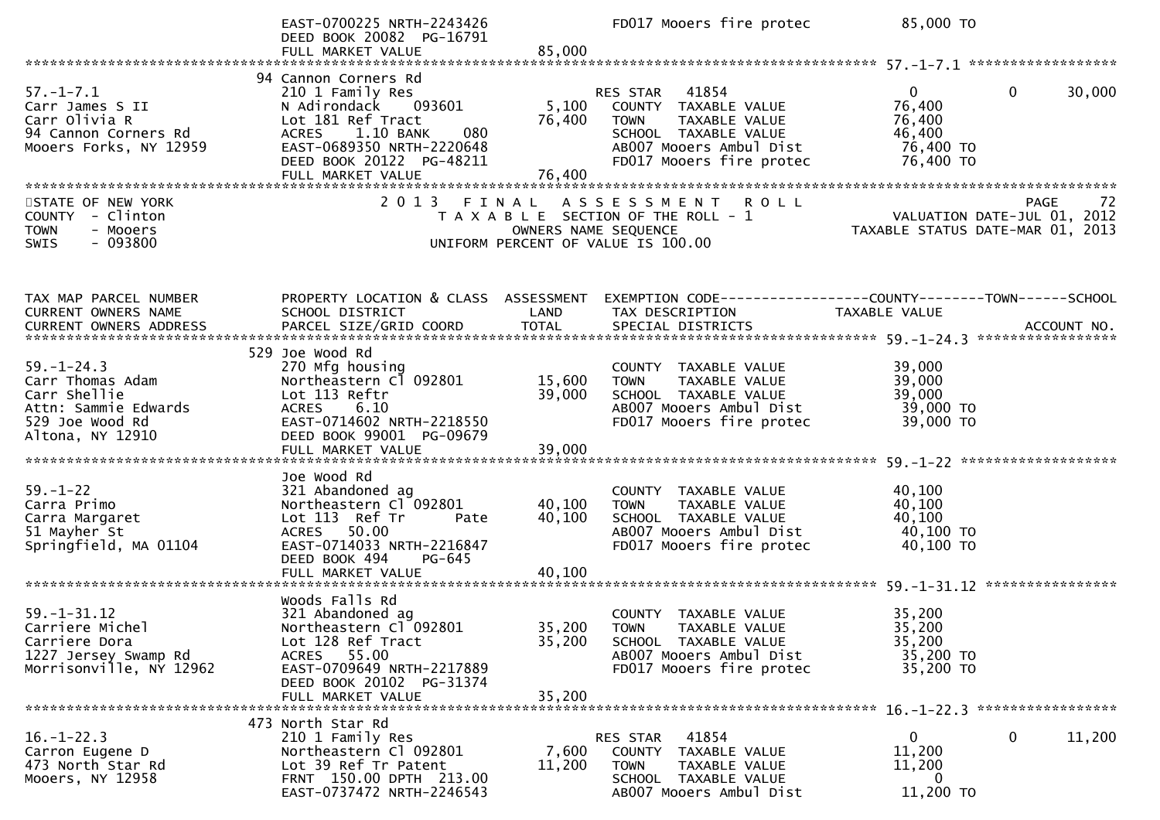|                                                                                                                     | EAST-0700225 NRTH-2243426<br>DEED BOOK 20082 PG-16791<br>FULL MARKET VALUE                                                                                                                                | 85,000                     | FD017 Mooers fire protec                                                                                                                                        | 85,000 TO                                                                     |        |
|---------------------------------------------------------------------------------------------------------------------|-----------------------------------------------------------------------------------------------------------------------------------------------------------------------------------------------------------|----------------------------|-----------------------------------------------------------------------------------------------------------------------------------------------------------------|-------------------------------------------------------------------------------|--------|
|                                                                                                                     |                                                                                                                                                                                                           |                            |                                                                                                                                                                 |                                                                               |        |
| $57. - 1 - 7.1$<br>Carr James S II<br>Carr Olivia R<br>94 Cannon Corners Rd<br>Mooers Forks, NY 12959               | 94 Cannon Corners Rd<br>210 1 Family Res<br>N Adirondack<br>093601<br>Lot 181 Ref Tract<br>1.10 BANK<br>080<br><b>ACRES</b><br>EAST-0689350 NRTH-2220648<br>DEED BOOK 20122 PG-48211<br>FULL MARKET VALUE | 5,100<br>76,400<br>76,400  | 41854<br><b>RES STAR</b><br>COUNTY TAXABLE VALUE<br>TAXABLE VALUE<br><b>TOWN</b><br>SCHOOL TAXABLE VALUE<br>AB007 Mooers Ambul Dist<br>FD017 Mooers fire protec | $\Omega$<br>0<br>76,400<br>76,400<br>46,400<br>76,400 TO<br>76,400 TO         | 30,000 |
| STATE OF NEW YORK<br><b>COUNTY</b><br>- Clinton<br><b>TOWN</b><br>- Mooers<br>$-093800$<br>SWIS                     |                                                                                                                                                                                                           | OWNERS NAME SEQUENCE       | 2013 FINAL ASSESSMENT ROLL<br>T A X A B L E SECTION OF THE ROLL - 1<br>UNIFORM PERCENT OF VALUE IS 100.00                                                       | PAGE<br>VALUATION DATE-JUL 01, 2012<br>TAXABLE STATUS DATE-MAR 01, 2013       | 72     |
| TAX MAP PARCEL NUMBER<br>CURRENT OWNERS NAME                                                                        | PROPERTY LOCATION & CLASS ASSESSMENT<br>SCHOOL DISTRICT                                                                                                                                                   | LAND                       | TAX DESCRIPTION                                                                                                                                                 | EXEMPTION CODE-----------------COUNTY-------TOWN------SCHOOL<br>TAXABLE VALUE |        |
| $59. - 1 - 24.3$<br>Carr Thomas Adam<br>Carr Shellie<br>Attn: Sammie Edwards<br>529 Joe Wood Rd<br>Altona, NY 12910 | 529 Joe Wood Rd<br>270 Mfg housing<br>Northeastern Cl 092801<br>Lot 113 Reftr<br>6.10<br><b>ACRES</b><br>EAST-0714602 NRTH-2218550<br>DEED BOOK 99001 PG-09679<br>FULL MARKET VALUE                       | 15,600<br>39,000<br>39,000 | COUNTY TAXABLE VALUE<br><b>TOWN</b><br>TAXABLE VALUE<br>SCHOOL TAXABLE VALUE<br>AB007 Mooers Ambul Dist<br>FD017 Mooers fire protec                             | 39,000<br>39,000<br>39,000<br>39,000 TO<br>39,000 TO                          |        |
| $59. - 1 - 22$<br>Carra Primo<br>Carra Margaret<br>51 Mayher St<br>Springfield, MA 01104                            | Joe Wood Rd<br>321 Abandoned ag<br>Northeastern Cl 092801<br>Lot 113 Ref Tr<br>Pate<br>ACRES 50.00<br>EAST-0714033 NRTH-2216847<br>DEED BOOK 494<br>PG-645<br>FULL MARKET VALUE                           | 40,100<br>40,100<br>40,100 | COUNTY TAXABLE VALUE<br><b>TOWN</b><br>TAXABLE VALUE<br>SCHOOL TAXABLE VALUE<br>AB007 Mooers Ambul Dist<br>FD017 Mooers fire protec                             | 40,100<br>40,100<br>40,100<br>40,100 TO<br>40,100 TO                          |        |
| $59. - 1 - 31.12$<br>Carriere Michel<br>Carriere Dora<br>1227 Jersey Swamp Rd<br>Morrisonville, NY 12962            | Woods Falls Rd<br>321 Abandoned ag<br>Northeastern Cl 092801<br>Lot 128 Ref Tract<br>ACRES 55.00<br>EAST-0709649 NRTH-2217889<br>DEED BOOK 20102 PG-31374<br>FULL MARKET VALUE                            | 35,200<br>35,200<br>35,200 | <b>COUNTY</b><br>TAXABLE VALUE<br><b>TOWN</b><br>TAXABLE VALUE<br>SCHOOL TAXABLE VALUE<br>AB007 Mooers Ambul Dist<br>FD017 Mooers fire protec                   | 35,200<br>35.200<br>35,200<br>35,200 TO<br>35,200 TO                          |        |
| $16. - 1 - 22.3$<br>Carron Eugene D<br>473 North Star Rd<br>Mooers, NY 12958                                        | 473 North Star Rd<br>210 1 Family Res<br>Northeastern Cl 092801<br>Lot 39 Ref Tr Patent<br>FRNT 150.00 DPTH 213.00<br>EAST-0737472 NRTH-2246543                                                           | 7,600<br>11,200            | 41854<br>RES STAR<br>TAXABLE VALUE<br>COUNTY<br><b>TOWN</b><br>TAXABLE VALUE<br>SCHOOL TAXABLE VALUE<br>AB007 Mooers Ambul Dist                                 | 0<br>0<br>11,200<br>11,200<br>0<br>11,200 TO                                  | 11,200 |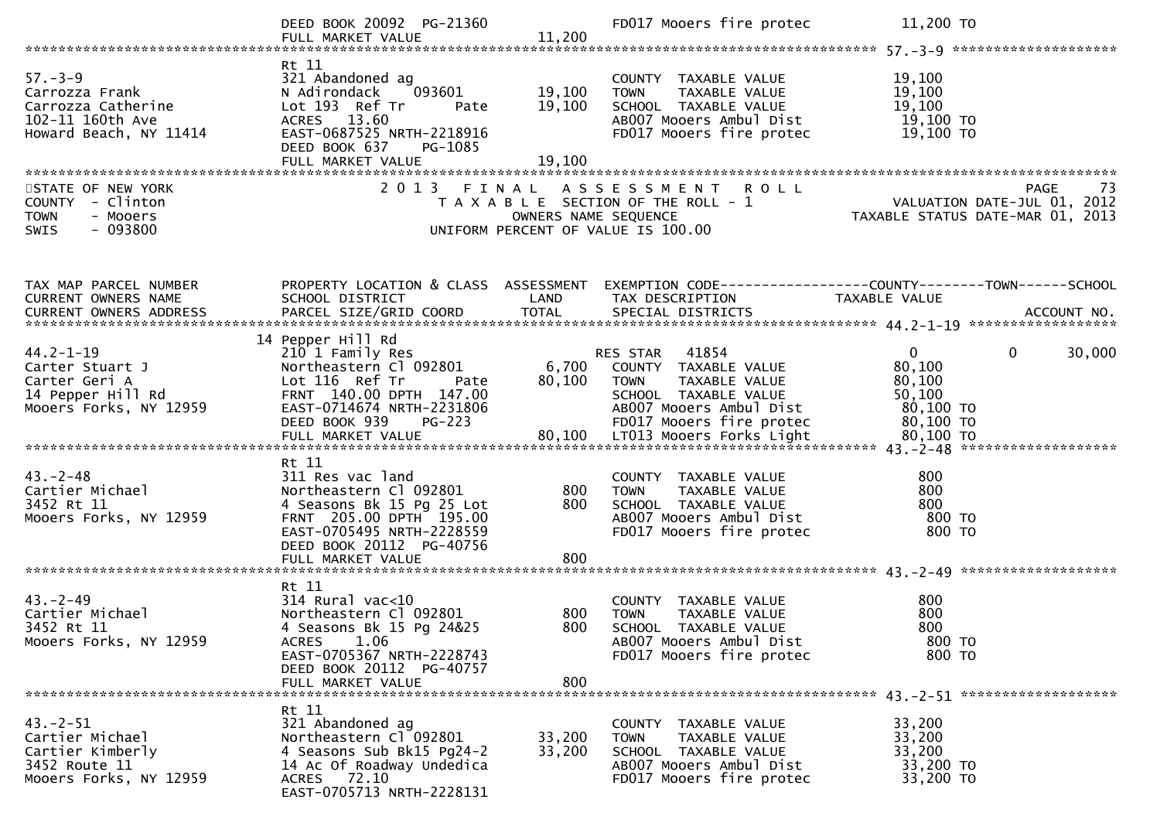|                                                                                                                | DEED BOOK 20092 PG-21360<br>FULL MARKET VALUE                                                                                                                                             | 11,200                     | FD017 Mooers fire protec                                                                                                                              | 11,200 TO                                                                                                                        |
|----------------------------------------------------------------------------------------------------------------|-------------------------------------------------------------------------------------------------------------------------------------------------------------------------------------------|----------------------------|-------------------------------------------------------------------------------------------------------------------------------------------------------|----------------------------------------------------------------------------------------------------------------------------------|
| $57. - 3 - 9$<br>57.-3-9<br>Carrozza Frank<br>Carrozza Catherine<br>102-11 160th Ave<br>Howard Beach, NY 11414 | Rt 11<br>321 Abandoned ag<br>093601<br>N Adirondack<br>Lot 193 Ref Tr<br>Pate<br>ACRES 13.60<br>EAST-0687525 NRTH-2218916<br>DEED BOOK 637<br>PG-1085<br>FULL MARKET VALUE                | 19,100<br>19,100<br>19,100 | COUNTY TAXABLE VALUE<br><b>TOWN</b><br>TAXABLE VALUE<br>SCHOOL TAXABLE VALUE<br>AB007 Mooers Ambul Dist<br>FD017 Mooers fire protec                   | 19,100<br>19,100<br>19,100<br>19,100 TO<br>19,100 TO                                                                             |
| STATE OF NEW YORK<br>COUNTY - Clinton<br>- Mooers<br><b>TOWN</b><br>$-093800$<br><b>SWIS</b>                   |                                                                                                                                                                                           | OWNERS NAME SEQUENCE       | 2013 FINAL ASSESSMENT ROLL<br>T A X A B L E SECTION OF THE ROLL - 1<br>UNIFORM PERCENT OF VALUE IS 100.00                                             | N T R O L L<br>ROLL - 1 VALUATION DATE-JUL 01, 2012<br>TAXABLE STATUS DATE-MAR 01, 2013                                          |
| TAX MAP PARCEL NUMBER<br>CURRENT OWNERS NAME<br>CURRENT OWNERS ADDRESS                                         | SCHOOL DISTRICT<br>PARCEL SIZE/GRID COORD                                                                                                                                                 | LAND<br><b>TOTAL</b>       | TAX DESCRIPTION<br>SPECIAL DISTRICTS                                                                                                                  | PROPERTY LOCATION & CLASS ASSESSMENT EXEMPTION CODE----------------COUNTY-------TOWN------SCHOOL<br>TAXABLE VALUE<br>ACCOUNT NO. |
| $44.2 - 1 - 19$<br>Carter Stuart J<br>Carter Geri A<br>14 Pepper Hill Rd<br>Mooers Forks, NY 12959             | 14 Pepper Hill Rd<br>210 1 Family Res<br>Northeastern Cl 092801<br>Lot 116 Ref Tr<br>Pate<br>FRNT 140.00 DPTH 147.00<br>EAST-0714674 NRTH-2231806<br>PG-223<br>DEED BOOK 939              | $6,700$ h<br>80.100        | RES STAR 41854<br>COUNTY TAXABLE VALUE<br><b>TOWN</b><br>TAXABLE VALUE<br>SCHOOL TAXABLE VALUE<br>AB007 Mooers Ambul Dist<br>FD017 Mooers fire protec | $\mathbf{0}$<br>$\mathbf{0}$<br>30,000<br>80,100<br>80,100<br>50,100<br>80,100 TO<br>80,100 TO                                   |
| $43. -2 - 48$<br>Cartier Michael<br>3452 Rt 11<br>Mooers Forks, NY 12959                                       | Rt 11<br>311 Res vac land<br>Northeastern Cl 092801<br>4 Seasons Bk 15 Pg 25 Lot<br>FRNT 205.00 DPTH 195.00<br>EAST-0705495 NRTH-2228559<br>DEED BOOK 20112 PG-40756<br>FULL MARKET VALUE | 800<br>800<br>800          | COUNTY TAXABLE VALUE<br><b>TOWN</b><br>TAXABLE VALUE<br>SCHOOL TAXABLE VALUE<br>AB007 Mooers Ambul Dist<br>FD017 Mooers fire protec                   | 800<br>800<br>800<br>800 TO<br>800 TO                                                                                            |
| $43. - 2 - 49$<br>Cartier Michael<br>3452 Rt 11<br>Mooers Forks, NY 12959                                      | Rt 11<br>$314$ Rural vac<10<br>Northeastern Cl 092801<br>4 Seasons Bk 15 Pg 24&25<br>ACRES<br>1.06<br>EAST-0705367 NRTH-2228743<br>DEED BOOK 20112 PG-40757<br>FULL MARKET VALUE          | 800<br>800<br>800          | COUNTY TAXABLE VALUE<br><b>TOWN</b><br>TAXABLE VALUE<br>SCHOOL TAXABLE VALUE<br>AB007 Mooers Ambul Dist<br>FD017 Mooers fire protec                   | 800<br>800<br>800<br>800 TO<br>800 TO                                                                                            |
| $43. - 2 - 51$<br>Cartier Michael<br>Cartier Kimberly<br>3452 Route 11<br>Mooers Forks, NY 12959               | Rt 11<br>321 Abandoned ag<br>Northeastern Cl 092801<br>4 Seasons Sub Bk15 Pg24-2<br>14 Ac Of Roadway Undedica<br>ACRES 72.10<br>EAST-0705713 NRTH-2228131                                 | 33,200<br>33,200           | COUNTY TAXABLE VALUE<br>TAXABLE VALUE<br><b>TOWN</b><br>SCHOOL TAXABLE VALUE<br>AB007 Mooers Ambul Dist<br>FD017 Mooers fire protec                   | 33,200<br>33,200<br>33,200<br>33,200 TO<br>33,200 TO                                                                             |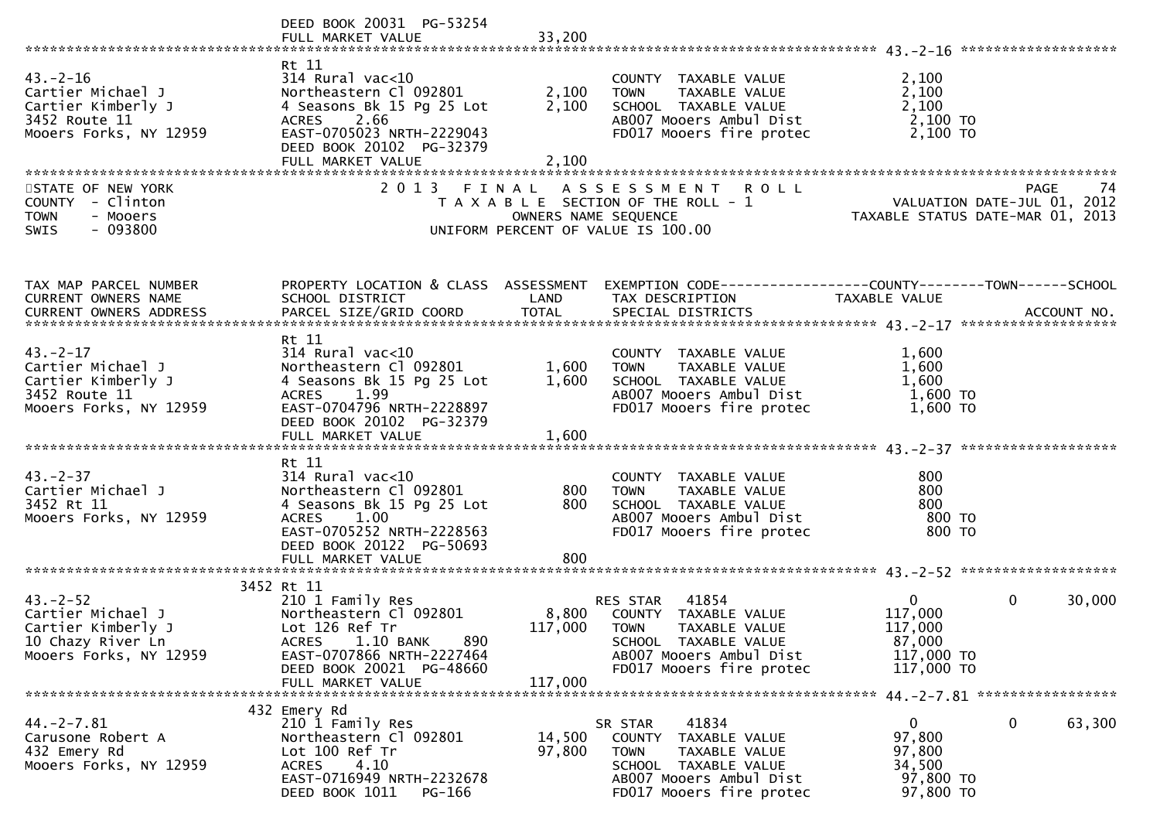|                                                                                                         | DEED BOOK 20031 PG-53254                                                                                                                                                                     |                         |                                                                                                                                                           |                                                                                                                   |
|---------------------------------------------------------------------------------------------------------|----------------------------------------------------------------------------------------------------------------------------------------------------------------------------------------------|-------------------------|-----------------------------------------------------------------------------------------------------------------------------------------------------------|-------------------------------------------------------------------------------------------------------------------|
| $43 - 2 - 16$<br>Cartier Michael J<br>Cartier Kimberly J<br>3452 Route 11<br>Mooers Forks, NY 12959     | Rt 11<br>$314$ Rural vac<10<br>Northeastern Cl 092801<br>4 Seasons Bk 15 Pg 25 Lot<br>ACRES 2.66<br>EAST-0705023 NRTH-2229043<br>DEED BOOK 20102 PG-32379<br>FULL MARKET VALUE               | 2,100<br>2,100<br>2,100 | COUNTY TAXABLE VALUE<br><b>TOWN</b><br>TAXABLE VALUE<br>SCHOOL TAXABLE VALUE<br>AB007 Mooers Ambul Dist<br>FD017 Mooers fire protec                       | 2,100<br>2,100<br>2,100<br>2,100 TO<br>2,100 TO                                                                   |
| STATE OF NEW YORK<br>COUNTY - Clinton<br><b>TOWN</b><br>- Mooers<br>$-093800$<br>SWIS                   |                                                                                                                                                                                              | OWNERS NAME SEQUENCE    | 2013 FINAL ASSESSMENT ROLL<br>T A X A B L E SECTION OF THE ROLL - 1<br>UNIFORM PERCENT OF VALUE IS 100.00                                                 | PAGE<br>74<br>ROLL - 1<br>ROLL - 1 <b>TAXABLE STATUS DATE-JUL 01, 2012</b><br>TAXABLE STATUS DATE-MAR 01, 2013    |
| TAX MAP PARCEL NUMBER<br>CURRENT OWNERS NAME                                                            | SCHOOL DISTRICT                                                                                                                                                                              | LAND                    | TAX DESCRIPTION                                                                                                                                           | PROPERTY LOCATION & CLASS ASSESSMENT EXEMPTION CODE----------------COUNTY-------TOWN------SCHOOL<br>TAXABLE VALUE |
| $43. - 2 - 17$<br>Cartier Michael J<br>Cartier Kimberly J<br>3452 Route 11<br>Mooers Forks, NY 12959    | Rt 11<br>$314$ Rural vac<10<br>Northeastern Cl 092801<br>4 Seasons Bk 15 Pg 25 Lot<br>ACRES 1.99<br>EAST-0704796 NRTH-2228897<br>DEED BOOK 20102 PG-32379                                    | 1,600<br>1,600          | COUNTY TAXABLE VALUE<br><b>TOWN</b><br>TAXABLE VALUE<br>SCHOOL TAXABLE VALUE<br>AB007 Mooers Ambul Dist<br>FD017 Mooers fire protec                       | 1,600<br>1,600<br>1,600<br>1,600 TO<br>$1,600$ TO                                                                 |
| $43 - 2 - 37$<br>Cartier Michael J<br>3452 Rt 11<br>Mooers Forks, NY 12959                              | Rt 11<br>$314$ Rural vac<10<br>Northeastern Cl 092801<br>4 Seasons Bk 15 Pg 25 Lot<br>ACRES 1.00<br>EAST-0705252 NRTH-2228563<br>DEED BOOK 20122 PG-50693<br>FULL MARKET VALUE               | 800<br>800<br>800       | COUNTY TAXABLE VALUE<br>TAXABLE VALUE<br><b>TOWN</b><br>SCHOOL TAXABLE VALUE<br>AB007 Mooers Ambul Dist<br>FD017 Mooers fire protec                       | 800<br>800<br>800<br>800 TO<br>800 TO                                                                             |
|                                                                                                         |                                                                                                                                                                                              |                         |                                                                                                                                                           |                                                                                                                   |
| $43 - 2 - 52$<br>Cartier Michael J<br>Cartier Kimberly J<br>10 Chazy River Ln<br>Mooers Forks, NY 12959 | 3452 Rt 11<br>210 1 Family Res<br>Northeastern Cl 092801<br>Lot 126 Ref Tr<br>1.10 BANK<br>890<br><b>ACRES</b><br>EAST-0707866 NRTH-2227464<br>DEED BOOK 20021 PG-48660<br>FULL MARKET VALUE | 117,000                 | RES STAR 41854<br>8,800 COUNTY TAXABLE VALUE<br>117,000 TOWN TAXABLE VALUE<br>SCHOOL TAXABLE VALUE<br>AB007 Mooers Ambul Dist<br>FD017 Mooers fire protec | $\overline{0}$<br>0<br>30,000<br>117,000<br>117,000<br>87,000<br>117,000 TO<br>117,000 TO                         |
|                                                                                                         |                                                                                                                                                                                              |                         |                                                                                                                                                           |                                                                                                                   |
| $44. -2 - 7.81$<br>Carusone Robert A<br>432 Emery Rd<br>Mooers Forks, NY 12959                          | 432 Emery Rd<br>210 1 Family Res<br>Northeastern Cl 092801<br>Lot 100 Ref Tr<br>4.10<br><b>ACRES</b><br>EAST-0716949 NRTH-2232678<br>DEED BOOK 1011<br>PG-166                                | 14,500<br>97,800        | 41834<br>SR STAR<br>COUNTY TAXABLE VALUE<br>TAXABLE VALUE<br><b>TOWN</b><br>SCHOOL TAXABLE VALUE<br>AB007 Mooers Ambul Dist<br>FD017 Mooers fire protec   | $\Omega$<br>0<br>63,300<br>97,800<br>97,800<br>34,500<br>97,800 TO<br>97,800 TO                                   |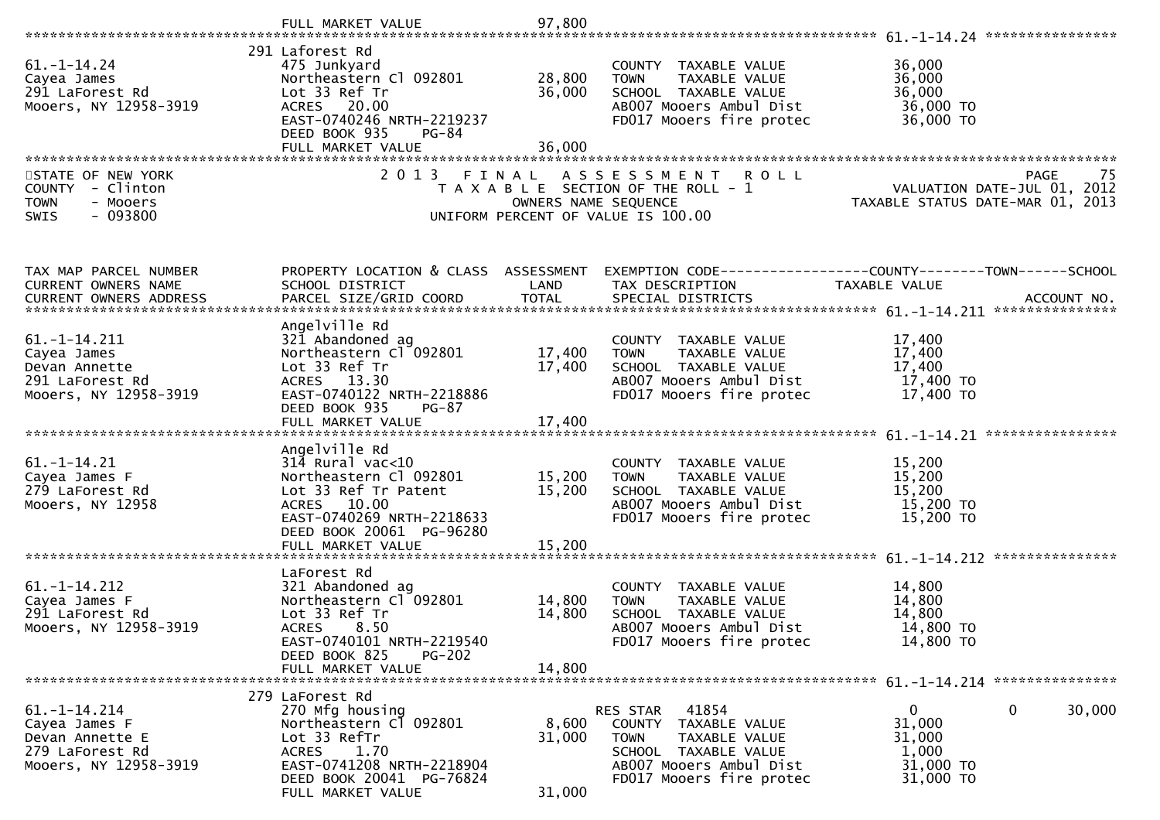|                                                                              | FULL MARKET VALUE                                                                                                      | 97,800               |                                                                                                                                     |                                                                                                                |
|------------------------------------------------------------------------------|------------------------------------------------------------------------------------------------------------------------|----------------------|-------------------------------------------------------------------------------------------------------------------------------------|----------------------------------------------------------------------------------------------------------------|
|                                                                              |                                                                                                                        |                      |                                                                                                                                     |                                                                                                                |
| $61. - 1 - 14.24$<br>Cayea James<br>291 LaForest Rd<br>Mooers, NY 12958-3919 | 291 Laforest Rd<br>475 Junkyard<br>Northeastern Cl 092801<br>Lot 33 Ref Tr<br>ACRES 20.00<br>EAST-0740246 NRTH-2219237 | 28,800<br>36,000     | COUNTY TAXABLE VALUE<br><b>TOWN</b><br>TAXABLE VALUE<br>SCHOOL TAXABLE VALUE<br>AB007 Mooers Ambul Dist<br>FD017 Mooers fire protec | 36,000<br>36,000<br>36,000<br>36,000 TO<br>36,000 TO                                                           |
|                                                                              | DEED BOOK 935<br>$PG-84$<br>FULL MARKET VALUE                                                                          | 36,000               |                                                                                                                                     |                                                                                                                |
|                                                                              | 2 0 1 3                                                                                                                |                      |                                                                                                                                     |                                                                                                                |
| STATE OF NEW YORK<br>COUNTY - Clinton<br>- Mooers<br><b>TOWN</b>             | FINAL                                                                                                                  | OWNERS NAME SEQUENCE | <b>ROLL</b><br>A S S E S S M E N T<br>T A X A B L E SECTION OF THE ROLL - 1                                                         | 75 PAGE<br>VALUATION DATE-JUL 01, 2012<br>TAXABLE STATUS DATE USE 21, 2012<br>TAXABLE STATUS DATE-MAR 01, 2013 |
| $-093800$<br>SWIS                                                            |                                                                                                                        |                      | UNIFORM PERCENT OF VALUE IS 100.00                                                                                                  |                                                                                                                |
|                                                                              |                                                                                                                        |                      |                                                                                                                                     |                                                                                                                |
| TAX MAP PARCEL NUMBER<br>CURRENT OWNERS NAME                                 | PROPERTY LOCATION & CLASS ASSESSMENT<br>SCHOOL DISTRICT                                                                | LAND                 | TAX DESCRIPTION                                                                                                                     | EXEMPTION CODE-----------------COUNTY-------TOWN------SCHOOL<br>TAXABLE VALUE                                  |
| CURRENT OWNERS ADDRESS                                                       | PARCEL SIZE/GRID COORD                                                                                                 | <b>TOTAL</b>         | SPECIAL DISTRICTS                                                                                                                   | ACCOUNT NO.                                                                                                    |
|                                                                              | Angelville Rd                                                                                                          |                      |                                                                                                                                     |                                                                                                                |
| $61. - 1 - 14.211$                                                           | 321 Abandoned ag                                                                                                       |                      | COUNTY TAXABLE VALUE                                                                                                                | 17,400                                                                                                         |
| Cayea James<br>Devan Annette                                                 | Northeastern Cl 092801<br>Lot 33 Ref Tr                                                                                | 17,400<br>17,400     | TAXABLE VALUE<br><b>TOWN</b><br>SCHOOL TAXABLE VALUE                                                                                | 17,400<br>17,400                                                                                               |
| 291 LaForest Rd                                                              | ACRES 13.30                                                                                                            |                      | AB007 Mooers Ambul Dist                                                                                                             | 17,400 TO                                                                                                      |
| Mooers, NY 12958-3919                                                        | EAST-0740122 NRTH-2218886                                                                                              |                      | FD017 Mooers fire protec                                                                                                            | 17,400 TO                                                                                                      |
|                                                                              | DEED BOOK 935<br>$PG-87$                                                                                               |                      |                                                                                                                                     |                                                                                                                |
|                                                                              |                                                                                                                        |                      |                                                                                                                                     |                                                                                                                |
|                                                                              | Angelville Rd                                                                                                          |                      |                                                                                                                                     |                                                                                                                |
| $61. - 1 - 14.21$                                                            | $31\overline{4}$ Rural vac<10                                                                                          |                      | COUNTY TAXABLE VALUE                                                                                                                | 15,200                                                                                                         |
| Cayea James F<br>279 LaForest Rd                                             | Northeastern Cl 092801<br>Lot 33 Ref Tr Patent                                                                         | 15,200<br>15,200     | <b>TOWN</b><br>TAXABLE VALUE<br>SCHOOL TAXABLE VALUE                                                                                | 15,200<br>15,200                                                                                               |
| Mooers, NY 12958                                                             | ACRES 10.00                                                                                                            |                      | AB007 Mooers Ambul Dist                                                                                                             | 15,200 TO                                                                                                      |
|                                                                              | EAST-0740269 NRTH-2218633<br>DEED BOOK 20061 PG-96280                                                                  |                      | FD017 Mooers fire protec                                                                                                            | 15,200 TO                                                                                                      |
|                                                                              | FULL MARKET VALUE                                                                                                      | 15,200               |                                                                                                                                     |                                                                                                                |
|                                                                              | LaForest Rd                                                                                                            |                      |                                                                                                                                     |                                                                                                                |
| $61. - 1 - 14.212$                                                           | 321 Abandoned ag                                                                                                       |                      | COUNTY TAXABLE VALUE                                                                                                                | 14,800                                                                                                         |
| Cayea James F                                                                | Northeastern Cl 092801                                                                                                 | 14,800               | TAXABLE VALUE<br><b>TOWN</b>                                                                                                        | 14,800                                                                                                         |
| 291 LaForest Rd<br>Mooers, NY 12958-3919                                     | Lot 33 Ref Tr<br><b>ACRES</b><br>8.50                                                                                  | 14,800               | SCHOOL TAXABLE VALUE<br>AB007 Mooers Ambul Dist                                                                                     | 14,800<br>14,800 TO                                                                                            |
|                                                                              | EAST-0740101 NRTH-2219540                                                                                              |                      | FD017 Mooers fire protec                                                                                                            | 14,800 TO                                                                                                      |
|                                                                              | DEED BOOK 825<br><b>PG-202</b>                                                                                         |                      |                                                                                                                                     |                                                                                                                |
|                                                                              | FULL MARKET VALUE                                                                                                      | 14.800               |                                                                                                                                     |                                                                                                                |
|                                                                              | 279 LaForest Rd                                                                                                        |                      |                                                                                                                                     |                                                                                                                |
| $61. -1 - 14.214$                                                            | 270 Mfg housing                                                                                                        |                      | 41854<br>RES STAR                                                                                                                   | 0<br>30,000<br>$\mathbf{0}$                                                                                    |
| Cayea James F                                                                | Northeastern Cl 092801                                                                                                 | 8,600                | COUNTY TAXABLE VALUE                                                                                                                | 31,000                                                                                                         |
| Devan Annette E<br>279 LaForest Rd                                           | Lot 33 RefTr<br><b>ACRES</b><br>1.70                                                                                   | 31,000               | <b>TOWN</b><br>TAXABLE VALUE<br>SCHOOL TAXABLE VALUE                                                                                | 31,000<br>1,000                                                                                                |
| Mooers, NY 12958-3919                                                        | EAST-0741208 NRTH-2218904                                                                                              |                      | AB007 Mooers Ambul Dist                                                                                                             | 31,000 TO                                                                                                      |
|                                                                              | DEED BOOK 20041 PG-76824                                                                                               |                      | FD017 Mooers fire protec                                                                                                            | 31,000 TO                                                                                                      |
|                                                                              | FULL MARKET VALUE                                                                                                      | 31,000               |                                                                                                                                     |                                                                                                                |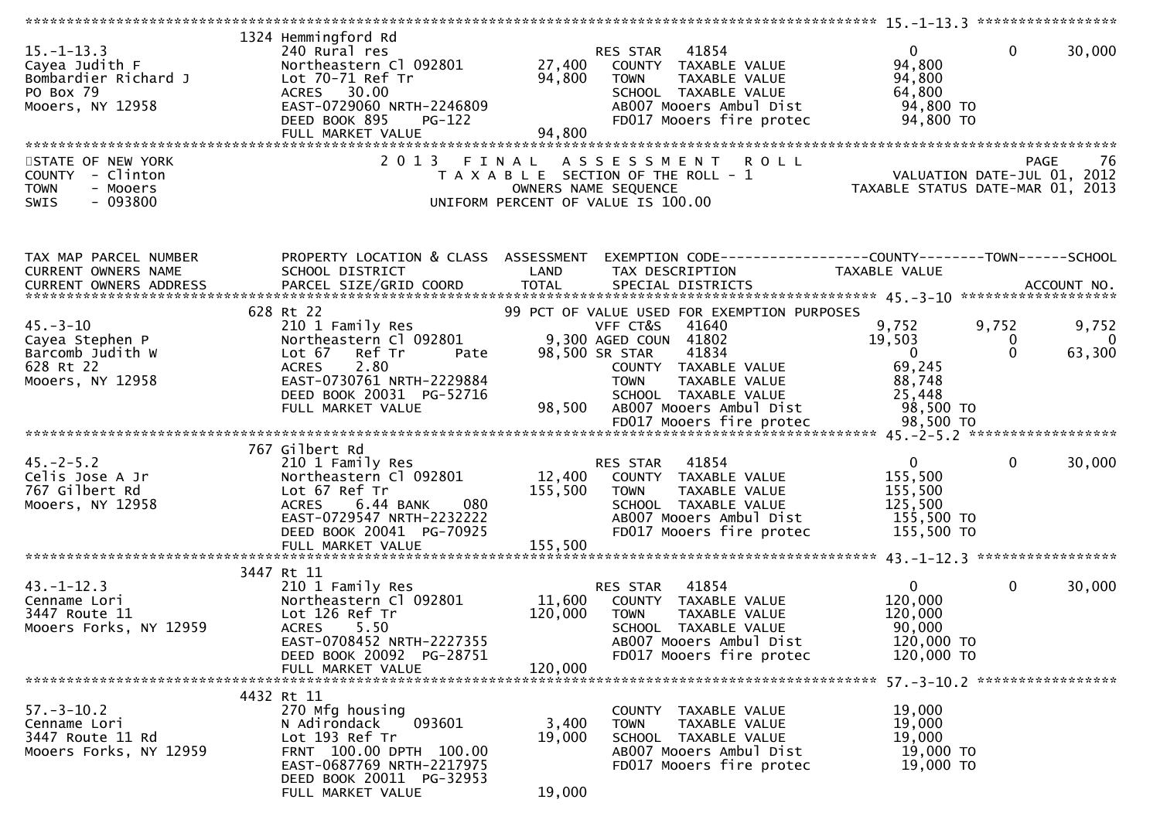| $15. - 1 - 13.3$<br>Cayea Judith F<br>Bombardier Richard J<br>PO Box 79<br>Mooers, NY 12958<br>STATE OF NEW YORK<br>COUNTY - Clinton<br>- Mooers<br><b>TOWN</b><br>$-093800$<br>SWIS | 1324 Hemmingford Rd<br>240 Rural res<br>Northeastern Cl 092801<br>Lot 70-71 Ref Tr<br>ACRES 30.00<br>EAST-0729060 NRTH-2246809<br>DEED BOOK 895<br><b>PG-122</b><br>FULL MARKET VALUE<br>2 0 1 3 | 27,400<br>94,800<br>94,800<br>FINAL | 41854<br>RES STAR<br>COUNTY TAXABLE VALUE<br>TAXABLE VALUE<br><b>TOWN</b><br>SCHOOL TAXABLE VALUE<br>AB007 Mooers Ambul Dist<br>FD017 Mooers fire protec<br><b>ROLL</b><br>A S S E S S M E N T<br>T A X A B L E SECTION OF THE ROLL - 1<br>OWNERS NAME SEQUENCE<br>UNIFORM PERCENT OF VALUE IS 100.00 | $\overline{0}$<br>94,800<br>94,800<br>64,800<br>94,800 TO<br>94,800 TO<br>VALUATION DATE-JUL 01, 2012<br>TAXABLE STATUS DATE-MAR 01, 2013 | $\mathbf{0}$           | 30,000<br>76<br><b>PAGE</b>       |
|--------------------------------------------------------------------------------------------------------------------------------------------------------------------------------------|--------------------------------------------------------------------------------------------------------------------------------------------------------------------------------------------------|-------------------------------------|-------------------------------------------------------------------------------------------------------------------------------------------------------------------------------------------------------------------------------------------------------------------------------------------------------|-------------------------------------------------------------------------------------------------------------------------------------------|------------------------|-----------------------------------|
|                                                                                                                                                                                      |                                                                                                                                                                                                  |                                     |                                                                                                                                                                                                                                                                                                       |                                                                                                                                           |                        |                                   |
| TAX MAP PARCEL NUMBER<br>CURRENT OWNERS NAME<br>CURRENT OWNERS ADDRESS                                                                                                               | PROPERTY LOCATION & CLASS ASSESSMENT<br>SCHOOL DISTRICT                                                                                                                                          | LAND                                | EXEMPTION CODE------------------COUNTY--------TOWN------SCHOOL<br>TAX DESCRIPTION                                                                                                                                                                                                                     | TAXABLE VALUE                                                                                                                             |                        |                                   |
| $45. - 3 - 10$<br>Cayea Stephen P<br>Barcomb Judith W<br>628 Rt 22<br>Mooers, NY 12958                                                                                               | 628 Rt 22<br>210 1 Family Res<br>Northeastern Cl 092801<br>Lot 67 Ref Tr<br>Pate<br>2.80<br><b>ACRES</b><br>EAST-0730761 NRTH-2229884                                                            |                                     | 99 PCT OF VALUE USED FOR EXEMPTION PURPOSES<br>VFF CT&S<br>41640<br>9,300 AGED COUN 41802<br>98,500 SR STAR<br>41834<br>COUNTY TAXABLE VALUE<br><b>TOWN</b><br>TAXABLE VALUE                                                                                                                          | 9,752<br>19,503<br>$\overline{\mathbf{0}}$<br>69,245<br>88,748                                                                            | 9,752<br>0<br>$\Omega$ | 9,752<br>$\overline{0}$<br>63,300 |
|                                                                                                                                                                                      | DEED BOOK 20031 PG-52716<br>FULL MARKET VALUE                                                                                                                                                    | 98,500                              | SCHOOL TAXABLE VALUE<br>AB007 Mooers Ambul Dist                                                                                                                                                                                                                                                       | 25,448<br>98,500 TO                                                                                                                       |                        |                                   |
| $45. -2 - 5.2$<br>Celis Jose A Jr<br>767 Gilbert Rd<br>Mooers, NY 12958                                                                                                              | 767 Gilbert Rd<br>210 1 Family Res<br>Northeastern Cl 092801<br>Lot 67 Ref Tr<br>080<br><b>ACRES</b><br>6.44 BANK<br>EAST-0729547 NRTH-2232222<br>DEED BOOK 20041 PG-70925<br>FULL MARKET VALUE  | 12,400<br>155,500<br>155,500        | 41854<br>RES STAR<br>COUNTY TAXABLE VALUE<br><b>TOWN</b><br>TAXABLE VALUE<br>SCHOOL TAXABLE VALUE<br>AB007 Mooers Ambul Dist<br>FD017 Mooers fire protec                                                                                                                                              | $\overline{0}$<br>155,500<br>155,500<br>125,500<br>155,500 TO<br>155,500 TO                                                               | $\mathbf{0}$           | 30,000                            |
|                                                                                                                                                                                      |                                                                                                                                                                                                  |                                     |                                                                                                                                                                                                                                                                                                       |                                                                                                                                           |                        |                                   |
| $43. - 1 - 12.3$<br>Cenname Lori<br>3447 Route 11<br>Mooers Forks, NY 12959                                                                                                          | 3447 Rt 11<br>210 1 Family Res<br>Northeastern Cl 092801<br>Lot 126 Ref Tr<br>5.50<br><b>ACRES</b><br>EAST-0708452 NRTH-2227355<br>DEED BOOK 20092 PG-28751                                      | 11,600<br>120,000                   | 41854<br>RES STAR<br>COUNTY TAXABLE VALUE<br><b>TOWN</b><br>TAXABLE VALUE<br>SCHOOL TAXABLE VALUE<br>AB007 Mooers Ambul Dist<br>FD017 Mooers fire protec                                                                                                                                              | $\overline{0}$<br>120,000<br>120,000<br>90,000<br>120,000 TO<br>120,000 TO                                                                | $\mathbf{0}$           | 30,000                            |
|                                                                                                                                                                                      | FULL MARKET VALUE                                                                                                                                                                                | 120,000                             |                                                                                                                                                                                                                                                                                                       |                                                                                                                                           |                        |                                   |
| $57. - 3 - 10.2$<br>Cenname Lori<br>3447 Route 11 Rd<br>Mooers Forks, NY 12959                                                                                                       | 4432 Rt 11<br>270 Mfg housing<br>093601<br>N Adirondack<br>Lot 193 Ref Tr<br>FRNT 100.00 DPTH 100.00<br>EAST-0687769 NRTH-2217975<br>DEED BOOK 20011 PG-32953<br>FULL MARKET VALUE               | 3,400<br>19,000<br>19,000           | COUNTY TAXABLE VALUE<br>TAXABLE VALUE<br><b>TOWN</b><br>SCHOOL TAXABLE VALUE<br>AB007 Mooers Ambul Dist<br>FD017 Mooers fire protec                                                                                                                                                                   | 19,000<br>19,000<br>19,000<br>19,000 TO<br>19,000 TO                                                                                      |                        |                                   |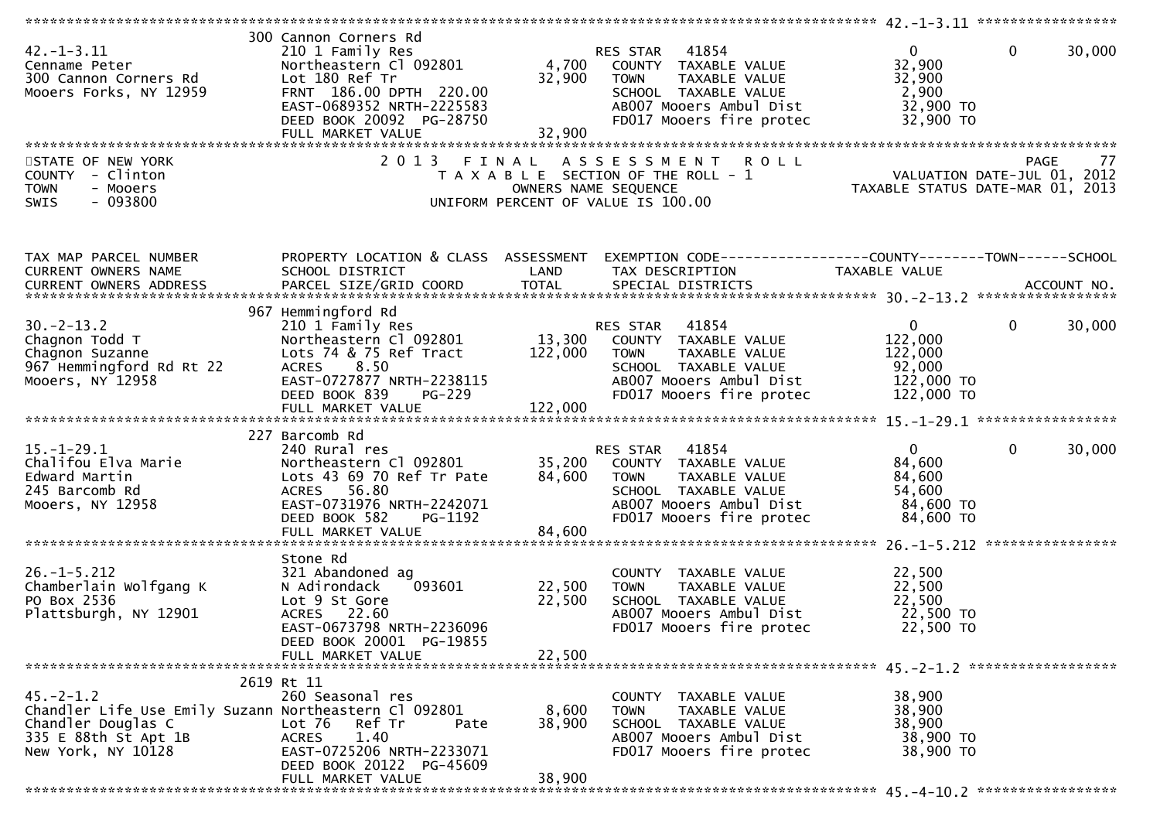| $42. - 1 - 3.11$<br>Cenname Peter<br>300 Cannon Corners Rd<br>Mooers Forks, NY 12959                                                        | 300 Cannon Corners Rd<br>210 1 Family Res<br>Northeastern Cl 092801<br>Lot 180 Ref Tr<br>FRNT 186.00 DPTH 220.00<br>EAST-0689352 NRTH-2225583<br>DEED BOOK 20092 PG-28750<br>FULL MARKET VALUE | 4,700<br>32,900<br>32,900  | RES STAR 41854<br>COUNTY TAXABLE VALUE<br><b>TOWN</b><br>TAXABLE VALUE<br>SCHOOL TAXABLE VALUE<br>AB007 Mooers Ambul Dist<br>FD017 Mooers fire protec           | $\overline{0}$<br>32,900<br>32,900<br>2,900<br>32,900 TO<br>32,900 TO      | $\mathbf 0$<br>30,000 |
|---------------------------------------------------------------------------------------------------------------------------------------------|------------------------------------------------------------------------------------------------------------------------------------------------------------------------------------------------|----------------------------|-----------------------------------------------------------------------------------------------------------------------------------------------------------------|----------------------------------------------------------------------------|-----------------------|
|                                                                                                                                             |                                                                                                                                                                                                |                            |                                                                                                                                                                 |                                                                            |                       |
| STATE OF NEW YORK<br>COUNTY - Clinton<br><b>TOWN</b><br>- Mooers<br>$-093800$<br>SWIS                                                       | 2 0 1 3<br>FINAL                                                                                                                                                                               |                            | ASSESSMENT ROLL<br>T A X A B L E SECTION OF THE ROLL - 1<br>OWNERS NAME SEQUENCE<br>UNIFORM PERCENT OF VALUE IS 100.00                                          | PAGE 77<br>VALUATION DATE-JUL 01, 2012<br>TAXABLE STATUS DATE-MAR 01, 2013 |                       |
| TAX MAP PARCEL NUMBER<br>CURRENT OWNERS NAME                                                                                                | PROPERTY LOCATION & CLASS ASSESSMENT<br>SCHOOL DISTRICT                                                                                                                                        | LAND                       | TAX DESCRIPTION                                                                                                                                                 | TAXABLE VALUE                                                              |                       |
| $30. -2 - 13.2$<br>Chagnon Todd T<br>Chagnon Suzanne<br>967 Hemmingford Rd Rt 22<br>Mooers, NY 12958                                        | 967 Hemmingford Rd<br>210 1 Family Res<br>Northeastern Cl 092801<br>Lots 74 & 75 Ref Tract<br>8.50<br><b>ACRES</b><br>EAST-0727877 NRTH-2238115<br>DEED BOOK 839<br><b>PG-229</b>              | 122,000                    | 41854<br>RES STAR<br>13,300 COUNTY TAXABLE VALUE<br><b>TOWN</b><br>TAXABLE VALUE<br>SCHOOL TAXABLE VALUE<br>AB007 Mooers Ambul Dist<br>FD017 Mooers fire protec | $\overline{0}$<br>122,000<br>122,000<br>92,000<br>122,000 TO<br>122,000 TO | $\mathbf 0$<br>30,000 |
|                                                                                                                                             |                                                                                                                                                                                                |                            |                                                                                                                                                                 |                                                                            |                       |
| $15.-1-29.1$<br>Chalifou Elva Marie<br>Edward Martin<br>245 Barcomb Rd<br>Mooers, NY 12958                                                  | 227 Barcomb Rd<br>240 Rural res<br>Northeastern Cl 092801<br>Lots 43 69 70 Ref Tr Pate<br>ACRES 56.80<br>EAST-0731976 NRTH-2242071<br>DEED BOOK 582<br>PG-1192                                 | 35,200<br>84,600           | RES STAR<br>41854<br>COUNTY TAXABLE VALUE<br><b>TOWN</b><br>TAXABLE VALUE<br>SCHOOL TAXABLE VALUE<br>AB007 Mooers Ambul Dist<br>FD017 Mooers fire protec        | $\overline{0}$<br>84,600<br>84,600<br>54,600<br>84,600 TO<br>84,600 TO     | $\mathbf 0$<br>30,000 |
|                                                                                                                                             | FULL MARKET VALUE                                                                                                                                                                              | 84,600                     |                                                                                                                                                                 |                                                                            |                       |
| $26. - 1 - 5.212$<br>Chamberlain Wolfgang K<br>PO Box 2536<br>Plattsburgh, NY 12901                                                         | Stone Rd<br>321 Abandoned ag<br>N Adirondack<br>093601<br>Lot 9 St Gore<br>ACRES 22.60<br>EAST-0673798 NRTH-2236096<br>DEED BOOK 20001 PG-19855<br>FULL MARKET VALUE                           | 22,500<br>22,500<br>22,500 | COUNTY TAXABLE VALUE<br><b>TOWN</b><br>TAXABLE VALUE<br>SCHOOL TAXABLE VALUE<br>AB007 Mooers Ambul Dist<br>FD017 Mooers fire protec                             | 22,500<br>22,500<br>22,500<br>22,500 TO<br>22,500 TO                       |                       |
|                                                                                                                                             |                                                                                                                                                                                                |                            |                                                                                                                                                                 |                                                                            |                       |
| $45. -2 - 1.2$<br>Chandler Life Use Emily Suzann Northeastern Cl 092801<br>Chandler Douglas C<br>335 E 88th St Apt 1B<br>New York, NY 10128 | 2619 Rt 11<br>260 Seasonal res<br>Lot 76<br>Ref Tr<br>Pate<br>1.40<br><b>ACRES</b><br>EAST-0725206 NRTH-2233071<br>DEED BOOK 20122 PG-45609<br>FULL MARKET VALUE                               | 8,600<br>38,900<br>38,900  | COUNTY TAXABLE VALUE<br>TAXABLE VALUE<br><b>TOWN</b><br>SCHOOL TAXABLE VALUE<br>AB007 Mooers Ambul Dist<br>FD017 Mooers fire protec                             | 38,900<br>38,900<br>38,900<br>38,900 TO<br>38,900 TO                       |                       |
|                                                                                                                                             |                                                                                                                                                                                                |                            |                                                                                                                                                                 |                                                                            |                       |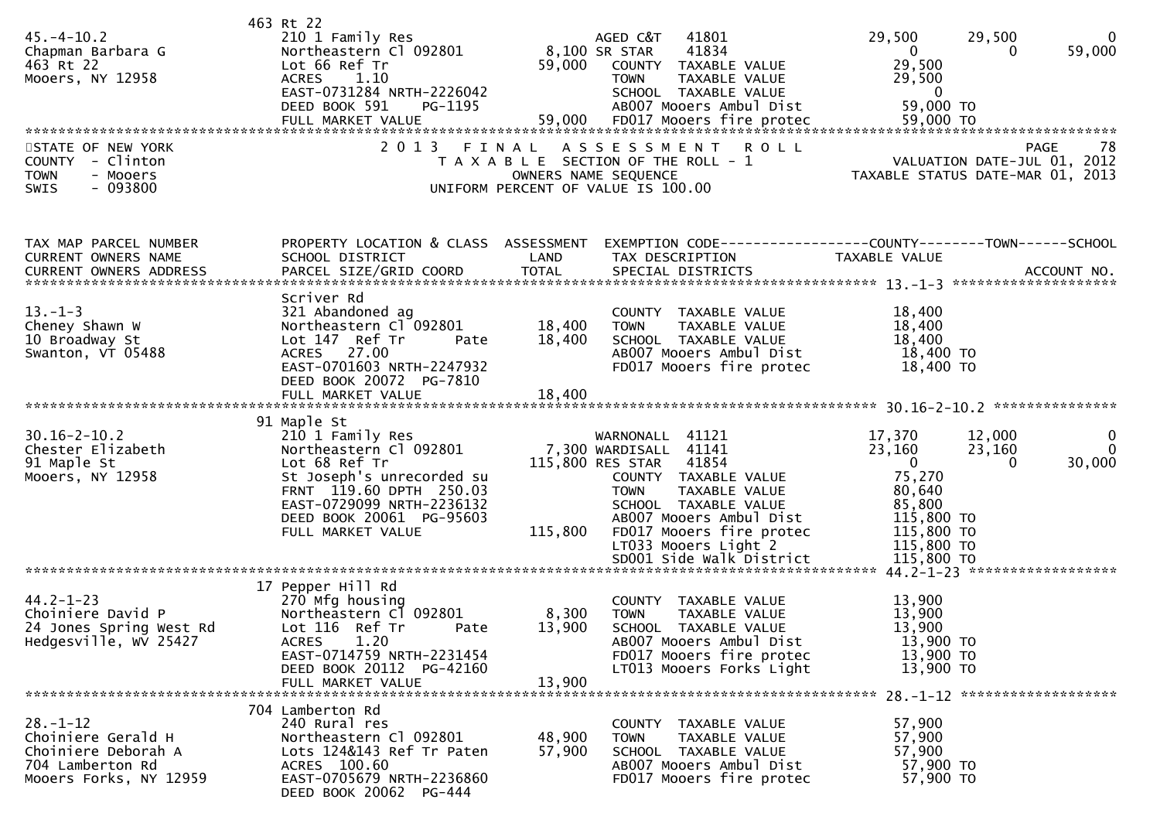| $45. - 4 - 10.2$<br>Chapman Barbara G<br>463 Rt 22<br>Mooers, NY 12958<br>STATE OF NEW YORK<br>COUNTY - Clinton<br><b>TOWN</b><br>- Mooers<br>$-093800$<br><b>SWIS</b> | 463 Rt 22<br>210 1 Family Res<br>Northeastern Cl 092801<br>Lot 66 Ref Tr<br><b>ACRES</b><br>1.10<br>EAST-0731284 NRTH-2226042<br>DEED BOOK 591<br>PG-1195<br>2 0 1 3                                             | 59,000<br>FINAL           | 41801<br>AGED C&T<br>8,100 SR STAR<br>41834<br>COUNTY TAXABLE VALUE<br>TAXABLE VALUE<br>TOWN<br>SCHOOL TAXABLE VALUE<br>AB007 Mooers Ambul Dist<br>ASSESSMENT<br><b>ROLL</b><br>T A X A B L E SECTION OF THE ROLL - 1<br>OWNERS NAME SEQUENCE<br>UNIFORM PERCENT OF VALUE IS 100.00 | 29,500<br>29,500<br>59,000<br>$\mathbf{0}$<br>0<br>29,500<br>29,500<br>$\mathbf{0}$<br>59,000 TO<br>59,000 TO<br>78<br>PAGE<br>VALUATION DATE-JUL 01, 2012<br>TAXABLE STATUS DATE-MAR 01, 2013 |
|------------------------------------------------------------------------------------------------------------------------------------------------------------------------|------------------------------------------------------------------------------------------------------------------------------------------------------------------------------------------------------------------|---------------------------|-------------------------------------------------------------------------------------------------------------------------------------------------------------------------------------------------------------------------------------------------------------------------------------|------------------------------------------------------------------------------------------------------------------------------------------------------------------------------------------------|
| TAX MAP PARCEL NUMBER<br>CURRENT OWNERS NAME<br><b>CURRENT OWNERS ADDRESS</b>                                                                                          | PROPERTY LOCATION & CLASS ASSESSMENT<br>SCHOOL DISTRICT<br>PARCEL SIZE/GRID COORD                                                                                                                                | LAND<br><b>TOTAL</b>      | TAX DESCRIPTION<br>SPECIAL DISTRICTS                                                                                                                                                                                                                                                | EXEMPTION CODE-----------------COUNTY-------TOWN------SCHOOL<br>TAXABLE VALUE<br>ACCOUNT NO.                                                                                                   |
| $13. - 1 - 3$<br>Cheney Shawn W<br>10 Broadway St<br>Swanton, VT 05488                                                                                                 | Scriver Rd<br>321 Abandoned ag<br>Northeastern Cl 092801<br>Lot 147 Ref Tr<br>Pate<br>ACRES 27.00<br>EAST-0701603 NRTH-2247932<br>DEED BOOK 20072 PG-7810                                                        | 18,400<br>18,400          | COUNTY TAXABLE VALUE<br><b>TOWN</b><br>TAXABLE VALUE<br>SCHOOL TAXABLE VALUE<br>AB007 Mooers Ambul Dist<br>FD017 Mooers fire protec                                                                                                                                                 | 18,400<br>18,400<br>18,400<br>18,400 TO<br>18,400 TO                                                                                                                                           |
|                                                                                                                                                                        |                                                                                                                                                                                                                  |                           |                                                                                                                                                                                                                                                                                     |                                                                                                                                                                                                |
| $30.16 - 2 - 10.2$<br>Chester Elizabeth<br>91 Maple St<br>Mooers, NY 12958                                                                                             | 91 Maple St<br>210 1 Family Res<br>Northeastern Cl 092801<br>Lot 68 Ref Tr<br>St Joseph's unrecorded su<br>FRNT 119.60 DPTH 250.03<br>EAST-0729099 NRTH-2236132<br>DEED BOOK 20061 PG-95603<br>FULL MARKET VALUE | 115,800                   | WARNONALL 41121<br>7,300 WARDISALL 41141<br>115,800 RES STAR<br>41854<br>COUNTY TAXABLE VALUE<br><b>TOWN</b><br>TAXABLE VALUE<br>SCHOOL TAXABLE VALUE<br>AB007 Mooers Ambul Dist<br>FD017 Mooers fire protec<br>LT033 Mooers Light 2<br>SD001 Side Walk District                    | 17,370<br>12,000<br>$\bf{0}$<br>23,160<br>23,160<br>$\Omega$<br>$\overline{\mathbf{0}}$<br>30,000<br>0<br>75,270<br>80,640<br>85,800<br>115,800 TO<br>115,800 TO<br>115,800 TO<br>115,800 TO   |
|                                                                                                                                                                        |                                                                                                                                                                                                                  |                           |                                                                                                                                                                                                                                                                                     |                                                                                                                                                                                                |
| $44.2 - 1 - 23$<br>Choiniere David P<br>24 Jones Spring West Rd<br>Hedgesville, WV 25427                                                                               | 17 Pepper Hill Rd<br>270 Mfg housing<br>Northeastern C1 092801<br>Lot 116 Ref Tr<br>Pate<br>ACRES 1.20<br>EAST-0714759 NRTH-2231454<br>DEED BOOK 20112 PG-42160<br>FULL MARKET VALUE                             | 8,300<br>13,900<br>13,900 | COUNTY TAXABLE VALUE<br><b>TOWN</b><br>TAXABLE VALUE<br>SCHOOL TAXABLE VALUE<br>AB007 Mooers Ambul Dist<br>FD017 Mooers fire protec<br>LT013 Mooers Forks Light                                                                                                                     | 13,900<br>13,900<br>13,900<br>13,900 TO<br>13,900 TO<br>13,900 TO                                                                                                                              |
| $28. - 1 - 12$<br>Choiniere Gerald H<br>Choiniere Deborah A<br>704 Lamberton Rd<br>Mooers Forks, NY 12959                                                              | 704 Lamberton Rd<br>240 Rural res<br>Northeastern Cl 092801<br>Lots 124&143 Ref Tr Paten<br>ACRES 100.60<br>EAST-0705679 NRTH-2236860<br>DEED BOOK 20062 PG-444                                                  | 48,900<br>57,900          | COUNTY TAXABLE VALUE<br><b>TOWN</b><br>TAXABLE VALUE<br>SCHOOL TAXABLE VALUE<br>AB007 Mooers Ambul Dist<br>FD017 Mooers fire protec                                                                                                                                                 | 57,900<br>57,900<br>57,900<br>57,900 TO<br>57,900 TO                                                                                                                                           |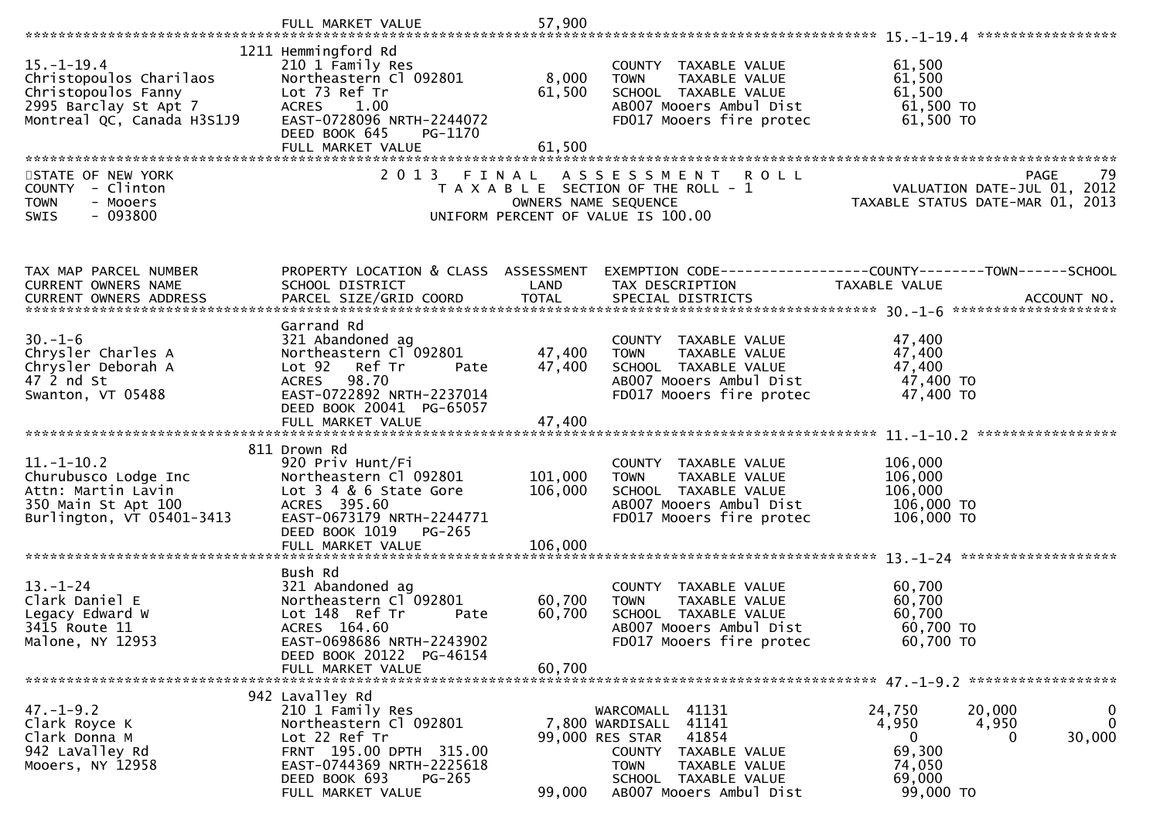|                                                                                                                           | FULL MARKET VALUE                                                                                                                                                                             | 57,900                        |                                                                                                                                                                                       |                                                                                                                       |
|---------------------------------------------------------------------------------------------------------------------------|-----------------------------------------------------------------------------------------------------------------------------------------------------------------------------------------------|-------------------------------|---------------------------------------------------------------------------------------------------------------------------------------------------------------------------------------|-----------------------------------------------------------------------------------------------------------------------|
| $15. - 1 - 19.4$<br>Christopoulos Charilaos<br>Christopoulos Fanny<br>2995 Barclay St Apt 7<br>Montreal QC, Canada H3S1J9 | 1211 Hemmingford Rd<br>210 1 Family Res<br>Northeastern Cl 092801<br>Lot 73 Ref Tr<br>ACRES 1.00<br>EAST-0728096 NRTH-2244072<br>DEED BOOK 645<br>PG-1170<br>FULL MARKET VALUE                | 8,000<br>61,500<br>61,500     | COUNTY TAXABLE VALUE<br>TAXABLE VALUE<br><b>TOWN</b><br>SCHOOL TAXABLE VALUE<br>AB007 Mooers Ambul Dist<br>FD017 Mooers fire protec                                                   | 61,500<br>61,500<br>61,500<br>61,500 TO<br>61,500 TO                                                                  |
| STATE OF NEW YORK<br>COUNTY - Clinton<br><b>TOWN</b><br>- Mooers<br>$-093800$<br>SWIS                                     | 2 0 1 3                                                                                                                                                                                       | FINAL                         | <b>ROLL</b><br>A S S E S S M E N T<br>T A X A B L E SECTION OF THE ROLL - 1<br>OWNERS NAME SEQUENCE<br>UNIFORM PERCENT OF VALUE IS 100.00                                             | PAGE<br>79<br>ROLL - 1<br>VALUATION DATE-JUL 01, 2012<br>TAXABLE STATUS DATE-MAR 01, 2013                             |
| TAX MAP PARCEL NUMBER<br>CURRENT OWNERS NAME                                                                              | PROPERTY LOCATION & CLASS ASSESSMENT<br>SCHOOL DISTRICT                                                                                                                                       | LAND                          | TAX DESCRIPTION                                                                                                                                                                       | EXEMPTION CODE-----------------COUNTY-------TOWN------SCHOOL<br>TAXABLE VALUE                                         |
| $30. - 1 - 6$<br>Chrysler Charles A<br>Chrysler Deborah A<br>47 2 nd St<br>Swanton, VT 05488                              | Garrand Rd<br>321 Abandoned ag<br>Northeastern Cl 092801<br>Lot 92 Ref Tr<br>Pate<br>98.70<br>ACRES<br>EAST-0722892 NRTH-2237014<br>DEED BOOK 20041 PG-65057                                  | 47,400<br>47,400              | COUNTY TAXABLE VALUE<br>TAXABLE VALUE<br><b>TOWN</b><br>SCHOOL TAXABLE VALUE<br>AB007 Mooers Ambul Dist<br>FD017 Mooers fire protec                                                   | 47,400<br>47,400<br>47,400<br>47,400 TO<br>47,400 TO                                                                  |
| $11.-1-10.2$<br>Churubusco Lodge Inc<br>Attn: Martin Lavin<br>350 Main St Apt 100<br>Burlington, VT 05401-3413            | 811 Drown Rd<br>920 Priv Hunt/Fi<br>Northeastern Cl 092801<br>Lot 3 4 & 6 State Gore<br>ACRES 395.60<br>EAST-0673179 NRTH-2244771<br>DEED BOOK 1019 PG-265<br>FULL MARKET VALUE               | 101,000<br>106,000<br>106,000 | COUNTY TAXABLE VALUE<br><b>TOWN</b><br>TAXABLE VALUE<br>SCHOOL TAXABLE VALUE<br>AB007 Mooers Ambul Dist<br>FD017 Mooers fire protec                                                   | 106,000<br>106,000<br>106,000<br>106,000 то<br>106,000 TO                                                             |
| $13 - 1 - 24$<br>Clark Daniel E<br>Legacy Edward W<br>3415 Route 11<br>Malone, NY 12953                                   | Bush Rd<br>321 Abandoned ag<br>Northeastern Cl 092801<br>Lot 148 Ref Tr<br>Pate<br>ACRES 164.60<br>EAST-0698686 NRTH-2243902<br>DEED BOOK 20122 PG-46154<br>FULL MARKET VALUE                 | 60,700<br>60,700<br>60,700    | COUNTY TAXABLE VALUE<br>TAXABLE VALUE<br><b>TOWN</b><br>SCHOOL TAXABLE VALUE<br>AB007 Mooers Ambul Dist<br>FD017 Mooers fire protec                                                   | 60,700<br>60,700<br>60,700<br>60,700 TO<br>60,700 TO                                                                  |
| $47. - 1 - 9.2$<br>Clark Royce K<br>Clark Donna M<br>942 LaValley Rd<br>Mooers, NY 12958                                  | 942 Lavalley Rd<br>210 1 Family Res<br>Northeastern Cl 092801<br>Lot 22 Ref Tr<br>FRNT 195.00 DPTH 315.00<br>EAST-0744369 NRTH-2225618<br>DEED BOOK 693<br><b>PG-265</b><br>FULL MARKET VALUE | 99,000                        | WARCOMALL<br>41131<br>41141<br>7,800 WARDISALL<br>99,000 RES STAR<br>41854<br>COUNTY TAXABLE VALUE<br><b>TOWN</b><br>TAXABLE VALUE<br>SCHOOL TAXABLE VALUE<br>AB007 Mooers Ambul Dist | 24,750<br>0<br>20,000<br>$\mathbf 0$<br>4,950<br>4,950<br>30,000<br>0<br>0<br>69,300<br>74,050<br>69,000<br>99,000 TO |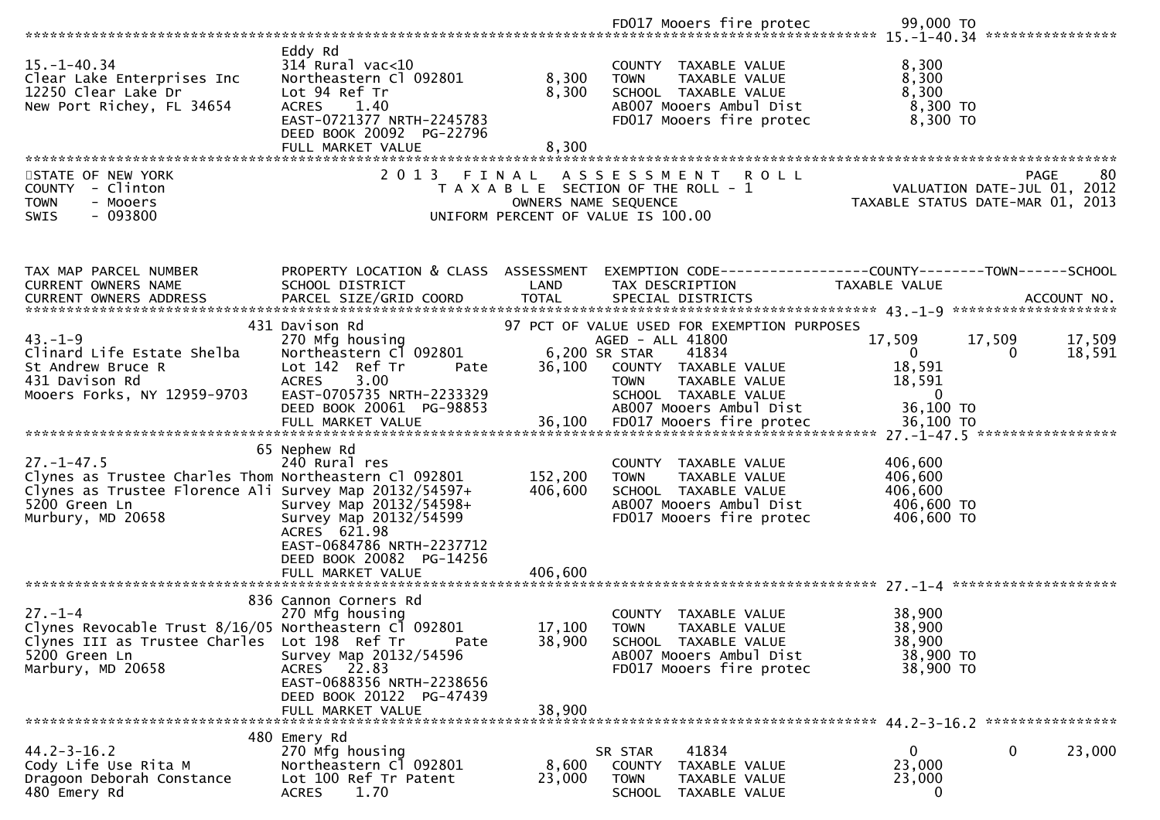|                                                                                                                                                                           |                                                                                                                                                                            |                                        | FD017 Mooers fire protec                                                                                                                                                                             | 99,000 TO<br>****************                                                  |                  |
|---------------------------------------------------------------------------------------------------------------------------------------------------------------------------|----------------------------------------------------------------------------------------------------------------------------------------------------------------------------|----------------------------------------|------------------------------------------------------------------------------------------------------------------------------------------------------------------------------------------------------|--------------------------------------------------------------------------------|------------------|
| $15. - 1 - 40.34$<br>Clear Lake Enterprises Inc<br>12250 Clear Lake Dr<br>New Port Richey, FL 34654                                                                       | Eddy Rd<br>$314$ Rural vac<10<br>Northeastern Cl 092801<br>Lot 94 Ref Tr<br>1.40<br><b>ACRES</b><br>EAST-0721377 NRTH-2245783<br>DEED BOOK 20092 PG-22796                  | 8,300<br>8,300                         | COUNTY TAXABLE VALUE<br>TAXABLE VALUE<br><b>TOWN</b><br>SCHOOL TAXABLE VALUE<br>AB007 Mooers Ambul Dist<br>FD017 Mooers fire protec                                                                  | 8,300<br>8,300<br>8,300<br>8,300 TO<br>8,300 TO                                |                  |
| STATE OF NEW YORK<br>COUNTY - Clinton<br><b>TOWN</b><br>- Mooers<br>$-093800$<br><b>SWIS</b>                                                                              | FULL MARKET VALUE<br>2 0 1 3                                                                                                                                               | 8,300<br>FINAL<br>OWNERS NAME SEQUENCE | <b>ROLL</b><br>A S S E S S M E N T<br>T A X A B L E SECTION OF THE ROLL - 1<br>UNIFORM PERCENT OF VALUE IS 100.00                                                                                    | <b>PAGE</b><br>VALUATION DATE-JUL 01, 2012<br>TAXABLE STATUS DATE-MAR 01, 2013 | 80               |
| TAX MAP PARCEL NUMBER<br><b>CURRENT OWNERS NAME</b>                                                                                                                       | PROPERTY LOCATION & CLASS ASSESSMENT<br>SCHOOL DISTRICT                                                                                                                    | LAND                                   | TAX DESCRIPTION                                                                                                                                                                                      | EXEMPTION CODE-----------------COUNTY-------TOWN------SCHOOL<br>TAXABLE VALUE  |                  |
| $43. - 1 - 9$<br>Clinard Life Estate Shelba<br>St Andrew Bruce R<br>431 Davison Rd<br>Mooers Forks, NY 12959-9703                                                         | 431 Davison Rd<br>270 Mfg housing<br>Northeastern Cl 092801<br>Lot 142 Ref Tr<br>Pate<br>3.00<br><b>ACRES</b><br>EAST-0705735 NRTH-2233329<br>DEED BOOK 20061 PG-98853     | 36,100                                 | 97 PCT OF VALUE USED FOR EXEMPTION PURPOSES<br>AGED - ALL 41800<br>6,200 SR STAR<br>41834<br>COUNTY TAXABLE VALUE<br>TAXABLE VALUE<br><b>TOWN</b><br>SCHOOL TAXABLE VALUE<br>AB007 Mooers Ambul Dist | 17,509<br>17,509<br>$\mathbf{0}$<br>0<br>18,591<br>18,591<br>0<br>36,100 TO    | 17,509<br>18,591 |
| $27. - 1 - 47.5$<br>Clynes as Trustee Charles Thom Northeastern Cl 092801<br>Clynes as Trustee Florence Ali Survey Map 20132/54597+<br>5200 Green Ln<br>Murbury, MD 20658 | 65 Nephew Rd<br>240 Rural res<br>Survey Map 20132/54598+<br>Survey Map 20132/54599<br>ACRES 621.98<br>EAST-0684786 NRTH-2237712<br>DEED BOOK 20082 PG-14256                | 152,200<br>406,600                     | COUNTY TAXABLE VALUE<br>TAXABLE VALUE<br><b>TOWN</b><br>SCHOOL TAXABLE VALUE<br>AB007 Mooers Ambul Dist<br>FD017 Mooers fire protec                                                                  | 406,600<br>406,600<br>406,600<br>406,600 TO<br>406,600 TO                      |                  |
| $27. - 1 - 4$<br>Clynes Revocable Trust 8/16/05 Northeastern Cl 092801<br>Clynes III as Trustee Charles Lot 198 Ref Tr<br>5200 Green Ln<br>Marbury, MD 20658              | 836 Cannon Corners Rd<br>270 Mfg housing<br>Pate<br>Survey Map 20132/54596<br>22.83<br>ACRES<br>EAST-0688356 NRTH-2238656<br>DEED BOOK 20122 PG-47439<br>FULL MARKET VALUE | 17,100<br>38,900<br>38,900             | COUNTY TAXABLE VALUE<br><b>TOWN</b><br><b>TAXABLE VALUE</b><br>SCHOOL TAXABLE VALUE<br>AB007 Mooers Ambul Dist<br>FD017 Mooers fire protec                                                           | 38,900<br>38,900<br>38,900<br>38,900 TO<br>38,900 TO                           |                  |
| $44.2 - 3 - 16.2$<br>Cody Life Use Rita M<br>Dragoon Deborah Constance<br>480 Emery Rd                                                                                    | 480 Emery Rd<br>270 Mfg housing<br>Northeastern Cl 092801<br>Lot 100 Ref Tr Patent<br>1.70<br><b>ACRES</b>                                                                 | 8,600<br>23,000                        | 41834<br>SR STAR<br><b>COUNTY</b><br>TAXABLE VALUE<br><b>TOWN</b><br>TAXABLE VALUE<br>SCHOOL TAXABLE VALUE                                                                                           | 0<br>0<br>23,000<br>23,000<br>$\bf{0}$                                         | 23,000           |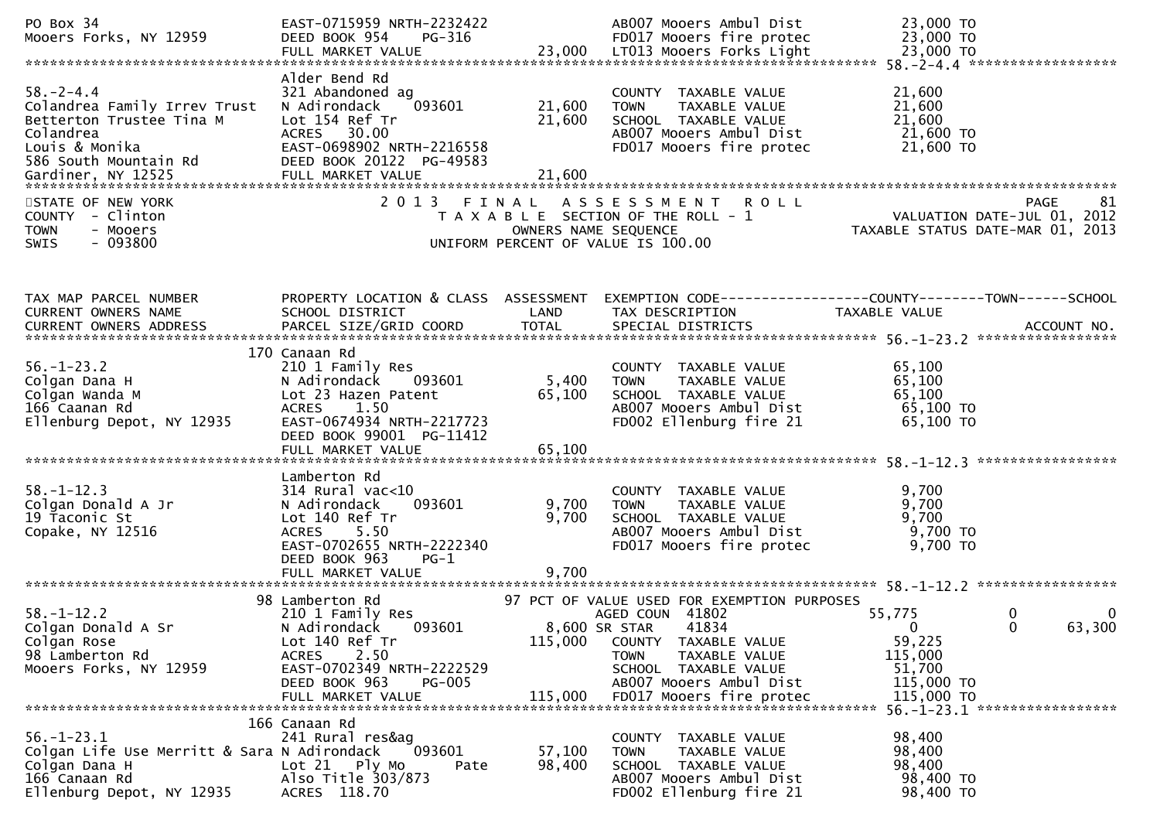| PO Box 34<br>Mooers Forks, NY 12959                                                                                                 | EAST-0715959 NRTH-2232422<br>DEED BOOK 954<br>$PG-316$                                                                                                                                      |                           | AB007 Mooers Ambul Dist<br>FD017 Mooers fire protec                                                                                                                                                                             | 23,000 TO<br>23,000 TO                                                                                                                    |
|-------------------------------------------------------------------------------------------------------------------------------------|---------------------------------------------------------------------------------------------------------------------------------------------------------------------------------------------|---------------------------|---------------------------------------------------------------------------------------------------------------------------------------------------------------------------------------------------------------------------------|-------------------------------------------------------------------------------------------------------------------------------------------|
| $58. - 2 - 4.4$<br>Colandrea Family Irrev Trust<br>Betterton Trustee Tina M<br>Colandrea<br>Louis & Monika<br>586 South Mountain Rd | Alder Bend Rd<br>321 Abandoned ag<br>093601<br>N Adirondack<br>Lot 154 Ref Tr<br>ACRES<br>30.00<br>EAST-0698902 NRTH-2216558<br>DEED BOOK 20122 PG-49583                                    | 21,600<br>21,600          | COUNTY TAXABLE VALUE<br>TAXABLE VALUE<br><b>TOWN</b><br>SCHOOL TAXABLE VALUE<br>AB007 Mooers Ambul Dist<br>FD017 Mooers fire protec                                                                                             | 21,600<br>21,600<br>21,600<br>21,600 TO<br>21,600 TO                                                                                      |
| STATE OF NEW YORK<br>COUNTY - Clinton<br>- Mooers<br><b>TOWN</b><br>SWIS<br>- 093800                                                |                                                                                                                                                                                             | OWNERS NAME SEQUENCE      | 2013 FINAL ASSESSMENT ROLL<br>T A X A B L E SECTION OF THE ROLL - 1<br>UNIFORM PERCENT OF VALUE IS 100.00                                                                                                                       | 81<br>PAGE<br>VALUATION DATE-JUL 01, 2012<br>TAXABLE STATUS DATE-MAR 01, 2013                                                             |
| TAX MAP PARCEL NUMBER<br><b>CURRENT OWNERS NAME</b>                                                                                 | PROPERTY LOCATION & CLASS ASSESSMENT<br>SCHOOL DISTRICT                                                                                                                                     | LAND                      | TAX DESCRIPTION                                                                                                                                                                                                                 | TAXABLE VALUE                                                                                                                             |
| $56. - 1 - 23.2$<br>Colgan Dana H<br>Colgan Wanda M<br>166 Caanan Rd<br>Ellenburg Depot, NY 12935                                   | 170 Canaan Rd<br>210 1 Family Res<br>N Adirondack<br>093601<br>Lot 23 Hazen Patent<br>1.50<br><b>ACRES</b><br>EAST-0674934 NRTH-2217723<br>DEED BOOK 99001 PG-11412<br>FULL MARKET VALUE    | 5,400<br>65,100<br>65,100 | COUNTY TAXABLE VALUE<br><b>TOWN</b><br>TAXABLE VALUE<br>SCHOOL TAXABLE VALUE<br>AB007 Mooers Ambul Dist<br>FD002 Ellenburg fire 21                                                                                              | 65,100<br>65,100<br>65,100<br>65,100 TO<br>65,100 TO                                                                                      |
| $58. - 1 - 12.3$<br>Colgan Donald A Jr<br>19 Taconic St<br>Copake, NY 12516                                                         | Lamberton Rd<br>$314$ Rural vac< $10$<br>093601<br>N Adirondack<br>Lot 140 Ref Tr<br>5.50<br><b>ACRES</b><br>EAST-0702655 NRTH-2222340<br>DEED BOOK 963<br>PG-1<br>FULL MARKET VALUE        | 9,700<br>9,700<br>9,700   | <b>COUNTY</b><br>TAXABLE VALUE<br>TAXABLE VALUE<br><b>TOWN</b><br>SCHOOL TAXABLE VALUE<br>AB007 Mooers Ambul Dist<br>FD017 Mooers fire protec                                                                                   | 9,700<br>9,700<br>9,700<br>9,700 TO<br>9,700 TO                                                                                           |
|                                                                                                                                     |                                                                                                                                                                                             |                           |                                                                                                                                                                                                                                 |                                                                                                                                           |
| $58. - 1 - 12.2$<br>Colgan Donald A Sr<br>Colgan Rose<br>98 Lamberton Rd<br>Mooers Forks, NY 12959                                  | 98 Lamberton Rd<br>210 1 Family Res<br>N Adirondack<br>093601<br>Lot 140 Ref Tr<br>2.50<br><b>ACRES</b><br>EAST-0702349 NRTH-2222529<br>DEED BOOK 963<br><b>PG-005</b><br>FULL MARKET VALUE | 115,000<br>115,000        | 97 PCT OF VALUE USED FOR EXEMPTION PURPOSES<br>AGED COUN 41802<br>41834<br>8,600 SR STAR<br>COUNTY TAXABLE VALUE<br>TAXABLE VALUE<br><b>TOWN</b><br>SCHOOL TAXABLE VALUE<br>AB007 Mooers Ambul Dist<br>FD017 Mooers fire protec | 55,775<br>0<br>0<br>63,300<br>0<br>$\Omega$<br>59,225<br>115,000<br>51,700<br>115,000 TO<br>115,000 TO<br>56. -1-23.1 ******************* |
| $56. - 1 - 23.1$<br>Colgan Life Use Merritt & Sara N Adirondack<br>Colgan Dana H<br>166 Canaan Rd<br>Ellenburg Depot, NY 12935      | 166 Canaan Rd<br>241 Rural res&ag<br>093601<br>$Lot 21$ Ply Mo<br>Pate<br>Also Title 303/873<br>ACRES 118.70                                                                                | 57,100<br>98,400          | COUNTY TAXABLE VALUE<br><b>TOWN</b><br>TAXABLE VALUE<br>SCHOOL TAXABLE VALUE<br>AB007 Mooers Ambul Dist<br>FD002 Ellenburg fire 21                                                                                              | 98,400<br>98,400<br>98,400<br>98,400 TO<br>98,400 TO                                                                                      |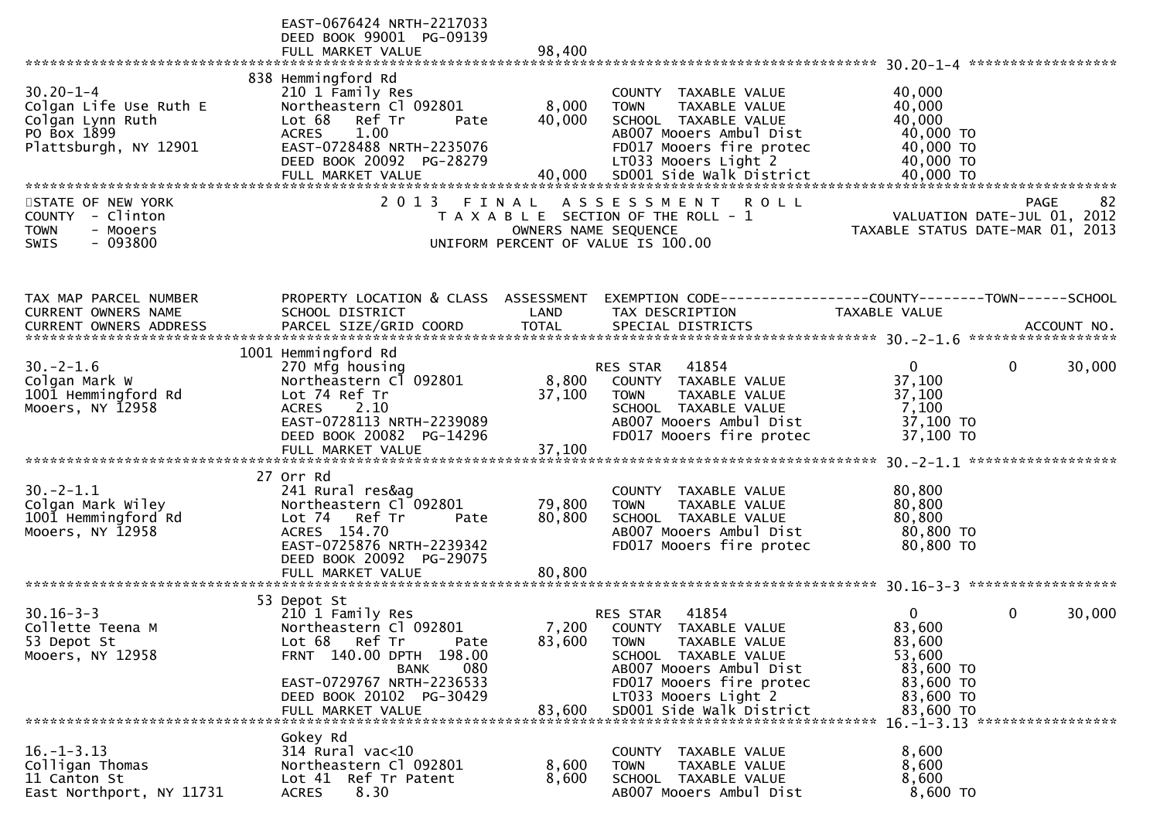|                                                                                                        | EAST-0676424 NRTH-2217033<br>DEED BOOK 99001 PG-09139<br>FULL MARKET VALUE                                                                                                                                 | 98,400                     |                                                                                                                                                                                                              |                                                                                            |                                                  |
|--------------------------------------------------------------------------------------------------------|------------------------------------------------------------------------------------------------------------------------------------------------------------------------------------------------------------|----------------------------|--------------------------------------------------------------------------------------------------------------------------------------------------------------------------------------------------------------|--------------------------------------------------------------------------------------------|--------------------------------------------------|
| $30.20 - 1 - 4$<br>Colgan Life Use Ruth E<br>Colgan Lynn Ruth<br>PO Box 1899<br>Plattsburgh, NY 12901  | 838 Hemmingford Rd<br>210 1 Family Res<br>Northeastern Cl 092801<br>Lot 68<br>Ref Tr<br>Pate<br>1.00<br><b>ACRES</b><br>EAST-0728488 NRTH-2235076<br>DEED BOOK 20092 PG-28279                              | 8,000<br>40,000            | TAXABLE VALUE<br>COUNTY<br>TAXABLE VALUE<br><b>TOWN</b><br>SCHOOL TAXABLE VALUE<br>AB007 Mooers Ambul Dist<br>FD017 Mooers fire protec<br>LT033 Mooers Light 2                                               | 40,000<br>40,000<br>40,000<br>40,000 TO<br>40,000 TO<br>40,000 TO                          |                                                  |
| STATE OF NEW YORK<br><b>COUNTY</b><br>- Clinton<br>- Mooers<br><b>TOWN</b><br>$-093800$<br><b>SWIS</b> | 2013 FINAL                                                                                                                                                                                                 | OWNERS NAME SEQUENCE       | A S S E S S M E N T<br><b>ROLL</b><br>T A X A B L E SECTION OF THE ROLL - 1<br>UNIFORM PERCENT OF VALUE IS 100.00                                                                                            | TAXABLE STATUS DATE-MAR 01, 2013                                                           | 82<br><b>PAGE</b><br>VALUATION DATE-JUL 01, 2012 |
| TAX MAP PARCEL NUMBER<br>CURRENT OWNERS NAME                                                           | PROPERTY LOCATION & CLASS ASSESSMENT<br>SCHOOL DISTRICT                                                                                                                                                    | LAND                       | EXEMPTION CODE------------------COUNTY--------TOWN------SCHOOL<br>TAX DESCRIPTION                                                                                                                            | <b>TAXABLE VALUE</b>                                                                       |                                                  |
| $30. -2 - 1.6$<br>Colgan Mark W<br>1001 Hemmingford Rd<br>Mooers, NY 12958                             | 1001 Hemmingford Rd<br>270 Mfg housing<br>Northeastern Cl 092801<br>Lot 74 Ref Tr<br>2.10<br><b>ACRES</b><br>EAST-0728113 NRTH-2239089<br>DEED BOOK 20082 PG-14296<br>FULL MARKET VALUE                    | 8,800<br>37,100<br>37,100  | 41854<br>RES STAR<br>COUNTY TAXABLE VALUE<br><b>TOWN</b><br>TAXABLE VALUE<br>SCHOOL TAXABLE VALUE<br>AB007 Mooers Ambul Dist<br>FD017 Mooers fire protec                                                     | $\overline{0}$<br>37,100<br>37,100<br>7,100<br>37,100 TO<br>37,100 TO                      | $\mathbf{0}$<br>30,000                           |
| $30. -2 - 1.1$<br>Colgan Mark Wiley<br>1001 Hemmingford Rd<br>Mooers, NY 12958                         | 27 Orr Rd<br>241 Rural res&ag<br>Northeastern Cl 092801<br>Lot 74 Ref Tr<br>Pate<br>ACRES 154.70<br>EAST-0725876 NRTH-2239342<br>DEED BOOK 20092 PG-29075<br>FULL MARKET VALUE                             | 79,800<br>80,800<br>80,800 | COUNTY<br>TAXABLE VALUE<br>TAXABLE VALUE<br><b>TOWN</b><br>SCHOOL TAXABLE VALUE<br>AB007 Mooers Ambul Dist<br>FD017 Mooers fire protec                                                                       | 80,800<br>80,800<br>80,800<br>80,800 TO<br>80,800 TO                                       |                                                  |
| $30.16 - 3 - 3$<br>Collette Teena M<br>53 Depot St<br>Mooers, NY 12958                                 | 53 Depot St<br>210 1 Family Res<br>Northeastern Cl 092801<br>Lot 68 Ref Tr<br>Pate<br>FRNT 140.00 DPTH 198.00<br>080<br>BANK<br>EAST-0729767 NRTH-2236533<br>DEED BOOK 20102 PG-30429<br>FULL MARKET VALUE | 7,200<br>83,600<br>83,600  | 41854<br>RES STAR<br>COUNTY TAXABLE VALUE<br><b>TOWN</b><br>TAXABLE VALUE<br>SCHOOL TAXABLE VALUE<br>AB007 Mooers Ambul Dist<br>FD017 Mooers fire protec<br>LT033 Mooers Light 2<br>SD001 Side Walk District | $\bf{0}$<br>83,600<br>83,600<br>53,600<br>83,600 TO<br>83,600 TO<br>83,600 TO<br>83,600 TO | 0<br>30,000                                      |
| $16. - 1 - 3.13$<br>Colligan Thomas<br>11 Canton St<br>East Northport, NY 11731                        | Gokey Rd<br>314 Rural vac<10<br>Northeastern Cl 092801<br>Lot 41 Ref Tr Patent<br>8.30<br><b>ACRES</b>                                                                                                     | 8,600<br>8,600             | COUNTY TAXABLE VALUE<br>TAXABLE VALUE<br><b>TOWN</b><br>SCHOOL TAXABLE VALUE<br>AB007 Mooers Ambul Dist                                                                                                      | 8,600<br>8,600<br>8,600<br>8,600 TO                                                        |                                                  |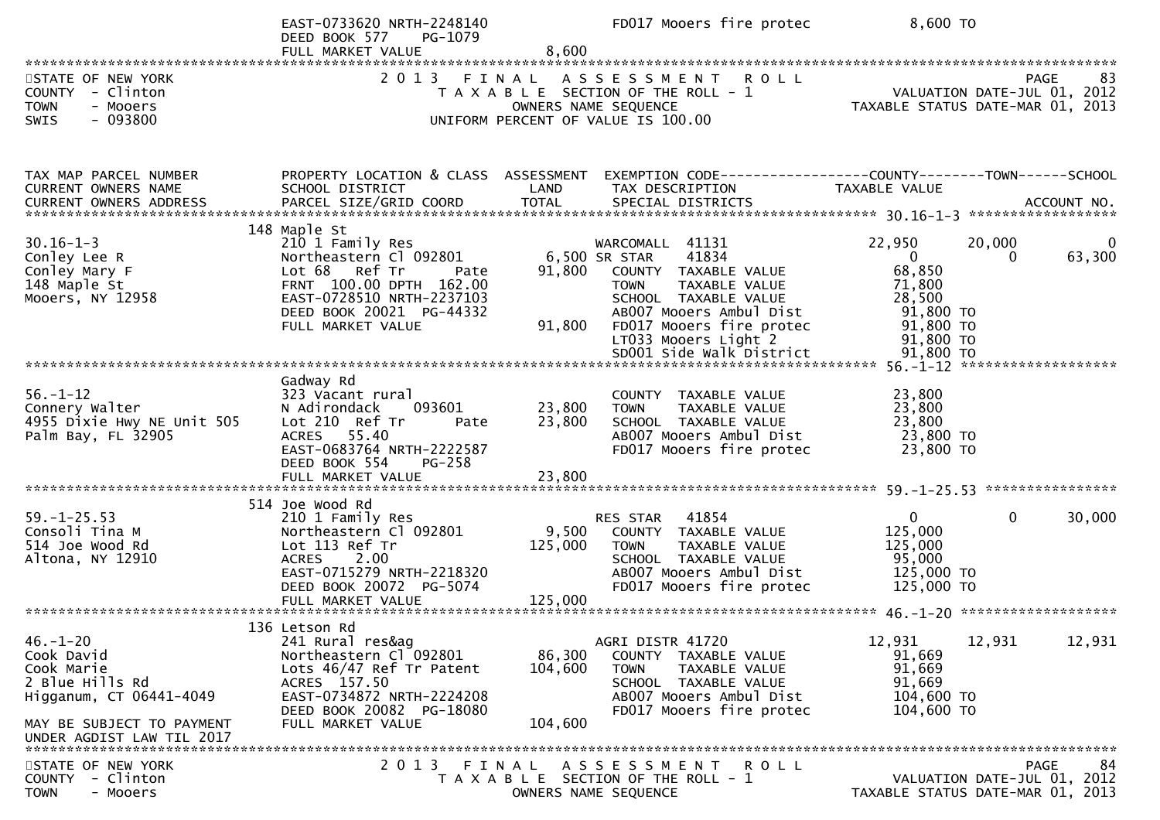|                                                                                                                                                    | EAST-0733620 NRTH-2248140<br>DEED BOOK 577<br>PG-1079<br>FULL MARKET VALUE                                                                                                                   | 8,600                        | FD017 Mooers fire protec                                                                                                                                                                                 | 8,600 TO                                                                                      |                                                                               |
|----------------------------------------------------------------------------------------------------------------------------------------------------|----------------------------------------------------------------------------------------------------------------------------------------------------------------------------------------------|------------------------------|----------------------------------------------------------------------------------------------------------------------------------------------------------------------------------------------------------|-----------------------------------------------------------------------------------------------|-------------------------------------------------------------------------------|
| STATE OF NEW YORK<br>COUNTY - Clinton<br><b>TOWN</b><br>- Mooers<br>$-093800$<br>SWIS                                                              | 2013 FINAL                                                                                                                                                                                   |                              | ASSESSMENT ROLL<br>T A X A B L E SECTION OF THE ROLL - 1<br>OWNERS NAME SEQUENCE<br>UNIFORM PERCENT OF VALUE IS 100.00                                                                                   |                                                                                               | PAGE<br>83<br>VALUATION DATE-JUL 01, 2012<br>TAXABLE STATUS DATE-MAR 01, 2013 |
| TAX MAP PARCEL NUMBER<br>CURRENT OWNERS NAME                                                                                                       | PROPERTY LOCATION & CLASS ASSESSMENT<br>SCHOOL DISTRICT                                                                                                                                      | LAND                         | EXEMPTION CODE-----------------COUNTY--------TOWN------SCHOOL<br>TAX DESCRIPTION                                                                                                                         | TAXABLE VALUE                                                                                 |                                                                               |
| $30.16 - 1 - 3$<br>Conley Lee R<br>Conley Mary F<br>148 Maple St<br>Mooers, NY 12958                                                               | 148 Maple St<br>210 1 Family Res<br>Northeastern Cl 092801<br>Lot 68 Ref Tr<br>Pate<br>FRNT 100.00 DPTH 162.00<br>EAST-0728510 NRTH-2237103<br>DEED BOOK 20021 PG-44332<br>FULL MARKET VALUE | 91,800<br>91,800             | WARCOMALL 41131<br>6,500 SR STAR<br>41834<br>COUNTY TAXABLE VALUE<br><b>TOWN</b><br>TAXABLE VALUE<br>SCHOOL TAXABLE VALUE<br>AB007 Mooers Ambul Dist<br>FD017 Mooers fire protec<br>LT033 Mooers Light 2 | 22,950<br>$\overline{0}$<br>68,850<br>71,800<br>28,500<br>91,800 TO<br>91,800 TO<br>91,800 TO | 20,000<br>63,300<br>0                                                         |
| $56. - 1 - 12$<br>Connery Walter<br>4955 Dixie Hwy NE Unit 505<br>Palm Bay, FL 32905                                                               | Gadway Rd<br>323 Vacant rural<br>N Adirondack<br>093601<br>Lot 210 Ref Tr<br>Pate<br>55.40<br><b>ACRES</b><br>EAST-0683764 NRTH-2222587<br>DEED BOOK 554<br>$PG-258$<br>FULL MARKET VALUE    | 23,800<br>23,800<br>23,800   | COUNTY TAXABLE VALUE<br>TAXABLE VALUE<br><b>TOWN</b><br>SCHOOL TAXABLE VALUE<br>AB007 Mooers Ambul Dist<br>FD017 Mooers fire protec                                                                      | 23,800<br>23,800<br>23,800<br>23,800 TO<br>23,800 TO                                          |                                                                               |
| $59. - 1 - 25.53$<br>Consoli Tina M<br>514 Joe Wood Rd<br>Altona, NY 12910                                                                         | 514 Joe Wood Rd<br>210 1 Family Res<br>Northeastern Cl 092801<br>Lot 113 Ref Tr<br><b>ACRES</b><br>2.00<br>EAST-0715279 NRTH-2218320<br>DEED BOOK 20072 PG-5074                              | 9,500<br>125,000             | 41854<br>RES STAR<br>COUNTY TAXABLE VALUE<br><b>TOWN</b><br>TAXABLE VALUE<br>SCHOOL TAXABLE VALUE<br>AB007 Mooers Ambul Dist<br>FD017 Mooers fire protec                                                 | $\overline{0}$<br>125,000<br>125,000<br>95,000<br>125,000 TO<br>125,000 TO                    | $\Omega$<br>30,000                                                            |
| $46. - 1 - 20$<br>Cook David<br>Cook Marie<br>2 Blue Hills Rd<br>Higganum, CT 06441-4049<br>MAY BE SUBJECT TO PAYMENT<br>UNDER AGDIST LAW TIL 2017 | 136 Letson Rd<br>241 Rural res&ag<br>Northeastern Cl 092801<br>Lots 46/47 Ref Tr Patent<br>ACRES 157.50<br>EAST-0734872 NRTH-2224208<br>DEED BOOK 20082 PG-18080<br>FULL MARKET VALUE        | 86,300<br>104,600<br>104,600 | AGRI DISTR 41720<br>COUNTY TAXABLE VALUE<br>TAXABLE VALUE<br><b>TOWN</b><br>SCHOOL TAXABLE VALUE<br>AB007 Mooers Ambul Dist<br>FD017 Mooers fire protec                                                  | 12,931<br>91,669<br>91,669<br>91,669<br>104,600 TO<br>104,600 TO                              | 12,931<br>12,931                                                              |
| STATE OF NEW YORK<br>COUNTY - Clinton<br><b>TOWN</b><br>- Mooers                                                                                   | FINAL<br>2 0 1 3                                                                                                                                                                             |                              | ASSESSMENT ROLL<br>T A X A B L E SECTION OF THE ROLL - 1<br>OWNERS NAME SEQUENCE                                                                                                                         |                                                                                               | 84<br>PAGE<br>VALUATION DATE-JUL 01, 2012<br>TAXABLE STATUS DATE-MAR 01, 2013 |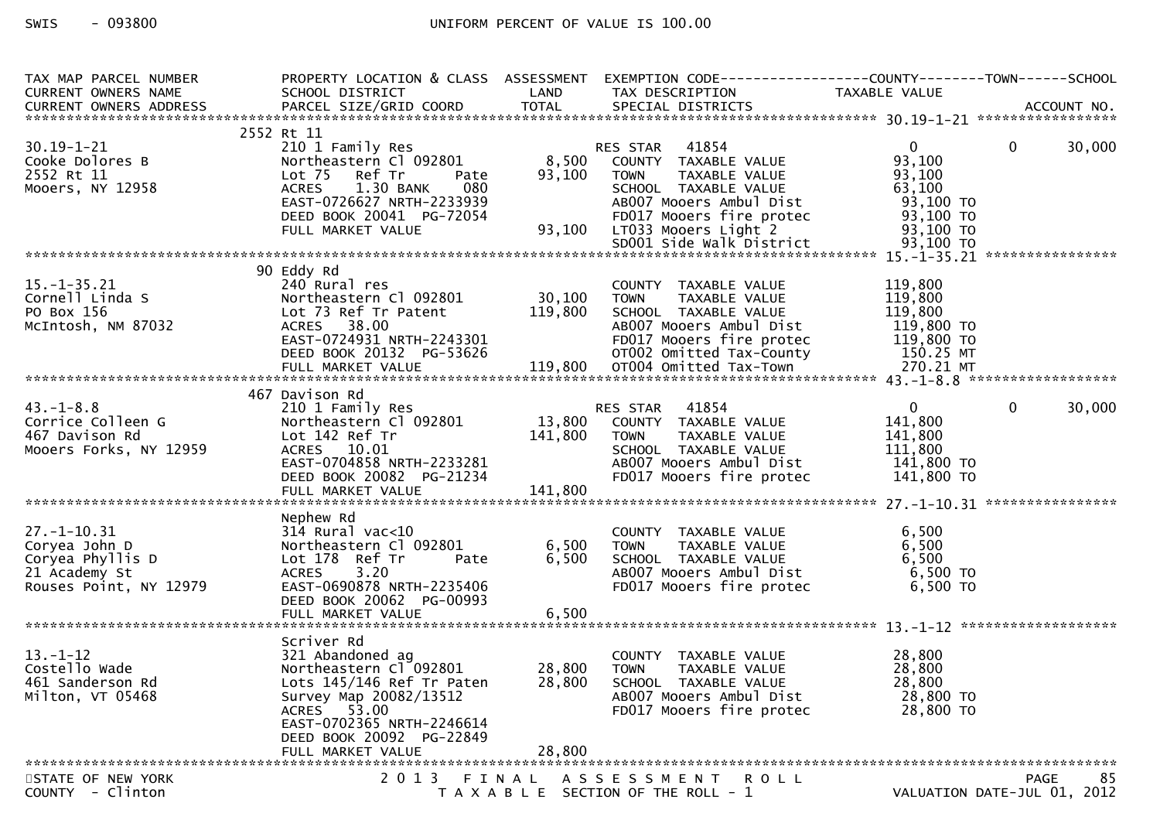# SWIS - 093800 CONTROLL CONTROLLER UNIFORM PERCENT OF VALUE IS 100.00

| TAX MAP PARCEL NUMBER<br>CURRENT OWNERS NAME                                                                                                                                                                                               | PROPERTY LOCATION & CLASS ASSESSMENT<br>SCHOOL DISTRICT                                                         |        | LAND TAX DESCRIPTION                                                                                 |                |                             |
|--------------------------------------------------------------------------------------------------------------------------------------------------------------------------------------------------------------------------------------------|-----------------------------------------------------------------------------------------------------------------|--------|------------------------------------------------------------------------------------------------------|----------------|-----------------------------|
|                                                                                                                                                                                                                                            |                                                                                                                 |        |                                                                                                      |                |                             |
|                                                                                                                                                                                                                                            | 2552 Rt 11                                                                                                      |        |                                                                                                      |                |                             |
| $30.19 - 1 - 21$                                                                                                                                                                                                                           | 210 1 Family Res                                                                                                |        | 41854<br>RES STAR                                                                                    | $\mathbf{0}$   | $\Omega$<br>30,000          |
| Cooke Dolores B                                                                                                                                                                                                                            | Northeastern Cl 092801                                                                                          | 8,500  | COUNTY TAXABLE VALUE                                                                                 | 93,100         |                             |
| 2552 Rt 11                                                                                                                                                                                                                                 | Lot 75 Ref Tr<br>Pate                                                                                           | 93,100 | TAXABLE VALUE<br><b>TOWN</b>                                                                         | 93,100         |                             |
| Mooers, NY 12958                                                                                                                                                                                                                           | <b>ACRES</b><br>1.30 BANK<br>080                                                                                |        | SCHOOL TAXABLE VALUE                                                                                 | 63,100         |                             |
|                                                                                                                                                                                                                                            |                                                                                                                 |        |                                                                                                      |                |                             |
|                                                                                                                                                                                                                                            | EAST-0726627 NRTH-2233939                                                                                       |        | AB007 Mooers Ambul Dist                                                                              | 93,100 TO      |                             |
|                                                                                                                                                                                                                                            | DEED BOOK 20041 PG-72054                                                                                        |        | G-72054         FD017 Mooers fire protec<br>93,100  LT033 Mooers Light 2<br>SD001 Side Walk District | 93,100 TO      |                             |
|                                                                                                                                                                                                                                            | FULL MARKET VALUE                                                                                               |        |                                                                                                      | 93,100 TO      |                             |
|                                                                                                                                                                                                                                            |                                                                                                                 |        |                                                                                                      |                |                             |
|                                                                                                                                                                                                                                            |                                                                                                                 |        |                                                                                                      |                |                             |
|                                                                                                                                                                                                                                            | 90 Eddy Rd                                                                                                      |        |                                                                                                      |                |                             |
| $15. - 1 - 35.21$                                                                                                                                                                                                                          | 240 Rural res                                                                                                   |        | COUNTY TAXABLE VALUE                                                                                 | 119,800        |                             |
| Cornell Linda S                                                                                                                                                                                                                            | Northeastern C1 092801 30,100 TOWN                                                                              |        | TAXABLE VALUE                                                                                        | 119,800        |                             |
| PO Box 156                                                                                                                                                                                                                                 | Lot 73 Ref Tr Patent $119,800$                                                                                  |        | SCHOOL TAXABLE VALUE                                                                                 | 119,800        |                             |
|                                                                                                                                                                                                                                            |                                                                                                                 |        |                                                                                                      | 119,800 TO     |                             |
|                                                                                                                                                                                                                                            |                                                                                                                 |        |                                                                                                      |                |                             |
|                                                                                                                                                                                                                                            |                                                                                                                 |        |                                                                                                      |                |                             |
|                                                                                                                                                                                                                                            |                                                                                                                 |        |                                                                                                      |                |                             |
| McIntosh, NM 87032 ACRES 38.00<br>EAST-0724931 NRTH-2243301 FD017 Mooers Ambul Dist 119,800 TO<br>DEED BOOK 20132 PG-53626 or 020 Omitted Tax-County 150.25 MT<br>FULL MARKET VALUE 119,800 OT004 Omitted Tax-Town 270.21 MT<br>********** |                                                                                                                 |        |                                                                                                      |                |                             |
|                                                                                                                                                                                                                                            | 467 Davison Rd                                                                                                  |        |                                                                                                      |                |                             |
| $43. - 1 - 8.8$                                                                                                                                                                                                                            | 210 1 Family Res                                                                                                |        | RES STAR 41854                                                                                       | $\overline{0}$ | $\mathbf{0}$<br>30,000      |
| Corrice Colleen G                                                                                                                                                                                                                          | Northeastern Cl 092801 13,800 COUNTY TAXABLE VALUE                                                              |        |                                                                                                      | 141,800        |                             |
|                                                                                                                                                                                                                                            |                                                                                                                 |        |                                                                                                      |                |                             |
| 467 Davison Rd                                                                                                                                                                                                                             | Lot 142 Ref Tr<br>ACRES 10.01 5CHOOL<br>EAST-0704858 NRTH-2233281 AB007 MC<br>DEED BOOK 20082 PG-21234 FD017 MC |        | TAXABLE VALUE                                                                                        | 141,800        |                             |
| Mooers Forks, NY 12959                                                                                                                                                                                                                     |                                                                                                                 |        | SCHOOL TAXABLE VALUE                                                                                 | 111,800        |                             |
|                                                                                                                                                                                                                                            |                                                                                                                 |        | AB007 Mooers Ambul Dist                                                                              | 141,800 TO     |                             |
|                                                                                                                                                                                                                                            | DEED BOOK 20082 PG-21234                                                                                        |        | FD017 Mooers fire protec                                                                             | 141,800 TO     |                             |
|                                                                                                                                                                                                                                            |                                                                                                                 |        |                                                                                                      |                |                             |
|                                                                                                                                                                                                                                            |                                                                                                                 |        |                                                                                                      |                |                             |
|                                                                                                                                                                                                                                            | Nephew Rd                                                                                                       |        |                                                                                                      |                |                             |
| 27.-1-10.31<br>Coryea John D<br>Coryea Phyllis D<br>21 Academy St                                                                                                                                                                          | 314 Rural vac<10                                                                                                |        | COUNTY TAXABLE VALUE                                                                                 | 6,500          |                             |
|                                                                                                                                                                                                                                            | Northeastern Cl 092801                                                                                          | 6,500  | TAXABLE VALUE<br><b>TOWN</b>                                                                         | 6,500          |                             |
|                                                                                                                                                                                                                                            | Lot 178 Ref Tr<br>Pate                                                                                          | 6,500  | SCHOOL TAXABLE VALUE                                                                                 | 6,500          |                             |
| 21 Academy St                                                                                                                                                                                                                              | 3.20<br><b>ACRES</b>                                                                                            |        | AB007 Mooers Ambul Dist                                                                              | 6,500 TO       |                             |
| Rouses Point, NY 12979                                                                                                                                                                                                                     | EAST-0690878 NRTH-2235406                                                                                       |        | FD017 Mooers fire protec                                                                             | 6,500 TO       |                             |
|                                                                                                                                                                                                                                            | DEED BOOK 20062 PG-00993                                                                                        |        |                                                                                                      |                |                             |
|                                                                                                                                                                                                                                            | FULL MARKET VALUE                                                                                               | 6,500  |                                                                                                      |                |                             |
|                                                                                                                                                                                                                                            |                                                                                                                 |        |                                                                                                      |                |                             |
|                                                                                                                                                                                                                                            | Scriver Rd                                                                                                      |        |                                                                                                      |                |                             |
| $13. - 1 - 12$                                                                                                                                                                                                                             | 321 Abandoned ag                                                                                                |        | COUNTY TAXABLE VALUE                                                                                 | 28,800         |                             |
| Costello Wade                                                                                                                                                                                                                              | Northeastern Cl 092801                                                                                          | 28,800 | <b>TOWN</b><br>TAXABLE VALUE                                                                         | 28,800         |                             |
| 461 Sanderson Rd                                                                                                                                                                                                                           |                                                                                                                 | 28,800 | SCHOOL TAXABLE VALUE                                                                                 | 28,800         |                             |
|                                                                                                                                                                                                                                            | Lots 145/146 Ref Tr Paten                                                                                       |        |                                                                                                      |                |                             |
| Milton, VT 05468                                                                                                                                                                                                                           | Survey Map 20082/13512                                                                                          |        | AB007 Mooers Ambul Dist                                                                              | 28,800 TO      |                             |
|                                                                                                                                                                                                                                            | ACRES 53.00                                                                                                     |        | FD017 Mooers fire protec                                                                             | 28,800 TO      |                             |
|                                                                                                                                                                                                                                            | EAST-0702365 NRTH-2246614                                                                                       |        |                                                                                                      |                |                             |
|                                                                                                                                                                                                                                            | DEED BOOK 20092 PG-22849                                                                                        |        |                                                                                                      |                |                             |
|                                                                                                                                                                                                                                            | FULL MARKET VALUE                                                                                               | 28,800 |                                                                                                      |                |                             |
|                                                                                                                                                                                                                                            |                                                                                                                 |        |                                                                                                      |                |                             |
| STATE OF NEW YORK                                                                                                                                                                                                                          |                                                                                                                 |        | 2013 FINAL ASSESSMENT ROLL                                                                           |                | 85<br><b>PAGE</b>           |
| COUNTY - Clinton                                                                                                                                                                                                                           |                                                                                                                 |        | T A X A B L E SECTION OF THE ROLL - 1                                                                |                | VALUATION DATE-JUL 01, 2012 |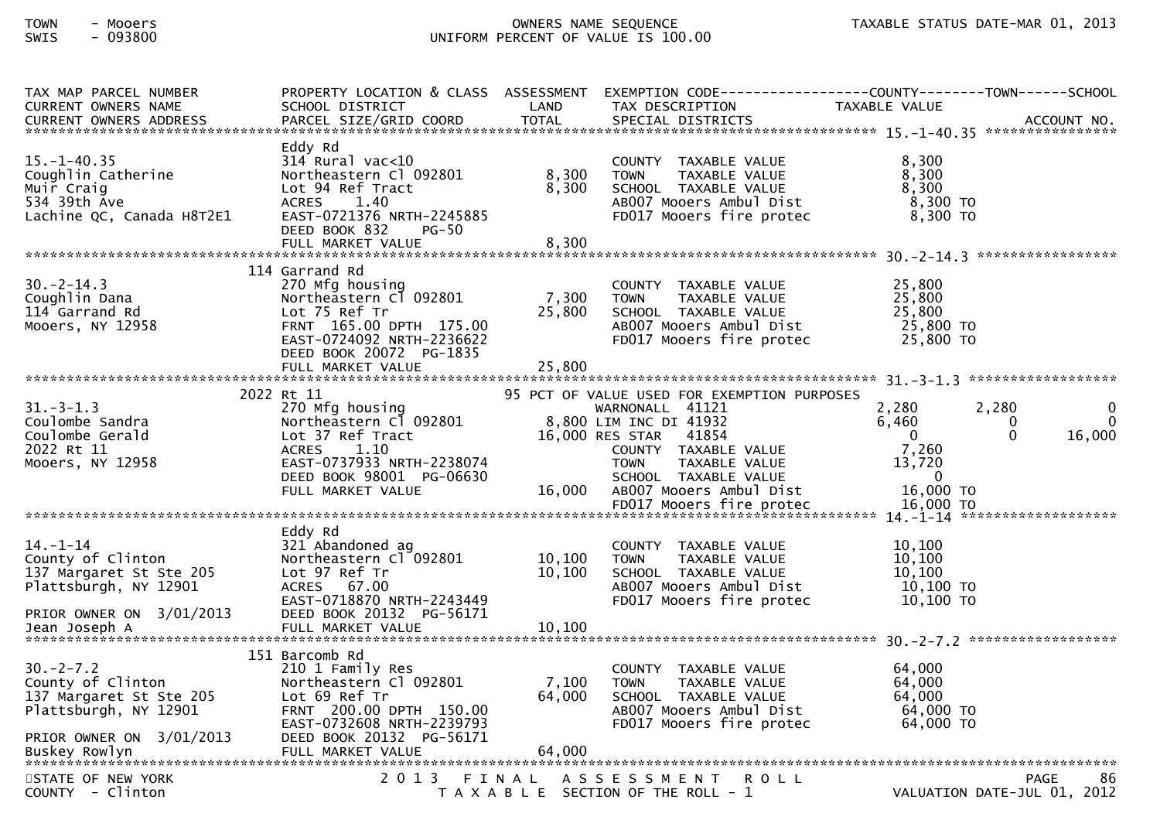| TAX MAP PARCEL NUMBER<br><b>CURRENT OWNERS NAME</b>                                                                 | PROPERTY LOCATION & CLASS ASSESSMENT EXEMPTION CODE----------------COUNTY-------TOWN------SCHOOL<br>SCHOOL DISTRICT                                                                    | LAND                    | TAX DESCRIPTION                                                                                                                     | TAXABLE VALUE                                             |                                                   |
|---------------------------------------------------------------------------------------------------------------------|----------------------------------------------------------------------------------------------------------------------------------------------------------------------------------------|-------------------------|-------------------------------------------------------------------------------------------------------------------------------------|-----------------------------------------------------------|---------------------------------------------------|
| $15. - 1 - 40.35$<br>Coughlin Catherine<br>Muir Craig<br>534 39th Ave<br>Lachine QC, Canada H8T2E1                  | Eddy Rd<br>$314$ Rural vac<10<br>Northeastern Cl 092801<br>Lot 94 Ref Tract<br><b>ACRES</b><br>1.40<br>EAST-0721376 NRTH-2245885<br>DEED BOOK 832<br><b>PG-50</b><br>FULL MARKET VALUE | 8,300<br>8,300<br>8,300 | COUNTY TAXABLE VALUE<br>TAXABLE VALUE<br><b>TOWN</b><br>SCHOOL TAXABLE VALUE<br>AB007 Mooers Ambul Dist<br>FD017 Mooers fire protec | 8,300<br>8,300<br>8,300<br>$8,300$ TO<br>8,300 TO         |                                                   |
|                                                                                                                     | 114 Garrand Rd                                                                                                                                                                         |                         |                                                                                                                                     |                                                           |                                                   |
| $30. -2 - 14.3$<br>Coughlin Dana<br>114 Garrand Rd<br>Mooers, NY 12958                                              | 270 Mfg housing<br>Northeastern Cl 092801<br>Lot 75 Ref Tr<br>FRNT 165.00 DPTH 175.00<br>EAST-0724092 NRTH-2236622<br>DEED BOOK 20072 PG-1835                                          | 7,300<br>25,800         | COUNTY TAXABLE VALUE<br>TAXABLE VALUE<br><b>TOWN</b><br>SCHOOL TAXABLE VALUE<br>AB007 Mooers Ambul Dist<br>FD017 Mooers fire protec | 25,800<br>25,800<br>25,800<br>25,800 TO<br>25,800 TO      |                                                   |
|                                                                                                                     |                                                                                                                                                                                        |                         |                                                                                                                                     |                                                           |                                                   |
|                                                                                                                     | 2022 Rt 11                                                                                                                                                                             |                         | 95 PCT OF VALUE USED FOR EXEMPTION PURPOSES                                                                                         |                                                           |                                                   |
| $31 - 3 - 1.3$<br>Coulombe Sandra<br>Coulombe Gerald<br>2022 Rt 11<br>Mooers, NY 12958                              | 270 Mfg housing<br>Northeastern Cl 092801<br>Lot 37 Ref Tract<br>1.10<br><b>ACRES</b><br>EAST-0737933 NRTH-2238074                                                                     |                         | WARNONALL 41121<br>8,800 LIM INC DI 41932<br>16,000 RES STAR 41854<br>COUNTY TAXABLE VALUE<br>TAXABLE VALUE<br><b>TOWN</b>          | 2,280<br>6,460<br>$\Omega$<br>7,260<br>13,720<br>$\Omega$ | 2,280<br>0<br>$\Omega$<br>0<br>$\Omega$<br>16,000 |
|                                                                                                                     | DEED BOOK 98001 PG-06630<br>FULL MARKET VALUE                                                                                                                                          | 16,000                  | SCHOOL TAXABLE VALUE<br>AB007 Mooers Ambul Dist<br>FD017 Mooers fire protec                                                         | 16,000 TO<br>16,000 TO                                    |                                                   |
|                                                                                                                     |                                                                                                                                                                                        |                         |                                                                                                                                     |                                                           |                                                   |
| $14 - 1 - 14$<br>County of Clinton<br>137 Margaret St Ste 205<br>Plattsburgh, NY 12901                              | Eddy Rd<br>321 Abandoned ag<br>Northeastern Cl 092801<br>Lot 97 Ref Tr<br>ACRES 67.00<br>EAST-0718870 NRTH-2243449                                                                     | 10,100<br>10,100        | COUNTY TAXABLE VALUE<br>TAXABLE VALUE<br><b>TOWN</b><br>SCHOOL TAXABLE VALUE<br>AB007 Mooers Ambul Dist<br>FD017 Mooers fire protec | 10,100<br>10,100<br>10,100<br>10,100 TO<br>$10,100$ TO    |                                                   |
| PRIOR OWNER ON 3/01/2013<br>Jean Joseph A                                                                           | DEED BOOK 20132 PG-56171<br>FULL MARKET VALUE                                                                                                                                          | 10,100                  |                                                                                                                                     |                                                           |                                                   |
|                                                                                                                     | 151 Barcomb Rd                                                                                                                                                                         |                         |                                                                                                                                     |                                                           |                                                   |
| $30 - 2 - 7.2$<br>County of Clinton<br>137 Margaret St Ste 205<br>Plattsburgh, NY 12901<br>PRIOR OWNER ON 3/01/2013 | 210 1 Family Res<br>Northeastern Cl 092801<br>Lot 69 Ref Tr<br>FRNT 200.00 DPTH 150.00<br>EAST-0732608 NRTH-2239793<br>DEED BOOK 20132 PG-56171                                        | 7,100<br>64,000         | COUNTY TAXABLE VALUE<br>TAXABLE VALUE<br><b>TOWN</b><br>SCHOOL TAXABLE VALUE<br>AB007 Mooers Ambul Dist<br>FD017 Mooers fire protec | 64.000<br>64,000<br>64,000<br>64,000 TO<br>64,000 TO      |                                                   |
|                                                                                                                     |                                                                                                                                                                                        |                         |                                                                                                                                     |                                                           |                                                   |
| STATE OF NEW YORK<br>$COUNTY - Clinton$                                                                             |                                                                                                                                                                                        |                         | 2013 FINAL ASSESSMENT<br><b>ROLL</b><br>T A X A B L E SECTION OF THE ROLL - 1                                                       |                                                           | 86<br><b>PAGE</b><br>VALUATION DATE-JUL 01, 2012  |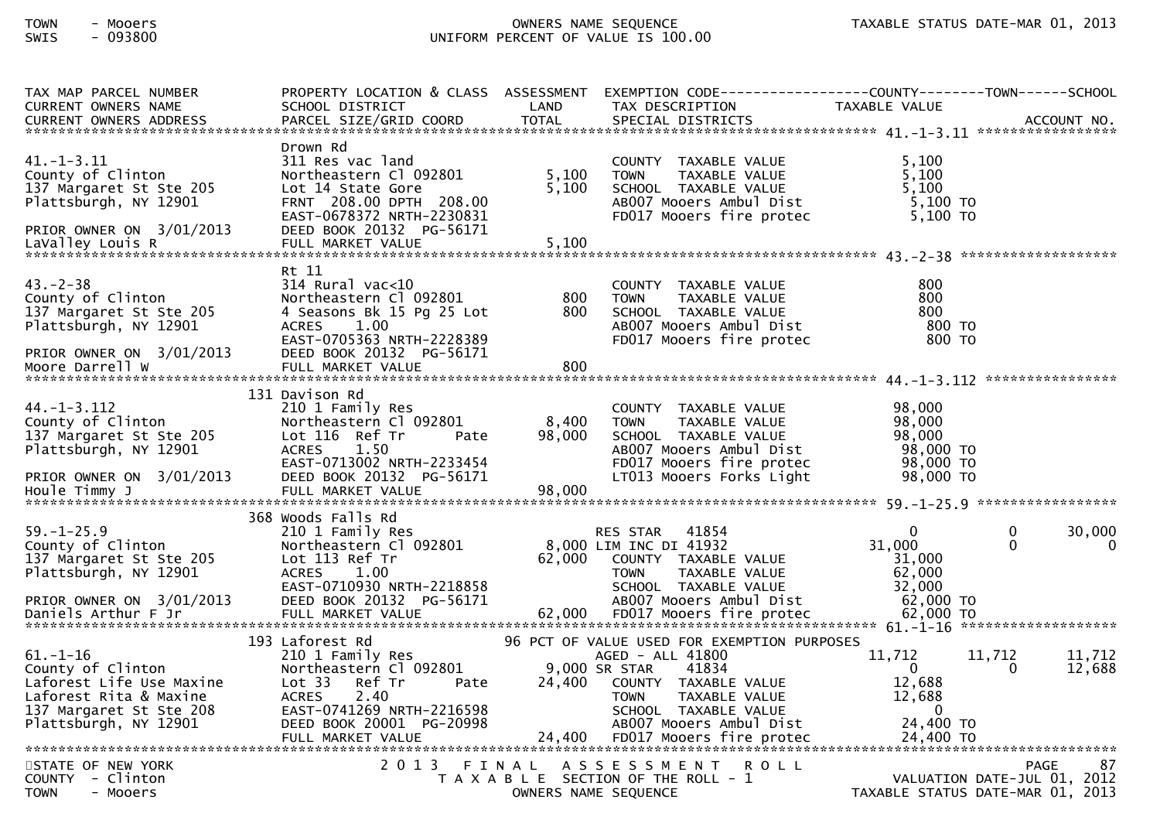| TAX MAP PARCEL NUMBER<br><b>CURRENT OWNERS NAME</b><br>CURRENT OWNERS ADDRESS                                                                | PROPERTY LOCATION & CLASS ASSESSMENT<br>SCHOOL DISTRICT<br>PARCEL SIZE/GRID COORD                                                                                                               | LAND<br>TOTAL           | EXEMPTION CODE------------------COUNTY-------TOWN------SCHOOL<br>TAX DESCRIPTION<br>SPECIAL DISTRICTS                                                                                                                            | TAXABLE VALUE                                                            | ACCOUNT NO.                                                                          |
|----------------------------------------------------------------------------------------------------------------------------------------------|-------------------------------------------------------------------------------------------------------------------------------------------------------------------------------------------------|-------------------------|----------------------------------------------------------------------------------------------------------------------------------------------------------------------------------------------------------------------------------|--------------------------------------------------------------------------|--------------------------------------------------------------------------------------|
| $41. - 1 - 3.11$<br>County of Clinton<br>137 Margaret St Ste 205<br>Plattsburgh, NY 12901<br>PRIOR OWNER ON 3/01/2013<br>LaValley Louis R    | Drown Rd<br>311 Res vac land<br>Northeastern Cl 092801<br>Lot 14 State Gore<br>FRNT 208.00 DPTH 208.00<br>EAST-0678372 NRTH-2230831<br>DEED BOOK 20132 PG-56171<br>FULL MARKET VALUE            | 5,100<br>5,100<br>5,100 | COUNTY TAXABLE VALUE<br><b>TOWN</b><br>TAXABLE VALUE<br>SCHOOL TAXABLE VALUE<br>AB007 Mooers Ambul Dist<br>FD017 Mooers fire protec                                                                                              | 5,100<br>5,100<br>5,100<br>5,100 TO<br>5,100 TO                          |                                                                                      |
| $43. -2 - 38$<br>County of Clinton<br>137 Margaret St Ste 205<br>Plattsburgh, NY 12901<br>PRIOR OWNER ON 3/01/2013<br>Moore Darrell W        | Rt 11<br>$314$ Rural vac<10<br>Northeastern Cl 092801<br>4 Seasons Bk 15 Pg 25 Lot<br>1.00<br><b>ACRES</b><br>EAST-0705363 NRTH-2228389<br>DEED BOOK 20132 PG-56171                             | 800<br>800              | COUNTY TAXABLE VALUE<br><b>TOWN</b><br>TAXABLE VALUE<br>SCHOOL TAXABLE VALUE<br>AB007 Mooers Ambul Dist<br>FD017 Mooers fire protec                                                                                              | 800<br>800<br>800<br>800 TO<br>800 TO                                    |                                                                                      |
| $44. - 1 - 3.112$<br>County of Clinton<br>137 Margaret St Ste 205<br>Plattsburgh, NY 12901<br>PRIOR OWNER ON 3/01/2013                       | 131 Davison Rd<br>210 1 Family Res<br>Northeastern Cl 092801<br>Lot 116 Ref Tr<br>Pate<br>ACRES<br>1.50<br>EAST-0713002 NRTH-2233454<br>DEED BOOK 20132 PG-56171                                | 8,400<br>98,000         | COUNTY TAXABLE VALUE<br><b>TOWN</b><br>TAXABLE VALUE<br>SCHOOL TAXABLE VALUE<br>AB007 Mooers Ambul Dist<br>FD017 Mooers fire protec<br>LT013 Mooers Forks Light                                                                  | 98,000<br>98,000<br>98,000<br>98,000 TO<br>98,000 TO<br>98,000 TO        |                                                                                      |
| $59. - 1 - 25.9$<br>County of Clinton<br>137 Margaret St Ste 205<br>Plattsburgh, NY 12901<br>PRIOR OWNER ON 3/01/2013<br>Daniels Arthur F Jr | 368 Woods Falls Rd<br>210 1 Family Res<br>Northeastern Cl 092801<br>Lot 113 Ref Tr<br>1.00<br><b>ACRES</b><br>EAST-0710930 NRTH-2218858<br>DEED BOOK 20132 PG-56171                             |                         | 41854<br>RES STAR<br>8,000 LIM INC DI 41932<br>62,000 COUNTY TAXABLE VALUE<br><b>TOWN</b><br>TAXABLE VALUE<br>SCHOOL TAXABLE VALUE<br>AB007 Mooers Ambul Dist                                                                    | $\mathbf{0}$<br>31,000<br>31,000<br>62,000<br>32,000<br>62,000 TO        | 30,000<br>0<br>$\mathbf{0}$<br>$\bf{0}$                                              |
| $61.-1-16$<br>County of Clinton<br>Laforest Life Use Maxine<br>Laforest Rita & Maxine<br>137 Margaret St Ste 208<br>Plattsburgh, NY 12901    | 193 Laforest Rd<br>210 1 Family Res<br>Northeastern Cl 092801<br>Lot 33<br>Ref Tr<br>Pate<br><b>ACRES</b><br>2.40<br>EAST-0741269 NRTH-2216598<br>DEED BOOK 20001 PG-20998<br>FULL MARKET VALUE | 24,400<br>24,400        | 96 PCT OF VALUE USED FOR EXEMPTION PURPOSES<br>AGED - ALL 41800<br>9,000 SR STAR<br>41834<br>COUNTY TAXABLE VALUE<br><b>TOWN</b><br>TAXABLE VALUE<br>SCHOOL TAXABLE VALUE<br>AB007 Mooers Ambul Dist<br>FD017 Mooers fire protec | 11,712<br>0<br>12,688<br>12,688<br>$\mathbf 0$<br>24,400 TO<br>24,400 TO | 11,712<br>11,712<br>12,688<br>0                                                      |
| STATE OF NEW YORK<br>- Clinton<br><b>COUNTY</b><br><b>TOWN</b><br>- Mooers                                                                   | 2 0 1 3                                                                                                                                                                                         | FINAL                   | A S S E S S M E N T<br>ROLL<br>T A X A B L E SECTION OF THE ROLL - 1<br>OWNERS NAME SEQUENCE                                                                                                                                     |                                                                          | <b>PAGE</b><br>87<br>VALUATION DATE-JUL 01, 2012<br>TAXABLE STATUS DATE-MAR 01, 2013 |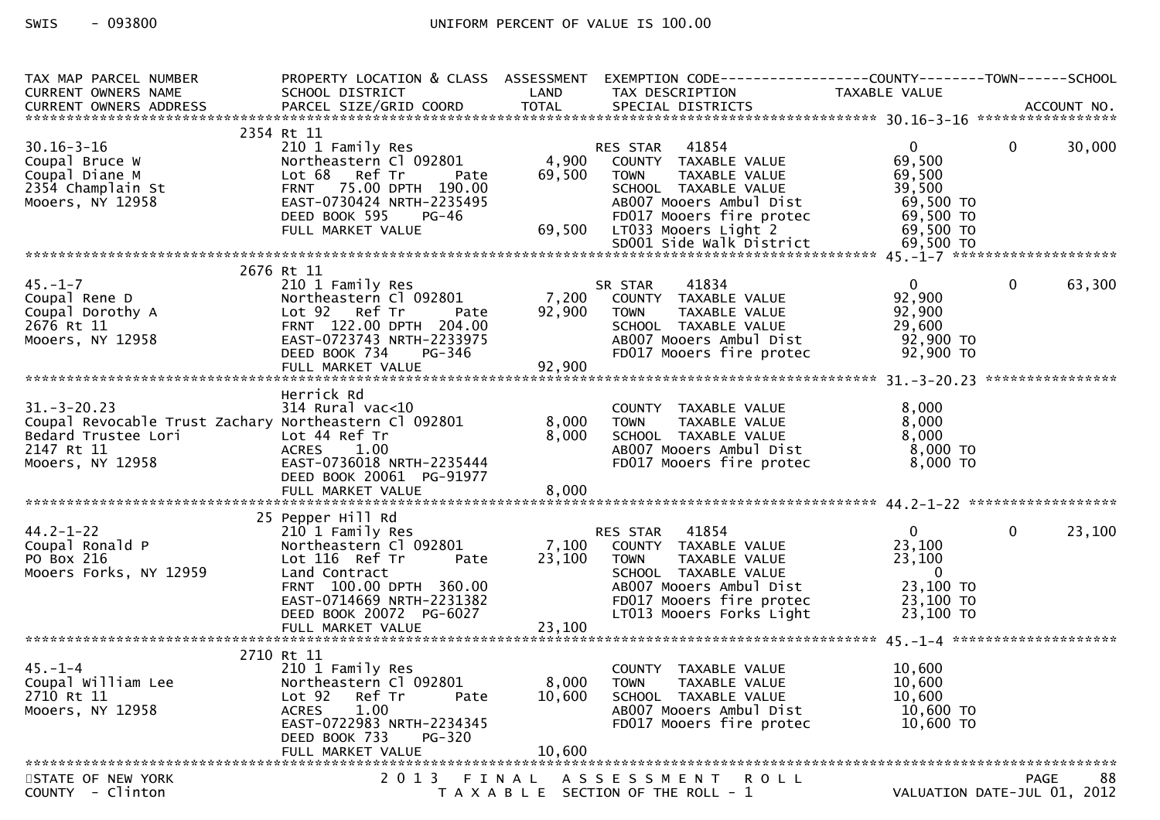| TAX MAP PARCEL NUMBER<br><b>CURRENT OWNERS NAME</b>                                                                                             | PROPERTY LOCATION & CLASS ASSESSMENT<br>SCHOOL DISTRICT                                                                                                                                              | LAND                      | EXEMPTION CODE-----------------COUNTY-------TOWN------SCHOOL<br>TAX DESCRIPTION                                                                                                   | TAXABLE VALUE                                                                               |                                                  |
|-------------------------------------------------------------------------------------------------------------------------------------------------|------------------------------------------------------------------------------------------------------------------------------------------------------------------------------------------------------|---------------------------|-----------------------------------------------------------------------------------------------------------------------------------------------------------------------------------|---------------------------------------------------------------------------------------------|--------------------------------------------------|
|                                                                                                                                                 |                                                                                                                                                                                                      |                           |                                                                                                                                                                                   |                                                                                             |                                                  |
|                                                                                                                                                 | 2354 Rt 11                                                                                                                                                                                           |                           |                                                                                                                                                                                   |                                                                                             |                                                  |
| $30.16 - 3 - 16$<br>Coupal Bruce W<br>Coupal Diane M<br>2354 Champlain St<br>Mooers, NY 12958                                                   | 210 1 Family Res<br>Northeastern Cl 092801<br>Lot 68 Ref Tr<br>Pate<br>FRNT 75.00 DPTH 190.00<br>EAST-0730424 NRTH-2235495<br>DEED BOOK 595 PG-46                                                    | 4,900<br>69,500           | 41854<br>RES STAR<br>COUNTY TAXABLE VALUE<br>TAXABLE VALUE<br>TOWN<br>SCHOOL TAXABLE VALUE<br>AB007 Mooers Ambul Dist<br>FD017 Mooers fire protec                                 | $\mathbf{0}$<br>69,500<br>69,500<br>39,500<br>69,500 TO<br>69,500 TO                        | 30,000<br>$\mathbf{0}$                           |
|                                                                                                                                                 | FULL MARKET VALUE                                                                                                                                                                                    |                           | 69,500 LT033 Mooers Light 2                                                                                                                                                       | 69,500 TO                                                                                   |                                                  |
|                                                                                                                                                 |                                                                                                                                                                                                      |                           |                                                                                                                                                                                   |                                                                                             |                                                  |
|                                                                                                                                                 | 2676 Rt 11                                                                                                                                                                                           |                           |                                                                                                                                                                                   |                                                                                             |                                                  |
| $45. - 1 - 7$<br>Coupal Rene D<br>Coupal Dorothy A<br>2676 Rt 11<br>Mooers, NY 12958                                                            | 210 1 Family Res<br>Northeastern Cl 092801<br>Lot 92 Ref Tr<br>Pate<br>FRNT 122.00 DPTH 204.00<br>EAST-0723743 NRTH-2233975<br>DEED BOOK 734<br>PG-346                                               | 7,200<br>92,900           | 41834<br>SR STAR<br>COUNTY TAXABLE VALUE<br><b>TOWN</b><br>TAXABLE VALUE<br>SCHOOL TAXABLE VALUE<br>AB007 Mooers Ambul Dist<br>FD017 Mooers fire protec                           | $\overline{0}$<br>92,900<br>92,900<br>29,600<br>92,900 TO<br>92,900 TO                      | $\mathbf 0$<br>63,300                            |
|                                                                                                                                                 |                                                                                                                                                                                                      |                           |                                                                                                                                                                                   |                                                                                             |                                                  |
| $31. - 3 - 20.23$<br>Coupal Revocable Trust Zachary Northeastern Cl 092801<br>Bedard Trustee Lori<br>ori<br>I<br>2147 Rt 11<br>Mooers, NY 12958 | Herrick Rd<br>$314$ Rural vac< $10$<br>Lot 44 Ref Tr<br>ACRES 1.00<br>EAST-0736018 NRTH-2235444<br>DEED BOOK 20061 PG-91977                                                                          | 8,000<br>8,000            | COUNTY TAXABLE VALUE<br><b>TOWN</b><br>TAXABLE VALUE<br>SCHOOL TAXABLE VALUE<br>AB007 Mooers Ambul Dist<br>FD017 Mooers fire protec                                               | 8,000<br>8,000<br>8,000<br>$8,000$ TO<br>8,000 TO                                           |                                                  |
|                                                                                                                                                 |                                                                                                                                                                                                      |                           |                                                                                                                                                                                   |                                                                                             |                                                  |
|                                                                                                                                                 | 25 Pepper Hill Rd                                                                                                                                                                                    |                           |                                                                                                                                                                                   |                                                                                             |                                                  |
| $44.2 - 1 - 22$<br>Coupal Ronald P<br>PO Box 216<br>Mooers Forks, NY 12959                                                                      | 210 1 Family Res<br>Northeastern Cl 092801<br>Lot 116 Ref Tr<br>Pate<br>Land Contract<br>FRNT 100.00 DPTH 360.00<br>EAST-0714669 NRTH-2231382<br>DEED BOOK 20072 PG-6027                             | 7,100<br>23,100           | RES STAR 41854<br>COUNTY TAXABLE VALUE<br><b>TOWN</b><br>TAXABLE VALUE<br>SCHOOL TAXABLE VALUE<br>AB007 Mooers Ambul Dist<br>FD017 Mooers fire protec<br>LT013 Mooers Forks Light | $\overline{0}$<br>23,100<br>23,100<br>$\overline{0}$<br>23,100 TO<br>23,100 TO<br>23,100 TO | $\mathbf{0}$<br>23,100                           |
|                                                                                                                                                 |                                                                                                                                                                                                      |                           |                                                                                                                                                                                   |                                                                                             |                                                  |
|                                                                                                                                                 |                                                                                                                                                                                                      |                           |                                                                                                                                                                                   |                                                                                             |                                                  |
| $45. - 1 - 4$<br>Coupal William Lee<br>2710 Rt 11<br>Mooers, NY 12958                                                                           | 2710 Rt 11<br>210 1 Family Res<br>Northeastern Cl 092801<br>Lot <sub>92</sub><br>Ref Tr<br>Pate<br>1.00<br><b>ACRES</b><br>EAST-0722983 NRTH-2234345<br>DEED BOOK 733<br>PG-320<br>FULL MARKET VALUE | 8,000<br>10,600<br>10,600 | COUNTY TAXABLE VALUE<br><b>TOWN</b><br>TAXABLE VALUE<br>SCHOOL TAXABLE VALUE<br>AB007 Mooers Ambul Dist<br>FD017 Mooers fire protec                                               | 10,600<br>10,600<br>10,600<br>10,600 TO<br>10,600 TO                                        |                                                  |
|                                                                                                                                                 |                                                                                                                                                                                                      |                           |                                                                                                                                                                                   |                                                                                             |                                                  |
| STATE OF NEW YORK<br>COUNTY - Clinton                                                                                                           | 2 0 1 3                                                                                                                                                                                              | FINAL                     | ASSESSMENT ROLL<br>T A X A B L E SECTION OF THE ROLL - 1                                                                                                                          |                                                                                             | 88<br><b>PAGE</b><br>VALUATION DATE-JUL 01, 2012 |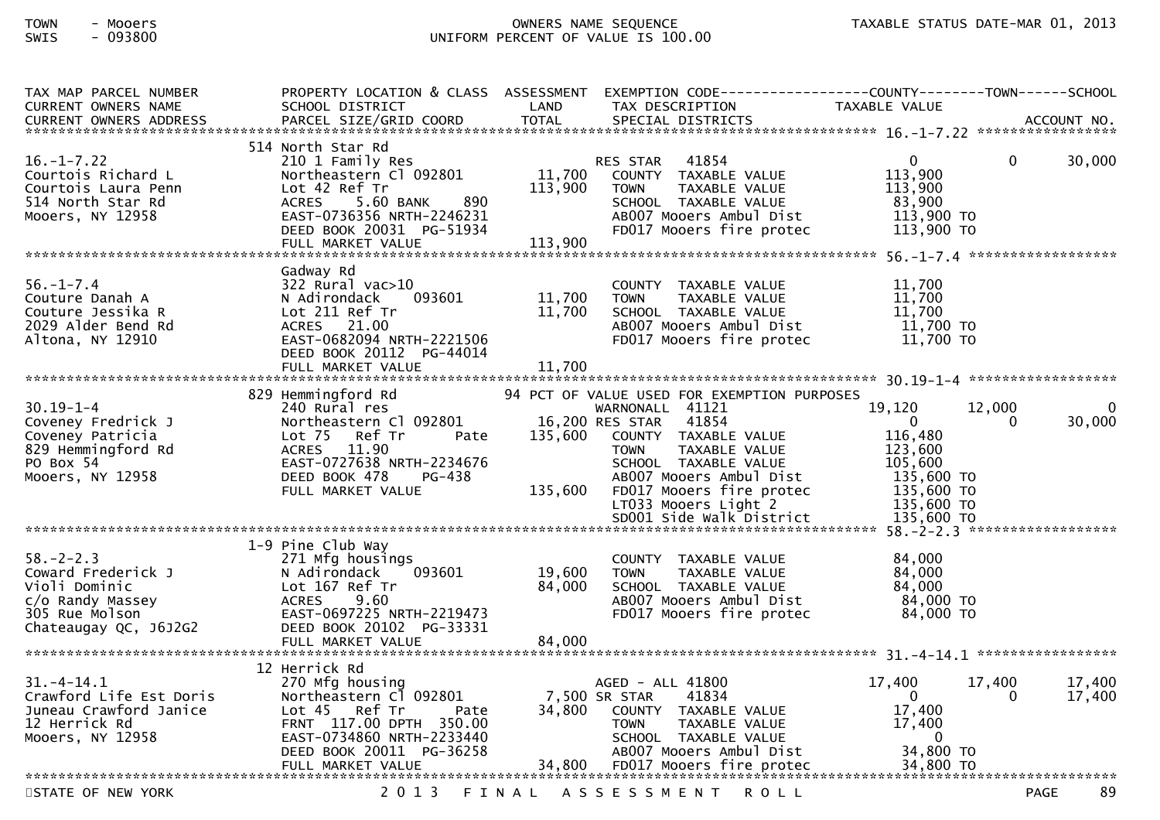| TAX MAP PARCEL NUMBER<br><b>CURRENT OWNERS NAME</b>                                                                   | PROPERTY LOCATION & CLASS ASSESSMENT<br>SCHOOL DISTRICT                                                                                                                                           | LAND                                  | EXEMPTION        CODE-----------------COUNTY--------TOWN------SCHOOL<br>TAX DESCRIPTION                                                                                                                                                                            | TAXABLE VALUE                                                                                               |                    |                    |
|-----------------------------------------------------------------------------------------------------------------------|---------------------------------------------------------------------------------------------------------------------------------------------------------------------------------------------------|---------------------------------------|--------------------------------------------------------------------------------------------------------------------------------------------------------------------------------------------------------------------------------------------------------------------|-------------------------------------------------------------------------------------------------------------|--------------------|--------------------|
| $16. - 1 - 7.22$<br>Courtois Richard L<br>Courtois Laura Penn<br>514 North Star Rd<br>Mooers, NY 12958                | 514 North Star Rd<br>210 1 Family Res<br>Northeastern Cl 092801<br>Lot 42 Ref Tr<br>890<br>ACRES<br>5.60 BANK<br>EAST-0736356 NRTH-2246231<br>DEED BOOK 20031 PG-51934<br>FULL MARKET VALUE       | 11,700<br>113,900<br>113,900          | 41854<br><b>RES STAR</b><br>COUNTY TAXABLE VALUE<br><b>TOWN</b><br>TAXABLE VALUE<br>SCHOOL TAXABLE VALUE<br>AB007 Mooers Ambul Dist<br>FD017 Mooers fire protec                                                                                                    | $\mathbf{0}$<br>113,900<br>113,900<br>83,900<br>113,900 TO<br>113,900 TO                                    | $\Omega$           | 30,000             |
| $56. - 1 - 7.4$<br>Couture Danah A<br>Couture Jessika R<br>2029 Alder Bend Rd<br>Altona, NY 12910                     | Gadway Rd<br>322 Rural vac>10<br>093601<br>N Adirondack<br>Lot 211 Ref Tr<br>21.00<br><b>ACRES</b><br>EAST-0682094 NRTH-2221506<br>DEED BOOK 20112 PG-44014<br>FULL MARKET VALUE                  | 11,700<br>11,700<br>11,700            | <b>COUNTY</b><br>TAXABLE VALUE<br><b>TOWN</b><br>TAXABLE VALUE<br>SCHOOL TAXABLE VALUE<br>AB007 Mooers Ambul Dist<br>FD017 Mooers fire protec                                                                                                                      | 11,700<br>11,700<br>11,700<br>11,700 TO<br>11,700 TO                                                        |                    |                    |
| $30.19 - 1 - 4$<br>Coveney Fredrick J<br>Coveney Patricia<br>829 Hemmingford Rd<br>PO Box 54<br>Mooers, NY 12958      | 829 Hemmingford Rd<br>240 Rural res<br>Northeastern Cl 092801<br>Lot $75$<br>Ref Tr<br>Pate<br>11.90<br><b>ACRES</b><br>EAST-0727638 NRTH-2234676<br>DEED BOOK 478<br>PG-438<br>FULL MARKET VALUE | 16,200 RES STAR<br>135,600<br>135,600 | 94 PCT OF VALUE USED FOR EXEMPTION PURPOSES<br>WARNONALL 41121<br>41854<br>COUNTY TAXABLE VALUE<br>TAXABLE VALUE<br><b>TOWN</b><br>SCHOOL TAXABLE VALUE<br>AB007 Mooers Ambul Dist<br>FD017 Mooers fire protec<br>LT033 Mooers Light 2<br>SD001 Side Walk District | 19,120<br>$\Omega$<br>116,480<br>123,600<br>105,600<br>135,600 TO<br>135,600 TO<br>135,600 TO<br>135,600 TO | 12,000<br>$\Omega$ | $\Omega$<br>30,000 |
| $58. - 2 - 2.3$<br>Coward Frederick J<br>Violi Dominic<br>c/o Randy Massey<br>305 Rue Molson<br>Chateaugay QC, J6J2G2 | 1-9 Pine Club Way<br>271 Mfg housings<br>N Adirondack<br>093601<br>Lot 167 Ref Tr<br><b>ACRES</b><br>9.60<br>EAST-0697225 NRTH-2219473<br>DEED BOOK 20102 PG-33331<br>FULL MARKET VALUE           | 19,600<br>84,000<br>84,000            | COUNTY TAXABLE VALUE<br><b>TOWN</b><br>TAXABLE VALUE<br>SCHOOL TAXABLE VALUE<br>AB007 Mooers Ambul Dist<br>FD017 Mooers fire protec                                                                                                                                | 84,000<br>84,000<br>84,000<br>84,000 TO<br>84,000 TO                                                        |                    |                    |
| $31. - 4 - 14.1$<br>Crawford Life Est Doris<br>Juneau Crawford Janice<br>12 Herrick Rd<br>Mooers, NY 12958            | 12 Herrick Rd<br>270 Mfg housing<br>Northeastern C1 092801<br>Lot 45 Ref Tr<br>Pate<br>FRNT 117.00 DPTH 350.00<br>EAST-0734860 NRTH-2233440<br>DEED BOOK 20011 PG-36258<br>FULL MARKET VALUE      | 7,500 SR STAR<br>34,800               | AGED - ALL 41800<br>41834<br>COUNTY TAXABLE VALUE<br><b>TOWN</b><br>TAXABLE VALUE<br>SCHOOL TAXABLE VALUE<br>AB007 Mooers Ambul Dist<br>34,800 FD017 Mooers fire protec                                                                                            | 17,400<br>$\mathbf{0}$<br>17,400<br>17,400<br>$\mathbf{0}$<br>34,800 TO<br>34,800 TO                        | 17,400<br>$\Omega$ | 17,400<br>17,400   |
| STATE OF NEW YORK                                                                                                     | 2 0 1 3                                                                                                                                                                                           |                                       | FINAL ASSESSMENT<br><b>ROLL</b>                                                                                                                                                                                                                                    |                                                                                                             |                    | 89<br>PAGE         |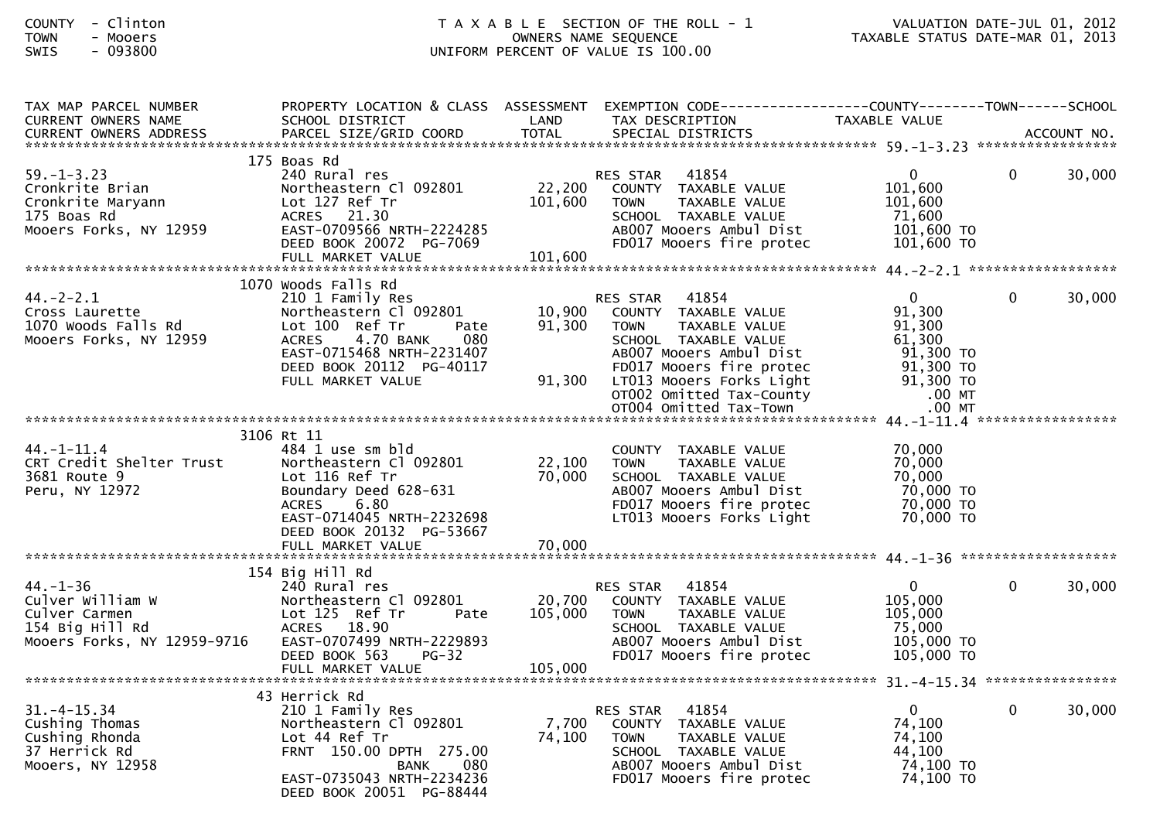| COUNTY | $\overline{\phantom{0}}$ | Clinton |  |
|--------|--------------------------|---------|--|
| TOWN   | $\overline{\phantom{0}}$ | Mooers  |  |
|        |                          | .       |  |

| TAX MAP PARCEL NUMBER<br><b>CURRENT OWNERS NAME</b>                                                   | PROPERTY LOCATION & CLASS ASSESSMENT<br>SCHOOL DISTRICT                                                                                                                                                       | LAND                         | EXEMPTION CODE-----------------COUNTY--------TOWN------SCHOOL<br>TAX DESCRIPTION                                                                                                                                        | TAXABLE VALUE                                                                               |   |        |
|-------------------------------------------------------------------------------------------------------|---------------------------------------------------------------------------------------------------------------------------------------------------------------------------------------------------------------|------------------------------|-------------------------------------------------------------------------------------------------------------------------------------------------------------------------------------------------------------------------|---------------------------------------------------------------------------------------------|---|--------|
|                                                                                                       |                                                                                                                                                                                                               |                              |                                                                                                                                                                                                                         |                                                                                             |   |        |
| $59. - 1 - 3.23$<br>Cronkrite Brian<br>Cronkrite Maryann<br>175 Boas Rd<br>Mooers Forks, NY 12959     | 175 Boas Rd<br>240 Rural res<br>Northeastern Cl 092801<br>Lot 127 Ref Tr<br>ACRES 21.30<br>EAST-0709566 NRTH-2224285<br>DEED BOOK 20072 PG-7069<br>FULL MARKET VALUE                                          | 22,200<br>101,600<br>101,600 | 41854<br><b>RES STAR</b><br>COUNTY TAXABLE VALUE<br>TAXABLE VALUE<br><b>TOWN</b><br>SCHOOL TAXABLE VALUE<br>AB007 Mooers Ambul Dist<br>FD017 Mooers fire protec                                                         | $\mathbf{0}$<br>101,600<br>101,600<br>71,600<br>101,600 TO<br>$101,600$ TO                  | 0 | 30,000 |
|                                                                                                       |                                                                                                                                                                                                               |                              |                                                                                                                                                                                                                         |                                                                                             |   |        |
| $44. - 2 - 2.1$<br>Cross Laurette<br>1070 Woods Falls Rd<br>Mooers Forks, NY 12959                    | 1070 Woods Falls Rd<br>210 1 Family Res<br>Northeastern Cl 092801<br>Lot 100 Ref Tr<br>Pate<br>4.70 BANK<br><b>ACRES</b><br>080<br>EAST-0715468 NRTH-2231407<br>DEED BOOK 20112 PG-40117<br>FULL MARKET VALUE | 10,900<br>91,300<br>91,300   | 41854<br>RES STAR<br>COUNTY TAXABLE VALUE<br><b>TAXABLE VALUE</b><br><b>TOWN</b><br>SCHOOL TAXABLE VALUE<br>AB007 Mooers Ambul Dist<br>FD017 Mooers fire protec<br>LT013 Mooers Forks Light<br>OT002 Omitted Tax-County | $\mathbf{0}$<br>91,300<br>91,300<br>61,300<br>91,300 TO<br>91,300 TO<br>91,300 TO<br>.00 MT | 0 | 30,000 |
|                                                                                                       |                                                                                                                                                                                                               |                              | OT004 Omitted Tax-Town                                                                                                                                                                                                  | $.00$ MT                                                                                    |   |        |
|                                                                                                       | 3106 Rt 11                                                                                                                                                                                                    |                              |                                                                                                                                                                                                                         |                                                                                             |   |        |
| $44. - 1 - 11.4$<br>CRT Credit Shelter Trust<br>3681 Route 9<br>Peru, NY 12972                        | 484 1 use sm bld<br>Northeastern Cl 092801<br>Lot 116 Ref Tr<br>Boundary Deed 628-631<br>6.80<br><b>ACRES</b><br>EAST-0714045 NRTH-2232698<br>DEED BOOK 20132 PG-53667                                        | 22,100<br>70,000             | COUNTY TAXABLE VALUE<br><b>TOWN</b><br>TAXABLE VALUE<br>SCHOOL TAXABLE VALUE<br>AB007 Mooers Ambul Dist<br>FD017 Mooers fire protec<br>LT013 Mooers Forks Light                                                         | 70,000<br>70,000<br>70,000<br>70,000 TO<br>70,000 TO<br>70,000 TO                           |   |        |
|                                                                                                       |                                                                                                                                                                                                               |                              |                                                                                                                                                                                                                         |                                                                                             |   |        |
|                                                                                                       | 154 Big Hill Rd                                                                                                                                                                                               |                              |                                                                                                                                                                                                                         |                                                                                             |   |        |
| $44. - 1 - 36$<br>Culver William W<br>Culver Carmen<br>154 Big Hill Rd<br>Mooers Forks, NY 12959-9716 | 240 Rural res<br>Northeastern Cl 092801<br>Lot 125 Ref Tr<br>Pate<br>ACRES 18.90<br>EAST-0707499 NRTH-2229893<br>DEED BOOK 563<br><b>PG-32</b>                                                                | 20,700<br>105,000            | 41854<br><b>RES STAR</b><br>COUNTY TAXABLE VALUE<br>TAXABLE VALUE<br><b>TOWN</b><br>SCHOOL TAXABLE VALUE<br>AB007 Mooers Ambul Dist<br>FD017 Mooers fire protec                                                         | $\mathbf{0}$<br>105,000<br>105,000<br>75,000<br>105,000 TO<br>105,000 TO                    | 0 | 30,000 |
|                                                                                                       |                                                                                                                                                                                                               |                              |                                                                                                                                                                                                                         |                                                                                             |   |        |
| $31. - 4 - 15.34$<br>Cushing Thomas<br>Cushing Rhonda<br>37 Herrick Rd<br>Mooers, NY 12958            | 43 Herrick Rd<br>210 1 Family Res<br>Northeastern Cl 092801<br>Lot 44 Ref Tr<br>FRNT 150.00 DPTH 275.00<br>080<br>BANK<br>EAST-0735043 NRTH-2234236<br>DEED BOOK 20051 PG-88444                               | 7,700<br>74,100              | <b>RES STAR</b><br>41854<br>COUNTY TAXABLE VALUE<br><b>TAXABLE VALUE</b><br><b>TOWN</b><br>SCHOOL TAXABLE VALUE<br>AB007 Mooers Ambul Dist<br>FD017 Mooers fire protec                                                  | $\mathbf{0}$<br>74,100<br>74,100<br>44,100<br>74,100 TO<br>74,100 TO                        | 0 | 30,000 |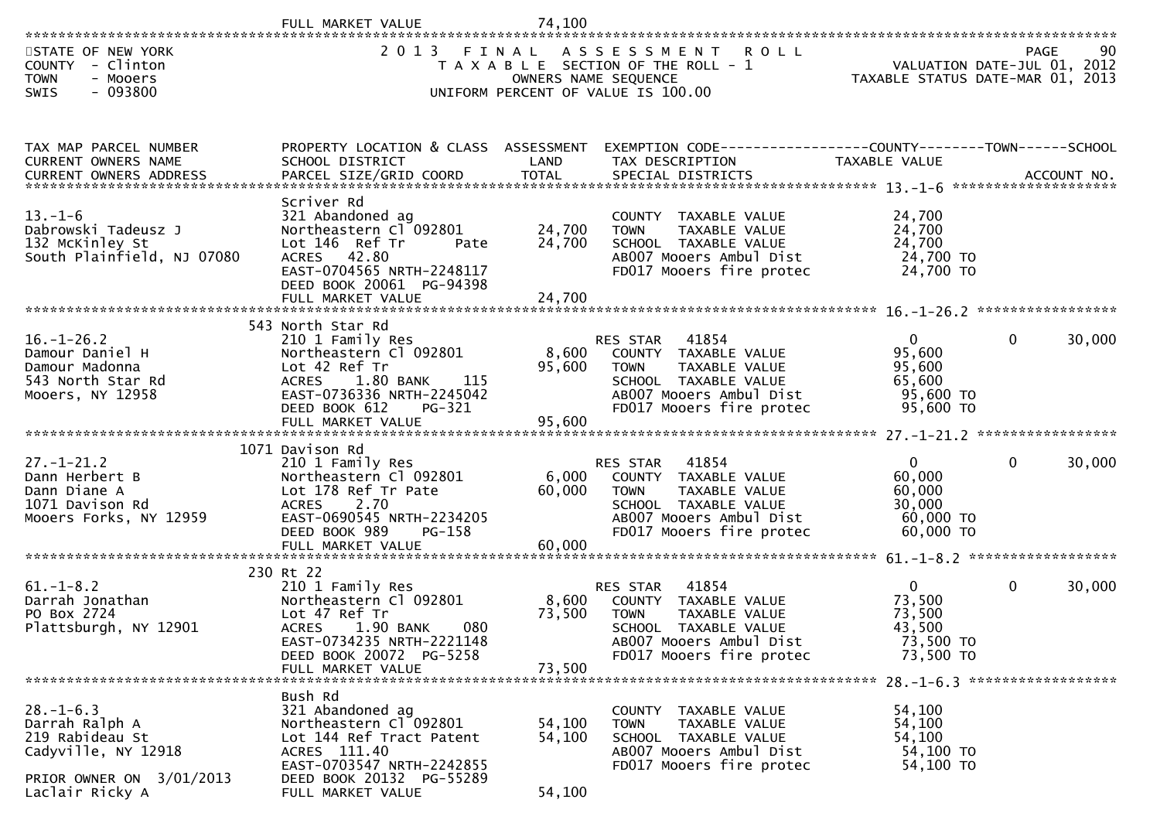|                                                                                                                            | VALUE                                                                                                                                                                                     | 74,100                     |                                                                                                                                                                           |                                                                        |              |            |
|----------------------------------------------------------------------------------------------------------------------------|-------------------------------------------------------------------------------------------------------------------------------------------------------------------------------------------|----------------------------|---------------------------------------------------------------------------------------------------------------------------------------------------------------------------|------------------------------------------------------------------------|--------------|------------|
| STATE OF NEW YORK<br>COUNTY - Clinton<br><b>TOWN</b><br>- Mooers<br>$-093800$<br><b>SWIS</b>                               | 2 0 1 3<br>FINAL                                                                                                                                                                          |                            | ASSESSMENT<br><b>ROLL</b><br>T A X A B L E SECTION OF THE ROLL - 1<br>OWNERS NAME SEQUENCE<br>UNIFORM PERCENT OF VALUE IS 100.00                                          | VALUATION DATE-JUL 01, 2012<br>TAXABLE STATUS DATE-MAR 01, 2013        |              | PAGE<br>90 |
| TAX MAP PARCEL NUMBER<br>CURRENT OWNERS NAME                                                                               | PROPERTY LOCATION & CLASS ASSESSMENT<br>SCHOOL DISTRICT                                                                                                                                   | LAND                       | EXEMPTION CODE-----------------COUNTY-------TOWN------SCHOOL<br>TAX DESCRIPTION                                                                                           | TAXABLE VALUE                                                          |              |            |
| $13. - 1 - 6$<br>Dabrowski Tadeusz J<br>132 McKinley St<br>South Plainfield, NJ 07080                                      | Scriver Rd<br>321 Abandoned ag<br>Northeastern Cl 092801<br>Lot 146 Ref Tr<br>Pate<br>ACRES 42.80<br>EAST-0704565 NRTH-2248117<br>DEED BOOK 20061 PG-94398<br>FULL MARKET VALUE           | 24,700<br>24,700<br>24,700 | COUNTY TAXABLE VALUE<br>TAXABLE VALUE<br><b>TOWN</b><br>SCHOOL TAXABLE VALUE<br>AB007 Mooers Ambul Dist<br>FD017 Mooers fire protec                                       | 24,700<br>24,700<br>24,700<br>24,700 TO<br>24,700 TO                   |              |            |
| $16. - 1 - 26.2$<br>Damour Daniel H<br>Damour Madonna<br>543 North Star Rd<br>Mooers, NY 12958                             | 543 North Star Rd<br>210 1 Family Res<br>Northeastern Cl 092801<br>Lot 42 Ref Tr<br>ACRES 1.80 BANK<br>115<br>EAST-0736336 NRTH-2245042<br>DEED BOOK 612<br>PG-321<br>FULL MARKET VALUE   | 8,600<br>95,600<br>95,600  | 41854<br><b>RES STAR</b><br>COUNTY TAXABLE VALUE<br>TAXABLE VALUE<br><b>TOWN</b><br>SCHOOL TAXABLE VALUE<br>AB007 Mooers Ambul Dist<br>FD017 Mooers fire protec           | $\overline{0}$<br>95,600<br>95,600<br>65,600<br>95,600 TO<br>95,600 TO | $\Omega$     | 30,000     |
| $27. - 1 - 21.2$<br>Dann Herbert B<br>Dann Diane A<br>1071 Davison Rd<br>Mooers Forks, NY 12959                            | 1071 Davison Rd<br>210 1 Family Res<br>Northeastern Cl 092801<br>Lot 178 Ref Tr Pate<br>2.70<br><b>ACRES</b><br>EAST-0690545 NRTH-2234205<br>DEED BOOK 989<br>PG-158<br>FULL MARKET VALUE | 6,000<br>60,000<br>60,000  | 41854<br><b>RES STAR</b><br><b>COUNTY</b><br>TAXABLE VALUE<br><b>TOWN</b><br>TAXABLE VALUE<br>SCHOOL TAXABLE VALUE<br>AB007 Mooers Ambul Dist<br>FD017 Mooers fire protec | $\mathbf 0$<br>60,000<br>60,000<br>30,000<br>60,000 TO<br>60,000 TO    | 0            | 30,000     |
| $61. - 1 - 8.2$<br>Darrah Jonathan<br>PO Box 2724<br>Plattsburgh, NY 12901                                                 | 230 Rt 22<br>210 1 Family Res<br>Northeastern Cl 092801<br>Lot 47 Ref Tr<br>080<br><b>ACRES</b><br>1.90 BANK<br>EAST-0734235 NRTH-2221148<br>DEED BOOK 20072 PG-5258<br>FULL MARKET VALUE | 8,600<br>73,500<br>73,500  | 41854<br>RES STAR<br>COUNTY TAXABLE VALUE<br><b>TOWN</b><br>TAXABLE VALUE<br>SCHOOL TAXABLE VALUE<br>AB007 Mooers Ambul Dist<br>FD017 Mooers fire protec                  | $\mathbf{0}$<br>73,500<br>73,500<br>43,500<br>73,500 TO<br>73,500 TO   | $\mathbf{0}$ | 30,000     |
| $28. - 1 - 6.3$<br>Darrah Ralph A<br>219 Rabideau St<br>Cadyville, NY 12918<br>PRIOR OWNER ON 3/01/2013<br>Laclair Ricky A | Bush Rd<br>321 Abandoned ag<br>Northeastern Cl 092801<br>Lot 144 Ref Tract Patent<br>ACRES 111.40<br>EAST-0703547 NRTH-2242855<br>DEED BOOK 20132 PG-55289<br>FULL MARKET VALUE           | 54,100<br>54,100<br>54,100 | COUNTY<br>TAXABLE VALUE<br>TAXABLE VALUE<br><b>TOWN</b><br>SCHOOL TAXABLE VALUE<br>AB007 Mooers Ambul Dist<br>FD017 Mooers fire protec                                    | 54,100<br>54,100<br>54,100<br>54,100 TO<br>54,100 TO                   |              |            |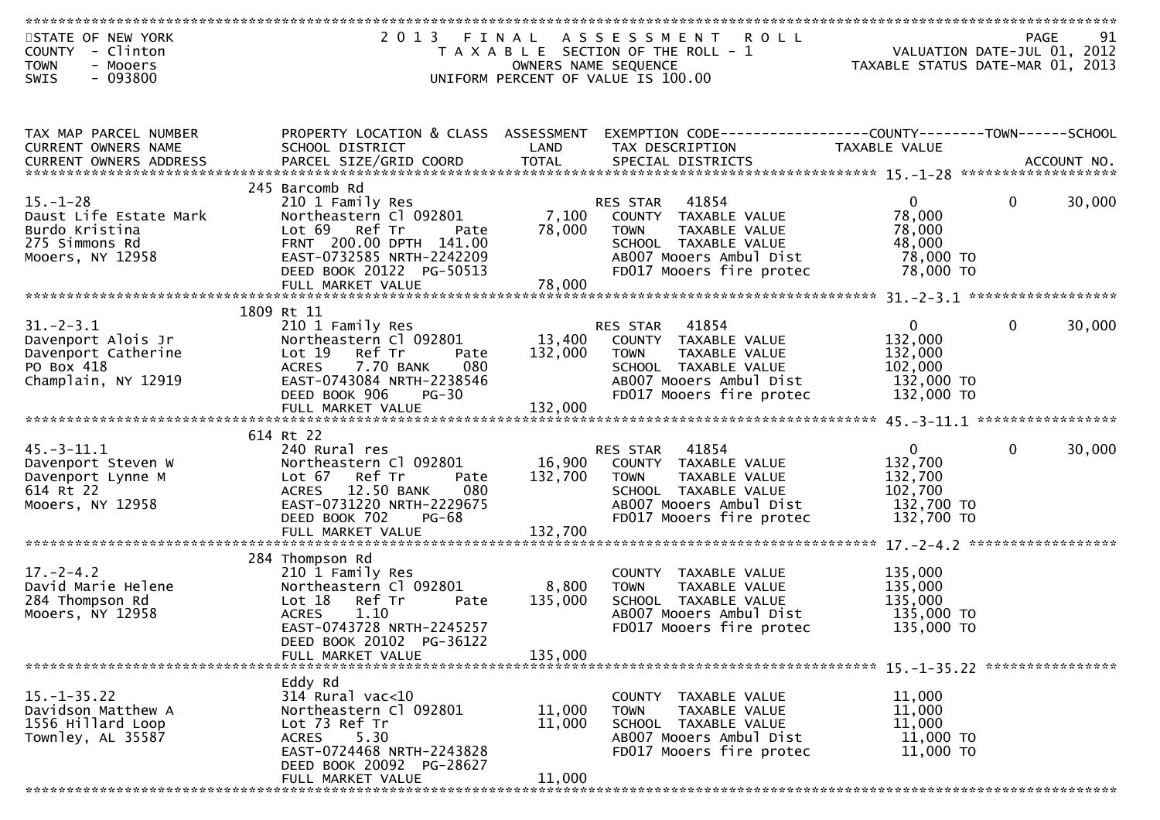| STATE OF NEW YORK       | 2013 FINAL                           |         | A S S E S S M E N T<br><b>ROLL</b>                            |                                                                 |              | <b>PAGE</b><br>91 |
|-------------------------|--------------------------------------|---------|---------------------------------------------------------------|-----------------------------------------------------------------|--------------|-------------------|
| COUNTY - Clinton        |                                      |         | T A X A B L E SECTION OF THE ROLL - 1                         | VALUATION DATE-JUL 01, 2012<br>TAXABLE STATUS DATE-MAR 01, 2013 |              |                   |
|                         |                                      |         |                                                               |                                                                 |              |                   |
| <b>TOWN</b><br>- Mooers |                                      |         | OWNERS NAME SEQUENCE                                          |                                                                 |              |                   |
| $-093800$<br>SWIS       |                                      |         | UNIFORM PERCENT OF VALUE IS 100.00                            |                                                                 |              |                   |
|                         |                                      |         |                                                               |                                                                 |              |                   |
|                         |                                      |         |                                                               |                                                                 |              |                   |
|                         |                                      |         |                                                               |                                                                 |              |                   |
| TAX MAP PARCEL NUMBER   | PROPERTY LOCATION & CLASS ASSESSMENT |         | EXEMPTION CODE------------------COUNTY-------TOWN------SCHOOL |                                                                 |              |                   |
| CURRENT OWNERS NAME     | SCHOOL DISTRICT                      | LAND    | TAX DESCRIPTION                                               | TAXABLE VALUE                                                   |              |                   |
|                         |                                      |         |                                                               |                                                                 |              |                   |
|                         |                                      |         |                                                               |                                                                 |              |                   |
|                         | 245 Barcomb Rd                       |         |                                                               |                                                                 |              |                   |
|                         |                                      |         |                                                               |                                                                 |              |                   |
| $15. - 1 - 28$          | 210 1 Family Res                     |         | RES STAR 41854                                                | $\overline{0}$                                                  | $\mathbf{0}$ | 30,000            |
| Daust Life Estate Mark  | Northeastern Cl 092801               |         | 7,100 COUNTY TAXABLE VALUE                                    | 78,000                                                          |              |                   |
| Burdo Kristina          | Lot 69 Ref Tr<br>Pate                | 78,000  | TAXABLE VALUE<br><b>TOWN</b>                                  | 78,000                                                          |              |                   |
| 275 Simmons Rd          | FRNT 200.00 DPTH 141.00              |         | SCHOOL TAXABLE VALUE                                          | 48,000                                                          |              |                   |
| Mooers, NY 12958        | EAST-0732585 NRTH-2242209            |         | AB007 Mooers Ambul Dist                                       | 78,000 TO                                                       |              |                   |
|                         | DEED BOOK 20122 PG-50513             |         | FD017 Mooers fire protec                                      | 78,000 TO                                                       |              |                   |
|                         | FULL MARKET VALUE                    | 78,000  |                                                               |                                                                 |              |                   |
|                         |                                      |         |                                                               |                                                                 |              |                   |
|                         |                                      |         |                                                               |                                                                 |              |                   |
|                         | 1809 Rt 11                           |         |                                                               |                                                                 |              |                   |
| $31. - 2 - 3.1$         | 210 1 Family Res                     |         | RES STAR 41854                                                | $\overline{0}$                                                  | $\mathbf{0}$ | 30,000            |
| Davenport Alois Jr      | Northeastern Cl 092801               |         | 13,400 COUNTY TAXABLE VALUE                                   | 132,000                                                         |              |                   |
| Davenport Catherine     | Lot 19 Ref Tr<br>Pate                | 132,000 | TAXABLE VALUE<br><b>TOWN</b>                                  | 132,000                                                         |              |                   |
| PO Box 418              | <b>ACRES</b><br>7.70 BANK<br>080     |         | SCHOOL TAXABLE VALUE                                          | 102,000                                                         |              |                   |
| Champlain, NY 12919     | EAST-0743084 NRTH-2238546            |         | AB007 Mooers Ambul Dist                                       | 132,000 TO                                                      |              |                   |
|                         | DEED BOOK 906<br>$PG-30$             |         | FD017 Mooers fire protec                                      | 132,000 TO                                                      |              |                   |
|                         |                                      |         |                                                               |                                                                 |              |                   |
|                         |                                      |         |                                                               |                                                                 |              |                   |
|                         |                                      |         |                                                               |                                                                 |              |                   |
|                         | 614 Rt 22                            |         |                                                               |                                                                 |              |                   |
| $45.-3-11.1$            | 240 Rural res                        |         | RES STAR 41854                                                | $\mathbf{0}$                                                    | $\mathbf{0}$ | 30,000            |
| Davenport Steven W      | Northeastern Cl 092801               |         | 16,900 COUNTY TAXABLE VALUE                                   | 132,700                                                         |              |                   |
| Davenport Lynne M       | Lot 67 Ref Tr<br>Pate                | 132,700 | <b>TOWN</b><br>TAXABLE VALUE                                  | 132,700                                                         |              |                   |
| 614 Rt 22               | 080<br><b>ACRES</b><br>12.50 BANK    |         | SCHOOL TAXABLE VALUE                                          | 102,700                                                         |              |                   |
| Mooers, NY 12958        | EAST-0731220 NRTH-2229675            |         | AB007 Mooers Ambul Dist                                       | 132,700 TO                                                      |              |                   |
|                         | DEED BOOK 702<br><b>PG-68</b>        |         | FD017 Mooers fire protec                                      | 132,700 TO                                                      |              |                   |
|                         |                                      | 132,700 |                                                               |                                                                 |              |                   |
|                         | FULL MARKET VALUE                    |         |                                                               |                                                                 |              |                   |
|                         |                                      |         |                                                               |                                                                 |              |                   |
|                         | 284 Thompson Rd                      |         |                                                               |                                                                 |              |                   |
| $17 - 2 - 4.2$          | 210 1 Family Res                     |         | COUNTY TAXABLE VALUE                                          | 135,000                                                         |              |                   |
| David Marie Helene      | Northeastern Cl 092801               | 8,800   | TAXABLE VALUE<br><b>TOWN</b>                                  | 135,000                                                         |              |                   |
| 284 Thompson Rd         | Lot 18 Ref Tr<br>Pate                | 135,000 | SCHOOL TAXABLE VALUE                                          | 135,000                                                         |              |                   |
| Mooers, NY 12958        | <b>ACRES</b><br>1.10                 |         | AB007 Mooers Ambul Dist                                       | 135,000 TO                                                      |              |                   |
|                         | EAST-0743728 NRTH-2245257            |         | FD017 Mooers fire protec                                      | 135,000 TO                                                      |              |                   |
|                         | DEED BOOK 20102 PG-36122             |         |                                                               |                                                                 |              |                   |
|                         |                                      |         |                                                               |                                                                 |              |                   |
|                         | FULL MARKET VALUE                    | 135,000 |                                                               |                                                                 |              |                   |
|                         |                                      |         |                                                               |                                                                 |              |                   |
|                         | Eddy Rd                              |         |                                                               |                                                                 |              |                   |
| $15. - 1 - 35.22$       | 314 Rural vac<10                     |         | TAXABLE VALUE<br>COUNTY                                       | 11,000                                                          |              |                   |
| Davidson Matthew A      | Northeastern Cl 092801               | 11,000  | <b>TOWN</b><br>TAXABLE VALUE                                  | 11,000                                                          |              |                   |
| 1556 Hillard Loop       | Lot 73 Ref Tr                        | 11,000  | SCHOOL TAXABLE VALUE                                          | 11,000                                                          |              |                   |
| Townley, AL 35587       | 5.30<br><b>ACRES</b>                 |         | AB007 Mooers Ambul Dist                                       | 11,000 TO                                                       |              |                   |
|                         | EAST-0724468 NRTH-2243828            |         |                                                               |                                                                 |              |                   |
|                         |                                      |         | FD017 Mooers fire protec                                      | 11,000 TO                                                       |              |                   |
|                         | DEED BOOK 20092 PG-28627             |         |                                                               |                                                                 |              |                   |
|                         | FULL MARKET VALUE                    | 11,000  |                                                               |                                                                 |              |                   |
|                         |                                      |         |                                                               |                                                                 |              |                   |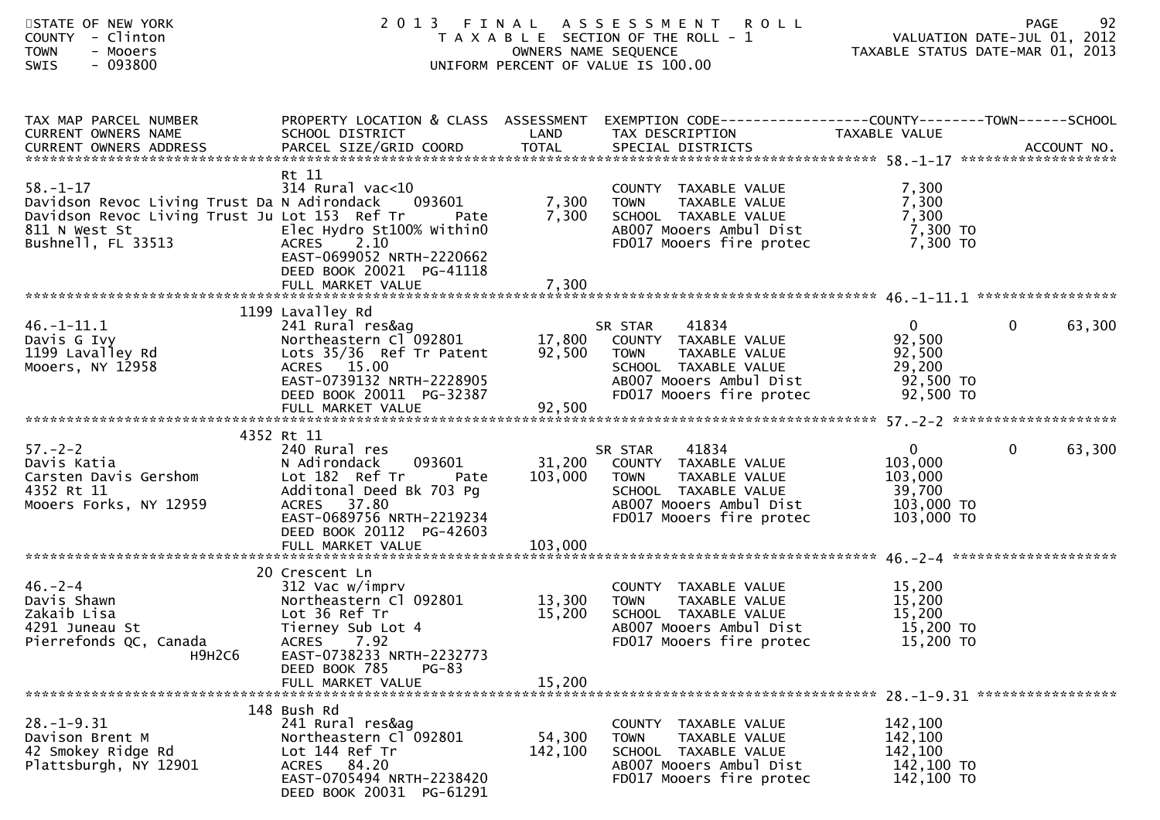| STATE OF NEW YORK<br>COUNTY - Clinton<br><b>TOWN</b><br>- Mooers<br>SWIS<br>- 093800                                                                                   |                                                                                                                                                          | OWNERS NAME SEQUENCE | 2013 FINAL ASSESSMENT ROLL<br>T A X A B L E SECTION OF THE ROLL - 1<br>UNIFORM PERCENT OF VALUE IS 100.00                                                           | 74 PAGE 92<br>2012 ROLL - 1 VALUATION DATE-JUL 01, 2012<br>2013 TAXABLE STATUS DATE-MAR 01, 2013 | 92<br><b>PAGE</b>        |
|------------------------------------------------------------------------------------------------------------------------------------------------------------------------|----------------------------------------------------------------------------------------------------------------------------------------------------------|----------------------|---------------------------------------------------------------------------------------------------------------------------------------------------------------------|--------------------------------------------------------------------------------------------------|--------------------------|
| TAX MAP PARCEL NUMBER<br>CURRENT OWNERS NAME                                                                                                                           | SCHOOL DISTRICT                                                                                                                                          | LAND                 | PROPERTY LOCATION & CLASS ASSESSMENT EXEMPTION CODE----------------COUNTY-------TOWN------SCHOOL<br>TAX DESCRIPTION                                                 | TAXABLE VALUE                                                                                    |                          |
| $58. - 1 - 17$<br>Davidson Revoc Living Trust Da N Adirondack 093601<br>Davidson Revoc Living Trust Ju Lot 153 Ref Tr<br>811 N West St<br>Bushnell, FL 33513 CRES 2.10 | Rt 11<br>$314$ Rural vac<10<br>Pate<br>EAST-0699052 NRTH-2220662<br>DEED BOOK 20021 PG-41118                                                             | 7,300                | COUNTY TAXABLE VALUE<br>TAAABLE VALUE<br>TAXABLE VALUE<br>TAXABLE<br>7,300 TOWN<br>SCHOOL TAXABLE VALUE<br>AB007 Mooers Ambul Dist<br>FD017 Mooers fire protec      | 7,300<br>7,300<br>7,300<br>7,300 TO<br>7,300 TO                                                  |                          |
| Juvis G Ivy<br>1199 Lavalley Rd<br>Mooers, NY 12958                                                                                                                    | 1199 Lavalley Rd<br>ACRES 15.00<br>EAST-0739132 NRTH-2228905<br>DEED BOOK 20011 PG-32387<br>FULL MARKET VALUE                                            | 92,500               | SCHOOL TAXABLE VALUE<br>AB007 Mooers Ambul Dist<br>FD017 Mooers fire protec                                                                                         | $\overline{0}$<br>92,500<br>92,500<br>29,200<br>92,500 TO<br>92,500 TO                           | $\mathbf{0}$<br>63,300   |
|                                                                                                                                                                        | 4352 Rt 11                                                                                                                                               |                      |                                                                                                                                                                     |                                                                                                  |                          |
| $57. - 2 - 2$<br>>7.-z-z<br>Davis Katia<br>Carsten Davis Gershom<br>4352 Rt 11<br>Mooers Forks, NY 12959                                                               | 240 Rural res<br>N Adirondack<br>Lot 182 Ref Tr Pate<br>Additonal Deed Bk 703 Pg<br>ACRES 37.80<br>EAST-0689756 NRTH-2219234<br>DEED BOOK 20112 PG-42603 |                      | SR STAR 41834<br>093601 31,200 COUNTY TAXABLE VALUE<br>103,000 TOWN<br>TAXABLE VALUE<br>SCHOOL TAXABLE VALUE<br>AB007 Mooers Ambul Dist<br>FD017 Mooers fire protec | $\mathbf{0}$<br>103,000<br>103,000<br>39,700<br>103,000 TO<br>103,000 TO                         | $\overline{0}$<br>63,300 |
|                                                                                                                                                                        | 20 Crescent Ln                                                                                                                                           |                      |                                                                                                                                                                     |                                                                                                  |                          |
| $46. - 2 - 4$<br>Davis Shawn<br>Zakaib Lisa<br>4291 Juneau St<br>Pierrefonds QC, Canada<br>H9H2C6                                                                      | 312 Vac w/imprv<br>Northeastern Cl 092801<br>Lot 36 Ref Tr<br>Tierney Sub Lot 4<br>ACRES 7.92<br>EAST-0738233 NRTH-2232773                               | 13,300<br>15,200     | COUNTY TAXABLE VALUE<br>TAXABLE VALUE<br>TOWN<br>SCHOOL TAXABLE VALUE<br>AB007 Mooers Ambul Dist<br>FD017 Mooers fire protec                                        | 15,200<br>15,200<br>15,200<br>15,200 TO<br>15,200 TO                                             |                          |
|                                                                                                                                                                        | DEED BOOK 785<br>PG-83<br>FULL MARKET VALUE                                                                                                              | 15,200               |                                                                                                                                                                     |                                                                                                  |                          |
|                                                                                                                                                                        |                                                                                                                                                          |                      |                                                                                                                                                                     |                                                                                                  |                          |
| $28. - 1 - 9.31$<br>Davison Brent M<br>42 Smokey Ridge Rd<br>Plattsburgh, NY 12901                                                                                     | 148 Bush Rd<br>241 Rural res&ag<br>Northeastern Cl 092801<br>Lot 144 Ref Tr<br>ACRES 84.20<br>EAST-0705494 NRTH-2238420<br>DEED BOOK 20031 PG-61291      | 54,300<br>142,100    | COUNTY TAXABLE VALUE<br><b>TOWN</b><br>TAXABLE VALUE<br>SCHOOL TAXABLE VALUE<br>AB007 Mooers Ambul Dist<br>FD017 Mooers fire protec                                 | 142,100<br>142,100<br>142,100<br>142,100 TO<br>142,100 TO                                        |                          |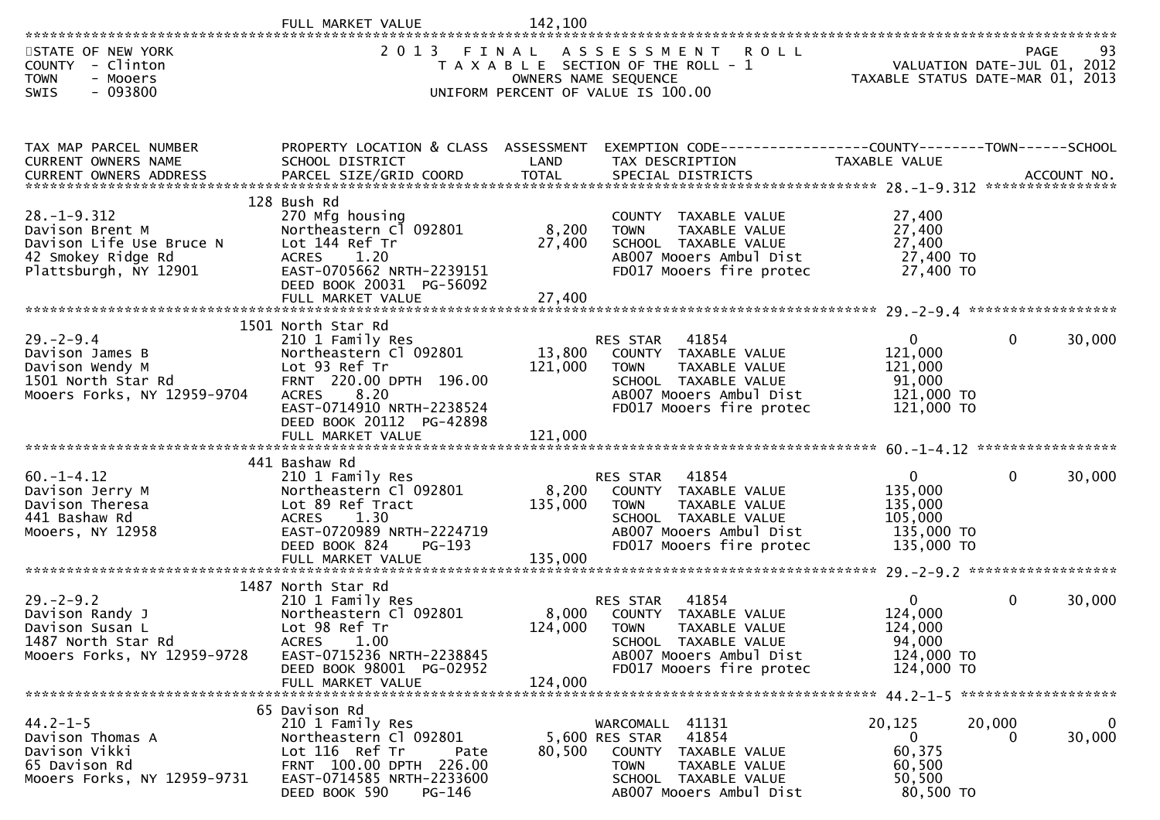|                                                                                                                 | FULL MARKET VALUE                                                                                                                                                                                                  | 142.100                      |                                                                                                                                                                        |                                                                             |              |             |
|-----------------------------------------------------------------------------------------------------------------|--------------------------------------------------------------------------------------------------------------------------------------------------------------------------------------------------------------------|------------------------------|------------------------------------------------------------------------------------------------------------------------------------------------------------------------|-----------------------------------------------------------------------------|--------------|-------------|
| STATE OF NEW YORK<br>COUNTY - Clinton<br><b>TOWN</b><br>- Mooers<br>$-093800$<br><b>SWIS</b>                    | 2 0 1 3                                                                                                                                                                                                            | FINAL                        | ASSESSMENT ROLL<br>T A X A B L E SECTION OF THE ROLL - 1<br>OWNERS NAME SEQUENCE<br>UNIFORM PERCENT OF VALUE IS 100.00                                                 | VALUATION DATE-JUL 01, 2012<br>TAXABLE STATUS DATE-MAR 01, 2013             | PAGE         | 93          |
| TAX MAP PARCEL NUMBER<br>CURRENT OWNERS NAME                                                                    | PROPERTY LOCATION & CLASS ASSESSMENT<br>SCHOOL DISTRICT                                                                                                                                                            | LAND                         | EXEMPTION CODE-----------------COUNTY--------TOWN------SCHOOL<br>TAX DESCRIPTION                                                                                       | TAXABLE VALUE                                                               |              |             |
| $28. - 1 - 9.312$<br>Davison Brent M<br>Davison Life Use Bruce N<br>42 Smokey Ridge Rd<br>Plattsburgh, NY 12901 | 128 Bush Rd<br>270 Mfg housing<br>Northeastern Cl 092801<br>Lot 144 Ref Tr<br>ACRES 1.20<br>EAST-0705662 NRTH-2239151<br>DEED BOOK 20031 PG-56092                                                                  | 8,200<br>27,400              | COUNTY TAXABLE VALUE<br>TAXABLE VALUE<br><b>TOWN</b><br>SCHOOL TAXABLE VALUE<br>AB007 Mooers Ambul Dist<br>FD017 Mooers fire protec                                    | 27,400<br>27,400<br>27,400<br>27,400 TO<br>27,400 TO                        |              |             |
| $29. - 2 - 9.4$<br>Davison James B<br>Davison Wendy M<br>1501 North Star Rd<br>Mooers Forks, NY 12959-9704      | 1501 North Star Rd<br>210 1 Family Res<br>Northeastern Cl 092801<br>Lot 93 Ref Tr<br>FRNT 220.00 DPTH 196.00<br>8.20<br><b>ACRES</b><br>EAST-0714910 NRTH-2238524<br>DEED BOOK 20112 PG-42898<br>FULL MARKET VALUE | 13,800<br>121,000<br>121,000 | RES STAR<br>41854<br>COUNTY TAXABLE VALUE<br>TAXABLE VALUE<br>TOWN<br>SCHOOL TAXABLE VALUE<br>AB007 Mooers Ambul Dist<br>FD017 Mooers fire protec                      | $\overline{0}$<br>121,000<br>121,000<br>91,000<br>121,000 TO<br>121,000 TO  | $\mathbf{0}$ | 30,000      |
| $60. -1 - 4.12$<br>Davison Jerry M<br>Davison Theresa<br>441 Bashaw Rd<br>Mooers, NY 12958                      | 441 Bashaw Rd<br>210 1 Family Res<br>Northeastern Cl 092801<br>Lot 89 Ref Tract<br><b>ACRES</b><br>1.30<br>EAST-0720989 NRTH-2224719<br>DEED BOOK 824<br>PG-193                                                    | 8,200<br>135,000             | 41854<br>RES STAR<br>COUNTY TAXABLE VALUE<br>TAXABLE VALUE<br><b>TOWN</b><br>SCHOOL TAXABLE VALUE<br>AB007 Mooers Ambul Dist<br>FD017 Mooers fire protec               | $\overline{0}$<br>135,000<br>135,000<br>105,000<br>135,000 TO<br>135,000 TO | $\mathbf{0}$ | 30,000      |
| $29. - 2 - 9.2$<br>Davison Randy J<br>Davison Susan L<br>1487 North Star Rd<br>Mooers Forks, NY 12959-9728      | 1487 North Star Rd<br>210 1 Family Res<br>Northeastern Cl 092801<br>Lot 98 Ref Tr<br>ACRES<br>1.00<br>EAST-0715236 NRTH-2238845<br>DEED BOOK 98001 PG-02952<br>FULL MARKET VALUE                                   | 8,000<br>124,000<br>124,000  | 41854<br><b>RES STAR</b><br>COUNTY TAXABLE VALUE<br><b>TOWN</b><br><b>TAXABLE VALUE</b><br>SCHOOL TAXABLE VALUE<br>AB007 Mooers Ambul Dist<br>FD017 Mooers fire protec | $\mathbf{0}$<br>124,000<br>124,000<br>94,000<br>124,000 TO<br>124,000 TO    | $\mathbf{0}$ | 30,000      |
| $44.2 - 1 - 5$<br>Davison Thomas A<br>Davison Vikki<br>65 Davison Rd<br>Mooers Forks, NY 12959-9731             | 65 Davison Rd<br>210 1 Family Res<br>Northeastern Cl 092801<br>Lot 116 Ref Tr<br>Pate<br>FRNT 100.00 DPTH 226.00<br>EAST-0714585 NRTH-2233600<br>DEED BOOK 590<br>PG-146                                           | 80,500                       | WARCOMALL<br>41131<br>5,600 RES STAR<br>41854<br><b>COUNTY</b><br>TAXABLE VALUE<br><b>TOWN</b><br>TAXABLE VALUE<br>SCHOOL TAXABLE VALUE<br>AB007 Mooers Ambul Dist     | 20,125<br>$\bf{0}$<br>60,375<br>60,500<br>50,500<br>80,500 TO               | 20,000<br>0  | 0<br>30,000 |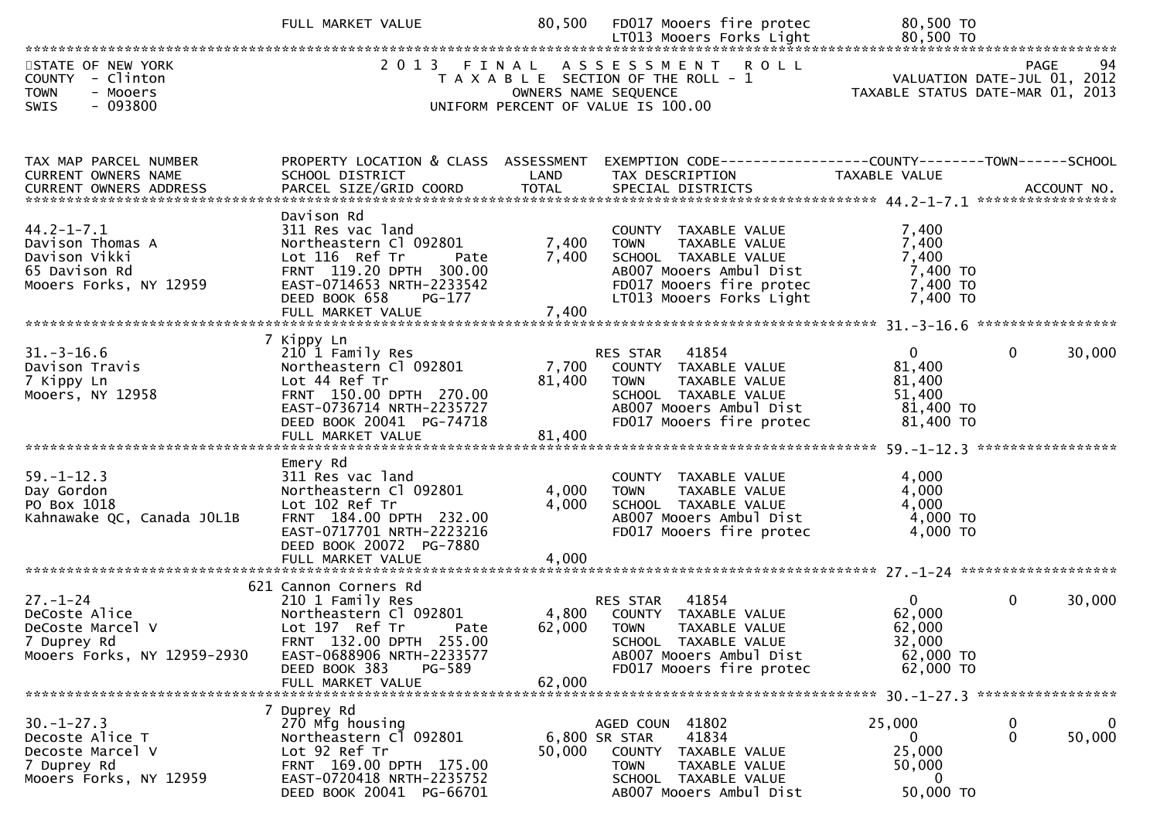|                                                                                                  | FULL MARKET VALUE                                                                                                                                                                                  | 80,500                    | FD017 Mooers fire protec                                                                                                                                           | 80,500 TO                                                                |                                  |
|--------------------------------------------------------------------------------------------------|----------------------------------------------------------------------------------------------------------------------------------------------------------------------------------------------------|---------------------------|--------------------------------------------------------------------------------------------------------------------------------------------------------------------|--------------------------------------------------------------------------|----------------------------------|
| STATE OF NEW YORK<br>COUNTY - Clinton<br><b>TOWN</b><br>- Mooers<br>- 093800<br><b>SWIS</b>      |                                                                                                                                                                                                    |                           | 2013 FINAL ASSESSMENT ROLL<br>T A X A B L E SECTION OF THE ROLL - 1<br>OWNERS NAME SEQUENCE<br>UNIFORM PERCENT OF VALUE IS 100.00                                  | 94 PAGE<br>VALUATION DATE-JUL 01, 2012<br>TAXARIF STATILE DATE 1112 2112 | TAXABLE STATUS DATE-MAR 01, 2013 |
| TAX MAP PARCEL NUMBER<br>CURRENT OWNERS NAME                                                     | PROPERTY LOCATION & CLASS ASSESSMENT<br>SCHOOL DISTRICT                                                                                                                                            | LAND                      | EXEMPTION CODE-----------------COUNTY-------TOWN------SCHOOL<br>TAX DESCRIPTION                                                                                    | TAXABLE VALUE                                                            |                                  |
| $44.2 - 1 - 7.1$<br>Davison Thomas A<br>Davison Vikki<br>65 Davison Rd<br>Mooers Forks, NY 12959 | Davison Rd<br>311 Res vac land<br>Northeastern Cl 092801<br>DEED BOOK 658<br>PG-177<br>FULL MARKET VALUE                                                                                           | 7,400<br>7,400<br>7,400   | COUNTY TAXABLE VALUE<br><b>TOWN</b><br>TAXABLE VALUE<br>SCHOOL TAXABLE VALUE<br>AB007 Mooers Ambul Dist<br>FD017 Mooers fire protec<br>LT013 Mooers Forks Light    | 7,400<br>7,400<br>7,400<br>7,400 TO<br>7,400 TO<br>7,400 TO              |                                  |
| $31. - 3 - 16.6$<br>Davison Travis<br>7 Kippy Ln<br>Mooers, NY 12958                             | 7 Kippy Ln<br>210 1 Family Res<br>Northeastern Cl 092801<br>Lot 44 Ref Tr<br>FRNT 150.00 DPTH 270.00<br>EAST-0736714 NRTH-2235727<br>DEED BOOK 20041 PG-74718<br>FULL MARKET VALUE                 | 7,700<br>81,400<br>81,400 | RES STAR 41854<br>COUNTY TAXABLE VALUE<br><b>TOWN</b><br>TAXABLE VALUE<br>SCHOOL TAXABLE VALUE<br>AB007 Mooers Ambul Dist<br>FD017 Mooers fire protec              | $\mathbf{0}$<br>81,400<br>81,400<br>51,400<br>81,400 TO<br>81,400 TO     | $\Omega$<br>30,000               |
| $59. - 1 - 12.3$<br>Day Gordon<br>PO Box 1018<br>Kahnawake QC, Canada JOL1B                      | Emery Rd<br>311 Res vac land<br>Northeastern Cl 092801<br>Lot 102 Ref Tr<br>FRNT 184.00 DPTH 232.00<br>EAST-0717701 NRTH-2223216<br>DEED BOOK 20072 PG-7880                                        | 4,000<br>4,000            | COUNTY TAXABLE VALUE<br><b>TOWN</b><br>TAXABLE VALUE<br>SCHOOL TAXABLE VALUE<br>AB007 Mooers Ambul Dist<br>FD017 Mooers fire protec                                | 4,000<br>4,000<br>4,000<br>4,000 TO<br>$4,000$ TO                        |                                  |
| $27 - 1 - 24$<br>DeCoste Alice<br>DeCoste Marcel V<br>7 Duprey Rd<br>Mooers Forks, NY 12959-2930 | 621 Cannon Corners Rd<br>210 1 Family Res<br>Northeastern Cl 092801<br>Lot 197 Ref Tr Pate<br>FRNT 132.00 DPTH 255.00<br>EAST-0688906 NRTH-2233577<br>PG-589<br>DEED BOOK 383<br>FULL MARKET VALUE | 62,000                    | 41854<br><b>RES STAR</b><br>4,800 COUNTY TAXABLE VALUE<br>62,000 TOWN TAXABLE VALUE<br>SCHOOL TAXABLE VALUE<br>AB007 Mooers Ambul Dist<br>FD017 Mooers fire protec | $\overline{0}$<br>62,000<br>62,000<br>32,000<br>62,000 TO<br>62,000 TO   | $\mathbf{0}$<br>30,000           |
| $30. - 1 - 27.3$<br>Decoste Alice T<br>Decoste Marcel V<br>7 Duprey Rd<br>Mooers Forks, NY 12959 | 7 Duprey Rd<br>270 Mfg housing<br>Northeastern Cl 092801<br>Lot 92 Ref Tr<br>FRNT 169.00 DPTH 175.00<br>EAST-0720418 NRTH-2235752<br>DEED BOOK 20041 PG-66701                                      | 50,000                    | AGED COUN 41802<br>41834<br>6,800 SR STAR<br>COUNTY TAXABLE VALUE<br>TAXABLE VALUE<br>TOWN<br>SCHOOL TAXABLE VALUE<br>AB007 Mooers Ambul Dist                      | 25,000<br>$\mathbf{0}$<br>25,000<br>50,000<br>0<br>50,000 TO             | $\mathbf 0$<br>0<br>0<br>50,000  |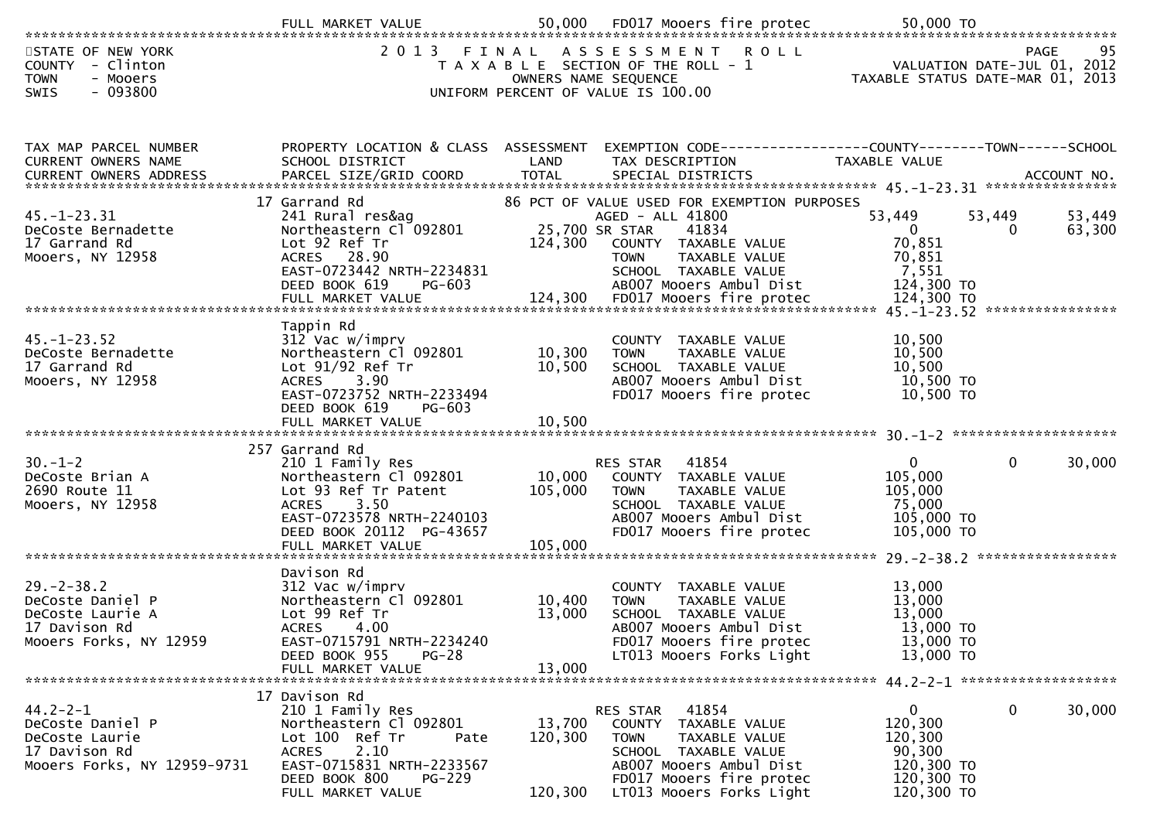|                                                                                                      | FULL MARKET VALUE                                                                                                                                                                                 | 50,000                       | FD017 Mooers fire protec                                                                                                                                                                              | 50,000 TO                                                                                |                                                  |
|------------------------------------------------------------------------------------------------------|---------------------------------------------------------------------------------------------------------------------------------------------------------------------------------------------------|------------------------------|-------------------------------------------------------------------------------------------------------------------------------------------------------------------------------------------------------|------------------------------------------------------------------------------------------|--------------------------------------------------|
| STATE OF NEW YORK<br>COUNTY - Clinton<br><b>TOWN</b><br>- Mooers<br>$-093800$<br><b>SWIS</b>         | 2 0 1 3                                                                                                                                                                                           | FINAL                        | ASSESSMENT ROLL<br>T A X A B L E SECTION OF THE ROLL - 1<br>OWNERS NAME SEQUENCE<br>UNIFORM PERCENT OF VALUE IS 100.00                                                                                | TAXABLE STATUS DATE-MAR 01, 2013                                                         | <b>PAGE</b><br>95<br>VALUATION DATE-JUL 01, 2012 |
| TAX MAP PARCEL NUMBER<br>CURRENT OWNERS NAME                                                         | PROPERTY LOCATION & CLASS ASSESSMENT<br>SCHOOL DISTRICT                                                                                                                                           | LAND                         | EXEMPTION CODE------------------COUNTY--------TOWN------SCHOOL<br>TAX DESCRIPTION                                                                                                                     | TAXABLE VALUE                                                                            |                                                  |
| $45. - 1 - 23.31$<br>DeCoste Bernadette<br>17 Garrand Rd<br>Mooers, NY 12958                         | 17 Garrand Rd<br>241 Rural res&ag<br>Northeastern Cl 092801<br>Lot 92 Ref Tr<br>ACRES 28.90<br>EAST-0723442 NRTH-2234831<br>DEED BOOK 619<br>PG-603                                               | 124,300                      | 86 PCT OF VALUE USED FOR EXEMPTION PURPOSES<br>AGED - ALL 41800<br>25,700 SR STAR<br>41834<br>COUNTY TAXABLE VALUE<br>TAXABLE VALUE<br><b>TOWN</b><br>SCHOOL TAXABLE VALUE<br>AB007 Mooers Ambul Dist | 53,449<br>$\overline{0}$<br>70,851<br>70,851<br>7,551<br>124,300 TO                      | 53,449<br>53,449<br>63,300<br>0                  |
| $45. - 1 - 23.52$<br>DeCoste Bernadette<br>17 Garrand Rd<br>Mooers, NY 12958                         | Tappin Rd<br>312 Vac w/imprv<br>Northeastern Cl 092801<br>Lot 91/92 Ref Tr<br>ACRES 3.90<br>EAST-0723752 NRTH-2233494<br>DEED BOOK 619<br>PG-603                                                  | 10,300<br>10,500             | COUNTY TAXABLE VALUE<br><b>TOWN</b><br>TAXABLE VALUE<br>SCHOOL TAXABLE VALUE<br>ABOO7 Mooers Ambul Dist<br>FD017 Mooers fire protec                                                                   | 10,500<br>10,500<br>10,500<br>10,500 TO<br>10,500 TO                                     |                                                  |
| $30. - 1 - 2$<br>DeCoste Brian A<br>2690 Route 11<br>Mooers, NY 12958                                | 257 Garrand Rd<br>210 1 Family Res<br>Northeastern Cl 092801<br>Lot 93 Ref Tr Patent<br>3.50<br><b>ACRES</b><br>EAST-0723578 NRTH-2240103<br>DEED BOOK 20112 PG-43657<br>FULL MARKET VALUE        | 10,000<br>105,000<br>105,000 | 41854<br>RES STAR<br>COUNTY TAXABLE VALUE<br>TAXABLE VALUE<br>TOWN<br>SCHOOL TAXABLE VALUE<br>AB007 Mooers Ambul Dist<br>FD017 Mooers fire protec                                                     | $\mathbf{0}$<br>105,000<br>105,000<br>75,000<br>105,000 TO<br>105,000 TO                 | $\mathbf 0$<br>30,000                            |
| $29. - 2 - 38.2$<br>DeCoste Daniel P<br>DeCoste Laurie A<br>17 Davison Rd<br>Mooers Forks, NY 12959  | Davison Rd<br>312 Vac w/imprv<br>Northeastern Cl 092801<br>Lot 99 Ref Tr<br><b>ACRES</b><br>4.00<br>EAST-0715791 NRTH-2234240<br>DEED BOOK 955<br>$PG-28$<br>FULL MARKET VALUE                    | 10,400<br>13,000<br>13,000   | COUNTY TAXABLE VALUE<br>TAXABLE VALUE<br><b>TOWN</b><br>SCHOOL TAXABLE VALUE<br>AB007 Mooers Ambul Dist<br>FD017 Mooers fire protec<br>LT013 Mooers Forks Light                                       | 13,000<br>13,000<br>13,000<br>13,000 TO<br>13,000 TO<br>13,000 TO                        |                                                  |
| $44.2 - 2 - 1$<br>DeCoste Daniel P<br>DeCoste Laurie<br>17 Davison Rd<br>Mooers Forks, NY 12959-9731 | 17 Davison Rd<br>210 1 Family Res<br>Northeastern Cl 092801<br>Lot 100 Ref Tr<br>Pate<br>2.10<br><b>ACRES</b><br>EAST-0715831 NRTH-2233567<br>DEED BOOK 800<br><b>PG-229</b><br>FULL MARKET VALUE | 13,700<br>120,300<br>120,300 | 41854<br>RES STAR<br>COUNTY TAXABLE VALUE<br><b>TOWN</b><br>TAXABLE VALUE<br>SCHOOL TAXABLE VALUE<br>AB007 Mooers Ambul Dist<br>FD017 Mooers fire protec<br>LT013 Mooers Forks Light                  | $\overline{0}$<br>120,300<br>120,300<br>90,300<br>120,300 TO<br>120,300 TO<br>120,300 TO | $\mathbf 0$<br>30,000                            |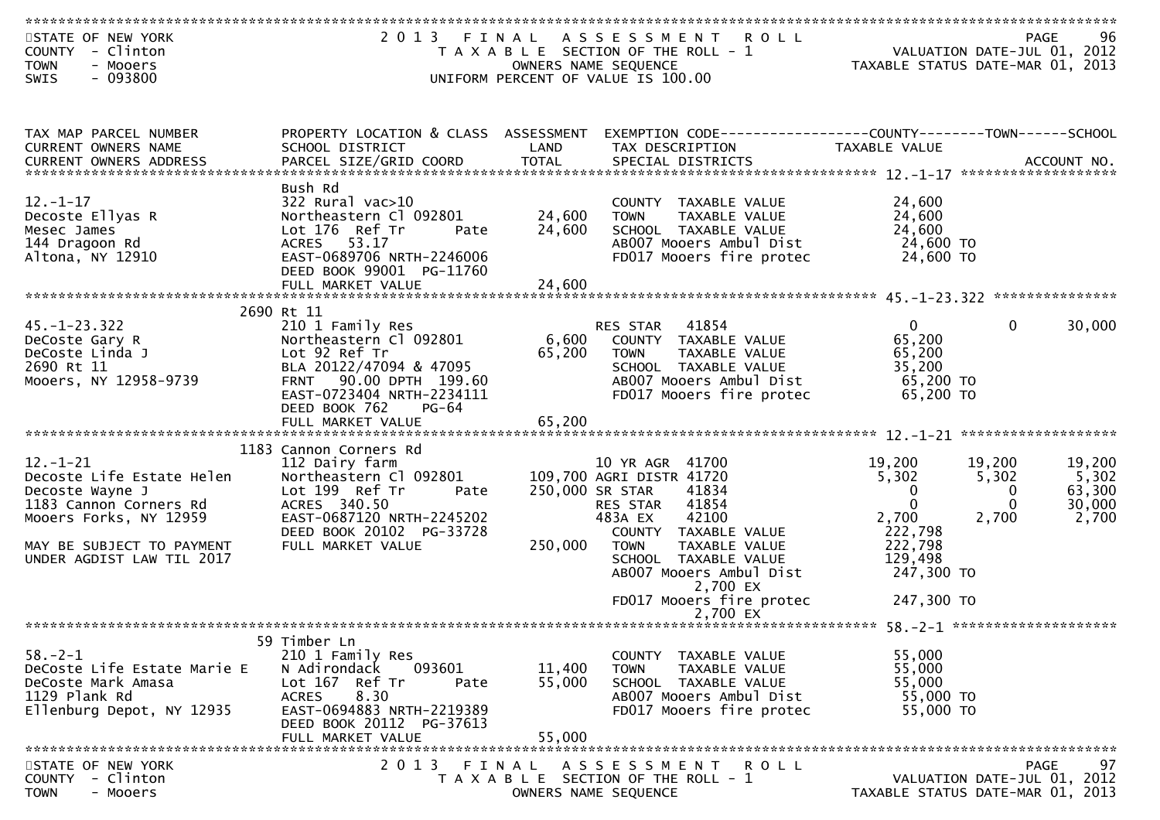| STATE OF NEW YORK<br>COUNTY - Clinton<br><b>TOWN</b><br>- Mooers | 2013 FINAL                                          |                      | A S S E S S M E N T<br><b>ROLL</b><br>T A X A B L E SECTION OF THE ROLL - 1<br>OWNERS NAME SEQUENCE | TAXABLE STATUS DATE-MAR 01, 2013 | <b>PAGE</b><br>VALUATION DATE-JUL 01, 2012 | 96          |
|------------------------------------------------------------------|-----------------------------------------------------|----------------------|-----------------------------------------------------------------------------------------------------|----------------------------------|--------------------------------------------|-------------|
| $-093800$<br><b>SWIS</b>                                         |                                                     |                      | UNIFORM PERCENT OF VALUE IS 100.00                                                                  |                                  |                                            |             |
|                                                                  |                                                     |                      |                                                                                                     |                                  |                                            |             |
| TAX MAP PARCEL NUMBER                                            | PROPERTY LOCATION & CLASS ASSESSMENT                |                      | EXEMPTION CODE-----------------COUNTY-------TOWN------SCHOOL                                        |                                  |                                            |             |
| <b>CURRENT OWNERS NAME</b><br><b>CURRENT OWNERS ADDRESS</b>      | SCHOOL DISTRICT<br>PARCEL SIZE/GRID COORD           | LAND<br><b>TOTAL</b> | TAX DESCRIPTION<br>SPECIAL DISTRICTS                                                                | TAXABLE VALUE                    |                                            | ACCOUNT NO. |
|                                                                  |                                                     |                      |                                                                                                     |                                  |                                            |             |
|                                                                  | Bush Rd                                             |                      |                                                                                                     |                                  |                                            |             |
| $12. - 1 - 17$                                                   | 322 Rural vac>10                                    |                      | COUNTY TAXABLE VALUE                                                                                | 24,600                           |                                            |             |
| Decoste Ellyas R<br>Mesec James                                  | Northeastern Cl 092801<br>Lot 176 Ref Tr<br>Pate    | 24,600<br>24,600     | <b>TOWN</b><br>TAXABLE VALUE<br>SCHOOL TAXABLE VALUE                                                | 24,600<br>24,600                 |                                            |             |
| 144 Dragoon Rd                                                   | ACRES 53.17                                         |                      | AB007 Mooers Ambul Dist                                                                             | 24,600 TO                        |                                            |             |
| Altona, NY 12910                                                 | EAST-0689706 NRTH-2246006                           |                      | FD017 Mooers fire protec                                                                            | 24,600 TO                        |                                            |             |
|                                                                  | DEED BOOK 99001 PG-11760                            |                      |                                                                                                     |                                  |                                            |             |
|                                                                  | FULL MARKET VALUE                                   | 24,600               |                                                                                                     |                                  |                                            |             |
|                                                                  | 2690 Rt 11                                          |                      |                                                                                                     |                                  |                                            |             |
| $45. - 1 - 23.322$                                               | 210 1 Family Res                                    |                      | 41854<br>RES STAR                                                                                   | $\mathbf{0}$                     | $\Omega$                                   | 30,000      |
| DeCoste Gary R                                                   | Northeastern Cl 092801                              | 6,600                | COUNTY TAXABLE VALUE                                                                                | 65,200                           |                                            |             |
| DeCoste Linda J                                                  | Lot 92 Ref Tr                                       | 65,200               | TAXABLE VALUE<br><b>TOWN</b>                                                                        | 65,200                           |                                            |             |
| 2690 Rt 11                                                       | BLA 20122/47094 & 47095                             |                      | SCHOOL TAXABLE VALUE                                                                                | 35,200                           |                                            |             |
| Mooers, NY 12958-9739                                            | FRNT 90.00 DPTH 199.60<br>EAST-0723404 NRTH-2234111 |                      | AB007 Mooers Ambul Dist<br>FD017 Mooers fire protec                                                 | 65,200 TO<br>65,200 TO           |                                            |             |
|                                                                  | DEED BOOK 762<br><b>PG-64</b>                       |                      |                                                                                                     |                                  |                                            |             |
|                                                                  |                                                     |                      |                                                                                                     |                                  |                                            |             |
|                                                                  | 1183 Cannon Corners Rd                              |                      |                                                                                                     |                                  |                                            |             |
| $12. - 1 - 21$                                                   | 112 Dairy farm                                      |                      | 10 YR AGR 41700                                                                                     | 19,200                           | 19,200                                     | 19,200      |
| Decoste Life Estate Helen                                        | Northeastern Cl 092801                              |                      | 109,700 AGRI DISTR 41720                                                                            | 5,302                            | 5,302                                      | 5,302       |
| Decoste Wayne J                                                  | Lot 199 Ref Tr<br>Pate                              |                      | 250,000 SR STAR<br>41834                                                                            | $\mathbf{0}$                     | 0                                          | 63,300      |
| 1183 Cannon Corners Rd                                           | ACRES 340.50                                        |                      | 41854<br>RES STAR                                                                                   | $\mathbf{0}$                     | $\mathbf{0}$                               | 30,000      |
| Mooers Forks, NY 12959                                           | EAST-0687120 NRTH-2245202                           |                      | 42100<br>483A EX                                                                                    | 2,700                            | 2,700                                      | 2,700       |
| MAY BE SUBJECT TO PAYMENT                                        | DEED BOOK 20102 PG-33728<br>FULL MARKET VALUE       | 250,000              | COUNTY TAXABLE VALUE<br><b>TOWN</b><br>TAXABLE VALUE                                                | 222,798<br>222,798               |                                            |             |
| UNDER AGDIST LAW TIL 2017                                        |                                                     |                      | SCHOOL TAXABLE VALUE                                                                                | 129,498                          |                                            |             |
|                                                                  |                                                     |                      | AB007 Mooers Ambul Dist                                                                             | 247,300 TO                       |                                            |             |
|                                                                  |                                                     |                      | 2,700 EX                                                                                            |                                  |                                            |             |
|                                                                  |                                                     |                      | FD017 Mooers fire protec<br>2.700 EX                                                                | 247,300 TO                       |                                            |             |
|                                                                  |                                                     |                      |                                                                                                     |                                  |                                            |             |
|                                                                  | 59 Timber Ln                                        |                      |                                                                                                     |                                  |                                            |             |
| $58. - 2 - 1$<br>DeCoste Life Estate Marie E                     | 210 1 Family Res<br>093601                          |                      | COUNTY TAXABLE VALUE                                                                                | 55,000                           |                                            |             |
| DeCoste Mark Amasa                                               | N Adirondack<br>Lot 167 Ref Tr<br>Pate              | 11,400<br>55,000     | <b>TOWN</b><br>TAXABLE VALUE<br>SCHOOL TAXABLE VALUE                                                | 55,000<br>55,000                 |                                            |             |
| 1129 Plank Rd                                                    | 8.30<br><b>ACRES</b>                                |                      | AB007 Mooers Ambul Dist                                                                             | 55,000 TO                        |                                            |             |
| Ellenburg Depot, NY 12935                                        | EAST-0694883 NRTH-2219389                           |                      | FD017 Mooers fire protec                                                                            | 55,000 TO                        |                                            |             |
|                                                                  | DEED BOOK 20112 PG-37613                            |                      |                                                                                                     |                                  |                                            |             |
|                                                                  | FULL MARKET VALUE                                   | 55,000               |                                                                                                     |                                  |                                            |             |
| STATE OF NEW YORK                                                | 2 0 1 3                                             | FINAL                | ASSESSMENT<br>R O L L                                                                               |                                  | <b>PAGE</b>                                | 97          |
| COUNTY - Clinton                                                 |                                                     |                      | T A X A B L E SECTION OF THE ROLL - 1                                                               |                                  | VALUATION DATE-JUL 01, 2012                |             |
| <b>TOWN</b><br>- Mooers                                          |                                                     |                      | OWNERS NAME SEQUENCE                                                                                | TAXABLE STATUS DATE-MAR 01, 2013 |                                            |             |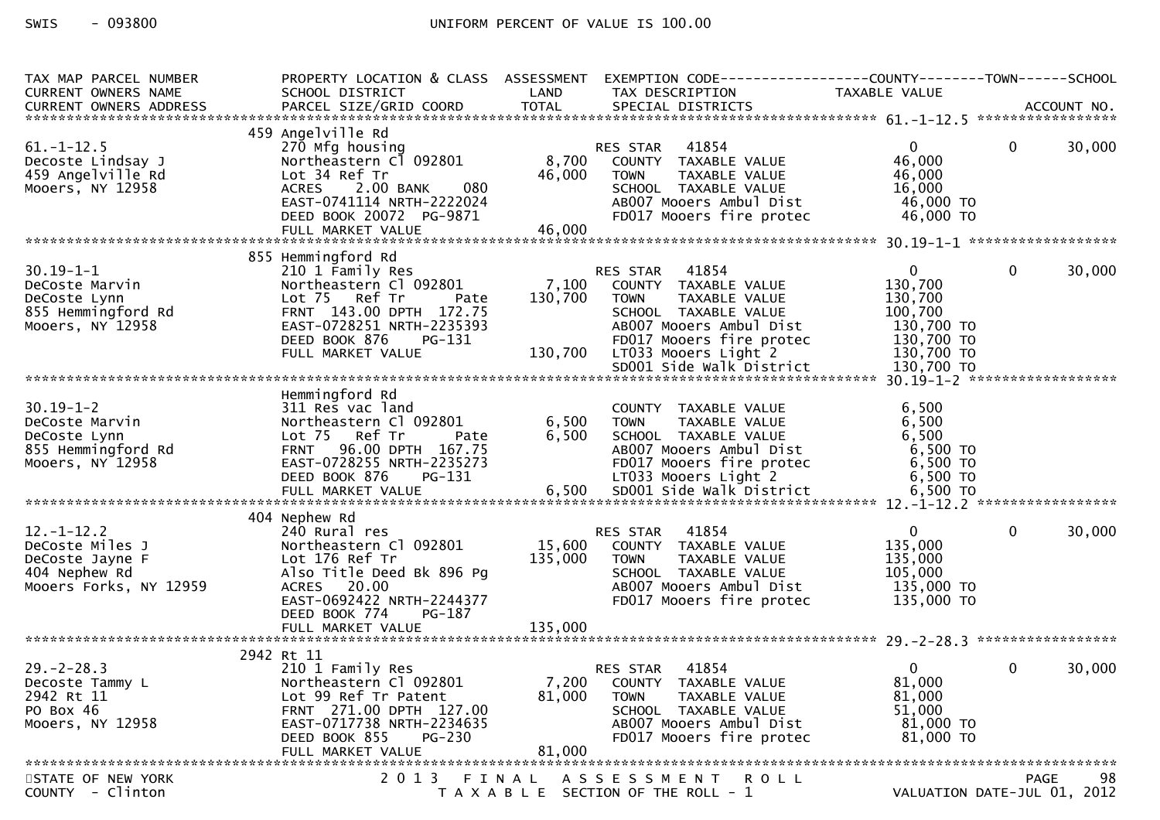| TAX MAP PARCEL NUMBER<br>CURRENT OWNERS NAME                                                  | PROPERTY LOCATION & CLASS ASSESSMENT<br>SCHOOL DISTRICT                                                                                                                                         | LAND               | EXEMPTION CODE-----------------COUNTY--------TOWN------SCHOOL<br>TAX DESCRIPTION                                                                                                | TAXABLE VALUE                                                                             |              |        |
|-----------------------------------------------------------------------------------------------|-------------------------------------------------------------------------------------------------------------------------------------------------------------------------------------------------|--------------------|---------------------------------------------------------------------------------------------------------------------------------------------------------------------------------|-------------------------------------------------------------------------------------------|--------------|--------|
| CURRENT OWNERS ADDRESS                                                                        |                                                                                                                                                                                                 |                    |                                                                                                                                                                                 |                                                                                           |              |        |
| $61. - 1 - 12.5$<br>Decoste Lindsay J<br>459 Angelville Rd<br>Mooers, NY 12958                | 459 Angelville Rd<br>270 Mfg housing<br>Northeastern Cl 092801<br>Lot 34 Ref Tr<br>2.00 BANK<br>080<br><b>ACRES</b><br>EAST-0741114 NRTH-2222024                                                | 8,700<br>46,000    | 41854<br>RES STAR<br>COUNTY TAXABLE VALUE<br><b>TOWN</b><br>TAXABLE VALUE<br>SCHOOL TAXABLE VALUE<br>AB007 Mooers Ambul Dist                                                    | $\mathbf{0}$<br>46,000<br>46,000<br>16,000<br>46,000 TO                                   | $\mathbf{0}$ | 30,000 |
|                                                                                               | DEED BOOK 20072 PG-9871                                                                                                                                                                         |                    | FD017 Mooers fire protec                                                                                                                                                        | 46,000 TO                                                                                 |              |        |
|                                                                                               | 855 Hemmingford Rd                                                                                                                                                                              |                    |                                                                                                                                                                                 |                                                                                           |              |        |
| $30.19 - 1 - 1$<br>DeCoste Marvin<br>DeCoste Lynn<br>855 Hemmingford Rd<br>Mooers, NY 12958   | 210 1 Family Res<br>Northeastern Cl 092801<br>Lot 75 Ref Tr<br>Pate<br>FRNT 143.00 DPTH 172.75<br>EAST-0728251 NRTH-2235393<br>DEED BOOK 876<br>PG-131<br>FULL MARKET VALUE                     | 130,700<br>130,700 | 41854<br>RES STAR<br>7,100 COUNTY TAXABLE VALUE<br>TAXABLE VALUE<br>TOWN<br>SCHOOL TAXABLE VALUE<br>AB007 Mooers Ambul Dist<br>FD017 Mooers fire protec<br>LTO33 Mooers Light 2 | $\overline{0}$<br>130,700<br>130,700<br>100,700<br>130,700 TO<br>130,700 TO<br>130,700 TO | $\mathbf{0}$ | 30,000 |
|                                                                                               |                                                                                                                                                                                                 |                    |                                                                                                                                                                                 |                                                                                           |              |        |
| $30.19 - 1 - 2$<br>DeCoste Marvin<br>DeCoste Lynn<br>855 Hemmingford Rd<br>Mooers, NY 12958   | Hemmingford Rd<br>311 Res vac land<br>Northeastern Cl 092801<br>Lot 75 Ref Tr<br>Pate<br>FRNT 96.00 DPTH 167.75<br>EAST-0728255 NRTH-2235273<br>DEED BOOK 876<br><b>PG-131</b>                  | 6,500<br>6,500     | COUNTY TAXABLE VALUE<br><b>TAXABLE VALUE</b><br><b>TOWN</b><br>SCHOOL TAXABLE VALUE<br>AB007 Mooers Ambul Dist<br>FD017 Mooers fire protec<br>LT033 Mooers Light 2              | 6,500<br>6,500<br>6,500<br>6,500 TO<br>6,500 TO<br>6,500 TO                               |              |        |
| $12.-1-12.2$<br>DeCoste Miles J<br>DeCoste Jayne F<br>404 Nephew Rd<br>Mooers Forks, NY 12959 | 404 Nephew Rd<br>240 Rural res<br>Northeastern Cl 092801<br>Lot 176 Ref Tr<br>Also Title Deed Bk 896 Pg<br>ACRES 20.00<br>EAST-0692422 NRTH-2244377<br>DEED BOOK 774<br>PG-187                  | 15,600<br>135,000  | RES STAR 41854<br>COUNTY TAXABLE VALUE<br><b>TOWN</b><br>TAXABLE VALUE<br>SCHOOL TAXABLE VALUE<br>AB007 Mooers Ambul Dist<br>FD017 Mooers fire protec                           | $\overline{0}$<br>135,000<br>135,000<br>105,000<br>135,000 TO<br>135,000 TO               | $\mathbf{0}$ | 30,000 |
|                                                                                               |                                                                                                                                                                                                 |                    |                                                                                                                                                                                 |                                                                                           |              |        |
| $29. - 2 - 28.3$<br>Decoste Tammy L<br>2942 Rt 11<br>PO Box 46<br>Mooers, NY 12958            | 2942 Rt 11<br>210 1 Family Res<br>Northeastern Cl 092801<br>Lot 99 Ref Tr Patent<br>FRNT 271.00 DPTH 127.00<br>EAST-0717738 NRTH-2234635<br>DEED BOOK 855<br><b>PG-230</b><br>FULL MARKET VALUE | 81,000<br>81,000   | 41854<br>RES STAR<br>7,200 COUNTY TAXABLE VALUE<br>TAXABLE VALUE<br><b>TOWN</b><br>SCHOOL TAXABLE VALUE<br>AB007 Mooers Ambul Dist<br>FD017 Mooers fire protec                  | 0<br>81,000<br>81,000<br>51,000<br>81,000 TO<br>81,000 TO                                 | $\mathbf{0}$ | 30,000 |
| STATE OF NEW YORK                                                                             |                                                                                                                                                                                                 |                    | 2013 FINAL ASSESSMENT ROLL                                                                                                                                                      |                                                                                           | <b>PAGE</b>  | 98     |
| COUNTY - Clinton                                                                              |                                                                                                                                                                                                 |                    | T A X A B L E SECTION OF THE ROLL - 1                                                                                                                                           | VALUATION DATE-JUL 01, 2012                                                               |              |        |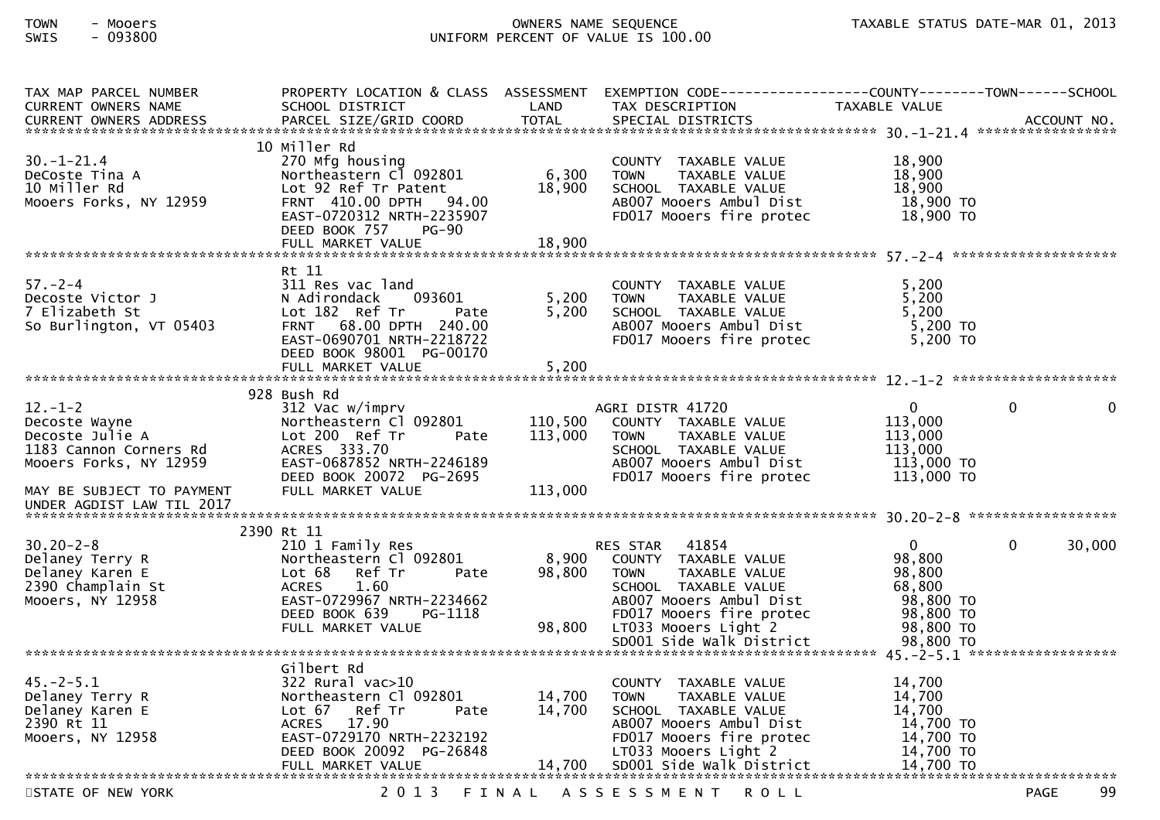| TAX MAP PARCEL NUMBER                     |                                                  |              | PROPERTY LOCATION & CLASS ASSESSMENT EXEMPTION CODE----------------COUNTY--------TOWN------SCHOOL |                     |                   |
|-------------------------------------------|--------------------------------------------------|--------------|---------------------------------------------------------------------------------------------------|---------------------|-------------------|
| CURRENT OWNERS NAME                       | SCHOOL DISTRICT                                  | LAND         | TAX DESCRIPTION                                                                                   | TAXABLE VALUE       |                   |
| <b>CURRENT OWNERS ADDRESS</b>             | PARCEL SIZE/GRID COORD                           | <b>TOTAL</b> | SPECIAL DISTRICTS                                                                                 |                     | ACCOUNT NO.       |
|                                           |                                                  |              |                                                                                                   |                     |                   |
|                                           | 10 Miller Rd                                     |              |                                                                                                   |                     |                   |
| $30. - 1 - 21.4$                          | 270 Mfg housing                                  |              | COUNTY TAXABLE VALUE                                                                              | 18,900              |                   |
| DeCoste Tina A                            | Northeastern Cl 092801                           | 6,300        | TAXABLE VALUE<br><b>TOWN</b>                                                                      | 18,900              |                   |
| 10 Miller Rd                              | Lot 92 Ref Tr Patent                             | 18,900       | SCHOOL TAXABLE VALUE                                                                              | 18,900              |                   |
| Mooers Forks, NY 12959                    | FRNT 410.00 DPTH 94.00                           |              | AB007 Mooers Ambul Dist                                                                           | 18,900 TO           |                   |
|                                           | EAST-0720312 NRTH-2235907                        |              | FD017 Mooers fire protec                                                                          | $18,900$ TO         |                   |
|                                           | DEED BOOK 757<br>PG-90                           |              |                                                                                                   |                     |                   |
|                                           | FULL MARKET VALUE                                | 18,900       |                                                                                                   |                     |                   |
|                                           |                                                  |              |                                                                                                   |                     |                   |
|                                           | Rt 11                                            |              |                                                                                                   |                     |                   |
| $57. - 2 - 4$                             | 311 Res vac land                                 |              | COUNTY TAXABLE VALUE                                                                              | 5,200               |                   |
| Decoste Victor J                          | N Adirondack<br>093601                           | 5,200        | <b>TOWN</b><br>TAXABLE VALUE                                                                      | 5,200               |                   |
| 7 Elizabeth St<br>So Burlington, VT 05403 | Lot 182 Ref Tr<br>Pate<br>FRNT 68.00 DPTH 240.00 | 5,200        | SCHOOL TAXABLE VALUE<br>AB007 Mooers Ambul Dist                                                   | 5,200<br>$5,200$ TO |                   |
|                                           | EAST-0690701 NRTH-2218722                        |              | FD017 Mooers fire protec                                                                          | $5,200$ TO          |                   |
|                                           | DEED BOOK 98001 PG-00170                         |              |                                                                                                   |                     |                   |
|                                           | FULL MARKET VALUE                                | 5,200        |                                                                                                   |                     |                   |
|                                           |                                                  |              |                                                                                                   |                     |                   |
|                                           | 928 Bush Rd                                      |              |                                                                                                   |                     |                   |
| $12 - 1 - 2$                              | 312 Vac w/imprv                                  |              | AGRI DISTR 41720                                                                                  | $\mathbf{0}$        | $\Omega$<br>0     |
| Decoste Wayne                             | Northeastern Cl 092801                           | 110,500      | COUNTY TAXABLE VALUE                                                                              | 113,000             |                   |
| Decoste Julie A                           | Lot 200 Ref Tr<br>Pate                           | 113,000      | TAXABLE VALUE<br><b>TOWN</b>                                                                      | 113,000             |                   |
| 1183 Cannon Corners Rd                    | ACRES 333.70                                     |              | SCHOOL TAXABLE VALUE                                                                              | 113,000             |                   |
| Mooers Forks, NY 12959                    | EAST-0687852 NRTH-2246189                        |              | AB007 Mooers Ambul Dist                                                                           | 113,000 TO          |                   |
|                                           | DEED BOOK 20072 PG-2695                          |              | FD017 Mooers fire protec                                                                          | 113,000 TO          |                   |
| MAY BE SUBJECT TO PAYMENT                 | FULL MARKET VALUE                                | 113,000      |                                                                                                   |                     |                   |
| UNDER AGDIST LAW TIL 2017                 |                                                  |              |                                                                                                   |                     |                   |
|                                           |                                                  |              |                                                                                                   |                     |                   |
|                                           | 2390 Rt 11                                       |              |                                                                                                   |                     |                   |
| $30.20 - 2 - 8$                           | 210 1 Family Res                                 |              | 41854<br>RES STAR                                                                                 | $\mathbf{0}$        | 30,000<br>0       |
| Delaney Terry R                           | Northeastern Cl 092801                           | 8,900        | COUNTY TAXABLE VALUE                                                                              | 98,800              |                   |
| Delaney Karen E                           | Lot 68<br>Ref Tr<br>Pate                         | 98,800       | <b>TOWN</b><br>TAXABLE VALUE                                                                      | 98,800              |                   |
| 2390 Champlain St                         | 1.60<br><b>ACRES</b>                             |              | SCHOOL TAXABLE VALUE                                                                              | 68.800              |                   |
| Mooers, NY 12958                          | EAST-0729967 NRTH-2234662                        |              | AB007 Mooers Ambul Dist                                                                           | 98,800 TO           |                   |
|                                           | DEED BOOK 639<br>PG-1118                         |              | FD017 Mooers fire protec                                                                          | 98,800 TO           |                   |
|                                           | FULL MARKET VALUE                                | 98,800       | LTO33 Mooers Light 2                                                                              | 98,800 TO           |                   |
|                                           |                                                  |              | SD001 Side Walk District                                                                          | 98,800 TO           |                   |
|                                           |                                                  |              |                                                                                                   |                     |                   |
|                                           | Gilbert Rd                                       |              |                                                                                                   |                     |                   |
| $45. - 2 - 5.1$                           | $322$ Rural vac $>10$                            |              | COUNTY TAXABLE VALUE                                                                              | 14,700              |                   |
| Delaney Terry R                           | Northeastern Cl 092801                           | 14,700       | TAXABLE VALUE<br><b>TOWN</b>                                                                      | 14,700              |                   |
| Delaney Karen E                           | Lot 67<br>Ref Tr<br>Pate                         | 14,700       | SCHOOL TAXABLE VALUE                                                                              | 14.700              |                   |
| 2390 Rt 11                                | 17.90<br><b>ACRES</b>                            |              | AB007 Mooers Ambul Dist                                                                           | 14,700 TO           |                   |
| Mooers, NY 12958                          | EAST-0729170 NRTH-2232192                        |              | FD017 Mooers fire protec                                                                          | 14,700 TO           |                   |
|                                           | DEED BOOK 20092 PG-26848                         |              | LT033 Mooers Light 2                                                                              | 14,700 TO           |                   |
|                                           |                                                  |              |                                                                                                   |                     |                   |
| STATE OF NEW YORK                         | 2 0 1 3                                          | FINAL        |                                                                                                   |                     | 99<br><b>PAGE</b> |
|                                           |                                                  |              | ASSESSMENT ROLL                                                                                   |                     |                   |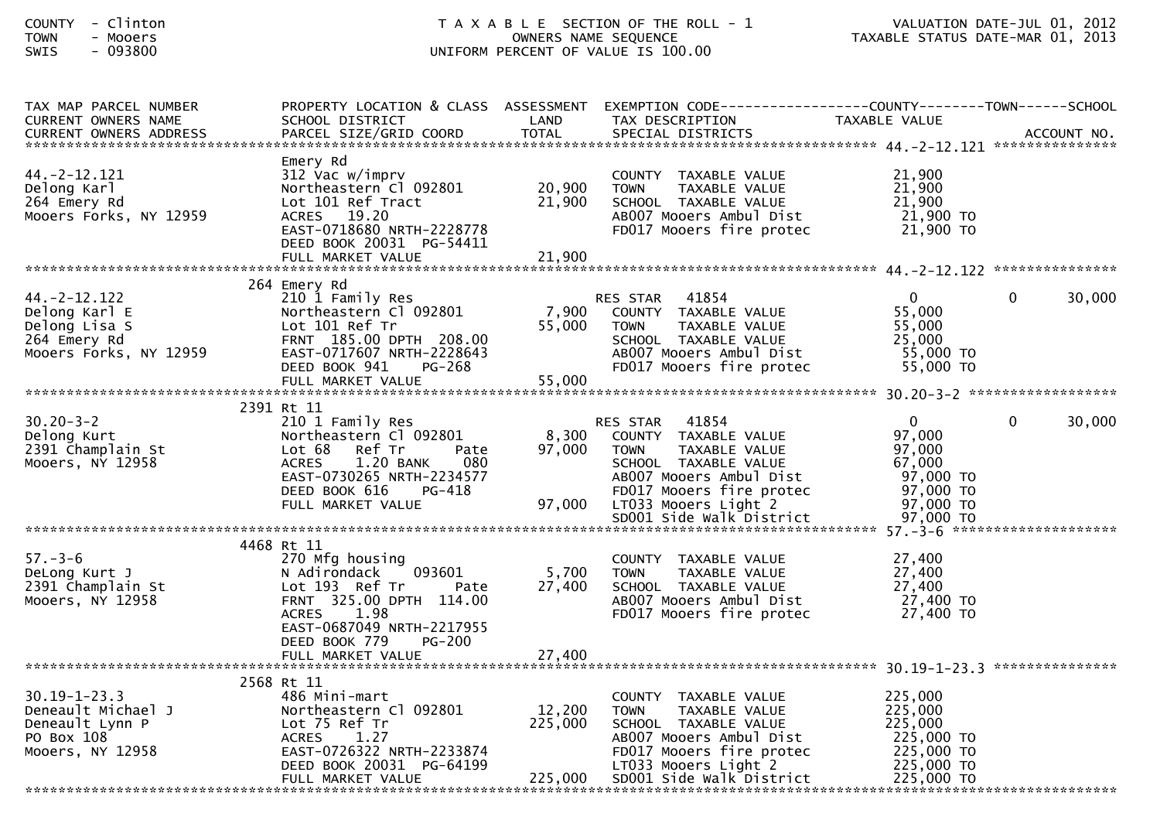| <b>COUNTY</b> | Clintor    |
|---------------|------------|
| <b>TOWN</b>   | Mooers     |
| CUTC          | . no s o n |

| TAX MAP PARCEL NUMBER              |                                  |         | PROPERTY LOCATION & CLASS ASSESSMENT EXEMPTION CODE---------------COUNTY-------TOWN------SCHOOL |                |          |        |
|------------------------------------|----------------------------------|---------|-------------------------------------------------------------------------------------------------|----------------|----------|--------|
| <b>CURRENT OWNERS NAME</b>         | SCHOOL DISTRICT                  | LAND    | TAX DESCRIPTION                                                                                 | TAXABLE VALUE  |          |        |
|                                    |                                  |         |                                                                                                 |                |          |        |
|                                    |                                  |         |                                                                                                 |                |          |        |
|                                    | Emery Rd                         |         |                                                                                                 |                |          |        |
| $44. -2 - 12.121$                  | 312 Vac w/imprv                  |         | COUNTY TAXABLE VALUE                                                                            | 21,900         |          |        |
| Delong Karl                        | Northeastern Cl 092801           | 20,900  | TAXABLE VALUE<br><b>TOWN</b>                                                                    | 21,900         |          |        |
| 264 Emery Rd                       | Lot 101 Ref Tract                | 21,900  | SCHOOL TAXABLE VALUE                                                                            | 21,900         |          |        |
| Mooers Forks, NY 12959             | ACRES 19.20                      |         | AB007 Mooers Ambul Dist                                                                         | 21,900 TO      |          |        |
|                                    | EAST-0718680 NRTH-2228778        |         | FD017 Mooers fire protec                                                                        | 21,900 TO      |          |        |
|                                    | DEED BOOK 20031 PG-54411         |         |                                                                                                 |                |          |        |
|                                    | FULL MARKET VALUE                | 21,900  |                                                                                                 |                |          |        |
|                                    |                                  |         |                                                                                                 |                |          |        |
|                                    | 264 Emery Rd                     |         |                                                                                                 |                |          |        |
| $44. -2 - 12.122$                  | 210 1 Family Res                 |         | RES STAR 41854                                                                                  | $\mathbf{0}$   | $\Omega$ | 30,000 |
| Delong Karl E                      | Northeastern Cl 092801           | 7,900   | COUNTY TAXABLE VALUE                                                                            | 55,000         |          |        |
| Delong Lisa S                      | Lot 101 Ref Tr                   | 55,000  | <b>TOWN</b><br>TAXABLE VALUE                                                                    | 55,000         |          |        |
| 264 Emery Rd                       | FRNT 185.00 DPTH 208.00          |         | SCHOOL TAXABLE VALUE                                                                            | 25,000         |          |        |
| Mooers Forks, NY 12959             | EAST-0717607 NRTH-2228643        |         | AB007 Mooers Ambul Dist                                                                         | 55,000 TO      |          |        |
|                                    | DEED BOOK 941<br>PG-268          |         | FD017 Mooers fire protec                                                                        | 55,000 TO      |          |        |
|                                    |                                  |         |                                                                                                 |                |          |        |
|                                    |                                  |         |                                                                                                 |                |          |        |
|                                    | 2391 Rt 11                       |         |                                                                                                 |                |          |        |
| $30.20 - 3 - 2$                    | 210 1 Family Res                 |         | RES STAR 41854                                                                                  | $\overline{0}$ | $\Omega$ | 30,000 |
| Delong Kurt                        | Northeastern Cl 092801           | 8,300   | COUNTY TAXABLE VALUE                                                                            | 97,000         |          |        |
| 2391 Champlain St                  | Lot 68 Ref Tr<br>Pate            | 97,000  | TAXABLE VALUE<br><b>TOWN</b>                                                                    | 97,000         |          |        |
| Mooers, NY 12958                   | 1.20 BANK<br>080<br><b>ACRES</b> |         | SCHOOL TAXABLE VALUE                                                                            | 67,000         |          |        |
|                                    | EAST-0730265 NRTH-2234577        |         | AB007 Mooers Ambul Dist                                                                         | 97,000 TO      |          |        |
|                                    | DEED BOOK 616<br><b>PG-418</b>   |         | FD017 Mooers fire protec                                                                        | 97,000 TO      |          |        |
|                                    | FULL MARKET VALUE                | 97,000  | LT033 Mooers Light 2                                                                            | 97,000 TO      |          |        |
|                                    |                                  |         |                                                                                                 |                |          |        |
|                                    |                                  |         |                                                                                                 |                |          |        |
|                                    |                                  |         |                                                                                                 |                |          |        |
| $57. - 3 - 6$                      | 4468 Rt 11                       |         |                                                                                                 |                |          |        |
|                                    | 270 Mfg housing                  |         | COUNTY TAXABLE VALUE                                                                            | 27,400         |          |        |
| DeLong Kurt J                      | N Adirondack<br>093601           | 5,700   | TAXABLE VALUE<br><b>TOWN</b>                                                                    | 27,400         |          |        |
| Decong Kurt J<br>2391 Champlain St | Lot 193 Ref Tr<br>Pate           | 27,400  | SCHOOL TAXABLE VALUE                                                                            | 27,400         |          |        |
| Mooers, NY 12958                   | FRNT 325.00 DPTH 114.00          |         | AB007 Mooers Ambul Dist                                                                         | 27,400 TO      |          |        |
|                                    | ACRES 1.98                       |         | FD017 Mooers fire protec                                                                        | 27,400 TO      |          |        |
|                                    | EAST-0687049 NRTH-2217955        |         |                                                                                                 |                |          |        |
|                                    | DEED BOOK 779<br><b>PG-200</b>   |         |                                                                                                 |                |          |        |
|                                    | FULL MARKET VALUE                | 27,400  |                                                                                                 |                |          |        |
|                                    |                                  |         |                                                                                                 |                |          |        |
|                                    | 2568 Rt 11                       |         |                                                                                                 |                |          |        |
| $30.19 - 1 - 23.3$                 | 486 Mini-mart                    |         | COUNTY TAXABLE VALUE                                                                            | 225,000        |          |        |
| Deneault Michael J                 | Northeastern Cl 092801           | 12,200  | TAXABLE VALUE<br><b>TOWN</b>                                                                    | 225,000        |          |        |
| Deneault Lynn P                    | Lot 75 Ref Tr                    | 225,000 | SCHOOL TAXABLE VALUE                                                                            | 225,000        |          |        |
| PO Box 108                         | ACRES<br>1.27                    |         | AB007 Mooers Ambul Dist                                                                         | 225,000 TO     |          |        |
| Mooers, NY 12958                   | EAST-0726322 NRTH-2233874        |         | FD017 Mooers fire protec                                                                        | 225,000 TO     |          |        |
|                                    | DEED BOOK 20031 PG-64199         |         | LT033 Mooers Light 2                                                                            | 225,000 TO     |          |        |
|                                    | FULL MARKET VALUE                |         | 225,000 SD001 Side Walk District                                                                | 225,000 TO     |          |        |
|                                    |                                  |         |                                                                                                 |                |          |        |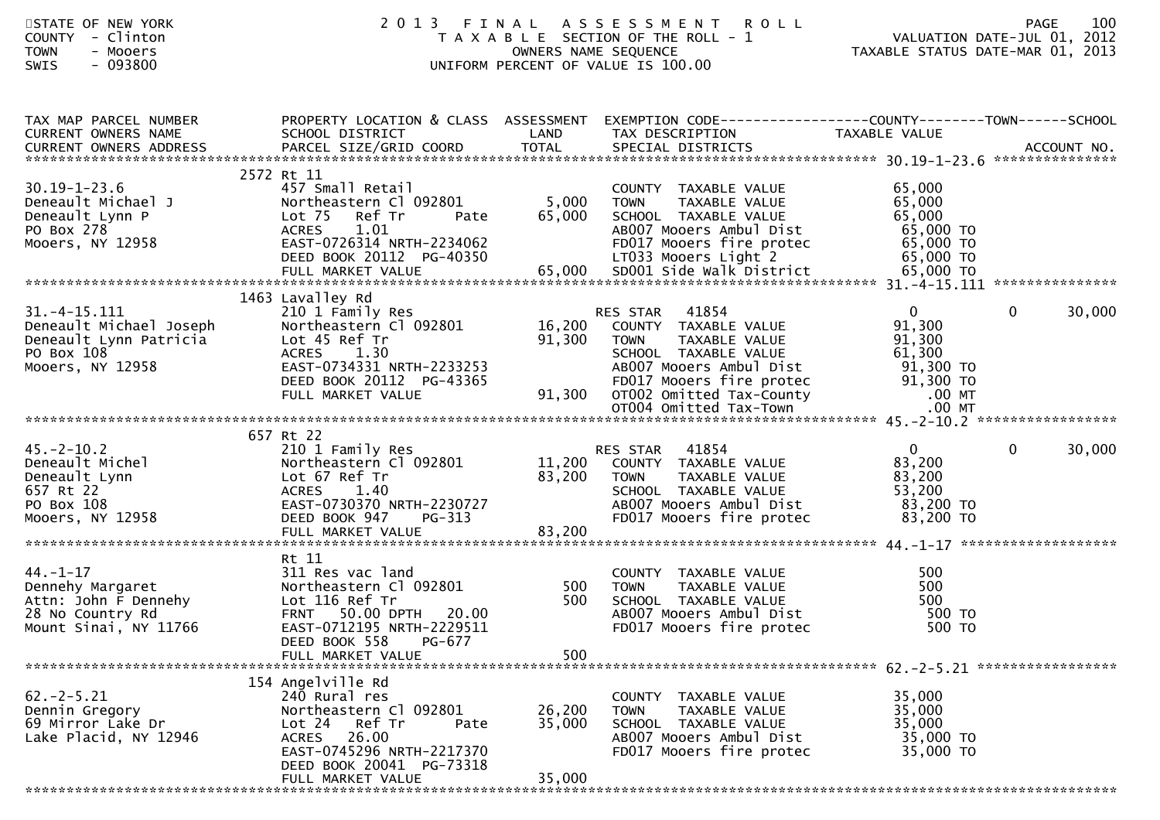| STATE OF NEW YORK<br>- Clinton<br><b>COUNTY</b><br><b>TOWN</b><br>- Mooers<br>$-093800$<br><b>SWIS</b>                          | 2013 FINAL                                                                                                                                                                              |                            | A S S E S S M E N T R O L L<br>T A X A B L E SECTION OF THE ROLL - 1<br>OWNERS NAME SEQUENCE<br>UNIFORM PERCENT OF VALUE IS 100.00                           | VALUATION DATE-JUL 01, 2012<br>TAXABLE STATUS DATE-MAR 01, 2013        | 100<br><b>PAGE</b>     |
|---------------------------------------------------------------------------------------------------------------------------------|-----------------------------------------------------------------------------------------------------------------------------------------------------------------------------------------|----------------------------|--------------------------------------------------------------------------------------------------------------------------------------------------------------|------------------------------------------------------------------------|------------------------|
| TAX MAP PARCEL NUMBER<br>CURRENT OWNERS NAME                                                                                    | PROPERTY LOCATION & CLASS ASSESSMENT<br>SCHOOL DISTRICT<br><b>Example 2018 LAND</b>                                                                                                     |                            | EXEMPTION CODE-----------------COUNTY--------TOWN------SCHOOL<br>TAX DESCRIPTION                                                                             | TAXABLE VALUE                                                          |                        |
| $30.19 - 1 - 23.6$<br>Deneault Michael J<br>Deneault Lynn P<br>PO Box 278<br>Mooers, NY 12958                                   | 2572 Rt 11<br>457 Small Retail<br>Northeastern Cl 092801<br>Lot 75 Ref Tr<br>Pate<br><b>ACRES</b><br>1.01<br>EAST-0726314 NRTH-2234062<br>DEED BOOK 20112 PG-40350                      | 5,000<br>65,000            | COUNTY TAXABLE VALUE<br><b>TOWN</b><br>TAXABLE VALUE<br>SCHOOL TAXABLE VALUE<br>AB007 Mooers Ambul Dist<br>FD017 Mooers fire protec<br>LT033 Mooers Light 2  | 65,000<br>65,000<br>65,000<br>65,000 TO<br>65,000 TO<br>65,000 TO      |                        |
|                                                                                                                                 | 1463 Lavalley Rd                                                                                                                                                                        |                            |                                                                                                                                                              |                                                                        |                        |
| $31. -4 - 15.111$<br>Mooers, NY 12958                                                                                           | 210 1 Family Res<br>Northeastern Cl 092801<br>Lot 45 Ref Tr<br><b>ACRES</b><br>1.30<br>EAST-0734331 NRTH-2233253                                                                        | 16,200<br>91,300           | 41854<br>RES STAR<br>COUNTY TAXABLE VALUE<br>TAXABLE VALUE<br><b>TOWN</b><br>SCHOOL TAXABLE VALUE<br>AB007 Mooers Ambul Dist                                 | $\overline{0}$<br>91,300<br>91,300<br>61,300<br>91,300 то<br>91,300 то | $\mathbf{0}$<br>30,000 |
|                                                                                                                                 |                                                                                                                                                                                         |                            |                                                                                                                                                              |                                                                        |                        |
| $45. - 2 - 10.2$<br>43.-2-10.2<br>Deneault Michel<br>Deneault Lynn<br>657 Rt 22<br>PO Box 108<br>PO Box 108<br>Mooers, NY 12958 | 657 Rt 22<br>210 1 Family Res<br>Northeastern Cl 092801<br>Lot 67 Ref Tr<br>ACRES 1.40<br>EAST-0730370 NRTH-2230727<br>DEED BOOK 947<br>PG-313                                          | 83,200                     | RES STAR 41854<br>11,200 COUNTY TAXABLE VALUE<br><b>TOWN</b><br>TAXABLE VALUE<br>SCHOOL TAXABLE VALUE<br>AB007 Mooers Ambul Dist<br>FD017 Mooers fire protec | $\overline{0}$<br>83,200<br>83,200<br>53,200<br>83,200 TO<br>83,200 TO | $\mathbf 0$<br>30,000  |
|                                                                                                                                 |                                                                                                                                                                                         |                            |                                                                                                                                                              |                                                                        |                        |
| 44.-1-17<br>Dennehy Margaret<br>Attn: John F Dennehy<br>28 No Country Rd<br>Mount Sinai, NY 11766                               | Rt 11<br>311 Res vac land<br>Northeastern Cl 092801<br>Lot 116 Ref Tr<br>FRNT 50.00 DPTH 20.00<br>EAST-0712195 NRTH-2229511<br>DEED BOOK 558<br><b>PG-677</b>                           | $500$<br>500               | COUNTY TAXABLE VALUE<br><b>TOWN</b><br>TAXABLE VALUE<br>SCHOOL TAXABLE VALUE<br>AB007 Mooers Ambul Dist<br>FD017 Mooers fire protec                          | 500<br>500<br>500<br>500 TO<br>500 TO                                  |                        |
|                                                                                                                                 | FULL MARKET VALUE                                                                                                                                                                       | 500                        |                                                                                                                                                              |                                                                        |                        |
| $62 - 2 - 5.21$<br>Dennin Gregory<br>69 Mirror Lake Dr<br>Lake Placid, NY 12946                                                 | 154 Angelville Rd<br>240 Rural res<br>Northeastern Cl 092801<br>Ref Tr<br>Lot $24$<br>Pate<br>ACRES 26.00<br>EAST-0745296 NRTH-2217370<br>DEED BOOK 20041 PG-73318<br>FULL MARKET VALUE | 26,200<br>35,000<br>35,000 | COUNTY TAXABLE VALUE<br><b>TOWN</b><br>TAXABLE VALUE<br>SCHOOL TAXABLE VALUE<br>AB007 Mooers Ambul Dist<br>FD017 Mooers fire protec                          | 35,000<br>35,000<br>35,000<br>35,000 TO<br>35,000 TO                   |                        |
|                                                                                                                                 |                                                                                                                                                                                         |                            |                                                                                                                                                              |                                                                        |                        |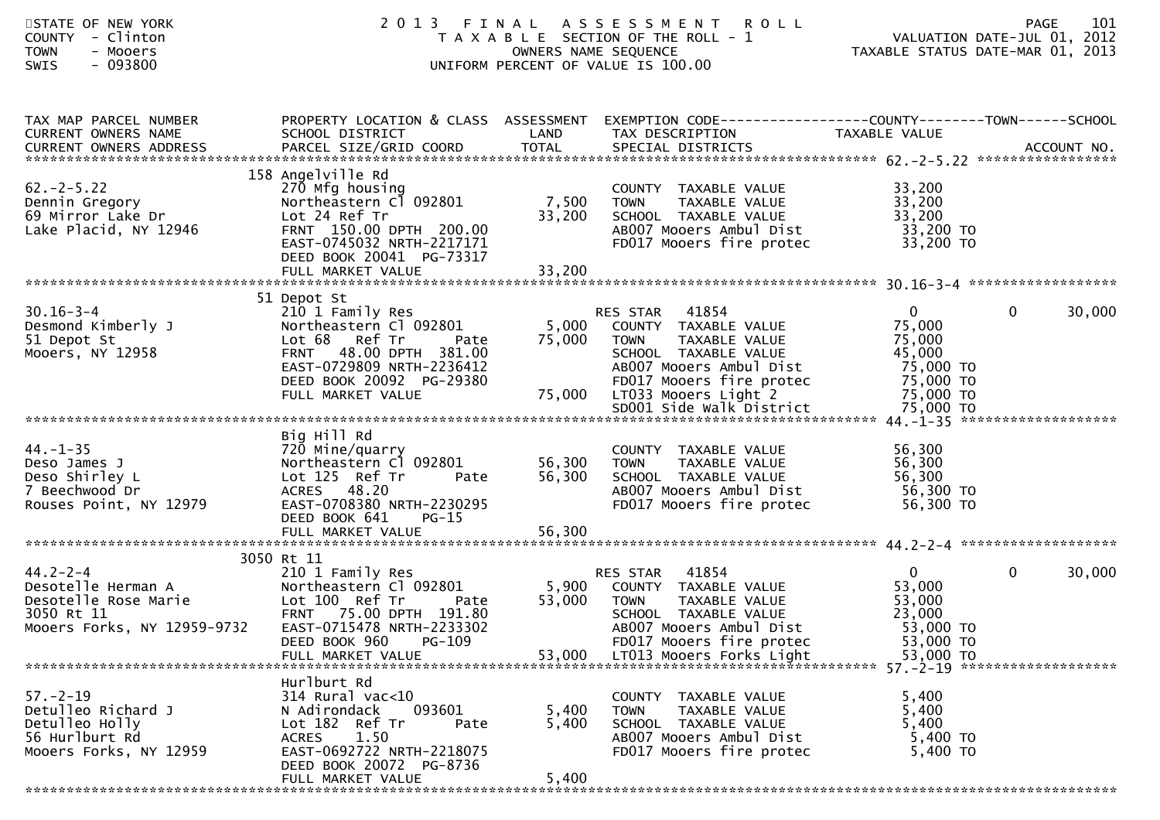| STATE OF NEW YORK<br>COUNTY - Clinton<br><b>TOWN</b><br>- Mooers<br>$-093800$<br><b>SWIS</b>              | 2 0 1 3                                                                                                                                                                                    | FINAL<br>OWNERS NAME SEQUENCE | A S S E S S M E N T<br><b>ROLL</b><br>T A X A B L E SECTION OF THE ROLL - 1<br>UNIFORM PERCENT OF VALUE IS 100.00                                                             | 101<br>PAGE<br>VALUATION DATE-JUL 01, 2012<br>TAXABLE STATUS DATE-MAR 01, 2013                                                                                                                                                                  |
|-----------------------------------------------------------------------------------------------------------|--------------------------------------------------------------------------------------------------------------------------------------------------------------------------------------------|-------------------------------|-------------------------------------------------------------------------------------------------------------------------------------------------------------------------------|-------------------------------------------------------------------------------------------------------------------------------------------------------------------------------------------------------------------------------------------------|
| TAX MAP PARCEL NUMBER<br>CURRENT OWNERS NAME                                                              | PROPERTY LOCATION & CLASS ASSESSMENT<br>SCHOOL DISTRICT                                                                                                                                    | LAND                          | TAX DESCRIPTION                                                                                                                                                               | EXEMPTION        CODE------------------COUNTY--------TOWN------SCHOOL<br>TAXABLE VALUE                                                                                                                                                          |
| $62 - 2 - 5.22$<br>Dennin Gregory<br>69 Mirror Lake Dr<br>Lake Placid, NY 12946                           | 158 Angelville Rd<br>270 Mfg housing<br>Northeastern Cl 092801<br>Lot 24 Ref Tr<br>FRNT 150.00 DPTH 200.00<br>EAST-0745032 NRTH-2217171<br>DEED BOOK 20041 PG-73317                        | 7,500<br>33,200               | COUNTY TAXABLE VALUE<br>TAXABLE VALUE<br>TOWN<br>SCHOOL TAXABLE VALUE<br>AB007 Mooers Ambul Dist<br>FD017 Mooers fire protec                                                  | 33,200<br>33,200<br>33,200<br>33,200 TO<br>33,200 TO                                                                                                                                                                                            |
| $30.16 - 3 - 4$<br>Desmond Kimberly J<br>51 Depot St<br>Mooers, NY 12958                                  | 51 Depot St<br>210 1 Family Res<br>Northeastern Cl 092801<br>Lot 68 Ref Tr<br>Pate<br>FRNT 48.00 DPTH 381.00<br>EAST-0729809 NRTH-2236412<br>DEED BOOK 20092 PG-29380<br>FULL MARKET VALUE | 5,000<br>75,000<br>75,000     | RES STAR 41854<br>COUNTY TAXABLE VALUE<br>TAXABLE VALUE<br><b>TOWN</b><br>SCHOOL TAXABLE VALUE<br>AB007 Mooers Ambul Dist<br>FD017 Mooers fire protec<br>LT033 Mooers Light 2 | $\mathbf{0}$<br>0<br>30,000<br>75,000<br>75,000<br>45,000<br>75,000 TO<br>75,000 TO<br>75,000 TO                                                                                                                                                |
| $44. - 1 - 35$<br>Deso James J<br>Deso Shirley L<br>7 Beechwood Dr<br>Rouses Point, NY 12979              | Big Hill Rd<br>720 Mine/quarry<br>Northeastern Cl 092801<br>Lot 125 Ref Tr<br>Pate<br>ACRES 48.20<br>EAST-0708380 NRTH-2230295<br>DEED BOOK 641<br>PG-15                                   | 56,300<br>56,300              | COUNTY TAXABLE VALUE<br><b>TOWN</b><br>TAXABLE VALUE<br>SCHOOL TAXABLE VALUE<br>AB007 Mooers Ambul Dist<br>FD017 Mooers fire protec                                           | 56,300<br>56,300<br>56,300<br>56,300 TO<br>56,300 TO                                                                                                                                                                                            |
|                                                                                                           |                                                                                                                                                                                            |                               |                                                                                                                                                                               |                                                                                                                                                                                                                                                 |
| $44.2 - 2 - 4$<br>Desotelle Herman A<br>Desotelle Rose Marie<br>3050 Rt 11<br>Mooers Forks, NY 12959-9732 | 3050 Rt 11<br>210 1 Family Res<br>Northeastern Cl 092801<br>Lot 100 Ref Tr<br>Pate<br>FRNT 75.00 DPTH 191.80<br>EAST-0715478 NRTH-2233302<br>PG-109<br>DEED BOOK 960                       | 5,900<br>53,000               | 41854<br>RES STAR<br>COUNTY TAXABLE VALUE<br><b>TOWN</b><br>TAXABLE VALUE<br>SCHOOL TAXABLE VALUE<br>AB007 Mooers Ambul Dist<br>FD017 Mooers fire protec                      | $\mathbf{0}$<br>$\mathbf 0$<br>30,000<br>53,000<br>53,000<br>23,000<br>53,000 TO<br>53,000 TO<br>5555 2000 EVILL MARKET VALUE<br>FULL MARKET VALUE 774 53,000 LTO 13 Mooers Forks Light 53,000 TO FULL MARKET VALUE 7888899 FULL MARKET VALUE 7 |
| $57. - 2 - 19$<br>Detulleo Richard J<br>Detulleo Holly<br>56 Hurlburt Rd<br>Mooers Forks, NY 12959        | Hurlburt Rd<br>314 Rural vac<10<br>093601<br>N Adirondack<br>Lot 182 Ref Tr<br>Pate<br>1.50<br><b>ACRES</b><br>EAST-0692722 NRTH-2218075<br>DEED BOOK 20072 PG-8736<br>FULL MARKET VALUE   | 5,400<br>5,400<br>5,400       | COUNTY TAXABLE VALUE<br>TAXABLE VALUE<br><b>TOWN</b><br>SCHOOL TAXABLE VALUE<br>AB007 Mooers Ambul Dist<br>FD017 Mooers fire protec                                           | 5,400<br>5,400<br>5,400<br>5,400 TO<br>5,400 TO                                                                                                                                                                                                 |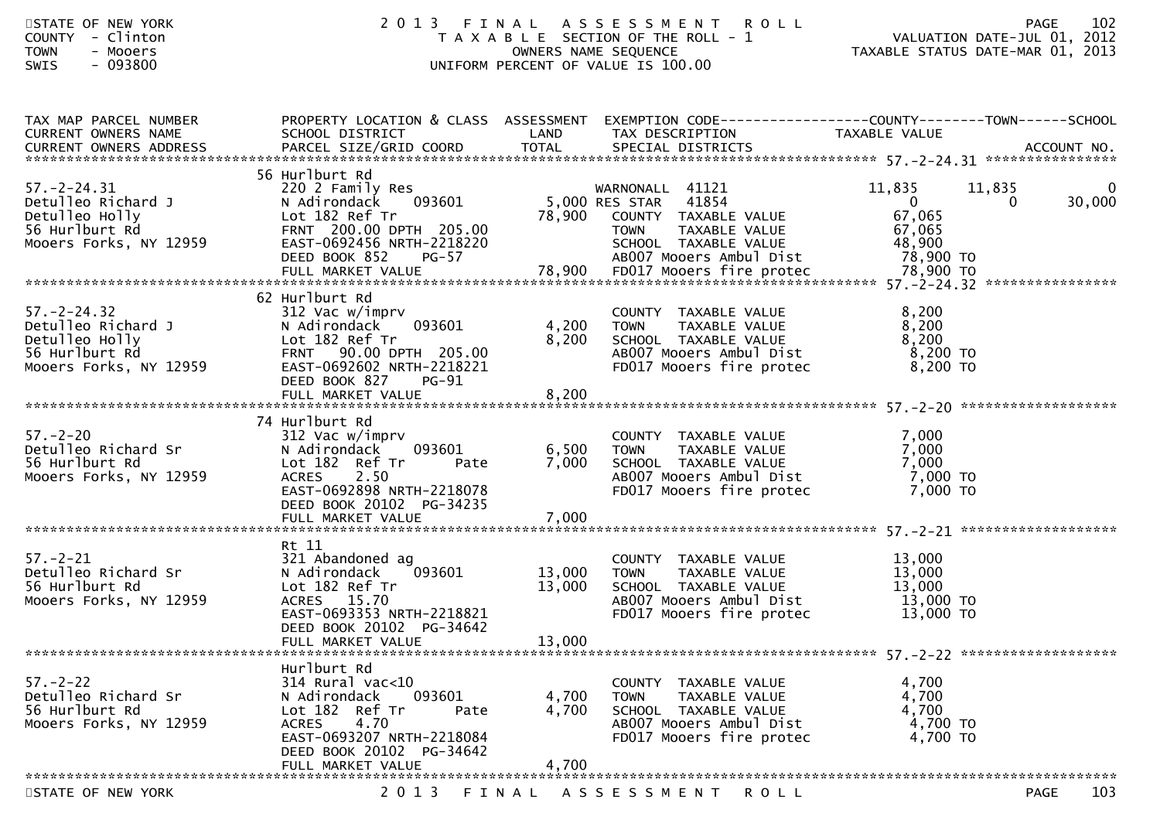| STATE OF NEW YORK<br>COUNTY - Clinton<br>- Mooers<br><b>TOWN</b><br><b>SWIS</b><br>- 093800                              | 2 0 1 3                                                                                                                                                                |                                 | FINAL ASSESSMENT ROLL<br>T A X A B L E SECTION OF THE ROLL - 1<br>OWNERS NAME SEQUENCE<br>UNIFORM PERCENT OF VALUE IS 100.00                                |                                                                     | 102<br><b>PAGE</b><br>ROLL - 1<br>TAXABLE STATUS DATE-JUL 01, 2012<br>TAXABLE STATUS DATE-MAR 01, 2013 |
|--------------------------------------------------------------------------------------------------------------------------|------------------------------------------------------------------------------------------------------------------------------------------------------------------------|---------------------------------|-------------------------------------------------------------------------------------------------------------------------------------------------------------|---------------------------------------------------------------------|--------------------------------------------------------------------------------------------------------|
| TAX MAP PARCEL NUMBER<br>CURRENT OWNERS NAME                                                                             | SCHOOL DISTRICT                                                                                                                                                        | LAND                            | PROPERTY LOCATION & CLASS ASSESSMENT EXEMPTION CODE----------------COUNTY-------TOWN------SCHOOL<br>TAX DESCRIPTION                                         | TAXABLE VALUE                                                       |                                                                                                        |
|                                                                                                                          | 56 Hurlburt Rd                                                                                                                                                         |                                 |                                                                                                                                                             |                                                                     |                                                                                                        |
| 57.-2-24.31<br>Detulleo Richard J<br>Detulleo Holly<br>56 Hurlburt Rd<br>Mooers Forks, NY 12959                          | 220 2 Family Res<br>N Adirondack 093601<br>Lot 182 Ref Tr<br>FRNT 200.00 DPTH 205.00<br>EAST-0692456 NRTH-2218220<br>DEED BOOK 852<br>$PG-57$                          | 5,000 RES STAR<br>78,900 COUNTY | WARNONALL 41121<br>41854<br>COUNTY TAXABLE VALUE<br>TAXABLE VALUE<br><b>TOWN</b><br>SCHOOL TAXABLE VALUE<br>AB007 Mooers Ambul Dist                         | 11,835<br>$\overline{0}$<br>67,065<br>67,065<br>48,900<br>78,900 TO | 11,835<br>$\bf{0}$<br>$\mathbf{0}$<br>30,000                                                           |
|                                                                                                                          |                                                                                                                                                                        |                                 |                                                                                                                                                             |                                                                     |                                                                                                        |
| 57.-2-24.32<br>Detulleo Richard J<br>Detulleo Holly<br>56 Hurlburt Rd<br>Mooers Eorks NY 12959<br>Mooers Forks, NY 12959 | 62 Hurlburt Rd<br>312 Vac w/imprv<br>093601<br>N Adirondack<br>Lot 182 Ref Tr<br>FRNT 90.00 DPTH 205.00<br>EAST-0692602 NRTH-2218221<br>DEED BOOK 827<br>$PG-91$       | 4,200<br>8,200                  | COUNTY TAXABLE VALUE<br><b>TOWN</b><br>IOWN      TAXABLE  VALUE<br>SCHOOL    TAXABLE  VALUE<br>AB007 Mooers Ambul Dist 6,200 TO<br>FD017 Mooers fire protec | 8,200<br>8,200<br>8,200<br>8,200 TO                                 |                                                                                                        |
| $57 - 2 - 20$<br>Detulleo Richard Sr<br>56 Hurlburt Rd<br>Mooers Forks, NY 12959                                         | 74 Hurlburt Rd<br>312 Vac w/imprv<br>093601<br>N Adirondack<br>Lot 182 Ref Tr<br>Pate<br><b>ACRES</b><br>2.50<br>EAST-0692898 NRTH-2218078<br>DEED BOOK 20102 PG-34235 | 6,500<br>7,000                  | COUNTY TAXABLE VALUE<br><b>TOWN</b><br>TAXABLE VALUE<br>SCHOOL TAXABLE VALUE<br>AB007 Mooers Ambul Dist<br>FD017 Mooers fire protec                         | 7,000<br>7,000<br>7,000<br>7,000 TO<br>7,000 TO                     |                                                                                                        |
|                                                                                                                          | Rt 11                                                                                                                                                                  |                                 |                                                                                                                                                             |                                                                     |                                                                                                        |
| 57.-2-21<br>Detulleo Richard Sr<br>56 Hurlburt Rd<br>Mooers Forks, NY 12959                                              | 321 Abandoned ag<br>093601<br>N Adirondack<br>Lot 182 Ref Tr<br>ACRES 15.70<br>EAST-0693353 NRTH-2218821<br>DEED BOOK 20102 PG-34642<br>FULL MARKET VALUE              | 13,000<br>13,000<br>13,000      | COUNTY TAXABLE VALUE<br>TAXABLE VALUE<br>TAXABLE VALUE<br><b>TOWN</b><br>SCHOOL TAXABLE VALUE<br>AB007 Mooers Ambul Dist<br>FD017 Mooers fire protec        | 13,000<br>13,000<br>13,000<br>13,000 TO<br>13,000 TO                |                                                                                                        |
|                                                                                                                          |                                                                                                                                                                        |                                 |                                                                                                                                                             |                                                                     |                                                                                                        |
| $57. - 2 - 22$<br>Detulleo Richard Sr<br>56 Hurlburt Rd<br>Mooers Forks, NY 12959                                        | Hurlburt Rd<br>314 Rural vac<10<br>093601<br>N Adirondack<br>Lot 182 Ref Tr<br>Pate<br>4.70<br><b>ACRES</b><br>EAST-0693207 NRTH-2218084<br>DEED BOOK 20102 PG-34642   | 4,700<br>4,700                  | COUNTY TAXABLE VALUE<br>TAXABLE VALUE<br><b>TOWN</b><br>SCHOOL TAXABLE VALUE<br>AB007 Mooers Ambul Dist<br>FD017 Mooers fire protec                         | 4,700<br>4,700<br>4,700<br>4,700 TO<br>4,700 TO                     |                                                                                                        |
|                                                                                                                          | FULL MARKET VALUE                                                                                                                                                      | 4,700                           |                                                                                                                                                             |                                                                     |                                                                                                        |
| STATE OF NEW YORK                                                                                                        | 2 0 1 3                                                                                                                                                                | FINAL                           | A S S E S S M E N T<br>R O L L                                                                                                                              |                                                                     | 103<br>PAGE                                                                                            |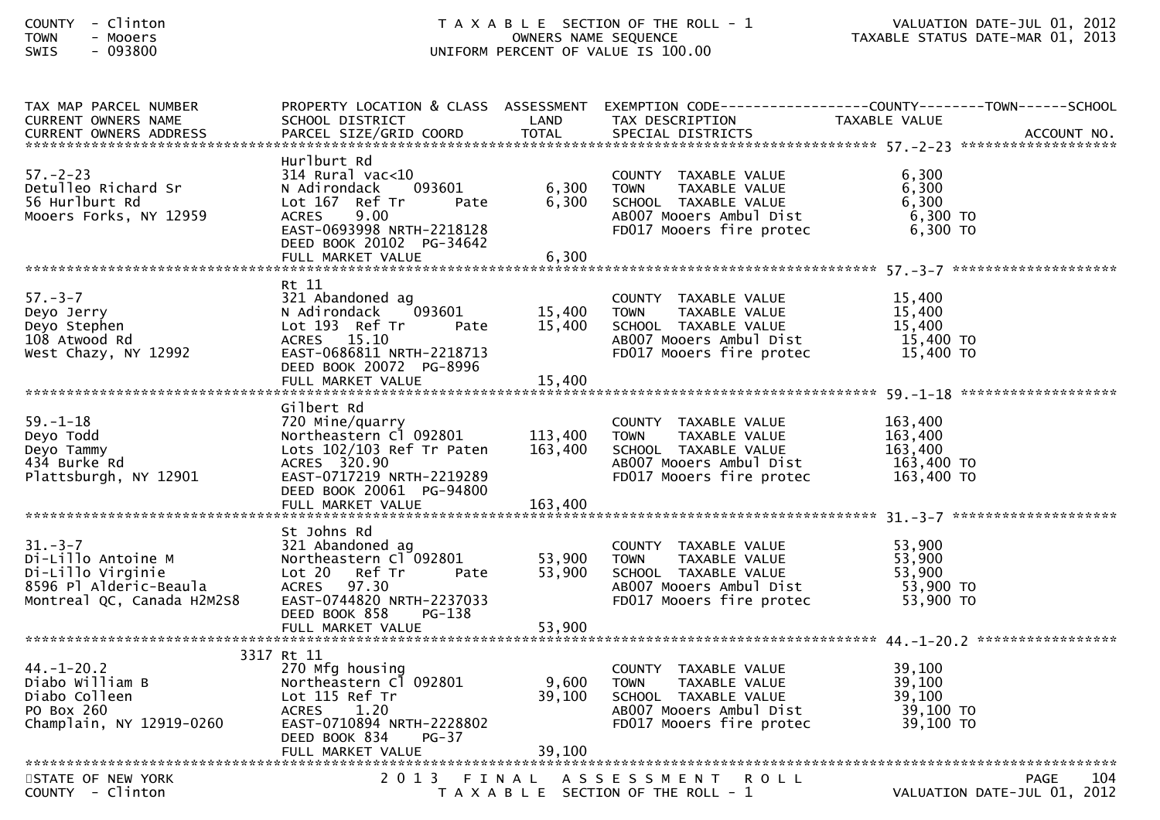| TAX MAP PARCEL NUMBER                    |                                                       |                  |                                                      | PROPERTY LOCATION & CLASS ASSESSMENT EXEMPTION CODE----------------COUNTY-------TOWN------SCHOOL |
|------------------------------------------|-------------------------------------------------------|------------------|------------------------------------------------------|--------------------------------------------------------------------------------------------------|
| <b>CURRENT OWNERS NAME</b>               | SCHOOL DISTRICT                                       | LAND             | TAX DESCRIPTION                                      | TAXABLE VALUE                                                                                    |
|                                          |                                                       |                  |                                                      |                                                                                                  |
|                                          | Hurlburt Rd                                           |                  |                                                      |                                                                                                  |
| $57. - 2 - 23$                           | 314 Rural vac<10                                      |                  | COUNTY TAXABLE VALUE                                 | 6,300                                                                                            |
| Detulleo Richard Sr                      | N Adirondack<br>093601                                | 6,300            | TAXABLE VALUE<br><b>TOWN</b>                         | 6,300                                                                                            |
| 56 Hurlburt Rd<br>Mooers Forks, NY 12959 | Lot 167 Ref Tr<br>Pate<br><b>ACRES</b><br>9.00        | 6,300            | SCHOOL TAXABLE VALUE<br>AB007 Mooers Ambul Dist      | 6,300<br>6,300 TO                                                                                |
|                                          | EAST-0693998 NRTH-2218128                             |                  | FD017 Mooers fire protec                             | 6,300 ТО                                                                                         |
|                                          | DEED BOOK 20102 PG-34642                              |                  |                                                      |                                                                                                  |
|                                          | FULL MARKET VALUE                                     | 6,300            |                                                      |                                                                                                  |
|                                          |                                                       |                  |                                                      |                                                                                                  |
| $57. - 3 - 7$                            | Rt 11<br>321 Abandoned ag                             |                  | COUNTY TAXABLE VALUE                                 | 15,400                                                                                           |
| Deyo Jerry                               | 093601<br>N Adirondack                                | 15,400           | <b>TOWN</b><br>TAXABLE VALUE                         | 15,400                                                                                           |
| Deyo Stephen                             | Lot 193 Ref Tr<br>Pate                                | 15,400           | SCHOOL TAXABLE VALUE                                 | 15,400                                                                                           |
| 108 Atwood Rd                            | ACRES 15.10                                           |                  | AB007 Mooers Ambul Dist                              | 15,400 TO                                                                                        |
| West Chazy, NY 12992                     | EAST-0686811 NRTH-2218713                             |                  | FD017 Mooers fire protec                             | 15,400 TO                                                                                        |
|                                          | DEED BOOK 20072 PG-8996                               |                  |                                                      |                                                                                                  |
|                                          | FULL MARKET VALUE                                     | 15,400           |                                                      |                                                                                                  |
|                                          | Gilbert Rd                                            |                  |                                                      |                                                                                                  |
| $59. - 1 - 18$                           | 720 Mine/quarry                                       |                  | COUNTY TAXABLE VALUE                                 | 163,400                                                                                          |
| Deyo Todd                                | Northeastern Cl 092801                                | 113,400          | <b>TOWN</b><br>TAXABLE VALUE                         | 163,400                                                                                          |
| Deyo Tammy                               | Lots $102/103$ Ref Tr Paten                           | 163,400          | SCHOOL TAXABLE VALUE                                 | 163,400                                                                                          |
| 434 Burke Rd                             | ACRES 320.90                                          |                  | AB007 Mooers Ambul Dist                              | 163,400 TO                                                                                       |
| Plattsburgh, NY 12901                    | EAST-0717219 NRTH-2219289<br>DEED BOOK 20061 PG-94800 |                  | FD017 Mooers fire protec                             | 163,400 TO                                                                                       |
|                                          |                                                       |                  |                                                      |                                                                                                  |
|                                          |                                                       |                  |                                                      |                                                                                                  |
|                                          | St Johns Rd                                           |                  |                                                      |                                                                                                  |
| $31 - 3 - 7$                             | 321 Abandoned ag                                      |                  | COUNTY TAXABLE VALUE                                 | 53,900                                                                                           |
| Di-Lillo Antoine M<br>Di-Lillo Virginie  | Northeastern Cl <sup>-</sup> 092801                   | 53,900<br>53,900 | <b>TOWN</b><br>TAXABLE VALUE<br>SCHOOL TAXABLE VALUE | 53,900<br>53,900                                                                                 |
| 8596 Pl Alderic-Beaula                   | Lot 20 Ref Tr<br>Pate<br>ACRES 97.30                  |                  | AB007 Mooers Ambul Dist                              | 53,900 TO                                                                                        |
| Montreal QC, Canada H2M2S8               | EAST-0744820 NRTH-2237033                             |                  | FD017 Mooers fire protec                             | 53,900 TO                                                                                        |
|                                          | DEED BOOK 858<br>PG-138                               |                  |                                                      |                                                                                                  |
|                                          | FULL MARKET VALUE                                     | 53,900           |                                                      |                                                                                                  |
|                                          |                                                       |                  |                                                      |                                                                                                  |
| $44. - 1 - 20.2$                         | 3317 Rt 11<br>270 Mfg housing                         |                  | COUNTY TAXABLE VALUE                                 | 39,100                                                                                           |
| Diabo William B                          | Northeastern Cl 092801                                | 9,600            | <b>TOWN</b><br>TAXABLE VALUE                         | 39,100                                                                                           |
| Diabo Colleen                            | Lot 115 Ref Tr                                        | 39,100           | SCHOOL TAXABLE VALUE                                 | 39,100                                                                                           |
| PO Box 260                               | ACRES 1.20                                            |                  | AB007 Mooers Ambul Dist                              | 39,100 TO                                                                                        |
| Champlain, NY 12919-0260                 | EAST-0710894 NRTH-2228802                             |                  | FD017 Mooers fire protec                             | 39,100 TO                                                                                        |
|                                          | $PG-37$<br>DEED BOOK 834                              |                  |                                                      |                                                                                                  |
|                                          |                                                       |                  |                                                      |                                                                                                  |
| STATE OF NEW YORK                        |                                                       |                  | 2013 FINAL ASSESSMENT<br><b>ROLL</b>                 | <b>PAGE</b><br>104                                                                               |
| COUNTY - Clinton                         |                                                       |                  | T A X A B L E SECTION OF THE ROLL - 1                | VALUATION DATE-JUL 01, 2012                                                                      |
|                                          |                                                       |                  |                                                      |                                                                                                  |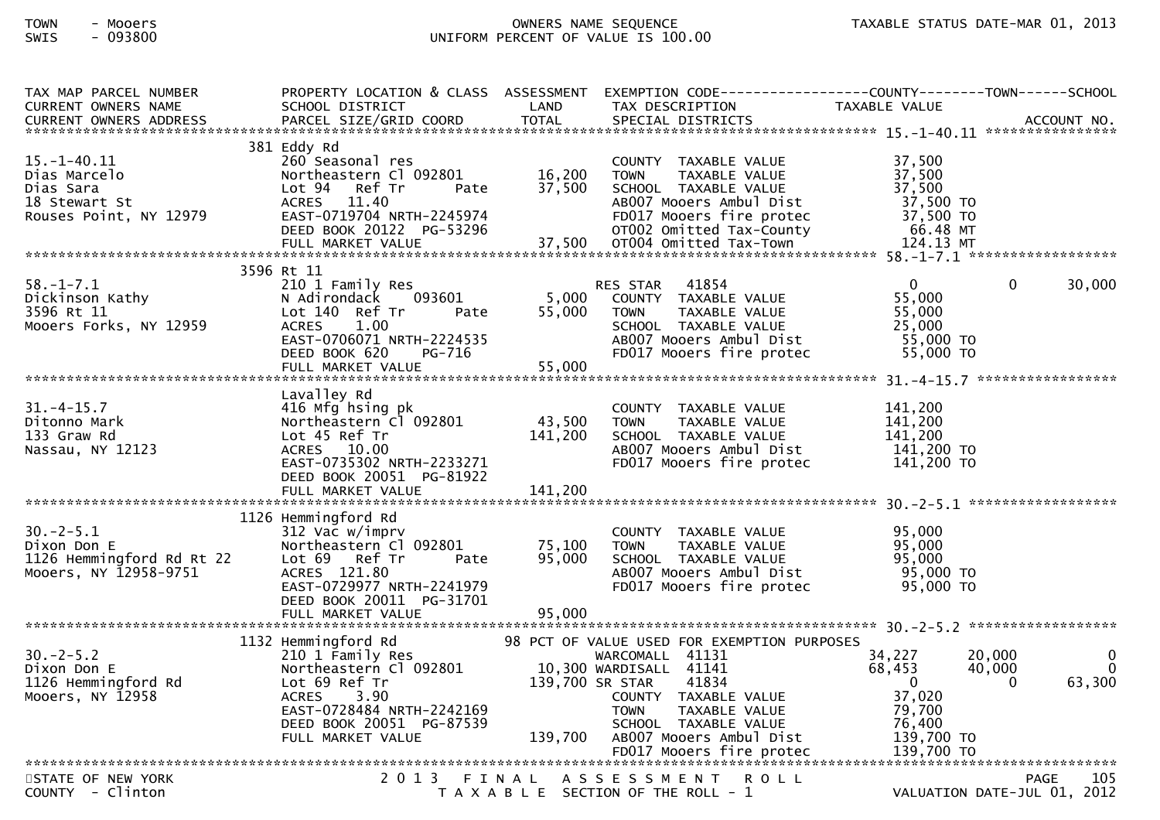| TAX MAP PARCEL NUMBER                                                |                                                       |                 |                                                                                                                                                      | PROPERTY LOCATION & CLASS ASSESSMENT EXEMPTION CODE----------------COUNTY-------TOWN------SCHOOL |
|----------------------------------------------------------------------|-------------------------------------------------------|-----------------|------------------------------------------------------------------------------------------------------------------------------------------------------|--------------------------------------------------------------------------------------------------|
| <b>CURRENT OWNERS NAME</b>                                           | SCHOOL DISTRICT                                       | LAND            | TAX DESCRIPTION                                                                                                                                      | TAXABLE VALUE                                                                                    |
|                                                                      |                                                       |                 |                                                                                                                                                      |                                                                                                  |
|                                                                      | 381 Eddy Rd                                           |                 |                                                                                                                                                      |                                                                                                  |
| $15. - 1 - 40.11$                                                    | 260 Seasonal res                                      |                 | COUNTY TAXABLE VALUE                                                                                                                                 | 37,500                                                                                           |
| отаs Marcelo<br>Dias Sara<br>18 Stewart St<br>Rouses Point, NY 12979 | Northeastern C1 092801 16,200                         |                 | TAXABLE VALUE<br><b>TOWN</b>                                                                                                                         | 37,500                                                                                           |
|                                                                      | Lot 94 Ref Tr<br>Pate                                 | 37,500          | SCHOOL TAXABLE VALUE                                                                                                                                 | 37,500                                                                                           |
|                                                                      | ACRES 11.40                                           |                 | AB007 Mooers Ambul Dist                                                                                                                              | 37,500 TO<br>37,500 TO                                                                           |
|                                                                      | EAST-0719704 NRTH-2245974<br>DEED BOOK 20122 PG-53296 |                 |                                                                                                                                                      |                                                                                                  |
|                                                                      | FULL MARKET VALUE                                     | 37,500          | PRODUCE MODELS ANNULL DIST<br>FD017 Mooers fire protec<br>OT002 Omitted Tax-County<br>OT004 Omitted Tax-Town<br>TOT004 Omitted Tax-Town<br>T24.13 MT |                                                                                                  |
|                                                                      |                                                       |                 |                                                                                                                                                      |                                                                                                  |
|                                                                      | 3596 Rt 11                                            |                 |                                                                                                                                                      |                                                                                                  |
| $58. - 1 - 7.1$                                                      | 210 1 Family Res                                      |                 | RES STAR 41854                                                                                                                                       | $\overline{0}$<br>30,000<br>$\Omega$                                                             |
| Dickinson Kathy                                                      | 093601<br>N Adirondack                                | 5,000           | COUNTY TAXABLE VALUE                                                                                                                                 | 55,000                                                                                           |
| 3596 Rt 11                                                           | Pate <b>Pate</b><br>Lot 140 Ref Tr                    | 55,000          | TAXABLE VALUE<br><b>TOWN</b>                                                                                                                         | 55,000                                                                                           |
| Mooers Forks, NY 12959                                               | <b>ACRES</b><br>1.00                                  |                 | SCHOOL TAXABLE VALUE                                                                                                                                 | 25,000                                                                                           |
|                                                                      | EAST-0706071 NRTH-2224535<br>DEED BOOK 620<br>PG-716  |                 | AB007 Mooers Ambul Dist                                                                                                                              | 55,000 TO<br>55,000 TO                                                                           |
|                                                                      |                                                       |                 | FD017 Mooers fire protec                                                                                                                             |                                                                                                  |
|                                                                      |                                                       |                 |                                                                                                                                                      |                                                                                                  |
|                                                                      | Lavalley Rd                                           |                 |                                                                                                                                                      |                                                                                                  |
| $31. - 4 - 15.7$                                                     | 416 Mfg hsing pk                                      |                 | COUNTY TAXABLE VALUE                                                                                                                                 | 141.200                                                                                          |
| Ditonno Mark                                                         | Northeastern Cl 092801                                | 43,500          | <b>TOWN</b><br>TAXABLE VALUE                                                                                                                         | 141,200                                                                                          |
| 133 Graw Rd                                                          | Lot 45 Ref Tr                                         | 141,200         | SCHOOL TAXABLE VALUE                                                                                                                                 | 141,200                                                                                          |
| Nassau, NY 12123                                                     | ACRES 10.00                                           |                 | ABOO7 Mooers Ambul Dist<br>FDO17 Mooers fire protec                                                                                                  | 141,200 TO                                                                                       |
|                                                                      | EAST-0735302 NRTH-2233271                             |                 |                                                                                                                                                      | 141,200 TO                                                                                       |
|                                                                      | DEED BOOK 20051 PG-81922<br>FULL MARKET VALUE         | 141,200         |                                                                                                                                                      |                                                                                                  |
|                                                                      |                                                       |                 |                                                                                                                                                      |                                                                                                  |
|                                                                      | 1126 Hemmingford Rd                                   |                 |                                                                                                                                                      |                                                                                                  |
| $30. -2 - 5.1$                                                       | 312 Vac w/imprv                                       |                 | COUNTY TAXABLE VALUE                                                                                                                                 | 95,000                                                                                           |
| Dixon Don E                                                          | Northeastern Cl 092801                                | 75,100          | <b>TOWN</b><br>TAXABLE VALUE                                                                                                                         | 95,000                                                                                           |
| 1126 Hemmingford Rd Rt 22                                            | Lot 69 Ref Tr<br>Pate                                 | 95,000          | SCHOOL TAXABLE VALUE                                                                                                                                 | 95,000                                                                                           |
| Mooers, NY 12958-9751                                                | ACRES 121.80                                          |                 | AB007 Mooers Ambul Dist                                                                                                                              | 95,000 TO                                                                                        |
|                                                                      | EAST-0729977 NRTH-2241979<br>DEED BOOK 20011 PG-31701 |                 | FD017 Mooers fire protec                                                                                                                             | 95,000 TO                                                                                        |
|                                                                      |                                                       |                 |                                                                                                                                                      |                                                                                                  |
|                                                                      |                                                       |                 |                                                                                                                                                      |                                                                                                  |
|                                                                      | 1132 Hemmingford Rd                                   |                 | 98 PCT OF VALUE USED FOR EXEMPTION PURPOSES                                                                                                          |                                                                                                  |
| $30. -2 - 5.2$                                                       | 210 1 Family Res                                      |                 | WARCOMALL 41131                                                                                                                                      | 34,227<br>20,000<br>$\overline{0}$                                                               |
| Dixon Don E                                                          | Northeastern Cl 092801                                |                 | 10,300 WARDISALL 41141                                                                                                                               | 68,453<br>40,000<br>0                                                                            |
| 1126 Hemmingford Rd                                                  | Lot 69 Ref Tr                                         | 139,700 SR STAR | 41834                                                                                                                                                | 63,300<br>$\overline{0}$<br>$\Omega$                                                             |
| Mooers, NY 12958                                                     | 3.90<br><b>ACRES</b><br>EAST-0728484 NRTH-2242169     |                 | COUNTY TAXABLE VALUE<br>TAXABLE VALUE<br><b>TOWN</b>                                                                                                 | 37,020<br>79,700                                                                                 |
|                                                                      | DEED BOOK 20051 PG-87539                              |                 | SCHOOL TAXABLE VALUE                                                                                                                                 | 76,400                                                                                           |
|                                                                      | FULL MARKET VALUE                                     | 139,700         | AB007 Mooers Ambul Dist                                                                                                                              | 139,700 TO                                                                                       |
|                                                                      |                                                       |                 |                                                                                                                                                      |                                                                                                  |
|                                                                      |                                                       |                 |                                                                                                                                                      |                                                                                                  |
| STATE OF NEW YORK                                                    |                                                       |                 | 2013 FINAL ASSESSMENT ROLL                                                                                                                           | PAGE<br>105                                                                                      |
| COUNTY - Clinton                                                     |                                                       |                 | T A X A B L E SECTION OF THE ROLL - 1                                                                                                                | VALUATION DATE-JUL 01, 2012                                                                      |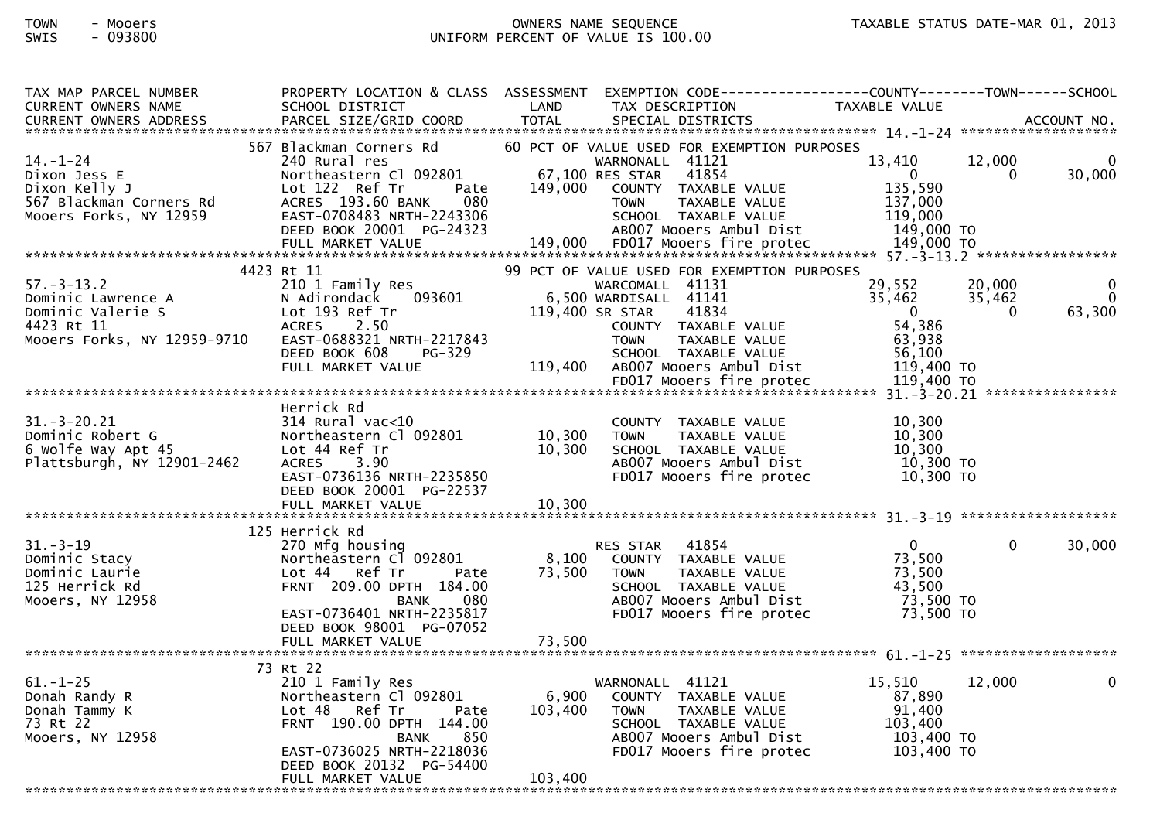| TAX MAP PARCEL NUMBER                                | PROPERTY LOCATION & CLASS ASSESSMENT               |               | EXEMPTION CODE------------------COUNTY-------TOWN------SCHOOL |                          |                  |              |
|------------------------------------------------------|----------------------------------------------------|---------------|---------------------------------------------------------------|--------------------------|------------------|--------------|
| CURRENT OWNERS NAME<br><b>CURRENT OWNERS ADDRESS</b> | SCHOOL DISTRICT<br>PARCEL SIZE/GRID COORD          | LAND<br>TOTAL | TAX DESCRIPTION<br>SPECIAL DISTRICTS                          | TAXABLE VALUE            |                  | ACCOUNT NO.  |
|                                                      |                                                    |               |                                                               |                          |                  |              |
|                                                      | 567 Blackman Corners Rd                            |               | 60 PCT OF VALUE USED FOR EXEMPTION PURPOSES                   |                          |                  |              |
| $14. - 1 - 24$                                       | 240 Rural res                                      |               | WARNONALL 41121                                               | 13,410                   | 12,000           |              |
| Dixon Jess E                                         | Northeastern Cl 092801                             |               | 67,100 RES STAR 41854                                         | $\overline{0}$           | $\Omega$         | 30,000       |
| Dixon Kelly J<br>567 Blackman Corners Rd             | Lot 122 Ref Tr<br>Pate<br>ACRES 193.60 BANK<br>080 | 149,000       | COUNTY TAXABLE VALUE<br>TAXABLE VALUE<br><b>TOWN</b>          | 135,590<br>137,000       |                  |              |
| Mooers Forks, NY 12959                               | EAST-0708483 NRTH-2243306                          |               | SCHOOL TAXABLE VALUE                                          | 119,000                  |                  |              |
|                                                      | DEED BOOK 20001 PG-24323                           |               | AB007 Mooers Ambul Dist                                       | 149,000 TO               |                  |              |
|                                                      |                                                    |               |                                                               |                          |                  |              |
|                                                      |                                                    |               |                                                               |                          |                  |              |
| $57. - 3 - 13.2$                                     | 4423 Rt 11                                         |               | 99 PCT OF VALUE USED FOR EXEMPTION PURPOSES                   |                          |                  |              |
|                                                      | 210 1 Family Res<br>093601                         |               | WARCOMALL 41131<br>6,500 WARDISALL 41141                      | 29,552<br>35,462         | 20,000<br>35,462 | 0            |
|                                                      |                                                    |               | 119,400 SR STAR<br>41834                                      | $\overline{\mathbf{0}}$  | $\Omega$         | 63,300       |
|                                                      |                                                    |               | COUNTY TAXABLE VALUE                                          | 54,386                   |                  |              |
| Mooers Forks, NY 12959-9710                          | EAST-0688321 NRTH-2217843                          |               | <b>TOWN</b><br>TAXABLE VALUE                                  | 63,938                   |                  |              |
|                                                      | DEED BOOK 608<br>PG-329                            |               | SCHOOL TAXABLE VALUE                                          | 56,100                   |                  |              |
|                                                      | FULL MARKET VALUE                                  | 119,400       | AB007 Mooers Ambul Dist                                       | 119,400 TO               |                  |              |
|                                                      |                                                    |               | FD017 Mooers fire protec                                      | 119,400 TO               |                  |              |
|                                                      | Herrick Rd                                         |               |                                                               |                          |                  |              |
| $31. - 3 - 20.21$                                    | $314$ Rural vac<10                                 |               | COUNTY TAXABLE VALUE                                          | 10.300                   |                  |              |
| Dominic Robert G                                     | Northeastern Cl 092801                             | 10,300        | TAXABLE VALUE<br><b>TOWN</b>                                  | 10,300                   |                  |              |
| 6 Wolfe Way Apt 45                                   | Lot 44 Ref Tr                                      | 10,300        | SCHOOL TAXABLE VALUE                                          | 10,300                   |                  |              |
| Plattsburgh, NY 12901-2462                           | <b>ACRES</b><br>3.90                               |               | AB007 Mooers Ambul Dist                                       | 10,300 TO                |                  |              |
|                                                      | EAST-0736136 NRTH-2235850                          |               | FD017 Mooers fire protec                                      | 10,300 TO                |                  |              |
|                                                      | DEED BOOK 20001 PG-22537<br>FULL MARKET VALUE      | 10,300        |                                                               |                          |                  |              |
|                                                      |                                                    |               |                                                               |                          |                  |              |
|                                                      | 125 Herrick Rd                                     |               |                                                               |                          |                  |              |
| $31. - 3 - 19$                                       | 270 Mfg housing                                    |               | RES STAR 41854                                                | $\overline{0}$           | $\mathbf{0}$     | 30,000       |
| Dominic Stacy                                        | Northeastern Cl 092801                             |               | 8,100 COUNTY TAXABLE VALUE                                    | 73,500                   |                  |              |
| Dominic Laurie                                       | Lot 44 Ref Tr<br>Pate                              | 73,500        | TAXABLE VALUE<br><b>TOWN</b>                                  | 73,500                   |                  |              |
| 125 Herrick Rd<br>Mooers, NY 12958                   | FRNT 209.00 DPTH 184.00<br>080<br>BANK             |               | SCHOOL TAXABLE VALUE<br>AB007 Mooers Ambul Dist               | 43,500<br>73,500 TO      |                  |              |
|                                                      | EAST-0736401 NRTH-2235817                          |               | FD017 Mooers fire protec                                      | 73,500 TO                |                  |              |
|                                                      | DEED BOOK 98001 PG-07052                           |               |                                                               |                          |                  |              |
|                                                      |                                                    |               |                                                               |                          |                  |              |
|                                                      |                                                    |               |                                                               |                          |                  |              |
|                                                      | 73 Rt 22                                           |               |                                                               |                          |                  |              |
| $61. - 1 - 25$                                       | 210 1 Family Res<br>Northeastern Cl 092801         | 6,900         | WARNONALL 41121                                               | 15,510<br>87,890         | 12,000           | $\mathbf{0}$ |
| Donah Randy R<br>Donah Tammy K                       | Lot 48 Ref Tr<br>Pate                              | 103,400       | COUNTY TAXABLE VALUE<br>TAXABLE VALUE<br><b>TOWN</b>          | 91,400                   |                  |              |
| 73 Rt 22                                             | FRNT 190.00 DPTH 144.00                            |               | SCHOOL TAXABLE VALUE                                          | 103,400                  |                  |              |
| Mooers, NY 12958                                     | 850<br><b>BANK</b>                                 |               | AB007 Mooers Ambul Dist                                       | 103,400 то<br>103,400 то |                  |              |
|                                                      | EAST-0736025 NRTH-2218036                          |               | FD017 Mooers fire protec                                      |                          |                  |              |
|                                                      | DEED BOOK 20132 PG-54400                           |               |                                                               |                          |                  |              |
|                                                      | FULL MARKET VALUE                                  | 103,400       |                                                               |                          |                  |              |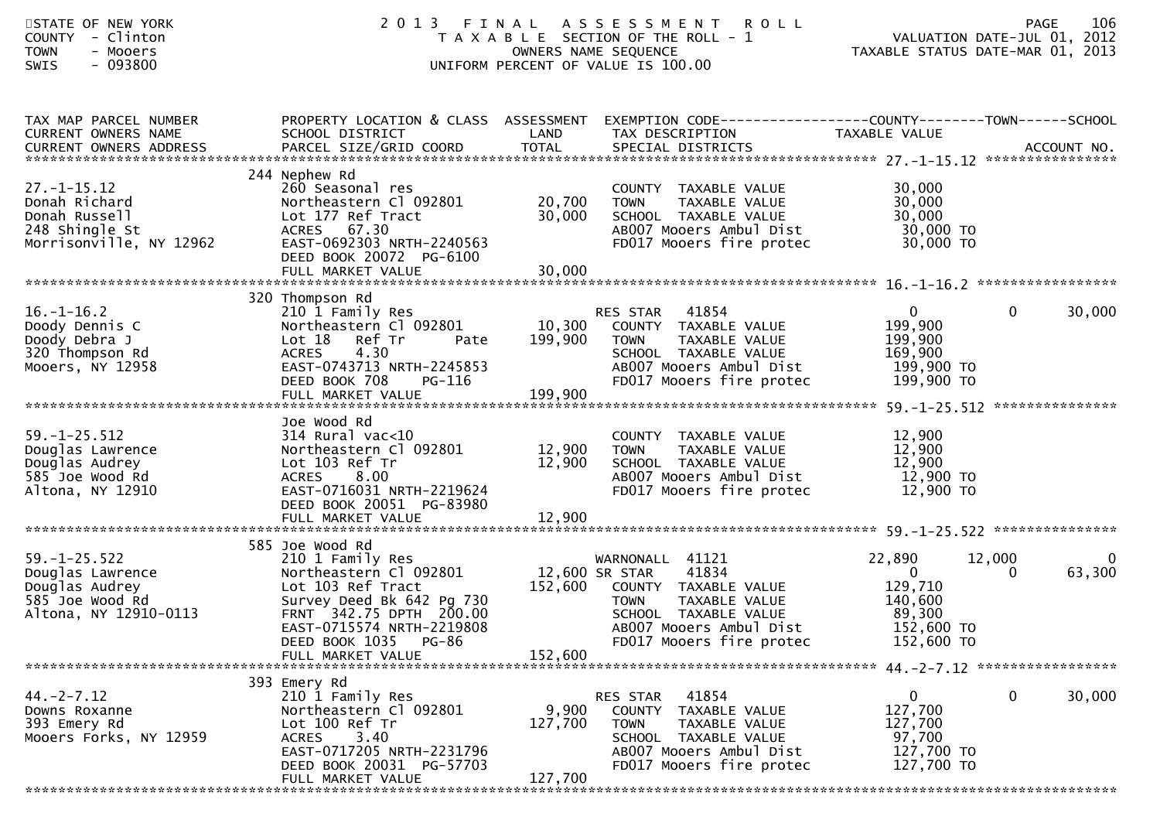| STATE OF NEW YORK<br>- Clinton<br>COUNTY<br>- Mooers<br><b>TOWN</b><br>SWIS<br>- 093800              | 2 0 1 3                                                                                                                                                                                                              | FINAL                        | A S S E S S M E N T<br><b>ROLL</b><br>T A X A B L E SECTION OF THE ROLL - 1<br>OWNERS NAME SEQUENCE<br>UNIFORM PERCENT OF VALUE IS 100.00                                                 | VALUATION DATE-JUL 01, 2012<br>TAXABLE STATUS DATE-MAR 01, 2013                    | <b>PAGE</b> | 106         |
|------------------------------------------------------------------------------------------------------|----------------------------------------------------------------------------------------------------------------------------------------------------------------------------------------------------------------------|------------------------------|-------------------------------------------------------------------------------------------------------------------------------------------------------------------------------------------|------------------------------------------------------------------------------------|-------------|-------------|
| TAX MAP PARCEL NUMBER<br>CURRENT OWNERS NAME<br>CURRENT OWNERS ADDRESS                               | SCHOOL DISTRICT                                                                                                                                                                                                      | LAND                         | PROPERTY LOCATION & CLASS ASSESSMENT EXEMPTION CODE----------------COUNTY-------TOWN------SCHOOL<br>TAX DESCRIPTION                                                                       | TAXABLE VALUE                                                                      |             |             |
| $27. - 1 - 15.12$<br>Donah Richard<br>Donah Russell<br>248 Shingle St<br>Morrisonville, NY 12962     | 244 Nephew Rd<br>260 Seasonal res<br>Northeastern Cl 092801<br>Lot 177 Ref Tract<br>ACRES 67.30<br>EAST-0692303 NRTH-2240563<br>DEED BOOK 20072 PG-6100                                                              | 20,700<br>30,000             | COUNTY TAXABLE VALUE<br>TAXABLE VALUE<br><b>TOWN</b><br>SCHOOL TAXABLE VALUE<br>AB007 Mooers Ambul Dist<br>FD017 Mooers fire protec                                                       | 30,000<br>30,000<br>30,000<br>30,000 TO<br>30,000 TO                               |             |             |
| $16. - 1 - 16.2$<br>Doody Dennis C<br>Doody Debra J<br>320 Thompson Rd<br>Mooers, NY 12958           | 320 Thompson Rd<br>210 1 Family Res<br>Northeastern Cl 092801<br>Lot 18 Ref Tr<br>Pate<br>4.30<br><b>ACRES</b><br>EAST-0743713 NRTH-2245853<br>DEED BOOK 708<br>PG-116<br>FULL MARKET VALUE                          | 10,300<br>199,900<br>199,900 | 41854<br>RES STAR<br>COUNTY TAXABLE VALUE<br><b>TOWN</b><br>TAXABLE VALUE<br>SCHOOL TAXABLE VALUE<br>AB007 Mooers Ambul Dist<br>FD017 Mooers fire protec                                  | $\Omega$<br>199,900<br>199,900<br>169,900<br>199,900 TO<br>199,900 TO              | 0           | 30,000      |
| $59. - 1 - 25.512$<br>Douglas Lawrence<br>Douglas Audrey<br>585 Joe Wood Rd<br>Altona, NY 12910      | Joe Wood Rd<br>$314$ Rural vac< $10$<br>Northeastern Cl 092801<br>Lot 103 Ref Tr<br>8.00<br><b>ACRES</b><br>EAST-0716031 NRTH-2219624<br>DEED BOOK 20051 PG-83980                                                    | 12,900<br>12,900             | COUNTY TAXABLE VALUE<br>TAXABLE VALUE<br><b>TOWN</b><br>SCHOOL TAXABLE VALUE<br>AB007 Mooers Ambul Dist<br>FD017 Mooers fire protec                                                       | 12,900<br>12,900<br>12,900<br>12,900 TO<br>12,900 TO                               |             |             |
| $59. - 1 - 25.522$<br>Douglas Lawrence<br>Douglas Audrey<br>585 Joe Wood Rd<br>Altona, NY 12910-0113 | 585 Joe Wood Rd<br>210 1 Family Res<br>Northeastern Cl 092801<br>Lot 103 Ref Tract<br>Survey Deed Bk 642 Pg 730<br>FRNT 342.75 DPTH 200.00<br>EAST-0715574 NRTH-2219808<br>DEED BOOK 1035 PG-86<br>FULL MARKET VALUE | 152,600                      | WARNONALL 41121<br>41834<br>12,600 SR STAR<br>152,600 COUNTY TAXABLE VALUE<br><b>TOWN</b><br>TAXABLE VALUE<br>SCHOOL TAXABLE VALUE<br>AB007 Mooers Ambul Dist<br>FD017 Mooers fire protec | 22,890<br>$\mathbf{0}$<br>129,710<br>140,600<br>89,300<br>152,600 TO<br>152,600 TO | 12,000<br>0 | 0<br>63,300 |
| $44. -2 - 7.12$<br>Downs Roxanne<br>393 Emery Rd<br>Mooers Forks, NY 12959                           | 393 Emery Rd<br>210 1 Family Res<br>Northeastern Cl 092801<br>Lot 100 Ref Tr<br>ACRES 3.40<br>EAST-0717205 NRTH-2231796<br>DEED BOOK 20031 PG-57703<br>FULL MARKET VALUE                                             | 9,900<br>127,700<br>127,700  | 41854<br>RES STAR<br>COUNTY TAXABLE VALUE<br><b>TOWN</b><br>TAXABLE VALUE<br>SCHOOL TAXABLE VALUE<br>AB007 Mooers Ambul Dist<br>FD017 Mooers fire protec                                  | $\overline{0}$<br>127,700<br>127,700<br>97,700<br>127,700 TO<br>127,700 TO         | $\Omega$    | 30,000      |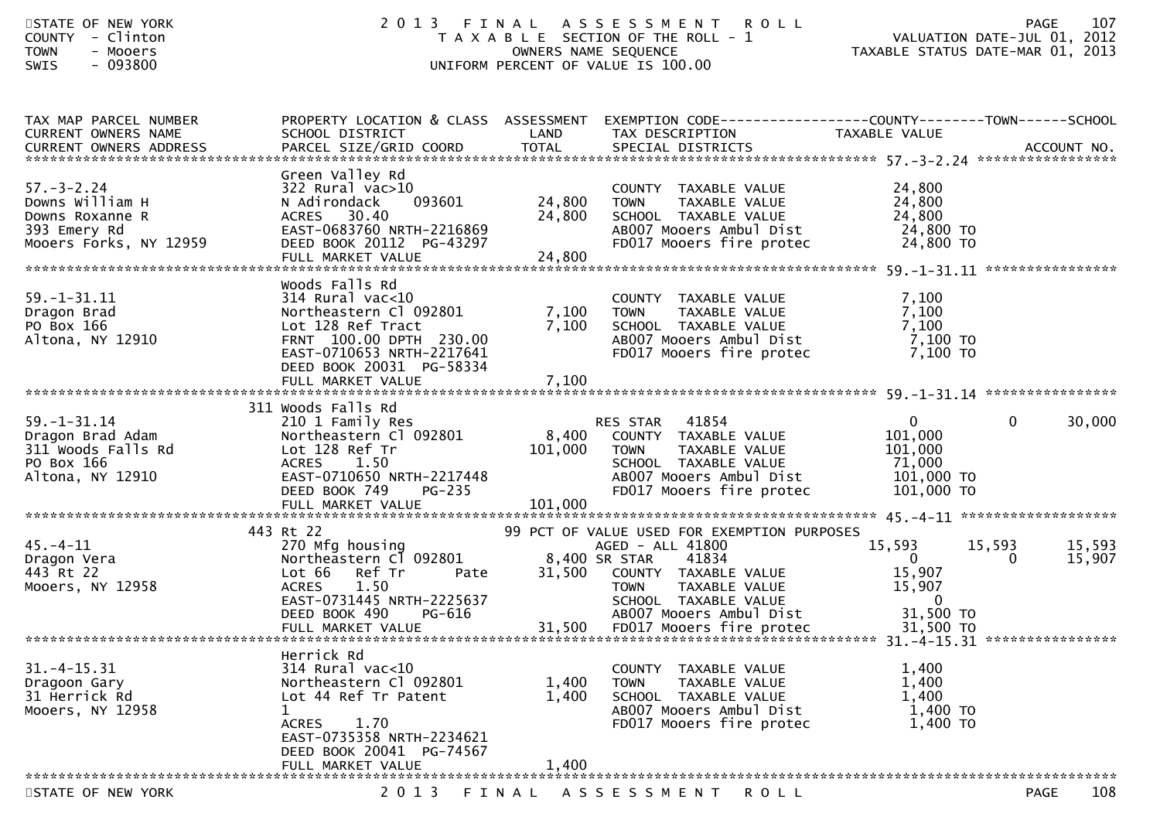| STATE OF NEW YORK<br>COUNTY - Clinton<br><b>TOWN</b><br>- Mooers<br>SWIS<br>- 093800             | 2 0 1 3                                                                                                                                                                                      | OWNERS NAME SEQUENCE        | FINAL ASSESSMENT<br><b>ROLL</b><br>T A X A B L E SECTION OF THE ROLL - 1<br>UNIFORM PERCENT OF VALUE IS 100.00                                                                                                                   | PAGE 107<br>VALUATION DATE-JUL 01, 2012<br>TAXABLE STATUS DATE ULL 01, 2012        | TAXABLE STATUS DATE-MAR 01, 2013       |  |
|--------------------------------------------------------------------------------------------------|----------------------------------------------------------------------------------------------------------------------------------------------------------------------------------------------|-----------------------------|----------------------------------------------------------------------------------------------------------------------------------------------------------------------------------------------------------------------------------|------------------------------------------------------------------------------------|----------------------------------------|--|
| TAX MAP PARCEL NUMBER<br>CURRENT OWNERS NAME                                                     | PROPERTY LOCATION & CLASS ASSESSMENT<br>SCHOOL DISTRICT                                                                                                                                      | LAND                        | TAX DESCRIPTION                                                                                                                                                                                                                  | TAXABLE VALUE                                                                      |                                        |  |
| $57. - 3 - 2.24$<br>Downs William H<br>Downs Roxanne R<br>393 Emery Rd<br>Mooers Forks, NY 12959 | Green Valley Rd<br>322 Rural vac>10<br>093601<br>N Adirondack<br>ACRES 30.40<br>EAST-0683760 NRTH-2216869<br>DEED BOOK 20112 PG-43297<br>FULL MARKET VALUE                                   | 24,800<br>24,800<br>24,800  | COUNTY TAXABLE VALUE<br><b>TOWN</b><br>TAXABLE VALUE<br>SCHOOL TAXABLE VALUE<br>AB007 Mooers Ambul Dist<br>FD017 Mooers fire protec                                                                                              | 24,800<br>24,800<br>24,800<br>24,800 TO<br>24,800 TO                               | ****************                       |  |
| $59. - 1 - 31.11$<br>Dragon Brad<br>PO Box 166<br>Altona, NY 12910                               | Woods Falls Rd<br>$314$ Rural vac<10<br>Northeastern Cl 092801<br>Lot 128 Ref Tract<br>FRNT 100.00 DPTH 230.00<br>EAST-0710653 NRTH-2217641<br>DEED BOOK 20031 PG-58334<br>FULL MARKET VALUE | 7,100<br>7,100<br>7,100     | COUNTY TAXABLE VALUE<br>TAXABLE VALUE<br><b>TOWN</b><br>SCHOOL TAXABLE VALUE<br>AB007 Mooers Ambul Dist<br>FD017 Mooers fire protec                                                                                              | 7,100<br>7,100<br>7,100<br>7,100 TO<br>7,100 TO                                    |                                        |  |
| $59. - 1 - 31.14$<br>Dragon Brad Adam<br>311 Woods Falls Rd<br>PO Box 166<br>Altona, NY 12910    | 311 Woods Falls Rd<br>210 1 Family Res<br>Northeastern Cl 092801<br>Lot 128 Ref Tr<br>ACRES 1.50<br>EAST-0710650 NRTH-2217448<br>DEED BOOK 749<br><b>PG-235</b><br>FULL MARKET VALUE         | 8,400<br>101,000<br>101,000 | RES STAR 41854<br>COUNTY TAXABLE VALUE<br><b>TOWN</b><br>TAXABLE VALUE<br>SCHOOL TAXABLE VALUE<br>AB007 Mooers Ambul Dist<br>FD017 Mooers fire protec                                                                            | $\overline{0}$<br>101,000<br>101,000<br>71,000<br>101,000 TO<br>101,000 TO         | 30,000<br>$\mathbf{0}$                 |  |
|                                                                                                  |                                                                                                                                                                                              |                             |                                                                                                                                                                                                                                  |                                                                                    |                                        |  |
| 45. – 4 – 11<br>Dragon Vera<br>443 Rt 22<br>Mooers, NY 12958                                     | 443 Rt 22<br>270 Mfg housing<br>Northeastern Cl 092801<br>Lot 66<br>Ref Tr<br>Pate<br>1.50<br><b>ACRES</b><br>EAST-0731445 NRTH-2225637<br>DEED BOOK 490<br>PG-616<br>FULL MARKET VALUE      | 31,500<br>31,500            | 99 PCT OF VALUE USED FOR EXEMPTION PURPOSES<br>AGED - ALL 41800<br>8,400 SR STAR<br>41834<br>COUNTY TAXABLE VALUE<br>TAXABLE VALUE<br><b>TOWN</b><br>SCHOOL TAXABLE VALUE<br>ABOO7 Mooers Ambul Dist<br>FD017 Mooers fire protec | 15,593<br>$\overline{0}$<br>15,907<br>15,907<br>$\Omega$<br>31,500 TO<br>31,500 TO | 15,593<br>15,593<br>15,907<br>$\Omega$ |  |
| *********************************                                                                |                                                                                                                                                                                              |                             |                                                                                                                                                                                                                                  |                                                                                    |                                        |  |
| $31. - 4 - 15.31$<br>Dragoon Gary<br>31 Herrick Rd<br>Mooers, NY 12958                           | Herrick Rd<br>$314$ Rural vac<10<br>Northeastern Cl 092801<br>Lot 44 Ref Tr Patent<br>1<br>ACRES 1.70<br>EAST-0735358 NRTH-2234621                                                           | 1,400<br>1,400              | COUNTY TAXABLE VALUE<br><b>TOWN</b><br>TAXABLE VALUE<br>SCHOOL TAXABLE VALUE<br>AB007 Mooers Ambul Dist<br>FD017 Mooers fire protec                                                                                              | 1,400<br>1,400<br>1,400<br>1,400 TO<br>1,400 TO                                    |                                        |  |
|                                                                                                  | DEED BOOK 20041 PG-74567<br>FULL MARKET VALUE                                                                                                                                                | 1,400                       |                                                                                                                                                                                                                                  |                                                                                    |                                        |  |

STATE OF NEW YORK 2013 FINAL ASSESSMENT ROLL PAGE

108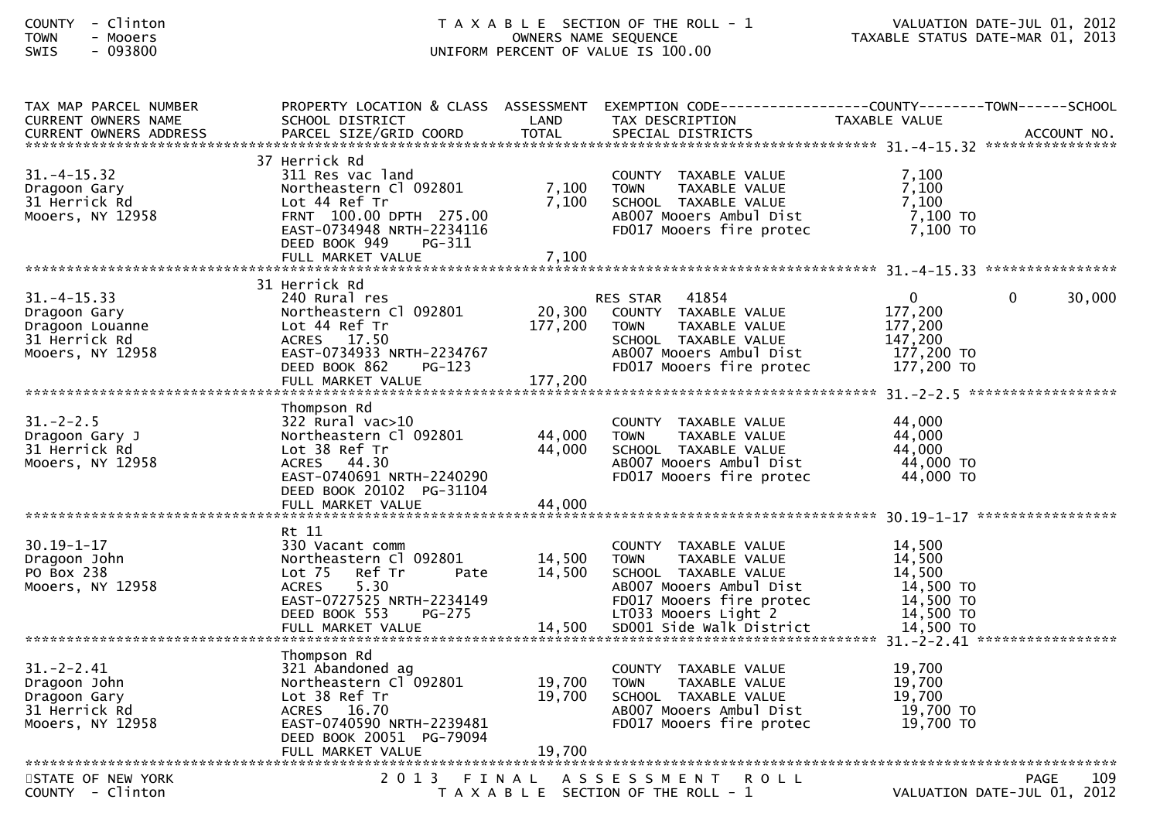| TAX MAP PARCEL NUMBER            |                                         |         | PROPERTY LOCATION & CLASS ASSESSMENT EXEMPTION CODE----------------COUNTY-------TOWN------SCHOOL |                         |                             |  |  |  |
|----------------------------------|-----------------------------------------|---------|--------------------------------------------------------------------------------------------------|-------------------------|-----------------------------|--|--|--|
| <b>CURRENT OWNERS NAME</b>       | SCHOOL DISTRICT                         | LAND    | TAX DESCRIPTION                                                                                  | TAXABLE VALUE           |                             |  |  |  |
|                                  |                                         |         |                                                                                                  |                         |                             |  |  |  |
|                                  |                                         |         |                                                                                                  |                         |                             |  |  |  |
|                                  | 37 Herrick Rd                           |         |                                                                                                  |                         |                             |  |  |  |
| $31. - 4 - 15.32$                | 311 Res vac land                        |         | COUNTY TAXABLE VALUE                                                                             | 7,100                   |                             |  |  |  |
| Dragoon Gary                     | Northeastern Cl 092801                  | 7,100   | TAXABLE VALUE<br><b>TOWN</b>                                                                     | 7,100                   |                             |  |  |  |
| 31 Herrick Rd                    | Lot 44 Ref Tr                           | 7,100   | SCHOOL TAXABLE VALUE                                                                             | 7,100                   |                             |  |  |  |
| Mooers, NY 12958                 | FRNT 100.00 DPTH 275.00                 |         | AB007 Mooers Ambul Dist                                                                          | 7,100 то                |                             |  |  |  |
|                                  | EAST-0734948 NRTH-2234116               |         | FD017 Mooers fire protec                                                                         | $7,100$ TO              |                             |  |  |  |
|                                  | DEED BOOK 949<br>$PG-311$               |         |                                                                                                  |                         |                             |  |  |  |
|                                  | FULL MARKET VALUE                       | 7,100   |                                                                                                  |                         |                             |  |  |  |
|                                  | 31 Herrick Rd                           |         |                                                                                                  |                         |                             |  |  |  |
|                                  |                                         |         |                                                                                                  |                         | $\Omega$                    |  |  |  |
| $31. - 4 - 15.33$                | 240 Rural res                           | 20,300  | 41854<br>RES STAR<br>COUNTY TAXABLE VALUE                                                        | $\mathbf{0}$<br>177,200 | 30,000                      |  |  |  |
| Dragoon Gary                     | Northeastern Cl 092801<br>Lot 44 Ref Tr | 177,200 | TAXABLE VALUE<br><b>TOWN</b>                                                                     | 177,200                 |                             |  |  |  |
| Dragoon Louanne<br>31 Herrick Rd | ACRES 17.50                             |         | SCHOOL TAXABLE VALUE                                                                             | 147.200                 |                             |  |  |  |
| Mooers, NY 12958                 | EAST-0734933 NRTH-2234767               |         | AB007 Mooers Ambul Dist                                                                          | 177,200 TO              |                             |  |  |  |
|                                  | DEED BOOK 862<br>$PG-123$               |         | FD017 Mooers fire protec                                                                         | 177,200 TO              |                             |  |  |  |
|                                  |                                         | 177,200 |                                                                                                  |                         |                             |  |  |  |
| FULL MARKET VALUE                |                                         |         |                                                                                                  |                         |                             |  |  |  |
|                                  | Thompson Rd                             |         |                                                                                                  |                         |                             |  |  |  |
| $31. - 2 - 2.5$                  | 322 Rural vac>10                        |         | COUNTY TAXABLE VALUE                                                                             | 44,000                  |                             |  |  |  |
| Dragoon Gary J                   | Northeastern Cl 092801                  | 44,000  | TAXABLE VALUE<br><b>TOWN</b>                                                                     | 44,000                  |                             |  |  |  |
| 31 Herrick Rd                    | Lot 38 Ref Tr                           | 44,000  | SCHOOL TAXABLE VALUE                                                                             | 44,000                  |                             |  |  |  |
| Mooers, NY 12958                 | ACRES 44.30                             |         | AB007 Mooers Ambul Dist                                                                          | 44,000 TO               |                             |  |  |  |
|                                  | EAST-0740691 NRTH-2240290               |         | FD017 Mooers fire protec                                                                         | 44,000 TO               |                             |  |  |  |
|                                  | DEED BOOK 20102 PG-31104                |         |                                                                                                  |                         |                             |  |  |  |
|                                  |                                         |         |                                                                                                  |                         |                             |  |  |  |
|                                  |                                         |         |                                                                                                  |                         |                             |  |  |  |
|                                  | Rt 11                                   |         |                                                                                                  |                         |                             |  |  |  |
| $30.19 - 1 - 17$                 | 330 Vacant comm                         |         | COUNTY TAXABLE VALUE                                                                             | 14,500                  |                             |  |  |  |
| Dragoon John                     | Northeastern Cl 092801                  | 14,500  | <b>TOWN</b><br>TAXABLE VALUE                                                                     | 14,500                  |                             |  |  |  |
| PO Box 238                       | Lot <sub>75</sub><br>Ref Tr<br>Pate     | 14,500  | SCHOOL TAXABLE VALUE                                                                             | 14,500                  |                             |  |  |  |
| Mooers, NY 12958                 | 5.30<br><b>ACRES</b>                    |         | AB007 Mooers Ambul Dist                                                                          | 14,500 TO               |                             |  |  |  |
|                                  | EAST-0727525 NRTH-2234149               |         | FD017 Mooers fire protec                                                                         | 14,500 TO               |                             |  |  |  |
|                                  | DEED BOOK 553<br><b>PG-275</b>          |         | LT033 Mooers Light 2                                                                             | 14,500 TO               |                             |  |  |  |
|                                  |                                         |         |                                                                                                  |                         |                             |  |  |  |
|                                  |                                         |         |                                                                                                  |                         |                             |  |  |  |
|                                  | Thompson Rd                             |         |                                                                                                  |                         |                             |  |  |  |
| $31 - 2 - 2.41$                  | 321 Abandoned ag                        |         | COUNTY TAXABLE VALUE                                                                             | 19,700                  |                             |  |  |  |
| Dragoon John                     | Northeastern Cl 092801                  | 19,700  | <b>TOWN</b><br><b>TAXABLE VALUE</b>                                                              | 19,700                  |                             |  |  |  |
| Dragoon Gary                     | Lot 38 Ref Tr                           | 19,700  | SCHOOL TAXABLE VALUE                                                                             | 19,700                  |                             |  |  |  |
| 31 Herrick Rd                    | ACRES 16.70                             |         | AB007 Mooers Ambul Dist                                                                          | 19,700 TO               |                             |  |  |  |
| Mooers, NY 12958                 | EAST-0740590 NRTH-2239481               |         | FD017 Mooers fire protec                                                                         | 19,700 TO               |                             |  |  |  |
|                                  | DEED BOOK 20051 PG-79094                |         |                                                                                                  |                         |                             |  |  |  |
|                                  | FULL MARKET VALUE                       |         |                                                                                                  |                         |                             |  |  |  |
|                                  |                                         |         |                                                                                                  |                         |                             |  |  |  |
| STATE OF NEW YORK                | 2 0 1 3                                 |         | FINAL ASSESSMENT<br><b>ROLL</b>                                                                  |                         | 109<br><b>PAGE</b>          |  |  |  |
| COUNTY - Clinton                 |                                         |         | T A X A B L E SECTION OF THE ROLL - 1                                                            |                         | VALUATION DATE-JUL 01, 2012 |  |  |  |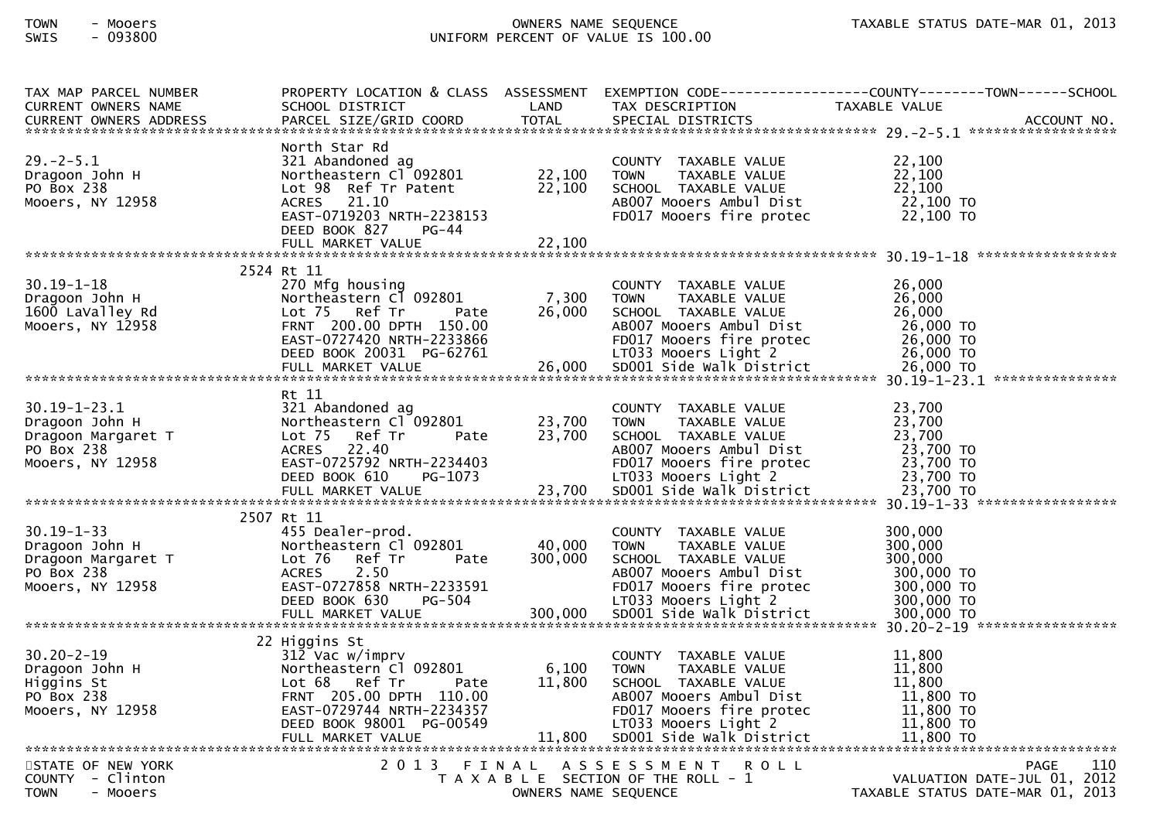| TAX MAP PARCEL NUMBER<br><b>CURRENT OWNERS NAME</b><br><b>CURRENT OWNERS ADDRESS</b>         | SCHOOL DISTRICT<br>PARCEL SIZE/GRID COORD                                                                                                                                                    | LAND<br><b>TOTAL</b>       | TAX DESCRIPTION<br>SPECIAL DISTRICTS                                                                                                                                                    | PROPERTY LOCATION & CLASS ASSESSMENT EXEMPTION CODE----------------COUNTY-------TOWN------SCHOOL<br>TAXABLE VALUE<br>ACCOUNT NO.                                                       |  |  |  |
|----------------------------------------------------------------------------------------------|----------------------------------------------------------------------------------------------------------------------------------------------------------------------------------------------|----------------------------|-----------------------------------------------------------------------------------------------------------------------------------------------------------------------------------------|----------------------------------------------------------------------------------------------------------------------------------------------------------------------------------------|--|--|--|
| $29. - 2 - 5.1$<br>Dragoon John H<br>PO Box 238<br>Mooers, NY 12958                          | North Star Rd<br>321 Abandoned ag<br>Northeastern Cl 092801<br>Lot 98 Ref Tr Patent<br>ACRES 21.10<br>EAST-0719203 NRTH-2238153<br>DEED BOOK 827<br>PG-44<br>FULL MARKET VALUE               | 22,100<br>22,100<br>22,100 | COUNTY TAXABLE VALUE<br>TAXABLE VALUE<br><b>TOWN</b><br>SCHOOL TAXABLE VALUE<br>AB007 Mooers Ambul Dist<br>FD017 Mooers fire protec                                                     | 22,100<br>22,100<br>22,100<br>22,100 TO<br>22,100 TO                                                                                                                                   |  |  |  |
|                                                                                              |                                                                                                                                                                                              |                            |                                                                                                                                                                                         |                                                                                                                                                                                        |  |  |  |
| $30.19 - 1 - 18$<br>Dragoon John H<br>1600 LaValley Rd<br>Mooers, NY 12958                   | 2524 Rt 11<br>270 Mfg housing<br>Northeastern Cl 092801<br>Lot 75 Ref Tr<br>Pate<br>FRNT 200.00 DPTH 150.00<br>EAST-0727420 NRTH-2233866<br>DEED BOOK 20031 PG-62761                         | 7,300<br>26,000            | COUNTY TAXABLE VALUE<br><b>TOWN</b><br>TAXABLE VALUE<br>SCHOOL TAXABLE VALUE<br>AB007 Mooers Ambul Dist<br>FD017 Mooers fire protec<br>LT033 Mooers Light 2                             | 26,000<br>26,000<br>26,000<br>26,000 TO<br>26,000 TO<br>26,000 TO<br>26,000 EULL MARKET VALUE<br>FULL MARKET VALUE 26,000 SDOO1 Side Walk District 26,000 TO 726.000 FULL MARKET VALUE |  |  |  |
|                                                                                              | Rt 11                                                                                                                                                                                        |                            |                                                                                                                                                                                         |                                                                                                                                                                                        |  |  |  |
| $30.19 - 1 - 23.1$<br>Dragoon John H<br>Dragoon Margaret T<br>PO Box 238<br>Mooers, NY 12958 | 321 Abandoned ag<br>Northeastern Cl 092801<br>Lot 75<br>Ref Tr<br>Pate<br>22.40<br>ACRES<br>EAST-0725792 NRTH-2234403<br>DEED BOOK 610<br>PG-1073                                            | 23,700<br>23,700           | COUNTY TAXABLE VALUE<br>TAXABLE VALUE<br><b>TOWN</b><br>SCHOOL TAXABLE VALUE<br>AB007 Mooers Ambul Dist<br>FD017 Mooers fire protec<br>LT033 Mooers Light 2                             | 23,700<br>23,700<br>23,700<br>23,700 TO<br>23,700 TO<br>23,700 TO                                                                                                                      |  |  |  |
|                                                                                              |                                                                                                                                                                                              |                            |                                                                                                                                                                                         |                                                                                                                                                                                        |  |  |  |
| $30.19 - 1 - 33$<br>Dragoon John H<br>Dragoon Margaret T<br>PO Box 238<br>Mooers, NY 12958   | 2507 Rt 11<br>455 Dealer-prod.<br>Northeastern Cl 092801<br>Lot 76<br>Ref Tr<br>Pate<br>2.50<br><b>ACRES</b><br>EAST-0727858 NRTH-2233591<br>DEED BOOK 630<br>PG-504                         | 40,000<br>300,000          | COUNTY TAXABLE VALUE<br><b>TOWN</b><br>TAXABLE VALUE<br>SCHOOL TAXABLE VALUE<br>AB007 Mooers Ambul Dist<br>FD017 Mooers fire protec<br>LT033 Mooers Light 2                             | 300,000<br>300,000<br>300,000<br>300,000 TO<br>300,000 TO<br>300,000 TO                                                                                                                |  |  |  |
|                                                                                              |                                                                                                                                                                                              |                            |                                                                                                                                                                                         |                                                                                                                                                                                        |  |  |  |
| 30.20-2-19<br>Dragoon John H<br>Historias St<br>Mooers, NY 12958                             | 22 Higgins St<br>312 Vac w/imprv<br>Northeastern Cl 092801<br>Lot 68 Ref Tr<br>Pate<br>FRNT 205.00 DPTH 110.00<br>EAST-0729744 NRTH-2234357<br>DEED BOOK 98001 PG-00549<br>FULL MARKET VALUE | 6,100<br>11,800<br>11,800  | COUNTY TAXABLE VALUE<br><b>TOWN</b><br>TAXABLE VALUE<br>SCHOOL TAXABLE VALUE<br>AB007 Mooers Ambul Dist<br>FD017 Mooers fire protec<br>LT033 Mooers Light 2<br>SD001 Side Walk District | 11,800<br>11,800<br>11,800<br>11,800 TO<br>11,800 TO<br>11,800 TO<br>11,800 TO                                                                                                         |  |  |  |
| STATE OF NEW YORK<br>COUNTY - Clinton<br><b>TOWN</b><br>- Mooers                             |                                                                                                                                                                                              | OWNERS NAME SEQUENCE       | 2013 FINAL ASSESSMENT ROLL<br>T A X A B L E SECTION OF THE ROLL - 1                                                                                                                     | 110<br><b>PAGE</b><br>VALUATION DATE-JUL 01, 2012<br>TAXABLE STATUS DATE-MAR 01, 2013                                                                                                  |  |  |  |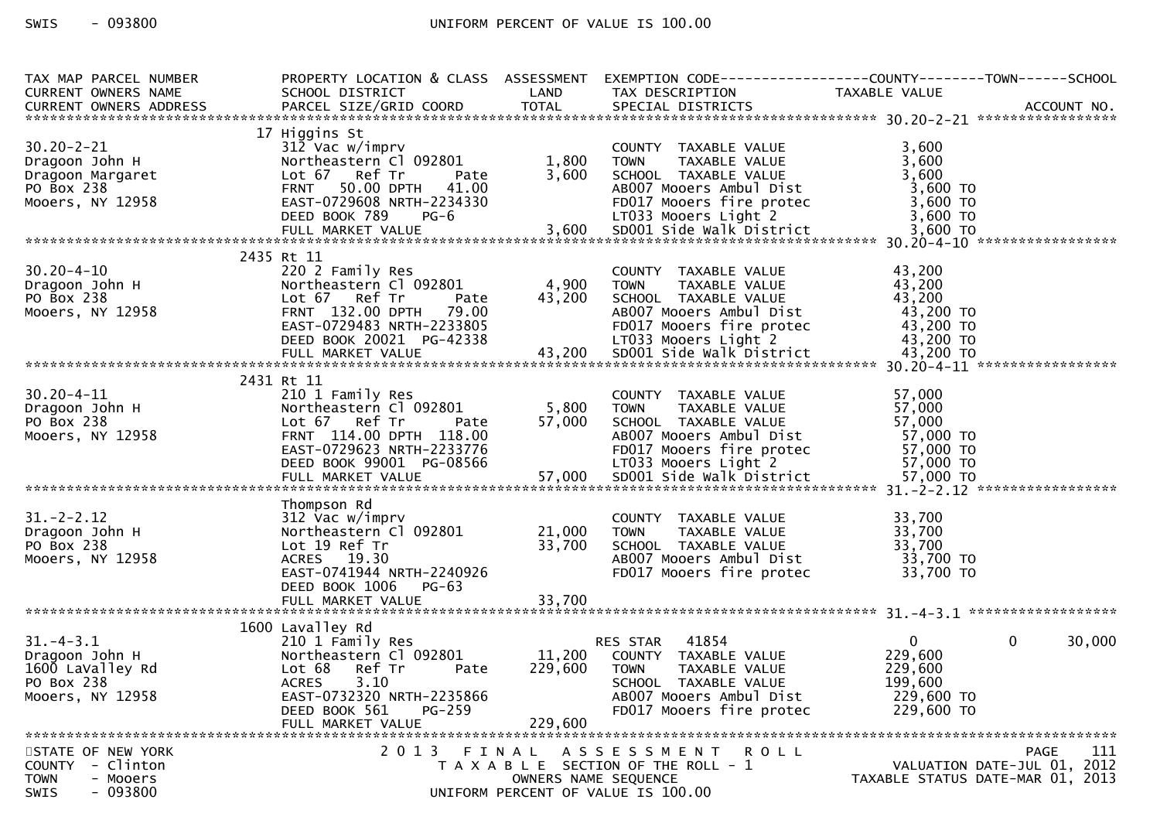# SWIS - 093800 CONTROLL CONTROLLER UNIFORM PERCENT OF VALUE IS 100.00

| TAX MAP PARCEL NUMBER<br><b>CURRENT OWNERS NAME</b>                                                    | PROPERTY LOCATION & CLASS ASSESSMENT EXEMPTION CODE----------------COUNTY-------TOWN------SCHOOL<br>SCHOOL DISTRICT                                                                       | <b>LAND</b>                               | TAX DESCRIPTION                                                                                                                                                                                   | TAXABLE VALUE                                                               |                                            |
|--------------------------------------------------------------------------------------------------------|-------------------------------------------------------------------------------------------------------------------------------------------------------------------------------------------|-------------------------------------------|---------------------------------------------------------------------------------------------------------------------------------------------------------------------------------------------------|-----------------------------------------------------------------------------|--------------------------------------------|
| $30.20 - 2 - 21$<br>Dragoon John H<br>Dragoon Margaret<br>Dragoon Margaret<br>Mooers, NY 12958         | 17 Higgins St<br>312 Vac w/imprv<br>Northeastern Cl 092801<br>Lot 67 Ref Tr<br>Pate<br>50.00 DPTH 41.00<br><b>FRNT</b><br>EAST-0729608 NRTH-2234330                                       | 1,800<br>3,600                            | COUNTY TAXABLE VALUE<br><b>TOWN</b><br>TAXABLE VALUE<br>SCHOOL TAXABLE VALUE<br>AB007 Mooers Ambul Dist<br>FD017 Mooers fire protec                                                               | 3,600<br>3,600<br>3,600<br>3,600 TO<br>3,600 TO                             |                                            |
|                                                                                                        | DEED BOOK 789<br>$PG-6$                                                                                                                                                                   |                                           | LT033 Mooers Light 2                                                                                                                                                                              | $3,600$ TO                                                                  |                                            |
| $30.20 - 4 - 10$<br>Dragoon John H<br>PO Box 238<br>Mooers, NY 12958                                   | 2435 Rt 11<br>220 2 Family Res<br>Northeastern Cl 092801<br>Lot 67 Ref Tr<br>Pate<br>FRNT 132.00 DPTH 79.00<br>EAST-0729483 NRTH-2233805<br>DEED BOOK 20021 PG-42338<br>FULL MARKET VALUE | 4,900<br>43,200<br>$\frac{12338}{43,200}$ | COUNTY TAXABLE VALUE<br><b>TOWN</b><br>TAXABLE VALUE<br>SCHOOL TAXABLE VALUE<br>AB007 Mooers Ambul Dist<br>FD017 Mooers fire protec<br>LT033 Mooers Light 2<br>SD001 Side Walk District 43,200 TO | 43,200<br>43,200<br>43,200<br>43,200 TO<br>43,200 TO<br>43,200 TO           |                                            |
|                                                                                                        | 2431 Rt 11                                                                                                                                                                                |                                           |                                                                                                                                                                                                   |                                                                             |                                            |
| $30.20 - 4 - 11$<br>Dragoon John H<br>$22.22 \times 238$<br>Mooers, NY 12958                           | 210 1 Family Res<br>Northeastern Cl 092801<br>Lot 67 Ref Tr<br>Pate<br>FRNT 114.00 DPTH 118.00<br>EAST-0729623 NRTH-2233776<br>DEED BOOK 99001 PG-08566                                   | 5,800<br>57,000                           | COUNTY TAXABLE VALUE<br>TAXABLE VALUE<br><b>TOWN</b><br>SCHOOL TAXABLE VALUE<br>AB007 Mooers Ambul Dist<br>FD017 Mooers fire protec<br>LT033 Mooers Light 2                                       | 57,000<br>57,000<br>57,000<br>57,000 TO<br>57,000 TO<br>57,000 TO           |                                            |
|                                                                                                        | Thompson Rd                                                                                                                                                                               |                                           |                                                                                                                                                                                                   |                                                                             |                                            |
| $31 - 2 - 2.12$<br>Dragoon John H<br>PO Box 238<br>Mooers, NY 12958                                    | 312 Vac w/imprv<br>Northeastern Cl 092801<br>Lot 19 Ref Tr<br>ACRES 19.30<br>EAST-0741944 NRTH-2240926<br>DEED BOOK 1006<br>PG-63<br>FULL MARKET VALUE                                    | 21,000<br>33,700<br>33,700                | COUNTY TAXABLE VALUE<br>TAXABLE VALUE<br><b>TOWN</b><br>SCHOOL TAXABLE VALUE<br>AB007 Mooers Ambul Dist<br>FD017 Mooers fire protec                                                               | 33,700<br>33,700<br>33,700<br>33,700 TO<br>33,700 TO                        |                                            |
|                                                                                                        | 1600 Lavalley Rd                                                                                                                                                                          |                                           |                                                                                                                                                                                                   |                                                                             |                                            |
| $31. - 4 - 3.1$<br>Dragoon John H<br>1600 LaValley Rd<br>PO Box 238<br>Mooers, NY 12958                | 210 1 Family Res<br>Northeastern Cl 092801<br>Lot 68 Ref Tr<br>Pate<br>ACRES<br>3.10<br>EAST-0732320 NRTH-2235866<br>DEED BOOK 561<br>$PG-259$<br>FULL MARKET VALUE                       | 11,200<br>229,600<br>229,600              | 41854<br>RES STAR<br>COUNTY TAXABLE VALUE<br><b>TOWN</b><br>TAXABLE VALUE<br>SCHOOL TAXABLE VALUE<br>AB007 Mooers Ambul Dist<br>FD017 Mooers fire protec                                          | $\overline{0}$<br>229,600<br>229,600<br>199,600<br>229,600 TO<br>229,600 TO | $\mathbf{0}$<br>30,000                     |
| STATE OF NEW YORK<br>- Clinton<br><b>COUNTY</b><br><b>TOWN</b><br>- Mooers<br>$-093800$<br><b>SWIS</b> | 2 0 1 3                                                                                                                                                                                   | FINAL<br>OWNERS NAME SEQUENCE             | A S S E S S M E N T<br>R O L L<br>T A X A B L E SECTION OF THE ROLL - 1<br>UNIFORM PERCENT OF VALUE IS 100.00                                                                                     | TAXABLE STATUS DATE-MAR 01, 2013                                            | PAGE<br>111<br>VALUATION DATE-JUL 01, 2012 |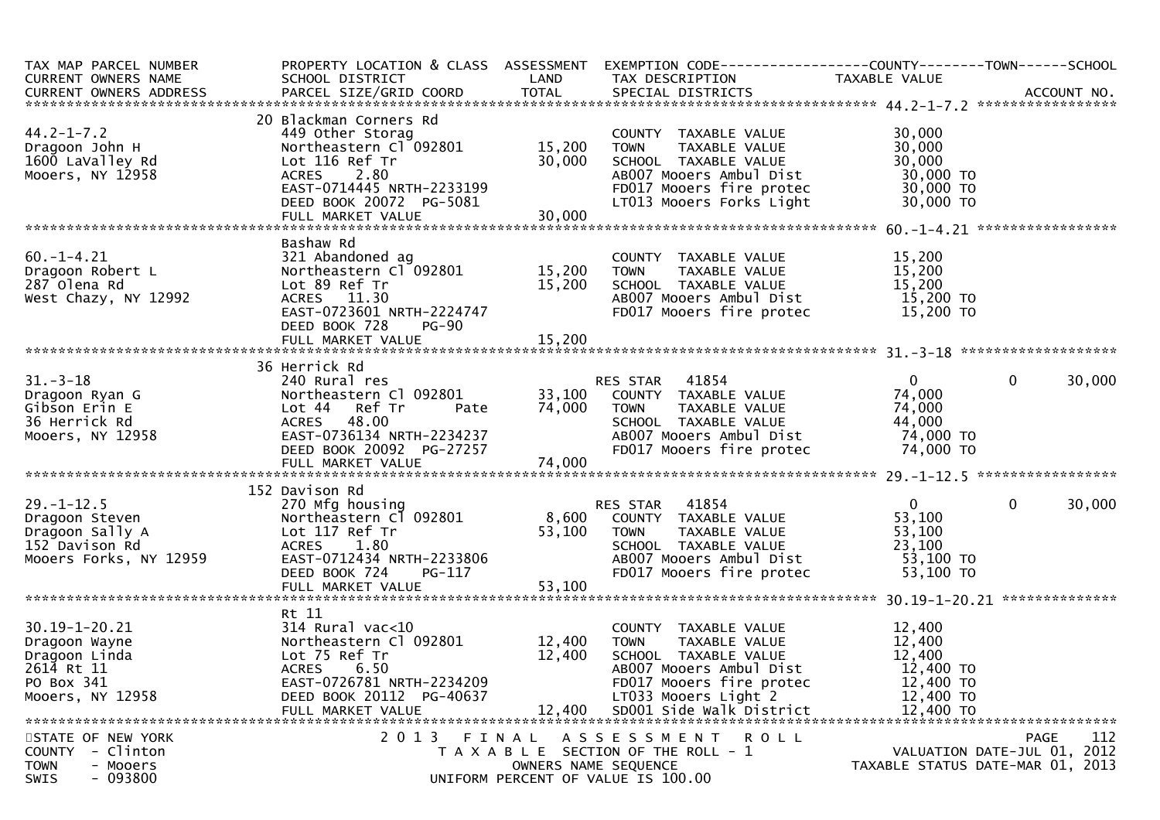| TAX MAP PARCEL NUMBER                                                                                                               |                                                                                      |                      | PROPERTY LOCATION & CLASS ASSESSMENT EXEMPTION CODE----------------COUNTY-------TOWN------SCHOOL       |                                  |                             |
|-------------------------------------------------------------------------------------------------------------------------------------|--------------------------------------------------------------------------------------|----------------------|--------------------------------------------------------------------------------------------------------|----------------------------------|-----------------------------|
| CURRENT OWNERS NAME                                                                                                                 | SCHOOL DISTRICT                                                                      | LAND                 | TAX DESCRIPTION                                                                                        | TAXABLE VALUE                    |                             |
|                                                                                                                                     |                                                                                      |                      |                                                                                                        |                                  |                             |
|                                                                                                                                     |                                                                                      |                      |                                                                                                        |                                  |                             |
|                                                                                                                                     | 20 Blackman Corners Rd                                                               |                      |                                                                                                        |                                  |                             |
| $44.2 - 1 - 7.2$                                                                                                                    | 449 Other Storag<br>Northeastern Cl 092801 15,200                                    |                      | COUNTY TAXABLE VALUE                                                                                   | 30,000                           |                             |
| Dragoon John H                                                                                                                      |                                                                                      | 15,200               | TAXABLE VALUE<br>TOWN                                                                                  | 30,000                           |                             |
| 1600 LaValley Rd                                                                                                                    | Lot 116 Ref Tr                                                                       | 30,000               | SCHOOL TAXABLE VALUE                                                                                   | 30,000                           |                             |
| Mooers, NY 12958                                                                                                                    | ACRES 2.80<br>$EAST-0714445$ NRTH-2233199                                            |                      | AB007 Mooers Ambul Dist                                                                                | 30,000 TO                        |                             |
|                                                                                                                                     |                                                                                      |                      | FD017 Mooers fire protec                                                                               | 30,000 TO                        |                             |
|                                                                                                                                     | DEED BOOK 20072 PG-5081<br>FULL MARKET VALUE 30,000                                  | 30,000               | LT013 Mooers Forks Light                                                                               | 30,000 TO                        |                             |
|                                                                                                                                     |                                                                                      |                      |                                                                                                        |                                  |                             |
|                                                                                                                                     | Bashaw Rd                                                                            |                      |                                                                                                        |                                  |                             |
| $60. -1 - 4.21$                                                                                                                     |                                                                                      |                      |                                                                                                        | 15,200                           |                             |
|                                                                                                                                     |                                                                                      |                      | COUNTY TAXABLE VALUE<br>TAXABLE VALUE                                                                  | 15,200                           |                             |
| Dragoon Robert L<br>287 Olena Rd                                                                                                    | Lot 89 Ref Tr                                                                        | 15,200               | SCHOOL TAXABLE VALUE                                                                                   | 15,200                           |                             |
| West Chazy, NY 12992                                                                                                                | ACRES 11.30                                                                          |                      |                                                                                                        |                                  |                             |
|                                                                                                                                     | EAST-0723601 NRTH-2224747                                                            |                      | ABOO7 Mooers Ambul Dist<br>FDO17 Mooers fire protec                                                    | 15,200 TO<br>15,200 TO           |                             |
|                                                                                                                                     | DEED BOOK 728<br><b>PG-90</b>                                                        |                      |                                                                                                        |                                  |                             |
|                                                                                                                                     |                                                                                      |                      |                                                                                                        |                                  |                             |
|                                                                                                                                     |                                                                                      |                      |                                                                                                        |                                  |                             |
|                                                                                                                                     | 36 Herrick Rd                                                                        |                      |                                                                                                        |                                  |                             |
| $31 - 3 - 18$                                                                                                                       | 240 Rural res                                                                        |                      | <b>RES STAR 41854</b>                                                                                  | $\overline{0}$                   | $\mathbf 0$<br>30,000       |
| Dragoon Ryan G                                                                                                                      | Northeastern Cl 092801                                                               |                      | 33,100 COUNTY TAXABLE VALUE                                                                            | 74,000                           |                             |
| Gibson Erin E                                                                                                                       |                                                                                      | Pate 74,000          | TAXABLE VALUE<br>TOWN                                                                                  | 74,000                           |                             |
| 36 Herrick Rd                                                                                                                       | END Nutatives<br>Northeastern Cl<br>Lot 44 Ref Tr<br>ACRES 48.00<br>EAST-0736134 NR1 |                      |                                                                                                        | 44,000                           |                             |
| Mooers, NY 12958                                                                                                                    | ACRES 48.00<br>EAST-0736134 NRTH-2234237                                             |                      | SCHOOL TAXABLE VALUE<br>ABOO7 Mooers Ambul Dist                                                        | 74,000 TO                        |                             |
|                                                                                                                                     | DEED BOOK 20092 PG-27257                                                             |                      | FD017 Mooers fire protec 74,000 TO                                                                     |                                  |                             |
|                                                                                                                                     |                                                                                      |                      |                                                                                                        |                                  |                             |
|                                                                                                                                     |                                                                                      |                      |                                                                                                        |                                  |                             |
|                                                                                                                                     | 152 Davison Rd                                                                       |                      |                                                                                                        |                                  |                             |
| 270 Mfg housing<br>Dragoon Steven<br>Dragoon Sally A and Lot 117 Ref Tr<br>152 Davison Rd<br>Mooers Forks, NY 12959 EAST-0712434 NR |                                                                                      |                      | RES STAR 41854                                                                                         | $\overline{0}$                   | 0<br>30,000                 |
|                                                                                                                                     |                                                                                      |                      | z/u Mfg housing             RES STAR  41854<br>Northeastern_Cl 092801      8,600  COUNTY TAXABLE VALUE | 53,100                           |                             |
|                                                                                                                                     |                                                                                      | 53,100               | <b>TOWN</b><br>TAXABLE VALUE                                                                           | 53,100                           |                             |
|                                                                                                                                     |                                                                                      |                      | SCHOOL TAXABLE VALUE                                                                                   | 23,100                           |                             |
|                                                                                                                                     | EAST-0712434 NRTH-2233806                                                            |                      | AB007 Mooers Ambul Dist                                                                                | 53,100 TO                        |                             |
|                                                                                                                                     | DEED BOOK 724<br>PG-117                                                              |                      | FD017 Mooers fire protec                                                                               | 53,100 TO                        |                             |
|                                                                                                                                     |                                                                                      |                      |                                                                                                        |                                  |                             |
|                                                                                                                                     |                                                                                      |                      |                                                                                                        |                                  |                             |
|                                                                                                                                     | Rt 11                                                                                |                      |                                                                                                        |                                  |                             |
| 30.19-1-20.21                                                                                                                       | 314 Rural vac<10                                                                     |                      | COUNTY TAXABLE VALUE                                                                                   | 12,400                           |                             |
| Dragoon Wayne                                                                                                                       | Northeastern Cl 092801                                                               | 12,400               | TAXABLE VALUE<br><b>TOWN</b>                                                                           | 12,400                           |                             |
| Dragoon Linda                                                                                                                       | Lot 75 Ref Tr                                                                        | 12,400               | SCHOOL TAXABLE VALUE                                                                                   | 12,400                           |                             |
| 2614 Rt 11                                                                                                                          | <b>ACRES</b><br>6.50                                                                 |                      | AB007 Mooers Ambul Dist                                                                                | 12,400 TO                        |                             |
| PO Box 341                                                                                                                          | EAST-0726781 NRTH-2234209                                                            |                      | FD017 Mooers fire protec                                                                               | 12,400 TO                        |                             |
| Mooers, NY 12958                                                                                                                    | DEED BOOK 20112 PG-40637                                                             |                      | LT033 Mooers Light 2                                                                                   | 12,400 TO                        |                             |
|                                                                                                                                     | FULL MARKET VALUE                                                                    | 12,400               | SD001 Side Walk District                                                                               | 12,400 TO                        |                             |
|                                                                                                                                     |                                                                                      |                      |                                                                                                        |                                  |                             |
| STATE OF NEW YORK                                                                                                                   | 2013 FINAL                                                                           |                      | A S S E S S M E N T R O L L                                                                            |                                  | 112<br>PAGE                 |
| COUNTY - Clinton                                                                                                                    |                                                                                      |                      | T A X A B L E SECTION OF THE ROLL - 1                                                                  |                                  | VALUATION DATE-JUL 01, 2012 |
| <b>TOWN</b><br>- Mooers                                                                                                             |                                                                                      | OWNERS NAME SEQUENCE |                                                                                                        | TAXABLE STATUS DATE-MAR 01, 2013 |                             |
| $-093800$<br><b>SWIS</b>                                                                                                            |                                                                                      |                      | UNIFORM PERCENT OF VALUE IS 100.00                                                                     |                                  |                             |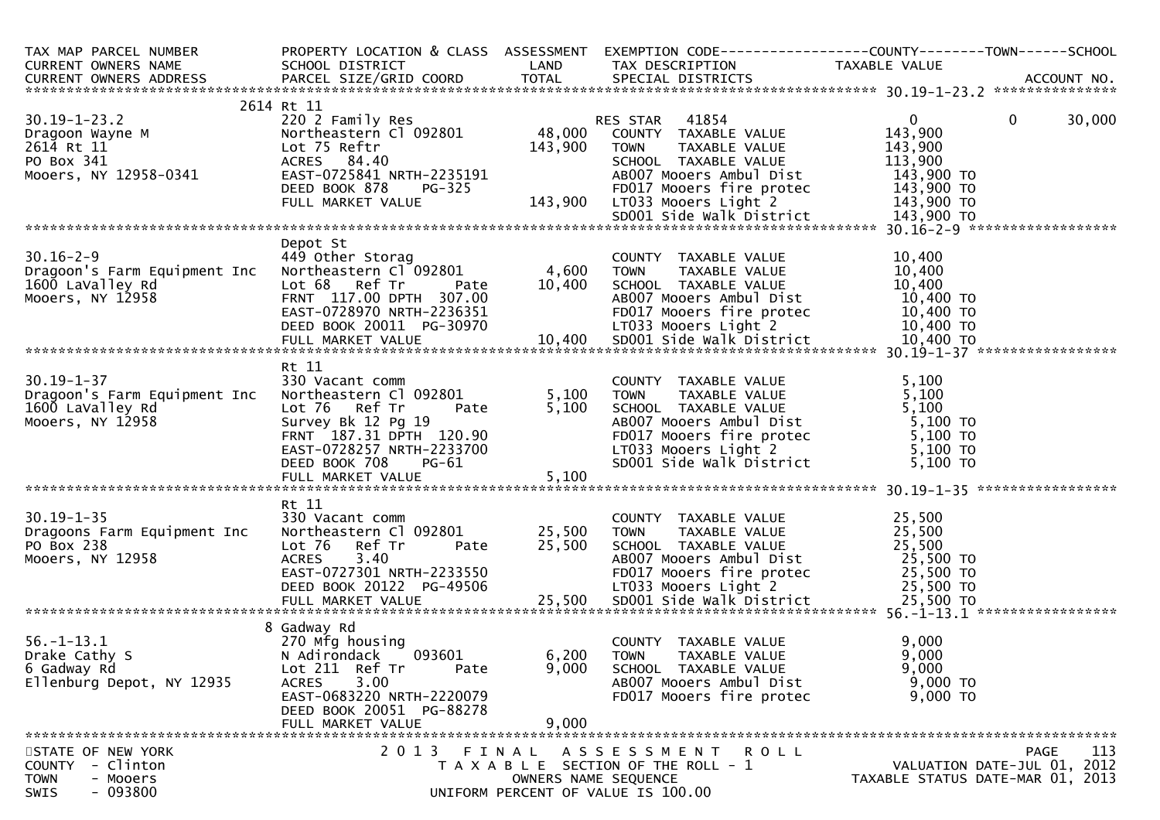| TAX MAP PARCEL NUMBER<br><b>CURRENT OWNERS NAME</b>                                                    | PROPERTY LOCATION & CLASS ASSESSMENT<br>SCHOOL DISTRICT                                                                                                                                                           | LAND                    | EXEMPTION CODE-----------------COUNTY-------TOWN------SCHOOL<br>TAX DESCRIPTION                                                                                                         | TAXABLE VALUE                                                               |             |
|--------------------------------------------------------------------------------------------------------|-------------------------------------------------------------------------------------------------------------------------------------------------------------------------------------------------------------------|-------------------------|-----------------------------------------------------------------------------------------------------------------------------------------------------------------------------------------|-----------------------------------------------------------------------------|-------------|
|                                                                                                        |                                                                                                                                                                                                                   |                         |                                                                                                                                                                                         |                                                                             |             |
| $30.19 - 1 - 23.2$<br>Dragoon Wayne M<br>2614 Rt 11<br>PO Box 341<br>Mooers, NY 12958-0341             | 2614 Rt 11<br>220 2 Family Res<br>Northeastern Cl 092801<br>Lot 75 Reftr<br>ACRES 84.40<br>EAST-0725841 NRTH-2235191                                                                                              | 48,000<br>143,900       | 41854<br>RES STAR<br>COUNTY TAXABLE VALUE<br><b>TOWN</b><br>TAXABLE VALUE<br>SCHOOL TAXABLE VALUE<br>AB007 Mooers Ambul Dist                                                            | $\mathbf{0}$<br>$\mathbf{0}$<br>143,900<br>143,900<br>113,900<br>143,900 TO | 30,000      |
|                                                                                                        | DEED BOOK 878<br>FULL MARKET VALUE                                                                                                                                                                                |                         | FD017 Mooers fire protec<br>LT033 Mooers Light 2<br>SD001 Side Walk District 143,900 TO                                                                                                 | 143,900 TO<br>143,900 TO                                                    |             |
|                                                                                                        |                                                                                                                                                                                                                   |                         |                                                                                                                                                                                         |                                                                             |             |
| $30.16 - 2 - 9$<br>Dragoon's Farm Equipment Inc<br>1600 LaValley Rd<br>Mooers, NY 12958                | Depot St<br>449 Other Storag<br>Northeastern Cl <sup>-</sup> 092801<br>Lot 68 Ref Tr<br>Pate<br>FRNT 117.00 DPTH 307.00<br>EAST-0728970 NRTH-2236351                                                              | 4,600 TOWN<br>10,400    | COUNTY TAXABLE VALUE<br>TAXABLE VALUE<br>SCHOOL TAXABLE VALUE<br>AB007 Mooers Ambul Dist<br>FD017 Mooers fire protec                                                                    | 10,400<br>10,400<br>10,400<br>10,400 TO<br>10,400 TO                        |             |
|                                                                                                        |                                                                                                                                                                                                                   |                         |                                                                                                                                                                                         |                                                                             |             |
| $30.19 - 1 - 37$<br>Dragoon's Farm Equipment Inc<br>1600 LaValley Rd<br>Mooers, NY 12958               | Rt 11<br>330 Vacant comm<br>Northeastern Cl 092801<br>Lot 76<br>Ref Tr<br>Pate<br>FRNT 187.31 DPTH 120.90<br>EAST-0728257 NPTH 120.90<br>EAST-0728257 NRTH-2233700<br>DEED BOOK 708<br>PG-61<br>FULL MARKET VALUE | 5,100<br>5,100<br>5,100 | COUNTY TAXABLE VALUE<br><b>TOWN</b><br>TAXABLE VALUE<br>SCHOOL TAXABLE VALUE<br>AB007 Mooers Ambul Dist<br>FD017 Mooers fire protec<br>LT033 Mooers Light 2<br>SD001 Side Walk District | 5,100<br>5,100<br>5,100<br>5,100 TO<br>5,100 TO<br>5,100 TO<br>5,100 TO     |             |
|                                                                                                        | Rt 11                                                                                                                                                                                                             |                         |                                                                                                                                                                                         |                                                                             |             |
| $30.19 - 1 - 35$<br>Dragoons Farm Equipment Inc<br>PO Box 238<br>Mooers, NY 12958                      | 330 Vacant comm<br>Northeastern Cl 092801<br>Lot 76 Ref Tr Pate<br><b>ACRES</b><br>3.40<br>EAST-0727301 NRTH-2233550<br>DEED BOOK 20122 PG-49506                                                                  | 25,500<br>25,500        | COUNTY TAXABLE VALUE<br><b>TOWN</b><br>TAXABLE VALUE<br>SCHOOL TAXABLE VALUE<br>ABOO7 Mooers Ambul Dist<br>FDO17 Mooers fire protec 25,500 TO<br>LT033 Mooers Light 2                   | 25,500<br>25,500<br>25,500<br>25,500 TO                                     |             |
|                                                                                                        |                                                                                                                                                                                                                   |                         |                                                                                                                                                                                         |                                                                             |             |
| $56. - 1 - 13.1$<br>Drake Cathy S<br>6 Gadway Rd<br>Ellenburg Depot, NY 12935                          | 8 Gadway Rd<br>270 Mfg housing<br>N Adirondack<br>093601<br>Lot 211 Ref Tr<br>Pate<br>3.00<br><b>ACRES</b><br>EAST-0683220 NRTH-2220079<br>DEED BOOK 20051 PG-88278<br>FULL MARKET VALUE                          | 6,200<br>9,000<br>9,000 | COUNTY TAXABLE VALUE<br><b>TOWN</b><br>TAXABLE VALUE<br>SCHOOL TAXABLE VALUE<br>AB007 Mooers Ambul Dist<br>FD017 Mooers fire protec                                                     | 9,000<br>9,000<br>9,000<br>9,000 TO<br>$9,000$ TO                           |             |
| STATE OF NEW YORK<br><b>COUNTY</b><br>- Clinton<br><b>TOWN</b><br>- Mooers<br>$-093800$<br><b>SWIS</b> |                                                                                                                                                                                                                   | OWNERS NAME SEQUENCE    | 2013 FINAL ASSESSMENT<br>R O L L<br>T A X A B L E SECTION OF THE ROLL - 1<br>UNIFORM PERCENT OF VALUE IS 100.00                                                                         | VALUATION DATE-JUL 01, 2012<br>TAXABLE STATUS DATE-MAR 01, 2013             | 113<br>PAGE |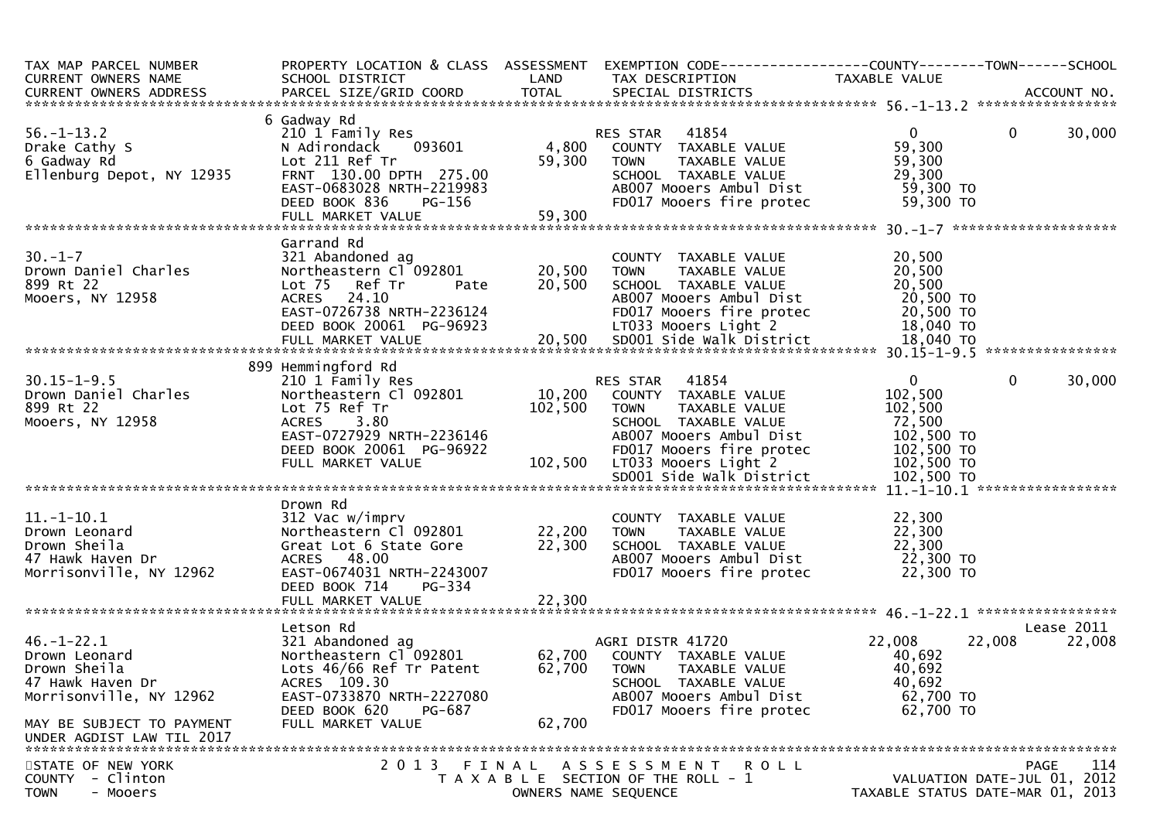| TAX MAP PARCEL NUMBER<br>CURRENT OWNERS NAME                                                                                                                                                                                                                                                                          | SCHOOL DISTRICT                                                                                                         | <b>Example 12 DE LAND</b>     | PROPERTY LOCATION & CLASS ASSESSMENT EXEMPTION CODE----------------COUNTY-------TOWN------SCHOOL<br>TAX DESCRIPTION                                                                                                                                                                                                                                                                                     | TAXABLE VALUE                                                  |                                                                                |
|-----------------------------------------------------------------------------------------------------------------------------------------------------------------------------------------------------------------------------------------------------------------------------------------------------------------------|-------------------------------------------------------------------------------------------------------------------------|-------------------------------|---------------------------------------------------------------------------------------------------------------------------------------------------------------------------------------------------------------------------------------------------------------------------------------------------------------------------------------------------------------------------------------------------------|----------------------------------------------------------------|--------------------------------------------------------------------------------|
|                                                                                                                                                                                                                                                                                                                       |                                                                                                                         |                               |                                                                                                                                                                                                                                                                                                                                                                                                         |                                                                |                                                                                |
| 56.-1-13.2<br>Drake Cathy S<br>6 Gadway Rd<br>Ellenburg Depot, NY 12935<br>FRNT 130.00 DP                                                                                                                                                                                                                             | 6 Gadway Rd<br>210 1 Family Res<br>N Adirondack 093601<br>DEED BOOK 836                                                 | $PG-156$<br>= 59,300          | RES STAR    41854<br>4,800    COUNTY   TAXABLE VALUE<br>59,300    TOWN      TAXABLE VALUE                                                                                                                                                                                                                                                                                                               | $\mathbf{0}$<br>59,300<br>59,300<br>29,300                     | $\overline{0}$<br>30,000                                                       |
|                                                                                                                                                                                                                                                                                                                       | Garrand Rd                                                                                                              |                               |                                                                                                                                                                                                                                                                                                                                                                                                         |                                                                |                                                                                |
| $30. - 1 - 7$<br>30.-1-7<br>Drown Daniel Charles<br>800.pt 22<br>899 Rt 22<br>899 Rt 22<br>Mooers, NY 12958 (2013) Moore Server 20, 2014 Moore American Mooners American Moore American Moore American Mo<br>DEED BOOK 20061 PG-96923 (20,500 SDOOT Moore Since 20,500 TO<br>FULL MARKET VALUE 20,500 SDOO1 Side Walk | Lot 75 Ref Tr                                                                                                           |                               | COUNTY TAXABLE VALUE<br>TOWN     TAXABLE VALUE<br>$\overline{20}$ , $\overline{20}$ , $\overline{500}$ $\overline{500}$ $\overline{500}$ $\overline{500}$ $\overline{500}$ $\overline{500}$ $\overline{500}$ $\overline{500}$ $\overline{500}$ $\overline{500}$ $\overline{500}$ $\overline{500}$ $\overline{500}$ $\overline{500}$ $\overline{500}$ $\overline{500}$ $\overline{500}$ $\overline{500}$ | 20,500<br>20,500<br>20,500                                     |                                                                                |
|                                                                                                                                                                                                                                                                                                                       |                                                                                                                         |                               |                                                                                                                                                                                                                                                                                                                                                                                                         |                                                                |                                                                                |
|                                                                                                                                                                                                                                                                                                                       | 899 Hemmingford Rd                                                                                                      |                               |                                                                                                                                                                                                                                                                                                                                                                                                         |                                                                |                                                                                |
| $30.15 - 1 - 9.5$<br>Drown Daniel Charles<br>899 Rt 22<br>Mooers, NY 12958                                                                                                                                                                                                                                            | Lot 75 Ref Tr<br>ACRES 3.80<br>ALKES 3.80<br>EAST-0727929 NRTH-2236146<br>DEED BOOK 20061 PG-96922<br>FULL MARKET VALUE | 102,500                       | <b>RES STAR 41854</b><br>10,200 COUNTY TAXABLE VALUE<br><b>TOWN</b><br>TAXABLE VALUE<br>SCHOOL TAXABLE VALUE<br>AB007 Mooers Ambul Dist<br>PG-96922 FD017 Mooers fire protec 102,500 TO<br>102,500 LT033 Mooers Light 2 102,500 TO<br>50001 Side Walk District 102,500 TO                                                                                                                               | $\overline{0}$<br>102,500<br>102,500<br>72,500<br>102,500 TO   | $\overline{0}$<br>30,000                                                       |
|                                                                                                                                                                                                                                                                                                                       |                                                                                                                         |                               |                                                                                                                                                                                                                                                                                                                                                                                                         |                                                                |                                                                                |
| $11.-1-10.1$<br>Drown Leonard<br>Drown Sheila<br>47 Hawk Haven Dr<br>Morrisonville, NY 12962                                                                                                                                                                                                                          | Drown Rd<br>Great Lot 6 State Gore 22,300<br>ACRES 48.00<br>EAST-0674031 NRTH-2243007<br>DEED BOOK 714<br>PG-334        |                               | COUNTY TAXABLE VALUE<br><b>TOWN</b><br>TAXABLE VALUE<br>SCHOOL TAXABLE VALUE<br>ABOO7 Mooers Ambul Dist<br>FD017 Mooers fire protec 22,300 TO                                                                                                                                                                                                                                                           | 22,300<br>22,300<br>22,300<br>$22,300$ TO                      |                                                                                |
|                                                                                                                                                                                                                                                                                                                       | Letson Rd                                                                                                               |                               |                                                                                                                                                                                                                                                                                                                                                                                                         |                                                                | Lease 2011                                                                     |
| $46. - 1 - 22.1$<br>Drown Leonard<br>Drown Sheila<br>47 Hawk Haven Dr<br>Morrisonville, NY 12962<br>MAY BE SUBJECT TO PAYMENT<br>UNDER AGDIST LAW TIL 2017                                                                                                                                                            | Lots 46/66 Ref Tr Patent<br>ACRES 109.30<br>EAST-0733870 NRTH-2227080<br>DEED BOOK 620<br>PG-687<br>FULL MARKET VALUE   | 62,700                        | 62,700 TOWN<br>TAXABLE VALUE<br>SCHOOL TAXABLE VALUE<br>AB007 Mooers Ambul Dist<br>FD017 Mooers fire protec                                                                                                                                                                                                                                                                                             | 22,008<br>40,692<br>40,692<br>40,692<br>62,700 TO<br>62,700 TO | 22,008<br>22,008                                                               |
|                                                                                                                                                                                                                                                                                                                       |                                                                                                                         |                               |                                                                                                                                                                                                                                                                                                                                                                                                         |                                                                |                                                                                |
| STATE OF NEW YORK<br><b>COUNTY</b><br>- Clinton<br><b>TOWN</b><br>- Mooers                                                                                                                                                                                                                                            | 2 0 1 3                                                                                                                 | FINAL<br>OWNERS NAME SEQUENCE | A S S E S S M E N T<br><b>ROLL</b><br>T A X A B L E SECTION OF THE ROLL - 1                                                                                                                                                                                                                                                                                                                             |                                                                | 114<br>PAGE<br>VALUATION DATE-JUL 01, 2012<br>TAXABLE STATUS DATE-MAR 01, 2013 |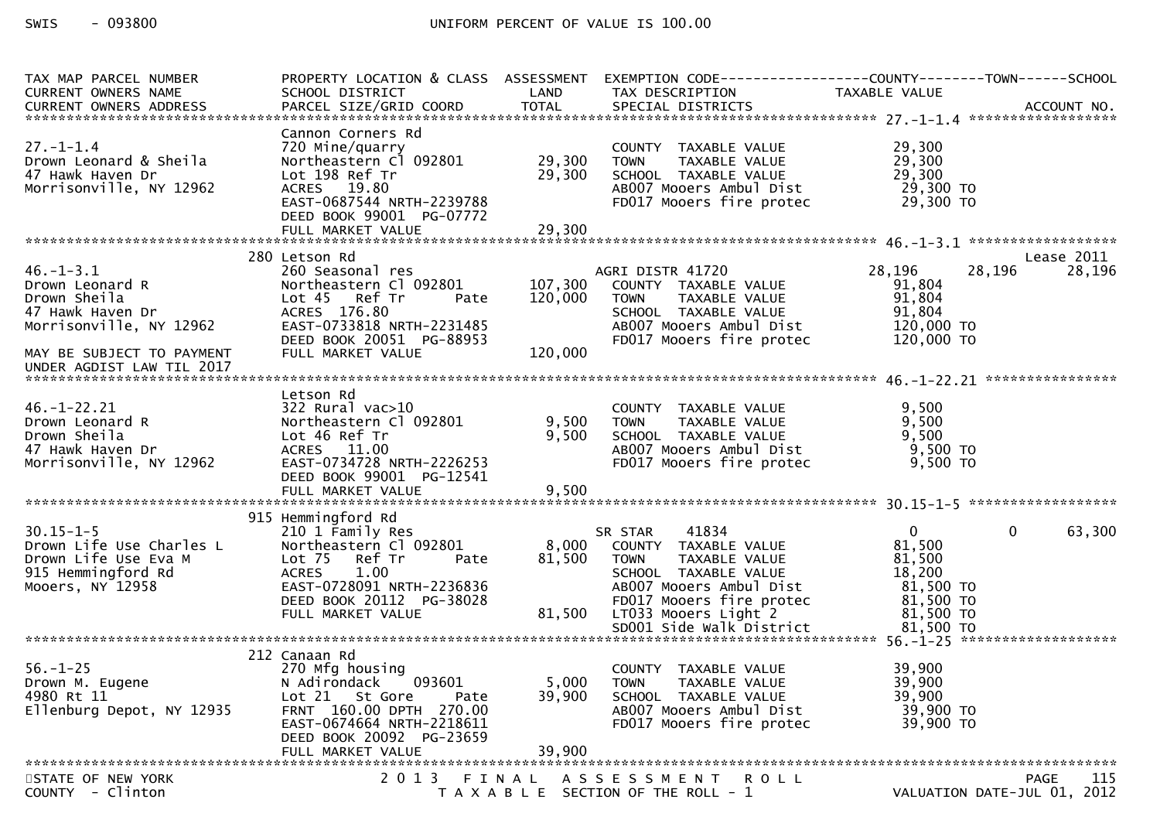# SWIS - 093800 CONTROLL CONTROLLER UNIFORM PERCENT OF VALUE IS 100.00

| TAX MAP PARCEL NUMBER<br>CURRENT OWNERS NAME                                                                  | PROPERTY LOCATION & CLASS ASSESSMENT<br>SCHOOL DISTRICT                                                                                                                    | LAND             | TAX DESCRIPTION                                                                                                                                         | TAXABLE VALUE                                                                          |             |
|---------------------------------------------------------------------------------------------------------------|----------------------------------------------------------------------------------------------------------------------------------------------------------------------------|------------------|---------------------------------------------------------------------------------------------------------------------------------------------------------|----------------------------------------------------------------------------------------|-------------|
|                                                                                                               |                                                                                                                                                                            |                  |                                                                                                                                                         |                                                                                        |             |
| $27. - 1 - 1.4$<br>Drown Leonard & Sheila<br>47 Hawk Haven Dr<br>Morrisonville, NY 12962                      | Cannon Corners Rd<br>720 Mine/quarry<br>Northeastern Cl 092801<br>Lot 198 Ref Tr<br>ACRES 19.80<br>EAST-0687544 NRTH-2239788<br>DEED BOOK 99001 PG-07772                   | 29,300<br>29,300 | COUNTY TAXABLE VALUE<br><b>TOWN</b><br>TAXABLE VALUE<br>SCHOOL TAXABLE VALUE<br>AB007 Mooers Ambul Dist<br>FD017 Mooers fire protec                     | 29,300<br>29,300<br>29,300<br>29,300 TO<br>29,300 TO                                   |             |
|                                                                                                               |                                                                                                                                                                            |                  |                                                                                                                                                         |                                                                                        |             |
|                                                                                                               |                                                                                                                                                                            |                  |                                                                                                                                                         |                                                                                        |             |
|                                                                                                               | 280 Letson Rd                                                                                                                                                              |                  |                                                                                                                                                         |                                                                                        | Lease 2011  |
| $46. - 1 - 3.1$<br>Drown Leonard R<br>Drown Sheila<br>47 Hawk Haven Dr<br>Morrisonville, NY 12962             | 260 Seasonal res<br>Northeastern Cl 092801<br>Lot 45 Ref Tr<br>Pate<br>ACRES 176.80<br>EAST-0733818 NRTH-2231485<br>DEED BOOK 20051 PG-88953                               | 120,000          | AGRI DISTR 41720<br>107,300 COUNTY TAXABLE VALUE<br>TOWN TAXABLE VALUE<br>SCHOOL TAXABLE VALUE<br>AB007 Mooers Ambul Dist<br>FD017 Mooers fire protec   | 28,196<br>28,196<br>91,804<br>91,804<br>91,804<br>120,000 TO<br>120,000 TO             | 28,196      |
| MAY BE SUBJECT TO PAYMENT                                                                                     | FULL MARKET VALUE                                                                                                                                                          | 120,000          |                                                                                                                                                         |                                                                                        |             |
|                                                                                                               |                                                                                                                                                                            |                  |                                                                                                                                                         |                                                                                        |             |
| $46. - 1 - 22.21$<br>Drown Leonard R<br>Drown Sheila<br>47 Hawk Haven Dr<br>Morrisonville, NY 12962           | Letson Rd<br>322 Rural vac>10<br>Northeastern Cl 092801<br>Lot 46 Ref Tr<br>ACRES 11.00<br>EAST-0734728 NRTH-2226253<br>DEED BOOK 99001 PG-12541                           | 9,500            | COUNTY TAXABLE VALUE<br>9,500 TOWN<br>TAXABLE VALUE<br>SCHOOL TAXABLE VALUE<br>AB007 Mooers Ambul Dist<br>FD017 Mooers fire protec                      | 9,500<br>9,500<br>9,500<br>9,500 TO<br>$9,500$ TO                                      |             |
|                                                                                                               |                                                                                                                                                                            |                  |                                                                                                                                                         |                                                                                        |             |
|                                                                                                               |                                                                                                                                                                            |                  |                                                                                                                                                         |                                                                                        |             |
| $30.15 - 1 - 5$<br>Drown Life Use Charles L<br>Drown Life Use Eva M<br>915 Hemmingford Rd<br>Mooers, NY 12958 | 915 Hemmingford Rd<br>210 1 Family Res<br>Northeastern Cl 092801<br>Lot 75 Ref Tr<br>Pate<br><b>ACRES</b><br>1.00<br>EAST-0728091 NRTH-2236836<br>DEED BOOK 20112 PG-38028 | 8,000<br>81,500  | 41834<br>SR STAR<br>COUNTY TAXABLE VALUE<br><b>TOWN</b><br>TAXABLE VALUE<br>SCHOOL TAXABLE VALUE<br>AB007 Mooers Ambul Dist<br>FD017 Mooers fire protec | $\overline{0}$<br>$\mathbf{0}$<br>81,500<br>81,500<br>18,200<br>81,500 TO<br>81,500 TO | 63,300      |
|                                                                                                               | FULL MARKET VALUE                                                                                                                                                          |                  | 81,500 LT033 Mooers Light 2                                                                                                                             | 81,500 TO                                                                              |             |
|                                                                                                               |                                                                                                                                                                            |                  |                                                                                                                                                         |                                                                                        |             |
|                                                                                                               | 212 Canaan Rd                                                                                                                                                              |                  |                                                                                                                                                         |                                                                                        |             |
| $56. - 1 - 25$<br>Drown M. Eugene<br>4980 Rt 11<br>Ellenburg Depot, NY 12935                                  | 270 Mfg housing<br>093601<br>N Adirondack<br>Lot 21 St Gore<br>Pate<br>FRNT 160.00 DPTH 270.00<br>EAST-0674664 NRTH-2218611<br>DEED BOOK 20092 PG-23659                    | 5,000<br>39,900  | COUNTY TAXABLE VALUE<br><b>TOWN</b><br>TAXABLE VALUE<br>SCHOOL TAXABLE VALUE<br>AB007 Mooers Ambul Dist<br>FD017 Mooers fire protec                     | 39,900<br>39,900<br>39,900<br>39,900 TO<br>39,900 TO                                   |             |
|                                                                                                               | FULL MARKET VALUE                                                                                                                                                          | 39,900           |                                                                                                                                                         |                                                                                        |             |
| STATE OF NEW YORK<br>COUNTY - Clinton                                                                         |                                                                                                                                                                            |                  | 2013 FINAL ASSESSMENT ROLL<br>T A X A B L E SECTION OF THE ROLL - 1                                                                                     | VALUATION DATE-JUL 01, 2012                                                            | 115<br>PAGE |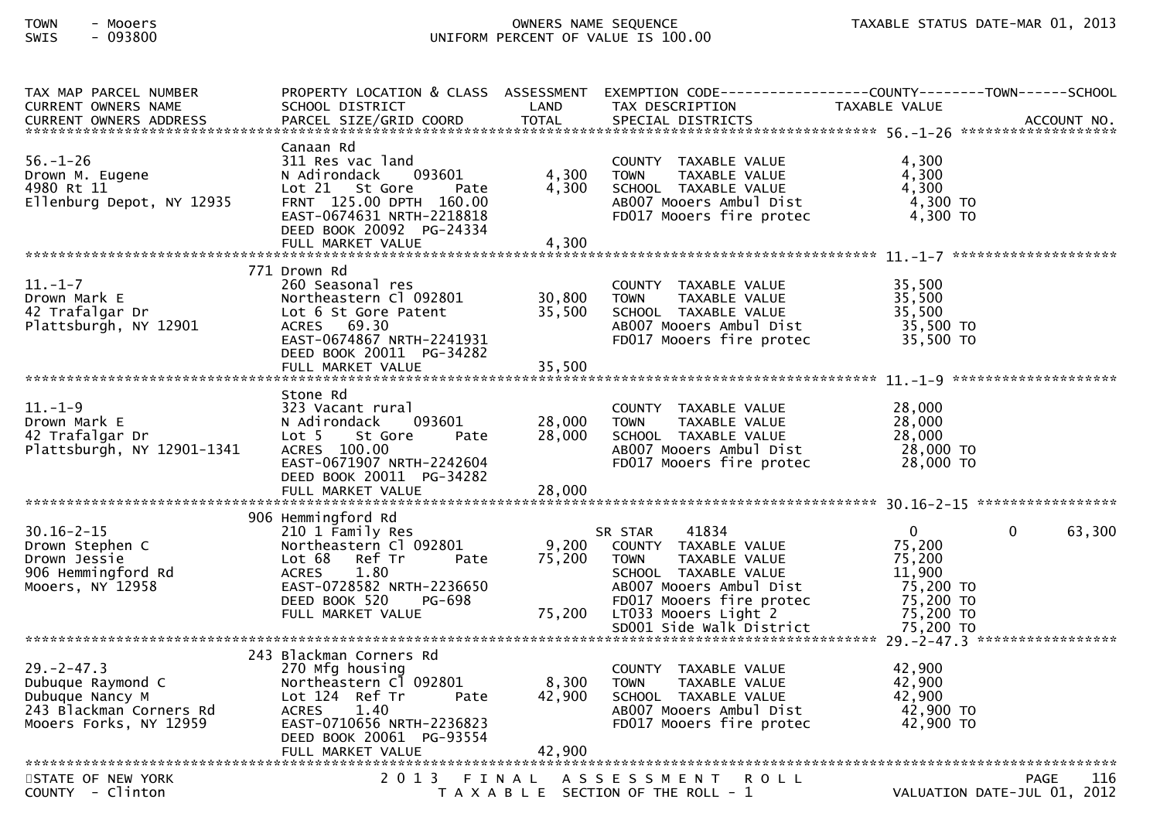# TOWN - Mooers OWNERS NAME SEQUENCE TAXABLE STATUS DATE-MAR 01, 2013SWIS - 093800 UNIFORM PERCENT OF VALUE IS 100.00

| TAX MAP PARCEL NUMBER<br><b>CURRENT OWNERS NAME</b>                                                                                                                                                                                                                                                                     | PROPERTY LOCATION & CLASS ASSESSMENT<br>SCHOOL DISTRICT                                                                                                                                    | LAND                       | EXEMPTION CODE-----------------COUNTY-------TOWN------SCHOOL<br>TAX DESCRIPTION                                                     | TAXABLE VALUE                                        |                             |
|-------------------------------------------------------------------------------------------------------------------------------------------------------------------------------------------------------------------------------------------------------------------------------------------------------------------------|--------------------------------------------------------------------------------------------------------------------------------------------------------------------------------------------|----------------------------|-------------------------------------------------------------------------------------------------------------------------------------|------------------------------------------------------|-----------------------------|
| $56. - 1 - 26$<br>Drown M. Eugene<br>4980 Rt 11<br>Ellenburg Depot, NY 12935                                                                                                                                                                                                                                            | Canaan Rd<br>311 Res vac land<br>N Adirondack<br>093601<br>Lot 21 St Gore<br>Pate<br>FRNT 125.00 DPTH 160.00<br>EAST-0674631 NRTH-2218818<br>DEED BOOK 20092 PG-24334<br>FULL MARKET VALUE | 4,300<br>4,300<br>4,300    | COUNTY TAXABLE VALUE<br>TAXABLE VALUE<br><b>TOWN</b><br>SCHOOL TAXABLE VALUE<br>AB007 Mooers Ambul Dist<br>FD017 Mooers fire protec | 4,300<br>4,300<br>4,300<br>4,300 TO<br>$4,300$ TO    |                             |
|                                                                                                                                                                                                                                                                                                                         | 771 Drown Rd                                                                                                                                                                               |                            |                                                                                                                                     |                                                      |                             |
| $11.-1-7$<br>Drown Mark E<br>огоwn магк E<br>42 Trafalgar Dr<br>Plattsburgh, NY 12901                                                                                                                                                                                                                                   | 260 Seasonal res<br>Northeastern Cl 092801<br>Lot 6 St Gore Patent<br>Lot 6 St Gore Patent<br>ACRES 69.30<br>EAST-0674867 NRTH-2241931<br>DEED BOOK 20011 PG-34282                         | 30,800<br>35,500           | COUNTY TAXABLE VALUE<br><b>TOWN</b><br>TAXABLE VALUE<br>SCHOOL TAXABLE VALUE<br>ABOO7 Mooers Ambul Dist<br>FDO17 Mooers fire protec | 35,500<br>35,500<br>35,500<br>35,500 то<br>35,500 то |                             |
|                                                                                                                                                                                                                                                                                                                         |                                                                                                                                                                                            |                            |                                                                                                                                     |                                                      |                             |
| $11. - 1 - 9$<br>Plattsburgh, NY 12901-1341                                                                                                                                                                                                                                                                             | Stone Rd<br>323 Vacant rural<br>N Adirondack<br>093601<br>Lot 5<br>St Gore<br>Pate<br>ACRES 100.00<br>EAST-0671907 NRTH-2242604<br>DEED BOOK 20011 PG-34282<br>FULL MARKET VALUE           | 28,000<br>28,000<br>28,000 | COUNTY TAXABLE VALUE<br><b>TOWN</b><br>TAXABLE VALUE<br>SCHOOL TAXABLE VALUE<br>ABOO7 Mooers Ambul Dist<br>FDO17 Mooers fire protec | 28,000<br>28,000<br>28,000<br>28,000 TO<br>28,000 TO |                             |
|                                                                                                                                                                                                                                                                                                                         | 906 Hemmingford Rd                                                                                                                                                                         |                            |                                                                                                                                     |                                                      |                             |
| $30.16 - 2 - 15$<br>Drown Stephen C<br>Drown Jessie<br>906 Hemmingford Rd<br>906 Hemmingrord Rd ACKES 1.80<br>Mooers, NY 12958 EAST-0728582 NRTH-2236650 ABOOT Mooers Ambul Dist 75,200 TO<br>DEED BOOK 520 PG-698 FD017 Mooers fire protec 75,200 TO<br>FULL MARKET VALUE 75,200 LT033 Mooers Light 2 75,200 TO<br>*** | 210 1 Family Res<br>Northeastern Cl 092801<br>Lot 68 Ref Tr<br>1.80<br><b>ACRES</b>                                                                                                        | 9,200<br>Pate 75,200       | 41834<br>SR STAR<br>COUNTY TAXABLE VALUE<br>TAXABLE VALUE<br><b>TOWN</b><br>SCHOOL TAXABLE VALUE                                    | $\overline{0}$<br>75,200<br>75,200<br>11,900         | 63,300<br>$\mathbf{0}$      |
|                                                                                                                                                                                                                                                                                                                         |                                                                                                                                                                                            |                            |                                                                                                                                     |                                                      |                             |
| $29. -2 - 47.3$<br>Dubuque Raymond C<br>Dubuque Nancy M<br>243 Blackman Corners Rd<br>Mooers Forks, NY 12959                                                                                                                                                                                                            | 243 Blackman Corners Rd<br>270 Mfg housing<br>Northeastern Cl 092801<br>Lot 124 Ref Tr<br>Pate<br>ACRES<br>1.40<br>EAST-0710656 NRTH-2236823<br>DEED BOOK 20061 PG-93554                   | 8,300<br>42,900            | COUNTY TAXABLE VALUE<br><b>TOWN</b><br>TAXABLE VALUE<br>SCHOOL TAXABLE VALUE<br>AB007 Mooers Ambul Dist<br>FD017 Mooers fire protec | 42,900<br>42,900<br>42,900<br>42,900 TO<br>42,900 TO |                             |
| STATE OF NEW YORK                                                                                                                                                                                                                                                                                                       |                                                                                                                                                                                            |                            | 2013 FINAL ASSESSMENT ROLL                                                                                                          |                                                      | 116<br><b>PAGE</b>          |
| COUNTY - Clinton                                                                                                                                                                                                                                                                                                        |                                                                                                                                                                                            |                            | T A X A B L E SECTION OF THE ROLL - 1                                                                                               |                                                      | VALUATION DATE-JUL 01, 2012 |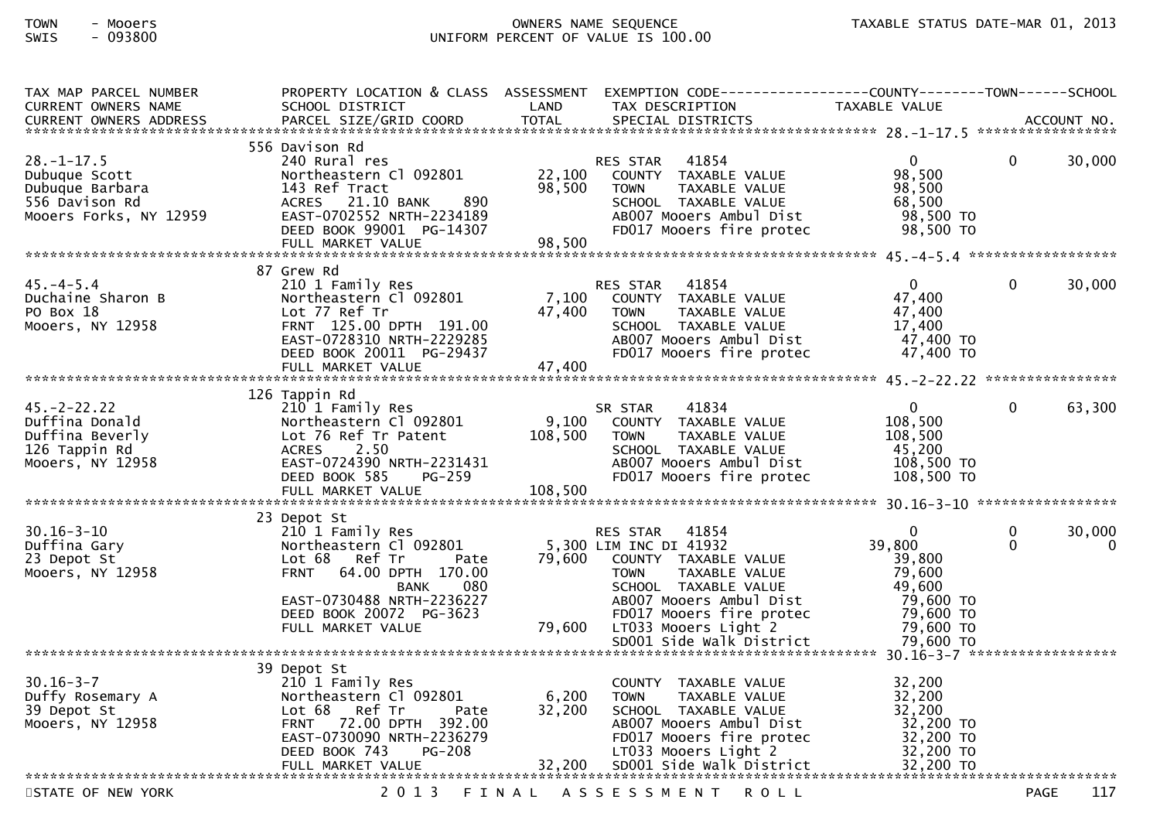# TOWN - Mooers OWNERS NAME SEQUENCE TAXABLE STATUS DATE-MAR 01, 2013SWIS - 093800 UNIFORM PERCENT OF VALUE IS 100.00

| TAX MAP PARCEL NUMBER                                       |                                               |                      | PROPERTY LOCATION & CLASS ASSESSMENT EXEMPTION CODE----------------COUNTY-------TOWN------SCHOOL |                        |             |             |
|-------------------------------------------------------------|-----------------------------------------------|----------------------|--------------------------------------------------------------------------------------------------|------------------------|-------------|-------------|
| <b>CURRENT OWNERS NAME</b><br><b>CURRENT OWNERS ADDRESS</b> | SCHOOL DISTRICT<br>PARCEL SIZE/GRID COORD     | LAND<br><b>TOTAL</b> | TAX DESCRIPTION<br>SPECIAL DISTRICTS                                                             | TAXABLE VALUE          |             | ACCOUNT NO. |
|                                                             |                                               |                      |                                                                                                  |                        |             |             |
|                                                             | 556 Davison Rd                                |                      |                                                                                                  |                        |             |             |
| $28. - 1 - 17.5$                                            | 240 Rural res                                 |                      | RES STAR 41854                                                                                   | $\overline{0}$         | $\Omega$    | 30,000      |
| Dubuque Scott                                               | Northeastern Cl 092801                        | 22,100               | COUNTY TAXABLE VALUE                                                                             | 98,500                 |             |             |
| Dubuque Barbara                                             | 143 Ref Tract                                 | 98,500               | <b>TOWN</b><br>TAXABLE VALUE                                                                     | 98,500                 |             |             |
| 556 Davison Rd                                              | ACRES 21.10 BANK<br>890                       |                      | SCHOOL TAXABLE VALUE                                                                             | 68,500                 |             |             |
| Mooers Forks, NY 12959                                      | EAST-0702552 NRTH-2234189                     |                      | AB007 Mooers Ambul Dist                                                                          | 98,500 TO<br>98,500 TO |             |             |
|                                                             | DEED BOOK 99001 PG-14307<br>FULL MARKET VALUE | 98,500               | FD017 Mooers fire protec                                                                         |                        |             |             |
|                                                             |                                               |                      |                                                                                                  |                        |             |             |
|                                                             | 87 Grew Rd                                    |                      |                                                                                                  |                        |             |             |
| 45. – 4 – 5.4                                               | 210 1 Family Res                              |                      | RES STAR 41854                                                                                   | $\overline{0}$         | $\Omega$    | 30,000      |
| Duchaine Sharon B                                           | Northeastern Cl 092801                        |                      | 7,100 COUNTY TAXABLE VALUE                                                                       | 47,400                 |             |             |
| PO Box 18                                                   | Lot 77 Ref Tr                                 | 47,400               | TAXABLE VALUE<br><b>TOWN</b>                                                                     | 47,400                 |             |             |
| Mooers, NY 12958                                            | FRNT 125.00 DPTH 191.00                       |                      | SCHOOL TAXABLE VALUE                                                                             | 17,400                 |             |             |
|                                                             | EAST-0728310 NRTH-2229285                     |                      | AB007 Mooers Ambul Dist                                                                          | 47,400 TO              |             |             |
|                                                             | DEED BOOK 20011 PG-29437                      |                      | FD017 Mooers fire protec                                                                         | 47,400 TO              |             |             |
|                                                             |                                               |                      |                                                                                                  |                        |             |             |
|                                                             | 126 Tappin Rd                                 |                      |                                                                                                  |                        |             |             |
| $45. - 2 - 22.22$                                           | 210 1 Family Res                              |                      | SR STAR<br>41834                                                                                 | $\mathbf 0$            | 0           | 63,300      |
| Duffina Donald                                              | Northeastern Cl 092801                        | 9,100                | COUNTY TAXABLE VALUE                                                                             | 108,500                |             |             |
| Duffina Beverly                                             | Lot 76 Ref Tr Patent                          | 108,500              | TAXABLE VALUE<br>TOWN                                                                            | 108,500                |             |             |
| 126 Tappin Rd                                               | ACRES 2.50                                    |                      | SCHOOL TAXABLE VALUE                                                                             | 45,200                 |             |             |
| Mooers, NY 12958                                            | EAST-0724390 NRTH-2231431                     |                      | AB007 Mooers Ambul Dist                                                                          | 108,500 TO             |             |             |
|                                                             | DEED BOOK 585<br>PG-259                       |                      | FD017 Mooers fire protec                                                                         | 108,500 TO             |             |             |
|                                                             | FULL MARKET VALUE                             | 108,500              |                                                                                                  |                        |             |             |
|                                                             | 23 Depot St                                   |                      |                                                                                                  |                        |             |             |
| $30.16 - 3 - 10$                                            | 210 1 Family Res                              |                      | RES STAR 41854                                                                                   | $\mathbf{0}$           | 0           | 30,000      |
| Duffina Gary                                                | Northeastern Cl 092801                        |                      | 5,300 LIM INC DI 41932                                                                           | 39,800                 | $\Omega$    | $\mathbf 0$ |
| 23 Depot St                                                 | Lot 68<br>Ref Tr<br>Pate                      | 79,600               | COUNTY TAXABLE VALUE                                                                             | 39,800                 |             |             |
| Mooers, NY 12958                                            | 64.00 DPTH 170.00<br><b>FRNT</b>              |                      | TAXABLE VALUE<br><b>TOWN</b>                                                                     | 79,600                 |             |             |
|                                                             | 080<br>BANK                                   |                      | SCHOOL TAXABLE VALUE                                                                             | 49,600                 |             |             |
|                                                             | EAST-0730488 NRTH-2236227                     |                      | AB007 Mooers Ambul Dist                                                                          | 79,600 TO              |             |             |
|                                                             | DEED BOOK 20072 PG-3623                       |                      | FD017 Mooers fire protec                                                                         | 79,600 TO              |             |             |
|                                                             | FULL MARKET VALUE                             | 79,600               | LT033 Mooers Light 2<br>SD001 Side Walk District                                                 | 79,600 TO<br>79,600 TO |             |             |
|                                                             |                                               |                      |                                                                                                  |                        |             |             |
|                                                             | 39 Depot St                                   |                      |                                                                                                  |                        |             |             |
| $30.16 - 3 - 7$                                             | 210 1 Family Res                              |                      | COUNTY TAXABLE VALUE                                                                             | 32,200                 |             |             |
| Duffy Rosemary A                                            | Northeastern Cl 092801                        | 6,200                | <b>TOWN</b><br>TAXABLE VALUE                                                                     | 32,200                 |             |             |
| 39 Depot St                                                 | Lot 68 Ref Tr<br>Pate                         | 32,200               | SCHOOL TAXABLE VALUE                                                                             | 32,200                 |             |             |
| Mooers, NY 12958                                            | FRNT 72.00 DPTH 392.00                        |                      | AB007 Mooers Ambul Dist                                                                          | 32,200 TO              |             |             |
|                                                             | EAST-0730090 NRTH-2236279                     |                      | FD017 Mooers fire protec                                                                         | 32,200 TO              |             |             |
|                                                             | <b>PG-208</b><br>DEED BOOK 743                |                      | LT033 Mooers Light 2                                                                             | 32,200 TO<br>32,200 TO |             |             |
|                                                             | FULL MARKET VALUE                             |                      | 32,200 SD001 Side Walk District                                                                  |                        |             |             |
| STATE OF NEW YORK                                           | 2 0 1 3                                       | FINAL                | A S S E S S M E N T<br><b>ROLL</b>                                                               |                        | <b>PAGE</b> | 117         |
|                                                             |                                               |                      |                                                                                                  |                        |             |             |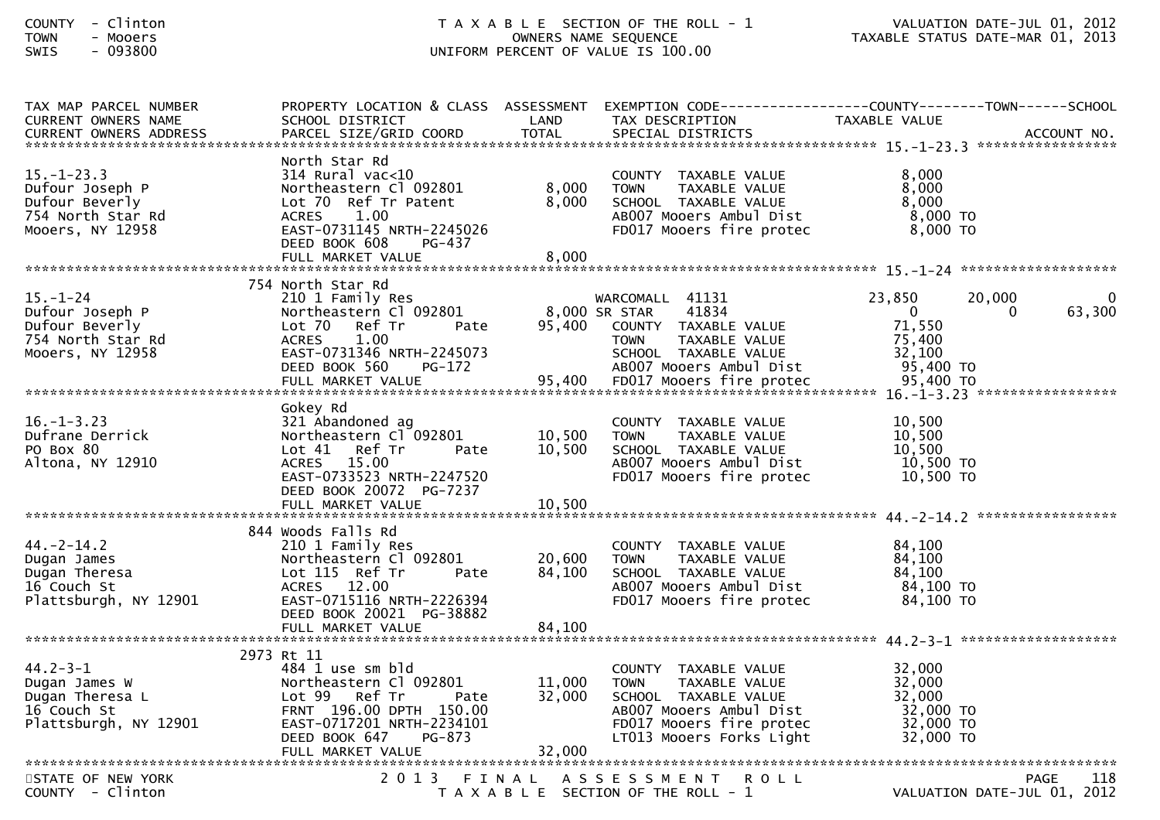| TAX MAP PARCEL NUMBER<br><b>CURRENT OWNERS NAME</b>                                            | PROPERTY LOCATION & CLASS ASSESSMENT EXEMPTION CODE----------------COUNTY-------TOWN------SCHOOL<br>SCHOOL DISTRICT                                                                        | LAND                       | TAX DESCRIPTION                                                                                                                                                 | TAXABLE VALUE                                                                    |                    |
|------------------------------------------------------------------------------------------------|--------------------------------------------------------------------------------------------------------------------------------------------------------------------------------------------|----------------------------|-----------------------------------------------------------------------------------------------------------------------------------------------------------------|----------------------------------------------------------------------------------|--------------------|
|                                                                                                |                                                                                                                                                                                            |                            |                                                                                                                                                                 |                                                                                  |                    |
|                                                                                                |                                                                                                                                                                                            |                            |                                                                                                                                                                 |                                                                                  |                    |
| $15. - 1 - 23.3$<br>Dufour Joseph P<br>Dufour Beverly<br>754 North Star Rd<br>Mooers, NY 12958 | North Star Rd<br>$314$ Rural vac<10<br>Northeastern Cl 092801<br>Lot 70 Ref Tr Patent<br>1.00<br><b>ACRES</b><br>EAST-0731145 NRTH-2245026<br>DEED BOOK 608<br>PG-437<br>FULL MARKET VALUE | 8,000<br>8,000<br>8,000    | COUNTY TAXABLE VALUE<br>TAXABLE VALUE<br><b>TOWN</b><br>SCHOOL TAXABLE VALUE<br>AB007 Mooers Ambul Dist<br>FD017 Mooers fire protec                             | 8,000<br>8,000<br>8,000<br>$8,000$ TO<br>8,000 TO                                |                    |
|                                                                                                | 754 North Star Rd                                                                                                                                                                          |                            |                                                                                                                                                                 |                                                                                  |                    |
| $15 - 1 - 24$<br>Dufour Joseph P<br>Dufour Beverly<br>754 North Star Rd<br>Mooers, NY 12958    | 210 1 Family Res<br>Northeastern Cl 092801<br>Lot 70 Ref Tr<br>Pate<br><b>ACRES</b><br>1.00<br>EAST-0731346 NRTH-2245073<br>DEED BOOK 560<br>PG-172                                        | 8,000 SR STAR<br>95,400    | WARCOMALL 41131<br>41834<br>COUNTY TAXABLE VALUE<br>TAXABLE VALUE<br><b>TOWN</b><br>SCHOOL TAXABLE VALUE<br>AB007 Mooers Ambul Dist                             | 23,850<br>20,000<br>$\mathbf{0}$<br>0<br>71,550<br>75,400<br>32,100<br>95,400 TO | 63,300             |
|                                                                                                | Gokey Rd                                                                                                                                                                                   |                            |                                                                                                                                                                 |                                                                                  |                    |
| $16. - 1 - 3.23$<br>Dufrane Derrick<br>PO Box 80<br>Altona, NY 12910                           | 321 Abandoned ag<br>Northeastern Cl 092801<br>Lot 41 Ref Tr<br>Pate<br>ACRES 15.00<br>EAST-0733523 NRTH-2247520<br>DEED BOOK 20072 PG-7237                                                 | 10,500<br>10,500           | COUNTY TAXABLE VALUE<br><b>TAXABLE VALUE</b><br><b>TOWN</b><br>SCHOOL TAXABLE VALUE<br>AB007 Mooers Ambul Dist<br>FD017 Mooers fire protec                      | 10,500<br>10,500<br>10,500<br>10,500 TO<br>10,500 TO                             |                    |
|                                                                                                | FULL MARKET VALUE                                                                                                                                                                          | 10,500                     |                                                                                                                                                                 |                                                                                  |                    |
|                                                                                                | 844 Woods Falls Rd                                                                                                                                                                         |                            |                                                                                                                                                                 |                                                                                  |                    |
| $44. -2 - 14.2$<br>Dugan James<br>Dugan Theresa<br>16 Couch St<br>Plattsburgh, NY 12901        | 210 1 Family Res<br>Northeastern Cl 092801<br>Lot 115 Ref Tr<br>Pate<br>ACRES 12.00<br>EAST-0715116 NRTH-2226394<br>DEED BOOK 20021 PG-38882                                               | 20,600<br>84,100           | COUNTY TAXABLE VALUE<br><b>TOWN</b><br>TAXABLE VALUE<br>SCHOOL TAXABLE VALUE<br>AB007 Mooers Ambul Dist<br>FD017 Mooers fire protec                             | 84,100<br>84,100<br>84,100<br>84,100 TO<br>84,100 TO                             |                    |
|                                                                                                | FULL MARKET VALUE                                                                                                                                                                          | 84,100                     |                                                                                                                                                                 |                                                                                  |                    |
|                                                                                                | 2973 Rt 11                                                                                                                                                                                 |                            |                                                                                                                                                                 |                                                                                  |                    |
| $44.2 - 3 - 1$<br>Dugan James W<br>Dugan Theresa L<br>16 Couch St<br>Plattsburgh, NY 12901     | 484 1 use sm bld<br>Northeastern Cl 092801<br>Lot 99 Ref Tr<br>Pate<br>FRNT 196.00 DPTH 150.00<br>EAST-0717201 NRTH-2234101<br>DEED BOOK 647<br>PG-873<br>FULL MARKET VALUE                | 11,000<br>32,000<br>32,000 | COUNTY TAXABLE VALUE<br><b>TOWN</b><br>TAXABLE VALUE<br>SCHOOL TAXABLE VALUE<br>AB007 Mooers Ambul Dist<br>FD017 Mooers fire protec<br>LT013 Mooers Forks Light | 32,000<br>32,000<br>32,000<br>32,000 TO<br>32,000 TO<br>32,000 TO                |                    |
|                                                                                                |                                                                                                                                                                                            |                            |                                                                                                                                                                 |                                                                                  |                    |
| STATE OF NEW YORK<br>COUNTY - Clinton                                                          |                                                                                                                                                                                            |                            | 2013 FINAL ASSESSMENT<br>ROLL<br>T A X A B L E SECTION OF THE ROLL - 1                                                                                          | VALUATION DATE-JUL 01, 2012                                                      | 118<br><b>PAGE</b> |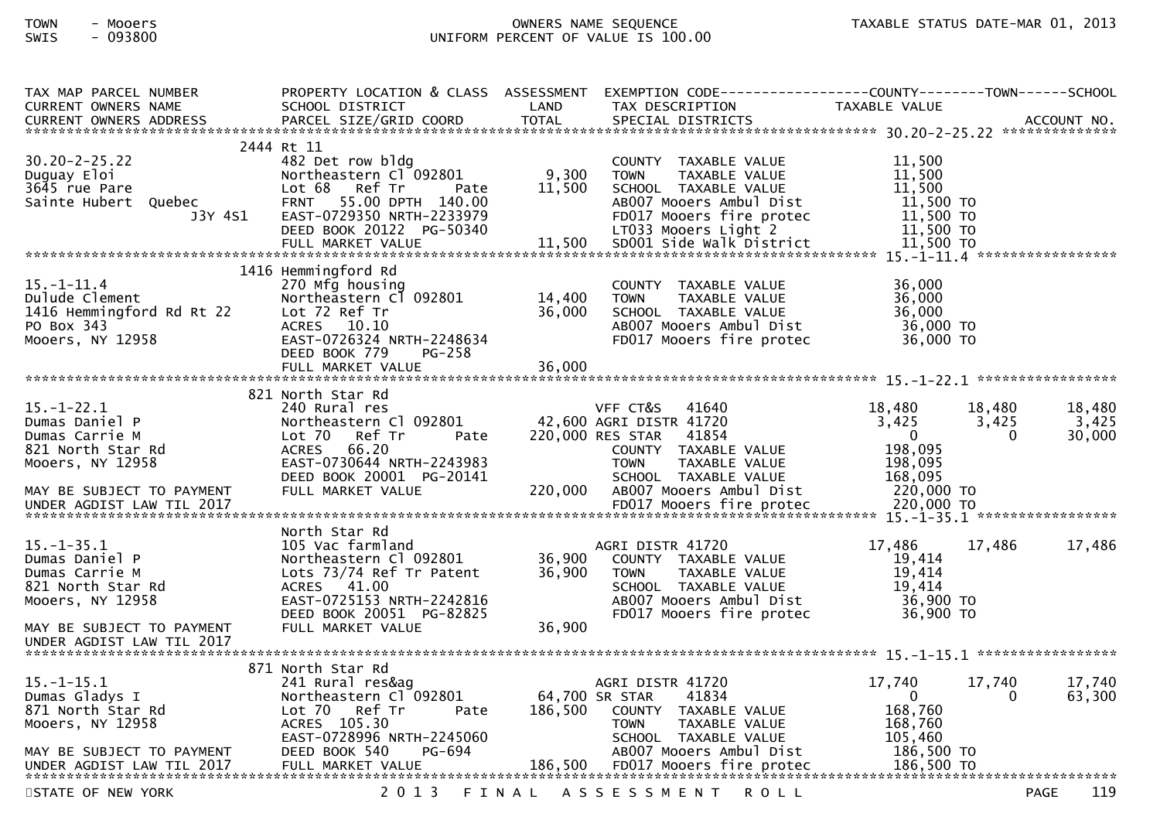# TOWN - Mooers OWNERS NAME SEQUENCE TAXABLE STATUS DATE-MAR 01, 2013SWIS - 093800 UNIFORM PERCENT OF VALUE IS 100.00

| TAX MAP PARCEL NUMBER<br><b>CURRENT OWNERS NAME</b><br>CURRENT OWNERS ADDRESS                                         | PROPERTY LOCATION & CLASS ASSESSMENT<br>SCHOOL DISTRICT<br>PARCEL SIZE/GRID COORD                                                                                                         | LAND<br><b>TOTAL</b>       | TAX DESCRIPTION<br>SPECIAL DISTRICTS                                                                                                                                                    | TAXABLE VALUE                                                                  | ACCOUNT NO.                                              |
|-----------------------------------------------------------------------------------------------------------------------|-------------------------------------------------------------------------------------------------------------------------------------------------------------------------------------------|----------------------------|-----------------------------------------------------------------------------------------------------------------------------------------------------------------------------------------|--------------------------------------------------------------------------------|----------------------------------------------------------|
| $30.20 - 2 - 25.22$<br>Duguay Eloi<br>3645 rue Pare<br>Sainte Hubert Quebec<br>J3Y 4S1                                | 2444 Rt 11<br>482 Det row bldg<br>Northeastern Cl 092801<br>Lot 68 Ref Tr<br>Pate<br>FRNT 55.00 DPTH 140.00<br>EAST-0729350 NRTH-2233979<br>DEED BOOK 20122 PG-50340<br>FULL MARKET VALUE | 9,300<br>11,500<br>11,500  | COUNTY TAXABLE VALUE<br>TAXABLE VALUE<br><b>TOWN</b><br>SCHOOL TAXABLE VALUE<br>AB007 Mooers Ambul Dist<br>FD017 Mooers fire protec<br>LT033 Mooers Light 2<br>SD001 Side Walk District | 11,500<br>11,500<br>11,500<br>11,500 TO<br>11,500 TO<br>11,500 TO<br>11,500 TO |                                                          |
| $15.-1-11.4$                                                                                                          | 1416 Hemmingford Rd<br>270 Mfg housing                                                                                                                                                    |                            | COUNTY TAXABLE VALUE                                                                                                                                                                    | 36,000                                                                         |                                                          |
| Dulude Clement<br>1416 Hemmingford Rd Rt 22<br>PO Box 343<br>Mooers, NY 12958                                         | Northeastern Cl 092801<br>Lot 72 Ref Tr<br>ACRES 10.10<br>EAST-0726324 NRTH-2248634<br>DEED BOOK 779<br>$PG-258$                                                                          | 14,400<br>36,000           | TAXABLE VALUE<br><b>TOWN</b><br>SCHOOL TAXABLE VALUE<br>AB007 Mooers Ambul Dist<br>FD017 Mooers fire protec                                                                             | 36,000<br>36,000<br>36,000 TO<br>36,000 TO                                     |                                                          |
|                                                                                                                       | FULL MARKET VALUE                                                                                                                                                                         | 36,000                     |                                                                                                                                                                                         |                                                                                |                                                          |
| $15.-1-22.1$<br>Dumas Daniel P<br>Dumas Carrie M<br>821 North Star Rd<br>Mooers, NY 12958                             | 821 North Star Rd<br>240 Rural res<br>Northeastern Cl 092801<br>Lot 70<br>Ref Tr<br>Pate<br><b>ACRES</b><br>66.20<br>EAST-0730644 NRTH-2243983<br>DEED BOOK 20001 PG-20141                |                            | VFF CT&S<br>41640<br>42,600 AGRI DISTR 41720<br>220,000 RES STAR<br>41854<br>COUNTY TAXABLE VALUE<br><b>TOWN</b><br>TAXABLE VALUE<br>SCHOOL TAXABLE VALUE                               | 18,480<br>3,425<br>$\mathbf{0}$<br>198,095<br>198,095<br>168,095               | 18,480<br>18,480<br>3,425<br>3,425<br>30,000<br>$\Omega$ |
| MAY BE SUBJECT TO PAYMENT<br>UNDER AGDIST LAW TIL 2017                                                                | FULL MARKET VALUE                                                                                                                                                                         | 220,000                    | AB007 Mooers Ambul Dist<br>FD017 Mooers fire protec                                                                                                                                     | 220,000 TO<br>220,000 TO                                                       |                                                          |
| 15. –1–35.1<br>Dumas Daniel P<br>Dumas Carrie M<br>821 North Star Rd<br>Mooers, NY 12958<br>MAY BE SUBJECT TO PAYMENT | North Star Rd<br>105 Vac farmland<br>Northeastern Cl 092801<br>Lots 73/74 Ref Tr Patent<br>ACRES 41.00<br>EAST-0725153 NRTH-2242816<br>DEED BOOK 20051 PG-82825<br>FULL MARKET VALUE      | 36,900<br>36,900<br>36,900 | AGRI DISTR 41720<br>COUNTY TAXABLE VALUE<br>TAXABLE VALUE<br><b>TOWN</b><br>SCHOOL TAXABLE VALUE<br>AB007 Mooers Ambul Dist<br>FD017 Mooers fire protec                                 | 17,486<br>19,414<br>19,414<br>19,414<br>36,900 TO<br>36,900 TO                 | 17,486<br>17,486                                         |
| UNDER AGDIST LAW TIL 2017                                                                                             |                                                                                                                                                                                           |                            |                                                                                                                                                                                         |                                                                                |                                                          |
| $15. - 1 - 15.1$<br>Dumas Gladys I<br>871 North Star Rd<br>Mooers, NY 12958                                           | 871 North Star Rd<br>241 Rural res&ag<br>Northeastern Cl 092801<br>Lot 70 Ref Tr<br>Pate<br>ACRES 105.30<br>EAST-0728996 NRTH-2245060                                                     | 186,500                    | AGRI DISTR 41720<br>64,700 SR STAR<br>41834<br>COUNTY TAXABLE VALUE<br>TAXABLE VALUE<br>TOWN<br>SCHOOL TAXABLE VALUE                                                                    | 17,740<br>$\mathbf{0}$<br>168,760<br>168,760<br>105,460                        | 17,740<br>17,740<br>63,300<br>0                          |
| MAY BE SUBJECT TO PAYMENT                                                                                             | DEED BOOK 540<br>PG-694                                                                                                                                                                   |                            | AB007 Mooers Ambul Dist                                                                                                                                                                 | 186,500 TO                                                                     |                                                          |
| STATE OF NEW YORK                                                                                                     | 2 0 1 3                                                                                                                                                                                   | FINAL                      | A S S E S S M E N T<br><b>ROLL</b>                                                                                                                                                      |                                                                                | 119<br><b>PAGE</b>                                       |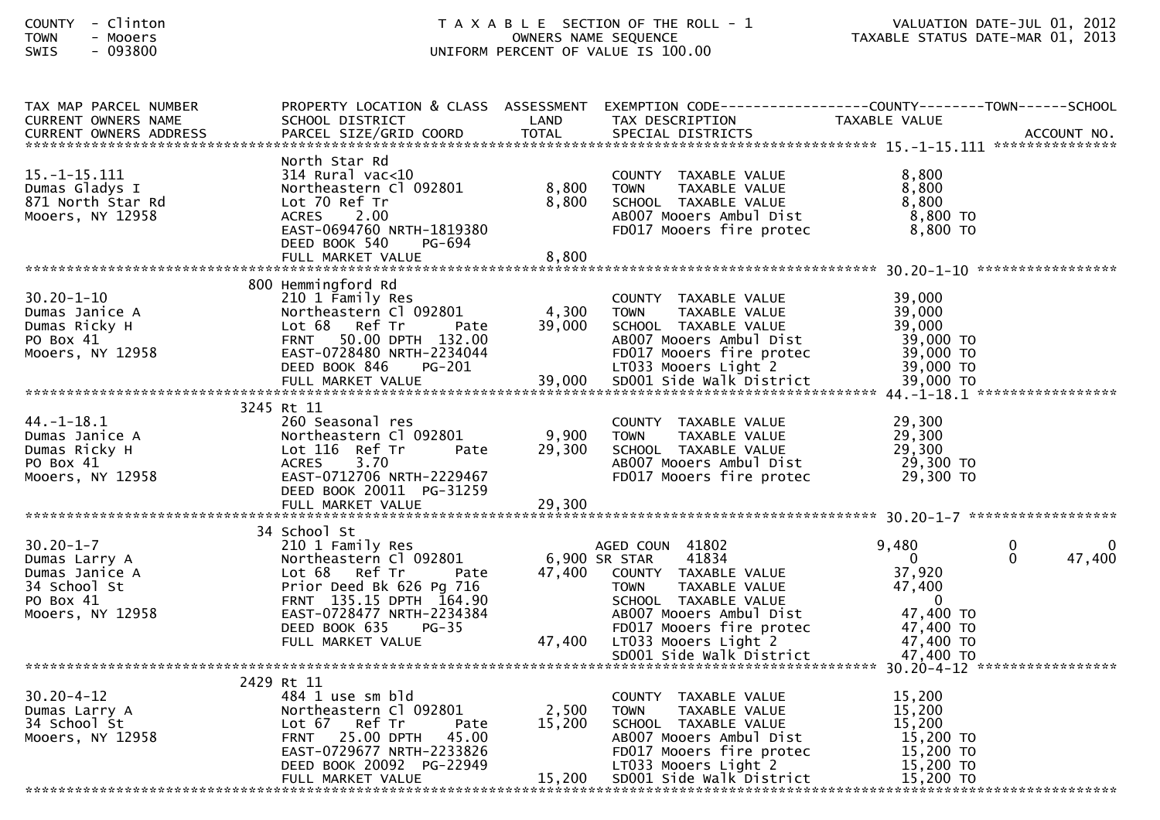| TAX MAP PARCEL NUMBER                                                                                                                                           |                                      |        | PROPERTY LOCATION & CLASS ASSESSMENT EXEMPTION CODE---------------COUNTY-------TOWN------SCHOOL |                        |                          |
|-----------------------------------------------------------------------------------------------------------------------------------------------------------------|--------------------------------------|--------|-------------------------------------------------------------------------------------------------|------------------------|--------------------------|
| CURRENT OWNERS NAME                                                                                                                                             | SCHOOL DISTRICT                      | LAND   | TAX DESCRIPTION                                                                                 | TAXABLE VALUE          |                          |
| CURRENT OWNERS ADDRESS FARCEL SIZE/GRID COORD TOTAL SPECIAL DISTRICTS (CURRENT OWNERS ADDRESS FARCEL SIZE/GRID COORD TOTAL SPECIAL DISTRICTS (2000) ACCOUNT NO. |                                      |        |                                                                                                 |                        |                          |
|                                                                                                                                                                 |                                      |        |                                                                                                 |                        |                          |
|                                                                                                                                                                 | North Star Rd                        |        |                                                                                                 |                        |                          |
| $15. - 1 - 15.111$                                                                                                                                              | $314$ Rural vac<10                   |        | COUNTY TAXABLE VALUE                                                                            | 8,800                  |                          |
| Dumas Gladys I                                                                                                                                                  | Northeastern Cl 092801               | 8,800  | TAXABLE VALUE<br><b>TOWN</b>                                                                    | 8,800                  |                          |
| 871 North Star Rd                                                                                                                                               | Lot 70 Ref Tr                        | 8,800  | SCHOOL TAXABLE VALUE                                                                            | 8,800                  |                          |
| Mooers, NY 12958                                                                                                                                                | ACRES 2.00                           |        | AB007 Mooers Ambul Dist                                                                         | 8,800 TO               |                          |
|                                                                                                                                                                 | EAST-0694760 NRTH-1819380            |        | FD017 Mooers fire protec                                                                        | 8,800 TO               |                          |
|                                                                                                                                                                 | DEED BOOK 540<br>PG-694              |        |                                                                                                 |                        |                          |
|                                                                                                                                                                 |                                      |        |                                                                                                 |                        |                          |
|                                                                                                                                                                 | FULL MARKET VALUE                    | 8,800  |                                                                                                 |                        |                          |
|                                                                                                                                                                 |                                      |        |                                                                                                 |                        |                          |
|                                                                                                                                                                 | 800 Hemmingford Rd                   |        |                                                                                                 |                        |                          |
| $30.20 - 1 - 10$                                                                                                                                                | 210 1 Family Res                     |        | COUNTY TAXABLE VALUE                                                                            | 39,000                 |                          |
|                                                                                                                                                                 | Northeastern Cl 092801               | 4,300  | <b>TOWN</b><br>TAXABLE VALUE                                                                    | 39,000                 |                          |
| Dumas Janice A<br>Dumas Ricky H<br>PO Box 41<br>Mooers, NY 12958                                                                                                | Pate<br>Lot 68 Ref Tr                | 39,000 | SCHOOL TAXABLE VALUE                                                                            | 39,000                 |                          |
|                                                                                                                                                                 | FRNT 50.00 DPTH 132.00               |        | AB007 Mooers Ambul Dist                                                                         | 39,000 TO              |                          |
|                                                                                                                                                                 |                                      |        |                                                                                                 |                        |                          |
|                                                                                                                                                                 |                                      |        |                                                                                                 |                        |                          |
|                                                                                                                                                                 |                                      |        |                                                                                                 |                        |                          |
|                                                                                                                                                                 |                                      |        |                                                                                                 |                        |                          |
|                                                                                                                                                                 | 3245 Rt 11                           |        |                                                                                                 |                        |                          |
| $44. - 1 - 18.1$                                                                                                                                                | 260 Seasonal res                     |        | COUNTY TAXABLE VALUE                                                                            | 29,300                 |                          |
|                                                                                                                                                                 | Northeastern Cl 092801               | 9,900  | <b>TOWN</b><br>TAXABLE VALUE                                                                    | 29,300                 |                          |
| Pumas Janice A<br>Dumas Ricky H<br>PO Box 41<br>Mooers, NY 12958                                                                                                |                                      |        |                                                                                                 |                        |                          |
|                                                                                                                                                                 | Lot 116 Ref Tr<br>Pate               | 29,300 | SCHOOL TAXABLE VALUE                                                                            | 29,300                 |                          |
|                                                                                                                                                                 | 3.70<br><b>ACRES</b>                 |        | AB007 Mooers Ambul Dist                                                                         | 29,300 TO              |                          |
|                                                                                                                                                                 | EAST-0712706 NRTH-2229467            |        | FD017 Mooers fire protec                                                                        | 29,300 TO              |                          |
|                                                                                                                                                                 | DEED BOOK 20011 PG-31259             |        |                                                                                                 |                        |                          |
|                                                                                                                                                                 |                                      |        |                                                                                                 |                        |                          |
|                                                                                                                                                                 |                                      |        |                                                                                                 |                        |                          |
|                                                                                                                                                                 | 34 School St                         |        |                                                                                                 |                        |                          |
| $30.20 - 1 - 7$                                                                                                                                                 | 210 1 Family Res                     |        | AGED COUN 41802                                                                                 | 9,480                  | $\mathbf{0}$<br>$\Omega$ |
|                                                                                                                                                                 | Northeastern Cl 092801 6,900 SR STAR |        | 41834                                                                                           | $\mathbf{0}$           | $\Omega$<br>47,400       |
|                                                                                                                                                                 | Lot 68 Ref Tr Pate                   |        | 47,400 COUNTY TAXABLE VALUE                                                                     | 37,920                 |                          |
|                                                                                                                                                                 | Prior Deed Bk 626 Pg 716             |        | <b>TOWN</b><br>TAXABLE VALUE                                                                    | 47,400                 |                          |
|                                                                                                                                                                 | FRNT 135.15 DPTH 164.90              |        | SCHOOL TAXABLE VALUE                                                                            | $\overline{0}$         |                          |
| Dumas Larry A<br>Dumas Janice A<br>34 School St<br>PO Box 41<br>Mooers, NY 12958                                                                                | EAST-0728477 NRTH-2234384            |        | ABOO7 Mooers Ambul Dist<br>FDO17 Mooers fire protec                                             | 47,400 TO              |                          |
|                                                                                                                                                                 |                                      |        |                                                                                                 |                        |                          |
|                                                                                                                                                                 |                                      |        |                                                                                                 |                        |                          |
|                                                                                                                                                                 |                                      |        |                                                                                                 |                        |                          |
|                                                                                                                                                                 |                                      |        |                                                                                                 |                        |                          |
|                                                                                                                                                                 |                                      |        |                                                                                                 |                        |                          |
|                                                                                                                                                                 | 2429 Rt 11                           |        |                                                                                                 |                        |                          |
| $30.20 - 4 - 12$                                                                                                                                                | 484 1 use sm bld                     |        | COUNTY TAXABLE VALUE                                                                            | 15,200                 |                          |
| 30.20-4-12<br>Dumas Larry A<br>34 School St<br>Mooers, NY 12958                                                                                                 | Northeastern Cl 092801               | 2,500  | <b>TOWN</b><br>TAXABLE VALUE                                                                    | 15,200                 |                          |
|                                                                                                                                                                 | Lot 67 Ref Tr<br>Pate                | 15,200 | SCHOOL TAXABLE VALUE                                                                            | 15,200                 |                          |
|                                                                                                                                                                 | FRNT 25.00 DPTH 45.00                |        | AB007 Mooers Ambul Dist                                                                         | 15,200 TO              |                          |
|                                                                                                                                                                 | EAST-0729677 NRTH-2233826            |        | FD017 Mooers fire protec                                                                        |                        |                          |
|                                                                                                                                                                 | DEED BOOK 20092 PG-22949             |        | LT033 Mooers Light 2                                                                            | 15,200 то<br>15,200 то |                          |
|                                                                                                                                                                 | FULL MARKET VALUE                    |        | 15,200 SD001 Side Walk District                                                                 | 15,200 TO              |                          |
|                                                                                                                                                                 |                                      |        |                                                                                                 |                        |                          |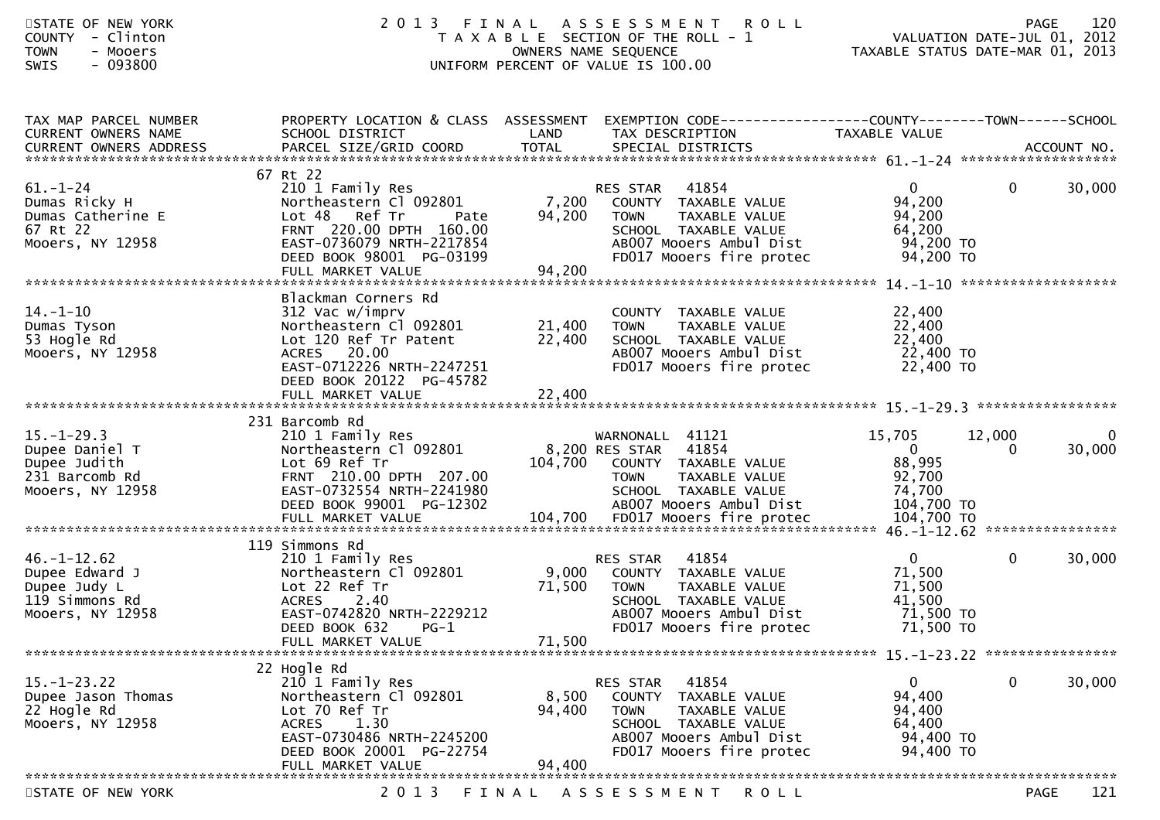| STATE OF NEW YORK<br>COUNTY - Clinton<br><b>TOWN</b><br>- Mooers<br>$-093800$<br><b>SWIS</b> | 2 0 1 3                                                                                                                                                                                   |                            | FINAL ASSESSMENT<br><b>ROLL</b><br>T A X A B L E SECTION OF THE ROLL - 1<br>OWNERS NAME SEQUENCE<br>UNIFORM PERCENT OF VALUE IS 100.00                          | TAXABLE STATUS DATE-MAR 01, 2013                                       | <b>PAGE</b><br>VALUATION DATE-JUL 01, 2012 | 120                    |
|----------------------------------------------------------------------------------------------|-------------------------------------------------------------------------------------------------------------------------------------------------------------------------------------------|----------------------------|-----------------------------------------------------------------------------------------------------------------------------------------------------------------|------------------------------------------------------------------------|--------------------------------------------|------------------------|
| TAX MAP PARCEL NUMBER<br>CURRENT OWNERS NAME                                                 | PROPERTY LOCATION & CLASS ASSESSMENT<br>SCHOOL DISTRICT                                                                                                                                   | LAND                       | EXEMPTION CODE-----------------COUNTY-------TOWN------SCHOOL<br>TAX DESCRIPTION                                                                                 | TAXABLE VALUE                                                          |                                            |                        |
|                                                                                              |                                                                                                                                                                                           |                            |                                                                                                                                                                 |                                                                        |                                            |                        |
| $61. - 1 - 24$<br>Dumas Ricky H<br>Dumas Catherine E<br>67 Rt 22<br>Mooers, NY 12958         | 67 Rt 22<br>210 1 Family Res<br>Northeastern Cl 092801<br>Lot 48 Ref Tr<br>Pate<br>FRNT 220.00 DPTH 160.00<br>EAST-0736079 NRTH-2217854<br>DEED BOOK 98001 PG-03199                       | 7,200<br>94,200<br>94,200  | 41854<br><b>RES STAR</b><br>COUNTY TAXABLE VALUE<br>TAXABLE VALUE<br><b>TOWN</b><br>SCHOOL TAXABLE VALUE<br>AB007 Mooers Ambul Dist<br>FD017 Mooers fire protec | $\overline{0}$<br>94,200<br>94,200<br>64,200<br>94,200 TO<br>94,200 TO | $\mathbf{0}$                               | 30,000                 |
|                                                                                              | FULL MARKET VALUE                                                                                                                                                                         |                            |                                                                                                                                                                 |                                                                        |                                            |                        |
| $14. - 1 - 10$<br>Dumas Tyson<br>53 Hogle Rd<br>Mooers, NY 12958                             | Blackman Corners Rd<br>312 Vac w/imprv<br>Northeastern Cl 092801<br>Lot 120 Ref Tr Patent<br>ACRES<br>20.00<br>EAST-0712226 NRTH-2247251<br>DEED BOOK 20122 PG-45782<br>FULL MARKET VALUE | 21,400<br>22,400<br>22,400 | COUNTY TAXABLE VALUE<br>TAXABLE VALUE<br><b>TOWN</b><br>SCHOOL TAXABLE VALUE<br>AB007 Mooers Ambul Dist<br>FD017 Mooers fire protec                             | 22,400<br>22,400<br>22,400<br>22,400 TO<br>22,400 TO                   |                                            |                        |
|                                                                                              | 231 Barcomb Rd                                                                                                                                                                            |                            |                                                                                                                                                                 |                                                                        |                                            |                        |
| $15. - 1 - 29.3$<br>Dupee Daniel T<br>Dupee Judith<br>231 Barcomb Rd<br>Mooers, NY 12958     | 210 1 Family Res<br>Northeastern Cl 092801<br>Lot 69 Ref Tr<br>FRNT 210.00 DPTH 207.00<br>EAST-0732554 NRTH-2241980<br>DEED BOOK 99001 PG-12302                                           | 104,700                    | WARNONALL 41121<br>41854<br>8,200 RES STAR<br>COUNTY TAXABLE VALUE<br>TAXABLE VALUE<br><b>TOWN</b><br>SCHOOL TAXABLE VALUE<br>AB007 Mooers Ambul Dist           | 15,705<br>$\overline{0}$<br>88,995<br>92,700<br>74,700<br>104,700 TO   | 12,000<br>0                                | $\mathbf{0}$<br>30,000 |
|                                                                                              | 119 Simmons Rd                                                                                                                                                                            |                            |                                                                                                                                                                 |                                                                        |                                            |                        |
| $46. - 1 - 12.62$<br>Dupee Edward J<br>Dupee Judy L<br>119 Simmons Rd<br>Mooers, NY 12958    | 210 1 Family Res<br>Northeastern Cl 092801<br>Lot 22 Ref Tr<br><b>ACRES</b><br>2.40<br>EAST-0742820 NRTH-2229212<br>DEED BOOK 632 PG-1<br>FULL MARKET VALUE                               | 9,000<br>71,500<br>71,500  | 41854<br><b>RES STAR</b><br>COUNTY TAXABLE VALUE<br>TAXABLE VALUE<br><b>TOWN</b><br>SCHOOL TAXABLE VALUE<br>AB007 Mooers Ambul Dist<br>FD017 Mooers fire protec | $\overline{0}$<br>71,500<br>71,500<br>41,500<br>71,500 TO<br>71,500 TO | $\mathbf{0}$                               | 30,000                 |
|                                                                                              |                                                                                                                                                                                           |                            |                                                                                                                                                                 |                                                                        |                                            |                        |
| $15. - 1 - 23.22$<br>Dupee Jason Thomas<br>22 Hogle Rd<br>Mooers, NY 12958                   | 22 Hogle Rd<br>210 1 Family Res<br>Northeastern Cl 092801<br>Lot 70 Ref Tr<br>ACRES<br>1.30<br>EAST-0730486 NRTH-2245200<br>DEED BOOK 20001 PG-22754<br>FULL MARKET VALUE                 | 8,500<br>94,400<br>94,400  | 41854<br>RES STAR<br>COUNTY TAXABLE VALUE<br>TAXABLE VALUE<br>TOWN<br>SCHOOL TAXABLE VALUE<br>AB007 Mooers Ambul Dist<br>FD017 Mooers fire protec               | $\mathbf{0}$<br>94,400<br>94,400<br>64,400<br>94,400 TO<br>94,400 TO   | 0                                          | 30,000                 |
|                                                                                              |                                                                                                                                                                                           |                            |                                                                                                                                                                 |                                                                        |                                            |                        |
| STATE OF NEW YORK                                                                            | 2013                                                                                                                                                                                      | FINAL                      | A S S E S S M E N T<br>R O L L                                                                                                                                  |                                                                        | <b>PAGE</b>                                | 121                    |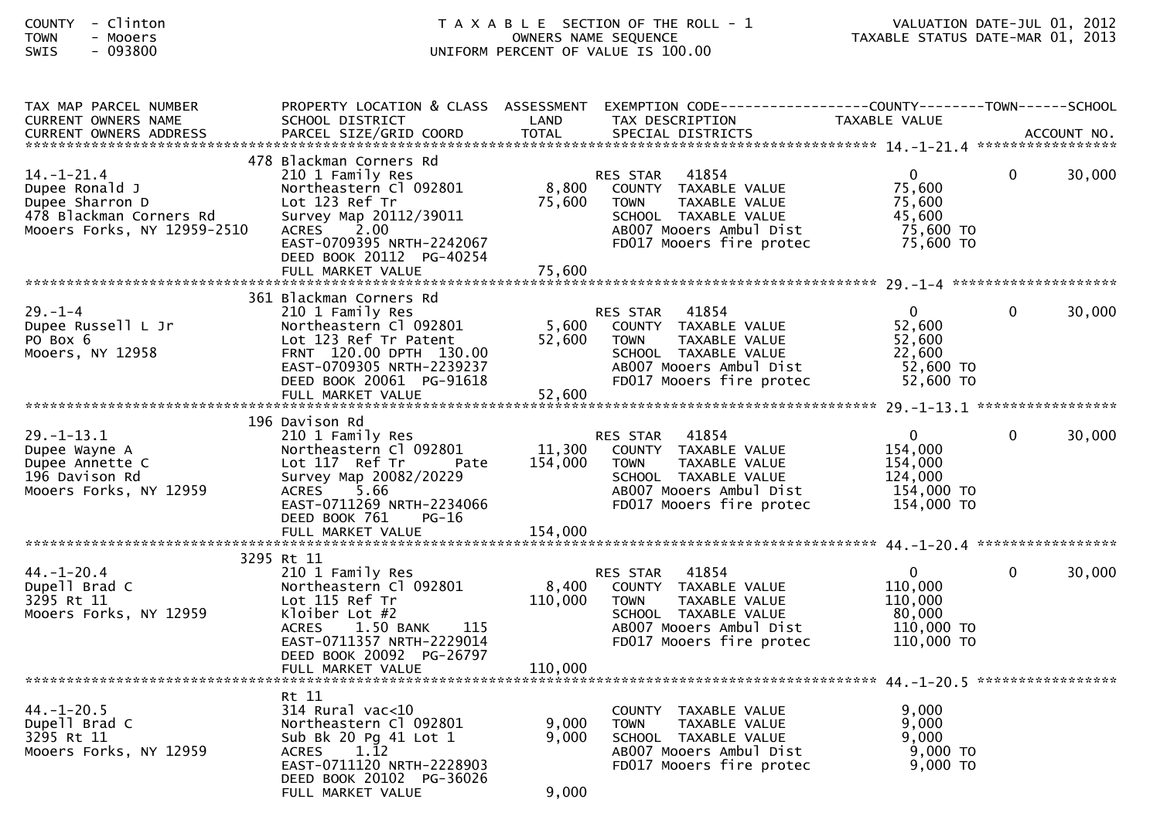| COUNTY      |                          | Clinton |
|-------------|--------------------------|---------|
| <b>TOWN</b> | $\overline{\phantom{0}}$ | Mooers  |
| <b>SWTS</b> |                          | 093800  |

| TAX MAP PARCEL NUMBER<br>CURRENT OWNERS NAME                                                                    | PROPERTY LOCATION & CLASS ASSESSMENT<br>SCHOOL DISTRICT                                                                                                                                      | LAND                      | EXEMPTION CODE------------------COUNTY--------TOWN------SCHOOL<br>TAX DESCRIPTION                                                                               | TAXABLE VALUE                                                               |              |             |
|-----------------------------------------------------------------------------------------------------------------|----------------------------------------------------------------------------------------------------------------------------------------------------------------------------------------------|---------------------------|-----------------------------------------------------------------------------------------------------------------------------------------------------------------|-----------------------------------------------------------------------------|--------------|-------------|
| <b>CURRENT OWNERS ADDRESS</b>                                                                                   | PARCEL SIZE/GRID COORD                                                                                                                                                                       | <b>TOTAL</b>              | SPECIAL DISTRICTS                                                                                                                                               |                                                                             |              | ACCOUNT NO. |
| $14. - 1 - 21.4$<br>Dupee Ronald J<br>Dupee Sharron D<br>478 Blackman Corners Rd<br>Mooers Forks, NY 12959-2510 | 478 Blackman Corners Rd<br>210 1 Family Res<br>Northeastern Cl 092801<br>Lot 123 Ref Tr<br>Survey Map 20112/39011<br>ACRES 2.00<br>EAST-0709395 NRTH-2242067<br>DEED BOOK 20112 PG-40254     | 8,800<br>75,600           | 41854<br><b>RES STAR</b><br>COUNTY TAXABLE VALUE<br>TAXABLE VALUE<br><b>TOWN</b><br>SCHOOL TAXABLE VALUE<br>AB007 Mooers Ambul Dist<br>FD017 Mooers fire protec | $\mathbf{0}$<br>75,600<br>75,600<br>45,600<br>75,600 TO<br>75,600 TO        | 0            | 30,000      |
|                                                                                                                 | FULL MARKET VALUE                                                                                                                                                                            | 75,600                    |                                                                                                                                                                 |                                                                             |              |             |
| $29. - 1 - 4$<br>Dupee Russell L Jr<br>PO Box 6<br>Mooers, NY 12958                                             | 361 Blackman Corners Rd<br>210 1 Family Res<br>Northeastern Cl 092801<br>Lot 123 Ref Tr Patent<br>FRNT 120.00 DPTH 130.00<br>EAST-0709305 NRTH-2239237<br>DEED BOOK 20061 PG-91618           | 5,600<br>52,600<br>52,600 | RES STAR 41854<br>COUNTY TAXABLE VALUE<br>TAXABLE VALUE<br>TOWN<br>SCHOOL TAXABLE VALUE<br>AB007 Mooers Ambul Dist<br>FD017 Mooers fire protec                  | $\overline{0}$<br>52,600<br>52,600<br>22,600<br>52,600 TO<br>52,600 TO      | $\Omega$     | 30,000      |
|                                                                                                                 | FULL MARKET VALUE                                                                                                                                                                            |                           |                                                                                                                                                                 |                                                                             |              |             |
| $29. - 1 - 13.1$<br>Dupee Wayne A<br>Dupee Annette C<br>196 Davison Rd<br>Mooers Forks, NY 12959                | 196 Davison Rd<br>210 1 Family Res<br>Northeastern Cl 092801<br>Lot 117 Ref Tr<br>Pate<br>Survey Map 20082/20229<br>ACRES 5.66<br>EAST-0711269 NRTH-2234066<br>DEED BOOK 761<br><b>PG-16</b> | 11,300<br>154,000         | <b>RES STAR</b><br>41854<br>COUNTY TAXABLE VALUE<br><b>TOWN</b><br>TAXABLE VALUE<br>SCHOOL TAXABLE VALUE<br>AB007 Mooers Ambul Dist<br>FD017 Mooers fire protec | $\overline{0}$<br>154,000<br>154,000<br>124,000<br>154,000 TO<br>154,000 TO | $\Omega$     | 30,000      |
|                                                                                                                 | FULL MARKET VALUE                                                                                                                                                                            | 154,000                   |                                                                                                                                                                 |                                                                             |              |             |
|                                                                                                                 | 3295 Rt 11                                                                                                                                                                                   |                           |                                                                                                                                                                 |                                                                             |              |             |
| $44. - 1 - 20.4$<br>Dupell Brad C<br>3295 Rt 11<br>Mooers Forks, NY 12959                                       | 210 1 Family Res<br>Northeastern Cl 092801<br>Lot 115 Ref Tr<br>Kloiber Lot #2<br>1.50 BANK<br><b>ACRES</b><br>115<br>EAST-0711357 NRTH-2229014<br>DEED BOOK 20092 PG-26797                  | 8,400<br>110,000          | 41854<br>RES STAR<br>COUNTY TAXABLE VALUE<br><b>TOWN</b><br>TAXABLE VALUE<br>SCHOOL TAXABLE VALUE<br>AB007 Mooers Ambul Dist<br>FD017 Mooers fire protec        | 0<br>110,000<br>110,000<br>80,000<br>110,000 TO<br>110,000 TO               | $\mathbf{0}$ | 30,000      |
|                                                                                                                 |                                                                                                                                                                                              |                           |                                                                                                                                                                 |                                                                             |              |             |
| 44.-1-20.5<br>Dupell Brad C<br>3295 Rt 11<br>Mooers Forks, NY 12959                                             | Rt 11<br>314 Rural vac<10<br>Northeastern Cl 092801<br>Sub Bk 20 Pg 41 Lot 1<br>1.12<br><b>ACRES</b><br>EAST-0711120 NRTH-2228903<br>DEED BOOK 20102 PG-36026                                | 9,000<br>9,000            | COUNTY TAXABLE VALUE<br><b>TOWN</b><br>TAXABLE VALUE<br>SCHOOL TAXABLE VALUE<br>AB007 Mooers Ambul Dist<br>FD017 Mooers fire protec                             | 9,000<br>9,000<br>9.000<br>9,000 TO<br>9,000 TO                             |              |             |
|                                                                                                                 | FULL MARKET VALUE                                                                                                                                                                            | 9,000                     |                                                                                                                                                                 |                                                                             |              |             |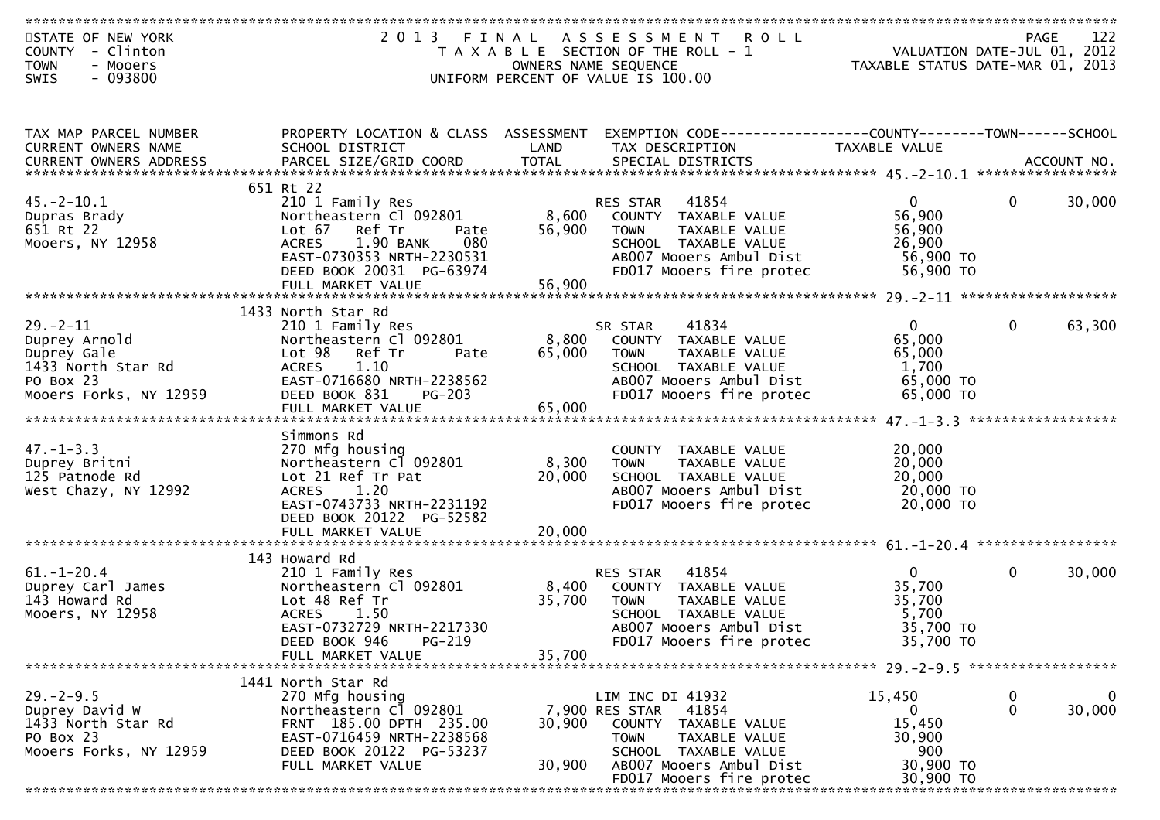| STATE OF NEW YORK             | 2 0 1 3<br>FINAL                     |        | A S S E S S M E N T<br><b>ROLL</b>                          |                                  |              | 122<br>PAGE |
|-------------------------------|--------------------------------------|--------|-------------------------------------------------------------|----------------------------------|--------------|-------------|
| - Clinton<br><b>COUNTY</b>    |                                      |        | T A X A B L E SECTION OF THE ROLL - 1                       | VALUATION DATE-JUL 01, 2012      |              |             |
|                               |                                      |        |                                                             |                                  |              |             |
| <b>TOWN</b><br>- Mooers       |                                      |        | OWNERS NAME SEQUENCE                                        | TAXABLE STATUS DATE-MAR 01, 2013 |              |             |
| $-093800$<br>SWIS             |                                      |        | UNIFORM PERCENT OF VALUE IS 100.00                          |                                  |              |             |
|                               |                                      |        |                                                             |                                  |              |             |
|                               |                                      |        |                                                             |                                  |              |             |
|                               |                                      |        |                                                             |                                  |              |             |
| TAX MAP PARCEL NUMBER         | PROPERTY LOCATION & CLASS ASSESSMENT |        | EXEMPTION CODE-----------------COUNTY-------TOWN-----SCHOOL |                                  |              |             |
| <b>CURRENT OWNERS NAME</b>    | SCHOOL DISTRICT                      | LAND   | TAX DESCRIPTION                                             | TAXABLE VALUE                    |              |             |
| <b>CURRENT OWNERS ADDRESS</b> |                                      |        |                                                             |                                  |              |             |
|                               |                                      |        |                                                             |                                  |              |             |
|                               | 651 Rt 22                            |        |                                                             |                                  |              |             |
|                               |                                      |        |                                                             |                                  |              |             |
| $45. - 2 - 10.1$              | 210 1 Family Res                     |        | 41854<br>RES STAR                                           | $\overline{0}$                   | $\bf{0}$     | 30,000      |
| Dupras Brady                  | Northeastern Cl 092801               | 8,600  | COUNTY TAXABLE VALUE                                        | 56,900                           |              |             |
| 651 Rt 22                     | Lot 67 Ref Tr<br>Pate                | 56,900 | TAXABLE VALUE<br><b>TOWN</b>                                | 56,900                           |              |             |
| Mooers, NY 12958              | 080<br><b>ACRES</b><br>1.90 BANK     |        | SCHOOL TAXABLE VALUE                                        | 26,900                           |              |             |
|                               | EAST-0730353 NRTH-2230531            |        | AB007 Mooers Ambul Dist                                     | 56,900 TO                        |              |             |
|                               | DEED BOOK 20031 PG-63974             |        | FD017 Mooers fire protec                                    | 56,900 TO                        |              |             |
|                               | FULL MARKET VALUE                    | 56,900 |                                                             |                                  |              |             |
|                               |                                      |        |                                                             |                                  |              |             |
|                               |                                      |        |                                                             |                                  |              |             |
|                               | 1433 North Star Rd                   |        |                                                             |                                  |              |             |
| $29. - 2 - 11$                | 210 1 Family Res                     |        | 41834<br>SR STAR                                            | $\mathbf{0}$                     | $\mathbf{0}$ | 63,300      |
| Duprey Arnold                 | Northeastern Cl 092801               | 8,800  | COUNTY TAXABLE VALUE                                        | 65,000                           |              |             |
| Duprey Gale                   | Lot 98 Ref Tr<br>Pate                | 65,000 | TAXABLE VALUE<br><b>TOWN</b>                                | 65,000                           |              |             |
| 1433 North Star Rd            | <b>ACRES</b><br>1.10                 |        | SCHOOL TAXABLE VALUE                                        | 1,700                            |              |             |
| PO Box 23                     | EAST-0716680 NRTH-2238562            |        | AB007 Mooers Ambul Dist                                     | 65,000 TO                        |              |             |
|                               |                                      |        |                                                             | 65,000 TO                        |              |             |
| Mooers Forks, NY 12959        | DEED BOOK 831<br>$PG-203$            |        | FD017 Mooers fire protec                                    |                                  |              |             |
|                               | FULL MARKET VALUE                    | 65,000 |                                                             |                                  |              |             |
|                               |                                      |        |                                                             |                                  |              |             |
|                               | Simmons Rd                           |        |                                                             |                                  |              |             |
| $47. - 1 - 3.3$               | 270 Mfg housing                      |        | COUNTY TAXABLE VALUE                                        | 20,000                           |              |             |
| Duprey Britni                 | Northeastern Cl 092801               | 8,300  | TAXABLE VALUE<br><b>TOWN</b>                                | 20,000                           |              |             |
| 125 Patnode Rd                | Lot 21 Ref Tr Pat                    | 20,000 | SCHOOL TAXABLE VALUE                                        | 20,000                           |              |             |
| West Chazy, NY 12992          | <b>ACRES</b><br>1.20                 |        | AB007 Mooers Ambul Dist                                     | 20,000 TO                        |              |             |
|                               | EAST-0743733 NRTH-2231192            |        | FD017 Mooers fire protec                                    | 20,000 TO                        |              |             |
|                               |                                      |        |                                                             |                                  |              |             |
|                               | DEED BOOK 20122 PG-52582             |        |                                                             |                                  |              |             |
|                               | FULL MARKET VALUE                    | 20,000 |                                                             |                                  |              |             |
|                               |                                      |        |                                                             |                                  |              |             |
|                               | 143 Howard Rd                        |        |                                                             |                                  |              |             |
| $61. - 1 - 20.4$              | 210 1 Family Res                     |        | 41854<br><b>RES STAR</b>                                    | $\overline{0}$                   | $\mathbf{0}$ | 30,000      |
| Duprey Carl James             | Northeastern Cl 092801               | 8,400  | COUNTY TAXABLE VALUE                                        | 35,700                           |              |             |
| 143 Howard Rd                 | Lot 48 Ref Tr                        | 35,700 | TAXABLE VALUE<br><b>TOWN</b>                                | 35,700                           |              |             |
| Mooers, NY 12958              | <b>ACRES</b><br>1.50                 |        | SCHOOL TAXABLE VALUE                                        | 5,700                            |              |             |
|                               | EAST-0732729 NRTH-2217330            |        |                                                             |                                  |              |             |
|                               |                                      |        | AB007 Mooers Ambul Dist                                     | 35,700 TO                        |              |             |
|                               | PG-219<br>DEED BOOK 946              |        | FD017 Mooers fire protec                                    | 35,700 TO                        |              |             |
|                               | FULL MARKET VALUE                    | 35,700 |                                                             |                                  |              |             |
|                               |                                      |        |                                                             |                                  |              |             |
|                               | 1441 North Star Rd                   |        |                                                             |                                  |              |             |
| $29. - 2 - 9.5$               | 270 Mfg housing                      |        | LIM INC DI 41932                                            | 15,450                           | $\bf{0}$     | $\mathbf 0$ |
| Duprey David W                | Northeastern Cl 092801               |        | 7,900 RES STAR<br>41854                                     | 0                                | $\mathbf{0}$ | 30,000      |
| 1433 North Star Rd            | FRNT 185.00 DPTH 235.00              |        |                                                             |                                  |              |             |
|                               |                                      | 30,900 | COUNTY TAXABLE VALUE                                        | 15,450                           |              |             |
| PO Box 23                     | EAST-0716459 NRTH-2238568            |        | <b>TOWN</b><br>TAXABLE VALUE                                | 30,900                           |              |             |
| Mooers Forks, NY 12959        | DEED BOOK 20122 PG-53237             |        | SCHOOL TAXABLE VALUE                                        | 900                              |              |             |
|                               | FULL MARKET VALUE                    | 30,900 | AB007 Mooers Ambul Dist                                     | 30,900 TO                        |              |             |
|                               |                                      |        | FD017 Mooers fire protec                                    | 30,900 TO                        |              |             |
|                               |                                      |        |                                                             |                                  |              |             |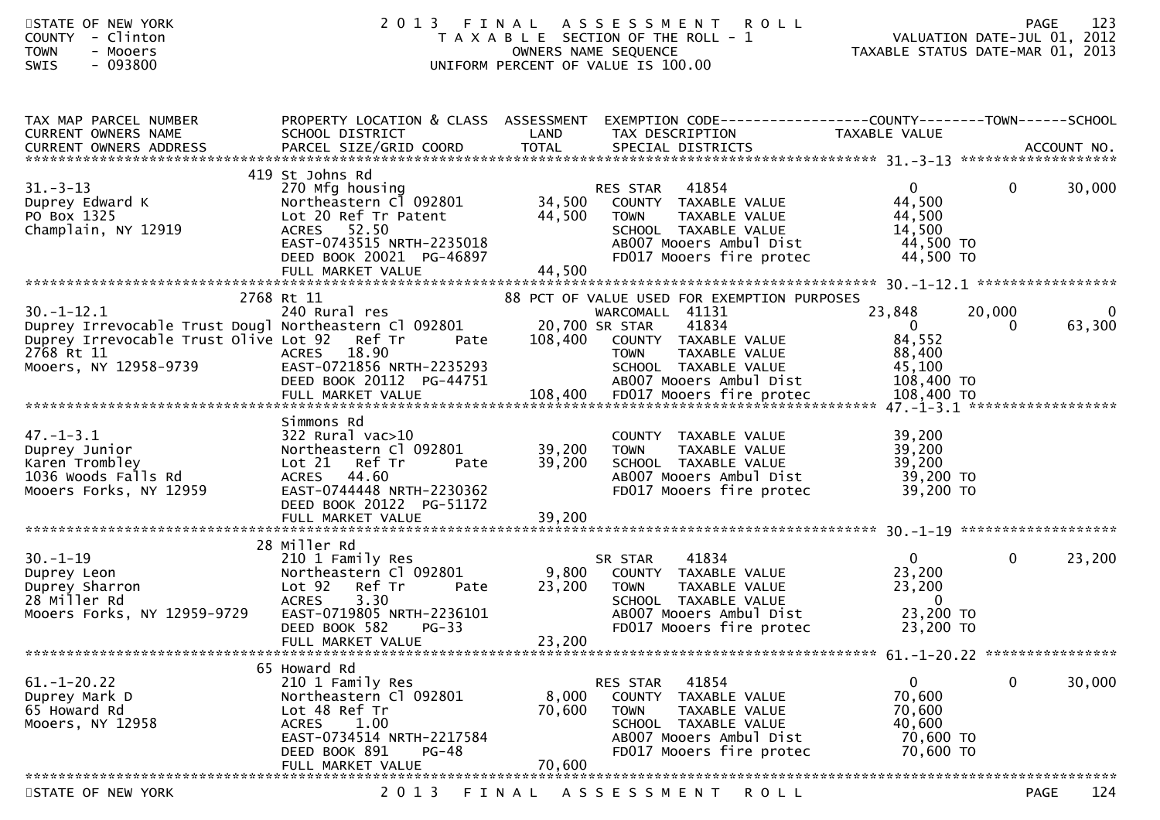| STATE OF NEW YORK<br><b>COUNTY</b><br>- Clinton<br><b>TOWN</b><br>- Mooers<br>$-093800$<br><b>SWIS</b>                                                                          | 2 0 1 3<br>FINAL                                                                                                                                                                        |                           | A S S E S S M E N T<br><b>ROLL</b><br>T A X A B L E SECTION OF THE ROLL - 1<br>OWNERS NAME SEQUENCE<br>UNIFORM PERCENT OF VALUE IS 100.00                                          | VALUATION DATE-JUL 01, 2012<br>VALUATION DATE SUL 1.<br>TAXABLE STATUS DATE-MAR 01, 2013 |                        | 123<br><b>PAGE</b> |
|---------------------------------------------------------------------------------------------------------------------------------------------------------------------------------|-----------------------------------------------------------------------------------------------------------------------------------------------------------------------------------------|---------------------------|------------------------------------------------------------------------------------------------------------------------------------------------------------------------------------|------------------------------------------------------------------------------------------|------------------------|--------------------|
| TAX MAP PARCEL NUMBER<br>CURRENT OWNERS NAME                                                                                                                                    | PROPERTY LOCATION & CLASS ASSESSMENT<br>SCHOOL DISTRICT                                                                                                                                 | LAND                      | EXEMPTION CODE-----------------COUNTY--------TOWN------SCHOOL<br>TAX DESCRIPTION                                                                                                   | TAXABLE VALUE                                                                            |                        |                    |
| $31 - 3 - 13$<br>Duprey Edward K<br>PO Box 1325<br>Champlain, NY 12919                                                                                                          | 419 St Johns Rd<br>270 Mfg housing<br>Northeastern Cl 092801<br>Lot 20 Ref Tr Patent<br>ACRES 52.50<br>EAST-0743515 NRTH-2235018<br>DEED BOOK 20021 PG-46897                            | 34,500<br>44,500          | 41854<br>RES STAR<br>COUNTY TAXABLE VALUE<br>TAXABLE VALUE<br><b>TOWN</b><br>SCHOOL TAXABLE VALUE<br>AB007 Mooers Ambul Dist<br>FD017 Mooers fire protec                           | $\overline{0}$<br>44,500<br>44,500<br>14,500<br>44,500 TO<br>44,500 TO                   | $\mathbf{0}$           | 30,000             |
| $30. - 1 - 12.1$<br>Duprey Irrevocable Trust Dougl Northeastern Cl 092801 20,700 SR STAR<br>Duprey Irrevocable Trust Olive Lot 92 Ref Tr<br>2768 Rt 11<br>Mooers, NY 12958-9739 | FULL MARKET VALUE<br>2768 Rt 11<br>240 Rural res<br>Pate<br><b>ACRES</b><br>18.90<br>EAST-0721856 NRTH-2235293<br>DEED BOOK 20112 PG-44751                                              | 44,500<br>108,400         | 88 PCT OF VALUE USED FOR EXEMPTION PURPOSES<br>WARCOMALL 41131<br>41834<br>COUNTY TAXABLE VALUE<br>TAXABLE VALUE<br><b>TOWN</b><br>SCHOOL TAXABLE VALUE<br>AB007 Mooers Ambul Dist | 23,848<br>$\overline{0}$<br>84,552<br>88,400<br>45,100<br>108,400 TO                     | 20,000<br>$\mathbf{0}$ | 0<br>63,300        |
| $47. - 1 - 3.1$<br>Duprey Junior<br>Karen Trombley<br>1036 Woods Falls Rd<br>Mooers Forks, NY 12959                                                                             | Simmons Rd<br>$322$ Rural vac $>10$<br>Northeastern Cl 092801<br>Lot 21 Ref Tr<br>Pate<br><b>ACRES</b><br>44.60<br>EAST-0744448 NRTH-2230362<br>DEED BOOK 20122 PG-51172                | 39,200<br>39,200          | COUNTY TAXABLE VALUE<br>TAXABLE VALUE<br><b>TOWN</b><br>SCHOOL TAXABLE VALUE<br>AB007 Mooers Ambul Dist<br>FD017 Mooers fire protec                                                | 39,200<br>39,200<br>39,200<br>39,200 TO<br>39,200 TO                                     |                        |                    |
| $30. - 1 - 19$<br>Duprey Leon<br>Duprey Sharron<br>28 Miller Rd<br>Mooers Forks, NY 12959-9729                                                                                  | 28 Miller Rd<br>210 1 Family Res<br>Northeastern Cl 092801<br>Lot 92<br>Ref Tr<br>Pate<br><b>ACRES</b><br>3.30<br>EAST-0719805 NRTH-2236101<br>DEED BOOK 582 PG-33<br>FULL MARKET VALUE | 9,800<br>23,200<br>23,200 | 41834<br>SR STAR<br>COUNTY TAXABLE VALUE<br>TAXABLE VALUE<br><b>TOWN</b><br>SCHOOL TAXABLE VALUE<br>AB007 Mooers Ambul Dist<br>FD017 Mooers fire protec                            | $\mathbf{0}$<br>23,200<br>23,200<br>$\bf{0}$<br>23,200 TO<br>23,200 TO                   | 0                      | 23,200             |
| $61. - 1 - 20.22$<br>Duprey Mark D<br>65 Howard Rd<br>Mooers, NY 12958                                                                                                          | 65 Howard Rd<br>210 1 Family Res<br>Northeastern Cl 092801<br>Lot 48 Ref Tr<br>ACRES<br>1.00<br>EAST-0734514 NRTH-2217584<br>DEED BOOK 891<br>$PG-48$<br>FULL MARKET VALUE              | 8,000<br>70,600<br>70,600 | 41854<br>RES STAR<br>COUNTY TAXABLE VALUE<br>TAXABLE VALUE<br>TOWN<br>SCHOOL TAXABLE VALUE<br>AB007 Mooers Ambul Dist<br>FD017 Mooers fire protec                                  | $\mathbf{0}$<br>70,600<br>70,600<br>40,600<br>70,600 TO<br>70,600 TO                     | 0                      | 30,000             |
| STATE OF NEW YORK                                                                                                                                                               | 2 0 1 3                                                                                                                                                                                 | FINAL                     | A S S E S S M E N T<br>R O L L                                                                                                                                                     |                                                                                          |                        | 124<br>PAGE        |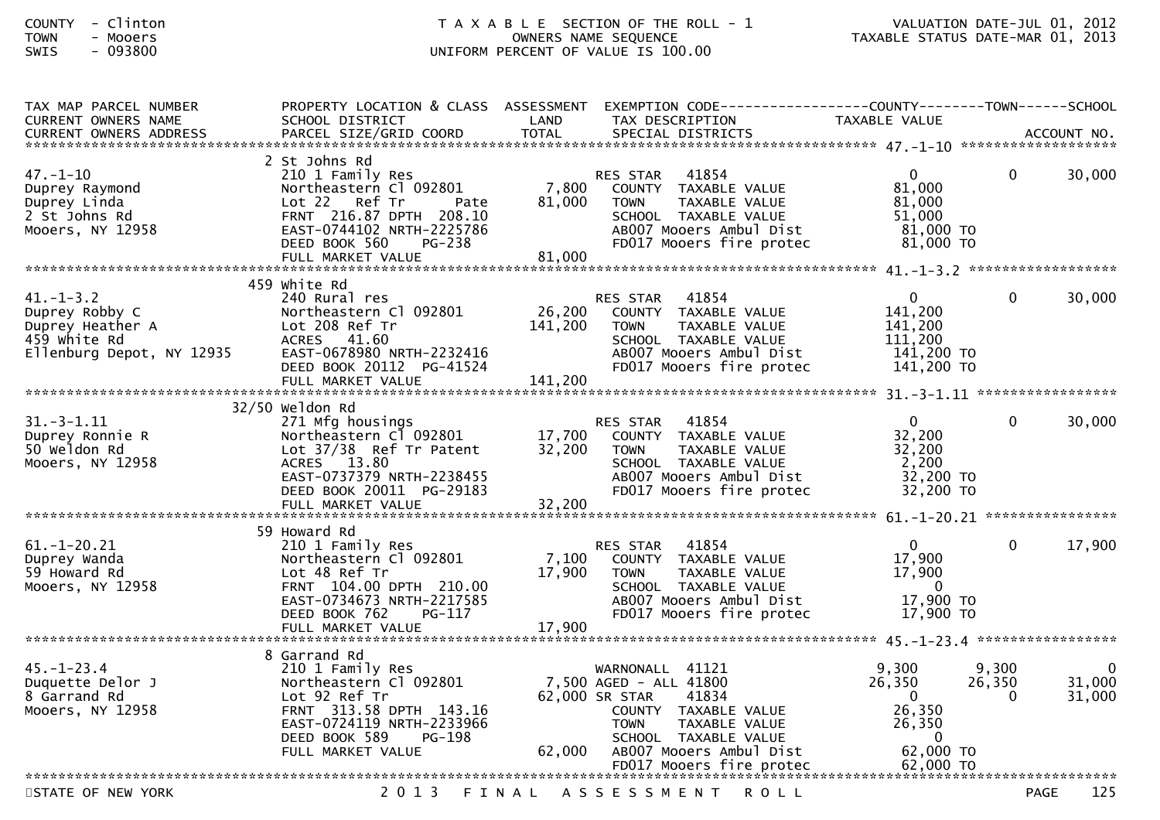| TAX MAP PARCEL NUMBER<br><b>CURRENT OWNERS NAME</b>                                                | PROPERTY LOCATION & CLASS ASSESSMENT<br>SCHOOL DISTRICT                                                                                                                               | LAND                      | EXEMPTION CODE-----------------COUNTY-------TOWN------SCHOOL<br>TAX DESCRIPTION                                                                                                 | TAXABLE VALUE                                                                          |                             |                  |
|----------------------------------------------------------------------------------------------------|---------------------------------------------------------------------------------------------------------------------------------------------------------------------------------------|---------------------------|---------------------------------------------------------------------------------------------------------------------------------------------------------------------------------|----------------------------------------------------------------------------------------|-----------------------------|------------------|
| <b>CURRENT OWNERS ADDRESS</b>                                                                      | PARCEL SIZE/GRID COORD                                                                                                                                                                | <b>TOTAL</b>              | SPECIAL DISTRICTS                                                                                                                                                               |                                                                                        |                             | ACCOUNT NO.      |
|                                                                                                    | 2 St Johns Rd                                                                                                                                                                         |                           |                                                                                                                                                                                 |                                                                                        |                             |                  |
| $47. - 1 - 10$<br>Duprey Raymond<br>Duprey Linda<br>2 St Johns Rd<br>Mooers, NY 12958              | 210 1 Family Res<br>Northeastern Cl 092801<br>Lot 22 Ref Tr<br>Pate<br>FRNT 216.87 DPTH 208.10<br>EAST-0744102 NRTH-2225786<br>DEED BOOK 560<br>PG-238<br>FULL MARKET VALUE           | 7,800<br>81,000<br>81,000 | 41854<br>RES STAR<br>COUNTY TAXABLE VALUE<br>TAXABLE VALUE<br><b>TOWN</b><br>SCHOOL TAXABLE VALUE<br>AB007 Mooers Ambul Dist<br>FD017 Mooers fire protec                        | $\mathbf{0}$<br>81,000<br>81,000<br>51,000<br>81,000 TO<br>81,000 TO                   | $\Omega$                    | 30,000           |
|                                                                                                    |                                                                                                                                                                                       |                           |                                                                                                                                                                                 |                                                                                        |                             |                  |
|                                                                                                    | 459 white Rd                                                                                                                                                                          |                           |                                                                                                                                                                                 |                                                                                        |                             |                  |
| $41. - 1 - 3.2$<br>Duprey Robby C<br>Duprey Heather A<br>459 white Rd<br>Ellenburg Depot, NY 12935 | 240 Rural res<br>Northeastern Cl 092801<br>Lot 208 Ref Tr<br>ACRES 41.60<br>EAST-0678980 NRTH-2232416<br>DEED BOOK 20112 PG-41524                                                     | 26,200<br>141,200         | 41854<br><b>RES STAR</b><br>COUNTY TAXABLE VALUE<br><b>TOWN</b><br>TAXABLE VALUE<br>SCHOOL TAXABLE VALUE<br>AB007 Mooers Ambul Dist<br>FD017 Mooers fire protec                 | $\mathbf{0}$<br>141,200<br>141,200<br>111,200<br>141,200 TO<br>141,200 TO              | $\Omega$                    | 30,000           |
|                                                                                                    |                                                                                                                                                                                       |                           |                                                                                                                                                                                 |                                                                                        |                             |                  |
|                                                                                                    | $32/50$ Weldon Rd                                                                                                                                                                     |                           |                                                                                                                                                                                 |                                                                                        |                             |                  |
| $31. - 3 - 1.11$<br>Duprey Ronnie R<br>50 Weldon Rd<br>Mooers, NY 12958                            | 271 Mfg housings<br>Northeastern Cl 092801<br>Lot 37/38 Ref Tr Patent<br>ACRES 13.80<br>EAST-0737379 NRTH-2238455<br>DEED BOOK 20011 PG-29183                                         | 17,700<br>32,200          | 41854<br><b>RES STAR</b><br>COUNTY TAXABLE VALUE<br><b>TOWN</b><br>TAXABLE VALUE<br>SCHOOL TAXABLE VALUE<br>AB007 Mooers Ambul Dist<br>FD017 Mooers fire protec                 | $\mathbf{0}$<br>32,200<br>32,200<br>2,200<br>32,200 TO<br>32,200 TO                    | $\Omega$                    | 30,000           |
|                                                                                                    | FULL MARKET VALUE                                                                                                                                                                     | 32,200                    |                                                                                                                                                                                 |                                                                                        |                             |                  |
|                                                                                                    |                                                                                                                                                                                       |                           |                                                                                                                                                                                 |                                                                                        |                             |                  |
| $61. - 1 - 20.21$<br>Duprey Wanda<br>59 Howard Rd<br>Mooers, NY 12958                              | 59 Howard Rd<br>210 1 Family Res<br>Northeastern Cl 092801<br>Lot 48 Ref Tr<br>FRNT 104.00 DPTH 210.00<br>EAST-0734673 NRTH-2217585<br>DEED BOOK 762<br>$PG-117$<br>FULL MARKET VALUE | 7,100<br>17,900<br>17,900 | 41854<br><b>RES STAR</b><br>COUNTY TAXABLE VALUE<br><b>TOWN</b><br>TAXABLE VALUE<br>SCHOOL TAXABLE VALUE<br>AB007 Mooers Ambul Dist<br>FD017 Mooers fire protec                 | $\mathbf{0}$<br>17,900<br>17,900<br>$\overline{\phantom{0}}$<br>17,900 TO<br>17,900 TO | $\Omega$                    | 17,900           |
|                                                                                                    |                                                                                                                                                                                       |                           |                                                                                                                                                                                 |                                                                                        |                             |                  |
| $45. - 1 - 23.4$<br>Duquette Delor J<br>8 Garrand Rd<br>Mooers, NY 12958                           | 8 Garrand Rd<br>210 1 Family Res<br>Northeastern Cl 092801<br>Lot 92 Ref Tr<br>FRNT 313.58 DPTH 143.16<br>EAST-0724119 NRTH-2233966<br>DEED BOOK 589<br>PG-198<br>FULL MARKET VALUE   | 62,000                    | WARNONALL 41121<br>7,500 AGED - ALL 41800<br>62,000 SR STAR<br>41834<br>COUNTY TAXABLE VALUE<br><b>TOWN</b><br>TAXABLE VALUE<br>SCHOOL TAXABLE VALUE<br>AB007 Mooers Ambul Dist | 9,300<br>26,350<br>$\overline{0}$<br>26,350<br>26,350<br>$\overline{0}$<br>62,000 TO   | 9,300<br>26,350<br>$\Omega$ | 31,000<br>31,000 |
|                                                                                                    |                                                                                                                                                                                       |                           | FD017 Mooers fire protec                                                                                                                                                        | 62,000 TO                                                                              |                             |                  |
| STATE OF NEW YORK                                                                                  | 2 0 1 3                                                                                                                                                                               |                           | FINAL ASSESSMENT<br><b>ROLL</b>                                                                                                                                                 |                                                                                        | <b>PAGE</b>                 | 125              |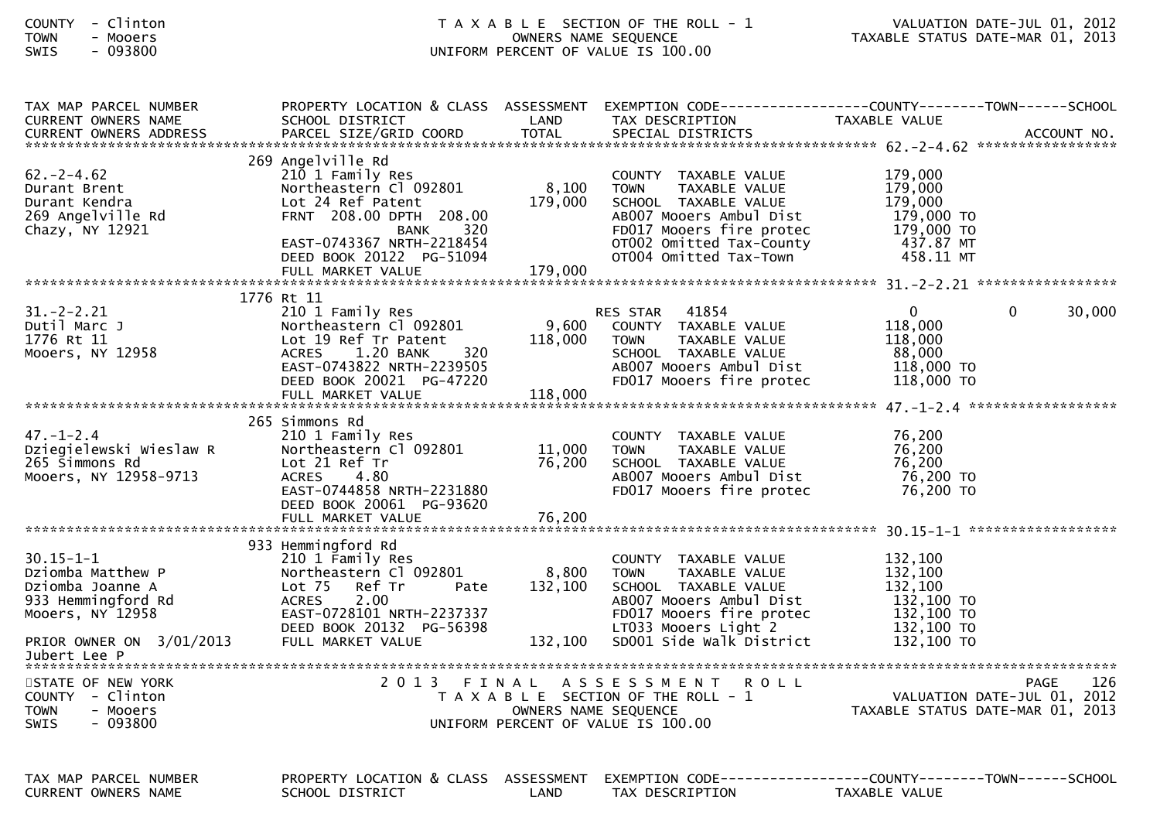| <b>COUNTY</b> | Clinton |
|---------------|---------|
| <b>TOWN</b>   | Mooers  |
| <b>STM2</b>   | ngsron  |

| TAX MAP PARCEL NUMBER<br>CURRENT OWNERS NAME                                                                                   | SCHOOL DISTRICT                                                                                                                                                                             | LAND                        | TAX DESCRIPTION                                                                                                                                                                         | PROPERTY LOCATION & CLASS ASSESSMENT EXEMPTION CODE----------------COUNTY-------TOWN------SCHOOL<br>TAXABLE VALUE                                                                           |
|--------------------------------------------------------------------------------------------------------------------------------|---------------------------------------------------------------------------------------------------------------------------------------------------------------------------------------------|-----------------------------|-----------------------------------------------------------------------------------------------------------------------------------------------------------------------------------------|---------------------------------------------------------------------------------------------------------------------------------------------------------------------------------------------|
|                                                                                                                                |                                                                                                                                                                                             |                             |                                                                                                                                                                                         |                                                                                                                                                                                             |
|                                                                                                                                |                                                                                                                                                                                             |                             |                                                                                                                                                                                         |                                                                                                                                                                                             |
| $62 - 2 - 4.62$<br>Durant Brent<br>Durant Kendra<br>269 Angelville Rd<br>Chazy, NY 12921                                       | 269 Angelville Rd<br>210 1 Family Res<br>Northeastern Cl 092801<br>Lot 24 Ref Patent<br>FRNT 208.00 DPTH 208.00<br>320<br>BANK<br>EAST-0743367 NRTH-2218454                                 | 8,100<br>179,000            | COUNTY TAXABLE VALUE<br><b>TOWN</b><br>TAXABLE VALUE<br>SCHOOL TAXABLE VALUE<br>AB007 Mooers Ambul Dist<br>FD017 Mooers fire protec<br>OT002 Omitted Tax-County                         | 179,000<br>179,000<br>179,000<br>179,000 TO<br>179,000 TO<br>437.87 MT                                                                                                                      |
|                                                                                                                                | DEED BOOK 20122 PG-51094                                                                                                                                                                    |                             | OT004 Omitted Tax-Town                                                                                                                                                                  | 458.11 MT                                                                                                                                                                                   |
|                                                                                                                                | FULL MARKET VALUE                                                                                                                                                                           | 179,000                     |                                                                                                                                                                                         |                                                                                                                                                                                             |
|                                                                                                                                | 1776 Rt 11                                                                                                                                                                                  |                             |                                                                                                                                                                                         |                                                                                                                                                                                             |
| $31. - 2 - 2.21$<br>Dutil Marc J<br>1776 Rt 11<br>Mooers, NY 12958                                                             | 210 1 Family Res<br>Northeastern Cl 092801<br>Lot 19 Ref Tr Patent<br>320<br>1.20 BANK<br><b>ACRES</b><br>EAST-0743822 NRTH-2239505<br>DEED BOOK 20021 PG-47220                             | 9,600<br>118,000            | RES STAR 41854<br>COUNTY TAXABLE VALUE<br><b>TOWN</b><br>TAXABLE VALUE<br>SCHOOL TAXABLE VALUE<br>AB007 Mooers Ambul Dist<br>FD017 Mooers fire protec                                   | $\overline{0}$<br>30,000<br>$\mathbf{0}$<br>118,000<br>118,000<br>88.000<br>118,000 TO<br>118,000 TO                                                                                        |
|                                                                                                                                | FULL MARKET VALUE                                                                                                                                                                           | 118,000                     |                                                                                                                                                                                         |                                                                                                                                                                                             |
|                                                                                                                                |                                                                                                                                                                                             |                             |                                                                                                                                                                                         |                                                                                                                                                                                             |
| $47. - 1 - 2.4$<br>Dziegielewski Wieslaw R<br>265 Simmons Rd<br>Mooers, NY 12958-9713                                          | 265 Simmons Rd<br>210 1 Family Res<br>Northeastern Cl 092801<br>Lot 21 Ref Tr<br>ACRES 4.80<br>EAST-0744858 NRTH-2231880<br>DEED BOOK 20061 PG-93620                                        | 11,000<br>76,200            | COUNTY TAXABLE VALUE<br><b>TOWN</b><br>TAXABLE VALUE<br>SCHOOL TAXABLE VALUE<br>AB007 Mooers Ambul Dist<br>FD017 Mooers fire protec                                                     | 76,200<br>76,200<br>76,200<br>76,200 TO<br>76,200 TO                                                                                                                                        |
|                                                                                                                                |                                                                                                                                                                                             |                             |                                                                                                                                                                                         |                                                                                                                                                                                             |
|                                                                                                                                |                                                                                                                                                                                             |                             |                                                                                                                                                                                         |                                                                                                                                                                                             |
| $30.15 - 1 - 1$<br>Dziomba Matthew P<br>Dziomba Joanne A<br>933 Hemmingford Rd<br>Mooers, NY 12958<br>PRIOR OWNER ON 3/01/2013 | 933 Hemmingford Rd<br>210 1 Family Res<br>Northeastern Cl 092801<br>Lot 75<br>Ref Tr<br>Pate<br>2.00<br>ACRES<br>EAST-0728101 NRTH-2237337<br>DEED BOOK 20132 PG-56398<br>FULL MARKET VALUE | 8,800<br>132,100<br>132,100 | COUNTY TAXABLE VALUE<br>TAXABLE VALUE<br><b>TOWN</b><br>SCHOOL TAXABLE VALUE<br>AB007 Mooers Ambul Dist<br>FD017 Mooers fire protec<br>LT033 Mooers Light 2<br>SD001 Side Walk District | 132,100<br>132,100<br>132,100<br>132,100 TO<br>132,100 то<br>132,100 то<br>132,100 TO                                                                                                       |
| Jubert Lee P                                                                                                                   |                                                                                                                                                                                             |                             |                                                                                                                                                                                         |                                                                                                                                                                                             |
| STATE OF NEW YORK<br>COUNTY - Clinton<br><b>TOWN</b><br>- Mooers<br>$-093800$<br><b>SWIS</b>                                   |                                                                                                                                                                                             |                             | 2013 FINAL ASSESSMENT ROLL<br>UNIFORM PERCENT OF VALUE IS 100.00                                                                                                                        | 126<br>PAGE<br>PAGE 126<br>T A X A B L E SECTION OF THE ROLL - 1 VALUATION DATE-JUL 01, 2012<br>OWNERS NAME SEQUENCE TAXABLE STATUS DATE-MAR 01, 2013<br>INTEOPM PERCENT OF VALUE TE 100.00 |
| TAX MAP PARCEL NUMBER<br><b>CURRENT OWNERS NAME</b>                                                                            | SCHOOL DISTRICT                                                                                                                                                                             | LAND                        | TAX DESCRIPTION                                                                                                                                                                         | PROPERTY LOCATION & CLASS ASSESSMENT EXEMPTION CODE----------------COUNTY-------TOWN------SCHOOL<br>TAXABLE VALUE                                                                           |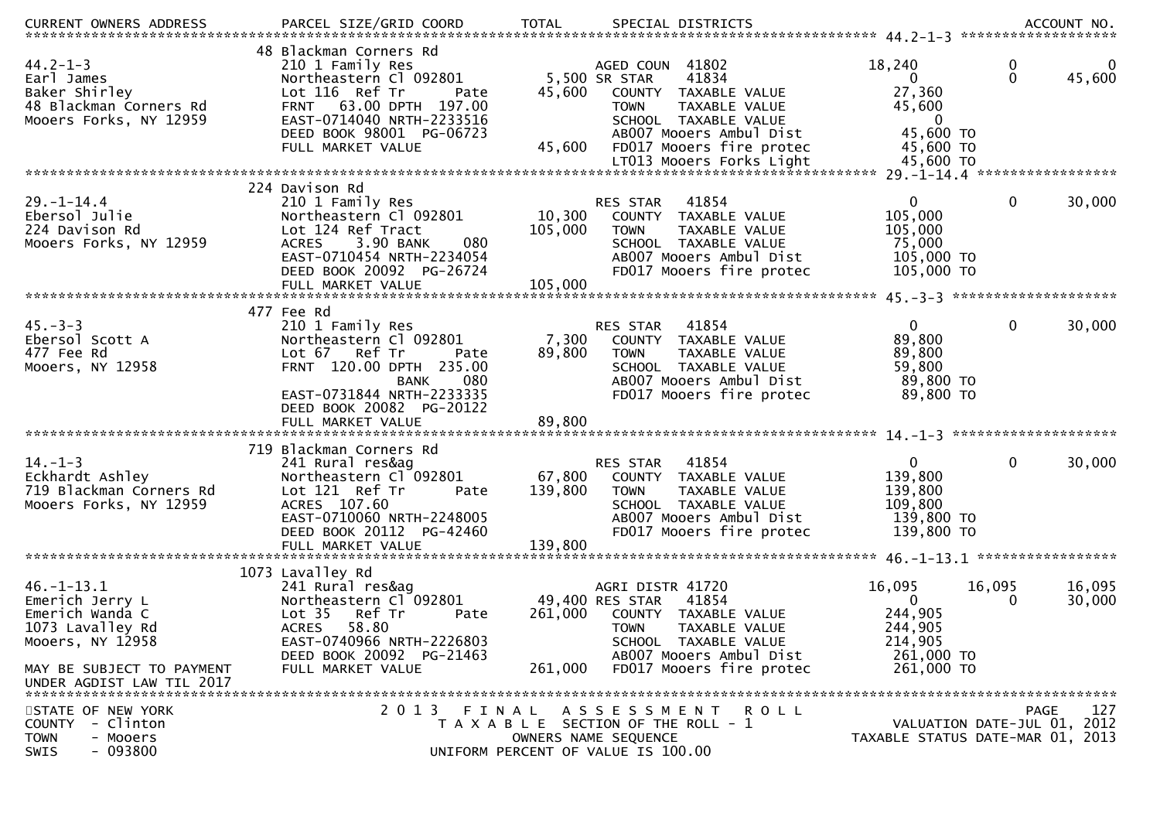| CURRENT OWNERS ADDRESS     | PARCEL SIZE/GRID COORD              | <b>TOTAL</b>    | SPECIAL DISTRICTS                     |                                  |              | ACCOUNT NO. |
|----------------------------|-------------------------------------|-----------------|---------------------------------------|----------------------------------|--------------|-------------|
|                            | 48 Blackman Corners Rd              |                 |                                       |                                  |              |             |
| $44.2 - 1 - 3$             | 210 1 Family Res                    |                 | AGED COUN 41802                       | 18,240                           | 0            | 0           |
| Earl James                 | Northeastern Cl 092801              |                 | 5,500 SR STAR<br>41834                | $\overline{0}$                   | $\Omega$     | 45,600      |
| Baker Shirley              | Lot 116 Ref Tr<br>Pate              | 45,600          | COUNTY TAXABLE VALUE                  | 27,360                           |              |             |
| 48 Blackman Corners Rd     | FRNT 63.00 DPTH 197.00              |                 | TAXABLE VALUE<br><b>TOWN</b>          | 45,600                           |              |             |
|                            |                                     |                 |                                       | $\overline{0}$                   |              |             |
| Mooers Forks, NY 12959     | EAST-0714040 NRTH-2233516           |                 | SCHOOL TAXABLE VALUE                  |                                  |              |             |
|                            | DEED BOOK 98001 PG-06723            |                 | AB007 Mooers Ambul Dist               | 45,600 TO                        |              |             |
|                            | FULL MARKET VALUE                   | 45,600          | FD017 Mooers fire protec              | 45,600 TO                        |              |             |
|                            |                                     |                 | LT013 Mooers Forks Light              | 45,600 TO                        |              |             |
|                            |                                     |                 |                                       |                                  |              |             |
|                            | 224 Davison Rd                      |                 |                                       |                                  |              |             |
| $29. - 1 - 14.4$           | 210 1 Family Res                    |                 | 41854<br>RES STAR                     | $\mathbf{0}$                     | $\mathbf 0$  | 30,000      |
| Ebersol Julie              | Northeastern Cl 092801              |                 | 10,300 COUNTY TAXABLE VALUE           | 105,000                          |              |             |
| 224 Davison Rd             | Lot 124 Ref Tract                   | 105,000         | <b>TOWN</b><br>TAXABLE VALUE          | 105,000                          |              |             |
| Mooers Forks, NY 12959     | 080<br>3.90 BANK<br><b>ACRES</b>    |                 | SCHOOL TAXABLE VALUE                  | 75,000                           |              |             |
|                            | EAST-0710454 NRTH-2234054           |                 | AB007 Mooers Ambul Dist               | 105,000 TO                       |              |             |
|                            | DEED BOOK 20092 PG-26724            |                 | FD017 Mooers fire protec              | 105,000 TO                       |              |             |
|                            |                                     |                 |                                       |                                  |              |             |
|                            | FULL MARKET VALUE                   | 105,000         |                                       |                                  |              |             |
|                            | 477 Fee Rd                          |                 |                                       |                                  |              |             |
|                            |                                     |                 |                                       |                                  | $\mathbf{0}$ |             |
| $45. -3 - 3$               | 210 1 Family Res                    |                 | 41854<br><b>RES STAR</b>              | $\mathbf{0}$                     |              | 30,000      |
| Ebersol Scott A            | Northeastern Cl 092801              | 7,300           | COUNTY TAXABLE VALUE                  | 89,800                           |              |             |
| 477 Fee Rd                 | Lot 67 Ref Tr<br>Pate               | 89,800          | <b>TOWN</b><br>TAXABLE VALUE          | 89,800                           |              |             |
| Mooers, NY 12958           | FRNT 120.00 DPTH 235.00             |                 | SCHOOL TAXABLE VALUE                  | 59,800                           |              |             |
|                            | <b>BANK</b><br>080                  |                 | AB007 Mooers Ambul Dist               | 89,800 TO                        |              |             |
|                            | EAST-0731844 NRTH-2233335           |                 | FD017 Mooers fire protec              | 89,800 TO                        |              |             |
|                            | DEED BOOK 20082 PG-20122            |                 |                                       |                                  |              |             |
|                            |                                     |                 |                                       |                                  |              |             |
|                            |                                     |                 |                                       |                                  |              |             |
|                            | 719 Blackman Corners Rd             |                 |                                       |                                  |              |             |
| $14. - 1 - 3$              | 241 Rural res&ag                    |                 | 41854<br>RES STAR                     | $\overline{0}$                   | $\mathbf{0}$ | 30,000      |
| Eckhardt Ashley            | Northeastern Cl 092801              | 67,800          | COUNTY TAXABLE VALUE                  | 139,800                          |              |             |
| 719 Blackman Corners Rd    | Lot 121 Ref Tr<br>Pate              | 139,800         | TAXABLE VALUE<br><b>TOWN</b>          | 139,800                          |              |             |
| Mooers Forks, NY 12959     | ACRES 107.60                        |                 | SCHOOL TAXABLE VALUE                  | 109,800                          |              |             |
|                            |                                     |                 |                                       |                                  |              |             |
|                            | EAST-0710060 NRTH-2248005           |                 | AB007 Mooers Ambul Dist               | 139,800 TO                       |              |             |
|                            | DEED BOOK 20112 PG-42460            |                 | FD017 Mooers fire protec              | 139,800 TO                       |              |             |
|                            |                                     |                 |                                       |                                  |              |             |
|                            | 1073 Lavalley Rd                    |                 |                                       |                                  |              |             |
|                            |                                     |                 |                                       |                                  |              |             |
| $46. - 1 - 13.1$           | 241 Rural res&ag                    |                 | AGRI DISTR 41720                      | 16,095                           | 16,095       | 16,095      |
| Emerich Jerry L            | Northeastern Cl 092801              | 49,400 RES STAR | 41854                                 | $\overline{0}$                   | 0            | 30,000      |
| Emerich Wanda C            | Lot <sub>35</sub><br>Ref Tr<br>Pate | 261,000         | COUNTY TAXABLE VALUE                  | 244,905                          |              |             |
| 1073 Lavalley Rd           | 58.80<br><b>ACRES</b>               |                 | <b>TOWN</b><br>TAXABLE VALUE          | 244,905                          |              |             |
| Mooers, NY 12958           | EAST-0740966 NRTH-2226803           |                 | SCHOOL TAXABLE VALUE                  | 214,905                          |              |             |
|                            | DEED BOOK 20092 PG-21463            |                 | AB007 Mooers Ambul Dist               | 261,000 TO                       |              |             |
| MAY BE SUBJECT TO PAYMENT  | FULL MARKET VALUE                   | 261,000         | FD017 Mooers fire protec              | 261,000 TO                       |              |             |
| UNDER AGDIST LAW TIL 2017  |                                     |                 |                                       |                                  |              |             |
|                            |                                     |                 |                                       |                                  |              |             |
| STATE OF NEW YORK          |                                     |                 | 2013 FINAL ASSESSMENT<br>R O L L      |                                  |              | 127<br>PAGE |
| - Clinton<br><b>COUNTY</b> |                                     |                 | T A X A B L E SECTION OF THE ROLL - 1 | VALUATION DATE-JUL 01, 2012      |              |             |
| - Mooers<br><b>TOWN</b>    |                                     |                 | OWNERS NAME SEQUENCE                  | TAXABLE STATUS DATE-MAR 01, 2013 |              |             |
| $-093800$<br><b>SWIS</b>   |                                     |                 | UNIFORM PERCENT OF VALUE IS 100.00    |                                  |              |             |
|                            |                                     |                 |                                       |                                  |              |             |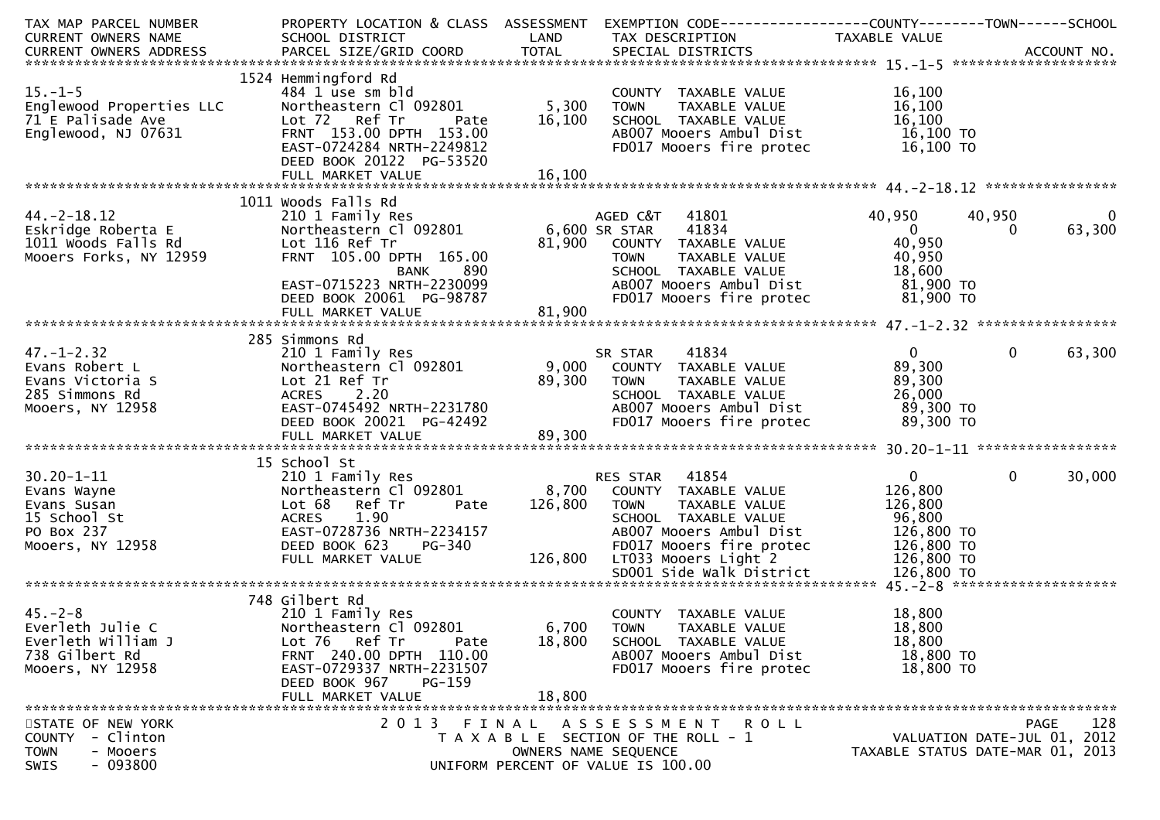| TAX MAP PARCEL NUMBER                    | PROPERTY LOCATION & CLASS ASSESSMENT                 |               | EXEMPTION CODE------------------COUNTY--------TOWN------SCHOOL |                                  |                             |              |
|------------------------------------------|------------------------------------------------------|---------------|----------------------------------------------------------------|----------------------------------|-----------------------------|--------------|
| CURRENT OWNERS NAME                      | SCHOOL DISTRICT                                      | LAND          | TAX DESCRIPTION                                                | TAXABLE VALUE                    |                             |              |
|                                          |                                                      |               |                                                                |                                  |                             |              |
|                                          |                                                      |               |                                                                |                                  |                             |              |
|                                          | 1524 Hemmingford Rd                                  |               |                                                                |                                  |                             |              |
| $15.-1-5$                                | 484 1 use sm bld                                     |               | COUNTY TAXABLE VALUE                                           | 16,100                           |                             |              |
| Englewood Properties LLC                 | Northeastern Cl 092801                               | 5,300         | TAXABLE VALUE<br><b>TOWN</b>                                   | 16,100                           |                             |              |
| 71 E Palisade Ave<br>Englewood, NJ 07631 | Lot 72 Ref Tr<br>Pate<br>FRNT 153.00 DPTH 153.00     | 16,100        | SCHOOL TAXABLE VALUE<br>AB007 Mooers Ambul Dist                | 16,100<br>16,100 TO              |                             |              |
|                                          | EAST-0724284 NRTH-2249812                            |               | FD017 Mooers fire protec                                       | 16,100 TO                        |                             |              |
|                                          | DEED BOOK 20122 PG-53520                             |               |                                                                |                                  |                             |              |
|                                          |                                                      |               |                                                                |                                  |                             |              |
|                                          |                                                      |               |                                                                |                                  |                             |              |
|                                          | 1011 Woods Falls Rd                                  |               |                                                                |                                  |                             |              |
| $44. -2 - 18.12$                         | 210 1 Family Res                                     |               | 41801<br>AGED C&T                                              | 40,950                           | 40,950                      | $\mathbf{0}$ |
| Eskridge Roberta E                       | Northeastern Cl 092801                               | 6,600 SR STAR | 41834                                                          | $\overline{0}$                   | $\Omega$                    | 63,300       |
| 1011 Woods Falls Rd                      | Lot 116 Ref Tr                                       | 81,900        | COUNTY TAXABLE VALUE                                           | 40,950                           |                             |              |
| Mooers Forks, NY 12959                   | FRNT 105.00 DPTH 165.00                              |               | <b>TOWN</b><br>TAXABLE VALUE                                   | 40,950                           |                             |              |
|                                          | BANK<br>890                                          |               | SCHOOL TAXABLE VALUE                                           | 18,600                           |                             |              |
|                                          | EAST-0715223 NRTH-2230099                            |               | AB007 Mooers Ambul Dist                                        | 81,900 то                        |                             |              |
|                                          | DEED BOOK 20061 PG-98787                             |               | FD017 Mooers fire protec                                       | 81,900 TO                        |                             |              |
|                                          | FULL MARKET VALUE                                    | 81,900        |                                                                |                                  |                             |              |
|                                          |                                                      |               |                                                                |                                  |                             |              |
|                                          | 285 Simmons Rd                                       |               |                                                                |                                  |                             |              |
| $47. - 1 - 2.32$                         | 210 1 Family Res                                     |               | 41834<br>SR STAR                                               | $\mathbf{0}$                     | $\overline{0}$              | 63,300       |
| Evans Robert L                           | Northeastern Cl 092801                               | 9,000         | COUNTY TAXABLE VALUE                                           | 89,300                           |                             |              |
| Evans Victoria S                         | Lot 21 Ref Tr                                        | 89,300        | <b>TOWN</b><br>TAXABLE VALUE                                   | 89,300                           |                             |              |
| 285 Simmons Rd                           | ACRES 2.20<br>EAST-0745492 NRTH-2231780              |               | SCHOOL TAXABLE VALUE<br>AB007 Mooers Ambul Dist                | 26,000<br>89,300 TO              |                             |              |
| Mooers, NY 12958                         | DEED BOOK 20021 PG-42492                             |               | FD017 Mooers fire protec                                       | 89,300 TO                        |                             |              |
|                                          | FULL MARKET VALUE                                    | 89,300        |                                                                |                                  |                             |              |
|                                          |                                                      |               |                                                                |                                  |                             |              |
|                                          | 15 School St                                         |               |                                                                |                                  |                             |              |
| $30.20 - 1 - 11$                         | 210 1 Family Res                                     |               | 41854<br>RES STAR                                              | $\mathbf{0}$                     | $\overline{0}$              | 30,000       |
| Evans Wayne                              | Northeastern Cl 092801                               | 8,700         | COUNTY TAXABLE VALUE                                           | 126,800                          |                             |              |
| Evans Susan                              | Lot 68 Ref Tr<br>Pate                                | 126,800       | <b>TOWN</b><br>TAXABLE VALUE                                   | 126,800                          |                             |              |
| 15 School St                             | 1.90<br><b>ACRES</b>                                 |               | SCHOOL TAXABLE VALUE                                           | 96,800                           |                             |              |
| PO Box 237                               | EAST-0728736 NRTH-2234157                            |               | AB007 Mooers Ambul Dist                                        | 126,800 TO                       |                             |              |
| Mooers, NY 12958                         | DEED BOOK 623<br><b>PG-340</b>                       |               | FD017 Mooers fire protec                                       | 126,800 TO                       |                             |              |
|                                          | FULL MARKET VALUE                                    |               | 126,800 LT033 Mooers Light 2                                   | 126,800 TO                       |                             |              |
|                                          |                                                      |               |                                                                |                                  |                             |              |
|                                          |                                                      |               |                                                                |                                  |                             |              |
|                                          | 748 Gilbert Rd                                       |               |                                                                |                                  |                             |              |
| $45. -2 - 8$                             | 210 1 Family Res                                     |               | COUNTY TAXABLE VALUE                                           | 18,800                           |                             |              |
| Everleth Julie C                         | Northeastern Cl 092801                               | 6,700         | <b>TOWN</b><br>TAXABLE VALUE                                   | 18,800                           |                             |              |
| Everleth William J                       | Lot 76 Ref Tr<br>Pate                                | 18,800        | SCHOOL TAXABLE VALUE                                           | 18,800                           |                             |              |
| 738 Gilbert Rd                           | FRNT 240.00 DPTH 110.00                              |               | AB007 Mooers Ambul Dist                                        | 18,800 TO                        |                             |              |
| Mooers, NY 12958                         | EAST-0729337 NRTH-2231507<br>DEED BOOK 967<br>PG-159 |               | FD017 Mooers fire protec                                       | 18,800 TO                        |                             |              |
|                                          | FULL MARKET VALUE                                    | 18,800        |                                                                |                                  |                             |              |
|                                          |                                                      |               |                                                                |                                  |                             |              |
| STATE OF NEW YORK                        | 2 0 1 3<br>FINAL                                     |               | A S S E S S M E N T<br>R O L L                                 |                                  | <b>PAGE</b>                 | 128          |
| - Clinton<br><b>COUNTY</b>               |                                                      |               | T A X A B L E SECTION OF THE ROLL - 1                          |                                  | VALUATION DATE-JUL 01, 2012 |              |
| - Mooers<br><b>TOWN</b>                  |                                                      |               | OWNERS NAME SEQUENCE                                           | TAXABLE STATUS DATE-MAR 01, 2013 |                             |              |
| $-093800$<br>SWIS                        |                                                      |               | UNIFORM PERCENT OF VALUE IS 100.00                             |                                  |                             |              |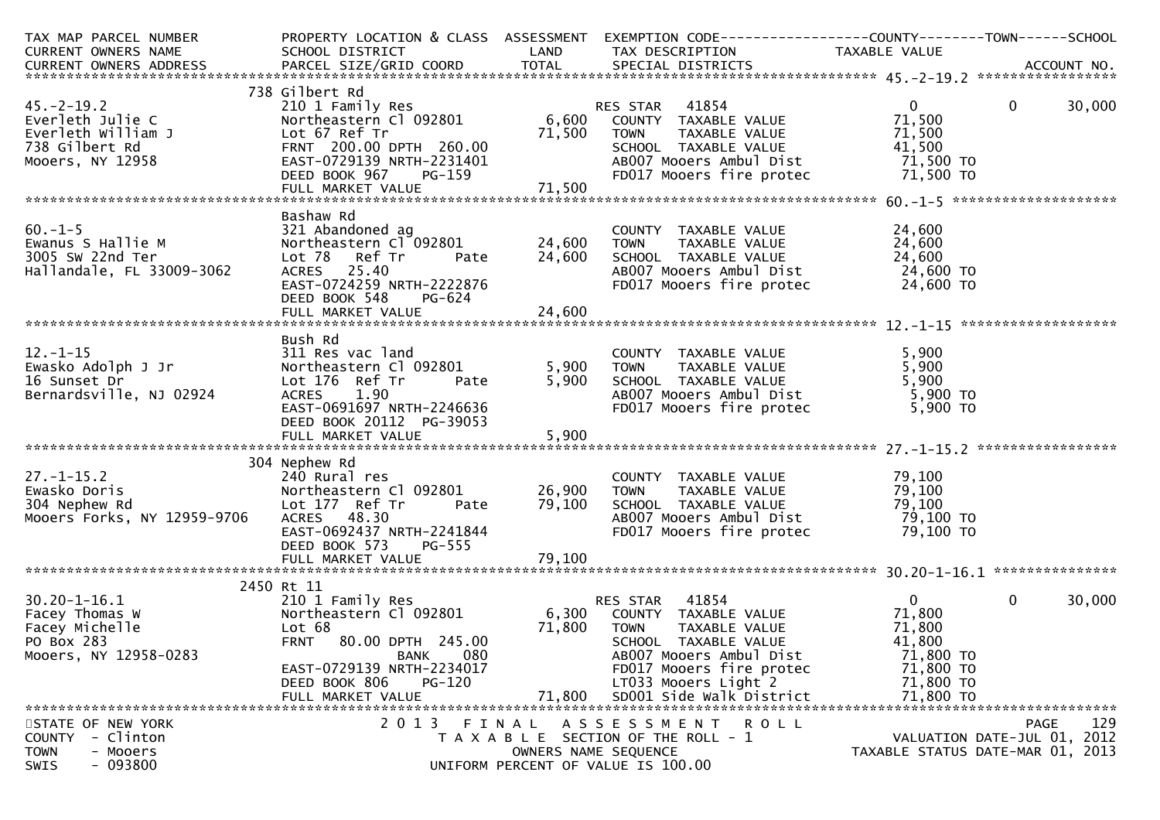| TAX MAP PARCEL NUMBER                                                                                                                                                                                                                    | PROPERTY LOCATION & CLASS  ASSESSMENT  EXEMPTION CODE----------------COUNTY-------TOWN------SCHOOL                                                                                      |                            |                                                                                                                                                                                                              |                                                                                                           |                |        |
|------------------------------------------------------------------------------------------------------------------------------------------------------------------------------------------------------------------------------------------|-----------------------------------------------------------------------------------------------------------------------------------------------------------------------------------------|----------------------------|--------------------------------------------------------------------------------------------------------------------------------------------------------------------------------------------------------------|-----------------------------------------------------------------------------------------------------------|----------------|--------|
|                                                                                                                                                                                                                                          |                                                                                                                                                                                         |                            |                                                                                                                                                                                                              |                                                                                                           |                |        |
|                                                                                                                                                                                                                                          | 738 Gilbert Rd                                                                                                                                                                          |                            |                                                                                                                                                                                                              |                                                                                                           |                |        |
| 45.-2-19.2<br>Everleth Julie C 2001 Family Res<br>Everleth William J Lot 67 Ref Tr<br>738 Gilbert Rd FRAMT 200.00 DPTH 260.00 500 SCHOOL TAXABLE VALUE<br>738 EAST-0729139 NRTH-2231401 ABO07 MOOETS, NY 12958<br>MOOETS, NY 12958 EAST- |                                                                                                                                                                                         |                            |                                                                                                                                                                                                              | $\overline{0}$                                                                                            | $\overline{0}$ | 30,000 |
|                                                                                                                                                                                                                                          |                                                                                                                                                                                         |                            |                                                                                                                                                                                                              |                                                                                                           |                |        |
| 60.-1-5<br>Ewanus S Hallie M<br>3005 Sw 22nd Ter<br>Hallandale, FL 33009-3062<br>Hallandale, FL 33009-3062                                                                                                                               | Bashaw Rd<br>321 Abandoned ag<br>Northeastern C1 092801 24,600 TOWN<br>Lot 78 Ref Tr<br>ACRES 25.40<br>EAST-0724259 NRTH-2222876<br>DEED BOOK 548<br>PG-624                             | Pate 24,600                | COUNTY TAXABLE VALUE<br>TAXABLE VALUE<br>SCHOOL TAXABLE VALUE 24,600<br>ABOO7 Mooers Ambul Dist 24,600 TO<br>FDO17 Mooers fire protec 24,600 TO                                                              | 24,600<br>24,600                                                                                          |                |        |
|                                                                                                                                                                                                                                          | Bush Rd                                                                                                                                                                                 |                            |                                                                                                                                                                                                              |                                                                                                           |                |        |
| Bernardsville, NJ 02924                                                                                                                                                                                                                  | ACRES 1.90<br>EAST-0691697 NRTH-2246636<br>DEED BOOK 20112 PG-39053<br>$\mathcal{L} = \mathcal{L} + \mathcal{L}$                                                                        |                            | COUNTY TAXABLE VALUE 5,900<br>TOWN TAXABLE VALUE 5,900<br>SCHOOL TAXABLE VALUE 5,900<br>ABOOZ Mooers Ambul Dist 5,900 TO<br>FD017 Mooers fire protec                                                         | $5,900$ TO                                                                                                |                |        |
|                                                                                                                                                                                                                                          |                                                                                                                                                                                         |                            |                                                                                                                                                                                                              |                                                                                                           |                |        |
| 27.-1-15.2<br>Ewasko Doris<br>304 Nephew Rd 2011 Lot 177 Ref Tr 2012801<br>Mooers Forks, NY 12959-9706 ACRES 48.30                                                                                                                       | 304 Nephew Rd<br>EAST-0692437 NRTH-2241844<br>DEED BOOK 573<br><b>PG-555</b><br>FULL MARKET VALUE                                                                                       | 26,900<br>79,100<br>79,100 | COUNTY TAXABLE VALUE<br>TAXABLE VALUE<br><b>TOWN</b><br>SCHOOL  TAXABLE VALUE<br>ABOO7 Mooers Ambul Dist<br>FD017 Mooers fire protec 79,100 TO                                                               | 79,100<br>79,100<br><sup>79,100</sup><br>79,100 TO<br>ר <u>ב בהורה</u>                                    |                |        |
|                                                                                                                                                                                                                                          | 2450 Rt 11                                                                                                                                                                              |                            |                                                                                                                                                                                                              |                                                                                                           |                |        |
| $\frac{1}{10}$ $\frac{1}{10}$<br>$30.20 - 1 - 16.1$<br>Facey Thomas W<br>Facey Michelle<br>PO Box 283<br>Mooers, NY 12958-0283                                                                                                           | 210 1 Family Res<br>Northeastern C1 092801 6,300<br>Lot 68<br>FRNT 80.00 DPTH 245.00<br>BANK<br>080<br>EAST-0729139 NRTH-2234017<br>DEED BOOK 806<br><b>PG-120</b><br>FULL MARKET VALUE | 71,800                     | 41854<br>RES STAR<br>COUNTY TAXABLE VALUE<br>71,800 TOWN<br>TAXABLE VALUE<br>SCHOOL TAXABLE VALUE<br>AB007 Mooers Ambul Dist<br>FD017 Mooers fire protec<br>LT033 Mooers Light 2<br>SD001 Side Walk District | $\overline{\mathbf{0}}$<br>71,800<br>71,800<br>41,800<br>71,800 TO<br>71,800 TO<br>71,800 TO<br>71,800 TO | $\overline{0}$ | 30,000 |
| STATE OF NEW YORK                                                                                                                                                                                                                        | 2 0 1 3                                                                                                                                                                                 |                            | FINAL ASSESSMENT ROLL                                                                                                                                                                                        |                                                                                                           | PAGE           | 129    |
| - Clinton<br>COUNTY<br>- Mooers<br><b>TOWN</b><br>$-093800$<br>SWIS                                                                                                                                                                      |                                                                                                                                                                                         | OWNERS NAME SEQUENCE       | T A X A B L E SECTION OF THE ROLL - 1<br>UNIFORM PERCENT OF VALUE IS 100.00                                                                                                                                  | VALUATION DATE-JUL 01, 2012<br>TAXABLE STATUS DATE-MAR 01, 2013                                           |                |        |
|                                                                                                                                                                                                                                          |                                                                                                                                                                                         |                            |                                                                                                                                                                                                              |                                                                                                           |                |        |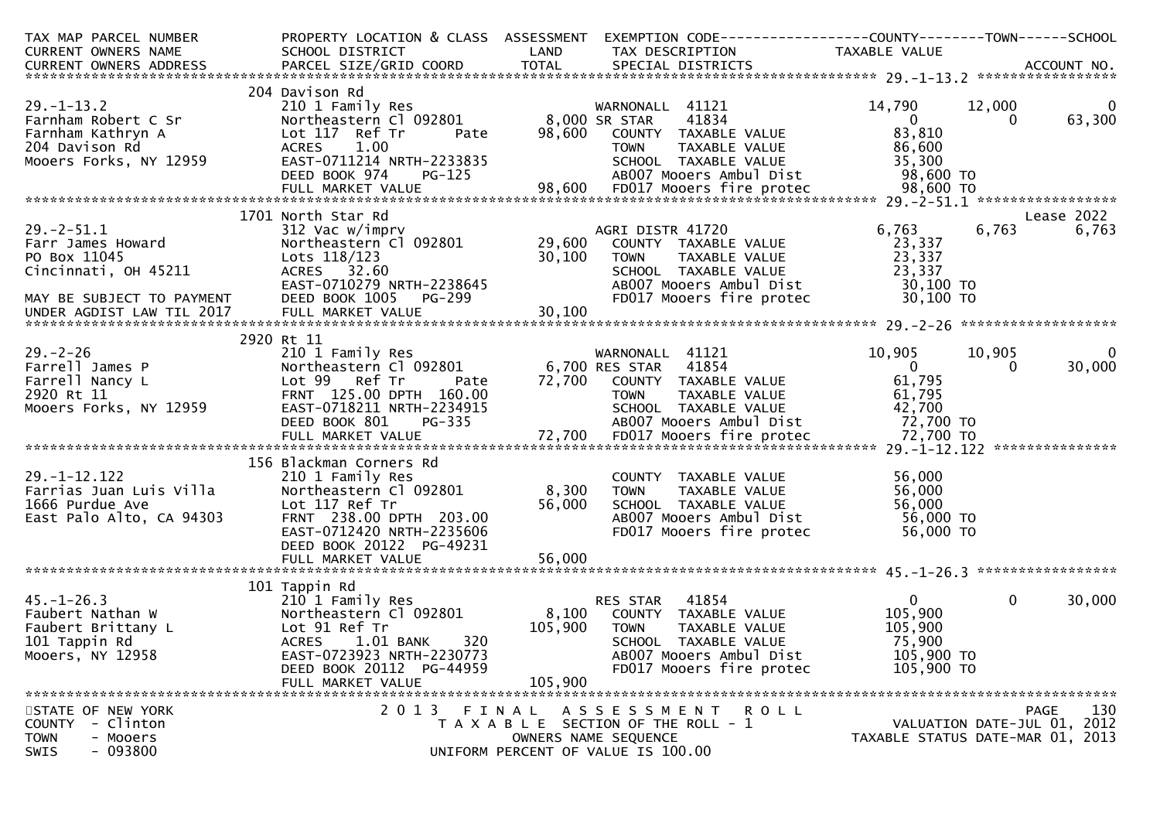| TAX MAP PARCEL NUMBER                                                                                                                                                                                                                   |                                                             |              | PROPERTY LOCATION & CLASS ASSESSMENT EXEMPTION CODE----------------COUNTY-------TOWN------SCHOOL                                                                                                                                           |                                  |                             |             |
|-----------------------------------------------------------------------------------------------------------------------------------------------------------------------------------------------------------------------------------------|-------------------------------------------------------------|--------------|--------------------------------------------------------------------------------------------------------------------------------------------------------------------------------------------------------------------------------------------|----------------------------------|-----------------------------|-------------|
| CURRENT OWNERS NAME                                                                                                                                                                                                                     | SCHOOL DISTRICT<br><b>Example 12 DE LAND</b>                |              | TAX DESCRIPTION TAXABLE VALUE                                                                                                                                                                                                              |                                  |                             |             |
|                                                                                                                                                                                                                                         |                                                             |              |                                                                                                                                                                                                                                            |                                  |                             |             |
|                                                                                                                                                                                                                                         |                                                             |              |                                                                                                                                                                                                                                            |                                  |                             |             |
|                                                                                                                                                                                                                                         | 204 Davison Rd                                              |              |                                                                                                                                                                                                                                            |                                  |                             |             |
|                                                                                                                                                                                                                                         |                                                             |              |                                                                                                                                                                                                                                            |                                  |                             |             |
|                                                                                                                                                                                                                                         |                                                             |              |                                                                                                                                                                                                                                            |                                  |                             |             |
|                                                                                                                                                                                                                                         |                                                             |              |                                                                                                                                                                                                                                            |                                  |                             |             |
|                                                                                                                                                                                                                                         |                                                             |              |                                                                                                                                                                                                                                            |                                  |                             |             |
|                                                                                                                                                                                                                                         |                                                             |              |                                                                                                                                                                                                                                            |                                  |                             |             |
|                                                                                                                                                                                                                                         |                                                             |              |                                                                                                                                                                                                                                            |                                  |                             |             |
|                                                                                                                                                                                                                                         |                                                             |              |                                                                                                                                                                                                                                            |                                  |                             |             |
|                                                                                                                                                                                                                                         | 1701 North Star Rd                                          |              |                                                                                                                                                                                                                                            |                                  |                             | Lease 2022  |
| 29.-2-51.1<br>Farr James Howard<br>PO Box 11045<br>Cincinnati, OH 45211                                                                                                                                                                 |                                                             |              | North Star Rd<br>312 Vac w/imprv<br>Northeastern Cl 092801 29,600 COUNTY TAXABLE VALUE 23,337<br>Lots 118/123 30,100 TOWN TAXABLE VALUE 23,337<br>ACRES 32.60 SCHOOL TAXABLE VALUE 23,337<br>ACRES 32.60 SCHOOL TAXABLE VALUE 23,337<br>DE |                                  | 6,763                       | 6,763       |
|                                                                                                                                                                                                                                         |                                                             |              |                                                                                                                                                                                                                                            |                                  |                             |             |
|                                                                                                                                                                                                                                         | Lots 118/123                                                |              |                                                                                                                                                                                                                                            |                                  |                             |             |
|                                                                                                                                                                                                                                         |                                                             |              |                                                                                                                                                                                                                                            |                                  |                             |             |
|                                                                                                                                                                                                                                         |                                                             |              |                                                                                                                                                                                                                                            |                                  |                             |             |
|                                                                                                                                                                                                                                         |                                                             |              |                                                                                                                                                                                                                                            |                                  |                             |             |
| MAY BE SUBJECT TO PAYMENT DEED BOOK 1005<br>UNDER AGDIST LAW TIL 2017 FULL MARKET VAL                                                                                                                                                   |                                                             |              |                                                                                                                                                                                                                                            |                                  |                             |             |
|                                                                                                                                                                                                                                         |                                                             |              |                                                                                                                                                                                                                                            |                                  |                             |             |
|                                                                                                                                                                                                                                         | 2920 Rt 11                                                  |              |                                                                                                                                                                                                                                            |                                  |                             |             |
|                                                                                                                                                                                                                                         |                                                             |              |                                                                                                                                                                                                                                            |                                  |                             |             |
|                                                                                                                                                                                                                                         |                                                             |              |                                                                                                                                                                                                                                            |                                  |                             |             |
|                                                                                                                                                                                                                                         |                                                             |              |                                                                                                                                                                                                                                            |                                  |                             |             |
|                                                                                                                                                                                                                                         |                                                             |              |                                                                                                                                                                                                                                            |                                  |                             |             |
|                                                                                                                                                                                                                                         |                                                             |              |                                                                                                                                                                                                                                            |                                  |                             |             |
|                                                                                                                                                                                                                                         |                                                             |              |                                                                                                                                                                                                                                            |                                  |                             |             |
| 29.-2-26<br>Parrell James P 200 Rt 11<br>2010 I Family Res WARNONALL 41121 10,905 10,905 0<br>Farrell Nancy L Lot 99 Ref Tr Pate 72,700 COUNTY TAXABLE VALUE 61,795<br>2920 Rt 11 FRNT 125.00 DPTH 160.00 TOWN TAXABLE VALUE 61,795<br> |                                                             |              |                                                                                                                                                                                                                                            |                                  |                             |             |
|                                                                                                                                                                                                                                         |                                                             |              |                                                                                                                                                                                                                                            |                                  |                             |             |
|                                                                                                                                                                                                                                         | 156 Blackman Corners Rd                                     |              |                                                                                                                                                                                                                                            |                                  |                             |             |
|                                                                                                                                                                                                                                         |                                                             |              | COUNTY TAXABLE VALUE                                                                                                                                                                                                                       | 56,000                           |                             |             |
| دد.<br>Farrias Juan Luis Villa<br>Farrias Juan Luis Villa                                                                                                                                                                               | 210 1 Family Res COUNT<br>Northeastern Cl 092801 8,300 TOWN |              | TAXABLE VALUE                                                                                                                                                                                                                              | 56,000                           |                             |             |
| 1666 Purdue Ave                                                                                                                                                                                                                         | Lot 117 Ref Tr                                              |              |                                                                                                                                                                                                                                            |                                  |                             |             |
| East Palo Alto, CA 94303                                                                                                                                                                                                                | FRNT 238.00 DPTH 203.00                                     |              | 56,000 SCHOOL TAXABLE VALUE 56,000<br>ABOO7 Mooers Ambul Dist 56,000 TO<br>FDO17 Mooers fire protec 56,000 TO                                                                                                                              |                                  |                             |             |
|                                                                                                                                                                                                                                         | EAST-0712420 NRTH-2235606                                   |              |                                                                                                                                                                                                                                            |                                  |                             |             |
|                                                                                                                                                                                                                                         | DEED BOOK 20122 PG-49231                                    |              |                                                                                                                                                                                                                                            |                                  |                             |             |
|                                                                                                                                                                                                                                         | FULL MARKET VALUE                                           | 56,000       |                                                                                                                                                                                                                                            |                                  |                             |             |
|                                                                                                                                                                                                                                         |                                                             |              |                                                                                                                                                                                                                                            |                                  |                             |             |
|                                                                                                                                                                                                                                         | 101 Tappin Rd                                               |              |                                                                                                                                                                                                                                            |                                  |                             |             |
| $45. - 1 - 26.3$                                                                                                                                                                                                                        | 210 1 Family Res                                            |              | RES STAR 41854                                                                                                                                                                                                                             | $\overline{0}$                   | $\overline{0}$              | 30,000      |
| Faubert Nathan W<br>Faubert Brittany L<br>101 Tappin Rd                                                                                                                                                                                 | Northeastern C1 092801 8,100                                |              | COUNTY TAXABLE VALUE                                                                                                                                                                                                                       | 105,900                          |                             |             |
|                                                                                                                                                                                                                                         | Lot 91 Ref Tr                                               | 105,900 TOWN | TAXABLE VALUE                                                                                                                                                                                                                              | 105,900                          |                             |             |
|                                                                                                                                                                                                                                         | 320<br>ACRES 1.01 BANK                                      |              | SCHOOL TAXABLE VALUE                                                                                                                                                                                                                       | 75,900                           |                             |             |
| Mooers, NY 12958                                                                                                                                                                                                                        | EAST-0723923 NRTH-2230773                                   |              | AB007 Mooers Ambul Dist                                                                                                                                                                                                                    | 105,900 TO                       |                             |             |
|                                                                                                                                                                                                                                         | DEED BOOK 20112 PG-44959                                    |              | FD017 Mooers fire protec                                                                                                                                                                                                                   | 105,900 TO                       |                             |             |
|                                                                                                                                                                                                                                         | FULL MARKET VALUE                                           | 105,900      |                                                                                                                                                                                                                                            |                                  |                             |             |
|                                                                                                                                                                                                                                         |                                                             |              |                                                                                                                                                                                                                                            |                                  |                             |             |
| STATE OF NEW YORK                                                                                                                                                                                                                       |                                                             |              | 2013 FINAL ASSESSMENT ROLL                                                                                                                                                                                                                 |                                  |                             | 130<br>PAGE |
| COUNTY - Clinton                                                                                                                                                                                                                        |                                                             |              | T A X A B L E SECTION OF THE ROLL - 1                                                                                                                                                                                                      |                                  | VALUATION DATE-JUL 01, 2012 |             |
| <b>TOWN</b><br>- Mooers                                                                                                                                                                                                                 |                                                             |              | OWNERS NAME SEQUENCE                                                                                                                                                                                                                       | TAXABLE STATUS DATE-MAR 01, 2013 |                             |             |
| $-093800$<br>SWIS                                                                                                                                                                                                                       |                                                             |              | UNIFORM PERCENT OF VALUE IS 100.00                                                                                                                                                                                                         |                                  |                             |             |
|                                                                                                                                                                                                                                         |                                                             |              |                                                                                                                                                                                                                                            |                                  |                             |             |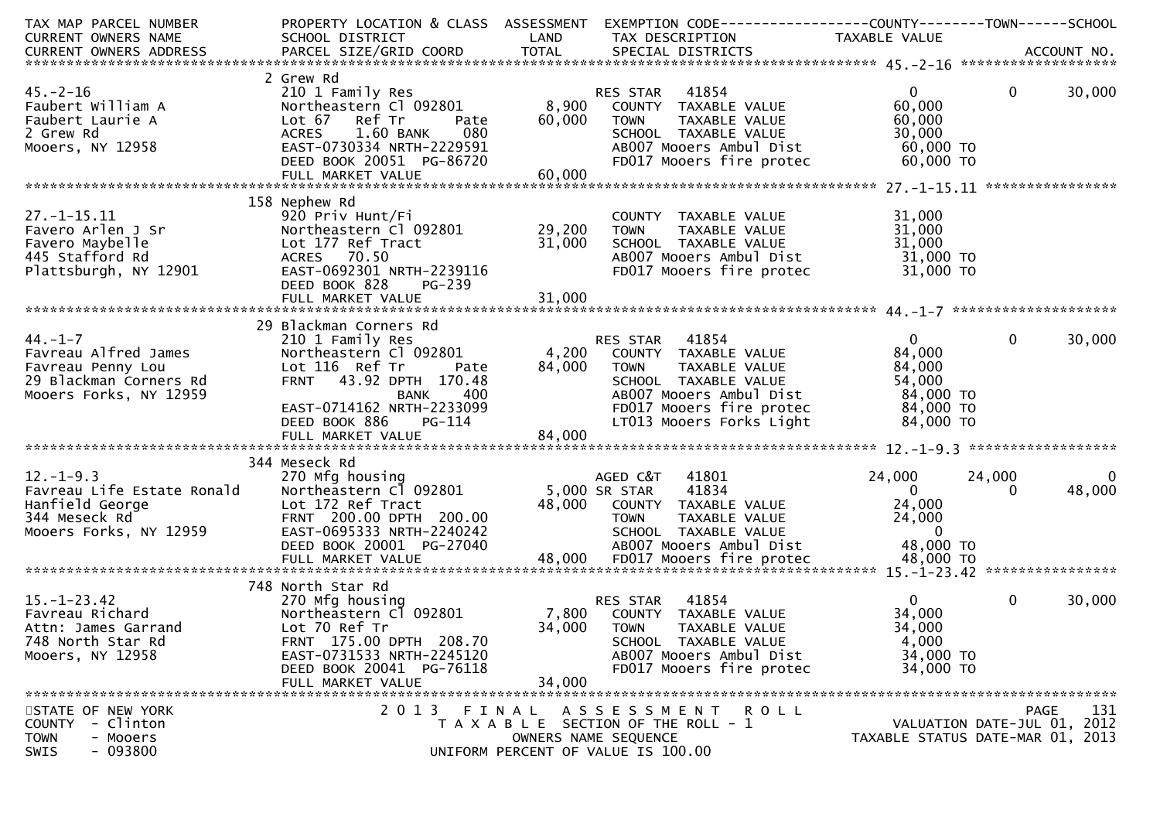| TAX MAP PARCEL NUMBER           | PROPERTY LOCATION & CLASS ASSESSMENT |             | EXEMPTION CODE-----------------COUNTY-------TOWN------SCHOOL |                                  |                             |        |
|---------------------------------|--------------------------------------|-------------|--------------------------------------------------------------|----------------------------------|-----------------------------|--------|
| CURRENT OWNERS NAME             | SCHOOL DISTRICT                      | LAND        | TAX DESCRIPTION                                              | TAXABLE VALUE                    |                             |        |
|                                 |                                      |             |                                                              |                                  |                             |        |
|                                 |                                      |             |                                                              |                                  |                             |        |
| $45. - 2 - 16$                  | 2 Grew Rd<br>210 1 Family Res        |             | 41854<br>RES STAR                                            | $\mathbf{0}$                     | $\overline{0}$              | 30,000 |
| Faubert William A               | Northeastern Cl 092801               | 8,900       | COUNTY TAXABLE VALUE                                         | 60,000                           |                             |        |
| Faubert Laurie A                | Lot 67<br>Ref Tr<br>Pate             | 60,000 TOWN | TAXABLE VALUE                                                | 60,000                           |                             |        |
| 2 Grew Rd                       | 080<br><b>ACRES</b><br>1.60 BANK     |             | SCHOOL TAXABLE VALUE                                         | 30,000                           |                             |        |
| Mooers, NY 12958                | EAST-0730334 NRTH-2229591            |             | AB007 Mooers Ambul Dist                                      | 60,000 TO                        |                             |        |
|                                 | DEED BOOK 20051 PG-86720             |             | FD017 Mooers fire protec                                     | 60,000 TO                        |                             |        |
|                                 |                                      |             |                                                              |                                  |                             |        |
|                                 |                                      |             |                                                              |                                  |                             |        |
|                                 | 158 Nephew Rd                        |             |                                                              |                                  |                             |        |
| $27. - 1 - 15.11$               | 920 Priv Hunt/Fi                     |             | COUNTY TAXABLE VALUE                                         | 31,000                           |                             |        |
| Favero Arlen J Sr               | Northeastern Cl 092801               | 29,200      | <b>TOWN</b><br>TAXABLE VALUE                                 | 31,000                           |                             |        |
| Favero Maybelle                 | Lot 177 Ref Tract                    | 31,000      | SCHOOL TAXABLE VALUE                                         | 31,000                           |                             |        |
| 445 Stafford Rd                 | ACRES 70.50                          |             | AB007 Mooers Ambul Dist                                      | 31,000 TO                        |                             |        |
| Plattsburgh, NY 12901           | EAST-0692301 NRTH-2239116            |             | FD017 Mooers fire protec                                     | 31,000 TO                        |                             |        |
|                                 | DEED BOOK 828<br>PG-239              |             |                                                              |                                  |                             |        |
|                                 |                                      |             |                                                              |                                  |                             |        |
|                                 | 29 Blackman Corners Rd               |             |                                                              |                                  |                             |        |
| $44. - 1 - 7$                   | 210 1 Family Res                     |             | RES STAR 41854                                               | $\overline{0}$                   | $\mathbf{0}$                | 30,000 |
| Favreau Alfred James            | Northeastern Cl 092801               |             | 4,200 COUNTY TAXABLE VALUE                                   | 84,000                           |                             |        |
| Favreau Penny Lou               | Lot 116 Ref Tr<br>Pate               | 84,000 TOWN | TAXABLE VALUE                                                | 84,000                           |                             |        |
| 29 Blackman Corners Rd          | FRNT 43.92 DPTH 170.48               |             | SCHOOL TAXABLE VALUE                                         | 54,000                           |                             |        |
| Mooers Forks, NY 12959          | 400<br><b>BANK</b>                   |             | AB007 Mooers Ambul Dist                                      | 84,000 TO                        |                             |        |
|                                 | EAST-0714162 NRTH-2233099            |             | FD017 Mooers fire protec                                     | 84,000 TO                        |                             |        |
|                                 | DEED BOOK 886<br>PG-114              |             | LT013 Mooers Forks Light                                     | 84,000 TO                        |                             |        |
|                                 | FULL MARKET VALUE                    | 84,000      |                                                              |                                  |                             |        |
|                                 |                                      |             |                                                              |                                  |                             |        |
|                                 | 344 Meseck Rd                        |             |                                                              |                                  |                             |        |
| $12. - 1 - 9.3$                 | 270 Mfg housing                      |             | 41801<br>AGED C&T                                            | 24,000                           | 24,000                      | 0      |
| Favreau Life Estate Ronald      | Northeastern Cl 092801               |             | 41834<br>5,000 SR STAR                                       | $\overline{0}$                   | $\Omega$                    | 48,000 |
| Hanfield George<br>$\mathbf{R}$ | Lot 172 Ref Tract                    | 48,000      | COUNTY TAXABLE VALUE                                         | 24,000                           |                             |        |
| 344 Meseck Rd                   | FRNT 200.00 DPTH 200.00              |             | TAXABLE VALUE<br>TOWN                                        | 24,000                           |                             |        |
| Mooers Forks, NY 12959          | EAST-0695333 NRTH-2240242            |             | SCHOOL TAXABLE VALUE                                         | $\overline{0}$                   |                             |        |
|                                 | DEED BOOK 20001 PG-27040             |             | AB007 Mooers Ambul Dist                                      | 48,000 TO                        |                             |        |
|                                 |                                      |             |                                                              |                                  |                             |        |
|                                 | 748 North Star Rd                    |             |                                                              |                                  |                             |        |
| $15. - 1 - 23.42$               | 270 Mfg housing                      |             | 41854<br><b>RES STAR</b>                                     | $\mathbf{0}$                     | $\mathbf{0}$                | 30,000 |
| Favreau Richard                 | Northeastern Cl 092801               | 7,800       | COUNTY TAXABLE VALUE                                         | 34,000                           |                             |        |
| Attn: James Garrand             | Lot 70 Ref Tr                        | 34,000      | <b>TOWN</b><br>TAXABLE VALUE                                 | 34,000                           |                             |        |
| 748 North Star Rd               | FRNT 175.00 DPTH 208.70              |             | SCHOOL TAXABLE VALUE                                         | 4,000                            |                             |        |
| Mooers, NY 12958                | EAST-0731533 NRTH-2245120            |             | AB007 Mooers Ambul Dist                                      | 34,000 TO                        |                             |        |
|                                 | DEED BOOK 20041 PG-76118             |             | FD017 Mooers fire protec                                     | 34,000 TO                        |                             |        |
|                                 | FULL MARKET VALUE                    | 34,000      |                                                              |                                  |                             |        |
|                                 |                                      |             |                                                              |                                  |                             |        |
| STATE OF NEW YORK               |                                      |             | 2013 FINAL ASSESSMENT ROLL                                   |                                  | PAGE                        | 131    |
| COUNTY - Clinton                |                                      |             | T A X A B L E SECTION OF THE ROLL - 1                        |                                  | VALUATION DATE-JUL 01, 2012 |        |
| <b>TOWN</b><br>- Mooers         |                                      |             | OWNERS NAME SEQUENCE                                         | TAXABLE STATUS DATE-MAR 01, 2013 |                             |        |
| $-093800$<br>SWIS               |                                      |             | UNIFORM PERCENT OF VALUE IS 100.00                           |                                  |                             |        |
|                                 |                                      |             |                                                              |                                  |                             |        |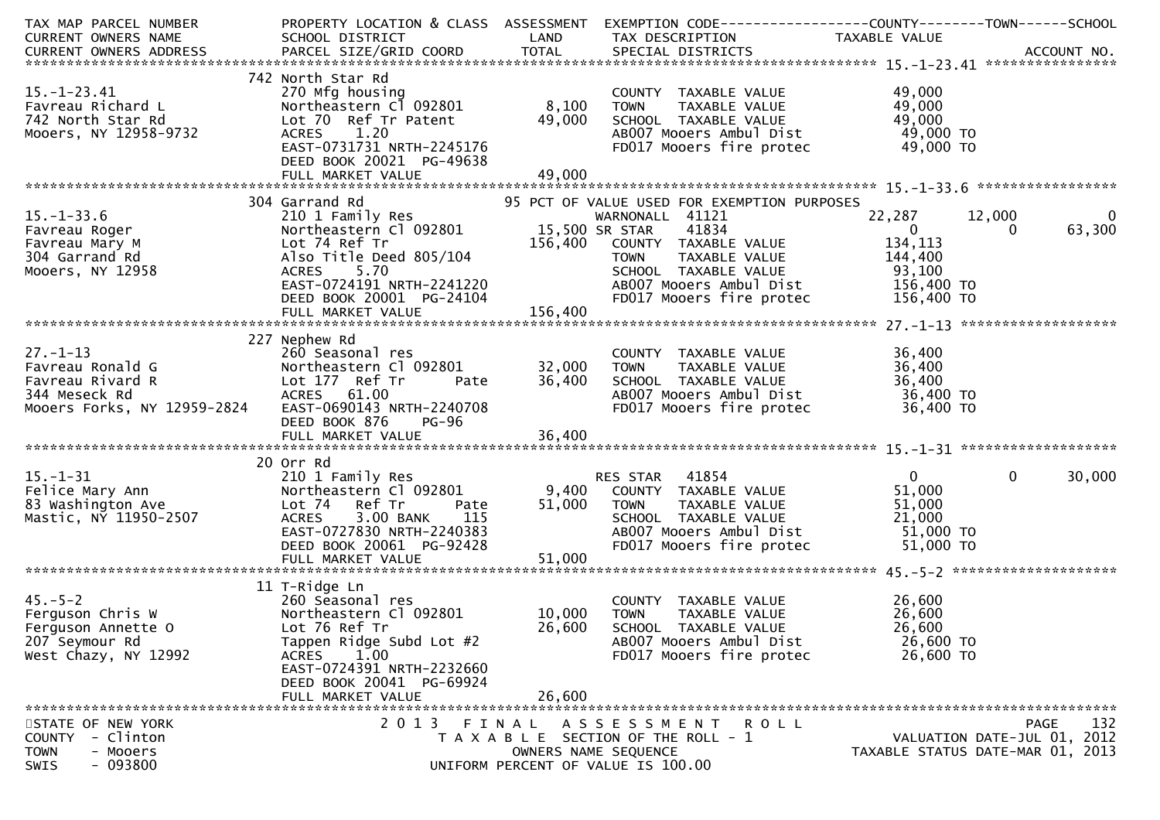| TAX MAP PARCEL NUMBER                                                                                                                                                              | PROPERTY LOCATION & CLASS ASSESSMENT              |                | EXEMPTION CODE------------------COUNTY--------TOWN------SCHOOL                                                           |                                  |                             |             |
|------------------------------------------------------------------------------------------------------------------------------------------------------------------------------------|---------------------------------------------------|----------------|--------------------------------------------------------------------------------------------------------------------------|----------------------------------|-----------------------------|-------------|
| CURRENT OWNERS NAME                                                                                                                                                                | SCHOOL DISTRICT                                   | LAND           | TAX DESCRIPTION                                                                                                          | TAXABLE VALUE                    |                             |             |
| -CURRENT OWNERS ADDRESS PARCEL SIZE/GRID COORD TOTAL SPECIAL DISTRICTS AND MONERS ADDRESS PARCEL SIZE/GRID COORD TOTAL SPECIAL DISTRICTS AND MONERS ADDRESS PARCEL SIZE/GRID COORD |                                                   |                |                                                                                                                          |                                  |                             |             |
|                                                                                                                                                                                    |                                                   |                |                                                                                                                          |                                  |                             |             |
|                                                                                                                                                                                    | 742 North Star Rd                                 |                |                                                                                                                          |                                  |                             |             |
| $15.-1-23.41$                                                                                                                                                                      | 270 Mfg housing                                   |                | COUNTY TAXABLE VALUE<br>TOWN      TAXABLE VALUE                                                                          | 49,000                           |                             |             |
| Favreau Richard L                                                                                                                                                                  | Northeastern Cl 092801                            | 8,100          | TOWN                                                                                                                     | 49,000                           |                             |             |
| 742 North Star Rd                                                                                                                                                                  | Lot 70 Ref Tr Patent                              | 49,000         | SCHOOL TAXABLE VALUE                                                                                                     | 49,000                           |                             |             |
| Mooers, NY 12958-9732                                                                                                                                                              | ACRES 1.20                                        |                | AB007 Mooers Ambul Dist                                                                                                  | 49,000 то<br>49,000 то           |                             |             |
|                                                                                                                                                                                    | EAST-0731731 NRTH-2245176                         |                | FD017 Mooers fire protec                                                                                                 |                                  |                             |             |
|                                                                                                                                                                                    | DEED BOOK 20021 PG-49638                          |                |                                                                                                                          |                                  |                             |             |
|                                                                                                                                                                                    |                                                   |                |                                                                                                                          |                                  |                             |             |
|                                                                                                                                                                                    |                                                   |                |                                                                                                                          |                                  |                             |             |
| $15. - 1 - 33.6$                                                                                                                                                                   | 304 Garrand Rd                                    |                | 95 PCT OF VALUE USED FOR EXEMPTION PURPOSES                                                                              |                                  |                             | $\mathbf 0$ |
|                                                                                                                                                                                    | 210 1 Family Res                                  |                | WARNONALL 41121                                                                                                          | 22,287                           | 12,000                      |             |
| Favreau Roger                                                                                                                                                                      | Northeastern Cl 092801                            | 15,500 SR STAR | 41834                                                                                                                    | $\overline{0}$                   | $\Omega$                    | 63,300      |
| Favreau Mary M                                                                                                                                                                     | Lot 74 Ref Tr                                     | 156,400        | COUNTY TAXABLE VALUE<br>TOWN TAXABLE VALUE 144,400<br>SCHOOL TAXABLE VALUE 144,400<br>ABOOT Mooers Ambul Dist 156,400 TO |                                  |                             |             |
| 304 Garrand Rd                                                                                                                                                                     | Also Title Deed 805/104                           |                |                                                                                                                          |                                  |                             |             |
| Mooers, NY 12958                                                                                                                                                                   | ACRES 5.70                                        |                |                                                                                                                          |                                  |                             |             |
|                                                                                                                                                                                    | EAST-0724191 NRTH-2241220                         |                |                                                                                                                          |                                  |                             |             |
|                                                                                                                                                                                    | DEED BOOK 20001 PG-24104                          | 156,400        | FD017 Mooers fire protec                                                                                                 | 156,400 TO                       |                             |             |
|                                                                                                                                                                                    |                                                   |                |                                                                                                                          |                                  |                             |             |
|                                                                                                                                                                                    |                                                   |                |                                                                                                                          |                                  |                             |             |
|                                                                                                                                                                                    | 227 Nephew Rd                                     |                |                                                                                                                          |                                  |                             |             |
| $27. - 1 - 13$                                                                                                                                                                     | 260 Seasonal res                                  |                | COUNTY TAXABLE VALUE                                                                                                     | 36,400                           |                             |             |
| Favreau Ronald G                                                                                                                                                                   | Northeastern Cl 092801<br>Lot 177 Ref Tr     Pate | 32,000         | TAXABLE VALUE<br>TAXARIF VALUE<br>TOWN                                                                                   | 36,400                           |                             |             |
| Favreau Rivard R                                                                                                                                                                   | Lot 177 Ref Tr                                    | 36,400         | SCHOOL TAXABLE VALUE 36,400<br>ABOO7 Mooers Ambul Dist 36,400 TO                                                         |                                  |                             |             |
| 344 Meseck Rd                                                                                                                                                                      | ACRES 61.00                                       |                |                                                                                                                          |                                  |                             |             |
| Mooers Forks, NY 12959-2824                                                                                                                                                        | EAST-0690143 NRTH-2240708                         |                | FD017 Mooers fire protec                                                                                                 | 36,400 TO                        |                             |             |
|                                                                                                                                                                                    | DEED BOOK 876<br>PG-96                            |                |                                                                                                                          |                                  |                             |             |
|                                                                                                                                                                                    |                                                   |                |                                                                                                                          |                                  |                             |             |
|                                                                                                                                                                                    |                                                   |                |                                                                                                                          |                                  |                             |             |
|                                                                                                                                                                                    | 20 Orr Rd                                         |                | RES STAR 41854                                                                                                           | $\overline{0}$                   | $\mathbf{0}$                |             |
| 15.-1-31<br>Felice Mary Ann<br>83 Washington Ave<br>Mastic, NY 11950-2507                                                                                                          | 210 1 Family Res<br>Northeastern Cl 092801        |                |                                                                                                                          |                                  |                             | 30,000      |
|                                                                                                                                                                                    |                                                   | 9,400          | COUNTY TAXABLE VALUE                                                                                                     | 51,000                           |                             |             |
|                                                                                                                                                                                    | Lot 74 Ref Tr<br>Pate                             | 51,000         | <b>TOWN</b><br>TAXABLE VALUE                                                                                             | 51,000                           |                             |             |
|                                                                                                                                                                                    | 3.00 BANK<br>115<br>ACRES                         |                | SCHOOL TAXABLE VALUE                                                                                                     | 21,000                           |                             |             |
|                                                                                                                                                                                    | EAST-0727830 NRTH-2240383                         |                | AB007 Mooers Ambul Dist                                                                                                  | 51,000 TO                        |                             |             |
|                                                                                                                                                                                    | DEED BOOK 20061 PG-92428                          |                | FD017 Mooers fire protec                                                                                                 | 51,000 TO                        |                             |             |
|                                                                                                                                                                                    |                                                   |                |                                                                                                                          |                                  |                             |             |
|                                                                                                                                                                                    |                                                   |                |                                                                                                                          |                                  |                             |             |
| 45.-5-2<br>Ferguson Chris W<br>Elimeon Annette O                                                                                                                                   | 11 T-Ridge Ln                                     |                |                                                                                                                          |                                  |                             |             |
|                                                                                                                                                                                    | 260 Seasonal res                                  |                | COUNTY TAXABLE VALUE                                                                                                     | 26,600                           |                             |             |
|                                                                                                                                                                                    | Northeastern Cl 092801                            | 10,000         | <b>TOWN</b><br>TAXABLE VALUE                                                                                             | 26,600                           |                             |             |
|                                                                                                                                                                                    | Lot 76 Ref Tr                                     | 26,600         | SCHOOL TAXABLE VALUE                                                                                                     | 26,600                           |                             |             |
| 207 Seymour Rd                                                                                                                                                                     | Tappen Ridge Subd Lot #2                          |                | AB007 Mooers Ambul Dist                                                                                                  | 26,600 TO                        |                             |             |
| West Chazy, NY 12992                                                                                                                                                               | <b>ACRES</b><br>1.00                              |                | FD017 Mooers fire protec                                                                                                 | 26,600 TO                        |                             |             |
|                                                                                                                                                                                    | EAST-0724391 NRTH-2232660                         |                |                                                                                                                          |                                  |                             |             |
|                                                                                                                                                                                    | DEED BOOK 20041 PG-69924                          |                |                                                                                                                          |                                  |                             |             |
|                                                                                                                                                                                    | FULL MARKET VALUE                                 | 26,600         |                                                                                                                          |                                  |                             |             |
| STATE OF NEW YORK                                                                                                                                                                  | 2 0 1 3                                           | FINAL          | A S S E S S M E N T<br>ROLL                                                                                              |                                  | <b>PAGE</b>                 | 132         |
| - Clinton<br><b>COUNTY</b>                                                                                                                                                         |                                                   |                | T A X A B L E SECTION OF THE ROLL - 1                                                                                    |                                  | VALUATION DATE-JUL 01, 2012 |             |
| - Mooers<br><b>TOWN</b>                                                                                                                                                            |                                                   |                | OWNERS NAME SEQUENCE                                                                                                     | TAXABLE STATUS DATE-MAR 01, 2013 |                             |             |
| $-093800$<br>SWIS                                                                                                                                                                  |                                                   |                | UNIFORM PERCENT OF VALUE IS 100.00                                                                                       |                                  |                             |             |
|                                                                                                                                                                                    |                                                   |                |                                                                                                                          |                                  |                             |             |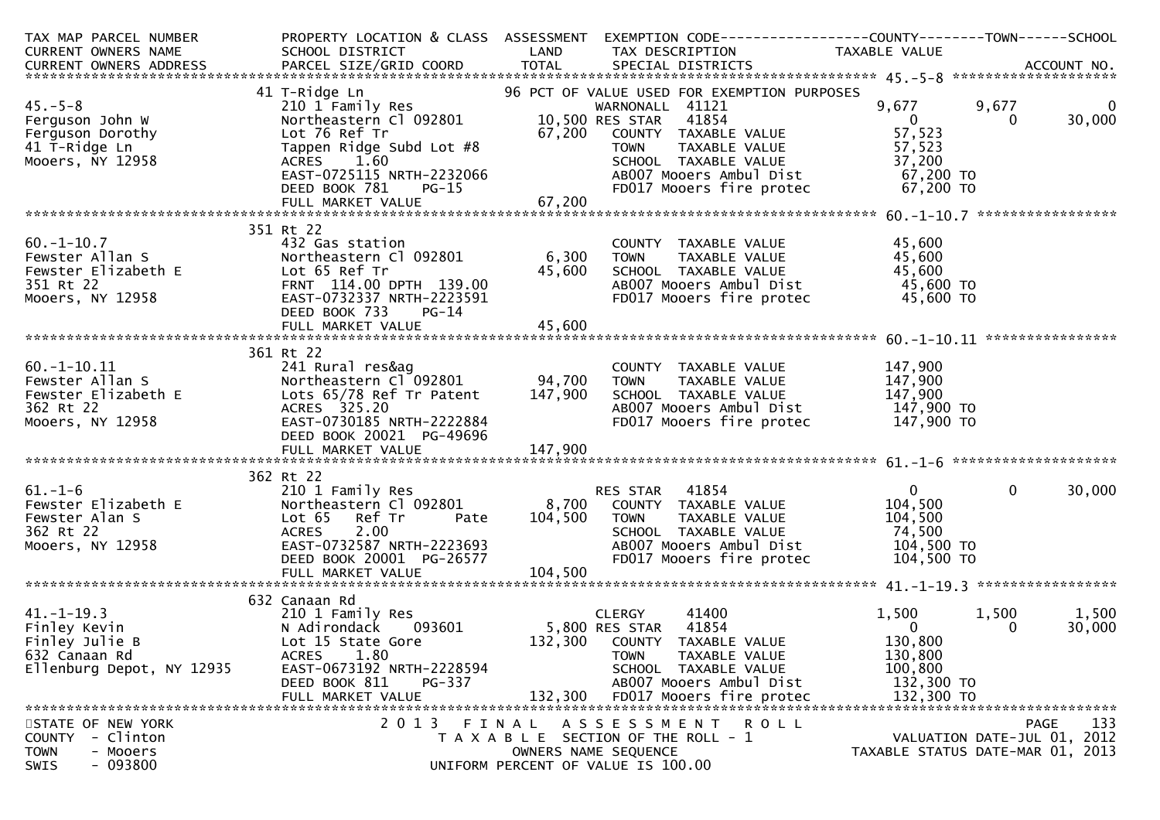| TAX MAP PARCEL NUMBER                                                                                                                                                                                                             |                                                                                       |              | PROPERTY LOCATION & CLASS ASSESSMENT EXEMPTION CODE---------------COUNTY-------TOWN------SCHOOL                                          |                                  |              |                    |
|-----------------------------------------------------------------------------------------------------------------------------------------------------------------------------------------------------------------------------------|---------------------------------------------------------------------------------------|--------------|------------------------------------------------------------------------------------------------------------------------------------------|----------------------------------|--------------|--------------------|
| CURRENT OWNERS NAME<br>CURRENT OWNERS ADDRESS BARCEL SIZE/GRID COORD TOTAL SPECIAL DISTRICTS CORRENT OWNERS ADDRESS PARCEL SIZE/GRID COORD TOTAL SPECIAL DISTRICTS (2007) 76 MM MAGE CURRENT OWNERS ADDRESS PARCEL SIZE/GRID COOR |                                                                                       |              |                                                                                                                                          |                                  |              |                    |
|                                                                                                                                                                                                                                   |                                                                                       |              |                                                                                                                                          |                                  |              |                    |
|                                                                                                                                                                                                                                   |                                                                                       |              |                                                                                                                                          |                                  |              |                    |
| $45. - 5 - 8$                                                                                                                                                                                                                     | 41 T-Ridge Ln                                                                         |              | 96 PCT OF VALUE USED FOR EXEMPTION PURPOSES                                                                                              |                                  | 9,677        | $\mathbf 0$        |
|                                                                                                                                                                                                                                   |                                                                                       |              |                                                                                                                                          |                                  | $\Omega$     | 30,000             |
| Ferguson John W                                                                                                                                                                                                                   |                                                                                       |              |                                                                                                                                          | 57,523                           |              |                    |
|                                                                                                                                                                                                                                   | Tappen Ridge Subd Lot #8                                                              |              |                                                                                                                                          | 57,523                           |              |                    |
| Ferguson Dorothy<br>Ferguson Dorothy<br>11 T-Ridge Ln<br>Mooers, NY 12958<br>Mooers, NY 12958<br>ACRES 1.60                                                                                                                       |                                                                                       |              | VALUE 67,200 COUNTY TAXABLE VALUE<br>ubd Lot #8 TOWN TAXABLE VALUE<br>SCHOOL TAXABLE VALUE                                               | 37,200                           |              |                    |
|                                                                                                                                                                                                                                   |                                                                                       |              |                                                                                                                                          |                                  |              |                    |
|                                                                                                                                                                                                                                   |                                                                                       |              | ABOO7 Mooers Ambul Dist<br>FDO17 Mooers fire protec 67,200 TO                                                                            |                                  |              |                    |
|                                                                                                                                                                                                                                   |                                                                                       |              |                                                                                                                                          |                                  |              |                    |
|                                                                                                                                                                                                                                   |                                                                                       |              |                                                                                                                                          |                                  |              |                    |
|                                                                                                                                                                                                                                   | 351 Rt 22                                                                             |              |                                                                                                                                          |                                  |              |                    |
| $60. -1 - 10.7$                                                                                                                                                                                                                   | 432 Gas station                                                                       |              | COUNTY TAXABLE VALUE                                                                                                                     | 45,600                           |              |                    |
| Fewster Allan S<br>Fewster Elizabeth E<br>351 Rt 22<br>Mooers, NY 12958<br>EAST-0732337                                                                                                                                           | Northeastern Cl 092801 6,300                                                          |              | <b>TOWN</b><br>TAXABLE VALUE                                                                                                             | 45,600                           |              |                    |
|                                                                                                                                                                                                                                   |                                                                                       |              | SCHOOL TAXABLE VALUE                                                                                                                     | 45,600                           |              |                    |
|                                                                                                                                                                                                                                   | FRNT 114.00 DPTH 139.00                                                               |              | $AB007$ Mooers $Ambul$ Dist $15,600$ TO                                                                                                  |                                  |              |                    |
|                                                                                                                                                                                                                                   | EAST-0732337 NRTH-2223591                                                             | 45,600       | FD017 Mooers fire protec 45,600 TO                                                                                                       |                                  |              |                    |
|                                                                                                                                                                                                                                   | DEED BOOK 733<br>PG-14                                                                |              |                                                                                                                                          |                                  |              |                    |
|                                                                                                                                                                                                                                   |                                                                                       |              |                                                                                                                                          |                                  |              |                    |
|                                                                                                                                                                                                                                   |                                                                                       |              |                                                                                                                                          |                                  |              |                    |
|                                                                                                                                                                                                                                   | 361 Rt 22                                                                             |              |                                                                                                                                          |                                  |              |                    |
|                                                                                                                                                                                                                                   |                                                                                       |              |                                                                                                                                          |                                  |              |                    |
|                                                                                                                                                                                                                                   |                                                                                       |              |                                                                                                                                          |                                  |              |                    |
|                                                                                                                                                                                                                                   | 241 Rural res&ag<br>Northeastern Cl 092801 94,700<br>Lots 65/78 Ref Tr Patent 147,900 |              | COUNTY TAXABLE VALUE $147,900$<br>TOWN TAXABLE VALUE $147,900$<br>SCHOOL TAXABLE VALUE $147,900$<br>AB007 Mooers Ambul Dist $147,900$ TO |                                  |              |                    |
|                                                                                                                                                                                                                                   | ACRES 325.20                                                                          |              |                                                                                                                                          |                                  |              |                    |
|                                                                                                                                                                                                                                   | EAST-0730185 NRTH-2222884                                                             |              | FD017 Mooers fire protec 147,900 TO                                                                                                      |                                  |              |                    |
| 60.-1-10.11<br>Fewster Allan S<br>Fewster Elizabeth E<br>362 Rt 22<br>Mooers, NY 12958                                                                                                                                            | DEED BOOK 20021 PG-49696                                                              |              |                                                                                                                                          |                                  |              |                    |
|                                                                                                                                                                                                                                   |                                                                                       |              |                                                                                                                                          |                                  |              |                    |
|                                                                                                                                                                                                                                   |                                                                                       |              |                                                                                                                                          |                                  |              |                    |
| VIETT-0<br>Fewster Elizabeth E<br>Fewster Alan S<br>362 Rt 22<br>Mooers, NY 12958<br>ACRES 2.00<br>EAST-0732587 NRTH                                                                                                              | 362 Rt 22                                                                             |              |                                                                                                                                          |                                  |              |                    |
|                                                                                                                                                                                                                                   |                                                                                       |              | RES STAR 41854                                                                                                                           | $\mathbf{0}$                     | $\mathbf{0}$ | 30,000             |
|                                                                                                                                                                                                                                   | Northeastern Cl 092801                                                                |              | 8,700 COUNTY TAXABLE VALUE                                                                                                               | 104,500                          |              |                    |
|                                                                                                                                                                                                                                   |                                                                                       | Pate 104,500 | <b>TOWN</b><br>TAXABLE VALUE                                                                                                             | 104,500                          |              |                    |
|                                                                                                                                                                                                                                   |                                                                                       |              | SCHOOL TAXABLE VALUE                                                                                                                     | 74,500                           |              |                    |
|                                                                                                                                                                                                                                   | ACRES       2.00<br>EAST-0732587  NRTH-2223693<br>DEED  BOOK  20001    PG-26577       |              |                                                                                                                                          |                                  |              |                    |
|                                                                                                                                                                                                                                   |                                                                                       |              |                                                                                                                                          |                                  |              |                    |
|                                                                                                                                                                                                                                   |                                                                                       | 104,500      |                                                                                                                                          |                                  |              |                    |
|                                                                                                                                                                                                                                   | 632 Canaan Rd                                                                         |              |                                                                                                                                          |                                  |              |                    |
|                                                                                                                                                                                                                                   |                                                                                       |              | 41400                                                                                                                                    |                                  | 1,500        |                    |
| 41.-1-19.3<br>Finley Kevin<br>Finley Julie B                                                                                                                                                                                      | 210 1 Family Res<br>N Adirondack    093601                                            |              | CLERGY<br>5,800 RES STAR 41854                                                                                                           | 1,500<br>$\mathbf 0$             | 0            | 1,500<br>30,000    |
|                                                                                                                                                                                                                                   | Lot 15 State Gore                                                                     |              | 132,300 COUNTY TAXABLE VALUE                                                                                                             | 130,800                          |              |                    |
| 632 Canaan Rd                                                                                                                                                                                                                     | ACRES<br>1.80                                                                         |              | TOWN<br>TAXABLE VALUE                                                                                                                    | 130,800                          |              |                    |
| Ellenburg Depot, NY 12935                                                                                                                                                                                                         | EAST-0673192 NRTH-2228594                                                             |              | SCHOOL TAXABLE VALUE                                                                                                                     | 100,800                          |              |                    |
|                                                                                                                                                                                                                                   | DEED BOOK 811<br>PG-337                                                               |              | AB007 Mooers Ambul Dist                                                                                                                  | 132,300 TO                       |              |                    |
|                                                                                                                                                                                                                                   | FULL MARKET VALUE                                                                     | 132,300      | FD017 Mooers fire protec                                                                                                                 | 132,300 TO                       |              |                    |
|                                                                                                                                                                                                                                   |                                                                                       |              |                                                                                                                                          |                                  |              |                    |
| STATE OF NEW YORK                                                                                                                                                                                                                 | 2 0 1 3                                                                               |              | FINAL ASSESSMENT ROLL                                                                                                                    |                                  |              | 133<br><b>PAGE</b> |
| - Clinton<br><b>COUNTY</b>                                                                                                                                                                                                        |                                                                                       |              | T A X A B L E SECTION OF THE ROLL - 1                                                                                                    | VALUATION DATE-JUL 01, 2012      |              |                    |
| <b>TOWN</b><br>- Mooers                                                                                                                                                                                                           |                                                                                       |              | OWNERS NAME SEQUENCE                                                                                                                     | TAXABLE STATUS DATE-MAR 01, 2013 |              |                    |
| $-093800$<br>SWIS                                                                                                                                                                                                                 |                                                                                       |              | UNIFORM PERCENT OF VALUE IS 100.00                                                                                                       |                                  |              |                    |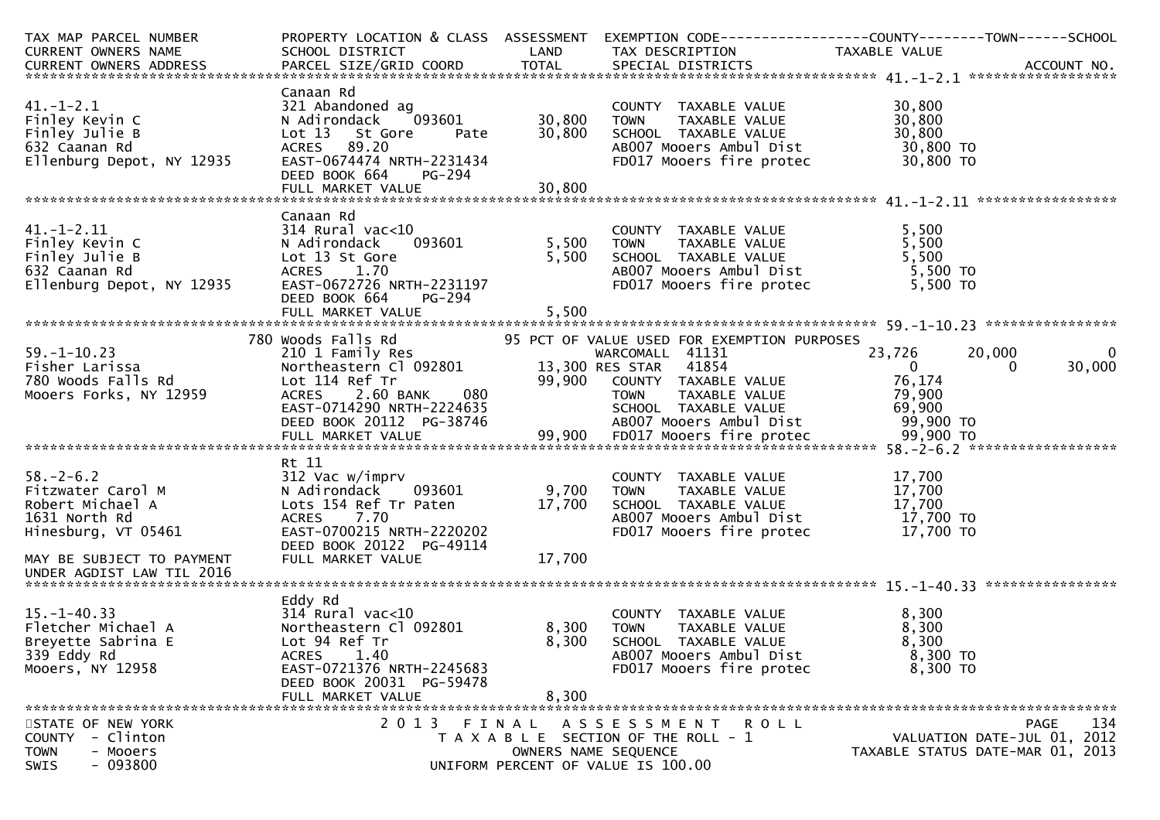| TAX MAP PARCEL NUMBER                                 |                                                                    |                      | PROPERTY LOCATION & CLASS ASSESSMENT EXEMPTION CODE----------------COUNTY-------TOWN------SCHOOL                                                   |                                      |                |
|-------------------------------------------------------|--------------------------------------------------------------------|----------------------|----------------------------------------------------------------------------------------------------------------------------------------------------|--------------------------------------|----------------|
|                                                       |                                                                    |                      |                                                                                                                                                    |                                      |                |
|                                                       |                                                                    |                      |                                                                                                                                                    |                                      |                |
|                                                       |                                                                    |                      |                                                                                                                                                    |                                      |                |
|                                                       | Canaan Rd                                                          |                      |                                                                                                                                                    |                                      |                |
| $41. - 1 - 2.1$                                       | 321 Abandoned ag                                                   |                      | COUNTY TAXABLE VALUE<br>COUNTY TAXABLE VALUE<br>TOWN TAXABLE VALUE<br>SCHOOL TAXABLE VALUE 30,800<br>COMP Moners Ambul Dist 30,800 TO<br>20,800 TO | 30,800                               |                |
| Finley Kevin C                                        | 093601<br>N Adirondack                                             | 30,800 TOWN          |                                                                                                                                                    |                                      |                |
| Finley Julie B                                        | Lot 13 St Gore<br>Pate                                             | 30,800               |                                                                                                                                                    |                                      |                |
| 632 Caanan Rd                                         | ACRES 89.20                                                        |                      |                                                                                                                                                    |                                      |                |
| Ellenburg Depot, NY 12935                             | EAST-0674474 NRTH-2231434                                          |                      |                                                                                                                                                    |                                      |                |
|                                                       | DEED BOOK 664<br>PG-294                                            |                      |                                                                                                                                                    |                                      |                |
|                                                       |                                                                    |                      |                                                                                                                                                    |                                      |                |
|                                                       |                                                                    |                      |                                                                                                                                                    |                                      |                |
|                                                       | Canaan Rd                                                          |                      |                                                                                                                                                    |                                      |                |
| $41. - 1 - 2.11$                                      | 314 Rural vac<10<br>N Adirondack 0                                 |                      | COUNTY TAXABLE VALUE<br>TOWN     TAXABLE VALUE                                                                                                     | 5,500                                |                |
| Finley Kevin C                                        |                                                                    |                      | <b>TOWN</b>                                                                                                                                        | 5,500                                |                |
| Finley Julie B                                        |                                                                    |                      | SCHOOL TAXABLE VALUE                                                                                                                               | 5,500                                |                |
| 632 Caanan Rd                                         |                                                                    |                      | AB007 Mooers Ambul Dist                                                                                                                            | 5,500 TO                             |                |
| Ellenburg Depot, NY 12935                             | Lot 13 St Gore<br>ACRES 1.70<br>NY 12935 EAST-0672726 NRTH-2231197 | 5,500                | FD017 Mooers fire protec                                                                                                                           | 5,500 TO                             |                |
|                                                       | DEED BOOK 664<br>PG-294                                            |                      |                                                                                                                                                    |                                      |                |
|                                                       |                                                                    |                      |                                                                                                                                                    |                                      |                |
|                                                       |                                                                    |                      |                                                                                                                                                    |                                      |                |
|                                                       | 780 Woods Falls Rd<br>woods Falls Rd<br>210 1 Family Res           |                      | 95 PCT OF VALUE USED FOR EXEMPTION PURPOSES                                                                                                        |                                      |                |
| $59. - 1 - 10.23$                                     |                                                                    |                      | WARCOMALL 41131                                                                                                                                    | 23,726<br>20,000                     | $\overline{0}$ |
|                                                       | Northeastern C1 092801                                             |                      | 13,300 RES STAR 41854                                                                                                                              | $\sim$ $\sim$ 0<br>$\Omega$          | 30,000         |
|                                                       |                                                                    |                      |                                                                                                                                                    |                                      |                |
|                                                       |                                                                    |                      |                                                                                                                                                    |                                      |                |
|                                                       |                                                                    |                      |                                                                                                                                                    |                                      |                |
|                                                       |                                                                    |                      |                                                                                                                                                    |                                      |                |
|                                                       |                                                                    |                      |                                                                                                                                                    |                                      |                |
|                                                       |                                                                    |                      |                                                                                                                                                    |                                      |                |
|                                                       | Rt 11                                                              |                      |                                                                                                                                                    |                                      |                |
| $58. - 2 - 6.2$                                       | 312 Vac w/imprv                                                    |                      | COUNTY TAXABLE VALUE                                                                                                                               | 17,700                               |                |
| Fitzwater Carol M<br>Robert Michael A<br>COR Warth Dd | 093601<br>N Adirondack                                             | 9,700                | TAXABLE VALUE<br><b>TOWN</b>                                                                                                                       | 17,700                               |                |
|                                                       | Lots $154$ Ref Tr Paten $17,700$                                   |                      | SCHOOL TAXABLE VALUE<br>ABOO7 Mooers Ambul Dist                                                                                                    | 17,700<br>$17,700$ TO<br>$17,700$ TO |                |
| 1631 North Rd                                         | ACRES 7.70                                                         |                      |                                                                                                                                                    |                                      |                |
| Hinesburg, VT 05461                                   | EAST-0700215 NRTH-2220202                                          |                      | FD017 Mooers fire protec $17,700$ TO                                                                                                               |                                      |                |
|                                                       | DEED BOOK 20122 PG-49114                                           |                      |                                                                                                                                                    |                                      |                |
| MAY BE SUBJECT TO PAYMENT                             | FULL MARKET VALUE                                                  | 17,700               |                                                                                                                                                    |                                      |                |
| UNDER AGDIST LAW TIL 2016                             |                                                                    |                      |                                                                                                                                                    |                                      |                |
|                                                       |                                                                    |                      |                                                                                                                                                    |                                      |                |
|                                                       | Eddy Rd                                                            |                      |                                                                                                                                                    |                                      |                |
| $15. - 1 - 40.33$                                     | 314 Rural vac<10                                                   |                      | COUNTY TAXABLE VALUE                                                                                                                               | 8,300                                |                |
| Fletcher Michael A                                    | Northeastern Cl 092801                                             | 8,300 TOWN           | TAXABLE VALUE                                                                                                                                      | 8,300                                |                |
| Breyette Sabrina E                                    | Lot 94 Ref Tr                                                      | 8,300                | SCHOOL TAXABLE VALUE                                                                                                                               | 8,300                                |                |
| 339 Eddy Rd                                           | <b>ACRES</b><br>1.40                                               |                      | AB007 Mooers Ambul Dist                                                                                                                            | 8,300 то                             |                |
| Mooers, NY 12958                                      | EAST-0721376 NRTH-2245683                                          |                      | FD017 Mooers fire protec                                                                                                                           | 8,300 TO                             |                |
|                                                       | DEED BOOK 20031 PG-59478                                           |                      |                                                                                                                                                    |                                      |                |
|                                                       | FULL MARKET VALUE                                                  | 8,300                |                                                                                                                                                    |                                      |                |
|                                                       |                                                                    |                      |                                                                                                                                                    |                                      |                |
| STATE OF NEW YORK                                     |                                                                    |                      | 2013 FINAL ASSESSMENT ROLL                                                                                                                         |                                      | 134<br>PAGE    |
| COUNTY - Clinton                                      |                                                                    |                      | T A X A B L E SECTION OF THE ROLL - 1                                                                                                              | VALUATION DATE-JUL 01, 2012          |                |
| - Mooers<br><b>TOWN</b>                               |                                                                    | OWNERS NAME SEQUENCE |                                                                                                                                                    | TAXABLE STATUS DATE-MAR 01, 2013     |                |
| $-093800$<br>SWIS                                     |                                                                    |                      | UNIFORM PERCENT OF VALUE IS 100.00                                                                                                                 |                                      |                |
|                                                       |                                                                    |                      |                                                                                                                                                    |                                      |                |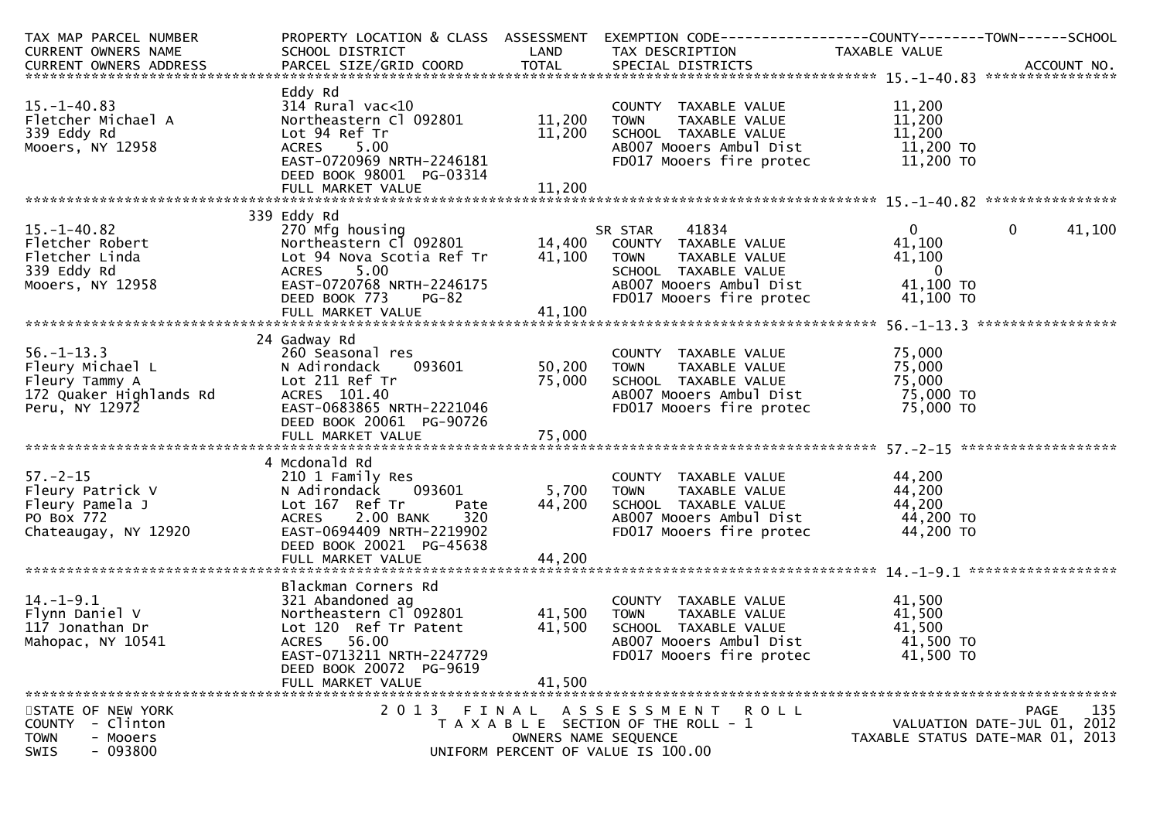| TAX MAP PARCEL NUMBER                                                                                      |                                                        |                      | PROPERTY LOCATION & CLASS ASSESSMENT EXEMPTION CODE----------------COUNTY-------TOWN------SCHOOL |                                      |                                  |
|------------------------------------------------------------------------------------------------------------|--------------------------------------------------------|----------------------|--------------------------------------------------------------------------------------------------|--------------------------------------|----------------------------------|
| CURRENT OWNERS NAME                                                                                        | SCHOOL DISTRICT<br><b>Example 18 The LAND</b>          |                      | TAX DESCRIPTION                                                                                  | <b>TAXABLE VALUE</b>                 |                                  |
|                                                                                                            |                                                        |                      |                                                                                                  |                                      |                                  |
|                                                                                                            |                                                        |                      |                                                                                                  |                                      |                                  |
|                                                                                                            | Eddy Rd                                                |                      |                                                                                                  |                                      |                                  |
| $15. - 1 - 40.83$                                                                                          | $314$ Rural vac<10                                     |                      | COUNTY TAXABLE VALUE                                                                             | 11,200                               |                                  |
| Fletcher Michael A                                                                                         | Northeastern Cl 092801                                 | 11,200 TOWN          | TAXABLE VALUE                                                                                    | 11,200                               |                                  |
| 339 Eddy Rd                                                                                                | Lot 94 Ref Tr                                          |                      | 11,200 SCHOOL TAXABLE VALUE                                                                      | 11,200                               |                                  |
| Mooers, NY 12958                                                                                           | ACRES 5.00                                             |                      | AB007 Mooers Ambul Dist                                                                          | 11,200 то<br>11,200 то               |                                  |
|                                                                                                            | EAST-0720969 NRTH-2246181                              |                      | FD017 Mooers fire protec                                                                         |                                      |                                  |
|                                                                                                            | DEED BOOK 98001 PG-03314                               |                      |                                                                                                  |                                      |                                  |
|                                                                                                            |                                                        |                      |                                                                                                  |                                      |                                  |
|                                                                                                            |                                                        |                      |                                                                                                  |                                      |                                  |
|                                                                                                            | 339 Eddy Rd                                            |                      |                                                                                                  |                                      |                                  |
| $15. - 1 - 40.82$<br>--- ------ oz<br>Fletcher Robert<br>Fletcher Linda<br>339 Eddy Rd<br>Mooers, NY 12958 | 270 Mfg housing                                        |                      | 41834<br>SR STAR                                                                                 | $\mathbf{0}$                         | $\mathbf 0$<br>41,100            |
|                                                                                                            |                                                        |                      |                                                                                                  | 41,100                               |                                  |
|                                                                                                            | Lot 94 Nova Scotia Ref Tr                              | 41,100 TOWN          | TAXABLE VALUE                                                                                    | 41,100                               |                                  |
|                                                                                                            | ACRES 5.00                                             |                      | SCHOOL TAXABLE VALUE                                                                             | $\overline{\mathbf{0}}$              |                                  |
|                                                                                                            | EAST-0720768 NRTH-2246175                              |                      | AB007 Mooers Ambul Dist                                                                          | 41,100 TO                            |                                  |
|                                                                                                            | DEED BOOK 773<br><b>PG-82</b>                          |                      | FD017 Mooers fire protec                                                                         | 41,100 TO                            |                                  |
|                                                                                                            |                                                        |                      |                                                                                                  |                                      |                                  |
|                                                                                                            |                                                        |                      |                                                                                                  |                                      |                                  |
|                                                                                                            | 24 Gadway Rd                                           |                      |                                                                                                  |                                      |                                  |
| $56. - 1 - 13.3$                                                                                           | 260 Seasonal res                                       |                      | COUNTY TAXABLE VALUE                                                                             | 75,000                               |                                  |
| Fleury Michael L                                                                                           | 093601 2003<br>N Adirondack                            | 50,200 TOWN          | TAXABLE VALUE                                                                                    | 75,000                               |                                  |
| Fleury Tammy A<br>172 Quaker Highlands Rd                                                                  | Lot 211 Ref Tr                                         |                      | 75,000 SCHOOL TAXABLE VALUE                                                                      |                                      |                                  |
|                                                                                                            | ACRES 101.40                                           |                      | AB007 Mooers Ambul Dist                                                                          | יטט, ל75,000<br>75,000 TO<br>רחים בר |                                  |
| Peru, NY 12972                                                                                             | EAST-0683865 NRTH-2221046                              |                      | FD017 Mooers fire protec                                                                         | 75,000 TO                            |                                  |
|                                                                                                            | DEED BOOK 20061 PG-90726                               |                      |                                                                                                  |                                      |                                  |
|                                                                                                            |                                                        |                      |                                                                                                  |                                      |                                  |
|                                                                                                            |                                                        |                      |                                                                                                  |                                      |                                  |
|                                                                                                            | 4 Mcdonald Rd                                          |                      |                                                                                                  |                                      |                                  |
| $57. - 2 - 15$                                                                                             | 210 1 Family Res                                       |                      | COUNTY TAXABLE VALUE                                                                             | 44,200                               |                                  |
|                                                                                                            | 093601<br>N Adirondack                                 | 5,700 TOWN           | TAXABLE VALUE                                                                                    | 44,200                               |                                  |
|                                                                                                            | Lot 167 Ref Tr<br>Pate                                 |                      | 44,200 SCHOOL TAXABLE VALUE<br>AB007 Mooers Ambul Dist                                           |                                      |                                  |
|                                                                                                            | 2.00 BANK<br>320<br><b>ACRES</b>                       |                      |                                                                                                  | 44,200 TO<br>44,200 TO<br>11 200 TO  |                                  |
| Fleury Patrick V<br>Fleury Pamela J<br>PO Box 772<br>Chateaugay, NY 12920                                  | EAST-0694409 NRTH-2219902                              |                      | FD017 Mooers fire protec 44,200 TO                                                               |                                      |                                  |
|                                                                                                            | DEED BOOK 20021 PG-45638                               |                      |                                                                                                  |                                      |                                  |
|                                                                                                            | FULL MARKET VALUE                                      | 44,200               |                                                                                                  |                                      |                                  |
|                                                                                                            |                                                        |                      |                                                                                                  |                                      |                                  |
|                                                                                                            | Blackman Corners Rd                                    |                      |                                                                                                  |                                      |                                  |
| $14. - 1 - 9.1$                                                                                            | 321 Abandoned ag<br>Northeastern C1 092801 41,500 TOWN |                      | COUNTY TAXABLE VALUE                                                                             | 41,500                               |                                  |
| Flynn Daniel V<br>117 Jonathan Dr                                                                          |                                                        |                      | TAXABLE VALUE                                                                                    | 41,500                               |                                  |
|                                                                                                            | Lot 120 Ref Tr Patent                                  | 41,500               | SCHOOL TAXABLE VALUE                                                                             | 41,500                               |                                  |
| Mahopac, NY 10541                                                                                          | ACRES 56.00                                            |                      | AB007 Mooers Ambul Dist                                                                          | 41,500 TO                            |                                  |
|                                                                                                            | EAST-0713211 NRTH-2247729                              |                      | FD017 Mooers fire protec                                                                         | 41,500 TO                            |                                  |
|                                                                                                            | DEED BOOK 20072 PG-9619                                |                      |                                                                                                  |                                      |                                  |
|                                                                                                            | FULL MARKET VALUE                                      | 41,500               |                                                                                                  |                                      |                                  |
| STATE OF NEW YORK                                                                                          |                                                        |                      | 2013 FINAL ASSESSMENT ROLL                                                                       |                                      | 135<br><b>PAGE</b>               |
| COUNTY - Clinton                                                                                           |                                                        |                      | T A X A B L E SECTION OF THE ROLL - 1                                                            |                                      | VALUATION DATE-JUL 01, 2012      |
| <b>TOWN</b><br>- Mooers                                                                                    |                                                        | OWNERS NAME SEQUENCE |                                                                                                  |                                      | TAXABLE STATUS DATE-MAR 01, 2013 |
| $-093800$<br>SWIS                                                                                          |                                                        |                      | UNIFORM PERCENT OF VALUE IS 100.00                                                               |                                      |                                  |
|                                                                                                            |                                                        |                      |                                                                                                  |                                      |                                  |
|                                                                                                            |                                                        |                      |                                                                                                  |                                      |                                  |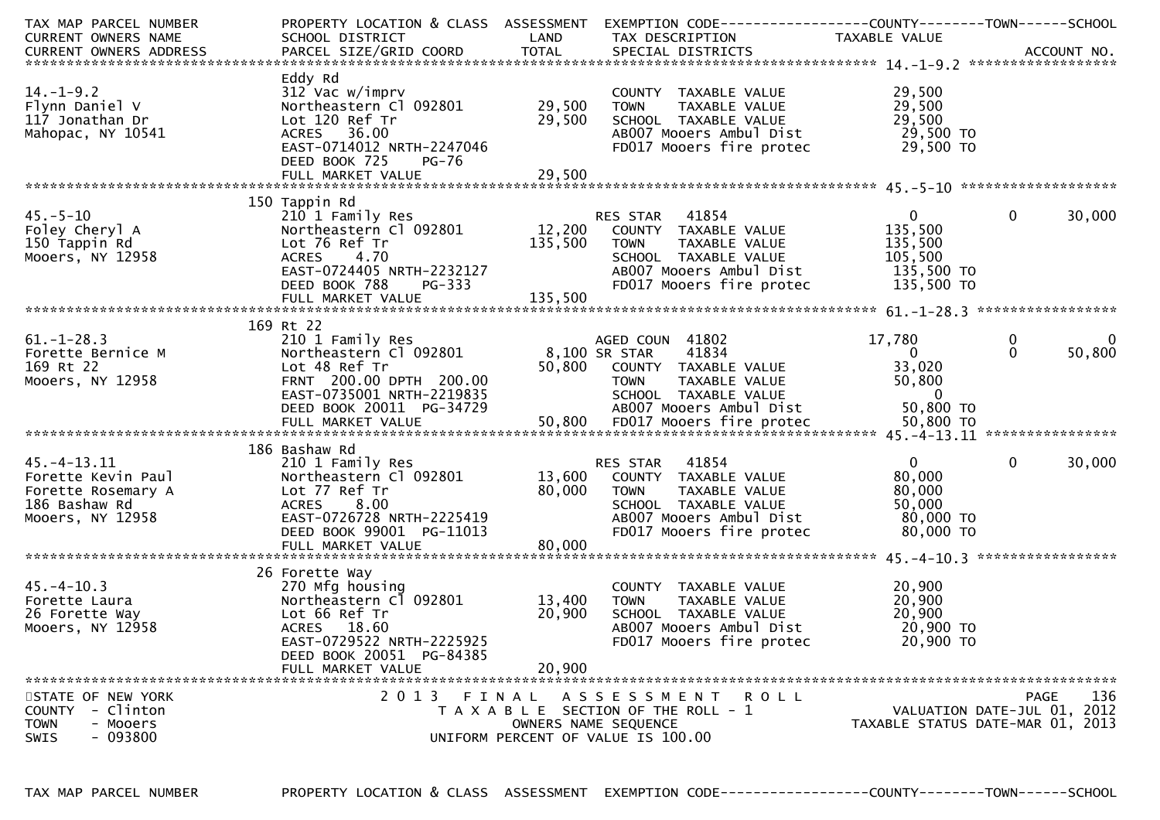| TAX MAP PARCEL NUMBER                | PROPERTY LOCATION & CLASS ASSESSMENT |         | EXEMPTION CODE------------------COUNTY--------TOWN------SCHOOL |                                  |                             |
|--------------------------------------|--------------------------------------|---------|----------------------------------------------------------------|----------------------------------|-----------------------------|
| CURRENT OWNERS NAME                  | SCHOOL DISTRICT                      | LAND    | TAX DESCRIPTION                                                | TAXABLE VALUE                    |                             |
|                                      |                                      |         |                                                                |                                  |                             |
|                                      |                                      |         |                                                                |                                  |                             |
|                                      | Eddy Rd                              |         |                                                                |                                  |                             |
| $14. - 1 - 9.2$                      | $312$ Vac w/imprv                    |         | COUNTY TAXABLE VALUE                                           | 29,500                           |                             |
| Flynn Daniel V                       | Northeastern Cl 092801               | 29,500  | <b>TOWN</b><br>TAXABLE VALUE                                   | 29,500                           |                             |
| 117 Jonathan Dr                      | Lot 120 Ref Tr                       | 29,500  | SCHOOL TAXABLE VALUE                                           | 29,500                           |                             |
| Mahopac, NY 10541                    | ACRES 36.00                          |         | AB007 Mooers Ambul Dist                                        | 29,500 TO                        |                             |
|                                      | EAST-0714012 NRTH-2247046            |         | FD017 Mooers fire protec                                       | 29,500 TO                        |                             |
|                                      | DEED BOOK 725<br>PG-76               |         |                                                                |                                  |                             |
|                                      |                                      |         |                                                                |                                  |                             |
|                                      |                                      |         |                                                                |                                  |                             |
|                                      | 150 Tappin Rd                        |         |                                                                |                                  |                             |
| $45. - 5 - 10$                       | 210 1 Family Res                     |         | RES STAR 41854                                                 | $\overline{0}$                   | $\mathbf{0}$<br>30,000      |
| Foley Cheryl A                       | Northeastern Cl 092801               | 12,200  | COUNTY TAXABLE VALUE                                           | 135,500                          |                             |
| 150 Tappin Rd                        | Lot 76 Ref Tr                        | 135,500 | <b>TOWN</b><br>TAXABLE VALUE                                   | 135,500                          |                             |
| Mooers, NY 12958                     | <b>ACRES</b><br>4.70                 |         | SCHOOL TAXABLE VALUE                                           | 105,500                          |                             |
|                                      | EAST-0724405 NRTH-2232127            |         | AB007 Mooers Ambul Dist                                        | 135,500 TO                       |                             |
|                                      | DEED BOOK 788<br><b>PG-333</b>       |         | FD017 Mooers fire protec                                       | 135,500 TO                       |                             |
|                                      |                                      |         |                                                                |                                  |                             |
|                                      |                                      |         |                                                                |                                  |                             |
|                                      | 169 Rt 22                            |         |                                                                |                                  |                             |
| $61. - 1 - 28.3$                     | 210 1 Family Res                     |         | AGED COUN 41802                                                | 17,780                           | 0<br>$\mathbf{0}$           |
| Forette Bernice M                    | Northeastern Cl 092801               |         | 41834<br>8,100 SR STAR                                         | $\Omega$                         | 50,800<br>$\Omega$          |
| 169 Rt 22                            | Lot 48 Ref Tr                        |         | 50,800 COUNTY TAXABLE VALUE                                    | 33,020                           |                             |
| Mooers, NY 12958                     | FRNT 200.00 DPTH 200.00              |         | <b>TOWN</b><br>TAXABLE VALUE                                   | 50,800                           |                             |
|                                      | EAST-0735001 NRTH-2219835            |         | SCHOOL TAXABLE VALUE                                           | $\overline{0}$                   |                             |
|                                      | DEED BOOK 20011 PG-34729             |         | AB007 Mooers Ambul Dist                                        | 50,800 TO                        |                             |
|                                      |                                      |         |                                                                |                                  |                             |
|                                      |                                      |         |                                                                |                                  |                             |
|                                      | 186 Bashaw Rd                        |         |                                                                |                                  |                             |
| $45. - 4 - 13.11$                    | 210 1 Family Res                     |         | 41854<br>RES STAR                                              | $\mathbf{0}$                     | $\mathbf{0}$<br>30,000      |
| Forette Kevin Paul                   | Northeastern Cl 092801               | 13,600  | COUNTY TAXABLE VALUE                                           | 80,000                           |                             |
| Forette Rosemary A                   | Lot 77 Ref Tr                        | 80,000  | <b>TOWN</b><br>TAXABLE VALUE                                   | 80,000                           |                             |
| 186 Bashaw Rd                        | 8.00<br><b>ACRES</b>                 |         | SCHOOL TAXABLE VALUE                                           | 50,000                           |                             |
| Mooers, NY 12958                     | EAST-0726728 NRTH-2225419            |         | AB007 Mooers Ambul Dist                                        | 80,000 TO                        |                             |
|                                      | DEED BOOK 99001 PG-11013             |         | FD017 Mooers fire protec                                       | 80,000 TO                        |                             |
|                                      | FULL MARKET VALUE                    | 80,000  |                                                                |                                  |                             |
|                                      |                                      |         |                                                                |                                  |                             |
|                                      | 26 Forette Way                       |         |                                                                |                                  |                             |
| $45. - 4 - 10.3$                     | 270 Mfg housing                      |         | COUNTY TAXABLE VALUE                                           | 20,900                           |                             |
| Forette Laura                        | Northeastern Cl 092801               | 13,400  | <b>TOWN</b><br>TAXABLE VALUE                                   | 20,900                           |                             |
| 26 Forette Way                       | Lot 66 Ref Tr                        | 20,900  | SCHOOL TAXABLE VALUE                                           | 20,900                           |                             |
| Mooers, NY 12958                     | ACRES 18.60                          |         | AB007 Mooers Ambul Dist                                        | 20,900 TO                        |                             |
|                                      |                                      |         |                                                                |                                  |                             |
|                                      | EAST-0729522 NRTH-2225925            |         | FD017 Mooers fire protec                                       | 20,900 TO                        |                             |
|                                      | DEED BOOK 20051 PG-84385             |         |                                                                |                                  |                             |
|                                      | FULL MARKET VALUE                    | 20,900  |                                                                |                                  |                             |
|                                      | 2013 FINAL                           |         |                                                                |                                  | 136                         |
| STATE OF NEW YORK<br>- Clinton       |                                      |         | A S S E S S M E N T<br>R O L L                                 |                                  | <b>PAGE</b>                 |
| <b>COUNTY</b>                        |                                      |         | T A X A B L E SECTION OF THE ROLL - 1                          |                                  | VALUATION DATE-JUL 01, 2012 |
| <b>TOWN</b><br>- Mooers<br>$-093800$ |                                      |         | OWNERS NAME SEQUENCE<br>UNIFORM PERCENT OF VALUE IS 100.00     | TAXABLE STATUS DATE-MAR 01, 2013 |                             |
| <b>SWIS</b>                          |                                      |         |                                                                |                                  |                             |
|                                      |                                      |         |                                                                |                                  |                             |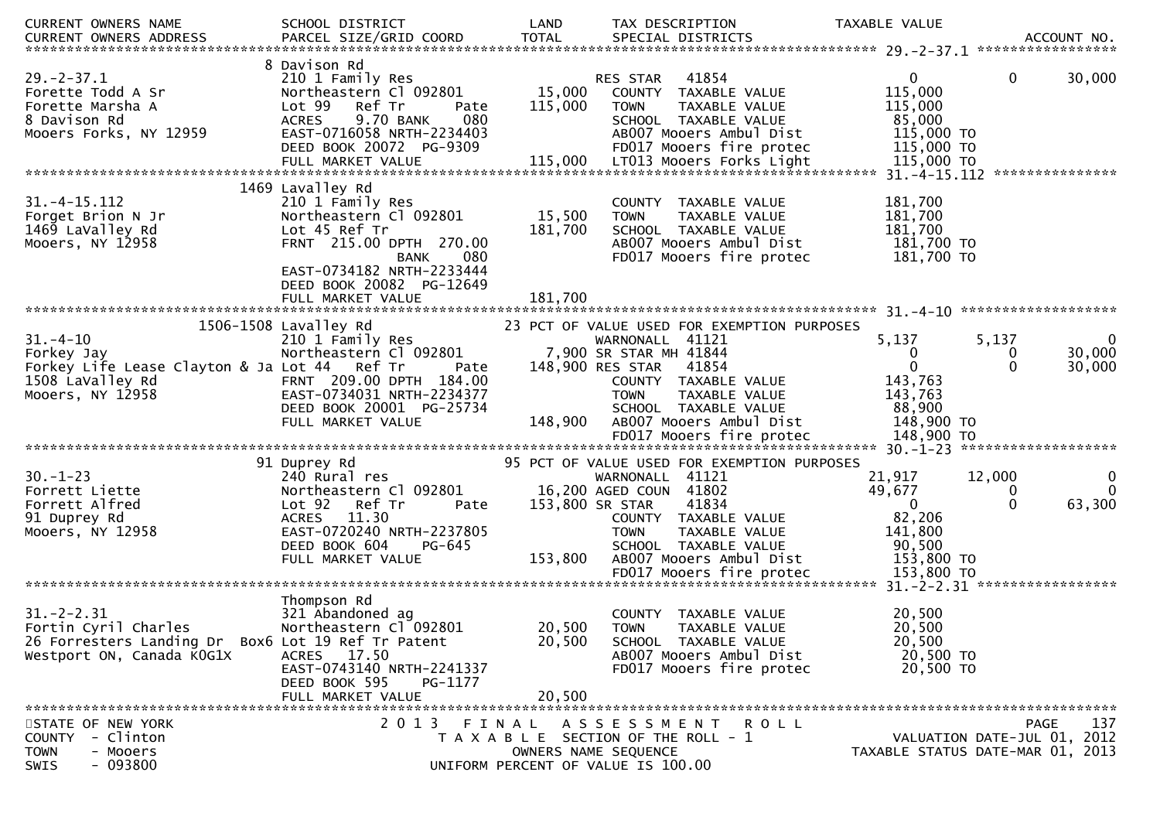| <b>CURRENT OWNERS NAME</b>                         | SCHOOL DISTRICT                                 | LAND         | TAX DESCRIPTION                             | TAXABLE VALUE    |                                         |
|----------------------------------------------------|-------------------------------------------------|--------------|---------------------------------------------|------------------|-----------------------------------------|
| CURRENT OWNERS ADDRESS                             | PARCEL SIZE/GRID COORD                          | <b>TOTAL</b> | SPECIAL DISTRICTS                           |                  | ACCOUNT NO.                             |
|                                                    | 8 Davison Rd                                    |              |                                             |                  |                                         |
| $29. -2 - 37.1$                                    | 210 1 Family Res                                |              | 41854<br>RES STAR                           | $\mathbf{0}$     | 30,000<br>$\mathbf{0}$                  |
| Forette Todd A Sr                                  | Northeastern Cl 092801                          | 15,000       | COUNTY TAXABLE VALUE                        | 115,000          |                                         |
| Forette Marsha A                                   | Lot 99 Ref Tr<br>Pate                           | 115,000      | TAXABLE VALUE<br><b>TOWN</b>                | 115,000          |                                         |
| 8 Davison Rd                                       | <b>ACRES</b><br>9.70 BANK<br>080                |              | SCHOOL TAXABLE VALUE                        | 85,000           |                                         |
| Mooers Forks, NY 12959                             | EAST-0716058 NRTH-2234403                       |              | AB007 Mooers Ambul Dist                     | 115,000 TO       |                                         |
|                                                    | DEED BOOK 20072 PG-9309                         |              | FD017 Mooers fire protec                    | 115,000 TO       |                                         |
|                                                    | FULL MARKET VALUE                               | 115,000      | LT013 Mooers Forks Light                    | 115,000 TO       |                                         |
|                                                    |                                                 |              |                                             |                  |                                         |
|                                                    | 1469 Lavalley Rd                                |              |                                             |                  |                                         |
| $31. - 4 - 15.112$                                 | 210 1 Family Res                                |              | COUNTY TAXABLE VALUE                        | 181,700          |                                         |
| Forget Brion N Jr                                  | Northeastern Cl 092801                          | 15,500       | TAXABLE VALUE<br><b>TOWN</b>                | 181,700          |                                         |
| 1469 LaValley Rd                                   | Lot 45 Ref Tr                                   | 181,700      | SCHOOL TAXABLE VALUE                        | 181,700          |                                         |
| Mooers, NY 12958                                   | FRNT 215.00 DPTH 270.00                         |              | AB007 Mooers Ambul Dist                     | 181,700 TO       |                                         |
|                                                    | 080<br><b>BANK</b><br>EAST-0734182 NRTH-2233444 |              | FD017 Mooers fire protec                    | 181,700 TO       |                                         |
|                                                    | DEED BOOK 20082 PG-12649                        |              |                                             |                  |                                         |
|                                                    |                                                 |              |                                             |                  |                                         |
|                                                    |                                                 |              |                                             |                  |                                         |
|                                                    | 1506-1508 Lavalley Rd                           |              | 23 PCT OF VALUE USED FOR EXEMPTION PURPOSES |                  |                                         |
| $31. - 4 - 10$                                     | 210 1 Family Res                                |              | WARNONALL 41121                             | 5,137            | 5,137<br>$\overline{0}$                 |
| Forkey Jay                                         | Northeastern Cl 092801                          |              | 7,900 SR STAR MH 41844                      | 0                | 30,000<br>$\bf{0}$                      |
| Forkey Life Lease Clayton & Ja Lot 44 Ref Tr       | Pate                                            |              | 148,900 RES STAR<br>41854                   | $\Omega$         | 30,000<br>$\Omega$                      |
| 1508 LaValley Rd                                   | FRNT 209.00 DPTH 184.00                         |              | COUNTY TAXABLE VALUE                        | 143,763          |                                         |
| Mooers, NY 12958                                   | EAST-0734031 NRTH-2234377                       |              | <b>TOWN</b><br>TAXABLE VALUE                | 143,763          |                                         |
|                                                    | DEED BOOK 20001 PG-25734                        |              | SCHOOL TAXABLE VALUE                        | 88,900           |                                         |
|                                                    | FULL MARKET VALUE                               | 148,900      | AB007 Mooers Ambul Dist                     | 148,900 TO       |                                         |
|                                                    |                                                 |              |                                             |                  |                                         |
|                                                    |                                                 |              |                                             |                  |                                         |
|                                                    | 91 Duprey Rd                                    |              | 95 PCT OF VALUE USED FOR EXEMPTION PURPOSES |                  |                                         |
| $30. - 1 - 23$<br>Forrett Liette                   | 240 Rural res<br>Northeastern Cl 092801         |              | WARNONALL 41121<br>16,200 AGED COUN 41802   | 21,917<br>49,677 | 12,000<br>$\mathbf{0}$<br>$\Omega$<br>0 |
| Forrett Alfred                                     | Lot 92<br>Ref Tr<br>Pate                        |              | 153,800 SR STAR<br>41834                    | $\overline{0}$   | $\mathbf{0}$<br>63,300                  |
| 91 Duprey Rd                                       | <b>ACRES</b><br>11.30                           |              | COUNTY TAXABLE VALUE                        | 82,206           |                                         |
| Mooers, NY 12958                                   | EAST-0720240 NRTH-2237805                       |              | <b>TOWN</b><br>TAXABLE VALUE                | 141,800          |                                         |
|                                                    | DEED BOOK 604<br>PG-645                         |              | SCHOOL TAXABLE VALUE                        | 90,500           |                                         |
|                                                    | FULL MARKET VALUE                               | 153,800      | AB007 Mooers Ambul Dist                     | 153,800 TO       |                                         |
|                                                    |                                                 |              |                                             |                  |                                         |
|                                                    |                                                 |              |                                             |                  |                                         |
|                                                    | Thompson Rd                                     |              |                                             |                  |                                         |
| $31. -2 - 2.31$                                    | 321 Abandoned ag                                |              | <b>COUNTY</b><br>TAXABLE VALUE              | 20,500           |                                         |
| Fortin Cyril Charles                               | Northeastern Cl 092801                          | 20,500       | <b>TOWN</b><br>TAXABLE VALUE                | 20,500           |                                         |
| 26 Forresters Landing Dr Box6 Lot 19 Ref Tr Patent |                                                 | 20,500       | SCHOOL TAXABLE VALUE                        | 20,500           |                                         |
| Westport ON, Canada KOG1X                          | ACRES 17.50                                     |              | AB007 Mooers Ambul Dist                     | 20,500 TO        |                                         |
|                                                    | EAST-0743140 NRTH-2241337                       |              | FD017 Mooers fire protec                    | 20,500 TO        |                                         |
|                                                    | DEED BOOK 595<br>PG-1177                        |              |                                             |                  |                                         |
|                                                    | FULL MARKET VALUE                               | 20,500       |                                             |                  |                                         |
| STATE OF NEW YORK                                  | 2 0 1 3                                         | FINAL        | A S S E S S M E N T<br>R O L L              |                  | 137<br>PAGE                             |
| - Clinton<br><b>COUNTY</b>                         |                                                 |              | T A X A B L E SECTION OF THE ROLL - 1       |                  | VALUATION DATE-JUL 01, 2012             |
| - Mooers<br><b>TOWN</b>                            |                                                 |              | OWNERS NAME SEQUENCE                        |                  | TAXABLE STATUS DATE-MAR 01, 2013        |
| $-093800$<br>SWIS                                  |                                                 |              | UNIFORM PERCENT OF VALUE IS 100.00          |                  |                                         |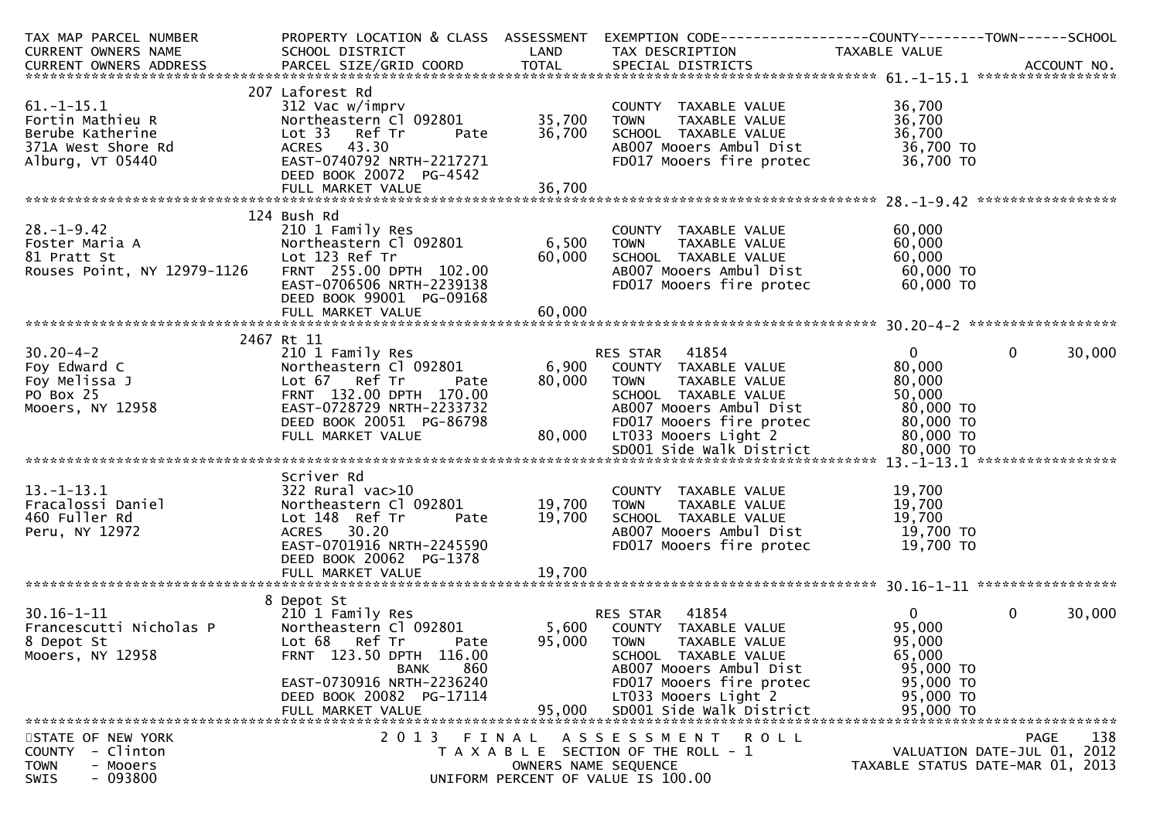| TAX MAP PARCEL NUMBER                                                                                                                                                                                                                  |                                               |                      | PROPERTY LOCATION & CLASS ASSESSMENT EXEMPTION CODE----------------COUNTY-------TOWN------SCHOOL |                        |                                  |
|----------------------------------------------------------------------------------------------------------------------------------------------------------------------------------------------------------------------------------------|-----------------------------------------------|----------------------|--------------------------------------------------------------------------------------------------|------------------------|----------------------------------|
| CURRENT OWNERS NAME                                                                                                                                                                                                                    | SCHOOL DISTRICT<br><b>Example 18 The LAND</b> |                      | TAX DESCRIPTION TAXABLE VALUE                                                                    |                        |                                  |
| CURRENT OWNERS ADDRESS FARCEL SIZE/GRID COORD TOTAL SPECIAL DISTRICTS FARENT OWNERS ADDRESS FARCEL SIZE/GRID COORD TOTAL SPECIAL DISTRICTS FARENT OWNERS ADDRESS                                                                       |                                               |                      |                                                                                                  |                        |                                  |
|                                                                                                                                                                                                                                        |                                               |                      |                                                                                                  |                        |                                  |
|                                                                                                                                                                                                                                        | 207 Laforest Rd                               |                      |                                                                                                  |                        |                                  |
| $61. -1 - 15.1$                                                                                                                                                                                                                        | 312 Vac w/imprv                               |                      | COUNTY TAXABLE VALUE                                                                             | 36,700                 |                                  |
| Fortin Mathieu R                                                                                                                                                                                                                       | Northeastern Cl 092801                        | 35,700               | <b>TOWN</b><br>TAXABLE VALUE                                                                     | 36,700                 |                                  |
| Berube Katherine                                                                                                                                                                                                                       | Lot 33 Ref Tr<br>Pate                         | 36,700               | SCHOOL TAXABLE VALUE                                                                             | 36,700                 |                                  |
| 371A West Shore Rd                                                                                                                                                                                                                     | ACRES 43.30                                   |                      | AB007 Mooers Ambul Dist                                                                          | 36,700 TO              |                                  |
| Alburg, VT 05440                                                                                                                                                                                                                       | EAST-0740792 NRTH-2217271                     |                      | FD017 Mooers fire protec                                                                         | 36,700 TO              |                                  |
|                                                                                                                                                                                                                                        | DEED BOOK 20072 PG-4542                       |                      |                                                                                                  |                        |                                  |
|                                                                                                                                                                                                                                        |                                               |                      |                                                                                                  |                        |                                  |
|                                                                                                                                                                                                                                        |                                               |                      |                                                                                                  |                        |                                  |
|                                                                                                                                                                                                                                        | 124 Bush Rd                                   |                      |                                                                                                  |                        |                                  |
| $28. - 1 - 9.42$                                                                                                                                                                                                                       | 210 1 Family Res                              |                      | COUNTY TAXABLE VALUE                                                                             | 60,000                 |                                  |
| 20.-1-9.42<br>Foster Maria A Mortheastern Cl<br>81 Pratt St Lot 123 Ref Tr<br>Rouses Point, NY 12979-1126 FRNT 255.00 DF                                                                                                               | Northeastern C1 092801 6,500                  |                      | TAXABLE VALUE<br><b>TOWN</b>                                                                     | 60,000                 |                                  |
|                                                                                                                                                                                                                                        |                                               | 60,000               | SCHOOL TAXABLE VALUE                                                                             | 60,000                 |                                  |
|                                                                                                                                                                                                                                        | FRNT 255.00 DPTH 102.00                       |                      | AB007 Mooers Ambul Dist                                                                          |                        |                                  |
|                                                                                                                                                                                                                                        | EAST-0706506 NRTH-2239138                     |                      | FD017 Mooers fire protec                                                                         | 60,000 TO<br>60,000 TO |                                  |
|                                                                                                                                                                                                                                        | DEED BOOK 99001 PG-09168                      |                      |                                                                                                  |                        |                                  |
|                                                                                                                                                                                                                                        |                                               |                      |                                                                                                  |                        |                                  |
|                                                                                                                                                                                                                                        |                                               |                      |                                                                                                  |                        |                                  |
|                                                                                                                                                                                                                                        | 2467 Rt 11                                    |                      |                                                                                                  |                        |                                  |
| 210 1 Fam 1y Kes<br>210 1 Fam 1y Kes<br>3a J<br>210 1 Fam 1y Kes<br>Northeastern Cl<br>167 Ref Tr<br>FRNT 132.00 DPT<br>FRNT 132.00 DPT<br>EAST-0728729 NR<br>DEED BOOK 20051<br>$30.20 - 4 - 2$                                       |                                               |                      | RES STAR 41854                                                                                   | $\overline{0}$         | $\mathbf 0$<br>30,000            |
| Foy Edward C                                                                                                                                                                                                                           | Northeastern Cl 092801                        |                      | 6,900 COUNTY TAXABLE VALUE                                                                       | 80,000                 |                                  |
| Foy Melissa J                                                                                                                                                                                                                          | Pate                                          | 80,000 TOWN          | TAXABLE VALUE                                                                                    | 80,000                 |                                  |
| PO Box 25                                                                                                                                                                                                                              | FRNT 132.00 DPTH 170.00                       |                      | SCHOOL TAXABLE VALUE                                                                             | 50,000                 |                                  |
| Mooers, NY 12958                                                                                                                                                                                                                       | EAST-0728729 NRTH-2233732                     |                      | AB007 Mooers Ambul Dist                                                                          | 80,000 TO              |                                  |
|                                                                                                                                                                                                                                        | DEED BOOK 20051 PG-86798                      |                      | FD017 Mooers fire protec                                                                         |                        |                                  |
|                                                                                                                                                                                                                                        | FULL MARKET VALUE                             |                      | 80,000 LT033 Mooers Light 2                                                                      | 80,000 то<br>80,000 то |                                  |
|                                                                                                                                                                                                                                        |                                               |                      |                                                                                                  |                        |                                  |
|                                                                                                                                                                                                                                        |                                               |                      |                                                                                                  |                        |                                  |
| 13.-1-13.1<br>Fracalossi Daniel<br>And Fuller Rd<br>And The Contract Contract Contract Contract Contract Contract Contract Contract Contract Contract Contract Contract Contract Contract Contract Contract Contract Contract Contract | Scriver Rd                                    |                      |                                                                                                  |                        |                                  |
|                                                                                                                                                                                                                                        | 322 Rural vac>10                              |                      | COUNTY TAXABLE VALUE                                                                             | 19,700                 |                                  |
|                                                                                                                                                                                                                                        | Northeastern Cl 092801 19,700                 |                      | <b>TOWN</b><br>TAXABLE VALUE                                                                     | 19,700                 |                                  |
|                                                                                                                                                                                                                                        | Lot 148 Ref Tr<br>Pate                        | 19,700               | SCHOOL TAXABLE VALUE                                                                             | 19,700                 |                                  |
|                                                                                                                                                                                                                                        | ACRES 30.20                                   |                      | AB007 Mooers Ambul Dist                                                                          | 19,700 TO              |                                  |
|                                                                                                                                                                                                                                        | EAST-0701916 NRTH-2245590                     |                      | FD017 Mooers fire protec                                                                         | 19,700 TO              |                                  |
|                                                                                                                                                                                                                                        | DEED BOOK 20062 PG-1378                       |                      |                                                                                                  |                        |                                  |
|                                                                                                                                                                                                                                        |                                               |                      |                                                                                                  |                        |                                  |
|                                                                                                                                                                                                                                        |                                               |                      |                                                                                                  |                        |                                  |
|                                                                                                                                                                                                                                        | 8 Depot St                                    |                      |                                                                                                  |                        |                                  |
| $30.16 - 1 - 11$                                                                                                                                                                                                                       | 210 1 Family Res                              |                      | RES STAR 41854                                                                                   | $\overline{0}$         | $\mathbf{0}$<br>30,000           |
| Francescutti Nicholas P                                                                                                                                                                                                                | Northeastern Cl 092801                        |                      | 5,600 COUNTY TAXABLE VALUE                                                                       | 95,000                 |                                  |
| 8 Depot St                                                                                                                                                                                                                             | Lot 68 Ref Tr<br>Pate                         | 95,000               | <b>TOWN</b><br>TAXABLE VALUE                                                                     | 95,000                 |                                  |
| Mooers, NY 12958                                                                                                                                                                                                                       | FRNT 123.50 DPTH 116.00                       |                      | SCHOOL TAXABLE VALUE                                                                             | 65,000                 |                                  |
|                                                                                                                                                                                                                                        | 860<br>BANK                                   |                      | AB007 Mooers Ambul Dist                                                                          | 95,000 TO              |                                  |
|                                                                                                                                                                                                                                        | EAST-0730916 NRTH-2236240                     |                      | FD017 Mooers fire protec                                                                         | 95,000 TO              |                                  |
|                                                                                                                                                                                                                                        | DEED BOOK 20082 PG-17114                      |                      | LT033 Mooers Light 2                                                                             | 95,000 TO              |                                  |
|                                                                                                                                                                                                                                        |                                               |                      |                                                                                                  |                        |                                  |
|                                                                                                                                                                                                                                        |                                               |                      |                                                                                                  |                        |                                  |
| STATE OF NEW YORK                                                                                                                                                                                                                      | 2 0 1 3                                       | FINAL                | ASSESSMENT ROLL                                                                                  |                        | 138<br>PAGE                      |
| COUNTY - Clinton                                                                                                                                                                                                                       |                                               |                      | T A X A B L E SECTION OF THE ROLL - 1                                                            |                        | VALUATION DATE-JUL 01, 2012      |
| <b>TOWN</b><br>- Mooers                                                                                                                                                                                                                |                                               | OWNERS NAME SEQUENCE |                                                                                                  |                        | TAXABLE STATUS DATE-MAR 01, 2013 |
| SWIS<br>- 093800                                                                                                                                                                                                                       |                                               |                      | UNIFORM PERCENT OF VALUE IS 100.00                                                               |                        |                                  |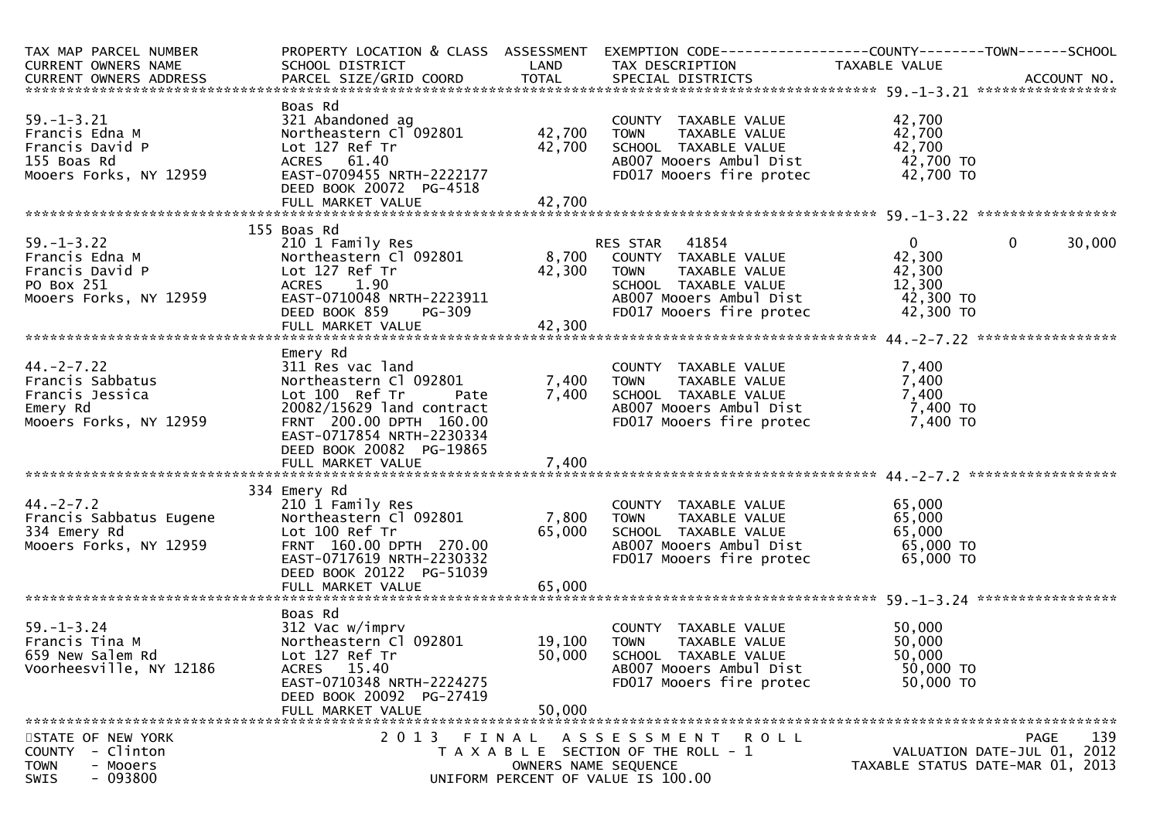| TAX MAP PARCEL NUMBER<br>CURRENT OWNERS NAME<br>CURRENT OWNERS ADDRESS                                      | SCHOOL DISTRICT                                                                                                                                                                                   |                               | LAND TAX DESCRIPTION                                                                                                                                     | PROPERTY LOCATION & CLASS ASSESSMENT EXEMPTION CODE----------------COUNTY-------TOWN------SCHOOL<br>TAXABLE VALUE |        |
|-------------------------------------------------------------------------------------------------------------|---------------------------------------------------------------------------------------------------------------------------------------------------------------------------------------------------|-------------------------------|----------------------------------------------------------------------------------------------------------------------------------------------------------|-------------------------------------------------------------------------------------------------------------------|--------|
|                                                                                                             |                                                                                                                                                                                                   |                               |                                                                                                                                                          |                                                                                                                   |        |
| $59. - 1 - 3.21$<br>Francis Edna M<br>Francis David P<br>155 Boas Rd<br>Mooers Forks, NY 12959              | Boas Rd<br>321 Abandoned ag<br>Northeastern Cl 092801<br>Lot 127 Ref Tr<br>ACRES 61.40<br>EAST-0709455 NRTH-2222177<br>DEED BOOK 20072 PG-4518                                                    | 42,700<br>42,700              | COUNTY TAXABLE VALUE<br>TOWN      TAXABLE VALUE<br>SCHOOL   TAXABLE VALUE<br>AB007 Mooers Ambul Dist 42,700 TO<br>FD017 Mooers fire protec               | 42,700<br>42,700<br>42,700<br>42,700 TO                                                                           |        |
|                                                                                                             |                                                                                                                                                                                                   |                               |                                                                                                                                                          |                                                                                                                   |        |
|                                                                                                             | 155 Boas Rd                                                                                                                                                                                       |                               |                                                                                                                                                          |                                                                                                                   |        |
| $59. - 1 - 3.22$<br>59.-1-3.22<br>Francis Edna M<br>Francis David P<br>PO Box 251<br>Mooers Forks, NY 12959 | 210 1 Family Res<br>Northeastern Cl 092801<br>Lot 127 Ref Tr<br>ACRES<br>1.90<br>EAST-0710048 NRTH-2223911<br>DEED BOOK 859                                                                       | $PG-309$                      | RES STAR 41854<br>8,700 COUNTY TAXABLE VALUE<br>42,300 TOWN TAXABLE VALUE<br>SCHOOL TAXABLE VALUE<br>AB007 Mooers Ambul Dist<br>FD017 Mooers fire protec | $\mathbf{0}$<br>$\mathbf{0}$<br>42,300<br>42,300<br>12,300<br>42,300 TO<br>42,300 TO                              | 30,000 |
|                                                                                                             |                                                                                                                                                                                                   |                               |                                                                                                                                                          |                                                                                                                   |        |
| $44. -2 - 7.22$<br>Francis Sabbatus<br>Francis Jessica<br>Emery Rd<br>Mooers Forks, NY 12959                | Emery Rd<br>311 Res vac land<br>Northeastern Cl 092801<br>Lot 100 Ref Tr<br>Pate<br>20082/15629 land contract<br>FRNT 200.00 DPTH 160.00<br>EAST-0717854 NRTH-2230334<br>DEED BOOK 20082 PG-19865 | 7,400<br>7,400                | COUNTY TAXABLE VALUE<br>SCHOOL TAXABLE VALUE<br>AB007 Mooers Ambul Dist<br>FD017 Mooers fire protec                                                      | 7,400<br>7,400<br>7,400<br>7,400 TO<br>7,400 TO                                                                   |        |
|                                                                                                             |                                                                                                                                                                                                   |                               |                                                                                                                                                          |                                                                                                                   |        |
| $44. -2 - 7.2$<br>Francis Sabbatus Eugene<br>334 Emery Rd<br>Mooers Forks, NY 12959                         | 334 Emery Rd<br>210 1 Family Res<br>Northeastern Cl 092801<br>Lot 100 Ref Tr<br>FRNT 160.00 DPTH 270.00<br>EAST-0717619 NRTH-2230332<br>DEED BOOK 20122 PG-51039                                  | 7,800<br>65,000<br>65,000     | COUNTY TAXABLE VALUE<br><b>TOWN</b><br>TAXABLE VALUE<br>SCHOOL TAXABLE VALUE<br>AB007 Mooers Ambul Dist<br>FD017 Mooers fire protec                      | 65,000<br>65,000<br>65,000<br>65,000 TO<br>65,000 TO                                                              |        |
|                                                                                                             | FULL MARKET VALUE                                                                                                                                                                                 |                               |                                                                                                                                                          |                                                                                                                   |        |
| $59. - 1 - 3.24$<br>Francis Tina M<br>659 New Salem Rd<br>Voorheesville, NY 12186                           | Boas Rd<br>312 Vac w/imprv<br>Northeastern Cl 092801<br>Lot 127 Ref Tr<br>ACRES 15.40<br>EAST-0710348 NRTH-2224275<br>DEED BOOK 20092 PG-27419<br>FULL MARKET VALUE                               | 19,100<br>50,000<br>50,000    | COUNTY TAXABLE VALUE<br>TAXABLE VALUE<br><b>TOWN</b><br>SCHOOL TAXABLE VALUE<br>AB007 Mooers Ambul Dist<br>FD017 Mooers fire protec                      | 50,000<br>50,000<br>50,000<br>50,000 TO<br>50,000 TO                                                              |        |
|                                                                                                             |                                                                                                                                                                                                   |                               |                                                                                                                                                          |                                                                                                                   |        |
| STATE OF NEW YORK<br>- Clinton<br><b>COUNTY</b><br><b>TOWN</b><br>- Mooers<br>$-093800$<br>SWIS             | 2 0 1 3                                                                                                                                                                                           | FINAL<br>OWNERS NAME SEQUENCE | A S S E S S M E N T<br><b>ROLL</b><br>T A X A B L E SECTION OF THE ROLL - 1<br>UNIFORM PERCENT OF VALUE IS 100.00                                        | PAGE<br>VALUATION DATE-JUL 01, 2012<br>TAXABLE STATUS DATE-MAR 01, 2013                                           | 139    |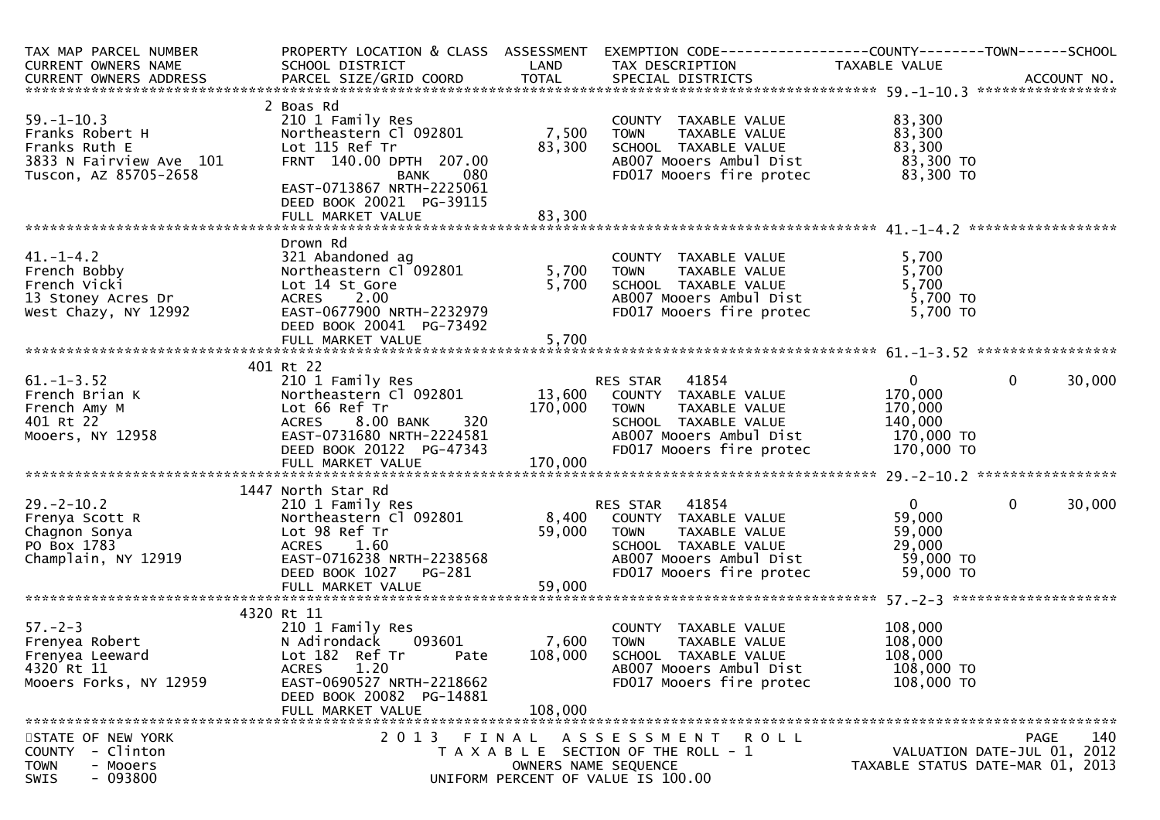| TAX MAP PARCEL NUMBER<br><b>CURRENT OWNERS NAME</b>                                                             | PROPERTY LOCATION & CLASS ASSESSMENT<br>SCHOOL DISTRICT                                                                                                                                 | LAND                        | EXEMPTION CODE-----------------COUNTY-------TOWN------SCHOOL<br>TAX DESCRIPTION                                                                                                | TAXABLE VALUE                                                          |                          |
|-----------------------------------------------------------------------------------------------------------------|-----------------------------------------------------------------------------------------------------------------------------------------------------------------------------------------|-----------------------------|--------------------------------------------------------------------------------------------------------------------------------------------------------------------------------|------------------------------------------------------------------------|--------------------------|
|                                                                                                                 |                                                                                                                                                                                         |                             |                                                                                                                                                                                |                                                                        |                          |
| $59. - 1 - 10.3$<br>Franks Robert H<br>Franks Ruth E<br>3833 N Fairview Ave 101<br>Tuscon, AZ 85705-2658        | 2 Boas Rd<br>210 1 Family Res<br>Northeastern Cl 092801<br>Lot 115 Ref Tr<br>FRNT 140.00 DPTH 207.00<br>BANK<br>080<br>EAST-0713867 NRTH-2225061<br>DEED BOOK 20021 PG-39115            | 7,500<br>83,300             | COUNTY TAXABLE VALUE<br>TAXABLE VALUE<br><b>TOWN</b><br>SCHOOL TAXABLE VALUE<br>AB007 Mooers Ambul Dist<br>FD017 Mooers fire protec                                            | 83,300<br>83,300<br>83,300<br>83,300 TO<br>83,300 TO                   |                          |
|                                                                                                                 | FULL MARKET VALUE                                                                                                                                                                       | 83,300                      |                                                                                                                                                                                |                                                                        |                          |
| 41.-1-4.2<br>French Bobby<br>French Vicki<br>13 Stoney Acres Dr<br>West Chazy, NY 12992<br>West Chazy, NY 12992 | Drown Rd<br>321 Abandoned ag<br>Northeastern Cl 092801<br>Lot 14 St Gore<br>ACRES 2.00<br>EAST-0677900 NRTH-2232979<br>DEED BOOK 20041 PG-73492<br>FULL MARKET VALUE                    | 5,700<br>5,700<br>5,700     | COUNTY TAXABLE VALUE<br>TAXABLE VALUE<br><b>TOWN</b><br>SCHOOL TAXABLE VALUE<br>ABOO7 Mooers Ambul Dist<br>FD017 Mooers fire protec                                            | 5,700<br>5,700<br>5,700<br>$5,700$ TO<br>$5,700$ TO<br>5,700 TO        |                          |
|                                                                                                                 |                                                                                                                                                                                         |                             |                                                                                                                                                                                |                                                                        |                          |
| $61. - 1 - 3.52$<br>French Brian K<br>French Amy M<br>401 Rt 22<br>Mooers, NY 12958                             | 401 Rt 22<br>210 1 Family Res<br>Northeastern Cl 092801<br>Lot 66 Ref Tr<br>320<br>581<br>ACRES 8.00 BANK<br>EAST-0731680 NRTH-2224581<br>DEED BOOK 20122 PG-47343<br>FULL MARKET VALUE | 170,000<br>170,000          | <b>RES STAR 41854</b><br>13,600 COUNTY TAXABLE VALUE<br><b>TOWN</b><br>TAXABLE VALUE<br>SCHOOL TAXABLE VALUE<br>AB007 Mooers Ambul Dist 170,000 TO<br>FD017 Mooers fire protec | $\overline{0}$<br>170,000<br>170,000<br>140,000<br>170,000 TO          | $\overline{0}$<br>30,000 |
|                                                                                                                 |                                                                                                                                                                                         |                             |                                                                                                                                                                                |                                                                        |                          |
| $29. - 2 - 10.2$<br>Frenya Scott R<br>Chagnon Sonya<br>PO Box 1783<br>Champlain, NY 12919                       | 1447 North Star Rd<br>210 1 Family Res<br>Northeastern Cl 092801<br>Lot 98 Ref Tr<br>ACRES 1.60<br>EAST-0716238 NRTH-2238568<br>DEED BOOK 1027<br>PG-281<br>FULL MARKET VALUE           | 8,400<br>59,000<br>59,000   | RES STAR 41854<br>COUNTY TAXABLE VALUE<br><b>TOWN</b><br>TAXABLE VALUE<br>SCHOOL TAXABLE VALUE<br>AB007 Mooers Ambul Dist<br>FD017 Mooers fire protec                          | $\overline{0}$<br>59,000<br>59,000<br>29,000<br>59,000 TO<br>59,000 TO | $\mathbf{0}$<br>30,000   |
|                                                                                                                 |                                                                                                                                                                                         |                             |                                                                                                                                                                                |                                                                        |                          |
| 57.-2-3<br>Frenyea Robert<br>Frenzoa Leeward<br>4320 Rt 11<br>Mooers Forks, NY 12959                            | 4320 Rt 11<br>210 1 Family Res<br>093601<br>N Adirondack<br>Lot 182 Ref Tr<br>Pate<br>ACRES 1.20<br>EAST-0690527 NRTH-2218662<br>DEED BOOK 20082 PG-14881<br>FULL MARKET VALUE          | 7,600<br>108,000<br>108,000 | COUNTY TAXABLE VALUE<br><b>TOWN</b><br>TAXABLE VALUE<br>SCHOOL TAXABLE VALUE<br>AB007 Mooers Ambul Dist<br>FD017 Mooers fire protec                                            | 108,000<br>108,000<br>108,000<br>108,000 TO<br>108,000 TO              |                          |
| STATE OF NEW YORK                                                                                               | 2 0 1 3                                                                                                                                                                                 |                             | FINAL ASSESSMENT ROLL                                                                                                                                                          |                                                                        | 140<br><b>PAGE</b>       |
| - Clinton<br><b>COUNTY</b><br><b>TOWN</b><br>- Mooers<br>- 093800<br><b>SWIS</b>                                |                                                                                                                                                                                         | OWNERS NAME SEQUENCE        | T A X A B L E SECTION OF THE ROLL - 1<br>UNIFORM PERCENT OF VALUE IS 100.00                                                                                                    | VALUATION DATE-JUL 01, 2012<br>TAXABLE STATUS DATE-MAR 01, 2013        |                          |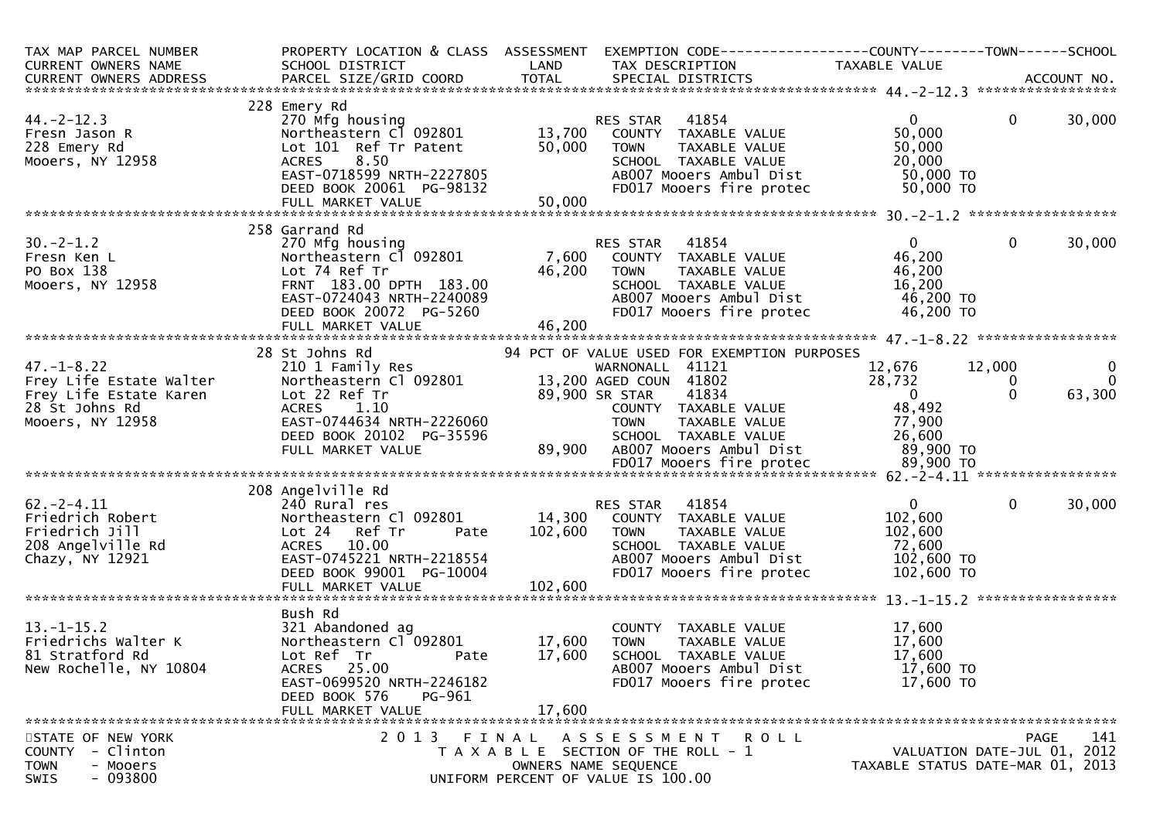| TAX MAP PARCEL NUMBER<br>CURRENT OWNERS NAME                                                                | PROPERTY LOCATION & CLASS ASSESSMENT<br>SCHOOL DISTRICT                                                                                                                               | LAND                         | EXEMPTION CODE-----------------COUNTY--------TOWN------SCHOOL<br>TAX DESCRIPTION                                                                                                | TAXABLE VALUE                                                                 |                         |                                       |
|-------------------------------------------------------------------------------------------------------------|---------------------------------------------------------------------------------------------------------------------------------------------------------------------------------------|------------------------------|---------------------------------------------------------------------------------------------------------------------------------------------------------------------------------|-------------------------------------------------------------------------------|-------------------------|---------------------------------------|
|                                                                                                             |                                                                                                                                                                                       |                              |                                                                                                                                                                                 |                                                                               |                         |                                       |
| $44. -2 - 12.3$<br>Fresn Jason R<br>228 Emery Rd<br>Mooers, NY 12958                                        | 228 Emery Rd<br>270 Mfg housing<br>Northeastern Cl 092801<br>Lot 101 Ref Tr Patent<br>8.50<br><b>ACRES</b><br>EAST-0718599 NRTH-2227805<br>DEED BOOK 20061 PG-98132                   | 13,700<br>50,000             | 41854<br>RES STAR<br>COUNTY TAXABLE VALUE<br>TAXABLE VALUE<br>TOWN<br>SCHOOL TAXABLE VALUE<br>AB007 Mooers Ambul Dist<br>FD017 Mooers fire protec                               | $\overline{0}$<br>50,000<br>50,000<br>20,000<br>50,000 TO<br>50,000 TO        | $\mathbf{0}$            | 30,000                                |
|                                                                                                             | 258 Garrand Rd                                                                                                                                                                        |                              |                                                                                                                                                                                 |                                                                               |                         |                                       |
| $30. -2 - 1.2$<br>Fresn Ken L<br>PO Box 138<br>Mooers, NY 12958                                             | 270 Mfg housing<br>Northeastern Cl 092801<br>Lot 74 Ref Tr<br>FRNT 183.00 DPTH 183.00<br>EAST-0724043 NRTH-2240089<br>DEED BOOK 20072 PG-5260                                         | 7,600<br>46,200              | RES STAR<br>41854<br>COUNTY TAXABLE VALUE<br>TAXABLE VALUE<br>TOWN<br>SCHOOL TAXABLE VALUE<br>AB007 Mooers Ambul Dist<br>FD017 Mooers fire protec                               | $\mathbf{0}$<br>46,200<br>46,200<br>16,200<br>46,200 TO<br>46,200 TO          | $\mathbf 0$             | 30,000                                |
|                                                                                                             | 28 St Johns Rd                                                                                                                                                                        |                              | 94 PCT OF VALUE USED FOR EXEMPTION PURPOSES                                                                                                                                     |                                                                               |                         |                                       |
| $47. - 1 - 8.22$<br>Frey Life Estate Walter<br>Frey Life Estate Karen<br>28 St Johns Rd<br>Mooers, NY 12958 | 210 1 Family Res<br>Northeastern Cl 092801<br>Lot 22 Ref Tr<br><b>ACRES</b><br>1.10<br>EAST-0744634 NRTH-2226060<br>DEED BOOK 20102 PG-35596<br>FULL MARKET VALUE                     | 89,900                       | WARNONALL 41121<br>13,200 AGED COUN 41802<br>89,900 SR STAR<br>41834<br>COUNTY TAXABLE VALUE<br><b>TOWN</b><br>TAXABLE VALUE<br>SCHOOL TAXABLE VALUE<br>AB007 Mooers Ambul Dist | 12,676<br>28,732<br>$\overline{0}$<br>48,492<br>77,900<br>26,600<br>89,900 TO | 12,000<br>0<br>$\Omega$ | $\mathbf{0}$<br>$\mathbf 0$<br>63,300 |
|                                                                                                             |                                                                                                                                                                                       |                              |                                                                                                                                                                                 |                                                                               |                         |                                       |
| $62 - 2 - 4.11$<br>Friedrich Robert<br>Friedrich Jill<br>208 Angelville Rd<br>Chazy, NY 12921               | 208 Angelville Rd<br>240 Rural res<br>Northeastern Cl 092801<br>Lot 24<br>Ref Tr<br>Pate<br>ACRES 10.00<br>EAST-0745221 NRTH-2218554<br>DEED BOOK 99001 PG-10004<br>FULL MARKET VALUE | 14,300<br>102,600<br>102,600 | 41854<br>RES STAR<br>COUNTY TAXABLE VALUE<br><b>TOWN</b><br>TAXABLE VALUE<br>SCHOOL TAXABLE VALUE<br>AB007 Mooers Ambul Dist<br>FD017 Mooers fire protec                        | $\overline{0}$<br>102,600<br>102,600<br>72,600<br>102,600 TO<br>102,600 TO    | $\mathbf{0}$            | 30,000                                |
|                                                                                                             |                                                                                                                                                                                       |                              |                                                                                                                                                                                 |                                                                               |                         |                                       |
| $13.-1-15.2$<br>Friedrichs Walter K<br>81 Stratford Rd<br>New Rochelle, NY 10804                            | Bush Rd<br>321 Abandoned ag<br>Northeastern Cl 092801<br>Lot Ref Tr<br>Pate<br>ACRES 25.00<br>EAST-0699520 NRTH-2246182<br>DEED BOOK 576<br>PG-961<br>FULL MARKET VALUE               | 17,600<br>17,600<br>17,600   | COUNTY TAXABLE VALUE<br><b>TOWN</b><br><b>TAXABLE VALUE</b><br>SCHOOL TAXABLE VALUE<br>AB007 Mooers Ambul Dist<br>FD017 Mooers fire protec                                      | 17,600<br>17,600<br>17,600<br>17,600 TO<br>17,600 TO                          |                         |                                       |
| STATE OF NEW YORK<br>- Clinton<br><b>COUNTY</b><br><b>TOWN</b><br>- Mooers<br>$-093800$<br>SWIS             |                                                                                                                                                                                       |                              | ************************<br>2013 FINAL ASSESSMENT ROLL<br>T A X A B L E SECTION OF THE ROLL - 1<br>OWNERS NAME SEQUENCE<br>UNIFORM PERCENT OF VALUE IS 100.00                   | VALUATION DATE-JUL 01, 2012<br>TAXABLE STATUS DATE-MAR 01, 2013               | PAGE                    | 141                                   |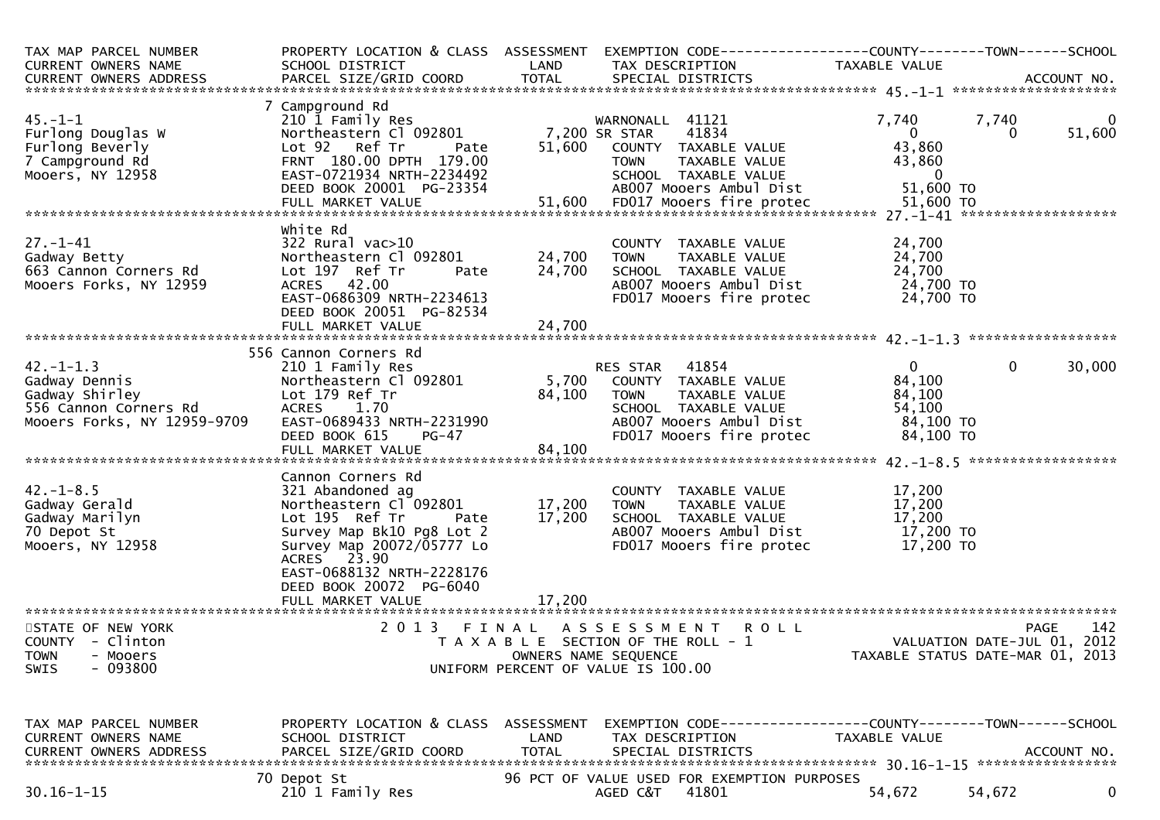| TAX MAP PARCEL NUMBER<br><b>CURRENT OWNERS NAME</b><br>CURRENT OWNERS ADDRESS                              | PROPERTY LOCATION & CLASS ASSESSMENT<br>SCHOOL DISTRICT                                                                                                                                                                                                      | LAND                       | EXEMPTION CODE-----------------COUNTY--------TOWN------SCHOOL<br>TAX DESCRIPTION                                                                         | <b>TAXABLE VALUE</b>                                                   |                                                                                       |
|------------------------------------------------------------------------------------------------------------|--------------------------------------------------------------------------------------------------------------------------------------------------------------------------------------------------------------------------------------------------------------|----------------------------|----------------------------------------------------------------------------------------------------------------------------------------------------------|------------------------------------------------------------------------|---------------------------------------------------------------------------------------|
| $45. - 1 - 1$<br>Furlong Douglas W<br>Furlong Beverly<br>7 Campground Rd<br>Mooers, NY 12958               | 7 Campground Rd<br>210 1 Family Res<br>Northeastern Cl 092801<br>Lot 92 Ref Tr<br>Pate<br>FRNT 180.00 DPTH 179.00<br>EAST-0721934 NRTH-2234492<br>DEED BOOK 20001 PG-23354                                                                                   | 51,600                     | WARNONALL 41121<br>41834<br>7,200 SR STAR<br>COUNTY TAXABLE VALUE<br>TAXABLE VALUE<br><b>TOWN</b><br>SCHOOL TAXABLE VALUE<br>AB007 Mooers Ambul Dist     | 7,740<br>$\overline{0}$<br>43,860<br>43,860<br>- 0<br>51,600 TO        | 7,740<br>0<br>51,600<br>0                                                             |
| $27. - 1 - 41$<br>Gadway Betty<br>663 Cannon Corners Rd<br>Mooers Forks, NY 12959                          | white Rd<br>$322$ Rural vac $>10$<br>Northeastern Cl 092801<br>Lot 197 Ref Tr<br>Pate<br>ACRES 42.00<br>EAST-0686309 NRTH-2234613                                                                                                                            | 24,700<br>24,700           | COUNTY TAXABLE VALUE<br>TAXABLE VALUE<br><b>TOWN</b><br>SCHOOL TAXABLE VALUE<br>AB007 Mooers Ambul Dist<br>FD017 Mooers fire protec                      | 24,700<br>24,700<br>24,700<br>24,700 TO<br>24,700 TO                   |                                                                                       |
|                                                                                                            | DEED BOOK 20051 PG-82534                                                                                                                                                                                                                                     |                            |                                                                                                                                                          |                                                                        |                                                                                       |
| $42. - 1 - 1.3$<br>Gadway Dennis<br>Gadway Shirley<br>556 Cannon Corners Rd<br>Mooers Forks, NY 12959-9709 | 556 Cannon Corners Rd<br>210 1 Family Res<br>Northeastern Cl 092801<br>Lot 179 Ref Tr<br><b>ACRES</b><br>1.70<br>EAST-0689433 NRTH-2231990<br>DEED BOOK 615<br>PG-47<br>FULL MARKET VALUE                                                                    | 5,700<br>84,100<br>84,100  | 41854<br>RES STAR<br>COUNTY TAXABLE VALUE<br>TAXABLE VALUE<br><b>TOWN</b><br>SCHOOL TAXABLE VALUE<br>AB007 Mooers Ambul Dist<br>FD017 Mooers fire protec | $\overline{0}$<br>84,100<br>84,100<br>54,100<br>84,100 TO<br>84,100 TO | 30,000<br>$\mathbf{0}$                                                                |
| $42. - 1 - 8.5$<br>Gadway Gerald<br>Gadway Marilyn<br>70 Depot St<br>Mooers, NY 12958                      | Cannon Corners Rd<br>321 Abandoned ag<br>Northeastern Cl <sup>-</sup> 092801<br>Lot 195 Ref Tr<br>Pate<br>Survey Map Bk10 Pg8 Lot 2<br>Survey Map 20072/05777 Lo<br>ACRES 23.90<br>EAST-0688132 NRTH-2228176<br>DEED BOOK 20072 PG-6040<br>FULL MARKET VALUE | 17,200<br>17,200<br>17,200 | COUNTY TAXABLE VALUE<br><b>TOWN</b><br>TAXABLE VALUE<br>SCHOOL TAXABLE VALUE<br>AB007 Mooers Ambul Dist<br>FD017 Mooers fire protec                      | 17,200<br>17,200<br>17,200<br>17,200 TO<br>17,200 TO                   |                                                                                       |
| STATE OF NEW YORK<br>COUNTY - Clinton<br><b>TOWN</b><br>- Mooers<br>$-093800$<br>SWIS                      | 2013 FINAL                                                                                                                                                                                                                                                   |                            | A S S E S S M E N T<br><b>ROLL</b><br>T A X A B L E SECTION OF THE ROLL - 1<br>OWNERS NAME SEQUENCE<br>UNIFORM PERCENT OF VALUE IS 100.00                |                                                                        | 142<br><b>PAGE</b><br>VALUATION DATE-JUL 01, 2012<br>TAXABLE STATUS DATE-MAR 01, 2013 |
| TAX MAP PARCEL NUMBER<br>CURRENT OWNERS NAME<br><b>CURRENT OWNERS ADDRESS</b>                              | PROPERTY LOCATION & CLASS ASSESSMENT<br>SCHOOL DISTRICT<br>PARCEL SIZE/GRID COORD                                                                                                                                                                            | LAND<br><b>TOTAL</b>       | TAX DESCRIPTION<br>SPECIAL DISTRICTS                                                                                                                     | TAXABLE VALUE                                                          | ACCOUNT NO.                                                                           |
| $30.16 - 1 - 15$                                                                                           | 70 Depot St<br>210 1 Family Res                                                                                                                                                                                                                              |                            | 96 PCT OF VALUE USED FOR EXEMPTION PURPOSES<br>41801<br>AGED C&T                                                                                         | 54,672                                                                 | 0<br>54,672                                                                           |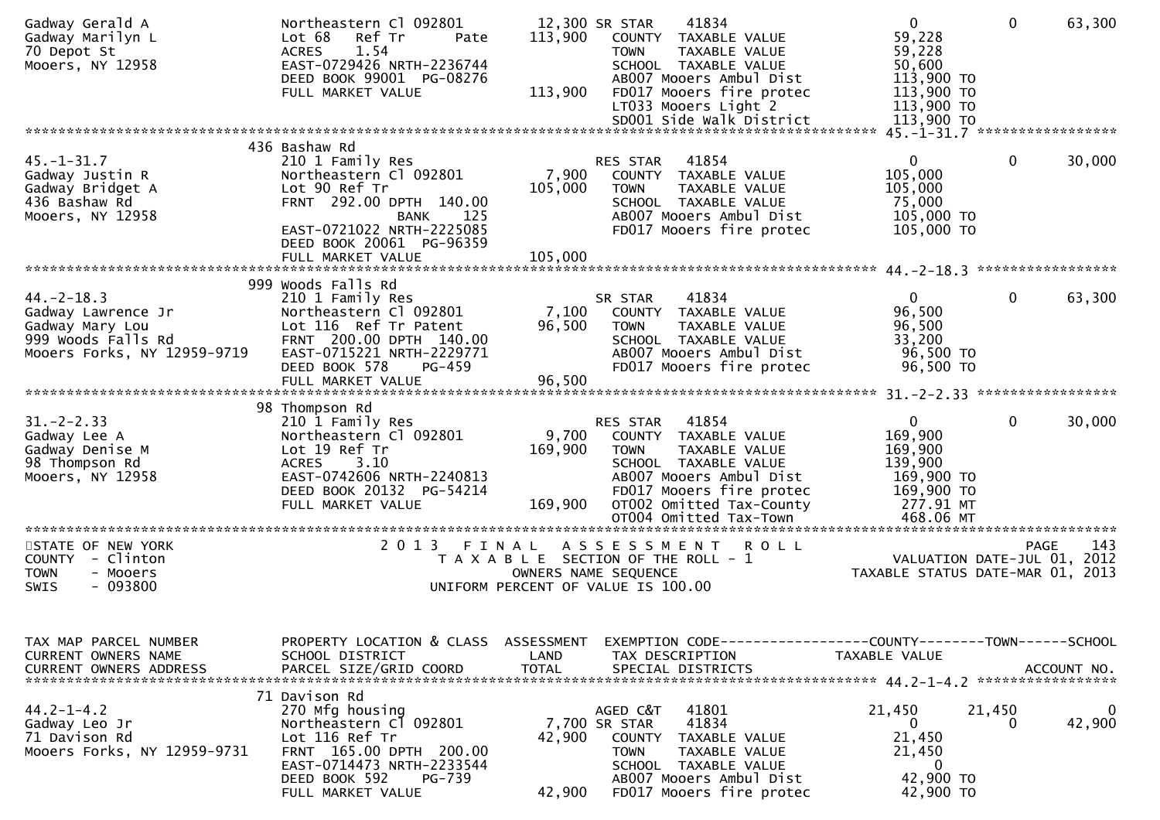| Gadway Gerald A<br>Gadway Marilyn L<br>70 Depot St<br>Mooers, NY 12958                                        | Northeastern Cl 092801<br>Lot 68<br>Ref Tr<br>Pate<br>1.54<br><b>ACRES</b><br>EAST-0729426 NRTH-2236744<br>DEED BOOK 99001 PG-08276<br>FULL MARKET VALUE                             | 113,900<br>113,900          | 12,300 SR STAR<br>41834<br>COUNTY TAXABLE VALUE<br><b>TOWN</b><br>TAXABLE VALUE<br>SCHOOL TAXABLE VALUE<br>AB007 Mooers Ambul Dist<br>FD017 Mooers fire protec<br>LT033 Mooers Light 2<br>SD001 Side Walk District | $\mathbf{0}$<br>59,228<br>59,228<br>50,600<br>113,900 TO<br>$113,900$ TO<br>113,900 TO<br>113,900 TO | 63,300<br>$\mathbf{0}$                     |
|---------------------------------------------------------------------------------------------------------------|--------------------------------------------------------------------------------------------------------------------------------------------------------------------------------------|-----------------------------|--------------------------------------------------------------------------------------------------------------------------------------------------------------------------------------------------------------------|------------------------------------------------------------------------------------------------------|--------------------------------------------|
|                                                                                                               |                                                                                                                                                                                      |                             |                                                                                                                                                                                                                    |                                                                                                      |                                            |
| $45. - 1 - 31.7$<br>Gadway Justin R<br>Gadway Bridget A<br>436 Bashaw Rd<br>Mooers, NY 12958                  | 436 Bashaw Rd<br>210 1 Family Res<br>Northeastern Cl 092801<br>Lot 90 Ref Tr<br>FRNT 292.00 DPTH 140.00<br>BANK<br>125<br>EAST-0721022 NRTH-2225085<br>DEED BOOK 20061 PG-96359      | 7,900<br>105,000            | 41854<br>RES STAR<br>COUNTY TAXABLE VALUE<br>TAXABLE VALUE<br><b>TOWN</b><br>SCHOOL TAXABLE VALUE<br>AB007 Mooers Ambul Dist<br>FD017 Mooers fire protec                                                           | $\overline{0}$<br>105,000<br>105,000<br>75,000<br>105,000 TO<br>105,000 TO                           | $\mathbf{0}$<br>30,000                     |
|                                                                                                               | FULL MARKET VALUE                                                                                                                                                                    | 105,000                     |                                                                                                                                                                                                                    |                                                                                                      |                                            |
|                                                                                                               |                                                                                                                                                                                      |                             |                                                                                                                                                                                                                    |                                                                                                      |                                            |
| $44. -2 - 18.3$<br>Gadway Lawrence Jr<br>Gadway Mary Lou<br>999 Woods Falls Rd<br>Mooers Forks, NY 12959-9719 | 999 Woods Falls Rd<br>210 1 Family Res<br>Northeastern Cl 092801<br>Lot 116 Ref Tr Patent<br>FRNT 200.00 DPTH 140.00<br>EAST-0715221 NRTH-2229771<br>DEED BOOK 578<br>$PG-459$       | 7,100<br>96,500             | 41834<br>SR STAR<br>COUNTY TAXABLE VALUE<br><b>TOWN</b><br>TAXABLE VALUE<br>SCHOOL TAXABLE VALUE<br>AB007 Mooers Ambul Dist<br>FD017 Mooers fire protec                                                            | $\overline{0}$<br>96,500<br>96,500<br>33,200<br>96,500 TO<br>96,500 TO                               | $\mathbf 0$<br>63,300                      |
|                                                                                                               | FULL MARKET VALUE                                                                                                                                                                    | 96,500                      |                                                                                                                                                                                                                    |                                                                                                      |                                            |
|                                                                                                               | 98 Thompson Rd                                                                                                                                                                       |                             |                                                                                                                                                                                                                    |                                                                                                      |                                            |
| $31 - 2 - 2.33$<br>Gadway Lee A<br>Gadway Denise M<br>98 Thompson Rd<br>Mooers, NY 12958                      | 210 1 Family Res<br>Northeastern Cl 092801<br>Lot 19 Ref Tr<br>ACRES 3.10<br>EAST-0742606 NRTH-2240813<br>DEED BOOK 20132 PG-54214<br>FULL MARKET VALUE                              | 9,700<br>169,900<br>169,900 | RES STAR 41854<br>COUNTY TAXABLE VALUE<br><b>TOWN</b><br>TAXABLE VALUE<br>SCHOOL TAXABLE VALUE<br>AB007 Mooers Ambul Dist<br>FD017 Mooers fire protec<br>OT002 Omitted Tax-County<br>OT004 Omitted Tax-Town        | $\mathbf{0}$<br>169,900<br>169,900<br>139,900<br>169,900 TO<br>169,900 TO<br>277.91 MT<br>468.06 MT  | $\mathbf 0$<br>30,000                      |
|                                                                                                               |                                                                                                                                                                                      |                             |                                                                                                                                                                                                                    |                                                                                                      |                                            |
| STATE OF NEW YORK<br>COUNTY - Clinton<br><b>TOWN</b><br>- Mooers<br>$-093800$<br>SWIS                         |                                                                                                                                                                                      |                             | 2013 FINAL ASSESSMENT ROLL<br>T A X A B L E SECTION OF THE ROLL - 1<br>OWNERS NAME SEQUENCE<br>UNIFORM PERCENT OF VALUE IS 100.00                                                                                  | TAXABLE STATUS DATE-MAR 01, 2013                                                                     | 143<br>PAGE<br>VALUATION DATE-JUL 01, 2012 |
| TAX MAP PARCEL NUMBER<br>CURRENT OWNERS NAME<br><b>CURRENT OWNERS ADDRESS</b>                                 | PROPERTY LOCATION & CLASS ASSESSMENT<br>SCHOOL DISTRICT<br>PARCEL SIZE/GRID COORD                                                                                                    | LAND<br><b>TOTAL</b>        | EXEMPTION CODE------------------COUNTY--------TOWN------SCHOOL<br>TAX DESCRIPTION<br>SPECIAL DISTRICTS                                                                                                             | TAXABLE VALUE                                                                                        | ACCOUNT NO.                                |
| $44.2 - 1 - 4.2$<br>Gadway Leo Jr<br>71 Davison Rd<br>Mooers Forks, NY 12959-9731                             | 71 Davison Rd<br>270 Mfg housing<br>Northeastern Cl 092801<br>Lot 116 Ref Tr<br>FRNT 165.00 DPTH 200.00<br>EAST-0714473 NRTH-2233544<br>DEED BOOK 592<br>PG-739<br>FULL MARKET VALUE | 42,900<br>42,900            | 41801<br>AGED C&T<br>7,700 SR STAR<br>41834<br>COUNTY TAXABLE VALUE<br><b>TOWN</b><br>TAXABLE VALUE<br>SCHOOL TAXABLE VALUE<br>AB007 Mooers Ambul Dist<br>FD017 Mooers fire protec                                 | 21,450<br>$\mathbf{0}$<br>21,450<br>21,450<br>$\bf{0}$<br>42,900 TO<br>42,900 TO                     | 21,450<br>0<br>42,900<br>0                 |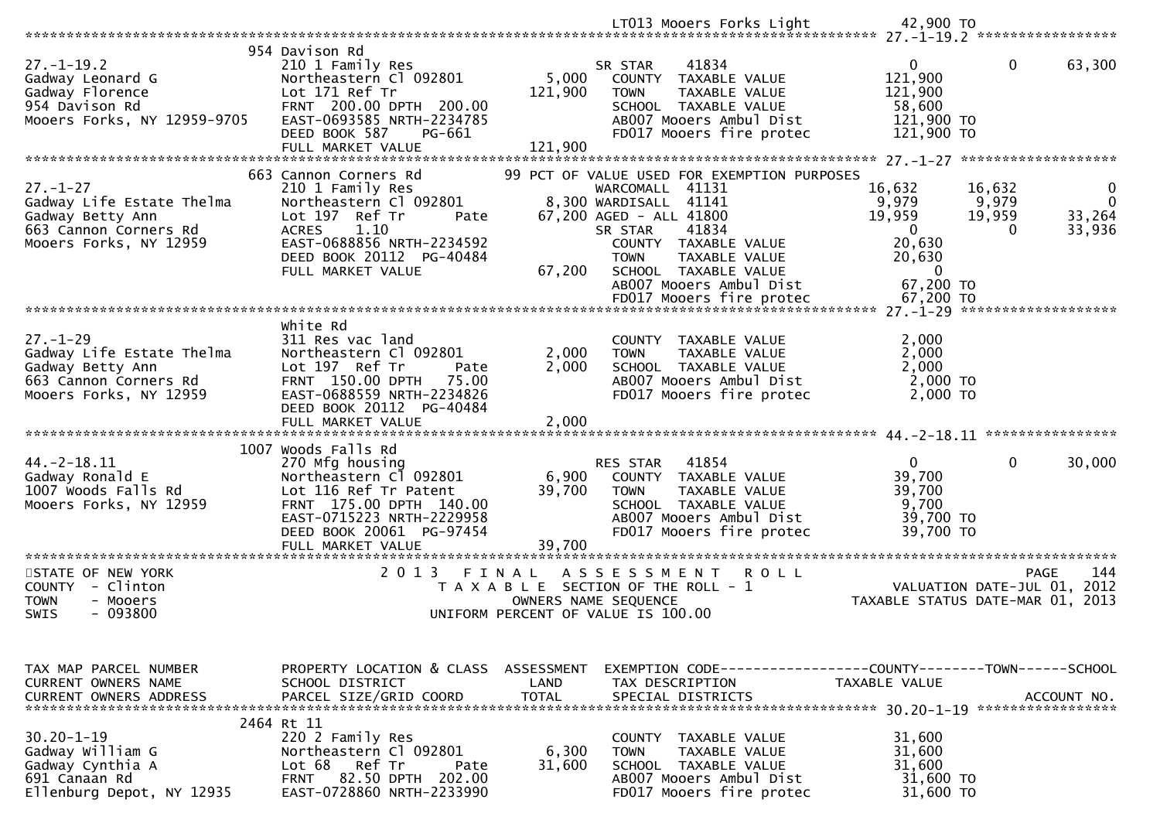|                                                                                                                    |                                                                                                                                                                                                     |                           | LT013 Mooers Forks Light                                                                                                                                                                                               | 42,900 TO                                                                                                                                                            |
|--------------------------------------------------------------------------------------------------------------------|-----------------------------------------------------------------------------------------------------------------------------------------------------------------------------------------------------|---------------------------|------------------------------------------------------------------------------------------------------------------------------------------------------------------------------------------------------------------------|----------------------------------------------------------------------------------------------------------------------------------------------------------------------|
|                                                                                                                    | 954 Davison Rd                                                                                                                                                                                      |                           |                                                                                                                                                                                                                        |                                                                                                                                                                      |
| $27. - 1 - 19.2$<br>Gadway Leonard G<br>Gadway Florence<br>954 Davison Rd<br>Mooers Forks, NY 12959-9705           | 210 1 Family Res<br>Northeastern Cl 092801<br>Lot 171 Ref Tr<br>FRNT 200.00 DPTH 200.00<br>EAST-0693585 NRTH-2234785<br>DEED BOOK 587<br>PG-661                                                     | 5,000<br>121,900          | 41834<br>SR STAR<br>COUNTY<br>TAXABLE VALUE<br><b>TOWN</b><br>TAXABLE VALUE<br>SCHOOL TAXABLE VALUE<br>AB007 Mooers Ambul Dist<br>FD017 Mooers fire protec                                                             | $\mathbf{0}$<br>$\mathbf 0$<br>63,300<br>121,900<br>121,900<br>58,600<br>121,900 TO<br>121,900 TO                                                                    |
|                                                                                                                    | FULL MARKET VALUE                                                                                                                                                                                   | 121,900                   |                                                                                                                                                                                                                        |                                                                                                                                                                      |
| $27. - 1 - 27$<br>Gadway Life Estate Thelma<br>Gadway Betty Ann<br>663 Cannon Corners Rd<br>Mooers Forks, NY 12959 | 663 Cannon Corners Rd<br>210 1 Family Res<br>Northeastern Cl 092801<br>Lot 197 Ref Tr<br>Pate<br>1.10<br><b>ACRES</b><br>EAST-0688856 NRTH-2234592<br>DEED BOOK 20112 PG-40484<br>FULL MARKET VALUE | 67,200                    | 99 PCT OF VALUE USED FOR EXEMPTION PURPOSES<br>WARCOMALL 41131<br>8,300 WARDISALL 41141<br>67,200 AGED - ALL 41800<br>41834<br>SR STAR<br>COUNTY TAXABLE VALUE<br>TAXABLE VALUE<br><b>TOWN</b><br>SCHOOL TAXABLE VALUE | 16,632<br>16,632<br>$\bf{0}$<br>9,979<br>9,979<br>$\Omega$<br>19,959<br>19,959<br>33,264<br>$\overline{0}$<br>33,936<br>$\Omega$<br>20,630<br>20,630<br>$\mathbf{0}$ |
|                                                                                                                    |                                                                                                                                                                                                     |                           | AB007 Mooers Ambul Dist                                                                                                                                                                                                | 67,200 TO<br>67,200 TO                                                                                                                                               |
|                                                                                                                    |                                                                                                                                                                                                     |                           | FD017 Mooers fire protec                                                                                                                                                                                               |                                                                                                                                                                      |
| $27. - 1 - 29$<br>Gadway Life Estate Thelma<br>Gadway Betty Ann<br>663 Cannon Corners Rd<br>Mooers Forks, NY 12959 | white Rd<br>311 Res vac land<br>Northeastern Cl 092801<br>Lot 197 Ref Tr<br>Pate<br>FRNT 150.00 DPTH<br>75.00<br>EAST-0688559 NRTH-2234826<br>DEED BOOK 20112 PG-40484                              | 2,000<br>2,000            | COUNTY TAXABLE VALUE<br>TAXABLE VALUE<br><b>TOWN</b><br>SCHOOL TAXABLE VALUE<br>AB007 Mooers Ambul Dist<br>FD017 Mooers fire protec                                                                                    | 2,000<br>2,000<br>2,000<br>2,000 TO<br>2,000 TO<br>****************                                                                                                  |
|                                                                                                                    | 1007 Woods Falls Rd                                                                                                                                                                                 |                           |                                                                                                                                                                                                                        |                                                                                                                                                                      |
| $44. -2 - 18.11$<br>Gadway Ronald E<br>1007 Woods Falls Rd<br>Mooers Forks, NY 12959                               | 270 Mfg housing<br>Northeastern C1 092801<br>Lot 116 Ref Tr Patent<br>FRNT 175.00 DPTH 140.00<br>EAST-0715223 NRTH-2229958<br>DEED BOOK 20061 PG-97454<br>FULL MARKET VALUE                         | 6,900<br>39,700<br>39,700 | RES STAR<br>41854<br>COUNTY TAXABLE VALUE<br>TAXABLE VALUE<br><b>TOWN</b><br>SCHOOL TAXABLE VALUE<br>AB007 Mooers Ambul Dist<br>FD017 Mooers fire protec                                                               | $\mathbf{0}$<br>0<br>30,000<br>39,700<br>39,700<br>9,700<br>39,700 TO<br>39,700 TO                                                                                   |
| **********************                                                                                             | ******************************                                                                                                                                                                      |                           |                                                                                                                                                                                                                        |                                                                                                                                                                      |
| STATE OF NEW YORK<br>COUNTY - Clinton<br><b>TOWN</b><br>- Mooers<br>$-093800$<br>SWIS                              | 2 0 1 3                                                                                                                                                                                             | FINAL                     | A S S E S S M E N T<br>ROLL<br>T A X A B L E SECTION OF THE ROLL - 1<br>OWNERS NAME SEQUENCE<br>UNIFORM PERCENT OF VALUE IS 100.00                                                                                     | 144<br><b>PAGE</b><br>VALUATION DATE-JUL 01, 2012<br>TAXABLE STATUS DATE-MAR 01, 2013                                                                                |
| TAX MAP PARCEL NUMBER                                                                                              | PROPERTY LOCATION & CLASS ASSESSMENT                                                                                                                                                                |                           |                                                                                                                                                                                                                        | EXEMPTION CODE-----------------COUNTY--------TOWN------SCHOOL                                                                                                        |
| CURRENT OWNERS NAME<br><b>CURRENT OWNERS ADDRESS</b>                                                               | SCHOOL DISTRICT<br>PARCEL SIZE/GRID COORD                                                                                                                                                           | LAND<br><b>TOTAL</b>      | TAX DESCRIPTION<br>SPECIAL DISTRICTS                                                                                                                                                                                   | TAXABLE VALUE<br>ACCOUNT NO.                                                                                                                                         |
|                                                                                                                    | 2464 Rt 11                                                                                                                                                                                          |                           |                                                                                                                                                                                                                        |                                                                                                                                                                      |
| $30.20 - 1 - 19$<br>Gadway William G<br>Gadway Cynthia A<br>691 Canaan Rd<br>Ellenburg Depot, NY 12935             | 220 2 Family Res<br>Northeastern Cl 092801<br>Lot 68<br>Ref Tr<br>Pate<br>82.50 DPTH 202.00<br><b>FRNT</b><br>EAST-0728860 NRTH-2233990                                                             | 6,300<br>31,600           | COUNTY<br>TAXABLE VALUE<br>TAXABLE VALUE<br><b>TOWN</b><br>SCHOOL TAXABLE VALUE<br>AB007 Mooers Ambul Dist<br>FD017 Mooers fire protec                                                                                 | 31,600<br>31,600<br>31,600<br>31,600 TO<br>31,600 TO                                                                                                                 |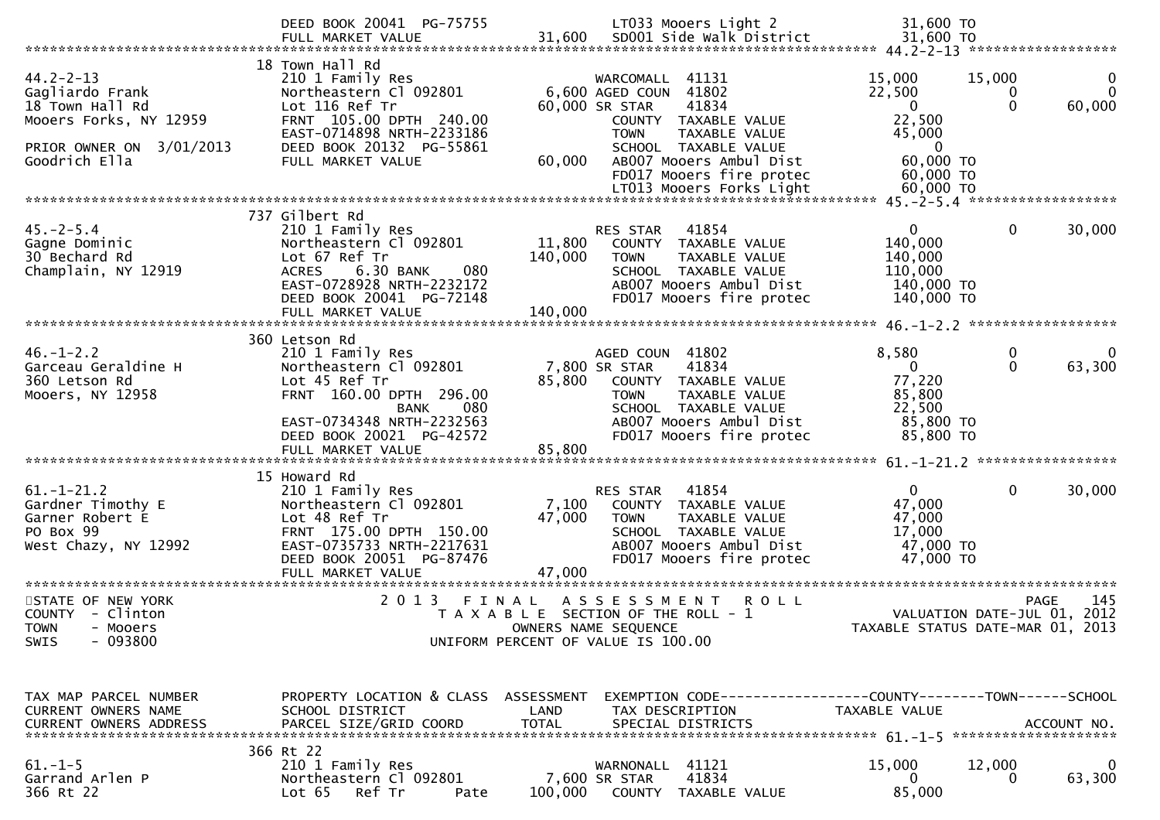|                                                                                               | DEED BOOK 20041 PG-75755<br>FULL MARKET VALUE                                                                                                                                        |                              | LT033 Mooers Light 2<br>31,600 SD001 Side Walk District                                                                                                  | 31,600 TO<br>31,600 TO                                                |                                                      |
|-----------------------------------------------------------------------------------------------|--------------------------------------------------------------------------------------------------------------------------------------------------------------------------------------|------------------------------|----------------------------------------------------------------------------------------------------------------------------------------------------------|-----------------------------------------------------------------------|------------------------------------------------------|
| $44.2 - 2 - 13$<br>Gagliardo Frank<br>18 Town Hall Rd<br>Mooers Forks, NY 12959               | 18 Town Hall Rd<br>210 1 Family Res<br>Northeastern Cl 092801<br>Lot 116 Ref Tr<br>FRNT 105.00 DPTH 240.00<br>EAST-0714898 NRTH-2233186                                              |                              | 41131<br>WARCOMALL<br>6,600 AGED COUN 41802<br>60,000 SR STAR<br>41834<br>COUNTY TAXABLE VALUE<br><b>TOWN</b><br><b>TAXABLE VALUE</b>                    | 15,000<br>22,500<br>$\mathbf{0}$<br>22,500<br>45,000                  | 15,000<br>$\bf{0}$<br>$\Omega$<br>$\Omega$<br>60,000 |
| PRIOR OWNER ON 3/01/2013<br>Goodrich Ella                                                     | DEED BOOK 20132 PG-55861<br>FULL MARKET VALUE                                                                                                                                        | 60,000                       | SCHOOL TAXABLE VALUE<br>AB007 Mooers Ambul Dist<br>FD017 Mooers fire protec                                                                              | $\overline{0}$<br>60,000 TO<br>60,000 TO                              |                                                      |
|                                                                                               | 737 Gilbert Rd                                                                                                                                                                       |                              |                                                                                                                                                          |                                                                       |                                                      |
| $45. -2 - 5.4$<br>Gagne Dominic<br>30 Bechard Rd<br>Champlain, NY 12919                       | 210 1 Family Res<br>Northeastern Cl 092801<br>Lot 67 Ref Tr<br>6.30 BANK<br>080<br><b>ACRES</b><br>EAST-0728928 NRTH-2232172<br>DEED BOOK 20041 PG-72148<br>FULL MARKET VALUE        | 11,800<br>140,000<br>140,000 | 41854<br>RES STAR<br>COUNTY TAXABLE VALUE<br>TAXABLE VALUE<br><b>TOWN</b><br>SCHOOL TAXABLE VALUE<br>AB007 Mooers Ambul Dist<br>FD017 Mooers fire protec | $\Omega$<br>140,000<br>140,000<br>110,000<br>140,000 TO<br>140,000 TO | 0<br>30,000                                          |
|                                                                                               |                                                                                                                                                                                      |                              |                                                                                                                                                          |                                                                       |                                                      |
| $46. - 1 - 2.2$<br>Garceau Geraldine H                                                        | 360 Letson Rd<br>210 1 Family Res<br>Northeastern Cl 092801                                                                                                                          |                              | AGED COUN 41802<br>7,800 SR STAR<br>41834                                                                                                                | 8,580<br>$\overline{0}$                                               | 0<br>$\Omega$<br>$\Omega$<br>63,300                  |
| 360 Letson Rd<br>Mooers, NY 12958                                                             | Lot 45 Ref Tr<br>FRNT 160.00 DPTH 296.00<br>BANK<br>080<br>EAST-0734348 NRTH-2232563<br>DEED BOOK 20021 PG-42572<br>FULL MARKET VALUE                                                | 85,800<br>85,800             | COUNTY TAXABLE VALUE<br><b>TOWN</b><br>TAXABLE VALUE<br>SCHOOL TAXABLE VALUE<br>AB007 Mooers Ambul Dist<br>FD017 Mooers fire protec                      | 77,220<br>85,800<br>22,500<br>85,800 TO<br>85,800 TO                  |                                                      |
|                                                                                               |                                                                                                                                                                                      |                              |                                                                                                                                                          |                                                                       |                                                      |
| $61. - 1 - 21.2$<br>Gardner Timothy E<br>Garner Robert E<br>PO Box 99<br>West Chazy, NY 12992 | 15 Howard Rd<br>210 1 Family Res<br>Northeastern Cl 092801<br>Lot 48 Ref Tr<br>FRNT 175.00 DPTH 150.00<br>EAST-0735733 NRTH-2217631<br>DEED BOOK 20051 PG-87476<br>FULL MARKET VALUE | 7,100<br>47,000<br>47,000    | RES STAR<br>41854<br>COUNTY TAXABLE VALUE<br><b>TOWN</b><br>TAXABLE VALUE<br>SCHOOL TAXABLE VALUE<br>AB007 Mooers Ambul Dist<br>FD017 Mooers fire protec | $\mathbf{0}$<br>47,000<br>47,000<br>17,000<br>47,000 TO<br>47,000 TO  | $\mathbf{0}$<br>30,000                               |
| STATE OF NEW YORK<br>COUNTY - Clinton<br><b>TOWN</b><br>- Mooers<br>$-093800$<br><b>SWIS</b>  | 2 0 1 3                                                                                                                                                                              | FINAL                        | A S S E S S M E N T<br>R O L L<br>T A X A B L E SECTION OF THE ROLL - 1<br>OWNERS NAME SEQUENCE<br>UNIFORM PERCENT OF VALUE IS 100.00                    | TAXABLE STATUS DATE-MAR 01,                                           | PAGE<br>145<br>VALUATION DATE-JUL 01, 2012<br>2013   |
| TAX MAP PARCEL NUMBER<br>CURRENT OWNERS NAME<br><b>CURRENT OWNERS ADDRESS</b>                 | PROPERTY LOCATION & CLASS ASSESSMENT<br>SCHOOL DISTRICT<br>PARCEL SIZE/GRID COORD                                                                                                    | LAND<br><b>TOTAL</b>         | EXEMPTION CODE-----------------COUNTY-------TOWN------SCHOOL<br>TAX DESCRIPTION<br>SPECIAL DISTRICTS                                                     | TAXABLE VALUE                                                         | ACCOUNT NO.                                          |
| $61. - 1 - 5$<br>Garrand Arlen P<br>366 Rt 22                                                 | 366 Rt 22<br>210 1 Family Res<br>Northeastern Cl 092801<br>Lot 65<br>Ref Tr<br>Pate                                                                                                  | 100,000                      | WARNONALL 41121<br>41834<br>7,600 SR STAR<br>COUNTY TAXABLE VALUE                                                                                        | 15,000<br>0<br>85,000                                                 | 12,000<br>0<br>63,300                                |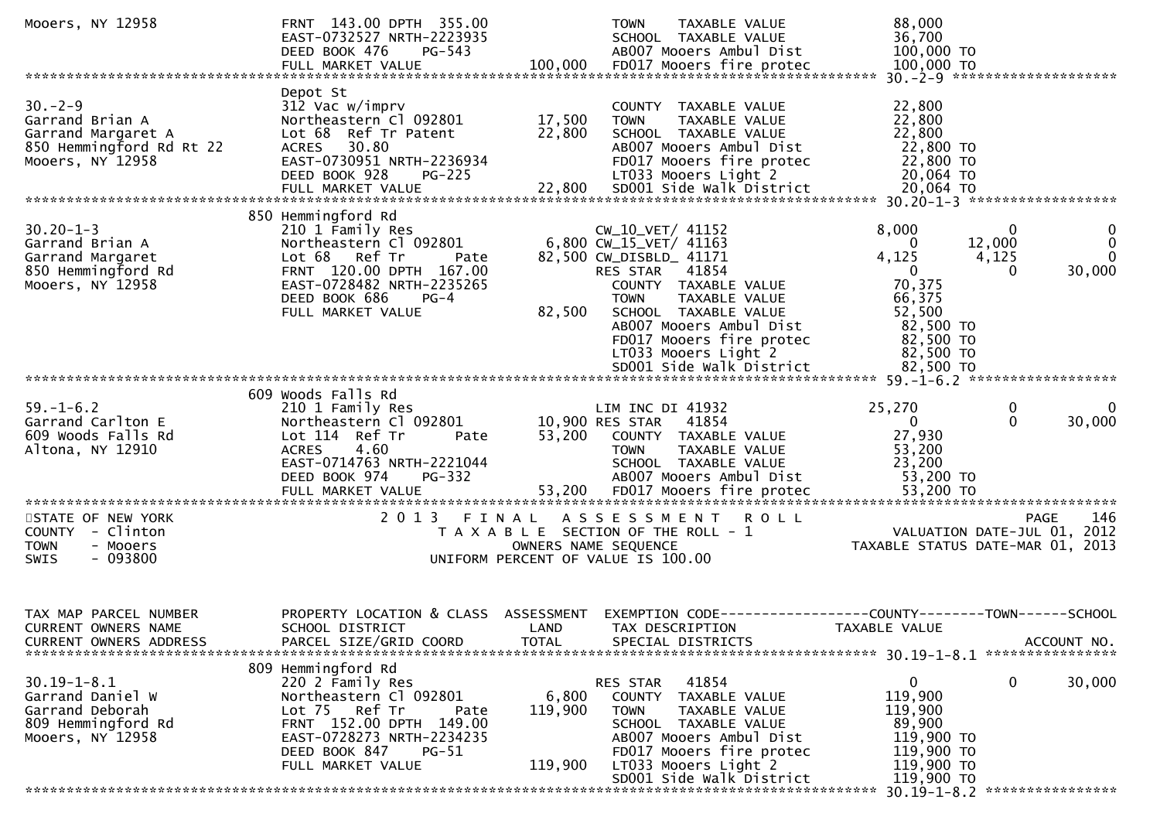| Depot St<br>$30 - 2 - 9$<br>312 Vac w/imprv<br>22,800<br>COUNTY TAXABLE VALUE<br>22,800<br>17,500<br>Garrand Brian A<br>Northeastern Cl 092801<br>TAXABLE VALUE<br><b>TOWN</b><br>22,800<br>22,800<br>Garrand Margaret A<br>Lot 68 Ref Tr Patent<br>SCHOOL TAXABLE VALUE<br>22,800 TO<br>850 Hemmingford Rd Rt 22<br>ACRES 30.80<br>AB007 Mooers Ambul Dist<br>22,800 TO<br>Mooers, NY 12958<br>EAST-0730951 NRTH-2236934<br>FD017 Mooers fire protec<br>DEED BOOK 928<br>LT033 Mooers Light 2<br>20,064 TO<br>$PG-225$<br>SD001 Side Walk District<br>20,064 TO<br>FULL MARKET VALUE<br>22,800<br>850 Hemmingford Rd<br>$30.20 - 1 - 3$<br>CW_10_VET/ 41152<br>8,000<br>$\mathbf{0}$<br>210 1 Family Res<br>0<br>0<br>6,800 CW_15_VET/ 41163<br>12,000<br>Northeastern Cl 092801<br>Garrand Brian A<br>$\Omega$<br>$\Omega$<br>4,125<br>Garrand Margaret<br>Lot 68 Ref Tr<br>82,500 CW_DISBLD_ 41171<br>4,125<br>Pate<br>850 Hemmingford Rd<br>FRNT 120.00 DPTH 167.00<br>RES STAR 41854<br>$\mathbf{0}$<br>30,000<br>$\Omega$<br>70,375<br>Mooers, NY 12958<br>EAST-0728482 NRTH-2235265<br>COUNTY TAXABLE VALUE<br>66,375<br>DEED BOOK 686<br>$PG-4$<br>TAXABLE VALUE<br><b>TOWN</b><br>82,500<br>52,500<br>FULL MARKET VALUE<br>SCHOOL TAXABLE VALUE<br>AB007 Mooers Ambul Dist<br>82,500 TO<br>82,500 TO<br>FD017 Mooers fire protec<br>LT033 Mooers Light 2<br>82,500 TO<br>SD001 Side Walk District<br>82,500 TO<br>609 Woods Falls Rd<br>25,270<br>$59. - 1 - 6.2$<br>210 1 Family Res<br>LIM INC DI 41932<br>0<br>0<br>30,000<br>Northeastern Cl 092801<br>10,900 RES STAR<br>41854<br>$\Omega$<br>$\Omega$<br>Garrand Carlton E<br>27,930<br>53,200<br>609 Woods Falls Rd<br>Lot 114 Ref Tr<br>COUNTY TAXABLE VALUE<br>Pate<br>Altona, NY 12910<br>53,200<br><b>ACRES</b><br>4.60<br>TAXABLE VALUE<br><b>TOWN</b><br>EAST-0714763 NRTH-2221044<br>23,200<br>SCHOOL TAXABLE VALUE<br>DEED BOOK 974<br>AB007 Mooers Ambul Dist<br>53,200 TO<br><b>PG-332</b><br>FULL MARKET VALUE 53,200 FD017 Mooers fire protec 53,200 TO تابعي بين FULL MARKET VALUE 53,200 FD017 Mooers fire protec 53,200 TO<br>STATE OF NEW YORK<br>2013 FINAL<br>ASSESSMENT<br>146<br><b>ROLL</b><br><b>PAGE</b><br>COUNTY - Clinton<br>T A X A B L E SECTION OF THE ROLL - 1<br>VALUATION DATE-JUL 01, 2012<br>- Mooers<br>OWNERS NAME SEQUENCE<br>TAXABLE STATUS DATE-MAR 01, 2013<br><b>TOWN</b><br>$-093800$<br><b>SWIS</b><br>UNIFORM PERCENT OF VALUE IS 100.00<br>PROPERTY LOCATION & CLASS<br>TAX MAP PARCEL NUMBER<br>ASSESSMENT<br>EXEMPTION CODE-<br>--------------COUNTY--------TOWN------SCHOOL<br>SCHOOL DISTRICT<br>TAX DESCRIPTION<br>CURRENT OWNERS NAME<br>LAND<br>TAXABLE VALUE<br>PARCEL SIZE/GRID COORD<br><b>TOTAL</b><br>SPECIAL DISTRICTS<br>ACCOUNT NO.<br><b>CURRENT OWNERS ADDRESS</b><br>809 Hemmingford Rd<br>$30.19 - 1 - 8.1$<br>220 2 Family Res<br>41854<br>0<br>0<br>30,000<br>RES STAR<br>Garrand Daniel W<br>Northeastern Cl 092801<br>6,800<br>119,900<br>COUNTY<br>TAXABLE VALUE<br>Garrand Deborah<br>Lot <sub>75</sub><br>Ref Tr<br>119,900<br>119,900<br><b>TOWN</b><br>TAXABLE VALUE<br>Pate<br>FRNT 152.00 DPTH 149.00<br>89,900<br>809 Hemmingford Rd<br>SCHOOL TAXABLE VALUE<br>Mooers, NY 12958<br>EAST-0728273 NRTH-2234235<br>AB007 Mooers Ambul Dist<br>119,900 TO<br>FD017 Mooers fire protec<br>119,900 TO<br>DEED BOOK 847<br>$PG-51$<br>119,900 TO<br>FULL MARKET VALUE<br>119,900<br>LT033 Mooers Light 2<br>SD001 Side Walk District<br>119,900 TO | Mooers, NY 12958 | FRNT 143.00 DPTH 355.00<br>EAST-0732527 NRTH-2223935<br>DEED BOOK 476<br>PG-543<br>FULL MARKET VALUE | 100,000 | TAXABLE VALUE<br><b>TOWN</b><br>SCHOOL TAXABLE VALUE<br>AB007 Mooers Ambul Dist<br>FD017 Mooers fire protec | 88,000<br>36,700<br>100,000 TO<br>100,000 TO<br>30. - 2 - 9 ********************** |
|------------------------------------------------------------------------------------------------------------------------------------------------------------------------------------------------------------------------------------------------------------------------------------------------------------------------------------------------------------------------------------------------------------------------------------------------------------------------------------------------------------------------------------------------------------------------------------------------------------------------------------------------------------------------------------------------------------------------------------------------------------------------------------------------------------------------------------------------------------------------------------------------------------------------------------------------------------------------------------------------------------------------------------------------------------------------------------------------------------------------------------------------------------------------------------------------------------------------------------------------------------------------------------------------------------------------------------------------------------------------------------------------------------------------------------------------------------------------------------------------------------------------------------------------------------------------------------------------------------------------------------------------------------------------------------------------------------------------------------------------------------------------------------------------------------------------------------------------------------------------------------------------------------------------------------------------------------------------------------------------------------------------------------------------------------------------------------------------------------------------------------------------------------------------------------------------------------------------------------------------------------------------------------------------------------------------------------------------------------------------------------------------------------------------------------------------------------------------------------------------------------------------------------------------------------------------------------------------------------------------------------------------------------------------------------------------------------------------------------------------------------------------------------------------------------------------------------------------------------------------------------------------------------------------------------------------------------------------------------------------------------------------------------------------------------------------------------------------------------------------------------------------------------------------------------------------------------------------------------------------------------------------------------------------------------------------------------------------------------------------------------------------------------------------------------------------------------------------------------------|------------------|------------------------------------------------------------------------------------------------------|---------|-------------------------------------------------------------------------------------------------------------|------------------------------------------------------------------------------------|
|                                                                                                                                                                                                                                                                                                                                                                                                                                                                                                                                                                                                                                                                                                                                                                                                                                                                                                                                                                                                                                                                                                                                                                                                                                                                                                                                                                                                                                                                                                                                                                                                                                                                                                                                                                                                                                                                                                                                                                                                                                                                                                                                                                                                                                                                                                                                                                                                                                                                                                                                                                                                                                                                                                                                                                                                                                                                                                                                                                                                                                                                                                                                                                                                                                                                                                                                                                                                                                                                                          |                  |                                                                                                      |         |                                                                                                             |                                                                                    |
|                                                                                                                                                                                                                                                                                                                                                                                                                                                                                                                                                                                                                                                                                                                                                                                                                                                                                                                                                                                                                                                                                                                                                                                                                                                                                                                                                                                                                                                                                                                                                                                                                                                                                                                                                                                                                                                                                                                                                                                                                                                                                                                                                                                                                                                                                                                                                                                                                                                                                                                                                                                                                                                                                                                                                                                                                                                                                                                                                                                                                                                                                                                                                                                                                                                                                                                                                                                                                                                                                          |                  |                                                                                                      |         |                                                                                                             |                                                                                    |
|                                                                                                                                                                                                                                                                                                                                                                                                                                                                                                                                                                                                                                                                                                                                                                                                                                                                                                                                                                                                                                                                                                                                                                                                                                                                                                                                                                                                                                                                                                                                                                                                                                                                                                                                                                                                                                                                                                                                                                                                                                                                                                                                                                                                                                                                                                                                                                                                                                                                                                                                                                                                                                                                                                                                                                                                                                                                                                                                                                                                                                                                                                                                                                                                                                                                                                                                                                                                                                                                                          |                  |                                                                                                      |         |                                                                                                             |                                                                                    |
|                                                                                                                                                                                                                                                                                                                                                                                                                                                                                                                                                                                                                                                                                                                                                                                                                                                                                                                                                                                                                                                                                                                                                                                                                                                                                                                                                                                                                                                                                                                                                                                                                                                                                                                                                                                                                                                                                                                                                                                                                                                                                                                                                                                                                                                                                                                                                                                                                                                                                                                                                                                                                                                                                                                                                                                                                                                                                                                                                                                                                                                                                                                                                                                                                                                                                                                                                                                                                                                                                          |                  |                                                                                                      |         |                                                                                                             |                                                                                    |
|                                                                                                                                                                                                                                                                                                                                                                                                                                                                                                                                                                                                                                                                                                                                                                                                                                                                                                                                                                                                                                                                                                                                                                                                                                                                                                                                                                                                                                                                                                                                                                                                                                                                                                                                                                                                                                                                                                                                                                                                                                                                                                                                                                                                                                                                                                                                                                                                                                                                                                                                                                                                                                                                                                                                                                                                                                                                                                                                                                                                                                                                                                                                                                                                                                                                                                                                                                                                                                                                                          |                  |                                                                                                      |         |                                                                                                             |                                                                                    |
|                                                                                                                                                                                                                                                                                                                                                                                                                                                                                                                                                                                                                                                                                                                                                                                                                                                                                                                                                                                                                                                                                                                                                                                                                                                                                                                                                                                                                                                                                                                                                                                                                                                                                                                                                                                                                                                                                                                                                                                                                                                                                                                                                                                                                                                                                                                                                                                                                                                                                                                                                                                                                                                                                                                                                                                                                                                                                                                                                                                                                                                                                                                                                                                                                                                                                                                                                                                                                                                                                          |                  |                                                                                                      |         |                                                                                                             |                                                                                    |
|                                                                                                                                                                                                                                                                                                                                                                                                                                                                                                                                                                                                                                                                                                                                                                                                                                                                                                                                                                                                                                                                                                                                                                                                                                                                                                                                                                                                                                                                                                                                                                                                                                                                                                                                                                                                                                                                                                                                                                                                                                                                                                                                                                                                                                                                                                                                                                                                                                                                                                                                                                                                                                                                                                                                                                                                                                                                                                                                                                                                                                                                                                                                                                                                                                                                                                                                                                                                                                                                                          |                  |                                                                                                      |         |                                                                                                             |                                                                                    |
|                                                                                                                                                                                                                                                                                                                                                                                                                                                                                                                                                                                                                                                                                                                                                                                                                                                                                                                                                                                                                                                                                                                                                                                                                                                                                                                                                                                                                                                                                                                                                                                                                                                                                                                                                                                                                                                                                                                                                                                                                                                                                                                                                                                                                                                                                                                                                                                                                                                                                                                                                                                                                                                                                                                                                                                                                                                                                                                                                                                                                                                                                                                                                                                                                                                                                                                                                                                                                                                                                          |                  |                                                                                                      |         |                                                                                                             |                                                                                    |
|                                                                                                                                                                                                                                                                                                                                                                                                                                                                                                                                                                                                                                                                                                                                                                                                                                                                                                                                                                                                                                                                                                                                                                                                                                                                                                                                                                                                                                                                                                                                                                                                                                                                                                                                                                                                                                                                                                                                                                                                                                                                                                                                                                                                                                                                                                                                                                                                                                                                                                                                                                                                                                                                                                                                                                                                                                                                                                                                                                                                                                                                                                                                                                                                                                                                                                                                                                                                                                                                                          |                  |                                                                                                      |         |                                                                                                             |                                                                                    |
|                                                                                                                                                                                                                                                                                                                                                                                                                                                                                                                                                                                                                                                                                                                                                                                                                                                                                                                                                                                                                                                                                                                                                                                                                                                                                                                                                                                                                                                                                                                                                                                                                                                                                                                                                                                                                                                                                                                                                                                                                                                                                                                                                                                                                                                                                                                                                                                                                                                                                                                                                                                                                                                                                                                                                                                                                                                                                                                                                                                                                                                                                                                                                                                                                                                                                                                                                                                                                                                                                          |                  |                                                                                                      |         |                                                                                                             |                                                                                    |
|                                                                                                                                                                                                                                                                                                                                                                                                                                                                                                                                                                                                                                                                                                                                                                                                                                                                                                                                                                                                                                                                                                                                                                                                                                                                                                                                                                                                                                                                                                                                                                                                                                                                                                                                                                                                                                                                                                                                                                                                                                                                                                                                                                                                                                                                                                                                                                                                                                                                                                                                                                                                                                                                                                                                                                                                                                                                                                                                                                                                                                                                                                                                                                                                                                                                                                                                                                                                                                                                                          |                  |                                                                                                      |         |                                                                                                             |                                                                                    |
|                                                                                                                                                                                                                                                                                                                                                                                                                                                                                                                                                                                                                                                                                                                                                                                                                                                                                                                                                                                                                                                                                                                                                                                                                                                                                                                                                                                                                                                                                                                                                                                                                                                                                                                                                                                                                                                                                                                                                                                                                                                                                                                                                                                                                                                                                                                                                                                                                                                                                                                                                                                                                                                                                                                                                                                                                                                                                                                                                                                                                                                                                                                                                                                                                                                                                                                                                                                                                                                                                          |                  |                                                                                                      |         |                                                                                                             | 30.19-1-8.2 *****************                                                      |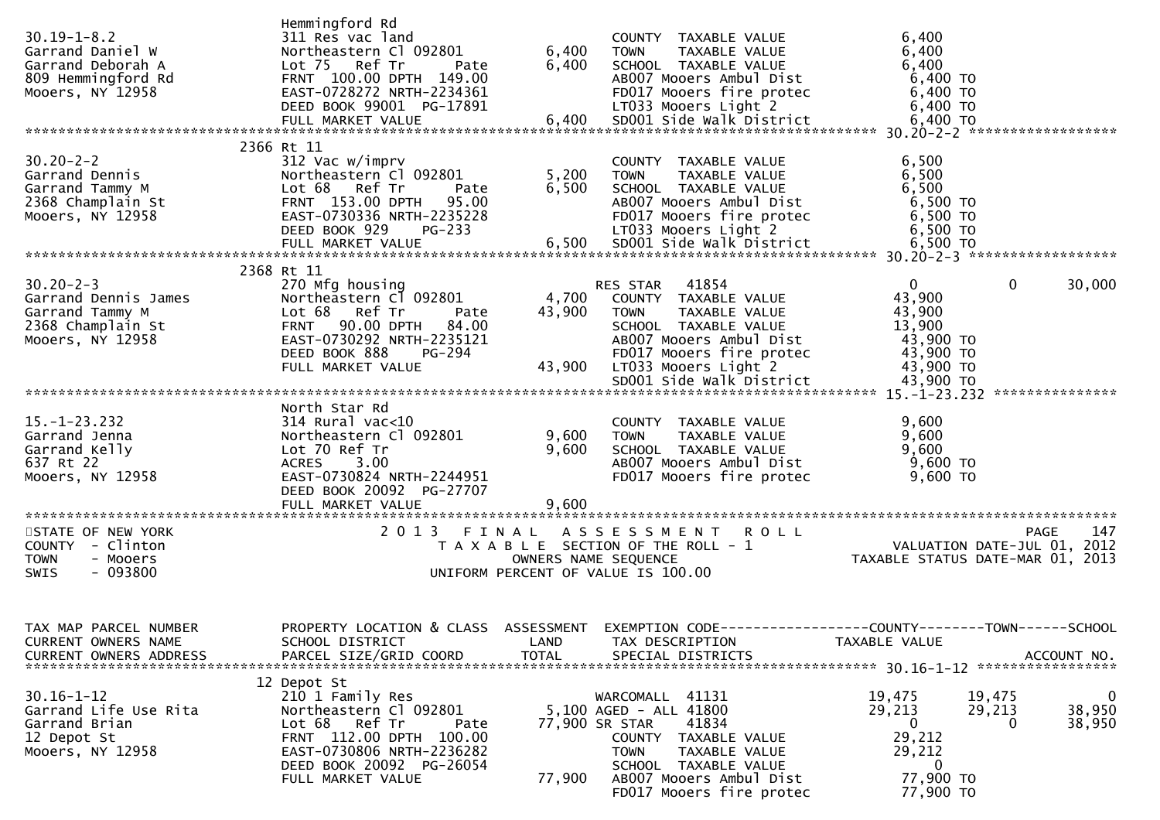| $30.19 - 1 - 8.2$<br>Garrand Daniel W<br>Garrand Deborah A<br>809 Hemmingford Rd<br>Mooers, NY 12958 | Hemmingford Rd<br>311 Res vac land<br>Northeastern Cl 092801<br>Lot 75 Ref Tr<br>Pate<br>FRNT 100.00 DPTH 149.00<br>EAST-0728272 NRTH-2234361<br>DEED BOOK 99001 PG-17891                        | 6,400<br>6,400          | COUNTY TAXABLE VALUE<br><b>TOWN</b><br>TAXABLE VALUE<br>SCHOOL TAXABLE VALUE<br>AB007 Mooers Ambul Dist<br>FD017 Mooers fire protec<br>LT033 Mooers Light 2                                                     | 6,400<br>6,400<br>6,400<br>6,400 TO<br>6,400 TO<br>6,400 TO                                                                       |
|------------------------------------------------------------------------------------------------------|--------------------------------------------------------------------------------------------------------------------------------------------------------------------------------------------------|-------------------------|-----------------------------------------------------------------------------------------------------------------------------------------------------------------------------------------------------------------|-----------------------------------------------------------------------------------------------------------------------------------|
|                                                                                                      |                                                                                                                                                                                                  |                         |                                                                                                                                                                                                                 |                                                                                                                                   |
| $30.20 - 2 - 2$<br>Garrand Dennis<br>Garrand Tammy M<br>2368 Champlain St<br>Mooers, NY 12958        | 2366 Rt 11<br>312 Vac w/imprv<br>Northeastern Cl 092801<br>Lot 68 Ref Tr<br>Pate<br>FRNT 153.00 DPTH<br>95.00<br>EAST-0730336 NRTH-2235228                                                       | 5,200<br>6,500          | COUNTY TAXABLE VALUE<br><b>TOWN</b><br>TAXABLE VALUE<br>SCHOOL TAXABLE VALUE<br>AB007 Mooers Ambul Dist<br>FD017 Mooers fire protec                                                                             | 6,500<br>6,500<br>6,500<br>6,500 TO<br>$6,500$ TO                                                                                 |
|                                                                                                      |                                                                                                                                                                                                  |                         |                                                                                                                                                                                                                 |                                                                                                                                   |
| $30.20 - 2 - 3$<br>Garrand Dennis James<br>Garrand Tammy M<br>2368 Champlain St<br>Mooers, NY 12958  | 2368 Rt 11<br>270 Mfg housing<br>Northeastern Cl 092801<br>Lot 68 Ref Tr<br>Pate<br><b>FRNT 90.00 DPTH</b><br>84.00<br>EAST-0730292 NRTH-2235121<br>DEED BOOK 888<br>PG-294<br>FULL MARKET VALUE | 43,900<br>43,900        | RES STAR 41854<br>4,700 COUNTY TAXABLE VALUE<br><b>TOWN</b><br>TAXABLE VALUE<br>SCHOOL TAXABLE VALUE<br>AB007 Mooers Ambul Dist<br>FD017 Mooers fire protec<br>LT033 Mooers Light 2<br>SD001 Side Walk District | $\mathbf{0}$<br>$\mathbf 0$<br>30,000<br>43,900<br>43,900<br>13,900<br>43,900 TO<br>43,900 TO<br>43,900 TO<br>43,900 TO           |
|                                                                                                      |                                                                                                                                                                                                  |                         |                                                                                                                                                                                                                 |                                                                                                                                   |
| $15. - 1 - 23.232$<br>Garrand Jenna<br>Garrand Kelly<br>637 Rt 22<br>Mooers, NY 12958                | North Star Rd<br>$314$ Rural vac<10<br>Northeastern Cl 092801<br>Lot 70 Ref Tr<br><b>ACRES</b><br>3.00<br>EAST-0730824 NRTH-2244951<br>DEED BOOK 20092 PG-27707<br>FULL MARKET VALUE             | 9,600<br>9,600<br>9,600 | COUNTY TAXABLE VALUE<br><b>TOWN</b><br>TAXABLE VALUE<br>SCHOOL TAXABLE VALUE<br>AB007 Mooers Ambul Dist<br>FD017 Mooers fire protec                                                                             | 9,600<br>9,600<br>9,600<br>9,600 TO<br>9,600 TO                                                                                   |
| STATE OF NEW YORK                                                                                    |                                                                                                                                                                                                  |                         | 2013 FINAL ASSESSMENT ROLL                                                                                                                                                                                      | 147<br>PAGE                                                                                                                       |
| COUNTY - Clinton<br>- Mooers<br><b>TOWN</b><br>$-093800$<br><b>SWIS</b>                              |                                                                                                                                                                                                  |                         | T A X A B L E SECTION OF THE ROLL - 1<br>OWNERS NAME SEQUENCE<br>UNIFORM PERCENT OF VALUE IS 100.00                                                                                                             | VALUATION DATE-JUL $01$ , 2012<br>TAXABLE STATUS DATE-MAR 01, 2013                                                                |
| TAX MAP PARCEL NUMBER<br>CURRENT OWNERS NAME<br><b>CURRENT OWNERS ADDRESS</b>                        | SCHOOL DISTRICT<br>PARCEL SIZE/GRID COORD                                                                                                                                                        | LAND<br><b>TOTAL</b>    | TAX DESCRIPTION<br>SPECIAL DISTRICTS                                                                                                                                                                            | PROPERTY LOCATION & CLASS ASSESSMENT EXEMPTION CODE----------------COUNTY--------TOWN------SCHOOL<br>TAXABLE VALUE<br>ACCOUNT NO. |
| $30.16 - 1 - 12$<br>Garrand Life Use Rita<br>Garrand Brian<br>12 Depot St<br>Mooers, NY 12958        | 12 Depot St<br>210 1 Family Res<br>Northeastern Cl 092801<br>Lot 68 Ref Tr<br>Pate<br>FRNT 112.00 DPTH 100.00<br>EAST-0730806 NRTH-2236282<br>DEED BOOK 20092 PG-26054<br>FULL MARKET VALUE      | 77,900                  | WARCOMALL 41131<br>5,100 AGED - ALL 41800<br>41834<br>77,900 SR STAR<br>COUNTY TAXABLE VALUE<br>TAXABLE VALUE<br><b>TOWN</b><br>SCHOOL TAXABLE VALUE<br>AB007 Mooers Ambul Dist                                 | 19,475<br>19,475<br>0<br>38,950<br>29,213<br>29,213<br>38,950<br>$\mathbf{0}$<br>0<br>29,212<br>29,212<br>$\bf{0}$<br>77,900 TO   |
|                                                                                                      |                                                                                                                                                                                                  |                         | FD017 Mooers fire protec                                                                                                                                                                                        | 77,900 TO                                                                                                                         |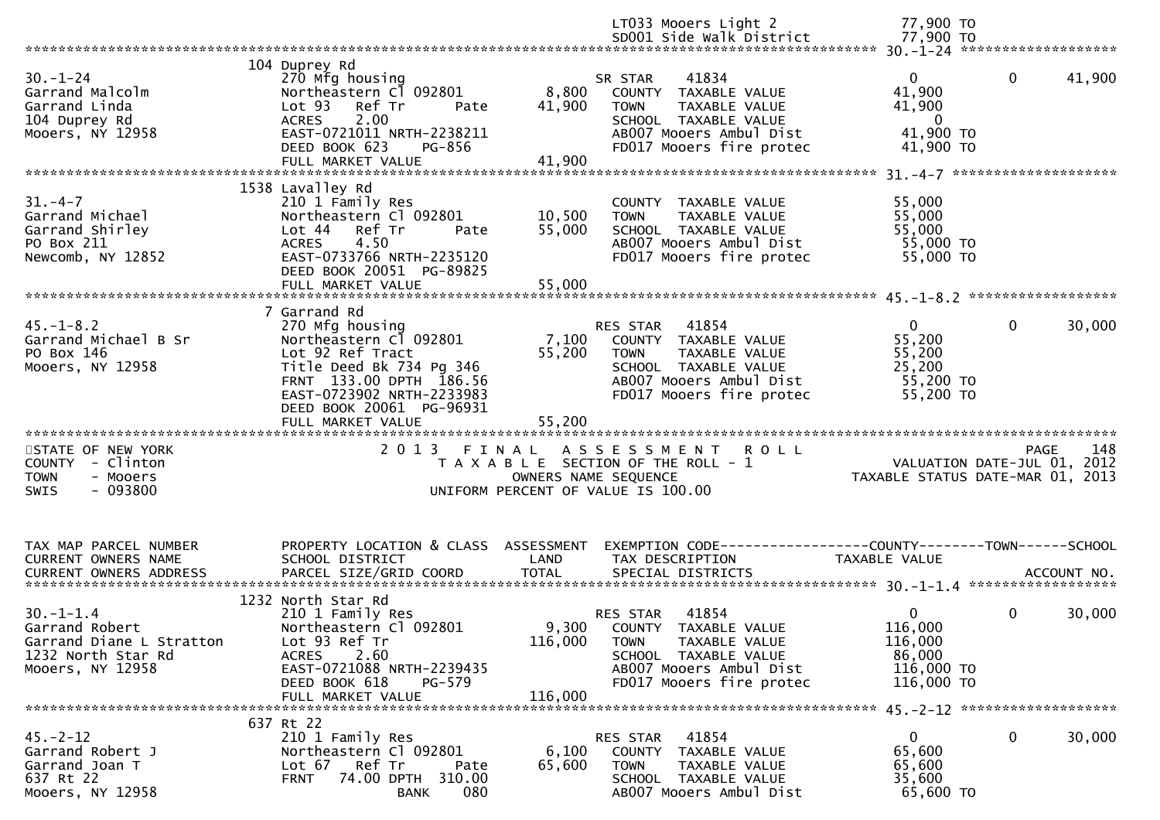|                                       |                                                        |                      | LT033 Mooers Light 2<br>SD001 Side Walk District               | 77,900 TO<br>77,900 TO           |             |
|---------------------------------------|--------------------------------------------------------|----------------------|----------------------------------------------------------------|----------------------------------|-------------|
|                                       |                                                        |                      |                                                                |                                  |             |
|                                       | 104 Duprey Rd                                          |                      |                                                                |                                  |             |
| $30 - 1 - 24$                         | 270 Mfg housing                                        |                      | 41834<br>SR STAR                                               | $\mathbf 0$<br>$\overline{0}$    | 41,900      |
| Garrand Malcolm                       | Northeastern Cl 092801                                 | 8,800                | COUNTY TAXABLE VALUE                                           | 41,900                           |             |
| Garrand Linda                         | Lot <sub>93</sub><br>Ref Tr<br>Pate                    | 41,900               | TAXABLE VALUE<br><b>TOWN</b>                                   | 41,900                           |             |
| 104 Duprey Rd                         | <b>ACRES</b><br>2.00                                   |                      | SCHOOL TAXABLE VALUE                                           | $\overline{\phantom{0}}$         |             |
| Mooers, NY 12958                      | EAST-0721011 NRTH-2238211                              |                      | AB007 Mooers Ambul Dist                                        | 41,900 TO                        |             |
|                                       | PG-856<br>DEED BOOK 623                                |                      | FD017 Mooers fire protec                                       | 41,900 TO                        |             |
|                                       |                                                        |                      |                                                                |                                  |             |
|                                       | 1538 Lavalley Rd                                       |                      |                                                                |                                  |             |
| $31. - 4 - 7$                         | 210 1 Family Res                                       |                      | COUNTY TAXABLE VALUE                                           | 55,000                           |             |
| Garrand Michael                       | Northeastern Cl 092801                                 | 10,500               | TAXABLE VALUE<br><b>TOWN</b>                                   | 55,000                           |             |
| Garrand Shirley                       | Lot 44 Ref Tr<br>Pate                                  | 55,000               | SCHOOL TAXABLE VALUE                                           | 55,000                           |             |
| PO Box 211                            | 4.50<br><b>ACRES</b>                                   |                      | AB007 Mooers Ambul Dist                                        | 55,000 TO                        |             |
| Newcomb, NY 12852                     | EAST-0733766 NRTH-2235120                              |                      | FD017 Mooers fire protec                                       | 55,000 TO                        |             |
|                                       | DEED BOOK 20051 PG-89825                               |                      |                                                                |                                  |             |
|                                       | FULL MARKET VALUE                                      | 55,000               |                                                                |                                  |             |
|                                       |                                                        |                      |                                                                |                                  |             |
| $45. - 1 - 8.2$                       | 7 Garrand Rd<br>270 Mfg housing                        |                      | RES STAR<br>41854                                              | $\overline{0}$<br>$\mathbf{0}$   | 30,000      |
| Garrand Michael B Sr                  | Northeastern Cl 092801                                 | 7,100                | COUNTY TAXABLE VALUE                                           | 55,200                           |             |
| PO Box 146                            | Lot 92 Ref Tract                                       | 55,200               | <b>TOWN</b><br>TAXABLE VALUE                                   | 55,200                           |             |
| Mooers, NY 12958                      | Title Deed Bk 734 Pg 346                               |                      | SCHOOL TAXABLE VALUE                                           | 25,200                           |             |
|                                       | FRNT 133.00 DPTH 186.56                                |                      | AB007 Mooers Ambul Dist                                        | 55,200 TO                        |             |
|                                       | EAST-0723902 NRTH-2233983                              |                      | FD017 Mooers fire protec                                       | 55,200 TO                        |             |
|                                       | DEED BOOK 20061 PG-96931                               |                      |                                                                |                                  |             |
|                                       |                                                        |                      |                                                                |                                  |             |
|                                       |                                                        |                      |                                                                |                                  |             |
| STATE OF NEW YORK<br>COUNTY - Clinton |                                                        |                      | 2013 FINAL ASSESSMENT<br><b>ROLL</b>                           |                                  |             |
|                                       |                                                        |                      |                                                                |                                  | 148<br>PAGE |
|                                       |                                                        |                      | T A X A B L E SECTION OF THE ROLL - 1                          | VALUATION DATE-JUL $01, 2012$    |             |
| <b>TOWN</b><br>- Mooers               |                                                        | OWNERS NAME SEQUENCE |                                                                | TAXABLE STATUS DATE-MAR 01, 2013 |             |
| $-093800$<br><b>SWIS</b>              |                                                        |                      | UNIFORM PERCENT OF VALUE IS 100.00                             |                                  |             |
|                                       |                                                        |                      |                                                                |                                  |             |
|                                       |                                                        |                      |                                                                |                                  |             |
| TAX MAP PARCEL NUMBER                 | PROPERTY LOCATION & CLASS ASSESSMENT                   |                      | EXEMPTION CODE------------------COUNTY--------TOWN------SCHOOL |                                  |             |
| CURRENT OWNERS NAME                   | SCHOOL DISTRICT                                        | LAND                 | TAX DESCRIPTION                                                | TAXABLE VALUE                    |             |
| <b>CURRENT OWNERS ADDRESS</b>         | PARCEL SIZE/GRID COORD                                 | <b>TOTAL</b>         | SPECIAL DISTRICTS                                              |                                  | ACCOUNT NO. |
|                                       |                                                        |                      |                                                                |                                  |             |
|                                       | 1232 North Star Rd                                     |                      |                                                                |                                  |             |
| $30. -1 - 1.4$                        | 210 1 Family Res                                       |                      | 41854<br>RES STAR                                              | $\mathbf{0}$<br>$\mathbf{0}$     | 30,000      |
| Garrand Robert                        | Northeastern Cl 092801                                 |                      | 9,300 COUNTY TAXABLE VALUE                                     | 116,000                          |             |
| Garrand Diane L Stratton              | Lot 93 Ref Tr                                          | 116,000              | <b>TOWN</b><br>TAXABLE VALUE                                   | 116,000                          |             |
| 1232 North Star Rd                    | <b>ACRES</b><br>2.60<br>EAST-0721088 NRTH-2239435      |                      | SCHOOL TAXABLE VALUE<br>AB007 Mooers Ambul Dist                | 86,000<br>116,000 TO             |             |
| Mooers, NY 12958                      | DEED BOOK 618<br>PG-579                                |                      | FD017 Mooers fire protec                                       | 116,000 TO                       |             |
|                                       | FULL MARKET VALUE                                      | 116,000              |                                                                |                                  |             |
|                                       |                                                        |                      |                                                                |                                  |             |
|                                       | 637 Rt 22                                              |                      |                                                                |                                  |             |
| $45. -2 - 12$                         | 210 1 Family Res                                       |                      | 41854<br>RES STAR                                              | $\mathbf{0}$<br>0                | 30,000      |
| Garrand Robert J                      | Northeastern Cl 092801                                 | 6,100                | TAXABLE VALUE<br>COUNTY                                        | 65,600                           |             |
| Garrand Joan T                        | Lot 67<br>Ref Tr<br>Pate                               | 65,600               | TAXABLE VALUE<br><b>TOWN</b>                                   | 65,600                           |             |
| 637 Rt 22<br>Mooers, NY 12958         | 74.00 DPTH 310.00<br><b>FRNT</b><br>080<br><b>BANK</b> |                      | SCHOOL TAXABLE VALUE<br>AB007 Mooers Ambul Dist                | 35,600<br>65,600 TO              |             |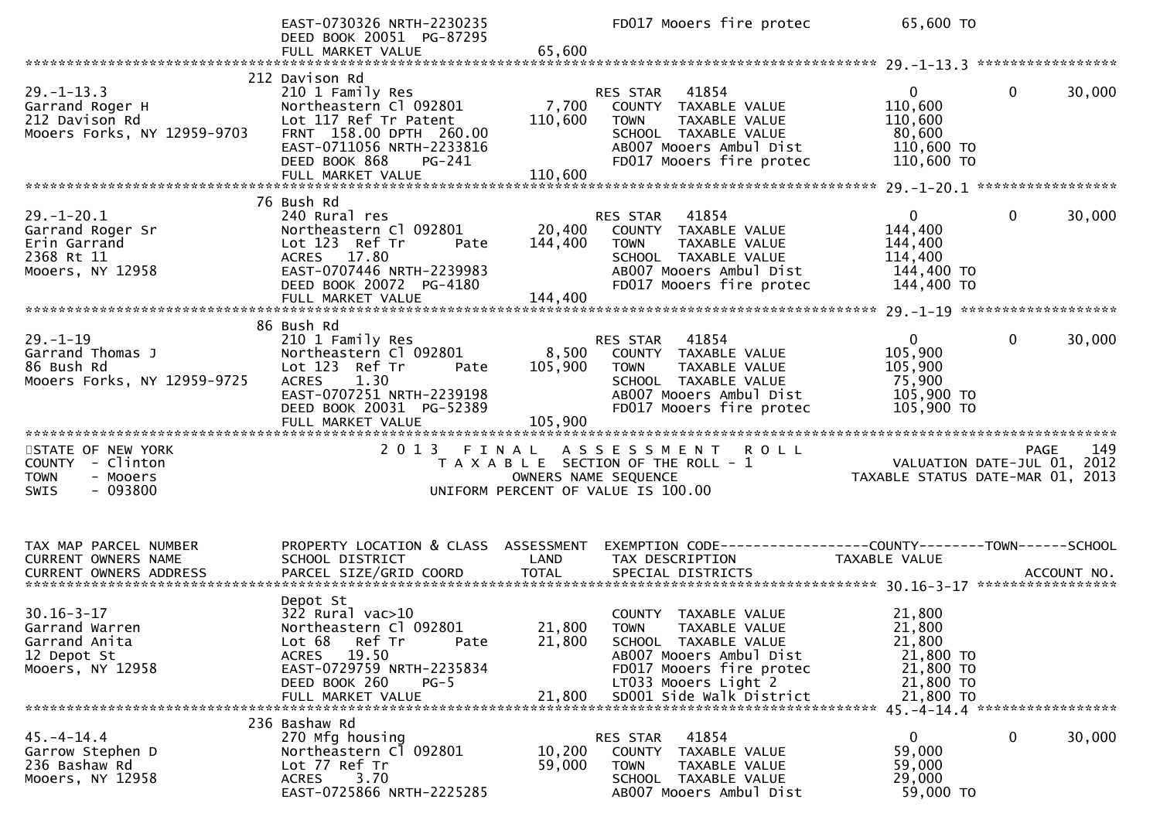|                                                                                              | EAST-0730326 NRTH-2230235<br>DEED BOOK 20051 PG-87295<br>FULL MARKET VALUE                                                                                                                    | 65,600                      | FD017 Mooers fire protec                                                                                                                                                                | 65,600 TO                                                                      |                                                                                            |
|----------------------------------------------------------------------------------------------|-----------------------------------------------------------------------------------------------------------------------------------------------------------------------------------------------|-----------------------------|-----------------------------------------------------------------------------------------------------------------------------------------------------------------------------------------|--------------------------------------------------------------------------------|--------------------------------------------------------------------------------------------|
|                                                                                              |                                                                                                                                                                                               |                             |                                                                                                                                                                                         |                                                                                |                                                                                            |
| $29. - 1 - 13.3$<br>Garrand Roger H<br>212 Davison Rd<br>Mooers Forks, NY 12959-9703         | 212 Davison Rd<br>210 1 Family Res<br>Northeastern Cl 092801<br>Lot 117 Ref Tr Patent<br>FRNT 158.00 DPTH 260.00<br>EAST-0711056 NRTH-2233816<br>DEED BOOK 868<br>PG-241<br>FULL MARKET VALUE | 7,700<br>110,600<br>110,600 | RES STAR<br>41854<br>COUNTY TAXABLE VALUE<br><b>TOWN</b><br>TAXABLE VALUE<br>SCHOOL TAXABLE VALUE<br>AB007 Mooers Ambul Dist<br>FD017 Mooers fire protec                                | $\mathbf{0}$<br>110,600<br>110,600<br>80,600<br>110,600 TO<br>110,600 TO       | $\mathbf{0}$<br>30,000                                                                     |
|                                                                                              |                                                                                                                                                                                               |                             |                                                                                                                                                                                         |                                                                                |                                                                                            |
| $29. - 1 - 20.1$<br>Garrand Roger Sr<br>Erin Garrand<br>2368 Rt 11<br>Mooers, NY 12958       | 76 Bush Rd<br>240 Rural res<br>Northeastern Cl 092801<br>Lot 123 Ref Tr<br>Pate<br>ACRES 17.80<br>EAST-0707446 NRTH-2239983<br>DEED BOOK 20072 PG-4180                                        | 20,400<br>144,400           | 41854<br>RES STAR<br>COUNTY TAXABLE VALUE<br><b>TOWN</b><br>TAXABLE VALUE<br>SCHOOL TAXABLE VALUE<br>AB007 Mooers Ambul Dist<br>FD017 Mooers fire protec                                | $\overline{0}$<br>144,400<br>144,400<br>114,400<br>144,400 TO<br>144,400 TO    | 30,000<br>0                                                                                |
|                                                                                              |                                                                                                                                                                                               |                             |                                                                                                                                                                                         |                                                                                |                                                                                            |
|                                                                                              | 86 Bush Rd                                                                                                                                                                                    |                             |                                                                                                                                                                                         |                                                                                |                                                                                            |
| $29. - 1 - 19$<br>Garrand Thomas J<br>86 Bush Rd<br>Mooers Forks, NY 12959-9725              | 210 1 Family Res<br>Northeastern Cl 092801<br>Lot 123 Ref Tr<br>Pate<br>ACRES 1.30<br>EAST-0707251 NRTH-2239198<br>DEED BOOK 20031 PG-52389<br>FULL MARKET VALUE                              | 8,500<br>105,900<br>105,900 | RES STAR<br>41854<br>COUNTY TAXABLE VALUE<br><b>TOWN</b><br>TAXABLE VALUE<br>SCHOOL TAXABLE VALUE<br>AB007 Mooers Ambul Dist<br>FD017 Mooers fire protec                                | $\mathbf{0}$<br>105,900<br>105,900<br>75,900<br>105,900 TO<br>105,900 TO       | $\mathbf{0}$<br>30,000                                                                     |
|                                                                                              |                                                                                                                                                                                               |                             |                                                                                                                                                                                         |                                                                                |                                                                                            |
| STATE OF NEW YORK<br>COUNTY - Clinton<br>- Mooers<br><b>TOWN</b><br>$-093800$<br><b>SWIS</b> |                                                                                                                                                                                               |                             | 2013 FINAL ASSESSMENT ROLL<br>T A X A B L E SECTION OF THE ROLL - 1<br>OWNERS NAME SEQUENCE<br>UNIFORM PERCENT OF VALUE IS 100.00                                                       |                                                                                | 149<br>PAGE<br>rage 149<br>VALUATION DATE-JUL 01, 2012<br>TAXABLE STATUS DATE-MAR 01, 2013 |
| TAX MAP PARCEL NUMBER<br>CURRENT OWNERS NAME<br><b>CURRENT OWNERS ADDRESS</b>                | PROPERTY LOCATION & CLASS ASSESSMENT<br>SCHOOL DISTRICT<br>PARCEL SIZE/GRID COORD                                                                                                             | LAND<br><b>TOTAL</b>        | EXEMPTION CODE-----------------COUNTY-------TOWN------SCHOOL<br>TAX DESCRIPTION<br>SPECIAL DISTRICTS                                                                                    | TAXABLE VALUE                                                                  | ACCOUNT NO.                                                                                |
| $30.16 - 3 - 17$<br>Garrand Warren<br>Garrand Anita<br>12 Depot St<br>Mooers, NY 12958       | Depot St<br>$322$ Rural vac $>10$<br>Northeastern Cl 092801<br>Lot 68<br>Ref Tr<br>Pate<br>19.50<br>ACRES<br>EAST-0729759 NRTH-2235834<br>DEED BOOK 260<br>$PG-5$<br>FULL MARKET VALUE        | 21,800<br>21,800            | COUNTY TAXABLE VALUE<br>21,800 TOWN<br>TAXABLE VALUE<br>SCHOOL TAXABLE VALUE<br>AB007 Mooers Ambul Dist<br>FD017 Mooers fire protec<br>LT033 Mooers Light 2<br>SD001 Side Walk District | 21,800<br>21,800<br>21,800<br>21,800 TO<br>21,800 TO<br>21,800 TO<br>21,800 TO |                                                                                            |
| $45. - 4 - 14.4$<br>Garrow Stephen D<br>236 Bashaw Rd<br>Mooers, NY 12958                    | 236 Bashaw Rd<br>270 Mfg housing<br>Northeastern Cl 092801<br>Lot 77 Ref Tr<br>3.70<br>ACRES<br>EAST-0725866 NRTH-2225285                                                                     | 10,200<br>59,000            | RES STAR 41854<br>COUNTY TAXABLE VALUE<br><b>TOWN</b><br>TAXABLE VALUE<br>SCHOOL TAXABLE VALUE<br>AB007 Mooers Ambul Dist                                                               | $\overline{0}$<br>59,000<br>59,000<br>29,000<br>59,000 TO                      | 0<br>30,000                                                                                |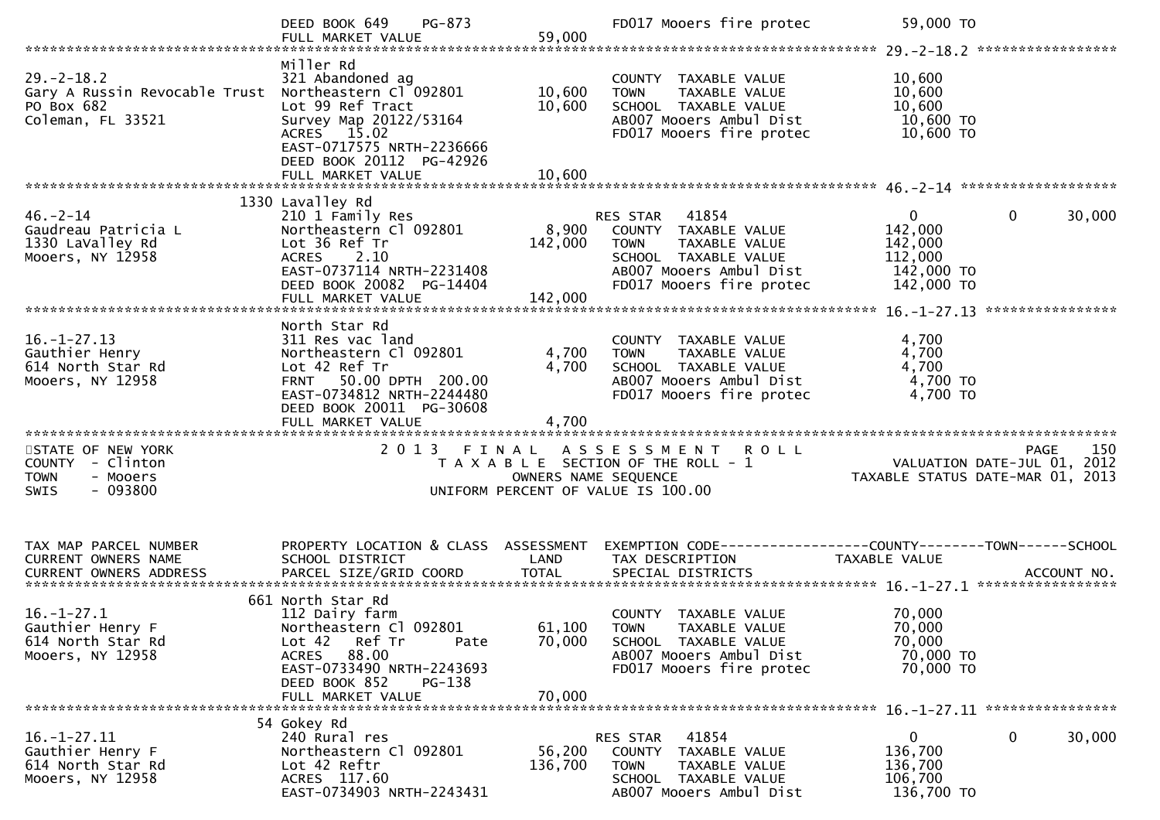|                                                                                                             | PG-873<br>DEED BOOK 649<br>FULL MARKET VALUE                                                                                                                                                    | 59,000                  | FD017 Mooers fire protec                                                                                                                              | 59,000 TO                                                                   |                                                                                       |
|-------------------------------------------------------------------------------------------------------------|-------------------------------------------------------------------------------------------------------------------------------------------------------------------------------------------------|-------------------------|-------------------------------------------------------------------------------------------------------------------------------------------------------|-----------------------------------------------------------------------------|---------------------------------------------------------------------------------------|
| $29. - 2 - 18.2$<br>Gary A Russin Revocable Trust Northeastern Cl 092801<br>PO Box 682<br>Coleman, FL 33521 | Miller Rd<br>321 Abandoned ag<br>Lot 99 Ref Tract<br>Survey Map 20122/53164<br>ACRES 15.02<br>EAST-0717575 NRTH-2236666<br>DEED BOOK 20112 PG-42926                                             | 10,600<br>10,600        | COUNTY TAXABLE VALUE<br>TAXABLE VALUE<br><b>TOWN</b><br>SCHOOL TAXABLE VALUE<br>AB007 Mooers Ambul Dist<br>FD017 Mooers fire protec                   | 10,600<br>10,600<br>10,600<br>10,600 TO<br>10,600 TO                        |                                                                                       |
|                                                                                                             |                                                                                                                                                                                                 |                         |                                                                                                                                                       |                                                                             |                                                                                       |
| $46. - 2 - 14$<br>Gaudreau Patricia L<br>1330 LaValley Rd<br>Mooers, NY 12958                               | 1330 Lavalley Rd<br>210 1 Family Res<br>Northeastern Cl 092801<br>Lot 36 Ref Tr<br>2.10<br><b>ACRES</b><br>EAST-0737114 NRTH-2231408<br>DEED BOOK 20082 PG-14404                                | 8,900<br>142,000        | RES STAR 41854<br>COUNTY TAXABLE VALUE<br><b>TOWN</b><br>TAXABLE VALUE<br>SCHOOL TAXABLE VALUE<br>AB007 Mooers Ambul Dist<br>FD017 Mooers fire protec | $\overline{0}$<br>142,000<br>142,000<br>112,000<br>142,000 TO<br>142,000 TO | $\mathbf 0$<br>30,000                                                                 |
|                                                                                                             |                                                                                                                                                                                                 |                         |                                                                                                                                                       |                                                                             |                                                                                       |
| $16. - 1 - 27.13$<br>Gauthier Henry<br>614 North Star Rd<br>Mooers, NY 12958                                | North Star Rd<br>311 Res vac land<br>Northeastern Cl 092801<br>Lot 42 Ref Tr<br>FRNT 50.00 DPTH 200.00<br>EAST-0734812 NRTH-2244480<br>DEED BOOK 20011 PG-30608<br>FULL MARKET VALUE            | 4,700<br>4,700<br>4,700 | COUNTY TAXABLE VALUE<br>TAXABLE VALUE<br><b>TOWN</b><br>SCHOOL TAXABLE VALUE<br>AB007 Mooers Ambul Dist<br>FD017 Mooers fire protec                   | 4,700<br>4,700<br>4,700<br>$4,700$ TO<br>4,700 TO                           |                                                                                       |
| STATE OF NEW YORK<br>COUNTY - Clinton<br><b>TOWN</b><br>- Mooers<br>$-093800$<br><b>SWIS</b>                | 2013 FINAL                                                                                                                                                                                      | OWNERS NAME SEQUENCE    | <b>ROLL</b><br>A S S E S S M E N T<br>T A X A B L E SECTION OF THE ROLL - 1<br>UNIFORM PERCENT OF VALUE IS 100.00                                     |                                                                             | 150<br><b>PAGE</b><br>VALUATION DATE-JUL 01, 2012<br>TAXABLE STATUS DATE-MAR 01, 2013 |
| TAX MAP PARCEL NUMBER<br>CURRENT OWNERS NAME                                                                | PROPERTY LOCATION & CLASS ASSESSMENT<br>SCHOOL DISTRICT                                                                                                                                         | LAND                    | EXEMPTION CODE-----------------COUNTY-------TOWN------SCHOOL<br>TAX DESCRIPTION                                                                       | TAXABLE VALUE                                                               |                                                                                       |
| $16. - 1 - 27.1$<br>Gauthier Henry F<br>614 North Star Rd<br>Mooers, NY 12958                               | 661 North Star Rd<br>112 Dairy farm<br>Northeastern Cl 092801<br>Ref Tr<br>Lot 42<br>Pate<br>88.00<br><b>ACRES</b><br>EAST-0733490 NRTH-2243693<br>DEED BOOK 852<br>PG-138<br>FULL MARKET VALUE | 70,000<br>70,000        | COUNTY TAXABLE VALUE<br>61,100 TOWN TAXABLE VALUE<br>SCHOOL TAXABLE VALUE<br>AB007 Mooers Ambul Dist<br>FD017 Mooers fire protec                      | 70,000<br>70,000<br>70,000<br>70,000 TO<br>70,000 TO                        |                                                                                       |
|                                                                                                             |                                                                                                                                                                                                 |                         |                                                                                                                                                       |                                                                             |                                                                                       |
| $16. - 1 - 27.11$<br>Gauthier Henry F<br>614 North Star Rd<br>Mooers, NY 12958                              | 54 Gokey Rd<br>240 Rural res<br>Northeastern Cl 092801<br>Lot 42 Reftr<br>ACRES 117.60<br>EAST-0734903 NRTH-2243431                                                                             | 56,200<br>136,700       | RES STAR<br>41854<br>COUNTY TAXABLE VALUE<br><b>TOWN</b><br>TAXABLE VALUE<br>SCHOOL TAXABLE VALUE<br>AB007 Mooers Ambul Dist                          | $\overline{0}$<br>136,700<br>136,700<br>106,700<br>136,700 TO               | $\mathbf 0$<br>30,000                                                                 |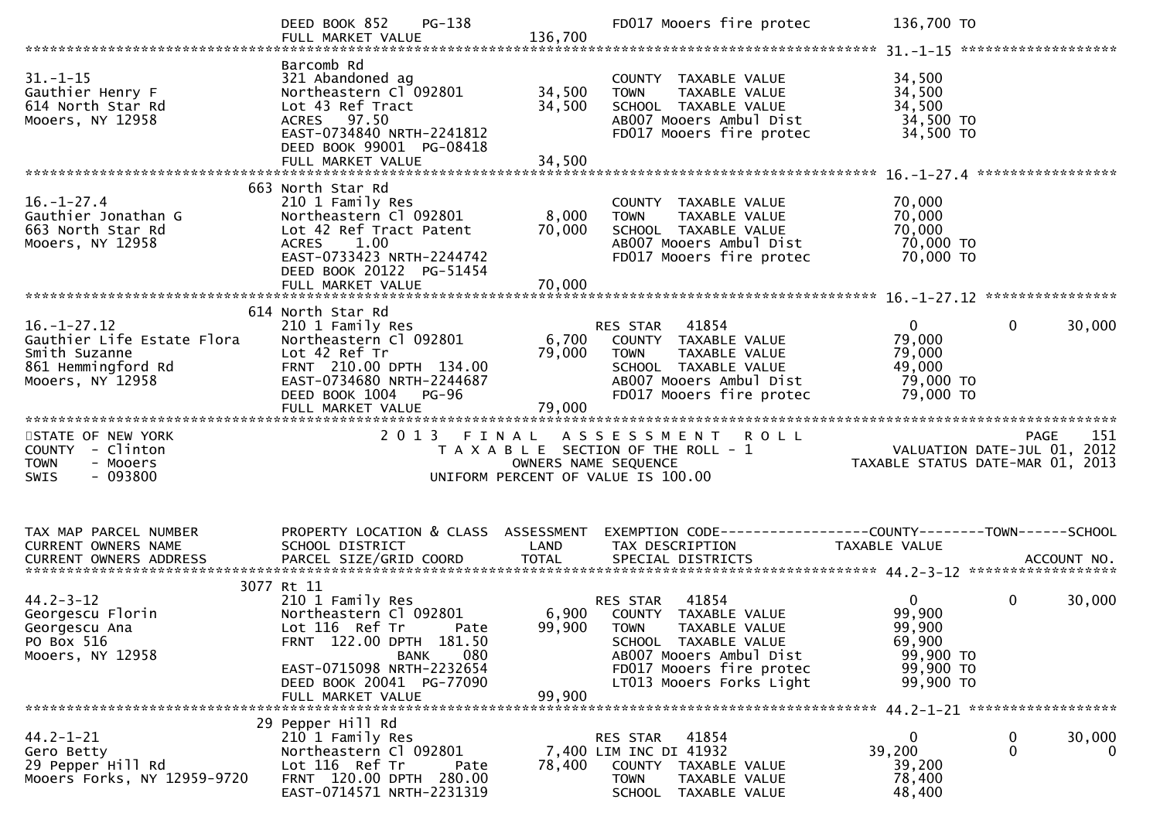|                                                                                                            | PG-138<br>DEED BOOK 852                                                                                                                                                                |                            | FD017 Mooers fire protec                                                                                                                                     | 136,700 TO                                                           |                                                                                                  |
|------------------------------------------------------------------------------------------------------------|----------------------------------------------------------------------------------------------------------------------------------------------------------------------------------------|----------------------------|--------------------------------------------------------------------------------------------------------------------------------------------------------------|----------------------------------------------------------------------|--------------------------------------------------------------------------------------------------|
| $31. - 1 - 15$<br>Gauthier Henry F<br>614 North Star Rd<br>Mooers, NY 12958                                | Barcomb Rd<br>321 Abandoned ag<br>Northeastern Cl <sup>-</sup> 092801<br>Lot 43 Ref Tract<br>ACRES 97.50<br>EAST-0734840 NRTH-2241812<br>DEED BOOK 99001 PG-08418<br>FULL MARKET VALUE | 34,500<br>34,500<br>34,500 | COUNTY TAXABLE VALUE<br>TAXABLE VALUE<br><b>TOWN</b><br>SCHOOL TAXABLE VALUE<br>AB007 Mooers Ambul Dist<br>FD017 Mooers fire protec                          | 34,500<br>34,500<br>34,500<br>34,500 TO<br>34,500 TO                 |                                                                                                  |
|                                                                                                            |                                                                                                                                                                                        |                            |                                                                                                                                                              |                                                                      |                                                                                                  |
| $16. - 1 - 27.4$<br>Gauthier Jonathan G<br>663 North Star Rd<br>Mooers, NY 12958                           | 663 North Star Rd<br>210 1 Family Res<br>Northeastern Cl 092801<br>Lot 42 Ref Tract Patent<br>ACRES 1.00<br>EAST-0733423 NRTH-2244742<br>DEED BOOK 20122 PG-51454                      | 8,000<br>70,000            | COUNTY TAXABLE VALUE<br>TAXABLE VALUE<br><b>TOWN</b><br>SCHOOL TAXABLE VALUE<br>AB007 Mooers Ambul Dist<br>FD017 Mooers fire protec                          | 70,000<br>70,000<br>70,000<br>70,000 TO<br>70,000 TO                 |                                                                                                  |
|                                                                                                            |                                                                                                                                                                                        |                            |                                                                                                                                                              |                                                                      |                                                                                                  |
|                                                                                                            | 614 North Star Rd                                                                                                                                                                      |                            |                                                                                                                                                              |                                                                      |                                                                                                  |
| $16. - 1 - 27.12$<br>Gauthier Life Estate Flora<br>Smith Suzanne<br>861 Hemmingford Rd<br>Mooers, NY 12958 | 210 1 Family Res<br>Northeastern Cl 092801<br>Lot 42 Ref Tr<br>FRNT 210.00 DPTH 134.00<br>EAST-0734680 NRTH-2244687<br>DEED BOOK 1004 PG-96                                            | 6,700<br>79,000            | <b>RES STAR 41854</b><br>COUNTY TAXABLE VALUE<br><b>TOWN</b><br>TAXABLE VALUE<br>SCHOOL TAXABLE VALUE<br>AB007 Mooers Ambul Dist<br>FD017 Mooers fire protec | $\mathbf{0}$<br>79,000<br>79,000<br>49,000<br>79,000 TO<br>79,000 TO | $\mathbf 0$<br>30,000                                                                            |
|                                                                                                            | FULL MARKET VALUE                                                                                                                                                                      | 79,000                     |                                                                                                                                                              |                                                                      |                                                                                                  |
| STATE OF NEW YORK<br>COUNTY - Clinton<br><b>TOWN</b><br>- Mooers<br>$-093800$<br><b>SWIS</b>               | 2 0 1 3<br>FINAL                                                                                                                                                                       | OWNERS NAME SEQUENCE       | ASSESSMENT ROLL<br>T A X A B L E SECTION OF THE ROLL - 1<br>UNIFORM PERCENT OF VALUE IS 100.00                                                               |                                                                      | 151<br><b>PAGE</b><br>ـد.<br>101, VALUATION DATE-JUL 01, 2012<br>103 ,TAXABLE STATUS DATE-MAR 01 |
|                                                                                                            |                                                                                                                                                                                        |                            |                                                                                                                                                              |                                                                      |                                                                                                  |
| TAX MAP PARCEL NUMBER<br>CURRENT OWNERS NAME                                                               | PROPERTY LOCATION & CLASS ASSESSMENT<br>SCHOOL DISTRICT                                                                                                                                | LAND                       | EXEMPTION CODE------------------COUNTY--------TOWN------SCHOOL<br>TAX DESCRIPTION                                                                            | TAXABLE VALUE                                                        |                                                                                                  |
|                                                                                                            |                                                                                                                                                                                        |                            |                                                                                                                                                              |                                                                      |                                                                                                  |
| $44.2 - 3 - 12$<br>Georgescu Florin<br>Georgescu Ana<br>PO Box 516<br>Mooers, NY 12958                     | 3077 Rt 11<br>210 1 Family Res<br>Northeastern Cl 092801<br>Lot 116 Ref Tr<br>Pate<br>FRNT 122.00 DPTH 181.50<br>BANK<br>080                                                           |                            | 41854<br>RES STAR<br>6,900 COUNTY TAXABLE VALUE<br>99,900 TOWN TAXABLE VALUE<br>SCHOOL TAXABLE VALUE<br>AB007 Mooers Ambul Dist                              | $\overline{0}$<br>99,900<br>99,900<br>69,900<br>99,900 TO            | $\mathbf{0}$<br>30,000                                                                           |
|                                                                                                            | EAST-0715098 NRTH-2232654<br>DEED BOOK 20041 PG-77090<br>FULL MARKET VALUE                                                                                                             | 99,900                     | FD017 Mooers fire protec<br>LT013 Mooers Forks Light                                                                                                         | 99,900 TO<br>99,900 TO                                               |                                                                                                  |
|                                                                                                            | 29 Pepper Hill Rd                                                                                                                                                                      |                            |                                                                                                                                                              |                                                                      |                                                                                                  |
| $44.2 - 1 - 21$<br>Gero Betty<br>29 Pepper Hill Rd<br>Mooers Forks, NY 12959-9720                          | 210 1 Family Res<br>Northeastern Cl 092801<br>Lot 116 Ref Tr<br>Pate<br>FRNT 120.00 DPTH 280.00<br>EAST-0714571 NRTH-2231319                                                           | 78,400                     | RES STAR 41854<br>7,400 LIM INC DI 41932<br>COUNTY TAXABLE VALUE<br>TOWN<br>TAXABLE VALUE<br>SCHOOL TAXABLE VALUE                                            | $\Omega$<br>39,200<br>39,200<br>78,400<br>48,400                     | 30,000<br>0<br>$\mathbf{0}$<br>$\overline{0}$                                                    |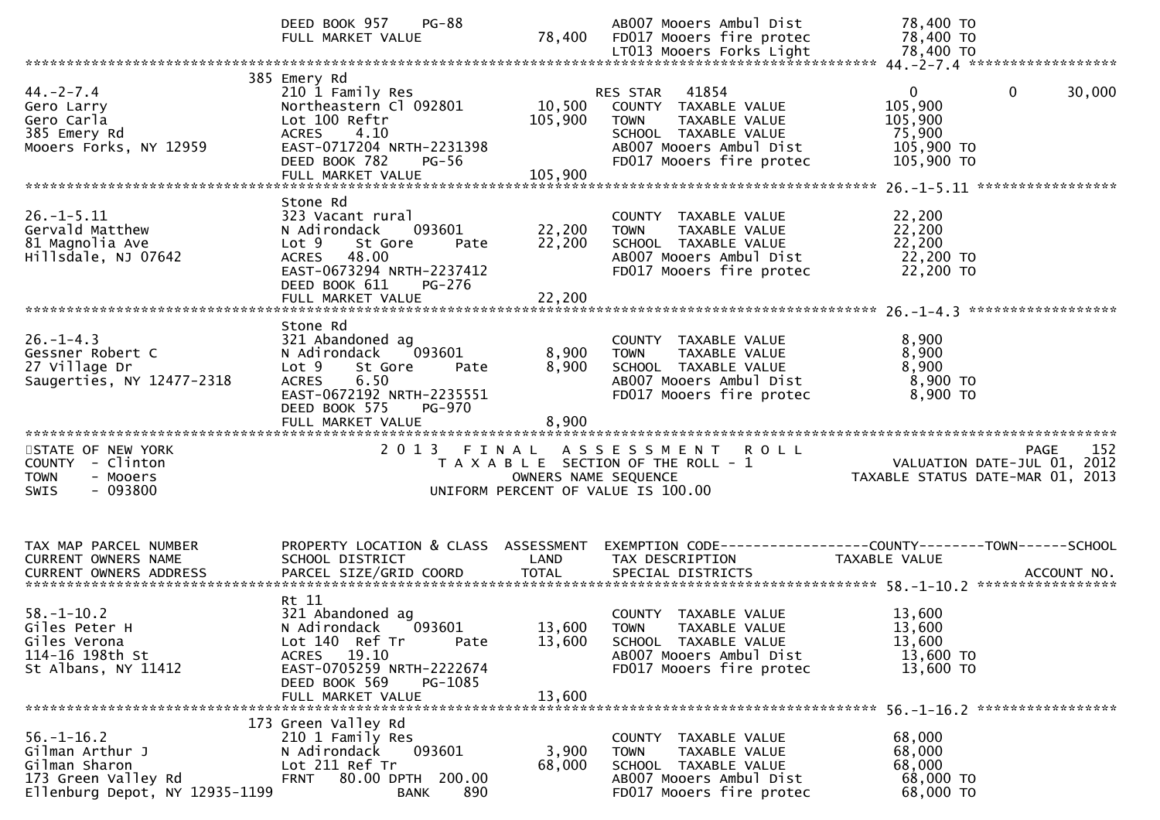|                                                                                                               | <b>PG-88</b><br>DEED BOOK 957<br>FULL MARKET VALUE                                                                                                                                       | 78,400                       | AB007 Mooers Ambul Dist<br>FD017 Mooers fire protec                                                                                                      | 78,400 TO<br>78,400 TO                                                                             |
|---------------------------------------------------------------------------------------------------------------|------------------------------------------------------------------------------------------------------------------------------------------------------------------------------------------|------------------------------|----------------------------------------------------------------------------------------------------------------------------------------------------------|----------------------------------------------------------------------------------------------------|
|                                                                                                               |                                                                                                                                                                                          |                              |                                                                                                                                                          |                                                                                                    |
| $44. -2 - 7.4$<br>Gero Larry<br>Gero Carla<br>385 Emery Rd<br>Mooers Forks, NY 12959                          | 385 Emery Rd<br>210 1 Family Res<br>Northeastern Cl 092801<br>Lot 100 Reftr<br>ACRES 4.10<br>EAST-0717204 NRTH-2231398<br>DEED BOOK 782<br><b>PG-56</b><br>FULL MARKET VALUE             | 10,500<br>105,900<br>105,900 | 41854<br>RES STAR<br>COUNTY TAXABLE VALUE<br><b>TOWN</b><br>TAXABLE VALUE<br>SCHOOL TAXABLE VALUE<br>AB007 Mooers Ambul Dist<br>FD017 Mooers fire protec | $\mathbf{0}$<br>$\mathbf{0}$<br>30,000<br>105,900<br>105,900<br>75,900<br>105,900 TO<br>105,900 TO |
| $26. - 1 - 5.11$<br>Gervald Matthew<br>81 Magnolia Ave<br>Hillsdale, NJ 07642                                 | Stone Rd<br>323 Vacant rural<br>N Adirondack<br>093601<br>Lot 9<br>St Gore<br>Pate<br>48.00<br><b>ACRES</b><br>EAST-0673294 NRTH-2237412<br>DEED BOOK 611<br>PG-276<br>FULL MARKET VALUE | 22,200<br>22,200<br>22,200   | COUNTY TAXABLE VALUE<br>TAXABLE VALUE<br><b>TOWN</b><br>SCHOOL TAXABLE VALUE<br>AB007 Mooers Ambul Dist<br>FD017 Mooers fire protec                      | 22,200<br>22,200<br>22,200<br>22,200 TO<br>22,200 TO                                               |
| $26. - 1 - 4.3$<br>Gessner Robert C<br>27 Village Dr<br>Saugerties, NY 12477-2318                             | Stone Rd<br>321 Abandoned ag<br>093601<br>N Adirondack<br>St Gore<br>Lot 9<br>Pate<br>6.50<br><b>ACRES</b><br>EAST-0672192 NRTH-2235551<br>DEED BOOK 575<br>PG-970<br>FULL MARKET VALUE  | 8,900<br>8,900<br>8,900      | COUNTY TAXABLE VALUE<br>TAXABLE VALUE<br><b>TOWN</b><br>SCHOOL TAXABLE VALUE<br>AB007 Mooers Ambul Dist<br>FD017 Mooers fire protec                      | 8,900<br>8,900<br>8,900<br>$8,900$ TO<br>8,900 TO                                                  |
| STATE OF NEW YORK<br>COUNTY - Clinton<br><b>TOWN</b><br>- Mooers<br>$-093800$<br>SWIS                         |                                                                                                                                                                                          |                              | 2013 FINAL ASSESSMENT<br><b>ROLL</b><br>T A X A B L E SECTION OF THE ROLL - 1<br>OWNERS NAME SEQUENCE<br>UNIFORM PERCENT OF VALUE IS 100.00              | 152<br>PAGE<br>VALUATION DATE-JUL 01, 2012<br>TAXABLE STATUS DATE-MAR 01, 2013                     |
| TAX MAP PARCEL NUMBER<br>CURRENT OWNERS NAME                                                                  | PROPERTY LOCATION & CLASS ASSESSMENT<br>SCHOOL DISTRICT                                                                                                                                  | LAND                         | TAX DESCRIPTION                                                                                                                                          | EXEMPTION CODE-----------------COUNTY-------TOWN------SCHOOL<br>TAXABLE VALUE                      |
| $58. - 1 - 10.2$<br>Giles Peter H<br>Giles Verona<br>114-16 198th St<br>St Albans, NY 11412                   | Rt 11<br>321 Abandoned ag<br>093601<br>N Adirondack<br>Lot 140 Ref Tr<br>Pate<br>ACRES 19.10<br>EAST-0705259 NRTH-2222674<br>DEED BOOK 569<br>PG-1085<br>FULL MARKET VALUE               | 13,600<br>13,600             | COUNTY TAXABLE VALUE<br>13,600 TOWN TAXABLE VALUE<br>SCHOOL TAXABLE VALUE<br>AB007 Mooers Ambul Dist<br>FD017 Mooers fire protec                         | 13,600<br>13,600<br>13,600<br>13,600 TO<br>13,600 TO                                               |
| $56. - 1 - 16.2$<br>Gilman Arthur J<br>Gilman Sharon<br>173 Green Valley Rd<br>Ellenburg Depot, NY 12935-1199 | 173 Green Valley Rd<br>210 1 Family Res<br>093601<br>N Adirondack<br>Lot 211 Ref Tr<br>80.00 DPTH 200.00<br><b>FRNT</b><br>890<br>BANK                                                   | 3,900<br>68,000              | COUNTY TAXABLE VALUE<br>TAXABLE VALUE<br><b>TOWN</b><br>SCHOOL TAXABLE VALUE<br>AB007 Mooers Ambul Dist<br>FD017 Mooers fire protec                      | 68,000<br>68,000<br>68,000<br>68,000 TO<br>68,000 TO                                               |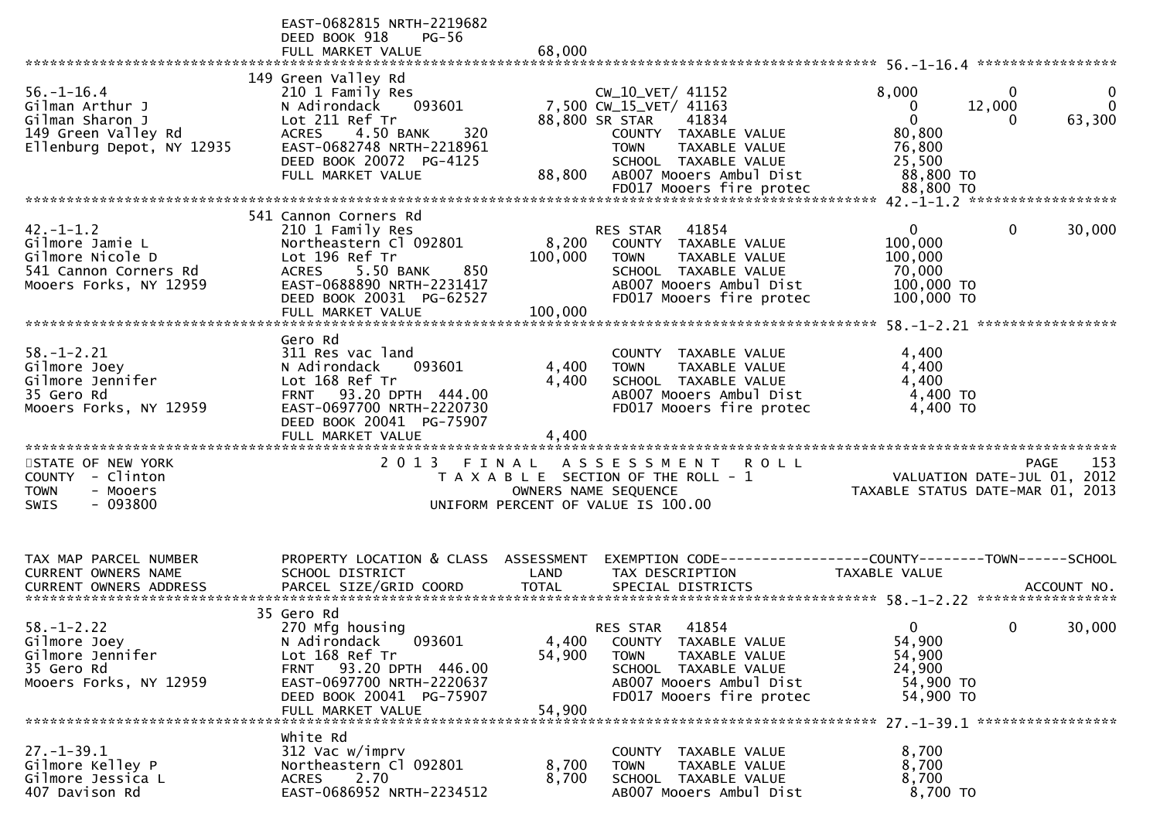|                                                                                                            | EAST-0682815 NRTH-2219682<br>DEED BOOK 918<br><b>PG-56</b><br>FULL MARKET VALUE                                                                                                                         | 68,000                      |                                                                                                                                                                                                              |                                                                                                                               |
|------------------------------------------------------------------------------------------------------------|---------------------------------------------------------------------------------------------------------------------------------------------------------------------------------------------------------|-----------------------------|--------------------------------------------------------------------------------------------------------------------------------------------------------------------------------------------------------------|-------------------------------------------------------------------------------------------------------------------------------|
| $56. - 1 - 16.4$<br>Gilman Arthur J<br>Gilman Sharon J<br>149 Green Valley Rd<br>Ellenburg Depot, NY 12935 | 149 Green Valley Rd<br>210 1 Family Res<br>093601<br>N Adirondack<br>Lot 211 Ref Tr<br>4.50 BANK<br><b>ACRES</b><br>320<br>EAST-0682748 NRTH-2218961<br>DEED BOOK 20072 PG-4125<br>FULL MARKET VALUE    | 88,800                      | CW_10_VET/ 41152<br>7,500 CW_15_VET/ 41163<br>88,800 SR STAR<br>41834<br>COUNTY TAXABLE VALUE<br><b>TOWN</b><br>TAXABLE VALUE<br>SCHOOL TAXABLE VALUE<br>AB007 Mooers Ambul Dist<br>FD017 Mooers fire protec | 8,000<br>0<br>0<br>12,000<br>$\Omega$<br>$\Omega$<br>0<br>63,300<br>0<br>80,800<br>76,800<br>25,500<br>88,800 TO<br>88,800 TO |
| $42. - 1 - 1.2$<br>Gilmore Jamie L<br>Gilmore Nicole D<br>541 Cannon Corners Rd<br>Mooers Forks, NY 12959  | 541 Cannon Corners Rd<br>210 1 Family Res<br>Northeastern Cl 092801<br>Lot 196 Ref Tr<br>850<br><b>ACRES</b><br>5.50 BANK<br>EAST-0688890 NRTH-2231417<br>DEED BOOK 20031 PG-62527<br>FULL MARKET VALUE | 8,200<br>100,000<br>100,000 | RES STAR<br>41854<br>COUNTY TAXABLE VALUE<br><b>TAXABLE VALUE</b><br><b>TOWN</b><br>SCHOOL TAXABLE VALUE<br>AB007 Mooers Ambul Dist<br>FD017 Mooers fire protec                                              | $\mathbf{0}$<br>$\mathbf 0$<br>30,000<br>100,000<br>100,000<br>70,000<br>100,000 TO<br>100,000 TO                             |
| $58. - 1 - 2.21$<br>Gilmore Joey<br>Gilmore Jennifer<br>35 Gero Rd<br>Mooers Forks, NY 12959               | Gero Rd<br>311 Res vac land<br>N Adirondack<br>093601<br>Lot 168 Ref Tr<br>93.20 DPTH 444.00<br><b>FRNT</b><br>EAST-0697700 NRTH-2220730<br>DEED BOOK 20041 PG-75907<br>FULL MARKET VALUE               | 4,400<br>4,400<br>4,400     | COUNTY<br><b>TAXABLE VALUE</b><br>TAXABLE VALUE<br><b>TOWN</b><br>SCHOOL TAXABLE VALUE<br>AB007 Mooers Ambul Dist<br>FD017 Mooers fire protec                                                                | 4,400<br>4,400<br>4,400<br>4,400 TO<br>4,400 TO                                                                               |
| STATE OF NEW YORK<br>- Clinton<br><b>COUNTY</b><br>- Mooers<br>TOWN<br>SWIS<br>- 093800                    | 2 0 1 3                                                                                                                                                                                                 | FINAL                       | A S S E S S M E N T<br><b>ROLL</b><br>T A X A B L E SECTION OF THE ROLL - 1<br>OWNERS NAME SEQUENCE<br>UNIFORM PERCENT OF VALUE IS 100.00                                                                    | 153<br><b>PAGE</b><br>VALUATION DATE-JUL 01, 2012<br>TAXABLE STATUS DATE-MAR 01, 2013                                         |
| TAX MAP PARCEL NUMBER<br>CURRENT OWNERS NAME                                                               | PROPERTY LOCATION & CLASS ASSESSMENT<br>SCHOOL DISTRICT                                                                                                                                                 | LAND                        | TAX DESCRIPTION                                                                                                                                                                                              | EXEMPTION CODE------------------COUNTY--------TOWN------SCHOOL<br><b>TAXABLE VALUE</b>                                        |
| $58. - 1 - 2.22$<br>Gilmore Joey<br>Gilmore Jennifer<br>35 Gero Rd<br>Mooers Forks, NY 12959               | 35 Gero Rd<br>270 Mfg housing<br>N Adirondack 093601<br>Lot 168 Ref Tr<br>FRNT 93.20 DPTH 446.00<br>EAST-0697700 NRTH-2220637<br>DEED BOOK 20041 PG-75907<br>FULL MARKET VALUE                          | 4,400<br>54,900<br>54,900   | 41854<br>RES STAR<br>COUNTY TAXABLE VALUE<br><b>TOWN</b><br>TAXABLE VALUE<br>SCHOOL TAXABLE VALUE<br>AB007 Mooers Ambul Dist<br>FD017 Mooers fire protec                                                     | $\mathbf{0}$<br>0<br>30,000<br>54,900<br>54,900<br>24,900<br>54,900 TO<br>54,900 TO                                           |
| $27. - 1 - 39.1$<br>Gilmore Kelley P<br>Gilmore Jessica L<br>407 Davison Rd                                | white Rd<br>312 Vac w/imprv<br>Northeastern Cl 092801<br>2.70<br><b>ACRES</b><br>EAST-0686952 NRTH-2234512                                                                                              | 8,700<br>8,700              | COUNTY TAXABLE VALUE<br>TAXABLE VALUE<br><b>TOWN</b><br>SCHOOL TAXABLE VALUE<br>AB007 Mooers Ambul Dist                                                                                                      | 8,700<br>8,700<br>8,700<br>8,700 TO                                                                                           |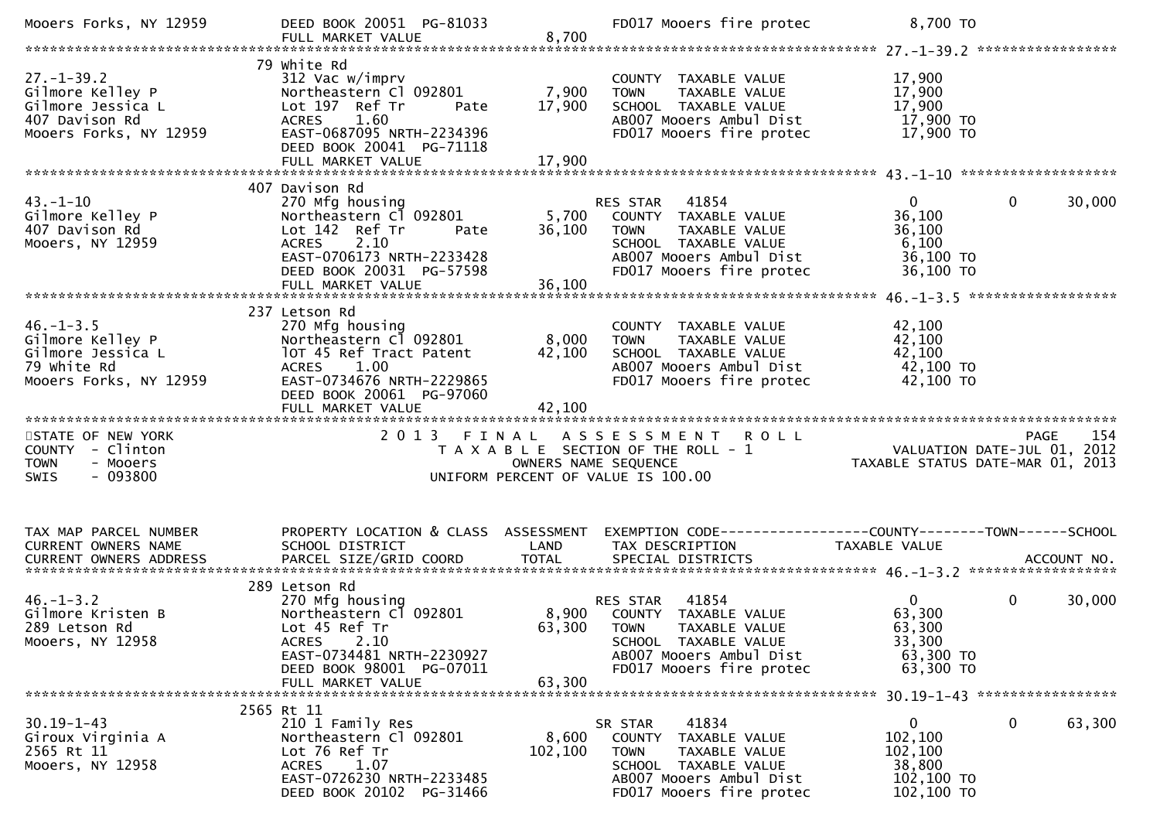| Mooers Forks, NY 12959                                                                                | DEED BOOK 20051 PG-81033<br>FULL MARKET VALUE                                                                                                                                            | 8,700                         | FD017 Mooers fire protec                                                                                                                                           | 8,700 TO                                                                                 |                       |
|-------------------------------------------------------------------------------------------------------|------------------------------------------------------------------------------------------------------------------------------------------------------------------------------------------|-------------------------------|--------------------------------------------------------------------------------------------------------------------------------------------------------------------|------------------------------------------------------------------------------------------|-----------------------|
| $27. - 1 - 39.2$<br>Gilmore Kelley P<br>Gilmore Jessica L<br>407 Davison Rd<br>Mooers Forks, NY 12959 | 79 white Rd<br>312 Vac w/imprv<br>Northeastern Cl 092801<br>Lot 197 Ref Tr<br>Pate<br><b>ACRES</b><br>1.60<br>EAST-0687095 NRTH-2234396<br>DEED BOOK 20041 PG-71118<br>FULL MARKET VALUE | 7,900<br>17,900<br>17,900     | COUNTY TAXABLE VALUE<br><b>TOWN</b><br>TAXABLE VALUE<br>SCHOOL TAXABLE VALUE<br>AB007 Mooers Ambul Dist<br>FD017 Mooers fire protec                                | 17,900<br>17,900<br>17,900<br>17,900 TO<br>17,900 TO                                     |                       |
| $43. - 1 - 10$<br>Gilmore Kelley P<br>407 Davison Rd<br>Mooers, NY 12959                              | 407 Davison Rd<br>270 Mfg housing<br>Northeastern Cl 092801<br>Lot 142 Ref Tr<br>Pate<br>$A$ CRS $2.10$<br>EAST-0706173 NRTH-2233428<br>DEED BOOK 20031 PG-57598                         | 36,100                        | <b>RES STAR 41854</b><br>5,700 COUNTY TAXABLE VALUE<br>TAXABLE VALUE<br><b>TOWN</b><br>SCHOOL TAXABLE VALUE<br>AB007 Mooers Ambul Dist<br>FD017 Mooers fire protec | $\mathbf{0}$<br>36,100<br>36,100<br>6,100<br>36,100 TO<br>36,100 TO                      | $\mathbf 0$<br>30,000 |
| $46. - 1 - 3.5$<br>Gilmore Kelley P<br>Gilmore Jessica L<br>79 white Rd<br>Mooers Forks, NY 12959     | 237 Letson Rd<br>270 Mfg housing<br>Northeastern Cl 092801<br>lOT 45 Ref Tract Patent<br>ACRES<br>1.00<br>EAST-0734676 NRTH-2229865<br>DEED BOOK 20061 PG-97060<br>FULL MARKET VALUE     | 8,000<br>42,100<br>42,100     | COUNTY TAXABLE VALUE<br><b>TOWN</b><br>TAXABLE VALUE<br>SCHOOL TAXABLE VALUE<br>AB007 Mooers Ambul Dist<br>FD017 Mooers fire protec                                | 42,100<br>42,100<br>42,100<br>42,100 TO<br>42,100 TO                                     |                       |
| STATE OF NEW YORK<br>COUNTY - Clinton<br>- Mooers<br><b>TOWN</b><br>$-093800$<br><b>SWIS</b>          | 2 0 1 3                                                                                                                                                                                  | FINAL<br>OWNERS NAME SEQUENCE | ASSESSMENT ROLL<br>T A X A B L E SECTION OF THE ROLL - 1<br>UNIFORM PERCENT OF VALUE IS 100.00                                                                     | דנב באמים את ANT ROLL<br>VALUATION DATE-JUL 01, 2012<br>TAXABLE STATUS DATE-MAR 01, 2013 | 154<br><b>PAGE</b>    |
| TAX MAP PARCEL NUMBER<br>CURRENT OWNERS NAME<br>CURRENT OWNERS ADDRESS                                | SCHOOL DISTRICT                                                                                                                                                                          | LAND                          | PROPERTY LOCATION & CLASS ASSESSMENT EXEMPTION CODE---------------COUNTY-------TOWN------SCHOOL<br>TAX DESCRIPTION                                                 | TAXABLE VALUE                                                                            |                       |
| $46. - 1 - 3.2$<br>Gilmore Kristen B<br>289 Letson Rd<br>Mooers, NY 12958                             | 289 Letson Rd<br>270 Mfg housing<br>Northeastern Cl 092801<br>Lot 45 Ref Tr<br>2.10<br>ACRES<br>EAST-0734481 NRTH-2230927<br>DEED BOOK 98001 PG-07011<br>FULL MARKET VALUE               | 63,300                        | 41854<br>RES STAR<br>8,900 COUNTY TAXABLE VALUE<br>63,300 TOWN TAXABLE VALUE<br>SCHOOL TAXABLE VALUE<br>AB007 Mooers Ambul Dist<br>FD017 Mooers fire protec        | $\mathbf{0}$<br>63,300<br>63,300<br>33,300<br>63,300 TO<br>63,300 TO                     | 0<br>30,000           |
| $30.19 - 1 - 43$<br>Giroux Virginia A<br>2565 Rt 11<br>Mooers, NY 12958                               | 2565 Rt 11<br>210 1 Family Res<br>Northeastern Cl 092801<br>Lot 76 Ref Tr<br>ACRES<br>1.07<br>EAST-0726230 NRTH-2233485<br>DEED BOOK 20102 PG-31466                                      | 8,600<br>102,100              | 41834<br>SR STAR<br>COUNTY TAXABLE VALUE<br>TAXABLE VALUE<br><b>TOWN</b><br>SCHOOL TAXABLE VALUE<br>AB007 Mooers Ambul Dist<br>FD017 Mooers fire protec            | 0<br>102,100<br>102,100<br>38,800<br>102,100 TO<br>102,100 TO                            | 0<br>63,300           |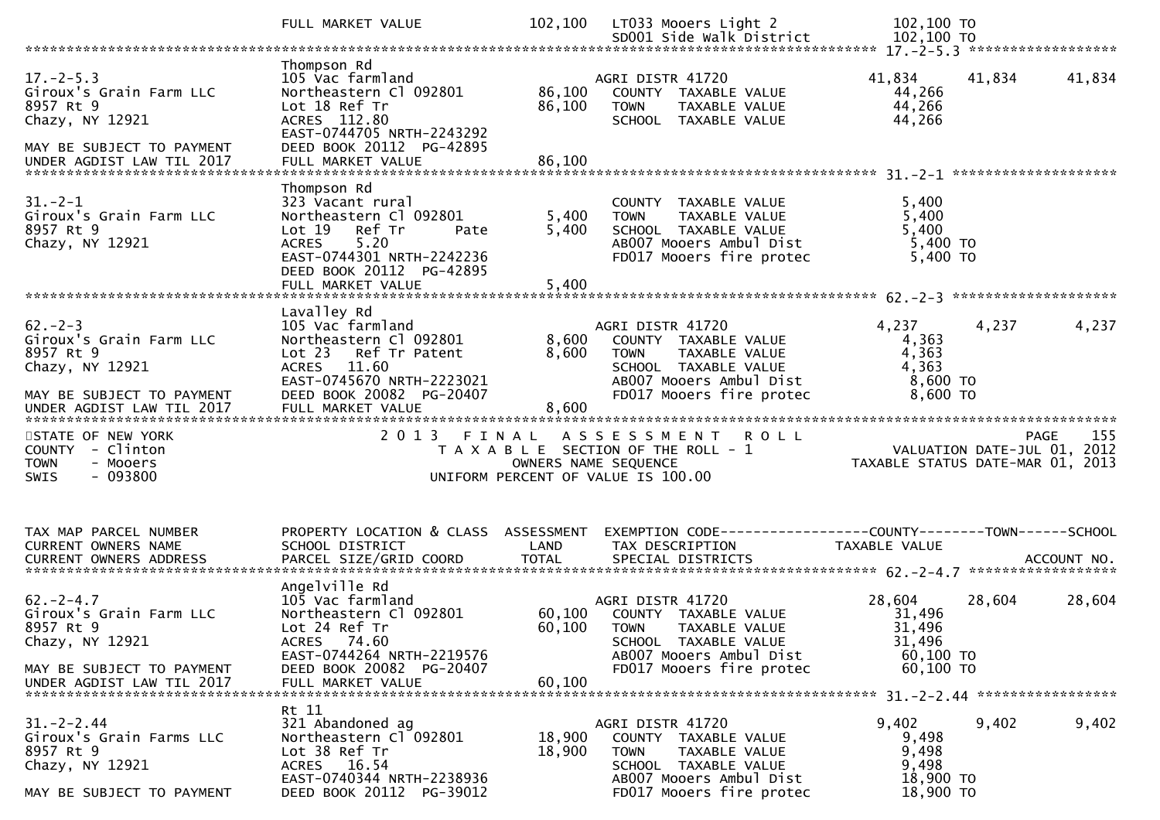|                                                                                                                                     | FULL MARKET VALUE                                                                                                                                                                           | 102,100                 | LT033 Mooers Light 2<br>SD001 Side Walk District                                                                                                        | 102,100 TO<br>102,100 TO                                                 |             |
|-------------------------------------------------------------------------------------------------------------------------------------|---------------------------------------------------------------------------------------------------------------------------------------------------------------------------------------------|-------------------------|---------------------------------------------------------------------------------------------------------------------------------------------------------|--------------------------------------------------------------------------|-------------|
|                                                                                                                                     |                                                                                                                                                                                             |                         |                                                                                                                                                         |                                                                          |             |
| $17. - 2 - 5.3$<br>Giroux's Grain Farm LLC<br>8957 Rt 9<br>Chazy, NY 12921<br>MAY BE SUBJECT TO PAYMENT                             | Thompson Rd<br>105 Vac farmland<br>Northeastern Cl 092801<br>Lot 18 Ref Tr<br>ACRES 112.80<br>EAST-0744705 NRTH-2243292<br>DEED BOOK 20112 PG-42895                                         | 86,100<br>86,100        | AGRI DISTR 41720<br>COUNTY TAXABLE VALUE<br>TAXABLE VALUE<br><b>TOWN</b><br>SCHOOL TAXABLE VALUE                                                        | 41,834<br>41,834<br>44,266<br>44,266<br>44,266                           | 41,834      |
| $31 - 2 - 1$<br>Giroux's Grain Farm LLC<br>8957 Rt 9<br>Chazy, NY 12921                                                             | Thompson Rd<br>323 Vacant rural<br>Northeastern Cl 092801<br>Lot 19<br>Ref Tr<br>Pate<br>5.20<br><b>ACRES</b><br>EAST-0744301 NRTH-2242236<br>DEED BOOK 20112 PG-42895<br>FULL MARKET VALUE | 5,400<br>5,400<br>5,400 | COUNTY TAXABLE VALUE<br>TAXABLE VALUE<br><b>TOWN</b><br>SCHOOL TAXABLE VALUE<br>AB007 Mooers Ambul Dist<br>FD017 Mooers fire protec                     | 5,400<br>5,400<br>5,400<br>$5,400$ TO<br>5,400 TO                        |             |
| $62 - 2 - 3$<br>Giroux's Grain Farm LLC<br>8957 Rt 9<br>Chazy, NY 12921<br>MAY BE SUBJECT TO PAYMENT<br>UNDER AGDIST LAW TIL 2017   | Lavalley Rd<br>105 Vac farmland<br>Northeastern Cl 092801<br>Lot 23<br>Ref Tr Patent<br>ACRES 11.60<br>EAST-0745670 NRTH-2223021<br>DEED BOOK 20082 PG-20407<br>FULL MARKET VALUE           | 8,600<br>8,600<br>8,600 | AGRI DISTR 41720<br>COUNTY TAXABLE VALUE<br>TAXABLE VALUE<br><b>TOWN</b><br>SCHOOL TAXABLE VALUE<br>AB007 Mooers Ambul Dist<br>FD017 Mooers fire protec | 4,237<br>4,237<br>4,363<br>4,363<br>4,363<br>$8,600$ TO<br>8,600 TO      | 4,237       |
| STATE OF NEW YORK<br>COUNTY - Clinton<br><b>TOWN</b><br>- Mooers<br>$-093800$<br>SWIS                                               | 2 0 1 3<br>FINAL                                                                                                                                                                            | OWNERS NAME SEQUENCE    | <b>ROLL</b><br>A S S E S S M E N T<br>T A X A B L E SECTION OF THE ROLL - 1<br>UNIFORM PERCENT OF VALUE IS 100.00                                       | VALUATION DATE-JUL 01, 2012<br>TAXABLE STATUS DATE-MAR 01, 2013          | 155<br>PAGE |
| TAX MAP PARCEL NUMBER<br>CURRENT OWNERS NAME                                                                                        | PROPERTY LOCATION & CLASS ASSESSMENT<br>SCHOOL DISTRICT                                                                                                                                     | LAND                    | EXEMPTION CODE-----------------COUNTY-------TOWN------SCHOOL<br>TAX DESCRIPTION                                                                         | TAXABLE VALUE                                                            |             |
| $62 - 2 - 4.7$<br>Giroux's Grain Farm LLC<br>8957 Rt 9<br>Chazy, NY 12921<br>MAY BE SUBJECT TO PAYMENT<br>UNDER AGDIST LAW TIL 2017 | Angelville Rd<br>105 Vac farmland<br>Northeastern Cl 092801<br>Lot 24 Ref Tr<br>ACRES 74.60<br>EAST-0744264 NRTH-2219576<br>DEED BOOK 20082 PG-20407<br>FULL MARKET VALUE                   | 60,100<br>60,100        | AGRI DISTR 41720<br>60,100 COUNTY TAXABLE VALUE<br>TOWN TAXABLE VALUE<br>SCHOOL TAXABLE VALUE<br>AB007 Mooers Ambul Dist<br>FD017 Mooers fire protec    | 28,604<br>28,604<br>31,496<br>31,496<br>31,496<br>60,100 TO<br>60,100 TO | 28,604      |
| $31. - 2 - 2.44$<br>Giroux's Grain Farms LLC<br>8957 Rt 9<br>Chazy, NY 12921<br>MAY BE SUBJECT TO PAYMENT                           | Rt 11<br>321 Abandoned ag<br>Northeastern Cl 092801<br>Lot 38 Ref Tr<br>ACRES 16.54<br>EAST-0740344 NRTH-2238936<br>DEED BOOK 20112 PG-39012                                                | 18,900<br>18,900        | AGRI DISTR 41720<br>COUNTY TAXABLE VALUE<br>TAXABLE VALUE<br><b>TOWN</b><br>SCHOOL TAXABLE VALUE<br>AB007 Mooers Ambul Dist<br>FD017 Mooers fire protec | 9,402<br>9,402<br>9,498<br>9,498<br>9,498<br>18,900 TO<br>18,900 TO      | 9,402       |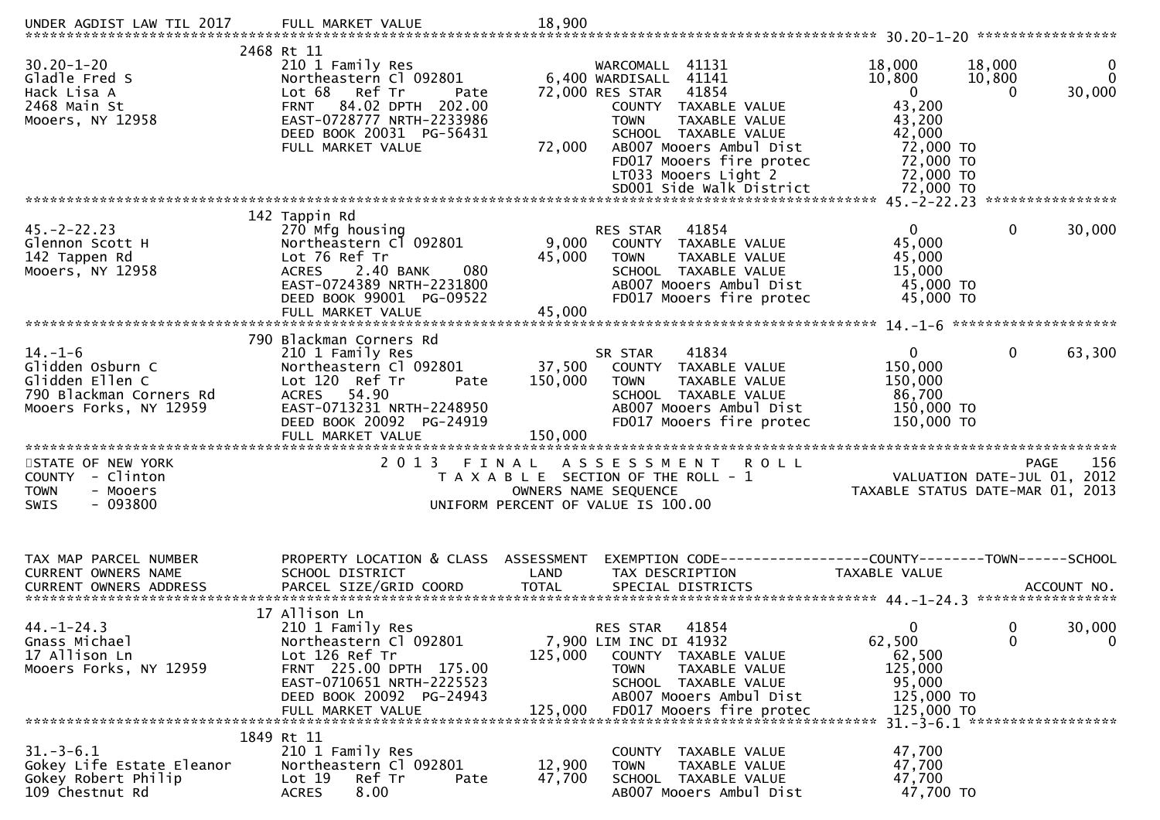| UNDER AGDIST LAW TIL 2017                                                                                                             | FULL MARKET VALUE                                                                                                                                                                                      | 18,900                    |                                                                                                                                                                                                                                                                 |                                                                                                                      |                                                                |
|---------------------------------------------------------------------------------------------------------------------------------------|--------------------------------------------------------------------------------------------------------------------------------------------------------------------------------------------------------|---------------------------|-----------------------------------------------------------------------------------------------------------------------------------------------------------------------------------------------------------------------------------------------------------------|----------------------------------------------------------------------------------------------------------------------|----------------------------------------------------------------|
| $30.20 - 1 - 20$<br>Gladle Fred S<br>Hack Lisa A<br>2468 Main St<br>Mooers, NY 12958                                                  | 2468 Rt 11<br>210 1 Family Res<br>Northeastern Cl 092801<br>Lot 68<br>Ref Tr<br>Pate<br>84.02 DPTH 202.00<br><b>FRNT</b><br>EAST-0728777 NRTH-2233986<br>DEED BOOK 20031 PG-56431<br>FULL MARKET VALUE | 72,000                    | WARCOMALL 41131<br>6,400 WARDISALL 41141<br>41854<br>72,000 RES STAR<br>COUNTY TAXABLE VALUE<br>TAXABLE VALUE<br><b>TOWN</b><br>SCHOOL TAXABLE VALUE<br>AB007 Mooers Ambul Dist<br>FD017 Mooers fire protec<br>LT033 Mooers Light 2<br>SD001 Side Walk District | 18,000<br>10,800<br>$\overline{0}$<br>43,200<br>43,200<br>42,000<br>72,000 TO<br>72,000 TO<br>72,000 TO<br>72,000 TO | 18,000<br>0<br>$\Omega$<br>10,800<br>30,000<br>0               |
|                                                                                                                                       | 142 Tappin Rd                                                                                                                                                                                          |                           |                                                                                                                                                                                                                                                                 |                                                                                                                      |                                                                |
| $45. -2 - 22.23$<br>Glennon Scott H<br>142 Tappen Rd<br>Mooers, NY 12958                                                              | 270 Mfg housing<br>Northeastern Cl 092801<br>Lot 76 Ref Tr<br>080<br><b>ACRES</b><br>2.40 BANK<br>EAST-0724389 NRTH-2231800<br>DEED BOOK 99001 PG-09522<br>FULL MARKET VALUE                           | 9,000<br>45,000<br>45,000 | RES STAR<br>41854<br>COUNTY TAXABLE VALUE<br><b>TOWN</b><br>TAXABLE VALUE<br>SCHOOL TAXABLE VALUE<br>AB007 Mooers Ambul Dist<br>FD017 Mooers fire protec                                                                                                        | $\mathbf{0}$<br>45,000<br>45,000<br>15,000<br>45,000 TO<br>45,000 TO                                                 | 0<br>30,000                                                    |
|                                                                                                                                       |                                                                                                                                                                                                        |                           |                                                                                                                                                                                                                                                                 |                                                                                                                      |                                                                |
| $14. - 1 - 6$<br>Glidden Osburn C<br>Glidden Ellen C<br>790 Blackman Corners Rd<br>Mooers Forks, NY 12959<br>************************ | 790 Blackman Corners Rd<br>210 1 Family Res<br>Northeastern Cl 092801<br>Lot 120 Ref Tr<br>Pate<br>ACRES 54.90<br>EAST-0713231 NRTH-2248950<br>DEED BOOK 20092 PG-24919                                | 150,000                   | 41834<br>SR STAR<br>37,500 COUNTY TAXABLE VALUE<br>TAXABLE VALUE<br><b>TOWN</b><br>SCHOOL TAXABLE VALUE<br>AB007 Mooers Ambul Dist<br>FD017 Mooers fire protec                                                                                                  | $\mathbf 0$<br>150,000<br>150,000<br>86,700<br>150,000 TO<br>150,000 TO                                              | $\mathbf{0}$<br>63,300                                         |
| STATE OF NEW YORK<br>COUNTY - Clinton<br><b>TOWN</b><br>- Mooers<br><b>SWIS</b><br>- 093800                                           | 2 0 1 3<br>FINAL                                                                                                                                                                                       |                           | ASSESSMENT ROLL<br>T A X A B L E SECTION OF THE ROLL - 1<br>OWNERS NAME SEQUENCE<br>UNIFORM PERCENT OF VALUE IS 100.00                                                                                                                                          | VALUATION DATE-JUL 01,                                                                                               | 156<br><b>PAGE</b><br>2012<br>TAXABLE STATUS DATE-MAR 01, 2013 |
| TAX MAP PARCEL NUMBER<br>CURRENT OWNERS NAME                                                                                          | PROPERTY LOCATION & CLASS ASSESSMENT<br>SCHOOL DISTRICT                                                                                                                                                | LAND                      | EXEMPTION CODE------------------COUNTY--------TOWN------SCHOOL<br>TAX DESCRIPTION                                                                                                                                                                               | TAXABLE VALUE                                                                                                        |                                                                |
|                                                                                                                                       |                                                                                                                                                                                                        |                           |                                                                                                                                                                                                                                                                 |                                                                                                                      |                                                                |
| $44. - 1 - 24.3$<br>Gnass Michael<br>17 Allison Ln<br>Mooers Forks, NY 12959                                                          | 17 Allison Ln<br>210 1 Family Res<br>Northeastern Cl 092801<br>Lot 126 Ref Tr<br>FRNT 225.00 DPTH 175.00<br>EAST-0710651 NRTH-2225523<br>DEED BOOK 20092 PG-24943<br>FULL MARKET VALUE                 | 125,000<br>125,000        | 41854<br>RES STAR<br>7,900 LIM INC DI 41932<br>COUNTY TAXABLE VALUE<br><b>TOWN</b><br>TAXABLE VALUE<br>SCHOOL TAXABLE VALUE<br>AB007 Mooers Ambul Dist<br>FD017 Mooers fire protec                                                                              | $\mathbf{0}$<br>62,500<br>62,500<br>125,000<br>95,000<br>125,000 TO<br>125,000 TO                                    | 30,000<br>0<br>0<br>$\mathbf 0$                                |
|                                                                                                                                       | 1849 Rt 11                                                                                                                                                                                             |                           |                                                                                                                                                                                                                                                                 |                                                                                                                      | $31. -3 - 6.1$ ********************                            |
| $31.-3-6.1$<br>Gokey Life Estate Eleanor<br>Gokey Robert Philip<br>109 Chestnut Rd                                                    | 210 1 Family Res<br>Northeastern Cl 092801<br>Lot 19<br>Ref Tr<br>Pate<br>8.00<br><b>ACRES</b>                                                                                                         | 12,900<br>47,700          | COUNTY TAXABLE VALUE<br>TAXABLE VALUE<br><b>TOWN</b><br>SCHOOL TAXABLE VALUE<br>AB007 Mooers Ambul Dist                                                                                                                                                         | 47,700<br>47,700<br>47,700<br>47,700 TO                                                                              |                                                                |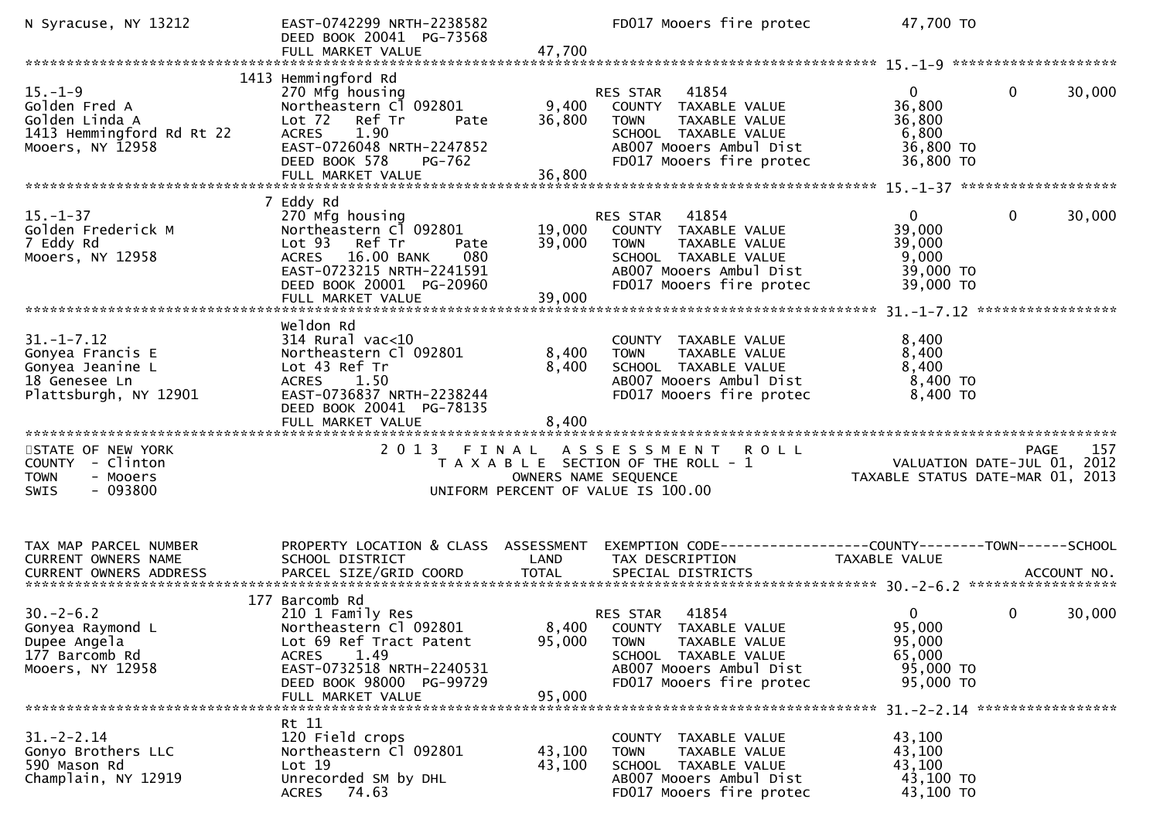| N Syracuse, NY 13212                                                                                                                                                                         | EAST-0742299 NRTH-2238582<br>DEED BOOK 20041 PG-73568                                                                                                                                       |                         | FD017 Mooers fire protec                                                                                                                                       | 47,700 TO                                                                            |        |
|----------------------------------------------------------------------------------------------------------------------------------------------------------------------------------------------|---------------------------------------------------------------------------------------------------------------------------------------------------------------------------------------------|-------------------------|----------------------------------------------------------------------------------------------------------------------------------------------------------------|--------------------------------------------------------------------------------------|--------|
|                                                                                                                                                                                              |                                                                                                                                                                                             |                         |                                                                                                                                                                |                                                                                      |        |
| $15. - 1 - 9$<br>Golden Fred A<br>Golden Linda A<br>1413 Hemmingford Rd Rt 22<br>Mooers, NY 12958                                                                                            | 1413 Hemmingford Rd<br>270 Mfg housing<br>Northeastern Cl 092801<br>Lot 72<br>Ref Tr<br>Pate<br><b>ACRES</b><br>1.90<br>EAST-0726048 NRTH-2247852<br>DEED BOOK 578<br>PG-762                | 9,400<br>36,800         | RES STAR 41854<br>COUNTY TAXABLE VALUE<br>TAXABLE VALUE<br><b>TOWN</b><br>SCHOOL TAXABLE VALUE<br>AB007 Mooers Ambul Dist<br>FD017 Mooers fire protec          | 0<br>0<br>36,800<br>36,800<br>6,800<br>36,800 TO<br>36,800 TO                        | 30,000 |
|                                                                                                                                                                                              |                                                                                                                                                                                             |                         |                                                                                                                                                                |                                                                                      |        |
| $15. - 1 - 37$<br>Golden Frederick M<br>7 Eddy Rd<br>Mooers, NY 12958                                                                                                                        | 7 Eddy Rd<br>270 Mfg housing<br>Northeastern Cl 092801<br>Lot <sub>93</sub><br>Ref Tr<br>Pate<br>16.00 BANK<br>080<br><b>ACRES</b><br>EAST-0723215 NRTH-2241591<br>DEED BOOK 20001 PG-20960 | 19,000<br>39,000        | RES STAR 41854<br>COUNTY TAXABLE VALUE<br>TAXABLE VALUE<br><b>TOWN</b><br>SCHOOL TAXABLE VALUE<br>AB007 Mooers Ambul Dist<br>FD017 Mooers fire protec          | 0<br>$\mathbf{0}$<br>39,000<br>39,000<br>9,000<br>39,000 TO<br>39,000 TO             | 30,000 |
|                                                                                                                                                                                              |                                                                                                                                                                                             |                         |                                                                                                                                                                |                                                                                      |        |
| $31. - 1 - 7.12$<br>Gonyea Francis E<br>Gonyea Jeanine L<br>18 Genesee Ln<br>Plattsburgh, NY 12901                                                                                           | Weldon Rd<br>$314$ Rural vac<10<br>Northeastern Cl 092801<br>Lot 43 Ref Tr<br>1.50<br><b>ACRES</b><br>EAST-0736837 NRTH-2238244<br>DEED BOOK 20041 PG-78135<br>FULL MARKET VALUE            | 8,400<br>8,400<br>8,400 | COUNTY TAXABLE VALUE<br>TAXABLE VALUE<br><b>TOWN</b><br>SCHOOL TAXABLE VALUE<br>AB007 Mooers Ambul Dist<br>FD017 Mooers fire protec                            | 8,400<br>8,400<br>8,400<br>$8,400$ TO<br>8,400 TO                                    |        |
|                                                                                                                                                                                              |                                                                                                                                                                                             |                         |                                                                                                                                                                |                                                                                      |        |
| STATE OF NEW YORK<br>COUNTY - Clinton<br><b>TOWN</b><br>- Mooers<br>$-093800$<br><b>SWIS</b>                                                                                                 | 2013 FINAL                                                                                                                                                                                  | OWNERS NAME SEQUENCE    | A S S E S S M E N T<br><b>ROLL</b><br>T A X A B L E SECTION OF THE ROLL - 1<br>UNIFORM PERCENT OF VALUE IS 100.00                                              | <b>PAGE</b><br>VALUATION DATE-JUL 01, 2012<br>TAXABLE STATUS DATE-MAR 01, 2013       | 157    |
| TAX MAP PARCEL NUMBER<br>CURRENT OWNERS NAME<br>.CURRENT OWNERS ADDRESS PARCEL SIZE/GRID COORD TOTAL SPECIAL DISTRICTS ACCOUNT NO ACCOUNT NO ACCOUNT NO ACCOUNT NO<br>CURRENT OWNERS ADDRESS | PROPERTY LOCATION & CLASS ASSESSMENT<br>SCHOOL DISTRICT                                                                                                                                     | LAND                    | TAX DESCRIPTION                                                                                                                                                | EXEMPTION CODE-----------------COUNTY-------TOWN------SCHOOL<br><b>TAXABLE VALUE</b> |        |
|                                                                                                                                                                                              | 177 Barcomb Rd                                                                                                                                                                              |                         |                                                                                                                                                                |                                                                                      |        |
| $30. -2 - 6.2$<br>Gonyea Raymond L<br>Dupee Angela<br>177 Barcomb Rd<br>Mooers, NY 12958                                                                                                     | 210 1 Family Res<br>Northeastern Cl 092801<br>Lot 69 Ref Tract Patent<br>1.49<br><b>ACRES</b><br>EAST-0732518 NRTH-2240531<br>DEED BOOK 98000 PG-99729<br>FULL MARKET VALUE                 | 95,000<br>95,000        | 41854<br>RES STAR<br>8,400 COUNTY TAXABLE VALUE<br><b>TOWN</b><br>TAXABLE VALUE<br>SCHOOL TAXABLE VALUE<br>AB007 Mooers Ambul Dist<br>FD017 Mooers fire protec | $\mathbf{0}$<br>0<br>95,000<br>95,000<br>65,000<br>95,000 TO<br>95,000 TO            | 30,000 |
|                                                                                                                                                                                              |                                                                                                                                                                                             |                         |                                                                                                                                                                |                                                                                      |        |
| $31. - 2 - 2.14$<br>Gonyo Brothers LLC<br>590 Mason Rd<br>Champlain, NY 12919                                                                                                                | Rt 11<br>120 Field crops<br>Northeastern Cl 092801<br>Lot 19<br>Unrecorded SM by DHL<br>74.63<br><b>ACRES</b>                                                                               | 43,100<br>43,100        | COUNTY TAXABLE VALUE<br><b>TOWN</b><br>TAXABLE VALUE<br>SCHOOL TAXABLE VALUE<br>AB007 Mooers Ambul Dist<br>FD017 Mooers fire protec                            | 43,100<br>43,100<br>43,100<br>43,100 TO<br>43,100 TO                                 |        |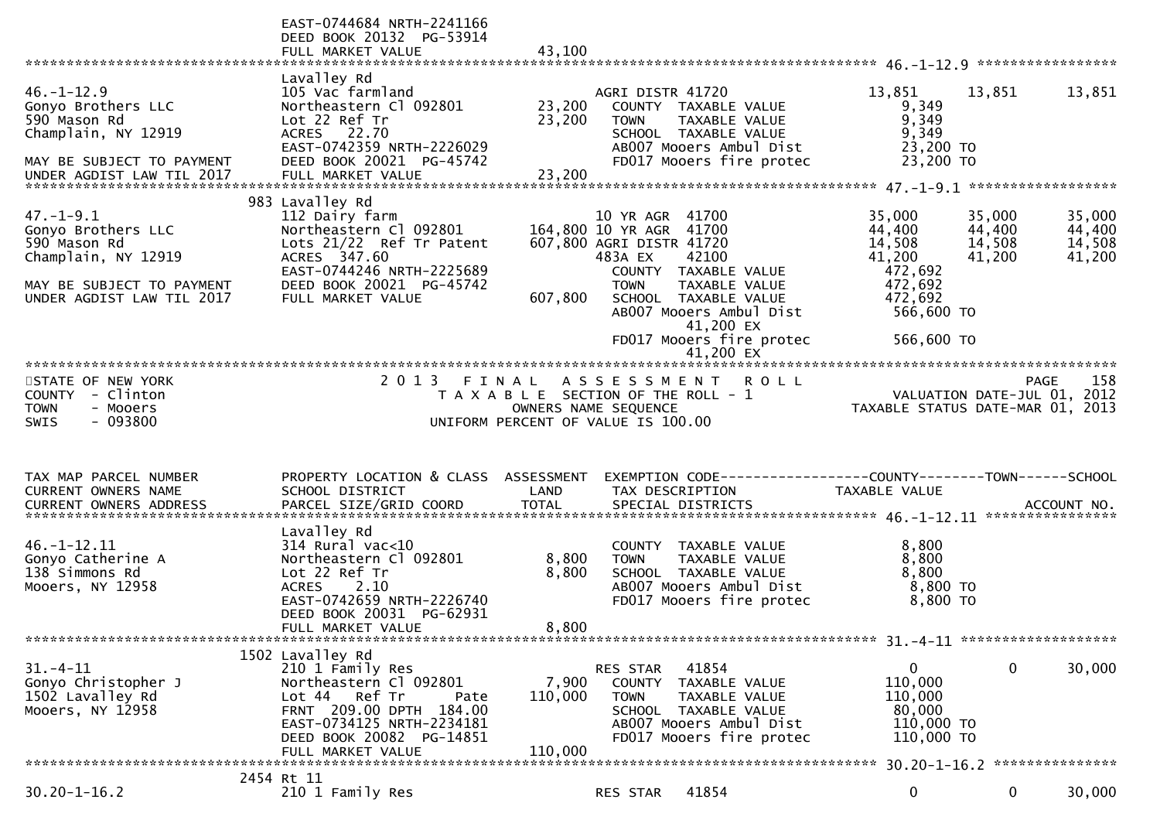|                                                                                                        | EAST-0744684 NRTH-2241166<br>DEED BOOK 20132 PG-53914<br>FULL MARKET VALUE                                                                                                       | 43,100                  |                                                                                                                                           |                                                            |                                                                              |
|--------------------------------------------------------------------------------------------------------|----------------------------------------------------------------------------------------------------------------------------------------------------------------------------------|-------------------------|-------------------------------------------------------------------------------------------------------------------------------------------|------------------------------------------------------------|------------------------------------------------------------------------------|
|                                                                                                        | Lavalley Rd                                                                                                                                                                      |                         |                                                                                                                                           |                                                            |                                                                              |
| $46. - 1 - 12.9$<br>Gonyo Brothers LLC<br>590 Mason Rd<br>Champlain, NY 12919                          | 105 Vac farmland<br>Northeastern Cl 092801<br>Lot 22 Ref Tr<br>ACRES 22.70<br>EAST-0742359 NRTH-2226029                                                                          | 23,200<br>23,200        | AGRI DISTR 41720<br>COUNTY TAXABLE VALUE<br><b>TOWN</b><br>TAXABLE VALUE<br>SCHOOL TAXABLE VALUE<br>AB007 Mooers Ambul Dist               | 13,851<br>9,349<br>9,349<br>9,349<br>23,200 TO             | 13,851<br>13,851                                                             |
| MAY BE SUBJECT TO PAYMENT<br>UNDER AGDIST LAW TIL 2017                                                 | DEED BOOK 20021 PG-45742<br>FULL MARKET VALUE                                                                                                                                    | 23,200                  | FD017 Mooers fire protec                                                                                                                  | 23,200 TO                                                  |                                                                              |
| $47. - 1 - 9.1$<br>Gonyo Brothers LLC<br>590 Mason Rd<br>Champlain, NY 12919                           | 983 Lavalley Rd<br>112 Dairy farm<br>Northeastern Cl 092801<br>Lots $21/22$ Ref Tr Patent<br>ACRES 347.60                                                                        |                         | 10 YR AGR 41700<br>164,800 10 YR AGR 41700<br>607,800 AGRI DISTR 41720<br>42100<br>483A EX                                                | 35,000<br>44,400<br>14,508<br>41,200                       | 35,000<br>35,000<br>44,400<br>44,400<br>14,508<br>14,508<br>41,200<br>41,200 |
| MAY BE SUBJECT TO PAYMENT<br>UNDER AGDIST LAW TIL 2017                                                 | EAST-0744246 NRTH-2225689<br>DEED BOOK 20021 PG-45742<br>FULL MARKET VALUE                                                                                                       | 607,800                 | COUNTY TAXABLE VALUE<br><b>TOWN</b><br>TAXABLE VALUE<br>SCHOOL TAXABLE VALUE<br>AB007 Mooers Ambul Dist<br>41,200 EX                      | 472,692<br>472,692<br>472,692<br>566,600 TO                |                                                                              |
|                                                                                                        |                                                                                                                                                                                  |                         | FD017 Mooers fire protec                                                                                                                  | 566,600 TO                                                 |                                                                              |
| STATE OF NEW YORK<br>- Clinton<br><b>COUNTY</b><br>- Mooers<br><b>TOWN</b><br>$-093800$<br><b>SWIS</b> | 2 0 1 3                                                                                                                                                                          | FINAL                   | A S S E S S M E N T<br><b>ROLL</b><br>T A X A B L E SECTION OF THE ROLL - 1<br>OWNERS NAME SEQUENCE<br>UNIFORM PERCENT OF VALUE IS 100.00 | VALUATION DATE-JUL 01,<br>TAXABLE STATUS DATE-MAR 01, 2013 | 158<br><b>PAGE</b><br>2012                                                   |
|                                                                                                        |                                                                                                                                                                                  |                         |                                                                                                                                           |                                                            |                                                                              |
| TAX MAP PARCEL NUMBER<br>CURRENT OWNERS NAME                                                           | PROPERTY LOCATION & CLASS ASSESSMENT<br>SCHOOL DISTRICT                                                                                                                          | LAND                    | EXEMPTION CODE-----------------COUNTY-------TOWN------SCHOOL<br>TAX DESCRIPTION                                                           | <b>TAXABLE VALUE</b>                                       |                                                                              |
|                                                                                                        |                                                                                                                                                                                  |                         |                                                                                                                                           |                                                            |                                                                              |
| 46. -1 -12.11<br>Gonyo Catherine A<br>138 Simmons Rd<br>Mooers, NY 12958                               | Lavalley Rd<br>314 Rural vac<10<br>Northeastern Cl 092801<br>Lot 22 Ref Tr<br>2.10<br><b>ACRES</b><br>EAST-0742659 NRTH-2226740<br>DEED BOOK 20031 PG-62931<br>FULL MARKET VALUE | 8,800<br>8,800<br>8,800 | COUNTY TAXABLE VALUE<br>TAXABLE VALUE<br><b>TOWN</b><br>SCHOOL TAXABLE VALUE<br>AB007 Mooers Ambul Dist<br>FD017 Mooers fire protec       | 8,800<br>8,800<br>8,800<br>8,800 TO<br>8,800 TO            |                                                                              |
|                                                                                                        |                                                                                                                                                                                  |                         |                                                                                                                                           |                                                            |                                                                              |
| $31. - 4 - 11$<br>Gonyo Christopher J<br>1502 Lavalley Rd<br>Mooers, NY 12958                          | 1502 Lavalley Rd<br>210 1 Family Res<br>Northeastern Cl 092801<br>Lot 44 Ref Tr<br>Pate<br>FRNT 209.00 DPTH 184.00                                                               | 7,900<br>110,000        | 41854<br>RES STAR<br>COUNTY TAXABLE VALUE<br>TAXABLE VALUE<br><b>TOWN</b><br>SCHOOL TAXABLE VALUE                                         | $\mathbf 0$<br>110,000<br>110,000<br>80,000                | 30,000<br>0                                                                  |
|                                                                                                        | EAST-0734125 NRTH-2234181                                                                                                                                                        |                         | AB007 Mooers Ambul Dist                                                                                                                   | 110,000 TO                                                 |                                                                              |
|                                                                                                        | DEED BOOK 20082 PG-14851<br>FULL MARKET VALUE                                                                                                                                    | 110,000                 | FD017 Mooers fire protec                                                                                                                  | 110,000 TO                                                 |                                                                              |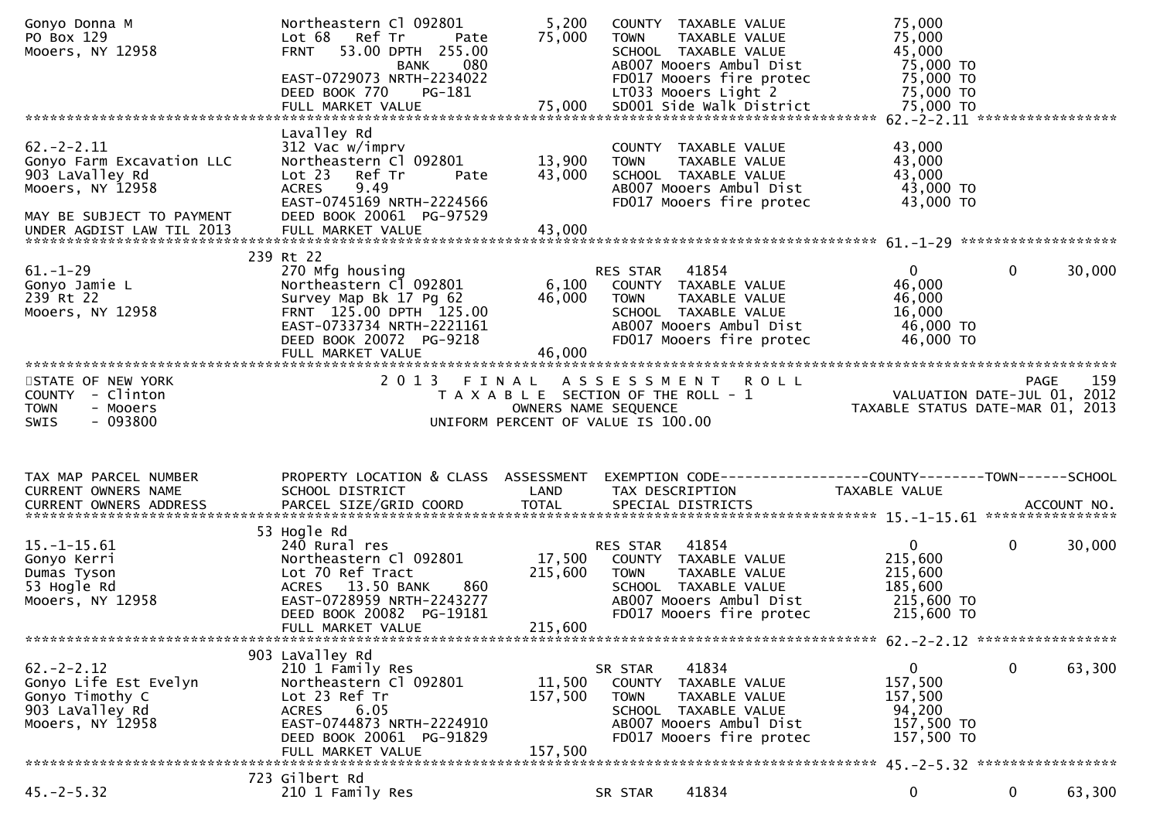| Gonyo Donna M<br>PO Box 129<br>Mooers, NY 12958                                                                                               | Northeastern Cl 092801<br>Lot 68 Ref Tr<br>Pate<br>53.00 DPTH 255.00<br><b>FRNT</b><br><b>BANK</b><br>080<br>EAST-0729073 NRTH-2234022<br>PG-181<br>DEED BOOK 770                        | 5,200<br>75,000              | COUNTY TAXABLE VALUE<br><b>TOWN</b><br>TAXABLE VALUE<br>SCHOOL TAXABLE VALUE<br>AB007 Mooers Ambul Dist<br>FD017 Mooers fire protec<br>LT033 Mooers Light 2  | 75,000<br>75,000<br>45,000<br>75,000 TO<br>75,000 TO<br>75,000 TO           |              |        |
|-----------------------------------------------------------------------------------------------------------------------------------------------|------------------------------------------------------------------------------------------------------------------------------------------------------------------------------------------|------------------------------|--------------------------------------------------------------------------------------------------------------------------------------------------------------|-----------------------------------------------------------------------------|--------------|--------|
|                                                                                                                                               |                                                                                                                                                                                          |                              |                                                                                                                                                              |                                                                             |              |        |
| $62 - 2 - 2.11$<br>Gonyo Farm Excavation LLC<br>903 LaValley Rd<br>Mooers, NY 12958<br>MAY BE SUBJECT TO PAYMENT<br>UNDER AGDIST LAW TIL 2013 | Lavalley Rd<br>312 Vac w/imprv<br>Northeastern Cl 092801<br>Ref Tr<br>Lot 23<br>Pate<br>9.49<br><b>ACRES</b><br>EAST-0745169 NRTH-2224566<br>DEED BOOK 20061 PG-97529                    | 13,900<br>43,000             | COUNTY TAXABLE VALUE<br><b>TOWN</b><br>TAXABLE VALUE<br>SCHOOL TAXABLE VALUE<br>AB007 Mooers Ambul Dist<br>FD017 Mooers fire protec                          | 43,000<br>43,000<br>43,000<br>43,000 TO<br>43,000 TO                        |              |        |
| $61. - 1 - 29$<br>Gonyo Jamie L<br>239 Rt 22<br>Mooers, NY 12958                                                                              | 239 Rt 22<br>270 Mfg housing<br>Northeastern Cl 092801<br>Survey Map Bk 17 Pg 62<br>FRNT 125.00 DPTH 125.00<br>EAST-0733734 NRTH-2221161<br>DEED BOOK 20072 PG-9218<br>FULL MARKET VALUE | 6,100<br>46,000<br>46,000    | <b>RES STAR 41854</b><br>COUNTY TAXABLE VALUE<br><b>TOWN</b><br>TAXABLE VALUE<br>SCHOOL TAXABLE VALUE<br>AB007 Mooers Ambul Dist<br>FD017 Mooers fire protec | $\mathbf{0}$<br>46,000<br>46,000<br>16,000<br>46,000 TO<br>46,000 TO        | $\mathbf{0}$ | 30,000 |
| STATE OF NEW YORK<br>COUNTY - Clinton<br><b>TOWN</b><br>- Mooers<br>$-093800$<br>SWIS                                                         | 2013 FINAL                                                                                                                                                                               | OWNERS NAME SEQUENCE         | A S S E S S M E N T R O L L<br>T A X A B L E SECTION OF THE ROLL - 1<br>UNIFORM PERCENT OF VALUE IS 100.00                                                   | VALUATION DATE-JUL 01, 2012<br>TAXABLE STATUS DATE-MAR 01, 2013             | <b>PAGE</b>  | 159    |
| TAX MAP PARCEL NUMBER                                                                                                                         | PROPERTY LOCATION & CLASS ASSESSMENT                                                                                                                                                     |                              | EXEMPTION CODE------------------COUNTY--------TOWN------SCHOOL                                                                                               |                                                                             |              |        |
| CURRENT OWNERS NAME                                                                                                                           | SCHOOL DISTRICT                                                                                                                                                                          | LAND                         | TAX DESCRIPTION                                                                                                                                              | TAXABLE VALUE                                                               |              |        |
| $15. - 1 - 15.61$<br>Gonyo Kerri<br>Dumas Tyson<br>53 Hogle Rd<br>Mooers, NY 12958                                                            | 53 Hogle Rd<br>240 Rural res<br>Northeastern Cl 092801<br>Lot 70 Ref Tract<br>ACRES 13.50 BANK<br>860<br>EAST-0728959 NRTH-2243277<br>DEED BOOK 20082 PG-19181<br>FULL MARKET VALUE      | 17,500<br>215,600<br>215,600 | RES STAR<br>41854<br>COUNTY TAXABLE VALUE<br>TAXABLE VALUE<br><b>TOWN</b><br>SCHOOL TAXABLE VALUE<br>AB007 Mooers Ambul Dist<br>FD017 Mooers fire protec     | $\overline{0}$<br>215,600<br>215,600<br>185,600<br>215,600 TO<br>215,600 TO | 0            | 30,000 |
| $62 - 2 - 2.12$<br>Gonyo Life Est Evelyn<br>Gonyo Timothy C<br>903 LaValley Rd<br>Mooers, NY 12958                                            | 903 LaValley Rd<br>210 1 Family Res<br>Northeastern Cl 092801<br>Lot 23 Ref Tr<br>6.05<br><b>ACRES</b><br>EAST-0744873 NRTH-2224910<br>DEED BOOK 20061 PG-91829<br>FULL MARKET VALUE     | 11,500<br>157,500<br>157,500 | 41834<br>SR STAR<br>COUNTY TAXABLE VALUE<br>TAXABLE VALUE<br><b>TOWN</b><br>SCHOOL TAXABLE VALUE<br>AB007 Mooers Ambul Dist<br>FD017 Mooers fire protec      | 0<br>157,500<br>157,500<br>94,200<br>157,500 TO<br>157,500 TO               | 0            | 63,300 |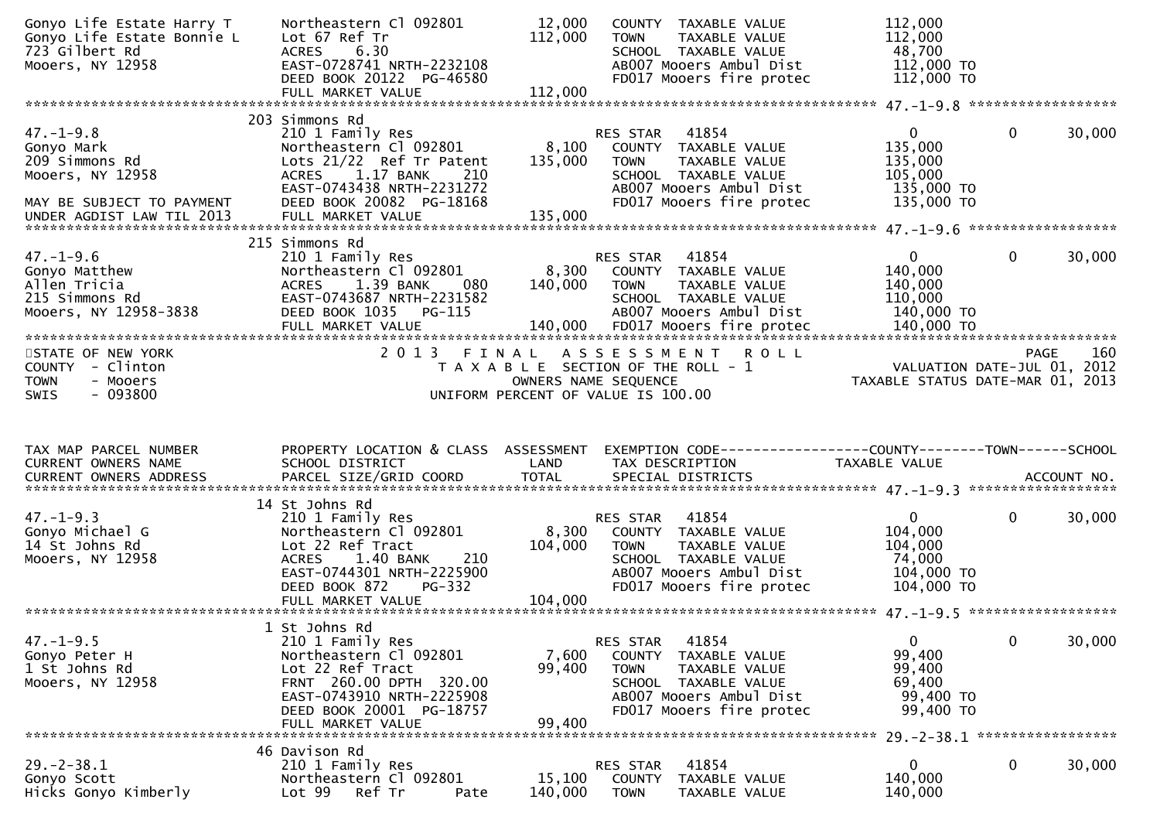| Gonyo Life Estate Harry T<br>Gonyo Life Estate Bonnie L<br>723 Gilbert Rd<br>Mooers, NY 12958    | Northeastern Cl 092801<br>Lot 67 Ref Tr<br>6.30<br><b>ACRES</b><br>EAST-0728741 NRTH-2232108<br>DEED BOOK 20122 PG-46580                                                                 | 12,000<br>112,000         | COUNTY TAXABLE VALUE<br>TAXABLE VALUE<br><b>TOWN</b><br>SCHOOL TAXABLE VALUE<br>AB007 Mooers Ambul Dist<br>FD017 Mooers fire protec                                | 112,000<br>112,000<br>48,700<br>112,000 TO<br>112,000 TO                  |              |             |
|--------------------------------------------------------------------------------------------------|------------------------------------------------------------------------------------------------------------------------------------------------------------------------------------------|---------------------------|--------------------------------------------------------------------------------------------------------------------------------------------------------------------|---------------------------------------------------------------------------|--------------|-------------|
|                                                                                                  |                                                                                                                                                                                          |                           |                                                                                                                                                                    |                                                                           |              |             |
| $47. - 1 - 9.8$<br>Gonyo Mark<br>209 Simmons Rd<br>Mooers, NY 12958<br>MAY BE SUBJECT TO PAYMENT | 203 Simmons Rd<br>210 1 Family Res<br>Northeastern Cl 092801<br>Lots 21/22 Ref Tr Patent<br>ACRES 1.17 BANK<br>210<br>EAST-0743438 NRTH-2231272<br>DEED BOOK 20082 PG-18168              | 8,100<br>135,000          | RES STAR<br>41854<br>COUNTY TAXABLE VALUE<br>TAXABLE VALUE<br>TOWN<br>SCHOOL TAXABLE VALUE<br>AB007 Mooers Ambul Dist<br>FD017 Mooers fire protec                  | $\mathbf{0}$<br>135,000<br>135,000<br>105,000<br>135,000 TO<br>135,000 TO | $\mathbf 0$  | 30,000      |
| UNDER AGDIST LAW TIL 2013                                                                        |                                                                                                                                                                                          |                           |                                                                                                                                                                    |                                                                           |              |             |
| $47. - 1 - 9.6$<br>Gonyo Matthew<br>Allen Tricia<br>215 Simmons Rd<br>Mooers, NY 12958-3838      | 215 Simmons Rd<br>210 1 Family Res<br>Northeastern Cl 092801<br>ACRES 1.39 BANK<br>080<br>EAST-0743687 NRTH-2231582<br>DEED BOOK 1035 PG-115                                             | 8,300<br>140,000          | RES STAR<br>41854<br>COUNTY TAXABLE VALUE<br><b>TOWN</b><br>TAXABLE VALUE<br>SCHOOL TAXABLE VALUE<br>AB007 Mooers Ambul Dist                                       | $\mathbf{0}$<br>140,000<br>140,000<br>110,000<br>140,000 TO               | $\mathbf 0$  | 30,000      |
|                                                                                                  |                                                                                                                                                                                          |                           |                                                                                                                                                                    |                                                                           |              |             |
| STATE OF NEW YORK<br>COUNTY - Clinton<br>- Mooers<br><b>TOWN</b><br>$-093800$<br>SWIS            |                                                                                                                                                                                          |                           | 2013 FINAL ASSESSMENT ROLL<br>T A X A B L E SECTION OF THE ROLL - 1<br>OWNERS NAME SEQUENCE<br>UNIFORM PERCENT OF VALUE IS 100.00                                  | VALUATION DATE-JUL 01, 2012<br>TAXABLE STATUS DATE-MAR 01, 2013           | PAGE         | 160         |
|                                                                                                  |                                                                                                                                                                                          |                           |                                                                                                                                                                    |                                                                           |              |             |
| TAX MAP PARCEL NUMBER<br>CURRENT OWNERS NAME<br><b>CURRENT OWNERS ADDRESS</b>                    | PROPERTY LOCATION & CLASS ASSESSMENT<br>SCHOOL DISTRICT<br>PARCEL SIZE/GRID COORD                                                                                                        | LAND<br><b>TOTAL</b>      | EXEMPTION CODE------------------COUNTY-------TOWN------SCHOOL<br>TAX DESCRIPTION<br>SPECIAL DISTRICTS                                                              | TAXABLE VALUE                                                             |              | ACCOUNT NO. |
|                                                                                                  | 14 St Johns Rd                                                                                                                                                                           |                           |                                                                                                                                                                    |                                                                           |              |             |
| $47. - 1 - 9.3$<br>Gonyo Michael G<br>14 St Johns Rd<br>Mooers, NY 12958                         | 210 1 Family Res<br>Northeastern Cl 092801<br>Lot 22 Ref Tract<br>ACRES 1.40 BANK<br>210<br>EAST-0744301 NRTH-2225900                                                                    | 8,300<br>104,000          | 41854<br>RES STAR<br>COUNTY TAXABLE VALUE<br><b>TOWN</b><br>TAXABLE VALUE<br>SCHOOL TAXABLE VALUE<br>AB007 Mooers Ambul Dist                                       | $\mathbf{0}$<br>104,000<br>104,000<br>74,000<br>104,000 TO                | $\mathbf{0}$ | 30,000      |
|                                                                                                  | DEED BOOK 872<br><b>PG-332</b><br>FULL MARKET VALUE                                                                                                                                      | 104,000                   | FD017 Mooers fire protec                                                                                                                                           | 104,000 TO                                                                |              |             |
|                                                                                                  |                                                                                                                                                                                          |                           |                                                                                                                                                                    |                                                                           |              |             |
| $47. - 1 - 9.5$<br>Gonyo Peter H<br>1 St Johns Rd<br>Mooers, NY 12958                            | 1 St Johns Rd<br>210 1 Family Res<br>Northeastern Cl 092801<br>Lot 22 Ref Tract<br>FRNT 260.00 DPTH 320.00<br>EAST-0743910 NRTH-2225908<br>DEED BOOK 20001 PG-18757<br>FULL MARKET VALUE | 7,600<br>99,400<br>99,400 | 41854<br>RES STAR<br><b>COUNTY</b><br>TAXABLE VALUE<br>TAXABLE VALUE<br><b>TOWN</b><br>SCHOOL TAXABLE VALUE<br>AB007 Mooers Ambul Dist<br>FD017 Mooers fire protec | $\mathbf{0}$<br>99,400<br>99,400<br>69,400<br>99,400 TO<br>99,400 TO      | $\mathbf 0$  | 30,000      |
|                                                                                                  | 46 Davison Rd                                                                                                                                                                            |                           |                                                                                                                                                                    |                                                                           |              |             |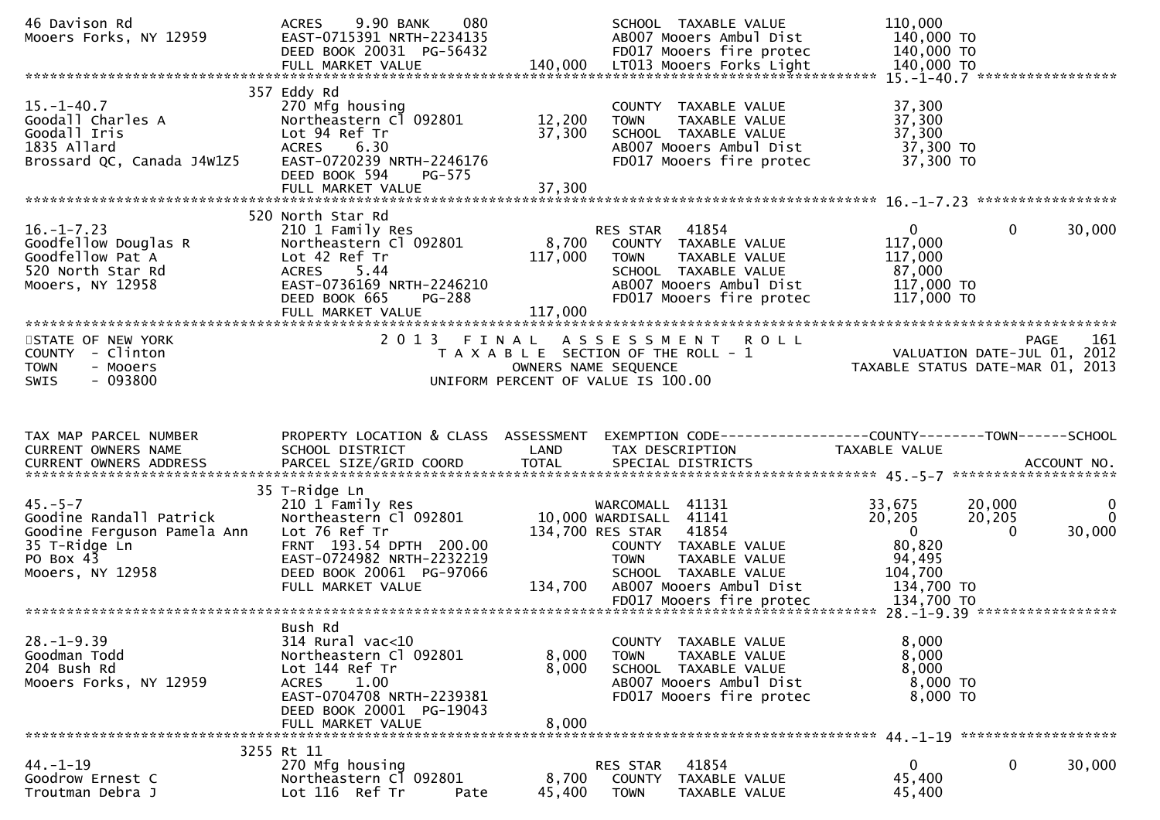| 46 Davison Rd<br>Mooers Forks, NY 12959                                                                                   | 9.90 BANK<br>080<br><b>ACRES</b><br>EAST-0715391 NRTH-2234135<br>DEED BOOK 20031 PG-56432                                                                                             |                             | SCHOOL TAXABLE VALUE<br>AB007 Mooers Ambul Dist<br>FD017 Mooers fire protec                                                                                                                                | 110,000<br>140,000 TO<br>140,000 TO                                                           |                       |                                   |
|---------------------------------------------------------------------------------------------------------------------------|---------------------------------------------------------------------------------------------------------------------------------------------------------------------------------------|-----------------------------|------------------------------------------------------------------------------------------------------------------------------------------------------------------------------------------------------------|-----------------------------------------------------------------------------------------------|-----------------------|-----------------------------------|
| $15. - 1 - 40.7$<br>Goodall Charles A<br>Goodall Iris<br>1835 Allard<br>Brossard QC, Canada J4W1Z5                        | 357 Eddy Rd<br>270 Mfg housing<br>Northeastern Cl 092801<br>Lot 94 Ref Tr<br>6.30<br><b>ACRES</b><br>EAST-0720239 NRTH-2246176<br>DEED BOOK 594<br>PG-575                             | 12,200<br>37,300            | COUNTY TAXABLE VALUE<br>TAXABLE VALUE<br><b>TOWN</b><br>SCHOOL TAXABLE VALUE<br>AB007 Mooers Ambul Dist<br>FD017 Mooers fire protec                                                                        | 37,300<br>37,300<br>37,300<br>37,300 TO<br>37,300 TO                                          |                       |                                   |
| $16. - 1 - 7.23$<br>Goodfellow Douglas R<br>Goodfellow Pat A<br>520 North Star Rd<br>Mooers, NY 12958                     | 520 North Star Rd<br>210 1 Family Res<br>Northeastern Cl 092801<br>Lot 42 Ref Tr<br>ACRES 5.44<br>EAST-0736169 NRTH-2246210<br>DEED BOOK 665<br><b>PG-288</b><br>FULL MARKET VALUE    | 8,700<br>117,000<br>117,000 | RES STAR<br>41854<br>COUNTY TAXABLE VALUE<br>TAXABLE VALUE<br><b>TOWN</b><br>SCHOOL TAXABLE VALUE<br>AB007 Mooers Ambul Dist<br>FD017 Mooers fire protec                                                   | 0<br>117,000<br>117,000<br>87,000<br>117,000 TO<br>117,000 TO                                 | $\mathbf 0$           | 30,000                            |
| STATE OF NEW YORK<br>COUNTY - Clinton<br><b>TOWN</b><br>- Mooers<br>- 093800<br>SWIS                                      | 2 0 1 3<br>FINAL                                                                                                                                                                      |                             | A S S E S S M E N T<br><b>ROLL</b><br>T A X A B L E SECTION OF THE ROLL - 1<br>OWNERS NAME SEQUENCE<br>UNIFORM PERCENT OF VALUE IS 100.00                                                                  |                                                                                               |                       | 161<br><b>PAGE</b>                |
|                                                                                                                           |                                                                                                                                                                                       |                             |                                                                                                                                                                                                            |                                                                                               |                       |                                   |
| TAX MAP PARCEL NUMBER<br>CURRENT OWNERS NAME                                                                              | PROPERTY LOCATION & CLASS ASSESSMENT<br>SCHOOL DISTRICT                                                                                                                               | LAND                        | EXEMPTION CODE------------------COUNTY--------TOWN------SCHOOL<br>TAX DESCRIPTION                                                                                                                          | TAXABLE VALUE                                                                                 |                       |                                   |
| $45. - 5 - 7$<br>Goodine Randall Patrick<br>Goodine Ferguson Pamela Ann<br>35 T-Ridge Ln<br>PO Box 43<br>Mooers, NY 12958 | 35 T-Ridge Ln<br>210 1 Family Res<br>Northeastern Cl 092801<br>Lot 76 Ref Tr<br>FRNT 193.54 DPTH 200.00<br>EAST-0724982 NRTH-2232219<br>DEED BOOK 20061 PG-97066<br>FULL MARKET VALUE | 134,700                     | WARCOMALL 41131<br>10,000 WARDISALL 41141<br>134,700 RES STAR 41854<br>COUNTY TAXABLE VALUE<br><b>TOWN</b><br>TAXABLE VALUE<br>SCHOOL TAXABLE VALUE<br>AB007 Mooers Ambul Dist<br>FD017 Mooers fire protec | 33,675<br>20,205<br>$\overline{0}$<br>80,820<br>94,495<br>104,700<br>134,700 TO<br>134,700 TO | 20,000<br>20,205<br>0 | $\mathbf 0$<br>$\Omega$<br>30,000 |
| $28. - 1 - 9.39$<br>Goodman Todd<br>204 Bush Rd<br>Mooers Forks, NY 12959                                                 | Bush Rd<br>314 Rural vac<10<br>Northeastern Cl 092801<br>Lot 144 Ref Tr<br>1.00<br>ACRES<br>EAST-0704708 NRTH-2239381<br>DEED BOOK 20001 PG-19043<br>FULL MARKET VALUE                | 8,000<br>8,000<br>8,000     | COUNTY TAXABLE VALUE<br>TAXABLE VALUE<br><b>TOWN</b><br>SCHOOL TAXABLE VALUE<br>AB007 Mooers Ambul Dist<br>FD017 Mooers fire protec                                                                        | 8,000<br>8,000<br>8,000<br>8,000 TO<br>8,000 TO                                               |                       |                                   |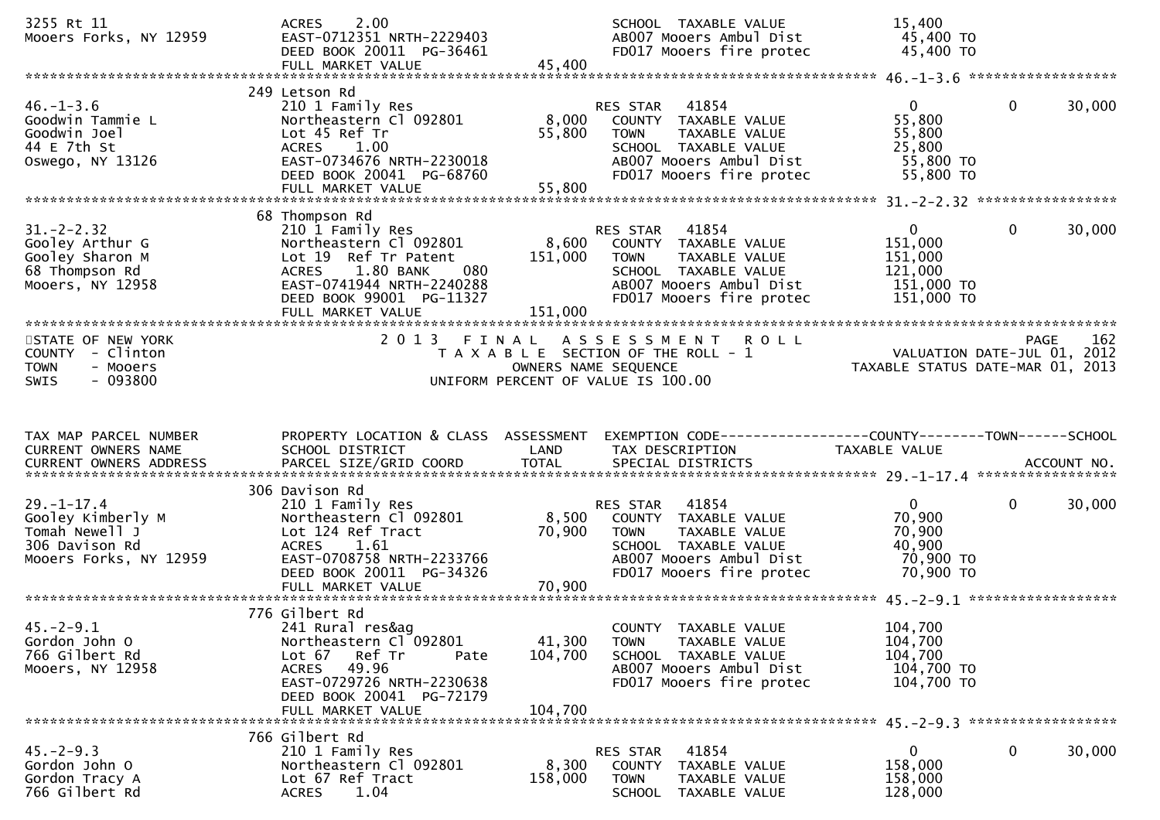| 3255 Rt 11<br>Mooers Forks, NY 12959                                                                | 2.00<br><b>ACRES</b><br>EAST-0712351 NRTH-2229403<br>DEED BOOK 20011 PG-36461                                                                                                                   |                              | SCHOOL TAXABLE VALUE<br>AB007 Mooers Ambul Dist<br>FD017 Mooers fire protec                                                                              | 15,400<br>45,400 TO<br>45,400 TO                                            |              |             |
|-----------------------------------------------------------------------------------------------------|-------------------------------------------------------------------------------------------------------------------------------------------------------------------------------------------------|------------------------------|----------------------------------------------------------------------------------------------------------------------------------------------------------|-----------------------------------------------------------------------------|--------------|-------------|
|                                                                                                     |                                                                                                                                                                                                 |                              |                                                                                                                                                          |                                                                             |              |             |
| $46. - 1 - 3.6$<br>Goodwin Tammie L<br>Goodwin Joel<br>44 E 7th St<br>Oswego, NY 13126              | 249 Letson Rd<br>210 1 Family Res<br>Northeastern Cl 092801<br>Lot 45 Ref Tr<br>1.00<br><b>ACRES</b><br>EAST-0734676 NRTH-2230018<br>DEED BOOK 20041 PG-68760<br>FULL MARKET VALUE              | 8,000<br>55,800<br>55,800    | 41854<br>RES STAR<br>COUNTY TAXABLE VALUE<br>TAXABLE VALUE<br><b>TOWN</b><br>SCHOOL TAXABLE VALUE<br>AB007 Mooers Ambul Dist<br>FD017 Mooers fire protec | $\mathbf{0}$<br>55,800<br>55,800<br>25,800<br>55,800 TO<br>55,800 TO        | $\mathbf 0$  | 30,000      |
|                                                                                                     | 68 Thompson Rd                                                                                                                                                                                  |                              |                                                                                                                                                          |                                                                             |              |             |
| $31 - 2 - 2.32$<br>Gooley Arthur G<br>Gooley Sharon M<br>68 Thompson Rd<br>Mooers, NY 12958         | 210 1 Family Res<br>Northeastern Cl 092801<br>Lot 19 Ref Tr Patent<br>1.80 BANK<br>080<br><b>ACRES</b><br>EAST-0741944 NRTH-2240288<br>DEED BOOK 99001 PG-11327<br>FULL MARKET VALUE            | 8,600<br>151,000<br>151,000  | RES STAR<br>41854<br>COUNTY TAXABLE VALUE<br>TAXABLE VALUE<br><b>TOWN</b><br>SCHOOL TAXABLE VALUE<br>AB007 Mooers Ambul Dist<br>FD017 Mooers fire protec | $\overline{0}$<br>151,000<br>151,000<br>121,000<br>151,000 TO<br>151,000 TO | $\mathbf{0}$ | 30,000      |
| STATE OF NEW YORK                                                                                   | 2 0 1 3<br>FINAL                                                                                                                                                                                |                              | <b>ROLL</b><br>A S S E S S M E N T                                                                                                                       |                                                                             | <b>PAGE</b>  | 162         |
| COUNTY - Clinton<br><b>TOWN</b><br>- Mooers<br>$-093800$<br>SWIS                                    |                                                                                                                                                                                                 |                              | T A X A B L E SECTION OF THE ROLL - 1<br>OWNERS NAME SEQUENCE<br>UNIFORM PERCENT OF VALUE IS 100.00                                                      | VALUATION DATE-JUL 01, 2012<br>TAXABLE STATUS DATE-MAR 01, 2013             |              |             |
|                                                                                                     |                                                                                                                                                                                                 |                              |                                                                                                                                                          |                                                                             |              |             |
| TAX MAP PARCEL NUMBER<br>CURRENT OWNERS NAME<br>CURRENT OWNERS ADDRESS                              | PROPERTY LOCATION & CLASS ASSESSMENT<br>SCHOOL DISTRICT<br>PARCEL SIZE/GRID COORD                                                                                                               | LAND<br><b>TOTAL</b>         | TAX DESCRIPTION<br>SPECIAL DISTRICTS                                                                                                                     | TAXABLE VALUE                                                               |              | ACCOUNT NO. |
|                                                                                                     |                                                                                                                                                                                                 |                              |                                                                                                                                                          |                                                                             |              |             |
| $29. - 1 - 17.4$<br>Gooley Kimberly M<br>Tomah Newell J<br>306 Davison Rd<br>Mooers Forks, NY 12959 | 306 Davison Rd<br>210 1 Family Res<br>Northeastern Cl 092801<br>Lot 124 Ref Tract<br><b>ACRES</b><br>1.61<br>EAST-0708758 NRTH-2233766<br>DEED BOOK 20011 PG-34326                              | 8,500<br>70,900              | 41854<br>RES STAR<br>COUNTY TAXABLE VALUE<br>TAXABLE VALUE<br><b>TOWN</b><br>SCHOOL TAXABLE VALUE<br>AB007 Mooers Ambul Dist<br>FD017 Mooers fire protec | $\mathbf{0}$<br>70,900<br>70,900<br>40,900<br>70,900 то<br>70,900 TO        | $\mathbf 0$  | 30,000      |
|                                                                                                     |                                                                                                                                                                                                 |                              |                                                                                                                                                          |                                                                             |              |             |
| $45. -2 - 9.1$<br>Gordon John O<br>766 Gilbert Rd<br>Mooers, NY 12958                               | 776 Gilbert Rd<br>241 Rural res&ag<br>Northeastern Cl 092801<br>Ref Tr<br>Lot 67<br>Pate<br>49.96<br><b>ACRES</b><br>EAST-0729726 NRTH-2230638<br>DEED BOOK 20041 PG-72179<br>FULL MARKET VALUE | 41,300<br>104,700<br>104,700 | COUNTY TAXABLE VALUE<br>TAXABLE VALUE<br><b>TOWN</b><br>SCHOOL TAXABLE VALUE<br>AB007 Mooers Ambul Dist<br>FD017 Mooers fire protec                      | 104,700<br>104,700<br>104,700<br>104,700 TO<br>104,700 TO                   |              |             |
|                                                                                                     | 766 Gilbert Rd                                                                                                                                                                                  |                              |                                                                                                                                                          |                                                                             |              |             |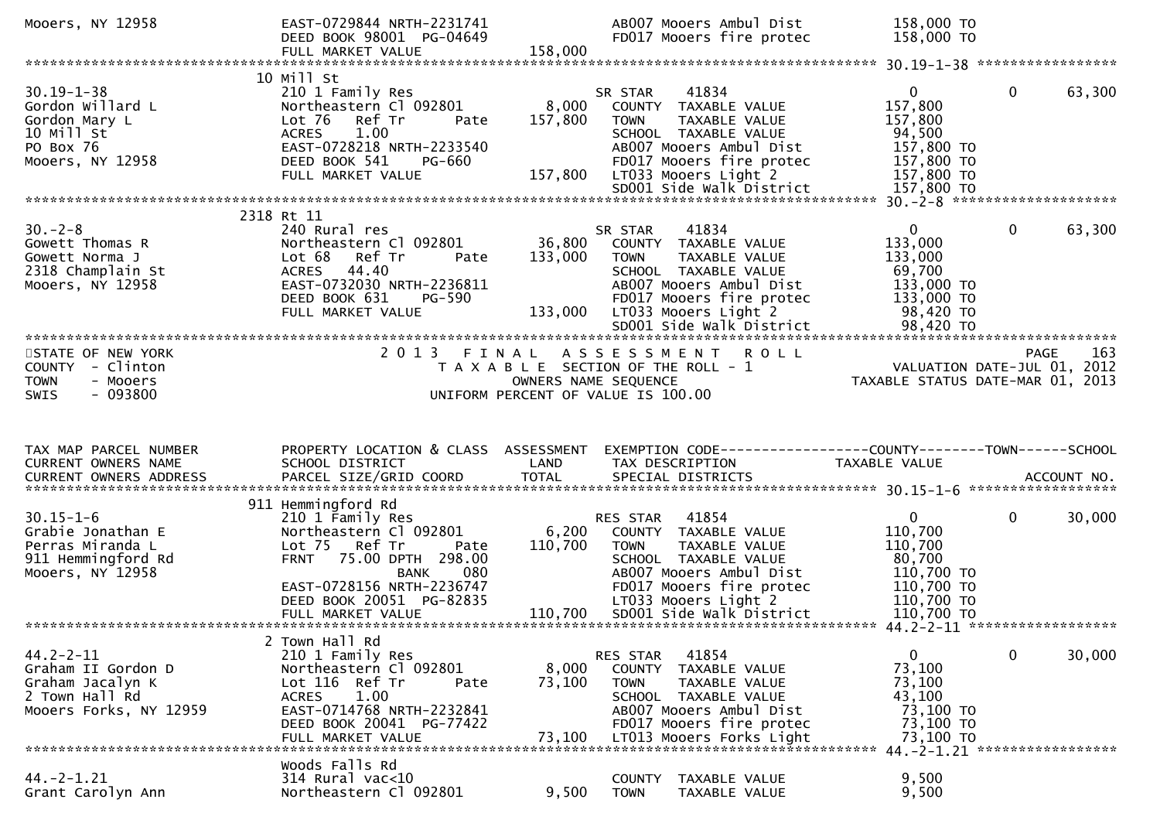| Mooers, NY 12958                                                                                      | EAST-0729844 NRTH-2231741<br>DEED BOOK 98001 PG-04649                                                                                                                                                                             |                              | AB007 Mooers Ambul Dist<br>FD017 Mooers fire protec                                                                                                                                                                         | 158,000 TO<br>158,000 TO                                                                             |                                                                                          |
|-------------------------------------------------------------------------------------------------------|-----------------------------------------------------------------------------------------------------------------------------------------------------------------------------------------------------------------------------------|------------------------------|-----------------------------------------------------------------------------------------------------------------------------------------------------------------------------------------------------------------------------|------------------------------------------------------------------------------------------------------|------------------------------------------------------------------------------------------|
|                                                                                                       | FULL MARKET VALUE                                                                                                                                                                                                                 | 158,000                      |                                                                                                                                                                                                                             |                                                                                                      |                                                                                          |
| $30.19 - 1 - 38$<br>Gordon Willard L<br>Gordon Mary L<br>10 Mill St<br>PO Box 76<br>Mooers, NY 12958  | 10 Mill St<br>210 1 Family Res<br>Northeastern Cl 092801<br>Ref Tr<br>Lot 76<br>Pate<br><b>ACRES</b><br>1.00<br>EAST-0728218 NRTH-2233540<br>DEED BOOK 541<br>PG-660<br>FULL MARKET VALUE                                         | 8,000<br>157,800<br>157,800  | 41834<br>SR STAR<br>COUNTY TAXABLE VALUE<br><b>TOWN</b><br>TAXABLE VALUE<br>SCHOOL TAXABLE VALUE<br>AB007 Mooers Ambul Dist<br>FD017 Mooers fire protec<br>LT033 Mooers Light 2<br>SD001 Side Walk District                 | $\mathbf{0}$<br>157,800<br>157,800<br>94,500<br>157,800 TO<br>157,800 TO<br>157,800 TO<br>157,800 TO | $\mathbf{0}$<br>63,300                                                                   |
|                                                                                                       | 2318 Rt 11                                                                                                                                                                                                                        |                              |                                                                                                                                                                                                                             |                                                                                                      |                                                                                          |
| $30 - 2 - 8$<br>Gowett Thomas R<br>Gowett Norma J<br>2318 Champlain St<br>Mooers, NY 12958            | 240 Rural res<br>Northeastern Cl 092801<br>Lot 68 Ref Tr<br>Pate<br>ACRES 44.40<br>EAST-0732030 NRTH-2236811<br>DEED BOOK 631<br>PG-590<br>FULL MARKET VALUE                                                                      | 36,800<br>133,000<br>133,000 | 41834<br>SR STAR<br>COUNTY TAXABLE VALUE<br>TAXABLE VALUE<br>TOWN<br>SCHOOL TAXABLE VALUE<br>AB007 Mooers Ambul Dist<br>FD017 Mooers fire protec<br>LT033 Mooers Light 2<br>SD001 Side Walk District                        | $\Omega$<br>133,000<br>133,000<br>69,700<br>133,000 TO<br>133,000 TO<br>98,420 TO<br>98,420 TO       | $\mathbf{0}$<br>63,300                                                                   |
| STATE OF NEW YORK<br>COUNTY - Clinton<br>- Mooers<br>TOWN<br>$-093800$<br>SWIS                        | 2 0 1 3<br>FINAL                                                                                                                                                                                                                  |                              | <b>ROLL</b><br>A S S E S S M E N T<br>T A X A B L E SECTION OF THE ROLL - 1<br>OWNERS NAME SEQUENCE<br>UNIFORM PERCENT OF VALUE IS 100.00                                                                                   |                                                                                                      | <b>PAGE</b><br>163<br>VALUATION DATE-JUL $01$ , 2012<br>TAXABLE STATUS DATE-MAR 01, 2013 |
|                                                                                                       |                                                                                                                                                                                                                                   |                              |                                                                                                                                                                                                                             |                                                                                                      |                                                                                          |
| TAX MAP PARCEL NUMBER<br>CURRENT OWNERS NAME<br>CURRENT OWNERS ADDRESS                                | PROPERTY LOCATION & CLASS ASSESSMENT<br>SCHOOL DISTRICT<br>PARCEL SIZE/GRID COORD                                                                                                                                                 | LAND<br><b>TOTAL</b>         | EXEMPTION CODE-----------------COUNTY-------TOWN------SCHOOL<br>TAX DESCRIPTION<br>SPECIAL DISTRICTS                                                                                                                        | TAXABLE VALUE                                                                                        | ACCOUNT NO.                                                                              |
| $30.15 - 1 - 6$<br>Grabie Jonathan E<br>Perras Miranda L<br>911 Hemmingford Rd<br>Mooers, NY 12958    | 911 Hemmingford Rd<br>210 1 Family Res<br>Northeastern Cl 092801<br>Lot 75 Ref Tr<br>Pate<br>75.00 DPTH 298.00<br><b>FRNT</b><br>080<br><b>BANK</b><br>EAST-0728156 NRTH-2236747<br>DEED BOOK 20051 PG-82835<br>FULL MARKET VALUE | 6,200<br>110,700             | 41854<br>RES STAR<br>COUNTY TAXABLE VALUE<br><b>TOWN</b><br><b>TAXABLE VALUE</b><br>SCHOOL TAXABLE VALUE<br>AB007 Mooers Ambul Dist<br>FD017 Mooers fire protec<br>LT033 Mooers Light 2<br>110,700 SD001 Side Walk District | $\mathbf{0}$<br>110,700<br>110,700<br>80,700<br>110,700 TO<br>110,700 TO<br>110,700 TO<br>110,700 TO | $\mathbf{0}$<br>30,000                                                                   |
|                                                                                                       | 2 Town Hall Rd                                                                                                                                                                                                                    |                              |                                                                                                                                                                                                                             |                                                                                                      |                                                                                          |
| $44.2 - 2 - 11$<br>Graham II Gordon D<br>Graham Jacalyn K<br>2 Town Hall Rd<br>Mooers Forks, NY 12959 | 210 1 Family Res<br>Northeastern Cl 092801<br>Lot 116 Ref Tr<br>Pate<br>1.00<br><b>ACRES</b><br>EAST-0714768 NRTH-2232841<br>DEED BOOK 20041 PG-77422<br>FULL MARKET VALUE                                                        | 8,000<br>73,100<br>73,100    | 41854<br>RES STAR<br><b>COUNTY</b><br>TAXABLE VALUE<br><b>TOWN</b><br>TAXABLE VALUE<br>SCHOOL TAXABLE VALUE<br>AB007 Mooers Ambul Dist<br>FD017 Mooers fire protec<br>LT013 Mooers Forks Light                              | $\mathbf{0}$<br>73,100<br>73,100<br>43,100<br>73,100 TO<br>73,100 TO<br>73,100 TO                    | 30,000<br>$\mathbf 0$<br>44. - 2 - 1. 21 ******************                              |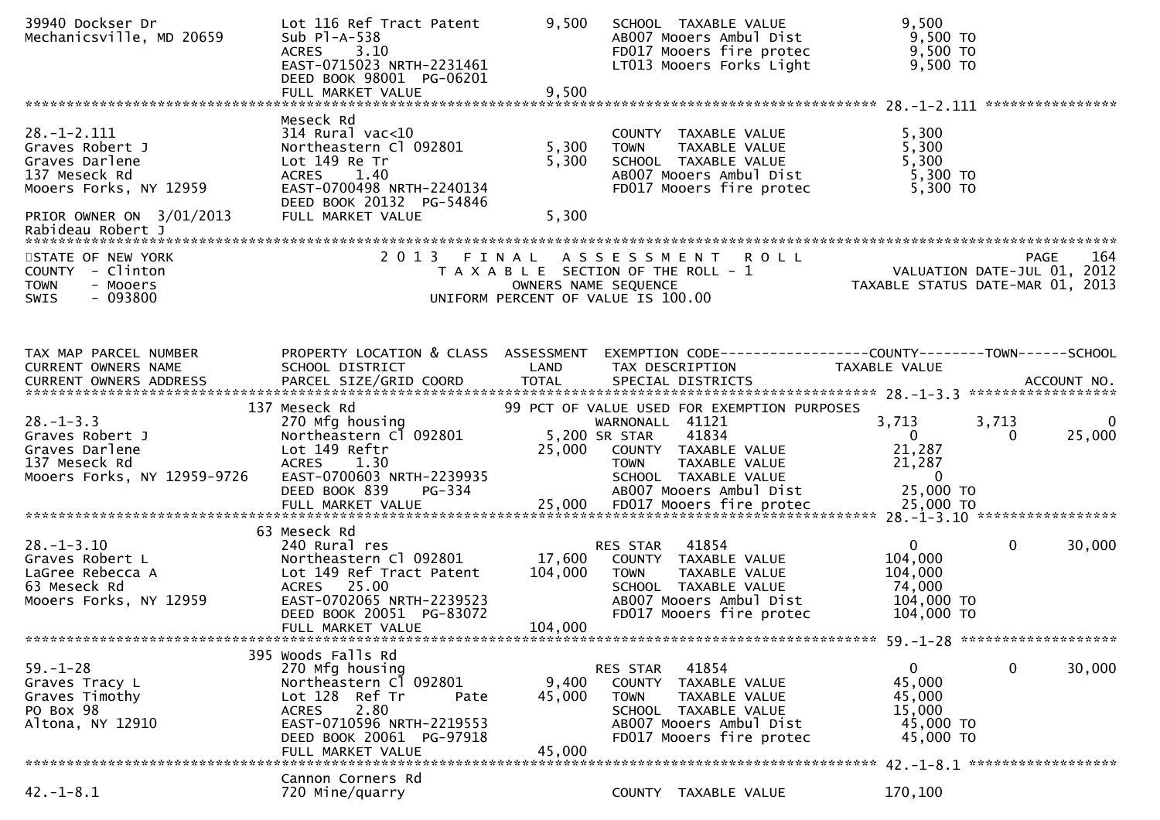| 39940 Dockser Dr<br>Mechanicsville, MD 20659                                                                                  | Lot 116 Ref Tract Patent<br>Sub $P1-A-538$<br><b>ACRES</b><br>3.10<br>EAST-0715023 NRTH-2231461<br>DEED BOOK 98001 PG-06201<br>FULL MARKET VALUE                                                | 9,500<br>9,500               | SCHOOL TAXABLE VALUE<br>AB007 Mooers Ambul Dist<br>FD017 Mooers fire protec<br>LT013 Mooers Forks Light                                                                                             | 9,500<br>9,500 TO<br>9,500 TO<br>9,500 TO                                                                |
|-------------------------------------------------------------------------------------------------------------------------------|-------------------------------------------------------------------------------------------------------------------------------------------------------------------------------------------------|------------------------------|-----------------------------------------------------------------------------------------------------------------------------------------------------------------------------------------------------|----------------------------------------------------------------------------------------------------------|
| $28. - 1 - 2.111$<br>Graves Robert J<br>Graves Darlene<br>137 Meseck Rd<br>Mooers Forks, NY 12959<br>PRIOR OWNER ON 3/01/2013 | Meseck Rd<br>$314$ Rural vac<10<br>Northeastern Cl 092801<br>Lot 149 Re Tr<br>1.40<br><b>ACRES</b><br>EAST-0700498 NRTH-2240134<br>DEED BOOK 20132 PG-54846<br>FULL MARKET VALUE                | 5,300<br>5,300<br>5,300      | COUNTY TAXABLE VALUE<br><b>TOWN</b><br>TAXABLE VALUE<br>SCHOOL TAXABLE VALUE<br>AB007 Mooers Ambul Dist<br>FD017 Mooers fire protec                                                                 | 5,300<br>5,300<br>5,300<br>5,300 TO<br>5,300 TO                                                          |
| Rabideau Robert J<br>STATE OF NEW YORK<br>COUNTY - Clinton<br>- Mooers<br><b>TOWN</b><br>$-093800$<br>SWIS                    | 2 0 1 3                                                                                                                                                                                         | FINAL                        | A S S E S S M E N T R O L L<br>T A X A B L E SECTION OF THE ROLL - 1<br>OWNERS NAME SEQUENCE<br>UNIFORM PERCENT OF VALUE IS 100.00                                                                  | 164<br>PAGE<br>VALUATION DATE-JUL 01, 2012<br>TAXABLE STATUS DATE-MAR 01, 2013                           |
| TAX MAP PARCEL NUMBER<br>CURRENT OWNERS NAME                                                                                  | PROPERTY LOCATION & CLASS ASSESSMENT<br>SCHOOL DISTRICT                                                                                                                                         | LAND                         | TAX DESCRIPTION                                                                                                                                                                                     | EXEMPTION        CODE-----------------COUNTY-------TOWN------SCHOOL<br>TAXABLE VALUE                     |
| $28. - 1 - 3.3$<br>Graves Robert J<br>Graves Darlene<br>137 Meseck Rd<br>Mooers Forks, NY 12959-9726                          | 137 Meseck Rd<br>270 Mfg housing<br>Northeastern Cl 092801<br>Lot 149 Reftr<br><b>ACRES</b><br>1.30<br>EAST-0700603 NRTH-2239935<br>DEED BOOK 839<br>PG-334                                     | 25,000                       | 99 PCT OF VALUE USED FOR EXEMPTION PURPOSES<br>WARNONALL 41121<br>5,200 SR STAR<br>41834<br>COUNTY TAXABLE VALUE<br>TAXABLE VALUE<br><b>TOWN</b><br>SCHOOL TAXABLE VALUE<br>AB007 Mooers Ambul Dist | 3,713<br>3,713<br>0<br>$\Omega$<br>25,000<br>$\Omega$<br>21,287<br>21,287<br>$\overline{0}$<br>25,000 TO |
| $28. - 1 - 3.10$<br>Graves Robert L<br>LaGree Rebecca A<br>63 Meseck Rd<br>Mooers Forks, NY 12959                             | 63 Meseck Rd<br>240 Rural res<br>Northeastern Cl 092801<br>Lot 149 Ref Tract Patent<br>ACRES 25.00<br>EAST-0702065 NRTH-2239523<br>DEED BOOK 20051 PG-83072<br>FULL MARKET VALUE                | 17,600<br>104,000<br>104,000 | RES STAR<br>41854<br>COUNTY TAXABLE VALUE<br>TAXABLE VALUE<br><b>TOWN</b><br>SCHOOL TAXABLE VALUE<br>AB007 Mooers Ambul Dist<br>FD017 Mooers fire protec                                            | $\mathbf{0}$<br>$\mathbf 0$<br>30,000<br>104,000<br>104,000<br>74,000<br>104,000 TO<br>104,000 TO        |
| $59. - 1 - 28$<br>Graves Tracy L<br>Graves Timothy<br>PO Box 98<br>Altona, NY 12910                                           | 395 Woods Falls Rd<br>270 Mfg housing<br>Northeastern Cl 092801<br>Lot 128 Ref Tr<br>Pate<br>2.80<br><b>ACRES</b><br>EAST-0710596 NRTH-2219553<br>DEED BOOK 20061 PG-97918<br>FULL MARKET VALUE | 9,400<br>45,000<br>45,000    | 41854<br>RES STAR<br>COUNTY TAXABLE VALUE<br>TAXABLE VALUE<br><b>TOWN</b><br>SCHOOL TAXABLE VALUE<br>AB007 Mooers Ambul Dist<br>FD017 Mooers fire protec                                            | $\mathbf 0$<br>30,000<br>$\mathbf{0}$<br>45,000<br>45,000<br>15,000<br>45,000 TO<br>45,000 TO            |
| $42. - 1 - 8.1$                                                                                                               | Cannon Corners Rd<br>720 Mine/quarry                                                                                                                                                            |                              | COUNTY TAXABLE VALUE                                                                                                                                                                                | 170,100                                                                                                  |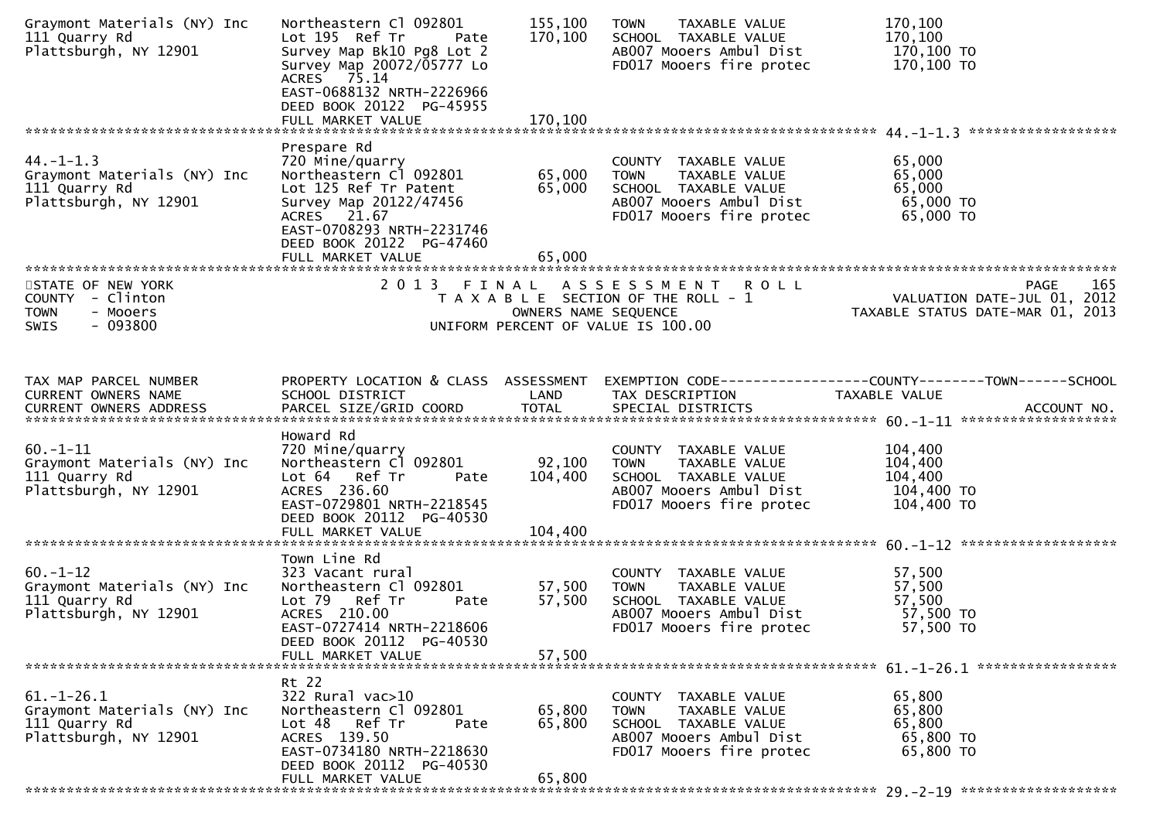| Graymont Materials (NY) Inc<br>111 Quarry Rd<br>Plattsburgh, NY 12901                     | Northeastern Cl 092801<br>Lot 195 Ref Tr<br>Pate<br>Survey Map Bk10 Pg8 Lot 2<br>Survey Map 20072/05777 Lo<br>ACRES 75.14<br>EAST-0688132 NRTH-2226966<br>DEED BOOK 20122 PG-45955  | 155,100<br>170,100           | TAXABLE VALUE<br><b>TOWN</b><br>SCHOOL TAXABLE VALUE<br>AB007 Mooers Ambul Dist<br>FD017 Mooers fire protec                         | 170,100<br>170,100<br>170,100 TO<br>170,100 TO                                 |
|-------------------------------------------------------------------------------------------|-------------------------------------------------------------------------------------------------------------------------------------------------------------------------------------|------------------------------|-------------------------------------------------------------------------------------------------------------------------------------|--------------------------------------------------------------------------------|
|                                                                                           | FULL MARKET VALUE                                                                                                                                                                   | 170,100                      |                                                                                                                                     |                                                                                |
| $44. - 1 - 1.3$<br>Graymont Materials (NY) Inc<br>111 Quarry Rd<br>Plattsburgh, NY 12901  | Prespare Rd<br>720 Mine/quarry<br>Northeastern Cl 092801<br>Lot 125 Ref Tr Patent<br>Survey Map 20122/47456<br>ACRES 21.67<br>EAST-0708293 NRTH-2231746<br>DEED BOOK 20122 PG-47460 | 65,000<br>65,000             | COUNTY TAXABLE VALUE<br>TAXABLE VALUE<br><b>TOWN</b><br>SCHOOL TAXABLE VALUE<br>AB007 Mooers Ambul Dist<br>FD017 Mooers fire protec | 65,000<br>65,000<br>65,000<br>65,000 TO<br>65,000 TO                           |
|                                                                                           | FULL MARKET VALUE                                                                                                                                                                   | 65,000                       |                                                                                                                                     |                                                                                |
| STATE OF NEW YORK<br>COUNTY - Clinton<br><b>TOWN</b><br>- Mooers<br>$-093800$<br>SWIS     | 2013 FINAL                                                                                                                                                                          | OWNERS NAME SEQUENCE         | ASSESSMENT ROLL<br>T A X A B L E SECTION OF THE ROLL - 1<br>UNIFORM PERCENT OF VALUE IS 100.00                                      | 165<br>PAGE<br>VALUATION DATE-JUL 01, 2012<br>TAXABLE STATUS DATE-MAR 01, 2013 |
| TAX MAP PARCEL NUMBER<br>CURRENT OWNERS NAME                                              | PROPERTY LOCATION & CLASS ASSESSMENT<br>SCHOOL DISTRICT                                                                                                                             | LAND                         | TAX DESCRIPTION                                                                                                                     | TAXABLE VALUE                                                                  |
| $60. -1 - 11$<br>Graymont Materials (NY) Inc<br>111 Quarry Rd<br>Plattsburgh, NY 12901    | Howard Rd<br>720 Mine/quarry<br>Northeastern Cl 092801<br>Lot 64 Ref Tr<br>Pate<br>ACRES 236.60<br>EAST-0729801 NRTH-2218545<br>DEED BOOK 20112 PG-40530<br>FULL MARKET VALUE       | 92,100<br>104,400<br>104,400 | COUNTY TAXABLE VALUE<br><b>TOWN</b><br>TAXABLE VALUE<br>SCHOOL TAXABLE VALUE<br>AB007 Mooers Ambul Dist<br>FD017 Mooers fire protec | 104,400<br>104,400<br>104,400<br>104,400 TO<br>104,400 TO                      |
| $60. -1 - 12$<br>Graymont Materials (NY) Inc<br>111 Quarry Rd<br>Plattsburgh, NY 12901    | Town Line Rd<br>323 Vacant rural<br>Northeastern Cl 092801<br>Lot 79 Ref Tr<br>Pate<br>ACRES 210.00<br>EAST-0727414 NRTH-2218606<br>DEED BOOK 20112 PG-40530<br>FULL MARKET VALUE   | 57,500<br>57,500<br>57,500   | COUNTY TAXABLE VALUE<br>TAXABLE VALUE<br><b>TOWN</b><br>SCHOOL TAXABLE VALUE<br>AB007 Mooers Ambul Dist<br>FD017 Mooers fire protec | 57,500<br>57,500<br>57,500<br>57,500 TO<br>57,500 TO                           |
| $61. - 1 - 26.1$<br>Graymont Materials (NY) Inc<br>111 Quarry Rd<br>Plattsburgh, NY 12901 | Rt 22<br>322 Rural vac>10<br>Northeastern Cl 092801<br>Lot 48<br>Ref Tr<br>Pate<br>ACRES 139.50<br>EAST-0734180 NRTH-2218630<br>DEED BOOK 20112 PG-40530<br>FULL MARKET VALUE       | 65,800<br>65,800<br>65,800   | COUNTY TAXABLE VALUE<br><b>TOWN</b><br>TAXABLE VALUE<br>SCHOOL TAXABLE VALUE<br>AB007 Mooers Ambul Dist<br>FD017 Mooers fire protec | 65,800<br>65,800<br>65,800<br>65,800 TO<br>65,800 TO                           |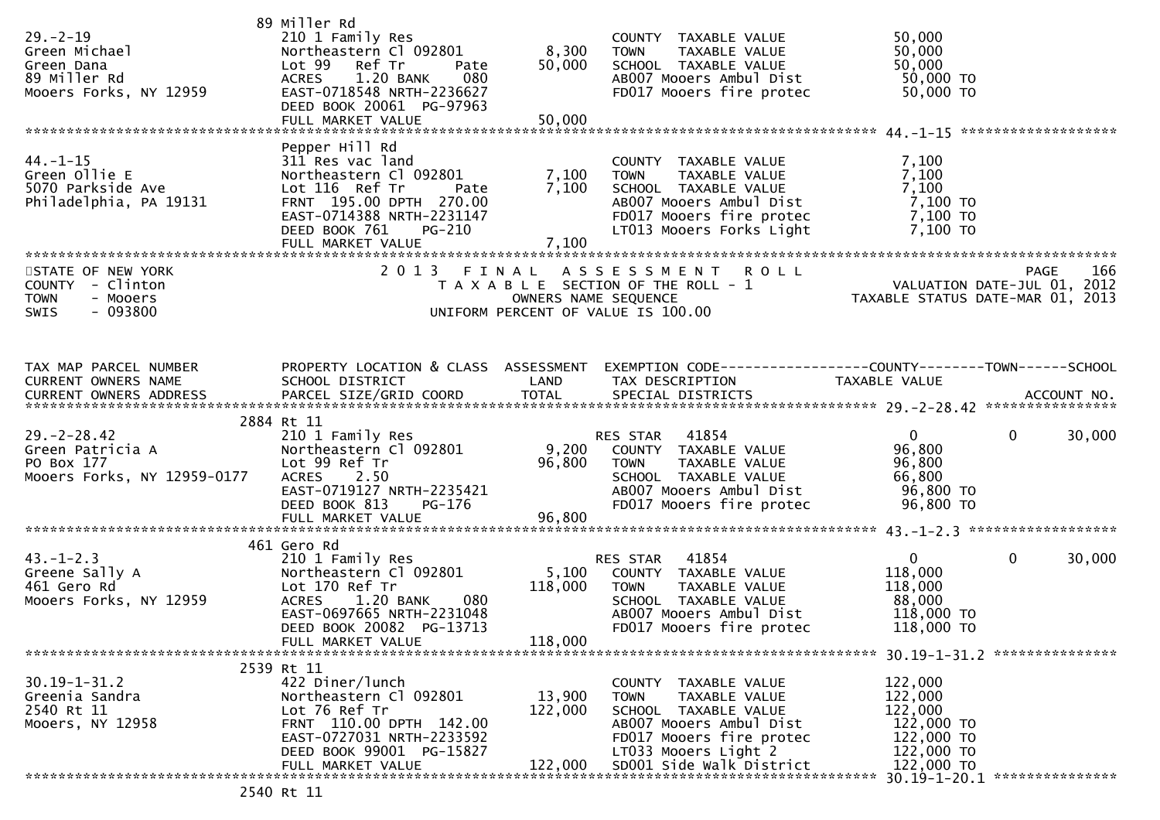| $29. - 2 - 19$<br>Green Michael<br>Green Dana<br>89 Miller Rd<br>Mooers Forks, NY 12959 | 89 Miller Rd<br>210 1 Family Res<br>Northeastern Cl 092801<br>Lot 99 Ref Tr<br>Pate<br>080<br>1.20 BANK<br><b>ACRES</b><br>EAST-0718548 NRTH-2236627<br>DEED BOOK 20061 PG-97963<br>FULL MARKET VALUE         | 8,300<br>50,000<br>50,000     | COUNTY TAXABLE VALUE<br><b>TOWN</b><br>TAXABLE VALUE<br>SCHOOL TAXABLE VALUE<br>AB007 Mooers Ambul Dist<br>FD017 Mooers fire protec                                                     | 50,000<br>50,000<br>50,000<br>50,000 TO<br>50,000 TO                                  |                               |
|-----------------------------------------------------------------------------------------|---------------------------------------------------------------------------------------------------------------------------------------------------------------------------------------------------------------|-------------------------------|-----------------------------------------------------------------------------------------------------------------------------------------------------------------------------------------|---------------------------------------------------------------------------------------|-------------------------------|
|                                                                                         |                                                                                                                                                                                                               |                               |                                                                                                                                                                                         |                                                                                       |                               |
| $44. - 1 - 15$<br>Green Ollie E<br>5070 Parkside Ave<br>Philadelphia, PA 19131          | Pepper Hill Rd<br>311 Res vac land<br>Northeastern Cl 092801<br>Lot 116 Ref Tr<br>Pate<br>FRNT 195.00 DPTH 270.00<br>EAST-0714388 NRTH-2231147<br>DEED BOOK 761<br><b>PG-210</b><br>FULL MARKET VALUE         | 7,100<br>7,100<br>7,100       | COUNTY TAXABLE VALUE<br><b>TOWN</b><br>TAXABLE VALUE<br>SCHOOL TAXABLE VALUE<br>AB007 Mooers Ambul Dist<br>FD017 Mooers fire protec<br>LT013 Mooers Forks Light                         | 7,100<br>7,100<br>7,100<br>7,100 TO<br>7,100 TO<br>7,100 TO                           |                               |
| STATE OF NEW YORK                                                                       |                                                                                                                                                                                                               |                               |                                                                                                                                                                                         |                                                                                       |                               |
| COUNTY - Clinton<br>- Mooers<br><b>TOWN</b><br>$-093800$<br><b>SWIS</b>                 | 2013                                                                                                                                                                                                          | FINAL<br>OWNERS NAME SEQUENCE | <b>ROLL</b><br>A S S E S S M E N T<br>T A X A B L E SECTION OF THE ROLL - 1<br>UNIFORM PERCENT OF VALUE IS 100.00                                                                       |                                                                                       | <b>PAGE</b><br>166            |
| TAX MAP PARCEL NUMBER<br>CURRENT OWNERS NAME<br>CURRENT OWNERS ADDRESS                  | SCHOOL DISTRICT                                                                                                                                                                                               | LAND                          | PROPERTY LOCATION & CLASS ASSESSMENT EXEMPTION CODE---------------COUNTY-------TOWN------SCHOOL<br>TAX DESCRIPTION                                                                      | TAXABLE VALUE                                                                         |                               |
| $29. - 2 - 28.42$<br>Green Patricia A<br>PO Box 177<br>Mooers Forks, NY 12959-0177      | 2884 Rt 11<br>210 1 Family Res<br>Northeastern Cl 092801<br>Lot 99 Ref Tr<br><b>ACRES</b><br>2.50<br>EAST-0719127 NRTH-2235421<br>DEED BOOK 813<br>PG-176                                                     | 96,800                        | RES STAR 41854<br>9,200 COUNTY TAXABLE VALUE<br><b>TOWN</b><br>TAXABLE VALUE<br>SCHOOL TAXABLE VALUE<br>AB007 Mooers Ambul Dist<br>FD017 Mooers fire protec                             | $\overline{0}$<br>96,800<br>96,800<br>66,800<br>96,800 TO<br>96,800 TO                | $\mathbf{0}$<br>30,000        |
|                                                                                         |                                                                                                                                                                                                               |                               |                                                                                                                                                                                         |                                                                                       |                               |
| $43. - 1 - 2.3$<br>Greene Sally A<br>461 Gero Rd<br>Mooers Forks, NY 12959              | 461 Gero Rd<br>210 1 Family Res<br>Northeastern Cl 092801<br>Lot 170 Ref Tr<br>080<br><b>ACRES</b><br>1.20 BANK<br>EAST-0697665 NRTH-2231048<br>DEED BOOK 20082 PG-13713<br>FULL MARKET VALUE                 | 118,000<br>118,000            | 41854<br>RES STAR<br>5,100 COUNTY TAXABLE VALUE<br><b>TOWN</b><br>TAXABLE VALUE<br>SCHOOL TAXABLE VALUE<br>AB007 Mooers Ambul Dist<br>FD017 Mooers fire protec                          | $\mathbf{0}$<br>118,000<br>118,000<br>88,000<br>118,000 TO<br>118,000 TO              | $\mathbf{0}$<br>30,000        |
|                                                                                         |                                                                                                                                                                                                               |                               |                                                                                                                                                                                         |                                                                                       |                               |
| $30.19 - 1 - 31.2$<br>Greenia Sandra<br>2540 Rt 11<br>Mooers, NY 12958                  | 2539 Rt 11<br>422 Diner/lunch<br>Northeastern Cl 092801<br>Lot 76 Ref Tr<br>FRNT 110.00 DPTH 142.00<br>EAST-0727031 NRTH-2233592<br>DEED BOOK 99001 PG-15827<br>FULL MARKET VALUE<br>$2540$ R <sup>+</sup> 11 | 13,900<br>122,000<br>122,000  | COUNTY TAXABLE VALUE<br>TAXABLE VALUE<br><b>TOWN</b><br>SCHOOL TAXABLE VALUE<br>AB007 Mooers Ambul Dist<br>FD017 Mooers fire protec<br>LT033 Mooers Light 2<br>SD001 Side Walk District | 122,000<br>122,000<br>122,000<br>122,000 TO<br>122,000 TO<br>122,000 TO<br>122,000 TO | 30.19-1-20.1 **************** |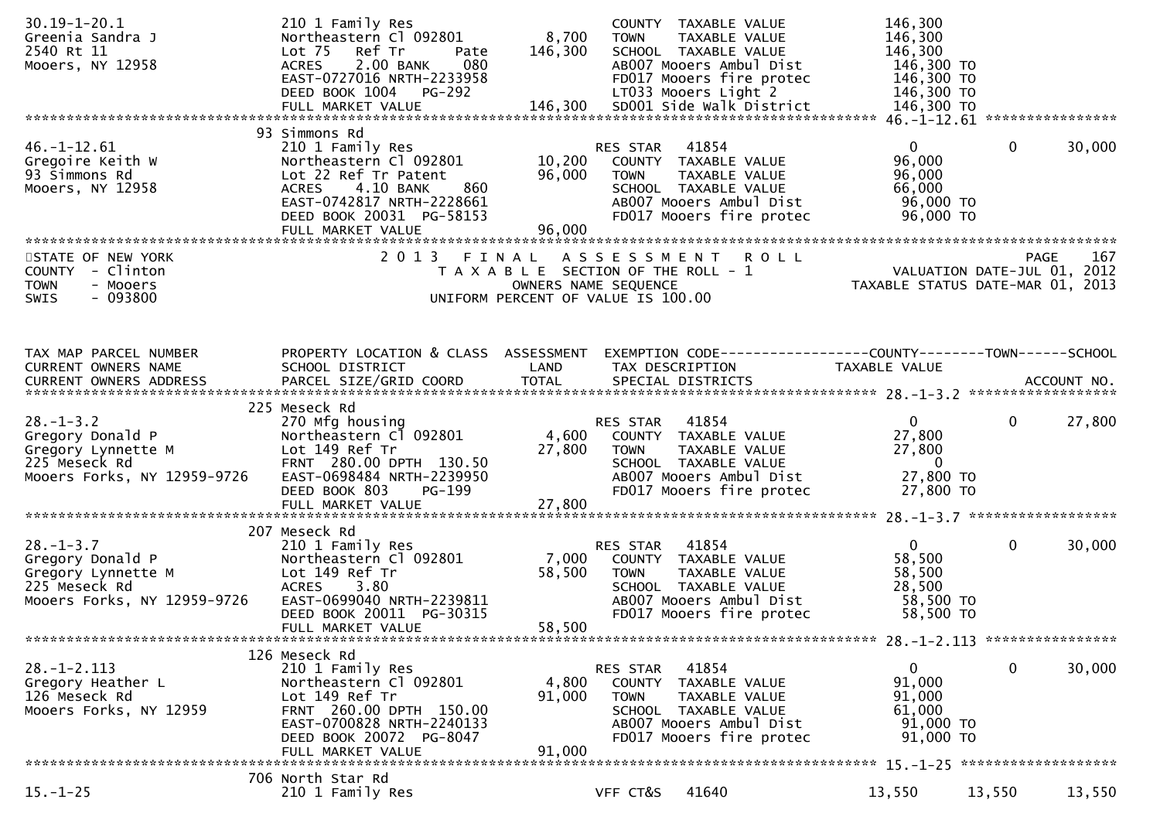| $30.19 - 1 - 20.1$<br>Greenia Sandra J<br>2540 Rt 11<br>Mooers, NY 12958                                  | 210 1 Family Res<br>Northeastern Cl 092801<br>Lot <sub>75</sub><br>Ref Tr<br>Pate<br>2.00 BANK<br>080<br><b>ACRES</b><br>EAST-0727016 NRTH-2233958<br>DEED BOOK 1004 PG-292                           | 8,700<br>146,300           | COUNTY TAXABLE VALUE<br><b>TOWN</b><br>TAXABLE VALUE<br>SCHOOL TAXABLE VALUE<br>AB007 Mooers Ambul Dist<br>FD017 Mooers fire protec<br>LT033 Mooers Light 2 | 146,300<br>146,300<br>146,300<br>146,300 TO<br>146,300 TO<br>146,300 TO                |              |        |
|-----------------------------------------------------------------------------------------------------------|-------------------------------------------------------------------------------------------------------------------------------------------------------------------------------------------------------|----------------------------|-------------------------------------------------------------------------------------------------------------------------------------------------------------|----------------------------------------------------------------------------------------|--------------|--------|
| $46. - 1 - 12.61$<br>Gregoire Keith W<br>93 Simmons Rd<br>Mooers, NY 12958                                | 93 Simmons Rd<br>210 1 Family Res<br>Northeastern Cl 092801<br>Lot 22 Ref Tr Patent<br>4.10 BANK<br>860<br><b>ACRES</b><br>EAST-0742817 NRTH-2228661<br>DEED BOOK 20031 PG-58153<br>FULL MARKET VALUE | 10,200<br>96,000<br>96,000 | 41854<br>RES STAR<br>COUNTY TAXABLE VALUE<br><b>TOWN</b><br>TAXABLE VALUE<br>SCHOOL TAXABLE VALUE<br>AB007 Mooers Ambul Dist<br>FD017 Mooers fire protec    | $\overline{0}$<br>96,000<br>96,000<br>66,000<br>96,000 TO<br>96,000 TO                 | $\mathbf{0}$ | 30,000 |
| STATE OF NEW YORK<br>COUNTY - Clinton<br><b>TOWN</b><br>- Mooers<br>$-093800$<br><b>SWIS</b>              |                                                                                                                                                                                                       |                            | 2013 FINAL ASSESSMENT ROLL<br>T A X A B L E SECTION OF THE ROLL - 1<br>OWNERS NAME SEQUENCE<br>UNIFORM PERCENT OF VALUE IS 100.00                           | PAGE 167<br>VALUATION DATE-JUL 01, 2012<br>TAXABLE STATIIS DATE 112 2012               |              |        |
| TAX MAP PARCEL NUMBER<br>CURRENT OWNERS NAME                                                              | PROPERTY LOCATION & CLASS ASSESSMENT<br>SCHOOL DISTRICT                                                                                                                                               | LAND                       | EXEMPTION CODE------------------COUNTY--------TOWN------SCHOOL<br>TAX DESCRIPTION                                                                           | TAXABLE VALUE                                                                          |              |        |
| $28. - 1 - 3.2$<br>Gregory Donald P<br>Gregory Lynnette M<br>225 Meseck Rd<br>Mooers Forks, NY 12959-9726 | 225 Meseck Rd<br>270 Mfg housing<br>Northeastern Cl 092801<br>Lot 149 Ref Tr<br>FRNT 280.00 DPTH 130.50<br>EAST-0698484 NRTH-2239950<br>DEED BOOK 803<br><b>PG-199</b>                                | 27,800                     | RES STAR 41854<br>4,600 COUNTY TAXABLE VALUE<br><b>TOWN</b><br>TAXABLE VALUE<br>SCHOOL TAXABLE VALUE<br>AB007 Mooers Ambul Dist<br>FD017 Mooers fire protec | $\mathbf{0}$<br>27,800<br>27,800<br>$\overline{\phantom{0}}$<br>27,800 TO<br>27,800 TO | $\mathbf 0$  | 27,800 |
|                                                                                                           | 207 Meseck Rd                                                                                                                                                                                         |                            |                                                                                                                                                             |                                                                                        |              |        |
| $28. - 1 - 3.7$<br>Gregory Donald P<br>Gregory Lynnette M<br>225 Meseck Rd<br>Mooers Forks, NY 12959-9726 | 210 1 Family Res<br>Northeastern Cl 092801<br>Lot 149 Ref Tr<br>ACRES 3.80<br>EAST-0699040 NRTH-2239811<br>DEED BOOK 20011 PG-30315<br>FULL MARKET VALUE                                              | 7,000<br>58,500<br>58,500  | 41854<br>RES STAR<br>COUNTY TAXABLE VALUE<br>TAXABLE VALUE<br><b>TOWN</b><br>SCHOOL TAXABLE VALUE<br>AB007 Mooers Ambul Dist<br>FD017 Mooers fire protec    | $\mathbf{0}$<br>58,500<br>58,500<br>28,500<br>58,500 TO<br>58,500 TO                   | $\mathbf 0$  | 30,000 |
|                                                                                                           |                                                                                                                                                                                                       |                            |                                                                                                                                                             |                                                                                        |              |        |
| $28. - 1 - 2.113$<br>Gregory Heather L<br>126 Meseck Rd<br>Mooers Forks, NY 12959                         | 126 Meseck Rd<br>210 1 Family Res<br>Northeastern Cl 092801<br>Lot 149 Ref Tr<br>FRNT 260.00 DPTH 150.00<br>EAST-0700828 NRTH-2240133<br>DEED BOOK 20072 PG-8047<br>FULL MARKET VALUE                 | 4,800<br>91,000<br>91,000  | 41854<br>RES STAR<br>COUNTY TAXABLE VALUE<br>TAXABLE VALUE<br><b>TOWN</b><br>SCHOOL TAXABLE VALUE<br>AB007 Mooers Ambul Dist<br>FD017 Mooers fire protec    | $\mathbf{0}$<br>91,000<br>91,000<br>61,000<br>91,000 TO<br>91,000 TO                   | $\mathbf 0$  | 30,000 |
|                                                                                                           | 706 North Star Rd                                                                                                                                                                                     |                            |                                                                                                                                                             |                                                                                        |              |        |
| $15. - 1 - 25$                                                                                            | 210 1 Family Res                                                                                                                                                                                      |                            | 41640<br>VFF CT&S                                                                                                                                           | 13,550                                                                                 | 13,550       | 13,550 |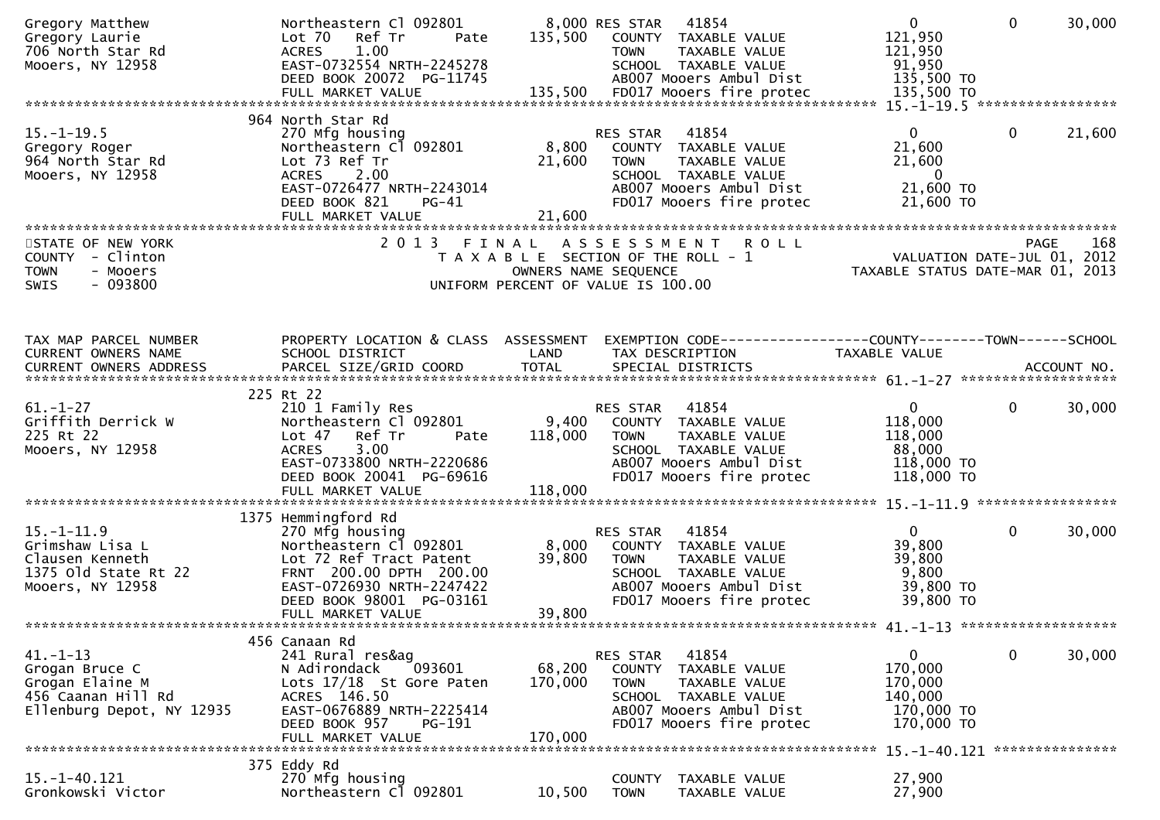| Gregory Matthew<br>Gregory Laurie<br>706 North Star Rd<br>Mooers, NY 12958                             | Northeastern Cl 092801<br>Ref Tr<br>Lot 70<br>Pate<br>1.00<br><b>ACRES</b><br>EAST-0732554 NRTH-2245278<br>DEED BOOK 20072 PG-11745                                                                  | 135,500                      | 8,000 RES STAR<br>41854<br>COUNTY TAXABLE VALUE<br>TAXABLE VALUE<br><b>TOWN</b><br>SCHOOL TAXABLE VALUE<br>AB007 Mooers Ambul Dist                                 | $\mathbf{0}$<br>121,950<br>121,950<br>91,950<br>135,500 TO                                                   | $\Omega$     | 30,000 |
|--------------------------------------------------------------------------------------------------------|------------------------------------------------------------------------------------------------------------------------------------------------------------------------------------------------------|------------------------------|--------------------------------------------------------------------------------------------------------------------------------------------------------------------|--------------------------------------------------------------------------------------------------------------|--------------|--------|
| $15. - 1 - 19.5$<br>Gregory Roger<br>964 North Star Rd<br>Mooers, NY 12958                             | 964 North Star Rd<br>270 Mfg housing<br>Northeastern Cl 092801<br>Lot 73 Ref Tr<br><b>ACRES</b><br>2.00<br>EAST-0726477 NRTH-2243014<br>DEED BOOK 821<br>PG-41<br>FULL MARKET VALUE                  | 8,800<br>21,600<br>21,600    | 41854<br>RES STAR<br>COUNTY TAXABLE VALUE<br>TAXABLE VALUE<br>TOWN<br>SCHOOL TAXABLE VALUE<br>AB007 Mooers Ambul Dist<br>FD017 Mooers fire protec                  | $\mathbf{0}$<br>21,600<br>21,600<br>$\overline{\phantom{0}}$<br>21,600 TO<br>21,600 TO                       | $\mathbf 0$  | 21,600 |
| STATE OF NEW YORK<br>COUNTY - Clinton<br><b>TOWN</b><br>- Mooers<br>$-093800$<br>SWIS                  | 2 0 1 3                                                                                                                                                                                              | FINAL                        | <b>ROLL</b><br>A S S E S S M E N T<br>T A X A B L E SECTION OF THE ROLL - 1<br>OWNERS NAME SEQUENCE<br>UNIFORM PERCENT OF VALUE IS 100.00                          | PAGE 168<br>VALUATION DATE-JUL 01, 2012<br>TAXARLE STATUS DATE ::: - 211<br>TAXABLE STATUS DATE-MAR 01, 2013 | PAGE         | 168    |
| TAX MAP PARCEL NUMBER<br>CURRENT OWNERS NAME<br>CURRENT OWNERS ADDRESS                                 | PROPERTY LOCATION & CLASS ASSESSMENT<br>SCHOOL DISTRICT                                                                                                                                              | LAND                         | EXEMPTION CODE-----------------COUNTY-------TOWN------SCHOOL<br>TAX DESCRIPTION                                                                                    | TAXABLE VALUE                                                                                                |              |        |
| $61. - 1 - 27$<br>Griffith Derrick W<br>225 Rt 22<br>Mooers, NY 12958                                  | 225 Rt 22<br>210 1 Family Res<br>Northeastern Cl 092801<br>Lot 47 Ref Tr<br>Pate<br><b>ACRES</b><br>3.00<br>EAST-0733800 NRTH-2220686<br>DEED BOOK 20041 PG-69616                                    | 9,400<br>118,000             | 41854<br>RES STAR<br>COUNTY TAXABLE VALUE<br><b>TOWN</b><br>TAXABLE VALUE<br>SCHOOL TAXABLE VALUE<br>AB007 Mooers Ambul Dist<br>FD017 Mooers fire protec           | $\overline{0}$<br>118,000<br>118,000<br>88,000<br>118,000 TO<br>118,000 TO                                   | $\mathbf{0}$ | 30,000 |
| $15. - 1 - 11.9$<br>Grimshaw Lisa L<br>Clausen Kenneth<br>1375 old state Rt 22<br>Mooers, NY 12958     | 1375 Hemmingford Rd<br>270 Mfg housing<br>Northeastern Cl 092801<br>Lot 72 Ref Tract Patent<br>FRNT 200.00 DPTH 200.00<br>EAST-0726930 NRTH-2247422<br>DEED BOOK 98001 PG-03161<br>FULL MARKET VALUE | 8,000<br>39,800<br>39,800    | 41854<br>RES STAR<br>COUNTY TAXABLE VALUE<br>TAXABLE VALUE<br>TOWN<br>SCHOOL TAXABLE VALUE<br>AB007 Mooers Ambul Dist<br>FD017 Mooers fire protec                  | $\overline{0}$<br>39,800<br>39,800<br>9,800<br>39,800 TO<br>39,800 TO                                        | $\mathbf{0}$ | 30,000 |
| $41. - 1 - 13$<br>Grogan Bruce C<br>Grogan Elaine M<br>456 Caanan Hill Rd<br>Ellenburg Depot, NY 12935 | 456 Canaan Rd<br>241 Rural res&ag<br>N Adirondack<br>093601<br>Lots 17/18 St Gore Paten<br>ACRES 146.50<br>EAST-0676889 NRTH-2225414<br>DEED BOOK 957<br>PG-191<br>FULL MARKET VALUE                 | 68,200<br>170,000<br>170,000 | 41854<br>RES STAR<br><b>COUNTY</b><br>TAXABLE VALUE<br><b>TOWN</b><br>TAXABLE VALUE<br>SCHOOL TAXABLE VALUE<br>AB007 Mooers Ambul Dist<br>FD017 Mooers fire protec | 0<br>170,000<br>170,000<br>140,000<br>170,000 TO<br>170,000 TO                                               | 0            | 30,000 |
| 15. -1-40. 121<br>Gronkowski Victor                                                                    | 375 Eddy Rd<br>270 Mfg housing<br>Northeastern Cl 092801                                                                                                                                             | 10,500                       | TAXABLE VALUE<br><b>COUNTY</b><br><b>TOWN</b><br>TAXABLE VALUE                                                                                                     | 15. -1-40.121 ****************<br>27,900<br>27,900                                                           |              |        |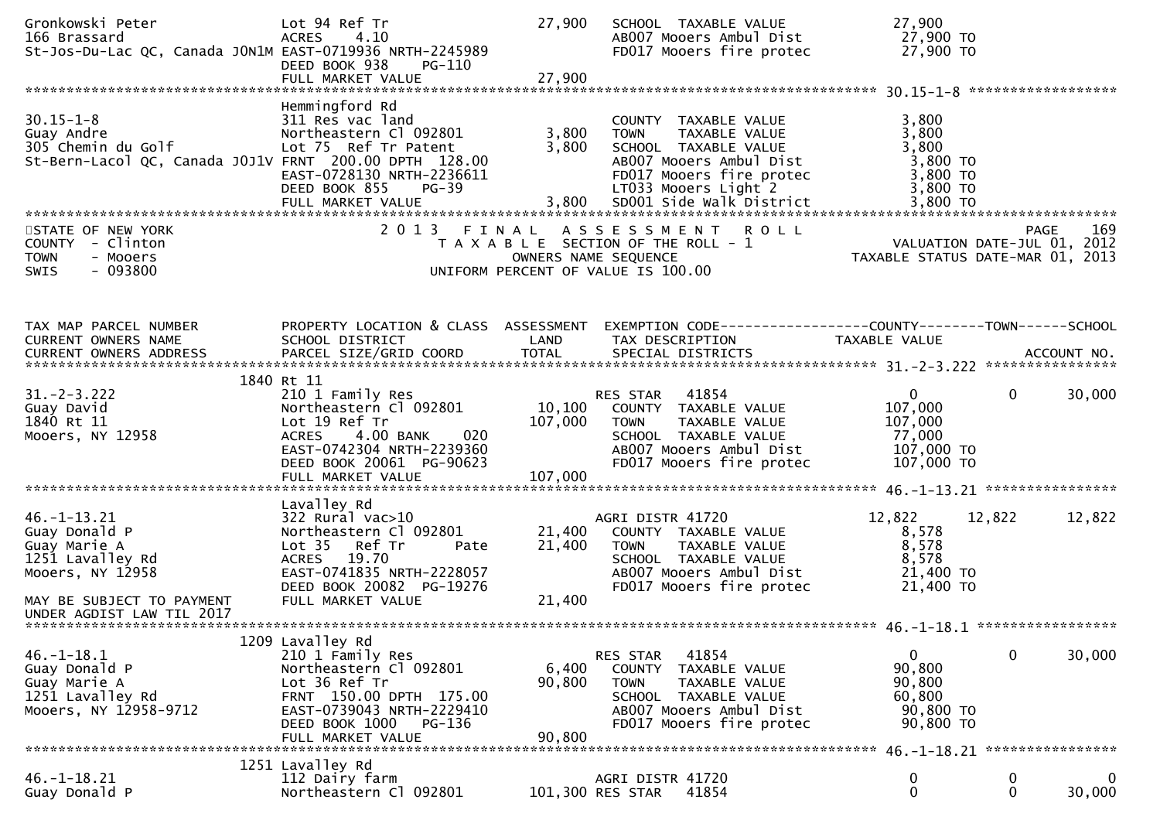| Gronkowski Peter<br>166 Brassard<br>St-Jos-Du-Lac QC, Canada JON1M EAST-0719936 NRTH-2245989                                                        | Lot 94 Ref Tr<br><b>ACRES</b><br>4.10<br>DEED BOOK 938<br>PG-110                                                                                                                            | 27,900                       | SCHOOL TAXABLE VALUE<br>AB007 Mooers Ambul Dist<br>FD017 Mooers fire protec                                                                                                                   | 27,900<br>27,900 TO<br>27,900 TO                                            |                       |
|-----------------------------------------------------------------------------------------------------------------------------------------------------|---------------------------------------------------------------------------------------------------------------------------------------------------------------------------------------------|------------------------------|-----------------------------------------------------------------------------------------------------------------------------------------------------------------------------------------------|-----------------------------------------------------------------------------|-----------------------|
| 30.15-1-8<br>Guay Andre<br>305 Chemin du Golf<br>St-Bern-Lacol QC, Canada J0J1V FRNT 200.00 DPTH 128.00                                             | Hemmingford Rd<br>311 Res vac land<br>Northeastern Cl 092801<br>Lot 75 Ref Tr Patent<br>EAST-0728130 NRTH-2236611<br>DEED BOOK 855<br><b>PG-39</b><br>FULL MARKET VALUE                     | 3,800<br>3,800               | COUNTY TAXABLE VALUE<br><b>TOWN</b><br>TAXABLE VALUE<br>SCHOOL TAXABLE VALUE<br>AB007 Mooers Ambul Dist<br>FD017 Mooers fire protec<br>LT033 Mooers Light 2<br>3,800 SD001 Side Walk District | 3,800<br>3,800<br>3,800<br>3,800 TO<br>3,800 TO<br>3,800 TO<br>3,800 TO     |                       |
| STATE OF NEW YORK<br>COUNTY - Clinton<br><b>TOWN</b><br>- Mooers<br>$-093800$<br>SWIS                                                               | 2013 FINAL                                                                                                                                                                                  |                              | ASSESSMENT ROLL<br>T A X A B L E SECTION OF THE ROLL - 1<br>OWNERS NAME SEQUENCE<br>UNIFORM PERCENT OF VALUE IS 100.00                                                                        | PAGE 169<br>VALUATION DATE-JUL 01, 2012<br>TAXABLE STATUS DATE-MAR 01, 2013 |                       |
| TAX MAP PARCEL NUMBER<br>CURRENT OWNERS NAME                                                                                                        | PROPERTY LOCATION & CLASS ASSESSMENT<br>SCHOOL DISTRICT                                                                                                                                     | LAND                         | EXEMPTION CODE-----------------COUNTY-------TOWN------SCHOOL<br>TAX DESCRIPTION                                                                                                               | TAXABLE VALUE                                                               |                       |
| $31. -2 - 3.222$<br>Guay David<br>1840 Rt 11<br>Mooers, NY 12958                                                                                    | 1840 Rt 11<br>210 1 Family Res<br>Northeastern Cl 092801<br>Lot 19 Ref Tr<br>020<br><b>ACRES</b><br>4.00 BANK<br>EAST-0742304 NRTH-2239360<br>DEED BOOK 20061 PG-90623<br>FULL MARKET VALUE | 10,100<br>107,000<br>107,000 | 41854<br>RES STAR<br>COUNTY TAXABLE VALUE<br><b>TOWN</b><br>TAXABLE VALUE<br>SCHOOL TAXABLE VALUE<br>AB007 Mooers Ambul Dist<br>FD017 Mooers fire protec                                      | $\overline{0}$<br>107,000<br>107,000<br>77,000<br>107,000 TO<br>107,000 TO  | $\mathbf 0$<br>30,000 |
| $46. -1 - 13.21$<br>Guay Donald P<br>Guay Marie A<br>1251 Lavalley Rd<br>Mooers, NY 12958<br>MAY BE SUBJECT TO PAYMENT<br>UNDER AGDIST LAW TIL 2017 | Lavalley Rd<br>$322$ Rural vac $>10$<br>Northeastern Cl 092801<br>Lot 35 Ref Tr<br>Pate<br>ACRES 19.70<br>EAST-0741835 NRTH-2228057<br>DEED BOOK 20082 PG-19276<br>FULL MARKET VALUE        | 21,400<br>21,400<br>21,400   | AGRI DISTR 41720<br>COUNTY TAXABLE VALUE<br>TAXABLE VALUE<br><b>TOWN</b><br>SCHOOL TAXABLE VALUE<br>AB007 Mooers Ambul Dist<br>FD017 Mooers fire protec                                       | 12,822<br>8,578<br>8,578<br>8,578<br>21,400 TO<br>21,400 TO                 | 12,822<br>12,822      |
| $46. - 1 - 18.1$<br>Guay Donald P<br>Guay Marie A<br>1251 Lavalley Rd<br>Mooers, NY 12958-9712                                                      | 1209 Lavalley Rd<br>210 1 Family Res<br>Northeastern Cl 092801<br>Lot 36 Ref Tr<br>FRNT 150.00 DPTH 175.00<br>EAST-0739043 NRTH-2229410<br>DEED BOOK 1000<br>PG-136<br>FULL MARKET VALUE    | 6,400<br>90,800<br>90,800    | 41854<br>RES STAR<br>COUNTY<br>TAXABLE VALUE<br>TAXABLE VALUE<br><b>TOWN</b><br>SCHOOL TAXABLE VALUE<br>AB007 Mooers Ambul Dist<br>FD017 Mooers fire protec                                   | 0<br>90,800<br>90,800<br>60,800<br>90,800 TO<br>90,800 TO                   | 0<br>30,000           |
| 46.-1-18.21<br>Guay Donald P                                                                                                                        | 1251 Lavalley Rd<br>112 Dairy farm<br>Northeastern Cl 092801                                                                                                                                |                              | AGRI DISTR 41720<br>41854<br>101,300 RES STAR                                                                                                                                                 | 0<br>0                                                                      | 0<br>0<br>0<br>30,000 |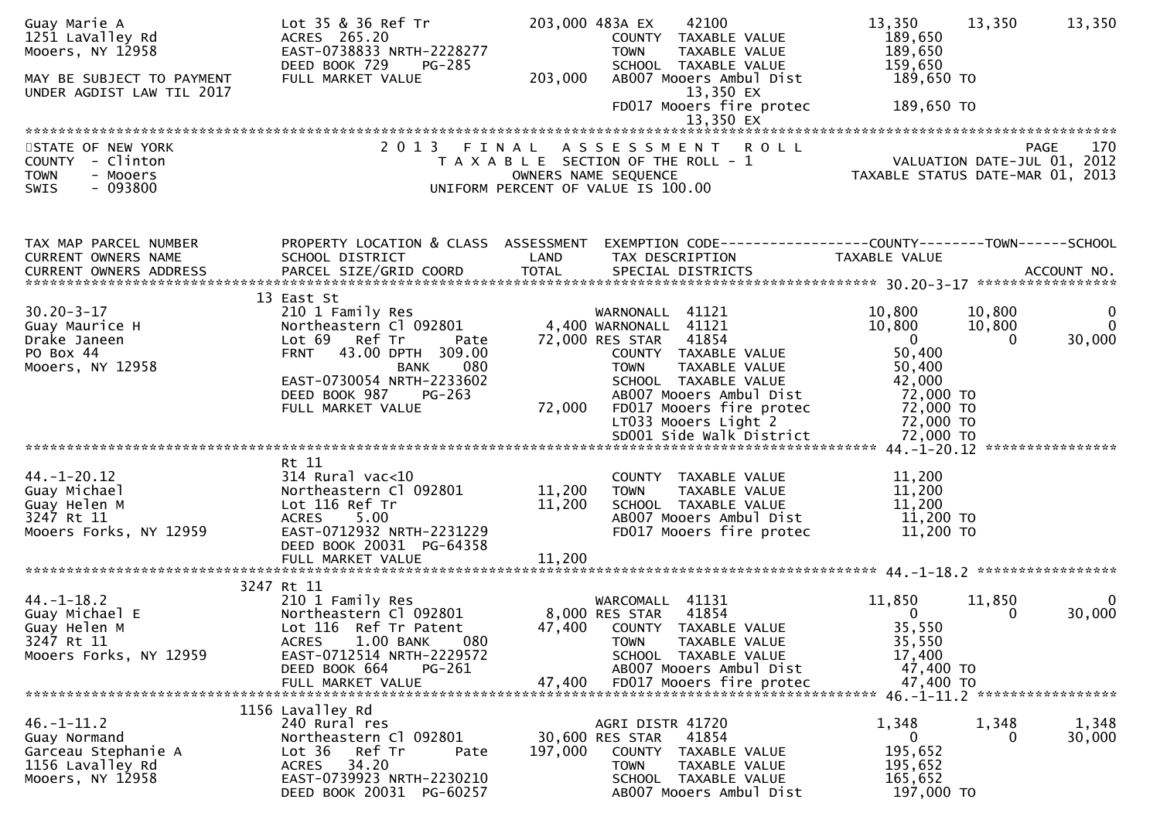| Guay Marie A<br>1251 LaValley Rd<br>Mooers, NY 12958<br>MAY BE SUBJECT TO PAYMENT<br>UNDER AGDIST LAW TIL 2017 | Lot 35 & 36 Ref Tr<br>ACRES 265.20<br>EAST-0738833 NRTH-2228277<br>DEED BOOK 729<br>PG-285<br>FULL MARKET VALUE                                                           | 203,000          | 203,000 483A EX<br>42100<br>COUNTY TAXABLE VALUE<br><b>TOWN</b><br>TAXABLE VALUE<br>SCHOOL TAXABLE VALUE<br>AB007 Mooers Ambul Dist<br>13,350 EX<br>FD017 Mooers fire protec<br>13,350 EX | 13,350<br>189,650<br>189,650<br>159,650<br>189,650 то<br>189,650 TO | 13,350                       | 13,350                                |
|----------------------------------------------------------------------------------------------------------------|---------------------------------------------------------------------------------------------------------------------------------------------------------------------------|------------------|-------------------------------------------------------------------------------------------------------------------------------------------------------------------------------------------|---------------------------------------------------------------------|------------------------------|---------------------------------------|
|                                                                                                                |                                                                                                                                                                           |                  |                                                                                                                                                                                           |                                                                     |                              |                                       |
| STATE OF NEW YORK<br>COUNTY - Clinton<br><b>TOWN</b><br>- Mooers<br>- 093800<br>SWIS                           | 2 0 1 3                                                                                                                                                                   | FINAL            | ASSESSMENT ROLL<br>T A X A B L E SECTION OF THE ROLL - 1<br>OWNERS NAME SEQUENCE<br>UNIFORM PERCENT OF VALUE IS 100.00                                                                    | VALUATION DATE-JUL 01, 2012<br>TAXABLE STATUS DATE-MAR 01, 2013     |                              | <b>PAGE</b><br>170                    |
| TAX MAP PARCEL NUMBER                                                                                          | PROPERTY LOCATION & CLASS ASSESSMENT                                                                                                                                      |                  | EXEMPTION CODE------------------COUNTY--------TOWN------SCHOOL                                                                                                                            |                                                                     |                              |                                       |
| CURRENT OWNERS NAME<br>CURRENT OWNERS ADDRESS                                                                  | SCHOOL DISTRICT                                                                                                                                                           | LAND             | TAX DESCRIPTION                                                                                                                                                                           | TAXABLE VALUE                                                       |                              |                                       |
| $30.20 - 3 - 17$<br>Guay Maurice H<br>Drake Janeen                                                             | 13 East St<br>210 1 Family Res<br>Northeastern Cl 092801<br>Lot 69 Ref Tr<br>Pate                                                                                         |                  | WARNONALL 41121<br>4,400 WARNONALL 41121<br>72,000 RES STAR 41854                                                                                                                         | 10,800<br>10,800<br>$\overline{\mathbf{0}}$                         | 10,800<br>10,800<br>$\Omega$ | $\mathbf 0$<br>$\mathbf{0}$<br>30,000 |
| PO Box 44<br>Mooers, NY 12958                                                                                  | FRNT 43.00 DPTH 309.00<br>080<br>BANK<br>EAST-0730054 NRTH-2233602<br>DEED BOOK 987<br>PG-263                                                                             |                  | COUNTY TAXABLE VALUE<br><b>TOWN</b><br>TAXABLE VALUE<br>SCHOOL TAXABLE VALUE<br>AB007 Mooers Ambul Dist                                                                                   | 50,400<br>50,400<br>42,000<br>72,000 TO                             |                              |                                       |
|                                                                                                                | FULL MARKET VALUE                                                                                                                                                         | 72,000           | FD017 Mooers fire protec<br>LT033 Mooers Light 2<br>SD001 Side Walk District                                                                                                              | 72,000 TO<br>72,000 TO<br>72,000 TO                                 |                              |                                       |
|                                                                                                                | Rt 11                                                                                                                                                                     |                  |                                                                                                                                                                                           |                                                                     |                              |                                       |
| $44. - 1 - 20.12$<br>Guay Michael<br>Guay Helen M<br>3247 Rt 11<br>Mooers Forks, NY 12959                      | $314$ Rural vac< $10$<br>Northeastern Cl 092801<br>Lot 116 Ref Tr<br>ACRES 5.00<br>EAST-0712932 NRTH-2231229<br>DEED BOOK 20031 PG-64358                                  | 11,200<br>11,200 | COUNTY TAXABLE VALUE<br><b>TOWN</b><br>TAXABLE VALUE<br>SCHOOL TAXABLE VALUE<br>AB007 Mooers Ambul Dist<br>FD017 Mooers fire protec                                                       | 11,200<br>11,200<br>11,200<br>11,200 TO<br>11,200 TO                |                              |                                       |
|                                                                                                                | FULL MARKET VALUE                                                                                                                                                         | 11,200           |                                                                                                                                                                                           |                                                                     |                              |                                       |
|                                                                                                                | 3247 Rt 11                                                                                                                                                                |                  |                                                                                                                                                                                           |                                                                     |                              |                                       |
| $44. - 1 - 18.2$<br>Guay Michael E<br>Guay Helen M<br>3247 Rt 11<br>Mooers Forks, NY 12959                     | 210 1 Family Res<br>Northeastern Cl 092801<br>Lot 116 Ref Tr Patent<br><b>ACRES</b><br>1.00 BANK<br>080<br>EAST-0712514 NRTH-2229572<br>DEED BOOK 664<br>PG-261           |                  | WARCOMALL 41131<br>8,000 RES STAR<br>41854<br>47,400 COUNTY TAXABLE VALUE<br>TAXABLE VALUE<br><b>TOWN</b><br>SCHOOL TAXABLE VALUE<br>AB007 Mooers Ambul Dist                              | 11,850<br>$\mathbf{0}$<br>35,550<br>35,550<br>17,400                | 11,850<br>0                  | $\bf{0}$<br>30,000                    |
|                                                                                                                | FULL MARKET VALUE                                                                                                                                                         | 47,400           | FD017 Mooers fire protec                                                                                                                                                                  | 47,400 TO<br>47,400 TO                                              |                              |                                       |
| $46. - 1 - 11.2$<br>Guay Normand<br>Garceau Stephanie A<br>1156 Lavalley Rd<br>Mooers, NY 12958                | 1156 Lavalley Rd<br>240 Rural res<br>Northeastern Cl 092801<br>Ref Tr<br>Lot 36<br>Pate<br><b>ACRES</b><br>34.20<br>EAST-0739923 NRTH-2230210<br>DEED BOOK 20031 PG-60257 | 197,000          | AGRI DISTR 41720<br>30,600 RES STAR<br>41854<br>COUNTY TAXABLE VALUE<br><b>TOWN</b><br>TAXABLE VALUE<br>SCHOOL TAXABLE VALUE<br>AB007 Mooers Ambul Dist                                   | 1,348<br>0<br>195,652<br>195,652<br>165,652<br>197,000 TO           | 1,348<br>$\Omega$            | 1,348<br>30,000                       |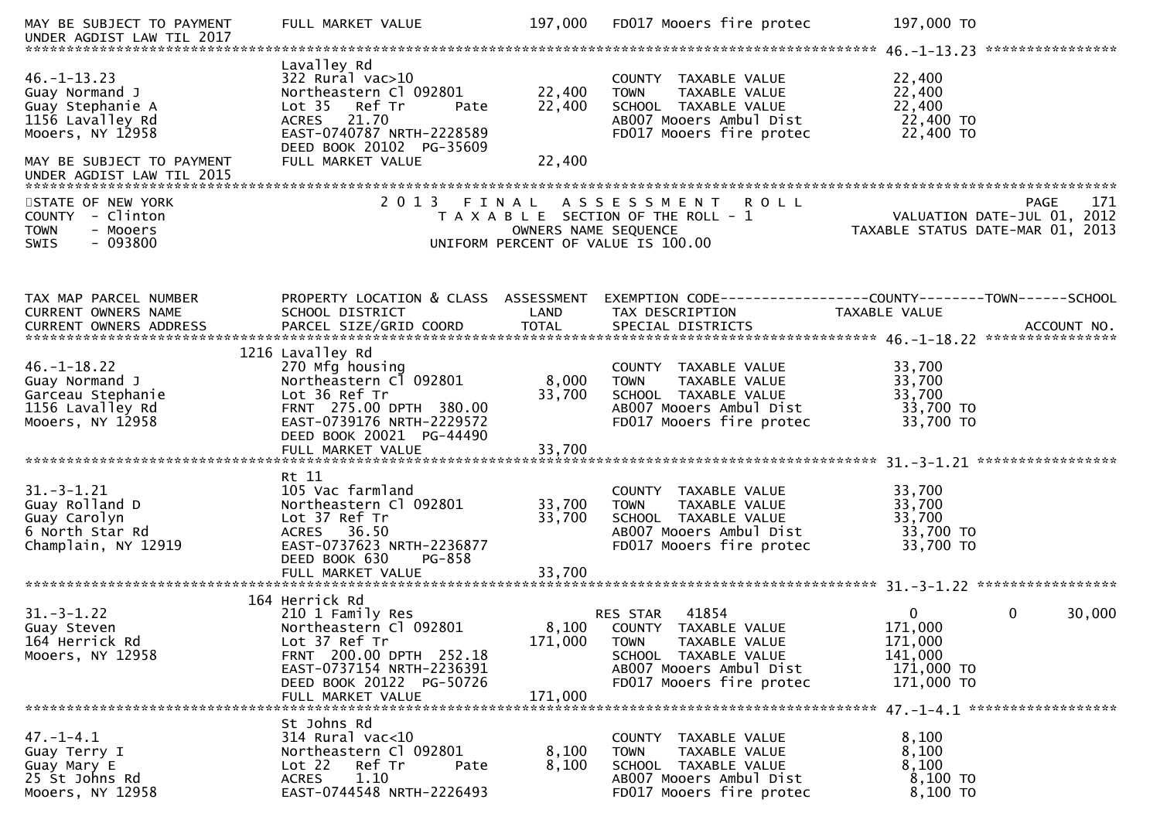| MAY BE SUBJECT TO PAYMENT<br>UNDER AGDIST LAW TIL 2017                                                                      | FULL MARKET VALUE                                                                                                                                                               | 197,000                    | FD017 Mooers fire protec                                                                                                                                | 197,000 TO                                                                                          |
|-----------------------------------------------------------------------------------------------------------------------------|---------------------------------------------------------------------------------------------------------------------------------------------------------------------------------|----------------------------|---------------------------------------------------------------------------------------------------------------------------------------------------------|-----------------------------------------------------------------------------------------------------|
| $46. -1 - 13.23$<br>Guay Normand J<br>Guay Stephanie A<br>1156 Lavalley Rd<br>Mooers, NY 12958<br>MAY BE SUBJECT TO PAYMENT | Lavalley Rd<br>322 Rural vac>10<br>Northeastern Cl 092801<br>Lot 35 Ref Tr<br>Pate<br>ACRES 21.70<br>EAST-0740787 NRTH-2228589<br>DEED BOOK 20102 PG-35609<br>FULL MARKET VALUE | 22,400<br>22,400<br>22,400 | COUNTY TAXABLE VALUE<br>TAXABLE VALUE<br><b>TOWN</b><br>SCHOOL TAXABLE VALUE<br>AB007 Mooers Ambul Dist<br>FD017 Mooers fire protec                     | 22,400<br>22,400<br>22,400<br>22,400 TO<br>22,400 TO                                                |
|                                                                                                                             |                                                                                                                                                                                 |                            |                                                                                                                                                         |                                                                                                     |
| STATE OF NEW YORK<br>COUNTY - Clinton<br><b>TOWN</b><br>- Mooers<br>$-093800$<br><b>SWIS</b>                                | 2 0 1 3<br>FINAL                                                                                                                                                                | OWNERS NAME SEQUENCE       | ASSESSMENT ROLL<br>T A X A B L E SECTION OF THE ROLL - 1<br>UNIFORM PERCENT OF VALUE IS 100.00                                                          | PAGE<br>171<br>VALUATION DATE-JUL 01, 2012<br>TAXABLE STATUS DATE-MAR 01, 2013                      |
| TAX MAP PARCEL NUMBER<br>CURRENT OWNERS NAME                                                                                | PROPERTY LOCATION & CLASS ASSESSMENT<br>SCHOOL DISTRICT                                                                                                                         | LAND                       | TAX DESCRIPTION                                                                                                                                         | EXEMPTION        CODE-----------------COUNTY-------TOWN------SCHOOL<br><b>TAXABLE VALUE</b>         |
| $46. - 1 - 18.22$<br>Guay Normand J<br>Garceau Stephanie<br>1156 Lavalley Rd<br>Mooers, NY 12958                            | 1216 Lavalley Rd<br>270 Mfg housing<br>Northeastern Cl 092801<br>Lot 36 Ref Tr<br>FRNT 275.00 DPTH 380.00<br>EAST-0739176 NRTH-2229572<br>DEED BOOK 20021 PG-44490              | 8,000<br>33,700            | COUNTY TAXABLE VALUE<br>TAXABLE VALUE<br><b>TOWN</b><br>SCHOOL TAXABLE VALUE<br>AB007 Mooers Ambul Dist<br>FD017 Mooers fire protec                     | 33,700<br>33,700<br>33,700<br>33,700 TO<br>33,700 TO                                                |
| $31. - 3 - 1.21$<br>Guay Rolland D<br>Guay Carolyn<br>6 North Star Rd<br>Champlain, NY 12919                                | Rt 11<br>105 Vac farmland<br>Northeastern Cl 092801<br>Lot 37 Ref Tr<br>ACRES 36.50<br>EAST-0737623 NRTH-2236877<br>DEED BOOK 630<br>PG-858<br>FULL MARKET VALUE                | 33,700<br>33,700<br>33,700 | COUNTY TAXABLE VALUE<br><b>TOWN</b><br>TAXABLE VALUE<br>SCHOOL TAXABLE VALUE<br>AB007 Mooers Ambul Dist<br>FD017 Mooers fire protec                     | 33,700<br>33,700<br>33,700<br>33,700 TO<br>33,700 TO                                                |
|                                                                                                                             | 164 Herrick Rd                                                                                                                                                                  |                            |                                                                                                                                                         |                                                                                                     |
| $31. - 3 - 1.22$<br>Guay Steven<br>164 Herrick Rd<br>Mooers, NY 12958                                                       | 210 1 Family Res<br>Northeastern Cl 092801<br>Lot 37 Ref Tr<br>FRNT 200.00 DPTH 252.18<br>EAST-0737154 NRTH-2236391<br>DEED BOOK 20122 PG-50726<br>FULL MARKET VALUE            | 171,000<br>171,000         | 41854<br>RES STAR<br>8,100 COUNTY TAXABLE VALUE<br>TAXABLE VALUE<br>TOWN<br>SCHOOL TAXABLE VALUE<br>AB007 Mooers Ambul Dist<br>FD017 Mooers fire protec | $\mathbf{0}$<br>$\mathbf{0}$<br>30,000<br>171,000<br>171,000<br>141,000<br>171,000 TO<br>171,000 TO |
|                                                                                                                             |                                                                                                                                                                                 |                            |                                                                                                                                                         |                                                                                                     |
| $47. - 1 - 4.1$<br>Guay Terry I<br>Guay Mary E<br>25 St Johns Rd<br>Mooers, NY 12958                                        | St Johns Rd<br>314 Rural vac<10<br>Northeastern Cl 092801<br>Lot 22<br>Ref Tr<br>Pate<br>1.10<br><b>ACRES</b><br>EAST-0744548 NRTH-2226493                                      | 8,100<br>8,100             | COUNTY TAXABLE VALUE<br>TAXABLE VALUE<br><b>TOWN</b><br>SCHOOL TAXABLE VALUE<br>AB007 Mooers Ambul Dist<br>FD017 Mooers fire protec                     | 8,100<br>8,100<br>8,100<br>8,100 TO<br>8,100 TO                                                     |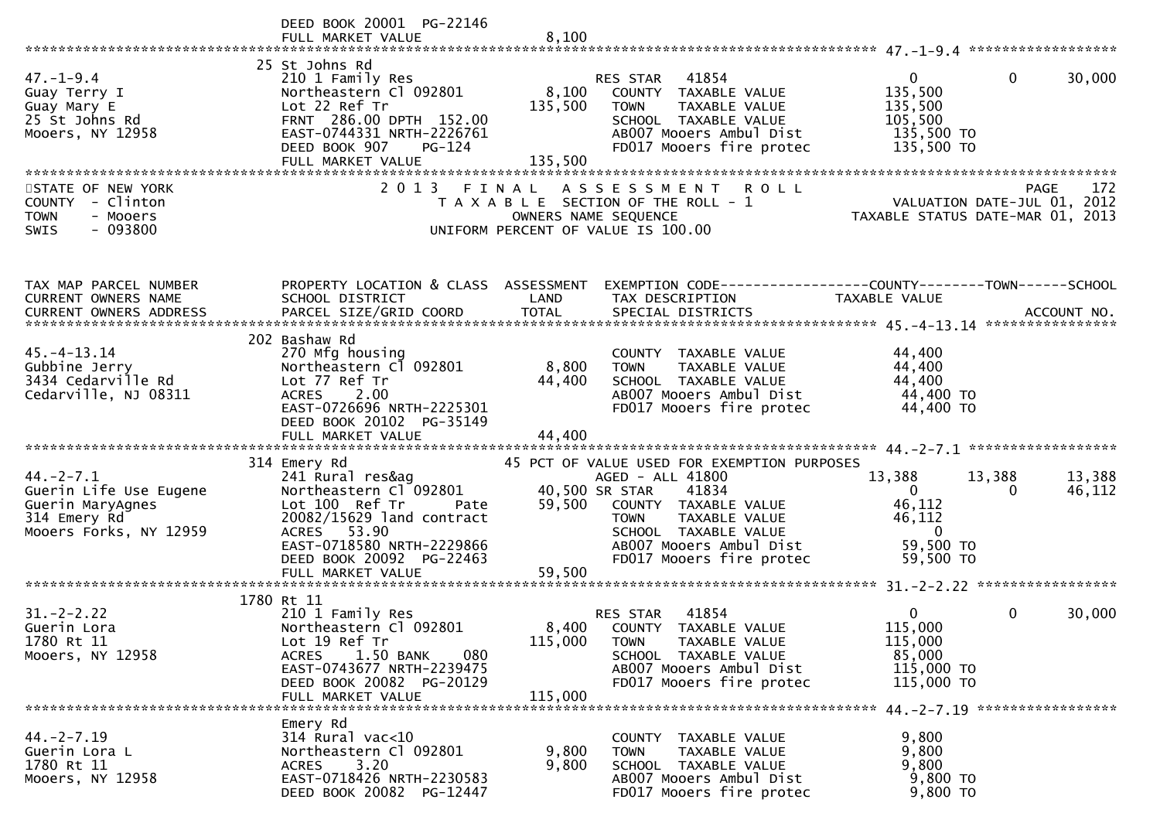|                                                                                                        | DEED BOOK 20001 PG-22146<br>FULL MARKET VALUE                                                                                                                                                                  | 8,100                         |                                                                                                                                                                                                                                   |                                                                                            |                  |
|--------------------------------------------------------------------------------------------------------|----------------------------------------------------------------------------------------------------------------------------------------------------------------------------------------------------------------|-------------------------------|-----------------------------------------------------------------------------------------------------------------------------------------------------------------------------------------------------------------------------------|--------------------------------------------------------------------------------------------|------------------|
| $47. - 1 - 9.4$<br>Guay Terry I<br>Guay Mary E<br>25 St Johns Rd<br>Mooers, NY 12958                   | 25 St Johns Rd<br>210 1 Family Res<br>Northeastern Cl 092801<br>Lot 22 Ref Tr<br>FRNT 286.00 DPTH 152.00<br>EAST-0744331 NRTH-2226761<br>PG-124<br>DEED BOOK 907<br>FULL MARKET VALUE                          | 8,100<br>135,500<br>135,500   | 41854<br>RES STAR<br>COUNTY TAXABLE VALUE<br><b>TOWN</b><br>TAXABLE VALUE<br>SCHOOL TAXABLE VALUE<br>AB007 Mooers Ambul Dist<br>FD017 Mooers fire protec                                                                          | $\mathbf{0}$<br>$\Omega$<br>135,500<br>135,500<br>105,500<br>135,500 TO<br>135,500 TO      | 30,000           |
| STATE OF NEW YORK<br>COUNTY - Clinton<br>- Mooers<br><b>TOWN</b><br>$-093800$<br>SWIS                  | 2 0 1 3                                                                                                                                                                                                        | FINAL<br>OWNERS NAME SEQUENCE | <b>ROLL</b><br>A S S E S S M E N T<br>T A X A B L E SECTION OF THE ROLL - 1<br>UNIFORM PERCENT OF VALUE IS 100.00                                                                                                                 | VALUATION DATE-JUL 01, 2012<br>TAXABLE STATUS DATE-MAR 01, 2013                            | 172<br>PAGE      |
| TAX MAP PARCEL NUMBER<br>CURRENT OWNERS NAME                                                           | PROPERTY LOCATION & CLASS ASSESSMENT<br>SCHOOL DISTRICT                                                                                                                                                        | LAND                          | EXEMPTION CODE------------------COUNTY--------TOWN------SCHOOL<br>TAX DESCRIPTION                                                                                                                                                 | <b>TAXABLE VALUE</b>                                                                       |                  |
| $45. - 4 - 13.14$<br>Gubbine Jerry<br>3434 Cedarville Rd<br>Cedarville, NJ 08311                       | 202 Bashaw Rd<br>270 Mfg housing<br>Northeastern Cl 092801<br>Lot 77 Ref Tr<br>2.00<br><b>ACRES</b><br>EAST-0726696 NRTH-2225301<br>DEED BOOK 20102 PG-35149<br>FULL MARKET VALUE                              | 8,800<br>44,400<br>44,400     | COUNTY TAXABLE VALUE<br>TAXABLE VALUE<br><b>TOWN</b><br>SCHOOL TAXABLE VALUE<br>AB007 Mooers Ambul Dist<br>FD017 Mooers fire protec                                                                                               | 44,400<br>44,400<br>44,400<br>44,400 TO<br>44,400 TO                                       |                  |
| $44. -2 - 7.1$<br>Guerin Life Use Eugene<br>Guerin MaryAgnes<br>314 Emery Rd<br>Mooers Forks, NY 12959 | 314 Emery Rd<br>241 Rural res&ag<br>Northeastern Cl 092801<br>Lot 100 Ref Tr<br>Pate<br>20082/15629 land contract<br>ACRES 53.90<br>EAST-0718580 NRTH-2229866<br>DEED BOOK 20092 PG-22463<br>FULL MARKET VALUE | 59,500<br>59,500              | 45 PCT OF VALUE USED FOR EXEMPTION PURPOSES<br>AGED - ALL 41800<br>40,500 SR STAR<br>41834<br>COUNTY TAXABLE VALUE<br>TAXABLE VALUE<br><b>TOWN</b><br>SCHOOL TAXABLE VALUE<br>AB007 Mooers Ambul Dist<br>FD017 Mooers fire protec | 13,388<br>13,388<br>$\mathbf{0}$<br>46,112<br>46,112<br>$\Omega$<br>59,500 TO<br>59,500 TO | 13,388<br>46,112 |
| $31 - 2 - 2.22$<br>Guerin Lora<br>1780 Rt 11<br>Mooers, NY 12958                                       | 1780 Rt 11<br>210 1 Family Res<br>Northeastern Cl 092801<br>Lot 19 Ref Tr<br>1.50 BANK<br>080<br><b>ACRES</b><br>EAST-0743677 NRTH-2239475<br>DEED BOOK 20082 PG-20129<br>FULL MARKET VALUE                    | 8,400<br>115,000<br>115,000   | 41854<br><b>RES STAR</b><br>COUNTY TAXABLE VALUE<br><b>TOWN</b><br>TAXABLE VALUE<br>SCHOOL TAXABLE VALUE<br>AB007 Mooers Ambul Dist<br>FD017 Mooers fire protec                                                                   | 0<br>0<br>115,000<br>115,000<br>85,000<br>115,000 TO<br>115,000 TO                         | 30,000           |
| $44. -2 - 7.19$<br>Guerin Lora L<br>1780 Rt 11<br>Mooers, NY 12958                                     | Emery Rd<br>$314$ Rural vac<10<br>Northeastern Cl 092801<br>3.20<br><b>ACRES</b><br>EAST-0718426 NRTH-2230583<br>DEED BOOK 20082 PG-12447                                                                      | 9,800<br>9,800                | COUNTY TAXABLE VALUE<br><b>TOWN</b><br>TAXABLE VALUE<br>SCHOOL TAXABLE VALUE<br>AB007 Mooers Ambul Dist<br>FD017 Mooers fire protec                                                                                               | 9,800<br>9,800<br>9,800<br>9,800 TO<br>9,800 TO                                            |                  |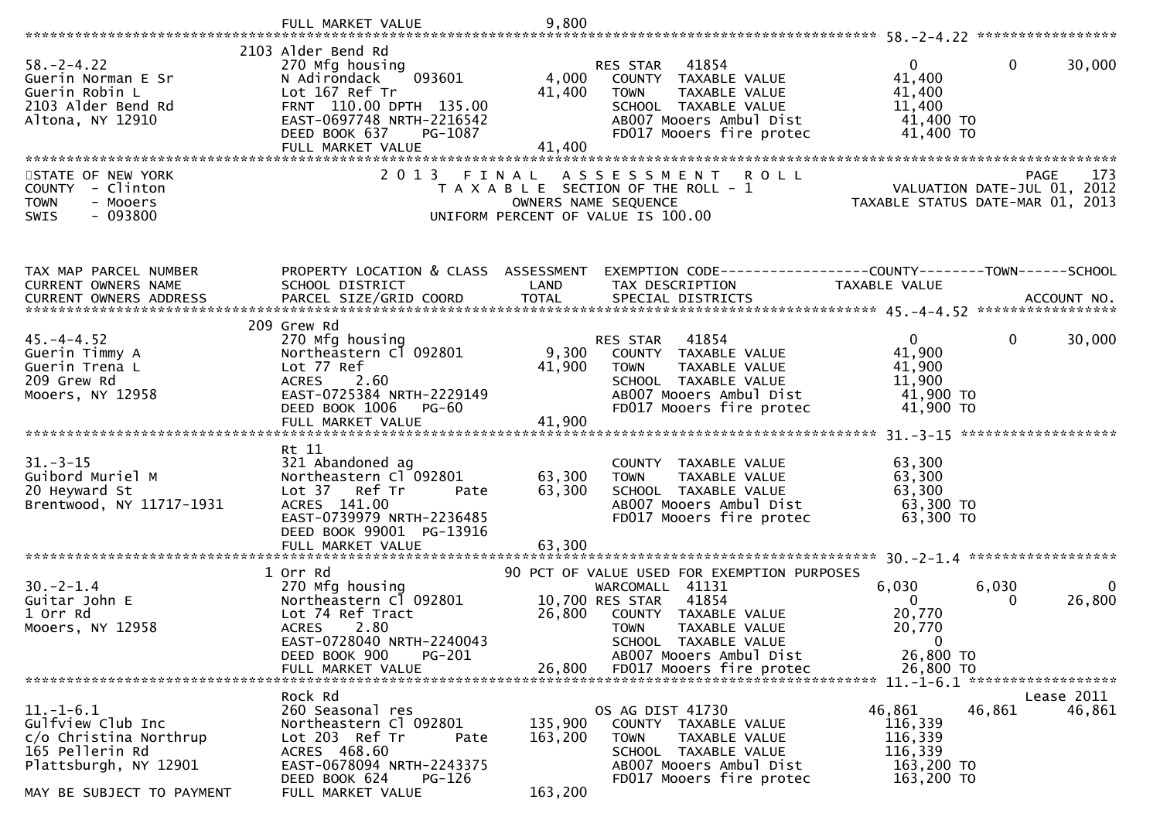|                                                                                                                                     | FULL MARKET VALUE                                                                                                                                                                   | 9,800                         |                                                                                                                                                                                                       |                                                                      |                                                                        |
|-------------------------------------------------------------------------------------------------------------------------------------|-------------------------------------------------------------------------------------------------------------------------------------------------------------------------------------|-------------------------------|-------------------------------------------------------------------------------------------------------------------------------------------------------------------------------------------------------|----------------------------------------------------------------------|------------------------------------------------------------------------|
|                                                                                                                                     | 2103 Alder Bend Rd                                                                                                                                                                  |                               |                                                                                                                                                                                                       |                                                                      |                                                                        |
| $58. - 2 - 4.22$<br>Guerin Norman E Sr<br>Guerin Robin L<br>2103 Alder Bend Rd<br>Altona, NY 12910                                  | 270 Mfg housing<br>093601<br>N Adirondack<br>Lot 167 Ref Tr<br>FRNT 110.00 DPTH 135.00<br>EAST-0697748 NRTH-2216542<br>DEED BOOK 637<br>PG-1087                                     | 4,000<br>41,400               | RES STAR 41854<br>COUNTY TAXABLE VALUE<br>TAXABLE VALUE<br><b>TOWN</b><br>SCHOOL TAXABLE VALUE<br>AB007 Mooers Ambul Dist<br>FD017 Mooers fire protec                                                 | $\Omega$<br>41,400<br>41,400<br>11,400<br>41,400 TO<br>41,400 TO     | 0<br>30,000                                                            |
|                                                                                                                                     | FULL MARKET VALUE                                                                                                                                                                   | 41,400                        |                                                                                                                                                                                                       |                                                                      |                                                                        |
| STATE OF NEW YORK<br>COUNTY - Clinton<br><b>TOWN</b><br>- Mooers<br><b>SWIS</b><br>$-093800$                                        | 2 0 1 3                                                                                                                                                                             | FINAL                         | <b>ROLL</b><br>A S S E S S M E N T<br>T A X A B L E SECTION OF THE ROLL - 1<br>OWNERS NAME SEQUENCE<br>UNIFORM PERCENT OF VALUE IS 100.00                                                             | TAXABLE STATUS DATE-MAR 01,                                          | 173<br><b>PAGE</b><br>VALUATION DATE-JUL 01, 2012<br>2013              |
| TAX MAP PARCEL NUMBER                                                                                                               | PROPERTY LOCATION & CLASS ASSESSMENT                                                                                                                                                |                               |                                                                                                                                                                                                       |                                                                      |                                                                        |
| CURRENT OWNERS NAME                                                                                                                 | SCHOOL DISTRICT                                                                                                                                                                     | LAND                          | TAX DESCRIPTION                                                                                                                                                                                       | TAXABLE VALUE                                                        |                                                                        |
|                                                                                                                                     |                                                                                                                                                                                     |                               |                                                                                                                                                                                                       |                                                                      |                                                                        |
| $45. - 4 - 4.52$<br>Guerin Timmy A<br>Guerin Trena L<br>209 Grew Rd<br>Mooers, NY 12958                                             | 209 Grew Rd<br>270 Mfg housing<br>Northeastern Cl 092801<br>Lot 77 Ref<br>2.60<br><b>ACRES</b><br>EAST-0725384 NRTH-2229149<br>DEED BOOK 1006<br>PG-60                              | 9,300<br>41,900               | 41854<br>RES STAR<br>COUNTY TAXABLE VALUE<br>TAXABLE VALUE<br><b>TOWN</b><br>SCHOOL TAXABLE VALUE<br>AB007 Mooers Ambul Dist<br>FD017 Mooers fire protec                                              | $\mathbf{0}$<br>41,900<br>41,900<br>11,900<br>41,900 TO<br>41,900 TO | 30,000<br>$\mathbf{0}$                                                 |
|                                                                                                                                     | Rt 11                                                                                                                                                                               |                               |                                                                                                                                                                                                       |                                                                      |                                                                        |
| $31. - 3 - 15$<br>Guibord Muriel M<br>20 Heyward St<br>Brentwood, NY 11717-1931                                                     | 321 Abandoned ag<br>Northeastern Cl 092801<br>Lot 37 Ref Tr<br>Pate<br>ACRES 141.00<br>EAST-0739979 NRTH-2236485<br>DEED BOOK 99001 PG-13916                                        | 63,300<br>63,300<br>63,300    | COUNTY TAXABLE VALUE<br>TAXABLE VALUE<br><b>TOWN</b><br>SCHOOL TAXABLE VALUE<br>AB007 Mooers Ambul Dist<br>FD017 Mooers fire protec                                                                   | 63,300<br>63,300<br>63,300<br>63,300 TO<br>63,300 TO                 |                                                                        |
|                                                                                                                                     | FULL MARKET VALUE                                                                                                                                                                   |                               |                                                                                                                                                                                                       |                                                                      | $30 - 2 - 1.4$ *******************                                     |
| $30. -2 - 1.4$<br>Guitar John E<br>1 Orr Rd<br>Mooers, NY 12958                                                                     | 1 Orr Rd<br>270 Mfg housing<br>Northeastern Cl 092801<br>Lot 74 Ref Tract<br><b>ACRES</b><br>2.80<br>EAST-0728040 NRTH-2240043<br>DEED BOOK 900<br><b>PG-201</b>                    | 26,800                        | 90 PCT OF VALUE USED FOR EXEMPTION PURPOSES<br>WARCOMALL 41131<br>41854<br>10,700 RES STAR<br>COUNTY TAXABLE VALUE<br>TAXABLE VALUE<br><b>TOWN</b><br>SCHOOL TAXABLE VALUE<br>AB007 Mooers Ambul Dist | 6,030<br>$\Omega$<br>20,770<br>20,770<br>$\mathbf{0}$<br>26,800 TO   | 6,030<br>26,800<br>$\Omega$                                            |
|                                                                                                                                     | FULL MARKET VALUE                                                                                                                                                                   | 26,800                        | FD017 Mooers fire protec                                                                                                                                                                              | 26,800 TO                                                            |                                                                        |
| $11.-1-6.1$<br>Gulfview Club Inc<br>c/o Christina Northrup<br>165 Pellerin Rd<br>Plattsburgh, NY 12901<br>MAY BE SUBJECT TO PAYMENT | Rock Rd<br>260 Seasonal res<br>Northeastern Cl 092801<br>Lot 203 Ref Tr<br>Pate<br>ACRES 468.60<br>EAST-0678094 NRTH-2243375<br>DEED BOOK 624<br><b>PG-126</b><br>FULL MARKET VALUE | 135,900<br>163,200<br>163,200 | OS AG DIST 41730<br>COUNTY TAXABLE VALUE<br>TAXABLE VALUE<br><b>TOWN</b><br>SCHOOL TAXABLE VALUE<br>AB007 Mooers Ambul Dist<br>FD017 Mooers fire protec                                               | 46,861<br>116,339<br>116,339<br>116,339<br>163,200 TO<br>163,200 TO  | $11. - 1 - 6.1$ ********************<br>Lease 2011<br>46,861<br>46,861 |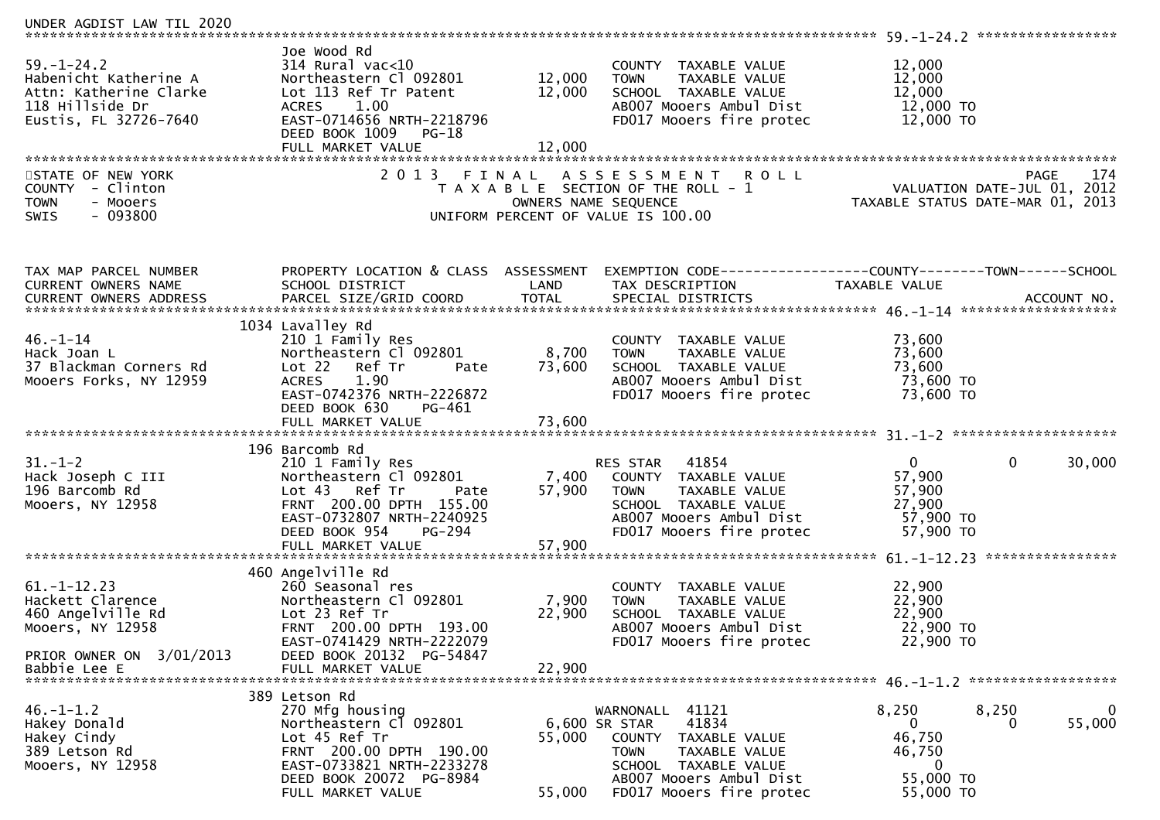| UNDER AGDIST LAW TIL 2020                                                                                                  |                                                                                                                                                                                           |                            |                                                                                                                                                                                            |                                                                                                              |
|----------------------------------------------------------------------------------------------------------------------------|-------------------------------------------------------------------------------------------------------------------------------------------------------------------------------------------|----------------------------|--------------------------------------------------------------------------------------------------------------------------------------------------------------------------------------------|--------------------------------------------------------------------------------------------------------------|
| $59. - 1 - 24.2$<br>Habenicht Katherine A<br>Attn: Katherine Clarke<br>118 Hillside Dr<br>Eustis, FL 32726-7640            | Joe Wood Rd<br>$314$ Rural vac<10<br>Northeastern Cl 092801<br>Lot 113 Ref Tr Patent<br>1.00<br>ACRES<br>EAST-0714656 NRTH-2218796<br>DEED BOOK 1009 PG-18<br>FULL MARKET VALUE           | 12,000<br>12,000<br>12,000 | COUNTY TAXABLE VALUE<br><b>TOWN</b><br>TAXABLE VALUE<br>SCHOOL TAXABLE VALUE<br>AB007 Mooers Ambul Dist<br>FD017 Mooers fire protec                                                        | 12,000<br>12,000<br>12,000<br>12,000 TO<br>12,000 TO                                                         |
| STATE OF NEW YORK<br>COUNTY - Clinton<br><b>TOWN</b><br>- Mooers<br>$-093800$<br>SWIS                                      | 2 0 1 3                                                                                                                                                                                   | FINAL                      | A S S E S S M E N T<br><b>ROLL</b><br>T A X A B L E SECTION OF THE ROLL - 1<br>OWNERS NAME SEQUENCE<br>UNIFORM PERCENT OF VALUE IS 100.00                                                  | 174<br><b>PAGE</b><br>VALUATION DATE-JUL 01, 2012<br>TAXABLE STATUS DATE-MAR 01, 2013                        |
| TAX MAP PARCEL NUMBER<br>CURRENT OWNERS NAME<br>CURRENT OWNERS ADDRESS                                                     | PROPERTY LOCATION & CLASS ASSESSMENT<br>SCHOOL DISTRICT<br>PARCEL SIZE/GRID COORD                                                                                                         | LAND<br><b>TOTAL</b>       | TAX DESCRIPTION<br>SPECIAL DISTRICTS                                                                                                                                                       | EXEMPTION CODE-----------------COUNTY-------TOWN------SCHOOL<br>TAXABLE VALUE<br>ACCOUNT NO.                 |
| $46. - 1 - 14$<br>Hack Joan L<br>37 Blackman Corners Rd<br>Mooers Forks, NY 12959                                          | 1034 Lavalley Rd<br>210 1 Family Res<br>Northeastern Cl 092801<br>Lot 22 Ref Tr<br>Pate<br>ACRES<br>1.90<br>EAST-0742376 NRTH-2226872<br>DEED BOOK 630<br>PG-461                          | 8,700<br>73,600            | COUNTY TAXABLE VALUE<br>TAXABLE VALUE<br><b>TOWN</b><br>SCHOOL TAXABLE VALUE<br>AB007 Mooers Ambul Dist<br>FD017 Mooers fire protec                                                        | 73,600<br>73,600<br>73,600<br>73,600 TO<br>73,600 TO                                                         |
| $31. - 1 - 2$<br>Hack Joseph C III<br>196 Barcomb Rd<br>Mooers, NY 12958                                                   | 196 Barcomb Rd<br>210 1 Family Res<br>Northeastern Cl 092801<br>Lot 43 Ref Tr<br>Pate<br>FRNT 200.00 DPTH 155.00<br>EAST-0732807 NRTH-2240925<br>DEED BOOK 954<br>PG-294                  | 57,900                     | 41854<br>RES STAR<br>7,400 COUNTY TAXABLE VALUE<br><b>TOWN</b><br>TAXABLE VALUE<br>SCHOOL TAXABLE VALUE<br>AB007 Mooers Ambul Dist<br>FD017 Mooers fire protec                             | $\overline{0}$<br>$\mathbf{0}$<br>30,000<br>57,900<br>57,900<br>27,900<br>57,900 TO<br>57,900 TO             |
| $61. - 1 - 12.23$<br>Hackett Clarence<br>460 Angelville Rd<br>Mooers, NY 12958<br>PRIOR OWNER ON 3/01/2013<br>Babbie Lee E | 460 Angelville Rd<br>260 Seasonal res<br>Northeastern Cl 092801<br>Lot 23 Ref Tr<br>FRNT 200.00 DPTH 193.00<br>EAST-0741429 NRTH-2222079<br>DEED BOOK 20132 PG-54847<br>FULL MARKET VALUE | 7,900<br>22,900<br>22,900  | COUNTY TAXABLE VALUE<br>TAXABLE VALUE<br><b>TOWN</b><br>SCHOOL TAXABLE VALUE<br>AB007 Mooers Ambul Dist<br>FD017 Mooers fire protec                                                        | 22,900<br>22,900<br>22,900<br>22,900 TO<br>22,900 TO                                                         |
| $46. - 1 - 1.2$<br>Hakey Donald<br>Hakey Cindy<br>389 Letson Rd<br>Mooers, NY 12958                                        | 389 Letson Rd<br>270 Mfg housing<br>Northeastern Cl 092801<br>Lot 45 Ref Tr<br>FRNT 200.00 DPTH 190.00<br>EAST-0733821 NRTH-2233278<br>DEED BOOK 20072 PG-8984<br>FULL MARKET VALUE       | 55,000<br>55,000           | WARNONALL 41121<br>41834<br>6,600 SR STAR<br><b>COUNTY</b><br>TAXABLE VALUE<br><b>TOWN</b><br>TAXABLE VALUE<br>SCHOOL TAXABLE VALUE<br>AB007 Mooers Ambul Dist<br>FD017 Mooers fire protec | 8,250<br>8,250<br>$\mathbf{0}$<br>55,000<br>$\bf{0}$<br>0<br>46,750<br>46,750<br>0<br>55,000 TO<br>55,000 TO |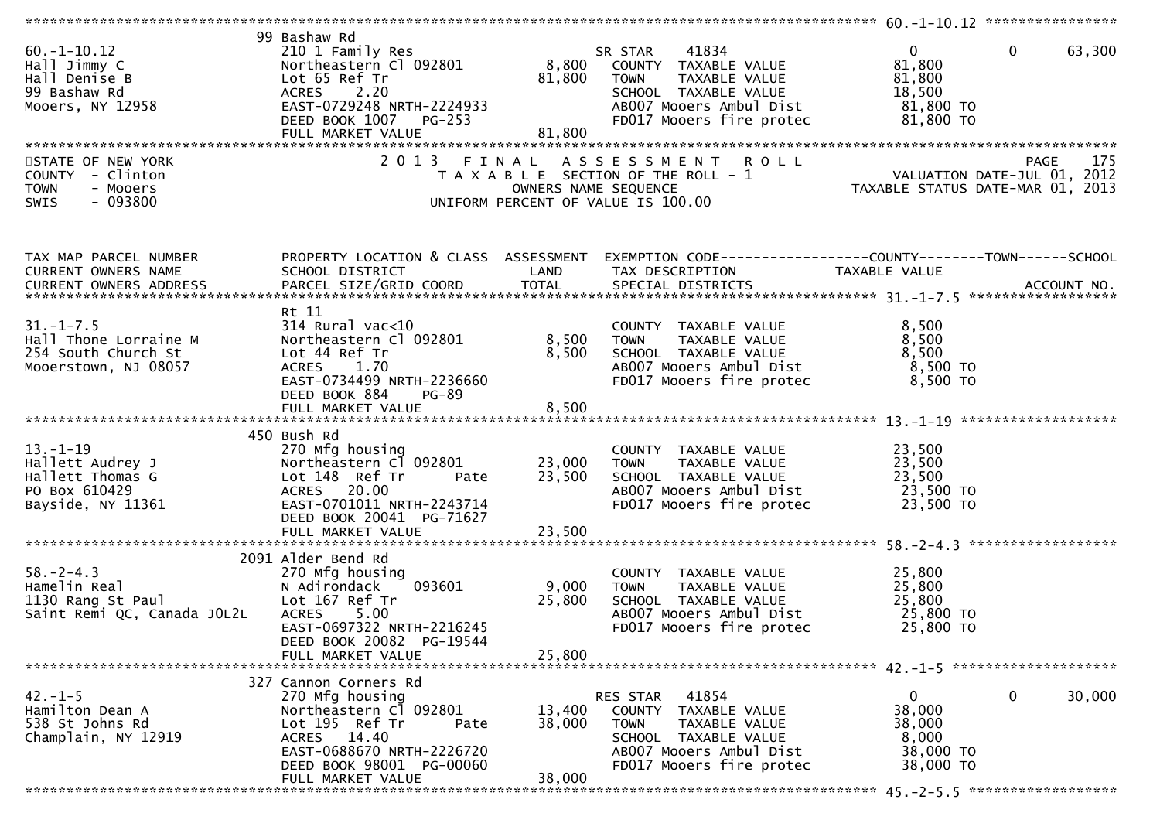| $60. -1 - 10.12$<br>Hall Jimmy C<br>Hall Denise B<br>99 Bashaw Rd<br>Mooers, NY 12958            | 99 Bashaw Rd<br>210 1 Family Res<br>Lot 65 Ref Tr<br>ACRES 2.20<br>EAST-0729248 NRTH-2224933<br>DEED BOOK 1007 PG-253<br>FULL MARKET VALUE                           | 81,800<br>81,800     | 41834<br>SR STAR<br>TAXABLE VALUE<br><b>TOWN</b><br>SCHOOL TAXABLE VALUE<br>AB007 Mooers Ambul Dist<br>FD017 Mooers fire protec                          | $\mathbf{0}$<br>81,800<br>81,800<br>18,500<br>81,800 TO<br>81,800 TO | $\mathbf{0}$<br>63,300 |
|--------------------------------------------------------------------------------------------------|----------------------------------------------------------------------------------------------------------------------------------------------------------------------|----------------------|----------------------------------------------------------------------------------------------------------------------------------------------------------|----------------------------------------------------------------------|------------------------|
| STATE OF NEW YORK<br>COUNTY - Clinton<br>- Mooers<br><b>TOWN</b><br>$-093800$<br><b>SWIS</b>     | 2 0 1 3<br>FINAL                                                                                                                                                     | OWNERS NAME SEQUENCE | ASSESSMENT ROLL<br>T A X A B L E SECTION OF THE ROLL - 1<br>UNIFORM PERCENT OF VALUE IS 100.00                                                           |                                                                      | 175<br>PAGE            |
| TAX MAP PARCEL NUMBER<br>CURRENT OWNERS NAME<br>CURRENT OWNERS ADDRESS                           | SCHOOL DISTRICT<br><b>Example 18 The CAND</b><br>PARCEL SIZE/GRID COORD                                                                                              | <b>TOTAL</b>         | PROPERTY LOCATION & CLASS ASSESSMENT EXEMPTION CODE---------------COUNTY-------TOWN------SCHOOL<br>TAX DESCRIPTION<br>SPECIAL DISTRICTS                  | TAXABLE VALUE                                                        | ACCOUNT NO.            |
| $31. - 1 - 7.5$<br>Hall Thone Lorraine M<br>254 South Church St<br>Mooerstown, NJ 08057          | Rt 11<br>$314$ Rural vac<10<br>Northeastern Cl 092801<br>Lot 44 Ref Tr<br>ACRES 1.70<br>EAST-0734499 NRTH-2236660<br>DEED BOOK 884<br>PG-89                          | 8,500<br>8,500       | COUNTY TAXABLE VALUE<br>TAXABLE VALUE<br>TOWN<br>SCHOOL TAXABLE VALUE<br>AB007 Mooers Ambul Dist<br>FD017 Mooers fire protec                             | 8,500<br>8,500<br>8,500<br>8,500 TO<br>8,500 TO                      |                        |
|                                                                                                  |                                                                                                                                                                      |                      |                                                                                                                                                          |                                                                      |                        |
| $13. - 1 - 19$<br>Hallett Audrey J<br>Hallett Thomas G<br>PO Box 610429<br>Bayside, NY 11361     | 450 Bush Rd<br>270 Mfg housing<br>Northeastern Cl 092801<br>Lot 148 Ref Tr<br>Pate<br>ACRES 20.00<br>EAST-0701011 NRTH-2243714<br>DEED BOOK 20041 PG-71627           |                      | COUNTY TAXABLE VALUE<br>23,000 TOWN TAXABLE VALUE<br>23,500 SCHOOL TAXABLE VALUE<br>AB007 Mooers Ambul Dist 23,500 TO<br>FD017 Mooers fire protec        | 23,500<br>23,500<br>23,500<br>23,500 TO                              |                        |
|                                                                                                  | FULL MARKET VALUE                                                                                                                                                    | 23,500               |                                                                                                                                                          |                                                                      |                        |
| $58. - 2 - 4.3$<br>po.-z-4.3<br>Hamelin Real<br>1130 Rang St Paul<br>Saint Remi QC, Canada JOL2L | 2091 Alder Bend Rd<br>270 Mfg housing<br>N Adirondack<br>093601<br>Lot 167 Ref Tr<br>5.00<br><b>ACRES</b><br>EAST-0697322 NRTH-2216245<br>DEED BOOK 20082 PG-19544   | 9,000<br>25,800      | COUNTY TAXABLE VALUE<br><b>TOWN</b><br>TAXABLE VALUE<br>SCHOOL TAXABLE VALUE<br>AB007 Mooers Ambul Dist<br>FD017 Mooers fire protec                      | 25,800<br>25,800<br>25,800<br>25,800 TO<br>25,800 TO                 |                        |
|                                                                                                  | FULL MARKET VALUE                                                                                                                                                    | 25,800               |                                                                                                                                                          |                                                                      |                        |
|                                                                                                  |                                                                                                                                                                      |                      |                                                                                                                                                          |                                                                      |                        |
| $42. - 1 - 5$<br>Hamilton Dean A<br>538 St Johns Rd<br>Champlain, NY 12919                       | 327 Cannon Corners Rd<br>270 Mfg housing<br>Northeastern Cl 092801<br>Lot 195 Ref Tr<br>Pate<br>ACRES 14.40<br>EAST-0688670 NRTH-2226720<br>DEED BOOK 98001 PG-00060 | 13,400<br>38,000     | RES STAR<br>41854<br>COUNTY TAXABLE VALUE<br>TAXABLE VALUE<br><b>TOWN</b><br>SCHOOL TAXABLE VALUE<br>AB007 Mooers Ambul Dist<br>FD017 Mooers fire protec | 0<br>38,000<br>38,000<br>8,000<br>38,000 TO<br>38,000 TO             | 0<br>30,000            |
|                                                                                                  | FULL MARKET VALUE                                                                                                                                                    | 38,000               |                                                                                                                                                          |                                                                      |                        |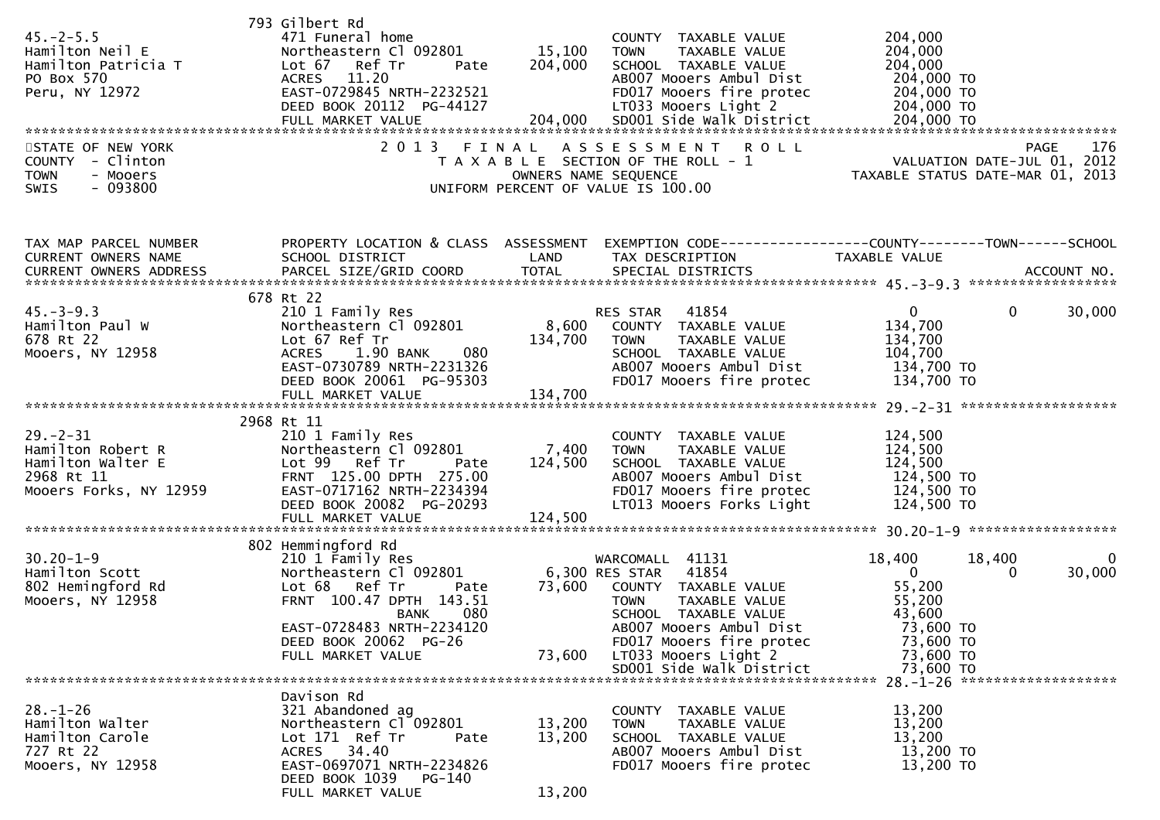|                                             | 793 Gilbert Rd                                        |                   |                                                               |                          |                                                                 |
|---------------------------------------------|-------------------------------------------------------|-------------------|---------------------------------------------------------------|--------------------------|-----------------------------------------------------------------|
| $45. - 2 - 5.5$                             | 471 Funeral home                                      |                   | COUNTY TAXABLE VALUE                                          | 204,000                  |                                                                 |
| Hamilton Neil E<br>Hamilton Patricia T      | Northeastern Cl 092801<br>Lot 67 Ref Tr<br>Pate       | 15,100<br>204,000 | TAXABLE VALUE<br>TOWN<br>SCHOOL TAXABLE VALUE                 | 204,000<br>204,000       |                                                                 |
| PO Box 570                                  | <b>ACRES</b><br>11.20                                 |                   | AB007 Mooers Ambul Dist                                       | 204,000 TO               |                                                                 |
| Peru, NY 12972                              | EAST-0729845 NRTH-2232521                             |                   | FD017 Mooers fire protec                                      | 204,000 TO               |                                                                 |
|                                             | DEED BOOK 20112 PG-44127                              |                   | LT033 Mooers Light 2                                          | 204,000 TO               |                                                                 |
|                                             | FULL MARKET VALUE                                     | 204,000           | SD001 Side Walk District                                      | 204,000 TO               |                                                                 |
|                                             |                                                       |                   |                                                               |                          |                                                                 |
| STATE OF NEW YORK                           | 2 0 1 3                                               | FINAL             | ASSESSMENT<br>R O L L                                         |                          | 176<br>PAGE                                                     |
| COUNTY - Clinton<br>- Mooers<br><b>TOWN</b> |                                                       |                   | T A X A B L E SECTION OF THE ROLL - 1<br>OWNERS NAME SEQUENCE |                          | VALUATION DATE-JUL 01, 2012<br>TAXABLE STATUS DATE-MAR 01, 2013 |
| $-093800$<br>SWIS                           |                                                       |                   | UNIFORM PERCENT OF VALUE IS 100.00                            |                          |                                                                 |
|                                             |                                                       |                   |                                                               |                          |                                                                 |
|                                             |                                                       |                   |                                                               |                          |                                                                 |
| TAX MAP PARCEL NUMBER                       | PROPERTY LOCATION & CLASS ASSESSMENT                  |                   | EXEMPTION CODE-----------------COUNTY-------TOWN------SCHOOL  |                          |                                                                 |
| CURRENT OWNERS NAME                         | SCHOOL DISTRICT                                       | LAND              | TAX DESCRIPTION                                               | TAXABLE VALUE            |                                                                 |
|                                             |                                                       |                   |                                                               |                          |                                                                 |
|                                             | 678 Rt 22                                             |                   |                                                               |                          |                                                                 |
| $45. - 3 - 9.3$                             | 210 1 Family Res                                      |                   | RES STAR<br>41854                                             | $\mathbf{0}$             | $\mathbf{0}$<br>30,000                                          |
| Hamilton Paul W                             | Northeastern Cl 092801                                | 8,600             | COUNTY TAXABLE VALUE                                          | 134,700                  |                                                                 |
| 678 Rt 22                                   | Lot 67 Ref Tr                                         | 134,700           | <b>TOWN</b><br>TAXABLE VALUE                                  | 134,700                  |                                                                 |
| Mooers, NY 12958                            | 1.90 BANK<br><b>ACRES</b><br>080                      |                   | SCHOOL TAXABLE VALUE                                          | 104,700                  |                                                                 |
|                                             | EAST-0730789 NRTH-2231326                             |                   | AB007 Mooers Ambul Dist                                       | 134,700 TO               |                                                                 |
|                                             | DEED BOOK 20061 PG-95303                              |                   | FD017 Mooers fire protec                                      | 134,700 TO               |                                                                 |
|                                             |                                                       |                   |                                                               |                          |                                                                 |
|                                             | 2968 Rt 11                                            |                   |                                                               |                          |                                                                 |
| $29. - 2 - 31$                              | 210 1 Family Res                                      |                   | COUNTY TAXABLE VALUE                                          | 124,500                  |                                                                 |
| Hamilton Robert R                           | Northeastern Cl 092801                                | 7,400             | <b>TOWN</b><br>TAXABLE VALUE                                  | 124,500                  |                                                                 |
| Hamilton Walter E                           | Lot 99 Ref Tr<br>Pate                                 | 124,500           | SCHOOL TAXABLE VALUE                                          | 124,500                  |                                                                 |
| 2968 Rt 11                                  | FRNT 125.00 DPTH 275.00                               |                   | AB007 Mooers Ambul Dist                                       | 124,500 TO               |                                                                 |
| Mooers Forks, NY 12959                      | EAST-0717162 NRTH-2234394<br>DEED BOOK 20082 PG-20293 |                   | FD017 Mooers fire protec<br>LT013 Mooers Forks Light          | 124,500 TO<br>124,500 TO |                                                                 |
|                                             | FULL MARKET VALUE                                     | 124,500           |                                                               |                          |                                                                 |
|                                             |                                                       |                   |                                                               |                          |                                                                 |
|                                             | 802 Hemmingford Rd                                    |                   |                                                               |                          |                                                                 |
| $30.20 - 1 - 9$                             | 210 1 Family Res                                      |                   | WARCOMALL 41131                                               | 18,400                   | 18,400<br>0                                                     |
| Hamilton Scott                              | Northeastern Cl 092801                                |                   | 41854<br>6,300 RES STAR                                       | $\overline{0}$           | 30,000<br>$\Omega$                                              |
| 802 Hemingford Rd                           | Lot 68 Ref Tr<br>Pate                                 | 73,600            | COUNTY TAXABLE VALUE                                          | 55,200                   |                                                                 |
| Mooers, NY 12958                            | FRNT 100.47 DPTH 143.51<br>080<br><b>BANK</b>         |                   | TAXABLE VALUE<br><b>TOWN</b><br>SCHOOL TAXABLE VALUE          | 55,200<br>43,600         |                                                                 |
|                                             | EAST-0728483 NRTH-2234120                             |                   | AB007 Mooers Ambul Dist                                       | 73,600 TO                |                                                                 |
|                                             | DEED BOOK 20062 PG-26                                 |                   | FD017 Mooers fire protec                                      | 73,600 TO                |                                                                 |
|                                             | FULL MARKET VALUE                                     | 73,600            | LT033 Mooers Light 2                                          | 73,600 TO                |                                                                 |
|                                             |                                                       |                   | SD001 Side Walk District                                      | 73,600 TO                |                                                                 |
|                                             |                                                       |                   |                                                               |                          | 28. -1-26 *********************                                 |
|                                             | Davison Rd                                            |                   |                                                               |                          |                                                                 |
| $28. - 1 - 26$<br>Hamilton Walter           | 321 Abandoned ag<br>Northeastern Cl 092801            | 13,200            | COUNTY TAXABLE VALUE<br><b>TOWN</b><br>TAXABLE VALUE          | 13,200<br>13,200         |                                                                 |
| Hamilton Carole                             | Lot 171 Ref Tr<br>Pate                                | 13,200            | SCHOOL TAXABLE VALUE                                          | 13,200                   |                                                                 |
| 727 Rt 22                                   | ACRES 34.40                                           |                   | AB007 Mooers Ambul Dist                                       | 13,200 TO                |                                                                 |
| Mooers, NY 12958                            | EAST-0697071 NRTH-2234826                             |                   | FD017 Mooers fire protec                                      | 13,200 TO                |                                                                 |
|                                             | DEED BOOK 1039<br>PG-140                              |                   |                                                               |                          |                                                                 |
|                                             | FULL MARKET VALUE                                     | 13,200            |                                                               |                          |                                                                 |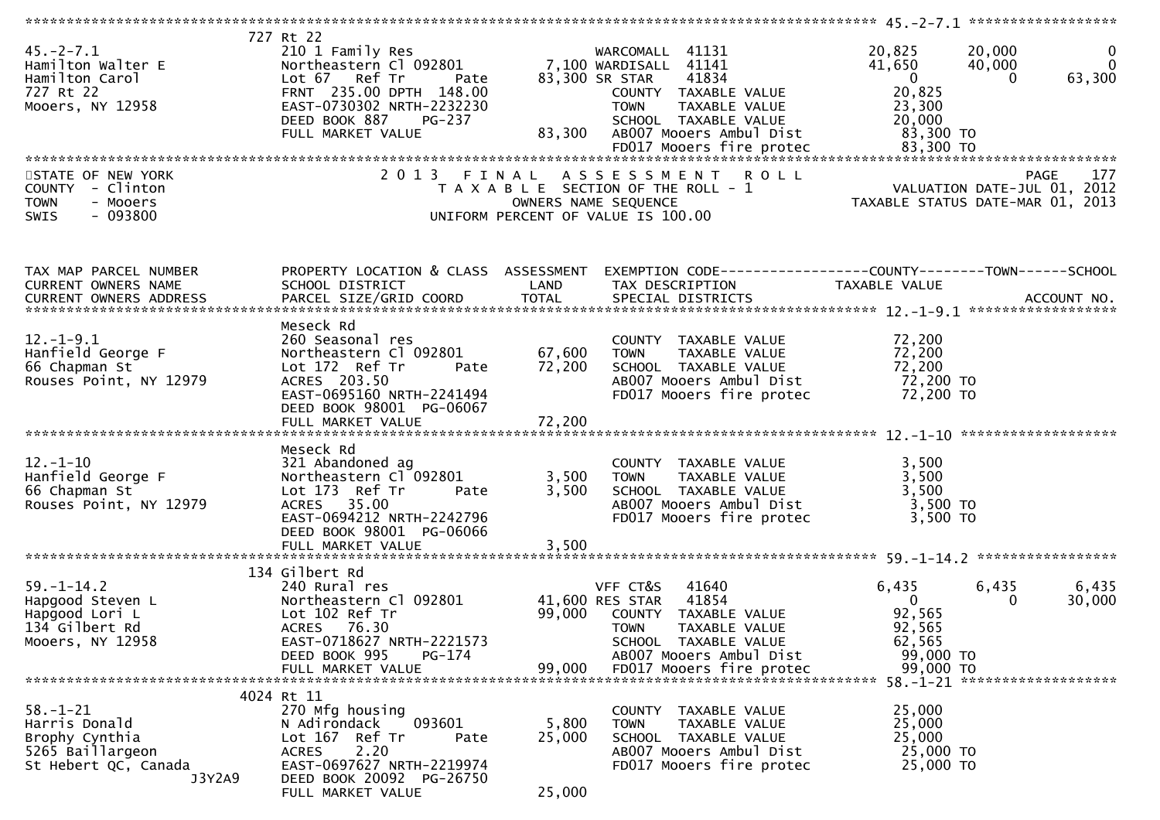| $45. -2 - 7.1$<br>Hamilton Walter E<br>Hamilton Carol<br>727 Rt 22                                      | 727 Rt 22<br>210 1 Family Res<br>Northeastern Cl 092801<br>Lot 67<br>Ref Tr<br>Pate<br>FRNT 235.00 DPTH 148.00                                                                          |                           | WARCOMALL 41131<br>7,100 WARDISALL 41141<br>83,300 SR STAR<br>41834<br>COUNTY TAXABLE VALUE                                                                                             | 20,825<br>41,650<br>$\overline{0}$<br>20,825                                  | 20,000<br>$\mathbf 0$<br>$\mathbf{0}$<br>40,000<br>63,300<br>$\Omega$                 |
|---------------------------------------------------------------------------------------------------------|-----------------------------------------------------------------------------------------------------------------------------------------------------------------------------------------|---------------------------|-----------------------------------------------------------------------------------------------------------------------------------------------------------------------------------------|-------------------------------------------------------------------------------|---------------------------------------------------------------------------------------|
| Mooers, NY 12958                                                                                        | EAST-0730302 NRTH-2232230<br>DEED BOOK 887<br>PG-237<br>FULL MARKET VALUE                                                                                                               | 83,300                    | <b>TOWN</b><br>TAXABLE VALUE<br>SCHOOL TAXABLE VALUE<br>AB007 Mooers Ambul Dist<br>FD017 Mooers fire protec                                                                             | 23,300<br>20,000<br>83,300 TO<br>83,300 TO                                    |                                                                                       |
| STATE OF NEW YORK<br><b>COUNTY</b><br>- Clinton<br>- Mooers<br><b>TOWN</b><br>$-093800$<br>SWIS         | 2013 FINAL                                                                                                                                                                              |                           | A S S E S S M E N T<br><b>ROLL</b><br>T A X A B L E SECTION OF THE ROLL - 1<br>OWNERS NAME SEQUENCE<br>UNIFORM PERCENT OF VALUE IS 100.00                                               |                                                                               | <b>PAGE</b><br>177<br>VALUATION DATE-JUL 01, 2012<br>TAXABLE STATUS DATE-MAR 01, 2013 |
| TAX MAP PARCEL NUMBER<br>CURRENT OWNERS NAME                                                            | PROPERTY LOCATION & CLASS ASSESSMENT<br>SCHOOL DISTRICT                                                                                                                                 | LAND                      | EXEMPTION CODE------------------COUNTY--------TOWN------SCHOOL<br>TAX DESCRIPTION                                                                                                       | TAXABLE VALUE                                                                 |                                                                                       |
| $12. - 1 - 9.1$<br>Hanfield George F<br>66 Chapman St<br>Rouses Point, NY 12979                         | Meseck Rd<br>260 Seasonal res<br>Northeastern Cl 092801<br>Lot 172 Ref Tr<br>Pate<br>ACRES 203.50<br>EAST-0695160 NRTH-2241494<br>DEED BOOK 98001 PG-06067                              | 67,600<br>72,200          | COUNTY TAXABLE VALUE<br><b>TOWN</b><br>TAXABLE VALUE<br>SCHOOL TAXABLE VALUE<br>AB007 Mooers Ambul Dist<br>FD017 Mooers fire protec                                                     | 72,200<br>72,200<br>72,200<br>72,200 TO<br>72,200 TO                          |                                                                                       |
| $12. - 1 - 10$<br>Hanfield George F<br>66 Chapman St<br>Rouses Point, NY 12979                          | Meseck Rd<br>321 Abandoned ag<br>Northeastern Cl 092801<br>Lot 173 Ref Tr<br>Pate<br>ACRES 35.00<br>EAST-0694212 NRTH-2242796<br>DEED BOOK 98001 PG-06066<br>FULL MARKET VALUE          | 3,500<br>3,500<br>3,500   | COUNTY TAXABLE VALUE<br><b>TOWN</b><br>TAXABLE VALUE<br>SCHOOL TAXABLE VALUE<br>AB007 Mooers Ambul Dist<br>FD017 Mooers fire protec                                                     | 3,500<br>3,500<br>3,500<br>$3,500$ TO<br>3,500 TO                             |                                                                                       |
| $59. - 1 - 14.2$<br>Hapgood Steven L<br>Hapgood Lori L<br>134 Gilbert Rd<br>Mooers, NY 12958            | 134 Gilbert Rd<br>240 Rural res<br>Northeastern Cl 092801<br>Lot 102 Ref Tr<br>ACRES 76.30<br>EAST-0718627 NRTH-2221573<br>DEED BOOK 995<br>PG-174<br>FULL MARKET VALUE                 | 99,000<br>99,000          | VFF CT&S<br>41640<br>41854<br>41,600 RES STAR<br>COUNTY<br>TAXABLE VALUE<br><b>TOWN</b><br>TAXABLE VALUE<br>SCHOOL TAXABLE VALUE<br>AB007 Mooers Ambul Dist<br>FD017 Mooers fire protec | 6,435<br>$\mathbf{0}$<br>92,565<br>92,565<br>62,565<br>99,000 TO<br>99,000 TO | ******************<br>6,435<br>6,435<br>$\Omega$<br>30,000                            |
| $58. - 1 - 21$<br>Harris Donald<br>Brophy Cynthia<br>5265 Baillargeon<br>St Hebert QC, Canada<br>J3Y2A9 | 4024 Rt 11<br>270 Mfg housing<br>093601<br>N Adirondack<br>Lot 167 Ref Tr<br>Pate<br><b>ACRES</b><br>2.20<br>EAST-0697627 NRTH-2219974<br>DEED BOOK 20092 PG-26750<br>FULL MARKET VALUE | 5,800<br>25,000<br>25,000 | COUNTY TAXABLE VALUE<br>TAXABLE VALUE<br>TOWN<br>SCHOOL TAXABLE VALUE<br>AB007 Mooers Ambul Dist<br>FD017 Mooers fire protec                                                            | 25,000<br>25,000<br>25,000<br>25,000 TO<br>25,000 TO                          |                                                                                       |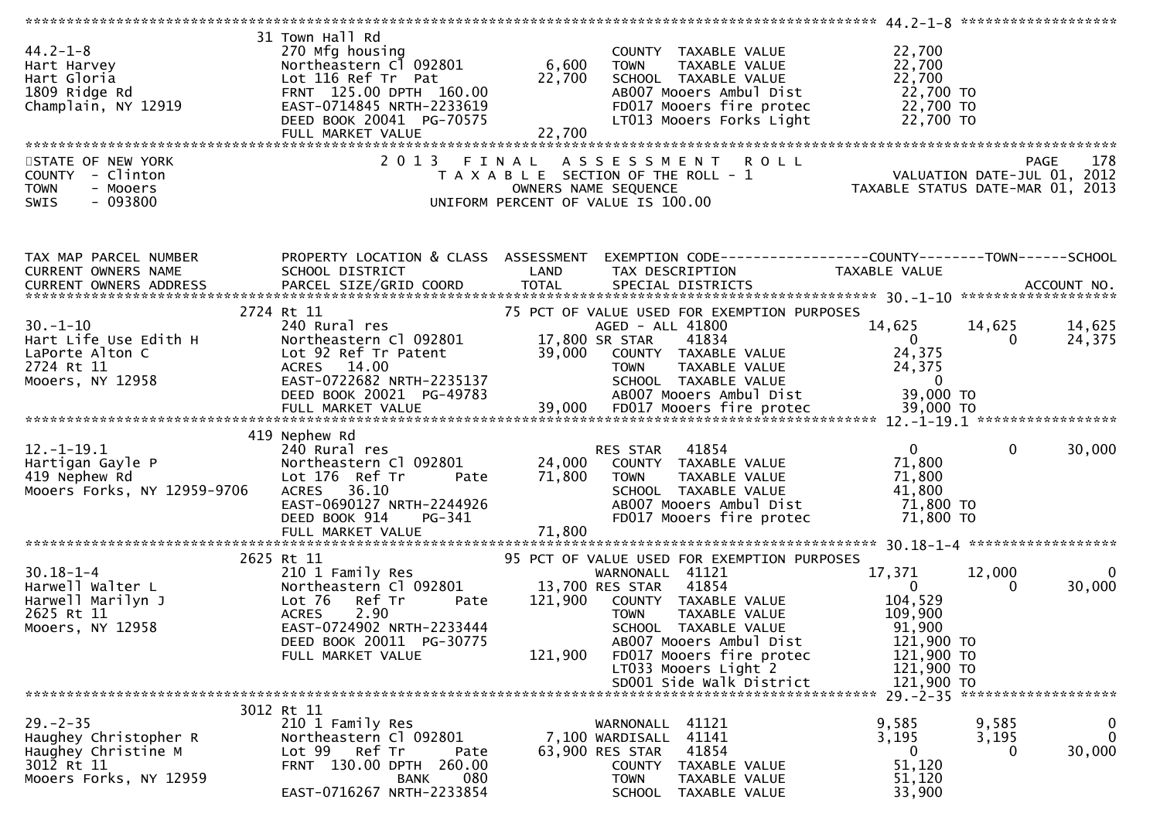| 31 Town Hall Rd<br>$44.2 - 1 - 8$<br>270 Mfg housing<br>22,700<br>COUNTY TAXABLE VALUE<br>6,600<br>Northeastern Cl 092801<br>22,700<br>TAXABLE VALUE<br>Hart Harvey<br><b>TOWN</b><br>22,700<br>22,700<br>Hart Gloria<br>Lot 116 Ref Tr Pat<br>SCHOOL TAXABLE VALUE<br>22,700 TO<br>1809 Ridge Rd<br>FRNT 125.00 DPTH 160.00<br>AB007 Mooers Ambul Dist<br>FD017 Mooers fire protec<br>22,700 TO<br>EAST-0714845 NRTH-2233619<br>Champlain, NY 12919<br>DEED BOOK 20041 PG-70575<br>LT013 Mooers Forks Light<br>22,700 TO<br>22,700<br>FULL MARKET VALUE<br>STATE OF NEW YORK<br>2 0 1 3<br><b>ROLL</b><br>178<br>ASSESSMENT<br><b>PAGE</b><br>FINAL<br>VALUATION DATE-JUL 01, 2012<br>TAXABLE STATUS DATE-MAR 01, 2013<br>COUNTY - Clinton<br>T A X A B L E SECTION OF THE ROLL - 1<br>- Mooers<br><b>TOWN</b><br>OWNERS NAME SEQUENCE<br>$-093800$<br>SWIS<br>UNIFORM PERCENT OF VALUE IS 100.00<br>PROPERTY LOCATION & CLASS ASSESSMENT<br>EXEMPTION CODE------------------COUNTY--------TOWN------SCHOOL<br>TAX MAP PARCEL NUMBER<br>SCHOOL DISTRICT<br>CURRENT OWNERS NAME<br>LAND<br>TAX DESCRIPTION<br>TAXABLE VALUE<br><b>TOTAL</b><br>PARCEL SIZE/GRID COORD<br>SPECIAL DISTRICTS<br>CURRENT OWNERS ADDRESS<br>ACCOUNT NO.<br>2724 Rt 11<br>75 PCT OF VALUE USED FOR EXEMPTION PURPOSES<br>$30. - 1 - 10$<br>14,625<br>14,625<br>240 Rural res<br>AGED - ALL 41800<br>14,625<br>24,375<br>Hart Life Use Edith H<br>17,800 SR STAR<br>41834<br>$\mathbf{0}$<br>Northeastern Cl 092801<br>0<br>LaPorte Alton C<br>Lot 92 Ref Tr Patent<br>39,000<br>24,375<br>COUNTY TAXABLE VALUE<br>2724 Rt 11<br>24,375<br>ACRES 14.00<br>TAXABLE VALUE<br><b>TOWN</b><br>Mooers, NY 12958<br>EAST-0722682 NRTH-2235137<br>SCHOOL TAXABLE VALUE<br>- 0<br>AB007 Mooers Ambul Dist<br>39,000 TO<br>DEED BOOK 20021 PG-49783<br>419 Nephew Rd<br>$12. - 1 - 19.1$<br>240 Rural res<br>41854<br>$\mathbf{0}$<br>$\Omega$<br>30,000<br>RES STAR<br>Northeastern Cl 092801<br>24,000 COUNTY TAXABLE VALUE<br>71,800<br>Hartigan Gayle P<br>419 Nephew Rd<br>Lot 176 Ref Tr<br>71,800<br>71,800<br>TAXABLE VALUE<br>Pate<br><b>TOWN</b><br>41,800<br>Mooers Forks, NY 12959-9706<br>36.10<br><b>ACRES</b><br>SCHOOL TAXABLE VALUE<br>EAST-0690127 NRTH-2244926<br>71,800 TO<br>ABOO7 Mooers Ambul Dist<br>FD017 Mooers fire protec<br>71,800 TO<br>DEED BOOK 914<br>PG-341<br>71,800<br>FULL MARKET VALUE<br>2625 Rt 11<br>95 PCT OF VALUE USED FOR EXEMPTION PURPOSES<br>$30.18 - 1 - 4$<br>17,371<br>12,000<br>210 1 Family Res<br>WARNONALL 41121<br>Harwell Walter L<br>Northeastern Cl 092801<br>13,700 RES STAR<br>41854<br>$\mathbf{0}$<br>0<br>Harwell Marilyn J<br>Ref Tr<br>104,529<br>Lot 76<br>121,900<br>COUNTY TAXABLE VALUE<br>Pate<br>2625 Rt 11<br><b>ACRES</b><br>2.90<br>109,900<br><b>TOWN</b><br>TAXABLE VALUE<br>EAST-0724902 NRTH-2233444<br>Mooers, NY 12958<br>91,900<br>SCHOOL TAXABLE VALUE<br>121,900 TO<br>DEED BOOK 20011 PG-30775<br>AB007 Mooers Ambul Dist<br>121,900<br>FD017 Mooers fire protec<br>121,900 TO<br>FULL MARKET VALUE |  |  |  |                        |
|-----------------------------------------------------------------------------------------------------------------------------------------------------------------------------------------------------------------------------------------------------------------------------------------------------------------------------------------------------------------------------------------------------------------------------------------------------------------------------------------------------------------------------------------------------------------------------------------------------------------------------------------------------------------------------------------------------------------------------------------------------------------------------------------------------------------------------------------------------------------------------------------------------------------------------------------------------------------------------------------------------------------------------------------------------------------------------------------------------------------------------------------------------------------------------------------------------------------------------------------------------------------------------------------------------------------------------------------------------------------------------------------------------------------------------------------------------------------------------------------------------------------------------------------------------------------------------------------------------------------------------------------------------------------------------------------------------------------------------------------------------------------------------------------------------------------------------------------------------------------------------------------------------------------------------------------------------------------------------------------------------------------------------------------------------------------------------------------------------------------------------------------------------------------------------------------------------------------------------------------------------------------------------------------------------------------------------------------------------------------------------------------------------------------------------------------------------------------------------------------------------------------------------------------------------------------------------------------------------------------------------------------------------------------------------------------------------------------------------------------------------------------------------------------------------------------------------------------------------------------------------------------------------------------------------------------------------------------------------------------------------------------------------------------------------------|--|--|--|------------------------|
|                                                                                                                                                                                                                                                                                                                                                                                                                                                                                                                                                                                                                                                                                                                                                                                                                                                                                                                                                                                                                                                                                                                                                                                                                                                                                                                                                                                                                                                                                                                                                                                                                                                                                                                                                                                                                                                                                                                                                                                                                                                                                                                                                                                                                                                                                                                                                                                                                                                                                                                                                                                                                                                                                                                                                                                                                                                                                                                                                                                                                                                           |  |  |  |                        |
|                                                                                                                                                                                                                                                                                                                                                                                                                                                                                                                                                                                                                                                                                                                                                                                                                                                                                                                                                                                                                                                                                                                                                                                                                                                                                                                                                                                                                                                                                                                                                                                                                                                                                                                                                                                                                                                                                                                                                                                                                                                                                                                                                                                                                                                                                                                                                                                                                                                                                                                                                                                                                                                                                                                                                                                                                                                                                                                                                                                                                                                           |  |  |  |                        |
|                                                                                                                                                                                                                                                                                                                                                                                                                                                                                                                                                                                                                                                                                                                                                                                                                                                                                                                                                                                                                                                                                                                                                                                                                                                                                                                                                                                                                                                                                                                                                                                                                                                                                                                                                                                                                                                                                                                                                                                                                                                                                                                                                                                                                                                                                                                                                                                                                                                                                                                                                                                                                                                                                                                                                                                                                                                                                                                                                                                                                                                           |  |  |  |                        |
|                                                                                                                                                                                                                                                                                                                                                                                                                                                                                                                                                                                                                                                                                                                                                                                                                                                                                                                                                                                                                                                                                                                                                                                                                                                                                                                                                                                                                                                                                                                                                                                                                                                                                                                                                                                                                                                                                                                                                                                                                                                                                                                                                                                                                                                                                                                                                                                                                                                                                                                                                                                                                                                                                                                                                                                                                                                                                                                                                                                                                                                           |  |  |  |                        |
|                                                                                                                                                                                                                                                                                                                                                                                                                                                                                                                                                                                                                                                                                                                                                                                                                                                                                                                                                                                                                                                                                                                                                                                                                                                                                                                                                                                                                                                                                                                                                                                                                                                                                                                                                                                                                                                                                                                                                                                                                                                                                                                                                                                                                                                                                                                                                                                                                                                                                                                                                                                                                                                                                                                                                                                                                                                                                                                                                                                                                                                           |  |  |  |                        |
|                                                                                                                                                                                                                                                                                                                                                                                                                                                                                                                                                                                                                                                                                                                                                                                                                                                                                                                                                                                                                                                                                                                                                                                                                                                                                                                                                                                                                                                                                                                                                                                                                                                                                                                                                                                                                                                                                                                                                                                                                                                                                                                                                                                                                                                                                                                                                                                                                                                                                                                                                                                                                                                                                                                                                                                                                                                                                                                                                                                                                                                           |  |  |  |                        |
|                                                                                                                                                                                                                                                                                                                                                                                                                                                                                                                                                                                                                                                                                                                                                                                                                                                                                                                                                                                                                                                                                                                                                                                                                                                                                                                                                                                                                                                                                                                                                                                                                                                                                                                                                                                                                                                                                                                                                                                                                                                                                                                                                                                                                                                                                                                                                                                                                                                                                                                                                                                                                                                                                                                                                                                                                                                                                                                                                                                                                                                           |  |  |  |                        |
|                                                                                                                                                                                                                                                                                                                                                                                                                                                                                                                                                                                                                                                                                                                                                                                                                                                                                                                                                                                                                                                                                                                                                                                                                                                                                                                                                                                                                                                                                                                                                                                                                                                                                                                                                                                                                                                                                                                                                                                                                                                                                                                                                                                                                                                                                                                                                                                                                                                                                                                                                                                                                                                                                                                                                                                                                                                                                                                                                                                                                                                           |  |  |  |                        |
|                                                                                                                                                                                                                                                                                                                                                                                                                                                                                                                                                                                                                                                                                                                                                                                                                                                                                                                                                                                                                                                                                                                                                                                                                                                                                                                                                                                                                                                                                                                                                                                                                                                                                                                                                                                                                                                                                                                                                                                                                                                                                                                                                                                                                                                                                                                                                                                                                                                                                                                                                                                                                                                                                                                                                                                                                                                                                                                                                                                                                                                           |  |  |  |                        |
|                                                                                                                                                                                                                                                                                                                                                                                                                                                                                                                                                                                                                                                                                                                                                                                                                                                                                                                                                                                                                                                                                                                                                                                                                                                                                                                                                                                                                                                                                                                                                                                                                                                                                                                                                                                                                                                                                                                                                                                                                                                                                                                                                                                                                                                                                                                                                                                                                                                                                                                                                                                                                                                                                                                                                                                                                                                                                                                                                                                                                                                           |  |  |  |                        |
|                                                                                                                                                                                                                                                                                                                                                                                                                                                                                                                                                                                                                                                                                                                                                                                                                                                                                                                                                                                                                                                                                                                                                                                                                                                                                                                                                                                                                                                                                                                                                                                                                                                                                                                                                                                                                                                                                                                                                                                                                                                                                                                                                                                                                                                                                                                                                                                                                                                                                                                                                                                                                                                                                                                                                                                                                                                                                                                                                                                                                                                           |  |  |  |                        |
|                                                                                                                                                                                                                                                                                                                                                                                                                                                                                                                                                                                                                                                                                                                                                                                                                                                                                                                                                                                                                                                                                                                                                                                                                                                                                                                                                                                                                                                                                                                                                                                                                                                                                                                                                                                                                                                                                                                                                                                                                                                                                                                                                                                                                                                                                                                                                                                                                                                                                                                                                                                                                                                                                                                                                                                                                                                                                                                                                                                                                                                           |  |  |  |                        |
|                                                                                                                                                                                                                                                                                                                                                                                                                                                                                                                                                                                                                                                                                                                                                                                                                                                                                                                                                                                                                                                                                                                                                                                                                                                                                                                                                                                                                                                                                                                                                                                                                                                                                                                                                                                                                                                                                                                                                                                                                                                                                                                                                                                                                                                                                                                                                                                                                                                                                                                                                                                                                                                                                                                                                                                                                                                                                                                                                                                                                                                           |  |  |  |                        |
|                                                                                                                                                                                                                                                                                                                                                                                                                                                                                                                                                                                                                                                                                                                                                                                                                                                                                                                                                                                                                                                                                                                                                                                                                                                                                                                                                                                                                                                                                                                                                                                                                                                                                                                                                                                                                                                                                                                                                                                                                                                                                                                                                                                                                                                                                                                                                                                                                                                                                                                                                                                                                                                                                                                                                                                                                                                                                                                                                                                                                                                           |  |  |  |                        |
|                                                                                                                                                                                                                                                                                                                                                                                                                                                                                                                                                                                                                                                                                                                                                                                                                                                                                                                                                                                                                                                                                                                                                                                                                                                                                                                                                                                                                                                                                                                                                                                                                                                                                                                                                                                                                                                                                                                                                                                                                                                                                                                                                                                                                                                                                                                                                                                                                                                                                                                                                                                                                                                                                                                                                                                                                                                                                                                                                                                                                                                           |  |  |  |                        |
|                                                                                                                                                                                                                                                                                                                                                                                                                                                                                                                                                                                                                                                                                                                                                                                                                                                                                                                                                                                                                                                                                                                                                                                                                                                                                                                                                                                                                                                                                                                                                                                                                                                                                                                                                                                                                                                                                                                                                                                                                                                                                                                                                                                                                                                                                                                                                                                                                                                                                                                                                                                                                                                                                                                                                                                                                                                                                                                                                                                                                                                           |  |  |  |                        |
|                                                                                                                                                                                                                                                                                                                                                                                                                                                                                                                                                                                                                                                                                                                                                                                                                                                                                                                                                                                                                                                                                                                                                                                                                                                                                                                                                                                                                                                                                                                                                                                                                                                                                                                                                                                                                                                                                                                                                                                                                                                                                                                                                                                                                                                                                                                                                                                                                                                                                                                                                                                                                                                                                                                                                                                                                                                                                                                                                                                                                                                           |  |  |  |                        |
|                                                                                                                                                                                                                                                                                                                                                                                                                                                                                                                                                                                                                                                                                                                                                                                                                                                                                                                                                                                                                                                                                                                                                                                                                                                                                                                                                                                                                                                                                                                                                                                                                                                                                                                                                                                                                                                                                                                                                                                                                                                                                                                                                                                                                                                                                                                                                                                                                                                                                                                                                                                                                                                                                                                                                                                                                                                                                                                                                                                                                                                           |  |  |  |                        |
|                                                                                                                                                                                                                                                                                                                                                                                                                                                                                                                                                                                                                                                                                                                                                                                                                                                                                                                                                                                                                                                                                                                                                                                                                                                                                                                                                                                                                                                                                                                                                                                                                                                                                                                                                                                                                                                                                                                                                                                                                                                                                                                                                                                                                                                                                                                                                                                                                                                                                                                                                                                                                                                                                                                                                                                                                                                                                                                                                                                                                                                           |  |  |  |                        |
|                                                                                                                                                                                                                                                                                                                                                                                                                                                                                                                                                                                                                                                                                                                                                                                                                                                                                                                                                                                                                                                                                                                                                                                                                                                                                                                                                                                                                                                                                                                                                                                                                                                                                                                                                                                                                                                                                                                                                                                                                                                                                                                                                                                                                                                                                                                                                                                                                                                                                                                                                                                                                                                                                                                                                                                                                                                                                                                                                                                                                                                           |  |  |  | $\overline{0}$         |
|                                                                                                                                                                                                                                                                                                                                                                                                                                                                                                                                                                                                                                                                                                                                                                                                                                                                                                                                                                                                                                                                                                                                                                                                                                                                                                                                                                                                                                                                                                                                                                                                                                                                                                                                                                                                                                                                                                                                                                                                                                                                                                                                                                                                                                                                                                                                                                                                                                                                                                                                                                                                                                                                                                                                                                                                                                                                                                                                                                                                                                                           |  |  |  | 30,000                 |
|                                                                                                                                                                                                                                                                                                                                                                                                                                                                                                                                                                                                                                                                                                                                                                                                                                                                                                                                                                                                                                                                                                                                                                                                                                                                                                                                                                                                                                                                                                                                                                                                                                                                                                                                                                                                                                                                                                                                                                                                                                                                                                                                                                                                                                                                                                                                                                                                                                                                                                                                                                                                                                                                                                                                                                                                                                                                                                                                                                                                                                                           |  |  |  |                        |
|                                                                                                                                                                                                                                                                                                                                                                                                                                                                                                                                                                                                                                                                                                                                                                                                                                                                                                                                                                                                                                                                                                                                                                                                                                                                                                                                                                                                                                                                                                                                                                                                                                                                                                                                                                                                                                                                                                                                                                                                                                                                                                                                                                                                                                                                                                                                                                                                                                                                                                                                                                                                                                                                                                                                                                                                                                                                                                                                                                                                                                                           |  |  |  |                        |
|                                                                                                                                                                                                                                                                                                                                                                                                                                                                                                                                                                                                                                                                                                                                                                                                                                                                                                                                                                                                                                                                                                                                                                                                                                                                                                                                                                                                                                                                                                                                                                                                                                                                                                                                                                                                                                                                                                                                                                                                                                                                                                                                                                                                                                                                                                                                                                                                                                                                                                                                                                                                                                                                                                                                                                                                                                                                                                                                                                                                                                                           |  |  |  |                        |
| LT033 Mooers Light 2<br>121,900 TO                                                                                                                                                                                                                                                                                                                                                                                                                                                                                                                                                                                                                                                                                                                                                                                                                                                                                                                                                                                                                                                                                                                                                                                                                                                                                                                                                                                                                                                                                                                                                                                                                                                                                                                                                                                                                                                                                                                                                                                                                                                                                                                                                                                                                                                                                                                                                                                                                                                                                                                                                                                                                                                                                                                                                                                                                                                                                                                                                                                                                        |  |  |  |                        |
| SD001 Side Walk District<br>121,900 TO                                                                                                                                                                                                                                                                                                                                                                                                                                                                                                                                                                                                                                                                                                                                                                                                                                                                                                                                                                                                                                                                                                                                                                                                                                                                                                                                                                                                                                                                                                                                                                                                                                                                                                                                                                                                                                                                                                                                                                                                                                                                                                                                                                                                                                                                                                                                                                                                                                                                                                                                                                                                                                                                                                                                                                                                                                                                                                                                                                                                                    |  |  |  |                        |
| $29 - 2 - 35$ *********************<br>3012 Rt 11                                                                                                                                                                                                                                                                                                                                                                                                                                                                                                                                                                                                                                                                                                                                                                                                                                                                                                                                                                                                                                                                                                                                                                                                                                                                                                                                                                                                                                                                                                                                                                                                                                                                                                                                                                                                                                                                                                                                                                                                                                                                                                                                                                                                                                                                                                                                                                                                                                                                                                                                                                                                                                                                                                                                                                                                                                                                                                                                                                                                         |  |  |  |                        |
| $29. - 2 - 35$<br>210 1 Family Res<br>WARNONALL 41121<br>0<br>9,585<br>9,585                                                                                                                                                                                                                                                                                                                                                                                                                                                                                                                                                                                                                                                                                                                                                                                                                                                                                                                                                                                                                                                                                                                                                                                                                                                                                                                                                                                                                                                                                                                                                                                                                                                                                                                                                                                                                                                                                                                                                                                                                                                                                                                                                                                                                                                                                                                                                                                                                                                                                                                                                                                                                                                                                                                                                                                                                                                                                                                                                                              |  |  |  |                        |
| 41141<br>Northeastern Cl 092801<br>7,100 WARDISALL<br>3,195<br>3,195<br>Haughey Christopher R<br>$\mathbf{0}$<br>0                                                                                                                                                                                                                                                                                                                                                                                                                                                                                                                                                                                                                                                                                                                                                                                                                                                                                                                                                                                                                                                                                                                                                                                                                                                                                                                                                                                                                                                                                                                                                                                                                                                                                                                                                                                                                                                                                                                                                                                                                                                                                                                                                                                                                                                                                                                                                                                                                                                                                                                                                                                                                                                                                                                                                                                                                                                                                                                                        |  |  |  | $\mathbf{0}$<br>30,000 |
| 41854<br>Haughey Christine M<br>Lot 99<br>Ref Tr<br>63,900 RES STAR<br>Pate<br>3012 Rt 11<br>FRNT 130.00 DPTH 260.00<br>51,120<br>COUNTY<br>TAXABLE VALUE                                                                                                                                                                                                                                                                                                                                                                                                                                                                                                                                                                                                                                                                                                                                                                                                                                                                                                                                                                                                                                                                                                                                                                                                                                                                                                                                                                                                                                                                                                                                                                                                                                                                                                                                                                                                                                                                                                                                                                                                                                                                                                                                                                                                                                                                                                                                                                                                                                                                                                                                                                                                                                                                                                                                                                                                                                                                                                 |  |  |  |                        |
| Mooers Forks, NY 12959<br>080<br><b>BANK</b><br><b>TOWN</b><br>TAXABLE VALUE<br>51,120<br>EAST-0716267 NRTH-2233854<br>33,900<br>TAXABLE VALUE<br><b>SCHOOL</b>                                                                                                                                                                                                                                                                                                                                                                                                                                                                                                                                                                                                                                                                                                                                                                                                                                                                                                                                                                                                                                                                                                                                                                                                                                                                                                                                                                                                                                                                                                                                                                                                                                                                                                                                                                                                                                                                                                                                                                                                                                                                                                                                                                                                                                                                                                                                                                                                                                                                                                                                                                                                                                                                                                                                                                                                                                                                                           |  |  |  |                        |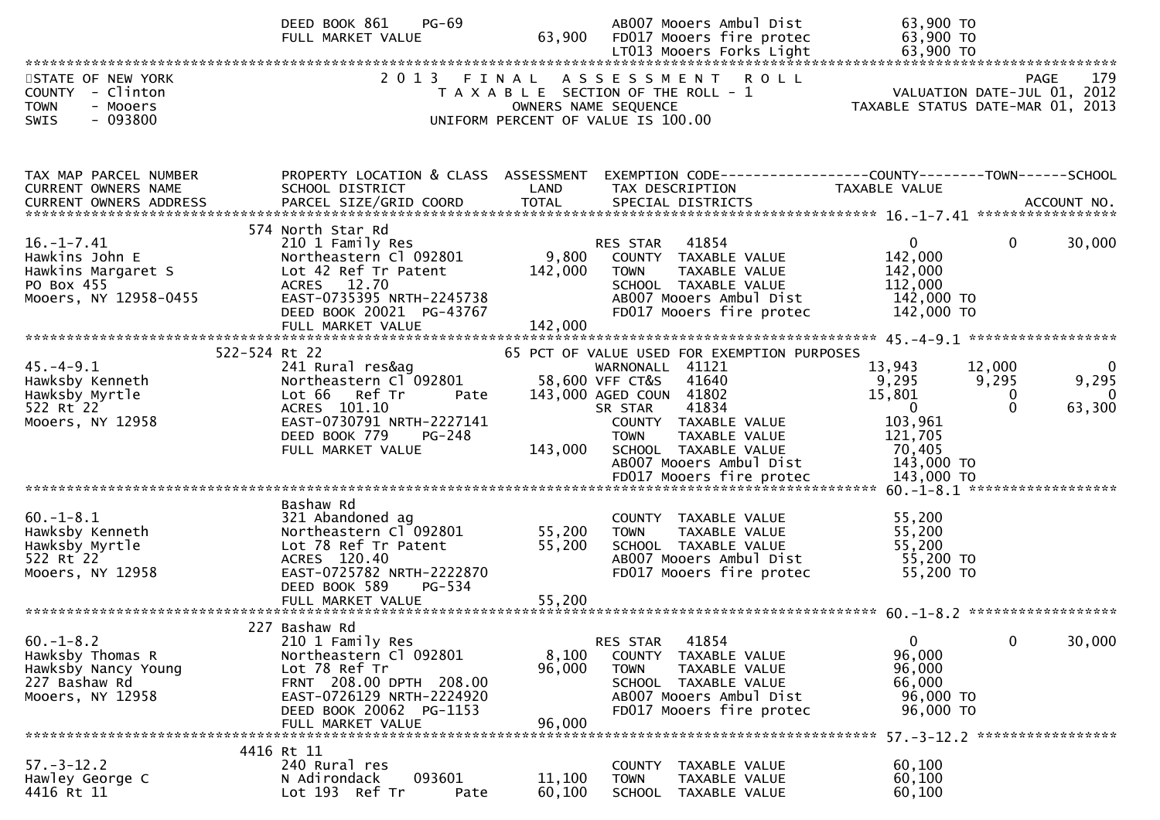|                                                                                                 | DEED BOOK 861<br>$PG-69$<br>FULL MARKET VALUE                                                                                                                                        | 63,900                    | AB007 Mooers Ambul Dist<br>FD017 Mooers fire protec                                                                                                         | 63,900 TO<br>63,900 TO                                                                                                                         |
|-------------------------------------------------------------------------------------------------|--------------------------------------------------------------------------------------------------------------------------------------------------------------------------------------|---------------------------|-------------------------------------------------------------------------------------------------------------------------------------------------------------|------------------------------------------------------------------------------------------------------------------------------------------------|
|                                                                                                 |                                                                                                                                                                                      |                           |                                                                                                                                                             |                                                                                                                                                |
| STATE OF NEW YORK<br>COUNTY - Clinton<br><b>TOWN</b><br>- Mooers<br>$-093800$<br><b>SWIS</b>    | 2013 FINAL                                                                                                                                                                           |                           | ASSESSMENT<br><b>ROLL</b><br>T A X A B L E SECTION OF THE ROLL - 1<br>OWNERS NAME SEQUENCE<br>UNIFORM PERCENT OF VALUE IS 100.00                            | 179<br><b>PAGE</b><br>VALUATION DATE-JUL 01, 2012<br>TAXABLE STATUS DATE-MAR 01, 2013                                                          |
| TAX MAP PARCEL NUMBER<br>CURRENT OWNERS NAME                                                    | PROPERTY LOCATION & CLASS ASSESSMENT<br>SCHOOL DISTRICT                                                                                                                              | LAND                      | TAX DESCRIPTION                                                                                                                                             | EXEMPTION CODE-----------------COUNTY-------TOWN------SCHOOL<br>TAXABLE VALUE                                                                  |
| CURRENT OWNERS ADDRESS                                                                          |                                                                                                                                                                                      |                           |                                                                                                                                                             |                                                                                                                                                |
| $16. - 1 - 7.41$<br>Hawkins John E<br>Hawkins Margaret S<br>PO Box 455<br>Mooers, NY 12958-0455 | 574 North Star Rd<br>210 1 Family Res<br>Northeastern Cl 092801<br>Lot 42 Ref Tr Patent<br>ACRES 12.70<br>EAST-0735395 NRTH-2245738<br>DEED BOOK 20021 PG-43767                      | 9,800<br>142,000          | RES STAR 41854<br>COUNTY TAXABLE VALUE<br><b>TOWN</b><br>TAXABLE VALUE<br>SCHOOL TAXABLE VALUE<br>AB007 Mooers Ambul Dist<br>FD017 Mooers fire protec       | $\mathbf 0$<br>$\mathbf 0$<br>30,000<br>142,000<br>142,000<br>112,000<br>142,000 TO<br>142,000 TO                                              |
|                                                                                                 |                                                                                                                                                                                      |                           |                                                                                                                                                             |                                                                                                                                                |
| 522-524 Rt 22                                                                                   |                                                                                                                                                                                      |                           | 65 PCT OF VALUE USED FOR EXEMPTION PURPOSES                                                                                                                 |                                                                                                                                                |
| $45. -4 - 9.1$<br>Hawksby Kenneth<br>Hawksby Myrtle<br>522 Rt 22<br>Mooers, NY 12958            | 241 Rural res&ag<br>Northeastern Cl 092801<br>Lot 66<br>Ref Tr<br>Pate<br>ACRES 101.10<br>EAST-0730791 NRTH-2227141<br>DEED BOOK 779<br>PG-248                                       |                           | WARNONALL 41121<br>58,600 VFF CT&S<br>41640<br>143,000 AGED COUN 41802<br>41834<br>SR STAR<br>COUNTY TAXABLE VALUE<br>TAXABLE VALUE<br><b>TOWN</b>          | 13,943<br>12,000<br>$\Omega$<br>9,295<br>9,295<br>9,295<br>15,801<br>0<br>$\Omega$<br>$\Omega$<br>63,300<br>$\mathbf{0}$<br>103,961<br>121,705 |
|                                                                                                 | FULL MARKET VALUE                                                                                                                                                                    | 143,000                   | SCHOOL TAXABLE VALUE<br>AB007 Mooers Ambul Dist<br>FD017 Mooers fire protec                                                                                 | 70,405<br>143,000 TO<br>143,000 TO                                                                                                             |
|                                                                                                 | Bashaw Rd                                                                                                                                                                            |                           |                                                                                                                                                             |                                                                                                                                                |
| $60. -1 - 8.1$<br>Hawksby Kenneth<br>Hawksby Myrtle<br>522 Rt 22<br>Mooers, NY 12958            | 321 Abandoned ag<br>Northeastern Cl 092801<br>Lot 78 Ref Tr Patent<br>ACRES 120.40<br>EAST-0725782 NRTH-2222870<br>PG-534<br>DEED BOOK 589                                           | 55,200<br>55,200          | COUNTY TAXABLE VALUE<br>TAXABLE VALUE<br><b>TOWN</b><br>SCHOOL TAXABLE VALUE<br>AB007 Mooers Ambul Dist<br>FD017 Mooers fire protec                         | 55,200<br>55,200<br>55,200<br>55,200 TO<br>55,200 TO                                                                                           |
|                                                                                                 |                                                                                                                                                                                      |                           |                                                                                                                                                             |                                                                                                                                                |
|                                                                                                 |                                                                                                                                                                                      |                           |                                                                                                                                                             |                                                                                                                                                |
| $60. -1 - 8.2$<br>Hawksby Thomas R<br>Hawksby Nancy Young<br>227 Bashaw Rd<br>Mooers, NY 12958  | 227 Bashaw Rd<br>210 1 Family Res<br>Northeastern Cl 092801<br>Lot 78 Ref Tr<br>FRNT 208.00 DPTH 208.00<br>EAST-0726129 NRTH-2224920<br>DEED BOOK 20062 PG-1153<br>FULL MARKET VALUE | 8,100<br>96,000<br>96,000 | 41854<br>RES STAR<br>COUNTY<br>TAXABLE VALUE<br><b>TOWN</b><br>TAXABLE VALUE<br>SCHOOL TAXABLE VALUE<br>AB007 Mooers Ambul Dist<br>FD017 Mooers fire protec | $\mathbf{0}$<br>$\mathbf 0$<br>30,000<br>96,000<br>96,000<br>66,000<br>96,000 TO<br>96,000 TO                                                  |
|                                                                                                 |                                                                                                                                                                                      |                           |                                                                                                                                                             | 57. -3-12. 2 ******************                                                                                                                |
| $57. - 3 - 12.2$<br>Hawley George C<br>4416 Rt 11                                               | 4416 Rt 11<br>240 Rural res<br>093601<br>N Adirondack<br>Lot 193 Ref Tr<br>Pate                                                                                                      | 11,100<br>60,100          | COUNTY TAXABLE VALUE<br>TAXABLE VALUE<br><b>TOWN</b><br>SCHOOL<br>TAXABLE VALUE                                                                             | 60,100<br>60,100<br>60,100                                                                                                                     |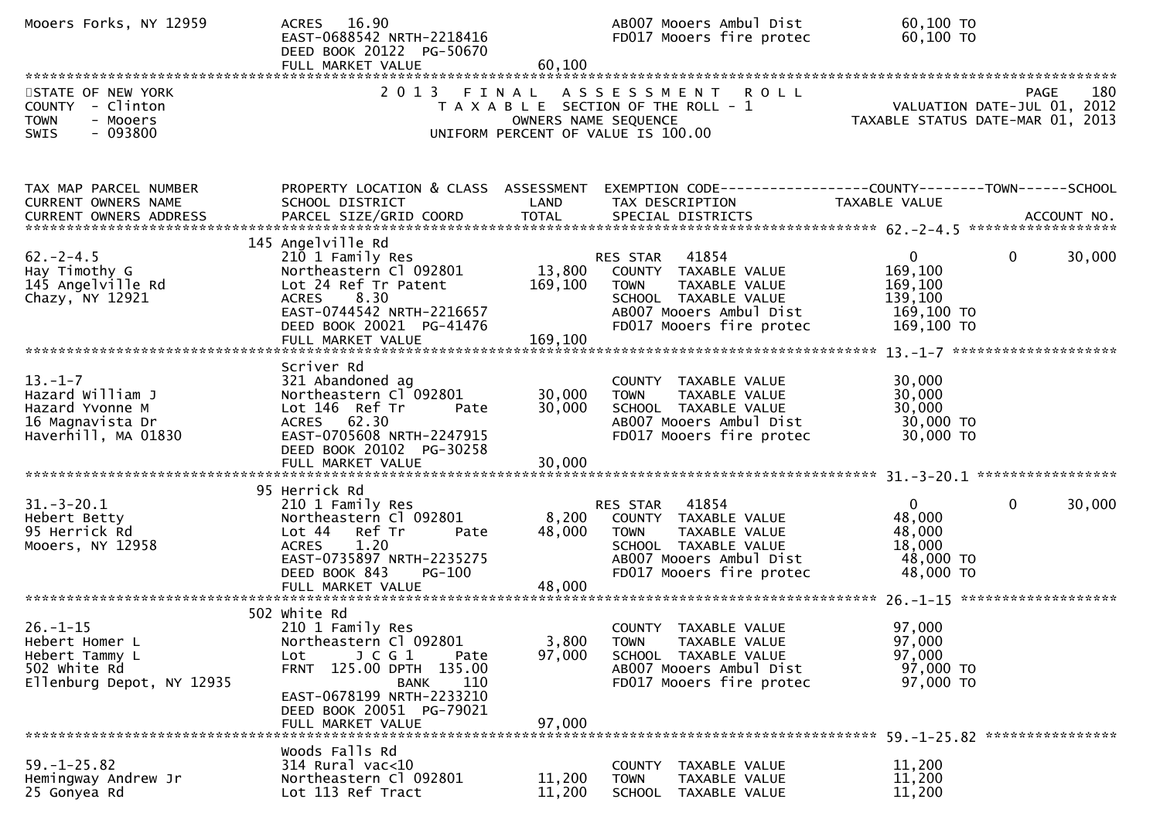| Mooers Forks, NY 12959                                                                          | ACRES 16.90<br>EAST-0688542 NRTH-2218416<br>DEED BOOK 20122 PG-50670<br>FULL MARKET VALUE                                                                                                                               | 60,100                        | AB007 Mooers Ambul Dist<br>FD017 Mooers fire protec                                                                                                      | 60,100 ТО<br>60,100 TO                                                                         |                    |
|-------------------------------------------------------------------------------------------------|-------------------------------------------------------------------------------------------------------------------------------------------------------------------------------------------------------------------------|-------------------------------|----------------------------------------------------------------------------------------------------------------------------------------------------------|------------------------------------------------------------------------------------------------|--------------------|
| STATE OF NEW YORK<br>COUNTY - Clinton<br>- Mooers<br><b>TOWN</b><br>$-093800$<br>SWIS           | 2013                                                                                                                                                                                                                    | FINAL<br>OWNERS NAME SEQUENCE | A S S E S S M E N T<br><b>ROLL</b><br>T A X A B L E SECTION OF THE ROLL - 1<br>UNIFORM PERCENT OF VALUE IS 100.00                                        | VALUATION DATE-JUL 01, 2012<br>VALUATION DATE SUL 01, 2013<br>TAXABLE STATUS DATE-MAR 01, 2013 | 180<br>PAGE        |
| TAX MAP PARCEL NUMBER<br>CURRENT OWNERS NAME<br>CURRENT OWNERS ADDRESS                          | PROPERTY LOCATION & CLASS ASSESSMENT<br>SCHOOL DISTRICT<br>PARCEL SIZE/GRID COORD                                                                                                                                       | LAND<br><b>TOTAL</b>          | EXEMPTION CODE-----------------COUNTY-------TOWN------SCHOOL<br>TAX DESCRIPTION<br>SPECIAL DISTRICTS                                                     | TAXABLE VALUE                                                                                  | ACCOUNT NO.        |
| $62 - 2 - 4.5$<br>Hay Timothy G<br>145 Angelville Rd<br>Chazy, NY 12921                         | 145 Angelville Rd<br>210 1 Family Res<br>Northeastern Cl 092801<br>Lot 24 Ref Tr Patent<br>ACRES 8.30<br>EAST-0744542 NRTH-2216657<br>DEED BOOK 20021 PG-41476                                                          | 13,800<br>169,100             | 41854<br>RES STAR<br>COUNTY TAXABLE VALUE<br><b>TOWN</b><br>TAXABLE VALUE<br>SCHOOL TAXABLE VALUE<br>AB007 Mooers Ambul Dist<br>FD017 Mooers fire protec | $\mathbf{0}$<br>169,100<br>169,100<br>139,100<br>169,100 TO<br>169,100 TO                      | $\Omega$<br>30,000 |
| $13 - 1 - 7$<br>Hazard William J<br>Hazard Yvonne M<br>16 Magnavista Dr<br>Haverhill, MA 01830  | Scriver Rd<br>321 Abandoned ag<br>Northeastern Cl 092801<br>Lot 146 Ref Tr<br>Pate<br>ACRES 62.30<br>EAST-0705608 NRTH-2247915<br>DEED BOOK 20102 PG-30258<br>FULL MARKET VALUE                                         | 30,000<br>30,000<br>30,000    | COUNTY TAXABLE VALUE<br><b>TOWN</b><br>TAXABLE VALUE<br>SCHOOL TAXABLE VALUE<br>AB007 Mooers Ambul Dist<br>FD017 Mooers fire protec                      | 30,000<br>30,000<br>30,000<br>30,000 TO<br>30,000 TO                                           |                    |
| $31.-3-20.1$<br>Hebert Betty<br>95 Herrick Rd<br>Mooers, NY 12958                               | 95 Herrick Rd<br>210 1 Family Res<br>Northeastern Cl 092801<br>Lot 44 Ref Tr<br>Pate<br>1.20<br>ACRES<br>EAST-0735897 NRTH-2235275<br>DEED BOOK 843<br><b>PG-100</b>                                                    | 8,200<br>48,000               | 41854<br>RES STAR<br>COUNTY TAXABLE VALUE<br>TAXABLE VALUE<br><b>TOWN</b><br>SCHOOL TAXABLE VALUE<br>AB007 Mooers Ambul Dist<br>FD017 Mooers fire protec | $\overline{0}$<br>48,000<br>48,000<br>18,000<br>48,000 TO<br>48,000 TO                         | 30,000<br>$\Omega$ |
| $26. - 1 - 15$<br>Hebert Homer L<br>Hebert Tammy L<br>502 white Rd<br>Ellenburg Depot, NY 12935 | 502 white Rd<br>210 1 Family Res<br>Northeastern Cl 092801<br>$J$ C G $1$<br>Lot<br>Pate<br>FRNT 125.00 DPTH 135.00<br>110<br><b>BANK</b><br>EAST-0678199 NRTH-2233210<br>DEED BOOK 20051 PG-79021<br>FULL MARKET VALUE | 3,800<br>97,000<br>97,000     | COUNTY TAXABLE VALUE<br>TAXABLE VALUE<br><b>TOWN</b><br>SCHOOL TAXABLE VALUE<br>AB007 Mooers Ambul Dist<br>FD017 Mooers fire protec                      | 97,000<br>97,000<br>97,000<br>97,000 TO<br>97,000 TO                                           |                    |
| $59. - 1 - 25.82$<br>Hemingway Andrew Jr<br>25 Gonyea Rd                                        | Woods Falls Rd<br>$314$ Rural vac<10<br>Northeastern Cl 092801<br>Lot 113 Ref Tract                                                                                                                                     | 11,200<br>11,200              | COUNTY TAXABLE VALUE<br>TAXABLE VALUE<br><b>TOWN</b><br>SCHOOL TAXABLE VALUE                                                                             | 11,200<br>11,200<br>11,200                                                                     |                    |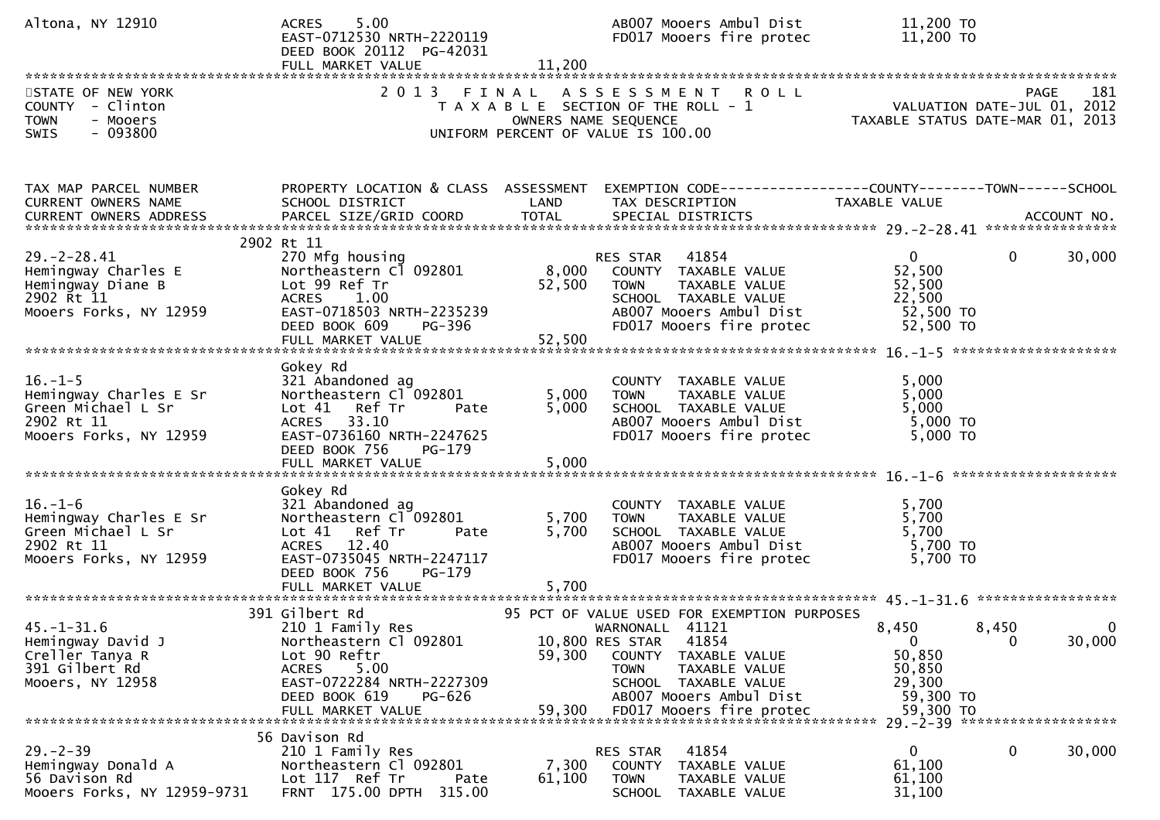| Altona, NY 12910                                                                                      | 5.00<br><b>ACRES</b><br>EAST-0712530 NRTH-2220119<br>DEED BOOK 20112 PG-42031<br>FULL MARKET VALUE                                                                                    | 11,200                    | AB007 Mooers Ambul Dist<br>FD017 Mooers fire protec                                                                                                                                                                               | 11,200 TO<br>11,200 TO                                                        |                                     |
|-------------------------------------------------------------------------------------------------------|---------------------------------------------------------------------------------------------------------------------------------------------------------------------------------------|---------------------------|-----------------------------------------------------------------------------------------------------------------------------------------------------------------------------------------------------------------------------------|-------------------------------------------------------------------------------|-------------------------------------|
| STATE OF NEW YORK<br>COUNTY - Clinton<br>TOWN<br>- Mooers<br>$-093800$<br>SWIS                        | 2 0 1 3                                                                                                                                                                               | FINAL                     | ASSESSMENT ROLL<br>T A X A B L E SECTION OF THE ROLL - 1<br>OWNERS NAME SEQUENCE<br>UNIFORM PERCENT OF VALUE IS 100.00                                                                                                            | ROLL - 1<br>VALUATION DATE-JUL 01, 2012<br>TAXABLE STATUS DATE-MAR 01, 2013   | 181<br><b>PAGE</b>                  |
| TAX MAP PARCEL NUMBER<br>CURRENT OWNERS NAME                                                          | SCHOOL DISTRICT                                                                                                                                                                       | LAND                      | PROPERTY LOCATION & CLASS ASSESSMENT EXEMPTION CODE----------------COUNTY-------TOWN------SCHOOL<br>TAX DESCRIPTION                                                                                                               | TAXABLE VALUE                                                                 |                                     |
| $29. - 2 - 28.41$<br>Hemingway Charles E<br>Hemingway Diane B<br>2902 Rt 11<br>Mooers Forks, NY 12959 | 2902 Rt 11<br>270 Mfg housing<br>Northeastern Cl 092801<br>Lot 99 Ref Tr<br><b>ACRES</b><br>1.00<br>EAST-0718503 NRTH-2235239<br>DEED BOOK 609<br>PG-396                              | 8,000<br>52,500<br>52,500 | RES STAR 41854<br>COUNTY TAXABLE VALUE<br>TAXABLE VALUE<br><b>TOWN</b><br>SCHOOL TAXABLE VALUE<br>AB007 Mooers Ambul Dist<br>FD017 Mooers fire protec                                                                             | $\mathbf{0}$<br>52,500<br>52,500<br>22,500<br>52,500 TO<br>52,500 TO          | 30,000<br>$\mathbf{0}$              |
| $16. - 1 - 5$<br>Hemingway Charles E Sr<br>Green Michael L Sr<br>2902 Rt 11<br>Mooers Forks, NY 12959 | Gokey Rd<br>321 Abandoned ag<br>Northeastern Cl 092801<br>Lot 41 Ref Tr<br>Pate<br>33.10<br><b>ACRES</b><br>EAST-0736160 NRTH-2247625<br>DEED BOOK 756<br>PG-179<br>FULL MARKET VALUE | 5,000<br>5,000<br>5,000   | COUNTY TAXABLE VALUE<br><b>TOWN</b><br>TAXABLE VALUE<br>SCHOOL TAXABLE VALUE<br>AB007 Mooers Ambul Dist<br>FD017 Mooers fire protec                                                                                               | 5,000<br>5,000<br>5,000<br>5,000 TO<br>5,000 TO                               |                                     |
| $16. - 1 - 6$<br>Hemingway Charles E Sr<br>Green Michael L Sr<br>2902 Rt 11<br>Mooers Forks, NY 12959 | Gokey Rd<br>321 Abandoned ag<br>Northeastern Cl 092801<br>Lot 41 Ref Tr<br>Pate<br>ACRES 12.40<br>EAST-0735045 NRTH-2247117<br>PG-179<br>DEED BOOK 756                                | 5,700<br>5,700            | COUNTY TAXABLE VALUE<br><b>TOWN</b><br>TAXABLE VALUE<br>SCHOOL TAXABLE VALUE<br>AB007 Mooers Ambul Dist<br>FD017 Mooers fire protec                                                                                               | 5,700<br>5,700<br>5,700<br>5,700 TO<br>$5,700$ TO                             |                                     |
| $45. - 1 - 31.6$<br>Hemingway David J<br>Creller Tanya R<br>391 Gilbert Rd<br>Mooers, NY 12958        | 391 Gilbert Rd<br>210 1 Family Res<br>Northeastern Cl 092801<br>Lot 90 Reftr<br>5.00<br><b>ACRES</b><br>EAST-0722284 NRTH-2227309<br>DEED BOOK 619<br>PG-626<br>FULL MARKET VALUE     | 59,300<br>59,300          | 95 PCT OF VALUE USED FOR EXEMPTION PURPOSES<br>WARNONALL 41121<br>10,800 RES STAR<br>41854<br>COUNTY TAXABLE VALUE<br><b>TOWN</b><br>TAXABLE VALUE<br>SCHOOL TAXABLE VALUE<br>AB007 Mooers Ambul Dist<br>FD017 Mooers fire protec | 8,450<br>$\mathbf{0}$<br>50,850<br>50,850<br>29,300<br>59,300 TO<br>59,300 TO | 8,450<br>$\mathbf 0$<br>30,000<br>0 |
| $29. - 2 - 39$<br>Hemingway Donald A<br>56 Davison Rd<br>Mooers Forks, NY 12959-9731                  | 56 Davison Rd<br>210 1 Family Res<br>Northeastern Cl 092801<br>Lot 117 Ref Tr<br>Pate<br>FRNT 175.00 DPTH<br>315.00                                                                   | 7,300<br>61,100           | 41854<br>RES STAR<br>COUNTY<br>TAXABLE VALUE<br><b>TOWN</b><br>TAXABLE VALUE<br>SCHOOL<br>TAXABLE VALUE                                                                                                                           | 0<br>61,100<br>61,100<br>31,100                                               | $\mathbf{0}$<br>30,000              |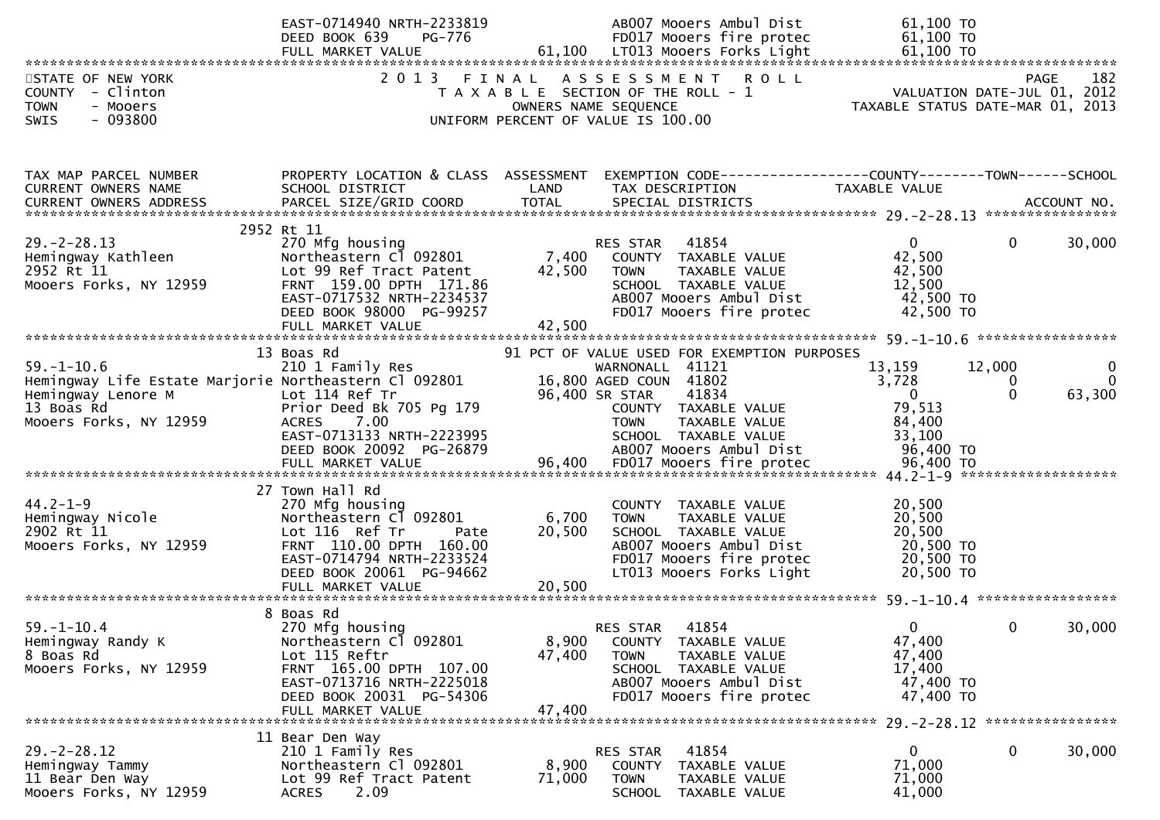|                                                                           | EAST-0714940 NRTH-2233819<br>DEED BOOK 639<br>PG-776    |        | AB007 Mooers Ambul Dist<br>FD017 Mooers fire protec                              | 61,100 TO<br>61,100 TO           |                                            |               |
|---------------------------------------------------------------------------|---------------------------------------------------------|--------|----------------------------------------------------------------------------------|----------------------------------|--------------------------------------------|---------------|
| STATE OF NEW YORK<br>COUNTY - Clinton<br><b>TOWN</b><br>- Mooers          | 2013 FINAL                                              |        | ASSESSMENT ROLL<br>T A X A B L E SECTION OF THE ROLL - 1<br>OWNERS NAME SEQUENCE | TAXABLE STATUS DATE-MAR 01, 2013 | <b>PAGE</b><br>VALUATION DATE-JUL 01, 2012 | 182           |
| $-093800$<br>SWIS                                                         |                                                         |        | UNIFORM PERCENT OF VALUE IS 100.00                                               |                                  |                                            |               |
| TAX MAP PARCEL NUMBER<br><b>CURRENT OWNERS NAME</b>                       | PROPERTY LOCATION & CLASS ASSESSMENT<br>SCHOOL DISTRICT | LAND   | EXEMPTION CODE-----------------COUNTY--------TOWN------SCHOOL<br>TAX DESCRIPTION | TAXABLE VALUE                    |                                            |               |
|                                                                           |                                                         |        |                                                                                  |                                  |                                            |               |
| $29. - 2 - 28.13$                                                         | 2952 Rt 11<br>270 Mfg housing                           |        | RES STAR 41854                                                                   | $\overline{0}$                   | $\mathbf{0}$                               | 30,000        |
| Hemingway Kathleen                                                        | Northeastern Cl 092801                                  | 7,400  | COUNTY TAXABLE VALUE                                                             | 42,500                           |                                            |               |
| 2952 Rt 11                                                                | Lot 99 Ref Tract Patent                                 | 42,500 | <b>TOWN</b><br>TAXABLE VALUE                                                     | 42,500                           |                                            |               |
| Mooers Forks, NY 12959                                                    | FRNT 159.00 DPTH 171.86<br>EAST-0717532 NRTH-2234537    |        | SCHOOL TAXABLE VALUE<br>AB007 Mooers Ambul Dist                                  | 12,500<br>42,500 TO              |                                            |               |
|                                                                           | DEED BOOK 98000 PG-99257                                |        | FD017 Mooers fire protec                                                         | 42,500 TO                        |                                            |               |
|                                                                           | FULL MARKET VALUE                                       | 42,500 |                                                                                  |                                  |                                            |               |
|                                                                           | 13 Boas Rd                                              |        | 91 PCT OF VALUE USED FOR EXEMPTION PURPOSES                                      |                                  |                                            |               |
| $59. - 1 - 10.6$<br>Hemingway Life Estate Marjorie Northeastern Cl 092801 | 210 1 Family Res                                        |        | WARNONALL 41121<br>16,800 AGED COUN 41802                                        | 13,159<br>3,728                  | 12,000<br>0                                | 0<br>$\Omega$ |
| Hemingway Lenore M                                                        | Lot 114 Ref Tr                                          |        | 96,400 SR STAR<br>41834                                                          | $\mathbf{0}$                     | 0                                          | 63,300        |
| 13 Boas Rd<br>Mooers Forks, NY 12959                                      | Prior Deed Bk 705 Pg 179<br>ACRES 7.00                  |        | COUNTY TAXABLE VALUE<br><b>TOWN</b><br>TAXABLE VALUE                             | 79,513<br>84,400                 |                                            |               |
|                                                                           | EAST-0713133 NRTH-2223995                               |        | SCHOOL TAXABLE VALUE                                                             | 33,100                           |                                            |               |
|                                                                           | DEED BOOK 20092 PG-26879<br>FULL MARKET VALUE           |        | AB007 Mooers Ambul Dist                                                          | 96,400 TO                        |                                            |               |
|                                                                           |                                                         |        |                                                                                  |                                  |                                            |               |
| $44.2 - 1 - 9$                                                            | 27 Town Hall Rd<br>270 Mfg housing                      |        | COUNTY TAXABLE VALUE                                                             | 20,500                           |                                            |               |
| Hemingway Nicole                                                          | Northeastern Cl 092801                                  | 6,700  | TAXABLE VALUE<br><b>TOWN</b>                                                     | 20,500                           |                                            |               |
| 2902 Rt 11                                                                | Lot 116 Ref Tr<br>Pate<br>FRNT 110.00 DPTH 160.00       | 20,500 | SCHOOL TAXABLE VALUE<br>AB007 Mooers Ambul Dist                                  | 20,500<br>20,500 TO              |                                            |               |
| Mooers Forks, NY 12959                                                    | EAST-0714794 NRTH-2233524                               |        | FD017 Mooers fire protec                                                         | 20,500 TO                        |                                            |               |
|                                                                           | DEED BOOK 20061 PG-94662                                |        | LT013 Mooers Forks Light                                                         | 20,500 TO                        |                                            |               |
|                                                                           | FULL MARKET VALUE                                       | 20,500 |                                                                                  |                                  |                                            |               |
|                                                                           | 8 Boas Rd                                               |        |                                                                                  |                                  |                                            |               |
| $59. - 1 - 10.4$<br>Hemingway Randy K                                     | 270 Mfg housing<br>Northeastern Cl 092801               | 8,900  | RES STAR<br>41854<br>COUNTY TAXABLE VALUE                                        | $\mathbf{0}$<br>47,400           | $\Omega$                                   | 30,000        |
| 8 Boas Rd                                                                 | Lot 115 Reftr                                           | 47,400 | <b>TOWN</b><br>TAXABLE VALUE                                                     | 47,400                           |                                            |               |
| Mooers Forks, NY 12959                                                    | FRNT 165.00 DPTH 107.00<br>EAST-0713716 NRTH-2225018    |        | SCHOOL TAXABLE VALUE<br>AB007 Mooers Ambul Dist                                  | 17,400<br>47,400 TO              |                                            |               |
|                                                                           | DEED BOOK 20031 PG-54306                                |        | FD017 Mooers fire protec                                                         | 47,400 TO                        |                                            |               |
|                                                                           | FULL MARKET VALUE                                       | 47,400 |                                                                                  |                                  |                                            |               |
|                                                                           | 11 Bear Den Way                                         |        |                                                                                  |                                  |                                            |               |
| $29. - 2 - 28.12$<br>Hemingway Tammy                                      | 210 1 Family Res<br>Northeastern Cl 092801              | 8,900  | 41854<br><b>RES STAR</b><br>COUNTY TAXABLE VALUE                                 | $\mathbf{0}$<br>71,000           | 0                                          | 30,000        |
| 11 Bear Den Way                                                           | Lot 99 Ref Tract Patent                                 | 71,000 | <b>TOWN</b><br>TAXABLE VALUE                                                     | 71,000                           |                                            |               |
| Mooers Forks, NY 12959                                                    | 2.09<br><b>ACRES</b>                                    |        | SCHOOL TAXABLE VALUE                                                             | 41,000                           |                                            |               |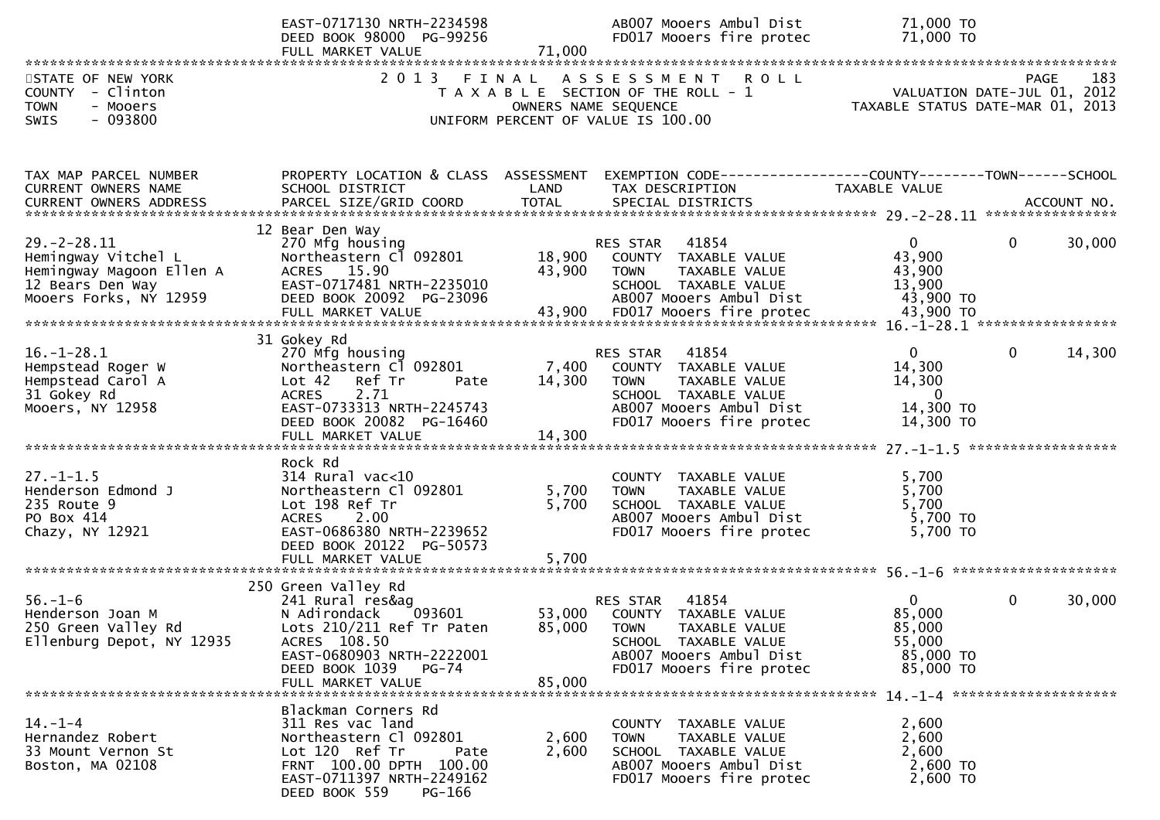|                                                                                         | EAST-0717130 NRTH-2234598<br>DEED BOOK 98000 PG-99256<br>FULL MARKET VALUE            | 71,000           | AB007 Mooers Ambul Dist<br>FD017 Mooers fire protec                                                                                       | 71,000 TO<br>71,000 TO                                          |                        |
|-----------------------------------------------------------------------------------------|---------------------------------------------------------------------------------------|------------------|-------------------------------------------------------------------------------------------------------------------------------------------|-----------------------------------------------------------------|------------------------|
|                                                                                         |                                                                                       |                  |                                                                                                                                           |                                                                 |                        |
| STATE OF NEW YORK<br>COUNTY - Clinton<br><b>TOWN</b><br>- Mooers<br>$-093800$<br>SWIS   | 2013 FINAL                                                                            |                  | A S S E S S M E N T<br><b>ROLL</b><br>T A X A B L E SECTION OF THE ROLL - 1<br>OWNERS NAME SEQUENCE<br>UNIFORM PERCENT OF VALUE IS 100.00 | VALUATION DATE-JUL 01, 2012<br>TAXABLE STATUS DATE-MAR 01, 2013 | 183<br>PAGE            |
| TAX MAP PARCEL NUMBER                                                                   | PROPERTY LOCATION & CLASS ASSESSMENT                                                  |                  | EXEMPTION CODE-----------------COUNTY--------TOWN------SCHOOL                                                                             |                                                                 |                        |
| CURRENT OWNERS NAME                                                                     | SCHOOL DISTRICT                                                                       | LAND             | TAX DESCRIPTION                                                                                                                           | TAXABLE VALUE                                                   |                        |
|                                                                                         |                                                                                       |                  |                                                                                                                                           |                                                                 |                        |
|                                                                                         | 12 Bear Den Way                                                                       |                  |                                                                                                                                           |                                                                 |                        |
| $29. -2 - 28.11$<br>Hemingway Vitchel L<br>Hemingway Magoon Ellen A<br>12 Bears Den Way | 270 Mfg housing<br>Northeastern Cl 092801<br>ACRES 15.90<br>EAST-0717481 NRTH-2235010 | 18,900<br>43,900 | RES STAR 41854<br>COUNTY TAXABLE VALUE<br><b>TOWN</b><br>TAXABLE VALUE<br>SCHOOL TAXABLE VALUE                                            | $\overline{0}$<br>43,900<br>43,900<br>13,900                    | 0<br>30,000            |
| Mooers Forks, NY 12959                                                                  | DEED BOOK 20092 PG-23096                                                              |                  | AB007 Mooers Ambul Dist                                                                                                                   | 43,900 TO                                                       |                        |
|                                                                                         |                                                                                       |                  |                                                                                                                                           |                                                                 |                        |
|                                                                                         | 31 Gokey Rd                                                                           |                  |                                                                                                                                           |                                                                 |                        |
| $16. - 1 - 28.1$                                                                        | 270 Mfg housing                                                                       |                  | 41854<br>RES STAR                                                                                                                         | $\overline{0}$                                                  | $\mathbf{0}$<br>14,300 |
| Hempstead Roger W<br>Hempstead Carol A                                                  | Northeastern Cl 092801<br>Lot 42 Ref Tr<br>Pate                                       | 7,400<br>14,300  | COUNTY TAXABLE VALUE<br>TAXABLE VALUE<br><b>TOWN</b>                                                                                      | 14,300<br>14,300                                                |                        |
| 31 Gokey Rd                                                                             | <b>ACRES</b><br>2.71                                                                  |                  | SCHOOL TAXABLE VALUE                                                                                                                      | $\overline{\mathbf{0}}$                                         |                        |
| Mooers, NY 12958                                                                        | EAST-0733313 NRTH-2245743                                                             |                  | AB007 Mooers Ambul Dist                                                                                                                   | 14,300 TO                                                       |                        |
|                                                                                         | DEED BOOK 20082 PG-16460                                                              |                  | FD017 Mooers fire protec                                                                                                                  | 14,300 TO                                                       |                        |
|                                                                                         |                                                                                       |                  |                                                                                                                                           |                                                                 |                        |
|                                                                                         | Rock Rd                                                                               |                  |                                                                                                                                           |                                                                 |                        |
| $27. - 1 - 1.5$                                                                         | $314$ Rural vac<10                                                                    |                  | COUNTY TAXABLE VALUE                                                                                                                      | 5,700                                                           |                        |
| Henderson Edmond J                                                                      | Northeastern Cl 092801                                                                | 5,700            | TAXABLE VALUE<br><b>TOWN</b>                                                                                                              | 5,700                                                           |                        |
| 235 Route 9                                                                             | Lot 198 Ref Tr                                                                        | 5,700            | SCHOOL TAXABLE VALUE                                                                                                                      | 5,700                                                           |                        |
| PO Box 414                                                                              | 2.00<br><b>ACRES</b>                                                                  |                  | AB007 Mooers Ambul Dist                                                                                                                   | 5,700 TO                                                        |                        |
| Chazy, NY 12921                                                                         | EAST-0686380 NRTH-2239652<br>DEED BOOK 20122 PG-50573                                 |                  | FD017 Mooers fire protec                                                                                                                  | 5,700 TO                                                        |                        |
|                                                                                         | FULL MARKET VALUE                                                                     | 5,700            |                                                                                                                                           |                                                                 |                        |
|                                                                                         |                                                                                       |                  |                                                                                                                                           |                                                                 |                        |
|                                                                                         | 250 Green Valley Rd                                                                   |                  |                                                                                                                                           |                                                                 |                        |
| $56. - 1 - 6$                                                                           | 241 Rural res&ag                                                                      |                  | 41854<br>RES STAR                                                                                                                         | $\overline{0}$                                                  | $\mathbf{0}$<br>30,000 |
| Henderson Joan M                                                                        | N Adirondack<br>093601                                                                |                  | 53,000 COUNTY TAXABLE VALUE                                                                                                               | 85,000<br>85,000                                                |                        |
| 250 Green Valley Rd<br>Ellenburg Depot, NY 12935                                        | Lots 210/211 Ref Tr Paten<br>ACRES 108.50                                             |                  | 85,000 TOWN<br>TAXABLE VALUE<br>SCHOOL TAXABLE VALUE                                                                                      | 55,000                                                          |                        |
|                                                                                         | EAST-0680903 NRTH-2222001                                                             |                  | AB007 Mooers Ambul Dist                                                                                                                   | 85,000 TO                                                       |                        |
|                                                                                         | DEED BOOK 1039 PG-74                                                                  |                  | FD017 Mooers fire protec                                                                                                                  | 85,000 TO                                                       |                        |
|                                                                                         | FULL MARKET VALUE                                                                     | 85,000           |                                                                                                                                           |                                                                 |                        |
|                                                                                         |                                                                                       |                  |                                                                                                                                           |                                                                 |                        |
| $14. - 1 - 4$                                                                           | Blackman Corners Rd<br>311 Res vac land                                               |                  | COUNTY TAXABLE VALUE                                                                                                                      | 2,600                                                           |                        |
| Hernandez Robert                                                                        | Northeastern Cl 092801                                                                | 2,600            | <b>TOWN</b><br>TAXABLE VALUE                                                                                                              | 2,600                                                           |                        |
| 33 Mount Vernon St                                                                      | Lot 120 Ref Tr<br>Pate                                                                | 2,600            | SCHOOL TAXABLE VALUE                                                                                                                      | 2,600                                                           |                        |
| Boston, MA 02108                                                                        | FRNT 100.00 DPTH 100.00                                                               |                  | AB007 Mooers Ambul Dist                                                                                                                   | 2,600 TO                                                        |                        |
|                                                                                         | EAST-0711397 NRTH-2249162<br>DEED BOOK 559<br>PG-166                                  |                  | FD017 Mooers fire protec                                                                                                                  | 2,600 TO                                                        |                        |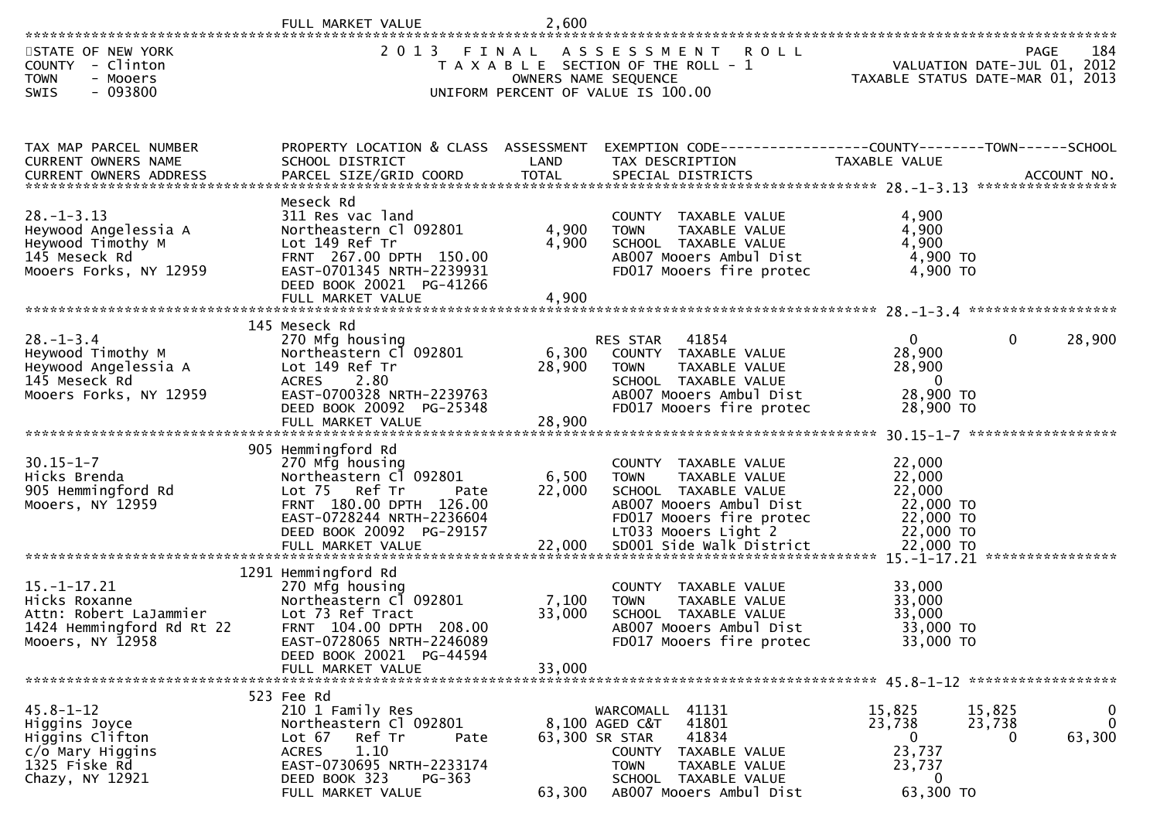|                                                                                                               | FULL MARKET VALUE                                                                                                                                                                             | 2,600                     |                                                                                                                                                                                     |                                                                           |                                                                                |
|---------------------------------------------------------------------------------------------------------------|-----------------------------------------------------------------------------------------------------------------------------------------------------------------------------------------------|---------------------------|-------------------------------------------------------------------------------------------------------------------------------------------------------------------------------------|---------------------------------------------------------------------------|--------------------------------------------------------------------------------|
| STATE OF NEW YORK<br><b>COUNTY</b><br>- Clinton<br><b>TOWN</b><br>- Mooers<br>$-093800$<br>SWIS               | 2013 FINAL                                                                                                                                                                                    |                           | ASSESSMENT<br><b>ROLL</b><br>T A X A B L E SECTION OF THE ROLL - 1<br>OWNERS NAME SEQUENCE<br>UNIFORM PERCENT OF VALUE IS 100.00                                                    |                                                                           | 184<br>PAGE<br>VALUATION DATE-JUL 01, 2012<br>TAXABLE STATUS DATE-MAR 01, 2013 |
| TAX MAP PARCEL NUMBER<br>CURRENT OWNERS NAME                                                                  | PROPERTY LOCATION & CLASS ASSESSMENT<br>SCHOOL DISTRICT                                                                                                                                       | LAND                      | EXEMPTION CODE------------------COUNTY--------TOWN------SCHOOL<br>TAX DESCRIPTION                                                                                                   | TAXABLE VALUE                                                             |                                                                                |
| $28. - 1 - 3.13$<br>Heywood Angelessia A<br>Heywood Timothy M<br>145 Meseck Rd<br>Mooers Forks, NY 12959      | Meseck Rd<br>311 Res vac land<br>Northeastern Cl 092801<br>Lot 149 Ref Tr<br>FRNT 267.00 DPTH 150.00<br>EAST-0701345 NRTH-2239931<br>DEED BOOK 20021 PG-41266<br>FULL MARKET VALUE            | 4,900<br>4,900<br>4,900   | COUNTY TAXABLE VALUE<br>TAXABLE VALUE<br><b>TOWN</b><br>SCHOOL TAXABLE VALUE<br>AB007 Mooers Ambul Dist<br>FD017 Mooers fire protec                                                 | 4,900<br>4,900<br>4,900<br>4,900 TO<br>4,900 TO                           |                                                                                |
| $28. - 1 - 3.4$<br>Heywood Timothy M<br>Heywood Angelessia A<br>145 Meseck Rd<br>Mooers Forks, NY 12959       | 145 Meseck Rd<br>270 Mfg housing<br>Northeastern Cl 092801<br>Lot 149 Ref Tr<br>ACRES 2.80<br>EAST-0700328 NRTH-2239763<br>DEED BOOK 20092 PG-25348<br>FULL MARKET VALUE                      | 6,300<br>28,900<br>28,900 | 41854<br>RES STAR<br>COUNTY TAXABLE VALUE<br>TAXABLE VALUE<br><b>TOWN</b><br>SCHOOL TAXABLE VALUE<br>AB007 Mooers Ambul Dist<br>FD017 Mooers fire protec                            | $\overline{0}$<br>28,900<br>28,900<br>$\Omega$<br>28,900 ТО<br>28,900 TO  | 28,900<br>$\mathbf{0}$                                                         |
| $30.15 - 1 - 7$<br>Hicks Brenda<br>905 Hemmingford Rd<br>Mooers, NY 12959                                     | 905 Hemmingford Rd<br>270 Mfg housing<br>Northeastern Cl 092801<br>Lot 75 Ref Tr<br>Pate<br>FRNT 180.00 DPTH 126.00<br>EAST-0728244 NRTH-2236604<br>DEED BOOK 20092 PG-29157                  | 6,500<br>22,000           | COUNTY TAXABLE VALUE<br>TAXABLE VALUE<br><b>TOWN</b><br>SCHOOL TAXABLE VALUE<br>AB007 Mooers Ambul Dist<br>FD017 Mooers fire protec<br>LT033 Mooers Light 2                         | 22,000<br>22,000<br>22,000<br>22,000 TO<br>22,000 TO<br>22,000 TO         | ****************                                                               |
| $15. - 1 - 17.21$<br>Hicks Roxanne<br>Attn: Robert LaJammier<br>1424 Hemmingford Rd Rt 22<br>Mooers, NY 12958 | 1291 Hemmingford Rd<br>270 Mfg housing<br>Northeastern Cl 092801<br>Lot 73 Ref Tract<br>FRNT 104.00 DPTH 208.00<br>EAST-0728065 NRTH-2246089<br>DEED BOOK 20021 PG-44594<br>FULL MARKET VALUE | 7,100<br>33,000<br>33,000 | COUNTY TAXABLE VALUE<br>TAXABLE VALUE<br><b>TOWN</b><br>SCHOOL TAXABLE VALUE<br>AB007 Mooers Ambul Dist<br>FD017 Mooers fire protec                                                 | 33,000<br>33,000<br>33,000<br>33,000 TO<br>33,000 TO                      |                                                                                |
| $45.8 - 1 - 12$<br>Higgins Joyce<br>Higgins Clifton<br>c/o Mary Higgins<br>1325 Fiske Rd<br>Chazy, NY 12921   | 523 Fee Rd<br>210 1 Family Res<br>Northeastern Cl 092801<br>Lot $67$<br>Ref Tr<br>Pate<br>1.10<br><b>ACRES</b><br>EAST-0730695 NRTH-2233174<br>DEED BOOK 323<br>PG-363<br>FULL MARKET VALUE   | 63,300                    | 41131<br>WARCOMALL<br>41801<br>8,100 AGED C&T<br>41834<br>63,300 SR STAR<br>COUNTY TAXABLE VALUE<br>TAXABLE VALUE<br><b>TOWN</b><br>SCHOOL TAXABLE VALUE<br>AB007 Mooers Ambul Dist | 15,825<br>23,738<br>$\bf{0}$<br>23,737<br>23,737<br>$\bf{0}$<br>63,300 TO | 0<br>15,825<br>$\mathbf 0$<br>23,738<br>63,300<br>0                            |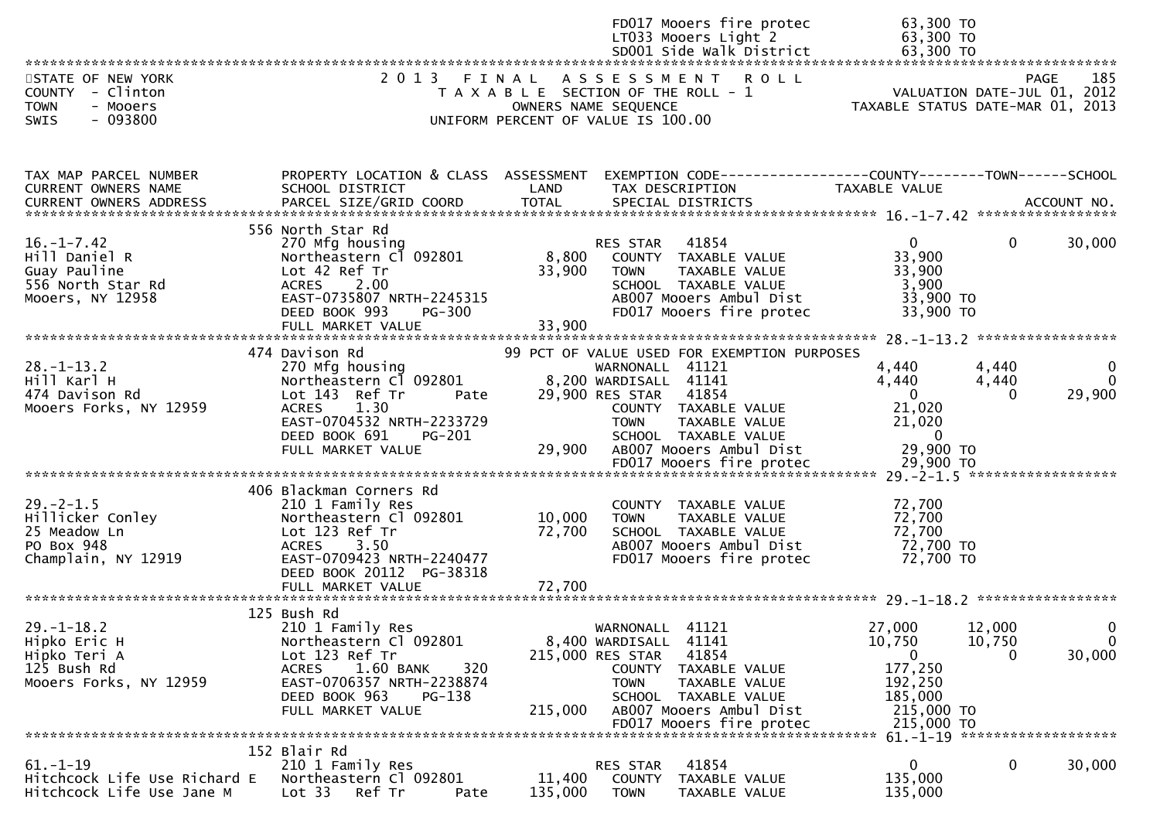|                                                                                              |                                                                                                                                                                                              |                            | FD017 Mooers fire protec<br>LT033 Mooers Light 2                                                                                                                                                                                             | 63,300 TO<br>63,300 TO                                                                           |                                                                            |
|----------------------------------------------------------------------------------------------|----------------------------------------------------------------------------------------------------------------------------------------------------------------------------------------------|----------------------------|----------------------------------------------------------------------------------------------------------------------------------------------------------------------------------------------------------------------------------------------|--------------------------------------------------------------------------------------------------|----------------------------------------------------------------------------|
| STATE OF NEW YORK<br>COUNTY - Clinton<br><b>TOWN</b><br>- Mooers<br>$-093800$<br><b>SWIS</b> |                                                                                                                                                                                              |                            | 2013 FINAL ASSESSMENT ROLL<br>T A X A B L E SECTION OF THE ROLL - 1<br>OWNERS NAME SEQUENCE<br>UNIFORM PERCENT OF VALUE IS 100.00                                                                                                            | 185<br>VALUATION DATE-JUL 01, 2012<br>TAYARLE CEITILE IN THE<br>TAXABLE STATUS DATE-MAR 01, 2013 | 185<br>PAGE                                                                |
| TAX MAP PARCEL NUMBER<br>CURRENT OWNERS NAME<br><b>CURRENT OWNERS ADDRESS</b>                | PROPERTY LOCATION & CLASS ASSESSMENT<br>SCHOOL DISTRICT                                                                                                                                      | LAND                       | EXEMPTION CODE-----------------COUNTY--------TOWN------SCHOOL<br>TAX DESCRIPTION                                                                                                                                                             | <b>TAXABLE VALUE</b>                                                                             |                                                                            |
| $16. - 1 - 7.42$<br>Hill Daniel R<br>Guay Pauline<br>556 North Star Rd<br>Mooers, NY 12958   | 556 North Star Rd<br>270 Mfg housing<br>Northeastern Cl 092801<br>Lot 42 Ref Tr<br>ACRES 2.00<br>EAST-0735807 NRTH-2245315<br>DEED BOOK 993<br><b>PG-300</b><br>FULL MARKET VALUE            | 8,800<br>33,900<br>33,900  | RES STAR<br>41854<br>COUNTY TAXABLE VALUE<br>TAXABLE VALUE<br>TOWN<br>SCHOOL TAXABLE VALUE<br>AB007 Mooers Ambul Dist<br>FD017 Mooers fire protec                                                                                            | $\mathbf{0}$<br>33,900<br>33,900<br>3,900<br>33,900 TO<br>33,900 TO                              | 30,000<br>$\Omega$                                                         |
| $28. - 1 - 13.2$<br>Hill Karl H<br>474 Davison Rd<br>Mooers Forks, NY 12959                  | 474 Davison Rd<br>270 Mfg housing<br>Northeastern Cl 092801<br>Lot 143 Ref Tr<br>Pate<br><b>ACRES</b><br>1.30<br>EAST-0704532 NRTH-2233729<br>DEED BOOK 691<br>PG-201<br>FULL MARKET VALUE   | 29,900                     | 99 PCT OF VALUE USED FOR EXEMPTION PURPOSES<br>WARNONALL 41121<br>8,200 WARDISALL 41141<br>29,900 RES STAR 41854<br>COUNTY TAXABLE VALUE<br><b>TOWN</b><br>TAXABLE VALUE<br>SCHOOL TAXABLE VALUE<br>AB007 Mooers Ambul Dist                  | 4,440<br>4,440<br>$\overline{0}$<br>21,020<br>21,020<br>$\overline{\phantom{0}}$<br>29,900 TO    | 4,440<br>0<br>4,440<br>$\Omega$<br>29,900<br>0                             |
| $29. -2 - 1.5$<br>Hillicker Conley<br>25 Meadow Ln<br>PO Box 948<br>Champlain, NY 12919      | 406 Blackman Corners Rd<br>210 1 Family Res<br>Northeastern Cl 092801<br>Lot 123 Ref Tr<br>ACRES 3.50<br>EAST-0709423 NRTH-2240477<br>DEED BOOK 20112 PG-38318<br>FULL MARKET VALUE          | 10,000<br>72,700<br>72,700 | FD017 Mooers fire protec 29,900 TO<br>********************************* 29.-2-1.5 *******************<br>COUNTY TAXABLE VALUE<br><b>TOWN</b><br>TAXABLE VALUE<br>SCHOOL TAXABLE VALUE<br>AB007 Mooers Ambul Dist<br>FD017 Mooers fire protec | 72,700<br>72,700<br>72,700<br>72,700 TO<br>72,700 TO                                             |                                                                            |
| $29. - 1 - 18.2$<br>Hipko Eric H<br>Hipko Teri A<br>125 Bush Rd<br>Mooers Forks, NY 12959    | 125 Bush Rd<br>210 1 Family Res<br>Northeastern Cl 092801<br>Lot 123 Ref Tr<br>1.60 BANK<br><b>ACRES</b><br>320<br>EAST-0706357 NRTH-2238874<br>DEED BOOK 963<br>PG-138<br>FULL MARKET VALUE | 215,000                    | WARNONALL 41121<br>8,400 WARDISALL 41141<br>41854<br>215,000 RES STAR<br><b>COUNTY</b><br>TAXABLE VALUE<br>TAXABLE VALUE<br><b>TOWN</b><br>SCHOOL TAXABLE VALUE<br>AB007 Mooers Ambul Dist<br>FD017 Mooers fire protec                       | 27,000<br>10,750<br>$\Omega$<br>177,250<br>192,250<br>185,000<br>215,000 TO<br>215,000 TO        | 12,000<br>$\overline{0}$<br>10,750<br>$\overline{0}$<br>30,000<br>$\Omega$ |
| $61. - 1 - 19$<br>Hitchcock Life Use Richard E<br>Hitchcock Life Use Jane M                  | 152 Blair Rd<br>210 1 Family Res<br>Northeastern Cl 092801<br>Lot 33<br>Ref Tr<br>Pate                                                                                                       | 11,400<br>135,000          | 41854<br>RES STAR<br><b>COUNTY</b><br>TAXABLE VALUE<br><b>TOWN</b><br>TAXABLE VALUE                                                                                                                                                          | 0<br>135,000<br>135,000                                                                          | 61. -1-19 ********************<br>0<br>30,000                              |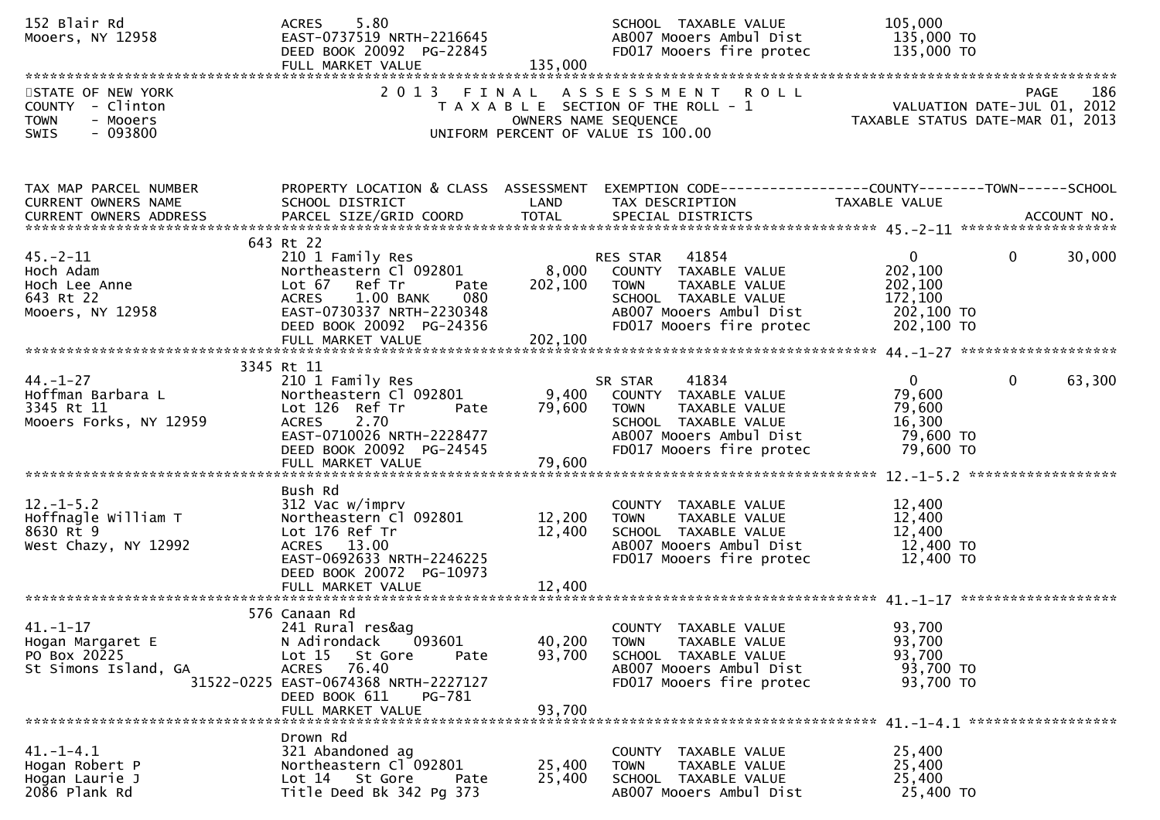| 152 Blair Rd<br>Mooers, NY 12958                                               | ACRES 5.80<br>EAST-0737519 NRTH-2216645<br>DEED BOOK 20092 PG-22845<br>FULL MARKET VALUE                                                                                                                  | 135,000                       | SCHOOL TAXABLE VALUE<br>AB007 Mooers Ambul Dist<br>FD017 Mooers fire protec                                                                                    | 105,000<br>135,000 TO<br>135,000 TO                                       |                        |
|--------------------------------------------------------------------------------|-----------------------------------------------------------------------------------------------------------------------------------------------------------------------------------------------------------|-------------------------------|----------------------------------------------------------------------------------------------------------------------------------------------------------------|---------------------------------------------------------------------------|------------------------|
| STATE OF NEW YORK<br>COUNTY - Clinton<br>TOWN<br>- Mooers<br>$-093800$<br>SWIS | 2 0 1 3                                                                                                                                                                                                   | FINAL<br>OWNERS NAME SEQUENCE | ASSESSMENT ROLL<br>T A X A B L E SECTION OF THE ROLL - 1<br>UNIFORM PERCENT OF VALUE IS 100.00                                                                 | VALUATION DATE-JUL 01, 2012<br>TAXABLE STATUS DATE-MAR 01, 2013           | 186<br><b>PAGE</b>     |
| TAX MAP PARCEL NUMBER<br>CURRENT OWNERS NAME<br>CURRENT OWNERS ADDRESS         | SCHOOL DISTRICT<br>PARCEL SIZE/GRID COORD                                                                                                                                                                 | LAND<br><b>TOTAL</b>          | PROPERTY LOCATION & CLASS ASSESSMENT EXEMPTION CODE----------------COUNTY-------TOWN------SCHOOL<br>TAX DESCRIPTION<br>SPECIAL DISTRICTS                       | TAXABLE VALUE                                                             | ACCOUNT NO.            |
| $45. -2 - 11$<br>Hoch Adam<br>Hoch Lee Anne<br>643 Rt 22<br>Mooers, NY 12958   | 643 Rt 22<br>210 1 Family Res<br>Northeastern Cl 092801<br>Lot 67 Ref Tr<br>Pate<br><b>ACRES</b><br>1.00 BANK<br>080<br>EAST-0730337 NRTH-2230348<br>DEED BOOK 20092 PG-24356                             | 202,100                       | 41854<br>RES STAR<br>8,000 COUNTY TAXABLE VALUE<br><b>TOWN</b><br>TAXABLE VALUE<br>SCHOOL TAXABLE VALUE<br>AB007 Mooers Ambul Dist<br>FD017 Mooers fire protec | $\mathbf{0}$<br>202,100<br>202,100<br>172,100<br>202,100 TO<br>202,100 TO | $\mathbf{0}$<br>30,000 |
| $44. - 1 - 27$<br>Hoffman Barbara L<br>3345 Rt 11<br>Mooers Forks, NY 12959    | 3345 Rt 11<br>210 1 Family Res<br>Northeastern Cl 092801<br>Lot 126 Ref Tr<br>Pate<br><b>ACRES</b><br>2.70<br>EAST-0710026 NRTH-2228477<br>DEED BOOK 20092 PG-24545<br>FULL MARKET VALUE                  | 79,600<br>79,600              | 41834<br>SR STAR<br>9,400 COUNTY TAXABLE VALUE<br>TAXABLE VALUE<br><b>TOWN</b><br>SCHOOL TAXABLE VALUE<br>AB007 Mooers Ambul Dist<br>FD017 Mooers fire protec  | $\overline{0}$<br>79,600<br>79,600<br>16,300<br>79,600 TO<br>79,600 TO    | $\mathbf{0}$<br>63,300 |
| $12. - 1 - 5.2$<br>Hoffnagle William T<br>8630 Rt 9<br>West Chazy, NY 12992    | Bush Rd<br>312 Vac w/imprv<br>Northeastern Cl 092801<br>Lot 176 Ref Tr<br>ACRES 13.00<br>EAST-0692633 NRTH-2246225<br>DEED BOOK 20072 PG-10973                                                            | 12,200<br>12,400              | COUNTY TAXABLE VALUE<br><b>TOWN</b><br>TAXABLE VALUE<br>SCHOOL TAXABLE VALUE<br>AB007 Mooers Ambul Dist<br>FD017 Mooers fire protec                            | 12,400<br>12,400<br>12,400<br>12,400 TO<br>12,400 TO                      |                        |
| $41. - 1 - 17$<br>Hogan Margaret E<br>PO Box 20225<br>St Simons Island, GA     | 576 Canaan Rd<br>241 Rural res&ag<br>093601<br>N Adirondack<br>Lot 15<br>St Gore<br>Pate<br>76.40<br><b>ACRES</b><br>31522-0225 EAST-0674368 NRTH-2227127<br>DEED BOOK 611<br>PG-781<br>FULL MARKET VALUE | 40,200<br>93,700<br>93,700    | COUNTY TAXABLE VALUE<br><b>TOWN</b><br>TAXABLE VALUE<br>SCHOOL TAXABLE VALUE<br>AB007 Mooers Ambul Dist<br>FD017 Mooers fire protec                            | 93,700<br>93,700<br>93,700<br>93,700 TO<br>93,700 TO                      |                        |
| $41. - 1 - 4.1$<br>Hogan Robert P<br>Hogan Laurie J<br>2086 Plank Rd           | Drown Rd<br>321 Abandoned ag<br>Northeastern Cl 092801<br>Lot 14 St Gore<br>Pate<br>Title Deed Bk 342 Pg 373                                                                                              | 25,400<br>25,400              | COUNTY TAXABLE VALUE<br>TAXABLE VALUE<br><b>TOWN</b><br>SCHOOL TAXABLE VALUE<br>AB007 Mooers Ambul Dist                                                        | 25,400<br>25,400<br>25,400<br>25,400 TO                                   |                        |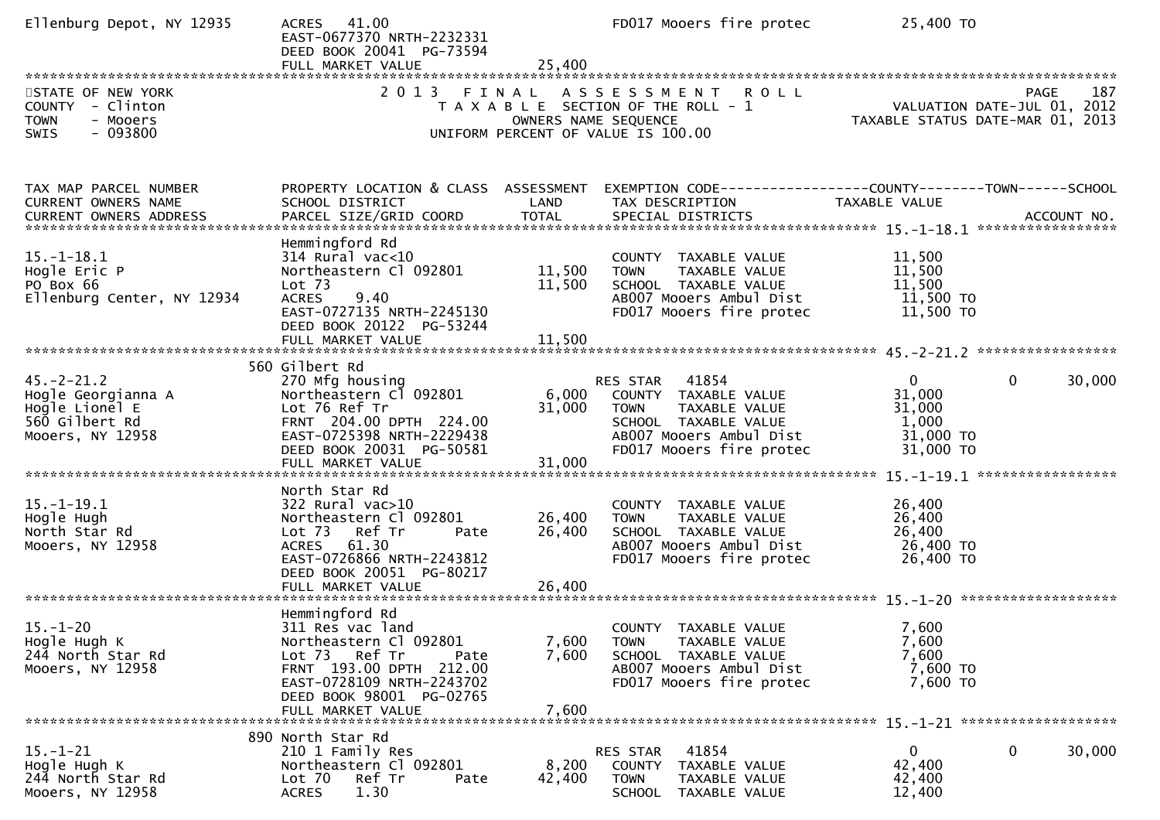| Ellenburg Depot, NY 12935                                                                      | 41.00<br><b>ACRES</b><br>EAST-0677370 NRTH-2232331<br>DEED BOOK 20041 PG-73594<br>FULL MARKET VALUE                                                                                            | 25,400                        | FD017 Mooers fire protec                                                                                                                              | 25,400 TO                                                           |                    |
|------------------------------------------------------------------------------------------------|------------------------------------------------------------------------------------------------------------------------------------------------------------------------------------------------|-------------------------------|-------------------------------------------------------------------------------------------------------------------------------------------------------|---------------------------------------------------------------------|--------------------|
| STATE OF NEW YORK<br>COUNTY - Clinton<br><b>TOWN</b><br>- Mooers<br>$-093800$<br>SWIS          | 2 0 1 3                                                                                                                                                                                        | FINAL<br>OWNERS NAME SEQUENCE | ASSESSMENT ROLL<br>T A X A B L E SECTION OF THE ROLL - 1<br>UNIFORM PERCENT OF VALUE IS 100.00                                                        | VALUATION DATE-JUL 01, 2012<br>TAXABLE STATUS DATE-MAR 01, 2013     | 187<br>PAGE        |
| TAX MAP PARCEL NUMBER<br>CURRENT OWNERS NAME<br><b>CURRENT OWNERS ADDRESS</b>                  | PROPERTY LOCATION & CLASS ASSESSMENT<br>SCHOOL DISTRICT<br>PARCEL SIZE/GRID COORD                                                                                                              | LAND<br><b>TOTAL</b>          | EXEMPTION CODE-----------------COUNTY-------TOWN------SCHOOL<br>TAX DESCRIPTION<br>SPECIAL DISTRICTS                                                  | TAXABLE VALUE                                                       | ACCOUNT NO.        |
| $15. - 1 - 18.1$<br>Hogle Eric P<br>PO Box 66<br>Ellenburg Center, NY 12934                    | Hemmingford Rd<br>$314$ Rural vac< $10$<br>Northeastern Cl 092801<br>Lot <sub>73</sub><br>9.40<br><b>ACRES</b><br>EAST-0727135 NRTH-2245130<br>DEED BOOK 20122 PG-53244<br>FULL MARKET VALUE   | 11,500<br>11,500<br>11,500    | COUNTY TAXABLE VALUE<br>TAXABLE VALUE<br><b>TOWN</b><br>SCHOOL TAXABLE VALUE<br>AB007 Mooers Ambul Dist<br>FD017 Mooers fire protec                   | 11,500<br>11,500<br>11,500<br>11,500 TO<br>11,500 TO                |                    |
| $45. - 2 - 21.2$<br>Hogle Georgianna A<br>Hogle Lionel E<br>560 Gilbert Rd<br>Mooers, NY 12958 | 560 Gilbert Rd<br>270 Mfg housing<br>Northeastern Cl 092801<br>Lot 76 Ref Tr<br>FRNT 204.00 DPTH 224.00<br>EAST-0725398 NRTH-2229438<br>DEED BOOK 20031 PG-50581<br>FULL MARKET VALUE          | 6,000<br>31,000<br>31,000     | RES STAR 41854<br>COUNTY TAXABLE VALUE<br><b>TOWN</b><br>TAXABLE VALUE<br>SCHOOL TAXABLE VALUE<br>AB007 Mooers Ambul Dist<br>FD017 Mooers fire protec | $\mathbf{0}$<br>31,000<br>31,000<br>1,000<br>31,000 TO<br>31,000 TO | $\Omega$<br>30,000 |
| $15. - 1 - 19.1$<br>Hogle Hugh<br>North Star Rd<br>Mooers, NY 12958                            | North Star Rd<br>$322$ Rural vac $>10$<br>Northeastern Cl 092801<br>Lot 73 Ref Tr<br>Pate<br>ACRES 61.30<br>EAST-0726866 NRTH-2243812<br>DEED BOOK 20051 PG-80217                              | 26,400<br>26,400              | COUNTY TAXABLE VALUE<br><b>TOWN</b><br>TAXABLE VALUE<br>SCHOOL TAXABLE VALUE<br>AB007 Mooers Ambul Dist<br>FD017 Mooers fire protec                   | 26,400<br>26,400<br>26,400<br>26,400 TO<br>26,400 TO                |                    |
| $15. - 1 - 20$<br>Hogle Hugh K<br>244 North Star Rd<br>Mooers, NY 12958                        | Hemmingford Rd<br>311 Res vac land<br>Northeastern Cl 092801<br>Lot 73 Ref Tr<br>Pate<br>FRNT 193.00 DPTH 212.00<br>EAST-0728109 NRTH-2243702<br>DEED BOOK 98001 PG-02765<br>FULL MARKET VALUE | 7,600<br>7,600<br>7,600       | COUNTY TAXABLE VALUE<br><b>TOWN</b><br>TAXABLE VALUE<br>SCHOOL TAXABLE VALUE<br>AB007 Mooers Ambul Dist<br>FD017 Mooers fire protec                   | 7,600<br>7,600<br>7,600<br>7,600 TO<br>7,600 TO                     |                    |
| $15. - 1 - 21$<br>Hogle Hugh K<br>244 North Star Rd<br>Mooers, NY 12958                        | 890 North Star Rd<br>210 1 Family Res<br>Northeastern Cl 092801<br>Lot 70<br>Ref Tr<br>Pate<br>1.30<br><b>ACRES</b>                                                                            | 8,200<br>42,400               | 41854<br>RES STAR<br>COUNTY TAXABLE VALUE<br><b>TOWN</b><br>TAXABLE VALUE<br><b>SCHOOL</b><br>TAXABLE VALUE                                           | 0<br>42,400<br>42,400<br>12,400                                     | 0<br>30,000        |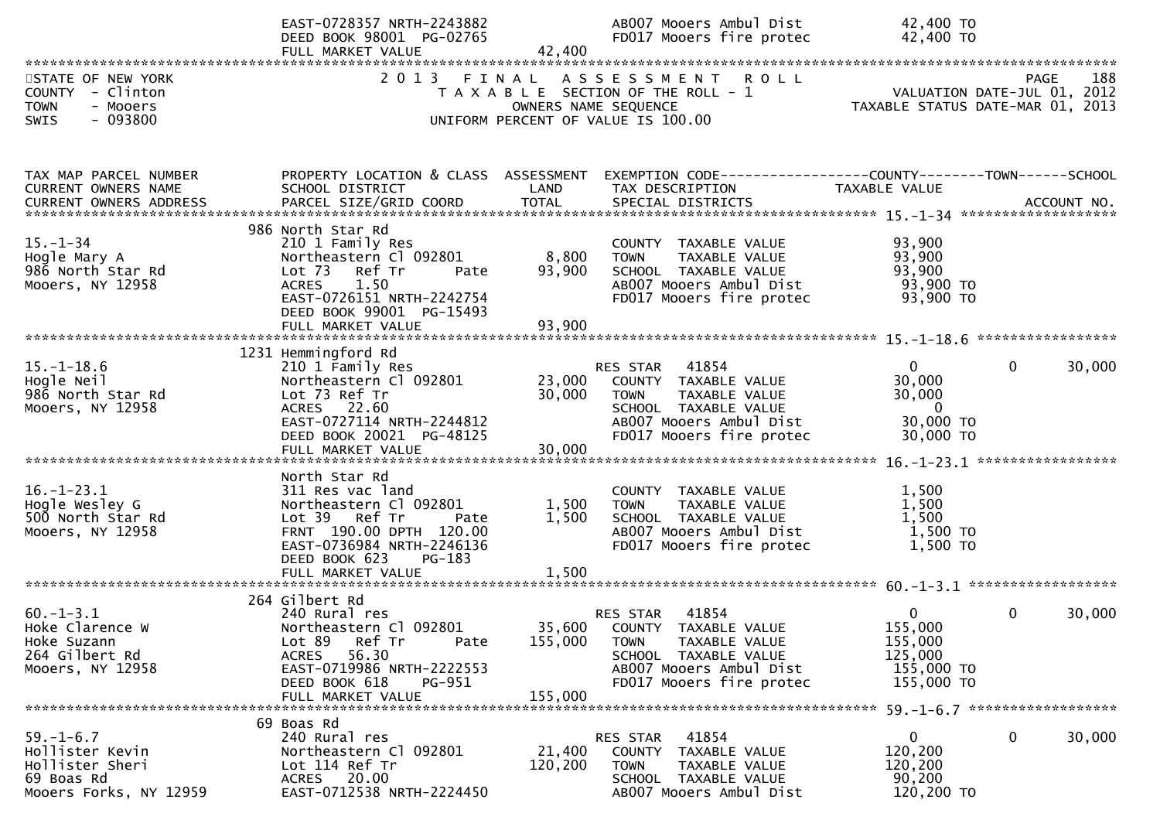|                                                                                                                                                     | EAST-0728357 NRTH-2243882<br>DEED BOOK 98001 PG-02765<br>FULL MARKET VALUE                                                                                                           | 42,400             | AB007 Mooers Ambul Dist<br>FD017 Mooers fire protec                                                                                                                        | 42,400 TO<br>42,400 TO                                                                  |                        |
|-----------------------------------------------------------------------------------------------------------------------------------------------------|--------------------------------------------------------------------------------------------------------------------------------------------------------------------------------------|--------------------|----------------------------------------------------------------------------------------------------------------------------------------------------------------------------|-----------------------------------------------------------------------------------------|------------------------|
|                                                                                                                                                     |                                                                                                                                                                                      |                    |                                                                                                                                                                            |                                                                                         |                        |
| STATE OF NEW YORK<br>COUNTY - Clinton<br><b>TOWN</b><br>- Mooers<br>$-093800$<br><b>SWIS</b>                                                        |                                                                                                                                                                                      |                    | 2013 FINAL ASSESSMENT ROLL<br>T A X A B L E SECTION OF THE ROLL - 1<br>T A X A B L E SECTION OF THE ROLL - 1<br>OWNERS NAME SEQUENCE<br>UNIFORM PERCENT OF VALUE IS 100.00 |                                                                                         | 188<br>PAGE            |
| TAX MAP PARCEL NUMBER<br>CURRENT OWNERS NAME<br>CURRENT OWNERS ADDRESS PARCEL SIZE/GRID COORD TOTAL SPECIAL DISTRICTS 75 75 1 1-34 2010 ACCOUNT NO. | PROPERTY LOCATION & CLASS ASSESSMENT<br>SCHOOL DISTRICT                                                                                                                              | LAND               | EXEMPTION CODE------------------COUNTY--------TOWN------SCHOOL<br>TAX DESCRIPTION                                                                                          | TAXABLE VALUE                                                                           |                        |
| $15. - 1 - 34$<br>Hogle Mary A<br>986 North Star Rd<br>Mooers, NY 12958                                                                             | 986 North Star Rd<br>210 1 Family Res<br>Northeastern Cl 092801<br>Lot 73 Ref Tr<br>Pate<br><b>ACRES</b><br>1.50<br>EAST-0726151 NRTH-2242754<br>DEED BOOK 99001 PG-15493            | 8,800<br>93,900    | COUNTY TAXABLE VALUE<br>TAXABLE VALUE<br><b>TOWN</b><br>SCHOOL TAXABLE VALUE<br>AB007 Mooers Ambul Dist<br>FD017 Mooers fire protec                                        | 93,900<br>93,900<br>93,900<br>93,900 TO<br>93,900 TO                                    |                        |
|                                                                                                                                                     |                                                                                                                                                                                      |                    |                                                                                                                                                                            |                                                                                         |                        |
| $15. - 1 - 18.6$<br>Hogle Neil<br>986 North Star Rd<br>Mooers, NY 12958                                                                             | 1231 Hemmingford Rd<br>210 1 Family Res<br>Northeastern Cl 092801<br>Lot 73 Ref Tr<br>ACRES 22.60<br>EAST-0727114 NRTH-2244812<br>DEED BOOK 20021 PG-48125                           | 30,000             | RES STAR 41854<br>23,000 COUNTY TAXABLE VALUE<br><b>TOWN</b><br>TAXABLE VALUE<br>SCHOOL TAXABLE VALUE<br>AB007 Mooers Ambul Dist<br>FD017 Mooers fire protec               | $\overline{0}$<br>30,000<br>30,000<br>$\overline{\mathbf{0}}$<br>30,000 TO<br>30,000 TO | $\mathbf 0$<br>30,000  |
|                                                                                                                                                     |                                                                                                                                                                                      |                    |                                                                                                                                                                            |                                                                                         |                        |
| $16. - 1 - 23.1$<br>Hogle Wesley G<br>500 North Star Rd<br>Mooers, NY 12958                                                                         | North Star Rd<br>311 Res vac land<br>Northeastern Cl 092801<br>Lot 39 Ref Tr<br>Pate<br>FRNT 190.00 DPTH 120.00<br>EAST-0736984 NRTH-2246136<br>DEED BOOK 623<br>PG-183              | 1,500<br>1,500     | COUNTY TAXABLE VALUE<br><b>TOWN</b><br>TAXABLE VALUE<br>SCHOOL TAXABLE VALUE<br>AB007 Mooers Ambul Dist<br>FD017 Mooers fire protec                                        | 1,500<br>1,500<br>1,500<br>1,500 TO<br>1,500 TO                                         |                        |
|                                                                                                                                                     | FULL MARKET VALUE                                                                                                                                                                    | 1,500              |                                                                                                                                                                            |                                                                                         |                        |
| $60. -1 - 3.1$<br>Hoke Clarence W<br>Hoke Suzann<br>264 Gilbert Rd<br>Mooers, NY 12958                                                              | 264 Gilbert Rd<br>240 Rural res<br>Northeastern Cl 092801<br>Lot 89<br>Ref Tr<br>Pate<br>56.30<br>ACRES<br>EAST-0719986 NRTH-2222553<br>DEED BOOK 618<br>PG-951<br>FULL MARKET VALUE | 155,000<br>155,000 | RES STAR 41854<br>35,600 COUNTY TAXABLE VALUE<br>TAXABLE VALUE<br><b>TOWN</b><br>SCHOOL TAXABLE VALUE<br>AB007 Mooers Ambul Dist<br>FD017 Mooers fire protec               | $\mathbf{0}$<br>155,000<br>155,000<br>125,000<br>155,000 TO<br>155,000 TO               | $\mathbf{0}$<br>30,000 |
|                                                                                                                                                     |                                                                                                                                                                                      |                    |                                                                                                                                                                            |                                                                                         |                        |
| $59. - 1 - 6.7$<br>Hollister Kevin<br>Hollister Sheri<br>69 Boas Rd<br>Mooers Forks, NY 12959                                                       | 69 Boas Rd<br>240 Rural res<br>Northeastern Cl 092801<br>Lot 114 Ref Tr<br>ACRES 20.00<br>EAST-0712538 NRTH-2224450                                                                  | 21,400<br>120,200  | 41854<br>RES STAR<br>COUNTY TAXABLE VALUE<br><b>TOWN</b><br>TAXABLE VALUE<br>SCHOOL TAXABLE VALUE<br>AB007 Mooers Ambul Dist                                               | $\mathbf{0}$<br>120,200<br>120,200<br>90,200<br>120,200 TO                              | 0<br>30,000            |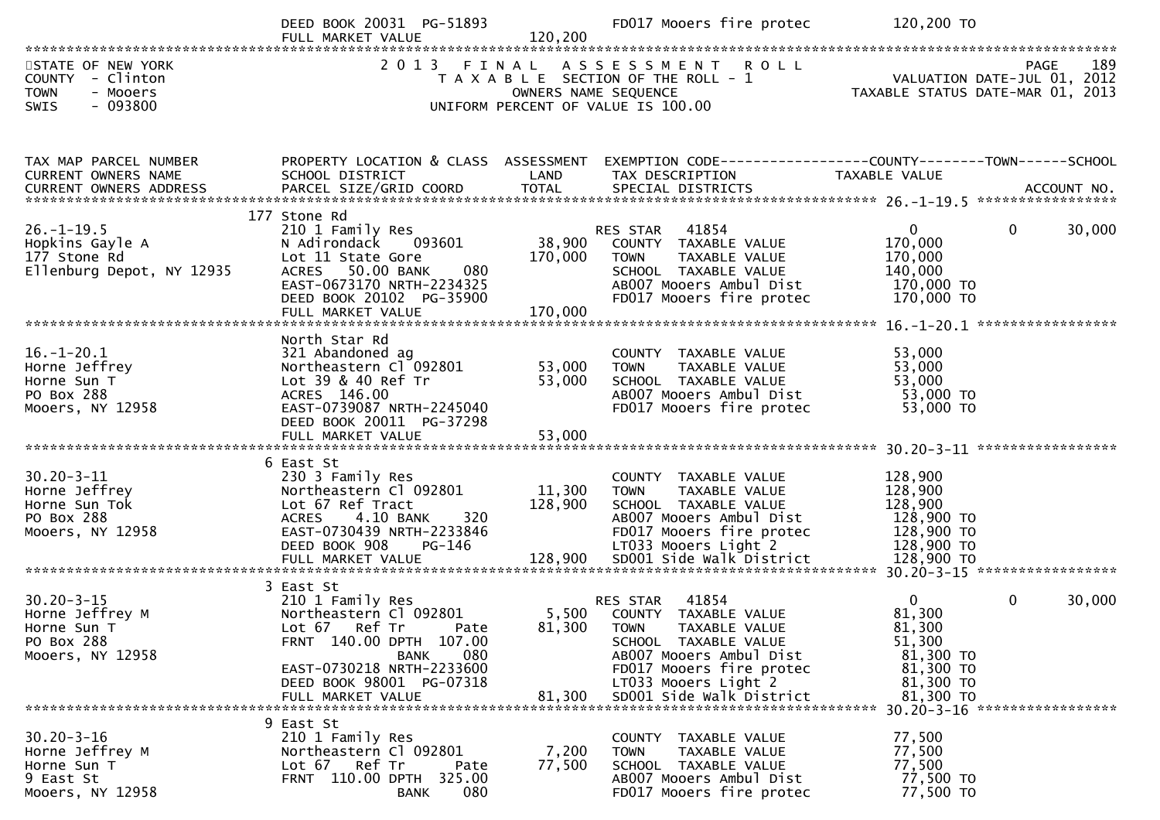|                                                                                                                                                                            | DEED BOOK 20031 PG-51893<br>FULL MARKET VALUE                                                                                                                                                            | 120,200              | FD017 Mooers fire protec                                                                                                                                                                                               | 120,200 TO                                                                                     |                                                        |
|----------------------------------------------------------------------------------------------------------------------------------------------------------------------------|----------------------------------------------------------------------------------------------------------------------------------------------------------------------------------------------------------|----------------------|------------------------------------------------------------------------------------------------------------------------------------------------------------------------------------------------------------------------|------------------------------------------------------------------------------------------------|--------------------------------------------------------|
| STATE OF NEW YORK<br>COUNTY - Clinton<br>- Mooers<br><b>TOWN</b><br>$-093800$<br><b>SWIS</b>                                                                               |                                                                                                                                                                                                          | OWNERS NAME SEQUENCE | 2013 FINAL ASSESSMENT ROLL<br>T A X A B L E SECTION OF THE ROLL - 1<br>UNIFORM PERCENT OF VALUE IS 100.00                                                                                                              | 289 PAGE<br>2012 VALUATION DATE-JUL 01, 2012                                                   | 189<br><b>PAGE</b><br>TAXABLE STATUS DATE-MAR 01, 2013 |
| TAX MAP PARCEL NUMBER<br>CURRENT OWNERS NAME                                                                                                                               | PROPERTY LOCATION & CLASS ASSESSMENT<br>SCHOOL DISTRICT                                                                                                                                                  | LAND                 | EXEMPTION CODE-----------------COUNTY-------TOWN------SCHOOL<br>TAX DESCRIPTION                                                                                                                                        | TAXABLE VALUE                                                                                  |                                                        |
| $26. - 1 - 19.5$<br>Hopkins Gayle A<br>177 Stone Rd<br>Ellenburg Depot, NY 12935                                                                                           | 177 Stone Rd<br>210 1 Family Res<br>N Adirondack 093601<br>Lot 11 State Gore<br>ACRES 50.00 BANK<br>080<br>EAST-0673170 NRTH-2234325<br>DEED BOOK 20102 PG-35900<br>FULL MARKET VALUE                    | 170,000<br>170,000   | 41854<br>RES STAR<br>38,900 COUNTY TAXABLE VALUE<br><b>TOWN</b><br>TAXABLE VALUE<br>SCHOOL TAXABLE VALUE<br>AB007 Mooers Ambul Dist<br>FD017 Mooers fire protec                                                        | $\overline{0}$<br>170,000<br>170,000<br>140,000<br>170,000 TO<br>170,000 TO                    | $\mathbf{0}$<br>30,000                                 |
| $16. - 1 - 20.1$<br>Horne Jeffrey<br>Horne Sun T<br>PO Box 288<br>Mooers, NY 12958                                                                                         | North Star Rd<br>321 Abandoned ag<br>Northeastern Cl 092801<br>Lot 39 & 40 Ref Tr<br>ACRES 146.00<br>EAST-0739087 NRTH-2245040<br>DEED BOOK 20011 PG-37298                                               | 53,000<br>53,000     | COUNTY TAXABLE VALUE<br>TAXABLE VALUE<br><b>TOWN</b><br>SCHOOL TAXABLE VALUE<br>AB007 Mooers Ambul Dist<br>FD017 Mooers fire protec                                                                                    | 53,000<br>53,000<br>53,000<br>53,000 TO<br>53,000 TO                                           |                                                        |
| $30.20 - 3 - 11$<br>Horne Jeffrey<br>Horne Sun Tok<br>PO Box 288<br>Mooers, NY 12958<br>FULL MARKET VALUE<br>FULL MARKET VALUE 128,900 SDOO1 Side Walk District 128,900 TO | 6 East St<br>230 3 Family Res<br>Northeastern Cl 092801<br>Lot 67 Ref Tract<br>320<br>4.10 BANK<br>ACRES<br>EAST-0730439 NRTH-2233846<br>DEED BOOK 908<br>PG-146                                         | 11,300 TOWN          | COUNTY TAXABLE VALUE<br>TAXABLE VALUE<br>128,900 SCHOOL TAXABLE VALUE<br>AB007 Mooers Ambul Dist<br>FD017 Mooers fire protec<br>LT033 Mooers Light 2                                                                   | 128,900<br>128,900<br>128,900<br>128,900 TO<br>128,900 TO<br>128,900 TO                        |                                                        |
| $30.20 - 3 - 15$<br>Horne Jeffrey M<br>Horne Sun T<br>PO Box 288<br>Mooers, NY 12958                                                                                       | 3 East St<br>210 1 Family Res<br>Northeastern Cl 092801<br>Lot 67 Ref Tr<br>Pate<br>FRNT 140.00 DPTH 107.00<br>080<br>BANK<br>EAST-0730218 NRTH-2233600<br>DEED BOOK 98001 PG-07318<br>FULL MARKET VALUE | 81,300               | 41854<br><b>RES STAR</b><br>5,500 COUNTY TAXABLE VALUE<br>81,300 TOWN TAXABLE VALUE<br>SCHOOL TAXABLE VALUE<br>AB007 Mooers Ambul Dist<br>FD017 Mooers fire protec<br>LT033 Mooers Light 2<br>SD001 Side Walk District | $\mathbf{0}$<br>81,300<br>81,300<br>51,300<br>81,300 TO<br>81,300 TO<br>81,300 TO<br>81,300 TO | $\mathbf{0}$<br>30,000                                 |
| $30.20 - 3 - 16$<br>Horne Jeffrey M<br>Horne Sun T<br>9 East St<br>Mooers, NY 12958                                                                                        | 9 East St<br>210 1 Family Res<br>Northeastern Cl 092801<br>Lot 67 Ref Tr<br>Pate<br>FRNT 110.00 DPTH 325.00<br>080<br><b>BANK</b>                                                                        | 7,200<br>77,500      | COUNTY TAXABLE VALUE<br>TAXABLE VALUE<br><b>TOWN</b><br>SCHOOL TAXABLE VALUE<br>AB007 Mooers Ambul Dist<br>FD017 Mooers fire protec                                                                                    | 77,500<br>77,500<br>77,500<br>77,500 TO<br>77,500 TO                                           |                                                        |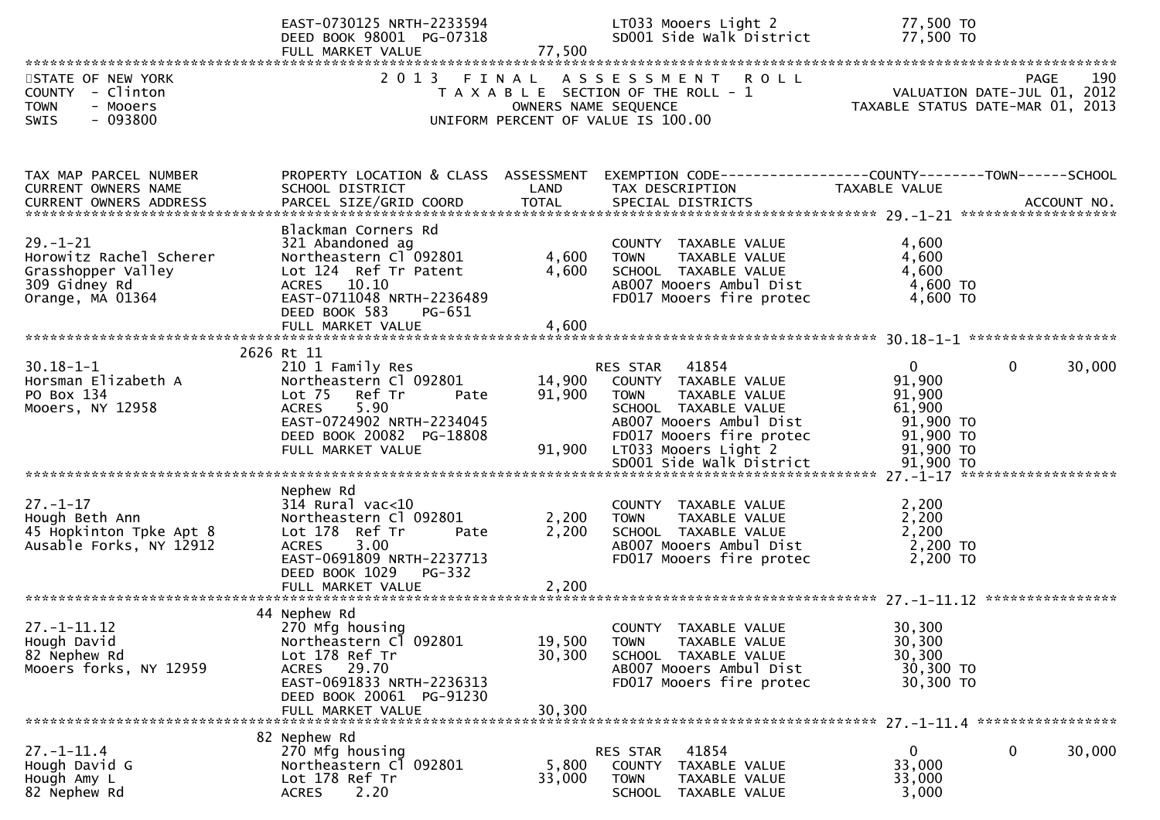|                                                                                                      | EAST-0730125 NRTH-2233594<br>DEED BOOK 98001 PG-07318<br>FULL MARKET VALUE                                                                                                   | 77,500                        | LT033 Mooers Light 2<br>SD001 Side Walk District                                                                                                                                                          | 77,500 TO<br>77,500 TO                                                                             |                                            |
|------------------------------------------------------------------------------------------------------|------------------------------------------------------------------------------------------------------------------------------------------------------------------------------|-------------------------------|-----------------------------------------------------------------------------------------------------------------------------------------------------------------------------------------------------------|----------------------------------------------------------------------------------------------------|--------------------------------------------|
| STATE OF NEW YORK<br>COUNTY - Clinton<br><b>TOWN</b><br>- Mooers<br>$-093800$<br><b>SWIS</b>         | 2 0 1 3                                                                                                                                                                      | FINAL<br>OWNERS NAME SEQUENCE | A S S E S S M E N T R O L L<br>T A X A B L E SECTION OF THE ROLL - 1<br>UNIFORM PERCENT OF VALUE IS 100.00                                                                                                | TAXABLE STATUS DATE-MAR 01, 2013                                                                   | 190<br>PAGE<br>VALUATION DATE-JUL 01, 2012 |
| TAX MAP PARCEL NUMBER<br>CURRENT OWNERS NAME                                                         | PROPERTY LOCATION & CLASS ASSESSMENT<br>SCHOOL DISTRICT                                                                                                                      | LAND                          | TAX DESCRIPTION                                                                                                                                                                                           | TAXABLE VALUE                                                                                      |                                            |
| $29. - 1 - 21$<br>Horowitz Rachel Scherer<br>Grasshopper Valley<br>309 Gidney Rd<br>Orange, MA 01364 | Blackman Corners Rd<br>321 Abandoned ag<br>Northeastern Cl 092801<br>Lot 124 Ref Tr Patent<br>ACRES 10.10<br>EAST-0711048 NRTH-2236489<br>DEED BOOK 583<br>PG-651            | 4,600<br>4,600<br>4,600       | COUNTY TAXABLE VALUE<br>TAXABLE VALUE<br>TOWN<br>SCHOOL TAXABLE VALUE<br>AB007 Mooers Ambul Dist<br>FD017 Mooers fire protec                                                                              | 4,600<br>4,600<br>4,600<br>$4,600$ TO<br>4,600 TO                                                  |                                            |
|                                                                                                      | 2626 Rt 11                                                                                                                                                                   |                               |                                                                                                                                                                                                           |                                                                                                    |                                            |
| $30.18 - 1 - 1$<br>Horsman Elizabeth A<br>PO Box 134<br>Mooers, NY 12958                             | 210 1 Family Res<br>Northeastern Cl 092801<br>Lot 75<br>Ref Tr<br>Pate<br>5.90<br><b>ACRES</b><br>EAST-0724902 NRTH-2234045<br>DEED BOOK 20082 PG-18808<br>FULL MARKET VALUE | 14,900<br>91,900<br>91,900    | RES STAR 41854<br>COUNTY TAXABLE VALUE<br><b>TOWN</b><br>TAXABLE VALUE<br>SCHOOL TAXABLE VALUE<br>AB007 Mooers Ambul Dist<br>FD017 Mooers fire protec<br>LT033 Mooers Light 2<br>SD001 Side Walk District | $\overline{0}$<br>91,900<br>91,900<br>61,900<br>91,900 то<br>91,900 TO<br>$91,900$ TO<br>91,900 TO | $\mathbf{0}$<br>30,000                     |
|                                                                                                      |                                                                                                                                                                              |                               |                                                                                                                                                                                                           |                                                                                                    |                                            |
| $27. - 1 - 17$<br>Hough Beth Ann<br>45 Hopkinton Tpke Apt 8<br>Ausable Forks, NY 12912               | Nephew Rd<br>$314$ Rural vac<10<br>Northeastern Cl 092801<br>Lot 178 Ref Tr<br>Pate<br><b>ACRES</b><br>3.00<br>EAST-0691809 NRTH-2237713<br>DEED BOOK 1029<br><b>PG-332</b>  | 2,200<br>2,200                | COUNTY TAXABLE VALUE<br><b>TOWN</b><br>TAXABLE VALUE<br>SCHOOL TAXABLE VALUE<br>AB007 Mooers Ambul Dist<br>FD017 Mooers fire protec                                                                       | 2,200<br>2,200<br>2,200<br>2,200 TO<br>2,200 TO                                                    |                                            |
|                                                                                                      | 44 Nephew Rd                                                                                                                                                                 |                               |                                                                                                                                                                                                           |                                                                                                    |                                            |
| $27. - 1 - 11.12$<br>Hough David<br>82 Nephew Rd<br>Mooers forks, NY 12959                           | 270 Mfg housing<br>Northeastern Cl 092801<br>Lot 178 Ref Tr<br>ACRES 29.70<br>EAST-0691833 NRTH-2236313<br>DEED BOOK 20061 PG-91230<br>FULL MARKET VALUE                     | 19,500<br>30,300<br>30,300    | COUNTY TAXABLE VALUE<br><b>TOWN</b><br>TAXABLE VALUE<br>SCHOOL TAXABLE VALUE<br>AB007 Mooers Ambul Dist<br>FD017 Mooers fire protec                                                                       | 30,300<br>30,300<br>30,300<br>30,300 TO<br>30,300 TO                                               |                                            |
|                                                                                                      | 82 Nephew Rd                                                                                                                                                                 |                               |                                                                                                                                                                                                           |                                                                                                    |                                            |
| $27. - 1 - 11.4$<br>Hough David G<br>Hough Amy L<br>82 Nephew Rd                                     | 270 Mfg housing<br>Northeastern Cl 092801<br>Lot 178 Ref Tr<br>2.20<br><b>ACRES</b>                                                                                          | 5,800<br>33,000               | 41854<br>RES STAR<br>COUNTY TAXABLE VALUE<br><b>TOWN</b><br>TAXABLE VALUE<br>SCHOOL TAXABLE VALUE                                                                                                         | 0<br>33,000<br>33,000<br>3,000                                                                     | 0<br>30,000                                |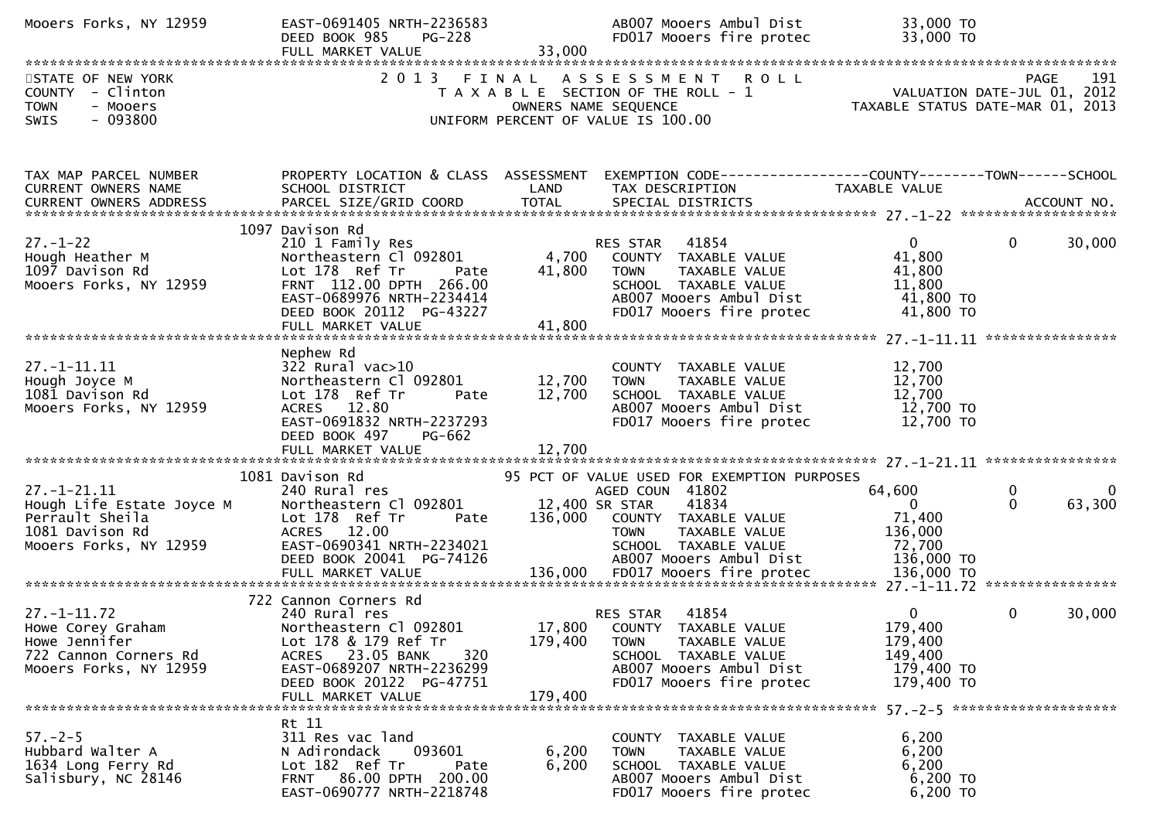| Mooers Forks, NY 12959                                                                                         | EAST-0691405 NRTH-2236583<br>DEED BOOK 985<br><b>PG-228</b><br>FULL MARKET VALUE                                                                                                                  | 33,000             | AB007 Mooers Ambul Dist<br>FD017 Mooers fire protec                                                                                                                                                  | 33,000 TO<br>33,000 TO                                                    |                                                   |
|----------------------------------------------------------------------------------------------------------------|---------------------------------------------------------------------------------------------------------------------------------------------------------------------------------------------------|--------------------|------------------------------------------------------------------------------------------------------------------------------------------------------------------------------------------------------|---------------------------------------------------------------------------|---------------------------------------------------|
| STATE OF NEW YORK<br>COUNTY - Clinton<br><b>TOWN</b><br>- Mooers<br>$-093800$<br><b>SWIS</b>                   |                                                                                                                                                                                                   |                    | 2013 FINAL ASSESSMENT ROLL<br>T A X A B L E SECTION OF THE ROLL - 1<br>OWNERS NAME SEQUENCE<br>UNIFORM PERCENT OF VALUE IS 100.00                                                                    | VALUATION DATE SUL 01, 2013<br>TAXABLE STATUS DATE-MAR 01, 2013           | 191<br><b>PAGE</b><br>VALUATION DATE-JUL 01, 2012 |
| TAX MAP PARCEL NUMBER<br>CURRENT OWNERS NAME<br>CURRENT OWNERS ADDRESS                                         | PROPERTY LOCATION & CLASS ASSESSMENT<br>SCHOOL DISTRICT                                                                                                                                           | LAND               | TAX DESCRIPTION                                                                                                                                                                                      | TAXABLE VALUE                                                             |                                                   |
| $27. - 1 - 22$<br>Hough Heather M<br>1097 Davison Rd<br>Mooers Forks, NY 12959                                 | 1097 Davison Rd<br>210 1 Family Res<br>Northeastern Cl 092801<br>Lot 178 Ref Tr<br>Pate<br>FRNT 112.00 DPTH 266.00<br>EAST-0689976 NRTH-2234414<br>DEED BOOK 20112 PG-43227                       | 4,700<br>41,800    | RES STAR 41854<br>COUNTY TAXABLE VALUE<br><b>TOWN</b><br>TAXABLE VALUE<br>SCHOOL TAXABLE VALUE<br>AB007 Mooers Ambul Dist<br>FD017 Mooers fire protec                                                | $\mathbf{0}$<br>41,800<br>41,800<br>11,800<br>41,800 TO<br>41,800 TO      | $\mathbf 0$<br>30,000                             |
| $27. - 1 - 11.11$<br>Hough Joyce M<br>1081 Davison Rd<br>Mooers Forks, NY 12959                                | Nephew Rd<br>322 Rural vac>10<br>Northeastern Cl 092801<br>Lot 178 Ref Tr<br>Pate<br>ACRES 12.80<br>EAST-0691832 NRTH-2237293<br>DEED BOOK 497<br><b>PG-662</b>                                   | 12,700<br>12,700   | COUNTY TAXABLE VALUE<br><b>TOWN</b><br>TAXABLE VALUE<br>SCHOOL TAXABLE VALUE<br>AB007 Mooers Ambul Dist<br>FD017 Mooers fire protec                                                                  | 12,700<br>12,700<br>12,700<br>12,700 TO<br>12,700 TO                      |                                                   |
| $27. - 1 - 21.11$<br>Hough Life Estate Joyce M<br>Perrault Sheila<br>1081 Davison Rd<br>Mooers Forks, NY 12959 | 1081 Davison Rd<br>240 Rural res<br>Northeastern Cl 092801<br>Lot 178 Ref Tr<br>Pate<br>ACRES 12.00<br>EAST-0690341 NRTH-2234021<br>DEED BOOK 20041 PG-74126                                      | 136,000            | 95 PCT OF VALUE USED FOR EXEMPTION PURPOSES<br>AGED COUN 41802<br>12,400 SR STAR<br>41834<br>COUNTY TAXABLE VALUE<br><b>TOWN</b><br>TAXABLE VALUE<br>SCHOOL TAXABLE VALUE<br>AB007 Mooers Ambul Dist | 64,600<br>$\Omega$<br>71,400<br>136,000<br>72,700<br>136,000 TO           | 0<br>0<br>63,300<br>$\Omega$                      |
| $27. - 1 - 11.72$<br>Howe Corey Graham<br>Howe Jennifer<br>722 Cannon Corners Rd<br>Mooers Forks, NY 12959     | 722 Cannon Corners Rd<br>240 Rural res<br>Northeastern Cl 092801<br>Lot 178 & 179 Ref Tr<br>ACRES 23.05 BANK<br>320<br>EAST-0689207 NRTH-2236299<br>DEED BOOK 20122 PG-47751<br>FULL MARKET VALUE | 179,400<br>179,400 | 41854<br>RES STAR<br>17,800 COUNTY TAXABLE VALUE<br><b>TOWN</b><br>TAXABLE VALUE<br>SCHOOL TAXABLE VALUE<br>AB007 Mooers Ambul Dist<br>FD017 Mooers fire protec                                      | $\mathbf{0}$<br>179,400<br>179,400<br>149,400<br>179,400 то<br>179,400 TO | $\mathbf{0}$<br>30,000                            |
| $57. - 2 - 5$<br>Hubbard Walter A<br>1634 Long Ferry Rd<br>Salisbury, NC 28146                                 | Rt 11<br>311 Res vac land<br>093601<br>N Adirondack<br>Lot 182 Ref Tr<br>Pate<br>FRNT 86.00 DPTH 200.00<br>EAST-0690777 NRTH-2218748                                                              | 6,200<br>6,200     | COUNTY TAXABLE VALUE<br>TAXABLE VALUE<br><b>TOWN</b><br>SCHOOL TAXABLE VALUE<br>AB007 Mooers Ambul Dist<br>FD017 Mooers fire protec                                                                  | 6,200<br>6,200<br>6,200<br>6,200 TO<br>6,200 TO                           |                                                   |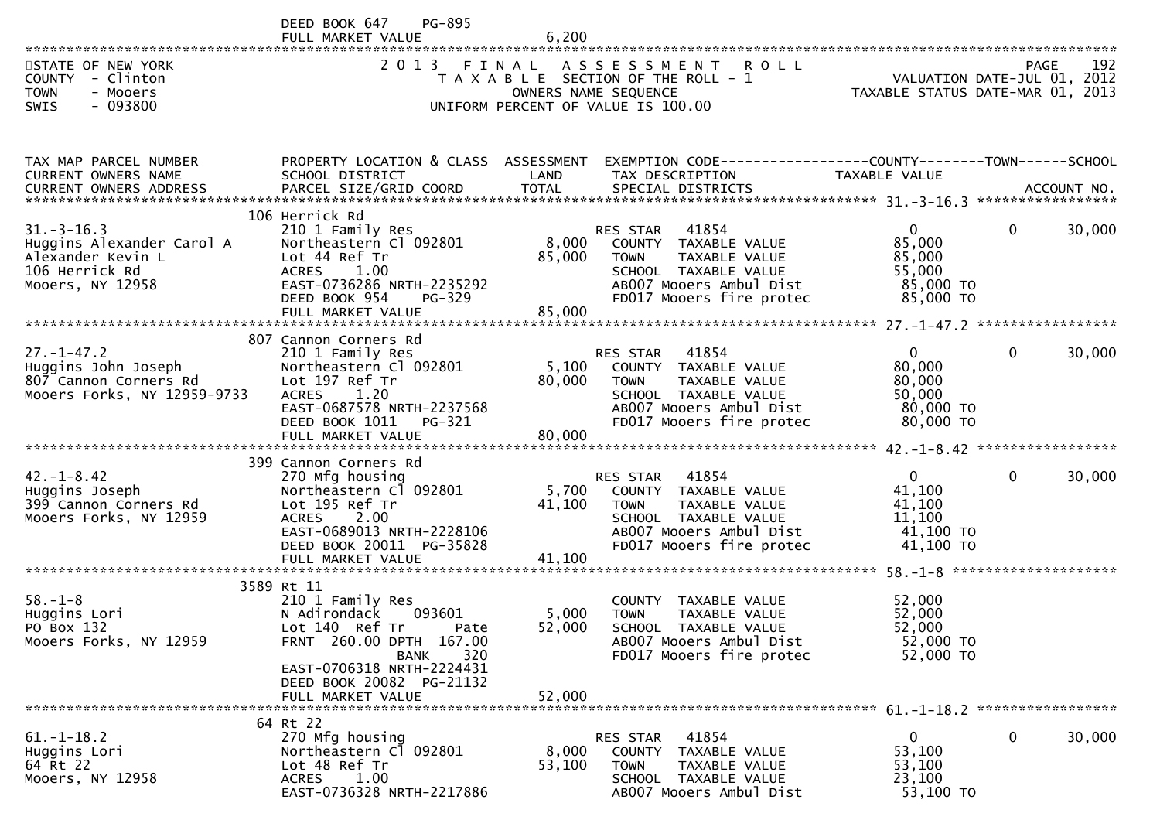|                                                                                                          | DEED BOOK 647<br><b>PG-895</b><br>FULL MARKET VALUE                                                                                                                                                               | 6,200                     |                                                                                                                                                          |                                                                        |              |        |
|----------------------------------------------------------------------------------------------------------|-------------------------------------------------------------------------------------------------------------------------------------------------------------------------------------------------------------------|---------------------------|----------------------------------------------------------------------------------------------------------------------------------------------------------|------------------------------------------------------------------------|--------------|--------|
| STATE OF NEW YORK<br>COUNTY - Clinton<br><b>TOWN</b><br>- Mooers<br>$-093800$<br>SWIS                    | 2 0 1 3                                                                                                                                                                                                           |                           | FINAL ASSESSMENT<br><b>ROLL</b><br>T A X A B L E SECTION OF THE ROLL - 1<br>OWNERS NAME SEQUENCE<br>UNIFORM PERCENT OF VALUE IS 100.00                   | VALUATION DATE-JUL 01, 2012<br>TAXABLE STATUS DATE-MAR 01, 2013        | <b>PAGE</b>  | 192    |
| TAX MAP PARCEL NUMBER<br>CURRENT OWNERS NAME                                                             | PROPERTY LOCATION & CLASS ASSESSMENT<br>SCHOOL DISTRICT                                                                                                                                                           | LAND                      | EXEMPTION CODE------------------COUNTY--------TOWN------SCHOOL<br>TAX DESCRIPTION                                                                        | <b>TAXABLE VALUE</b>                                                   |              |        |
| $31. - 3 - 16.3$<br>Huggins Alexander Carol A<br>Alexander Kevin L<br>106 Herrick Rd<br>Mooers, NY 12958 | 106 Herrick Rd<br>210 1 Family Res<br>Northeastern Cl 092801<br>Lot 44 Ref Tr<br><b>ACRES</b><br>1.00<br>EAST-0736286 NRTH-2235292<br>DEED BOOK 954<br><b>PG-329</b><br>FULL MARKET VALUE                         | 8,000<br>85,000<br>85,000 | 41854<br>RES STAR<br>COUNTY TAXABLE VALUE<br><b>TOWN</b><br>TAXABLE VALUE<br>SCHOOL TAXABLE VALUE<br>AB007 Mooers Ambul Dist<br>FD017 Mooers fire protec | $\overline{0}$<br>85,000<br>85,000<br>55,000<br>85,000 TO<br>85,000 TO | $\mathbf{0}$ | 30,000 |
| $27. - 1 - 47.2$<br>Huggins John Joseph<br>807 Cannon Corners Rd<br>Mooers Forks, NY 12959-9733          | 807 Cannon Corners Rd<br>210 1 Family Res<br>Northeastern Cl 092801<br>Lot 197 Ref Tr<br>1.20<br><b>ACRES</b><br>EAST-0687578 NRTH-2237568<br>DEED BOOK 1011<br>PG-321<br>FULL MARKET VALUE                       | 5,100<br>80,000<br>80,000 | 41854<br>RES STAR<br>COUNTY TAXABLE VALUE<br><b>TOWN</b><br>TAXABLE VALUE<br>SCHOOL TAXABLE VALUE<br>AB007 Mooers Ambul Dist<br>FD017 Mooers fire protec | $\overline{0}$<br>80,000<br>80,000<br>50,000<br>80,000 TO<br>80,000 TO | $\Omega$     | 30,000 |
| $42. - 1 - 8.42$<br>Huggins Joseph<br>399 Cannon Corners Rd<br>Mooers Forks, NY 12959                    | 399 Cannon Corners Rd<br>270 Mfg housing<br>Northeastern Cl 092801<br>Lot 195 Ref Tr<br>2.00<br><b>ACRES</b><br>EAST-0689013 NRTH-2228106<br>DEED BOOK 20011 PG-35828<br>FULL MARKET VALUE                        | 5,700<br>41,100<br>41,100 | 41854<br>RES STAR<br>COUNTY TAXABLE VALUE<br>TAXABLE VALUE<br><b>TOWN</b><br>SCHOOL TAXABLE VALUE<br>AB007 Mooers Ambul Dist<br>FD017 Mooers fire protec | $\mathbf{0}$<br>41,100<br>41,100<br>11,100<br>41,100 TO<br>41,100 TO   | 0            | 30,000 |
| $58. - 1 - 8$<br>Huggins Lori<br>PO Box 132<br>Mooers Forks, NY 12959                                    | 3589 Rt 11<br>210 1 Family Res<br>N Adirondack<br>093601<br>Lot 140 Ref Tr<br>Pate<br>FRNT 260.00 DPTH 167.00<br>320<br><b>BANK</b><br>EAST-0706318 NRTH-2224431<br>DEED BOOK 20082 PG-21132<br>FULL MARKET VALUE | 5,000<br>52,000<br>52,000 | COUNTY TAXABLE VALUE<br><b>TOWN</b><br>TAXABLE VALUE<br>SCHOOL TAXABLE VALUE<br>AB007 Mooers Ambul Dist<br>FD017 Mooers fire protec                      | 52,000<br>52,000<br>52,000<br>52,000 TO<br>52,000 TO                   |              |        |
| $61. - 1 - 18.2$<br>Huggins Lori<br>64 Rt 22<br>Mooers, NY 12958                                         | 64 Rt 22<br>270 Mfg housing<br>Northeastern Cl 092801<br>Lot 48 Ref Tr<br>1.00<br>ACRES<br>EAST-0736328 NRTH-2217886                                                                                              | 8,000<br>53,100           | 41854<br><b>RES STAR</b><br><b>COUNTY</b><br>TAXABLE VALUE<br><b>TOWN</b><br>TAXABLE VALUE<br>SCHOOL TAXABLE VALUE<br>AB007 Mooers Ambul Dist            | $\overline{0}$<br>53,100<br>53,100<br>23,100<br>53,100 TO              | $\mathbf{0}$ | 30,000 |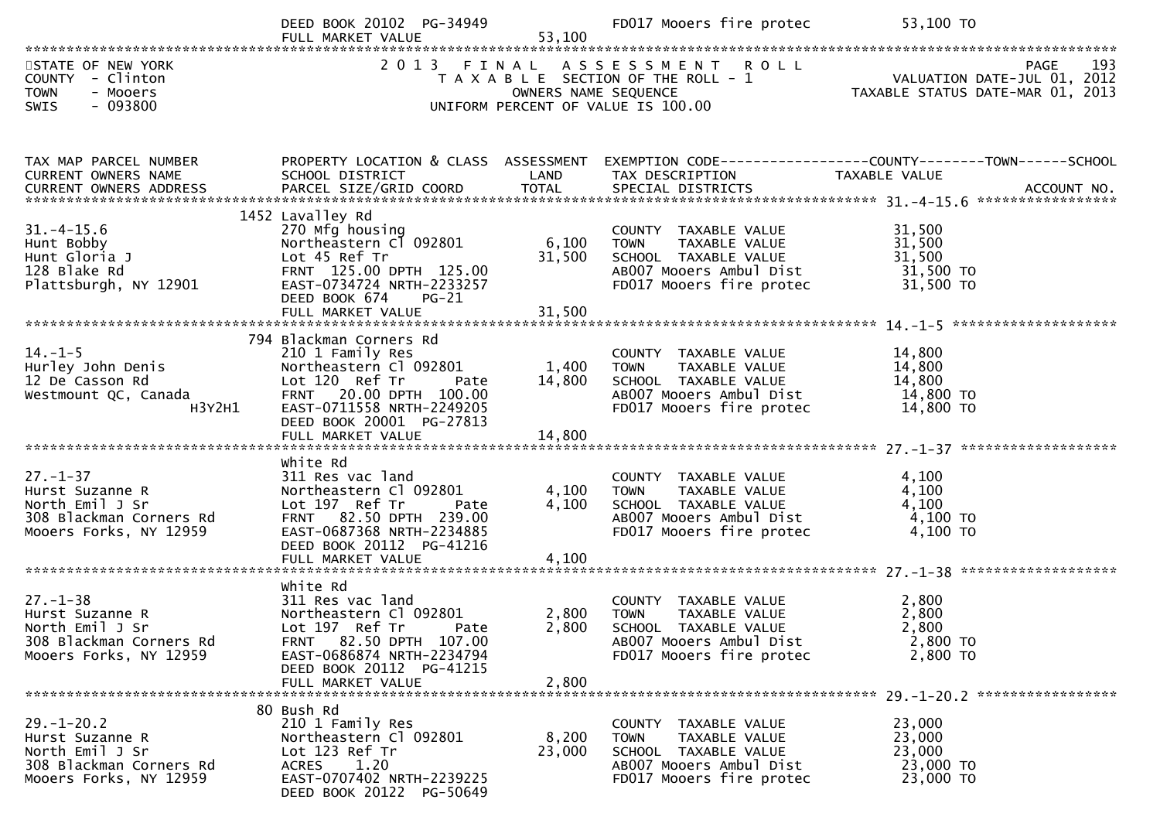|                                                                                                             | DEED BOOK 20102 PG-34949                                                                                                                                                                 |                                                                            | FD017 Mooers fire protec                                                                                                                           | 53,100 TO                                                                                                                   |
|-------------------------------------------------------------------------------------------------------------|------------------------------------------------------------------------------------------------------------------------------------------------------------------------------------------|----------------------------------------------------------------------------|----------------------------------------------------------------------------------------------------------------------------------------------------|-----------------------------------------------------------------------------------------------------------------------------|
| STATE OF NEW YORK<br>COUNTY - Clinton<br><b>TOWN</b><br>- Mooers<br>- 093800<br><b>SWIS</b>                 |                                                                                                                                                                                          |                                                                            | UNIFORM PERCENT OF VALUE IS 100.00                                                                                                                 | TAXABLE SECTION OF THE ROLL TAXABLE STATUS DATE-JUL 01, 2012<br>TAXABLE SECTION OF THE ROLL - 1 VALUATION DATE-JUL 01, 2012 |
| TAX MAP PARCEL NUMBER<br>CURRENT OWNERS NAME                                                                | PROPERTY LOCATION & CLASS ASSESSMENT<br>SCHOOL DISTRICT                                                                                                                                  | <b>Example 12 DE LAND</b>                                                  | TAX DESCRIPTION                                                                                                                                    | EXEMPTION CODE------------------COUNTY-------TOWN------SCHOOL<br>TAXABLE VALUE                                              |
| $31. - 4 - 15.6$<br>Hunt Bobby<br>Hunt Gloria J<br>128 Blake Rd<br>Plattsburgh, NY 12901                    | 1452 Lavalley Rd<br>270 Mfg housing<br>Northeastern Cl 092801<br>Lot 45 Ref Tr<br>FRNT 125.00 DPTH 125.00<br>EAST-0734724 NRTH-2233257<br>DEED BOOK 674 PG-21<br>FULL MARKET VALUE       | 6,100<br>31,500<br>31,500                                                  | COUNTY TAXABLE VALUE<br>TOWN     TAXABLE VALUE<br>SCHOOL   TAXABLE VALUE<br>AB007 Mooers Ambul Dist 31,500 TO<br>FD017 Mooers fire protec          | 31,500<br>31,500<br>31,500<br>31,500 TO                                                                                     |
| $14. - 1 - 5$<br>Hurley John Denis<br>12 De Casson Rd<br>12 De Casson Rd<br>Westmount QC, Canada<br>H3Y2H1  | 794 Blackman Corners Rd<br>210 1 Family Res<br>Northeastern Cl 092801<br>Lot 120 Ref Tr<br>FRNT 20.00 DPTH 100.00<br>EAST-0711558 NRTH-2249205<br>DEED BOOK 20001 PG-27813               | $\begin{array}{lll} \mathsf{rate} & & 1,400 \ 0.00 & & 14.800 \end{array}$ | COUNTY TAXABLE VALUE<br>TAXABLE VALUE<br><b>TOWN</b><br>SCHOOL TAXABLE VALUE<br>ABOO7 Mooers Ambul Dist<br>FD017 Mooers fire protec                | 14,800<br>14,800<br>14,800<br>14,800 TO<br>14,800 TO                                                                        |
| $27. - 1 - 37$<br>Hurst Suzanne R<br>North Emil J Sr<br>308 Blackman Corners Rd<br>Mooers Forks, NY 12959   | white Rd<br>311 Res vac land<br>Northeastern Cl 092801<br>Lot 197 Ref Tr<br>Pate<br>FRNT 82.50 DPTH 239.00<br>EAST-0687368 NRTH-2234885<br>DEED BOOK 20112 PG-41216<br>FULL MARKET VALUE | 4,100<br>4,100                                                             | COUNTY TAXABLE VALUE<br>4,100 TOWN<br>TOWN       TAXABLE  VALUE<br>SCHOOL    TAXABLE  VALUE<br>AB007 Mooers Ambul Dist<br>FD017 Mooers fire protec | 4,100<br>4,100<br>4,100<br>4,100 TO<br>4,100 TO                                                                             |
| $27. - 1 - 38$<br>Hurst Suzanne R<br>North Emil J Sr<br>308 Blackman Corners Rd<br>Mooers Forks, NY 12959   | white Rd<br>311 Res vac land<br>Northeastern Cl 092801<br>Lot 197 Ref Tr<br>Pate<br>FRNT 82.50 DPTH 107.00<br>EAST-0686874 NRTH-2234794<br>DEED BOOK 20112 PG-41215<br>FULL MARKET VALUE | 2,800<br>2,800<br>2,800                                                    | COUNTY TAXABLE VALUE<br><b>TOWN</b><br>TAXABLE VALUE<br>SCHOOL TAXABLE VALUE<br>AB007 Mooers Ambul Dist<br>FD017 Mooers fire protec                | 2,800<br>2,800<br>2,800<br>2,800 TO<br>2,800 TO                                                                             |
| $29. - 1 - 20.2$<br>Hurst Suzanne R<br>North Emil J Sr<br>308 Blackman Corners Rd<br>Mooers Forks, NY 12959 | 80 Bush Rd<br>210 1 Family Res<br>Northeastern Cl 092801<br>Lot 123 Ref Tr<br><b>ACRES</b><br>1.20<br>EAST-0707402 NRTH-2239225<br>DEED BOOK 20122 PG-50649                              | 8,200<br>23,000                                                            | COUNTY TAXABLE VALUE<br><b>TOWN</b><br>TAXABLE VALUE<br>SCHOOL TAXABLE VALUE<br>AB007 Mooers Ambul Dist<br>FD017 Mooers fire protec                | 23,000<br>23,000<br>23,000<br>23,000 TO<br>23,000 TO                                                                        |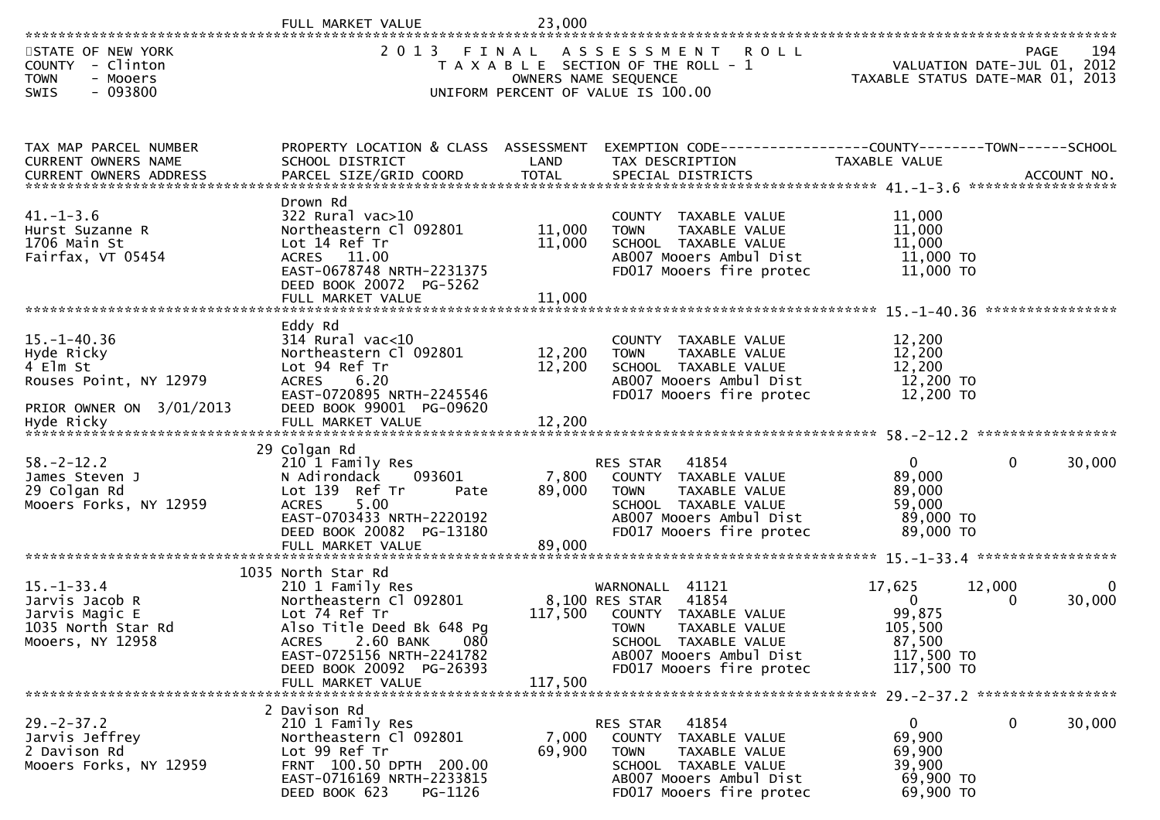|                                                                                                        | VALUE                                                                                                                                                                                                                     | 23,000                    |                                                                                                                                                                                      |                                                                                   |                                                                                |
|--------------------------------------------------------------------------------------------------------|---------------------------------------------------------------------------------------------------------------------------------------------------------------------------------------------------------------------------|---------------------------|--------------------------------------------------------------------------------------------------------------------------------------------------------------------------------------|-----------------------------------------------------------------------------------|--------------------------------------------------------------------------------|
| STATE OF NEW YORK<br><b>COUNTY</b><br>- Clinton<br>- Mooers<br><b>TOWN</b><br>$-093800$<br><b>SWIS</b> | 2 0 1 3                                                                                                                                                                                                                   | FINAL                     | A S S E S S M E N T<br><b>ROLL</b><br>T A X A B L E SECTION OF THE ROLL - 1<br>OWNERS NAME SEQUENCE<br>UNIFORM PERCENT OF VALUE IS 100.00                                            |                                                                                   | 194<br>PAGE<br>VALUATION DATE-JUL 01, 2012<br>TAXABLE STATUS DATE-MAR 01, 2013 |
| TAX MAP PARCEL NUMBER<br>CURRENT OWNERS NAME                                                           | PROPERTY LOCATION & CLASS ASSESSMENT<br>SCHOOL DISTRICT                                                                                                                                                                   | LAND                      | EXEMPTION CODE-----------------COUNTY-------TOWN------SCHOOL<br>TAX DESCRIPTION                                                                                                      | TAXABLE VALUE                                                                     | ACCOUNT NO.<br>******************                                              |
| $41. - 1 - 3.6$<br>Hurst Suzanne R<br>1706 Main St<br>Fairfax, VT 05454                                | Drown Rd<br>322 Rural vac>10<br>Northeastern Cl 092801<br>Lot 14 Ref Tr<br>ACRES 11.00<br>EAST-0678748 NRTH-2231375<br>DEED BOOK 20072 PG-5262                                                                            | 11,000<br>11,000          | COUNTY TAXABLE VALUE<br>TAXABLE VALUE<br><b>TOWN</b><br>SCHOOL TAXABLE VALUE<br>AB007 Mooers Ambul Dist<br>FD017 Mooers fire protec                                                  | 11,000<br>11,000<br>11,000<br>11,000 TO<br>11,000 TO                              | ****************                                                               |
| $15. - 1 - 40.36$<br>Hyde Ricky<br>4 Elm St<br>Rouses Point, NY 12979<br>PRIOR OWNER ON 3/01/2013      | Eddy Rd<br>$314$ Rural vac<10<br>Northeastern Cl 092801<br>Lot 94 Ref Tr<br>6.20<br><b>ACRES</b><br>EAST-0720895 NRTH-2245546<br>DEED BOOK 99001 PG-09620                                                                 | 12,200<br>12,200          | COUNTY TAXABLE VALUE<br>TAXABLE VALUE<br><b>TOWN</b><br>SCHOOL TAXABLE VALUE<br>AB007 Mooers Ambul Dist<br>FD017 Mooers fire protec                                                  | 12,200<br>12,200<br>12,200<br>12,200 TO<br>12,200 TO                              |                                                                                |
| $58. - 2 - 12.2$<br>James Steven J<br>29 Colgan Rd<br>Mooers Forks, NY 12959                           | 29 Colgan Rd<br>210 1 Family Res<br>N Adirondack<br>093601<br>Lot 139 Ref Tr<br>Pate<br>5.00<br><b>ACRES</b><br>EAST-0703433 NRTH-2220192<br>DEED BOOK 20082 PG-13180<br>FULL MARKET VALUE                                | 7,800<br>89,000<br>89,000 | RES STAR<br>41854<br><b>COUNTY</b><br>TAXABLE VALUE<br><b>TOWN</b><br>TAXABLE VALUE<br>SCHOOL TAXABLE VALUE<br>AB007 Mooers Ambul Dist<br>FD017 Mooers fire protec                   | $\mathbf{0}$<br>89,000<br>89,000<br>59,000<br>89,000 TO<br>89,000 TO              | 30,000<br>0                                                                    |
| $15. - 1 - 33.4$<br>Jarvis Jacob R<br>Jarvis Magic E<br>1035 North Star Rd<br>Mooers, NY 12958         | 1035 North Star Rd<br>210 1 Family Res<br>Northeastern Cl 092801<br>Lot 74 Ref Tr<br>Also Title Deed Bk 648 Pq<br>ACRES<br>2.60 BANK<br>080<br>EAST-0725156 NRTH-2241782<br>DEED BOOK 20092 PG-26393<br>FULL MARKET VALUE | 117,500<br>117,500        | WARNONALL<br>41121<br>41854<br>8,100 RES STAR<br>COUNTY TAXABLE VALUE<br><b>TOWN</b><br>TAXABLE VALUE<br>SCHOOL TAXABLE VALUE<br>AB007 Mooers Ambul Dist<br>FD017 Mooers fire protec | 17,625<br>$\mathbf{0}$<br>99,875<br>105,500<br>87,500<br>117,500 TO<br>117,500 TO | *****************<br>12,000<br>$\Omega$<br>30,000<br>0                         |
| $29. - 2 - 37.2$<br>Jarvis Jeffrey<br>2 Davison Rd<br>Mooers Forks, NY 12959                           | 2 Davison Rd<br>210 1 Family Res<br>Northeastern Cl 092801<br>Lot 99 Ref Tr<br>FRNT 100.50 DPTH 200.00<br>EAST-0716169 NRTH-2233815<br>PG-1126<br>DEED BOOK 623                                                           | 7,000<br>69,900           | 41854<br>RES STAR<br>COUNTY<br>TAXABLE VALUE<br>TOWN<br>TAXABLE VALUE<br>SCHOOL TAXABLE VALUE<br>AB007 Mooers Ambul Dist<br>FD017 Mooers fire protec                                 | 0<br>69,900<br>69,900<br>39,900<br>69,900 TO<br>69,900 TO                         | 30,000<br>$\mathbf{0}$                                                         |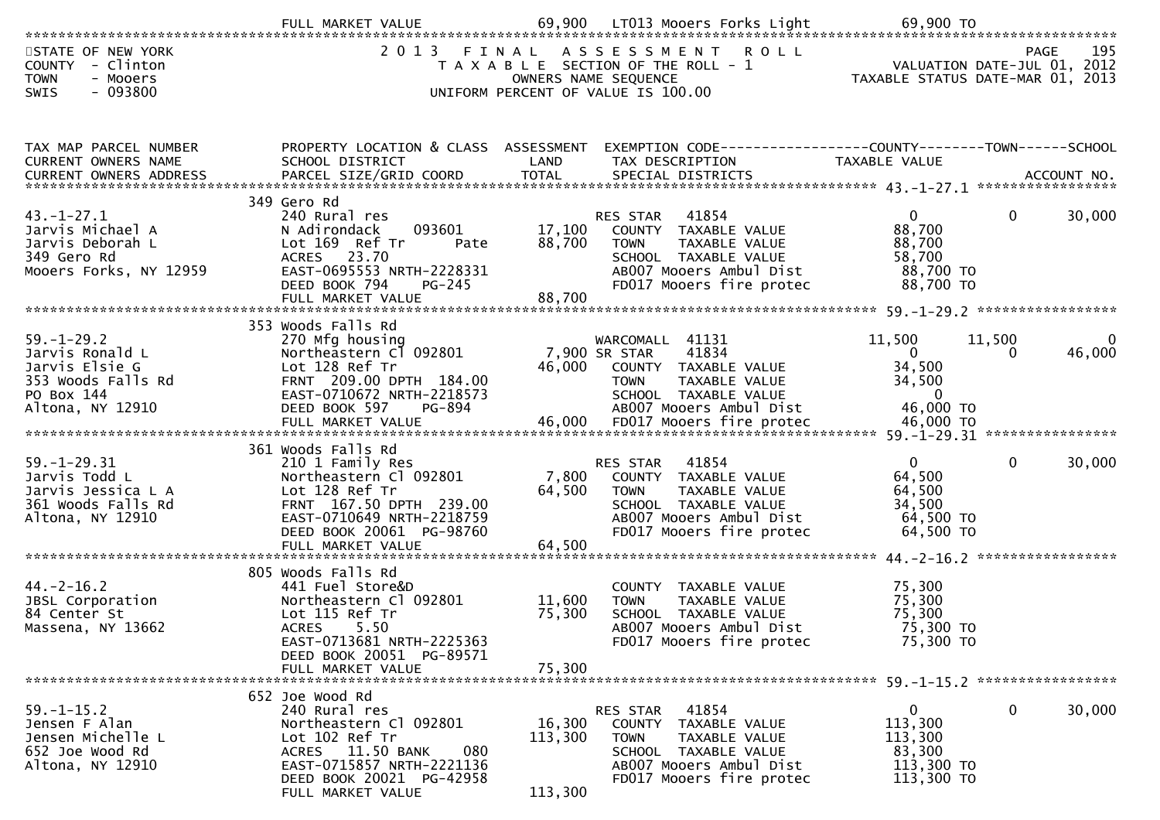|                                                                                                                                                                                                                                                                                                                                                 | FULL MARKET VALUE                                                                                                                                                                           | 69,900                       | LTO13 Mooers Forks Light                                                                                                                                        | 69,900 TO                                                                   |              |                                            |
|-------------------------------------------------------------------------------------------------------------------------------------------------------------------------------------------------------------------------------------------------------------------------------------------------------------------------------------------------|---------------------------------------------------------------------------------------------------------------------------------------------------------------------------------------------|------------------------------|-----------------------------------------------------------------------------------------------------------------------------------------------------------------|-----------------------------------------------------------------------------|--------------|--------------------------------------------|
| STATE OF NEW YORK<br>COUNTY - Clinton<br><b>TOWN</b><br>- Mooers<br>$-093800$<br><b>SWIS</b>                                                                                                                                                                                                                                                    | 2 0 1 3                                                                                                                                                                                     | FINAL                        | ROLL<br>ASSESSMENT<br>T A X A B L E SECTION OF THE ROLL - 1<br>OWNERS NAME SEQUENCE<br>UNIFORM PERCENT OF VALUE IS 100.00                                       | TAXABLE STATUS DATE-MAR 01, 2013                                            |              | 195<br>PAGE<br>VALUATION DATE-JUL 01, 2012 |
| TAX MAP PARCEL NUMBER<br>CURRENT OWNERS NAME<br>CURRENT OWNERS ADDRESS                                                                                                                                                                                                                                                                          | PROPERTY LOCATION & CLASS ASSESSMENT<br>SCHOOL DISTRICT                                                                                                                                     | LAND                         | EXEMPTION CODE------------------COUNTY--------TOWN------SCHOOL<br>TAX DESCRIPTION                                                                               | TAXABLE VALUE                                                               |              |                                            |
| $43. - 1 - 27.1$<br>Jarvis Michael A<br>Jarvis Deborah L<br>349 Gero Rd<br>Mooers Forks, NY 12959                                                                                                                                                                                                                                               | 349 Gero Rd<br>240 Rural res<br>093601<br>N Adirondack<br>Lot 169 Ref Tr<br>Pate<br>ACRES 23.70<br>EAST-0695553 NRTH-2228331<br>DEED BOOK 794<br>$PG-245$                                   | 17,100<br>88,700             | 41854<br><b>RES STAR</b><br>COUNTY TAXABLE VALUE<br>TAXABLE VALUE<br><b>TOWN</b><br>SCHOOL TAXABLE VALUE<br>AB007 Mooers Ambul Dist<br>FD017 Mooers fire protec | $\mathbf{0}$<br>88,700<br>88,700<br>58,700<br>88,700 TO<br>88,700 TO        | 0            | 30,000                                     |
| $59. - 1 - 29.2$<br>Jarvis Ronald L<br>Jarvis Elsie G<br>353 Woods Falls Rd<br>PO Box 144<br>Altona, NY 12910<br>سے ہے ہے ۔ جو ہے کہ ہے ۔ جو ہے کہ ہے ۔ جو ہے ۔ جو ہے ۔ جو ہے ۔ جو ہے ۔ جو ہے ۔ جو ہے ۔ جو ہے ۔ جو ہے ۔ جو ہے<br>FULL MARKET VALUE ۔ 46,000 FD017 Mooers fire protec ۔ ۔ 46,000 TO ۔ جو ہم کا FULL MARKET VALUE ۔ جو ہم کا جو ہ | 353 Woods Falls Rd<br>270 Mfg housing<br>Northeastern Cl 092801<br>Lot 128 Ref Tr<br>FRNT 209.00 DPTH 184.00<br>EAST-0710672 NRTH-2218573<br>DEED BOOK 597<br>PG-894                        | 46,000                       | WARCOMALL 41131<br>41834<br>7,900 SR STAR<br>COUNTY TAXABLE VALUE<br><b>TOWN</b><br>TAXABLE VALUE<br>SCHOOL TAXABLE VALUE<br>AB007 Mooers Ambul Dist            | 11,500<br>$\overline{0}$<br>34,500<br>34,500<br>$\overline{0}$<br>46,000 TO | 11,500<br>0  | $\mathbf{0}$<br>46,000                     |
| $59. - 1 - 29.31$<br>Jarvis Todd L<br>Jarvis Jessica L A<br>361 Woods Falls Rd<br>Altona, NY 12910                                                                                                                                                                                                                                              | 361 Woods Falls Rd<br>210 1 Family Res<br>Northeastern Cl 092801<br>Lot 128 Ref Tr<br>FRNT 167.50 DPTH 239.00<br>EAST-0710649 NRTH-2218759<br>DEED BOOK 20061 PG-98760<br>FULL MARKET VALUE | 7,800<br>64,500<br>64,500    | 41854<br>RES STAR<br>COUNTY TAXABLE VALUE<br><b>TOWN</b><br>TAXABLE VALUE<br>SCHOOL TAXABLE VALUE<br>AB007 Mooers Ambul Dist<br>FD017 Mooers fire protec        | $\Omega$<br>64,500<br>64,500<br>34,500<br>64,500 TO<br>64,500 TO            | $\mathbf{0}$ | 30,000<br>*****************                |
| $44. -2 - 16.2$<br>JBSL Corporation<br>84 Center St<br>Massena, NY 13662                                                                                                                                                                                                                                                                        | 805 Woods Falls Rd<br>441 Fuel Store&D<br>Northeastern Cl 092801<br>Lot 115 Ref Tr<br>5.50<br><b>ACRES</b><br>EAST-0713681 NRTH-2225363<br>DEED BOOK 20051 PG-89571<br>FULL MARKET VALUE    | 11,600<br>75,300<br>75,300   | COUNTY<br>TAXABLE VALUE<br>TAXABLE VALUE<br><b>TOWN</b><br>SCHOOL TAXABLE VALUE<br>AB007 Mooers Ambul Dist<br>FD017 Mooers fire protec                          | 75,300<br>75,300<br>75,300<br>75,300 TO<br>75,300 TO                        |              |                                            |
| $59. - 1 - 15.2$<br>Jensen F Alan<br>Jensen Michelle L<br>652 Joe Wood Rd<br>Altona, NY 12910                                                                                                                                                                                                                                                   | 652 Joe Wood Rd<br>240 Rural res<br>Northeastern Cl 092801<br>Lot 102 Ref Tr<br>ACRES 11.50 BANK<br>080<br>EAST-0715857 NRTH-2221136<br>DEED BOOK 20021 PG-42958<br>FULL MARKET VALUE       | 16,300<br>113,300<br>113,300 | 41854<br>RES STAR<br>COUNTY<br>TAXABLE VALUE<br><b>TOWN</b><br>TAXABLE VALUE<br>SCHOOL TAXABLE VALUE<br>AB007 Mooers Ambul Dist<br>FD017 Mooers fire protec     | $\overline{0}$<br>113,300<br>113,300<br>83,300<br>113,300 TO<br>113,300 TO  | $\mathbf 0$  | 30,000                                     |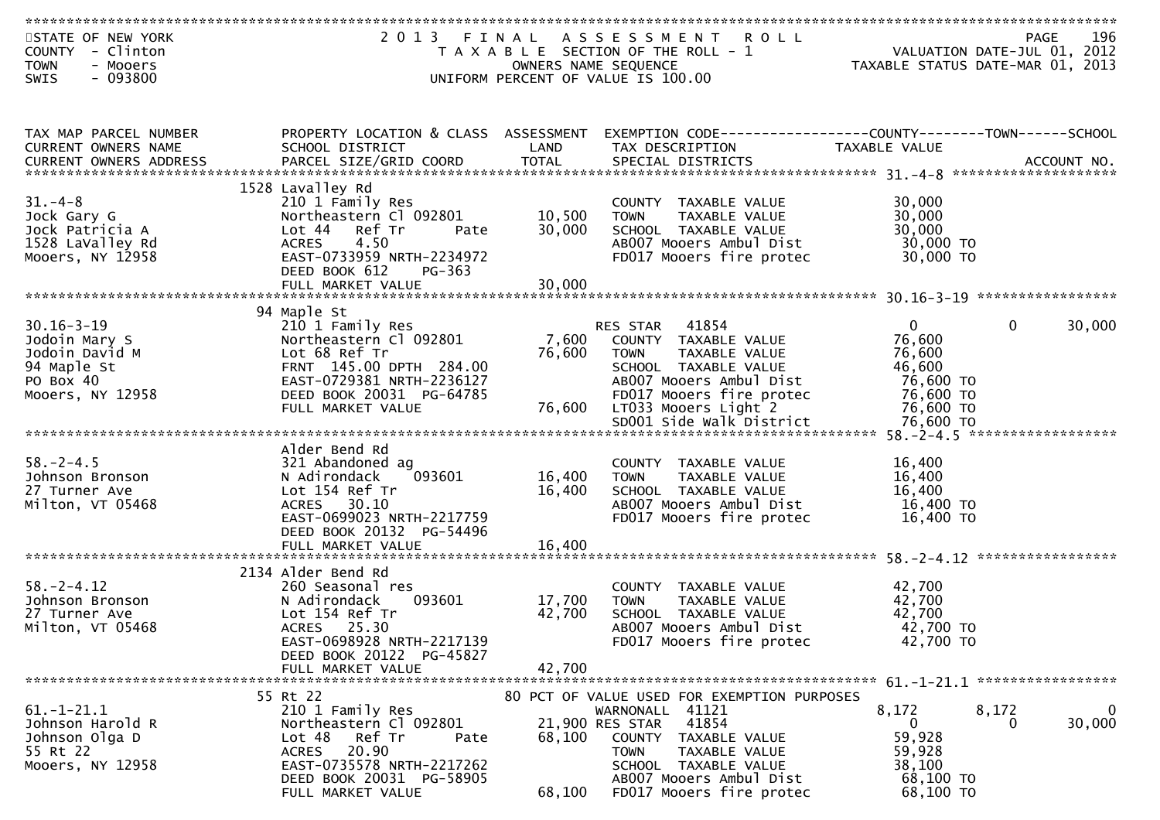| STATE OF NEW YORK       | 2 0 1 3                              | FINAL                | A S S E S S M E N T<br><b>ROLL</b>                           |               | 196<br><b>PAGE</b>               |
|-------------------------|--------------------------------------|----------------------|--------------------------------------------------------------|---------------|----------------------------------|
| COUNTY - Clinton        |                                      |                      | T A X A B L E SECTION OF THE ROLL - 1                        |               | VALUATION DATE-JUL 01, 2012      |
| - Mooers<br><b>TOWN</b> |                                      | OWNERS NAME SEQUENCE |                                                              |               | TAXABLE STATUS DATE-MAR 01, 2013 |
| $-093800$               |                                      |                      |                                                              |               |                                  |
| SWIS                    |                                      |                      | UNIFORM PERCENT OF VALUE IS 100.00                           |               |                                  |
|                         |                                      |                      |                                                              |               |                                  |
|                         |                                      |                      |                                                              |               |                                  |
|                         |                                      |                      |                                                              |               |                                  |
| TAX MAP PARCEL NUMBER   | PROPERTY LOCATION & CLASS ASSESSMENT |                      | EXEMPTION CODE------------------COUNTY-------TOWN-----SCHOOL |               |                                  |
| CURRENT OWNERS NAME     | SCHOOL DISTRICT                      | LAND                 | TAX DESCRIPTION                                              | TAXABLE VALUE |                                  |
|                         |                                      |                      |                                                              |               |                                  |
|                         |                                      |                      |                                                              |               |                                  |
|                         | 1528 Lavalley Rd                     |                      |                                                              |               |                                  |
|                         |                                      |                      |                                                              |               |                                  |
| $31. - 4 - 8$           | 210 1 Family Res                     |                      | COUNTY TAXABLE VALUE                                         | 30,000        |                                  |
| Jock Gary G             | Northeastern Cl 092801               | 10,500               | <b>TOWN</b><br>TAXABLE VALUE                                 | 30,000        |                                  |
| Jock Patricia A         | Lot 44 Ref Tr<br>Pate                | 30,000               | SCHOOL TAXABLE VALUE                                         | 30,000        |                                  |
| 1528 LaValley Rd        | <b>ACRES</b><br>4.50                 |                      | AB007 Mooers Ambul Dist                                      | 30,000 TO     |                                  |
| Mooers, NY 12958        | EAST-0733959 NRTH-2234972            |                      | FD017 Mooers fire protec                                     | 30,000 TO     |                                  |
|                         | DEED BOOK 612<br>PG-363              |                      |                                                              |               |                                  |
|                         | FULL MARKET VALUE                    | 30,000               |                                                              |               |                                  |
|                         |                                      |                      |                                                              |               |                                  |
|                         |                                      |                      |                                                              |               |                                  |
|                         | 94 Maple St                          |                      |                                                              |               |                                  |
| $30.16 - 3 - 19$        | 210 1 Family Res                     |                      | 41854<br>RES STAR                                            | $\mathbf{0}$  | $\mathbf{0}$<br>30,000           |
| Jodoin Mary S           | Northeastern Cl 092801               | 7,600                | COUNTY TAXABLE VALUE                                         | 76,600        |                                  |
| Jodoin David M          | Lot 68 Ref Tr                        | 76,600               | <b>TOWN</b><br>TAXABLE VALUE                                 | 76,600        |                                  |
| 94 Maple St             | FRNT 145.00 DPTH 284.00              |                      | SCHOOL TAXABLE VALUE                                         | 46,600        |                                  |
| PO Box 40               | EAST-0729381 NRTH-2236127            |                      | AB007 Mooers Ambul Dist                                      | 76,600 TO     |                                  |
| Mooers, NY 12958        |                                      |                      |                                                              |               |                                  |
|                         | DEED BOOK 20031 PG-64785             |                      | FD017 Mooers fire protec                                     | 76,600 TO     |                                  |
|                         | FULL MARKET VALUE                    | 76,600               | LT033 Mooers Light 2                                         | 76,600 TO     |                                  |
|                         |                                      |                      |                                                              |               |                                  |
|                         |                                      |                      |                                                              |               |                                  |
|                         | Alder Bend Rd                        |                      |                                                              |               |                                  |
| $58. - 2 - 4.5$         | 321 Abandoned ag                     |                      | COUNTY TAXABLE VALUE                                         | 16,400        |                                  |
| Johnson Bronson         | N Adirondack<br>093601               | 16,400               | TAXABLE VALUE<br>TOWN                                        | 16,400        |                                  |
| 27 Turner Ave           | Lot 154 Ref Tr                       | 16,400               |                                                              | 16,400        |                                  |
|                         |                                      |                      | SCHOOL TAXABLE VALUE                                         |               |                                  |
| Milton, VT 05468        | ACRES 30.10                          |                      | AB007 Mooers Ambul Dist                                      | 16,400 TO     |                                  |
|                         | EAST-0699023 NRTH-2217759            |                      | FD017 Mooers fire protec                                     | 16,400 TO     |                                  |
|                         | DEED BOOK 20132 PG-54496             |                      |                                                              |               |                                  |
|                         | FULL MARKET VALUE                    | 16,400               |                                                              |               |                                  |
|                         |                                      |                      |                                                              |               |                                  |
|                         | 2134 Alder Bend Rd                   |                      |                                                              |               |                                  |
| $58. - 2 - 4.12$        | 260 Seasonal res                     |                      | COUNTY TAXABLE VALUE                                         | 42,700        |                                  |
| Johnson Bronson         | 093601                               |                      | TAXABLE VALUE                                                | 42,700        |                                  |
|                         | N Adirondack                         | 17,700               | <b>TOWN</b>                                                  |               |                                  |
| 27 Turner Ave           | Lot 154 Ref Tr                       | 42,700               | SCHOOL TAXABLE VALUE                                         | 42,700        |                                  |
| Milton, VT 05468        | ACRES 25.30                          |                      | AB007 Mooers Ambul Dist                                      | 42,700 TO     |                                  |
|                         | EAST-0698928 NRTH-2217139            |                      | FD017 Mooers fire protec                                     | 42,700 TO     |                                  |
|                         | DEED BOOK 20122 PG-45827             |                      |                                                              |               |                                  |
|                         | FULL MARKET VALUE                    | 42,700               |                                                              |               |                                  |
|                         |                                      |                      |                                                              |               |                                  |
|                         | 55 Rt 22                             |                      | 80 PCT OF VALUE USED FOR EXEMPTION PURPOSES                  |               |                                  |
|                         |                                      |                      |                                                              |               |                                  |
| $61.-1-21.1$            | 210 1 Family Res                     |                      | WARNONALL 41121                                              | 8,172         | $\overline{0}$<br>8,172          |
| Johnson Harold R        | Northeastern Cl 092801               |                      | 41854<br>21,900 RES STAR                                     | $\mathbf{0}$  | 30,000<br>0                      |
| Johnson Olga D          | Lot 48<br>Ref Tr<br>Pate             | 68,100               | COUNTY<br>TAXABLE VALUE                                      | 59,928        |                                  |
| 55 Rt 22                | 20.90<br>ACRES                       |                      | <b>TOWN</b><br>TAXABLE VALUE                                 | 59,928        |                                  |
| Mooers, NY 12958        | EAST-0735578 NRTH-2217262            |                      | SCHOOL TAXABLE VALUE                                         | 38,100        |                                  |
|                         | DEED BOOK 20031 PG-58905             |                      | AB007 Mooers Ambul Dist                                      | 68,100 TO     |                                  |
|                         | FULL MARKET VALUE                    | 68,100               | FD017 Mooers fire protec                                     | 68,100 TO     |                                  |
|                         |                                      |                      |                                                              |               |                                  |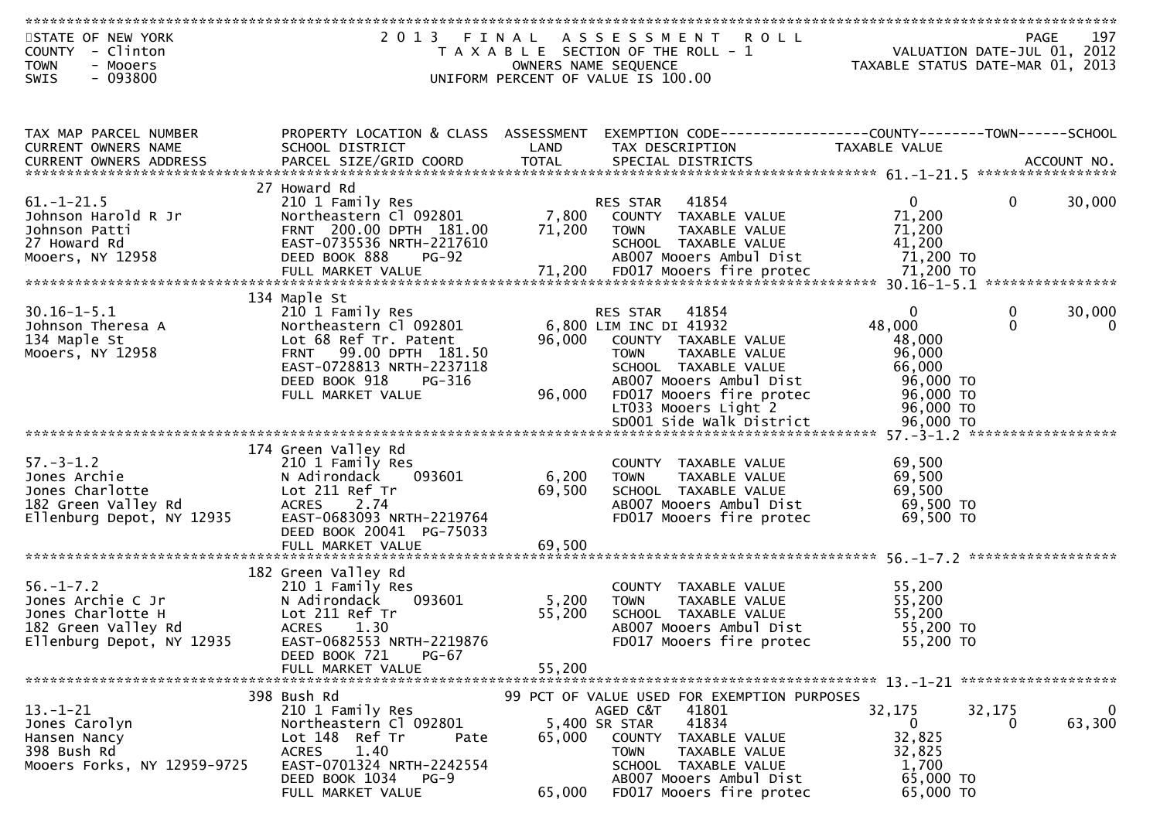| STATE OF NEW YORK<br>COUNTY - Clinton<br><b>TOWN</b><br>- Mooers |                                                         |        | 2013 FINAL ASSESSMENT<br><b>ROLL</b><br>T A X A B L E SECTION OF THE ROLL - 1<br>OWNERS NAME SEQUENCE | PAGE 197<br>VALUATION DATE-JUL 01, 2012<br>TAXARLE STATUS DATE WILL 01, 2012<br>TAXABLE STATUS DATE-MAR 01, 2013 |              |             |
|------------------------------------------------------------------|---------------------------------------------------------|--------|-------------------------------------------------------------------------------------------------------|------------------------------------------------------------------------------------------------------------------|--------------|-------------|
| $-093800$<br><b>SWIS</b>                                         |                                                         |        | UNIFORM PERCENT OF VALUE IS 100.00                                                                    |                                                                                                                  |              |             |
|                                                                  |                                                         |        |                                                                                                       |                                                                                                                  |              |             |
| TAX MAP PARCEL NUMBER<br>CURRENT OWNERS NAME                     | PROPERTY LOCATION & CLASS ASSESSMENT<br>SCHOOL DISTRICT | LAND   | EXEMPTION CODE-----------------COUNTY-------TOWN-----SCHOOL<br>TAX DESCRIPTION                        | <b>TAXABLE VALUE</b>                                                                                             |              |             |
|                                                                  |                                                         |        |                                                                                                       |                                                                                                                  |              |             |
|                                                                  | 27 Howard Rd                                            |        |                                                                                                       |                                                                                                                  |              |             |
| $61. - 1 - 21.5$                                                 | 210 1 Family Res                                        |        | <b>ELD STAR</b> 41854<br>7,800 COUNTY TAXABLE VALUE<br>71,200 TOWN TAYABLE WILL                       | $\mathbf{0}$                                                                                                     | $\mathbf{0}$ | 30,000      |
| Johnson Harold R Jr<br>Johnson Patti                             | Northeastern Cl 092801<br>FRNT 200.00 DPTH 181.00       |        |                                                                                                       | 71,200<br>71,200                                                                                                 |              |             |
| 27 Howard Rd                                                     | EAST-0735536 NRTH-2217610                               |        | SCHOOL TAXABLE VALUE                                                                                  | 41,200                                                                                                           |              |             |
| Mooers, NY 12958                                                 | DEED BOOK 888<br><b>PG-92</b>                           |        | AB007 Mooers Ambul Dist                                                                               | 71,200 TO                                                                                                        |              |             |
|                                                                  |                                                         |        |                                                                                                       |                                                                                                                  |              |             |
|                                                                  | 134 Maple St                                            |        |                                                                                                       |                                                                                                                  |              |             |
| $30.16 - 1 - 5.1$                                                | 210 1 Family Res                                        |        | RES STAR 41854                                                                                        | $\Omega$                                                                                                         | 0            | 30,000      |
| Johnson Theresa A<br>134 Maple St                                | Northeastern Cl 092801<br>Lot 68 Ref Tr. Patent         | 96,000 | 6,800 LIM INC DI 41932<br>COUNTY TAXABLE VALUE                                                        | 48,000<br>48,000                                                                                                 | $\Omega$     | $\Omega$    |
| Mooers, NY 12958                                                 | FRNT 99.00 DPTH 181.50                                  |        | TAXABLE VALUE<br><b>TOWN</b>                                                                          | 96,000                                                                                                           |              |             |
|                                                                  | EAST-0728813 NRTH-2237118                               |        | SCHOOL TAXABLE VALUE                                                                                  | 66,000                                                                                                           |              |             |
|                                                                  | DEED BOOK 918<br>PG-316<br>FULL MARKET VALUE            | 96,000 | AB007 Mooers Ambul Dist<br>FD017 Mooers fire protec                                                   | 96,000 TO<br>96,000 TO                                                                                           |              |             |
|                                                                  |                                                         |        | LT033 Mooers Light 2                                                                                  | 96,000 TO                                                                                                        |              |             |
|                                                                  |                                                         |        |                                                                                                       |                                                                                                                  |              |             |
|                                                                  | 174 Green Valley Rd                                     |        |                                                                                                       |                                                                                                                  |              |             |
| $57. - 3 - 1.2$                                                  | 210 1 Family Res                                        |        | COUNTY TAXABLE VALUE                                                                                  | 69,500                                                                                                           |              |             |
| Jones Archie                                                     | N Adirondack<br>093601                                  | 6,200  | <b>TOWN</b><br>TAXABLE VALUE                                                                          | 69,500                                                                                                           |              |             |
| Jones Charlotte                                                  | Lot 211 Ref Tr                                          | 69,500 | SCHOOL TAXABLE VALUE                                                                                  | 69,500                                                                                                           |              |             |
| 182 Green Valley Rd<br>Ellenburg Depot, NY 12935                 | <b>ACRES</b><br>2.74<br>EAST-0683093 NRTH-2219764       |        | AB007 Mooers Ambul Dist<br>FD017 Mooers fire protec                                                   | 69,500 TO<br>69,500 TO                                                                                           |              |             |
|                                                                  | DEED BOOK 20041 PG-75033                                |        |                                                                                                       |                                                                                                                  |              |             |
|                                                                  |                                                         |        |                                                                                                       |                                                                                                                  |              |             |
|                                                                  | 182 Green Valley Rd                                     |        |                                                                                                       |                                                                                                                  |              |             |
| $56. - 1 - 7.2$                                                  | 210 1 Family Res                                        |        | COUNTY TAXABLE VALUE                                                                                  | 55,200                                                                                                           |              |             |
| Jones Archie C Jr                                                | N Adirondack<br>093601                                  | 5,200  | <b>TOWN</b><br>TAXABLE VALUE                                                                          | 55,200                                                                                                           |              |             |
| Jones Charlotte H<br>182 Green Valley Rd                         | Lot 211 Ref Tr<br><b>ACRES</b><br>1.30                  | 55,200 | SCHOOL TAXABLE VALUE<br>AB007 Mooers Ambul Dist                                                       | 55,200<br>55,200 TO                                                                                              |              |             |
| Ellenburg Depot, NY 12935                                        | EAST-0682553 NRTH-2219876                               |        | FD017 Mooers fire protec                                                                              | 55,200 TO                                                                                                        |              |             |
|                                                                  | DEED BOOK 721<br>$PG-67$                                |        |                                                                                                       |                                                                                                                  |              |             |
|                                                                  | FULL MARKET VALUE                                       | 55,200 |                                                                                                       |                                                                                                                  |              |             |
|                                                                  | 398 Bush Rd                                             |        | 99 PCT OF VALUE USED FOR EXEMPTION PURPOSES                                                           |                                                                                                                  |              |             |
| $13 - 1 - 21$                                                    | 210 1 Family Res                                        |        | AGED C&T<br>41801                                                                                     | 32,175                                                                                                           | 32,175       | $\mathbf 0$ |
| Jones Carolyn<br>Hansen Nancy                                    | Northeastern Cl 092801<br>Lot 148 Ref Tr<br>Pate        | 65,000 | 41834<br>5,400 SR STAR<br>COUNTY<br>TAXABLE VALUE                                                     | $\mathbf{0}$<br>32,825                                                                                           | 0            | 63,300      |
| 398 Bush Rd                                                      | <b>ACRES</b><br>1.40                                    |        | <b>TOWN</b><br>TAXABLE VALUE                                                                          | 32,825                                                                                                           |              |             |
| Mooers Forks, NY 12959-9725                                      | EAST-0701324 NRTH-2242554                               |        | SCHOOL TAXABLE VALUE                                                                                  | 1,700<br>65,000 TO                                                                                               |              |             |
|                                                                  | DEED BOOK 1034 PG-9<br>FULL MARKET VALUE                | 65,000 | AB007 Mooers Ambul Dist<br>FD017 Mooers fire protec                                                   | 65,000 TO                                                                                                        |              |             |
|                                                                  |                                                         |        |                                                                                                       |                                                                                                                  |              |             |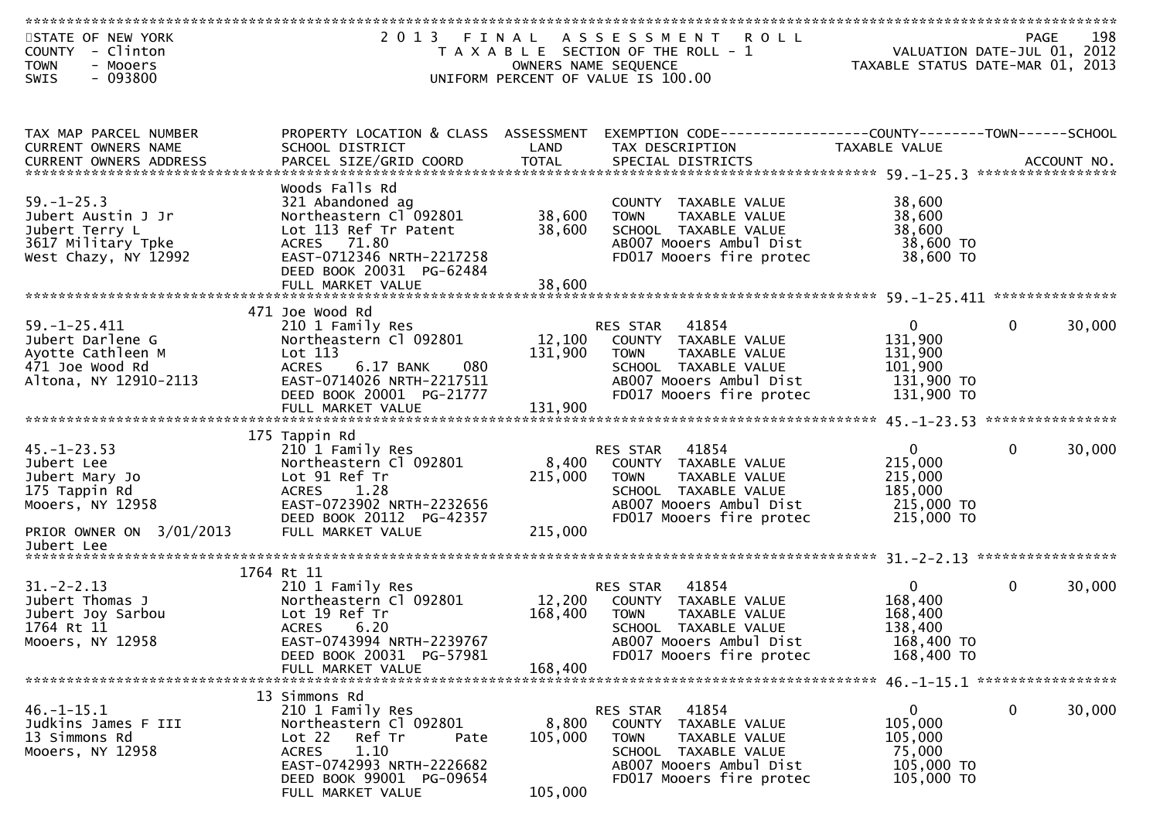| STATE OF NEW YORK        | 2013 FINAL                           |         | A S S E S S M E N T<br><b>ROLL</b>                           |                                  | <b>PAGE</b>  | 198    |
|--------------------------|--------------------------------------|---------|--------------------------------------------------------------|----------------------------------|--------------|--------|
| COUNTY - Clinton         |                                      |         | T A X A B L E SECTION OF THE ROLL - 1                        | VALUATION DATE-JUL 01, 2012      |              |        |
| <b>TOWN</b><br>- Mooers  |                                      |         | OWNERS NAME SEQUENCE                                         | TAXABLE STATUS DATE-MAR 01, 2013 |              |        |
| $-093800$<br><b>SWIS</b> |                                      |         | UNIFORM PERCENT OF VALUE IS 100.00                           |                                  |              |        |
|                          |                                      |         |                                                              |                                  |              |        |
|                          |                                      |         |                                                              |                                  |              |        |
|                          |                                      |         |                                                              |                                  |              |        |
| TAX MAP PARCEL NUMBER    | PROPERTY LOCATION & CLASS ASSESSMENT |         | EXEMPTION CODE-----------------COUNTY-------TOWN------SCHOOL |                                  |              |        |
| CURRENT OWNERS NAME      | SCHOOL DISTRICT                      | LAND    | TAX DESCRIPTION                                              | <b>TAXABLE VALUE</b>             |              |        |
|                          |                                      |         |                                                              |                                  |              |        |
|                          |                                      |         |                                                              |                                  |              |        |
|                          | Woods Falls Rd                       |         |                                                              |                                  |              |        |
| $59. - 1 - 25.3$         | 321 Abandoned ag                     |         | COUNTY TAXABLE VALUE                                         | 38,600                           |              |        |
| Jubert Austin J Jr       | Northeastern Cl 092801               | 38,600  | <b>TOWN</b><br>TAXABLE VALUE                                 | 38,600                           |              |        |
| Jubert Terry L           | Lot 113 Ref Tr Patent                | 38,600  | SCHOOL TAXABLE VALUE                                         | 38,600                           |              |        |
| 3617 Military Tpke       | ACRES 71.80                          |         | AB007 Mooers Ambul Dist                                      | 38,600 TO                        |              |        |
| West Chazy, NY 12992     | EAST-0712346 NRTH-2217258            |         | FD017 Mooers fire protec                                     | 38,600 TO                        |              |        |
|                          | DEED BOOK 20031 PG-62484             |         |                                                              |                                  |              |        |
|                          | FULL MARKET VALUE                    | 38,600  |                                                              |                                  |              |        |
|                          |                                      |         |                                                              |                                  |              |        |
|                          | 471 Joe Wood Rd                      |         |                                                              |                                  |              |        |
| $59. - 1 - 25.411$       | 210 1 Family Res                     |         | 41854<br>RES STAR                                            | $\mathbf{0}$                     | $\mathbf{0}$ | 30,000 |
| Jubert Darlene G         | Northeastern Cl 092801               | 12,100  | COUNTY TAXABLE VALUE                                         | 131,900                          |              |        |
| Ayotte Cathleen M        | Lot 113                              | 131,900 | TAXABLE VALUE<br><b>TOWN</b>                                 | 131,900                          |              |        |
| 471 Joe Wood Rd          | <b>ACRES</b><br>6.17 BANK<br>080     |         | SCHOOL TAXABLE VALUE                                         | 101,900                          |              |        |
| Altona, NY 12910-2113    | EAST-0714026 NRTH-2217511            |         | AB007 Mooers Ambul Dist                                      | 131,900 TO                       |              |        |
|                          | DEED BOOK 20001 PG-21777             |         | FD017 Mooers fire protec                                     | 131,900 TO                       |              |        |
|                          |                                      |         |                                                              |                                  |              |        |
|                          |                                      |         |                                                              |                                  |              |        |
|                          | 175 Tappin Rd                        |         |                                                              |                                  |              |        |
| $45. - 1 - 23.53$        | 210 1 Family Res                     |         | 41854<br>RES STAR                                            | $\mathbf{0}$                     | $\mathbf{0}$ | 30,000 |
| Jubert Lee               | Northeastern Cl 092801               | 8,400   | COUNTY TAXABLE VALUE                                         | 215,000                          |              |        |
| Jubert Mary Jo           | Lot 91 Ref Tr                        | 215,000 | TAXABLE VALUE<br><b>TOWN</b>                                 | 215,000                          |              |        |
| 175 Tappin Rd            | <b>ACRES</b><br>1.28                 |         | SCHOOL TAXABLE VALUE                                         | 185,000                          |              |        |
| Mooers, NY 12958         | EAST-0723902 NRTH-2232656            |         | AB007 Mooers Ambul Dist                                      | 215,000 TO                       |              |        |
|                          |                                      |         |                                                              |                                  |              |        |
| PRIOR OWNER ON 3/01/2013 | DEED BOOK 20112 PG-42357             | 215,000 | FD017 Mooers fire protec                                     | 215,000 TO                       |              |        |
| Jubert Lee               | FULL MARKET VALUE                    |         |                                                              |                                  |              |        |
|                          |                                      |         |                                                              |                                  |              |        |
|                          | 1764 Rt 11                           |         |                                                              |                                  |              |        |
| $31 - 2 - 2.13$          | 210 1 Family Res                     |         | 41854<br>RES STAR                                            | $\mathbf{0}$                     | $\mathbf 0$  | 30,000 |
| Jubert Thomas J          | Northeastern Cl 092801               | 12,200  | COUNTY TAXABLE VALUE                                         | 168,400                          |              |        |
| Jubert Joy Sarbou        | Lot 19 Ref Tr                        | 168,400 | <b>TOWN</b><br>TAXABLE VALUE                                 | 168,400                          |              |        |
| 1764 Rt 11               | <b>ACRES</b><br>6.20                 |         | SCHOOL TAXABLE VALUE                                         | 138,400                          |              |        |
|                          |                                      |         |                                                              |                                  |              |        |
| Mooers, NY 12958         | EAST-0743994 NRTH-2239767            |         | AB007 Mooers Ambul Dist                                      | 168,400 TO                       |              |        |
|                          | DEED BOOK 20031 PG-57981             |         | FD017 Mooers fire protec                                     | 168,400 TO                       |              |        |
|                          | FULL MARKET VALUE                    | 168,400 |                                                              |                                  |              |        |
|                          | 13 Simmons Rd                        |         |                                                              |                                  |              |        |
|                          |                                      |         |                                                              |                                  |              |        |
| $46. - 1 - 15.1$         | 210 1 Family Res                     |         | 41854<br>RES STAR                                            | $\mathbf{0}$                     | $\mathbf 0$  | 30,000 |
| Judkins James F III      | Northeastern Cl 092801               | 8,800   | COUNTY TAXABLE VALUE                                         | 105,000                          |              |        |
| 13 Simmons Rd            | Lot 22<br>Ref Tr<br>Pate             | 105,000 | TAXABLE VALUE<br><b>TOWN</b>                                 | 105,000                          |              |        |
| Mooers, NY 12958         | 1.10<br><b>ACRES</b>                 |         | SCHOOL TAXABLE VALUE                                         | 75,000                           |              |        |
|                          | EAST-0742993 NRTH-2226682            |         | AB007 Mooers Ambul Dist                                      | 105,000 TO                       |              |        |
|                          | DEED BOOK 99001 PG-09654             |         | FD017 Mooers fire protec                                     | 105,000 TO                       |              |        |
|                          | FULL MARKET VALUE                    | 105,000 |                                                              |                                  |              |        |
|                          |                                      |         |                                                              |                                  |              |        |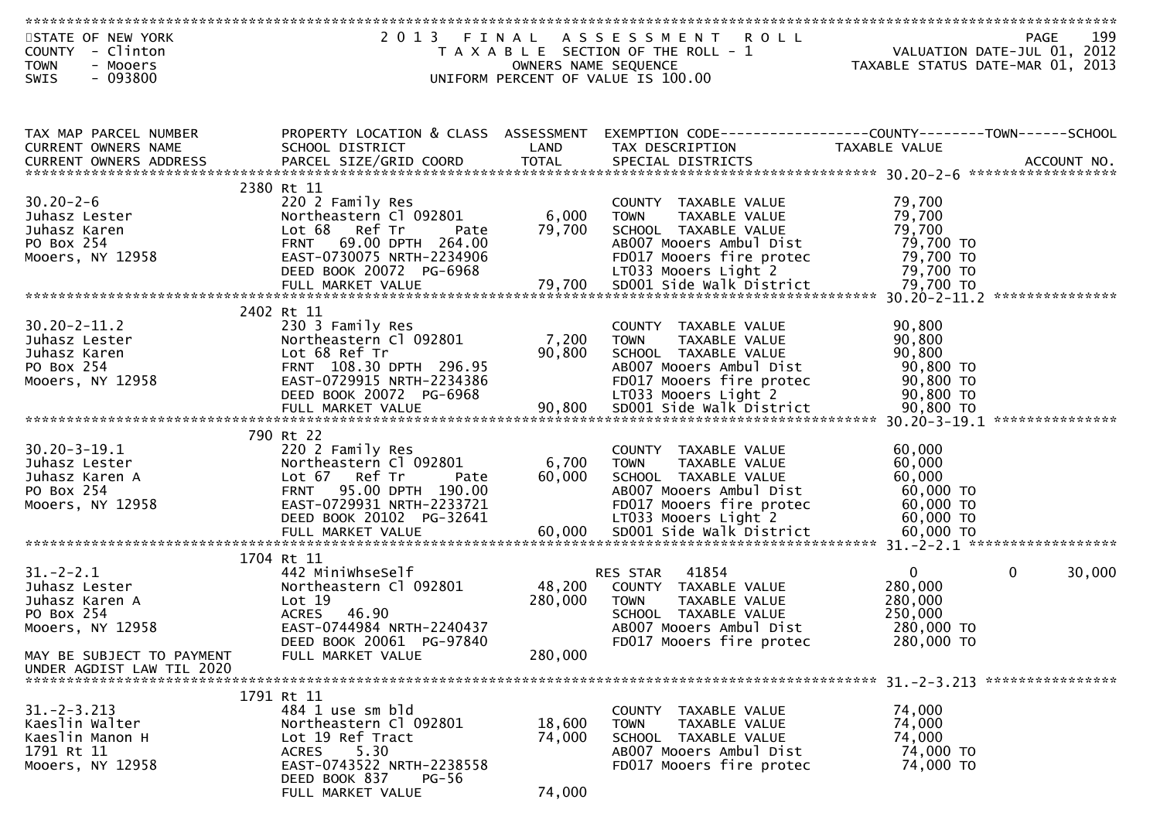| STATE OF NEW YORK          | 2 0 1 3                              | FINAL                | A S S E S S M E N T<br><b>ROLL</b>                             |               | 199<br><b>PAGE</b>               |
|----------------------------|--------------------------------------|----------------------|----------------------------------------------------------------|---------------|----------------------------------|
| - Clinton<br><b>COUNTY</b> |                                      |                      | T A X A B L E SECTION OF THE ROLL - 1                          |               | VALUATION DATE-JUL 01, 2012      |
| - Mooers<br><b>TOWN</b>    |                                      | OWNERS NAME SEQUENCE |                                                                |               | TAXABLE STATUS DATE-MAR 01, 2013 |
| $-093800$<br><b>SWIS</b>   |                                      |                      | UNIFORM PERCENT OF VALUE IS 100.00                             |               |                                  |
|                            |                                      |                      |                                                                |               |                                  |
|                            |                                      |                      |                                                                |               |                                  |
|                            |                                      |                      |                                                                |               |                                  |
| TAX MAP PARCEL NUMBER      | PROPERTY LOCATION & CLASS ASSESSMENT |                      | EXEMPTION CODE------------------COUNTY--------TOWN------SCHOOL |               |                                  |
| CURRENT OWNERS NAME        | SCHOOL DISTRICT                      | LAND                 | TAX DESCRIPTION                                                | TAXABLE VALUE |                                  |
| CURRENT OWNERS ADDRESS     | PARCEL SIZE/GRID COORD               | <b>TOTAL</b>         | SPECIAL DISTRICTS                                              |               | ACCOUNT NO.                      |
|                            |                                      |                      |                                                                |               |                                  |
|                            | 2380 Rt 11                           |                      |                                                                |               |                                  |
| $30.20 - 2 - 6$            | 220 2 Family Res                     |                      | COUNTY TAXABLE VALUE                                           | 79,700        |                                  |
| Juhasz Lester              | Northeastern Cl 092801               | 6,000                | TAXABLE VALUE<br><b>TOWN</b>                                   | 79,700        |                                  |
| Juhasz Karen               | Lot 68 Ref Tr<br>Pate                | 79,700               | SCHOOL TAXABLE VALUE                                           | 79,700        |                                  |
| PO Box 254                 | <b>FRNT</b><br>69.00 DPTH 264.00     |                      | AB007 Mooers Ambul Dist                                        | 79,700 TO     |                                  |
| Mooers, NY 12958           | EAST-0730075 NRTH-2234906            |                      | FD017 Mooers fire protec                                       | 79,700 TO     |                                  |
|                            | DEED BOOK 20072 PG-6968              |                      | LT033 Mooers Light 2                                           | 79,700 TO     |                                  |
|                            | FULL MARKET VALUE                    | 79,700               | SD001 Side Walk District                                       | 79,700 TO     |                                  |
|                            |                                      |                      |                                                                |               |                                  |
|                            | 2402 Rt 11                           |                      |                                                                |               |                                  |
| $30.20 - 2 - 11.2$         | 230 3 Family Res                     |                      | COUNTY TAXABLE VALUE                                           | 90,800        |                                  |
| Juhasz Lester              | Northeastern Cl 092801               | 7,200                | TAXABLE VALUE<br><b>TOWN</b>                                   | 90,800        |                                  |
| Juhasz Karen               | Lot 68 Ref Tr                        | 90,800               | SCHOOL TAXABLE VALUE                                           | 90,800        |                                  |
| PO Box 254                 | FRNT 108.30 DPTH 296.95              |                      | AB007 Mooers Ambul Dist                                        | 90,800 TO     |                                  |
| Mooers, NY 12958           | EAST-0729915 NRTH-2234386            |                      | FD017 Mooers fire protec                                       | 90,800 TO     |                                  |
|                            | DEED BOOK 20072 PG-6968              |                      | LT033 Mooers Light 2                                           | 90,800 TO     |                                  |
|                            |                                      |                      |                                                                |               |                                  |
|                            |                                      |                      |                                                                |               |                                  |
|                            | 790 Rt 22                            |                      |                                                                |               |                                  |
| $30.20 - 3 - 19.1$         | 220 2 Family Res                     |                      | COUNTY TAXABLE VALUE                                           | 60,000        |                                  |
| Juhasz Lester              | Northeastern Cl 092801               | 6,700                | TAXABLE VALUE<br><b>TOWN</b>                                   | 60,000        |                                  |
| Juhasz Karen A             | Lot 67 Ref Tr<br>Pate                | 60,000               | SCHOOL TAXABLE VALUE                                           | 60,000        |                                  |
| PO Box 254                 | <b>FRNT</b><br>95.00 DPTH 190.00     |                      | AB007 Mooers Ambul Dist                                        | 60,000 TO     |                                  |
| Mooers, NY 12958           | EAST-0729931 NRTH-2233721            |                      | FD017 Mooers fire protec                                       | 60,000 TO     |                                  |
|                            | DEED BOOK 20102 PG-32641             |                      | LT033 Mooers Light 2                                           | 60,000 TO     |                                  |
|                            | FULL MARKET VALUE                    | 60,000               | SD001 Side Walk District                                       | 60,000 TO     |                                  |
|                            |                                      |                      |                                                                |               |                                  |
|                            | 1704 Rt 11                           |                      |                                                                |               |                                  |
| $31. - 2 - 2.1$            | 442 MiniwhseSelf                     |                      | 41854<br>RES STAR                                              | $\mathbf{0}$  | $\mathbf 0$<br>30,000            |
| Juhasz Lester              | Northeastern Cl 092801               | 48,200               | COUNTY TAXABLE VALUE                                           | 280,000       |                                  |
| Juhasz Karen A             | Lot 19                               | 280,000              | TAXABLE VALUE<br><b>TOWN</b>                                   | 280,000       |                                  |
| PO Box 254                 | 46.90<br><b>ACRES</b>                |                      | SCHOOL TAXABLE VALUE                                           | 250,000       |                                  |
| Mooers, NY 12958           | EAST-0744984 NRTH-2240437            |                      | AB007 Mooers Ambul Dist                                        | 280,000 TO    |                                  |
|                            | DEED BOOK 20061 PG-97840             |                      | FD017 Mooers fire protec                                       | 280,000 TO    |                                  |
| MAY BE SUBJECT TO PAYMENT  | FULL MARKET VALUE                    | 280,000              |                                                                |               |                                  |
| UNDER AGDIST LAW TIL 2020  |                                      |                      |                                                                |               |                                  |
|                            |                                      |                      |                                                                |               |                                  |
|                            | 1791 Rt 11                           |                      |                                                                |               |                                  |
| $31. - 2 - 3.213$          | 484 1 use sm bld                     |                      | COUNTY TAXABLE VALUE                                           | 74,000        |                                  |
| Kaeslin Walter             | Northeastern Cl 092801               | 18,600               | TAXABLE VALUE<br><b>TOWN</b>                                   | 74,000        |                                  |
| Kaeslin Manon H            | Lot 19 Ref Tract                     | 74,000               | SCHOOL TAXABLE VALUE                                           | 74,000        |                                  |
| 1791 Rt 11                 | 5.30<br>ACRES                        |                      | AB007 Mooers Ambul Dist                                        | 74,000 TO     |                                  |
| Mooers, NY 12958           | EAST-0743522 NRTH-2238558            |                      | FD017 Mooers fire protec                                       | 74,000 TO     |                                  |
|                            | DEED BOOK 837<br>PG-56               |                      |                                                                |               |                                  |
|                            | FULL MARKET VALUE                    | 74,000               |                                                                |               |                                  |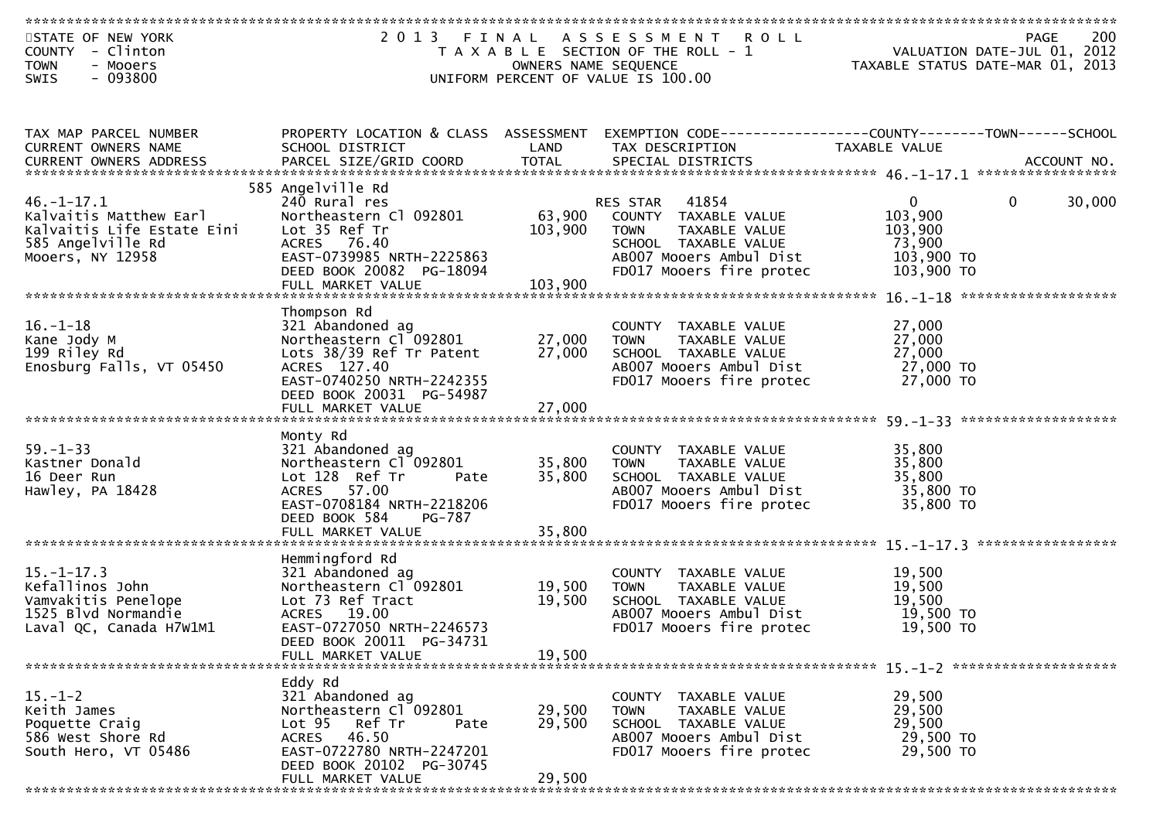| STATE OF NEW YORK          |                                      |                      | 2013 FINAL ASSESSMENT ROLL            |                                                                             |                        |
|----------------------------|--------------------------------------|----------------------|---------------------------------------|-----------------------------------------------------------------------------|------------------------|
| COUNTY - Clinton           |                                      |                      | T A X A B L E SECTION OF THE ROLL - 1 | PAGE 200<br>VALUATION DATE-JUL 01, 2012<br>TAXARLE STATUS DATE WIE 21, 2012 |                        |
| <b>TOWN</b><br>- Mooers    |                                      | OWNERS NAME SEQUENCE |                                       | TAXABLE STATUS DATE-MAR 01, 2013                                            |                        |
| $-093800$<br>SWIS          |                                      |                      | UNIFORM PERCENT OF VALUE IS 100.00    |                                                                             |                        |
|                            |                                      |                      |                                       |                                                                             |                        |
|                            |                                      |                      |                                       |                                                                             |                        |
|                            |                                      |                      |                                       |                                                                             |                        |
| TAX MAP PARCEL NUMBER      | PROPERTY LOCATION & CLASS ASSESSMENT |                      |                                       |                                                                             |                        |
| CURRENT OWNERS NAME        | SCHOOL DISTRICT                      | LAND                 | TAX DESCRIPTION                       | TAXABLE VALUE                                                               |                        |
| CURRENT OWNERS ADDRESS     |                                      |                      |                                       |                                                                             |                        |
|                            |                                      |                      |                                       |                                                                             |                        |
|                            | 585 Angelville Rd                    |                      |                                       |                                                                             |                        |
| $46. - 1 - 17.1$           | 240 Rural res                        |                      | 41854<br>RES STAR                     | $\mathbf{0}$                                                                | $\mathbf{0}$<br>30,000 |
| Kalvaitis Matthew Earl     | Northeastern Cl 092801               |                      | 63,900 COUNTY TAXABLE VALUE           | 103,900                                                                     |                        |
| Kalvaitis Life Estate Eini | Lot 35 Ref Tr                        | 103,900              | TAXABLE VALUE<br><b>TOWN</b>          | 103,900                                                                     |                        |
| 585 Angelville Rd          | ACRES 76.40                          |                      | SCHOOL TAXABLE VALUE                  | 73,900                                                                      |                        |
| Mooers, NY 12958           | EAST-0739985 NRTH-2225863            |                      | AB007 Mooers Ambul Dist               | 103,900 TO                                                                  |                        |
|                            | DEED BOOK 20082 PG-18094             |                      | FD017 Mooers fire protec              | 103,900 TO                                                                  |                        |
|                            | FULL MARKET VALUE                    | 103,900              |                                       |                                                                             |                        |
|                            |                                      |                      |                                       |                                                                             |                        |
|                            | Thompson Rd                          |                      |                                       |                                                                             |                        |
| $16. - 1 - 18$             | 321 Abandoned ag                     |                      | COUNTY TAXABLE VALUE                  | 27,000                                                                      |                        |
| Kane Jody M                | Northeastern Cl 092801               | 27,000               | TAXABLE VALUE<br><b>TOWN</b>          | 27,000                                                                      |                        |
| 199 Riley Rd               | Lots 38/39 Ref Tr Patent             | 27,000               | SCHOOL TAXABLE VALUE                  | 27,000                                                                      |                        |
| Enosburg Falls, VT 05450   | ACRES 127.40                         |                      | AB007 Mooers Ambul Dist               | 27,000 TO                                                                   |                        |
|                            | EAST-0740250 NRTH-2242355            |                      | FD017 Mooers fire protec              | 27,000 TO                                                                   |                        |
|                            | DEED BOOK 20031 PG-54987             |                      |                                       |                                                                             |                        |
|                            | FULL MARKET VALUE                    | 27,000               |                                       |                                                                             |                        |
|                            |                                      |                      |                                       |                                                                             |                        |
|                            | Monty Rd                             |                      |                                       |                                                                             |                        |
| $59. - 1 - 33$             | 321 Abandoned ag                     |                      | COUNTY TAXABLE VALUE                  | 35,800                                                                      |                        |
| Kastner Donald             | Northeastern Cl 092801               | 35,800               | TAXABLE VALUE<br>TOWN                 | 35,800                                                                      |                        |
| 16 Deer Run                | Lot 128 Ref Tr<br>Pate               | 35,800               | SCHOOL TAXABLE VALUE                  | 35,800                                                                      |                        |
|                            | ACRES 57.00                          |                      | AB007 Mooers Ambul Dist               | 35,800 TO                                                                   |                        |
| Hawley, PA 18428           | EAST-0708184 NRTH-2218206            |                      |                                       | 35,800 TO                                                                   |                        |
|                            |                                      |                      | FD017 Mooers fire protec              |                                                                             |                        |
|                            | DEED BOOK 584<br>PG-787              | 35,800               |                                       |                                                                             |                        |
|                            | FULL MARKET VALUE                    |                      |                                       |                                                                             |                        |
|                            | Hemmingford Rd                       |                      |                                       |                                                                             |                        |
| $15. - 1 - 17.3$           | 321 Abandoned ag                     |                      | COUNTY TAXABLE VALUE                  | 19,500                                                                      |                        |
| Kefallinos John            |                                      |                      |                                       |                                                                             |                        |
| Vamvakitis Penelope        | Northeastern Cl 092801               | 19,500               | TAXABLE VALUE<br><b>TOWN</b>          | 19,500<br>19,500                                                            |                        |
|                            | Lot 73 Ref Tract                     | 19,500               | SCHOOL TAXABLE VALUE                  |                                                                             |                        |
| 1525 Blvd Normandie        | ACRES 19.00                          |                      | AB007 Mooers Ambul Dist               | 19,500 TO                                                                   |                        |
| Laval QC, Canada H7W1M1    | EAST-0727050 NRTH-2246573            |                      | FD017 Mooers fire protec              | 19,500 TO                                                                   |                        |
|                            | DEED BOOK 20011 PG-34731             |                      |                                       |                                                                             |                        |
|                            | FULL MARKET VALUE                    | 19.500               |                                       |                                                                             |                        |
|                            |                                      |                      |                                       |                                                                             |                        |
|                            | Eddy Rd                              |                      |                                       |                                                                             |                        |
| $15. - 1 - 2$              | 321 Abandoned ag                     |                      | COUNTY TAXABLE VALUE                  | 29,500                                                                      |                        |
| Keith James                | Northeastern Cl 092801               | 29,500               | <b>TOWN</b><br>TAXABLE VALUE          | 29,500                                                                      |                        |
| Poquette Craig             | Ref Tr<br>Lot <sub>95</sub><br>Pate  | 29,500               | SCHOOL TAXABLE VALUE                  | 29,500                                                                      |                        |
| 586 West Shore Rd          | 46.50<br>ACRES                       |                      | AB007 Mooers Ambul Dist               | 29,500 TO                                                                   |                        |
| South Hero, VT 05486       | EAST-0722780 NRTH-2247201            |                      | FD017 Mooers fire protec              | 29,500 TO                                                                   |                        |
|                            | DEED BOOK 20102 PG-30745             |                      |                                       |                                                                             |                        |
|                            | FULL MARKET VALUE                    | 29,500               |                                       |                                                                             |                        |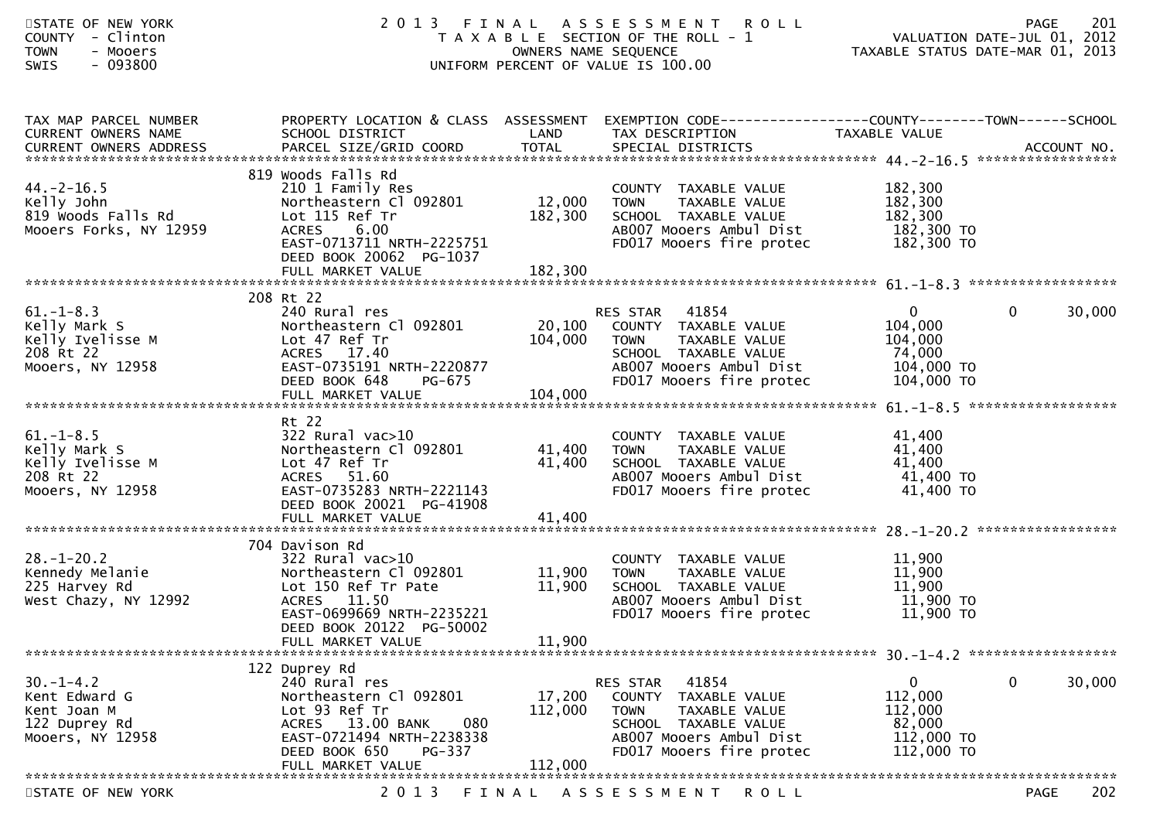| STATE OF NEW YORK<br>COUNTY - Clinton<br><b>TOWN</b><br>- Mooers<br><b>SWIS</b><br>- 093800 | 2 0 1 3<br>FINAL                                                                                                                                                                      | OWNERS NAME SEQUENCE         | A S S E S S M E N T<br><b>ROLL</b><br>T A X A B L E SECTION OF THE ROLL - 1<br>UNIFORM PERCENT OF VALUE IS 100.00                                           |                                                                            | 201<br><b>PAGE</b><br>VALUATION DATE-JUL 01, 2012<br>TAXABLE STATUS DATE-MAR 01, 2013 |
|---------------------------------------------------------------------------------------------|---------------------------------------------------------------------------------------------------------------------------------------------------------------------------------------|------------------------------|-------------------------------------------------------------------------------------------------------------------------------------------------------------|----------------------------------------------------------------------------|---------------------------------------------------------------------------------------|
| TAX MAP PARCEL NUMBER<br>CURRENT OWNERS NAME                                                | PROPERTY LOCATION & CLASS ASSESSMENT EXEMPTION CODE----------------COUNTY-------TOWN------SCHOOL<br>SCHOOL DISTRICT                                                                   | LAND                         | TAX DESCRIPTION                                                                                                                                             | TAXABLE VALUE                                                              |                                                                                       |
| $44. -2 - 16.5$<br>Kelly John<br>819 Woods Falls Rd<br>Mooers Forks, NY 12959               | 819 Woods Falls Rd<br>210 1 Family Res<br>Northeastern Cl 092801<br>Lot 115 Ref Tr<br>6.00<br><b>ACRES</b><br>EAST-0713711 NRTH-2225751<br>DEED BOOK 20062 PG-1037                    | 12,000<br>182,300            | COUNTY TAXABLE VALUE<br><b>TOWN</b><br>TAXABLE VALUE<br>SCHOOL TAXABLE VALUE<br>AB007 Mooers Ambul Dist<br>FD017 Mooers fire protec                         | 182,300<br>182,300<br>182,300<br>182,300 TO<br>182,300 TO                  |                                                                                       |
|                                                                                             |                                                                                                                                                                                       |                              |                                                                                                                                                             |                                                                            |                                                                                       |
| $61. - 1 - 8.3$<br>Kelly Mark S<br>Kelly Ivelisse M<br>208 Rt 22<br>Mooers, NY 12958        | 208 Rt 22<br>240 Rural res<br>Northeastern Cl 092801<br>Lot 47 Ref Tr<br>ACRES 17.40<br>EAST-0735191 NRTH-2220877<br>DEED BOOK 648<br>PG-675<br>FULL MARKET VALUE                     | 20,100<br>104,000<br>104,000 | RES STAR 41854<br>COUNTY TAXABLE VALUE<br>TAXABLE VALUE<br>TOWN<br>SCHOOL TAXABLE VALUE<br>AB007 Mooers Ambul Dist<br>FD017 Mooers fire protec              | $\overline{0}$<br>104,000<br>104,000<br>74,000<br>104,000 TO<br>104,000 TO | $\mathbf 0$<br>30,000                                                                 |
| $61. - 1 - 8.5$<br>Kelly Mark S<br>Kelly Ivelisse M<br>208 Rt 22<br>Mooers, NY 12958        | Rt 22<br>$322$ Rural vac $>10$<br>Northeastern Cl 092801<br>Lot 47 Ref Tr<br>ACRES 51.60<br>EAST-0735283 NRTH-2221143<br>DEED BOOK 20021 PG-41908                                     | 41,400<br>41,400             | COUNTY TAXABLE VALUE<br>TAXABLE VALUE<br><b>TOWN</b><br>SCHOOL TAXABLE VALUE<br>AB007 Mooers Ambul Dist<br>FD017 Mooers fire protec                         | 41,400<br>41,400<br>41,400<br>41,400 TO<br>41,400 TO                       |                                                                                       |
|                                                                                             |                                                                                                                                                                                       |                              |                                                                                                                                                             |                                                                            |                                                                                       |
| $28. - 1 - 20.2$<br>Kennedy Melanie<br>225 Harvey Rd<br>West Chazy, NY 12992                | 704 Davison Rd<br>$322$ Rural vac $>10$<br>Northeastern Cl 092801<br>Lot 150 Ref Tr Pate<br>ACRES 11.50<br>EAST-0699669 NRTH-2235221<br>DEED BOOK 20122 PG-50002<br>FULL MARKET VALUE | 11,900<br>11,900<br>11,900   | COUNTY TAXABLE VALUE<br><b>TOWN</b><br>TAXABLE VALUE<br>SCHOOL TAXABLE VALUE<br>AB007 Mooers Ambul Dist<br>FD017 Mooers fire protec                         | 11,900<br>11,900<br>11,900<br>11,900 TO<br>11,900 TO                       |                                                                                       |
|                                                                                             |                                                                                                                                                                                       |                              |                                                                                                                                                             |                                                                            |                                                                                       |
| $30. -1 - 4.2$<br>Kent Edward G<br>Kent Joan M<br>122 Duprey Rd<br>Mooers, NY 12958         | 122 Duprey Rd<br>240 Rural res<br>Northeastern Cl 092801<br>Lot 93 Ref Tr<br>ACRES 13.00 BANK<br>080<br>EAST-0721494 NRTH-2238338<br>DEED BOOK 650<br>PG-337                          | 17,200<br>112,000            | 41854<br>RES STAR<br>COUNTY<br>TAXABLE VALUE<br><b>TOWN</b><br>TAXABLE VALUE<br>SCHOOL TAXABLE VALUE<br>AB007 Mooers Ambul Dist<br>FD017 Mooers fire protec | 0<br>112,000<br>112,000<br>82,000<br>112,000 TO<br>112,000 TO              | 0<br>30,000                                                                           |
|                                                                                             | FULL MARKET VALUE                                                                                                                                                                     | 112,000                      |                                                                                                                                                             |                                                                            |                                                                                       |
| STATE OF NEW YORK                                                                           | 2 0 1 3<br>FINAL                                                                                                                                                                      |                              | A S S E S S M E N T<br><b>ROLL</b>                                                                                                                          |                                                                            | 202<br><b>PAGE</b>                                                                    |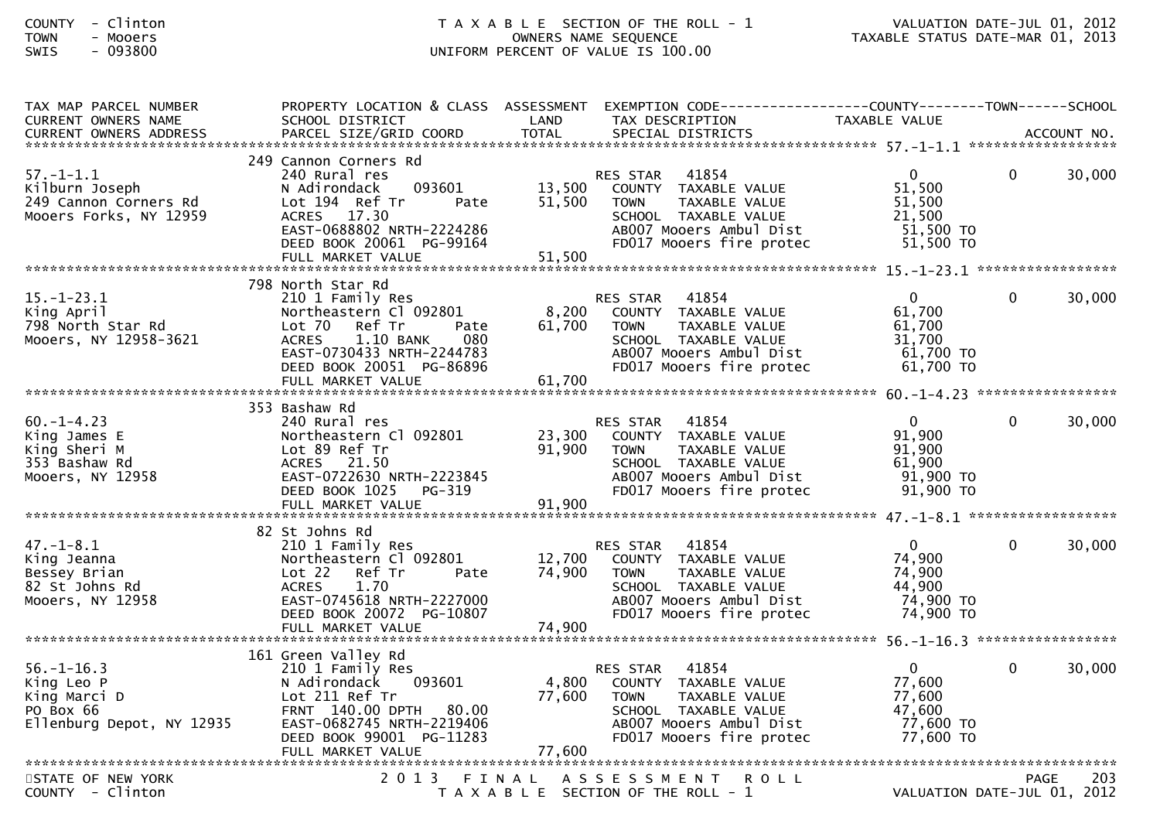## COUNTY - Clinton T A X A B L E SECTION OF THE ROLL - 1 VALUATION DATE-JUL 01, 2012TOWN - Mooers OWNERS NAME SEQUENCE TAXABLE STATUS DATE-MAR 01, 2013SWIS - 093800 UNIFORM PERCENT OF VALUE IS 100.00

| TAX MAP PARCEL NUMBER<br>CURRENT OWNERS NAME                                             | PROPERTY LOCATION & CLASS ASSESSMENT<br>SCHOOL DISTRICT                                                                                                                                        | LAND                       | TAX DESCRIPTION                                                                                                                                                 | TAXABLE VALUE                                                          |              |        |
|------------------------------------------------------------------------------------------|------------------------------------------------------------------------------------------------------------------------------------------------------------------------------------------------|----------------------------|-----------------------------------------------------------------------------------------------------------------------------------------------------------------|------------------------------------------------------------------------|--------------|--------|
|                                                                                          |                                                                                                                                                                                                |                            |                                                                                                                                                                 |                                                                        |              |        |
| $57. - 1 - 1.1$<br>Kilburn Joseph<br>249 Cannon Corners Rd<br>Mooers Forks, NY 12959     | 249 Cannon Corners Rd<br>240 Rural res<br>093601<br>N Adirondack<br>Lot 194 Ref Tr<br>Pate<br>ACRES 17.30<br>EAST-0688802 NRTH-2224286<br>DEED BOOK 20061 PG-99164                             | 13,500<br>51,500           | 41854<br><b>RES STAR</b><br>COUNTY TAXABLE VALUE<br><b>TOWN</b><br>TAXABLE VALUE<br>SCHOOL TAXABLE VALUE<br>AB007 Mooers Ambul Dist<br>FD017 Mooers fire protec | $0 \qquad$<br>51,500<br>51,500<br>21,500<br>$51,500$ TO<br>$51,500$ TO | $\mathbf{0}$ | 30,000 |
|                                                                                          | 798 North Star Rd                                                                                                                                                                              |                            |                                                                                                                                                                 |                                                                        |              |        |
| $15. - 1 - 23.1$<br>King April<br>798 North Star Rd<br>Mooers, NY 12958-3621             | 210 1 Family Res<br>Northeastern Cl 092801<br>Lot 70<br>Ref Tr<br>Pate<br><b>ACRES</b><br>$1.10$ BANK<br>080<br>EAST-0730433 NRTH-2244783<br>DEED BOOK 20051 PG-86896                          | 8,200<br>61,700            | 41854<br><b>RES STAR</b><br>COUNTY TAXABLE VALUE<br><b>TOWN</b><br>TAXABLE VALUE<br>SCHOOL TAXABLE VALUE<br>AB007 Mooers Ambul Dist<br>FD017 Mooers fire protec | 0<br>61,700<br>61,700<br>31,700<br>61,700 TO<br>61,700 TO              | $\Omega$     | 30,000 |
|                                                                                          |                                                                                                                                                                                                |                            |                                                                                                                                                                 |                                                                        |              |        |
| $60. -1 - 4.23$<br>King James E<br>King Sheri M<br>353 Bashaw Rd<br>Mooers, NY 12958     | 353 Bashaw Rd<br>240 Rural res<br>Northeastern Cl 092801<br>Lot 89 Ref Tr<br>ACRES 21.50<br>EAST-0722630 NRTH-2223845<br>PG-319<br>DEED BOOK 1025                                              | 23,300<br>91,900           | 41854<br><b>RES STAR</b><br>COUNTY TAXABLE VALUE<br>TAXABLE VALUE<br><b>TOWN</b><br>SCHOOL TAXABLE VALUE<br>AB007 Mooers Ambul Dist<br>FD017 Mooers fire protec | $\Omega$<br>91,900<br>91,900<br>61,900<br>$91,900$ TO<br>91,900 TO     | $\Omega$     | 30,000 |
|                                                                                          |                                                                                                                                                                                                |                            |                                                                                                                                                                 |                                                                        |              |        |
| 47.–1–8.1<br>King Jeanna<br>Bessey Brian<br>82 St Johns Rd<br>Mooers, NY 12958           | 82 St Johns Rd<br>210 1 Family Res<br>Northeastern Cl 092801<br>Lot 22<br>Ref Tr<br>Pate<br>1.70<br><b>ACRES</b><br>EAST-0745618 NRTH-2227000<br>DEED BOOK 20072 PG-10807<br>FULL MARKET VALUE | 12,700<br>74,900<br>74,900 | 41854<br><b>RES STAR</b><br>COUNTY TAXABLE VALUE<br>TAXABLE VALUE<br><b>TOWN</b><br>SCHOOL TAXABLE VALUE<br>AB007 Mooers Ambul Dist<br>FD017 Mooers fire protec | $\Omega$<br>74,900<br>74,900<br>44,900<br>74,900 TO<br>74,900 TO       | $\Omega$     | 30,000 |
|                                                                                          | 161 Green Valley Rd                                                                                                                                                                            |                            |                                                                                                                                                                 |                                                                        |              |        |
| $56. - 1 - 16.3$<br>King Leo P<br>King Marci D<br>PO Box 66<br>Ellenburg Depot, NY 12935 | 210 1 Family Res<br>093601<br>N Adirondack<br>Lot 211 Ref Tr<br>FRNT 140.00 DPTH 80.00<br>EAST-0682745 NRTH-2219406<br>DEED BOOK 99001 PG-11283                                                | 4,800<br>77,600            | 41854<br><b>RES STAR</b><br>COUNTY TAXABLE VALUE<br>TAXABLE VALUE<br><b>TOWN</b><br>SCHOOL TAXABLE VALUE<br>AB007 Mooers Ambul Dist<br>FD017 Mooers fire protec | $\overline{0}$<br>77,600<br>77,600<br>47,600<br>77,600 TO<br>77,600 TO | $\Omega$     | 30,000 |
| STATE OF NEW YORK                                                                        |                                                                                                                                                                                                |                            | 2013 FINAL ASSESSMENT<br><b>ROLL</b>                                                                                                                            |                                                                        | <b>PAGE</b>  | 203    |
| COUNTY - Clinton                                                                         |                                                                                                                                                                                                |                            | T A X A B L E SECTION OF THE ROLL - 1                                                                                                                           | VALUATION DATE-JUL 01, 2012                                            |              |        |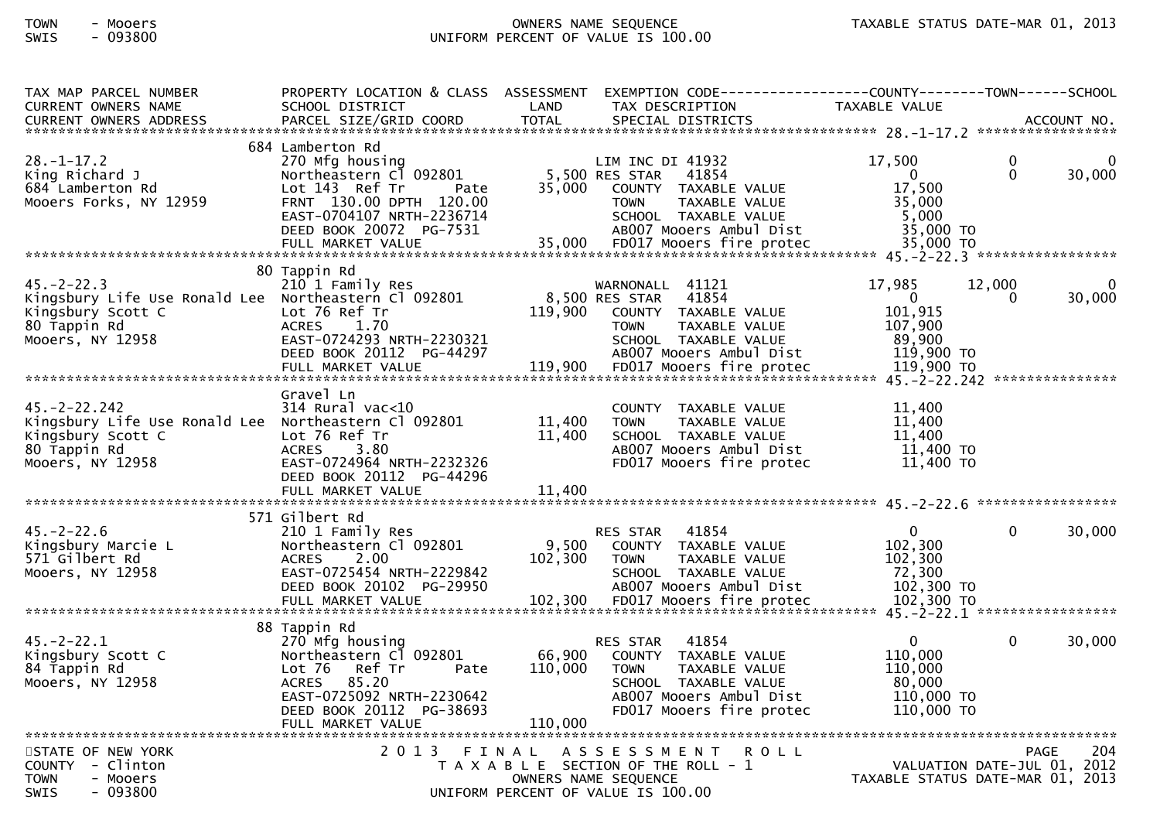## TOWN - Mooers OWNERS NAME SEQUENCE TAXABLE STATUS DATE-MAR 01, 2013SWIS - 093800 UNIFORM PERCENT OF VALUE IS 100.00

| TAX MAP PARCEL NUMBER                                | PROPERTY LOCATION & CLASS ASSESSMENT           |                  | EXEMPTION CODE-----------------COUNTY-------TOWN------SCHOOL |                        |                                  |
|------------------------------------------------------|------------------------------------------------|------------------|--------------------------------------------------------------|------------------------|----------------------------------|
| <b>CURRENT OWNERS NAME</b>                           | SCHOOL DISTRICT                                | LAND             | TAX DESCRIPTION                                              | TAXABLE VALUE          |                                  |
| <b>CURRENT OWNERS ADDRESS</b>                        | PARCEL SIZE/GRID COORD                         | <b>TOTAL</b>     | SPECIAL DISTRICTS                                            |                        | ACCOUNT NO.                      |
|                                                      |                                                |                  |                                                              |                        |                                  |
| $28. - 1 - 17.2$                                     | 684 Lamberton Rd                               |                  |                                                              |                        | 0                                |
|                                                      | 270 Mfg housing<br>Northeastern Cl 092801      |                  | LIM INC DI 41932<br>5,500 RES STAR                           | 17,500<br>$\mathbf{0}$ | 0<br>30,000<br>$\Omega$          |
| King Richard J<br>684 Lamberton Rd                   | Lot $143$ Ref Tr<br>Pate                       | 35,000           | 41854<br>COUNTY TAXABLE VALUE                                | 17,500                 |                                  |
| Mooers Forks, NY 12959                               | FRNT 130.00 DPTH 120.00                        |                  | <b>TOWN</b><br>TAXABLE VALUE                                 | 35,000                 |                                  |
|                                                      | EAST-0704107 NRTH-2236714                      |                  | SCHOOL TAXABLE VALUE                                         | 5,000                  |                                  |
|                                                      | DEED BOOK 20072 PG-7531                        |                  | AB007 Mooers Ambul Dist                                      | 35,000 TO              |                                  |
|                                                      |                                                |                  |                                                              |                        |                                  |
|                                                      |                                                |                  |                                                              |                        |                                  |
|                                                      | 80 Tappin Rd                                   |                  |                                                              |                        |                                  |
| $45. - 2 - 22.3$                                     | 210 1 Family Res                               |                  | WARNONALL 41121                                              | 17,985                 | 12,000<br>0                      |
| Kingsbury Life Use Ronald Lee Northeastern Cl 092801 |                                                |                  | 8,500 RES STAR<br>41854                                      | $\mathbf{0}$           | 30,000<br>$\Omega$               |
| Kingsbury Scott C                                    | Lot 76 Ref Tr                                  | 119,900          | COUNTY TAXABLE VALUE                                         | 101,915                |                                  |
| 80 Tappin Rd                                         | ACRES 1.70                                     |                  | TAXABLE VALUE<br><b>TOWN</b>                                 | 107,900                |                                  |
| Mooers, NY 12958                                     | EAST-0724293 NRTH-2230321                      |                  | SCHOOL TAXABLE VALUE                                         | 89,900                 |                                  |
|                                                      | DEED BOOK 20112 PG-44297                       |                  | AB007 Mooers Ambul Dist                                      | 119,900 TO             |                                  |
|                                                      |                                                |                  |                                                              |                        |                                  |
|                                                      | Gravel Ln                                      |                  |                                                              |                        |                                  |
| 45. – 2 – 22. 242                                    | $314$ Rural vac<10                             |                  | COUNTY TAXABLE VALUE                                         | 11,400                 |                                  |
| Kingsbury Life Use Ronald Lee Northeastern Cl 092801 |                                                | 11,400           | TAXABLE VALUE<br><b>TOWN</b>                                 | 11,400                 |                                  |
| Kingsbury Scott C                                    | Lot 76 Ref Tr                                  | 11,400           | SCHOOL TAXABLE VALUE                                         | 11,400                 |                                  |
| 80 Tappin Rd                                         | <b>ACRES</b><br>3.80                           |                  | AB007 Mooers Ambul Dist                                      | 11,400 TO              |                                  |
| Mooers, NY 12958                                     | EAST-0724964 NRTH-2232326                      |                  | FD017 Mooers fire protec                                     | 11,400 TO              |                                  |
|                                                      | DEED BOOK 20112 PG-44296                       |                  |                                                              |                        |                                  |
|                                                      | FULL MARKET VALUE                              | 11,400           |                                                              |                        |                                  |
|                                                      |                                                |                  |                                                              |                        |                                  |
|                                                      | 571 Gilbert Rd                                 |                  |                                                              |                        |                                  |
| $45. -2 - 22.6$                                      | 210 1 Family Res                               |                  | 41854<br>RES STAR                                            | $\mathbf{0}$           | 30,000<br>$\Omega$               |
| Kingsbury Marcie L<br>571 Gilbert Rd                 | Northeastern Cl 092801<br>2.00<br><b>ACRES</b> | 9,500<br>102,300 | COUNTY TAXABLE VALUE<br>TAXABLE VALUE<br><b>TOWN</b>         | 102,300<br>102,300     |                                  |
| Mooers, NY 12958                                     | EAST-0725454 NRTH-2229842                      |                  | SCHOOL TAXABLE VALUE                                         | 72,300                 |                                  |
|                                                      | DEED BOOK 20102 PG-29950                       |                  | AB007 Mooers Ambul Dist                                      | 102,300 TO             |                                  |
|                                                      | FULL MARKET VALUE                              |                  | 102,300 FD017 Mooers fire protec                             | 102,300 TO             |                                  |
|                                                      |                                                |                  |                                                              |                        |                                  |
|                                                      | 88 Tappin Rd                                   |                  |                                                              |                        |                                  |
| $45. -2 - 22.1$                                      | 270 Mfg housing                                |                  | 41854<br><b>RES STAR</b>                                     | $\mathbf{0}$           | $\mathbf{0}$<br>30,000           |
| Kingsbury Scott C                                    | Northeastern C1 092801                         | 66,900           | COUNTY TAXABLE VALUE                                         | 110,000                |                                  |
| 84 Tappin Rd                                         | Lot $76$<br>Ref Tr<br>Pate                     | 110,000          | <b>TOWN</b><br>TAXABLE VALUE                                 | 110,000                |                                  |
| Mooers, NY 12958                                     | 85.20<br><b>ACRES</b>                          |                  | SCHOOL TAXABLE VALUE                                         | 80,000                 |                                  |
|                                                      | EAST-0725092 NRTH-2230642                      |                  | AB007 Mooers Ambul Dist                                      | 110,000 TO             |                                  |
|                                                      | DEED BOOK 20112 PG-38693                       |                  | FD017 Mooers fire protec                                     | 110,000 TO             |                                  |
|                                                      | FULL MARKET VALUE                              | 110,000          |                                                              |                        |                                  |
| STATE OF NEW YORK                                    | 2 0 1 3                                        | FINAL            | ASSESSMENT<br><b>ROLL</b>                                    |                        | 204<br>PAGE                      |
| COUNTY - Clinton                                     |                                                |                  | T A X A B L E SECTION OF THE ROLL - 1                        |                        | VALUATION DATE-JUL 01, 2012      |
| <b>TOWN</b><br>- Mooers                              |                                                |                  | OWNERS NAME SEQUENCE                                         |                        | TAXABLE STATUS DATE-MAR 01, 2013 |
| - 093800<br><b>SWIS</b>                              |                                                |                  | UNIFORM PERCENT OF VALUE IS 100.00                           |                        |                                  |
|                                                      |                                                |                  |                                                              |                        |                                  |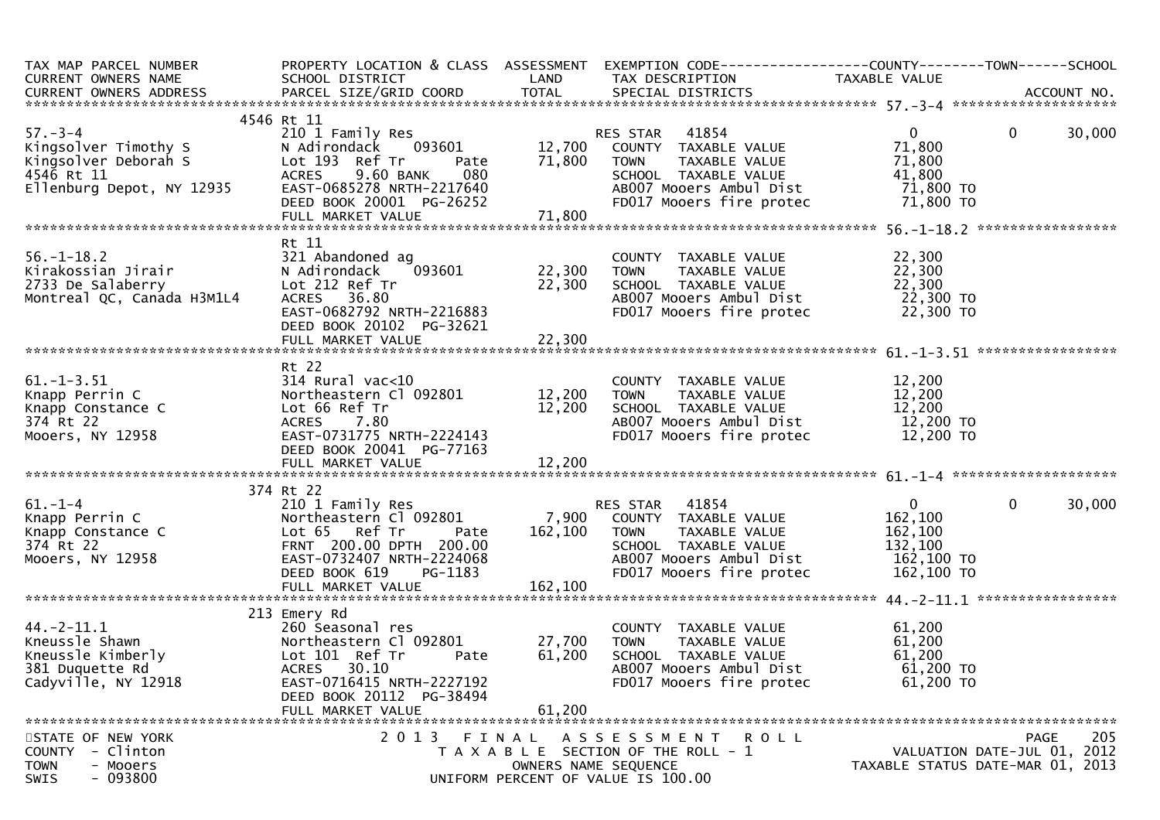| TAX MAP PARCEL NUMBER<br>CURRENT OWNERS NAME                                                                                                                     | SCHOOL DISTRICT                                                                                                                                                                                                | <b>Example 12 DE LAND</b>               | TAX DESCRIPTION                                                                                                                                                                                                   | PROPERTY LOCATION & CLASS ASSESSMENT EXEMPTION CODE----------------COUNTY-------TOWN------SCHOOL<br>TAXABLE VALUE |        |
|------------------------------------------------------------------------------------------------------------------------------------------------------------------|----------------------------------------------------------------------------------------------------------------------------------------------------------------------------------------------------------------|-----------------------------------------|-------------------------------------------------------------------------------------------------------------------------------------------------------------------------------------------------------------------|-------------------------------------------------------------------------------------------------------------------|--------|
|                                                                                                                                                                  |                                                                                                                                                                                                                |                                         |                                                                                                                                                                                                                   |                                                                                                                   |        |
| $57 - 3 - 4$                                                                                                                                                     | 4546 Rt 11<br>210 1 Family Res<br>093601<br>Pate<br>080<br>9.60 BANK<br>ACRES 9.60 BANK 080<br>EAST-0685278 NRTH-2217640<br>DEED BOOK 20001 PG-26252<br>FULL MARKET VALUE<br>FULL MARKET VALUE<br>THERET VALUE | 71,800                                  | RES STAR 41854<br>12,700 COUNTY TAXABLE VALUE<br>TAXABLE VALUE<br><b>TOWN</b>                                                                                                                                     | $\overline{0}$<br>$\overline{0}$<br>71,800<br>71,800                                                              | 30,000 |
|                                                                                                                                                                  |                                                                                                                                                                                                                |                                         |                                                                                                                                                                                                                   |                                                                                                                   |        |
|                                                                                                                                                                  | Rt 11                                                                                                                                                                                                          |                                         |                                                                                                                                                                                                                   |                                                                                                                   |        |
| 56.-1-18.2<br>Kirakossian Jirair<br>2733 De Salaberry<br>Montreal QC, Canada H3M1L4                                                                              | Lot 212 Ref Tr<br>ACRES 36.80<br>EAST-0682792 NRTH-2216883<br>DEED BOOK 20102 PG-32621                                                                                                                         | $\bar{2}\bar{2}, \bar{3}\bar{0}\bar{0}$ | COUNTY TAXABLE VALUE<br>TOWN     TAXABLE VALUE<br>COUNTY TAXABLE VALUE 22,300<br>TOWN TAXABLE VALUE 22,300<br>SCHOOL TAXABLE VALUE 22,300<br>ABOO7 Mooers Ambul Dist 22,300<br>FDO17 Mooers fire protec 22,300 TO | 22,300                                                                                                            |        |
|                                                                                                                                                                  | FULL MARKET VALUE                                                                                                                                                                                              | 22,300                                  |                                                                                                                                                                                                                   |                                                                                                                   |        |
|                                                                                                                                                                  |                                                                                                                                                                                                                |                                         |                                                                                                                                                                                                                   |                                                                                                                   |        |
| $61. - 1 - 3.51$<br>Knapp Perrin C<br>Knapp Constance C<br>374 Rt 22<br>Mooers, NY 12958                                                                         | Rt 22<br>314 Rural vac<10<br>Northeastern C1 092801 12,200 TOWN<br>Lot 66 Ref Tr 12,200 SCHOO<br>DEED BOOK 20041 PG-77163                                                                                      |                                         | COUNTY TAXABLE VALUE<br>TOWN     TAXABLE VALUE<br>SCHOOL TAXABLE VALUE<br>ABOO7 Mooers Ambul Dist<br>FDO17 Mooers fire protec 12,200 TO<br>FD017 Mooers fire protec                                               | 12,200<br>12,200<br>12,200<br>12,200 TO                                                                           |        |
|                                                                                                                                                                  |                                                                                                                                                                                                                |                                         |                                                                                                                                                                                                                   |                                                                                                                   |        |
|                                                                                                                                                                  |                                                                                                                                                                                                                |                                         |                                                                                                                                                                                                                   |                                                                                                                   |        |
| $61. - 1 - 4$<br>Knapp Perrin C<br>Knapp Constance C<br>374 Rt 22<br>Mooers, NY 12958                                                                            | 374 Rt 22<br>210 1 Family Res<br>Northeastern Cl 092801<br>Lot 65 Ref Tr<br>Pate<br>FRNT 200.00 DPTH 200.00<br>EAST-0732407 NRTH-2224068<br>DEED BOOK 619<br>PG-1183                                           | 162,100 TOWN                            | RES STAR    41854<br>7,900    COUNTY   TAXABLE VALUE<br>TAXABLE VALUE<br>SCHOOL TAXABLE VALUE<br>SCHOOL TAXABLE VALUE<br>ABOO7 Mooers Ambul Dist<br>FD017 Mooers fire protec 162,100 TO                           | $\mathbf{0}$<br>$\mathbf 0$<br>162,100<br>162,100<br>132,100<br>$162,100$ TO                                      | 30,000 |
|                                                                                                                                                                  |                                                                                                                                                                                                                |                                         |                                                                                                                                                                                                                   |                                                                                                                   |        |
| Example Shawn<br>Example 260 Seasonal re<br>Example 260 Seasonal re<br>Example 260 Seasonal re<br>Northeastern Cl<br>20 10 Lot 101 Ref Tr<br>Cadyville, NY 12918 | 213 Emery Rd<br>260 Seasonal res<br>Northeastern Cl 092801 27,700<br>Pate<br>EAST-0716415 NRTH-2227192<br>DEED BOOK 20112 PG-38494<br>FULL MARKET VALUE                                                        | 61,200<br>61,200                        | COUNTY TAXABLE VALUE<br><b>TOWN</b><br>TAXABLE VALUE<br>SCHOOL TAXABLE VALUE<br>AB007 Mooers Ambul Dist<br>FD017 Mooers fire protec                                                                               | 61,200<br>61,200<br>61,200<br>61,200 TO<br>61,200 TO                                                              |        |
| STATE OF NEW YORK<br>COUNTY - Clinton<br><b>TOWN</b><br>- Mooers<br>$-093800$<br><b>SWIS</b>                                                                     | 2013 FINAL                                                                                                                                                                                                     |                                         | ASSESSMENT ROLL<br>T A X A B L E SECTION OF THE ROLL - 1<br>OWNERS NAME SEQUENCE<br>UNIFORM PERCENT OF VALUE IS 100.00                                                                                            | PAGE<br>VALUATION DATE-JUL 01, 2012<br>TAXABLE STATUS DATE-MAR 01, 2013                                           | 205    |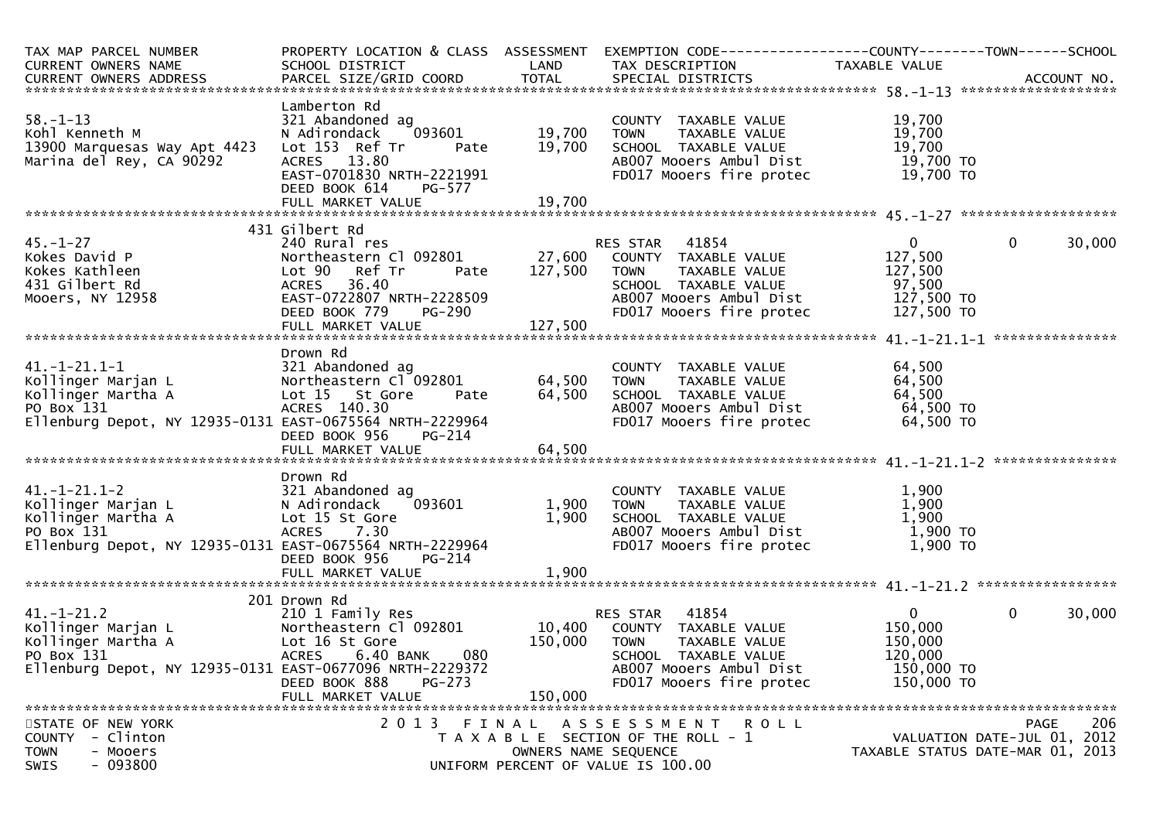| TAX MAP PARCEL NUMBER<br>CURRENT OWNERS NAME                                                                                                | PROPERTY LOCATION & CLASS ASSESSMENT<br>SCHOOL DISTRICT                                                                                                          | LAND                    | EXEMPTION CODE-----------------COUNTY-------TOWN------SCHOOL<br>TAX DESCRIPTION                                                                              | TAXABLE VALUE                                                               |                                                                                       |
|---------------------------------------------------------------------------------------------------------------------------------------------|------------------------------------------------------------------------------------------------------------------------------------------------------------------|-------------------------|--------------------------------------------------------------------------------------------------------------------------------------------------------------|-----------------------------------------------------------------------------|---------------------------------------------------------------------------------------|
|                                                                                                                                             |                                                                                                                                                                  |                         |                                                                                                                                                              |                                                                             |                                                                                       |
| $58. - 1 - 13$<br>Kohl Kenneth M<br>13900 Marquesas Way Apt 4423<br>Marina del Rey, CA 90292                                                | Lamberton Rd<br>321 Abandoned ag<br>093601<br>N Adirondack<br>Lot 153 Ref Tr<br>Pate<br>ACRES 13.80<br>EAST-0701830 NRTH-2221991<br>DEED BOOK 614<br>PG-577      | 19,700<br>19,700        | COUNTY TAXABLE VALUE<br>TAXABLE VALUE<br><b>TOWN</b><br>SCHOOL TAXABLE VALUE<br>AB007 Mooers Ambul Dist<br>FD017 Mooers fire protec                          | 19,700<br>19,700<br>19,700<br>19,700 TO<br>19,700 TO                        |                                                                                       |
|                                                                                                                                             |                                                                                                                                                                  |                         |                                                                                                                                                              |                                                                             |                                                                                       |
|                                                                                                                                             |                                                                                                                                                                  |                         |                                                                                                                                                              |                                                                             |                                                                                       |
| $45. - 1 - 27$<br>Kokes David P<br>Kokes Kathleen<br>431 Gilbert Rd<br>Mooers, NY 12958                                                     | 431 Gilbert Rd<br>240 Rural res<br>Pate<br>Lot 90<br>Ref Tr<br>ACRES 36.40<br>EAST-0722807 NRTH-2228509<br><b>PG-290</b><br>DEED BOOK 779                        | 127,500                 | RES STAR 41854<br><b>TOWN</b><br>TAXABLE VALUE<br>SCHOOL TAXABLE VALUE<br>AB007 Mooers Ambul Dist<br>FD017 Mooers fire protec                                | $\mathbf{0}$<br>127,500<br>127,500<br>97,500<br>127,500 TO<br>127,500 TO    | $\mathbf 0$<br>30,000                                                                 |
|                                                                                                                                             |                                                                                                                                                                  |                         |                                                                                                                                                              |                                                                             |                                                                                       |
| 41.-1-21.1-1<br>Kollinger Marjan L<br>Kollinger Martha A<br>PO Box 131<br>Ellenburg Depot, NY 12935-0131 EAST-0675564 NRTH-2229964          | Drown Rd<br>321 Abandoned ag<br>Northeastern Cl 092801<br>Lot 15 St Gore<br>Pate<br>ACRES 140.30<br>DEED BOOK 956<br>PG-214                                      | 64,500<br>64,500        | COUNTY TAXABLE VALUE<br>TAXABLE VALUE<br>TOWN<br>SCHOOL TAXABLE VALUE<br>AB007 Mooers Ambul Dist<br>FD017 Mooers fire protec                                 | 64,500<br>64,500<br>64,500<br>64,500 TO<br>64,500 TO                        |                                                                                       |
|                                                                                                                                             | Drown Rd                                                                                                                                                         |                         |                                                                                                                                                              |                                                                             |                                                                                       |
| 41.-1-21.1-2<br>Kollinger Marjan L<br>Kollinger Martha A<br>PO Box 131<br>Ellenburg Depot, NY 12935-0131 EAST-0675564 NRTH-2229964          | 321 Abandoned ag<br>093601<br>N Adirondack<br>Lot 15 St Gore<br><b>ACRES</b><br>7.30<br>DEED BOOK 956<br>PG-214<br>FULL MARKET VALUE                             | 1,900<br>1,900<br>1,900 | COUNTY TAXABLE VALUE<br>TAXABLE VALUE<br>TOWN<br>SCHOOL TAXABLE VALUE<br>AB007 Mooers Ambul Dist<br>FD017 Mooers fire protec                                 | 1,900<br>1,900<br>1,900<br>1,900 TO<br>1,900 TO                             |                                                                                       |
|                                                                                                                                             |                                                                                                                                                                  |                         |                                                                                                                                                              |                                                                             |                                                                                       |
| ********<br>41.-1-21.2<br>Kollinger Marjan L<br>Bernamer Martha A<br>PO Box 131<br>Ellenburg Depot, NY 12935-0131 EAST-0677096 NRTH-2229372 | 201 Drown Rd<br>210 1 Family Res<br>Northeastern Cl 092801<br>Lot 16 St Gore<br>080<br><b>ACRES</b><br>6.40 BANK<br>DEED BOOK 888<br>PG-273<br>FULL MARKET VALUE | 150,000<br>150,000      | RES STAR 41854<br>10,400 COUNTY TAXABLE VALUE<br><b>TOWN</b><br>TAXABLE VALUE<br>SCHOOL TAXABLE VALUE<br>AB007 Mooers Ambul Dist<br>FD017 Mooers fire protec | $\overline{0}$<br>150,000<br>150,000<br>120,000<br>150,000 TO<br>150,000 TO | $\mathbf 0$<br>30,000                                                                 |
|                                                                                                                                             |                                                                                                                                                                  |                         |                                                                                                                                                              |                                                                             |                                                                                       |
| STATE OF NEW YORK<br>- Clinton<br><b>COUNTY</b><br><b>TOWN</b><br>- Mooers<br>$-093800$<br>SWIS                                             | 2013                                                                                                                                                             | FINAL                   | A S S E S S M E N T R O L L<br>T A X A B L E SECTION OF THE ROLL - 1<br>OWNERS NAME SEQUENCE<br>UNIFORM PERCENT OF VALUE IS 100.00                           |                                                                             | 206<br><b>PAGE</b><br>VALUATION DATE-JUL 01, 2012<br>TAXABLE STATUS DATE-MAR 01, 2013 |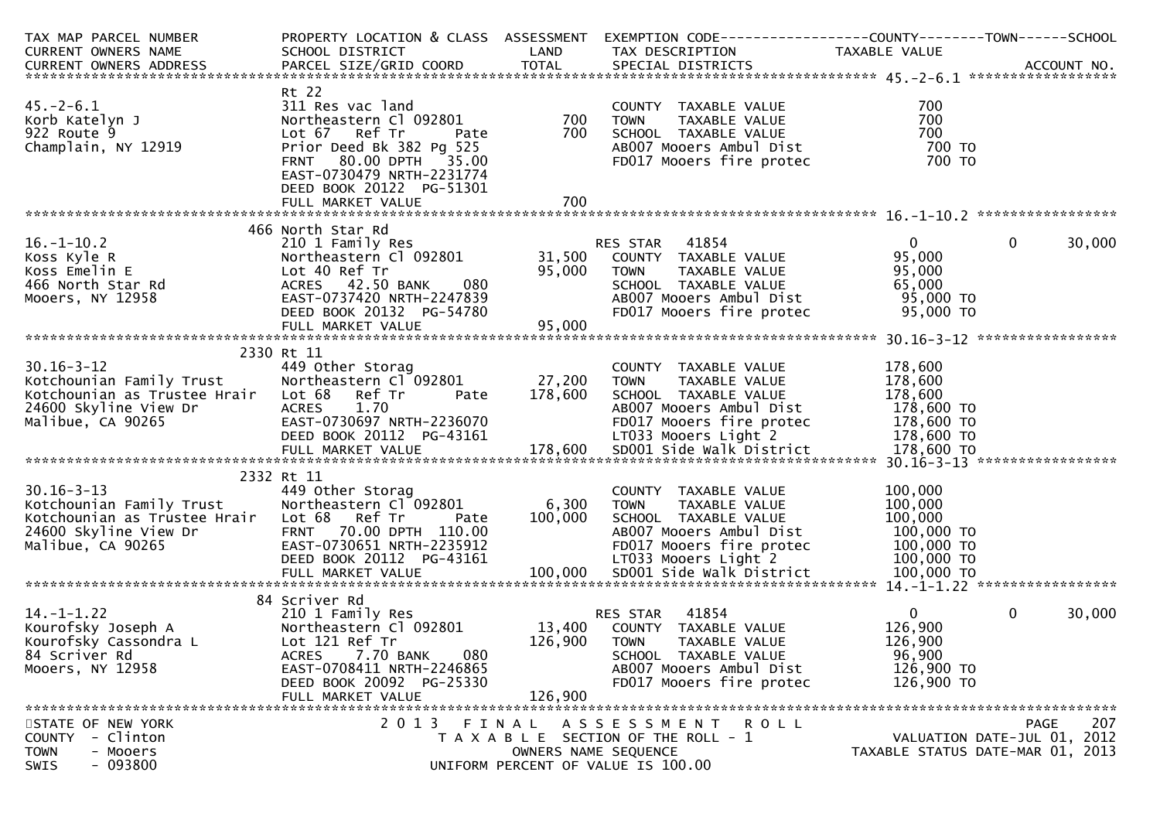| TAX MAP PARCEL NUMBER                                                                                                                                            |                                                                                                          |                      | PROPERTY LOCATION & CLASS ASSESSMENT EXEMPTION CODE---------------COUNTY-------TOWN-----SCHOOL |                                  |                             |
|------------------------------------------------------------------------------------------------------------------------------------------------------------------|----------------------------------------------------------------------------------------------------------|----------------------|------------------------------------------------------------------------------------------------|----------------------------------|-----------------------------|
| CURRENT OWNERS NAME                                                                                                                                              | SCHOOL DISTRICT<br><b>Example 18 Service State LAND</b>                                                  |                      | TAX DESCRIPTION                                                                                | TAXABLE VALUE                    |                             |
| CURRENT OWNERS ADDRESS FARCEL SIZE/GRID COORD TOTAL SPECIAL DISTRICTS FARENT OWNERS ADDRESS FARCEL SIZE/GRID COORD TOTAL SPECIAL DISTRICTS FARENT OWNERS ADDRESS |                                                                                                          |                      |                                                                                                |                                  |                             |
|                                                                                                                                                                  |                                                                                                          |                      |                                                                                                |                                  |                             |
|                                                                                                                                                                  | Rt 22                                                                                                    |                      |                                                                                                |                                  |                             |
| $45. - 2 - 6.1$                                                                                                                                                  | 311 Res vac land                                                                                         |                      | COUNTY TAXABLE VALUE                                                                           | 700                              |                             |
| Korb Katelyn J                                                                                                                                                   | Northeastern Cl 092801                                                                                   | 700                  | <b>TOWN</b><br>TAXABLE VALUE                                                                   | 700                              |                             |
| 922 Route 9                                                                                                                                                      | Lot 67 Ref Tr<br>Pate                                                                                    | 700                  | SCHOOL TAXABLE VALUE<br>ABOO7 Mooers Ambul Dist<br>FDO17 Mooers fire protec                    | 700                              |                             |
| Champlain, NY 12919                                                                                                                                              | Prior Deed Bk 382 Pg 525                                                                                 |                      |                                                                                                | 700 TO                           |                             |
|                                                                                                                                                                  | FRNT 80.00 DPTH 35.00                                                                                    |                      |                                                                                                | 700 TO                           |                             |
|                                                                                                                                                                  | EAST-0730479 NRTH-2231774                                                                                |                      |                                                                                                |                                  |                             |
|                                                                                                                                                                  | DEED BOOK 20122 PG-51301                                                                                 |                      |                                                                                                |                                  |                             |
|                                                                                                                                                                  |                                                                                                          |                      |                                                                                                |                                  |                             |
|                                                                                                                                                                  |                                                                                                          |                      |                                                                                                |                                  |                             |
|                                                                                                                                                                  | 466 North Star Rd                                                                                        |                      |                                                                                                |                                  |                             |
| $16. - 1 - 10.2$                                                                                                                                                 | 210 1 Family Res                                                                                         |                      | RES STAR 41854                                                                                 | $\overline{0}$                   | $\mathbf{0}$<br>30,000      |
|                                                                                                                                                                  | Northeastern C1 092801 31,500                                                                            |                      |                                                                                                | 95,000                           |                             |
| Example R<br>Koss Emelin E<br>Koss Emelin E<br>466 North Star Rd<br>Mooers, NY 12958<br>Mooers, NY 12958<br>EAST-0737420 N                                       |                                                                                                          | 95,000               | COUNTY TAXABLE VALUE<br>TOWN TAXABLE VALUE                                                     | 95,000                           |                             |
|                                                                                                                                                                  | 080<br>ACRES 42.50 BANK<br>ACRES 42.50 BANK 080<br>EAST-0737420 NRTH-2247839<br>DEED BOOK 20132 PG-54780 |                      | SCHOOL TAXABLE VALUE                                                                           | 65,000                           |                             |
|                                                                                                                                                                  |                                                                                                          |                      | ABOO7 Mooers Ambul Dist 95,000 TO                                                              |                                  |                             |
|                                                                                                                                                                  | DEED BOOK 20132 PG-54780                                                                                 |                      | FD017 Mooers fire protec                                                                       | 95,000 TO                        |                             |
|                                                                                                                                                                  |                                                                                                          |                      |                                                                                                |                                  |                             |
|                                                                                                                                                                  |                                                                                                          |                      |                                                                                                |                                  |                             |
|                                                                                                                                                                  | 2330 Rt 11                                                                                               |                      |                                                                                                |                                  |                             |
| $30.16 - 3 - 12$                                                                                                                                                 | 449 Other Storag                                                                                         |                      | COUNTY TAXABLE VALUE                                                                           | 178,600                          |                             |
| Kotchounian Family Trust                                                                                                                                         | Northeastern Cl 092801 27,200                                                                            |                      | <b>TOWN</b><br>TAXABLE VALUE                                                                   | 178,600                          |                             |
| Kotchounian as Trustee Hrair Lot 68 Ref Tr                                                                                                                       | Pate                                                                                                     | 178,600              | SCHOOL TAXABLE VALUE                                                                           | 178,600                          |                             |
|                                                                                                                                                                  | ACRES<br>1.70                                                                                            |                      | AB007 Mooers Ambul Dist                                                                        | 178,600 TO                       |                             |
|                                                                                                                                                                  | EAST-0730697 NRTH-2236070                                                                                |                      | FD017 Mooers fire protec                                                                       |                                  |                             |
| 24600 Skyline View Dr<br>Malibue, CA 90265                                                                                                                       | DEED BOOK 20112 PG-43161                                                                                 |                      | LT033 Mooers Light 2                                                                           | 178,600 то<br>178,600 то         |                             |
|                                                                                                                                                                  |                                                                                                          |                      |                                                                                                |                                  |                             |
|                                                                                                                                                                  |                                                                                                          |                      |                                                                                                |                                  |                             |
|                                                                                                                                                                  | 2332 Rt 11                                                                                               |                      |                                                                                                |                                  |                             |
| $30.16 - 3 - 13$                                                                                                                                                 | 449 Other Storag                                                                                         |                      | COUNTY TAXABLE VALUE                                                                           | 100,000                          |                             |
| 30.16-3-13<br>Kotchounian Family Trust                                                                                                                           | Northeastern Cl <sup>-</sup> 092801                                                                      | 6,300                | <b>TOWN</b><br>TAXABLE VALUE                                                                   | 100,000                          |                             |
| Kotchounian as Trustee Hrair Lot 68 Ref Tr                                                                                                                       | Pate                                                                                                     | 100,000              | SCHOOL TAXABLE VALUE                                                                           | 100,000                          |                             |
| 24600 Skyline View Dr                                                                                                                                            | FRNT 70.00 DPTH 110.00                                                                                   |                      | AB007 Mooers Ambul Dist                                                                        | 100,000 TO                       |                             |
| Malibue, CA 90265                                                                                                                                                | EAST-0730651 NRTH-2235912                                                                                |                      | FD017 Mooers fire protec                                                                       |                                  |                             |
|                                                                                                                                                                  | DEED BOOK 20112 PG-43161                                                                                 |                      | LT033 Mooers Light 2                                                                           | 100,000 то<br>100,000 то         |                             |
|                                                                                                                                                                  |                                                                                                          |                      |                                                                                                |                                  |                             |
|                                                                                                                                                                  |                                                                                                          |                      |                                                                                                |                                  |                             |
|                                                                                                                                                                  | 84 Scriver Rd                                                                                            |                      |                                                                                                |                                  |                             |
| $14. - 1 - 1.22$                                                                                                                                                 |                                                                                                          |                      |                                                                                                | $\overline{0}$                   | $\mathbf{0}$<br>30,000      |
|                                                                                                                                                                  | 210 1 Family Res            RES STAR  41854<br>Northeastern Cl 092801     13,400  COUNTY TAXABLE VALUE   |                      |                                                                                                | 126,900                          |                             |
| Kourofsky Joseph A Northeastern Cl<br>Kourofsky Cassondra L Lot 121 Ref Tr                                                                                       |                                                                                                          |                      | 126,900 TOWN<br>TAXABLE VALUE                                                                  | 126,900                          |                             |
| 84 Scriver Rd                                                                                                                                                    | 7.70 BANK 080<br>ACRES                                                                                   |                      | SCHOOL TAXABLE VALUE                                                                           | 96,900                           |                             |
| Mooers, NY 12958                                                                                                                                                 | EAST-0708411 NRTH-2246865                                                                                |                      | AB007 Mooers Ambul Dist                                                                        | 126,900 TO                       |                             |
|                                                                                                                                                                  | DEED BOOK 20092 PG-25330                                                                                 |                      | FD017 Mooers fire protec                                                                       | 126,900 TO                       |                             |
|                                                                                                                                                                  |                                                                                                          | 126,900              |                                                                                                |                                  |                             |
|                                                                                                                                                                  | FULL MARKET VALUE                                                                                        |                      |                                                                                                |                                  |                             |
| STATE OF NEW YORK                                                                                                                                                |                                                                                                          |                      | 2013 FINAL ASSESSMENT ROLL                                                                     |                                  | 207<br>PAGE                 |
| - Clinton                                                                                                                                                        |                                                                                                          |                      |                                                                                                |                                  | VALUATION DATE-JUL 01, 2012 |
| <b>COUNTY</b><br><b>TOWN</b><br>- Mooers                                                                                                                         |                                                                                                          | OWNERS NAME SEQUENCE | T A X A B L E SECTION OF THE ROLL - 1                                                          | TAXABLE STATUS DATE-MAR 01, 2013 |                             |
| $-093800$<br>SWIS                                                                                                                                                |                                                                                                          |                      | UNIFORM PERCENT OF VALUE IS 100.00                                                             |                                  |                             |
|                                                                                                                                                                  |                                                                                                          |                      |                                                                                                |                                  |                             |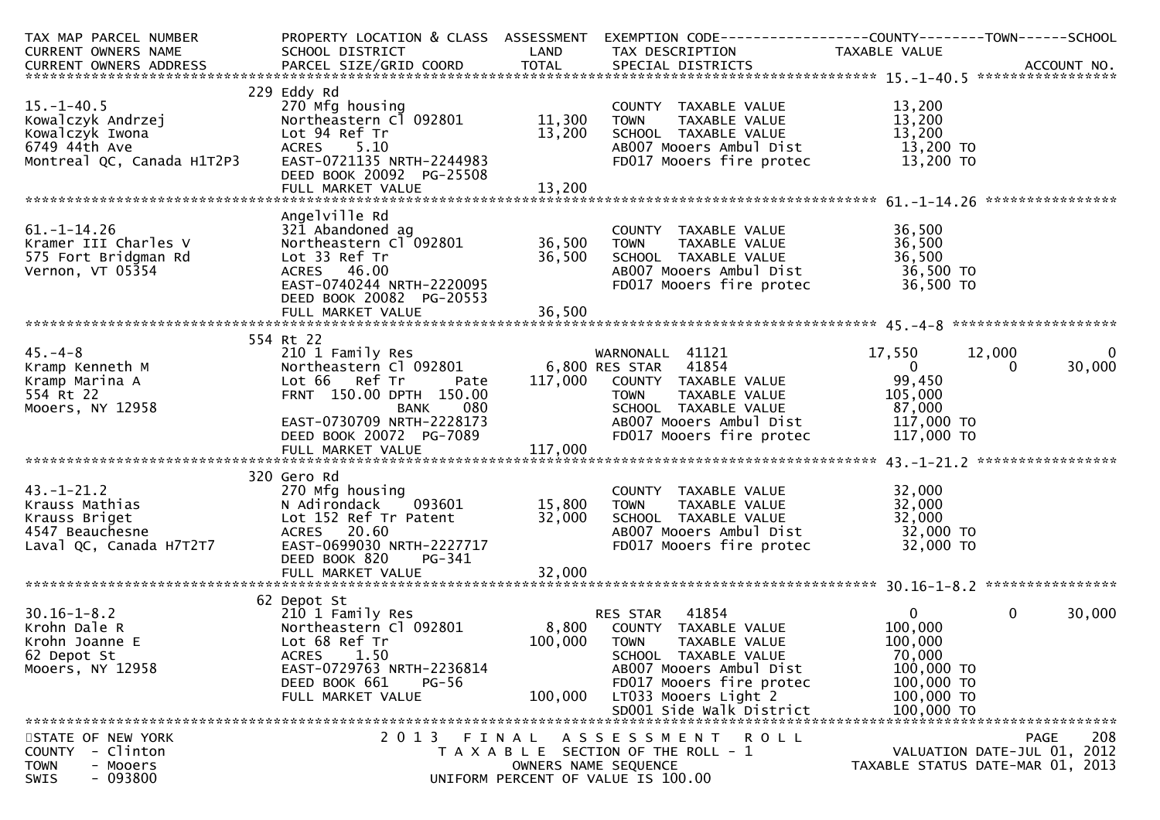| TAX MAP PARCEL NUMBER<br>CURRENT OWNERS NAME                                                                       | SCHOOL DISTRICT<br><b>Example 18 The CAND</b>                                                                                                                                                                                |                         | PROPERTY LOCATION & CLASS ASSESSMENT EXEMPTION CODE----------------COUNTY-------TOWN------SCHOOL<br>TAX DESCRIPTION                                                                                             | TAXABLE VALUE                                                                          |                                                                                |
|--------------------------------------------------------------------------------------------------------------------|------------------------------------------------------------------------------------------------------------------------------------------------------------------------------------------------------------------------------|-------------------------|-----------------------------------------------------------------------------------------------------------------------------------------------------------------------------------------------------------------|----------------------------------------------------------------------------------------|--------------------------------------------------------------------------------|
|                                                                                                                    |                                                                                                                                                                                                                              |                         |                                                                                                                                                                                                                 |                                                                                        |                                                                                |
| $15. - 1 - 40.5$<br>Montreal QC, Canada H1T2P3                                                                     | 229 Eddy Rd<br>270 Mfg housing<br>Northeastern C1 092801 11,300<br>EAST-0721135 NRTH-2244983<br>DEED BOOK 20092 PG-25508                                                                                                     | 13,200                  | COUNTY TAXABLE VALUE<br>TOWN      TAXABLE VALUE<br><b>TOWN</b><br>SCHOOL TAXABLE VALUE<br>ABOO7 Mooers Ambul Dist<br>FDO17 Mooers fire protec                                                                   | 13,200<br>13,200<br>13,200<br>13,200<br>13,200 TO<br>13,200 TO                         |                                                                                |
|                                                                                                                    | Angelville Rd                                                                                                                                                                                                                |                         |                                                                                                                                                                                                                 |                                                                                        |                                                                                |
| $61. -1 - 14.26$<br>Kramer III Charles V<br>575 Fort Bridgman Rd<br>Vernon, VT 05354                               | Lot 33 Ref Tr<br>ACRES 46.00<br>EAST-0740244 NRTH-2220095<br>DEED BOOK 20082 PG-20553                                                                                                                                        | 36,500                  | SCHOOL TAXABLE VALUE<br>SCHOOL TAXABLE VALUE 36,500<br>ABOO7 Mooers Ambul Dist 36,500 TO<br>FDO17 Mooers fire protec 36,500 TO                                                                                  | 36,500<br>36,500                                                                       |                                                                                |
|                                                                                                                    | FULL MARKET VALUE                                                                                                                                                                                                            | 36,500                  |                                                                                                                                                                                                                 |                                                                                        |                                                                                |
| $45. - 4 - 8$<br>45.-4-6<br>Kramp Kenneth M<br>Kramp Marina A<br>554 Rt 22<br>Mooers, NY 12958<br>Mooers, NY 12958 | 554 Rt 22<br>210 1 Family Res<br>Northeastern C1 092801 6,800 RES STAR 41854<br>Lot 66 Ref Tr Pate<br>FRNT 150.00 DPTH 150.00<br>FRNT 150.00 DPTH 150.00<br>BANK 080<br>EAST-0730709 NRTH-2228173<br>DEED BOOK 20072 PG-7089 |                         | WARNONALL 41121<br>117,000 COUNTY TAXABLE_VALUE<br>TOWN      TAXABLE_VALUE<br>SCHOOL TAXABLE VALUE<br>AB007 Mooers Ambul Dist                  117,000 TO<br>FD017 Mooers fire protec                117,000 TO | 17,550 12,000<br>$\overline{\mathbf{0}}$<br>99,450<br>105,000<br>87,000                | $\overline{0}$<br>30,000<br>$\Omega$                                           |
|                                                                                                                    |                                                                                                                                                                                                                              | 117,000                 |                                                                                                                                                                                                                 |                                                                                        |                                                                                |
| $43.-1-21.2$<br>Krauss Mathias<br>Krauss Briget<br>4547 Beauchesne<br>Laval QC, Canada H7T2T7                      | 320 Gero Rd<br>270 Mfg housing<br>N Adirondack 093601<br>Lot 152 Ref Tr Patent<br>ACRES 20.60<br>EAST-0699030 NRTH-2227717<br>DEED BOOK 820<br>PG-341                                                                        | 15,800<br>32,000        | COUNTY TAXABLE VALUE<br><b>TOWN</b><br>TAXABLE VALUE<br>SCHOOL TAXABLE VALUE<br>AB007 Mooers Ambul Dist 32,000 TO<br>FD017 Mooers fire protec                                                                   | 32,000<br>32,000<br>32,000<br>32,000 TO                                                |                                                                                |
|                                                                                                                    |                                                                                                                                                                                                                              |                         |                                                                                                                                                                                                                 |                                                                                        |                                                                                |
| $30.16 - 1 - 8.2$<br>Krohn Dale R<br>Krohn Joanne E<br>62 Depot St<br>Mooers, NY 12958                             | 62 Depot St<br>210 1 Family Res<br>Northeastern Cl 092801<br>Lot 68 Ref Tr<br><b>ACRES</b><br>1.50<br>EAST-0729763 NRTH-2236814<br>DEED BOOK 661<br>PG-56<br>FULL MARKET VALUE                                               | 100,000 TOWN<br>100,000 | RES STAR 41854<br>8,800 COUNTY TAXABLE VALUE<br>TAXABLE VALUE<br>SCHOOL TAXABLE VALUE<br>AB007 Mooers Ambul Dist<br>FD017 Mooers fire protec<br>LT033 Mooers Light 2                                            | $\mathbf{0}$<br>100,000<br>100,000<br>70,000<br>100,000 TO<br>100,000 TO<br>100,000 TO | $\mathbf{0}$<br>30,000                                                         |
| STATE OF NEW YORK<br>- Clinton<br><b>COUNTY</b><br><b>TOWN</b><br>- Mooers<br>$-093800$<br><b>SWIS</b>             | 2 0 1 3                                                                                                                                                                                                                      | FINAL                   | ASSESSMENT ROLL<br>T A X A B L E SECTION OF THE ROLL - 1<br>OWNERS NAME SEQUENCE<br>UNIFORM PERCENT OF VALUE IS 100.00                                                                                          |                                                                                        | 208<br>PAGE<br>VALUATION DATE-JUL 01, 2012<br>TAXABLE STATUS DATE-MAR 01, 2013 |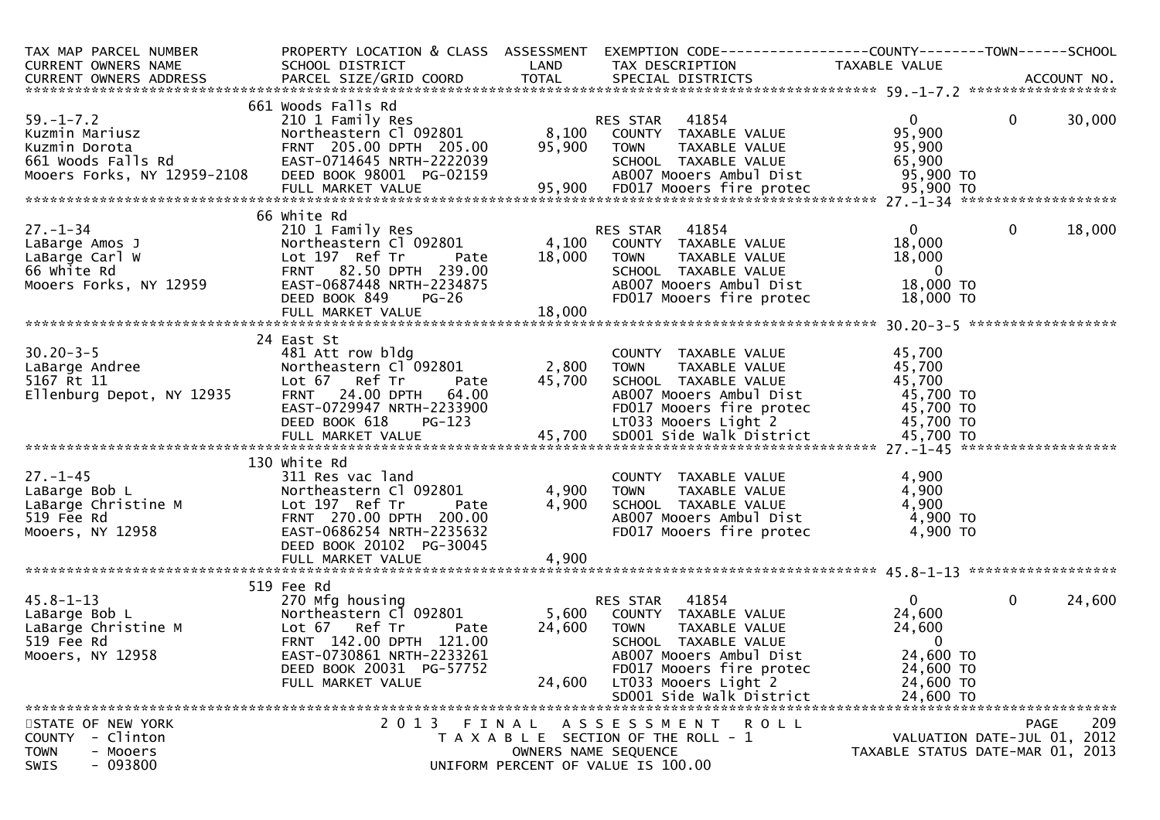| TAX MAP PARCEL NUMBER<br><b>CURRENT OWNERS NAME</b>                                                                      | PROPERTY LOCATION & CLASS ASSESSMENT<br>SCHOOL DISTRICT                                                                                                                                   | LAND                      | TAX DESCRIPTION                                                                                                                                                                                              | EXEMPTION CODE-----------------COUNTY-------TOWN------SCHOOL<br>TAXABLE VALUE                        |                             |        |
|--------------------------------------------------------------------------------------------------------------------------|-------------------------------------------------------------------------------------------------------------------------------------------------------------------------------------------|---------------------------|--------------------------------------------------------------------------------------------------------------------------------------------------------------------------------------------------------------|------------------------------------------------------------------------------------------------------|-----------------------------|--------|
|                                                                                                                          |                                                                                                                                                                                           |                           |                                                                                                                                                                                                              |                                                                                                      |                             |        |
| $59. - 1 - 7.2$<br>Kuzmin Mariusz<br>Kuzmin Dorota<br>661 Woods Falls Rd<br>Mooers Forks, NY 12959-2108                  | 661 Woods Falls Rd<br>210 1 Family Res<br>Northeastern Cl 092801<br>FRNT 205.00 DPTH 205.00<br>EAST-0714645 NRTH-2222039<br>DEED BOOK 98001 PG-02159                                      | 8,100<br>95,900           | 41854<br>RES STAR<br>COUNTY TAXABLE VALUE<br>TAXABLE VALUE<br><b>TOWN</b><br>SCHOOL TAXABLE VALUE<br>AB007 Mooers Ambul Dist                                                                                 | $\mathbf{0}$<br>95,900<br>95,900<br>65,900<br>95,900 TO                                              | $\mathbf 0$                 | 30,000 |
|                                                                                                                          | 66 white Rd                                                                                                                                                                               |                           |                                                                                                                                                                                                              |                                                                                                      |                             |        |
| $27. - 1 - 34$<br>LaBarge Amos J<br>LaBarge Carl W<br>66 White Rd<br>Mooers Forks, NY 12959                              | 210 1 Family Res<br>Northeastern Cl 092801<br>Lot 197 Ref Tr<br>Pate<br>FRNT 82.50 DPTH 239.00<br>EAST-0687448 NRTH-2234875<br>DEED BOOK 849<br>$PG-26$                                   | 4,100<br>18,000           | RES STAR<br>41854<br>COUNTY TAXABLE VALUE<br>TAXABLE VALUE<br><b>TOWN</b><br>SCHOOL TAXABLE VALUE<br>AB007 Mooers Ambul Dist<br>FD017 Mooers fire protec                                                     | $\mathbf{0}$<br>18,000<br>18,000<br>- 0<br>18,000 TO<br>18,000 TO                                    | $\mathbf 0$                 | 18,000 |
|                                                                                                                          | FULL MARKET VALUE                                                                                                                                                                         | 18,000                    |                                                                                                                                                                                                              |                                                                                                      |                             |        |
| $30.20 - 3 - 5$<br>LaBarge Andree<br>5167 Rt 11<br>Ellenburg Depot, NY 12935                                             | 24 East St<br>481 Att row bldg<br>Northeastern Cl 092801<br>Lot 67 Ref Tr<br>Pate<br>24.00 DPTH<br><b>FRNT</b><br>64.00<br>EAST-0729947 NRTH-2233900<br>DEED BOOK 618<br>PG-123           | 2,800<br>45,700           | COUNTY TAXABLE VALUE<br>TAXABLE VALUE<br><b>TOWN</b><br>SCHOOL TAXABLE VALUE<br>AB007 Mooers Ambul Dist<br>FD017 Mooers fire protec<br>LT033 Mooers Light 2                                                  | 45,700<br>45,700<br>45,700<br>45,700 TO<br>45,700 TO<br>45,700 TO                                    |                             |        |
|                                                                                                                          | 130 White Rd                                                                                                                                                                              |                           |                                                                                                                                                                                                              |                                                                                                      |                             |        |
| $27. - 1 - 45$<br>LaBarge Christine M<br>519 Fee Rd<br>Moosse William<br>Mooers, NY 12958                                | 311 Res vac land<br>Northeastern Cl 092801<br>Lot 197 Ref Tr<br>Pate<br>FRNT 270.00 DPTH 200.00<br>EAST-0686254 NRTH-2235632<br>DEED BOOK 20102 PG-30045                                  | 4,900<br>4,900            | COUNTY TAXABLE VALUE<br>TAXABLE VALUE<br><b>TOWN</b><br>SCHOOL TAXABLE VALUE<br>AB007 Mooers Ambul Dist<br>FD017 Mooers fire protec                                                                          | 4,900<br>4,900<br>4,900<br>4,900 TO<br>4,900 TO                                                      |                             |        |
|                                                                                                                          | FULL MARKET VALUE                                                                                                                                                                         | 4,900                     |                                                                                                                                                                                                              |                                                                                                      |                             |        |
| $45.8 - 1 - 13$<br>LaBarge Bob L<br>тавагде вор г<br>LaBarge Christine M<br>519 Fee Rd<br>519 Fee Rd<br>Mooers, NY 12958 | 519 Fee Rd<br>270 Mfg housing<br>Northeastern Cl 092801<br>Lot 67 Ref Tr<br>Pate<br>FRNT 142.00 DPTH 121.00<br>EAST-0730861 NRTH-2233261<br>DEED BOOK 20031 PG-57752<br>FULL MARKET VALUE | 5,600<br>24,600<br>24,600 | 41854<br>RES STAR<br>COUNTY TAXABLE VALUE<br><b>TOWN</b><br>TAXABLE VALUE<br>SCHOOL TAXABLE VALUE<br>AB007 Mooers Ambul Dist<br>FD017 Mooers fire protec<br>LT033 Mooers Light 2<br>SD001 Side Walk District | $\mathbf{0}$<br>24,600<br>24,600<br>$\mathbf{0}$<br>24,600 TO<br>24,600 TO<br>24,600 TO<br>24,600 TO | $\mathbf{0}$                | 24,600 |
| STATE OF NEW YORK                                                                                                        | 2 0 1 3                                                                                                                                                                                   | FINAL                     | A S S E S S M E N T<br>ROLL                                                                                                                                                                                  |                                                                                                      | <b>PAGE</b>                 | 209    |
| - Clinton<br><b>COUNTY</b><br><b>TOWN</b><br>- Mooers<br>$-093800$<br>SWIS                                               |                                                                                                                                                                                           |                           | T A X A B L E SECTION OF THE ROLL - 1<br>OWNERS NAME SEQUENCE<br>UNIFORM PERCENT OF VALUE IS 100.00                                                                                                          | TAXABLE STATUS DATE-MAR 01, 2013                                                                     | VALUATION DATE-JUL 01, 2012 |        |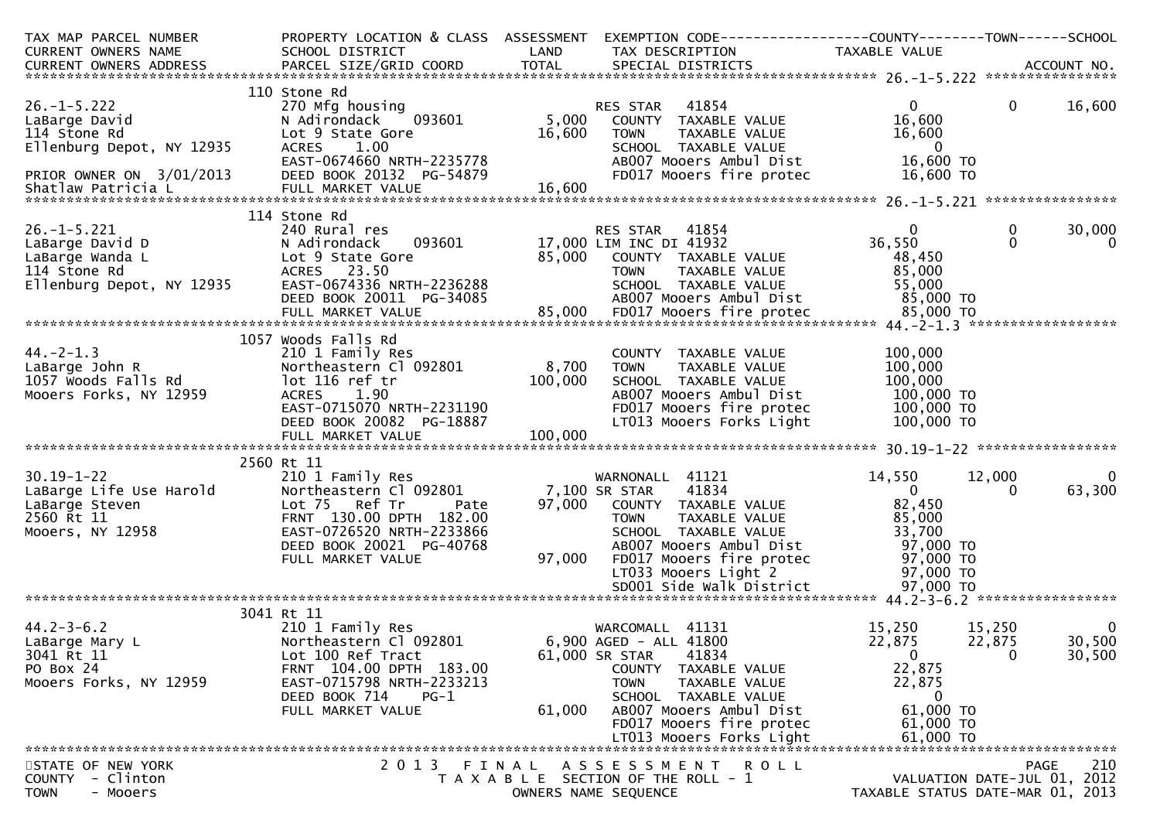| TAX MAP PARCEL NUMBER<br>CURRENT OWNERS NAME<br>CURRENT OWNERS ADDRESS                                                           | SCHOOL DISTRICT                                                                                                                                                                       | LAND                      | PROPERTY LOCATION & CLASS ASSESSMENT EXEMPTION CODE----------------COUNTY-------TOWN------SCHOOL<br>TAX DESCRIPTION                                                                                                                     | TAXABLE VALUE                                                                                          |                                                                                       |
|----------------------------------------------------------------------------------------------------------------------------------|---------------------------------------------------------------------------------------------------------------------------------------------------------------------------------------|---------------------------|-----------------------------------------------------------------------------------------------------------------------------------------------------------------------------------------------------------------------------------------|--------------------------------------------------------------------------------------------------------|---------------------------------------------------------------------------------------|
|                                                                                                                                  |                                                                                                                                                                                       |                           |                                                                                                                                                                                                                                         |                                                                                                        |                                                                                       |
| $26. -1 - 5.222$<br>LaBarge David<br>114 Stone Rd<br>Ellenburg Depot, NY 12935<br>PRIOR OWNER ON 3/01/2013<br>Shatlaw Patricia L | 110 Stone Rd<br>270 Mfg housing<br>093601<br>N Adirondack<br>Lot 9 State Gore<br>ACRES 1.00<br>EAST-0674660 NRTH-2235778<br>DEED BOOK 20132 PG-54879                                  | 5,000<br>16,600<br>16,600 | 41854<br>RES STAR<br>COUNTY TAXABLE VALUE<br>TAXABLE VALUE<br><b>TOWN</b><br>SCHOOL TAXABLE VALUE<br>AB007 Mooers Ambul Dist<br>FD017 Mooers fire protec                                                                                | $\mathbf{0}$<br>16,600<br>16,600<br>$\overline{\phantom{0}}$<br>16,600 TO<br>16,600 TO                 | $\mathbf{0}$<br>16,600                                                                |
|                                                                                                                                  | 114 Stone Rd                                                                                                                                                                          |                           |                                                                                                                                                                                                                                         |                                                                                                        |                                                                                       |
| $26. -1 - 5.221$<br>26.-1-5.221<br>LaBarge David D<br>LaBarge Wanda L<br>114 Stone Rd<br>Ellenburg Depot, NY 12935               | 240 Rural res<br>N Adirondack<br>Lot 9 State Gore<br>ACRES 23.50<br>EAST-0674336 NRTH-2236288                                                                                         |                           | RES STAR 41854<br>RES STAR 41854<br>093601 17,000 LIM INC DI 41932<br>85,000 COUNTY TAXABLE VALUE<br><b>TOWN</b><br>TAXABLE VALUE<br>SCHOOL TAXABLE VALUE                                                                               | $\mathbf{0}$<br>36,550<br>48,450<br>85,000<br>55,000                                                   | 30,000<br>0<br>$\Omega$<br>$\mathbf{0}$                                               |
|                                                                                                                                  |                                                                                                                                                                                       |                           |                                                                                                                                                                                                                                         |                                                                                                        |                                                                                       |
| $44. -2 - 1.3$<br>44.-2-1.3<br>LaBarge John R<br>1057 Woods Falls Rd<br>Mooers Forks, NY 12959                                   | 1057 Woods Falls Rd<br>210 1 Family Res<br>Northeastern Cl 092801<br>lot 116 ref tr<br>EAST-0715070 NRTH-2231190<br>DEED BOOK 20082 PG-18887                                          | 8,700<br>100,000          | COUNTY TAXABLE VALUE<br>TAXABLE VALUE<br><b>TOWN</b><br>SCHOOL TAXABLE VALUE<br>AB007 Mooers Ambul Dist<br>FD017 Mooers fire protec<br>LT013 Mooers Forks Light                                                                         | 100,000<br>100,000<br>100,000<br>100,000 TO<br>100,000 TO<br>100,000 TO                                |                                                                                       |
|                                                                                                                                  | 2560 Rt 11                                                                                                                                                                            |                           |                                                                                                                                                                                                                                         |                                                                                                        |                                                                                       |
| 30.19-1-22<br>LaBarge Life Use Harold<br>LaBarge Steven<br>2560 Rt 11<br>Mooers, NY 12958                                        | 210 1 Family Res<br>Northeastern Cl 092801<br>Lot 75 Ref Tr<br>Pate<br>FRNT 130.00 DPTH 182.00<br>EAST-0726520 NRTH-2233866<br>DEED BOOK 20021 PG-40768<br>FULL MARKET VALUE          | 97,000<br>97,000          | WARNONALL 41121<br>7,100 SR STAR<br>41834<br>COUNTY TAXABLE VALUE<br><b>TOWN</b><br>TAXABLE VALUE<br>SCHOOL TAXABLE VALUE<br>AB007 Mooers Ambul Dist<br>FD017 Mooers fire protec<br>LT033 Mooers Light 2                                | 14,550<br>$\overline{\mathbf{0}}$<br>82,450<br>85,000<br>33,700<br>97,000 TO<br>97,000 TO<br>97,000 TO | $\mathbf{0}$<br>12,000<br>63,300<br>$\Omega$                                          |
|                                                                                                                                  |                                                                                                                                                                                       |                           |                                                                                                                                                                                                                                         |                                                                                                        |                                                                                       |
| $44.2 - 3 - 6.2$<br>LaBarge Mary L<br>3041 Rt 11<br>PO Box 24<br>Mooers Forks, NY 12959                                          | 3041 Rt 11<br>210 1 Family Res<br>Northeastern Cl 092801<br>Lot 100 Ref Tract<br>FRNT 104.00 DPTH 183.00<br>EAST-0715798 NRTH-2233213<br>DEED BOOK 714<br>$PG-1$<br>FULL MARKET VALUE | 61,000                    | WARCOMALL 41131<br>6,900 AGED - ALL 41800<br>41834<br>61,000 SR STAR<br>COUNTY TAXABLE VALUE<br><b>TOWN</b><br>TAXABLE VALUE<br>SCHOOL TAXABLE VALUE<br>AB007 Mooers Ambul Dist<br>FD017 Mooers fire protec<br>LT013 Mooers Forks Light | 15,250<br>22,875<br>$\mathbf 0$<br>22,875<br>22,875<br>$\bf{0}$<br>61,000 TO<br>61,000 TO<br>61,000 TO | 15,250<br>$\overline{0}$<br>30,500<br>22,875<br>$\mathbf 0$<br>30,500                 |
| STATE OF NEW YORK<br>COUNTY - Clinton<br>- Mooers<br><b>TOWN</b>                                                                 | 2 0 1 3                                                                                                                                                                               | FINAL                     | A S S E S S M E N T<br><b>ROLL</b><br>T A X A B L E SECTION OF THE ROLL - 1<br>OWNERS NAME SEQUENCE                                                                                                                                     |                                                                                                        | 210<br><b>PAGE</b><br>VALUATION DATE-JUL 01, 2012<br>TAXABLE STATUS DATE-MAR 01, 2013 |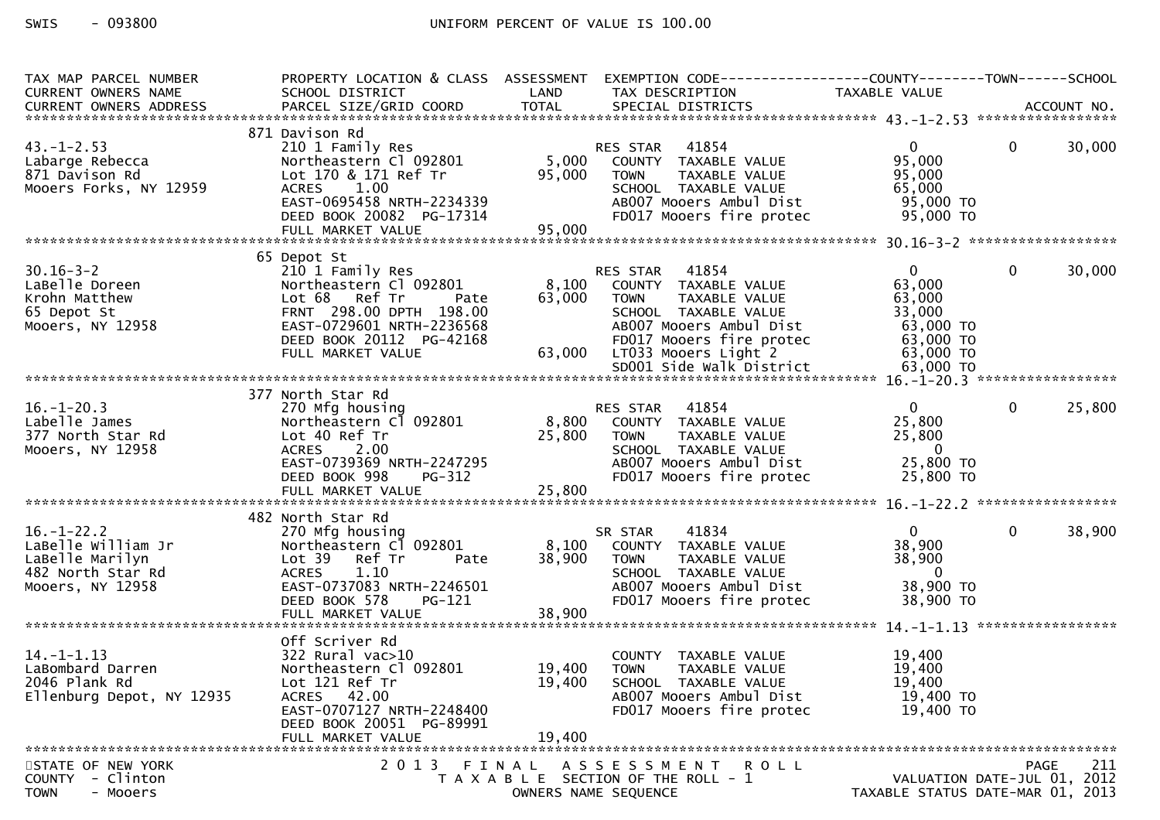$-093800$ SWIS

| TAX MAP PARCEL NUMBER<br>CURRENT OWNERS NAME<br>CURRENT OWNERS ADDRESS                             | PROPERTY LOCATION & CLASS ASSESSMENT<br>SCHOOL DISTRICT                                                                                                                      | LAND                      | TAX DESCRIPTION                                                                                                                                                           | EXEMPTION CODE------------------COUNTY--------TOWN------SCHOOL<br>TAXABLE VALUE                            |
|----------------------------------------------------------------------------------------------------|------------------------------------------------------------------------------------------------------------------------------------------------------------------------------|---------------------------|---------------------------------------------------------------------------------------------------------------------------------------------------------------------------|------------------------------------------------------------------------------------------------------------|
|                                                                                                    |                                                                                                                                                                              |                           |                                                                                                                                                                           |                                                                                                            |
| $43. - 1 - 2.53$<br>Labarge Rebecca<br>871 Davison Rd<br>Mooers Forks, NY 12959                    | 871 Davison Rd<br>210 1 Family Res<br>Northeastern Cl 092801<br>Lot 170 & 171 Ref Tr<br>ACRES 1.00<br>EAST-0695458 NRTH-2234339                                              | 5,000<br>95,000           | 41854<br>RES STAR<br>COUNTY TAXABLE VALUE<br>TAXABLE VALUE<br><b>TOWN</b><br>SCHOOL TAXABLE VALUE<br>AB007 Mooers Ambul Dist                                              | 30,000<br>$\overline{0}$<br>$\overline{0}$<br>95,000<br>95,000<br>65,000<br>95,000 TO                      |
|                                                                                                    | DEED BOOK 20082 PG-17314                                                                                                                                                     |                           | FD017 Mooers fire protec                                                                                                                                                  | 95,000 TO                                                                                                  |
|                                                                                                    | 65 Depot St                                                                                                                                                                  |                           |                                                                                                                                                                           |                                                                                                            |
| $30.16 - 3 - 2$<br>LaBelle Doreen<br>Krohn Matthew<br>65 Depot St<br>Mooers, NY 12958              | 210 1 Family Res<br>Northeastern Cl 092801<br>Lot 68 Ref Tr<br>Pate<br>FRNT 298.00 DPTH 198.00<br>EAST-0729601 NRTH-2236568<br>DEED BOOK 20112 PG-42168<br>FULL MARKET VALUE | 8,100<br>63,000<br>63,000 | RES STAR<br>41854<br>COUNTY TAXABLE VALUE<br>TAXABLE VALUE<br>TOWN<br>SCHOOL TAXABLE VALUE<br>AB007 Mooers Ambul Dist<br>FD017 Mooers fire protec<br>LT033 Mooers Light 2 | $\mathbf{0}$<br>$\mathbf 0$<br>30,000<br>63,000<br>63,000<br>33,000<br>63,000 TO<br>63,000 TO<br>63,000 TO |
|                                                                                                    |                                                                                                                                                                              |                           |                                                                                                                                                                           |                                                                                                            |
| $16. - 1 - 20.3$<br>Labelle James<br>377 North Star Rd<br>Mooers, NY 12958                         | 377 North Star Rd<br>270 Mfg housing<br>Northeastern Cl 092801<br>Lot 40 Ref Tr<br>ACRES 2.00<br>EAST-0739369 NRTH-2247295<br>DEED BOOK 998<br><b>PG-312</b>                 | 8,800<br>25,800           | 41854<br>RES STAR<br>COUNTY TAXABLE VALUE<br><b>TOWN</b><br>TAXABLE VALUE<br>SCHOOL TAXABLE VALUE<br>AB007 Mooers Ambul Dist<br>FD017 Mooers fire protec                  | 25,800<br>$\overline{0}$<br>$\overline{0}$<br>25,800<br>25,800<br>$\mathbf 0$<br>25,800 TO<br>25,800 TO    |
|                                                                                                    |                                                                                                                                                                              |                           |                                                                                                                                                                           |                                                                                                            |
|                                                                                                    | 482 North Star Rd                                                                                                                                                            |                           |                                                                                                                                                                           |                                                                                                            |
| $16. - 1 - 22.2$<br>LaBelle William Jr<br>LaBelle Marilyn<br>482 North Star Rd<br>Mooers, NY 12958 | 270 Mfg housing<br>Northeastern Cl 092801<br>Ref Tr<br>Lot 39<br>Pate<br>1.10<br><b>ACRES</b><br>EAST-0737083 NRTH-2246501<br>DEED BOOK 578<br>PG-121                        | 8,100<br>38,900           | SR STAR<br>41834<br>COUNTY TAXABLE VALUE<br><b>TOWN</b><br>TAXABLE VALUE<br>SCHOOL TAXABLE VALUE<br>AB007 Mooers Ambul Dist<br>FD017 Mooers fire protec                   | 38,900<br>$\Omega$<br>$\mathbf{0}$<br>38,900<br>38,900<br>$\mathbf 0$<br>38,900 TO<br>38,900 TO            |
|                                                                                                    | FULL MARKET VALUE                                                                                                                                                            | 38,900                    |                                                                                                                                                                           |                                                                                                            |
|                                                                                                    | Off Scriver Rd                                                                                                                                                               |                           |                                                                                                                                                                           |                                                                                                            |
| $14. - 1 - 1.13$<br>LaBombard Darren<br>2046 Plank Rd<br>Ellenburg Depot, NY 12935                 | $322$ Rural vac $>10$<br>Northeastern Cl 092801<br>Lot 121 Ref Tr<br>ACRES 42.00<br>EAST-0707127 NRTH-2248400<br>DEED BOOK 20051 PG-89991                                    | 19,400<br>19,400          | COUNTY TAXABLE VALUE<br><b>TOWN</b><br>TAXABLE VALUE<br>SCHOOL TAXABLE VALUE<br>AB007 Mooers Ambul Dist<br>FD017 Mooers fire protec                                       | 19,400<br>19,400<br>19,400<br>$19,400$ TO<br>19,400 TO                                                     |
|                                                                                                    | FULL MARKET VALUE                                                                                                                                                            | 19,400                    |                                                                                                                                                                           |                                                                                                            |
| STATE OF NEW YORK<br>- Clinton<br><b>COUNTY</b><br><b>TOWN</b><br>- Mooers                         |                                                                                                                                                                              |                           | 2013 FINAL ASSESSMENT ROLL<br>T A X A B L E SECTION OF THE ROLL - 1<br>OWNERS NAME SEQUENCE                                                                               | 211<br>PAGE<br>VALUATION DATE-JUL 01, 2012<br>TAXABLE STATUS DATE-MAR 01, 2013                             |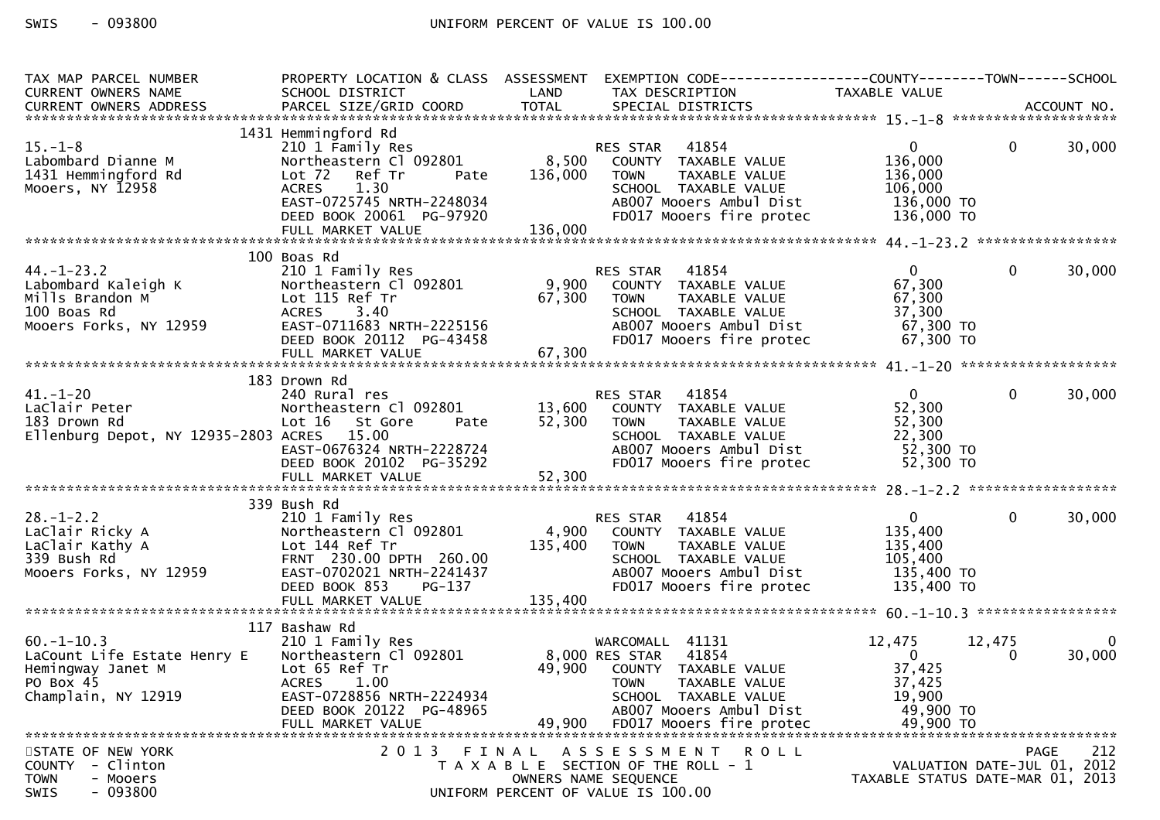| TAX MAP PARCEL NUMBER<br>CURRENT OWNERS NAME                                                            | PROPERTY LOCATION & CLASS ASSESSMENT<br>SCHOOL DISTRICT                                                                                                                                    | LAND               | EXEMPTION        CODE------------------COUNTY-------TOWN------SCHOOL<br>TAX DESCRIPTION                                                                                           | TAXABLE VALUE                                                              |                             |                    |
|---------------------------------------------------------------------------------------------------------|--------------------------------------------------------------------------------------------------------------------------------------------------------------------------------------------|--------------------|-----------------------------------------------------------------------------------------------------------------------------------------------------------------------------------|----------------------------------------------------------------------------|-----------------------------|--------------------|
|                                                                                                         |                                                                                                                                                                                            |                    |                                                                                                                                                                                   |                                                                            |                             |                    |
| $15. - 1 - 8$<br>Labombard Dianne M<br>1431 Hemmingford Rd<br>Mooers, NY 12958                          | 1431 Hemmingford Rd<br>210 1 Family Res<br>Northeastern Cl 092801<br>Lot 72 Ref Tr<br>Pate<br><b>ACRES</b><br>1.30<br>EAST-0725745 NRTH-2248034<br>DEED BOOK 20061 PG-97920                | 8,500<br>136,000   | 41854<br>RES STAR<br>COUNTY TAXABLE VALUE<br><b>TOWN</b><br>TAXABLE VALUE<br>SCHOOL TAXABLE VALUE<br>AB007 Mooers Ambul Dist<br>FD017 Mooers fire protec                          | $\mathbf{0}$<br>136,000<br>136,000<br>106,000<br>136,000 TO<br>136,000 TO  | $\mathbf{0}$                | 30,000             |
|                                                                                                         | 100 Boas Rd                                                                                                                                                                                |                    |                                                                                                                                                                                   |                                                                            |                             |                    |
| $44. - 1 - 23.2$<br>Labombard Kaleigh K<br>Mills Brandon M<br>100 Boas Rd<br>Mooers Forks, NY 12959     | 210 1 Family Res<br>Northeastern Cl 092801<br>Lot 115 Ref Tr<br><b>ACRES</b><br>3.40<br>EAST-0711683 NRTH-2225156<br>DEED BOOK 20112 PG-43458<br>FULL MARKET VALUE                         | 67,300<br>67,300   | 41854<br>RES STAR<br>9,900 COUNTY TAXABLE VALUE<br>TAXABLE VALUE<br>TOWN<br>SCHOOL TAXABLE VALUE<br>AB007 Mooers Ambul Dist<br>FD017 Mooers fire protec                           | $\overline{0}$<br>67,300<br>67,300<br>37,300<br>67,300 TO<br>67,300 TO     | $\Omega$                    | 30,000             |
|                                                                                                         | 183 Drown Rd                                                                                                                                                                               |                    |                                                                                                                                                                                   |                                                                            |                             |                    |
| $41. - 1 - 20$<br>LaClair Peter<br>183 Drown Rd<br>Ellenburg Depot, NY 12935-2803 ACRES 15.00           | 240 Rural res<br>Northeastern Cl 092801<br>Lot 16 St Gore<br>Pate<br>EAST-0676324 NRTH-2228724<br>DEED BOOK 20102 PG-35292                                                                 | 13,600<br>52,300   | 41854<br>RES STAR<br>COUNTY TAXABLE VALUE<br>TAXABLE VALUE<br>TOWN<br>SCHOOL TAXABLE VALUE<br>AB007 Mooers Ambul Dist<br>FD017 Mooers fire protec                                 | $\mathbf{0}$<br>52,300<br>52,300<br>22,300<br>52,300 TO<br>52,300 TO       | $\mathbf{0}$                | 30,000             |
|                                                                                                         |                                                                                                                                                                                            |                    |                                                                                                                                                                                   |                                                                            |                             |                    |
| $28. - 1 - 2.2$<br>LaClair Ricky A<br>LaClair Kathy A<br>339 Bush Rd<br>Mooers Forks, NY 12959          | 339 Bush Rd<br>210 1 Family Res<br>Northeastern Cl 092801<br>Lot 144 Ref Tr<br>FRNT 230.00 DPTH 260.00<br>EAST-0702021 NRTH-2241437<br>DEED BOOK 853<br><b>PG-137</b><br>FULL MARKET VALUE | 135,400<br>135,400 | 41854<br>RES STAR<br>4,900 COUNTY TAXABLE VALUE<br><b>TAXABLE VALUE</b><br>TOWN<br>SCHOOL TAXABLE VALUE<br>AB007 Mooers Ambul Dist<br>FD017 Mooers fire protec                    | $\mathbf{0}$<br>135,400<br>135,400<br>105,400<br>135,400 TO<br>135,400 TO  | $\mathbf 0$                 | 30,000             |
|                                                                                                         |                                                                                                                                                                                            |                    |                                                                                                                                                                                   |                                                                            |                             |                    |
| $60. -1 - 10.3$<br>LaCount Life Estate Henry E<br>Hemingway Janet M<br>PO Box 45<br>Champlain, NY 12919 | 117 Bashaw Rd<br>210 1 Family Res<br>Northeastern Cl 092801<br>Lot 65 Ref Tr<br><b>ACRES</b><br>1.00<br>EAST-0728856 NRTH-2224934<br>DEED BOOK 20122 PG-48965<br>FULL MARKET VALUE         | 49,900<br>49,900   | WARCOMALL 41131<br>41854<br>8,000 RES STAR<br>COUNTY TAXABLE VALUE<br><b>TOWN</b><br>TAXABLE VALUE<br>SCHOOL TAXABLE VALUE<br>AB007 Mooers Ambul Dist<br>FD017 Mooers fire protec | 12,475<br>$\Omega$<br>37,425<br>37,425<br>19,900<br>49,900 TO<br>49,900 TO | 12,475<br>$\Omega$          | $\Omega$<br>30,000 |
| STATE OF NEW YORK                                                                                       | 2 0 1 3                                                                                                                                                                                    | FINAL              | A S S E S S M E N T<br>R O L L                                                                                                                                                    |                                                                            | <b>PAGE</b>                 | 212                |
| - Clinton<br><b>COUNTY</b><br><b>TOWN</b><br>- Mooers<br>$-093800$<br>SWIS                              |                                                                                                                                                                                            |                    | T A X A B L E SECTION OF THE ROLL - 1<br>OWNERS NAME SEQUENCE<br>UNIFORM PERCENT OF VALUE IS 100.00                                                                               | TAXABLE STATUS DATE-MAR 01, 2013                                           | VALUATION DATE-JUL 01, 2012 |                    |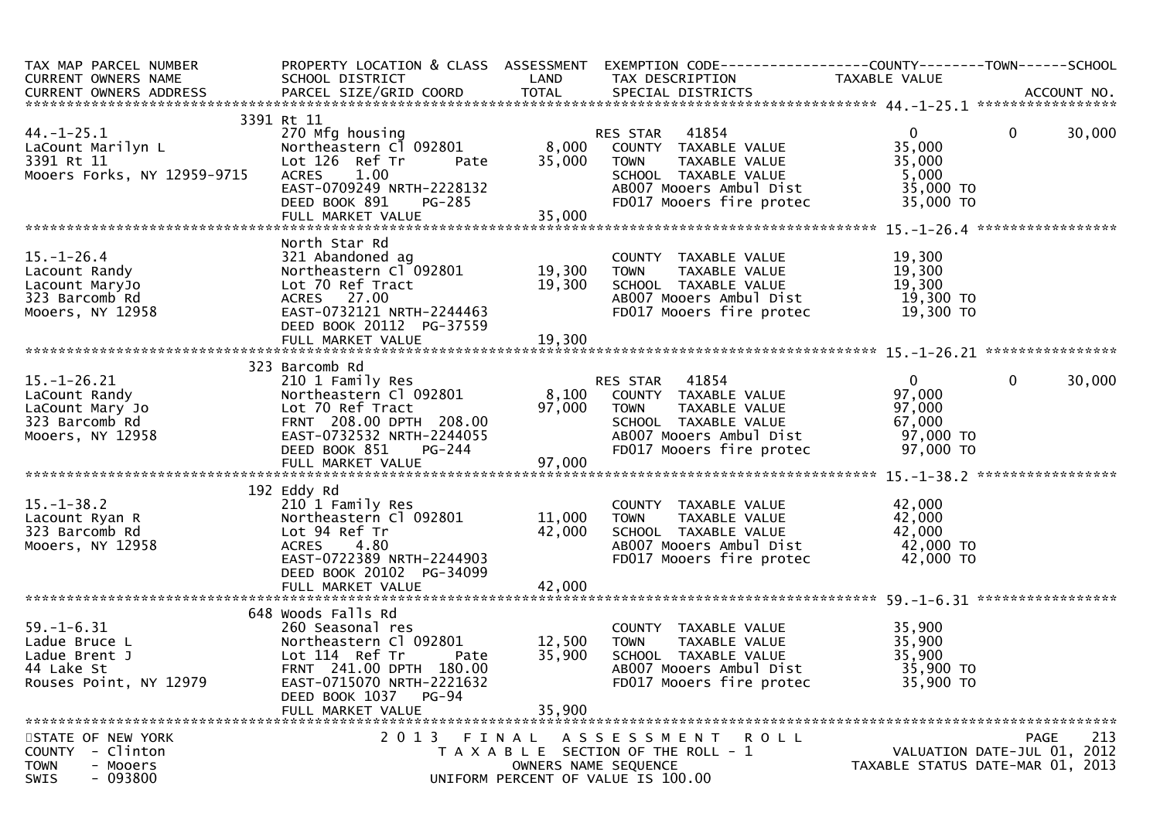| TAX MAP PARCEL NUMBER<br>CURRENT OWNERS NAME<br>CURRENT OWNERS ADDRESS FORCEL SIZE/GRID COORD TOTAL SPECIAL DISTRICTS CORRENT OWNERS ADDRESS PARCEL SIZE/GRID COORD TOTAL SPECIAL DISTRICTS ACCOUNT NO.                                                                  | SCHOOL DISTRICT                                                                                                                                                                                                                         | LAND                       | PROPERTY LOCATION & CLASS ASSESSMENT EXEMPTION CODE----------------COUNTY-------TOWN------SCHOOL<br>TAX DESCRIPTION                     | TAXABLE VALUE                                                              |                                                                 |
|--------------------------------------------------------------------------------------------------------------------------------------------------------------------------------------------------------------------------------------------------------------------------|-----------------------------------------------------------------------------------------------------------------------------------------------------------------------------------------------------------------------------------------|----------------------------|-----------------------------------------------------------------------------------------------------------------------------------------|----------------------------------------------------------------------------|-----------------------------------------------------------------|
|                                                                                                                                                                                                                                                                          |                                                                                                                                                                                                                                         |                            |                                                                                                                                         |                                                                            |                                                                 |
| 44.-1-25.1<br>LaCount Marilyn L<br>3391 Rt 11 Letter Cl 092801<br>270 Mfg housing<br>270 Mfg housing<br>270 Mfg housing<br>270 Mfg housing<br>270 Mfg housing<br>270 Mfg housing<br>270 Mfg housing<br>270 Mfg housing<br>270 Mfg housing<br>Mooers Forks, NY 12959-9715 | 3391 Rt 11<br>Pate<br>ACRES 1.00<br>ACRES 1.00<br>EAST-0709249 NRTH-2228132                                                                                                                                                             | 35,000                     | RES STAR 41854<br>8,000 COUNTY TAXABLE VALUE<br><b>TOWN</b><br>TAXABLE VALUE<br>SCHOOL TAXABLE VALUE<br>ABOO7 Mooers Ambul Dist         | $\mathbf{0}$<br>35,000<br>35,000<br>5,000<br>35,000 TO                     | $\overline{0}$<br>30,000                                        |
|                                                                                                                                                                                                                                                                          | DEED BOOK 891<br>PG-285                                                                                                                                                                                                                 |                            | FD017 Mooers fire protec                                                                                                                | 35,000 TO                                                                  |                                                                 |
|                                                                                                                                                                                                                                                                          |                                                                                                                                                                                                                                         |                            |                                                                                                                                         |                                                                            |                                                                 |
| $15. - 1 - 26.4$<br>⊥J.-⊥-∠o.4<br>Lacount Randy<br>Lacount MaryJo<br>323 Barcomb Rd<br>Mooers, NY 12958                                                                                                                                                                  | North Star Rd<br>321 Abandoned ag COUNTY<br>Northeastern Cl 092801 19,300 TOWN<br>Lot 70 Ref Tract 19,300 SCHOOL<br>ACRES 27.00 AB007 MC<br>EAST-0732121 NRTH-2244463 FD017 MC<br>EAST-0732121 NRTH-2244463<br>DEED BOOK 20112 PG-37559 |                            | COUNTY TAXABLE VALUE<br>TOWN     TAXABLE VALUE<br>SCHOOL TAXABLE VALUE<br>AB007 Mooers Ambul Dist 19,300 TO<br>FD017 Mooers fire protec | 19, JUL<br>19, 300<br>19, 300<br>19, 3′<br>19,300 TO                       |                                                                 |
|                                                                                                                                                                                                                                                                          |                                                                                                                                                                                                                                         |                            |                                                                                                                                         |                                                                            |                                                                 |
|                                                                                                                                                                                                                                                                          | 323 Barcomb Rd                                                                                                                                                                                                                          |                            |                                                                                                                                         |                                                                            |                                                                 |
| $15. - 1 - 26.21$<br>LaCount Randy<br>LaCount Mary Jo<br>323 Barcomb Rd<br>Mooers, NY 12958                                                                                                                                                                              | Lot 70 Ref Tract 97,000 TOWN<br>FRNT 208.00 DPTH 208.00 SCHOOL<br>EAST-0732532 NRTH-2244055 AB007 M<br>DEED BOOK 851                                                                                                                    | $PG-244$                   | TAXABLE VALUE<br>SCHOOL TAXABLE VALUE<br>ABOO7 Mooers Ambul Dist<br>FD017 Mooers fire protec 97,000 TO                                  | $\overline{0}$<br>97,000<br>97,000<br>67,000<br>$97,000$ T0<br>$97,000$ T0 | $\mathbf 0$<br>30,000                                           |
|                                                                                                                                                                                                                                                                          |                                                                                                                                                                                                                                         |                            |                                                                                                                                         |                                                                            |                                                                 |
| $15.-1-38.2$<br>Lacount Ryan R<br>323 Barcomb Rd<br>Mooers, NY 12958                                                                                                                                                                                                     | 192 Eddy Rd<br>210 1 Family Res<br>Northeastern C1 092801 11,000 TOWN<br>Lot 94 Ref Tr<br>ACRES 4.80<br>EAST-0722389 NRTH-2244903<br>DEED BOOK 20102 PG-34099                                                                           | 42,000                     | COUNTY TAXABLE VALUE<br>TOWN     TAXABLE VALUE<br>SCHOOL TAXABLE VALUE<br>AB007 Mooers Ambul Dist<br>FD017 Mooers fire protec           | 42,000<br>42,000<br>42,000<br>42,000 то<br>42,000 то                       |                                                                 |
|                                                                                                                                                                                                                                                                          |                                                                                                                                                                                                                                         |                            |                                                                                                                                         |                                                                            |                                                                 |
| $59. - 1 - 6.31$<br>Ladue Bruce L<br>Ladue Brent J<br>44 Lake St<br>Rouses Point, NY 12979                                                                                                                                                                               | 648 Woods Falls Rd<br>260 Seasonal res<br>Northeastern Cl 092801<br>Lot 114 Ref Tr<br>Pate<br>FRNT 241.00 DPTH 180.00<br>EAST-0715070 NRTH-2221632<br>DEED BOOK 1037<br>PG-94<br>FULL MARKET VALUE                                      | 12,500<br>35,900<br>35,900 | COUNTY TAXABLE VALUE<br><b>TOWN</b><br>TAXABLE VALUE<br>SCHOOL TAXABLE VALUE<br>AB007 Mooers Ambul Dist<br>FD017 Mooers fire protec     | 35,<br>35,900<br>35.900<br>35,900 TO<br>35,900 TO                          |                                                                 |
| STATE OF NEW YORK                                                                                                                                                                                                                                                        | 2013 FINAL                                                                                                                                                                                                                              |                            | ASSESSMENT ROLL                                                                                                                         |                                                                            | 213<br>PAGE                                                     |
| COUNTY - Clinton<br><b>TOWN</b><br>- Mooers<br>$-093800$<br><b>SWIS</b>                                                                                                                                                                                                  |                                                                                                                                                                                                                                         |                            | T A X A B L E SECTION OF THE ROLL - 1<br>OWNERS NAME SEQUENCE<br>UNIFORM PERCENT OF VALUE IS 100.00                                     |                                                                            | VALUATION DATE-JUL 01, 2012<br>TAXABLE STATUS DATE-MAR 01, 2013 |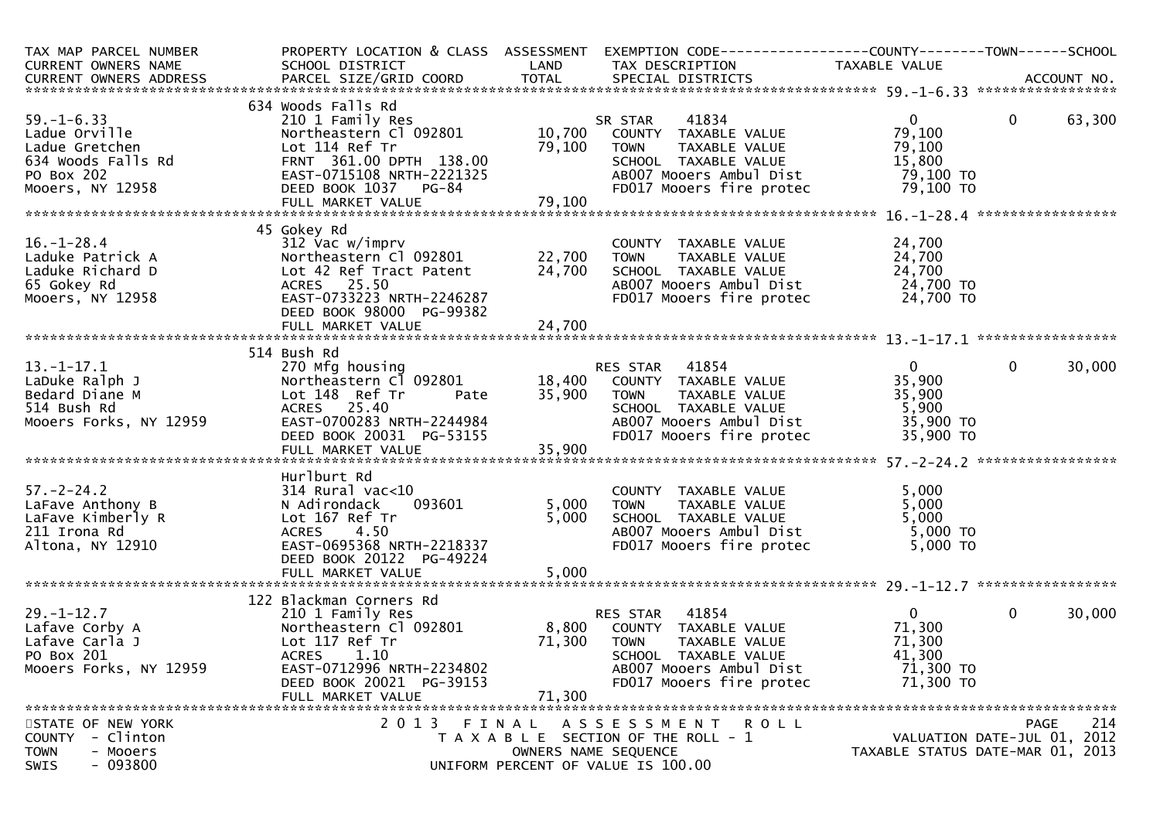| TAX MAP PARCEL NUMBER<br>CURRENT OWNERS NAME                                                                | PROPERTY LOCATION & CLASS ASSESSMENT<br>SCHOOL DISTRICT                                                                                                                               | LAND                    | EXEMPTION CODE-----------------COUNTY--------TOWN------SCHOOL<br>TAX DESCRIPTION                                                                             | TAXABLE VALUE                                                        |                |        |
|-------------------------------------------------------------------------------------------------------------|---------------------------------------------------------------------------------------------------------------------------------------------------------------------------------------|-------------------------|--------------------------------------------------------------------------------------------------------------------------------------------------------------|----------------------------------------------------------------------|----------------|--------|
| $59. - 1 - 6.33$<br>Ladue Orville<br>Ladue Gretchen<br>634 Woods Falls Rd<br>PO Box 202<br>Mooers, NY 12958 | 634 Woods Falls Rd<br>210 1 Family Res<br>Northeastern Cl 092801<br>Lot 114 Ref Tr<br>FRNT 361.00 DPTH 138.00<br>EAST-0715108 NRTH-2221325<br>DEED BOOK 1037 PG-84                    | 10,700<br>79,100        | 41834<br>SR STAR<br>COUNTY TAXABLE VALUE<br>TAXABLE VALUE<br><b>TOWN</b><br>SCHOOL TAXABLE VALUE<br>AB007 Mooers Ambul Dist<br>FD017 Mooers fire protec      | $\mathbf{0}$<br>79,100<br>79,100<br>15,800<br>79,100 TO<br>79,100 TO | $\overline{0}$ | 63,300 |
|                                                                                                             |                                                                                                                                                                                       |                         |                                                                                                                                                              |                                                                      |                |        |
| $16. - 1 - 28.4$<br>Laduke Patrick A<br>Laduke Richard D<br>65 Gokey Rd<br>Mooers, NY 12958                 | 45 Gokey Rd<br>312 Vac w/imprv<br>Siz vac w/imprv<br>Northeastern Cl 092801 22,700<br>Lot 42 Ref Tract Patent<br>ACRES 25.50<br>EAST-0733223 NRTH-2246287<br>DEED BOOK 98000 PG-99382 | 24,700                  | COUNTY TAXABLE VALUE<br>TAXABLE VALUE<br><b>TOWN</b><br>SCHOOL TAXABLE VALUE<br>AB007 Mooers Ambul Dist<br>FD017 Mooers fire protec                          | 24,700<br>24,700<br>24,700<br>24,700 TO<br>24,700 TO                 |                |        |
|                                                                                                             |                                                                                                                                                                                       |                         |                                                                                                                                                              |                                                                      |                |        |
| $13.-1-17.1$<br>LaDuke Ralph J<br>Bedard Diane M<br>514 Bush Rd<br>Mooers Forks, NY 12959                   | 514 Bush Rd<br>270 Mfg housing<br>Northeastern Cl 092801<br>Lot 148 Ref Tr<br>Pate<br>ACRES 25.40<br>$A$ LAST-0700283 NRTH-2244984<br>DEED BOOK 20031 PG-53155                        | 35,900                  | RES STAR 41854<br>18,400 COUNTY TAXABLE VALUE<br><b>TOWN</b><br>TAXABLE VALUE<br>SCHOOL TAXABLE VALUE<br>AB007 Mooers Ambul Dist<br>FD017 Mooers fire protec | $\mathbf{0}$<br>35,900<br>35,900<br>5,900<br>35,900 TO<br>35,900 TO  | $\mathbf{0}$   | 30,000 |
| $57. - 2 - 24.2$<br>LaFave Anthony B<br>LaFave Kimberly R<br>211 Irona Rd<br>Altona, NY 12910               | Hurlburt Rd<br>$314$ Rural vac<10<br>093601<br>N Adirondack<br>Lot 167 Ref Tr<br>4.50<br><b>ACRES</b><br>EAST-0695368 NRTH-2218337<br>DEED BOOK 20122 PG-49224<br>FULL MARKET VALUE   | 5,000<br>5,000<br>5,000 | COUNTY TAXABLE VALUE<br><b>TOWN</b><br>TAXABLE VALUE<br>SCHOOL TAXABLE VALUE<br>AB007 Mooers Ambul Dist<br>FD017 Mooers fire protec                          | 5,000<br>5,000<br>5,000<br>5,000 TO<br>5,000 TO                      |                |        |
|                                                                                                             | 122 Blackman Corners Rd                                                                                                                                                               |                         |                                                                                                                                                              |                                                                      |                |        |
| $29. - 1 - 12.7$<br>Lafave Corby A<br>Lafave Carla J<br>PO Box 201<br>Mooers Forks, NY 12959                | 210 1 Family Res<br>Northeastern Cl 092801<br>Lot 117 Ref Tr<br><b>ACRES</b><br>1.10<br>EAST-0712996 NRTH-2234802<br>DEED BOOK 20021 PG-39153<br>FULL MARKET VALUE                    | 71,300<br>71,300        | RES STAR 41854<br>8,800 COUNTY TAXABLE VALUE<br><b>TOWN</b><br>TAXABLE VALUE<br>SCHOOL TAXABLE VALUE<br>AB007 Mooers Ambul Dist<br>FD017 Mooers fire protec  | $\mathbf{0}$<br>71,300<br>71,300<br>41,300<br>71,300 TO<br>71,300 TO | $\mathbf{0}$   | 30,000 |
| STATE OF NEW YORK<br>COUNTY - Clinton<br><b>TOWN</b><br>- Mooers<br>$-093800$<br>SWIS                       | 2013                                                                                                                                                                                  | FINAL                   | A S S E S S M E N T<br>ROLL<br>T A X A B L E SECTION OF THE ROLL - 1<br>OWNERS NAME SEQUENCE<br>UNIFORM PERCENT OF VALUE IS 100.00                           | VALUATION DATE-JUL 01, 2012<br>TAXABLE STATUS DATE-MAR 01, 2013      | <b>PAGE</b>    | 214    |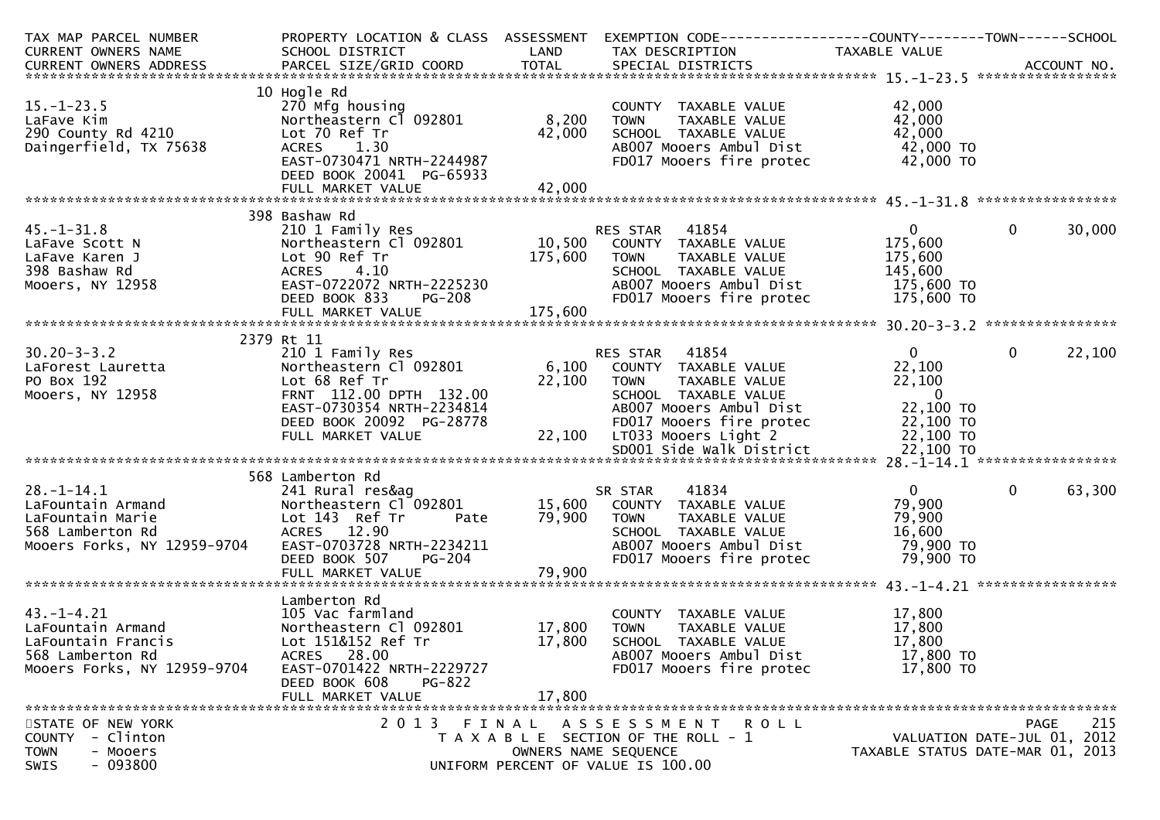| TAX MAP PARCEL NUMBER                                                                                                                                                                                                          |                                                                                                                                                                                 |                      | PROPERTY LOCATION & CLASS ASSESSMENT EXEMPTION CODE----------------COUNTY-------TOWN------SCHOOL                                                                        |                                                                      |                                                                                       |
|--------------------------------------------------------------------------------------------------------------------------------------------------------------------------------------------------------------------------------|---------------------------------------------------------------------------------------------------------------------------------------------------------------------------------|----------------------|-------------------------------------------------------------------------------------------------------------------------------------------------------------------------|----------------------------------------------------------------------|---------------------------------------------------------------------------------------|
| CURRENT OWNERS NAME                                                                                                                                                                                                            | SCHOOL DISTRICT                                                                                                                                                                 | LAND                 | TAX DESCRIPTION                                                                                                                                                         | TAXABLE VALUE                                                        |                                                                                       |
| CURRENT OWNERS ADDRESS FARCEL SIZE/GRID COORD TOTAL SPECIAL DISTRICTS AND MESS ADDRESS FARCEL SIZE/GRID COORD TOTAL SPECIAL DISTRICTS AND MANUSIC MANAGERS AND MESS OF THE STATE OF THE STATE OF THE SECOND TO A SERVER AND TO |                                                                                                                                                                                 |                      |                                                                                                                                                                         |                                                                      |                                                                                       |
| $15. - 1 - 23.5$<br>LaFave Kim<br>290 County Rd 4210<br>Daingerfield, TX 75638                                                                                                                                                 | 10 Hogle Rd<br>270 Mfg housing<br>Northeastern Cl 092801<br>Lot 70 Ref Tr<br>1.30<br><b>ACRES</b><br>EAST-0730471 NRTH-2244987<br>DEED BOOK 20041 PG-65933                      | 8,200<br>42,000      | COUNTY TAXABLE VALUE<br>TAXABLE VALUE<br><b>TOWN</b><br>SCHOOL TAXABLE VALUE<br>AB007 Mooers Ambul Dist<br>FD017 Mooers fire protec                                     | 42,000<br>42,000<br>42,000<br>42,000 TO<br>42,000 TO                 |                                                                                       |
|                                                                                                                                                                                                                                |                                                                                                                                                                                 |                      |                                                                                                                                                                         |                                                                      |                                                                                       |
| $45. - 1 - 31.8$<br>LaFave Scott N<br>LaFave Karen J<br>398 Bashaw Rd<br>Mooers, NY 12958                                                                                                                                      | 398 Bashaw Rd<br>210 1 Family Res<br>Northeastern Cl 092801<br>Lot 90 Ref Tr<br>ACRES 4.10<br>EAST-0722072 NRTH-2225230<br><b>PG-208</b><br>DEED BOOK 833                       | 175,600              | RES STAR 41854<br>10,500 COUNTY TAXABLE VALUE<br><b>TOWN</b><br>TAXABLE VALUE<br>SCHOOL TAXABLE VALUE<br>AB007 Mooers Ambul Dist<br>FD017 Mooers fire protec 175,600 TO | $\mathbf{0}$<br>175,600<br>175,600<br>145,600<br>175,600 TO          | $\mathbf 0$<br>30,000                                                                 |
|                                                                                                                                                                                                                                |                                                                                                                                                                                 |                      |                                                                                                                                                                         |                                                                      |                                                                                       |
| $30.20 - 3 - 3.2$<br>LaForest Lauretta<br>PO Box 192<br>Mooers, NY 12958                                                                                                                                                       | 2379 Rt 11<br>210 1 Family Res<br>Northeastern Cl 092801<br>Lot 68 Ref Tr<br>FRNT 112.00 DPTH 132.00                                                                            | 22,100 TOWN          | RES STAR 41854<br>6,100 COUNTY TAXABLE VALUE<br>TAXABLE VALUE<br>SCHOOL TAXABLE VALUE                                                                                   | $0 \qquad \qquad$<br>22,100<br>22,100<br>$\overline{\phantom{0}}$    | $\mathbf 0$<br>22,100                                                                 |
|                                                                                                                                                                                                                                | EAST-0730354 NRTH-2234814<br>DEED BOOK 20092 PG-28778<br>FULL MARKET VALUE                                                                                                      |                      | AB007 Mooers Ambul Dist<br>FD017 Mooers fire protec<br>22,100 LT033 Mooers Light 2<br>SD001 Side Walk District                                                          | 22,100 TO<br>$22,100$ TO<br>22,100 TO<br>22,100 TO                   |                                                                                       |
|                                                                                                                                                                                                                                | 568 Lamberton Rd                                                                                                                                                                |                      |                                                                                                                                                                         |                                                                      |                                                                                       |
| $28. - 1 - 14.1$<br>LaFountain Armand<br>LaFountain Marie<br>568 Lamberton Rd<br>568 Lamberton Rd<br>2.90<br>Mooers Forks, NY 12959-9704                                                                                       | 241 Rural res&ag<br>Northeastern Cl 092801 15,600 COUNTY TAXABLE VALUE<br>Lot 143 Ref Tr Pate 79,900 TOWN TAXABLE VALUE<br>EAST-0703728 NRTH-2234211<br>DEED BOOK 507<br>PG-204 |                      | 41834<br>SR STAR<br>SCHOOL TAXABLE VALUE<br>AB007 Mooers Ambul Dist<br>FD017 Mooers fire protec                                                                         | $\mathbf{0}$<br>79,900<br>79,900<br>16,600<br>79,900 TO<br>79,900 TO | $\mathbf{0}$<br>63,300                                                                |
|                                                                                                                                                                                                                                |                                                                                                                                                                                 |                      |                                                                                                                                                                         |                                                                      |                                                                                       |
| $43. - 1 - 4.21$<br>LaFountain Armand<br>LaFountain Francis<br>568 Lamberton Rd<br>Mooers Forks, NY 12959-9704                                                                                                                 | Lamberton Rd<br>105 Vac farmland<br>Northeastern Cl 092801<br>Lot 151&152 Ref Tr<br>ACRES 28.00<br>EAST-0701422 NRTH-2229727<br>DEED BOOK 608<br><b>PG-822</b>                  | 17,800<br>17,800     | COUNTY TAXABLE VALUE<br>TOWN<br>TAXABLE VALUE<br>SCHOOL TAXABLE VALUE<br>AB007 Mooers Ambul Dist<br>FD017 Mooers fire protec                                            | 17,800<br>17,800<br>17,800<br>17,800 TO<br>17,800 TO                 |                                                                                       |
|                                                                                                                                                                                                                                | FULL MARKET VALUE                                                                                                                                                               | 17,800               |                                                                                                                                                                         |                                                                      |                                                                                       |
| STATE OF NEW YORK<br>- Clinton<br><b>COUNTY</b><br><b>TOWN</b><br>- Mooers<br>$-093800$<br>SWIS                                                                                                                                |                                                                                                                                                                                 | OWNERS NAME SEQUENCE | 2013 FINAL ASSESSMENT ROLL<br>T A X A B L E SECTION OF THE ROLL - 1<br>UNIFORM PERCENT OF VALUE IS 100.00                                                               |                                                                      | 215<br><b>PAGE</b><br>VALUATION DATE-JUL 01, 2012<br>TAXABLE STATUS DATE-MAR 01, 2013 |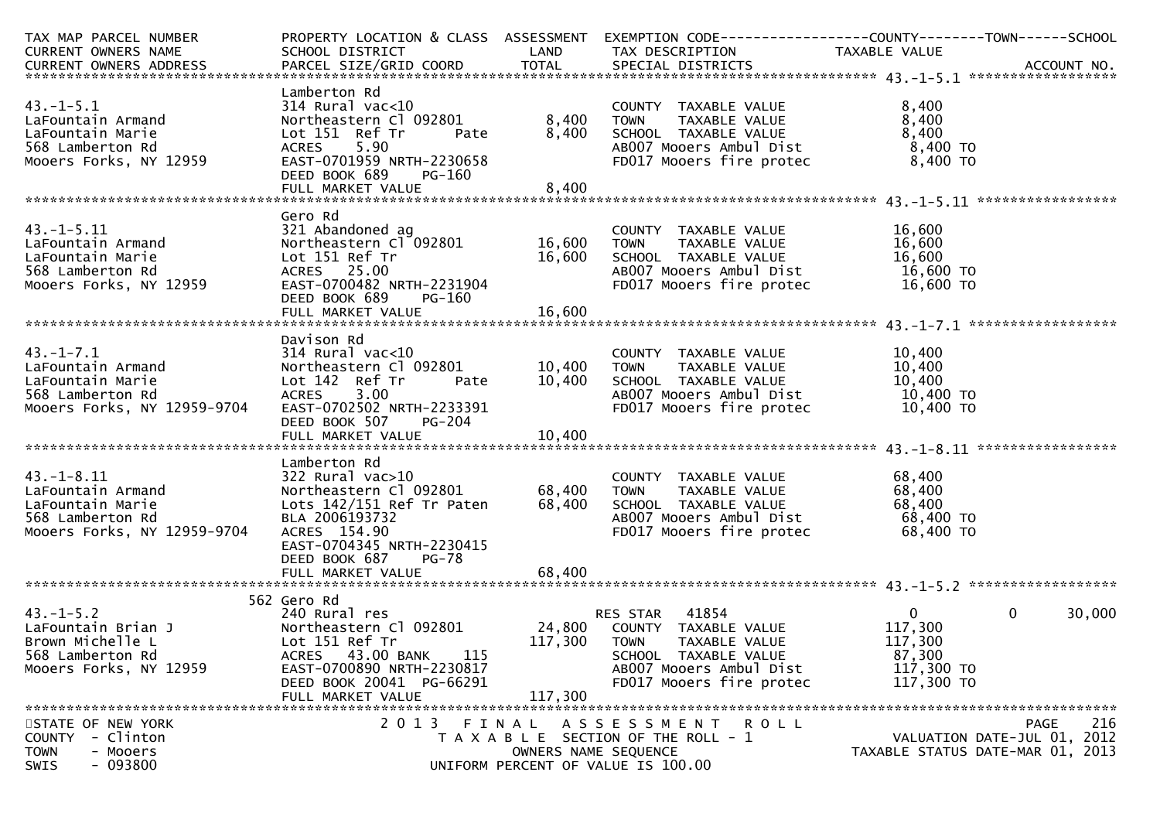| TAX MAP PARCEL NUMBER                                                                                                                                                                                    |                                |                      | PROPERTY LOCATION & CLASS ASSESSMENT EXEMPTION CODE----------------COUNTY-------TOWN------SCHOOL                                                                                                                      |                                     |                             |
|----------------------------------------------------------------------------------------------------------------------------------------------------------------------------------------------------------|--------------------------------|----------------------|-----------------------------------------------------------------------------------------------------------------------------------------------------------------------------------------------------------------------|-------------------------------------|-----------------------------|
| CURRENT OWNERS NAME                                                                                                                                                                                      | SCHOOL DISTRICT                |                      | LAND TAX DESCRIPTION TAXABLE VALUE                                                                                                                                                                                    |                                     |                             |
|                                                                                                                                                                                                          |                                |                      |                                                                                                                                                                                                                       |                                     |                             |
|                                                                                                                                                                                                          |                                |                      |                                                                                                                                                                                                                       |                                     |                             |
|                                                                                                                                                                                                          | Lamberton Rd                   |                      |                                                                                                                                                                                                                       |                                     |                             |
| $43. - 1 - 5.1$                                                                                                                                                                                          |                                |                      | COUNTY TAXABLE VALUE<br>TOWN     TAXABLE VALUE                                                                                                                                                                        | 8,400                               |                             |
| LaFountain Armand                                                                                                                                                                                        |                                |                      |                                                                                                                                                                                                                       | 8,400                               |                             |
| LaFountain Marie                                                                                                                                                                                         |                                |                      |                                                                                                                                                                                                                       | 8,400                               |                             |
| 568 Lamberton Rd                                                                                                                                                                                         | Lot 151 Ref Tr<br>ACRES 5.90   |                      | Pate        8,400    SCHOOL  TAXABLE VALUE<br>ABOO7 Mooers Ambul Dist                                                                                                                                                 | 8,400 TO                            |                             |
| Mooers Forks, NY 12959 EAST-0701959 NRTH-2230658                                                                                                                                                         |                                |                      | FD017 Mooers fire protec                                                                                                                                                                                              | $8,400$ TO                          |                             |
|                                                                                                                                                                                                          | DEED BOOK 689<br>PG-160        |                      |                                                                                                                                                                                                                       |                                     |                             |
|                                                                                                                                                                                                          |                                |                      |                                                                                                                                                                                                                       |                                     |                             |
|                                                                                                                                                                                                          |                                |                      |                                                                                                                                                                                                                       |                                     |                             |
|                                                                                                                                                                                                          | Gero Rd                        |                      |                                                                                                                                                                                                                       |                                     |                             |
|                                                                                                                                                                                                          |                                |                      |                                                                                                                                                                                                                       | 16,600                              |                             |
|                                                                                                                                                                                                          |                                |                      | COUNTY TAXABLE VALUE<br>TOWN      TAXABLE VALUE                                                                                                                                                                       | 16,600                              |                             |
|                                                                                                                                                                                                          |                                |                      | 16,600 SCHOOL TAXABLE VALUE                                                                                                                                                                                           |                                     |                             |
|                                                                                                                                                                                                          |                                |                      |                                                                                                                                                                                                                       |                                     |                             |
| 43.-1-5.11<br>LaFountain Armand 321 Abandoned ag COUNTY<br>LaFountain Marie Lot 151 Ref Tr 16,600 SCHOOL<br>S68 Lamberton Rd ACRES 25.00 AB007 Mooers Forks, NY 12959 EAST-0700482 NRTH-2231904 FD017 Mo |                                |                      | SCHOOL TAXABLE VALUE $16,600$<br>AB007 Mooers Ambul Dist 16,600 TO<br>FD017 Mooers fire protec 16,600 TO                                                                                                              |                                     |                             |
|                                                                                                                                                                                                          | DEED BOOK 689<br>PG-160        |                      |                                                                                                                                                                                                                       |                                     |                             |
|                                                                                                                                                                                                          |                                |                      |                                                                                                                                                                                                                       |                                     |                             |
|                                                                                                                                                                                                          |                                |                      |                                                                                                                                                                                                                       |                                     |                             |
|                                                                                                                                                                                                          | Davison Rd                     |                      |                                                                                                                                                                                                                       |                                     |                             |
|                                                                                                                                                                                                          |                                |                      |                                                                                                                                                                                                                       |                                     |                             |
|                                                                                                                                                                                                          |                                |                      | COUNTY TAXABLE VALUE 10,400<br>TOWN TAXABLE VALUE 10,400<br>092801 10,400 TOWN TAXABLE VALUE<br>Pate 10,400 SCHOOL TAXABLE VALUE 10,400 TO<br>ABOOZ Mooers Ambul Dist 10,400 TO<br>ABOOZ Mooers fire protec 10,400 TO |                                     |                             |
|                                                                                                                                                                                                          |                                |                      |                                                                                                                                                                                                                       |                                     |                             |
|                                                                                                                                                                                                          |                                |                      |                                                                                                                                                                                                                       |                                     |                             |
| Mooers Forks, NY 12959-9704 EAST-0702502 NRTH-2233391                                                                                                                                                    |                                |                      |                                                                                                                                                                                                                       |                                     |                             |
|                                                                                                                                                                                                          | DEED BOOK 507<br><b>PG-204</b> |                      |                                                                                                                                                                                                                       |                                     |                             |
|                                                                                                                                                                                                          |                                |                      |                                                                                                                                                                                                                       |                                     |                             |
|                                                                                                                                                                                                          |                                |                      |                                                                                                                                                                                                                       |                                     |                             |
|                                                                                                                                                                                                          | Lamberton Rd                   |                      |                                                                                                                                                                                                                       |                                     |                             |
|                                                                                                                                                                                                          |                                |                      | COUNTY TAXABLE VALUE                                                                                                                                                                                                  | 68,400                              |                             |
|                                                                                                                                                                                                          |                                |                      | TAXABLE VALUE                                                                                                                                                                                                         | 68,400                              |                             |
|                                                                                                                                                                                                          |                                |                      |                                                                                                                                                                                                                       |                                     |                             |
|                                                                                                                                                                                                          |                                |                      |                                                                                                                                                                                                                       | 68,400 TO<br>68,400 TO<br>00 100 TO |                             |
| Mooers Forks, NY 12959-9704 ACRES 154.90                                                                                                                                                                 |                                |                      | FD017 Mooers fire protec 68,400 TO                                                                                                                                                                                    |                                     |                             |
|                                                                                                                                                                                                          | EAST-0704345 NRTH-2230415      |                      |                                                                                                                                                                                                                       |                                     |                             |
|                                                                                                                                                                                                          | DEED BOOK 687<br>PG-78         |                      |                                                                                                                                                                                                                       |                                     |                             |
|                                                                                                                                                                                                          |                                |                      |                                                                                                                                                                                                                       |                                     |                             |
|                                                                                                                                                                                                          |                                |                      |                                                                                                                                                                                                                       |                                     |                             |
|                                                                                                                                                                                                          | 562 Gero Rd                    |                      |                                                                                                                                                                                                                       |                                     |                             |
| $43. - 1 - 5.2$                                                                                                                                                                                          | 240 Rural res                  |                      | RES STAR 41854                                                                                                                                                                                                        | $\overline{0}$                      | $\mathbf{0}$<br>30,000      |
|                                                                                                                                                                                                          |                                |                      |                                                                                                                                                                                                                       | 117,300                             |                             |
| LaFountain Brian J Mortheastern C1 092801 24,800 COUNTY TAXABLE VALUE<br>Brown Michelle L Lot 151 Ref Tr 117,300 TOWN TAXABLE VALUE                                                                      |                                |                      |                                                                                                                                                                                                                       | 117,300                             |                             |
| 568 Lamberton Rd                                                                                                                                                                                         | 43.00 BANK<br>115<br>ACRES     |                      | SCHOOL TAXABLE VALUE                                                                                                                                                                                                  | 87,300                              |                             |
| Mooers Forks, NY 12959                                                                                                                                                                                   | EAST-0700890 NRTH-2230817      |                      | AB007 Mooers Ambul Dist                                                                                                                                                                                               | 117,300 TO                          |                             |
|                                                                                                                                                                                                          | DEED BOOK 20041 PG-66291       |                      | FD017 Mooers fire protec                                                                                                                                                                                              | 117,300 TO                          |                             |
|                                                                                                                                                                                                          | FULL MARKET VALUE              | 117,300              |                                                                                                                                                                                                                       |                                     |                             |
|                                                                                                                                                                                                          |                                |                      |                                                                                                                                                                                                                       |                                     |                             |
| STATE OF NEW YORK                                                                                                                                                                                        |                                |                      | 2013 FINAL ASSESSMENT ROLL                                                                                                                                                                                            |                                     | 216<br>PAGE                 |
| - Clinton<br>COUNTY                                                                                                                                                                                      |                                |                      | T A X A B L E SECTION OF THE ROLL - 1                                                                                                                                                                                 |                                     | VALUATION DATE-JUL 01, 2012 |
| - Mooers<br><b>TOWN</b>                                                                                                                                                                                  |                                | OWNERS NAME SEQUENCE |                                                                                                                                                                                                                       | TAXABLE STATUS DATE-MAR 01, 2013    |                             |
| $-093800$<br>SWIS                                                                                                                                                                                        |                                |                      | UNIFORM PERCENT OF VALUE IS 100.00                                                                                                                                                                                    |                                     |                             |
|                                                                                                                                                                                                          |                                |                      |                                                                                                                                                                                                                       |                                     |                             |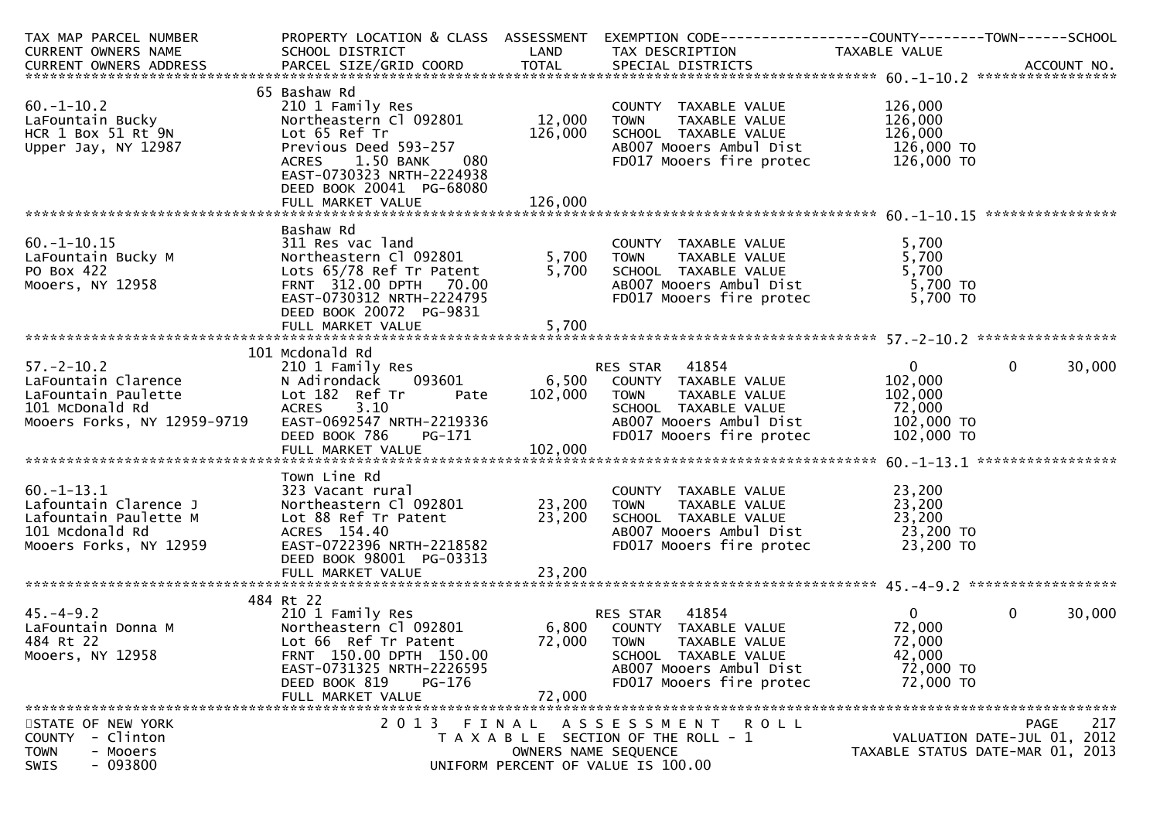| TAX MAP PARCEL NUMBER<br>CURRENT OWNERS NAME                                                                     | PROPERTY LOCATION & CLASS ASSESSMENT<br>SCHOOL DISTRICT                                                                                                                                    | LAND                 | EXEMPTION CODE-----------------COUNTY-------TOWN------SCHOOL<br>TAX DESCRIPTION                                                                                | TAXABLE VALUE                                                            |                                                   |
|------------------------------------------------------------------------------------------------------------------|--------------------------------------------------------------------------------------------------------------------------------------------------------------------------------------------|----------------------|----------------------------------------------------------------------------------------------------------------------------------------------------------------|--------------------------------------------------------------------------|---------------------------------------------------|
|                                                                                                                  |                                                                                                                                                                                            |                      |                                                                                                                                                                |                                                                          |                                                   |
| $60. -1 - 10.2$<br>LaFountain Bucky<br>HCR 1 Box 51 Rt 9N<br>Upper Jay, NY 12987                                 | 65 Bashaw Rd<br>210 1 Family Res<br>Northeastern Cl 092801<br>Lot 65 Ref Tr<br>Previous Deed 593-257<br>1.50 BANK<br>ACRES<br>080<br>EAST-0730323 NRTH-2224938<br>DEED BOOK 20041 PG-68080 | 12,000<br>126,000    | COUNTY TAXABLE VALUE<br>TAXABLE VALUE<br><b>TOWN</b><br>SCHOOL TAXABLE VALUE<br>AB007 Mooers Ambul Dist<br>FD017 Mooers fire protec                            | 126,000<br>126,000<br>126,000<br>126,000 TO<br>126,000 TO                |                                                   |
| $60. -1 - 10.15$<br>LaFountain Bucky M<br>PO Box 422<br>Mooers, NY 12958                                         | Bashaw Rd<br>311 Res vac land<br>Northeastern Cl 092801<br>Lots 65/78 Ref Tr Patent<br>FRNT 312.00 DPTH 70.00<br>EAST-0730312 NRTH-2224795<br>DEED BOOK 20072 PG-9831                      | 5,700<br>5,700       | COUNTY TAXABLE VALUE<br><b>TOWN</b><br>TAXABLE VALUE<br>SCHOOL TAXABLE VALUE<br>AB007 Mooers Ambul Dist<br>FD017 Mooers fire protec                            | 5,700<br>5,700<br>5,700<br>5,700 TO<br>5,700 TO                          |                                                   |
| $57. - 2 - 10.2$<br>LaFountain Clarence<br>LaFountain Paulette<br>101 McDonald Rd<br>Mooers Forks, NY 12959-9719 | 101 Mcdonald Rd<br>210 1 Family Res<br>093601<br>N Adirondack<br>Lot 182 Ref Tr<br>Pate<br>3.10<br><b>ACRES</b><br>EAST-0692547 NRTH-2219336<br>DEED BOOK 786<br>PG-171                    | 102,000              | RES STAR 41854<br>6,500 COUNTY TAXABLE VALUE<br>TAXABLE VALUE<br><b>TOWN</b><br>SCHOOL TAXABLE VALUE<br>AB007 Mooers Ambul Dist<br>FD017 Mooers fire protec    | $\mathbf{O}$<br>102,000<br>102,000<br>72,000<br>102,000 TO<br>102,000 TO | 30,000<br>$\mathbf{0}$                            |
| $60. -1 - 13.1$<br>Lafountain Clarence J<br>Lafountain Paulette M<br>101 Mcdonald Rd<br>Mooers Forks, NY 12959   | Town Line Rd<br>323 Vacant rural<br>Northeastern Cl 092801<br>Lot 88 Ref Tr Patent<br>ACRES 154.40<br>EAST-0722396 NRTH-2218582<br>DEED BOOK 98001 PG-03313                                | 23,200<br>23,200     | COUNTY TAXABLE VALUE<br>TAXABLE VALUE<br><b>TOWN</b><br>SCHOOL TAXABLE VALUE<br>AB007 Mooers Ambul Dist<br>FD017 Mooers fire protec                            | 23,200<br>23,200<br>23,200<br>23,200 TO<br>23,200 TO                     |                                                   |
| $45. - 4 - 9.2$<br>LaFountain Donna M<br>484 Rt 22<br>Mooers, NY 12958                                           | 484 Rt 22<br>210 1 Family Res<br>Northeastern Cl 092801<br>Lot 66 Ref Tr Patent<br>FRNT 150.00 DPTH 150.00<br>EAST-0731325 NRTH-2226595<br>DEED BOOK 819<br>PG-176<br>FULL MARKET VALUE    | 72,000<br>72,000     | 41854<br>RES STAR<br>6,800 COUNTY TAXABLE VALUE<br><b>TOWN</b><br>TAXABLE VALUE<br>SCHOOL TAXABLE VALUE<br>AB007 Mooers Ambul Dist<br>FD017 Mooers fire protec | 0<br>72,000<br>72,000<br>42,000<br>72,000 TO<br>72,000 TO                | $\mathbf{0}$<br>30,000                            |
| STATE OF NEW YORK<br><b>COUNTY</b><br>- Clinton<br><b>TOWN</b><br>- Mooers<br>$-093800$<br><b>SWTS</b>           |                                                                                                                                                                                            | OWNERS NAME SEQUENCE | 2013 FINAL ASSESSMENT<br>R O L L<br>T A X A B L E SECTION OF THE ROLL - 1<br>UNIFORM PERCENT OF VALUE IS 100.00                                                | TAXABLE STATUS DATE-MAR 01, 2013                                         | 217<br><b>PAGE</b><br>VALUATION DATE-JUL 01, 2012 |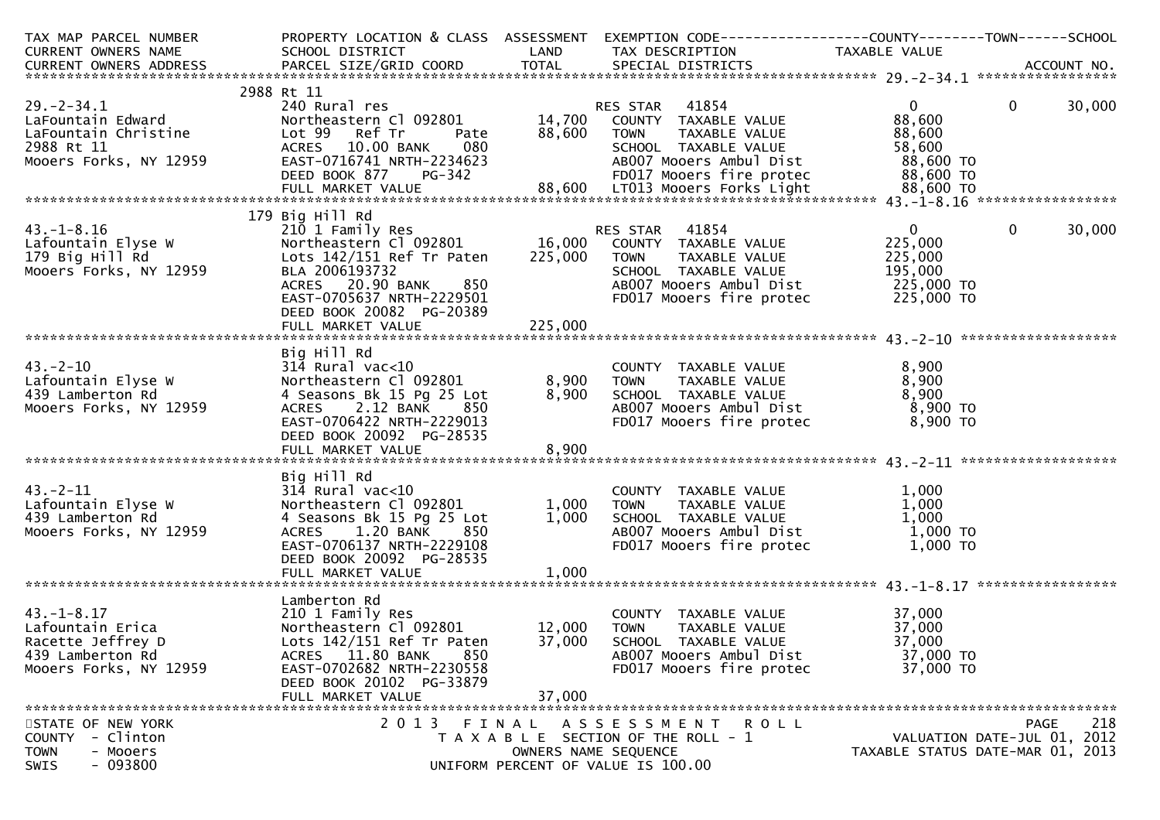| TAX MAP PARCEL NUMBER                                                                                                                                                                             |                                                    |                      | PROPERTY LOCATION & CLASS ASSESSMENT EXEMPTION CODE----------------COUNTY-------TOWN------SCHOOL |               |                                  |
|---------------------------------------------------------------------------------------------------------------------------------------------------------------------------------------------------|----------------------------------------------------|----------------------|--------------------------------------------------------------------------------------------------|---------------|----------------------------------|
| CURRENT OWNERS NAME                                                                                                                                                                               | SCHOOL DISTRICT                                    | LAND                 | TAX DESCRIPTION                                                                                  | TAXABLE VALUE |                                  |
| -CURRENT OWNERS ADDRESS PARCEL SIZE/GRID COORD TOTAL SPECIAL DISTRICTS AND MONERS ADDRESS PARCEL SIZE/GRID COORD TOTAL SPECIAL DISTRICTS AND MONERS ADDRESS AND MONERS ARE PARCEL SIZE/GRID COORD |                                                    |                      |                                                                                                  |               |                                  |
|                                                                                                                                                                                                   |                                                    |                      |                                                                                                  |               |                                  |
|                                                                                                                                                                                                   | 2988 Rt 11                                         |                      |                                                                                                  |               |                                  |
| $29. - 2 - 34.1$                                                                                                                                                                                  | 240 Rural res                                      |                      | RES STAR 41854                                                                                   | $\mathbf{0}$  | $\mathbf{0}$<br>30,000           |
| LaFountain Edward                                                                                                                                                                                 | Northeastern Cl 092801                             |                      | 14,700 COUNTY TAXABLE VALUE                                                                      | 88,600        |                                  |
| LaFountain Christine                                                                                                                                                                              | Lot 99 Ref Tr<br>Pate                              | 88,600               | <b>TOWN</b><br>TAXABLE VALUE                                                                     | 88,600        |                                  |
| 2988 Rt 11                                                                                                                                                                                        | ACRES 10.00 BANK<br>080                            |                      | SCHOOL TAXABLE VALUE                                                                             | 58,600        |                                  |
| Mooers Forks, NY 12959                                                                                                                                                                            | EAST-0716741 NRTH-2234623                          |                      | AB007 Mooers Ambul Dist                                                                          | 88,600 TO     |                                  |
|                                                                                                                                                                                                   |                                                    |                      |                                                                                                  |               |                                  |
|                                                                                                                                                                                                   |                                                    |                      |                                                                                                  |               |                                  |
|                                                                                                                                                                                                   |                                                    |                      |                                                                                                  |               |                                  |
|                                                                                                                                                                                                   | 179 Big Hill Rd                                    |                      |                                                                                                  |               |                                  |
| $43. - 1 - 8.16$                                                                                                                                                                                  | 210 1 Family Res                                   |                      | RES STAR 41854                                                                                   | $\mathbf{0}$  | $\mathbf 0$<br>30,000            |
| Lafountain Elyse W                                                                                                                                                                                | Northeastern Cl 092801 16,000 COUNTY TAXABLE VALUE |                      |                                                                                                  | 225,000       |                                  |
| 179 Big Hill Rd                                                                                                                                                                                   | Lots $142/151$ Ref Tr Paten                        | 225,000              | <b>TOWN</b><br>TAXABLE VALUE                                                                     | 225,000       |                                  |
| Mooers Forks, NY 12959                                                                                                                                                                            | BLA 2006193732                                     |                      | SCHOOL TAXABLE VALUE                                                                             | 195,000       |                                  |
|                                                                                                                                                                                                   | ACRES 20.90 BANK<br>850                            |                      | AB007 Mooers Ambul Dist                                                                          | 225,000 TO    |                                  |
|                                                                                                                                                                                                   | EAST-0705637 NRTH-2229501                          |                      | FD017 Mooers fire protec 225,000 TO                                                              |               |                                  |
|                                                                                                                                                                                                   | DEED BOOK 20082 PG-20389                           |                      |                                                                                                  |               |                                  |
|                                                                                                                                                                                                   |                                                    |                      |                                                                                                  |               |                                  |
|                                                                                                                                                                                                   |                                                    |                      |                                                                                                  |               |                                  |
|                                                                                                                                                                                                   | Big Hill Rd                                        |                      |                                                                                                  |               |                                  |
| $43. - 2 - 10$                                                                                                                                                                                    | $314$ Rural vac<10                                 |                      | COUNTY TAXABLE VALUE                                                                             | 8,900         |                                  |
| Lafountain Elyse W                                                                                                                                                                                | Northeastern Cl 092801                             | 8,900                | TAXABLE VALUE<br><b>TOWN</b>                                                                     | 8,900         |                                  |
| 439 Lamberton Rd                                                                                                                                                                                  | 4 Seasons Bk 15 Pg 25 Lot                          | 8,900                |                                                                                                  | 8,900         |                                  |
| Mooers Forks, NY 12959                                                                                                                                                                            | ACRES 2.12 BANK<br>850                             |                      | SCHOOL TAXABLE VALUE<br>ABOO7 Mooers Ambul Dist                                                  | 8,900 TO      |                                  |
|                                                                                                                                                                                                   | EAST-0706422 NRTH-2229013                          |                      | FD017 Mooers fire protec                                                                         | 8,900 TO      |                                  |
|                                                                                                                                                                                                   | DEED BOOK 20092 PG-28535                           |                      |                                                                                                  |               |                                  |
|                                                                                                                                                                                                   |                                                    |                      |                                                                                                  |               |                                  |
|                                                                                                                                                                                                   |                                                    |                      |                                                                                                  |               |                                  |
|                                                                                                                                                                                                   | Big Hill Rd                                        |                      |                                                                                                  |               |                                  |
| $43 - 2 - 11$                                                                                                                                                                                     | $314$ Rural vac<10                                 |                      | COUNTY TAXABLE VALUE                                                                             | 1,000         |                                  |
| Lafountain Elyse W                                                                                                                                                                                | Northeastern Cl 092801                             | 1,000                | <b>TOWN</b>                                                                                      | 1,000         |                                  |
| 439 Lamberton Rd                                                                                                                                                                                  |                                                    | 1,000                | TAXABLE VALUE<br>SCHOOL TAXABLE VALUE                                                            | 1,000         |                                  |
| Mooers Forks, NY 12959                                                                                                                                                                            | 4 Seasons Bk 15 Pg 25 Lot<br>ACRES 1.20 BANK       |                      | AB007 Mooers Ambul Dist                                                                          | 1,000 TO      |                                  |
|                                                                                                                                                                                                   | 850<br>EAST-0706137 NRTH-2229108                   |                      |                                                                                                  | 1,000 TO      |                                  |
|                                                                                                                                                                                                   |                                                    |                      | FD017 Mooers fire protec                                                                         |               |                                  |
|                                                                                                                                                                                                   | DEED BOOK 20092 PG-28535                           |                      |                                                                                                  |               |                                  |
|                                                                                                                                                                                                   | FULL MARKET VALUE                                  | 1,000                |                                                                                                  |               |                                  |
|                                                                                                                                                                                                   | Lamberton Rd                                       |                      |                                                                                                  |               |                                  |
| $43. - 1 - 8.17$                                                                                                                                                                                  | 210 1 Family Res                                   |                      | COUNTY TAXABLE VALUE                                                                             | 37,000        |                                  |
| Lafountain Erica                                                                                                                                                                                  | Northeastern Cl 092801                             | 12,000               | TOWN<br>TAXABLE VALUE                                                                            | 37,000        |                                  |
|                                                                                                                                                                                                   |                                                    |                      |                                                                                                  |               |                                  |
| Racette Jeffrey D                                                                                                                                                                                 | Lots $142/151$ Ref Tr Paten<br>850                 | 37,000               | SCHOOL TAXABLE VALUE                                                                             | 37,000        |                                  |
| 439 Lamberton Rd                                                                                                                                                                                  | ACRES 11.80 BANK                                   |                      | AB007 Mooers Ambul Dist                                                                          | 37,000 TO     |                                  |
| Mooers Forks, NY 12959                                                                                                                                                                            | EAST-0702682 NRTH-2230558                          |                      | FD017 Mooers fire protec                                                                         | 37,000 TO     |                                  |
|                                                                                                                                                                                                   | DEED BOOK 20102 PG-33879                           |                      |                                                                                                  |               |                                  |
|                                                                                                                                                                                                   | FULL MARKET VALUE                                  | 37,000               |                                                                                                  |               |                                  |
|                                                                                                                                                                                                   |                                                    |                      |                                                                                                  |               |                                  |
| STATE OF NEW YORK                                                                                                                                                                                 | 2013 FINAL                                         |                      | ASSESSMENT ROLL                                                                                  |               | 218<br><b>PAGE</b>               |
| - Clinton<br><b>COUNTY</b>                                                                                                                                                                        |                                                    |                      | T A X A B L E SECTION OF THE ROLL - 1                                                            |               | VALUATION DATE-JUL 01, 2012      |
| - Mooers<br><b>TOWN</b><br>$-093800$<br><b>SWTS</b>                                                                                                                                               |                                                    | OWNERS NAME SEQUENCE | UNTFORM PERCENT OF VALUE TS 100.00                                                               |               | TAXABLE STATUS DATE-MAR 01, 2013 |
|                                                                                                                                                                                                   |                                                    |                      |                                                                                                  |               |                                  |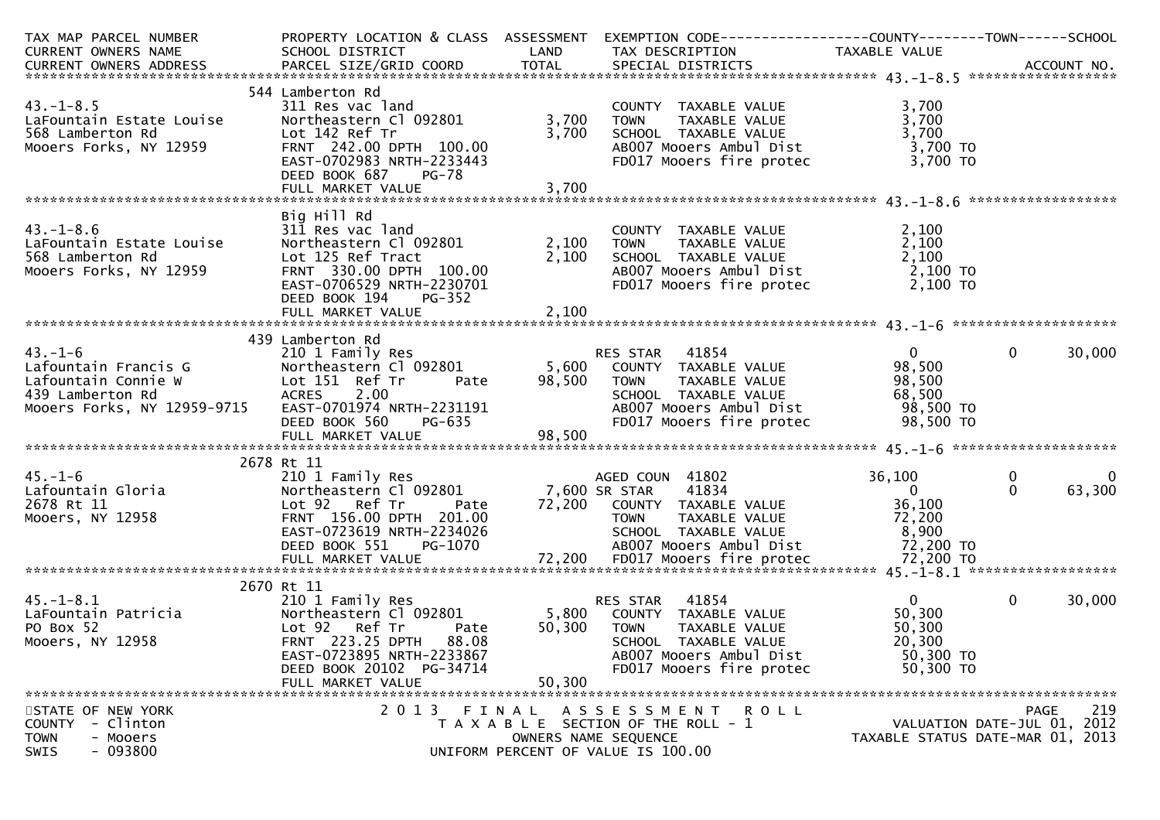| TAX MAP PARCEL NUMBER                                 |                                                                                                                   |        | PROPERTY LOCATION & CLASS ASSESSMENT EXEMPTION CODE----------------COUNTY-------TOWN------SCHOOL                                                                                                                          |                |                                  |
|-------------------------------------------------------|-------------------------------------------------------------------------------------------------------------------|--------|---------------------------------------------------------------------------------------------------------------------------------------------------------------------------------------------------------------------------|----------------|----------------------------------|
| CURRENT OWNERS NAME                                   | <b>Example 12 District LAND</b><br>SCHOOL DISTRICT                                                                |        | TAX DESCRIPTION                                                                                                                                                                                                           | TAXABLE VALUE  |                                  |
|                                                       |                                                                                                                   |        |                                                                                                                                                                                                                           |                |                                  |
|                                                       |                                                                                                                   |        |                                                                                                                                                                                                                           |                |                                  |
|                                                       | 544 Lamberton Rd                                                                                                  |        |                                                                                                                                                                                                                           |                |                                  |
| $43. - 1 - 8.5$                                       | 311 Res vac land                                                                                                  |        | COUNTY TAXABLE VALUE<br>TOWN     TAXABLE VALUE                                                                                                                                                                            | 3,700          |                                  |
| LaFountain Estate Louise                              | Northeastern Cl 092801                                                                                            | 3,700  | <b>TOWN</b>                                                                                                                                                                                                               | 3,700          |                                  |
|                                                       | Lot 142 Ref Tr                                                                                                    | 3,700  |                                                                                                                                                                                                                           | 3,700          |                                  |
| 568 Lamberton Rd<br>Mooers Forks, NY 12959            | FRNT 242.00 DPTH 100.00                                                                                           |        | SCHOOL TAXABLE VALUE<br>ABOO7 Mooers Ambul Dist                                                                                                                                                                           | 3,700 TO       |                                  |
|                                                       | EAST-0702983 NRTH-2233443                                                                                         |        | FD017 Mooers fire protec                                                                                                                                                                                                  | 3,700 TO       |                                  |
|                                                       | DEED BOOK 687<br><b>PG-78</b>                                                                                     |        |                                                                                                                                                                                                                           |                |                                  |
|                                                       | FULL MARKET VALUE                                                                                                 | 3,700  |                                                                                                                                                                                                                           |                |                                  |
|                                                       |                                                                                                                   |        |                                                                                                                                                                                                                           |                |                                  |
|                                                       | Big Hill Rd                                                                                                       |        |                                                                                                                                                                                                                           |                |                                  |
| $43. - 1 - 8.6$                                       | 311 Res vac land                                                                                                  |        |                                                                                                                                                                                                                           | 2,100          |                                  |
|                                                       | Northeastern Cl 092801                                                                                            |        | COUNTY TAXABLE VALUE<br>TOWN TAXABLE VALUE<br>2,100 TOWN                                                                                                                                                                  |                |                                  |
| LaFountain Estate Louise                              |                                                                                                                   |        |                                                                                                                                                                                                                           | 2,100          |                                  |
| 568 Lamberton Rd                                      | Lot 125 Ref Tract                                                                                                 | 2,100  |                                                                                                                                                                                                                           |                |                                  |
| Mooers Forks, NY 12959                                | FRNT 330.00 DPTH 100.00                                                                                           |        |                                                                                                                                                                                                                           |                |                                  |
|                                                       | EAST-0706529 NRTH-2230701                                                                                         |        | FD017 Mooers fire protec $2,100$ TO                                                                                                                                                                                       |                |                                  |
|                                                       | DEED BOOK 194<br><b>PG-352</b>                                                                                    |        |                                                                                                                                                                                                                           |                |                                  |
|                                                       | FULL MARKET VALUE                                                                                                 | 2,100  |                                                                                                                                                                                                                           |                |                                  |
|                                                       |                                                                                                                   |        |                                                                                                                                                                                                                           |                |                                  |
|                                                       | 439 Lamberton Rd                                                                                                  |        |                                                                                                                                                                                                                           |                |                                  |
| $43. - 1 - 6$                                         | 210 1 Family Res                                                                                                  |        | <b>RES STAR 41854</b>                                                                                                                                                                                                     | $\mathbf{0}$   | $\mathbf{0}$<br>30,000           |
|                                                       |                                                                                                                   |        | Northeastern C1 092801 5,600 COUNTY TAXABLE VALUE 98,500<br>Lot 151 Ref Tr Pate 98,500 TOWN TAXABLE VALUE 98,500<br>ACRES 2.00 SCHOOL TAXABLE VALUE 68,500<br>EAST-0701974 NRTH-2231191 AB007 Mooers Ambul Dist 98,500 TO |                |                                  |
|                                                       |                                                                                                                   |        |                                                                                                                                                                                                                           |                |                                  |
|                                                       |                                                                                                                   |        |                                                                                                                                                                                                                           |                |                                  |
| Mooers Forks, NY 12959-9715                           |                                                                                                                   |        |                                                                                                                                                                                                                           |                |                                  |
|                                                       |                                                                                                                   |        | FD017 Mooers fire protec 98,500 TO                                                                                                                                                                                        |                |                                  |
|                                                       | ACRES 2.00<br>EAST-0701974 NRTH-2231191<br>DEED BOOK 560 PG-635<br>FULL MARKET VALUE                       98,500 |        |                                                                                                                                                                                                                           |                |                                  |
|                                                       |                                                                                                                   |        |                                                                                                                                                                                                                           |                |                                  |
| $45.-1-6$<br>Lafountain Gloria<br>20078 Rt 11<br>2008 | 2678 Rt 11                                                                                                        |        |                                                                                                                                                                                                                           |                |                                  |
|                                                       | 210 1 Family Res                                                                                                  |        | AGED COUN 41802                                                                                                                                                                                                           | 36,100         | $\mathbf 0$<br>$\overline{0}$    |
|                                                       | Northeastern Cl 092801 7,600 SR STAR                                                                              |        | 41834                                                                                                                                                                                                                     | $\overline{0}$ | $\Omega$<br>63,300               |
|                                                       | Lot 92 Ref Tr                                                                                                     |        | Pate 72,200 COUNTY TAXABLE VALUE                                                                                                                                                                                          | 36,100         |                                  |
|                                                       | FRNT 156.00 DPTH 201.00                                                                                           |        | <b>TOWN</b><br>TAXABLE VALUE                                                                                                                                                                                              | 72,200         |                                  |
|                                                       | EAST-0723619 NRTH-2234026                                                                                         |        | SCHOOL TAXABLE VALUE                                                                                                                                                                                                      | 8,900          |                                  |
|                                                       |                                                                                                                   |        |                                                                                                                                                                                                                           |                |                                  |
|                                                       |                                                                                                                   |        |                                                                                                                                                                                                                           |                |                                  |
|                                                       |                                                                                                                   |        |                                                                                                                                                                                                                           |                |                                  |
|                                                       |                                                                                                                   |        |                                                                                                                                                                                                                           |                |                                  |
|                                                       | 2670 Rt 11                                                                                                        |        |                                                                                                                                                                                                                           |                |                                  |
| $45. - 1 - 8.1$                                       | 210 1 Family Res                                                                                                  |        | RES STAR 41854                                                                                                                                                                                                            | $\overline{0}$ | $\mathbf{0}$<br>30,000           |
| LaFountain Patricia<br>PO Box 52<br>Mooers, NY 12958  |                                                                                                                   |        | Northeastern Cl 092801 5,800 COUNTY TAXABLE VALUE<br>Lot 92 Ref Tr  Pate 50,300 TOWN TAXABLE VALUE                                                                                                                        | 50,300         |                                  |
|                                                       | Lot 92 Ref Tr                                                                                                     |        |                                                                                                                                                                                                                           | 50,300         |                                  |
|                                                       | <b>FRNT 223.25 DPTH</b><br>88.08                                                                                  |        | SCHOOL TAXABLE VALUE                                                                                                                                                                                                      | 20,300         |                                  |
|                                                       | EAST-0723895 NRTH-2233867                                                                                         |        | ABOO7 Mooers Ambul Dist                                                                                                                                                                                                   | 50,300 TO      |                                  |
|                                                       | DEED BOOK 20102 PG-34714                                                                                          |        | FD017 Mooers fire protec                                                                                                                                                                                                  | 50,300 TO      |                                  |
|                                                       | FULL MARKET VALUE                                                                                                 | 50,300 |                                                                                                                                                                                                                           |                |                                  |
|                                                       |                                                                                                                   |        |                                                                                                                                                                                                                           |                |                                  |
| STATE OF NEW YORK                                     | 2013 FINAL                                                                                                        |        | A S S E S S M E N T R O L L                                                                                                                                                                                               |                | 219<br>PAGE                      |
| - Clinton<br><b>COUNTY</b>                            |                                                                                                                   |        | T A X A B L E SECTION OF THE ROLL - 1                                                                                                                                                                                     |                | VALUATION DATE-JUL 01, 2012      |
| <b>TOWN</b><br>- Mooers                               |                                                                                                                   |        | OWNERS NAME SEQUENCE                                                                                                                                                                                                      |                | TAXABLE STATUS DATE-MAR 01, 2013 |
| $-093800$<br>SWIS                                     |                                                                                                                   |        | UNIFORM PERCENT OF VALUE IS 100.00                                                                                                                                                                                        |                |                                  |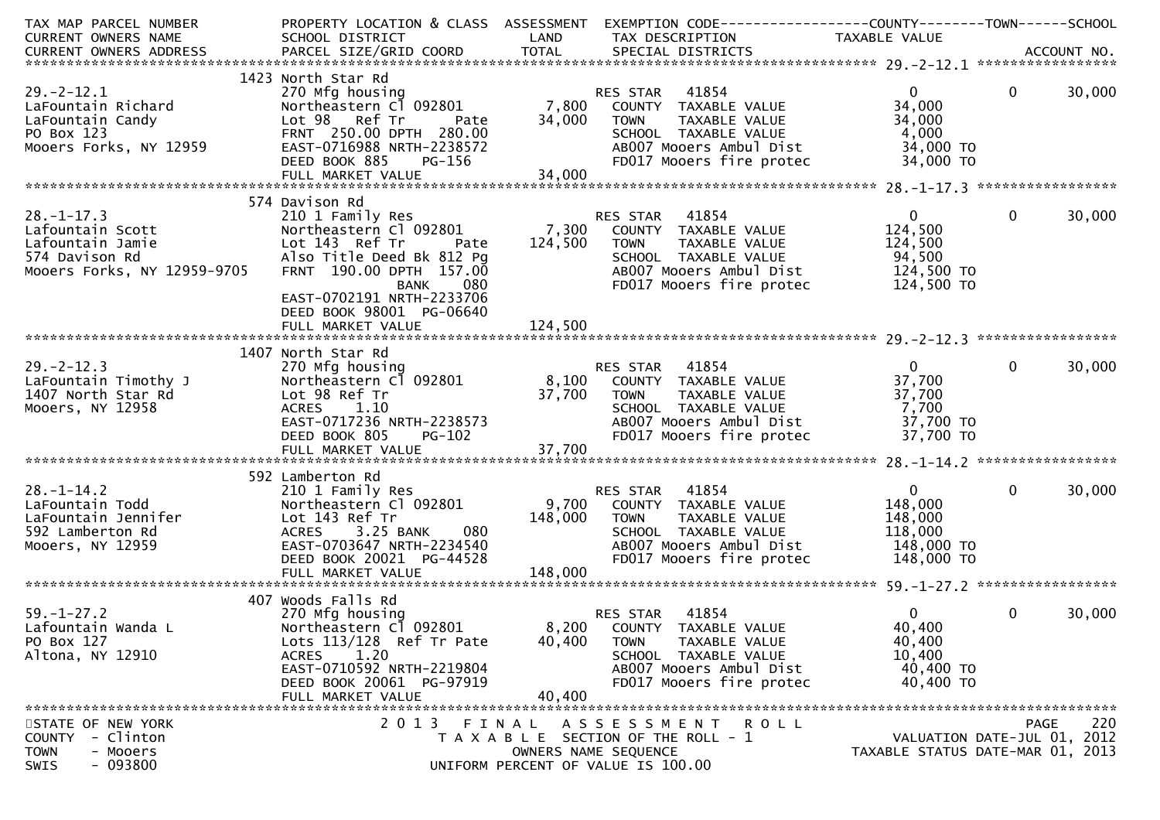| TAX MAP PARCEL NUMBER<br><b>CURRENT OWNERS NAME</b>                                                              | SCHOOL DISTRICT<br><b>Example 18 The LAND</b>                                                                                                                            |                    | PROPERTY LOCATION & CLASS ASSESSMENT EXEMPTION CODE---------------COUNTY-------TOWN------SCHOOL<br>TAX DESCRIPTION                                                  | TAXABLE VALUE                                                             |              |        |
|------------------------------------------------------------------------------------------------------------------|--------------------------------------------------------------------------------------------------------------------------------------------------------------------------|--------------------|---------------------------------------------------------------------------------------------------------------------------------------------------------------------|---------------------------------------------------------------------------|--------------|--------|
|                                                                                                                  |                                                                                                                                                                          |                    |                                                                                                                                                                     |                                                                           |              |        |
|                                                                                                                  | 1423 North Star Rd                                                                                                                                                       |                    |                                                                                                                                                                     |                                                                           |              |        |
| $29. - 2 - 12.1$<br>LaFountain Richard<br>LaFountain Candy<br>PO Box 123<br>PO Box 123<br>Mooers Forks, NY 12959 | 270 Mfg housing<br>Northeastern Cl 092801<br>Lot 98 Ref Tr<br>Pate<br>FRNT 250.00 DPTH 280.00<br>EAST-0716988 NRTH-2238572                                               | 34,000             | <b>RES STAR 41854</b><br>7,800 COUNTY TAXABLE VALUE<br><b>TOWN</b><br>TAXABLE VALUE<br>SCHOOL TAXABLE VALUE<br>AB007 Mooers Ambul Dist                              | $0 \qquad \qquad$<br>34,000<br>34,000<br>4,000<br>34,000 TO               | $\mathbf 0$  | 30,000 |
|                                                                                                                  | DEED BOOK 885<br><b>PG-156</b>                                                                                                                                           |                    | FD017 Mooers fire protec                                                                                                                                            | 34,000 TO                                                                 |              |        |
|                                                                                                                  |                                                                                                                                                                          |                    |                                                                                                                                                                     |                                                                           |              |        |
| $28. - 1 - 17.3$<br>Mooers Forks, NY 12959-9705                                                                  | 574 Davison Rd<br>210 1 Family Res<br>Northeastern Cl 092801<br>Pate<br>Also Title Deed Bk 812 Pg<br>FRNT 190.00 DPTH 157.00<br>080<br>BANK<br>EAST-0702191 NRTH-2233706 | 124,500            | RES STAR 41854<br>7,300 COUNTY TAXABLE VALUE<br><b>TOWN</b><br>TAXABLE VALUE<br>SCHOOL TAXABLE VALUE<br>AB007 Mooers Ambul Dist<br>FD017 Mooers fire protec         | $\mathbf{0}$<br>124,500<br>124,500<br>94,500<br>124,500 TO<br>124,500 TO  | $\mathbf 0$  | 30,000 |
|                                                                                                                  | DEED BOOK 98001 PG-06640                                                                                                                                                 |                    |                                                                                                                                                                     |                                                                           |              |        |
|                                                                                                                  | 1407 North Star Rd                                                                                                                                                       |                    |                                                                                                                                                                     |                                                                           |              |        |
| $29. -2 - 12.3$<br>LaFountain Timothy J<br>1407 North Star Rd<br>Mooers, NY 12958                                | 270 Mfg housing<br>Northeastern C1 092801<br>Lot 98 Ref Tr<br><b>ACRES</b><br>1.10<br>EAST-0717236 NRTH-2238573<br>DEED BOOK 805                                         | 37,700<br>$PG-102$ | RES STAR    41854<br>8,100    COUNTY   TAXABLE VALUE<br><b>TOWN</b><br>TAXABLE VALUE<br>SCHOOL TAXABLE VALUE<br>AB007 Mooers Ambul Dist<br>FD017 Mooers fire protec | $\mathbf{0}$<br>37,700<br>37,700<br>7,700<br>37,700 TO<br>37,700 TO       | $\mathbf 0$  | 30,000 |
|                                                                                                                  |                                                                                                                                                                          |                    |                                                                                                                                                                     |                                                                           |              |        |
|                                                                                                                  | 592 Lamberton Rd                                                                                                                                                         |                    |                                                                                                                                                                     |                                                                           |              |        |
| $28. - 1 - 14.2$<br>LaFountain Todd<br>LaFountain Jennifer<br>592 Lamberton Rd<br>Mooers, NY 12959               | 210 1 Family Res<br>Northeastern Cl 092801<br>Lot 143 Ref Tr<br>080<br>ACRES 3.25 BANK<br>EAST-0703647 NRTH-2234540<br>DEED BOOK 20021 PG-44528                          | 148,000            | RES STAR 41854<br>9,700 COUNTY TAXABLE VALUE<br><b>TOWN</b><br>TAXABLE VALUE<br>SCHOOL TAXABLE VALUE<br>ABOO7 Mooers Ambul Dist<br>FD017 Mooers fire protec         | $\mathbf{0}$<br>148,000<br>148,000<br>118,000<br>148,000 TO<br>148,000 TO | $\mathbf{0}$ | 30,000 |
|                                                                                                                  |                                                                                                                                                                          |                    |                                                                                                                                                                     |                                                                           |              |        |
| $59. - 1 - 27.2$                                                                                                 | 407 Woods Falls Rd<br>270 Mfg housing                                                                                                                                    |                    | 41854                                                                                                                                                               | $\mathbf{0}$                                                              | $\mathbf 0$  | 30,000 |
| Lafountain Wanda L<br>PO Box 127<br>Altona, NY 12910                                                             | Northeastern Cl 092801<br>Lots $113/128$ Ref Tr Pate<br>1.20<br><b>ACRES</b><br>EAST-0710592 NRTH-2219804<br>DEED BOOK 20061 PG-97919<br>FULL MARKET VALUE               | 40,400<br>40,400   | RES STAR 41854<br>8,200 COUNTY TAXABLE VALUE<br>TAXABLE VALUE<br>TOWN<br>SCHOOL TAXABLE VALUE<br>AB007 Mooers Ambul Dist<br>FD017 Mooers fire protec                | 40,400<br>40,400<br>10,400<br>40,400 TO<br>40,400 TO                      |              |        |
|                                                                                                                  |                                                                                                                                                                          |                    |                                                                                                                                                                     |                                                                           |              |        |
| STATE OF NEW YORK<br>COUNTY - Clinton<br><b>TOWN</b><br>- Mooers<br>$-093800$<br>SWIS                            | 2013<br>FINAL                                                                                                                                                            |                    | ASSESSMENT ROLL<br>T A X A B L E SECTION OF THE ROLL - 1<br>OWNERS NAME SEQUENCE<br>UNIFORM PERCENT OF VALUE IS 100.00                                              | VALUATION DATE-JUL 01, 2012<br>TAXABLE STATUS DATE-MAR 01, 2013           | <b>PAGE</b>  | 220    |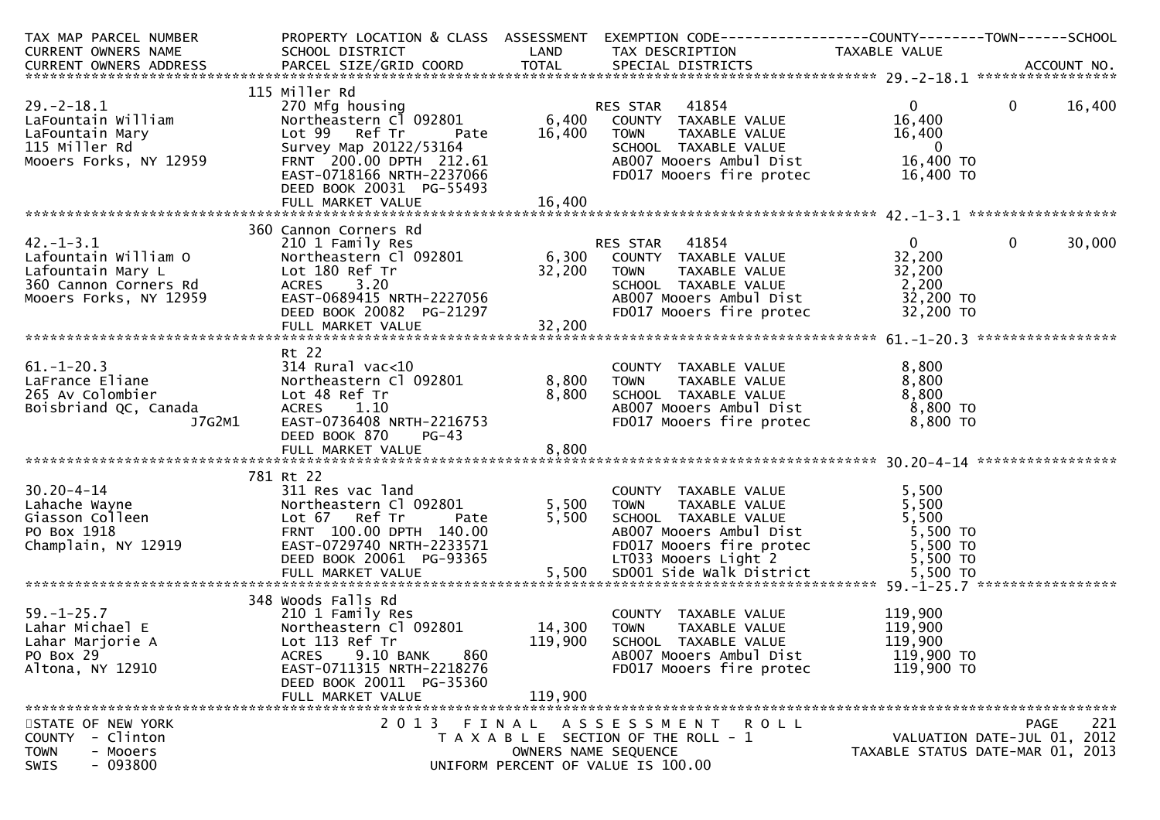| TAX MAP PARCEL NUMBER<br>CURRENT OWNERS NAME                                                                                                                                                                                                                                                | SCHOOL DISTRICT<br><b>Example 12 DE LAND</b>                                                                                                                                                                     |                              | PROPERTY LOCATION & CLASS ASSESSMENT EXEMPTION CODE----------------COUNTY-------TOWN------SCHOOL<br>TAX DESCRIPTION                                                                           | TAXABLE VALUE                                                                         |                |        |
|---------------------------------------------------------------------------------------------------------------------------------------------------------------------------------------------------------------------------------------------------------------------------------------------|------------------------------------------------------------------------------------------------------------------------------------------------------------------------------------------------------------------|------------------------------|-----------------------------------------------------------------------------------------------------------------------------------------------------------------------------------------------|---------------------------------------------------------------------------------------|----------------|--------|
|                                                                                                                                                                                                                                                                                             |                                                                                                                                                                                                                  |                              |                                                                                                                                                                                               |                                                                                       |                |        |
| $29. - 2 - 18.1$<br>LaFountain William<br>LaFountain Mary<br>115 Miller Rd<br>Mooers Forks, NY 12959<br>ے ہے کی کے کا کہ ہے کہ ہے کہ ہے کہ ہے کہ ہے کہ ہے ہیں ہے ہیں ہے ۔<br>FULL MARKET VALUE #8,400 FULL FRANT TILL FRANGER WASHER AND HERE FRANGER FOR A START OF THE SERVE OF THE SERVE | 115 Miller Rd<br>270 Mfg housing<br>Northeastern Cl 092801<br>Lot 99 Ref Tr<br>Pate<br>Survey Map 20122/53164<br>FRNT 200.00 DPTH 212.61<br>EAST-0718166 NRTH-2237066<br>DEED BOOK 20031 PG-55493                | 16,400                       | RES STAR 41854<br>6,400 COUNTY TAXABLE VALUE<br><b>TOWN</b><br>TAXABLE VALUE<br>SCHOOL TAXABLE VALUE<br>ABOO7 Mooers Ambul Dist<br>FD017 Mooers fire protec                                   | $\mathbf{0}$<br>16,400<br>16,400<br>$\overline{\mathbf{0}}$<br>16,400 TO<br>16,400 TO | $\overline{0}$ | 16,400 |
|                                                                                                                                                                                                                                                                                             |                                                                                                                                                                                                                  |                              |                                                                                                                                                                                               |                                                                                       |                |        |
| $42. - 1 - 3.1$<br>Cafountain William 0 Northeastern C<br>Lafountain Mary L<br>360 Cannon Corners Rd<br>Mooers Forks, NY 12959 EAST-0689415                                                                                                                                                 | 360 Cannon Corners Rd<br>210 1 Family Res<br>Northeastern Cl 092801 6,300<br>Lot 180 Ref Tr<br>Lot 180 Ref Tr<br>ACRES 3.20<br>EAST-0689415 NRTH-2227056<br>DEED BOOK 20082 PG-21297<br>FULL MARKET VALUE 32,200 |                              | RES STAR 41854<br>COUNTY TAXABLE VALUE<br><b>TOWN</b><br>TAXABLE VALUE<br>SCHOOL TAXABLE VALUE<br>AB007 Mooers Ambul Dist 32,200 TO<br>FD017 Mooers fire protec                               | $\mathbf{0}$<br>32,200<br>32,200<br>$\frac{32}{2}, \frac{200}{20}$<br>32,200 TO       | $\mathbf{0}$   | 30,000 |
|                                                                                                                                                                                                                                                                                             |                                                                                                                                                                                                                  |                              |                                                                                                                                                                                               |                                                                                       |                |        |
| $61. - 1 - 20.3$<br>LaFrance Eliane<br>265 Av Colombier<br>Boisbriand QC, Canada<br>J7G2M1                                                                                                                                                                                                  | Rt 22<br>$314$ Rural vac<10<br>Northeastern Cl 092801 8,800<br>Lot 48 Ref Tr<br>ACRES 1.10<br>EAST-0736408 NRTH-2216753<br>DEED BOOK 870<br>$PG-43$                                                              | 8,800                        | COUNTY TAXABLE VALUE<br>TAXABLE VILLE<br>TAXABLE VALUE<br>TAVABLE VALUE<br><b>TOWN</b><br>SCHOOL TAXABLE VALUE 8,800<br>ABOO7 Mooers Ambul Dist 8,800 TO<br>FD017 Mooers fire protec 8,800 TO | 8,800<br>8,800                                                                        |                |        |
|                                                                                                                                                                                                                                                                                             | 781 Rt 22                                                                                                                                                                                                        |                              |                                                                                                                                                                                               |                                                                                       |                |        |
| $30.20 - 4 - 14$<br>Lahache Wayne<br>Giasson Colleen<br>PO Box 1918<br>Champlain, NY 12919                                                                                                                                                                                                  | 311 Res vac land<br>Northeastern Cl 092801<br>Lot 67 Ref Tr<br>Pate<br>FRNT 100.00 DPTH 140.00<br>EAST-0729740 NRTH-2233571<br>DEED BOOK 20061 PG-93365                                                          | 5,500<br>5,500               | COUNTY TAXABLE VALUE<br><b>TOWN</b><br>TAXABLE VALUE<br>SCHOOL TAXABLE VALUE<br>ABOO7 Mooers Ambul Dist<br>FDO17 Mooers fire protec 5,500 TO<br>5,500 TO<br>LT033 Mooers Light 2              | 5,500<br>5,500<br>5,500<br>5,500 TO                                                   |                |        |
|                                                                                                                                                                                                                                                                                             | 348 Woods Falls Rd                                                                                                                                                                                               |                              |                                                                                                                                                                                               |                                                                                       |                |        |
| $59. - 1 - 25.7$<br>Lahar Michael E<br>Lahar Marjorie A<br>PO Box 29<br>Altona, NY 12910                                                                                                                                                                                                    | 210 1 Family Res<br>Northeastern Cl 092801<br>Lot 113 Ref Tr<br><b>ACRES</b><br>9.10 BANK<br>860<br>EAST-0711315 NRTH-2218276<br>DEED BOOK 20011 PG-35360<br>FULL MARKET VALUE                                   | 14,300<br>119,900<br>119,900 | COUNTY TAXABLE VALUE<br><b>TOWN</b><br>TAXABLE VALUE<br>SCHOOL TAXABLE VALUE<br>AB007 Mooers Ambul Dist<br>FD017 Mooers fire protec                                                           | 119,900<br>119,900<br>119,900<br>119,900 TO<br>119,900 TO                             |                |        |
| STATE OF NEW YORK                                                                                                                                                                                                                                                                           |                                                                                                                                                                                                                  |                              | 2013 FINAL ASSESSMENT ROLL                                                                                                                                                                    |                                                                                       | <b>PAGE</b>    | 221    |
| <b>COUNTY</b><br>- Clinton<br><b>TOWN</b><br>- Mooers<br>$-093800$<br>SWIS                                                                                                                                                                                                                  |                                                                                                                                                                                                                  | OWNERS NAME SEQUENCE         | T A X A B L E SECTION OF THE ROLL - 1<br>UNIFORM PERCENT OF VALUE IS 100.00                                                                                                                   | VALUATION DATE-JUL 01, 2012<br>TAXABLE STATUS DATE-MAR 01, 2013                       |                |        |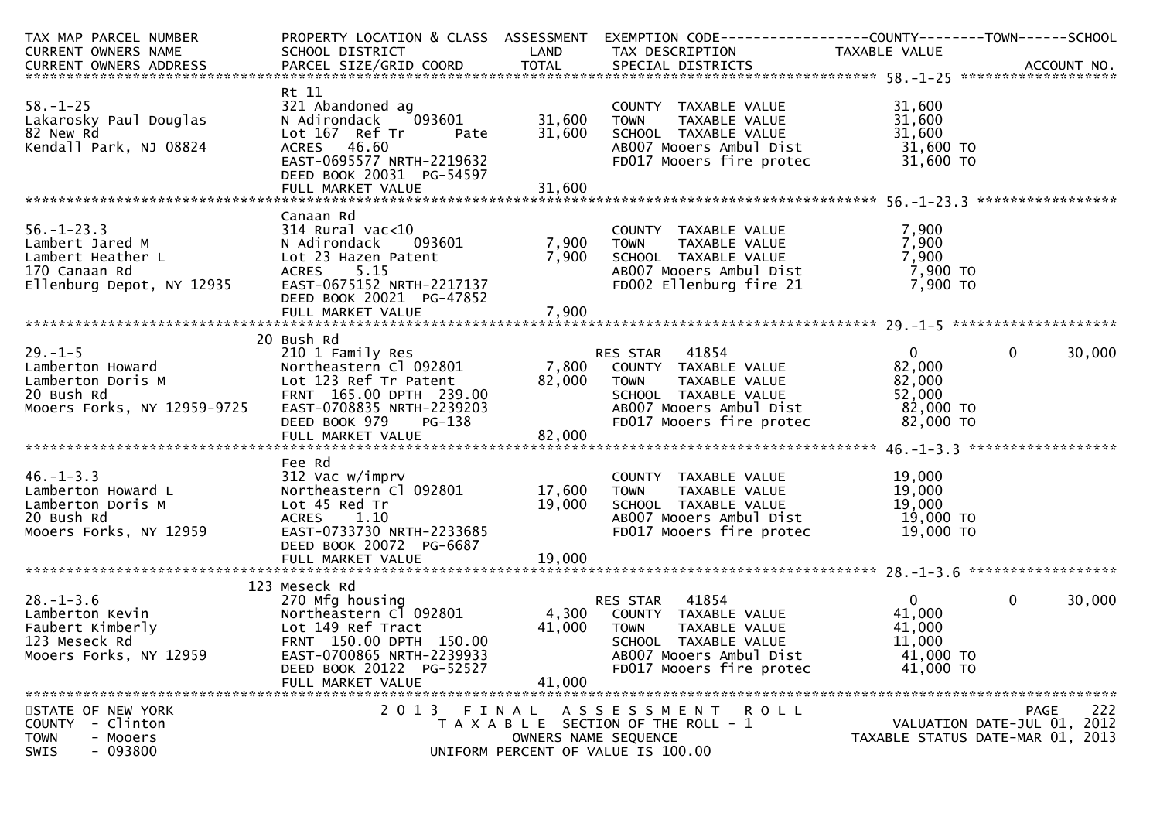| TAX MAP PARCEL NUMBER                                                                                                                                                                                                                                                                     |                                                                                                                                                                        |                      | PROPERTY LOCATION & CLASS ASSESSMENT EXEMPTION CODE----------------COUNTY-------TOWN------SCHOOL                                                                                                                    |                                                                        |                                                                                |
|-------------------------------------------------------------------------------------------------------------------------------------------------------------------------------------------------------------------------------------------------------------------------------------------|------------------------------------------------------------------------------------------------------------------------------------------------------------------------|----------------------|---------------------------------------------------------------------------------------------------------------------------------------------------------------------------------------------------------------------|------------------------------------------------------------------------|--------------------------------------------------------------------------------|
|                                                                                                                                                                                                                                                                                           |                                                                                                                                                                        |                      |                                                                                                                                                                                                                     |                                                                        |                                                                                |
|                                                                                                                                                                                                                                                                                           |                                                                                                                                                                        |                      |                                                                                                                                                                                                                     |                                                                        |                                                                                |
| $58. - 1 - 25$<br>Lakarosky Paul Douglas<br>82 New Rd<br>82 New Rd                                                                                                                                                                                                                        | Rt 11<br>321 Abandoned ag<br>N Adirondack                                                                                                                              |                      | COUNTY TAXABLE VALUE<br>TOWN      TAXABLE VALUE                                                                                                                                                                     | 31,600<br>31,600                                                       |                                                                                |
| Kendall Park, NJ 08824                                                                                                                                                                                                                                                                    | DEED BOOK 20031 PG-54597                                                                                                                                               |                      | Lot 167 Ref Tr Pate 31,600 SCHOOL TAXABLE VALUE 167 Ref Tr Pate 31,600 SCHOOL TAXABLE VALUE 31,600<br>ACRES 46.60 AB007 Mooers Ambul Dist 31,600 TO<br>EAST-0695577 NRTH-2219632 FD017 Mooers fire protec 31,600 TO |                                                                        |                                                                                |
|                                                                                                                                                                                                                                                                                           |                                                                                                                                                                        |                      |                                                                                                                                                                                                                     |                                                                        |                                                                                |
| $56. - 1 - 23.3$<br>56.-1-23.3<br>Lambert Jared M<br>Lambert Heather L. Compared to the comparison of the compared to the compared to the compared to the compared t<br>170 Canaan Rd ACRES 5.15 AB007 Mooers Ambul Dist 7,900 TO<br>17enburg Depot, NY 12935 EAST-0675152 NRTH-2217137 F | Canaan Rd<br>DEED BOOK 20021 PG-47852                                                                                                                                  |                      | COUNTY TAXABLE VALUE<br>TOWN     TAXABLE VALUE                                                                                                                                                                      | 7,900<br>7,900                                                         |                                                                                |
|                                                                                                                                                                                                                                                                                           |                                                                                                                                                                        |                      |                                                                                                                                                                                                                     |                                                                        |                                                                                |
|                                                                                                                                                                                                                                                                                           | 20 Bush Rd                                                                                                                                                             |                      |                                                                                                                                                                                                                     | $\overline{0}$                                                         | $\overline{0}$<br>30,000                                                       |
| 20 Bush Rd<br>20 Bush Rd<br>20 Bush Rd<br>20 Bush Rd<br>20 Bush Rd<br>20 Bush Rd<br>20 Bush Rd<br>20 Bush Rd<br>20 Bush Rd<br>20 Bush Rd<br>20 Bush Rd<br>20 Bush Rd<br>20 Bush Rd<br>20 Bush Rd<br>20 Bush Rd<br>20 Bush Rd<br>20 Bush Rd<br>20 Bush Rd<br>20 Bus                        |                                                                                                                                                                        |                      |                                                                                                                                                                                                                     |                                                                        |                                                                                |
|                                                                                                                                                                                                                                                                                           |                                                                                                                                                                        |                      |                                                                                                                                                                                                                     |                                                                        |                                                                                |
| 46.-1-3.3<br>Lamberton Howard L<br>Lamberton Doris M<br>20 Bush_Rd<br>20 Bush_Rd<br>20 Bush_Rd<br>20 Bush_Rd<br>20 Bush_Rd<br>20 Bush_Rd<br>20 Bush_Rd<br>20 Bush_Rd<br>20 Bush_Rd<br>20 Bush_Rd                                                                                          | Fee Rd<br>312 Vac w/imprv<br>Northeastern Cl 092801 17,600 TOWN<br>DEED BOOK 20072 PG-6687<br>FULL MARKET VALUE                                                        | 19,000               | COUNTY TAXABLE VALUE<br>TOWN     TAXABLE VALUE<br>19,000 SCHOOL TAXABLE VALUE<br>ABOO7 Mooers Ambul Dist<br>FD017 Mooers fire protec 19,000 TO                                                                      | 19,000<br>19,000<br>19,000 TO<br>19,000 TO<br>10.000 TO                |                                                                                |
|                                                                                                                                                                                                                                                                                           |                                                                                                                                                                        |                      |                                                                                                                                                                                                                     |                                                                        |                                                                                |
| 123<br>Lamberton Kevin<br>Faubert Kimberly<br>123 Meseck Rd<br>Mooers Forks, NY 12959                                                                                                                                                                                                     | 123 Meseck Rd<br>Lot 149 Ref Tract<br>ERNT 150.00 DPTH 150.00<br>FRNT 150.00 DPTH 150.00<br>EAST-0700865 NRTH-2239933<br>DEED BOOK 20122 PG-52527<br>FULL MARKET VALUE | 41,000               | 41,000 TOWN TAXABLE VALUE<br>SCHOOL TAXABLE VALUE<br>AB007 Mooers Ambul Dist<br>FD017 Mooers fire protec                                                                                                            | $\overline{0}$<br>41,000<br>41,000<br>11,000<br>41,000 TO<br>41,000 TO | $\overline{0}$<br>30,000                                                       |
| STATE OF NEW YORK<br>COUNTY - Clinton<br><b>TOWN</b><br>- Mooers<br>$-093800$<br>SWIS                                                                                                                                                                                                     |                                                                                                                                                                        | OWNERS NAME SEQUENCE | 2013 FINAL ASSESSMENT ROLL<br>T A X A B L E SECTION OF THE ROLL - 1<br>UNIFORM PERCENT OF VALUE IS 100.00                                                                                                           |                                                                        | 222<br>PAGE<br>VALUATION DATE-JUL 01, 2012<br>TAXABLE STATUS DATE-MAR 01, 2013 |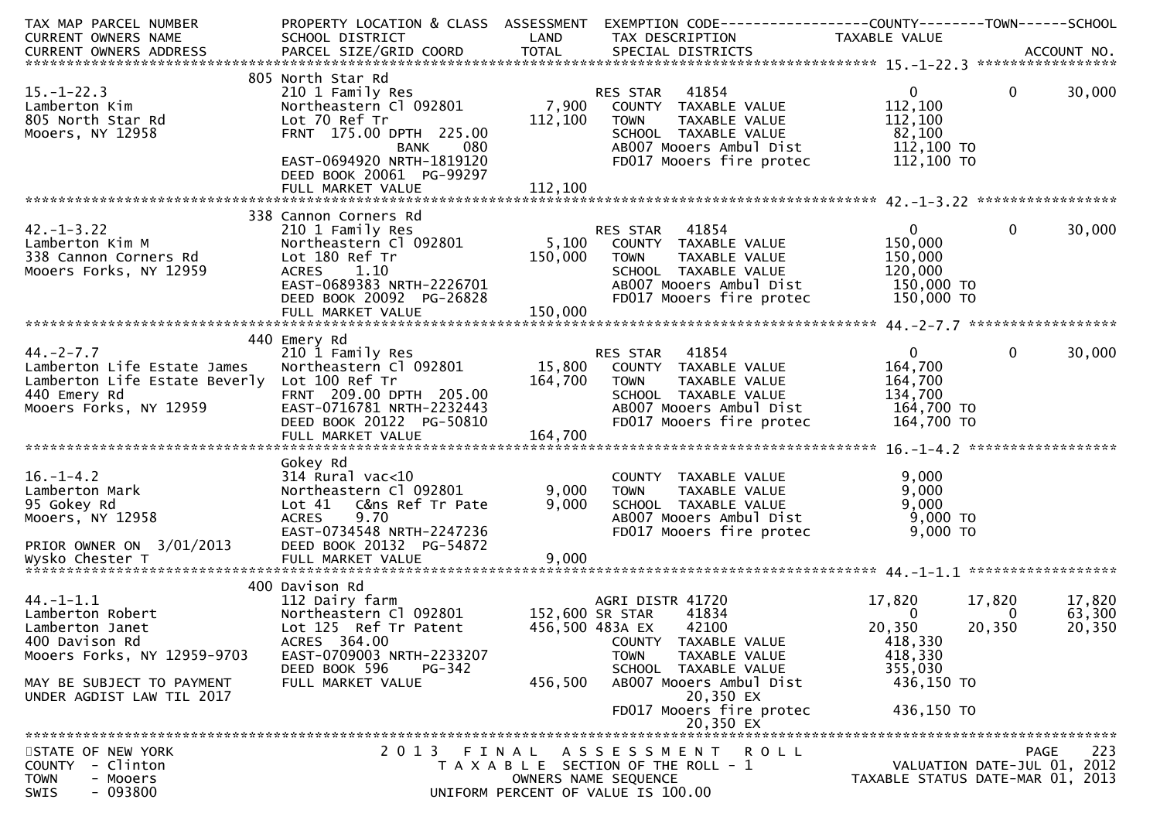| TAX MAP PARCEL NUMBER<br>CURRENT OWNERS NAME                                                                                                                      | PROPERTY LOCATION & CLASS ASSESSMENT<br>SCHOOL DISTRICT                                                                                                                          | LAND                                          | EXEMPTION CODE------------------COUNTY--------TOWN------SCHOOL<br>TAX DESCRIPTION                                                                            | TAXABLE VALUE                                                               |                                                                                |
|-------------------------------------------------------------------------------------------------------------------------------------------------------------------|----------------------------------------------------------------------------------------------------------------------------------------------------------------------------------|-----------------------------------------------|--------------------------------------------------------------------------------------------------------------------------------------------------------------|-----------------------------------------------------------------------------|--------------------------------------------------------------------------------|
|                                                                                                                                                                   |                                                                                                                                                                                  |                                               |                                                                                                                                                              |                                                                             |                                                                                |
| $15. - 1 - 22.3$<br>Lamberton Kim<br>805 North Star Rd<br>Mooers, NY 12958                                                                                        | 805 North Star Rd<br>210 1 Family Res<br>Northeastern Cl 092801<br>Lot 70 Ref Tr<br>FRNT 175.00 DPTH 225.00<br>BANK<br>080<br>EAST-0694920 NRTH-1819120                          | 7,900<br>112,100                              | 41854<br>RES STAR<br>COUNTY TAXABLE VALUE<br>TAXABLE VALUE<br><b>TOWN</b><br>SCHOOL TAXABLE VALUE<br>AB007 Mooers Ambul Dist<br>FD017 Mooers fire protec     | $\mathbf{0}$<br>112,100<br>112,100<br>82,100<br>112,100 TO<br>112,100 TO    | $\mathbf{0}$<br>30,000                                                         |
|                                                                                                                                                                   | DEED BOOK 20061 PG-99297                                                                                                                                                         |                                               |                                                                                                                                                              |                                                                             |                                                                                |
|                                                                                                                                                                   | 338 Cannon Corners Rd                                                                                                                                                            |                                               |                                                                                                                                                              |                                                                             |                                                                                |
| $42. - 1 - 3.22$<br>Lamberton Kim M<br>338 Cannon Corners Rd<br>Mooers Forks, NY 12959                                                                            | 210 1 Family Res<br>Northeastern Cl 092801<br>Lot 180 Ref Tr<br>ACRES 1.10<br>EAST-0689383 NRTH-2226701<br>DEED BOOK 20092 PG-26828<br>FULL MARKET VALUE                         | 5,100<br>150,000<br>150,000                   | RES STAR 41854<br>COUNTY TAXABLE VALUE<br><b>TOWN</b><br>TAXABLE VALUE<br>SCHOOL TAXABLE VALUE<br>AB007 Mooers Ambul Dist<br>FD017 Mooers fire protec        | $\mathbf 0$<br>150,000<br>150,000<br>120,000<br>150,000 TO<br>150,000 TO    | 0<br>30,000                                                                    |
|                                                                                                                                                                   | 440 Emery Rd                                                                                                                                                                     |                                               |                                                                                                                                                              |                                                                             |                                                                                |
| $44. - 2 - 7.7$<br>Lamberton Life Estate James<br>Lamberton Life Estate Beverly Lot 100 Ref Tr<br>440 Emery Rd<br>Mooers Forks, NY 12959                          | 210 1 Family Res<br>Northeastern Cl 092801<br>FRNT 209.00 DPTH 205.00<br>EAST-0716781 NRTH-2232443<br>DEED BOOK 20122 PG-50810                                                   | 164,700                                       | RES STAR 41854<br>15,800 COUNTY TAXABLE VALUE<br><b>TOWN</b><br>TAXABLE VALUE<br>SCHOOL TAXABLE VALUE<br>AB007 Mooers Ambul Dist<br>FD017 Mooers fire protec | $\overline{0}$<br>164,700<br>164,700<br>134,700<br>164,700 TO<br>164,700 TO | $\mathbf 0$<br>30,000                                                          |
|                                                                                                                                                                   | Gokey Rd                                                                                                                                                                         |                                               |                                                                                                                                                              |                                                                             |                                                                                |
| $16. - 1 - 4.2$<br>Lamberton Mark<br>95 Gokey Rd<br>Mooers, NY 12958<br>PRIOR OWNER ON 3/01/2013                                                                  | $314$ Rural vac<10<br>Northeastern Cl 092801<br>Lot 41 C&ns Ref Tr Pate<br>9.70<br><b>ACRES</b><br>EAST-0734548 NRTH-2247236<br>DEED BOOK 20132 PG-54872<br>FULL MARKET VALUE    | 9,000<br>9,000<br>9,000                       | COUNTY TAXABLE VALUE<br>TAXABLE VALUE<br><b>TOWN</b><br>SCHOOL TAXABLE VALUE<br>AB007 Mooers Ambul Dist<br>FD017 Mooers fire protec                          | 9,000<br>9,000<br>9,000<br>$9,000$ TO<br>$9,000$ TO                         |                                                                                |
| Wysko Chester T                                                                                                                                                   |                                                                                                                                                                                  |                                               |                                                                                                                                                              |                                                                             |                                                                                |
| $44. - 1 - 1.1$<br>Lamberton Robert<br>Lamberton Janet<br>400 Davison Rd<br>Mooers Forks, NY 12959-9703<br>MAY BE SUBJECT TO PAYMENT<br>UNDER AGDIST LAW TIL 2017 | 400 Davison Rd<br>112 Dairy farm<br>Northeastern Cl 092801<br>Lot 125 Ref Tr Patent<br>ACRES 364.00<br>EAST-0709003 NRTH-2233207<br>DEED BOOK 596<br>PG-342<br>FULL MARKET VALUE | 152,600 SR STAR<br>456,500 483A EX<br>456,500 | AGRI DISTR 41720<br>41834<br>42100<br>COUNTY TAXABLE VALUE<br>TAXABLE VALUE<br><b>TOWN</b><br>SCHOOL TAXABLE VALUE<br>AB007 Mooers Ambul Dist<br>20,350 EX   | 17,820<br>0<br>20,350<br>418,330<br>418,330<br>355,030<br>436,150 TO        | 17,820<br>17,820<br>63,300<br>0<br>20,350<br>20,350                            |
|                                                                                                                                                                   |                                                                                                                                                                                  |                                               | FD017 Mooers fire protec<br>20,350 EX                                                                                                                        | 436,150 TO                                                                  |                                                                                |
| STATE OF NEW YORK<br>- Clinton<br><b>COUNTY</b><br><b>TOWN</b><br>- Mooers<br>$-093800$<br><b>SWIS</b>                                                            | 2 0 1 3                                                                                                                                                                          | FINAL                                         | ASSESSMENT ROLL<br>T A X A B L E SECTION OF THE ROLL - 1<br>OWNERS NAME SEQUENCE<br>UNIFORM PERCENT OF VALUE IS 100.00                                       |                                                                             | 223<br>PAGE<br>VALUATION DATE-JUL 01, 2012<br>TAXABLE STATUS DATE-MAR 01, 2013 |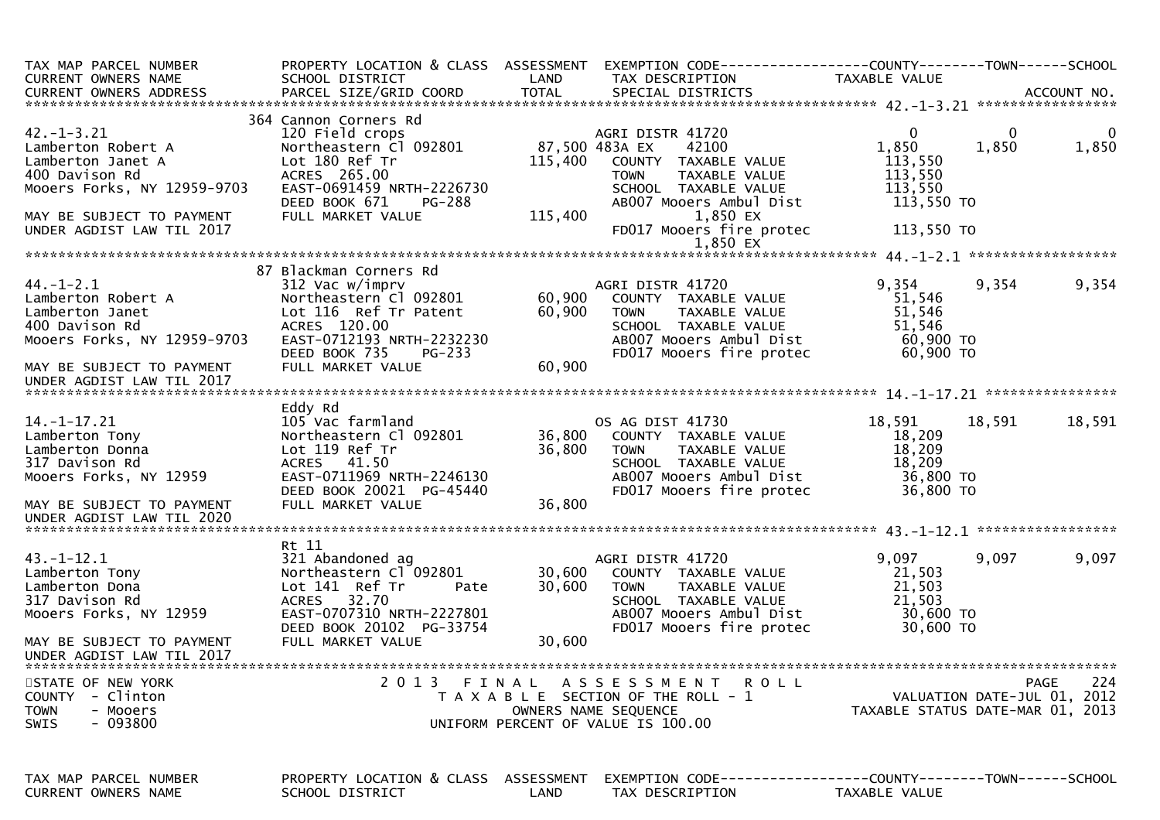| TAX MAP PARCEL NUMBER<br>CURRENT OWNERS NAME                                                                                              | PROPERTY LOCATION & CLASS ASSESSMENT<br>SCHOOL DISTRICT                                                                                                                           | LAND                       | TAX DESCRIPTION                                                                                                                                             | TAXABLE VALUE                                                          |                                                                                |
|-------------------------------------------------------------------------------------------------------------------------------------------|-----------------------------------------------------------------------------------------------------------------------------------------------------------------------------------|----------------------------|-------------------------------------------------------------------------------------------------------------------------------------------------------------|------------------------------------------------------------------------|--------------------------------------------------------------------------------|
|                                                                                                                                           |                                                                                                                                                                                   |                            |                                                                                                                                                             |                                                                        |                                                                                |
| $42. - 1 - 3.21$<br>Lamberton Robert A<br>Lamberton Janet A<br>400 Davison Rd<br>Mooers Forks, NY 12959-9703<br>MAY BE SUBJECT TO PAYMENT | 364 Cannon Corners Rd<br>120 Field crops<br>Northeastern Cl 092801<br>Lot 180 Ref Tr<br>ACRES 265.00<br>EAST-0691459 NRTH-2226730<br>DEED BOOK 671<br>PG-288<br>FULL MARKET VALUE | 115,400<br>115,400         | AGRI DISTR 41720<br>87,500 483A EX<br>42100<br>COUNTY TAXABLE VALUE<br>TAXABLE VALUE<br>TOWN<br>SCHOOL TAXABLE VALUE<br>AB007 Mooers Ambul Dist<br>1,850 EX | $\overline{0}$<br>1,850<br>113,550<br>113,550<br>113,550<br>113,550 TO | $\mathbf{0}$<br>0<br>1,850<br>1,850                                            |
| UNDER AGDIST LAW TIL 2017                                                                                                                 |                                                                                                                                                                                   |                            | FD017 Mooers fire protec                                                                                                                                    | 113,550 TO                                                             |                                                                                |
|                                                                                                                                           |                                                                                                                                                                                   |                            | 1,850 EX                                                                                                                                                    |                                                                        |                                                                                |
| $44. - 1 - 2.1$<br>Lamberton Robert A<br>Lamberton Janet<br>400 Davison Rd<br>Mooers Forks, NY 12959-9703                                 | 87 Blackman Corners Rd<br>312 Vac w/imprv<br>Northeastern Cl 092801<br>Lot 116 Ref Tr Patent<br>ACRES 120.00<br>EAST-0712193 NRTH-2232230                                         | 60,900<br>60,900           | AGRI DISTR 41720<br>COUNTY TAXABLE VALUE<br>TAXABLE VALUE<br><b>TOWN</b><br>SCHOOL TAXABLE VALUE<br>AB007 Mooers Ambul Dist                                 | 9,354<br>51,546<br>51,546<br>51,546<br>60,900 TO                       | 9,354<br>9,354                                                                 |
| MAY BE SUBJECT TO PAYMENT<br>UNDER AGDIST LAW TIL 2017                                                                                    | DEED BOOK 735<br><b>PG-233</b><br>FULL MARKET VALUE                                                                                                                               | 60,900                     | FD017 Mooers fire protec                                                                                                                                    | 60,900 ТО                                                              |                                                                                |
|                                                                                                                                           |                                                                                                                                                                                   |                            |                                                                                                                                                             |                                                                        |                                                                                |
| 14. -1 -17. 21<br>Lamberton Tony<br>Lamberton Donna<br>317 Davison Rd<br>Mooers Forks, NY 12959<br>MAY BE SUBJECT TO PAYMENT              | Eddy Rd<br>105 Vac farmland<br>Northeastern Cl 092801<br>Lot 119 Ref Tr<br>ACRES 41.50<br>EAST-0711969 NRTH-2246130<br>DEED BOOK 20021 PG-45440<br>FULL MARKET VALUE              | 36,800<br>36,800<br>36,800 | OS AG DIST 41730<br>COUNTY TAXABLE VALUE<br><b>TOWN</b><br>TAXABLE VALUE<br>SCHOOL TAXABLE VALUE<br>AB007 Mooers Ambul Dist<br>FD017 Mooers fire protec     | 18,591<br>18,209<br>18,209<br>18,209<br>36,800 TO<br>36,800 TO         | 18,591<br>18,591                                                               |
| UNDER AGDIST LAW TIL 2020                                                                                                                 |                                                                                                                                                                                   |                            |                                                                                                                                                             |                                                                        |                                                                                |
|                                                                                                                                           |                                                                                                                                                                                   |                            |                                                                                                                                                             |                                                                        |                                                                                |
| $43. - 1 - 12.1$<br>Lamberton Tony<br>Lamberton Dona<br>317 Davison Rd<br>Mooers Forks, NY 12959                                          | Rt 11<br>321 Abandoned ag<br>Northeastern Cl 092801<br>Lot 141 Ref Tr<br>Pate<br>ACRES 32.70<br>EAST-0707310 NRTH-2227801<br>DEED BOOK 20102 PG-33754                             | 30,600<br>30,600           | AGRI DISTR 41720<br>COUNTY TAXABLE VALUE<br><b>TOWN</b><br>TAXABLE VALUE<br>SCHOOL TAXABLE VALUE<br>AB007 Mooers Ambul Dist<br>FD017 Mooers fire protec     | 9,097<br>21,503<br>21,503<br>21,503<br>30,600 TO<br>30,600 TO          | 9,097<br>9,097                                                                 |
| MAY BE SUBJECT TO PAYMENT<br>UNDER AGDIST LAW TIL 2017                                                                                    | FULL MARKET VALUE                                                                                                                                                                 | 30,600                     |                                                                                                                                                             |                                                                        |                                                                                |
| STATE OF NEW YORK<br><b>COUNTY</b><br>- Clinton<br><b>TOWN</b><br>- Mooers<br>- 093800<br>SWIS                                            |                                                                                                                                                                                   |                            | 2013 FINAL ASSESSMENT<br><b>ROLL</b><br>T A X A B L E SECTION OF THE ROLL - 1<br>OWNERS NAME SEQUENCE<br>UNIFORM PERCENT OF VALUE IS 100.00                 |                                                                        | 224<br>PAGE<br>VALUATION DATE-JUL 01, 2012<br>TAXABLE STATUS DATE-MAR 01, 2013 |
| TAX MAP PARCEL NUMBER<br><b>CURRENT OWNERS NAME</b>                                                                                       | PROPERTY LOCATION & CLASS ASSESSMENT<br>SCHOOL DISTRICT                                                                                                                           | LAND                       | EXEMPTION        CODE------------------COUNTY-------TOWN------SCHOOL<br>TAX DESCRIPTION                                                                     | TAXABLE VALUE                                                          |                                                                                |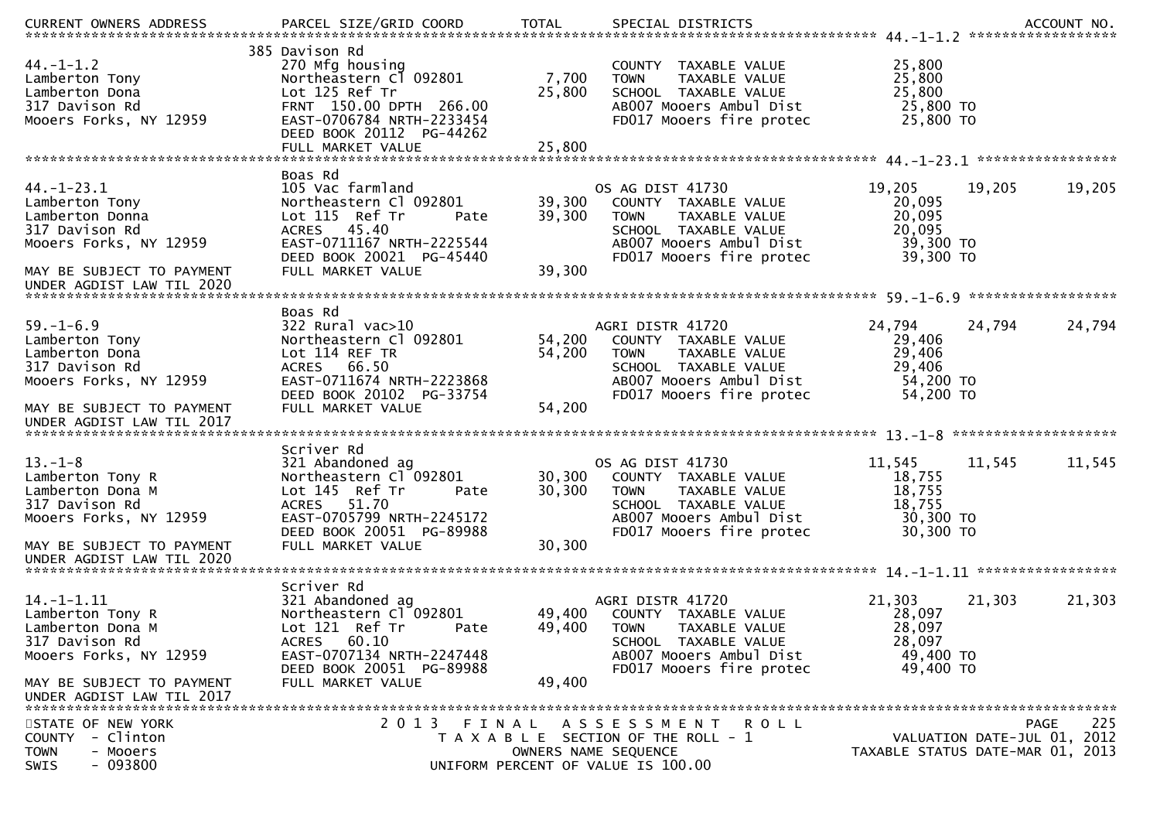| $44. - 1 - 1.2$<br>Lamberton Tony<br>Lamberton Dona<br>317 Davison Rd<br>Mooers Forks, NY 12959      | 385 Davison Rd<br>270 Mfg housing<br>Northeastern Cl 092801<br>Lot 125 Ref Tr<br>FRNT 150.00 DPTH 266.00<br>EAST-0706784 NRTH-2233454<br>DEED BOOK 20112 PG-44262<br>FULL MARKET VALUE | 7,700<br>25,800<br>25,800 | COUNTY TAXABLE VALUE<br>TAXABLE VALUE<br><b>TOWN</b><br>SCHOOL TAXABLE VALUE<br>AB007 Mooers Ambul Dist<br>FD017 Mooers fire protec                     | 25,800<br>25,800<br>25,800<br>25,800 TO<br>25,800 TO           |                             |             |
|------------------------------------------------------------------------------------------------------|----------------------------------------------------------------------------------------------------------------------------------------------------------------------------------------|---------------------------|---------------------------------------------------------------------------------------------------------------------------------------------------------|----------------------------------------------------------------|-----------------------------|-------------|
|                                                                                                      | Boas Rd                                                                                                                                                                                |                           |                                                                                                                                                         |                                                                |                             |             |
| $44. - 1 - 23.1$<br>Lamberton Tony<br>Lamberton Donna<br>317 Davison Rd<br>Mooers Forks, NY 12959    | 105 Vac farmland<br>Northeastern Cl 092801<br>Lot 115 Ref Tr<br>Pate<br>ACRES 45.40<br>EAST-0711167 NRTH-2225544<br>DEED BOOK 20021 PG-45440                                           | 39,300<br>39,300          | OS AG DIST 41730<br>COUNTY TAXABLE VALUE<br>TAXABLE VALUE<br><b>TOWN</b><br>SCHOOL TAXABLE VALUE<br>AB007 Mooers Ambul Dist<br>FD017 Mooers fire protec | 19,205<br>20,095<br>20,095<br>20,095<br>39,300 TO<br>39,300 TO | 19,205                      | 19,205      |
| MAY BE SUBJECT TO PAYMENT<br>UNDER AGDIST LAW TIL 2020                                               | FULL MARKET VALUE                                                                                                                                                                      | 39,300                    |                                                                                                                                                         |                                                                |                             |             |
|                                                                                                      | Boas Rd                                                                                                                                                                                |                           |                                                                                                                                                         |                                                                |                             |             |
| $59. - 1 - 6.9$<br>Lamberton Tony<br>Lamberton Dona<br>317 Davison Rd<br>Mooers Forks, NY 12959      | $322$ Rural vac $>10$<br>Northeastern Cl 092801<br>Lot 114 REF TR<br><b>ACRES</b><br>66.50<br>EAST-0711674 NRTH-2223868<br>DEED BOOK 20102 PG-33754                                    | 54,200<br>54,200          | AGRI DISTR 41720<br>COUNTY TAXABLE VALUE<br><b>TOWN</b><br>TAXABLE VALUE<br>SCHOOL TAXABLE VALUE<br>AB007 Mooers Ambul Dist                             | 24,794<br>29,406<br>29,406<br>29,406<br>54,200 TO<br>54,200 TO | 24,794                      | 24,794      |
| MAY BE SUBJECT TO PAYMENT<br>UNDER AGDIST LAW TIL 2017                                               | FULL MARKET VALUE                                                                                                                                                                      | 54,200                    | FD017 Mooers fire protec                                                                                                                                |                                                                |                             |             |
|                                                                                                      | Scriver Rd                                                                                                                                                                             |                           |                                                                                                                                                         |                                                                |                             |             |
| $13. - 1 - 8$<br>Lamberton Tony R<br>Lamberton Dona M<br>317 Davison Rd<br>Mooers Forks, NY 12959    | 321 Abandoned ag<br>Northeastern Cl 092801<br>Lot 145 Ref Tr<br>Pate<br>ACRES 51.70<br>EAST-0705799 NRTH-2245172<br>DEED BOOK 20051 PG-89988                                           | 30,300<br>30,300          | OS AG DIST 41730<br>COUNTY TAXABLE VALUE<br>TAXABLE VALUE<br><b>TOWN</b><br>SCHOOL TAXABLE VALUE<br>AB007 Mooers Ambul Dist<br>FD017 Mooers fire protec | 11,545<br>18,755<br>18,755<br>18,755<br>30,300 TO<br>30,300 TO | 11,545                      | 11,545      |
| MAY BE SUBJECT TO PAYMENT<br>UNDER AGDIST LAW TIL 2020                                               | FULL MARKET VALUE                                                                                                                                                                      | 30,300                    |                                                                                                                                                         |                                                                |                             |             |
|                                                                                                      | Scriver Rd                                                                                                                                                                             |                           |                                                                                                                                                         |                                                                |                             |             |
| $14. - 1 - 1.11$<br>Lamberton Tony R<br>Lamberton Dona M<br>317 Davison Rd<br>Mooers Forks, NY 12959 | 321 Abandoned ag<br>Northeastern Cl 092801<br>Lot 121 Ref Tr<br>Pate<br>60.10<br><b>ACRES</b><br>EAST-0707134 NRTH-2247448<br>DEED BOOK 20051 PG-89988                                 | 49,400<br>49,400          | AGRI DISTR 41720<br>COUNTY TAXABLE VALUE<br><b>TOWN</b><br>TAXABLE VALUE<br>SCHOOL TAXABLE VALUE<br>AB007 Mooers Ambul Dist<br>FD017 Mooers fire protec | 21,303<br>28,097<br>28,097<br>28,097<br>49,400 TO<br>49,400 TO | 21,303                      | 21,303      |
| MAY BE SUBJECT TO PAYMENT<br>UNDER AGDIST LAW TIL 2017                                               | FULL MARKET VALUE                                                                                                                                                                      | 49,400                    |                                                                                                                                                         |                                                                |                             |             |
| STATE OF NEW YORK<br>- Clinton<br><b>COUNTY</b><br>- Mooers<br><b>TOWN</b><br>$-093800$<br>SWIS      | 2 0 1 3<br>FINAL                                                                                                                                                                       | OWNERS NAME SEQUENCE      | ASSESSMENT ROLL<br>T A X A B L E SECTION OF THE ROLL - 1<br>UNIFORM PERCENT OF VALUE IS 100.00                                                          | TAXABLE STATUS DATE-MAR 01, 2013                               | VALUATION DATE-JUL 01, 2012 | 225<br>PAGE |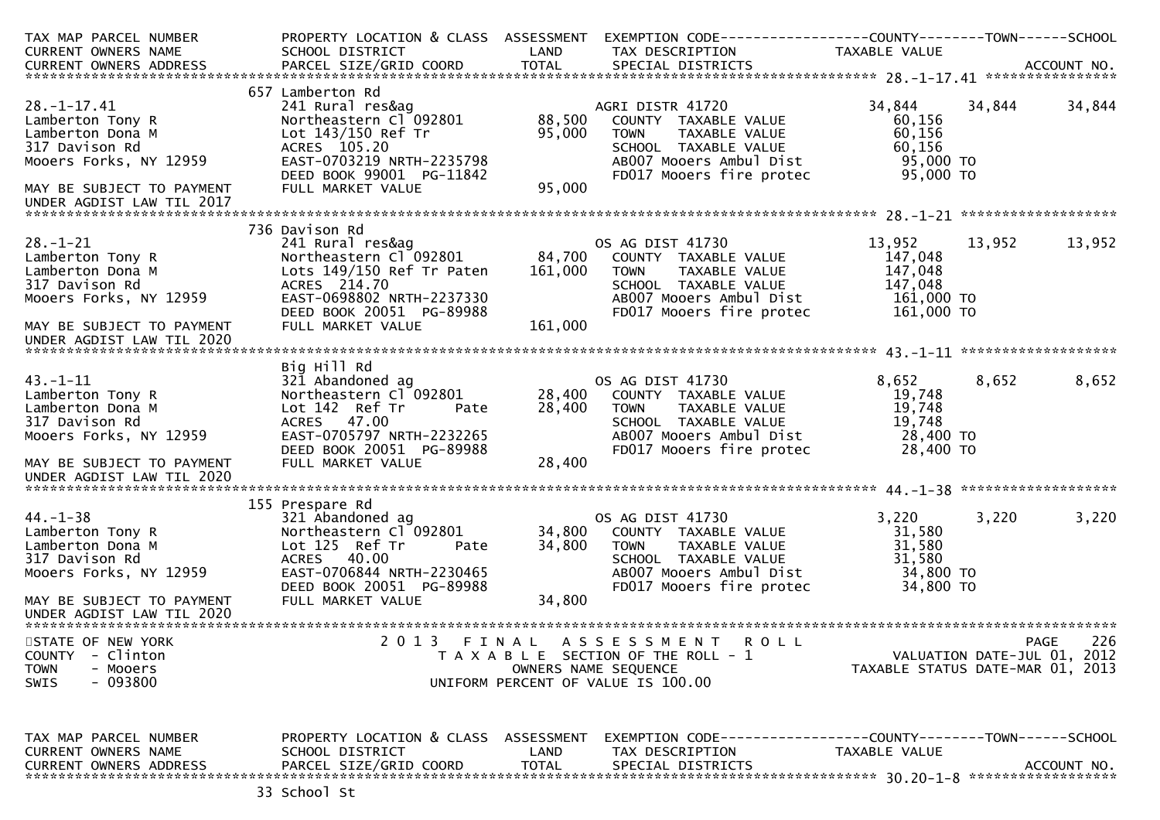| TAX MAP PARCEL NUMBER                | PROPERTY LOCATION & CLASS ASSESSMENT                |                   |                                                      |                                  |        |                             |
|--------------------------------------|-----------------------------------------------------|-------------------|------------------------------------------------------|----------------------------------|--------|-----------------------------|
| CURRENT OWNERS NAME                  | SCHOOL DISTRICT                                     | LAND              | TAX DESCRIPTION                                      | TAXABLE VALUE                    |        |                             |
|                                      |                                                     |                   |                                                      |                                  |        |                             |
|                                      | 657 Lamberton Rd                                    |                   |                                                      |                                  |        |                             |
| $28. - 1 - 17.41$                    | 241 Rural res&ag                                    |                   | AGRI DISTR 41720                                     | 34,844                           | 34,844 | 34,844                      |
| Lamberton Tony R                     | Northeastern Cl 092801                              | 88,500            | COUNTY TAXABLE VALUE                                 | 60,156<br>60,156                 |        |                             |
| Lamberton Dona M<br>317 Davison Rd   | Lot 143/150 Ref Tr<br>ACRES 105.20                  | 95,000            | <b>TOWN</b><br>TAXABLE VALUE<br>SCHOOL TAXABLE VALUE | 60,156                           |        |                             |
| Mooers Forks, NY 12959               | EAST-0703219 NRTH-2235798                           |                   | AB007 Mooers Ambul Dist                              | 95,000 TO                        |        |                             |
|                                      | DEED BOOK 99001 PG-11842                            |                   | FD017 Mooers fire protec                             | 95,000 TO                        |        |                             |
| MAY BE SUBJECT TO PAYMENT            | FULL MARKET VALUE                                   | 95,000            |                                                      |                                  |        |                             |
| UNDER AGDIST LAW TIL 2017            |                                                     |                   |                                                      |                                  |        |                             |
|                                      |                                                     |                   |                                                      |                                  |        |                             |
|                                      | 736 Davison Rd                                      |                   |                                                      |                                  |        |                             |
| $28. - 1 - 21$                       | 241 Rural res&ag                                    |                   | OS AG DIST 41730                                     | 13,952                           | 13,952 | 13,952                      |
| Lamberton Tony R<br>Lamberton Dona M | Northeastern Cl 092801<br>Lots 149/150 Ref Tr Paten | 84,700<br>161,000 | COUNTY TAXABLE VALUE<br><b>TOWN</b><br>TAXABLE VALUE | 147,048<br>147,048               |        |                             |
| 317 Davison Rd                       | ACRES 214.70                                        |                   | SCHOOL TAXABLE VALUE                                 | 147,048                          |        |                             |
| Mooers Forks, NY 12959               | EAST-0698802 NRTH-2237330                           |                   | AB007 Mooers Ambul Dist                              | 161,000 TO                       |        |                             |
|                                      | DEED BOOK 20051 PG-89988                            |                   | FD017 Mooers fire protec                             | 161,000 TO                       |        |                             |
| MAY BE SUBJECT TO PAYMENT            | FULL MARKET VALUE                                   | 161,000           |                                                      |                                  |        |                             |
| UNDER AGDIST LAW TIL 2020            |                                                     |                   |                                                      |                                  |        |                             |
|                                      |                                                     |                   |                                                      |                                  |        |                             |
|                                      | Big Hill Rd                                         |                   |                                                      |                                  |        |                             |
| $43. - 1 - 11$                       | 321 Abandoned ag                                    |                   | OS AG DIST 41730                                     | 8,652                            | 8,652  | 8,652                       |
| Lamberton Tony R                     | Northeastern Cl 092801                              | 28,400            | COUNTY TAXABLE VALUE<br><b>TOWN</b>                  | 19,748<br>19,748                 |        |                             |
| Lamberton Dona M<br>317 Davison Rd   | Lot 142 Ref Tr<br>Pate<br>ACRES 47.00               | 28,400            | TAXABLE VALUE<br>SCHOOL TAXABLE VALUE                | 19,748                           |        |                             |
| Mooers Forks, NY 12959               | EAST-0705797 NRTH-2232265                           |                   | AB007 Mooers Ambul Dist                              | 28,400 TO                        |        |                             |
|                                      | DEED BOOK 20051 PG-89988                            |                   | FD017 Mooers fire protec                             | 28,400 TO                        |        |                             |
| MAY BE SUBJECT TO PAYMENT            | FULL MARKET VALUE                                   | 28,400            |                                                      |                                  |        |                             |
| UNDER AGDIST LAW TIL 2020            |                                                     |                   |                                                      |                                  |        |                             |
|                                      |                                                     |                   |                                                      |                                  |        |                             |
|                                      | 155 Prespare Rd                                     |                   |                                                      |                                  |        |                             |
| $44. - 1 - 38$                       | 321 Abandoned ag                                    |                   | OS AG DIST 41730                                     | 3,220                            | 3,220  | 3,220                       |
| Lamberton Tony R                     | Northeastern Cl 092801                              | 34,800<br>34,800  | COUNTY TAXABLE VALUE<br><b>TOWN</b>                  | 31,580<br>31,580                 |        |                             |
| Lamberton Dona M<br>317 Davison Rd   | Lot 125 Ref Tr<br>Pate<br>ACRES 40.00               |                   | TAXABLE VALUE<br>SCHOOL TAXABLE VALUE                | 31,580                           |        |                             |
| Mooers Forks, NY 12959               | EAST-0706844 NRTH-2230465                           |                   | AB007 Mooers Ambul Dist                              | 34,800 TO                        |        |                             |
|                                      | DEED BOOK 20051 PG-89988                            |                   | FD017 Mooers fire protec                             | 34,800 TO                        |        |                             |
| MAY BE SUBJECT TO PAYMENT            | FULL MARKET VALUE                                   | 34,800            |                                                      |                                  |        |                             |
| UNDER AGDIST LAW TIL 2020            |                                                     |                   |                                                      |                                  |        |                             |
|                                      |                                                     |                   |                                                      |                                  |        |                             |
| STATE OF NEW YORK                    | 2 0 1 3                                             |                   | FINAL ASSESSMENT<br><b>ROLL</b>                      |                                  |        | 226<br>PAGE                 |
| <b>COUNTY</b><br>- Clinton           |                                                     |                   | T A X A B L E SECTION OF THE ROLL - 1                |                                  |        | VALUATION DATE-JUL 01, 2012 |
| <b>TOWN</b><br>- Mooers<br>$-093800$ |                                                     |                   | OWNERS NAME SEQUENCE                                 | TAXABLE STATUS DATE-MAR 01, 2013 |        |                             |
| SWIS                                 |                                                     |                   | UNIFORM PERCENT OF VALUE IS 100.00                   |                                  |        |                             |
|                                      |                                                     |                   |                                                      |                                  |        |                             |
| TAX MAP PARCEL NUMBER                | PROPERTY LOCATION & CLASS ASSESSMENT                |                   |                                                      |                                  |        |                             |
| CURRENT OWNERS NAME                  | SCHOOL DISTRICT                                     | LAND              | TAX DESCRIPTION                                      | TAXABLE VALUE                    |        |                             |
| <b>CURRENT OWNERS ADDRESS</b>        | PARCEL SIZE/GRID COORD                              | <b>TOTAL</b>      | SPECIAL DISTRICTS                                    |                                  |        | ACCOUNT NO.                 |
|                                      |                                                     |                   |                                                      |                                  |        |                             |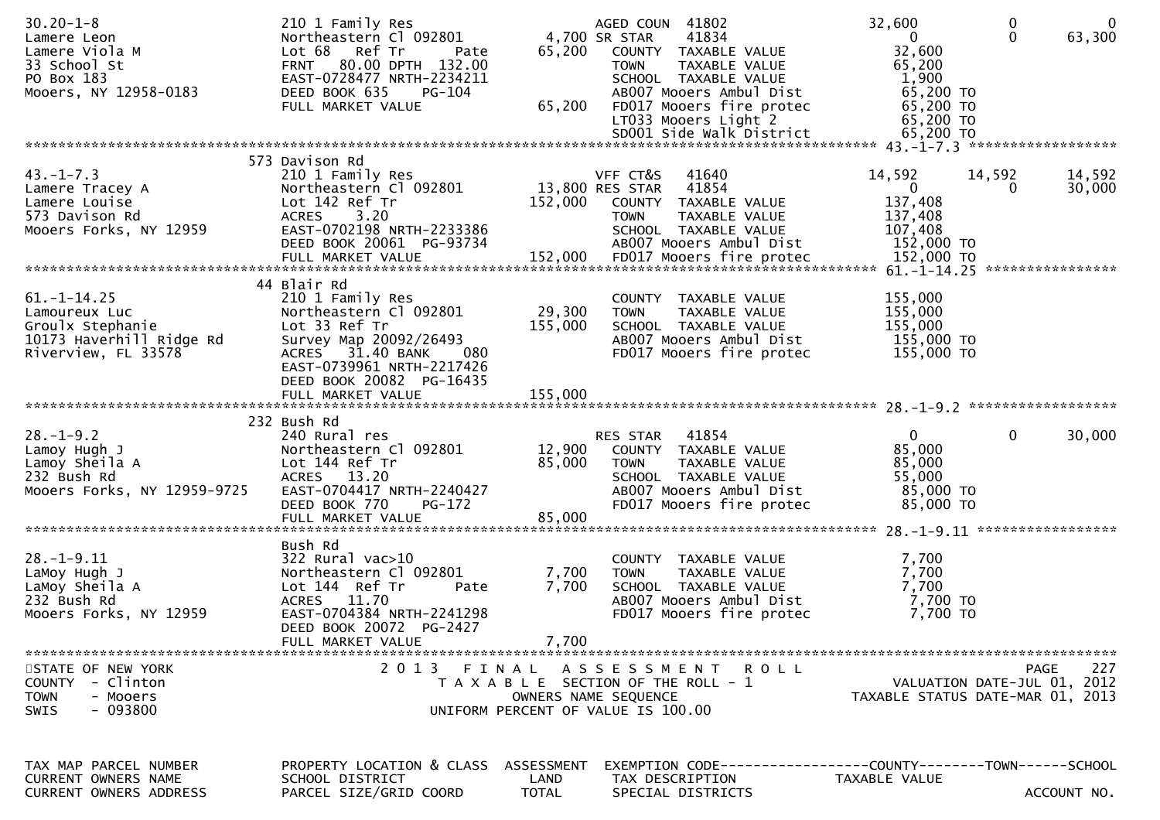| $30.20 - 1 - 8$<br>Lamere Leon<br>Lamere Viola M<br>33 School St<br>PO Box 183<br>Mooers, NY 12958-0183   | 210 1 Family Res<br>Northeastern Cl 092801<br>Lot 68<br>Ref Tr<br>Pate<br>FRNT 80.00 DPTH 132.00<br>EAST-0728477 NRTH-2234211<br>DEED BOOK 635<br>PG-104<br>FULL MARKET VALUE            | 65,200<br>65,200                   | AGED COUN 41802<br>41834<br>4,700 SR STAR<br>COUNTY TAXABLE VALUE<br><b>TOWN</b><br>TAXABLE VALUE<br>SCHOOL TAXABLE VALUE<br>AB007 Mooers Ambul Dist<br>FD017 Mooers fire protec<br>LT033 Mooers Light 2 | 32,600<br>$\mathbf{0}$<br>32,600<br>65,200<br>1,900<br>65,200 TO<br>65,200 TO<br>65,200 TO | $\mathbf 0$<br>$\mathbf 0$<br>$\mathbf 0$<br>63,300                            |
|-----------------------------------------------------------------------------------------------------------|------------------------------------------------------------------------------------------------------------------------------------------------------------------------------------------|------------------------------------|----------------------------------------------------------------------------------------------------------------------------------------------------------------------------------------------------------|--------------------------------------------------------------------------------------------|--------------------------------------------------------------------------------|
|                                                                                                           |                                                                                                                                                                                          |                                    |                                                                                                                                                                                                          |                                                                                            |                                                                                |
| $43. - 1 - 7.3$<br>Lamere Tracey A<br>Lamere Louise<br>573 Davison Rd<br>Mooers Forks, NY 12959           | 573 Davison Rd<br>210 1 Family Res<br>Northeastern Cl 092801<br>Lot 142 Ref Tr<br><b>ACRES</b><br>3.20<br>EAST-0702198 NRTH-2233386<br>DEED BOOK 20061 PG-93734                          | 152,000                            | VFF CT&S<br>41640<br>13,800 RES STAR 41854<br>COUNTY TAXABLE VALUE<br><b>TOWN</b><br>TAXABLE VALUE<br>SCHOOL TAXABLE VALUE<br>AB007 Mooers Ambul Dist                                                    | 14,592<br>$\overline{0}$<br>137,408<br>137,408<br>107,408<br>152,000 TO                    | 14,592<br>14,592<br>30,000<br>0                                                |
| $61. - 1 - 14.25$<br>Lamoureux Luc<br>Groulx Stephanie<br>10173 Haverhill Ridge Rd<br>Riverview, FL 33578 | 44 Blair Rd<br>210 1 Family Res<br>Northeastern Cl 092801<br>Lot 33 Ref Tr<br>Survey Map 20092/26493<br>ACRES 31.40 BANK<br>080<br>EAST-0739961 NRTH-2217426<br>DEED BOOK 20082 PG-16435 | 29,300<br>155,000                  | COUNTY TAXABLE VALUE<br><b>TOWN</b><br>TAXABLE VALUE<br>SCHOOL TAXABLE VALUE<br>AB007 Mooers Ambul Dist<br>FD017 Mooers fire protec                                                                      | 155,000<br>155,000<br>155,000<br>155,000 TO<br>155,000 TO                                  |                                                                                |
|                                                                                                           | 232 Bush Rd                                                                                                                                                                              |                                    |                                                                                                                                                                                                          |                                                                                            |                                                                                |
| $28. - 1 - 9.2$<br>Lamoy Hugh J<br>Lamoy Sheila A<br>232 Bush Rd<br>Mooers Forks, NY 12959-9725           | 240 Rural res<br>Northeastern Cl 092801<br>Lot 144 Ref Tr<br>ACRES 13.20<br>EAST-0704417 NRTH-2240427<br>DEED BOOK 770<br>PG-172<br>FULL MARKET VALUE                                    | 12,900<br>85,000<br>85,000         | RES STAR<br>41854<br>COUNTY TAXABLE VALUE<br><b>TOWN</b><br>TAXABLE VALUE<br>SCHOOL TAXABLE VALUE<br>AB007 Mooers Ambul Dist<br>FD017 Mooers fire protec                                                 | $\overline{0}$<br>85,000<br>85,000<br>55,000<br>85,000 TO<br>85,000 TO                     | $\mathbf{0}$<br>30,000                                                         |
| $28. - 1 - 9.11$<br>LaMoy Hugh J<br>LaMoy Sheila A<br>232 Bush Rd<br>Mooers Forks, NY 12959               | Bush Rd<br>$322$ Rural vac $>10$<br>Northeastern Cl 092801<br>Lot 144 Ref Tr<br>Pate<br>ACRES 11.70<br>EAST-0704384 NRTH-2241298<br>DEED BOOK 20072 PG-2427<br>FULL MARKET VALUE         | 7,700<br>7,700<br>7,700            | COUNTY TAXABLE VALUE<br><b>TOWN</b><br>TAXABLE VALUE<br>SCHOOL TAXABLE VALUE<br>AB007 Mooers Ambul Dist<br>FD017 Mooers fire protec                                                                      | 7,700<br>7,700<br>7,700<br>7,700 TO<br>7,700 TO                                            |                                                                                |
| STATE OF NEW YORK<br>COUNTY - Clinton<br><b>TOWN</b><br>- Mooers<br>$-093800$<br><b>SWIS</b>              | 2013 FINAL                                                                                                                                                                               |                                    | ASSESSMENT ROLL<br>T A X A B L E SECTION OF THE ROLL - 1<br>OWNERS NAME SEQUENCE<br>UNIFORM PERCENT OF VALUE IS 100.00                                                                                   |                                                                                            | 227<br>PAGE<br>VALUATION DATE-JUL 01, 2012<br>TAXABLE STATUS DATE-MAR 01, 2013 |
| TAX MAP PARCEL NUMBER<br>CURRENT OWNERS NAME<br>CURRENT OWNERS ADDRESS                                    | PROPERTY LOCATION & CLASS<br>SCHOOL DISTRICT<br>PARCEL SIZE/GRID COORD                                                                                                                   | ASSESSMENT<br>LAND<br><b>TOTAL</b> | EXEMPTION CODE-----------------COUNTY-------TOWN------SCHOOL<br>TAX DESCRIPTION<br>SPECIAL DISTRICTS                                                                                                     | TAXABLE VALUE                                                                              | ACCOUNT NO.                                                                    |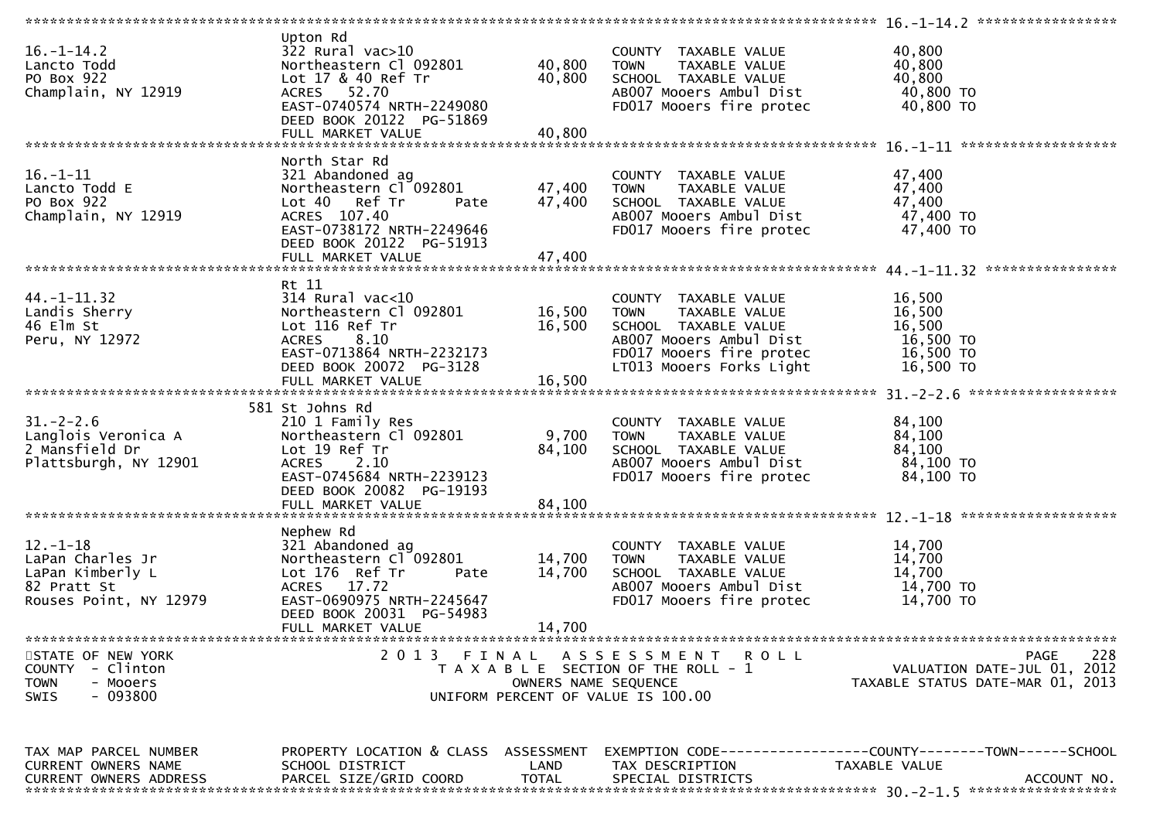| Upton Rd<br>$16. - 1 - 14.2$<br>$322$ Rural vac $>10$<br>40,800<br>COUNTY TAXABLE VALUE<br>40,800<br>Northeastern Cl 092801<br>40,800<br>Lancto Todd<br><b>TOWN</b><br>TAXABLE VALUE<br>40,800<br>40,800<br>PO Box 922<br>Lot 17 & 40 Ref Tr<br>SCHOOL TAXABLE VALUE<br>40,800 TO<br>Champlain, NY 12919<br>ACRES 52.70<br>AB007 Mooers Ambul Dist<br>40,800 TO<br>EAST-0740574 NRTH-2249080<br>FD017 Mooers fire protec<br>DEED BOOK 20122 PG-51869<br>40,800<br>FULL MARKET VALUE<br>North Star Rd<br>$16. - 1 - 11$<br>47,400<br>321 Abandoned ag<br>COUNTY TAXABLE VALUE<br>47,400<br>Northeastern Cl 092801<br>47,400<br>Lancto Todd E<br>TAXABLE VALUE<br>TOWN<br>47,400<br>PO Box 922<br>47,400<br>SCHOOL TAXABLE VALUE<br>Lot 40 Ref Tr<br>Pate<br>47,400 TO<br>Champlain, NY 12919<br>ACRES 107.40<br>AB007 Mooers Ambul Dist<br>47,400 TO<br>EAST-0738172 NRTH-2249646<br>FD017 Mooers fire protec<br>DEED BOOK 20122 PG-51913<br>47,400<br>FULL MARKET VALUE<br>Rt 11<br>16,500<br>$44. - 1 - 11.32$<br>$314$ Rural vac< $10$<br>COUNTY TAXABLE VALUE<br>16,500<br>16,500<br>Landis Sherry<br>Northeastern Cl 092801<br>TAXABLE VALUE<br><b>TOWN</b><br>46 Elm St<br>Lot 116 Ref Tr<br>16,500<br>16,500<br>SCHOOL TAXABLE VALUE<br>16,500 TO<br>Peru, NY 12972<br>ACRES 8.10<br>AB007 Mooers Ambul Dist<br>EAST-0713864 NRTH-2232173<br>FD017 Mooers fire protec<br>16,500 TO<br>LT013 Mooers Forks Light<br>DEED BOOK 20072 PG-3128<br>16,500 TO<br>16,500<br>FULL MARKET VALUE<br>581 St Johns Rd<br>$31. - 2 - 2.6$<br>84,100<br>210 1 Family Res<br>COUNTY TAXABLE VALUE<br>Langlois Veronica A |                                                                           |
|----------------------------------------------------------------------------------------------------------------------------------------------------------------------------------------------------------------------------------------------------------------------------------------------------------------------------------------------------------------------------------------------------------------------------------------------------------------------------------------------------------------------------------------------------------------------------------------------------------------------------------------------------------------------------------------------------------------------------------------------------------------------------------------------------------------------------------------------------------------------------------------------------------------------------------------------------------------------------------------------------------------------------------------------------------------------------------------------------------------------------------------------------------------------------------------------------------------------------------------------------------------------------------------------------------------------------------------------------------------------------------------------------------------------------------------------------------------------------------------------------------------------------------------------------------------------------------------------------------------|---------------------------------------------------------------------------|
|                                                                                                                                                                                                                                                                                                                                                                                                                                                                                                                                                                                                                                                                                                                                                                                                                                                                                                                                                                                                                                                                                                                                                                                                                                                                                                                                                                                                                                                                                                                                                                                                                |                                                                           |
|                                                                                                                                                                                                                                                                                                                                                                                                                                                                                                                                                                                                                                                                                                                                                                                                                                                                                                                                                                                                                                                                                                                                                                                                                                                                                                                                                                                                                                                                                                                                                                                                                |                                                                           |
|                                                                                                                                                                                                                                                                                                                                                                                                                                                                                                                                                                                                                                                                                                                                                                                                                                                                                                                                                                                                                                                                                                                                                                                                                                                                                                                                                                                                                                                                                                                                                                                                                |                                                                           |
|                                                                                                                                                                                                                                                                                                                                                                                                                                                                                                                                                                                                                                                                                                                                                                                                                                                                                                                                                                                                                                                                                                                                                                                                                                                                                                                                                                                                                                                                                                                                                                                                                |                                                                           |
|                                                                                                                                                                                                                                                                                                                                                                                                                                                                                                                                                                                                                                                                                                                                                                                                                                                                                                                                                                                                                                                                                                                                                                                                                                                                                                                                                                                                                                                                                                                                                                                                                |                                                                           |
|                                                                                                                                                                                                                                                                                                                                                                                                                                                                                                                                                                                                                                                                                                                                                                                                                                                                                                                                                                                                                                                                                                                                                                                                                                                                                                                                                                                                                                                                                                                                                                                                                |                                                                           |
| 2 Mansfield Dr<br>84,100<br>Lot 19 Ref Tr<br>84,100<br>SCHOOL TAXABLE VALUE<br>Plattsburgh, NY 12901<br>ACRES 2.10<br>AB007 Mooers Ambul Dist<br>84,100 TO<br>EAST-0745684 NRTH-2239123<br>FD017 Mooers fire protec<br>84,100 TO<br>DEED BOOK 20082 PG-19193<br>84,100<br>FULL MARKET VALUE                                                                                                                                                                                                                                                                                                                                                                                                                                                                                                                                                                                                                                                                                                                                                                                                                                                                                                                                                                                                                                                                                                                                                                                                                                                                                                                    | 9,700<br>Northeastern Cl 092801<br>84,100<br><b>TOWN</b><br>TAXABLE VALUE |
|                                                                                                                                                                                                                                                                                                                                                                                                                                                                                                                                                                                                                                                                                                                                                                                                                                                                                                                                                                                                                                                                                                                                                                                                                                                                                                                                                                                                                                                                                                                                                                                                                |                                                                           |
| Nephew Rd<br>$12. - 1 - 18$<br>14,700<br>321 Abandoned ag<br>COUNTY TAXABLE VALUE<br>Northeastern Cl <sup>-</sup> 092801<br>14,700<br>14,700<br>LaPan Charles Jr<br><b>TOWN</b><br>TAXABLE VALUE<br>14,700<br>LaPan Kimberly L<br>Lot 176 Ref Tr<br>14,700<br>SCHOOL TAXABLE VALUE<br>Pate<br>14,700 TO<br>ACRES 17.72<br>AB007 Mooers Ambul Dist<br>82 Pratt St<br>EAST-0690975 NRTH-2245647<br>FD017 Mooers fire protec<br>14,700 TO<br>Rouses Point, NY 12979<br>DEED BOOK 20031 PG-54983                                                                                                                                                                                                                                                                                                                                                                                                                                                                                                                                                                                                                                                                                                                                                                                                                                                                                                                                                                                                                                                                                                                   |                                                                           |
| 14,700<br>FULL MARKET VALUE                                                                                                                                                                                                                                                                                                                                                                                                                                                                                                                                                                                                                                                                                                                                                                                                                                                                                                                                                                                                                                                                                                                                                                                                                                                                                                                                                                                                                                                                                                                                                                                    |                                                                           |
|                                                                                                                                                                                                                                                                                                                                                                                                                                                                                                                                                                                                                                                                                                                                                                                                                                                                                                                                                                                                                                                                                                                                                                                                                                                                                                                                                                                                                                                                                                                                                                                                                |                                                                           |
| 2013 FINAL<br>STATE OF NEW YORK<br>ASSESSMENT ROLL<br>PAGE<br><b>COUNTY</b><br>- Clinton<br>T A X A B L E SECTION OF THE ROLL - 1<br><b>TOWN</b><br>OWNERS NAME SEQUENCE<br>- Mooers<br>- 093800<br><b>SWIS</b><br>UNIFORM PERCENT OF VALUE IS 100.00                                                                                                                                                                                                                                                                                                                                                                                                                                                                                                                                                                                                                                                                                                                                                                                                                                                                                                                                                                                                                                                                                                                                                                                                                                                                                                                                                          | 228<br>VALUATION DATE-JUL 01, 2012<br>TAXABLE STATUS DATE-MAR 01, 2013    |
| TAX MAP PARCEL NUMBER<br>PROPERTY LOCATION & CLASS ASSESSMENT                                                                                                                                                                                                                                                                                                                                                                                                                                                                                                                                                                                                                                                                                                                                                                                                                                                                                                                                                                                                                                                                                                                                                                                                                                                                                                                                                                                                                                                                                                                                                  | EXEMPTION CODE-----------------COUNTY-------TOWN------SCHOOL              |
| CURRENT OWNERS NAME<br>SCHOOL DISTRICT<br>LAND<br>TAX DESCRIPTION<br>TAXABLE VALUE<br>PARCEL SIZE/GRID COORD<br><b>TOTAL</b><br><b>CURRENT OWNERS ADDRESS</b><br>SPECIAL DISTRICTS                                                                                                                                                                                                                                                                                                                                                                                                                                                                                                                                                                                                                                                                                                                                                                                                                                                                                                                                                                                                                                                                                                                                                                                                                                                                                                                                                                                                                             | ACCOUNT NO.                                                               |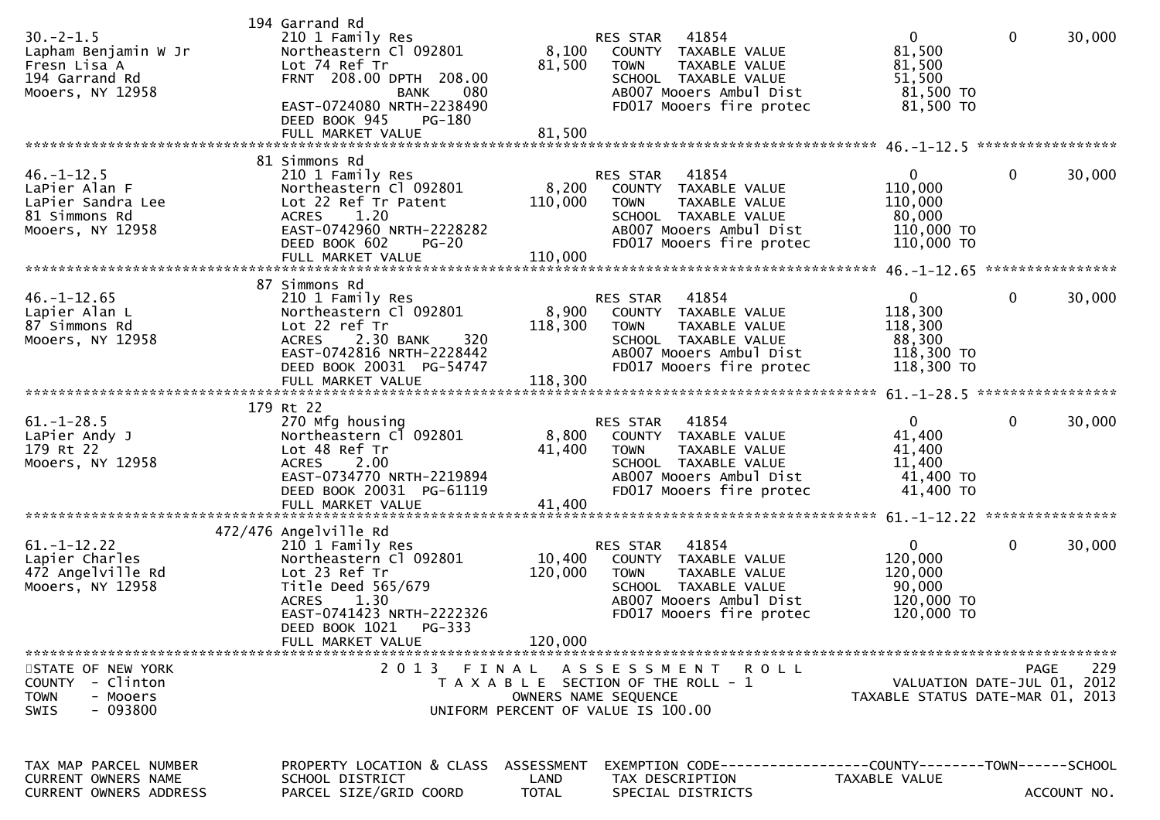| $30. -2 - 1.5$<br>Lapham Benjamin W Jr<br>Fresn Lisa A<br>194 Garrand Rd<br>Mooers, NY 12958          | 194 Garrand Rd<br>210 1 Family Res<br>Northeastern Cl 092801<br>Lot 74 Ref Tr<br>FRNT 208.00 DPTH 208.00<br>080<br>BANK<br>EAST-0724080 NRTH-2238490<br>DEED BOOK 945<br><b>PG-180</b>         | 8,100<br>81,500                    | 41854<br>RES STAR<br>COUNTY TAXABLE VALUE<br>TAXABLE VALUE<br><b>TOWN</b><br>SCHOOL TAXABLE VALUE<br>AB007 Mooers Ambul Dist<br>FD017 Mooers fire protec        | $\mathbf{0}$<br>81,500<br>81,500<br>51,500<br>81,500 TO<br>81,500 TO     | $\mathbf 0$  | 30,000             |
|-------------------------------------------------------------------------------------------------------|------------------------------------------------------------------------------------------------------------------------------------------------------------------------------------------------|------------------------------------|-----------------------------------------------------------------------------------------------------------------------------------------------------------------|--------------------------------------------------------------------------|--------------|--------------------|
|                                                                                                       | 81 Simmons Rd                                                                                                                                                                                  |                                    |                                                                                                                                                                 |                                                                          |              |                    |
| $46. - 1 - 12.5$<br>LaPier Alan F<br>LaPier Sandra Lee<br>81 Simmons Rd<br>Mooers, NY 12958           | 210 1 Family Res<br>Northeastern Cl 092801<br>Lot 22 Ref Tr Patent<br>1.20<br><b>ACRES</b><br>EAST-0742960 NRTH-2228282<br>DEED BOOK 602<br>$PG-20$<br>FULL MARKET VALUE                       | 8,200<br>110,000<br>110,000        | 41854<br><b>RES STAR</b><br>COUNTY TAXABLE VALUE<br>TAXABLE VALUE<br><b>TOWN</b><br>SCHOOL TAXABLE VALUE<br>AB007 Mooers Ambul Dist<br>FD017 Mooers fire protec | $\mathbf{0}$<br>110,000<br>110,000<br>80,000<br>110,000 TO<br>110,000 TO | $\mathbf 0$  | 30,000             |
|                                                                                                       |                                                                                                                                                                                                |                                    |                                                                                                                                                                 |                                                                          |              |                    |
| $46. - 1 - 12.65$<br>Lapier Alan L<br>87 Simmons Rd<br>Mooers, NY 12958                               | 87 Simmons Rd<br>210 1 Family Res<br>Northeastern Cl 092801<br>Lot 22 ref Tr<br>320<br><b>ACRES</b><br>2.30 BANK<br>EAST-0742816 NRTH-2228442<br>DEED BOOK 20031 PG-54747<br>FULL MARKET VALUE | 8,900<br>118,300                   | 41854<br>RES STAR<br>COUNTY TAXABLE VALUE<br>TAXABLE VALUE<br><b>TOWN</b><br>SCHOOL TAXABLE VALUE<br>AB007 Mooers Ambul Dist<br>FD017 Mooers fire protec        | $\mathbf{0}$<br>118,300<br>118,300<br>88,300<br>118,300 TO<br>118,300 TO | $\mathbf{0}$ | 30,000             |
|                                                                                                       |                                                                                                                                                                                                | 118,300                            |                                                                                                                                                                 |                                                                          |              |                    |
| $61. - 1 - 28.5$<br>LaPier Andy J<br>179 Rt 22<br>Mooers, NY 12958                                    | 179 Rt 22<br>270 Mfg housing<br>Northeastern Cl 092801<br>Lot 48 Ref Tr<br><b>ACRES</b><br>2.00<br>EAST-0734770 NRTH-2219894<br>DEED BOOK 20031 PG-61119                                       | 8,800<br>41,400<br>41,400          | 41854<br>RES STAR<br>COUNTY TAXABLE VALUE<br>TAXABLE VALUE<br><b>TOWN</b><br>SCHOOL TAXABLE VALUE<br>AB007 Mooers Ambul Dist<br>FD017 Mooers fire protec        | $\mathbf{0}$<br>41,400<br>41,400<br>11,400<br>41,400 TO<br>41,400 TO     | $\mathbf{0}$ | 30,000             |
|                                                                                                       | FULL MARKET VALUE                                                                                                                                                                              |                                    |                                                                                                                                                                 |                                                                          |              |                    |
| $61. -1 - 12.22$<br>Lapier Charles<br>472 Angelville Rd<br>Mooers, NY 12958                           | 472/476 Angelville Rd<br>210 1 Family Res<br>Northeastern Cl 092801<br>Lot 23 Ref Tr<br>Title Deed 565/679<br>1.30<br><b>ACRES</b><br>EAST-0741423 NRTH-2222326<br>DEED BOOK 1021 PG-333       | 10,400<br>120,000                  | 41854<br>RES STAR<br>COUNTY TAXABLE VALUE<br><b>TOWN</b><br>TAXABLE VALUE<br>SCHOOL TAXABLE VALUE<br>AB007 Mooers Ambul Dist<br>FD017 Mooers fire protec        | $\mathbf{0}$<br>120,000<br>120,000<br>90,000<br>120,000 TO<br>120,000 TO | $\mathbf 0$  | 30,000             |
|                                                                                                       | FULL MARKET VALUE                                                                                                                                                                              | 120,000                            |                                                                                                                                                                 |                                                                          |              |                    |
| STATE OF NEW YORK<br>- Clinton<br><b>COUNTY</b><br><b>TOWN</b><br>- Mooers<br>- 093800<br><b>SWIS</b> |                                                                                                                                                                                                |                                    | 2013 FINAL ASSESSMENT ROLL<br>T A X A B L E SECTION OF THE ROLL - 1<br>OWNERS NAME SEQUENCE<br>UNIFORM PERCENT OF VALUE IS 100.00                               | VALUATION DATE-JUL 01, 2012<br>TAXABLE STATUS DATE-MAR 01, 2013          |              | 229<br><b>PAGE</b> |
| TAX MAP PARCEL NUMBER<br>CURRENT OWNERS NAME<br><b>CURRENT OWNERS ADDRESS</b>                         | PROPERTY LOCATION & CLASS<br>SCHOOL DISTRICT<br>PARCEL SIZE/GRID COORD                                                                                                                         | ASSESSMENT<br>LAND<br><b>TOTAL</b> | EXEMPTION        CODE------------------COUNTY-------TOWN------SCHOOL<br>TAX DESCRIPTION<br>SPECIAL DISTRICTS                                                    | TAXABLE VALUE                                                            |              | ACCOUNT NO.        |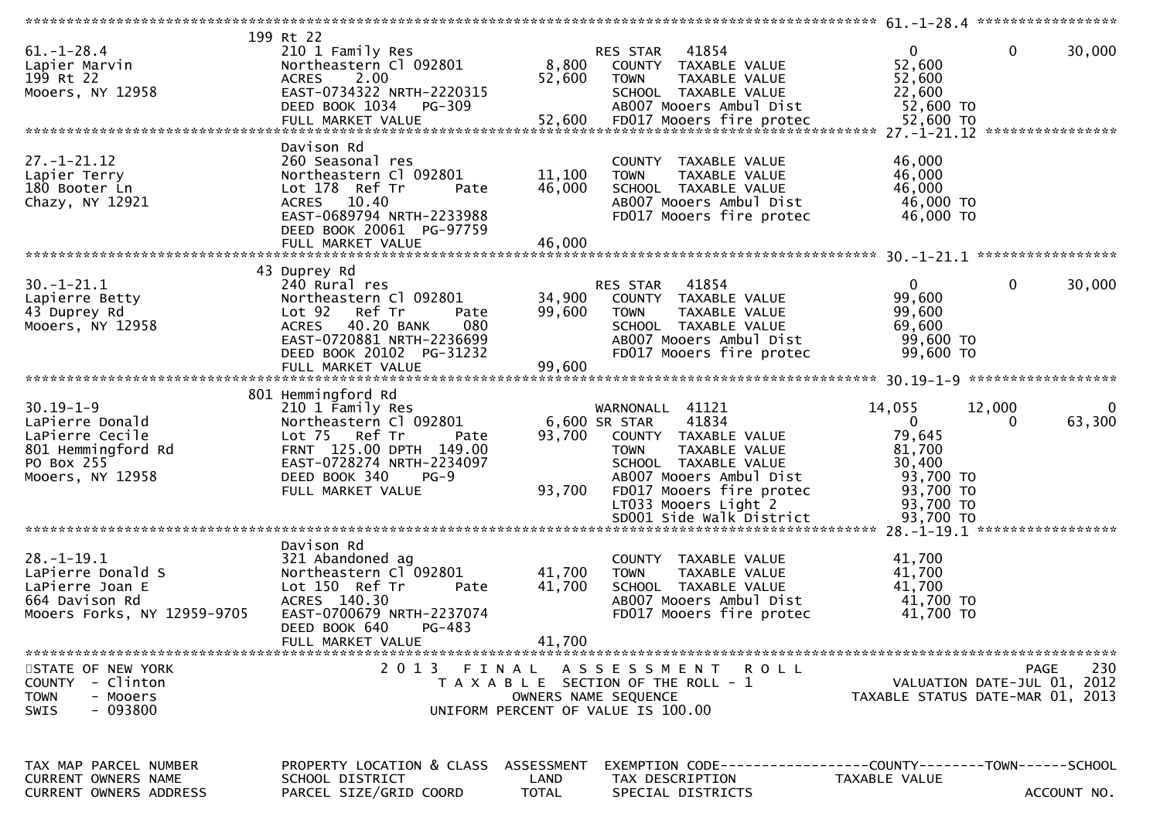|                                                             | 199 Rt 22                                 |                      |                                                                |                                  |                             |
|-------------------------------------------------------------|-------------------------------------------|----------------------|----------------------------------------------------------------|----------------------------------|-----------------------------|
| $61. - 1 - 28.4$                                            | 210 1 Family Res                          |                      | 41854<br>RES STAR                                              | $\mathbf{0}$                     | $\mathbf 0$<br>30,000       |
| Lapier Marvin                                               | Northeastern Cl 092801                    | 8,800                | COUNTY TAXABLE VALUE                                           | 52,600                           |                             |
| 199 Rt 22                                                   | 2.00<br><b>ACRES</b>                      | 52,600               | TAXABLE VALUE<br><b>TOWN</b>                                   | 52,600                           |                             |
|                                                             | EAST-0734322 NRTH-2220315                 |                      | SCHOOL TAXABLE VALUE                                           | 22,600                           |                             |
| Mooers, NY 12958                                            |                                           |                      |                                                                |                                  |                             |
|                                                             | DEED BOOK 1034 PG-309                     |                      | AB007 Mooers Ambul Dist                                        | 52,600 TO                        |                             |
|                                                             |                                           |                      |                                                                |                                  |                             |
|                                                             |                                           |                      |                                                                |                                  |                             |
|                                                             | Davison Rd                                |                      |                                                                |                                  |                             |
| $27. - 1 - 21.12$                                           | 260 Seasonal res                          |                      | COUNTY TAXABLE VALUE                                           | 46,000                           |                             |
| Lapier Terry                                                | Northeastern Cl 092801                    | 11,100               |                                                                | 46,000                           |                             |
|                                                             |                                           |                      | TAXABLE VALUE<br><b>TOWN</b>                                   |                                  |                             |
| 180 Booter Ln                                               | Lot 178 Ref Tr<br>Pate                    | 46,000               | SCHOOL TAXABLE VALUE                                           | 46,000                           |                             |
| Chazy, NY 12921                                             | ACRES 10.40                               |                      | AB007 Mooers Ambul Dist                                        | 46,000 TO                        |                             |
|                                                             | EAST-0689794 NRTH-2233988                 |                      | FD017 Mooers fire protec                                       | 46,000 TO                        |                             |
|                                                             | DEED BOOK 20061 PG-97759                  |                      |                                                                |                                  |                             |
|                                                             | FULL MARKET VALUE                         | 46,000               |                                                                |                                  |                             |
|                                                             |                                           |                      |                                                                |                                  |                             |
|                                                             |                                           |                      |                                                                |                                  |                             |
|                                                             | 43 Duprey Rd                              |                      |                                                                |                                  |                             |
| $30. - 1 - 21.1$                                            | 240 Rural res                             |                      | 41854<br>RES STAR                                              | $\overline{0}$                   | 30,000<br>0                 |
| Lapierre Betty                                              | Northeastern Cl 092801                    | 34,900               | COUNTY TAXABLE VALUE                                           | 99,600                           |                             |
| 43 Duprey Rd                                                | Ref Tr<br>Lot <sub>92</sub><br>Pate       | 99,600               | TAXABLE VALUE<br><b>TOWN</b>                                   | 99,600                           |                             |
| Mooers, NY 12958                                            | 40.20 BANK<br>080<br><b>ACRES</b>         |                      | SCHOOL TAXABLE VALUE                                           | 69,600                           |                             |
|                                                             | EAST-0720881 NRTH-2236699                 |                      | AB007 Mooers Ambul Dist                                        | 99,600 TO                        |                             |
|                                                             | DEED BOOK 20102 PG-31232                  |                      | FD017 Mooers fire protec                                       | 99,600 TO                        |                             |
|                                                             |                                           |                      |                                                                |                                  |                             |
|                                                             | FULL MARKET VALUE                         | 99,600               |                                                                |                                  |                             |
|                                                             |                                           |                      |                                                                |                                  |                             |
|                                                             | 801 Hemmingford Rd                        |                      |                                                                |                                  |                             |
| $30.19 - 1 - 9$                                             | 210 1 Family Res                          |                      | WARNONALL 41121                                                | 14,055<br>12,000                 |                             |
| LaPierre Donald                                             | Northeastern Cl 092801                    |                      | 41834<br>6,600 SR STAR                                         | $\overline{0}$                   | 63,300<br>$\Omega$          |
| LaPierre Cecile                                             | Lot 75 Ref Tr<br>Pate                     | 93,700               | COUNTY TAXABLE VALUE                                           | 79,645                           |                             |
| 801 Hemmingford Rd                                          | FRNT 125.00 DPTH 149.00                   |                      | TAXABLE VALUE<br><b>TOWN</b>                                   | 81,700                           |                             |
|                                                             |                                           |                      |                                                                |                                  |                             |
| PO Box 255                                                  | EAST-0728274 NRTH-2234097                 |                      | SCHOOL TAXABLE VALUE                                           | 30,400                           |                             |
| Mooers, NY 12958                                            | DEED BOOK 340<br>$PG-9$                   |                      |                                                                |                                  |                             |
|                                                             |                                           |                      | AB007 Mooers Ambul Dist                                        | 93,700 TO                        |                             |
|                                                             | FULL MARKET VALUE                         | 93,700               |                                                                | 93,700 TO                        |                             |
|                                                             |                                           |                      | FD017 Mooers fire protec                                       |                                  |                             |
|                                                             |                                           |                      | LT033 Mooers Light 2                                           | 93,700 TO                        |                             |
|                                                             |                                           |                      | SD001 Side Walk District                                       | 93,700 TO                        |                             |
|                                                             |                                           |                      |                                                                |                                  |                             |
|                                                             | Davison Rd                                |                      |                                                                |                                  |                             |
| $28. - 1 - 19.1$                                            | 321 Abandoned ag                          |                      | COUNTY TAXABLE VALUE                                           | 41,700                           |                             |
| LaPierre Donald S                                           | Northeastern Cl 092801                    | 41,700               | <b>TOWN</b><br>TAXABLE VALUE                                   | 41,700                           |                             |
| LaPierre Joan E                                             | Lot 150 Ref Tr<br>Pate                    | 41,700               | SCHOOL TAXABLE VALUE                                           | 41,700                           |                             |
| 664 Davison Rd                                              | ACRES 140.30                              |                      | AB007 Mooers Ambul Dist                                        | 41,700 TO                        |                             |
|                                                             |                                           |                      |                                                                |                                  |                             |
| Mooers Forks, NY 12959-9705                                 | EAST-0700679 NRTH-2237074                 |                      | FD017 Mooers fire protec                                       | 41,700 TO                        |                             |
|                                                             | PG-483<br>DEED BOOK 640                   |                      |                                                                |                                  |                             |
|                                                             | FULL MARKET VALUE                         | 41,700               |                                                                |                                  |                             |
|                                                             |                                           |                      |                                                                |                                  |                             |
| STATE OF NEW YORK                                           | 2 0 1 3                                   | FINAL                | ASSESSMENT ROLL                                                |                                  | 230<br><b>PAGE</b>          |
| - Clinton<br><b>COUNTY</b>                                  |                                           |                      | T A X A B L E SECTION OF THE ROLL - 1                          |                                  | VALUATION DATE-JUL 01, 2012 |
| <b>TOWN</b><br>- Mooers                                     |                                           | OWNERS NAME SEQUENCE |                                                                | TAXABLE STATUS DATE-MAR 01, 2013 |                             |
| - 093800<br><b>SWIS</b>                                     |                                           |                      | UNIFORM PERCENT OF VALUE IS 100.00                             |                                  |                             |
|                                                             |                                           |                      |                                                                |                                  |                             |
|                                                             |                                           |                      |                                                                |                                  |                             |
|                                                             |                                           |                      |                                                                |                                  |                             |
|                                                             |                                           |                      |                                                                |                                  |                             |
| TAX MAP PARCEL NUMBER                                       | PROPERTY LOCATION & CLASS                 | ASSESSMENT           | EXEMPTION CODE------------------COUNTY--------TOWN------SCHOOL |                                  |                             |
| <b>CURRENT OWNERS NAME</b><br><b>CURRENT OWNERS ADDRESS</b> | SCHOOL DISTRICT<br>PARCEL SIZE/GRID COORD | LAND<br><b>TOTAL</b> | TAX DESCRIPTION<br>SPECIAL DISTRICTS                           | TAXABLE VALUE                    | ACCOUNT NO.                 |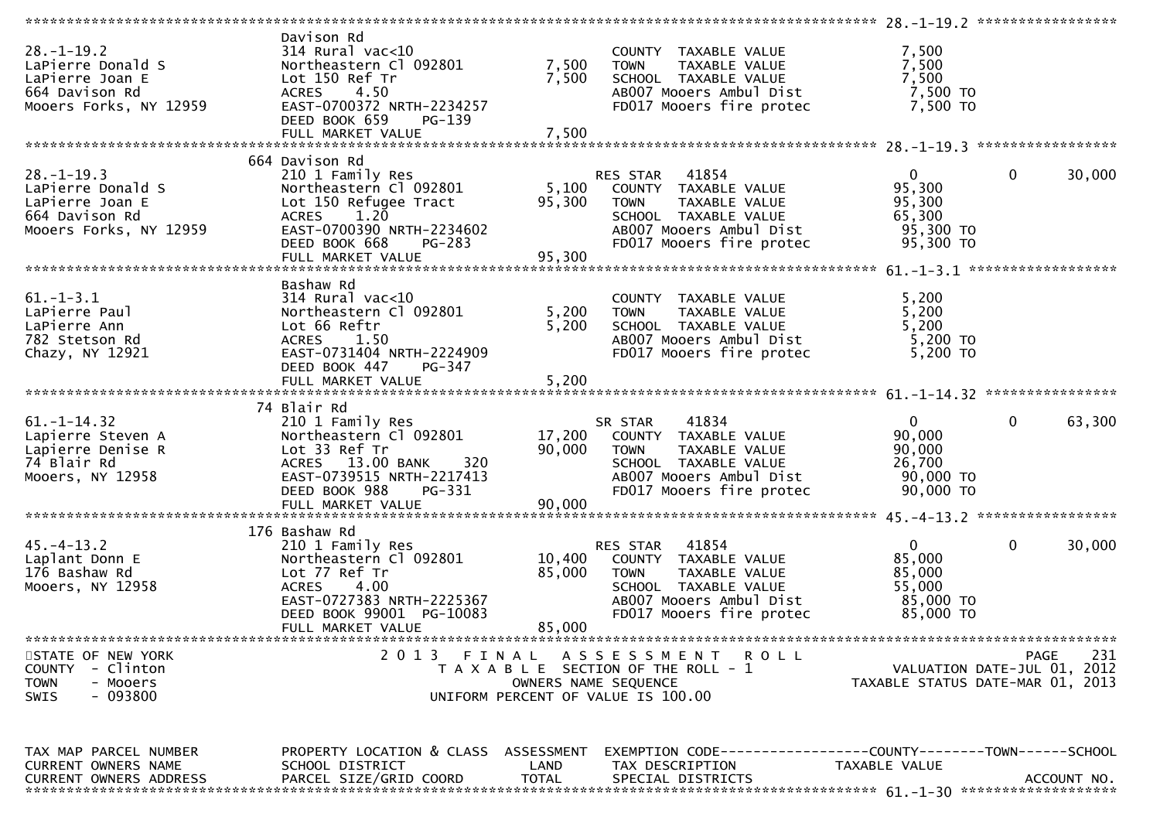| Davison Rd<br>$28. - 1 - 19.2$<br>$314$ Rural vac<10<br>7,500<br>COUNTY TAXABLE VALUE<br>7,500<br>7,500<br>LaPierre Donald S<br>Northeastern Cl 092801<br>TAXABLE VALUE<br><b>TOWN</b><br>7,500<br>Lot 150 Ref Tr<br>7,500<br>LaPierre Joan E<br>SCHOOL TAXABLE VALUE<br>7,500 TO<br>ACRES 4.50<br>664 Davison Rd<br>AB007 Mooers Ambul Dist<br>EAST-0700372 NRTH-2234257<br>FD017 Mooers fire protec<br>7,500 TO<br>Mooers Forks, NY 12959<br>DEED BOOK 659<br>PG-139<br>664 Davison Rd<br>$\mathbf 0$<br>$28. - 1 - 19.3$<br>$\overline{0}$<br>210 1 Family Res<br>RES STAR 41854<br>95,300<br>Northeastern Cl 092801<br>5,100<br>LaPierre Donald S<br>COUNTY TAXABLE VALUE<br>Lot 150 Refugee Tract<br>95,300<br>95,300<br>LaPierre Joan E<br><b>TOWN</b><br>TAXABLE VALUE<br>1.20<br>65,300<br>664 Davison Rd<br><b>ACRES</b><br>SCHOOL TAXABLE VALUE<br>95,300 TO<br>EAST-0700390 NRTH-2234602<br>AB007 Mooers Ambul Dist<br>Mooers Forks, NY 12959<br>FD017 Mooers fire protec<br>95,300 TO<br>DEED BOOK 668<br>PG-283<br>95,300<br>FULL MARKET VALUE<br>Bashaw Rd<br>$61. - 1 - 3.1$<br>314 Rural vac<10<br>5,200<br>COUNTY TAXABLE VALUE<br>5,200<br>5,200<br>LaPierre Paul<br>Northeastern Cl 092801<br>TAXABLE VALUE<br><b>TOWN</b><br>5,200<br>5,200<br>LaPierre Ann<br>Lot 66 Reftr<br>SCHOOL TAXABLE VALUE<br>$5,200$ TO<br>AB007 Mooers Ambul Dist<br>782 Stetson Rd<br>ACRES 1.50<br>EAST-0731404 NRTH-2224909<br>FD017 Mooers fire protec<br>5,200 TO<br>Chazy, NY 12921<br>DEED BOOK 447<br>PG-347<br>5,200<br>FULL MARKET VALUE<br>74 Blair Rd<br>$61. - 1 - 14.32$<br>41834<br>$\mathbf{0}$<br>210 1 Family Res<br>SR STAR<br>$\overline{0}$<br>90,000<br>Northeastern Cl 092801<br>17,200<br>Lapierre Steven A<br>COUNTY TAXABLE VALUE<br>90,000<br>Lot 33 Ref Tr<br>90,000<br>Lapierre Denise R<br><b>TOWN</b><br>TAXABLE VALUE<br>74 Blair Rd<br>ACRES 13.00 BANK<br>320<br>26,700<br>SCHOOL TAXABLE VALUE<br>Mooers, NY 12958<br>EAST-0739515 NRTH-2217413<br>AB007 Mooers Ambul Dist<br>90,000 TO<br>90,000 TO<br>FD017 Mooers fire protec<br>DEED BOOK 988<br>PG-331<br>FULL MARKET VALUE<br>90,000<br>176 Bashaw Rd<br>$45. - 4 - 13.2$<br>$\overline{0}$<br>$\mathbf 0$<br>210 1 Family Res<br>RES STAR<br>41854<br>85,000<br>Northeastern Cl 092801<br>10,400<br>Laplant Donn E<br>COUNTY TAXABLE VALUE<br>176 Bashaw Rd<br>Lot 77 Ref Tr<br>85,000<br>85,000<br><b>TOWN</b><br>TAXABLE VALUE<br><b>ACRES</b><br>4.00<br>55,000<br>Mooers, NY 12958<br>SCHOOL TAXABLE VALUE<br>EAST-0727383 NRTH-2225367<br>AB007 Mooers Ambul Dist<br>85,000 TO<br>FD017 Mooers fire protec<br>85,000 TO<br>DEED BOOK 99001 PG-10083<br>85,000<br>FULL MARKET VALUE<br>2013 FINAL<br>STATE OF NEW YORK<br>ASSESSMENT ROLL<br><b>PAGE</b><br>VALUATION DATE-JUL 01, 2012<br><b>COUNTY</b><br>- Clinton<br>T A X A B L E SECTION OF THE ROLL - 1<br><b>TOWN</b><br>- Mooers<br>OWNERS NAME SEQUENCE<br>TAXABLE STATUS DATE-MAR 01, 2013<br>- 093800<br>UNIFORM PERCENT OF VALUE IS 100.00<br><b>SWIS</b><br>TAX MAP PARCEL NUMBER<br>PROPERTY LOCATION & CLASS ASSESSMENT<br>EXEMPTION CODE-----------------COUNTY-------TOWN------SCHOOL<br>CURRENT OWNERS NAME<br>SCHOOL DISTRICT<br>LAND<br>TAX DESCRIPTION<br>TAXABLE VALUE<br><b>TOTAL</b><br><b>CURRENT OWNERS ADDRESS</b><br>ACCOUNT NO. |                        |                   |  |        |
|------------------------------------------------------------------------------------------------------------------------------------------------------------------------------------------------------------------------------------------------------------------------------------------------------------------------------------------------------------------------------------------------------------------------------------------------------------------------------------------------------------------------------------------------------------------------------------------------------------------------------------------------------------------------------------------------------------------------------------------------------------------------------------------------------------------------------------------------------------------------------------------------------------------------------------------------------------------------------------------------------------------------------------------------------------------------------------------------------------------------------------------------------------------------------------------------------------------------------------------------------------------------------------------------------------------------------------------------------------------------------------------------------------------------------------------------------------------------------------------------------------------------------------------------------------------------------------------------------------------------------------------------------------------------------------------------------------------------------------------------------------------------------------------------------------------------------------------------------------------------------------------------------------------------------------------------------------------------------------------------------------------------------------------------------------------------------------------------------------------------------------------------------------------------------------------------------------------------------------------------------------------------------------------------------------------------------------------------------------------------------------------------------------------------------------------------------------------------------------------------------------------------------------------------------------------------------------------------------------------------------------------------------------------------------------------------------------------------------------------------------------------------------------------------------------------------------------------------------------------------------------------------------------------------------------------------------------------------------------------------------------------------------------------------------------------------------------------------------------------------------------------------------------------------------------------------------------------------------------------------------------------------------------------------------------|------------------------|-------------------|--|--------|
|                                                                                                                                                                                                                                                                                                                                                                                                                                                                                                                                                                                                                                                                                                                                                                                                                                                                                                                                                                                                                                                                                                                                                                                                                                                                                                                                                                                                                                                                                                                                                                                                                                                                                                                                                                                                                                                                                                                                                                                                                                                                                                                                                                                                                                                                                                                                                                                                                                                                                                                                                                                                                                                                                                                                                                                                                                                                                                                                                                                                                                                                                                                                                                                                                                                                                                            |                        |                   |  |        |
|                                                                                                                                                                                                                                                                                                                                                                                                                                                                                                                                                                                                                                                                                                                                                                                                                                                                                                                                                                                                                                                                                                                                                                                                                                                                                                                                                                                                                                                                                                                                                                                                                                                                                                                                                                                                                                                                                                                                                                                                                                                                                                                                                                                                                                                                                                                                                                                                                                                                                                                                                                                                                                                                                                                                                                                                                                                                                                                                                                                                                                                                                                                                                                                                                                                                                                            |                        |                   |  |        |
|                                                                                                                                                                                                                                                                                                                                                                                                                                                                                                                                                                                                                                                                                                                                                                                                                                                                                                                                                                                                                                                                                                                                                                                                                                                                                                                                                                                                                                                                                                                                                                                                                                                                                                                                                                                                                                                                                                                                                                                                                                                                                                                                                                                                                                                                                                                                                                                                                                                                                                                                                                                                                                                                                                                                                                                                                                                                                                                                                                                                                                                                                                                                                                                                                                                                                                            |                        |                   |  | 30,000 |
|                                                                                                                                                                                                                                                                                                                                                                                                                                                                                                                                                                                                                                                                                                                                                                                                                                                                                                                                                                                                                                                                                                                                                                                                                                                                                                                                                                                                                                                                                                                                                                                                                                                                                                                                                                                                                                                                                                                                                                                                                                                                                                                                                                                                                                                                                                                                                                                                                                                                                                                                                                                                                                                                                                                                                                                                                                                                                                                                                                                                                                                                                                                                                                                                                                                                                                            |                        |                   |  |        |
|                                                                                                                                                                                                                                                                                                                                                                                                                                                                                                                                                                                                                                                                                                                                                                                                                                                                                                                                                                                                                                                                                                                                                                                                                                                                                                                                                                                                                                                                                                                                                                                                                                                                                                                                                                                                                                                                                                                                                                                                                                                                                                                                                                                                                                                                                                                                                                                                                                                                                                                                                                                                                                                                                                                                                                                                                                                                                                                                                                                                                                                                                                                                                                                                                                                                                                            |                        |                   |  |        |
|                                                                                                                                                                                                                                                                                                                                                                                                                                                                                                                                                                                                                                                                                                                                                                                                                                                                                                                                                                                                                                                                                                                                                                                                                                                                                                                                                                                                                                                                                                                                                                                                                                                                                                                                                                                                                                                                                                                                                                                                                                                                                                                                                                                                                                                                                                                                                                                                                                                                                                                                                                                                                                                                                                                                                                                                                                                                                                                                                                                                                                                                                                                                                                                                                                                                                                            |                        |                   |  |        |
|                                                                                                                                                                                                                                                                                                                                                                                                                                                                                                                                                                                                                                                                                                                                                                                                                                                                                                                                                                                                                                                                                                                                                                                                                                                                                                                                                                                                                                                                                                                                                                                                                                                                                                                                                                                                                                                                                                                                                                                                                                                                                                                                                                                                                                                                                                                                                                                                                                                                                                                                                                                                                                                                                                                                                                                                                                                                                                                                                                                                                                                                                                                                                                                                                                                                                                            |                        |                   |  | 63,300 |
|                                                                                                                                                                                                                                                                                                                                                                                                                                                                                                                                                                                                                                                                                                                                                                                                                                                                                                                                                                                                                                                                                                                                                                                                                                                                                                                                                                                                                                                                                                                                                                                                                                                                                                                                                                                                                                                                                                                                                                                                                                                                                                                                                                                                                                                                                                                                                                                                                                                                                                                                                                                                                                                                                                                                                                                                                                                                                                                                                                                                                                                                                                                                                                                                                                                                                                            |                        |                   |  |        |
|                                                                                                                                                                                                                                                                                                                                                                                                                                                                                                                                                                                                                                                                                                                                                                                                                                                                                                                                                                                                                                                                                                                                                                                                                                                                                                                                                                                                                                                                                                                                                                                                                                                                                                                                                                                                                                                                                                                                                                                                                                                                                                                                                                                                                                                                                                                                                                                                                                                                                                                                                                                                                                                                                                                                                                                                                                                                                                                                                                                                                                                                                                                                                                                                                                                                                                            |                        |                   |  | 30,000 |
|                                                                                                                                                                                                                                                                                                                                                                                                                                                                                                                                                                                                                                                                                                                                                                                                                                                                                                                                                                                                                                                                                                                                                                                                                                                                                                                                                                                                                                                                                                                                                                                                                                                                                                                                                                                                                                                                                                                                                                                                                                                                                                                                                                                                                                                                                                                                                                                                                                                                                                                                                                                                                                                                                                                                                                                                                                                                                                                                                                                                                                                                                                                                                                                                                                                                                                            |                        |                   |  |        |
|                                                                                                                                                                                                                                                                                                                                                                                                                                                                                                                                                                                                                                                                                                                                                                                                                                                                                                                                                                                                                                                                                                                                                                                                                                                                                                                                                                                                                                                                                                                                                                                                                                                                                                                                                                                                                                                                                                                                                                                                                                                                                                                                                                                                                                                                                                                                                                                                                                                                                                                                                                                                                                                                                                                                                                                                                                                                                                                                                                                                                                                                                                                                                                                                                                                                                                            |                        |                   |  | 231    |
|                                                                                                                                                                                                                                                                                                                                                                                                                                                                                                                                                                                                                                                                                                                                                                                                                                                                                                                                                                                                                                                                                                                                                                                                                                                                                                                                                                                                                                                                                                                                                                                                                                                                                                                                                                                                                                                                                                                                                                                                                                                                                                                                                                                                                                                                                                                                                                                                                                                                                                                                                                                                                                                                                                                                                                                                                                                                                                                                                                                                                                                                                                                                                                                                                                                                                                            | PARCEL SIZE/GRID COORD | SPECIAL DISTRICTS |  |        |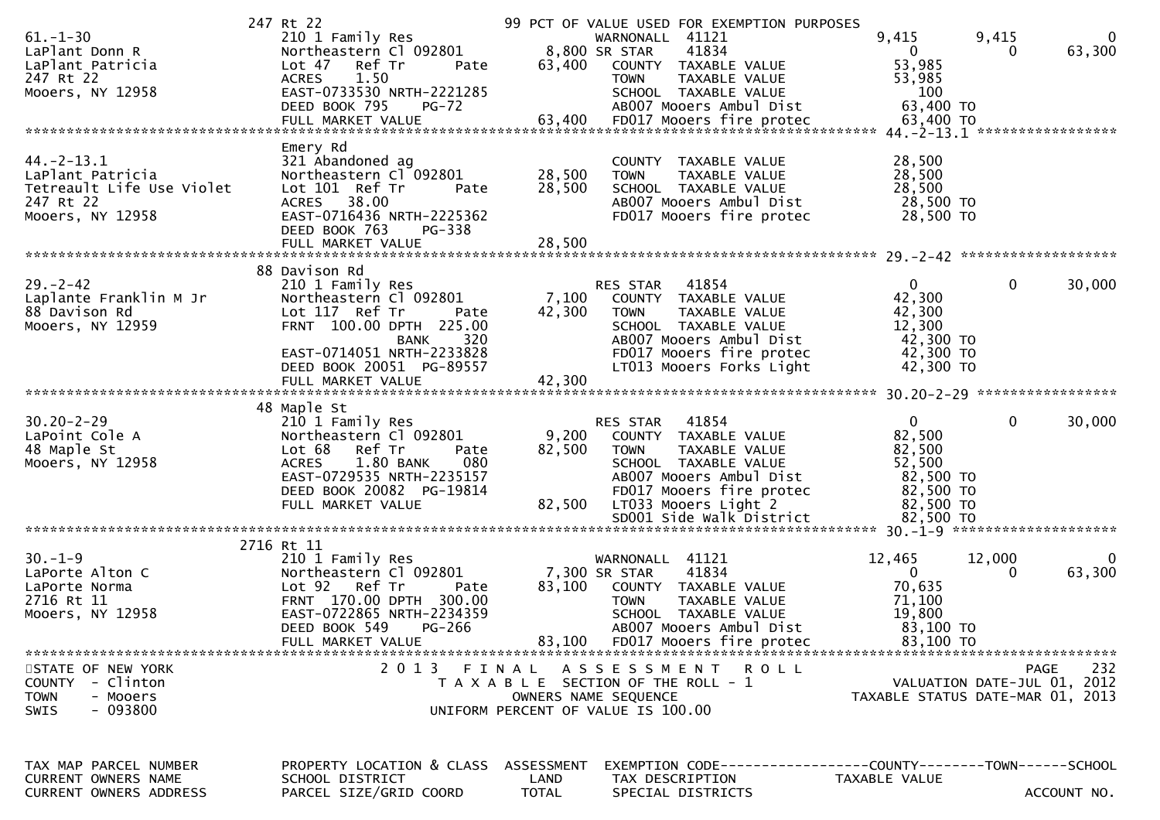|                               | 247 Rt 22                                    | 99 PCT OF VALUE USED FOR EXEMPTION PURPOSES |                                                                 |
|-------------------------------|----------------------------------------------|---------------------------------------------|-----------------------------------------------------------------|
| $61. - 1 - 30$                | 210 1 Family Res                             | WARNONALL 41121                             | 9,415<br>9,415<br>$\Omega$                                      |
| LaPlant Donn R                | Northeastern Cl 092801                       | 8,800 SR STAR<br>41834                      | 63,300<br>0<br>0                                                |
| LaPlant Patricia              | Lot 47 Ref Tr<br>Pate                        | 63,400<br>COUNTY TAXABLE VALUE              | 53,985                                                          |
| 247 Rt 22                     | <b>ACRES</b><br>1.50                         | TAXABLE VALUE<br><b>TOWN</b>                | 53,985                                                          |
| Mooers, NY 12958              | EAST-0733530 NRTH-2221285                    | SCHOOL TAXABLE VALUE                        | 100                                                             |
|                               | DEED BOOK 795<br>$PG-72$                     | AB007 Mooers Ambul Dist                     | 63,400 TO                                                       |
|                               |                                              |                                             |                                                                 |
|                               |                                              |                                             |                                                                 |
|                               | Emery Rd                                     |                                             |                                                                 |
| $44. -2 - 13.1$               | 321 Abandoned ag                             | COUNTY<br>TAXABLE VALUE                     | 28,500                                                          |
| LaPlant Patricia              | Northeastern Cl 092801                       | 28,500<br><b>TOWN</b><br>TAXABLE VALUE      | 28,500                                                          |
| Tetreault Life Use Violet     | Lot 101 Ref Tr<br>Pate                       | 28,500<br>SCHOOL TAXABLE VALUE              | 28,500                                                          |
| 247 Rt 22                     | 38.00<br><b>ACRES</b>                        | AB007 Mooers Ambul Dist                     | 28,500 TO                                                       |
| Mooers, NY 12958              | EAST-0716436 NRTH-2225362                    | FD017 Mooers fire protec                    | 28,500 TO                                                       |
|                               | DEED BOOK 763                                |                                             |                                                                 |
|                               | PG-338                                       |                                             |                                                                 |
|                               | FULL MARKET VALUE                            | 28,500                                      |                                                                 |
|                               |                                              |                                             |                                                                 |
|                               | 88 Davison Rd                                |                                             |                                                                 |
| $29. - 2 - 42$                | 210 1 Family Res                             | 41854<br>RES STAR                           | $\mathbf{0}$<br>$\mathbf 0$<br>30,000                           |
| Laplante Franklin M Jr        | Northeastern Cl 092801                       | 7,100<br>COUNTY TAXABLE VALUE               | 42,300                                                          |
| 88 Davison Rd                 | Lot 117 Ref Tr<br>Pate                       | 42,300<br><b>TOWN</b><br>TAXABLE VALUE      | 42,300                                                          |
| Mooers, NY 12959              | FRNT 100.00 DPTH 225.00                      | SCHOOL TAXABLE VALUE                        | 12,300                                                          |
|                               | <b>BANK</b><br>320                           | AB007 Mooers Ambul Dist                     | 42,300 TO                                                       |
|                               | EAST-0714051 NRTH-2233828                    | FD017 Mooers fire protec                    | 42,300 TO                                                       |
|                               | DEED BOOK 20051 PG-89557                     | LT013 Mooers Forks Light                    | 42,300 TO                                                       |
|                               | FULL MARKET VALUE                            | 42,300                                      |                                                                 |
|                               |                                              |                                             |                                                                 |
|                               | 48 Maple St                                  |                                             |                                                                 |
| $30.20 - 2 - 29$              | 210 1 Family Res                             | 41854<br>RES STAR                           | $\Omega$<br>$\mathbf{0}$<br>30,000                              |
| LaPoint Cole A                | Northeastern Cl 092801                       | 9,200<br>COUNTY TAXABLE VALUE               | 82,500                                                          |
|                               |                                              |                                             |                                                                 |
|                               |                                              |                                             |                                                                 |
| 48 Maple St                   | Lot 68<br>Ref Tr<br>Pate                     | 82,500<br><b>TOWN</b><br>TAXABLE VALUE      | 82,500                                                          |
| Mooers, NY 12958              | 1.80 BANK<br>080<br><b>ACRES</b>             | SCHOOL TAXABLE VALUE                        | 52,500                                                          |
|                               | EAST-0729535 NRTH-2235157                    | AB007 Mooers Ambul Dist                     | 82,500 TO                                                       |
|                               | DEED BOOK 20082 PG-19814                     | FD017 Mooers fire protec                    | 82,500 TO                                                       |
|                               | FULL MARKET VALUE                            | 82,500<br>LT033 Mooers Light 2              | 82,500 TO                                                       |
|                               |                                              | SD001 Side Walk District                    | 82,500 TO                                                       |
|                               |                                              |                                             |                                                                 |
|                               | 2716 Rt 11                                   |                                             |                                                                 |
| $30. - 1 - 9$                 | 210 1 Family Res                             | WARNONALL 41121                             | 12,465<br>12,000<br>$\mathbf 0$                                 |
| LaPorte Alton C               | Northeastern Cl 092801                       | 7,300 SR STAR<br>41834                      | 63,300<br>$\overline{0}$<br>$\Omega$                            |
| LaPorte Norma                 | Lot 92 Ref Tr<br>Pate                        | 83,100<br>COUNTY TAXABLE VALUE              | 70,635                                                          |
| 2716 Rt 11                    | FRNT 170.00 DPTH 300.00                      | TAXABLE VALUE<br><b>TOWN</b>                | 71,100                                                          |
|                               | EAST-0722865 NRTH-2234359                    | SCHOOL TAXABLE VALUE                        | 19,800                                                          |
| Mooers, NY 12958              | DEED BOOK 549<br>PG-266                      | AB007 Mooers Ambul Dist                     | 83,100 TO                                                       |
|                               | FULL MARKET VALUE                            | 83,100<br>FD017 Mooers fire protec          | 83,100 TO                                                       |
|                               |                                              |                                             |                                                                 |
| STATE OF NEW YORK             |                                              | 2013 FINAL ASSESSMENT ROLL                  | 232<br>PAGE                                                     |
| COUNTY - Clinton              |                                              |                                             |                                                                 |
| <b>TOWN</b><br>- Mooers       |                                              | T A X A B L E SECTION OF THE ROLL - 1       | VALUATION DATE-JUL 01, 2012<br>TAXABLE STATUS DATE-MAR 01, 2013 |
|                               |                                              | OWNERS NAME SEQUENCE                        |                                                                 |
| $-093800$<br><b>SWIS</b>      |                                              | UNIFORM PERCENT OF VALUE IS 100.00          |                                                                 |
|                               |                                              |                                             |                                                                 |
|                               |                                              |                                             |                                                                 |
| TAX MAP PARCEL NUMBER         |                                              | ASSESSMENT                                  |                                                                 |
| CURRENT OWNERS NAME           | PROPERTY LOCATION & CLASS<br>SCHOOL DISTRICT | LAND<br>TAX DESCRIPTION                     | TAXABLE VALUE                                                   |
| <b>CURRENT OWNERS ADDRESS</b> | PARCEL SIZE/GRID COORD                       | <b>TOTAL</b><br>SPECIAL DISTRICTS           | ACCOUNT NO.                                                     |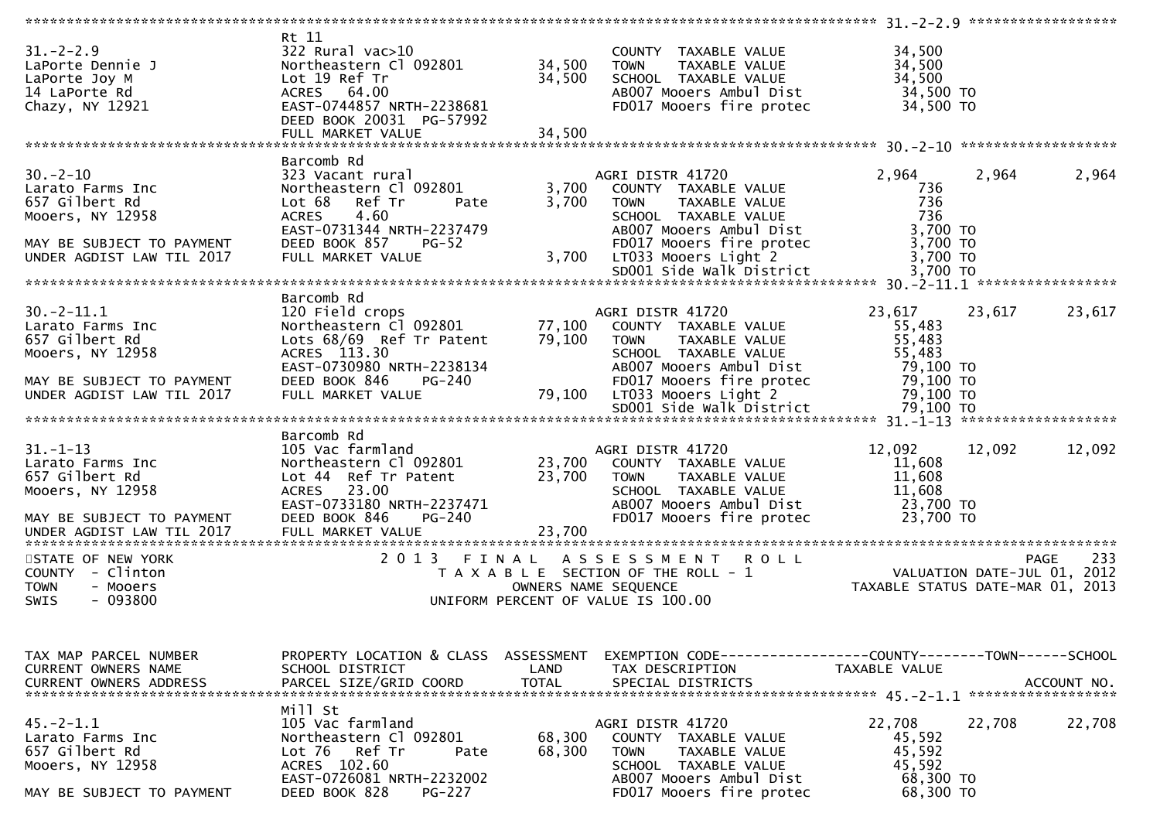| $31. - 2 - 2.9$<br>LaPorte Dennie J<br>LaPorte Joy M<br>14 LaPorte Rd<br>Chazy, NY 12921              | Rt 11<br>322 Rural vac>10<br>Northeastern Cl 092801<br>Lot 19 Ref Tr<br>ACRES 64.00<br>EAST-0744857 NRTH-2238681<br>DEED BOOK 20031 PG-57992                  | 34,500<br>34,500 | COUNTY TAXABLE VALUE<br>TAXABLE VALUE<br><b>TOWN</b><br>SCHOOL TAXABLE VALUE<br>AB007 Mooers Ambul Dist<br>FD017 Mooers fire protec                     | 34,500<br>34,500<br>34,500<br>34,500 TO<br>34,500 TO           |                                                                          |
|-------------------------------------------------------------------------------------------------------|---------------------------------------------------------------------------------------------------------------------------------------------------------------|------------------|---------------------------------------------------------------------------------------------------------------------------------------------------------|----------------------------------------------------------------|--------------------------------------------------------------------------|
|                                                                                                       | Barcomb Rd                                                                                                                                                    |                  |                                                                                                                                                         |                                                                |                                                                          |
| $30 - 2 - 10$<br>Larato Farms Inc<br>657 Gilbert Rd<br>Mooers, NY 12958<br>MAY BE SUBJECT TO PAYMENT  | 323 Vacant rural<br>Northeastern Cl 092801<br>Lot 68<br>Ref Tr<br>Pate<br>4.60<br><b>ACRES</b><br>EAST-0731344 NRTH-2237479<br>DEED BOOK 857<br>PG-52         | 3,700<br>3,700   | AGRI DISTR 41720<br>COUNTY TAXABLE VALUE<br><b>TOWN</b><br>TAXABLE VALUE<br>SCHOOL TAXABLE VALUE<br>ABOO7 Mooers Ambul Dist<br>FD017 Mooers fire protec | 2,964<br>736<br>736<br>736<br>3,700 TO<br>3,700 TO             | 2,964<br>2,964                                                           |
| UNDER AGDIST LAW TIL 2017                                                                             | FULL MARKET VALUE                                                                                                                                             |                  | 3,700 LT033 Mooers Light 2                                                                                                                              | 3,700 TO                                                       |                                                                          |
|                                                                                                       |                                                                                                                                                               |                  |                                                                                                                                                         |                                                                |                                                                          |
| $30.-2-11.1$<br>Larato Farms Inc<br>657 Gilbert Rd<br>Mooers, NY 12958                                | Barcomb Rd<br>120 Field crops<br>Northeastern C1 092801 77,100<br>Lots 68/69 Ref Tr Patent<br>ACRES 113.30                                                    | 79,100           | AGRI DISTR 41720<br>COUNTY TAXABLE VALUE<br><b>TOWN</b><br>TAXABLE VALUE<br>SCHOOL TAXABLE VALUE                                                        | 23,617<br>55,483<br>55,483<br>55,483                           | 23,617<br>23,617                                                         |
| MAY BE SUBJECT TO PAYMENT<br>UNDER AGDIST LAW TIL 2017                                                | EAST-0730980 NRTH-2238134<br>DEED BOOK 846<br>PG-240<br>FULL MARKET VALUE                                                                                     | 79,100           | AB007 Mooers Ambul Dist<br>FD017 Mooers fire protec<br>LT033 Mooers Light 2                                                                             | 79,100 то<br>79,100 TO<br>79,100 TO                            |                                                                          |
|                                                                                                       | Barcomb Rd                                                                                                                                                    |                  |                                                                                                                                                         |                                                                |                                                                          |
| $31. - 1 - 13$<br>Larato Farms Inc<br>657 Gilbert Rd<br>Mooers, NY 12958<br>MAY BE SUBJECT TO PAYMENT | 105 Vac farmland<br>Northeastern Cl 092801<br>Lot 44 Ref Tr Patent<br>23.00<br><b>ACRES</b><br>EAST-0733180 NRTH-2237471<br>DEED BOOK 846<br>PG-240           | 23,700<br>23,700 | AGRI DISTR 41720<br>COUNTY TAXABLE VALUE<br>TAXABLE VALUE<br>TOWN<br>SCHOOL TAXABLE VALUE<br>AB007 Mooers Ambul Dist<br>FD017 Mooers fire protec        | 12,092<br>11,608<br>11,608<br>11,608<br>23,700 TO<br>23,700 TO | 12,092<br>12,092                                                         |
| UNDER AGDIST LAW TIL 2017                                                                             | FULL MARKET VALUE                                                                                                                                             | 23,700           |                                                                                                                                                         |                                                                |                                                                          |
| STATE OF NEW YORK<br>COUNTY - Clinton<br><b>TOWN</b><br>- Mooers<br>$-093800$<br><b>SWIS</b>          | 2013 FINAL                                                                                                                                                    |                  | ASSESSMENT ROLL<br>T A X A B L E SECTION OF THE ROLL - 1<br>OWNERS NAME SEQUENCE<br>UNIFORM PERCENT OF VALUE IS 100.00                                  |                                                                | 0 L L<br>VALUATION DATE-JUL 01, 2012<br>TAXABLE STATUS DATE-MAR 01, 2013 |
| TAX MAP PARCEL NUMBER<br>CURRENT OWNERS NAME                                                          | PROPERTY LOCATION & CLASS ASSESSMENT<br>SCHOOL DISTRICT                                                                                                       | LAND             | EXEMPTION CODE------------------COUNTY--------TOWN------SCHOOL<br>TAX DESCRIPTION                                                                       | TAXABLE VALUE                                                  |                                                                          |
| $45. -2 - 1.1$<br>Larato Farms Inc<br>657 Gilbert Rd<br>Mooers, NY 12958<br>MAY BE SUBJECT TO PAYMENT | Mill St<br>105 Vac farmland<br>Northeastern Cl 092801<br>Lot 76 Ref Tr<br>Pate<br>ACRES 102.60<br>EAST-0726081 NRTH-2232002<br>DEED BOOK 828<br><b>PG-227</b> | 68,300<br>68,300 | AGRI DISTR 41720<br>COUNTY TAXABLE VALUE<br><b>TOWN</b><br>TAXABLE VALUE<br>SCHOOL TAXABLE VALUE<br>AB007 Mooers Ambul Dist<br>FD017 Mooers fire protec | 22,708<br>45,592<br>45,592<br>45,592<br>68,300 TO<br>68,300 TO | 22,708<br>22,708                                                         |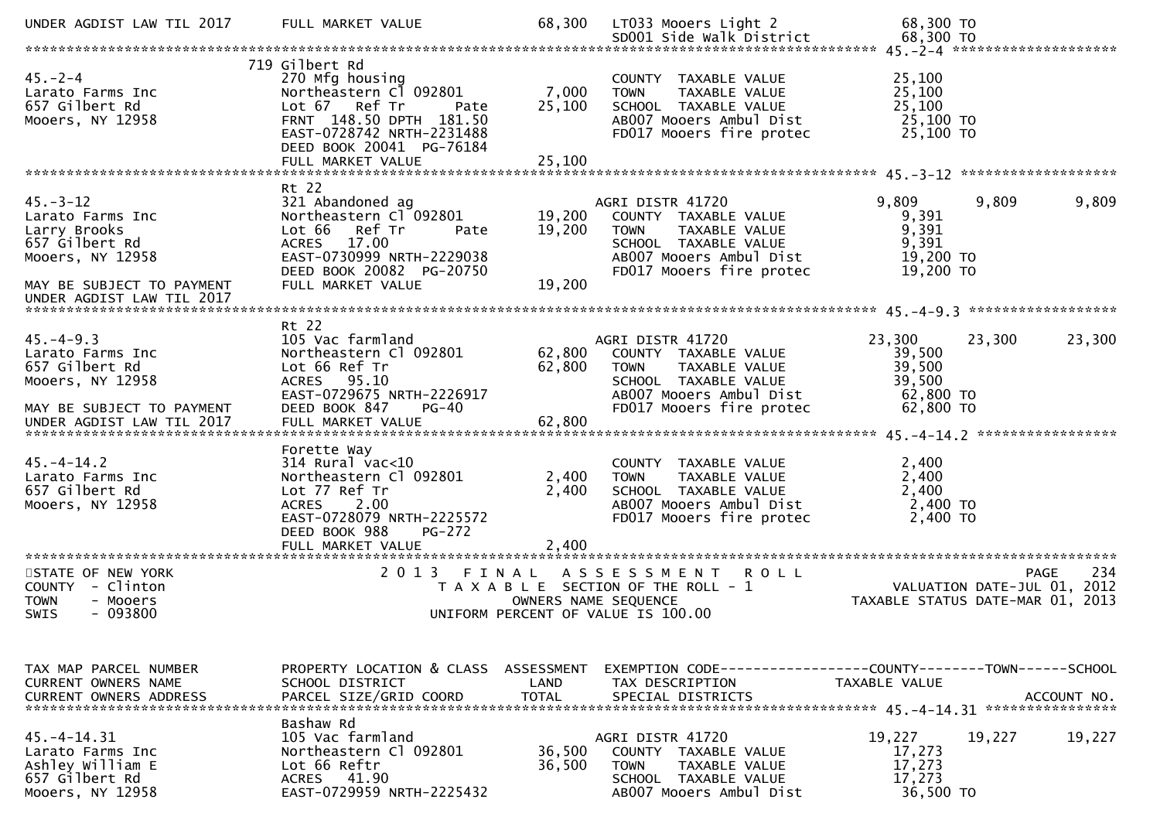| UNDER AGDIST LAW TIL 2017                                                                                             | FULL MARKET VALUE                                                                                                                                                                 | 68,300                     | LT033 Mooers Light 2                                                                                                                                    | 68,300 TO                                                                |                    |
|-----------------------------------------------------------------------------------------------------------------------|-----------------------------------------------------------------------------------------------------------------------------------------------------------------------------------|----------------------------|---------------------------------------------------------------------------------------------------------------------------------------------------------|--------------------------------------------------------------------------|--------------------|
| $45. - 2 - 4$<br>Larato Farms Inc<br>657 Gilbert Rd<br>Mooers, NY 12958                                               | 719 Gilbert Rd<br>270 Mfg housing<br>Northeastern Cl 092801<br>Lot 67 Ref Tr<br>Pate<br>FRNT 148.50 DPTH 181.50<br>EAST-0728742 NRTH-2231488                                      | 7,000<br>25,100            | COUNTY TAXABLE VALUE<br>TAXABLE VALUE<br><b>TOWN</b><br>SCHOOL TAXABLE VALUE<br>AB007 Mooers Ambul Dist<br>FD017 Mooers fire protec                     | 25,100<br>25,100<br>25,100<br>25,100 TO<br>25,100 TO                     |                    |
|                                                                                                                       | DEED BOOK 20041 PG-76184<br>FULL MARKET VALUE                                                                                                                                     | 25,100                     |                                                                                                                                                         |                                                                          |                    |
| $45. - 3 - 12$<br>Larato Farms Inc<br>Larry Brooks<br>657 Gilbert Rd<br>Mooers, NY 12958<br>MAY BE SUBJECT TO PAYMENT | Rt 22<br>321 Abandoned ag<br>Northeastern Cl 092801<br>Lot 66<br>Ref Tr<br>Pate<br>ACRES 17.00<br>EAST-0730999 NRTH-2229038<br>DEED BOOK 20082 PG-20750<br>FULL MARKET VALUE      | 19,200<br>19,200<br>19,200 | AGRI DISTR 41720<br>COUNTY TAXABLE VALUE<br>TAXABLE VALUE<br><b>TOWN</b><br>SCHOOL TAXABLE VALUE<br>AB007 Mooers Ambul Dist<br>FD017 Mooers fire protec | 9,809<br>9,809<br>9,391<br>9,391<br>9,391<br>19,200 TO<br>19,200 TO      | 9,809              |
| UNDER AGDIST LAW TIL 2017                                                                                             |                                                                                                                                                                                   |                            |                                                                                                                                                         |                                                                          |                    |
| $45. - 4 - 9.3$<br>Larato Farms Inc<br>657 Gilbert Rd<br>Mooers, NY 12958<br>MAY BE SUBJECT TO PAYMENT                | Rt 22<br>105 Vac farmland<br>Northeastern Cl 092801<br>Lot 66 Ref Tr<br>ACRES 95.10<br>EAST-0729675 NRTH-2226917<br>DEED BOOK 847<br>$PG-40$                                      | 62,800<br>62,800           | AGRI DISTR 41720<br>COUNTY TAXABLE VALUE<br>TAXABLE VALUE<br><b>TOWN</b><br>SCHOOL TAXABLE VALUE<br>AB007 Mooers Ambul Dist<br>FD017 Mooers fire protec | 23,300<br>23,300<br>39,500<br>39,500<br>39,500<br>62,800 TO<br>62,800 TO | 23,300             |
| $45. - 4 - 14.2$<br>Larato Farms Inc<br>657 Gilbert Rd<br>Mooers, NY 12958                                            | Forette Way<br>$314$ Rural vac<10<br>Northeastern Cl 092801<br>Lot 77 Ref Tr<br>2.00<br><b>ACRES</b><br>EAST-0728079 NRTH-2225572<br>DEED BOOK 988<br>PG-272<br>FULL MARKET VALUE | 2,400<br>2,400<br>2,400    | COUNTY TAXABLE VALUE<br>TAXABLE VALUE<br><b>TOWN</b><br>SCHOOL TAXABLE VALUE<br>AB007 Mooers Ambul Dist<br>FD017 Mooers fire protec                     | 2,400<br>2,400<br>2,400<br>2,400 TO<br>2,400 TO                          |                    |
| STATE OF NEW YORK<br>COUNTY - Clinton<br><b>TOWN</b><br>- Mooers<br>$-093800$<br><b>SWIS</b>                          | 2 0 1 3                                                                                                                                                                           | OWNERS NAME SEQUENCE       | FINAL ASSESSMENT<br><b>ROLL</b><br>T A X A B L E SECTION OF THE ROLL - 1<br>UNIFORM PERCENT OF VALUE IS 100.00                                          | VALUATION DATE-JUL 01, 2012<br>TAXABLE STATUS DATE-MAR 01, 2013          | 234<br><b>PAGE</b> |
| TAX MAP PARCEL NUMBER<br>CURRENT OWNERS NAME<br><b>CURRENT OWNERS ADDRESS</b>                                         | PROPERTY LOCATION & CLASS ASSESSMENT<br>SCHOOL DISTRICT<br>PARCEL SIZE/GRID COORD                                                                                                 | LAND<br><b>TOTAL</b>       | EXEMPTION CODE-----------------COUNTY-------TOWN------SCHOOL<br>TAX DESCRIPTION<br>SPECIAL DISTRICTS                                                    | TAXABLE VALUE                                                            | ACCOUNT NO.        |
| $45. - 4 - 14.31$<br>Larato Farms Inc<br>Ashley William E<br>657 Gilbert Rd<br>Mooers, NY 12958                       | Bashaw Rd<br>105 Vac farmland<br>Northeastern Cl 092801<br>Lot 66 Reftr<br>ACRES 41.90<br>EAST-0729959 NRTH-2225432                                                               | 36,500<br>36,500           | AGRI DISTR 41720<br>COUNTY TAXABLE VALUE<br>TAXABLE VALUE<br><b>TOWN</b><br>SCHOOL TAXABLE VALUE<br>AB007 Mooers Ambul Dist                             | 19,227<br>19,227<br>17,273<br>17,273<br>17,273<br>36,500 TO              | 19,227             |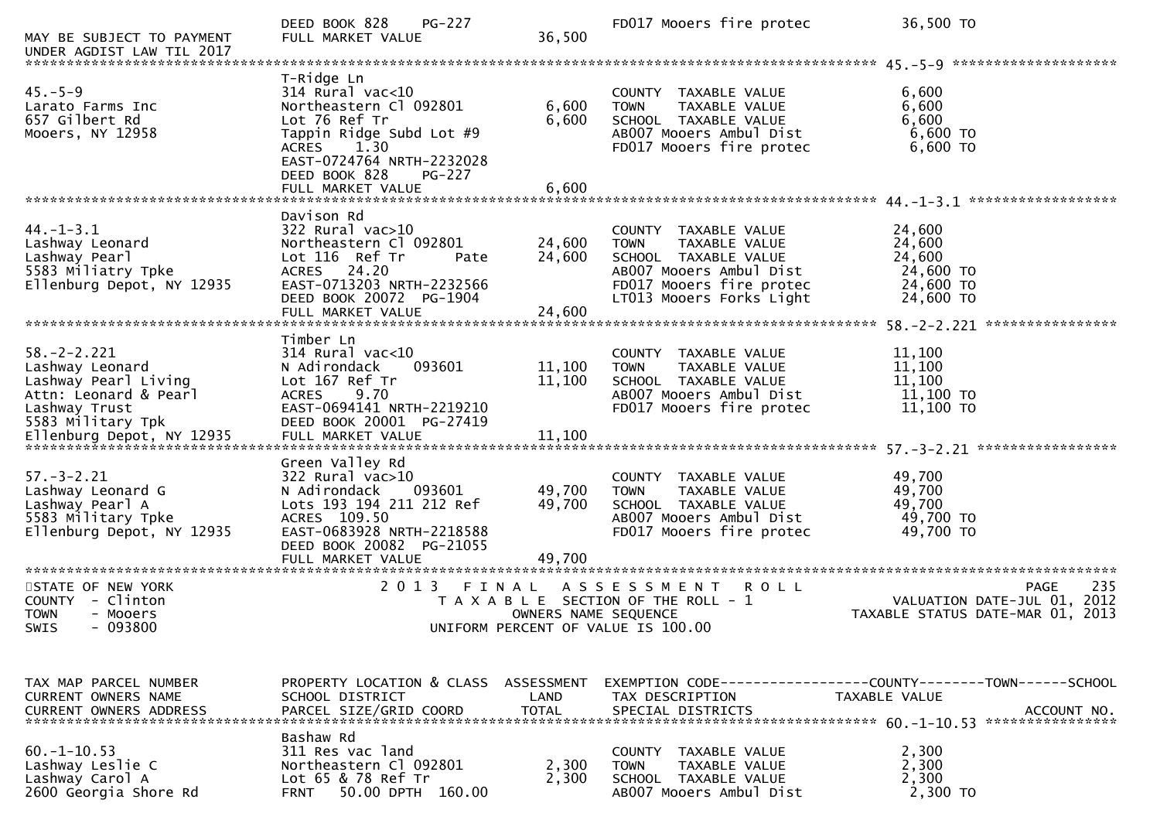| MAY BE SUBJECT TO PAYMENT<br>UNDER AGDIST LAW TIL 2017                                                                      | <b>PG-227</b><br>DEED BOOK 828<br>FULL MARKET VALUE                                                                                                                                                                 | 36,500                     | FD017 Mooers fire protec                                                                                                                                        | 36,500 TO                                                                                           |
|-----------------------------------------------------------------------------------------------------------------------------|---------------------------------------------------------------------------------------------------------------------------------------------------------------------------------------------------------------------|----------------------------|-----------------------------------------------------------------------------------------------------------------------------------------------------------------|-----------------------------------------------------------------------------------------------------|
|                                                                                                                             |                                                                                                                                                                                                                     |                            |                                                                                                                                                                 |                                                                                                     |
| $45. - 5 - 9$<br>Larato Farms Inc<br>657 Gilbert Rd<br>Mooers, NY 12958                                                     | T-Ridge Ln<br>$314$ Rural vac<10<br>Northeastern Cl 092801<br>Lot 76 Ref Tr<br>Tappin Ridge Subd Lot #9<br>1.30<br><b>ACRES</b><br>EAST-0724764 NRTH-2232028<br>DEED BOOK 828<br><b>PG-227</b><br>FULL MARKET VALUE | 6,600<br>6,600<br>6,600    | COUNTY TAXABLE VALUE<br><b>TOWN</b><br>TAXABLE VALUE<br>SCHOOL TAXABLE VALUE<br>AB007 Mooers Ambul Dist<br>FD017 Mooers fire protec                             | 6,600<br>6,600<br>6,600<br>6,600 TO<br>6,600 TO                                                     |
|                                                                                                                             |                                                                                                                                                                                                                     |                            |                                                                                                                                                                 |                                                                                                     |
| $44. - 1 - 3.1$<br>Lashway Leonard<br>Lashway Pearl<br>5583 Miliatry Tpke<br>Ellenburg Depot, NY 12935                      | Davison Rd<br>$322$ Rural vac $>10$<br>Northeastern Cl 092801<br>Lot 116 Ref Tr<br>Pate<br>ACRES 24.20<br>EAST-0713203 NRTH-2232566<br>DEED BOOK 20072 PG-1904<br>FULL MARKET VALUE                                 | 24,600<br>24,600<br>24,600 | COUNTY TAXABLE VALUE<br><b>TOWN</b><br>TAXABLE VALUE<br>SCHOOL TAXABLE VALUE<br>AB007 Mooers Ambul Dist<br>FD017 Mooers fire protec<br>LT013 Mooers Forks Light | 24,600<br>24,600<br>24,600<br>24,600 TO<br>24,600 TO<br>24,600 TO                                   |
|                                                                                                                             |                                                                                                                                                                                                                     |                            |                                                                                                                                                                 |                                                                                                     |
| $58. - 2 - 2.221$<br>Lashway Leonard<br>Lashway Pearl Living<br>Attn: Leonard & Pearl<br>Lashway Trust<br>5583 Military Tpk | Timber Ln<br>$314$ Rural vac<10<br>N Adirondack<br>093601<br>Lot 167 Ref Tr<br><b>ACRES</b><br>9.70<br>EAST-0694141 NRTH-2219210<br>DEED BOOK 20001 PG-27419                                                        | 11,100<br>11,100           | COUNTY TAXABLE VALUE<br>TAXABLE VALUE<br><b>TOWN</b><br>SCHOOL TAXABLE VALUE<br>AB007 Mooers Ambul Dist<br>FD017 Mooers fire protec                             | 11,100<br>11,100<br>11,100<br>11,100 TO<br>$11,100$ TO                                              |
|                                                                                                                             |                                                                                                                                                                                                                     |                            |                                                                                                                                                                 |                                                                                                     |
| $57. - 3 - 2.21$<br>Lashway Leonard G<br>Lashway Pearl A<br>5583 Military Tpke<br>Ellenburg Depot, NY 12935                 | Green Valley Rd<br>322 Rural vac>10<br>N Adirondack<br>093601<br>Lots 193 194 211 212 Ref<br>ACRES 109.50<br>EAST-0683928 NRTH-2218588<br>DEED BOOK 20082 PG-21055<br>FULL MARKET VALUE                             | 49,700<br>49,700<br>49,700 | COUNTY TAXABLE VALUE<br><b>TOWN</b><br>TAXABLE VALUE<br>SCHOOL TAXABLE VALUE<br>AB007 Mooers Ambul Dist<br>FD017 Mooers fire protec                             | 49,700<br>49,700<br>49,700<br>49,700 TO<br>49,700 TO                                                |
|                                                                                                                             |                                                                                                                                                                                                                     |                            |                                                                                                                                                                 |                                                                                                     |
| STATE OF NEW YORK<br>COUNTY - Clinton<br><b>TOWN</b><br>- Mooers<br>$-093800$<br>SWIS                                       | 2 0 1 3<br>FINAL                                                                                                                                                                                                    | OWNERS NAME SEQUENCE       | ASSESSMENT ROLL<br>T A X A B L E SECTION OF THE ROLL - 1<br>UNIFORM PERCENT OF VALUE IS 100.00                                                                  | 235<br><b>PAGE</b><br>VALUATION DATE-JUL 01, 2012<br>TAXABLE STATUS DATE-MAR 01, 2013               |
|                                                                                                                             |                                                                                                                                                                                                                     |                            |                                                                                                                                                                 |                                                                                                     |
| TAX MAP PARCEL NUMBER<br>CURRENT OWNERS NAME<br><b>CURRENT OWNERS ADDRESS</b>                                               | PROPERTY LOCATION & CLASS ASSESSMENT<br>SCHOOL DISTRICT<br>PARCEL SIZE/GRID COORD                                                                                                                                   | LAND<br><b>TOTAL</b>       | TAX DESCRIPTION<br>SPECIAL DISTRICTS                                                                                                                            | EXEMPTION CODE-----------------COUNTY-------TOWN------SCHOOL<br><b>TAXABLE VALUE</b><br>ACCOUNT NO. |
| $60. -1 - 10.53$<br>Lashway Leslie C<br>Lashway Carol A<br>2600 Georgia Shore Rd                                            | Bashaw Rd<br>311 Res vac land<br>Northeastern Cl 092801<br>Lot 65 & 78 Ref Tr<br>50.00 DPTH 160.00<br><b>FRNT</b>                                                                                                   | 2,300<br>2,300             | <b>COUNTY</b><br>TAXABLE VALUE<br><b>TOWN</b><br>TAXABLE VALUE<br>SCHOOL TAXABLE VALUE<br>AB007 Mooers Ambul Dist                                               | 2,300<br>2,300<br>2,300<br>2,300 TO                                                                 |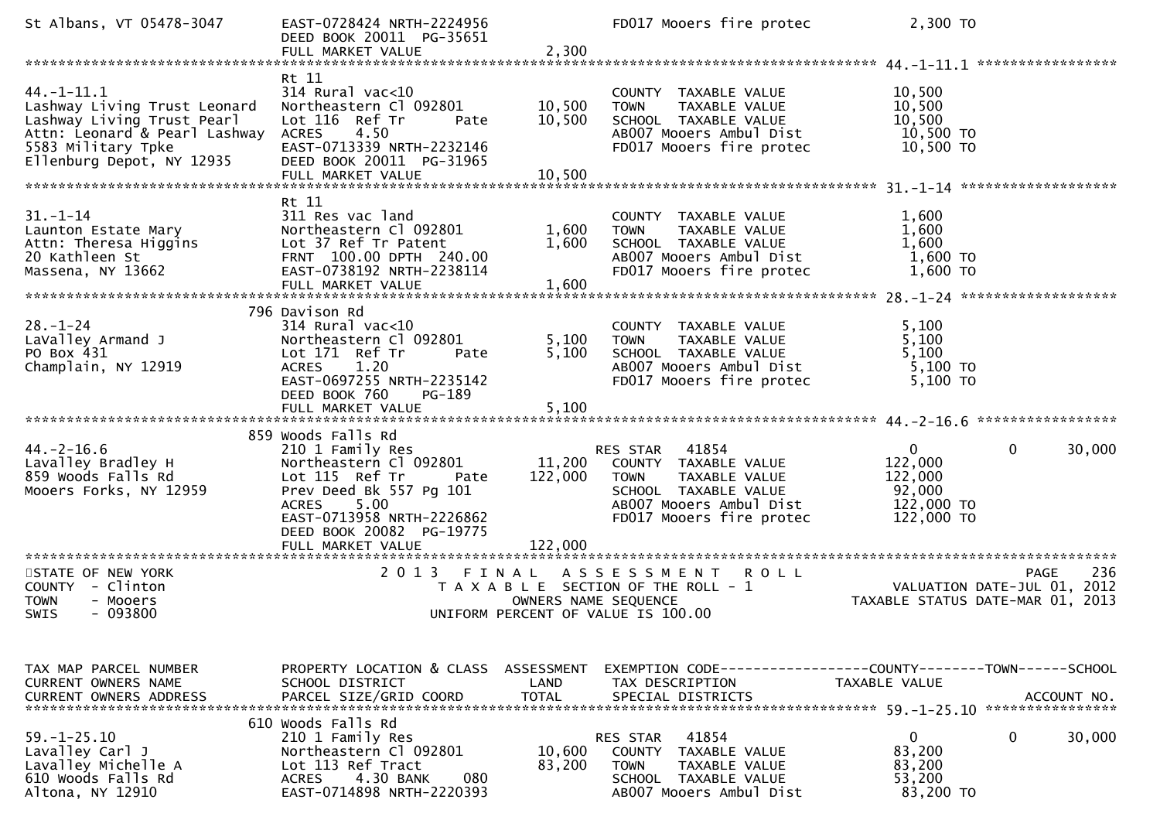| St Albans, VT 05478-3047                                                                                                                                           | EAST-0728424 NRTH-2224956<br>DEED BOOK 20011 PG-35651                                                                                                                                                 |                                    | FD017 Mooers fire protec                                                                                                                              | 2,300 TO                                                                   |                                 |
|--------------------------------------------------------------------------------------------------------------------------------------------------------------------|-------------------------------------------------------------------------------------------------------------------------------------------------------------------------------------------------------|------------------------------------|-------------------------------------------------------------------------------------------------------------------------------------------------------|----------------------------------------------------------------------------|---------------------------------|
|                                                                                                                                                                    |                                                                                                                                                                                                       |                                    |                                                                                                                                                       |                                                                            |                                 |
| $44. - 1 - 11.1$<br>Lashway Living Trust Leonard<br>Lashway Living Trust Pearl<br>Attn: Leonard & Pearl Lashway<br>5583 Military Tpke<br>Ellenburg Depot, NY 12935 | Rt 11<br>$314$ Rural vac<10<br>Northeastern Cl 092801<br>Lot 116 Ref Tr<br>Pate<br><b>ACRES</b><br>4.50<br>EAST-0713339 NRTH-2232146<br>DEED BOOK 20011 PG-31965<br>FULL MARKET VALUE                 | 10,500<br>10,500<br>10,500         | COUNTY TAXABLE VALUE<br>TAXABLE VALUE<br><b>TOWN</b><br>SCHOOL TAXABLE VALUE<br>AB007 Mooers Ambul Dist<br>FD017 Mooers fire protec                   | 10,500<br>10,500<br>10,500<br>10,500 TO<br>10,500 TO                       |                                 |
|                                                                                                                                                                    | Rt 11                                                                                                                                                                                                 |                                    |                                                                                                                                                       |                                                                            |                                 |
| $31 - 1 - 14$<br>Launton Estate Mary<br>Attn: Theresa Higgins<br>20 Kathleen St<br>Massena, NY 13662                                                               | 311 Res vac land<br>Northeastern Cl 092801<br>Lot 37 Ref Tr Patent<br>FRNT 100.00 DPTH 240.00<br>EAST-0738192 NRTH-2238114<br>FULL MARKET VALUE                                                       | 1,600<br>1,600<br>1,600            | COUNTY TAXABLE VALUE<br><b>TOWN</b><br>TAXABLE VALUE<br>SCHOOL TAXABLE VALUE<br>AB007 Mooers Ambul Dist<br>FD017 Mooers fire protec                   | 1,600<br>1,600<br>1,600<br>1,600 TO<br>1,600 TO                            |                                 |
|                                                                                                                                                                    | 796 Davison Rd                                                                                                                                                                                        |                                    |                                                                                                                                                       |                                                                            |                                 |
| $28. - 1 - 24$<br>LaValley Armand J<br>PO Box 431<br>Champlain, NY 12919                                                                                           | 314 Rural vac<10<br>Northeastern Cl 092801<br>Lot 171 Ref Tr<br>Pate<br>1.20<br>ACRES<br>EAST-0697255 NRTH-2235142<br>DEED BOOK 760<br>PG-189                                                         | 5,100<br>5,100                     | COUNTY TAXABLE VALUE<br>TAXABLE VALUE<br><b>TOWN</b><br>SCHOOL TAXABLE VALUE<br>AB007 Mooers Ambul Dist<br>FD017 Mooers fire protec                   | 5,100<br>5,100<br>5,100<br>5,100 TO<br>$5,100$ TO                          |                                 |
|                                                                                                                                                                    | FULL MARKET VALUE                                                                                                                                                                                     | 5,100                              |                                                                                                                                                       |                                                                            |                                 |
|                                                                                                                                                                    | 859 Woods Falls Rd                                                                                                                                                                                    |                                    |                                                                                                                                                       |                                                                            |                                 |
| $44. - 2 - 16.6$<br>Lavalley Bradley H<br>859 Woods Falls Rd<br>Mooers Forks, NY 12959                                                                             | 210 1 Family Res<br>Northeastern Cl 092801<br>Lot 115 Ref Tr<br>Pate<br>Prev Deed Bk 557 Pg 101<br>5.00<br><b>ACRES</b><br>EAST-0713958 NRTH-2226862<br>DEED BOOK 20082 PG-19775<br>FULL MARKET VALUE | 11,200<br>122,000<br>122,000       | RES STAR 41854<br>COUNTY TAXABLE VALUE<br><b>TOWN</b><br>TAXABLE VALUE<br>SCHOOL TAXABLE VALUE<br>AB007 Mooers Ambul Dist<br>FD017 Mooers fire protec | $\overline{0}$<br>122,000<br>122,000<br>92,000<br>122,000 TO<br>122,000 TO | $\mathbf{0}$<br>30,000          |
| *************************                                                                                                                                          | ******************************                                                                                                                                                                        |                                    |                                                                                                                                                       |                                                                            |                                 |
| STATE OF NEW YORK<br>COUNTY - Clinton<br>- Mooers<br><b>TOWN</b><br>$-093800$<br><b>SWIS</b>                                                                       | 2 0 1 3<br>FINAL                                                                                                                                                                                      | OWNERS NAME SEQUENCE               | <b>ROLL</b><br>A S S E S S M E N T<br>T A X A B L E SECTION OF THE ROLL - 1<br>UNIFORM PERCENT OF VALUE IS 100.00                                     | VALUATION DATE-JUL 01, 2012<br>TAXABLE STATUS DATE-MAR 01, 2013            | 236<br><b>PAGE</b>              |
|                                                                                                                                                                    |                                                                                                                                                                                                       |                                    |                                                                                                                                                       |                                                                            |                                 |
| TAX MAP PARCEL NUMBER<br>CURRENT OWNERS NAME<br><b>CURRENT OWNERS ADDRESS</b>                                                                                      | PROPERTY LOCATION & CLASS<br>SCHOOL DISTRICT<br>PARCEL SIZE/GRID COORD                                                                                                                                | ASSESSMENT<br>LAND<br><b>TOTAL</b> | TAX DESCRIPTION<br>SPECIAL DISTRICTS                                                                                                                  | TAXABLE VALUE                                                              | ACCOUNT NO.<br>**************** |
|                                                                                                                                                                    | 610 Woods Falls Rd                                                                                                                                                                                    |                                    |                                                                                                                                                       |                                                                            |                                 |
| $59. - 1 - 25.10$<br>Lavalley Carl J<br>Lavalley Michelle A<br>610 Woods Falls Rd<br>Altona, NY 12910                                                              | 210 1 Family Res<br>Northeastern Cl 092801<br>Lot 113 Ref Tract<br><b>ACRES</b><br>4.30 BANK<br>080<br>EAST-0714898 NRTH-2220393                                                                      | 10,600<br>83,200                   | 41854<br>RES STAR<br><b>COUNTY</b><br>TAXABLE VALUE<br><b>TOWN</b><br><b>TAXABLE VALUE</b><br>SCHOOL TAXABLE VALUE<br>AB007 Mooers Ambul Dist         | $\mathbf{0}$<br>83,200<br>83,200<br>53,200<br>83,200 TO                    | 0<br>30,000                     |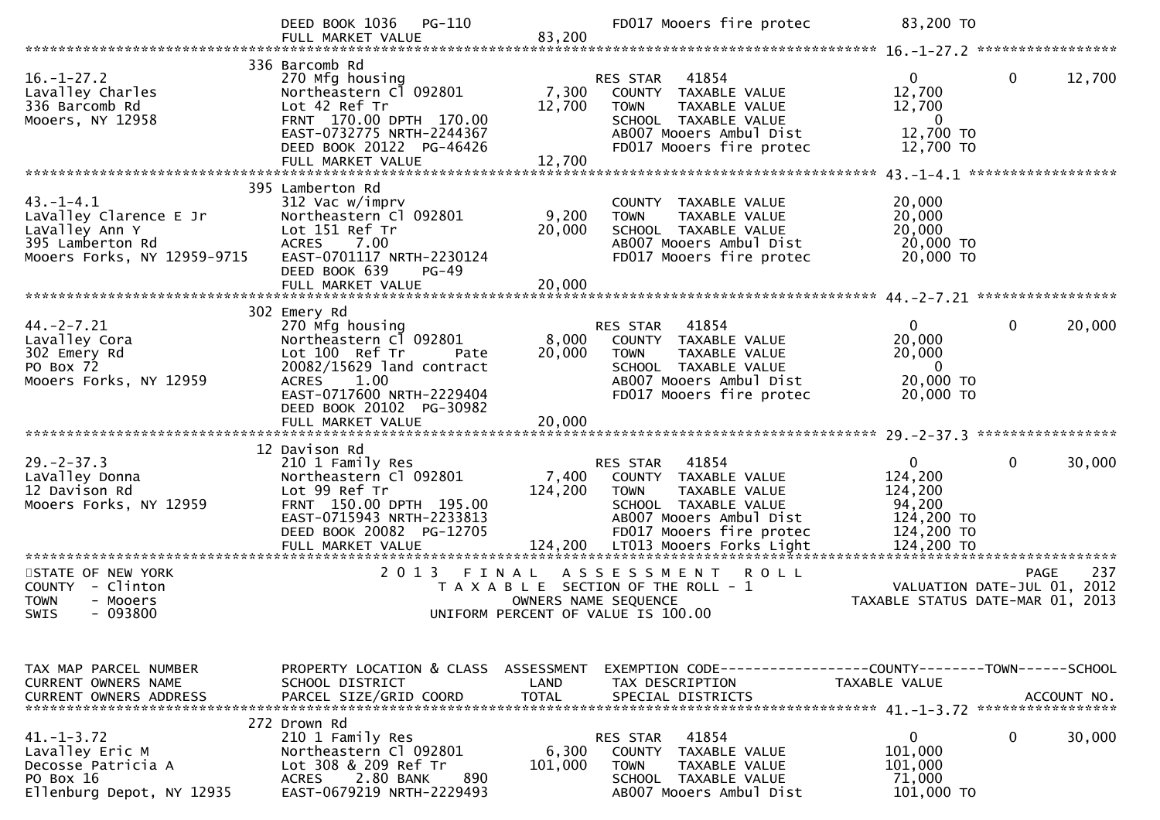|                                                                                                                | DEED BOOK 1036<br>PG-110<br>FULL MARKET VALUE                                                                                                                                         | 83,200                             | FD017 Mooers fire protec                                                                                                                                                                     | 83,200 TO                                                                              |                                                                 |
|----------------------------------------------------------------------------------------------------------------|---------------------------------------------------------------------------------------------------------------------------------------------------------------------------------------|------------------------------------|----------------------------------------------------------------------------------------------------------------------------------------------------------------------------------------------|----------------------------------------------------------------------------------------|-----------------------------------------------------------------|
|                                                                                                                | 336 Barcomb Rd                                                                                                                                                                        |                                    |                                                                                                                                                                                              |                                                                                        |                                                                 |
| $16. - 1 - 27.2$<br>Lavalley Charles<br>336 Barcomb Rd<br>Mooers, NY 12958                                     | 270 Mfg housing<br>Northeastern Cl 092801<br>Lot 42 Ref Tr<br>FRNT 170.00 DPTH 170.00<br>EAST-0732775 NRTH-2244367<br>DEED BOOK 20122 PG-46426                                        | 7,300<br>12,700                    | 41854<br>RES STAR<br>COUNTY TAXABLE VALUE<br>TAXABLE VALUE<br><b>TOWN</b><br>SCHOOL TAXABLE VALUE<br>AB007 Mooers Ambul Dist<br>FD017 Mooers fire protec                                     | $\overline{0}$<br>12,700<br>12,700<br>$\bf{0}$<br>12,700 TO<br>12,700 TO               | $\mathbf 0$<br>12,700                                           |
|                                                                                                                |                                                                                                                                                                                       |                                    |                                                                                                                                                                                              |                                                                                        |                                                                 |
|                                                                                                                | 395 Lamberton Rd                                                                                                                                                                      |                                    |                                                                                                                                                                                              |                                                                                        |                                                                 |
| $43. - 1 - 4.1$<br>LaValley Clarence E Jr<br>LaValley Ann Y<br>395 Lamberton Rd<br>Mooers Forks, NY 12959-9715 | 312 Vac w/imprv<br>Northeastern Cl 092801<br>Lot 151 Ref Tr<br>ACRES<br>7.00<br>EAST-0701117 NRTH-2230124<br>DEED BOOK 639<br>$PG-49$                                                 | 9,200<br>20,000                    | COUNTY TAXABLE VALUE<br>TAXABLE VALUE<br><b>TOWN</b><br>SCHOOL TAXABLE VALUE<br>AB007 Mooers Ambul Dist<br>FD017 Mooers fire protec                                                          | 20,000<br>20,000<br>20,000<br>20,000 TO<br>20,000 TO                                   |                                                                 |
|                                                                                                                | FULL MARKET VALUE                                                                                                                                                                     | 20,000                             |                                                                                                                                                                                              |                                                                                        |                                                                 |
|                                                                                                                | 302 Emery Rd                                                                                                                                                                          |                                    |                                                                                                                                                                                              |                                                                                        |                                                                 |
| $44. -2 - 7.21$<br>Lavalley Cora<br>302 Emery Rd<br>PO Box 72<br>Mooers Forks, NY 12959                        | 270 Mfg housing<br>Northeastern Cl 092801<br>Lot 100 Ref Tr<br>Pate<br>20082/15629 land contract<br>ACRES 1.00<br>EAST-0717600 NRTH-2229404                                           | 8,000<br>20,000                    | 41854<br>RES STAR<br>COUNTY TAXABLE VALUE<br><b>TOWN</b><br>TAXABLE VALUE<br>SCHOOL TAXABLE VALUE<br>AB007 Mooers Ambul Dist<br>FD017 Mooers fire protec                                     | $\mathbf{0}$<br>20,000<br>20,000<br>$\mathbf{0}$<br>20,000 TO<br>20,000 TO             | $\mathbf 0$<br>20,000                                           |
|                                                                                                                | DEED BOOK 20102 PG-30982                                                                                                                                                              |                                    |                                                                                                                                                                                              |                                                                                        |                                                                 |
|                                                                                                                |                                                                                                                                                                                       |                                    |                                                                                                                                                                                              |                                                                                        |                                                                 |
| $29. -2 - 37.3$<br>LaValley Donna<br>12 Davison Rd<br>Mooers Forks, NY 12959                                   | 12 Davison Rd<br>210 1 Family Res<br>Northeastern Cl 092801<br>Lot 99 Ref Tr<br>FRNT 150.00 DPTH 195.00<br>EAST-0715943 NRTH-2233813<br>DEED BOOK 20082 PG-12705<br>FULL MARKET VALUE | 7,400<br>124,200                   | 41854<br>RES STAR<br>COUNTY TAXABLE VALUE<br>TAXABLE VALUE<br><b>TOWN</b><br>SCHOOL TAXABLE VALUE<br>AB007 Mooers Ambul Dist<br>FD017 Mooers fire protec<br>124,200 LT013 Mooers Forks Light | $\mathbf{0}$<br>124,200<br>124,200<br>94,200<br>124,200 TO<br>124,200 TO<br>124,200 TO | $\mathbf{0}$<br>30,000<br>********************************      |
| *********************<br>STATE OF NEW YORK                                                                     | **********************<br>2 0 1 3                                                                                                                                                     | FINAL                              | A S S E S S M E N T<br><b>ROLL</b>                                                                                                                                                           |                                                                                        | 237<br><b>PAGE</b>                                              |
| <b>COUNTY</b><br>- Clinton<br><b>TOWN</b><br>- Mooers<br>$-093800$<br>SWIS                                     |                                                                                                                                                                                       | OWNERS NAME SEQUENCE               | T A X A B L E SECTION OF THE ROLL - 1<br>UNIFORM PERCENT OF VALUE IS 100.00                                                                                                                  |                                                                                        | VALUATION DATE-JUL 01, 2012<br>TAXABLE STATUS DATE-MAR 01, 2013 |
|                                                                                                                |                                                                                                                                                                                       |                                    |                                                                                                                                                                                              |                                                                                        |                                                                 |
| TAX MAP PARCEL NUMBER<br><b>CURRENT OWNERS NAME</b><br><b>CURRENT OWNERS ADDRESS</b>                           | PROPERTY LOCATION & CLASS<br>SCHOOL DISTRICT<br>PARCEL SIZE/GRID COORD                                                                                                                | ASSESSMENT<br>LAND<br><b>TOTAL</b> | EXEMPTION CODE-----------------COUNTY--------TOWN-----SCHOOL<br>TAX DESCRIPTION<br>SPECIAL DISTRICTS                                                                                         | TAXABLE VALUE                                                                          | ACCOUNT NO.                                                     |
| $41. - 1 - 3.72$<br>Lavalley Eric M<br>Decosse Patricia A<br>PO Box 16<br>Ellenburg Depot, NY 12935            | 272 Drown Rd<br>210 1 Family Res<br>Northeastern Cl 092801<br>Lot 308 & 209 Ref Tr<br>890<br>2.80 BANK<br><b>ACRES</b><br>EAST-0679219 NRTH-2229493                                   | 6,300<br>101,000                   | 41854<br>RES STAR<br><b>COUNTY</b><br>TAXABLE VALUE<br><b>TOWN</b><br>TAXABLE VALUE<br>SCHOOL TAXABLE VALUE<br>AB007 Mooers Ambul Dist                                                       | $\mathbf 0$<br>101,000<br>101,000<br>71,000<br>101,000 TO                              | $\mathbf 0$<br>30,000                                           |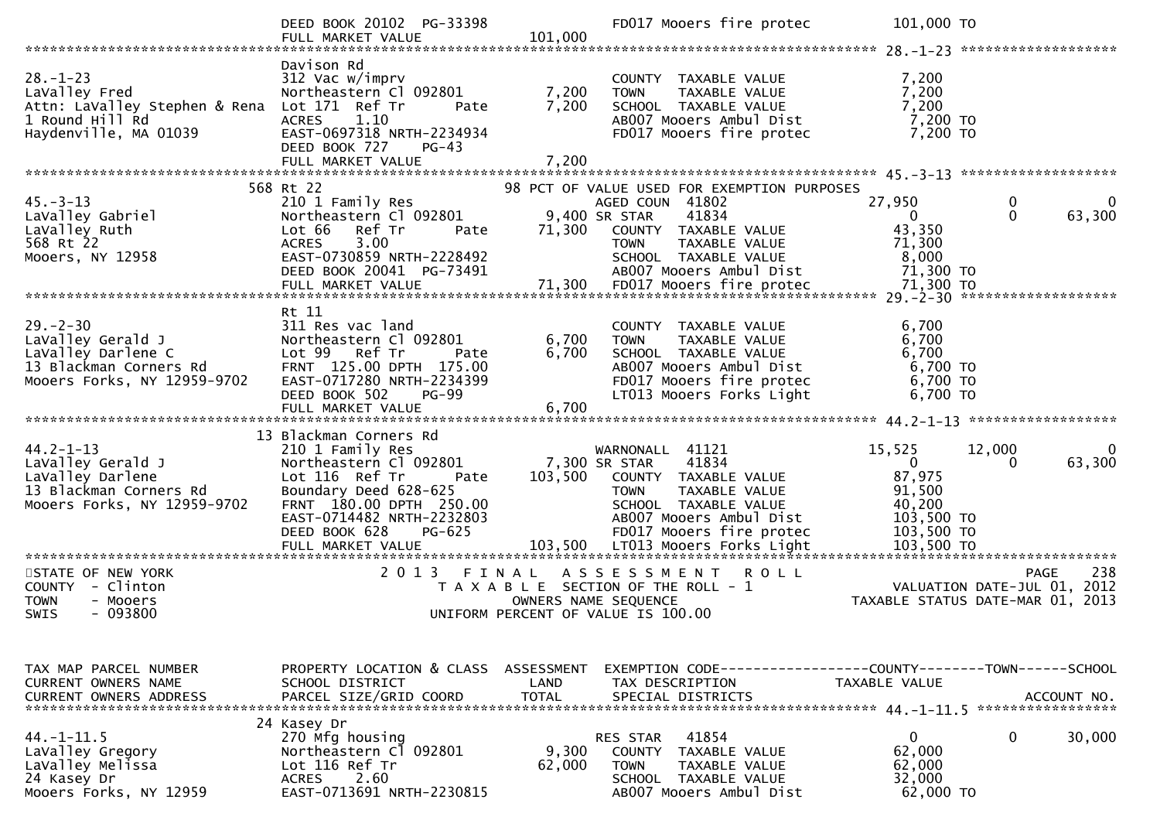|                                                                                                                   | DEED BOOK 20102 PG-33398<br>FULL MARKET VALUE                                                                                                                                                                                   | 101,000                 | FD017 Mooers fire protec                                                                                                                                                                 | 101,000 TO                                                                                       |                                                                 |
|-------------------------------------------------------------------------------------------------------------------|---------------------------------------------------------------------------------------------------------------------------------------------------------------------------------------------------------------------------------|-------------------------|------------------------------------------------------------------------------------------------------------------------------------------------------------------------------------------|--------------------------------------------------------------------------------------------------|-----------------------------------------------------------------|
| $28. - 1 - 23$<br>LaValley Fred<br>Attn: LaValley Stephen & Rena<br>1 Round Hill Rd<br>Haydenville, MA 01039      | Davison Rd<br>312 Vac w/imprv<br>Northeastern Cl 092801<br>Lot 171 Ref Tr<br>Pate<br><b>ACRES</b><br>1.10<br>EAST-0697318 NRTH-2234934<br>DEED BOOK 727<br>$PG-43$<br>FULL MARKET VALUE                                         | 7,200<br>7,200<br>7,200 | COUNTY TAXABLE VALUE<br>TAXABLE VALUE<br><b>TOWN</b><br>SCHOOL TAXABLE VALUE<br>AB007 Mooers Ambul Dist<br>FD017 Mooers fire protec                                                      | 7,200<br>7,200<br>7,200<br>7,200 TO<br>7,200 TO                                                  |                                                                 |
|                                                                                                                   |                                                                                                                                                                                                                                 |                         |                                                                                                                                                                                          |                                                                                                  |                                                                 |
|                                                                                                                   | 568 Rt 22                                                                                                                                                                                                                       |                         | 98 PCT OF VALUE USED FOR EXEMPTION PURPOSES                                                                                                                                              |                                                                                                  |                                                                 |
| $45. - 3 - 13$<br>LaValley Gabriel<br>LaValley Ruth<br>568 Rt 22<br>Mooers, NY 12958                              | 210 1 Family Res<br>Northeastern Cl 092801<br>Lot 66<br>Ref Tr<br>Pate<br>3.00<br><b>ACRES</b><br>EAST-0730859 NRTH-2228492<br>DEED BOOK 20041 PG-73491                                                                         | 71,300                  | AGED COUN 41802<br>9,400 SR STAR<br>41834<br>COUNTY TAXABLE VALUE<br><b>TOWN</b><br>TAXABLE VALUE<br>SCHOOL TAXABLE VALUE<br>AB007 Mooers Ambul Dist                                     | 27,950<br>$\overline{0}$<br>43,350<br>71,300<br>8,000<br>71,300 TO                               | 0<br>$\mathbf 0$<br>63,300                                      |
|                                                                                                                   |                                                                                                                                                                                                                                 |                         |                                                                                                                                                                                          |                                                                                                  |                                                                 |
| $29 - 2 - 30$<br>LaValley Gerald J<br>LaValley Darlene C<br>13 Blackman Corners Rd<br>Mooers Forks, NY 12959-9702 | Rt 11<br>311 Res vac land<br>Northeastern Cl 092801<br>Lot 99 Ref Tr<br>Pate<br>FRNT 125.00 DPTH 175.00<br>EAST-0717280 NRTH-2234399<br>DEED BOOK 502<br>PG-99<br>FULL MARKET VALUE                                             | 6,700<br>6,700<br>6,700 | COUNTY TAXABLE VALUE<br>TAXABLE VALUE<br><b>TOWN</b><br>SCHOOL TAXABLE VALUE<br>AB007 Mooers Ambul Dist<br>FD017 Mooers fire protec<br>LT013 Mooers Forks Light                          | 6,700<br>6,700<br>6,700<br>6,700 TO<br>6,700 TO<br>6,700 TO                                      |                                                                 |
|                                                                                                                   |                                                                                                                                                                                                                                 |                         |                                                                                                                                                                                          |                                                                                                  |                                                                 |
| $44.2 - 1 - 13$<br>LaValley Gerald J<br>LaValley Darlene<br>13 Blackman Corners Rd<br>Mooers Forks, NY 12959-9702 | 13 Blackman Corners Rd<br>210 1 Family Res<br>Northeastern Cl 092801<br>Lot 116 Ref Tr<br>Pate<br>Boundary Deed 628-625<br>FRNT 180.00 DPTH 250.00<br>EAST-0714482 NRTH-2232803<br>PG-625<br>DEED BOOK 628<br>FULL MARKET VALUE |                         | WARNONALL 41121<br>41834<br>7,300 SR STAR<br>103,500 COUNTY TAXABLE VALUE<br><b>TOWN</b><br>TAXABLE VALUE<br>SCHOOL TAXABLE VALUE<br>AB007 Mooers Ambul Dist<br>FD017 Mooers fire protec | 15,525<br>$\overline{0}$<br>87,975<br>91,500<br>40,200<br>103,500 TO<br>103,500 TO<br>103,500 TO | 12,000<br>63,300<br>$\Omega$                                    |
| STATE OF NEW YORK                                                                                                 | ************************<br>2013 FINAL                                                                                                                                                                                          |                         | ASSESSMENT<br><b>ROLL</b>                                                                                                                                                                |                                                                                                  | 238<br><b>PAGE</b>                                              |
| COUNTY - Clinton<br><b>TOWN</b><br>- Mooers<br>$-093800$<br>SWIS                                                  |                                                                                                                                                                                                                                 |                         | T A X A B L E SECTION OF THE ROLL - 1<br>OWNERS NAME SEQUENCE<br>UNIFORM PERCENT OF VALUE IS 100.00                                                                                      |                                                                                                  | VALUATION DATE-JUL 01, 2012<br>TAXABLE STATUS DATE-MAR 01, 2013 |
| TAX MAP PARCEL NUMBER<br>CURRENT OWNERS NAME                                                                      | PROPERTY LOCATION & CLASS<br>SCHOOL DISTRICT                                                                                                                                                                                    | ASSESSMENT<br>LAND      | EXEMPTION        CODE-----------------COUNTY-------TOWN------SCHOOL<br>TAX DESCRIPTION                                                                                                   | <b>TAXABLE VALUE</b>                                                                             | ACCOUNT NO.<br>*****************                                |
| $44. - 1 - 11.5$<br>LaValley Gregory<br>LaValley Melissa<br>24 Kasey Dr<br>Mooers Forks, NY 12959                 | 24 Kasey Dr<br>270 Mfg housing<br>Northeastern Cl 092801<br>Lot 116 Ref Tr<br>2.60<br><b>ACRES</b><br>EAST-0713691 NRTH-2230815                                                                                                 | 9,300<br>62,000         | 41854<br>RES STAR<br>COUNTY<br><b>TAXABLE VALUE</b><br><b>TOWN</b><br>TAXABLE VALUE<br>SCHOOL TAXABLE VALUE<br>AB007 Mooers Ambul Dist                                                   | $\mathbf{0}$<br>62,000<br>62,000<br>32,000<br>62,000 TO                                          | 0<br>30,000                                                     |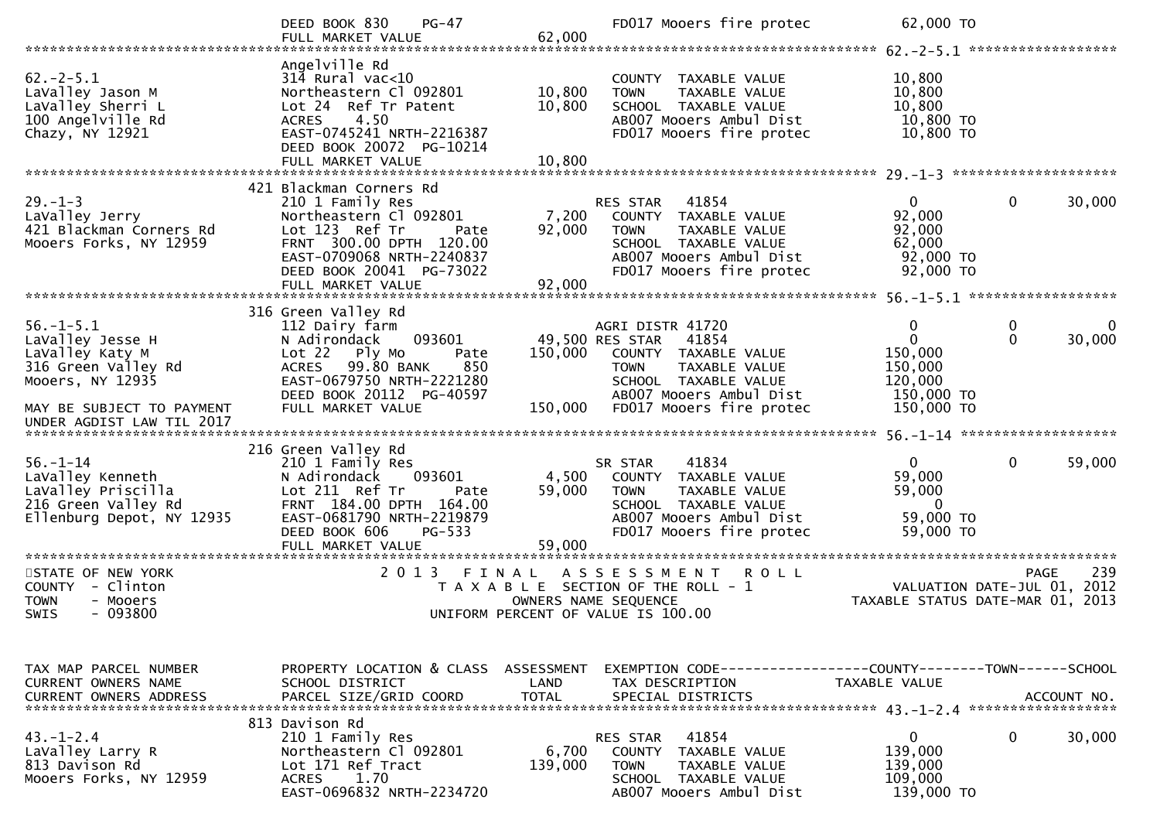|                                                                                                              | DEED BOOK 830<br>$PG-47$<br>FULL MARKET VALUE                                                                                                                                               | 62,000                     | FD017 Mooers fire protec                                                                                                                                 | 62,000 TO                                                              |                              |
|--------------------------------------------------------------------------------------------------------------|---------------------------------------------------------------------------------------------------------------------------------------------------------------------------------------------|----------------------------|----------------------------------------------------------------------------------------------------------------------------------------------------------|------------------------------------------------------------------------|------------------------------|
| $62 - 2 - 5.1$<br>LaValley Jason M<br>LaValley Sherri L<br>100 Angelville Rd<br>Chazy, NY 12921              | Angelville Rd<br>$314$ Rural vac<10<br>Northeastern Cl 092801<br>Lot 24 Ref Tr Patent<br>4.50<br><b>ACRES</b><br>EAST-0745241 NRTH-2216387<br>DEED BOOK 20072 PG-10214<br>FULL MARKET VALUE | 10,800<br>10,800<br>10,800 | COUNTY TAXABLE VALUE<br>TAXABLE VALUE<br><b>TOWN</b><br>SCHOOL TAXABLE VALUE<br>AB007 Mooers Ambul Dist<br>FD017 Mooers fire protec                      | 10,800<br>10,800<br>10,800<br>10,800 TO<br>10,800 TO                   |                              |
|                                                                                                              | 421 Blackman Corners Rd                                                                                                                                                                     |                            |                                                                                                                                                          |                                                                        |                              |
| $29. - 1 - 3$<br>LaValley Jerry<br>421 Blackman Corners Rd<br>Mooers Forks, NY 12959                         | 210 1 Family Res<br>Northeastern Cl 092801<br>Lot 123 Ref Tr<br>Pate<br>FRNT 300.00 DPTH 120.00<br>EAST-0709068 NRTH-2240837<br>DEED BOOK 20041 PG-73022<br>FULL MARKET VALUE               | 7,200<br>92,000<br>92,000  | RES STAR<br>41854<br>COUNTY TAXABLE VALUE<br><b>TOWN</b><br>TAXABLE VALUE<br>SCHOOL TAXABLE VALUE<br>AB007 Mooers Ambul Dist<br>FD017 Mooers fire protec | $\overline{0}$<br>92,000<br>92,000<br>62,000<br>92,000 TO<br>92,000 TO | 0<br>30,000                  |
|                                                                                                              |                                                                                                                                                                                             |                            |                                                                                                                                                          |                                                                        |                              |
| $56. - 1 - 5.1$<br>LaValley Jesse H<br>LaValley Katy M<br>316 Green Valley Rd<br>Mooers, NY 12935            | 316 Green Valley Rd<br>112 Dairy farm<br>093601<br>N Adirondack<br>Lot 22<br>Ply Mo<br>Pate<br>99.80 BANK<br>850<br><b>ACRES</b><br>EAST-0679750 NRTH-2221280<br>DEED BOOK 20112 PG-40597   | 150,000                    | AGRI DISTR 41720<br>49,500 RES STAR<br>41854<br>COUNTY TAXABLE VALUE<br>TAXABLE VALUE<br><b>TOWN</b><br>SCHOOL TAXABLE VALUE<br>AB007 Mooers Ambul Dist  | 0<br>$\mathbf{0}$<br>150,000<br>150,000<br>120,000<br>150,000 TO       | 0<br>0<br>$\Omega$<br>30,000 |
| MAY BE SUBJECT TO PAYMENT<br>UNDER AGDIST LAW TIL 2017                                                       | FULL MARKET VALUE                                                                                                                                                                           | 150,000                    | FD017 Mooers fire protec                                                                                                                                 | 150,000 TO                                                             |                              |
|                                                                                                              | 216 Green Valley Rd                                                                                                                                                                         |                            |                                                                                                                                                          |                                                                        |                              |
| $56. - 1 - 14$<br>LaValley Kenneth<br>LaValley Priscilla<br>216 Green Valley Rd<br>Ellenburg Depot, NY 12935 | 210 1 Family Res<br>093601<br>N Adirondack<br>Lot 211 Ref Tr<br>Pate<br>FRNT 184.00 DPTH 164.00<br>EAST-0681790 NRTH-2219879<br>DEED BOOK 606<br>$PG-533$                                   | 4,500<br>59,000            | 41834<br>SR STAR<br>COUNTY TAXABLE VALUE<br>TAXABLE VALUE<br><b>TOWN</b><br>SCHOOL TAXABLE VALUE<br>AB007 Mooers Ambul Dist<br>FD017 Mooers fire protec  | $\Omega$<br>59,000<br>59,000<br>$\bf{0}$<br>59,000 TO<br>59,000 TO     | $\mathbf{0}$<br>59,000       |
|                                                                                                              | FULL MARKET VALUE                                                                                                                                                                           | 59,000                     |                                                                                                                                                          |                                                                        |                              |
| STATE OF NEW YORK<br>COUNTY - Clinton<br><b>TOWN</b><br>- Mooers<br>$-093800$<br><b>SWIS</b>                 | 2 0 1 3<br>FINAL                                                                                                                                                                            | OWNERS NAME SEQUENCE       | A S S E S S M E N T<br><b>ROLL</b><br>T A X A B L E SECTION OF THE ROLL - 1<br>UNIFORM PERCENT OF VALUE IS 100.00                                        | VALUATION DATE-JUL 01, 2012<br>TAXABLE STATUS DATE-MAR 01, 2013        | 239<br>PAGE                  |
|                                                                                                              |                                                                                                                                                                                             |                            |                                                                                                                                                          |                                                                        |                              |
| TAX MAP PARCEL NUMBER<br>CURRENT OWNERS NAME                                                                 | PROPERTY LOCATION & CLASS ASSESSMENT<br>SCHOOL DISTRICT                                                                                                                                     | LAND                       | EXEMPTION CODE-----------------COUNTY-------TOWN------SCHOOL<br>TAX DESCRIPTION                                                                          | TAXABLE VALUE                                                          |                              |
|                                                                                                              | 813 Davison Rd                                                                                                                                                                              |                            |                                                                                                                                                          |                                                                        |                              |
| $43. - 1 - 2.4$<br>LaValley Larry R<br>813 Davison Rd<br>Mooers Forks, NY 12959                              | 210 1 Family Res<br>Northeastern Cl 092801<br>Lot 171 Ref Tract<br>1.70<br><b>ACRES</b><br>EAST-0696832 NRTH-2234720                                                                        | 6,700<br>139,000           | 41854<br>RES STAR<br>COUNTY<br>TAXABLE VALUE<br><b>TOWN</b><br><b>TAXABLE VALUE</b><br>SCHOOL TAXABLE VALUE<br>AB007 Mooers Ambul Dist                   | $\mathbf 0$<br>139,000<br>139,000<br>109,000<br>139,000 TO             | 0<br>30,000                  |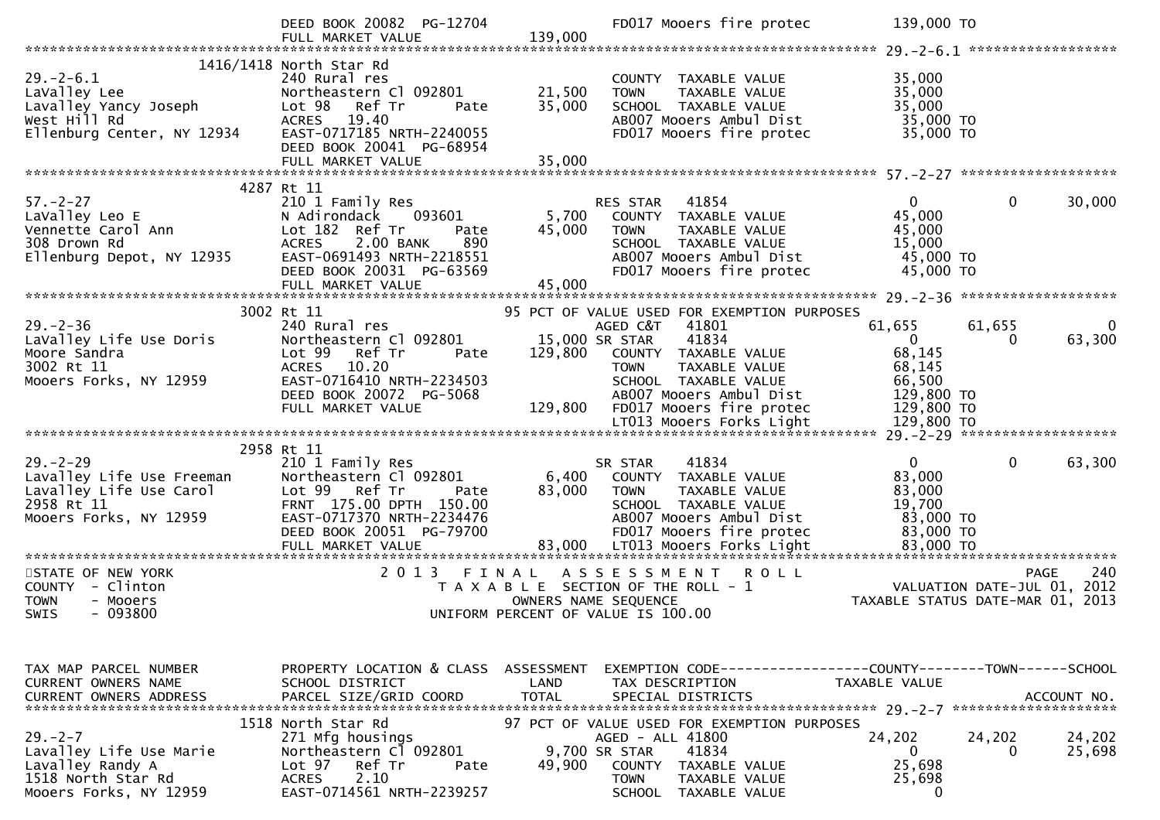|                                                                    | DEED BOOK 20082 PG-12704<br>FULL MARKET VALUE         | 139,000    | FD017 Mooers fire protec                                       | 139,000 TO                                                                                |                      |
|--------------------------------------------------------------------|-------------------------------------------------------|------------|----------------------------------------------------------------|-------------------------------------------------------------------------------------------|----------------------|
|                                                                    |                                                       |            |                                                                |                                                                                           |                      |
| $29. - 2 - 6.1$                                                    | 1416/1418 North Star Rd<br>240 Rural res              |            | COUNTY TAXABLE VALUE                                           | 35,000                                                                                    |                      |
|                                                                    |                                                       | 21,500     | <b>TOWN</b><br>TAXABLE VALUE                                   | 35,000                                                                                    |                      |
|                                                                    |                                                       | 35,000     | SCHOOL TAXABLE VALUE                                           | 35,000<br>35,000 TO                                                                       |                      |
|                                                                    |                                                       |            | AB007 Mooers Ambul Dist<br>FD017 Mooers fire protec            | 35,000 TO                                                                                 |                      |
|                                                                    | DEED BOOK 20041 PG-68954                              |            |                                                                |                                                                                           |                      |
|                                                                    |                                                       |            |                                                                |                                                                                           |                      |
|                                                                    |                                                       |            |                                                                |                                                                                           |                      |
|                                                                    | 4287 Rt 11                                            |            |                                                                |                                                                                           |                      |
| $57. - 2 - 27$<br>Ann                                              | 210 1 Family Res                                      |            | RES STAR 41854                                                 | $\mathbf 0$<br>$\mathbf{0}$                                                               | 30,000               |
| LaValley Leo E                                                     | N Adirondack<br>093601                                | 5,700      | COUNTY TAXABLE VALUE                                           | 45,000                                                                                    |                      |
| Vennette Carol Ann<br>308 Drown Rd                                 | Lot 182 Ref Tr<br>Pate                                | 45,000     | TAXABLE VALUE<br><b>TOWN</b>                                   | 45,000                                                                                    |                      |
| 308 Drown Rd                                                       | 2.00 BANK<br>890<br><b>ACRES</b>                      |            | SCHOOL TAXABLE VALUE                                           | 15,000                                                                                    |                      |
| Ellenburg Depot, NY 12935                                          | EAST-0691493 NRTH-2218551<br>DEED BOOK 20031 PG-63569 |            | AB007 Mooers Ambul Dist<br>FD017 Mooers fire protec            | 45,000 TO<br>45,000 TO                                                                    |                      |
|                                                                    | FULL MARKET VALUE                                     | 45,000     |                                                                |                                                                                           |                      |
|                                                                    |                                                       |            |                                                                |                                                                                           |                      |
|                                                                    | 3002 Rt 11                                            |            | 95 PCT OF VALUE USED FOR EXEMPTION PURPOSES                    |                                                                                           |                      |
| $29. - 2 - 36$                                                     | 240 Rural res                                         |            | AGED C&T 41801                                                 | 61,655<br>61,655                                                                          | $\Omega$             |
| LaValley Life Use Doris                                            | Northeastern Cl 092801                                |            | 41834<br>15,000 SR STAR                                        | $\overline{0}$<br>$\Omega$                                                                | 63,300               |
| Moore Sandra                                                       | Lot <sub>99</sub><br>Ref Tr<br>Pate                   | 129,800    | COUNTY TAXABLE VALUE                                           | 68,145                                                                                    |                      |
| 3002 Rt 11                                                         | ACRES 10.20                                           |            | <b>TOWN</b><br>TAXABLE VALUE                                   | 68,145                                                                                    |                      |
| Mooers Forks, NY 12959                                             | EAST-0716410 NRTH-2234503                             |            | SCHOOL TAXABLE VALUE                                           | 66,500                                                                                    |                      |
|                                                                    | DEED BOOK 20072 PG-5068                               |            | AB007 Mooers Ambul Dist                                        | 129,800 TO<br>129,800 TO                                                                  |                      |
|                                                                    | FULL MARKET VALUE                                     |            | 129,800 FD017 Mooers fire protec                               |                                                                                           |                      |
|                                                                    |                                                       |            |                                                                |                                                                                           |                      |
|                                                                    | 2958 Rt 11                                            |            |                                                                |                                                                                           |                      |
| $29. - 2 - 29$                                                     | 210 1 Family Res                                      |            | 41834<br>SR STAR                                               | $\mathbf{0}$<br>$\mathbf{0}$                                                              | 63,300               |
| Lavalley Life Use Freeman                                          | Northeastern Cl 092801                                |            | 6,400 COUNTY TAXABLE VALUE                                     | 83,000                                                                                    |                      |
| Lavalley Life Use Freeman<br>Lavalley Life Use Carol<br>2958 Rt 11 | Lot 99 Ref Tr<br>Pate                                 | 83,000     | TAXABLE VALUE<br><b>TOWN</b>                                   | 83,000                                                                                    |                      |
| 2958 Rt 11                                                         | FRNT 175.00 DPTH 150.00                               |            | SCHOOL TAXABLE VALUE                                           | 19,700                                                                                    |                      |
| Mooers Forks, NY 12959                                             | EAST-0717370 NRTH-2234476                             |            | AB007 Mooers Ambul Dist                                        | 83,000 TO                                                                                 |                      |
|                                                                    | DEED BOOK 20051 PG-79700<br>FULL MARKET VALUE         |            | FD017 Mooers fire protec                                       | 83,000 TO                                                                                 |                      |
|                                                                    |                                                       |            |                                                                |                                                                                           |                      |
| STATE OF NEW YORK                                                  | 2013 FINAL                                            |            | A S S E S S M E N T<br><b>ROLL</b>                             |                                                                                           | 240<br><b>PAGE</b>   |
| COUNTY - Clinton                                                   |                                                       |            | T A X A B L E SECTION OF THE ROLL - 1                          | 240 PAGE 240<br>2012 VALUATION DATE-JUL 01, 2012<br>2013 TAXABLE STATUS DATE-MAR 01, 2013 |                      |
| <b>TOWN</b><br>- Mooers                                            |                                                       |            | OWNERS NAME SEQUENCE                                           |                                                                                           |                      |
| $-093800$<br>SWIS                                                  |                                                       |            | UNIFORM PERCENT OF VALUE IS 100.00                             |                                                                                           |                      |
|                                                                    |                                                       |            |                                                                |                                                                                           |                      |
|                                                                    |                                                       |            |                                                                |                                                                                           |                      |
| TAX MAP PARCEL NUMBER                                              | PROPERTY LOCATION & CLASS                             | ASSESSMENT | EXEMPTION CODE-----------------COUNTY-------TOWN------SCHOOL   |                                                                                           |                      |
| CURRENT OWNERS NAME                                                | SCHOOL DISTRICT                                       | LAND       | TAX DESCRIPTION                                                | <b>TAXABLE VALUE</b>                                                                      |                      |
|                                                                    |                                                       |            |                                                                |                                                                                           | ACCOUNT NO.          |
|                                                                    |                                                       |            |                                                                |                                                                                           | ******************** |
|                                                                    | 1518 North Star Rd                                    |            | 97 PCT OF VALUE USED FOR EXEMPTION PURPOSES                    |                                                                                           |                      |
| $29. - 2 - 7$                                                      | 271 Mfg housings                                      |            | AGED - ALL 41800                                               | 24,202<br>24,202                                                                          | 24,202               |
| Lavalley Life Use Marie                                            | Northeastern Cl 092801                                |            | 9,700 SR STAR<br>41834                                         | 0<br>$\Omega$                                                                             | 25,698               |
| Lavalley Randy A                                                   | Ref Tr<br>Lot <sub>97</sub><br>Pate                   | 49,900     | COUNTY TAXABLE VALUE                                           | 25,698                                                                                    |                      |
| 1518 North Star Rd<br>Mooers Forks, NY 12959                       | 2.10<br><b>ACRES</b><br>EAST-0714561 NRTH-2239257     |            | <b>TOWN</b><br>TAXABLE VALUE<br><b>SCHOOL</b><br>TAXABLE VALUE | 25,698<br>0                                                                               |                      |
|                                                                    |                                                       |            |                                                                |                                                                                           |                      |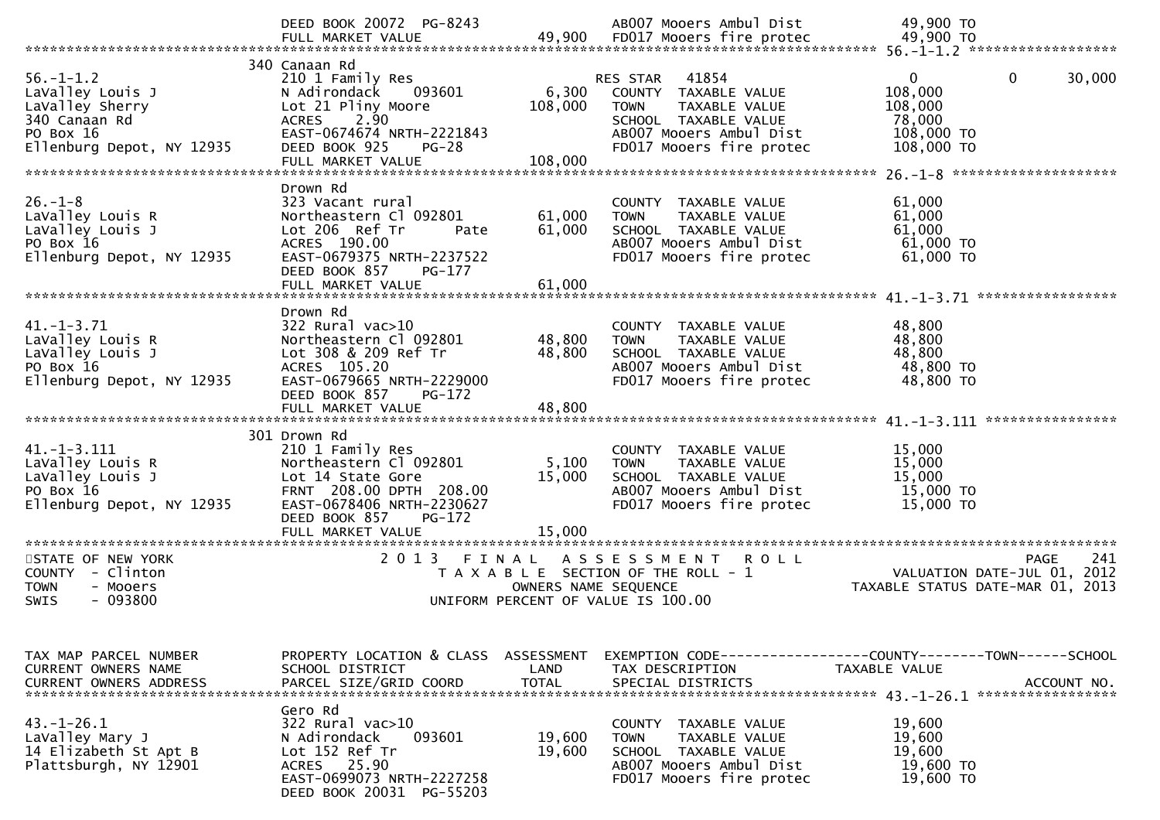|                                                                                                                                       | DEED BOOK 20072 PG-8243<br>FULL MARKET VALUE                                                                                                                                                                       |                               | AB007 Mooers Ambul Dist<br>49,900 FD017 Mooers fire protec                                                                                                      | 49,900 TO<br>49,900 TO                                                                                            |
|---------------------------------------------------------------------------------------------------------------------------------------|--------------------------------------------------------------------------------------------------------------------------------------------------------------------------------------------------------------------|-------------------------------|-----------------------------------------------------------------------------------------------------------------------------------------------------------------|-------------------------------------------------------------------------------------------------------------------|
| $56. - 1 - 1.2$<br>LaValley Louis J<br>LaValley Sherry<br>340 Canaan Rd<br>PO Box 16<br>Ellenburg Depot, NY 12935                     | 340 Canaan Rd<br>210 1 Family Res<br>093601<br>N Adirondack<br>Lot 21 Pliny Moore<br>2.90<br><b>ACRES</b><br>EAST-0674674 NRTH-2221843<br>DEED BOOK 925<br>$PG-28$<br>FULL MARKET VALUE                            | 6,300<br>108,000<br>108,000   | 41854<br><b>RES STAR</b><br>COUNTY TAXABLE VALUE<br><b>TOWN</b><br>TAXABLE VALUE<br>SCHOOL TAXABLE VALUE<br>AB007 Mooers Ambul Dist<br>FD017 Mooers fire protec | $\mathbf{0}$<br>$\mathbf 0$<br>30,000<br>108,000<br>108,000<br>78,000<br>108,000 TO<br>108,000 TO                 |
| $26. - 1 - 8$<br>LaValley Louis R<br>LaValley Louis J<br>PO Box 16<br>Ellenburg Depot, NY 12935                                       | Drown Rd<br>323 Vacant rural<br>Northeastern Cl 092801<br>Lot 206 Ref Tr<br>Pate<br>ACRES 190.00<br>EAST-0679375 NRTH-2237522<br>DEED BOOK 857<br>PG-177<br>FULL MARKET VALUE                                      | 61,000<br>61,000<br>61,000    | COUNTY TAXABLE VALUE<br><b>TOWN</b><br>TAXABLE VALUE<br>SCHOOL TAXABLE VALUE<br>AB007 Mooers Ambul Dist<br>FD017 Mooers fire protec                             | 61,000<br>61,000<br>61,000<br>61,000 TO<br>61,000 TO                                                              |
| $41. - 1 - 3.71$<br>LaValley Louis R<br>LaValley Louis J<br>PO Box 16<br>Ellenburg Depot, NY 12935                                    | Drown Rd<br>$322$ Rural vac $>10$<br>Northeastern Cl 092801<br>Lot 308 & 209 Ref Tr<br>ACRES 105.20<br>EAST-0679665 NRTH-2229000<br>DEED BOOK 857<br>PG-172<br>FULL MARKET VALUE                                   | 48,800<br>48,800<br>48,800    | COUNTY TAXABLE VALUE<br><b>TOWN</b><br><b>TAXABLE VALUE</b><br>SCHOOL TAXABLE VALUE<br>AB007 Mooers Ambul Dist<br>FD017 Mooers fire protec                      | 48,800<br>48,800<br>48,800<br>48,800 TO<br>48,800 TO                                                              |
| $41. -1 - 3.111$<br>LaValley Louis R<br>LaValley Louis J<br>PO Box 16<br>Ellenburg Depot, NY 12935<br>******************************* | 301 Drown Rd<br>210 1 Family Res<br>Northeastern Cl 092801<br>Lot 14 State Gore<br>FRNT 208.00 DPTH 208.00<br>EAST-0678406 NRTH-2230627<br>DEED BOOK 857<br>PG-172<br>FULL MARKET VALUE<br>*********************** | 5,100<br>15,000<br>15,000     | COUNTY TAXABLE VALUE<br><b>TOWN</b><br>TAXABLE VALUE<br>SCHOOL TAXABLE VALUE<br>AB007 Mooers Ambul Dist<br>FD017 Mooers fire protec                             | 15,000<br>15,000<br>15,000<br>15,000 TO<br>15,000 TO                                                              |
| STATE OF NEW YORK<br>COUNTY - Clinton<br><b>TOWN</b><br>- Mooers<br>- 093800<br><b>SWIS</b>                                           | 2 0 1 3                                                                                                                                                                                                            | FINAL<br>OWNERS NAME SEQUENCE | ASSESSMENT ROLL<br>T A X A B L E SECTION OF THE ROLL - 1<br>UNIFORM PERCENT OF VALUE IS 100.00                                                                  | <b>PAGE</b><br>241<br>VALUATION DATE-JUL 01, 2012<br>TAXABLE STATUS DATE-MAR 01, 2013                             |
| TAX MAP PARCEL NUMBER<br>CURRENT OWNERS NAME                                                                                          | PROPERTY LOCATION & CLASS<br>SCHOOL DISTRICT                                                                                                                                                                       | ASSESSMENT<br>LAND            | TAX DESCRIPTION                                                                                                                                                 | EXEMPTION CODE-----------------COUNTY-------TOWN------SCHOOL<br>TAXABLE VALUE<br>ACCOUNT NO.<br>***************** |
| $43.-1-26.1$<br>LaValley Mary J<br>14 Elizabeth St Apt B<br>Plattsburgh, NY 12901                                                     | Gero Rd<br>322 Rural vac>10<br>N Adirondack<br>093601<br>Lot 152 Ref Tr<br>ACRES 25.90<br>EAST-0699073 NRTH-2227258<br>DEED BOOK 20031 PG-55203                                                                    | 19,600<br>19,600              | COUNTY TAXABLE VALUE<br>TAXABLE VALUE<br><b>TOWN</b><br>SCHOOL TAXABLE VALUE<br>AB007 Mooers Ambul Dist<br>FD017 Mooers fire protec                             | 19,600<br>19,600<br>19,600<br>19,600 TO<br>19,600 TO                                                              |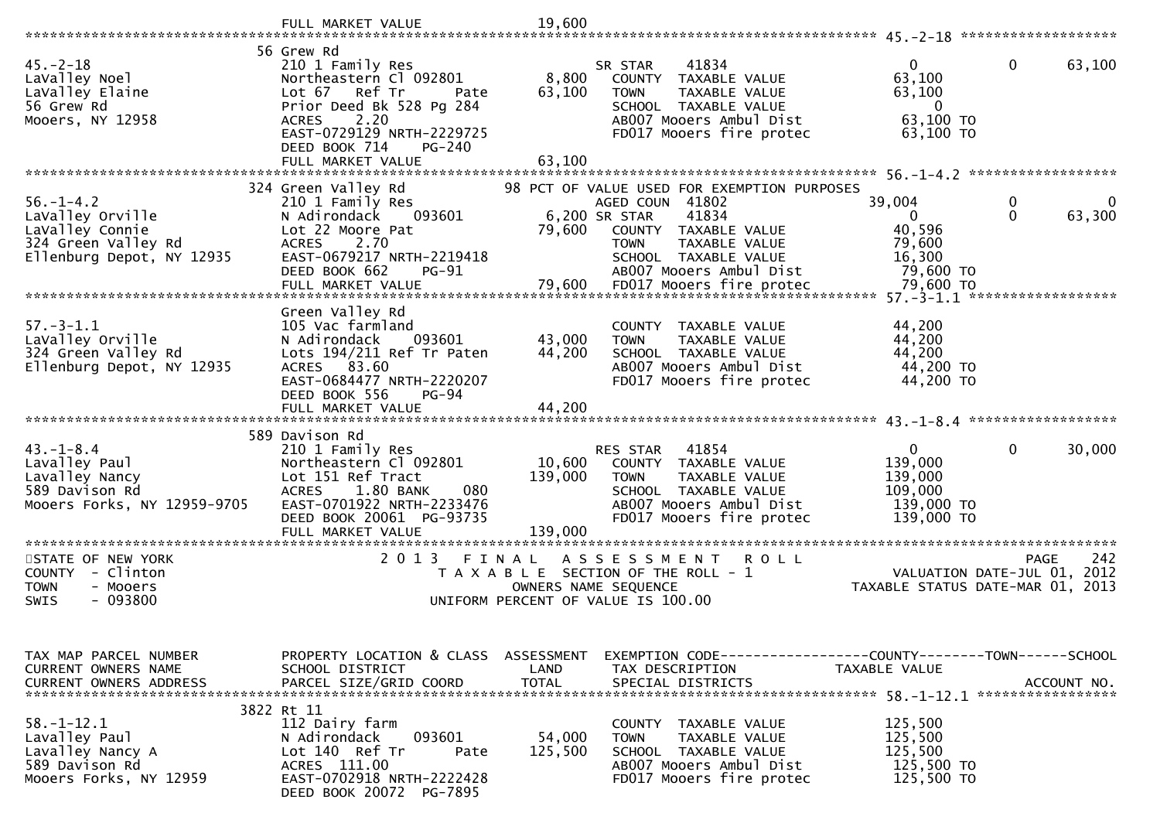|                                                                                                            | FULL MARKET VALUE                                                                                                                                                                                                  | 19,600                       |                                                                                                                                                                                    |                                                                            |                                                   |
|------------------------------------------------------------------------------------------------------------|--------------------------------------------------------------------------------------------------------------------------------------------------------------------------------------------------------------------|------------------------------|------------------------------------------------------------------------------------------------------------------------------------------------------------------------------------|----------------------------------------------------------------------------|---------------------------------------------------|
|                                                                                                            |                                                                                                                                                                                                                    |                              |                                                                                                                                                                                    |                                                                            |                                                   |
| $45. - 2 - 18$<br>LaValley Noel<br>LaValley Elaine<br>56 Grew Rd<br>Mooers, NY 12958                       | 56 Grew Rd<br>210 1 Family Res<br>Northeastern Cl 092801<br>Lot 67 Ref Tr<br>Pate<br>Prior Deed Bk 528 Pg 284<br>2.20<br><b>ACRES</b><br>EAST-0729129 NRTH-2229725<br>DEED BOOK 714<br>PG-240<br>FULL MARKET VALUE | 8,800<br>63,100<br>63,100    | 41834<br>SR STAR<br>COUNTY TAXABLE VALUE<br><b>TOWN</b><br>TAXABLE VALUE<br>SCHOOL TAXABLE VALUE<br>AB007 Mooers Ambul Dist<br>FD017 Mooers fire protec                            | $\mathbf{0}$<br>63,100<br>63,100<br>$\mathbf{0}$<br>63,100 TO<br>63,100 TO | 0<br>63,100                                       |
|                                                                                                            |                                                                                                                                                                                                                    |                              |                                                                                                                                                                                    |                                                                            |                                                   |
| $56. - 1 - 4.2$<br>LaValley Orville<br>LaValley Connie<br>324 Green Valley Rd<br>Ellenburg Depot, NY 12935 | 324 Green Valley Rd<br>210 1 Family Res<br>093601<br>N Adirondack<br>Lot 22 Moore Pat<br>2.70<br><b>ACRES</b><br>EAST-0679217 NRTH-2219418<br>DEED BOOK 662<br><b>PG-91</b>                                        | 6,200 SR STAR<br>79,600      | 98 PCT OF VALUE USED FOR EXEMPTION PURPOSES<br>AGED COUN 41802<br>41834<br>COUNTY TAXABLE VALUE<br><b>TOWN</b><br>TAXABLE VALUE<br>SCHOOL TAXABLE VALUE<br>AB007 Mooers Ambul Dist | 39,004<br>0<br>40,596<br>79,600<br>16,300<br>79,600 TO                     | 0<br>0<br>$\mathbf{0}$<br>63,300                  |
|                                                                                                            |                                                                                                                                                                                                                    |                              |                                                                                                                                                                                    |                                                                            |                                                   |
| $57. - 3 - 1.1$<br>LaValley Orville<br>324 Green Valley Rd<br>Ellenburg Depot, NY 12935                    | Green Valley Rd<br>105 Vac farmland<br>093601<br>N Adirondack<br>Lots 194/211 Ref Tr Paten<br>ACRES 83.60<br>EAST-0684477 NRTH-2220207<br>DEED BOOK 556<br>PG-94                                                   | 43,000<br>44,200             | COUNTY TAXABLE VALUE<br><b>TOWN</b><br>TAXABLE VALUE<br>SCHOOL TAXABLE VALUE<br>AB007 Mooers Ambul Dist<br>FD017 Mooers fire protec                                                | 44,200<br>44,200<br>44,200<br>44,200 TO<br>44,200 TO                       |                                                   |
|                                                                                                            | FULL MARKET VALUE                                                                                                                                                                                                  | 44,200                       |                                                                                                                                                                                    |                                                                            |                                                   |
|                                                                                                            | 589 Davison Rd                                                                                                                                                                                                     |                              |                                                                                                                                                                                    |                                                                            |                                                   |
| $43. - 1 - 8.4$<br>Lavalley Paul<br>Lavalley Nancy<br>589 Davison Rd<br>Mooers Forks, NY 12959-9705        | 210 1 Family Res<br>Northeastern Cl 092801<br>Lot 151 Ref Tract<br>080<br>1.80 BANK<br><b>ACRES</b><br>EAST-0701922 NRTH-2233476<br>DEED BOOK 20061 PG-93735<br>FULL MARKET VALUE                                  | 10,600<br>139,000<br>139,000 | 41854<br>RES STAR<br>COUNTY TAXABLE VALUE<br>TAXABLE VALUE<br><b>TOWN</b><br>SCHOOL TAXABLE VALUE<br>AB007 Mooers Ambul Dist<br>FD017 Mooers fire protec                           | $\mathbf{0}$<br>139,000<br>139,000<br>109,000<br>139,000 TO<br>139,000 TO  | $\mathbf{0}$<br>30,000                            |
| *********************                                                                                      | **************************                                                                                                                                                                                         |                              |                                                                                                                                                                                    |                                                                            |                                                   |
| STATE OF NEW YORK<br>COUNTY<br>- Clinton<br><b>TOWN</b><br>- Mooers<br>- 093800<br><b>SWIS</b>             | 2 0 1 3<br>FINAL                                                                                                                                                                                                   | OWNERS NAME SEQUENCE         | A S S E S S M E N T<br><b>ROLL</b><br>T A X A B L E SECTION OF THE ROLL - 1<br>UNIFORM PERCENT OF VALUE IS 100.00                                                                  | TAXABLE STATUS DATE-MAR 01, 2013                                           | 242<br><b>PAGE</b><br>VALUATION DATE-JUL 01, 2012 |
| TAX MAP PARCEL NUMBER<br>CURRENT OWNERS NAME<br><b>CURRENT OWNERS ADDRESS</b>                              | PROPERTY LOCATION & CLASS ASSESSMENT<br>SCHOOL DISTRICT<br>PARCEL SIZE/GRID COORD                                                                                                                                  | LAND<br><b>TOTAL</b>         | EXEMPTION CODE------------------COUNTY--------TOWN------SCHOOL<br>TAX DESCRIPTION<br>SPECIAL DISTRICTS                                                                             | TAXABLE VALUE                                                              | ACCOUNT NO.                                       |
|                                                                                                            | 3822 Rt 11                                                                                                                                                                                                         |                              |                                                                                                                                                                                    |                                                                            |                                                   |
| $58. - 1 - 12.1$<br>Lavalley Paul<br>Lavalley Nancy A<br>589 Davison Rd<br>Mooers Forks, NY 12959          | 112 Dairy farm<br>093601<br>N Adirondack<br>Lot 140 Ref Tr<br>Pate<br>ACRES 111.00<br>EAST-0702918 NRTH-2222428<br>DEED BOOK 20072 PG-7895                                                                         | 54,000<br>125,500            | COUNTY TAXABLE VALUE<br><b>TOWN</b><br>TAXABLE VALUE<br>SCHOOL TAXABLE VALUE<br>AB007 Mooers Ambul Dist<br>FD017 Mooers fire protec                                                | 125,500<br>125,500<br>125,500<br>125,500 TO<br>125,500 TO                  |                                                   |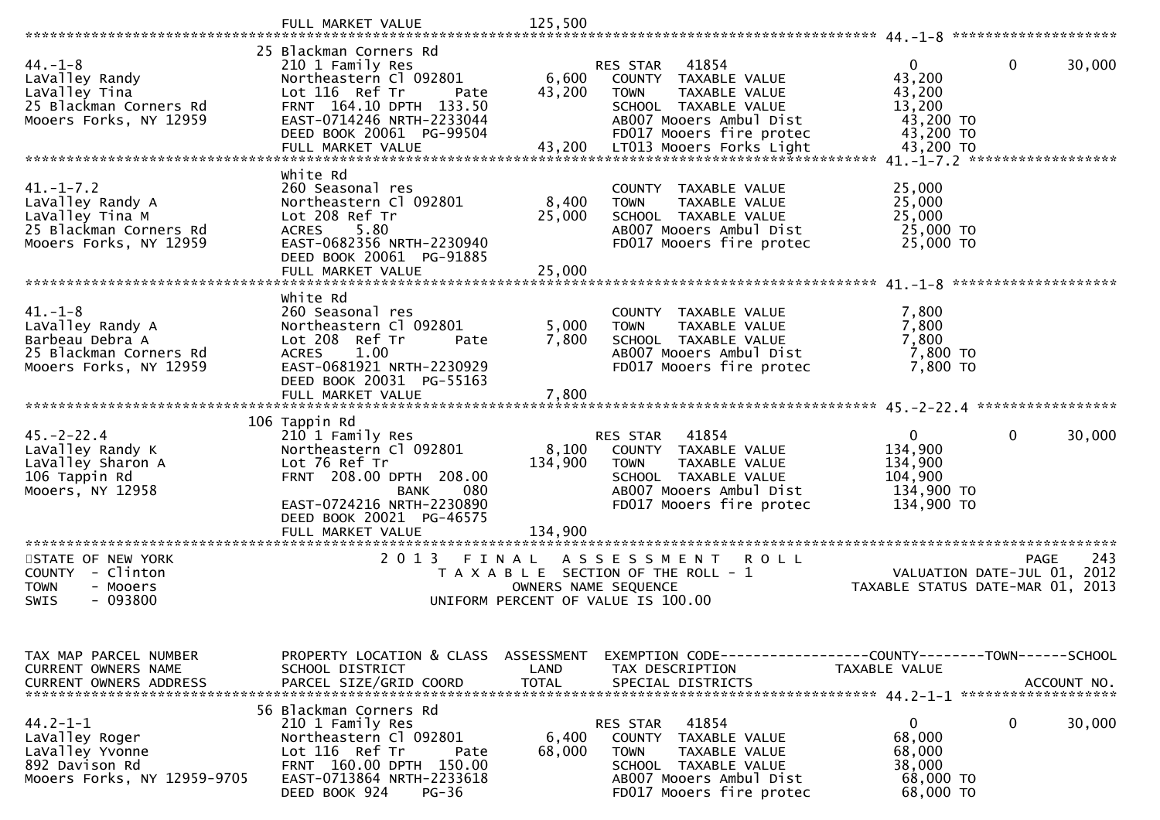|                                                                                                            | FULL MARKET VALUE                                                                                                                                                                                           | 125,500                       |                                                                                                                                                                                   |                                                                                                                                                                                                         |
|------------------------------------------------------------------------------------------------------------|-------------------------------------------------------------------------------------------------------------------------------------------------------------------------------------------------------------|-------------------------------|-----------------------------------------------------------------------------------------------------------------------------------------------------------------------------------|---------------------------------------------------------------------------------------------------------------------------------------------------------------------------------------------------------|
| $44. -1 - 8$<br>LaValley Randy<br>LaValley Tina<br>25 Blackman Corners Rd<br>Mooers Forks, NY 12959        | 25 Blackman Corners Rd<br>210 1 Family Res<br>Northeastern Cl 092801<br>Lot 116 Ref Tr<br>Pate<br>FRNT 164.10 DPTH 133.50<br>EAST-0714246 NRTH-2233044<br>DEED BOOK 20061 PG-99504<br>FULL MARKET VALUE     | 6,600<br>43,200<br>43,200     | RES STAR 41854<br>COUNTY TAXABLE VALUE<br><b>TOWN</b><br>TAXABLE VALUE<br>SCHOOL TAXABLE VALUE<br>AB007 Mooers Ambul Dist<br>FD017 Mooers fire protec<br>LT013 Mooers Forks Light | $\mathbf{0}$<br>$\mathbf{0}$<br>30,000<br>43,200<br>43,200<br>13,200<br>43,200 TO<br>43,200 TO<br>43,200 TO                                                                                             |
| $41. - 1 - 7.2$<br>LaValley Randy A<br>LaValley Tina M<br>25 Blackman Corners Rd<br>Mooers Forks, NY 12959 | White Rd<br>260 Seasonal res<br>Northeastern Cl 092801<br>Lot 208 Ref Tr<br>5.80<br><b>ACRES</b><br>EAST-0682356 NRTH-2230940<br>DEED BOOK 20061 PG-91885<br>FULL MARKET VALUE                              | 8,400<br>25,000<br>25,000     | COUNTY TAXABLE VALUE<br>TAXABLE VALUE<br><b>TOWN</b><br>SCHOOL TAXABLE VALUE<br>AB007 Mooers Ambul Dist<br>FD017 Mooers fire protec                                               | 25,000<br>25,000<br>25,000<br>25,000 TO<br>25,000 TO                                                                                                                                                    |
| $41. - 1 - 8$<br>LaValley Randy A<br>Barbeau Debra A<br>25 Blackman Corners Rd<br>Mooers Forks, NY 12959   | White Rd<br>260 Seasonal res<br>Northeastern Cl 092801<br>Lot 208 Ref Tr<br>Pate<br>1.00<br><b>ACRES</b><br>EAST-0681921 NRTH-2230929<br>DEED BOOK 20031 PG-55163<br>FULL MARKET VALUE                      | 5,000<br>7,800<br>7,800       | COUNTY TAXABLE VALUE<br>TAXABLE VALUE<br><b>TOWN</b><br>SCHOOL TAXABLE VALUE<br>AB007 Mooers Ambul Dist<br>FD017 Mooers fire protec                                               | 7,800<br>7,800<br>7,800<br>7,800 TO<br>7,800 TO                                                                                                                                                         |
| $45. -2 - 22.4$<br>LaValley Randy K<br>LaValley Sharon A<br>106 Tappin Rd<br>Mooers, NY 12958              | 106 Tappin Rd<br>210 1 Family Res<br>Northeastern Cl 092801<br>Lot 76 Ref Tr<br>FRNT 208.00 DPTH 208.00<br>080<br><b>BANK</b><br>EAST-0724216 NRTH-2230890<br>DEED BOOK 20021 PG-46575<br>FULL MARKET VALUE | 8,100<br>134,900<br>134,900   | 41854<br>RES STAR<br>COUNTY TAXABLE VALUE<br><b>TOWN</b><br>TAXABLE VALUE<br>SCHOOL TAXABLE VALUE<br>AB007 Mooers Ambul Dist<br>FD017 Mooers fire protec                          | $\Omega$<br>30,000<br>$\mathbf{0}$<br>134,900<br>134,900<br>104,900<br>134,900 TO<br>134,900 TO                                                                                                         |
| STATE OF NEW YORK<br>COUNTY - Clinton<br><b>TOWN</b><br>- Mooers<br>- 093800<br>SWIS                       | 2 0 1 3                                                                                                                                                                                                     | FINAL<br>OWNERS NAME SEQUENCE | ASSESSMENT<br><b>ROLL</b><br>T A X A B L E SECTION OF THE ROLL - 1<br>UNIFORM PERCENT OF VALUE IS 100.00                                                                          | 243<br>PAGE<br>VALUATION DATE-JUL 01, 2012<br>TAXABLE STATUS DATE-MAR 01, 2013                                                                                                                          |
| TAX MAP PARCEL NUMBER<br>CURRENT OWNERS NAME                                                               | PROPERTY LOCATION & CLASS<br>SCHOOL DISTRICT                                                                                                                                                                | ASSESSMENT<br>LAND            | TAX DESCRIPTION                                                                                                                                                                   | EXEMPTION CODE------------------COUNTY--------TOWN------SCHOOL<br>TAXABLE VALUE<br>CURRENT OWNERS ADDRESS PARCEL SIZE/GRID COORD TOTAL SPECIAL DISTRICTS (ALL PARTING ACCOUNT NOLL PARTY AND MOSTRICTS) |
| $44.2 - 1 - 1$<br>LaValley Roger<br>LaValley Yvonne<br>892 Davison Rd<br>Mooers Forks, NY 12959-9705       | 56 Blackman Corners Rd<br>210 1 Family Res<br>Northeastern Cl 092801<br>Lot 116 Ref Tr<br>Pate<br>FRNT 160.00 DPTH 150.00<br>EAST-0713864 NRTH-2233618<br>DEED BOOK 924<br>$PG-36$                          | 6,400<br>68,000               | 41854<br>RES STAR<br>COUNTY TAXABLE VALUE<br>TAXABLE VALUE<br><b>TOWN</b><br>SCHOOL TAXABLE VALUE<br>AB007 Mooers Ambul Dist<br>FD017 Mooers fire protec                          | 0<br>30,000<br>0<br>68,000<br>68,000<br>38,000<br>68,000 TO<br>68,000 TO                                                                                                                                |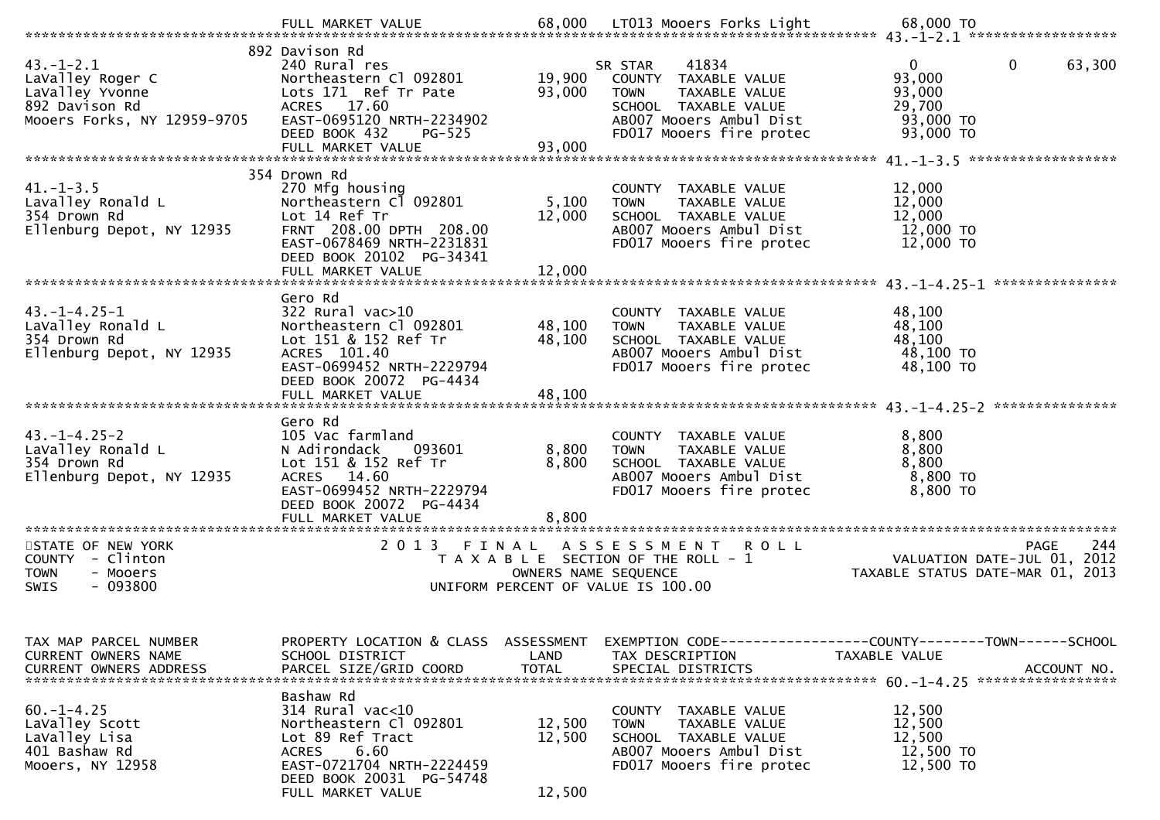| $43. - 1 - 2.1$<br>LaValley Roger C<br>LaValley Yvonne<br>892 Davison Rd<br>Mooers Forks, NY 12959-9705 | 892 Davison Rd<br>240 Rural res<br>Northeastern Cl 092801<br>Lots 171 Ref Tr Pate<br>ACRES 17.60<br>EAST-0695120 NRTH-2234902<br>DEED BOOK 432<br><b>PG-525</b><br>FULL MARKET VALUE | 19,900<br>93,000<br>93,000         | 41834<br>SR STAR<br>COUNTY TAXABLE VALUE<br>TAXABLE VALUE<br><b>TOWN</b><br>SCHOOL TAXABLE VALUE<br>AB007 Mooers Ambul Dist<br>FD017 Mooers fire protec | $\mathbf{0}$<br>63,300<br>$\mathbf{0}$<br>93,000<br>93,000<br>29,700<br>93,000 TO<br>93,000 TO |     |
|---------------------------------------------------------------------------------------------------------|--------------------------------------------------------------------------------------------------------------------------------------------------------------------------------------|------------------------------------|---------------------------------------------------------------------------------------------------------------------------------------------------------|------------------------------------------------------------------------------------------------|-----|
|                                                                                                         | 354 Drown Rd                                                                                                                                                                         |                                    |                                                                                                                                                         |                                                                                                |     |
| $41 - 1 - 3.5$<br>Lavalley Ronald L<br>354 Drown Rd<br>Ellenburg Depot, NY 12935                        | 270 Mfg housing<br>Northeastern Cl 092801<br>Lot 14 Ref Tr<br>FRNT 208.00 DPTH 208.00<br>EAST-0678469 NRTH-2231831<br>DEED BOOK 20102 PG-34341                                       | 5,100<br>12,000                    | COUNTY TAXABLE VALUE<br>TAXABLE VALUE<br><b>TOWN</b><br>SCHOOL TAXABLE VALUE<br>AB007 Mooers Ambul Dist<br>FD017 Mooers fire protec                     | 12,000<br>12,000<br>12,000<br>12,000 TO<br>12,000 TO                                           |     |
|                                                                                                         |                                                                                                                                                                                      |                                    |                                                                                                                                                         |                                                                                                |     |
| $43. -1 - 4.25 - 1$<br>LaValley Ronald L<br>354 Drown Rd<br>Ellenburg Depot, NY 12935                   | Gero Rd<br>$322$ Rural vac $>10$<br>Northeastern Cl 092801<br>Lot 151 & 152 Ref Tr<br>ACRES 101.40<br>EAST-0699452 NRTH-2229794<br>DEED BOOK 20072 PG-4434<br>FULL MARKET VALUE      | 48,100<br>48,100<br>48,100         | COUNTY TAXABLE VALUE<br><b>TOWN</b><br>TAXABLE VALUE<br>SCHOOL TAXABLE VALUE<br>AB007 Mooers Ambul Dist<br>FD017 Mooers fire protec                     | 48,100<br>48,100<br>48,100<br>48,100 TO<br>48,100 TO                                           |     |
|                                                                                                         | Gero Rd                                                                                                                                                                              |                                    |                                                                                                                                                         |                                                                                                |     |
| $43. -1 - 4.25 - 2$<br>LaValley Ronald L<br>354 Drown Rd<br>Ellenburg Depot, NY 12935                   | 105 Vac farmland<br>N Adirondack<br>093601<br>Lot 151 & 152 Ref Tr<br>ACRES 14.60<br>EAST-0699452 NRTH-2229794<br>DEED BOOK 20072 PG-4434                                            | 8,800<br>8,800                     | COUNTY TAXABLE VALUE<br>TAXABLE VALUE<br><b>TOWN</b><br>SCHOOL TAXABLE VALUE<br>AB007 Mooers Ambul Dist<br>FD017 Mooers fire protec                     | 8,800<br>8,800<br>8,800<br>8,800 TO<br>8,800 TO                                                |     |
| STATE OF NEW YORK                                                                                       | 2 0 1 3<br>FINAL                                                                                                                                                                     |                                    | ASSESSMENT ROLL                                                                                                                                         | PAGE                                                                                           | 244 |
| COUNTY - Clinton<br><b>TOWN</b><br>- Mooers<br>$-093800$<br>SWIS                                        |                                                                                                                                                                                      | OWNERS NAME SEQUENCE               | T A X A B L E SECTION OF THE ROLL - 1<br>UNIFORM PERCENT OF VALUE IS 100.00                                                                             | VALUATION DATE-JUL 01, 2012<br>TAXABLE STATUS DATE-MAR 01, 2013                                |     |
| TAX MAP PARCEL NUMBER<br>CURRENT OWNERS NAME<br><b>CURRENT OWNERS ADDRESS</b>                           | PROPERTY LOCATION & CLASS<br>SCHOOL DISTRICT<br>PARCEL SIZE/GRID COORD                                                                                                               | ASSESSMENT<br>LAND<br><b>TOTAL</b> | TAX DESCRIPTION<br>SPECIAL DISTRICTS                                                                                                                    | EXEMPTION CODE-----------------COUNTY-------TOWN------SCHOOL<br>TAXABLE VALUE<br>ACCOUNT NO.   |     |
| $60. -1 - 4.25$<br>LaValley Scott<br>LaValley Lisa<br>401 Bashaw Rd<br>Mooers, NY 12958                 | Bashaw Rd<br>314 Rural vac<10<br>Northeastern Cl 092801<br>Lot 89 Ref Tract<br>6.60<br><b>ACRES</b><br>EAST-0721704 NRTH-2224459<br>DEED BOOK 20031 PG-54748<br>FULL MARKET VALUE    | 12,500<br>12,500<br>12,500         | COUNTY TAXABLE VALUE<br>TAXABLE VALUE<br><b>TOWN</b><br>SCHOOL TAXABLE VALUE<br>AB007 Mooers Ambul Dist<br>FD017 Mooers fire protec                     | 12,500<br>12,500<br>12,500<br>12,500 TO<br>12,500 TO                                           |     |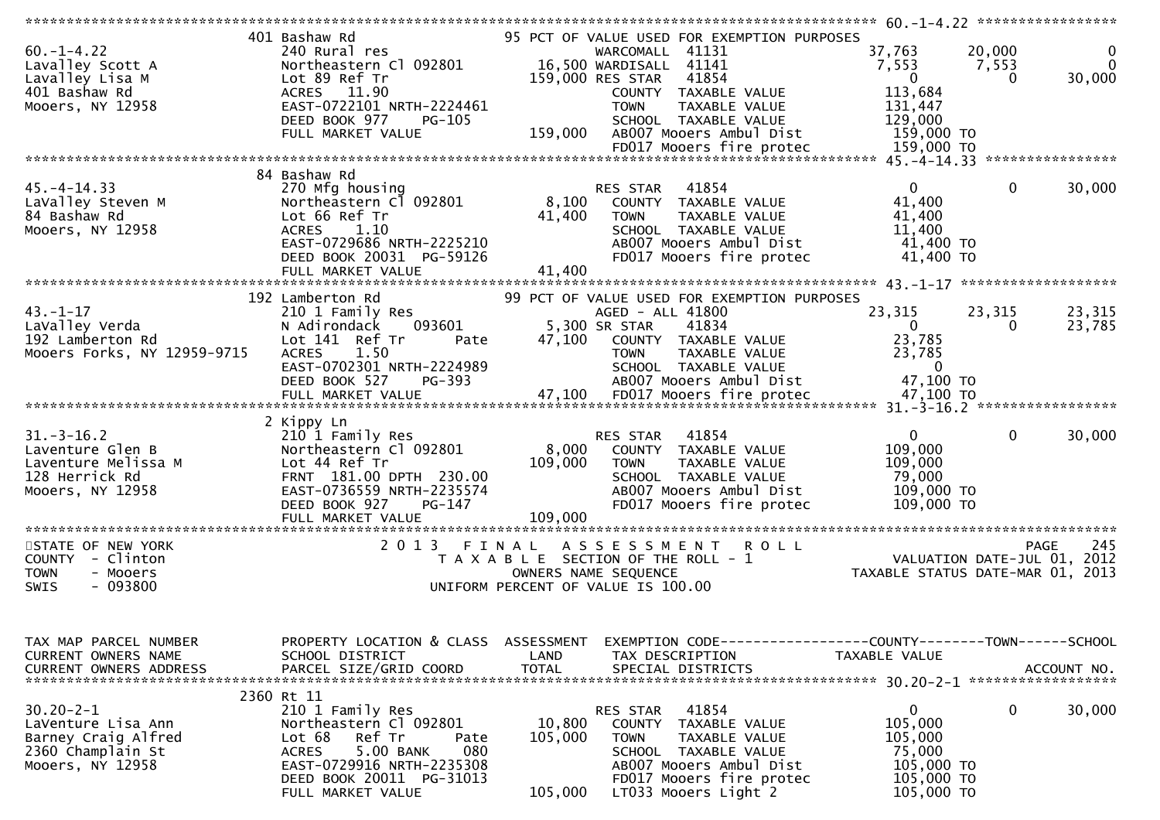| $60. -1 - 4.22$<br>Lavalley Scott A<br>Lavalley Lisa M<br>401 Bashaw Rd<br>Mooers, NY 12958           | 401 Bashaw Rd<br>240 Rural res<br>Northeastern Cl 092801<br>Lot 89 Ref Tr<br>ACRES 11.90<br>EAST-0722101 NRTH-2224461<br>DEED BOOK 977<br>$PG-105$<br>FULL MARKET VALUE                                | 159,000                      | 95 PCT OF VALUE USED FOR EXEMPTION PURPOSES<br>WARCOMALL 41131<br>16,500 WARDISALL 41141<br>41854<br>159,000 RES STAR<br>COUNTY TAXABLE VALUE<br><b>TOWN</b><br><b>TAXABLE VALUE</b><br>SCHOOL TAXABLE VALUE<br>AB007 Mooers Ambul Dist | 37,763<br>20,000<br>7,553<br>7,553<br>$\overline{0}$<br>113,684<br>131,447<br>129,000<br>159,000 TO | 0<br>$\Omega$<br>30,000<br>$\Omega$               |
|-------------------------------------------------------------------------------------------------------|--------------------------------------------------------------------------------------------------------------------------------------------------------------------------------------------------------|------------------------------|-----------------------------------------------------------------------------------------------------------------------------------------------------------------------------------------------------------------------------------------|-----------------------------------------------------------------------------------------------------|---------------------------------------------------|
|                                                                                                       |                                                                                                                                                                                                        |                              |                                                                                                                                                                                                                                         |                                                                                                     |                                                   |
| $45. - 4 - 14.33$<br>LaValley Steven M<br>84 Bashaw Rd<br>Mooers, NY 12958                            | 84 Bashaw Rd<br>270 Mfg housing<br>Northeastern Cl 092801<br>Lot 66 Ref Tr<br>1.10<br><b>ACRES</b><br>EAST-0729686 NRTH-2225210<br>DEED BOOK 20031 PG-59126<br>FULL MARKET VALUE                       | 8,100<br>41,400<br>41,400    | 41854<br>RES STAR<br>COUNTY TAXABLE VALUE<br><b>TOWN</b><br>TAXABLE VALUE<br>SCHOOL TAXABLE VALUE<br>AB007 Mooers Ambul Dist<br>FD017 Mooers fire protec                                                                                | 0<br>41,400<br>41,400<br>11,400<br>41,400 TO<br>41,400 TO                                           | 30,000<br>$\mathbf{0}$                            |
|                                                                                                       |                                                                                                                                                                                                        |                              |                                                                                                                                                                                                                                         |                                                                                                     |                                                   |
| $43. - 1 - 17$<br>LaValley Verda<br>192 Lamberton Rd<br>Mooers Forks, NY 12959-9715                   | 192 Lamberton Rd<br>210 1 Family Res<br>N Adirondack<br>093601<br>Lot 141 Ref Tr<br>Pate<br>1.50<br><b>ACRES</b><br>EAST-0702301 NRTH-2224989<br>DEED BOOK 527<br>PG-393                               | 47,100                       | 99 PCT OF VALUE USED FOR EXEMPTION PURPOSES<br>AGED - ALL 41800<br>41834<br>5,300 SR STAR<br>COUNTY TAXABLE VALUE<br>TAXABLE VALUE<br><b>TOWN</b><br>SCHOOL TAXABLE VALUE<br>AB007 Mooers Ambul Dist                                    | 23,315<br>23,315<br>$\Omega$<br>23,785<br>23,785<br>$\overline{0}$<br>47,100 TO                     | 23,315<br>23,785<br>0                             |
|                                                                                                       |                                                                                                                                                                                                        |                              |                                                                                                                                                                                                                                         |                                                                                                     |                                                   |
| $31.-3-16.2$<br>Laventure Glen B<br>Laventure Melissa M<br>128 Herrick Rd<br>Mooers, NY 12958         | 2 Kippy Ln<br>210 1 Family Res<br>Northeastern Cl 092801<br>Lot 44 Ref Tr<br>FRNT 181.00 DPTH 230.00<br>EAST-0736559 NRTH-2235574<br>DEED BOOK 927<br>PG-147<br>FULL MARKET VALUE                      | 8,000<br>109,000<br>109,000  | 41854<br>RES STAR<br>COUNTY TAXABLE VALUE<br><b>TOWN</b><br>TAXABLE VALUE<br>SCHOOL TAXABLE VALUE<br>AB007 Mooers Ambul Dist<br>FD017 Mooers fire protec                                                                                | 0<br>109,000<br>109,000<br>79,000<br>109,000 TO<br>109,000 TO                                       | $\mathbf{0}$<br>30,000                            |
|                                                                                                       |                                                                                                                                                                                                        |                              |                                                                                                                                                                                                                                         |                                                                                                     |                                                   |
| STATE OF NEW YORK<br>COUNTY - Clinton<br>- Mooers<br><b>TOWN</b><br>$-093800$<br>SWIS                 | 2013 FINAL                                                                                                                                                                                             |                              | A S S E S S M E N T R O L L<br>T A X A B L E SECTION OF THE ROLL - 1<br>OWNERS NAME SEQUENCE<br>UNIFORM PERCENT OF VALUE IS 100.00                                                                                                      | TAXABLE STATUS DATE-MAR 01, 2013                                                                    | 245<br><b>PAGE</b><br>VALUATION DATE-JUL 01, 2012 |
| TAX MAP PARCEL NUMBER<br>CURRENT OWNERS NAME<br><b>CURRENT OWNERS ADDRESS</b>                         | PROPERTY LOCATION & CLASS ASSESSMENT<br>SCHOOL DISTRICT<br>PARCEL SIZE/GRID COORD                                                                                                                      | LAND<br><b>TOTAL</b>         | EXEMPTION CODE-----------------COUNTY-------TOWN------SCHOOL<br>TAX DESCRIPTION<br>SPECIAL DISTRICTS                                                                                                                                    | TAXABLE VALUE                                                                                       | ACCOUNT NO.                                       |
| $30.20 - 2 - 1$<br>LaVenture Lisa Ann<br>Barney Craig Alfred<br>2360 Champlain St<br>Mooers, NY 12958 | 2360 Rt 11<br>210 1 Family Res<br>Northeastern Cl 092801<br>Lot 68<br>Ref Tr<br>Pate<br>5.00 BANK<br><b>ACRES</b><br>080<br>EAST-0729916 NRTH-2235308<br>DEED BOOK 20011 PG-31013<br>FULL MARKET VALUE | 10,800<br>105,000<br>105,000 | 41854<br>RES STAR<br>COUNTY TAXABLE VALUE<br><b>TOWN</b><br>TAXABLE VALUE<br>SCHOOL TAXABLE VALUE<br>AB007 Mooers Ambul Dist<br>FD017 Mooers fire protec<br>LT033 Mooers Light 2                                                        | $\mathbf{0}$<br>105,000<br>105,000<br>75,000<br>105,000 TO<br>105,000 TO<br>105,000 TO              | 0<br>30,000                                       |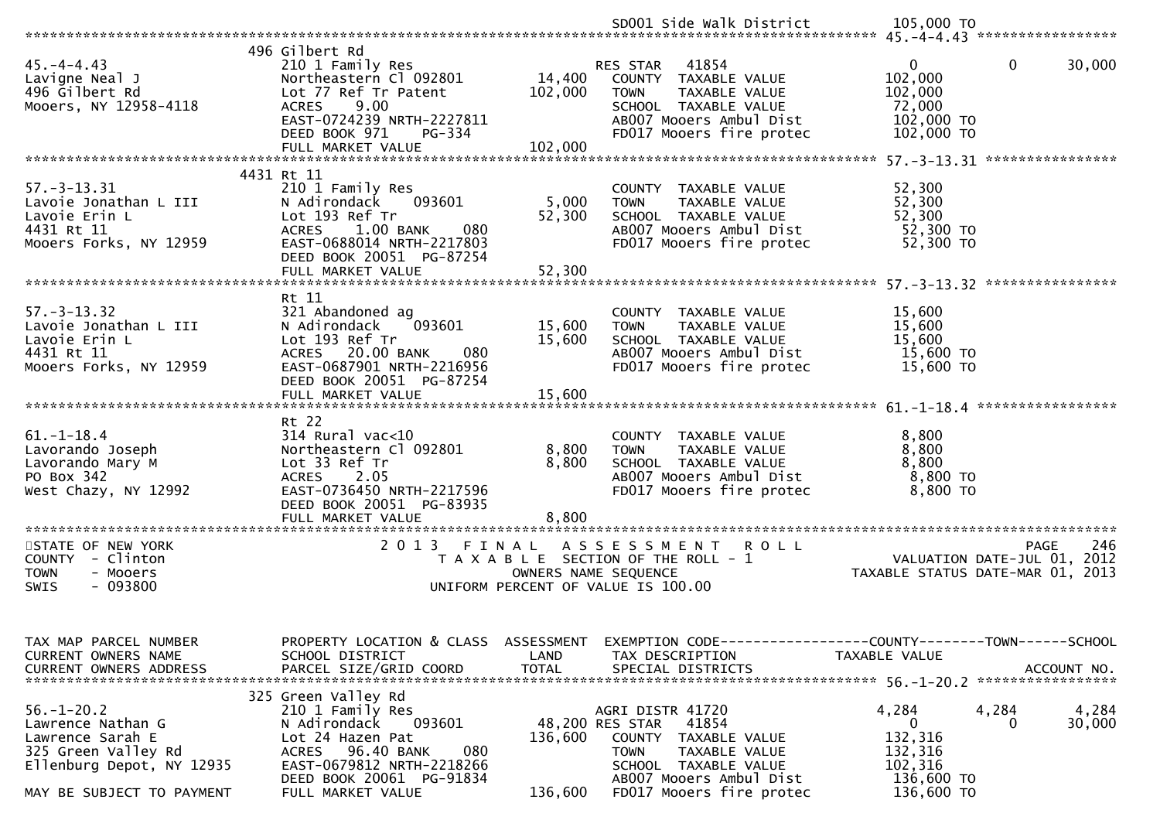| 496 Gilbert Rd<br>RES STAR 41854<br>0<br>$\mathbf{0}$<br>45. – 4 – 4.43<br>210 1 Family Res<br>14,400<br>Northeastern Cl 092801<br>102,000<br>Lavigne Neal J<br>COUNTY TAXABLE VALUE<br>496 Gilbert Rd<br>102,000<br>102,000<br>Lot 77 Ref Tr Patent<br><b>TOWN</b><br>TAXABLE VALUE<br>72,000<br>Mooers, NY 12958-4118<br><b>ACRES</b><br>9.00<br>SCHOOL TAXABLE VALUE<br>EAST-0724239 NRTH-2227811<br>AB007 Mooers Ambul Dist<br>102,000 TO<br>DEED BOOK 971<br>PG-334<br>FD017 Mooers fire protec<br>102,000 TO<br>102,000<br>FULL MARKET VALUE<br>4431 Rt 11<br>$57. - 3 - 13.31$<br>210 1 Family Res<br>52,300<br>COUNTY TAXABLE VALUE<br>52,300<br>093601<br>5,000<br>Lavoie Jonathan L III<br>N Adirondack<br><b>TOWN</b><br>TAXABLE VALUE<br>Lot 193 Ref Tr<br>52,300<br>52,300<br>Lavoie Erin L<br>SCHOOL TAXABLE VALUE<br>4431 Rt 11<br>AB007 Mooers Ambul Dist<br>52,300 TO<br>ACRES 1.00 BANK<br>080<br>52,300 TO<br>EAST-0688014 NRTH-2217803<br>FD017 Mooers fire protec<br>Mooers Forks, NY 12959<br>DEED BOOK 20051 PG-87254<br>FULL MARKET VALUE<br>52,300<br>Rt 11<br>$57. - 3 - 13.32$<br>15,600<br>321 Abandoned ag<br>COUNTY TAXABLE VALUE<br>093601<br>15,600<br>15,600<br>Lavoie Jonathan L III<br>N Adirondack<br>TAXABLE VALUE<br><b>TOWN</b><br>Lot 193 Ref Tr<br>Lavoie Erin L<br>15,600<br>SCHOOL TAXABLE VALUE<br>15,600<br>15,600 TO<br>4431 Rt 11<br>ACRES 20.00 BANK<br>AB007 Mooers Ambul Dist<br>080<br>EAST-0687901 NRTH-2216956<br>FD017 Mooers fire protec<br>15,600 TO<br>Mooers Forks, NY 12959<br>DEED BOOK 20051 PG-87254<br>Rt 22<br>$61. - 1 - 18.4$<br>$314$ Rural vac<10<br>8,800<br>COUNTY TAXABLE VALUE<br>8,800<br>8,800<br>Lavorando Joseph<br>Northeastern Cl 092801<br><b>TOWN</b><br>TAXABLE VALUE<br>8,800<br>Lot 33 Ref Tr<br>8,800<br>Lavorando Mary M<br>SCHOOL TAXABLE VALUE<br>PO Box 342<br>2.05<br>AB007 Mooers Ambul Dist<br>8,800 TO<br><b>ACRES</b><br>FD017 Mooers fire protec<br>West Chazy, NY 12992<br>EAST-0736450 NRTH-2217596<br>8,800 TO<br>DEED BOOK 20051 PG-83935<br>FULL MARKET VALUE<br>8.800<br>2 0 1 3<br>STATE OF NEW YORK<br>FINAL<br>A S S E S S M E N T R O L L<br><b>PAGE</b><br>COUNTY - Clinton<br>T A X A B L E SECTION OF THE ROLL - 1<br>VALUATION DATE-JUL 01, 2012<br><b>TOWN</b><br>- Mooers<br>OWNERS NAME SEQUENCE<br>TAXABLE STATUS DATE-MAR 01, 2013<br>$-093800$<br><b>SWIS</b><br>UNIFORM PERCENT OF VALUE IS 100.00<br>TAX MAP PARCEL NUMBER<br>PROPERTY LOCATION & CLASS ASSESSMENT<br>EXEMPTION CODE-----------------COUNTY-------TOWN------SCHOOL<br>CURRENT OWNERS NAME<br>SCHOOL DISTRICT<br>TAXABLE VALUE<br>LAND<br>TAX DESCRIPTION<br>PARCEL SIZE/GRID COORD<br><b>TOTAL</b><br><b>CURRENT OWNERS ADDRESS</b><br>SPECIAL DISTRICTS<br>325 Green Valley Rd<br>$56. - 1 - 20.2$<br>AGRI DISTR 41720<br>4,284<br>4,284<br>210 1 Family Res<br>093601<br>48,200 RES STAR<br>41854<br>0<br>Lawrence Nathan G<br>N Adirondack<br>0<br>132,316<br>Lot 24 Hazen Pat<br>Lawrence Sarah E<br>136,600<br>COUNTY TAXABLE VALUE<br>325 Green Valley Rd<br>96.40 BANK<br>080<br>132,316<br>ACRES<br><b>TOWN</b><br>TAXABLE VALUE<br>EAST-0679812 NRTH-2218266<br>102,316<br>Ellenburg Depot, NY 12935<br>SCHOOL TAXABLE VALUE<br>AB007 Mooers Ambul Dist |                          | SD001 Side Walk District | 105,000 TO |                 |
|------------------------------------------------------------------------------------------------------------------------------------------------------------------------------------------------------------------------------------------------------------------------------------------------------------------------------------------------------------------------------------------------------------------------------------------------------------------------------------------------------------------------------------------------------------------------------------------------------------------------------------------------------------------------------------------------------------------------------------------------------------------------------------------------------------------------------------------------------------------------------------------------------------------------------------------------------------------------------------------------------------------------------------------------------------------------------------------------------------------------------------------------------------------------------------------------------------------------------------------------------------------------------------------------------------------------------------------------------------------------------------------------------------------------------------------------------------------------------------------------------------------------------------------------------------------------------------------------------------------------------------------------------------------------------------------------------------------------------------------------------------------------------------------------------------------------------------------------------------------------------------------------------------------------------------------------------------------------------------------------------------------------------------------------------------------------------------------------------------------------------------------------------------------------------------------------------------------------------------------------------------------------------------------------------------------------------------------------------------------------------------------------------------------------------------------------------------------------------------------------------------------------------------------------------------------------------------------------------------------------------------------------------------------------------------------------------------------------------------------------------------------------------------------------------------------------------------------------------------------------------------------------------------------------------------------------------------------------------------------------------------------------------------------------------------------------------------------------------------------------------------------------------------------------------------------------------------------------------------------------------|--------------------------|--------------------------|------------|-----------------|
|                                                                                                                                                                                                                                                                                                                                                                                                                                                                                                                                                                                                                                                                                                                                                                                                                                                                                                                                                                                                                                                                                                                                                                                                                                                                                                                                                                                                                                                                                                                                                                                                                                                                                                                                                                                                                                                                                                                                                                                                                                                                                                                                                                                                                                                                                                                                                                                                                                                                                                                                                                                                                                                                                                                                                                                                                                                                                                                                                                                                                                                                                                                                                                                                                                                      |                          |                          |            |                 |
|                                                                                                                                                                                                                                                                                                                                                                                                                                                                                                                                                                                                                                                                                                                                                                                                                                                                                                                                                                                                                                                                                                                                                                                                                                                                                                                                                                                                                                                                                                                                                                                                                                                                                                                                                                                                                                                                                                                                                                                                                                                                                                                                                                                                                                                                                                                                                                                                                                                                                                                                                                                                                                                                                                                                                                                                                                                                                                                                                                                                                                                                                                                                                                                                                                                      |                          |                          |            | 30,000          |
|                                                                                                                                                                                                                                                                                                                                                                                                                                                                                                                                                                                                                                                                                                                                                                                                                                                                                                                                                                                                                                                                                                                                                                                                                                                                                                                                                                                                                                                                                                                                                                                                                                                                                                                                                                                                                                                                                                                                                                                                                                                                                                                                                                                                                                                                                                                                                                                                                                                                                                                                                                                                                                                                                                                                                                                                                                                                                                                                                                                                                                                                                                                                                                                                                                                      |                          |                          |            |                 |
|                                                                                                                                                                                                                                                                                                                                                                                                                                                                                                                                                                                                                                                                                                                                                                                                                                                                                                                                                                                                                                                                                                                                                                                                                                                                                                                                                                                                                                                                                                                                                                                                                                                                                                                                                                                                                                                                                                                                                                                                                                                                                                                                                                                                                                                                                                                                                                                                                                                                                                                                                                                                                                                                                                                                                                                                                                                                                                                                                                                                                                                                                                                                                                                                                                                      |                          |                          |            |                 |
|                                                                                                                                                                                                                                                                                                                                                                                                                                                                                                                                                                                                                                                                                                                                                                                                                                                                                                                                                                                                                                                                                                                                                                                                                                                                                                                                                                                                                                                                                                                                                                                                                                                                                                                                                                                                                                                                                                                                                                                                                                                                                                                                                                                                                                                                                                                                                                                                                                                                                                                                                                                                                                                                                                                                                                                                                                                                                                                                                                                                                                                                                                                                                                                                                                                      |                          |                          |            |                 |
|                                                                                                                                                                                                                                                                                                                                                                                                                                                                                                                                                                                                                                                                                                                                                                                                                                                                                                                                                                                                                                                                                                                                                                                                                                                                                                                                                                                                                                                                                                                                                                                                                                                                                                                                                                                                                                                                                                                                                                                                                                                                                                                                                                                                                                                                                                                                                                                                                                                                                                                                                                                                                                                                                                                                                                                                                                                                                                                                                                                                                                                                                                                                                                                                                                                      |                          |                          |            |                 |
|                                                                                                                                                                                                                                                                                                                                                                                                                                                                                                                                                                                                                                                                                                                                                                                                                                                                                                                                                                                                                                                                                                                                                                                                                                                                                                                                                                                                                                                                                                                                                                                                                                                                                                                                                                                                                                                                                                                                                                                                                                                                                                                                                                                                                                                                                                                                                                                                                                                                                                                                                                                                                                                                                                                                                                                                                                                                                                                                                                                                                                                                                                                                                                                                                                                      |                          |                          |            |                 |
|                                                                                                                                                                                                                                                                                                                                                                                                                                                                                                                                                                                                                                                                                                                                                                                                                                                                                                                                                                                                                                                                                                                                                                                                                                                                                                                                                                                                                                                                                                                                                                                                                                                                                                                                                                                                                                                                                                                                                                                                                                                                                                                                                                                                                                                                                                                                                                                                                                                                                                                                                                                                                                                                                                                                                                                                                                                                                                                                                                                                                                                                                                                                                                                                                                                      |                          |                          |            |                 |
|                                                                                                                                                                                                                                                                                                                                                                                                                                                                                                                                                                                                                                                                                                                                                                                                                                                                                                                                                                                                                                                                                                                                                                                                                                                                                                                                                                                                                                                                                                                                                                                                                                                                                                                                                                                                                                                                                                                                                                                                                                                                                                                                                                                                                                                                                                                                                                                                                                                                                                                                                                                                                                                                                                                                                                                                                                                                                                                                                                                                                                                                                                                                                                                                                                                      |                          |                          |            |                 |
|                                                                                                                                                                                                                                                                                                                                                                                                                                                                                                                                                                                                                                                                                                                                                                                                                                                                                                                                                                                                                                                                                                                                                                                                                                                                                                                                                                                                                                                                                                                                                                                                                                                                                                                                                                                                                                                                                                                                                                                                                                                                                                                                                                                                                                                                                                                                                                                                                                                                                                                                                                                                                                                                                                                                                                                                                                                                                                                                                                                                                                                                                                                                                                                                                                                      |                          |                          |            |                 |
|                                                                                                                                                                                                                                                                                                                                                                                                                                                                                                                                                                                                                                                                                                                                                                                                                                                                                                                                                                                                                                                                                                                                                                                                                                                                                                                                                                                                                                                                                                                                                                                                                                                                                                                                                                                                                                                                                                                                                                                                                                                                                                                                                                                                                                                                                                                                                                                                                                                                                                                                                                                                                                                                                                                                                                                                                                                                                                                                                                                                                                                                                                                                                                                                                                                      |                          |                          |            |                 |
|                                                                                                                                                                                                                                                                                                                                                                                                                                                                                                                                                                                                                                                                                                                                                                                                                                                                                                                                                                                                                                                                                                                                                                                                                                                                                                                                                                                                                                                                                                                                                                                                                                                                                                                                                                                                                                                                                                                                                                                                                                                                                                                                                                                                                                                                                                                                                                                                                                                                                                                                                                                                                                                                                                                                                                                                                                                                                                                                                                                                                                                                                                                                                                                                                                                      |                          |                          |            | 246             |
|                                                                                                                                                                                                                                                                                                                                                                                                                                                                                                                                                                                                                                                                                                                                                                                                                                                                                                                                                                                                                                                                                                                                                                                                                                                                                                                                                                                                                                                                                                                                                                                                                                                                                                                                                                                                                                                                                                                                                                                                                                                                                                                                                                                                                                                                                                                                                                                                                                                                                                                                                                                                                                                                                                                                                                                                                                                                                                                                                                                                                                                                                                                                                                                                                                                      |                          |                          |            | ACCOUNT NO.     |
| FD017 Mooers fire protec<br>136,600 TO<br>FULL MARKET VALUE<br>136,600<br>MAY BE SUBJECT TO PAYMENT                                                                                                                                                                                                                                                                                                                                                                                                                                                                                                                                                                                                                                                                                                                                                                                                                                                                                                                                                                                                                                                                                                                                                                                                                                                                                                                                                                                                                                                                                                                                                                                                                                                                                                                                                                                                                                                                                                                                                                                                                                                                                                                                                                                                                                                                                                                                                                                                                                                                                                                                                                                                                                                                                                                                                                                                                                                                                                                                                                                                                                                                                                                                                  | DEED BOOK 20061 PG-91834 |                          | 136,600 TO | 4,284<br>30,000 |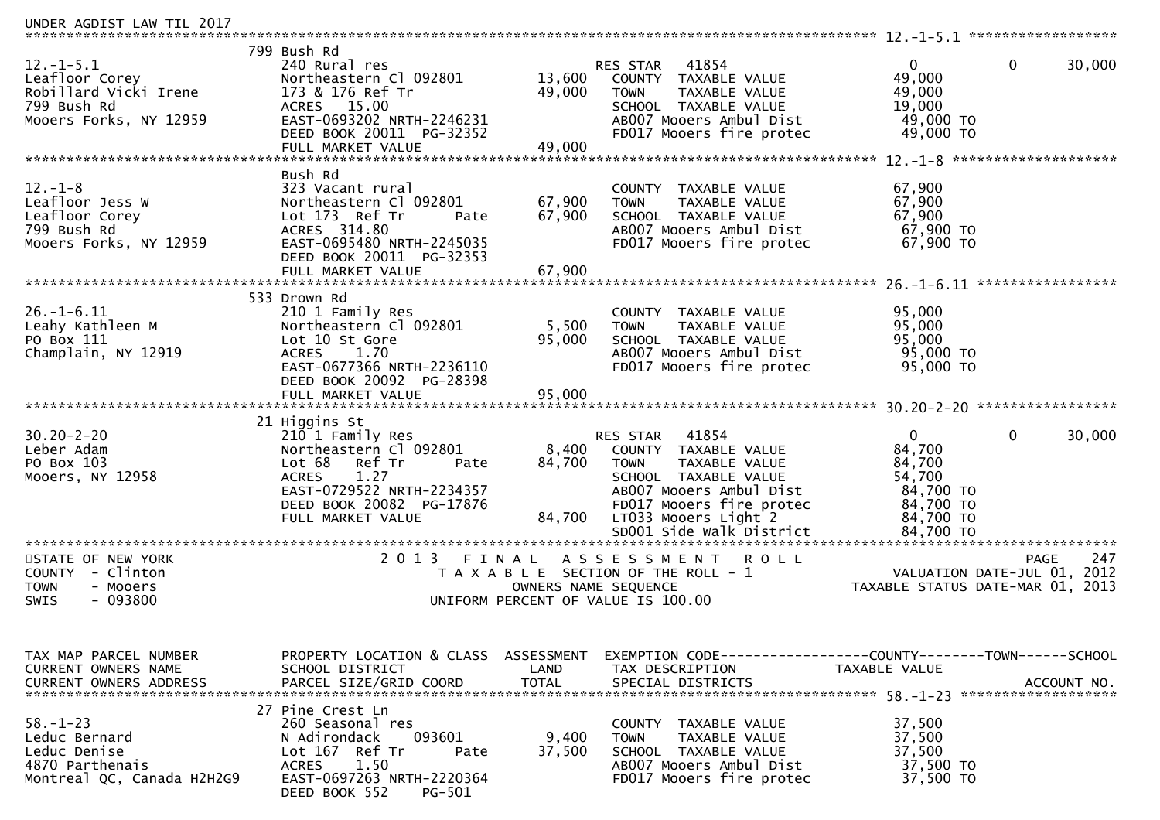| UNDER AGDIST LAW TIL 2017                     |                                                   |                      |                                                               |                                  |                             |
|-----------------------------------------------|---------------------------------------------------|----------------------|---------------------------------------------------------------|----------------------------------|-----------------------------|
|                                               | 799 Bush Rd                                       |                      |                                                               |                                  |                             |
| $12.-1-5.1$                                   | 240 Rural res                                     |                      | 41854<br>RES STAR                                             | 0                                | $\mathbf{0}$<br>30,000      |
| Leafloor Corey                                | Northeastern Cl 092801                            | 13,600               | COUNTY TAXABLE VALUE                                          | 49,000                           |                             |
| Robillard Vicki Irene                         | 173 & 176 Ref Tr                                  | 49,000               | <b>TOWN</b><br>TAXABLE VALUE                                  | 49,000                           |                             |
| 799 Bush Rd<br>Mooers Forks, NY 12959         | ACRES 15.00<br>EAST-0693202 NRTH-2246231          |                      | SCHOOL TAXABLE VALUE<br>AB007 Mooers Ambul Dist               | 19,000<br>49,000 TO              |                             |
|                                               | DEED BOOK 20011 PG-32352                          |                      | FD017 Mooers fire protec                                      | 49,000 TO                        |                             |
|                                               | FULL MARKET VALUE                                 | 49,000               |                                                               |                                  |                             |
|                                               |                                                   |                      |                                                               |                                  |                             |
|                                               | Bush Rd                                           |                      |                                                               |                                  |                             |
| $12. - 1 - 8$                                 | 323 Vacant rural                                  |                      | COUNTY TAXABLE VALUE                                          | 67,900                           |                             |
| Leafloor Jess W                               | Northeastern Cl 092801                            | 67,900               | <b>TOWN</b><br>TAXABLE VALUE                                  | 67,900                           |                             |
| Leafloor Corey<br>799 Bush Rd                 | Lot 173 Ref Tr<br>Pate<br>ACRES 314.80            | 67,900               | SCHOOL TAXABLE VALUE<br>AB007 Mooers Ambul Dist               | 67,900<br>67,900 TO              |                             |
| Mooers Forks, NY 12959                        | EAST-0695480 NRTH-2245035                         |                      | FD017 Mooers fire protec                                      | 67,900 TO                        |                             |
|                                               | DEED BOOK 20011 PG-32353                          |                      |                                                               |                                  |                             |
|                                               | FULL MARKET VALUE                                 | 67,900               |                                                               |                                  |                             |
|                                               |                                                   |                      |                                                               |                                  |                             |
|                                               | 533 Drown Rd                                      |                      |                                                               |                                  |                             |
| $26. - 1 - 6.11$                              | 210 1 Family Res                                  |                      | COUNTY TAXABLE VALUE                                          | 95,000                           |                             |
| Leahy Kathleen M<br>PO Box 111                | Northeastern Cl 092801<br>Lot 10 St Gore          | 5,500<br>95,000      | TAXABLE VALUE<br><b>TOWN</b><br>SCHOOL TAXABLE VALUE          | 95,000<br>95,000                 |                             |
| Champlain, NY 12919                           | <b>ACRES</b><br>1.70                              |                      | AB007 Mooers Ambul Dist                                       | 95,000 TO                        |                             |
|                                               | EAST-0677366 NRTH-2236110                         |                      | FD017 Mooers fire protec                                      | 95,000 TO                        |                             |
|                                               | DEED BOOK 20092 PG-28398                          |                      |                                                               |                                  |                             |
|                                               |                                                   |                      |                                                               |                                  |                             |
|                                               |                                                   |                      |                                                               |                                  |                             |
|                                               | 21 Higgins St                                     |                      |                                                               |                                  |                             |
| $30.20 - 2 - 20$<br>Leber Adam                | 210 1 Family Res<br>Northeastern Cl 092801        | 8,400                | 41854<br>RES STAR<br>COUNTY TAXABLE VALUE                     | 0<br>84,700                      | $\mathbf{0}$<br>30,000      |
| PO Box 103                                    | Lot 68<br>Ref Tr<br>Pate                          | 84,700               | <b>TOWN</b><br>TAXABLE VALUE                                  | 84,700                           |                             |
| Mooers, NY 12958                              | 1.27<br><b>ACRES</b>                              |                      | SCHOOL TAXABLE VALUE                                          | 54,700                           |                             |
|                                               | EAST-0729522 NRTH-2234357                         |                      | AB007 Mooers Ambul Dist                                       | 84,700 TO                        |                             |
|                                               | DEED BOOK 20082 PG-17876                          |                      | FD017 Mooers fire protec                                      | 84,700 TO                        |                             |
|                                               | FULL MARKET VALUE                                 | 84,700               | LT033 Mooers Light 2                                          | 84,700 TO                        |                             |
|                                               |                                                   |                      | SD001 Side Walk District                                      | 84,700 TO                        |                             |
| STATE OF NEW YORK                             | 2 0 1 3                                           | FINAL                | ASSESSMENT<br>ROLL                                            |                                  | 247<br><b>PAGE</b>          |
| COUNTY - Clinton                              |                                                   |                      | T A X A B L E SECTION OF THE ROLL - 1                         |                                  | VALUATION DATE-JUL 01, 2012 |
| <b>TOWN</b><br>- Mooers                       |                                                   | OWNERS NAME SEQUENCE |                                                               | TAXABLE STATUS DATE-MAR 01, 2013 |                             |
| - 093800<br>SWIS                              |                                                   |                      | UNIFORM PERCENT OF VALUE IS 100.00                            |                                  |                             |
|                                               |                                                   |                      |                                                               |                                  |                             |
|                                               |                                                   |                      |                                                               |                                  |                             |
|                                               | PROPERTY LOCATION & CLASS ASSESSMENT              |                      | EXEMPTION CODE-----------------COUNTY--------TOWN------SCHOOL |                                  |                             |
| TAX MAP PARCEL NUMBER<br>CURRENT OWNERS NAME  | SCHOOL DISTRICT                                   | LAND                 | TAX DESCRIPTION                                               | TAXABLE VALUE                    |                             |
|                                               |                                                   |                      |                                                               |                                  |                             |
|                                               |                                                   |                      |                                                               |                                  |                             |
|                                               | 27 Pine Crest Ln                                  |                      |                                                               |                                  |                             |
| $58. - 1 - 23$                                | 260 Seasonal res                                  |                      | COUNTY TAXABLE VALUE                                          | 37,500                           |                             |
| Leduc Bernard                                 | N Adirondack<br>093601                            | 9,400                | TAXABLE VALUE<br>TOWN                                         | 37,500                           |                             |
| Leduc Denise                                  | Lot 167 Ref Tr<br>Pate                            | 37,500               | SCHOOL TAXABLE VALUE<br>AB007 Mooers Ambul Dist               | 37,500                           |                             |
| 4870 Parthenais<br>Montreal QC, Canada H2H2G9 | 1.50<br><b>ACRES</b><br>EAST-0697263 NRTH-2220364 |                      | FD017 Mooers fire protec                                      | 37,500 TO<br>37,500 TO           |                             |
|                                               | DEED BOOK 552<br>PG-501                           |                      |                                                               |                                  |                             |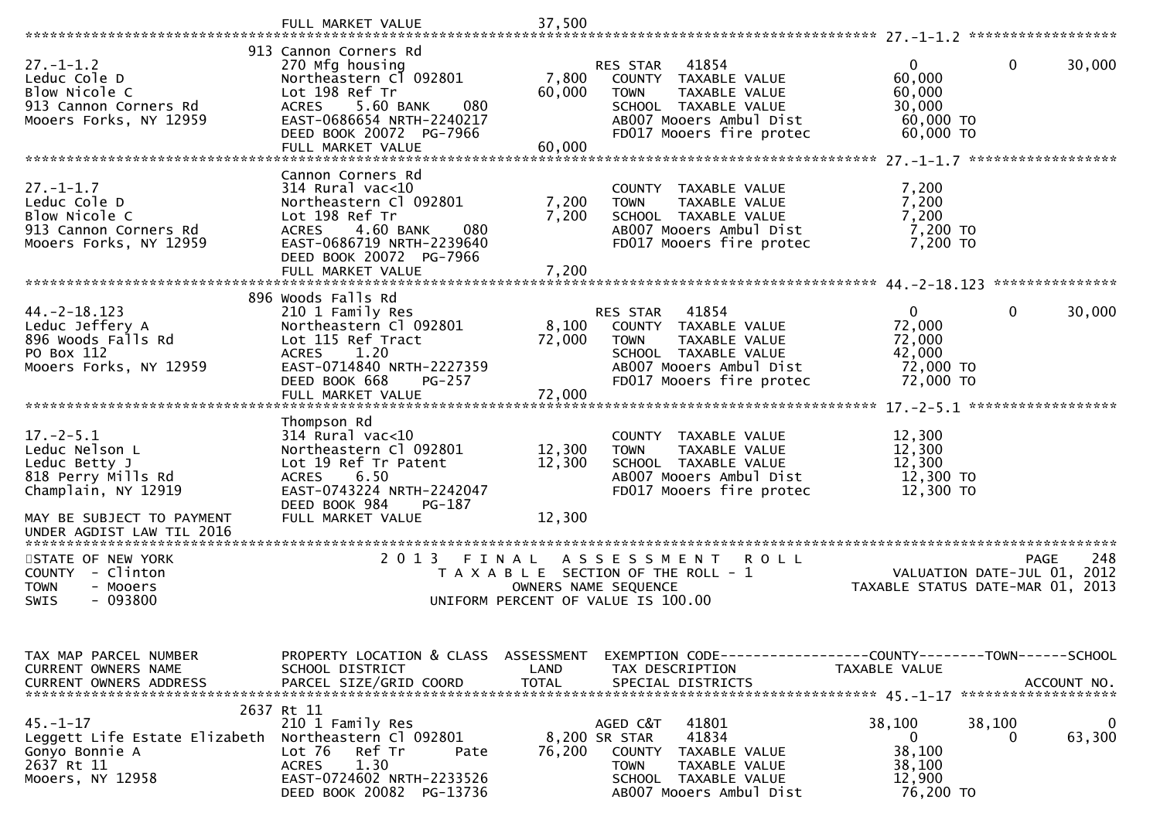|                                                                                                     | FULL MARKET VALUE                                                                                                                                                                                     | 37,500                                                                                                                     |                                                                                                                                      |                                                                      |                    |
|-----------------------------------------------------------------------------------------------------|-------------------------------------------------------------------------------------------------------------------------------------------------------------------------------------------------------|----------------------------------------------------------------------------------------------------------------------------|--------------------------------------------------------------------------------------------------------------------------------------|----------------------------------------------------------------------|--------------------|
|                                                                                                     |                                                                                                                                                                                                       |                                                                                                                            |                                                                                                                                      |                                                                      |                    |
| $27. - 1 - 1.2$<br>Leduc Cole D<br>Blow Nicole C<br>913 Cannon Corners Rd<br>Mooers Forks, NY 12959 | 913 Cannon Corners Rd<br>270 Mfg housing<br>Northeastern C1 092801<br>Lot 198 Ref Tr<br>5.60 BANK<br>080<br><b>ACRES</b><br>EAST-0686654 NRTH-2240217<br>DEED BOOK 20072 PG-7966<br>FULL MARKET VALUE | RES STAR<br>7,800<br>60,000<br><b>TOWN</b><br>60,000                                                                       | 41854<br>COUNTY TAXABLE VALUE<br>TAXABLE VALUE<br>SCHOOL TAXABLE VALUE<br>AB007 Mooers Ambul Dist<br>FD017 Mooers fire protec        | $\mathbf{0}$<br>60,000<br>60,000<br>30,000<br>60,000 TO<br>60,000 TO | 0<br>30,000        |
|                                                                                                     |                                                                                                                                                                                                       |                                                                                                                            |                                                                                                                                      |                                                                      |                    |
| $27. - 1 - 1.7$<br>Leduc Cole D<br>Blow Nicole C<br>913 Cannon Corners Rd<br>Mooers Forks, NY 12959 | Cannon Corners Rd<br>$314$ Rural vac<10<br>Northeastern Cl 092801<br>Lot 198 Ref Tr<br>4.60 BANK<br>080<br><b>ACRES</b><br>EAST-0686719 NRTH-2239640<br>DEED BOOK 20072 PG-7966                       | 7,200<br><b>TOWN</b><br>7,200                                                                                              | COUNTY TAXABLE VALUE<br><b>TAXABLE VALUE</b><br>SCHOOL TAXABLE VALUE<br>AB007 Mooers Ambul Dist<br>FD017 Mooers fire protec          | 7,200<br>7,200<br>7,200<br>7,200 TO<br>7,200 TO                      |                    |
|                                                                                                     | FULL MARKET VALUE                                                                                                                                                                                     | 7,200                                                                                                                      |                                                                                                                                      |                                                                      | ***************    |
| $44. -2 - 18.123$<br>Leduc Jeffery A<br>896 Woods Falls Rd<br>PO Box 112<br>Mooers Forks, NY 12959  | 896 Woods Falls Rd<br>210 1 Family Res<br>Northeastern Cl 092801<br>Lot 115 Ref Tract<br>1.20<br><b>ACRES</b><br>EAST-0714840 NRTH-2227359<br>DEED BOOK 668<br>PG-257<br>FULL MARKET VALUE            | RES STAR<br>8,100<br>72,000<br><b>TOWN</b><br>72,000                                                                       | 41854<br>COUNTY TAXABLE VALUE<br><b>TAXABLE VALUE</b><br>SCHOOL TAXABLE VALUE<br>AB007 Mooers Ambul Dist<br>FD017 Mooers fire protec | 0<br>72,000<br>72,000<br>42,000<br>72,000 TO<br>72,000 TO            | 0<br>30,000        |
|                                                                                                     |                                                                                                                                                                                                       |                                                                                                                            |                                                                                                                                      |                                                                      |                    |
| $17. - 2 - 5.1$<br>Leduc Nelson L<br>Leduc Betty J<br>818 Perry Mills Rd<br>Champlain, NY 12919     | Thompson Rd<br>$314$ Rural vac< $10$<br>Northeastern Cl 092801<br>Lot 19 Ref Tr Patent<br>6.50<br><b>ACRES</b><br>EAST-0743224 NRTH-2242047<br>DEED BOOK 984<br>PG-187                                | 12,300<br><b>TOWN</b><br>12,300                                                                                            | COUNTY TAXABLE VALUE<br>TAXABLE VALUE<br>SCHOOL TAXABLE VALUE<br>AB007 Mooers Ambul Dist<br>FD017 Mooers fire protec                 | 12,300<br>12,300<br>12,300<br>12,300 TO<br>12,300 TO                 |                    |
| MAY BE SUBJECT TO PAYMENT<br>UNDER AGDIST LAW TIL 2016                                              | FULL MARKET VALUE                                                                                                                                                                                     | 12,300                                                                                                                     |                                                                                                                                      |                                                                      |                    |
| STATE OF NEW YORK<br>- Clinton<br>COUNTY<br><b>TOWN</b><br>- Mooers<br>- 093800<br>SWIS             | 2 0 1 3<br>FINAL                                                                                                                                                                                      | A S S E S S M E N T<br>T A X A B L E SECTION OF THE ROLL - 1<br>OWNERS NAME SEQUENCE<br>UNIFORM PERCENT OF VALUE IS 100.00 | R O L L                                                                                                                              | VALUATION DATE-JUL 01, 2012<br>TAXABLE STATUS DATE-MAR 01, 2013      | 248<br><b>PAGE</b> |
| TAX MAP PARCEL NUMBER<br>CURRENT OWNERS NAME<br><b>CURRENT OWNERS ADDRESS</b>                       | PROPERTY LOCATION & CLASS ASSESSMENT<br>SCHOOL DISTRICT<br>PARCEL SIZE/GRID COORD                                                                                                                     | LAND<br><b>TOTAL</b>                                                                                                       | EXEMPTION CODE-----------------COUNTY-------TOWN-----SCHOOL<br>TAX DESCRIPTION<br>SPECIAL DISTRICTS                                  | TAXABLE VALUE                                                        | ACCOUNT NO.        |
| $45. - 1 - 17$<br>Leggett Life Estate Elizabeth<br>Gonyo Bonnie A<br>2637 Rt 11<br>Mooers, NY 12958 | 2637 Rt 11<br>210 1 Family Res<br>Northeastern Cl 092801<br>Lot 76<br>Ref Tr<br>Pate<br>1.30<br><b>ACRES</b><br>EAST-0724602 NRTH-2233526<br>DEED BOOK 20082 PG-13736                                 | AGED C&T<br>8,200 SR STAR<br>76,200<br><b>TOWN</b>                                                                         | 41801<br>41834<br>COUNTY TAXABLE VALUE<br>TAXABLE VALUE<br>SCHOOL TAXABLE VALUE<br>AB007 Mooers Ambul Dist                           | 38,100<br>38,100<br>0<br>38,100<br>38,100<br>12,900<br>76,200 TO     | 0<br>63,300<br>0   |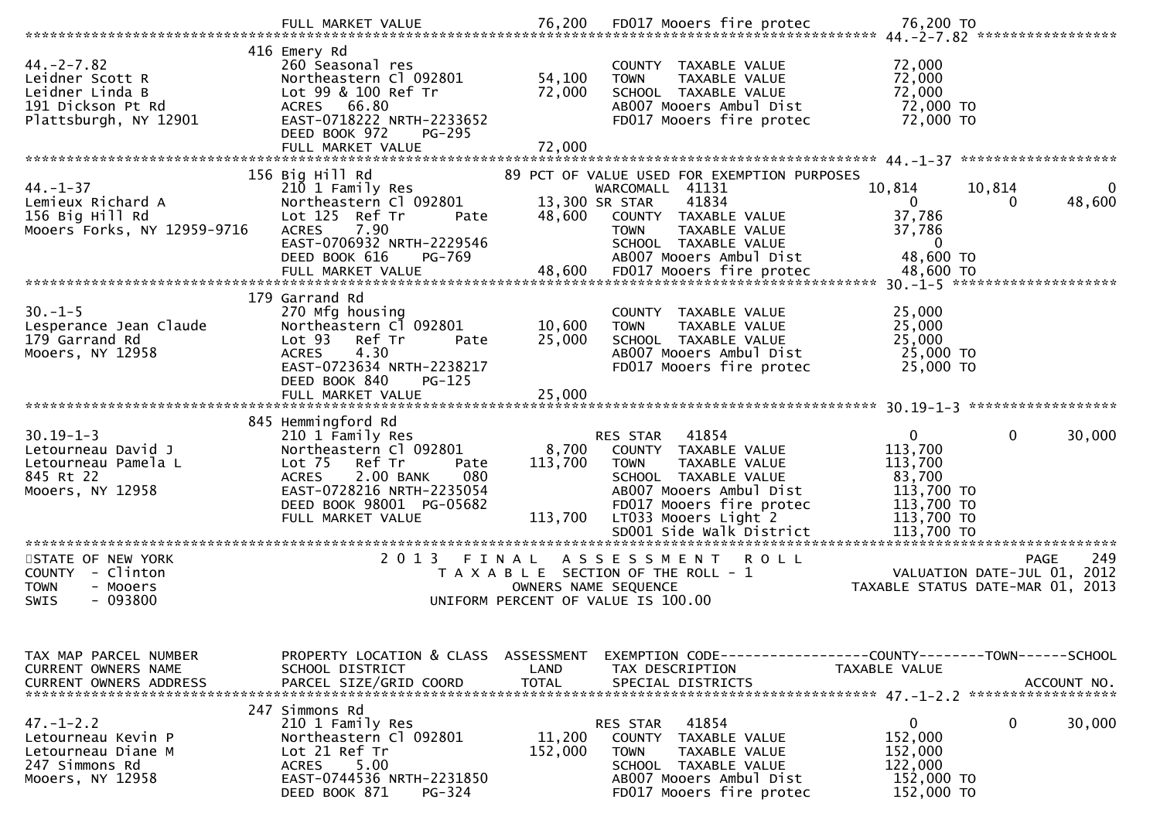| $44. -2 - 7.82$<br>Leidner Scott R<br>Leidner Linda B<br>191 Dickson Pt Rd<br>Plattsburgh, NY 12901 | 416 Emery Rd<br>260 Seasonal res<br>Northeastern Cl 092801<br>Lot 99 & 100 Ref Tr<br>ACRES 66.80<br>EAST-0718222 NRTH-2233652<br>DEED BOOK 972<br>PG-295<br>FULL MARKET VALUE            | 54,100<br>72,000<br>72,000  | COUNTY TAXABLE VALUE<br>TAXABLE VALUE<br><b>TOWN</b><br>SCHOOL TAXABLE VALUE<br>AB007 Mooers Ambul Dist<br>FD017 Mooers fire protec                                                                          | 72,000<br>72,000<br>72,000<br>72,000 TO<br>72,000 TO                                                                           |
|-----------------------------------------------------------------------------------------------------|------------------------------------------------------------------------------------------------------------------------------------------------------------------------------------------|-----------------------------|--------------------------------------------------------------------------------------------------------------------------------------------------------------------------------------------------------------|--------------------------------------------------------------------------------------------------------------------------------|
|                                                                                                     | 156 Big Hill Rd                                                                                                                                                                          |                             | 89 PCT OF VALUE USED FOR EXEMPTION PURPOSES                                                                                                                                                                  |                                                                                                                                |
| 44. – 1–37<br>Lemieux Richard A<br>156 Big Hill Rd<br>Mooers Forks, NY 12959-9716                   | 210 1 Family Res<br>Northeastern Cl 092801<br>Lot 125 Ref Tr<br>Pate<br>7.90<br><b>ACRES</b><br>EAST-0706932 NRTH-2229546<br>DEED BOOK 616<br>PG-769                                     | 13,300 SR STAR<br>48,600    | WARCOMALL 41131<br>41834<br>COUNTY TAXABLE VALUE<br>TAXABLE VALUE<br><b>TOWN</b><br>SCHOOL TAXABLE VALUE<br>AB007 Mooers Ambul Dist                                                                          | 10,814<br>10,814<br>0<br>48,600<br>$\mathbf{0}$<br>$\Omega$<br>37,786<br>37,786<br>$\overline{0}$<br>48,600 TO                 |
|                                                                                                     |                                                                                                                                                                                          |                             |                                                                                                                                                                                                              |                                                                                                                                |
| $30. -1 - 5$<br>Lesperance Jean Claude<br>179 Garrand Rd<br>Mooers, NY 12958                        | 179 Garrand Rd<br>270 Mfg housing<br>Northeastern Cl 092801<br>Lot <sub>93</sub><br>Ref Tr<br>Pate<br>4.30<br><b>ACRES</b><br>EAST-0723634 NRTH-2238217<br>DEED BOOK 840<br>$PG-125$     | 10,600<br>25,000            | COUNTY TAXABLE VALUE<br>TAXABLE VALUE<br><b>TOWN</b><br>SCHOOL TAXABLE VALUE<br>AB007 Mooers Ambul Dist<br>FD017 Mooers fire protec                                                                          | 25,000<br>25,000<br>25,000<br>25,000 TO<br>25,000 TO                                                                           |
|                                                                                                     | 845 Hemmingford Rd                                                                                                                                                                       |                             |                                                                                                                                                                                                              |                                                                                                                                |
| $30.19 - 1 - 3$<br>Letourneau David J<br>Letourneau Pamela L<br>845 Rt 22<br>Mooers, NY 12958       | 210 1 Family Res<br>Northeastern Cl 092801<br>Lot 75<br>Ref Tr<br>Pate<br>080<br><b>ACRES</b><br>2.00 BANK<br>EAST-0728216 NRTH-2235054<br>DEED BOOK 98001 PG-05682<br>FULL MARKET VALUE | 8,700<br>113,700<br>113,700 | 41854<br>RES STAR<br>COUNTY TAXABLE VALUE<br><b>TOWN</b><br>TAXABLE VALUE<br>SCHOOL TAXABLE VALUE<br>AB007 Mooers Ambul Dist<br>FD017 Mooers fire protec<br>LT033 Mooers Light 2<br>SD001 Side Walk District | $\mathbf{0}$<br>$\mathbf{0}$<br>30,000<br>113,700<br>113,700<br>83,700<br>113,700 TO<br>113,700 TO<br>113,700 TO<br>113,700 TO |
|                                                                                                     |                                                                                                                                                                                          |                             |                                                                                                                                                                                                              |                                                                                                                                |
| STATE OF NEW YORK<br>- Clinton<br>COUNTY<br><b>TOWN</b><br>- Mooers<br>- 093800<br><b>SWIS</b>      | 2 0 1 3                                                                                                                                                                                  | OWNERS NAME SEQUENCE        | FINAL ASSESSMENT<br><b>ROLL</b><br>T A X A B L E SECTION OF THE ROLL - 1<br>UNIFORM PERCENT OF VALUE IS 100.00                                                                                               | 249<br><b>PAGE</b><br>VALUATION DATE-JUL 01, 2012<br>TAXABLE STATUS DATE-MAR 01, 2013                                          |
| TAX MAP PARCEL NUMBER<br>CURRENT OWNERS NAME                                                        | PROPERTY LOCATION & CLASS<br>SCHOOL DISTRICT                                                                                                                                             | ASSESSMENT<br>LAND          | TAX DESCRIPTION                                                                                                                                                                                              | EXEMPTION CODE-----------------COUNTY--------TOWN------SCHOOL<br>TAXABLE VALUE                                                 |
| $47. - 1 - 2.2$<br>Letourneau Kevin P<br>Letourneau Diane M<br>247 Simmons Rd<br>Mooers, NY 12958   | 247 Simmons Rd<br>210 1 Family Res<br>Northeastern Cl 092801<br>Lot 21 Ref Tr<br>5.00<br><b>ACRES</b><br>EAST-0744536 NRTH-2231850<br>DEED BOOK 871<br>$PG-324$                          | 11,200<br>152,000           | 41854<br>RES STAR<br><b>COUNTY</b><br>TAXABLE VALUE<br><b>TOWN</b><br>TAXABLE VALUE<br>SCHOOL TAXABLE VALUE<br>AB007 Mooers Ambul Dist<br>FD017 Mooers fire protec                                           | $\mathbf 0$<br>$\bf{0}$<br>30,000<br>152,000<br>152,000<br>122,000<br>152,000 TO<br>152,000 TO                                 |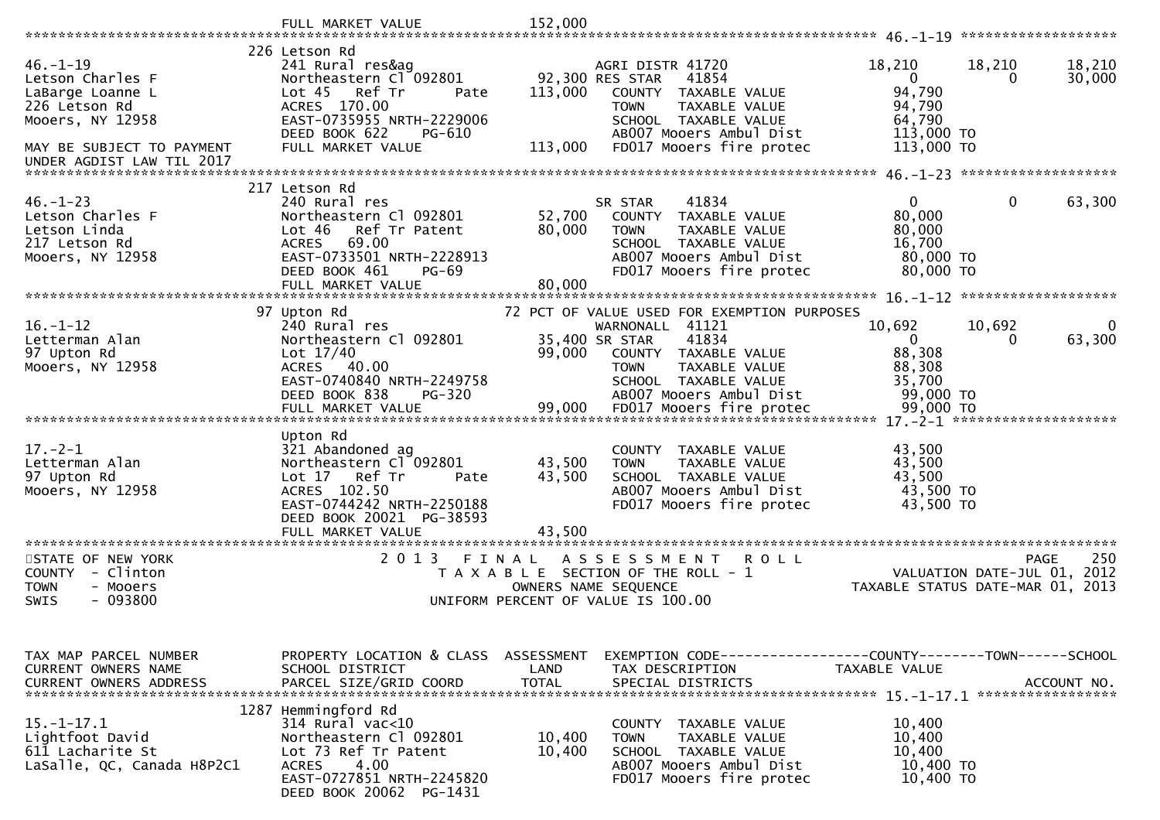|                                             | FULL MARKET VALUE                                    | 152,000          |                                                               |                                                            |             |
|---------------------------------------------|------------------------------------------------------|------------------|---------------------------------------------------------------|------------------------------------------------------------|-------------|
|                                             | 226 Letson Rd                                        |                  |                                                               |                                                            |             |
| $46. - 1 - 19$                              | 241 Rural res&ag                                     |                  | AGRI DISTR 41720                                              | 18,210<br>18,210                                           | 18,210      |
| Letson Charles F                            | Northeastern Cl 092801                               |                  | 92,300 RES STAR<br>41854                                      | $\mathbf{0}$<br>$\Omega$                                   | 30,000      |
| LaBarge Loanne L                            | Lot 45 Ref Tr<br>Pate                                | 113,000          | COUNTY TAXABLE VALUE                                          | 94,790                                                     |             |
| 226 Letson Rd                               | ACRES 170.00                                         |                  | TAXABLE VALUE<br><b>TOWN</b>                                  | 94,790                                                     |             |
| Mooers, NY 12958                            | EAST-0735955 NRTH-2229006                            |                  | SCHOOL TAXABLE VALUE                                          | 64,790                                                     |             |
| MAY BE SUBJECT TO PAYMENT                   | DEED BOOK 622<br>PG-610<br>FULL MARKET VALUE         | 113,000          | AB007 Mooers Ambul Dist<br>FD017 Mooers fire protec           | 113,000 TO<br>113,000 TO                                   |             |
| UNDER AGDIST LAW TIL 2017                   |                                                      |                  |                                                               |                                                            |             |
|                                             |                                                      |                  |                                                               |                                                            |             |
|                                             | 217 Letson Rd                                        |                  |                                                               |                                                            |             |
| $46. - 1 - 23$                              | 240 Rural res                                        |                  | 41834<br>SR STAR                                              | $\mathbf{0}$<br>0                                          | 63,300      |
| Letson Charles F                            | Northeastern Cl 092801                               | 52,700           | COUNTY TAXABLE VALUE                                          | 80,000                                                     |             |
| Letson Linda                                | Ref Tr Patent<br>Lot 46                              | 80,000           | <b>TAXABLE VALUE</b><br><b>TOWN</b>                           | 80,000                                                     |             |
| 217 Letson Rd<br>Mooers, NY 12958           | <b>ACRES</b><br>69.00<br>EAST-0733501 NRTH-2228913   |                  | SCHOOL TAXABLE VALUE<br>AB007 Mooers Ambul Dist               | 16,700<br>80,000 TO                                        |             |
|                                             | DEED BOOK 461<br><b>PG-69</b>                        |                  | FD017 Mooers fire protec                                      | 80,000 TO                                                  |             |
|                                             | FULL MARKET VALUE                                    | 80,000           |                                                               |                                                            |             |
|                                             |                                                      |                  |                                                               |                                                            |             |
|                                             | 97 Upton Rd                                          |                  | 72 PCT OF VALUE USED FOR EXEMPTION PURPOSES                   |                                                            |             |
| $16. - 1 - 12$                              | 240 Rural res                                        |                  | WARNONALL 41121                                               | 10,692<br>10,692                                           |             |
| Letterman Alan                              | Northeastern Cl 092801                               |                  | 41834<br>35,400 SR STAR                                       | $\mathbf{0}$<br>0                                          | 63,300      |
| 97 Upton Rd<br>Mooers, NY 12958             | Lot $17/40$<br>ACRES 40.00                           | 99,000           | COUNTY TAXABLE VALUE<br>TAXABLE VALUE<br><b>TOWN</b>          | 88,308<br>88,308                                           |             |
|                                             | EAST-0740840 NRTH-2249758                            |                  | SCHOOL TAXABLE VALUE                                          | 35,700                                                     |             |
|                                             | DEED BOOK 838<br><b>PG-320</b>                       |                  | AB007 Mooers Ambul Dist                                       | 99,000 TO                                                  |             |
|                                             | FULL MARKET VALUE                                    | 99,000           | FD017 Mooers fire protec                                      | 99,000 TO                                                  |             |
|                                             |                                                      |                  |                                                               |                                                            |             |
|                                             | Upton Rd                                             |                  |                                                               |                                                            |             |
| $17. - 2 - 1$                               | 321 Abandoned ag                                     |                  | COUNTY TAXABLE VALUE                                          | 43,500                                                     |             |
| Letterman Alan<br>97 Upton Rd               | Northeastern Cl 092801<br>Lot $17$<br>Ref Tr<br>Pate | 43,500<br>43,500 | TAXABLE VALUE<br><b>TOWN</b><br>SCHOOL TAXABLE VALUE          | 43,500<br>43,500                                           |             |
| Mooers, NY 12958                            | ACRES 102.50                                         |                  | AB007 Mooers Ambul Dist                                       | 43,500 TO                                                  |             |
|                                             | EAST-0744242 NRTH-2250188                            |                  | FD017 Mooers fire protec                                      | 43,500 TO                                                  |             |
|                                             | DEED BOOK 20021 PG-38593                             |                  |                                                               |                                                            |             |
|                                             | FULL MARKET VALUE                                    | 43,500           |                                                               |                                                            |             |
|                                             |                                                      |                  |                                                               |                                                            |             |
| STATE OF NEW YORK                           | 2 0 1 3                                              | FINAL            | A S S E S S M E N T<br><b>ROLL</b>                            | <b>PAGE</b>                                                | 250         |
| COUNTY - Clinton<br><b>TOWN</b><br>- Mooers |                                                      |                  | T A X A B L E SECTION OF THE ROLL - 1<br>OWNERS NAME SEQUENCE | VALUATION DATE-JUL 01,<br>TAXABLE STATUS DATE-MAR 01, 2013 | 2012        |
| $-093800$<br>SWIS                           |                                                      |                  | UNIFORM PERCENT OF VALUE IS 100.00                            |                                                            |             |
|                                             |                                                      |                  |                                                               |                                                            |             |
|                                             |                                                      |                  |                                                               |                                                            |             |
|                                             |                                                      |                  |                                                               |                                                            |             |
| TAX MAP PARCEL NUMBER                       | PROPERTY LOCATION & CLASS ASSESSMENT                 |                  |                                                               |                                                            |             |
| CURRENT OWNERS NAME                         | SCHOOL DISTRICT                                      | LAND             | TAX DESCRIPTION                                               | TAXABLE VALUE                                              |             |
| CURRENT OWNERS ADDRESS                      | PARCEL SIZE/GRID COORD                               | TOTAL            | SPECIAL DISTRICTS                                             |                                                            | ACCOUNT NO. |
|                                             | 1287 Hemmingford Rd                                  |                  |                                                               |                                                            |             |
| $15. - 1 - 17.1$                            | $314$ Rural vac<10                                   |                  | COUNTY TAXABLE VALUE                                          | 10,400                                                     |             |
| Lightfoot David                             | Northeastern Cl 092801                               | 10,400           | <b>TOWN</b><br>TAXABLE VALUE                                  | 10,400                                                     |             |
| 611 Lacharite St                            | Lot 73 Ref Tr Patent                                 | 10,400           | SCHOOL TAXABLE VALUE                                          | 10,400                                                     |             |
| LaSalle, QC, Canada H8P2C1                  | 4.00<br><b>ACRES</b>                                 |                  | AB007 Mooers Ambul Dist                                       | 10,400 TO                                                  |             |
|                                             | EAST-0727851 NRTH-2245820<br>DEED BOOK 20062 PG-1431 |                  | FD017 Mooers fire protec                                      | 10,400 TO                                                  |             |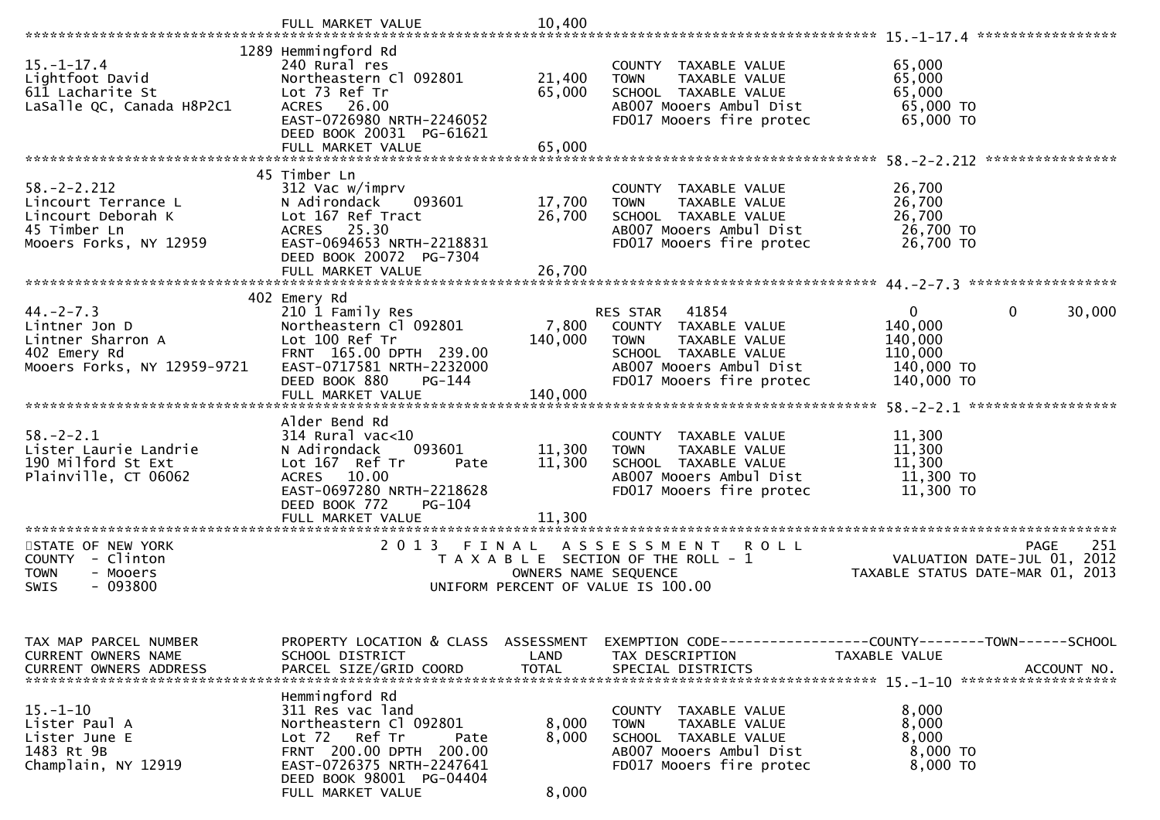|                                                                                                          | FULL MARKET VALUE                                                                                                                                                                              | 10,400                                        |                                                                                                                                                          |                                                                                              |
|----------------------------------------------------------------------------------------------------------|------------------------------------------------------------------------------------------------------------------------------------------------------------------------------------------------|-----------------------------------------------|----------------------------------------------------------------------------------------------------------------------------------------------------------|----------------------------------------------------------------------------------------------|
| $15.-1-17.4$<br>Lightfoot David<br>611 Lacharite St<br>LaSalle QC, Canada H8P2C1                         | 1289 Hemmingford Rd<br>240 Rural res<br>Northeastern Cl 092801<br>Lot 73 Ref Tr<br>ACRES 26.00<br>EAST-0726980 NRTH-2246052<br>DEED BOOK 20031 PG-61621<br>FULL MARKET VALUE                   | 21,400<br>65,000<br>65,000                    | COUNTY TAXABLE VALUE<br>TAXABLE VALUE<br><b>TOWN</b><br>SCHOOL TAXABLE VALUE<br>AB007 Mooers Ambul Dist<br>FD017 Mooers fire protec                      | 65,000<br>65,000<br>65,000<br>65,000 TO<br>65,000 TO<br>****************                     |
| $58. - 2 - 2.212$<br>Lincourt Terrance L<br>Lincourt Deborah K<br>45 Timber Ln<br>Mooers Forks, NY 12959 | 45 Timber Ln<br>312 Vac w/imprv<br>093601<br>N Adirondack<br>Lot 167 Ref Tract<br>ACRES 25.30<br>EAST-0694653 NRTH-2218831<br>DEED BOOK 20072 PG-7304                                          | 17,700<br>26,700                              | COUNTY TAXABLE VALUE<br>TAXABLE VALUE<br><b>TOWN</b><br>SCHOOL TAXABLE VALUE<br>AB007 Mooers Ambul Dist<br>FD017 Mooers fire protec                      | 26,700<br>26,700<br>26,700<br>26,700 TO<br>26,700 TO                                         |
| $44. -2 - 7.3$<br>Lintner Jon D<br>Lintner Sharron A<br>402 Emery Rd<br>Mooers Forks, NY 12959-9721      | 402 Emery Rd<br>210 1 Family Res<br>Northeastern Cl 092801<br>Lot 100 Ref Tr<br>FRNT 165.00 DPTH 239.00<br>EAST-0717581 NRTH-2232000<br>DEED BOOK 880<br>PG-144<br>FULL MARKET VALUE           | 7,800<br>140,000<br>140,000                   | RES STAR<br>41854<br>COUNTY TAXABLE VALUE<br>TAXABLE VALUE<br><b>TOWN</b><br>SCHOOL TAXABLE VALUE<br>AB007 Mooers Ambul Dist<br>FD017 Mooers fire protec | $\mathbf{0}$<br>0<br>30,000<br>140,000<br>140,000<br>110,000<br>140,000 TO<br>140,000 TO     |
| $58. - 2 - 2.1$<br>Lister Laurie Landrie<br>190 Milford St Ext<br>Plainville, CT 06062                   | Alder Bend Rd<br>$314$ Rural vac<10<br>N Adirondack<br>093601<br>Lot 167 Ref Tr<br>Pate<br>ACRES 10.00<br>EAST-0697280 NRTH-2218628<br>DEED BOOK 772<br>PG-104                                 | 11,300<br>11,300<br>11,300<br>*************** | COUNTY TAXABLE VALUE<br>TAXABLE VALUE<br><b>TOWN</b><br>SCHOOL TAXABLE VALUE<br>AB007 Mooers Ambul Dist<br>FD017 Mooers fire protec                      | 11,300<br>11,300<br>11,300<br>11,300 TO<br>11,300 TO                                         |
| STATE OF NEW YORK<br>COUNTY - Clinton<br><b>TOWN</b><br>- Mooers<br>$-093800$<br><b>SWIS</b>             | 2 0 1 3<br>FINAL                                                                                                                                                                               | OWNERS NAME SEQUENCE                          | A S S E S S M E N T<br><b>ROLL</b><br>T A X A B L E SECTION OF THE ROLL - 1<br>UNIFORM PERCENT OF VALUE IS 100.00                                        | 251<br><b>PAGE</b><br>VALUATION DATE-JUL 01, 2012<br>TAXABLE STATUS DATE-MAR 01, 2013        |
| TAX MAP PARCEL NUMBER<br>CURRENT OWNERS NAME<br>CURRENT OWNERS ADDRESS                                   | PROPERTY LOCATION & CLASS<br>SCHOOL DISTRICT<br>PARCEL SIZE/GRID COORD                                                                                                                         | ASSESSMENT<br>LAND<br><b>TOTAL</b>            | TAX DESCRIPTION<br>SPECIAL DISTRICTS                                                                                                                     | EXEMPTION CODE-----------------COUNTY-------TOWN------SCHOOL<br>TAXABLE VALUE<br>ACCOUNT NO. |
| $15. - 1 - 10$<br>Lister Paul A<br>Lister June E<br>1483 Rt 9B<br>Champlain, NY 12919                    | Hemmingford Rd<br>311 Res vac land<br>Northeastern Cl 092801<br>Lot 72 Ref Tr<br>Pate<br>FRNT 200.00 DPTH 200.00<br>EAST-0726375 NRTH-2247641<br>DEED BOOK 98001 PG-04404<br>FULL MARKET VALUE | 8,000<br>8,000<br>8,000                       | COUNTY TAXABLE VALUE<br>TAXABLE VALUE<br><b>TOWN</b><br>SCHOOL TAXABLE VALUE<br>AB007 Mooers Ambul Dist<br>FD017 Mooers fire protec                      | 8,000<br>8,000<br>8,000<br>8,000 TO<br>8,000 TO                                              |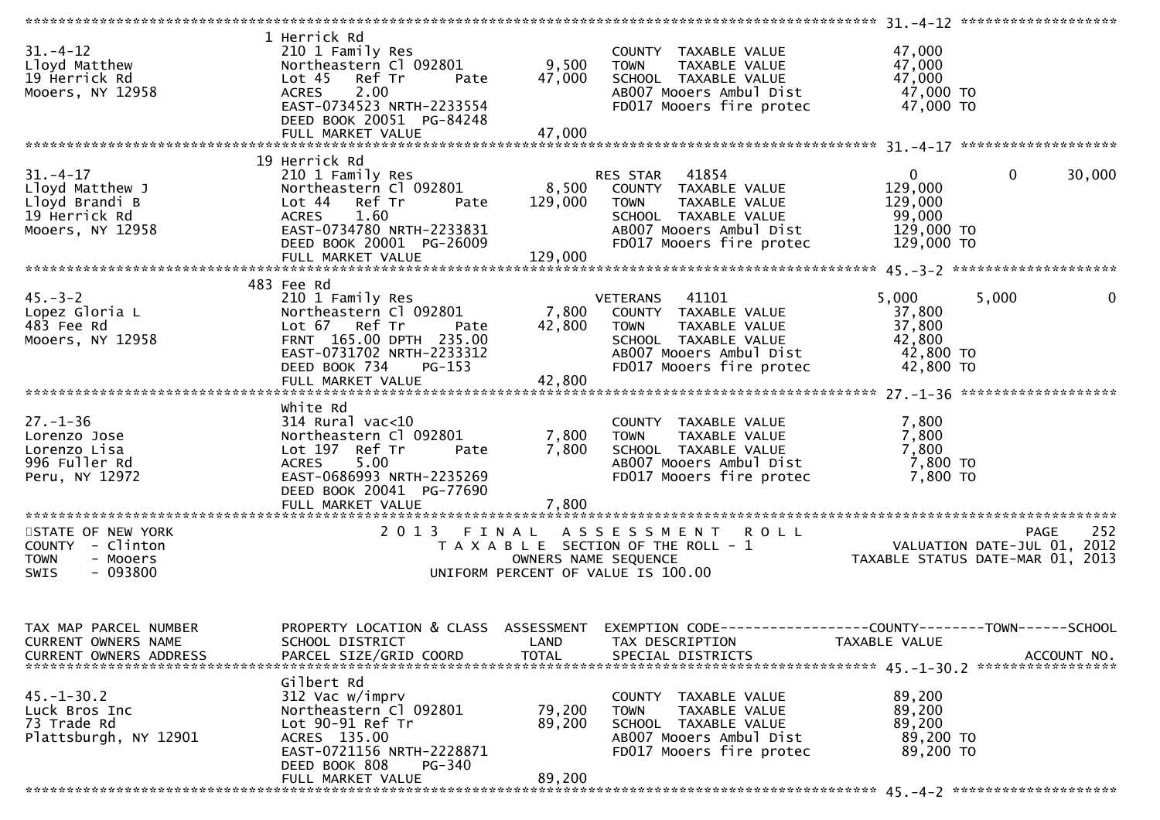| $31. - 4 - 12$<br>Lloyd Matthew<br>19 Herrick Rd<br>Mooers, NY 12958                        | 1 Herrick Rd<br>210 1 Family Res<br>Northeastern C1 092801 9,500 TOWN<br>Lot 45 Ref Tr<br>Pate<br>2.00<br><b>ACRES</b><br>EAST-0734523 NRTH-2233554<br>DEED BOOK 20051 PG-84248                                              | 47,000                      | COUNTY TAXABLE VALUE<br>TAXABLE VALUE<br>TAXABLE VALUE<br>I TAYABLE<br>SCHOOL TAXABLE VALUE<br>AB007 Mooers Ambul Dist<br>FD017 Mooers fire protec                                                                  | 47,000<br>47,000<br>47,000<br>47,000 TO<br>47,000 TO          |                       |
|---------------------------------------------------------------------------------------------|------------------------------------------------------------------------------------------------------------------------------------------------------------------------------------------------------------------------------|-----------------------------|---------------------------------------------------------------------------------------------------------------------------------------------------------------------------------------------------------------------|---------------------------------------------------------------|-----------------------|
|                                                                                             |                                                                                                                                                                                                                              |                             |                                                                                                                                                                                                                     |                                                               |                       |
| $31 - 4 - 17$<br>Lloyd Matthew J<br>Lloyd Brandi B<br>19 Herrick Rd<br>Mooers, NY 12958     | 19 Herrick Rd<br>210 1 Family Res<br>Northeastern Cl 092801 8,500 COUNTY TAXABLE VALUE<br>Lot 44 Ref Tr<br>Pate<br>ACRES 1.60<br>EAST-0734780 NRTH-2233831<br>DEED BOOK 20001 PG-26009<br>$\sim$ $\sim$ $\sim$ $\sim$ $\sim$ | 129,000 TOWN                | RES STAR 41854<br>TAXABLE VALUE                                                                                                                                                                                     | $0 \qquad \qquad$<br>129,000<br>129,000                       | $\mathbf 0$<br>30,000 |
|                                                                                             |                                                                                                                                                                                                                              |                             |                                                                                                                                                                                                                     |                                                               |                       |
| $45. - 3 - 2$<br>4ɔ.-ɔ-∠<br>Lopez Gloria L<br>483 Fee Rd<br>Mooers, NY 12958                | 483 Fee Rd<br>210 1 Family Res<br>Northeastern Cl 092801 7,800 COUNTY TAXABLE VALUE<br>Lot 67 Ref Tr<br>Pate<br>FRNT 165.00 DPTH 235.00<br>EAST-0731702 NRTH-2233312<br>DEED BOOK 734<br>$PG-153$                            | 42,800                      | <b>VETERANS</b><br>41101<br><b>TOWN</b><br>TAXABLE VALUE<br>SCHOOL TAXABLE VALUE<br>AB007 Mooers Ambul Dist<br>FD017 Mooers fire protec                                                                             | 5,000<br>37,800<br>37,800<br>42,800<br>42,800 TO<br>42,800 TO | 5,000<br>$\mathbf 0$  |
|                                                                                             | White Rd                                                                                                                                                                                                                     |                             |                                                                                                                                                                                                                     |                                                               |                       |
| $27. - 1 - 36$<br>Lorenzo Jose<br>Lorenzo Lisa<br>996 Fuller Rd<br>Peru, NY 12972           | 314 Rural vac<10<br>Northeastern Cl 092801<br>Lot 197 Ref Tr<br>Pate<br>ACRES 5.00<br>EAST-0686993 NRTH-2235269<br>DEED BOOK 20041 PG-77690<br>FULL MARKET VALUE                                                             | 7,800<br>7,800              | COUNTY TAXABLE VALUE<br>7,800 TOWN<br>TAXABLE VALUE<br>SCHOOL TAXABLE VALUE<br>AB007 Mooers Ambul Dist<br>FD017 Mooers fire protec                                                                                  | 7,800<br>7,800<br>7,800<br>7,800 TO<br>7,800 TO               |                       |
|                                                                                             |                                                                                                                                                                                                                              |                             |                                                                                                                                                                                                                     |                                                               |                       |
| STATE OF NEW YORK<br>COUNTY - Clinton<br><b>TOWN</b><br>- Mooers<br>- 093800<br><b>SWIS</b> |                                                                                                                                                                                                                              |                             | 2013 FINAL ASSESSMENT ROLL<br>5 FINAL ASSESSMENT ROLL<br>TAXABLE SECTION OF THE ROLL - 1 VALUATION DATE-JUL 01, 2012<br>OWNERS NAME SEQUENCE TAXABLE STATUS DATE-MAR 01, 2013<br>UNIFORM PERCENT OF VALUE IS 100.00 |                                                               | 252                   |
| TAX MAP PARCEL NUMBER<br>CURRENT OWNERS NAME<br><b>CURRENT OWNERS ADDRESS</b>               | SCHOOL DISTRICT<br>PARCEL SIZE/GRID COORD                                                                                                                                                                                    | <b>LAND</b><br><b>TOTAL</b> | PROPERTY LOCATION & CLASS ASSESSMENT EXEMPTION CODE----------------COUNTY-------TOWN------SCHOOL<br>TAX DESCRIPTION<br>SPECIAL DISTRICTS                                                                            | TAXABLE VALUE                                                 | ACCOUNT NO.           |
| $45. - 1 - 30.2$<br>Luck Bros Inc<br>73 Trade Rd<br>Plattsburgh, NY 12901                   | Gilbert Rd<br>312 Vac w/imprv<br>Northeastern Cl 092801<br>Lot 90-91 Ref Tr<br>ACRES 135.00<br>EAST-0721156 NRTH-2228871<br>DEED BOOK 808<br><b>PG-340</b><br>FULL MARKET VALUE                                              | 79,200<br>89,200<br>89,200  | COUNTY TAXABLE VALUE<br>TAXABLE VALUE<br><b>TOWN</b><br>SCHOOL TAXABLE VALUE<br>AB007 Mooers Ambul Dist<br>FD017 Mooers fire protec                                                                                 | 89,200<br>89,200<br>89,200<br>89,200 TO<br>89,200 TO          |                       |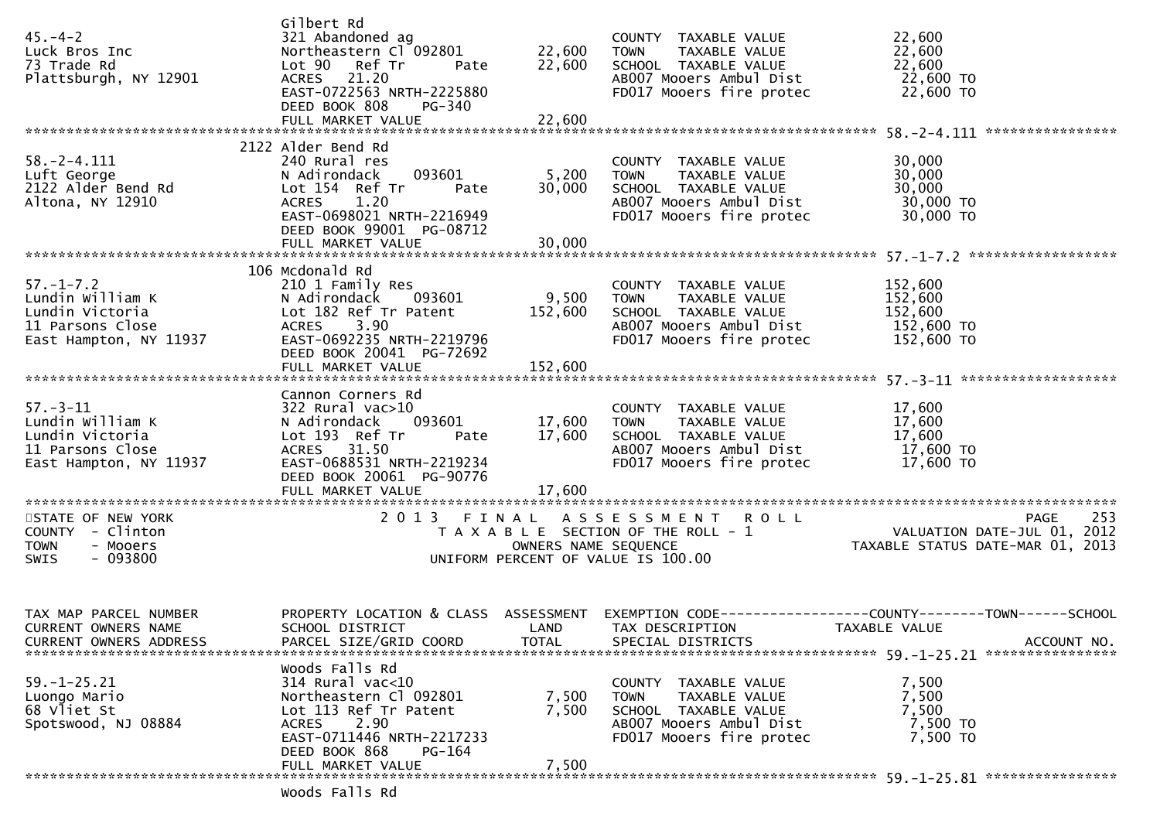| $45. - 4 - 2$<br>Luck Bros Inc<br>73 Trade Rd<br>Plattsburgh, NY 12901                               | Gilbert Rd<br>321 Abandoned ag<br>Northeastern Cl 092801<br>Lot 90 Ref Tr<br>Pate<br>ACRES 21.20<br>EAST-0722563 NRTH-2225880<br>DEED BOOK 808<br>PG-340<br>FULL MARKET VALUE                | 22,600<br>22,600<br>22,600  | COUNTY TAXABLE VALUE<br><b>TOWN</b><br>TAXABLE VALUE<br>SCHOOL TAXABLE VALUE<br>AB007 Mooers Ambul Dist<br>FD017 Mooers fire protec    | 22,600<br>22,600<br>22,600<br>22,600 TO<br>22,600 TO                        |
|------------------------------------------------------------------------------------------------------|----------------------------------------------------------------------------------------------------------------------------------------------------------------------------------------------|-----------------------------|----------------------------------------------------------------------------------------------------------------------------------------|-----------------------------------------------------------------------------|
|                                                                                                      | 2122 Alder Bend Rd                                                                                                                                                                           |                             |                                                                                                                                        |                                                                             |
| $58. - 2 - 4.111$<br>Luft George<br>2122 Alder Bend Rd<br>Altona, NY 12910                           | 240 Rural res<br>N Adirondack<br>093601<br>Lot 154 Ref Tr<br>Pate<br><b>ACRES</b><br>1.20<br>EAST-0698021 NRTH-2216949<br>DEED BOOK 99001 PG-08712                                           | 5,200<br>30,000             | COUNTY TAXABLE VALUE<br><b>TOWN</b><br>TAXABLE VALUE<br>SCHOOL TAXABLE VALUE<br>AB007 Mooers Ambul Dist<br>FD017 Mooers fire protec    | 30,000<br>30,000<br>30,000<br>30,000 TO<br>30,000 TO                        |
|                                                                                                      | FULL MARKET VALUE                                                                                                                                                                            | 30,000                      |                                                                                                                                        |                                                                             |
| $57. - 1 - 7.2$<br>Lundin William K<br>Lundin Victoria<br>11 Parsons Close<br>East Hampton, NY 11937 | 106 Mcdonald Rd<br>210 1 Family Res<br>N Adirondack<br>093601<br>Lot 182 Ref Tr Patent<br><b>ACRES</b><br>3.90<br>EAST-0692235 NRTH-2219796<br>DEED BOOK 20041 PG-72692<br>FULL MARKET VALUE | 9,500<br>152,600<br>152,600 | COUNTY TAXABLE VALUE<br><b>TOWN</b><br>TAXABLE VALUE<br>SCHOOL TAXABLE VALUE<br>AB007 Mooers Ambul Dist<br>FD017 Mooers fire protec    | 152,600<br>152,600<br>152,600<br>152,600 TO<br>152,600 TO                   |
|                                                                                                      | Cannon Corners Rd                                                                                                                                                                            |                             |                                                                                                                                        |                                                                             |
| $57. - 3 - 11$<br>Lundin William K<br>Lundin Victoria<br>11 Parsons Close<br>East Hampton, NY 11937  | $322$ Rural vac $>10$<br>093601<br>N Adirondack<br>Lot 193 Ref Tr<br>Pate<br>ACRES 31.50<br>EAST-0688531 NRTH-2219234<br>DEED BOOK 20061 PG-90776                                            | 17,600<br>17,600            | COUNTY TAXABLE VALUE<br><b>TOWN</b><br>TAXABLE VALUE<br>SCHOOL TAXABLE VALUE<br>AB007 Mooers Ambul Dist<br>FD017 Mooers fire protec    | 17,600<br>17,600<br>17,600<br>17,600 TO<br>17,600 TO                        |
| STATE OF NEW YORK                                                                                    |                                                                                                                                                                                              |                             | 2013 FINAL ASSESSMENT ROLL                                                                                                             | 253<br><b>PAGE</b>                                                          |
| COUNTY - Clinton<br>- Mooers<br><b>TOWN</b><br>$-093800$<br>SWIS                                     |                                                                                                                                                                                              | OWNERS NAME SEQUENCE        | T A X A B L E SECTION OF THE ROLL - 1<br>UNIFORM PERCENT OF VALUE IS 100.00                                                            | PAGE 253<br>VALUATION DATE-JUL 01, 2012<br>TAXABLE STATUS DATE-MAR 01, 2013 |
| TAX MAP PARCEL NUMBER                                                                                | PROPERTY LOCATION & CLASS ASSESSMENT                                                                                                                                                         |                             |                                                                                                                                        | EXEMPTION        CODE-----------------COUNTY-------TOWN------SCHOOL         |
| CURRENT OWNERS NAME<br><b>CURRENT OWNERS ADDRESS</b>                                                 | SCHOOL DISTRICT<br>PARCEL SIZE/GRID COORD                                                                                                                                                    | <b>LAND</b><br><b>TOTAL</b> | TAX DESCRIPTION<br>SPECIAL DISTRICTS                                                                                                   | TAXABLE VALUE<br>ACCOUNT NO.                                                |
| $59. - 1 - 25.21$<br>Luongo Mario<br>68 Vliet St<br>Spotswood, NJ 08884                              | Woods Falls Rd<br>$314$ Rural vac<10<br>Northeastern Cl 092801<br>Lot 113 Ref Tr Patent<br>2.90<br><b>ACRES</b><br>EAST-0711446 NRTH-2217233<br>DEED BOOK 868<br>PG-164                      | 7,500<br>7,500              | COUNTY<br>TAXABLE VALUE<br><b>TOWN</b><br>TAXABLE VALUE<br>SCHOOL TAXABLE VALUE<br>AB007 Mooers Ambul Dist<br>FD017 Mooers fire protec | 7,500<br>7,500<br>7,500<br>7,500 TO<br>7,500 TO                             |
|                                                                                                      | FULL MARKET VALUE                                                                                                                                                                            | 7,500                       |                                                                                                                                        |                                                                             |
|                                                                                                      | Woods Falls Rd                                                                                                                                                                               |                             |                                                                                                                                        |                                                                             |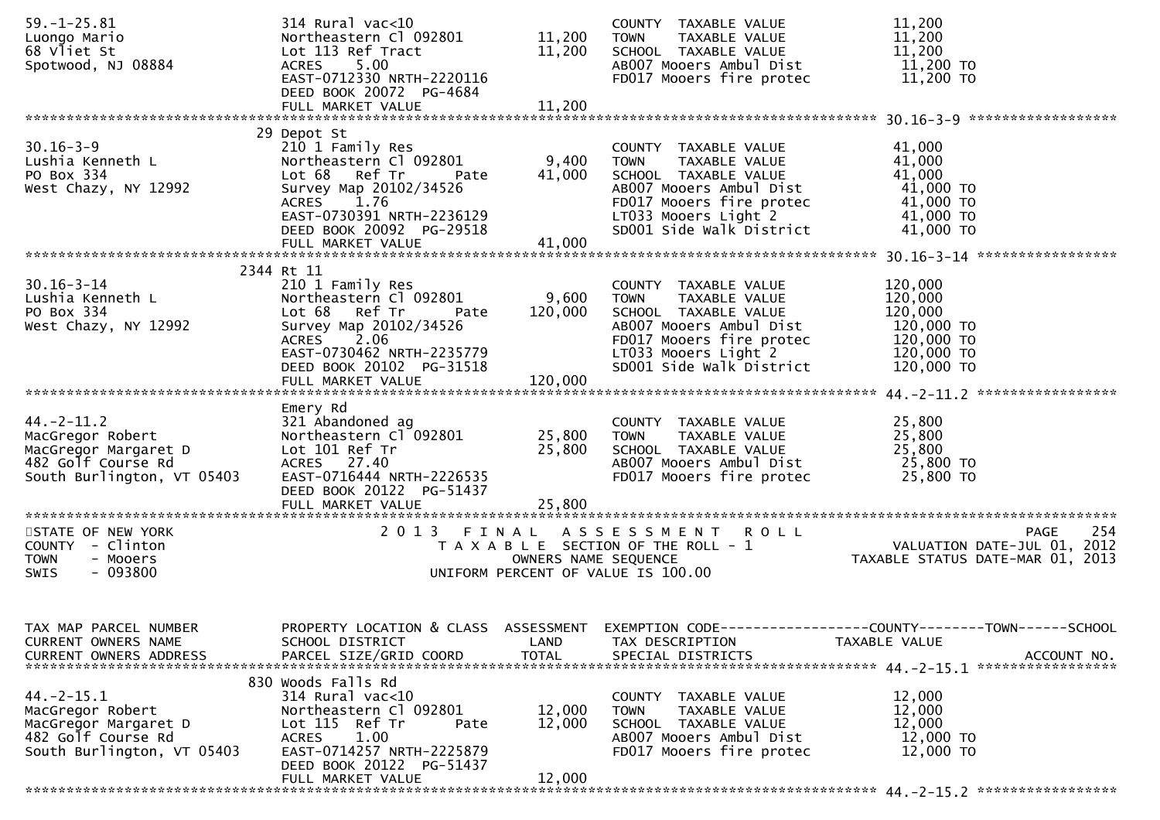| $59. - 1 - 25.81$                  | $314$ Rural vac<10                                    |              | COUNTY TAXABLE VALUE                            | 11,200                                                                                                                                  |
|------------------------------------|-------------------------------------------------------|--------------|-------------------------------------------------|-----------------------------------------------------------------------------------------------------------------------------------------|
| Luongo Mario                       | Northeastern Cl 092801                                | 11,200       | TAXABLE VALUE<br><b>TOWN</b>                    | 11,200                                                                                                                                  |
| 68 Vliet St                        | Lot 113 Ref Tract                                     | 11,200       | SCHOOL TAXABLE VALUE                            | 11,200                                                                                                                                  |
| Spotwood, NJ 08884                 | ACRES 5.00                                            |              | AB007 Mooers Ambul Dist                         | 11,200 TO                                                                                                                               |
|                                    | EAST-0712330 NRTH-2220116                             |              | FD017 Mooers fire protec                        | 11,200 TO                                                                                                                               |
|                                    | DEED BOOK 20072 PG-4684                               |              |                                                 |                                                                                                                                         |
|                                    |                                                       |              |                                                 |                                                                                                                                         |
|                                    |                                                       |              |                                                 |                                                                                                                                         |
|                                    | 29 Depot St                                           |              |                                                 |                                                                                                                                         |
| $30.16 - 3 - 9$                    | 210 1 Family Res                                      |              | COUNTY TAXABLE VALUE                            | 41,000                                                                                                                                  |
| Lushia Kenneth L                   | Northeastern Cl 092801<br>Lot 68 Ref Tr               | 9,400        | TAXABLE VALUE<br>TOWN                           | 41,000<br>41,000                                                                                                                        |
| PO Box 334<br>West Chazy, NY 12992 | Pate<br>Survey Map 20102/34526                        | 41,000       | SCHOOL TAXABLE VALUE<br>AB007 Mooers Ambul Dist | 41,000 TO                                                                                                                               |
|                                    | ACRES 1.76                                            |              | FD017 Mooers fire protec                        | 41,000 TO                                                                                                                               |
|                                    | EAST-0730391 NRTH-2236129                             |              | LT033 Mooers Light 2                            |                                                                                                                                         |
|                                    | DEED BOOK 20092 PG-29518                              |              | SD001 Side Walk District                        | $41,000$ TO<br>$41,000$ TO<br>41,000 TO                                                                                                 |
|                                    | FULL MARKET VALUE                                     | 41,000       |                                                 |                                                                                                                                         |
|                                    |                                                       |              |                                                 |                                                                                                                                         |
|                                    | 2344 Rt 11                                            |              |                                                 |                                                                                                                                         |
| $30.16 - 3 - 14$                   | 210 1 Family Res                                      |              | COUNTY TAXABLE VALUE                            | 120,000                                                                                                                                 |
| Lushia Kenneth L                   | Northeastern Cl 092801                                | 9,600        | <b>TOWN</b><br>TAXABLE VALUE                    | 120,000                                                                                                                                 |
| PO Box 334                         | Lot 68 Ref Tr<br>Pate                                 | 120,000      | SCHOOL TAXABLE VALUE                            | 120,000                                                                                                                                 |
| West Chazy, NY 12992               | Survey Map 20102/34526                                |              | AB007 Mooers Ambul Dist                         | 120,000 TO                                                                                                                              |
|                                    | <b>ACRES</b><br>2.06                                  |              | FD017 Mooers fire protec                        | 120,000 TO                                                                                                                              |
|                                    | EAST-0730462 NRTH-2235779                             |              | LT033 Mooers Light 2                            | 120,000 TO                                                                                                                              |
|                                    | DEED BOOK 20102 PG-31518                              |              | SD001 Side Walk District                        | 120,000 TO                                                                                                                              |
|                                    | FULL MARKET VALUE                                     | 120,000      |                                                 |                                                                                                                                         |
|                                    | Emery Rd                                              |              |                                                 |                                                                                                                                         |
| $44. -2 - 11.2$                    | 321 Abandoned ag                                      |              | COUNTY TAXABLE VALUE                            | 25,800                                                                                                                                  |
| MacGregor Robert                   | Northeastern Cl 092801                                | 25,800       | TOWN<br>TAXABLE VALUE                           | 25,800                                                                                                                                  |
| MacGregor Margaret D               | Lot 101 Ref Tr                                        | 25,800       | SCHOOL TAXABLE VALUE                            | 25,800                                                                                                                                  |
| 482 Golf Course Rd                 | ACRES 27.40                                           |              | AB007 Mooers Ambul Dist                         | 25,800 TO                                                                                                                               |
| South Burlington, VT 05403         | EAST-0716444 NRTH-2226535                             |              | FD017 Mooers fire protec                        | 25,800 TO                                                                                                                               |
|                                    | DEED BOOK 20122 PG-51437                              |              |                                                 |                                                                                                                                         |
|                                    |                                                       |              |                                                 |                                                                                                                                         |
|                                    |                                                       |              |                                                 |                                                                                                                                         |
| STATE OF NEW YORK                  |                                                       |              | 2013 FINAL ASSESSMENT ROLL                      | 254<br><b>PAGE</b>                                                                                                                      |
| COUNTY - Clinton                   |                                                       |              |                                                 | T A X A B L E SECTION OF THE ROLL - 1<br>T A X A B L E SECTION OF THE ROLL - 1<br>OWNFRS NAME SEOUENCE TAXABLE STATUS DATE-MAR 01, 2013 |
| <b>TOWN</b><br>- Mooers            |                                                       |              |                                                 |                                                                                                                                         |
| - 093800<br>SWIS                   |                                                       |              | UNIFORM PERCENT OF VALUE IS 100.00              |                                                                                                                                         |
|                                    |                                                       |              |                                                 |                                                                                                                                         |
|                                    |                                                       |              |                                                 |                                                                                                                                         |
| TAX MAP PARCEL NUMBER              |                                                       |              |                                                 | PROPERTY LOCATION & CLASS ASSESSMENT EXEMPTION CODE----------------COUNTY-------TOWN------SCHOOL                                        |
| CURRENT OWNERS NAME                | SCHOOL DISTRICT                                       | LAND         | TAX DESCRIPTION                                 | TAXABLE VALUE                                                                                                                           |
| <b>CURRENT OWNERS ADDRESS</b>      | PARCEL SIZE/GRID COORD                                | <b>TOTAL</b> | SPECIAL DISTRICTS                               | ACCOUNT NO.                                                                                                                             |
|                                    |                                                       |              |                                                 |                                                                                                                                         |
|                                    | 830 Woods Falls Rd                                    |              |                                                 |                                                                                                                                         |
| $44. -2 - 15.1$                    | 314 Rural vac<10                                      |              | TAXABLE VALUE<br><b>COUNTY</b>                  | 12,000                                                                                                                                  |
| MacGregor Robert                   | Northeastern Cl 092801                                | 12,000       | <b>TOWN</b><br>TAXABLE VALUE                    | 12,000                                                                                                                                  |
| MacGregor Margaret D               | Lot 115 Ref Tr<br>Pate                                | 12,000       | SCHOOL TAXABLE VALUE                            | 12,000                                                                                                                                  |
| 482 Golf Course Rd                 | 1.00<br><b>ACRES</b>                                  |              | AB007 Mooers Ambul Dist                         | 12,000 TO                                                                                                                               |
| South Burlington, VT 05403         | EAST-0714257 NRTH-2225879<br>DEED BOOK 20122 PG-51437 |              | FD017 Mooers fire protec                        | 12,000 TO                                                                                                                               |
|                                    | FULL MARKET VALUE                                     | 12,000       |                                                 |                                                                                                                                         |
|                                    |                                                       |              |                                                 |                                                                                                                                         |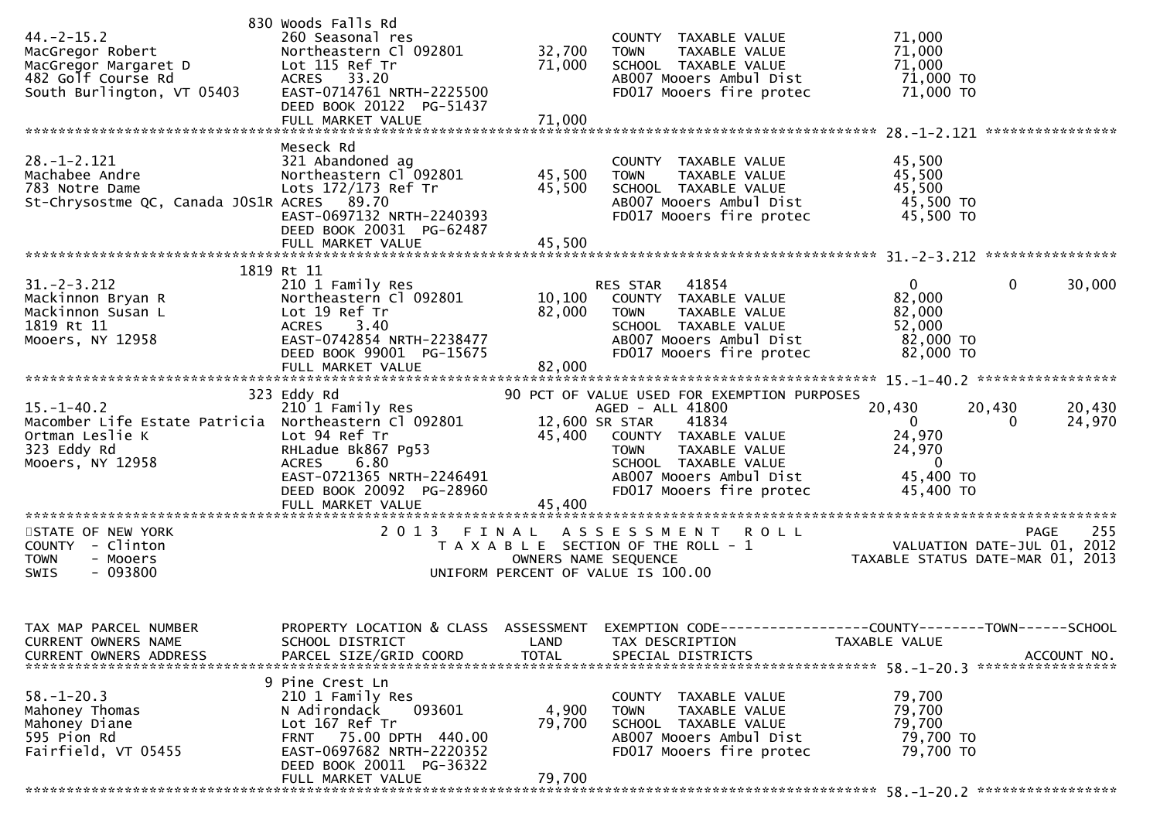| $44. -2 - 15.2$<br>MacGregor Robert<br>MacGregor Margaret D<br>482 Golf Course Rd<br>South Burlington, VT 05403                | 830 Woods Falls Rd<br>260 Seasonal res<br>Northeastern Cl 092801<br>Lot 115 Ref Tr<br>ACRES 33.20<br>EAST-0714761 NRTH-2225500<br>DEED BOOK 20122 PG-51437                              | 32,700<br>71,000              | COUNTY TAXABLE VALUE<br><b>TOWN</b><br>TAXABLE VALUE<br>SCHOOL TAXABLE VALUE<br>AB007 Mooers Ambul Dist<br>FD017 Mooers fire protec                                                                                               | 71,000<br>71,000<br>71,000<br>71,000 TO<br>71,000 TO                            |                                        |
|--------------------------------------------------------------------------------------------------------------------------------|-----------------------------------------------------------------------------------------------------------------------------------------------------------------------------------------|-------------------------------|-----------------------------------------------------------------------------------------------------------------------------------------------------------------------------------------------------------------------------------|---------------------------------------------------------------------------------|----------------------------------------|
| $28. - 1 - 2.121$<br>Machabee Andre<br>783 Notre Dame<br>St-Chrysostme QC, Canada JOS1R ACRES 89.70                            | Meseck Rd<br>321 Abandoned ag<br>Northeastern Cl 092801<br>Lots 172/173 Ref Tr<br>EAST-0697132 NRTH-2240393<br>DEED BOOK 20031 PG-62487<br>FULL MARKET VALUE                            | 45,500<br>45,500<br>45,500    | COUNTY TAXABLE VALUE<br><b>TOWN</b><br>TAXABLE VALUE<br>SCHOOL TAXABLE VALUE<br>AB007 Mooers Ambul Dist<br>FD017 Mooers fire protec                                                                                               | 45,500<br>45,500<br>45,500<br>45,500 TO<br>45,500 TO                            |                                        |
| $31. -2 - 3.212$<br>Mackinnon Bryan R<br>Mackinnon Susan L<br>1819 Rt 11<br>Mooers, NY 12958                                   | 1819 Rt 11<br>210 1 Family Res<br>Northeastern Cl 092801<br>Lot 19 Ref Tr<br><b>ACRES</b><br>3.40<br>EAST-0742854 NRTH-2238477<br>DEED BOOK 99001 PG-15675                              | 82,000                        | RES STAR 41854<br>10,100 COUNTY TAXABLE VALUE<br><b>TOWN</b><br>TAXABLE VALUE<br>SCHOOL TAXABLE VALUE<br>AB007 Mooers Ambul Dist<br>FD017 Mooers fire protec                                                                      | $\Omega$<br>82,000<br>82,000<br>52,000<br>82,000 TO<br>82,000 TO                | $\mathbf{0}$<br>30,000                 |
| $15. - 1 - 40.2$<br>Macomber Life Estate Patricia Northeastern Cl 092801<br>Ortman Leslie K<br>323 Eddy Rd<br>Mooers, NY 12958 | 323 Eddy Rd<br>210 1 Family Res<br>Lot 94 Ref Tr<br>RHLadue Bk867 Pg53<br>6.80<br>ACRES<br>EAST-0721365 NRTH-2246491<br>DEED BOOK 20092 PG-28960<br>FULL MARKET VALUE                   | 45,400<br>45,400              | 90 PCT OF VALUE USED FOR EXEMPTION PURPOSES<br>AGED - ALL 41800<br>12,600 SR STAR<br>41834<br>COUNTY TAXABLE VALUE<br><b>TOWN</b><br>TAXABLE VALUE<br>SCHOOL TAXABLE VALUE<br>AB007 Mooers Ambul Dist<br>FD017 Mooers fire protec | 20,430<br>$\Omega$<br>24,970<br>24,970<br>$\mathbf 0$<br>45,400 TO<br>45,400 TO | 20,430<br>20,430<br>24,970<br>$\Omega$ |
| STATE OF NEW YORK<br>COUNTY - Clinton<br><b>TOWN</b><br>- Mooers<br>$-093800$<br><b>SWIS</b>                                   | 2 0 1 3                                                                                                                                                                                 | FINAL<br>OWNERS NAME SEQUENCE | <b>ROLL</b><br>A S S E S S M E N T<br>T A X A B L E SECTION OF THE ROLL - 1<br>UNIFORM PERCENT OF VALUE IS 100.00                                                                                                                 | VALUATION DATE-JUL $01$ , $2012$<br>TAXABLE STATUS DATE-MAR 01, 2013            | 255<br>PAGE                            |
| TAX MAP PARCEL NUMBER<br>CURRENT OWNERS NAME                                                                                   | PROPERTY LOCATION & CLASS ASSESSMENT<br>SCHOOL DISTRICT                                                                                                                                 | LAND                          | EXEMPTION CODE-----------------COUNTY-------TOWN-----SCHOOL<br>TAX DESCRIPTION                                                                                                                                                    | TAXABLE VALUE                                                                   |                                        |
| $58. - 1 - 20.3$<br>Mahoney Thomas<br>Mahoney Diane<br>595 Pion Rd<br>Fairfield, VT 05455                                      | 9 Pine Crest Ln<br>210 1 Family Res<br>093601<br>N Adirondack<br>Lot 167 Ref Tr<br>FRNT 75.00 DPTH 440.00<br>EAST-0697682 NRTH-2220352<br>DEED BOOK 20011 PG-36322<br>FULL MARKET VALUE | 4,900<br>79,700<br>79,700     | COUNTY TAXABLE VALUE<br><b>TOWN</b><br>TAXABLE VALUE<br>SCHOOL TAXABLE VALUE<br>AB007 Mooers Ambul Dist<br>FD017 Mooers fire protec                                                                                               | 79,700<br>79,700<br>79,700<br>79,700 TO<br>79,700 TO                            |                                        |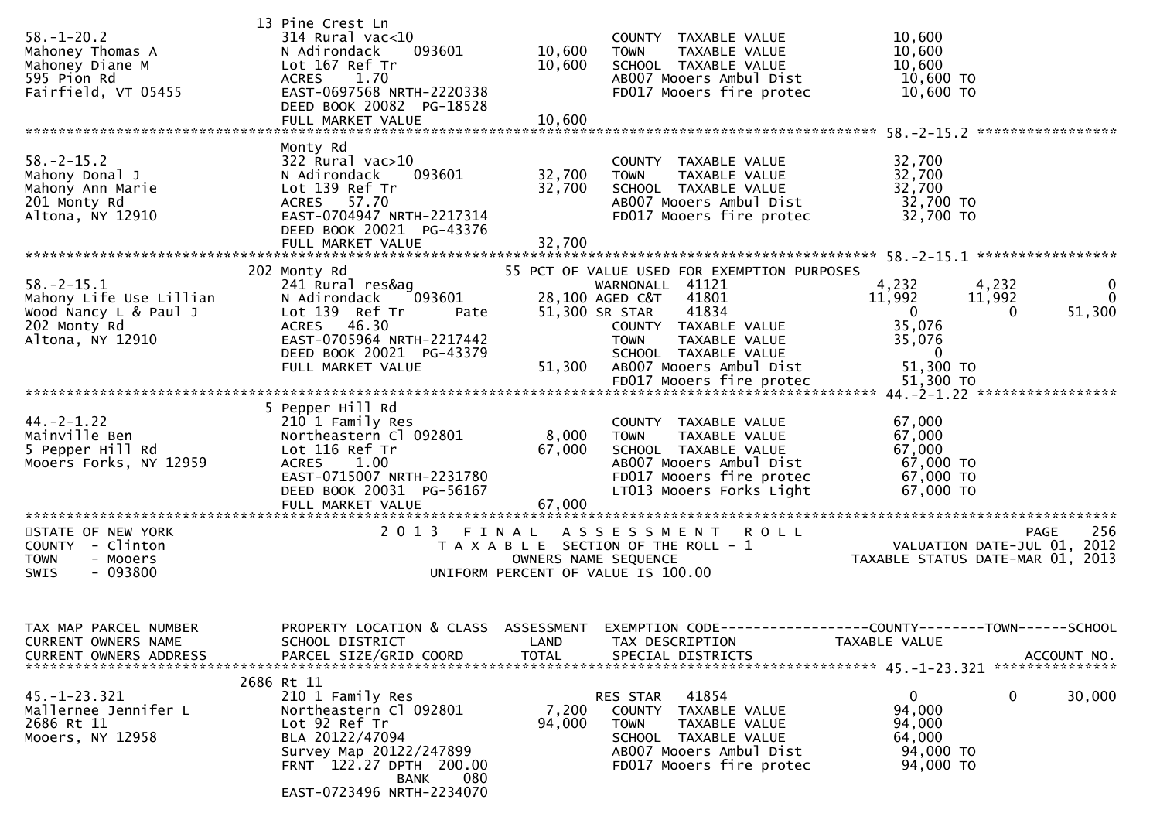| $58. - 1 - 20.2$<br>Mahoney Thomas A<br>Mahoney Diane M<br>595 Pion Rd<br>Fairfield, VT 05455            | 13 Pine Crest Ln<br>$314$ Rural vac<10<br>N Adirondack<br>093601<br>Lot 167 Ref Tr<br>ACRES 1.70<br>EAST-0697568 NRTH-2220338<br>DEED BOOK 20082 PG-18528<br>FULL MARKET VALUE                        | 10,600<br>10,600<br>10,600 | COUNTY TAXABLE VALUE<br><b>TOWN</b><br>TAXABLE VALUE<br>SCHOOL TAXABLE VALUE<br>AB007 Mooers Ambul Dist<br>FD017 Mooers fire protec                                                                        | 10,600<br>10,600<br>10,600<br>10,600 TO<br>10,600 TO                                                                                                          |
|----------------------------------------------------------------------------------------------------------|-------------------------------------------------------------------------------------------------------------------------------------------------------------------------------------------------------|----------------------------|------------------------------------------------------------------------------------------------------------------------------------------------------------------------------------------------------------|---------------------------------------------------------------------------------------------------------------------------------------------------------------|
|                                                                                                          |                                                                                                                                                                                                       |                            |                                                                                                                                                                                                            |                                                                                                                                                               |
| $58. - 2 - 15.2$<br>Mahony Donal J<br>Mahony Ann Marie<br>201 Monty Rd<br>Altona, NY 12910               | Monty Rd<br>322 Rural vac>10<br>N Adirondack<br>093601<br>Lot 139 Ref Tr<br>ACRES 57.70<br>EAST-0704947 NRTH-2217314<br>DEED BOOK 20021 PG-43376<br>FULL MARKET VALUE                                 | 32,700<br>32,700<br>32,700 | COUNTY TAXABLE VALUE<br>TAXABLE VALUE<br><b>TOWN</b><br>SCHOOL TAXABLE VALUE<br>AB007 Mooers Ambul Dist<br>FD017 Mooers fire protec                                                                        | 32,700<br>32,700<br>32,700<br>32,700 TO<br>32,700 TO                                                                                                          |
|                                                                                                          | 202 Monty Rd                                                                                                                                                                                          |                            | 55 PCT OF VALUE USED FOR EXEMPTION PURPOSES                                                                                                                                                                |                                                                                                                                                               |
| $58. - 2 - 15.1$<br>Mahony Life Use Lillian<br>Wood Nancy L & Paul J<br>202 Monty Rd<br>Altona, NY 12910 | 241 Rural res&ag<br>N Adirondack<br>093601<br>Lot 139 Ref Tr<br>Pate<br>ACRES 46.30<br>EAST-0705964 NRTH-2217442<br>DEED BOOK 20021 PG-43379<br>FULL MARKET VALUE                                     | 51,300                     | WARNONALL 41121<br>28,100 AGED C&T 41801<br>41834<br>51,300 SR STAR<br>COUNTY TAXABLE VALUE<br>TAXABLE VALUE<br><b>TOWN</b><br>SCHOOL TAXABLE VALUE<br>AB007 Mooers Ambul Dist<br>FD017 Mooers fire protec | 4,232<br>4,232<br>$\mathbf{0}$<br>11,992<br>11,992<br>0<br>51,300<br>$\mathbf{0}$<br>$\bf{0}$<br>35,076<br>35,076<br>$\overline{0}$<br>51,300 TO<br>51,300 TO |
|                                                                                                          |                                                                                                                                                                                                       |                            |                                                                                                                                                                                                            |                                                                                                                                                               |
| $44. -2 - 1.22$<br>Mainville Ben<br>5 Pepper Hill Rd<br>Mooers Forks, NY 12959                           | 5 Pepper Hill Rd<br>210 1 Family Res<br>Northeastern Cl 092801<br>Lot 116 Ref Tr<br><b>ACRES</b><br>1.00<br>EAST-0715007 NRTH-2231780<br>DEED BOOK 20031 PG-56167<br>FULL MARKET VALUE                | 8,000<br>67,000<br>67,000  | COUNTY TAXABLE VALUE<br><b>TOWN</b><br>TAXABLE VALUE<br>SCHOOL TAXABLE VALUE<br>AB007 Mooers Ambul Dist<br>FD017 Mooers fire protec<br>LT013 Mooers Forks Light                                            | 67,000<br>67,000<br>67,000<br>67,000 TO<br>67,000 TO<br>67,000 TO                                                                                             |
|                                                                                                          | 2 0 1 3                                                                                                                                                                                               |                            |                                                                                                                                                                                                            | 256                                                                                                                                                           |
| STATE OF NEW YORK<br>COUNTY - Clinton<br><b>TOWN</b><br>- Mooers<br>$-093800$<br>SWIS                    |                                                                                                                                                                                                       |                            | FINAL ASSESSMENT ROLL<br>T A X A B L E SECTION OF THE ROLL - 1<br>OWNERS NAME SEQUENCE<br>UNIFORM PERCENT OF VALUE IS 100.00                                                                               | <b>PAGE</b><br>VALUATION DATE-JUL 01, 2012<br>TAXABLE STATUS DATE-MAR 01, 2013                                                                                |
| TAX MAP PARCEL NUMBER<br>CURRENT OWNERS NAME<br>CURRENT OWNERS ADDRESS                                   | SCHOOL DISTRICT<br>PARCEL SIZE/GRID COORD                                                                                                                                                             | LAND<br><b>TOTAL</b>       | TAX DESCRIPTION<br>SPECIAL DISTRICTS                                                                                                                                                                       | PROPERTY LOCATION & CLASS ASSESSMENT EXEMPTION CODE----------------COUNTY-------TOWN------SCHOOL<br>TAXABLE VALUE<br>ACCOUNT NO.                              |
| $45. - 1 - 23.321$<br>Mallernee Jennifer L<br>2686 Rt 11<br>Mooers, NY 12958                             | 2686 Rt 11<br>210 1 Family Res<br>Northeastern Cl 092801<br>Lot 92 Ref Tr<br>BLA 20122/47094<br>Survey Map 20122/247899<br>FRNT 122.27 DPTH 200.00<br>080<br><b>BANK</b><br>EAST-0723496 NRTH-2234070 | 7,200<br>94,000            | 41854<br>RES STAR<br>TAXABLE VALUE<br><b>COUNTY</b><br><b>TOWN</b><br>TAXABLE VALUE<br>SCHOOL TAXABLE VALUE<br>AB007 Mooers Ambul Dist<br>FD017 Mooers fire protec                                         | 0<br>30,000<br>$\mathbf{0}$<br>94,000<br>94,000<br>64,000<br>94,000 TO<br>94,000 TO                                                                           |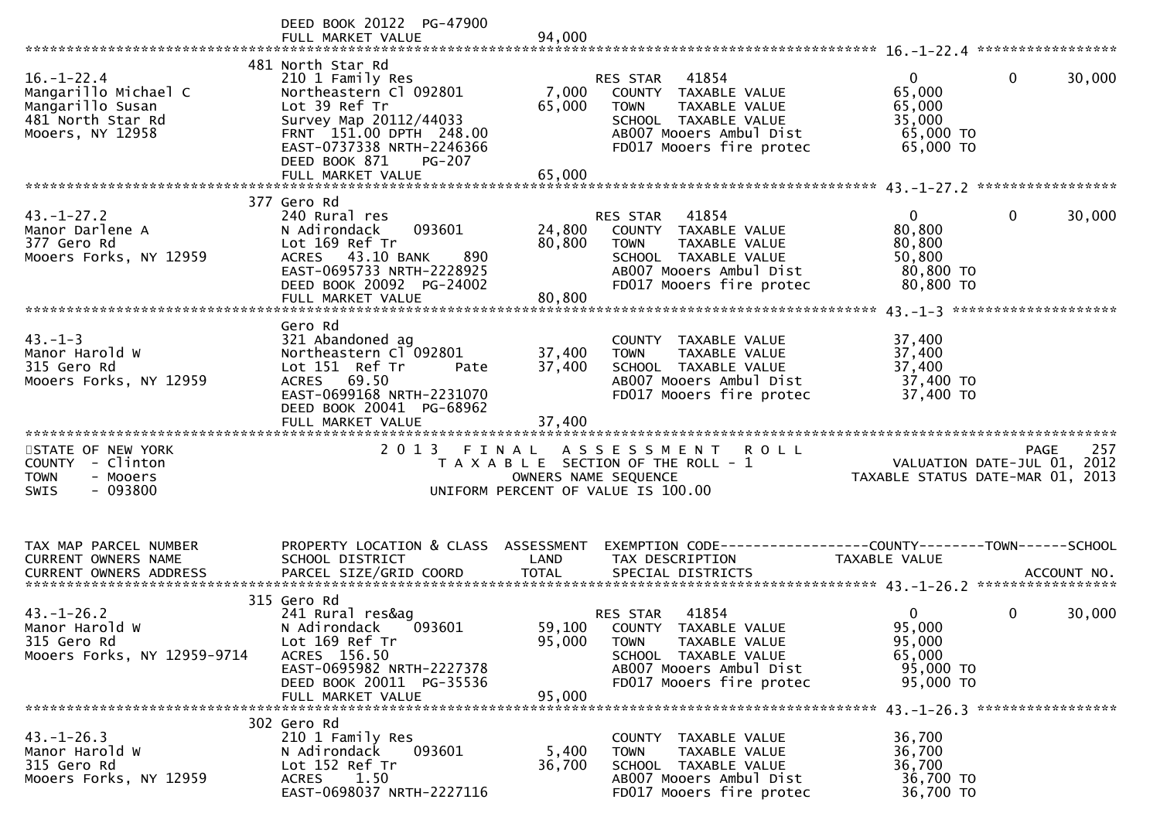|                                                                                                                                               | DEED BOOK 20122 PG-47900<br>FULL MARKET VALUE                                                                                                                                                                             | 94,000                     |                                                                                                                                                                 |                                                                      |                        |
|-----------------------------------------------------------------------------------------------------------------------------------------------|---------------------------------------------------------------------------------------------------------------------------------------------------------------------------------------------------------------------------|----------------------------|-----------------------------------------------------------------------------------------------------------------------------------------------------------------|----------------------------------------------------------------------|------------------------|
| $16. - 1 - 22.4$<br>Mangarillo Michael C<br>Mangarillo Susan<br>481 North Star Rd<br>Mooers, NY 12958                                         | 481 North Star Rd<br>210 1 Family Res<br>Northeastern Cl 092801<br>Lot 39 Ref Tr<br>Survey Map 20112/44033<br>FRNT 151.00 DPTH 248.00<br>EAST-0737338 NRTH-2246366<br>DEED BOOK 871<br><b>PG-207</b><br>FULL MARKET VALUE | 7,000<br>65,000<br>65,000  | RES STAR 41854<br>COUNTY TAXABLE VALUE<br><b>TOWN</b><br>TAXABLE VALUE<br>SCHOOL TAXABLE VALUE<br>AB007 Mooers Ambul Dist<br>FD017 Mooers fire protec           | $\Omega$<br>65,000<br>65,000<br>35,000<br>65,000 TO<br>65,000 TO     | $\mathbf{0}$<br>30,000 |
|                                                                                                                                               | 377 Gero Rd                                                                                                                                                                                                               |                            |                                                                                                                                                                 |                                                                      |                        |
| $43. - 1 - 27.2$<br>Manor Darlene A<br>377 Gero Rd<br>Mooers Forks, NY 12959                                                                  | 240 Rural res<br>093601<br>N Adirondack<br>Lot 169 Ref Tr<br>ACRES 43.10 BANK<br>890<br>EAST-0695733 NRTH-2228925<br>DEED BOOK 20092 PG-24002<br>FULL MARKET VALUE                                                        | 24,800<br>80,800<br>80,800 | RES STAR<br>41854<br>COUNTY TAXABLE VALUE<br>TAXABLE VALUE<br><b>TOWN</b><br>SCHOOL TAXABLE VALUE<br>AB007 Mooers Ambul Dist<br>FD017 Mooers fire protec        | $\mathbf{0}$<br>80,800<br>80,800<br>50,800<br>80,800 TO<br>80,800 TO | 30,000<br>0            |
|                                                                                                                                               | Gero Rd                                                                                                                                                                                                                   |                            |                                                                                                                                                                 |                                                                      |                        |
| $43. - 1 - 3$<br>Manor Harold W<br>315 Gero Rd<br>Mooers Forks, NY 12959                                                                      | 321 Abandoned ag<br>Northeastern Cl 092801<br>Lot 151 Ref Tr<br>Pate<br>ACRES 69.50<br>EAST-0699168 NRTH-2231070<br>DEED BOOK 20041 PG-68962                                                                              | 37,400<br>37,400           | COUNTY TAXABLE VALUE<br><b>TOWN</b><br>TAXABLE VALUE<br>SCHOOL TAXABLE VALUE<br>AB007 Mooers Ambul Dist<br>FD017 Mooers fire protec                             | 37,400<br>37,400<br>37,400<br>37,400 TO<br>37,400 TO                 |                        |
| STATE OF NEW YORK                                                                                                                             |                                                                                                                                                                                                                           |                            | 2013 FINAL ASSESSMENT ROLL                                                                                                                                      |                                                                      | 257<br><b>PAGE</b>     |
| COUNTY - Clinton<br>- Mooers<br><b>TOWN</b><br>$-093800$<br><b>SWIS</b>                                                                       |                                                                                                                                                                                                                           | OWNERS NAME SEQUENCE       | T A X A B L E SECTION OF THE ROLL - 1<br>UNIFORM PERCENT OF VALUE IS 100.00                                                                                     | VALUATION DATE-JUL 01, 2012<br>TAXABLE STATUS DATE-MAR 01, 2013      |                        |
| TAX MAP PARCEL NUMBER                                                                                                                         | PROPERTY LOCATION & CLASS ASSESSMENT                                                                                                                                                                                      |                            | EXEMPTION CODE-----------------COUNTY-------TOWN------SCHOOL                                                                                                    |                                                                      |                        |
| <b>CURRENT OWNERS NAME</b><br>.0URRENT OWNERS ADDRESS PARCEL SIZE/GRID COORD TOTAL SPECIAL DISTRICTS ACCOUNT NO ACCOUNT NO ACCOUNT NO ACCOUNT | SCHOOL DISTRICT                                                                                                                                                                                                           | LAND                       | TAX DESCRIPTION                                                                                                                                                 | TAXABLE VALUE                                                        |                        |
|                                                                                                                                               | 315 Gero Rd                                                                                                                                                                                                               |                            |                                                                                                                                                                 |                                                                      |                        |
| $43. - 1 - 26.2$<br>Manor Harold W<br>315 Gero Rd<br>Mooers Forks, NY 12959-9714                                                              | 241 Rural res&ag<br>N Adirondack<br>093601<br>Lot 169 Ref Tr<br>ACRES 156.50<br>EAST-0695982 NRTH-2227378<br>DEED BOOK 20011 PG-35536<br>FULL MARKET VALUE                                                                | 95,000<br>95,000           | RES STAR<br>41854<br>59,100 COUNTY TAXABLE VALUE<br><b>TOWN</b><br>TAXABLE VALUE<br>SCHOOL TAXABLE VALUE<br>AB007 Mooers Ambul Dist<br>FD017 Mooers fire protec | $\mathbf{0}$<br>95,000<br>95,000<br>65,000<br>95,000 TO<br>95,000 TO | 30,000<br>0            |
|                                                                                                                                               | 302 Gero Rd                                                                                                                                                                                                               |                            |                                                                                                                                                                 |                                                                      |                        |
| $43. - 1 - 26.3$<br>Manor Harold W<br>315 Gero Rd<br>Mooers Forks, NY 12959                                                                   | 210 1 Family Res<br>N Adirondack<br>093601<br>Lot 152 Ref Tr<br>1.50<br><b>ACRES</b><br>EAST-0698037 NRTH-2227116                                                                                                         | 5,400<br>36,700            | COUNTY TAXABLE VALUE<br>TAXABLE VALUE<br><b>TOWN</b><br>SCHOOL TAXABLE VALUE<br>AB007 Mooers Ambul Dist<br>FD017 Mooers fire protec                             | 36,700<br>36,700<br>36,700<br>36,700 TO<br>36,700 TO                 |                        |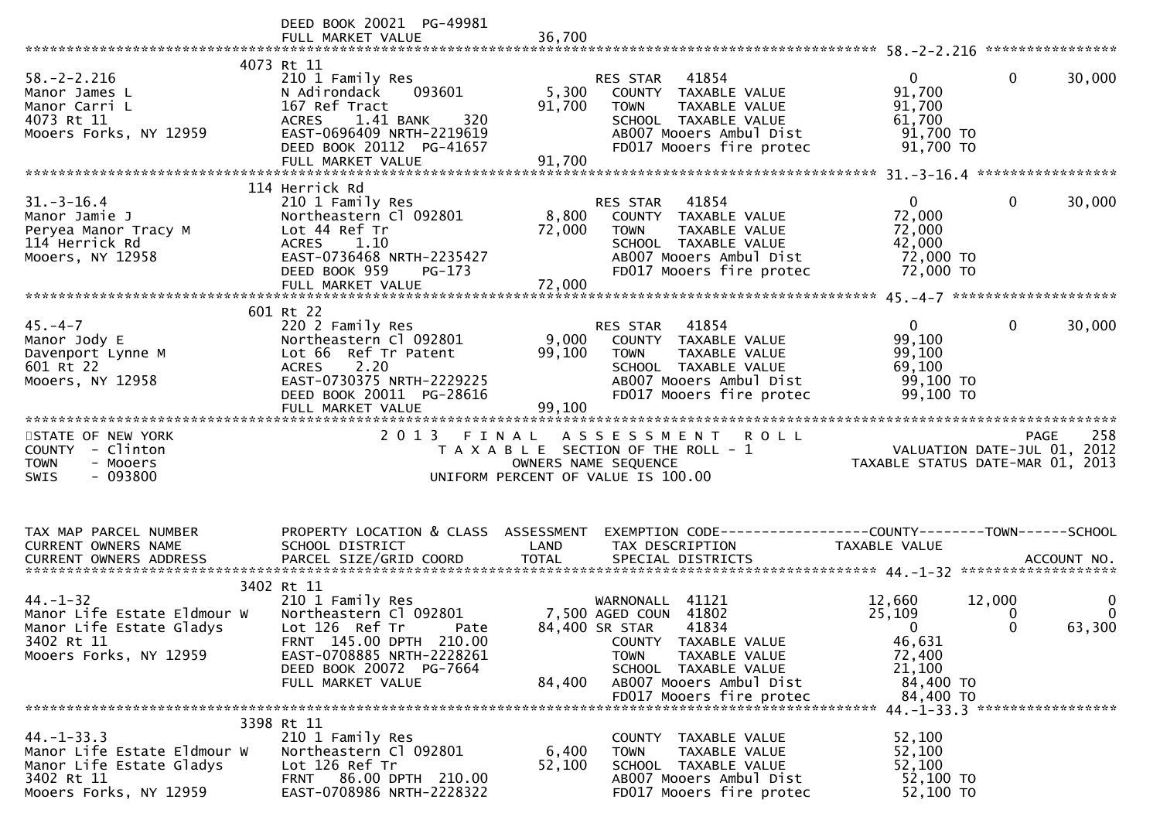|                                      | DEED BOOK 20021 PG-49981<br>FULL MARKET VALUE       | 36,700               |                                                                |                                                                                                                 |          |
|--------------------------------------|-----------------------------------------------------|----------------------|----------------------------------------------------------------|-----------------------------------------------------------------------------------------------------------------|----------|
|                                      | 4073 Rt 11                                          |                      |                                                                |                                                                                                                 |          |
| $58. - 2 - 2.216$                    | 210 1 Family Res                                    |                      | 41854<br>RES STAR                                              | $\overline{0}$<br>$\mathbf{0}$                                                                                  | 30,000   |
|                                      | 093601<br>N Adirondack                              |                      |                                                                | 91,700                                                                                                          |          |
| Manor James L                        |                                                     | 5,300                | COUNTY TAXABLE VALUE                                           |                                                                                                                 |          |
| Manor Carri L                        | 167 Ref Tract                                       | 91,700               | TAXABLE VALUE<br><b>TOWN</b>                                   | 91,700                                                                                                          |          |
| 4073 Rt 11                           | ACRES 1.41 BANK<br>320                              |                      | SCHOOL TAXABLE VALUE                                           | 61,700                                                                                                          |          |
| Mooers Forks, NY 12959               | EAST-0696409 NRTH-2219619                           |                      | AB007 Mooers Ambul Dist                                        | 91,700 TO                                                                                                       |          |
|                                      | DEED BOOK 20112 PG-41657                            |                      | FD017 Mooers fire protec                                       | 91,700 TO                                                                                                       |          |
|                                      | FULL MARKET VALUE                                   | 91,700               |                                                                |                                                                                                                 |          |
|                                      |                                                     |                      |                                                                |                                                                                                                 |          |
|                                      | 114 Herrick Rd                                      |                      |                                                                |                                                                                                                 |          |
| $31.-3-16.4$                         | 210 1 Family Res                                    |                      | 41854<br>RES STAR                                              | $\overline{0}$<br>$\bf{0}$                                                                                      | 30,000   |
| Manor Jamie J                        | Northeastern Cl 092801                              |                      | 8,800 COUNTY TAXABLE VALUE                                     | 72,000                                                                                                          |          |
| Peryea Manor Tracy M                 | Lot 44 Ref Tr                                       | 72,000               | TAXABLE VALUE<br><b>TOWN</b>                                   | 72,000                                                                                                          |          |
| 114 Herrick Rd                       | ACRES 1.10                                          |                      | SCHOOL TAXABLE VALUE                                           | 42,000                                                                                                          |          |
|                                      |                                                     |                      |                                                                |                                                                                                                 |          |
| Mooers, NY 12958                     | EAST-0736468 NRTH-2235427                           |                      | AB007 Mooers Ambul Dist                                        | 72,000 TO                                                                                                       |          |
|                                      | DEED BOOK 959<br>PG-173                             |                      | FD017 Mooers fire protec                                       | 72,000 TO                                                                                                       |          |
|                                      | FULL MARKET VALUE                                   | 72,000               |                                                                |                                                                                                                 |          |
|                                      |                                                     |                      |                                                                |                                                                                                                 |          |
|                                      | 601 Rt 22                                           |                      |                                                                |                                                                                                                 |          |
| $45. - 4 - 7$                        | 220 2 Family Res                                    |                      | 41854<br>RES STAR                                              | $\overline{0}$<br>$\mathbf{0}$                                                                                  | 30,000   |
| Manor Jody E                         | Northeastern Cl 092801                              | 9,000                | COUNTY TAXABLE VALUE                                           | 99,100                                                                                                          |          |
| Davenport Lynne M                    | Lot 66 Ref Tr Patent                                | 99,100               | TAXABLE VALUE<br>TOWN                                          | 99,100                                                                                                          |          |
| 601 Rt 22                            | 2.20<br><b>ACRES</b>                                |                      | SCHOOL TAXABLE VALUE                                           | 69,100                                                                                                          |          |
| Mooers, NY 12958                     | EAST-0730375 NRTH-2229225                           |                      | AB007 Mooers Ambul Dist                                        | 99,100 TO                                                                                                       |          |
|                                      | DEED BOOK 20011 PG-28616                            |                      | FD017 Mooers fire protec                                       | 99,100 TO                                                                                                       |          |
|                                      | FULL MARKET VALUE                                   | 99,100               |                                                                |                                                                                                                 |          |
|                                      |                                                     |                      |                                                                |                                                                                                                 |          |
|                                      |                                                     |                      |                                                                |                                                                                                                 |          |
|                                      |                                                     |                      |                                                                |                                                                                                                 |          |
| STATE OF NEW YORK                    |                                                     |                      | 2013 FINAL ASSESSMENT ROLL                                     |                                                                                                                 |          |
| COUNTY - Clinton                     |                                                     |                      | T A X A B L E SECTION OF THE ROLL - 1                          |                                                                                                                 |          |
| - Mooers<br><b>TOWN</b>              |                                                     | OWNERS NAME SEQUENCE |                                                                | PAGE 258<br>VALUATION DATE-JUL 01, 2012<br>TAYABLE CTATUS ATTE 111 01, 2012<br>TAXABLE STATUS DATE-MAR 01, 2013 |          |
| $-093800$<br>SWIS                    |                                                     |                      | UNIFORM PERCENT OF VALUE IS 100.00                             |                                                                                                                 |          |
|                                      |                                                     |                      |                                                                |                                                                                                                 |          |
|                                      |                                                     |                      |                                                                |                                                                                                                 |          |
|                                      |                                                     |                      |                                                                |                                                                                                                 |          |
| TAX MAP PARCEL NUMBER                |                                                     |                      |                                                                |                                                                                                                 |          |
|                                      | PROPERTY LOCATION & CLASS ASSESSMENT                |                      | EXEMPTION CODE------------------COUNTY--------TOWN------SCHOOL |                                                                                                                 |          |
| CURRENT OWNERS NAME                  | SCHOOL DISTRICT                                     | LAND                 | TAX DESCRIPTION                                                | TAXABLE VALUE                                                                                                   |          |
|                                      |                                                     |                      |                                                                |                                                                                                                 |          |
|                                      |                                                     |                      |                                                                |                                                                                                                 |          |
|                                      | 3402 Rt 11                                          |                      |                                                                |                                                                                                                 |          |
| $44. - 1 - 32$                       | 210 1 Family Res                                    |                      | WARNONALL 41121                                                | 12,000<br>12,660                                                                                                | $\bf{0}$ |
| Manor Life Estate Eldmour W          | Northeastern Cl 092801                              |                      | 7,500 AGED COUN 41802                                          | 25,109<br>$\bf{0}$                                                                                              | $\Omega$ |
| Manor Life Estate Gladys             | Lot 126 Ref Tr<br>Pate                              |                      | 41834<br>84,400 SR STAR                                        | $\Omega$<br>$\mathbf{0}$                                                                                        | 63,300   |
| 3402 Rt 11                           | FRNT 145.00 DPTH 210.00                             |                      | COUNTY TAXABLE VALUE                                           | 46,631                                                                                                          |          |
| Mooers Forks, NY 12959               | EAST-0708885 NRTH-2228261                           |                      | TAXABLE VALUE<br>TOWN                                          | 72,400                                                                                                          |          |
|                                      | DEED BOOK 20072 PG-7664                             |                      | SCHOOL TAXABLE VALUE                                           | 21,100                                                                                                          |          |
|                                      | FULL MARKET VALUE                                   | 84,400               | AB007 Mooers Ambul Dist                                        | 84,400 TO                                                                                                       |          |
|                                      |                                                     |                      |                                                                | 84,400 TO                                                                                                       |          |
|                                      |                                                     |                      | FD017 Mooers fire protec                                       | 44. -1-33.3 ******************                                                                                  |          |
|                                      | 3398 Rt 11                                          |                      |                                                                |                                                                                                                 |          |
|                                      |                                                     |                      |                                                                |                                                                                                                 |          |
| $44. - 1 - 33.3$                     | 210 1 Family Res                                    |                      | COUNTY<br>TAXABLE VALUE                                        | 52,100                                                                                                          |          |
| Manor Life Estate Eldmour W          | Northeastern Cl 092801                              | 6,400                | TAXABLE VALUE<br><b>TOWN</b>                                   | 52,100                                                                                                          |          |
| Manor Life Estate Gladys             | Lot 126 Ref Tr                                      | 52,100               | SCHOOL TAXABLE VALUE                                           | 52,100                                                                                                          |          |
| 3402 Rt 11<br>Mooers Forks, NY 12959 | FRNT 86.00 DPTH 210.00<br>EAST-0708986 NRTH-2228322 |                      | AB007 Mooers Ambul Dist<br>FD017 Mooers fire protec            | 52,100 TO<br>52,100 TO                                                                                          |          |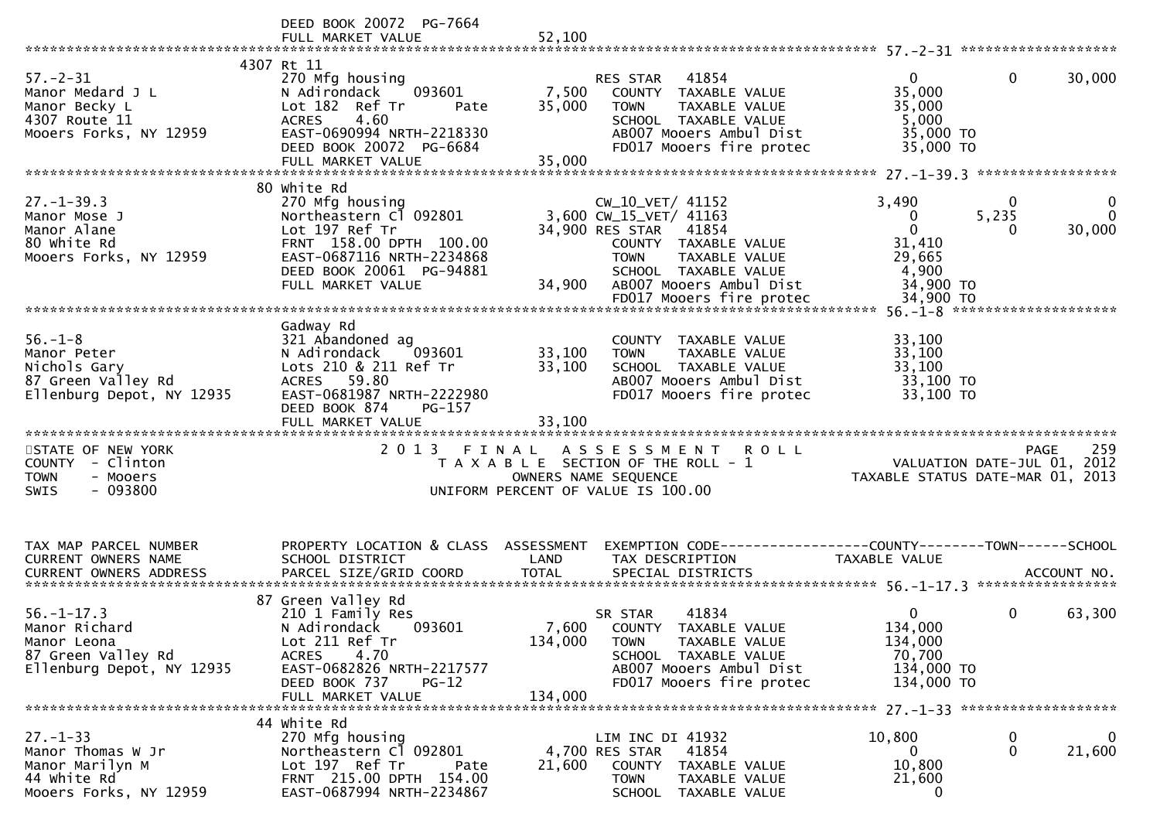|                                                                                                                                                                           | DEED BOOK 20072 PG-7664<br>FULL MARKET VALUE                                                                                                                                                  | 52,100                      |                                                                                                                                                                                |                                                                                         |                    |
|---------------------------------------------------------------------------------------------------------------------------------------------------------------------------|-----------------------------------------------------------------------------------------------------------------------------------------------------------------------------------------------|-----------------------------|--------------------------------------------------------------------------------------------------------------------------------------------------------------------------------|-----------------------------------------------------------------------------------------|--------------------|
| $57. - 2 - 31$<br>Manor Medard J L<br>Manor Becky L<br>4307 Route 11<br>Mooers Forks, NY 12959                                                                            | 4307 Rt 11<br>270 Mfg housing<br>093601<br>N Adirondack<br>Lot 182 Ref Tr<br>Pate<br>4.60<br><b>ACRES</b><br>EAST-0690994 NRTH-2218330<br>DEED BOOK 20072 PG-6684<br>FULL MARKET VALUE        | 7,500<br>35,000<br>35,000   | 41854<br>RES STAR<br>COUNTY TAXABLE VALUE<br><b>TOWN</b><br>TAXABLE VALUE<br>SCHOOL TAXABLE VALUE<br>AB007 Mooers Ambul Dist<br>FD017 Mooers fire protec                       | $\mathbf{0}$<br>$\mathbf{0}$<br>35,000<br>35,000<br>5,000<br>35,000 TO<br>35,000 TO     | 30,000             |
|                                                                                                                                                                           | 80 white Rd                                                                                                                                                                                   |                             |                                                                                                                                                                                |                                                                                         |                    |
| $27. - 1 - 39.3$<br>Manor Mose J<br>Manor Alane<br>80 white Rd<br>Mooers Forks, NY 12959                                                                                  | 270 Mfg housing<br>Northeastern Cl 092801<br>Lot 197 Ref Tr<br>FRNT 158.00 DPTH 100.00<br>EAST-0687116 NRTH-2234868<br>DEED BOOK 20061 PG-94881<br>FULL MARKET VALUE                          | 34,900                      | CW_10_VET/ 41152<br>3,600 CW_15_VET/ 41163<br>34,900 RES STAR 41854<br>COUNTY TAXABLE VALUE<br>TAXABLE VALUE<br><b>TOWN</b><br>SCHOOL TAXABLE VALUE<br>AB007 Mooers Ambul Dist | 3,490<br>0<br>5,235<br>0<br>$\mathbf{0}$<br>0<br>31,410<br>29,665<br>4,900<br>34,900 TO | 30,000             |
|                                                                                                                                                                           |                                                                                                                                                                                               |                             |                                                                                                                                                                                |                                                                                         |                    |
| $56. - 1 - 8$<br>Manor Peter<br>Nichols Gary<br>87 Green Valley Rd<br>Ellenburg Depot, NY 12935                                                                           | Gadway Rd<br>321 Abandoned ag<br>N Adirondack<br>093601<br>Lots 210 & 211 Ref Tr<br>ACRES 59.80<br>EAST-0681987 NRTH-2222980<br>DEED BOOK 874<br>PG-157                                       | 33,100<br>33,100            | COUNTY TAXABLE VALUE<br>TAXABLE VALUE<br><b>TOWN</b><br>SCHOOL TAXABLE VALUE<br>AB007 Mooers Ambul Dist<br>FD017 Mooers fire protec                                            | 33,100<br>33,100<br>33,100<br>33,100 TO<br>33,100 TO                                    |                    |
|                                                                                                                                                                           |                                                                                                                                                                                               |                             |                                                                                                                                                                                |                                                                                         |                    |
| STATE OF NEW YORK<br>COUNTY - Clinton<br>- Mooers<br><b>TOWN</b><br>$-093800$<br><b>SWIS</b>                                                                              |                                                                                                                                                                                               |                             | 2013 FINAL ASSESSMENT<br><b>ROLL</b><br>T A X A B L E SECTION OF THE ROLL - 1<br>OWNERS NAME SEQUENCE<br>UNIFORM PERCENT OF VALUE IS 100.00                                    | VALUATION DATE-JUL 01, 2012<br>TAXABLE STATUS DATE-MAR 01, 2013                         | 259<br><b>PAGE</b> |
| TAX MAP PARCEL NUMBER<br><b>CURRENT OWNERS NAME</b><br>.0URRENT OWNERS ADDRESS PARCEL SIZE/GRID COORD TOTAL SPECIAL DISTRICTS ACCOUNT NO ACCOUNT NO ACCOUNT NO ACCOUNT NO | PROPERTY LOCATION & CLASS ASSESSMENT<br>SCHOOL DISTRICT                                                                                                                                       | LAND                        | EXEMPTION CODE-----------------COUNTY-------TOWN------SCHOOL<br>TAX DESCRIPTION                                                                                                | <b>TAXABLE VALUE</b>                                                                    |                    |
| $56. - 1 - 17.3$<br>Manor Richard<br>Manor Leona<br>87 Green Valley Rd<br>Ellenburg Depot, NY 12935                                                                       | 87 Green Valley Rd<br>210 1 Family Res<br>N Adirondack<br>093601<br>Lot 211 Ref Tr<br>4.70<br><b>ACRES</b><br>EAST-0682826 NRTH-2217577<br>DEED BOOK 737<br><b>PG-12</b><br>FULL MARKET VALUE | 7,600<br>134,000<br>134,000 | 41834<br>SR STAR<br>COUNTY TAXABLE VALUE<br><b>TOWN</b><br>TAXABLE VALUE<br>SCHOOL TAXABLE VALUE<br>AB007 Mooers Ambul Dist<br>FD017 Mooers fire protec                        | $\Omega$<br>0<br>134,000<br>134,000<br>70,700<br>134,000 TO<br>134,000 TO               | 63,300             |
|                                                                                                                                                                           | 44 white Rd                                                                                                                                                                                   |                             |                                                                                                                                                                                |                                                                                         |                    |
| $27. - 1 - 33$<br>Manor Thomas W Jr<br>Manor Marilyn M<br>44 White Rd<br>Mooers Forks, NY 12959                                                                           | 270 Mfg housing<br>Northeastern Cl 092801<br>Lot 197 Ref Tr<br>Pate<br>FRNT 215.00 DPTH 154.00<br>EAST-0687994 NRTH-2234867                                                                   | 21,600                      | LIM INC DI 41932<br>4,700 RES STAR<br>41854<br>COUNTY TAXABLE VALUE<br>TAXABLE VALUE<br>TOWN<br>SCHOOL TAXABLE VALUE                                                           | 10,800<br>0<br>$\mathbf 0$<br>0<br>10,800<br>21,600<br>0                                | 0<br>21,600        |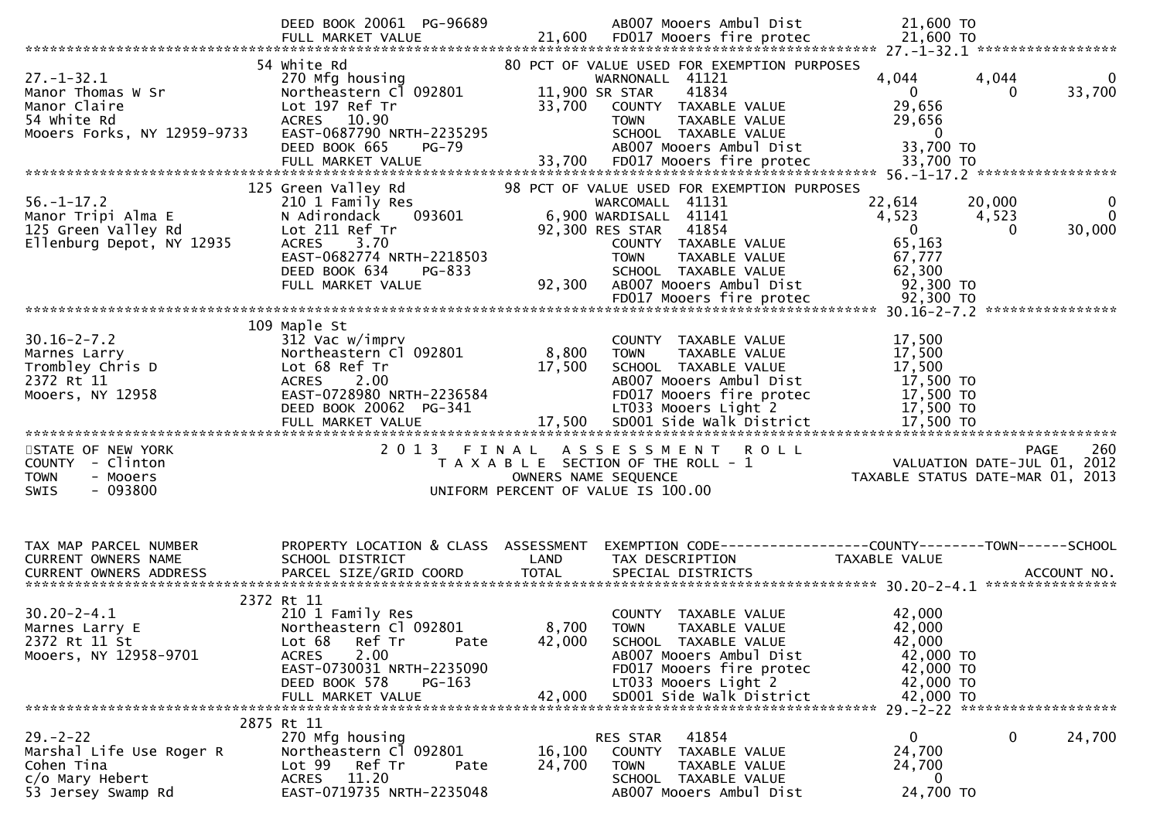|                                                                                                     | DEED BOOK 20061 PG-96689                                                                                                                                                                    |                           | AB007 Mooers Ambul Dist                                                                                                                                                                                                          | 21,600 TO                                                                                                    |                                 |
|-----------------------------------------------------------------------------------------------------|---------------------------------------------------------------------------------------------------------------------------------------------------------------------------------------------|---------------------------|----------------------------------------------------------------------------------------------------------------------------------------------------------------------------------------------------------------------------------|--------------------------------------------------------------------------------------------------------------|---------------------------------|
| $27. - 1 - 32.1$<br>Manor Thomas W Sr<br>Manor Claire<br>54 white Rd<br>Mooers Forks, NY 12959-9733 | 54 white Rd<br>270 Mfg housing<br>Northeastern Cl 092801<br>Lot 197 Ref Tr<br>ACRES 10.90<br>EAST-0687790 NRTH-2235295<br>DEED BOOK 665<br>$PG-79$<br>FULL MARKET VALUE                     | 33,700<br>33,700          | 80 PCT OF VALUE USED FOR EXEMPTION PURPOSES<br>WARNONALL 41121<br>11,900 SR STAR<br>41834<br>COUNTY TAXABLE VALUE<br>TAXABLE VALUE<br><b>TOWN</b><br>SCHOOL TAXABLE VALUE<br>AB007 Mooers Ambul Dist<br>FD017 Mooers fire protec | 4,044<br>4,044<br>$\mathbf{0}$<br>0<br>29,656<br>29,656<br>$\overline{\mathbf{0}}$<br>33,700 TO<br>33,700 TO | 0<br>33,700                     |
| $56. - 1 - 17.2$<br>Manor Tripi Alma E<br>125 Green Valley Rd<br>Ellenburg Depot, NY 12935          | 125 Green Valley Rd<br>210 1 Family Res<br>N Adirondack<br>093601<br>Lot 211 Ref Tr<br><b>ACRES</b><br>3.70<br>EAST-0682774 NRTH-2218503<br>DEED BOOK 634<br>PG-833<br>FULL MARKET VALUE    | 92,300                    | 98 PCT OF VALUE USED FOR EXEMPTION PURPOSES<br>WARCOMALL 41131<br>6,900 WARDISALL 41141<br>92,300 RES STAR<br>41854<br>COUNTY TAXABLE VALUE<br><b>TOWN</b><br>TAXABLE VALUE<br>SCHOOL TAXABLE VALUE<br>AB007 Mooers Ambul Dist   | 20,000<br>22,614<br>4,523<br>4,523<br>$\mathbf{0}$<br>$\Omega$<br>65,163<br>67,777<br>62,300<br>92,300 TO    | $\bf{0}$<br>$\Omega$<br>30,000  |
|                                                                                                     |                                                                                                                                                                                             |                           |                                                                                                                                                                                                                                  |                                                                                                              | ****************                |
| $30.16 - 2 - 7.2$<br>Marnes Larry<br>Trombley Chris D<br>2372 Rt 11<br>Mooers, NY 12958             | 109 Maple St<br>312 Vac w/imprv<br>Northeastern Cl 092801<br>Lot 68 Ref Tr<br>2.00<br><b>ACRES</b><br>EAST-0728980 NRTH-2236584<br>DEED BOOK 20062 PG-341<br>FULL MARKET VALUE              | 8,800<br>17,500<br>17,500 | COUNTY TAXABLE VALUE<br>TAXABLE VALUE<br><b>TOWN</b><br>SCHOOL TAXABLE VALUE<br>AB007 Mooers Ambul Dist<br>FD017 Mooers fire protec<br>LT033 Mooers Light 2<br>SD001 Side Walk District                                          | 17,500<br>17,500<br>17,500<br>17,500 TO<br>17,500 TO<br>17,500 TO<br>17,500 TO                               |                                 |
| STATE OF NEW YORK<br>COUNTY - Clinton<br>- Mooers<br><b>TOWN</b><br>$-093800$<br><b>SWIS</b>        | 2 0 1 3                                                                                                                                                                                     | FINAL                     | A S S E S S M E N T<br><b>ROLL</b><br>T A X A B L E SECTION OF THE ROLL - 1<br>OWNERS NAME SEQUENCE<br>UNIFORM PERCENT OF VALUE IS 100.00                                                                                        | VALUATION DATE-JUL 01, 2012<br>TAXABLE STATUS DATE-MAR 01, 2013                                              | 260<br><b>PAGE</b>              |
| TAX MAP PARCEL NUMBER<br>CURRENT OWNERS NAME                                                        | PROPERTY LOCATION & CLASS ASSESSMENT<br>SCHOOL DISTRICT                                                                                                                                     | LAND                      | TAX DESCRIPTION                                                                                                                                                                                                                  | EXEMPTION CODE------------------COUNTY--------TOWN------SCHOOL<br>TAXABLE VALUE                              | ACCOUNT NO.<br>**************** |
| $30.20 - 2 - 4.1$<br>Marnes Larry E<br>2372 Rt 11 St<br>Mooers, NY 12958-9701                       | 2372 Rt 11<br>210 1 Family Res<br>Northeastern Cl 092801<br>Lot 68<br>Ref Tr<br>Pate<br><b>ACRES</b><br>2.00<br>EAST-0730031 NRTH-2235090<br>DEED BOOK 578<br>$PG-163$<br>FULL MARKET VALUE | 42,000<br>42,000          | COUNTY TAXABLE VALUE<br>8,700 TOWN<br>TAXABLE VALUE<br>SCHOOL TAXABLE VALUE<br>AB007 Mooers Ambul Dist<br>FD017 Mooers fire protec<br>LT033 Mooers Light 2<br>SD001 Side Walk District                                           | 42,000<br>42,000<br>42,000<br>42,000 TO<br>42,000 TO<br>42,000 TO<br>42,000 TO                               |                                 |
| $29. - 2 - 22$<br>Marshal Life Use Roger R<br>Cohen Tina<br>c/o Mary Hebert<br>53 Jersey Swamp Rd   | 2875 Rt 11<br>270 Mfg housing<br>Northeastern Cl 092801<br>Ref Tr<br>Lot 99<br>Pate<br>ACRES 11.20<br>EAST-0719735 NRTH-2235048                                                             | 16,100<br>24,700          | RES STAR 41854<br>COUNTY TAXABLE VALUE<br><b>TOWN</b><br>TAXABLE VALUE<br>SCHOOL TAXABLE VALUE<br>AB007 Mooers Ambul Dist                                                                                                        | $\mathbf 0$<br>$\overline{0}$<br>24,700<br>24,700<br>0<br>24,700 TO                                          | 24,700                          |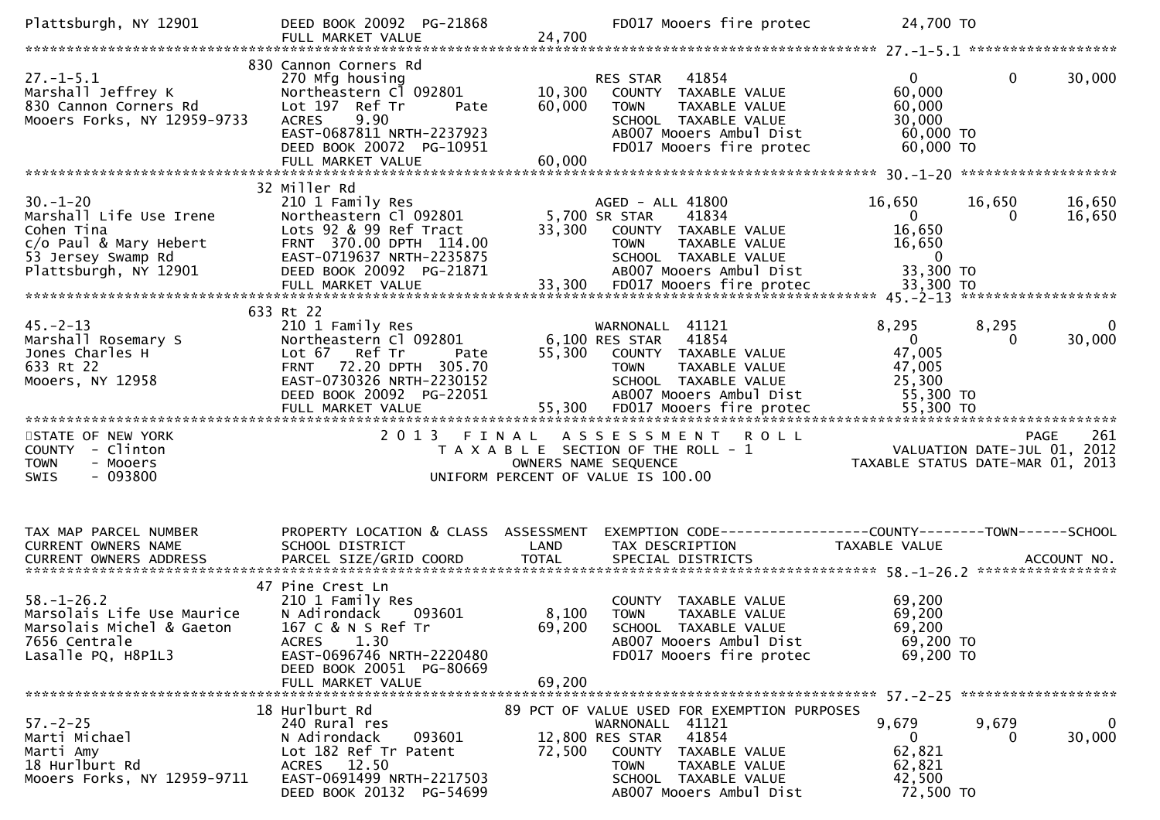| Plattsburgh, NY 12901                                                                                                                 | DEED BOOK 20092 PG-21868<br>FULL MARKET VALUE                                                                                                                                                      | 24,700                  | FD017 Mooers fire protec 24,700 TO                                                                                                                           |                                                                             |                                                                                                                  |
|---------------------------------------------------------------------------------------------------------------------------------------|----------------------------------------------------------------------------------------------------------------------------------------------------------------------------------------------------|-------------------------|--------------------------------------------------------------------------------------------------------------------------------------------------------------|-----------------------------------------------------------------------------|------------------------------------------------------------------------------------------------------------------|
| $27. - 1 - 5.1$<br>27.-1-5.1<br>Marshall Jeffrey K<br>830 Cannon Corners Rd<br>Mooers Forks, NY 12959-9733                            | 830 Cannon Corners Rd<br>270 Mfg housing<br>Northeastern Cl 092801<br>Lot 197 Ref Tr<br>Pate<br><b>ACRES</b><br>9.90<br>EAST-0687811 NRTH-2237923<br>DEED BOOK 20072 PG-10951<br>FULL MARKET VALUE | 60,000<br>60,000        | RES STAR 41854<br>10,300 COUNTY TAXABLE VALUE<br>TAXABLE VALUE<br><b>TOWN</b><br>SCHOOL TAXABLE VALUE<br>AB007 Mooers Ambul Dist<br>FD017 Mooers fire protec | $\mathbf{0}$<br>60,000<br>60,000<br>30,000<br>60,000 TO<br>60,000 TO        | 30,000<br>$\mathbf{0}$                                                                                           |
|                                                                                                                                       | 32 Miller Rd                                                                                                                                                                                       |                         |                                                                                                                                                              |                                                                             |                                                                                                                  |
| $30. - 1 - 20$<br>Marshall Life Use Irene<br>Cohen Tina<br>c/o Paul & Mary Hebert<br>53 Jersey Swamp Rd<br>Plattsburgh, NY 12901      | ∠⊥∪ ⊥ Family Res<br>Northeastern Cl 092801<br>Lots 92 & OC price<br>Lots 92 & 99 Ref Tract<br>FRNT 370.00 DPTH 114.00<br>EAST-0719637 NRTH-2235875<br>DEED BOOK 20092 PG-21871                     | 5,700 SR STAR<br>33,300 | AGED - ALL 41800<br>41834<br>COUNTY TAXABLE VALUE<br>TAXABLE VALUE<br><b>TOWN</b><br>SCHOOL TAXABLE VALUE<br>ABOO7 Mooers Ambul Dist                         | 16,650<br>$\overline{0}$<br>16,650<br>16,650<br>$\overline{0}$<br>33,300 TO | 16,650<br>16,650<br>16,650<br>0                                                                                  |
|                                                                                                                                       | 633 Rt 22                                                                                                                                                                                          |                         |                                                                                                                                                              |                                                                             |                                                                                                                  |
| $45. - 2 - 13$<br>Marshall Rosemary S<br>Jones Charles H<br>633 Rt 22<br>Mooers, NY 12958                                             | 210 1 Family Res<br>Northeastern Cl 092801<br>Lot 67 Ref Tr<br>Pate<br>FRNT 72.20 DPTH 305.70<br>EAST-0730326 NRTH-2230152<br>DEED BOOK 20092 PG-22051                                             |                         | WARNONALL 41121<br>6,100 RES STAR 41854<br>55,300 COUNTY TAXABLE VALUE<br>TAXABLE VALUE<br><b>TOWN</b><br>SCHOOL TAXABLE VALUE<br>AB007 Mooers Ambul Dist    | 8,295<br>$\overline{0}$<br>47,005<br>47,005<br>25,300<br>55,300 TO          | 8,295<br>30,000<br>0                                                                                             |
|                                                                                                                                       |                                                                                                                                                                                                    |                         |                                                                                                                                                              |                                                                             |                                                                                                                  |
| STATE OF NEW YORK<br>COUNTY - Clinton<br>- Mooers<br><b>TOWN</b><br>$-093800$<br><b>SWIS</b>                                          |                                                                                                                                                                                                    | OWNERS NAME SEQUENCE    | 2013 FINAL ASSESSMENT<br><b>ROLL</b><br>T A X A B L E SECTION OF THE ROLL - 1<br>UNIFORM PERCENT OF VALUE IS 100.00                                          |                                                                             | 261<br><b>PAGE</b><br>PAGE 261 - PAGE 261<br>VALUATION DATE-JUL 01, 2012 - 1<br>TAXABLE STATUS DATE-MAR 01, 2013 |
|                                                                                                                                       |                                                                                                                                                                                                    |                         |                                                                                                                                                              |                                                                             |                                                                                                                  |
| TAX MAP PARCEL NUMBER<br>CURRENT OWNERS NAME                                                                                          | PROPERTY LOCATION & CLASS ASSESSMENT<br>SCHOOL DISTRICT                                                                                                                                            | LAND                    | EXEMPTION CODE-----------------COUNTY--------TOWN------SCHOOL<br>TAX DESCRIPTION                                                                             | TAXABLE VALUE                                                               |                                                                                                                  |
| $58. - 1 - 26.2$<br>Marsolais Life Use Maurice<br>Marsolais Michel & Gaeton 167 C & N S Ref Tr<br>7656 Centrale<br>Lasalle PQ, H8P1L3 | 47 Pine Crest Ln<br>210 1 Family Res<br>N Adirondack<br>093601<br>1.30<br><b>ACRES</b><br>EAST-0696746 NRTH-2220480<br>DEED BOOK 20051 PG-80669<br>FULL MARKET VALUE                               | 8,100<br>69.200         | COUNTY TAXABLE VALUE<br><b>TOWN</b><br>TAXABLE VALUE<br>69,200 SCHOOL TAXABLE VALUE<br>AB007 Mooers Ambul Dist<br>FD017 Mooers fire protec                   | 69,200<br>69,200<br>69,200<br>69,200 TO<br>69,200 TO                        |                                                                                                                  |
|                                                                                                                                       | 18 Hurlburt Rd                                                                                                                                                                                     |                         | 89 PCT OF VALUE USED FOR EXEMPTION PURPOSES                                                                                                                  |                                                                             |                                                                                                                  |
| $57. - 2 - 25$<br>Marti Michael<br>Marti Amy<br>18 Hurlburt Rd<br>Mooers Forks, NY 12959-9711                                         | 240 Rural res<br>N Adirondack<br>093601<br>Lot 182 Ref Tr Patent<br>ACRES 12.50<br>EAST-0691499 NRTH-2217503<br>DEED BOOK 20132 PG-54699                                                           | 72,500                  | WARNONALL 41121<br>41854<br>12,800 RES STAR<br>COUNTY TAXABLE VALUE<br><b>TAXABLE VALUE</b><br>TOWN<br>SCHOOL TAXABLE VALUE<br>AB007 Mooers Ambul Dist       | 9,679<br>$\Omega$<br>62,821<br>62,821<br>42,500<br>72,500 TO                | 9,679<br>0<br>30,000<br>$\Omega$                                                                                 |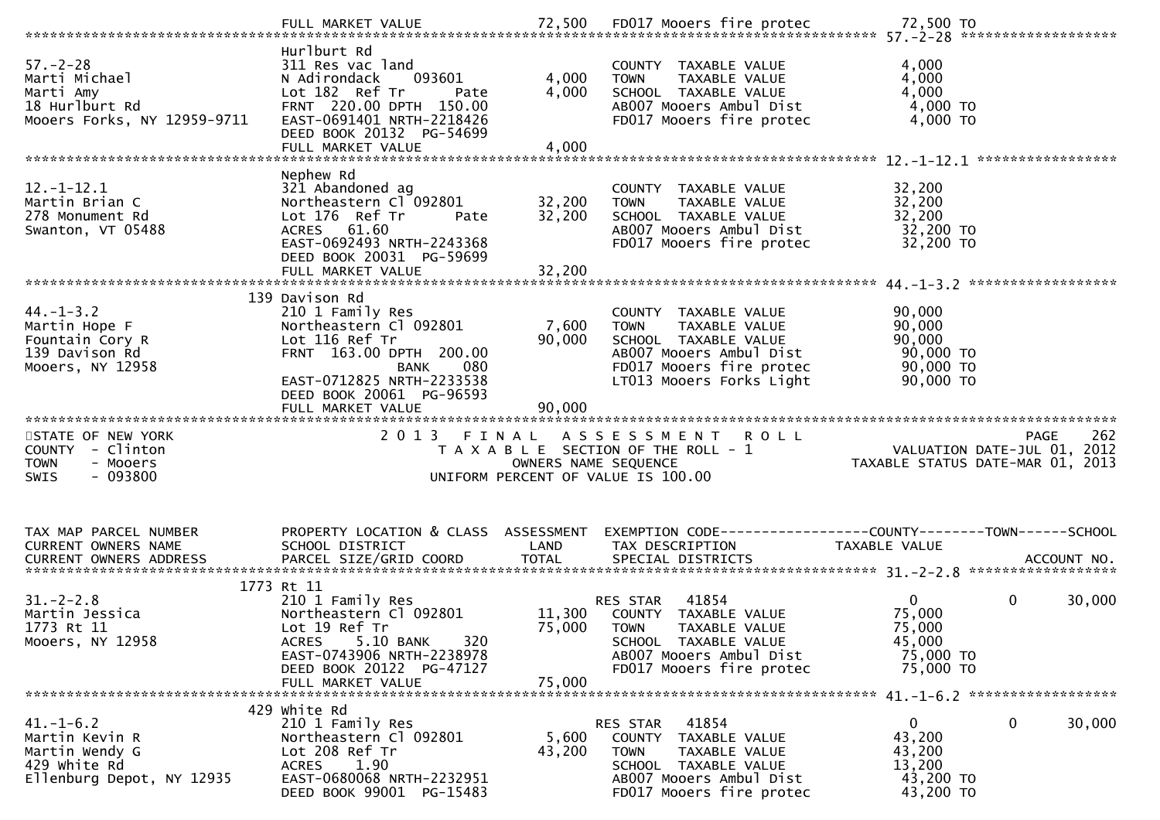| $57. - 2 - 28$<br>Marti Michael<br>Marti Amy<br>18 Hurlburt Rd<br>Mooers Forks, NY 12959-9711 | Hurlburt Rd<br>311 Res vac land<br>N Adirondack<br>093601<br>Lot 182 Ref Tr<br>Pate<br>FRNT 220.00 DPTH 150.00<br>EAST-0691401 NRTH-2218426<br>DEED BOOK 20132 PG-54699<br>FULL MARKET VALUE | 4,000<br>4,000<br>4,000 | COUNTY TAXABLE VALUE<br>TAXABLE VALUE<br><b>TOWN</b><br>SCHOOL TAXABLE VALUE<br>AB007 Mooers Ambul Dist<br>FD017 Mooers fire protec                             | 4,000<br>4,000<br>4,000<br>4,000 TO<br>$4,000$ TO                                                                        |
|-----------------------------------------------------------------------------------------------|----------------------------------------------------------------------------------------------------------------------------------------------------------------------------------------------|-------------------------|-----------------------------------------------------------------------------------------------------------------------------------------------------------------|--------------------------------------------------------------------------------------------------------------------------|
| $12.-1-12.1$<br>Martin Brian C<br>278 Monument Rd<br>Swanton, VT 05488                        | Nephew Rd<br>321 Abandoned ag<br>Northeastern Cl 092801<br>Lot 176 Ref Tr<br>Pate<br>ACRES 61.60<br>EAST-0692493 NRTH-2243368<br>DEED BOOK 20031 PG-59699                                    | 32,200<br>32,200        | COUNTY TAXABLE VALUE<br>TAXABLE VALUE<br><b>TOWN</b><br>SCHOOL TAXABLE VALUE<br>AB007 Mooers Ambul Dist<br>FD017 Mooers fire protec                             | 32,200<br>32,200<br>32,200<br>32,200 TO<br>32,200 TO                                                                     |
| $44. - 1 - 3.2$<br>Martin Hope F<br>Fountain Cory R<br>139 Davison Rd<br>Mooers, NY 12958     | 139 Davison Rd<br>210 1 Family Res<br>Northeastern Cl 092801<br>Lot 116 Ref Tr<br>FRNT 163.00 DPTH 200.00<br><b>BANK</b><br>080<br>EAST-0712825 NRTH-2233538<br>DEED BOOK 20061 PG-96593     | 7,600<br>90,000         | COUNTY TAXABLE VALUE<br><b>TOWN</b><br>TAXABLE VALUE<br>SCHOOL TAXABLE VALUE<br>AB007 Mooers Ambul Dist<br>FD017 Mooers fire protec<br>LT013 Mooers Forks Light | 90,000<br>90,000<br>90,000<br>90,000 TO<br>$90,000$ TO<br>$90,000$ TO                                                    |
| STATE OF NEW YORK<br>COUNTY - Clinton<br>- Mooers<br><b>TOWN</b>                              |                                                                                                                                                                                              |                         | 2013 FINAL ASSESSMENT ROLL<br>T A X A B L E SECTION OF THE ROLL - 1                                                                                             | PAGE 262<br>VALUATION DATE-JUL 01, 2012<br>TAXARLE STATUS DATE :::- 21, 2012                                             |
| $-093800$<br><b>SWIS</b>                                                                      |                                                                                                                                                                                              |                         | OWNERS NAME SEQUENCE<br>UNIFORM PERCENT OF VALUE IS 100.00                                                                                                      | TAXABLE STATUS DATE-MAR 01, 2013                                                                                         |
| TAX MAP PARCEL NUMBER<br>CURRENT OWNERS NAME<br>CURRENT OWNERS ADDRESS                        | SCHOOL DISTRICT                                                                                                                                                                              | LAND                    | TAX DESCRIPTION                                                                                                                                                 | PROPERTY LOCATION & CLASS ASSESSMENT EXEMPTION CODE----------------COUNTY-------TOWN------SCHOOL<br><b>TAXABLE VALUE</b> |
| $31. - 2 - 2.8$<br>Martin Jessica<br>1773 Rt 11<br>Mooers, NY 12958                           | 1773 Rt 11<br>210 1 Family Res<br>Northeastern Cl 092801<br>Lot 19 Ref Tr<br>5.10 BANK<br>320<br><b>ACRES</b><br>EAST-0743906 NRTH-2238978<br>DEED BOOK 20122 PG-47127<br>FULL MARKET VALUE  | 75,000<br>75,000        | 41854<br>RES STAR<br>11,300 COUNTY TAXABLE VALUE<br><b>TOWN</b><br>TAXABLE VALUE<br>SCHOOL TAXABLE VALUE<br>AB007 Mooers Ambul Dist<br>FD017 Mooers fire protec | 0<br>$\mathbf{0}$<br>30,000<br>75,000<br>75,000<br>45,000<br>75,000 TO<br>75,000 TO                                      |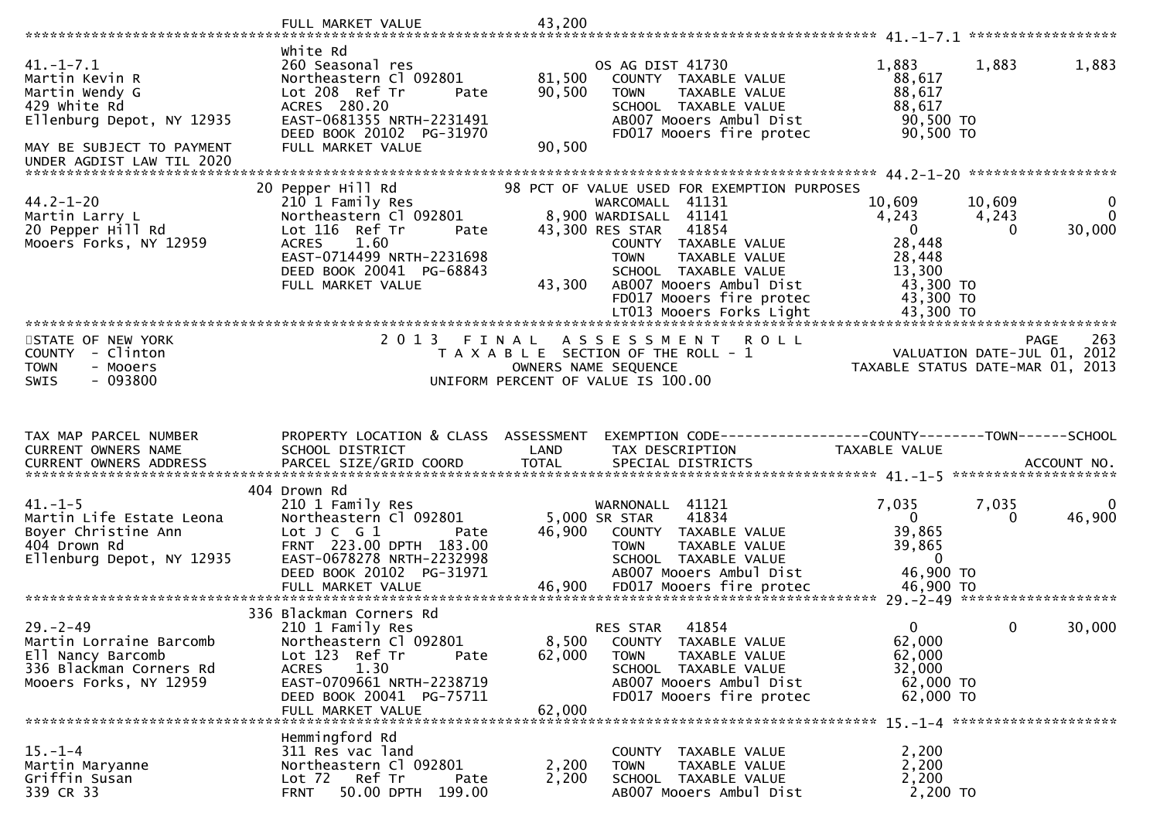|                                                                                                                                                            | FULL MARKET VALUE                                                                                                                                                                                     | 43,200                                                                                                       |                                                                                                                                          |                                                                              |                             |                                                   |
|------------------------------------------------------------------------------------------------------------------------------------------------------------|-------------------------------------------------------------------------------------------------------------------------------------------------------------------------------------------------------|--------------------------------------------------------------------------------------------------------------|------------------------------------------------------------------------------------------------------------------------------------------|------------------------------------------------------------------------------|-----------------------------|---------------------------------------------------|
| $41. - 1 - 7.1$<br>Martin Kevin R<br>Martin Wendy G<br>429 White Rd<br>Ellenburg Depot, NY 12935<br>MAY BE SUBJECT TO PAYMENT<br>UNDER AGDIST LAW TIL 2020 | white Rd<br>260 Seasonal res<br>Northeastern Cl 092801<br>Lot 208 Ref Tr<br>Pate<br>ACRES 280.20<br>EAST-0681355 NRTH-2231491<br>DEED BOOK 20102 PG-31970<br>FULL MARKET VALUE                        | 81,500<br>90,500<br><b>TOWN</b><br>90,500                                                                    | OS AG DIST 41730<br>COUNTY TAXABLE VALUE<br>TAXABLE VALUE<br>SCHOOL TAXABLE VALUE<br>AB007 Mooers Ambul Dist<br>FD017 Mooers fire protec | 1,883<br>88,617<br>88,617<br>88,617<br>90,500 TO<br>90,500 TO                | 1,883                       | 1,883                                             |
|                                                                                                                                                            | 20 Pepper Hill Rd                                                                                                                                                                                     |                                                                                                              | 98 PCT OF VALUE USED FOR EXEMPTION PURPOSES                                                                                              |                                                                              |                             |                                                   |
| $44.2 - 1 - 20$<br>Martin Larry L<br>20 Pepper Hill Rd<br>Mooers Forks, NY 12959                                                                           | 210 1 Family Res<br>Northeastern Cl 092801<br>Lot 116 Ref Tr<br>Pate<br>1.60<br><b>ACRES</b><br>EAST-0714499 NRTH-2231698<br>DEED BOOK 20041 PG-68843<br>FULL MARKET VALUE                            | 8,900 WARDISALL 41141<br>43,300 RES STAR<br><b>TOWN</b><br>43,300                                            | WARCOMALL 41131<br>41854<br>COUNTY TAXABLE VALUE<br>TAXABLE VALUE<br>SCHOOL TAXABLE VALUE<br>AB007 Mooers Ambul Dist                     | 10,609<br>4,243<br>$\overline{0}$<br>28,448<br>28,448<br>13,300<br>43,300 TO | 10,609<br>4,243<br>$\Omega$ | $\mathbf{0}$<br>$\Omega$<br>30,000                |
|                                                                                                                                                            |                                                                                                                                                                                                       |                                                                                                              | FD017 Mooers fire protec                                                                                                                 | 43,300 TO                                                                    |                             |                                                   |
|                                                                                                                                                            |                                                                                                                                                                                                       |                                                                                                              | LT013 Mooers Forks Light                                                                                                                 | 43,300 TO                                                                    |                             |                                                   |
| STATE OF NEW YORK<br>COUNTY - Clinton<br><b>TOWN</b><br>- Mooers<br>$-093800$<br><b>SWIS</b>                                                               | 2 0 1 3                                                                                                                                                                                               | FINAL<br>T A X A B L E SECTION OF THE ROLL - 1<br>OWNERS NAME SEQUENCE<br>UNIFORM PERCENT OF VALUE IS 100.00 | <b>ROLL</b><br>A S S E S S M E N T                                                                                                       | TAXABLE STATUS DATE-MAR 01, 2013                                             |                             | 263<br><b>PAGE</b><br>VALUATION DATE-JUL 01, 2012 |
|                                                                                                                                                            |                                                                                                                                                                                                       |                                                                                                              |                                                                                                                                          |                                                                              |                             |                                                   |
| TAX MAP PARCEL NUMBER<br>CURRENT OWNERS NAME                                                                                                               | PROPERTY LOCATION & CLASS ASSESSMENT<br>SCHOOL DISTRICT                                                                                                                                               | LAND                                                                                                         | EXEMPTION CODE-----------------COUNTY--------TOWN-----SCHOOL<br>TAX DESCRIPTION                                                          | TAXABLE VALUE                                                                |                             |                                                   |
|                                                                                                                                                            | 404 Drown Rd                                                                                                                                                                                          |                                                                                                              |                                                                                                                                          |                                                                              |                             |                                                   |
| $41. -1 - 5$<br>Martin Life Estate Leona<br>Boyer Christine Ann<br>404 Drown Rd<br>Ellenburg Depot, NY 12935                                               | 210 1 Family Res<br>Northeastern Cl 092801<br>Lot $J C G 1$<br>Pate<br>FRNT 223.00 DPTH 183.00<br>EAST-0678278 NRTH-2232998<br>DEED BOOK 20102 PG-31971                                               | 5,000 SR STAR<br>46,900<br><b>TOWN</b>                                                                       | WARNONALL 41121<br>41834<br>COUNTY TAXABLE VALUE<br>TAXABLE VALUE<br>SCHOOL TAXABLE VALUE<br>AB007 Mooers Ambul Dist                     | 7,035<br>$\Omega$<br>39,865<br>39,865<br>$\overline{0}$<br>46,900 TO         | 7,035<br>$\Omega$           | 0<br>46,900                                       |
|                                                                                                                                                            |                                                                                                                                                                                                       |                                                                                                              |                                                                                                                                          |                                                                              |                             |                                                   |
| $29. - 2 - 49$<br>Martin Lorraine Barcomb<br>Ell Nancy Barcomb<br>336 Blackman Corners Rd<br>Mooers Forks, NY 12959                                        | 336 Blackman Corners Rd<br>210 1 Family Res<br>Northeastern Cl 092801<br>Lot 123 Ref Tr<br>Pate<br>1.30<br><b>ACRES</b><br>EAST-0709661 NRTH-2238719<br>DEED BOOK 20041 PG-75711<br>FULL MARKET VALUE | <b>RES STAR</b><br>8,500<br>62,000<br><b>TOWN</b><br>62,000                                                  | 41854<br>COUNTY TAXABLE VALUE<br>TAXABLE VALUE<br>SCHOOL TAXABLE VALUE<br>AB007 Mooers Ambul Dist<br>FD017 Mooers fire protec            | $\Omega$<br>62,000<br>62,000<br>32,000<br>62,000 TO<br>62,000 TO             | 0                           | 30,000                                            |
|                                                                                                                                                            | Hemmingford Rd                                                                                                                                                                                        |                                                                                                              |                                                                                                                                          |                                                                              |                             |                                                   |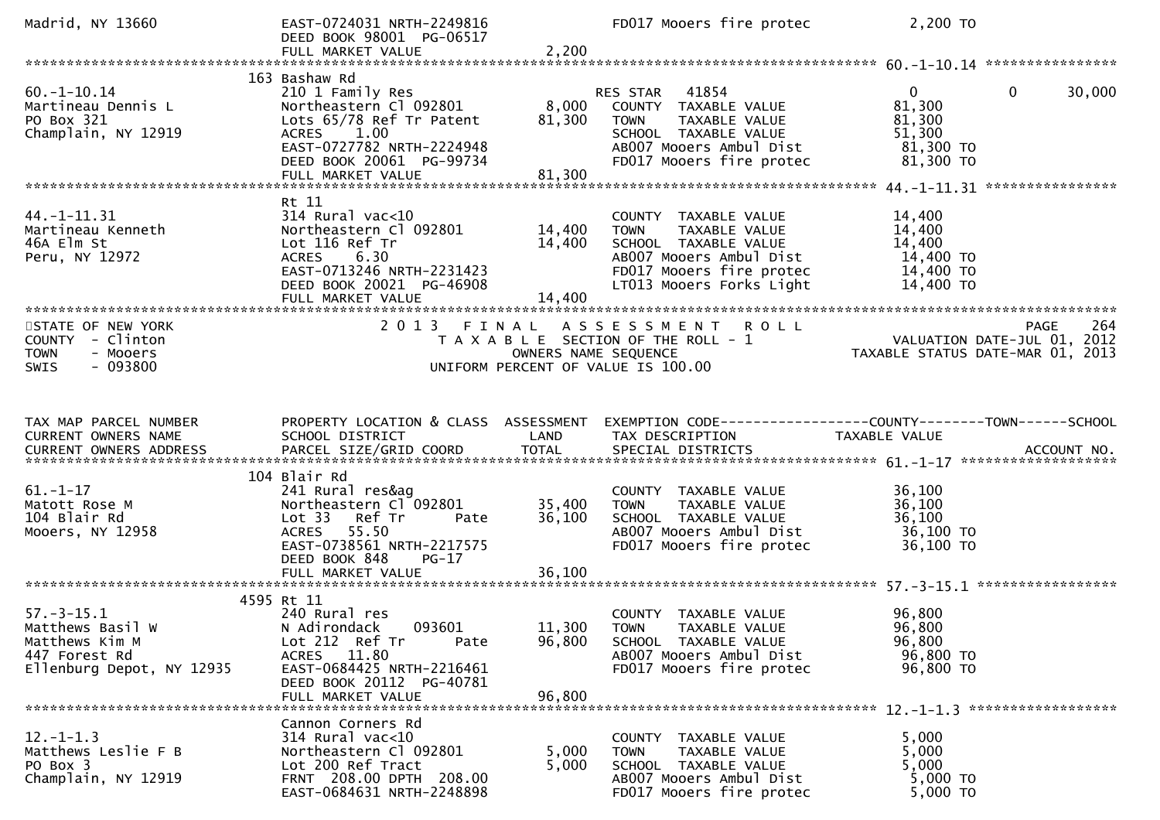| Madrid, NY 13660                                                                                     | EAST-0724031 NRTH-2249816<br>DEED BOOK 98001 PG-06517<br>FULL MARKET VALUE                                                                                                                              | 2,200                      | FD017 Mooers fire protec                                                                                                                                        | 2,200 TO                                                                               |        |
|------------------------------------------------------------------------------------------------------|---------------------------------------------------------------------------------------------------------------------------------------------------------------------------------------------------------|----------------------------|-----------------------------------------------------------------------------------------------------------------------------------------------------------------|----------------------------------------------------------------------------------------|--------|
|                                                                                                      |                                                                                                                                                                                                         |                            |                                                                                                                                                                 |                                                                                        |        |
| $60. -1 - 10.14$<br>Martineau Dennis L<br>PO Box 321<br>Champlain, NY 12919                          | 163 Bashaw Rd<br>210 1 Family Res<br>Northeastern Cl 092801<br>Lots 65/78 Ref Tr Patent<br>ACRES 1.00<br>EAST-0727782 NRTH-2224948<br>DEED BOOK 20061 PG-99734<br>FULL MARKET VALUE                     | 8,000<br>81,300<br>81,300  | RES STAR<br>41854<br>COUNTY TAXABLE VALUE<br><b>TOWN</b><br>TAXABLE VALUE<br>SCHOOL TAXABLE VALUE<br>AB007 Mooers Ambul Dist<br>FD017 Mooers fire protec        | $\overline{0}$<br>$\mathbf{0}$<br>81,300<br>81,300<br>51,300<br>81,300 то<br>81,300 TO | 30,000 |
|                                                                                                      | Rt 11                                                                                                                                                                                                   |                            |                                                                                                                                                                 |                                                                                        |        |
| $44. -1 - 11.31$<br>Martineau Kenneth<br>46A Elm St<br>Peru, NY 12972                                | $314$ Rural vac<10<br>Northeastern Cl 092801<br>Lot 116 Ref Tr<br>6.30<br><b>ACRES</b><br>EAST-0713246 NRTH-2231423<br>DEED BOOK 20021 PG-46908<br>FULL MARKET VALUE<br>******************************* | 14,400<br>14,400<br>14,400 | COUNTY TAXABLE VALUE<br>TAXABLE VALUE<br><b>TOWN</b><br>SCHOOL TAXABLE VALUE<br>AB007 Mooers Ambul Dist<br>FD017 Mooers fire protec<br>LT013 Mooers Forks Light | 14,400<br>14,400<br>14,400<br>14,400 TO<br>14,400 TO<br>14,400 TO                      |        |
| *************************<br>STATE OF NEW YORK                                                       | 2013 FINAL                                                                                                                                                                                              |                            | ASSESSMENT ROLL                                                                                                                                                 | PAGE                                                                                   | 264    |
| COUNTY - Clinton<br><b>TOWN</b><br>- Mooers<br>$-093800$<br>SWIS                                     |                                                                                                                                                                                                         | OWNERS NAME SEQUENCE       | T A X A B L E SECTION OF THE ROLL - 1<br>UNIFORM PERCENT OF VALUE IS 100.00                                                                                     | VALUATION DATE-JUL 01, 2012<br>TAXABLE STATUS DATE-MAR 01, 2013                        |        |
|                                                                                                      |                                                                                                                                                                                                         |                            |                                                                                                                                                                 |                                                                                        |        |
|                                                                                                      |                                                                                                                                                                                                         |                            |                                                                                                                                                                 |                                                                                        |        |
| TAX MAP PARCEL NUMBER<br>CURRENT OWNERS NAME<br>CURRENT OWNERS ADDRESS                               | PROPERTY LOCATION & CLASS ASSESSMENT<br>SCHOOL DISTRICT                                                                                                                                                 | LAND                       | TAX DESCRIPTION                                                                                                                                                 | EXEMPTION CODE------------------COUNTY--------TOWN------SCHOOL<br>TAXABLE VALUE        |        |
|                                                                                                      | 104 Blair Rd                                                                                                                                                                                            |                            |                                                                                                                                                                 |                                                                                        |        |
| $61. - 1 - 17$<br>Matott Rose M<br>104 Blair Rd<br>Mooers, NY 12958                                  | 241 Rural res&ag<br>Northeastern Cl 092801<br>Ref Tr<br>Lot 33<br>Pate<br>ACRES 55.50<br>EAST-0738561 NRTH-2217575<br>DEED BOOK 848<br>$PG-17$                                                          | 35,400<br>36,100           | COUNTY TAXABLE VALUE<br><b>TOWN</b><br>TAXABLE VALUE<br>SCHOOL TAXABLE VALUE<br>AB007 Mooers Ambul Dist<br>FD017 Mooers fire protec                             | 36,100<br>36,100<br>36,100<br>36,100 TO<br>36,100 ТО                                   |        |
|                                                                                                      | FULL MARKET VALUE                                                                                                                                                                                       | 36,100                     |                                                                                                                                                                 |                                                                                        |        |
| $57. - 3 - 15.1$<br>Matthews Basil W<br>Matthews Kim M<br>447 Forest Rd<br>Ellenburg Depot, NY 12935 | 4595 Rt 11<br>240 Rural res<br>N Adirondack<br>093601<br>Lot 212 Ref Tr<br>Pate<br>11.80<br>ACRES<br>EAST-0684425 NRTH-2216461<br>DEED BOOK 20112 PG-40781<br>FULL MARKET VALUE                         | 96,800<br>96,800           | COUNTY TAXABLE VALUE<br>11,300 TOWN TAXABLE VALUE<br>SCHOOL TAXABLE VALUE<br>AB007 Mooers Ambul Dist<br>FD017 Mooers fire protec                                | 96,800<br>96,800<br>96,800<br>96,800 TO<br>96,800 TO                                   |        |
|                                                                                                      | Cannon Corners Rd                                                                                                                                                                                       |                            |                                                                                                                                                                 |                                                                                        |        |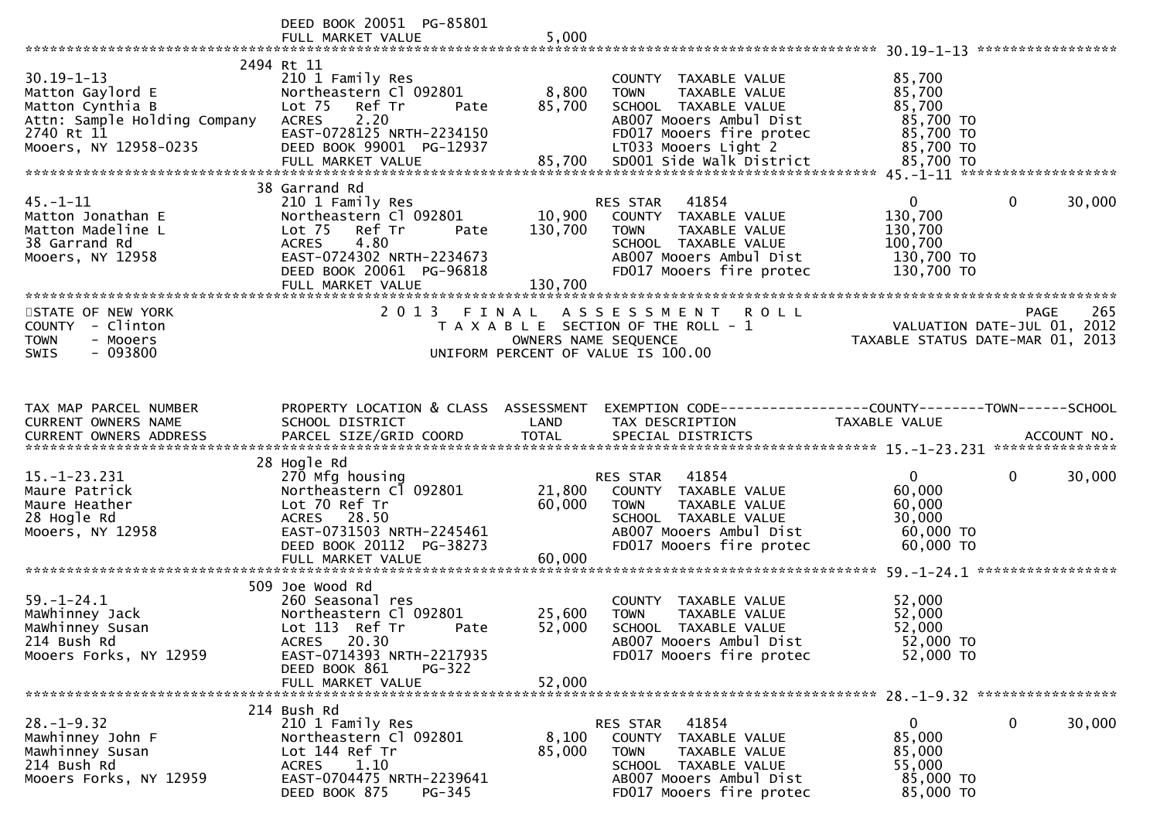|                                                                                                                                 | DEED BOOK 20051 PG-85801                                                                                                                                                                |                              |                                                                                                                                                             |                                                                             |                       |
|---------------------------------------------------------------------------------------------------------------------------------|-----------------------------------------------------------------------------------------------------------------------------------------------------------------------------------------|------------------------------|-------------------------------------------------------------------------------------------------------------------------------------------------------------|-----------------------------------------------------------------------------|-----------------------|
| $30.19 - 1 - 13$<br>Matton Gaylord E<br>Matton Cynthia B<br>Attn: Sample Holding Company<br>2740 Rt 11<br>Mooers, NY 12958-0235 | 2494 Rt 11<br>210 1 Family Res<br>Northeastern Cl 092801<br>Lot 75<br>Ref Tr<br>Pate<br>2.20<br><b>ACRES</b><br>EAST-0728125 NRTH-2234150<br>DEED BOOK 99001 PG-12937                   | 8,800<br>85,700              | COUNTY TAXABLE VALUE<br>TAXABLE VALUE<br><b>TOWN</b><br>SCHOOL TAXABLE VALUE<br>AB007 Mooers Ambul Dist<br>FD017 Mooers fire protec<br>LT033 Mooers Light 2 | 85,700<br>85,700<br>85,700<br>85,700 TO<br>85,700 TO<br>85,700 TO           |                       |
|                                                                                                                                 | 38 Garrand Rd                                                                                                                                                                           |                              |                                                                                                                                                             |                                                                             |                       |
| $45. - 1 - 11$<br>Matton Jonathan E<br>Matton Madeline L<br>38 Garrand Rd<br>Mooers, NY 12958                                   | 210 1 Family Res<br>Northeastern Cl 092801<br>Ref Tr<br>Lot <sub>75</sub><br>Pate<br>4.80<br><b>ACRES</b><br>EAST-0724302 NRTH-2234673<br>DEED BOOK 20061 PG-96818<br>FULL MARKET VALUE | 10,900<br>130,700<br>130,700 | RES STAR 41854<br>COUNTY TAXABLE VALUE<br><b>TOWN</b><br>TAXABLE VALUE<br>SCHOOL TAXABLE VALUE<br>AB007 Mooers Ambul Dist<br>FD017 Mooers fire protec       | $\overline{0}$<br>130,700<br>130,700<br>100,700<br>130,700 TO<br>130,700 TO | $\mathbf 0$<br>30,000 |
| STATE OF NEW YORK<br>COUNTY - Clinton<br><b>TOWN</b><br>- Mooers<br>$-093800$<br>SWIS                                           | 2013 FINAL                                                                                                                                                                              | OWNERS NAME SEQUENCE         | ASSESSMENT ROLL<br>T A X A B L E SECTION OF THE ROLL - 1<br>UNIFORM PERCENT OF VALUE IS 100.00                                                              | VALUATION DATE-JUL 01, 2012<br>TAXABLE STATUS DATE-MAR 01, 2013             | 265<br><b>PAGE</b>    |
|                                                                                                                                 |                                                                                                                                                                                         |                              |                                                                                                                                                             |                                                                             |                       |
| TAX MAP PARCEL NUMBER<br>CURRENT OWNERS NAME                                                                                    | PROPERTY LOCATION & CLASS ASSESSMENT<br>SCHOOL DISTRICT                                                                                                                                 | LAND                         | EXEMPTION CODE------------------COUNTY--------TOWN------SCHOOL<br>TAX DESCRIPTION                                                                           | TAXABLE VALUE                                                               |                       |
| $15. - 1 - 23.231$<br>Maure Patrick<br>Maure Heather<br>28 Hogle Rd<br>Mooers, NY 12958                                         | 28 Hogle Rd<br>270 Mfg housing<br>Northeastern Cl 092801<br>Lot 70 Ref Tr<br>ACRES 28.50<br>EAST-0731503 NRTH-2245461<br>DEED BOOK 20112 PG-38273<br>FULL MARKET VALUE                  | 21,800<br>60,000<br>60,000   | RES STAR 41854<br>COUNTY TAXABLE VALUE<br><b>TOWN</b><br>TAXABLE VALUE<br>SCHOOL TAXABLE VALUE<br>AB007 Mooers Ambul Dist<br>FD017 Mooers fire protec       | $\mathbf{0}$<br>60,000<br>60,000<br>30,000<br>60,000 TO<br>60,000 TO        | 0<br>30,000           |
|                                                                                                                                 |                                                                                                                                                                                         |                              |                                                                                                                                                             |                                                                             |                       |
| $59. - 1 - 24.1$<br>Mawhinney Jack<br>Mawhinney Susan<br>214 Bush Rd<br>Mooers Forks, NY 12959                                  | 509 Joe Wood Rd<br>260 Seasonal res<br>Northeastern Cl 092801<br>Lot 113 Ref Tr<br>Pate<br>ACRES 20.30<br>EAST-0714393 NRTH-2217935                                                     | 25,600<br>52,000             | COUNTY TAXABLE VALUE<br><b>TOWN</b><br>TAXABLE VALUE<br>SCHOOL TAXABLE VALUE<br>AB007 Mooers Ambul Dist<br>FD017 Mooers fire protec                         | 52,000<br>52,000<br>52,000<br>52,000 TO<br>52,000 TO                        |                       |
|                                                                                                                                 | DEED BOOK 861<br><b>PG-322</b>                                                                                                                                                          |                              |                                                                                                                                                             |                                                                             |                       |
|                                                                                                                                 | 214 Bush Rd                                                                                                                                                                             |                              |                                                                                                                                                             |                                                                             |                       |
| $28. - 1 - 9.32$<br>Mawhinney John F<br>Mawhinney Susan<br>214 Bush Rd<br>Mooers Forks, NY 12959                                | 210 1 Family Res<br>Northeastern Cl 092801<br>Lot 144 Ref Tr<br><b>ACRES</b><br>1.10<br>EAST-0704475 NRTH-2239641<br>DEED BOOK 875<br>PG-345                                            | 8,100<br>85,000              | RES STAR<br>41854<br>COUNTY TAXABLE VALUE<br><b>TOWN</b><br>TAXABLE VALUE<br>SCHOOL TAXABLE VALUE<br>AB007 Mooers Ambul Dist<br>FD017 Mooers fire protec    | 0<br>85,000<br>85,000<br>55,000<br>85,000 TO<br>85,000 TO                   | 0<br>30,000           |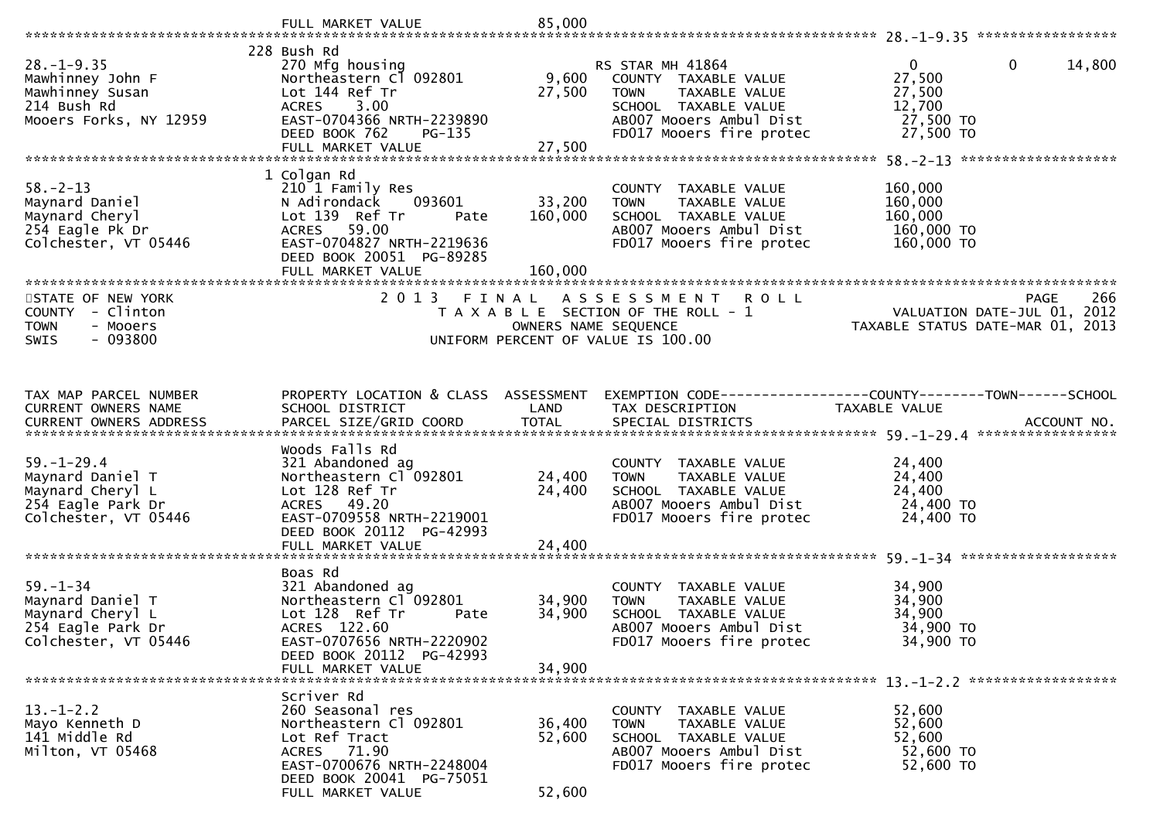|                                                                                                       | FULL MARKET VALUE                                                                                                                                                                | 85,000                       |                                                                                                                                                         |                                                                                                 |
|-------------------------------------------------------------------------------------------------------|----------------------------------------------------------------------------------------------------------------------------------------------------------------------------------|------------------------------|---------------------------------------------------------------------------------------------------------------------------------------------------------|-------------------------------------------------------------------------------------------------|
|                                                                                                       |                                                                                                                                                                                  |                              |                                                                                                                                                         |                                                                                                 |
| $28. - 1 - 9.35$<br>Mawhinney John F<br>Mawhinney Susan<br>214 Bush Rd<br>Mooers Forks, NY 12959      | 228 Bush Rd<br>270 Mfg housing<br>Northeastern C1 092801<br>Lot 144 Ref Tr<br>ACRES 3.00<br>EAST-0704366 NRTH-2239890<br>DEED BOOK 762<br>$PG-135$                               | 9,600<br>27,500              | RS STAR MH 41864<br>COUNTY TAXABLE VALUE<br>TAXABLE VALUE<br><b>TOWN</b><br>SCHOOL TAXABLE VALUE<br>AB007 Mooers Ambul Dist<br>FD017 Mooers fire protec | $\overline{0}$<br>$\mathbf 0$<br>14,800<br>27,500<br>27,500<br>12,700<br>27,500 TO<br>27,500 TO |
|                                                                                                       | FULL MARKET VALUE                                                                                                                                                                | 27,500                       |                                                                                                                                                         |                                                                                                 |
| $58. - 2 - 13$<br>Maynard Daniel<br>Maynard Cheryl<br>254 Eagle Pk Dr<br>Colchester, VT 05446         | 1 Colgan Rd<br>210 1 Family Res<br>N Adirondack<br>093601<br>Lot 139 Ref Tr<br>Pate<br>ACRES 59.00<br>EAST-0704827 NRTH-2219636<br>DEED BOOK 20051 PG-89285<br>FULL MARKET VALUE | 33,200<br>160,000<br>160,000 | COUNTY TAXABLE VALUE<br><b>TOWN</b><br>TAXABLE VALUE<br>SCHOOL TAXABLE VALUE<br>AB007 Mooers Ambul Dist<br>FD017 Mooers fire protec                     | 160,000<br>160,000<br>160,000<br>160,000 TO<br>160,000 TO                                       |
|                                                                                                       |                                                                                                                                                                                  |                              |                                                                                                                                                         |                                                                                                 |
| STATE OF NEW YORK<br>COUNTY - Clinton<br><b>TOWN</b><br>- Mooers<br>$-093800$<br><b>SWIS</b>          | 2 0 1 3<br>FINAL                                                                                                                                                                 |                              | A S S E S S M E N T<br><b>ROLL</b><br>T A X A B L E SECTION OF THE ROLL - 1<br>OWNERS NAME SEQUENCE<br>UNIFORM PERCENT OF VALUE IS 100.00               | 266<br><b>PAGE</b><br>VALUATION DATE-JUL 01, 2012<br>TAXABLE STATUS DATE-MAR 01, 2013           |
| TAX MAP PARCEL NUMBER                                                                                 | PROPERTY LOCATION & CLASS ASSESSMENT                                                                                                                                             |                              |                                                                                                                                                         | EXEMPTION CODE-----------------COUNTY-------TOWN------SCHOOL                                    |
| CURRENT OWNERS NAME                                                                                   | SCHOOL DISTRICT                                                                                                                                                                  | LAND                         | TAX DESCRIPTION                                                                                                                                         | TAXABLE VALUE                                                                                   |
| $59. - 1 - 29.4$<br>Maynard Daniel T<br>Maynard Cheryl L<br>254 Eagle Park Dr<br>Colchester, VT 05446 | Woods Falls Rd<br>321 Abandoned ag<br>Northeastern Cl 092801<br>Lot 128 Ref Tr<br>ACRES 49.20<br>EAST-0709558 NRTH-2219001<br>DEED BOOK 20112 PG-42993<br>FULL MARKET VALUE      | 24,400<br>24,400<br>24,400   | COUNTY TAXABLE VALUE<br>TAXABLE VALUE<br><b>TOWN</b><br>SCHOOL TAXABLE VALUE<br>AB007 Mooers Ambul Dist<br>FD017 Mooers fire protec                     | 24,400<br>24,400<br>24,400<br>24,400 TO<br>24,400 TO                                            |
|                                                                                                       | Boas Rd                                                                                                                                                                          |                              |                                                                                                                                                         |                                                                                                 |
| $59. - 1 - 34$<br>Maynard Daniel T<br>Maynard Cheryl L<br>254 Eagle Park Dr<br>Colchester, VT 05446   | 321 Abandoned ag<br>Northeastern Cl 092801<br>Lot 128 Ref Tr<br>Pate<br>ACRES 122.60<br>EAST-0707656 NRTH-2220902<br>DEED BOOK 20112 PG-42993                                    | 34,900<br>34,900             | COUNTY TAXABLE VALUE<br><b>TOWN</b><br>TAXABLE VALUE<br>SCHOOL TAXABLE VALUE<br>AB007 Mooers Ambul Dist<br>FD017 Mooers fire protec                     | 34,900<br>34,900<br>34,900<br>34,900 TO<br>34,900 TO                                            |
|                                                                                                       | FULL MARKET VALUE                                                                                                                                                                | 34,900                       |                                                                                                                                                         |                                                                                                 |
|                                                                                                       |                                                                                                                                                                                  |                              |                                                                                                                                                         |                                                                                                 |
| $13. - 1 - 2.2$<br>Mayo Kenneth D<br>141 Middle Rd<br>Milton, VT 05468                                | Scriver Rd<br>260 Seasonal res<br>Northeastern Cl 092801<br>Lot Ref Tract<br>ACRES 71.90<br>EAST-0700676 NRTH-2248004<br>DEED BOOK 20041 PG-75051                                | 36,400<br>52,600             | COUNTY TAXABLE VALUE<br>TAXABLE VALUE<br><b>TOWN</b><br>SCHOOL TAXABLE VALUE<br>AB007 Mooers Ambul Dist<br>FD017 Mooers fire protec                     | 52,600<br>52,600<br>52,600<br>52,600 TO<br>52,600 TO                                            |
|                                                                                                       | FULL MARKET VALUE                                                                                                                                                                | 52,600                       |                                                                                                                                                         |                                                                                                 |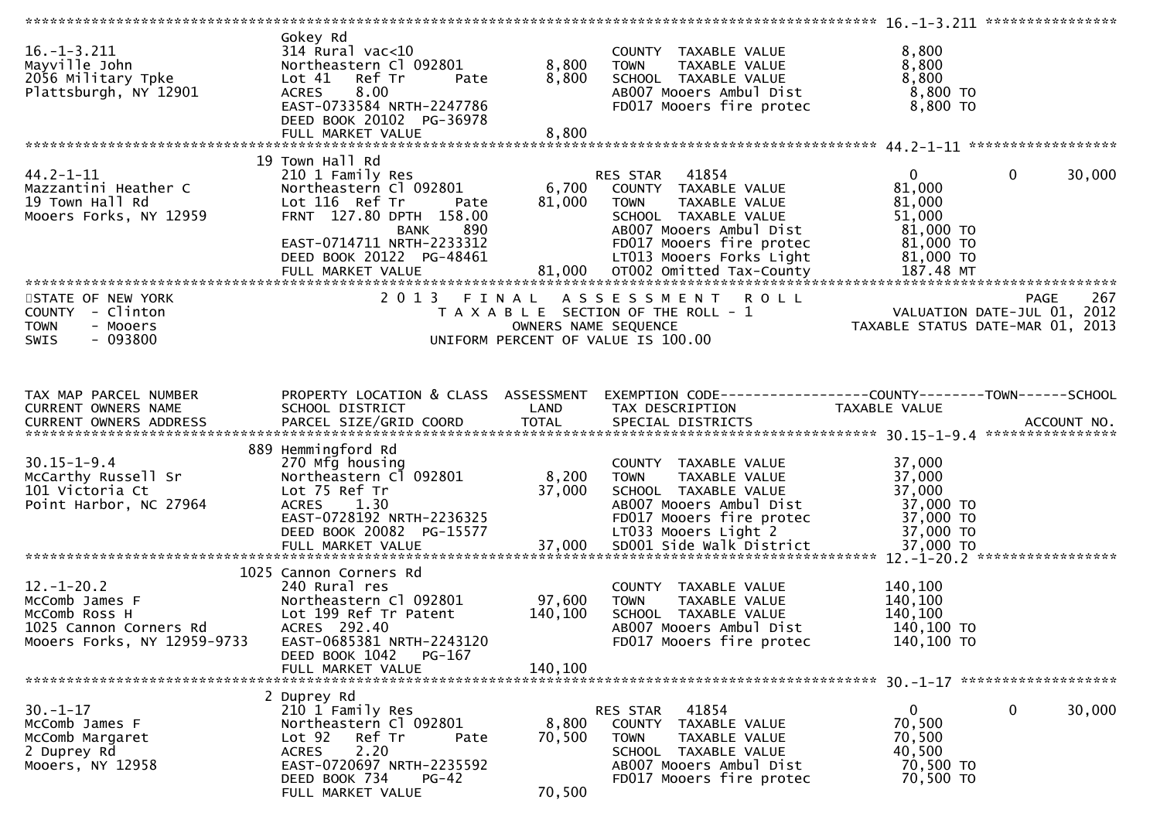| $16. - 1 - 3.211$<br>Mayville John<br>2056 Military Tpke<br>Plattsburgh, NY 12901                            | Gokey Rd<br>$314$ Rural vac< $10$<br>Northeastern Cl 092801<br>Lot 41<br>Ref Tr<br>Pate<br>8.00<br><b>ACRES</b><br>EAST-0733584 NRTH-2247786<br>DEED BOOK 20102 PG-36978                          | 8,800<br>8,800            | COUNTY TAXABLE VALUE<br><b>TOWN</b><br>TAXABLE VALUE<br>SCHOOL TAXABLE VALUE<br>AB007 Mooers Ambul Dist<br>FD017 Mooers fire protec                                               | 8,800<br>8,800<br>8,800<br>8,800 TO<br>8,800 TO                                                              |
|--------------------------------------------------------------------------------------------------------------|---------------------------------------------------------------------------------------------------------------------------------------------------------------------------------------------------|---------------------------|-----------------------------------------------------------------------------------------------------------------------------------------------------------------------------------|--------------------------------------------------------------------------------------------------------------|
|                                                                                                              |                                                                                                                                                                                                   |                           |                                                                                                                                                                                   |                                                                                                              |
| $44.2 - 1 - 11$<br>Mazzantini Heather C<br>19 Town Hall Rd<br>Mooers Forks, NY 12959                         | 19 Town Hall Rd<br>210 1 Family Res<br>Northeastern Cl 092801<br>Lot 116 Ref Tr<br>Pate<br>FRNT 127.80 DPTH 158.00<br><b>BANK</b><br>890<br>EAST-0714711 NRTH-2233312<br>DEED BOOK 20122 PG-48461 | 6,700<br>81,000           | RES STAR 41854<br>COUNTY TAXABLE VALUE<br>TAXABLE VALUE<br><b>TOWN</b><br>SCHOOL TAXABLE VALUE<br>AB007 Mooers Ambul Dist<br>FD017 Mooers fire protec<br>LT013 Mooers Forks Light | $\mathbf 0$<br>$\overline{0}$<br>30,000<br>81,000<br>81,000<br>51,000<br>81,000 TO<br>81,000 TO<br>81,000 TO |
| *************************                                                                                    |                                                                                                                                                                                                   |                           |                                                                                                                                                                                   |                                                                                                              |
| STATE OF NEW YORK<br>COUNTY - Clinton<br><b>TOWN</b><br>- Mooers<br>$-093800$<br><b>SWIS</b>                 | 2013 FINAL                                                                                                                                                                                        | OWNERS NAME SEQUENCE      | ASSESSMENT ROLL<br>T A X A B L E SECTION OF THE ROLL - 1<br>UNIFORM PERCENT OF VALUE IS 100.00                                                                                    | <b>PAGE</b><br>267<br>VALUATION DATE-JUL 01, 2012<br>TAXABLE STATUS DATE-MAR 01, 2013                        |
| TAX MAP PARCEL NUMBER<br>CURRENT OWNERS NAME                                                                 | PROPERTY LOCATION & CLASS ASSESSMENT<br>SCHOOL DISTRICT                                                                                                                                           | LAND                      | TAX DESCRIPTION                                                                                                                                                                   | EXEMPTION CODE-----------------COUNTY--------TOWN------SCHOOL<br>TAXABLE VALUE                               |
| $30.15 - 1 - 9.4$<br>McCarthy Russell Sr<br>101 Victoria Ct<br>Point Harbor, NC 27964                        | 889 Hemmingford Rd<br>270 Mfg housing<br>Northeastern Cl 092801<br>Lot 75 Ref Tr<br>1.30<br>ACRES<br>EAST-0728192 NRTH-2236325<br>DEED BOOK 20082 PG-15577                                        | 8,200<br>37,000           | COUNTY TAXABLE VALUE<br>TAXABLE VALUE<br><b>TOWN</b><br>SCHOOL TAXABLE VALUE<br>AB007 Mooers Ambul Dist<br>FD017 Mooers fire protec<br>LT033 Mooers Light 2                       | 37,000<br>37,000<br>37,000<br>37,000 TO<br>37,000 TO<br>37,000 TO                                            |
|                                                                                                              | 1025 Cannon Corners Rd                                                                                                                                                                            |                           |                                                                                                                                                                                   |                                                                                                              |
| $12. - 1 - 20.2$<br>McComb James F<br>McComb Ross H<br>1025 Cannon Corners Rd<br>Mooers Forks, NY 12959-9733 | 240 Rural res<br>Northeastern Cl 092801<br>Lot 199 Ref Tr Patent<br>ACRES 292.40<br>EAST-0685381 NRTH-2243120<br>DEED BOOK 1042<br>PG-167                                                         | 97,600<br>140,100         | COUNTY TAXABLE VALUE<br><b>TOWN</b><br>TAXABLE VALUE<br>SCHOOL TAXABLE VALUE<br>AB007 Mooers Ambul Dist<br>FD017 Mooers fire protec                                               | 140,100<br>140,100<br>140,100<br>140,100 TO<br>140,100 TO                                                    |
|                                                                                                              | FULL MARKET VALUE                                                                                                                                                                                 | 140,100                   |                                                                                                                                                                                   |                                                                                                              |
| $30. - 1 - 17$<br>McComb James F<br>McComb Margaret<br>2 Duprey Rd<br>Mooers, NY 12958                       | 2 Duprey Rd<br>210 1 Family Res<br>Northeastern Cl 092801<br>Ref Tr<br>Lot 92<br>Pate<br>2.20<br><b>ACRES</b><br>EAST-0720697 NRTH-2235592<br>DEED BOOK 734<br>$PG-42$<br>FULL MARKET VALUE       | 8,800<br>70,500<br>70,500 | 41854<br>RES STAR<br>COUNTY TAXABLE VALUE<br><b>TOWN</b><br>TAXABLE VALUE<br>SCHOOL TAXABLE VALUE<br>AB007 Mooers Ambul Dist<br>FD017 Mooers fire protec                          | $\mathbf{0}$<br>0<br>30,000<br>70,500<br>70,500<br>40,500<br>70,500 TO<br>70,500 TO                          |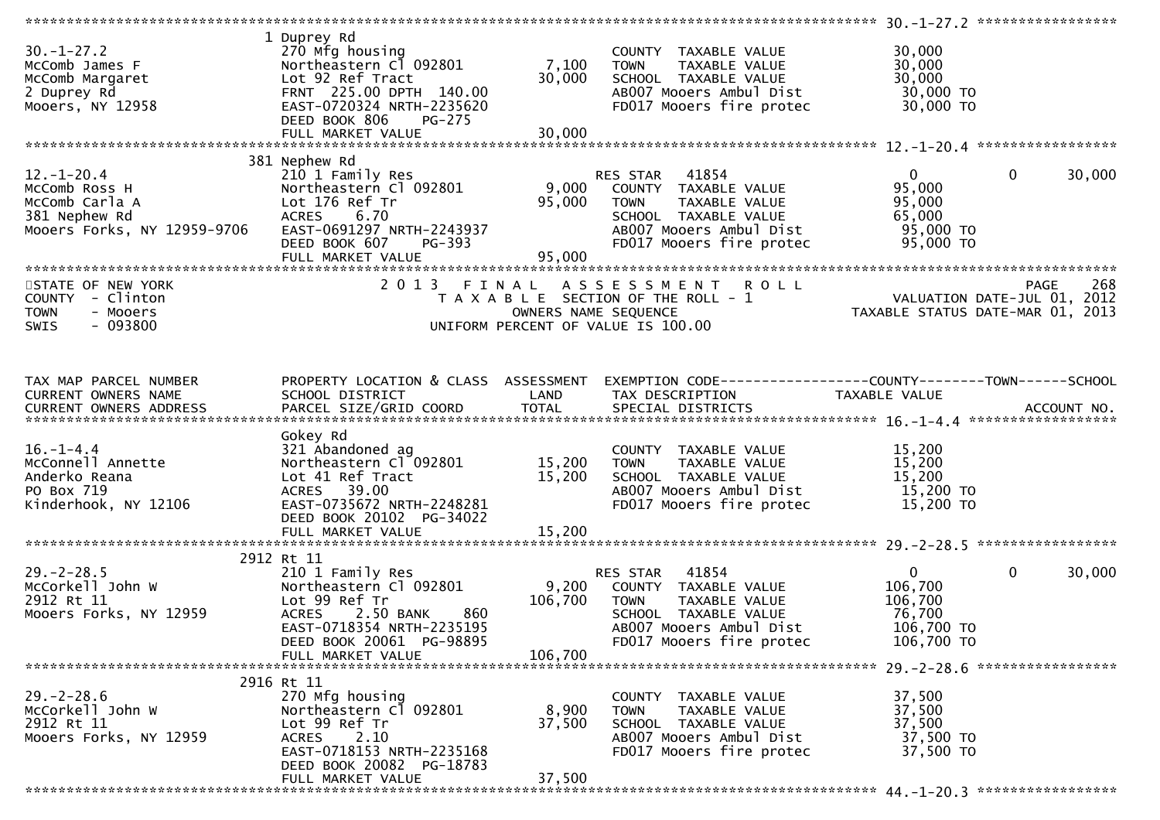| $30. - 1 - 27.2$<br>McComb James F<br>McComb Margaret<br>2 Duprey Rd<br>Mooers, NY 12958        | 1 Duprey Rd<br>270 Mfg housing<br>Northeastern Cl 092801<br>Lot 92 Ref Tract<br>FRNT 225.00 DPTH 140.00<br>EAST-0720324 NRTH-2235620<br>DEED BOOK 806<br><b>PG-275</b><br>FULL MARKET VALUE | 7,100<br>30,000<br>30,000 | COUNTY TAXABLE VALUE<br><b>TOWN</b><br>TAXABLE VALUE<br>SCHOOL TAXABLE VALUE<br>AB007 Mooers Ambul Dist<br>FD017 Mooers fire protec                      | 30,000<br>30,000<br>30,000<br>30,000 TO<br>30,000 TO                                                             |                        |
|-------------------------------------------------------------------------------------------------|---------------------------------------------------------------------------------------------------------------------------------------------------------------------------------------------|---------------------------|----------------------------------------------------------------------------------------------------------------------------------------------------------|------------------------------------------------------------------------------------------------------------------|------------------------|
|                                                                                                 |                                                                                                                                                                                             |                           |                                                                                                                                                          |                                                                                                                  |                        |
| $12.-1-20.4$<br>McComb Ross H<br>McComb Carla A<br>381 Nephew Rd<br>Mooers Forks, NY 12959-9706 | 381 Nephew Rd<br>210 1 Family Res<br>Northeastern Cl 092801<br>Lot 176 Ref Tr<br>ACRES 6.70<br>EAST-0691297 NRTH-2243937<br>DEED BOOK 607<br>PG-393                                         | 9,000<br>95,000<br>95,000 | RES STAR 41854<br>COUNTY TAXABLE VALUE<br>TAXABLE VALUE<br>TOWN<br>SCHOOL TAXABLE VALUE<br>AB007 Mooers Ambul Dist<br>FD017 Mooers fire protec           | $\overline{0}$<br>95,000<br>95,000<br>65,000<br>95,000 TO<br>95,000 TO                                           | $\mathbf{0}$<br>30,000 |
|                                                                                                 |                                                                                                                                                                                             |                           |                                                                                                                                                          |                                                                                                                  | 268                    |
| STATE OF NEW YORK<br>COUNTY - Clinton<br>- Mooers<br><b>TOWN</b><br>$-093800$<br>SWIS           |                                                                                                                                                                                             | OWNERS NAME SEQUENCE      | 2013 FINAL ASSESSMENT<br><b>ROLL</b><br>T A X A B L E SECTION OF THE ROLL - 1<br>UNIFORM PERCENT OF VALUE IS 100.00                                      | PAGE 268<br>VALUATION DATE-JUL 01, 2012<br>TAXARLE STATUS DATE :::- 21, 2012<br>TAXABLE STATUS DATE-MAR 01, 2013 |                        |
| TAX MAP PARCEL NUMBER                                                                           | PROPERTY LOCATION & CLASS ASSESSMENT                                                                                                                                                        |                           | EXEMPTION CODE-----------------COUNTY-------TOWN-----SCHOOL                                                                                              |                                                                                                                  |                        |
| CURRENT OWNERS NAME                                                                             | SCHOOL DISTRICT                                                                                                                                                                             | LAND                      | TAX DESCRIPTION                                                                                                                                          | TAXABLE VALUE                                                                                                    |                        |
| $16. - 1 - 4.4$<br>McConnell Annette<br>Anderko Reana<br>PO Box 719<br>Kinderhook, NY 12106     | Gokey Rd<br>321 Abandoned ag<br>Northeastern Cl 092801<br>Lot 41 Ref Tract<br>ACRES 39.00<br>EAST-0735672 NRTH-2248281<br>DEED BOOK 20102 PG-34022                                          | 15,200<br>15,200          | COUNTY TAXABLE VALUE<br>TAXABLE VALUE<br>TOWN<br>SCHOOL TAXABLE VALUE<br>AB007 Mooers Ambul Dist<br>FD017 Mooers fire protec                             | 15,200<br>15,200<br>15,200<br>15,200 TO<br>15,200 TO                                                             |                        |
|                                                                                                 | FULL MARKET VALUE                                                                                                                                                                           | 15,200                    |                                                                                                                                                          |                                                                                                                  |                        |
|                                                                                                 |                                                                                                                                                                                             |                           |                                                                                                                                                          |                                                                                                                  |                        |
| $29. - 2 - 28.5$<br>McCorkell John W<br>2912 Rt 11<br>Mooers Forks, NY 12959                    | 2912 Rt 11<br>210 1 Family Res<br>Northeastern Cl 092801<br>Lot 99 Ref Tr<br><b>ACRES</b><br>2.50 BANK<br>860<br>EAST-0718354 NRTH-2235195<br>DEED BOOK 20061 PG-98895                      | 9,200<br>106,700          | 41854<br>RES STAR<br>COUNTY TAXABLE VALUE<br>TAXABLE VALUE<br><b>TOWN</b><br>SCHOOL TAXABLE VALUE<br>AB007 Mooers Ambul Dist<br>FD017 Mooers fire protec | $\overline{0}$<br>106,700<br>106,700<br>76,700<br>106,700 TO<br>106,700 TO                                       | $\mathbf{0}$<br>30,000 |
|                                                                                                 | FULL MARKET VALUE                                                                                                                                                                           | 106.700                   |                                                                                                                                                          |                                                                                                                  |                        |
|                                                                                                 |                                                                                                                                                                                             |                           |                                                                                                                                                          |                                                                                                                  |                        |
| $29. - 2 - 28.6$<br>McCorkell John W<br>2912 Rt 11<br>Mooers Forks, NY 12959                    | 2916 Rt 11<br>270 Mfg housing<br>Northeastern Cl 092801<br>Lot 99 Ref Tr<br>2.10<br><b>ACRES</b><br>EAST-0718153 NRTH-2235168<br>DEED BOOK 20082 PG-18783                                   | 8,900<br>37,500           | COUNTY TAXABLE VALUE<br>TAXABLE VALUE<br><b>TOWN</b><br>SCHOOL TAXABLE VALUE<br>AB007 Mooers Ambul Dist<br>FD017 Mooers fire protec                      | 37,500<br>37,500<br>37,500<br>37,500 TO<br>37,500 TO                                                             |                        |
|                                                                                                 | FULL MARKET VALUE                                                                                                                                                                           | 37,500                    |                                                                                                                                                          |                                                                                                                  |                        |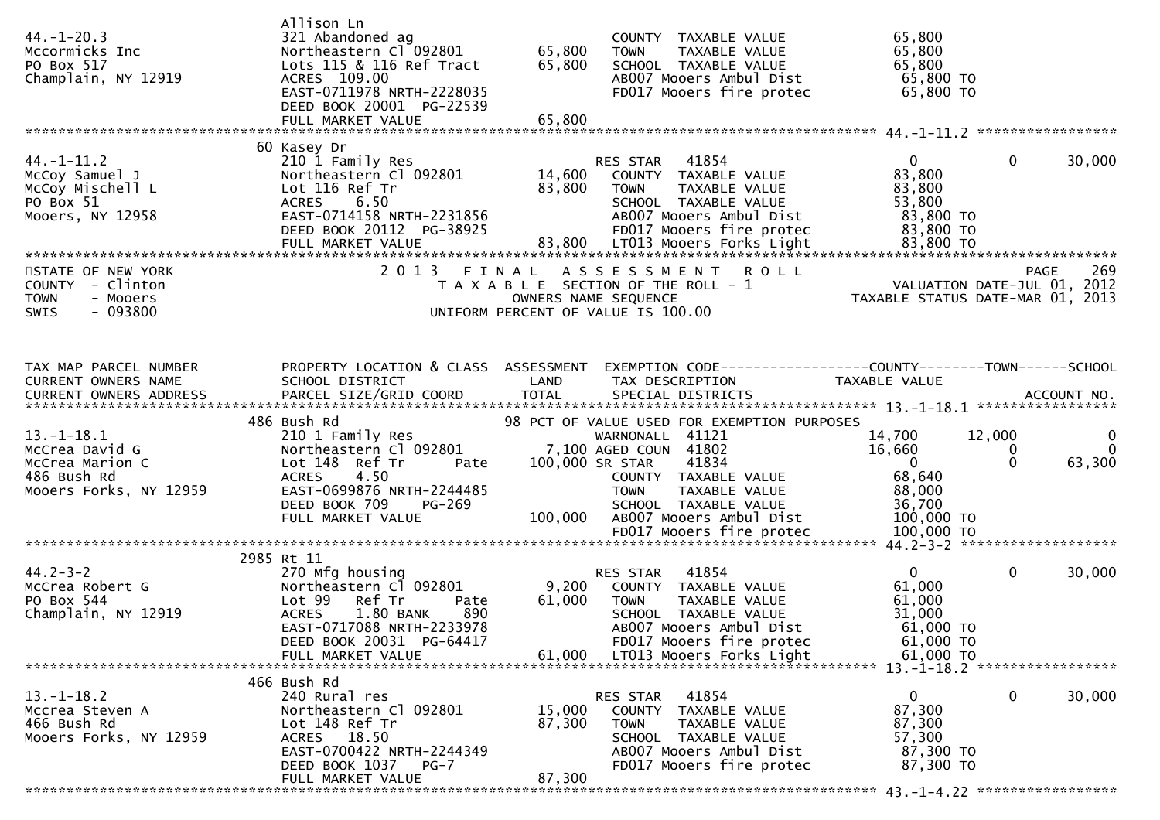| $44. - 1 - 20.3$<br>Mccormicks Inc<br>PO Box 517<br>Champlain, NY 12919                        | Allison Ln<br>321 Abandoned ag<br>Northeastern Cl 092801<br>Lots 115 & 116 Ref Tract<br>ACRES 109.00<br>EAST-0711978 NRTH-2228035<br>DEED BOOK 20001 PG-22539<br>FULL MARKET VALUE                    | 65,800<br>65,800<br>65,800 | COUNTY TAXABLE VALUE<br>TAXABLE VALUE<br><b>TOWN</b><br>SCHOOL TAXABLE VALUE<br>AB007 Mooers Ambul Dist<br>FD017 Mooers fire protec                                                                                                                        | 65,800<br>65,800<br>65,800<br>65,800 TO<br>65,800 TO                                                 |                                                           |
|------------------------------------------------------------------------------------------------|-------------------------------------------------------------------------------------------------------------------------------------------------------------------------------------------------------|----------------------------|------------------------------------------------------------------------------------------------------------------------------------------------------------------------------------------------------------------------------------------------------------|------------------------------------------------------------------------------------------------------|-----------------------------------------------------------|
|                                                                                                |                                                                                                                                                                                                       |                            |                                                                                                                                                                                                                                                            |                                                                                                      |                                                           |
| $44. - 1 - 11.2$<br>McCoy Samuel J<br>McCoy Mischell L<br>PO Box 51<br>Mooers, NY 12958        | 60 Kasey Dr<br>210 1 Family Res<br>Northeastern Cl 092801<br>Lot 116 Ref Tr<br><b>ACRES</b><br>6.50<br>EAST-0714158 NRTH-2231856<br>DEED BOOK 20112 PG-38925<br>FULL MARKET VALUE                     | 14,600<br>83,800           | RES STAR<br>41854<br>COUNTY TAXABLE VALUE<br><b>TOWN</b><br>TAXABLE VALUE<br>SCHOOL TAXABLE VALUE<br>AB007 Mooers Ambul Dist<br>FD017 Mooers fire protec<br>83,800 LT013 Mooers Forks Light                                                                | $\overline{0}$<br>83,800<br>83,800<br>53,800<br>83,800 TO<br>83,800 TO<br>83,800 TO                  | $\mathbf 0$<br>30,000                                     |
| STATE OF NEW YORK                                                                              | 2 0 1 3                                                                                                                                                                                               | FINAL                      | <b>ROLL</b>                                                                                                                                                                                                                                                |                                                                                                      | 269<br><b>PAGE</b>                                        |
| COUNTY - Clinton<br><b>TOWN</b><br>- Mooers<br>$-093800$<br>SWIS                               |                                                                                                                                                                                                       |                            | A S S E S S M E N T<br>T A X A B L E SECTION OF THE ROLL - 1<br>OWNERS NAME SEQUENCE<br>UNIFORM PERCENT OF VALUE IS 100.00                                                                                                                                 | VALUATION DATE-JUL 01, 2012<br>TAXABLE STATUS DATE-MAR 01, 2013                                      |                                                           |
| TAX MAP PARCEL NUMBER<br>CURRENT OWNERS NAME                                                   | PROPERTY LOCATION & CLASS ASSESSMENT<br>SCHOOL DISTRICT                                                                                                                                               | LAND                       | EXEMPTION CODE------------------COUNTY--------TOWN------SCHOOL<br>TAX DESCRIPTION                                                                                                                                                                          | TAXABLE VALUE                                                                                        |                                                           |
|                                                                                                |                                                                                                                                                                                                       |                            |                                                                                                                                                                                                                                                            |                                                                                                      |                                                           |
| $13. - 1 - 18.1$<br>McCrea David G<br>McCrea Marion C<br>486 Bush Rd<br>Mooers Forks, NY 12959 | 486 Bush Rd<br>210 1 Family Res<br>Northeastern Cl 092801<br>Lot 148 Ref Tr<br>Pate<br>4.50<br><b>ACRES</b><br>EAST-0699876 NRTH-2244485<br>DEED BOOK 709<br><b>PG-269</b><br>FULL MARKET VALUE       | 100,000                    | 98 PCT OF VALUE USED FOR EXEMPTION PURPOSES<br>WARNONALL 41121<br>7,100 AGED COUN 41802<br>41834<br>100,000 SR STAR<br>COUNTY TAXABLE VALUE<br>TAXABLE VALUE<br><b>TOWN</b><br>SCHOOL TAXABLE VALUE<br>AB007 Mooers Ambul Dist<br>FD017 Mooers fire protec | 14,700<br>12,000<br>16,660<br>$\mathbf{0}$<br>68,640<br>88,000<br>36,700<br>100,000 TO<br>100,000 TO | $\mathbf{0}$<br>$\overline{0}$<br>0<br>$\Omega$<br>63,300 |
|                                                                                                |                                                                                                                                                                                                       |                            |                                                                                                                                                                                                                                                            |                                                                                                      |                                                           |
| $44.2 - 3 - 2$<br>McCrea Robert G<br>PO Box 544<br>Champlain, NY 12919                         | 2985 Rt 11<br>270 Mfg housing<br>Northeastern Cl 092801<br>Ref Tr<br>Lot 99<br>Pate<br>1.80 BANK<br>890<br><b>ACRES</b><br>EAST-0717088 NRTH-2233978<br>DEED BOOK 20031 PG-64417<br>FULL MARKET VALUE | 9,200<br>61,000<br>61.000  | 41854<br>RES STAR<br>COUNTY TAXABLE VALUE<br>TAXABLE VALUE<br><b>TOWN</b><br>SCHOOL TAXABLE VALUE<br>AB007 Mooers Ambul Dist<br>FD017 Mooers fire protec<br>LT013 Mooers Forks Light                                                                       | $\mathbf{0}$<br>61,000<br>61,000<br>31,000<br>$61,000$ TO<br>61,000 TO<br>61,000 TO                  | $\mathbf 0$<br>30,000                                     |
|                                                                                                |                                                                                                                                                                                                       |                            |                                                                                                                                                                                                                                                            | 13. -1-18.2 ******************                                                                       |                                                           |
| $13.-1-18.2$<br>Mccrea Steven A<br>466 Bush Rd<br>Mooers Forks, NY 12959                       | 466 Bush Rd<br>240 Rural res<br>Northeastern Cl 092801<br>Lot 148 Ref Tr<br>ACRES 18.50<br>EAST-0700422 NRTH-2244349<br>DEED BOOK 1037<br>PG-7<br>FULL MARKET VALUE                                   | 15,000<br>87,300<br>87,300 | 41854<br>RES STAR<br>TAXABLE VALUE<br>COUNTY<br><b>TOWN</b><br>TAXABLE VALUE<br>SCHOOL TAXABLE VALUE<br>AB007 Mooers Ambul Dist<br>FD017 Mooers fire protec                                                                                                | $\mathbf{0}$<br>87,300<br>87,300<br>57,300<br>87,300 TO<br>87,300 TO                                 | $\mathbf 0$<br>30,000                                     |
|                                                                                                |                                                                                                                                                                                                       |                            |                                                                                                                                                                                                                                                            |                                                                                                      |                                                           |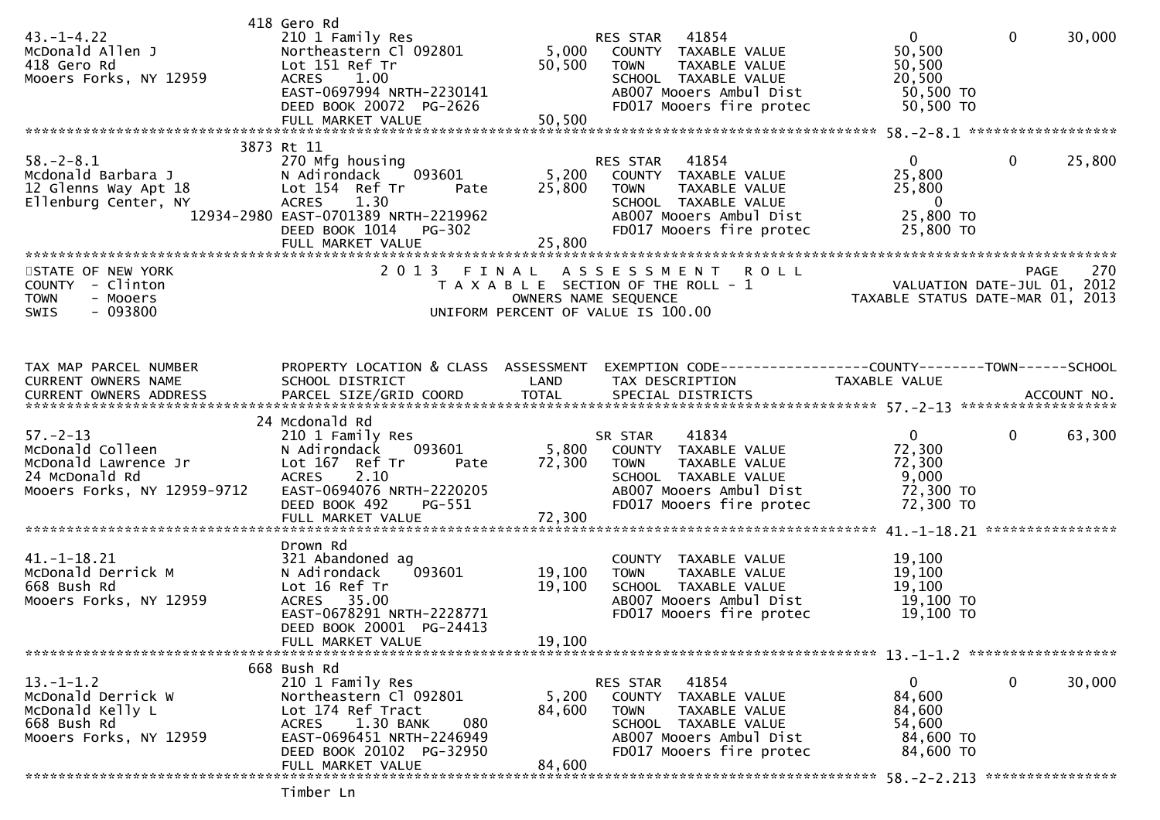| $43. - 1 - 4.22$<br>McDonald Allen J<br>418 Gero Rd<br>Mooers Forks, NY 12959                               | 418 Gero Rd<br>210 1 Family Res<br>Northeastern Cl 092801<br>Lot 151 Ref Tr<br>ACRES 1.00<br>EAST-0697994 NRTH-2230141<br>DEED BOOK 20072 PG-2626<br>FULL MARKET VALUE                      | 50,500<br>50,500           | RES STAR 41854<br>5,000 COUNTY TAXABLE VALUE<br>TAXABLE VALUE<br><b>TOWN</b><br>SCHOOL TAXABLE VALUE<br>AB007 Mooers Ambul Dist<br>FD017 Mooers fire protec   | $\overline{0}$<br>50,500<br>50,500<br>20,500<br>50,500 TO<br>50,500 TO     | $\overline{0}$ | 30,000 |
|-------------------------------------------------------------------------------------------------------------|---------------------------------------------------------------------------------------------------------------------------------------------------------------------------------------------|----------------------------|---------------------------------------------------------------------------------------------------------------------------------------------------------------|----------------------------------------------------------------------------|----------------|--------|
|                                                                                                             | 3873 Rt 11                                                                                                                                                                                  |                            |                                                                                                                                                               |                                                                            |                |        |
| $58. - 2 - 8.1$<br>Mcdonald Barbara J<br>12 Glenns Way Apt 18<br>Ellenburg Center, NY                       | 270 Mfg housing<br>093601<br>N Adirondack<br>Lot 154 Ref Tr<br>Pate<br>1.30<br><b>ACRES</b><br>12934-2980 EAST-0701389 NRTH-2219962<br><b>PG-302</b><br>DEED BOOK 1014<br>FULL MARKET VALUE | 5,200<br>25,800<br>25,800  | RES STAR 41854<br>COUNTY TAXABLE VALUE<br>TAXABLE VALUE<br><b>TOWN</b><br>SCHOOL TAXABLE VALUE<br>AB007 Mooers Ambul Dist<br>FD017 Mooers fire protec         | 0<br>25,800<br>25,800<br>$\overline{\mathbf{0}}$<br>25,800 TO<br>25,800 TO | $\mathbf 0$    | 25,800 |
| STATE OF NEW YORK                                                                                           | 2 0 1 3                                                                                                                                                                                     | FINAL                      | ASSESSMENT ROLL                                                                                                                                               |                                                                            | <b>PAGE</b>    | 270    |
| COUNTY - Clinton<br><b>TOWN</b><br>- Mooers<br><b>SWIS</b><br>- 093800                                      |                                                                                                                                                                                             |                            | T A X A B L E SECTION OF THE ROLL - 1<br>OWNERS NAME SEQUENCE<br>UNIFORM PERCENT OF VALUE IS 100.00                                                           | VALUATION DATE-JUL 01, 2012<br>TAXABLE STATUS DATE-MAR 01, 2013            |                |        |
| TAX MAP PARCEL NUMBER                                                                                       | PROPERTY LOCATION & CLASS ASSESSMENT                                                                                                                                                        |                            | EXEMPTION CODE------------------COUNTY--------TOWN------SCHOOL                                                                                                |                                                                            |                |        |
| CURRENT OWNERS NAME<br>CURRENT OWNERS ADDRESS                                                               | SCHOOL DISTRICT                                                                                                                                                                             | LAND                       | TAX DESCRIPTION                                                                                                                                               | TAXABLE VALUE                                                              |                |        |
|                                                                                                             | 24 Mcdonald Rd                                                                                                                                                                              |                            |                                                                                                                                                               |                                                                            |                |        |
| $57. - 2 - 13$<br>McDonald Colleen<br>McDonald Lawrence Jr<br>24 McDonald Rd<br>Mooers Forks, NY 12959-9712 | 210 1 Family Res<br>093601<br>N Adirondack<br>Lot 167 Ref Tr<br>Pate<br><b>ACRES</b><br>2.10<br>EAST-0694076 NRTH-2220205<br>DEED BOOK 492<br>PG-551                                        | 72,300                     | 41834<br>SR STAR<br>5,800 COUNTY TAXABLE VALUE<br>TAXABLE VALUE<br><b>TOWN</b><br>SCHOOL TAXABLE VALUE<br>AB007 Mooers Ambul Dist<br>FD017 Mooers fire protec | $\mathbf{0}$<br>72,300<br>72,300<br>9,000<br>72,300 TO<br>72,300 TO        | $\mathbf{0}$   | 63,300 |
|                                                                                                             |                                                                                                                                                                                             |                            |                                                                                                                                                               |                                                                            |                |        |
| $41. - 1 - 18.21$<br>McDonald Derrick M<br>668 Bush Rd<br>Mooers Forks, NY 12959                            | Drown Rd<br>321 Abandoned ag<br>093601<br>N Adirondack<br>Lot 16 Ref Tr<br>ACRES 35.00<br>EAST-0678291 NRTH-2228771<br>DEED BOOK 20001 PG-24413<br>FULL MARKET VALUE                        | 19,100<br>19,100<br>19,100 | COUNTY TAXABLE VALUE<br>TAXABLE VALUE<br><b>TOWN</b><br>SCHOOL TAXABLE VALUE<br>AB007 Mooers Ambul Dist<br>FD017 Mooers fire protec                           | 19,100<br>19,100<br>19,100<br>19,100 TO<br>19,100 TO                       |                |        |
|                                                                                                             | 668 Bush Rd                                                                                                                                                                                 |                            |                                                                                                                                                               |                                                                            |                |        |
| $13.-1-1.2$<br>McDonald Derrick W<br>McDonald Kelly L<br>668 Bush Rd<br>Mooers Forks, NY 12959              | 210 1 Family Res<br>Northeastern Cl 092801<br>Lot 174 Ref Tract<br>1.30 BANK<br>080<br><b>ACRES</b><br>EAST-0696451 NRTH-2246949<br>DEED BOOK 20102 PG-32950<br>FULL MARKET VALUE           | 5,200<br>84,600<br>84,600  | 41854<br>RES STAR<br>COUNTY TAXABLE VALUE<br><b>TOWN</b><br>TAXABLE VALUE<br>SCHOOL TAXABLE VALUE<br>AB007 Mooers Ambul Dist<br>FD017 Mooers fire protec      | 0<br>84,600<br>84,600<br>54,600<br>84,600 TO<br>84,600 TO                  | 0              | 30,000 |
|                                                                                                             |                                                                                                                                                                                             |                            |                                                                                                                                                               |                                                                            |                |        |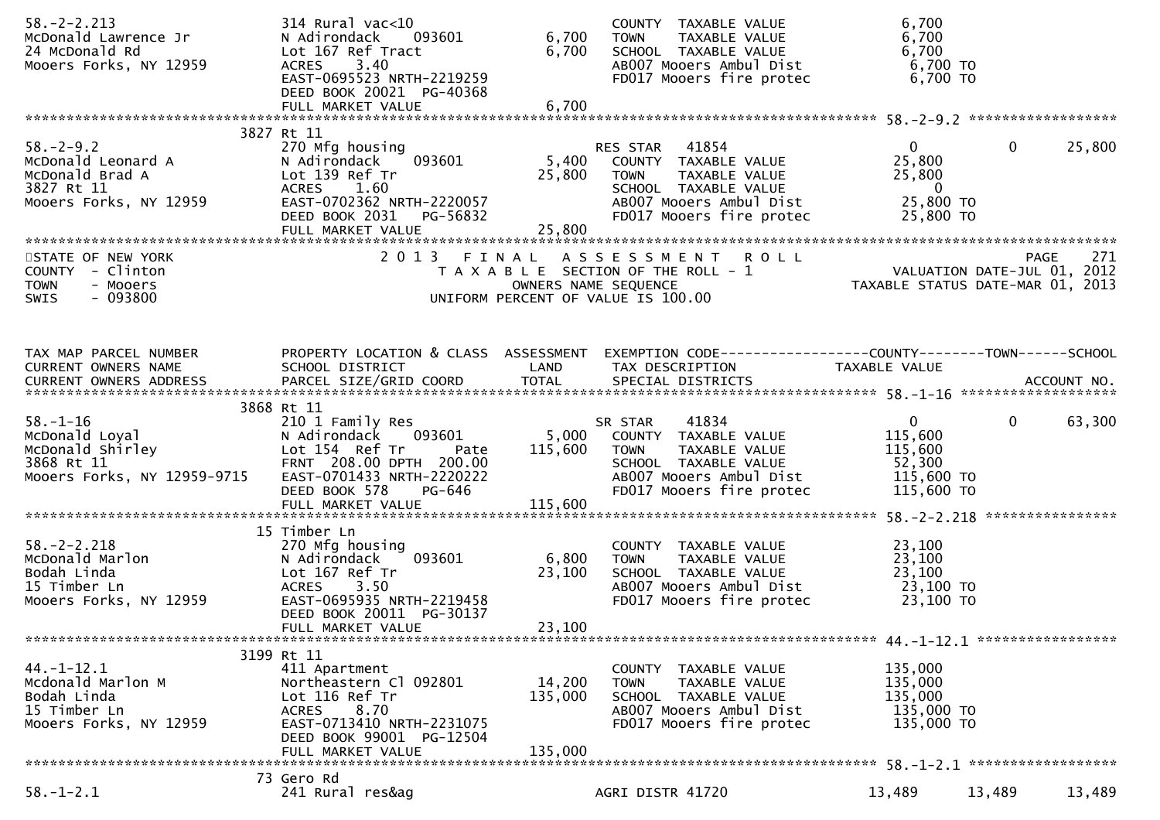| $58. - 2 - 2.213$<br>McDonald Lawrence Jr<br>24 McDonald Rd<br>Mooers Forks, NY 12959                                                                                                                                                                                          | 314 Rural vac<10<br>N Adirondack<br>093601<br>Lot 167 Ref Tract<br>3.40<br>ACRES<br>EAST-0695523 NRTH-2219259<br>DEED BOOK 20021 PG-40368                                         | 6,700<br>6,700            | COUNTY TAXABLE VALUE<br>TAXABLE VALUE<br><b>TOWN</b><br>SCHOOL TAXABLE VALUE<br>AB007 Mooers Ambul Dist<br>FD017 Mooers fire protec                           | 6,700<br>6,700<br>6,700<br>6,700 TO<br>6,700 TO                                               |                    |
|--------------------------------------------------------------------------------------------------------------------------------------------------------------------------------------------------------------------------------------------------------------------------------|-----------------------------------------------------------------------------------------------------------------------------------------------------------------------------------|---------------------------|---------------------------------------------------------------------------------------------------------------------------------------------------------------|-----------------------------------------------------------------------------------------------|--------------------|
|                                                                                                                                                                                                                                                                                |                                                                                                                                                                                   |                           |                                                                                                                                                               |                                                                                               |                    |
| $58. - 2 - 9.2$<br>McDonald Leonard A<br>McDonald Brad A<br>3827 Rt 11<br>Mooers Forks, NY 12959                                                                                                                                                                               | 3827 Rt 11<br>270 Mfg housing<br>N Adirondack<br>093601<br>Lot 139 Ref Tr<br>ACRES 1.60<br>EAST-0702362 NRTH-2220057<br>DEED BOOK 2031 PG-56832<br>FULL MARKET VALUE              | 5,400<br>25,800<br>25,800 | RES STAR 41854<br>COUNTY TAXABLE VALUE<br><b>TOWN</b><br>TAXABLE VALUE<br>SCHOOL TAXABLE VALUE<br>AB007 Mooers Ambul Dist<br>FD017 Mooers fire protec         | $\overline{0}$<br>0<br>25,800<br>25,800<br>$\overline{\phantom{0}}$<br>25,800 TO<br>25,800 TO | 25,800             |
| STATE OF NEW YORK<br>COUNTY - Clinton<br><b>TOWN</b><br>- Mooers<br>$-093800$<br><b>SWIS</b>                                                                                                                                                                                   |                                                                                                                                                                                   |                           | 2013 FINAL ASSESSMENT ROLL<br>T A X A B L E SECTION OF THE ROLL - 1<br>OWNERS NAME SEQUENCE<br>UNIFORM PERCENT OF VALUE IS 100.00                             | 7/1 R O L L<br>2012 VALUATION DATE-JUL 01, 2012<br>2013 TAXABLE STATUS DATE-MAR 01, 2013      | 271<br><b>PAGE</b> |
| TAX MAP PARCEL NUMBER<br>CURRENT OWNERS NAME<br>CURRENT OWNERS ADDRESS FARCEL SIZE/GRID COORD TOTAL SPECIAL DISTRICTS AND MESS ADDRESS FARCEL SIZE/GRID COORD TOTAL SPECIAL DISTRICTS AND MANUSIC MANAGERS AND MESS OF THE START OF THE START OF THE SECOND TO A SERVER AND TO | SCHOOL DISTRICT                                                                                                                                                                   | LAND                      | PROPERTY LOCATION & CLASS ASSESSMENT EXEMPTION CODE----------------COUNTY-------TOWN------SCHOOL<br>TAX DESCRIPTION                                           | TAXABLE VALUE                                                                                 |                    |
| $58. - 1 - 16$<br>58.-1-16<br>McDonald Loyal<br>McDonald Shirley<br>3868 Rt 11<br>Mooers Forks, NY 12959-9715                                                                                                                                                                  | 3868 Rt 11<br>210 1 Family Res<br>N Adirondack<br>093601<br>Lot 154 Ref Tr<br>Pate<br>FRNT 208.00 DPTH 200.00<br>EAST-0701433 NRTH-2220222<br>DEED BOOK 578<br>PG-646             | 115,600                   | 41834<br>SR STAR<br>5,000 COUNTY TAXABLE VALUE<br><b>TOWN</b><br>TAXABLE VALUE<br>SCHOOL TAXABLE VALUE<br>AB007 Mooers Ambul Dist<br>FD017 Mooers fire protec | $\overline{0}$<br>$\mathbf{0}$<br>115,600<br>115,600<br>52,300<br>115,600 TO<br>115,600 TO    | 63,300             |
| $58. - 2 - 2.218$<br>Jo.-z-z.zio<br>McDonald Marlon<br>Bodah Linda<br>15 Timber Ln<br>15 Timber Ln<br>Mooers Forks, NY 12959                                                                                                                                                   | 15 Timber Ln<br>270 Mfg housing<br>093601<br>N Adirondack<br>Lot 167 Ref Tr<br><b>ACRES</b><br>3.50<br>EAST-0695935 NRTH-2219458<br>DEED BOOK 20011 PG-30137<br>FULL MARKET VALUE | 6,800<br>23,100<br>23,100 | COUNTY TAXABLE VALUE<br>TAXABLE VALUE<br>TOWN<br>SCHOOL TAXABLE VALUE<br>AB007 Mooers Ambul Dist<br>FD017 Mooers fire protec                                  | 23,100<br>23,100<br>23,100<br>23,100 TO<br>23,100 TO                                          |                    |
| $44. - 1 - 12.1$<br>Mcdonald Marlon M<br>Bodah Linda<br>15 Timber Ln<br>Mooers Forks, NY 12959                                                                                                                                                                                 | 3199 Rt 11<br>411 Apartment<br>Northeastern Cl 092801<br>Lot 116 Ref Tr<br>ACRES 8.70<br>EAST-0713410 NRTH-2231075<br>DEED BOOK 99001 PG-12504                                    | 14,200<br>135,000         | COUNTY TAXABLE VALUE<br>TAXABLE VALUE<br><b>TOWN</b><br>SCHOOL TAXABLE VALUE<br>AB007 Mooers Ambul Dist<br>FD017 Mooers fire protec                           | 135,000<br>135,000<br>135,000<br>135,000 TO<br>135,000 TO                                     |                    |
|                                                                                                                                                                                                                                                                                | FULL MARKET VALUE                                                                                                                                                                 | 135,000                   |                                                                                                                                                               |                                                                                               |                    |
| $58. - 1 - 2.1$                                                                                                                                                                                                                                                                | 73 Gero Rd<br>241 Rural res&ag                                                                                                                                                    |                           | AGRI DISTR 41720                                                                                                                                              | 13,489<br>13,489                                                                              | 13,489             |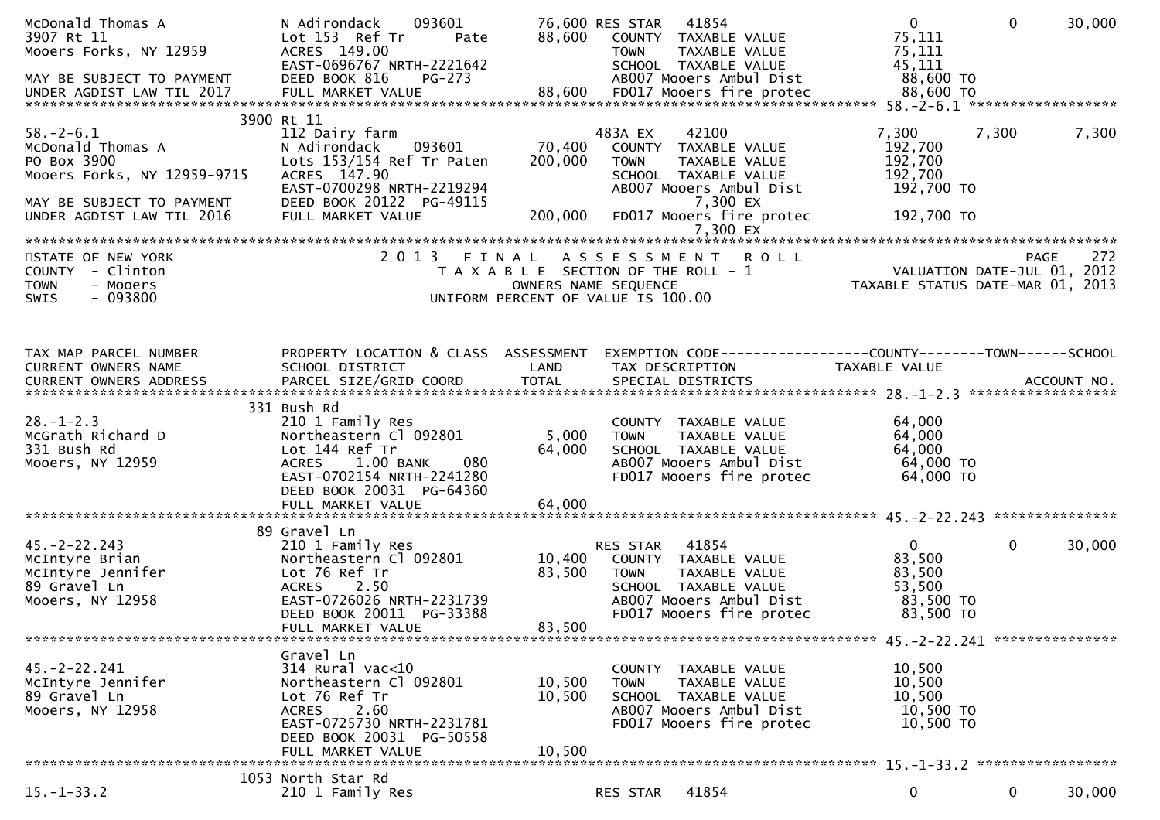| McDonald Thomas A<br>3907 Rt 11<br>Mooers Forks, NY 12959<br>MAY BE SUBJECT TO PAYMENT                                                       | 093601<br>N Adirondack<br>Lot 153 Ref Tr<br>Pate<br>ACRES 149.00<br>EAST-0696767 NRTH-2221642<br>DEED BOOK 816<br>PG-273                                                          | 88,600                       | 76,600 RES STAR 41854<br>COUNTY TAXABLE VALUE<br><b>TOWN</b><br>TAXABLE VALUE<br>SCHOOL TAXABLE VALUE<br>AB007 Mooers Ambul Dist                                                | $\overline{0}$<br>75,111<br>75,111<br>45,111<br>88,600 TO            | $\mathbf{0}$ | 30,000 |
|----------------------------------------------------------------------------------------------------------------------------------------------|-----------------------------------------------------------------------------------------------------------------------------------------------------------------------------------|------------------------------|---------------------------------------------------------------------------------------------------------------------------------------------------------------------------------|----------------------------------------------------------------------|--------------|--------|
| $58. - 2 - 6.1$<br>McDonald Thomas A<br>PO Box 3900<br>Mooers Forks, NY 12959-9715<br>MAY BE SUBJECT TO PAYMENT<br>UNDER AGDIST LAW TIL 2016 | 3900 Rt 11<br>112 Dairy farm<br>093601<br>N Adirondack<br>Lots 153/154 Ref Tr Paten<br>ACRES 147.90<br>EAST-0700298 NRTH-2219294<br>DEED BOOK 20122 PG-49115<br>FULL MARKET VALUE | 70,400<br>200,000<br>200,000 | 483A EX<br>42100<br>COUNTY TAXABLE VALUE<br><b>TOWN</b><br>TAXABLE VALUE<br>SCHOOL TAXABLE VALUE<br>ABOO7 Mooers Ambul Dist<br>7,300 EX<br>FD017 Mooers fire protec<br>7,300 EX | 7,300<br>192,700<br>192,700<br>192,700<br>192,700 TO<br>192,700 TO   | 7,300        | 7,300  |
| STATE OF NEW YORK<br>COUNTY - Clinton<br><b>TOWN</b><br>- Mooers<br>$-093800$<br><b>SWIS</b>                                                 | 2 0 1 3                                                                                                                                                                           |                              | <b>ROLL</b><br>FINAL ASSESSMENT<br>T A X A B L E SECTION OF THE ROLL - 1<br>OWNERS NAME SEQUENCE<br>UNIFORM PERCENT OF VALUE IS 100.00                                          | VALUATION DATE-JUL 01, 2012<br>TAXABLE STATUS DATE-MAR 01, 2013      | <b>PAGE</b>  | 272    |
| TAX MAP PARCEL NUMBER<br>CURRENT OWNERS NAME                                                                                                 | PROPERTY LOCATION & CLASS ASSESSMENT<br>SCHOOL DISTRICT                                                                                                                           | LAND                         | EXEMPTION CODE------------------COUNTY--------TOWN------SCHOOL<br>TAX DESCRIPTION                                                                                               | TAXABLE VALUE                                                        |              |        |
| $28. - 1 - 2.3$<br>McGrath Richard D<br>331 Bush Rd<br>Mooers, NY 12959                                                                      | 331 Bush Rd<br>210 1 Family Res<br>Northeastern Cl 092801<br>Lot 144 Ref Tr<br><b>ACRES</b><br>1.00 BANK<br>080<br>EAST-0702154 NRTH-2241280<br>DEED BOOK 20031 PG-64360          | 5,000<br>64,000              | COUNTY TAXABLE VALUE<br><b>TOWN</b><br>TAXABLE VALUE<br>SCHOOL TAXABLE VALUE<br>AB007 Mooers Ambul Dist<br>FD017 Mooers fire protec                                             | 64,000<br>64,000<br>64,000<br>64,000 TO<br>64,000 TO                 |              |        |
| $45. - 2 - 22.243$<br>McIntyre Brian<br>McIntyre Jennifer<br>89 Gravel Ln<br>Mooers, NY 12958                                                | 89 Gravel Ln<br>210 1 Family Res<br>Northeastern Cl 092801<br>Lot 76 Ref Tr<br>2.50<br><b>ACRES</b><br>EAST-0726026 NRTH-2231739<br>DEED BOOK 20011 PG-33388<br>FULL MARKET VALUE | 10,400<br>83,500<br>83,500   | 41854<br>RES STAR<br>COUNTY TAXABLE VALUE<br>TAXABLE VALUE<br><b>TOWN</b><br>SCHOOL TAXABLE VALUE<br>AB007 Mooers Ambul Dist<br>FD017 Mooers fire protec                        | $\mathbf{0}$<br>83,500<br>83,500<br>53,500<br>83,500 TO<br>83,500 TO | $\mathbf 0$  | 30,000 |
| $45. -2 - 22.241$<br>McIntyre Jennifer<br>89 Gravel Ln<br>Mooers, NY 12958                                                                   | Gravel Ln<br>$314$ Rural vac<10<br>Northeastern Cl 092801<br>Lot 76 Ref Tr<br>2.60<br><b>ACRES</b><br>EAST-0725730 NRTH-2231781<br>DEED BOOK 20031 PG-50558<br>FULL MARKET VALUE  | 10,500<br>10,500<br>10,500   | COUNTY TAXABLE VALUE<br>TAXABLE VALUE<br><b>TOWN</b><br>SCHOOL TAXABLE VALUE<br>AB007 Mooers Ambul Dist<br>FD017 Mooers fire protec                                             | 10,500<br>10,500<br>10,500<br>10,500 TO<br>10,500 TO                 |              |        |
| $15. - 1 - 33.2$                                                                                                                             | 1053 North Star Rd<br>210 1 Family Res                                                                                                                                            |                              | 41854<br>RES STAR                                                                                                                                                               | 0                                                                    | $\mathbf 0$  | 30,000 |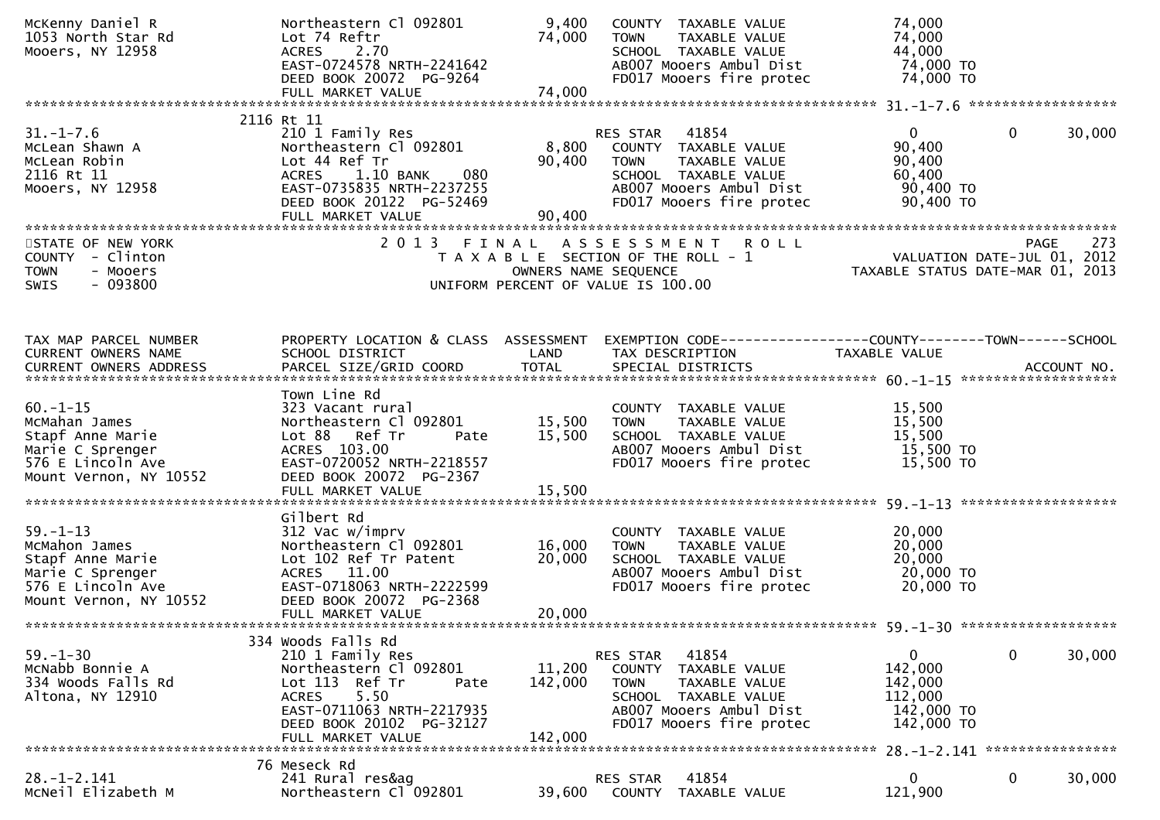| McKenny Daniel R<br>1053 North Star Rd<br>Mooers, NY 12958                                                             | Northeastern Cl 092801<br>Lot 74 Reftr<br>2.70<br><b>ACRES</b><br>EAST-0724578 NRTH-2241642                                                                                       | 9,400<br>74,000              | COUNTY TAXABLE VALUE<br><b>TOWN</b><br>TAXABLE VALUE<br>SCHOOL TAXABLE VALUE<br>AB007 Mooers Ambul Dist                                                     | 74,000<br>74,000<br>44,000<br>74,000 TO                                  |                                |
|------------------------------------------------------------------------------------------------------------------------|-----------------------------------------------------------------------------------------------------------------------------------------------------------------------------------|------------------------------|-------------------------------------------------------------------------------------------------------------------------------------------------------------|--------------------------------------------------------------------------|--------------------------------|
|                                                                                                                        | DEED BOOK 20072 PG-9264<br>FULL MARKET VALUE                                                                                                                                      | 74,000                       | FD017 Mooers fire protec                                                                                                                                    | 74,000 TO                                                                |                                |
|                                                                                                                        |                                                                                                                                                                                   |                              |                                                                                                                                                             |                                                                          |                                |
| $31. - 1 - 7.6$<br>McLean Shawn A<br>McLean Robin<br>2116 Rt 11<br>Mooers, NY 12958                                    | 2116 Rt 11<br>210 1 Family Res<br>Northeastern Cl 092801<br>Lot 44 Ref Tr<br>ACRES 1.10 BANK<br>080<br>EAST-0735835 NRTH-2237255<br>DEED BOOK 20122 PG-52469<br>FULL MARKET VALUE | 8,800<br>90,400<br>90,400    | RES STAR<br>41854<br>COUNTY TAXABLE VALUE<br>TAXABLE VALUE<br><b>TOWN</b><br>SCHOOL TAXABLE VALUE<br>AB007 Mooers Ambul Dist<br>FD017 Mooers fire protec    | $\overline{0}$<br>90,400<br>90,400<br>60,400<br>90,400 TO<br>90,400 TO   | 30,000<br>0                    |
|                                                                                                                        |                                                                                                                                                                                   |                              |                                                                                                                                                             |                                                                          |                                |
| STATE OF NEW YORK<br>COUNTY - Clinton<br>- Mooers<br><b>TOWN</b><br>$-093800$<br>SWIS                                  | 2 0 1 3<br>FINAL                                                                                                                                                                  | OWNERS NAME SEQUENCE         | ASSESSMENT ROLL<br>T A X A B L E SECTION OF THE ROLL - 1<br>UNIFORM PERCENT OF VALUE IS 100.00                                                              | VALUATION DATE-JUL 01, 2012<br>TAXABLE STATUS DATE-MAR 01, 2013          | 273<br><b>PAGE</b>             |
|                                                                                                                        |                                                                                                                                                                                   |                              |                                                                                                                                                             |                                                                          |                                |
| TAX MAP PARCEL NUMBER<br>CURRENT OWNERS NAME<br><b>CURRENT OWNERS ADDRESS</b>                                          | PROPERTY LOCATION & CLASS ASSESSMENT<br>SCHOOL DISTRICT<br>PARCEL SIZE/GRID COORD                                                                                                 | LAND<br><b>TOTAL</b>         | EXEMPTION        CODE-----------------COUNTY-------TOWN------SCHOOL<br>TAX DESCRIPTION<br>SPECIAL DISTRICTS                                                 | TAXABLE VALUE                                                            | ACCOUNT NO.                    |
|                                                                                                                        | Town Line Rd                                                                                                                                                                      |                              |                                                                                                                                                             |                                                                          |                                |
| $60. -1 - 15$<br>McMahan James<br>Stapf Anne Marie<br>Marie C Sprenger<br>576 E Lincoln Ave<br>Mount Vernon, NY 10552  | 323 Vacant rural<br>Northeastern Cl 092801<br>Lot 88 Ref Tr<br>Pate<br>ACRES 103.00<br>EAST-0720052 NRTH-2218557<br>DEED BOOK 20072 PG-2367                                       | 15,500<br>15,500             | COUNTY TAXABLE VALUE<br>TAXABLE VALUE<br><b>TOWN</b><br>SCHOOL TAXABLE VALUE<br>AB007 Mooers Ambul Dist<br>FD017 Mooers fire protec                         | 15,500<br>15,500<br>15,500<br>15,500 TO<br>15,500 TO                     |                                |
|                                                                                                                        | Gilbert Rd                                                                                                                                                                        |                              |                                                                                                                                                             |                                                                          |                                |
| $59. - 1 - 13$<br>McMahon James<br>Stapf Anne Marie<br>Marie C Sprenger<br>576 E Lincoln Ave<br>Mount Vernon, NY 10552 | 312 Vac w/imprv<br>Northeastern Cl 092801<br>Lot 102 Ref Tr Patent<br>11.00<br>ACRES<br>EAST-0718063 NRTH-2222599<br>DEED BOOK 20072 PG-2368                                      | 16,000<br>20,000             | COUNTY TAXABLE VALUE<br><b>TOWN</b><br>TAXABLE VALUE<br>SCHOOL TAXABLE VALUE<br>AB007 Mooers Ambul Dist<br>FD017 Mooers fire protec                         | 20,000<br>20,000<br>20,000<br>20,000 TO<br>20,000 TO                     |                                |
|                                                                                                                        | 334 Woods Falls Rd                                                                                                                                                                |                              |                                                                                                                                                             |                                                                          |                                |
| $59. - 1 - 30$<br>McNabb Bonnie A<br>334 Woods Falls Rd<br>Altona, NY 12910                                            | 210 1 Family Res<br>Northeastern Cl 092801<br>Lot 113 Ref Tr<br>Pate<br>5.50<br><b>ACRES</b><br>EAST-0711063 NRTH-2217935<br>DEED BOOK 20102 PG-32127<br>FULL MARKET VALUE        | 11,200<br>142,000<br>142,000 | 41854<br>RES STAR<br>COUNTY<br>TAXABLE VALUE<br><b>TOWN</b><br>TAXABLE VALUE<br>SCHOOL TAXABLE VALUE<br>AB007 Mooers Ambul Dist<br>FD017 Mooers fire protec | $\mathbf 0$<br>142,000<br>142,000<br>112,000<br>142,000 TO<br>142,000 TO | $\mathbf{0}$<br>30,000         |
|                                                                                                                        | 76 Meseck Rd                                                                                                                                                                      |                              |                                                                                                                                                             |                                                                          | 28. -1-2.141 ***************** |
| $28. - 1 - 2.141$<br>MCNeil Elizabeth M                                                                                | 241 Rural res&ag<br>Northeastern Cl 092801                                                                                                                                        | 39,600                       | RES STAR<br>41854<br>TAXABLE VALUE<br><b>COUNTY</b>                                                                                                         | $\mathbf{0}$<br>121,900                                                  | 0<br>30,000                    |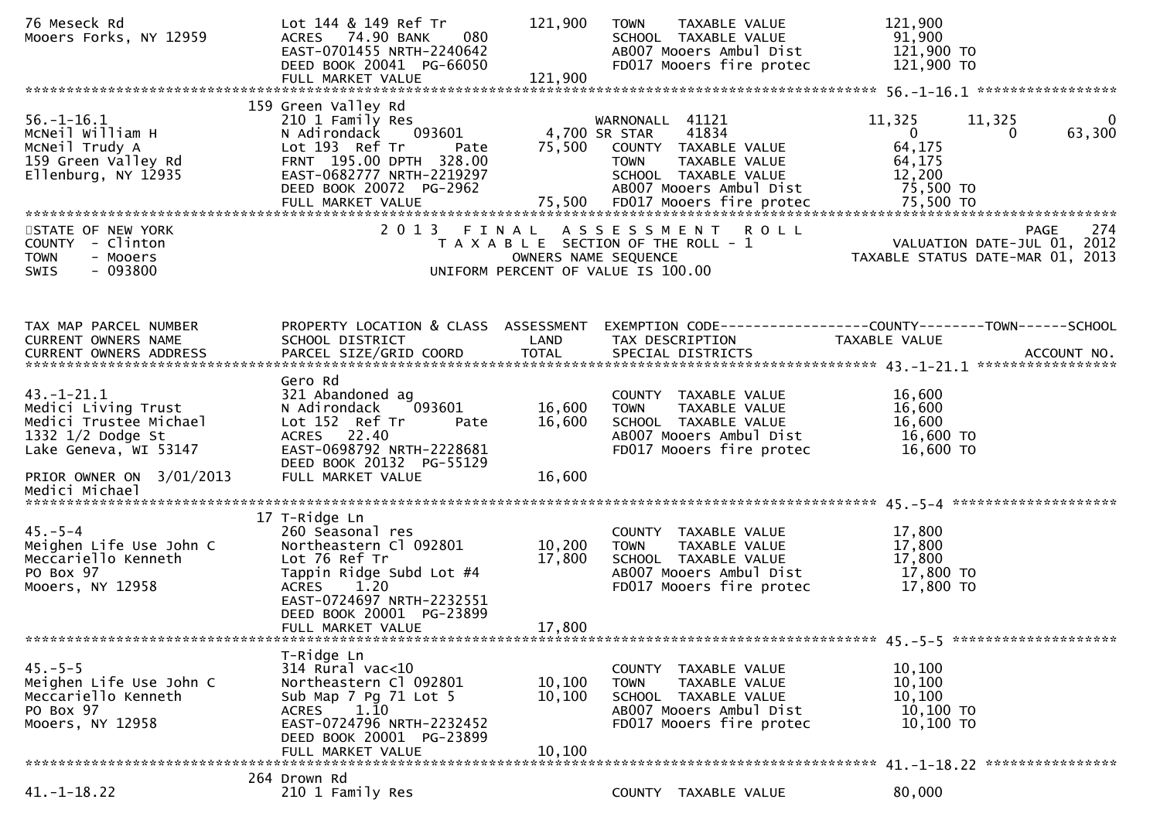| 76 Meseck Rd<br>Mooers Forks, NY 12959                                                                                                                          | Lot 144 & 149 Ref Tr<br>ACRES 74.90 BANK<br>080<br>EAST-0701455 NRTH-2240642<br>DEED BOOK 20041 PG-66050                                                                                                       | 121,900                    | <b>TOWN</b><br>TAXABLE VALUE<br>SCHOOL TAXABLE VALUE<br>AB007 Mooers Ambul Dist<br>FD017 Mooers fire protec                                                 | 121,900<br>91,900<br>121,900 TO<br>121,900 TO                                                                            |
|-----------------------------------------------------------------------------------------------------------------------------------------------------------------|----------------------------------------------------------------------------------------------------------------------------------------------------------------------------------------------------------------|----------------------------|-------------------------------------------------------------------------------------------------------------------------------------------------------------|--------------------------------------------------------------------------------------------------------------------------|
| $56. - 1 - 16.1$<br>McNeil William H<br>MCNeil Trudy A<br>159 Green Valley Rd<br>Ellenburg, NY 12935                                                            | 159 Green Valley Rd<br>210 1 Family Res<br>N Adirondack<br>093601<br>Lot 193 Ref Tr<br>Pate<br>FRNT 195.00 DPTH 328.00<br>EAST-0682777 NRTH-2219297<br>DEED BOOK 20072 PG-2962                                 |                            | WARNONALL 41121<br>4,700 SR STAR<br>41834<br>75,500 COUNTY TAXABLE VALUE<br><b>TOWN</b><br>TAXABLE VALUE<br>SCHOOL TAXABLE VALUE<br>AB007 Mooers Ambul Dist | 11,325<br>11,325<br>$\mathbf{0}$<br>63,300<br>$\mathbf{0}$<br>0<br>64,175<br>64,175<br>12,200<br>75,500 TO               |
| STATE OF NEW YORK<br>COUNTY - Clinton<br><b>TOWN</b><br>- Mooers<br>$-093800$<br><b>SWIS</b>                                                                    | 2013 FINAL                                                                                                                                                                                                     |                            | A S S E S S M E N T R O L L<br>UNIFORM PERCENT OF VALUE IS 100.00                                                                                           | 274<br>PAGE<br>T A X A B L E SECTION OF THE ROLL - 1<br>OWNERS NAME SEQUENCE CONTRACTED TAXABLE STATUS DATE-MAR 01, 2013 |
| TAX MAP PARCEL NUMBER<br>CURRENT OWNERS NAME                                                                                                                    | PROPERTY LOCATION & CLASS ASSESSMENT<br>SCHOOL DISTRICT                                                                                                                                                        | LAND                       | TAX DESCRIPTION                                                                                                                                             | EXEMPTION CODE------------------COUNTY--------TOWN------SCHOOL<br>TAXABLE VALUE                                          |
| $43. - 1 - 21.1$<br>Medici Living Trust<br>Medici Trustee Michael<br>1332 $1/2$ Dodge St<br>Lake Geneva, WI 53147<br>PRIOR OWNER ON 3/01/2013<br>Medici Michael | Gero Rd<br>321 Abandoned ag<br>093601<br>N Adirondack<br>Lot 152 Ref Tr<br>Pate<br>ACRES 22.40<br>EAST-0698792 NRTH-2228681<br>DEED BOOK 20132 PG-55129<br>FULL MARKET VALUE                                   | 16,600<br>16,600<br>16,600 | COUNTY TAXABLE VALUE<br>TAXABLE VALUE<br>TOWN<br>SCHOOL TAXABLE VALUE<br>AB007 Mooers Ambul Dist<br>FD017 Mooers fire protec                                | 16,600<br>16,600<br>16,600<br>16,600 TO<br>16,600 TO                                                                     |
| $45. - 5 - 4$<br>Meighen Life Use John C<br>Meccariello Kenneth<br>PO Box 97<br>Mooers, NY 12958                                                                | 17 T-Ridge Ln<br>260 Seasonal res<br>Northeastern Cl 092801<br>Lot 76 Ref Tr<br>Tappin Ridge Subd Lot #4<br><b>ACRES</b><br>1.20<br>EAST-0724697 NRTH-2232551<br>DEED BOOK 20001 PG-23899<br>FULL MARKET VALUE | 10,200<br>17,800<br>17,800 | COUNTY TAXABLE VALUE<br>TAXABLE VALUE<br><b>TOWN</b><br>SCHOOL TAXABLE VALUE<br>AB007 Mooers Ambul Dist<br>FD017 Mooers fire protec                         | 17,800<br>17,800<br>17,800<br>17,800 TO<br>17,800 TO                                                                     |
| $45. - 5 - 5$<br>Meighen Life Use John C<br>Meccariello Kenneth<br>PO Box 97<br>Mooers, NY 12958                                                                | T-Ridge Ln<br>314 Rural vac<10<br>Northeastern Cl 092801<br>Sub Map 7 Pg 71 Lot 5<br><b>ACRES</b><br>1.10<br>EAST-0724796 NRTH-2232452<br>DEED BOOK 20001 PG-23899<br>FULL MARKET VALUE                        | 10,100<br>10,100<br>10,100 | COUNTY TAXABLE VALUE<br><b>TOWN</b><br>TAXABLE VALUE<br>SCHOOL TAXABLE VALUE<br>AB007 Mooers Ambul Dist<br>FD017 Mooers fire protec                         | 10,100<br>10,100<br>10,100<br>$10,100$ TO<br>10,100 TO                                                                   |
| $41. - 1 - 18.22$                                                                                                                                               | 264 Drown Rd<br>210 1 Family Res                                                                                                                                                                               |                            | COUNTY TAXABLE VALUE                                                                                                                                        | 80,000                                                                                                                   |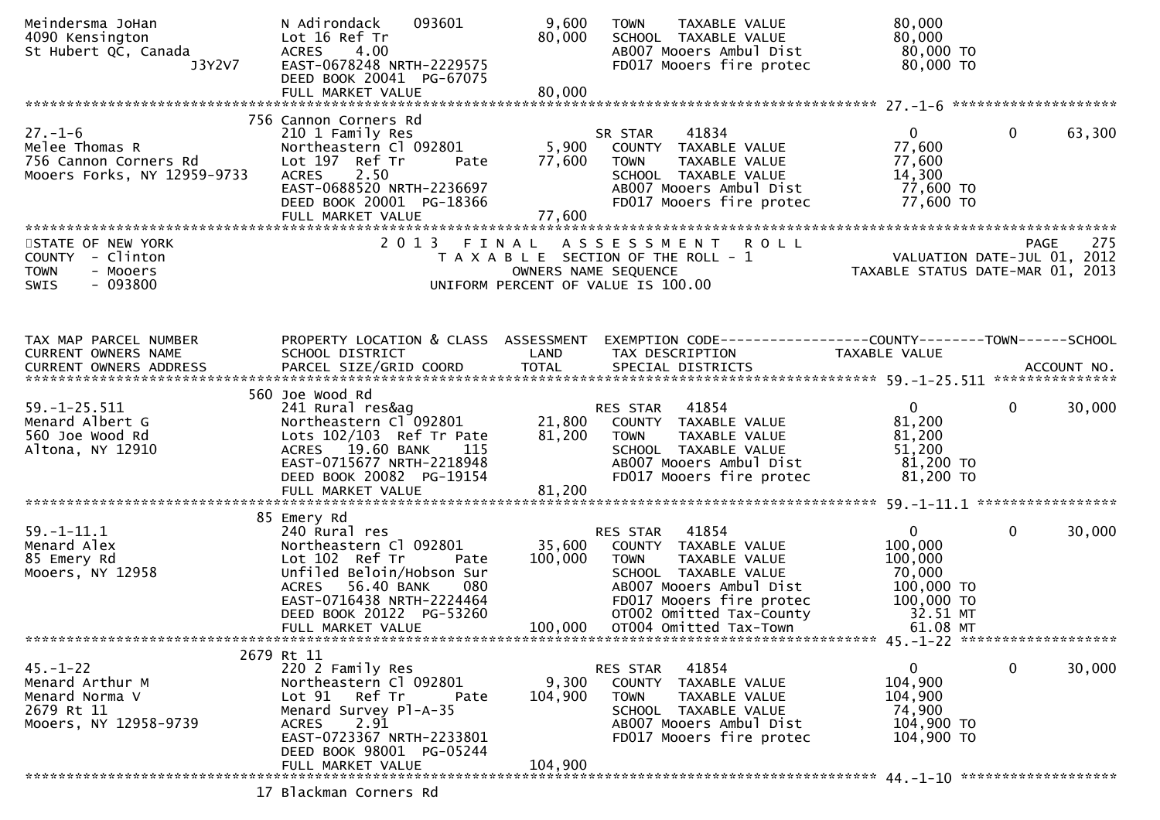| Meindersma JoHan<br>4090 Kensington<br>St Hubert QC, Canada<br>J3Y2V7                      | N Adirondack<br>093601<br>Lot 16 Ref Tr<br>4.00<br><b>ACRES</b><br>EAST-0678248 NRTH-2229575<br>DEED BOOK 20041 PG-67075                                                                            | 9,600<br>80,000           | TAXABLE VALUE<br><b>TOWN</b><br>SCHOOL TAXABLE VALUE<br>AB007 Mooers Ambul Dist<br>FD017 Mooers fire protec                                              | 80,000<br>80,000<br>80,000 TO<br>80,000 TO                                            |                        |
|--------------------------------------------------------------------------------------------|-----------------------------------------------------------------------------------------------------------------------------------------------------------------------------------------------------|---------------------------|----------------------------------------------------------------------------------------------------------------------------------------------------------|---------------------------------------------------------------------------------------|------------------------|
|                                                                                            |                                                                                                                                                                                                     |                           |                                                                                                                                                          |                                                                                       |                        |
| $27. - 1 - 6$<br>Melee Thomas R<br>756 Cannon Corners Rd<br>Mooers Forks, NY 12959-9733    | 756 Cannon Corners Rd<br>210 1 Family Res<br>Northeastern Cl 092801<br>Lot 197 Ref Tr<br>Pate<br><b>ACRES</b><br>2.50<br>EAST-0688520 NRTH-2236697<br>DEED BOOK 20001 PG-18366<br>FULL MARKET VALUE | 5,900<br>77,600<br>77,600 | 41834<br>SR STAR<br>COUNTY TAXABLE VALUE<br><b>TOWN</b><br>TAXABLE VALUE<br>SCHOOL TAXABLE VALUE<br>AB007 Mooers Ambul Dist<br>FD017 Mooers fire protec  | $\mathbf{0}$<br>77,600<br>77,600<br>14,300<br>77,600 TO<br>77,600 TO                  | $\mathbf 0$<br>63,300  |
|                                                                                            |                                                                                                                                                                                                     |                           |                                                                                                                                                          |                                                                                       |                        |
| STATE OF NEW YORK<br>COUNTY - Clinton<br>- Mooers<br><b>TOWN</b><br>$-093800$<br>SWIS      | 2 0 1 3                                                                                                                                                                                             | FINAL                     | ASSESSMENT ROLL<br>T A X A B L E SECTION OF THE ROLL - 1<br>OWNERS NAME SEQUENCE<br>UNIFORM PERCENT OF VALUE IS 100.00                                   | rage 273<br>2012 VALUATION DATE-JUL 01, 2012<br>2013 TAXABLE STATUS DATE-MAR 01, 2013 | 275<br><b>PAGE</b>     |
| TAX MAP PARCEL NUMBER                                                                      | PROPERTY LOCATION & CLASS ASSESSMENT                                                                                                                                                                |                           | EXEMPTION CODE------------------COUNTY--------TOWN------SCHOOL                                                                                           |                                                                                       |                        |
| CURRENT OWNERS NAME<br>CURRENT OWNERS ADDRESS                                              | SCHOOL DISTRICT                                                                                                                                                                                     | LAND                      | TAX DESCRIPTION                                                                                                                                          | TAXABLE VALUE                                                                         |                        |
|                                                                                            |                                                                                                                                                                                                     |                           |                                                                                                                                                          |                                                                                       |                        |
| $59. - 1 - 25.511$<br>Menard Albert G<br>560 Joe Wood Rd<br>Altona, NY 12910               | 560 Joe Wood Rd<br>241 Rural res&ag<br>Northeastern Cl <sup>-</sup> 092801<br>Lots 102/103 Ref Tr Pate<br>ACRES 19.60 BANK<br>115<br>EAST-0715677 NRTH-2218948<br>DEED BOOK 20082 PG-19154          | 21,800<br>81,200          | 41854<br>RES STAR<br>COUNTY TAXABLE VALUE<br><b>TOWN</b><br>TAXABLE VALUE<br>SCHOOL TAXABLE VALUE<br>AB007 Mooers Ambul Dist<br>FD017 Mooers fire protec | $\overline{0}$<br>81,200<br>81,200<br>51,200<br>81,200 TO<br>81,200 TO                | $\mathbf{0}$<br>30,000 |
|                                                                                            | 85 Emery Rd                                                                                                                                                                                         |                           |                                                                                                                                                          |                                                                                       |                        |
| $59. - 1 - 11.1$<br>Menard Alex<br>85 Emery Rd<br>Mooers, NY 12958                         | 240 Rural res<br>Northeastern Cl 092801<br>Lot 102 Ref Tr<br>Pate<br>Unfiled Beloin/Hobson Sur<br>ACRES 56.40 BANK<br>080<br>EAST-0716438 NRTH-2224464                                              | 35,600<br>100,000         | 41854<br>RES STAR<br>COUNTY TAXABLE VALUE<br>TAXABLE VALUE<br>TOWN<br>SCHOOL TAXABLE VALUE<br>AB007 Mooers Ambul Dist<br>FD017 Mooers fire protec        | $\overline{0}$<br>100,000<br>100,000<br>70,000<br>100,000 TO<br>100,000 TO            | $\mathbf{0}$<br>30,000 |
|                                                                                            | DEED BOOK 20122 PG-53260<br>FULL MARKET VALUE                                                                                                                                                       | 100,000                   | OT002 Omitted Tax-County<br>OT004 Omitted Tax-Town                                                                                                       | 32.51 MT<br>61.08 MT                                                                  |                        |
|                                                                                            | 2679 Rt 11                                                                                                                                                                                          |                           |                                                                                                                                                          |                                                                                       |                        |
| $45. - 1 - 22$<br>Menard Arthur M<br>Menard Norma V<br>2679 Rt 11<br>Mooers, NY 12958-9739 | 220 2 Family Res<br>Northeastern Cl 092801<br>Ref Tr<br>Lot <sub>91</sub><br>Pate<br>Menard Survey Pl-A-35<br>2.91<br>ACRES<br>EAST-0723367 NRTH-2233801<br>DEED BOOK 98001 PG-05244                | 9,300<br>104,900          | RES STAR 41854<br>COUNTY TAXABLE VALUE<br><b>TOWN</b><br>TAXABLE VALUE<br>SCHOOL TAXABLE VALUE<br>AB007 Mooers Ambul Dist<br>FD017 Mooers fire protec    | $\mathbf{0}$<br>104,900<br>104,900<br>74,900<br>104,900 TO<br>104,900 TO              | $\mathbf 0$<br>30,000  |
|                                                                                            | FULL MARKET VALUE                                                                                                                                                                                   | 104,900                   |                                                                                                                                                          |                                                                                       |                        |
|                                                                                            | 17 Blackman Corners Rd                                                                                                                                                                              |                           |                                                                                                                                                          |                                                                                       |                        |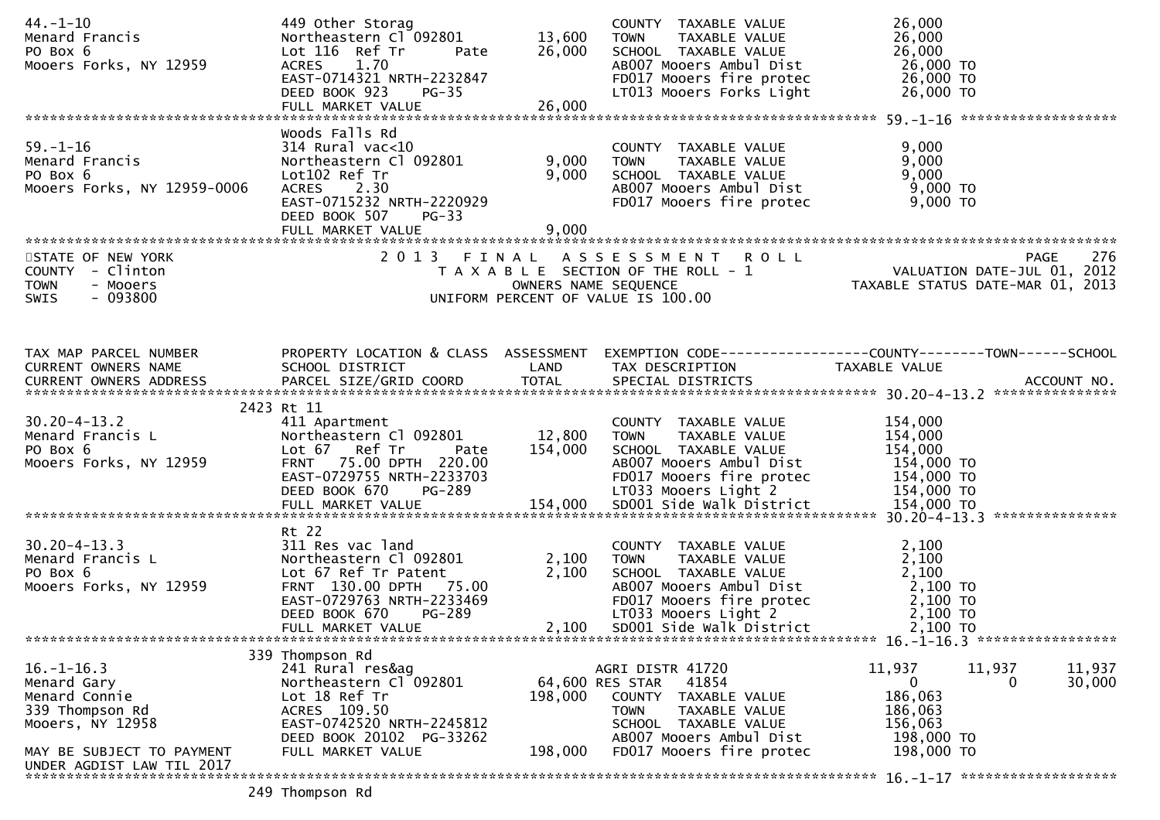| 44. –1–10<br>Menard Francis<br>PO Box 6<br>Mooers Forks, NY 12959                            | 449 Other Storag<br>Northeastern Cl <sup>-</sup> 092801<br>Lot 116 Ref Tr<br>ACRES 1.70<br>EAST-0714321 NRTH-2232847<br>DEED BOOK 923<br>$PG-35$<br>FULL MARKET VALUE     | 13,600<br>Pate 26,000<br>26,000 | COUNTY TAXABLE VALUE<br>TAXABLE VALUE<br><b>TOWN</b><br>SCHOOL TAXABLE VALUE<br>AB007 Mooers Ambul Dist<br>FD017 Mooers fire protec<br>LT013 Mooers Forks Light | 26,000<br>26,000<br>26,000<br>26,000 TO<br>26,000 TO<br>26,000 TO                                                                                       |
|----------------------------------------------------------------------------------------------|---------------------------------------------------------------------------------------------------------------------------------------------------------------------------|---------------------------------|-----------------------------------------------------------------------------------------------------------------------------------------------------------------|---------------------------------------------------------------------------------------------------------------------------------------------------------|
|                                                                                              |                                                                                                                                                                           |                                 |                                                                                                                                                                 |                                                                                                                                                         |
| $59. - 1 - 16$<br>Menard Francis<br>PO Box 6<br>Mooers Forks, NY 12959-0006                  | Woods Falls Rd<br>314 Rural vac<10<br>Northeastern Cl 092801<br>Lot102 Ref Tr<br>ACRES 2.30<br>EAST-0715232 NRTH-2220929<br>DEED BOOK 507<br>$PG-33$<br>FULL MARKET VALUE | 9,000<br>9,000<br>9,000         | COUNTY TAXABLE VALUE<br>TAXABLE VALUE<br><b>TOWN</b><br>SCHOOL TAXABLE VALUE<br>ABOO7 Mooers Ambul Dist<br>FD017 Mooers fire protec                             | 9,000<br>9,000<br>9,000 TO<br>9,000 TO<br>חמה ה<br>9,000 TO                                                                                             |
|                                                                                              |                                                                                                                                                                           |                                 |                                                                                                                                                                 |                                                                                                                                                         |
| STATE OF NEW YORK<br>COUNTY - Clinton<br><b>TOWN</b><br>- Mooers<br>$-093800$<br><b>SWIS</b> |                                                                                                                                                                           |                                 | 2013 FINAL ASSESSMENT ROLL<br>UNIFORM PERCENT OF VALUE IS 100.00                                                                                                | 276<br>5 FINAL ASSESSMENT ROLL<br>TAXABLE SECTION OF THE ROLL - 1 VALUATION DATE-JUL 01, 2012<br>OWNERS NAME SEQUENCE  TAXABLE STATUS DATE-MAR 01, 2013 |
|                                                                                              |                                                                                                                                                                           |                                 |                                                                                                                                                                 |                                                                                                                                                         |
| TAX MAP PARCEL NUMBER<br>CURRENT OWNERS NAME                                                 | SCHOOL DISTRICT<br><b>Example 18 The CAND</b>                                                                                                                             |                                 | TAX DESCRIPTION                       TAXABLE VALUE<br>SPECIAL DISTRICTS                                                                                        | PROPERTY LOCATION & CLASS ASSESSMENT EXEMPTION CODE----------------COUNTY-------TOWN------SCHOOL                                                        |
|                                                                                              |                                                                                                                                                                           |                                 |                                                                                                                                                                 |                                                                                                                                                         |
|                                                                                              | 2423 Rt 11                                                                                                                                                                |                                 |                                                                                                                                                                 |                                                                                                                                                         |
| $30.20 - 4 - 13.2$<br>Menard Francis L<br>PO Box 6<br>Mooers Forks, NY 12959                 | 411 Apartment<br>Northeastern Cl 092801 12,800<br>Lot 67 Ref Tr<br>Pate<br>FRNT 75.00 DPTH 220.00<br>EAST-0729755 NRTH-2233703                                            | 154,000                         | COUNTY TAXABLE VALUE<br>TAXABLE VALUE<br>TOWN<br>SCHOOL TAXABLE VALUE<br>AB007 Mooers Ambul Dist<br>FD017 Mooers fire protec 154,000 TO                         | 154,000<br>154,000<br>154,000<br>154,000 TO                                                                                                             |
|                                                                                              |                                                                                                                                                                           |                                 |                                                                                                                                                                 | $154,000$ TO<br>$154,000$ TO                                                                                                                            |
|                                                                                              | Rt 22                                                                                                                                                                     |                                 |                                                                                                                                                                 |                                                                                                                                                         |
| 30.20-4-13.3<br>Menard Francis L<br>PO Box 6<br>Mooers Forks, NY 12959                       | 311 Res vac land<br>Northeastern Cl 092801<br>Lot 67 Ref Tr Patent<br>FRNT 130.00 DPTH 75.00<br>EAST-0729763 NRTH-2233469                                                 | 2,100<br>2,100                  | COUNTY TAXABLE VALUE<br>TAXABLE VALUE<br><b>TOWN</b><br>SCHOOL TAXABLE VALUE<br>AB007 Mooers Ambul Dist                                                         | 2,100<br>2,100<br>2,100<br>2,100 TO                                                                                                                     |
|                                                                                              | DEED BOOK 670<br><b>PG-289</b><br>FULL MARKET VALUE                                                                                                                       | 2,100                           | SD001 Side Walk District                                                                                                                                        | 2,100 TO                                                                                                                                                |
|                                                                                              |                                                                                                                                                                           |                                 |                                                                                                                                                                 |                                                                                                                                                         |
| $16. - 1 - 16.3$<br>Menard Gary<br>Menard Connie<br>339 Thompson Rd<br>Mooers, NY 12958      | 339 Thompson Rd<br>241 Rural res&ag<br>Northeastern Cl 092801<br>Lot 18 Ref Tr<br>ACRES 109.50<br>EAST-0742520 NRTH-2245812                                               | 198,000                         | AGRI DISTR 41720<br>64,600 RES STAR<br>41854<br>COUNTY TAXABLE VALUE<br><b>TOWN</b><br>TAXABLE VALUE<br>SCHOOL TAXABLE VALUE                                    | 11,937<br>11,937<br>11,937<br>$\mathbf 0$<br>30,000<br>0<br>186,063<br>186,063<br>156,063                                                               |
| MAY BE SUBJECT TO PAYMENT<br>UNDER AGDIST LAW TIL 2017                                       | DEED BOOK 20102 PG-33262<br>FULL MARKET VALUE                                                                                                                             | 198,000                         | AB007 Mooers Ambul Dist<br>FD017 Mooers fire protec                                                                                                             | 198,000 TO<br>198,000 TO                                                                                                                                |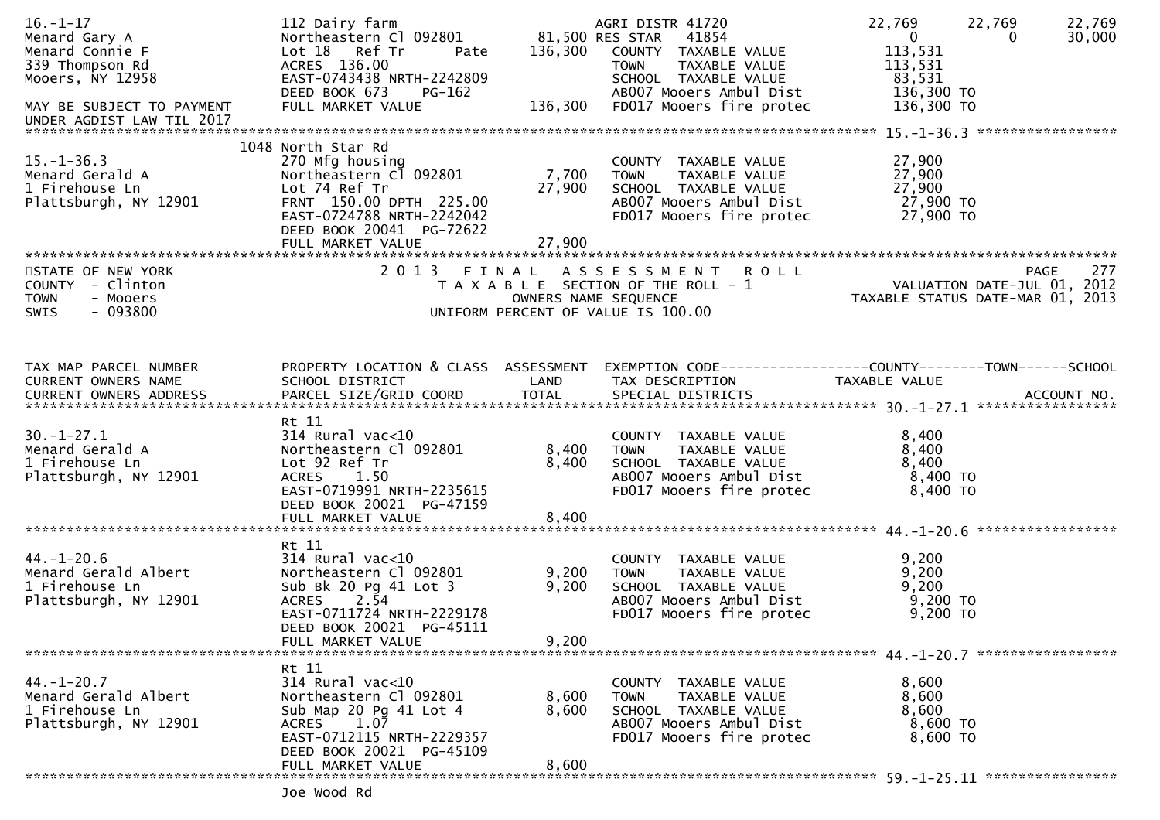| $16. - 1 - 17$<br>Menard Gary A<br>Menard Connie F<br>339 Thompson Rd<br>Mooers, NY 12958<br>MAY BE SUBJECT TO PAYMENT | 112 Dairy farm<br>Northeastern C1 092801 81,500 RES STAR 41854<br>Lot 18 Ref Tr<br>Pate<br>ACRES 136.00<br>EAST-0743438 NRTH-2242809<br>DEED BOOK 673<br>PG-162<br>FULL MARKET VALUE      |                           | AGRI DISTR 41720<br>136,300 COUNTY TAXABLE VALUE<br><b>TOWN</b><br>TAXABLE VALUE<br>SCHOOL TAXABLE VALUE<br>AB007 Mooers Ambul Dist<br>136,300 FD017 Mooers fire protec | 22,769<br>22,769<br>$\overline{\mathbf{0}}$<br>$\Omega$<br>113,531<br>113,531<br>83,531<br>136,300 TO<br>136,300 TO | 22,769<br>30,000 |
|------------------------------------------------------------------------------------------------------------------------|-------------------------------------------------------------------------------------------------------------------------------------------------------------------------------------------|---------------------------|-------------------------------------------------------------------------------------------------------------------------------------------------------------------------|---------------------------------------------------------------------------------------------------------------------|------------------|
| UNDER AGDIST LAW TIL 2017                                                                                              |                                                                                                                                                                                           |                           |                                                                                                                                                                         |                                                                                                                     |                  |
| $15. - 1 - 36.3$<br>Menard Gerald A<br>1 Firehouse Ln<br>Plattsburgh, NY 12901                                         | 1048 North Star Rd<br>270 Mfg housing<br>Northeastern Cl 092801<br>Lot 74 Ref Tr<br>FRNT 150.00 DPTH 225.00<br>EAST-0724788 NRTH-2242042<br>DEED BOOK 20041 PG-72622<br>FULL MARKET VALUE | 7,700<br>27,900<br>27,900 | COUNTY TAXABLE VALUE<br>TAXABLE VALUE<br><b>TOWN</b><br>SCHOOL TAXABLE VALUE<br>AB007 Mooers Ambul Dist<br>FD017 Mooers fire protec                                     | 27,900<br>27,900<br>27,900<br>27,900 TO<br>27,900 TO                                                                |                  |
| STATE OF NEW YORK                                                                                                      |                                                                                                                                                                                           |                           | 2013 FINAL ASSESSMENT ROLL                                                                                                                                              |                                                                                                                     | 277<br>PAGE      |
| COUNTY - Clinton<br>- Mooers<br><b>TOWN</b><br>$-093800$<br><b>SWIS</b>                                                |                                                                                                                                                                                           | OWNERS NAME SEQUENCE      | T A X A B L E SECTION OF THE ROLL - 1<br>UNIFORM PERCENT OF VALUE IS 100.00                                                                                             | 0 L L<br>VALUATION DATE-JUL 01, 2012<br>TAXABLE STATUS DATE-MAR 01, 2013                                            |                  |
| TAX MAP PARCEL NUMBER<br>CURRENT OWNERS NAME                                                                           | SCHOOL DISTRICT                                                                                                                                                                           | LAND                      | PROPERTY LOCATION & CLASS ASSESSMENT EXEMPTION CODE----------------COUNTY-------TOWN------SCHOOL<br>TAX DESCRIPTION                                                     | TAXABLE VALUE                                                                                                       |                  |
| $30. - 1 - 27.1$<br>Menard Gerald A<br>1 Firehouse Ln<br>Plattsburgh, NY 12901                                         | Rt 11<br>$314$ Rural vac<10<br>Northeastern Cl 092801<br>Lot 92 Ref Tr<br>ACRES 1.50<br>EAST-0719991 NRTH-2235615<br>DEED BOOK 20021 PG-47159                                             | 8,400<br>8,400            | COUNTY TAXABLE VALUE<br><b>TOWN</b><br>TAXABLE VALUE<br>SCHOOL TAXABLE VALUE<br>AB007 Mooers Ambul Dist<br>FD017 Mooers fire protec                                     | 8,400<br>8,400<br>8,400<br>8,400 TO<br>8,400 TO                                                                     |                  |
|                                                                                                                        |                                                                                                                                                                                           |                           |                                                                                                                                                                         |                                                                                                                     |                  |
| $44. - 1 - 20.6$<br>Menard Gerald Albert<br>1 Firehouse Ln<br>Plattsburgh, NY 12901                                    | Rt 11<br>$314$ Rural vac<10<br>Northeastern Cl 092801<br>Sub Bk 20 Pg 41 Lot 3<br>$ACRES$ 2.54<br>EAST-0711724 NRTH-2229178<br>DEED BOOK 20021 PG-45111<br>FULL MARKET VALUE              | 9,200<br>9,200<br>9,200   | COUNTY TAXABLE VALUE<br><b>TOWN</b><br>TAXABLE VALUE<br>SCHOOL TAXABLE VALUE<br>AB007 Mooers Ambul Dist<br>FD017 Mooers fire protec                                     | 9,200<br>9,200<br>9,200<br>$9,200$ TO<br>9,200 TO                                                                   |                  |
|                                                                                                                        |                                                                                                                                                                                           |                           |                                                                                                                                                                         |                                                                                                                     |                  |
| $44. - 1 - 20.7$<br>Menard Gerald Albert<br>1 Firehouse Ln<br>Plattsburgh, NY 12901                                    | Rt 11<br>$314$ Rural vac<10<br>Northeastern Cl 092801<br>Sub Map 20 Pg 41 Lot 4<br>1.07<br>ACRES<br>EAST-0712115 NRTH-2229357<br>DEED BOOK 20021 PG-45109                                 | 8,600<br>8,600            | COUNTY<br>TAXABLE VALUE<br>TAXABLE VALUE<br><b>TOWN</b><br>SCHOOL TAXABLE VALUE<br>AB007 Mooers Ambul Dist<br>FD017 Mooers fire protec                                  | 8,600<br>8,600<br>8,600<br>8,600 TO<br>8,600 TO                                                                     |                  |
|                                                                                                                        | FULL MARKET VALUE<br>***************************                                                                                                                                          | 8,600                     |                                                                                                                                                                         |                                                                                                                     |                  |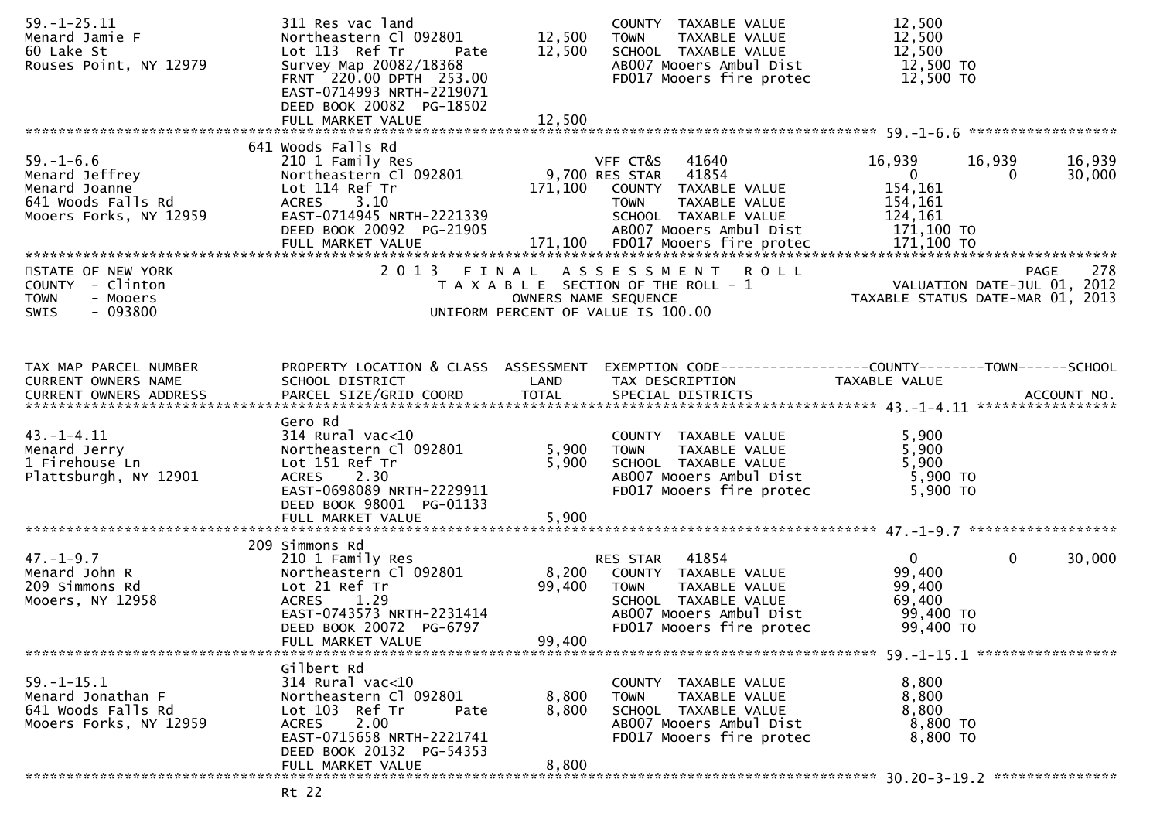| $59. - 1 - 25.11$<br>Menard Jamie F<br>60 Lake St<br>Rouses Point, NY 12979                        | 311 Res vac land<br>Northeastern Cl 092801<br>Lot 113 Ref Tr<br>Pate<br>Survey Map 20082/18368<br>FRNT 220.00 DPTH 253.00<br>EAST-0714993 NRTH-2219071                                     | 12,500<br>12,500          | COUNTY TAXABLE VALUE<br>TAXABLE VALUE<br><b>TOWN</b><br>SCHOOL TAXABLE VALUE<br>AB007 Mooers Ambul Dist<br>FD017 Mooers fire protec                      | 12,500<br>12,500<br>12,500<br>12,500 TO<br>12,500 TO                            |                       |
|----------------------------------------------------------------------------------------------------|--------------------------------------------------------------------------------------------------------------------------------------------------------------------------------------------|---------------------------|----------------------------------------------------------------------------------------------------------------------------------------------------------|---------------------------------------------------------------------------------|-----------------------|
|                                                                                                    | DEED BOOK 20082 PG-18502<br>FULL MARKET VALUE                                                                                                                                              | 12,500                    |                                                                                                                                                          |                                                                                 |                       |
|                                                                                                    | 641 Woods Falls Rd                                                                                                                                                                         |                           |                                                                                                                                                          |                                                                                 |                       |
| $59. - 1 - 6.6$<br>Menard Jeffrey<br>Menard Joanne<br>641 Woods Falls Rd<br>Mooers Forks, NY 12959 | 210 1 Family Res<br>Northeastern Cl 092801<br>Lot 114 Ref Tr<br>ACRES 3.10<br>EAST-0714945 NRTH-2221339<br>DEED BOOK 20092 PG-21905                                                        | 171,100                   | VFF CT&S<br>41640<br>9,700 RES STAR<br>41854<br>COUNTY TAXABLE VALUE<br>TAXABLE VALUE<br><b>TOWN</b><br>SCHOOL TAXABLE VALUE<br>AB007 Mooers Ambul Dist  | 16,939<br>16,939<br>$\mathbf{0}$<br>154,161<br>154,161<br>124,161<br>171,100 TO | 16,939<br>30,000<br>0 |
|                                                                                                    |                                                                                                                                                                                            |                           |                                                                                                                                                          |                                                                                 |                       |
| STATE OF NEW YORK<br>COUNTY - Clinton<br>- Mooers<br><b>TOWN</b><br>$-093800$<br><b>SWIS</b>       |                                                                                                                                                                                            | OWNERS NAME SEQUENCE      | 2013 FINAL ASSESSMENT ROLL<br>T A X A B L E SECTION OF THE ROLL - 1<br>UNIFORM PERCENT OF VALUE IS 100.00                                                | VALUATION DATE-JUL 01, 2012<br>TAXABLE STATUS DATE-MAR 01, 2013                 | 278<br><b>PAGE</b>    |
| TAX MAP PARCEL NUMBER<br>CURRENT OWNERS NAME                                                       | PROPERTY LOCATION & CLASS ASSESSMENT<br>SCHOOL DISTRICT                                                                                                                                    | LAND                      | EXEMPTION CODE-----------------COUNTY-------TOWN------SCHOOL<br>TAX DESCRIPTION                                                                          | TAXABLE VALUE                                                                   |                       |
| $43. - 1 - 4.11$<br>Menard Jerry<br>1 Firehouse Ln<br>Plattsburgh, NY 12901                        | Gero Rd<br>$314$ Rural vac< $10$<br>Northeastern Cl 092801<br>Lot 151 Ref Tr<br>ACRES 2.30<br>EAST-0698089 NRTH-2229911<br>DEED BOOK 98001 PG-01133                                        | 5,900<br>5,900            | COUNTY TAXABLE VALUE<br>TAXABLE VALUE<br><b>TOWN</b><br>SCHOOL TAXABLE VALUE<br>AB007 Mooers Ambul Dist<br>FD017 Mooers fire protec                      | 5,900<br>5,900<br>5,900<br>5,900 TO<br>5,900 TO                                 |                       |
|                                                                                                    |                                                                                                                                                                                            |                           |                                                                                                                                                          |                                                                                 |                       |
|                                                                                                    |                                                                                                                                                                                            |                           |                                                                                                                                                          |                                                                                 |                       |
| $47. - 1 - 9.7$<br>Menard John R<br>209 Simmons Rd<br>Mooers, NY 12958                             | 209 Simmons Rd<br>210 1 Family Res<br>Northeastern Cl 092801<br>Lot 21 Ref Tr<br>ACRES 1.29<br>EAST-0743573 NRTH-2231414<br>DEED BOOK 20072 PG-6797<br>FULL MARKET VALUE                   | 8,200<br>99,400<br>99,400 | RES STAR<br>41854<br>COUNTY TAXABLE VALUE<br><b>TOWN</b><br>TAXABLE VALUE<br>SCHOOL TAXABLE VALUE<br>AB007 Mooers Ambul Dist<br>FD017 Mooers fire protec | $\mathbf{0}$<br>99,400<br>99,400<br>69,400<br>99,400 TO<br>99,400 TO            | $\mathbf 0$<br>30,000 |
|                                                                                                    |                                                                                                                                                                                            |                           |                                                                                                                                                          |                                                                                 |                       |
| $59. - 1 - 15.1$<br>Menard Jonathan F<br>641 Woods Falls Rd<br>Mooers Forks, NY 12959              | Gilbert Rd<br>$314$ Rural vac<10<br>Northeastern Cl 092801<br>Lot 103 Ref Tr<br>Pate<br>2.00<br><b>ACRES</b><br>EAST-0715658 NRTH-2221741<br>DEED BOOK 20132 PG-54353<br>FULL MARKET VALUE | 8,800<br>8,800<br>8,800   | COUNTY TAXABLE VALUE<br>TAXABLE VALUE<br><b>TOWN</b><br>SCHOOL TAXABLE VALUE<br>AB007 Mooers Ambul Dist<br>FD017 Mooers fire protec                      | 8,800<br>8,800<br>8,800<br>8,800 TO<br>8,800 TO                                 |                       |
|                                                                                                    |                                                                                                                                                                                            |                           |                                                                                                                                                          |                                                                                 |                       |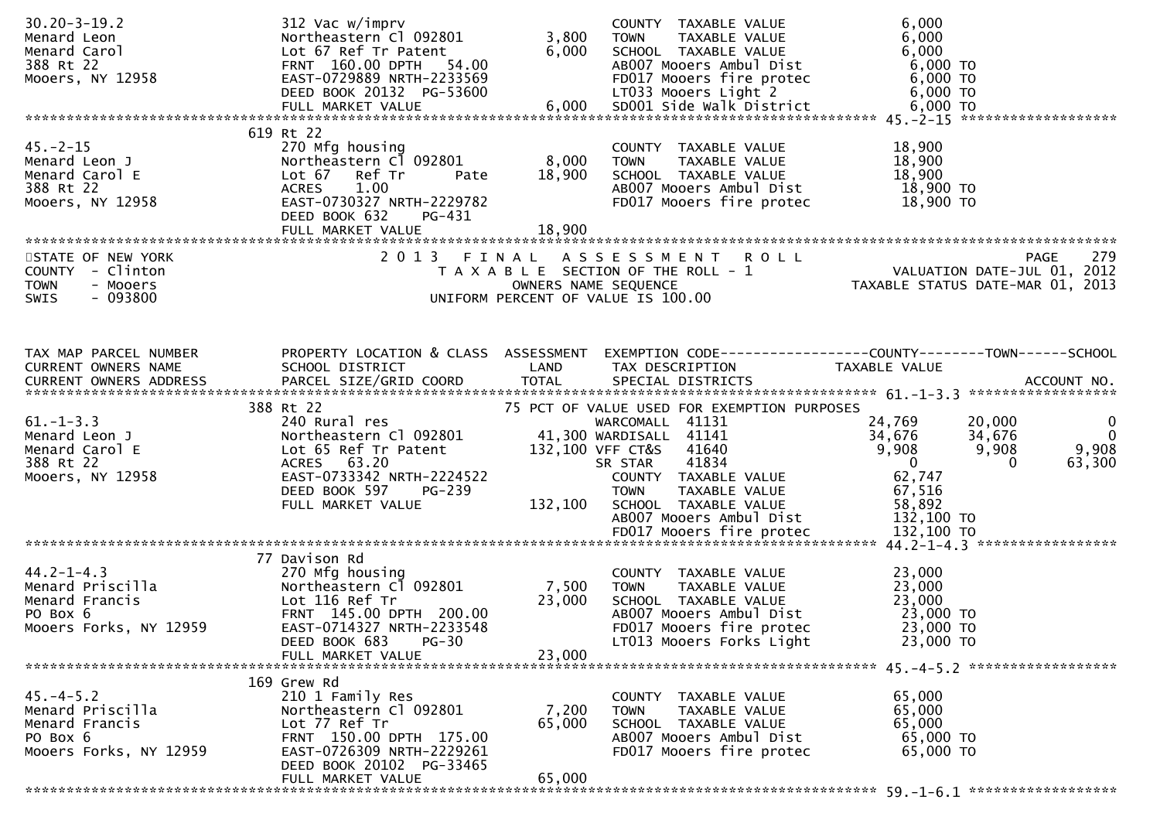| $30.20 - 3 - 19.2$<br>Menard Leon<br>Menard Carol<br>388 Rt 22<br>Mooers, NY 12958          | 312 Vac w/imprv<br>Northeastern Cl 092801<br>Lot 67 Ref Tr Patent<br>FRNT 160.00 DPTH 54.00<br>EAST-0729889 NRTH-2233569<br>DEED BOOK 20132 PG-53600                                  | 3,800<br>6,000            | COUNTY TAXABLE VALUE<br>TAXABLE VALUE<br><b>TOWN</b><br>SCHOOL TAXABLE VALUE<br>AB007 Mooers Ambul Dist<br>FD017 Mooers fire protec 6,000 TO<br>LT033 Mooers Light 2 6,000 TO                                                                     | 6,000<br>6,000<br>6,000<br>$6,000$ TO                                                                                                                                                             |
|---------------------------------------------------------------------------------------------|---------------------------------------------------------------------------------------------------------------------------------------------------------------------------------------|---------------------------|---------------------------------------------------------------------------------------------------------------------------------------------------------------------------------------------------------------------------------------------------|---------------------------------------------------------------------------------------------------------------------------------------------------------------------------------------------------|
| $45. - 2 - 15$<br>Menard Leon J<br>Menard Carol E<br>388 Rt 22<br>Mooers, NY 12958          | 619 Rt 22<br>270 Mfg housing<br>Northeastern Cl 092801<br>Lot 67 Ref Tr<br>Pate<br>1.00<br><b>ACRES</b><br>EAST-0730327 NRTH-2229782<br>DEED BOOK 632<br>PG-431                       | 8,000<br>18,900           | COUNTY TAXABLE VALUE<br><b>TOWN</b><br>TAXABLE VALUE<br>SCHOOL TAXABLE VALUE<br>AB007 Mooers Ambul Dist<br>FD017 Mooers fire protec                                                                                                               | 18,900<br>18,900<br>18,900<br>18,900 TO<br>18,900 TO                                                                                                                                              |
| STATE OF NEW YORK<br>COUNTY - Clinton<br><b>TOWN</b><br>- Mooers<br>$-093800$<br>SWIS       |                                                                                                                                                                                       |                           | 2013 FINAL ASSESSMENT ROLL<br>T A X A B L E SECTION OF THE ROLL - 1<br>OWNERS NAME SEQUENCE<br>UNIFORM PERCENT OF VALUE IS 100.00                                                                                                                 | 279<br>PAGE                                                                                                                                                                                       |
| TAX MAP PARCEL NUMBER<br>CURRENT OWNERS NAME                                                | SCHOOL DISTRICT<br><b>Example 18 The LAND</b>                                                                                                                                         |                           | TAX DESCRIPTION                                                                                                                                                                                                                                   | PROPERTY LOCATION & CLASS ASSESSMENT EXEMPTION CODE----------------COUNTY-------TOWN------SCHOOL<br><b>TAXABLE VALUE</b>                                                                          |
| $61. -1 - 3.3$<br>Menard Leon J<br>Menard Carol E<br>388 Rt 22<br>Mooers, NY 12958          | 388 Rt 22<br>240 Rural res<br>Northeastern Cl 092801<br>Lot 65 Ref Tr Patent<br>ACRES 63.20<br>EAST-0733342 NRTH-2224522<br>DEED BOOK 597<br>PG-239<br>FULL MARKET VALUE              | 132,100                   | 75 PCT OF VALUE USED FOR EXEMPTION PURPOSES<br>WARCOMALL 41131<br>41,300 WARDISALL 41141<br>132,100 VFF CT&S 41640<br>41834<br>SR STAR<br>COUNTY TAXABLE VALUE<br><b>TOWN</b><br>TAXABLE VALUE<br>SCHOOL TAXABLE VALUE<br>AB007 Mooers Ambul Dist | 24,769<br>20,000<br>$\overline{0}$<br>$\overline{0}$<br>34,676<br>34,676<br>9,908<br>9,908<br>9,908<br>$\overline{\phantom{0}}$<br>63,300<br>$\Omega$<br>62,747<br>67,516<br>58,892<br>132,100 TO |
| $44.2 - 1 - 4.3$<br><br>Menard Priscilla<br>PO Box 6<br>Mooers Forks, NY 12959              | 77 Davison Rd<br>270 Mfg housing<br>Northeastern Cl 092801<br>Lot 116 Ref Tr<br>FRNT 145.00 DPTH 200.00<br>EAST-0714327 NRTH-2233548<br>DEED BOOK 683<br>$PG-30$<br>FULL MARKET VALUE | 7,500<br>23,000<br>23,000 | COUNTY TAXABLE VALUE<br>TAXABLE VALUE<br>TOWN<br>SCHOOL TAXABLE VALUE<br>AB007 Mooers Ambul Dist<br>FD017 Mooers fire protec<br>LT013 Mooers Forks Light                                                                                          | 23,000<br>23,000<br>23,000<br>23,000 TO<br>23,000 TO<br>23,000 TO                                                                                                                                 |
| $45. - 4 - 5.2$<br>Menard Priscilla<br>Menard Francis<br>PO Box 6<br>Mooers Forks, NY 12959 | 169 Grew Rd<br>210 1 Family Res<br>Northeastern Cl 092801<br>Lot 77 Ref Tr<br>FRNT 150.00 DPTH 175.00<br>EAST-0726309 NRTH-2229261<br>DEED BOOK 20102 PG-33465<br>FULL MARKET VALUE   | 7,200<br>65,000<br>65,000 | COUNTY TAXABLE VALUE<br>TAXABLE VALUE<br><b>TOWN</b><br>SCHOOL TAXABLE VALUE<br>AB007 Mooers Ambul Dist<br>FD017 Mooers fire protec                                                                                                               | 65,000<br>65,000<br>65,000<br>65,000 TO<br>65,000 TO                                                                                                                                              |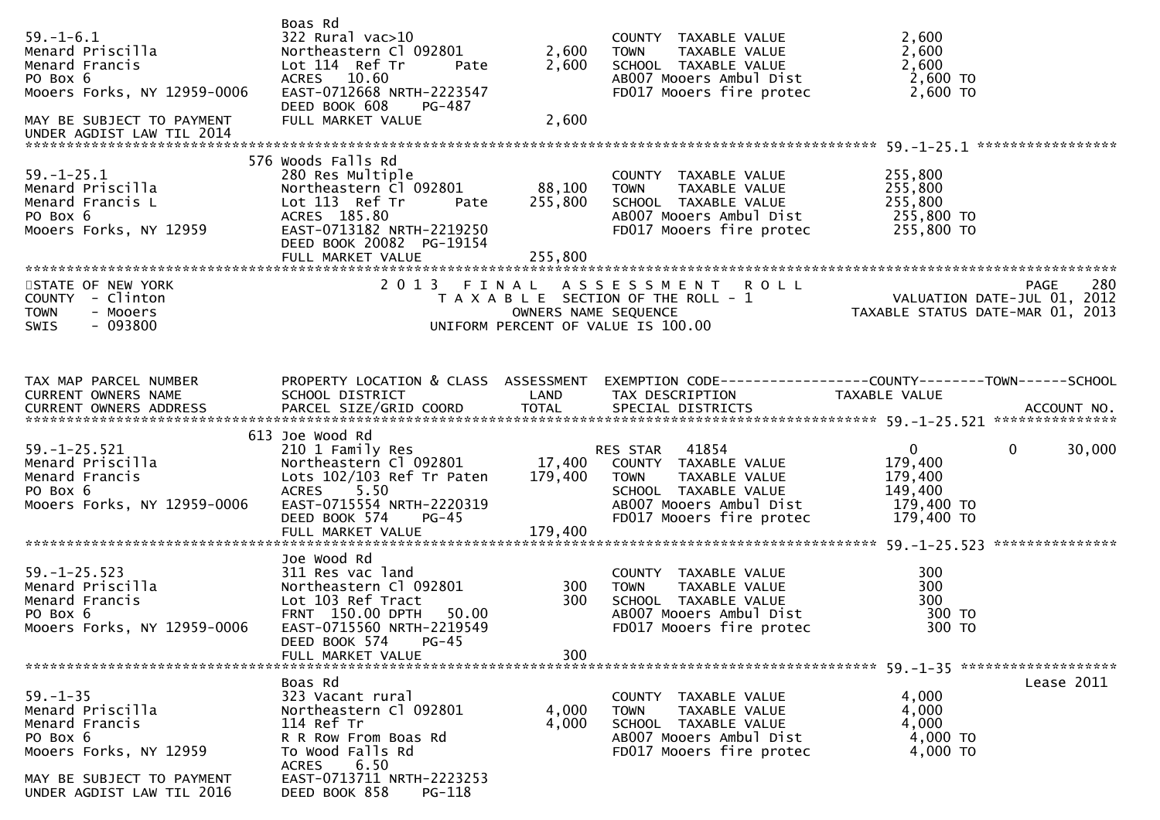| $59. - 1 - 6.1$<br><i>Menard Priscilla</i><br>Menard Francis<br>PO Box 6<br>PO Box 6<br>Mooers Forks, NY 12959-0006<br>MAY BE SUBJECT TO PAYMENT | Boas Rd<br>322 Rural vac>10<br>Northeastern Cl 092801<br>Lot 114 Ref Tr<br>Pate<br>ACRES 10.60<br>EAST-0712668 NRTH-2223547<br>DEED BOOK 608<br>PG-487<br>FULL MARKET VALUE              | 2,600<br>2,600<br>2,600      | COUNTY TAXABLE VALUE<br>TAXABLE VALUE<br><b>TOWN</b><br>SCHOOL TAXABLE VALUE<br>AB007 Mooers Ambul Dist<br>FD017 Mooers fire protec                              | 2,600<br>2,600<br>2,600<br>2,600 TO<br>$2,600$ TO                        |                          |
|--------------------------------------------------------------------------------------------------------------------------------------------------|------------------------------------------------------------------------------------------------------------------------------------------------------------------------------------------|------------------------------|------------------------------------------------------------------------------------------------------------------------------------------------------------------|--------------------------------------------------------------------------|--------------------------|
| UNDER AGDIST LAW TIL 2014                                                                                                                        |                                                                                                                                                                                          |                              |                                                                                                                                                                  |                                                                          |                          |
| $59. - 1 - 25.1$<br>Menard Priscilla<br>Menard Francis L<br>PO Box 6<br>Mooers Forks, NY 12959                                                   | 576 Woods Falls Rd<br>280 Res Multiple<br>Northeastern Cl 092801<br>Lot 113 Ref Tr<br>Pate<br>ACRES 185.80<br>EAST-0713182 NRTH-2219250<br>DEED BOOK 20082 PG-19154<br>FULL MARKET VALUE | 88,100<br>255,800<br>255,800 | COUNTY TAXABLE VALUE<br><b>TOWN</b><br>TAXABLE VALUE<br>SCHOOL TAXABLE VALUE<br>AB007 Mooers Ambul Dist<br>FD017 Mooers fire protec 255,800 TO                   | 255,800<br>255,800<br>255,800<br>255,800 TO                              |                          |
| STATE OF NEW YORK                                                                                                                                |                                                                                                                                                                                          |                              | 2013 FINAL ASSESSMENT ROLL                                                                                                                                       |                                                                          | 280<br>PAGE              |
| COUNTY - Clinton<br>- Mooers<br><b>TOWN</b><br>$-093800$<br>SWIS                                                                                 |                                                                                                                                                                                          | OWNERS NAME SEQUENCE         | T A X A B L E SECTION OF THE ROLL - 1<br>UNIFORM PERCENT OF VALUE IS 100.00                                                                                      | 0 L L<br>VALUATION DATE-JUL 01, 2012<br>TAXABLE STATUS DATE-MAR 01, 2013 |                          |
|                                                                                                                                                  |                                                                                                                                                                                          |                              |                                                                                                                                                                  |                                                                          |                          |
| TAX MAP PARCEL NUMBER<br>CURRENT OWNERS NAME                                                                                                     | PROPERTY LOCATION & CLASS ASSESSMENT<br>SCHOOL DISTRICT                                                                                                                                  | <b>Example 12 DE LAND</b>    | EXEMPTION CODE-----------------COUNTY--------TOWN------SCHOOL<br>TAX DESCRIPTION                                                                                 | TAXABLE VALUE                                                            |                          |
|                                                                                                                                                  | 613 Joe Wood Rd                                                                                                                                                                          |                              |                                                                                                                                                                  |                                                                          |                          |
| $59. - 1 - 25.521$<br>Menard Priscilla<br>Menard Francis<br>PO Box 6<br>Mooers Forks, NY 12959-0006                                              | 210 1 Family Res<br>Northeastern Cl 092801 17,400<br>Lots 102/103 Ref Tr Paten<br>ACRES 5.50<br>EAST-0715554 NRTH-2220319<br>DEED BOOK 574<br><b>PG-45</b>                               | 179,400                      | RES STAR 41854<br>COUNTY TAXABLE VALUE<br><b>TOWN</b><br>TAXABLE VALUE<br>SCHOOL TAXABLE VALUE<br>AB007 Mooers Ambul Dist 179,400 TO<br>FD017 Mooers fire protec | $\overline{0}$<br>179,400<br>179,400<br>149,400<br>179,400 TO            | $\overline{0}$<br>30,000 |
|                                                                                                                                                  | FULL MARKET VALUE                                                                                                                                                                        | 179,400                      |                                                                                                                                                                  |                                                                          |                          |
|                                                                                                                                                  | Joe Wood Rd                                                                                                                                                                              |                              |                                                                                                                                                                  |                                                                          |                          |
| $59. - 1 - 25.523$<br>Menard Priscilla<br>Menard Francis<br>PO Box 6<br>Mooers Forks, NY 12959-0006                                              | 311 Res vac land<br>Northeastern Cl 092801<br>Lot 103 Ref Tract<br>FRNT 150.00 DPTH<br>50.00<br>EAST-0715560 NRTH-2219549<br>DEED BOOK 574<br>$PG-45$<br>FULL MARKET VALUE               | 300<br>300<br>300            | COUNTY TAXABLE VALUE<br>TAXABLE VALUE<br><b>TOWN</b><br>SCHOOL TAXABLE VALUE<br>AB007 Mooers Ambul Dist<br>FD017 Mooers fire protec                              | 300<br>300<br>300<br>300 TO<br>300 TO                                    |                          |
|                                                                                                                                                  |                                                                                                                                                                                          |                              |                                                                                                                                                                  |                                                                          |                          |
| $59. - 1 - 35$<br>Menard Priscilla<br>Menard Francis<br>PO Box 6<br>Mooers Forks, NY 12959                                                       | Boas Rd<br>323 Vacant rural<br>Northeastern Cl 092801<br>114 Ref Tr<br>R R Row From Boas Rd<br>To Wood Falls Rd<br>6.50<br><b>ACRES</b>                                                  | 4,000<br>4,000               | COUNTY TAXABLE VALUE<br>TAXABLE VALUE<br><b>TOWN</b><br>SCHOOL TAXABLE VALUE<br>AB007 Mooers Ambul Dist<br>FD017 Mooers fire protec                              | 4,000<br>4,000<br>4,000<br>4,000 TO<br>4,000 TO                          | Lease 2011               |
| MAY BE SUBJECT TO PAYMENT<br>UNDER AGDIST LAW TIL 2016                                                                                           | EAST-0713711 NRTH-2223253<br>DEED BOOK 858<br>PG-118                                                                                                                                     |                              |                                                                                                                                                                  |                                                                          |                          |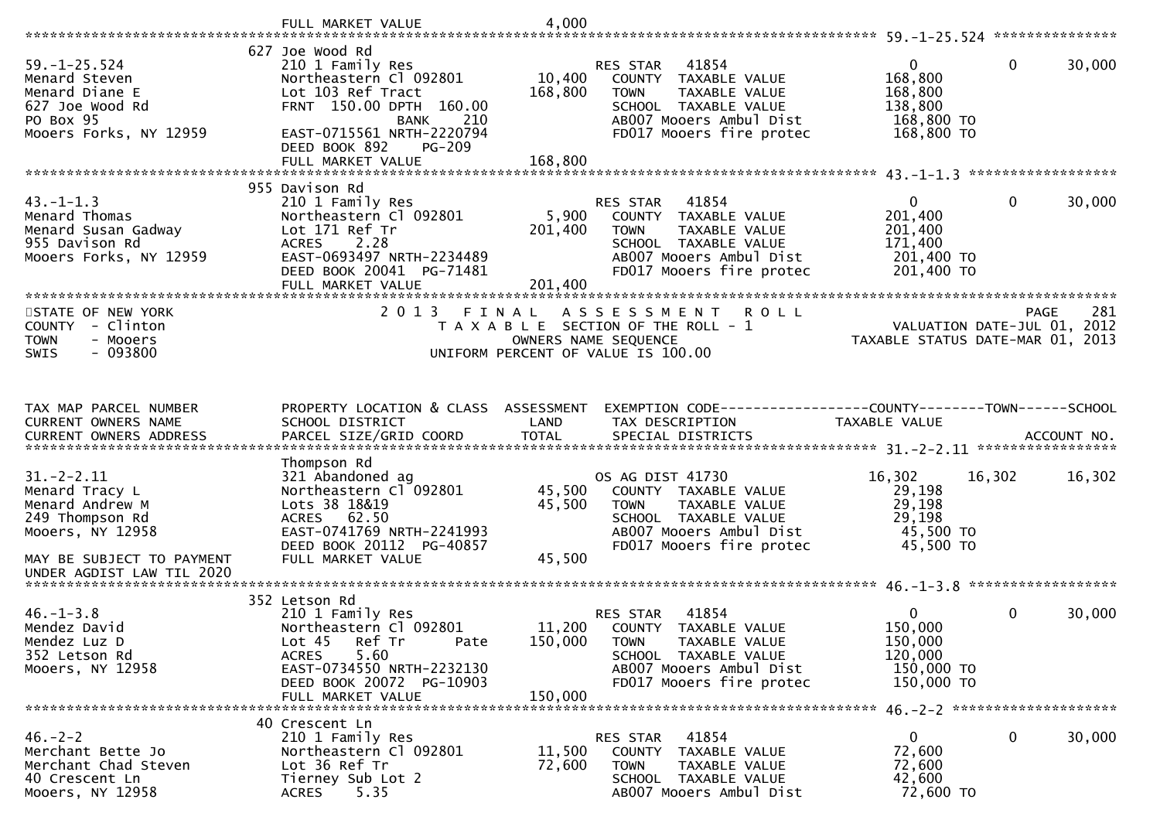|                                                        | FULL MARKET VALUE                                             | 4,000             |                                                              |                                  |                             |        |
|--------------------------------------------------------|---------------------------------------------------------------|-------------------|--------------------------------------------------------------|----------------------------------|-----------------------------|--------|
|                                                        | 627 Joe Wood Rd                                               |                   |                                                              |                                  |                             |        |
| $59. - 1 - 25.524$                                     | 210 1 Family Res                                              |                   | 41854<br>RES STAR                                            | $\Omega$                         | 0                           | 30,000 |
| Menard Steven                                          | Northeastern Cl 092801                                        | 10,400            | COUNTY TAXABLE VALUE                                         | 168,800                          |                             |        |
| Menard Diane E                                         | Lot 103 Ref Tract                                             | 168,800           | <b>TOWN</b><br>TAXABLE VALUE                                 | 168,800                          |                             |        |
| 627 Joe Wood Rd<br>PO Box 95                           | FRNT 150.00 DPTH 160.00<br>210<br>BANK                        |                   | SCHOOL TAXABLE VALUE<br>AB007 Mooers Ambul Dist              | 138,800<br>168,800 TO            |                             |        |
| Mooers Forks, NY 12959                                 | EAST-0715561 NRTH-2220794                                     |                   | FD017 Mooers fire protec                                     | 168,800 TO                       |                             |        |
|                                                        | DEED BOOK 892<br><b>PG-209</b>                                |                   |                                                              |                                  |                             |        |
|                                                        | FULL MARKET VALUE                                             | 168,800           |                                                              |                                  |                             |        |
|                                                        | 955 Davison Rd                                                |                   |                                                              |                                  |                             |        |
| $43. - 1 - 1.3$                                        | 210 1 Family Res                                              |                   | 41854<br><b>RES STAR</b>                                     | 0                                | 0                           | 30,000 |
| Menard Thomas                                          | Northeastern Cl 092801                                        | 5,900             | COUNTY TAXABLE VALUE                                         | 201,400                          |                             |        |
| Menard Susan Gadway                                    | Lot 171 Ref Tr                                                | 201,400           | TAXABLE VALUE<br><b>TOWN</b>                                 | 201,400                          |                             |        |
| 955 Davison Rd                                         | 2.28<br><b>ACRES</b>                                          |                   | SCHOOL TAXABLE VALUE                                         | 171,400                          |                             |        |
| Mooers Forks, NY 12959                                 | EAST-0693497 NRTH-2234489                                     |                   | AB007 Mooers Ambul Dist                                      | 201,400 TO                       |                             |        |
|                                                        | DEED BOOK 20041 PG-71481<br>FULL MARKET VALUE                 | 201,400           | FD017 Mooers fire protec                                     | 201,400 TO                       |                             |        |
|                                                        |                                                               |                   |                                                              |                                  |                             |        |
| STATE OF NEW YORK                                      | 2 0 1 3<br>FINAL                                              |                   | ASSESSMENT ROLL                                              |                                  | PAGE                        | 281    |
| COUNTY - Clinton                                       |                                                               |                   | T A X A B L E SECTION OF THE ROLL - 1                        |                                  | VALUATION DATE-JUL 01, 2012 |        |
| - Mooers<br><b>TOWN</b><br>$-093800$<br>SWIS           |                                                               |                   | OWNERS NAME SEQUENCE<br>UNIFORM PERCENT OF VALUE IS 100.00   | TAXABLE STATUS DATE-MAR 01, 2013 |                             |        |
|                                                        |                                                               |                   |                                                              |                                  |                             |        |
|                                                        |                                                               |                   |                                                              |                                  |                             |        |
| TAX MAP PARCEL NUMBER                                  | PROPERTY LOCATION & CLASS ASSESSMENT                          |                   |                                                              |                                  |                             |        |
|                                                        |                                                               |                   |                                                              |                                  |                             |        |
|                                                        |                                                               |                   | EXEMPTION CODE-----------------COUNTY-------TOWN------SCHOOL |                                  |                             |        |
| CURRENT OWNERS NAME                                    | SCHOOL DISTRICT                                               | LAND              | TAX DESCRIPTION                                              | TAXABLE VALUE                    |                             |        |
|                                                        |                                                               |                   |                                                              |                                  |                             |        |
|                                                        | Thompson Rd                                                   |                   |                                                              |                                  |                             |        |
| $31. -2 - 2.11$                                        | 321 Abandoned ag                                              |                   | OS AG DIST 41730                                             | 16,302                           | 16,302                      | 16,302 |
| Menard Tracy L<br>Menard Andrew M                      | Northeastern Cl 092801<br>Lots 38 18&19                       | 45,500<br>45,500  | COUNTY TAXABLE VALUE<br><b>TOWN</b><br>TAXABLE VALUE         | 29,198<br>29,198                 |                             |        |
| 249 Thompson Rd                                        | ACRES 62.50                                                   |                   | SCHOOL TAXABLE VALUE                                         | 29,198                           |                             |        |
| Mooers, NY 12958                                       | EAST-0741769 NRTH-2241993                                     |                   | AB007 Mooers Ambul Dist                                      | 45,500 TO                        |                             |        |
|                                                        | DEED BOOK 20112 PG-40857                                      |                   | FD017 Mooers fire protec                                     | 45,500 TO                        |                             |        |
| MAY BE SUBJECT TO PAYMENT<br>UNDER AGDIST LAW TIL 2020 | FULL MARKET VALUE                                             | 45,500            |                                                              |                                  |                             |        |
|                                                        |                                                               |                   |                                                              |                                  |                             |        |
|                                                        | 352 Letson Rd                                                 |                   |                                                              |                                  |                             |        |
| $46. - 1 - 3.8$                                        | 210 1 Family Res                                              |                   | 41854<br><b>RES STAR</b>                                     | 0                                | 0                           | 30,000 |
| Mendez David<br>Mendez Luz D                           | Northeastern Cl 092801<br>Lot <sub>45</sub><br>Ref Tr<br>Pate | 11,200<br>150,000 | COUNTY TAXABLE VALUE<br>TAXABLE VALUE<br><b>TOWN</b>         | 150,000<br>150,000               |                             |        |
| 352 Letson Rd                                          | 5.60<br><b>ACRES</b>                                          |                   | SCHOOL TAXABLE VALUE                                         | 120,000                          |                             |        |
| Mooers, NY 12958                                       | EAST-0734550 NRTH-2232130                                     |                   | AB007 Mooers Ambul Dist                                      | 150,000 TO                       |                             |        |
|                                                        | DEED BOOK 20072 PG-10903                                      |                   | FD017 Mooers fire protec                                     | 150,000 TO                       |                             |        |
|                                                        | FULL MARKET VALUE                                             | 150,000           |                                                              |                                  |                             |        |
|                                                        | 40 Crescent Ln                                                |                   |                                                              |                                  |                             |        |
| $46. - 2 - 2$                                          | 210 1 Family Res                                              |                   | 41854<br>RES STAR                                            | 0                                | 0                           | 30,000 |
| Merchant Bette Jo                                      | Northeastern Cl 092801                                        | 11,500            | COUNTY TAXABLE VALUE                                         | 72,600                           |                             |        |
| Merchant Chad Steven<br>40 Crescent Ln                 | Lot 36 Ref Tr<br>Tierney Sub Lot 2                            | 72,600            | TOWN<br>TAXABLE VALUE<br>SCHOOL TAXABLE VALUE                | 72,600<br>42,600<br>72,600 TO    |                             |        |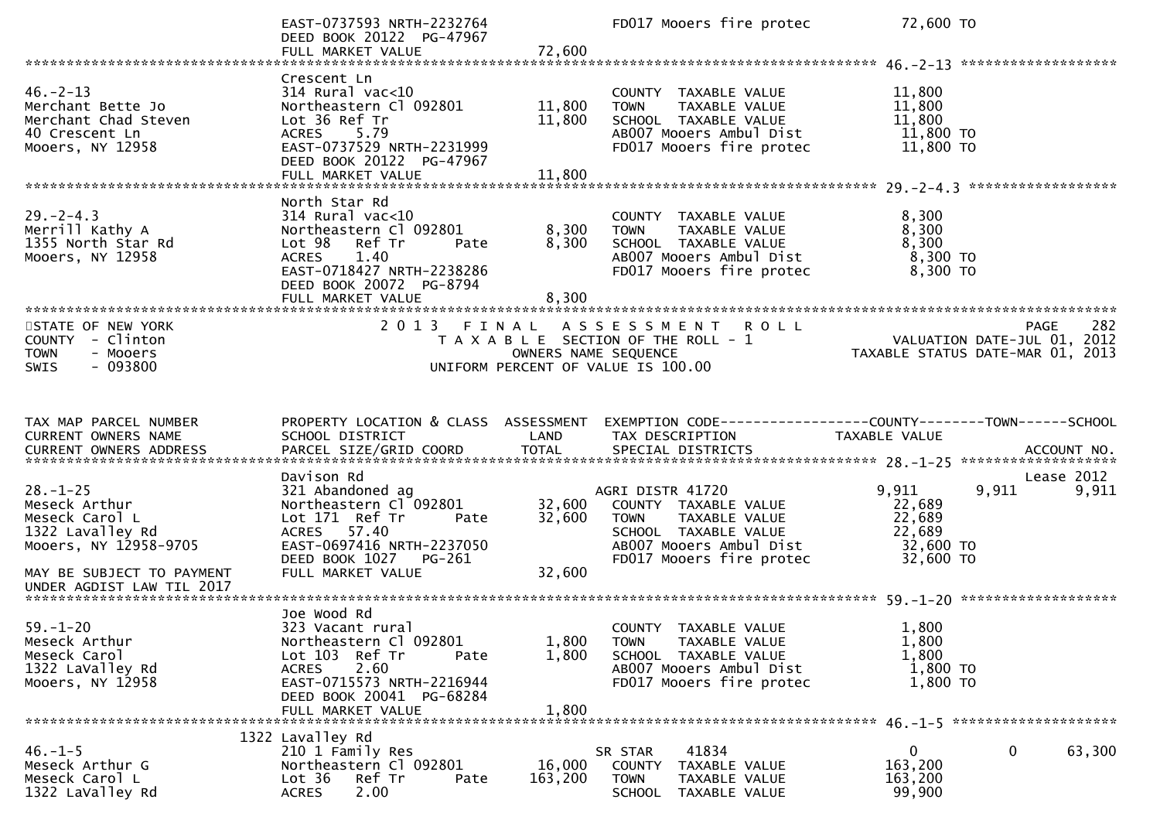|                                                                                                                                                          | EAST-0737593 NRTH-2232764<br>DEED BOOK 20122 PG-47967<br>FULL MARKET VALUE                                                                                                                     | 72,600                     | FD017 Mooers fire protec                                                                                                                                | 72,600 TO                                                                                     |
|----------------------------------------------------------------------------------------------------------------------------------------------------------|------------------------------------------------------------------------------------------------------------------------------------------------------------------------------------------------|----------------------------|---------------------------------------------------------------------------------------------------------------------------------------------------------|-----------------------------------------------------------------------------------------------|
|                                                                                                                                                          |                                                                                                                                                                                                |                            |                                                                                                                                                         |                                                                                               |
| $46. - 2 - 13$<br>Merchant Bette Jo<br>Merchant Chad Steven<br>40 Crescent Ln<br>Mooers, NY 12958                                                        | Crescent Ln<br>$314$ Rural vac<10<br>Northeastern Cl 092801<br>Lot 36 Ref Tr<br><b>ACRES</b><br>5.79<br>EAST-0737529 NRTH-2231999<br>DEED BOOK 20122 PG-47967<br>FULL MARKET VALUE             | 11,800<br>11,800<br>11,800 | COUNTY TAXABLE VALUE<br>TAXABLE VALUE<br><b>TOWN</b><br>SCHOOL TAXABLE VALUE<br>AB007 Mooers Ambul Dist<br>FD017 Mooers fire protec                     | 11,800<br>11,800<br>11,800<br>11,800 TO<br>11,800 TO                                          |
| $29. - 2 - 4.3$<br>Merrill Kathy A<br>1355 North Star Rd<br>Mooers, NY 12958                                                                             | North Star Rd<br>$314$ Rural vac<10<br>Northeastern Cl 092801<br>Lot 98<br>Ref Tr<br>Pate<br><b>ACRES</b><br>1.40<br>EAST-0718427 NRTH-2238286<br>DEED BOOK 20072 PG-8794<br>FULL MARKET VALUE | 8,300<br>8,300<br>8,300    | COUNTY TAXABLE VALUE<br><b>TOWN</b><br>TAXABLE VALUE<br>SCHOOL TAXABLE VALUE<br>AB007 Mooers Ambul Dist<br>FD017 Mooers fire protec                     | 8,300<br>8,300<br>8,300<br>8,300 TO<br>8,300 TO                                               |
| STATE OF NEW YORK<br>COUNTY - Clinton<br>- Mooers<br><b>TOWN</b><br>$-093800$<br>SWIS                                                                    | 2013 FINAL                                                                                                                                                                                     | OWNERS NAME SEQUENCE       | A S S E S S M E N T R O L L<br>T A X A B L E SECTION OF THE ROLL - 1<br>UNIFORM PERCENT OF VALUE IS 100.00                                              | 282<br><b>PAGE</b><br>VALUATION DATE-JUL 01, 2012<br>TAXABLE STATUS DATE-MAR 01, 2013         |
| TAX MAP PARCEL NUMBER<br>CURRENT OWNERS NAME                                                                                                             | PROPERTY LOCATION & CLASS ASSESSMENT<br>SCHOOL DISTRICT                                                                                                                                        | LAND                       | TAX DESCRIPTION                                                                                                                                         | EXEMPTION CODE-----------------COUNTY-------TOWN------SCHOOL<br>TAXABLE VALUE                 |
| $28. - 1 - 25$<br>Meseck Arthur<br>Meseck Carol L<br>1322 Lavalley Rd<br>Mooers, NY 12958-9705<br>MAY BE SUBJECT TO PAYMENT<br>UNDER AGDIST LAW TIL 2017 | Davison Rd<br>321 Abandoned ag<br>Northeastern Cl 092801<br>Lot 171 Ref Tr<br>Pate<br>ACRES 57.40<br>EAST-0697416 NRTH-2237050<br>DEED BOOK 1027 PG-261<br>FULL MARKET VALUE                   | 32,600<br>32,600<br>32,600 | AGRI DISTR 41720<br>COUNTY TAXABLE VALUE<br><b>TOWN</b><br>TAXABLE VALUE<br>SCHOOL TAXABLE VALUE<br>AB007 Mooers Ambul Dist<br>FD017 Mooers fire protec | Lease 2012<br>9,911<br>9,911<br>9,911<br>22,689<br>22,689<br>22,689<br>32,600 TO<br>32,600 TO |
| $59. - 1 - 20$<br>Meseck Arthur<br>Meseck Carol<br>1322 LaValley Rd<br>Mooers, NY 12958                                                                  | Joe Wood Rd<br>323 Vacant rural<br>Northeastern Cl 092801<br>Lot 103 Ref Tr<br>Pate<br>2.60<br><b>ACRES</b><br>EAST-0715573 NRTH-2216944<br>DEED BOOK 20041 PG-68284<br>FULL MARKET VALUE      | 1,800<br>1,800<br>1,800    | COUNTY TAXABLE VALUE<br><b>TOWN</b><br>TAXABLE VALUE<br>SCHOOL TAXABLE VALUE<br>AB007 Mooers Ambul Dist<br>FD017 Mooers fire protec                     | 1,800<br>1,800<br>1,800<br>1,800 TO<br>1,800 TO                                               |
| $46. - 1 - 5$<br>Meseck Arthur G<br>Meseck Carol L<br>1322 LaValley Rd                                                                                   | 1322 Lavalley Rd<br>210 1 Family Res<br>Northeastern Cl 092801<br>Ref Tr<br>Lot 36<br>Pate<br>2.00<br><b>ACRES</b>                                                                             | 16,000<br>163,200          | 41834<br>SR STAR<br>COUNTY TAXABLE VALUE<br>TAXABLE VALUE<br><b>TOWN</b><br>SCHOOL TAXABLE VALUE                                                        | 63,300<br>0<br>0<br>163,200<br>163,200<br>99,900                                              |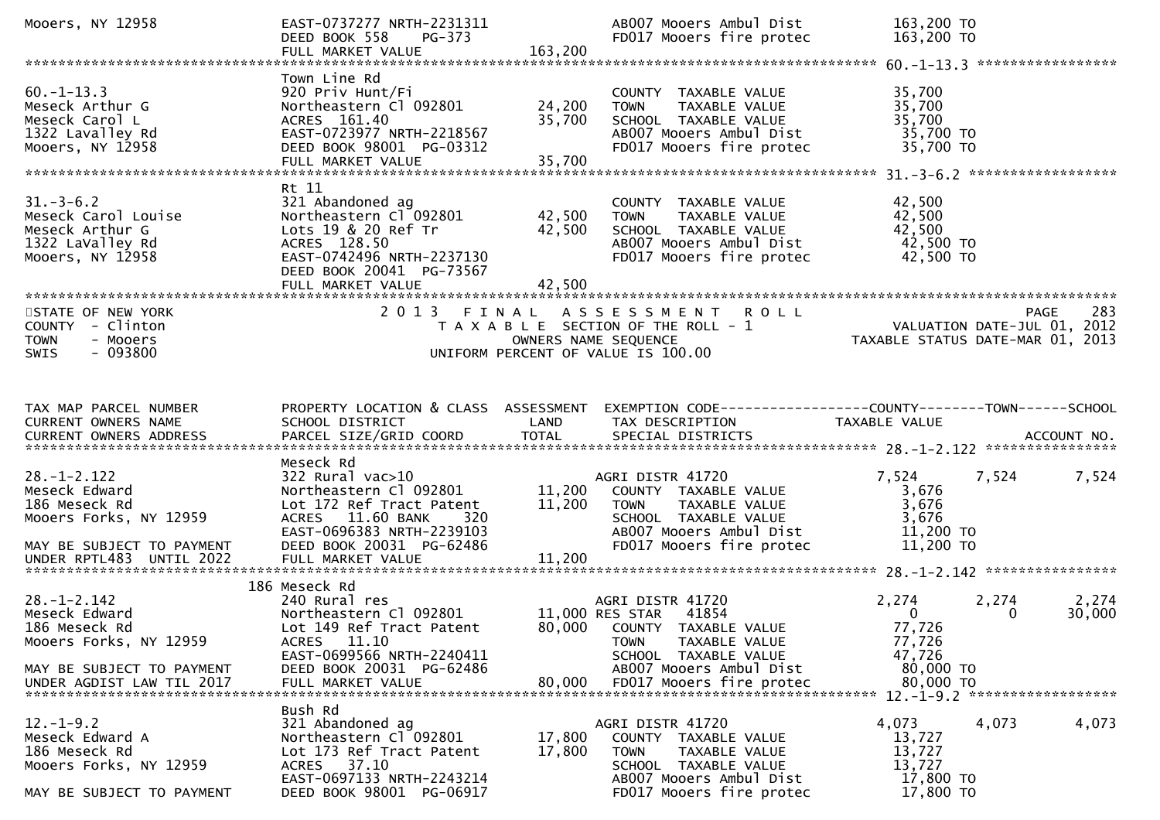| Mooers, NY 12958                                                                                                                       | EAST-0737277 NRTH-2231311<br>DEED BOOK 558<br>PG-373<br>FULL MARKET VALUE                                                                                                                         | 163,200                    | AB007 Mooers Ambul Dist<br>FD017 Mooers fire protec                                                                                                     | 163,200 TO<br>163,200 TO                                      |                                                                                |
|----------------------------------------------------------------------------------------------------------------------------------------|---------------------------------------------------------------------------------------------------------------------------------------------------------------------------------------------------|----------------------------|---------------------------------------------------------------------------------------------------------------------------------------------------------|---------------------------------------------------------------|--------------------------------------------------------------------------------|
| $60. -1 - 13.3$<br>Meseck Arthur G<br>Meseck Carol L<br>1322 Lavalley Rd<br>Mooers, NY 12958                                           | Town Line Rd<br>920 Priv Hunt/Fi<br>Northeastern Cl 092801<br>ACRES 161.40<br>EAST-0723977 NRTH-2218567<br>DEED BOOK 98001 PG-03312<br>FULL MARKET VALUE                                          | 24,200<br>35,700<br>35,700 | COUNTY TAXABLE VALUE<br><b>TOWN</b><br>TAXABLE VALUE<br>SCHOOL TAXABLE VALUE<br>AB007 Mooers Ambul Dist<br>FD017 Mooers fire protec                     | 35,700<br>35,700<br>35,700<br>35,700 TO<br>35,700 TO          |                                                                                |
| $31.-3-6.2$<br>Meseck Carol Louise<br>Meseck Arthur G<br>1322 LaValley Rd<br>Mooers, NY 12958                                          | Rt 11<br>321 Abandoned ag<br>Northeastern Cl 092801<br>Lots 19 & 20 Ref Tr<br>ACRES 128.50<br>EAST-0742496 NRTH-2237130<br>DEED BOOK 20041 PG-73567<br>FULL MARKET VALUE                          | 42,500<br>42,500<br>42,500 | COUNTY TAXABLE VALUE<br><b>TOWN</b><br>TAXABLE VALUE<br>SCHOOL TAXABLE VALUE<br>AB007 Mooers Ambul Dist<br>FD017 Mooers fire protec                     | 42,500<br>42,500<br>42,500<br>42,500 TO<br>42,500 TO          |                                                                                |
| STATE OF NEW YORK<br>COUNTY - Clinton<br><b>TOWN</b><br>- Mooers<br>$-093800$<br><b>SWIS</b>                                           |                                                                                                                                                                                                   | OWNERS NAME SEQUENCE       | 2013 FINAL ASSESSMENT ROLL<br>T A X A B L E SECTION OF THE ROLL - 1<br>UNIFORM PERCENT OF VALUE IS 100.00                                               |                                                               | 283<br>PAGE<br>VALUATION DATE-JUL 01, 2012<br>TAXABLE STATUS DATE-MAR 01, 2013 |
| TAX MAP PARCEL NUMBER<br>CURRENT OWNERS NAME                                                                                           | PROPERTY LOCATION & CLASS ASSESSMENT<br>SCHOOL DISTRICT                                                                                                                                           | LAND                       | EXEMPTION CODE------------------COUNTY--------TOWN------SCHOOL<br>TAX DESCRIPTION                                                                       | TAXABLE VALUE                                                 |                                                                                |
| $28. - 1 - 2.122$<br>Meseck Edward<br>186 Meseck Rd<br>Mooers Forks, NY 12959<br>MAY BE SUBJECT TO PAYMENT<br>UNDER RPTL483 UNTIL 2022 | Meseck Rd<br>$322$ Rural vac $>10$<br>Northeastern Cl 092801<br>Lot 172 Ref Tract Patent<br>ACRES 11.60 BANK<br>320<br>EAST-0696383 NRTH-2239103<br>DEED BOOK 20031 PG-62486<br>FULL MARKET VALUE | 11,200<br>11,200<br>11,200 | AGRI DISTR 41720<br>COUNTY TAXABLE VALUE<br><b>TOWN</b><br>TAXABLE VALUE<br>SCHOOL TAXABLE VALUE<br>AB007 Mooers Ambul Dist<br>FD017 Mooers fire protec | 7,524<br>3,676<br>3,676<br>3,676<br>$11,200$ TO<br>11,200 TO  | 7,524<br>7,524                                                                 |
|                                                                                                                                        | 186 Meseck Rd                                                                                                                                                                                     |                            |                                                                                                                                                         |                                                               |                                                                                |
| $28. - 1 - 2.142$<br>Meseck Edward<br>186 Meseck Rd<br>Mooers Forks, NY 12959                                                          | 240 Rural res<br>Northeastern Cl 092801<br>Lot 149 Ref Tract Patent<br>ACRES 11.10<br>EAST-0699566 NRTH-2240411                                                                                   |                            | AGRI DISTR 41720<br>11,000 RES STAR<br>41854<br>80,000 COUNTY TAXABLE VALUE<br>TAXABLE VALUE<br><b>TOWN</b><br>SCHOOL TAXABLE VALUE                     | 2,274<br>$\mathbf{0}$<br>77,726<br>77,726<br>47,726           | 2,274<br>2,274<br>30,000<br>$\mathbf{0}$                                       |
| MAY BE SUBJECT TO PAYMENT<br>UNDER AGDIST LAW TIL 2017 FULL MARKET VALUE 80,000 FD017 Mooers fire protec                               | DEED BOOK 20031 PG-62486                                                                                                                                                                          |                            | AB007 Mooers Ambul Dist                                                                                                                                 | 80,000 TO<br>80,000 TO                                        | $12 - 1 - 9$ 2 ********************                                            |
| $12.-1-9.2$<br>Meseck Edward A<br>186 Meseck Rd<br>Mooers Forks, NY 12959<br>MAY BE SUBJECT TO PAYMENT                                 | Bush Rd<br>321 Abandoned ag<br>Northeastern Cl 092801<br>Lot 173 Ref Tract Patent<br>37.10<br>ACRES<br>EAST-0697133 NRTH-2243214<br>DEED BOOK 98001 PG-06917                                      | 17,800<br>17,800           | AGRI DISTR 41720<br>COUNTY TAXABLE VALUE<br><b>TOWN</b><br>TAXABLE VALUE<br>SCHOOL TAXABLE VALUE<br>AB007 Mooers Ambul Dist<br>FD017 Mooers fire protec | 4,073<br>13,727<br>13,727<br>13,727<br>17,800 TO<br>17,800 TO | 4,073<br>4,073                                                                 |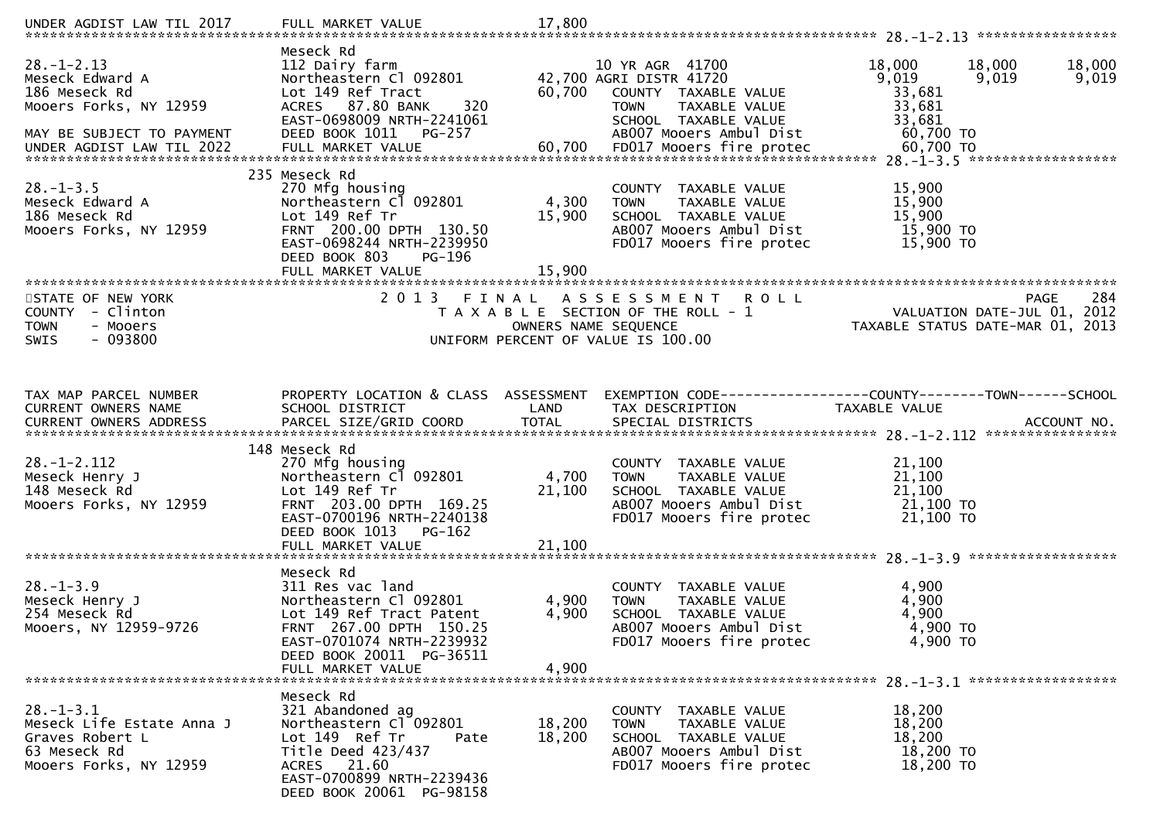| UNDER AGDIST LAW TIL 2017                                                                                                                                                                                                                                                                                                                     | FULL MARKET VALUE                                                                                                                                                                            | 17,800                    |                                                                                                                                                       |                                                            |                                                                                       |
|-----------------------------------------------------------------------------------------------------------------------------------------------------------------------------------------------------------------------------------------------------------------------------------------------------------------------------------------------|----------------------------------------------------------------------------------------------------------------------------------------------------------------------------------------------|---------------------------|-------------------------------------------------------------------------------------------------------------------------------------------------------|------------------------------------------------------------|---------------------------------------------------------------------------------------|
| $28. - 1 - 2.13$<br>Meseck Edward A<br>186 Meseck Rd<br>Mooers Forks, NY 12959<br>MAY BE SUBJECT TO PAYMENT<br>0,700 FD017 Moders fire protec 60,700 FD017 Moders for the contract of the Society of The Society Contract UNDER AGDIST LAW TIL 2022 FULL MARKET VALUE 60,700 FD017 Moders fire protec 60,700 TO 60,700 FD017 Moders fire prot | Meseck Rd<br>112 Dairy farm<br>Northeastern Cl 092801<br>Lot 149 Ref Tract<br>ACRES 87.80 BANK<br>320<br>EAST-0698009 NRTH-2241061<br>DEED BOOK 1011<br>PG-257                               | 60,700                    | 10 YR AGR 41700<br>42,700 AGRI DISTR 41720<br>COUNTY TAXABLE VALUE<br><b>TOWN</b><br>TAXABLE VALUE<br>SCHOOL TAXABLE VALUE<br>AB007 Mooers Ambul Dist | 18,000<br>9,019<br>33,681<br>33,681<br>33,681<br>60,700 TO | 18,000<br>18,000<br>9,019<br>9,019                                                    |
| $28. - 1 - 3.5$<br>Meseck Edward A<br>186 Meseck Rd<br>Mooers Forks, NY 12959                                                                                                                                                                                                                                                                 | 235 Meseck Rd<br>270 Mfg housing<br>Northeastern Cl 092801<br>Lot 149 Ref Tr<br>FRNT 200.00 DPTH 130.50<br>EAST-0698244 NRTH-2239950<br>DEED BOOK 803<br>PG-196<br>FULL MARKET VALUE         | 4,300<br>15,900<br>15,900 | COUNTY TAXABLE VALUE<br><b>TOWN</b><br><b>TAXABLE VALUE</b><br>SCHOOL TAXABLE VALUE<br>AB007 Mooers Ambul Dist<br>FD017 Mooers fire protec            | 15,900<br>15,900<br>15,900<br>15,900 TO<br>15,900 TO       |                                                                                       |
| STATE OF NEW YORK<br>COUNTY - Clinton<br><b>TOWN</b><br>- Mooers<br>$-093800$<br><b>SWIS</b>                                                                                                                                                                                                                                                  | 2 0 1 3                                                                                                                                                                                      | FINAL                     | A S S E S S M E N T<br><b>ROLL</b><br>T A X A B L E SECTION OF THE ROLL - 1<br>OWNERS NAME SEQUENCE<br>UNIFORM PERCENT OF VALUE IS 100.00             |                                                            | 284<br><b>PAGE</b><br>VALUATION DATE-JUL 01, 2012<br>TAXABLE STATUS DATE-MAR 01, 2013 |
| TAX MAP PARCEL NUMBER<br>CURRENT OWNERS NAME                                                                                                                                                                                                                                                                                                  | PROPERTY LOCATION & CLASS ASSESSMENT<br>SCHOOL DISTRICT                                                                                                                                      | LAND                      | EXEMPTION        CODE-----------------COUNTY-------TOWN------SCHOOL<br>TAX DESCRIPTION                                                                | TAXABLE VALUE                                              |                                                                                       |
| $28. - 1 - 2.112$<br>Meseck Henry J<br>148 Meseck Rd<br>Mooers Forks, NY 12959                                                                                                                                                                                                                                                                | 148 Meseck Rd<br>270 Mfg housing<br>Northeastern C1 092801<br>Lot 149 Ref Tr<br>FRNT 203.00 DPTH 169.25<br>EAST-0700196 NRTH-2240138<br>DEED BOOK 1013<br>PG-162<br>FULL MARKET VALUE        | 4,700<br>21,100<br>21,100 | COUNTY TAXABLE VALUE<br>TAXABLE VALUE<br><b>TOWN</b><br>SCHOOL TAXABLE VALUE<br>AB007 Mooers Ambul Dist<br>FD017 Mooers fire protec                   | 21,100<br>21,100<br>21,100<br>21,100 TO<br>21,100 TO       |                                                                                       |
| $28. - 1 - 3.9$<br>Meseck Henry J<br>254 Meseck Rd<br>Mooers, NY 12959-9726                                                                                                                                                                                                                                                                   | Meseck Rd<br>311 Res vac land<br>Northeastern Cl 092801<br>Lot 149 Ref Tract Patent<br>FRNT 267.00 DPTH 150.25<br>EAST-0701074 NRTH-2239932<br>DEED BOOK 20011 PG-36511<br>FULL MARKET VALUE | 4,900<br>4,900<br>4,900   | COUNTY TAXABLE VALUE<br>TAXABLE VALUE<br><b>TOWN</b><br>SCHOOL TAXABLE VALUE<br>AB007 Mooers Ambul Dist<br>FD017 Mooers fire protec                   | 4,900<br>4,900<br>4,900<br>4,900 TO<br>4,900 TO            |                                                                                       |
| $28. - 1 - 3.1$<br>Meseck Life Estate Anna J<br>Graves Robert L<br>63 Meseck Rd<br>Mooers Forks, NY 12959                                                                                                                                                                                                                                     | Meseck Rd<br>321 Abandoned ag<br>Northeastern Cl 092801<br>Lot 149 Ref Tr<br>Pate<br>Title Deed 423/437<br>ACRES 21.60<br>EAST-0700899 NRTH-2239436<br>DEED BOOK 20061 PG-98158              | 18,200<br>18,200          | COUNTY TAXABLE VALUE<br>TAXABLE VALUE<br><b>TOWN</b><br>SCHOOL TAXABLE VALUE<br>AB007 Mooers Ambul Dist<br>FD017 Mooers fire protec                   | 18,200<br>18,200<br>18,200<br>18,200 TO<br>18,200 TO       |                                                                                       |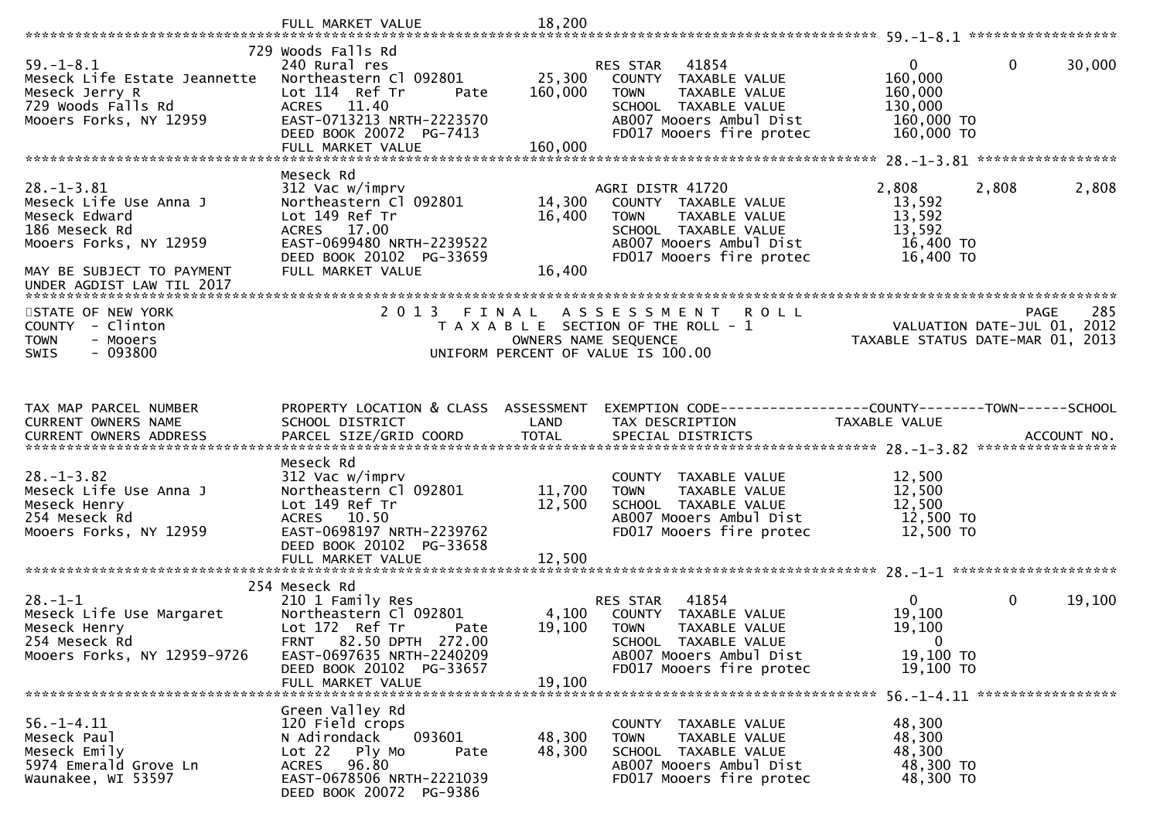|                                                                                                                   | FULL MARKET VALUE                                                                                                                   | 18,200                        |                                                                                                                                                         |                                                                 |                        |
|-------------------------------------------------------------------------------------------------------------------|-------------------------------------------------------------------------------------------------------------------------------------|-------------------------------|---------------------------------------------------------------------------------------------------------------------------------------------------------|-----------------------------------------------------------------|------------------------|
|                                                                                                                   | 729 Woods Falls Rd                                                                                                                  |                               |                                                                                                                                                         |                                                                 |                        |
| $59. - 1 - 8.1$<br>Meseck Life Estate Jeannette<br>Meseck Jerry R<br>729 Woods Falls Rd<br>Mooers Forks, NY 12959 | 240 Rural res<br>Northeastern Cl 092801<br>Lot 114 Ref Tr<br>Pate<br>ACRES 11.40<br>EAST-0713213 NRTH-2223570                       | 25,300<br>160,000             | 41854<br>RES STAR<br>COUNTY TAXABLE VALUE<br><b>TOWN</b><br>TAXABLE VALUE<br>SCHOOL TAXABLE VALUE<br>AB007 Mooers Ambul Dist                            | $\Omega$<br>160,000<br>160,000<br>130,000<br>160,000 TO         | $\mathbf{0}$<br>30,000 |
|                                                                                                                   | DEED BOOK 20072 PG-7413<br>FULL MARKET VALUE                                                                                        | 160,000                       | FD017 Mooers fire protec                                                                                                                                | 160,000 TO                                                      |                        |
|                                                                                                                   |                                                                                                                                     |                               |                                                                                                                                                         |                                                                 |                        |
|                                                                                                                   | Meseck Rd                                                                                                                           |                               |                                                                                                                                                         |                                                                 |                        |
| $28. - 1 - 3.81$<br>Meseck Life Use Anna J<br>Meseck Edward<br>186 Meseck Rd<br>Mooers Forks, NY 12959            | 312 Vac w/imprv<br>Northeastern Cl 092801<br>Lot 149 Ref Tr<br>ACRES 17.00<br>EAST-0699480 NRTH-2239522<br>DEED BOOK 20102 PG-33659 | 14,300<br>16,400              | AGRI DISTR 41720<br>COUNTY TAXABLE VALUE<br>TAXABLE VALUE<br><b>TOWN</b><br>SCHOOL TAXABLE VALUE<br>AB007 Mooers Ambul Dist<br>FD017 Mooers fire protec | 2,808<br>13,592<br>13,592<br>13,592<br>16,400 TO<br>16,400 TO   | 2,808<br>2,808         |
| MAY BE SUBJECT TO PAYMENT<br>UNDER AGDIST LAW TIL 2017                                                            | FULL MARKET VALUE                                                                                                                   | 16,400                        |                                                                                                                                                         |                                                                 |                        |
|                                                                                                                   |                                                                                                                                     |                               |                                                                                                                                                         |                                                                 |                        |
| STATE OF NEW YORK<br>COUNTY - Clinton<br><b>TOWN</b><br>- Mooers<br>$-093800$<br><b>SWIS</b>                      | 2 0 1 3                                                                                                                             | FINAL<br>OWNERS NAME SEQUENCE | ASSESSMENT ROLL<br>T A X A B L E SECTION OF THE ROLL - 1<br>UNIFORM PERCENT OF VALUE IS 100.00                                                          | VALUATION DATE-JUL 01, 2012<br>TAXABLE STATUS DATE-MAR 01, 2013 | 285<br><b>PAGE</b>     |
|                                                                                                                   |                                                                                                                                     |                               |                                                                                                                                                         |                                                                 |                        |
|                                                                                                                   |                                                                                                                                     |                               |                                                                                                                                                         |                                                                 |                        |
| TAX MAP PARCEL NUMBER                                                                                             | PROPERTY LOCATION & CLASS ASSESSMENT                                                                                                |                               | EXEMPTION CODE-----------------COUNTY-------TOWN------SCHOOL                                                                                            |                                                                 |                        |
| CURRENT OWNERS NAME                                                                                               | SCHOOL DISTRICT                                                                                                                     | LAND                          | TAX DESCRIPTION                                                                                                                                         | TAXABLE VALUE                                                   |                        |
|                                                                                                                   |                                                                                                                                     | <b>TOTAL</b>                  |                                                                                                                                                         |                                                                 |                        |
|                                                                                                                   | Meseck Rd                                                                                                                           |                               |                                                                                                                                                         |                                                                 |                        |
| $28. - 1 - 3.82$                                                                                                  | 312 Vac w/imprv                                                                                                                     |                               | COUNTY TAXABLE VALUE                                                                                                                                    | 12,500                                                          |                        |
| Meseck Life Use Anna J                                                                                            | Northeastern Cl 092801                                                                                                              | 11,700                        | TAXABLE VALUE<br><b>TOWN</b>                                                                                                                            | 12,500                                                          |                        |
| Meseck Henry<br>254 Meseck Rd                                                                                     | Lot 149 Ref Tr<br>ACRES 10.50                                                                                                       | 12,500                        | SCHOOL TAXABLE VALUE<br>AB007 Mooers Ambul Dist                                                                                                         | 12,500<br>12,500 TO                                             |                        |
| Mooers Forks, NY 12959                                                                                            | EAST-0698197 NRTH-2239762                                                                                                           |                               | FD017 Mooers fire protec                                                                                                                                | 12,500 TO                                                       |                        |
|                                                                                                                   | DEED BOOK 20102 PG-33658                                                                                                            |                               |                                                                                                                                                         |                                                                 |                        |
|                                                                                                                   | FULL MARKET VALUE                                                                                                                   | 12,500                        |                                                                                                                                                         |                                                                 |                        |
|                                                                                                                   |                                                                                                                                     |                               |                                                                                                                                                         |                                                                 |                        |
| $28. - 1 - 1$                                                                                                     | 254 Meseck Rd<br>210 1 Family Res                                                                                                   |                               | 41854<br>RES STAR                                                                                                                                       | $\mathbf{0}$                                                    | 0<br>19,100            |
| Meseck Life Use Margaret                                                                                          | Northeastern Cl 092801                                                                                                              | 4,100                         | COUNTY TAXABLE VALUE                                                                                                                                    | 19,100                                                          |                        |
| Meseck Henry                                                                                                      | Lot 172 Ref Tr<br>Pate                                                                                                              | 19,100                        | <b>TOWN</b><br>TAXABLE VALUE                                                                                                                            | 19,100                                                          |                        |
| 254 Meseck Rd                                                                                                     | FRNT 82.50 DPTH 272.00                                                                                                              |                               | SCHOOL TAXABLE VALUE                                                                                                                                    | $\mathbf{0}$                                                    |                        |
| Mooers Forks, NY 12959-9726                                                                                       | EAST-0697635 NRTH-2240209                                                                                                           |                               | AB007 Mooers Ambul Dist                                                                                                                                 | 19,100 TO                                                       |                        |
|                                                                                                                   | DEED BOOK 20102 PG-33657                                                                                                            |                               | FD017 Mooers fire protec                                                                                                                                | 19,100 TO                                                       |                        |
|                                                                                                                   | FULL MARKET VALUE                                                                                                                   | 19,100                        |                                                                                                                                                         |                                                                 |                        |
|                                                                                                                   | Green Valley Rd                                                                                                                     |                               |                                                                                                                                                         |                                                                 |                        |
| $56. - 1 - 4.11$                                                                                                  |                                                                                                                                     |                               |                                                                                                                                                         |                                                                 |                        |
|                                                                                                                   | 120 Field crops                                                                                                                     |                               | COUNTY TAXABLE VALUE                                                                                                                                    | 48,300                                                          |                        |
| Meseck Paul                                                                                                       | N Adirondack<br>093601                                                                                                              | 48,300                        | <b>TOWN</b><br>TAXABLE VALUE                                                                                                                            | 48,300                                                          |                        |
| Meseck Emily                                                                                                      | Lot 22 Ply Mo<br>Pate                                                                                                               | 48,300                        | SCHOOL TAXABLE VALUE                                                                                                                                    | 48,300                                                          |                        |
| 5974 Emerald Grove Ln<br>Waunakee, WI 53597                                                                       | 96.80<br>ACRES<br>EAST-0678506 NRTH-2221039                                                                                         |                               | AB007 Mooers Ambul Dist<br>FD017 Mooers fire protec                                                                                                     | 48,300 TO<br>48,300 TO                                          |                        |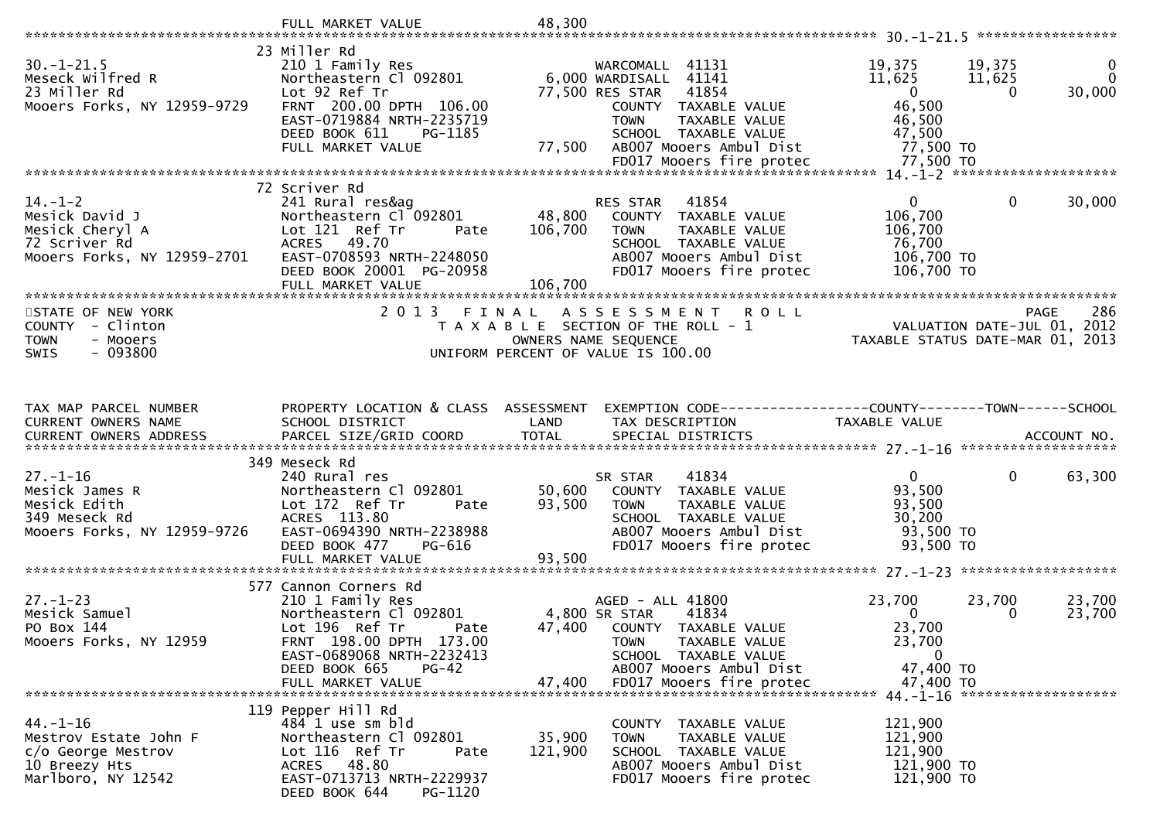|                                                                                                    | FULL MARKET VALUE                                                                                                                           | 48,300            |                                                                                                                                           |                                                                 |                                 |                         |
|----------------------------------------------------------------------------------------------------|---------------------------------------------------------------------------------------------------------------------------------------------|-------------------|-------------------------------------------------------------------------------------------------------------------------------------------|-----------------------------------------------------------------|---------------------------------|-------------------------|
|                                                                                                    | 23 Miller Rd                                                                                                                                |                   |                                                                                                                                           |                                                                 |                                 |                         |
| $30. - 1 - 21.5$<br>Meseck Wilfred R<br>23 Miller Rd<br>Mooers Forks, NY 12959-9729                | 210 1 Family Res<br>Northeastern Cl 092801<br>Lot 92 Ref Tr<br>FRNT 200.00 DPTH 106.00<br>EAST-0719884 NRTH-2235719                         |                   | WARCOMALL 41131<br>6,000 WARDISALL<br>41141<br>77,500 RES STAR<br>41854<br>COUNTY TAXABLE VALUE<br>TAXABLE VALUE<br><b>TOWN</b>           | 19,375<br>11,625<br>$\overline{0}$<br>46,500<br>46,500          | 19,375<br>11,625<br>$\Omega$    | 0<br>$\Omega$<br>30,000 |
|                                                                                                    | DEED BOOK 611<br>PG-1185<br>FULL MARKET VALUE                                                                                               | 77,500            | SCHOOL TAXABLE VALUE<br>AB007 Mooers Ambul Dist                                                                                           | 47,500<br>77,500 TO                                             |                                 |                         |
|                                                                                                    |                                                                                                                                             |                   |                                                                                                                                           |                                                                 |                                 |                         |
|                                                                                                    |                                                                                                                                             |                   |                                                                                                                                           |                                                                 |                                 |                         |
| $14. - 1 - 2$<br>Mesick David J<br>Mesick Cheryl A<br>72 Scriver Rd<br>Mooers Forks, NY 12959-2701 | 72 Scriver Rd<br>241 Rural res&ag<br>Northeastern Cl 092801<br>Lot 121 Ref Tr<br>Pate<br><b>ACRES</b><br>49.70<br>EAST-0708593 NRTH-2248050 | 48,800<br>106,700 | 41854<br>RES STAR<br>COUNTY TAXABLE VALUE<br>TAXABLE VALUE<br><b>TOWN</b><br>SCHOOL TAXABLE VALUE<br>AB007 Mooers Ambul Dist              | $\overline{0}$<br>106,700<br>106,700<br>76,700<br>106,700 TO    | $\mathbf{0}$                    | 30,000                  |
|                                                                                                    | DEED BOOK 20001 PG-20958<br>FULL MARKET VALUE                                                                                               | 106,700           | FD017 Mooers fire protec                                                                                                                  | 106,700 TO                                                      |                                 |                         |
|                                                                                                    |                                                                                                                                             |                   |                                                                                                                                           |                                                                 |                                 |                         |
| STATE OF NEW YORK<br>- Clinton<br>COUNTY<br><b>TOWN</b><br>- Mooers<br>$-093800$<br><b>SWIS</b>    | 2 0 1 3                                                                                                                                     | FINAL             | A S S E S S M E N T<br><b>ROLL</b><br>T A X A B L E SECTION OF THE ROLL - 1<br>OWNERS NAME SEQUENCE<br>UNIFORM PERCENT OF VALUE IS 100.00 | VALUATION DATE-JUL 01, 2012<br>TAXABLE STATUS DATE-MAR 01, 2013 | <b>PAGE</b>                     | 286                     |
|                                                                                                    |                                                                                                                                             |                   |                                                                                                                                           |                                                                 |                                 |                         |
|                                                                                                    |                                                                                                                                             |                   |                                                                                                                                           |                                                                 |                                 |                         |
| TAX MAP PARCEL NUMBER                                                                              | PROPERTY LOCATION & CLASS ASSESSMENT                                                                                                        |                   | EXEMPTION CODE-----------------COUNTY-------TOWN------SCHOOL                                                                              |                                                                 |                                 |                         |
| CURRENT OWNERS NAME<br><b>CURRENT OWNERS ADDRESS</b>                                               | SCHOOL DISTRICT                                                                                                                             | LAND              | TAX DESCRIPTION                                                                                                                           | TAXABLE VALUE                                                   |                                 |                         |
|                                                                                                    |                                                                                                                                             |                   |                                                                                                                                           |                                                                 |                                 |                         |
|                                                                                                    | 349 Meseck Rd                                                                                                                               |                   |                                                                                                                                           |                                                                 |                                 |                         |
| $27. - 1 - 16$<br>Mesick James R                                                                   | 240 Rural res<br>Northeastern Cl 092801                                                                                                     | 50,600            | 41834<br>SR STAR<br>COUNTY TAXABLE VALUE                                                                                                  | $\mathbf{0}$<br>93,500                                          | 0                               | 63,300                  |
| Mesick Edith                                                                                       | Lot 172 Ref Tr<br>Pate                                                                                                                      | 93,500            | <b>TOWN</b><br>TAXABLE VALUE                                                                                                              | 93,500                                                          |                                 |                         |
| 349 Meseck Rd                                                                                      | ACRES 113.80                                                                                                                                |                   | SCHOOL TAXABLE VALUE                                                                                                                      | 30,200                                                          |                                 |                         |
| Mooers Forks, NY 12959-9726                                                                        | EAST-0694390 NRTH-2238988                                                                                                                   |                   | AB007 Mooers Ambul Dist                                                                                                                   | 93,500 TO                                                       |                                 |                         |
|                                                                                                    | PG-616<br>DEED BOOK 477<br>FULL MARKET VALUE                                                                                                | 93,500            | FD017 Mooers fire protec                                                                                                                  | 93,500 TO                                                       |                                 |                         |
|                                                                                                    |                                                                                                                                             |                   |                                                                                                                                           |                                                                 |                                 |                         |
|                                                                                                    | 577 Cannon Corners Rd                                                                                                                       |                   |                                                                                                                                           |                                                                 |                                 |                         |
| $27. - 1 - 23$<br>Mesick Samuel                                                                    | 210 1 Family Res                                                                                                                            |                   | AGED - ALL 41800<br>4,800 SR STAR                                                                                                         | 23,700<br>$\mathbf{0}$                                          | 23,700<br>0                     | 23,700<br>23,700        |
| PO Box 144                                                                                         | Northeastern Cl 092801<br>Lot 196 Ref Tr<br>Pate                                                                                            |                   | 41834<br>47,400 COUNTY TAXABLE VALUE                                                                                                      | 23,700                                                          |                                 |                         |
| Mooers Forks, NY 12959                                                                             | FRNT 198.00 DPTH 173.00                                                                                                                     |                   | TAXABLE VALUE<br><b>TOWN</b>                                                                                                              | 23,700                                                          |                                 |                         |
|                                                                                                    | EAST-0689068 NRTH-2232413                                                                                                                   |                   | SCHOOL TAXABLE VALUE                                                                                                                      | $\overline{0}$                                                  |                                 |                         |
|                                                                                                    | DEED BOOK 665<br>$PG-42$                                                                                                                    |                   | AB007 Mooers Ambul Dist                                                                                                                   | 47,400 TO                                                       |                                 |                         |
|                                                                                                    |                                                                                                                                             |                   |                                                                                                                                           | 47,400 TO                                                       | 44. -1-16 ********************* |                         |
|                                                                                                    | 119 Pepper Hill Rd                                                                                                                          |                   |                                                                                                                                           |                                                                 |                                 |                         |
| 44. –1–16                                                                                          |                                                                                                                                             |                   | COUNTY TAXABLE VALUE                                                                                                                      | 121,900                                                         |                                 |                         |
|                                                                                                    | 484 1 use sm bld                                                                                                                            |                   |                                                                                                                                           |                                                                 |                                 |                         |
| Mestrov Estate John F                                                                              | Northeastern Cl 092801                                                                                                                      | 35,900            | <b>TOWN</b><br>TAXABLE VALUE                                                                                                              | 121,900                                                         |                                 |                         |
| c/o George Mestrov<br>10 Breezy Hts                                                                | Lot 116 Ref Tr<br>Pate<br>ACRES 48.80                                                                                                       | 121,900           | SCHOOL TAXABLE VALUE<br>AB007 Mooers Ambul Dist                                                                                           | 121,900<br>121,900 TO                                           |                                 |                         |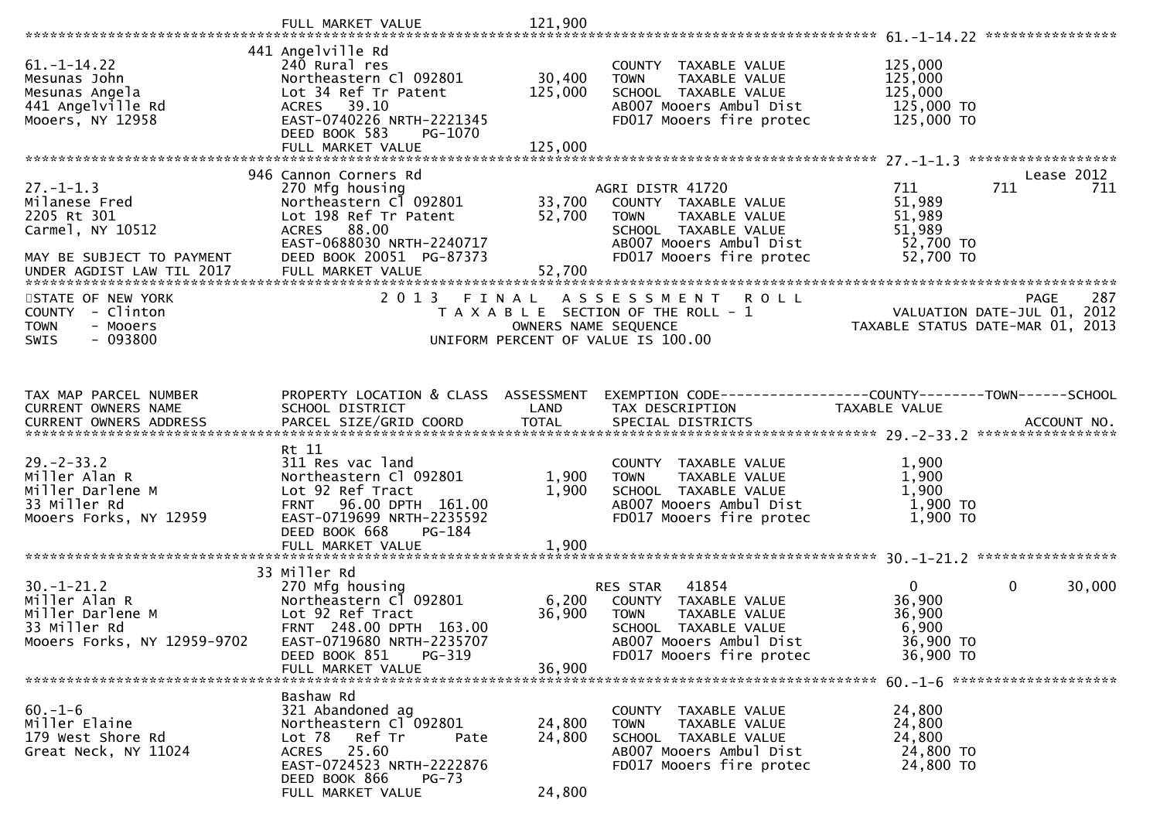| $61. - 1 - 14.22$<br>Mesunas John<br>Mesunas Angela<br>441 Angelville Rd<br>Mooers, NY 12958         | 441 Angelville Rd<br>240 Rural res<br>Northeastern Cl 092801<br>Lot 34 Ref Tr Patent<br>ACRES 39.10<br>EAST-0740226 NRTH-2221345<br>DEED BOOK 583<br>PG-1070                                    | 30,400<br>125,000                    | COUNTY TAXABLE VALUE<br><b>TOWN</b><br>TAXABLE VALUE<br>SCHOOL TAXABLE VALUE<br>AB007 Mooers Ambul Dist<br>FD017 Mooers fire protec                     | 125,000<br>125,000<br>125,000<br>125,000 TO<br>125,000 TO   |                                                                 |
|------------------------------------------------------------------------------------------------------|-------------------------------------------------------------------------------------------------------------------------------------------------------------------------------------------------|--------------------------------------|---------------------------------------------------------------------------------------------------------------------------------------------------------|-------------------------------------------------------------|-----------------------------------------------------------------|
|                                                                                                      |                                                                                                                                                                                                 |                                      |                                                                                                                                                         |                                                             |                                                                 |
|                                                                                                      |                                                                                                                                                                                                 |                                      |                                                                                                                                                         |                                                             | ******************                                              |
| $27. - 1 - 1.3$<br>Milanese Fred<br>2205 Rt 301<br>Carmel, NY 10512<br>MAY BE SUBJECT TO PAYMENT     | 946 Cannon Corners Rd<br>270 Mfg housing<br>Northeastern Cl 092801<br>Lot 198 Ref Tr Patent<br>ACRES 88.00<br>EAST-0688030 NRTH-2240717<br>DEED BOOK 20051 PG-87373                             | 33,700<br>52,700                     | AGRI DISTR 41720<br>COUNTY TAXABLE VALUE<br>TAXABLE VALUE<br><b>TOWN</b><br>SCHOOL TAXABLE VALUE<br>AB007 Mooers Ambul Dist<br>FD017 Mooers fire protec | 711<br>51,989<br>51,989<br>51,989<br>52,700 TO<br>52,700 TO | Lease 2012<br>711<br>711                                        |
| STATE OF NEW YORK                                                                                    | 2 0 1 3<br>FINAL                                                                                                                                                                                |                                      | <b>ROLL</b>                                                                                                                                             |                                                             | 287<br>PAGE                                                     |
| COUNTY - Clinton<br><b>TOWN</b><br>- Mooers<br>$-093800$<br>SWIS                                     |                                                                                                                                                                                                 | OWNERS NAME SEQUENCE                 | A S S E S S M E N T<br>T A X A B L E SECTION OF THE ROLL - 1<br>UNIFORM PERCENT OF VALUE IS 100.00                                                      |                                                             | VALUATION DATE-JUL 01, 2012<br>TAXABLE STATUS DATE-MAR 01, 2013 |
| TAX MAP PARCEL NUMBER                                                                                | PROPERTY LOCATION & CLASS ASSESSMENT                                                                                                                                                            |                                      | EXEMPTION CODE-----------------COUNTY--------TOWN------SCHOOL                                                                                           |                                                             |                                                                 |
|                                                                                                      |                                                                                                                                                                                                 |                                      |                                                                                                                                                         |                                                             |                                                                 |
| <b>CURRENT OWNERS NAME</b><br>CURRENT OWNERS ADDRESS                                                 | SCHOOL DISTRICT                                                                                                                                                                                 | LAND                                 | TAX DESCRIPTION                                                                                                                                         | TAXABLE VALUE                                               |                                                                 |
| $29. - 2 - 33.2$<br>Miller Alan R<br>Miller Darlene M<br>33 Miller Rd<br>Mooers Forks, NY 12959      | Rt 11<br>311 Res vac land<br>Northeastern Cl 092801<br>Lot 92 Ref Tract<br>96.00 DPTH 161.00<br><b>FRNT</b><br>EAST-0719699 NRTH-2235592<br>DEED BOOK 668<br><b>PG-184</b><br>FULL MARKET VALUE | 1,900<br>1,900<br>1,900              | COUNTY TAXABLE VALUE<br>TAXABLE VALUE<br><b>TOWN</b><br>SCHOOL TAXABLE VALUE<br>AB007 Mooers Ambul Dist<br>FD017 Mooers fire protec                     | 1,900<br>1,900<br>1,900<br>1,900 TO<br>1,900 TO             |                                                                 |
|                                                                                                      |                                                                                                                                                                                                 |                                      |                                                                                                                                                         |                                                             |                                                                 |
| $30. - 1 - 21.2$<br>Miller Alan R<br>Miller Darlene M<br>33 Miller Rd<br>Mooers Forks, NY 12959-9702 | 33 Miller Rd<br>270 Mfg housing<br>Northeastern Cl 092801<br>Lot 92 Ref Tract<br>FRNT 248.00 DPTH 163.00<br>EAST-0719680 NRTH-2235707                                                           | 6,200<br>36,900                      | 41854<br>RES STAR<br>COUNTY TAXABLE VALUE<br>TAXABLE VALUE<br><b>TOWN</b><br>SCHOOL TAXABLE VALUE<br>AB007 Mooers Ambul Dist                            | $\mathbf{0}$<br>36,900<br>36,900<br>6,900<br>36,900 TO      | 0<br>30,000                                                     |
|                                                                                                      | DEED BOOK 851<br>PG-319                                                                                                                                                                         |                                      | FD017 Mooers fire protec                                                                                                                                | 36,900 TO                                                   |                                                                 |
| $60. -1 - 6$<br>Miller Elaine<br>179 West Shore Rd<br>Great Neck, NY 11024                           | FULL MARKET VALUE<br>Bashaw Rd<br>321 Abandoned ag<br>Northeastern Cl 092801<br>Lot 78<br>Ref Tr<br>Pate<br>ACRES 25.60<br>EAST-0724523 NRTH-2222876<br>DEED BOOK 866<br><b>PG-73</b>           | 36,900<br>24,800<br>24,800<br>24,800 | COUNTY TAXABLE VALUE<br>TAXABLE VALUE<br>TOWN<br>SCHOOL TAXABLE VALUE<br>AB007 Mooers Ambul Dist<br>FD017 Mooers fire protec                            | 24,800<br>24,800<br>24,800<br>24,800 TO<br>24,800 TO        |                                                                 |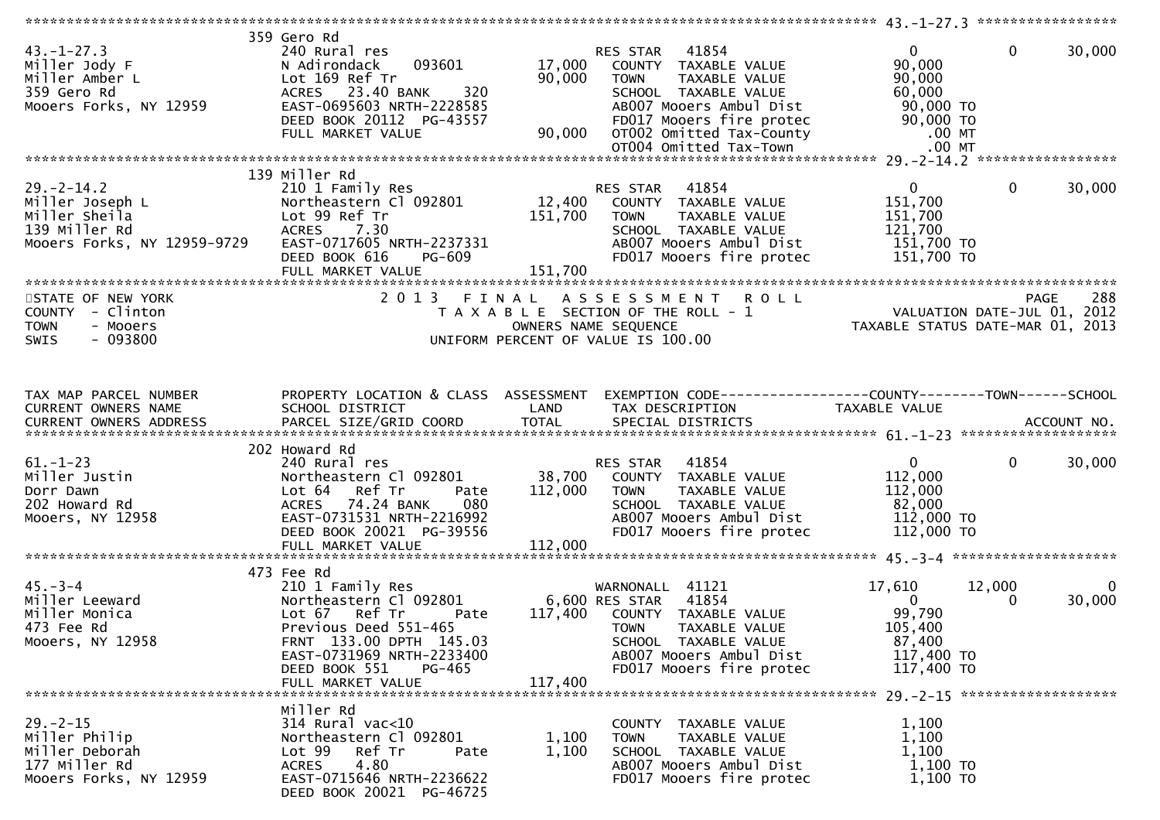| $43. - 1 - 27.3$<br>Miller Jody F<br>Miller Amber L<br>359 Gero Rd<br>Mooers Forks, NY 12959         | 359 Gero Rd<br>240 Rural res<br>093601<br>N Adirondack<br>Lot 169 Ref Tr<br>ACRES 23.40 BANK<br>320<br>EAST-0695603 NRTH-2228585<br>DEED BOOK 20112 PG-43557<br>FULL MARKET VALUE | 17,000<br>90,000<br>90,000 | RES STAR 41854<br>COUNTY TAXABLE VALUE<br>TAXABLE VALUE<br><b>TOWN</b><br>SCHOOL TAXABLE VALUE<br>AB007 Mooers Ambul Dist<br>FD017 Mooers fire protec<br>OT002 Omitted Tax-County<br>OT004 Omitted Tax-Town | $\overline{0}$<br>90,000<br>90,000<br>60,000<br>90,000 TO<br>90,000 TO<br>$.00$ MT<br>$.00$ MT | $\mathbf 0$        | 30,000      |
|------------------------------------------------------------------------------------------------------|-----------------------------------------------------------------------------------------------------------------------------------------------------------------------------------|----------------------------|-------------------------------------------------------------------------------------------------------------------------------------------------------------------------------------------------------------|------------------------------------------------------------------------------------------------|--------------------|-------------|
|                                                                                                      | 139 Miller Rd                                                                                                                                                                     |                            |                                                                                                                                                                                                             |                                                                                                |                    |             |
| $29. - 2 - 14.2$<br>Miller Joseph L<br>Miller Sheila<br>139 Miller Rd<br>Mooers Forks, NY 12959-9729 | 210 1 Family Res<br>Northeastern Cl 092801<br>Lot 99 Ref Tr<br>7.30<br><b>ACRES</b><br>EAST-0717605 NRTH-2237331<br>DEED BOOK 616<br>PG-609<br>FULL MARKET VALUE                  | 151,700<br>151,700         | 41854<br>RES STAR<br>12,400 COUNTY TAXABLE VALUE<br>TAXABLE VALUE<br><b>TOWN</b><br>SCHOOL TAXABLE VALUE<br>AB007 Mooers Ambul Dist<br>FD017 Mooers fire protec                                             | $\mathbf{0}$<br>151,700<br>151,700<br>121,700<br>151,700 TO<br>151,700 TO                      | $\mathbf{0}$       | 30,000      |
|                                                                                                      |                                                                                                                                                                                   |                            |                                                                                                                                                                                                             |                                                                                                |                    |             |
| STATE OF NEW YORK<br>COUNTY - Clinton<br>- Mooers<br><b>TOWN</b><br>$-093800$<br><b>SWIS</b>         | 2013 FINAL                                                                                                                                                                        |                            | ASSESSMENT ROLL<br>T A X A B L E SECTION OF THE ROLL - 1<br>OWNERS NAME SEQUENCE<br>UNIFORM PERCENT OF VALUE IS 100.00                                                                                      | PAGE 288<br>VALUATION DATE-JUL 01, 2012<br>TAXABLE STATUS DATE-MAR 01, 2013                    | <b>PAGE</b>        | 288         |
| TAX MAP PARCEL NUMBER                                                                                | PROPERTY LOCATION & CLASS ASSESSMENT                                                                                                                                              |                            | EXEMPTION CODE-----------------COUNTY--------TOWN------SCHOOL                                                                                                                                               |                                                                                                |                    |             |
| CURRENT OWNERS NAME                                                                                  | SCHOOL DISTRICT                                                                                                                                                                   | LAND                       | TAX DESCRIPTION                                                                                                                                                                                             | TAXABLE VALUE                                                                                  |                    |             |
|                                                                                                      | 202 Howard Rd                                                                                                                                                                     |                            |                                                                                                                                                                                                             |                                                                                                |                    |             |
| $61. - 1 - 23$<br>Miller Justin<br>Dorr Dawn<br>202 Howard Rd<br>Mooers, NY 12958                    | 240 Rural res<br>Northeastern Cl 092801<br>Ref Tr<br>Lot 64<br>Pate<br>ACRES 74.24 BANK<br>080<br>EAST-0731531 NRTH-2216992<br>DEED BOOK 20021 PG-39556                           | 38,700<br>112,000          | 41854<br>RES STAR<br>COUNTY TAXABLE VALUE<br><b>TOWN</b><br>TAXABLE VALUE<br>SCHOOL TAXABLE VALUE<br>AB007 Mooers Ambul Dist<br>FD017 Mooers fire protec                                                    | $\mathbf{0}$<br>112,000<br>112,000<br>82,000<br>112,000 TO<br>112,000 TO                       | $\mathbf{0}$       | 30,000      |
|                                                                                                      | 473 Fee Rd                                                                                                                                                                        |                            |                                                                                                                                                                                                             |                                                                                                |                    |             |
| $45. - 3 - 4$<br>Miller Leeward<br>Miller Monica<br>473 Fee Rd<br>Mooers, NY 12958                   | 210 1 Family Res<br>Northeastern Cl 092801<br>Lot 67 Ref Tr<br>Pate<br>Previous Deed 551-465<br>FRNT 133.00 DPTH 145.03<br>EAST-0731969 NRTH-2233400<br>DEED BOOK 551<br>PG-465   | 117,400                    | WARNONALL 41121<br>6,600 RES STAR<br>41854<br>117,400 COUNTY TAXABLE VALUE<br><b>TOWN</b><br>TAXABLE VALUE<br>SCHOOL TAXABLE VALUE<br>AB007 Mooers Ambul Dist<br>FD017 Mooers fire protec                   | 17,610<br>$\Omega$<br>99,790<br>105,400<br>87,400<br>117,400 TO<br>117,400 TO                  | 12,000<br>$\Omega$ | 0<br>30,000 |
|                                                                                                      | FULL MARKET VALUE                                                                                                                                                                 |                            |                                                                                                                                                                                                             |                                                                                                |                    |             |
| $29. - 2 - 15$<br>Miller Philip<br>Miller Deborah<br>177 Miller Rd<br>Mooers Forks, NY 12959         | Miller Rd<br>314 Rural vac<10<br>Northeastern Cl 092801<br>Lot 99 Ref Tr<br>Pate<br>4.80<br><b>ACRES</b><br>EAST-0715646 NRTH-2236622<br>DEED BOOK 20021 PG-46725                 | 1,100<br>1,100             | COUNTY TAXABLE VALUE<br>TAXABLE VALUE<br><b>TOWN</b><br>SCHOOL TAXABLE VALUE<br>AB007 Mooers Ambul Dist<br>FD017 Mooers fire protec                                                                         | 1,100<br>1,100<br>1,100<br>$1,100$ TO<br>1,100 TO                                              |                    |             |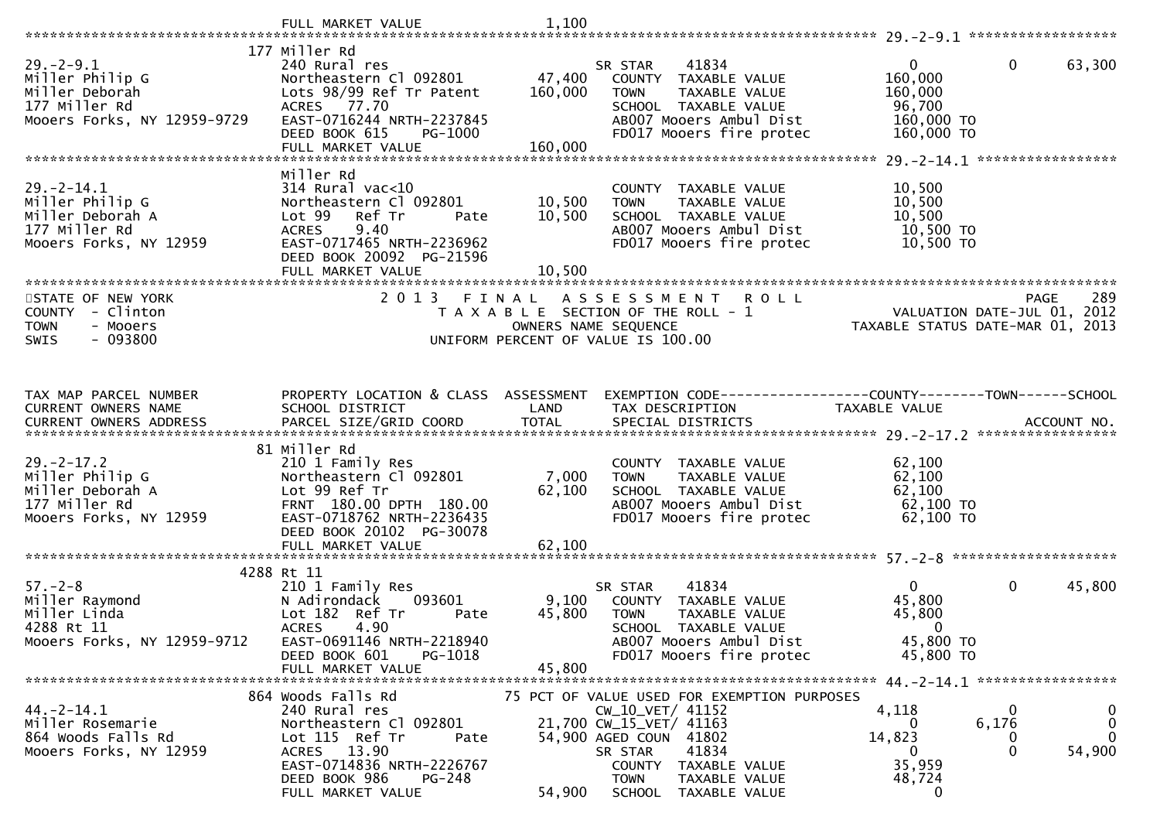|                                              | FULL MARKET VALUE                                                         | 1,100           |                                                                             |                        |                                                   |
|----------------------------------------------|---------------------------------------------------------------------------|-----------------|-----------------------------------------------------------------------------|------------------------|---------------------------------------------------|
|                                              | 177 Miller Rd                                                             |                 |                                                                             |                        |                                                   |
| $29. - 2 - 9.1$                              | 240 Rural res                                                             |                 | 41834<br>SR STAR                                                            | $\mathbf{0}$           | $\mathbf{0}$<br>63,300                            |
| Miller Philip G                              | Northeastern Cl 092801                                                    | 47,400          | COUNTY TAXABLE VALUE                                                        | 160,000                |                                                   |
| Miller Deborah<br>177 Miller Rd              | Lots 98/99 Ref Tr Patent<br>ACRES 77.70                                   | 160,000         | <b>TOWN</b><br><b>TAXABLE VALUE</b><br>SCHOOL TAXABLE VALUE                 | 160,000<br>96,700      |                                                   |
| Mooers Forks, NY 12959-9729                  | EAST-0716244 NRTH-2237845                                                 |                 | AB007 Mooers Ambul Dist                                                     | 160,000 TO             |                                                   |
|                                              | DEED BOOK 615<br>PG-1000                                                  |                 | FD017 Mooers fire protec                                                    | 160,000 TO             |                                                   |
|                                              | FULL MARKET VALUE                                                         | 160,000         |                                                                             |                        |                                                   |
|                                              | Miller Rd                                                                 |                 |                                                                             |                        |                                                   |
| $29. - 2 - 14.1$                             | $314$ Rural vac<10                                                        |                 | COUNTY TAXABLE VALUE                                                        | 10,500                 |                                                   |
| Miller Philip G                              | Northeastern Cl 092801                                                    | 10,500          | <b>TOWN</b><br>TAXABLE VALUE                                                | 10,500                 |                                                   |
| Miller Deborah A                             | Lot 99 Ref Tr<br>Pate                                                     | 10,500          | SCHOOL TAXABLE VALUE                                                        | 10,500                 |                                                   |
| 177 Miller Rd<br>Mooers Forks, NY 12959      | 9.40<br><b>ACRES</b><br>EAST-0717465 NRTH-2236962                         |                 | AB007 Mooers Ambul Dist<br>FD017 Mooers fire protec                         | 10,500 TO<br>10,500 TO |                                                   |
|                                              | DEED BOOK 20092 PG-21596                                                  |                 |                                                                             |                        |                                                   |
|                                              | FULL MARKET VALUE                                                         | 10,500          |                                                                             |                        |                                                   |
|                                              | **************************<br>2 0 1 3                                     |                 |                                                                             |                        | 289                                               |
| STATE OF NEW YORK<br>COUNTY - Clinton        |                                                                           | FINAL           | A S S E S S M E N T<br><b>ROLL</b><br>T A X A B L E SECTION OF THE ROLL - 1 |                        | <b>PAGE</b><br>VALUATION DATE-JUL 01, 2012        |
| - Mooers<br><b>TOWN</b>                      |                                                                           |                 | OWNERS NAME SEQUENCE                                                        |                        | TAXABLE STATUS DATE-MAR 01, 2013                  |
| $-093800$<br>SWIS                            |                                                                           |                 | UNIFORM PERCENT OF VALUE IS 100.00                                          |                        |                                                   |
|                                              |                                                                           |                 |                                                                             |                        |                                                   |
|                                              |                                                                           |                 |                                                                             |                        |                                                   |
| TAX MAP PARCEL NUMBER                        | PROPERTY LOCATION & CLASS ASSESSMENT                                      |                 | EXEMPTION CODE------------------COUNTY--------TOWN------SCHOOL              |                        |                                                   |
| CURRENT OWNERS NAME                          | SCHOOL DISTRICT                                                           | LAND            | TAX DESCRIPTION                                                             | TAXABLE VALUE          |                                                   |
|                                              |                                                                           |                 |                                                                             |                        |                                                   |
|                                              | 81 Miller Rd                                                              |                 |                                                                             |                        |                                                   |
| $29. - 2 - 17.2$                             | 210 1 Family Res                                                          |                 | COUNTY TAXABLE VALUE                                                        | 62,100                 |                                                   |
| Miller Philip G<br>Miller Deborah A          | Northeastern Cl 092801<br>Lot 99 Ref Tr                                   | 7,000<br>62,100 | TAXABLE VALUE<br><b>TOWN</b><br>SCHOOL TAXABLE VALUE                        | 62,100<br>62,100       |                                                   |
| 177 Miller Rd                                | FRNT 180.00 DPTH 180.00                                                   |                 | AB007 Mooers Ambul Dist                                                     | $62,100$ TO            |                                                   |
| Mooers Forks, NY 12959                       | EAST-0718762 NRTH-2236435                                                 |                 | FD017 Mooers fire protec                                                    | 62,100 TO              |                                                   |
|                                              | DEED BOOK 20102 PG-30078                                                  |                 |                                                                             |                        |                                                   |
|                                              | FULL MARKET VALUE                                                         | 62,100          |                                                                             |                        |                                                   |
|                                              | 4288 Rt 11                                                                |                 |                                                                             |                        |                                                   |
| $57. - 2 - 8$                                | 210 1 Family Res                                                          |                 | 41834<br>SR STAR                                                            | $\overline{0}$         | $\mathbf 0$<br>45,800                             |
| Miller Raymond                               | N Adirondack<br>093601                                                    | 9,100           | COUNTY TAXABLE VALUE                                                        | 45,800                 |                                                   |
| Miller Linda<br>4288 Rt 11                   | Lot 182 Ref Tr<br>Pate<br>4.90<br><b>ACRES</b>                            | 45,800          | <b>TOWN</b><br>TAXABLE VALUE<br>SCHOOL TAXABLE VALUE                        | 45,800<br>0            |                                                   |
| Mooers Forks, NY 12959-9712                  | EAST-0691146 NRTH-2218940                                                 |                 | AB007 Mooers Ambul Dist                                                     | 45,800 TO              |                                                   |
|                                              | DEED BOOK 601<br>PG-1018                                                  |                 | FD017 Mooers fire protec                                                    | 45,800 TO              |                                                   |
|                                              | FULL MARKET VALUE                                                         | 45,800          |                                                                             |                        |                                                   |
|                                              | 864 Woods Falls Rd                                                        |                 | 75 PCT OF VALUE USED FOR EXEMPTION PURPOSES                                 |                        |                                                   |
| $44. -2 - 14.1$                              | 240 Rural res                                                             |                 | CW_10_VET/ 41152                                                            | 4,118                  | 0<br>$\bf{0}$                                     |
| Miller Rosemarie                             | Northeastern Cl 092801                                                    |                 | 21,700 CW_15_VET/ 41163                                                     | $\left($               | 6,176<br>0                                        |
| 864 Woods Falls Rd<br>Mooers Forks, NY 12959 | Lot 115 Ref Tr<br>Pate<br>ACRES 13.90                                     |                 | 54,900 AGED COUN 41802<br>41834<br>SR STAR                                  | 14,823<br>0            | $\mathbf{0}$<br>$\mathbf 0$<br>$\Omega$<br>54,900 |
|                                              |                                                                           |                 |                                                                             |                        |                                                   |
|                                              |                                                                           |                 | COUNTY<br>TAXABLE VALUE                                                     |                        |                                                   |
|                                              | EAST-0714836 NRTH-2226767<br>DEED BOOK 986<br>PG-248<br>FULL MARKET VALUE | 54,900          | <b>TOWN</b><br>TAXABLE VALUE<br>TAXABLE VALUE<br>SCHOOL                     | 35,959<br>48,724<br>0  |                                                   |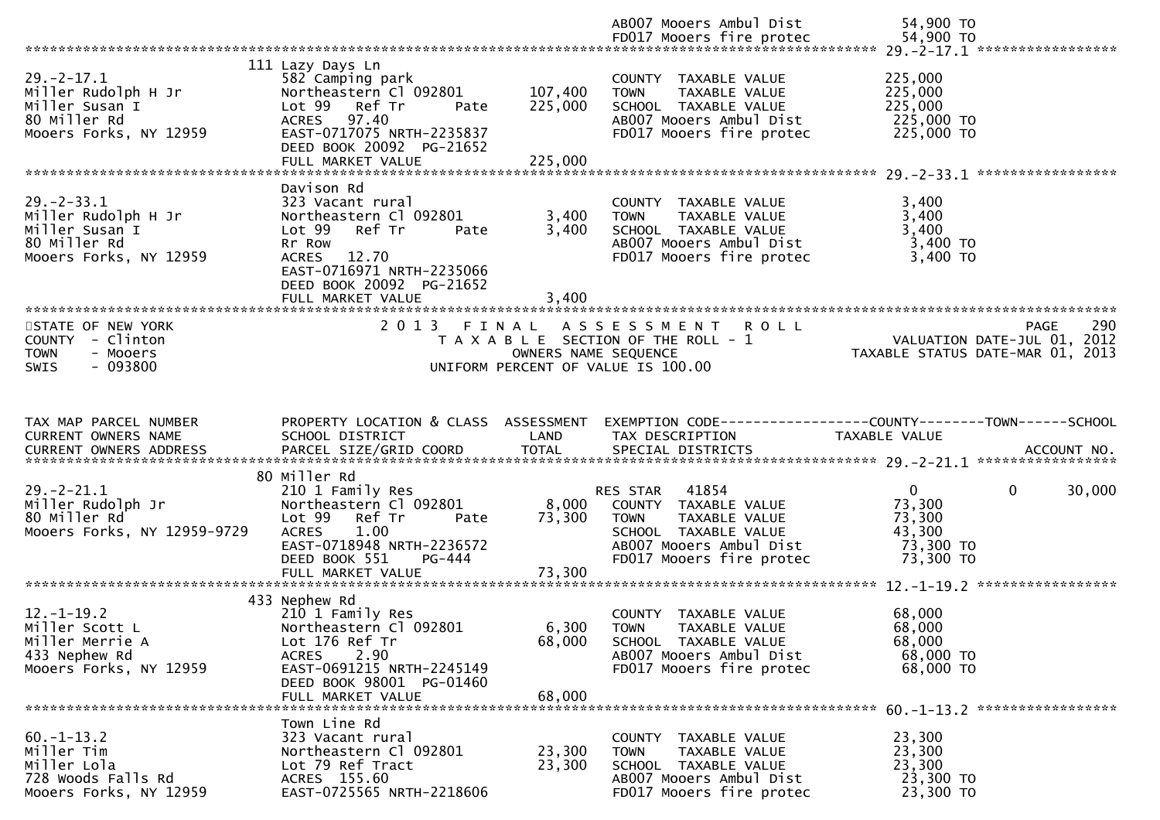|                                                                                                     |                                                                                                                                                                                                       |                         | AB007 Mooers Ambul Dist                                                                                                             | 54,900 TO                                                                      |  |
|-----------------------------------------------------------------------------------------------------|-------------------------------------------------------------------------------------------------------------------------------------------------------------------------------------------------------|-------------------------|-------------------------------------------------------------------------------------------------------------------------------------|--------------------------------------------------------------------------------|--|
| $29. -2 - 17.1$<br>Miller Rudolph H Jr                                                              | 111 Lazy Days Ln<br>582 Camping park<br>Northeastern Cl 092801                                                                                                                                        | 107,400                 | COUNTY TAXABLE VALUE<br>TAXABLE VALUE<br><b>TOWN</b>                                                                                | 225,000<br>225,000                                                             |  |
| Miller Susan I<br>80 Miller Rd<br>Mooers Forks, NY 12959                                            | Lot 99 Ref Tr<br>Pate<br>ACRES 97.40<br>EAST-0717075 NRTH-2235837<br>DEED BOOK 20092 PG-21652                                                                                                         | 225,000                 | SCHOOL TAXABLE VALUE<br>AB007 Mooers Ambul Dist<br>FD017 Mooers fire protec                                                         | 225,000<br>225,000 TO<br>225,000 TO                                            |  |
|                                                                                                     | FULL MARKET VALUE                                                                                                                                                                                     | 225,000                 |                                                                                                                                     |                                                                                |  |
| $29. - 2 - 33.1$<br>Miller Rudolph H Jr<br>Miller Susan I<br>80 Miller Rd<br>Mooers Forks, NY 12959 | Davison Rd<br>323 Vacant rural<br>Northeastern Cl 092801<br>Ref Tr<br>Lot 99<br>Pate<br>Rr Row<br>12.70<br><b>ACRES</b><br>EAST-0716971 NRTH-2235066<br>DEED BOOK 20092 PG-21652<br>FULL MARKET VALUE | 3,400<br>3,400<br>3,400 | COUNTY TAXABLE VALUE<br>TAXABLE VALUE<br><b>TOWN</b><br>SCHOOL TAXABLE VALUE<br>AB007 Mooers Ambul Dist<br>FD017 Mooers fire protec | 3,400<br>3,400<br>3,400<br>3,400 TO<br>3,400 TO                                |  |
| STATE OF NEW YORK                                                                                   | 2013 FINAL                                                                                                                                                                                            |                         | ASSESSMENT ROLL                                                                                                                     | 290<br>PAGE                                                                    |  |
| COUNTY - Clinton<br>- Mooers<br><b>TOWN</b><br>$-093800$<br>SWIS                                    |                                                                                                                                                                                                       | OWNERS NAME SEQUENCE    | T A X A B L E SECTION OF THE ROLL - 1<br>UNIFORM PERCENT OF VALUE IS 100.00                                                         | VALUATION DATE-JUL 01, 2012<br>TAXABLE STATUS DATE-MAR 01, 2013                |  |
|                                                                                                     |                                                                                                                                                                                                       |                         |                                                                                                                                     |                                                                                |  |
|                                                                                                     |                                                                                                                                                                                                       |                         |                                                                                                                                     |                                                                                |  |
| TAX MAP PARCEL NUMBER<br>CURRENT OWNERS NAME                                                        | PROPERTY LOCATION & CLASS ASSESSMENT<br>SCHOOL DISTRICT                                                                                                                                               | LAND                    | TAX DESCRIPTION                                                                                                                     | EXEMPTION CODE-----------------COUNTY--------TOWN------SCHOOL<br>TAXABLE VALUE |  |
|                                                                                                     | 80 Miller Rd                                                                                                                                                                                          |                         |                                                                                                                                     |                                                                                |  |
| $29. - 2 - 21.1$<br>Miller Rudolph Jr<br>80 Miller Rd<br>Mooers Forks, NY 12959-9729                | 210 1 Family Res<br>Northeastern Cl 092801<br>Lot 99<br>Ref Tr<br>Pate<br><b>ACRES</b><br>1.00<br>EAST-0718948 NRTH-2236572                                                                           | 8,000<br>73,300         | RES STAR 41854<br>COUNTY TAXABLE VALUE<br><b>TOWN</b><br>TAXABLE VALUE<br>SCHOOL TAXABLE VALUE<br>AB007 Mooers Ambul Dist           | $\mathbf{0}$<br>0<br>30,000<br>73,300<br>73,300<br>43,300<br>73,300 TO         |  |
|                                                                                                     | PG-444<br>DEED BOOK 551<br>FULL MARKET VALUE                                                                                                                                                          | 73,300                  | FD017 Mooers fire protec                                                                                                            | 73,300 TO                                                                      |  |
|                                                                                                     | 433 Nephew Rd                                                                                                                                                                                         |                         |                                                                                                                                     |                                                                                |  |
| $12.-1-19.2$<br>Miller Scott L<br>Miller Merrie A                                                   | 210 1 Family Res<br>Northeastern Cl 092801<br>Lot 176 Ref Tr<br><b>ACRES</b>                                                                                                                          | 6,300<br>68,000         | <b>COUNTY</b><br>TAXABLE VALUE<br><b>TOWN</b><br>TAXABLE VALUE<br>SCHOOL TAXABLE VALUE                                              | 68,000<br>68,000<br>68,000                                                     |  |
| 433 Nephew Rd<br>Mooers Forks, NY 12959                                                             | 2.90<br>EAST-0691215 NRTH-2245149<br>DEED BOOK 98001 PG-01460<br>FULL MARKET VALUE                                                                                                                    | 68,000                  | AB007 Mooers Ambul Dist<br>FD017 Mooers fire protec                                                                                 | 68,000 TO<br>68,000 TO                                                         |  |
|                                                                                                     | Town Line Rd                                                                                                                                                                                          |                         |                                                                                                                                     |                                                                                |  |
| $60. -1 - 13.2$<br>Miller Tim<br>Miller Lola<br>728 Woods Falls Rd                                  | 323 Vacant rural<br>Northeastern Cl 092801<br>Lot 79 Ref Tract<br>ACRES 155.60                                                                                                                        | 23,300<br>23,300        | COUNTY<br>TAXABLE VALUE<br>TAXABLE VALUE<br><b>TOWN</b><br>SCHOOL TAXABLE VALUE<br>AB007 Mooers Ambul Dist                          | 23,300<br>23,300<br>23,300<br>23,300 TO                                        |  |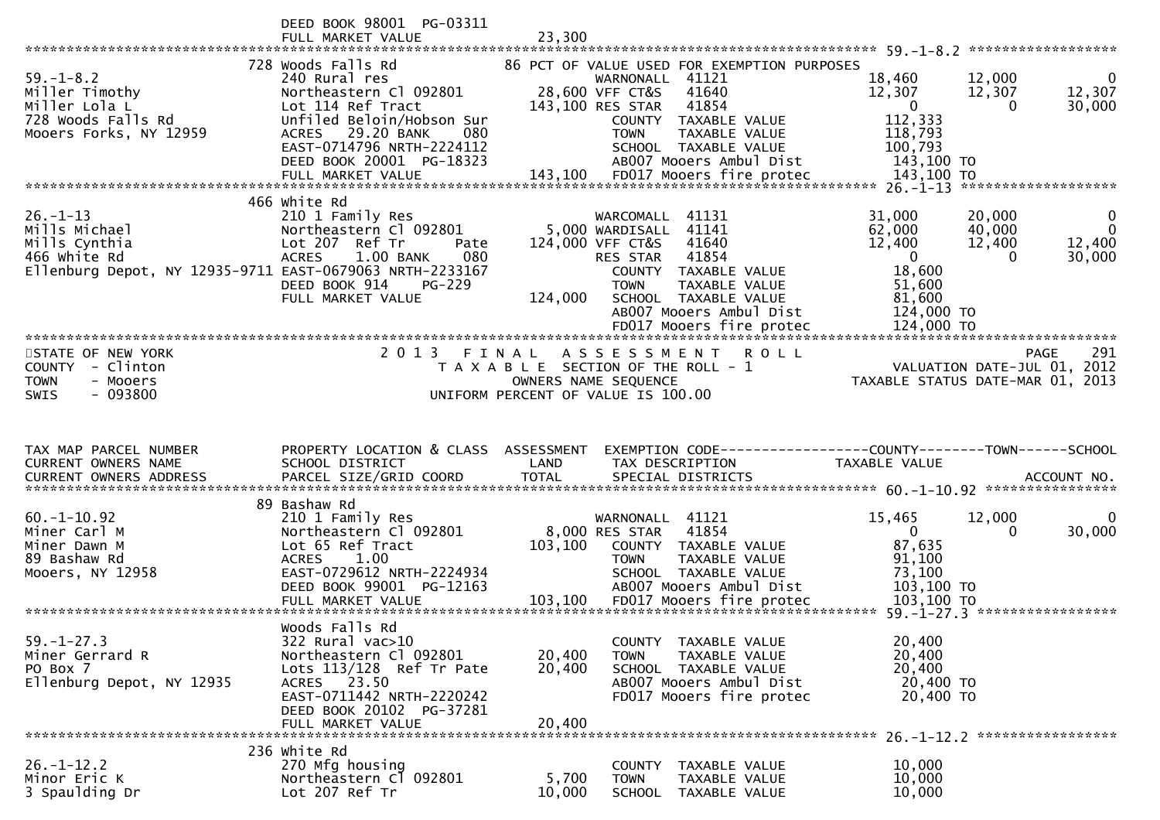|                                                                                                                              | DEED BOOK 98001 PG-03311<br>FULL MARKET VALUE                                                                                                                                                                 | 23,300                     |                                                                                                                                                                                                                                    |                                                                                                                                    |                                                 |
|------------------------------------------------------------------------------------------------------------------------------|---------------------------------------------------------------------------------------------------------------------------------------------------------------------------------------------------------------|----------------------------|------------------------------------------------------------------------------------------------------------------------------------------------------------------------------------------------------------------------------------|------------------------------------------------------------------------------------------------------------------------------------|-------------------------------------------------|
| $59. - 1 - 8.2$<br>Miller Timothy<br>Miller Lola L<br>728 Woods Falls Rd<br>Mooers Forks, NY 12959                           | 728 Woods Falls Rd<br>240 Rural res<br>Northeastern Cl 092801<br>Lot 114 Ref Tract<br>Unfiled Beloin/Hobson Sur<br>29.20 BANK<br>080<br><b>ACRES</b><br>EAST-0714796 NRTH-2224112<br>DEED BOOK 20001 PG-18323 |                            | 86 PCT OF VALUE USED FOR EXEMPTION PURPOSES<br>WARNONALL 41121<br>28,600 VFF CT&S<br>41640<br>143,100 RES STAR<br>41854<br>COUNTY TAXABLE VALUE<br>TAXABLE VALUE<br><b>TOWN</b><br>SCHOOL TAXABLE VALUE<br>AB007 Mooers Ambul Dist | 18,460<br>12,000<br>12,307<br>12,307<br>$\mathbf 0$<br>0<br>112,333<br>118,793<br>100,793<br>143,100 TO                            | $\bf{0}$<br>12,307<br>30,000                    |
| $26. - 1 - 13$<br>Mills Michael<br>Mills Cynthia<br>466 White Rd<br>Ellenburg Depot, NY 12935-9711 EAST-0679063 NRTH-2233167 | 466 white Rd<br>210 1 Family Res<br>Northeastern Cl 092801<br>Lot 207 Ref Tr<br>Pate<br><b>ACRES</b><br>080<br>1.00 BANK<br>DEED BOOK 914<br>$PG-229$<br>FULL MARKET VALUE                                    | 124,000                    | WARCOMALL<br>41131<br>5,000 WARDISALL 41141<br>124,000 VFF CT&S<br>41640<br>41854<br>RES STAR<br>COUNTY TAXABLE VALUE<br>TAXABLE VALUE<br><b>TOWN</b><br>SCHOOL TAXABLE VALUE<br>AB007 Mooers Ambul Dist                           | 31,000<br>20,000<br>62,000<br>40,000<br>12,400<br>12,400<br>$\overline{0}$<br>$\Omega$<br>18,600<br>51,600<br>81,600<br>124,000 TO | $\mathbf{0}$<br>$\mathbf 0$<br>12,400<br>30,000 |
| STATE OF NEW YORK<br><b>COUNTY</b><br>- Clinton<br>- Mooers<br><b>TOWN</b><br>$-093800$<br>SWIS                              | 2 0 1 3                                                                                                                                                                                                       | FINAL                      | A S S E S S M E N T<br>ROLL<br>T A X A B L E SECTION OF THE ROLL - 1<br>OWNERS NAME SEQUENCE<br>UNIFORM PERCENT OF VALUE IS 100.00                                                                                                 | <b>PAGE</b><br>VALUATION DATE-JUL 01, 2012<br>TAXABLE STATUS DATE-MAR 01, 2013                                                     | 291                                             |
|                                                                                                                              |                                                                                                                                                                                                               |                            |                                                                                                                                                                                                                                    |                                                                                                                                    |                                                 |
| TAX MAP PARCEL NUMBER<br>CURRENT OWNERS NAME<br><b>CURRENT OWNERS ADDRESS</b>                                                | PROPERTY LOCATION & CLASS ASSESSMENT<br>SCHOOL DISTRICT<br>PARCEL SIZE/GRID COORD                                                                                                                             | LAND<br><b>TOTAL</b>       | TAX DESCRIPTION<br>SPECIAL DISTRICTS                                                                                                                                                                                               | EXEMPTION CODE-----------------COUNTY--------TOWN------SCHOOL<br>TAXABLE VALUE                                                     | ACCOUNT NO.                                     |
| $60. - 1 - 10.92$<br>Miner Carl M<br>Miner Dawn M<br>89 Bashaw Rd<br>Mooers, NY 12958                                        | 89 Bashaw Rd<br>210 1 Family Res<br>Northeastern Cl 092801<br>Lot 65 Ref Tract<br>1.00<br><b>ACRES</b><br>EAST-0729612 NRTH-2224934<br>DEED BOOK 99001 PG-12163<br>FULL MARKET VALUE                          | 103,100<br>103,100         | WARNONALL 41121<br>41854<br>8,000 RES STAR<br>COUNTY TAXABLE VALUE<br><b>TOWN</b><br>TAXABLE VALUE<br>SCHOOL TAXABLE VALUE<br>AB007 Mooers Ambul Dist<br>FD017 Mooers fire protec                                                  | 15,465<br>12,000<br>$\mathbf{0}$<br>0<br>87,635<br>91,100<br>73,100<br>103,100 TO<br>103,100 TO                                    | $\bf{0}$<br>30,000                              |
| $59. - 1 - 27.3$<br>Miner Gerrard R<br>PO Box 7<br>Ellenburg Depot, NY 12935                                                 | Woods Falls Rd<br>322 Rural vac>10<br>Northeastern Cl 092801<br>Lots $113/128$ Ref Tr Pate<br>ACRES 23.50<br>EAST-0711442 NRTH-2220242<br>DEED BOOK 20102 PG-37281<br>FULL MARKET VALUE                       | 20,400<br>20,400<br>20,400 | COUNTY TAXABLE VALUE<br>TAXABLE VALUE<br><b>TOWN</b><br>SCHOOL TAXABLE VALUE<br>AB007 Mooers Ambul Dist<br>FD017 Mooers fire protec                                                                                                | $59. - 1 - 27.3$<br>*****************<br>20,400<br>20,400<br>20,400<br>20,400 TO<br>20,400 TO                                      |                                                 |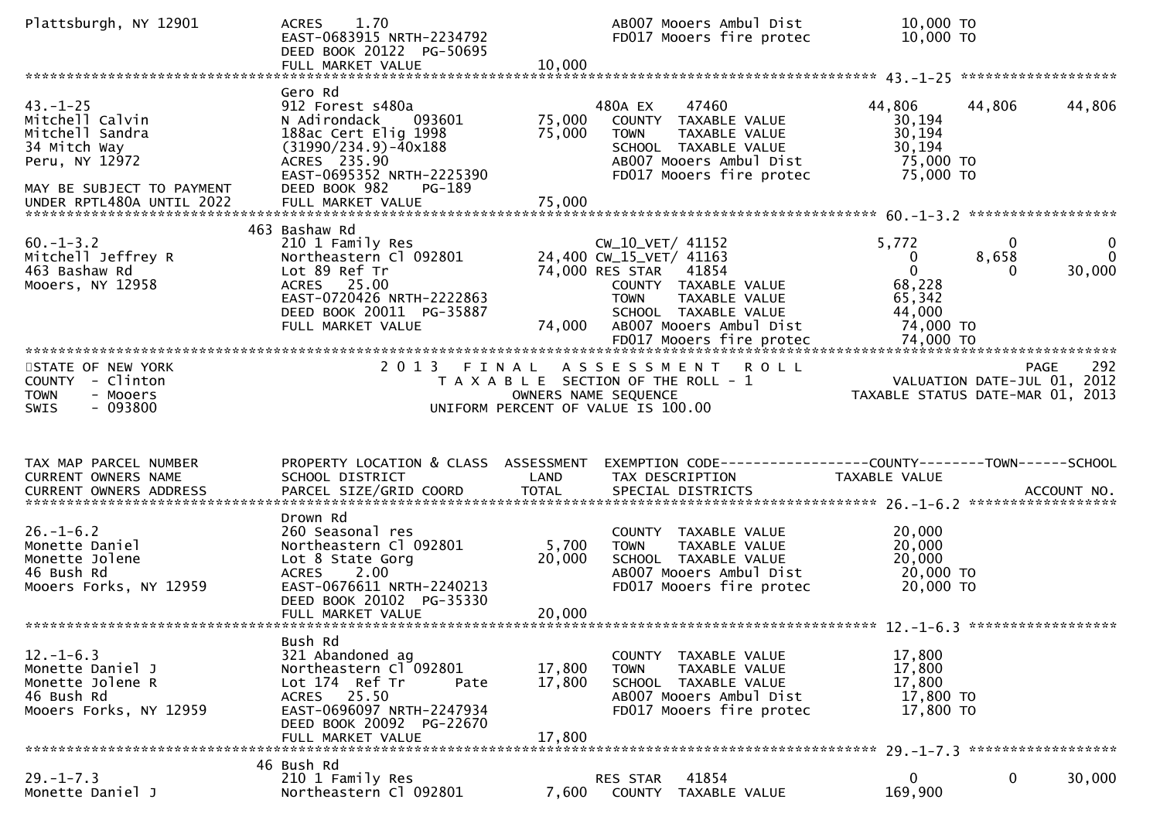| Plattsburgh, NY 12901                                                                                                                            | 1.70<br><b>ACRES</b><br>EAST-0683915 NRTH-2234792<br>DEED BOOK 20122 PG-50695<br>FULL MARKET VALUE                                                                                | 10,000                     | AB007 Mooers Ambul Dist<br>FD017 Mooers fire protec                                                                                                                                | 10,000 TO<br>10,000 TO                                                      |                        |                                            |
|--------------------------------------------------------------------------------------------------------------------------------------------------|-----------------------------------------------------------------------------------------------------------------------------------------------------------------------------------|----------------------------|------------------------------------------------------------------------------------------------------------------------------------------------------------------------------------|-----------------------------------------------------------------------------|------------------------|--------------------------------------------|
|                                                                                                                                                  |                                                                                                                                                                                   |                            |                                                                                                                                                                                    |                                                                             |                        |                                            |
| $43. - 1 - 25$<br>Mitchell Calvin<br>Mitchell Sandra<br>34 Mitch Way<br>Peru, NY 12972<br>MAY BE SUBJECT TO PAYMENT<br>UNDER RPTL480A UNTIL 2022 | Gero Rd<br>912 Forest s480a<br>N Adirondack<br>093601<br>188ac Cert Elig 1998<br>$(31990/234.9) - 40x188$<br>ACRES 235.90<br>EAST-0695352 NRTH-2225390<br>DEED BOOK 982<br>PG-189 | 75,000<br>75,000           | 47460<br>480A EX<br>COUNTY TAXABLE VALUE<br><b>TOWN</b><br>TAXABLE VALUE<br>SCHOOL TAXABLE VALUE<br>AB007 Mooers Ambul Dist<br>FD017 Mooers fire protec                            | 44,806<br>30,194<br>30,194<br>30, 194<br>75,000 TO<br>75,000 TO             | 44,806                 | 44,806                                     |
|                                                                                                                                                  |                                                                                                                                                                                   |                            |                                                                                                                                                                                    |                                                                             |                        |                                            |
| $60. -1 - 3.2$<br>Mitchell Jeffrey R<br>463 Bashaw Rd<br>Mooers, NY 12958                                                                        | 463 Bashaw Rd<br>210 1 Family Res<br>Northeastern Cl 092801<br>Lot 89 Ref Tr<br>ACRES 25.00<br>EAST-0720426 NRTH-2222863<br>DEED BOOK 20011 PG-35887<br>FULL MARKET VALUE         | 74,000                     | CW_10_VET/ 41152<br>24,400 CW_15_VET/ 41163<br>74,000 RES STAR<br>41854<br>COUNTY TAXABLE VALUE<br>TAXABLE VALUE<br><b>TOWN</b><br>SCHOOL TAXABLE VALUE<br>AB007 Mooers Ambul Dist | 5,772<br>$\bf{0}$<br>$\mathbf 0$<br>68,228<br>65,342<br>44,000<br>74,000 TO | $\Omega$<br>8,658<br>0 | 0<br>$\Omega$<br>30,000                    |
|                                                                                                                                                  |                                                                                                                                                                                   |                            |                                                                                                                                                                                    |                                                                             |                        |                                            |
| STATE OF NEW YORK<br>COUNTY - Clinton<br><b>TOWN</b><br>- Mooers<br>$-093800$<br><b>SWIS</b>                                                     |                                                                                                                                                                                   |                            | 2013 FINAL ASSESSMENT<br><b>ROLL</b><br>T A X A B L E SECTION OF THE ROLL - 1<br>OWNERS NAME SEQUENCE<br>UNIFORM PERCENT OF VALUE IS 100.00                                        | TAXABLE STATUS DATE-MAR 01, 2013                                            |                        | 292<br>PAGE<br>VALUATION DATE-JUL 01, 2012 |
| TAX MAP PARCEL NUMBER                                                                                                                            | PROPERTY LOCATION & CLASS ASSESSMENT                                                                                                                                              |                            | EXEMPTION CODE-----------------COUNTY-------TOWN------SCHOOL                                                                                                                       |                                                                             |                        |                                            |
| CURRENT OWNERS NAME                                                                                                                              | SCHOOL DISTRICT                                                                                                                                                                   | LAND                       | TAX DESCRIPTION                                                                                                                                                                    | TAXABLE VALUE                                                               |                        |                                            |
|                                                                                                                                                  |                                                                                                                                                                                   |                            |                                                                                                                                                                                    |                                                                             |                        |                                            |
| $26. - 1 - 6.2$<br>Monette Daniel<br>Monette Jolene<br>46 Bush Rd<br>Mooers Forks, NY 12959                                                      | Drown Rd<br>260 Seasonal res<br>Northeastern Cl 092801<br>Lot 8 State Gorg<br>2.00<br><b>ACRES</b><br>EAST-0676611 NRTH-2240213<br>DEED BOOK 20102 PG-35330<br>FULL MARKET VALUE  | 5,700<br>20,000<br>20,000  | COUNTY TAXABLE VALUE<br><b>TOWN</b><br>TAXABLE VALUE<br>SCHOOL TAXABLE VALUE<br>AB007 Mooers Ambul Dist<br>FD017 Mooers fire protec                                                | 20,000<br>20,000<br>20,000<br>20,000 TO<br>20,000 TO                        |                        |                                            |
|                                                                                                                                                  |                                                                                                                                                                                   |                            |                                                                                                                                                                                    |                                                                             |                        |                                            |
| $12. - 1 - 6.3$<br>Monette Daniel J<br>Monette Jolene R<br>46 Bush Rd<br>Mooers Forks, NY 12959                                                  | Bush Rd<br>321 Abandoned ag<br>Northeastern Cl 092801<br>Lot 174 Ref Tr<br>Pate<br>ACRES 25.50<br>EAST-0696097 NRTH-2247934<br>DEED BOOK 20092 PG-22670<br>FULL MARKET VALUE      | 17,800<br>17,800<br>17,800 | COUNTY TAXABLE VALUE<br>TAXABLE VALUE<br><b>TOWN</b><br>SCHOOL TAXABLE VALUE<br>AB007 Mooers Ambul Dist<br>FD017 Mooers fire protec                                                | 17,800<br>17,800<br>17,800<br>17,800 TO<br>17,800 TO                        |                        |                                            |
|                                                                                                                                                  |                                                                                                                                                                                   |                            |                                                                                                                                                                                    |                                                                             |                        |                                            |
| $29. - 1 - 7.3$<br>Monette Daniel J                                                                                                              | 46 Bush Rd<br>210 1 Family Res<br>Northeastern Cl 092801                                                                                                                          | 7,600                      | 41854<br>RES STAR<br>COUNTY<br>TAXABLE VALUE                                                                                                                                       | 0<br>169,900                                                                | $\mathbf 0$            | 30,000                                     |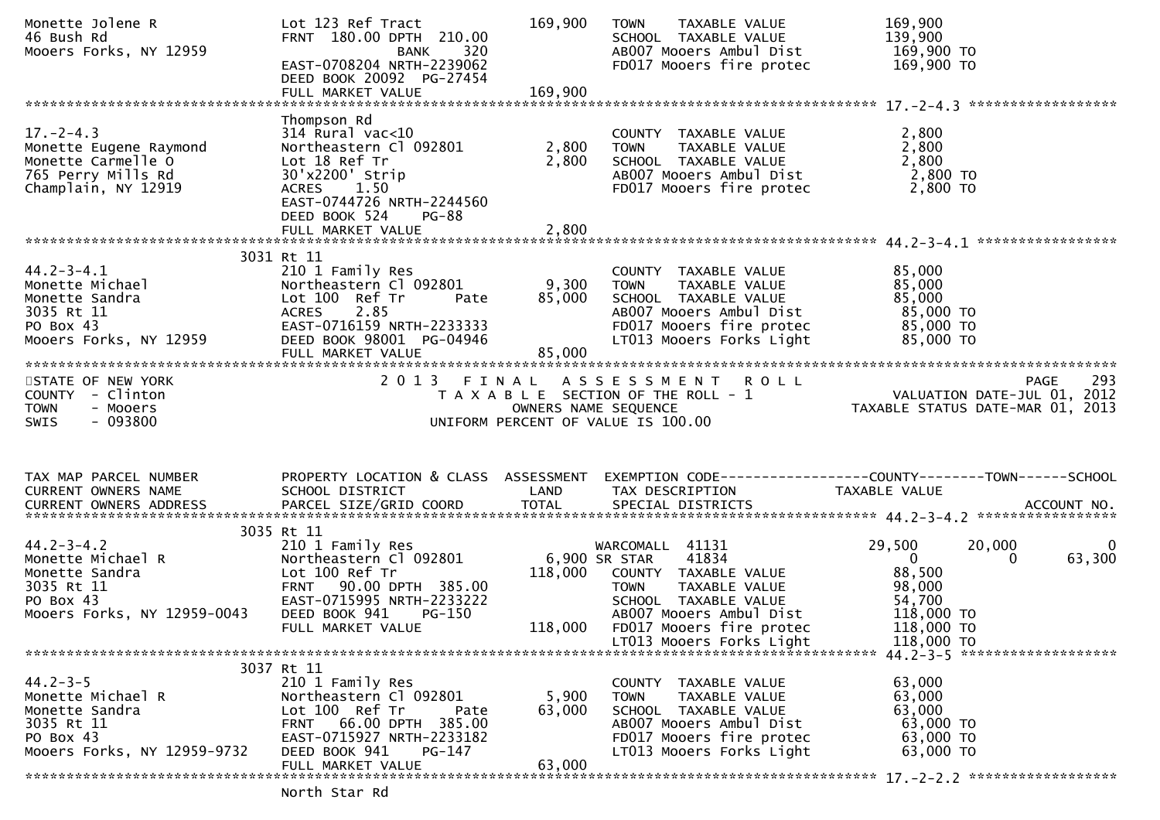| Monette Jolene R<br>46 Bush Rd<br>Mooers Forks, NY 12959                                                                                                                                                                              | Lot 123 Ref Tract<br>FRNT 180.00 DPTH 210.00<br>BANK<br>EAST-0708204 NRTH-2239062<br>DEED BOOK 20092 PG-27454<br>FULL MARKET VALUE                                           | 169,900<br>320<br>}062<br>169,900 | TAXABLE VALUE<br>TOWN<br>SCHOOL TAXABLE VALUE<br>AB007 Mooers Ambul Dist 169,900 TO<br>FD017 Mooers fire protec                                                               | 169,900<br>139,900<br>169,900 TO                                                                                                                  |
|---------------------------------------------------------------------------------------------------------------------------------------------------------------------------------------------------------------------------------------|------------------------------------------------------------------------------------------------------------------------------------------------------------------------------|-----------------------------------|-------------------------------------------------------------------------------------------------------------------------------------------------------------------------------|---------------------------------------------------------------------------------------------------------------------------------------------------|
|                                                                                                                                                                                                                                       |                                                                                                                                                                              |                                   |                                                                                                                                                                               |                                                                                                                                                   |
| $17. - 2 - 4.3$<br>Monette Eugene Raymond<br>Monette Carmelle O<br>765 Perry Mills Rd<br>Champlain, NY 12919                                                                                                                          | Thompson Rd<br>314 Rural vac<10<br>Northeastern Cl 092801<br>Lot 18 Ref Tr<br>30'x2200' Strip<br>1.50<br><b>ACRES</b><br>EAST-0744726 NRTH-2244560<br>DEED BOOK 524<br>PG-88 | 2,800<br>2,800                    | COUNTY TAXABLE VALUE $2,800$<br>TOWN TAXABLE VALUE $2,800$<br>SCHOOL TAXABLE VALUE $2,800$<br>ABOOZ Mooers Ambul Dist $2,800$ TO $2,800$<br>FD017 Mooers fire protec 2,800 TO |                                                                                                                                                   |
|                                                                                                                                                                                                                                       |                                                                                                                                                                              |                                   |                                                                                                                                                                               |                                                                                                                                                   |
| 44.2-3-4.1<br>Monette Michael (Nonette Sandra (Nonette Sandra (Nonette Sandra (Nonette Sandra (Nonetheastern Cl<br>20035 Rt 11 (Nonets 2.85<br>PO Box 43 (Nonets EAST-0716159 NRTH<br>Mooers Eorks NY 12050<br>Mooers Forks, NY 12959 | 3031 Rt 11<br>210 1 Family Res<br>Northeastern C1 092801 9,300 TOWN<br>Pate<br>EAST-0716159 NRTH-2233333<br>DEED BOOK 98001 PG-04946<br>FULL MARKET VALUE                    | 85,000<br>85,000                  | COUNTY TAXABLE VALUE<br>TAXABLE VALUE<br>SCHOOL  TAXABLE VALUE<br>ABOO7 Mooers Ambul Dist<br>FD017 Mooers fire protec<br>LT013 Mooers Forks Light                             | 85,000<br>85,000<br>85,000<br>85,000 TO<br>85,000 TO<br>85,000 TO                                                                                 |
|                                                                                                                                                                                                                                       |                                                                                                                                                                              |                                   |                                                                                                                                                                               |                                                                                                                                                   |
| STATE OF NEW YORK<br>COUNTY - Clinton<br><b>TOWN</b><br>- Mooers<br>$-093800$<br>SWIS                                                                                                                                                 |                                                                                                                                                                              |                                   | UNIFORM PERCENT OF VALUE IS 100.00                                                                                                                                            | 2013 FINAL ASSESSMENT ROLL<br>TAXABLE SECTION OF THE ROLL -1 VALUATION DATE-JUL 01, 2012<br>OWNERS NAME SEQUENCE TAXABLE STATUS DATE-MAR 01, 2013 |
|                                                                                                                                                                                                                                       |                                                                                                                                                                              |                                   |                                                                                                                                                                               | PROPERTY LOCATION & CLASS ASSESSMENT EXEMPTION CODE----------------COUNTY-------TOWN------SCHOOL                                                  |
| TAX MAP PARCEL NUMBER<br>CURRENT OWNERS NAME                                                                                                                                                                                          | SCHOOL DISTRICT                                                                                                                                                              | LAND                              | TAX DESCRIPTION TAXABLE VALUE                                                                                                                                                 |                                                                                                                                                   |
|                                                                                                                                                                                                                                       |                                                                                                                                                                              |                                   |                                                                                                                                                                               |                                                                                                                                                   |
|                                                                                                                                                                                                                                       |                                                                                                                                                                              |                                   |                                                                                                                                                                               |                                                                                                                                                   |
| PO Box 43                                                                                                                                                                                                                             | 3035 Rt 11<br>210 1 Family Res<br>Lot 100 Ref Tr<br>FRNT 90.00 DPTH 385.00<br>EAST-0715995 NRTH-2233222                                                                      |                                   | WARCOMALL 41131<br>41834<br>118,000 COUNTY TAXABLE VALUE<br><b>TOWN</b><br>TAXADLL<br>TAXABLE VALUE<br>SCHOOL TAXABLE VALUE                                                   | 29,500<br>20,000<br>0<br>$\overline{0}$<br>63,300<br>0<br>88,500                                                                                  |
| 44.2-3-4.2<br>Monette Michael R<br>Monette Sandra<br>3035 Rt 11<br>PO Box 43<br>Mooers Forks, NY 12959-0043                                                                                                                           | DEED BOOK 941<br>PG-150<br>FULL MARKET VALUE                                                                                                                                 | 118,000                           | AB007 Mooers Ambul Dist<br>FD017 Mooers fire protec                                                                                                                           | 118,000 TO<br>118,000 TO                                                                                                                          |
|                                                                                                                                                                                                                                       |                                                                                                                                                                              |                                   | LT013 Mooers Forks Light                                                                                                                                                      | 118,000 TO                                                                                                                                        |
|                                                                                                                                                                                                                                       | 3037 Rt 11                                                                                                                                                                   |                                   |                                                                                                                                                                               |                                                                                                                                                   |
| $44.2 - 3 - 5$<br>Monette Michael R<br>Monette Sandra<br>3035 Rt 11<br>PO Box 43<br>Mooers Forks, NY 12959-9732                                                                                                                       | 210 1 Family Res<br>Northeastern Cl 092801<br>Lot 100 Ref Tr<br>Pate<br>FRNT 66.00 DPTH 385.00<br>EAST-0715927 NRTH-2233182<br>DEED BOOK 941<br>PG-147<br>FULL MARKET VALUE  | 5,900<br>63,000<br>63,000         | COUNTY TAXABLE VALUE<br>TAXABLE VALUE<br><b>TOWN</b><br>SCHOOL TAXABLE VALUE<br>AB007 Mooers Ambul Dist<br>FD017 Mooers fire protec<br>LT013 Mooers Forks Light               | 63,000<br>63,000<br>63,000<br>63,000 TO<br>63,000 TO<br>63,000 TO                                                                                 |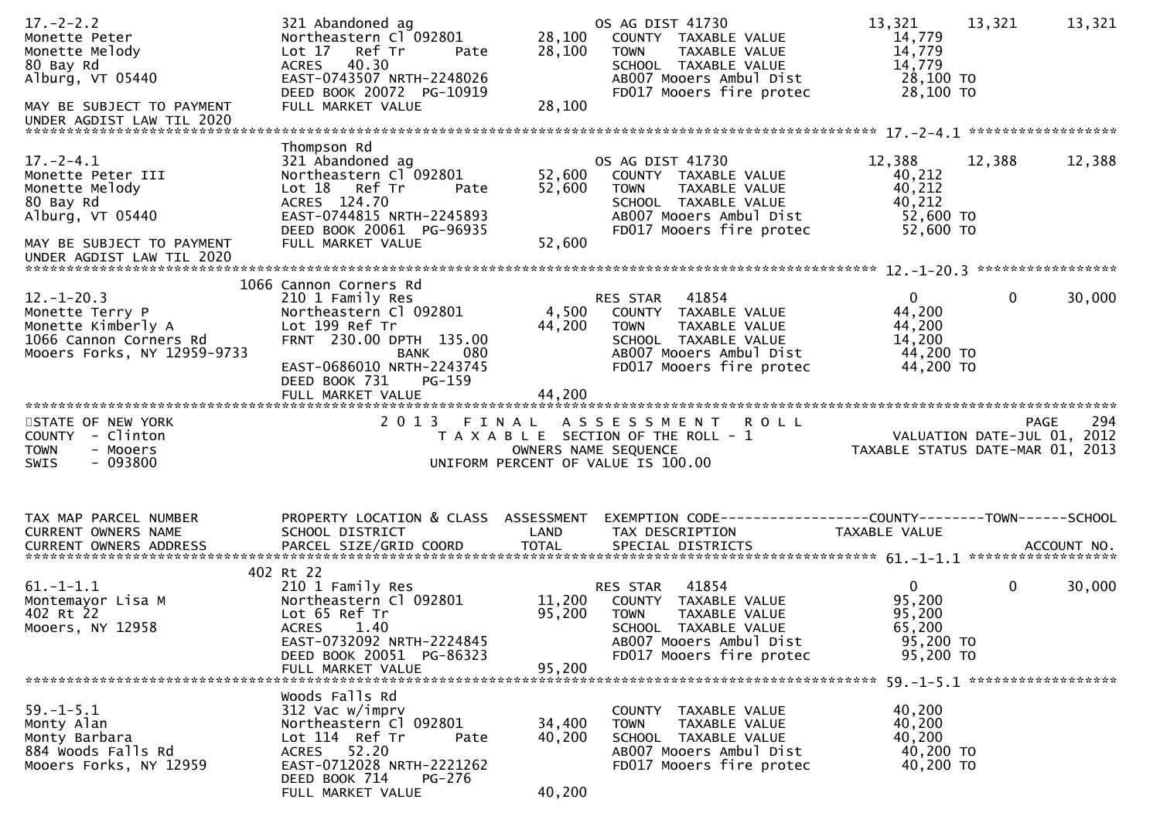| $17. - 2 - 2.2$<br>Monette Peter<br>Monette Melody<br>80 Bay Rd<br>Alburg, $VT$ 05440<br>MAY BE SUBJECT TO PAYMENT | 321 Abandoned ag<br>Northeastern Cl 092801<br>Lot 17<br>Ref Tr<br>Pate<br>ACRES 40.30<br>EAST-0743507 NRTH-2248026<br>DEED BOOK 20072 PG-10919<br>FULL MARKET VALUE                               | 28,100<br>28,100<br>28,100 | OS AG DIST 41730<br>COUNTY TAXABLE VALUE<br>TAXABLE VALUE<br><b>TOWN</b><br>SCHOOL TAXABLE VALUE<br>AB007 Mooers Ambul Dist<br>FD017 Mooers fire protec  | 13,321<br>14,779<br>14,779<br>14,779<br>28,100 TO<br>28,100 TO       | 13,321       | 13,321 |
|--------------------------------------------------------------------------------------------------------------------|---------------------------------------------------------------------------------------------------------------------------------------------------------------------------------------------------|----------------------------|----------------------------------------------------------------------------------------------------------------------------------------------------------|----------------------------------------------------------------------|--------------|--------|
| UNDER AGDIST LAW TIL 2020                                                                                          |                                                                                                                                                                                                   |                            |                                                                                                                                                          |                                                                      |              |        |
| $17. - 2 - 4.1$<br>Monette Peter III<br>Monette Melody<br>80 Bay Rd<br>Alburg, VT 05440                            | Thompson Rd<br>321 Abandoned ag<br>Northeastern Cl 092801<br>Lot 18 Ref Tr<br>Pate<br>ACRES 124.70<br>EAST-0744815 NRTH-2245893<br>DEED BOOK 20061 PG-96935                                       | 52,600<br>52,600           | OS AG DIST 41730<br>COUNTY TAXABLE VALUE<br><b>TOWN</b><br>TAXABLE VALUE<br>SCHOOL TAXABLE VALUE<br>AB007 Mooers Ambul Dist<br>FD017 Mooers fire protec  | 12,388<br>40,212<br>40,212<br>40,212<br>52,600 TO<br>52,600 TO       | 12,388       | 12,388 |
| MAY BE SUBJECT TO PAYMENT<br>UNDER AGDIST LAW TIL 2020                                                             | FULL MARKET VALUE                                                                                                                                                                                 | 52,600                     |                                                                                                                                                          |                                                                      |              |        |
|                                                                                                                    |                                                                                                                                                                                                   |                            |                                                                                                                                                          |                                                                      |              |        |
| $12. - 1 - 20.3$<br>Monette Terry P<br>Monette Kimberly A<br>1066 Cannon Corners Rd<br>Mooers Forks, NY 12959-9733 | 1066 Cannon Corners Rd<br>210 1 Family Res<br>Northeastern Cl 092801<br>Lot 199 Ref Tr<br>FRNT 230.00 DPTH 135.00<br>080<br><b>BANK</b><br>EAST-0686010 NRTH-2243745<br>$PG-159$<br>DEED BOOK 731 | 44,200                     | 41854<br>RES STAR<br>4,500 COUNTY TAXABLE VALUE<br>TAXABLE VALUE<br>TOWN<br>SCHOOL TAXABLE VALUE<br>AB007 Mooers Ambul Dist<br>FD017 Mooers fire protec  | $\mathbf{0}$<br>44,200<br>44,200<br>14,200<br>44,200 TO<br>44,200 TO | $\mathbf{0}$ | 30,000 |
|                                                                                                                    | FULL MARKET VALUE                                                                                                                                                                                 | 44,200                     |                                                                                                                                                          |                                                                      |              |        |
| STATE OF NEW YORK<br>COUNTY - Clinton<br><b>TOWN</b><br>- Mooers<br>$-093800$<br><b>SWIS</b>                       | 2 0 1 3                                                                                                                                                                                           | FINAL                      | ASSESSMENT ROLL<br>T A X A B L E SECTION OF THE ROLL - 1<br>OWNERS NAME SEQUENCE<br>UNIFORM PERCENT OF VALUE IS 100.00                                   | VALUATION DATE-JUL $01$ , 2012<br>TAXABLE STATUS DATE-MAR 01, 2013   | <b>PAGE</b>  | 294    |
| TAX MAP PARCEL NUMBER<br>CURRENT OWNERS NAME                                                                       | PROPERTY LOCATION & CLASS ASSESSMENT<br>SCHOOL DISTRICT                                                                                                                                           | LAND                       | TAX DESCRIPTION                                                                                                                                          | TAXABLE VALUE                                                        |              |        |
| $61. - 1 - 1.1$<br>Montemayor Lisa M<br>402 Rt 22<br>Mooers, NY 12958                                              | 402 Rt 22<br>210 1 Family Res<br>Northeastern Cl 092801<br>Lot 65 Ref Tr<br><b>ACRES</b><br>1.40<br>EAST-0732092 NRTH-2224845<br>DEED BOOK 20051 PG-86323<br>FULL MARKET VALUE                    | 11,200<br>95,200<br>95,200 | 41854<br>RES STAR<br>COUNTY TAXABLE VALUE<br><b>TOWN</b><br>TAXABLE VALUE<br>SCHOOL TAXABLE VALUE<br>AB007 Mooers Ambul Dist<br>FD017 Mooers fire protec | $\mathbf{0}$<br>95,200<br>95,200<br>65,200<br>95,200 TO<br>95,200 TO | $\mathbf 0$  | 30,000 |
| $59. - 1 - 5.1$<br>Monty Alan<br>Monty Barbara<br>884 Woods Falls Rd<br>Mooers Forks, NY 12959                     | Woods Falls Rd<br>312 Vac w/imprv<br>Northeastern Cl 092801<br>Lot 114 Ref Tr<br>Pate<br>ACRES 52.20<br>EAST-0712028 NRTH-2221262<br>DEED BOOK 714<br>PG-276<br>FULL MARKET VALUE                 | 34,400<br>40,200<br>40,200 | COUNTY TAXABLE VALUE<br>TAXABLE VALUE<br><b>TOWN</b><br>SCHOOL TAXABLE VALUE<br>AB007 Mooers Ambul Dist<br>FD017 Mooers fire protec                      | 40,200<br>40,200<br>40,200<br>40,200 TO<br>40,200 TO                 |              |        |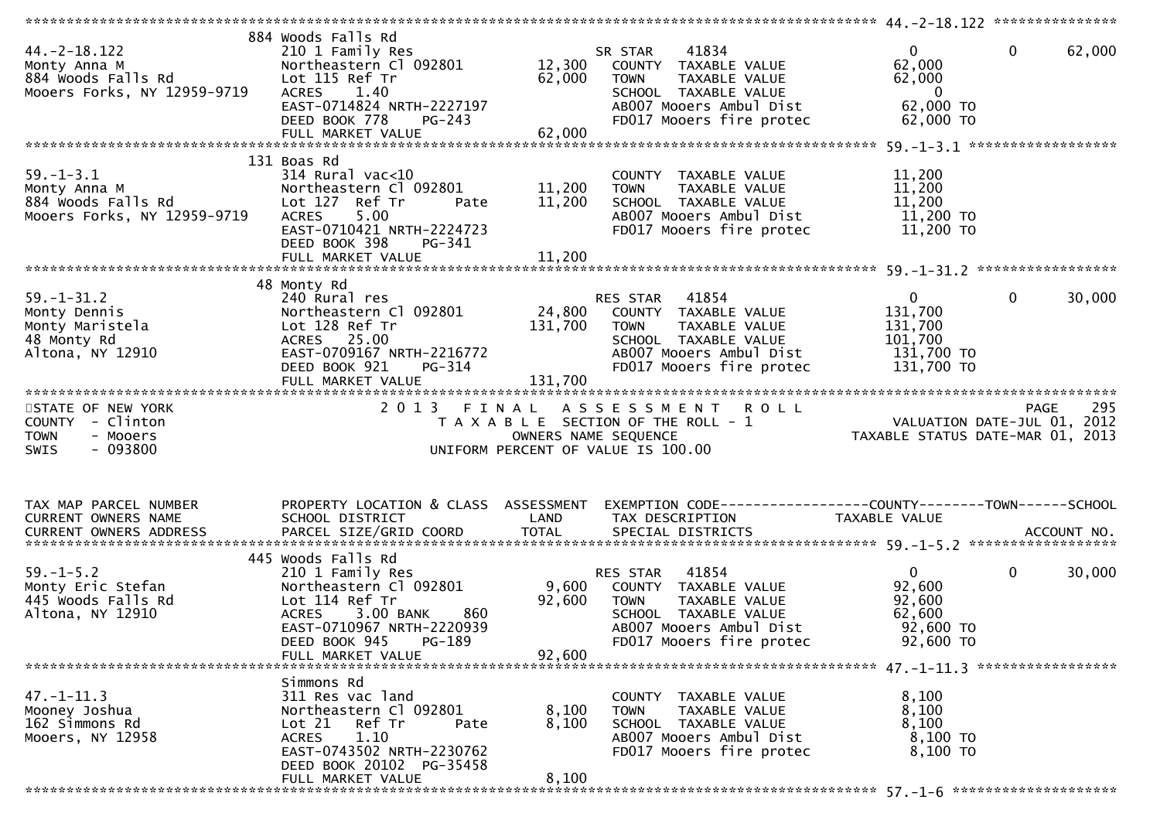| $44. -2 - 18.122$<br>Monty Anna M<br>884 Woods Falls Rd<br>Mooers Forks, NY 12959-9719 | 884 Woods Falls Rd<br>210 1 Family Res<br>Northeastern Cl 092801<br>Lot 115 Ref Tr<br>1.40<br><b>ACRES</b><br>EAST-0714824 NRTH-2227197<br>DEED BOOK 778<br>PG-243                         | 12,300<br>62,000             | 41834<br>SR STAR<br>COUNTY TAXABLE VALUE<br>TAXABLE VALUE<br><b>TOWN</b><br>SCHOOL TAXABLE VALUE<br>AB007 Mooers Ambul Dist<br>FD017 Mooers fire protec        | $\mathbf{0}$<br>62,000<br>62,000<br>$\mathbf{0}$<br>62,000 TO<br>62,000 TO | $\mathbf 0$<br>62,000 |
|----------------------------------------------------------------------------------------|--------------------------------------------------------------------------------------------------------------------------------------------------------------------------------------------|------------------------------|----------------------------------------------------------------------------------------------------------------------------------------------------------------|----------------------------------------------------------------------------|-----------------------|
| $59. - 1 - 3.1$<br>Monty Anna M<br>884 Woods Falls Rd<br>Mooers Forks, NY 12959-9719   | 131 Boas Rd<br>$314$ Rural vac<10<br>Northeastern Cl 092801<br>Lot 127 Ref Tr<br>Pate<br>5.00<br><b>ACRES</b><br>EAST-0710421 NRTH-2224723<br>DEED BOOK 398<br>PG-341<br>FULL MARKET VALUE | 11,200<br>11,200<br>11,200   | COUNTY TAXABLE VALUE<br>TAXABLE VALUE<br><b>TOWN</b><br>SCHOOL TAXABLE VALUE<br>AB007 Mooers Ambul Dist<br>FD017 Mooers fire protec                            | 11,200<br>11,200<br>11,200<br>11,200 TO<br>11,200 TO                       |                       |
|                                                                                        |                                                                                                                                                                                            |                              |                                                                                                                                                                |                                                                            |                       |
| $59. - 1 - 31.2$<br>Monty Dennis<br>Monty Maristela<br>48 Monty Rd<br>Altona, NY 12910 | 48 Monty Rd<br>240 Rural res<br>Northeastern Cl 092801<br>Lot 128 Ref Tr<br>ACRES 25.00<br>EAST-0709167 NRTH-2216772<br>DEED BOOK 921<br>PG-314<br>FULL MARKET VALUE                       | 24,800<br>131,700<br>131,700 | RES STAR<br>41854<br>COUNTY TAXABLE VALUE<br><b>TOWN</b><br>TAXABLE VALUE<br>SCHOOL TAXABLE VALUE<br>AB007 Mooers Ambul Dist<br>FD017 Mooers fire protec       | $\Omega$<br>131,700<br>131,700<br>101,700<br>131,700 TO<br>131,700 TO      | 0<br>30,000           |
|                                                                                        |                                                                                                                                                                                            |                              |                                                                                                                                                                |                                                                            |                       |
| STATE OF NEW YORK<br>COUNTY - Clinton<br><b>TOWN</b><br>- Mooers<br>$-093800$<br>SWIS  | 2 0 1 3                                                                                                                                                                                    | FINAL                        | <b>ROLL</b><br>A S S E S S M E N T<br>T A X A B L E SECTION OF THE ROLL - 1<br>OWNERS NAME SEQUENCE<br>UNIFORM PERCENT OF VALUE IS 100.00                      | VALUATION DATE-JUL 01, 2012<br>TAXABLE STATUS DATE-MAR 01, 2013            | 295<br><b>PAGE</b>    |
|                                                                                        |                                                                                                                                                                                            |                              |                                                                                                                                                                |                                                                            |                       |
| TAX MAP PARCEL NUMBER<br>CURRENT OWNERS NAME                                           | PROPERTY LOCATION & CLASS ASSESSMENT<br>SCHOOL DISTRICT                                                                                                                                    | LAND                         | EXEMPTION CODE-----------------COUNTY-------TOWN------SCHOOL<br>TAX DESCRIPTION                                                                                | TAXABLE VALUE                                                              |                       |
|                                                                                        | 445 Woods Falls Rd                                                                                                                                                                         |                              |                                                                                                                                                                |                                                                            |                       |
| $59. - 1 - 5.2$<br>Monty Eric Stefan<br>445 Woods Falls Rd<br>Altona, NY 12910         | 210 1 Family Res<br>Northeastern Cl 092801<br>Lot 114 Ref Tr<br>3.00 BANK<br><b>ACRES</b><br>860<br>EAST-0710967 NRTH-2220939<br>DEED BOOK 945<br>PG-189<br>FULL MARKET VALUE              | 92,600<br>92,600             | 41854<br>RES STAR<br>9,600 COUNTY TAXABLE VALUE<br><b>TOWN</b><br>TAXABLE VALUE<br>SCHOOL TAXABLE VALUE<br>AB007 Mooers Ambul Dist<br>FD017 Mooers fire protec | $\overline{0}$<br>92,600<br>92,600<br>62,600<br>92,600 TO<br>92,600 TO     | 0<br>30,000           |
|                                                                                        |                                                                                                                                                                                            |                              |                                                                                                                                                                |                                                                            |                       |
| $47. - 1 - 11.3$<br>Mooney Joshua<br>162 Simmons Rd<br>Mooers, NY 12958                | Simmons Rd<br>311 Res vac land<br>Northeastern Cl 092801<br>Lot 21<br>Ref Tr<br>Pate<br>1.10<br><b>ACRES</b><br>EAST-0743502 NRTH-2230762<br>DEED BOOK 20102 PG-35458                      | 8,100<br>8,100               | COUNTY TAXABLE VALUE<br>TAXABLE VALUE<br><b>TOWN</b><br>SCHOOL TAXABLE VALUE<br>AB007 Mooers Ambul Dist<br>FD017 Mooers fire protec                            | 8,100<br>8,100<br>8,100<br>8,100 TO<br>8,100 то                            |                       |
|                                                                                        | FULL MARKET VALUE                                                                                                                                                                          | 8,100                        |                                                                                                                                                                |                                                                            |                       |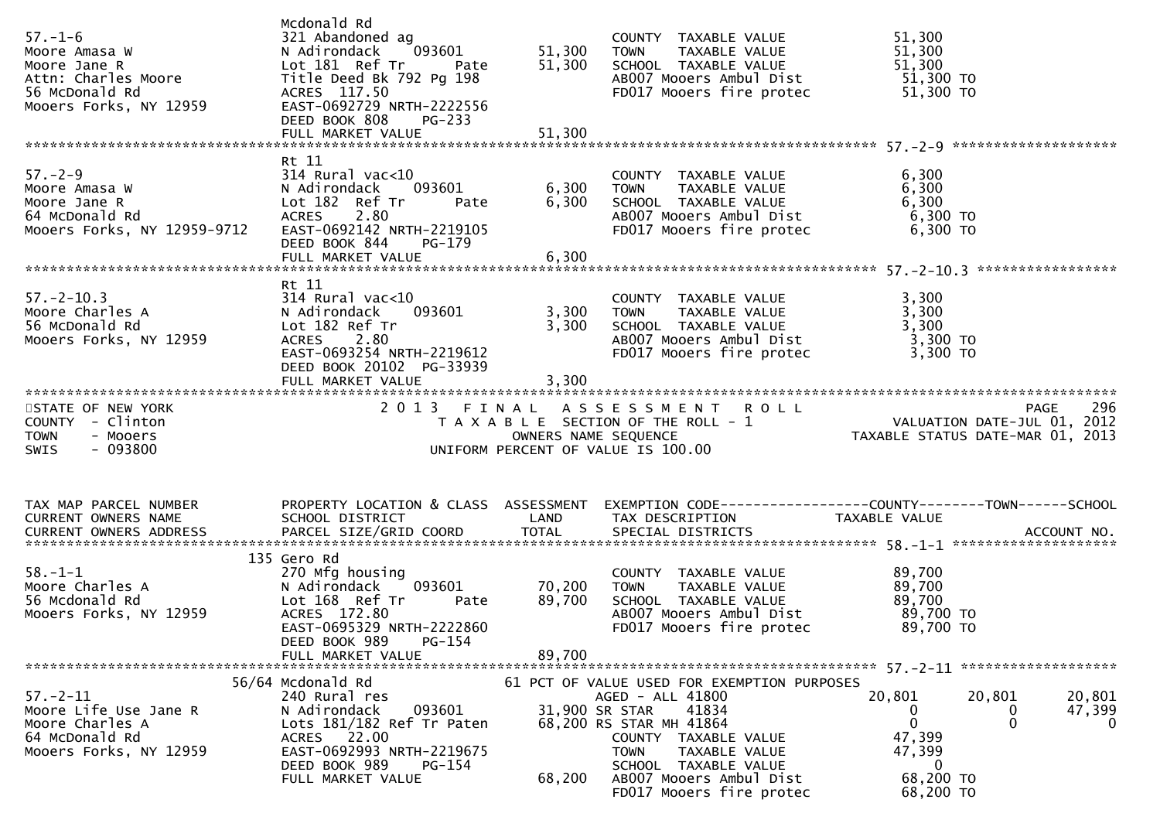| $57. - 1 - 6$<br>56 McDonald Rd<br>Mooers Forks, NY 12959                                                                                                                    | Mcdonald Rd<br>321 Abandoned ag<br>ACRES 117.50<br>EAST-0692729 NRTH-2222556<br>DEED BOOK 808<br>PG-233                                                                               | 51,300                            | COUNTY TAXABLE VALUE<br>51,300 TOWN TAXABLE VALUE<br>SCHOOL TAXABLE VALUE                                                                                                                                                                                                   | 51,300<br>51,300<br>51,300                                                                                                                                                              |
|------------------------------------------------------------------------------------------------------------------------------------------------------------------------------|---------------------------------------------------------------------------------------------------------------------------------------------------------------------------------------|-----------------------------------|-----------------------------------------------------------------------------------------------------------------------------------------------------------------------------------------------------------------------------------------------------------------------------|-----------------------------------------------------------------------------------------------------------------------------------------------------------------------------------------|
| 57.-2-9<br>Moore Amasa W Madirondack 093601<br>Moore Jane R Lot 182 Ref Tr Pate 6,300<br>64 McDonald Rd ACRES 2.80<br>CAST-0692142 NRTH-2219105<br>CAST-0692142 NRTH-2219105 | Rt 11                                                                                                                                                                                 |                                   | COUNTY TAXABLE VALUE<br>TOWN     TAXABLE VALUE<br>SCHOOL TAXABLE VALUE 6,300<br>ABOO7 Mooers Ambul Dist 6,300 TO<br>FD017 Mooers fire protec 6,300 TO                                                                                                                       | 6,300<br>6,300                                                                                                                                                                          |
| $57. - 2 - 10.3$<br>Moore Charles A<br>56 McDonald Rd<br>Mooers Forks, NY 12959                                                                                              | Rt 11<br>314 Rural vac<10<br>093601<br>N Adirondack<br>Lot 182 Ref Tr<br>ACRES 2.80<br>EAST-0693254 NRTH-2219612<br>DEED BOOK 20102 PG-33939<br>FULL MARKET VALUE                     | 3,300<br>3,300                    | COUNTY TAXABLE VALUE $\begin{array}{ccc} 3,300 \\ \text{TOWN} & \text{TAXABLE VALUE} \\ \text{SCHOOL TAXABLE VALUE} & 3,300 \\ \text{AB007 Mooers Ambull Dist} & 3,300 \\ \text{AB007 Mooers Ambull Dist} & 3,300 \\ \end{array}$<br>3,300 TOWN<br>FD017 Mooers fire protec | 3,300 TO                                                                                                                                                                                |
| STATE OF NEW YORK<br>COUNTY - Clinton<br><b>TOWN</b><br>- Mooers<br>- 093800<br>SWIS                                                                                         |                                                                                                                                                                                       |                                   |                                                                                                                                                                                                                                                                             | 2013 FINAL ASSESSMENT ROLL<br>TAXABLE SECTION OF THE ROLL -1 WALUATION DATE-JUL 01, 2012<br>OWNERS NAME SEQUENCE TAXABLE STATUS DATE-MAR 01, 2013<br>UNIFORM PERCENT OF VALUE IS 100.00 |
| TAX MAP PARCEL NUMBER<br>CURRENT OWNERS NAME                                                                                                                                 | SCHOOL DISTRICT                                                                                                                                                                       | LAND                              | TAX DESCRIPTION                                                                                                                                                                                                                                                             | PROPERTY LOCATION & CLASS ASSESSMENT EXEMPTION CODE----------------COUNTY-------TOWN------SCHOOL<br>TAXABLE VALUE                                                                       |
| $58.-1-1$<br>Moore Charles A<br>Ta Modonald Rd<br>Mooers Forks, NY 12959                                                                                                     | 135 Gero Rd<br>270 Mfg housing<br>N Adirondack<br>Lot 168 Ref Tr Pate<br>ACRES 172.80<br>EAST-0695329 NRTH-2222860<br>DEED BOOK 989<br>PG-154<br>FULL MARKET VALUE                    | 093601 70,200<br>89,700<br>89,700 | COUNTY TAXABLE VALUE<br>TOWN TAXABLE VALUE 89,700<br>SCHOOL TAXABLE VALUE<br>AB007 Mooers Ambul Dist<br>FD017 Mooers fire protec                                                                                                                                            | 89,700<br>89, <sup>י</sup> יט<br>89, 700 דס<br><sup>מחד מח</sup><br>89,700 TO                                                                                                           |
| $57. - 2 - 11$<br>Moore Life Use Jane R<br>Moore Charles A<br>64 McDonald Rd<br>Mooers Forks, NY 12959                                                                       | 56/64 Mcdonald Rd<br>240 Rural res<br>N Adirondack<br>093601<br>Lots 181/182 Ref Tr Paten<br>ACRES 22.00<br>EAST-0692993 NRTH-2219675<br>DEED BOOK 989<br>PG-154<br>FULL MARKET VALUE | 68,200                            | 61 PCT OF VALUE USED FOR EXEMPTION PURPOSES<br>AGED - ALL 41800<br>31,900 SR STAR<br>41834<br>68,200 RS STAR MH 41864<br>COUNTY TAXABLE VALUE<br><b>TOWN</b><br>TAXABLE VALUE<br>SCHOOL TAXABLE VALUE<br>AB007 Mooers Ambul Dist<br>FD017 Mooers fire protec                | 20,801<br>20,801<br>20,801<br>47,399<br>0<br>U<br>$\mathbf{0}$<br>$\mathbf{0}$<br>$\Omega$<br>47,399<br>47,399<br>$\bf{0}$<br>68,200 TO<br>68,200 TO                                    |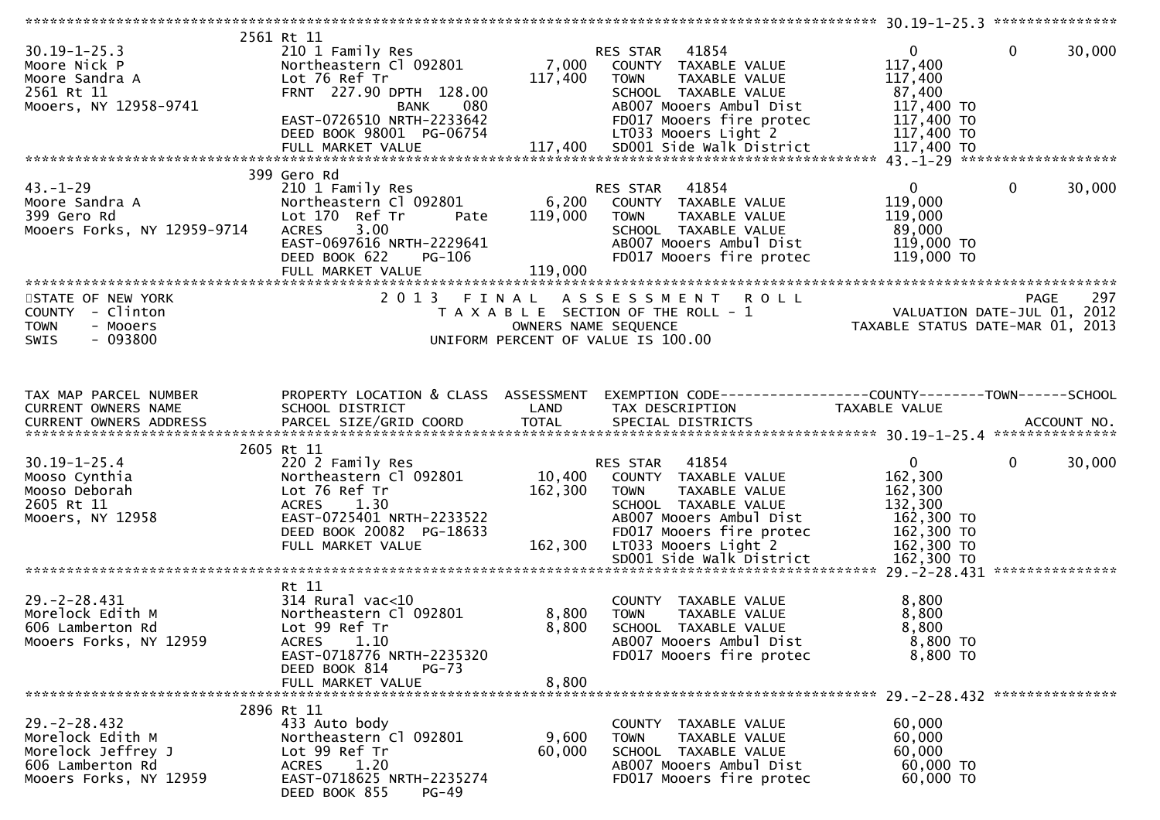| $30.19 - 1 - 25.3$<br>Moore Nick P<br>Moore Sandra A<br>2561 Rt 11<br>Mooers, NY 12958-9741               | 2561 Rt 11<br>210 1 Family Res<br>Northeastern Cl 092801<br>Lot 76 Ref Tr<br>FRNT 227.90 DPTH 128.00<br><b>BANK</b><br>080<br>EAST-0726510 NRTH-2233642<br>DEED BOOK 98001 PG-06754 | 7,000<br>117,400             | <b>RES STAR 41854</b><br>COUNTY TAXABLE VALUE<br>TAXABLE VALUE<br><b>TOWN</b><br>SCHOOL TAXABLE VALUE<br>AB007 Mooers Ambul Dist<br>FD017 Mooers fire protec<br>LT033 Mooers Light 2 | $\mathbf 0$<br>$\mathbf 0$<br>30,000<br>117,400<br>117,400<br>87,400<br>117,400 TO<br>117,400 TO<br>117,400 TO    |
|-----------------------------------------------------------------------------------------------------------|-------------------------------------------------------------------------------------------------------------------------------------------------------------------------------------|------------------------------|--------------------------------------------------------------------------------------------------------------------------------------------------------------------------------------|-------------------------------------------------------------------------------------------------------------------|
|                                                                                                           | 399 Gero Rd                                                                                                                                                                         |                              |                                                                                                                                                                                      |                                                                                                                   |
| $43. - 1 - 29$<br>Moore Sandra A<br>399 Gero Rd<br>Mooers Forks, NY 12959-9714                            | 210 1 Family Res<br>Northeastern Cl 092801<br>Lot 170 Ref Tr<br>Pate<br>3.00<br><b>ACRES</b><br>EAST-0697616 NRTH-2229641<br>DEED BOOK 622<br>PG-106<br>FULL MARKET VALUE           | 6,200<br>119,000<br>119,000  | 41854<br>RES STAR<br>COUNTY TAXABLE VALUE<br><b>TOWN</b><br>TAXABLE VALUE<br>SCHOOL TAXABLE VALUE<br>AB007 Mooers Ambul Dist<br>FD017 Mooers fire protec                             | $\mathbf 0$<br>30,000<br>$\mathbf{0}$<br>119,000<br>119,000<br>89,000<br>119,000 TO<br>119,000 TO                 |
|                                                                                                           |                                                                                                                                                                                     |                              |                                                                                                                                                                                      |                                                                                                                   |
| STATE OF NEW YORK<br>COUNTY - Clinton<br>- Mooers<br><b>TOWN</b><br>$-093800$<br><b>SWIS</b>              | 2013 FINAL                                                                                                                                                                          | OWNERS NAME SEQUENCE         | ASSESSMENT ROLL<br>T A X A B L E SECTION OF THE ROLL - 1<br>UNIFORM PERCENT OF VALUE IS 100.00                                                                                       | 297<br><b>PAGE</b><br>297 PAGE<br>2012 VALUATION DATE-JUL 01, 2012<br>TAXABLE STATUS DATE-MAR 01, 2013            |
| TAX MAP PARCEL NUMBER                                                                                     | PROPERTY LOCATION & CLASS ASSESSMENT                                                                                                                                                |                              |                                                                                                                                                                                      | EXEMPTION CODE------------------COUNTY--------TOWN------SCHOOL                                                    |
| CURRENT OWNERS NAME<br><b>CURRENT OWNERS ADDRESS</b>                                                      | SCHOOL DISTRICT                                                                                                                                                                     | LAND                         | TAX DESCRIPTION                                                                                                                                                                      | TAXABLE VALUE                                                                                                     |
|                                                                                                           | 2605 Rt 11                                                                                                                                                                          |                              |                                                                                                                                                                                      |                                                                                                                   |
| $30.19 - 1 - 25.4$<br>Mooso Cynthia<br>Mooso Deborah<br>2605 Rt 11<br>Mooers, NY 12958                    | 220 2 Family Res<br>Northeastern Cl 092801<br>Lot 76 Ref Tr<br>ACRES 1.30<br>EAST-0725401 NRTH-2233522<br>DEED BOOK 20082 PG-18633<br>FULL MARKET VALUE                             | 10,400<br>162,300<br>162,300 | 41854<br>RES STAR<br>COUNTY TAXABLE VALUE<br><b>TOWN</b><br>TAXABLE VALUE<br>SCHOOL TAXABLE VALUE<br>AB007 Mooers Ambul Dist<br>FD017 Mooers fire protec<br>LT033 Mooers Light 2     | $\mathbf{0}$<br>30,000<br>$\mathbf{0}$<br>162,300<br>162,300<br>132,300<br>162,300 TO<br>162,300 TO<br>162,300 TO |
|                                                                                                           |                                                                                                                                                                                     |                              |                                                                                                                                                                                      |                                                                                                                   |
| $29. -2 - 28.431$<br>Morelock Edith M<br>606 Lamberton Rd<br>Mooers Forks, NY 12959                       | Rt 11<br>$314$ Rural vac< $10$<br>Northeastern Cl 092801<br>Lot 99 Ref Tr<br>ACRES 1.10<br>EAST-0718776 NRTH-2235320<br>DEED BOOK 814<br><b>PG-73</b><br>FULL MARKET VALUE          | 8,800<br>8,800<br>8,800      | COUNTY TAXABLE VALUE<br><b>TOWN</b><br>TAXABLE VALUE<br>SCHOOL TAXABLE VALUE<br>AB007 Mooers Ambul Dist<br>FD017 Mooers fire protec                                                  | 8,800<br>8,800<br>8,800<br>8,800 TO<br>8,800 TO                                                                   |
|                                                                                                           |                                                                                                                                                                                     |                              |                                                                                                                                                                                      |                                                                                                                   |
| $29. -2 - 28.432$<br>Morelock Edith M<br>Morelock Jeffrey J<br>606 Lamberton Rd<br>Mooers Forks, NY 12959 | 2896 Rt 11<br>433 Auto body<br>Northeastern Cl 092801<br>Lot 99 Ref Tr<br>1.20<br>ACRES<br>EAST-0718625 NRTH-2235274<br>DEED BOOK 855<br>$PG-49$                                    | 9,600<br>60,000              | COUNTY TAXABLE VALUE<br>TAXABLE VALUE<br><b>TOWN</b><br>SCHOOL TAXABLE VALUE<br>AB007 Mooers Ambul Dist<br>FD017 Mooers fire protec                                                  | 60,000<br>60,000<br>60,000<br>60,000 TO<br>60,000 TO                                                              |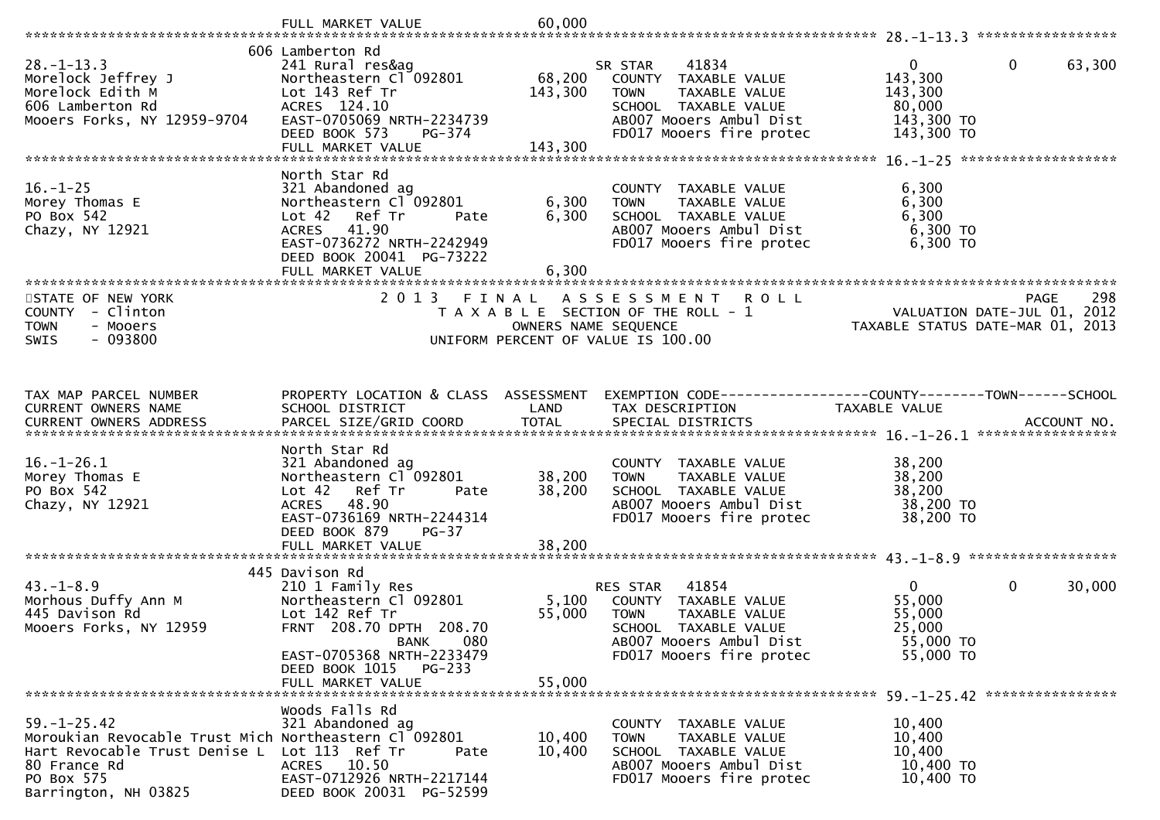|                                                       | FULL MARKET VALUE                                     | 60,000          |                                                                |                                  |                       |
|-------------------------------------------------------|-------------------------------------------------------|-----------------|----------------------------------------------------------------|----------------------------------|-----------------------|
|                                                       | 606 Lamberton Rd                                      |                 |                                                                |                                  |                       |
| $28. - 1 - 13.3$                                      | 241 Rural res&ag                                      |                 | 41834<br>SR STAR                                               | $\mathbf{0}$                     | $\mathbf 0$<br>63,300 |
| Morelock Jeffrey J                                    | Northeastern Cl 092801                                | 68,200          | COUNTY TAXABLE VALUE                                           | 143,300                          |                       |
| Morelock Edith M                                      | Lot 143 Ref Tr                                        | 143,300         | <b>TOWN</b><br>TAXABLE VALUE                                   | 143,300                          |                       |
| 606 Lamberton Rd                                      | ACRES 124.10                                          |                 | SCHOOL TAXABLE VALUE                                           | 80,000                           |                       |
| Mooers Forks, NY 12959-9704                           | EAST-0705069 NRTH-2234739                             |                 | AB007 Mooers Ambul Dist                                        | 143,300 TO                       |                       |
|                                                       | DEED BOOK 573<br>PG-374<br>FULL MARKET VALUE          | 143,300         | FD017 Mooers fire protec                                       | 143,300 TO                       |                       |
|                                                       |                                                       |                 |                                                                |                                  |                       |
|                                                       | North Star Rd                                         |                 |                                                                |                                  |                       |
| $16. - 1 - 25$                                        | 321 Abandoned ag                                      |                 | COUNTY TAXABLE VALUE                                           | 6,300                            |                       |
| Morey Thomas E                                        | Northeastern Cl 092801                                | 6,300           | TAXABLE VALUE<br><b>TOWN</b>                                   | 6,300                            |                       |
| PO Box 542<br>Chazy, NY 12921                         | Lot 42 Ref Tr<br>Pate<br>ACRES 41.90                  | 6,300           | SCHOOL TAXABLE VALUE<br>AB007 Mooers Ambul Dist                | 6,300<br>6,300 то                |                       |
|                                                       | EAST-0736272 NRTH-2242949                             |                 | FD017 Mooers fire protec                                       | 6,300 TO                         |                       |
|                                                       | DEED BOOK 20041 PG-73222                              |                 |                                                                |                                  |                       |
|                                                       | FULL MARKET VALUE                                     | 6,300           |                                                                |                                  |                       |
|                                                       |                                                       |                 |                                                                |                                  |                       |
| STATE OF NEW YORK                                     | 2013 FINAL                                            |                 | A S S E S S M E N T<br><b>ROLL</b>                             |                                  | 298<br>PAGE           |
| COUNTY - Clinton                                      |                                                       |                 | T A X A B L E SECTION OF THE ROLL - 1                          | VALUATION DATE-JUL 01, 2012      |                       |
| <b>TOWN</b><br>- Mooers<br>$-093800$<br><b>SWIS</b>   |                                                       |                 | OWNERS NAME SEQUENCE<br>UNIFORM PERCENT OF VALUE IS 100.00     | TAXABLE STATUS DATE-MAR 01, 2013 |                       |
|                                                       |                                                       |                 |                                                                |                                  |                       |
|                                                       |                                                       |                 |                                                                |                                  |                       |
|                                                       |                                                       |                 |                                                                |                                  |                       |
| TAX MAP PARCEL NUMBER                                 | PROPERTY LOCATION & CLASS ASSESSMENT                  |                 | EXEMPTION CODE------------------COUNTY--------TOWN------SCHOOL |                                  |                       |
| CURRENT OWNERS NAME                                   | SCHOOL DISTRICT                                       | LAND            | TAX DESCRIPTION                                                | TAXABLE VALUE                    |                       |
|                                                       |                                                       |                 |                                                                |                                  |                       |
|                                                       | North Star Rd                                         |                 |                                                                |                                  |                       |
| $16. - 1 - 26.1$                                      | 321 Abandoned ag                                      |                 | COUNTY TAXABLE VALUE                                           | 38,200                           |                       |
| Morey Thomas E                                        | Northeastern Cl 092801                                | 38,200          | TAXABLE VALUE<br><b>TOWN</b>                                   | 38,200                           |                       |
| PO Box 542                                            | Lot 42<br>Ref Tr<br>Pate                              | 38,200          | SCHOOL TAXABLE VALUE                                           | 38,200                           |                       |
| Chazy, NY 12921                                       | ACRES 48.90<br>EAST-0736169 NRTH-2244314              |                 | AB007 Mooers Ambul Dist<br>FD017 Mooers fire protec            | 38,200 TO<br>38,200 TO           |                       |
|                                                       | DEED BOOK 879<br>PG-37                                |                 |                                                                |                                  |                       |
|                                                       |                                                       |                 |                                                                |                                  |                       |
|                                                       |                                                       |                 |                                                                |                                  |                       |
|                                                       | 445 Davison Rd                                        |                 |                                                                |                                  |                       |
| $43. - 1 - 8.9$                                       | 210 1 Family Res<br>Northeastern Cl 092801            |                 | RES STAR 41854                                                 | $\mathbf{0}$                     | $\mathbf 0$<br>30,000 |
| Morhous Duffy Ann M<br>445 Davison Rd                 | Lot 142 Ref Tr                                        | 5,100<br>55,000 | COUNTY TAXABLE VALUE<br><b>TOWN</b><br>TAXABLE VALUE           | 55,000<br>55,000                 |                       |
| Mooers Forks, NY 12959                                | FRNT 208.70 DPTH 208.70                               |                 | SCHOOL TAXABLE VALUE                                           | 25,000                           |                       |
|                                                       | <b>BANK</b><br>080                                    |                 | AB007 Mooers Ambul Dist                                        | 55,000 TO                        |                       |
|                                                       | EAST-0705368 NRTH-2233479                             |                 | FD017 Mooers fire protec                                       | 55,000 TO                        |                       |
|                                                       | DEED BOOK 1015 PG-233                                 |                 |                                                                |                                  |                       |
|                                                       | FULL MARKET VALUE                                     | 55,000          |                                                                |                                  |                       |
|                                                       | Woods Falls Rd                                        |                 |                                                                |                                  |                       |
| $59. - 1 - 25.42$                                     | 321 Abandoned ag                                      |                 | COUNTY TAXABLE VALUE                                           | 10,400                           |                       |
| Moroukian Revocable Trust Mich Northeastern Cl 092801 |                                                       | 10,400          | TAXABLE VALUE<br><b>TOWN</b>                                   | 10,400                           |                       |
| Hart Revocable Trust Denise L                         | Lot 113 Ref Tr<br>Pate                                | 10,400          | SCHOOL TAXABLE VALUE                                           | 10,400                           |                       |
| 80 France Rd                                          | 10.50<br><b>ACRES</b>                                 |                 | AB007 Mooers Ambul Dist                                        | 10,400 TO                        |                       |
| PO Box 575<br>Barrington, NH 03825                    | EAST-0712926 NRTH-2217144<br>DEED BOOK 20031 PG-52599 |                 | FD017 Mooers fire protec                                       | 10,400 TO                        |                       |
|                                                       |                                                       |                 |                                                                |                                  |                       |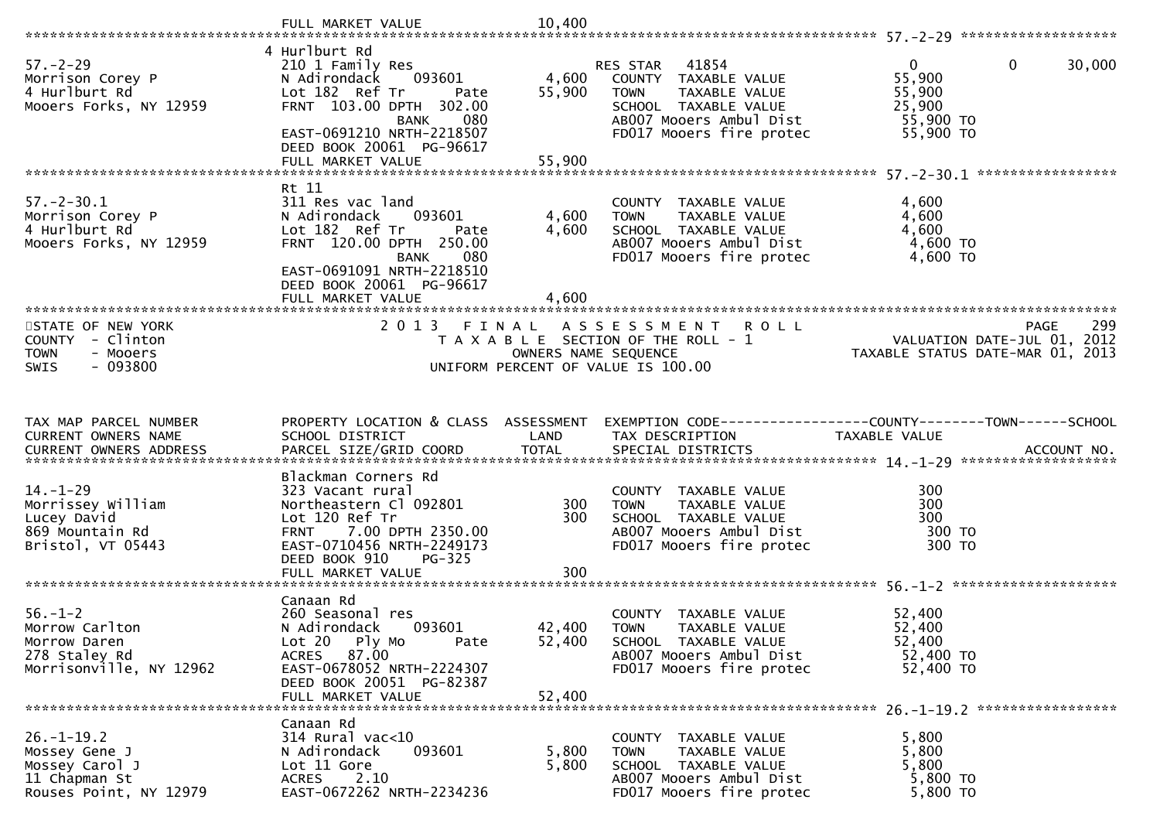|                                                                                                              | FULL MARKET VALUE                                                                                                                                                                                   | 10,400                  |                                                                                                                                               |                                                                        |
|--------------------------------------------------------------------------------------------------------------|-----------------------------------------------------------------------------------------------------------------------------------------------------------------------------------------------------|-------------------------|-----------------------------------------------------------------------------------------------------------------------------------------------|------------------------------------------------------------------------|
|                                                                                                              |                                                                                                                                                                                                     |                         |                                                                                                                                               |                                                                        |
| $57. - 2 - 29$<br>Morrison Corey P<br>4 Hurlburt Rd<br>Mooers Forks, NY 12959                                | 4 Hurlburt Rd<br>210 1 Family Res<br>N Adirondack<br>093601<br>Lot 182 Ref Tr<br>Pate<br>FRNT 103.00 DPTH 302.00<br>080<br>BANK                                                                     | 4,600<br>55,900         | 41854<br>RES STAR<br>COUNTY TAXABLE VALUE<br><b>TOWN</b><br>TAXABLE VALUE<br>SCHOOL TAXABLE VALUE<br>AB007 Mooers Ambul Dist                  | $\mathbf{0}$<br>0<br>30,000<br>55,900<br>55,900<br>25,900<br>55,900 TO |
|                                                                                                              | EAST-0691210 NRTH-2218507<br>DEED BOOK 20061 PG-96617<br>FULL MARKET VALUE                                                                                                                          | 55,900                  | FD017 Mooers fire protec                                                                                                                      | 55,900 TO                                                              |
|                                                                                                              | Rt 11                                                                                                                                                                                               |                         |                                                                                                                                               |                                                                        |
| $57. - 2 - 30.1$<br>Morrison Corey P<br>4 Hurlburt Rd<br>Mooers Forks, NY 12959<br>************************* | 311 Res vac land<br>N Adirondack<br>093601<br>Lot 182 Ref Tr<br>Pate<br>FRNT 120.00 DPTH 250.00<br><b>BANK</b><br>080<br>EAST-0691091 NRTH-2218510<br>DEED BOOK 20061 PG-96617<br>FULL MARKET VALUE | 4,600<br>4,600<br>4,600 | COUNTY TAXABLE VALUE<br><b>TOWN</b><br>TAXABLE VALUE<br>SCHOOL TAXABLE VALUE<br>AB007 Mooers Ambul Dist<br>FD017 Mooers fire protec           | 4,600<br>4,600<br>4,600<br>4,600 TO<br>4,600 TO                        |
| STATE OF NEW YORK                                                                                            | 2 0 1 3<br>FINAL                                                                                                                                                                                    |                         | R O L L<br>A S S E S S M E N T                                                                                                                | 299<br><b>PAGE</b>                                                     |
| COUNTY - Clinton                                                                                             |                                                                                                                                                                                                     |                         | T A X A B L E SECTION OF THE ROLL - 1                                                                                                         | VALUATION DATE-JUL 01, 2012                                            |
| <b>TOWN</b><br>- Mooers                                                                                      |                                                                                                                                                                                                     | OWNERS NAME SEQUENCE    |                                                                                                                                               | TAXABLE STATUS DATE-MAR 01, 2013                                       |
| $-093800$<br>SWIS                                                                                            |                                                                                                                                                                                                     |                         | UNIFORM PERCENT OF VALUE IS 100.00                                                                                                            |                                                                        |
|                                                                                                              |                                                                                                                                                                                                     |                         |                                                                                                                                               |                                                                        |
| TAX MAP PARCEL NUMBER                                                                                        |                                                                                                                                                                                                     |                         |                                                                                                                                               |                                                                        |
| CURRENT OWNERS NAME                                                                                          | PROPERTY LOCATION & CLASS ASSESSMENT<br>SCHOOL DISTRICT                                                                                                                                             | LAND                    | TAX DESCRIPTION                                                                                                                               | TAXABLE VALUE                                                          |
| <b>CURRENT OWNERS ADDRESS</b>                                                                                |                                                                                                                                                                                                     |                         |                                                                                                                                               |                                                                        |
| $14. - 1 - 29$<br>Morrissey William<br>Lucey David<br>869 Mountain Rd<br>Bristol, VT 05443                   | Blackman Corners Rd<br>323 Vacant rural<br>Northeastern Cl 092801<br>Lot 120 Ref Tr<br>7.00 DPTH 2350.00<br><b>FRNT</b><br>EAST-0710456 NRTH-2249173                                                | 300<br>300              | COUNTY TAXABLE VALUE<br>TAXABLE VALUE<br><b>TOWN</b><br>SCHOOL TAXABLE VALUE<br>AB007 Mooers Ambul Dist<br>FD017 Mooers fire protec           | 300<br>300<br>300<br>300 TO<br>300 TO                                  |
|                                                                                                              | DEED BOOK 910<br><b>PG-325</b><br>FULL MARKET VALUE                                                                                                                                                 | 300                     |                                                                                                                                               |                                                                        |
|                                                                                                              |                                                                                                                                                                                                     |                         |                                                                                                                                               |                                                                        |
| $56. - 1 - 2$<br>Morrow Carlton<br>Morrow Daren<br>278 Staley Rd<br>Morrisonville, NY 12962                  | Canaan Rd<br>260 Seasonal res<br>N Adirondack<br>093601<br>Lot 20 Ply Mo<br>Pate<br>87.00<br><b>ACRES</b><br>EAST-0678052 NRTH-2224307                                                              | 42,400<br>52,400        | TAXABLE VALUE<br><b>COUNTY</b><br><b>TOWN</b><br>TAXABLE VALUE<br>SCHOOL TAXABLE VALUE<br>AB007 Mooers Ambul Dist<br>FD017 Mooers fire protec | 52,400<br>52,400<br>52,400<br>52,400 TO<br>52,400 TO                   |
|                                                                                                              | DEED BOOK 20051 PG-82387<br>FULL MARKET VALUE                                                                                                                                                       | 52,400                  |                                                                                                                                               |                                                                        |
|                                                                                                              | Canaan Rd                                                                                                                                                                                           |                         |                                                                                                                                               |                                                                        |
| $26. - 1 - 19.2$                                                                                             | 314 Rural vac<10                                                                                                                                                                                    |                         | COUNTY TAXABLE VALUE                                                                                                                          | 5,800                                                                  |
| Mossey Gene J<br>Mossey Carol J                                                                              | 093601<br>N Adirondack<br>Lot 11 Gore                                                                                                                                                               | 5,800<br>5,800          | TAXABLE VALUE<br>TOWN<br>SCHOOL TAXABLE VALUE                                                                                                 | 5,800<br>5,800                                                         |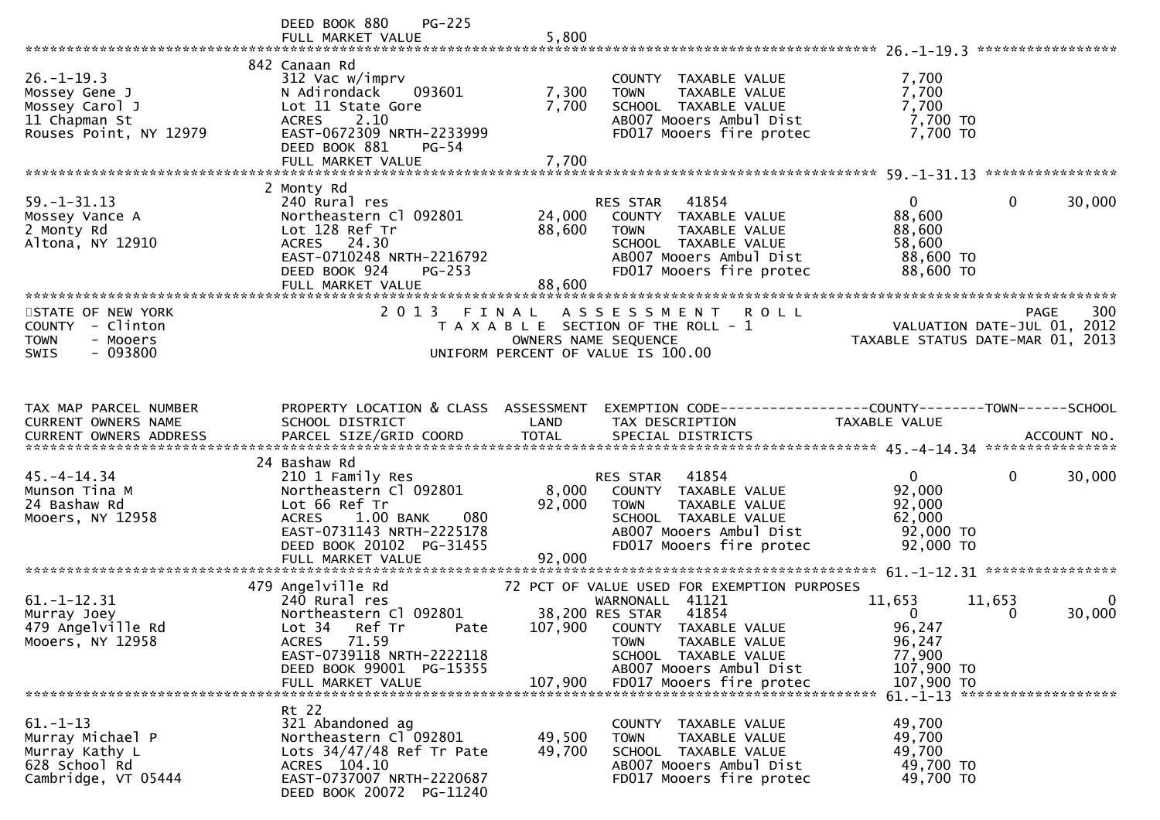|                                                                                                | $PG-225$<br>DEED BOOK 880<br>FULL MARKET VALUE                                                                                                                                        | 5,800                      |                                                                                                                                                                                                       |                                                                                                            |
|------------------------------------------------------------------------------------------------|---------------------------------------------------------------------------------------------------------------------------------------------------------------------------------------|----------------------------|-------------------------------------------------------------------------------------------------------------------------------------------------------------------------------------------------------|------------------------------------------------------------------------------------------------------------|
| $26. - 1 - 19.3$<br>Mossey Gene J<br>Mossey Carol J<br>11 Chapman St<br>Rouses Point, NY 12979 | 842 Canaan Rd<br>312 Vac w/imprv<br>093601<br>N Adirondack<br>Lot 11 State Gore<br>2.10<br><b>ACRES</b><br>EAST-0672309 NRTH-2233999<br>DEED BOOK 881<br>$PG-54$<br>FULL MARKET VALUE | 7,300<br>7,700<br>7,700    | COUNTY TAXABLE VALUE<br>TAXABLE VALUE<br><b>TOWN</b><br>SCHOOL TAXABLE VALUE<br>AB007 Mooers Ambul Dist<br>FD017 Mooers fire protec                                                                   | 7,700<br>7,700<br>7,700<br>7,700 TO<br>7,700 TO                                                            |
|                                                                                                |                                                                                                                                                                                       |                            |                                                                                                                                                                                                       |                                                                                                            |
| $59. - 1 - 31.13$<br>Mossey Vance A<br>2 Monty Rd<br>Altona, NY 12910                          | 2 Monty Rd<br>240 Rural res<br>Northeastern Cl 092801<br>Lot 128 Ref Tr<br>ACRES 24.30<br>EAST-0710248 NRTH-2216792<br>DEED BOOK 924<br>$PG-253$<br>FULL MARKET VALUE                 | 24,000<br>88,600<br>88,600 | 41854<br>RES STAR<br>COUNTY TAXABLE VALUE<br><b>TOWN</b><br>TAXABLE VALUE<br>SCHOOL TAXABLE VALUE<br>AB007 Mooers Ambul Dist<br>FD017 Mooers fire protec                                              | $\mathbf{0}$<br>30,000<br>$\Omega$<br>88,600<br>88,600<br>58,600<br>88,600 TO<br>88,600 TO                 |
|                                                                                                |                                                                                                                                                                                       |                            |                                                                                                                                                                                                       |                                                                                                            |
| STATE OF NEW YORK<br>COUNTY - Clinton<br><b>TOWN</b><br>- Mooers<br>$-093800$<br><b>SWIS</b>   | 2 0 1 3<br>FINAL                                                                                                                                                                      |                            | A S S E S S M E N T<br><b>ROLL</b><br>T A X A B L E SECTION OF THE ROLL - 1<br>OWNERS NAME SEQUENCE<br>UNIFORM PERCENT OF VALUE IS 100.00                                                             | 300<br>PAGE<br>VALUATION DATE-JUL 01, 2012<br>TAXABLE STATUS DATE-MAR 01, 2013                             |
|                                                                                                |                                                                                                                                                                                       |                            |                                                                                                                                                                                                       |                                                                                                            |
| TAX MAP PARCEL NUMBER<br>CURRENT OWNERS NAME                                                   | PROPERTY LOCATION & CLASS ASSESSMENT<br>SCHOOL DISTRICT                                                                                                                               | LAND                       | TAX DESCRIPTION                                                                                                                                                                                       | EXEMPTION CODE-----------------COUNTY-------TOWN------SCHOOL<br>TAXABLE VALUE                              |
|                                                                                                | 24 Bashaw Rd                                                                                                                                                                          |                            |                                                                                                                                                                                                       |                                                                                                            |
| $45. - 4 - 14.34$<br>Munson Tina M<br>24 Bashaw Rd<br>Mooers, NY 12958                         | 210 1 Family Res<br>Northeastern Cl 092801<br>Lot 66 Ref Tr<br>$1.00$ BANK<br><b>ACRES</b><br>080<br>EAST-0731143 NRTH-2225178<br>DEED BOOK 20102 PG-31455<br>FULL MARKET VALUE       | 8,000<br>92,000<br>92,000  | RES STAR 41854<br>COUNTY TAXABLE VALUE<br>TAXABLE VALUE<br><b>TOWN</b><br>SCHOOL TAXABLE VALUE<br>AB007 Mooers Ambul Dist<br>FD017 Mooers fire protec                                                 | 0<br>$\mathbf{0}$<br>30,000<br>92,000<br>92,000<br>62,000<br>92,000 TO<br>92,000 TO                        |
|                                                                                                |                                                                                                                                                                                       |                            |                                                                                                                                                                                                       |                                                                                                            |
| $61. -1 - 12.31$<br>Murray Joey<br>479 Angelville Rd<br>Mooers, NY 12958                       | 479 Angelville Rd<br>240 Rural res<br>Northeastern Cl 092801<br>Lot 34 Ref Tr<br>Pate<br>ACRES 71.59<br>EAST-0739118 NRTH-2222118<br>DEED BOOK 99001 PG-15355                         | 107,900                    | 72 PCT OF VALUE USED FOR EXEMPTION PURPOSES<br>WARNONALL 41121<br>41854<br>38,200 RES STAR<br>COUNTY TAXABLE VALUE<br>TAXABLE VALUE<br><b>TOWN</b><br>SCHOOL TAXABLE VALUE<br>AB007 Mooers Ambul Dist | 11,653<br>11,653<br>0<br>30,000<br>$\Omega$<br>0<br>96,247<br>96,247<br>77,900<br>107,900 TO<br>107,900 TO |
|                                                                                                |                                                                                                                                                                                       |                            |                                                                                                                                                                                                       | 61. -1-13 *********************                                                                            |
| $61. - 1 - 13$<br>Murray Michael P<br>Murray Kathy L<br>628 School Rd<br>Cambridge, VT 05444   | Rt 22<br>321 Abandoned ag<br>Northeastern Cl 092801<br>Lots $34/47/48$ Ref Tr Pate<br>ACRES 104.10<br>EAST-0737007 NRTH-2220687<br>DEED BOOK 20072 PG-11240                           | 49,500<br>49,700           | COUNTY TAXABLE VALUE<br>TAXABLE VALUE<br><b>TOWN</b><br>SCHOOL TAXABLE VALUE<br>AB007 Mooers Ambul Dist<br>FD017 Mooers fire protec                                                                   | 49,700<br>49,700<br>49,700<br>49,700 TO<br>49,700 TO                                                       |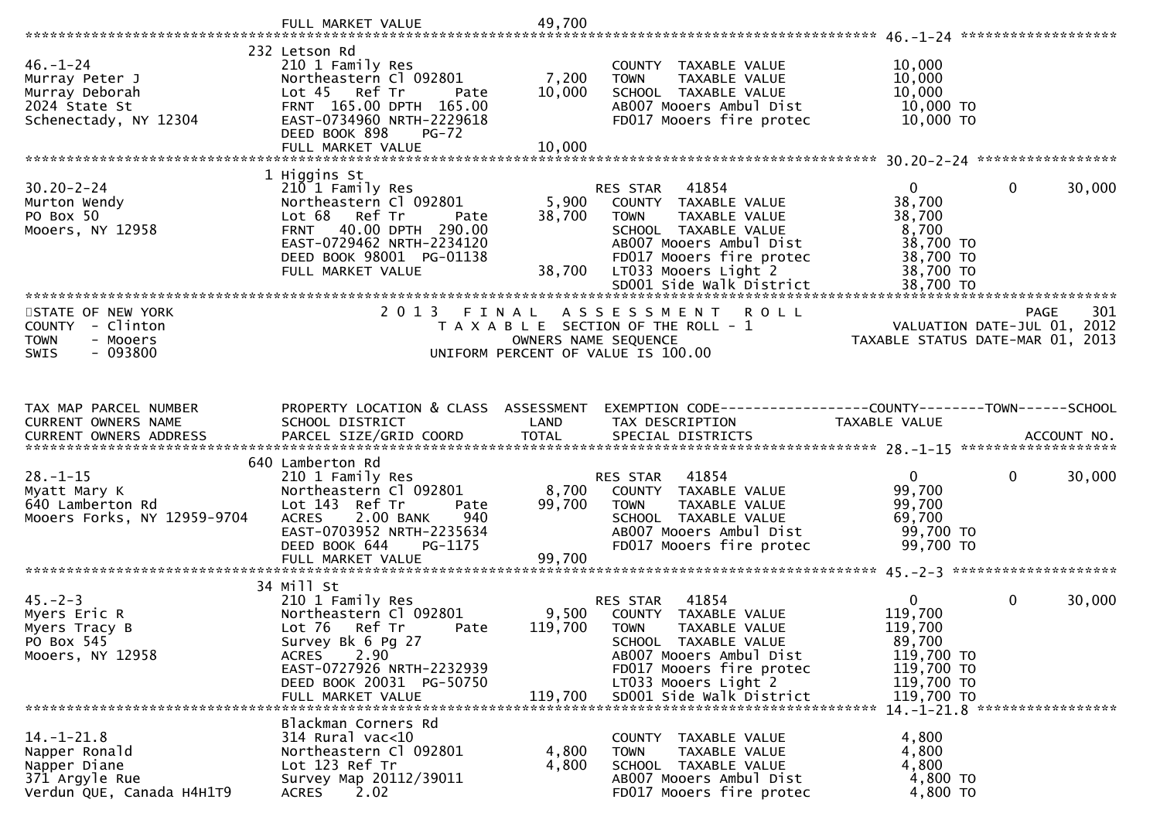|                                                                                              | FULL MARKET VALUE                                                                                                                                                        | 49,700          |                                                                                                                                     |                                                                 |                        |
|----------------------------------------------------------------------------------------------|--------------------------------------------------------------------------------------------------------------------------------------------------------------------------|-----------------|-------------------------------------------------------------------------------------------------------------------------------------|-----------------------------------------------------------------|------------------------|
|                                                                                              |                                                                                                                                                                          |                 |                                                                                                                                     |                                                                 |                        |
| $46. - 1 - 24$<br>Murray Peter J<br>Murray Deborah<br>2024 State St<br>Schenectady, NY 12304 | 232 Letson Rd<br>210 1 Family Res<br>Northeastern Cl 092801<br>Lot 45 Ref Tr<br>Pate<br>FRNT 165.00 DPTH 165.00<br>EAST-0734960 NRTH-2229618<br>DEED BOOK 898<br>$PG-72$ | 7,200<br>10,000 | COUNTY TAXABLE VALUE<br>TAXABLE VALUE<br><b>TOWN</b><br>SCHOOL TAXABLE VALUE<br>AB007 Mooers Ambul Dist<br>FD017 Mooers fire protec | 10,000<br>10,000<br>10,000<br>10,000 TO<br>10,000 TO            |                        |
|                                                                                              | FULL MARKET VALUE                                                                                                                                                        | 10,000          |                                                                                                                                     |                                                                 |                        |
|                                                                                              |                                                                                                                                                                          |                 |                                                                                                                                     |                                                                 |                        |
|                                                                                              | 1 Higgins St                                                                                                                                                             |                 |                                                                                                                                     |                                                                 |                        |
| $30.20 - 2 - 24$                                                                             | 210 1 Family Res                                                                                                                                                         |                 | RES STAR 41854                                                                                                                      | $\overline{0}$                                                  | $\mathbf{0}$<br>30,000 |
| Murton Wendy<br>PO Box 50                                                                    | Northeastern Cl 092801<br>Ref Tr<br>Lot 68<br>Pate                                                                                                                       | 5,900<br>38,700 | COUNTY TAXABLE VALUE<br><b>TOWN</b><br>TAXABLE VALUE                                                                                | 38,700<br>38,700                                                |                        |
| Mooers, NY 12958                                                                             | FRNT 40.00 DPTH 290.00                                                                                                                                                   |                 | SCHOOL TAXABLE VALUE                                                                                                                | 8,700                                                           |                        |
|                                                                                              | EAST-0729462 NRTH-2234120                                                                                                                                                |                 | AB007 Mooers Ambul Dist                                                                                                             | 38,700 TO                                                       |                        |
|                                                                                              | DEED BOOK 98001 PG-01138                                                                                                                                                 |                 | FD017 Mooers fire protec                                                                                                            | 38,700 TO                                                       |                        |
|                                                                                              | FULL MARKET VALUE                                                                                                                                                        |                 | 38,700 LT033 Mooers Light 2                                                                                                         | 38,700 TO                                                       |                        |
|                                                                                              |                                                                                                                                                                          |                 | SD001 Side Walk District                                                                                                            | 38,700 TO                                                       |                        |
| STATE OF NEW YORK                                                                            | 2013 FINAL                                                                                                                                                               |                 | ASSESSMENT ROLL                                                                                                                     |                                                                 | <b>PAGE</b><br>301     |
| COUNTY - Clinton                                                                             |                                                                                                                                                                          |                 | T A X A B L E SECTION OF THE ROLL - 1                                                                                               |                                                                 |                        |
| <b>TOWN</b><br>- Mooers                                                                      |                                                                                                                                                                          |                 | OWNERS NAME SEQUENCE                                                                                                                | VALUATION DATE-JUL 01, 2012<br>TAXABLE STATUS DATE-MAR 01, 2013 |                        |
| $-093800$<br><b>SWIS</b>                                                                     |                                                                                                                                                                          |                 | UNIFORM PERCENT OF VALUE IS 100.00                                                                                                  |                                                                 |                        |
|                                                                                              |                                                                                                                                                                          |                 |                                                                                                                                     |                                                                 |                        |
|                                                                                              |                                                                                                                                                                          |                 |                                                                                                                                     |                                                                 |                        |
|                                                                                              |                                                                                                                                                                          |                 |                                                                                                                                     |                                                                 |                        |
|                                                                                              |                                                                                                                                                                          |                 |                                                                                                                                     |                                                                 |                        |
| TAX MAP PARCEL NUMBER<br>CURRENT OWNERS NAME                                                 | PROPERTY LOCATION & CLASS ASSESSMENT<br>SCHOOL DISTRICT                                                                                                                  | LAND            | EXEMPTION CODE-----------------COUNTY--------TOWN------SCHOOL<br>TAX DESCRIPTION                                                    | TAXABLE VALUE                                                   |                        |
|                                                                                              |                                                                                                                                                                          |                 |                                                                                                                                     |                                                                 |                        |
|                                                                                              |                                                                                                                                                                          |                 |                                                                                                                                     |                                                                 |                        |
|                                                                                              | 640 Lamberton Rd                                                                                                                                                         |                 |                                                                                                                                     |                                                                 |                        |
| $28. - 1 - 15$                                                                               | 210 1 Family Res                                                                                                                                                         |                 | 41854<br>RES STAR                                                                                                                   | $\overline{0}$                                                  | $\mathbf 0$<br>30,000  |
| Myatt Mary K<br>640 Lamberton Rd                                                             | Northeastern Cl 092801<br>Lot 143 Ref Tr<br>Pate                                                                                                                         | 8,700<br>99,700 | COUNTY TAXABLE VALUE<br><b>TOWN</b><br>TAXABLE VALUE                                                                                | 99,700<br>99,700                                                |                        |
| Mooers Forks, NY 12959-9704                                                                  | 2.00 BANK<br><b>ACRES</b><br>940                                                                                                                                         |                 | SCHOOL TAXABLE VALUE                                                                                                                | 69,700                                                          |                        |
|                                                                                              | EAST-0703952 NRTH-2235634                                                                                                                                                |                 | AB007 Mooers Ambul Dist                                                                                                             | 99,700 TO                                                       |                        |
|                                                                                              | DEED BOOK 644<br>PG-1175                                                                                                                                                 |                 | FD017 Mooers fire protec                                                                                                            | 99,700 TO                                                       |                        |
|                                                                                              | FULL MARKET VALUE                                                                                                                                                        | 99,700          |                                                                                                                                     |                                                                 |                        |
|                                                                                              |                                                                                                                                                                          |                 |                                                                                                                                     |                                                                 |                        |
| $45. -2 - 3$                                                                                 | 34 Mill St<br>210 1 Family Res                                                                                                                                           |                 | 41854<br>RES STAR                                                                                                                   | $\overline{0}$                                                  | $\mathbf 0$<br>30,000  |
| Myers Eric R                                                                                 | Northeastern Cl 092801                                                                                                                                                   | 9,500           | COUNTY TAXABLE VALUE                                                                                                                | 119,700                                                         |                        |
| Myers Tracy B                                                                                | Lot 76 Ref Tr<br>Pate                                                                                                                                                    | 119,700         | <b>TOWN</b><br>TAXABLE VALUE                                                                                                        | 119,700                                                         |                        |
| PO Box 545                                                                                   | Survey Bk 6 Pg 27                                                                                                                                                        |                 | SCHOOL TAXABLE VALUE                                                                                                                | 89,700                                                          |                        |
| Mooers, NY 12958                                                                             | 2.90<br><b>ACRES</b>                                                                                                                                                     |                 | AB007 Mooers Ambul Dist                                                                                                             | 119,700 TO                                                      |                        |
|                                                                                              | EAST-0727926 NRTH-2232939                                                                                                                                                |                 | FD017 Mooers fire protec                                                                                                            | 119,700 TO                                                      |                        |
|                                                                                              | DEED BOOK 20031 PG-50750<br>FULL MARKET VALUE                                                                                                                            | 119,700         | LT033 Mooers Light 2<br>SD001 Side Walk District                                                                                    | 119,700 TO<br>119,700 TO                                        |                        |
|                                                                                              |                                                                                                                                                                          |                 |                                                                                                                                     |                                                                 |                        |
|                                                                                              | Blackman Corners Rd                                                                                                                                                      |                 |                                                                                                                                     |                                                                 |                        |
| $14.-1-21.8$                                                                                 | 314 Rural vac<10                                                                                                                                                         |                 | COUNTY TAXABLE VALUE                                                                                                                | 4,800                                                           |                        |
| Napper Ronald                                                                                | Northeastern Cl 092801                                                                                                                                                   | 4,800           | TAXABLE VALUE<br><b>TOWN</b>                                                                                                        | 4,800                                                           |                        |
| Napper Diane<br>371 Argyle Rue                                                               | Lot 123 Ref Tr<br>Survey Map 20112/39011                                                                                                                                 | 4,800           | SCHOOL TAXABLE VALUE<br>AB007 Mooers Ambul Dist                                                                                     | 4,800<br>4,800 TO                                               |                        |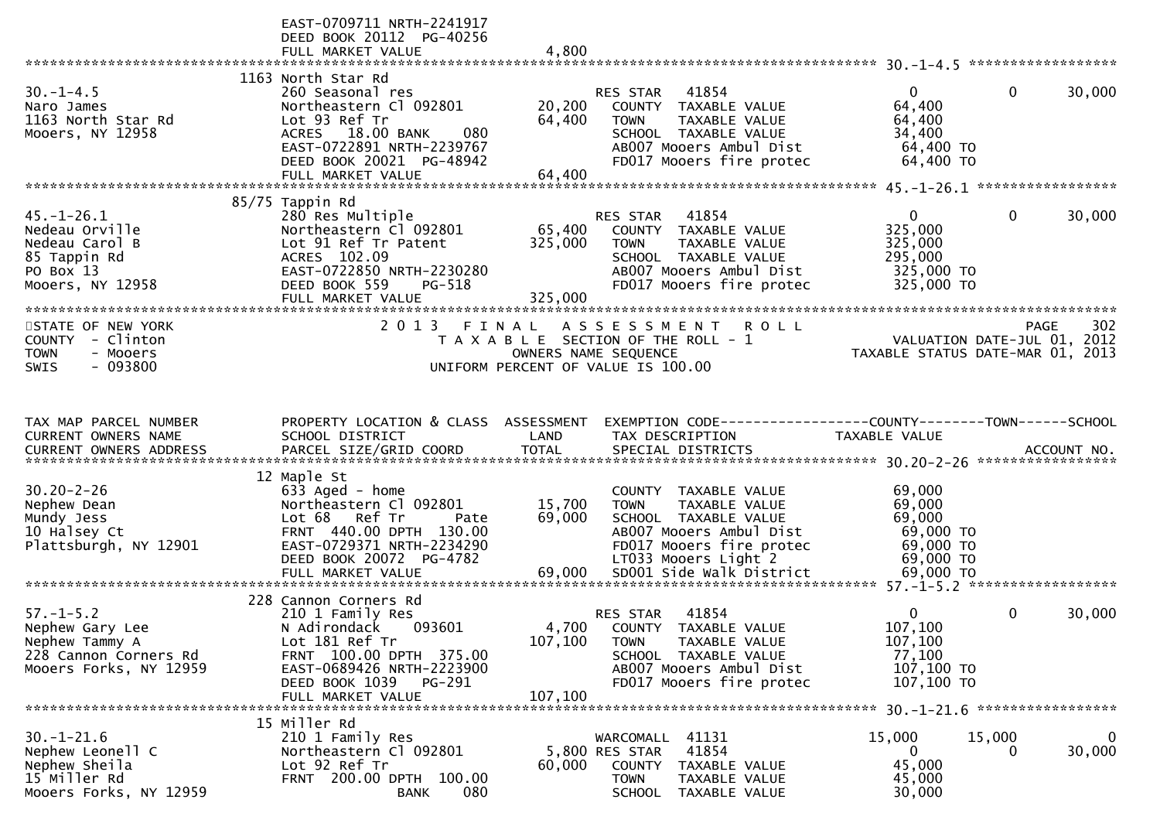|                               | EAST-0709711 NRTH-2241917<br>DEED BOOK 20112 PG-40256<br>FULL MARKET VALUE | 4,800   |                                                                |                                                                 |              |        |
|-------------------------------|----------------------------------------------------------------------------|---------|----------------------------------------------------------------|-----------------------------------------------------------------|--------------|--------|
|                               |                                                                            |         |                                                                |                                                                 |              |        |
| $30. - 1 - 4.5$               | 1163 North Star Rd<br>260 Seasonal res                                     |         | 41854<br>RES STAR                                              | $\mathbf{0}$                                                    | $\mathbf{0}$ | 30,000 |
| Naro James                    | Northeastern Cl 092801                                                     | 20,200  | COUNTY TAXABLE VALUE                                           | 64,400                                                          |              |        |
| 1163 North Star Rd            | Lot 93 Ref Tr                                                              | 64,400  | TAXABLE VALUE<br><b>TOWN</b>                                   | 64,400                                                          |              |        |
| Mooers, NY 12958              | ACRES 18.00 BANK<br>080                                                    |         | SCHOOL TAXABLE VALUE                                           | 34,400                                                          |              |        |
|                               | EAST-0722891 NRTH-2239767                                                  |         | AB007 Mooers Ambul Dist                                        | 64,400 TO                                                       |              |        |
|                               | DEED BOOK 20021 PG-48942                                                   |         | FD017 Mooers fire protec                                       | 64,400 TO                                                       |              |        |
|                               | FULL MARKET VALUE                                                          | 64,400  |                                                                |                                                                 |              |        |
|                               |                                                                            |         |                                                                |                                                                 |              |        |
| $45. - 1 - 26.1$              | 85/75 Tappin Rd<br>280 Res Multiple                                        |         | RES STAR<br>41854                                              | $\mathbf{0}$                                                    | 0            | 30,000 |
| Nedeau Orville                | Northeastern Cl 092801                                                     | 65,400  | COUNTY TAXABLE VALUE                                           | 325,000                                                         |              |        |
| Nedeau Carol B                | Lot 91 Ref Tr Patent                                                       | 325,000 | TAXABLE VALUE<br><b>TOWN</b>                                   | 325,000                                                         |              |        |
| 85 Tappin Rd                  | ACRES 102.09                                                               |         | SCHOOL TAXABLE VALUE                                           | 295,000                                                         |              |        |
| PO Box 13                     | EAST-0722850 NRTH-2230280                                                  |         | AB007 Mooers Ambul Dist                                        | 325,000 TO                                                      |              |        |
| Mooers, NY 12958              | DEED BOOK 559<br>PG-518                                                    |         | FD017 Mooers fire protec                                       | 325,000 TO                                                      |              |        |
|                               | FULL MARKET VALUE                                                          | 325,000 |                                                                |                                                                 |              |        |
| STATE OF NEW YORK             | 2 0 1 3<br>FINAL                                                           |         | <b>ROLL</b><br>A S S E S S M E N T                             |                                                                 | PAGE         | 302    |
| COUNTY - Clinton              |                                                                            |         | T A X A B L E SECTION OF THE ROLL - 1                          |                                                                 |              |        |
| - Mooers<br><b>TOWN</b>       |                                                                            |         | OWNERS NAME SEQUENCE                                           | VALUATION DATE-JUL 01, 2012<br>TAXABLE STATUS DATE-MAR 01, 2013 |              |        |
| $-093800$<br>SWIS             |                                                                            |         | UNIFORM PERCENT OF VALUE IS 100.00                             |                                                                 |              |        |
|                               |                                                                            |         |                                                                |                                                                 |              |        |
|                               |                                                                            |         |                                                                |                                                                 |              |        |
|                               |                                                                            |         |                                                                |                                                                 |              |        |
| TAX MAP PARCEL NUMBER         | PROPERTY LOCATION & CLASS ASSESSMENT                                       |         | EXEMPTION CODE-----------------COUNTY-------TOWN------SCHOOL   |                                                                 |              |        |
| CURRENT OWNERS NAME           | SCHOOL DISTRICT                                                            | LAND    | TAX DESCRIPTION                                                | TAXABLE VALUE                                                   |              |        |
|                               |                                                                            |         |                                                                |                                                                 |              |        |
|                               |                                                                            |         |                                                                |                                                                 |              |        |
|                               | 12 Maple St                                                                |         |                                                                |                                                                 |              |        |
| $30.20 - 2 - 26$              | 633 Aged - home                                                            |         | COUNTY TAXABLE VALUE                                           | 69,000                                                          |              |        |
| Nephew Dean                   | Northeastern Cl 092801                                                     | 15,700  | TAXABLE VALUE<br><b>TOWN</b>                                   | 69,000                                                          |              |        |
| Mundy Jess                    | Lot 68 Ref Tr<br>Pate                                                      | 69,000  | SCHOOL TAXABLE VALUE                                           | 69,000                                                          |              |        |
| 10 Halsey Ct                  | FRNT 440.00 DPTH 130.00<br>EAST-0729371 NRTH-2234290                       |         | AB007 Mooers Ambul Dist                                        | 69,000 TO                                                       |              |        |
| Plattsburgh, NY 12901         | DEED BOOK 20072 PG-4782                                                    |         | FD017 Mooers fire protec<br>LT033 Mooers Light 2               | 69,000 TO<br>69,000 TO                                          |              |        |
|                               |                                                                            |         |                                                                |                                                                 |              |        |
|                               |                                                                            |         |                                                                |                                                                 |              |        |
|                               | 228 Cannon Corners Rd                                                      |         |                                                                |                                                                 |              |        |
| $57. - 1 - 5.2$               | 210 1 Family Res                                                           |         | RES STAR<br>41854                                              | 0                                                               | 0            | 30,000 |
| Nephew Gary Lee               | N Adirondack<br>093601                                                     | 4,700   | COUNTY TAXABLE VALUE                                           | 107.100                                                         |              |        |
| Nephew Tammy A                | Lot 181 Ref Tr                                                             | 107,100 | <b>TOWN</b><br>TAXABLE VALUE                                   | 107,100                                                         |              |        |
| 228 Cannon Corners Rd         | FRNT 100.00 DPTH 375.00                                                    |         | SCHOOL TAXABLE VALUE                                           | 77,100                                                          |              |        |
| Mooers Forks, NY 12959        | EAST-0689426 NRTH-2223900<br>DEED BOOK 1039<br>PG-291                      |         | AB007 Mooers Ambul Dist<br>FD017 Mooers fire protec            | 107,100 TO<br>107,100 TO                                        |              |        |
|                               | FULL MARKET VALUE                                                          | 107,100 |                                                                |                                                                 |              |        |
|                               |                                                                            |         |                                                                | 30. -1-21.6 ******************                                  |              |        |
|                               | 15 Miller Rd                                                               |         |                                                                |                                                                 |              |        |
| $30. - 1 - 21.6$              | 210 1 Family Res                                                           |         | WARCOMALL<br>41131                                             | 15,000                                                          | 15,000       | 0      |
| Nephew Leonell C              | Northeastern Cl 092801                                                     |         | 5,800 RES STAR<br>41854                                        | $\bf{0}$                                                        | 0            | 30,000 |
| Nephew Sheila<br>15 Miller Rd | Lot 92 Ref Tr<br>FRNT 200.00 DPTH 100.00                                   | 60,000  | <b>COUNTY</b><br>TAXABLE VALUE<br><b>TOWN</b><br>TAXABLE VALUE | 45,000<br>45,000                                                |              |        |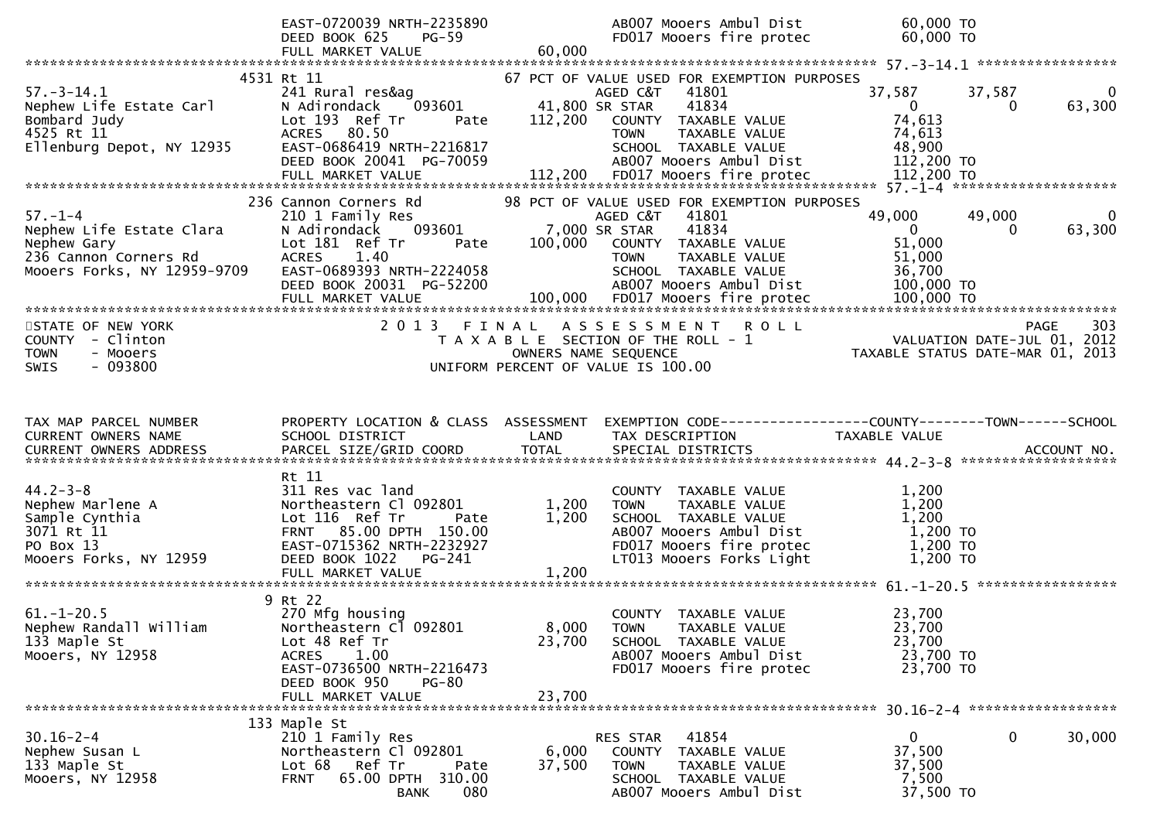|                                                                                                                  | EAST-0720039 NRTH-2235890<br>DEED BOOK 625<br>$PG-59$<br>FULL MARKET VALUE                                                                                                            | 60,000                    | AB007 Mooers Ambul Dist<br>FD017 Mooers fire protec                                                                                                                           | 60,000 TO<br>60,000 TO                                               |                                                |
|------------------------------------------------------------------------------------------------------------------|---------------------------------------------------------------------------------------------------------------------------------------------------------------------------------------|---------------------------|-------------------------------------------------------------------------------------------------------------------------------------------------------------------------------|----------------------------------------------------------------------|------------------------------------------------|
|                                                                                                                  |                                                                                                                                                                                       |                           |                                                                                                                                                                               |                                                                      |                                                |
| $57. - 3 - 14.1$<br>Nephew Life Estate Carl<br>Bombard Judy<br>4525 Rt 11<br>Ellenburg Depot, NY 12935           | 4531 Rt 11<br>241 Rural res&ag<br>093601<br>N Adirondack<br>Lot 193 Ref Tr<br>Pate<br>ACRES 80.50<br>EAST-0686419 NRTH-2216817<br>DEED BOOK 20041 PG-70059                            | 41,800 SR STAR<br>112,200 | 67 PCT OF VALUE USED FOR EXEMPTION PURPOSES<br>AGED C&T 41801<br>41834<br>COUNTY TAXABLE VALUE<br>TAXABLE VALUE<br>TOWN<br>SCHOOL TAXABLE VALUE<br>AB007 Mooers Ambul Dist    | 37,587<br>$\overline{0}$<br>74,613<br>74,613<br>48,900<br>112,200 TO | 37,587<br>$\overline{0}$<br>63,300<br>$\Omega$ |
| $57. - 1 - 4$<br>Nephew Life Estate Clara<br>Nephew Gary<br>236 Cannon Corners Rd<br>Mooers Forks, NY 12959-9709 | 236 Cannon Corners Rd<br>210 1 Family Res<br>093601<br>N Adirondack<br>Lot 181 Ref Tr<br>Pate<br><b>ACRES</b><br>1.40<br>EAST-0689393 NRTH-2224058<br>DEED BOOK 20031 PG-52200        | 7,000 SR STAR<br>100,000  | 98 PCT OF VALUE USED FOR EXEMPTION PURPOSES<br>AGED C&T<br>41801<br>41834<br>COUNTY TAXABLE VALUE<br>TAXABLE VALUE<br>TOWN<br>SCHOOL TAXABLE VALUE<br>AB007 Mooers Ambul Dist | 49,000<br>$\mathbf{0}$<br>51,000<br>51,000<br>36,700<br>100,000 TO   | 49,000<br>0<br>63,300<br>$\Omega$              |
| STATE OF NEW YORK<br>COUNTY - Clinton<br>- Mooers<br><b>TOWN</b><br>$-093800$<br><b>SWIS</b>                     |                                                                                                                                                                                       | OWNERS NAME SEQUENCE      | 2013 FINAL ASSESSMENT<br>R O L L<br>T A X A B L E SECTION OF THE ROLL - 1<br>UNIFORM PERCENT OF VALUE IS 100.00                                                               | VALUATION DATE-JUL 01, 2012<br>TAXABLE STATUS DATE-MAR 01, 2013      | 303<br><b>PAGE</b>                             |
| TAX MAP PARCEL NUMBER<br>CURRENT OWNERS NAME                                                                     | PROPERTY LOCATION & CLASS ASSESSMENT<br>SCHOOL DISTRICT                                                                                                                               | LAND                      | EXEMPTION CODE------------------COUNTY--------TOWN------SCHOOL<br>TAX DESCRIPTION                                                                                             | TAXABLE VALUE                                                        |                                                |
| $44.2 - 3 - 8$<br>Nephew Marlene A<br>Sample Cynthia<br>3071 Rt 11<br>PO Box 13<br>Mooers Forks, NY 12959        | Rt 11<br>311 Res vac land<br>Northeastern Cl 092801<br>Lot 116 Ref Tr<br>Pate<br>FRNT 85.00 DPTH 150.00<br>EAST-0715362 NRTH-2232927<br>DEED BOOK 1022<br>PG-241<br>FULL MARKET VALUE | 1,200<br>1,200<br>1,200   | COUNTY TAXABLE VALUE<br>TAXABLE VALUE<br><b>TOWN</b><br>SCHOOL TAXABLE VALUE<br>AB007 Mooers Ambul Dist<br>FD017 Mooers fire protec<br>LT013 Mooers Forks Light               | 1,200<br>1,200<br>1,200<br>1,200 TO<br>1,200 TO<br>$1,200$ TO        |                                                |
| $61. - 1 - 20.5$<br>Nephew Randall William<br>133 Maple St<br>Mooers, NY 12958                                   | 9 Rt 22<br>270 Mfg housing<br>Northeastern Cl<br>092801<br>Lot 48 Ref Tr<br><b>ACRES</b><br>1.00<br>EAST-0736500 NRTH-2216473<br>DEED BOOK 950<br><b>PG-80</b><br>FULL MARKET VALUE   | 8,000<br>23,700<br>23,700 | COUNTY TAXABLE VALUE<br><b>TOWN</b><br>TAXABLE VALUE<br>SCHOOL TAXABLE VALUE<br>AB007 Mooers Ambul Dist<br>FD017 Mooers fire protec                                           | 23,700<br>23,700<br>23,700<br>23,700 TO<br>23,700 TO                 |                                                |
| $30.16 - 2 - 4$<br>Nephew Susan L<br>133 Maple St<br>Mooers, NY 12958                                            | 133 Maple St<br>210 1 Family Res<br>Northeastern Cl 092801<br>Lot 68<br>Ref Tr<br>Pate<br>65.00 DPTH 310.00<br><b>FRNT</b><br>080<br><b>BANK</b>                                      | 6,000<br>37,500           | RES STAR<br>41854<br><b>COUNTY</b><br>TAXABLE VALUE<br><b>TOWN</b><br>TAXABLE VALUE<br>SCHOOL TAXABLE VALUE<br>AB007 Mooers Ambul Dist                                        | $\mathbf{0}$<br>37,500<br>37,500<br>7,500<br>37,500 TO               | 0<br>30,000                                    |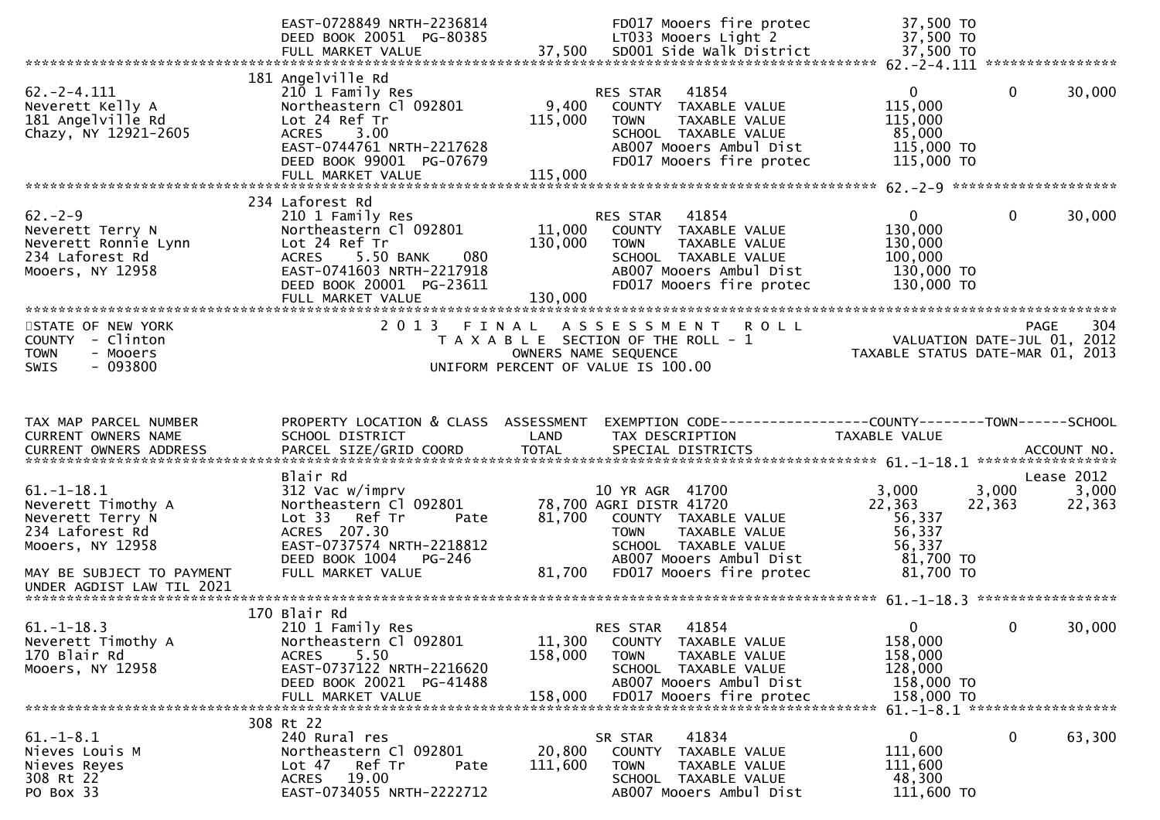|                                                                                                                                | EAST-0728849 NRTH-2236814<br>DEED BOOK 20051 PG-80385                                                                                                                         |                              | FD017 Mooers fire protec<br>LT033 Mooers Light 2                                                                                                                                  | 37,500 TO<br>37,500 TO                                                                                      |                 |                 |
|--------------------------------------------------------------------------------------------------------------------------------|-------------------------------------------------------------------------------------------------------------------------------------------------------------------------------|------------------------------|-----------------------------------------------------------------------------------------------------------------------------------------------------------------------------------|-------------------------------------------------------------------------------------------------------------|-----------------|-----------------|
|                                                                                                                                | 181 Angelville Rd                                                                                                                                                             |                              |                                                                                                                                                                                   |                                                                                                             |                 |                 |
| $62 - 2 - 4.111$<br>Neverett Kelly A<br>181 Angelville Rd<br>Chazy, NY 12921-2605                                              | 210 1 Family Res<br>Northeastern Cl 092801<br>Lot 24 Ref Tr<br>3.00<br>ACRES<br>EAST-0744761 NRTH-2217628<br>DEED BOOK 99001 PG-07679                                         | 9,400<br>115,000             | 41854<br>RES STAR<br>COUNTY TAXABLE VALUE<br>TAXABLE VALUE<br><b>TOWN</b><br>SCHOOL TAXABLE VALUE<br>AB007 Mooers Ambul Dist<br>FD017 Mooers fire protec                          | $\mathbf{0}$<br>115,000<br>115,000<br>85,000<br>115,000 TO<br>115,000 TO                                    | $\mathbf{0}$    | 30,000          |
|                                                                                                                                | FULL MARKET VALUE                                                                                                                                                             | 115,000                      |                                                                                                                                                                                   |                                                                                                             |                 |                 |
|                                                                                                                                | 234 Laforest Rd                                                                                                                                                               |                              |                                                                                                                                                                                   |                                                                                                             |                 |                 |
| $62 - 2 - 9$<br>Neverett Terry N<br>Neverett Ronnie Lynn<br>234 Laforest Rd<br>Mooers, NY 12958                                | 210 1 Family Res<br>Northeastern Cl 092801<br>Lot 24 Ref Tr<br><b>ACRES</b><br>5.50 BANK<br>080<br>EAST-0741603 NRTH-2217918<br>DEED BOOK 20001 PG-23611<br>FULL MARKET VALUE | 11,000<br>130,000<br>130,000 | RES STAR<br>41854<br>COUNTY TAXABLE VALUE<br><b>TOWN</b><br>TAXABLE VALUE<br>SCHOOL TAXABLE VALUE<br>AB007 Mooers Ambul Dist<br>FD017 Mooers fire protec                          | $\mathbf{0}$<br>130,000<br>130,000<br>100,000<br>130,000 TO<br>130,000 TO                                   | 0               | 30,000          |
|                                                                                                                                |                                                                                                                                                                               |                              |                                                                                                                                                                                   |                                                                                                             |                 |                 |
| STATE OF NEW YORK<br>COUNTY - Clinton<br>- Mooers<br><b>TOWN</b>                                                               | 2 0 1 3                                                                                                                                                                       | FINAL                        | <b>ROLL</b><br>A S S E S S M E N T<br>T A X A B L E SECTION OF THE ROLL - 1<br>OWNERS NAME SEQUENCE                                                                               | PAGE 304<br>VALUATION DATE-JUL 01, 2012<br>TAXARLE STATUS DATE :::- 21.<br>TAXABLE STATUS DATE-MAR 01, 2013 |                 |                 |
| $-093800$<br><b>SWIS</b>                                                                                                       |                                                                                                                                                                               |                              | UNIFORM PERCENT OF VALUE IS 100.00                                                                                                                                                |                                                                                                             |                 |                 |
| TAX MAP PARCEL NUMBER<br>CURRENT OWNERS NAME<br><b>CURRENT OWNERS ADDRESS</b>                                                  | PROPERTY LOCATION & CLASS ASSESSMENT<br>SCHOOL DISTRICT<br>PARCEL SIZE/GRID COORD                                                                                             | LAND<br><b>TOTAL</b>         | EXEMPTION CODE-----------------COUNTY-------TOWN------SCHOOL<br>TAX DESCRIPTION<br>SPECIAL DISTRICTS                                                                              | TAXABLE VALUE                                                                                               |                 | ACCOUNT NO.     |
|                                                                                                                                | Blair Rd                                                                                                                                                                      |                              |                                                                                                                                                                                   |                                                                                                             |                 | Lease 2012      |
| $61. - 1 - 18.1$<br>Neverett Timothy A<br>Neverett Terry N<br>234 Laforest Rd<br>Mooers, NY 12958<br>MAY BE SUBJECT TO PAYMENT | 312 Vac w/imprv<br>Northeastern Cl 092801<br>Lot 33 Ref Tr<br>Pate<br>ACRES 207.30<br>EAST-0737574 NRTH-2218812<br><b>PG-246</b><br>DEED BOOK 1004<br>FULL MARKET VALUE       | 81,700<br>81,700             | 10 YR AGR 41700<br>78,700 AGRI DISTR 41720<br>COUNTY TAXABLE VALUE<br>TAXABLE VALUE<br><b>TOWN</b><br>SCHOOL TAXABLE VALUE<br>AB007 Mooers Ambul Dist<br>FD017 Mooers fire protec | 3,000<br>22,363<br>56,337<br>56,337<br>56,337<br>81,700 TO<br>81,700 TO                                     | 3,000<br>22,363 | 3,000<br>22,363 |
|                                                                                                                                | 170 Blair Rd                                                                                                                                                                  |                              |                                                                                                                                                                                   |                                                                                                             |                 |                 |
| $61. - 1 - 18.3$<br>Neverett Timothy A<br>170 Blair Rd<br>Mooers, NY 12958                                                     | 210 1 Family Res<br>Northeastern Cl 092801<br>5.50<br><b>ACRES</b><br>EAST-0737122 NRTH-2216620<br>DEED BOOK 20021 PG-41488<br>FULL MARKET VALUE                              | 11,300<br>158,000<br>158,000 | 41854<br><b>RES STAR</b><br>COUNTY TAXABLE VALUE<br>TAXABLE VALUE<br><b>TOWN</b><br>SCHOOL TAXABLE VALUE<br>AB007 Mooers Ambul Dist<br>FD017 Mooers fire protec                   | $\Omega$<br>158,000<br>158,000<br>128,000<br>158,000 TO<br>158,000 TO                                       | $\mathbf{0}$    | 30,000          |
|                                                                                                                                |                                                                                                                                                                               |                              |                                                                                                                                                                                   |                                                                                                             |                 |                 |
| $61. - 1 - 8.1$<br>Nieves Louis M<br>Nieves Reyes<br>308 Rt 22                                                                 | 308 Rt 22<br>240 Rural res<br>Northeastern Cl 092801<br>Lot 47<br>Ref Tr<br>Pate                                                                                              | 20,800<br>111,600            | 41834<br>SR STAR<br>COUNTY<br>TAXABLE VALUE<br><b>TOWN</b><br>TAXABLE VALUE                                                                                                       | $\mathbf{0}$<br>111,600<br>111,600                                                                          | 0               | 63,300          |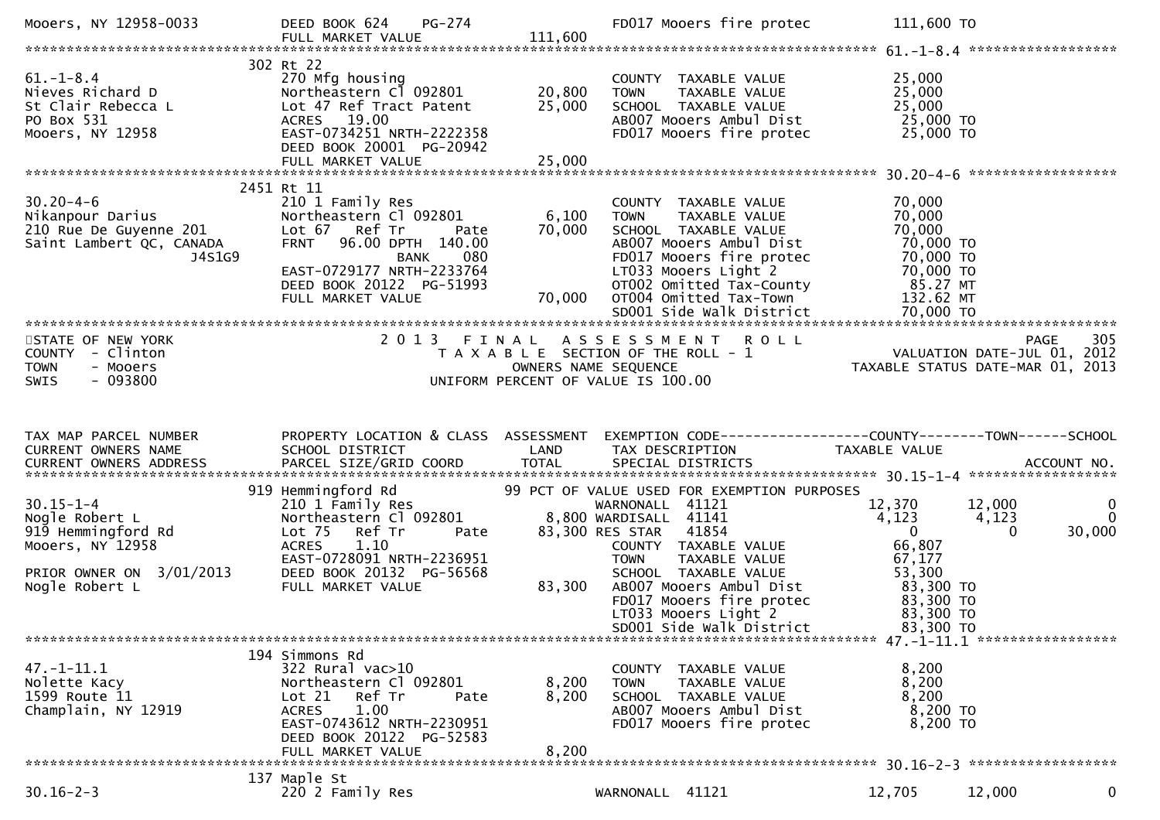| Mooers, NY 12958-0033                                                                                                     | DEED BOOK 624 PG-274<br>FULL MARKET VALUE                                                                                                                                                                                                 | 111,600                    | FD017 Mooers fire protec                                                                                                                                                                                                                                                 | 111,600 TO                                                                                                                                                                              |                         |
|---------------------------------------------------------------------------------------------------------------------------|-------------------------------------------------------------------------------------------------------------------------------------------------------------------------------------------------------------------------------------------|----------------------------|--------------------------------------------------------------------------------------------------------------------------------------------------------------------------------------------------------------------------------------------------------------------------|-----------------------------------------------------------------------------------------------------------------------------------------------------------------------------------------|-------------------------|
| $61. - 1 - 8.4$<br>61.-1-8.4<br>Nieves Richard D<br>St Clair Rebecca L<br>PO Box 531<br>Mooers, NY 12958                  | 302 Rt 22<br>270 Mfg housing<br>Northeastern C1 092801<br>Lot 47 Ref Tract Patent<br>ACRES 19.00<br>EAST-0734251 NRTH-2222358<br>DEED BOOK 20001 PG-20942<br>FULL MARKET VALUE                                                            | 20,800<br>25,000<br>25,000 | COUNTY TAXABLE VALUE<br>TOWN    TAXABLE VALUE<br>SCHOOL  TAXABLE VALUE<br>ABOOT Mooers Ambul Dist 25,000 TO<br>FD017 Mooers fire protec                                                                                                                                  | 25,000<br>25,000<br>25,000<br>25,000 TO                                                                                                                                                 |                         |
|                                                                                                                           |                                                                                                                                                                                                                                           |                            |                                                                                                                                                                                                                                                                          |                                                                                                                                                                                         |                         |
| $30.20 - 4 - 6$<br>J4S1G9                                                                                                 | 2451 Rt 11<br>210 1 Family Res<br>Northeastern Cl 092801<br>Pate<br>FRNT 96.00 DPTH 140.00<br>080<br><b>BANK</b><br>EAST-0729177 NRTH-2233764<br>DEED BOOK 20122 PG-51993<br>FULL MARKET VALUE                                            | 6,100<br>70,000<br>70,000  | COUNTY TAXABLE VALUE<br>TAXABLE VALUE<br><b>TOWN</b><br>SCHOOL TAXABLE VALUE<br>AB007 Mooers Ambul Dist<br>FD017 Mooers fire protec<br>LT033 Mooers Light 2                                                                                                              | 70,000<br>70,000<br>70,000<br>70,000 TO<br>70,000 то<br>70,000 то                                                                                                                       |                         |
| STATE OF NEW YORK<br>COUNTY - Clinton<br><b>TOWN</b><br>- Mooers<br>$-093800$<br><b>SWIS</b>                              |                                                                                                                                                                                                                                           |                            |                                                                                                                                                                                                                                                                          | 2013 FINAL ASSESSMENT ROLL<br>TAXABLE SECTION OF THE ROLL -1 WALUATION DATE-JUL 01, 2012<br>OWNERS NAME SEQUENCE TAXABLE STATUS DATE-MAR 01, 2013<br>UNIFORM PERCENT OF VALUE IS 100.00 |                         |
| TAX MAP PARCEL NUMBER<br>CURRENT OWNERS NAME                                                                              | SCHOOL DISTRICT                                                                                                                                                                                                                           | LAND                       | TAX DESCRIPTION                                                                                                                                                                                                                                                          | PROPERTY LOCATION & CLASS ASSESSMENT EXEMPTION CODE----------------COUNTY-------TOWN------SCHOOL<br>TAXABLE VALUE                                                                       |                         |
| $30.15 - 1 - 4$<br>Nogle Robert L<br>919 Hemmingford Rd<br>Mooers, NY 12958<br>PRIOR OWNER ON 3/01/2013<br>Nogle Robert L | 919 Hemmingford Rd<br>210 1 Family Res<br>210 1 Family Res<br>Northeastern C1 092801 8,800 WARDISALL 41141<br>Lot 75 Ref Tr<br>Pate<br><b>ACRES</b><br>1.10<br>EAST-0728091 NRTH-2236951<br>DEED BOOK 20132 PG-56568<br>FULL MARKET VALUE | 83,300                     | 99 PCT OF VALUE USED FOR EXEMPTION PURPOSES<br>WARNONALL 41121<br>83,300 RES STAR 41854<br>COUNTY TAXABLE VALUE<br>TOWN TAXABLE VALUE<br>SCHOOL TAXABLE VALUE<br>ABOO7 Mooers Ambul Dist<br>FD017 Mooers fire protec<br>LT033 Mooers Light 2<br>SD001 Side Walk District | 12,370<br>12,000<br>4,123<br>4,123<br>$\overline{0}$<br>$\Omega$<br>66,807<br>67,177<br>53, 300<br>83, 300 TO<br>200 TO<br>83,300 TO<br>83,300 TO<br>83,300 TO                          | 0<br>$\Omega$<br>30,000 |
|                                                                                                                           |                                                                                                                                                                                                                                           |                            |                                                                                                                                                                                                                                                                          |                                                                                                                                                                                         |                         |
| $47. - 1 - 11.1$<br>Nolette Kacy<br>1599 Route 11<br>Champlain, NY 12919                                                  | 194 Simmons Rd<br>322 Rural vac>10<br>Northeastern Cl 092801<br>Lot 21 Ref Tr<br>Pate<br>1.00<br><b>ACRES</b><br>EAST-0743612 NRTH-2230951                                                                                                | 8,200<br>8,200             | COUNTY TAXABLE VALUE<br><b>TOWN</b><br>TAXABLE VALUE<br>SCHOOL TAXABLE VALUE<br>AB007 Mooers Ambul Dist<br>FD017 Mooers fire protec                                                                                                                                      | 8,200<br>8,200<br>8,200<br>8,200 TO<br>8,200 TO                                                                                                                                         |                         |
|                                                                                                                           | DEED BOOK 20122 PG-52583<br>FULL MARKET VALUE                                                                                                                                                                                             | 8,200                      |                                                                                                                                                                                                                                                                          |                                                                                                                                                                                         |                         |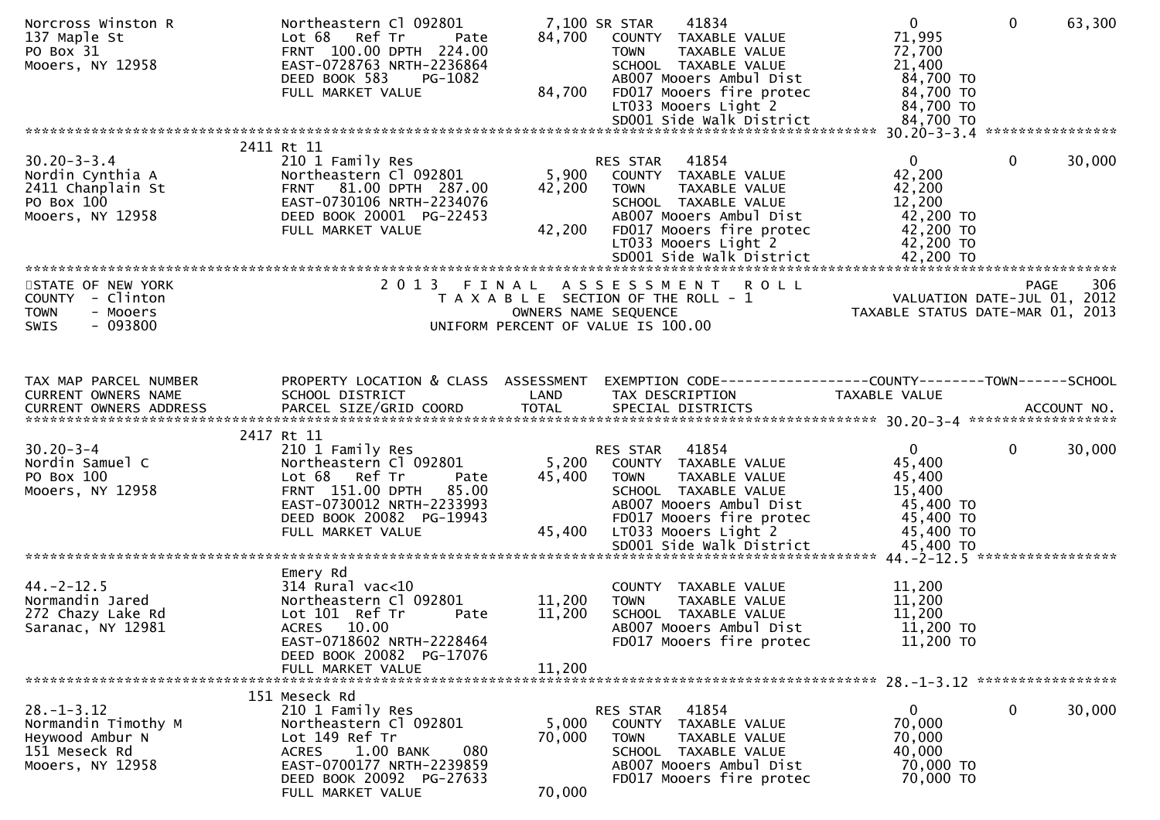| Norcross Winston R<br>137 Maple St<br>PO Box 31<br>Mooers, NY 12958                             | Northeastern Cl 092801<br>Lot 68<br>Ref Tr<br>Pate<br>FRNT 100.00 DPTH 224.00<br>EAST-0728763 NRTH-2236864<br>DEED BOOK 583<br>PG-1082<br>FULL MARKET VALUE                                     | 84,700<br>84,700          | 7,100 SR STAR<br>41834<br>COUNTY TAXABLE VALUE<br><b>TOWN</b><br>TAXABLE VALUE<br>SCHOOL TAXABLE VALUE<br>AB007 Mooers Ambul Dist<br>FD017 Mooers fire protec<br>LT033 Mooers Light 2<br>SD001 Side Walk District | $\mathbf{0}$<br>71,995<br>72,700<br>21,400<br>84,700 TO<br>84,700 TO<br>84,700 TO<br>84,700 TO | $\Omega$     | 63,300 |
|-------------------------------------------------------------------------------------------------|-------------------------------------------------------------------------------------------------------------------------------------------------------------------------------------------------|---------------------------|-------------------------------------------------------------------------------------------------------------------------------------------------------------------------------------------------------------------|------------------------------------------------------------------------------------------------|--------------|--------|
|                                                                                                 | 2411 Rt 11                                                                                                                                                                                      |                           |                                                                                                                                                                                                                   |                                                                                                |              |        |
| $30.20 - 3 - 3.4$<br>Nordin Cynthia A<br>2411 Chanplain St<br>PO Box 100<br>Mooers, NY 12958    | 210 1 Family Res<br>Northeastern Cl 092801<br>FRNT 81.00 DPTH 287.00<br>EAST-0730106 NRTH-2234076<br>DEED BOOK 20001 PG-22453<br>FULL MARKET VALUE                                              | 5,900<br>42,200<br>42,200 | 41854<br>RES STAR<br>COUNTY TAXABLE VALUE<br>TAXABLE VALUE<br><b>TOWN</b><br>SCHOOL TAXABLE VALUE<br>AB007 Mooers Ambul Dist<br>FD017 Mooers fire protec<br>LT033 Mooers Light 2                                  | $\overline{0}$<br>42,200<br>42,200<br>12,200<br>42,200 TO<br>42,200 TO<br>42,200 TO            | $\mathbf{0}$ | 30,000 |
|                                                                                                 |                                                                                                                                                                                                 |                           |                                                                                                                                                                                                                   |                                                                                                |              |        |
| STATE OF NEW YORK<br>COUNTY - Clinton<br><b>TOWN</b><br>- Mooers<br>$-093800$<br><b>SWIS</b>    | 2013 FINAL                                                                                                                                                                                      |                           | ASSESSMENT<br><b>ROLL</b><br>T A X A B L E SECTION OF THE ROLL - 1<br>OWNERS NAME SEQUENCE<br>UNIFORM PERCENT OF VALUE IS 100.00                                                                                  | VALUATION DATE-JUL 01, 2012<br>TAXABLE STATUS DATE-MAR 01, 2013                                | <b>PAGE</b>  | 306    |
| TAX MAP PARCEL NUMBER                                                                           | PROPERTY LOCATION & CLASS ASSESSMENT                                                                                                                                                            |                           | EXEMPTION CODE------------------COUNTY--------TOWN------SCHOOL                                                                                                                                                    |                                                                                                |              |        |
| CURRENT OWNERS NAME                                                                             | SCHOOL DISTRICT                                                                                                                                                                                 | LAND                      | TAX DESCRIPTION                                                                                                                                                                                                   | TAXABLE VALUE                                                                                  |              |        |
|                                                                                                 | 2417 Rt 11                                                                                                                                                                                      |                           |                                                                                                                                                                                                                   |                                                                                                |              |        |
| $30.20 - 3 - 4$<br>Nordin Samuel C<br>PO Box 100<br>Mooers, NY 12958                            | 210 1 Family Res<br>Northeastern Cl 092801<br>Lot 68 Ref Tr<br>Pate<br>FRNT 151.00 DPTH<br>85.00<br>EAST-0730012 NRTH-2233993<br>DEED BOOK 20082 PG-19943<br>FULL MARKET VALUE                  | 5,200<br>45,400<br>45,400 | RES STAR<br>41854<br>COUNTY TAXABLE VALUE<br>TAXABLE VALUE<br>TOWN<br>SCHOOL TAXABLE VALUE<br>AB007 Mooers Ambul Dist<br>FD017 Mooers fire protec<br>LT033 Mooers Light 2                                         | $\mathbf{0}$<br>45,400<br>45,400<br>15,400<br>45,400 TO<br>45,400 TO<br>45,400 TO              | 0            | 30,000 |
|                                                                                                 |                                                                                                                                                                                                 |                           |                                                                                                                                                                                                                   |                                                                                                |              |        |
| $44. -2 - 12.5$<br>Normandin Jared<br>272 Chazy Lake Rd<br>Saranac, NY 12981                    | Emery Rd<br>$314$ Rural vac<10<br>Northeastern Cl 092801<br>Lot 101 Ref Tr<br>Pate<br>ACRES 10.00<br>EAST-0718602 NRTH-2228464<br>DEED BOOK 20082 PG-17076                                      | 11,200<br>11,200          | COUNTY TAXABLE VALUE<br><b>TOWN</b><br>TAXABLE VALUE<br>SCHOOL TAXABLE VALUE<br>AB007 Mooers Ambul Dist<br>FD017 Mooers fire protec                                                                               | 11,200<br>11,200<br>11,200<br>11,200 TO<br>11,200 TO                                           |              |        |
|                                                                                                 | FULL MARKET VALUE                                                                                                                                                                               | 11,200                    |                                                                                                                                                                                                                   |                                                                                                |              |        |
|                                                                                                 |                                                                                                                                                                                                 |                           |                                                                                                                                                                                                                   |                                                                                                |              |        |
| $28. - 1 - 3.12$<br>Normandin Timothy M<br>Heywood Ambur N<br>151 Meseck Rd<br>Mooers, NY 12958 | 151 Meseck Rd<br>210 1 Family Res<br>Northeastern Cl 092801<br>Lot 149 Ref Tr<br><b>ACRES</b><br>1.00 BANK<br>080<br>EAST-0700177 NRTH-2239859<br>DEED BOOK 20092 PG-27633<br>FULL MARKET VALUE | 5,000<br>70,000<br>70,000 | 41854<br>RES STAR<br><b>COUNTY</b><br>TAXABLE VALUE<br><b>TOWN</b><br>TAXABLE VALUE<br>SCHOOL TAXABLE VALUE<br>AB007 Mooers Ambul Dist<br>FD017 Mooers fire protec                                                | $\overline{0}$<br>70,000<br>70,000<br>40,000<br>70,000 TO<br>70,000 TO                         | 0            | 30,000 |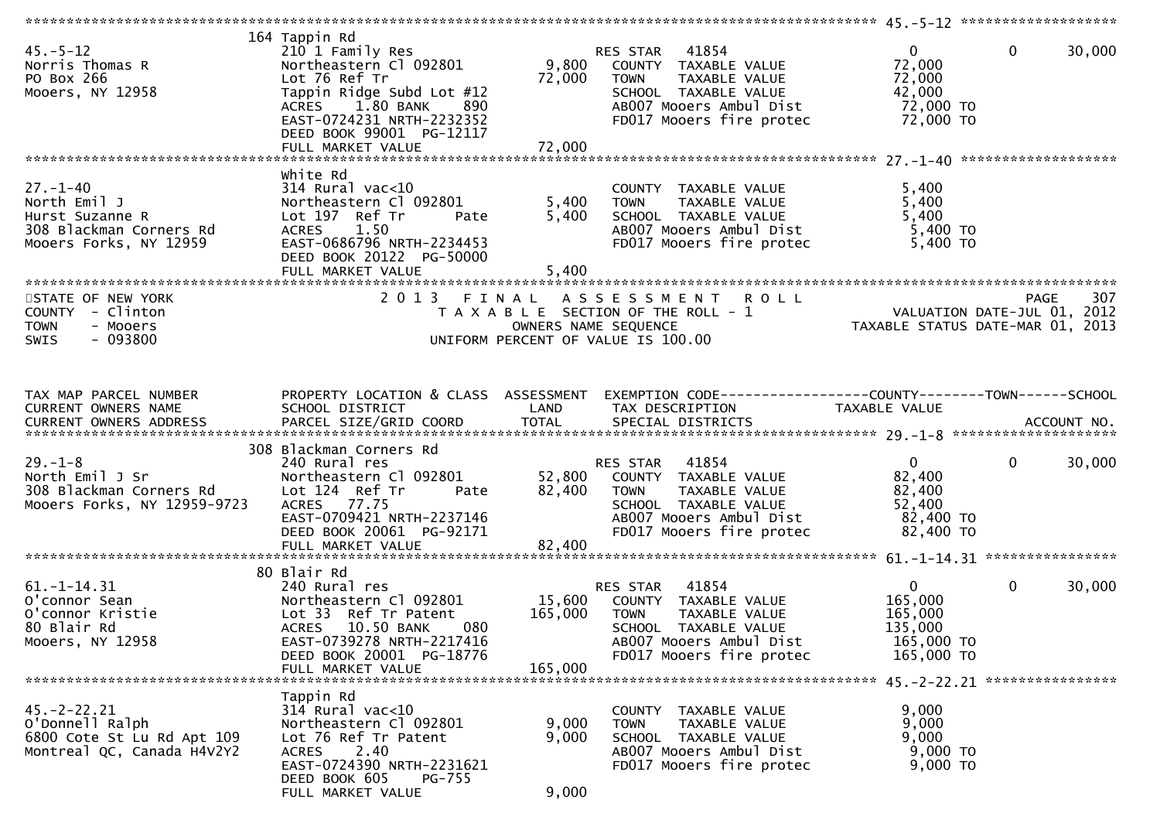| $45. - 5 - 12$<br>Norris Thomas R<br>PO Box 266<br>Mooers, NY 12958                                    | 164 Tappin Rd<br>210 1 Family Res<br>Northeastern Cl 092801<br>Lot 76 Ref Tr<br>Tappin Ridge Subd Lot #12<br>1.80 BANK<br>890<br><b>ACRES</b><br>EAST-0724231 NRTH-2232352<br>DEED BOOK 99001 PG-12117<br>FULL MARKET VALUE | 9,800<br>72,000<br>72,000    | 41854<br>RES STAR<br>COUNTY TAXABLE VALUE<br>TAXABLE VALUE<br>TOWN<br>SCHOOL TAXABLE VALUE<br>AB007 Mooers Ambul Dist<br>FD017 Mooers fire protec        | $\mathbf{0}$<br>72,000<br>72,000<br>42,000<br>72,000 TO<br>72,000 TO        | 30,000<br>$\mathbf{0}$ |
|--------------------------------------------------------------------------------------------------------|-----------------------------------------------------------------------------------------------------------------------------------------------------------------------------------------------------------------------------|------------------------------|----------------------------------------------------------------------------------------------------------------------------------------------------------|-----------------------------------------------------------------------------|------------------------|
|                                                                                                        |                                                                                                                                                                                                                             |                              |                                                                                                                                                          |                                                                             |                        |
| $27. - 1 - 40$<br>North Emil J<br>Hurst Suzanne R<br>308 Blackman Corners Rd<br>Mooers Forks, NY 12959 | White Rd<br>$314$ Rural vac< $10$<br>Northeastern Cl 092801<br>Lot 197 Ref Tr<br>Pate<br>ACRES 1.50<br>EAST-0686796 NRTH-2234453<br>DEED BOOK 20122 PG-50000<br>FULL MARKET VALUE                                           | 5,400<br>5,400<br>5,400      | COUNTY TAXABLE VALUE<br>TAXABLE VALUE<br>TOWN<br>SCHOOL TAXABLE VALUE<br>AB007 Mooers Ambul Dist<br>FD017 Mooers fire protec                             | 5,400<br>5,400<br>5,400<br>5,400 TO<br>5,400 TO                             |                        |
| STATE OF NEW YORK                                                                                      | 2013 FINAL                                                                                                                                                                                                                  |                              | ASSESSMENT<br><b>ROLL</b>                                                                                                                                |                                                                             | 307<br><b>PAGE</b>     |
| COUNTY - Clinton<br><b>TOWN</b><br>- Mooers<br>$-093800$<br>SWIS                                       |                                                                                                                                                                                                                             |                              | T A X A B L E SECTION OF THE ROLL - 1<br>OWNERS NAME SEQUENCE<br>UNIFORM PERCENT OF VALUE IS 100.00                                                      | VALUATION DATE-JUL 01, 2012<br>TAXABLE STATUS DATE-MAR 01, 2013             |                        |
| TAX MAP PARCEL NUMBER                                                                                  | PROPERTY LOCATION & CLASS ASSESSMENT                                                                                                                                                                                        |                              | EXEMPTION CODE------------------COUNTY-------TOWN------SCHOOL                                                                                            |                                                                             |                        |
| CURRENT OWNERS NAME                                                                                    | SCHOOL DISTRICT                                                                                                                                                                                                             | LAND                         | TAX DESCRIPTION                                                                                                                                          | TAXABLE VALUE                                                               |                        |
|                                                                                                        | 308 Blackman Corners Rd                                                                                                                                                                                                     |                              |                                                                                                                                                          |                                                                             |                        |
| $29. - 1 - 8$<br>North Emil J Sr<br>308 Blackman Corners Rd<br>Mooers Forks, NY 12959-9723             | 240 Rural res<br>Northeastern Cl 092801<br>Lot 124 Ref Tr<br>Pate<br>ACRES 77.75<br>EAST-0709421 NRTH-2237146<br>DEED BOOK 20061 PG-92171                                                                                   | 52,800<br>82,400             | RES STAR<br>41854<br>COUNTY TAXABLE VALUE<br><b>TOWN</b><br>TAXABLE VALUE<br>SCHOOL TAXABLE VALUE<br>AB007 Mooers Ambul Dist<br>FD017 Mooers fire protec | $\mathbf{0}$<br>82,400<br>82,400<br>52,400<br>82,400 TO<br>82,400 TO        | $\mathbf 0$<br>30,000  |
|                                                                                                        |                                                                                                                                                                                                                             |                              |                                                                                                                                                          |                                                                             |                        |
| $61. - 1 - 14.31$<br>O'connor Sean<br>O'connor Kristie<br>80 Blair Rd<br>Mooers, NY 12958              | 80 Blair Rd<br>240 Rural res<br>Northeastern Cl 092801<br>Lot 33 Ref Tr Patent<br><b>ACRES</b><br>10.50 BANK<br>080<br>EAST-0739278 NRTH-2217416<br>DEED BOOK 20001 PG-18776<br>FULL MARKET VALUE                           | 15,600<br>165,000<br>165,000 | 41854<br>RES STAR<br>COUNTY TAXABLE VALUE<br>TOWN<br>TAXABLE VALUE<br>SCHOOL TAXABLE VALUE<br>AB007 Mooers Ambul Dist<br>FD017 Mooers fire protec        | $\overline{0}$<br>165,000<br>165,000<br>135,000<br>165,000 TO<br>165,000 TO | $\mathbf 0$<br>30,000  |
|                                                                                                        |                                                                                                                                                                                                                             |                              |                                                                                                                                                          |                                                                             |                        |
| $45. -2 - 22.21$<br>O'Donnell Ralph<br>6800 Cote St Lu Rd Apt 109<br>Montreal QC, Canada H4V2Y2        | Tappin Rd<br>$314$ Rural vac<10<br>Northeastern Cl 092801<br>Lot 76 Ref Tr Patent<br>2.40<br><b>ACRES</b><br>EAST-0724390 NRTH-2231621<br>DEED BOOK 605<br>PG-755<br>FULL MARKET VALUE                                      | 9,000<br>9,000<br>9,000      | COUNTY TAXABLE VALUE<br><b>TOWN</b><br>TAXABLE VALUE<br>SCHOOL TAXABLE VALUE<br>AB007 Mooers Ambul Dist<br>FD017 Mooers fire protec                      | 9,000<br>9,000<br>9,000<br>9,000 TO<br>9,000 TO                             |                        |
|                                                                                                        |                                                                                                                                                                                                                             |                              |                                                                                                                                                          |                                                                             |                        |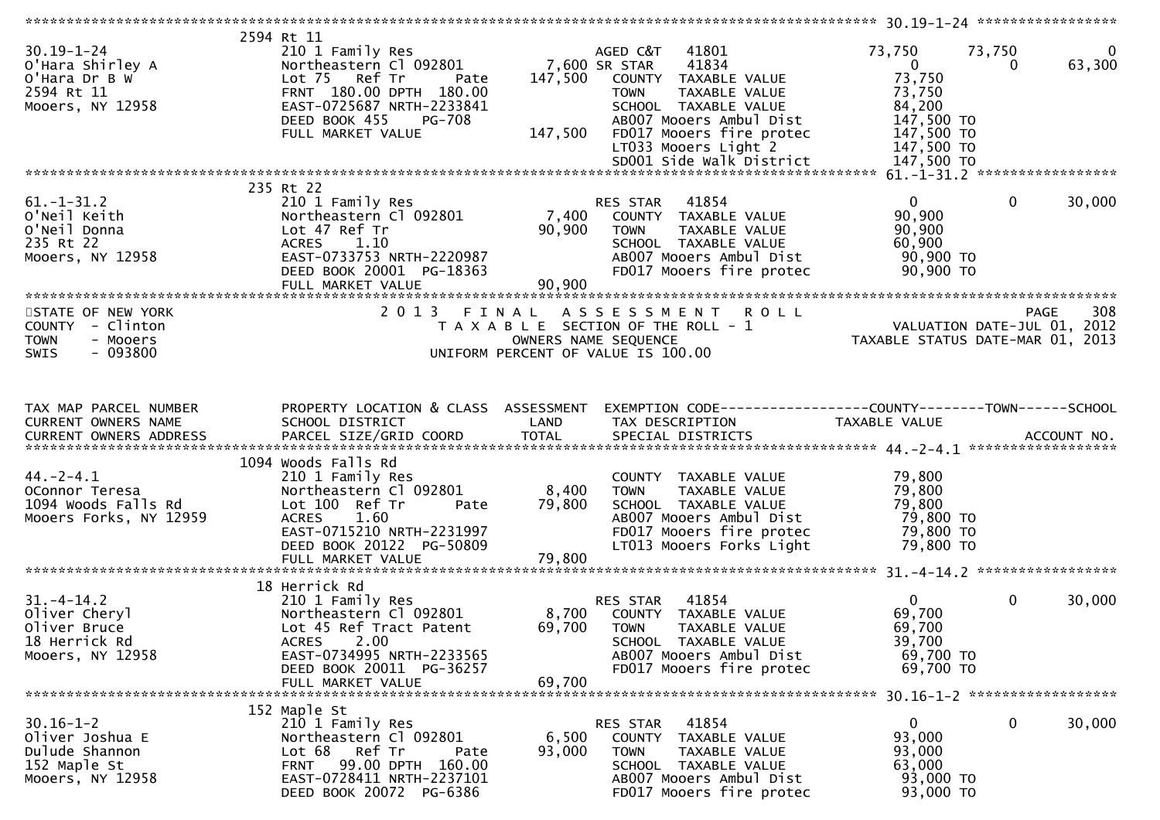| $30.19 - 1 - 24$<br>O'Hara Shirley A<br>O'Hara Dr B W<br>2594 Rt 11<br>Mooers, NY 12958              | 2594 Rt 11<br>210 1 Family Res<br>Northeastern Cl 092801<br>Lot 75 Ref Tr<br>Pate<br>FRNT 180.00 DPTH 180.00<br>EAST-0725687 NRTH-2233841<br>DEED BOOK 455<br>PG-708<br>FULL MARKET VALUE    | 7,600 SR STAR<br>147,500<br>147,500 | 41801<br>AGED C&T<br>41834<br>COUNTY TAXABLE VALUE<br><b>TOWN</b><br>TAXABLE VALUE<br>SCHOOL TAXABLE VALUE<br>AB007 Mooers Ambul Dist<br>FD017 Mooers fire protec<br>LT033 Mooers Light 2<br>SD001 Side Walk District | 73,750<br>$\overline{\mathbf{0}}$<br>73,750<br>73,750<br>84,200<br>$147,500$ TO<br>147,500 TO<br>147,500 TO<br>147,500 TO | 73,750<br>$\overline{0}$<br>63,300<br>0 |
|------------------------------------------------------------------------------------------------------|----------------------------------------------------------------------------------------------------------------------------------------------------------------------------------------------|-------------------------------------|-----------------------------------------------------------------------------------------------------------------------------------------------------------------------------------------------------------------------|---------------------------------------------------------------------------------------------------------------------------|-----------------------------------------|
|                                                                                                      |                                                                                                                                                                                              |                                     |                                                                                                                                                                                                                       |                                                                                                                           |                                         |
| $61. - 1 - 31.2$<br>O'Neil Keith<br>O'Neil Donna<br>235 Rt 22<br>Mooers, NY 12958                    | 235 Rt 22<br>210 1 Family Res<br>Northeastern Cl 092801<br>Lot 47 Ref Tr<br><b>ACRES</b><br>1.10<br>EAST-0733753 NRTH-2220987<br>DEED BOOK 20001 PG-18363<br>FULL MARKET VALUE               | 90,900<br>90,900                    | 41854<br>RES STAR<br>7,400 COUNTY TAXABLE VALUE<br><b>TOWN</b><br>TAXABLE VALUE<br>SCHOOL TAXABLE VALUE<br>AB007 Mooers Ambul Dist<br>FD017 Mooers fire protec                                                        | $\overline{0}$<br>90,900<br>90,900<br>60,900<br>90,900 TO<br>90,900 TO                                                    | $\mathbf{0}$<br>30,000                  |
|                                                                                                      |                                                                                                                                                                                              |                                     |                                                                                                                                                                                                                       |                                                                                                                           |                                         |
| STATE OF NEW YORK<br>COUNTY - Clinton<br><b>TOWN</b><br>- Mooers<br>$-093800$<br><b>SWIS</b>         | 2 0 1 3                                                                                                                                                                                      |                                     | FINAL ASSESSMENT<br><b>ROLL</b><br>T A X A B L E SECTION OF THE ROLL - 1<br>OWNERS NAME SEQUENCE<br>UNIFORM PERCENT OF VALUE IS 100.00                                                                                | PAGE 308<br>VALUATION DATE-JUL 01, 2012<br>TAXABLE STATUS DATE-MAR 01, 2013                                               | 308<br>PAGE                             |
| TAX MAP PARCEL NUMBER                                                                                | PROPERTY LOCATION & CLASS ASSESSMENT                                                                                                                                                         |                                     | EXEMPTION CODE------------------COUNTY--------TOWN------SCHOOL                                                                                                                                                        |                                                                                                                           |                                         |
| CURRENT OWNERS NAME                                                                                  | SCHOOL DISTRICT                                                                                                                                                                              | LAND                                | TAX DESCRIPTION                                                                                                                                                                                                       | TAXABLE VALUE                                                                                                             |                                         |
| $44. - 2 - 4.1$<br>OConnor Teresa<br>1094 Woods Falls Rd<br>Mooers Forks, NY 12959                   | 1094 Woods Falls Rd<br>210 1 Family Res<br>Northeastern Cl 092801<br>Lot 100 Ref Tr<br>Pate<br>ACRES 1.60<br>EAST-0715210 NRTH-2231997<br>DEED BOOK 20122 PG-50809<br>FULL MARKET VALUE      | 8,400<br>79,800<br>79,800           | COUNTY TAXABLE VALUE<br><b>TOWN</b><br>TAXABLE VALUE<br>SCHOOL TAXABLE VALUE<br>AB007 Mooers Ambul Dist<br>FD017 Mooers fire protec<br>LT013 Mooers Forks Light                                                       | 79,800<br>79,800<br>79,800<br>79,800 TO<br>79,800 TO<br>79,800 TO                                                         |                                         |
|                                                                                                      |                                                                                                                                                                                              |                                     |                                                                                                                                                                                                                       |                                                                                                                           |                                         |
| $31. - 4 - 14.2$<br>31.-4-14.4<br>Oliver Cheryl<br>Cliver Pruce<br>18 Herrick Rd<br>Mooers, NY 12958 | 18 Herrick Rd<br>210 1 Family Res<br>Northeastern Cl 092801<br>Lot 45 Ref Tract Patent<br>2.00<br><b>ACRES</b><br>EAST-0734995 NRTH-2233565<br>DEED BOOK 20011 PG-36257<br>FULL MARKET VALUE | 69,700<br>69,700                    | 41854<br>RES STAR<br>8,700 COUNTY TAXABLE VALUE<br><b>TOWN</b><br>TAXABLE VALUE<br>SCHOOL TAXABLE VALUE<br>AB007 Mooers Ambul Dist<br>FD017 Mooers fire protec                                                        | $\overline{0}$<br>69,700<br>69,700<br>39,700<br>69,700 TO<br>69,700 TO                                                    | $\mathbf 0$<br>30,000                   |
|                                                                                                      |                                                                                                                                                                                              |                                     |                                                                                                                                                                                                                       |                                                                                                                           |                                         |
| $30.16 - 1 - 2$<br>Oliver Joshua E<br>Dulude Shannon<br>152 Maple St<br>Mooers, NY 12958             | 152 Maple St<br>210 1 Family Res<br>Northeastern Cl 092801<br>Lot 68 Ref Tr<br>Pate<br>99.00 DPTH 160.00<br><b>FRNT</b><br>EAST-0728411 NRTH-2237101<br>DEED BOOK 20072 PG-6386              | 6,500<br>93,000                     | 41854<br>RES STAR<br>COUNTY TAXABLE VALUE<br><b>TOWN</b><br>TAXABLE VALUE<br>SCHOOL TAXABLE VALUE<br>AB007 Mooers Ambul Dist<br>FD017 Mooers fire protec                                                              | 0<br>93,000<br>93,000<br>63,000<br>93,000 TO<br>93,000 TO                                                                 | 30,000<br>0                             |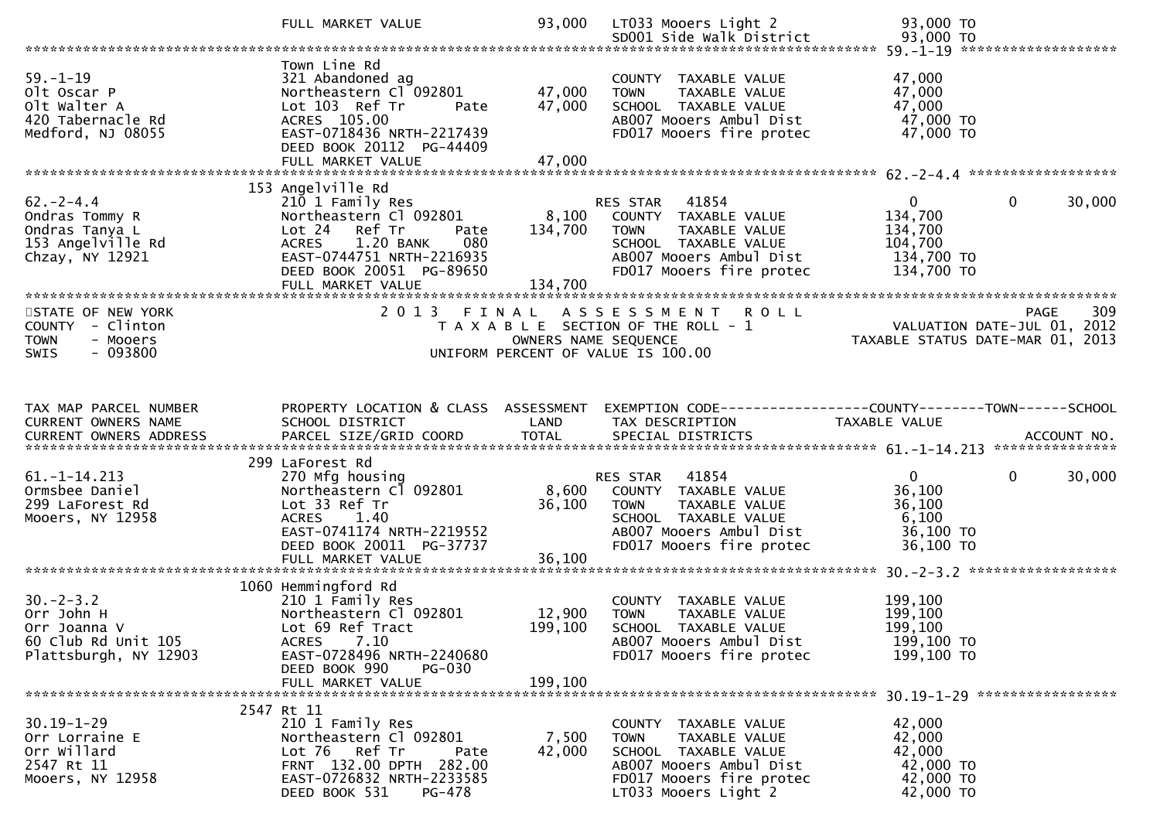|                                                                                              | FULL MARKET VALUE                                                                                                                                                                                   | 93,000                      | LT033 Mooers Light 2<br>SD001 Side Walk District                                                                                                                | 93,000 TO<br>93,000 TO                                                                            |
|----------------------------------------------------------------------------------------------|-----------------------------------------------------------------------------------------------------------------------------------------------------------------------------------------------------|-----------------------------|-----------------------------------------------------------------------------------------------------------------------------------------------------------------|---------------------------------------------------------------------------------------------------|
|                                                                                              |                                                                                                                                                                                                     |                             |                                                                                                                                                                 |                                                                                                   |
| $59. - 1 - 19$<br>Olt Oscar P<br>olt walter A<br>420 Tabernacle Rd<br>Medford, NJ 08055      | Town Line Rd<br>321 Abandoned ag<br>Northeastern Cl 092801<br>Lot 103 Ref Tr<br>Pate<br>ACRES 105.00<br>EAST-0718436 NRTH-2217439<br>DEED BOOK 20112 PG-44409<br>FULL MARKET VALUE                  | 47,000<br>47,000<br>47,000  | COUNTY TAXABLE VALUE<br><b>TOWN</b><br>TAXABLE VALUE<br>SCHOOL TAXABLE VALUE<br>AB007 Mooers Ambul Dist<br>FD017 Mooers fire protec                             | 47,000<br>47,000<br>47,000<br>47,000 TO<br>47,000 TO                                              |
|                                                                                              |                                                                                                                                                                                                     |                             |                                                                                                                                                                 |                                                                                                   |
| $62 - 2 - 4.4$<br>Ondras Tommy R<br>Ondras Tanya L<br>153 Angelville Rd<br>Chzay, NY 12921   | 153 Angelville Rd<br>210 1 Family Res<br>Northeastern Cl 092801<br>Lot 24 Ref Tr<br>Pate<br>080<br>1.20 BANK<br>ACRES<br>EAST-0744751 NRTH-2216935<br>DEED BOOK 20051 PG-89650<br>FULL MARKET VALUE | 8,100<br>134,700<br>134,700 | RES STAR 41854<br>COUNTY TAXABLE VALUE<br>TAXABLE VALUE<br><b>TOWN</b><br>SCHOOL TAXABLE VALUE<br>AB007 Mooers Ambul Dist<br>FD017 Mooers fire protec           | $\overline{0}$<br>$\Omega$<br>30,000<br>134,700<br>134,700<br>104,700<br>134,700 TO<br>134,700 TO |
| STATE OF NEW YORK<br>COUNTY - Clinton<br><b>TOWN</b><br>- Mooers<br>$-093800$<br>SWIS        |                                                                                                                                                                                                     | OWNERS NAME SEQUENCE        | 2013 FINAL ASSESSMENT ROLL<br>T A X A B L E SECTION OF THE ROLL - 1<br>UNIFORM PERCENT OF VALUE IS 100.00                                                       | 309<br>PAGE<br>309<br>VALUATION DATE-JUL 01, 2012<br>TAXABLE STATUS DATE-MAR 01, 2013             |
|                                                                                              |                                                                                                                                                                                                     |                             |                                                                                                                                                                 |                                                                                                   |
| TAX MAP PARCEL NUMBER<br>CURRENT OWNERS NAME                                                 | PROPERTY LOCATION & CLASS ASSESSMENT<br>SCHOOL DISTRICT                                                                                                                                             | LAND                        | TAX DESCRIPTION                                                                                                                                                 | EXEMPTION CODE------------------COUNTY--------TOWN------SCHOOL<br>TAXABLE VALUE                   |
|                                                                                              |                                                                                                                                                                                                     |                             |                                                                                                                                                                 |                                                                                                   |
| $61. -1 - 14.213$<br>Ormsbee Daniel<br>299 LaForest Rd<br>Mooers, NY 12958                   | 299 LaForest Rd<br>270 Mfg housing<br>Northeastern Cl 092801<br>Lot 33 Ref Tr<br>1.40<br>ACRES<br>EAST-0741174 NRTH-2219552<br>DEED BOOK 20011 PG-37737<br>FULL MARKET VALUE                        | 8,600<br>36,100<br>36,100   | 41854<br><b>RES STAR</b><br>COUNTY TAXABLE VALUE<br>TAXABLE VALUE<br><b>TOWN</b><br>SCHOOL TAXABLE VALUE<br>AB007 Mooers Ambul Dist<br>FD017 Mooers fire protec | $\mathbf 0$<br>30,000<br>0<br>36,100<br>36,100<br>6,100<br>36,100 TO<br>36,100 TO                 |
|                                                                                              |                                                                                                                                                                                                     |                             |                                                                                                                                                                 |                                                                                                   |
| $30 - 2 - 3.2$<br>Orr John H<br>Orr Joanna V<br>60 Club Rd Unit 105<br>Plattsburgh, NY 12903 | 1060 Hemmingford Rd<br>210 1 Family Res<br>Northeastern Cl 092801<br>Lot 69 Ref Tract<br>7.10<br><b>ACRES</b><br>EAST-0728496 NRTH-2240680<br>DEED BOOK 990<br><b>PG-030</b>                        | 12,900<br>199,100           | COUNTY TAXABLE VALUE<br>TAXABLE VALUE<br><b>TOWN</b><br>SCHOOL TAXABLE VALUE<br>AB007 Mooers Ambul Dist<br>FD017 Mooers fire protec                             | 199,100<br>199,100<br>199,100<br>199,100 TO<br>199,100 TO                                         |
|                                                                                              | FULL MARKET VALUE                                                                                                                                                                                   | 199.100                     |                                                                                                                                                                 |                                                                                                   |
|                                                                                              | 2547 Rt 11                                                                                                                                                                                          |                             |                                                                                                                                                                 |                                                                                                   |
| $30.19 - 1 - 29$<br>Orr Lorraine E<br>Orr Willard<br>2547 Rt 11<br>Mooers, NY 12958          | 210 1 Family Res<br>Northeastern Cl 092801<br>Lot 76 Ref Tr<br>Pate<br>FRNT 132.00 DPTH 282.00<br>EAST-0726832 NRTH-2233585<br>DEED BOOK 531<br>PG-478                                              | 7,500<br>42,000             | COUNTY TAXABLE VALUE<br><b>TOWN</b><br>TAXABLE VALUE<br>SCHOOL TAXABLE VALUE<br>AB007 Mooers Ambul Dist<br>FD017 Mooers fire protec<br>LT033 Mooers Light 2     | 42,000<br>42,000<br>42,000<br>42,000 TO<br>42,000 TO<br>42,000 TO                                 |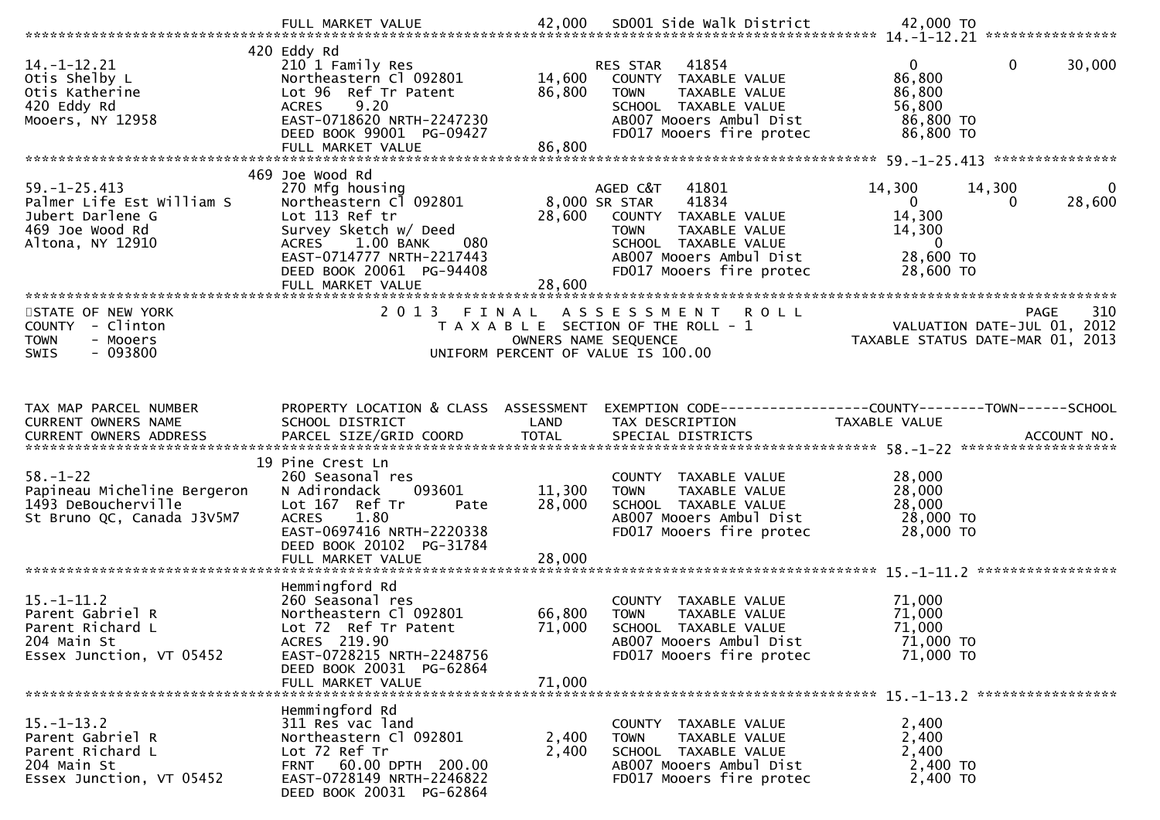|                                                                                                            | FULL MARKET VALUE                                                                                                                                                                                      |                            | 42,000 SD001 Side Walk District                                                                                                                                                 | 42,000 TO                                                                                                                           |
|------------------------------------------------------------------------------------------------------------|--------------------------------------------------------------------------------------------------------------------------------------------------------------------------------------------------------|----------------------------|---------------------------------------------------------------------------------------------------------------------------------------------------------------------------------|-------------------------------------------------------------------------------------------------------------------------------------|
| $14. - 1 - 12.21$<br>Otis Shelby L<br>Otis Katherine<br>420 Eddy Rd<br>Mooers, NY 12958                    | 420 Eddy Rd<br>210 1 Family Res<br>Northeastern Cl 092801<br>Lot 96 Ref Tr Patent<br><b>ACRES</b><br>9.20<br>EAST-0718620 NRTH-2247230<br>DEED BOOK 99001 PG-09427<br>FULL MARKET VALUE                | 14,600<br>86,800<br>86,800 | RES STAR 41854<br>COUNTY TAXABLE VALUE<br>TAXABLE VALUE<br><b>TOWN</b><br>SCHOOL TAXABLE VALUE<br>AB007 Mooers Ambul Dist<br>FD017 Mooers fire protec                           | $\mathbf 0$<br>$\mathbf{0}$<br>30,000<br>86,800<br>86,800<br>56,800<br>86,800 TO<br>86,800 TO                                       |
|                                                                                                            | 469 Joe Wood Rd                                                                                                                                                                                        |                            |                                                                                                                                                                                 |                                                                                                                                     |
| $59. - 1 - 25.413$<br>Palmer Life Est William S<br>Jubert Darlene G<br>469 Joe Wood Rd<br>Altona, NY 12910 | 270 Mfg housing<br>Northeastern Cl 092801<br>Lot 113 Ref tr<br>Survey Sketch w/ Deed<br>1.00 BANK<br><b>ACRES</b><br>080<br>EAST-0714777 NRTH-2217443<br>DEED BOOK 20061 PG-94408<br>FULL MARKET VALUE | 28,600<br>28,600           | AGED C&T 41801<br>8,000 SR STAR<br>41834<br>COUNTY TAXABLE VALUE<br><b>TOWN</b><br>TAXABLE VALUE<br>SCHOOL TAXABLE VALUE<br>AB007 Mooers Ambul Dist<br>FD017 Mooers fire protec | 14,300<br>14,300<br>$\overline{0}$<br>$\overline{0}$<br>28,600<br>0<br>14,300<br>14,300<br>$\overline{0}$<br>28,600 TO<br>28,600 TO |
|                                                                                                            |                                                                                                                                                                                                        |                            |                                                                                                                                                                                 |                                                                                                                                     |
| STATE OF NEW YORK<br>COUNTY - Clinton<br><b>TOWN</b><br>- Mooers<br>$-093800$<br><b>SWIS</b>               | 2013 FINAL                                                                                                                                                                                             |                            | A S S E S S M E N T<br><b>ROLL</b><br>T A X A B L E SECTION OF THE ROLL - 1<br>OWNERS NAME SEQUENCE<br>UNIFORM PERCENT OF VALUE IS 100.00                                       | 310<br>PAGE<br>VALUATION DATE-JUL 01, 2012<br>TAXABLE STATUS DATE-MAR 01, 2013                                                      |
|                                                                                                            |                                                                                                                                                                                                        |                            |                                                                                                                                                                                 |                                                                                                                                     |
| TAX MAP PARCEL NUMBER<br>CURRENT OWNERS NAME                                                               | PROPERTY LOCATION & CLASS ASSESSMENT<br>SCHOOL DISTRICT                                                                                                                                                | LAND                       | TAX DESCRIPTION                                                                                                                                                                 | EXEMPTION CODE-----------------COUNTY--------TOWN------SCHOOL<br>TAXABLE VALUE                                                      |
| $58. - 1 - 22$<br>Papineau Micheline Bergeron<br>1493 DeBoucherville<br>St Bruno QC, Canada J3V5M7         | 19 Pine Crest Ln<br>260 Seasonal res<br>093601<br>N Adirondack<br>Lot 167 Ref Tr<br>Pate<br>1.80<br><b>ACRES</b><br>EAST-0697416 NRTH-2220338<br>DEED BOOK 20102 PG-31784                              | 11,300<br>28,000           | COUNTY TAXABLE VALUE<br><b>TOWN</b><br>TAXABLE VALUE<br>SCHOOL TAXABLE VALUE<br>AB007 Mooers Ambul Dist<br>FD017 Mooers fire protec                                             | 28,000<br>28,000<br>28,000<br>28,000 TO<br>28,000 TO                                                                                |
|                                                                                                            | FULL MARKET VALUE                                                                                                                                                                                      | 28,000                     |                                                                                                                                                                                 |                                                                                                                                     |
| $15. - 1 - 11.2$<br>Parent Gabriel R<br>Parent Richard L<br>204 Main St<br>Essex Junction, VT 05452        | Hemmingford Rd<br>260 Seasonal res<br>Northeastern Cl 092801<br>Lot 72 Ref Tr Patent<br>ACRES 219.90<br>EAST-0728215 NRTH-2248756<br>DEED BOOK 20031 PG-62864<br>FULL MARKET VALUE                     | 66,800<br>71,000<br>71,000 | COUNTY TAXABLE VALUE<br>TAXABLE VALUE<br><b>TOWN</b><br>SCHOOL TAXABLE VALUE<br>AB007 Mooers Ambul Dist<br>FD017 Mooers fire protec                                             | 71,000<br>71,000<br>71,000<br>71,000 TO<br>71,000 TO                                                                                |
|                                                                                                            | Hemmingford Rd                                                                                                                                                                                         |                            |                                                                                                                                                                                 |                                                                                                                                     |
| $15. - 1 - 13.2$<br>Parent Gabriel R<br>Parent Richard L<br>204 Main St<br>Essex Junction, VT 05452        | 311 Res vac land<br>Northeastern Cl 092801<br>Lot 72 Ref Tr<br>FRNT 60.00 DPTH 200.00<br>EAST-0728149 NRTH-2246822<br>DEED BOOK 20031 PG-62864                                                         | 2,400<br>2,400             | COUNTY TAXABLE VALUE<br>TAXABLE VALUE<br><b>TOWN</b><br>SCHOOL TAXABLE VALUE<br>AB007 Mooers Ambul Dist<br>FD017 Mooers fire protec                                             | 2,400<br>2,400<br>2,400<br>2,400 TO<br>2,400 TO                                                                                     |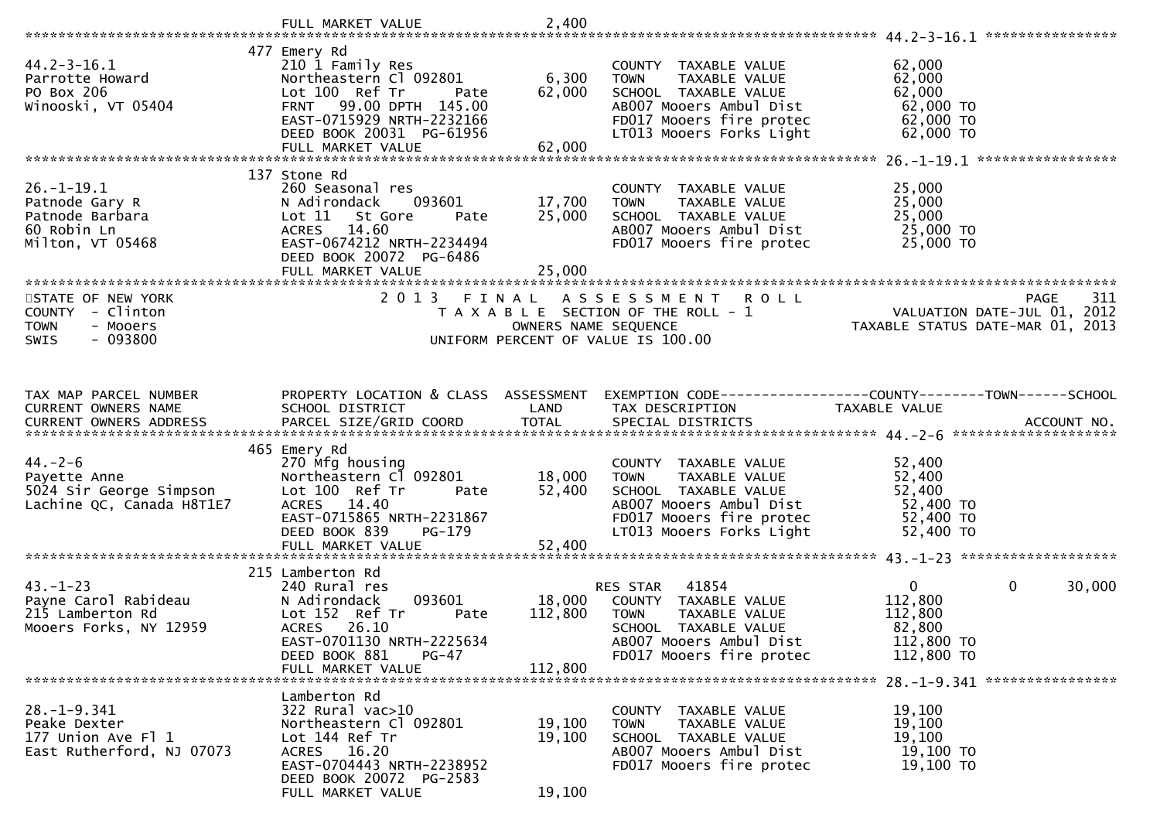|                                                                                          | FULL MARKET VALUE                                                                                                                                                        | 2,400                      |                                                                                                                                                                 |                                                                                         |        |
|------------------------------------------------------------------------------------------|--------------------------------------------------------------------------------------------------------------------------------------------------------------------------|----------------------------|-----------------------------------------------------------------------------------------------------------------------------------------------------------------|-----------------------------------------------------------------------------------------|--------|
|                                                                                          |                                                                                                                                                                          |                            |                                                                                                                                                                 | ****************                                                                        |        |
| $44.2 - 3 - 16.1$<br>Parrotte Howard<br>PO Box 206<br>Winooski, VT 05404                 | 477 Emery Rd<br>210 1 Family Res<br>Northeastern Cl 092801<br>Lot 100 Ref Tr<br>Pate<br>FRNT 99.00 DPTH 145.00<br>EAST-0715929 NRTH-2232166<br>DEED BOOK 20031 PG-61956  | 6,300<br>62,000            | COUNTY TAXABLE VALUE<br>TAXABLE VALUE<br><b>TOWN</b><br>SCHOOL TAXABLE VALUE<br>AB007 Mooers Ambul Dist<br>FD017 Mooers fire protec<br>LT013 Mooers Forks Light | 62,000<br>62,000<br>62,000<br>62,000 TO<br>62,000 TO<br>62,000 TO                       |        |
|                                                                                          | FULL MARKET VALUE                                                                                                                                                        | 62,000                     |                                                                                                                                                                 |                                                                                         |        |
|                                                                                          |                                                                                                                                                                          |                            |                                                                                                                                                                 |                                                                                         |        |
| $26. - 1 - 19.1$<br>Patnode Gary R<br>Patnode Barbara<br>60 Robin Ln<br>Milton, VT 05468 | 137 Stone Rd<br>260 Seasonal res<br>093601<br>N Adirondack<br>Lot 11<br>St Gore<br>Pate<br>ACRES 14.60<br>EAST-0674212 NRTH-2234494<br>DEED BOOK 20072 PG-6486           | 17,700<br>25,000<br>25,000 | COUNTY TAXABLE VALUE<br>TAXABLE VALUE<br>TOWN<br>SCHOOL TAXABLE VALUE<br>AB007 Mooers Ambul Dist<br>FD017 Mooers fire protec                                    | 25,000<br>25,000<br>25,000<br>25,000 TO<br>25,000 TO                                    |        |
|                                                                                          | FULL MARKET VALUE                                                                                                                                                        |                            |                                                                                                                                                                 |                                                                                         |        |
| STATE OF NEW YORK<br>COUNTY - Clinton<br><b>TOWN</b><br>- Mooers<br>$-093800$<br>SWIS    | 2013 FINAL                                                                                                                                                               | OWNERS NAME SEQUENCE       | ASSESSMENT ROLL<br>T A X A B L E SECTION OF THE ROLL - 1<br>UNIFORM PERCENT OF VALUE IS 100.00                                                                  | <b>PAGE</b><br>VALUATION DATE-JUL 01, 2012<br>TAXABLE STATUS DATE-MAR 01, 2013          | 311    |
| TAX MAP PARCEL NUMBER                                                                    | PROPERTY LOCATION & CLASS ASSESSMENT                                                                                                                                     |                            |                                                                                                                                                                 | EXEMPTION CODE------------------COUNTY-------TOWN------SCHOOL                           |        |
| CURRENT OWNERS NAME<br>CURRENT OWNERS ADDRESS                                            | SCHOOL DISTRICT                                                                                                                                                          | LAND                       | TAX DESCRIPTION                                                                                                                                                 | TAXABLE VALUE                                                                           |        |
|                                                                                          | 465 Emery Rd                                                                                                                                                             |                            |                                                                                                                                                                 |                                                                                         |        |
| $44. - 2 - 6$<br>Payette Anne<br>5024 Sir George Simpson<br>Lachine QC, Canada H8T1E7    | 270 Mfg housing<br>Northeastern Cl 092801<br>Lot 100 Ref Tr<br>Pate<br>ACRES 14.40<br>EAST-0715865 NRTH-2231867<br>DEED BOOK 839<br>PG-179                               | 18,000<br>52,400           | COUNTY TAXABLE VALUE<br><b>TOWN</b><br>TAXABLE VALUE<br>SCHOOL TAXABLE VALUE<br>AB007 Mooers Ambul Dist<br>FD017 Mooers fire protec<br>LT013 Mooers Forks Light | 52,400<br>52,400<br>52,400<br>52,400 TO<br>52,400 TO<br>52,400 TO                       |        |
|                                                                                          | 215 Lamberton Rd                                                                                                                                                         |                            |                                                                                                                                                                 |                                                                                         |        |
| $43. - 1 - 23$<br>Payne Carol Rabideau<br>215 Lamberton Rd<br>Mooers Forks, NY 12959     | 240 Rural res<br>093601<br>N Adirondack<br>Lot 152 Ref Tr<br>Pate<br>ACRES 26.10<br>EAST-0701130 NRTH-2225634<br>DEED BOOK 881<br>PG-47                                  | 18,000<br>112,800          | 41854<br>RES STAR<br>COUNTY TAXABLE VALUE<br><b>TOWN</b><br><b>TAXABLE VALUE</b><br>SCHOOL TAXABLE VALUE<br>AB007 Mooers Ambul Dist<br>FD017 Mooers fire protec | $\mathbf 0$<br>$\mathbf{0}$<br>112,800<br>112,800<br>82,800<br>112,800 TO<br>112,800 TO | 30,000 |
|                                                                                          | FULL MARKET VALUE                                                                                                                                                        | 112,800                    |                                                                                                                                                                 |                                                                                         |        |
| $28. - 1 - 9.341$<br>Peake Dexter<br>177 Union Ave Fl 1<br>East Rutherford, NJ 07073     | Lamberton Rd<br>322 Rural vac>10<br>Northeastern Cl 092801<br>Lot 144 Ref Tr<br>ACRES 16.20<br>EAST-0704443 NRTH-2238952<br>DEED BOOK 20072 PG-2583<br>FULL MARKET VALUE | 19,100<br>19,100<br>19,100 | COUNTY TAXABLE VALUE<br>TAXABLE VALUE<br><b>TOWN</b><br>SCHOOL TAXABLE VALUE<br>AB007 Mooers Ambul Dist<br>FD017 Mooers fire protec                             | 19,100<br>19,100<br>19,100<br>19,100 TO<br>19,100 TO                                    |        |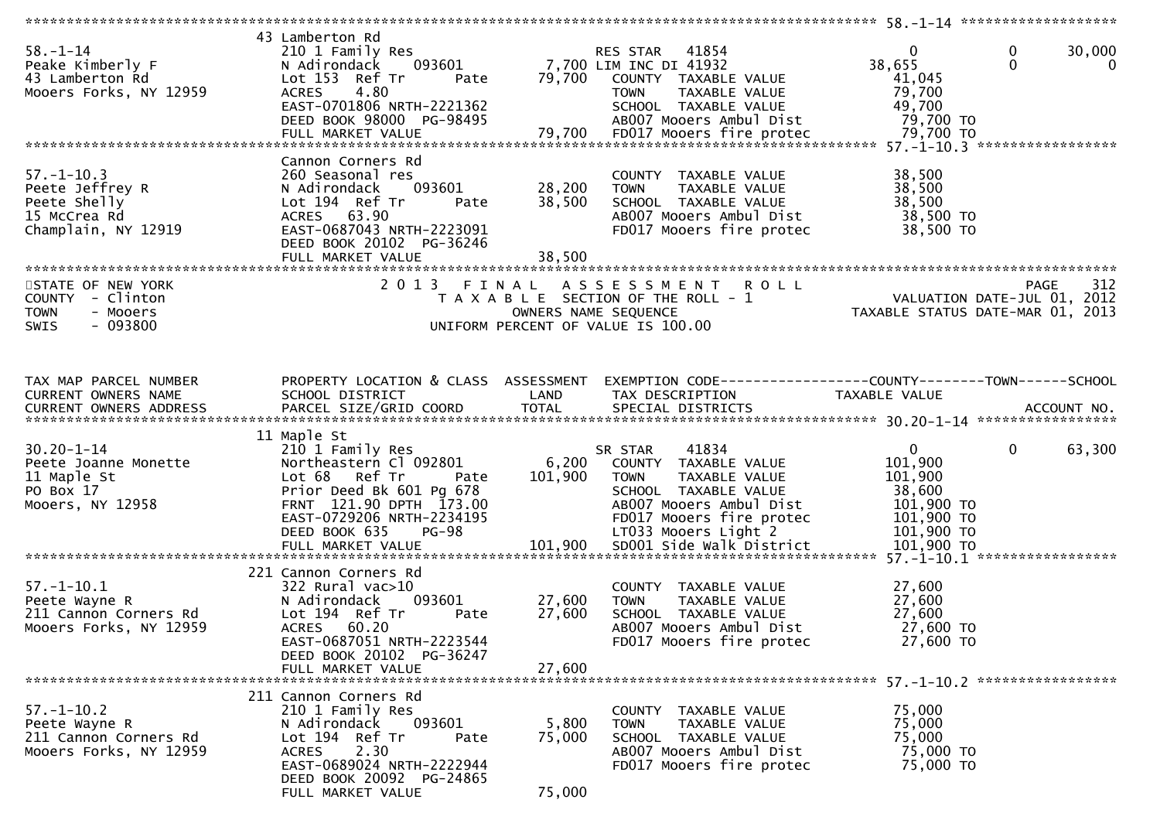| $58. - 1 - 14$<br>Peake Kimberly F<br>43 Lamberton Rd<br>Mooers Forks, NY 12959              | 43 Lamberton Rd<br>210 1 Family Res<br>093601<br>N Adirondack<br>Lot 153 Ref Tr<br>Pate<br>4.80<br><b>ACRES</b><br>EAST-0701806 NRTH-2221362<br>DEED BOOK 98000 PG-98495                                                | 79,700                      | RES STAR 41854<br>7,700 LIM INC DI 41932<br>COUNTY TAXABLE VALUE<br>TAXABLE VALUE<br><b>TOWN</b><br>SCHOOL TAXABLE VALUE<br>AB007 Mooers Ambul Dist                                                  | 0<br>38,655<br>41,045<br>79,700<br>49,700<br>79,700 TO                                                 | 30,000<br>$\boldsymbol{0}$<br>$\mathbf{0}$<br>$\bf{0}$ |
|----------------------------------------------------------------------------------------------|-------------------------------------------------------------------------------------------------------------------------------------------------------------------------------------------------------------------------|-----------------------------|------------------------------------------------------------------------------------------------------------------------------------------------------------------------------------------------------|--------------------------------------------------------------------------------------------------------|--------------------------------------------------------|
| $57. - 1 - 10.3$<br>Peete Jeffrey R<br>Peete Shelly<br>15 McCrea Rd<br>Champlain, NY 12919   | Cannon Corners Rd<br>260 Seasonal res<br>093601<br>N Adirondack<br>Lot 194 Ref Tr<br>Pate<br>ACRES 63.90<br>EAST-0687043 NRTH-2223091<br>DEED BOOK 20102 PG-36246<br>FULL MARKET VALUE                                  | 28,200<br>38,500<br>38,500  | COUNTY TAXABLE VALUE<br>TAXABLE VALUE<br><b>TOWN</b><br>SCHOOL TAXABLE VALUE<br>AB007 Mooers Ambul Dist<br>FD017 Mooers fire protec                                                                  | 38,500<br>38,500<br>38,500<br>38,500 TO<br>38,500 TO                                                   |                                                        |
| STATE OF NEW YORK<br>COUNTY - Clinton<br><b>TOWN</b><br>- Mooers<br>$-093800$<br><b>SWIS</b> | 2013 FINAL                                                                                                                                                                                                              |                             | ASSESSMENT ROLL<br>T A X A B L E SECTION OF THE ROLL - 1<br>OWNERS NAME SEQUENCE<br>UNIFORM PERCENT OF VALUE IS 100.00                                                                               | VALUATION DATE-JUL 01, 2012<br>TAXABLE STATUS DATE-MAR 01, 2013                                        | 312<br><b>PAGE</b>                                     |
| TAX MAP PARCEL NUMBER<br>CURRENT OWNERS NAME                                                 | PROPERTY LOCATION & CLASS ASSESSMENT<br>SCHOOL DISTRICT                                                                                                                                                                 | LAND                        | EXEMPTION CODE-----------------COUNTY-------TOWN------SCHOOL<br>TAX DESCRIPTION                                                                                                                      | TAXABLE VALUE                                                                                          |                                                        |
| $30.20 - 1 - 14$<br>Peete Joanne Monette<br>11 Maple St<br>PO Box 17<br>Mooers, NY 12958     | 11 Maple St<br>210 1 Family Res<br>Northeastern Cl 092801<br>Lot 68 Ref Tr<br>Pate<br>Prior Deed Bk 601 Pg 678<br>FRNT 121.90 DPTH 173.00<br>EAST-0729206 NRTH-2234195<br>$PG-98$<br>DEED BOOK 635<br>FULL MARKET VALUE | 6,200<br>101,900<br>101,900 | 41834<br>SR STAR<br>COUNTY TAXABLE VALUE<br>TAXABLE VALUE<br>TOWN<br>SCHOOL TAXABLE VALUE<br>AB007 Mooers Ambul Dist<br>FD017 Mooers fire protec<br>LT033 Mooers Light 2<br>SD001 Side Walk District | $\overline{0}$<br>101,900<br>101,900<br>38,600<br>101,900 TO<br>101,900 TO<br>101,900 TO<br>101,900 ТО | $\mathbf 0$<br>63,300                                  |
| $57. - 1 - 10.1$<br>Peete Wayne R<br>211 Cannon Corners Rd<br>Mooers Forks, NY 12959         | 221 Cannon Corners Rd<br>322 Rural vac>10<br>N Adirondack<br>093601<br>Lot 194 Ref Tr<br>Pate<br>ACRES 60.20<br>EAST-0687051 NRTH-2223544<br>DEED BOOK 20102 PG-36247<br>FULL MARKET VALUE                              | 27,600<br>27,600<br>27,600  | COUNTY TAXABLE VALUE<br>TAXABLE VALUE<br><b>TOWN</b><br>SCHOOL TAXABLE VALUE<br>AB007 Mooers Ambul Dist<br>FD017 Mooers fire protec                                                                  | 27,600<br>27,600<br>27,600<br>27,600 TO<br>27,600 TO                                                   |                                                        |
| $57. - 1 - 10.2$<br>Peete Wayne R<br>211 Cannon Corners Rd<br>Mooers Forks, NY 12959         | 211 Cannon Corners Rd<br>210 1 Family Res<br>N Adirondack<br>093601<br>Lot 194 Ref Tr<br>Pate<br>2.30<br><b>ACRES</b><br>EAST-0689024 NRTH-2222944<br>DEED BOOK 20092 PG-24865<br>FULL MARKET VALUE                     | 5,800<br>75,000<br>75,000   | COUNTY TAXABLE VALUE<br><b>TOWN</b><br>TAXABLE VALUE<br>SCHOOL TAXABLE VALUE<br>AB007 Mooers Ambul Dist<br>FD017 Mooers fire protec                                                                  | 75,000<br>75,000<br>75,000<br>75,000 TO<br>75,000 TO                                                   |                                                        |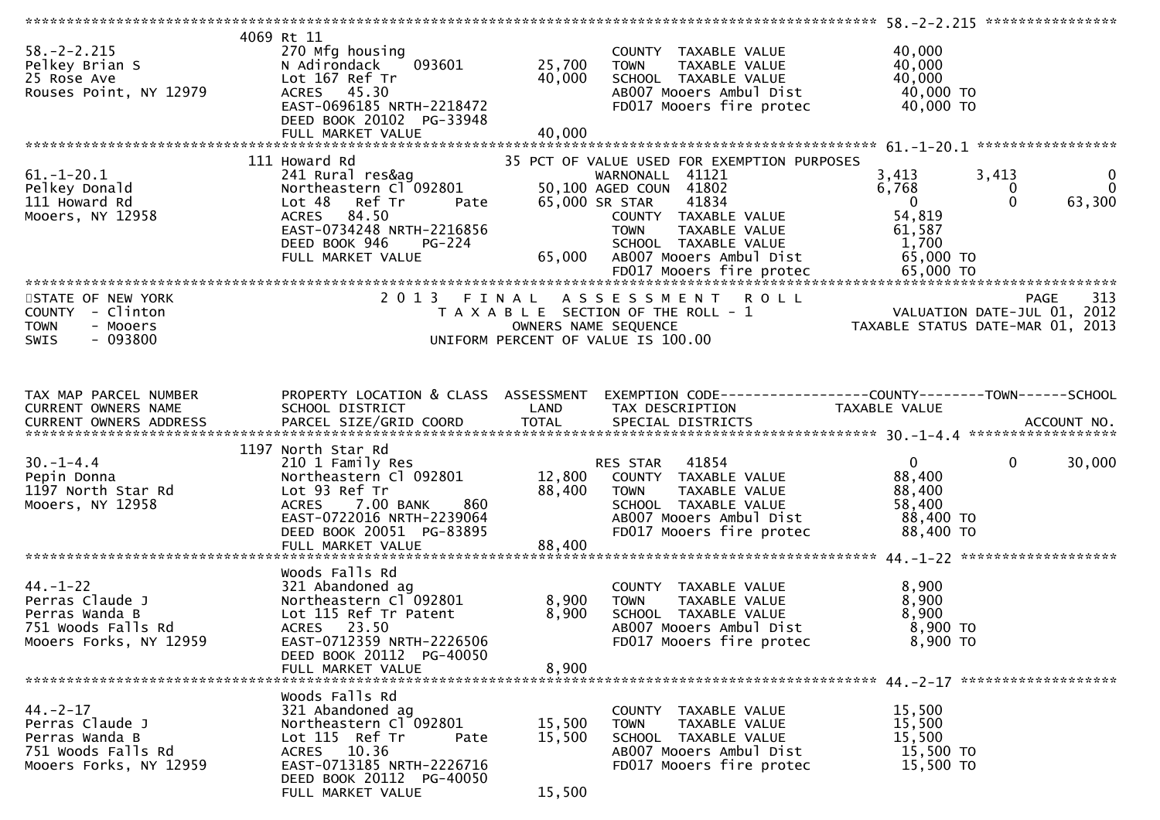| $58. - 2 - 2.215$<br>Pelkey Brian S<br>25 Rose Ave<br>Rouses Point, NY 12979                        | 4069 Rt 11<br>270 Mfg housing<br>093601<br>N Adirondack<br>Lot 167 Ref Tr<br>ACRES 45.30<br>EAST-0696185 NRTH-2218472<br>DEED BOOK 20102 PG-33948<br>FULL MARKET VALUE                     | 25,700<br>40,000<br>40,000 | COUNTY TAXABLE VALUE<br><b>TOWN</b><br>TAXABLE VALUE<br>SCHOOL TAXABLE VALUE<br>AB007 Mooers Ambul Dist<br>FD017 Mooers fire protec                                                                                     | 40,000<br>40,000<br>40,000<br>40,000 TO<br>40,000 TO                       |                                                                 |
|-----------------------------------------------------------------------------------------------------|--------------------------------------------------------------------------------------------------------------------------------------------------------------------------------------------|----------------------------|-------------------------------------------------------------------------------------------------------------------------------------------------------------------------------------------------------------------------|----------------------------------------------------------------------------|-----------------------------------------------------------------|
|                                                                                                     |                                                                                                                                                                                            |                            |                                                                                                                                                                                                                         |                                                                            |                                                                 |
| $61. - 1 - 20.1$<br>Pelkey Donald<br>111 Howard Rd<br>Mooers, NY 12958                              | 111 Howard Rd<br>241 Rural res&ag<br>Northeastern Cl 092801<br>Ref Tr<br>Lot 48<br>Pate<br>ACRES 84.50<br>EAST-0734248 NRTH-2216856<br>DEED BOOK 946<br><b>PG-224</b><br>FULL MARKET VALUE | 65,000                     | 35 PCT OF VALUE USED FOR EXEMPTION PURPOSES<br>WARNONALL 41121<br>50,100 AGED COUN 41802<br>65,000 SR STAR<br>41834<br>COUNTY TAXABLE VALUE<br>TAXABLE VALUE<br>TOWN<br>SCHOOL TAXABLE VALUE<br>AB007 Mooers Ambul Dist | 3,413<br>6,768<br>$\overline{0}$<br>54,819<br>61,587<br>1,700<br>65,000 TO | 3,413<br>$\mathbf 0$<br>$\mathbf{0}$<br>0<br>$\Omega$<br>63,300 |
|                                                                                                     |                                                                                                                                                                                            |                            |                                                                                                                                                                                                                         |                                                                            |                                                                 |
| STATE OF NEW YORK<br>COUNTY - Clinton<br><b>TOWN</b><br>- Mooers<br>$-093800$<br><b>SWIS</b>        |                                                                                                                                                                                            |                            | 2013 FINAL ASSESSMENT<br><b>ROLL</b><br>T A X A B L E SECTION OF THE ROLL - 1<br>OWNERS NAME SEQUENCE<br>UNIFORM PERCENT OF VALUE IS 100.00                                                                             | ریر<br>VALUATION DATE-JUL 01, 2012<br>TAXABLE STATUS DATE-MAR 01, 2013     | 313<br><b>PAGE</b>                                              |
| TAX MAP PARCEL NUMBER<br>CURRENT OWNERS NAME                                                        | PROPERTY LOCATION & CLASS ASSESSMENT<br>SCHOOL DISTRICT                                                                                                                                    | LAND                       | TAX DESCRIPTION                                                                                                                                                                                                         | TAXABLE VALUE                                                              |                                                                 |
|                                                                                                     |                                                                                                                                                                                            |                            |                                                                                                                                                                                                                         |                                                                            |                                                                 |
| $30. - 1 - 4.4$<br>Pepin Donna<br>1197 North Star Rd<br>Mooers, NY 12958                            | 1197 North Star Rd<br>210 1 Family Res<br>Northeastern Cl 092801<br>Lot 93 Ref Tr<br>ACRES 7.00 BANK<br>860<br>EAST-0722016 NRTH-2239064<br>DEED BOOK 20051 PG-83895<br>FULL MARKET VALUE  | 88,400<br>88,400           | RES STAR 41854<br>12,800 COUNTY TAXABLE VALUE<br><b>TOWN</b><br>TAXABLE VALUE<br>SCHOOL TAXABLE VALUE<br>AB007 Mooers Ambul Dist<br>FD017 Mooers fire protec                                                            | $\mathbf{0}$<br>88,400<br>88,400<br>58,400<br>88,400 TO<br>88,400 TO       | $\mathbf 0$<br>30,000                                           |
|                                                                                                     |                                                                                                                                                                                            |                            |                                                                                                                                                                                                                         |                                                                            |                                                                 |
| $44. - 1 - 22$<br>Perras Claude J<br>Perras Wanda B<br>751 Woods Falls Rd<br>Mooers Forks, NY 12959 | Woods Falls Rd<br>321 Abandoned ag<br>Northeastern Cl 092801<br>Lot 115 Ref Tr Patent<br>ACRES 23.50<br>EAST-0712359 NRTH-2226506                                                          | 8,900<br>8,900             | COUNTY TAXABLE VALUE<br><b>TOWN</b><br>TAXABLE VALUE<br>SCHOOL TAXABLE VALUE<br>AB007 Mooers Ambul Dist<br>FD017 Mooers fire protec                                                                                     | 8,900<br>8,900<br>8,900<br>8,900 TO<br>8,900 TO                            |                                                                 |
|                                                                                                     | DEED BOOK 20112 PG-40050<br>FULL MARKET VALUE                                                                                                                                              | 8,900                      |                                                                                                                                                                                                                         |                                                                            |                                                                 |
| $44. -2 - 17$<br>Perras Claude J<br>Perras Wanda B<br>751 Woods Falls Rd<br>Mooers Forks, NY 12959  | Woods Falls Rd<br>321 Abandoned ag<br>Northeastern Cl 092801<br>Lot 115 Ref Tr<br>Pate<br>ACRES 10.36<br>EAST-0713185 NRTH-2226716<br>DEED BOOK 20112 PG-40050<br>FULL MARKET VALUE        | 15,500<br>15,500<br>15,500 | COUNTY TAXABLE VALUE<br><b>TOWN</b><br>TAXABLE VALUE<br>SCHOOL TAXABLE VALUE<br>AB007 Mooers Ambul Dist<br>FD017 Mooers fire protec                                                                                     | 15,500<br>15,500<br>15,500<br>15,500 TO<br>15,500 TO                       |                                                                 |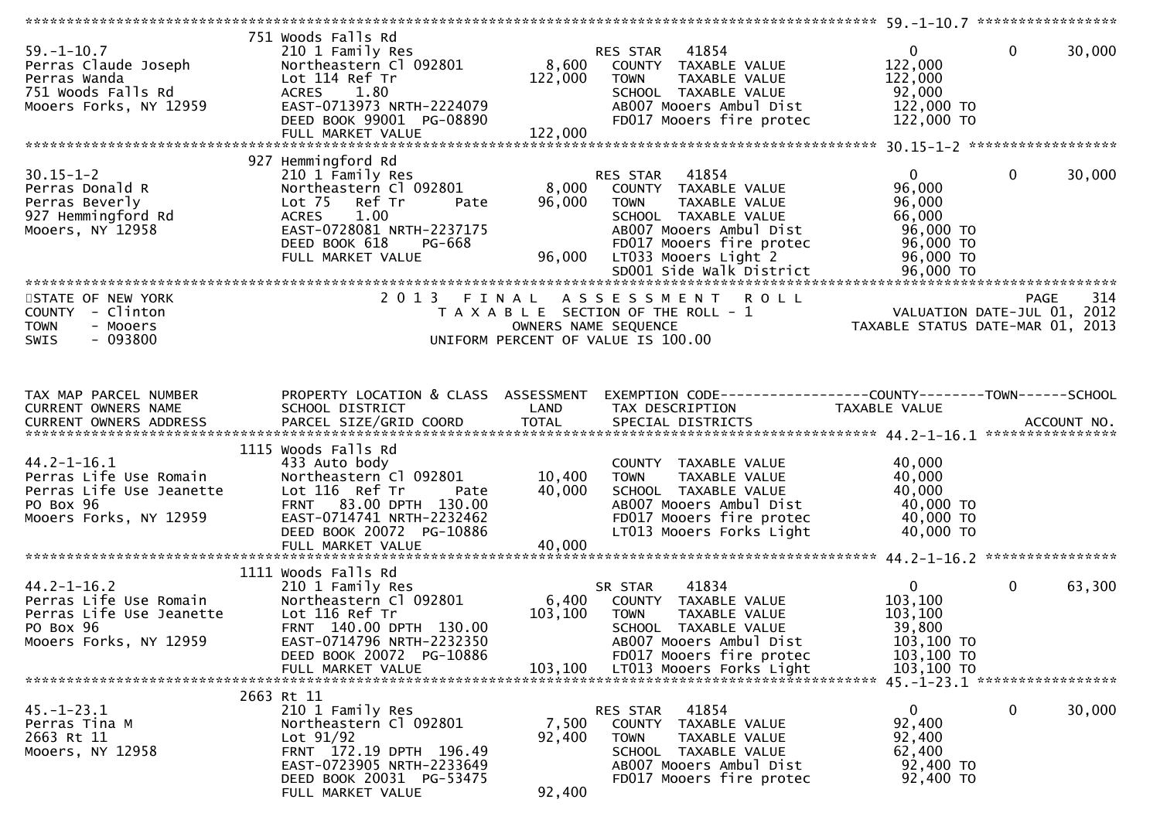| $59. - 1 - 10.7$<br>Perras Claude Joseph<br>Perras Wanda<br>751 Woods Falls Rd<br>Mooers Forks, NY 12959       | 751 Woods Falls Rd<br>210 1 Family Res<br>Northeastern Cl 092801<br>Lot 114 Ref Tr<br>ACRES 1.80<br>EAST-0713973 NRTH-2224079<br>DEED BOOK 99001 PG-08890                                                    | 8,600<br>122,000           | 41854<br>RES STAR<br>COUNTY TAXABLE VALUE<br>TAXABLE VALUE<br><b>TOWN</b><br>SCHOOL TAXABLE VALUE<br>AB007 Mooers Ambul Dist<br>FD017 Mooers fire protec                      | $\overline{0}$<br>122,000<br>122,000<br>92,000<br>122,000 TO<br>122,000 TO        | $\mathbf 0$<br>30,000                                                                 |
|----------------------------------------------------------------------------------------------------------------|--------------------------------------------------------------------------------------------------------------------------------------------------------------------------------------------------------------|----------------------------|-------------------------------------------------------------------------------------------------------------------------------------------------------------------------------|-----------------------------------------------------------------------------------|---------------------------------------------------------------------------------------|
|                                                                                                                |                                                                                                                                                                                                              |                            |                                                                                                                                                                               |                                                                                   |                                                                                       |
| $30.15 - 1 - 2$<br>Perras Donald R<br>Perras Beverly<br>927 Hemmingford Rd<br>Mooers, NY 12958                 | 927 Hemmingford Rd<br>210 1 Family Res<br>Northeastern Cl 092801<br>Lot <sub>75</sub><br>Ref Tr<br>Pate<br><b>ACRES</b><br>1.00<br>EAST-0728081 NRTH-2237175<br>DEED BOOK 618<br>PG-668<br>FULL MARKET VALUE | 8,000<br>96,000<br>96,000  | RES STAR 41854<br>COUNTY TAXABLE VALUE<br>TAXABLE VALUE<br><b>TOWN</b><br>SCHOOL TAXABLE VALUE<br>AB007 Mooers Ambul Dist<br>FD017 Mooers fire protec<br>LT033 Mooers Light 2 | $\mathbf{0}$<br>96,000<br>96,000<br>66,000<br>96,000 TO<br>96,000 TO<br>96,000 TO | $\mathbf 0$<br>30,000                                                                 |
|                                                                                                                |                                                                                                                                                                                                              |                            |                                                                                                                                                                               |                                                                                   |                                                                                       |
| STATE OF NEW YORK<br>COUNTY - Clinton<br><b>TOWN</b><br>- Mooers<br>$-093800$<br><b>SWIS</b>                   | 2013 FINAL                                                                                                                                                                                                   | OWNERS NAME SEQUENCE       | ASSESSMENT ROLL<br>T A X A B L E SECTION OF THE ROLL - 1<br>UNIFORM PERCENT OF VALUE IS 100.00                                                                                |                                                                                   | 314<br><b>PAGE</b><br>VALUATION DATE-JUL 01, 2012<br>TAXABLE STATUS DATE-MAR 01, 2013 |
| TAX MAP PARCEL NUMBER<br>CURRENT OWNERS NAME                                                                   | PROPERTY LOCATION & CLASS ASSESSMENT<br>SCHOOL DISTRICT                                                                                                                                                      | LAND                       | EXEMPTION CODE-----------------COUNTY-------TOWN------SCHOOL<br>TAX DESCRIPTION                                                                                               | TAXABLE VALUE                                                                     |                                                                                       |
|                                                                                                                |                                                                                                                                                                                                              |                            |                                                                                                                                                                               |                                                                                   |                                                                                       |
| $44.2 - 1 - 16.1$<br>Perras Life Use Romain<br>Perras Life Use Jeanette<br>PO Box 96<br>Mooers Forks, NY 12959 | 1115 Woods Falls Rd<br>433 Auto body<br>Northeastern Cl 092801<br>Lot 116 Ref Tr<br>Pate<br>FRNT 83.00 DPTH 130.00<br>EAST-0714741 NRTH-2232462<br>DEED BOOK 20072 PG-10886<br>FULL MARKET VALUE             | 10,400<br>40,000<br>40,000 | COUNTY TAXABLE VALUE<br><b>TOWN</b><br>TAXABLE VALUE<br>SCHOOL TAXABLE VALUE<br>AB007 Mooers Ambul Dist<br>FD017 Mooers fire protec<br>LT013 Mooers Forks Light               | 40,000<br>40,000<br>40,000<br>40,000 TO<br>40,000 TO<br>40,000 TO                 |                                                                                       |
|                                                                                                                |                                                                                                                                                                                                              |                            |                                                                                                                                                                               |                                                                                   |                                                                                       |
| $44.2 - 1 - 16.2$<br>Perras Life Use Romain<br>Perras Life Use Jeanette<br>PO Box 96<br>Mooers Forks, NY 12959 | 1111 Woods Falls Rd<br>210 1 Family Res<br>Northeastern Cl 092801<br>Lot 116 Ref Tr<br>FRNT 140.00 DPTH 130.00<br>EAST-0714796 NRTH-2232350<br>DEED BOOK 20072 PG-10886                                      | 6,400<br>103,100           | 41834<br>SR STAR<br>COUNTY TAXABLE VALUE<br><b>TOWN</b><br>TAXABLE VALUE<br><b>SCHOOL</b><br>TAXABLE VALUE<br>AB007 Mooers Ambul Dist<br>FD017 Mooers fire protec             | $\overline{0}$<br>103,100<br>103,100<br>39,800<br>103,100 TO<br>103,100 TO        | $\mathbf 0$<br>63,300                                                                 |
|                                                                                                                | FULL MARKET VALUE                                                                                                                                                                                            | 103,100                    | LT013 Mooers Forks Light                                                                                                                                                      | 103,100 TO                                                                        | 45. -1-23. 1 ******************                                                       |
| $45. - 1 - 23.1$<br>Perras Tina M<br>2663 Rt 11<br>Mooers, NY 12958                                            | 2663 Rt 11<br>210 1 Family Res<br>Northeastern Cl 092801<br>Lot $91/92$<br>FRNT 172.19 DPTH 196.49<br>EAST-0723905 NRTH-2233649<br>DEED BOOK 20031 PG-53475<br>FULL MARKET VALUE                             | 7,500<br>92,400<br>92,400  | RES STAR<br>41854<br>TAXABLE VALUE<br>COUNTY<br><b>TOWN</b><br>TAXABLE VALUE<br>SCHOOL TAXABLE VALUE<br>AB007 Mooers Ambul Dist<br>FD017 Mooers fire protec                   | $\overline{0}$<br>92,400<br>92,400<br>62,400<br>92,400 TO<br>92,400 TO            | 30,000<br>0                                                                           |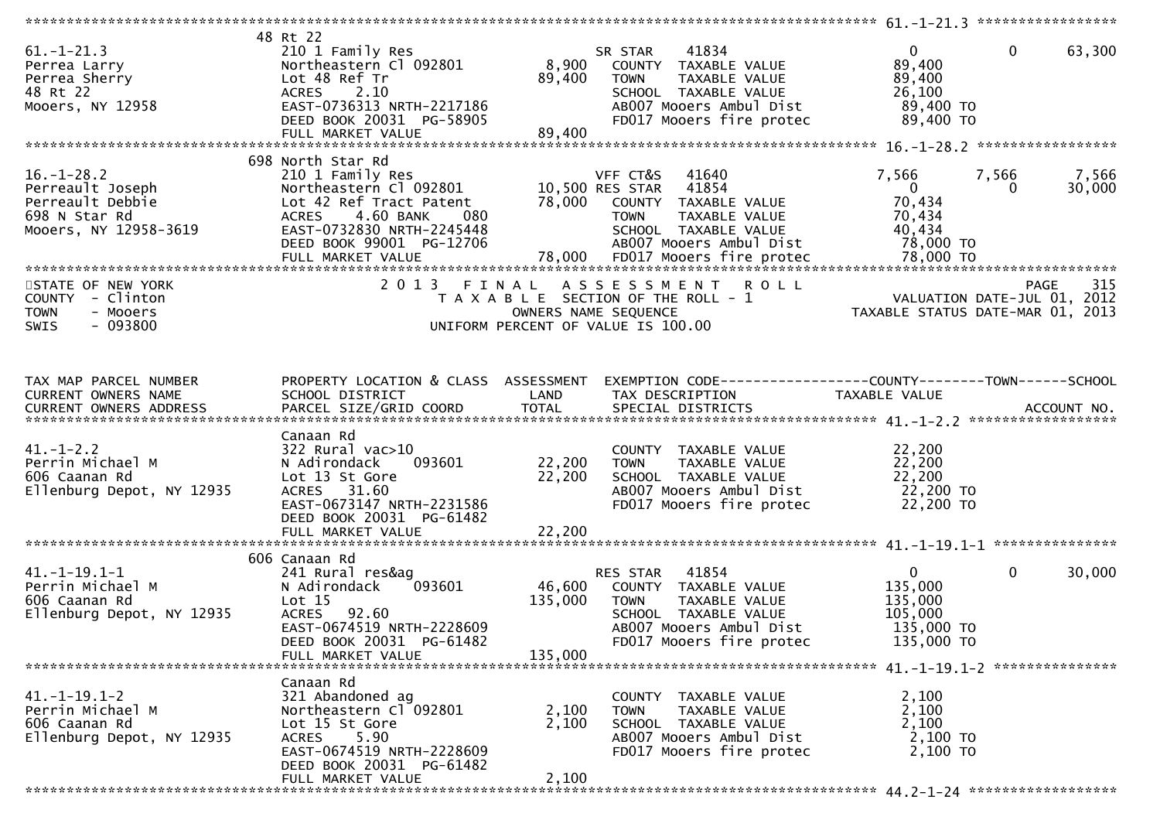| $61. - 1 - 21.3$<br>Perrea Larry<br>Perrea Sherry<br>48 Rt 22<br>Mooers, NY 12958                  | 48 Rt 22<br>210 1 Family Res<br>Northeastern Cl 092801<br>Lot 48 Ref Tr<br><b>ACRES</b><br>2.10<br>EAST-0736313 NRTH-2217186<br>DEED BOOK 20031 PG-58905<br>FULL MARKET VALUE           | 8,900<br>89,400<br>89,400     | 41834<br>SR STAR<br>COUNTY TAXABLE VALUE<br><b>TOWN</b><br>TAXABLE VALUE<br>SCHOOL TAXABLE VALUE<br>AB007 Mooers Ambul Dist<br>FD017 Mooers fire protec         | $\overline{0}$<br>89,400<br>89,400<br>26,100<br>89,400 TO<br>89,400 TO      | $\mathbf{0}$<br>63,300     |
|----------------------------------------------------------------------------------------------------|-----------------------------------------------------------------------------------------------------------------------------------------------------------------------------------------|-------------------------------|-----------------------------------------------------------------------------------------------------------------------------------------------------------------|-----------------------------------------------------------------------------|----------------------------|
|                                                                                                    |                                                                                                                                                                                         |                               |                                                                                                                                                                 |                                                                             |                            |
| $16. - 1 - 28.2$<br>Perreault Joseph<br>Perreault Debbie<br>698 N Star Rd<br>Mooers, NY 12958-3619 | 698 North Star Rd<br>210 1 Family Res<br>Northeastern Cl 092801<br>Lot 42 Ref Tract Patent<br>4.60 BANK<br>080<br><b>ACRES</b><br>EAST-0732830 NRTH-2245448<br>DEED BOOK 99001 PG-12706 | 78,000                        | VFF CT&S<br>41640<br>10,500 RES STAR<br>41854<br>COUNTY TAXABLE VALUE<br><b>TOWN</b><br>TAXABLE VALUE<br>SCHOOL TAXABLE VALUE<br>AB007 Mooers Ambul Dist        | 7,566<br>7,566<br>$\overline{0}$<br>70,434<br>70,434<br>40,434<br>78,000 TO | 7,566<br>30,000<br>0       |
| STATE OF NEW YORK<br>COUNTY - Clinton<br>- Mooers<br><b>TOWN</b><br>$-093800$<br>SWIS              | 2 0 1 3                                                                                                                                                                                 | FINAL<br>OWNERS NAME SEQUENCE | A S S E S S M E N T R O L L<br>T A X A B L E SECTION OF THE ROLL - 1<br>UNIFORM PERCENT OF VALUE IS 100.00                                                      | VALUATION DATE-JUL 01,<br>TAXABLE STATUS DATE-MAR 01, 2013                  | 315<br><b>PAGE</b><br>2012 |
| TAX MAP PARCEL NUMBER<br>CURRENT OWNERS NAME                                                       | PROPERTY LOCATION & CLASS ASSESSMENT<br>SCHOOL DISTRICT                                                                                                                                 | LAND                          | EXEMPTION CODE-----------------COUNTY--------TOWN------SCHOOL<br>TAX DESCRIPTION                                                                                | <b>TAXABLE VALUE</b>                                                        |                            |
| $41. - 1 - 2.2$<br>Perrin Michael M<br>606 Caanan Rd<br>Ellenburg Depot, NY 12935                  | Canaan Rd<br>$322$ Rural vac $>10$<br>N Adirondack<br>093601<br>Lot 13 St Gore<br>ACRES 31.60<br>EAST-0673147 NRTH-2231586<br>DEED BOOK 20031 PG-61482<br>FULL MARKET VALUE             | 22,200<br>22,200<br>22,200    | COUNTY TAXABLE VALUE<br>TAXABLE VALUE<br><b>TOWN</b><br>SCHOOL TAXABLE VALUE<br>AB007 Mooers Ambul Dist<br>FD017 Mooers fire protec                             | 22,200<br>22,200<br>22,200<br>22,200 TO<br>22,200 TO                        |                            |
|                                                                                                    |                                                                                                                                                                                         |                               |                                                                                                                                                                 |                                                                             |                            |
| $41. -1 - 19.1 - 1$<br>Perrin Michael M<br>606 Caanan Rd<br>Ellenburg Depot, NY 12935              | 606 Canaan Rd<br>241 Rural res&ag<br>N Adirondack<br>093601<br>Lot 15<br>92.60<br><b>ACRES</b><br>EAST-0674519 NRTH-2228609<br>DEED BOOK 20031 PG-61482<br>FULL MARKET VALUE            | 46,600<br>135,000<br>135,000  | 41854<br><b>RES STAR</b><br>COUNTY TAXABLE VALUE<br>TAXABLE VALUE<br><b>TOWN</b><br>SCHOOL TAXABLE VALUE<br>AB007 Mooers Ambul Dist<br>FD017 Mooers fire protec | $\mathbf{0}$<br>135,000<br>135,000<br>105,000<br>135,000 TO<br>135,000 TO   | $\mathbf{0}$<br>30,000     |
|                                                                                                    |                                                                                                                                                                                         |                               |                                                                                                                                                                 |                                                                             |                            |
| $41. -1 - 19.1 - 2$<br>Perrin Michael M<br>606 Caanan Rd<br>Ellenburg Depot, NY 12935              | Canaan Rd<br>321 Abandoned ag<br>Northeastern Cl 092801<br>Lot 15 St Gore<br>5.90<br><b>ACRES</b><br>EAST-0674519 NRTH-2228609<br>DEED BOOK 20031 PG-61482                              | 2,100<br>2,100                | COUNTY TAXABLE VALUE<br>TAXABLE VALUE<br><b>TOWN</b><br>SCHOOL TAXABLE VALUE<br>AB007 Mooers Ambul Dist<br>FD017 Mooers fire protec                             | 2,100<br>2,100<br>2,100<br>2,100 TO<br>2,100 TO                             |                            |
|                                                                                                    | FULL MARKET VALUE                                                                                                                                                                       | 2,100                         |                                                                                                                                                                 |                                                                             |                            |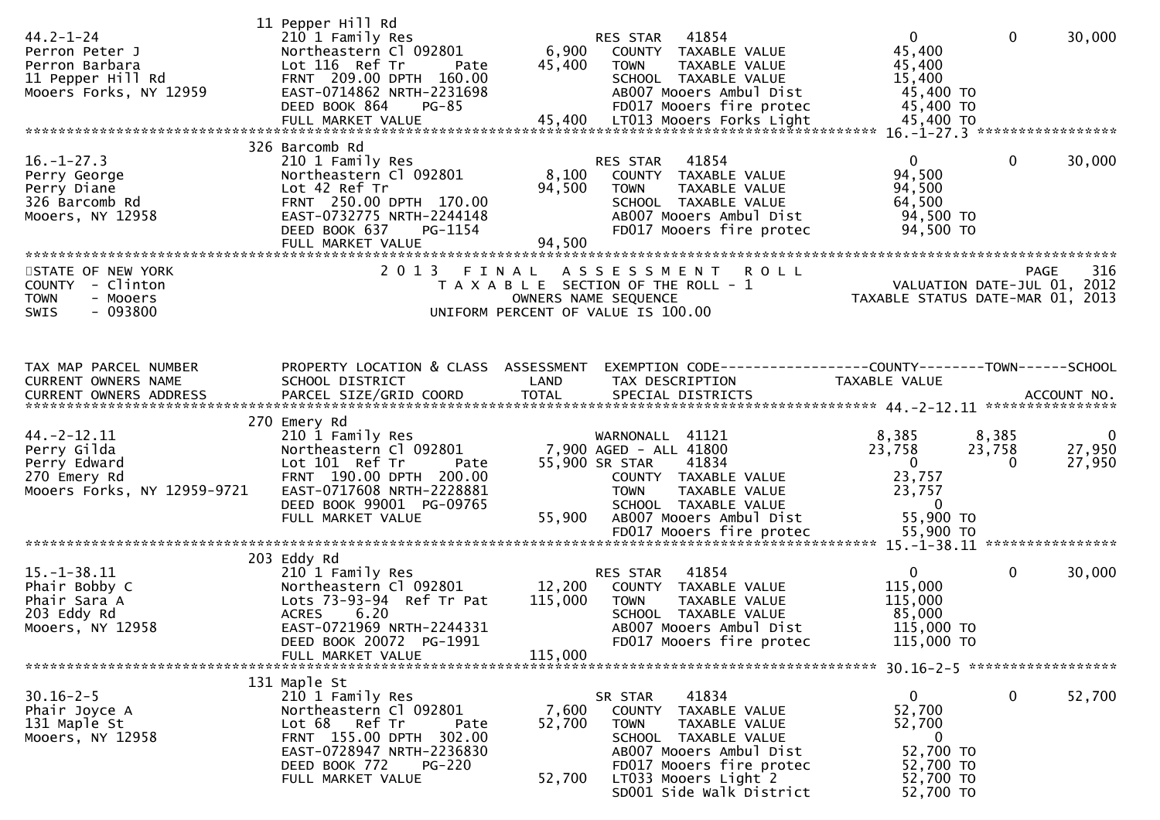| $44.2 - 1 - 24$<br>Perron Peter J<br>Perron Barbara<br>11 Pepper Hill Rd<br>Mooers Forks, NY 12959 | 11 Pepper Hill Rd<br>210 1 Family Res<br>Northeastern Cl 092801<br>Lot 116 Ref Tr<br>Pate<br>FRNT 209.00 DPTH 160.00<br>EAST-0714862 NRTH-2231698<br>DEED BOOK 864<br>$PG-85$                      | 6,900<br>45,400              | RES STAR 41854<br>COUNTY TAXABLE VALUE<br><b>TOWN</b><br>TAXABLE VALUE<br>SCHOOL TAXABLE VALUE<br>AB007 Mooers Ambul Dist<br>FD017 Mooers fire protec                                                       | $\overline{0}$<br>45,400<br>45,400<br>15,400<br>45,400 TO<br>45,400 TO                                           | $\mathbf 0$                 | 30,000                  |
|----------------------------------------------------------------------------------------------------|----------------------------------------------------------------------------------------------------------------------------------------------------------------------------------------------------|------------------------------|-------------------------------------------------------------------------------------------------------------------------------------------------------------------------------------------------------------|------------------------------------------------------------------------------------------------------------------|-----------------------------|-------------------------|
|                                                                                                    | 326 Barcomb Rd                                                                                                                                                                                     |                              |                                                                                                                                                                                                             |                                                                                                                  |                             |                         |
| $16. - 1 - 27.3$<br>Perry George<br>Perry Diane<br>326 Barcomb Rd<br>Mooers, NY 12958              | 210 1 Family Res<br>Northeastern Cl 092801<br>Lot 42 Ref Tr<br>FRNT 250.00 DPTH 170.00<br>EAST-0732775 NRTH-2244148<br>DEED BOOK 637<br>PG-1154<br>FULL MARKET VALUE                               | 8,100<br>94,500<br>94,500    | RES STAR<br>41854<br>COUNTY TAXABLE VALUE<br><b>TOWN</b><br>TAXABLE VALUE<br>SCHOOL TAXABLE VALUE<br>AB007 Mooers Ambul Dist<br>FD017 Mooers fire protec                                                    | $\Omega$<br>94,500<br>94,500<br>64,500<br>94,500 TO<br>94,500 TO                                                 | $\mathbf{0}$                | 30,000                  |
|                                                                                                    |                                                                                                                                                                                                    |                              |                                                                                                                                                                                                             |                                                                                                                  |                             |                         |
| STATE OF NEW YORK<br>COUNTY - Clinton<br><b>TOWN</b><br>- Mooers<br>$-093800$<br><b>SWIS</b>       | 2013 FINAL                                                                                                                                                                                         |                              | A S S E S S M E N T R O L L<br>T A X A B L E SECTION OF THE ROLL - 1<br>OWNERS NAME SEQUENCE<br>UNIFORM PERCENT OF VALUE IS 100.00                                                                          | PAGE 316<br>VALUATION DATE-JUL 01, 2012<br>TAXARLE STATUS DATE :::- 21, 2012<br>TAXABLE STATUS DATE-MAR 01, 2013 |                             |                         |
| TAX MAP PARCEL NUMBER                                                                              | PROPERTY LOCATION & CLASS ASSESSMENT                                                                                                                                                               |                              | EXEMPTION CODE-----------------COUNTY-------TOWN------SCHOOL                                                                                                                                                |                                                                                                                  |                             |                         |
| CURRENT OWNERS NAME                                                                                | SCHOOL DISTRICT                                                                                                                                                                                    | LAND                         | TAX DESCRIPTION                                                                                                                                                                                             | TAXABLE VALUE                                                                                                    |                             |                         |
|                                                                                                    | 270 Emery Rd                                                                                                                                                                                       |                              |                                                                                                                                                                                                             |                                                                                                                  |                             |                         |
| $44. -2 - 12.11$<br>Perry Gilda<br>Perry Edward<br>270 Emery Rd<br>Mooers Forks, NY 12959-9721     | 210 1 Family Res<br>Northeastern Cl 092801<br>Lot 101 Ref Tr<br>Pate<br>FRNT 190.00 DPTH 200.00<br>EAST-0717608 NRTH-2228881<br>DEED BOOK 99001 PG-09765<br>FULL MARKET VALUE                      | 55,900                       | WARNONALL 41121<br>7,900 AGED - ALL 41800<br>55,900 SR STAR<br>41834<br>COUNTY TAXABLE VALUE<br><b>TOWN</b><br>TAXABLE VALUE<br>SCHOOL TAXABLE VALUE<br>AB007 Mooers Ambul Dist                             | 8,385<br>23,758<br>$\overline{\mathbf{0}}$<br>23,757<br>23,757<br>$\overline{0}$<br>55,900 TO                    | 8,385<br>23,758<br>$\Omega$ | - 0<br>27,950<br>27,950 |
|                                                                                                    |                                                                                                                                                                                                    |                              | FD017 Mooers fire protec                                                                                                                                                                                    | 55,900 TO                                                                                                        |                             |                         |
|                                                                                                    | 203 Eddy Rd                                                                                                                                                                                        |                              |                                                                                                                                                                                                             |                                                                                                                  |                             |                         |
| $15. - 1 - 38.11$<br>Phair Bobby C<br>Phair Sara A<br>203 Eddy Rd<br>Mooers, NY 12958              | 210 1 Family Res<br>Northeastern Cl 092801<br>Lots 73-93-94 Ref Tr Pat<br>6.20<br><b>ACRES</b><br>EAST-0721969 NRTH-2244331<br>DEED BOOK 20072 PG-1991                                             | 12,200<br>115,000<br>115,000 | RES STAR<br>41854<br>COUNTY<br>TAXABLE VALUE<br><b>TOWN</b><br>TAXABLE VALUE<br>SCHOOL TAXABLE VALUE<br>AB007 Mooers Ambul Dist<br>FD017 Mooers fire protec                                                 | $\mathbf{0}$<br>115,000<br>115,000<br>85,000<br>115,000 TO<br>115,000 TO                                         | $\mathbf 0$                 | 30,000                  |
|                                                                                                    | FULL MARKET VALUE                                                                                                                                                                                  |                              |                                                                                                                                                                                                             |                                                                                                                  |                             |                         |
| $30.16 - 2 - 5$<br>Phair Joyce A<br>131 Maple St<br>Mooers, NY 12958                               | 131 Maple St<br>210 1 Family Res<br>Northeastern Cl 092801<br>Lot 68 Ref Tr<br>Pate<br>FRNT 155.00 DPTH 302.00<br>EAST-0728947 NRTH-2236830<br>DEED BOOK 772<br><b>PG-220</b><br>FULL MARKET VALUE | 7,600<br>52,700<br>52,700    | 41834<br>SR STAR<br>COUNTY TAXABLE VALUE<br><b>TOWN</b><br>TAXABLE VALUE<br>SCHOOL TAXABLE VALUE<br>AB007 Mooers Ambul Dist<br>FD017 Mooers fire protec<br>LT033 Mooers Light 2<br>SD001 Side Walk District | $\mathbf{0}$<br>52,700<br>52,700<br>$\bf{0}$<br>52,700 TO<br>52,700 TO<br>52,700 TO<br>52,700 TO                 | 0                           | 52,700                  |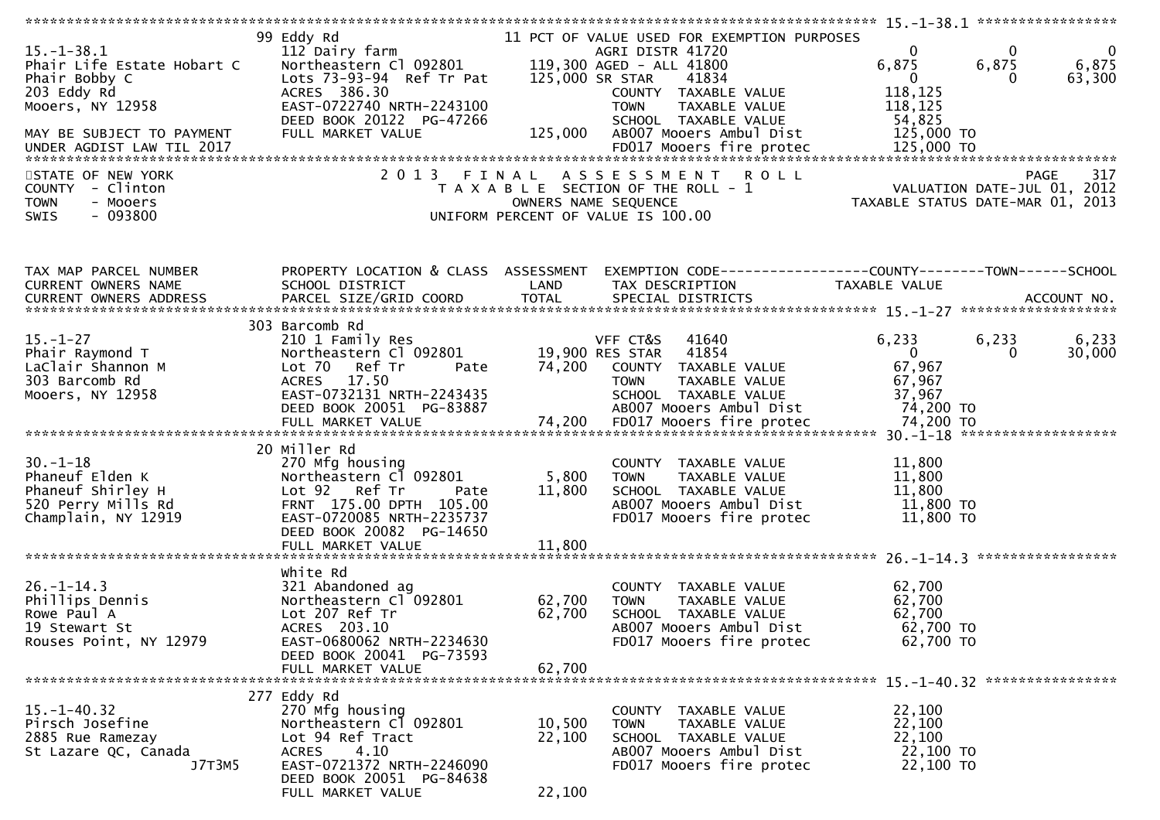|                                                                                                                                 |                                                                                                                                                                                     |                            |                                                                                                                                                                                                                 | $15. - 1 - 38.1$ ******************                                                      |                                                        |
|---------------------------------------------------------------------------------------------------------------------------------|-------------------------------------------------------------------------------------------------------------------------------------------------------------------------------------|----------------------------|-----------------------------------------------------------------------------------------------------------------------------------------------------------------------------------------------------------------|------------------------------------------------------------------------------------------|--------------------------------------------------------|
| $15. - 1 - 38.1$<br>Phair Life Estate Hobart C<br>Phair Bobby C<br>203 Eddy Rd<br>Mooers, NY 12958<br>MAY BE SUBJECT TO PAYMENT | 99 Eddy Rd<br>112 Dairy farm<br>Northeastern Cl 092801<br>Lots 73-93-94 Ref Tr Pat<br>ACRES 386.30<br>EAST-0722740 NRTH-2243100<br>DEED BOOK 20122 PG-47266<br>FULL MARKET VALUE    | 125,000 SR STAR<br>125,000 | 11 PCT OF VALUE USED FOR EXEMPTION PURPOSES<br>AGRI DISTR 41720<br>119,300 AGED - ALL 41800<br>41834<br>COUNTY TAXABLE VALUE<br>TAXABLE VALUE<br><b>TOWN</b><br>SCHOOL TAXABLE VALUE<br>AB007 Mooers Ambul Dist | $\Omega$<br>6,875<br>6,875<br>$\mathbf{0}$<br>118,125<br>118,125<br>54,825<br>125,000 TO | $\overline{0}$<br>$\mathbf{0}$<br>6,875<br>63,300<br>0 |
| STATE OF NEW YORK<br>COUNTY - Clinton<br>- Mooers<br><b>TOWN</b><br>$-093800$<br>SWIS                                           |                                                                                                                                                                                     | OWNERS NAME SEQUENCE       | 2013 FINAL ASSESSMENT<br><b>ROLL</b><br>T A X A B L E SECTION OF THE ROLL - 1<br>UNIFORM PERCENT OF VALUE IS 100.00                                                                                             | VALUATION DATE-JUL 01, 2012<br>TAXABLE STATUS DATE-MAR 01, 2013                          | 317<br>PAGE                                            |
| TAX MAP PARCEL NUMBER<br>CURRENT OWNERS NAME<br><b>CURRENT OWNERS ADDRESS</b>                                                   | PROPERTY LOCATION & CLASS ASSESSMENT<br>SCHOOL DISTRICT                                                                                                                             | LAND                       | EXEMPTION CODE------------------COUNTY--------TOWN------SCHOOL<br>TAX DESCRIPTION                                                                                                                               | TAXABLE VALUE                                                                            |                                                        |
| $15. - 1 - 27$<br>Phair Raymond T<br>LaClair Shannon M<br>303 Barcomb Rd<br>Mooers, NY 12958                                    | 303 Barcomb Rd<br>210 1 Family Res<br>Northeastern Cl 092801<br>Lot 70 Ref Tr<br>Pate<br>ACRES 17.50<br>EAST-0732131 NRTH-2243435<br>DEED BOOK 20051 PG-83887                       | 74,200                     | VFF CT&S<br>41640<br>19,900 RES STAR<br>41854<br>COUNTY TAXABLE VALUE<br>TAXABLE VALUE<br><b>TOWN</b><br>SCHOOL TAXABLE VALUE<br>AB007 Mooers Ambul Dist                                                        | 6,233<br>6,233<br>$\mathbf{0}$<br>67,967<br>67,967<br>37,967<br>74,200 TO                | 6,233<br>30,000<br>$\Omega$                            |
| $30. - 1 - 18$<br>Phaneuf Elden K<br>Phaneuf Shirley H<br>520 Perry Mills Rd<br>Champlain, NY 12919                             | 20 Miller Rd<br>270 Mfg housing<br>Northeastern Cl 092801<br>Lot 92 Ref Tr<br>Pate<br>FRNT 175.00 DPTH 105.00<br>EAST-0720085 NRTH-2235737<br>DEED BOOK 20082 PG-14650              | 5,800<br>11,800            | COUNTY TAXABLE VALUE<br>TAXABLE VALUE<br><b>TOWN</b><br>SCHOOL TAXABLE VALUE<br>AB007 Mooers Ambul Dist<br>FD017 Mooers fire protec                                                                             | 11,800<br>11,800<br>11,800<br>11,800 TO<br>11,800 TO                                     |                                                        |
| $26. - 1 - 14.3$<br>Phillips Dennis<br>Rowe Paul A<br>19 Stewart St<br>Rouses Point, NY 12979                                   | white Rd<br>321 Abandoned ag<br>Northeastern Cl <sup>-</sup> 092801<br>Lot 207 Ref Tr<br>ACRES 203.10<br>EAST-0680062 NRTH-2234630<br>DEED BOOK 20041 PG-73593<br>FULL MARKET VALUE | 62,700<br>62,700<br>62,700 | COUNTY TAXABLE VALUE<br><b>TOWN</b><br>TAXABLE VALUE<br>SCHOOL TAXABLE VALUE<br>AB007 Mooers Ambul Dist<br>FD017 Mooers fire protec                                                                             | 62,700<br>62,700<br>62,700<br>62,700 TO<br>62,700 TO                                     | *****************                                      |
| $15. - 1 - 40.32$<br>Pirsch Josefine<br>2885 Rue Ramezay<br>St Lazare QC, Canada<br>J7T3M5                                      | 277 Eddy Rd<br>270 Mfg housing<br>Northeastern Cl 092801<br>Lot 94 Ref Tract<br>4.10<br><b>ACRES</b><br>EAST-0721372 NRTH-2246090<br>DEED BOOK 20051 PG-84638<br>FULL MARKET VALUE  | 10,500<br>22,100<br>22,100 | COUNTY TAXABLE VALUE<br><b>TOWN</b><br>TAXABLE VALUE<br>SCHOOL TAXABLE VALUE<br>AB007 Mooers Ambul Dist<br>FD017 Mooers fire protec                                                                             | 22,100<br>22,100<br>22,100<br>22,100 TO<br>22,100 TO                                     |                                                        |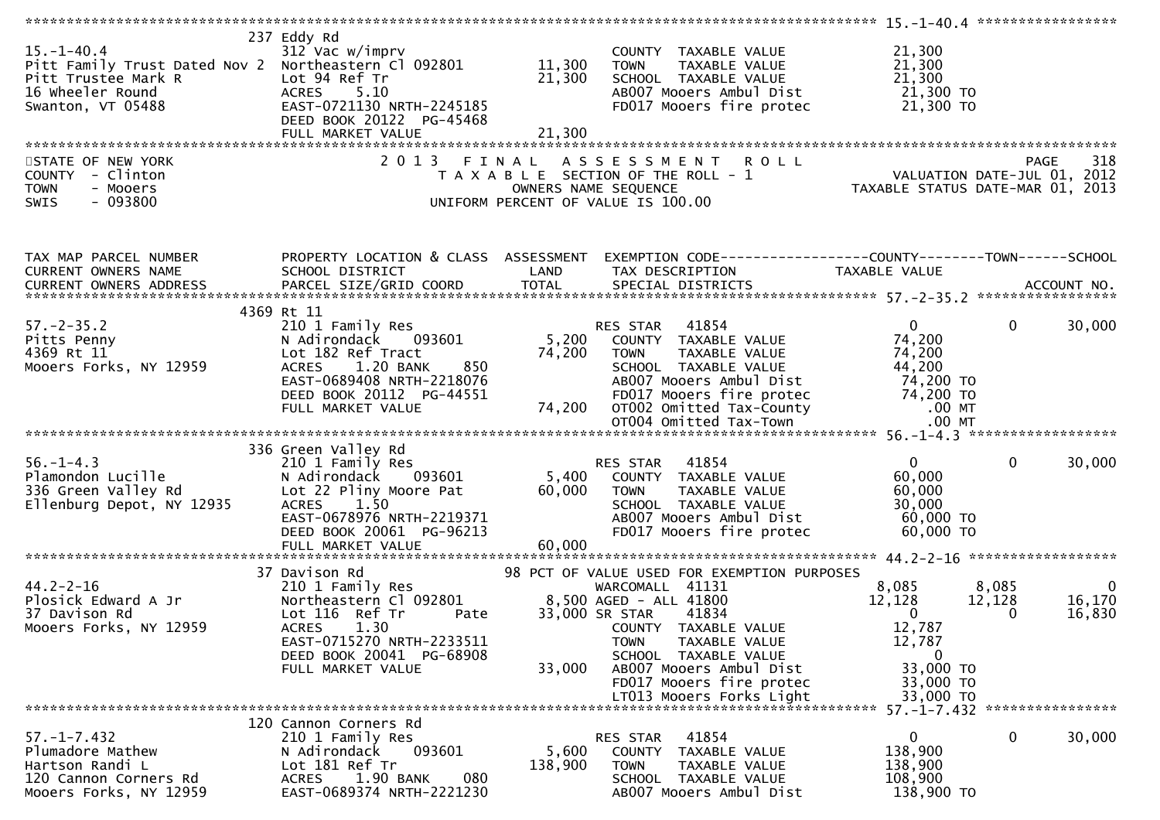| $15. - 1 - 40.4$<br>Pitt Family Trust Dated Nov 2 Northeastern Cl 092801 11,300<br>Pitt Trustee Mark R<br>16 wheeler Round<br>Swanton, VT 05488 | 237 Eddy Rd<br>312 Vac w/imprv<br>Lot 94 Ref Tr<br><b>ACRES</b><br>5.10<br>EAST-0721130 NRTH-2245185<br>DEED BOOK 20122 PG-45468<br>FULL MARKET VALUE                                             | 21,300<br>21,300          | COUNTY TAXABLE VALUE<br><b>TOWN</b><br>TAXABLE VALUE<br>SCHOOL TAXABLE VALUE<br>AB007 Mooers Ambul Dist<br>FD017 Mooers fire protec                                                                                                                                                    | 21,300<br>21,300<br>21,300<br>21,300 TO<br>21,300 TO                                                   |                                                                   |
|-------------------------------------------------------------------------------------------------------------------------------------------------|---------------------------------------------------------------------------------------------------------------------------------------------------------------------------------------------------|---------------------------|----------------------------------------------------------------------------------------------------------------------------------------------------------------------------------------------------------------------------------------------------------------------------------------|--------------------------------------------------------------------------------------------------------|-------------------------------------------------------------------|
| STATE OF NEW YORK<br>COUNTY - Clinton<br>- Mooers<br><b>TOWN</b><br>$-093800$<br><b>SWIS</b>                                                    | 2 0 1 3                                                                                                                                                                                           | FINAL                     | <b>ROLL</b><br>A S S E S S M E N T<br>T A X A B L E SECTION OF THE ROLL - 1<br>OWNERS NAME SEQUENCE<br>UNIFORM PERCENT OF VALUE IS 100.00                                                                                                                                              | ROLL - 1<br>VALUATION DATE-JUL 01, 2012<br>TAXABLE STATUS DATE-MAR 01, 2013                            | <b>PAGE</b><br>318                                                |
| TAX MAP PARCEL NUMBER<br>CURRENT OWNERS NAME<br>CURRENT OWNERS ADDRESS                                                                          | PROPERTY LOCATION & CLASS ASSESSMENT<br>SCHOOL DISTRICT<br>PARCEL SIZE/GRID COORD                                                                                                                 | LAND<br><b>TOTAL</b>      | EXEMPTION CODE------------------COUNTY--------TOWN------SCHOOL<br>TAX DESCRIPTION<br>SPECIAL DISTRICTS                                                                                                                                                                                 | TAXABLE VALUE                                                                                          | ACCOUNT NO.                                                       |
| $57. - 2 - 35.2$<br>Pitts Penny<br>4369 Rt 11<br>Mooers Forks, NY 12959                                                                         | 4369 Rt 11<br>210 1 Family Res<br>N Adirondack 093601<br>Lot 182 Ref Tract<br>1.20 BANK<br>850<br><b>ACRES</b><br>EAST-0689408 NRTH-2218076<br>DEED BOOK 20112 PG-44551<br>FULL MARKET VALUE      | 74,200<br>74,200          | 41854<br>RES STAR<br>5,200 COUNTY TAXABLE VALUE<br>TAXABLE VALUE<br>TOWN<br>SCHOOL TAXABLE VALUE<br>AB007 Mooers Ambul Dist<br>OTOO2 Omitted Tax-County<br>OTOO4 Omitted Tax-County<br>OT004 Omitted Tax-Town                                                                          | $\overline{0}$<br>74,200<br>74,200<br>44,200<br>74,200 то<br>74,200 то<br>.00 MT<br>$.00$ MT           | 30,000<br>$\mathbf{0}$                                            |
|                                                                                                                                                 |                                                                                                                                                                                                   |                           |                                                                                                                                                                                                                                                                                        |                                                                                                        |                                                                   |
| $56. - 1 - 4.3$<br>po. 1 4.5<br>Plamondon Lucille<br>336 Green Valley Rd<br>Ellenburg Depot, NY 12935                                           | 336 Green Valley Rd<br>210 1 Family Res<br>N Adirondack<br>093601<br>Lot 22 Pliny Moore Pat<br><b>ACRES</b><br>1.50<br>EAST-0678976 NRTH-2219371<br>DEED BOOK 20061 PG-96213<br>FULL MARKET VALUE | 5,400<br>60,000<br>60,000 | RES STAR 41854<br>COUNTY TAXABLE VALUE<br><b>TOWN</b><br>TAXABLE VALUE<br>SCHOOL TAXABLE VALUE<br>AB007 Mooers Ambul Dist<br>FD017 Mooers fire protec                                                                                                                                  | $\mathbf{0}$<br>60,000<br>60,000<br>30,000<br>60,000 TO<br>60,000 TO                                   | $\mathbf 0$<br>30,000                                             |
| $44.2 - 2 - 16$<br>Plosick Edward A Jr<br>37 Davison Rd<br>Mooers Forks, NY 12959                                                               | 37 Davison Rd<br>210 1 Family Res<br>Northeastern Cl 092801<br>Lot 116 Ref Tr<br>Pate<br><b>ACRES</b><br>1.30<br>EAST-0715270 NRTH-2233511<br>DEED BOOK 20041 PG-68908<br>FULL MARKET VALUE       | 33,000                    | 98 PCT OF VALUE USED FOR EXEMPTION PURPOSES<br>WARCOMALL 41131<br>8,500 AGED - ALL 41800<br>33,000 SR STAR<br>41834<br>COUNTY TAXABLE VALUE<br>TAXABLE VALUE<br><b>TOWN</b><br>SCHOOL TAXABLE VALUE<br>AB007 Mooers Ambul Dist<br>FD017 Mooers fire protec<br>LT013 Mooers Forks Light | 8,085<br>12,128<br>$\mathbf{0}$<br>12,787<br>12,787<br>$\bf{0}$<br>33,000 TO<br>33,000 TO<br>33,000 TO | 8,085<br>$\overline{0}$<br>12,128<br>16,170<br>$\Omega$<br>16,830 |
|                                                                                                                                                 |                                                                                                                                                                                                   |                           |                                                                                                                                                                                                                                                                                        |                                                                                                        | 57. -1-7. 432 *****************                                   |
| $57. - 1 - 7.432$<br>Plumadore Mathew<br>Hartson Randi L<br>120 Cannon Corners Rd<br>Mooers Forks, NY 12959                                     | 120 Cannon Corners Rd<br>210 1 Family Res<br>093601<br>N Adirondack<br>Lot 181 Ref Tr<br>1.90 BANK<br>080<br><b>ACRES</b><br>EAST-0689374 NRTH-2221230                                            | 5,600<br>138,900          | 41854<br>RES STAR<br>COUNTY<br>TAXABLE VALUE<br><b>TOWN</b><br>TAXABLE VALUE<br><b>SCHOOL</b><br>TAXABLE VALUE<br>AB007 Mooers Ambul Dist                                                                                                                                              | 0<br>138,900<br>138,900<br>108,900<br>138,900 TO                                                       | 0<br>30,000                                                       |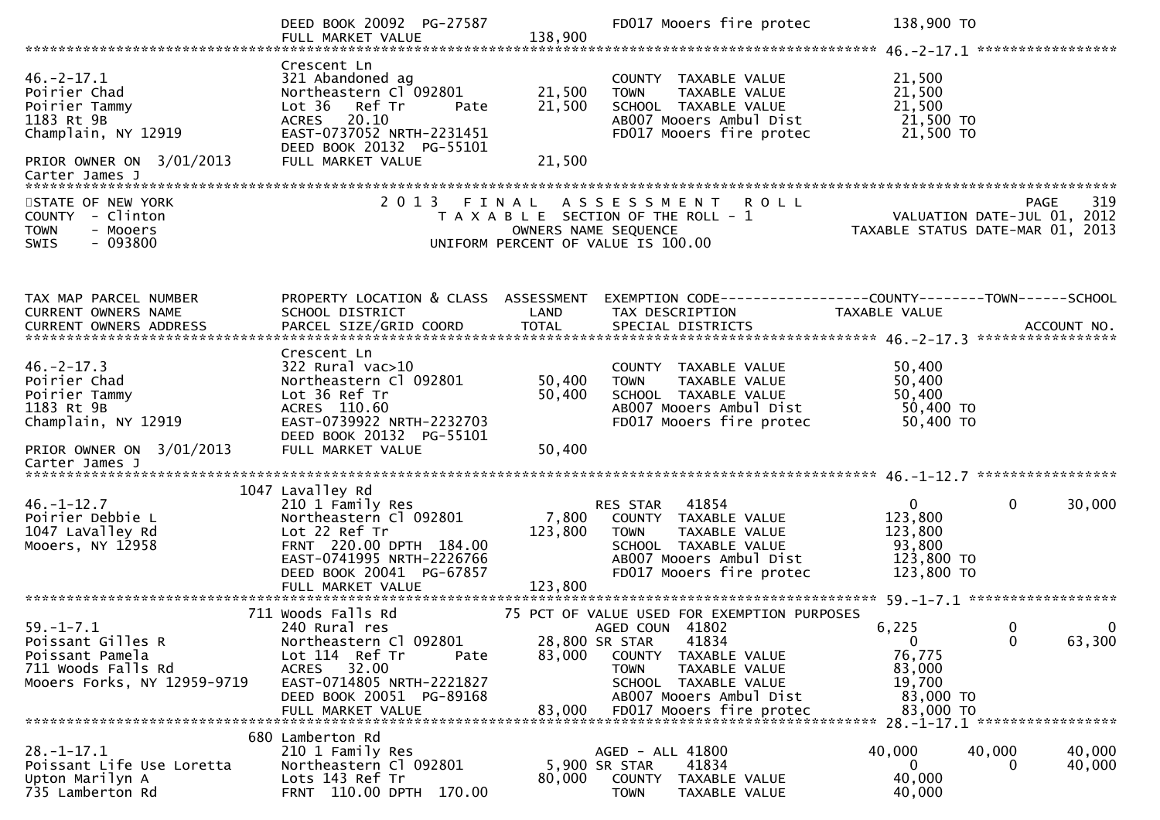|                                                                                                                                     | DEED BOOK 20092 PG-27587<br>FULL MARKET VALUE                                                                                                                                             | 138,900                       | FD017 Mooers fire protec                                                                                                                                                                                                     | 138,900 TO                                                                    |                                                                                            |
|-------------------------------------------------------------------------------------------------------------------------------------|-------------------------------------------------------------------------------------------------------------------------------------------------------------------------------------------|-------------------------------|------------------------------------------------------------------------------------------------------------------------------------------------------------------------------------------------------------------------------|-------------------------------------------------------------------------------|--------------------------------------------------------------------------------------------|
| $46. -2 - 17.1$<br>Poirier Chad<br>Poirier Tammy<br>1183 Rt 9B<br>Champlain, NY 12919<br>PRIOR OWNER ON 3/01/2013                   | Crescent Ln<br>321 Abandoned ag<br>Northeastern Cl 092801<br>Lot 36 Ref Tr<br>Pate<br>20.10<br><b>ACRES</b><br>EAST-0737052 NRTH-2231451<br>DEED BOOK 20132 PG-55101<br>FULL MARKET VALUE | 21,500<br>21,500<br>21,500    | COUNTY TAXABLE VALUE<br><b>TOWN</b><br>TAXABLE VALUE<br>SCHOOL TAXABLE VALUE<br>AB007 Mooers Ambul Dist<br>FD017 Mooers fire protec                                                                                          | 21,500<br>21,500<br>21,500<br>21,500 TO<br>21,500 TO                          |                                                                                            |
| Carter James J<br>STATE OF NEW YORK<br>COUNTY - Clinton<br><b>TOWN</b><br>- Mooers<br>$-093800$<br><b>SWIS</b>                      | 2 0 1 3                                                                                                                                                                                   | FINAL<br>OWNERS NAME SEQUENCE | <b>ROLL</b><br>A S S E S S M E N T<br>T A X A B L E SECTION OF THE ROLL - 1<br>UNIFORM PERCENT OF VALUE IS 100.00                                                                                                            | TAXABLE STATUS DATE-MAR 01, 2013                                              | 319<br>PAGE<br>VALUATION DATE-JUL 01, 2012                                                 |
| TAX MAP PARCEL NUMBER<br>CURRENT OWNERS NAME                                                                                        | PROPERTY LOCATION & CLASS ASSESSMENT<br>SCHOOL DISTRICT                                                                                                                                   | LAND                          | EXEMPTION CODE-----------------COUNTY-------TOWN------SCHOOL<br>TAX DESCRIPTION                                                                                                                                              | TAXABLE VALUE                                                                 |                                                                                            |
| $46. -2 - 17.3$<br>Poirier Chad<br>Poirier Tammy<br>1183 Rt 9B<br>Champlain, NY 12919<br>PRIOR OWNER ON 3/01/2013<br>Carter James J | Crescent Ln<br>$322$ Rural vac $>10$<br>Northeastern Cl 092801<br>Lot 36 Ref Tr<br>ACRES 110.60<br>EAST-0739922 NRTH-2232703<br>DEED BOOK 20132 PG-55101<br>FULL MARKET VALUE             | 50,400<br>50,400<br>50,400    | COUNTY TAXABLE VALUE<br>TAXABLE VALUE<br><b>TOWN</b><br>SCHOOL TAXABLE VALUE<br>AB007 Mooers Ambul Dist<br>FD017 Mooers fire protec                                                                                          | 50,400<br>50,400<br>50,400<br>50,400 TO<br>50,400 TO                          |                                                                                            |
| $46. - 1 - 12.7$<br>Poirier Debbie L<br>1047 LaValley Rd<br>Mooers, NY 12958                                                        | 1047 Lavalley Rd<br>210 1 Family Res<br>Northeastern Cl 092801<br>Lot 22 Ref Tr<br>FRNT 220.00 DPTH 184.00<br>EAST-0741995 NRTH-2226766<br>DEED BOOK 20041 PG-67857<br>FULL MARKET VALUE  | 7,800<br>123,800<br>123,800   | RES STAR<br>41854<br>COUNTY TAXABLE VALUE<br><b>TOWN</b><br>TAXABLE VALUE<br>SCHOOL TAXABLE VALUE<br>ABOO7 Mooers Ambul Dist<br>FD017 Mooers fire protec                                                                     | $\mathbf{0}$<br>123,800<br>123,800<br>93,800<br>123,800 TO<br>123,800 TO      | $\mathbf 0$<br>30,000                                                                      |
| $59. - 1 - 7.1$<br>Poissant Gilles R<br>Poissant Pamela<br>711 Woods Falls Rd<br>Mooers Forks, NY 12959-9719                        | 711 Woods Falls Rd<br>240 Rural res<br>Northeastern Cl 092801<br>Lot 114 Ref Tr<br>Pate<br>32.00<br>ACRES<br>EAST-0714805 NRTH-2221827<br>DEED BOOK 20051 PG-89168<br>FULL MARKET VALUE   | 83,000<br>83,000              | 75 PCT OF VALUE USED FOR EXEMPTION PURPOSES<br>AGED COUN 41802<br>28,800 SR STAR<br>41834<br>COUNTY<br>TAXABLE VALUE<br>TAXABLE VALUE<br>TOWN<br>SCHOOL TAXABLE VALUE<br>AB007 Mooers Ambul Dist<br>FD017 Mooers fire protec | 6,225<br>$\mathbf{0}$<br>76,775<br>83,000<br>19,700<br>83,000 TO<br>83,000 TO | $\overline{\mathbf{0}}$<br>- 0<br>$\mathbf{0}$<br>63,300<br>28. -1-17.1 ****************** |
| $28. - 1 - 17.1$<br>Poissant Life Use Loretta<br>Upton Marilyn A<br>735 Lamberton Rd                                                | 680 Lamberton Rd<br>210 1 Family Res<br>Northeastern Cl 092801<br>Lots 143 Ref Tr<br>FRNT 110.00 DPTH 170.00                                                                              | 80,000                        | AGED - ALL 41800<br>5,900 SR STAR<br>41834<br>COUNTY<br>TAXABLE VALUE<br><b>TOWN</b><br>TAXABLE VALUE                                                                                                                        | 40,000<br>$\mathbf{0}$<br>40,000<br>40,000                                    | 40,000<br>40,000<br>40,000<br>0                                                            |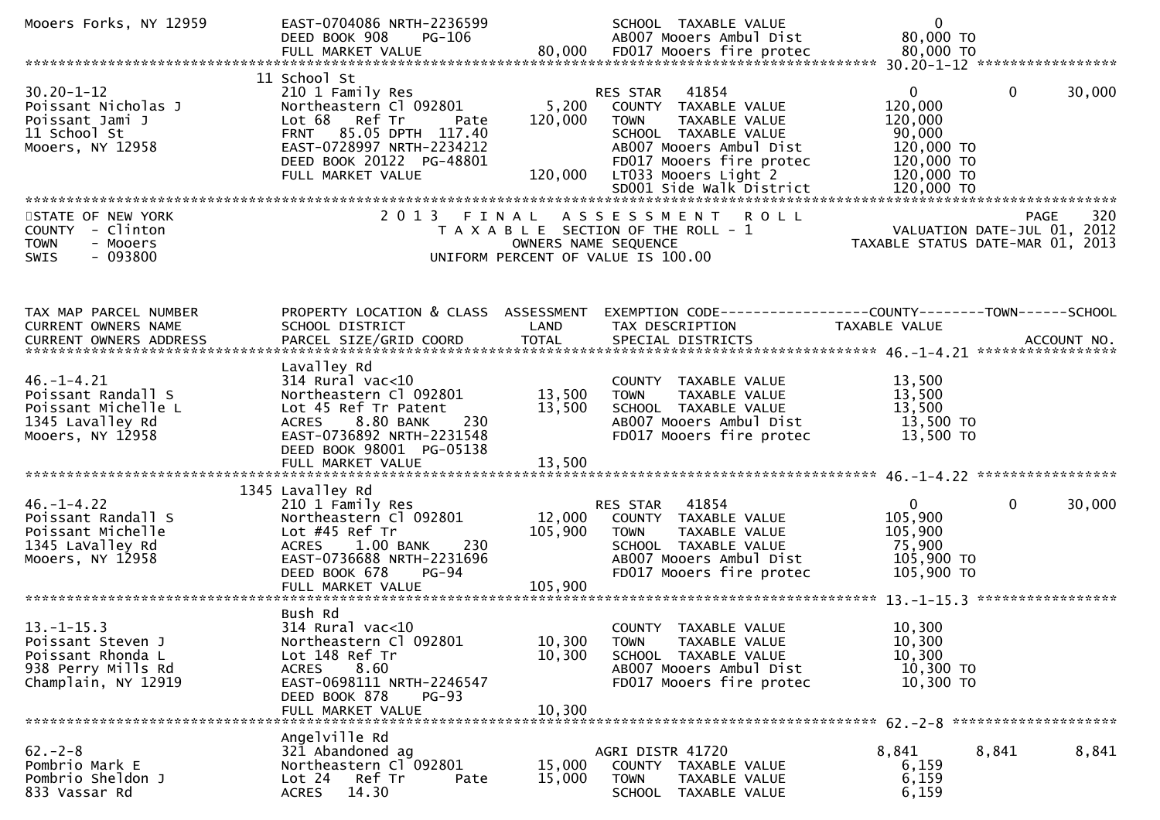| Mooers Forks, NY 12959                                                                                | EAST-0704086 NRTH-2236599<br>DEED BOOK 908<br>PG-106                                                                                                                                              |                               | SCHOOL TAXABLE VALUE<br>AB007 Mooers Ambul Dist                                                                                                                                                              | $\overline{0}$<br>80,000 TO                                                                          |                        |
|-------------------------------------------------------------------------------------------------------|---------------------------------------------------------------------------------------------------------------------------------------------------------------------------------------------------|-------------------------------|--------------------------------------------------------------------------------------------------------------------------------------------------------------------------------------------------------------|------------------------------------------------------------------------------------------------------|------------------------|
|                                                                                                       |                                                                                                                                                                                                   |                               |                                                                                                                                                                                                              |                                                                                                      |                        |
| $30.20 - 1 - 12$<br>Poissant Nicholas J<br>Poissant Jami J<br>11 School St<br>Mooers, NY 12958        | 11 School St<br>210 1 Family Res<br>Northeastern Cl 092801<br>Lot 68 Ref Tr<br>Pate<br>FRNT 85.05 DPTH 117.40<br>EAST-0728997 NRTH-2234212<br>DEED BOOK 20122 PG-48801<br>FULL MARKET VALUE       | 5,200<br>120,000<br>120,000   | 41854<br>RES STAR<br>COUNTY TAXABLE VALUE<br>TAXABLE VALUE<br><b>TOWN</b><br>SCHOOL TAXABLE VALUE<br>AB007 Mooers Ambul Dist<br>FD017 Mooers fire protec<br>LT033 Mooers Light 2<br>SD001 Side Walk District | $\mathbf{0}$<br>120,000<br>120,000<br>90,000<br>120,000 TO<br>120,000 TO<br>120,000 TO<br>120,000 TO | $\mathbf{0}$<br>30,000 |
| STATE OF NEW YORK<br>COUNTY - Clinton<br><b>TOWN</b><br>- Mooers<br>SWIS<br>- 093800                  | 2 0 1 3                                                                                                                                                                                           | FINAL<br>OWNERS NAME SEQUENCE | ASSESSMENT ROLL<br>T A X A B L E SECTION OF THE ROLL - 1<br>UNIFORM PERCENT OF VALUE IS 100.00                                                                                                               | VALUATION DATE-JUL 01, 2012<br>TAXABLE STATUS DATE-MAR 01, 2013                                      | 320<br><b>PAGE</b>     |
| TAX MAP PARCEL NUMBER<br>CURRENT OWNERS NAME                                                          | PROPERTY LOCATION & CLASS ASSESSMENT<br>SCHOOL DISTRICT                                                                                                                                           | LAND                          | EXEMPTION CODE-----------------COUNTY-------TOWN------SCHOOL<br>TAX DESCRIPTION                                                                                                                              | TAXABLE VALUE                                                                                        |                        |
| $46. - 1 - 4.21$<br>Poissant Randall S<br>Poissant Michelle L<br>1345 Lavalley Rd<br>Mooers, NY 12958 | Lavalley Rd<br>$314$ Rural vac< $10$<br>Northeastern Cl 092801<br>Lot 45 Ref Tr Patent<br>8.80 BANK<br>230<br>ACRES<br>EAST-0736892 NRTH-2231548<br>DEED BOOK 98001 PG-05138<br>FULL MARKET VALUE | 13,500<br>13,500<br>13,500    | COUNTY TAXABLE VALUE<br><b>TOWN</b><br>TAXABLE VALUE<br>SCHOOL TAXABLE VALUE<br>AB007 Mooers Ambul Dist<br>FD017 Mooers fire protec                                                                          | 13,500<br>13,500<br>13,500<br>13,500 TO<br>13,500 TO                                                 |                        |
| $46. - 1 - 4.22$<br>Poissant Randall S<br>Poissant Michelle<br>1345 LaValley Rd<br>Mooers, NY 12958   | 1345 Lavalley Rd<br>210 1 Family Res<br>Northeastern Cl 092801<br>Lot #45 Ref Tr<br>$1.00$ BANK<br>-230<br><b>ACRES</b><br>EAST-0736688 NRTH-2231696<br>DEED BOOK 678<br><b>PG-94</b>             | 12,000<br>105,900             | 41854<br>RES STAR<br>COUNTY TAXABLE VALUE<br><b>TOWN</b><br>TAXABLE VALUE<br>SCHOOL TAXABLE VALUE<br>AB007 Mooers Ambul Dist<br>FD017 Mooers fire protec                                                     | $\mathbf{0}$<br>105,900<br>105,900<br>75,900<br>105,900 TO<br>105,900 TO                             | $\mathbf{0}$<br>30,000 |
| $13.-1-15.3$<br>Poissant Steven J<br>Poissant Rhonda L<br>938 Perry Mills Rd<br>Champlain, NY 12919   | Bush Rd<br>$314$ Rural vac<10<br>Northeastern Cl 092801<br>Lot 148 Ref Tr<br>8.60<br>ACRES<br>EAST-0698111 NRTH-2246547<br>DEED BOOK 878<br>$PG-93$<br>FULL MARKET VALUE                          | 10,300<br>10,300<br>10,300    | COUNTY TAXABLE VALUE<br>TAXABLE VALUE<br><b>TOWN</b><br>SCHOOL TAXABLE VALUE<br>AB007 Mooers Ambul Dist<br>FD017 Mooers fire protec                                                                          | 10,300<br>10,300<br>10,300<br>10,300 TO<br>10,300 TO                                                 |                        |
| $62 - 2 - 8$<br>Pombrio Mark E<br>Pombrio Sheldon J<br>833 Vassar Rd                                  | Angelville Rd<br>321 Abandoned ag<br>Northeastern Cl 092801<br>Lot 24<br>Ref Tr<br>Pate<br>14.30<br>ACRES                                                                                         | 15,000<br>15,000              | AGRI DISTR 41720<br>COUNTY TAXABLE VALUE<br><b>TOWN</b><br>TAXABLE VALUE<br>SCHOOL TAXABLE VALUE                                                                                                             | 8,841<br>8,841<br>6,159<br>6,159<br>6,159                                                            | 8,841                  |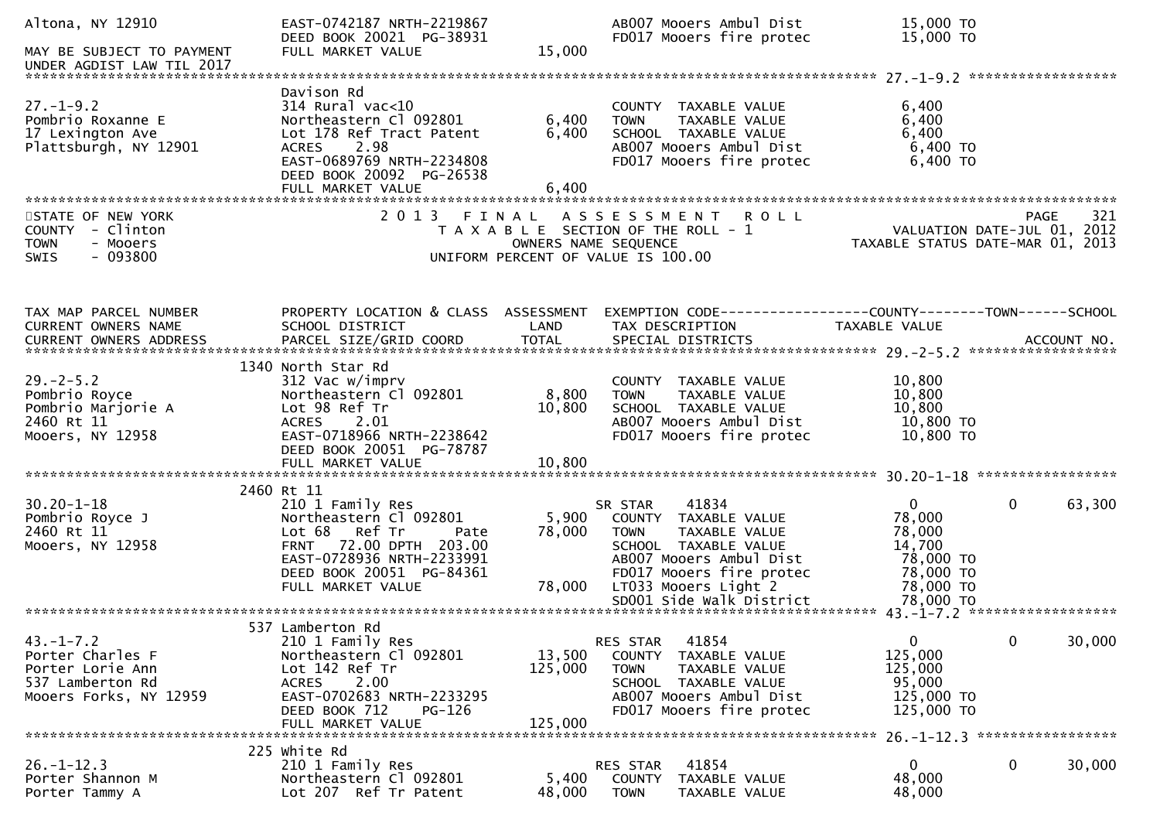| Altona, NY 12910<br>MAY BE SUBJECT TO PAYMENT<br>UNDER AGDIST LAW TIL 2017                            | EAST-0742187 NRTH-2219867<br>DEED BOOK 20021 PG-38931<br>FULL MARKET VALUE                                                                                                             | 15,000                       | AB007 Mooers Ambul Dist<br>FD017 Mooers fire protec                                                                                                                                                         | 15,000 TO<br>15,000 TO                                                                             |                        |
|-------------------------------------------------------------------------------------------------------|----------------------------------------------------------------------------------------------------------------------------------------------------------------------------------------|------------------------------|-------------------------------------------------------------------------------------------------------------------------------------------------------------------------------------------------------------|----------------------------------------------------------------------------------------------------|------------------------|
| $27. - 1 - 9.2$<br>Pombrio Roxanne E<br>17 Lexington Ave<br>Plattsburgh, NY 12901                     | Davison Rd<br>$314$ Rural vac< $10$<br>Northeastern Cl 092801<br>Lot 178 Ref Tract Patent<br>ACRES 2.98<br>EAST-0689769 NRTH-2234808<br>DEED BOOK 20092 PG-26538<br>FULL MARKET VALUE  | 6,400<br>6,400<br>6,400      | COUNTY TAXABLE VALUE<br><b>TOWN</b><br>TAXABLE VALUE<br>SCHOOL TAXABLE VALUE<br>AB007 Mooers Ambul Dist<br>FD017 Mooers fire protec                                                                         | 6,400<br>6,400<br>6,400<br>$6,400$ TO<br>6,400 TO                                                  |                        |
| STATE OF NEW YORK<br>COUNTY - Clinton<br>- Mooers<br><b>TOWN</b><br>$-093800$<br><b>SWIS</b>          |                                                                                                                                                                                        | OWNERS NAME SEQUENCE         | 2013 FINAL ASSESSMENT<br><b>ROLL</b><br>T A X A B L E SECTION OF THE ROLL - 1<br>UNIFORM PERCENT OF VALUE IS 100.00                                                                                         | لاكة - VALUATION DATE-JUL 01, 2012<br>2012 TAYARLE CTATIC BITE<br>TAXABLE STATUS DATE-MAR 01, 2013 | 321<br><b>PAGE</b>     |
| TAX MAP PARCEL NUMBER<br>CURRENT OWNERS NAME<br>CURRENT OWNERS ADDRESS                                | PROPERTY LOCATION & CLASS ASSESSMENT<br>SCHOOL DISTRICT                                                                                                                                | LAND                         | EXEMPTION CODE-----------------COUNTY--------TOWN------SCHOOL<br>TAX DESCRIPTION                                                                                                                            | TAXABLE VALUE                                                                                      |                        |
| $29. - 2 - 5.2$<br>Pombrio Royce<br>Pombrio Marjorie A<br>2460 Rt 11<br>Mooers, NY 12958              | 1340 North Star Rd<br>312 Vac w/imprv<br>Northeastern Cl 092801<br>Lot 98 Ref Tr<br>2.01<br><b>ACRES</b><br>EAST-0718966 NRTH-2238642<br>DEED BOOK 20051 PG-78787<br>FULL MARKET VALUE | 8,800<br>10,800<br>10,800    | COUNTY TAXABLE VALUE<br><b>TOWN</b><br>TAXABLE VALUE<br>SCHOOL TAXABLE VALUE<br>AB007 Mooers Ambul Dist<br>FD017 Mooers fire protec                                                                         | 10,800<br>10,800<br>10,800<br>10,800 TO<br>10,800 TO                                               |                        |
|                                                                                                       | 2460 Rt 11                                                                                                                                                                             |                              |                                                                                                                                                                                                             |                                                                                                    |                        |
| $30.20 - 1 - 18$<br>Pombrio Royce J<br>2460 Rt 11<br>Mooers, NY 12958                                 | 210 1 Family Res<br>Northeastern Cl 092801<br>Lot 68 Ref Tr<br>Pate<br><b>FRNT</b><br>72.00 DPTH 203.00<br>EAST-0728936 NRTH-2233991<br>DEED BOOK 20051 PG-84361<br>FULL MARKET VALUE  | 5,900<br>78,000<br>78,000    | 41834<br>SR STAR<br>COUNTY TAXABLE VALUE<br><b>TOWN</b><br>TAXABLE VALUE<br>SCHOOL TAXABLE VALUE<br>ABOO7 Mooers Ambul Dist<br>FD017 Mooers fire protec<br>LT033 Mooers Light 2<br>SD001 Side Walk District | $\mathbf{0}$<br>78,000<br>78,000<br>14,700<br>78,000 TO<br>78,000 TO<br>78,000 TO<br>78,000 TO     | $\mathbf{0}$<br>63,300 |
|                                                                                                       | 537 Lamberton Rd                                                                                                                                                                       |                              |                                                                                                                                                                                                             |                                                                                                    |                        |
| $43. - 1 - 7.2$<br>Porter Charles F<br>Porter Lorie Ann<br>537 Lamberton Rd<br>Mooers Forks, NY 12959 | 210 1 Family Res<br>Northeastern Cl 092801<br>Lot 142 Ref Tr<br>2.00<br><b>ACRES</b><br>EAST-0702683 NRTH-2233295<br>DEED BOOK 712<br>PG-126<br>FULL MARKET VALUE                      | 13,500<br>125,000<br>125,000 | 41854<br>RES STAR<br>COUNTY TAXABLE VALUE<br>TAXABLE VALUE<br><b>TOWN</b><br>SCHOOL TAXABLE VALUE<br>AB007 Mooers Ambul Dist<br>FD017 Mooers fire protec                                                    | $\mathbf{0}$<br>125,000<br>125,000<br>95,000<br>125,000 TO<br>125,000 TO                           | $\mathbf 0$<br>30,000  |
|                                                                                                       | 225 white Rd                                                                                                                                                                           |                              |                                                                                                                                                                                                             |                                                                                                    |                        |
| $26. - 1 - 12.3$<br>Porter Shannon M<br>Porter Tammy A                                                | 210 1 Family Res<br>Northeastern Cl 092801<br>Lot 207 Ref Tr Patent                                                                                                                    | 5,400<br>48,000              | 41854<br><b>RES STAR</b><br><b>COUNTY</b><br>TAXABLE VALUE<br><b>TOWN</b><br>TAXABLE VALUE                                                                                                                  | 0<br>48,000<br>48,000                                                                              | 0<br>30,000            |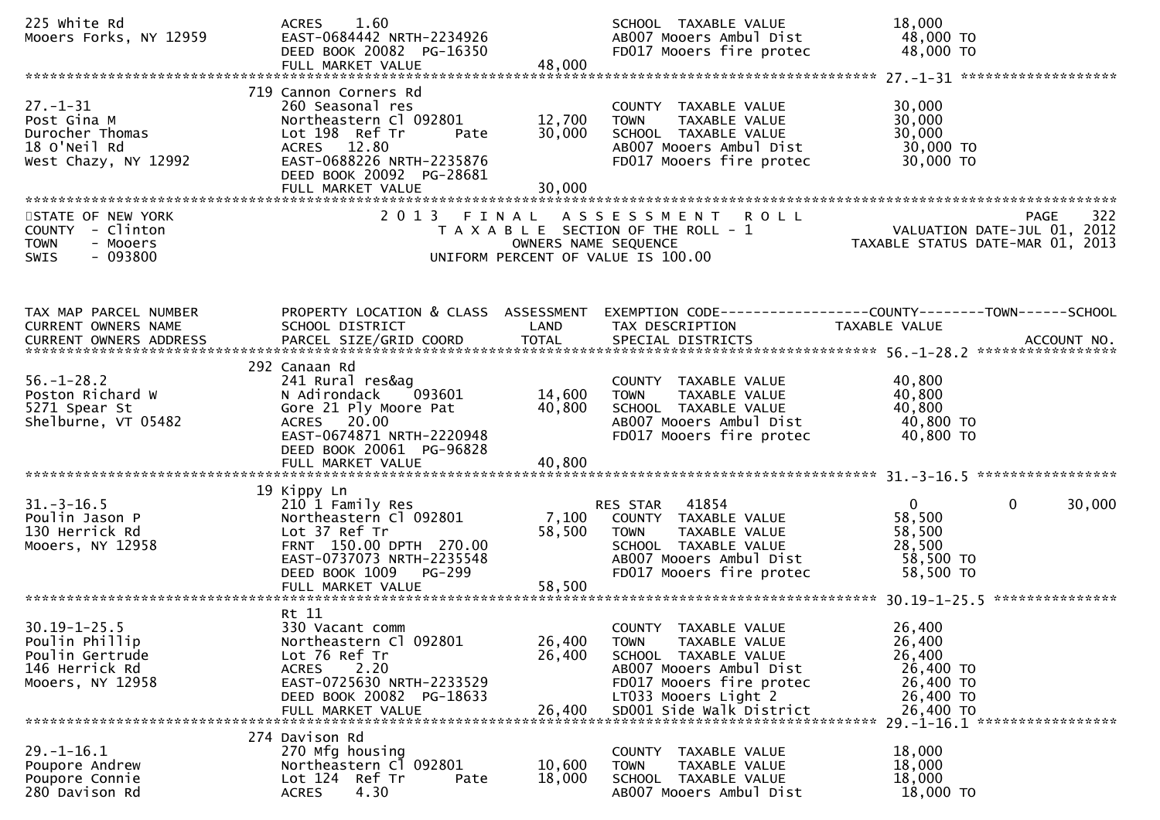| 225 white Rd<br>Mooers Forks, NY 12959                                                        | ACRES 1.60<br>EAST-0684442 NRTH-2234926<br>DEED BOOK 20082 PG-16350<br>FULL MARKET VALUE                                                                                                   | 48,000                     | SCHOOL TAXABLE VALUE<br>AB007 Mooers Ambul Dist<br>FD017 Mooers fire protec                                                                                 | 18,000<br>48,000 TO<br>48,000 TO                                                                 |
|-----------------------------------------------------------------------------------------------|--------------------------------------------------------------------------------------------------------------------------------------------------------------------------------------------|----------------------------|-------------------------------------------------------------------------------------------------------------------------------------------------------------|--------------------------------------------------------------------------------------------------|
|                                                                                               |                                                                                                                                                                                            |                            |                                                                                                                                                             |                                                                                                  |
| $27 - 1 - 31$<br>Post Gina M<br>Durocher Thomas<br>18 O'Neil Rd<br>West Chazy, NY 12992       | 719 Cannon Corners Rd<br>260 Seasonal res<br>Northeastern Cl 092801<br>Lot 198 Ref Tr<br>Pate<br>ACRES 12.80<br>EAST-0688226 NRTH-2235876<br>DEED BOOK 20092 PG-28681<br>FULL MARKET VALUE | 12,700<br>30,000<br>30,000 | COUNTY TAXABLE VALUE<br><b>TOWN</b><br>TAXABLE VALUE<br>SCHOOL TAXABLE VALUE<br>AB007 Mooers Ambul Dist<br>FD017 Mooers fire protec                         | 30,000<br>30,000<br>30,000<br>30,000 TO<br>30,000 TO                                             |
| STATE OF NEW YORK                                                                             |                                                                                                                                                                                            |                            |                                                                                                                                                             | 322<br>PAGE                                                                                      |
| COUNTY - Clinton<br><b>TOWN</b><br>- Mooers<br>- 093800<br><b>SWIS</b>                        |                                                                                                                                                                                            | OWNERS NAME SEQUENCE       | 2013 FINAL ASSESSMENT ROLL<br>T A X A B L E SECTION OF THE ROLL - 1<br>UNIFORM PERCENT OF VALUE IS 100.00                                                   | VALUATION DATE-JUL 01, 2012<br>TAXABLE STATUS DATE-MAR 01, 2013                                  |
| TAX MAP PARCEL NUMBER<br>CURRENT OWNERS NAME                                                  | PROPERTY LOCATION & CLASS ASSESSMENT<br>SCHOOL DISTRICT                                                                                                                                    | LAND                       | TAX DESCRIPTION                                                                                                                                             | EXEMPTION CODE------------------COUNTY--------TOWN------SCHOOL<br>TAXABLE VALUE                  |
| $56. - 1 - 28.2$<br>Poston Richard W<br>5271 Spear St<br>Shelburne, VT 05482                  | 292 Canaan Rd<br>241 Rural res&ag<br>N Adirondack<br>093601<br>Gore 21 Ply Moore Pat<br>ACRES 20.00<br>EAST-0674871 NRTH-2220948<br>DEED BOOK 20061 PG-96828<br>FULL MARKET VALUE          | 14,600<br>40,800<br>40,800 | COUNTY TAXABLE VALUE<br><b>TOWN</b><br>TAXABLE VALUE<br>SCHOOL TAXABLE VALUE<br>AB007 Mooers Ambul Dist<br>FD017 Mooers fire protec                         | 40,800<br>40,800<br>40,800<br>40,800 TO<br>40,800 TO                                             |
|                                                                                               | 19 Kippy Ln                                                                                                                                                                                |                            |                                                                                                                                                             |                                                                                                  |
| $31. - 3 - 16.5$<br>Poulin Jason P<br>130 Herrick Rd<br>Mooers, NY 12958                      | 210 1 Family Res<br>Northeastern Cl 092801<br>Lot 37 Ref Tr<br>FRNT 150.00 DPTH 270.00<br>EAST-0737073 NRTH-2235548<br>DEED BOOK 1009<br>PG-299                                            | 7,100<br>58,500            | RES STAR 41854<br>COUNTY TAXABLE VALUE<br>TAXABLE VALUE<br><b>TOWN</b><br>SCHOOL TAXABLE VALUE<br>AB007 Mooers Ambul Dist<br>FD017 Mooers fire protec       | $\overline{0}$<br>$\mathbf{0}$<br>30,000<br>58,500<br>58,500<br>28,500<br>58,500 TO<br>58,500 TO |
|                                                                                               |                                                                                                                                                                                            |                            |                                                                                                                                                             |                                                                                                  |
| $30.19 - 1 - 25.5$<br>Poulin Phillip<br>Poulin Gertrude<br>146 Herrick Rd<br>Mooers, NY 12958 | Rt 11<br>330 Vacant comm<br>Northeastern Cl 092801<br>Lot 76 Ref Tr<br><b>ACRES</b><br>2.20<br>EAST-0725630 NRTH-2233529<br>DEED BOOK 20082 PG-18633                                       | 26,400<br>26,400           | COUNTY TAXABLE VALUE<br>TAXABLE VALUE<br><b>TOWN</b><br>SCHOOL TAXABLE VALUE<br>AB007 Mooers Ambul Dist<br>FD017 Mooers fire protec<br>LT033 Mooers Light 2 | 26,400<br>26,400<br>26,400<br>26,400 TO<br>26,400 TO<br>26,400 TO<br>26,400 TO                   |
| $29. - 1 - 16.1$<br>Poupore Andrew<br>Poupore Connie<br>280 Davison Rd                        | 274 Davison Rd<br>270 Mfg housing<br>Northeastern C1 092801<br>Lot 124 Ref Tr<br>Pate<br>4.30<br><b>ACRES</b>                                                                              | 10,600<br>18,000           | COUNTY TAXABLE VALUE<br>TAXABLE VALUE<br>TOWN<br>SCHOOL TAXABLE VALUE<br>AB007 Mooers Ambul Dist                                                            | 29. -1-16.1 ******************<br>18,000<br>18,000<br>18,000<br>18,000 TO                        |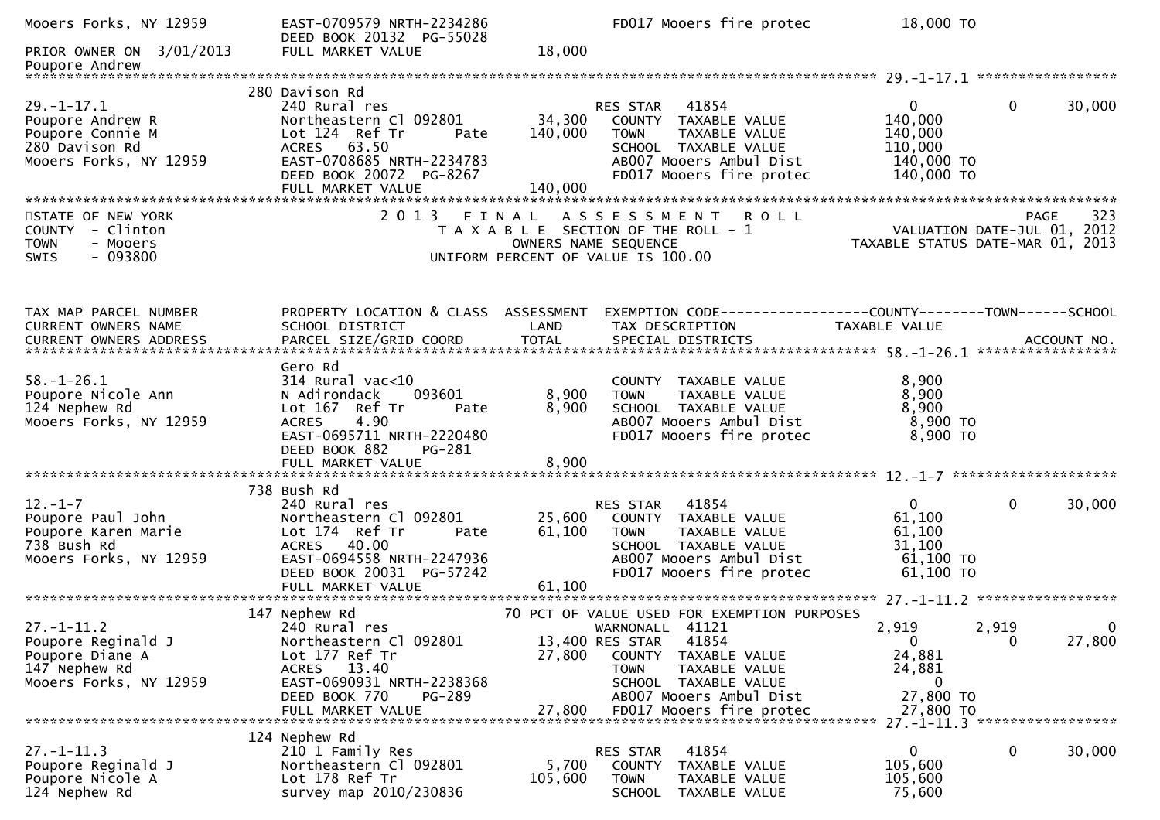| Mooers Forks, NY 12959                                                                               | EAST-0709579 NRTH-2234286<br>DEED BOOK 20132 PG-55028                                                                                                                                         |                         | FD017 Mooers fire protec                                                                                                                                                                                                             | 18,000 TO                                                                   |                                     |
|------------------------------------------------------------------------------------------------------|-----------------------------------------------------------------------------------------------------------------------------------------------------------------------------------------------|-------------------------|--------------------------------------------------------------------------------------------------------------------------------------------------------------------------------------------------------------------------------------|-----------------------------------------------------------------------------|-------------------------------------|
| PRIOR OWNER ON 3/01/2013                                                                             | FULL MARKET VALUE                                                                                                                                                                             | 18,000                  |                                                                                                                                                                                                                                      |                                                                             |                                     |
|                                                                                                      |                                                                                                                                                                                               |                         |                                                                                                                                                                                                                                      |                                                                             |                                     |
| $29. - 1 - 17.1$<br>Poupore Andrew R<br>Poupore Connie M<br>280 Davison Rd<br>Mooers Forks, NY 12959 | 280 Davison Rd<br>240 Rural res<br>Northeastern Cl 092801<br>Lot 124 Ref Tr<br>Pate<br>ACRES 63.50<br>EAST-0708685 NRTH-2234783<br>DEED BOOK 20072 PG-8267                                    | 34,300<br>140,000       | RES STAR 41854<br>COUNTY TAXABLE VALUE<br>TAXABLE VALUE<br><b>TOWN</b><br>SCHOOL TAXABLE VALUE<br>AB007 Mooers Ambul Dist<br>FD017 Mooers fire protec                                                                                | $\overline{0}$<br>140,000<br>140,000<br>110,000<br>140,000 TO<br>140,000 TO | $\mathbf{0}$<br>30,000              |
|                                                                                                      |                                                                                                                                                                                               |                         |                                                                                                                                                                                                                                      |                                                                             |                                     |
| STATE OF NEW YORK<br>COUNTY - Clinton<br>- Mooers<br><b>TOWN</b><br>$-093800$<br>SWIS                |                                                                                                                                                                                               |                         | 2013 FINAL ASSESSMENT ROLL<br>T A X A B L E SECTION OF THE ROLL - 1<br>OWNERS NAME SEQUENCE<br>UNIFORM PERCENT OF VALUE IS 100.00                                                                                                    | PAGE 323<br>VALUATION DATE-JUL 01, 2012<br>TAXARLE STATUS DATE :::- 211     | TAXABLE STATUS DATE-MAR 01, 2013    |
| TAX MAP PARCEL NUMBER<br>CURRENT OWNERS NAME<br>CURRENT OWNERS ADDRESS                               | PROPERTY LOCATION & CLASS ASSESSMENT<br>SCHOOL DISTRICT                                                                                                                                       | LAND                    | EXEMPTION CODE------------------COUNTY--------TOWN------SCHOOL<br>TAX DESCRIPTION                                                                                                                                                    | <b>TAXABLE VALUE</b>                                                        |                                     |
| $58. - 1 - 26.1$<br>Poupore Nicole Ann<br>124 Nephew Rd<br>Mooers Forks, NY 12959                    | Gero Rd<br>$314$ Rural vac<10<br>093601<br>N Adirondack<br>Lot 167 Ref Tr<br>Pate<br><b>ACRES</b><br>4.90<br>EAST-0695711 NRTH-2220480<br>DEED BOOK 882<br><b>PG-281</b><br>FULL MARKET VALUE | 8,900<br>8,900<br>8,900 | COUNTY TAXABLE VALUE<br>TAXABLE VALUE<br><b>TOWN</b><br>SCHOOL TAXABLE VALUE<br>AB007 Mooers Ambul Dist<br>FD017 Mooers fire protec                                                                                                  | 8,900<br>8,900<br>8,900<br>8,900 TO<br>8,900 TO                             |                                     |
|                                                                                                      | 738 Bush Rd                                                                                                                                                                                   |                         |                                                                                                                                                                                                                                      |                                                                             |                                     |
| $12. - 1 - 7$<br>Poupore Paul John<br>Poupore Karen Marie<br>738 Bush Rd<br>Mooers Forks, NY 12959   | 240 Rural res<br>Northeastern Cl 092801<br>Lot 174 Ref Tr<br>Pate<br>ACRES 40.00<br>EAST-0694558 NRTH-2247936<br>DEED BOOK 20031 PG-57242                                                     | 25,600<br>61,100        | 41854<br>RES STAR<br>COUNTY TAXABLE VALUE<br>TAXABLE VALUE<br><b>TOWN</b><br>SCHOOL TAXABLE VALUE<br>AB007 Mooers Ambul Dist<br>FD017 Mooers fire protec                                                                             | $\mathbf{0}$<br>61,100<br>61,100<br>31,100<br>61,100 TO<br>61,100 TO        | 30,000<br>$\mathbf{0}$              |
|                                                                                                      |                                                                                                                                                                                               |                         |                                                                                                                                                                                                                                      |                                                                             |                                     |
| $27. - 1 - 11.2$<br>Poupore Reginald J<br>Poupore Diane A<br>147 Nephew Rd<br>Mooers Forks, NY 12959 | 147 Nephew Rd<br>240 Rural res<br>Northeastern Cl 092801<br>Lot 177 Ref Tr<br>ACRES 13.40<br>EAST-0690931 NRTH-2238368<br>DEED BOOK 770<br>PG-289<br>FULL MARKET VALUE                        | 27,800<br>27,800        | 70 PCT OF VALUE USED FOR EXEMPTION PURPOSES<br>WARNONALL 41121<br>13,400 RES STAR<br>41854<br>COUNTY<br>TAXABLE VALUE<br><b>TOWN</b><br>TAXABLE VALUE<br>SCHOOL TAXABLE VALUE<br>AB007 Mooers Ambul Dist<br>FD017 Mooers fire protec | 2,919<br>$\mathbf{0}$<br>24,881<br>24,881<br>0<br>27,800 TO<br>27,800 TO    | 2,919<br>0<br>27,800<br>$\mathbf 0$ |
|                                                                                                      | 124 Nephew Rd                                                                                                                                                                                 |                         |                                                                                                                                                                                                                                      |                                                                             | 27. -1-11.3 ******************      |
| $27. - 1 - 11.3$<br>Poupore Reginald J<br>Poupore Nicole A<br>124 Nephew Rd                          | 210 1 Family Res<br>Northeastern Cl 092801<br>Lot 178 Ref Tr<br>survey map 2010/230836                                                                                                        | 5,700<br>105,600        | 41854<br>RES STAR<br><b>COUNTY</b><br>TAXABLE VALUE<br><b>TOWN</b><br>TAXABLE VALUE<br><b>SCHOOL</b><br>TAXABLE VALUE                                                                                                                | 0<br>105,600<br>105,600<br>75,600                                           | 0<br>30,000                         |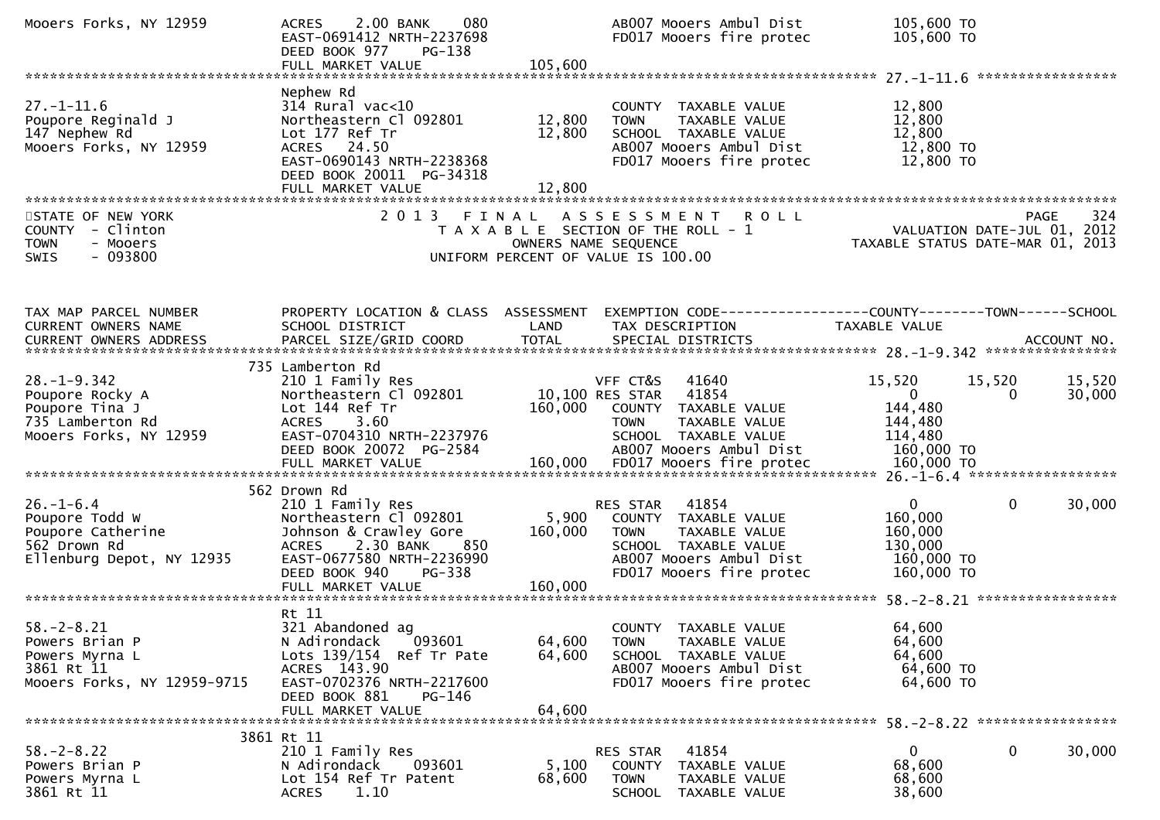| Mooers Forks, NY 12959                                                                               | 2.00 BANK<br>080<br><b>ACRES</b><br>EAST-0691412 NRTH-2237698<br>DEED BOOK 977<br>PG-138<br>FULL MARKET VALUE                                                                    | 105,600                    | AB007 Mooers Ambul Dist<br>FD017 Mooers fire protec                                                                                                      | 105,600 TO<br>105,600 TO                                                  |                                                   |
|------------------------------------------------------------------------------------------------------|----------------------------------------------------------------------------------------------------------------------------------------------------------------------------------|----------------------------|----------------------------------------------------------------------------------------------------------------------------------------------------------|---------------------------------------------------------------------------|---------------------------------------------------|
| $27. - 1 - 11.6$<br>Poupore Reginald J<br>147 Nephew Rd<br>Mooers Forks, NY 12959                    | Nephew Rd<br>$314$ Rural vac<10<br>Northeastern Cl 092801<br>Lot 177 Ref Tr<br>ACRES 24.50                                                                                       | 12,800<br>12,800           | COUNTY TAXABLE VALUE<br><b>TOWN</b><br>TAXABLE VALUE<br>SCHOOL TAXABLE VALUE<br>AB007 Mooers Ambul Dist                                                  | 12,800<br>12,800<br>12,800<br>12,800 TO                                   |                                                   |
|                                                                                                      | EAST-0690143 NRTH-2238368<br>DEED BOOK 20011 PG-34318<br>FULL MARKET VALUE                                                                                                       | 12,800                     | FD017 Mooers fire protec                                                                                                                                 | 12,800 TO                                                                 |                                                   |
| STATE OF NEW YORK<br>- Clinton<br>COUNTY<br>- Mooers<br><b>TOWN</b><br>$-093800$<br>SWIS             | 2 0 1 3                                                                                                                                                                          | OWNERS NAME SEQUENCE       | FINAL ASSESSMENT ROLL<br>T A X A B L E SECTION OF THE ROLL - 1<br>UNIFORM PERCENT OF VALUE IS 100.00                                                     | TAXABLE STATUS DATE-MAR 01, 2013                                          | 324<br><b>PAGE</b><br>VALUATION DATE-JUL 01, 2012 |
| TAX MAP PARCEL NUMBER<br>CURRENT OWNERS NAME                                                         | PROPERTY LOCATION & CLASS ASSESSMENT<br>SCHOOL DISTRICT                                                                                                                          | LAND                       | EXEMPTION CODE------------------COUNTY--------TOWN------SCHOOL<br>TAX DESCRIPTION                                                                        | <b>TAXABLE VALUE</b>                                                      |                                                   |
| $28. - 1 - 9.342$<br>Poupore Rocky A<br>Poupore Tina J<br>735 Lamberton Rd<br>Mooers Forks, NY 12959 | 735 Lamberton Rd<br>210 1 Family Res<br>Northeastern Cl 092801<br>Lot 144 Ref Tr<br>3.60<br><b>ACRES</b><br>EAST-0704310 NRTH-2237976<br>DEED BOOK 20072 PG-2584                 | 160,000                    | VFF CT&S<br>41640<br>10,100 RES STAR<br>41854<br>COUNTY TAXABLE VALUE<br>TAXABLE VALUE<br><b>TOWN</b><br>SCHOOL TAXABLE VALUE<br>AB007 Mooers Ambul Dist | 15,520<br>$\mathbf{0}$<br>144,480<br>144,480<br>114,480<br>160,000 TO     | 15,520<br>15,520<br>30,000<br>0                   |
| $26. - 1 - 6.4$<br>Poupore Todd W<br>Poupore Catherine<br>562 Drown Rd<br>Ellenburg Depot, NY 12935  | 562 Drown Rd<br>210 1 Family Res<br>Northeastern Cl 092801<br>Johnson & Crawley Gore<br>2.30 BANK<br><b>ACRES</b><br>850<br>EAST-0677580 NRTH-2236990<br>DEED BOOK 940<br>PG-338 | 5,900<br>160,000           | 41854<br>RES STAR<br>COUNTY TAXABLE VALUE<br>TAXABLE VALUE<br><b>TOWN</b><br>SCHOOL TAXABLE VALUE<br>AB007 Mooers Ambul Dist<br>FD017 Mooers fire protec | $\mathbf{0}$<br>160,000<br>160,000<br>130,000<br>160,000 TO<br>160,000 TO | $\mathbf{0}$<br>30,000                            |
| $58. - 2 - 8.21$<br>Powers Brian P<br>Powers Myrna L<br>3861 Rt 11<br>Mooers Forks, NY 12959-9715    | Rt 11<br>321 Abandoned ag<br>N Adirondack<br>093601<br>Lots 139/154 Ref Tr Pate<br>ACRES 143.90<br>EAST-0702376 NRTH-2217600<br>DEED BOOK 881<br>PG-146<br>FULL MARKET VALUE     | 64,600<br>64,600<br>64,600 | COUNTY TAXABLE VALUE<br>TAXABLE VALUE<br><b>TOWN</b><br>SCHOOL TAXABLE VALUE<br>AB007 Mooers Ambul Dist<br>FD017 Mooers fire protec                      | 64,600<br>64,600<br>64,600<br>64,600 TO<br>64,600 TO                      |                                                   |
| $58. - 2 - 8.22$<br>Powers Brian P<br>Powers Myrna L<br>3861 Rt 11                                   | 3861 Rt 11<br>210 1 Family Res<br>N Adirondack<br>093601<br>Lot 154 Ref Tr Patent<br>1.10<br><b>ACRES</b>                                                                        | 5,100<br>68,600            | 41854<br>RES STAR<br>COUNTY TAXABLE VALUE<br>TOWN<br>TAXABLE VALUE<br>SCHOOL TAXABLE VALUE                                                               | 0<br>68,600<br>68,600<br>38,600                                           | 30,000<br>0                                       |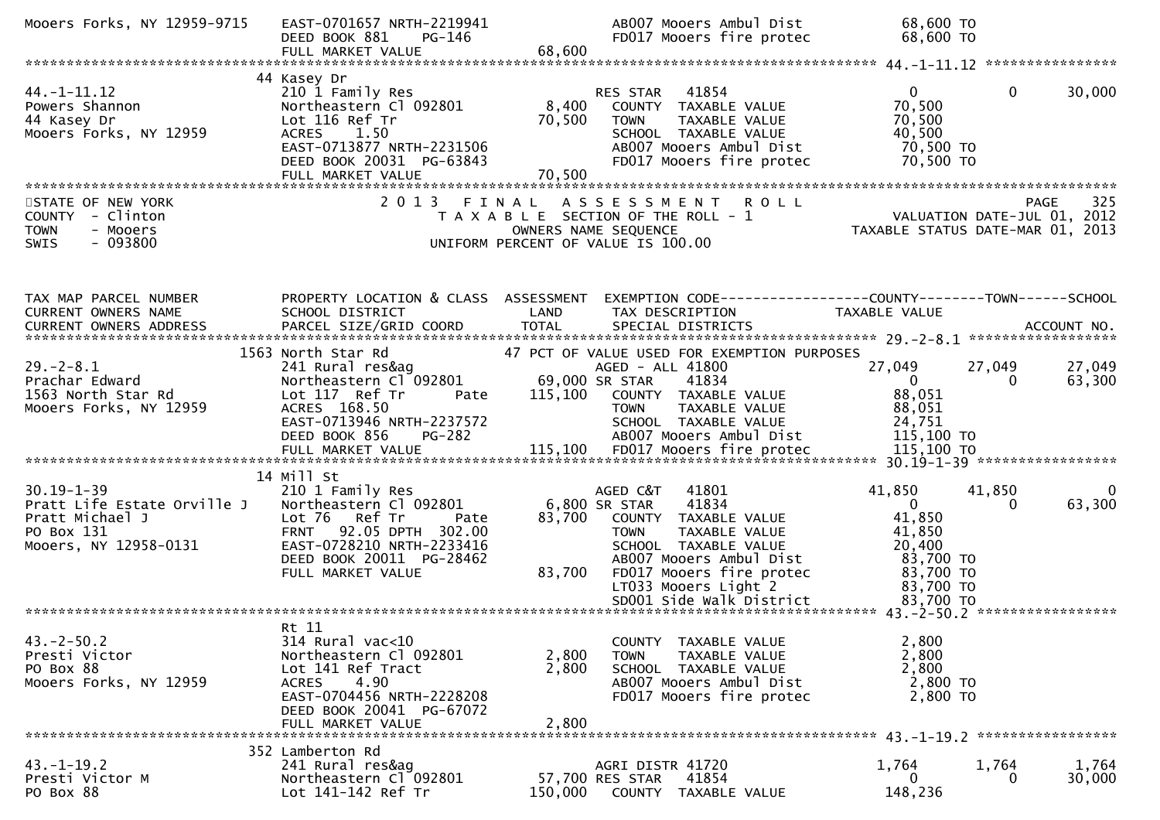| Mooers Forks, NY 12959-9715                                                                               | EAST-0701657 NRTH-2219941<br>DEED BOOK 881<br>PG-146<br>FULL MARKET VALUE                                                                                                                 | AB007 Mooers Ambul Dist<br>FD017 Mooers fire protec<br>68,600                                                                                                                                                                                              | 68,600 TO<br>68,600 TO                                                                                         |                  |
|-----------------------------------------------------------------------------------------------------------|-------------------------------------------------------------------------------------------------------------------------------------------------------------------------------------------|------------------------------------------------------------------------------------------------------------------------------------------------------------------------------------------------------------------------------------------------------------|----------------------------------------------------------------------------------------------------------------|------------------|
|                                                                                                           |                                                                                                                                                                                           |                                                                                                                                                                                                                                                            |                                                                                                                |                  |
| $44. - 1 - 11.12$<br>Powers Shannon<br>44 Kasey Dr<br>Mooers Forks, NY 12959                              | 44 Kasey Dr<br>210 1 Family Res<br>Northeastern Cl 092801<br>Lot 116 Ref Tr<br>1.50<br><b>ACRES</b><br>EAST-0713877 NRTH-2231506<br>DEED BOOK 20031 PG-63843<br>FULL MARKET VALUE         | 41854<br><b>RES STAR</b><br>8,400<br>COUNTY TAXABLE VALUE<br>70,500<br>TAXABLE VALUE<br><b>TOWN</b><br>SCHOOL TAXABLE VALUE<br>AB007 Mooers Ambul Dist<br>FD017 Mooers fire protec<br>70,500                                                               | $\overline{0}$<br>$\Omega$<br>70,500<br>70,500<br>40,500<br>70,500 TO<br>70,500 TO                             | 30,000           |
| STATE OF NEW YORK<br>COUNTY - Clinton<br>- Mooers<br><b>TOWN</b><br>$-093800$<br><b>SWIS</b>              |                                                                                                                                                                                           | 2013 FINAL ASSESSMENT ROLL<br>T A X A B L E SECTION OF THE ROLL - 1<br>OWNERS NAME SEQUENCE<br>UNIFORM PERCENT OF VALUE IS 100.00                                                                                                                          | PAGE 325<br>VALUATION DATE-JUL 01, 2012<br>TAXABLE STATUS DATE 110 01, 2012                                    |                  |
| TAX MAP PARCEL NUMBER<br>CURRENT OWNERS NAME                                                              | PROPERTY LOCATION & CLASS ASSESSMENT<br>SCHOOL DISTRICT                                                                                                                                   | LAND<br>TAX DESCRIPTION                                                                                                                                                                                                                                    | EXEMPTION CODE-----------------COUNTY-------TOWN------SCHOOL<br><b>TAXABLE VALUE</b>                           |                  |
| $29. - 2 - 8.1$<br>Prachar Edward<br>1563 North Star Rd<br>Mooers Forks, NY 12959                         | 1563 North Star Rd<br>241 Rural res&ag<br>Northeastern Cl 092801<br>Lot 117 Ref Tr<br>Pate<br>ACRES 168.50<br>EAST-0713946 NRTH-2237572<br>DEED BOOK 856<br>PG-282<br>FULL MARKET VALUE   | 47 PCT OF VALUE USED FOR EXEMPTION PURPOSES<br>AGED - ALL 41800<br>69,000 SR STAR<br>41834<br>115,100<br>COUNTY TAXABLE VALUE<br><b>TOWN</b><br>TAXABLE VALUE<br>SCHOOL TAXABLE VALUE<br>AB007 Mooers Ambul Dist                                           | 27,049<br>27,049<br>$\overline{0}$<br>$\Omega$<br>88,051<br>88,051<br>24,751<br>115,100 TO                     | 27,049<br>63,300 |
| $30.19 - 1 - 39$<br>Pratt Life Estate Orville J<br>Pratt Michael J<br>PO Box 131<br>Mooers, NY 12958-0131 | 14 Mill St<br>210 1 Family Res<br>Northeastern Cl 092801<br>Lot 76 Ref Tr<br>Pate<br>FRNT 92.05 DPTH 302.00<br>EAST-0728210 NRTH-2233416<br>DEED BOOK 20011 PG-28462<br>FULL MARKET VALUE | AGED C&T<br>41801<br>6,800 SR STAR<br>41834<br>83,700<br>COUNTY TAXABLE VALUE<br>TAXABLE VALUE<br><b>TOWN</b><br>SCHOOL TAXABLE VALUE<br>ABOO7 Mooers Ambul Dist<br>FD017 Mooers fire protec<br>83,700<br>LT033 Mooers Light 2<br>SD001 Side Walk District | 41,850<br>41,850<br>$\Omega$<br>41,850<br>41,850<br>20,400<br>83,700 TO<br>83,700 TO<br>83,700 TO<br>83,700 TO | 0<br>63,300      |
| $43. -2 - 50.2$<br>Presti Victor<br>PO Box 88<br>Mooers Forks, NY 12959                                   | Rt 11<br>314 Rural vac<10<br>Northeastern Cl 092801<br>Lot 141 Ref Tract<br>4.90<br><b>ACRES</b><br>EAST-0704456 NRTH-2228208<br>DEED BOOK 20041 PG-67072<br>FULL MARKET VALUE            | COUNTY TAXABLE VALUE<br>2,800<br>TAXABLE VALUE<br><b>TOWN</b><br>2,800<br>SCHOOL TAXABLE VALUE<br>AB007 Mooers Ambul Dist<br>FD017 Mooers fire protec<br>2,800                                                                                             | 2,800<br>2,800<br>2,800<br>2,800 TO<br>2,800 TO                                                                |                  |
| $43. - 1 - 19.2$<br>Presti Victor M<br>PO Box 88                                                          | 352 Lamberton Rd<br>241 Rural res&ag<br>Northeastern Cl 092801<br>Lot 141-142 Ref Tr                                                                                                      | AGRI DISTR 41720<br>57,700 RES STAR<br>41854<br>150,000<br>COUNTY TAXABLE VALUE                                                                                                                                                                            | 1,764<br>1,764<br>0<br>148,236                                                                                 | 1,764<br>30,000  |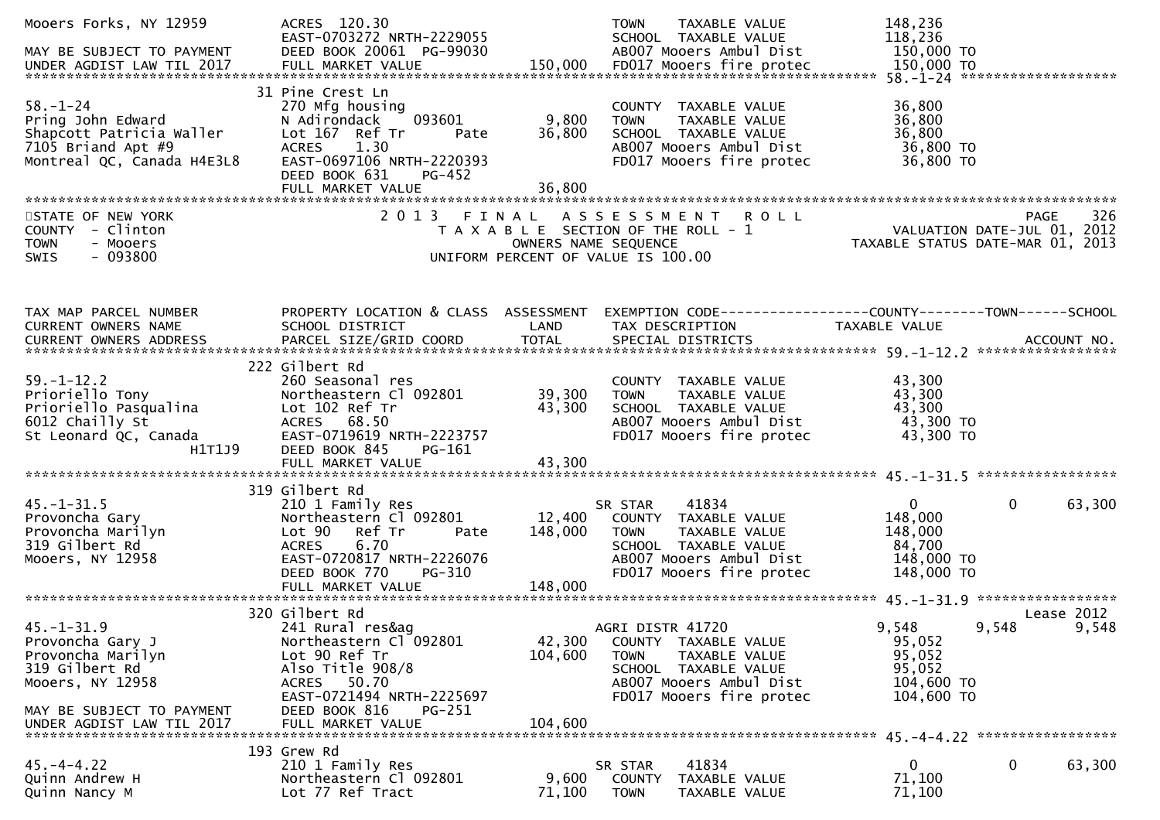| Mooers Forks, NY 12959<br>MAY BE SUBJECT TO PAYMENT<br>UNDER AGDIST LAW TIL 2017                                                                          | ACRES 120.30<br>EAST-0703272 NRTH-2229055<br>DEED BOOK 20061 PG-99030                                                                                                                               |                               | TAXABLE VALUE<br><b>TOWN</b><br>SCHOOL TAXABLE VALUE<br>AB007 Mooers Ambul Dist                                                                                   | 148,236<br>118,236<br>150,000 TO                                         |                        |
|-----------------------------------------------------------------------------------------------------------------------------------------------------------|-----------------------------------------------------------------------------------------------------------------------------------------------------------------------------------------------------|-------------------------------|-------------------------------------------------------------------------------------------------------------------------------------------------------------------|--------------------------------------------------------------------------|------------------------|
| $58. - 1 - 24$<br>Pring John Edward<br>Shapcott Patricia Waller<br>7105 Briand Apt #9<br>Montreal QC, Canada H4E3L8                                       | 31 Pine Crest Ln<br>270 Mfg housing<br>093601<br>N Adirondack<br>Lot 167 Ref Tr<br>Pate<br><b>ACRES</b><br>1.30<br>EAST-0697106 NRTH-2220393<br>DEED BOOK 631<br><b>PG-452</b><br>FULL MARKET VALUE | 9,800<br>36,800<br>36,800     | COUNTY TAXABLE VALUE<br>TAXABLE VALUE<br><b>TOWN</b><br>SCHOOL TAXABLE VALUE<br>AB007 Mooers Ambul Dist<br>FD017 Mooers fire protec                               | 36,800<br>36,800<br>36,800<br>36,800 TO<br>36,800 TO                     |                        |
| STATE OF NEW YORK<br>COUNTY - Clinton<br><b>TOWN</b><br>- Mooers<br>$-093800$<br><b>SWIS</b>                                                              | 2013                                                                                                                                                                                                | FINAL<br>OWNERS NAME SEQUENCE | ASSESSMENT ROLL<br>T A X A B L E SECTION OF THE ROLL - 1<br>UNIFORM PERCENT OF VALUE IS 100.00                                                                    | VALUATION DATE-JUL 01, 2012<br>TAXABLE STATUS DATE-MAR 01, 2013          | 326<br>PAGE            |
| TAX MAP PARCEL NUMBER<br>CURRENT OWNERS NAME                                                                                                              | PROPERTY LOCATION & CLASS ASSESSMENT<br>SCHOOL DISTRICT                                                                                                                                             | LAND                          | EXEMPTION CODE------------------COUNTY--------TOWN------SCHOOL<br>TAX DESCRIPTION                                                                                 | TAXABLE VALUE                                                            |                        |
| $59. - 1 - 12.2$<br>Prioriello Tony<br>Prioriello Tony<br>Prioriello Pasqualina<br>Cr<br>6012 Chailly St<br>St Leonard QC, Canada<br>H1T1J9               | 222 Gilbert Rd<br>260 Seasonal res<br>Northeastern Cl 092801<br>Lot 102 Ref Tr<br>ACRES 68.50<br>EAST-0719619 NRTH-2223757<br>DEED BOOK 845<br>PG-161<br>FULL MARKET VALUE                          | 39,300<br>43,300<br>43,300    | COUNTY TAXABLE VALUE<br><b>TOWN</b><br>TAXABLE VALUE<br>SCHOOL TAXABLE VALUE<br>AB007 Mooers Ambul Dist<br>FD017 Mooers fire protec                               | 43,300<br>43,300<br>43,300<br>43,300 TO<br>43,300 TO                     |                        |
| $45. - 1 - 31.5$<br>Provoncha Gary<br>Provoncha Marilyn<br>319 Gilbert Rd<br>Mooers, NY 12958                                                             | 319 Gilbert Rd<br>210 1 Family Res<br>Northeastern Cl 092801<br>Lot 90<br>Ref Tr<br>Pate<br>6.70<br><b>ACRES</b><br>EAST-0720817 NRTH-2226076<br>DEED BOOK 770<br><b>PG-310</b>                     | 12,400<br>148,000             | 41834<br>SR STAR<br>COUNTY TAXABLE VALUE<br><b>TOWN</b><br>TAXABLE VALUE<br>SCHOOL TAXABLE VALUE<br>AB007 Mooers Ambul Dist<br>FD017 Mooers fire protec           | $\mathbf{0}$<br>148,000<br>148,000<br>84,700<br>148,000 TO<br>148,000 TO | $\mathbf{0}$<br>63,300 |
| $45. - 1 - 31.9$<br>Provoncha Gary J<br>Provoncha Marilyn<br>319 Gilbert Rd<br>Mooers, NY 12958<br>MAY BE SUBJECT TO PAYMENT<br>UNDER AGDIST LAW TIL 2017 | 320 Gilbert Rd<br>241 Rural res&ag<br>Northeastern Cl 092801<br>Lot 90 Ref Tr<br>Also Title 908/8<br>ACRES 50.70<br>EAST-0721494 NRTH-2225697<br>DEED BOOK 816<br>PG-251<br>FULL MARKET VALUE       | 42,300<br>104,600<br>104,600  | AGRI DISTR 41720<br><b>COUNTY</b><br>TAXABLE VALUE<br><b>TOWN</b><br>TAXABLE VALUE<br>SCHOOL TAXABLE VALUE<br>AB007 Mooers Ambul Dist<br>FD017 Mooers fire protec | 9,548<br>9,548<br>95,052<br>95,052<br>95,052<br>104,600 TO<br>104,600 TO | Lease 2012<br>9,548    |
| $45. - 4 - 4.22$<br>Quinn Andrew H<br>Quinn Nancy M                                                                                                       | 193 Grew Rd<br>210 1 Family Res<br>Northeastern Cl 092801<br>Lot 77 Ref Tract                                                                                                                       | 9,600<br>71,100               | 41834<br>SR STAR<br><b>COUNTY</b><br>TAXABLE VALUE<br><b>TOWN</b><br>TAXABLE VALUE                                                                                | 0<br>71,100<br>71,100                                                    | 0<br>63,300            |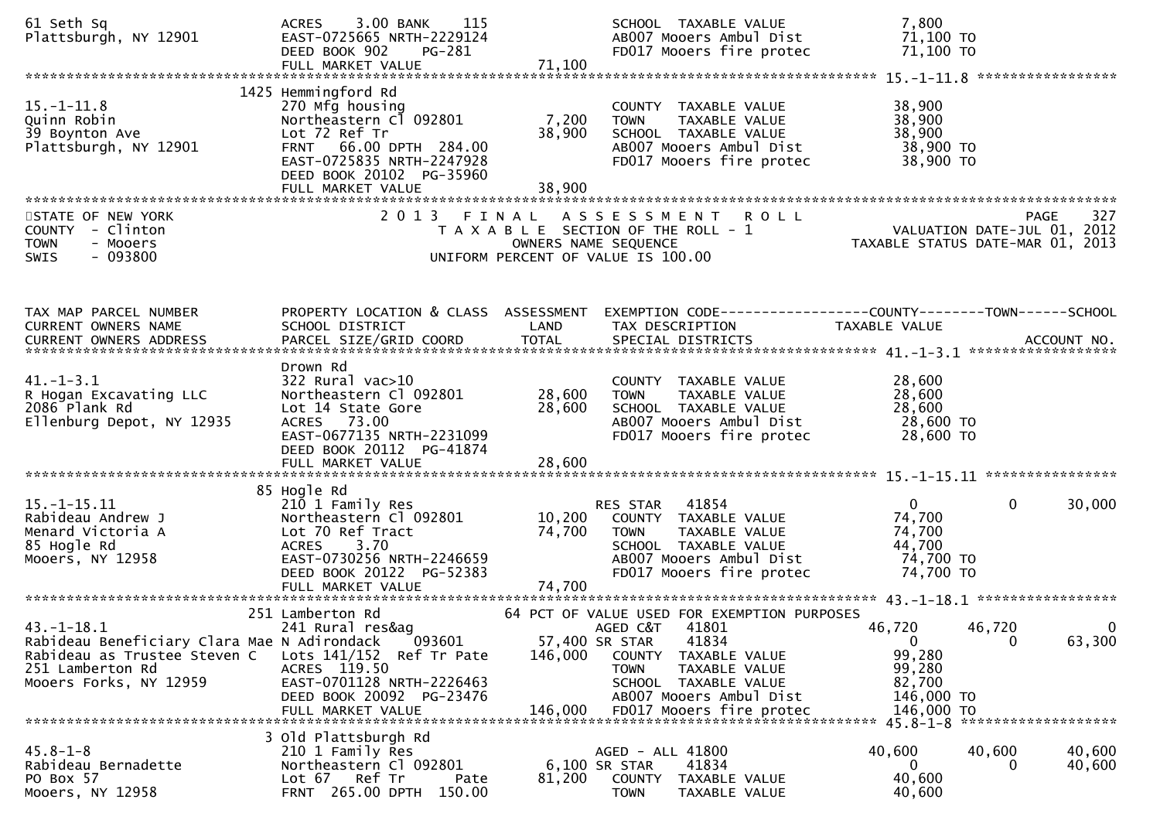| 61 Seth Sq<br>Plattsburgh, NY 12901                                                                                                       | 3.00 BANK<br>115<br>ACRES<br>EAST-0725665 NRTH-2229124<br>DEED BOOK 902<br>PG-281<br>FULL MARKET VALUE                                                                                    | 71,100                     | SCHOOL TAXABLE VALUE<br>AB007 Mooers Ambul Dist<br>FD017 Mooers fire protec                                                                                                                               | 7,800<br>71,100 TO<br>71,100 TO                                      |                                        |
|-------------------------------------------------------------------------------------------------------------------------------------------|-------------------------------------------------------------------------------------------------------------------------------------------------------------------------------------------|----------------------------|-----------------------------------------------------------------------------------------------------------------------------------------------------------------------------------------------------------|----------------------------------------------------------------------|----------------------------------------|
|                                                                                                                                           |                                                                                                                                                                                           |                            |                                                                                                                                                                                                           |                                                                      |                                        |
| $15.-1-11.8$<br>Quinn Robin<br>39 Boynton Ave<br>Plattsburgh, NY 12901                                                                    | 1425 Hemmingford Rd<br>270 Mfg housing<br>Northeastern Cl 092801<br>Lot 72 Ref Tr<br>FRNT 66.00 DPTH 284.00<br>EAST-0725835 NRTH-2247928<br>DEED BOOK 20102 PG-35960<br>FULL MARKET VALUE | 7,200<br>38,900<br>38,900  | COUNTY TAXABLE VALUE<br>TAXABLE VALUE<br><b>TOWN</b><br>SCHOOL TAXABLE VALUE<br>AB007 Mooers Ambul Dist<br>FD017 Mooers fire protec                                                                       | 38,900<br>38,900<br>38,900<br>38,900 TO<br>38,900 TO                 |                                        |
| STATE OF NEW YORK                                                                                                                         | 2013 FINAL                                                                                                                                                                                |                            | A S S E S S M E N T R O L L                                                                                                                                                                               |                                                                      | 327<br>PAGE                            |
| COUNTY - Clinton<br><b>TOWN</b><br>- Mooers<br>SWIS<br>- 093800                                                                           |                                                                                                                                                                                           |                            | T A X A B L E SECTION OF THE ROLL - 1<br>OWNERS NAME SEQUENCE<br>UNIFORM PERCENT OF VALUE IS 100.00                                                                                                       | VALUATION DATE-JUL 01, 2012<br>TAXABLE STATUS DATE-MAR 01, 2013      |                                        |
| TAX MAP PARCEL NUMBER<br>CURRENT OWNERS NAME                                                                                              | PROPERTY LOCATION & CLASS ASSESSMENT<br>SCHOOL DISTRICT                                                                                                                                   | LAND                       | EXEMPTION CODE-----------------COUNTY-------TOWN-----SCHOOL<br>TAX DESCRIPTION                                                                                                                            | TAXABLE VALUE                                                        |                                        |
|                                                                                                                                           |                                                                                                                                                                                           |                            |                                                                                                                                                                                                           |                                                                      |                                        |
| $41. - 1 - 3.1$<br>R Hogan Excavating LLC<br>2086 Plank Rd<br>Ellenburg Depot, NY 12935                                                   | Drown Rd<br>$322$ Rural vac $>10$<br>Northeastern Cl 092801<br>Lot 14 State Gore<br>ACRES 73.00<br>EAST-0677135 NRTH-2231099<br>DEED BOOK 20112 PG-41874<br>FULL MARKET VALUE             | 28,600<br>28,600<br>28,600 | COUNTY TAXABLE VALUE<br><b>TOWN</b><br>TAXABLE VALUE<br>SCHOOL TAXABLE VALUE<br>AB007 Mooers Ambul Dist<br>FD017 Mooers fire protec                                                                       | 28,600<br>28,600<br>28,600<br>28,600 TO<br>28,600 TO                 |                                        |
|                                                                                                                                           |                                                                                                                                                                                           |                            |                                                                                                                                                                                                           |                                                                      |                                        |
| $15. - 1 - 15.11$<br>Rabideau Andrew J<br>Menard Victoria A<br>85 Hogle Rd<br>Mooers, NY 12958                                            | 85 Hogle Rd<br>210 1 Family Res<br>Northeastern Cl 092801<br>Lot 70 Ref Tract<br>3.70<br><b>ACRES</b><br>EAST-0730256 NRTH-2246659<br>DEED BOOK 20122 PG-52383                            | 74,700                     | 41854<br>RES STAR<br>10,200 COUNTY TAXABLE VALUE<br><b>TOWN</b><br>TAXABLE VALUE<br>SCHOOL TAXABLE VALUE<br>AB007 Mooers Ambul Dist<br>FD017 Mooers fire protec                                           | $\mathbf{0}$<br>74,700<br>74,700<br>44,700<br>74,700 TO<br>74,700 TO | $\mathbf 0$<br>30,000                  |
|                                                                                                                                           |                                                                                                                                                                                           |                            |                                                                                                                                                                                                           |                                                                      |                                        |
| $43.-1-18.1$<br>Rabideau Beneficiary Clara Mae N Adirondack<br>Rabideau as Trustee Steven C<br>251 Lamberton Rd<br>Mooers Forks, NY 12959 | 251 Lamberton Rd<br>241 Rural res&ag<br>093601<br>Lots $141/152$ Ref Tr Pate<br>ACRES 119.50<br>EAST-0701128 NRTH-2226463<br>DEED BOOK 20092 PG-23476                                     | 146,000                    | 64 PCT OF VALUE USED FOR EXEMPTION PURPOSES<br>41801<br>AGED C&T<br>57,400 SR STAR<br>41834<br>COUNTY<br>TAXABLE VALUE<br><b>TOWN</b><br>TAXABLE VALUE<br>SCHOOL TAXABLE VALUE<br>AB007 Mooers Ambul Dist | 46,720<br>$\overline{0}$<br>99,280<br>99,280<br>82,700<br>146,000 TO | 46,720<br>0<br>63,300<br>$\mathbf{0}$  |
| $45.8 - 1 - 8$<br>Rabideau Bernadette<br>PO Box 57<br>Mooers, NY 12958                                                                    | 3 Old Plattsburgh Rd<br>210 1 Family Res<br>Northeastern Cl 092801<br>Ref Tr<br>Lot 67<br>Pate<br>FRNT 265.00 DPTH 150.00                                                                 | 81,200                     | AGED - ALL 41800<br>6,100 SR STAR<br>41834<br>COUNTY<br>TAXABLE VALUE<br><b>TOWN</b><br>TAXABLE VALUE                                                                                                     | 40,600<br>$\mathbf{0}$<br>40,600<br>40,600                           | 40,600<br>40,600<br>40,600<br>$\Omega$ |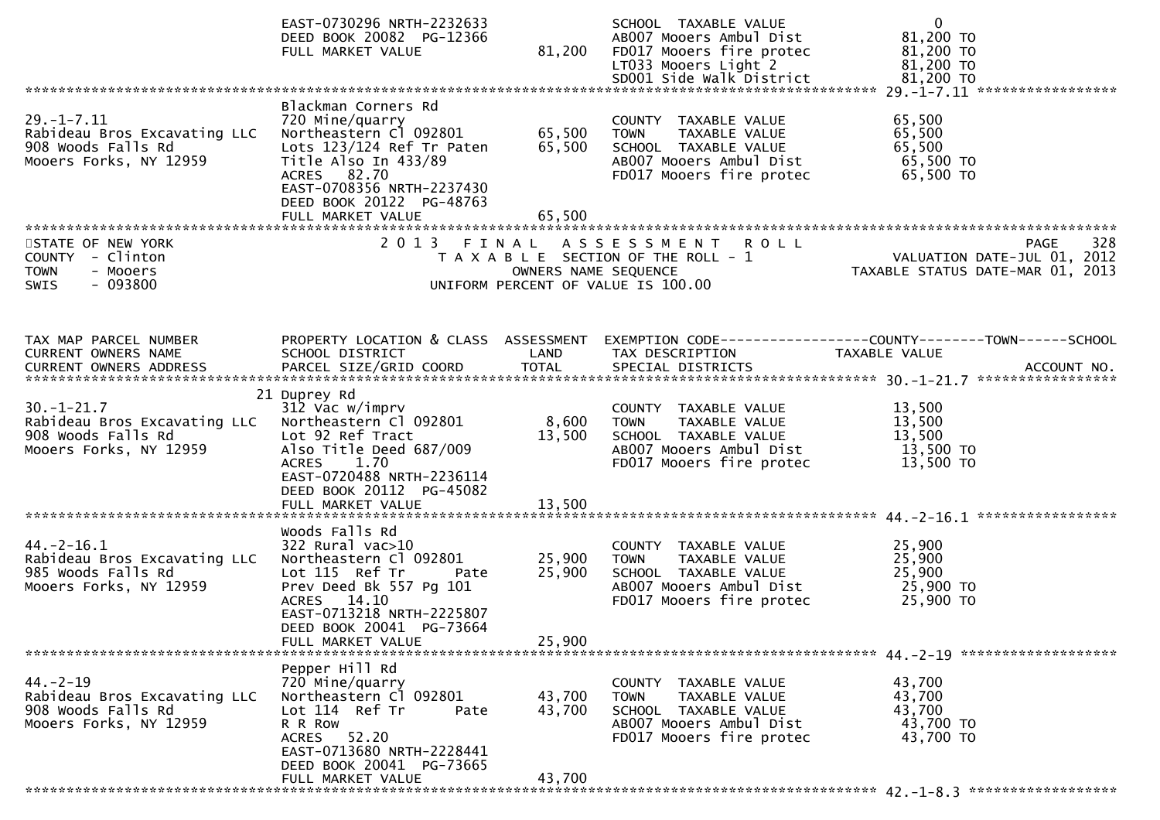|                                                                                                  | EAST-0730296 NRTH-2232633<br>DEED BOOK 20082 PG-12366<br>FULL MARKET VALUE                                                                                                                                         | 81,200                     | SCHOOL TAXABLE VALUE<br>AB007 Mooers Ambul Dist<br>FD017 Mooers fire protec<br>LT033 Mooers Light 2                                 | $\mathbf 0$<br>81,200 TO<br>81,200 TO<br>81,200 TO                                                                |
|--------------------------------------------------------------------------------------------------|--------------------------------------------------------------------------------------------------------------------------------------------------------------------------------------------------------------------|----------------------------|-------------------------------------------------------------------------------------------------------------------------------------|-------------------------------------------------------------------------------------------------------------------|
|                                                                                                  |                                                                                                                                                                                                                    |                            |                                                                                                                                     |                                                                                                                   |
| $29. - 1 - 7.11$<br>Rabideau Bros Excavating LLC<br>908 Woods Falls Rd<br>Mooers Forks, NY 12959 | Blackman Corners Rd<br>720 Mine/quarry<br>Northeastern Cl 092801<br>Lots 123/124 Ref Tr Paten<br>Title Also In 433/89<br>ACRES 82.70<br>EAST-0708356 NRTH-2237430<br>DEED BOOK 20122 PG-48763<br>FULL MARKET VALUE | 65,500<br>65,500<br>65,500 | COUNTY TAXABLE VALUE<br>TAXABLE VALUE<br>TOWN<br>SCHOOL TAXABLE VALUE<br>AB007 Mooers Ambul Dist<br>FD017 Mooers fire protec        | 65,500<br>65,500<br>65,500<br>65,500 TO<br>65,500 TO                                                              |
|                                                                                                  |                                                                                                                                                                                                                    |                            |                                                                                                                                     |                                                                                                                   |
| STATE OF NEW YORK<br>COUNTY - Clinton<br><b>TOWN</b><br>- Mooers<br>$-093800$<br>SWIS            | 2013 FINAL                                                                                                                                                                                                         | OWNERS NAME SEQUENCE       | ASSESSMENT ROLL<br>T A X A B L E SECTION OF THE ROLL - 1<br>UNIFORM PERCENT OF VALUE IS 100.00                                      | 328<br><b>PAGE</b><br>VALUATION DATE-JUL 01, 2012<br>TAXABLE STATUS DATE-MAR 01, 2013                             |
|                                                                                                  |                                                                                                                                                                                                                    |                            |                                                                                                                                     |                                                                                                                   |
| TAX MAP PARCEL NUMBER<br>CURRENT OWNERS NAME                                                     | SCHOOL DISTRICT                                                                                                                                                                                                    | LAND                       | TAX DESCRIPTION                                                                                                                     | PROPERTY LOCATION & CLASS ASSESSMENT EXEMPTION CODE----------------COUNTY-------TOWN------SCHOOL<br>TAXABLE VALUE |
|                                                                                                  | 21 Duprey Rd                                                                                                                                                                                                       |                            |                                                                                                                                     |                                                                                                                   |
| $30. - 1 - 21.7$<br>Rabideau Bros Excavating LLC<br>908 Woods Falls Rd<br>Mooers Forks, NY 12959 | 312 Vac w/imprv<br>Northeastern Cl 092801<br>Lot 92 Ref Tract<br>Also Title Deed 687/009<br>ACRES 1.70<br>EAST-0720488 NRTH-2236114<br>DEED BOOK 20112 PG-45082                                                    | 8,600<br>13,500            | COUNTY TAXABLE VALUE<br>TAXABLE VALUE<br><b>TOWN</b><br>SCHOOL TAXABLE VALUE<br>AB007 Mooers Ambul Dist<br>FD017 Mooers fire protec | 13,500<br>13,500<br>13,500<br>13,500 TO<br>13,500 TO                                                              |
|                                                                                                  |                                                                                                                                                                                                                    |                            |                                                                                                                                     |                                                                                                                   |
|                                                                                                  | Woods Falls Rd                                                                                                                                                                                                     |                            |                                                                                                                                     |                                                                                                                   |
| $44. -2 - 16.1$<br>Rabideau Bros Excavating LLC<br>985 Woods Falls Rd<br>Mooers Forks, NY 12959  | $322$ Rural vac $>10$<br>Northeastern Cl 092801<br>Lot 115 Ref Tr<br>Pate<br>Prev Deed Bk 557 Pg 101<br>ACRES 14.10<br>EAST-0713218 NRTH-2225807<br>DEED BOOK 20041 PG-73664                                       | 25,900<br>25,900           | COUNTY TAXABLE VALUE<br>TOWN TAXABLE VALUE<br>SCHOOL TAXABLE VALUE<br>AB007 Mooers Ambul Dist<br>FD017 Mooers fire protec           | 25,900<br>25,900<br>25,900<br>25,900 TO<br>25,900 TO                                                              |
| *********************************                                                                | FULL MARKET VALUE                                                                                                                                                                                                  | 25,900                     |                                                                                                                                     |                                                                                                                   |
|                                                                                                  | Pepper Hill Rd                                                                                                                                                                                                     |                            |                                                                                                                                     |                                                                                                                   |
| $44. -2 - 19$<br>Rabideau Bros Excavating LLC<br>908 Woods Falls Rd<br>Mooers Forks, NY 12959    | 720 Mine/quarry<br>Northeastern Cl 092801<br>Lot 114 Ref Tr<br>Pate<br>R R ROW<br>52.20<br>ACRES<br>EAST-0713680 NRTH-2228441<br>DEED BOOK 20041 PG-73665                                                          | 43,700<br>43,700           | COUNTY TAXABLE VALUE<br><b>TOWN</b><br>TAXABLE VALUE<br>SCHOOL TAXABLE VALUE<br>AB007 Mooers Ambul Dist<br>FD017 Mooers fire protec | 43,700<br>43,700<br>43,700<br>43,700 TO<br>43,700 TO                                                              |
|                                                                                                  | FULL MARKET VALUE                                                                                                                                                                                                  | 43,700                     |                                                                                                                                     |                                                                                                                   |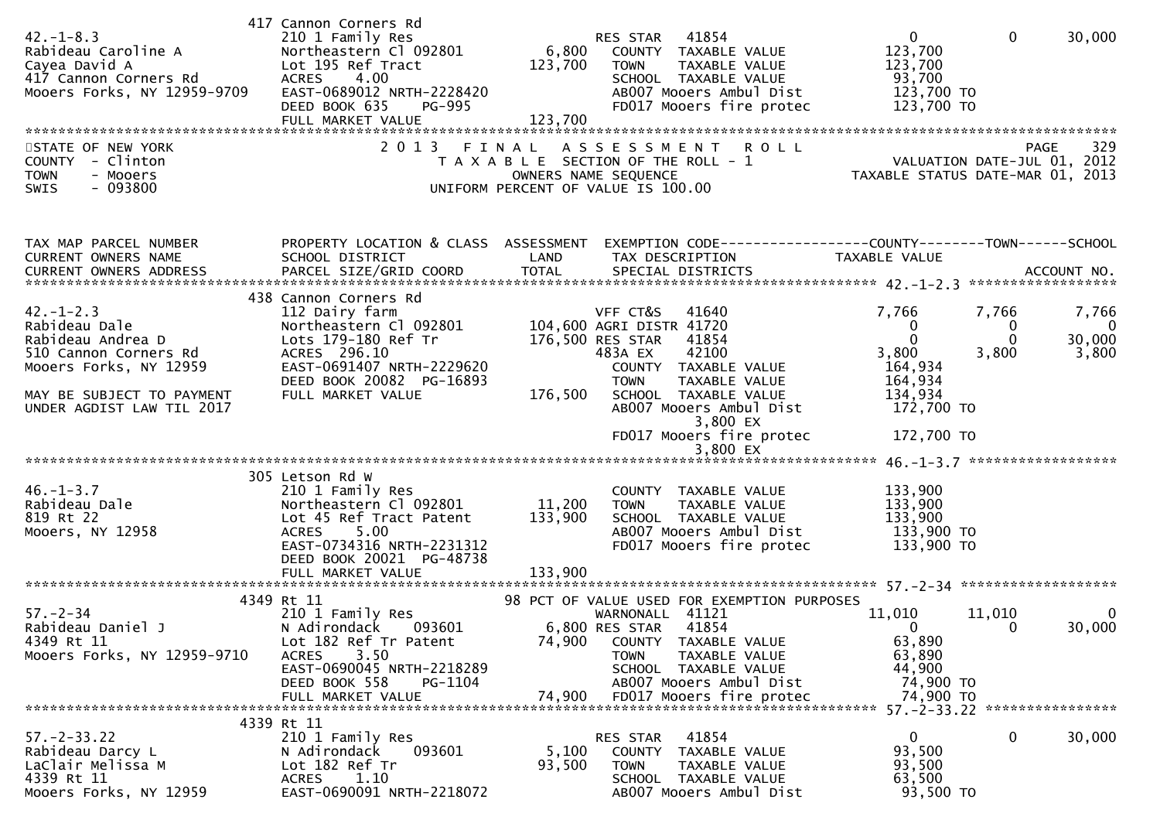| $42. - 1 - 8.3$<br>Rabideau Caroline A<br>Cayea David A<br>417 Cannon Corners Rd<br>Mooers Forks, NY 12959-9709                                                    | 417 Cannon Corners Rd<br>210 1 Family Res<br>Northeastern Cl 092801<br>Lot 195 Ref Tract<br><b>ACRES</b><br>4.00<br>EAST-0689012 NRTH-2228420<br>DEED BOOK 635<br>PG-995<br>FULL MARKET VALUE  | 6,800<br>123,700<br>123,700  | 41854<br>RES STAR<br>COUNTY TAXABLE VALUE<br><b>TOWN</b><br>TAXABLE VALUE<br>SCHOOL TAXABLE VALUE<br>AB007 Mooers Ambul Dist<br>FD017 Mooers fire protec                                                                                                      | $\mathbf 0$<br>123,700<br>123,700<br>93,700<br>123,700 TO<br>123,700 TO                             | $\mathbf{0}$<br>30,000                                                      |
|--------------------------------------------------------------------------------------------------------------------------------------------------------------------|------------------------------------------------------------------------------------------------------------------------------------------------------------------------------------------------|------------------------------|---------------------------------------------------------------------------------------------------------------------------------------------------------------------------------------------------------------------------------------------------------------|-----------------------------------------------------------------------------------------------------|-----------------------------------------------------------------------------|
| STATE OF NEW YORK<br>COUNTY - Clinton<br><b>TOWN</b><br>- Mooers<br>$-093800$<br><b>SWIS</b>                                                                       |                                                                                                                                                                                                |                              | 2013 FINAL ASSESSMENT ROLL<br>T A X A B L E SECTION OF THE ROLL - 1<br>OWNERS NAME SEQUENCE<br>UNIFORM PERCENT OF VALUE IS 100.00                                                                                                                             | PAGE 329<br>VALUATION DATE-JUL 01, 2012<br>TAYABLE STATUS BITE                                      | 329<br>PAGE<br>TAXABLE STATUS DATE-MAR 01, 2013                             |
| TAX MAP PARCEL NUMBER<br>CURRENT OWNERS NAME<br>CURRENT OWNERS ADDRESS PARCEL SIZE/GRID COORD TOTAL SPECIAL DISTRICTS (2007) ACCOUNT NO.                           | PROPERTY LOCATION & CLASS ASSESSMENT<br>SCHOOL DISTRICT                                                                                                                                        | LAND                         | EXEMPTION CODE-----------------COUNTY-------TOWN------SCHOOL<br>TAX DESCRIPTION                                                                                                                                                                               | <b>TAXABLE VALUE</b>                                                                                |                                                                             |
| $42. - 1 - 2.3$<br>Rabideau Dale<br>Rabideau Andrea D<br>510 Cannon Corners Rd<br>Mooers Forks, NY 12959<br>MAY BE SUBJECT TO PAYMENT<br>UNDER AGDIST LAW TIL 2017 | 438 Cannon Corners Rd<br>112 Dairy farm<br>Northeastern Cl 092801<br>Lots 179-180 Ref Tr<br>ACRES 296.10<br>EAST-0691407 NRTH-2229620<br>DEED BOOK 20082 PG-16893<br>FULL MARKET VALUE         | 176,500                      | VFF CT&S<br>41640<br>104,600 AGRI DISTR 41720<br>176,500 RES STAR<br>41854<br>42100<br>483A EX<br>COUNTY TAXABLE VALUE<br><b>TOWN</b><br>TAXABLE VALUE<br>SCHOOL TAXABLE VALUE<br>AB007 Mooers Ambul Dist<br>3,800 EX<br>FD017 Mooers fire protec<br>3,800 EX | 7,766<br>$\bf{0}$<br>$\Omega$<br>3,800<br>164,934<br>164,934<br>134,934<br>172,700 TO<br>172,700 TO | 7,766<br>7,766<br>$\mathbf{0}$<br>0<br>$\Omega$<br>30,000<br>3,800<br>3,800 |
| $46. - 1 - 3.7$<br>Rabideau Dale<br>819 Rt 22<br>Mooers, NY 12958                                                                                                  | 305 Letson Rd W<br>210 1 Family Res<br>Northeastern Cl 092801<br>Lot 45 Ref Tract Patent<br><b>ACRES</b><br>5.00<br>EAST-0734316 NRTH-2231312<br>DEED BOOK 20021 PG-48738<br>FULL MARKET VALUE | 11,200<br>133,900<br>133,900 | COUNTY TAXABLE VALUE<br>TAXABLE VALUE<br><b>TOWN</b><br>SCHOOL TAXABLE VALUE<br>AB007 Mooers Ambul Dist<br>FD017 Mooers fire protec                                                                                                                           | 133,900<br>133,900<br>133,900<br>133,900 TO<br>133,900 TO                                           |                                                                             |
| $57 - 2 - 34$<br>Rabideau Daniel J<br>4349 Rt 11<br>Mooers Forks, NY 12959-9710                                                                                    | 4349 Rt 11<br>210 1 Family Res<br>N Adirondack 093601<br>Lot 182 Ref Tr Patent<br><b>ACRES</b><br>3.50<br>EAST-0690045 NRTH-2218289<br>DEED BOOK 558<br>PG-1104<br>FULL MARKET VALUE           | 74,900<br>74,900             | 98 PCT OF VALUE USED FOR EXEMPTION PURPOSES<br>WARNONALL 41121<br>6,800 RES STAR 41854<br>COUNTY TAXABLE VALUE<br><b>TOWN</b><br>TAXABLE VALUE<br>SCHOOL TAXABLE VALUE<br>AB007 Mooers Ambul Dist<br>FD017 Mooers fire protec                                 | 11,010<br>$\overline{\mathbf{0}}$<br>63,890<br>63,890<br>44,900<br>74,900 TO<br>74,900 TO           | 11,010<br>0<br>30,000<br>$\overline{\mathbf{0}}$                            |
| $57. - 2 - 33.22$<br>Rabideau Darcy L<br>LaClair Melissa M<br>4339 Rt 11<br>Mooers Forks, NY 12959                                                                 | 4339 Rt 11<br>210 1 Family Res<br>N Adirondack<br>093601<br>Lot 182 Ref Tr<br>1.10<br>ACRES<br>EAST-0690091 NRTH-2218072                                                                       | 5,100<br>93,500              | 41854<br>RES STAR<br>COUNTY TAXABLE VALUE<br><b>TOWN</b><br>TAXABLE VALUE<br>SCHOOL TAXABLE VALUE<br>AB007 Mooers Ambul Dist                                                                                                                                  | $\Omega$<br>93,500<br>93,500<br>63,500<br>93,500 TO                                                 | 0<br>30,000                                                                 |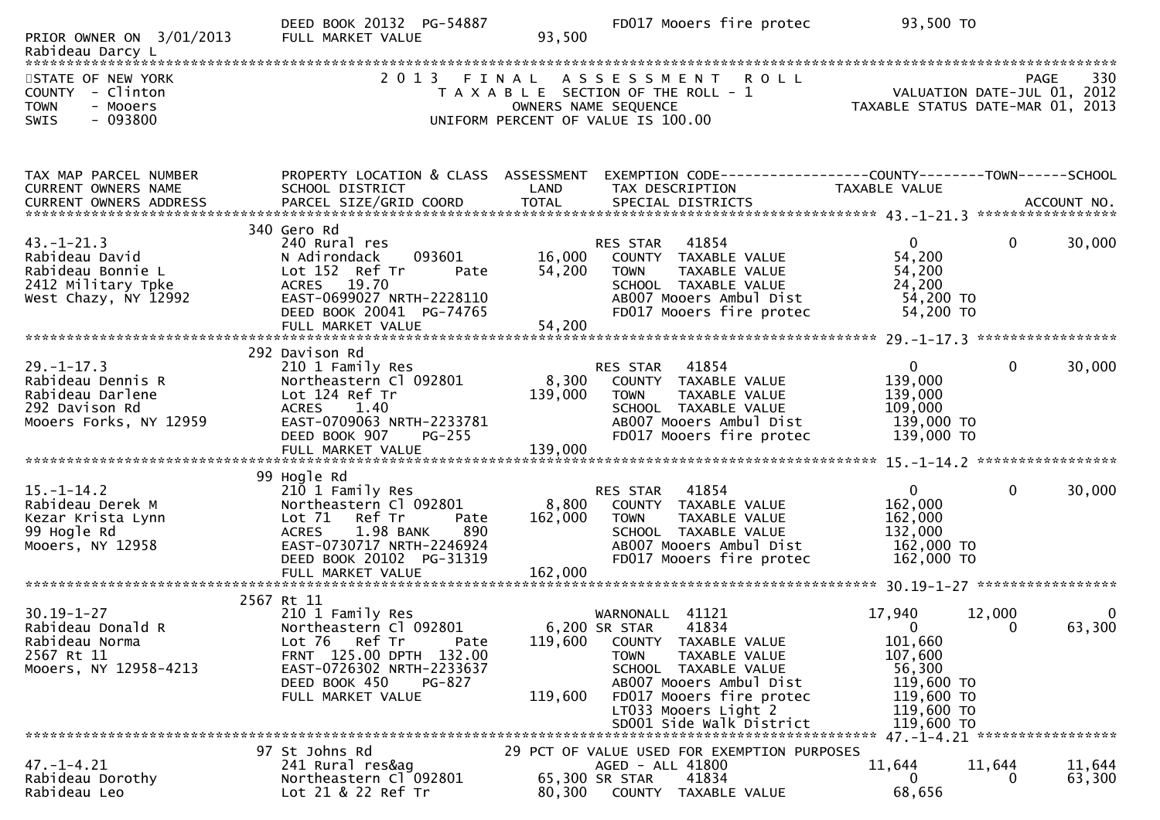| PRIOR OWNER ON 3/01/2013                                                                        | DEED BOOK 20132 PG-54887<br>FULL MARKET VALUE             | 93,500           | FD017 Mooers fire protec                                                                                                                  | 93,500 TO                                                              |                                 |
|-------------------------------------------------------------------------------------------------|-----------------------------------------------------------|------------------|-------------------------------------------------------------------------------------------------------------------------------------------|------------------------------------------------------------------------|---------------------------------|
|                                                                                                 |                                                           |                  |                                                                                                                                           |                                                                        |                                 |
| STATE OF NEW YORK<br>- Clinton<br><b>COUNTY</b><br><b>TOWN</b><br>- Mooers<br>$-093800$<br>SWIS | 2 0 1 3                                                   | FINAL            | <b>ROLL</b><br>A S S E S S M E N T<br>T A X A B L E SECTION OF THE ROLL - 1<br>OWNERS NAME SEQUENCE<br>UNIFORM PERCENT OF VALUE IS 100.00 | 530<br>VALUATION DATE-JUL 01, 2012<br>TAXABLE STATUS DATE-MAR 01, 2013 | 330<br>PAGE                     |
|                                                                                                 |                                                           |                  |                                                                                                                                           |                                                                        |                                 |
| TAX MAP PARCEL NUMBER<br>CURRENT OWNERS NAME                                                    | PROPERTY LOCATION & CLASS ASSESSMENT<br>SCHOOL DISTRICT   | LAND             | EXEMPTION CODE-----------------COUNTY-------TOWN------SCHOOL<br>TAX DESCRIPTION                                                           | TAXABLE VALUE                                                          |                                 |
| CURRENT OWNERS ADDRESS                                                                          |                                                           |                  |                                                                                                                                           |                                                                        |                                 |
|                                                                                                 | 340 Gero Rd                                               |                  |                                                                                                                                           |                                                                        |                                 |
| $43. - 1 - 21.3$<br>Rabideau David                                                              | 240 Rural res<br>N Adirondack<br>093601                   | 16,000           | 41854<br>RES STAR                                                                                                                         | $\mathbf{0}$<br>54,200                                                 | 30,000<br>$\mathbf{0}$          |
| Rabideau Bonnie L                                                                               | Lot 152 Ref Tr<br>Pate                                    | 54,200           | COUNTY TAXABLE VALUE<br><b>TOWN</b><br>TAXABLE VALUE                                                                                      | 54,200                                                                 |                                 |
| 2412 Military Tpke<br>West Chazy, NY 12992                                                      | ACRES 19.70<br>EAST-0699027 NRTH-2228110                  |                  | SCHOOL TAXABLE VALUE<br>AB007 Mooers Ambul Dist                                                                                           | 24,200                                                                 |                                 |
|                                                                                                 | DEED BOOK 20041 PG-74765                                  |                  | FD017 Mooers fire protec                                                                                                                  | 54,200 TO<br>54,200 TO                                                 |                                 |
|                                                                                                 |                                                           |                  |                                                                                                                                           |                                                                        |                                 |
|                                                                                                 | 292 Davison Rd                                            |                  |                                                                                                                                           |                                                                        |                                 |
| $29. - 1 - 17.3$                                                                                | 210 1 Family Res                                          |                  | 41854<br>RES STAR                                                                                                                         | $\Omega$                                                               | 30,000<br>0                     |
| Rabideau Dennis R<br>Rabideau Darlene                                                           | Northeastern Cl 092801<br>Lot 124 Ref Tr                  | 8,300<br>139,000 | COUNTY TAXABLE VALUE<br>TAXABLE VALUE<br><b>TOWN</b>                                                                                      | 139,000<br>139,000                                                     |                                 |
| 292 Davison Rd                                                                                  | <b>ACRES</b><br>1.40                                      |                  | SCHOOL TAXABLE VALUE                                                                                                                      | 109,000                                                                |                                 |
| Mooers Forks, NY 12959                                                                          | EAST-0709063 NRTH-2233781<br>DEED BOOK 907<br>$PG-255$    |                  | AB007 Mooers Ambul Dist<br>FD017 Mooers fire protec                                                                                       | 139,000 TO<br>139,000 TO                                               |                                 |
|                                                                                                 |                                                           |                  |                                                                                                                                           |                                                                        |                                 |
|                                                                                                 | 99 Hogle Rd                                               |                  |                                                                                                                                           |                                                                        |                                 |
| $15. - 1 - 14.2$                                                                                | 210 1 Family Res                                          |                  | 41854<br>RES STAR                                                                                                                         | $\mathbf{0}$                                                           | 30,000<br>$\mathbf{0}$          |
| Rabideau Derek M                                                                                | Northeastern Cl 092801                                    | 8,800            | COUNTY TAXABLE VALUE                                                                                                                      | 162,000                                                                |                                 |
| Kezar Krista Lynn<br>99 Hogle Rd                                                                | Lot 71 Ref Tr<br>Pate<br><b>ACRES</b><br>1.98 BANK<br>890 | 162,000          | <b>TAXABLE VALUE</b><br><b>TOWN</b><br>SCHOOL TAXABLE VALUE                                                                               | 162,000<br>132,000                                                     |                                 |
| Mooers, NY 12958                                                                                | EAST-0730717 NRTH-2246924                                 |                  | AB007 Mooers Ambul Dist                                                                                                                   | 162,000 TO                                                             |                                 |
|                                                                                                 | DEED BOOK 20102 PG-31319                                  |                  | FD017 Mooers fire protec                                                                                                                  | 162,000 TO                                                             |                                 |
|                                                                                                 |                                                           |                  |                                                                                                                                           |                                                                        |                                 |
| $30.19 - 1 - 27$                                                                                | 2567 Rt 11<br>210 1 Family Res                            |                  | 41121<br>WARNONALL                                                                                                                        | 17,940                                                                 | 12,000<br>0                     |
| Rabideau Donald R                                                                               | Northeastern Cl 092801                                    |                  | 41834<br>6,200 SR STAR                                                                                                                    | $\mathbf{0}$                                                           | 63,300<br>0                     |
| Rabideau Norma<br>2567 Rt 11                                                                    | Ref Tr<br>Lot 76<br>Pate<br>FRNT 125.00 DPTH 132.00       | 119,600          | COUNTY TAXABLE VALUE<br><b>TOWN</b>                                                                                                       | 101,660<br>107,600                                                     |                                 |
| Mooers, NY 12958-4213                                                                           | EAST-0726302 NRTH-2233637                                 |                  | TAXABLE VALUE<br>SCHOOL TAXABLE VALUE                                                                                                     | 56,300                                                                 |                                 |
|                                                                                                 | DEED BOOK 450<br><b>PG-827</b>                            |                  | AB007 Mooers Ambul Dist                                                                                                                   | 119,600 TO                                                             |                                 |
|                                                                                                 | FULL MARKET VALUE                                         | 119,600          | FD017 Mooers fire protec<br>LT033 Mooers Light 2                                                                                          | 119,600 TO<br>119,600 TO                                               |                                 |
|                                                                                                 |                                                           |                  | SD001 Side Walk District                                                                                                                  | 119,600 TO                                                             |                                 |
|                                                                                                 | 97 St Johns Rd                                            |                  | 29 PCT OF VALUE USED FOR EXEMPTION PURPOSES                                                                                               |                                                                        | 47. -1-4. 21 ****************** |
| $47. - 1 - 4.21$                                                                                | 241 Rural res&ag                                          |                  | AGED - ALL 41800                                                                                                                          | 11,644                                                                 | 11,644<br>11,644                |
| Rabideau Dorothy<br>Rabideau Leo                                                                | Northeastern Cl 092801<br>Lot 21 & 22 Ref Tr              | 80,300           | 65,300 SR STAR<br>41834<br>COUNTY TAXABLE VALUE                                                                                           | $\overline{0}$<br>68,656                                               | 63,300<br>0                     |
|                                                                                                 |                                                           |                  |                                                                                                                                           |                                                                        |                                 |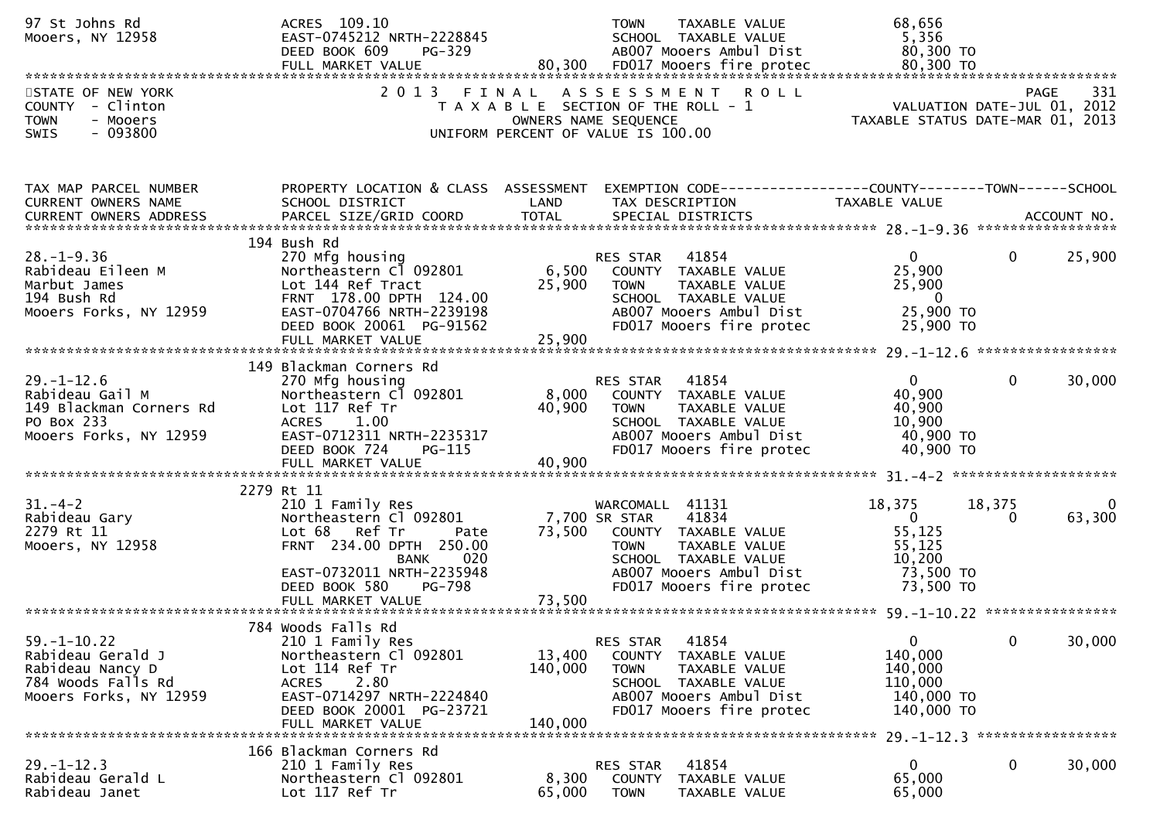| 97 St Johns Rd<br>Mooers, NY 12958                                                                         | ACRES 109.10<br>EAST-0745212 NRTH-2228845<br>DEED BOOK 609                                                                                                                                  | $PG-329$                     | <b>TOWN</b><br>TAXABLE VALUE<br>SCHOOL TAXABLE VALUE<br>AB007 Mooers Ambul Dist                                                                                                  | 68,656<br>5,356<br>80,300 TO                                                            |              |             |
|------------------------------------------------------------------------------------------------------------|---------------------------------------------------------------------------------------------------------------------------------------------------------------------------------------------|------------------------------|----------------------------------------------------------------------------------------------------------------------------------------------------------------------------------|-----------------------------------------------------------------------------------------|--------------|-------------|
| STATE OF NEW YORK<br>COUNTY - Clinton<br><b>TOWN</b><br>- Mooers<br>$-093800$<br><b>SWIS</b>               | 2 0 1 3                                                                                                                                                                                     | FINAL                        | ASSESSMENT ROLL<br>T A X A B L E SECTION OF THE ROLL - 1<br>OWNERS NAME SEQUENCE<br>UNIFORM PERCENT OF VALUE IS 100.00                                                           | VALUATION DATE-JUL 01, 2012<br>TAXABLE STATUS DATE-MAR 01, 2013                         | <b>PAGE</b>  | 331         |
| TAX MAP PARCEL NUMBER<br>CURRENT OWNERS NAME<br>CURRENT OWNERS ADDRESS                                     | SCHOOL DISTRICT<br>PARCEL SIZE/GRID COORD                                                                                                                                                   | LAND<br><b>TOTAL</b>         | PROPERTY LOCATION & CLASS ASSESSMENT EXEMPTION CODE----------------COUNTY-------TOWN------SCHOOL<br>TAX DESCRIPTION<br>SPECIAL DISTRICTS                                         | TAXABLE VALUE                                                                           |              | ACCOUNT NO. |
| $28. - 1 - 9.36$<br>Rabideau Eileen M<br>Marbut James<br>194 Bush Rd<br>Mooers Forks, NY 12959             | 194 Bush Rd<br>270 Mfg housing<br>Northeastern Cl 092801<br>Lot 144 Ref Tract<br>FRNT 178.00 DPTH 124.00<br>EAST-0704766 NRTH-2239198<br>DEED BOOK 20061 PG-91562<br>FULL MARKET VALUE      | 6,500<br>25,900<br>25,900    | 41854<br>RES STAR<br>COUNTY TAXABLE VALUE<br><b>TOWN</b><br>TAXABLE VALUE<br>SCHOOL TAXABLE VALUE<br>AB007 Mooers Ambul Dist<br>FD017 Mooers fire protec                         | $\overline{0}$<br>25,900<br>25,900<br>$\overline{\mathbf{0}}$<br>25,900 TO<br>25,900 TO | $\mathbf{0}$ | 25,900      |
| $29. - 1 - 12.6$<br>Rabideau Gail M<br>149 Blackman Corners Rd<br>PO Box 233<br>Mooers Forks, NY 12959     | 149 Blackman Corners Rd<br>270 Mfg housing<br>Northeastern Cl 092801<br>Lot 117 Ref Tr<br><b>ACRES</b><br>1.00<br>EAST-0712311 NRTH-2235317<br>DEED BOOK 724<br>PG-115<br>FULL MARKET VALUE | 8,000<br>40,900<br>40,900    | 41854<br>RES STAR<br>COUNTY TAXABLE VALUE<br><b>TOWN</b><br>TAXABLE VALUE<br>SCHOOL TAXABLE VALUE<br>AB007 Mooers Ambul Dist<br>FD017 Mooers fire protec                         | $\overline{0}$<br>40,900<br>40,900<br>10,900<br>40,900 TO<br>40,900 TO                  | $\mathbf{0}$ | 30,000      |
| $31. - 4 - 2$<br>31.-4-∠<br>Rabideau Gary<br>^^~^ n+ 11<br>Mooers, NY 12958                                | 2279 Rt 11<br>210 1 Family Res<br>Northeastern Cl 092801<br>Lot 68 Ref Tr<br>Pate<br>FRNT 234.00 DPTH 250.00<br>020<br><b>BANK</b><br>EAST-0732011 NRTH-2235948<br>DEED BOOK 580<br>PG-798  | 73,500                       | WARCOMALL 41131<br>41834<br>7,700 SR STAR<br>COUNTY TAXABLE VALUE<br><b>TOWN</b><br>TAXABLE VALUE<br>SCHOOL TAXABLE VALUE<br>AB007 Mooers Ambul Dist<br>FD017 Mooers fire protec | 18,375<br>$\mathbf{0}$<br>55,125<br>55,125<br>10,200<br>73,500 TO<br>73,500 TO          | 18,375<br>0  | 63,300      |
| $59. - 1 - 10.22$<br>Rabideau Gerald J<br>Rabideau Nancy D<br>784 Woods Falls Rd<br>Mooers Forks, NY 12959 | 784 Woods Falls Rd<br>210 1 Family Res<br>Northeastern Cl 092801<br>Lot 114 Ref Tr<br>2.80<br><b>ACRES</b><br>EAST-0714297 NRTH-2224840<br>DEED BOOK 20001 PG-23721<br>FULL MARKET VALUE    | 13,400<br>140,000<br>140,000 | 41854<br>RES STAR<br>COUNTY<br>TAXABLE VALUE<br>TAXABLE VALUE<br><b>TOWN</b><br>SCHOOL TAXABLE VALUE<br>AB007 Mooers Ambul Dist<br>FD017 Mooers fire protec                      | $\overline{0}$<br>140,000<br>140,000<br>110,000<br>140,000 TO<br>140,000 TO             | 0            | 30,000      |
| $29. - 1 - 12.3$<br>Rabideau Gerald L<br>Rabideau Janet                                                    | 166 Blackman Corners Rd<br>210 1 Family Res<br>Northeastern Cl 092801<br>Lot 117 Ref Tr                                                                                                     | 8,300<br>65,000              | 41854<br>RES STAR<br><b>COUNTY</b><br>TAXABLE VALUE<br><b>TOWN</b><br>TAXABLE VALUE                                                                                              | 0<br>65,000<br>65,000                                                                   | 0            | 30,000      |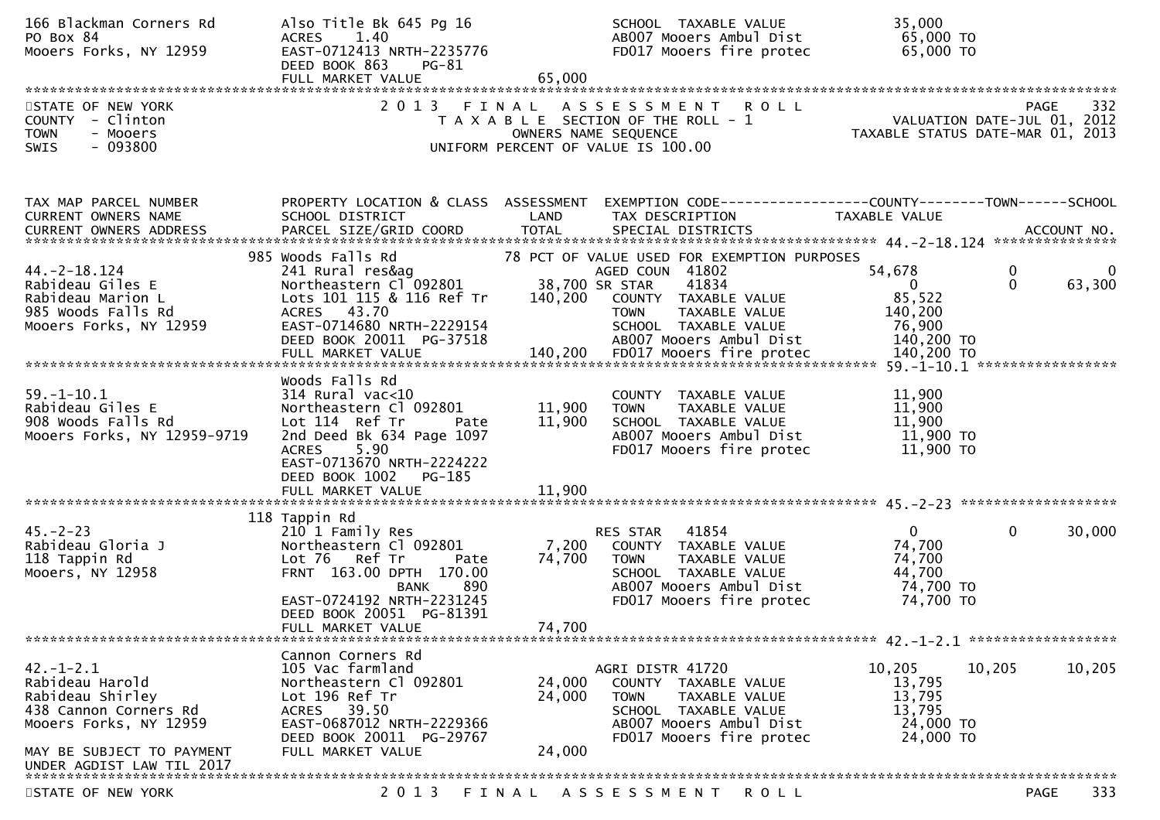| 166 Blackman Corners Rd<br>PO Box 84<br>Mooers Forks, NY 12959                                                                                                      | Also Title Bk 645 Pg 16<br>ACRES 1.40<br>EAST-0712413 NRTH-2235776<br>DEED BOOK 863<br>PG-81                                                                                                                                                                                    | SCHOOL TAXABLE VALUE<br>AB007 Mooers Ambul Dist<br>FD017 Mooers fire protec                                                                                                                        | 35,000<br>65,000 TO<br>$65,000$ TO                                                                                  |
|---------------------------------------------------------------------------------------------------------------------------------------------------------------------|---------------------------------------------------------------------------------------------------------------------------------------------------------------------------------------------------------------------------------------------------------------------------------|----------------------------------------------------------------------------------------------------------------------------------------------------------------------------------------------------|---------------------------------------------------------------------------------------------------------------------|
|                                                                                                                                                                     | FULL MARKET VALUE                                                                                                                                                                                                                                                               | 65,000                                                                                                                                                                                             |                                                                                                                     |
| STATE OF NEW YORK<br>COUNTY - Clinton<br><b>TOWN</b><br>- Mooers<br>$-093800$<br><b>SWIS</b>                                                                        |                                                                                                                                                                                                                                                                                 | 2013 FINAL ASSESSMENT ROLL<br>T A X A B L E SECTION OF THE ROLL - 1<br>OWNERS NAME SEQUENCE<br>UNIFORM PERCENT OF VALUE IS 100.00                                                                  | 332<br><b>PAGE</b><br>VALUATION DATE-JUL 01, 2012<br>TAXABLE STATUS DATE-MAR 01, 2013                               |
| TAX MAP PARCEL NUMBER<br><b>CURRENT OWNERS NAME</b>                                                                                                                 | SCHOOL DISTRICT<br><b>Example 18 The LAND</b>                                                                                                                                                                                                                                   | TAX DESCRIPTION                                                                                                                                                                                    | PROPERTY LOCATION & CLASS ASSESSMENT EXEMPTION CODE----------------COUNTY-------TOWN------SCHOOL<br>TAXABLE VALUE   |
| $44. -2 - 18.124$<br>Rabideau Giles E<br>Rabideau Marion L<br>985 Woods Falls Rd<br>Mooers Forks, NY 12959                                                          | 985 Woods Falls Rd<br>241 Rural res&ag and the state of the state of the state of the state of the state of the state of the state o<br>Northeastern Cl <sup>o</sup> 92801<br>Lots 101 115 & 116 Ref Tr<br>ACRES 43.70<br>EAST-0714680 NRTH-2229154<br>DEED BOOK 20011 PG-37518 | 78 PCT OF VALUE USED FOR EXEMPTION PURPOSES<br>AGED COUN 41802<br>38,700 SR STAR<br>41834<br>140,200 COUNTY TAXABLE VALUE<br>TOWN TAXABLE VALUE<br>SCHOOL TAXABLE VALUE<br>ABOO7 Mooers Ambul Dist | $\mathbf 0$<br>54,678<br>0<br>$\mathbf{0}$<br>$\overline{0}$<br>63,300<br>85,522<br>140,200<br>76,900<br>140,200 TO |
| $59. - 1 - 10.1$<br>Rabideau Giles E<br>908 Woods Falls Rd<br>Mooers Forks, NY 12959-9719                                                                           | Woods Falls Rd<br>$314$ Rural vac<10<br>Northeastern Cl 092801<br>Lot 114 Ref Tr<br>Pate<br>2nd Deed Bk 634 Page 1097<br>ACRES 5.90<br>EAST-0713670 NRTH-2224222<br>DEED BOOK 1002<br>PG-185                                                                                    | COUNTY TAXABLE VALUE<br>11,900<br>TAXABLE VALUE<br><b>TOWN</b><br>11,900<br>SCHOOL TAXABLE VALUE<br>AB007 Mooers Ambul Dist<br>FD017 Mooers fire protec                                            | 11,900<br>11,900<br>11,900<br>$11,900$ TO<br>11,900 TO                                                              |
| $45. - 2 - 23$<br>Rabideau Gloria J<br>118 Tappin Rd<br>Mooers, NY 12958                                                                                            | 118 Tappin Rd<br>210 1 Family Res<br>Northeastern Cl 092801<br>Lot 76 Ref Tr<br>Pate<br>FRNT 163.00 DPTH 170.00<br><b>BANK</b><br>890<br>EAST-0724192 NRTH-2231245<br>DEED BOOK 20051 PG-81391<br>FULL MARKET VALUE                                                             | RES STAR 41854<br>7,200<br>COUNTY TAXABLE VALUE<br>74,700<br>TOWN TAXABLE VALUE<br>SCHOOL TAXABLE VALUE<br>AB007 Mooers Ambul Dist<br>FD017 Mooers fire protec<br>74,700                           | $\mathbf{0}$<br>$\mathbf{0}$<br>30,000<br>74,700<br>74,700<br>44,700<br>74,700 TO<br>74,700 TO                      |
| $42. - 1 - 2.1$<br>Rabideau Harold<br>Rabideau Shirley<br>438 Cannon Corners Rd<br>Mooers Forks, NY 12959<br>MAY BE SUBJECT TO PAYMENT<br>UNDER AGDIST LAW TIL 2017 | Cannon Corners Rd<br>105 Vac farmland<br>Northeastern Cl 092801<br>Lot 196 Ref Tr<br>ACRES 39.50<br>EAST-0687012 NRTH-2229366<br>DEED BOOK 20011 PG-29767<br>FULL MARKET VALUE                                                                                                  | AGRI DISTR 41720<br>24,000<br>COUNTY TAXABLE VALUE<br>24,000<br><b>TOWN</b><br>TAXABLE VALUE<br>SCHOOL TAXABLE VALUE<br>AB007 Mooers Ambul Dist<br>FD017 Mooers fire protec<br>24,000              | 10,205<br>10,205<br>10,205<br>13,795<br>13,795<br>13,795<br>24,000 TO<br>24,000 TO                                  |
| STATE OF NEW YORK                                                                                                                                                   | 2 0 1 3                                                                                                                                                                                                                                                                         | FINAL ASSESSMENT ROLL                                                                                                                                                                              | 333<br>PAGE                                                                                                         |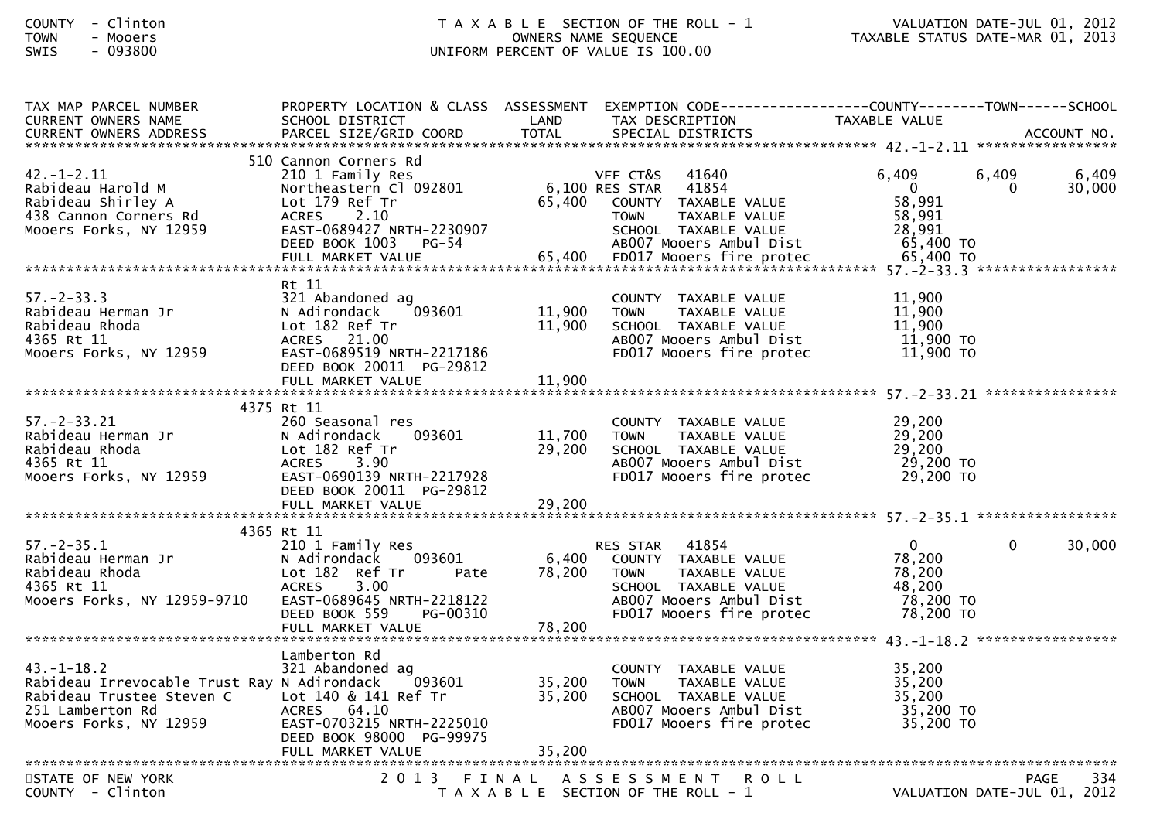## COUNTY - Clinton T A X A B L E SECTION OF THE ROLL - 1 VALUATION DATE-JUL 01, 2012TOWN - Mooers OWNERS NAME SEQUENCE TAXABLE STATUS DATE-MAR 01, 2013SWIS - 093800 UNIFORM PERCENT OF VALUE IS 100.00

| TAX MAP PARCEL NUMBER<br><b>CURRENT OWNERS NAME</b>                                                                                    | PROPERTY LOCATION & CLASS ASSESSMENT<br>SCHOOL DISTRICT                                                                                                                     | LAND                      | EXEMPTION        CODE-----------------COUNTY--------TOWN------SCHOOL<br>TAX DESCRIPTION                                                                         | TAXABLE VALUE                                                       |                   |                 |
|----------------------------------------------------------------------------------------------------------------------------------------|-----------------------------------------------------------------------------------------------------------------------------------------------------------------------------|---------------------------|-----------------------------------------------------------------------------------------------------------------------------------------------------------------|---------------------------------------------------------------------|-------------------|-----------------|
|                                                                                                                                        |                                                                                                                                                                             |                           |                                                                                                                                                                 |                                                                     |                   |                 |
| 42. –1–2.11<br>Rabideau Harold M<br>Rabideau Shirley A<br>438 Cannon Corners Rd<br>Mooers Forks, NY 12959                              | 510 Cannon Corners Rd<br>210 1 Family Res<br>Northeastern Cl 092801<br>Lot 179 Ref Tr<br>ACRES 2.10<br>EAST-0689427 NRTH-2230907<br>DEED BOOK 1003 PG-54                    | 65,400                    | 41640<br>VFF CT&S<br>6,100 RES STAR<br>41854<br>COUNTY TAXABLE VALUE<br><b>TOWN</b><br>TAXABLE VALUE<br>SCHOOL TAXABLE VALUE<br>AB007 Mooers Ambul Dist         | 6,409<br>$\overline{0}$<br>58,991<br>58,991<br>28,991<br>65,400 TO  | 6,409<br>$\Omega$ | 6,409<br>30,000 |
|                                                                                                                                        |                                                                                                                                                                             |                           |                                                                                                                                                                 |                                                                     |                   |                 |
| $57. - 2 - 33.3$<br>Rabideau Herman Jr<br>Rabideau Rhoda<br>4365 Rt 11<br>Mooers Forks, NY 12959                                       | Rt 11<br>321 Abandoned ag<br>N Adirondack<br>093601<br>Lot 182 Ref Tr<br>ACRES 21.00<br>EAST-0689519 NRTH-2217186<br>DEED BOOK 20011 PG-29812                               | 11,900<br>11,900          | COUNTY TAXABLE VALUE<br><b>TOWN</b><br>TAXABLE VALUE<br>SCHOOL TAXABLE VALUE<br>AB007 Mooers Ambul Dist<br>FD017 Mooers fire protec                             | 11,900<br>11,900<br>11,900<br>11,900 TO<br>11,900 TO                |                   |                 |
|                                                                                                                                        | FULL MARKET VALUE                                                                                                                                                           | 11,900                    |                                                                                                                                                                 |                                                                     |                   |                 |
|                                                                                                                                        |                                                                                                                                                                             |                           |                                                                                                                                                                 |                                                                     |                   |                 |
| $57. - 2 - 33.21$<br>Rabideau Herman Jr<br>Rabideau Rhoda<br>4365 Rt 11<br>Mooers Forks, NY 12959                                      | 4375 Rt 11<br>260 Seasonal res<br>N Adirondack<br>093601<br>Lot 182 Ref Tr<br>3.90<br><b>ACRES</b><br>EAST-0690139 NRTH-2217928<br>DEED BOOK 20011 PG-29812                 | 11,700<br>29,200          | COUNTY TAXABLE VALUE<br><b>TOWN</b><br>TAXABLE VALUE<br>SCHOOL TAXABLE VALUE<br>AB007 Mooers Ambul Dist<br>FD017 Mooers fire protec                             | 29,200<br>29,200<br>29,200<br>29,200 TO<br>29,200 TO                |                   |                 |
|                                                                                                                                        |                                                                                                                                                                             |                           |                                                                                                                                                                 |                                                                     |                   |                 |
|                                                                                                                                        | 4365 Rt 11                                                                                                                                                                  |                           |                                                                                                                                                                 |                                                                     |                   |                 |
| $57. - 2 - 35.1$<br>Rabideau Herman Jr<br>Rabideau Rhoda<br>4365 Rt 11<br>Mooers Forks, NY 12959-9710                                  | 210 1 Family Res<br>093601<br>N Adirondack<br>Lot 182 Ref Tr<br>Pate<br><b>ACRES</b><br>3.00<br>EAST-0689645 NRTH-2218122<br>DEED BOOK 559<br>PG-00310<br>FULL MARKET VALUE | 6,400<br>78,200<br>78,200 | 41854<br><b>RES STAR</b><br>COUNTY TAXABLE VALUE<br><b>TOWN</b><br>TAXABLE VALUE<br>SCHOOL TAXABLE VALUE<br>AB007 Mooers Ambul Dist<br>FD017 Mooers fire protec | $\mathbf 0$<br>78,200<br>78,200<br>48,200<br>78,200 TO<br>78,200 TO | 0                 | 30,000          |
|                                                                                                                                        |                                                                                                                                                                             |                           |                                                                                                                                                                 |                                                                     |                   |                 |
| 43. – 1–18.2<br>Rabideau Irrevocable Trust Ray N Adirondack<br>Rabideau Trustee Steven C<br>251 Lamberton Rd<br>Mooers Forks, NY 12959 | Lamberton Rd<br>321 Abandoned ag<br>093601<br>Lot 140 & 141 Ref Tr<br>ACRES 64.10<br>EAST-0703215 NRTH-2225010<br>DEED BOOK 98000 PG-99975                                  | 35,200<br>35,200          | COUNTY TAXABLE VALUE<br><b>TOWN</b><br>TAXABLE VALUE<br>SCHOOL TAXABLE VALUE<br>AB007 Mooers Ambul Dist<br>FD017 Mooers fire protec                             | 35,200<br>35,200<br>35,200<br>35,200 TO<br>35,200 TO                |                   |                 |
|                                                                                                                                        |                                                                                                                                                                             |                           |                                                                                                                                                                 |                                                                     |                   |                 |
| STATE OF NEW YORK<br>$COUNTY - Clinton$                                                                                                |                                                                                                                                                                             |                           | 2013 FINAL ASSESSMENT<br><b>ROLL</b><br>T A X A B L E SECTION OF THE ROLL - 1                                                                                   | VALUATION DATE-JUL 01, 2012                                         | PAGE              | 334             |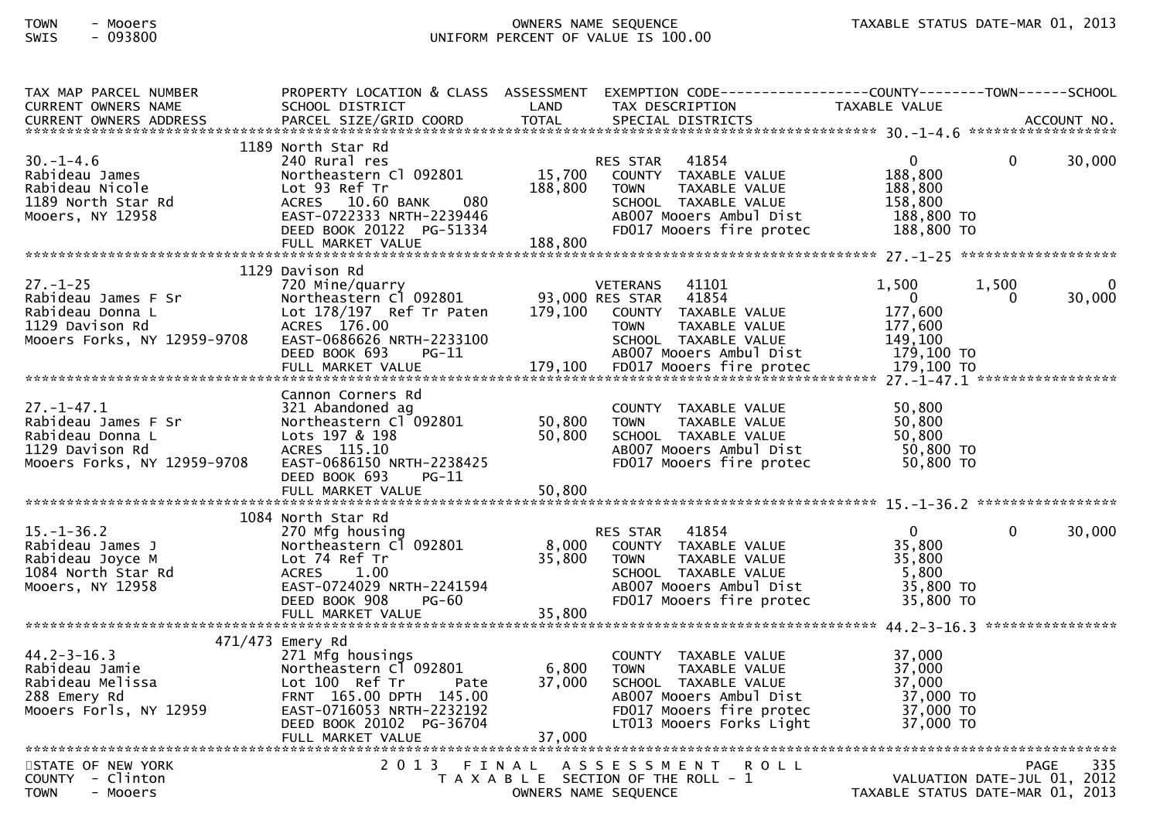## TOWN - Mooers OWNERS NAME SEQUENCE TAXABLE STATUS DATE-MAR 01, 2013SWIS - 093800 UNIFORM PERCENT OF VALUE IS 100.00

| TAX MAP PARCEL NUMBER                                                 | PROPERTY LOCATION & CLASS ASSESSMENT         |              | EXEMPTION CODE-----------------COUNTY-------TOWN------SCHOOL |                                     |                    |
|-----------------------------------------------------------------------|----------------------------------------------|--------------|--------------------------------------------------------------|-------------------------------------|--------------------|
| <b>CURRENT OWNERS NAME</b>                                            | SCHOOL DISTRICT                              | LAND         | TAX DESCRIPTION                                              | TAXABLE VALUE                       |                    |
| <b>CURRENT OWNERS ADDRESS</b>                                         | PARCEL SIZE/GRID COORD                       | <b>TOTAL</b> | SPECIAL DISTRICTS                                            |                                     | ACCOUNT NO.        |
|                                                                       |                                              |              |                                                              |                                     |                    |
|                                                                       | 1189 North Star Rd                           |              |                                                              |                                     |                    |
| $30. - 1 - 4.6$                                                       | 240 Rural res                                |              | RES STAR 41854                                               | $\mathbf{0}$<br>$\Omega$            | 30,000             |
| Rabideau James                                                        | Northeastern Cl 092801                       | 15,700       | COUNTY TAXABLE VALUE                                         | 188,800                             |                    |
| Rabideau Nicole                                                       | Lot 93 Ref Tr                                | 188,800      | TAXABLE VALUE<br><b>TOWN</b>                                 | 188,800                             |                    |
| 1189 North Star Rd                                                    | ACRES 10.60 BANK<br>080                      |              | SCHOOL TAXABLE VALUE                                         | 158,800                             |                    |
| Mooers, NY 12958                                                      | EAST-0722333 NRTH-2239446                    |              | AB007 Mooers Ambul Dist                                      | 188,800 TO                          |                    |
|                                                                       | DEED BOOK 20122 PG-51334                     |              | FD017 Mooers fire protec                                     | 188,800 TO                          |                    |
|                                                                       |                                              |              |                                                              |                                     |                    |
|                                                                       |                                              |              |                                                              |                                     |                    |
|                                                                       | 1129 Davison Rd                              |              |                                                              |                                     |                    |
| $27. - 1 - 25$                                                        | 720 Mine/quarry                              |              | <b>VETERANS</b><br>41101                                     | 1,500<br>1,500                      |                    |
| Rabideau James F Sr                                                   | Northeastern C1 092801 93,000 RES STAR 41854 |              |                                                              | $\overline{\mathbf{0}}$<br>$\Omega$ | 30,000             |
| Rabideau Donna L                                                      | Lot 178/197 Ref Tr Paten                     | 179,100      | COUNTY TAXABLE VALUE                                         | 177,600                             |                    |
| 1129 Davison Rd                                                       | ACRES 176.00                                 |              | <b>TOWN</b><br>TAXABLE VALUE                                 | 177,600                             |                    |
| Mooers Forks, NY 12959-9708                                           | EAST-0686626 NRTH-2233100                    |              | SCHOOL TAXABLE VALUE                                         | 149,100                             |                    |
|                                                                       | DEED BOOK 693<br>$PG-11$                     |              | AB007 Mooers Ambul Dist                                      | 179,100 TO                          |                    |
|                                                                       |                                              |              |                                                              |                                     |                    |
|                                                                       |                                              |              |                                                              |                                     |                    |
|                                                                       | Cannon Corners Rd                            |              |                                                              |                                     |                    |
| $27. - 1 - 47.1$                                                      |                                              |              |                                                              | 50,800                              |                    |
|                                                                       | 321 Abandoned ag                             |              | COUNTY TAXABLE VALUE                                         |                                     |                    |
| Rabideau James F Sr                                                   | Northeastern Cl 092801                       | 50,800       | TAXABLE VALUE<br><b>TOWN</b>                                 | 50,800                              |                    |
| Rabideau Donna L                                                      | Lots 197 & 198                               | 50,800       | SCHOOL TAXABLE VALUE                                         | 50,800                              |                    |
| 1129 Davison Rd                                                       | ACRES 115.10                                 |              | AB007 Mooers Ambul Dist                                      | 50,800 TO                           |                    |
| Mooers Forks, NY 12959-9708                                           | EAST-0686150 NRTH-2238425                    |              | FD017 Mooers fire protec                                     | 50,800 TO                           |                    |
|                                                                       | DEED BOOK 693<br>$PG-11$                     |              |                                                              |                                     |                    |
|                                                                       |                                              |              |                                                              |                                     |                    |
|                                                                       |                                              |              |                                                              |                                     |                    |
|                                                                       | 1084 North Star Rd                           |              |                                                              |                                     |                    |
| $15. - 1 - 36.2$                                                      | 270 Mfg housing                              |              | RES STAR 41854                                               | $\mathbf{0}$<br>$\Omega$            | 30,000             |
| Rabideau James J                                                      | Northeastern Cl 092801                       | 8,000        | COUNTY TAXABLE VALUE                                         | 35,800                              |                    |
| Rabideau Joyce M                                                      | Lot 74 Ref Tr                                | 35,800       | TAXABLE VALUE<br><b>TOWN</b>                                 | 35,800                              |                    |
| 1084 North Star Rd                                                    | 1.00<br>ACRES                                |              | SCHOOL TAXABLE VALUE                                         | 5,800                               |                    |
| Mooers, NY 12958                                                      | EAST-0724029 NRTH-2241594                    |              | AB007 Mooers Ambul Dist                                      | 35,800 TO                           |                    |
|                                                                       | DEED BOOK 908<br>PG-60                       |              | FD017 Mooers fire protec                                     | 35,800 TO                           |                    |
|                                                                       |                                              |              |                                                              |                                     |                    |
|                                                                       |                                              |              |                                                              |                                     | *****************  |
|                                                                       | 471/473 Emery Rd                             |              |                                                              |                                     |                    |
| $44.2 - 3 - 16.3$                                                     | 271 Mfg housings                             |              | COUNTY TAXABLE VALUE                                         | 37,000                              |                    |
|                                                                       | Northeastern Cl 092801                       | 6,800        | <b>TOWN</b><br>TAXABLE VALUE                                 | 37,000                              |                    |
|                                                                       | Lot 100 Ref Tr<br>Pate                       | 37,000       | SCHOOL TAXABLE VALUE                                         | 37,000                              |                    |
|                                                                       | FRNT 165.00 DPTH 145.00                      |              | AB007 Mooers Ambul Dist                                      | 37,000 TO                           |                    |
|                                                                       | EAST-0716053 NRTH-2232192                    |              | FD017 Mooers fire protec                                     | 37,000 TO                           |                    |
|                                                                       | DEED BOOK 20102 PG-36704                     |              | LT013 Mooers Forks Light                                     | 37,000 TO                           |                    |
| ally Melissa<br>288 Emery Rd<br>Mooers Forls, NY 12959<br>Ally Martin | FULL MARKET VALUE                            | 37,000       |                                                              |                                     |                    |
|                                                                       |                                              |              |                                                              |                                     |                    |
| STATE OF NEW YORK                                                     |                                              |              | 2013 FINAL ASSESSMENT ROLL                                   |                                     | 335<br><b>PAGE</b> |
| COUNTY - Clinton                                                      |                                              |              | T A X A B L E SECTION OF THE ROLL - 1                        | VALUATION DATE-JUL 01, 2012         |                    |
| <b>TOWN</b><br>- Mooers                                               |                                              |              |                                                              | TAXABLE STATUS DATE-MAR 01, 2013    |                    |
|                                                                       |                                              |              | OWNERS NAME SEQUENCE                                         |                                     |                    |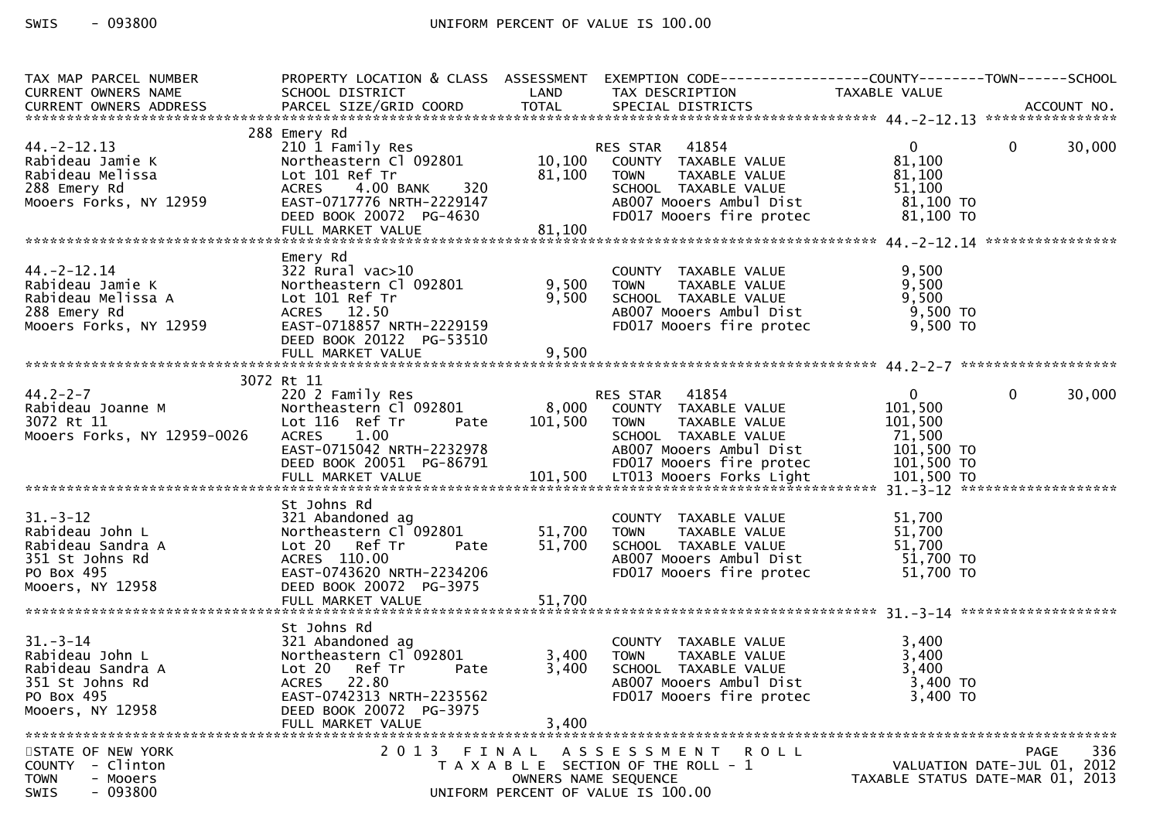| TAX MAP PARCEL NUMBER<br>CURRENT OWNERS NAME                                                               | SCHOOL DISTRICT<br><b>Example 18 The LAND</b>                                                                                                                                             |                            | PROPERTY LOCATION & CLASS ASSESSMENT EXEMPTION CODE----------------COUNTY--------TOWN------SCHOOL<br>TAX DESCRIPTION                                            | TAXABLE VALUE                                                            |                                            |
|------------------------------------------------------------------------------------------------------------|-------------------------------------------------------------------------------------------------------------------------------------------------------------------------------------------|----------------------------|-----------------------------------------------------------------------------------------------------------------------------------------------------------------|--------------------------------------------------------------------------|--------------------------------------------|
|                                                                                                            |                                                                                                                                                                                           |                            |                                                                                                                                                                 |                                                                          |                                            |
| $44. -2 - 12.13$<br>Rabideau Jamie K<br>Rabideau Melissa<br>288 Emery Rd<br>Mooers Forks, NY 12959         | 288 Emery Rd<br>210 1 Family Res<br>Northeastern Cl 092801<br>Lot 101 Ref Tr<br>320<br>4.00 BANK<br><b>ACRES</b><br>EAST-0717776 NRTH-2229147<br>DEED BOOK 20072 PG-4630                  | 81,100                     | 41854<br>RES STAR<br>10,100 COUNTY TAXABLE VALUE<br><b>TOWN</b><br>TAXABLE VALUE<br>SCHOOL TAXABLE VALUE<br>AB007 Mooers Ambul Dist<br>FD017 Mooers fire protec | $\overline{0}$<br>81,100<br>81,100<br>51,100<br>81,100 TO<br>81,100 TO   | $\mathbf{0}$<br>30,000                     |
|                                                                                                            |                                                                                                                                                                                           |                            |                                                                                                                                                                 |                                                                          |                                            |
|                                                                                                            |                                                                                                                                                                                           |                            |                                                                                                                                                                 |                                                                          |                                            |
| $44. -2 - 12.14$<br>Rabideau Jamie K<br>Rabideau Melissa A<br>288 Emery Rd<br>Mooers Forks, NY 12959       | Emery Rd<br>$322$ Rural vac $>10$<br>Northeastern Cl 092801<br>Lot 101 Ref Tr<br>ACRES 12.50<br>EAST-0718857 NRTH-2229159<br>DEED BOOK 20122 PG-53510<br>FULL MARKET VALUE                | 9,500<br>9,500<br>9,500    | COUNTY TAXABLE VALUE<br><b>TOWN</b><br>TAXABLE VALUE<br>SCHOOL TAXABLE VALUE<br>AB007 Mooers Ambul Dist<br>FD017 Mooers fire protec                             | 9,500<br>9,500<br>9,500<br>9,500 TO<br>9,500 TO                          |                                            |
|                                                                                                            |                                                                                                                                                                                           |                            |                                                                                                                                                                 |                                                                          |                                            |
|                                                                                                            | 3072 Rt 11                                                                                                                                                                                |                            |                                                                                                                                                                 |                                                                          |                                            |
| $44.2 - 2 - 7$<br>44.∠-∠-7<br>Rabideau Joanne M<br>3072 Rt 11<br>Mooers Forks, NY 12959-0026               | 220 2 Family Res<br>Northeastern Cl 092801<br>Lot 116 Ref Tr<br>Pate<br><b>ACRES</b><br>1.00<br>EAST-0715042 NRTH-2232978<br>DEED BOOK 20051 PG-86791                                     | 8,000<br>101,500           | RES STAR 41854<br>COUNTY TAXABLE VALUE<br>TAXABLE VALUE<br>TOWN<br>SCHOOL TAXABLE VALUE<br>AB007 Mooers Ambul Dist<br>FD017 Mooers fire protec                  | $\mathbf{0}$<br>101,500<br>101,500<br>71,500<br>101,500 TO<br>101,500 TO | $\mathbf{0}$<br>30,000                     |
|                                                                                                            |                                                                                                                                                                                           |                            |                                                                                                                                                                 |                                                                          |                                            |
| $31 - 3 - 12$<br>Rabideau John L<br>Rabideau Sandra A<br>351 St Johns Rd<br>PO Box 495<br>Mooers, NY 12958 | St Johns Rd<br>321 Abandoned ag<br>Northeastern Cl 092801<br>Lot 20 Ref Tr<br>Pate<br>ACRES 110.00<br>EAST-0743620 NRTH-2234206<br>DEED BOOK 20072 PG-3975<br>FULL MARKET VALUE           | 51,700<br>51,700<br>51,700 | COUNTY TAXABLE VALUE<br><b>TOWN</b><br>TAXABLE VALUE<br>SCHOOL TAXABLE VALUE<br>AB007 Mooers Ambul Dist<br>FD017 Mooers fire protec                             | 51,700<br>51,700<br>51,700<br>51,700 TO<br>51,700 TO                     |                                            |
|                                                                                                            | St Johns Rd                                                                                                                                                                               |                            |                                                                                                                                                                 |                                                                          |                                            |
| $31 - 3 - 14$<br>Rabideau John L<br>Rabideau Sandra A<br>351 St Johns Rd<br>PO Box 495<br>Mooers, NY 12958 | 321 Abandoned ag<br>Northeastern Cl <sup>-</sup> 092801<br>Lot 20<br>Ref Tr<br>Pate<br><b>ACRES</b><br>22.80<br>EAST-0742313 NRTH-2235562<br>DEED BOOK 20072 PG-3975<br>FULL MARKET VALUE | 3,400<br>3,400<br>3,400    | COUNTY TAXABLE VALUE<br>TAXABLE VALUE<br><b>TOWN</b><br>SCHOOL TAXABLE VALUE<br>AB007 Mooers Ambul Dist<br>FD017 Mooers fire protec                             | 3,400<br>3,400<br>3,400<br>3,400 TO<br>3,400 TO                          |                                            |
| STATE OF NEW YORK<br>- Clinton<br><b>COUNTY</b><br><b>TOWN</b><br>- Mooers<br>SWIS<br>$-093800$            | 2 0 1 3                                                                                                                                                                                   | FINAL                      | A S S E S S M E N T R O L L<br>T A X A B L E SECTION OF THE ROLL - 1<br>OWNERS NAME SEQUENCE<br>UNIFORM PERCENT OF VALUE IS 100.00                              | TAXABLE STATUS DATE-MAR 01, 2013                                         | 336<br>PAGE<br>VALUATION DATE-JUL 01, 2012 |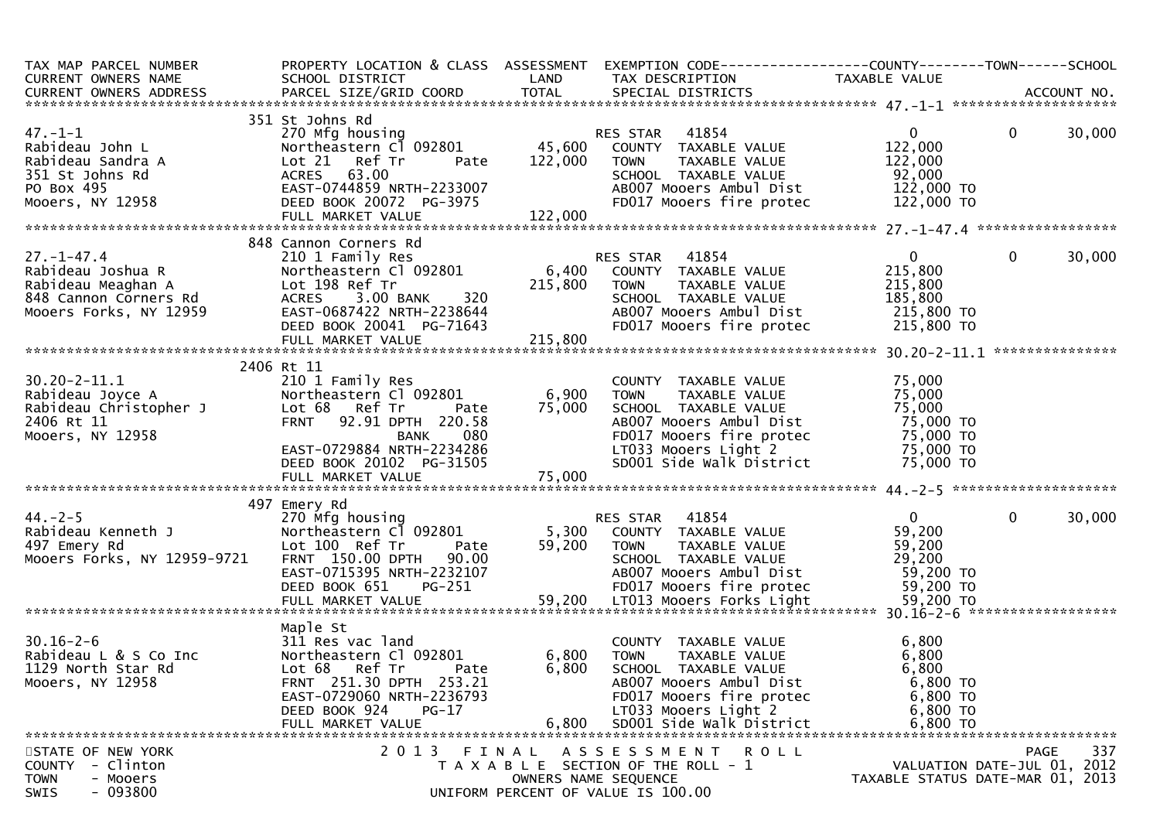| TAX MAP PARCEL NUMBER PROPERTY LOCATION & CLASS ASSESSMENT EXEMPTION CODE----------------COUNTY--------TOWN-----SCHOOL<br>CURRENT OWNERS NAME SCHOOL DISTRICT LAND TAX DESCRIPTION TAXABLE VALUE<br>CURRENT OWNERS ADDRESS PARCEL SI               |                                                                                                                                                                                                                                                                  |                |                                                                                                                                                                                                                                                               |                                                                         |                                                   |
|----------------------------------------------------------------------------------------------------------------------------------------------------------------------------------------------------------------------------------------------------|------------------------------------------------------------------------------------------------------------------------------------------------------------------------------------------------------------------------------------------------------------------|----------------|---------------------------------------------------------------------------------------------------------------------------------------------------------------------------------------------------------------------------------------------------------------|-------------------------------------------------------------------------|---------------------------------------------------|
|                                                                                                                                                                                                                                                    |                                                                                                                                                                                                                                                                  |                |                                                                                                                                                                                                                                                               |                                                                         |                                                   |
| $47 - 1 - 1$<br>47.-1-1<br>Rabideau John L<br>Rabideau Sandra A<br>351 St Johns Rd<br>PO Box 495<br>Mooers, NY 12958<br>ACRES 63.00<br>PO Box 495<br>Mooers, NY 12958<br>PULL MARKET VALU                                                          | 351 St Johns Rd<br>ACRES 63.00<br>EAST-0744859 NRTH-2233007<br>DEED BOOK 20072 PG-3975<br>FULL MARKET VALUE                                                                                                                                                      | 122,000        | SCHOOL TAXABLE VALUE 50.000<br>ABOO7 Mooers Ambul Dist 122,000 TO<br>FDO17 Mooers fire protec 122,000 TO                                                                                                                                                      | $0 \qquad \qquad$<br>122,000<br>122,000                                 | $\mathbf{0}$<br>30,000                            |
|                                                                                                                                                                                                                                                    | 848 Cannon Corners Rd                                                                                                                                                                                                                                            |                |                                                                                                                                                                                                                                                               |                                                                         |                                                   |
| 27.-1-47.4<br>Rabideau Joshua R<br>Rabideau Joshua R<br>Rabideau Meaghan A<br>Mooers Forks, NY 12959<br>Mooers Forks, NY 12959<br>Rabideau Meaghan A<br>Lot 198 Ref Tr<br>ACRES 3.00 BANK 320<br>Mooers Forks, NY 12959<br>EAST-0687422 NRTH-22386 |                                                                                                                                                                                                                                                                  |                |                                                                                                                                                                                                                                                               |                                                                         | 30,000<br>$\mathbf{0}$                            |
|                                                                                                                                                                                                                                                    |                                                                                                                                                                                                                                                                  |                |                                                                                                                                                                                                                                                               |                                                                         |                                                   |
| 30.20-2-11.1<br>Rabideau Joyce A Northeastern Cl (<br>Rabideau Christopher J Lot 68 Ref Tr<br>2406 Rt 11 FRNT 92.91 DPT<br>Mooers, NY 12958<br>EAST-0729884 NRT                                                                                    | 2406 Rt 11<br>בבט ב Family Res<br>Northeastern Cl 092801<br>Lot 68 – Ref ⊤r<br>Northeastern Cl 092801 by 0, 900<br>Lot 68 Ref Tr Pate 75,000<br>FRNT 92.91 DPTH 220.58<br>BANK 080<br>EAST-0729884 NRTH-2234286<br>DEED BOOK 20102 PG-31505<br>FULL MARKET VALUE | 6,900          | COUNTY TAXABLE VALUE 75,000<br>TOWN TAXABLE VALUE 75,000<br>SCHOOL TAXABLE VALUE 75,000<br><b>TOWN</b><br>SCHOOL TAXABLE VALUE<br>ABOOT Mooers Ambul Dist<br>FDO17 Mooers fire protec<br>LTO33 Mooers Light 2 75,000 TO<br>SDO01 Side Walk District 75,000 TO |                                                                         |                                                   |
|                                                                                                                                                                                                                                                    |                                                                                                                                                                                                                                                                  |                |                                                                                                                                                                                                                                                               |                                                                         |                                                   |
|                                                                                                                                                                                                                                                    | 497 Emery Rd                                                                                                                                                                                                                                                     |                |                                                                                                                                                                                                                                                               |                                                                         |                                                   |
| Mooers Forks, NY 12959-9721 FRNT 150.00 DPTH 90.00 SCHOOL TAXABLE VALUE 29,200<br>EAST-0715395 NRTH-2232107 AB007 Mooers Ambul Dist 59,200 TO<br>DEED BOOK 651 PG-251 FD017 Mooers fire protec 59,200 TO<br>FULL MARKET VALUE 59,200 LT            |                                                                                                                                                                                                                                                                  |                |                                                                                                                                                                                                                                                               | $\mathbf{0}$<br>59,200<br>59,200<br>29,200                              | $\mathbf 0$<br>30,000                             |
|                                                                                                                                                                                                                                                    | Maple St                                                                                                                                                                                                                                                         |                |                                                                                                                                                                                                                                                               |                                                                         |                                                   |
| $30.16 - 2 - 6$<br>Rabideau L & S Co Inc<br>1129 North Star Rd<br>Mooers, NY 12958                                                                                                                                                                 | 311 Res vac land<br>Northeastern Cl 092801<br>Lot 68 Ref Tr<br>Pate<br>FRNT 251.30 DPTH 253.21<br>EAST-0729060 NRTH-2236793<br>DEED BOOK 924<br>$PG-17$<br>FULL MARKET VALUE                                                                                     | 6,800<br>6,800 | COUNTY TAXABLE VALUE<br>6,800 TOWN<br>TAXABLE VALUE<br>SCHOOL TAXABLE VALUE<br>AB007 Mooers Ambul Dist<br>FD017 Mooers fire protec<br>LT033 Mooers Light 2<br>SD001 Side Walk District                                                                        | 6,800<br>6,800<br>6,800<br>6,800 TO<br>6,800 TO<br>6,800 TO<br>6,800 TO |                                                   |
| STATE OF NEW YORK<br>- Clinton<br><b>COUNTY</b><br><b>TOWN</b><br>- Mooers<br>$-093800$<br><b>SWIS</b>                                                                                                                                             | 2013 FINAL                                                                                                                                                                                                                                                       |                | A S S E S S M E N T<br><b>ROLL</b><br>T A X A B L E SECTION OF THE ROLL - 1<br>OWNERS NAME SEQUENCE<br>UNIFORM PERCENT OF VALUE IS 100.00                                                                                                                     | TAXABLE STATUS DATE-MAR 01, 2013                                        | 337<br><b>PAGE</b><br>VALUATION DATE-JUL 01, 2012 |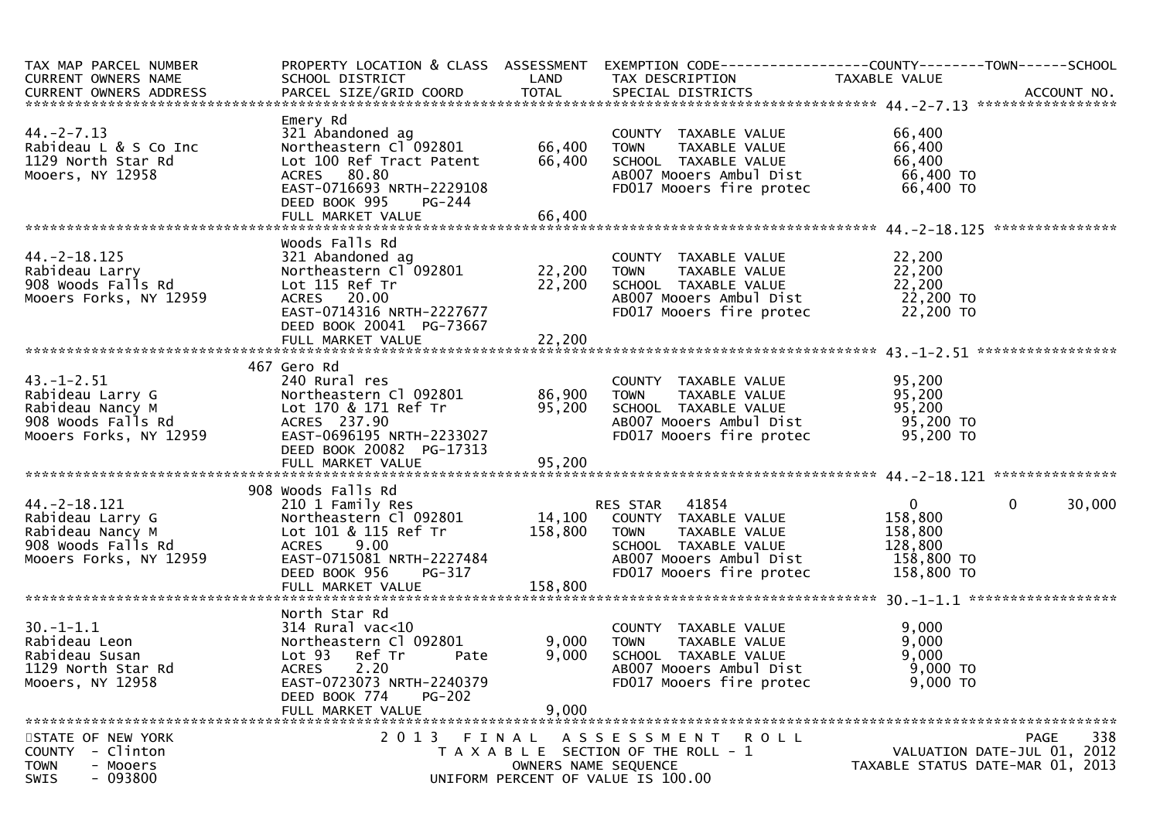| TAX MAP PARCEL NUMBER                        | PROPERTY LOCATION & CLASS ASSESSMENT              |                      |                                                 |                                  |                             |
|----------------------------------------------|---------------------------------------------------|----------------------|-------------------------------------------------|----------------------------------|-----------------------------|
| CURRENT OWNERS NAME                          | SCHOOL DISTRICT                                   | LAND                 | TAX DESCRIPTION                                 | TAXABLE VALUE                    |                             |
|                                              |                                                   |                      |                                                 |                                  |                             |
|                                              | Emery Rd                                          |                      |                                                 |                                  |                             |
| $44. -2 - 7.13$                              | 321 Abandoned ag                                  |                      | COUNTY TAXABLE VALUE                            | 66,400                           |                             |
| Rabideau L & S Co Inc                        | Northeastern Cl 092801                            | 66,400               | TAXABLE VALUE<br><b>TOWN</b>                    | 66,400                           |                             |
| 1129 North Star Rd                           | Lot 100 Ref Tract Patent                          | 66,400               | SCHOOL TAXABLE VALUE                            | 66,400                           |                             |
| Mooers, NY 12958                             | ACRES 80.80                                       |                      | AB007 Mooers Ambul Dist                         | 66,400 TO                        |                             |
|                                              | EAST-0716693 NRTH-2229108                         |                      | FD017 Mooers fire protec                        | 66,400 TO                        |                             |
|                                              | DEED BOOK 995<br>PG-244                           |                      |                                                 |                                  |                             |
|                                              |                                                   |                      |                                                 |                                  |                             |
|                                              |                                                   |                      |                                                 |                                  |                             |
|                                              | Woods Falls Rd                                    |                      |                                                 |                                  |                             |
| $44. - 2 - 18.125$                           | 321 Abandoned ag                                  |                      | COUNTY TAXABLE VALUE                            | 22,200                           |                             |
| Rabideau Larry                               |                                                   |                      | TAXABLE VALUE                                   | 22,200                           |                             |
| 908 Woods Falls Rd                           | Lot 115 Ref Tr                                    | 22,200               | SCHOOL TAXABLE VALUE                            | 22,200                           |                             |
| Mooers Forks, NY 12959                       | ACRES 20.00                                       |                      | AB007 Mooers Ambul Dist                         | 22,200 то<br>22,200 то           |                             |
|                                              | EAST-0714316 NRTH-2227677                         |                      | FD017 Mooers fire protec                        |                                  |                             |
|                                              | DEED BOOK 20041 PG-73667                          |                      |                                                 |                                  |                             |
|                                              |                                                   |                      |                                                 |                                  |                             |
|                                              | 467 Gero Rd                                       |                      |                                                 |                                  |                             |
| $43. - 1 - 2.51$                             | 240 Rural res                                     |                      | COUNTY TAXABLE VALUE                            |                                  |                             |
| Rabideau Larry G                             | Northeastern Cl 092801                            | 86,900               | <b>TOWN</b><br>TAXABLE VALUE                    | 95,200<br>95,200                 |                             |
| Rabideau Nancy M                             | Lot 170 & 171 Ref Tr                              | 95,200               | SCHOOL TAXABLE VALUE                            | 95,200                           |                             |
| 908 Woods Falls Rd                           | ACRES 237.90                                      |                      | AB007 Mooers Ambul Dist                         | 95,200 TO                        |                             |
| Mooers Forks, NY 12959                       | EAST-0696195 NRTH-2233027                         |                      | FD017 Mooers fire protec                        | 95,200 TO                        |                             |
|                                              | DEED BOOK 20082 PG-17313                          |                      |                                                 |                                  |                             |
|                                              |                                                   |                      |                                                 |                                  |                             |
|                                              |                                                   |                      |                                                 |                                  |                             |
|                                              | 908 Woods Falls Rd                                |                      |                                                 |                                  |                             |
| $44. -2 - 18.121$                            | 210 1 Family Res                                  |                      | <b>RES STAR 41854</b>                           | $\mathbf{0}$                     | $\mathbf 0$<br>30,000       |
| Rabideau Larry G                             | Northeastern Cl 092801                            |                      | 14,100 COUNTY TAXABLE VALUE                     | 158,800                          |                             |
| Rabideau Nancy M                             | Lot 101 & 115 Ref Tr                              | 158,800              | <b>TOWN</b><br>TAXABLE VALUE                    | 158,800                          |                             |
| 908 Woods Falls Rd<br>Mooers Forks, NY 12959 | <b>ACRES</b><br>9.00<br>EAST-0715081 NRTH-2227484 |                      | SCHOOL TAXABLE VALUE<br>AB007 Mooers Ambul Dist | 128,800<br>158,800 TO            |                             |
|                                              | DEED BOOK 956<br>PG-317                           |                      | FD017 Mooers fire protec                        | 158,800 TO                       |                             |
|                                              | FULL MARKET VALUE                                 | 158,800              |                                                 |                                  |                             |
|                                              |                                                   |                      |                                                 |                                  |                             |
|                                              | North Star Rd                                     |                      |                                                 |                                  |                             |
| $30. - 1 - 1.1$                              | $314$ Rural vac< $10$                             |                      | COUNTY TAXABLE VALUE                            | 9,000                            |                             |
| Rabideau Leon                                | Northeastern Cl 092801                            | 9,000                | TAXABLE VALUE<br>TOWN                           | 9,000                            |                             |
| Rabideau Susan                               | Lot 93<br>Ref Tr<br>Pate                          | 9,000                | SCHOOL TAXABLE VALUE                            | 9,000                            |                             |
| 1129 North Star Rd                           | 2.20<br><b>ACRES</b>                              |                      | AB007 Mooers Ambul Dist                         | 9,000 TO                         |                             |
| Mooers, NY 12958                             | EAST-0723073 NRTH-2240379                         |                      | FD017 Mooers fire protec                        | 9,000 TO                         |                             |
|                                              | DEED BOOK 774<br><b>PG-202</b>                    |                      |                                                 |                                  |                             |
|                                              | FULL MARKET VALUE                                 | 9,000                |                                                 |                                  |                             |
|                                              |                                                   |                      |                                                 |                                  |                             |
| STATE OF NEW YORK<br>COUNTY - Clinton        |                                                   |                      | 2013 FINAL ASSESSMENT ROLL                      |                                  | 338<br>PAGE                 |
| <b>TOWN</b><br>- Mooers                      |                                                   | OWNERS NAME SEQUENCE | T A X A B L E SECTION OF THE ROLL - 1           | TAXABLE STATUS DATE-MAR 01, 2013 | VALUATION DATE-JUL 01, 2012 |
| $-093800$<br>SWIS                            |                                                   |                      | UNIFORM PERCENT OF VALUE IS 100.00              |                                  |                             |
|                                              |                                                   |                      |                                                 |                                  |                             |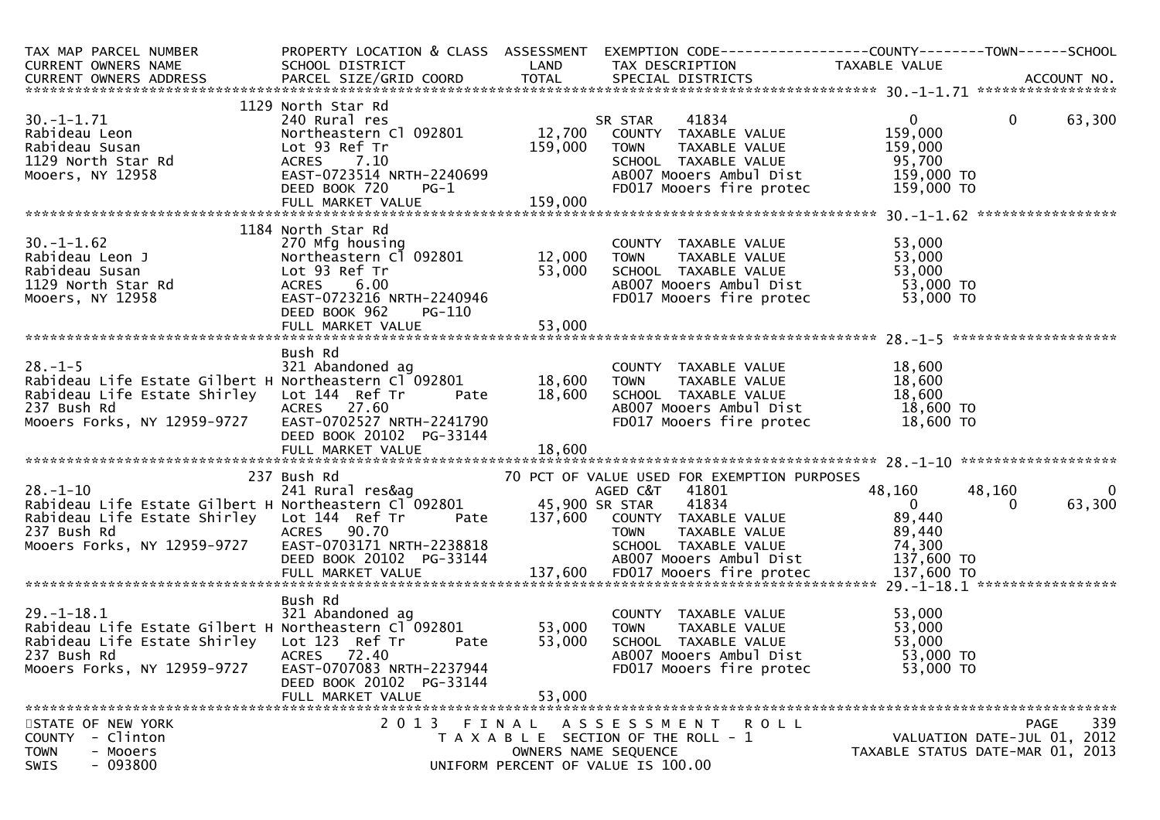| TAX MAP PARCEL NUMBER<br>CURRENT OWNERS NAME                                                                                                                                                                                                                                                                                                                                                                        | SCHOOL DISTRICT                                                                                                                                                                                        | LAND                       | PROPERTY LOCATION & CLASS ASSESSMENT EXEMPTION CODE----------------COUNTY-------TOWN------SCHOOL<br>TAX DESCRIPTION                                                | TAXABLE VALUE                                                            |                                                   |
|---------------------------------------------------------------------------------------------------------------------------------------------------------------------------------------------------------------------------------------------------------------------------------------------------------------------------------------------------------------------------------------------------------------------|--------------------------------------------------------------------------------------------------------------------------------------------------------------------------------------------------------|----------------------------|--------------------------------------------------------------------------------------------------------------------------------------------------------------------|--------------------------------------------------------------------------|---------------------------------------------------|
|                                                                                                                                                                                                                                                                                                                                                                                                                     |                                                                                                                                                                                                        |                            |                                                                                                                                                                    |                                                                          |                                                   |
| $30. -1 - 1.71$<br>Rabideau Leon<br>Rabideau Susan<br>1129 North Star Rd<br>Mooers, NY 12958                                                                                                                                                                                                                                                                                                                        | 1129 North Star Rd<br>Lot 93 Ref Tr<br>EAST-0723514 NRTH-2240699<br>EAST-0723514 NRTH-2240699<br>DEED ROOK 720<br>DEED BOOK 720                                                                        | 159,000<br>$PG-1$          | SR STAR<br>TAXABLE VALUE<br>TOWN<br>SCHOOL TAXABLE VALUE<br>ABOO7 Mooers Ambul Dist<br>FDO17 Mooers fire protec                                                    | $\mathbf{0}$<br>159,000<br>159,000<br>95,700<br>159,000 TO<br>159,000 TO | $\mathbf{0}$<br>63,300                            |
|                                                                                                                                                                                                                                                                                                                                                                                                                     |                                                                                                                                                                                                        |                            |                                                                                                                                                                    |                                                                          |                                                   |
| $30. -1 - 1.62$<br>30.-1-1.62<br>Rabideau Leon J<br>Rabideau Susan<br>1129 North Star Rd<br>Mooers, NY 12958                                                                                                                                                                                                                                                                                                        | 1184 North Star Rd<br>270 Mfg housing<br>Northeastern Cl 092801 12,000 TOWN<br>Lot 93 Ref Tr<br>ACRES 6.00<br>EAST-0723216 NRTH-2240946<br>EAST-0723216 NRTH-2240946<br>DEED BOOK 962<br><b>PG-110</b> |                            | COUNTY TAXABLE VALUE 53,000<br>TOWN TAXABLE VALUE 53,000<br>SCHOOL TAXABLE VALUE 53,000<br>ABOO7 Mooers Ambul Dist 53,000 TO<br>FDO17 Mooers fire protec 53,000 TO |                                                                          |                                                   |
|                                                                                                                                                                                                                                                                                                                                                                                                                     |                                                                                                                                                                                                        |                            |                                                                                                                                                                    |                                                                          |                                                   |
| $28. - 1 - 5$<br>Rabideau Life Estate Gilbert H Northeastern Cl 092801<br>Rabideau Life Estate Shirley Lot 144 Ref Tr<br>237 Bush Rd<br>Mooers Forks, NY 12959-9727                                                                                                                                                                                                                                                 | Bush Rd<br>321 Abandoned ag<br>Pate<br>ACRES 27.60<br>ACRES     27.60<br>EAST-0702527  NRTH-2241790<br>DEED BOOK 20102 PG-33144                                                                        | 18,600<br>18,600           | COUNTY TAXABLE VALUE<br>TOWN      TAXABLE VALUE<br>SCHOOL TAXABLE VALUE<br>AB007 Mooers Ambul Dist<br>FD017 Mooers fire protec                                     | $16$ , $18$ , $600$<br>$18$ , $600$<br>$18$ , $600$ TO<br>$18$ , $600$ T |                                                   |
|                                                                                                                                                                                                                                                                                                                                                                                                                     |                                                                                                                                                                                                        |                            |                                                                                                                                                                    |                                                                          |                                                   |
| AGED C&T 241 Rural res&ag AGED C&T<br>Rabideau Life Estate Gilbert H Northeastern Cl 092801 45,900 SR STAR<br>Rabideau Life Estate Shirley Lot 144 Ref Tr<br>237 Bush Rd<br>237 BUSH ROVER OF A ACKES 90.70<br>Mooers Forks, NY 12959-9727 EAST-0703171 NRTH-2238818 SCHOOL TAXABLE VALUE 74,300<br>DEED BOOK 20102 PG-33144 ABOO7 Mooers Ambul Dist 137,600 TO<br>FULL MARKET VALUE 137,600 FD017 Mooers fire prot | 237 Bush Rd<br>ACRES 90.70                                                                                                                                                                             |                            | 70 PCT OF VALUE USED FOR EXEMPTION PURPOSES<br>AGED C&T 41801<br>41834<br>Pate 137,600 COUNTY TAXABLE VALUE 89,440<br>TOWN TAXABLE VALUE 89,440                    | 48,160<br>$\overline{0}$<br>89,440<br>89,440<br>74,300                   | 48,160<br>$\overline{0}$<br>63,300<br>$\Omega$    |
|                                                                                                                                                                                                                                                                                                                                                                                                                     | Bush Rd                                                                                                                                                                                                |                            |                                                                                                                                                                    |                                                                          |                                                   |
| $29. - 1 - 18.1$<br>Rabideau Life Estate Gilbert H Northeastern Cl 092801<br>Rabideau Life Estate Shirley<br>237 Bush Rd<br>Mooers Forks, NY 12959-9727                                                                                                                                                                                                                                                             | 321 Abandoned ag<br>Lot 123 Ref Tr<br>Pate<br>ACRES 72.40<br>EAST-0707083 NRTH-2237944<br>DEED BOOK 20102 PG-33144<br>FULL MARKET VALUE                                                                | 53,000<br>53,000<br>53,000 | COUNTY TAXABLE VALUE<br>TAXABLE VALUE<br>TOWN<br>SCHOOL TAXABLE VALUE<br>ABOO7 Mooers Ambul Dist<br>FD017 Mooers fire protec                                       | 53,000<br>53,000<br>53,000<br>53,000 TO<br>53,000 TO                     |                                                   |
| STATE OF NEW YORK<br>COUNTY - Clinton<br><b>TOWN</b><br>- Mooers<br>$-093800$<br><b>SWIS</b>                                                                                                                                                                                                                                                                                                                        | 2013 FINAL                                                                                                                                                                                             |                            | ASSESSMENT ROLL<br>T A X A B L E SECTION OF THE ROLL - 1<br>OWNERS NAME SEQUENCE<br>UNIFORM PERCENT OF VALUE IS 100.00                                             | TAXABLE STATUS DATE-MAR 01, 2013                                         | 339<br><b>PAGE</b><br>VALUATION DATE-JUL 01, 2012 |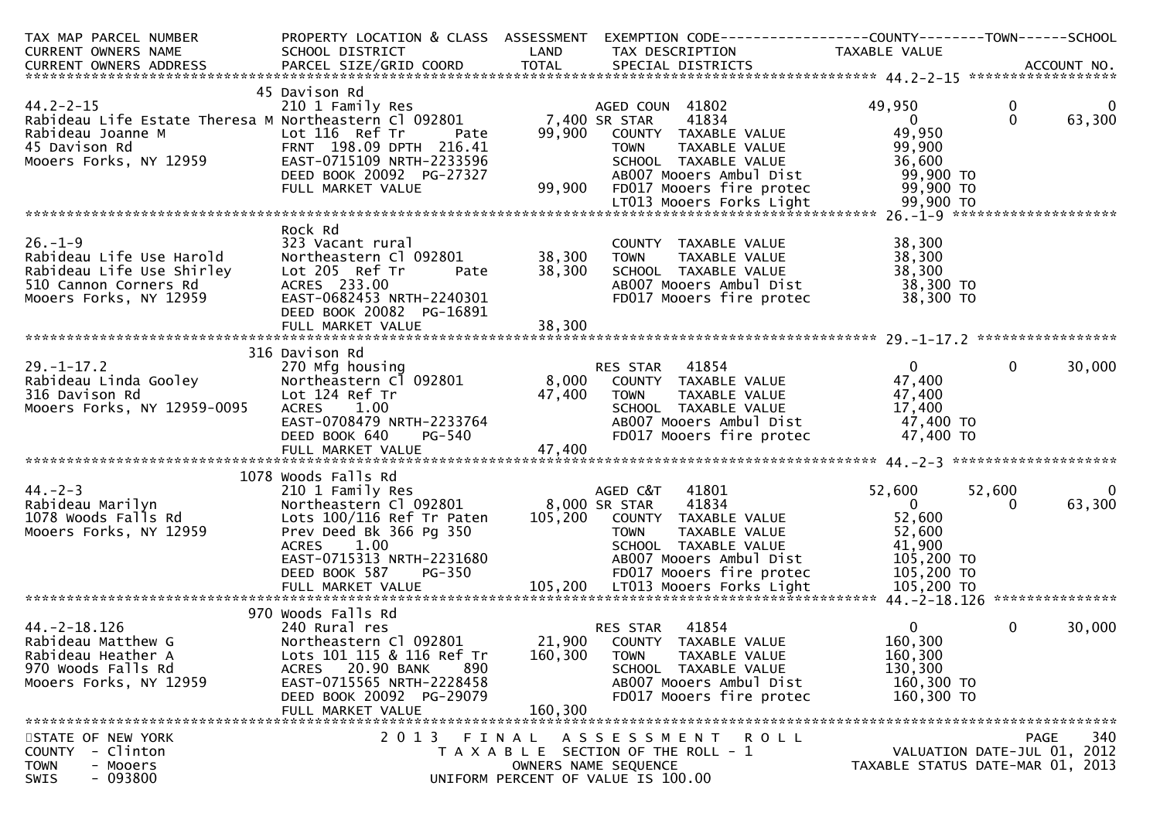| TAX MAP PARCEL NUMBER                                                                                                                                                                                                                                              |                                                                                                                              |         | PROPERTY LOCATION & CLASS  ASSESSMENT  EXEMPTION CODE-----------------COUNTY--------TOWN------SCHOOL                                                                                                                                         |                                  |                      |                          |
|--------------------------------------------------------------------------------------------------------------------------------------------------------------------------------------------------------------------------------------------------------------------|------------------------------------------------------------------------------------------------------------------------------|---------|----------------------------------------------------------------------------------------------------------------------------------------------------------------------------------------------------------------------------------------------|----------------------------------|----------------------|--------------------------|
| CURRENT OWNERS NAME SCHOOL DISTRICT LAND TAX DESCRIPTION TAXABLE VALUE<br>CURRENT OWNERS ADDRESS PARCEL SIZE/GRID COORD TOTAL SPECIAL DISTRICTS (2017 MO.                                                                                                          |                                                                                                                              |         |                                                                                                                                                                                                                                              |                                  |                      |                          |
|                                                                                                                                                                                                                                                                    |                                                                                                                              |         |                                                                                                                                                                                                                                              |                                  |                      |                          |
|                                                                                                                                                                                                                                                                    |                                                                                                                              |         |                                                                                                                                                                                                                                              |                                  |                      |                          |
|                                                                                                                                                                                                                                                                    | 45 Davison Rd                                                                                                                |         |                                                                                                                                                                                                                                              |                                  |                      |                          |
| 44.2-2-15<br>210 I Family Res<br>Rabideau Life Estate Theresa M Northeastern Cl 092801 7,400 SR STAR                                                                                                                                                               |                                                                                                                              |         | AGED COUN 41802<br>41834                                                                                                                                                                                                                     | 49,950<br>$\sim$ 0               | $\bf{0}$<br>$\Omega$ | $\overline{0}$<br>63,300 |
|                                                                                                                                                                                                                                                                    |                                                                                                                              |         |                                                                                                                                                                                                                                              | 49,950                           |                      |                          |
|                                                                                                                                                                                                                                                                    |                                                                                                                              |         | 99,900 COUNTY TAXABLE VALUE                                                                                                                                                                                                                  |                                  |                      |                          |
| Rabideau Joanne M<br>45 Davison Rd<br>Mooers Forks, NY 12959<br>EAST-0715109 NRTH-2233596                                                                                                                                                                          |                                                                                                                              |         | TOWN TAXABLE VALUE 99,900<br>SCHOOL TAXABLE VALUE 36,600                                                                                                                                                                                     |                                  |                      |                          |
|                                                                                                                                                                                                                                                                    |                                                                                                                              |         |                                                                                                                                                                                                                                              |                                  |                      |                          |
|                                                                                                                                                                                                                                                                    |                                                                                                                              |         |                                                                                                                                                                                                                                              |                                  |                      |                          |
|                                                                                                                                                                                                                                                                    |                                                                                                                              |         |                                                                                                                                                                                                                                              |                                  |                      |                          |
| 000015 PULS, NT 12333<br>DEED BOOK 20092 PG-27327 AB007 Mooers Ambul Dist 69,900 TO<br>FULL MARKET VALUE 99,900 FD017 Mooers fire protec 99,900 TO<br>ETO13 Mooers Forks Light 179,900 TO LTO13 Mooers Forks Light 99,900 TO                                       |                                                                                                                              |         |                                                                                                                                                                                                                                              |                                  |                      |                          |
|                                                                                                                                                                                                                                                                    | Rock Rd                                                                                                                      |         |                                                                                                                                                                                                                                              |                                  |                      |                          |
| $26. - 1 - 9$                                                                                                                                                                                                                                                      | 323 Vacant rural<br>Northeastern Cl 092801 38,300<br>Lot 205 Ref Tr Pate 38,300<br>ACRES 233.00<br>EAST-0682453 NRTH-2240301 |         | COUNTY TAXABLE VALUE                                                                                                                                                                                                                         | 38,300                           |                      |                          |
| Rabideau Life Use Harold<br>Rabideau Life Use Shirley<br>510 Cannon Corners Rd<br>Mooers Forks, NY 12959<br>RAST-0682453 NRTH-2240301                                                                                                                              |                                                                                                                              |         | TAXABLE VALUE<br>TOWN                                                                                                                                                                                                                        | 38,300                           |                      |                          |
|                                                                                                                                                                                                                                                                    |                                                                                                                              |         |                                                                                                                                                                                                                                              |                                  |                      |                          |
|                                                                                                                                                                                                                                                                    |                                                                                                                              |         | SCHOOL TAXABLE VALUE 38,300<br>ABOOZ Mooers Ambul Dist 38,300 TO                                                                                                                                                                             |                                  |                      |                          |
|                                                                                                                                                                                                                                                                    |                                                                                                                              |         | FD017 Mooers fire protec 38,300 TO                                                                                                                                                                                                           |                                  |                      |                          |
|                                                                                                                                                                                                                                                                    | DEED BOOK 20082 PG-16891                                                                                                     |         |                                                                                                                                                                                                                                              |                                  |                      |                          |
|                                                                                                                                                                                                                                                                    |                                                                                                                              |         |                                                                                                                                                                                                                                              |                                  |                      |                          |
|                                                                                                                                                                                                                                                                    |                                                                                                                              |         |                                                                                                                                                                                                                                              |                                  |                      |                          |
|                                                                                                                                                                                                                                                                    | 316 Davison Rd                                                                                                               |         |                                                                                                                                                                                                                                              |                                  |                      |                          |
|                                                                                                                                                                                                                                                                    |                                                                                                                              |         |                                                                                                                                                                                                                                              |                                  |                      |                          |
|                                                                                                                                                                                                                                                                    |                                                                                                                              |         |                                                                                                                                                                                                                                              |                                  |                      |                          |
|                                                                                                                                                                                                                                                                    |                                                                                                                              |         |                                                                                                                                                                                                                                              |                                  |                      |                          |
|                                                                                                                                                                                                                                                                    |                                                                                                                              |         |                                                                                                                                                                                                                                              |                                  |                      |                          |
|                                                                                                                                                                                                                                                                    |                                                                                                                              |         |                                                                                                                                                                                                                                              |                                  |                      |                          |
| 316 Davison Rd<br>270 -1-17.2<br>29.-1-17.2<br>270 Microsofteau Linda Gooley<br>27.400<br>27.400<br>27.400<br>29.516 Davison Rd<br>27.400<br>29.516 Davison Rd<br>27.400<br>29.516 Davison Rd<br>27.400<br>27.400<br>27.400<br>27.400<br>27.400<br>27.400<br>27.40 |                                                                                                                              |         |                                                                                                                                                                                                                                              |                                  |                      |                          |
|                                                                                                                                                                                                                                                                    |                                                                                                                              |         |                                                                                                                                                                                                                                              |                                  |                      |                          |
|                                                                                                                                                                                                                                                                    | 1078 Woods Falls Rd                                                                                                          |         | Woods Falls Rd<br>210 1 Family Res<br>Northeastern Cl 092801 8,000 SR STAR 41834<br>100/116 Ref Tr Paten 105,200 COUNTY TAXABLE VALUE 52,600<br>TOWN TAXABLE VALUE 52,600<br>TOWN TAXABLE VALUE 52,600<br>TOWN TAXABLE VALUE 41,900<br>105,2 |                                  |                      |                          |
|                                                                                                                                                                                                                                                                    |                                                                                                                              |         |                                                                                                                                                                                                                                              |                                  | 52,600               | $\bf{0}$                 |
|                                                                                                                                                                                                                                                                    |                                                                                                                              |         |                                                                                                                                                                                                                                              |                                  |                      | 63,300                   |
|                                                                                                                                                                                                                                                                    |                                                                                                                              |         |                                                                                                                                                                                                                                              |                                  |                      |                          |
|                                                                                                                                                                                                                                                                    |                                                                                                                              |         |                                                                                                                                                                                                                                              |                                  |                      |                          |
|                                                                                                                                                                                                                                                                    |                                                                                                                              |         | SCHOOL   TAXABLE  VALUE                           41,900<br>ABOO7 Mooers Ambul Dist                   105,200 TO                                                                                                                             |                                  |                      |                          |
|                                                                                                                                                                                                                                                                    |                                                                                                                              |         |                                                                                                                                                                                                                                              |                                  |                      |                          |
| ACRES 1.00 SCHOOL TAXABLE VALUE 41,900<br>EAST-0715313NRTH-2231680 AB007Mooers Ambul Dist 105,200 TO<br>DEED BOOK 587 PG-350 105,200 FD017Mooers fire protec 105,200 TO<br>FULL MARKET VALUE 105,200 LT013Mooers Forks Light 105,200 TO                            |                                                                                                                              |         |                                                                                                                                                                                                                                              |                                  |                      |                          |
|                                                                                                                                                                                                                                                                    |                                                                                                                              |         |                                                                                                                                                                                                                                              |                                  |                      |                          |
|                                                                                                                                                                                                                                                                    | 970 Woods Falls Rd                                                                                                           |         |                                                                                                                                                                                                                                              |                                  |                      |                          |
| $44. -2 - 18.126$                                                                                                                                                                                                                                                  | 240 Rural res                                                                                                                |         | RES STAR<br>41854                                                                                                                                                                                                                            | $\mathbf{0}$                     | 0                    | 30,000                   |
| Rabideau Matthew G                                                                                                                                                                                                                                                 | Northeastern Cl 092801                                                                                                       |         | 21,900 COUNTY TAXABLE VALUE                                                                                                                                                                                                                  | 160,300                          |                      |                          |
| Rabideau Heather A                                                                                                                                                                                                                                                 | Lots 101 115 & 116 Ref Tr                                                                                                    | 160,300 | TAXABLE VALUE<br><b>TOWN</b>                                                                                                                                                                                                                 | 160,300                          |                      |                          |
| 970 Woods Falls Rd                                                                                                                                                                                                                                                 | ACRES 20.90 BANK<br>890                                                                                                      |         | SCHOOL TAXABLE VALUE                                                                                                                                                                                                                         | 130,300                          |                      |                          |
| Mooers Forks, NY 12959                                                                                                                                                                                                                                             | EAST-0715565 NRTH-2228458                                                                                                    |         | AB007 Mooers Ambul Dist                                                                                                                                                                                                                      | 160,300 TO                       |                      |                          |
|                                                                                                                                                                                                                                                                    | DEED BOOK 20092 PG-29079                                                                                                     |         | FD017 Mooers fire protec                                                                                                                                                                                                                     | 160,300 TO                       |                      |                          |
|                                                                                                                                                                                                                                                                    | FULL MARKET VALUE                                                                                                            | 160,300 |                                                                                                                                                                                                                                              |                                  |                      |                          |
|                                                                                                                                                                                                                                                                    |                                                                                                                              |         |                                                                                                                                                                                                                                              |                                  |                      |                          |
| STATE OF NEW YORK                                                                                                                                                                                                                                                  | 2 0 1 3                                                                                                                      | FINAL   | ASSESSMENT ROLL                                                                                                                                                                                                                              |                                  | <b>PAGE</b>          | 340                      |
| - Clinton<br>COUNTY                                                                                                                                                                                                                                                |                                                                                                                              |         | T A X A B L E SECTION OF THE ROLL - 1                                                                                                                                                                                                        | VALUATION DATE-JUL 01, 2012      |                      |                          |
| - Mooers<br><b>TOWN</b>                                                                                                                                                                                                                                            |                                                                                                                              |         | OWNERS NAME SEQUENCE                                                                                                                                                                                                                         | TAXABLE STATUS DATE-MAR 01, 2013 |                      |                          |
| SWIS<br>$-093800$                                                                                                                                                                                                                                                  |                                                                                                                              |         | UNIFORM PERCENT OF VALUE IS 100.00                                                                                                                                                                                                           |                                  |                      |                          |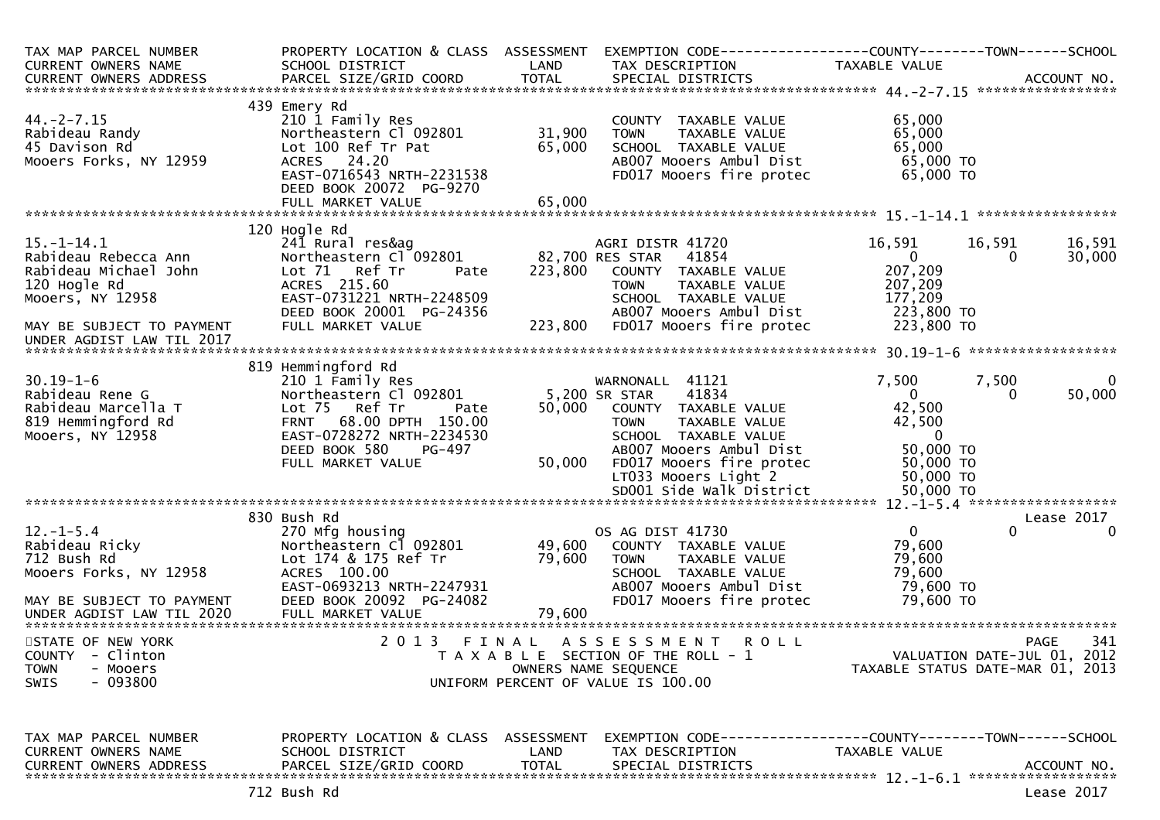| TAX MAP PARCEL NUMBER<br>CURRENT OWNERS NAME                                                                                       | PROPERTY LOCATION & CLASS ASSESSMENT<br>SCHOOL DISTRICT                                                                                                                           | LAND                 | EXEMPTION CODE-----------------COUNTY--------TOWN------SCHOOL<br>TAX DESCRIPTION                                                                                                      | TAXABLE VALUE                                                                                             |                     |
|------------------------------------------------------------------------------------------------------------------------------------|-----------------------------------------------------------------------------------------------------------------------------------------------------------------------------------|----------------------|---------------------------------------------------------------------------------------------------------------------------------------------------------------------------------------|-----------------------------------------------------------------------------------------------------------|---------------------|
|                                                                                                                                    |                                                                                                                                                                                   |                      |                                                                                                                                                                                       |                                                                                                           |                     |
| $44. -2 - 7.15$<br>Rabideau Randy<br>45 Davison Rd<br>Mooers Forks, NY 12959                                                       | 439 Emery Rd<br>210 1 Family Res<br>Northeastern Cl 092801<br>Lot 100 Ref Tr Pat<br>ACRES 24.20<br>EAST-0716543 NRTH-2231538<br>DEED BOOK 20072 PG-9270                           | 31,900<br>65,000     | COUNTY TAXABLE VALUE<br><b>TOWN</b><br>TAXABLE VALUE<br>SCHOOL TAXABLE VALUE<br>AB007 Mooers Ambul Dist<br>FD017 Mooers fire protec                                                   | 65,000<br>65,000<br>65,000<br>65,000 TO<br>65,000 TO                                                      |                     |
|                                                                                                                                    |                                                                                                                                                                                   |                      |                                                                                                                                                                                       |                                                                                                           |                     |
| $15. - 1 - 14.1$<br>Rabideau Rebecca Ann<br>Rabideau Michael John<br>120 Hogle Rd<br>Mooers, NY 12958<br>MAY BE SUBJECT TO PAYMENT | 120 Hogle Rd<br>241 Rural res&ag<br>Northeastern Cl 092801<br>Lot 71 Ref Tr<br>Pate<br>ACRES 215.60<br>EAST-0731221 NRTH-2248509<br>DEED BOOK 20001 PG-24356<br>FULL MARKET VALUE | 223,800<br>223,800   | AGRI DISTR 41720<br>82,700 RES STAR<br>41854<br>COUNTY TAXABLE VALUE<br><b>TOWN</b><br>TAXABLE VALUE<br>SCHOOL TAXABLE VALUE<br>AB007 Mooers Ambul Dist<br>FD017 Mooers fire protec   | 16,591<br>16,591<br>$\Omega$<br>$\Omega$<br>207,209<br>207,209<br>177,209<br>223,800 TO<br>223,800 TO     | 16,591<br>30,000    |
| UNDER AGDIST LAW TIL 2017                                                                                                          |                                                                                                                                                                                   |                      |                                                                                                                                                                                       |                                                                                                           |                     |
| $30.19 - 1 - 6$                                                                                                                    | 819 Hemmingford Rd<br>210 1 Family Res                                                                                                                                            |                      | WARNONALL 41121                                                                                                                                                                       | 7,500<br>7,500                                                                                            | $\overline{0}$      |
| Rabideau Rene G<br>Rabideau Marcella T<br>819 Hemmingford Rd<br>Mooers, NY 12958                                                   | Northeastern Cl 092801<br>Lot 75 Ref Tr<br>Pate<br>FRNT 68.00 DPTH 150.00<br>EAST-0728272 NRTH-2234530<br>DEED BOOK 580<br>PG-497<br>FULL MARKET VALUE                            | 50,000<br>50,000     | 41834<br>5,200 SR STAR<br>COUNTY TAXABLE VALUE<br><b>TOWN</b><br>TAXABLE VALUE<br>SCHOOL TAXABLE VALUE<br>AB007 Mooers Ambul Dist<br>FD017 Mooers fire protec<br>LT033 Mooers Light 2 | $\overline{0}$<br>$\Omega$<br>42,500<br>42,500<br>$\overline{0}$<br>50,000 TO<br>$50,000$ TO<br>50,000 TO | 50,000              |
|                                                                                                                                    |                                                                                                                                                                                   |                      |                                                                                                                                                                                       |                                                                                                           |                     |
|                                                                                                                                    | 830 Bush Rd                                                                                                                                                                       |                      |                                                                                                                                                                                       |                                                                                                           | Lease 2017          |
| $12 - 1 - 5.4$<br>Rabideau Ricky<br>712 Bush Rd<br>712 Bush Rd<br>Mooers Forks, NY 12958<br>MAY BE SUBJECT TO PAYMENT              | 270 Mfg housing<br>Northeastern Cl 092801<br>Lot 174 & 175 Ref Tr<br>ACRES 100.00<br>EAST-0693213 NRTH-2247931<br>DEED BOOK 20092 PG-24082                                        | 49,600<br>79,600     | OS AG DIST 41730<br>COUNTY TAXABLE VALUE<br>TAXABLE VALUE<br><b>TOWN</b><br>SCHOOL TAXABLE VALUE<br>AB007 Mooers Ambul Dist<br>FD017 Mooers fire protec                               | $\overline{0}$<br>$\Omega$<br>79,600<br>79,600<br>79,600<br>79,600 TO<br>79,600 TO                        | $\Omega$            |
|                                                                                                                                    |                                                                                                                                                                                   |                      |                                                                                                                                                                                       |                                                                                                           |                     |
| STATE OF NEW YORK<br>COUNTY - Clinton<br><b>TOWN</b><br>- Mooers<br>$-093800$<br><b>SWIS</b>                                       | 2013<br>FINAL                                                                                                                                                                     |                      | ASSESSMENT ROLL<br>T A X A B L E SECTION OF THE ROLL - 1<br>OWNERS NAME SEQUENCE<br>UNIFORM PERCENT OF VALUE IS 100.00                                                                | VALUATION DATE-JUL 01, 2012<br>TAXABLE STATUS DATE-MAR 01, 2013                                           | 341<br>PAGE         |
| TAX MAP PARCEL NUMBER<br><b>CURRENT OWNERS NAME</b><br><b>CURRENT OWNERS ADDRESS</b>                                               | PROPERTY LOCATION & CLASS ASSESSMENT<br>SCHOOL DISTRICT<br>PARCEL SIZE/GRID COORD<br>713 puch pa                                                                                  | LAND<br><b>TOTAL</b> | EXEMPTION        CODE-----------------COUNTY-------TOWN------SCHOOL<br>TAX DESCRIPTION<br>SPECIAL DISTRICTS                                                                           | <b>TAXABLE VALUE</b>                                                                                      | ACCOUNT NO.<br>2222 |

Lease 2017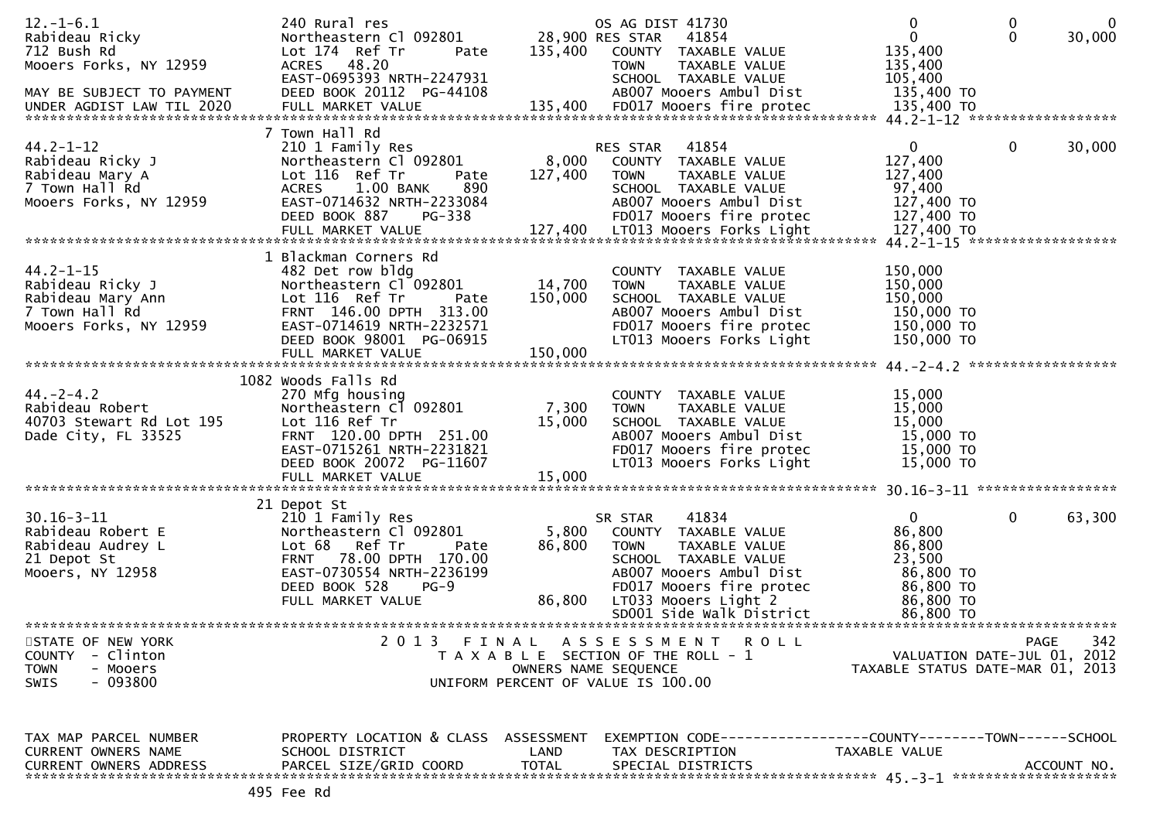| $12. - 1 - 6.1$                                 | 240 Rural res                                           |              | OS AG DIST 41730                                                                 | $\mathbf{0}$                     | 0            | $\overline{0}$ |
|-------------------------------------------------|---------------------------------------------------------|--------------|----------------------------------------------------------------------------------|----------------------------------|--------------|----------------|
| Rabideau Ricky<br>712 Bush Rd                   | Northeastern Cl 092801<br>Lot 174 Ref Tr                | 135,400      | 28,900 RES STAR<br>41854<br>COUNTY TAXABLE VALUE                                 | $\mathbf{0}$<br>135,400          | $\mathbf{0}$ | 30,000         |
| Mooers Forks, NY 12959                          | Pate<br>ACRES 48.20                                     |              | <b>TOWN</b><br>TAXABLE VALUE                                                     | 135,400                          |              |                |
|                                                 | EAST-0695393 NRTH-2247931                               |              | SCHOOL TAXABLE VALUE                                                             | 105,400                          |              |                |
| MAY BE SUBJECT TO PAYMENT                       | DEED BOOK 20112 PG-44108                                |              | AB007 Mooers Ambul Dist                                                          | 135,400 TO                       |              |                |
| UNDER AGDIST LAW TIL 2020                       |                                                         |              |                                                                                  |                                  |              |                |
|                                                 |                                                         |              |                                                                                  |                                  |              |                |
|                                                 | 7 Town Hall Rd                                          |              |                                                                                  |                                  |              |                |
| $44.2 - 1 - 12$                                 | 210 1 Family Res                                        |              | 41854<br>RES STAR                                                                | 0                                | $\mathbf{0}$ | 30,000         |
| Rabideau Ricky J                                | Northeastern Cl 092801                                  | 8,000        | COUNTY TAXABLE VALUE                                                             | 127,400                          |              |                |
| Rabideau Mary A<br>7 Town Hall Rd               | Lot 116 Ref Tr<br>Pate<br>ACRES 1.00 BANK<br>890        | 127,400      | <b>TOWN</b><br>TAXABLE VALUE<br>SCHOOL TAXABLE VALUE                             | 127,400<br>97,400                |              |                |
| Mooers Forks, NY 12959                          | EAST-0714632 NRTH-2233084                               |              | AB007 Mooers Ambul Dist                                                          | 127,400 TO                       |              |                |
|                                                 | <b>PG-338</b><br>DEED BOOK 887                          |              | FD017 Mooers fire protec                                                         | 127,400 TO                       |              |                |
|                                                 |                                                         |              |                                                                                  |                                  |              |                |
|                                                 |                                                         |              |                                                                                  |                                  |              |                |
|                                                 | 1 Blackman Corners Rd                                   |              |                                                                                  |                                  |              |                |
| $44.2 - 1 - 15$                                 | 482 Det row bldg                                        |              | COUNTY TAXABLE VALUE                                                             | 150,000                          |              |                |
| Rabideau Ricky J                                | Northeastern Cl 092801                                  | 14,700       | TAXABLE VALUE<br><b>TOWN</b>                                                     | 150,000                          |              |                |
| Rabideau Mary Ann                               | Lot 116 Ref Tr<br>Pate                                  | 150,000      | SCHOOL TAXABLE VALUE                                                             | 150,000                          |              |                |
| 7 Town Hall Rd                                  | FRNT 146.00 DPTH 313.00                                 |              | AB007 Mooers Ambul Dist                                                          | 150,000 TO                       |              |                |
| Mooers Forks, NY 12959                          | EAST-0714619 NRTH-2232571                               |              | FD017 Mooers fire protec                                                         | 150,000 TO                       |              |                |
|                                                 | DEED BOOK 98001 PG-06915                                |              | LT013 Mooers Forks Light                                                         | 150,000 TO                       |              |                |
|                                                 | FULL MARKET VALUE                                       | 150,000      |                                                                                  |                                  |              |                |
|                                                 | 1082 Woods Falls Rd                                     |              |                                                                                  |                                  |              |                |
| $44. - 2 - 4.2$                                 | 270 Mfg housing                                         |              | COUNTY TAXABLE VALUE                                                             | 15,000                           |              |                |
| Rabideau Robert                                 | Northeastern Cl 092801                                  | 7,300        | <b>TOWN</b><br>TAXABLE VALUE                                                     | 15,000                           |              |                |
| 40703 Stewart Rd Lot 195                        | Lot 116 Ref Tr                                          | 15,000       | SCHOOL TAXABLE VALUE                                                             | 15,000                           |              |                |
| Dade City, FL 33525                             | FRNT 120.00 DPTH 251.00                                 |              | AB007 Mooers Ambul Dist                                                          | 15,000 TO                        |              |                |
|                                                 | EAST-0715261 NRTH-2231821                               |              | FD017 Mooers fire protec                                                         | 15,000 TO                        |              |                |
|                                                 | DEED BOOK 20072 PG-11607                                |              | LT013 Mooers Forks Light                                                         | 15,000 TO                        |              |                |
|                                                 | FULL MARKET VALUE                                       | 15,000       |                                                                                  |                                  |              |                |
|                                                 |                                                         |              |                                                                                  |                                  |              |                |
| $30.16 - 3 - 11$                                | 21 Depot St<br>210 1 Family Res                         |              | 41834<br>SR STAR                                                                 | $\mathbf{0}$                     | 0            | 63,300         |
| Rabideau Robert E                               | Northeastern Cl 092801                                  | 5,800        | COUNTY TAXABLE VALUE                                                             | 86,800                           |              |                |
| Rabideau Audrey L                               | Lot 68 Ref Tr<br>Pate                                   | 86,800       | TAXABLE VALUE<br><b>TOWN</b>                                                     | 86,800                           |              |                |
| 21 Depot St                                     | FRNT 78.00 DPTH 170.00                                  |              | SCHOOL TAXABLE VALUE                                                             | 23,500                           |              |                |
| Mooers, NY 12958                                | EAST-0730554 NRTH-2236199                               |              | AB007 Mooers Ambul Dist                                                          | 86,800 TO                        |              |                |
|                                                 | DEED BOOK 528<br>$PG-9$                                 |              | FD017 Mooers fire protec                                                         | 86,800 TO                        |              |                |
|                                                 | FULL MARKET VALUE                                       | 86,800       | LT033 Mooers Light 2                                                             | 86,800 TO                        |              |                |
|                                                 |                                                         |              | SD001 Side Walk District                                                         | 86,800 TO                        |              |                |
|                                                 |                                                         |              |                                                                                  |                                  |              |                |
| STATE OF NEW YORK<br>- Clinton<br><b>COUNTY</b> |                                                         |              | 2013 FINAL ASSESSMENT ROLL<br>T A X A B L E SECTION OF THE ROLL - 1              | VALUATION DATE-JUL 01, 2012      | PAGE         | 342            |
| <b>TOWN</b><br>- Mooers                         |                                                         |              | OWNERS NAME SEQUENCE                                                             | TAXABLE STATUS DATE-MAR 01, 2013 |              |                |
| <b>SWIS</b><br>- 093800                         |                                                         |              | UNIFORM PERCENT OF VALUE IS 100.00                                               |                                  |              |                |
|                                                 |                                                         |              |                                                                                  |                                  |              |                |
|                                                 |                                                         |              |                                                                                  |                                  |              |                |
|                                                 |                                                         |              |                                                                                  |                                  |              |                |
| TAX MAP PARCEL NUMBER<br>CURRENT OWNERS NAME    | PROPERTY LOCATION & CLASS ASSESSMENT<br>SCHOOL DISTRICT | LAND         | EXEMPTION CODE-----------------COUNTY--------TOWN------SCHOOL<br>TAX DESCRIPTION | TAXABLE VALUE                    |              |                |
| <b>CURRENT OWNERS ADDRESS</b>                   | PARCEL SIZE/GRID COORD                                  | <b>TOTAL</b> | SPECIAL DISTRICTS                                                                |                                  |              | ACCOUNT NO.    |
|                                                 |                                                         |              |                                                                                  |                                  |              |                |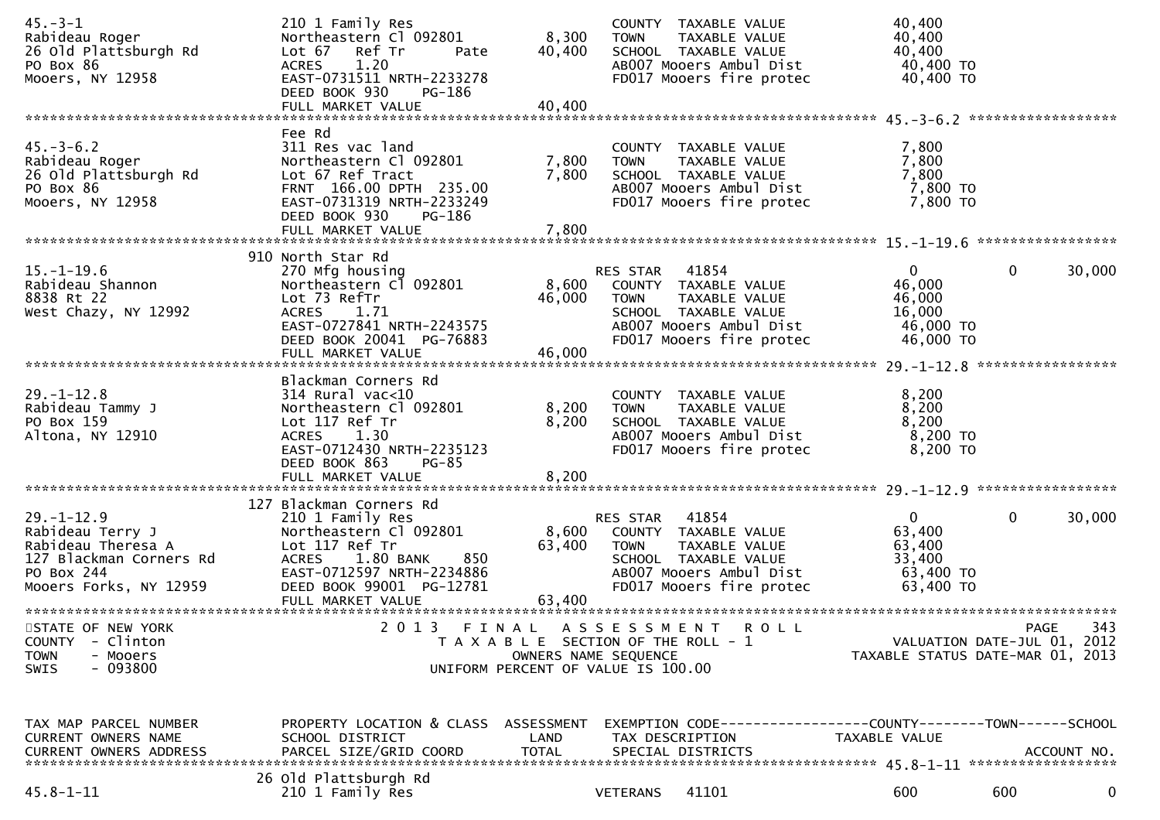| $45. -3 - 1$<br>Rabideau Roger<br>26 Old Plattsburgh Rd<br>PO Box 86<br>Mooers, NY 12958                                      | 210 1 Family Res<br>Northeastern Cl 092801<br>Lot 67<br>Ref Tr<br>Pate<br>1.20<br><b>ACRES</b><br>EAST-0731511 NRTH-2233278<br>DEED BOOK 930<br>PG-186                                          | 8,300<br>40,400                    | COUNTY TAXABLE VALUE<br>TAXABLE VALUE<br><b>TOWN</b><br>SCHOOL TAXABLE VALUE<br>AB007 Mooers Ambul Dist<br>FD017 Mooers fire protec                   | 40,400<br>40,400<br>40,400<br>40,400 TO<br>40,400 TO                   |                                                                                       |
|-------------------------------------------------------------------------------------------------------------------------------|-------------------------------------------------------------------------------------------------------------------------------------------------------------------------------------------------|------------------------------------|-------------------------------------------------------------------------------------------------------------------------------------------------------|------------------------------------------------------------------------|---------------------------------------------------------------------------------------|
|                                                                                                                               |                                                                                                                                                                                                 |                                    |                                                                                                                                                       |                                                                        |                                                                                       |
| $45. - 3 - 6.2$<br>Rabideau Roger<br>26 Old Plattsburgh Rd<br>PO Box 86<br>Mooers, NY 12958                                   | Fee Rd<br>311 Res vac land<br>Northeastern Cl 092801<br>Lot 67 Ref Tract<br>FRNT 166.00 DPTH 235.00<br>EAST-0731319 NRTH-2233249<br>DEED BOOK 930<br>PG-186                                     | 7,800<br>7,800                     | COUNTY TAXABLE VALUE<br>TAXABLE VALUE<br><b>TOWN</b><br>SCHOOL TAXABLE VALUE<br>AB007 Mooers Ambul Dist<br>FD017 Mooers fire protec                   | 7,800<br>7,800<br>7,800<br>7,800 TO<br>7,800 TO                        |                                                                                       |
|                                                                                                                               | 910 North Star Rd                                                                                                                                                                               |                                    |                                                                                                                                                       |                                                                        |                                                                                       |
| $15.-1-19.6$<br>Rabideau Shannon<br>8838 Rt 22<br>West Chazy, NY 12992                                                        | 270 Mfg housing<br>Northeastern C1 092801<br>Lot 73 RefTr<br><b>ACRES</b><br>1.71<br>EAST-0727841 NRTH-2243575<br>DEED BOOK 20041 PG-76883<br>FULL MARKET VALUE                                 | 8,600<br>46,000<br>46,000          | RES STAR 41854<br>COUNTY TAXABLE VALUE<br><b>TOWN</b><br>TAXABLE VALUE<br>SCHOOL TAXABLE VALUE<br>AB007 Mooers Ambul Dist<br>FD017 Mooers fire protec | $\overline{0}$<br>46,000<br>46,000<br>16,000<br>46,000 TO<br>46,000 TO | $\mathbf{0}$<br>30,000                                                                |
|                                                                                                                               | Blackman Corners Rd                                                                                                                                                                             |                                    |                                                                                                                                                       |                                                                        |                                                                                       |
| $29. - 1 - 12.8$<br>Rabideau Tammy J<br>PO Box 159<br>Altona, NY 12910                                                        | $314$ Rural vac<10<br>Northeastern Cl 092801<br>Lot 117 Ref Tr<br>ACRES 1.30<br>EAST-0712430 NRTH-2235123<br>DEED BOOK 863<br>$PG-85$                                                           | 8,200<br>8,200                     | COUNTY TAXABLE VALUE<br>TAXABLE VALUE<br><b>TOWN</b><br>SCHOOL TAXABLE VALUE<br>AB007 Mooers Ambul Dist<br>FD017 Mooers fire protec                   | 8,200<br>8,200<br>8,200<br>$8,200$ TO<br>8,200 TO                      |                                                                                       |
|                                                                                                                               | FULL MARKET VALUE                                                                                                                                                                               | 8,200                              |                                                                                                                                                       |                                                                        |                                                                                       |
| $29. - 1 - 12.9$<br>Rabideau Terry J<br>Rabideau Theresa A<br>127 Blackman Corners Rd<br>PO Box 244<br>Mooers Forks, NY 12959 | 127 Blackman Corners Rd<br>210 1 Family Res<br>Northeastern Cl 092801<br>Lot 117 Ref Tr<br>ACRES 1.80 BANK<br>850<br>EAST-0712597 NRTH-2234886<br>DEED BOOK 99001 PG-12781<br>FULL MARKET VALUE | 8,600<br>63,400<br>63,400          | RES STAR 41854<br>COUNTY TAXABLE VALUE<br><b>TOWN</b><br>TAXABLE VALUE<br>SCHOOL TAXABLE VALUE<br>AB007 Mooers Ambul Dist<br>FD017 Mooers fire protec | $\mathbf{0}$<br>63,400<br>63,400<br>33,400<br>63,400 TO<br>63,400 TO   | $\mathbf{0}$<br>30,000                                                                |
|                                                                                                                               |                                                                                                                                                                                                 |                                    |                                                                                                                                                       |                                                                        |                                                                                       |
| STATE OF NEW YORK<br><b>COUNTY</b><br>- Clinton<br><b>TOWN</b><br>- Mooers<br>$-093800$<br>SWIS                               | 2013                                                                                                                                                                                            | FINAL                              | A S S E S S M E N T<br>R O L L<br>T A X A B L E SECTION OF THE ROLL - 1<br>OWNERS NAME SEQUENCE<br>UNIFORM PERCENT OF VALUE IS 100.00                 |                                                                        | 343<br><b>PAGE</b><br>VALUATION DATE-JUL 01, 2012<br>TAXABLE STATUS DATE-MAR 01, 2013 |
| TAX MAP PARCEL NUMBER<br>CURRENT OWNERS NAME<br><b>CURRENT OWNERS ADDRESS</b>                                                 | PROPERTY LOCATION & CLASS<br>SCHOOL DISTRICT<br>PARCEL SIZE/GRID COORD                                                                                                                          | ASSESSMENT<br>LAND<br><b>TOTAL</b> | EXEMPTION CODE-----------------COUNTY-------TOWN------SCHOOL<br>TAX DESCRIPTION<br>SPECIAL DISTRICTS                                                  | TAXABLE VALUE                                                          | ACCOUNT NO.                                                                           |
| $45.8 - 1 - 11$                                                                                                               | 26 Old Plattsburgh Rd<br>210 1 Family Res                                                                                                                                                       |                                    | 41101<br><b>VETERANS</b>                                                                                                                              | 600                                                                    | 600<br>0                                                                              |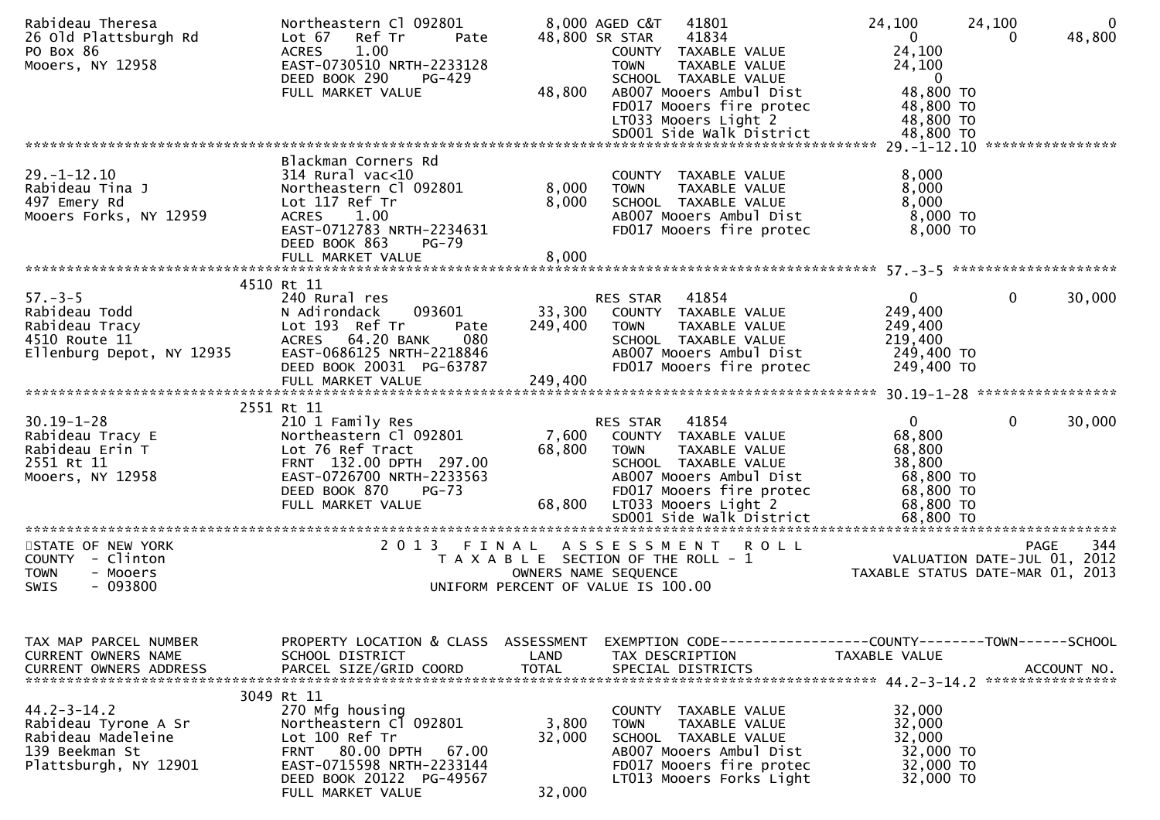| Rabideau Theresa<br>26 Old Plattsburgh Rd<br>PO Box 86<br>Mooers, NY 12958                                 | Northeastern Cl 092801<br>Ref Tr<br>Lot 67<br>Pate<br>1.00<br><b>ACRES</b><br>EAST-0730510 NRTH-2233128<br>DEED BOOK 290<br>PG-429                                                    |                           | 8,000 AGED C&T<br>41801<br>41834<br>48,800 SR STAR<br>COUNTY TAXABLE VALUE<br>TAXABLE VALUE<br><b>TOWN</b><br>SCHOOL TAXABLE VALUE                                           | 24,100<br>$\mathbf{0}$<br>24,100<br>24,100<br>$\overline{0}$                        | 24,100<br>$\overline{0}$<br>48,800<br>$\Omega$ |
|------------------------------------------------------------------------------------------------------------|---------------------------------------------------------------------------------------------------------------------------------------------------------------------------------------|---------------------------|------------------------------------------------------------------------------------------------------------------------------------------------------------------------------|-------------------------------------------------------------------------------------|------------------------------------------------|
|                                                                                                            | FULL MARKET VALUE                                                                                                                                                                     | 48,800                    | AB007 Mooers Ambul Dist<br>FD017 Mooers fire protec<br>LT033 Mooers Light 2                                                                                                  | 48,800 TO<br>48,800 TO<br>48,800 TO                                                 |                                                |
|                                                                                                            |                                                                                                                                                                                       |                           |                                                                                                                                                                              |                                                                                     |                                                |
| $29. - 1 - 12.10$<br>Rabideau Tina J<br>497 Emery Rd<br>Mooers Forks, NY 12959                             | Blackman Corners Rd<br>$314$ Rural vac<10<br>Northeastern Cl 092801<br>Lot 117 Ref Tr<br>ACRES 1.00<br>EAST-0712783 NRTH-2234631<br>DEED BOOK 863<br><b>PG-79</b>                     | 8,000<br>8,000            | COUNTY TAXABLE VALUE<br>TAXABLE VALUE<br><b>TOWN</b><br>SCHOOL TAXABLE VALUE<br>AB007 Mooers Ambul Dist<br>FD017 Mooers fire protec                                          | 8,000<br>8,000<br>8,000<br>$8,000$ TO<br>8,000 TO                                   |                                                |
|                                                                                                            | 4510 Rt 11                                                                                                                                                                            |                           |                                                                                                                                                                              |                                                                                     |                                                |
| $57. - 3 - 5$<br>Rabideau Todd<br>Rabideau Tracy<br>4510 Route 11<br>Ellenburg Depot, NY 12935             | 240 Rural res<br>093601<br>N Adirondack<br>Lot 193 Ref Tr<br>Pate<br>ACRES 64.20 BANK<br>080<br>EAST-0686125 NRTH-2218846                                                             | 249,400                   | RES STAR 41854<br>33,300 COUNTY TAXABLE VALUE<br><b>TOWN</b><br>TAXABLE VALUE<br>SCHOOL TAXABLE VALUE<br>AB007 Mooers Ambul Dist                                             | $\mathbf{0}$<br>249,400<br>249,400<br>219,400<br>249,400 TO                         | $\mathbf 0$<br>30,000                          |
|                                                                                                            | DEED BOOK 20031 PG-63787<br>FULL MARKET VALUE                                                                                                                                         | 249,400                   | FD017 Mooers fire protec                                                                                                                                                     | 249,400 TO                                                                          |                                                |
|                                                                                                            |                                                                                                                                                                                       |                           |                                                                                                                                                                              |                                                                                     |                                                |
| $30.19 - 1 - 28$<br>Rabideau Tracy E<br>Rabideau Erin T<br>2551 Rt 11<br>Mooers, NY 12958                  | 2551 Rt 11<br>210 1 Family Res<br>Northeastern Cl 092801<br>Lot 76 Ref Tract<br>FRNT 132.00 DPTH 297.00<br>EAST-0726700 NRTH-2233563<br>DEED BOOK 870<br>$PG-73$<br>FULL MARKET VALUE | 68,800<br>68,800          | RES STAR 41854<br>7,600 COUNTY TAXABLE VALUE<br>TAXABLE VALUE<br>TOWN<br>SCHOOL TAXABLE VALUE<br>AB007 Mooers Ambul Dist<br>FD017 Mooers fire protec<br>LT033 Mooers Light 2 | $\overline{0}$<br>68,800<br>68,800<br>38,800<br>68,800 TO<br>68,800 TO<br>68,800 TO | $\mathbf{0}$<br>30,000                         |
|                                                                                                            |                                                                                                                                                                                       |                           | SD001 Side Walk District                                                                                                                                                     | 68,800 TO                                                                           |                                                |
| STATE OF NEW YORK<br>COUNTY - Clinton<br><b>TOWN</b><br>- Mooers<br>$-093800$<br>SWIS                      |                                                                                                                                                                                       |                           | 2013 FINAL ASSESSMENT ROLL<br>T A X A B L E SECTION OF THE ROLL - 1<br>OWNERS NAME SEQUENCE<br>UNIFORM PERCENT OF VALUE IS 100.00                                            | VALUATION DATE-JUL 01, 2012<br>TAXABLE STATUS DATE-MAR 01, 2013                     | 344<br>PAGE                                    |
| TAX MAP PARCEL NUMBER<br>CURRENT OWNERS NAME<br><b>CURRENT OWNERS ADDRESS</b>                              | PROPERTY LOCATION & CLASS ASSESSMENT<br>SCHOOL DISTRICT<br>PARCEL SIZE/GRID COORD                                                                                                     | LAND<br><b>TOTAL</b>      | EXEMPTION CODE-----------------COUNTY-------TOWN------SCHOOL<br>TAX DESCRIPTION<br>SPECIAL DISTRICTS                                                                         | TAXABLE VALUE                                                                       | ACCOUNT NO.                                    |
| $44.2 - 3 - 14.2$<br>Rabideau Tyrone A Sr<br>Rabideau Madeleine<br>139 Beekman St<br>Plattsburgh, NY 12901 | 3049 Rt 11<br>270 Mfg housing<br>Northeastern Cl 092801<br>Lot 100 Ref Tr<br>FRNT 80.00 DPTH<br>67.00<br>EAST-0715598 NRTH-2233144<br>DEED BOOK 20122 PG-49567<br>FULL MARKET VALUE   | 3,800<br>32,000<br>32,000 | COUNTY TAXABLE VALUE<br>TAXABLE VALUE<br><b>TOWN</b><br>SCHOOL TAXABLE VALUE<br>AB007 Mooers Ambul Dist<br>FD017 Mooers fire protec<br>LT013 Mooers Forks Light              | 32,000<br>32,000<br>32,000<br>32,000 TO<br>32,000 TO<br>32,000 TO                   |                                                |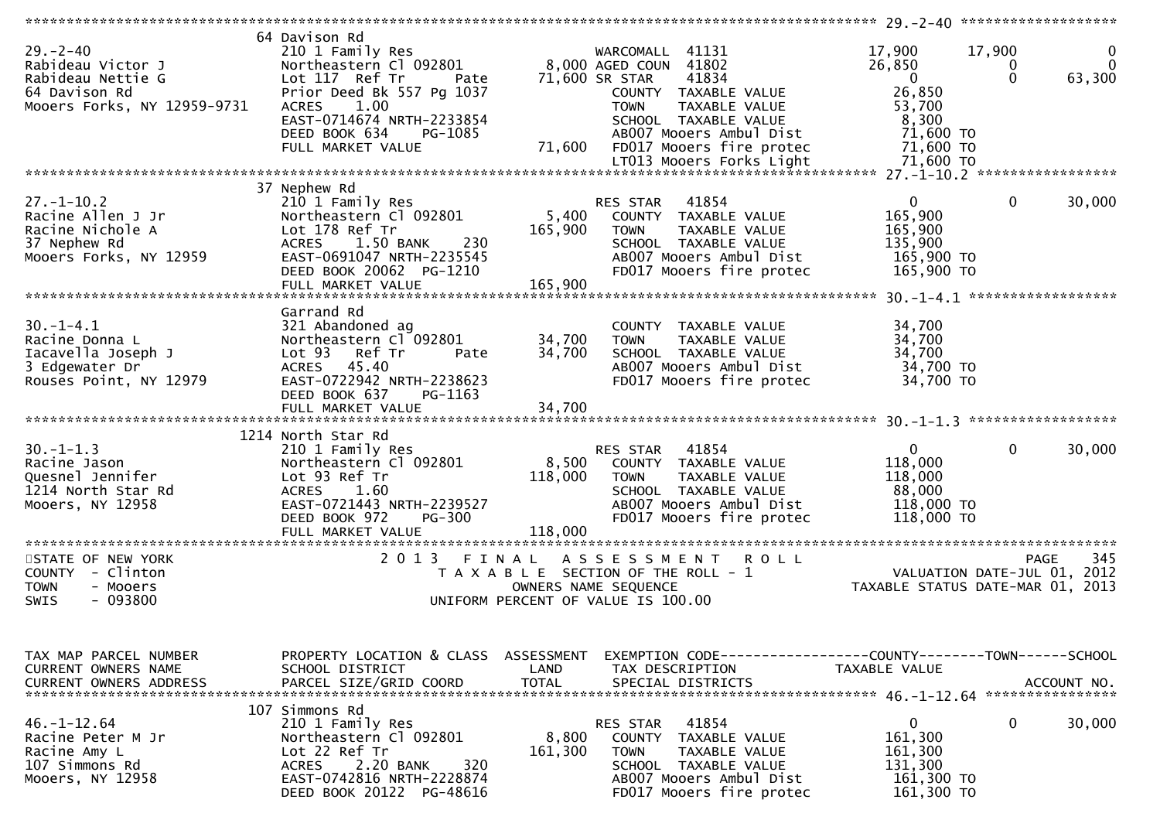| $29. - 2 - 40$<br>Rabideau Victor J<br>Rabideau Nettie G<br>64 Davison Rd<br>Mooers Forks, NY 12959-9731 | 64 Davison Rd<br>210 1 Family Res<br>Northeastern Cl 092801<br>Lot 117 Ref Tr<br>Pate<br>Prior Deed Bk 557 Pg 1037<br>1.00<br><b>ACRES</b><br>EAST-0714674 NRTH-2233854<br>DEED BOOK 634<br>PG-1085<br>FULL MARKET VALUE | 71,600                      | WARCOMALL 41131<br>8,000 AGED COUN 41802<br>71,600 SR STAR<br>41834<br>COUNTY TAXABLE VALUE<br>TAXABLE VALUE<br><b>TOWN</b><br>SCHOOL TAXABLE VALUE<br>AB007 Mooers Ambul Dist<br>FD017 Mooers fire protec | 17,900<br>17,900<br>26,850<br>0<br>$\Omega$<br>$\overline{0}$<br>26,850<br>53,700<br>8,300<br>71,600 TO<br>71,600 TO | 0<br>$\Omega$<br>63,300 |
|----------------------------------------------------------------------------------------------------------|--------------------------------------------------------------------------------------------------------------------------------------------------------------------------------------------------------------------------|-----------------------------|------------------------------------------------------------------------------------------------------------------------------------------------------------------------------------------------------------|----------------------------------------------------------------------------------------------------------------------|-------------------------|
|                                                                                                          |                                                                                                                                                                                                                          |                             |                                                                                                                                                                                                            |                                                                                                                      |                         |
| $27. - 1 - 10.2$<br>Racine Allen J Jr<br>Racine Nichole A<br>37 Nephew Rd<br>Mooers Forks, NY 12959      | 37 Nephew Rd<br>210 1 Family Res<br>Northeastern Cl 092801<br>Lot 178 Ref Tr<br>230<br>ACRES 1.50 BANK<br>EAST-0691047 NRTH-2235545<br>DEED BOOK 20062 PG-1210<br>FULL MARKET VALUE                                      | 5,400<br>165,900<br>165,900 | RES STAR<br>41854<br>COUNTY TAXABLE VALUE<br>TAXABLE VALUE<br><b>TOWN</b><br>SCHOOL TAXABLE VALUE<br>AB007 Mooers Ambul Dist<br>FD017 Mooers fire protec                                                   | $\mathbf{0}$<br>0<br>165,900<br>165,900<br>135,900<br>165,900 TO<br>165,900 TO                                       | 30,000                  |
|                                                                                                          |                                                                                                                                                                                                                          |                             |                                                                                                                                                                                                            |                                                                                                                      |                         |
| $30. -1 - 4.1$<br>Racine Donna L<br>Iacavella Joseph J<br>3 Edgewater Dr<br>Rouses Point, NY 12979       | Garrand Rd<br>321 Abandoned ag<br>Northeastern Cl 092801<br>Lot 93 Ref Tr<br>Pate<br>ACRES 45.40<br>EAST-0722942 NRTH-2238623<br>DEED BOOK 637<br>PG-1163                                                                | 34,700<br>34,700            | COUNTY TAXABLE VALUE<br><b>TOWN</b><br>TAXABLE VALUE<br>SCHOOL TAXABLE VALUE<br>AB007 Mooers Ambul Dist<br>FD017 Mooers fire protec                                                                        | 34,700<br>34,700<br>34,700<br>34,700 TO<br>34,700 TO                                                                 |                         |
|                                                                                                          |                                                                                                                                                                                                                          |                             |                                                                                                                                                                                                            |                                                                                                                      |                         |
|                                                                                                          | 1214 North Star Rd                                                                                                                                                                                                       |                             |                                                                                                                                                                                                            |                                                                                                                      |                         |
| $30. -1 - 1.3$<br>Racine Jason<br>Quesnel Jennifer<br>1214 North Star Rd<br>Mooers, NY 12958             | 210 1 Family Res<br>Northeastern Cl 092801<br>Lot 93 Ref Tr<br><b>ACRES</b><br>1.60<br>EAST-0721443 NRTH-2239527<br>DEED BOOK 972<br><b>PG-300</b><br>FULL MARKET VALUE                                                  | 8,500<br>118,000<br>118,000 | 41854<br>RES STAR<br>COUNTY TAXABLE VALUE<br>TAXABLE VALUE<br><b>TOWN</b><br>SCHOOL TAXABLE VALUE<br>AB007 Mooers Ambul Dist<br>FD017 Mooers fire protec                                                   | $\mathbf{0}$<br>0<br>118,000<br>118,000<br>88,000<br>118,000 TO<br>118,000 TO                                        | 30,000                  |
|                                                                                                          |                                                                                                                                                                                                                          |                             |                                                                                                                                                                                                            |                                                                                                                      |                         |
| STATE OF NEW YORK<br>COUNTY - Clinton<br><b>TOWN</b><br>- Mooers<br>- 093800<br>SWIS                     | 2 0 1 3<br>FINAL                                                                                                                                                                                                         |                             | ASSESSMENT ROLL<br>T A X A B L E SECTION OF THE ROLL - 1<br>OWNERS NAME SEQUENCE<br>UNIFORM PERCENT OF VALUE IS 100.00                                                                                     | <b>PAGE</b><br>VALUATION DATE-JUL 01, 2012<br>TAXABLE STATUS DATE-MAR 01, 2013                                       | 345                     |
| TAX MAP PARCEL NUMBER<br>CURRENT OWNERS NAME<br><b>CURRENT OWNERS ADDRESS</b>                            | PROPERTY LOCATION & CLASS ASSESSMENT<br>SCHOOL DISTRICT<br>PARCEL SIZE/GRID COORD                                                                                                                                        | LAND<br>TOTAL               | TAX DESCRIPTION<br>SPECIAL DISTRICTS                                                                                                                                                                       | EXEMPTION CODE-----------------COUNTY-------TOWN------SCHOOL<br>TAXABLE VALUE                                        | ACCOUNT NO.             |
| $46. - 1 - 12.64$<br>Racine Peter M Jr<br>Racine Amy L<br>107 Simmons Rd<br>Mooers, NY 12958             | 107 Simmons Rd<br>210 1 Family Res<br>Northeastern Cl 092801<br>Lot 22 Ref Tr<br>2.20 BANK<br>320<br>ACRES<br>EAST-0742816 NRTH-2228874<br>DEED BOOK 20122 PG-48616                                                      | 8,800<br>161,300            | 41854<br>RES STAR<br>COUNTY TAXABLE VALUE<br><b>TOWN</b><br>TAXABLE VALUE<br>SCHOOL TAXABLE VALUE<br>AB007 Mooers Ambul Dist<br>FD017 Mooers fire protec                                                   | 0<br>0<br>161,300<br>161,300<br>131,300<br>161,300 TO<br>161,300 TO                                                  | 30,000                  |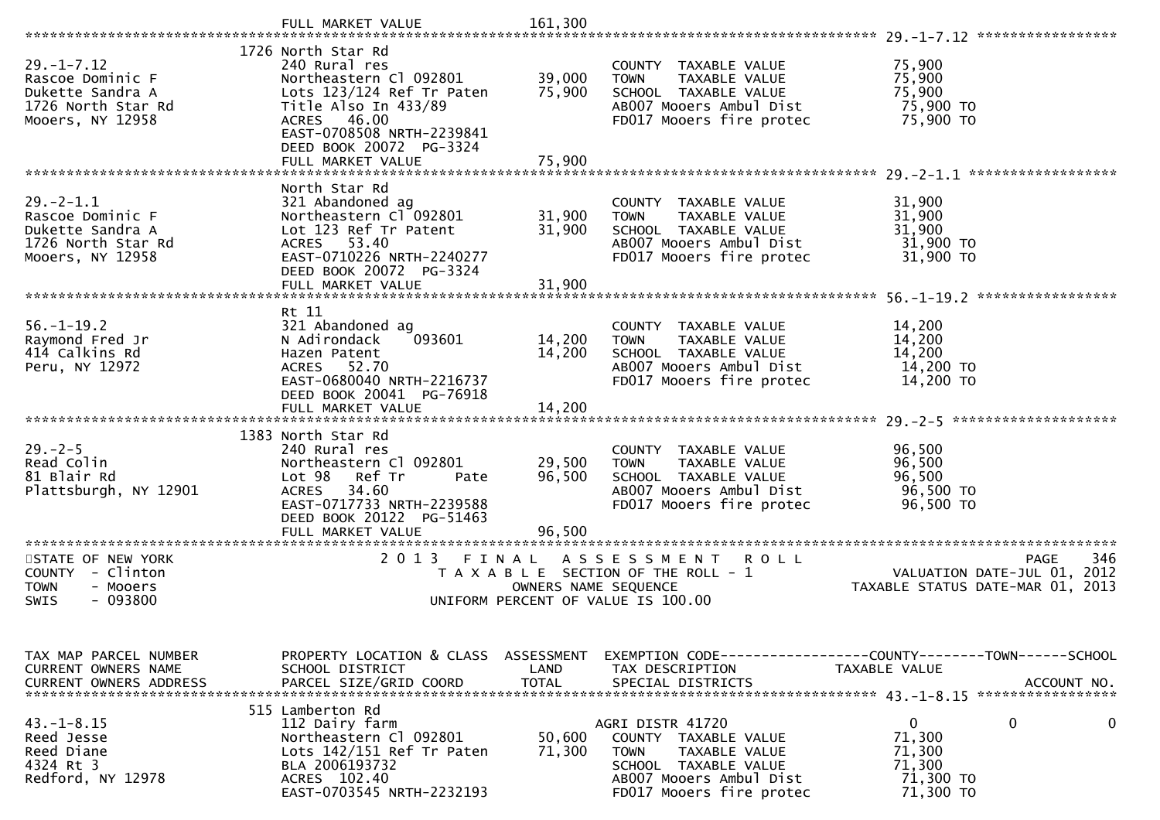|                                                                                                    | FULL MARKET VALUE                                                                                                                                                                                              | 161,300                    |                                                                                                                                                         |                                                                                |
|----------------------------------------------------------------------------------------------------|----------------------------------------------------------------------------------------------------------------------------------------------------------------------------------------------------------------|----------------------------|---------------------------------------------------------------------------------------------------------------------------------------------------------|--------------------------------------------------------------------------------|
|                                                                                                    |                                                                                                                                                                                                                |                            |                                                                                                                                                         |                                                                                |
| $29. - 1 - 7.12$<br>Rascoe Dominic F<br>Dukette Sandra A<br>1726 North Star Rd<br>Mooers, NY 12958 | 1726 North Star Rd<br>240 Rural res<br>Northeastern Cl 092801<br>Lots 123/124 Ref Tr Paten<br>Title Also In 433/89<br>ACRES 46.00<br>EAST-0708508 NRTH-2239841<br>DEED BOOK 20072 PG-3324<br>FULL MARKET VALUE | 39,000<br>75,900<br>75,900 | COUNTY TAXABLE VALUE<br><b>TOWN</b><br>TAXABLE VALUE<br>SCHOOL TAXABLE VALUE<br>AB007 Mooers Ambul Dist<br>FD017 Mooers fire protec                     | 75,900<br>75,900<br>75,900<br>75,900 TO<br>75,900 TO                           |
|                                                                                                    |                                                                                                                                                                                                                |                            |                                                                                                                                                         |                                                                                |
| $29. -2 - 1.1$<br>Rascoe Dominic F<br>Dukette Sandra A<br>1726 North Star Rd<br>Mooers, NY 12958   | North Star Rd<br>321 Abandoned ag<br>Northeastern Cl 092801<br>Lot 123 Ref Tr Patent<br>ACRES 53.40<br>EAST-0710226 NRTH-2240277<br>DEED BOOK 20072 PG-3324                                                    | 31,900<br>31,900           | COUNTY TAXABLE VALUE<br><b>TOWN</b><br>TAXABLE VALUE<br>SCHOOL TAXABLE VALUE<br>AB007 Mooers Ambul Dist<br>FD017 Mooers fire protec                     | 31,900<br>31,900<br>31,900<br>31,900 TO<br>31,900 TO                           |
|                                                                                                    | FULL MARKET VALUE                                                                                                                                                                                              | 31,900                     |                                                                                                                                                         |                                                                                |
|                                                                                                    | Rt 11                                                                                                                                                                                                          |                            |                                                                                                                                                         |                                                                                |
| $56. - 1 - 19.2$<br>Raymond Fred Jr<br>414 Calkins Rd<br>Peru, NY 12972                            | 321 Abandoned ag<br>093601<br>N Adirondack<br>Hazen Patent<br>ACRES 52.70<br>EAST-0680040 NRTH-2216737<br>DEED BOOK 20041 PG-76918                                                                             | 14,200<br>14,200           | COUNTY TAXABLE VALUE<br>TAXABLE VALUE<br><b>TOWN</b><br>SCHOOL TAXABLE VALUE<br>AB007 Mooers Ambul Dist<br>FD017 Mooers fire protec                     | 14,200<br>14,200<br>14,200<br>14,200 TO<br>14,200 TO                           |
|                                                                                                    | FULL MARKET VALUE                                                                                                                                                                                              | 14,200                     |                                                                                                                                                         |                                                                                |
|                                                                                                    |                                                                                                                                                                                                                |                            |                                                                                                                                                         |                                                                                |
| $29. - 2 - 5$<br>Read Colin<br>81 Blair Rd<br>Plattsburgh, NY 12901                                | 1383 North Star Rd<br>240 Rural res<br>Northeastern Cl 092801<br>Lot 98 Ref Tr<br>Pate<br>34.60<br><b>ACRES</b><br>EAST-0717733 NRTH-2239588<br>DEED BOOK 20122 PG-51463                                       | 29,500<br>96,500           | COUNTY TAXABLE VALUE<br><b>TOWN</b><br>TAXABLE VALUE<br>SCHOOL TAXABLE VALUE<br>AB007 Mooers Ambul Dist<br>FD017 Mooers fire protec                     | 96,500<br>96,500<br>96,500<br>96,500 TO<br>96,500 TO                           |
| **********************                                                                             | FULL MARKET VALUE<br>*************************                                                                                                                                                                 | 96,500                     |                                                                                                                                                         |                                                                                |
| STATE OF NEW YORK<br>COUNTY<br>- Clinton<br><b>TOWN</b><br>- Mooers<br>- 093800<br>SWIS            | 2 0 1 3<br>FINAL                                                                                                                                                                                               | OWNERS NAME SEQUENCE       | ASSESSMENT ROLL<br>T A X A B L E SECTION OF THE ROLL - 1<br>UNIFORM PERCENT OF VALUE IS 100.00                                                          | PAGE<br>346<br>VALUATION DATE-JUL 01, 2012<br>TAXABLE STATUS DATE-MAR 01, 2013 |
| TAX MAP PARCEL NUMBER<br>CURRENT OWNERS NAME<br><b>CURRENT OWNERS ADDRESS</b>                      | PROPERTY LOCATION & CLASS ASSESSMENT<br>SCHOOL DISTRICT<br>PARCEL SIZE/GRID COORD                                                                                                                              | LAND<br><b>TOTAL</b>       | EXEMPTION CODE------------------COUNTY--------TOWN------SCHOOL<br>TAX DESCRIPTION<br>SPECIAL DISTRICTS                                                  | TAXABLE VALUE<br>ACCOUNT NO.                                                   |
| $43. - 1 - 8.15$<br>Reed Jesse<br>Reed Diane<br>4324 Rt 3<br>Redford, NY 12978                     | 515 Lamberton Rd<br>112 Dairy farm<br>Northeastern Cl 092801<br>Lots 142/151 Ref Tr Paten<br>BLA 2006193732<br>ACRES 102.40<br>EAST-0703545 NRTH-2232193                                                       | 50,600<br>71,300           | AGRI DISTR 41720<br>COUNTY TAXABLE VALUE<br><b>TOWN</b><br>TAXABLE VALUE<br>SCHOOL TAXABLE VALUE<br>AB007 Mooers Ambul Dist<br>FD017 Mooers fire protec | 0<br>0<br>0<br>71,300<br>71,300<br>71,300<br>71,300 TO<br>71,300 TO            |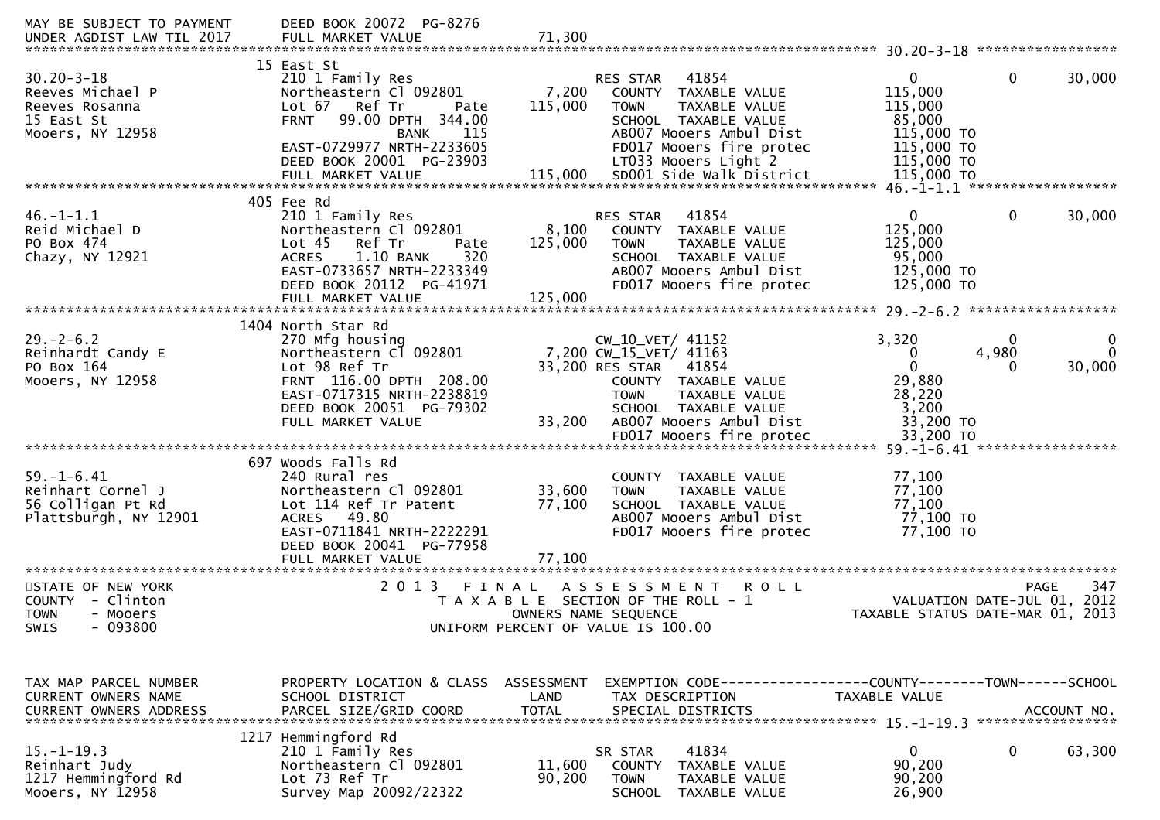| 15 East St<br>$30.20 - 3 - 18$<br>$\overline{0}$<br>$\mathbf{0}$<br>210 1 Family Res<br>41854<br><b>RES STAR</b><br>Northeastern Cl 092801<br>7,200<br>115,000<br>Reeves Michael P<br>COUNTY TAXABLE VALUE<br>Lot 67 Ref Tr<br>115,000<br>115,000<br><b>TOWN</b><br>TAXABLE VALUE<br>Reeves Rosanna<br>Pate<br>85,000<br>15 East St<br><b>FRNT</b><br>99.00 DPTH 344.00<br>SCHOOL TAXABLE VALUE<br>Mooers, NY 12958<br>AB007 Mooers Ambul Dist<br>115,000 TO<br>115<br><b>BANK</b><br>EAST-0729977 NRTH-2233605<br>115,000 TO<br>FD017 Mooers fire protec<br>DEED BOOK 20001 PG-23903<br>LT033 Mooers Light 2<br>115,000 TO<br>405 Fee Rd<br>41854<br>$\mathbf 0$<br>$46. - 1 - 1.1$<br>210 1 Family Res<br>$\overline{0}$<br>RES STAR<br>125,000<br>Reid Michael D<br>8,100<br>Northeastern Cl 092801<br>COUNTY TAXABLE VALUE<br>Lot 45 Ref Tr<br>PO Box 474<br>125,000<br>TAXABLE VALUE<br>125,000<br>Pate<br><b>TOWN</b><br>320<br>Chazy, NY 12921<br>1.10 BANK<br>SCHOOL TAXABLE VALUE<br>95,000<br><b>ACRES</b><br>EAST-0733657 NRTH-2233349<br>AB007 Mooers Ambul Dist<br>125,000 TO<br>DEED BOOK 20112 PG-41971<br>FD017 Mooers fire protec<br>125,000 TO<br>125,000<br>FULL MARKET VALUE<br>1404 North Star Rd<br>$29. - 2 - 6.2$<br>3,320<br>270 Mfg housing<br>CW_10_VET/ 41152<br>0<br>Reinhardt Candy E<br>4,980<br>Northeastern Cl 092801<br>7,200 CW_15_VET/ 41163<br>0<br>PO Box 164<br>Lot 98 Ref Tr<br>33,200 RES STAR<br>$\mathbf{0}$<br>41854<br>29,880<br>Mooers, NY 12958<br>FRNT 116.00 DPTH 208.00<br>COUNTY TAXABLE VALUE<br>EAST-0717315 NRTH-2238819<br>28,220<br><b>TOWN</b><br>TAXABLE VALUE<br>DEED BOOK 20051 PG-79302<br>3,200<br>SCHOOL TAXABLE VALUE<br>33,200<br>AB007 Mooers Ambul Dist<br>33,200 TO<br>FULL MARKET VALUE<br>FD017 Mooers fire protec<br>33,200 TO<br>697 Woods Falls Rd<br>$59. - 1 - 6.41$<br>77,100<br>240 Rural res<br>COUNTY TAXABLE VALUE<br>33,600<br>77,100<br>Reinhart Cornel J<br>Northeastern Cl 092801<br><b>TAXABLE VALUE</b><br><b>TOWN</b><br>77,100<br>77,100<br>56 Colligan Pt Rd<br>Lot 114 Ref Tr Patent<br>SCHOOL TAXABLE VALUE<br>ACRES 49.80<br>77,100 TO<br>Plattsburgh, NY 12901<br>AB007 Mooers Ambul Dist<br>EAST-0711841 NRTH-2222291<br>FD017 Mooers fire protec<br>77,100 TO<br>DEED BOOK 20041 PG-77958<br>77,100<br>FULL MARKET VALUE<br>2 0 1 3<br>STATE OF NEW YORK<br><b>PAGE</b><br>FINAL<br>A S S E S S M E N T<br><b>ROLL</b><br>COUNTY - Clinton<br>T A X A B L E SECTION OF THE ROLL - 1<br>VALUATION DATE-JUL 01, 2012<br>TAXABLE STATUS DATE-MAR 01, 2013<br>TOWN<br>- Mooers<br>OWNERS NAME SEQUENCE<br>$-093800$<br>UNIFORM PERCENT OF VALUE IS 100.00<br><b>SWIS</b> | MAY BE SUBJECT TO PAYMENT<br>UNDER AGDIST LAW TIL 2017 | DEED BOOK 20072 PG-8276<br>FULL MARKET VALUE | 71,300 |  |                        |
|---------------------------------------------------------------------------------------------------------------------------------------------------------------------------------------------------------------------------------------------------------------------------------------------------------------------------------------------------------------------------------------------------------------------------------------------------------------------------------------------------------------------------------------------------------------------------------------------------------------------------------------------------------------------------------------------------------------------------------------------------------------------------------------------------------------------------------------------------------------------------------------------------------------------------------------------------------------------------------------------------------------------------------------------------------------------------------------------------------------------------------------------------------------------------------------------------------------------------------------------------------------------------------------------------------------------------------------------------------------------------------------------------------------------------------------------------------------------------------------------------------------------------------------------------------------------------------------------------------------------------------------------------------------------------------------------------------------------------------------------------------------------------------------------------------------------------------------------------------------------------------------------------------------------------------------------------------------------------------------------------------------------------------------------------------------------------------------------------------------------------------------------------------------------------------------------------------------------------------------------------------------------------------------------------------------------------------------------------------------------------------------------------------------------------------------------------------------------------------------------------------------------------------------------------------------------------------------------------------------------------------------------------------------------|--------------------------------------------------------|----------------------------------------------|--------|--|------------------------|
|                                                                                                                                                                                                                                                                                                                                                                                                                                                                                                                                                                                                                                                                                                                                                                                                                                                                                                                                                                                                                                                                                                                                                                                                                                                                                                                                                                                                                                                                                                                                                                                                                                                                                                                                                                                                                                                                                                                                                                                                                                                                                                                                                                                                                                                                                                                                                                                                                                                                                                                                                                                                                                                                     |                                                        |                                              |        |  | 30,000                 |
|                                                                                                                                                                                                                                                                                                                                                                                                                                                                                                                                                                                                                                                                                                                                                                                                                                                                                                                                                                                                                                                                                                                                                                                                                                                                                                                                                                                                                                                                                                                                                                                                                                                                                                                                                                                                                                                                                                                                                                                                                                                                                                                                                                                                                                                                                                                                                                                                                                                                                                                                                                                                                                                                     |                                                        |                                              |        |  | 30,000                 |
|                                                                                                                                                                                                                                                                                                                                                                                                                                                                                                                                                                                                                                                                                                                                                                                                                                                                                                                                                                                                                                                                                                                                                                                                                                                                                                                                                                                                                                                                                                                                                                                                                                                                                                                                                                                                                                                                                                                                                                                                                                                                                                                                                                                                                                                                                                                                                                                                                                                                                                                                                                                                                                                                     |                                                        |                                              |        |  |                        |
|                                                                                                                                                                                                                                                                                                                                                                                                                                                                                                                                                                                                                                                                                                                                                                                                                                                                                                                                                                                                                                                                                                                                                                                                                                                                                                                                                                                                                                                                                                                                                                                                                                                                                                                                                                                                                                                                                                                                                                                                                                                                                                                                                                                                                                                                                                                                                                                                                                                                                                                                                                                                                                                                     |                                                        |                                              |        |  | $\mathbf{0}$<br>30,000 |
|                                                                                                                                                                                                                                                                                                                                                                                                                                                                                                                                                                                                                                                                                                                                                                                                                                                                                                                                                                                                                                                                                                                                                                                                                                                                                                                                                                                                                                                                                                                                                                                                                                                                                                                                                                                                                                                                                                                                                                                                                                                                                                                                                                                                                                                                                                                                                                                                                                                                                                                                                                                                                                                                     |                                                        |                                              |        |  |                        |
|                                                                                                                                                                                                                                                                                                                                                                                                                                                                                                                                                                                                                                                                                                                                                                                                                                                                                                                                                                                                                                                                                                                                                                                                                                                                                                                                                                                                                                                                                                                                                                                                                                                                                                                                                                                                                                                                                                                                                                                                                                                                                                                                                                                                                                                                                                                                                                                                                                                                                                                                                                                                                                                                     |                                                        |                                              |        |  |                        |
|                                                                                                                                                                                                                                                                                                                                                                                                                                                                                                                                                                                                                                                                                                                                                                                                                                                                                                                                                                                                                                                                                                                                                                                                                                                                                                                                                                                                                                                                                                                                                                                                                                                                                                                                                                                                                                                                                                                                                                                                                                                                                                                                                                                                                                                                                                                                                                                                                                                                                                                                                                                                                                                                     |                                                        |                                              |        |  |                        |
|                                                                                                                                                                                                                                                                                                                                                                                                                                                                                                                                                                                                                                                                                                                                                                                                                                                                                                                                                                                                                                                                                                                                                                                                                                                                                                                                                                                                                                                                                                                                                                                                                                                                                                                                                                                                                                                                                                                                                                                                                                                                                                                                                                                                                                                                                                                                                                                                                                                                                                                                                                                                                                                                     |                                                        |                                              |        |  | 347                    |
| TAX MAP PARCEL NUMBER<br>PROPERTY LOCATION & CLASS ASSESSMENT<br>EXEMPTION CODE-----------------COUNTY-------TOWN------SCHOOL<br>CURRENT OWNERS NAME<br>SCHOOL DISTRICT<br>LAND<br>TAX DESCRIPTION<br>TAXABLE VALUE<br>ACCOUNT NO.<br>*****************                                                                                                                                                                                                                                                                                                                                                                                                                                                                                                                                                                                                                                                                                                                                                                                                                                                                                                                                                                                                                                                                                                                                                                                                                                                                                                                                                                                                                                                                                                                                                                                                                                                                                                                                                                                                                                                                                                                                                                                                                                                                                                                                                                                                                                                                                                                                                                                                             |                                                        |                                              |        |  |                        |
| 1217 Hemmingford Rd<br>$15. - 1 - 19.3$<br>0<br>210 1 Family Res<br>41834<br>0<br>SR STAR<br>90,200<br>Northeastern Cl 092801<br>Reinhart Judy<br>11,600<br><b>COUNTY</b><br>TAXABLE VALUE<br>1217 Hemmingford Rd<br>Lot 73 Ref Tr<br>90,200<br>90,200<br><b>TOWN</b><br>TAXABLE VALUE<br>Mooers, NY 12958<br>Survey Map 20092/22322<br><b>SCHOOL</b><br>26,900<br>TAXABLE VALUE                                                                                                                                                                                                                                                                                                                                                                                                                                                                                                                                                                                                                                                                                                                                                                                                                                                                                                                                                                                                                                                                                                                                                                                                                                                                                                                                                                                                                                                                                                                                                                                                                                                                                                                                                                                                                                                                                                                                                                                                                                                                                                                                                                                                                                                                                    |                                                        |                                              |        |  | 63,300                 |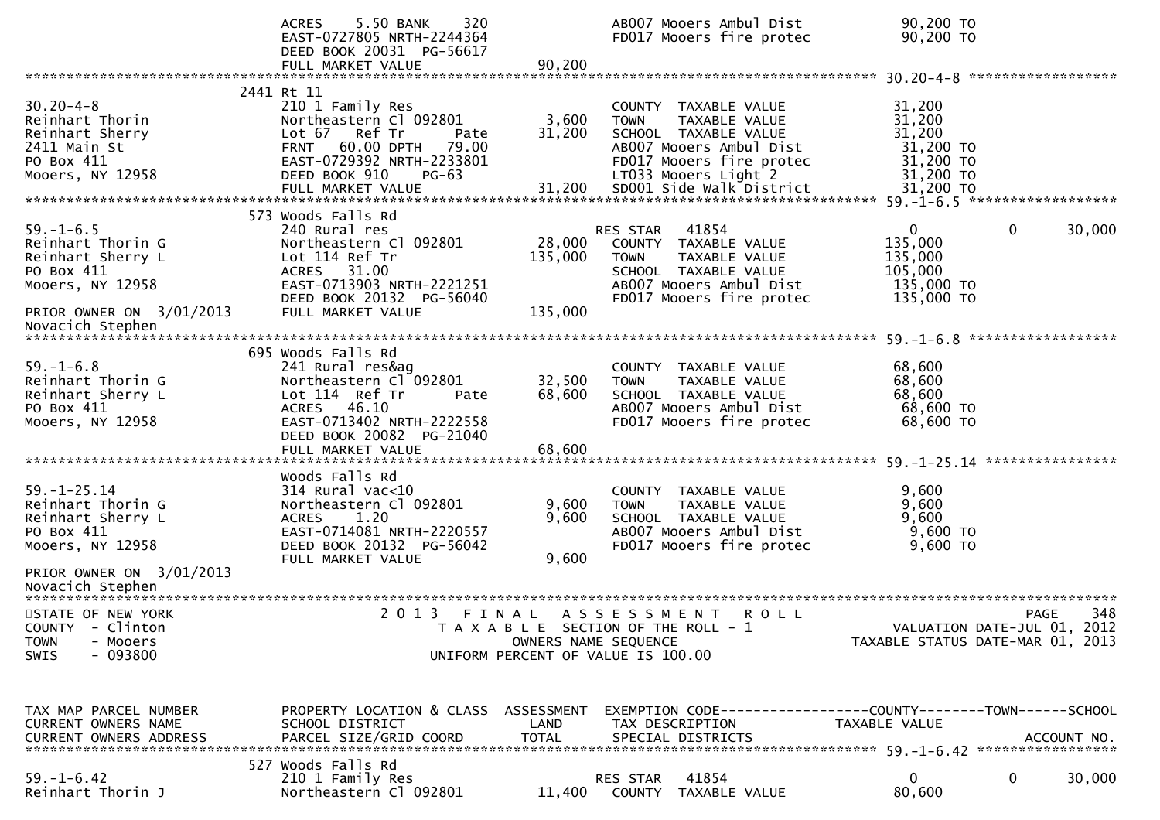|                                                                                                                                               | 5.50 BANK<br>320<br><b>ACRES</b><br>EAST-0727805 NRTH-2244364<br>DEED BOOK 20031 PG-56617<br>FULL MARKET VALUE                                                                         | 90,200                       | AB007 Mooers Ambul Dist<br>FD017 Mooers fire protec                                                                                                             | 90,200 TO<br>90,200 TO                                                                      |        |
|-----------------------------------------------------------------------------------------------------------------------------------------------|----------------------------------------------------------------------------------------------------------------------------------------------------------------------------------------|------------------------------|-----------------------------------------------------------------------------------------------------------------------------------------------------------------|---------------------------------------------------------------------------------------------|--------|
| $30.20 - 4 - 8$<br>Reinhart Thorin<br>Reinhart Sherry<br>2411 Main St<br>PO Box 411<br>Mooers, NY 12958                                       | 2441 Rt 11<br>210 1 Family Res<br>Northeastern Cl 092801<br>Lot 67 Ref Tr<br>Pate<br><b>FRNT</b><br>60.00 DPTH<br>79.00<br>EAST-0729392 NRTH-2233801<br>DEED BOOK 910<br>$PG-63$       | 3,600<br>31,200              | COUNTY TAXABLE VALUE<br>TAXABLE VALUE<br><b>TOWN</b><br>SCHOOL TAXABLE VALUE<br>AB007 Mooers Ambul Dist<br>FD017 Mooers fire protec<br>LT033 Mooers Light 2     | 31,200<br>31,200<br>31,200<br>31,200 TO<br>31,200 TO<br>31,200 TO                           |        |
| $59. - 1 - 6.5$<br>Reinhart Thorin G<br>Reinhart Sherry L<br>PO Box 411<br>Mooers, NY 12958<br>PRIOR OWNER ON 3/01/2013<br>Novacich Stephen   | 573 Woods Falls Rd<br>240 Rural res<br>Northeastern Cl 092801<br>Lot 114 Ref Tr<br><b>ACRES</b><br>31.00<br>EAST-0713903 NRTH-2221251<br>DEED BOOK 20132 PG-56040<br>FULL MARKET VALUE | 28,000<br>135,000<br>135,000 | 41854<br><b>RES STAR</b><br>COUNTY TAXABLE VALUE<br>TAXABLE VALUE<br><b>TOWN</b><br>SCHOOL TAXABLE VALUE<br>AB007 Mooers Ambul Dist<br>FD017 Mooers fire protec | $\mathbf{0}$<br>$\overline{0}$<br>135,000<br>135,000<br>105,000<br>135,000 TO<br>135,000 TO | 30,000 |
| $59. - 1 - 6.8$<br>Reinhart Thorin G<br>Reinhart Sherry L<br>PO Box 411<br>Mooers, NY 12958                                                   | 695 Woods Falls Rd<br>241 Rural res&ag<br>Northeastern Cl 092801<br>Lot 114 Ref Tr<br>Pate<br>ACRES 46.10<br>EAST-0713402 NRTH-2222558<br>DEED BOOK 20082 PG-21040                     | 32,500<br>68,600             | COUNTY TAXABLE VALUE<br>TAXABLE VALUE<br><b>TOWN</b><br>SCHOOL TAXABLE VALUE<br>AB007 Mooers Ambul Dist<br>FD017 Mooers fire protec                             | 68,600<br>68,600<br>68,600<br>68,600 TO<br>68,600 TO                                        |        |
| $59. - 1 - 25.14$<br>Reinhart Thorin G<br>Reinhart Sherry L<br>PO Box 411<br>Mooers, NY 12958<br>PRIOR OWNER ON 3/01/2013<br>Novacich Stephen | Woods Falls Rd<br>$314$ Rural vac<10<br>Northeastern Cl 092801<br>1.20<br><b>ACRES</b><br>EAST-0714081 NRTH-2220557<br>DEED BOOK 20132 PG-56042<br>FULL MARKET VALUE                   | 9,600<br>9,600<br>9,600      | COUNTY TAXABLE VALUE<br>TAXABLE VALUE<br><b>TOWN</b><br>SCHOOL TAXABLE VALUE<br>AB007 Mooers Ambul Dist<br>FD017 Mooers fire protec                             | 9,600<br>9,600<br>9,600<br>9,600 TO<br>9,600 TO                                             |        |
| STATE OF NEW YORK<br>COUNTY - Clinton<br><b>TOWN</b><br>- Mooers<br>$-093800$<br><b>SWIS</b>                                                  | 2013 FINAL                                                                                                                                                                             |                              | A S S E S S M E N T<br><b>ROLL</b><br>T A X A B L E SECTION OF THE ROLL - 1<br>OWNERS NAME SEQUENCE<br>UNIFORM PERCENT OF VALUE IS 100.00                       | <b>PAGE</b><br>VALUATION DATE-JUL 01, 2012<br>TAXABLE STATUS DATE-MAR 01, 2013              | 348    |
| TAX MAP PARCEL NUMBER<br>CURRENT OWNERS NAME                                                                                                  | PROPERTY LOCATION & CLASS ASSESSMENT<br>SCHOOL DISTRICT<br>527 Woods Falls Rd                                                                                                          | LAND                         | TAX DESCRIPTION                                                                                                                                                 | EXEMPTION CODE------------------COUNTY--------TOWN------SCHOOL<br>TAXABLE VALUE             |        |
| $59. - 1 - 6.42$<br>Reinhart Thorin J                                                                                                         | 210 1 Family Res<br>Northeastern Cl 092801                                                                                                                                             |                              | 41854<br>RES STAR<br>11,400 COUNTY TAXABLE VALUE                                                                                                                | $\mathbf{0}$<br>0<br>80,600                                                                 | 30,000 |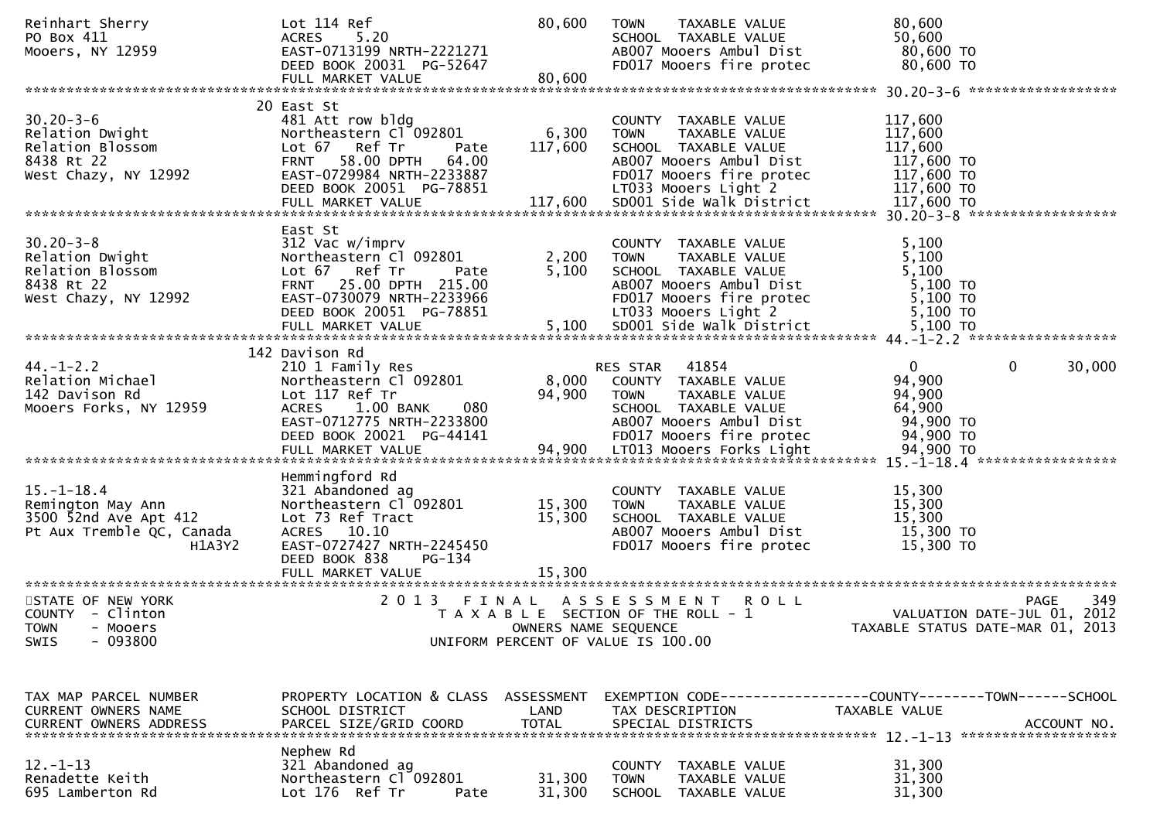| Reinhart Sherry<br>PO Box 411<br>Mooers, NY 12959                                                 | Lot 114 Ref<br>5.20<br><b>ACRES</b><br>EAST-0713199 NRTH-2221271<br>DEED BOOK 20031 PG-52647<br>FULL MARKET VALUE                                                                | 80,600<br>80,600              | <b>TOWN</b><br>TAXABLE VALUE<br>SCHOOL TAXABLE VALUE<br>AB007 Mooers Ambul Dist<br>FD017 Mooers fire protec                                                 | 80,600<br>50,600<br>80,600 TO<br>80,600 TO                                                   |
|---------------------------------------------------------------------------------------------------|----------------------------------------------------------------------------------------------------------------------------------------------------------------------------------|-------------------------------|-------------------------------------------------------------------------------------------------------------------------------------------------------------|----------------------------------------------------------------------------------------------|
|                                                                                                   |                                                                                                                                                                                  |                               |                                                                                                                                                             |                                                                                              |
| $30.20 - 3 - 6$<br>Relation Dwight<br>Relation Blossom<br>8438 Rt 22<br>West Chazy, NY 12992      | 20 East St<br>481 Att row bldg<br>Northeastern Cl 092801<br>Lot 67 Ref Tr<br>Pate<br><b>FRNT</b><br>58.00 DPTH<br>64.00<br>EAST-0729984 NRTH-2233887<br>DEED BOOK 20051 PG-78851 | 6,300<br>117,600              | COUNTY TAXABLE VALUE<br>TAXABLE VALUE<br><b>TOWN</b><br>SCHOOL TAXABLE VALUE<br>AB007 Mooers Ambul Dist<br>FD017 Mooers fire protec<br>LT033 Mooers Light 2 | 117,600<br>117,600<br>117,600<br>117,600 TO<br>117,600 TO<br>117,600 TO                      |
|                                                                                                   | East St                                                                                                                                                                          |                               |                                                                                                                                                             |                                                                                              |
| $30.20 - 3 - 8$<br>Relation Dwight<br>Relation Blossom<br>8438 Rt 22<br>West Chazy, NY 12992      | 312 Vac w/imprv<br>Northeastern Cl 092801<br>Lot 67 Ref Tr<br>Pate<br>FRNT 25.00 DPTH 215.00<br>EAST-0730079 NRTH-2233966<br>DEED BOOK 20051 PG-78851                            | 2,200<br>5,100                | COUNTY TAXABLE VALUE<br>TAXABLE VALUE<br><b>TOWN</b><br>SCHOOL TAXABLE VALUE<br>AB007 Mooers Ambul Dist<br>FD017 Mooers fire protec<br>LT033 Mooers Light 2 | 5,100<br>5,100<br>5,100<br>5,100 TO<br>5,100 TO<br>5,100 TO                                  |
|                                                                                                   |                                                                                                                                                                                  |                               |                                                                                                                                                             |                                                                                              |
| $44. - 1 - 2.2$<br>Relation Michael<br>142 Davison Rd<br>Mooers Forks, NY 12959                   | 142 Davison Rd<br>210 1 Family Res<br>Northeastern Cl 092801<br>Lot 117 Ref Tr<br>ACRES<br>$1.00$ BANK<br>080<br>EAST-0712775 NRTH-2233800<br>DEED BOOK 20021 PG-44141           | 8,000<br>94,900               | RES STAR<br>41854<br>COUNTY TAXABLE VALUE<br><b>TOWN</b><br>TAXABLE VALUE<br>SCHOOL TAXABLE VALUE<br>AB007 Mooers Ambul Dist<br>FD017 Mooers fire protec    | 0<br>0<br>30,000<br>94,900<br>94,900<br>64,900<br>94,900 TO<br>94,900 TO                     |
|                                                                                                   | Hemmingford Rd                                                                                                                                                                   |                               |                                                                                                                                                             |                                                                                              |
| $15.-1-18.4$<br>Remington May Ann<br>3500 52nd Ave Apt 412<br>Pt Aux Tremble QC, Canada<br>H1A3Y2 | 321 Abandoned ag<br>Northeastern Cl 092801<br>Lot 73 Ref Tract<br>ACRES 10.10<br>EAST-0727427 NRTH-2245450<br>DEED BOOK 838<br>PG-134                                            | 15,300<br>15,300              | COUNTY<br>TAXABLE VALUE<br><b>TOWN</b><br>TAXABLE VALUE<br>SCHOOL TAXABLE VALUE<br>AB007 Mooers Ambul Dist<br>FD017 Mooers fire protec                      | 15,300<br>15,300<br>15,300<br>15,300 TO<br>15,300 TO                                         |
|                                                                                                   | FULL MARKET VALUE                                                                                                                                                                | 15,300                        |                                                                                                                                                             |                                                                                              |
| STATE OF NEW YORK<br>COUNTY - Clinton<br><b>TOWN</b><br>- Mooers<br>$-093800$<br><b>SWIS</b>      | 2 0 1 3                                                                                                                                                                          | FINAL<br>OWNERS NAME SEQUENCE | A S S E S S M E N T<br><b>ROLL</b><br>T A X A B L E SECTION OF THE ROLL - 1<br>UNIFORM PERCENT OF VALUE IS 100.00                                           | 349<br><b>PAGE</b><br>VALUATION DATE-JUL 01, 2012<br>TAXABLE STATUS DATE-MAR 01, 2013        |
| TAX MAP PARCEL NUMBER<br>CURRENT OWNERS NAME<br><b>CURRENT OWNERS ADDRESS</b>                     | PROPERTY LOCATION & CLASS ASSESSMENT<br>SCHOOL DISTRICT<br>PARCEL SIZE/GRID COORD                                                                                                | LAND<br><b>TOTAL</b>          | TAX DESCRIPTION<br>SPECIAL DISTRICTS                                                                                                                        | EXEMPTION CODE-----------------COUNTY-------TOWN------SCHOOL<br>TAXABLE VALUE<br>ACCOUNT NO. |
| $12. - 1 - 13$<br>Renadette Keith<br>695 Lamberton Rd                                             | Nephew Rd<br>321 Abandoned ag<br>Northeastern Cl 092801<br>Lot 176 Ref Tr<br>Pate                                                                                                | 31,300<br>31,300              | COUNTY<br>TAXABLE VALUE<br><b>TOWN</b><br>TAXABLE VALUE<br>SCHOOL TAXABLE VALUE                                                                             | 31,300<br>31,300<br>31,300                                                                   |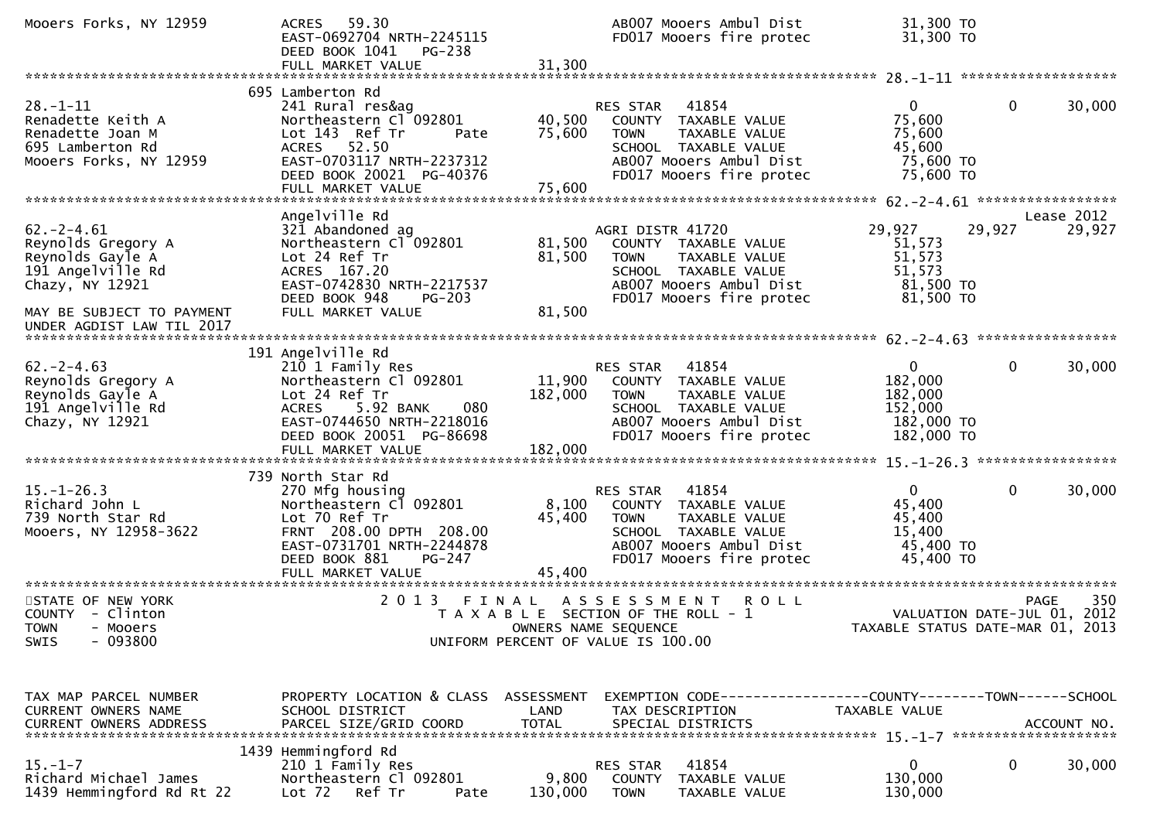| Mooers Forks, NY 12959                                                                                                         | 59.30<br><b>ACRES</b><br>EAST-0692704 NRTH-2245115<br>DEED BOOK 1041<br><b>PG-238</b><br>FULL MARKET VALUE                                                          | 31,300                     | AB007 Mooers Ambul Dist<br>FD017 Mooers fire protec                                                                                                         | 31,300 TO<br>31,300 TO                                                    |                                                                                |
|--------------------------------------------------------------------------------------------------------------------------------|---------------------------------------------------------------------------------------------------------------------------------------------------------------------|----------------------------|-------------------------------------------------------------------------------------------------------------------------------------------------------------|---------------------------------------------------------------------------|--------------------------------------------------------------------------------|
|                                                                                                                                |                                                                                                                                                                     |                            |                                                                                                                                                             |                                                                           |                                                                                |
| $28. - 1 - 11$<br>Renadette Keith A<br>Renadette Joan M<br>695 Lamberton Rd<br>Mooers Forks, NY 12959                          | 695 Lamberton Rd<br>241 Rural res&ag<br>Northeastern Cl 092801<br>Lot 143 Ref Tr<br>Pate<br>ACRES 52.50<br>EAST-0703117 NRTH-2237312<br>DEED BOOK 20021 PG-40376    | 40,500<br>75,600           | RES STAR<br>41854<br>COUNTY TAXABLE VALUE<br>TAXABLE VALUE<br>TOWN<br>SCHOOL TAXABLE VALUE<br>AB007 Mooers Ambul Dist<br>FD017 Mooers fire protec           | $\mathbf{0}$<br>75,600<br>75,600<br>45,600<br>75,600 TO<br>75,600 TO      | $\mathbf 0$<br>30,000                                                          |
|                                                                                                                                | Angelville Rd                                                                                                                                                       |                            |                                                                                                                                                             |                                                                           | Lease 2012                                                                     |
| $62. -2 - 4.61$<br>Reynolds Gregory A<br>Reynolds Gayle A<br>191 Angelville Rd<br>Chazy, NY 12921<br>MAY BE SUBJECT TO PAYMENT | 321 Abandoned ag<br>Northeastern Cl 092801<br>Lot 24 Ref Tr<br>ACRES 167.20<br>EAST-0742830 NRTH-2217537<br>DEED BOOK 948<br>PG-203<br>FULL MARKET VALUE            | 81,500<br>81,500<br>81,500 | AGRI DISTR 41720<br>COUNTY TAXABLE VALUE<br>TAXABLE VALUE<br>TOWN<br>SCHOOL TAXABLE VALUE<br>AB007 Mooers Ambul Dist<br>FD017 Mooers fire protec            | 29,927<br>51,573<br>51,573<br>51,573<br>81,500 TO<br>81,500 TO            | 29,927<br>29,927                                                               |
| UNDER AGDIST LAW TIL 2017                                                                                                      |                                                                                                                                                                     |                            |                                                                                                                                                             |                                                                           |                                                                                |
| $62 - 2 - 4.63$<br>Reynolds Gregory A<br>Reynolds Gayle A<br>191 Angelville Rd<br>Chazy, NY 12921                              | 191 Angelville Rd<br>210 1 Family Res<br>Northeastern Cl 092801<br>Lot 24 Ref Tr<br>ACRES 5.92 BANK<br>080<br>EAST-0744650 NRTH-2218016<br>DEED BOOK 20051 PG-86698 | 11,900<br>182,000          | RES STAR<br>41854<br>COUNTY TAXABLE VALUE<br><b>TOWN</b><br>TAXABLE VALUE<br>SCHOOL TAXABLE VALUE<br>AB007 Mooers Ambul Dist<br>FD017 Mooers fire protec    | $\mathbf{0}$<br>182,000<br>182,000<br>152,000<br>182,000 TO<br>182,000 TO | 30,000<br>$\mathbf{0}$                                                         |
|                                                                                                                                | 739 North Star Rd                                                                                                                                                   |                            |                                                                                                                                                             |                                                                           |                                                                                |
| $15. - 1 - 26.3$<br>Richard John L<br>739 North Star Rd<br>Mooers, NY 12958-3622                                               | 270 Mfg housing<br>Northeastern Cl 092801<br>Lot 70 Ref Tr<br>FRNT 208.00 DPTH 208.00<br>EAST-0731701 NRTH-2244878<br>DEED BOOK 881<br>PG-247<br>FULL MARKET VALUE  | 8,100<br>45,400<br>45,400  | RES STAR<br>41854<br>TAXABLE VALUE<br>COUNTY<br>TAXABLE VALUE<br><b>TOWN</b><br>SCHOOL TAXABLE VALUE<br>AB007 Mooers Ambul Dist<br>FD017 Mooers fire protec | $\overline{0}$<br>45,400<br>45,400<br>15,400<br>45,400 TO<br>45,400 TO    | $\mathbf{0}$<br>30,000                                                         |
| STATE OF NEW YORK<br>COUNTY - Clinton<br><b>TOWN</b><br>- Mooers<br>$-093800$<br><b>SWIS</b>                                   | 2 0 1 3                                                                                                                                                             | FINAL                      | A S S E S S M E N T<br><b>ROLL</b><br>T A X A B L E SECTION OF THE ROLL - 1<br>OWNERS NAME SEQUENCE<br>UNIFORM PERCENT OF VALUE IS 100.00                   |                                                                           | 350<br>PAGE<br>VALUATION DATE-JUL 01, 2012<br>TAXABLE STATUS DATE-MAR 01, 2013 |
| TAX MAP PARCEL NUMBER<br>CURRENT OWNERS NAME                                                                                   | PROPERTY LOCATION & CLASS ASSESSMENT<br>SCHOOL DISTRICT                                                                                                             | LAND                       | EXEMPTION CODE-----------------COUNTY-------TOWN-----SCHOOL<br>TAX DESCRIPTION                                                                              | TAXABLE VALUE                                                             |                                                                                |
|                                                                                                                                | 1439 Hemmingford Rd                                                                                                                                                 |                            |                                                                                                                                                             |                                                                           |                                                                                |
| $15. - 1 - 7$<br>Richard Michael James<br>1439 Hemmingford Rd Rt 22                                                            | 210 1 Family Res<br>Northeastern Cl 092801<br>Lot <sub>72</sub><br>Ref Tr<br>Pate                                                                                   | 9,800<br>130,000           | 41854<br>RES STAR<br>COUNTY<br>TAXABLE VALUE<br><b>TOWN</b><br>TAXABLE VALUE                                                                                | 0<br>130,000<br>130,000                                                   | 0<br>30,000                                                                    |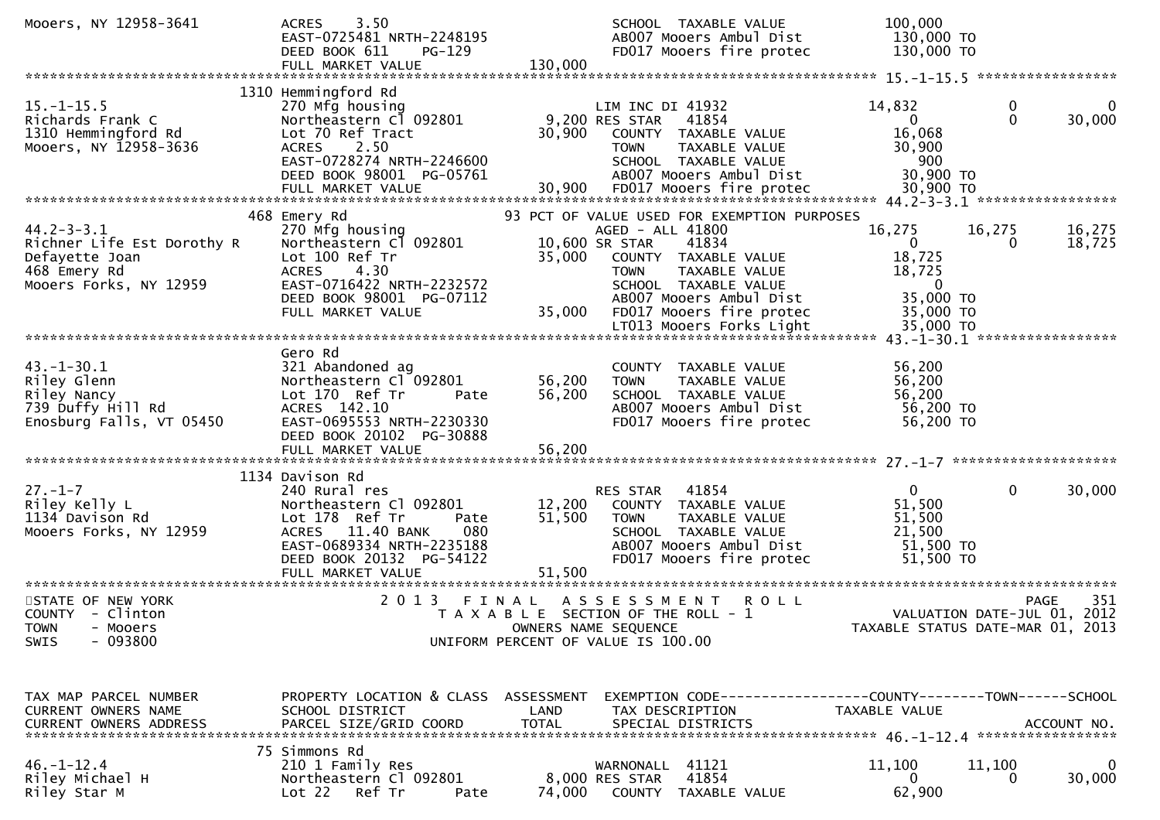| Mooers, NY 12958-3641                                                                                      | 3.50<br><b>ACRES</b><br>EAST-0725481 NRTH-2248195<br>DEED BOOK 611<br>PG-129<br>FULL MARKET VALUE                                                                          | 130,000                    | SCHOOL TAXABLE VALUE<br>AB007 Mooers Ambul Dist<br>FD017 Mooers fire protec                                                                                                        | 100,000<br>130,000 TO<br>130,000 TO                                                  |                                                           |
|------------------------------------------------------------------------------------------------------------|----------------------------------------------------------------------------------------------------------------------------------------------------------------------------|----------------------------|------------------------------------------------------------------------------------------------------------------------------------------------------------------------------------|--------------------------------------------------------------------------------------|-----------------------------------------------------------|
|                                                                                                            |                                                                                                                                                                            |                            |                                                                                                                                                                                    |                                                                                      |                                                           |
| $15.-1-15.5$<br>Richards Frank C<br>1310 Hemmingford Rd<br>Mooers, NY 12958-3636                           | 1310 Hemmingford Rd<br>270 Mfg housing<br>Northeastern C1 092801<br>Lot 70 Ref Tract<br><b>ACRES</b><br>2.50<br>EAST-0728274 NRTH-2246600<br>DEED BOOK 98001 PG-05761      | 30,900                     | LIM INC DI 41932<br>9,200 RES STAR<br>41854<br>COUNTY TAXABLE VALUE<br><b>TOWN</b><br>TAXABLE VALUE<br>SCHOOL TAXABLE VALUE<br>AB007 Mooers Ambul Dist                             | 14,832<br>$\overline{0}$<br>16,068<br>30,900<br>900<br>30,900 TO                     | 0<br>0<br>30,000<br>$\mathbf{0}$                          |
|                                                                                                            | 468 Emery Rd                                                                                                                                                               |                            | 93 PCT OF VALUE USED FOR EXEMPTION PURPOSES                                                                                                                                        |                                                                                      |                                                           |
| $44.2 - 3 - 3.1$<br>Richner Life Est Dorothy R<br>Defayette Joan<br>468 Emery Rd<br>Mooers Forks, NY 12959 | 270 Mfg housing<br>Northeastern Cl 092801<br>Lot 100 Ref Tr<br><b>ACRES</b><br>4.30<br>EAST-0716422 NRTH-2232572<br>DEED BOOK 98001 PG-07112<br>FULL MARKET VALUE          | 35,000<br>35,000           | AGED - ALL 41800<br>10,600 SR STAR<br>41834<br>COUNTY TAXABLE VALUE<br>TAXABLE VALUE<br><b>TOWN</b><br>SCHOOL TAXABLE VALUE<br>AB007 Mooers Ambul Dist<br>FD017 Mooers fire protec | 16,275<br>$\mathbf{0}$<br>18,725<br>18,725<br>$\mathbf{0}$<br>35,000 TO<br>35,000 TO | 16,275<br>16,275<br>18,725<br>0                           |
|                                                                                                            |                                                                                                                                                                            |                            |                                                                                                                                                                                    |                                                                                      |                                                           |
| $43. - 1 - 30.1$<br>Riley Glenn<br>Riley Nancy<br>739 Duffy Hill Rd<br>Enosburg Falls, VT 05450            | Gero Rd<br>321 Abandoned ag<br>Northeastern Cl 092801<br>Lot 170 Ref Tr<br>Pate<br>ACRES 142.10<br>EAST-0695553 NRTH-2230330<br>DEED BOOK 20102 PG-30888                   | 56,200<br>56,200           | COUNTY TAXABLE VALUE<br>TAXABLE VALUE<br><b>TOWN</b><br>SCHOOL TAXABLE VALUE<br>AB007 Mooers Ambul Dist<br>FD017 Mooers fire protec                                                | 56,200<br>56,200<br>56,200<br>56,200 TO<br>56,200 TO                                 |                                                           |
|                                                                                                            | 1134 Davison Rd                                                                                                                                                            |                            |                                                                                                                                                                                    |                                                                                      |                                                           |
| $27. - 1 - 7$<br>Riley Kelly L<br>1134 Davison Rd<br>Mooers Forks, NY 12959                                | 240 Rural res<br>Northeastern Cl 092801<br>Lot 178 Ref Tr<br>Pate<br>ACRES 11.40 BANK<br>080<br>EAST-0689334 NRTH-2235188<br>DEED BOOK 20132 PG-54122<br>FULL MARKET VALUE | 12,200<br>51,500<br>51,500 | RES STAR<br>41854<br>COUNTY TAXABLE VALUE<br><b>TOWN</b><br>TAXABLE VALUE<br>SCHOOL TAXABLE VALUE<br>AB007 Mooers Ambul Dist<br>FD017 Mooers fire protec                           | $\mathbf{0}$<br>51,500<br>51,500<br>21,500<br>51,500 TO<br>51,500 TO                 | 0<br>30,000                                               |
| STATE OF NEW YORK<br>COUNTY - Clinton<br><b>TOWN</b><br>- Mooers<br>$-093800$<br><b>SWIS</b>               | 2 0 1 3                                                                                                                                                                    | FINAL                      | A S S E S S M E N T<br><b>ROLL</b><br>T A X A B L E SECTION OF THE ROLL - 1<br>OWNERS NAME SEQUENCE<br>UNIFORM PERCENT OF VALUE IS 100.00                                          | TAXABLE STATUS DATE-MAR 01,                                                          | 351<br><b>PAGE</b><br>VALUATION DATE-JUL 01, 2012<br>2013 |
| TAX MAP PARCEL NUMBER<br>CURRENT OWNERS NAME                                                               | PROPERTY LOCATION & CLASS ASSESSMENT<br>SCHOOL DISTRICT                                                                                                                    | LAND                       | EXEMPTION CODE------------------COUNTY--------TOWN------SCHOOL<br>TAX DESCRIPTION                                                                                                  | TAXABLE VALUE                                                                        |                                                           |
| $46. - 1 - 12.4$<br>Riley Michael H<br>Riley Star M                                                        | 75 Simmons Rd<br>210 1 Family Res<br>Northeastern Cl 092801<br>Ref Tr<br>Lot 22<br>Pate                                                                                    | 74,000                     | WARNONALL 41121<br>41854<br>8,000 RES STAR<br>COUNTY TAXABLE VALUE                                                                                                                 | 11,100<br>0<br>62,900                                                                | 11,100<br>0<br>30,000                                     |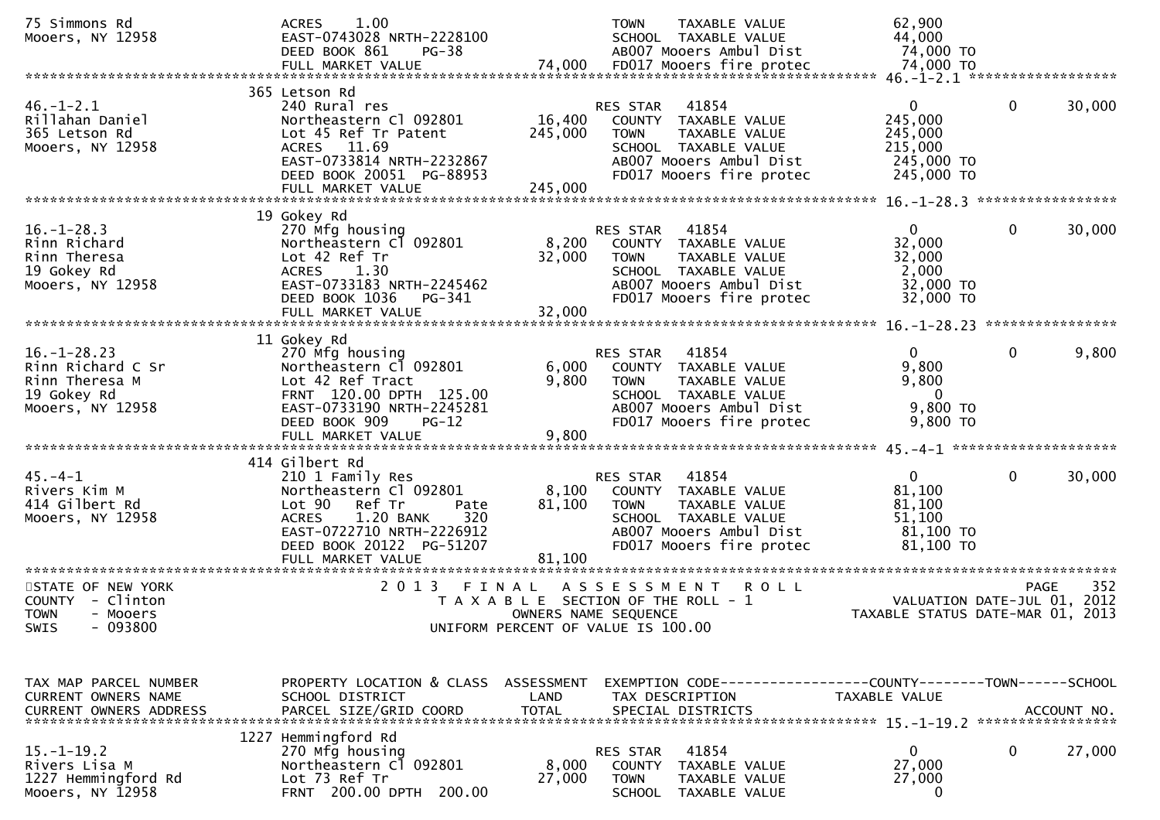| 75 Simmons Rd<br>Mooers, NY 12958                                                           | 1.00<br><b>ACRES</b><br>EAST-0743028 NRTH-2228100<br>DEED BOOK 861<br>PG-38                                                                                                                                |                           | <b>TOWN</b><br>TAXABLE VALUE<br>SCHOOL TAXABLE VALUE<br>AB007 Mooers Ambul Dist                                                                          | 62,900<br>44,000<br>74,000 TO                                               |                                                   |
|---------------------------------------------------------------------------------------------|------------------------------------------------------------------------------------------------------------------------------------------------------------------------------------------------------------|---------------------------|----------------------------------------------------------------------------------------------------------------------------------------------------------|-----------------------------------------------------------------------------|---------------------------------------------------|
|                                                                                             | 365 Letson Rd                                                                                                                                                                                              |                           |                                                                                                                                                          |                                                                             |                                                   |
| $46. - 1 - 2.1$<br>Rillahan Daniel<br>365 Letson Rd<br>Mooers, NY 12958                     | 240 Rural res<br>Northeastern Cl 092801<br>Lot 45 Ref Tr Patent<br>ACRES 11.69<br>EAST-0733814 NRTH-2232867<br>DEED BOOK 20051 PG-88953                                                                    | 16,400<br>245,000         | 41854<br>RES STAR<br>COUNTY TAXABLE VALUE<br><b>TOWN</b><br>TAXABLE VALUE<br>SCHOOL TAXABLE VALUE<br>AB007 Mooers Ambul Dist<br>FD017 Mooers fire protec | $\overline{0}$<br>245,000<br>245,000<br>215,000<br>245,000 TO<br>245,000 TO | $\mathbf 0$<br>30,000                             |
|                                                                                             | 19 Gokey Rd                                                                                                                                                                                                |                           |                                                                                                                                                          |                                                                             |                                                   |
| $16. - 1 - 28.3$<br>Rinn Richard<br>Rinn Theresa<br>19 Gokey Rd<br>Mooers, NY 12958         | 270 Mfg housing<br>Northeastern Cl 092801<br>Lot 42 Ref Tr<br><b>ACRES</b><br>1.30<br>EAST-0733183 NRTH-2245462<br>DEED BOOK 1036<br>PG-341<br>FULL MARKET VALUE                                           | 8,200<br>32,000<br>32,000 | RES STAR<br>41854<br>COUNTY TAXABLE VALUE<br><b>TOWN</b><br>TAXABLE VALUE<br>SCHOOL TAXABLE VALUE<br>AB007 Mooers Ambul Dist<br>FD017 Mooers fire protec | $\mathbf{0}$<br>32,000<br>32,000<br>2,000<br>32,000 TO<br>32,000 TO         | $\mathbf 0$<br>30,000                             |
|                                                                                             | 11 Gokey Rd                                                                                                                                                                                                |                           |                                                                                                                                                          |                                                                             |                                                   |
| $16. - 1 - 28.23$<br>Rinn Richard C Sr<br>Rinn Theresa M<br>19 Gokey Rd<br>Mooers, NY 12958 | 270 Mfg housing<br>Northeastern Cl 092801<br>Lot 42 Ref Tract<br>FRNT 120.00 DPTH 125.00<br>EAST-0733190 NRTH-2245281<br>DEED BOOK 909<br>$PG-12$                                                          | 6,000<br>9,800            | 41854<br>RES STAR<br>COUNTY TAXABLE VALUE<br>TAXABLE VALUE<br><b>TOWN</b><br>SCHOOL TAXABLE VALUE<br>AB007 Mooers Ambul Dist<br>FD017 Mooers fire protec | $\mathbf{0}$<br>9,800<br>9,800<br>- 0<br>9,800 TO<br>9,800 TO               | $\mathbf 0$<br>9,800                              |
|                                                                                             |                                                                                                                                                                                                            |                           |                                                                                                                                                          |                                                                             |                                                   |
| $45. -4 - 1$<br>Rivers Kim M<br>414 Gilbert Rd<br>Mooers, NY 12958                          | 414 Gilbert Rd<br>210 1 Family Res<br>Northeastern Cl 092801<br>Lot 90<br>Ref Tr<br>Pate<br>320<br>1.20 BANK<br><b>ACRES</b><br>EAST-0722710 NRTH-2226912<br>DEED BOOK 20122 PG-51207<br>FULL MARKET VALUE | 8,100<br>81,100<br>81,100 | 41854<br>RES STAR<br>COUNTY TAXABLE VALUE<br>TAXABLE VALUE<br><b>TOWN</b><br>SCHOOL TAXABLE VALUE<br>AB007 Mooers Ambul Dist<br>FD017 Mooers fire protec | $\mathbf{0}$<br>81,100<br>81,100<br>51,100<br>81,100 TO<br>81,100 TO        | $\mathbf 0$<br>30,000                             |
| STATE OF NEW YORK<br>COUNTY - Clinton<br><b>TOWN</b><br>- Mooers<br>$-093800$<br>SWIS       | 2 0 1 3<br>FINAL                                                                                                                                                                                           | OWNERS NAME SEQUENCE      | A S S E S S M E N T<br><b>ROLL</b><br>T A X A B L E SECTION OF THE ROLL - 1<br>UNIFORM PERCENT OF VALUE IS 100.00                                        | TAXABLE STATUS DATE-MAR 01, 2013                                            | 352<br><b>PAGE</b><br>VALUATION DATE-JUL 01, 2012 |
|                                                                                             |                                                                                                                                                                                                            |                           |                                                                                                                                                          |                                                                             |                                                   |
| TAX MAP PARCEL NUMBER<br>CURRENT OWNERS NAME<br><b>CURRENT OWNERS ADDRESS</b>               | PROPERTY LOCATION & CLASS ASSESSMENT<br>SCHOOL DISTRICT<br>PARCEL SIZE/GRID COORD                                                                                                                          | LAND<br><b>TOTAL</b>      | EXEMPTION CODE-----------------COUNTY-------TOWN------SCHOOL<br>TAX DESCRIPTION<br>SPECIAL DISTRICTS                                                     | TAXABLE VALUE                                                               | ACCOUNT NO.                                       |
| $15. - 1 - 19.2$<br>Rivers Lisa M<br>1227 Hemmingford Rd<br>Mooers, NY 12958                | 1227 Hemmingford Rd<br>270 Mfg housing<br>Northeastern Cl 092801<br>Lot 73 Ref Tr<br>FRNT 200.00 DPTH 200.00                                                                                               | 8,000<br>27,000           | 41854<br>RES STAR<br><b>COUNTY</b><br>TAXABLE VALUE<br><b>TOWN</b><br>TAXABLE VALUE<br><b>SCHOOL</b><br>TAXABLE VALUE                                    | $\mathbf{0}$<br>27,000<br>27,000<br>$\mathbf 0$                             | 0<br>27,000                                       |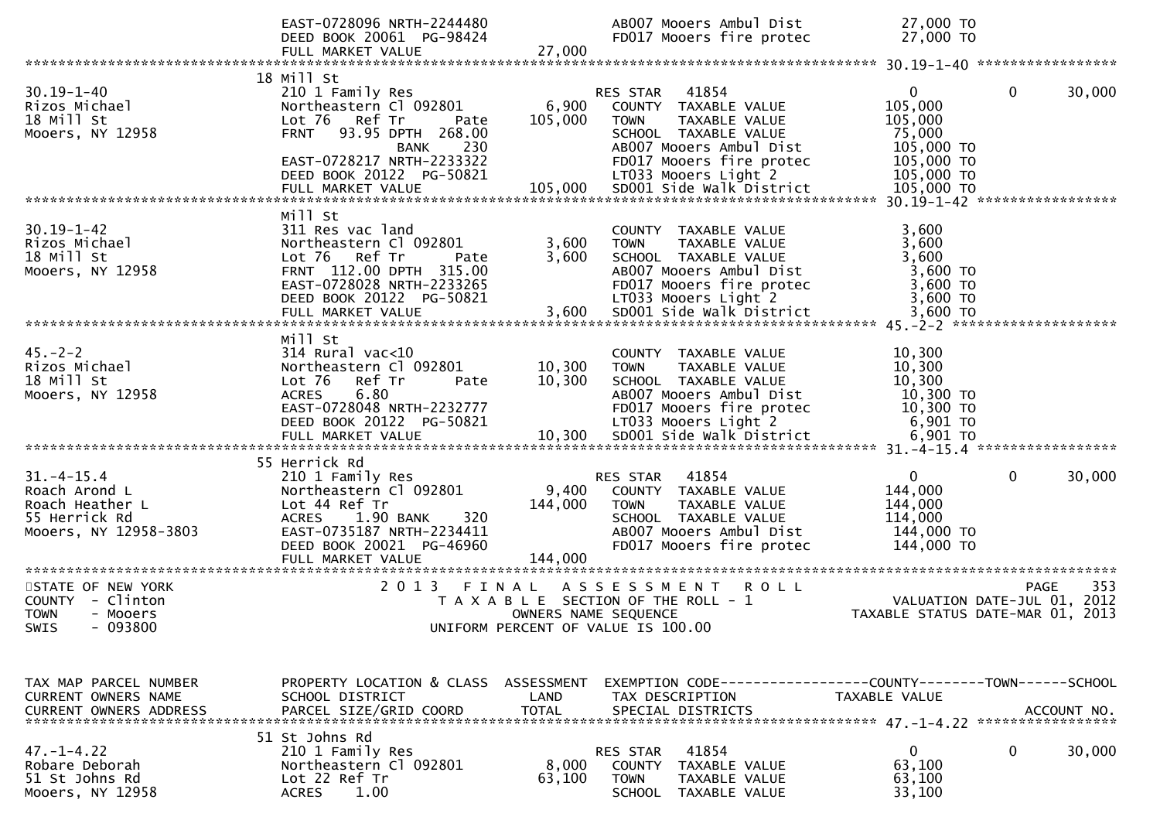|                                                                                                | EAST-0728096 NRTH-2244480<br>DEED BOOK 20061 PG-98424<br>FULL MARKET VALUE                                                                                                                     | 27,000                      | AB007 Mooers Ambul Dist<br>FD017 Mooers fire protec                                                                                                                              | 27,000 TO<br>27,000 TO                                                                                           |
|------------------------------------------------------------------------------------------------|------------------------------------------------------------------------------------------------------------------------------------------------------------------------------------------------|-----------------------------|----------------------------------------------------------------------------------------------------------------------------------------------------------------------------------|------------------------------------------------------------------------------------------------------------------|
|                                                                                                |                                                                                                                                                                                                |                             |                                                                                                                                                                                  |                                                                                                                  |
| $30.19 - 1 - 40$<br>Rizos Michael<br>18 Mill St<br>Mooers, NY 12958                            | 18 Mill St<br>210 1 Family Res<br>Northeastern Cl 092801<br>Lot 76 Ref Tr<br>Pate<br>93.95 DPTH 268.00<br><b>FRNT</b><br>230<br>BANK<br>EAST-0728217 NRTH-2233322<br>DEED BOOK 20122 PG-50821  | 6,900<br>105,000            | RES STAR<br>41854<br>COUNTY TAXABLE VALUE<br><b>TOWN</b><br>TAXABLE VALUE<br>SCHOOL TAXABLE VALUE<br>AB007 Mooers Ambul Dist<br>FD017 Mooers fire protec<br>LT033 Mooers Light 2 | $\mathbf{0}$<br>$\mathbf{0}$<br>30,000<br>105,000<br>105,000<br>75,000<br>105,000 TO<br>105,000 TO<br>105,000 TO |
|                                                                                                |                                                                                                                                                                                                |                             |                                                                                                                                                                                  |                                                                                                                  |
| $30.19 - 1 - 42$<br>Rizos Michael<br>18 Mill St<br>Mooers, NY 12958                            | Mill St<br>311 Res vac land<br>Northeastern Cl 092801<br>Lot 76 Ref Tr<br>Pate<br>FRNT 112.00 DPTH 315.00<br>EAST-0728028 NRTH-2233265                                                         | 3,600<br>3,600              | COUNTY TAXABLE VALUE<br>TAXABLE VALUE<br><b>TOWN</b><br>SCHOOL TAXABLE VALUE<br>AB007 Mooers Ambul Dist<br>FD017 Mooers fire protec                                              | 3,600<br>3,600<br>3,600<br>3,600 TO<br>3,600 TO                                                                  |
| $45. -2 - 2$<br>Rizos Michael<br>18 Mill St<br>Mooers, NY 12958                                | Mill St<br>$314$ Rural vac<10<br>Northeastern Cl 092801<br>Lot <sub>76</sub><br>Ref Tr<br>Pate<br>6.80<br><b>ACRES</b><br>EAST-0728048 NRTH-2232777<br>DEED BOOK 20122 PG-50821                | 10,300<br>10,300            | COUNTY TAXABLE VALUE<br>TAXABLE VALUE<br><b>TOWN</b><br>SCHOOL TAXABLE VALUE<br>AB007 Mooers Ambul Dist<br>FD017 Mooers fire protec<br>LT033 Mooers Light 2                      | 10,300<br>10,300<br>10,300<br>10,300 TO<br>$10,300$ TO<br>6,901 TO                                               |
| $31. - 4 - 15.4$<br>Roach Arond L<br>Roach Heather L<br>55 Herrick Rd<br>Mooers, NY 12958-3803 | 55 Herrick Rd<br>210 1 Family Res<br>Northeastern Cl 092801<br>Lot 44 Ref Tr<br><b>ACRES</b><br>1.90 BANK<br>320<br>EAST-0735187 NRTH-2234411<br>DEED BOOK 20021 PG-46960<br>FULL MARKET VALUE | 9,400<br>144,000<br>144,000 | RES STAR 41854<br>COUNTY TAXABLE VALUE<br><b>TOWN</b><br>TAXABLE VALUE<br>SCHOOL TAXABLE VALUE<br>AB007 Mooers Ambul Dist<br>FD017 Mooers fire protec                            | $\mathbf 0$<br>$\mathbf 0$<br>30,000<br>144,000<br>144,000<br>114,000<br>144,000 TO<br>144,000 TO                |
| STATE OF NEW YORK<br>COUNTY - Clinton<br><b>TOWN</b><br>- Mooers<br>$-093800$<br>SWIS          | 2 0 1 3                                                                                                                                                                                        | FINAL                       | ASSESSMENT ROLL<br>T A X A B L E SECTION OF THE ROLL - 1<br>OWNERS NAME SEQUENCE<br>UNIFORM PERCENT OF VALUE IS 100.00                                                           | 353<br><b>PAGE</b><br>VALUATION DATE-JUL 01, 2012<br>TAXABLE STATUS DATE-MAR 01, 2013                            |
| TAX MAP PARCEL NUMBER<br>CURRENT OWNERS NAME<br><b>CURRENT OWNERS ADDRESS</b>                  | PROPERTY LOCATION & CLASS ASSESSMENT<br>SCHOOL DISTRICT<br>PARCEL SIZE/GRID COORD                                                                                                              | LAND<br><b>TOTAL</b>        | TAX DESCRIPTION<br>SPECIAL DISTRICTS                                                                                                                                             | EXEMPTION CODE-----------------COUNTY-------TOWN------SCHOOL<br>TAXABLE VALUE<br>ACCOUNT NO.                     |
| $47. - 1 - 4.22$<br>Robare Deborah<br>51 St Johns Rd<br>Mooers, NY 12958                       | 51 St Johns Rd<br>210 1 Family Res<br>Northeastern Cl 092801<br>Lot 22 Ref Tr<br><b>ACRES</b><br>1.00                                                                                          | 8,000<br>63,100             | 41854<br><b>RES STAR</b><br>COUNTY<br>TAXABLE VALUE<br><b>TOWN</b><br>TAXABLE VALUE<br>SCHOOL TAXABLE VALUE                                                                      | 0<br>0<br>30,000<br>63,100<br>63,100<br>33,100                                                                   |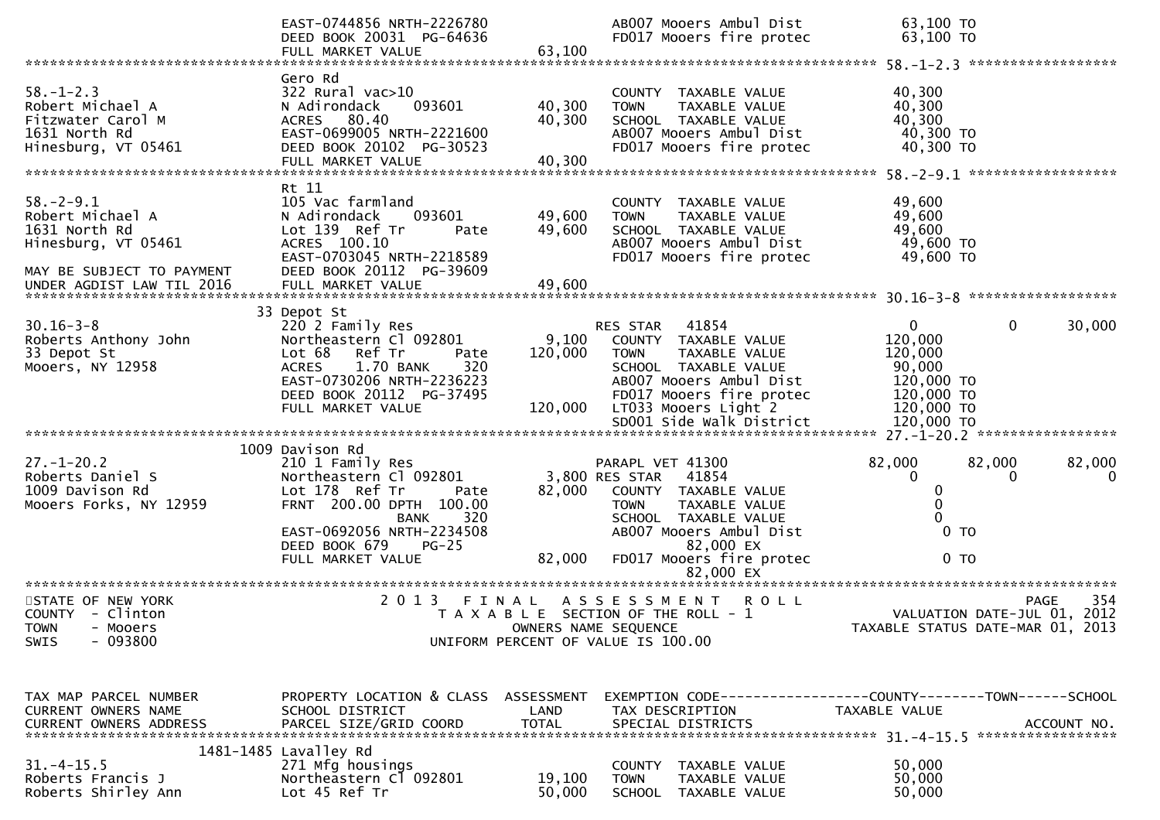|                                                                                                          | EAST-0744856 NRTH-2226780<br>DEED BOOK 20031 PG-64636<br>FULL MARKET VALUE                                                                                                                                             | 63,100                      | AB007 Mooers Ambul Dist<br>FD017 Mooers fire protec                                                                                                                                             | 63,100 TO<br>63,100 TO                                                                                 |                            |
|----------------------------------------------------------------------------------------------------------|------------------------------------------------------------------------------------------------------------------------------------------------------------------------------------------------------------------------|-----------------------------|-------------------------------------------------------------------------------------------------------------------------------------------------------------------------------------------------|--------------------------------------------------------------------------------------------------------|----------------------------|
|                                                                                                          |                                                                                                                                                                                                                        |                             |                                                                                                                                                                                                 |                                                                                                        |                            |
| $58. - 1 - 2.3$<br>Robert Michael A<br>Fitzwater Carol M<br>1631 North Rd<br>Hinesburg, VT 05461         | Gero Rd<br>$322$ Rural vac $>10$<br>093601<br>N Adirondack<br>ACRES 80.40<br>EAST-0699005 NRTH-2221600<br>DEED BOOK 20102 PG-30523<br>FULL MARKET VALUE                                                                | 40,300<br>40,300<br>40,300  | COUNTY<br>TAXABLE VALUE<br><b>TOWN</b><br>TAXABLE VALUE<br>SCHOOL TAXABLE VALUE<br>AB007 Mooers Ambul Dist<br>FD017 Mooers fire protec                                                          | 40,300<br>40,300<br>40,300<br>40,300 TO<br>40,300 TO                                                   |                            |
| $58. - 2 - 9.1$<br>Robert Michael A<br>1631 North Rd<br>Hinesburg, VT 05461<br>MAY BE SUBJECT TO PAYMENT | Rt 11<br>105 Vac farmland<br>N Adirondack<br>093601<br>Lot 139 Ref Tr<br>Pate<br>ACRES 100.10<br>EAST-0703045 NRTH-2218589<br>DEED BOOK 20112 PG-39609                                                                 | 49,600<br>49,600            | COUNTY TAXABLE VALUE<br><b>TOWN</b><br>TAXABLE VALUE<br>SCHOOL TAXABLE VALUE<br>AB007 Mooers Ambul Dist<br>FD017 Mooers fire protec                                                             | 49,600<br>49,600<br>49,600<br>49,600 TO<br>49,600 TO                                                   |                            |
| $30.16 - 3 - 8$<br>Roberts Anthony John<br>33 Depot St<br>Mooers, NY 12958                               | 33 Depot St<br>220 2 Family Res<br>Northeastern Cl 092801<br>Lot 68<br>Ref Tr<br>Pate<br><b>ACRES</b><br>1.70 BANK<br>320<br>EAST-0730206 NRTH-2236223<br>DEED BOOK 20112 PG-37495<br>FULL MARKET VALUE                | 9,100<br>120,000<br>120,000 | RES STAR<br>41854<br>COUNTY TAXABLE VALUE<br><b>TOWN</b><br>TAXABLE VALUE<br>SCHOOL TAXABLE VALUE<br>AB007 Mooers Ambul Dist<br>FD017 Mooers fire protec<br>LT033 Mooers Light 2                | $\mathbf{0}$<br>$\mathbf{0}$<br>120,000<br>120,000<br>90,000<br>120,000 TO<br>120,000 TO<br>120,000 TO | 30,000                     |
|                                                                                                          |                                                                                                                                                                                                                        |                             |                                                                                                                                                                                                 |                                                                                                        |                            |
| $27. - 1 - 20.2$<br>Roberts Daniel S<br>1009 Davison Rd<br>Mooers Forks, NY 12959                        | 1009 Davison Rd<br>210 1 Family Res<br>Northeastern Cl 092801<br>Lot 178 Ref Tr<br>Pate<br>FRNT 200.00 DPTH 100.00<br>320<br><b>BANK</b><br>EAST-0692056 NRTH-2234508<br>$PG-25$<br>DEED BOOK 679<br>FULL MARKET VALUE | 82,000<br>82,000            | PARAPL VET 41300<br>3,800 RES STAR<br>41854<br>COUNTY TAXABLE VALUE<br><b>TOWN</b><br>TAXABLE VALUE<br>SCHOOL TAXABLE VALUE<br>AB007 Mooers Ambul Dist<br>82,000 EX<br>FD017 Mooers fire protec | 82,000<br>82,000<br>$\mathbf{0}$<br>0<br>0<br>0<br>$0$ TO<br>0 <sub>T</sub>                            | 82,000<br>$\mathbf 0$      |
|                                                                                                          |                                                                                                                                                                                                                        |                             | 82,000 EX                                                                                                                                                                                       |                                                                                                        |                            |
| STATE OF NEW YORK<br>COUNTY - Clinton<br><b>TOWN</b><br>- Mooers<br>$-093800$<br><b>SWIS</b>             | 2 0 1 3                                                                                                                                                                                                                | FINAL                       | ASSESSMENT<br><b>ROLL</b><br>T A X A B L E SECTION OF THE ROLL - 1<br>OWNERS NAME SEQUENCE<br>UNIFORM PERCENT OF VALUE IS 100.00                                                                | VALUATION DATE-JUL 01, 2012<br>TAXABLE STATUS DATE-MAR 01,                                             | 354<br><b>PAGE</b><br>2013 |
| TAX MAP PARCEL NUMBER<br>CURRENT OWNERS NAME                                                             | PROPERTY LOCATION & CLASS ASSESSMENT<br>SCHOOL DISTRICT                                                                                                                                                                | LAND                        | EXEMPTION CODE-----------------COUNTY--------TOWN------SCHOOL<br>TAX DESCRIPTION                                                                                                                | TAXABLE VALUE                                                                                          |                            |
| $31. - 4 - 15.5$<br>Roberts Francis J<br>Roberts Shirley Ann                                             | 1481-1485 Lavalley Rd<br>271 Mfg housings<br>Northeastern C1 092801<br>Lot 45 Ref Tr                                                                                                                                   | 19,100<br>50,000            | COUNTY<br>TAXABLE VALUE<br><b>TOWN</b><br>TAXABLE VALUE<br>SCHOOL TAXABLE VALUE                                                                                                                 | 50,000<br>50,000<br>50,000                                                                             |                            |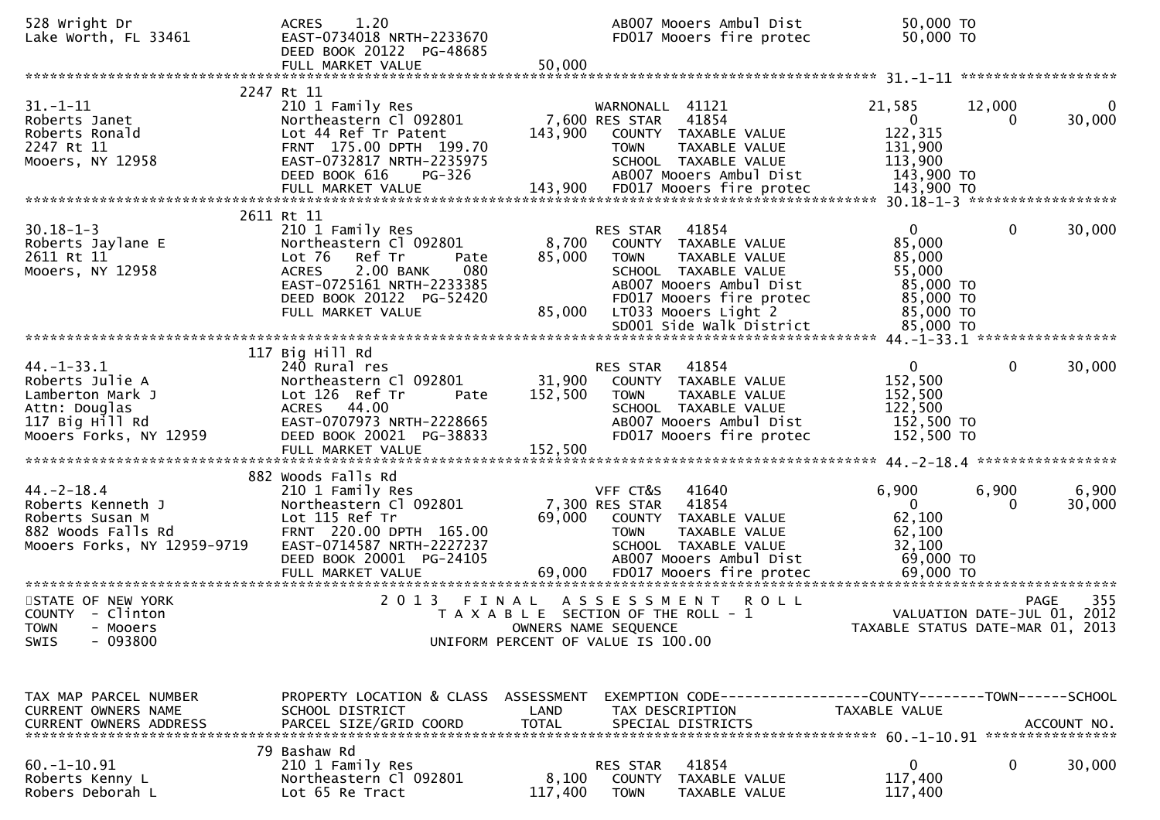| 528 Wright Dr<br>Lake Worth, FL 33461                                                                                 | 1.20<br><b>ACRES</b><br>EAST-0734018 NRTH-2233670<br>DEED BOOK 20122 PG-48685<br>FULL MARKET VALUE                                                                                       | 50,000                       | AB007 Mooers Ambul Dist<br>FD017 Mooers fire protec                                                                                                                              | 50,000 TO<br>50,000 TO                                                            |                                                                                       |
|-----------------------------------------------------------------------------------------------------------------------|------------------------------------------------------------------------------------------------------------------------------------------------------------------------------------------|------------------------------|----------------------------------------------------------------------------------------------------------------------------------------------------------------------------------|-----------------------------------------------------------------------------------|---------------------------------------------------------------------------------------|
|                                                                                                                       |                                                                                                                                                                                          |                              |                                                                                                                                                                                  |                                                                                   |                                                                                       |
| $31. - 1 - 11$<br>Roberts Janet<br>Roberts Ronald<br>2247 Rt 11<br>Mooers, NY 12958                                   | 2247 Rt 11<br>210 1 Family Res<br>Northeastern Cl 092801<br>Lot 44 Ref Tr Patent<br>FRNT 175.00 DPTH 199.70<br>EAST-0732817 NRTH-2235975<br>DEED BOOK 616<br><b>PG-326</b>               | 143,900                      | WARNONALL 41121<br>7,600 RES STAR<br>41854<br>COUNTY TAXABLE VALUE<br><b>TOWN</b><br>TAXABLE VALUE<br>SCHOOL TAXABLE VALUE<br>AB007 Mooers Ambul Dist                            | 21,585<br>$\mathbf{0}$<br>122,315<br>131,900<br>113,900<br>143,900 TO             | 12,000<br>$\overline{0}$<br>30,000<br>0                                               |
|                                                                                                                       | 2611 Rt 11                                                                                                                                                                               |                              |                                                                                                                                                                                  |                                                                                   |                                                                                       |
| $30.18 - 1 - 3$<br>Roberts Jaylane E<br>2611 Rt 11<br>Mooers, NY 12958                                                | 210 1 Family Res<br>Northeastern Cl 092801<br>Lot 76<br>Ref Tr<br>Pate<br>2.00 BANK<br>080<br><b>ACRES</b><br>EAST-0725161 NRTH-2233385<br>DEED BOOK 20122 PG-52420<br>FULL MARKET VALUE | 8,700<br>85,000<br>85,000    | RES STAR<br>41854<br>COUNTY TAXABLE VALUE<br><b>TOWN</b><br>TAXABLE VALUE<br>SCHOOL TAXABLE VALUE<br>AB007 Mooers Ambul Dist<br>FD017 Mooers fire protec<br>LT033 Mooers Light 2 | $\mathbf{0}$<br>85,000<br>85,000<br>55,000<br>85,000 TO<br>85,000 TO<br>85,000 TO | 0<br>30,000                                                                           |
|                                                                                                                       |                                                                                                                                                                                          |                              |                                                                                                                                                                                  |                                                                                   |                                                                                       |
| $44. - 1 - 33.1$<br>Roberts Julie A<br>Lamberton Mark J<br>Attn: Douglas<br>117 Big Hill Rd<br>Mooers Forks, NY 12959 | 117 Big Hill Rd<br>240 Rural res<br>Northeastern Cl 092801<br>Lot 126 Ref Tr<br>Pate<br>ACRES 44.00<br>EAST-0707973 NRTH-2228665<br>DEED BOOK 20021 PG-38833<br>FULL MARKET VALUE        | 31,900<br>152,500<br>152,500 | 41854<br>RES STAR<br>COUNTY TAXABLE VALUE<br><b>TOWN</b><br>TAXABLE VALUE<br>SCHOOL TAXABLE VALUE<br>AB007 Mooers Ambul Dist<br>FD017 Mooers fire protec                         | $\mathbf{0}$<br>152,500<br>152,500<br>122,500<br>152,500 TO<br>152,500 TO         | $\mathbf 0$<br>30,000                                                                 |
|                                                                                                                       | 882 Woods Falls Rd                                                                                                                                                                       |                              |                                                                                                                                                                                  |                                                                                   |                                                                                       |
| $44. -2 - 18.4$<br>Roberts Kenneth J<br>Roberts Susan M<br>882 Woods Falls Rd<br>Mooers Forks, NY 12959-9719          | 210 1 Family Res<br>Northeastern Cl 092801<br>Lot 115 Ref Tr<br>FRNT 220.00 DPTH 165.00<br>EAST-0714587 NRTH-2227237<br>DEED BOOK 20001 PG-24105                                         | 69,000                       | VFF CT&S<br>41640<br>7,300 RES STAR<br>41854<br>COUNTY TAXABLE VALUE<br><b>TOWN</b><br>TAXABLE VALUE<br>SCHOOL TAXABLE VALUE<br>AB007 Mooers Ambul Dist                          | 6,900<br>$\mathbf{0}$<br>62,100<br>62,100<br>32,100<br>69,000 TO                  | 6,900<br>6,900<br>30,000<br>0                                                         |
| STATE OF NEW YORK<br>COUNTY - Clinton<br><b>TOWN</b><br>- Mooers<br>$-093800$<br><b>SWIS</b>                          | 2 0 1 3                                                                                                                                                                                  | FINAL                        | ASSESSMENT<br><b>ROLL</b><br>T A X A B L E SECTION OF THE ROLL - 1<br>OWNERS NAME SEQUENCE<br>UNIFORM PERCENT OF VALUE IS 100.00                                                 |                                                                                   | 355<br><b>PAGE</b><br>VALUATION DATE-JUL 01, 2012<br>TAXABLE STATUS DATE-MAR 01, 2013 |
| TAX MAP PARCEL NUMBER<br>CURRENT OWNERS NAME                                                                          | PROPERTY LOCATION & CLASS ASSESSMENT<br>SCHOOL DISTRICT                                                                                                                                  | LAND                         | EXEMPTION CODE------------------COUNTY--------TOWN------SCHOOL<br>TAX DESCRIPTION                                                                                                | TAXABLE VALUE                                                                     |                                                                                       |
| $60. -1 - 10.91$<br>Roberts Kenny L<br>Robers Deborah L                                                               | 79 Bashaw Rd<br>210 1 Family Res<br>Northeastern Cl 092801<br>Lot 65 Re Tract                                                                                                            | 8,100<br>117,400             | 41854<br>RES STAR<br>COUNTY<br>TAXABLE VALUE<br><b>TOWN</b><br>TAXABLE VALUE                                                                                                     | 0<br>117,400<br>117,400                                                           | 0<br>30,000                                                                           |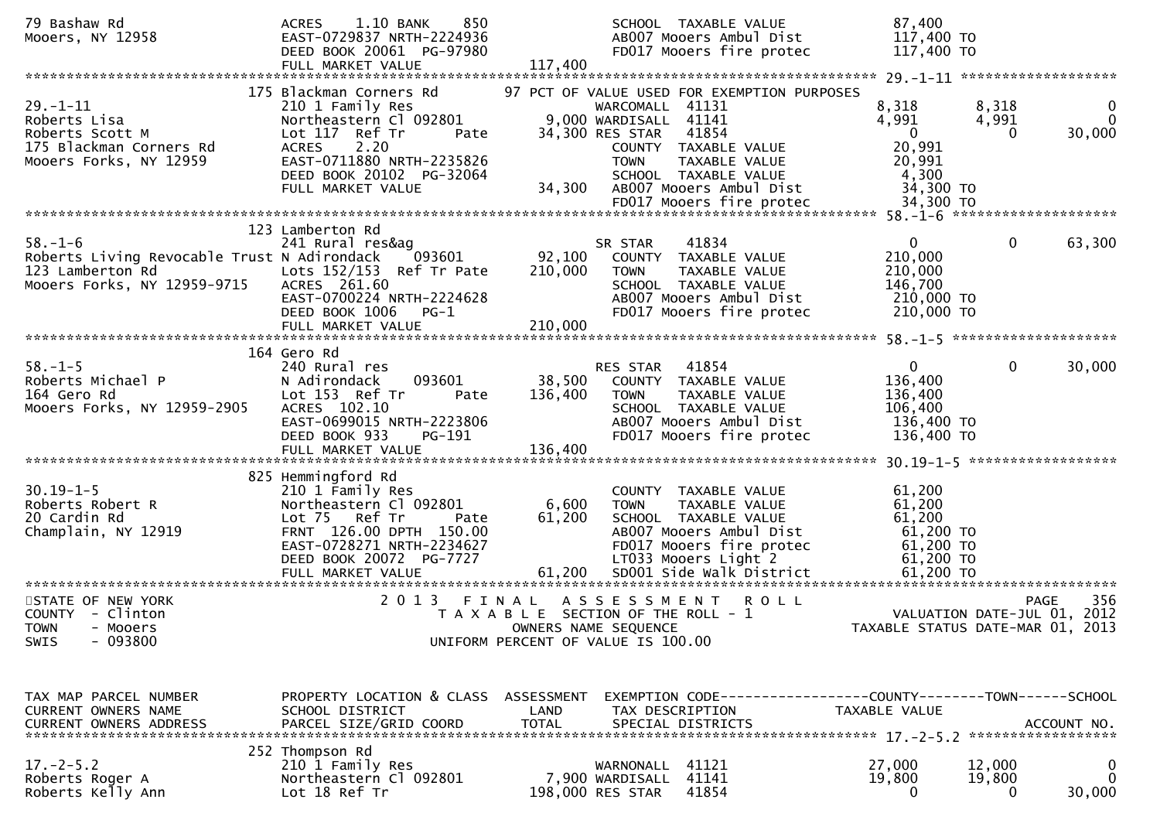| 79 Bashaw Rd<br>Mooers, NY 12958                                                                                | 1.10 BANK<br>850<br><b>ACRES</b><br>EAST-0729837 NRTH-2224936<br>DEED BOOK 20061 PG-97980<br>FULL MARKET VALUE                                                                                        | 117,400                                                                              |                                                                            | SCHOOL TAXABLE VALUE<br>AB007 Mooers Ambul Dist<br>FD017 Mooers fire protec                                                                      | 87,400<br>117,400 TO<br>117,400 TO                                          |                              |                                |
|-----------------------------------------------------------------------------------------------------------------|-------------------------------------------------------------------------------------------------------------------------------------------------------------------------------------------------------|--------------------------------------------------------------------------------------|----------------------------------------------------------------------------|--------------------------------------------------------------------------------------------------------------------------------------------------|-----------------------------------------------------------------------------|------------------------------|--------------------------------|
|                                                                                                                 |                                                                                                                                                                                                       |                                                                                      |                                                                            |                                                                                                                                                  |                                                                             |                              |                                |
| $29. - 1 - 11$<br>Roberts Lisa<br>Roberts Scott M<br>175 Blackman Corners Rd<br>Mooers Forks, NY 12959          | 175 Blackman Corners Rd<br>210 1 Family Res<br>Northeastern Cl 092801<br>Lot 117 Ref Tr<br>Pate<br><b>ACRES</b><br>2.20<br>EAST-0711880 NRTH-2235826<br>DEED BOOK 20102 PG-32064<br>FULL MARKET VALUE | 34,300                                                                               | WARCOMALL 41131<br>9,000 WARDISALL 41141<br>34,300 RES STAR<br><b>TOWN</b> | 97 PCT OF VALUE USED FOR EXEMPTION PURPOSES<br>41854<br>COUNTY TAXABLE VALUE<br>TAXABLE VALUE<br>SCHOOL TAXABLE VALUE<br>AB007 Mooers Ambul Dist | 8,318<br>4,991<br>$\mathbf{0}$<br>20,991<br>20,991<br>4,300<br>34,300 TO    | 8,318<br>4,991<br>0          | $\bf{0}$<br>$\Omega$<br>30,000 |
|                                                                                                                 |                                                                                                                                                                                                       |                                                                                      |                                                                            |                                                                                                                                                  |                                                                             |                              |                                |
| $58. - 1 - 6$<br>Roberts Living Revocable Trust N Adirondack<br>123 Lamberton Rd<br>Mooers Forks, NY 12959-9715 | 123 Lamberton Rd<br>241 Rural res&ag<br>093601<br>Lots 152/153 Ref Tr Pate<br>ACRES 261.60<br>EAST-0700224 NRTH-2224628<br>DEED BOOK 1006<br>PG-1<br>FULL MARKET VALUE                                | 92,100<br>210,000<br>210,000                                                         | SR STAR<br>COUNTY<br><b>TOWN</b>                                           | 41834<br>TAXABLE VALUE<br>TAXABLE VALUE<br>SCHOOL TAXABLE VALUE<br>AB007 Mooers Ambul Dist<br>FD017 Mooers fire protec                           | $\mathbf{0}$<br>210,000<br>210,000<br>146,700<br>210,000 TO<br>210,000 TO   | $\mathbf 0$                  | 63,300                         |
|                                                                                                                 |                                                                                                                                                                                                       |                                                                                      |                                                                            |                                                                                                                                                  |                                                                             |                              |                                |
| $58. - 1 - 5$<br>Roberts Michael P<br>164 Gero Rd<br>Mooers Forks, NY 12959-2905                                | 164 Gero Rd<br>240 Rural res<br>093601<br>N Adirondack<br>Lot 153 Ref Tr<br>Pate<br>ACRES 102.10<br>EAST-0699015 NRTH-2223806<br>DEED BOOK 933<br>PG-191<br>FULL MARKET VALUE                         | 38,500<br>136,400<br>136,400                                                         | RES STAR<br><b>TOWN</b>                                                    | 41854<br>COUNTY TAXABLE VALUE<br>TAXABLE VALUE<br>SCHOOL TAXABLE VALUE<br>AB007 Mooers Ambul Dist<br>FD017 Mooers fire protec                    | $\overline{0}$<br>136,400<br>136,400<br>106,400<br>136,400 TO<br>136,400 TO | $\mathbf{0}$                 | 30,000<br>******************   |
|                                                                                                                 | 825 Hemmingford Rd                                                                                                                                                                                    |                                                                                      |                                                                            |                                                                                                                                                  |                                                                             |                              |                                |
| $30.19 - 1 - 5$<br>Roberts Robert R<br>20 Cardin Rd<br>Champlain, NY 12919                                      | 210 1 Family Res<br>Northeastern Cl 092801<br>Lot 75 Ref Tr<br>Pate<br>FRNT 126.00 DPTH 150.00<br>EAST-0728271 NRTH-2234627<br>DEED BOOK 20072 PG-7727                                                | 6,600<br>61,200                                                                      | <b>TOWN</b>                                                                | COUNTY TAXABLE VALUE<br>TAXABLE VALUE<br>SCHOOL TAXABLE VALUE<br>AB007 Mooers Ambul Dist<br>FD017 Mooers fire protec<br>LT033 Mooers Light 2     | 61,200<br>61,200<br>61,200<br>61,200 TO<br>61,200 TO<br>61,200 TO           |                              |                                |
| STATE OF NEW YORK<br>COUNTY - Clinton<br><b>TOWN</b><br>- Mooers<br>$-093800$<br><b>SWIS</b>                    | 2 0 1 3                                                                                                                                                                                               | FINAL<br>T A X A B L E SECTION OF THE ROLL - 1<br>UNIFORM PERCENT OF VALUE IS 100.00 | ASSESSMENT<br>OWNERS NAME SEQUENCE                                         | <b>ROLL</b>                                                                                                                                      | TAXABLE STATUS DATE-MAR 01,                                                 | VALUATION DATE-JUL 01, 2012  | 356<br><b>PAGE</b><br>2013     |
| TAX MAP PARCEL NUMBER<br>CURRENT OWNERS NAME                                                                    | PROPERTY LOCATION & CLASS ASSESSMENT<br>SCHOOL DISTRICT                                                                                                                                               | LAND                                                                                 | TAX DESCRIPTION                                                            | EXEMPTION CODE-----------------COUNTY-------TOWN------SCHOOL                                                                                     | TAXABLE VALUE                                                               |                              |                                |
| $17. - 2 - 5.2$<br>Roberts Roger A<br>Roberts Kelly Ann                                                         | 252 Thompson Rd<br>210 1 Family Res<br>Northeastern Cl 092801<br>Lot 18 Ref Tr                                                                                                                        |                                                                                      | WARNONALL<br>7,900 WARDISALL<br>198,000 RES STAR                           | 41121<br>41141<br>41854                                                                                                                          | 27,000<br>19,800<br>$\Omega$                                                | 12,000<br>19,800<br>$\Omega$ | 0<br>0<br>30,000               |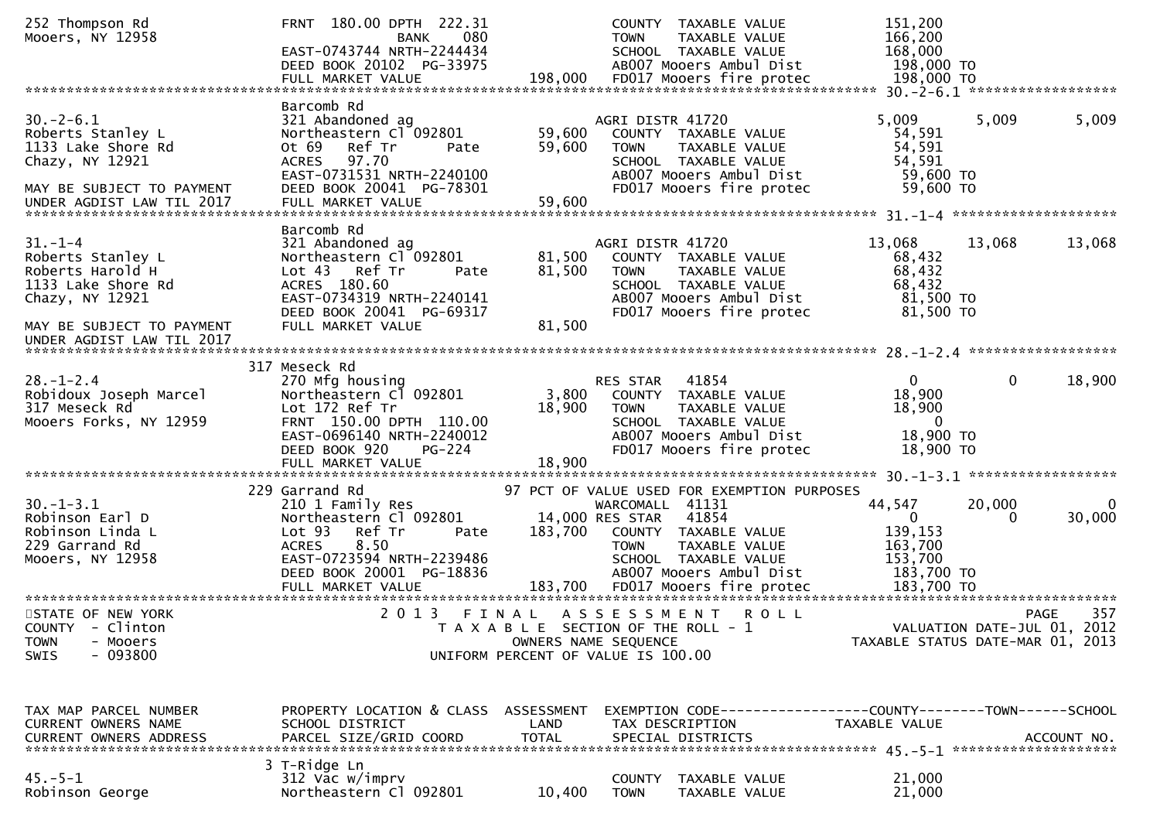| 252 Thompson Rd<br>Mooers, NY 12958                                                                                                                       | FRNT 180.00 DPTH 222.31<br>080<br><b>BANK</b><br>EAST-0743744 NRTH-2244434<br>DEED BOOK 20102 PG-33975                                                                                        |                            | COUNTY TAXABLE VALUE<br>TAXABLE VALUE<br><b>TOWN</b><br>SCHOOL TAXABLE VALUE<br>AB007 Mooers Ambul Dist                                                                                               | 151,200<br>166,200<br>168,000<br>198,000 TO                       |                                            |                       |
|-----------------------------------------------------------------------------------------------------------------------------------------------------------|-----------------------------------------------------------------------------------------------------------------------------------------------------------------------------------------------|----------------------------|-------------------------------------------------------------------------------------------------------------------------------------------------------------------------------------------------------|-------------------------------------------------------------------|--------------------------------------------|-----------------------|
|                                                                                                                                                           | Barcomb Rd                                                                                                                                                                                    |                            |                                                                                                                                                                                                       |                                                                   |                                            |                       |
| $30. -2 - 6.1$<br>Roberts Stanley L<br>1133 Lake Shore Rd<br>Chazy, NY 12921<br>MAY BE SUBJECT TO PAYMENT                                                 | 321 Abandoned ag<br>Northeastern Cl 092801<br>Ref Tr<br>Ot 69<br>Pate<br>97.70<br><b>ACRES</b><br>EAST-0731531 NRTH-2240100<br>DEED BOOK 20041 PG-78301                                       | 59,600<br>59,600           | AGRI DISTR 41720<br>COUNTY TAXABLE VALUE<br><b>TOWN</b><br>TAXABLE VALUE<br>SCHOOL TAXABLE VALUE<br>AB007 Mooers Ambul Dist<br>FD017 Mooers fire protec                                               | 5,009<br>54,591<br>54,591<br>54,591<br>59,600 TO<br>59,600 TO     | 5,009                                      | 5,009                 |
|                                                                                                                                                           |                                                                                                                                                                                               |                            |                                                                                                                                                                                                       |                                                                   |                                            |                       |
| $31. - 1 - 4$<br>Roberts Stanley L<br>Roberts Harold H<br>1133 Lake Shore Rd<br>Chazy, NY 12921<br>MAY BE SUBJECT TO PAYMENT<br>UNDER AGDIST LAW TIL 2017 | Barcomb Rd<br>321 Abandoned ag<br>Northeastern Cl 092801<br>Lot <sub>43</sub><br>Ref Tr<br>Pate<br>ACRES 180.60<br>EAST-0734319 NRTH-2240141<br>DEED BOOK 20041 PG-69317<br>FULL MARKET VALUE | 81,500<br>81,500<br>81,500 | AGRI DISTR 41720<br>COUNTY TAXABLE VALUE<br><b>TOWN</b><br>TAXABLE VALUE<br>SCHOOL TAXABLE VALUE<br>AB007 Mooers Ambul Dist<br>FD017 Mooers fire protec                                               | 13,068<br>68,432<br>68,432<br>68,432<br>81,500 TO<br>81,500 TO    | 13,068                                     | 13,068                |
|                                                                                                                                                           |                                                                                                                                                                                               |                            |                                                                                                                                                                                                       |                                                                   |                                            |                       |
| $28. - 1 - 2.4$<br>Robidoux Joseph Marcel<br>317 Meseck Rd<br>Mooers Forks, NY 12959                                                                      | 317 Meseck Rd<br>270 Mfg housing<br>Northeastern Cl 092801<br>Lot 172 Ref Tr<br>FRNT 150.00 DPTH 110.00<br>EAST-0696140 NRTH-2240012<br>DEED BOOK 920<br>$PG-224$<br>FULL MARKET VALUE        | 3,800<br>18,900<br>18,900  | 41854<br>RES STAR<br>COUNTY TAXABLE VALUE<br><b>TOWN</b><br><b>TAXABLE VALUE</b><br>SCHOOL TAXABLE VALUE<br>AB007 Mooers Ambul Dist<br>FD017 Mooers fire protec                                       | 0<br>18,900<br>18,900<br>$\mathbf{0}$<br>18,900 TO<br>18,900 TO   | $\Omega$                                   | 18,900                |
|                                                                                                                                                           |                                                                                                                                                                                               |                            |                                                                                                                                                                                                       |                                                                   |                                            |                       |
| $30. - 1 - 3.1$<br>Robinson Earl D<br>Robinson Linda L<br>229 Garrand Rd<br>Mooers, NY 12958                                                              | 229 Garrand Rd<br>210 1 Family Res<br>Northeastern Cl 092801<br>Lot <sub>93</sub><br>Ref Tr<br>Pate<br><b>ACRES</b><br>8.50<br>EAST-0723594 NRTH-2239486<br>DEED BOOK 20001 PG-18836          | 183,700                    | 97 PCT OF VALUE USED FOR EXEMPTION PURPOSES<br>WARCOMALL 41131<br>14,000 RES STAR<br>41854<br>COUNTY TAXABLE VALUE<br>TAXABLE VALUE<br><b>TOWN</b><br>SCHOOL TAXABLE VALUE<br>AB007 Mooers Ambul Dist | 44,547<br>$\Omega$<br>139,153<br>163,700<br>153,700<br>183,700 TO | 20,000<br>$\Omega$                         | $\mathbf 0$<br>30,000 |
| STATE OF NEW YORK<br>COUNTY - Clinton<br><b>TOWN</b><br>- Mooers                                                                                          | 2013 FINAL                                                                                                                                                                                    |                            | A S S E S S M E N T<br><b>ROLL</b><br>T A X A B L E SECTION OF THE ROLL - 1<br>OWNERS NAME SEQUENCE                                                                                                   | TAXABLE STATUS DATE-MAR 01, 2013                                  | <b>PAGE</b><br>VALUATION DATE-JUL 01, 2012 | 357                   |
| $-093800$<br><b>SWIS</b><br>TAX MAP PARCEL NUMBER                                                                                                         | PROPERTY LOCATION & CLASS ASSESSMENT                                                                                                                                                          |                            | UNIFORM PERCENT OF VALUE IS 100.00<br>EXEMPTION CODE-----------------COUNTY-------TOWN------SCHOOL                                                                                                    |                                                                   |                                            |                       |
| CURRENT OWNERS NAME                                                                                                                                       | SCHOOL DISTRICT                                                                                                                                                                               | LAND                       | TAX DESCRIPTION                                                                                                                                                                                       | TAXABLE VALUE                                                     |                                            |                       |
| $45. - 5 - 1$<br>Robinson George                                                                                                                          | 3 T-Ridge Ln<br>312 Vac w/imprv<br>Northeastern Cl 092801                                                                                                                                     | 10,400                     | COUNTY<br>TAXABLE VALUE<br><b>TOWN</b><br>TAXABLE VALUE                                                                                                                                               | 21,000<br>21,000                                                  |                                            |                       |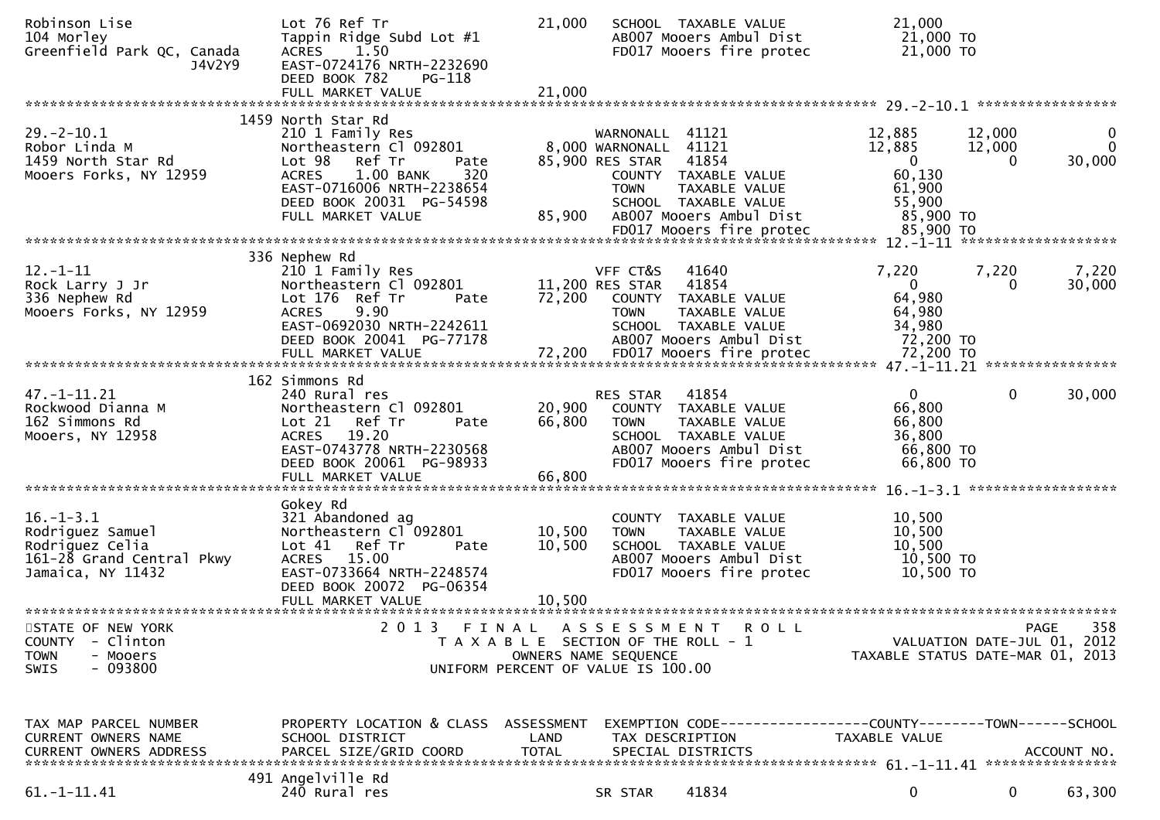| Robinson Lise<br>104 Morley<br>Greenfield Park QC, Canada<br>J4V2Y9                                      | Lot 76 Ref Tr<br>Tappin Ridge Subd Lot #1<br>ACRES 1.50<br>EAST-0724176 NRTH-2232690<br>DEED BOOK 782<br>PG-118<br>FULL MARKET VALUE                                                                        | 21,000<br>21,000                   |                                                                                  | SCHOOL TAXABLE VALUE<br>AB007 Mooers Ambul Dist<br>FD017 Mooers fire protec                                                   | 21,000<br>21,000 TO<br>21,000 TO                                              |                             |                                      |
|----------------------------------------------------------------------------------------------------------|-------------------------------------------------------------------------------------------------------------------------------------------------------------------------------------------------------------|------------------------------------|----------------------------------------------------------------------------------|-------------------------------------------------------------------------------------------------------------------------------|-------------------------------------------------------------------------------|-----------------------------|--------------------------------------|
|                                                                                                          |                                                                                                                                                                                                             |                                    |                                                                                  |                                                                                                                               |                                                                               |                             |                                      |
| $29. - 2 - 10.1$<br>Robor Linda M<br>1459 North Star Rd<br>Mooers Forks, NY 12959                        | 1459 North Star Rd<br>210 1 Family Res<br>Northeastern Cl 092801<br>Lot 98 Ref Tr<br>Pate<br>320<br><b>ACRES</b><br>1.00 BANK<br>EAST-0716006 NRTH-2238654<br>DEED BOOK 20031 PG-54598<br>FULL MARKET VALUE | 85,900                             | WARNONALL 41121<br>8,000 WARNONALL 41121<br>85,900 RES STAR 41854<br><b>TOWN</b> | COUNTY TAXABLE VALUE<br>TAXABLE VALUE<br>SCHOOL TAXABLE VALUE<br>AB007 Mooers Ambul Dist                                      | 12,885<br>12,885<br>$\overline{0}$<br>60,130<br>61,900<br>55,900<br>85,900 TO | 12,000<br>12,000<br>0       | $\mathbf 0$<br>$\mathbf 0$<br>30,000 |
|                                                                                                          |                                                                                                                                                                                                             |                                    |                                                                                  |                                                                                                                               |                                                                               |                             |                                      |
| $12. - 1 - 11$<br>Rock Larry J Jr<br>336 Nephew Rd<br>Mooers Forks, NY 12959                             | 336 Nephew Rd<br>210 1 Family Res<br>Northeastern Cl 092801<br>Lot 176 Ref Tr<br>Pate<br><b>ACRES</b><br>9.90<br>EAST-0692030 NRTH-2242611<br>DEED BOOK 20041 PG-77178                                      | 72,200                             | VFF CT&S<br>11,200 RES STAR<br><b>TOWN</b>                                       | 41640<br>41854<br>COUNTY TAXABLE VALUE<br>TAXABLE VALUE<br>SCHOOL TAXABLE VALUE<br>AB007 Mooers Ambul Dist                    | 7,220<br>$\overline{0}$<br>64,980<br>64,980<br>34,980<br>72,200 TO            | 7,220<br>$\Omega$           | 7,220<br>30,000                      |
|                                                                                                          | 162 Simmons Rd                                                                                                                                                                                              |                                    |                                                                                  |                                                                                                                               |                                                                               |                             |                                      |
| $47. - 1 - 11.21$<br>Rockwood Dianna M<br>162 Simmons Rd<br>Mooers, NY 12958                             | 240 Rural res<br>Northeastern Cl 092801<br>Lot 21 Ref Tr<br>Pate<br>19.20<br><b>ACRES</b><br>EAST-0743778 NRTH-2230568<br>DEED BOOK 20061 PG-98933<br>FULL MARKET VALUE                                     | 20,900<br>66,800<br>66,800         | RES STAR<br><b>TOWN</b>                                                          | 41854<br>COUNTY TAXABLE VALUE<br>TAXABLE VALUE<br>SCHOOL TAXABLE VALUE<br>AB007 Mooers Ambul Dist<br>FD017 Mooers fire protec | $\mathbf{0}$<br>66,800<br>66,800<br>36,800<br>66,800 TO<br>66,800 TO          | 0                           | 30,000                               |
|                                                                                                          |                                                                                                                                                                                                             |                                    |                                                                                  |                                                                                                                               |                                                                               |                             |                                      |
| $16. - 1 - 3.1$<br>Rodriguez Samuel<br>Rodriguez Celia<br>161-28 Grand Central Pkwy<br>Jamaica, NY 11432 | Gokey Rd<br>321 Abandoned ag<br>Northeastern Cl 092801<br>Lot 41<br>Ref Tr<br>Pate<br>ACRES 15.00<br>EAST-0733664 NRTH-2248574<br>DEED BOOK 20072 PG-06354                                                  | 10,500<br>10,500                   | <b>TOWN</b>                                                                      | COUNTY TAXABLE VALUE<br>TAXABLE VALUE<br>SCHOOL TAXABLE VALUE<br>ABOO7 Mooers Ambul Dist<br>FD017 Mooers fire protec          | 10,500<br>10,500<br>10,500<br>10,500 TO<br>10,500 TO                          |                             |                                      |
| STATE OF NEW YORK                                                                                        | 2013 FINAL ASSESSMENT ROLL                                                                                                                                                                                  |                                    |                                                                                  |                                                                                                                               |                                                                               |                             | 358<br><b>PAGE</b>                   |
| - Clinton<br><b>COUNTY</b><br><b>TOWN</b><br>- Mooers<br>- 093800<br><b>SWIS</b>                         | UNIFORM PERCENT OF VALUE IS 100.00                                                                                                                                                                          |                                    | T A X A B L E SECTION OF THE ROLL - 1<br>OWNERS NAME SEQUENCE                    |                                                                                                                               | TAXABLE STATUS DATE-MAR 01, 2013                                              | VALUATION DATE-JUL 01, 2012 |                                      |
| TAX MAP PARCEL NUMBER<br>CURRENT OWNERS NAME<br><b>CURRENT OWNERS ADDRESS</b>                            | PROPERTY LOCATION & CLASS<br>SCHOOL DISTRICT<br>PARCEL SIZE/GRID COORD                                                                                                                                      | ASSESSMENT<br>LAND<br><b>TOTAL</b> | TAX DESCRIPTION                                                                  | EXEMPTION CODE-----------------COUNTY-------TOWN------SCHOOL<br>SPECIAL DISTRICTS                                             | TAXABLE VALUE                                                                 |                             | ACCOUNT NO.                          |
| $61. -1 - 11.41$                                                                                         | 491 Angelville Rd<br>240 Rural res                                                                                                                                                                          |                                    | SR STAR                                                                          | 41834                                                                                                                         | 0                                                                             | 0                           | 63,300                               |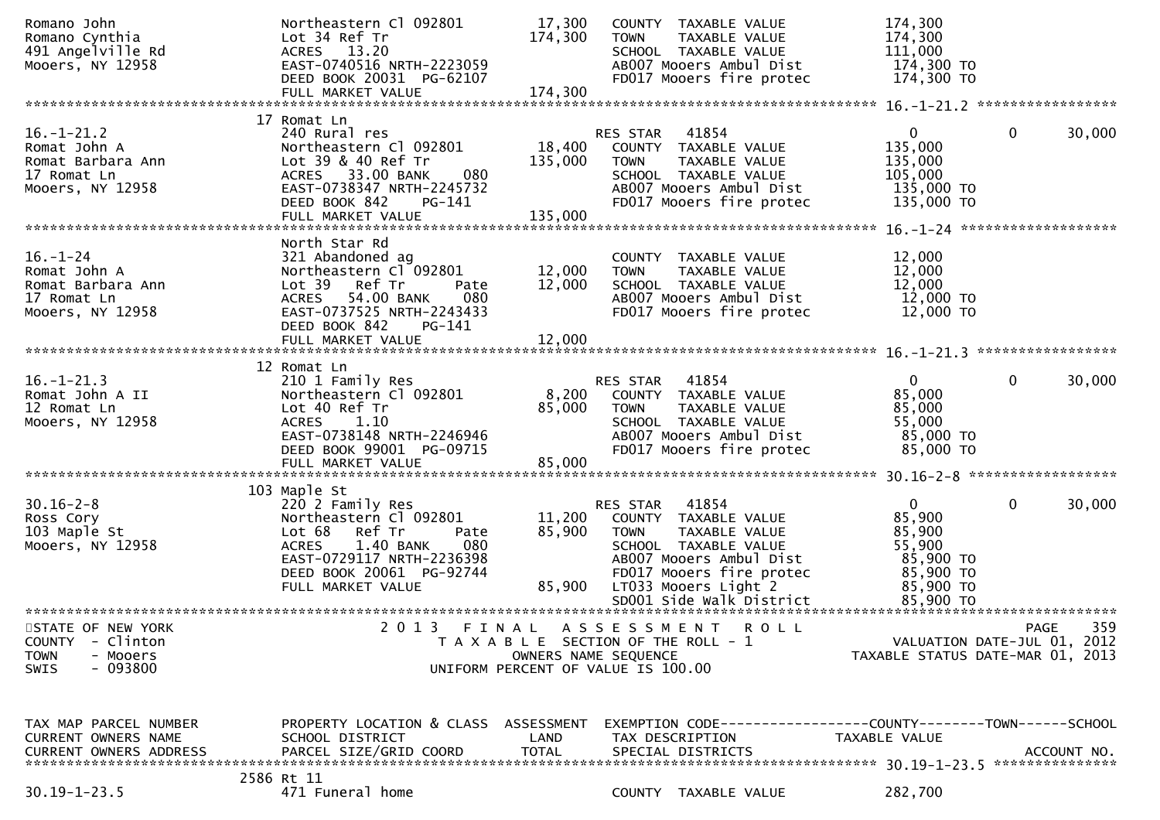| Romano John<br>Romano Cynthia<br>491 Angelville Rd<br>Mooers, NY 12958 | Northeastern Cl 092801<br>Lot 34 Ref Tr<br>ACRES 13.20<br>EAST-0740516 NRTH-2223059 | 17,300<br>174,300    | COUNTY TAXABLE VALUE<br><b>TOWN</b><br>TAXABLE VALUE<br>SCHOOL TAXABLE VALUE<br>AB007 Mooers Ambul Dist | 174,300<br>174,300<br>111,000<br>174,300 TO |                                  |
|------------------------------------------------------------------------|-------------------------------------------------------------------------------------|----------------------|---------------------------------------------------------------------------------------------------------|---------------------------------------------|----------------------------------|
|                                                                        | DEED BOOK 20031 PG-62107                                                            |                      | FD017 Mooers fire protec                                                                                | 174,300 TO                                  |                                  |
|                                                                        |                                                                                     |                      |                                                                                                         |                                             |                                  |
|                                                                        | 17 Romat Ln                                                                         |                      |                                                                                                         |                                             |                                  |
| $16. - 1 - 21.2$<br>Romat John A                                       | 240 Rural res<br>Northeastern Cl 092801                                             |                      | RES STAR 41854<br>18,400 COUNTY TAXABLE VALUE                                                           | $\mathbf{0}$<br>135,000                     | $\mathbf 0$<br>30,000            |
| Romat Barbara Ann                                                      | Lot 39 & 40 Ref Tr                                                                  | 135,000              | <b>TOWN</b><br>TAXABLE VALUE                                                                            | 135,000                                     |                                  |
| 17 Romat Ln                                                            | ACRES 33.00 BANK<br>080                                                             |                      | SCHOOL TAXABLE VALUE                                                                                    | 105,000                                     |                                  |
| Mooers, NY 12958                                                       | EAST-0738347 NRTH-2245732                                                           |                      | AB007 Mooers Ambul Dist                                                                                 | 135,000 TO                                  |                                  |
|                                                                        | DEED BOOK 842<br>PG-141<br>FULL MARKET VALUE                                        | 135,000              | FD017 Mooers fire protec                                                                                | 135,000 TO                                  |                                  |
|                                                                        |                                                                                     |                      |                                                                                                         |                                             |                                  |
| $16. - 1 - 24$                                                         | North Star Rd<br>321 Abandoned ag                                                   |                      | COUNTY TAXABLE VALUE                                                                                    | 12,000                                      |                                  |
| Romat John A                                                           | Northeastern Cl <sup>-</sup> 092801                                                 | 12,000               | TAXABLE VALUE<br><b>TOWN</b>                                                                            | 12,000                                      |                                  |
| Romat Barbara Ann                                                      | Lot 39 Ref Tr<br>Pate                                                               | 12,000               | SCHOOL TAXABLE VALUE                                                                                    | 12,000                                      |                                  |
| 17 Romat Ln                                                            | ACRES 54.00 BANK<br>080                                                             |                      | AB007 Mooers Ambul Dist                                                                                 | 12,000 TO                                   |                                  |
| Mooers, NY 12958                                                       | EAST-0737525 NRTH-2243433<br>DEED BOOK 842<br>PG-141                                |                      | FD017 Mooers fire protec                                                                                | 12,000 TO                                   |                                  |
|                                                                        |                                                                                     |                      |                                                                                                         |                                             |                                  |
|                                                                        |                                                                                     |                      |                                                                                                         |                                             |                                  |
| $16. - 1 - 21.3$                                                       | 12 Romat Ln<br>210 1 Family Res                                                     |                      | RES STAR 41854                                                                                          | $\mathbf{0}$                                | $\mathbf{0}$<br>30,000           |
| Romat John A II                                                        | Northeastern Cl 092801                                                              |                      | 8,200 COUNTY TAXABLE VALUE                                                                              | 85,000                                      |                                  |
| 12 Romat Ln                                                            | Lot 40 Ref Tr                                                                       | 85,000               | <b>TOWN</b><br>TAXABLE VALUE                                                                            | 85,000                                      |                                  |
| Mooers, NY 12958                                                       | ACRES 1.10<br>EAST-0738148 NRTH-2246946                                             |                      | SCHOOL TAXABLE VALUE<br>AB007 Mooers Ambul Dist                                                         | 55,000<br>85,000 TO                         |                                  |
|                                                                        | DEED BOOK 99001 PG-09715                                                            |                      | FD017 Mooers fire protec                                                                                | 85,000 TO                                   |                                  |
|                                                                        | FULL MARKET VALUE                                                                   | 85,000               |                                                                                                         |                                             |                                  |
|                                                                        | 103 Maple St                                                                        |                      |                                                                                                         |                                             |                                  |
| $30.16 - 2 - 8$                                                        | 220 2 Family Res                                                                    |                      | RES STAR 41854                                                                                          | $\overline{0}$                              | $\mathbf 0$<br>30,000            |
| Ross Cory                                                              | Northeastern Cl 092801                                                              |                      | 11,200 COUNTY TAXABLE VALUE                                                                             | 85,900                                      |                                  |
| 103 Maple St                                                           | Lot 68 Ref Tr<br>Pate                                                               | 85,900               | TAXABLE VALUE<br>TOWN                                                                                   | 85,900                                      |                                  |
| Mooers, NY 12958                                                       | 1.40 BANK<br>080<br><b>ACRES</b><br>EAST-0729117 NRTH-2236398                       |                      | SCHOOL TAXABLE VALUE<br>AB007 Mooers Ambul Dist                                                         | 55,900<br>85,900 TO                         |                                  |
|                                                                        | DEED BOOK 20061 PG-92744                                                            |                      | FD017 Mooers fire protec                                                                                | 85,900 TO                                   |                                  |
|                                                                        | FULL MARKET VALUE                                                                   |                      | 85,900 LT033 Mooers Light 2<br>SD001 Side Walk District                                                 | 85,900 TO                                   |                                  |
|                                                                        |                                                                                     |                      |                                                                                                         | 85,900 TO                                   |                                  |
| STATE OF NEW YORK                                                      | 2 0 1 3                                                                             |                      | FINAL ASSESSMENT<br><b>ROLL</b>                                                                         |                                             | 359<br><b>PAGE</b>               |
| <b>COUNTY</b><br>- Clinton                                             |                                                                                     |                      | T A X A B L E SECTION OF THE ROLL - 1                                                                   |                                             | VALUATION DATE-JUL 01, 2012      |
| <b>TOWN</b><br>- Mooers<br>$-093800$<br>SWIS                           |                                                                                     | OWNERS NAME SEQUENCE | UNIFORM PERCENT OF VALUE IS 100.00                                                                      |                                             | TAXABLE STATUS DATE-MAR 01, 2013 |
|                                                                        |                                                                                     |                      |                                                                                                         |                                             |                                  |
|                                                                        |                                                                                     |                      |                                                                                                         |                                             |                                  |
| TAX MAP PARCEL NUMBER                                                  | PROPERTY LOCATION & CLASS                                                           | ASSESSMENT           | EXEMPTION CODE-----------------COUNTY-------TOWN------SCHOOL                                            |                                             |                                  |
| CURRENT OWNERS NAME                                                    | SCHOOL DISTRICT                                                                     | LAND                 | TAX DESCRIPTION                                                                                         | TAXABLE VALUE                               |                                  |
| <b>CURRENT OWNERS ADDRESS</b>                                          | PARCEL SIZE/GRID COORD                                                              | <b>TOTAL</b>         | SPECIAL DISTRICTS                                                                                       |                                             | ACCOUNT NO.                      |
|                                                                        | 2586 Rt 11                                                                          |                      |                                                                                                         |                                             |                                  |
| $30.19 - 1 - 23.5$                                                     | 471 Funeral home                                                                    |                      | COUNTY TAXABLE VALUE                                                                                    | 282,700                                     |                                  |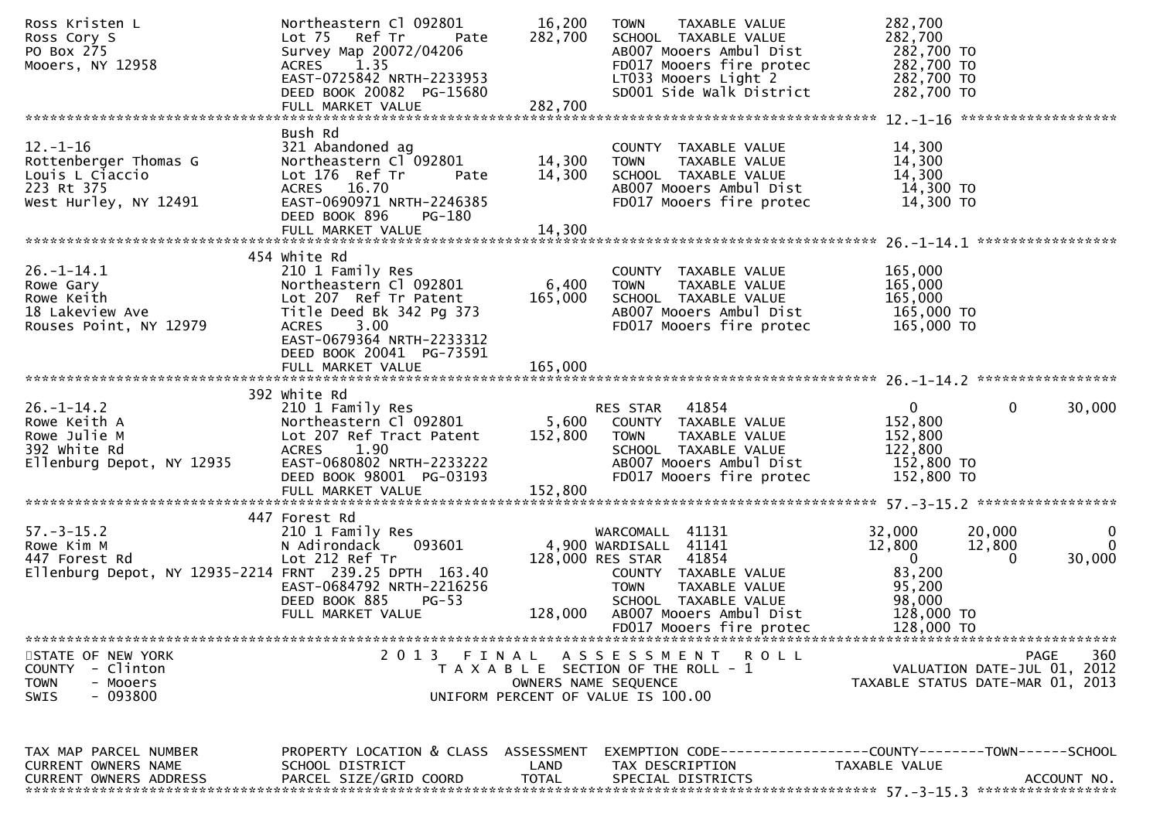| Ross Kristen L<br>Ross Cory S<br>PO Box 275<br>Mooers, NY 12958                                                                                                                                                                                            | Northeastern Cl 092801<br>Lot 75 Ref Tr<br>Pate<br>Survey Map 20072/04206<br>1.35<br><b>ACRES</b><br>EAST-0725842 NRTH-2233953<br>DEED BOOK 20082 PG-15680           | 16,200<br>282,700    | <b>TOWN</b><br>TAXABLE VALUE<br>SCHOOL TAXABLE VALUE<br>AB007 Mooers Ambul Dist<br>FD017 Mooers fire protec<br>FDUI/ Mooers fire protec<br>LTO33 Mooers Light 2<br>SDOO1 Side Walk District<br>$LT033$ Mooers Light 2 | 282,700<br>282,700<br>282,700 TO<br>282,700 TO<br>282,700 TO                            |                                                                                |
|------------------------------------------------------------------------------------------------------------------------------------------------------------------------------------------------------------------------------------------------------------|----------------------------------------------------------------------------------------------------------------------------------------------------------------------|----------------------|-----------------------------------------------------------------------------------------------------------------------------------------------------------------------------------------------------------------------|-----------------------------------------------------------------------------------------|--------------------------------------------------------------------------------|
|                                                                                                                                                                                                                                                            |                                                                                                                                                                      |                      |                                                                                                                                                                                                                       | 282,700 TO                                                                              |                                                                                |
| $12. - 1 - 16$<br>Rottenberger Thomas G<br>Louis L Ciaccio<br>223 Rt 375<br>West Hurley, NY 12491                                                                                                                                                          | Bush Rd<br>321 Abandoned ag<br>Northeastern Cl 092801 14,300<br>Lot 176 Ref Tr<br>Pate<br>ACRES 16.70<br>EAST-0690971 NRTH-2246385<br>DEED BOOK 896<br>PG-180        | 14,300               | COUNTY TAXABLE VALUE<br>TAXABLE VALUE<br><b>TOWN</b><br>SCHOOL TAXABLE VALUE<br>AB007 Mooers Ambul Dist<br>FD017 Mooers fire protec                                                                                   | 14,300<br>14,300<br>14,300<br>14,300 TO<br>14,300 TO                                    |                                                                                |
|                                                                                                                                                                                                                                                            |                                                                                                                                                                      |                      |                                                                                                                                                                                                                       |                                                                                         |                                                                                |
| $26. - 1 - 14.1$<br>Rowe Gary<br>Rowe Keith<br>18 Lakeview Ave<br>Rouses Point, NY 12979                                                                                                                                                                   | 454 white Rd<br>210 1 Family Res<br>Northeastern Cl 092801<br>Lot 207 Ref Tr Patent<br>Title Deed Bk 342 Pg 373<br>3.00<br><b>ACRES</b><br>EAST-0679364 NRTH-2233312 | 6,400<br>165,000     | COUNTY TAXABLE VALUE<br>TOWN<br>TAXABLE VALUE<br>SCHOOL TAXABLE VALUE<br>AB007 Mooers Ambul Dist<br>FD017 Mooers fire protec                                                                                          | 165,000<br>165,000<br>165,000<br>165,000 TO<br>165,000 TO                               |                                                                                |
|                                                                                                                                                                                                                                                            | DEED BOOK 20041 PG-73591<br>FULL MARKET VALUE                                                                                                                        | 165,000              |                                                                                                                                                                                                                       |                                                                                         |                                                                                |
| $26. - 1 - 14.2$<br>26.-1-14.2<br>Rowe Keith A Mortheastern Cl 092801 5,600 COUNTY TAXABLE VALUE<br>Rowe Julie M Lot 207 Ref Tract Patent 152,800 TOWN TAXABLE VALUE<br>392 White Rd ACRES 1.90 SCHOOL TAXABLE VALUE<br>Ellenburg Depot, NY 12935 EAST-068 | 392 white Rd<br>210 1 Family Res<br>DEED BOOK 98001 PG-03193                                                                                                         |                      | RES STAR 41854<br>SCHOOL TAXABLE VALUE<br>AB007 Mooers Ambul Dist<br>FD017 Mooers fire protec                                                                                                                         | $\overline{0}$<br>152,800<br>152,800<br>122,800<br>152,800 то<br>152,800 то             | $\Omega$<br>30,000                                                             |
|                                                                                                                                                                                                                                                            |                                                                                                                                                                      |                      |                                                                                                                                                                                                                       |                                                                                         |                                                                                |
| $57. - 3 - 15.2$<br>Rowe Kim M<br>447 Forest Rd<br>Ellenburg Depot, NY 12935-2214 FRNT 239.25 DPTH 163.40                                                                                                                                                  | 447 Forest Rd<br>210 1 Family Res<br>093601<br>N Adirondack<br>Lot 212 Ref Tr<br>EAST-0684792 NRTH-2216256<br>DEED BOOK 885<br>$PG-53$<br>FULL MARKET VALUE          | 128,000              | WARCOMALL 41131<br>4,900 WARDISALL 41141<br>128,000 RES STAR 41854<br>COUNTY TAXABLE VALUE<br><b>TOWN</b><br>TAXABLE VALUE<br>SCHOOL TAXABLE VALUE<br>AB007 Mooers Ambul Dist                                         | 32,000<br>12,800<br>$\overline{\mathbf{0}}$<br>83,200<br>95,200<br>98,000<br>128,000 TO | 20,000<br>$\mathbf{0}$<br>12,800<br>$\overline{0}$<br>30,000<br>$\Omega$       |
|                                                                                                                                                                                                                                                            |                                                                                                                                                                      |                      | FD017 Mooers fire protec                                                                                                                                                                                              | 128,000 TO                                                                              |                                                                                |
| STATE OF NEW YORK<br>COUNTY - Clinton<br><b>TOWN</b><br>- Mooers<br>- 093800<br>SWIS                                                                                                                                                                       | 2 0 1 3                                                                                                                                                              | FINAL                | A S S E S S M E N T<br>ROLL<br>T A X A B L E SECTION OF THE ROLL - 1<br>OWNERS NAME SEQUENCE<br>UNIFORM PERCENT OF VALUE IS 100.00                                                                                    |                                                                                         | 360<br>PAGE<br>VALUATION DATE-JUL 01, 2012<br>TAXABLE STATUS DATE-MAR 01, 2013 |
| TAX MAP PARCEL NUMBER<br>CURRENT OWNERS NAME<br><b>CURRENT OWNERS ADDRESS</b>                                                                                                                                                                              | PROPERTY LOCATION & CLASS ASSESSMENT<br>SCHOOL DISTRICT<br>PARCEL SIZE/GRID COORD                                                                                    | LAND<br><b>TOTAL</b> | EXEMPTION CODE-----------------COUNTY-------TOWN------SCHOOL<br>TAX DESCRIPTION<br>SPECIAL DISTRICTS                                                                                                                  | TAXABLE VALUE                                                                           | ACCOUNT NO.                                                                    |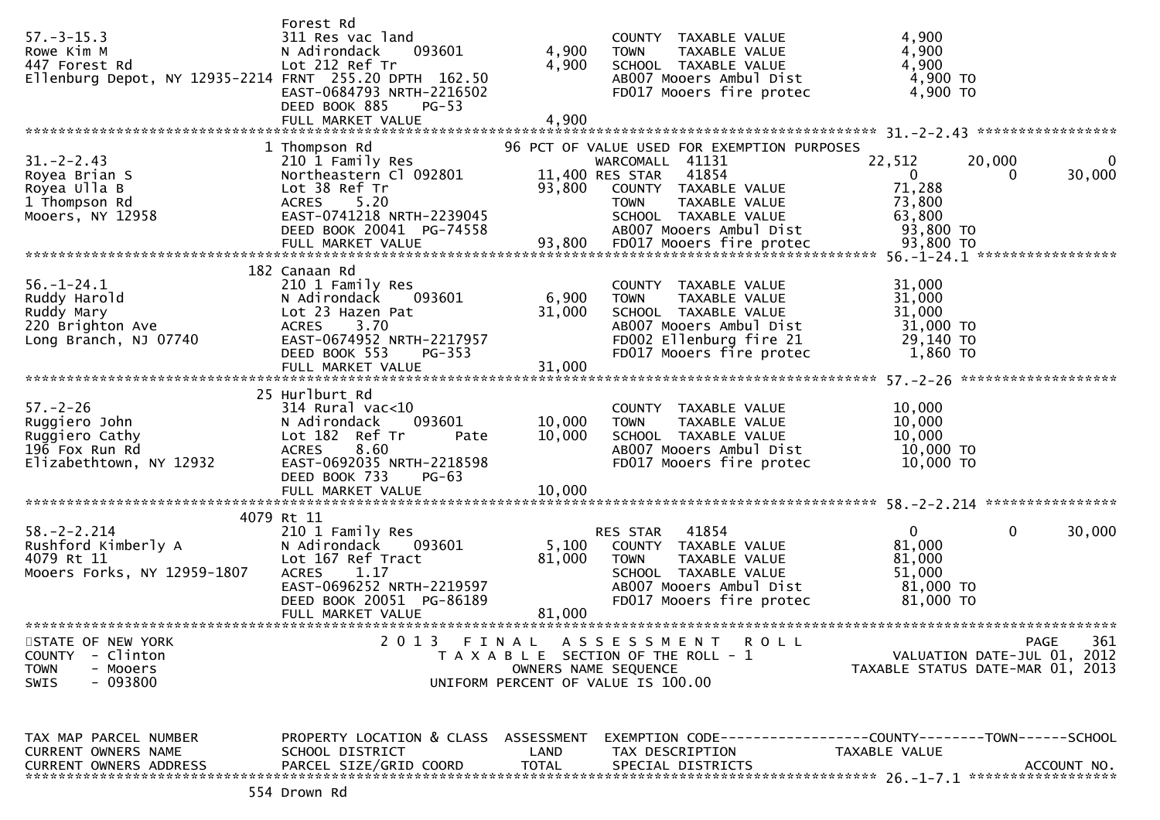| $57. - 3 - 15.3$<br>Rowe Kim M<br>447 Forest Rd<br>Ellenburg Depot, NY 12935-2214 FRNT 255.20 DPTH 162.50 | Forest Rd<br>311 Res vac land<br>N Adirondack<br>093601<br>Lot 212 Ref Tr<br>EAST-0684793 NRTH-2216502<br>DEED BOOK 885<br>$PG-53$<br>FULL MARKET VALUE                   | 4,900<br>4,900<br>4,900       | COUNTY TAXABLE VALUE<br>TAXABLE VALUE<br><b>TOWN</b><br>SCHOOL TAXABLE VALUE<br>AB007 Mooers Ambul Dist<br>FD017 Mooers fire protec                                                                   | 4,900<br>4,900<br>4,900<br>4,900 TO<br>4,900 TO                                                          |
|-----------------------------------------------------------------------------------------------------------|---------------------------------------------------------------------------------------------------------------------------------------------------------------------------|-------------------------------|-------------------------------------------------------------------------------------------------------------------------------------------------------------------------------------------------------|----------------------------------------------------------------------------------------------------------|
|                                                                                                           |                                                                                                                                                                           |                               |                                                                                                                                                                                                       |                                                                                                          |
| $31. -2 - 2.43$<br>Royea Brian S<br>Royea Ulla B<br>1 Thompson Rd<br>Mooers, NY 12958                     | 1 Thompson Rd<br>210 1 Family Res<br>Northeastern Cl 092801<br>Lot 38 Ref Tr<br>ACRES 5.20<br>EAST-0741218 NRTH-2239045<br>DEED BOOK 20041 PG-74558                       | 93,800                        | 96 PCT OF VALUE USED FOR EXEMPTION PURPOSES<br>WARCOMALL 41131<br>11,400 RES STAR<br>41854<br>COUNTY TAXABLE VALUE<br><b>TOWN</b><br>TAXABLE VALUE<br>SCHOOL TAXABLE VALUE<br>AB007 Mooers Ambul Dist | 22,512<br>20,000<br>0<br>30,000<br>$\overline{0}$<br>$\Omega$<br>71,288<br>73,800<br>63,800<br>93,800 TO |
|                                                                                                           | 182 Canaan Rd                                                                                                                                                             |                               |                                                                                                                                                                                                       |                                                                                                          |
| $56. - 1 - 24.1$<br>Ruddy Harold<br>Ruddy Mary<br>220 Brighton Ave<br>Long Branch, NJ 07740               | 210 1 Family Res<br>N Adirondack<br>093601<br>Lot 23 Hazen Pat<br>3.70<br><b>ACRES</b><br>EAST-0674952 NRTH-2217957<br>DEED BOOK 553<br><b>PG-353</b>                     | 6,900<br>31,000               | COUNTY TAXABLE VALUE<br>TAXABLE VALUE<br><b>TOWN</b><br>SCHOOL TAXABLE VALUE<br>AB007 Mooers Ambul Dist<br>FD002 Ellenburg fire 21<br>FD017 Mooers fire protec                                        | 31,000<br>31,000<br>31,000<br>31,000 TO<br>29,140 TO<br>1,860 то                                         |
|                                                                                                           |                                                                                                                                                                           |                               |                                                                                                                                                                                                       |                                                                                                          |
|                                                                                                           |                                                                                                                                                                           |                               |                                                                                                                                                                                                       |                                                                                                          |
| $57. - 2 - 26$<br>Ruggiero John<br>Ruggiero Cathy<br>196 Fox Run Rd<br>Elizabethtown, NY 12932            | 25 Hurlburt Rd<br>$314$ Rural vac<10<br>093601<br>N Adirondack<br>Lot 182 Ref Tr<br>Pate<br>8.60<br><b>ACRES</b><br>EAST-0692035 NRTH-2218598<br>DEED BOOK 733<br>$PG-63$ | 10,000<br>10,000              | COUNTY TAXABLE VALUE<br>TAXABLE VALUE<br><b>TOWN</b><br>SCHOOL TAXABLE VALUE<br>AB007 Mooers Ambul Dist<br>FD017 Mooers fire protec                                                                   | 10,000<br>10,000<br>10,000<br>10,000 TO<br>10,000 TO                                                     |
|                                                                                                           |                                                                                                                                                                           |                               |                                                                                                                                                                                                       |                                                                                                          |
|                                                                                                           |                                                                                                                                                                           |                               |                                                                                                                                                                                                       |                                                                                                          |
| $58. - 2 - 2.214$<br>Rushford Kimberly A<br>4079 Rt 11<br>4079 Rt 11<br>Mooers Forks, NY 12959-1807       | 4079 Rt 11<br>210 1 Family Res<br>N Adirondack<br>093601<br>Lot 167 Ref Tract<br>1.17<br><b>ACRES</b><br>EAST-0696252 NRTH-2219597<br>DEED BOOK 20051 PG-86189            | 5,100<br>81,000               | 41854<br>RES STAR<br>COUNTY TAXABLE VALUE<br><b>TOWN</b><br>TAXABLE VALUE<br>SCHOOL TAXABLE VALUE<br>AB007 Mooers Ambul Dist<br>FD017 Mooers fire protec                                              | $\mathbf{0}$<br>$\mathbf{0}$<br>30,000<br>81,000<br>81,000<br>51,000<br>81,000 TO<br>81,000 TO           |
|                                                                                                           | FULL MARKET VALUE                                                                                                                                                         | 81,000                        |                                                                                                                                                                                                       |                                                                                                          |
|                                                                                                           |                                                                                                                                                                           |                               |                                                                                                                                                                                                       |                                                                                                          |
| STATE OF NEW YORK<br><b>COUNTY</b><br>- Clinton<br><b>TOWN</b><br>- Mooers<br>$-093800$<br><b>SWIS</b>    | 2013                                                                                                                                                                      | FINAL<br>OWNERS NAME SEQUENCE | A S S E S S M E N T<br><b>ROLL</b><br>T A X A B L E SECTION OF THE ROLL - 1<br>UNIFORM PERCENT OF VALUE IS 100.00                                                                                     | 361<br><b>PAGE</b><br>VALUATION DATE-JUL 01, 2012<br>TAXABLE STATUS DATE-MAR 01, 2013                    |
| TAX MAP PARCEL NUMBER<br><b>CURRENT OWNERS NAME</b><br><b>CURRENT OWNERS ADDRESS</b>                      | PROPERTY LOCATION & CLASS ASSESSMENT<br>SCHOOL DISTRICT<br>PARCEL SIZE/GRID COORD                                                                                         | LAND<br><b>TOTAL</b>          | TAX DESCRIPTION<br>SPECIAL DISTRICTS                                                                                                                                                                  | EXEMPTION CODE-----------------COUNTY-------TOWN------SCHOOL<br>TAXABLE VALUE<br>ACCOUNT NO.             |
|                                                                                                           |                                                                                                                                                                           |                               |                                                                                                                                                                                                       |                                                                                                          |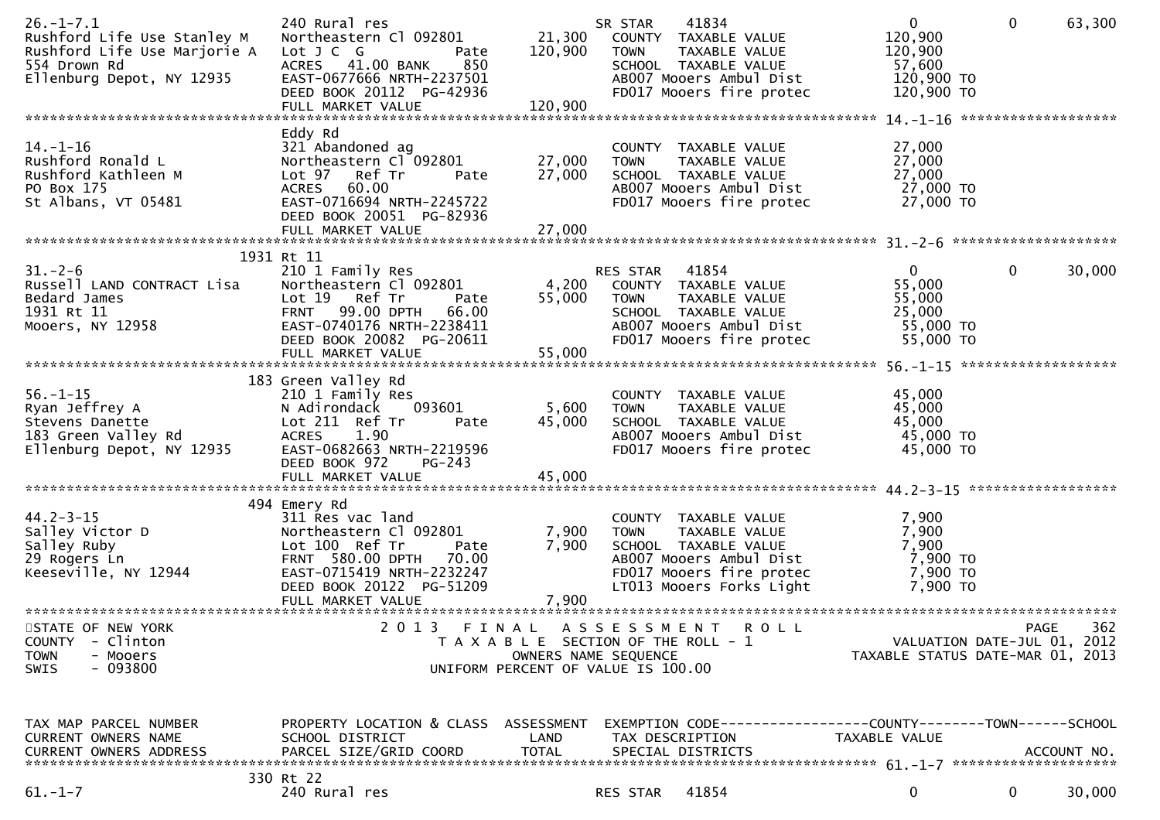| $26. - 1 - 7.1$<br>Rushford Life Use Stanley M<br>Rushford Life Use Marjorie A<br>554 Drown Rd<br>Ellenburg Depot, NY 12935 | 240 Rural res<br>Northeastern Cl 092801<br>Lot J C G<br>Pate<br>850<br>ACRES 41.00 BANK<br>EAST-0677666 NRTH-2237501<br>DEED BOOK 20112 PG-42936<br>FULL MARKET VALUE                                   | 21,300<br>120,900<br>120,900  | 41834<br>SR STAR<br>COUNTY TAXABLE VALUE<br><b>TOWN</b><br>TAXABLE VALUE<br>SCHOOL TAXABLE VALUE<br>AB007 Mooers Ambul Dist<br>FD017 Mooers fire protec         | $\mathbf 0$<br>120,900<br>120,900<br>57,600<br>120,900 TO<br>120,900 TO | $\mathbf{0}$                               | 63,300      |
|-----------------------------------------------------------------------------------------------------------------------------|---------------------------------------------------------------------------------------------------------------------------------------------------------------------------------------------------------|-------------------------------|-----------------------------------------------------------------------------------------------------------------------------------------------------------------|-------------------------------------------------------------------------|--------------------------------------------|-------------|
|                                                                                                                             |                                                                                                                                                                                                         |                               |                                                                                                                                                                 |                                                                         |                                            |             |
| 14. –1–16<br>Rushford Ronald L<br>Rushford Kathleen M<br>PO Box 175<br>St Albans, VT 05481                                  | Eddy Rd<br>321 Abandoned ag<br>Northeastern Cl 092801<br>Lot 97 Ref Tr<br>Pate<br>ACRES 60.00<br>EAST-0716694 NRTH-2245722<br>DEED BOOK 20051 PG-82936<br>FULL MARKET VALUE                             | 27,000<br>27,000<br>27,000    | COUNTY TAXABLE VALUE<br>TAXABLE VALUE<br><b>TOWN</b><br>SCHOOL TAXABLE VALUE<br>AB007 Mooers Ambul Dist<br>FD017 Mooers fire protec                             | 27,000<br>27,000<br>27,000<br>27,000 TO<br>27,000 TO                    |                                            |             |
|                                                                                                                             | 1931 Rt 11                                                                                                                                                                                              |                               |                                                                                                                                                                 |                                                                         |                                            |             |
| $31 - 2 - 6$<br>Russell LAND CONTRACT Lisa<br>Bedard James<br>1931 Rt 11<br>Mooers, NY 12958                                | 210 1 Family Res<br>Northeastern Cl 092801<br>Lot 19 Ref Tr<br>Pate<br><b>FRNT 99.00 DPTH</b><br>66.00<br>EAST-0740176 NRTH-2238411<br>DEED BOOK 20082 PG-20611                                         | 4,200<br>55,000               | RES STAR 41854<br>COUNTY TAXABLE VALUE<br><b>TOWN</b><br>TAXABLE VALUE<br>SCHOOL TAXABLE VALUE<br>AB007 Mooers Ambul Dist<br>FD017 Mooers fire protec           | $\mathbf{0}$<br>55,000<br>55,000<br>25,000<br>55,000 TO<br>55,000 TO    | $\mathbf{0}$                               | 30,000      |
|                                                                                                                             | FULL MARKET VALUE                                                                                                                                                                                       | 55,000                        |                                                                                                                                                                 |                                                                         |                                            |             |
| $56. - 1 - 15$<br>Ryan Jeffrey A<br>Stevens Danette<br>183 Green Valley Rd<br>Ellenburg Depot, NY 12935                     | 183 Green Valley Rd<br>210 1 Family Res<br>093601<br>N Adirondack<br>Lot 211 Ref Tr<br>Pate<br><b>ACRES</b><br>1.90<br>EAST-0682663 NRTH-2219596<br>DEED BOOK 972<br><b>PG-243</b><br>FULL MARKET VALUE | 5,600<br>45,000<br>45,000     | COUNTY TAXABLE VALUE<br><b>TOWN</b><br>TAXABLE VALUE<br>SCHOOL TAXABLE VALUE<br>AB007 Mooers Ambul Dist<br>FD017 Mooers fire protec                             | 45,000<br>45,000<br>45,000<br>45,000 TO<br>45,000 TO                    |                                            |             |
|                                                                                                                             | 494 Emery Rd                                                                                                                                                                                            |                               |                                                                                                                                                                 |                                                                         |                                            |             |
| $44.2 - 3 - 15$<br>Salley Victor D<br>Salley Ruby<br>29 Rogers Ln<br>Keeseville, NY 12944                                   | 311 Res vac land<br>Northeastern Cl 092801<br>Lot 100 Ref Tr<br>Pate<br>FRNT 580.00 DPTH 70.00<br>EAST-0715419 NRTH-2232247<br>DEED BOOK 20122 PG-51209<br>FULL MARKET VALUE                            | 7,900<br>7,900<br>7,900       | COUNTY TAXABLE VALUE<br>TAXABLE VALUE<br><b>TOWN</b><br>SCHOOL TAXABLE VALUE<br>AB007 Mooers Ambul Dist<br>FD017 Mooers fire protec<br>LT013 Mooers Forks Light | 7,900<br>7,900<br>7,900<br>7,900 TO<br>7,900 TO<br>7,900 TO             |                                            |             |
| STATE OF NEW YORK<br><b>COUNTY</b><br>- Clinton<br><b>TOWN</b><br>- Mooers<br>$-093800$<br><b>SWIS</b>                      | 2 0 1 3                                                                                                                                                                                                 | FINAL<br>OWNERS NAME SEQUENCE | A S S E S S M E N T<br>R O L L<br>T A X A B L E SECTION OF THE ROLL - 1<br>UNIFORM PERCENT OF VALUE IS 100.00                                                   | TAXABLE STATUS DATE-MAR 01, 2013                                        | <b>PAGE</b><br>VALUATION DATE-JUL 01, 2012 | 362         |
| TAX MAP PARCEL NUMBER<br>CURRENT OWNERS NAME<br><b>CURRENT OWNERS ADDRESS</b>                                               | PROPERTY LOCATION & CLASS ASSESSMENT<br>SCHOOL DISTRICT<br>PARCEL SIZE/GRID COORD                                                                                                                       | LAND<br><b>TOTAL</b>          | EXEMPTION        CODE-----------------COUNTY-------TOWN------SCHOOL<br>TAX DESCRIPTION<br>SPECIAL DISTRICTS                                                     | TAXABLE VALUE                                                           |                                            | ACCOUNT NO. |
| $61. - 1 - 7$                                                                                                               | 330 Rt 22<br>240 Rural res                                                                                                                                                                              |                               | 41854<br>RES STAR                                                                                                                                               | 0                                                                       | $\mathbf{0}$                               | 30,000      |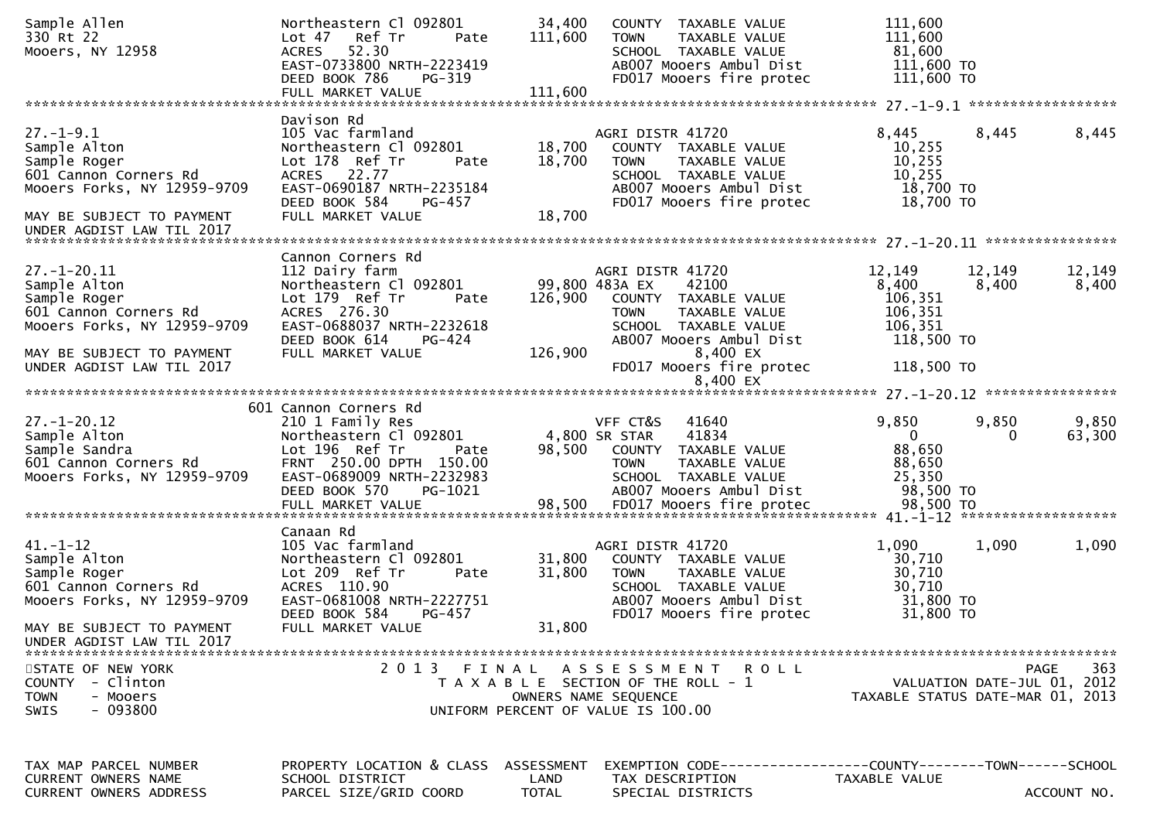| Sample Allen<br>330 Rt 22<br>Mooers, NY 12958 | Northeastern Cl 092801<br>Lot 47 Ref Tr<br>Pate<br>52.30<br><b>ACRES</b> | 34,400<br>111,600 | COUNTY TAXABLE VALUE<br><b>TOWN</b><br>TAXABLE VALUE<br>SCHOOL TAXABLE VALUE | 111,600<br>111,600<br>81,600     |          |                             |
|-----------------------------------------------|--------------------------------------------------------------------------|-------------------|------------------------------------------------------------------------------|----------------------------------|----------|-----------------------------|
|                                               | EAST-0733800 NRTH-2223419<br>DEED BOOK 786<br>PG-319                     |                   | AB007 Mooers Ambul Dist<br>FD017 Mooers fire protec                          | $111,600$ TO<br>111,600 TO       |          |                             |
|                                               | FULL MARKET VALUE                                                        | 111,600           |                                                                              |                                  |          |                             |
|                                               | Davison Rd                                                               |                   |                                                                              |                                  |          |                             |
| $27. - 1 - 9.1$                               | 105 Vac farmland                                                         |                   | AGRI DISTR 41720                                                             | 8,445                            | 8,445    | 8,445                       |
| Sample Alton<br>Sample Roger                  | Northeastern Cl 092801<br>Lot 178 Ref Tr<br>Pate                         | 18,700<br>18,700  | COUNTY TAXABLE VALUE<br>TAXABLE VALUE<br>TOWN                                | 10,255<br>10,255                 |          |                             |
| 601 Cannon Corners Rd                         | ACRES 22.77                                                              |                   | SCHOOL TAXABLE VALUE                                                         | 10,255                           |          |                             |
| Mooers Forks, NY 12959-9709                   | EAST-0690187 NRTH-2235184                                                |                   | AB007 Mooers Ambul Dist                                                      | 18,700 TO                        |          |                             |
|                                               | DEED BOOK 584<br>PG-457                                                  |                   | FD017 Mooers fire protec                                                     | 18,700 TO                        |          |                             |
| MAY BE SUBJECT TO PAYMENT                     | FULL MARKET VALUE                                                        | 18,700            |                                                                              |                                  |          |                             |
|                                               |                                                                          |                   |                                                                              |                                  |          |                             |
|                                               | Cannon Corners Rd                                                        |                   |                                                                              |                                  |          |                             |
| $27. - 1 - 20.11$                             | 112 Dairy farm                                                           |                   | AGRI DISTR 41720                                                             | 12,149                           | 12,149   | 12,149                      |
| Sample Alton                                  | Northeastern Cl 092801 99,800 483A EX                                    |                   | 42100                                                                        | 8,400                            | 8,400    | 8,400                       |
| Sample Roger<br>601 Cannon Corners Rd         | Lot 179 Ref Tr<br>Pate<br>ACRES 276.30                                   | 126,900           | COUNTY TAXABLE VALUE<br><b>TOWN</b><br>TAXABLE VALUE                         | 106,351<br>106,351               |          |                             |
| Mooers Forks, NY 12959-9709                   | EAST-0688037 NRTH-2232618                                                |                   | SCHOOL TAXABLE VALUE                                                         | 106,351                          |          |                             |
|                                               | DEED BOOK 614<br>PG-424                                                  |                   | AB007 Mooers Ambul Dist                                                      | 118,500 TO                       |          |                             |
| MAY BE SUBJECT TO PAYMENT                     | FULL MARKET VALUE                                                        | 126,900           | 8,400 EX                                                                     |                                  |          |                             |
| UNDER AGDIST LAW TIL 2017                     |                                                                          |                   | FD017 Mooers fire protec                                                     | 118,500 TO                       |          |                             |
|                                               |                                                                          |                   | 8,400 EX                                                                     |                                  |          |                             |
|                                               | 601 Cannon Corners Rd                                                    |                   |                                                                              |                                  |          |                             |
| $27. - 1 - 20.12$                             | 210 1 Family Res                                                         |                   | VFF CT&S<br>41640                                                            | 9,850                            | 9,850    | 9,850                       |
| Sample Alton                                  | Northeastern Cl 092801                                                   |                   | 4,800 SR STAR<br>41834                                                       | $\overline{0}$                   | $\Omega$ | 63,300                      |
| Sample Sandra                                 |                                                                          |                   | 98,500 COUNTY TAXABLE VALUE                                                  |                                  |          |                             |
|                                               | Lot 196 Ref Tr<br>Pate                                                   |                   |                                                                              | 88,650                           |          |                             |
| 601 Cannon Corners Rd                         | FRNT 250.00 DPTH 150.00                                                  |                   | <b>TOWN</b><br>TAXABLE VALUE                                                 | 88,650                           |          |                             |
| Mooers Forks, NY 12959-9709                   | EAST-0689009 NRTH-2232983                                                |                   | SCHOOL TAXABLE VALUE                                                         | 25,350                           |          |                             |
|                                               | DEED BOOK 570<br>PG-1021                                                 |                   | AB007 Mooers Ambul Dist                                                      | 98,500 TO                        |          |                             |
|                                               |                                                                          |                   |                                                                              |                                  |          |                             |
|                                               | Canaan Rd                                                                |                   |                                                                              |                                  |          |                             |
| $41. - 1 - 12$                                | 105 Vac farmland                                                         |                   | AGRI DISTR 41720                                                             | 1,090                            | 1,090    | 1,090                       |
| Sample Alton<br>Sample Roger                  | Northeastern Cl 092801<br>Lot 209 Ref Tr<br>Pate                         | 31,800<br>31,800  | COUNTY TAXABLE VALUE<br>TAXABLE VALUE<br><b>TOWN</b>                         | 30,710<br>30,710                 |          |                             |
| 601 Cannon Corners Rd                         | ACRES 110.90                                                             |                   | SCHOOL TAXABLE VALUE                                                         | 30,710                           |          |                             |
| Mooers Forks, NY 12959-9709                   | EAST-0681008 NRTH-2227751                                                |                   | AB007 Mooers Ambul Dist                                                      | 31,800 TO                        |          |                             |
|                                               | DEED BOOK 584<br>PG-457                                                  |                   | FD017 Mooers fire protec                                                     | 31,800 TO                        |          |                             |
| MAY BE SUBJECT TO PAYMENT                     | FULL MARKET VALUE                                                        | 31,800            |                                                                              |                                  |          |                             |
| UNDER AGDIST LAW TIL 2017                     |                                                                          |                   |                                                                              |                                  |          |                             |
| STATE OF NEW YORK                             |                                                                          |                   | 2013 FINAL ASSESSMENT ROLL                                                   |                                  |          | 363<br>PAGE                 |
| <b>COUNTY</b><br>- Clinton                    |                                                                          |                   | T A X A B L E SECTION OF THE ROLL - 1                                        |                                  |          | VALUATION DATE-JUL 01, 2012 |
| <b>TOWN</b><br>- Mooers                       |                                                                          |                   | OWNERS NAME SEQUENCE                                                         | TAXABLE STATUS DATE-MAR 01, 2013 |          |                             |
| $-093800$<br>SWIS                             |                                                                          |                   | UNIFORM PERCENT OF VALUE IS 100.00                                           |                                  |          |                             |
|                                               |                                                                          |                   |                                                                              |                                  |          |                             |
|                                               |                                                                          |                   |                                                                              |                                  |          |                             |
| TAX MAP PARCEL NUMBER<br>CURRENT OWNERS NAME  | PROPERTY LOCATION & CLASS ASSESSMENT<br>SCHOOL DISTRICT                  | LAND              | TAX DESCRIPTION<br>SPECIAL DISTRICTS                                         | TAXABLE VALUE                    |          |                             |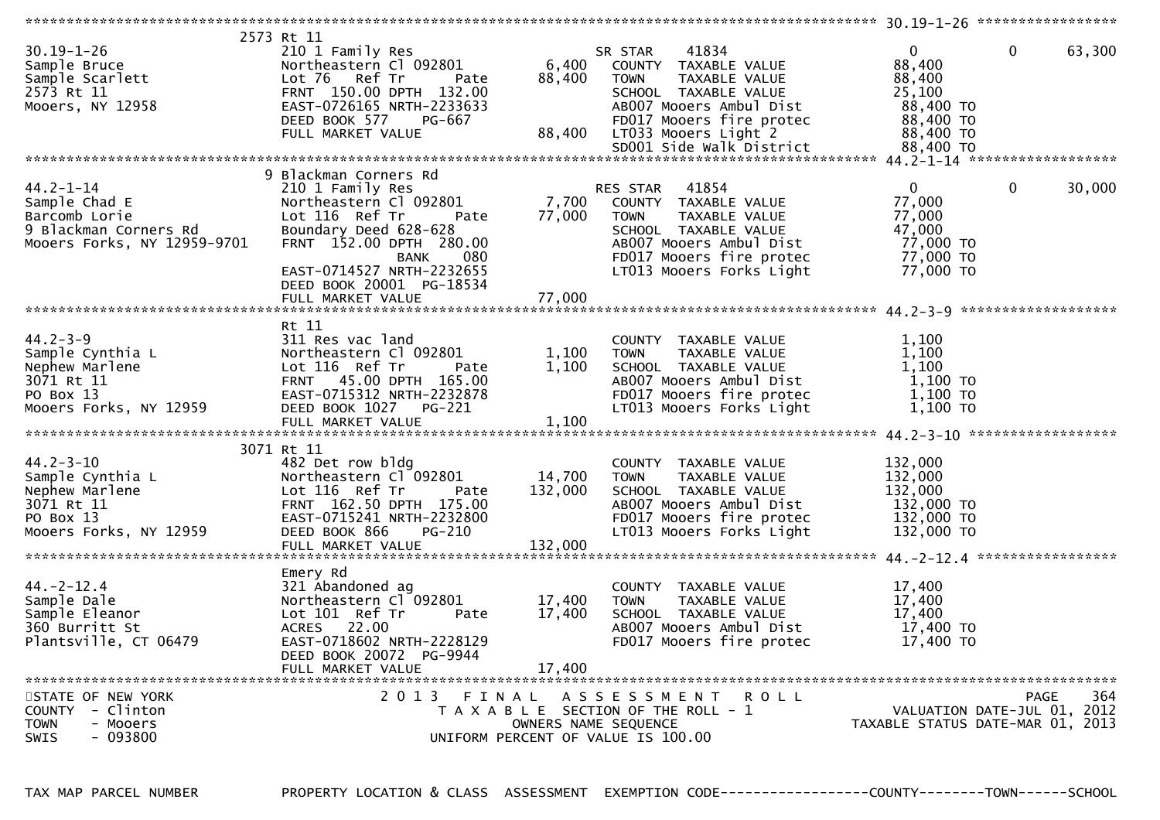|                             | 2573 Rt 11                |         |                                       |                                  |        |
|-----------------------------|---------------------------|---------|---------------------------------------|----------------------------------|--------|
| $30.19 - 1 - 26$            | 210 1 Family Res          |         | 41834<br>SR STAR                      | $\mathbf 0$<br>$\overline{0}$    | 63,300 |
| Sample Bruce                | Northeastern Cl 092801    | 6,400   | COUNTY TAXABLE VALUE                  | 88,400                           |        |
|                             |                           |         |                                       |                                  |        |
| Sample Scarlett             | Lot 76<br>Ref Tr<br>Pate  | 88,400  | <b>TOWN</b><br>TAXABLE VALUE          | 88,400                           |        |
| 2573 Rt 11                  | FRNT 150.00 DPTH 132.00   |         | SCHOOL TAXABLE VALUE                  | 25,100                           |        |
| Mooers, NY 12958            | EAST-0726165 NRTH-2233633 |         | AB007 Mooers Ambul Dist               | 88,400 TO                        |        |
|                             | DEED BOOK 577<br>PG-667   |         | FD017 Mooers fire protec              | 88,400 TO                        |        |
|                             |                           |         |                                       |                                  |        |
|                             | FULL MARKET VALUE         | 88,400  | LT033 Mooers Light 2                  | 88,400 TO                        |        |
|                             |                           |         | SD001 Side Walk District              | 88,400 TO                        |        |
|                             |                           |         |                                       |                                  |        |
|                             | 9 Blackman Corners Rd     |         |                                       |                                  |        |
|                             |                           |         |                                       |                                  |        |
| $44.2 - 1 - 14$             | 210 1 Family Res          |         | 41854<br>RES STAR                     | $\mathbf 0$<br>$\mathbf{0}$      | 30,000 |
| Sample Chad E               | Northeastern Cl 092801    | 7,700   | COUNTY TAXABLE VALUE                  | 77,000                           |        |
| Barcomb Lorie               | Lot 116 Ref Tr<br>Pate    | 77,000  | TOWN<br>TAXABLE VALUE                 | 77,000                           |        |
| 9 Blackman Corners Rd       | Boundary Deed 628-628     |         | SCHOOL TAXABLE VALUE                  | 47,000                           |        |
|                             | FRNT 152.00 DPTH 280.00   |         |                                       |                                  |        |
| Mooers Forks, NY 12959-9701 |                           |         | AB007 Mooers Ambul Dist               | 77,000 TO                        |        |
|                             | 080<br><b>BANK</b>        |         | FD017 Mooers fire protec              | 77,000 TO                        |        |
|                             | EAST-0714527 NRTH-2232655 |         | LT013 Mooers Forks Light              | 77,000 TO                        |        |
|                             | DEED BOOK 20001 PG-18534  |         |                                       |                                  |        |
|                             |                           |         |                                       |                                  |        |
|                             |                           |         |                                       |                                  |        |
|                             |                           |         |                                       |                                  |        |
|                             | Rt 11                     |         |                                       |                                  |        |
| $44.2 - 3 - 9$              | 311 Res vac land          |         | COUNTY TAXABLE VALUE                  | 1,100                            |        |
| Sample Cynthia L            | Northeastern Cl 092801    | 1,100   | TAXABLE VALUE<br><b>TOWN</b>          | 1,100                            |        |
|                             |                           |         |                                       |                                  |        |
| Nephew Marlene              | Lot 116 Ref Tr<br>Pate    | 1,100   | SCHOOL TAXABLE VALUE                  | 1,100                            |        |
| 3071 Rt 11                  | FRNT 45.00 DPTH 165.00    |         | AB007 Mooers Ambul Dist               | 1,100 TO                         |        |
| PO Box 13                   | EAST-0715312 NRTH-2232878 |         | FD017 Mooers fire protec              | 1,100 TO                         |        |
| Mooers Forks, NY 12959      | DEED BOOK 1027 PG-221     |         | LT013 Mooers Forks Light              | $1,100$ TO                       |        |
|                             |                           |         |                                       |                                  |        |
|                             | FULL MARKET VALUE         | 1,100   |                                       |                                  |        |
|                             |                           |         |                                       |                                  |        |
|                             | 3071 Rt 11                |         |                                       |                                  |        |
| $44.2 - 3 - 10$             | 482 Det row bldg          |         | COUNTY TAXABLE VALUE                  | 132,000                          |        |
| Sample Cynthia L            | Northeastern Cl 092801    | 14,700  | TAXABLE VALUE<br><b>TOWN</b>          | 132,000                          |        |
|                             |                           |         |                                       |                                  |        |
| Nephew Marlene              | Lot 116 Ref Tr<br>Pate    | 132,000 | SCHOOL TAXABLE VALUE                  | 132,000                          |        |
| 3071 Rt 11                  | FRNT 162.50 DPTH 175.00   |         | AB007 Mooers Ambul Dist               | 132,000 TO                       |        |
| PO Box 13                   | EAST-0715241 NRTH-2232800 |         | FD017 Mooers fire protec              | 132,000 TO                       |        |
| Mooers Forks, NY 12959      | DEED BOOK 866<br>PG-210   |         | LT013 Mooers Forks Light              | 132,000 TO                       |        |
|                             |                           |         |                                       |                                  |        |
|                             | FULL MARKET VALUE         | 132,000 |                                       |                                  |        |
|                             |                           |         |                                       | *****************                |        |
|                             | Emery Rd                  |         |                                       |                                  |        |
| $44. -2 - 12.4$             | 321 Abandoned ag          |         | COUNTY TAXABLE VALUE                  | 17,400                           |        |
| Sample Dale                 | Northeastern Cl 092801    | 17,400  | <b>TOWN</b><br>TAXABLE VALUE          | 17,400                           |        |
|                             |                           |         |                                       |                                  |        |
|                             |                           |         |                                       |                                  |        |
| Sample Eleanor              | Lot 101 Ref Tr<br>Pate    | 17,400  | SCHOOL TAXABLE VALUE                  | 17,400                           |        |
| 360 Burritt St              | ACRES 22.00               |         | AB007 Mooers Ambul Dist               | 17,400 TO                        |        |
|                             |                           |         |                                       |                                  |        |
| Plantsville, CT 06479       | EAST-0718602 NRTH-2228129 |         | FD017 Mooers fire protec              | 17,400 TO                        |        |
|                             | DEED BOOK 20072 PG-9944   |         |                                       |                                  |        |
|                             | FULL MARKET VALUE         | 17,400  |                                       |                                  |        |
|                             |                           |         |                                       |                                  |        |
| STATE OF NEW YORK           |                           |         |                                       | <b>PAGE</b>                      |        |
|                             |                           |         | 2013 FINAL ASSESSMENT ROLL            |                                  | 364    |
| COUNTY - Clinton            |                           |         | T A X A B L E SECTION OF THE ROLL - 1 | VALUATION DATE-JUL 01, 2012      |        |
| <b>TOWN</b><br>- Mooers     |                           |         | OWNERS NAME SEQUENCE                  | TAXABLE STATUS DATE-MAR 01, 2013 |        |
| $-093800$<br>SWIS           |                           |         | UNIFORM PERCENT OF VALUE IS 100.00    |                                  |        |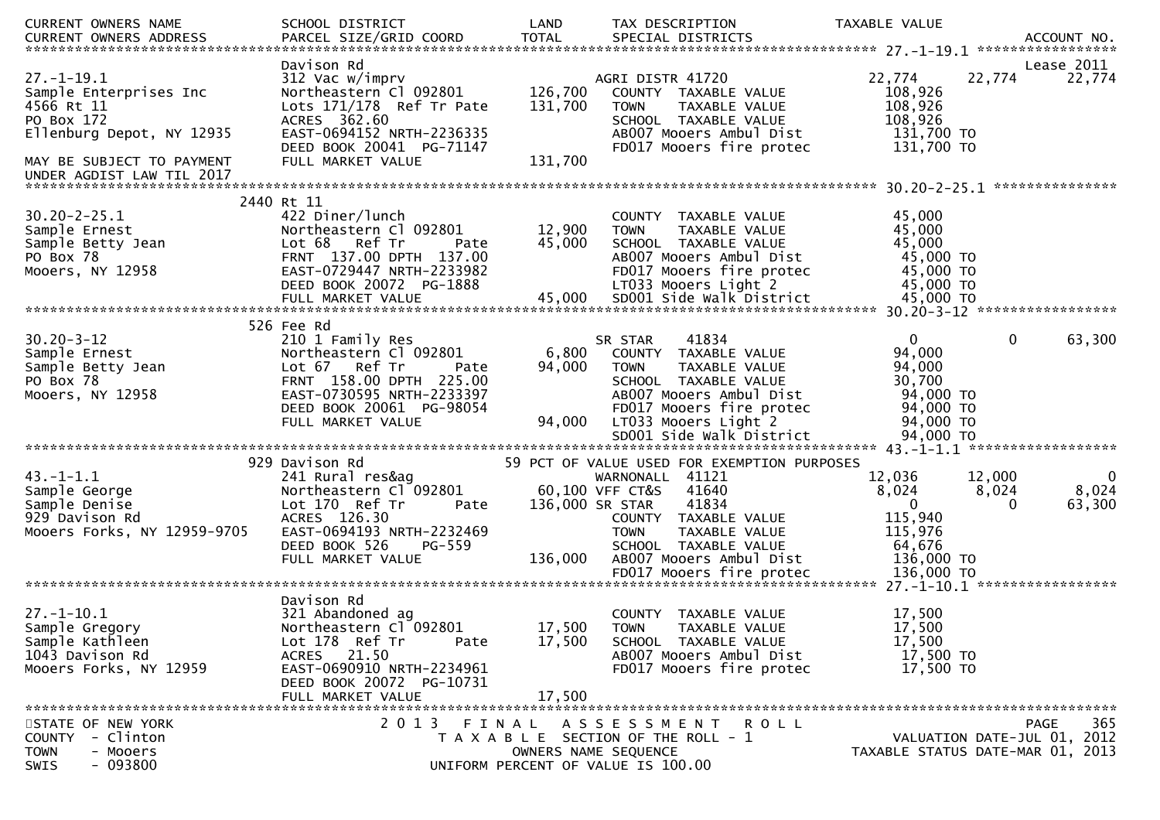| CURRENT OWNERS NAME         | SCHOOL DISTRICT                     | LAND         | TAX DESCRIPTION                             | TAXABLE VALUE |                                  |
|-----------------------------|-------------------------------------|--------------|---------------------------------------------|---------------|----------------------------------|
| CURRENT OWNERS ADDRESS      | PARCEL SIZE/GRID COORD              | <b>TOTAL</b> | SPECIAL DISTRICTS                           |               | ACCOUNT NO.                      |
|                             |                                     |              |                                             |               | *****************                |
|                             | Davison Rd                          |              |                                             |               | Lease 2011                       |
| $27. - 1 - 19.1$            | 312 Vac w/imprv                     |              | AGRI DISTR 41720                            | 22,774        | 22,774<br>22,774                 |
| Sample Enterprises Inc      | Northeastern Cl 092801              | 126,700      | COUNTY TAXABLE VALUE                        | 108,926       |                                  |
| 4566 Rt 11                  | Lots 171/178 Ref Tr Pate            | 131,700      | <b>TOWN</b><br>TAXABLE VALUE                | 108,926       |                                  |
| PO Box 172                  | ACRES 362.60                        |              | SCHOOL TAXABLE VALUE                        | 108,926       |                                  |
| Ellenburg Depot, NY 12935   | EAST-0694152 NRTH-2236335           |              | AB007 Mooers Ambul Dist                     | 131,700 TO    |                                  |
|                             | DEED BOOK 20041 PG-71147            |              | FD017 Mooers fire protec                    | 131,700 TO    |                                  |
| MAY BE SUBJECT TO PAYMENT   | FULL MARKET VALUE                   | 131,700      |                                             |               |                                  |
| UNDER AGDIST LAW TIL 2017   |                                     |              |                                             |               | ****************                 |
|                             | 2440 Rt 11                          |              |                                             |               |                                  |
| $30.20 - 2 - 25.1$          | 422 Diner/lunch                     |              | COUNTY TAXABLE VALUE                        | 45,000        |                                  |
| Sample Ernest               | Northeastern Cl 092801              | 12,900       | TAXABLE VALUE<br><b>TOWN</b>                | 45,000        |                                  |
| Sample Betty Jean           | Lot 68<br>Ref Tr<br>Pate            | 45,000       | SCHOOL TAXABLE VALUE                        | 45,000        |                                  |
| PO Box 78                   | FRNT 137.00 DPTH 137.00             |              | AB007 Mooers Ambul Dist                     | 45,000 TO     |                                  |
| Mooers, NY 12958            | EAST-0729447 NRTH-2233982           |              | FD017 Mooers fire protec                    | 45,000 TO     |                                  |
|                             | DEED BOOK 20072 PG-1888             |              | LT033 Mooers Light 2                        | 45,000 TO     |                                  |
|                             |                                     |              |                                             |               |                                  |
|                             |                                     |              |                                             |               |                                  |
|                             | 526 Fee Rd                          |              |                                             |               |                                  |
| $30.20 - 3 - 12$            | 210 1 Family Res                    |              | 41834<br>SR STAR                            | 0             | 0<br>63,300                      |
| Sample Ernest               | Northeastern Cl 092801              | 6,800        | COUNTY TAXABLE VALUE                        | 94,000        |                                  |
| Sample Betty Jean           | Lot 67 Ref Tr<br>Pate               | 94,000       | TAXABLE VALUE<br><b>TOWN</b>                | 94,000        |                                  |
| PO Box 78                   | FRNT 158.00 DPTH 225.00             |              | SCHOOL TAXABLE VALUE                        | 30,700        |                                  |
| Mooers, NY 12958            | EAST-0730595 NRTH-2233397           |              | AB007 Mooers Ambul Dist                     | 94,000 TO     |                                  |
|                             | DEED BOOK 20061 PG-98054            |              | FD017 Mooers fire protec                    | 94,000 TO     |                                  |
|                             | FULL MARKET VALUE                   | 94,000       | LT033 Mooers Light 2                        | 94,000 TO     |                                  |
|                             |                                     |              | SD001 Side Walk District                    | 94,000 TO     |                                  |
|                             |                                     |              |                                             |               |                                  |
|                             | 929 Davison Rd                      |              | 59 PCT OF VALUE USED FOR EXEMPTION PURPOSES |               |                                  |
| $43. -1 - 1.1$              | 241 Rural res&ag                    |              | WARNONALL 41121                             | 12,036        | 12,000<br><b>O</b>               |
| Sample George               | Northeastern Cl 092801              |              | 60,100 VFF CT&S<br>41640                    | 8,024         | 8,024<br>8,024                   |
| Sample Denise               | Lot 170 Ref Tr<br>Pate              |              | 136,000 SR STAR<br>41834                    | $\mathbf{0}$  | 63,300<br>0                      |
| 929 Davison Rd              | ACRES 126.30                        |              | COUNTY TAXABLE VALUE                        | 115,940       |                                  |
| Mooers Forks, NY 12959-9705 | EAST-0694193 NRTH-2232469           |              | <b>TOWN</b><br>TAXABLE VALUE                | 115,976       |                                  |
|                             | DEED BOOK 526<br>$PG-559$           |              | SCHOOL TAXABLE VALUE                        | 64,676        |                                  |
|                             | FULL MARKET VALUE                   | 136,000      | AB007 Mooers Ambul Dist                     | 136,000 TO    |                                  |
|                             |                                     |              |                                             |               |                                  |
|                             |                                     |              |                                             |               |                                  |
|                             | Davison Rd                          |              |                                             |               |                                  |
| $27. - 1 - 10.1$            | 321 Abandoned ag                    |              | <b>COUNTY</b><br>TAXABLE VALUE              | 17,500        |                                  |
| Sample Gregory              | Northeastern Cl <sup>-</sup> 092801 | 17,500       | <b>TOWN</b><br><b>TAXABLE VALUE</b>         | 17,500        |                                  |
| Sample Kathleen             | Lot 178 Ref Tr<br>Pate              | 17,500       | SCHOOL TAXABLE VALUE                        | 17,500        |                                  |
| 1043 Davison Rd             | ACRES 21.50                         |              | AB007 Mooers Ambul Dist                     | 17,500 TO     |                                  |
| Mooers Forks, NY 12959      | EAST-0690910 NRTH-2234961           |              | FD017 Mooers fire protec                    | 17,500 TO     |                                  |
|                             | DEED BOOK 20072 PG-10731            |              |                                             |               |                                  |
|                             | FULL MARKET VALUE                   | 17,500       |                                             |               |                                  |
|                             |                                     |              |                                             |               |                                  |
| STATE OF NEW YORK           | 2 0 1 3                             |              | FINAL ASSESSMENT<br>R O L L                 |               | 365<br><b>PAGE</b>               |
| - Clinton<br><b>COUNTY</b>  |                                     |              | T A X A B L E SECTION OF THE ROLL - 1       |               | VALUATION DATE-JUL 01, 2012      |
| <b>TOWN</b><br>- Mooers     |                                     |              | OWNERS NAME SEQUENCE                        |               | TAXABLE STATUS DATE-MAR 01, 2013 |
| $-093800$<br>SWIS           |                                     |              | UNIFORM PERCENT OF VALUE IS 100.00          |               |                                  |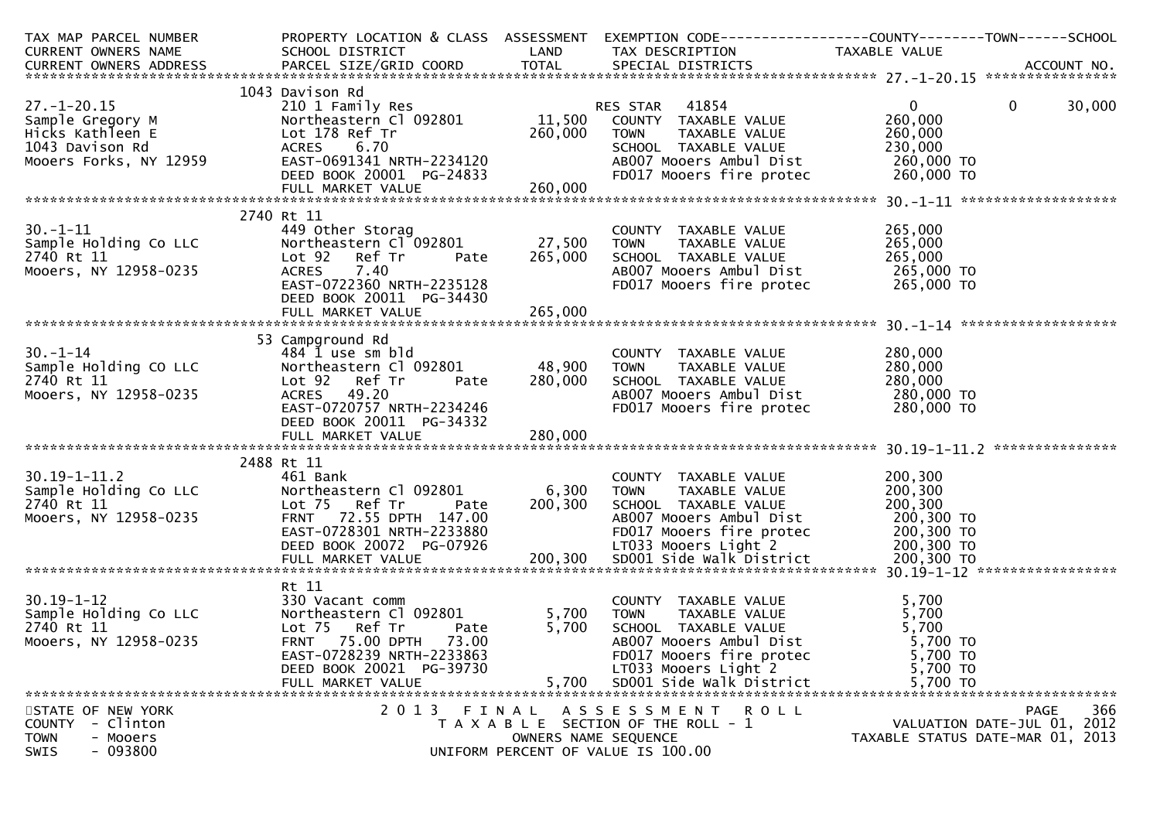| TAX MAP PARCEL NUMBER                                                                                                                                                                                                                             |                                                           |                      | PROPERTY LOCATION & CLASS ASSESSMENT EXEMPTION CODE----------------COUNTY-------TOWN------SCHOOL                             |                    |                                  |
|---------------------------------------------------------------------------------------------------------------------------------------------------------------------------------------------------------------------------------------------------|-----------------------------------------------------------|----------------------|------------------------------------------------------------------------------------------------------------------------------|--------------------|----------------------------------|
| CURRENT OWNERS NAME                                                                                                                                                                                                                               | SCHOOL DISTRICT LAND                                      |                      | TAX DESCRIPTION TAXABLE VALUE                                                                                                |                    |                                  |
|                                                                                                                                                                                                                                                   |                                                           |                      |                                                                                                                              |                    |                                  |
|                                                                                                                                                                                                                                                   |                                                           |                      |                                                                                                                              |                    |                                  |
|                                                                                                                                                                                                                                                   | 1043 Davison Rd                                           |                      |                                                                                                                              |                    |                                  |
| $27. - 1 - 20.15$                                                                                                                                                                                                                                 |                                                           |                      |                                                                                                                              | $\overline{0}$     | $\overline{0}$<br>30,000         |
|                                                                                                                                                                                                                                                   |                                                           |                      |                                                                                                                              | 260,000            |                                  |
|                                                                                                                                                                                                                                                   |                                                           |                      |                                                                                                                              |                    |                                  |
| 27.-1-20.15<br>Sample Gregory M<br>Hicks Kathleen E<br>1043 Davison Rd<br>Mooers Forks, NY 12959                                                                                                                                                  |                                                           |                      |                                                                                                                              |                    |                                  |
|                                                                                                                                                                                                                                                   |                                                           |                      |                                                                                                                              |                    |                                  |
|                                                                                                                                                                                                                                                   |                                                           |                      |                                                                                                                              |                    |                                  |
| Sample Gregory M<br>Hicks Kathleen E<br>1043 Davison Rd<br>Mooers Forks, NY 12959 EAST-0691341 NRTH-2234120<br>EED BOOK 20001 PG-24833 PD017 Mooers fire protec 260,000 TO<br>FULL MARKET VALUE<br>260,000<br>260,000<br>260,000<br>260,000<br>26 |                                                           |                      |                                                                                                                              |                    |                                  |
|                                                                                                                                                                                                                                                   |                                                           |                      |                                                                                                                              |                    |                                  |
|                                                                                                                                                                                                                                                   | 2740 Rt 11                                                |                      |                                                                                                                              |                    |                                  |
| 30.-1-11<br>Sample Holding Co LLC<br>2740 Rt 11<br>Mooers, NY 12958-0235                                                                                                                                                                          | 449 Other Storag<br>Northeastern Cl 092801 27,500 TOWN    |                      | COUNTY TAXABLE VALUE                                                                                                         | 265,000            |                                  |
|                                                                                                                                                                                                                                                   |                                                           |                      | TAXABLE VALUE                                                                                                                | 265,000            |                                  |
|                                                                                                                                                                                                                                                   | Lot 92<br>Ref Tr                                          |                      | Pate 265,000 SCHOOL TAXABLE VALUE                                                                                            | 265,000            |                                  |
|                                                                                                                                                                                                                                                   | <b>ACRES</b><br>7.40                                      |                      |                                                                                                                              |                    |                                  |
|                                                                                                                                                                                                                                                   | EAST-0722360 NRTH-2235128                                 |                      |                                                                                                                              |                    |                                  |
|                                                                                                                                                                                                                                                   | DEED BOOK 20011 PG-34430                                  |                      |                                                                                                                              |                    |                                  |
|                                                                                                                                                                                                                                                   |                                                           |                      |                                                                                                                              |                    |                                  |
|                                                                                                                                                                                                                                                   |                                                           |                      |                                                                                                                              |                    |                                  |
|                                                                                                                                                                                                                                                   | 53 Campground Rd                                          |                      |                                                                                                                              |                    |                                  |
|                                                                                                                                                                                                                                                   |                                                           |                      | COUNTY TAXABLE VALUE 280,000                                                                                                 |                    |                                  |
|                                                                                                                                                                                                                                                   |                                                           |                      | TAXABLE VALUE 280,000                                                                                                        |                    |                                  |
|                                                                                                                                                                                                                                                   |                                                           |                      |                                                                                                                              |                    |                                  |
| 30.-1-14 2740 EXECUTE 100 2801 MOREO 1000 2801<br>2740 Rt 11 2740 Rt 11 2958-0235 ACRES 49 20 280 280,000 SCHOO                                                                                                                                   | ACRES 49.20<br>EAST-0720757 NRTH-2234246                  |                      | Pate 280,000 SCHOOL TAXABLE VALUE 280,000<br>ABOO7 Mooers Ambul Dist 280,000 TO<br>34246 FDO17 Mooers fire protec 280,000 TO |                    |                                  |
|                                                                                                                                                                                                                                                   |                                                           |                      |                                                                                                                              |                    |                                  |
|                                                                                                                                                                                                                                                   | DEED BOOK 20011 PG-34332                                  | 280,000              |                                                                                                                              |                    |                                  |
|                                                                                                                                                                                                                                                   |                                                           |                      |                                                                                                                              |                    |                                  |
|                                                                                                                                                                                                                                                   |                                                           |                      |                                                                                                                              |                    |                                  |
| 2488<br>30.19-1-11.2<br>Sample Holding Co LLC<br>2740 Rt 11<br>Mooers, NY 12958-0235                                                                                                                                                              | 2488 Rt 11                                                |                      |                                                                                                                              |                    |                                  |
|                                                                                                                                                                                                                                                   | COUNT 461 Bank<br>Northeastern Cl 092801      6,300  TOWN |                      | COUNTY TAXABLE VALUE                                                                                                         | 200,300            |                                  |
|                                                                                                                                                                                                                                                   |                                                           |                      | TAXABLE VALUE<br>200,300 SCHOOL TAXABLE VALUE                                                                                | 200,300<br>200,300 |                                  |
|                                                                                                                                                                                                                                                   | Lot 75 Ref Tr<br>Pate                                     |                      |                                                                                                                              |                    |                                  |
|                                                                                                                                                                                                                                                   |                                                           |                      |                                                                                                                              |                    |                                  |
|                                                                                                                                                                                                                                                   |                                                           |                      |                                                                                                                              |                    |                                  |
|                                                                                                                                                                                                                                                   |                                                           |                      |                                                                                                                              |                    |                                  |
| Mooers, NY 12958-0235 FRNT 72.55 DPTH 147.00<br>EAST-0728301 NRTH-2233880 FD017 Mooers fire protec 200,300 TO<br>DEED BOOK 20072 PG-07926 1T033 Mooers Light 2 200,300 TO<br>FULL MARKET VALUE 200,300 5D001 Side Walk District 200,300           |                                                           |                      |                                                                                                                              |                    |                                  |
|                                                                                                                                                                                                                                                   | Rt 11                                                     |                      |                                                                                                                              |                    |                                  |
| 30.19-1-12<br>Sample Holding Co LLC<br>2740 Rt 11<br>Mooers, NY 12958-0235                                                                                                                                                                        | 330 Vacant comm                                           |                      | COUNTY TAXABLE VALUE                                                                                                         | 5,700              |                                  |
|                                                                                                                                                                                                                                                   | Northeastern Cl 092801                                    | 5,700                | TAXABLE VALUE<br><b>TOWN</b>                                                                                                 | 5,700              |                                  |
|                                                                                                                                                                                                                                                   | Lot 75 Ref Tr<br>Pate                                     | 5,700                | SCHOOL TAXABLE VALUE                                                                                                         | 5,700              |                                  |
|                                                                                                                                                                                                                                                   | <b>FRNT 75.00 DPTH</b><br>73.00                           |                      | AB007 Mooers Ambul Dist                                                                                                      | 5,700 TO           |                                  |
|                                                                                                                                                                                                                                                   | EAST-0728239 NRTH-2233863                                 |                      | FD017 Mooers fire protec                                                                                                     | 5,700 TO           |                                  |
|                                                                                                                                                                                                                                                   | DEED BOOK 20021 PG-39730                                  |                      | LT033 Mooers Light 2                                                                                                         | 5,700 TO           |                                  |
|                                                                                                                                                                                                                                                   | FULL MARKET VALUE                                         | 5,700                | SD001 Side Walk District                                                                                                     | 5,700 TO           |                                  |
|                                                                                                                                                                                                                                                   |                                                           |                      |                                                                                                                              |                    |                                  |
| STATE OF NEW YORK                                                                                                                                                                                                                                 |                                                           |                      | 2013 FINAL ASSESSMENT ROLL                                                                                                   |                    | 366<br>PAGE                      |
| COUNTY - Clinton                                                                                                                                                                                                                                  |                                                           |                      | T A X A B L E SECTION OF THE ROLL - 1                                                                                        |                    | VALUATION DATE-JUL 01, 2012      |
| <b>TOWN</b><br>- Mooers                                                                                                                                                                                                                           |                                                           | OWNERS NAME SEQUENCE |                                                                                                                              |                    | TAXABLE STATUS DATE-MAR 01, 2013 |
| $-093800$<br>SWIS                                                                                                                                                                                                                                 |                                                           |                      | UNIFORM PERCENT OF VALUE IS 100.00                                                                                           |                    |                                  |
|                                                                                                                                                                                                                                                   |                                                           |                      |                                                                                                                              |                    |                                  |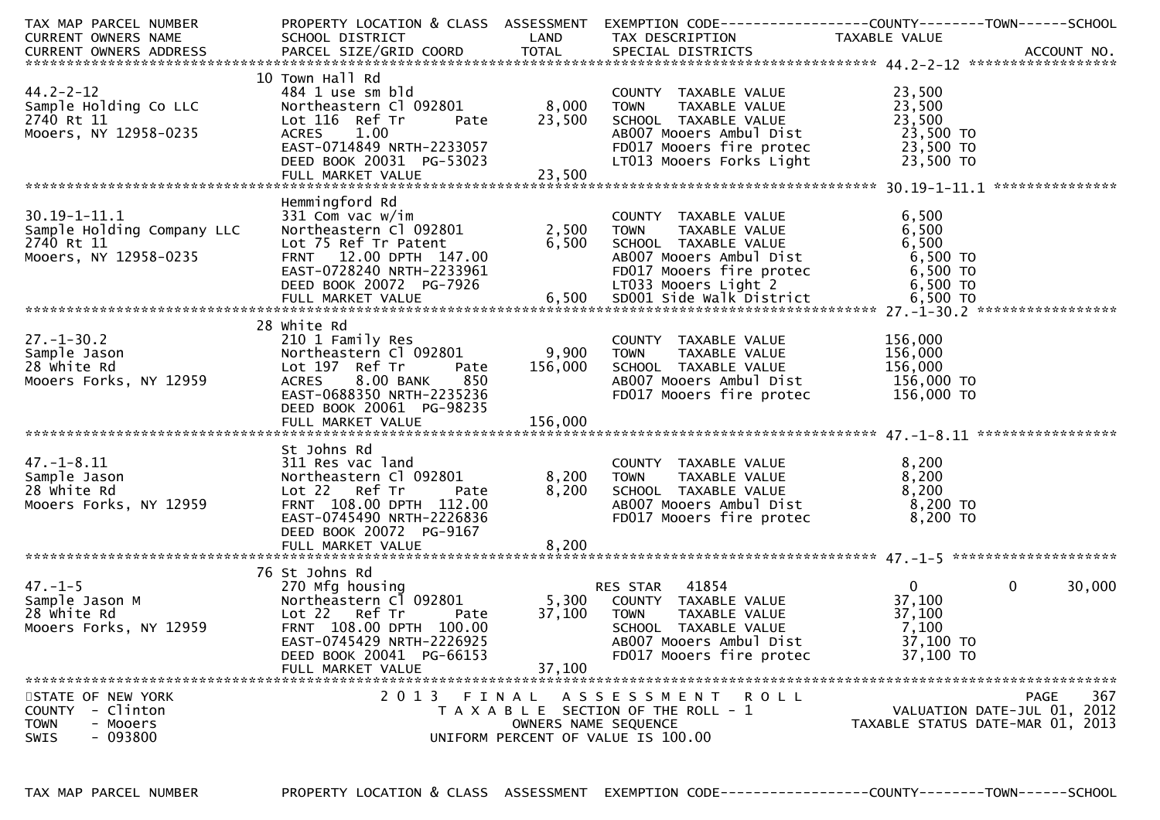| TAX MAP PARCEL NUMBER<br>CURRENT OWNERS NAME                                                                                                                                                                                                                                                                     | PROPERTY LOCATION & CLASS ASSESSMENT<br><b>Example 12 DE LAND</b><br>SCHOOL DISTRICT                                                                                                          |                                    | EXEMPTION CODE-----------------COUNTY-------TOWN------SCHOOL<br>TAX DESCRIPTION                                                                                 | TAXABLE VALUE                                                       |                                            |
|------------------------------------------------------------------------------------------------------------------------------------------------------------------------------------------------------------------------------------------------------------------------------------------------------------------|-----------------------------------------------------------------------------------------------------------------------------------------------------------------------------------------------|------------------------------------|-----------------------------------------------------------------------------------------------------------------------------------------------------------------|---------------------------------------------------------------------|--------------------------------------------|
| $44.2 - 2 - 12$<br>Sample Holding Co LLC<br>2740 Rt 11<br>Mooers, NY 12958-0235                                                                                                                                                                                                                                  | 10 Town Hall Rd<br>484 1 use sm bld<br>Northeastern Cl 092801 8,000<br>Lot 116 Ref Tr<br>1.00<br><b>ACRES</b><br>EAST-0714849 NRTH-2233057<br>DEED BOOK 20031 PG-53023                        | Pate 23,500<br>$-55023$<br>$3.500$ | COUNTY TAXABLE VALUE<br>TAXABLE VALUE<br><b>TOWN</b><br>SCHOOL TAXABLE VALUE<br>AB007 Mooers Ambul Dist<br>FD017 Mooers fire protec<br>LT013 Mooers Forks Light | 23,500<br>23,500<br>23,500<br>23,500 TO<br>23,500 TO<br>23,500 TO   |                                            |
| $30.19 - 1 - 11.1$<br>Sample Holding Company LLC<br>2740 Rt 11<br>Mooers, NY 12958-0235<br>EAST-0728240 NRTH-2233961<br>EED BOOK 20072 PG-7926 6,500 SDOOL Side walk District 6,500 TO<br>FULL MARKET VALUE 6,500 SDOOL Side walk District 6,500 TO<br>FULL MARKET VALUE 6,500 SDOOL Side walk District 6,500 TO | Hemmingford Rd<br>331 Com vac w/im<br>Northeastern Cl 092801<br>Lot 75 Ref Tr Patent<br>FRNT 12.00 DPTH 147.00                                                                                | 2,500<br>6,500                     | COUNTY TAXABLE VALUE<br>TAXABLE VALUE<br><b>TOWN</b><br>SCHOOL TAXABLE VALUE<br>AB007 Mooers Ambul Dist                                                         | 6,500<br>6,500<br>6,500<br>6,500 TO                                 | ***************                            |
| $27. - 1 - 30.2$<br>$\frac{1}{2}$<br>Sample Jason<br>28 white Rd<br>Mooers Forks, NY 12959                                                                                                                                                                                                                       | 28 white Rd<br>210 1 Family Res<br>Northeastern Cl 092801<br>Lot 197 Ref Tr<br>Pate<br>8.00 BANK<br>850<br><b>ACRES</b><br>EAST-0688350 NRTH-2235236<br>DEED BOOK 20061 PG-98235              | 9,900<br>156,000                   | COUNTY TAXABLE VALUE<br>TAXABLE VALUE<br><b>TOWN</b><br>SCHOOL TAXABLE VALUE<br>AB007 Mooers Ambul Dist<br>FD017 Mooers fire protec                             | 156,000<br>156,000<br>156,000<br>$156,000$ TO<br>156,000 TO         |                                            |
| $47. - 1 - 8.11$<br>Sample Jason<br>28 white Rd<br>Mooers Forks, NY 12959                                                                                                                                                                                                                                        | St Johns Rd<br>311 Res vac land<br>Northeastern Cl 092801<br>Lot 22 Ref Tr<br>Pate<br>FRNT 108.00 DPTH 112.00<br>EAST-0745490 NRTH-2226836<br>DEED BOOK 20072 PG-9167                         | 8,200<br>8,200                     | COUNTY TAXABLE VALUE<br>TAXABLE VALUE<br><b>TOWN</b><br>SCHOOL TAXABLE VALUE<br>ABOO7 Mooers Ambul Dist<br>FD017 Mooers fire protec                             | 8,200<br>8,200<br>8,200<br>8,200 TO<br>8,200 TO                     |                                            |
| $47. - 1 - 5$<br>i<br>Sample Jason M<br>28 white Rd<br>Mooers Forks, NY 12959                                                                                                                                                                                                                                    | 76 St Johns Rd<br>270 Mfg housing<br>Northeastern Cl 092801<br>Lot 22 Ref Tr<br>Pate<br>FRNT 108.00 DPTH 100.00<br>EAST-0745429 NRTH-2226925<br>DEED BOOK 20041 PG-66153<br>FULL MARKET VALUE | 5,300<br>37,100<br>37,100          | RES STAR 41854<br>COUNTY TAXABLE VALUE<br><b>TOWN</b><br>TAXABLE VALUE<br>SCHOOL TAXABLE VALUE<br>AB007 Mooers Ambul Dist<br>FD017 Mooers fire protec           | $\mathbf{0}$<br>37,100<br>37,100<br>7,100<br>37,100 TO<br>37,100 TO | $\Omega$<br>30,000                         |
| STATE OF NEW YORK<br>- Clinton<br><b>COUNTY</b><br><b>TOWN</b><br>- Mooers<br>$-093800$<br><b>SWIS</b>                                                                                                                                                                                                           | 2013 FINAL                                                                                                                                                                                    | OWNERS NAME SEQUENCE               | ASSESSMENT ROLL<br>T A X A B L E SECTION OF THE ROLL - 1<br>UNIFORM PERCENT OF VALUE IS 100.00                                                                  | TAXABLE STATUS DATE-MAR 01, 2013                                    | 367<br>PAGE<br>VALUATION DATE-JUL 01, 2012 |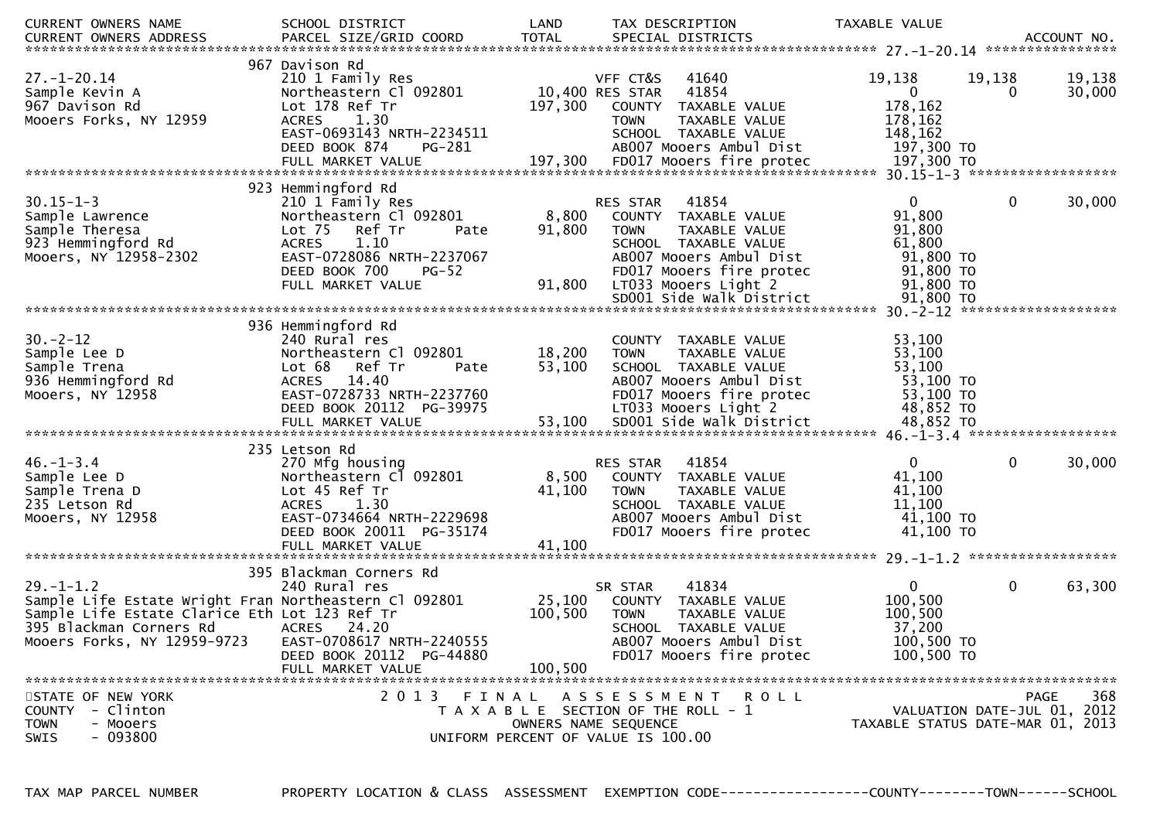| <b>CURRENT OWNERS NAME</b><br>.CURRENT OWNERS ADDRESS PARCEL SIZE/GRID COORD TOTAL SPECIAL DISTRICTS ACCOUNT NO ACCOUNT NO ACCOUNT NO AND ART AND A SPECIAL DISTRICTS               | SCHOOL DISTRICT                                                                                                                                                                | LAND                                                                                                |                                                      | TAX DESCRIPTION                                                                                                                                                                   | TAXABLE VALUE                                                                                    |                    |                                                   |
|-------------------------------------------------------------------------------------------------------------------------------------------------------------------------------------|--------------------------------------------------------------------------------------------------------------------------------------------------------------------------------|-----------------------------------------------------------------------------------------------------|------------------------------------------------------|-----------------------------------------------------------------------------------------------------------------------------------------------------------------------------------|--------------------------------------------------------------------------------------------------|--------------------|---------------------------------------------------|
| $27. - 1 - 20.14$<br>Sample Kevin A<br>967 Davison Rd<br>Mooers Forks, NY 12959                                                                                                     | 967 Davison Rd<br>210 1 Family Res<br>Northeastern Cl 092801<br>Lot 178 Ref Tr<br>ACRES 1.30<br>EAST-0693143 NRTH-2234511<br>DEED BOOK 874<br>PG-281                           | 197,300                                                                                             | VFF CT&S<br>10,400 RES STAR<br>COUNTY<br><b>TOWN</b> | 41640<br>41854<br>TAXABLE VALUE<br>TAXABLE VALUE<br>SCHOOL TAXABLE VALUE<br>AB007 Mooers Ambul Dist                                                                               | 19,138<br>$\overline{0}$<br>178,162<br>178,162<br>148,162<br>197,300 TO                          | 19,138<br>$\Omega$ | 19,138<br>30,000                                  |
|                                                                                                                                                                                     | 923 Hemmingford Rd                                                                                                                                                             |                                                                                                     |                                                      |                                                                                                                                                                                   |                                                                                                  |                    |                                                   |
| $30.15 - 1 - 3$<br>Sample Lawrence<br>Sample Theresa<br>923 Hemmingford Rd<br>Mooers, NY 12958-2302                                                                                 | 210 1 Family Res<br>Northeastern Cl 092801<br>Lot 75 Ref Tr<br>Pate<br><b>ACRES</b><br>1.10<br>EAST-0728086 NRTH-2237067<br>DEED BOOK 700<br><b>PG-52</b><br>FULL MARKET VALUE | 8,800<br>91,800<br>91,800                                                                           | RES STAR<br><b>TOWN</b>                              | 41854<br>COUNTY TAXABLE VALUE<br>TAXABLE VALUE<br>SCHOOL TAXABLE VALUE<br>AB007 Mooers Ambul Dist<br>FD017 Mooers fire protec<br>LT033 Mooers Light 2<br>SD001 Side Walk District | $\overline{0}$<br>91,800<br>91,800<br>61,800<br>91,800 TO<br>91,800 TO<br>91,800 TO<br>91,800 TO | $\mathbf 0$        | 30,000                                            |
|                                                                                                                                                                                     |                                                                                                                                                                                |                                                                                                     |                                                      |                                                                                                                                                                                   |                                                                                                  |                    |                                                   |
| $30 - 2 - 12$<br>Sample Lee D<br>Sample Trena<br>936 Hemmingford Rd<br>Mooers, NY 12958                                                                                             | 936 Hemmingford Rd<br>240 Rural res<br>Northeastern Cl 092801<br>Ref Tr<br>Lot 68<br>Pate<br>ACRES 14.40<br>EAST-0728733 NRTH-2237760<br>DEED BOOK 20112 PG-39975              | 18,200<br>53,100                                                                                    | <b>TOWN</b>                                          | COUNTY TAXABLE VALUE<br>TAXABLE VALUE<br>SCHOOL TAXABLE VALUE<br>AB007 Mooers Ambul Dist<br>FD017 Mooers fire protec<br>LT033 Mooers Light 2                                      | 53,100<br>53,100<br>53,100<br>53,100 TO<br>53,100 TO<br>48,852 TO                                |                    |                                                   |
|                                                                                                                                                                                     | 235 Letson Rd                                                                                                                                                                  |                                                                                                     |                                                      |                                                                                                                                                                                   |                                                                                                  |                    |                                                   |
| $46. - 1 - 3.4$<br>Sample Lee D<br>Sample Trena D<br>235 Letson Rd<br>Mooers, NY 12958                                                                                              | 270 Mfg housing<br>Northeastern Cl 092801<br>Lot 45 Ref Tr<br>1.30<br><b>ACRES</b><br>EAST-0734664 NRTH-2229698<br>DEED BOOK 20011 PG-35174<br>FULL MARKET VALUE               | 8,500<br>41,100<br>41,100                                                                           | RES STAR<br><b>TOWN</b>                              | 41854<br>COUNTY TAXABLE VALUE<br>TAXABLE VALUE<br>SCHOOL TAXABLE VALUE<br>AB007 Mooers Ambul Dist<br>FD017 Mooers fire protec                                                     | $\Omega$<br>41,100<br>41,100<br>11,100<br>41,100 TO<br>41,100 TO                                 | $\mathbf 0$        | 30,000                                            |
|                                                                                                                                                                                     |                                                                                                                                                                                |                                                                                                     |                                                      |                                                                                                                                                                                   |                                                                                                  |                    |                                                   |
| $29. - 1 - 1.2$<br>Sample Life Estate Wright Fran Northeastern Cl 092801<br>Sample Life Estate Clarice Eth Lot 123 Ref Tr<br>395 Blackman Corners Rd<br>Mooers Forks, NY 12959-9723 | 395 Blackman Corners Rd<br>240 Rural res<br><b>ACRES</b><br>24.20<br>EAST-0708617 NRTH-2240555<br>DEED BOOK 20112 PG-44880                                                     | 25,100<br>100,500                                                                                   | SR STAR<br><b>TOWN</b>                               | 41834<br>COUNTY TAXABLE VALUE<br>TAXABLE VALUE<br>SCHOOL TAXABLE VALUE<br>AB007 Mooers Ambul Dist<br>FD017 Mooers fire protec                                                     | $\mathbf{0}$<br>100,500<br>100,500<br>37,200<br>100,500 TO<br>100,500 TO                         | $\mathbf 0$        | 63,300                                            |
|                                                                                                                                                                                     | FULL MARKET VALUE                                                                                                                                                              | 100,500                                                                                             |                                                      |                                                                                                                                                                                   |                                                                                                  |                    |                                                   |
| STATE OF NEW YORK<br>COUNTY - Clinton<br><b>TOWN</b><br>- Mooers<br>- 093800<br><b>SWIS</b>                                                                                         | 2 0 1 3<br>FINAL                                                                                                                                                               | T A X A B L E SECTION OF THE ROLL - 1<br>OWNERS NAME SEQUENCE<br>UNIFORM PERCENT OF VALUE IS 100.00 | A S S E S S M E N T                                  | ROLL                                                                                                                                                                              | TAXABLE STATUS DATE-MAR 01, 2013                                                                 |                    | 368<br><b>PAGE</b><br>VALUATION DATE-JUL 01, 2012 |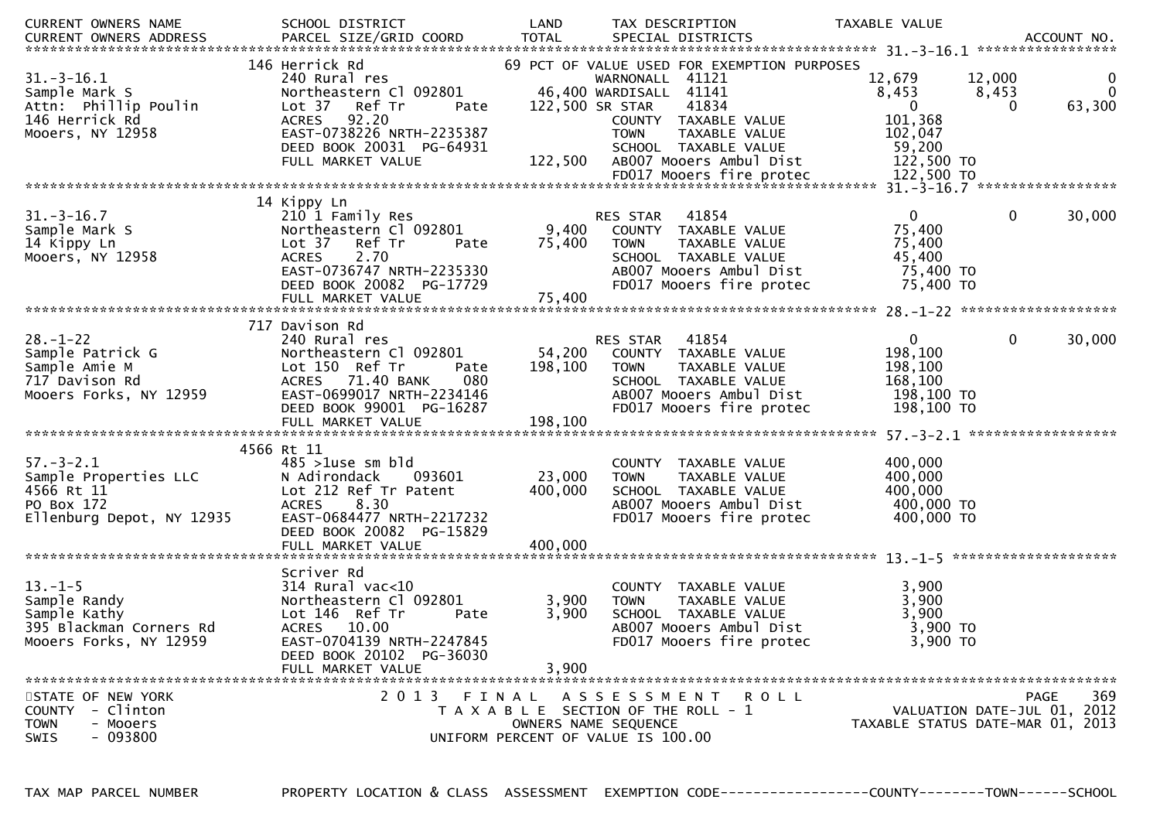| CURRENT OWNERS NAME                                                                                | SCHOOL DISTRICT                                                                                                                                                                             | LAND                       | TAX DESCRIPTION                                                                                                                                                                                              | TAXABLE VALUE                                                                                                  |                             |
|----------------------------------------------------------------------------------------------------|---------------------------------------------------------------------------------------------------------------------------------------------------------------------------------------------|----------------------------|--------------------------------------------------------------------------------------------------------------------------------------------------------------------------------------------------------------|----------------------------------------------------------------------------------------------------------------|-----------------------------|
| CURRENT OWNERS ADDRESS                                                                             | PARCEL SIZE/GRID COORD                                                                                                                                                                      | <b>TOTAL</b>               | SPECIAL DISTRICTS                                                                                                                                                                                            |                                                                                                                | ACCOUNT NO.                 |
| $31.-3-16.1$<br>Sample Mark S<br>Attn: Phillip Poulin<br>146 Herrick Rd<br>Mooers, NY 12958        | 146 Herrick Rd<br>240 Rural res<br>Northeastern Cl 092801<br>Lot 37 Ref Tr<br>Pate<br><b>ACRES</b><br>92.20<br>EAST-0738226 NRTH-2235387<br>DEED BOOK 20031 PG-64931<br>FULL MARKET VALUE   | 122,500 SR STAR<br>122,500 | 69 PCT OF VALUE USED FOR EXEMPTION PURPOSES<br>WARNONALL 41121<br>46,400 WARDISALL 41141<br>41834<br>COUNTY TAXABLE VALUE<br><b>TOWN</b><br>TAXABLE VALUE<br>SCHOOL TAXABLE VALUE<br>AB007 Mooers Ambul Dist | 12,679<br>12,000<br>8,453<br>8,453<br>$\overline{0}$<br>$\Omega$<br>101,368<br>102,047<br>59,200<br>122,500 TO | 0<br>$\mathbf{0}$<br>63,300 |
|                                                                                                    |                                                                                                                                                                                             |                            |                                                                                                                                                                                                              |                                                                                                                |                             |
|                                                                                                    | 14 Kippy Ln                                                                                                                                                                                 |                            |                                                                                                                                                                                                              |                                                                                                                |                             |
| $31.-3-16.7$<br>Sample Mark S<br>14 Kippy Ln<br>Mooers, NY 12958                                   | 210 1 Family Res<br>Northeastern Cl 092801<br>Lot 37<br>Ref Tr<br>Pate<br>2.70<br><b>ACRES</b><br>EAST-0736747 NRTH-2235330<br>DEED BOOK 20082 PG-17729                                     | 9,400<br>75,400            | 41854<br>RES STAR<br>COUNTY TAXABLE VALUE<br>TAXABLE VALUE<br><b>TOWN</b><br>SCHOOL TAXABLE VALUE<br>AB007 Mooers Ambul Dist<br>FD017 Mooers fire protec                                                     | $\mathbf{0}$<br>$\mathbf 0$<br>75,400<br>75,400<br>45,400<br>75,400 TO<br>75,400 TO                            | 30,000                      |
|                                                                                                    |                                                                                                                                                                                             |                            |                                                                                                                                                                                                              |                                                                                                                |                             |
| $28. - 1 - 22$<br>Sample Patrick G<br>Sample Amie M<br>717 Davison Rd<br>Mooers Forks, NY 12959    | 717 Davison Rd<br>240 Rural res<br>Northeastern Cl 092801<br>Lot 150 Ref Tr<br>Pate<br>080<br>ACRES 71.40 BANK<br>EAST-0699017 NRTH-2234146<br>DEED BOOK 99001 PG-16287                     | 54,200<br>198,100          | 41854<br>RES STAR<br>COUNTY TAXABLE VALUE<br>TAXABLE VALUE<br><b>TOWN</b><br>SCHOOL TAXABLE VALUE<br>AB007 Mooers Ambul Dist<br>FD017 Mooers fire protec                                                     | $\mathbf{0}$<br>$\mathbf 0$<br>198,100<br>198,100<br>168,100<br>198,100 то<br>198,100 TO                       | 30,000                      |
|                                                                                                    | 4566 Rt 11                                                                                                                                                                                  |                            |                                                                                                                                                                                                              |                                                                                                                |                             |
| $57. - 3 - 2.1$<br>Sample Properties LLC<br>4566 Rt 11<br>PO Box 172<br>Ellenburg Depot, NY 12935  | $485$ >1use sm bld<br>N Adirondack<br>093601<br>Lot 212 Ref Tr Patent<br><b>ACRES</b><br>8.30<br>EAST-0684477 NRTH-2217232<br>DEED BOOK 20082 PG-15829                                      | 23,000<br>400,000          | COUNTY TAXABLE VALUE<br>TAXABLE VALUE<br><b>TOWN</b><br>SCHOOL TAXABLE VALUE<br>AB007 Mooers Ambul Dist<br>FD017 Mooers fire protec                                                                          | 400,000<br>400,000<br>400,000<br>400,000 TO<br>400,000 TO                                                      |                             |
|                                                                                                    |                                                                                                                                                                                             |                            |                                                                                                                                                                                                              |                                                                                                                |                             |
| $13. - 1 - 5$<br>Sample Randy<br>Sample Kathy<br>395 Blackman Corners Rd<br>Mooers Forks, NY 12959 | Scriver Rd<br>$314$ Rural vac<10<br>Northeastern Cl 092801<br>Lot 146 Ref Tr<br>Pate<br><b>ACRES</b><br>10.00<br>EAST-0704139 NRTH-2247845<br>DEED BOOK 20102 PG-36030<br>FULL MARKET VALUE | 3,900<br>3,900<br>3,900    | COUNTY TAXABLE VALUE<br><b>TOWN</b><br>TAXABLE VALUE<br>SCHOOL TAXABLE VALUE<br>AB007 Mooers Ambul Dist<br>FD017 Mooers fire protec                                                                          | 3,900<br>3,900<br>3,900<br>3,900 TO<br>3,900 TO                                                                |                             |
| STATE OF NEW YORK                                                                                  | 2013 FINAL                                                                                                                                                                                  |                            | A S S E S S M E N T R O L L                                                                                                                                                                                  |                                                                                                                | 369<br><b>PAGE</b>          |
| COUNTY - Clinton<br><b>TOWN</b><br>- Mooers<br>$-093800$<br><b>SWIS</b>                            |                                                                                                                                                                                             |                            | T A X A B L E SECTION OF THE ROLL - 1<br>OWNERS NAME SEQUENCE<br>UNIFORM PERCENT OF VALUE IS 100.00                                                                                                          | VALUATION DATE-JUL 01, 2012<br>TAXABLE STATUS DATE-MAR 01, 2013                                                |                             |

TAX MAP PARCEL NUMBER

PROPERTY LOCATION & CLASS ASSESSMENT EXEMPTION CODE----------------COUNTY-------TOWN------SCHOOL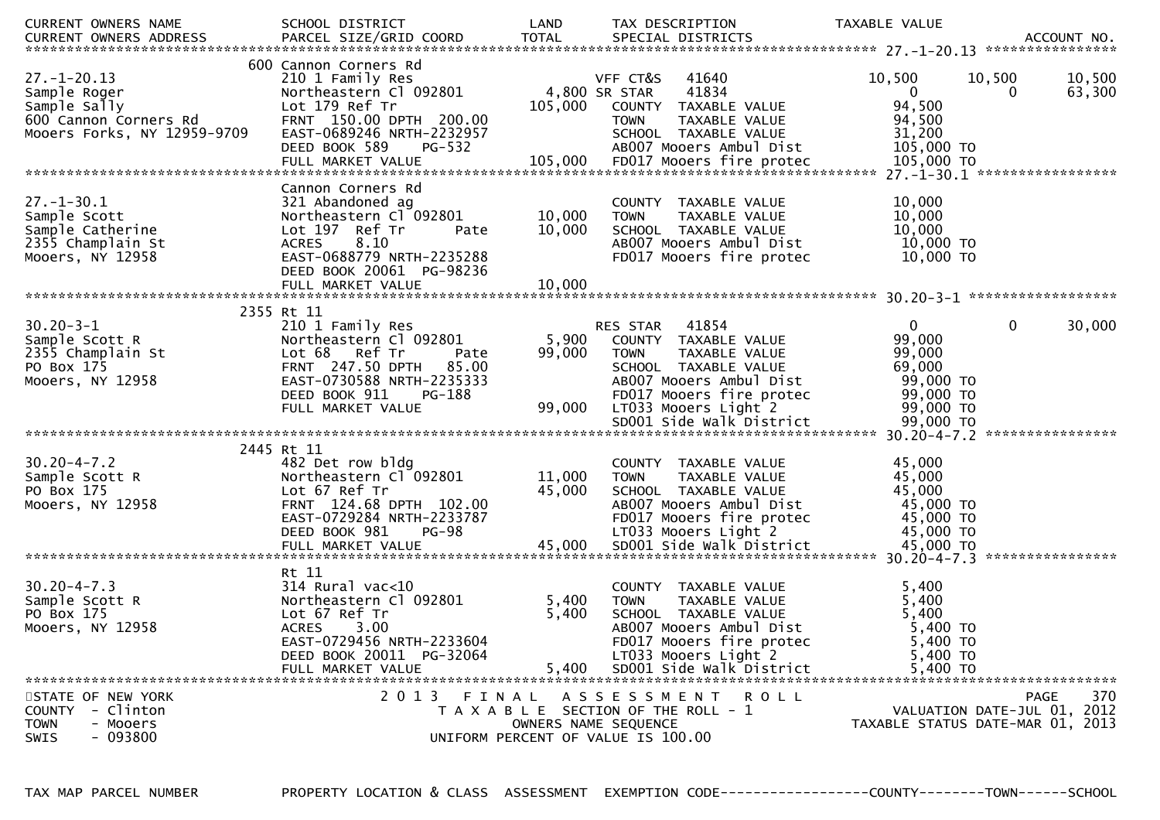| CURRENT OWNERS NAME<br><b>CURRENT OWNERS ADDRESS</b>                                                      | SCHOOL DISTRICT<br>PARCEL SIZE/GRID COORD                                                                                                                                                       | LAND<br><b>TOTAL</b>       | TAX DESCRIPTION<br>SPECIAL DISTRICTS                                                                                                                                                    | TAXABLE VALUE                                                      | ACCOUNT NO.                                                     |
|-----------------------------------------------------------------------------------------------------------|-------------------------------------------------------------------------------------------------------------------------------------------------------------------------------------------------|----------------------------|-----------------------------------------------------------------------------------------------------------------------------------------------------------------------------------------|--------------------------------------------------------------------|-----------------------------------------------------------------|
| $27. - 1 - 20.13$<br>Sample Roger<br>Sample Sally<br>600 Cannon Corners Rd<br>Mooers Forks, NY 12959-9709 | 600 Cannon Corners Rd<br>210 1 Family Res<br>Northeastern Cl 092801<br>Lot 179 Ref Tr<br>FRNT 150.00 DPTH 200.00<br>EAST-0689246 NRTH-2232957<br>DEED BOOK 589<br>PG-532                        | 105,000                    | VFF CT&S<br>41640<br>4,800 SR STAR<br>41834<br>COUNTY TAXABLE VALUE<br>TAXABLE VALUE<br><b>TOWN</b><br>SCHOOL TAXABLE VALUE<br>AB007 Mooers Ambul Dist                                  | 10,500<br>$\mathbf{0}$<br>94,500<br>94,500<br>31,200<br>105,000 TO | 10,500<br>10,500<br>63,300<br>0                                 |
| $27. - 1 - 30.1$<br>Sample Scott<br>Sample Catherine<br>2355 Champlain St<br>Mooers, NY 12958             | Cannon Corners Rd<br>321 Abandoned ag<br>Northeastern Cl 092801<br>Lot 197 Ref Tr<br>Pate<br>8.10<br><b>ACRES</b><br>EAST-0688779 NRTH-2235288<br>DEED BOOK 20061 PG-98236<br>FULL MARKET VALUE | 10,000<br>10,000<br>10,000 | COUNTY TAXABLE VALUE<br><b>TOWN</b><br>TAXABLE VALUE<br>SCHOOL TAXABLE VALUE<br>ABOO7 Mooers Ambul Dist<br>FD017 Mooers fire protec                                                     | 10,000<br>10,000<br>10,000<br>10,000 TO                            | 10,000 TO                                                       |
|                                                                                                           | 2355 Rt 11                                                                                                                                                                                      |                            |                                                                                                                                                                                         |                                                                    |                                                                 |
| $30.20 - 3 - 1$<br>Sample Scott R<br>2355 Champlain St<br>PO Box 175<br>Mooers, NY 12958                  | 210 1 Family Res<br>Northeastern Cl 092801<br>Lot 68 Ref Tr<br>Pate<br><b>FRNT 247.50 DPTH</b><br>85.00<br>EAST-0730588 NRTH-2235333<br>DEED BOOK 911<br>PG-188<br>FULL MARKET VALUE            | 5,900<br>99,000<br>99,000  | 41854<br>RES STAR<br>COUNTY TAXABLE VALUE<br>TAXABLE VALUE<br><b>TOWN</b><br>SCHOOL TAXABLE VALUE<br>AB007 Mooers Ambul Dist<br>FD017 Mooers fire protec<br>LT033 Mooers Light 2        | $\mathbf{0}$<br>99,000<br>99,000<br>69,000                         | $\mathbf 0$<br>30,000<br>99,000 TO<br>99,000 TO<br>99,000 TO    |
|                                                                                                           |                                                                                                                                                                                                 |                            |                                                                                                                                                                                         |                                                                    |                                                                 |
|                                                                                                           |                                                                                                                                                                                                 |                            |                                                                                                                                                                                         |                                                                    |                                                                 |
| $30.20 - 4 - 7.2$<br>Sample Scott R<br>PO Box 175<br>Mooers, NY 12958                                     | 2445 Rt 11<br>482 Det row bldg<br>Northeastern Cl 092801<br>Lot 67 Ref Tr<br>FRNT 124.68 DPTH 102.00<br>EAST-0729284 NRTH-2233787<br>DEED BOOK 981<br><b>PG-98</b>                              | 11,000<br>45,000           | COUNTY TAXABLE VALUE<br><b>TOWN</b><br>TAXABLE VALUE<br>SCHOOL TAXABLE VALUE<br>AB007 Mooers Ambul Dist<br>FD017 Mooers fire protec<br>LT033 Mooers Light 2                             | 45,000<br>45,000<br>45,000                                         | 45,000 TO<br>45,000 TO<br>45,000 TO                             |
|                                                                                                           |                                                                                                                                                                                                 |                            |                                                                                                                                                                                         |                                                                    |                                                                 |
| $30.20 - 4 - 7.3$<br>Sample Scott R<br>PO Box 175<br>Mooers, NY 12958                                     | Rt 11<br>$314$ Rural vac<10<br>Northeastern Cl 092801<br>Lot 67 Ref Tr<br>3.00<br><b>ACRES</b><br>EAST-0729456 NRTH-2233604<br>DEED BOOK 20011 PG-32064<br>FULL MARKET VALUE                    | 5,400<br>5,400<br>5,400    | COUNTY TAXABLE VALUE<br>TAXABLE VALUE<br><b>TOWN</b><br>SCHOOL TAXABLE VALUE<br>AB007 Mooers Ambul Dist<br>FD017 Mooers fire protec<br>LT033 Mooers Light 2<br>SD001 Side Walk District | 5,400<br>5,400<br>5,400                                            | 5,400 TO<br>5,400 TO<br>5,400 TO<br>5,400 TO                    |
| STATE OF NEW YORK                                                                                         | 2 0 1 3<br>FINAL                                                                                                                                                                                |                            | A S S E S S M E N T                                                                                                                                                                     | ROLL                                                               | 370<br><b>PAGE</b>                                              |
| COUNTY - Clinton<br><b>TOWN</b><br>- Mooers<br>$-093800$<br>SWIS                                          |                                                                                                                                                                                                 |                            | T A X A B L E SECTION OF THE ROLL - 1<br>OWNERS NAME SEQUENCE<br>UNIFORM PERCENT OF VALUE IS 100.00                                                                                     |                                                                    | VALUATION DATE-JUL 01, 2012<br>TAXABLE STATUS DATE-MAR 01, 2013 |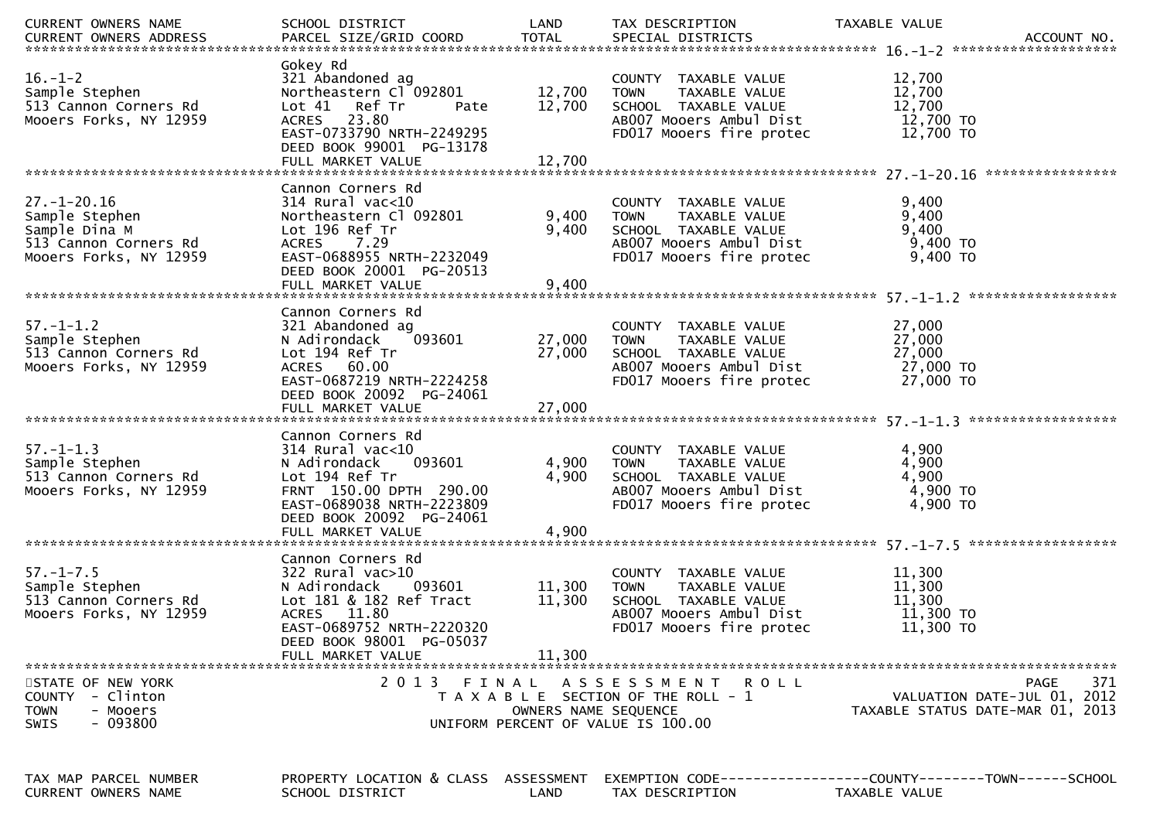| CURRENT OWNERS NAME                                                                                     | SCHOOL DISTRICT                                                                                                                                                                                 | LAND                       | TAX DESCRIPTION                                                                                                                     | TAXABLE VALUE                                                                         |
|---------------------------------------------------------------------------------------------------------|-------------------------------------------------------------------------------------------------------------------------------------------------------------------------------------------------|----------------------------|-------------------------------------------------------------------------------------------------------------------------------------|---------------------------------------------------------------------------------------|
| $16. - 1 - 2$<br>Sample Stephen<br>513 Cannon Corners Rd<br>Mooers Forks, NY 12959                      | Gokey Rd<br>321 Abandoned ag<br>Northeastern Cl 092801<br>Lot 41 Ref Tr<br>Pate<br>ACRES 23.80<br>EAST-0733790 NRTH-2249295<br>DEED BOOK 99001 PG-13178<br>FULL MARKET VALUE                    | 12,700<br>12,700<br>12,700 | COUNTY TAXABLE VALUE<br><b>TOWN</b><br>TAXABLE VALUE<br>SCHOOL TAXABLE VALUE<br>AB007 Mooers Ambul Dist<br>FD017 Mooers fire protec | 12,700<br>12,700<br>12,700<br>12,700 TO<br>12,700 TO                                  |
|                                                                                                         |                                                                                                                                                                                                 |                            |                                                                                                                                     |                                                                                       |
| $27. - 1 - 20.16$<br>Sample Stephen<br>Sample Dina M<br>513 Cannon Corners Rd<br>Mooers Forks, NY 12959 | Cannon Corners Rd<br>$314$ Rural vac<10<br>Northeastern Cl 092801<br>Lot 196 Ref Tr<br>ACRES 7.29<br>EAST-0688955 NRTH-2232049<br>DEED BOOK 20001 PG-20513<br>FULL MARKET VALUE                 | 9,400<br>9,400<br>9,400    | COUNTY TAXABLE VALUE<br>TAXABLE VALUE<br><b>TOWN</b><br>SCHOOL TAXABLE VALUE<br>AB007 Mooers Ambul Dist<br>FD017 Mooers fire protec | 9,400<br>9,400<br>9,400<br>$9,400$ TO<br>9,400 TO                                     |
|                                                                                                         |                                                                                                                                                                                                 |                            |                                                                                                                                     |                                                                                       |
| $57. - 1 - 1.2$<br>Sample Stephen<br>513 Cannon Corners Rd<br>Mooers Forks, NY 12959                    | Cannon Corners Rd<br>321 Abandoned ag<br>093601<br>N Adirondack<br>Lot 194 Ref Tr<br>ACRES 60.00<br>EAST-0687219 NRTH-2224258<br>DEED BOOK 20092 PG-24061                                       | 27,000<br>27,000           | COUNTY TAXABLE VALUE<br>TAXABLE VALUE<br><b>TOWN</b><br>SCHOOL TAXABLE VALUE<br>AB007 Mooers Ambul Dist<br>FD017 Mooers fire protec | 27,000<br>27,000<br>27,000<br>27,000 TO<br>27,000 TO                                  |
|                                                                                                         | FULL MARKET VALUE                                                                                                                                                                               | 27,000                     |                                                                                                                                     |                                                                                       |
| $57. - 1 - 1.3$<br>Sample Stephen<br>513 Cannon Corners Rd<br>Mooers Forks, NY 12959                    | Cannon Corners Rd<br>$314$ Rural vac< $10$<br>093601<br>N Adirondack<br>Lot 194 Ref Tr<br>FRNT 150.00 DPTH 290.00<br>EAST-0689038 NRTH-2223809<br>DEED BOOK 20092 PG-24061<br>FULL MARKET VALUE | 4,900<br>4,900<br>4,900    | COUNTY TAXABLE VALUE<br><b>TOWN</b><br>TAXABLE VALUE<br>SCHOOL TAXABLE VALUE<br>AB007 Mooers Ambul Dist<br>FD017 Mooers fire protec | 4,900<br>4,900<br>4,900<br>4,900 TO<br>$4,900$ TO                                     |
|                                                                                                         |                                                                                                                                                                                                 |                            |                                                                                                                                     |                                                                                       |
| $57. - 1 - 7.5$<br>Sample Stephen<br>513 Cannon Corners Rd<br>Mooers Forks, NY 12959                    | Cannon Corners Rd<br>$322$ Rural vac $>10$<br>N Adirondack<br>093601<br>Lot 181 & 182 Ref Tract<br>ACRES 11.80<br>EAST-0689752 NRTH-2220320<br>DEED BOOK 98001 PG-05037<br>FULL MARKET VALUE    | 11,300<br>11,300<br>11.300 | COUNTY TAXABLE VALUE<br>TAXABLE VALUE<br><b>TOWN</b><br>SCHOOL TAXABLE VALUE<br>AB007 Mooers Ambul Dist<br>FD017 Mooers fire protec | 11,300<br>11,300<br>11,300<br>11,300 TO<br>11,300 TO                                  |
|                                                                                                         |                                                                                                                                                                                                 |                            |                                                                                                                                     |                                                                                       |
| STATE OF NEW YORK<br><b>COUNTY</b><br>- Clinton<br><b>TOWN</b><br>- Mooers<br>- 093800<br>SWIS          | 2 0 1 3<br>FINAL                                                                                                                                                                                | OWNERS NAME SEQUENCE       | ASSESSMENT ROLL<br>T A X A B L E SECTION OF THE ROLL - 1<br>UNIFORM PERCENT OF VALUE IS 100.00                                      | 371<br><b>PAGE</b><br>VALUATION DATE-JUL 01, 2012<br>TAXABLE STATUS DATE-MAR 01, 2013 |
|                                                                                                         |                                                                                                                                                                                                 |                            |                                                                                                                                     |                                                                                       |
| TAX MAP PARCEL NUMBER<br>CURRENT OWNERS NAME                                                            | PROPERTY LOCATION & CLASS ASSESSMENT<br>SCHOOL DISTRICT                                                                                                                                         | LAND                       | TAX DESCRIPTION                                                                                                                     | EXEMPTION        CODE-----------------COUNTY-------TOWN------SCHOOL<br>TAXABLE VALUE  |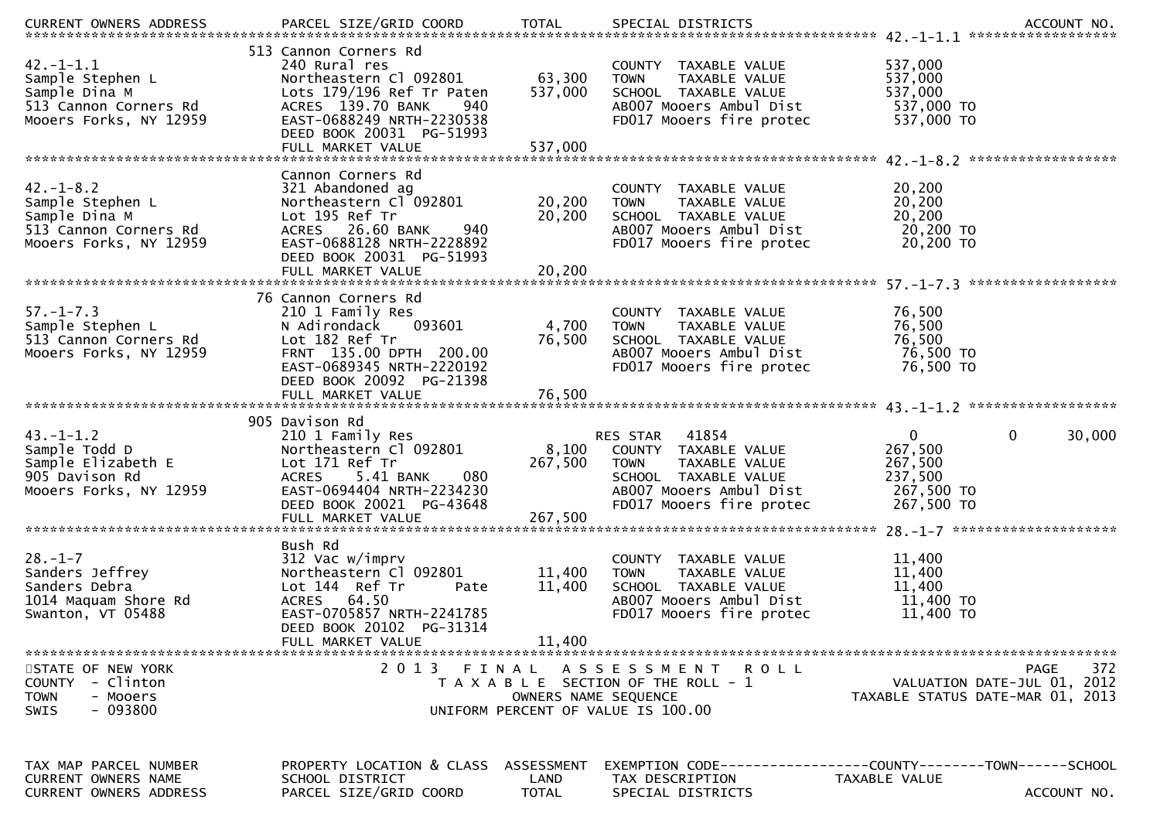|                                                                                                         |                                                                                                                                                                                    |                            |                                                                                                                                                                    | .CURRENT OWNERS ADDRESS PARCEL SIZE/GRID COORD TOTAL SPECIAL DISTRICTS ACCOUNT NO ACCOUNT NO ACCOUNT NO AND ARCEL SIZE/GRID COORD TOTAL SPECIAL DISTRICTS |
|---------------------------------------------------------------------------------------------------------|------------------------------------------------------------------------------------------------------------------------------------------------------------------------------------|----------------------------|--------------------------------------------------------------------------------------------------------------------------------------------------------------------|-----------------------------------------------------------------------------------------------------------------------------------------------------------|
| $42. - 1 - 1.1$<br>Sample Stephen L<br>Sample Dina M<br>513 Cannon Corners Rd<br>Mooers Forks, NY 12959 | 513 Cannon Corners Rd<br>240 Rural res<br>Northeastern Cl 092801<br>Lots 179/196 Ref Tr Paten<br>ACRES 139.70 BANK<br>940<br>EAST-0688249 NRTH-2230538<br>DEED BOOK 20031 PG-51993 | 63,300<br>537,000          | COUNTY TAXABLE VALUE<br><b>TOWN</b><br>TAXABLE VALUE<br>SCHOOL TAXABLE VALUE<br>AB007 Mooers Ambul Dist<br>FD017 Mooers fire protec                                | 537,000<br>537,000<br>537,000<br>537,000 TO<br>537,000 TO                                                                                                 |
| $42. - 1 - 8.2$<br>Sample Stephen L<br>Sample Dina M<br>513 Cannon Corners Rd<br>Mooers Forks, NY 12959 | Cannon Corners Rd<br>321 Abandoned ag<br>Northeastern Cl 092801<br>Lot 195 Ref Tr<br>ACRES 26.60 BANK<br>940<br>EAST-0688128 NRTH-2228892<br>DEED BOOK 20031 PG-51993              | 20,200<br>20,200           | COUNTY TAXABLE VALUE<br>TAXABLE VALUE<br><b>TOWN</b><br>SCHOOL TAXABLE VALUE<br>AB007 Mooers Ambul Dist<br>FD017 Mooers fire protec                                | 20,200<br>20,200<br>20,200<br>20,200 TO<br>20,200 TO                                                                                                      |
| $57. - 1 - 7.3$<br>Sample Stephen L<br>513 Cannon Corners Rd<br>Mooers Forks, NY 12959                  | 76 Cannon Corners Rd<br>210 1 Family Res<br>093601<br>N Adirondack<br>Lot 182 Ref Tr<br>FRNT 135.00 DPTH 200.00<br>EAST-0689345 NRTH-2220192<br>DEED BOOK 20092 PG-21398           | 4,700<br>76,500            | COUNTY TAXABLE VALUE<br><b>TOWN</b><br>TAXABLE VALUE<br>SCHOOL TAXABLE VALUE<br>AB007 Mooers Ambul Dist<br>FD017 Mooers fire protec                                | 76,500<br>76,500<br>76,500<br>76,500 TO<br>76,500 TO                                                                                                      |
| $43. - 1 - 1.2$<br>Sample Todd D<br>Sample Elizabeth E<br>905 Davison Rd<br>Mooers Forks, NY 12959      | 905 Davison Rd<br>210 1 Family Res<br>Northeastern Cl 092801<br>Lot 171 Ref Tr<br>080 0<br>ACRES 5.41 BANK<br>EAST-0694404 NRTH-2234230<br>DEED BOOK 20021 PG-43648                | 267,500                    | <b>RES STAR 41854</b><br>8,100 COUNTY TAXABLE VALUE<br><b>TOWN</b><br>TAXABLE VALUE<br>SCHOOL TAXABLE VALUE<br>AB007 Mooers Ambul Dist<br>FD017 Mooers fire protec | $\mathbf 0$<br>$\mathbf{0}$<br>30,000<br>267,500<br>267,500<br>237,500<br>267,500 TO<br>267,500 TO                                                        |
| $28. - 1 - 7$<br>Sanders Jeffrey<br>Sanders Debra<br>1014 Maquam Shore Rd<br>Swanton, VT 05488          | Bush Rd<br>312 Vac w/imprv<br>Northeastern Cl 092801<br>Lot 144 Ref Tr<br>Pate<br>ACRES 64.50<br>EAST-0705857 NRTH-2241785<br>DEED BOOK 20102 PG-31314<br>FULL MARKET VALUE        | 11,400<br>11,400<br>11,400 | COUNTY TAXABLE VALUE<br>TAXABLE VALUE<br><b>TOWN</b><br>SCHOOL TAXABLE VALUE<br>AB007 Mooers Ambul Dist<br>FD017 Mooers fire protec                                | 11,400<br>11,400<br>11,400<br>11,400 TO<br>11,400 TO                                                                                                      |
| STATE OF NEW YORK<br>COUNTY - Clinton<br><b>TOWN</b><br>- Mooers<br>- 093800<br><b>SWIS</b>             | 2013 FINAL                                                                                                                                                                         | OWNERS NAME SEOUENCE       | ASSESSMENT ROLL<br>T A X A B L E SECTION OF THE ROLL - 1<br>UNIFORM PERCENT OF VALUE IS 100.00                                                                     | <b>PAGE</b><br>372<br>VALUATION DATE-JUL 01, 2012<br>TAXABLE STATUS DATE-MAR 01, 2013                                                                     |
| TAX MAP PARCEL NUMBER<br>CURRENT OWNERS NAME<br><b>CURRENT OWNERS ADDRESS</b>                           | PROPERTY LOCATION & CLASS ASSESSMENT<br>SCHOOL DISTRICT<br>PARCEL SIZE/GRID COORD                                                                                                  | LAND<br><b>TOTAL</b>       | TAX DESCRIPTION<br>SPECIAL DISTRICTS                                                                                                                               | TAXABLE VALUE<br>ACCOUNT NO.                                                                                                                              |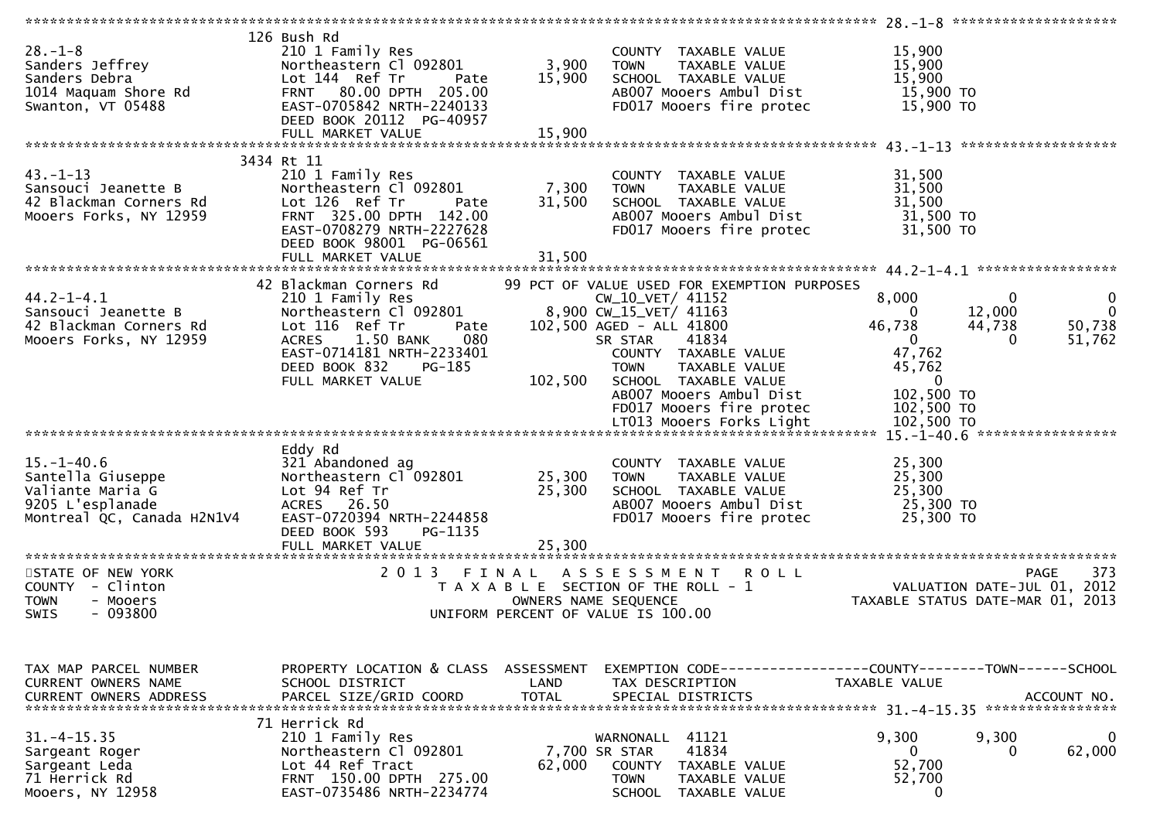|                                                                                                                    |                                                                                                                                                                                                              |                            |                                                                                                                                                                                                                                                                                  | $28. - 1 - 8$ **********************                                                                                                                        |                                       |
|--------------------------------------------------------------------------------------------------------------------|--------------------------------------------------------------------------------------------------------------------------------------------------------------------------------------------------------------|----------------------------|----------------------------------------------------------------------------------------------------------------------------------------------------------------------------------------------------------------------------------------------------------------------------------|-------------------------------------------------------------------------------------------------------------------------------------------------------------|---------------------------------------|
| $28. - 1 - 8$<br>Sanders Jeffrey<br>Sanders Debra<br>1014 Maquam Shore Rd<br>Swanton VT 05488<br>Swanton, VT 05488 | 126 Bush Rd<br>210 1 Family Res<br>Northeastern Cl 092801<br>Lot 144 Ref Tr<br>Pate<br>FRNT 80.00 DPTH 205.00<br>EAST-0705842 NRTH-2240133<br>DEED BOOK 20112 PG-40957                                       | 3,900<br>15,900            | COUNTY TAXABLE VALUE<br><b>TOWN</b><br>TAXABLE VALUE<br>SCHOOL TAXABLE VALUE<br>AB007 Mooers Ambul Dist<br>FD017 Mooers fire protec                                                                                                                                              | 15,900<br>15,900<br>15,900<br>15,900 TO<br>15,900 TO                                                                                                        |                                       |
|                                                                                                                    | 3434 Rt 11                                                                                                                                                                                                   |                            |                                                                                                                                                                                                                                                                                  |                                                                                                                                                             |                                       |
| $43. - 1 - 13$<br>Sansouci Jeanette B<br>42 Blackman Corners Rd<br>Mooers Forks, NY 12959                          | 210 1 Family Res<br>Northeastern Cl 092801<br>Lot 126 Ref Tr<br>Pate<br>FRNT 325.00 DPTH 142.00<br>EAST-0708279 NRTH-2227628<br>DEED BOOK 98001 PG-06561                                                     | 7,300<br>31,500            | COUNTY TAXABLE VALUE<br><b>TOWN</b><br>TAXABLE VALUE<br>SCHOOL TAXABLE VALUE<br>AB007 Mooers Ambul Dist<br>FD017 Mooers fire protec                                                                                                                                              | 31,500<br>31,500<br>31,500<br>31,500 TO<br>31,500 TO                                                                                                        |                                       |
|                                                                                                                    |                                                                                                                                                                                                              |                            |                                                                                                                                                                                                                                                                                  |                                                                                                                                                             |                                       |
| $44.2 - 1 - 4.1$<br>Sansouci Jeanette B<br>42 Blackman Corners Rd<br>Mooers Forks, NY 12959                        | 42 Blackman Corners Rd<br>Northeastern Cl 092801<br>Lot 116 nof -<br>Lot 116 Ref Tr<br>Pate<br>1.50 BANK<br>080<br><b>ACRES</b><br>EAST-0714181 NRTH-2233401<br>PG-185<br>DEED BOOK 832<br>FULL MARKET VALUE | 102,500                    | 99 PCT OF VALUE USED FOR EXEMPTION PURPOSES<br>CW_10_VET/ 41152<br>8,900 CW_15_VET/ 41163<br>102,500 AGED - ALL 41800<br>SR STAR<br>41834<br>COUNTY TAXABLE VALUE<br>TAXABLE VALUE<br><b>TOWN</b><br>SCHOOL TAXABLE VALUE<br>AB007 Mooers Ambul Dist<br>FD017 Mooers fire protec | 8,000<br>$\mathbf{0}$<br>12,000<br>$\Omega$<br>46,738<br>44,738<br>$\mathbf{0}$<br>$\Omega$<br>47,762<br>45,762<br>$\mathbf{0}$<br>102,500 TO<br>102,500 TO | 0<br>$\mathbf{0}$<br>50,738<br>51,762 |
|                                                                                                                    |                                                                                                                                                                                                              |                            |                                                                                                                                                                                                                                                                                  |                                                                                                                                                             |                                       |
| $15. - 1 - 40.6$<br>Santella Giuseppe<br>Valiante Maria G<br>9205 L'esplanade<br>Montreal QC, Canada H2N1V4        | Eddy Rd<br>321 Abandoned ag<br>Northeastern Cl 092801<br>Lot 94 Ref Tr<br>ACRES 26.50<br>EAST-0720394 NRTH-2244858<br>DEED BOOK 593<br>PG-1135<br>FULL MARKET VALUE                                          | 25,300<br>25,300<br>25,300 | COUNTY TAXABLE VALUE<br>TAXABLE VALUE<br><b>TOWN</b><br>SCHOOL TAXABLE VALUE<br>AB007 Mooers Ambul Dist<br>FD017 Mooers fire protec                                                                                                                                              | 25,300<br>25,300<br>25,300<br>25,300 TO<br>25,300 TO                                                                                                        |                                       |
|                                                                                                                    |                                                                                                                                                                                                              |                            |                                                                                                                                                                                                                                                                                  |                                                                                                                                                             |                                       |
| STATE OF NEW YORK<br>COUNTY - Clinton<br><b>TOWN</b><br>- Mooers<br>$-093800$<br>SWIS                              | 2013 FINAL                                                                                                                                                                                                   |                            | A S S E S S M E N T<br><b>ROLL</b><br>T A X A B L E SECTION OF THE ROLL - 1<br>OWNERS NAME SEQUENCE<br>UNIFORM PERCENT OF VALUE IS 100.00                                                                                                                                        | VALUATION DATE-JUL 01, 2012<br>TAXABLE STATUS DATE-MAR 01, 2013                                                                                             | 373<br><b>PAGE</b>                    |
| TAX MAP PARCEL NUMBER<br><b>CURRENT OWNERS NAME</b><br>CURRENT OWNERS ADDRESS                                      | PROPERTY LOCATION & CLASS ASSESSMENT<br>SCHOOL DISTRICT<br>PARCEL SIZE/GRID COORD                                                                                                                            | LAND<br><b>TOTAL</b>       | TAX DESCRIPTION<br>SPECIAL DISTRICTS                                                                                                                                                                                                                                             | EXEMPTION CODE-----------------COUNTY-------TOWN------SCHOOL<br>TAXABLE VALUE                                                                               | ACCOUNT NO.                           |
| $31. - 4 - 15.35$<br>Sargeant Roger<br>Sargeant Leda<br>71 Herrick Rd<br>Mooers, NY 12958                          | 71 Herrick Rd<br>210 1 Family Res<br>Northeastern Cl 092801<br>Lot 44 Ref Tract<br>FRNT 150.00 DPTH 275.00<br>EAST-0735486 NRTH-2234774                                                                      | 62,000                     | 41121<br>WARNONALL<br>41834<br>7,700 SR STAR<br><b>COUNTY</b><br>TAXABLE VALUE<br><b>TOWN</b><br>TAXABLE VALUE<br><b>SCHOOL</b><br>TAXABLE VALUE                                                                                                                                 | 9,300<br>9,300<br>$\mathbf{0}$<br>52,700<br>52,700<br>0                                                                                                     | 62,000                                |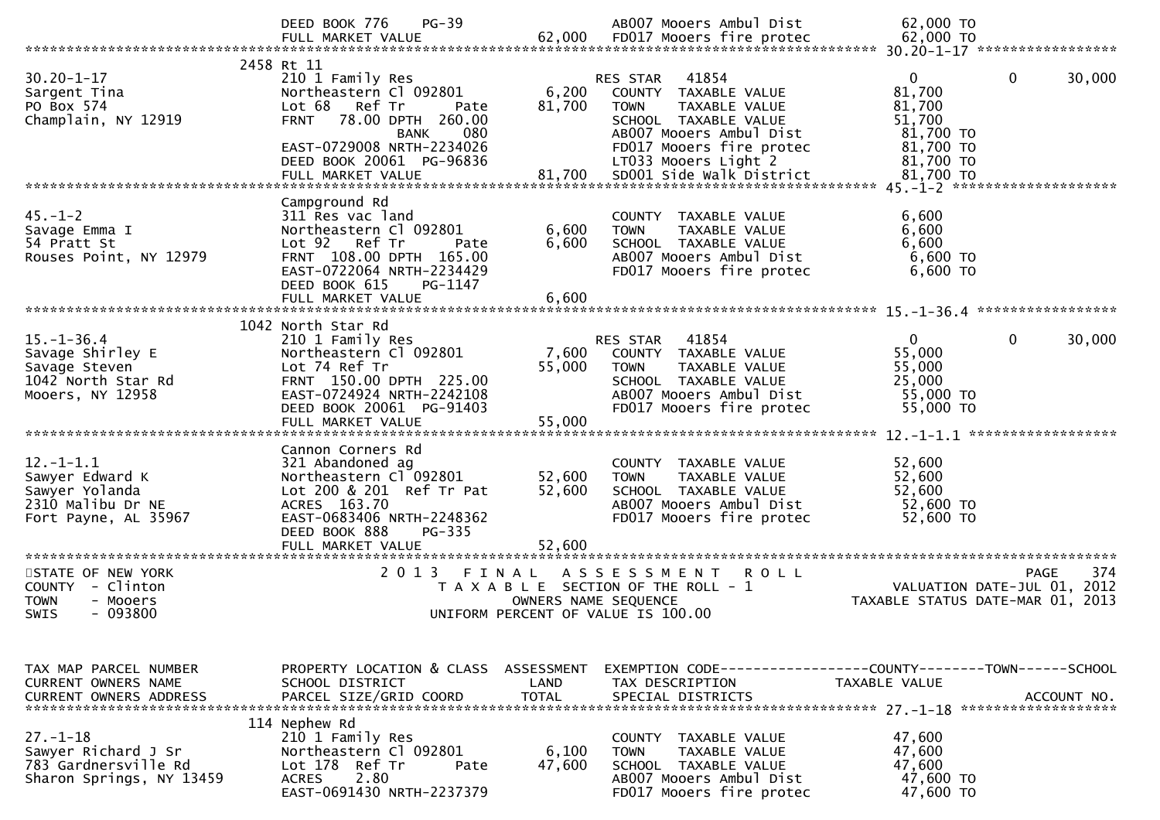|                                                                                                   | $PG-39$<br>DEED BOOK 776                                                                                                                                                                      |                            | AB007 Mooers Ambul Dist                                                                                                                                  | 62,000 TO                                                                                    |
|---------------------------------------------------------------------------------------------------|-----------------------------------------------------------------------------------------------------------------------------------------------------------------------------------------------|----------------------------|----------------------------------------------------------------------------------------------------------------------------------------------------------|----------------------------------------------------------------------------------------------|
| $30.20 - 1 - 17$<br>Sargent Tina<br>PO Box 574<br>Champlain, NY 12919                             | 2458 Rt 11<br>210 1 Family Res<br>Northeastern Cl 092801<br>Lot 68<br>Ref Tr<br>Pate<br>78.00 DPTH 260.00<br><b>FRNT</b><br>080<br><b>BANK</b><br>EAST-0729008 NRTH-2234026                   | 6,200<br>81,700            | 41854<br>RES STAR<br>COUNTY TAXABLE VALUE<br><b>TOWN</b><br>TAXABLE VALUE<br>SCHOOL TAXABLE VALUE<br>AB007 Mooers Ambul Dist<br>FD017 Mooers fire protec | $\Omega$<br>$\mathbf{0}$<br>30,000<br>81,700<br>81,700<br>51,700<br>81,700 TO<br>81,700 TO   |
|                                                                                                   | DEED BOOK 20061 PG-96836<br>FULL MARKET VALUE                                                                                                                                                 | 81,700                     | LT033 Mooers Light 2<br>SD001 Side Walk District                                                                                                         | 81,700 TO<br>81,700 TO                                                                       |
| $45. - 1 - 2$<br>Savage Emma I<br>54 Pratt St<br>Rouses Point, NY 12979                           | Campground Rd<br>311 Res vac land<br>Northeastern Cl 092801<br>Lot 92 Ref Tr<br>Pate<br>FRNT 108.00 DPTH 165.00<br>EAST-0722064 NRTH-2234429<br>DEED BOOK 615<br>PG-1147<br>FULL MARKET VALUE | 6,600<br>6,600<br>6,600    | COUNTY TAXABLE VALUE<br>TAXABLE VALUE<br><b>TOWN</b><br>SCHOOL TAXABLE VALUE<br>AB007 Mooers Ambul Dist<br>FD017 Mooers fire protec                      | 6,600<br>6,600<br>6,600<br>6,600 TO<br>6,600 TO                                              |
|                                                                                                   | 1042 North Star Rd                                                                                                                                                                            |                            |                                                                                                                                                          |                                                                                              |
| $15. - 1 - 36.4$<br>Savage Shirley E<br>Savage Steven<br>1042 North Star Rd<br>Mooers, NY 12958   | 210 1 Family Res<br>Northeastern Cl 092801<br>Lot 74 Ref Tr<br>FRNT 150.00 DPTH 225.00<br>EAST-0724924 NRTH-2242108<br>DEED BOOK 20061 PG-91403                                               | 7,600<br>55,000            | RES STAR<br>41854<br>COUNTY TAXABLE VALUE<br><b>TOWN</b><br>TAXABLE VALUE<br>SCHOOL TAXABLE VALUE<br>AB007 Mooers Ambul Dist<br>FD017 Mooers fire protec | 30,000<br>0<br>0<br>55,000<br>55,000<br>25,000<br>55,000 TO<br>55,000 TO                     |
| $12. - 1 - 1.1$<br>Sawyer Edward K<br>Sawyer Yolanda<br>2310 Malibu Dr NE<br>Fort Payne, AL 35967 | Cannon Corners Rd<br>321 Abandoned ag<br>Northeastern Cl 092801<br>Lot 200 & 201 Ref Tr Pat<br>ACRES 163.70<br>EAST-0683406 NRTH-2248362<br>DEED BOOK 888<br>PG-335<br>FULL MARKET VALUE      | 52,600<br>52,600<br>52,600 | COUNTY TAXABLE VALUE<br><b>TOWN</b><br>TAXABLE VALUE<br>SCHOOL TAXABLE VALUE<br>AB007 Mooers Ambul Dist<br>FD017 Mooers fire protec                      | 52,600<br>52,600<br>52,600<br>52,600 TO<br>52,600 TO                                         |
| STATE OF NEW YORK<br>COUNTY - Clinton<br><b>TOWN</b><br>- Mooers<br><b>SWIS</b><br>- 093800       | 2 0 1 3<br>FINAL                                                                                                                                                                              | OWNERS NAME SEQUENCE       | ASSESSMENT<br><b>ROLL</b><br>T A X A B L E SECTION OF THE ROLL - 1<br>UNIFORM PERCENT OF VALUE IS 100.00                                                 | 374<br>PAGE<br>VALUATION DATE-JUL 01, 2012<br>TAXABLE STATUS DATE-MAR 01, 2013               |
| TAX MAP PARCEL NUMBER<br>CURRENT OWNERS NAME<br><b>CURRENT OWNERS ADDRESS</b>                     | PROPERTY LOCATION & CLASS ASSESSMENT<br>SCHOOL DISTRICT<br>PARCEL SIZE/GRID COORD                                                                                                             | LAND<br><b>TOTAL</b>       | TAX DESCRIPTION<br>SPECIAL DISTRICTS                                                                                                                     | EXEMPTION CODE-----------------COUNTY-------TOWN------SCHOOL<br>TAXABLE VALUE<br>ACCOUNT NO. |
| $27. - 1 - 18$<br>Sawyer Richard J Sr<br>783 Gardnersville Rd<br>Sharon Springs, NY 13459         | 114 Nephew Rd<br>210 1 Family Res<br>Northeastern Cl 092801<br>Lot 178 Ref Tr<br>Pate<br>2.80<br><b>ACRES</b><br>EAST-0691430 NRTH-2237379                                                    | 6,100<br>47,600            | COUNTY TAXABLE VALUE<br><b>TOWN</b><br>TAXABLE VALUE<br>SCHOOL TAXABLE VALUE<br>AB007 Mooers Ambul Dist<br>FD017 Mooers fire protec                      | 47,600<br>47,600<br>47,600<br>47,600 TO<br>47,600 TO                                         |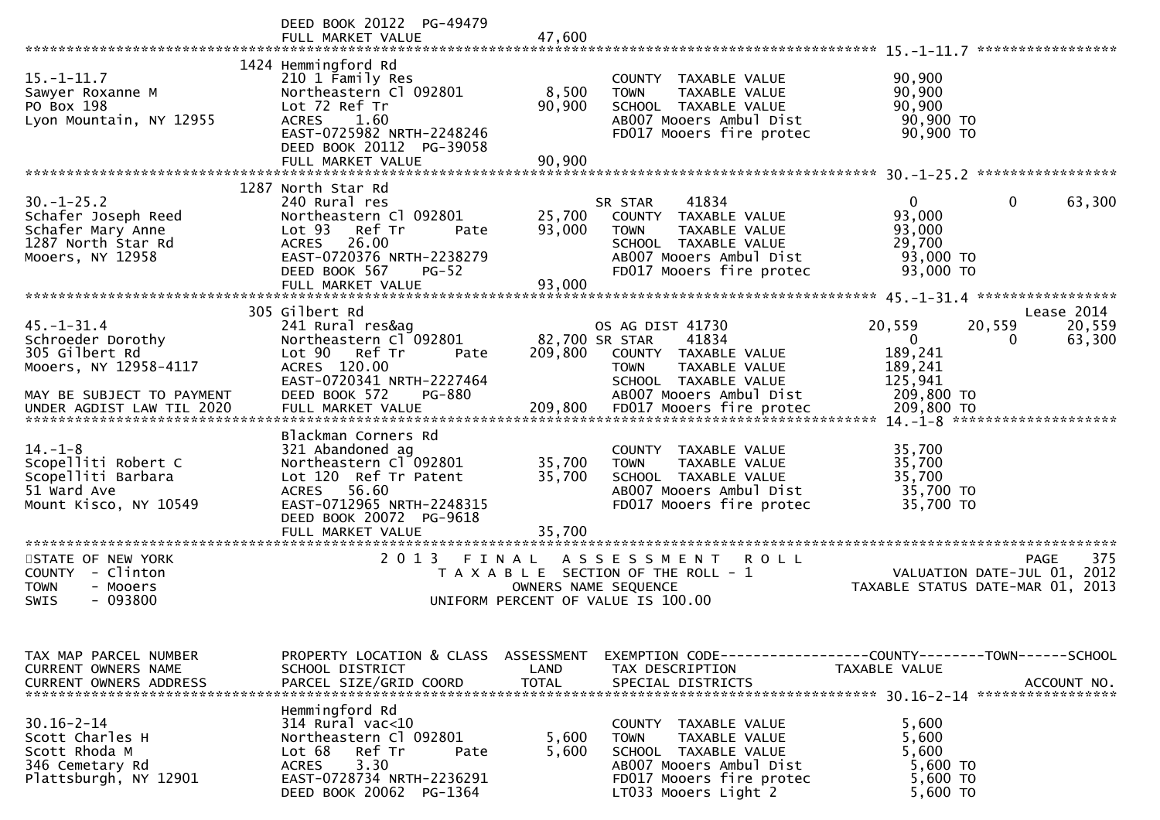|                                                                                                                                            | DEED BOOK 20122 PG-49479<br>FULL MARKET VALUE                                                                                                                                                                             | 47,600                     |                                                                                                                                                                                           | *****************                                                                                                      |
|--------------------------------------------------------------------------------------------------------------------------------------------|---------------------------------------------------------------------------------------------------------------------------------------------------------------------------------------------------------------------------|----------------------------|-------------------------------------------------------------------------------------------------------------------------------------------------------------------------------------------|------------------------------------------------------------------------------------------------------------------------|
| $15. - 1 - 11.7$<br>Sawyer Roxanne M<br>PO Box 198<br>Lyon Mountain, NY 12955                                                              | 1424 Hemmingford Rd<br>210 1 Family Res<br>Northeastern Cl 092801<br>Lot 72 Ref Tr<br>1.60<br><b>ACRES</b><br>EAST-0725982 NRTH-2248246<br>DEED BOOK 20112 PG-39058<br>FULL MARKET VALUE                                  | 8,500<br>90,900<br>90,900  | COUNTY TAXABLE VALUE<br>TAXABLE VALUE<br><b>TOWN</b><br>SCHOOL TAXABLE VALUE<br>AB007 Mooers Ambul Dist<br>FD017 Mooers fire protec                                                       | 90,900<br>90,900<br>90,900<br>90,900 TO<br>90,900 TO                                                                   |
|                                                                                                                                            |                                                                                                                                                                                                                           |                            |                                                                                                                                                                                           |                                                                                                                        |
| $30. - 1 - 25.2$<br>Schafer Joseph Reed<br>Schafer Mary Anne<br>1287 North Star Rd<br>Mooers, NY 12958                                     | 1287 North Star Rd<br>240 Rural res<br>Northeastern Cl 092801<br>Lot 93<br>Ref Tr<br>Pate<br><b>ACRES</b><br>26.00<br>EAST-0720376 NRTH-2238279<br>DEED BOOK 567<br>$PG-52$<br>FULL MARKET VALUE                          | 25,700<br>93,000<br>93,000 | 41834<br>SR STAR<br>TAXABLE VALUE<br>COUNTY<br><b>TOWN</b><br>TAXABLE VALUE<br>SCHOOL TAXABLE VALUE<br>AB007 Mooers Ambul Dist<br>FD017 Mooers fire protec                                | $\overline{0}$<br>0<br>63,300<br>93,000<br>93,000<br>29,700<br>93,000 TO<br>93,000 TO                                  |
|                                                                                                                                            | 305 Gilbert Rd                                                                                                                                                                                                            |                            |                                                                                                                                                                                           | $45. -1 - 31.4$ *******************<br>Lease 2014                                                                      |
| $45. - 1 - 31.4$<br>Schroeder Dorothy<br>305 Gilbert Rd<br>Mooers, NY 12958-4117<br>MAY BE SUBJECT TO PAYMENT<br>UNDER AGDIST LAW TIL 2020 | 241 Rural res&ag<br>Northeastern Cl 092801<br>Lot 90 Ref Tr<br>Pate<br>ACRES 120.00<br>EAST-0720341 NRTH-2227464<br>DEED BOOK 572<br><b>PG-880</b><br>FULL MARKET VALUE                                                   | 209,800<br>209,800         | OS AG DIST 41730<br>82,700 SR STAR<br>41834<br>COUNTY TAXABLE VALUE<br><b>TAXABLE VALUE</b><br><b>TOWN</b><br>SCHOOL TAXABLE VALUE<br>AB007 Mooers Ambul Dist<br>FD017 Mooers fire protec | 20,559<br>20,559<br>20,559<br>$\mathbf{0}$<br>63,300<br>0<br>189,241<br>189,241<br>125,941<br>209,800 TO<br>209,800 TO |
| $14. - 1 - 8$<br>Scopelliti Robert C<br>Scopelliti Barbara<br>51 Ward Ave<br>Mount Kisco, NY 10549<br>********************                 | Blackman Corners Rd<br>321 Abandoned ag<br>Northeastern Cl 092801<br>Lot 120 Ref Tr Patent<br>56.60<br><b>ACRES</b><br>EAST-0712965 NRTH-2248315<br>DEED BOOK 20072 PG-9618<br>FULL MARKET VALUE<br>********************* | 35,700<br>35,700<br>35,700 | COUNTY TAXABLE VALUE<br><b>TOWN</b><br>TAXABLE VALUE<br>SCHOOL TAXABLE VALUE<br>AB007 Mooers Ambul Dist<br>FD017 Mooers fire protec                                                       | 35,700<br>35,700<br>35,700<br>35,700 TO<br>35,700 TO                                                                   |
| STATE OF NEW YORK<br>COUNTY<br>- Clinton<br><b>TOWN</b><br>- Mooers<br>- 093800<br>SWIS                                                    | 2 0 1 3                                                                                                                                                                                                                   | FINAL                      | A S S E S S M E N T<br>ROLL<br>T A X A B L E SECTION OF THE ROLL - 1<br>OWNERS NAME SEQUENCE<br>UNIFORM PERCENT OF VALUE IS 100.00                                                        | 375<br><b>PAGE</b><br>VALUATION DATE-JUL 01, 2012<br>TAXABLE STATUS DATE-MAR 01, 2013                                  |
| TAX MAP PARCEL NUMBER<br>CURRENT OWNERS NAME                                                                                               | PROPERTY LOCATION & CLASS<br>SCHOOL DISTRICT                                                                                                                                                                              | ASSESSMENT<br>LAND         | TAX DESCRIPTION                                                                                                                                                                           | EXEMPTION        CODE------------------COUNTY-------TOWN------SCHOOL<br>TAXABLE VALUE                                  |
| $30.16 - 2 - 14$<br>Scott Charles H<br>Scott Rhoda M<br>346 Cemetary Rd<br>Plattsburgh, NY 12901                                           | Hemmingford Rd<br>314 Rural vac<10<br>Northeastern Cl 092801<br>Lot 68<br>Ref Tr<br>Pate<br>3.30<br><b>ACRES</b><br>EAST-0728734 NRTH-2236291<br>DEED BOOK 20062 PG-1364                                                  | 5,600<br>5,600             | COUNTY TAXABLE VALUE<br>TAXABLE VALUE<br>TOWN<br>SCHOOL TAXABLE VALUE<br>AB007 Mooers Ambul Dist<br>FD017 Mooers fire protec<br>LT033 Mooers Light 2                                      | 5,600<br>5,600<br>5,600<br>5,600 TO<br>5,600 TO<br>5,600 TO                                                            |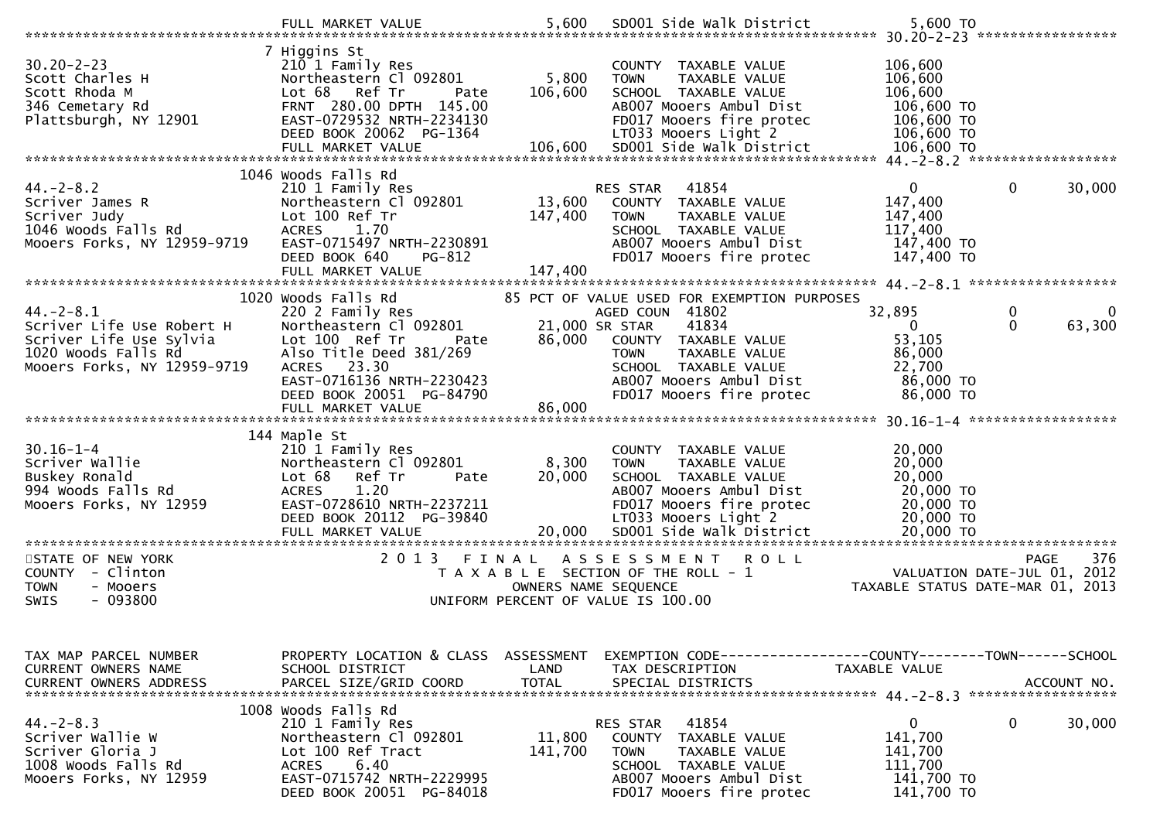|                                                                                                                                                                                          | FULL MARKET VALUE                                                                                                                                                                           | 5,600                        | SD001 Side Walk District                                                                                                                                                                | 5,600 TO                                                                              |                              |
|------------------------------------------------------------------------------------------------------------------------------------------------------------------------------------------|---------------------------------------------------------------------------------------------------------------------------------------------------------------------------------------------|------------------------------|-----------------------------------------------------------------------------------------------------------------------------------------------------------------------------------------|---------------------------------------------------------------------------------------|------------------------------|
| $30.20 - 2 - 23$<br>Scott Charles H<br>Scott Rhoda M<br>346 Cemetary Rd<br>Plattsburgh, NY 12901                                                                                         | 7 Higgins St<br>210 1 Family Res<br>Northeastern Cl 092801<br>Lot 68 Ref Tr<br>Pate<br>FRNT 280.00 DPTH 145.00<br>EAST-0729532 NRTH-2234130<br>DEED BOOK 20062 PG-1364<br>FULL MARKET VALUE | 5,800<br>106,600<br>106,600  | COUNTY TAXABLE VALUE<br>TAXABLE VALUE<br><b>TOWN</b><br>SCHOOL TAXABLE VALUE<br>AB007 Mooers Ambul Dist<br>FD017 Mooers fire protec<br>LT033 Mooers Light 2<br>SD001 Side Walk District | 106,600<br>106,600<br>106,600<br>106,600 TO<br>106,600 TO<br>106,600 TO<br>106,600 TO |                              |
|                                                                                                                                                                                          | 1046 Woods Falls Rd                                                                                                                                                                         |                              |                                                                                                                                                                                         |                                                                                       |                              |
| $44. -2 - 8.2$<br>Scriver James R<br>Scriver Judy<br>1046 Woods Falls Rd<br>Mooers Forks, NY 12959-9719                                                                                  | 210 1 Family Res<br>Northeastern Cl 092801<br>Lot 100 Ref Tr<br>1.70<br><b>ACRES</b><br>EAST-0715497 NRTH-2230891<br>DEED BOOK 640<br>PG-812<br>FULL MARKET VALUE                           | 13,600<br>147,400<br>147,400 | RES STAR 41854<br>COUNTY TAXABLE VALUE<br><b>TOWN</b><br>TAXABLE VALUE<br>SCHOOL TAXABLE VALUE<br>AB007 Mooers Ambul Dist<br>FD017 Mooers fire protec                                   | $\mathbf{0}$<br>147,400<br>147,400<br>117,400<br>147,400 TO<br>147,400 TO             | $\mathbf{0}$<br>30,000       |
|                                                                                                                                                                                          | 1020 Woods Falls Rd                                                                                                                                                                         |                              | 85 PCT OF VALUE USED FOR EXEMPTION PURPOSES                                                                                                                                             |                                                                                       |                              |
| $44. - 2 - 8.1$<br>Scriver Life Use Robert H<br>Scriver Life Use Sylvia<br>1020 Woods Falls Rd<br>Mooers Forks, NY 12959-9719                                                            | 220 2 Family Res<br>Northeastern Cl 092801<br>Lot 100 Ref Tr<br>Pate<br>Also Title Deed 381/269<br>ACRES 23.30<br>EAST-0716136 NRTH-2230423<br>DEED BOOK 20051 PG-84790                     | 86,000                       | AGED COUN 41802<br>21,000 SR STAR<br>41834<br>COUNTY TAXABLE VALUE<br>TAXABLE VALUE<br><b>TOWN</b><br>SCHOOL TAXABLE VALUE<br>AB007 Mooers Ambul Dist<br>FD017 Mooers fire protec       | 32,895<br>$\mathbf{0}$<br>53,105<br>86,000<br>22,700<br>86,000 TO<br>86,000 TO        | 0<br>0<br>$\Omega$<br>63,300 |
|                                                                                                                                                                                          | FULL MARKET VALUE                                                                                                                                                                           | 86,000                       |                                                                                                                                                                                         |                                                                                       |                              |
| $30.16 - 1 - 4$<br>Scriver Wallie<br>Buskey Ronald<br>994 Woods Falls Rd<br>Mooers Forks, NY 12959<br>= FULL MARKET VALUE<br>FULL MARKET VALUE 70,000 SDOO1 STOR WATK DTStrict 70,000 TO | 144 Maple St<br>210 1 Family Res<br>Northeastern Cl 092801<br>Lot 68 Ref Tr<br>Pate<br><b>ACRES</b><br>1.20<br>EAST-0728610 NRTH-2237211<br>DEED BOOK 20112 PG-39840                        | 8,300<br>20,000              | COUNTY TAXABLE VALUE<br>TAXABLE VALUE<br><b>TOWN</b><br>SCHOOL TAXABLE VALUE<br>AB007 Mooers Ambul Dist<br>FD017 Mooers fire protec<br>LT033 Mooers Light 2                             | 20,000<br>20,000<br>20,000<br>20,000 TO<br>20,000 TO<br>20,000 TO                     |                              |
| STATE OF NEW YORK<br>COUNTY - Clinton<br><b>TOWN</b><br>- Mooers<br>- 093800<br><b>SWIS</b>                                                                                              | 2013 FINAL                                                                                                                                                                                  | OWNERS NAME SEQUENCE         | ASSESSMENT ROLL<br>T A X A B L E SECTION OF THE ROLL - 1<br>UNIFORM PERCENT OF VALUE IS 100.00                                                                                          | VALUATION DATE-JUL 01, 2012<br>TAXABLE STATUS DATE-MAR 01, 2013                       | 376<br>PAGE                  |
| TAX MAP PARCEL NUMBER<br>CURRENT OWNERS NAME<br><b>CURRENT OWNERS ADDRESS</b>                                                                                                            | PROPERTY LOCATION & CLASS ASSESSMENT<br>SCHOOL DISTRICT<br>PARCEL SIZE/GRID COORD                                                                                                           | LAND<br><b>TOTAL</b>         | EXEMPTION        CODE-----------------COUNTY-------TOWN------SCHOOL<br>TAX DESCRIPTION<br>SPECIAL DISTRICTS                                                                             | TAXABLE VALUE                                                                         | ACCOUNT NO.                  |
| $44. -2 - 8.3$<br>Scriver Wallie W<br>Scriver Gloria J<br>1008 Woods Falls Rd<br>Mooers Forks, NY 12959                                                                                  | 1008 Woods Falls Rd<br>210 1 Family Res<br>Northeastern Cl 092801<br>Lot 100 Ref Tract<br>6.40<br><b>ACRES</b><br>EAST-0715742 NRTH-2229995<br>DEED BOOK 20051 PG-84018                     | 11,800<br>141,700            | 41854<br>RES STAR<br>TAXABLE VALUE<br>COUNTY<br><b>TOWN</b><br>TAXABLE VALUE<br>SCHOOL TAXABLE VALUE<br>AB007 Mooers Ambul Dist<br>FD017 Mooers fire protec                             | 0<br>141,700<br>141,700<br>111,700<br>141,700 TO<br>141,700 TO                        | 0<br>30,000                  |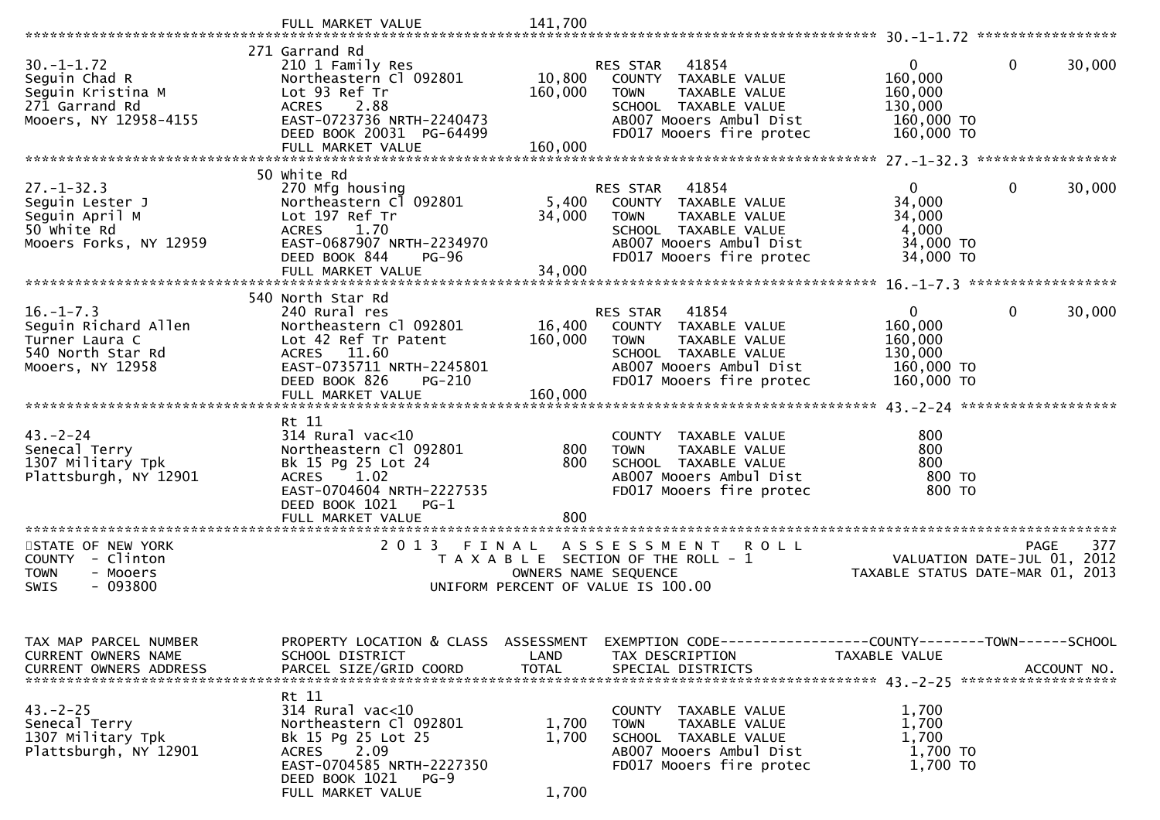|                                                                                                        | FULL MARKET VALUE                                                                                                                                                                     | 141,700                      |                                                                                                                                                                 |                                                                 |                        |
|--------------------------------------------------------------------------------------------------------|---------------------------------------------------------------------------------------------------------------------------------------------------------------------------------------|------------------------------|-----------------------------------------------------------------------------------------------------------------------------------------------------------------|-----------------------------------------------------------------|------------------------|
|                                                                                                        |                                                                                                                                                                                       |                              |                                                                                                                                                                 |                                                                 |                        |
| $30. -1 - 1.72$<br>Seguin Chad R<br>Seguin Kristina M<br>271 Garrand Rd<br>Mooers, NY 12958-4155       | 271 Garrand Rd<br>210 1 Family Res<br>Northeastern Cl 092801<br>Lot 93 Ref Tr<br>2.88<br><b>ACRES</b><br>EAST-0723736 NRTH-2240473<br>DEED BOOK 20031 PG-64499<br>FULL MARKET VALUE   | 10,800<br>160,000<br>160,000 | 41854<br>RES STAR<br>COUNTY TAXABLE VALUE<br><b>TOWN</b><br>TAXABLE VALUE<br>SCHOOL TAXABLE VALUE<br>AB007 Mooers Ambul Dist<br>FD017 Mooers fire protec        | 0<br>160,000<br>160,000<br>130,000<br>160,000 TO<br>160,000 TO  | 0<br>30,000            |
|                                                                                                        |                                                                                                                                                                                       |                              |                                                                                                                                                                 |                                                                 |                        |
| $27. - 1 - 32.3$<br>Seguin Lester J<br>Seguin April M<br>50 white Rd<br>Mooers Forks, NY 12959         | 50 white Rd<br>270 Mfg housing<br>Northeastern Cl 092801<br>Lot 197 Ref Tr<br>1.70<br><b>ACRES</b><br>EAST-0687907 NRTH-2234970<br>DEED BOOK 844<br><b>PG-96</b><br>FULL MARKET VALUE | 5,400<br>34,000<br>34,000    | 41854<br>RES STAR<br>COUNTY TAXABLE VALUE<br><b>TOWN</b><br>TAXABLE VALUE<br>SCHOOL TAXABLE VALUE<br>AB007 Mooers Ambul Dist<br>FD017 Mooers fire protec        | $\Omega$<br>34,000<br>34,000<br>4,000<br>34,000 TO<br>34,000 TO | $\mathbf{0}$<br>30,000 |
|                                                                                                        |                                                                                                                                                                                       |                              |                                                                                                                                                                 |                                                                 |                        |
| $16, -1 - 7, 3$<br>Sequin Richard Allen<br>Turner Laura C<br>540 North Star Rd<br>Mooers, NY 12958     | 540 North Star Rd<br>240 Rural res<br>Northeastern Cl 092801<br>Lot 42 Ref Tr Patent<br>ACRES 11.60<br>EAST-0735711 NRTH-2245801<br>DEED BOOK 826<br>PG-210<br>FULL MARKET VALUE      | 16,400<br>160,000<br>160,000 | 41854<br><b>RES STAR</b><br>COUNTY TAXABLE VALUE<br><b>TOWN</b><br>TAXABLE VALUE<br>SCHOOL TAXABLE VALUE<br>AB007 Mooers Ambul Dist<br>FD017 Mooers fire protec | 0<br>160,000<br>160,000<br>130,000<br>160,000 TO<br>160,000 TO  | 0<br>30,000            |
| $43 - 2 - 24$<br>Senecal Terry<br>1307 Military Tpk<br>Plattsburgh, NY 12901                           | Rt 11<br>$314$ Rural vac<10<br>Northeastern Cl 092801<br>Bk 15 Pg 25 Lot 24<br>1.02<br><b>ACRES</b><br>EAST-0704604 NRTH-2227535<br>DEED BOOK 1021<br>$PG-1$<br>FULL MARKET VALUE     | 800<br>800<br>800            | COUNTY TAXABLE VALUE<br>TAXABLE VALUE<br><b>TOWN</b><br>SCHOOL TAXABLE VALUE<br>AB007 Mooers Ambul Dist<br>FD017 Mooers fire protec                             | 800<br>800<br>800<br>800 TO<br>800 TO                           |                        |
|                                                                                                        |                                                                                                                                                                                       |                              |                                                                                                                                                                 |                                                                 |                        |
| STATE OF NEW YORK<br><b>COUNTY</b><br>- Clinton<br><b>TOWN</b><br>- Mooers<br>$-093800$<br><b>SWIS</b> | 2 0 1 3<br>FINAL                                                                                                                                                                      |                              | A S S E S S M E N T<br><b>ROLL</b><br>T A X A B L E SECTION OF THE ROLL - 1<br>OWNERS NAME SEQUENCE<br>UNIFORM PERCENT OF VALUE IS 100.00                       | VALUATION DATE-JUL 01, 2012<br>TAXABLE STATUS DATE-MAR 01, 2013 | 377<br>PAGE            |
| TAX MAP PARCEL NUMBER<br>CURRENT OWNERS NAME<br><b>CURRENT OWNERS ADDRESS</b>                          | PROPERTY LOCATION & CLASS ASSESSMENT<br>SCHOOL DISTRICT<br>PARCEL SIZE/GRID COORD                                                                                                     | LAND<br><b>TOTAL</b>         | EXEMPTION CODE------------------COUNTY-------TOWN------SCHOOL<br>TAX DESCRIPTION<br>SPECIAL DISTRICTS                                                           | TAXABLE VALUE                                                   | ACCOUNT NO.            |
| $43. -2 - 25$<br>Senecal Terry<br>1307 Military Tpk<br>Plattsburgh, NY 12901                           | Rt 11<br>314 Rural vac<10<br>Northeastern Cl 092801<br>Bk 15 Pg 25 Lot 25<br>2.09<br>ACRES<br>EAST-0704585 NRTH-2227350<br>DEED BOOK 1021<br>$PG-9$<br>FULL MARKET VALUE              | 1,700<br>1,700<br>1,700      | COUNTY TAXABLE VALUE<br>TAXABLE VALUE<br><b>TOWN</b><br>SCHOOL TAXABLE VALUE<br>AB007 Mooers Ambul Dist<br>FD017 Mooers fire protec                             | 1,700<br>1,700<br>1,700<br>1,700 TO<br>1,700 TO                 |                        |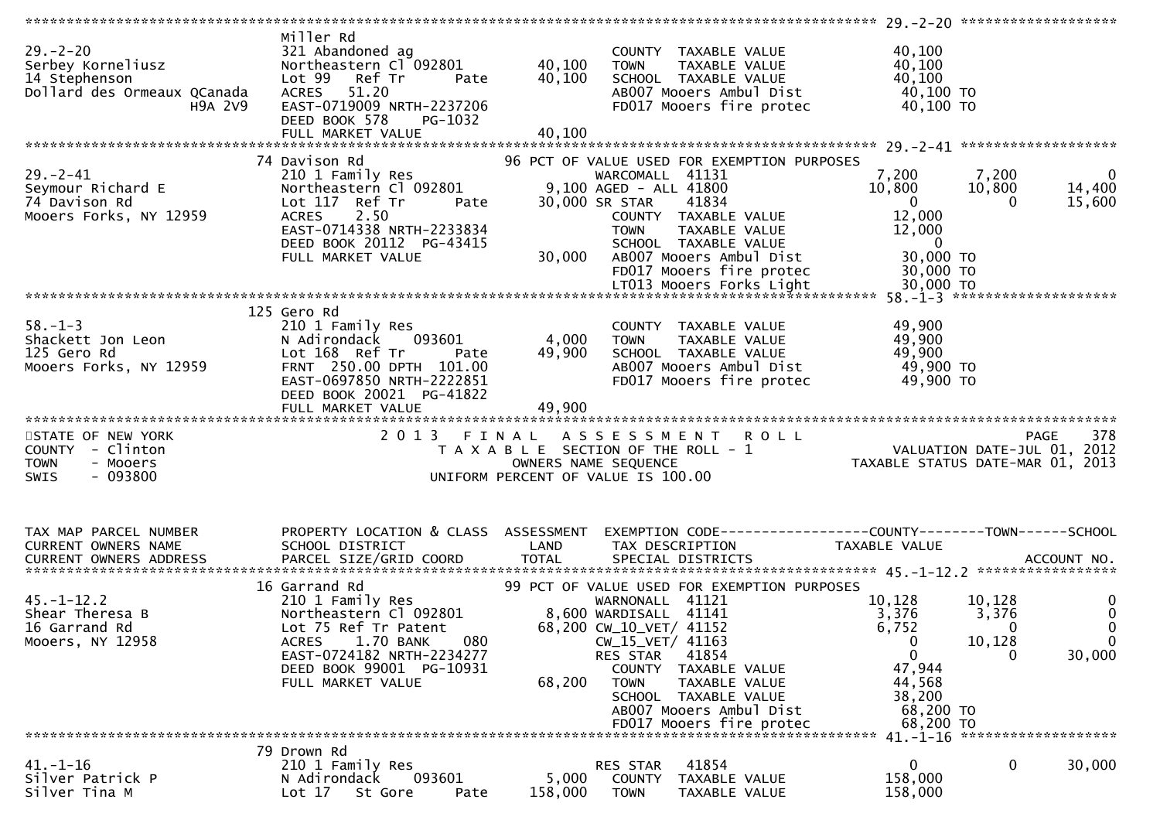| $29. - 2 - 20$<br>Serbey Korneliusz<br>14 Stephenson<br>Dollard des Ormeaux QCanada<br>H9A 2V9                                                                                     | Miller Rd<br>321 Abandoned ag<br>Northeastern Cl <sup>-</sup> 092801<br>Lot 99 Ref Tr<br>Pate<br><b>ACRES</b><br>51.20<br>EAST-0719009 NRTH-2237206<br>DEED BOOK 578<br>PG-1032<br>FULL MARKET VALUE | 40,100<br>40,100<br>40,100 | COUNTY TAXABLE VALUE<br><b>TOWN</b><br>TAXABLE VALUE<br>SCHOOL TAXABLE VALUE<br>AB007 Mooers Ambul Dist<br>FD017 Mooers fire protec                  | 40,100<br>40,100<br>40,100<br>40,100 TO<br>40,100 TO                                                     |                                 |
|------------------------------------------------------------------------------------------------------------------------------------------------------------------------------------|------------------------------------------------------------------------------------------------------------------------------------------------------------------------------------------------------|----------------------------|------------------------------------------------------------------------------------------------------------------------------------------------------|----------------------------------------------------------------------------------------------------------|---------------------------------|
|                                                                                                                                                                                    |                                                                                                                                                                                                      |                            |                                                                                                                                                      |                                                                                                          |                                 |
|                                                                                                                                                                                    | 74 Davison Rd                                                                                                                                                                                        |                            | 96 PCT OF VALUE USED FOR EXEMPTION PURPOSES                                                                                                          |                                                                                                          |                                 |
| $29. - 2 - 41$<br>Seymour Richard E<br>74 Davison Rd<br>Mooers Forks, NY 12959                                                                                                     | 210 1 Family Res<br>Northeastern Cl 092801<br>Lot 117 Ref Tr<br>Pate<br><b>ACRES</b><br>2.50<br>EAST-0714338 NRTH-2233834<br>DEED BOOK 20112 PG-43415                                                |                            | WARCOMALL 41131<br>9,100 AGED - ALL 41800<br>30,000 SR STAR<br>41834<br>COUNTY TAXABLE VALUE<br>TAXABLE VALUE<br><b>TOWN</b><br>SCHOOL TAXABLE VALUE | 7,200<br>7,200<br>10,800<br>10,800<br>$\overline{0}$<br>$\Omega$<br>12,000<br>12,000<br>$\overline{0}$   | $\mathbf 0$<br>14,400<br>15,600 |
|                                                                                                                                                                                    | FULL MARKET VALUE                                                                                                                                                                                    | 30,000                     | AB007 Mooers Ambul Dist<br>FD017 Mooers fire protec                                                                                                  | 30,000 TO<br>30,000 TO                                                                                   |                                 |
|                                                                                                                                                                                    |                                                                                                                                                                                                      |                            |                                                                                                                                                      |                                                                                                          |                                 |
|                                                                                                                                                                                    |                                                                                                                                                                                                      |                            |                                                                                                                                                      |                                                                                                          |                                 |
| $58. - 1 - 3$<br>Shackett Jon Leon<br>125 Gero Rd<br>125 Gero Rd<br>Mooers Forks, NY 12959                                                                                         | 125 Gero Rd<br>210 1 Family Res<br>N Adirondack<br>093601<br>Lot 168 Ref Tr<br>Pate<br>FRNT 250.00 DPTH 101.00<br>EAST-0697850 NRTH-2222851                                                          | 4,000<br>49,900            | COUNTY TAXABLE VALUE<br>TAXABLE VALUE<br><b>TOWN</b><br>SCHOOL TAXABLE VALUE<br>AB007 Mooers Ambul Dist<br>FD017 Mooers fire protec                  | 49,900<br>49,900<br>49,900<br>49,900 TO<br>49,900 TO                                                     |                                 |
|                                                                                                                                                                                    | DEED BOOK 20021 PG-41822                                                                                                                                                                             |                            |                                                                                                                                                      |                                                                                                          |                                 |
|                                                                                                                                                                                    |                                                                                                                                                                                                      |                            |                                                                                                                                                      |                                                                                                          |                                 |
|                                                                                                                                                                                    | FULL MARKET VALUE                                                                                                                                                                                    | 49,900                     |                                                                                                                                                      |                                                                                                          |                                 |
| STATE OF NEW YORK                                                                                                                                                                  |                                                                                                                                                                                                      |                            | 2013 FINAL ASSESSMENT ROLL                                                                                                                           |                                                                                                          |                                 |
| COUNTY - Clinton                                                                                                                                                                   |                                                                                                                                                                                                      |                            | T A X A B L E SECTION OF THE ROLL - 1                                                                                                                |                                                                                                          |                                 |
| - Mooers<br><b>TOWN</b>                                                                                                                                                            |                                                                                                                                                                                                      |                            | OWNERS NAME SEQUENCE                                                                                                                                 | 978 PAGE<br>VALUATION DATE-JUL 01, 2012<br>TAXARLE STATUS DATE  2012<br>TAXABLE STATUS DATE-MAR 01, 2013 |                                 |
| $-093800$<br>SWIS                                                                                                                                                                  |                                                                                                                                                                                                      |                            | UNIFORM PERCENT OF VALUE IS 100.00                                                                                                                   |                                                                                                          |                                 |
|                                                                                                                                                                                    |                                                                                                                                                                                                      |                            |                                                                                                                                                      |                                                                                                          |                                 |
| TAX MAP PARCEL NUMBER                                                                                                                                                              | PROPERTY LOCATION & CLASS ASSESSMENT                                                                                                                                                                 |                            |                                                                                                                                                      | EXEMPTION CODE-----------------COUNTY-------TOWN------SCHOOL                                             |                                 |
| CURRENT OWNERS NAME                                                                                                                                                                | SCHOOL DISTRICT                                                                                                                                                                                      | LAND                       | TAX DESCRIPTION                                                                                                                                      | TAXABLE VALUE                                                                                            |                                 |
|                                                                                                                                                                                    |                                                                                                                                                                                                      |                            |                                                                                                                                                      |                                                                                                          |                                 |
| -CURRENT OWNERS ADDRESS PARCEL SIZE/GRID COORD TOTAL SPECIAL DISTRICTS AND MONERS ADDRESS PARCEL SIZE/GRID COORD TOTAL SPECIAL DISTRICTS AND MONERS ADDRESS PARCEL SIZE/GRID COORD |                                                                                                                                                                                                      |                            |                                                                                                                                                      |                                                                                                          |                                 |
|                                                                                                                                                                                    | 16 Garrand Rd                                                                                                                                                                                        |                            | 99 PCT OF VALUE USED FOR EXEMPTION PURPOSES                                                                                                          |                                                                                                          |                                 |
| $45.-1-12.2$                                                                                                                                                                       | 210 1 Family Res                                                                                                                                                                                     |                            | WARNONALL 41121                                                                                                                                      | 10,128<br>10,128                                                                                         | $\mathbf{0}$                    |
| Shear Theresa B<br>16 Garrand Rd                                                                                                                                                   | Northeastern Cl 092801                                                                                                                                                                               |                            | 8,600 WARDISALL 41141                                                                                                                                | 3,376<br>3,376<br>$\mathbf 0$                                                                            | $\mathbf 0$<br>$\mathbf{0}$     |
|                                                                                                                                                                                    | Lot 75 Ref Tr Patent<br>1.70 BANK<br><b>ACRES</b><br>080                                                                                                                                             |                            | 68,200 CW_10_VET/ 41152<br>CW_15_VET/ 41163                                                                                                          | 6,752<br>$\bf{0}$                                                                                        | $\overline{0}$                  |
| Mooers, NY 12958                                                                                                                                                                   | EAST-0724182 NRTH-2234277                                                                                                                                                                            |                            | 41854<br><b>RES STAR</b>                                                                                                                             | 10,128<br>$\mathbf{0}$<br>0                                                                              | 30,000                          |
|                                                                                                                                                                                    | DEED BOOK 99001 PG-10931                                                                                                                                                                             |                            | COUNTY TAXABLE VALUE                                                                                                                                 | 47,944                                                                                                   |                                 |
|                                                                                                                                                                                    | FULL MARKET VALUE                                                                                                                                                                                    | 68,200                     | <b>TOWN</b><br>TAXABLE VALUE                                                                                                                         | 44,568                                                                                                   |                                 |
|                                                                                                                                                                                    |                                                                                                                                                                                                      |                            | SCHOOL TAXABLE VALUE                                                                                                                                 | 38,200                                                                                                   |                                 |
|                                                                                                                                                                                    |                                                                                                                                                                                                      |                            | AB007 Mooers Ambul Dist                                                                                                                              | 68,200 TO                                                                                                |                                 |
|                                                                                                                                                                                    |                                                                                                                                                                                                      |                            | FD017 Mooers fire protec                                                                                                                             | 68,200 TO                                                                                                |                                 |
|                                                                                                                                                                                    |                                                                                                                                                                                                      |                            |                                                                                                                                                      | 41. -1-16 ********************                                                                           |                                 |
| $41. - 1 - 16$                                                                                                                                                                     | 79 Drown Rd                                                                                                                                                                                          |                            |                                                                                                                                                      | 0<br>$\mathbf 0$                                                                                         |                                 |
| Silver Patrick P<br>Silver Tina M                                                                                                                                                  | 210 1 Family Res<br>093601<br>N Adirondack                                                                                                                                                           | 5,000                      | 41854<br>RES STAR<br><b>COUNTY</b><br>TAXABLE VALUE                                                                                                  | 158,000                                                                                                  | 30,000                          |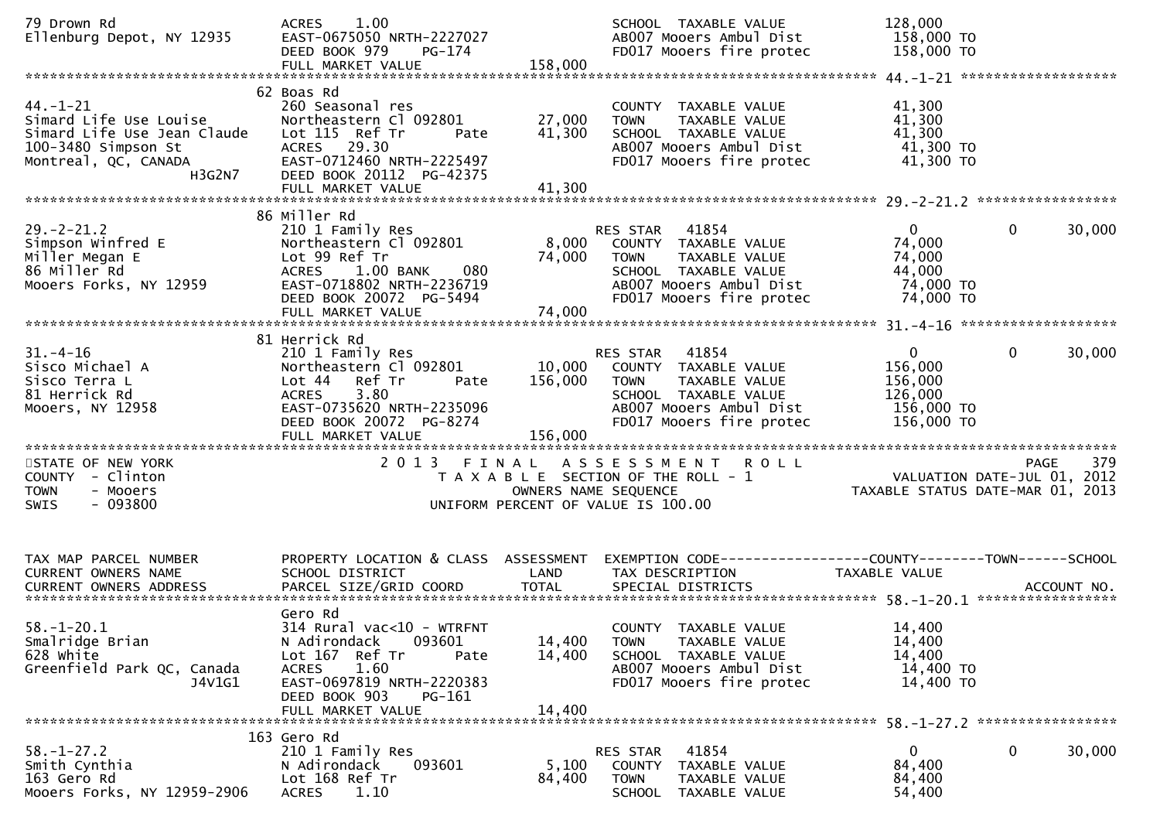| 79 Drown Rd<br>Ellenburg Depot, NY 12935                                                                                         | 1.00<br><b>ACRES</b><br>EAST-0675050 NRTH-2227027<br>DEED BOOK 979<br>PG-174<br>FULL MARKET VALUE                                                                                              | 158,000                    | SCHOOL TAXABLE VALUE<br>AB007 Mooers Ambul Dist<br>FD017 Mooers fire protec                                                                                    | 128,000<br>158,000 TO<br>158,000 TO                                                                       |              |        |
|----------------------------------------------------------------------------------------------------------------------------------|------------------------------------------------------------------------------------------------------------------------------------------------------------------------------------------------|----------------------------|----------------------------------------------------------------------------------------------------------------------------------------------------------------|-----------------------------------------------------------------------------------------------------------|--------------|--------|
| $44. - 1 - 21$<br>Simard Life Use Louise<br>Simard Life Use Jean Claude<br>100-3480 Simpson St<br>Montreal, QC, CANADA<br>H3G2N7 | 62 Boas Rd<br>260 Seasonal res<br>Northeastern Cl 092801<br>Lot 115 Ref Tr<br>Pate<br>ACRES 29.30<br>EAST-0712460 NRTH-2225497<br>DEED BOOK 20112 PG-42375<br>FULL MARKET VALUE                | 27,000<br>41,300<br>41,300 | COUNTY TAXABLE VALUE<br>TAXABLE VALUE<br><b>TOWN</b><br>SCHOOL TAXABLE VALUE<br>AB007 Mooers Ambul Dist<br>FD017 Mooers fire protec                            | 41,300<br>41,300<br>41,300<br>41,300 TO<br>41,300 TO                                                      |              |        |
| $29. - 2 - 21.2$<br>86 Miller Rd<br>Mooers Forks, NY 12959                                                                       | 86 Miller Rd<br>210 1 Family Res<br>Northeastern Cl 092801<br>Lot 99 Ref Tr<br>080<br><b>ACRES</b><br>$1.00$ BANK<br>EAST-0718802 NRTH-2236719<br>DEED BOOK 20072 PG-5494<br>FULL MARKET VALUE | 74,000<br>74,000           | 41854<br>RES STAR<br>8,000 COUNTY TAXABLE VALUE<br>TAXABLE VALUE<br><b>TOWN</b><br>SCHOOL TAXABLE VALUE<br>AB007 Mooers Ambul Dist<br>FD017 Mooers fire protec | $\mathbf{0}$<br>74,000<br>74,000<br>44,000<br>74,000 TO<br>74,000 TO                                      | 0            | 30,000 |
| $31 - 4 - 16$<br>Sisco Michael A<br>Sisco Terra L<br>81 Herrick Rd<br>Mooers, NY 12958                                           | 81 Herrick Rd<br>210 1 Family Res<br>Northeastern Cl 092801<br>Lot 44 Ref Tr<br>Pate<br>3.80<br>ACRES<br>EAST-0735620 NRTH-2235096<br>DEED BOOK 20072 PG-8274                                  | 10,000<br>156,000          | 41854<br>RES STAR<br>COUNTY TAXABLE VALUE<br>TAXABLE VALUE<br><b>TOWN</b><br>SCHOOL TAXABLE VALUE<br>AB007 Mooers Ambul Dist<br>FD017 Mooers fire protec       | $\mathbf{0}$<br>156,000<br>156,000<br>126,000<br>156,000 TO<br>156,000 TO                                 | $\mathbf{0}$ | 30,000 |
| STATE OF NEW YORK<br>COUNTY - Clinton<br>- Mooers<br><b>TOWN</b><br>$-093800$<br>SWIS                                            |                                                                                                                                                                                                |                            | 2013 FINAL ASSESSMENT ROLL<br>T A X A B L E SECTION OF THE ROLL - 1<br>OWNERS NAME SEQUENCE<br>UNIFORM PERCENT OF VALUE IS 100.00                              | PAGE 379<br>VALUATION DATE-JUL 01, 2012<br>TAYARLE STATUS DATE (1999)<br>TAXABLE STATUS DATE-MAR 01, 2013 |              |        |
| TAX MAP PARCEL NUMBER<br><b>CURRENT OWNERS NAME</b>                                                                              | PROPERTY LOCATION & CLASS ASSESSMENT<br>SCHOOL DISTRICT                                                                                                                                        | LAND                       | EXEMPTION CODE-----------------COUNTY-------TOWN------SCHOOL<br>TAX DESCRIPTION                                                                                | TAXABLE VALUE                                                                                             |              |        |
| $58. - 1 - 20.1$<br>Smalridge Brian<br>628 White<br>Greenfield Park QC, Canada<br>J4V1G1                                         | Gero Rd<br>314 Rural vac<10 - WTRFNT<br>N Adirondack<br>093601<br>Lot 167 Ref Tr<br>Pate<br><b>ACRES</b><br>1.60<br>EAST-0697819 NRTH-2220383<br>DEED BOOK 903<br>PG-161<br>FULL MARKET VALUE  | 14,400<br>14,400<br>14,400 | COUNTY TAXABLE VALUE<br>TAXABLE VALUE<br><b>TOWN</b><br>SCHOOL TAXABLE VALUE<br>AB007 Mooers Ambul Dist<br>FD017 Mooers fire protec                            | 14,400<br>14,400<br>14,400<br>14,400 TO<br>14,400 TO                                                      |              |        |
| $58. - 1 - 27.2$<br>Smith Cynthia<br>163 Gero Rd<br>Mooers Forks, NY 12959-2906                                                  | 163 Gero Rd<br>210 1 Family Res<br>N Adirondack<br>093601<br>Lot 168 Ref Tr<br>1.10<br><b>ACRES</b>                                                                                            | 5,100<br>84,400            | 41854<br>RES STAR<br>COUNTY TAXABLE VALUE<br>TOWN<br>TAXABLE VALUE<br>SCHOOL TAXABLE VALUE                                                                     | 0<br>84,400<br>84,400<br>54,400                                                                           | 0            | 30,000 |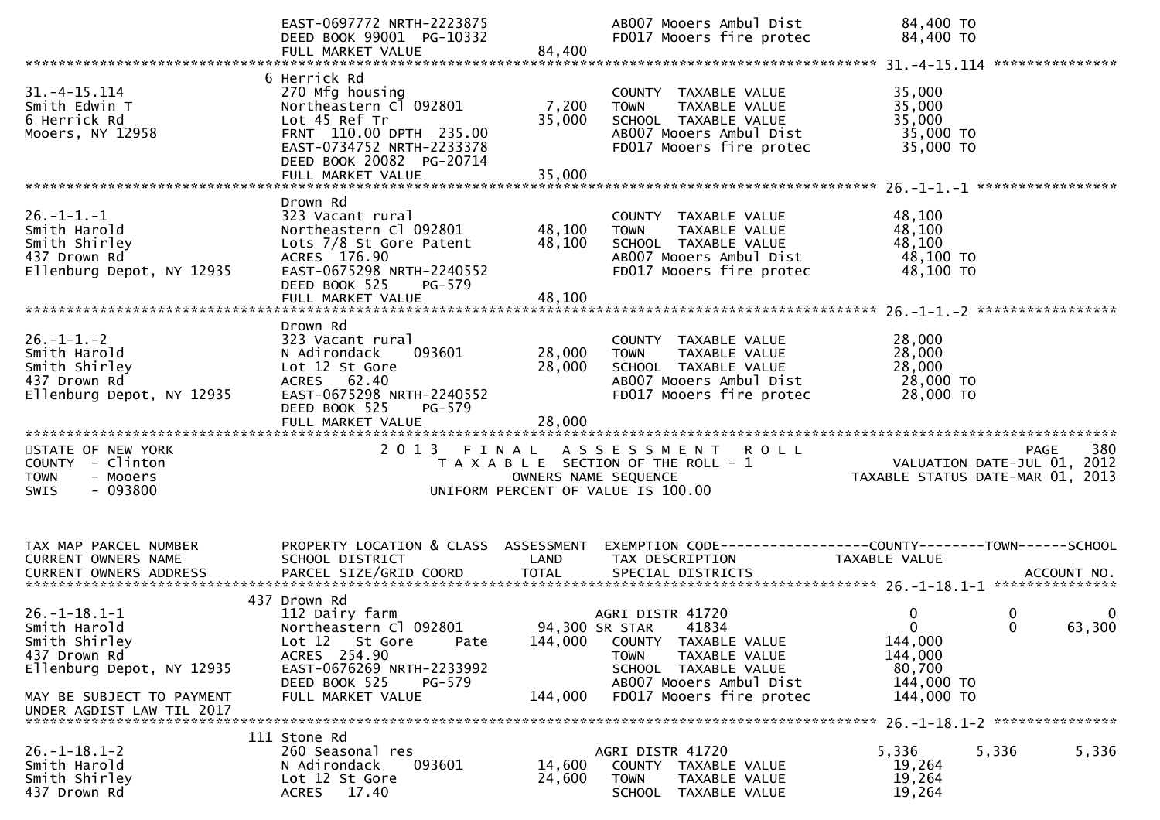|                                                                                                                                                              | EAST-0697772 NRTH-2223875<br>DEED BOOK 99001 PG-10332                                                                                                                           |                               | AB007 Mooers Ambul Dist<br>FD017 Mooers fire protec                                                                                                                                | 84,400 TO<br>84,400 TO                                                    |                                            |
|--------------------------------------------------------------------------------------------------------------------------------------------------------------|---------------------------------------------------------------------------------------------------------------------------------------------------------------------------------|-------------------------------|------------------------------------------------------------------------------------------------------------------------------------------------------------------------------------|---------------------------------------------------------------------------|--------------------------------------------|
|                                                                                                                                                              |                                                                                                                                                                                 |                               |                                                                                                                                                                                    |                                                                           |                                            |
| $31. -4 - 15.114$<br>Smith Edwin T<br>6 Herrick Rd<br>Mooers, NY 12958                                                                                       | 6 Herrick Rd<br>270 Mfg housing<br>Northeastern C1 092801<br>Lot 45 Ref Tr<br>FRNT 110.00 DPTH 235.00<br>EAST-0734752 NRTH-2233378<br>DEED BOOK 20082 PG-20714                  | 7,200<br>35,000               | COUNTY TAXABLE VALUE<br>TAXABLE VALUE<br><b>TOWN</b><br>SCHOOL TAXABLE VALUE<br>AB007 Mooers Ambul Dist<br>FD017 Mooers fire protec                                                | 35,000<br>35,000<br>35,000<br>35,000 TO<br>35,000 TO                      |                                            |
| $26. - 1 - 1. - 1$<br>Smith Harold<br>Smith Shirley<br>437 Drown Rd<br>Ellenburg Depot, NY 12935                                                             | Drown Rd<br>323 Vacant rural<br>Northeastern Cl 092801<br>Lots 7/8 St Gore Patent<br>ACRES 176.90<br>EAST-0675298 NRTH-2240552<br>DEED BOOK 525<br>PG-579<br>FULL MARKET VALUE  | 48,100<br>48,100<br>48,100    | COUNTY TAXABLE VALUE<br>TAXABLE VALUE<br><b>TOWN</b><br>SCHOOL TAXABLE VALUE<br>AB007 Mooers Ambul Dist<br>FD017 Mooers fire protec                                                | 48,100<br>48,100<br>48,100<br>48,100 TO<br>48,100 TO                      |                                            |
| $26. - 1 - 1. - 2$<br>Smith Harold<br>Smith Shirley<br>437 Drown Rd<br>Ellenburg Depot, NY 12935                                                             | Drown Rd<br>323 Vacant rural<br>N Adirondack<br>093601<br>Lot 12 St Gore<br>ACRES 62.40<br>EAST-0675298 NRTH-2240552<br>DEED BOOK 525<br>PG-579<br>FULL MARKET VALUE            | 28,000<br>28,000<br>28,000    | COUNTY TAXABLE VALUE<br>TAXABLE VALUE<br><b>TOWN</b><br>SCHOOL TAXABLE VALUE<br>AB007 Mooers Ambul Dist<br>FD017 Mooers fire protec                                                | 28,000<br>28,000<br>28,000<br>28,000 TO<br>28,000 TO                      |                                            |
| STATE OF NEW YORK<br>COUNTY - Clinton<br>- Mooers<br><b>TOWN</b><br>$-093800$<br><b>SWIS</b>                                                                 | 2 0 1 3                                                                                                                                                                         | FINAL<br>OWNERS NAME SEQUENCE | A S S E S S M E N T<br><b>ROLL</b><br>T A X A B L E SECTION OF THE ROLL - 1<br>UNIFORM PERCENT OF VALUE IS 100.00                                                                  | TAXABLE STATUS DATE-MAR 01, 2013                                          | 380<br>PAGE<br>VALUATION DATE-JUL 01, 2012 |
| TAX MAP PARCEL NUMBER<br>CURRENT OWNERS NAME                                                                                                                 | PROPERTY LOCATION & CLASS ASSESSMENT<br>SCHOOL DISTRICT                                                                                                                         | LAND                          | EXEMPTION        CODE-----------------COUNTY-------TOWN------SCHOOL<br>TAX DESCRIPTION                                                                                             | TAXABLE VALUE                                                             |                                            |
| $26. - 1 - 18.1 - 1$<br>Smith Harold<br>Smith Shirley<br>437 Drown Rd<br>Ellenburg Depot, NY 12935<br>MAY BE SUBJECT TO PAYMENT<br>UNDER AGDIST LAW TIL 2017 | 437 Drown Rd<br>112 Dairy farm<br>Northeastern Cl 092801<br>Lot 12 St Gore<br>Pate<br>ACRES 254.90<br>EAST-0676269 NRTH-2233992<br>DEED BOOK 525<br>PG-579<br>FULL MARKET VALUE | 144,000<br>144,000            | AGRI DISTR 41720<br>94,300 SR STAR<br>41834<br>COUNTY TAXABLE VALUE<br><b>TOWN</b><br>TAXABLE VALUE<br>SCHOOL TAXABLE VALUE<br>AB007 Mooers Ambul Dist<br>FD017 Mooers fire protec | 0<br>$\Omega$<br>144,000<br>144,000<br>80,700<br>144,000 TO<br>144,000 TO | 0<br>0<br>63,300<br><sup>0</sup>           |
| $26. - 1 - 18.1 - 2$<br>Smith Harold<br>Smith Shirley<br>437 Drown Rd                                                                                        | 111 Stone Rd<br>260 Seasonal res<br>093601<br>N Adirondack<br>Lot 12 St Gore<br>17.40<br>ACRES                                                                                  | 14,600<br>24,600              | AGRI DISTR 41720<br>COUNTY TAXABLE VALUE<br><b>TOWN</b><br>TAXABLE VALUE<br>SCHOOL TAXABLE VALUE                                                                                   | 5,336<br>5,336<br>19,264<br>19,264<br>19,264                              | 5,336                                      |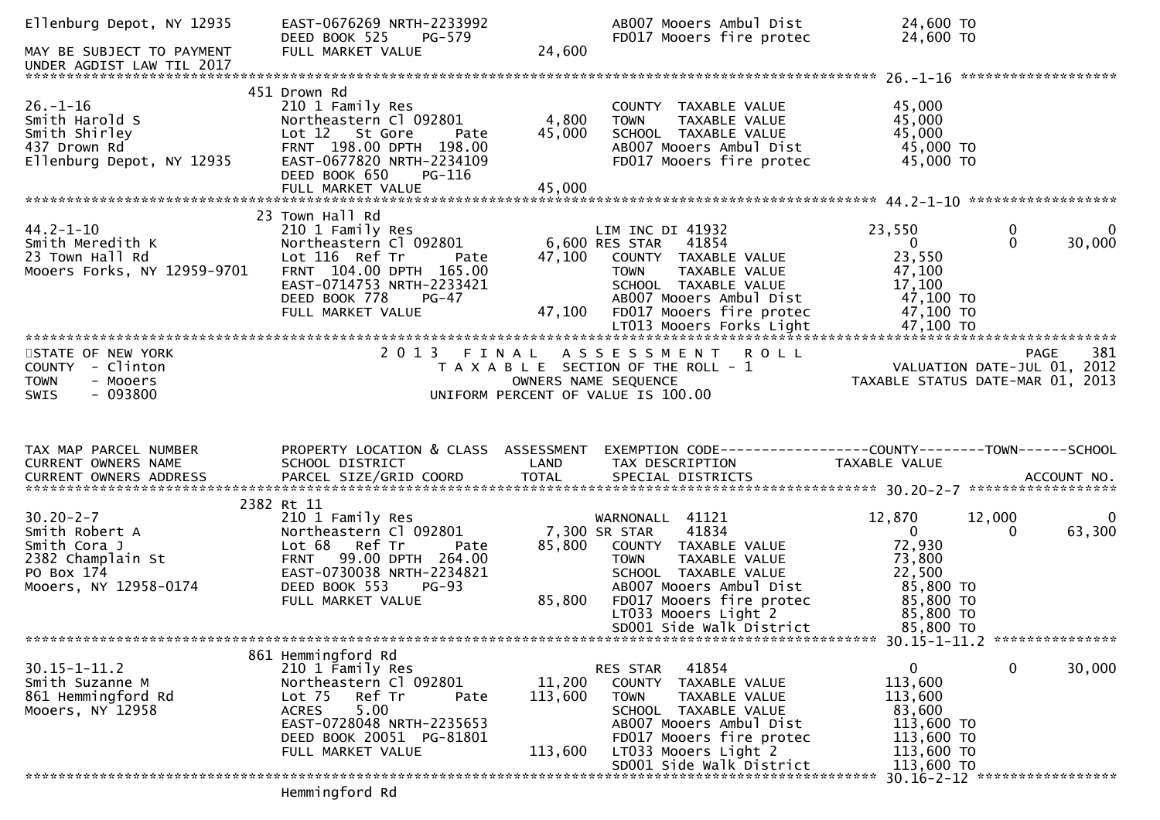| Ellenburg Depot, NY 12935<br>MAY BE SUBJECT TO PAYMENT                                                                                              | EAST-0676269 NRTH-2233992<br>DEED BOOK 525<br>PG-579<br>FULL MARKET VALUE                                                                                                                                                                        | 24,600                             | AB007 Mooers Ambul Dist<br>FD017 Mooers fire protec                                                                                                                                                                   | 24,600 TO<br>24,600 TO                                                                                         |                                         |
|-----------------------------------------------------------------------------------------------------------------------------------------------------|--------------------------------------------------------------------------------------------------------------------------------------------------------------------------------------------------------------------------------------------------|------------------------------------|-----------------------------------------------------------------------------------------------------------------------------------------------------------------------------------------------------------------------|----------------------------------------------------------------------------------------------------------------|-----------------------------------------|
|                                                                                                                                                     |                                                                                                                                                                                                                                                  |                                    |                                                                                                                                                                                                                       |                                                                                                                |                                         |
|                                                                                                                                                     |                                                                                                                                                                                                                                                  |                                    |                                                                                                                                                                                                                       |                                                                                                                |                                         |
| $26. - 1 - 16$<br>Smith Harold S<br>Smith Shirley<br>437 Drown Rd<br>Ellenburg Depot, NY 12935                                                      | 451 Drown Rd<br>210 1 Family Res<br>Northeastern Cl (<br>Lot 12 St Gore<br>FRNT 198.00 DPTH<br>, NY 12935 EAST-0677820 NRTH<br>Northeastern Cl 092801<br>Pate<br>FRNT 198.00 DPTH 198.00<br>EAST-0677820 NRTH-2234109<br>DEED BOOK 650<br>PG-116 | 4,800<br>45,000                    | COUNTY TAXABLE VALUE<br><b>TOWN</b><br>TAXABLE VALUE<br>SCHOOL TAXABLE VALUE<br>AB007 Mooers Ambul Dist<br>FD017 Mooers fire protec                                                                                   | 45,000<br>45,000<br>45,000<br>45,000 TO<br>45,000 TO                                                           |                                         |
|                                                                                                                                                     | 23 Town Hall Rd                                                                                                                                                                                                                                  |                                    |                                                                                                                                                                                                                       |                                                                                                                |                                         |
| $44.2 - 1 - 10$<br>Smith Meredith K<br>23 Town Hall Rd<br>Mooers Forks, NY 12959-9701                                                               | ZIO I Family Res<br>Northeastern Cl 092801<br>Lot 116 Ref Tr<br>FRNT 104.00 DPTH 165.00<br>EAST-0714753 NRTH-2233421<br>DEED BOOK 778<br>PG-47<br>FULL MARKET VALUE                                                                              | <i>s</i> 01<br>Pate 47,<br>Ann 47, | LIM INC DI 41954<br>6,600 RES STAR 41854<br>6,000 COUNTY TAXABLE<br>47,100 COUNTY TAXABLE VALUE<br><b>TOWN</b><br>TAXABLE VALUE<br>SCHOOL TAXABLE VALUE<br>AB007 Mooers Ambul Dist<br>47,100 FD017 Mooers fire protec | 23,550<br>$\mathbf{0}$<br>23,550<br>47,100<br>17,100<br>47,100 TO<br>47,100 TO                                 | 0<br>0<br>$\Omega$<br>30,000            |
|                                                                                                                                                     |                                                                                                                                                                                                                                                  |                                    | 2013 FINAL ASSESSMENT ROLL                                                                                                                                                                                            |                                                                                                                | 381                                     |
| STATE OF NEW YORK<br>COUNTY - Clinton<br><b>TOWN</b><br>- Mooers<br>$-093800$<br>SWIS                                                               |                                                                                                                                                                                                                                                  |                                    | T A X A B L E SECTION OF THE ROLL - 1<br>OWNERS NAME SEQUENCE<br>UNIFORM PERCENT OF VALUE IS 100.00                                                                                                                   | PAGE 381 PAGE 381<br>ROLL - 1 VALUATION DATE-JUL 01, 2012<br>TAXABLE STATUS DATE-MAR 01, 2013                  | <b>PAGE</b>                             |
|                                                                                                                                                     |                                                                                                                                                                                                                                                  |                                    |                                                                                                                                                                                                                       |                                                                                                                |                                         |
|                                                                                                                                                     |                                                                                                                                                                                                                                                  |                                    |                                                                                                                                                                                                                       |                                                                                                                |                                         |
| TAX MAP PARCEL NUMBER<br>CURRENT OWNERS NAME                                                                                                        | PROPERTY LOCATION & CLASS ASSESSMENT<br>SCHOOL DISTRICT                                                                                                                                                                                          | LAND                               | EXEMPTION CODE------------------COUNTY--------TOWN------SCHOOL<br>TAX DESCRIPTION                                                                                                                                     | TAXABLE VALUE                                                                                                  |                                         |
|                                                                                                                                                     |                                                                                                                                                                                                                                                  |                                    |                                                                                                                                                                                                                       |                                                                                                                |                                         |
| $30.20 - 2 - 7$<br>Switch-2-7<br>Smith Robert A<br>Smith Cora J<br>2382 Champlain St<br>PO Box 174<br>Mooers AV 12059 0171<br>Mooers, NY 12958-0174 | 2382 Rt 11<br>210 1 Family Res<br>Northeastern Cl 092801<br>Lot 68 Ref Tr<br>Pate<br>FRNT 99.00 DPTH 264.00<br>EAST-0730038 NRTH-2234821<br>DEED BOOK 553<br>$PG-93$<br>FULL MARKET VALUE                                                        | 85,800<br>85,800                   | WARNONALL 41121<br>41834<br>7,300 SR STAR<br>COUNTY TAXABLE VALUE<br>TOWN      TAXABLE VALUE<br>SCHOOL   TAXABLE VALUE<br>AB007 Mooers Ambul Dist<br>FD017 Mooers fire protec<br>LT033 Mooers Light 2                 | 12,870<br>$\overline{0}$<br>72,930<br>73,800<br>22,500<br>85,800 TO<br>$85,800$ TO<br>$85,800$ TO<br>85,800 TO | 12,000<br>$\overline{0}$<br>63,300<br>0 |
|                                                                                                                                                     |                                                                                                                                                                                                                                                  |                                    | SD001 Side Walk District                                                                                                                                                                                              | 85,800 TO                                                                                                      |                                         |
|                                                                                                                                                     | 861 Hemmingford Rd                                                                                                                                                                                                                               |                                    |                                                                                                                                                                                                                       |                                                                                                                |                                         |
| $30.15 - 1 - 11.2$<br>Smith Suzanne M<br>861 Hemmingford Rd<br>Mooers, NY 12958                                                                     | 210 1 Family Res<br>Northeastern Cl 092801<br>Lot 75<br>Ref ⊤r<br>Pate<br><b>ACRES</b><br>5.00<br>EAST-0728048 NRTH-2235653<br>DEED BOOK 20051 PG-81801<br>FULL MARKET VALUE                                                                     | 11,200<br>113,600<br>113,600       | 41854<br>RES STAR<br>COUNTY TAXABLE VALUE<br>TAXABLE VALUE<br><b>TOWN</b><br>SCHOOL TAXABLE VALUE<br>AB007 Mooers Ambul Dist<br>FD017 Mooers fire protec<br>LT033 Mooers Light 2                                      | $\mathbf{0}$<br>113,600<br>113,600<br>83,600<br>113,600 TO<br>113,600 TO<br>113,600 TO                         | 30,000<br>$\mathbf 0$                   |
|                                                                                                                                                     | Hemmingford Rd                                                                                                                                                                                                                                   |                                    | SD001 Side Walk District                                                                                                                                                                                              | 113,600 TO                                                                                                     | 30.16-2-12 ******************           |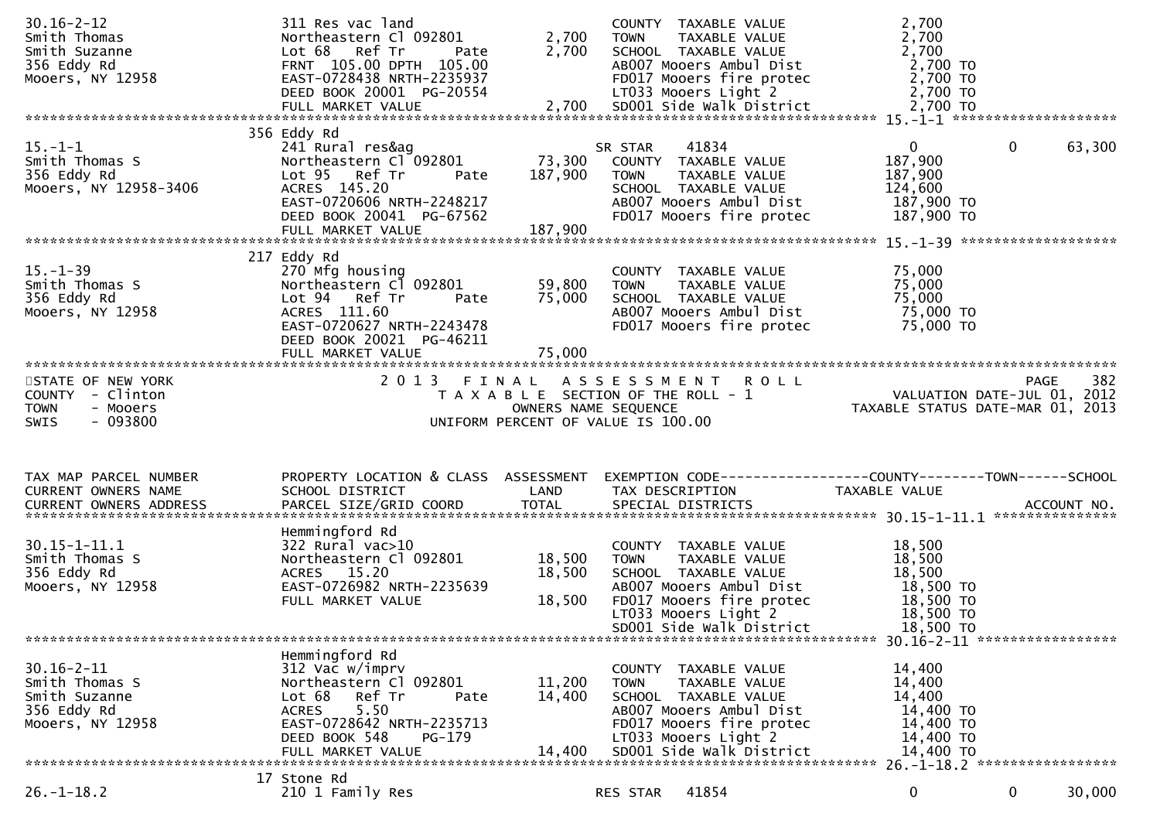| $30.16 - 2 - 12$<br>Smith Thomas<br>Smith Suzanne<br>356 Eddy Rd<br>Mooers, NY 12958<br>0100013, 111200001<br>DEED BOOK 20001 PG-20554 LT033 Mooers Light 2<br>FULL MARKET VALUE 2,700 SDOO1 Side walk District 2,700 TO FULL MARKET VALUE 2,700 TO 2,700 TO 2,700 TO | 311 Res vac land<br>Northeastern Cl 092801<br>Lot 68 Ref Tr<br>Pate<br>FRNT 105.00 DPTH 105.00<br>EAST-0728438 NRTH-2235937                                                                  | 2,700<br>2,700             | COUNTY TAXABLE VALUE<br><b>TOWN</b><br>TAXABLE VALUE<br>SCHOOL TAXABLE VALUE<br>AB007 Mooers Ambul Dist<br>FD017 Mooers fire protec                                                                   | 2,700<br>2,700<br>2,700<br>2,700 TO<br>2,700 TO                                          |                    |
|-----------------------------------------------------------------------------------------------------------------------------------------------------------------------------------------------------------------------------------------------------------------------|----------------------------------------------------------------------------------------------------------------------------------------------------------------------------------------------|----------------------------|-------------------------------------------------------------------------------------------------------------------------------------------------------------------------------------------------------|------------------------------------------------------------------------------------------|--------------------|
| $15. - 1 - 1$<br>Smith Thomas S<br>356 Eddy Rd<br>Mooers, NY 12958-3406                                                                                                                                                                                               | 356 Eddy Rd<br>241 Rural res&ag<br>Northeastern Cl 092801<br>Lot 95 Ref Tr<br>Pate<br>ACRES 145.20<br>EAST-0720606 NRTH-2248217<br>DEED BOOK 20041 PG-67562                                  | 187,900                    | 41834<br>SR STAR<br>73,300 COUNTY TAXABLE VALUE<br>TAXABLE VALUE<br><b>TOWN</b><br>SCHOOL TAXABLE VALUE<br>AB007 Mooers Ambul Dist<br>FD017 Mooers fire protec                                        | $\mathbf{0}$<br>$\mathbf 0$<br>187,900<br>187,900<br>124,600<br>187,900 TO<br>187,900 TO | 63,300             |
| $15. - 1 - 39$<br>Smith Thomas S<br>356 Eddy Rd<br>Mooers, NY 12958                                                                                                                                                                                                   | 217 Eddy Rd<br>270 Mfg housing<br>Northeastern Cl 092801<br>Lot 94 Ref Tr<br>Pate<br>ACRES 111.60<br>EAST-0720627 NRTH-2243478<br>DEED BOOK 20021 PG-46211<br>FULL MARKET VALUE              | 59,800<br>75,000<br>75,000 | COUNTY TAXABLE VALUE<br>TAXABLE VALUE<br><b>TOWN</b><br>SCHOOL TAXABLE VALUE<br>AB007 Mooers Ambul Dist<br>FD017 Mooers fire protec                                                                   | 75,000<br>75,000<br>75,000<br>75,000 TO<br>75,000 TO                                     |                    |
| STATE OF NEW YORK<br>COUNTY - Clinton<br><b>TOWN</b><br>- Mooers                                                                                                                                                                                                      |                                                                                                                                                                                              |                            | 2013 FINAL ASSESSMENT ROLL<br>S FINAL ASSESSMENI ROLL<br>TAXABLE SECTION OF THE ROLL - 1 VALUATION DATE-JUL 01, 2012<br>OWNERS NAME SEQUENCE TAXABLE STATUS DATE-MAR 01, 2013                         |                                                                                          | 382<br><b>PAGE</b> |
| $-093800$<br>SWIS                                                                                                                                                                                                                                                     |                                                                                                                                                                                              |                            | UNIFORM PERCENT OF VALUE IS 100.00                                                                                                                                                                    |                                                                                          |                    |
| TAX MAP PARCEL NUMBER<br>CURRENT OWNERS NAME                                                                                                                                                                                                                          | SCHOOL DISTRICT                                                                                                                                                                              | LAND                       | PROPERTY LOCATION & CLASS ASSESSMENT EXEMPTION CODE----------------COUNTY-------TOWN------SCHOOL<br>TAX DESCRIPTION                                                                                   | TAXABLE VALUE                                                                            |                    |
| $30.15 - 1 - 11.1$<br>Smith Thomas S<br>356 Eddy Rd<br>Mooers, NY 12958                                                                                                                                                                                               | Hemmingford Rd<br>322 Rural vac>10<br>Northeastern Cl 092801<br>ACRES 15.20<br>EAST-0726982 NRTH-2235639<br>FULL MARKET VALUE                                                                | 18,500<br>18,500<br>18,500 | COUNTY TAXABLE VALUE<br>TOWN TAXABLE VALUE<br>SCHOOL TAXABLE VALUE<br>SCHOOL TAXABLE VALUE<br>AB007 Mooers Ambul Dist<br>FD017 Mooers fire protec<br>LT033 Mooers Light 2<br>SD001 Side Walk District | 18,500<br>18,500<br>18,500<br>18,500 TO<br>18,500 TO<br>18,500 TO<br>18,500 TO           |                    |
| $30.16 - 2 - 11$<br>Smith Thomas S<br>Smith Suzanne<br>356 Eddy Rd<br>Mooers, NY 12958                                                                                                                                                                                | Hemmingford Rd<br>312 Vac w/imprv<br>Northeastern Cl 092801<br>Ref Tr<br>Lot 68<br>Pate<br>5.50<br><b>ACRES</b><br>EAST-0728642 NRTH-2235713<br>DEED BOOK 548<br>PG-179<br>FULL MARKET VALUE | 11,200<br>14,400<br>14,400 | COUNTY TAXABLE VALUE<br>TAXABLE VALUE<br><b>TOWN</b><br>SCHOOL TAXABLE VALUE<br>AB007 Mooers Ambul Dist<br>FD017 Mooers fire protec<br>LT033 Mooers Light 2<br>SD001 Side Walk District               | 14,400<br>14,400<br>14,400<br>14,400 TO<br>14,400 TO<br>14,400 TO<br>14,400 TO           |                    |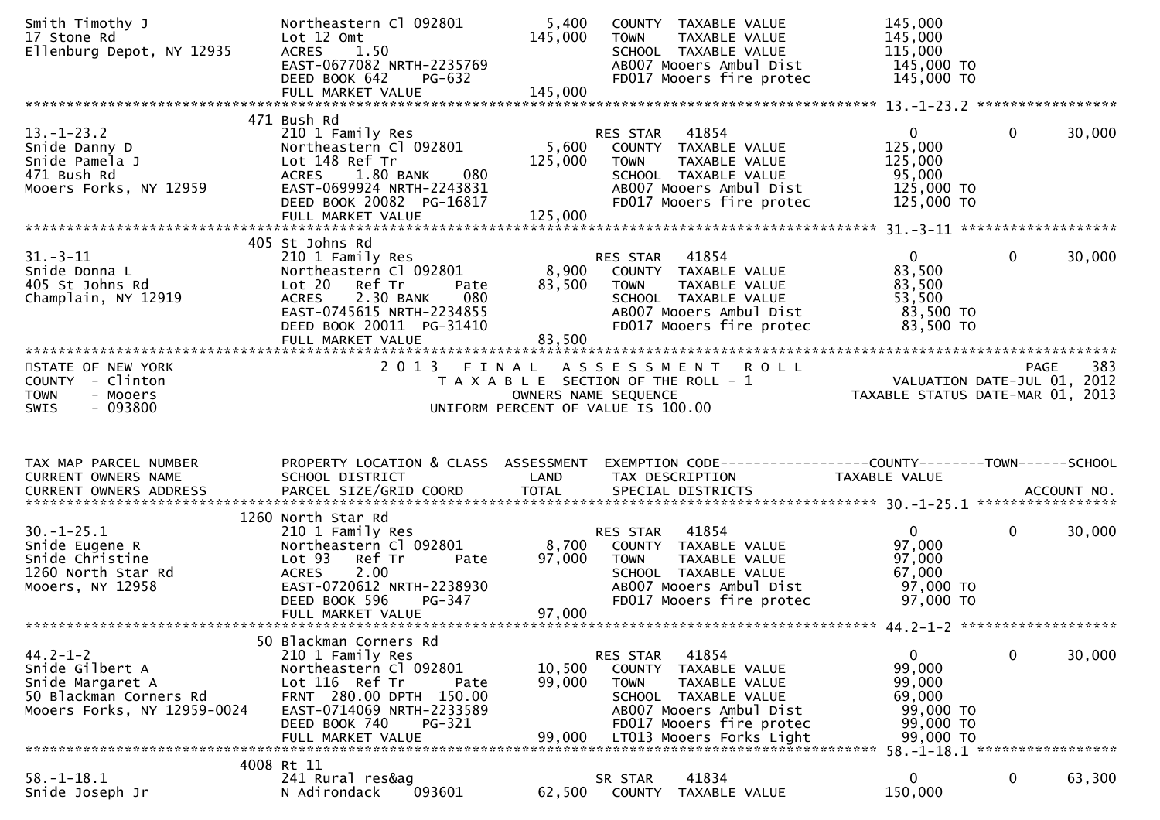| Smith Timothy J<br>17 Stone Rd<br>Ellenburg Depot, NY 12935                                                    | Northeastern Cl 092801<br>Lot 12 Omt<br>1.50<br><b>ACRES</b>                                                                                                                                             | 5,400<br>145,000            | COUNTY TAXABLE VALUE<br>TAXABLE VALUE<br>TOWN<br>SCHOOL TAXABLE VALUE                                                                                                                   | 145,000<br>145,000<br>115,000                                                                            |              |        |
|----------------------------------------------------------------------------------------------------------------|----------------------------------------------------------------------------------------------------------------------------------------------------------------------------------------------------------|-----------------------------|-----------------------------------------------------------------------------------------------------------------------------------------------------------------------------------------|----------------------------------------------------------------------------------------------------------|--------------|--------|
|                                                                                                                | EAST-0677082 NRTH-2235769<br>DEED BOOK 642<br>PG-632                                                                                                                                                     |                             | AB007 Mooers Ambul Dist<br>FD017 Mooers fire protec                                                                                                                                     | 145,000 TO<br>145,000 TO                                                                                 |              |        |
|                                                                                                                |                                                                                                                                                                                                          |                             |                                                                                                                                                                                         |                                                                                                          |              |        |
| $13. - 1 - 23.2$<br>Snide Danny D<br>Snide Pamela J<br>471 Bush Rd<br>Mooers Forks, NY 12959                   | 471 Bush Rd<br>210 1 Family Res<br>Northeastern Cl 092801<br>Lot 148 Ref Tr<br>080<br>1.80 BANK<br>ACRES<br>EAST-0699924 NRTH-2243831<br>DEED BOOK 20082 PG-16817<br>FULL MARKET VALUE                   | 5,600<br>125,000<br>125,000 | 41854<br>RES STAR<br>COUNTY TAXABLE VALUE<br>TAXABLE VALUE<br>TOWN<br>SCHOOL TAXABLE VALUE<br>AB007 Mooers Ambul Dist<br>FD017 Mooers fire protec                                       | $\overline{0}$<br>125,000<br>125,000<br>95,000<br>125,000 TO<br>125,000 TO                               | $\mathbf{0}$ | 30,000 |
|                                                                                                                |                                                                                                                                                                                                          |                             |                                                                                                                                                                                         |                                                                                                          |              |        |
| $31 - 3 - 11$<br>Snide Donna L<br>405 St Johns Rd<br>Champlain, NY 12919                                       | 405 St Johns Rd<br>210 1 Family Res<br>Northeastern Cl 092801<br>Lot 20 Ref Tr<br>Pate<br>2.30 BANK<br>080<br><b>ACRES</b><br>EAST-0745615 NRTH-2234855<br>DEED BOOK 20011 PG-31410<br>FULL MARKET VALUE | 8,900<br>83,500<br>83,500   | 41854<br>RES STAR<br>COUNTY TAXABLE VALUE<br>TAXABLE VALUE<br>TOWN<br>SCHOOL TAXABLE VALUE<br>AB007 Mooers Ambul Dist<br>FD017 Mooers fire protec                                       | $\mathbf{0}$<br>83,500<br>83,500<br>53,500<br>83,500 TO<br>83,500 TO                                     | $\mathbf 0$  | 30,000 |
|                                                                                                                |                                                                                                                                                                                                          |                             |                                                                                                                                                                                         |                                                                                                          |              |        |
| STATE OF NEW YORK<br>COUNTY - Clinton<br><b>TOWN</b><br>- Mooers                                               |                                                                                                                                                                                                          | OWNERS NAME SEQUENCE        | 2013 FINAL ASSESSMENT<br><b>ROLL</b><br>T A X A B L E SECTION OF THE ROLL - 1                                                                                                           | PAGE 383<br>VALUATION DATE-JUL 01, 2012<br>TAXARLE STATUS DATE 1986<br>TAXABLE STATUS DATE-MAR 01, 2013  |              |        |
| $-093800$<br><b>SWIS</b>                                                                                       |                                                                                                                                                                                                          |                             | UNIFORM PERCENT OF VALUE IS 100.00                                                                                                                                                      |                                                                                                          |              |        |
| TAX MAP PARCEL NUMBER<br>CURRENT OWNERS NAME<br>CURRENT OWNERS ADDRESS                                         | PROPERTY LOCATION & CLASS ASSESSMENT<br>SCHOOL DISTRICT                                                                                                                                                  | LAND                        | EXEMPTION CODE-----------------COUNTY-------TOWN-----SCHOOL<br>TAX DESCRIPTION                                                                                                          | TAXABLE VALUE                                                                                            |              |        |
| $30. -1 - 25.1$<br>Snide Eugene R<br>Snide Christine<br>1260 North Star Rd<br>Mooers, NY 12958                 | 1260 North Star Rd<br>210 1 Family Res<br>Northeastern Cl 092801<br>Lot 93 Ref Tr<br>Pate<br>2.00<br><b>ACRES</b><br>EAST-0720612 NRTH-2238930<br>DEED BOOK 596<br>PG-347<br>FULL MARKET VALUE           | 8,700<br>97,000<br>97,000   | 41854<br>RES STAR<br>COUNTY TAXABLE VALUE<br>TOWN<br>TAXABLE VALUE<br>SCHOOL TAXABLE VALUE<br>AB007 Mooers Ambul Dist<br>FD017 Mooers fire protec                                       | $\mathbf{0}$<br>97,000<br>97,000<br>67,000<br>97,000 TO<br>97,000 TO                                     | $\mathbf{0}$ | 30,000 |
| $44.2 - 1 - 2$<br>Snide Gilbert A<br>Snide Margaret A<br>50 Blackman Corners Rd<br>Mooers Forks, NY 12959-0024 | 50 Blackman Corners Rd<br>210 1 Family Res<br>Northeastern Cl 092801<br>Lot 116 Ref Tr<br>Pate<br>FRNT 280.00 DPTH 150.00<br>EAST-0714069 NRTH-2233589<br>DEED BOOK 740<br>PG-321<br>FULL MARKET VALUE   | 10,500<br>99,000<br>99.000  | 41854<br>RES STAR<br>COUNTY<br>TAXABLE VALUE<br>TAXABLE VALUE<br><b>TOWN</b><br>SCHOOL TAXABLE VALUE<br>AB007 Mooers Ambul Dist<br>FD017 Mooers fire protec<br>LT013 Mooers Forks Light | 0<br>99,000<br>99,000<br>69,000<br>99,000 TO<br>99,000 TO<br>99,000 TO<br>58. -1-18.1 ****************** | 0            | 30,000 |
|                                                                                                                | 4008 Rt 11<br>241 Rural res&ag                                                                                                                                                                           |                             | 41834                                                                                                                                                                                   |                                                                                                          |              |        |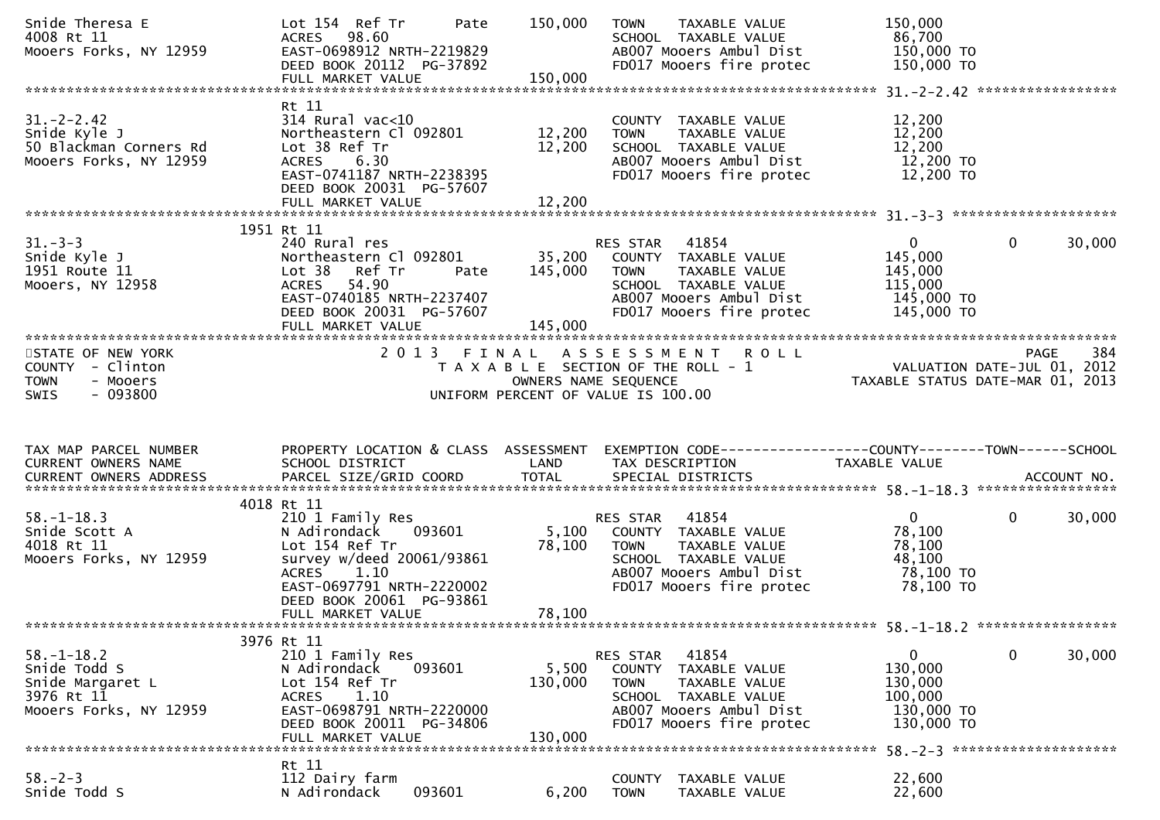| Snide Theresa E<br>4008 Rt 11<br>Mooers Forks, NY 12959                                      | Lot 154 Ref Tr<br>Pate<br><b>ACRES</b><br>98.60<br>EAST-0698912 NRTH-2219829<br>DEED BOOK 20112 PG-37892<br>FULL MARKET VALUE                                                                          | 150,000<br>150,000           | TAXABLE VALUE<br><b>TOWN</b><br>SCHOOL TAXABLE VALUE<br>AB007 Mooers Ambul Dist<br>FD017 Mooers fire protec                                                 | 150,000<br>86,700<br>150,000 TO<br>150,000 TO                             |                   |        |
|----------------------------------------------------------------------------------------------|--------------------------------------------------------------------------------------------------------------------------------------------------------------------------------------------------------|------------------------------|-------------------------------------------------------------------------------------------------------------------------------------------------------------|---------------------------------------------------------------------------|-------------------|--------|
| $31. - 2 - 2.42$<br>Snide Kyle J<br>50 Blackman Corners Rd<br>Mooers Forks, NY 12959         | Rt 11<br>$314$ Rural vac<10<br>Northeastern Cl 092801<br>Lot 38 Ref Tr<br>6.30<br><b>ACRES</b><br>EAST-0741187 NRTH-2238395<br>DEED BOOK 20031 PG-57607<br>FULL MARKET VALUE                           | 12,200<br>12,200<br>12,200   | COUNTY TAXABLE VALUE<br>TAXABLE VALUE<br><b>TOWN</b><br>SCHOOL TAXABLE VALUE<br>AB007 Mooers Ambul Dist<br>FD017 Mooers fire protec                         | 12,200<br>12,200<br>12,200<br>12,200 TO<br>12,200 TO                      |                   |        |
|                                                                                              |                                                                                                                                                                                                        |                              |                                                                                                                                                             |                                                                           |                   |        |
| $31 - 3 - 3$<br>Snide Kyle J<br>1951 Route 11<br>Mooers, NY 12958                            | 1951 Rt 11<br>240 Rural res<br>Northeastern Cl 092801<br>Ref Tr<br>Lot <sub>38</sub><br>Pate<br><b>ACRES</b><br>54.90<br>EAST-0740185 NRTH-2237407<br>DEED BOOK 20031 PG-57607<br>FULL MARKET VALUE    | 35,200<br>145,000<br>145,000 | 41854<br>RES STAR<br>COUNTY TAXABLE VALUE<br><b>TOWN</b><br>TAXABLE VALUE<br>SCHOOL TAXABLE VALUE<br>AB007 Mooers Ambul Dist<br>FD017 Mooers fire protec    | $\mathbf{0}$<br>145,000<br>145,000<br>115,000<br>145,000 TO<br>145,000 TO | $\mathbf{0}$      | 30,000 |
| STATE OF NEW YORK<br>COUNTY - Clinton<br><b>TOWN</b><br>- Mooers<br>$-093800$<br>SWIS        | 2013 FINAL                                                                                                                                                                                             |                              | ASSESSMENT ROLL<br>T A X A B L E SECTION OF THE ROLL - 1<br>OWNERS NAME SEQUENCE<br>UNIFORM PERCENT OF VALUE IS 100.00                                      | VALUATION DATE-JUL 01, 2012<br>TAXABLE STATUS DATE-MAR 01, 2013           | PAGE              | 384    |
|                                                                                              |                                                                                                                                                                                                        |                              |                                                                                                                                                             |                                                                           |                   |        |
| TAX MAP PARCEL NUMBER<br>CURRENT OWNERS NAME                                                 | PROPERTY LOCATION & CLASS ASSESSMENT<br>SCHOOL DISTRICT                                                                                                                                                | LAND                         | EXEMPTION CODE------------------COUNTY--------TOWN------SCHOOL<br>TAX DESCRIPTION                                                                           | TAXABLE VALUE                                                             | ACCOUNT NO.       |        |
|                                                                                              |                                                                                                                                                                                                        |                              |                                                                                                                                                             |                                                                           | ***************** |        |
| $58. - 1 - 18.3$<br>Snide Scott A<br>4018 Rt 11<br>Mooers Forks, NY 12959                    | 4018 Rt 11<br>210 1 Family Res<br>N Adirondack<br>093601<br>Lot 154 Ref Tr<br>survey w/deed 20061/93861<br>ACRES<br>1.10<br>EAST-0697791 NRTH-2220002<br>DEED BOOK 20061 PG-93861<br>FULL MARKET VALUE | 5,100<br>78,100<br>78,100    | 41854<br>RES STAR<br>COUNTY TAXABLE VALUE<br><b>TOWN</b><br>TAXABLE VALUE<br>SCHOOL TAXABLE VALUE<br>AB007 Mooers Ambul Dist<br>FD017 Mooers fire protec    | $\overline{0}$<br>78,100<br>78,100<br>48,100<br>78,100 TO<br>78,100 TO    | $\mathbf{0}$      | 30,000 |
|                                                                                              |                                                                                                                                                                                                        |                              |                                                                                                                                                             |                                                                           |                   |        |
| $58. - 1 - 18.2$<br>Snide Todd S<br>Snide Margaret L<br>3976 Rt 11<br>Mooers Forks, NY 12959 | 3976 Rt 11<br>210 1 Family Res<br>N Adirondack<br>093601<br>Lot 154 Ref Tr<br>1.10<br><b>ACRES</b><br>EAST-0698791 NRTH-2220000<br>DEED BOOK 20011 PG-34806<br>FULL MARKET VALUE                       | 5,500<br>130,000<br>130,000  | 41854<br>RES STAR<br>COUNTY<br>TAXABLE VALUE<br>TAXABLE VALUE<br><b>TOWN</b><br>SCHOOL TAXABLE VALUE<br>AB007 Mooers Ambul Dist<br>FD017 Mooers fire protec | 0<br>130,000<br>130,000<br>100,000<br>130,000 TO<br>130,000 TO            | $\mathbf 0$       | 30,000 |
|                                                                                              | Rt 11                                                                                                                                                                                                  |                              |                                                                                                                                                             | 58. - 2 - 3 **********************                                        |                   |        |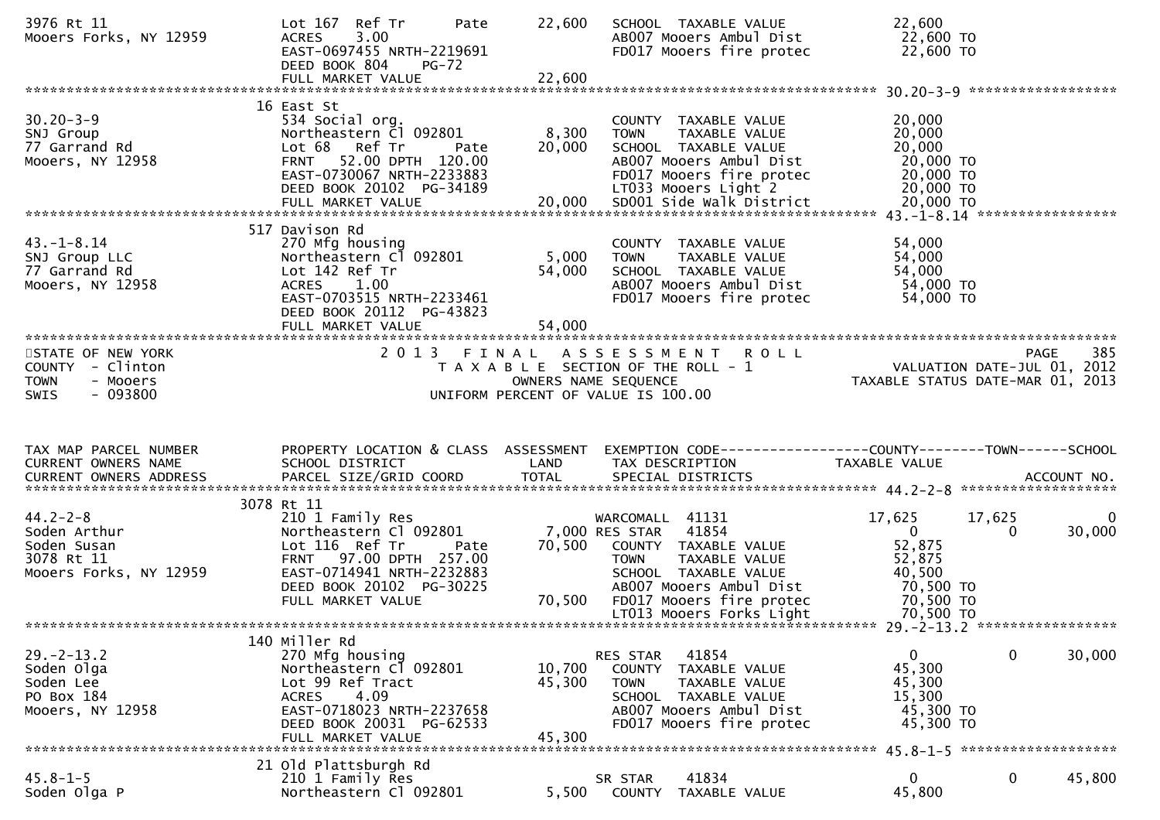| 3976 Rt 11<br>Mooers Forks, NY 12959                                                         | Lot 167 Ref Tr<br>Pate<br><b>ACRES</b><br>3.00<br>EAST-0697455 NRTH-2219691<br>DEED BOOK 804<br>$PG-72$                                                                                    | 22,600                     | SCHOOL TAXABLE VALUE<br>AB007 Mooers Ambul Dist<br>FD017 Mooers fire protec                                                                                                    | 22,600<br>22,600 TO<br>22,600 TO                                                                |                          |
|----------------------------------------------------------------------------------------------|--------------------------------------------------------------------------------------------------------------------------------------------------------------------------------------------|----------------------------|--------------------------------------------------------------------------------------------------------------------------------------------------------------------------------|-------------------------------------------------------------------------------------------------|--------------------------|
|                                                                                              | 16 East St                                                                                                                                                                                 |                            |                                                                                                                                                                                |                                                                                                 |                          |
| $30.20 - 3 - 9$<br>SNJ Group<br>77 Garrand Rd<br>Mooers, NY 12958                            | 534 Social org.<br>Northeastern Cl 092801<br>Lot 68 Ref Tr<br>Pate<br>FRNT 52.00 DPTH 120.00<br>EAST-0730067 NRTH-2233883<br>DEED BOOK 20102 PG-34189                                      | 8,300<br>20,000            | COUNTY TAXABLE VALUE<br>TAXABLE VALUE<br><b>TOWN</b><br>SCHOOL TAXABLE VALUE<br>AB007 Mooers Ambul Dist<br>FD017 Mooers fire protec<br>LT033 Mooers Light 2                    | 20,000<br>20,000<br>20,000<br>20,000 TO<br>20,000 TO<br>20,000 TO                               |                          |
|                                                                                              |                                                                                                                                                                                            |                            |                                                                                                                                                                                |                                                                                                 |                          |
| $43. - 1 - 8.14$<br>SNJ Group LLC<br>77 Garrand Rd<br>Mooers, NY 12958                       | 517 Davison Rd<br>270 Mfg housing<br>Northeastern Cl 092801<br>Lot 142 Ref Tr<br>ACRES 1.00<br>EAST-0703515 NRTH-2233461<br>DEED BOOK 20112 PG-43823                                       | 5,000<br>54,000            | COUNTY TAXABLE VALUE<br><b>TOWN</b><br>TAXABLE VALUE<br>SCHOOL TAXABLE VALUE<br>AB007 Mooers Ambul Dist<br>FD017 Mooers fire protec                                            | 54,000<br>54,000<br>54,000<br>54,000 TO<br>54,000 TO                                            |                          |
|                                                                                              | FULL MARKET VALUE                                                                                                                                                                          | 54,000                     |                                                                                                                                                                                |                                                                                                 |                          |
| STATE OF NEW YORK<br>COUNTY - Clinton<br><b>TOWN</b><br>- Mooers<br>$-093800$<br><b>SWIS</b> |                                                                                                                                                                                            |                            | 2013 FINAL ASSESSMENT ROLL<br>T A X A B L E SECTION OF THE ROLL - 1<br>OWNERS NAME SEQUENCE<br>UNIFORM PERCENT OF VALUE IS 100.00                                              | <b>PAGE</b>                                                                                     | 385                      |
|                                                                                              |                                                                                                                                                                                            |                            |                                                                                                                                                                                |                                                                                                 |                          |
|                                                                                              |                                                                                                                                                                                            |                            |                                                                                                                                                                                |                                                                                                 |                          |
| TAX MAP PARCEL NUMBER<br>CURRENT OWNERS NAME                                                 | PROPERTY LOCATION & CLASS ASSESSMENT<br>SCHOOL DISTRICT                                                                                                                                    | LAND                       | TAX DESCRIPTION                                                                                                                                                                | TAXABLE VALUE                                                                                   |                          |
|                                                                                              |                                                                                                                                                                                            |                            |                                                                                                                                                                                |                                                                                                 |                          |
| $44.2 - 2 - 8$<br>Soden Arthur<br>Soden Susan<br>3078 Rt 11<br>Mooers Forks, NY 12959        | 3078 Rt 11<br>210 1 Family Res<br>Northeastern Cl 092801<br>Lot 116 Ref Tr<br>Pate<br>FRNT 97.00 DPTH 257.00<br>EAST-0714941 NRTH-2232883<br>DEED BOOK 20102 PG-30225<br>FULL MARKET VALUE | 70,500<br>70,500           | WARCOMALL 41131<br>7,000 RES STAR 41854<br>COUNTY TAXABLE VALUE<br><b>TOWN</b><br>TAXABLE VALUE<br>SCHOOL TAXABLE VALUE<br>AB007 Mooers Ambul Dist<br>FD017 Mooers fire protec | 17,625<br>17,625<br>$\overline{0}$<br>0<br>52,875<br>52,875<br>40,500<br>70,500 TO<br>70,500 TO | $\overline{0}$<br>30,000 |
|                                                                                              |                                                                                                                                                                                            |                            | LT013 Mooers Forks Light                                                                                                                                                       | 70,500 TO                                                                                       |                          |
|                                                                                              |                                                                                                                                                                                            |                            |                                                                                                                                                                                |                                                                                                 |                          |
| $29. - 2 - 13.2$<br>Soden Olga<br>Soden Lee<br>PO Box 184<br>Mooers, NY 12958                | 140 Miller Rd<br>270 Mfg housing<br>Northeastern Cl 092801<br>Lot 99 Ref Tract<br>4.09<br><b>ACRES</b><br>EAST-0718023 NRTH-2237658<br>DEED BOOK 20031 PG-62533<br>FULL MARKET VALUE       | 10,700<br>45,300<br>45,300 | 41854<br>RES STAR<br><b>COUNTY</b><br>TAXABLE VALUE<br><b>TOWN</b><br>TAXABLE VALUE<br>SCHOOL TAXABLE VALUE<br>AB007 Mooers Ambul Dist<br>FD017 Mooers fire protec             | $\mathbf 0$<br>$\mathbf{0}$<br>45,300<br>45,300<br>15,300<br>45,300 TO<br>45,300 TO             | 30,000                   |
|                                                                                              | 21 Old Plattsburgh Rd                                                                                                                                                                      |                            |                                                                                                                                                                                |                                                                                                 |                          |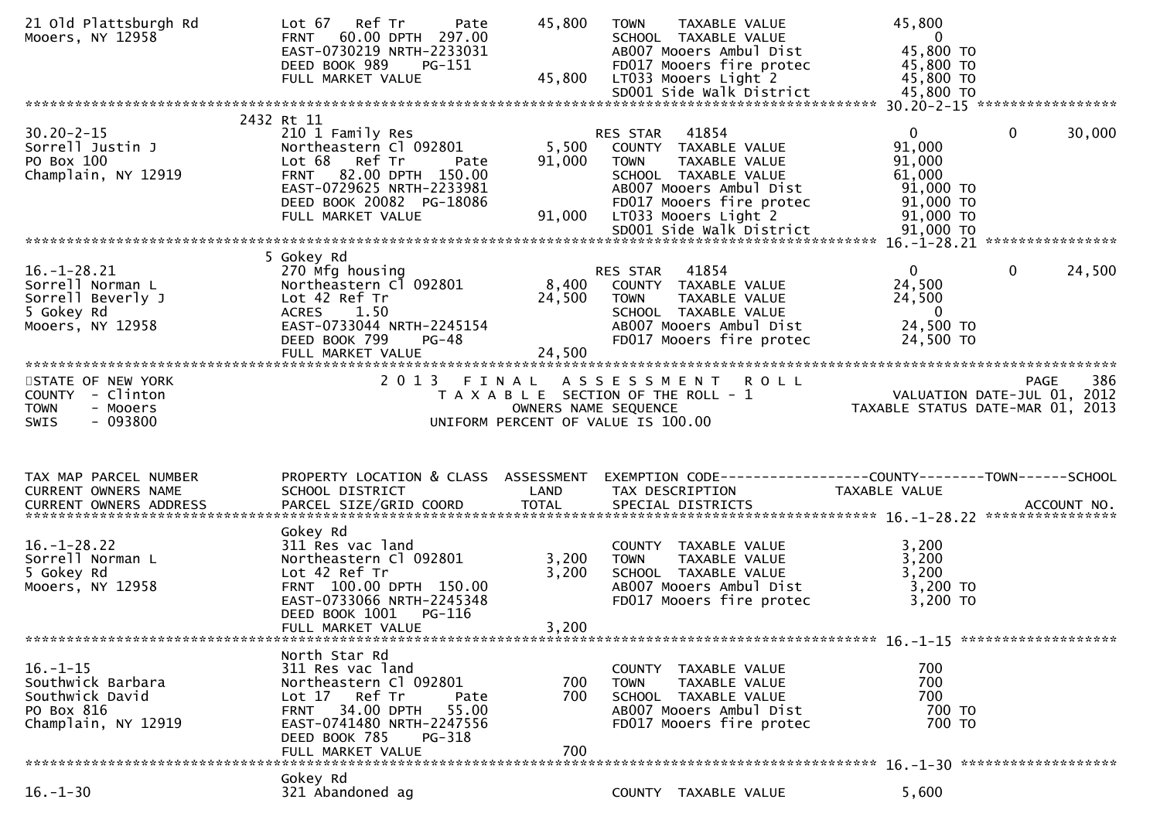| 21 old Plattsburgh Rd<br>Mooers, NY 12958                                                    | Ref Tr<br>Lot 67<br>Pate<br>60.00 DPTH 297.00<br><b>FRNT</b><br>EAST-0730219 NRTH-2233031<br>DEED BOOK 989<br>PG-151<br>FULL MARKET VALUE                                                               | 45,800<br>45,800          | <b>TOWN</b><br>TAXABLE VALUE<br>SCHOOL TAXABLE VALUE<br>AB007 Mooers Ambul Dist<br>FD017 Mooers fire protec<br>LT033 Mooers Light 2<br>SD001 Side Walk District                  | 45,800<br>$\overline{0}$<br>45,800 TO<br>45,800 TO<br>45,800 TO<br>45,800 TO                                                    |
|----------------------------------------------------------------------------------------------|---------------------------------------------------------------------------------------------------------------------------------------------------------------------------------------------------------|---------------------------|----------------------------------------------------------------------------------------------------------------------------------------------------------------------------------|---------------------------------------------------------------------------------------------------------------------------------|
|                                                                                              |                                                                                                                                                                                                         |                           |                                                                                                                                                                                  |                                                                                                                                 |
| $30.20 - 2 - 15$<br>Sorrell Justin J<br>PO Box 100<br>Champlain, NY 12919                    | 2432 Rt 11<br>210 1 Family Res<br>Northeastern Cl 092801<br>Lot 68 Ref Tr<br>Pate<br>FRNT 82.00 DPTH 150.00<br>EAST-0729625 NRTH-2233981<br>DEED BOOK 20082 PG-18086<br>FULL MARKET VALUE               | 5,500<br>91,000<br>91,000 | 41854<br>RES STAR<br>COUNTY TAXABLE VALUE<br><b>TOWN</b><br>TAXABLE VALUE<br>SCHOOL TAXABLE VALUE<br>AB007 Mooers Ambul Dist<br>FD017 Mooers fire protec<br>LT033 Mooers Light 2 | $\mathbf{0}$<br>30,000<br>$\mathbf{0}$<br>91,000<br>91,000<br>61,000<br>91,000 TO<br>91,000 TO<br>91,000 TO                     |
|                                                                                              |                                                                                                                                                                                                         |                           |                                                                                                                                                                                  |                                                                                                                                 |
| $16. - 1 - 28.21$<br>Sorrell Norman L<br>Sorrell Beverly J<br>5 Gokey Rd<br>Mooers, NY 12958 | 5 Gokey Rd<br>270 Mfg housing<br>Northeastern Cl 092801<br>Lot 42 Ref Tr<br>ACRES 1.50<br>EAST-0733044 NRTH-2245154<br>DEED BOOK 799<br>$PG-48$<br>FULL MARKET VALUE                                    | 8,400<br>24,500<br>24,500 | 41854<br>RES STAR<br>COUNTY TAXABLE VALUE<br>TAXABLE VALUE<br><b>TOWN</b><br>SCHOOL TAXABLE VALUE<br>AB007 Mooers Ambul Dist<br>FD017 Mooers fire protec                         | 24,500<br>$\overline{0}$<br>$\mathbf{0}$<br>24,500<br>24,500<br>$\overline{0}$<br>24,500 TO<br>24,500 TO                        |
| STATE OF NEW YORK<br>COUNTY - Clinton<br>- Mooers<br><b>TOWN</b><br>$-093800$<br><b>SWIS</b> |                                                                                                                                                                                                         | OWNERS NAME SEQUENCE      | 2013 FINAL ASSESSMENT ROLL<br>T A X A B L E SECTION OF THE ROLL - 1<br>UNIFORM PERCENT OF VALUE IS 100.00                                                                        | 386<br>PAGE<br>PAGE 386<br>VALUATION DATE-JUL 01, 2012<br>TAXARLE STATUS DATE WILL 01, 2012<br>TAXABLE STATUS DATE-MAR 01, 2013 |
|                                                                                              |                                                                                                                                                                                                         |                           |                                                                                                                                                                                  |                                                                                                                                 |
| TAX MAP PARCEL NUMBER<br>CURRENT OWNERS NAME                                                 | PROPERTY LOCATION & CLASS ASSESSMENT<br>SCHOOL DISTRICT                                                                                                                                                 | LAND                      | TAX DESCRIPTION                                                                                                                                                                  | EXEMPTION CODE------------------COUNTY--------TOWN------SCHOOL<br>TAXABLE VALUE                                                 |
| $16. - 1 - 28.22$<br>Sorrell Norman L<br>5 Gokey Rd<br>Mooers, NY 12958                      | Gokey Rd<br>311 Res vac land<br>Northeastern Cl 092801<br>Lot 42 Ref Tr<br>FRNT 100.00 DPTH 150.00<br>EAST-0733066 NRTH-2245348<br>DEED BOOK 1001<br>PG-116<br>FULL MARKET VALUE                        | 3,200<br>3,200<br>3,200   | COUNTY TAXABLE VALUE<br>TAXABLE VALUE<br><b>TOWN</b><br>SCHOOL TAXABLE VALUE<br>AB007 Mooers Ambul Dist<br>FD017 Mooers fire protec                                              | 3,200<br>3,200<br>3,200<br>3,200 TO<br>3,200 TO                                                                                 |
| $16. - 1 - 15$<br>Southwick Barbara<br>Southwick David<br>PO Box 816<br>Champlain, NY 12919  | North Star Rd<br>311 Res vac land<br>Northeastern Cl 092801<br>Lot 17 Ref Tr<br>Pate<br><b>FRNT</b><br>34.00 DPTH<br>55.00<br>EAST-0741480 NRTH-2247556<br>DEED BOOK 785<br>PG-318<br>FULL MARKET VALUE | 700<br>700<br>700         | COUNTY TAXABLE VALUE<br><b>TOWN</b><br>TAXABLE VALUE<br>SCHOOL TAXABLE VALUE<br>AB007 Mooers Ambul Dist<br>FD017 Mooers fire protec                                              | 700<br>700<br>700<br>700 TO<br>700 TO                                                                                           |
|                                                                                              | Gokey Rd                                                                                                                                                                                                |                           |                                                                                                                                                                                  |                                                                                                                                 |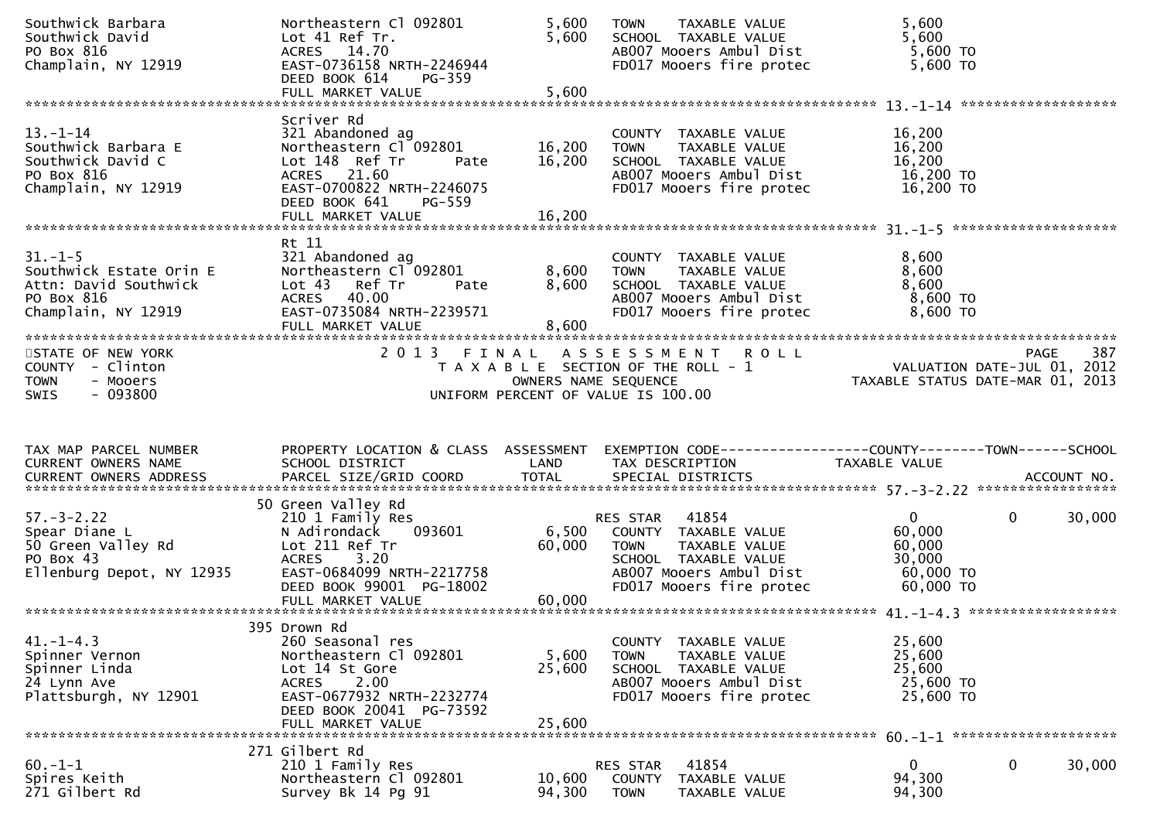| Southwick Barbara<br>Southwick David<br>PO Box 816<br>Champlain, NY 12919                              | Northeastern Cl 092801<br>Lot 41 Ref Tr.<br>ACRES 14.70<br>EAST-0736158 NRTH-2246944<br>DEED BOOK 614<br>PG-359<br>FULL MARKET VALUE                                                          | 5,600<br>5,600<br>5,600    | TAXABLE VALUE<br><b>TOWN</b><br>SCHOOL TAXABLE VALUE<br>AB007 Mooers Ambul Dist<br>FD017 Mooers fire protec                                           | 5,600<br>5,600<br>5,600 TO<br>5,600 TO                               |                    |
|--------------------------------------------------------------------------------------------------------|-----------------------------------------------------------------------------------------------------------------------------------------------------------------------------------------------|----------------------------|-------------------------------------------------------------------------------------------------------------------------------------------------------|----------------------------------------------------------------------|--------------------|
|                                                                                                        |                                                                                                                                                                                               |                            |                                                                                                                                                       |                                                                      |                    |
| $13 - 1 - 14$<br>Southwick Barbara E<br>Southwick David C<br>PO Box 816<br>Champlain, NY 12919         | Scriver Rd<br>321 Abandoned ag<br>Northeastern Cl <sup>-</sup> 092801<br>Lot 148 Ref Tr<br>Pate<br>ACRES 21.60<br>EAST-0700822 NRTH-2246075<br>DEED BOOK 641<br>$PG-559$<br>FULL MARKET VALUE | 16,200<br>16,200<br>16,200 | COUNTY TAXABLE VALUE<br>TAXABLE VALUE<br><b>TOWN</b><br>SCHOOL TAXABLE VALUE<br>AB007 Mooers Ambul Dist<br>FD017 Mooers fire protec                   | 16,200<br>16,200<br>16,200<br>16,200 TO<br>16,200 TO                 |                    |
| $31. - 1 - 5$<br>Southwick Estate Orin E<br>Attn: David Southwick<br>PO Box 816<br>Champlain, NY 12919 | Rt 11<br>321 Abandoned ag<br>Northeastern Cl 092801<br>Lot 43 Ref Tr<br>Pate<br>ACRES 40.00<br>EAST-0735084 NRTH-2239571<br>FULL MARKET VALUE                                                 | 8,600<br>8,600<br>8,600    | COUNTY TAXABLE VALUE<br>TAXABLE VALUE<br><b>TOWN</b><br>SCHOOL TAXABLE VALUE<br>AB007 Mooers Ambul Dist<br>FD017 Mooers fire protec                   | 8,600<br>8,600<br>8,600<br>8,600 TO<br>$8,600$ TO                    |                    |
| STATE OF NEW YORK<br>COUNTY - Clinton<br><b>TOWN</b><br>- Mooers<br>$-093800$<br><b>SWIS</b>           | 2013 FINAL                                                                                                                                                                                    | OWNERS NAME SEQUENCE       | A S S E S S M E N T R O L L<br>T A X A B L E SECTION OF THE ROLL - 1<br>UNIFORM PERCENT OF VALUE IS 100.00                                            | TAXABLE STATUS DATE-MAR 01, 2013                                     | 387<br>PAGE        |
|                                                                                                        |                                                                                                                                                                                               |                            |                                                                                                                                                       |                                                                      |                    |
| TAX MAP PARCEL NUMBER<br>CURRENT OWNERS NAME                                                           | PROPERTY LOCATION & CLASS ASSESSMENT<br>SCHOOL DISTRICT                                                                                                                                       | LAND                       | EXEMPTION CODE------------------COUNTY--------TOWN------SCHOOL<br>TAX DESCRIPTION                                                                     | TAXABLE VALUE                                                        |                    |
| $57. - 3 - 2.22$<br>Spear Diane L<br>50 Green Valley Rd<br>PO Box 43<br>Ellenburg Depot, NY 12935      | 50 Green Valley Rd<br>210 1 Family Res<br>N Adirondack<br>093601<br>Lot 211 Ref Tr<br>ACRES 3.20<br>EAST-0684099 NRTH-2217758<br>DEED BOOK 99001 PG-18002<br>FULL MARKET VALUE                | 6,500<br>60,000<br>60,000  | RES STAR 41854<br>COUNTY TAXABLE VALUE<br><b>TOWN</b><br>TAXABLE VALUE<br>SCHOOL TAXABLE VALUE<br>AB007 Mooers Ambul Dist<br>FD017 Mooers fire protec | $\mathbf{0}$<br>60,000<br>60,000<br>30,000<br>60,000 TO<br>60,000 TO | $\Omega$<br>30,000 |
| $41. - 1 - 4.3$<br>Spinner Vernon<br>Spinner Linda<br>24 Lynn Ave<br>Plattsburgh, NY 12901             | 395 Drown Rd<br>260 Seasonal res<br>Northeastern Cl 092801<br>Lot 14 St Gore<br>2.00<br><b>ACRES</b><br>EAST-0677932 NRTH-2232774<br>DEED BOOK 20041 PG-73592<br>FULL MARKET VALUE            | 5,600<br>25,600<br>25,600  | COUNTY TAXABLE VALUE<br>TAXABLE VALUE<br><b>TOWN</b><br>SCHOOL TAXABLE VALUE<br>AB007 Mooers Ambul Dist<br>FD017 Mooers fire protec                   | 25,600<br>25,600<br>25,600<br>25,600 TO<br>25,600 TO                 |                    |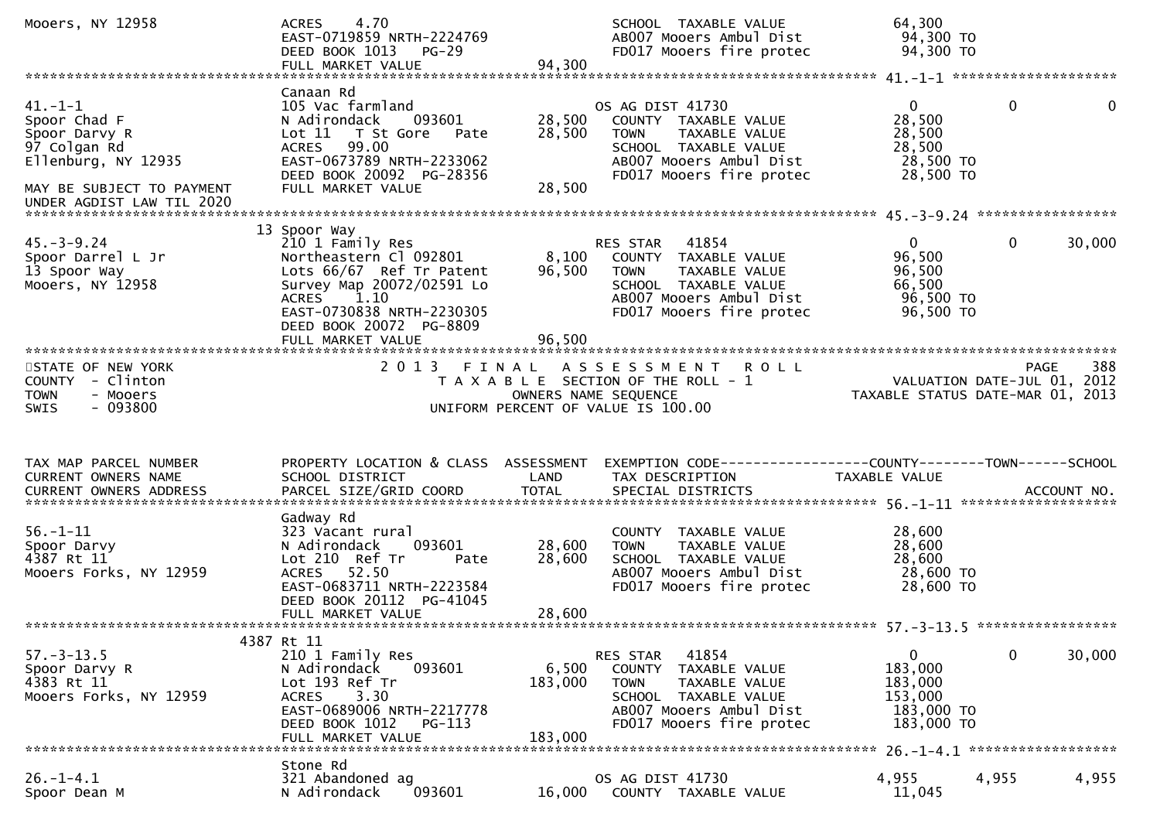| Mooers, NY 12958                                                                                                                              | 4.70<br><b>ACRES</b><br>EAST-0719859 NRTH-2224769<br>DEED BOOK 1013<br><b>PG-29</b><br>FULL MARKET VALUE                                                                                                       | 94,300                      | SCHOOL TAXABLE VALUE<br>AB007 Mooers Ambul Dist<br>FD017 Mooers fire protec                                                                                        | 64,300<br>94,300 TO<br>94,300 TO                                          |                              |
|-----------------------------------------------------------------------------------------------------------------------------------------------|----------------------------------------------------------------------------------------------------------------------------------------------------------------------------------------------------------------|-----------------------------|--------------------------------------------------------------------------------------------------------------------------------------------------------------------|---------------------------------------------------------------------------|------------------------------|
|                                                                                                                                               |                                                                                                                                                                                                                |                             |                                                                                                                                                                    |                                                                           |                              |
| $41. -1 -1$<br>Spoor Chad F<br>Spoor Darvy R<br>97 Colgan Rd<br>Ellenburg, NY 12935<br>MAY BE SUBJECT TO PAYMENT<br>UNDER AGDIST LAW TIL 2020 | Canaan Rd<br>105 Vac farmland<br>N Adirondack<br>093601<br>Lot 11 T St Gore<br>Pate<br>ACRES 99.00<br>EAST-0673789 NRTH-2233062<br>DEED BOOK 20092 PG-28356<br>FULL MARKET VALUE                               | 28,500<br>28,500<br>28,500  | OS AG DIST 41730<br>COUNTY TAXABLE VALUE<br>TAXABLE VALUE<br><b>TOWN</b><br>SCHOOL TAXABLE VALUE<br>AB007 Mooers Ambul Dist<br>FD017 Mooers fire protec            | $\Omega$<br>28,500<br>28,500<br>28,500<br>28,500 TO<br>28,500 TO          | $\mathbf{0}$<br>$\mathbf{0}$ |
|                                                                                                                                               |                                                                                                                                                                                                                |                             |                                                                                                                                                                    |                                                                           |                              |
| $45. - 3 - 9.24$<br>Spoor Darrel L Jr<br>13 Spoor Way<br>Mooers, NY 12958                                                                     | 13 Spoor Way<br>210 1 Family Res<br>Northeastern Cl 092801<br>Lots 66/67 Ref Tr Patent<br>Survey Map 20072/02591 Lo<br>ACRES 1.10<br>EAST-0730838 NRTH-2230305<br>DEED BOOK 20072 PG-8809<br>FULL MARKET VALUE | 8,100<br>96,500<br>96,500   | 41854<br>RES STAR<br>COUNTY TAXABLE VALUE<br><b>TOWN</b><br>TAXABLE VALUE<br>SCHOOL TAXABLE VALUE<br>AB007 Mooers Ambul Dist<br>FD017 Mooers fire protec           | $\overline{0}$<br>96,500<br>96,500<br>66,500<br>96,500 TO<br>96,500 TO    | 30,000<br>0                  |
|                                                                                                                                               |                                                                                                                                                                                                                |                             |                                                                                                                                                                    |                                                                           |                              |
| STATE OF NEW YORK<br>COUNTY - Clinton<br>- Mooers<br><b>TOWN</b><br>$-093800$<br><b>SWIS</b>                                                  |                                                                                                                                                                                                                |                             | 2013 FINAL ASSESSMENT ROLL<br>T A X A B L E SECTION OF THE ROLL - 1<br>OWNERS NAME SEQUENCE<br>UNIFORM PERCENT OF VALUE IS 100.00                                  | VALUATION DATE-JUL 01, 2012<br>TAXABLE STATUS DATE-MAR 01, 2013           | 388<br><b>PAGE</b>           |
|                                                                                                                                               |                                                                                                                                                                                                                |                             |                                                                                                                                                                    |                                                                           |                              |
| TAX MAP PARCEL NUMBER<br>CURRENT OWNERS NAME                                                                                                  | PROPERTY LOCATION & CLASS ASSESSMENT<br>SCHOOL DISTRICT                                                                                                                                                        | LAND                        | TAX DESCRIPTION                                                                                                                                                    | TAXABLE VALUE                                                             |                              |
| $56. - 1 - 11$<br>Spoor Darvy<br>4387 Rt 11<br>Mooers Forks, NY 12959                                                                         | Gadway Rd<br>323 Vacant rural<br>N Adirondack<br>093601<br>Lot 210 Ref Tr<br>Pate<br>ACRES 52.50<br>EAST-0683711 NRTH-2223584<br>DEED BOOK 20112 PG-41045<br>FULL MARKET VALUE                                 | 28,600<br>28,600<br>28,600  | COUNTY TAXABLE VALUE<br>TAXABLE VALUE<br><b>TOWN</b><br>SCHOOL TAXABLE VALUE<br>AB007 Mooers Ambul Dist<br>FD017 Mooers fire protec                                | 28,600<br>28,600<br>28,600<br>28,600 TO<br>28,600 TO                      |                              |
|                                                                                                                                               |                                                                                                                                                                                                                |                             |                                                                                                                                                                    |                                                                           |                              |
| $57. - 3 - 13.5$<br>Spoor Darvy R<br>4383 Rt 11<br>Mooers Forks, NY 12959                                                                     | 4387 Rt 11<br>210 1 Family Res<br>093601<br>N Adirondack<br>Lot 193 Ref Tr<br>3.30<br><b>ACRES</b><br>EAST-0689006 NRTH-2217778<br>DEED BOOK 1012<br>PG-113<br>FULL MARKET VALUE                               | 6,500<br>183,000<br>183,000 | 41854<br>RES STAR<br><b>COUNTY</b><br>TAXABLE VALUE<br><b>TOWN</b><br>TAXABLE VALUE<br>SCHOOL TAXABLE VALUE<br>AB007 Mooers Ambul Dist<br>FD017 Mooers fire protec | $\mathbf{0}$<br>183,000<br>183,000<br>153,000<br>183,000 TO<br>183,000 TO | 0<br>30,000                  |
| *******************************                                                                                                               | Stone Rd                                                                                                                                                                                                       |                             |                                                                                                                                                                    |                                                                           |                              |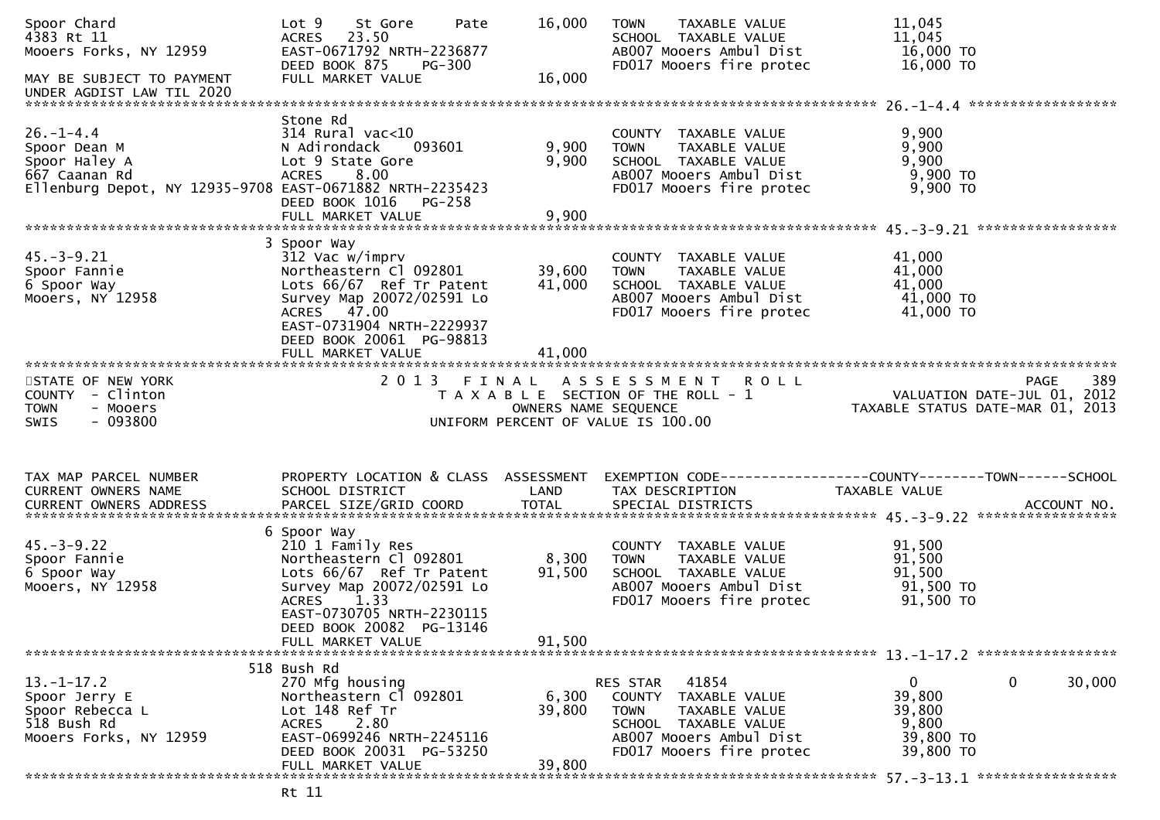| Spoor Chard<br>4383 Rt 11<br>Mooers Forks, NY 12959                                                                           | Lot 9 St Gore<br>Pate<br>ACRES 23.50<br>EAST-0671792 NRTH-2236877<br>DEED BOOK 875                                                                                                                             | 16,000                    | TAXABLE VALUE<br><b>TOWN</b><br>SCHOOL TAXABLE VALUE<br>AB007 Mooers Ambul Dist                                                                             | 11,045<br>11,045<br>16,000 TO                                                                                       |        |
|-------------------------------------------------------------------------------------------------------------------------------|----------------------------------------------------------------------------------------------------------------------------------------------------------------------------------------------------------------|---------------------------|-------------------------------------------------------------------------------------------------------------------------------------------------------------|---------------------------------------------------------------------------------------------------------------------|--------|
| MAY BE SUBJECT TO PAYMENT                                                                                                     | PG-300<br>FULL MARKET VALUE                                                                                                                                                                                    | 16,000                    | FD017 Mooers fire protec                                                                                                                                    | 16,000 TO                                                                                                           |        |
| $26. - 1 - 4.4$<br>Spoor Dean M<br>Spoor Haley A<br>667 Caanan Rd<br>Ellenburg Depot, NY 12935-9708 EAST-0671882 NRTH-2235423 | Stone Rd<br>$314$ Rural vac<10<br>N Adirondack<br>093601<br>Lot 9 State Gore<br>8.00<br><b>ACRES</b><br>DEED BOOK 1016 PG-258                                                                                  | 9,900<br>9,900            | COUNTY TAXABLE VALUE<br><b>TOWN</b><br>TAXABLE VALUE<br>SCHOOL TAXABLE VALUE<br>AB007 Mooers Ambul Dist<br>FD017 Mooers fire protec                         | 9,900<br>9,900<br>9,900<br>9,900 то<br>$9,900$ TO                                                                   |        |
|                                                                                                                               | FULL MARKET VALUE                                                                                                                                                                                              | 9,900                     |                                                                                                                                                             |                                                                                                                     |        |
| $45. - 3 - 9.21$<br>Spoor Fannie<br>6 Spoor Way<br>Mooers, NY 12958                                                           | 3 Spoor Way<br>312 Vac w/imprv<br>Northeastern Cl 092801<br>Lots 66/67 Ref Tr Patent<br>Survey Map 20072/02591 Lo<br>ACRES 47.00<br>EAST-0731904 NRTH-2229937<br>DEED BOOK 20061 PG-98813                      | 39,600<br>41,000          | COUNTY TAXABLE VALUE<br>TAXABLE VALUE<br><b>TOWN</b><br>SCHOOL TAXABLE VALUE<br>AB007 Mooers Ambul Dist<br>FD017 Mooers fire protec                         | 41,000<br>41,000<br>41,000<br>41,000 TO<br>41,000 TO                                                                |        |
|                                                                                                                               | FULL MARKET VALUE                                                                                                                                                                                              | 41,000                    |                                                                                                                                                             |                                                                                                                     |        |
| STATE OF NEW YORK<br>COUNTY - Clinton<br><b>TOWN</b><br>- Mooers<br>$-093800$<br><b>SWIS</b>                                  |                                                                                                                                                                                                                |                           | 2013 FINAL ASSESSMENT ROLL<br>UNIFORM PERCENT OF VALUE IS 100.00                                                                                            | PAGE<br>T A X A B L E SECTION OF THE ROLL - 1<br>OWNERS NAME SEQUENCE THE ROLL - 1 TAXABLE STATUS DATE-MAR 01, 2013 | 389    |
| TAX MAP PARCEL NUMBER<br>CURRENT OWNERS NAME                                                                                  | PROPERTY LOCATION & CLASS ASSESSMENT<br>SCHOOL DISTRICT                                                                                                                                                        | LAND                      | TAX DESCRIPTION                                                                                                                                             | EXEMPTION CODE------------------COUNTY--------TOWN------SCHOOL                                                      |        |
|                                                                                                                               |                                                                                                                                                                                                                |                           |                                                                                                                                                             | TAXABLE VALUE                                                                                                       |        |
| $45. - 3 - 9.22$<br>Spoor Fannie<br>6 Spoor Way<br>Mooers, NY 12958                                                           | 6 Spoor Way<br>210 1 Family Res<br>Northeastern Cl 092801<br>Lots 66/67 Ref Tr Patent<br>Survey Map 20072/02591 Lo<br>ACRES 1.33<br>EAST-0730705 NRTH-2230115<br>DEED BOOK 20082 PG-13146<br>FULL MARKET VALUE | 8,300<br>91,500<br>91,500 | COUNTY TAXABLE VALUE<br>TOWN TAXABLE VALUE<br>SCHOOL TAXABLE VALUE<br>AB007 Mooers Ambul Dist<br>FD017 Mooers fire protec                                   | 91,500<br>91,500<br>91,500<br>91,500 TO<br>91,500 TO                                                                |        |
|                                                                                                                               | 518 Bush Rd                                                                                                                                                                                                    |                           |                                                                                                                                                             |                                                                                                                     |        |
| $13.-1-17.2$<br>Spoor Jerry E<br>Spoor Rebecca L<br>518 Bush Rd<br>Mooers Forks, NY 12959                                     | 270 Mfg housing<br>Northeastern Cl 092801<br>Lot 148 Ref Tr<br>2.80<br>ACRES<br>EAST-0699246 NRTH-2245116<br>DEED BOOK 20031 PG-53250<br>FULL MARKET VALUE                                                     | 6,300<br>39,800<br>39,800 | RES STAR<br>41854<br>TAXABLE VALUE<br>COUNTY<br><b>TOWN</b><br>TAXABLE VALUE<br>SCHOOL TAXABLE VALUE<br>AB007 Mooers Ambul Dist<br>FD017 Mooers fire protec | 0<br>0<br>39,800<br>39,800<br>9,800<br>39,800 TO<br>39,800 TO                                                       | 30,000 |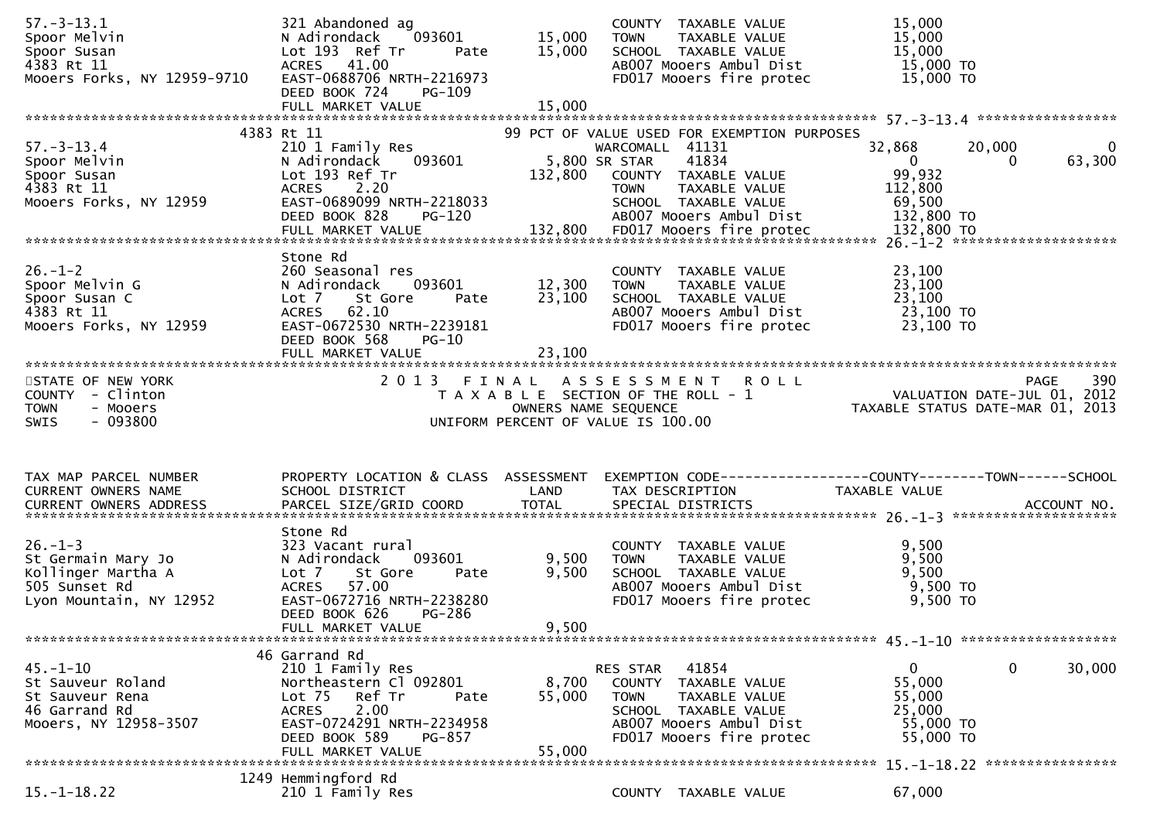| Lot 193 Ref Tr<br>15,000<br>15,000<br>Spoor Susan<br>SCHOOL TAXABLE VALUE<br>Pate<br>15,000 TO<br>4383 Rt 11<br>ACRES 41.00<br>AB007 Mooers Ambul Dist<br>Mooers Forks, NY 12959-9710<br>EAST-0688706 NRTH-2216973<br>15,000 TO<br>FD017 Mooers fire protec<br>DEED BOOK 724<br>PG-109<br>4383 Rt 11<br>99 PCT OF VALUE USED FOR EXEMPTION PURPOSES<br>$57. - 3 - 13.4$<br>32,868<br>210 1 Family Res<br>WARCOMALL 41131<br>20,000<br>$\mathbf{0}$<br>41834<br>5,800 SR STAR<br>63,300<br>Spoor Melvin<br>093601<br>$\overline{0}$<br>N Adirondack<br>0<br>99,932<br>Lot 193 Ref Tr<br>132,800<br>Spoor Susan<br>COUNTY TAXABLE VALUE<br>ACRES 2.20<br>4383 Rt 11<br>TAXABLE VALUE<br>112,800<br><b>TOWN</b><br>Mooers Forks, NY 12959<br>EAST-0689099 NRTH-2218033<br>69,500<br>SCHOOL TAXABLE VALUE<br>AB007 Mooers Ambul Dist<br>132,800 TO<br>DEED BOOK 828<br>PG-120<br>Stone Rd<br>$26. - 1 - 2$<br>23,100<br>260 Seasonal res<br>COUNTY TAXABLE VALUE<br>12,300<br>23,100<br>Spoor Melvin G<br>093601<br>TAXABLE VALUE<br>N Adirondack<br><b>TOWN</b><br>23,100<br>23,100<br>SCHOOL TAXABLE VALUE<br>Spoor Susan C<br>Lot 7<br>St Gore<br>Pate<br>62.10<br>23,100 TO<br>4383 Rt 11<br>AB007 Mooers Ambul Dist<br>ACRES<br>EAST-0672530 NRTH-2239181<br>FD017 Mooers fire protec<br>23,100 TO<br>DEED BOOK 568<br><b>PG-10</b><br>23,100<br>FULL MARKET VALUE<br>2013 FINAL ASSESSMENT ROLL<br>390<br>STATE OF NEW YORK<br>PAGE<br>יות את המשפחה את המשפחה את המשפחה את המשפחה את המשפחה את המשפחה את המשפחה את המשפחה את המשפחה את המשפחה המשפח<br>10. VALUATION DATE-JUL 01, 2012<br>13. OWNERS NAME SEQUENCE<br>COUNTY - Clinton<br><b>TOWN</b><br>- Mooers<br>$-093800$<br>UNIFORM PERCENT OF VALUE IS 100.00<br>SWIS<br>PROPERTY LOCATION & CLASS ASSESSMENT<br>EXEMPTION CODE-----------------COUNTY-------TOWN-----SCHOOL<br>CURRENT OWNERS NAME<br>SCHOOL DISTRICT<br>LAND<br>TAX DESCRIPTION<br>TAXABLE VALUE<br>Stone Rd<br>$26. - 1 - 3$<br>9,500<br>323 Vacant rural<br>COUNTY TAXABLE VALUE<br>TAXABLE VALUE<br>9,500<br>093601<br>9,500<br>N Adirondack<br><b>TOWN</b><br>9,500<br>9,500<br>Kollinger Martha A<br>Lot 7<br>St Gore<br>SCHOOL TAXABLE VALUE<br>Pate<br>9,500 TO<br>57.00<br>505 Sunset Rd<br><b>ACRES</b><br>AB007 Mooers Ambul Dist<br>EAST-0672716 NRTH-2238280<br>Lyon Mountain, NY 12952<br>FD017 Mooers fire protec<br>9,500 TO<br>DEED BOOK 626<br>PG-286<br>9,500<br>FULL MARKET VALUE<br>46 Garrand Rd<br>$\mathbf 0$<br>210 1 Family Res<br>41854<br>$\mathbf{0}$<br>30,000<br>RES STAR<br>55,000<br>Northeastern Cl 092801<br>St Sauveur Roland<br>8,700<br>COUNTY TAXABLE VALUE<br>55,000<br>Ref Tr<br>55,000<br>St Sauveur Rena<br>Lot <sub>75</sub><br>TAXABLE VALUE<br>Pate<br><b>TOWN</b><br>2.00<br>25,000<br>46 Garrand Rd<br><b>ACRES</b><br>SCHOOL TAXABLE VALUE<br>EAST-0724291 NRTH-2234958<br>AB007 Mooers Ambul Dist<br>55,000 TO<br>Mooers, NY 12958-3507<br>FD017 Mooers fire protec<br>DEED BOOK 589<br>55,000 TO<br>PG-857<br>55,000<br>FULL MARKET VALUE<br>1249 Hemmingford Rd<br>$15. - 1 - 18.22$<br>67,000<br>210 1 Family Res<br>COUNTY TAXABLE VALUE | $57. - 3 - 13.1$       | 321 Abandoned ag       |        | COUNTY TAXABLE VALUE         | 15,000 |  |
|---------------------------------------------------------------------------------------------------------------------------------------------------------------------------------------------------------------------------------------------------------------------------------------------------------------------------------------------------------------------------------------------------------------------------------------------------------------------------------------------------------------------------------------------------------------------------------------------------------------------------------------------------------------------------------------------------------------------------------------------------------------------------------------------------------------------------------------------------------------------------------------------------------------------------------------------------------------------------------------------------------------------------------------------------------------------------------------------------------------------------------------------------------------------------------------------------------------------------------------------------------------------------------------------------------------------------------------------------------------------------------------------------------------------------------------------------------------------------------------------------------------------------------------------------------------------------------------------------------------------------------------------------------------------------------------------------------------------------------------------------------------------------------------------------------------------------------------------------------------------------------------------------------------------------------------------------------------------------------------------------------------------------------------------------------------------------------------------------------------------------------------------------------------------------------------------------------------------------------------------------------------------------------------------------------------------------------------------------------------------------------------------------------------------------------------------------------------------------------------------------------------------------------------------------------------------------------------------------------------------------------------------------------------------------------------------------------------------------------------------------------------------------------------------------------------------------------------------------------------------------------------------------------------------------------------------------------------------------------------------------------------------------------------------------------------------------------------------------------------------------|------------------------|------------------------|--------|------------------------------|--------|--|
|                                                                                                                                                                                                                                                                                                                                                                                                                                                                                                                                                                                                                                                                                                                                                                                                                                                                                                                                                                                                                                                                                                                                                                                                                                                                                                                                                                                                                                                                                                                                                                                                                                                                                                                                                                                                                                                                                                                                                                                                                                                                                                                                                                                                                                                                                                                                                                                                                                                                                                                                                                                                                                                                                                                                                                                                                                                                                                                                                                                                                                                                                                                           | Spoor Melvin           | N Adirondack<br>093601 | 15,000 | <b>TOWN</b><br>TAXABLE VALUE | 15,000 |  |
|                                                                                                                                                                                                                                                                                                                                                                                                                                                                                                                                                                                                                                                                                                                                                                                                                                                                                                                                                                                                                                                                                                                                                                                                                                                                                                                                                                                                                                                                                                                                                                                                                                                                                                                                                                                                                                                                                                                                                                                                                                                                                                                                                                                                                                                                                                                                                                                                                                                                                                                                                                                                                                                                                                                                                                                                                                                                                                                                                                                                                                                                                                                           |                        |                        |        |                              |        |  |
|                                                                                                                                                                                                                                                                                                                                                                                                                                                                                                                                                                                                                                                                                                                                                                                                                                                                                                                                                                                                                                                                                                                                                                                                                                                                                                                                                                                                                                                                                                                                                                                                                                                                                                                                                                                                                                                                                                                                                                                                                                                                                                                                                                                                                                                                                                                                                                                                                                                                                                                                                                                                                                                                                                                                                                                                                                                                                                                                                                                                                                                                                                                           |                        |                        |        |                              |        |  |
|                                                                                                                                                                                                                                                                                                                                                                                                                                                                                                                                                                                                                                                                                                                                                                                                                                                                                                                                                                                                                                                                                                                                                                                                                                                                                                                                                                                                                                                                                                                                                                                                                                                                                                                                                                                                                                                                                                                                                                                                                                                                                                                                                                                                                                                                                                                                                                                                                                                                                                                                                                                                                                                                                                                                                                                                                                                                                                                                                                                                                                                                                                                           |                        |                        |        |                              |        |  |
|                                                                                                                                                                                                                                                                                                                                                                                                                                                                                                                                                                                                                                                                                                                                                                                                                                                                                                                                                                                                                                                                                                                                                                                                                                                                                                                                                                                                                                                                                                                                                                                                                                                                                                                                                                                                                                                                                                                                                                                                                                                                                                                                                                                                                                                                                                                                                                                                                                                                                                                                                                                                                                                                                                                                                                                                                                                                                                                                                                                                                                                                                                                           |                        |                        |        |                              |        |  |
|                                                                                                                                                                                                                                                                                                                                                                                                                                                                                                                                                                                                                                                                                                                                                                                                                                                                                                                                                                                                                                                                                                                                                                                                                                                                                                                                                                                                                                                                                                                                                                                                                                                                                                                                                                                                                                                                                                                                                                                                                                                                                                                                                                                                                                                                                                                                                                                                                                                                                                                                                                                                                                                                                                                                                                                                                                                                                                                                                                                                                                                                                                                           |                        |                        |        |                              |        |  |
|                                                                                                                                                                                                                                                                                                                                                                                                                                                                                                                                                                                                                                                                                                                                                                                                                                                                                                                                                                                                                                                                                                                                                                                                                                                                                                                                                                                                                                                                                                                                                                                                                                                                                                                                                                                                                                                                                                                                                                                                                                                                                                                                                                                                                                                                                                                                                                                                                                                                                                                                                                                                                                                                                                                                                                                                                                                                                                                                                                                                                                                                                                                           |                        |                        |        |                              |        |  |
|                                                                                                                                                                                                                                                                                                                                                                                                                                                                                                                                                                                                                                                                                                                                                                                                                                                                                                                                                                                                                                                                                                                                                                                                                                                                                                                                                                                                                                                                                                                                                                                                                                                                                                                                                                                                                                                                                                                                                                                                                                                                                                                                                                                                                                                                                                                                                                                                                                                                                                                                                                                                                                                                                                                                                                                                                                                                                                                                                                                                                                                                                                                           |                        |                        |        |                              |        |  |
|                                                                                                                                                                                                                                                                                                                                                                                                                                                                                                                                                                                                                                                                                                                                                                                                                                                                                                                                                                                                                                                                                                                                                                                                                                                                                                                                                                                                                                                                                                                                                                                                                                                                                                                                                                                                                                                                                                                                                                                                                                                                                                                                                                                                                                                                                                                                                                                                                                                                                                                                                                                                                                                                                                                                                                                                                                                                                                                                                                                                                                                                                                                           |                        |                        |        |                              |        |  |
|                                                                                                                                                                                                                                                                                                                                                                                                                                                                                                                                                                                                                                                                                                                                                                                                                                                                                                                                                                                                                                                                                                                                                                                                                                                                                                                                                                                                                                                                                                                                                                                                                                                                                                                                                                                                                                                                                                                                                                                                                                                                                                                                                                                                                                                                                                                                                                                                                                                                                                                                                                                                                                                                                                                                                                                                                                                                                                                                                                                                                                                                                                                           |                        |                        |        |                              |        |  |
|                                                                                                                                                                                                                                                                                                                                                                                                                                                                                                                                                                                                                                                                                                                                                                                                                                                                                                                                                                                                                                                                                                                                                                                                                                                                                                                                                                                                                                                                                                                                                                                                                                                                                                                                                                                                                                                                                                                                                                                                                                                                                                                                                                                                                                                                                                                                                                                                                                                                                                                                                                                                                                                                                                                                                                                                                                                                                                                                                                                                                                                                                                                           |                        |                        |        |                              |        |  |
|                                                                                                                                                                                                                                                                                                                                                                                                                                                                                                                                                                                                                                                                                                                                                                                                                                                                                                                                                                                                                                                                                                                                                                                                                                                                                                                                                                                                                                                                                                                                                                                                                                                                                                                                                                                                                                                                                                                                                                                                                                                                                                                                                                                                                                                                                                                                                                                                                                                                                                                                                                                                                                                                                                                                                                                                                                                                                                                                                                                                                                                                                                                           |                        |                        |        |                              |        |  |
|                                                                                                                                                                                                                                                                                                                                                                                                                                                                                                                                                                                                                                                                                                                                                                                                                                                                                                                                                                                                                                                                                                                                                                                                                                                                                                                                                                                                                                                                                                                                                                                                                                                                                                                                                                                                                                                                                                                                                                                                                                                                                                                                                                                                                                                                                                                                                                                                                                                                                                                                                                                                                                                                                                                                                                                                                                                                                                                                                                                                                                                                                                                           |                        |                        |        |                              |        |  |
|                                                                                                                                                                                                                                                                                                                                                                                                                                                                                                                                                                                                                                                                                                                                                                                                                                                                                                                                                                                                                                                                                                                                                                                                                                                                                                                                                                                                                                                                                                                                                                                                                                                                                                                                                                                                                                                                                                                                                                                                                                                                                                                                                                                                                                                                                                                                                                                                                                                                                                                                                                                                                                                                                                                                                                                                                                                                                                                                                                                                                                                                                                                           |                        |                        |        |                              |        |  |
|                                                                                                                                                                                                                                                                                                                                                                                                                                                                                                                                                                                                                                                                                                                                                                                                                                                                                                                                                                                                                                                                                                                                                                                                                                                                                                                                                                                                                                                                                                                                                                                                                                                                                                                                                                                                                                                                                                                                                                                                                                                                                                                                                                                                                                                                                                                                                                                                                                                                                                                                                                                                                                                                                                                                                                                                                                                                                                                                                                                                                                                                                                                           |                        |                        |        |                              |        |  |
|                                                                                                                                                                                                                                                                                                                                                                                                                                                                                                                                                                                                                                                                                                                                                                                                                                                                                                                                                                                                                                                                                                                                                                                                                                                                                                                                                                                                                                                                                                                                                                                                                                                                                                                                                                                                                                                                                                                                                                                                                                                                                                                                                                                                                                                                                                                                                                                                                                                                                                                                                                                                                                                                                                                                                                                                                                                                                                                                                                                                                                                                                                                           |                        |                        |        |                              |        |  |
|                                                                                                                                                                                                                                                                                                                                                                                                                                                                                                                                                                                                                                                                                                                                                                                                                                                                                                                                                                                                                                                                                                                                                                                                                                                                                                                                                                                                                                                                                                                                                                                                                                                                                                                                                                                                                                                                                                                                                                                                                                                                                                                                                                                                                                                                                                                                                                                                                                                                                                                                                                                                                                                                                                                                                                                                                                                                                                                                                                                                                                                                                                                           |                        |                        |        |                              |        |  |
|                                                                                                                                                                                                                                                                                                                                                                                                                                                                                                                                                                                                                                                                                                                                                                                                                                                                                                                                                                                                                                                                                                                                                                                                                                                                                                                                                                                                                                                                                                                                                                                                                                                                                                                                                                                                                                                                                                                                                                                                                                                                                                                                                                                                                                                                                                                                                                                                                                                                                                                                                                                                                                                                                                                                                                                                                                                                                                                                                                                                                                                                                                                           | Mooers Forks, NY 12959 |                        |        |                              |        |  |
|                                                                                                                                                                                                                                                                                                                                                                                                                                                                                                                                                                                                                                                                                                                                                                                                                                                                                                                                                                                                                                                                                                                                                                                                                                                                                                                                                                                                                                                                                                                                                                                                                                                                                                                                                                                                                                                                                                                                                                                                                                                                                                                                                                                                                                                                                                                                                                                                                                                                                                                                                                                                                                                                                                                                                                                                                                                                                                                                                                                                                                                                                                                           |                        |                        |        |                              |        |  |
|                                                                                                                                                                                                                                                                                                                                                                                                                                                                                                                                                                                                                                                                                                                                                                                                                                                                                                                                                                                                                                                                                                                                                                                                                                                                                                                                                                                                                                                                                                                                                                                                                                                                                                                                                                                                                                                                                                                                                                                                                                                                                                                                                                                                                                                                                                                                                                                                                                                                                                                                                                                                                                                                                                                                                                                                                                                                                                                                                                                                                                                                                                                           |                        |                        |        |                              |        |  |
|                                                                                                                                                                                                                                                                                                                                                                                                                                                                                                                                                                                                                                                                                                                                                                                                                                                                                                                                                                                                                                                                                                                                                                                                                                                                                                                                                                                                                                                                                                                                                                                                                                                                                                                                                                                                                                                                                                                                                                                                                                                                                                                                                                                                                                                                                                                                                                                                                                                                                                                                                                                                                                                                                                                                                                                                                                                                                                                                                                                                                                                                                                                           |                        |                        |        |                              |        |  |
|                                                                                                                                                                                                                                                                                                                                                                                                                                                                                                                                                                                                                                                                                                                                                                                                                                                                                                                                                                                                                                                                                                                                                                                                                                                                                                                                                                                                                                                                                                                                                                                                                                                                                                                                                                                                                                                                                                                                                                                                                                                                                                                                                                                                                                                                                                                                                                                                                                                                                                                                                                                                                                                                                                                                                                                                                                                                                                                                                                                                                                                                                                                           |                        |                        |        |                              |        |  |
|                                                                                                                                                                                                                                                                                                                                                                                                                                                                                                                                                                                                                                                                                                                                                                                                                                                                                                                                                                                                                                                                                                                                                                                                                                                                                                                                                                                                                                                                                                                                                                                                                                                                                                                                                                                                                                                                                                                                                                                                                                                                                                                                                                                                                                                                                                                                                                                                                                                                                                                                                                                                                                                                                                                                                                                                                                                                                                                                                                                                                                                                                                                           |                        |                        |        |                              |        |  |
|                                                                                                                                                                                                                                                                                                                                                                                                                                                                                                                                                                                                                                                                                                                                                                                                                                                                                                                                                                                                                                                                                                                                                                                                                                                                                                                                                                                                                                                                                                                                                                                                                                                                                                                                                                                                                                                                                                                                                                                                                                                                                                                                                                                                                                                                                                                                                                                                                                                                                                                                                                                                                                                                                                                                                                                                                                                                                                                                                                                                                                                                                                                           |                        |                        |        |                              |        |  |
|                                                                                                                                                                                                                                                                                                                                                                                                                                                                                                                                                                                                                                                                                                                                                                                                                                                                                                                                                                                                                                                                                                                                                                                                                                                                                                                                                                                                                                                                                                                                                                                                                                                                                                                                                                                                                                                                                                                                                                                                                                                                                                                                                                                                                                                                                                                                                                                                                                                                                                                                                                                                                                                                                                                                                                                                                                                                                                                                                                                                                                                                                                                           |                        |                        |        |                              |        |  |
|                                                                                                                                                                                                                                                                                                                                                                                                                                                                                                                                                                                                                                                                                                                                                                                                                                                                                                                                                                                                                                                                                                                                                                                                                                                                                                                                                                                                                                                                                                                                                                                                                                                                                                                                                                                                                                                                                                                                                                                                                                                                                                                                                                                                                                                                                                                                                                                                                                                                                                                                                                                                                                                                                                                                                                                                                                                                                                                                                                                                                                                                                                                           |                        |                        |        |                              |        |  |
|                                                                                                                                                                                                                                                                                                                                                                                                                                                                                                                                                                                                                                                                                                                                                                                                                                                                                                                                                                                                                                                                                                                                                                                                                                                                                                                                                                                                                                                                                                                                                                                                                                                                                                                                                                                                                                                                                                                                                                                                                                                                                                                                                                                                                                                                                                                                                                                                                                                                                                                                                                                                                                                                                                                                                                                                                                                                                                                                                                                                                                                                                                                           |                        |                        |        |                              |        |  |
|                                                                                                                                                                                                                                                                                                                                                                                                                                                                                                                                                                                                                                                                                                                                                                                                                                                                                                                                                                                                                                                                                                                                                                                                                                                                                                                                                                                                                                                                                                                                                                                                                                                                                                                                                                                                                                                                                                                                                                                                                                                                                                                                                                                                                                                                                                                                                                                                                                                                                                                                                                                                                                                                                                                                                                                                                                                                                                                                                                                                                                                                                                                           | TAX MAP PARCEL NUMBER  |                        |        |                              |        |  |
|                                                                                                                                                                                                                                                                                                                                                                                                                                                                                                                                                                                                                                                                                                                                                                                                                                                                                                                                                                                                                                                                                                                                                                                                                                                                                                                                                                                                                                                                                                                                                                                                                                                                                                                                                                                                                                                                                                                                                                                                                                                                                                                                                                                                                                                                                                                                                                                                                                                                                                                                                                                                                                                                                                                                                                                                                                                                                                                                                                                                                                                                                                                           |                        |                        |        |                              |        |  |
|                                                                                                                                                                                                                                                                                                                                                                                                                                                                                                                                                                                                                                                                                                                                                                                                                                                                                                                                                                                                                                                                                                                                                                                                                                                                                                                                                                                                                                                                                                                                                                                                                                                                                                                                                                                                                                                                                                                                                                                                                                                                                                                                                                                                                                                                                                                                                                                                                                                                                                                                                                                                                                                                                                                                                                                                                                                                                                                                                                                                                                                                                                                           |                        |                        |        |                              |        |  |
|                                                                                                                                                                                                                                                                                                                                                                                                                                                                                                                                                                                                                                                                                                                                                                                                                                                                                                                                                                                                                                                                                                                                                                                                                                                                                                                                                                                                                                                                                                                                                                                                                                                                                                                                                                                                                                                                                                                                                                                                                                                                                                                                                                                                                                                                                                                                                                                                                                                                                                                                                                                                                                                                                                                                                                                                                                                                                                                                                                                                                                                                                                                           |                        |                        |        |                              |        |  |
|                                                                                                                                                                                                                                                                                                                                                                                                                                                                                                                                                                                                                                                                                                                                                                                                                                                                                                                                                                                                                                                                                                                                                                                                                                                                                                                                                                                                                                                                                                                                                                                                                                                                                                                                                                                                                                                                                                                                                                                                                                                                                                                                                                                                                                                                                                                                                                                                                                                                                                                                                                                                                                                                                                                                                                                                                                                                                                                                                                                                                                                                                                                           |                        |                        |        |                              |        |  |
|                                                                                                                                                                                                                                                                                                                                                                                                                                                                                                                                                                                                                                                                                                                                                                                                                                                                                                                                                                                                                                                                                                                                                                                                                                                                                                                                                                                                                                                                                                                                                                                                                                                                                                                                                                                                                                                                                                                                                                                                                                                                                                                                                                                                                                                                                                                                                                                                                                                                                                                                                                                                                                                                                                                                                                                                                                                                                                                                                                                                                                                                                                                           | St Germain Mary Jo     |                        |        |                              |        |  |
|                                                                                                                                                                                                                                                                                                                                                                                                                                                                                                                                                                                                                                                                                                                                                                                                                                                                                                                                                                                                                                                                                                                                                                                                                                                                                                                                                                                                                                                                                                                                                                                                                                                                                                                                                                                                                                                                                                                                                                                                                                                                                                                                                                                                                                                                                                                                                                                                                                                                                                                                                                                                                                                                                                                                                                                                                                                                                                                                                                                                                                                                                                                           |                        |                        |        |                              |        |  |
|                                                                                                                                                                                                                                                                                                                                                                                                                                                                                                                                                                                                                                                                                                                                                                                                                                                                                                                                                                                                                                                                                                                                                                                                                                                                                                                                                                                                                                                                                                                                                                                                                                                                                                                                                                                                                                                                                                                                                                                                                                                                                                                                                                                                                                                                                                                                                                                                                                                                                                                                                                                                                                                                                                                                                                                                                                                                                                                                                                                                                                                                                                                           |                        |                        |        |                              |        |  |
|                                                                                                                                                                                                                                                                                                                                                                                                                                                                                                                                                                                                                                                                                                                                                                                                                                                                                                                                                                                                                                                                                                                                                                                                                                                                                                                                                                                                                                                                                                                                                                                                                                                                                                                                                                                                                                                                                                                                                                                                                                                                                                                                                                                                                                                                                                                                                                                                                                                                                                                                                                                                                                                                                                                                                                                                                                                                                                                                                                                                                                                                                                                           |                        |                        |        |                              |        |  |
|                                                                                                                                                                                                                                                                                                                                                                                                                                                                                                                                                                                                                                                                                                                                                                                                                                                                                                                                                                                                                                                                                                                                                                                                                                                                                                                                                                                                                                                                                                                                                                                                                                                                                                                                                                                                                                                                                                                                                                                                                                                                                                                                                                                                                                                                                                                                                                                                                                                                                                                                                                                                                                                                                                                                                                                                                                                                                                                                                                                                                                                                                                                           |                        |                        |        |                              |        |  |
|                                                                                                                                                                                                                                                                                                                                                                                                                                                                                                                                                                                                                                                                                                                                                                                                                                                                                                                                                                                                                                                                                                                                                                                                                                                                                                                                                                                                                                                                                                                                                                                                                                                                                                                                                                                                                                                                                                                                                                                                                                                                                                                                                                                                                                                                                                                                                                                                                                                                                                                                                                                                                                                                                                                                                                                                                                                                                                                                                                                                                                                                                                                           |                        |                        |        |                              |        |  |
|                                                                                                                                                                                                                                                                                                                                                                                                                                                                                                                                                                                                                                                                                                                                                                                                                                                                                                                                                                                                                                                                                                                                                                                                                                                                                                                                                                                                                                                                                                                                                                                                                                                                                                                                                                                                                                                                                                                                                                                                                                                                                                                                                                                                                                                                                                                                                                                                                                                                                                                                                                                                                                                                                                                                                                                                                                                                                                                                                                                                                                                                                                                           |                        |                        |        |                              |        |  |
|                                                                                                                                                                                                                                                                                                                                                                                                                                                                                                                                                                                                                                                                                                                                                                                                                                                                                                                                                                                                                                                                                                                                                                                                                                                                                                                                                                                                                                                                                                                                                                                                                                                                                                                                                                                                                                                                                                                                                                                                                                                                                                                                                                                                                                                                                                                                                                                                                                                                                                                                                                                                                                                                                                                                                                                                                                                                                                                                                                                                                                                                                                                           | $45. - 1 - 10$         |                        |        |                              |        |  |
|                                                                                                                                                                                                                                                                                                                                                                                                                                                                                                                                                                                                                                                                                                                                                                                                                                                                                                                                                                                                                                                                                                                                                                                                                                                                                                                                                                                                                                                                                                                                                                                                                                                                                                                                                                                                                                                                                                                                                                                                                                                                                                                                                                                                                                                                                                                                                                                                                                                                                                                                                                                                                                                                                                                                                                                                                                                                                                                                                                                                                                                                                                                           |                        |                        |        |                              |        |  |
|                                                                                                                                                                                                                                                                                                                                                                                                                                                                                                                                                                                                                                                                                                                                                                                                                                                                                                                                                                                                                                                                                                                                                                                                                                                                                                                                                                                                                                                                                                                                                                                                                                                                                                                                                                                                                                                                                                                                                                                                                                                                                                                                                                                                                                                                                                                                                                                                                                                                                                                                                                                                                                                                                                                                                                                                                                                                                                                                                                                                                                                                                                                           |                        |                        |        |                              |        |  |
|                                                                                                                                                                                                                                                                                                                                                                                                                                                                                                                                                                                                                                                                                                                                                                                                                                                                                                                                                                                                                                                                                                                                                                                                                                                                                                                                                                                                                                                                                                                                                                                                                                                                                                                                                                                                                                                                                                                                                                                                                                                                                                                                                                                                                                                                                                                                                                                                                                                                                                                                                                                                                                                                                                                                                                                                                                                                                                                                                                                                                                                                                                                           |                        |                        |        |                              |        |  |
|                                                                                                                                                                                                                                                                                                                                                                                                                                                                                                                                                                                                                                                                                                                                                                                                                                                                                                                                                                                                                                                                                                                                                                                                                                                                                                                                                                                                                                                                                                                                                                                                                                                                                                                                                                                                                                                                                                                                                                                                                                                                                                                                                                                                                                                                                                                                                                                                                                                                                                                                                                                                                                                                                                                                                                                                                                                                                                                                                                                                                                                                                                                           |                        |                        |        |                              |        |  |
|                                                                                                                                                                                                                                                                                                                                                                                                                                                                                                                                                                                                                                                                                                                                                                                                                                                                                                                                                                                                                                                                                                                                                                                                                                                                                                                                                                                                                                                                                                                                                                                                                                                                                                                                                                                                                                                                                                                                                                                                                                                                                                                                                                                                                                                                                                                                                                                                                                                                                                                                                                                                                                                                                                                                                                                                                                                                                                                                                                                                                                                                                                                           |                        |                        |        |                              |        |  |
|                                                                                                                                                                                                                                                                                                                                                                                                                                                                                                                                                                                                                                                                                                                                                                                                                                                                                                                                                                                                                                                                                                                                                                                                                                                                                                                                                                                                                                                                                                                                                                                                                                                                                                                                                                                                                                                                                                                                                                                                                                                                                                                                                                                                                                                                                                                                                                                                                                                                                                                                                                                                                                                                                                                                                                                                                                                                                                                                                                                                                                                                                                                           |                        |                        |        |                              |        |  |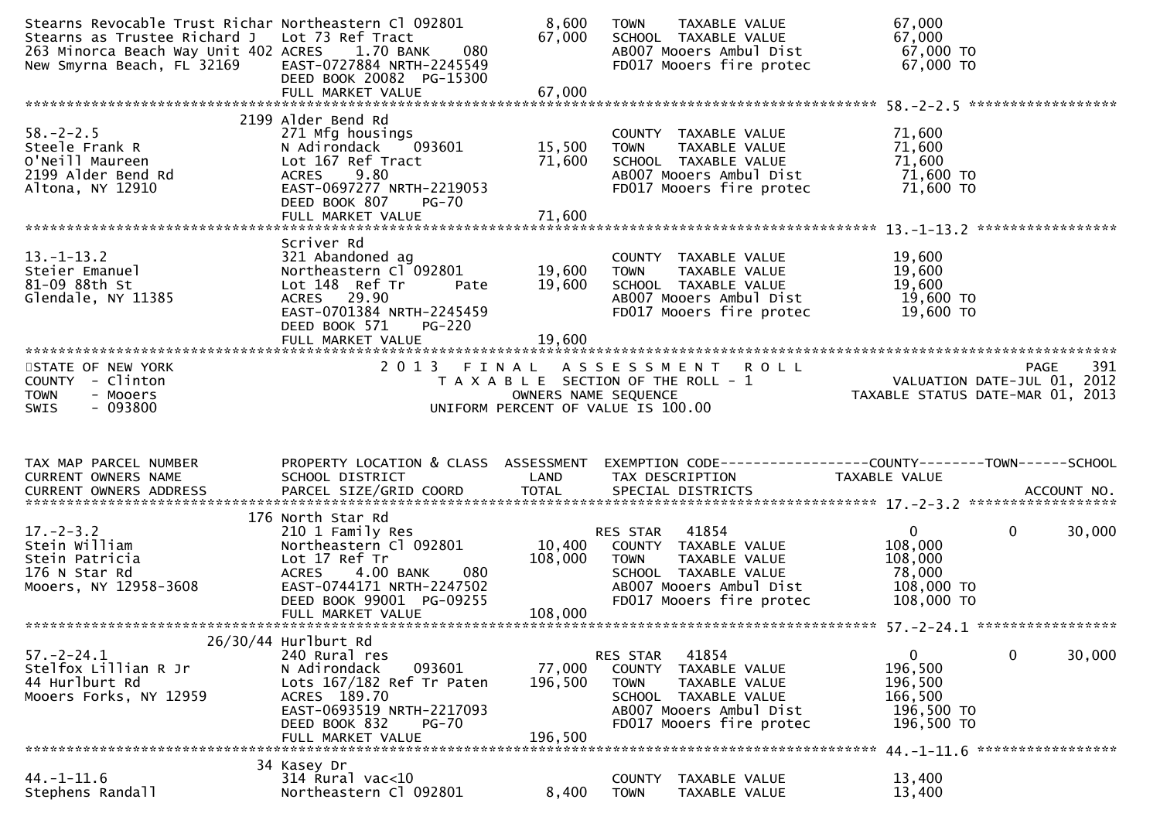| Stearns Revocable Trust Richar Northeastern Cl 092801<br>Stearns as Trustee Richard J Lot 73 Ref Tract<br>263 Minorca Beach Way Unit 402 ACRES<br>New Smyrna Beach, FL 32169 | 080<br>1.70 BANK<br>EAST-0727884 NRTH-2245549<br>DEED BOOK 20082 PG-15300<br>FULL MARKET VALUE                                                                                                     | 8,600<br>67,000<br>67,000    | TAXABLE VALUE<br><b>TOWN</b><br>SCHOOL TAXABLE VALUE<br>AB007 Mooers Ambul Dist<br>FD017 Mooers fire protec                                                        | 67,000<br>67,000<br>67,000 TO<br>67,000 TO                                                                       |                   |
|------------------------------------------------------------------------------------------------------------------------------------------------------------------------------|----------------------------------------------------------------------------------------------------------------------------------------------------------------------------------------------------|------------------------------|--------------------------------------------------------------------------------------------------------------------------------------------------------------------|------------------------------------------------------------------------------------------------------------------|-------------------|
|                                                                                                                                                                              |                                                                                                                                                                                                    |                              |                                                                                                                                                                    |                                                                                                                  |                   |
| $58. - 2 - 2.5$<br>Steele Frank R<br>O'Neill Maureen<br>2199 Alder Bend Rd<br>Altona, NY 12910                                                                               | 2199 Alder Bend Rd<br>271 Mfg housings<br>N Adirondack<br>093601<br>Lot 167 Ref Tract<br>9.80<br><b>ACRES</b><br>EAST-0697277 NRTH-2219053<br>DEED BOOK 807<br><b>PG-70</b><br>FULL MARKET VALUE   | 15,500<br>71,600<br>71,600   | COUNTY TAXABLE VALUE<br>TAXABLE VALUE<br><b>TOWN</b><br>SCHOOL TAXABLE VALUE<br>AB007 Mooers Ambul Dist<br>FD017 Mooers fire protec                                | 71,600<br>71,600<br>71,600<br>71,600 TO<br>71,600 TO                                                             |                   |
|                                                                                                                                                                              |                                                                                                                                                                                                    |                              |                                                                                                                                                                    |                                                                                                                  |                   |
| $13.-1-13.2$<br>Steier Emanuel<br>81-09 88th St<br>Glendale, NY 11385                                                                                                        | Scriver Rd<br>321 Abandoned ag<br>Northeastern Cl 092801<br>Lot 148 Ref Tr<br>Pate<br>ACRES 29.90<br>EAST-0701384 NRTH-2245459<br>DEED BOOK 571<br><b>PG-220</b>                                   | 19,600<br>19,600             | COUNTY TAXABLE VALUE<br><b>TOWN</b><br>TAXABLE VALUE<br>SCHOOL TAXABLE VALUE<br>AB007 Mooers Ambul Dist<br>FD017 Mooers fire protec                                | 19,600<br>19,600<br>19,600<br>19,600 TO<br>19,600 TO                                                             |                   |
|                                                                                                                                                                              |                                                                                                                                                                                                    |                              |                                                                                                                                                                    |                                                                                                                  |                   |
| STATE OF NEW YORK<br>- Clinton<br>COUNTY<br><b>TOWN</b><br>- Mooers<br>$-093800$<br><b>SWIS</b>                                                                              |                                                                                                                                                                                                    | OWNERS NAME SEQUENCE         | 2013 FINAL ASSESSMENT ROLL<br>T A X A B L E SECTION OF THE ROLL - 1<br>UNIFORM PERCENT OF VALUE IS 100.00                                                          | PAGE 391<br>VALUATION DATE-JUL 01, 2012<br>TAXARLE STATUS DATE :::- 21, 2012<br>TAXABLE STATUS DATE-MAR 01, 2013 | PAGE              |
| TAX MAP PARCEL NUMBER<br><b>CURRENT OWNERS NAME</b><br>CURRENT OWNERS ADDRESS PARCEL SIZE/GRID COORD TOTAL SPECIAL DISTRICTS (2000) ACCOUNT NO.                              | SCHOOL DISTRICT                                                                                                                                                                                    | LAND                         | PROPERTY LOCATION & CLASS ASSESSMENT EXEMPTION CODE----------------COUNTY-------TOWN------SCHOOL<br>TAX DESCRIPTION                                                | TAXABLE VALUE                                                                                                    |                   |
| $17. - 2 - 3.2$<br>Stein William<br>Stein Patricia<br>176 N Star Rd<br>Mooers, NY 12958-3608                                                                                 | 176 North Star Rd<br>210 1 Family Res<br>Northeastern Cl 092801<br>Lot 17 Ref Tr<br><b>ACRES</b><br>4.00 BANK<br>080<br>EAST-0744171 NRTH-2247502<br>DEED BOOK 99001 PG-09255<br>FULL MARKET VALUE | 10,400<br>108,000<br>108,000 | 41854<br>RES STAR<br>COUNTY TAXABLE VALUE<br><b>TOWN</b><br>TAXABLE VALUE<br>SCHOOL TAXABLE VALUE<br>AB007 Mooers Ambul Dist<br>FD017 Mooers fire protec           | 0<br>0<br>108,000<br>108,000<br>78,000<br>108,000 TO<br>108,000 TO                                               | 30,000            |
|                                                                                                                                                                              | 26/30/44 Hurlburt Rd                                                                                                                                                                               |                              |                                                                                                                                                                    |                                                                                                                  |                   |
| $57. - 2 - 24.1$<br>Stelfox Lillian R Jr<br>44 Hurlburt Rd<br>Mooers Forks, NY 12959                                                                                         | 240 Rural res<br>N Adirondack<br>093601<br>Lots 167/182 Ref Tr Paten<br>ACRES 189.70<br>EAST-0693519 NRTH-2217093<br>DEED BOOK 832<br><b>PG-70</b><br>FULL MARKET VALUE                            | 77,000<br>196,500<br>196,500 | 41854<br><b>RES STAR</b><br>COUNTY<br>TAXABLE VALUE<br>TAXABLE VALUE<br><b>TOWN</b><br>SCHOOL TAXABLE VALUE<br>AB007 Mooers Ambul Dist<br>FD017 Mooers fire protec | 0<br>$\mathbf{0}$<br>196,500<br>196,500<br>166,500<br>196,500 TO<br>196,500 TO                                   | 30,000            |
|                                                                                                                                                                              |                                                                                                                                                                                                    |                              |                                                                                                                                                                    | 44.-1-11.6                                                                                                       | ***************** |
| $44. - 1 - 11.6$<br>Stephens Randall                                                                                                                                         | 34 Kasey Dr<br>$314$ Rural vac<10<br>Northeastern Cl 092801                                                                                                                                        | 8,400                        | TAXABLE VALUE<br><b>COUNTY</b><br><b>TOWN</b><br>TAXABLE VALUE                                                                                                     | 13,400<br>13,400                                                                                                 |                   |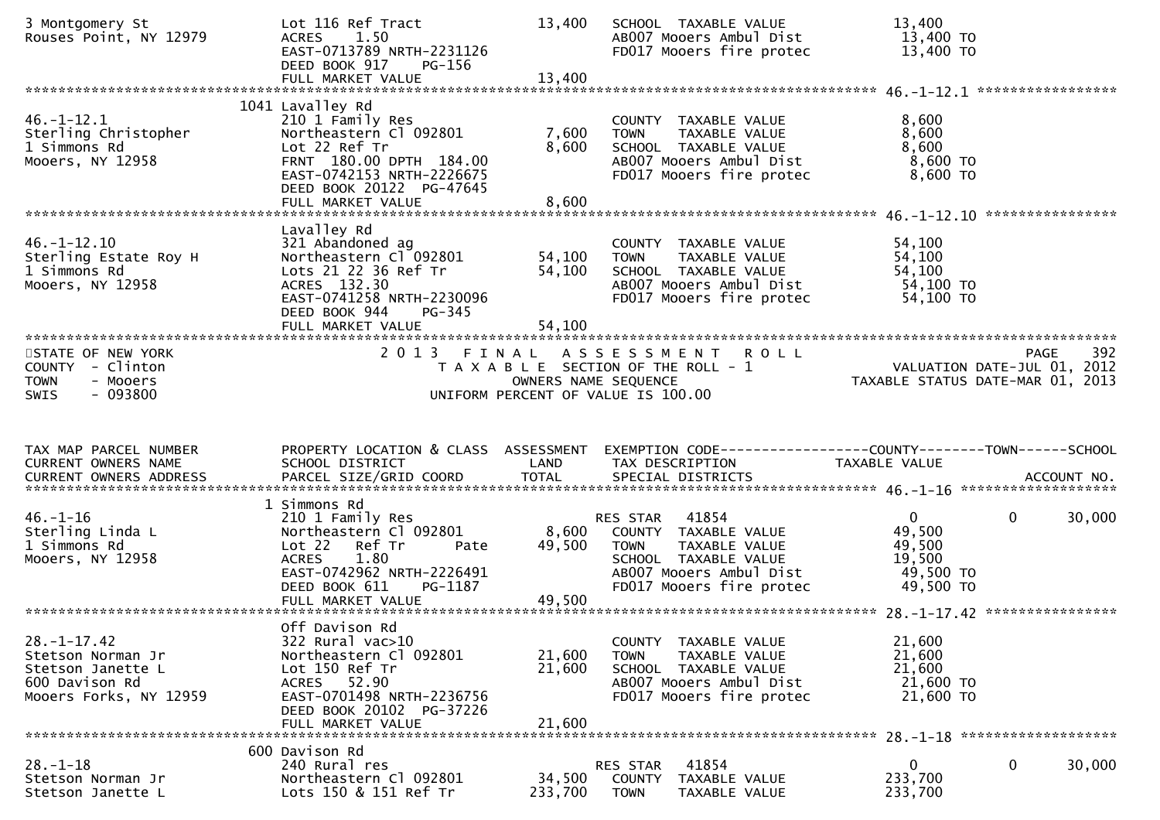| 3 Montgomery St<br>Rouses Point, NY 12979                                                               | Lot 116 Ref Tract<br><b>ACRES</b><br>1.50<br>EAST-0713789 NRTH-2231126<br>DEED BOOK 917<br>PG-156                                                                                            | 13,400                     | SCHOOL TAXABLE VALUE<br>AB007 Mooers Ambul Dist<br>FD017 Mooers fire protec                                                                              | 13,400<br>13,400 TO<br>13,400 TO                                       |                  |        |
|---------------------------------------------------------------------------------------------------------|----------------------------------------------------------------------------------------------------------------------------------------------------------------------------------------------|----------------------------|----------------------------------------------------------------------------------------------------------------------------------------------------------|------------------------------------------------------------------------|------------------|--------|
|                                                                                                         |                                                                                                                                                                                              |                            |                                                                                                                                                          |                                                                        |                  |        |
| $46. - 1 - 12.1$<br>Sterling Christopher<br>1 Simmons Rd<br>Mooers, NY 12958                            | 1041 Lavalley Rd<br>210 1 Family Res<br>Northeastern Cl 092801<br>Lot 22 Ref Tr<br>FRNT 180.00 DPTH 184.00<br>EAST-0742153 NRTH-2226675<br>DEED BOOK 20122 PG-47645<br>FULL MARKET VALUE     | 7,600<br>8,600<br>8,600    | COUNTY TAXABLE VALUE<br><b>TAXABLE VALUE</b><br><b>TOWN</b><br>SCHOOL TAXABLE VALUE<br>AB007 Mooers Ambul Dist<br>FD017 Mooers fire protec               | 8,600<br>8,600<br>8,600<br>$8,600$ TO<br>8,600 TO                      |                  |        |
|                                                                                                         |                                                                                                                                                                                              |                            |                                                                                                                                                          |                                                                        | **************** |        |
| $46. - 1 - 12.10$<br>Sterling Estate Roy H<br>1 Simmons Rd<br>Mooers, NY 12958                          | Lavalley Rd<br>321 Abandoned ag<br>Northeastern Cl 092801<br>Lots 21 22 36 Ref Tr<br>ACRES 132.30<br>EAST-0741258 NRTH-2230096<br>DEED BOOK 944<br>PG-345<br>FULL MARKET VALUE               | 54,100<br>54,100<br>54,100 | COUNTY TAXABLE VALUE<br><b>TOWN</b><br>TAXABLE VALUE<br>SCHOOL TAXABLE VALUE<br>AB007 Mooers Ambul Dist<br>FD017 Mooers fire protec                      | 54,100<br>54,100<br>54,100<br>54,100 TO<br>54,100 TO                   |                  |        |
|                                                                                                         |                                                                                                                                                                                              |                            |                                                                                                                                                          |                                                                        |                  |        |
| STATE OF NEW YORK<br>COUNTY - Clinton<br><b>TOWN</b><br>- Mooers<br>$-093800$<br><b>SWIS</b>            | 2 0 1 3<br>FINAL                                                                                                                                                                             | OWNERS NAME SEQUENCE       | A S S E S S M E N T<br><b>ROLL</b><br>T A X A B L E SECTION OF THE ROLL - 1<br>UNIFORM PERCENT OF VALUE IS 100.00                                        | VALUATION DATE-JUL 01, 2012<br>TAXABLE STATUS DATE-MAR 01, 2013        | PAGE             | 392    |
|                                                                                                         |                                                                                                                                                                                              |                            |                                                                                                                                                          |                                                                        |                  |        |
| TAX MAP PARCEL NUMBER<br>CURRENT OWNERS NAME                                                            | PROPERTY LOCATION & CLASS ASSESSMENT<br>SCHOOL DISTRICT                                                                                                                                      | LAND                       | EXEMPTION CODE-----------------COUNTY-------TOWN------SCHOOL<br>TAX DESCRIPTION                                                                          | TAXABLE VALUE                                                          |                  |        |
|                                                                                                         |                                                                                                                                                                                              |                            |                                                                                                                                                          |                                                                        |                  |        |
| $46. - 1 - 16$<br>Sterling Linda L<br>1 Simmons Rd<br>Mooers, NY 12958                                  | 1 Simmons Rd<br>210 1 Family Res<br>Northeastern Cl 092801<br>Lot 22<br>Ref Tr<br>Pate<br>1.80<br><b>ACRES</b><br>EAST-0742962 NRTH-2226491<br>PG-1187<br>DEED BOOK 611<br>FULL MARKET VALUE | 8,600<br>49,500<br>49,500  | 41854<br>RES STAR<br>COUNTY TAXABLE VALUE<br>TAXABLE VALUE<br><b>TOWN</b><br>SCHOOL TAXABLE VALUE<br>AB007 Mooers Ambul Dist<br>FD017 Mooers fire protec | $\overline{0}$<br>49,500<br>49,500<br>19,500<br>49,500 TO<br>49,500 TO | $\mathbf 0$      | 30,000 |
|                                                                                                         |                                                                                                                                                                                              |                            |                                                                                                                                                          |                                                                        |                  |        |
| $28. - 1 - 17.42$<br>Stetson Norman Jr<br>Stetson Janette L<br>600 Davison Rd<br>Mooers Forks, NY 12959 | Off Davison Rd<br>322 Rural vac>10<br>Northeastern Cl 092801<br>Lot 150 Ref Tr<br>ACRES 52.90<br>EAST-0701498 NRTH-2236756<br>DEED BOOK 20102 PG-37226<br>FULL MARKET VALUE                  | 21,600<br>21,600<br>21,600 | COUNTY TAXABLE VALUE<br>TAXABLE VALUE<br><b>TOWN</b><br>SCHOOL TAXABLE VALUE<br>AB007 Mooers Ambul Dist<br>FD017 Mooers fire protec                      | 21,600<br>21,600<br>21,600<br>21,600 TO<br>21,600 TO                   |                  |        |
|                                                                                                         | 600 Davison Rd                                                                                                                                                                               |                            |                                                                                                                                                          |                                                                        |                  |        |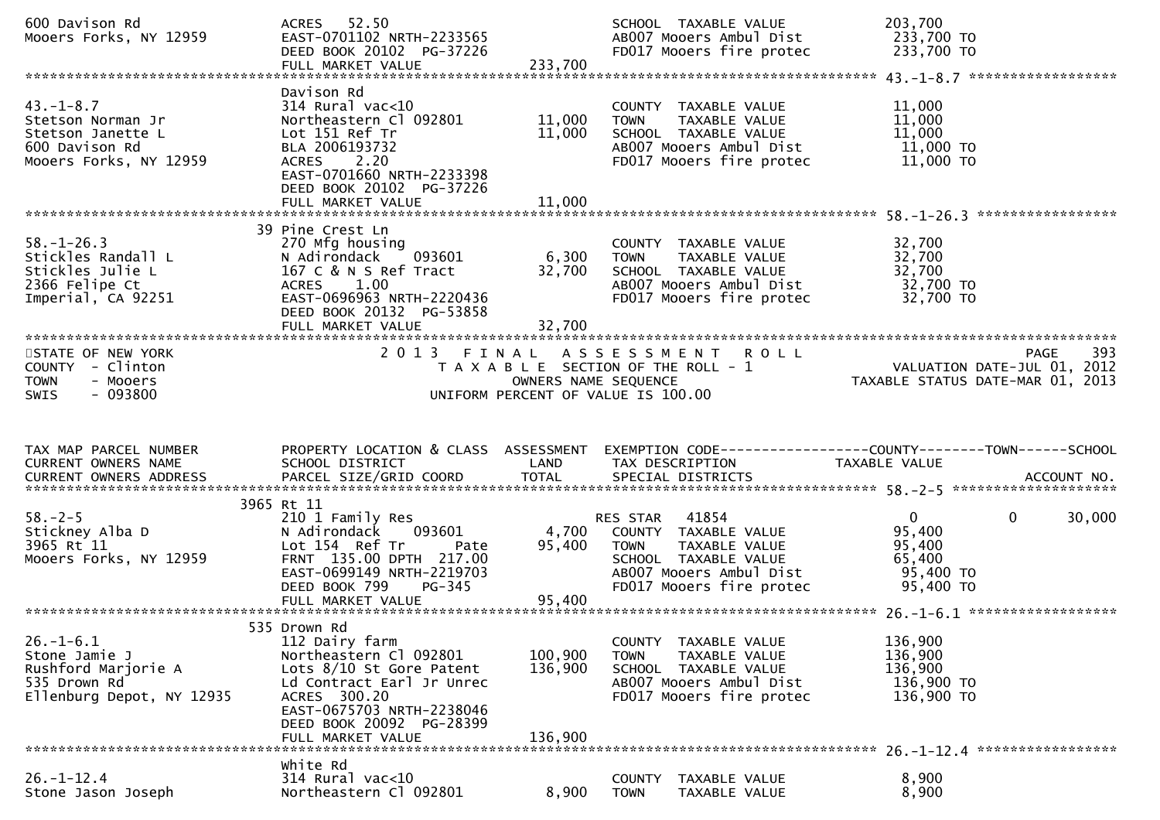| 600 Davison Rd<br>Mooers Forks, NY 12959                                                              | ACRES 52.50<br>EAST-0701102 NRTH-2233565<br>DEED BOOK 20102 PG-37226<br>FULL MARKET VALUE                                                                                                                       | 233,700                       | SCHOOL TAXABLE VALUE<br>AB007 Mooers Ambul Dist<br>FD017 Mooers fire protec                                                                              | 203,700<br>233,700 TO<br>233,700 TO                                  |                                                                                     |
|-------------------------------------------------------------------------------------------------------|-----------------------------------------------------------------------------------------------------------------------------------------------------------------------------------------------------------------|-------------------------------|----------------------------------------------------------------------------------------------------------------------------------------------------------|----------------------------------------------------------------------|-------------------------------------------------------------------------------------|
| $43. - 1 - 8.7$<br>Stetson Norman Jr<br>Stetson Janette L<br>600 Davison Rd<br>Mooers Forks, NY 12959 | Davison Rd<br>$314$ Rural vac<10<br>Northeastern Cl 092801<br>Lot 151 Ref Tr<br>BLA 2006193732<br>2.20<br><b>ACRES</b><br>EAST-0701660 NRTH-2233398<br>DEED BOOK 20102 PG-37226<br>FULL MARKET VALUE            | 11,000<br>11,000<br>11,000    | COUNTY TAXABLE VALUE<br>TAXABLE VALUE<br><b>TOWN</b><br>SCHOOL TAXABLE VALUE<br>AB007 Mooers Ambul Dist<br>FD017 Mooers fire protec                      | 11,000<br>11,000<br>11,000<br>11,000 TO<br>11,000 TO                 |                                                                                     |
| $58. - 1 - 26.3$<br>Stickles Randall L<br>Stickles Julie L<br>2366 Felipe Ct<br>Imperial, CA 92251    | 39 Pine Crest Ln<br>270 Mfg housing<br>093601<br>N Adirondack<br>167 C & N S Ref Tract<br>ACRES 1.00<br>EAST-0696963 NRTH-2220436<br>DEED BOOK 20132 PG-53858<br>FULL MARKET VALUE                              | 6,300<br>32,700<br>32,700     | COUNTY TAXABLE VALUE<br>TAXABLE VALUE<br><b>TOWN</b><br>SCHOOL TAXABLE VALUE<br>AB007 Mooers Ambul Dist<br>FD017 Mooers fire protec                      | 32,700<br>32,700<br>32,700<br>32,700 TO<br>32,700 TO                 | *****************                                                                   |
| STATE OF NEW YORK<br>COUNTY - Clinton<br><b>TOWN</b><br>- Mooers<br>$-093800$<br>SWIS                 | 2013 FINAL                                                                                                                                                                                                      | OWNERS NAME SEQUENCE          | ASSESSMENT ROLL<br>T A X A B L E SECTION OF THE ROLL - 1<br>UNIFORM PERCENT OF VALUE IS 100.00                                                           |                                                                      | 393<br>PAGE<br>VALUATION DATE-JUL $01$ , $2012$<br>TAXABLE STATUS DATE-MAR 01, 2013 |
|                                                                                                       |                                                                                                                                                                                                                 |                               |                                                                                                                                                          |                                                                      |                                                                                     |
| TAX MAP PARCEL NUMBER<br>CURRENT OWNERS NAME                                                          | PROPERTY LOCATION & CLASS ASSESSMENT<br>SCHOOL DISTRICT                                                                                                                                                         | LAND                          | EXEMPTION CODE-----------------COUNTY-------TOWN------SCHOOL<br>TAX DESCRIPTION                                                                          | TAXABLE VALUE                                                        |                                                                                     |
| $58. - 2 - 5$<br>Stickney Alba D<br>3965 Rt 11<br>Mooers Forks, NY 12959                              | 3965 Rt 11<br>210 1 Family Res<br>N Adirondack<br>093601<br>Lot 154 Ref Tr<br>Pate<br>FRNT 135.00 DPTH 217.00<br>EAST-0699149 NRTH-2219703<br>DEED BOOK 799<br>PG-345                                           | 4,700<br>95,400               | 41854<br>RES STAR<br>COUNTY TAXABLE VALUE<br>TAXABLE VALUE<br><b>TOWN</b><br>SCHOOL TAXABLE VALUE<br>AB007 Mooers Ambul Dist<br>FD017 Mooers fire protec | $\mathbf{0}$<br>95,400<br>95,400<br>65,400<br>95,400 TO<br>95,400 TO | $\mathbf 0$<br>30,000                                                               |
| $26. - 1 - 6.1$<br>Stone Jamie J<br>Rushford Marjorie A<br>535 Drown Rd<br>Ellenburg Depot, NY 12935  | 535 Drown Rd<br>112 Dairy farm<br>Northeastern Cl 092801<br>Lots 8/10 St Gore Patent<br>Ld Contract Earl Jr Unrec<br>ACRES 300.20<br>EAST-0675703 NRTH-2238046<br>DEED BOOK 20092 PG-28399<br>FULL MARKET VALUE | 100,900<br>136,900<br>136,900 | COUNTY TAXABLE VALUE<br>TAXABLE VALUE<br><b>TOWN</b><br>SCHOOL TAXABLE VALUE<br>AB007 Mooers Ambul Dist<br>FD017 Mooers fire protec                      | 136,900<br>136,900<br>136,900<br>136,900 TO<br>136,900 TO            |                                                                                     |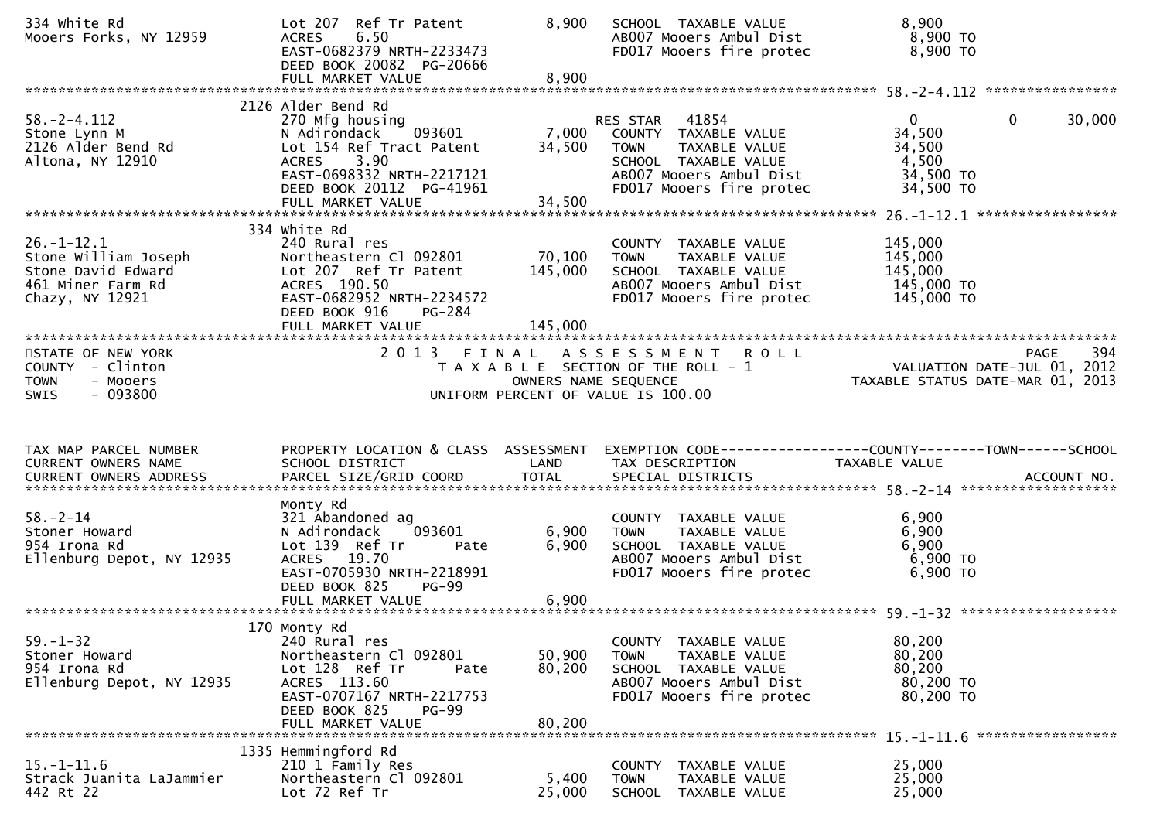| 334 white Rd<br>Mooers Forks, NY 12959                                                                 | Lot 207 Ref Tr Patent<br>6.50<br><b>ACRES</b><br>EAST-0682379 NRTH-2233473<br>DEED BOOK 20082 PG-20666<br>FULL MARKET VALUE                                                          | 8,900<br>8,900               | SCHOOL TAXABLE VALUE<br>AB007 Mooers Ambul Dist<br>FD017 Mooers fire protec                                                                       | 8,900<br>8,900 TO<br>8,900 TO                                                         |        |
|--------------------------------------------------------------------------------------------------------|--------------------------------------------------------------------------------------------------------------------------------------------------------------------------------------|------------------------------|---------------------------------------------------------------------------------------------------------------------------------------------------|---------------------------------------------------------------------------------------|--------|
| $58. - 2 - 4.112$<br>Stone Lynn M<br>2126 Alder Bend Rd<br>Altona, NY 12910                            | 2126 Alder Bend Rd<br>270 Mfg housing<br>093601<br>N Adirondack<br>Lot 154 Ref Tract Patent<br>ACRES 3.90<br>EAST-0698332 NRTH-2217121<br>DEED BOOK 20112 PG-41961                   | 7,000<br>34,500              | RES STAR<br>41854<br>COUNTY TAXABLE VALUE<br>TAXABLE VALUE<br>TOWN<br>SCHOOL TAXABLE VALUE<br>AB007 Mooers Ambul Dist<br>FD017 Mooers fire protec | $\overline{0}$<br>$\mathbf{0}$<br>34,500<br>34,500<br>4,500<br>34,500 TO<br>34,500 TO | 30,000 |
|                                                                                                        | FULL MARKET VALUE<br>334 white Rd                                                                                                                                                    | 34,500                       |                                                                                                                                                   |                                                                                       |        |
| $26. - 1 - 12.1$<br>Stone William Joseph<br>Stone David Edward<br>461 Miner Farm Rd<br>Chazy, NY 12921 | 240 Rural res<br>Northeastern Cl 092801<br>Lot 207 Ref Tr Patent<br>ACRES 190.50<br>EAST-0682952 NRTH-2234572<br>DEED BOOK 916<br>PG-284<br>FULL MARKET VALUE                        | 70,100<br>145,000<br>145,000 | COUNTY TAXABLE VALUE<br>TAXABLE VALUE<br><b>TOWN</b><br>SCHOOL TAXABLE VALUE<br>AB007 Mooers Ambul Dist<br>FD017 Mooers fire protec               | 145,000<br>145,000<br>145,000<br>145,000 TO<br>145,000 TO                             |        |
| STATE OF NEW YORK<br>COUNTY - Clinton<br><b>TOWN</b><br>- Mooers<br>$-093800$<br><b>SWIS</b>           |                                                                                                                                                                                      | OWNERS NAME SEQUENCE         | 2013 FINAL ASSESSMENT ROLL<br>T A X A B L E SECTION OF THE ROLL - 1<br>UNIFORM PERCENT OF VALUE IS 100.00                                         | PAGE<br>VALUATION DATE-JUL 01, 2012<br>TAXABLE STATUS DATE-MAR 01, 2013               | 394    |
|                                                                                                        |                                                                                                                                                                                      |                              |                                                                                                                                                   |                                                                                       |        |
| TAX MAP PARCEL NUMBER<br>CURRENT OWNERS NAME                                                           | PROPERTY LOCATION & CLASS ASSESSMENT<br>SCHOOL DISTRICT                                                                                                                              | LAND                         | TAX DESCRIPTION                                                                                                                                   | TAXABLE VALUE                                                                         |        |
| $58. - 2 - 14$<br>Stoner Howard<br>954 Irona Rd<br>Ellenburg Depot, NY 12935                           | Monty Rd<br>321 Abandoned ag<br>093601<br>N Adirondack<br>Lot 139 Ref Tr<br>Pate<br>ACRES 19.70<br>EAST-0705930 NRTH-2218991<br>DEED BOOK 825<br><b>PG-99</b><br>FULL MARKET VALUE   | 6,900<br>6,900<br>6,900      | COUNTY TAXABLE VALUE<br>TAXABLE VALUE<br>TOWN<br>SCHOOL TAXABLE VALUE<br>AB007 Mooers Ambul Dist<br>FD017 Mooers fire protec                      | 6,900<br>6,900<br>6,900<br>6,900 TO<br>6,900 ТО                                       |        |
| $59. - 1 - 32$<br>Stoner Howard<br>954 Irona Rd<br>Ellenburg Depot, NY 12935                           | 170 Monty Rd<br>240 Rural res<br>Northeastern Cl 092801<br>Lot 128 Ref Tr<br>Pate<br>ACRES 113.60<br>EAST-0707167 NRTH-2217753<br>DEED BOOK 825<br><b>PG-99</b><br>FULL MARKET VALUE | 50,900<br>80,200<br>80,200   | COUNTY TAXABLE VALUE<br><b>TOWN</b><br>TAXABLE VALUE<br>SCHOOL TAXABLE VALUE<br>AB007 Mooers Ambul Dist<br>FD017 Mooers fire protec               | 80,200<br>80,200<br>80,200<br>80,200 TO<br>80,200 TO<br>*****************             |        |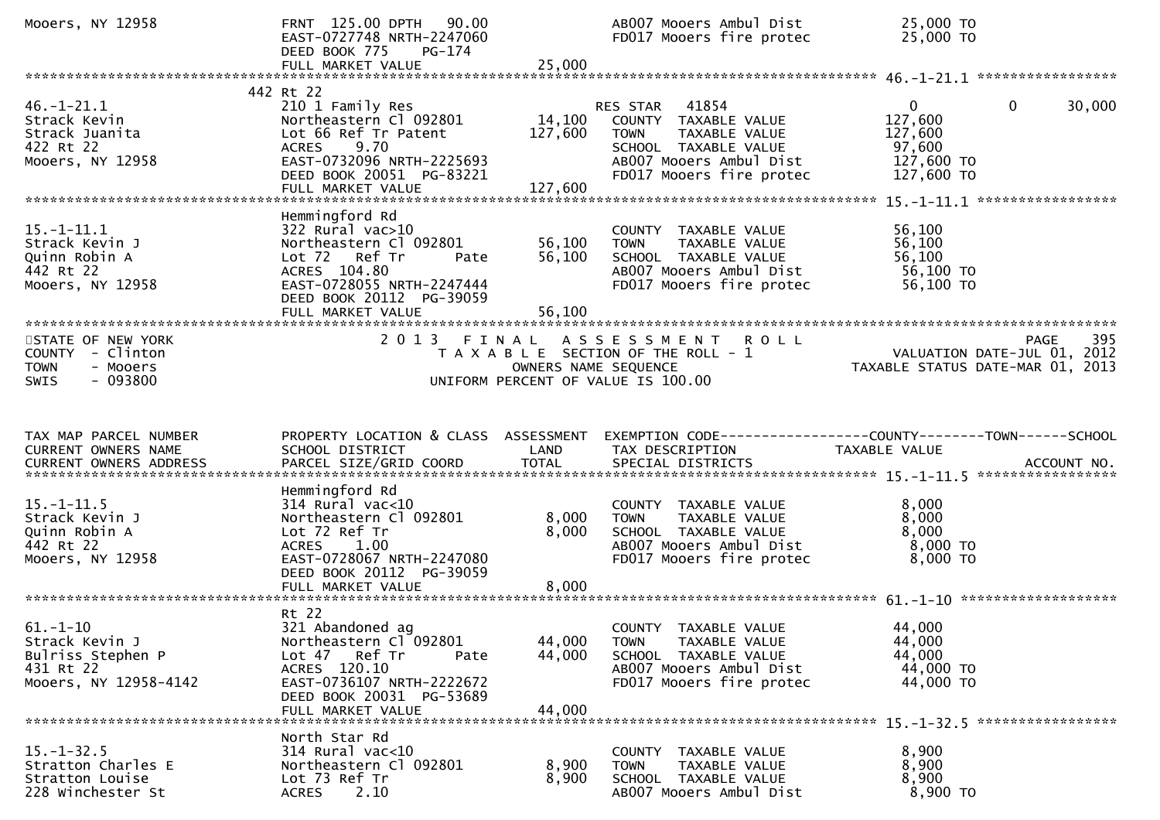| Mooers, NY 12958                                                                             | FRNT 125.00 DPTH 90.00<br>EAST-0727748 NRTH-2247060<br>DEED BOOK 775<br>PG-174<br>FULL MARKET VALUE                                                                                   | 25,000                       | AB007 Mooers Ambul Dist<br>FD017 Mooers fire protec                                                                                                      | 25,000 TO<br>25,000 TO                                                                   |        |
|----------------------------------------------------------------------------------------------|---------------------------------------------------------------------------------------------------------------------------------------------------------------------------------------|------------------------------|----------------------------------------------------------------------------------------------------------------------------------------------------------|------------------------------------------------------------------------------------------|--------|
|                                                                                              |                                                                                                                                                                                       |                              |                                                                                                                                                          |                                                                                          |        |
| $46. - 1 - 21.1$<br>Strack Kevin<br>Strack Juanita<br>422 Rt 22<br>Mooers, NY 12958          | 442 Rt 22<br>210 1 Family Res<br>Northeastern Cl 092801<br>Lot 66 Ref Tr Patent<br><b>ACRES</b><br>9.70<br>EAST-0732096 NRTH-2225693<br>DEED BOOK 20051 PG-83221<br>FULL MARKET VALUE | 14,100<br>127,600<br>127,600 | 41854<br>RES STAR<br>COUNTY TAXABLE VALUE<br>TAXABLE VALUE<br><b>TOWN</b><br>SCHOOL TAXABLE VALUE<br>AB007 Mooers Ambul Dist<br>FD017 Mooers fire protec | $\mathbf{0}$<br>$\mathbf{0}$<br>127,600<br>127,600<br>97,600<br>127,600 TO<br>127,600 TO | 30,000 |
|                                                                                              | Hemmingford Rd                                                                                                                                                                        |                              |                                                                                                                                                          |                                                                                          |        |
| $15. - 1 - 11.1$<br>Strack Kevin J<br>Quinn Robin A<br>442 Rt 22<br>Mooers, NY 12958         | $322$ Rural vac $>10$<br>Northeastern Cl 092801<br>Lot 72 Ref Tr<br>Pate<br>ACRES 104.80<br>EAST-0728055 NRTH-2247444<br>DEED BOOK 20112 PG-39059<br>FULL MARKET VALUE                | 56,100<br>56,100<br>56,100   | COUNTY TAXABLE VALUE<br><b>TOWN</b><br>TAXABLE VALUE<br>SCHOOL TAXABLE VALUE<br>AB007 Mooers Ambul Dist<br>FD017 Mooers fire protec                      | 56,100<br>56,100<br>56,100<br>56,100 TO<br>56,100 TO                                     |        |
| STATE OF NEW YORK<br>COUNTY - Clinton<br>- Mooers<br><b>TOWN</b><br>$-093800$<br><b>SWIS</b> | 2 0 1 3<br>FINAL                                                                                                                                                                      | OWNERS NAME SEQUENCE         | ASSESSMENT ROLL<br>T A X A B L E SECTION OF THE ROLL - 1<br>UNIFORM PERCENT OF VALUE IS 100.00                                                           | <b>PAGE</b><br>VALUATION DATE-JUL 01, 2012<br>TAXABLE STATUS DATE-MAR 01, 2013           | 395    |
|                                                                                              |                                                                                                                                                                                       |                              |                                                                                                                                                          |                                                                                          |        |
|                                                                                              |                                                                                                                                                                                       |                              |                                                                                                                                                          |                                                                                          |        |
| TAX MAP PARCEL NUMBER<br><b>CURRENT OWNERS NAME</b><br><b>CURRENT OWNERS ADDRESS</b>         | PROPERTY LOCATION & CLASS ASSESSMENT<br>SCHOOL DISTRICT<br>PARCEL SIZE/GRID COORD                                                                                                     | LAND<br><b>TOTAL</b>         | TAX DESCRIPTION<br>SPECIAL DISTRICTS                                                                                                                     | TAXABLE VALUE<br>ACCOUNT NO.                                                             |        |
| $15. - 1 - 11.5$<br>Strack Kevin J<br>Quinn Robin A<br>442 Rt 22<br>Mooers, NY 12958         | Hemmingford Rd<br>$314$ Rural vac<10<br>Northeastern Cl 092801<br>Lot 72 Ref Tr<br><b>ACRES</b><br>1.00<br>EAST-0728067 NRTH-2247080<br>DEED BOOK 20112 PG-39059                      | 8,000<br>8,000<br>8,000      | COUNTY TAXABLE VALUE<br>TAXABLE VALUE<br><b>TOWN</b><br>SCHOOL TAXABLE VALUE<br>AB007 Mooers Ambul Dist<br>FD017 Mooers fire protec                      | 8,000<br>8,000<br>8,000<br>8,000 TO<br>$8,000$ TO                                        |        |
| $61. - 1 - 10$<br>Strack Kevin J<br>Bulriss Stephen P<br>431 Rt 22<br>Mooers, NY 12958-4142  | Rt 22<br>321 Abandoned ag<br>Northeastern Cl 092801<br>Lot 47 Ref Tr<br>Pate<br>ACRES 120.10<br>EAST-0736107 NRTH-2222672<br>DEED BOOK 20031 PG-53689<br>FULL MARKET VALUE            | 44,000<br>44,000<br>44,000   | COUNTY TAXABLE VALUE<br>TAXABLE VALUE<br><b>TOWN</b><br>SCHOOL TAXABLE VALUE<br>AB007 Mooers Ambul Dist<br>FD017 Mooers fire protec                      | 44,000<br>44,000<br>44,000<br>44,000 TO<br>44,000 TO                                     |        |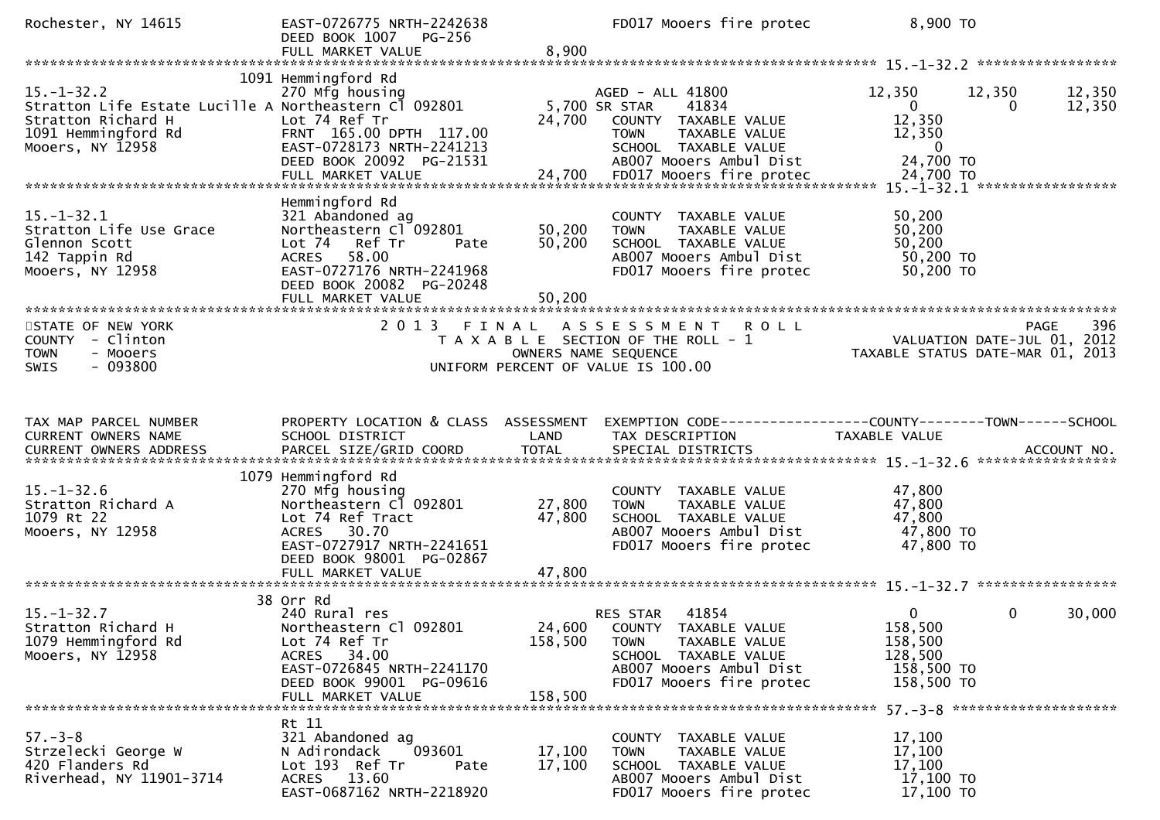| Rochester, NY 14615                                                                                                                        | EAST-0726775 NRTH-2242638<br>DEED BOOK 1007 PG-256<br>FULL MARKET VALUE                                                                                                               | 8,900                        | FD017 Mooers fire protec                                                                                                                                 | 8,900 TO                                                                                                              |
|--------------------------------------------------------------------------------------------------------------------------------------------|---------------------------------------------------------------------------------------------------------------------------------------------------------------------------------------|------------------------------|----------------------------------------------------------------------------------------------------------------------------------------------------------|-----------------------------------------------------------------------------------------------------------------------|
|                                                                                                                                            |                                                                                                                                                                                       |                              |                                                                                                                                                          |                                                                                                                       |
| $15. - 1 - 32.2$<br>Stratton Life Estate Lucille A Northeastern Cl 092801<br>Stratton Richard H<br>1091 Hemmingford Rd<br>Mooers, NY 12958 | 1091 Hemmingford Rd<br>270 Mfg housing<br>Lot 74 Ref Tr<br>FRNT 165.00 DPTH 117.00<br>EAST-0728173 NRTH-2241213<br>DEED BOOK 20092 PG-21531                                           | 24,700                       | AGED - ALL 41800<br>5,700 SR STAR<br>41834<br>COUNTY TAXABLE VALUE<br>TAXABLE VALUE<br><b>TOWN</b><br>SCHOOL TAXABLE VALUE<br>AB007 Mooers Ambul Dist    | 12,350<br>12,350<br>12,350<br>$\overline{0}$<br>12,350<br>$\Omega$<br>12,350<br>12,350<br>$\overline{0}$<br>24,700 TO |
| $15. - 1 - 32.1$<br>Stratton Life Use Grace<br>Glennon Scott<br>142 Tappin Rd<br>Mooers, NY 12958                                          | Hemmingford Rd<br>321 Abandoned ag<br>Northeastern Cl 092801<br>Lot 74 Ref Tr<br>Pate<br>58.00<br>ACRES<br>EAST-0727176 NRTH-2241968<br>DEED BOOK 20082 PG-20248<br>FULL MARKET VALUE | 50,200<br>50,200<br>50,200   | COUNTY TAXABLE VALUE<br><b>TOWN</b><br>TAXABLE VALUE<br>SCHOOL TAXABLE VALUE<br>AB007 Mooers Ambul Dist<br>FD017 Mooers fire protec                      | 50,200<br>50,200<br>50,200<br>50,200 TO<br>50,200 TO                                                                  |
| STATE OF NEW YORK<br>COUNTY - Clinton<br><b>TOWN</b><br>- Mooers<br>$-093800$<br><b>SWIS</b>                                               | 2013 FINAL                                                                                                                                                                            | OWNERS NAME SEQUENCE         | ASSESSMENT ROLL<br>T A X A B L E SECTION OF THE ROLL - 1<br>UNIFORM PERCENT OF VALUE IS 100.00                                                           | 396<br><b>PAGE</b><br>VALUATION DATE-JUL 01, 2012<br>TAXABLE STATUS DATE-MAR 01, 2013                                 |
|                                                                                                                                            |                                                                                                                                                                                       |                              |                                                                                                                                                          |                                                                                                                       |
| TAX MAP PARCEL NUMBER<br>CURRENT OWNERS NAME                                                                                               | PROPERTY LOCATION & CLASS ASSESSMENT<br>SCHOOL DISTRICT                                                                                                                               | LAND                         | TAX DESCRIPTION                                                                                                                                          | EXEMPTION CODE-----------------COUNTY--------TOWN------SCHOOL<br>TAXABLE VALUE                                        |
| $15. - 1 - 32.6$<br>Stratton Richard A<br>1079 Rt 22<br>Mooers, NY 12958                                                                   | 1079 Hemmingford Rd<br>270 Mfg housing<br>Northeastern Cl 092801<br>Lot 74 Ref Tract<br>ACRES 30.70<br>EAST-0727917 NRTH-2241651<br>DEED BOOK 98001 PG-02867                          | 27,800<br>47,800             | COUNTY TAXABLE VALUE<br><b>TOWN</b><br>TAXABLE VALUE<br>SCHOOL TAXABLE VALUE<br>AB007 Mooers Ambul Dist<br>FD017 Mooers fire protec                      | 47,800<br>47,800<br>47,800<br>47,800 TO<br>47,800 TO                                                                  |
|                                                                                                                                            |                                                                                                                                                                                       |                              |                                                                                                                                                          |                                                                                                                       |
| $15. - 1 - 32.7$<br>Stratton Richard H<br>1079 Hemmingford Rd<br>Mooers, NY 12958                                                          | 38 Orr Rd<br>240 Rural res<br>Northeastern Cl 092801<br>Lot 74 Ref Tr<br>34.00<br>ACRES<br>EAST-0726845 NRTH-2241170<br>DEED BOOK 99001 PG-09616<br>FULL MARKET VALUE                 | 24,600<br>158,500<br>158,500 | 41854<br>RES STAR<br>COUNTY TAXABLE VALUE<br><b>TOWN</b><br>TAXABLE VALUE<br>SCHOOL TAXABLE VALUE<br>AB007 Mooers Ambul Dist<br>FD017 Mooers fire protec | $\overline{0}$<br>0<br>30,000<br>158,500<br>158,500<br>128,500<br>158,500 TO<br>158,500 TO                            |
| $57 - 3 - 8$<br>Strzelecki George W                                                                                                        | Rt 11<br>321 Abandoned ag<br>093601<br>N Adirondack                                                                                                                                   | 17,100<br>17,100             | COUNTY TAXABLE VALUE<br><b>TOWN</b><br>TAXABLE VALUE                                                                                                     | $57. - 3 - 8$ **********************<br>17,100<br>17,100<br>17,100                                                    |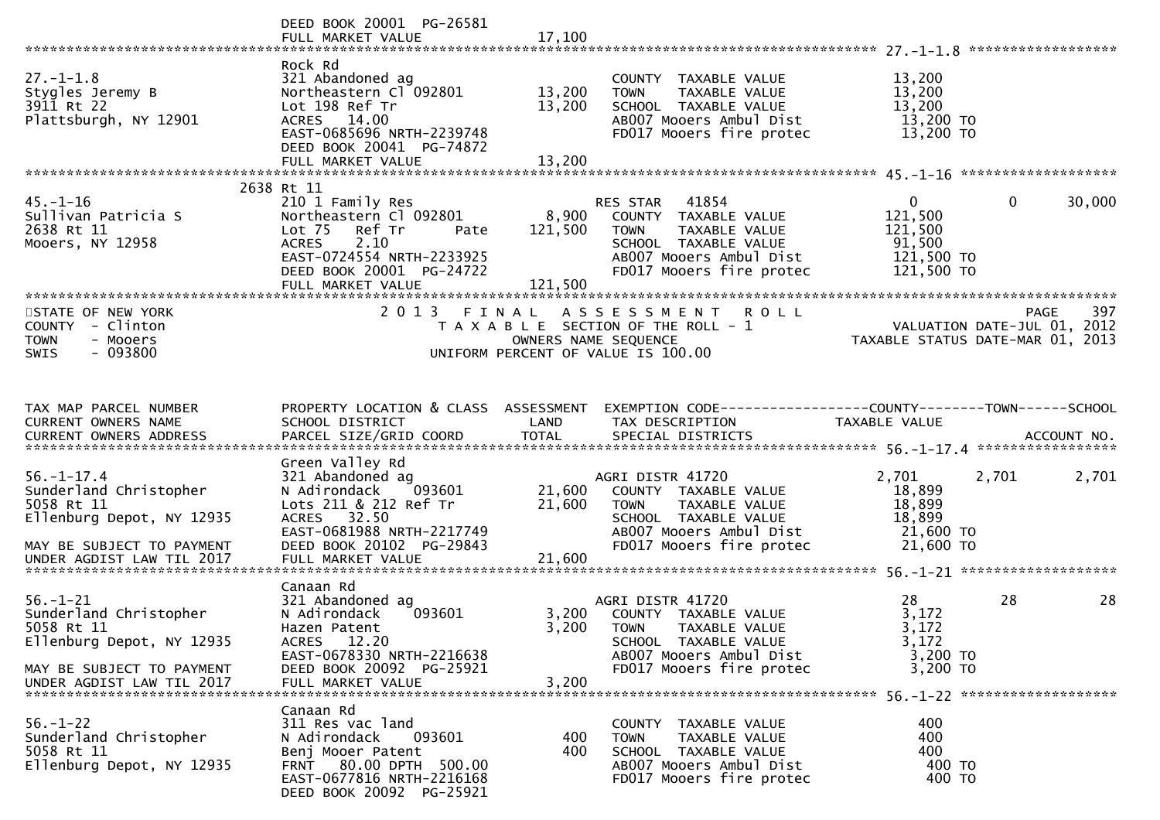|                                                                                                                                                                                                                 | DEED BOOK 20001 PG-26581                                                                                                                                                            |                             |                                                                                                                                                         |                                                                             |                        |
|-----------------------------------------------------------------------------------------------------------------------------------------------------------------------------------------------------------------|-------------------------------------------------------------------------------------------------------------------------------------------------------------------------------------|-----------------------------|---------------------------------------------------------------------------------------------------------------------------------------------------------|-----------------------------------------------------------------------------|------------------------|
| $27. - 1 - 1.8$<br>Stygles Jeremy B<br>3911 Rt 22<br>Plattsburgh, NY 12901                                                                                                                                      | Rock Rd<br>321 Abandoned ag<br>Northeastern Cl 092801<br>Lot 198 Ref Tr<br>ACRES 14.00<br>EAST-0685696 NRTH-2239748<br>DEED BOOK 20041 PG-74872<br>FULL MARKET VALUE                | 13,200<br>13,200<br>13,200  | COUNTY TAXABLE VALUE<br><b>TOWN</b><br>TAXABLE VALUE<br>SCHOOL TAXABLE VALUE<br>AB007 Mooers Ambul Dist<br>FD017 Mooers fire protec                     | 13,200<br>13,200<br>13,200<br>13,200 TO<br>13,200 TO                        |                        |
|                                                                                                                                                                                                                 |                                                                                                                                                                                     |                             |                                                                                                                                                         |                                                                             |                        |
| $45. - 1 - 16$<br>Sullivan Patricia S<br>2638 Rt 11<br>Mooers, NY 12958                                                                                                                                         | 2638 Rt 11<br>210 1 Family Res<br>Northeastern Cl 092801<br>Lot 75<br>Ref Tr<br>Pate<br>2.10<br>ACRES<br>EAST-0724554 NRTH-2233925<br>DEED BOOK 20001 PG-24722<br>FULL MARKET VALUE | 8,900<br>121,500<br>121,500 | RES STAR 41854<br>COUNTY TAXABLE VALUE<br>TAXABLE VALUE<br>TOWN<br>SCHOOL TAXABLE VALUE<br>AB007 Mooers Ambul Dist<br>FD017 Mooers fire protec          | $\overline{0}$<br>121,500<br>121,500<br>91,500<br>121,500 TO<br>121,500 TO  | $\mathbf{0}$<br>30,000 |
| STATE OF NEW YORK<br>COUNTY - Clinton<br><b>TOWN</b><br>- Mooers<br>$-093800$<br><b>SWIS</b>                                                                                                                    |                                                                                                                                                                                     | OWNERS NAME SEQUENCE        | 2013 FINAL ASSESSMENT ROLL<br>T A X A B L E SECTION OF THE ROLL - 1<br>UNIFORM PERCENT OF VALUE IS 100.00                                               | 757 PAGE<br>VALUATION DATE-JUL 01, 2012<br>TAXABLE STATUS DATE-MAR 01, 2013 | 397<br>PAGE            |
| TAX MAP PARCEL NUMBER<br>CURRENT OWNERS NAME<br>CURRENT OWNERS ADDRESS FARCEL SIZE/GRID COORD TOTAL SPECIAL DISTRICTS (CURRENT OWNERS ADDRESS FARCEL SIZE/GRID COORD TOTAL SPECIAL DISTRICTS (2007) ACCOUNT NO. | <b>Example 12 DENTISY CONTROLLATION</b><br>SCHOOL DISTRICT                                                                                                                          |                             | PROPERTY LOCATION & CLASS ASSESSMENT EXEMPTION CODE----------------COUNTY-------TOWN------SCHOOL<br>TAX DESCRIPTION                                     | TAXABLE VALUE                                                               |                        |
| $56. - 1 - 17.4$<br>Sunderland Christopher<br>5058 Rt 11<br>Ellenburg Depot, NY 12935<br>MAY BE SUBJECT TO PAYMENT<br>UNDER AGDIST LAW TIL 2017                                                                 | Green Valley Rd<br>321 Abandoned ag<br>N Adirondack 093601<br>Lots 211 & 212 Ref Tr<br>ACRES 32.50<br>EAST-0681988 NRTH-2217749<br>DEED BOOK 20102 PG-29843<br>FULL MARKET VALUE    | 21,600<br>21,600<br>21,600  | AGRI DISTR 41720<br>COUNTY TAXABLE VALUE<br><b>TOWN</b><br>TAXABLE VALUE<br>SCHOOL TAXABLE VALUE<br>AB007 Mooers Ambul Dist<br>FD017 Mooers fire protec | 2,701<br>18,899<br>18,899<br>18,899<br>21,600 TO<br>21,600 TO               | 2,701<br>2,701         |
| $56. - 1 - 21$<br>Sunderland Christopher<br>5058 Rt 11<br>Ellenburg Depot, NY 12935<br>MAY BE SUBJECT TO PAYMENT                                                                                                | Canaan Rd<br>321 Abandoned ag<br>N Adirondack<br>093601<br>Hazen Patent<br>ACRES 12.20<br>EAST-0678330 NRTH-2216638<br>DEED BOOK 20092 PG-25921                                     | 3,200                       | AGRI DISTR 41720<br>3,200 COUNTY TAXABLE VALUE<br>TOWN TAXABLE VALUE<br>SCHOOL TAXABLE VALUE<br>AB007 Mooers Ambul Dist<br>FD017 Mooers fire protec     | 28<br>3,172<br>3,172<br>3,172<br>3,200 TO<br>3,200 TO                       | 28<br>28               |
| $56. - 1 - 22$<br>Sunderland Christopher<br>5058 Rt 11<br>Ellenburg Depot, NY 12935                                                                                                                             | Canaan Rd<br>311 Res vac land<br>093601<br>N Adirondack<br>Benj Mooer Patent<br>FRNT 80.00 DPTH 500.00<br>EAST-0677816 NRTH-2216168<br>DEED BOOK 20092 PG-25921                     | 400<br>400                  | COUNTY TAXABLE VALUE<br>TAXABLE VALUE<br><b>TOWN</b><br>SCHOOL TAXABLE VALUE<br>AB007 Mooers Ambul Dist<br>FD017 Mooers fire protec                     | 400<br>400<br>400<br>400 TO<br>400 TO                                       |                        |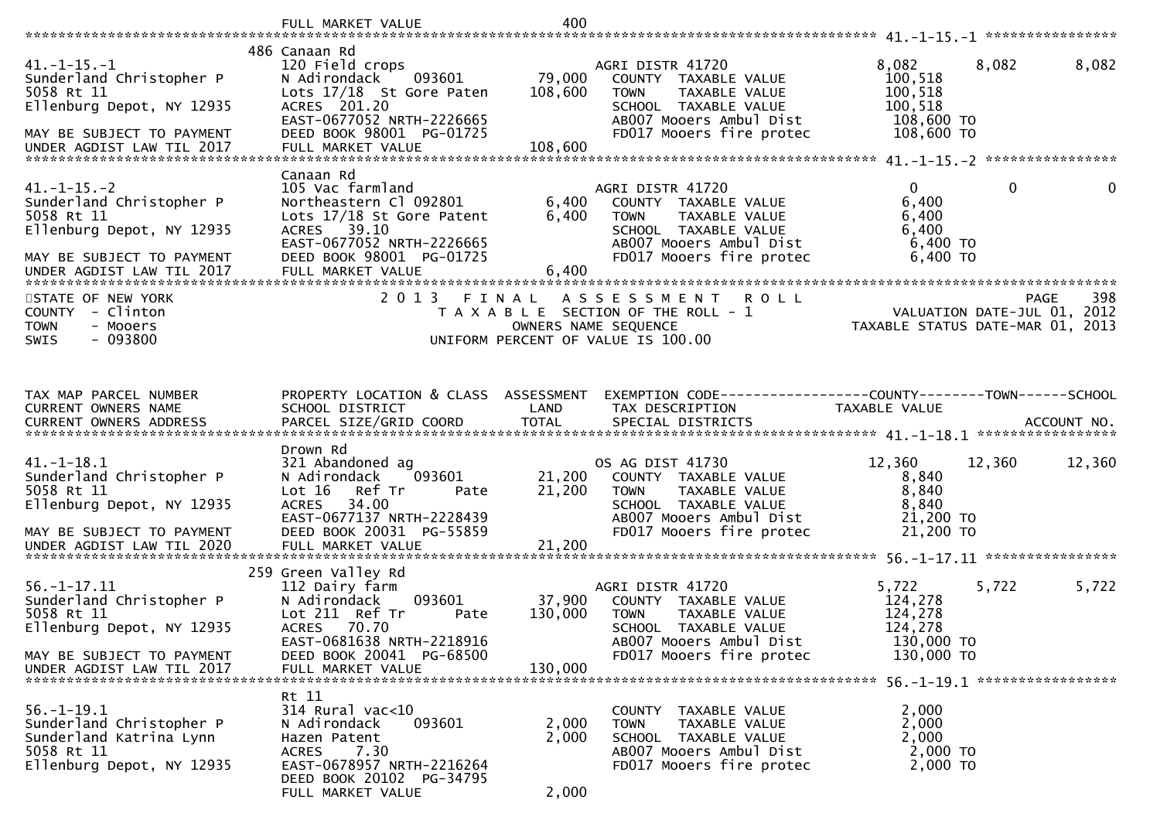|                                                                                                                                                    | FULL MARKET VALUE                                                                                                                                                                                | 400                          |                                                                                                                                                         |                                                                    |                                            |        |
|----------------------------------------------------------------------------------------------------------------------------------------------------|--------------------------------------------------------------------------------------------------------------------------------------------------------------------------------------------------|------------------------------|---------------------------------------------------------------------------------------------------------------------------------------------------------|--------------------------------------------------------------------|--------------------------------------------|--------|
| $41.-1-15.-1$<br>Sunderland Christopher P<br>5058 Rt 11<br>Ellenburg Depot, NY 12935<br>MAY BE SUBJECT TO PAYMENT<br>UNDER AGDIST LAW TIL 2017     | 486 Canaan Rd<br>120 Field crops<br>093601<br>N Adirondack<br>Lots 17/18 St Gore Paten<br>ACRES 201.20<br>EAST-0677052 NRTH-2226665<br>DEED BOOK 98001 PG-01725<br>FULL MARKET VALUE             | 79,000<br>108,600<br>108,600 | AGRI DISTR 41720<br>COUNTY TAXABLE VALUE<br>TAXABLE VALUE<br><b>TOWN</b><br>SCHOOL TAXABLE VALUE<br>AB007 Mooers Ambul Dist<br>FD017 Mooers fire protec | 8,082<br>100,518<br>100,518<br>100,518<br>108,600 TO<br>108,600 TO | 8,082                                      | 8,082  |
| $41. -1 - 15. -2$<br>Sunderland Christopher P<br>5058 Rt 11<br>Ellenburg Depot, NY 12935<br>MAY BE SUBJECT TO PAYMENT<br>UNDER AGDIST LAW TIL 2017 | Canaan Rd<br>105 Vac farmland<br>Northeastern Cl 092801<br>Lots 17/18 St Gore Patent<br>ACRES 39.10<br>EAST-0677052 NRTH-2226665<br>DEED BOOK 98001 PG-01725<br>FULL MARKET VALUE                | 6,400<br>6,400<br>6,400      | AGRI DISTR 41720<br>COUNTY TAXABLE VALUE<br>TAXABLE VALUE<br><b>TOWN</b><br>SCHOOL TAXABLE VALUE<br>AB007 Mooers Ambul Dist<br>FD017 Mooers fire protec | $\Omega$<br>6,400<br>6,400<br>6,400<br>$6,400$ TO<br>6,400 TO      | $\mathbf{0}$                               | 0      |
| STATE OF NEW YORK<br>COUNTY - Clinton<br><b>TOWN</b><br>- Mooers<br>SWIS<br>- 093800                                                               | 2 0 1 3                                                                                                                                                                                          | FINAL                        | A S S E S S M E N T<br><b>ROLL</b><br>T A X A B L E SECTION OF THE ROLL - 1<br>OWNERS NAME SEQUENCE<br>UNIFORM PERCENT OF VALUE IS 100.00               | TAXABLE STATUS DATE-MAR 01, 2013                                   | <b>PAGE</b><br>VALUATION DATE-JUL 01, 2012 | 398    |
| TAX MAP PARCEL NUMBER<br>CURRENT OWNERS NAME                                                                                                       | PROPERTY LOCATION & CLASS ASSESSMENT<br>SCHOOL DISTRICT                                                                                                                                          | LAND                         | EXEMPTION CODE-----------------COUNTY-------TOWN------SCHOOL<br>TAX DESCRIPTION                                                                         | TAXABLE VALUE                                                      |                                            |        |
| $41. - 1 - 18.1$<br>Sunderland Christopher P<br>5058 Rt 11<br>Ellenburg Depot, NY 12935<br>MAY BE SUBJECT TO PAYMENT<br>UNDER AGDIST LAW TIL 2020  | Drown Rd<br>321 Abandoned ag<br>N Adirondack<br>093601<br>Lot 16<br>Ref Tr<br>Pate<br>34.00<br><b>ACRES</b><br>EAST-0677137 NRTH-2228439<br>DEED BOOK 20031 PG-55859<br>FULL MARKET VALUE        | 21,200<br>21,200<br>21,200   | OS AG DIST 41730<br>COUNTY TAXABLE VALUE<br>TAXABLE VALUE<br><b>TOWN</b><br>SCHOOL TAXABLE VALUE<br>AB007 Mooers Ambul Dist<br>FD017 Mooers fire protec | 12,360<br>8,840<br>8,840<br>8,840<br>21,200 TO<br>21,200 TO        | 12,360                                     | 12,360 |
| $56. - 1 - 17.11$<br>Sunderland Christopher P<br>5058 Rt 11<br>Ellenburg Depot, NY 12935<br>MAY BE SUBJECT TO PAYMENT<br>UNDER AGDIST LAW TIL 2017 | 259 Green Valley Rd<br>112 Dairy farm<br>N Adirondack<br>093601<br>Lot 211 Ref Tr<br>Pate<br>70.70<br><b>ACRES</b><br>EAST-0681638 NRTH-2218916<br>DEED BOOK 20041 PG-68500<br>FULL MARKET VALUE | 37,900<br>130,000<br>130.000 | AGRI DISTR 41720<br>COUNTY TAXABLE VALUE<br>TAXABLE VALUE<br><b>TOWN</b><br>SCHOOL TAXABLE VALUE<br>AB007 Mooers Ambul Dist<br>FD017 Mooers fire protec | 5,722<br>124,278<br>124,278<br>124,278<br>130,000 TO<br>130,000 TO | 5,722                                      | 5,722  |
| $56. - 1 - 19.1$<br>Sunderland Christopher P<br>Sunderland Katrina Lynn<br>5058 Rt 11<br>Ellenburg Depot, NY 12935                                 | Rt 11<br>314 Rural vac<10<br>093601<br>N Adirondack<br>Hazen Patent<br>7.30<br><b>ACRES</b><br>EAST-0678957 NRTH-2216264<br>DEED BOOK 20102 PG-34795<br>FULL MARKET VALUE                        | 2,000<br>2,000<br>2,000      | COUNTY TAXABLE VALUE<br>TAXABLE VALUE<br><b>TOWN</b><br>SCHOOL TAXABLE VALUE<br>AB007 Mooers Ambul Dist<br>FD017 Mooers fire protec                     | 2,000<br>2,000<br>2,000<br>2,000 TO<br>2,000 TO                    |                                            |        |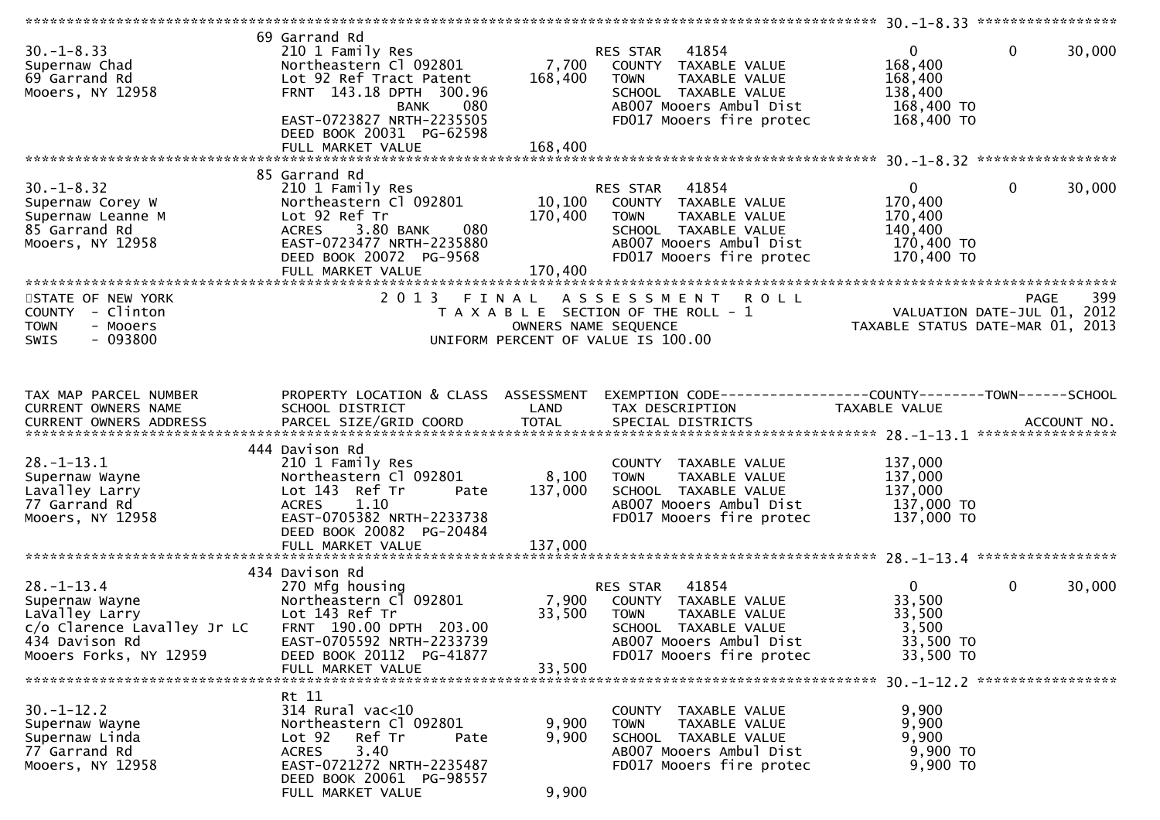| $30. - 1 - 8.33$<br>Supernaw Chad<br>69 Garrand Rd<br>Mooers, NY 12958                                | 69 Garrand Rd<br>210 1 Family Res<br>Northeastern Cl 092801<br>Lot 92 Ref Tract Patent<br>FRNT 143.18 DPTH 300.96<br>080<br><b>BANK</b><br>EAST-0723827 NRTH-2235505<br>DEED BOOK 20031 PG-62598<br>FULL MARKET VALUE | 7,700<br>168,400<br>168,400  | 41854<br>RES STAR<br>COUNTY TAXABLE VALUE<br>TAXABLE VALUE<br><b>TOWN</b><br>SCHOOL TAXABLE VALUE<br>AB007 Mooers Ambul Dist<br>FD017 Mooers fire protec | $\overline{0}$<br>168,400<br>168,400<br>138,400<br>168,400 TO<br>168,400 TO | $\mathbf{0}$ | 30,000 |
|-------------------------------------------------------------------------------------------------------|-----------------------------------------------------------------------------------------------------------------------------------------------------------------------------------------------------------------------|------------------------------|----------------------------------------------------------------------------------------------------------------------------------------------------------|-----------------------------------------------------------------------------|--------------|--------|
|                                                                                                       |                                                                                                                                                                                                                       |                              |                                                                                                                                                          |                                                                             |              |        |
| $30. -1 - 8.32$<br>Supernaw Corey W<br>Supernaw Leanne M<br>85 Garrand Rd<br>Mooers, NY 12958         | 85 Garrand Rd<br>210 1 Family Res<br>Northeastern Cl 092801<br>Lot 92 Ref Tr<br>3.80 BANK<br>080<br>ACRES<br>EAST-0723477 NRTH-2235880<br>DEED BOOK 20072 PG-9568<br>FULL MARKET VALUE                                | 10,100<br>170,400<br>170,400 | 41854<br>RES STAR<br>COUNTY TAXABLE VALUE<br>TAXABLE VALUE<br>TOWN<br>SCHOOL TAXABLE VALUE<br>AB007 Mooers Ambul Dist<br>FD017 Mooers fire protec        | $\mathbf{0}$<br>170,400<br>170,400<br>140,400<br>170,400 TO<br>170,400 TO   | $\mathbf{0}$ | 30,000 |
|                                                                                                       | 2013 FINAL                                                                                                                                                                                                            |                              |                                                                                                                                                          |                                                                             |              | 399    |
| STATE OF NEW YORK<br>COUNTY - Clinton<br><b>TOWN</b><br>- Mooers<br>$-093800$<br><b>SWIS</b>          |                                                                                                                                                                                                                       | OWNERS NAME SEQUENCE         | <b>ROLL</b><br>A S S E S S M E N T<br>T A X A B L E SECTION OF THE ROLL - 1<br>UNIFORM PERCENT OF VALUE IS 100.00                                        | VALUATION DATE-JUL 01, 2012<br>TAXABLE STATUS DATE-MAR 01, 2013             | <b>PAGE</b>  |        |
| TAX MAP PARCEL NUMBER                                                                                 | PROPERTY LOCATION & CLASS ASSESSMENT                                                                                                                                                                                  |                              | EXEMPTION CODE-----------------COUNTY-------TOWN------SCHOOL                                                                                             |                                                                             |              |        |
| CURRENT OWNERS NAME<br><b>CURRENT OWNERS ADDRESS</b>                                                  | SCHOOL DISTRICT                                                                                                                                                                                                       | LAND                         | TAX DESCRIPTION                                                                                                                                          | TAXABLE VALUE                                                               |              |        |
| $28. - 1 - 13.1$<br>Supernaw Wayne<br>Lavalley Larry<br>77 Garrand Rd<br>Mooers, NY 12958             | 444 Davison Rd<br>210 1 Family Res<br>Northeastern Cl 092801<br>Lot 143 Ref Tr<br>Pate<br><b>ACRES</b><br>1.10<br>EAST-0705382 NRTH-2233738<br>DEED BOOK 20082 PG-20484<br>FULL MARKET VALUE                          | 8,100<br>137,000<br>137,000  | COUNTY TAXABLE VALUE<br>TAXABLE VALUE<br><b>TOWN</b><br>SCHOOL TAXABLE VALUE<br>AB007 Mooers Ambul Dist<br>FD017 Mooers fire protec                      | 137,000<br>137,000<br>137,000<br>137,000 TO<br>137,000 TO                   |              |        |
|                                                                                                       | 434 Davison Rd                                                                                                                                                                                                        |                              |                                                                                                                                                          |                                                                             |              |        |
| $28. - 1 - 13.4$<br>Supernaw Wayne<br>LaValley Larry<br>c/o Clarence Lavalley Jr LC<br>434 Davison Rd | 270 Mfg housing<br>Northeastern Cl 092801<br>Lot 143 Ref Tr<br>FRNT 190.00 DPTH 203.00<br>EAST-0705592 NRTH-2233739                                                                                                   | 7,900<br>33,500              | 41854<br>RES STAR<br>COUNTY TAXABLE VALUE<br><b>TOWN</b><br>TAXABLE VALUE<br>SCHOOL TAXABLE VALUE<br>AB007 Mooers Ambul Dist                             | $\mathbf{0}$<br>33,500<br>33,500<br>3,500<br>33,500 TO                      | $\mathbf{0}$ | 30,000 |
| Mooers Forks, NY 12959                                                                                | DEED BOOK 20112 PG-41877<br>FULL MARKET VALUE                                                                                                                                                                         | 33,500                       | FD017 Mooers fire protec                                                                                                                                 | 33,500 TO                                                                   |              |        |
|                                                                                                       |                                                                                                                                                                                                                       |                              |                                                                                                                                                          |                                                                             |              |        |
| $30. - 1 - 12.2$<br>Supernaw Wayne<br>Supernaw Linda<br>77 Garrand Rd<br>Mooers, NY 12958             | Rt 11<br>314 Rural vac<10<br>Northeastern Cl 092801<br>Lot <sub>92</sub><br>Ref Tr<br>Pate<br><b>ACRES</b><br>3.40<br>EAST-0721272 NRTH-2235487<br>DEED BOOK 20061 PG-98557<br>FULL MARKET VALUE                      | 9,900<br>9,900<br>9,900      | COUNTY TAXABLE VALUE<br>TAXABLE VALUE<br><b>TOWN</b><br>SCHOOL TAXABLE VALUE<br>AB007 Mooers Ambul Dist<br>FD017 Mooers fire protec                      | 9,900<br>9,900<br>9,900<br>9,900 TO<br>9,900 TO                             |              |        |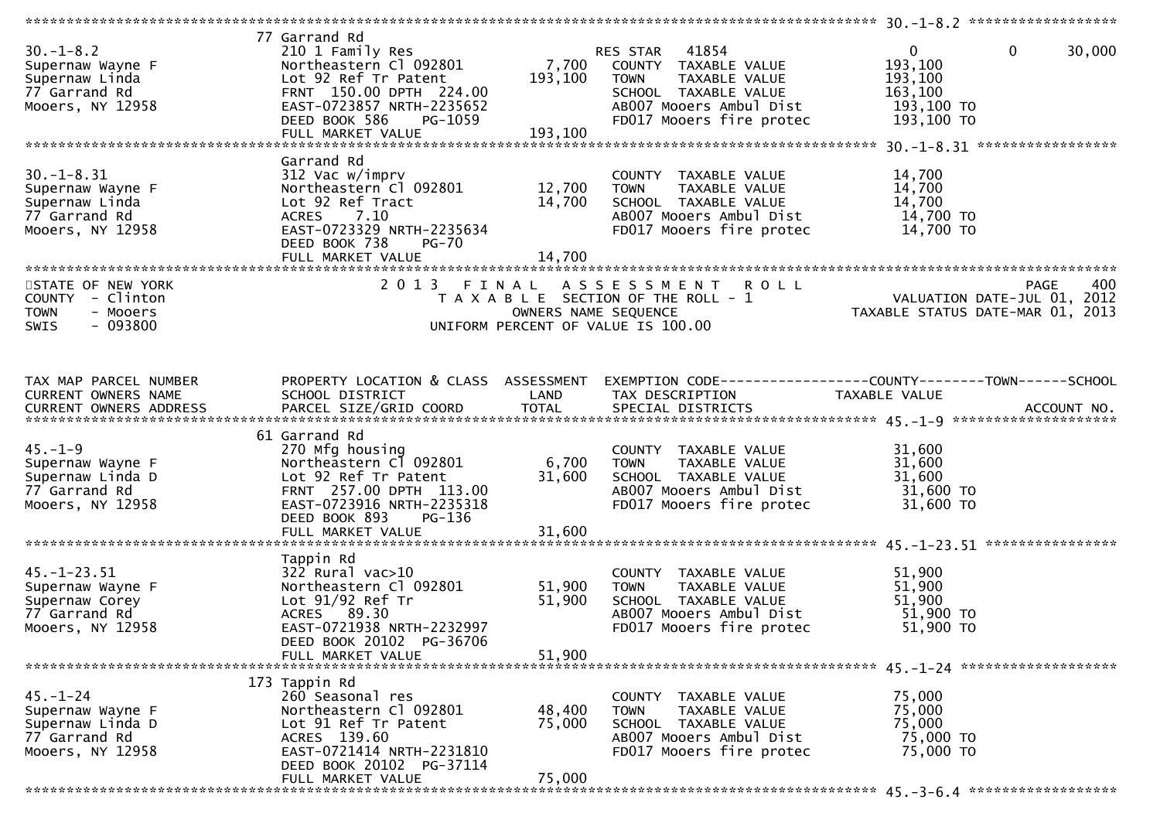| $30. - 1 - 8.2$<br>Supernaw Wayne F<br>Supernaw Linda<br>77 Garrand Rd<br>Mooers, NY 12958   | 77 Garrand Rd<br>210 1 Family Res<br>Northeastern Cl 092801<br>Lot 92 Ref Tr Patent<br>FRNT 150.00 DPTH 224.00<br>EAST-0723857 NRTH-2235652<br>DEED BOOK 586<br>PG-1059                           | 7,700<br>193,100           | RES STAR 41854<br>COUNTY TAXABLE VALUE<br>TAXABLE VALUE<br><b>TOWN</b><br>SCHOOL TAXABLE VALUE<br>AB007 Mooers Ambul Dist<br>FD017 Mooers fire protec | $\mathbf 0$<br>$\mathbf{0}$<br>30,000<br>193,100<br>193,100<br>163,100<br>193,100 TO<br>193,100 TO |
|----------------------------------------------------------------------------------------------|---------------------------------------------------------------------------------------------------------------------------------------------------------------------------------------------------|----------------------------|-------------------------------------------------------------------------------------------------------------------------------------------------------|----------------------------------------------------------------------------------------------------|
| $30. - 1 - 8.31$<br>Supernaw Wayne F<br>Supernaw Linda<br>77 Garrand Rd<br>Mooers, NY 12958  | Garrand Rd<br>312 Vac w/imprv<br>Northeastern Cl 092801<br>Lot 92 Ref Tract<br>ACRES 7.10<br>EAST-0723329 NRTH-2235634<br>DEED BOOK 738<br><b>PG-70</b><br>FULL MARKET VALUE                      | 12,700<br>14,700<br>14,700 | COUNTY TAXABLE VALUE<br>TAXABLE VALUE<br><b>TOWN</b><br>SCHOOL TAXABLE VALUE<br>AB007 Mooers Ambul Dist<br>FD017 Mooers fire protec                   | 14,700<br>14,700<br>14,700<br>14,700 TO<br>14,700 TO                                               |
| STATE OF NEW YORK<br>COUNTY - Clinton<br><b>TOWN</b><br>- Mooers<br>$-093800$<br><b>SWIS</b> | 2013 FINAL                                                                                                                                                                                        | OWNERS NAME SEQUENCE       | A S S E S S M E N T R O L L<br>T A X A B L E SECTION OF THE ROLL - 1<br>UNIFORM PERCENT OF VALUE IS 100.00                                            | 400<br><b>PAGE</b><br>VALUATION DATE-JUL 01, 2012<br>TAXABLE STATUS DATE-MAR 01, 2013              |
| TAX MAP PARCEL NUMBER<br>CURRENT OWNERS NAME                                                 | PROPERTY LOCATION & CLASS ASSESSMENT<br>SCHOOL DISTRICT                                                                                                                                           | LAND                       | TAX DESCRIPTION                                                                                                                                       | EXEMPTION CODE-----------------COUNTY--------TOWN------SCHOOL<br>TAXABLE VALUE                     |
| $45. - 1 - 9$<br>Supernaw Wayne F<br>Supernaw Linda D<br>77 Garrand Rd<br>Mooers, NY 12958   | 61 Garrand Rd<br>270 Mfg housing<br>Northeastern Cl 092801<br>Lot 92 Ref Tr Patent<br>FRNT 257.00 DPTH 113.00<br>EAST-0723916 NRTH-2235318<br>DEED BOOK 893<br><b>PG-136</b><br>FULL MARKET VALUE | 6,700<br>31,600<br>31,600  | COUNTY TAXABLE VALUE<br><b>TOWN</b><br>TAXABLE VALUE<br>SCHOOL TAXABLE VALUE<br>AB007 Mooers Ambul Dist<br>FD017 Mooers fire protec                   | 31,600<br>31,600<br>31,600<br>31,600 TO<br>31,600 TO                                               |
| $45. - 1 - 23.51$<br>Supernaw Wayne F<br>Supernaw Corey<br>77 Garrand Rd<br>Mooers, NY 12958 | Tappin Rd<br>$322$ Rural vac $>10$<br>Northeastern Cl 092801<br>Lot 91/92 Ref Tr<br>ACRES 89.30<br>EAST-0721938 NRTH-2232997<br>DEED BOOK 20102 PG-36706<br>FULL MARKET VALUE                     | 51,900<br>51,900<br>51,900 | COUNTY TAXABLE VALUE<br>TAXABLE VALUE<br><b>TOWN</b><br>SCHOOL TAXABLE VALUE<br>AB007 Mooers Ambul Dist<br>FD017 Mooers fire protec                   | 51,900<br>51,900<br>51,900<br>51,900 TO<br>51,900 TO                                               |
| $45. - 1 - 24$<br>Supernaw Wayne F<br>Supernaw Linda D<br>77 Garrand Rd<br>Mooers, NY 12958  | 173 Tappin Rd<br>260 Seasonal res<br>Northeastern Cl 092801<br>Lot 91 Ref Tr Patent<br>ACRES 139.60<br>EAST-0721414 NRTH-2231810<br>DEED BOOK 20102 PG-37114<br>FULL MARKET VALUE                 | 48,400<br>75,000<br>75,000 | COUNTY TAXABLE VALUE<br><b>TOWN</b><br>TAXABLE VALUE<br>SCHOOL TAXABLE VALUE<br>AB007 Mooers Ambul Dist<br>FD017 Mooers fire protec                   | 75,000<br>75,000<br>75,000<br>75,000 TO<br>75,000 TO                                               |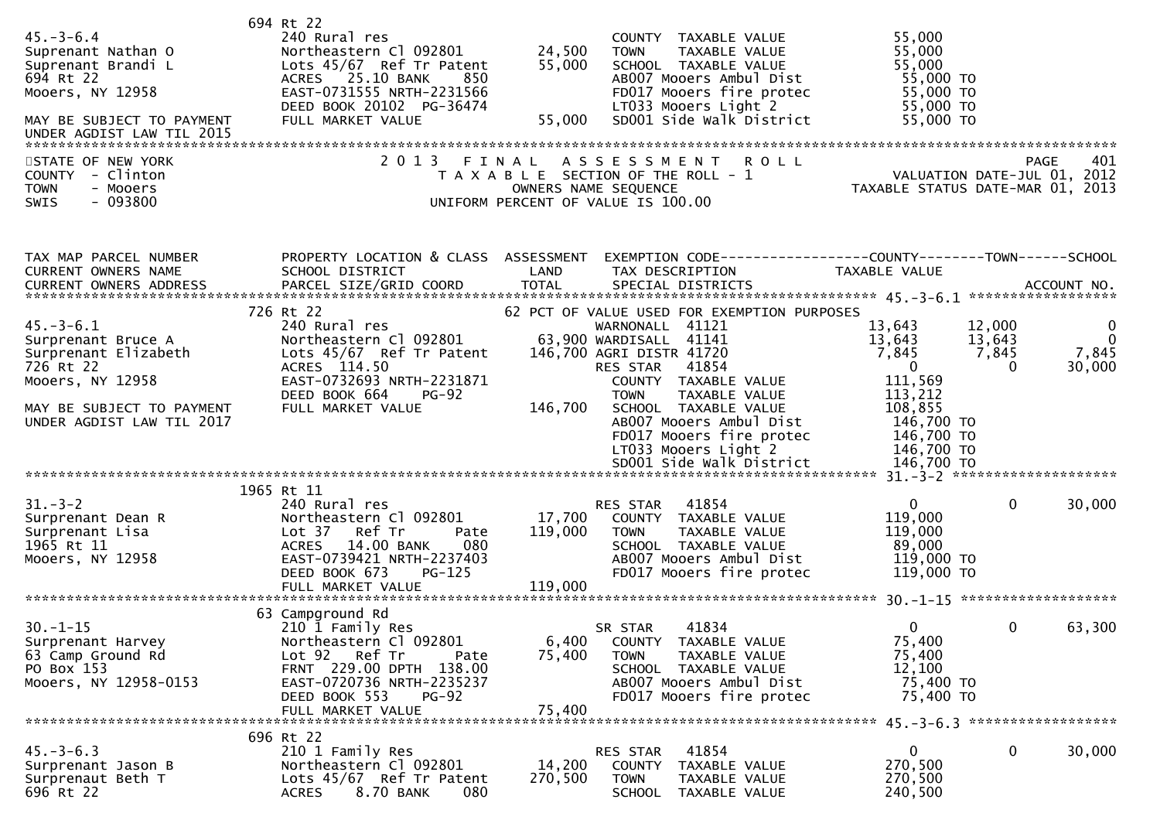| $45. - 3 - 6.4$<br>Suprenant Nathan O<br>Suprenant Brandi L<br>694 Rt 22<br>Mooers, NY 12958<br>MAY BE SUBJECT TO PAYMENT                                | 694 Rt 22<br>240 Rural res<br>Northeastern Cl 092801<br>Lots 45/67 Ref Tr Patent<br>ACRES 25.10 BANK<br>850<br>EAST-0731555 NRTH-2231566<br>DEED BOOK 20102 PG-36474<br>FULL MARKET VALUE             | 24,500<br>55,000<br>55,000   | COUNTY TAXABLE VALUE<br>TAXABLE VALUE<br><b>TOWN</b><br>SCHOOL TAXABLE VALUE<br>AB007 Mooers Ambul Dist<br>FD017 Mooers fire protec<br>LT033 Mooers Light 2<br>SD001 Side Walk District                                                                                                                                              | 55,000<br>55,000<br>55,000<br>55,000 TO<br>55,000 TO<br>55,000 TO<br>55,000 TO                                                                                         |                                            |
|----------------------------------------------------------------------------------------------------------------------------------------------------------|-------------------------------------------------------------------------------------------------------------------------------------------------------------------------------------------------------|------------------------------|--------------------------------------------------------------------------------------------------------------------------------------------------------------------------------------------------------------------------------------------------------------------------------------------------------------------------------------|------------------------------------------------------------------------------------------------------------------------------------------------------------------------|--------------------------------------------|
| STATE OF NEW YORK<br>COUNTY - Clinton<br><b>TOWN</b><br>- Mooers<br>$-093800$<br>SWIS                                                                    | 2 0 1 3                                                                                                                                                                                               | FINAL                        | <b>ROLL</b><br>A S S E S S M E N T<br>T A X A B L E SECTION OF THE ROLL - 1<br>OWNERS NAME SEQUENCE<br>UNIFORM PERCENT OF VALUE IS 100.00                                                                                                                                                                                            | VALUATION DATE-JUL 01, 2012<br>TAXABLE STATUS DATE-MAR 01, 2013                                                                                                        | 401<br><b>PAGE</b>                         |
| TAX MAP PARCEL NUMBER<br>CURRENT OWNERS NAME<br><b>CURRENT OWNERS ADDRESS</b>                                                                            | PROPERTY LOCATION & CLASS ASSESSMENT<br>SCHOOL DISTRICT<br>PARCEL SIZE/GRID COORD                                                                                                                     | LAND<br><b>TOTAL</b>         | EXEMPTION        CODE-----------------COUNTY-------TOWN------SCHOOL<br>TAX DESCRIPTION<br>SPECIAL DISTRICTS                                                                                                                                                                                                                          | TAXABLE VALUE                                                                                                                                                          | ACCOUNT NO.                                |
| $45. - 3 - 6.1$<br>Surprenant Bruce A<br>Surprenant Elizabeth<br>726 Rt 22<br>Mooers, NY 12958<br>MAY BE SUBJECT TO PAYMENT<br>UNDER AGDIST LAW TIL 2017 | 726 Rt 22<br>240 Rural res<br>Northeastern Cl 092801<br>Lots 45/67 Ref Tr Patent<br>ACRES 114.50<br>EAST-0732693 NRTH-2231871<br>DEED BOOK 664<br>$PG-92$<br>FULL MARKET VALUE                        | 146,700                      | 62 PCT OF VALUE USED FOR EXEMPTION PURPOSES<br>WARNONALL 41121<br>63,900 WARDISALL 41141<br>146,700 AGRI DISTR 41720<br>41854<br>RES STAR<br>COUNTY TAXABLE VALUE<br>TAXABLE VALUE<br><b>TOWN</b><br>SCHOOL TAXABLE VALUE<br>AB007 Mooers Ambul Dist<br>FD017 Mooers fire protec<br>LT033 Mooers Light 2<br>SD001 Side Walk District | 13,643<br>12,000<br>13,643<br>13,643<br>7,845<br>7,845<br>$\overline{0}$<br>0<br>111,569<br>113,212<br>108,855<br>146,700 TO<br>146,700 TO<br>146,700 TO<br>146,700 TO | $\bf{0}$<br>$\mathbf 0$<br>7,845<br>30,000 |
| $31 - 3 - 2$<br>Surprenant Dean R<br>Surprenant Lisa<br>1965 Rt 11<br>Mooers, NY 12958                                                                   | 1965 Rt 11<br>240 Rural res<br>Northeastern Cl 092801<br>Lot 37<br>Ref Tr<br>Pate<br>14.00 BANK<br>080<br><b>ACRES</b><br>EAST-0739421 NRTH-2237403<br>DEED BOOK 673<br>$PG-125$<br>FULL MARKET VALUE | 17,700<br>119,000<br>119,000 | 41854<br>RES STAR<br>COUNTY TAXABLE VALUE<br><b>TOWN</b><br>TAXABLE VALUE<br>SCHOOL TAXABLE VALUE<br>AB007 Mooers Ambul Dist<br>FD017 Mooers fire protec                                                                                                                                                                             | $\overline{0}$<br>$\Omega$<br>119,000<br>119,000<br>89,000<br>119,000 TO<br>119,000 TO                                                                                 | 30,000                                     |
| $30. - 1 - 15$<br>Surprenant Harvey<br>63 Camp Ground Rd<br>PO Box 153<br>Mooers, NY 12958-0153                                                          | 63 Campground Rd<br>210 1 Family Res<br>Northeastern Cl 092801<br>Lot 92 Ref Tr<br>Pate<br>FRNT 229.00 DPTH 138.00<br>EAST-0720736 NRTH-2235237<br>DEED BOOK 553<br><b>PG-92</b><br>FULL MARKET VALUE | 6,400<br>75,400<br>75,400    | 41834<br>SR STAR<br>COUNTY TAXABLE VALUE<br><b>TOWN</b><br>TAXABLE VALUE<br>SCHOOL TAXABLE VALUE<br>AB007 Mooers Ambul Dist<br>FD017 Mooers fire protec                                                                                                                                                                              | 0<br>0<br>75,400<br>75,400<br>12,100<br>75,400 TO<br>75,400 TO                                                                                                         | 63,300                                     |
| $45. - 3 - 6.3$<br>Surprenant Jason B<br>Surprenaut Beth T<br>696 Rt 22                                                                                  | 696 Rt 22<br>210 1 Family Res<br>Northeastern Cl 092801<br>Lots 45/67 Ref Tr Patent<br><b>ACRES</b><br>8.70 BANK<br>080                                                                               | 14,200<br>270,500            | 41854<br>RES STAR<br><b>COUNTY</b><br>TAXABLE VALUE<br><b>TOWN</b><br>TAXABLE VALUE<br>SCHOOL TAXABLE VALUE                                                                                                                                                                                                                          | $\mathbf 0$<br>0<br>270,500<br>270,500<br>240,500                                                                                                                      | 30,000                                     |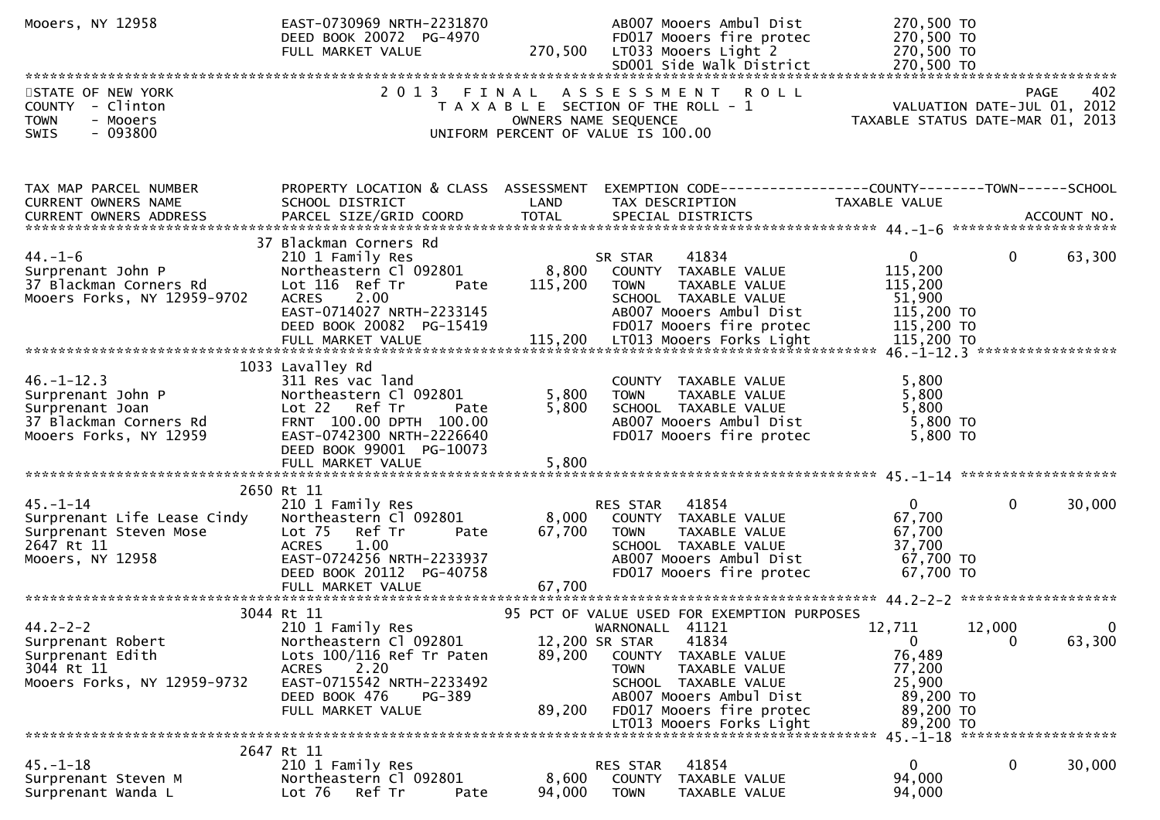| Mooers, NY 12958                                                                                             | EAST-0730969 NRTH-2231870<br>DEED BOOK 20072 PG-4970<br>FULL MARKET VALUE                                                                                                                        | 270,500                 | AB007 Mooers Ambul Dist<br>FD017 Mooers fire protec<br>LT033 Mooers Light 2<br>SD001 Side Walk District                                                                                                                                                      | 270,500 TO<br>270,500 TO<br>270,500 TO<br>270,500 TO                                                             |                        |
|--------------------------------------------------------------------------------------------------------------|--------------------------------------------------------------------------------------------------------------------------------------------------------------------------------------------------|-------------------------|--------------------------------------------------------------------------------------------------------------------------------------------------------------------------------------------------------------------------------------------------------------|------------------------------------------------------------------------------------------------------------------|------------------------|
| STATE OF NEW YORK<br>COUNTY - Clinton<br><b>TOWN</b><br>- Mooers<br>$-093800$<br><b>SWIS</b>                 | 2 0 1 3                                                                                                                                                                                          | FINAL                   | ASSESSMENT ROLL<br>T A X A B L E SECTION OF THE ROLL - 1<br>OWNERS NAME SEQUENCE<br>UNIFORM PERCENT OF VALUE IS 100.00                                                                                                                                       | PAGE 402<br>VALUATION DATE-JUL 01, 2012<br>TAXABLE STATUS DATE 1110 21, 2012<br>TAXABLE STATUS DATE-MAR 01, 2013 | 402                    |
| TAX MAP PARCEL NUMBER<br>CURRENT OWNERS NAME<br>CURRENT OWNERS ADDRESS                                       | PROPERTY LOCATION & CLASS ASSESSMENT<br>SCHOOL DISTRICT<br>PARCEL SIZE/GRID COORD                                                                                                                | LAND<br><b>TOTAL</b>    | EXEMPTION CODE-----------------COUNTY-------TOWN------SCHOOL<br>TAX DESCRIPTION<br>SPECIAL DISTRICTS                                                                                                                                                         | TAXABLE VALUE                                                                                                    | ACCOUNT NO.            |
| 44. –1–6<br>Surprenant John P<br>37 Blackman Corners Rd<br>Mooers Forks, NY 12959-9702                       | 37 Blackman Corners Rd<br>210 1 Family Res<br>Northeastern Cl 092801<br>Lot 116 Ref Tr<br>Pate<br>2.00<br><b>ACRES</b><br>EAST-0714027 NRTH-2233145<br>DEED BOOK 20082 PG-15419                  | 8,800<br>115,200        | 41834<br>SR STAR<br>COUNTY TAXABLE VALUE<br><b>TOWN</b><br>TAXABLE VALUE<br>SCHOOL TAXABLE VALUE<br>AB007 Mooers Ambul Dist<br>FD017 Mooers fire protec                                                                                                      | $\mathbf{0}$<br>115,200<br>115,200<br>51,900<br>115,200 TO<br>115,200 TO                                         | $\mathbf{0}$<br>63,300 |
| $46. - 1 - 12.3$<br>Surprenant John P<br>Surprenant Joan<br>37 Blackman Corners Rd<br>Mooers Forks, NY 12959 | 1033 Lavalley Rd<br>311 Res vac land<br>Northeastern Cl 092801<br>Lot 22 Ref Tr<br>Pate<br>FRNT 100.00 DPTH 100.00<br>EAST-0742300 NRTH-2226640<br>DEED BOOK 99001 PG-10073<br>FULL MARKET VALUE | 5,800<br>5,800<br>5,800 | COUNTY TAXABLE VALUE<br>TAXABLE VALUE<br><b>TOWN</b><br>SCHOOL TAXABLE VALUE<br>AB007 Mooers Ambul Dist<br>FD017 Mooers fire protec                                                                                                                          | 5,800<br>5,800<br>5,800<br>5,800 TO<br>5,800 TO                                                                  |                        |
| $45. - 1 - 14$<br>Surprenant Life Lease Cindy<br>Surprenant Steven Mose<br>2647 Rt 11<br>Mooers, NY 12958    | 2650 Rt 11<br>210 1 Family Res<br>Northeastern Cl 092801<br>Lot 75 Ref Tr<br>Pate<br><b>ACRES</b><br>1.00<br>EAST-0724256 NRTH-2233937<br>DEED BOOK 20112 PG-40758                               | 8,000<br>67,700         | 41854<br>RES STAR<br>COUNTY TAXABLE VALUE<br>TAXABLE VALUE<br><b>TOWN</b><br>SCHOOL TAXABLE VALUE<br>AB007 Mooers Ambul Dist<br>FD017 Mooers fire protec                                                                                                     | $\mathbf{0}$<br>67,700<br>67,700<br>37,700<br>67,700 TO<br>67,700 TO                                             | $\mathbf{0}$<br>30,000 |
| $44.2 - 2 - 2$<br>Surprenant Robert<br>Surprenant Edith<br>3044 Rt 11<br>Mooers Forks, NY 12959-9732         | 3044 Rt 11<br>210 1 Family Res<br>Northeastern Cl 092801<br>Lots 100/116 Ref Tr Paten<br>2.20<br>ACRES<br>EAST-0715542 NRTH-2233492<br>DEED BOOK 476<br>PG-389<br>FULL MARKET VALUE              | 89,200<br>89,200        | 95 PCT OF VALUE USED FOR EXEMPTION PURPOSES<br>WARNONALL 41121<br>12,200 SR STAR<br>41834<br>COUNTY TAXABLE VALUE<br>TAXABLE VALUE<br><b>TOWN</b><br>SCHOOL TAXABLE VALUE<br>AB007 Mooers Ambul Dist<br>FD017 Mooers fire protec<br>LT013 Mooers Forks Light | 12,711<br>12,000<br>$\mathbf{0}$<br>76,489<br>77,200<br>25,900<br>89,200 TO<br>89,200 TO<br>89,200 TO            | 0<br>0<br>63,300       |
| $45. - 1 - 18$<br>Surprenant Steven M<br>Surprenant Wanda L                                                  | 2647 Rt 11<br>210 1 Family Res<br>Northeastern Cl 092801<br>Lot <sub>76</sub><br>Ref Tr<br>Pate                                                                                                  | 8,600<br>94,000         | 41854<br>RES STAR<br><b>COUNTY</b><br>TAXABLE VALUE<br><b>TOWN</b><br>TAXABLE VALUE                                                                                                                                                                          | $\mathbf 0$<br>94,000<br>94,000                                                                                  | $\mathbf{0}$<br>30,000 |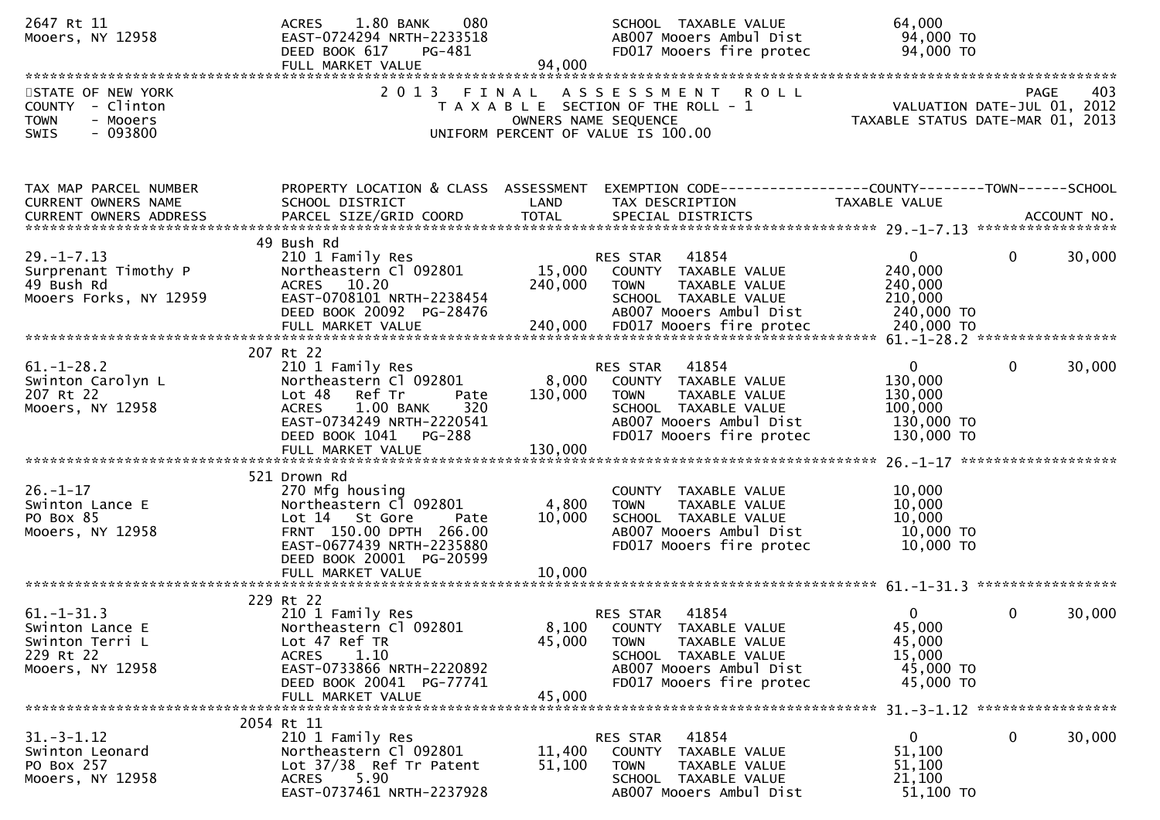| 2647 Rt 11<br>Mooers, NY 12958                                                               | 1.80 BANK<br>080<br><b>ACRES</b><br>EAST-0724294 NRTH-2233518<br>DEED BOOK 617<br>PG-481<br>FULL MARKET VALUE                                                                                   | 94.000                      | SCHOOL TAXABLE VALUE<br>ABOO7 Mooers Ambul Dist<br>FD017 Mooers fire protec                                                                              | 64,000<br>94,000 TO<br>94,000 TO                                         |                                                   |
|----------------------------------------------------------------------------------------------|-------------------------------------------------------------------------------------------------------------------------------------------------------------------------------------------------|-----------------------------|----------------------------------------------------------------------------------------------------------------------------------------------------------|--------------------------------------------------------------------------|---------------------------------------------------|
| STATE OF NEW YORK<br>COUNTY - Clinton<br><b>TOWN</b><br>- Mooers<br>$-093800$<br><b>SWIS</b> | 2 0 1 3                                                                                                                                                                                         | FINAL                       | ASSESSMENT<br>R O L L<br>T A X A B L E SECTION OF THE ROLL - 1<br>OWNERS NAME SEQUENCE<br>UNIFORM PERCENT OF VALUE IS 100.00                             | TAXABLE STATUS DATE-MAR 01, 2013                                         | 403<br><b>PAGE</b><br>VALUATION DATE-JUL 01, 2012 |
| TAX MAP PARCEL NUMBER<br>CURRENT OWNERS NAME<br><b>CURRENT OWNERS ADDRESS</b>                | PROPERTY LOCATION & CLASS ASSESSMENT<br>SCHOOL DISTRICT<br>PARCEL SIZE/GRID COORD                                                                                                               | LAND<br><b>TOTAL</b>        | TAX DESCRIPTION<br>SPECIAL DISTRICTS                                                                                                                     | TAXABLE VALUE                                                            | ACCOUNT NO.                                       |
| $29. - 1 - 7.13$<br>Surprenant Timothy P<br>49 Bush Rd<br>Mooers Forks, NY 12959             | 49 Bush Rd<br>210 1 Family Res<br>Northeastern Cl 092801<br>ACRES 10.20<br>EAST-0708101 NRTH-2238454<br>DEED BOOK 20092 PG-28476                                                                | 15,000<br>240,000           | 41854<br>RES STAR<br>COUNTY TAXABLE VALUE<br>TAXABLE VALUE<br><b>TOWN</b><br>SCHOOL TAXABLE VALUE<br>AB007 Mooers Ambul Dist                             | $\mathbf{0}$<br>240,000<br>240,000<br>210,000<br>240,000 TO              | 30,000<br>$\mathbf{0}$                            |
| $61. - 1 - 28.2$<br>Swinton Carolyn L<br>207 Rt 22<br>Mooers, NY 12958                       | 207 Rt 22<br>210 1 Family Res<br>Northeastern Cl 092801<br>Lot 48 Ref Tr<br>Pate<br><b>ACRES</b><br>1.00 BANK<br>320<br>EAST-0734249 NRTH-2220541<br>DEED BOOK 1041 PG-288<br>FULL MARKET VALUE | 8,000<br>130,000<br>130,000 | 41854<br>RES STAR<br>COUNTY TAXABLE VALUE<br>TAXABLE VALUE<br><b>TOWN</b><br>SCHOOL TAXABLE VALUE<br>AB007 Mooers Ambul Dist<br>FD017 Mooers fire protec | $\mathbf 0$<br>130,000<br>130,000<br>100,000<br>130,000 TO<br>130,000 TO | $\Omega$<br>30,000                                |
| $26. - 1 - 17$<br>Swinton Lance E<br>PO Box 85<br>Mooers, NY 12958                           | 521 Drown Rd<br>270 Mfg housing<br>Northeastern Cl 092801<br>Lot 14 St Gore<br>Pate<br>FRNT 150.00 DPTH 266.00<br>EAST-0677439 NRTH-2235880<br>DEED BOOK 20001 PG-20599<br>FULL MARKET VALUE    | 4,800<br>10,000<br>10,000   | COUNTY TAXABLE VALUE<br>TAXABLE VALUE<br><b>TOWN</b><br>SCHOOL TAXABLE VALUE<br>AB007 Mooers Ambul Dist<br>FD017 Mooers fire protec                      | 10,000<br>10,000<br>10,000<br>10,000 TO<br>10,000 TO                     |                                                   |
| $61. - 1 - 31.3$<br>Swinton Lance E<br>Swinton Terri L<br>229 Rt 22<br>Mooers, NY 12958      | 229 Rt 22<br>210 1 Family Res<br>Northeastern Cl 092801<br>Lot 47 Ref TR<br>1.10<br><b>ACRES</b><br>EAST-0733866 NRTH-2220892<br>DEED BOOK 20041 PG-77741<br>FULL MARKET VALUE                  | 8,100<br>45,000<br>45,000   | 41854<br><b>RES STAR</b><br>COUNTY TAXABLE VALUE<br>TAXABLE VALUE<br>TOWN<br>SCHOOL TAXABLE VALUE<br>AB007 Mooers Ambul Dist<br>FD017 Mooers fire protec | 0<br>45,000<br>45,000<br>15,000<br>45,000 TO<br>45,000 TO                | 0<br>30,000                                       |
| $31. - 3 - 1.12$<br>Swinton Leonard<br>PO Box 257<br>Mooers, NY 12958                        | 2054 Rt 11<br>210 1 Family Res<br>Northeastern Cl 092801<br>Lot 37/38 Ref Tr Patent<br>5.90<br><b>ACRES</b><br>EAST-0737461 NRTH-2237928                                                        | 11,400<br>51,100            | 41854<br>RES STAR<br>COUNTY TAXABLE VALUE<br>TAXABLE VALUE<br><b>TOWN</b><br>SCHOOL TAXABLE VALUE<br>AB007 Mooers Ambul Dist                             | 0<br>51,100<br>51,100<br>21,100<br>51,100 TO                             | 30,000<br>0                                       |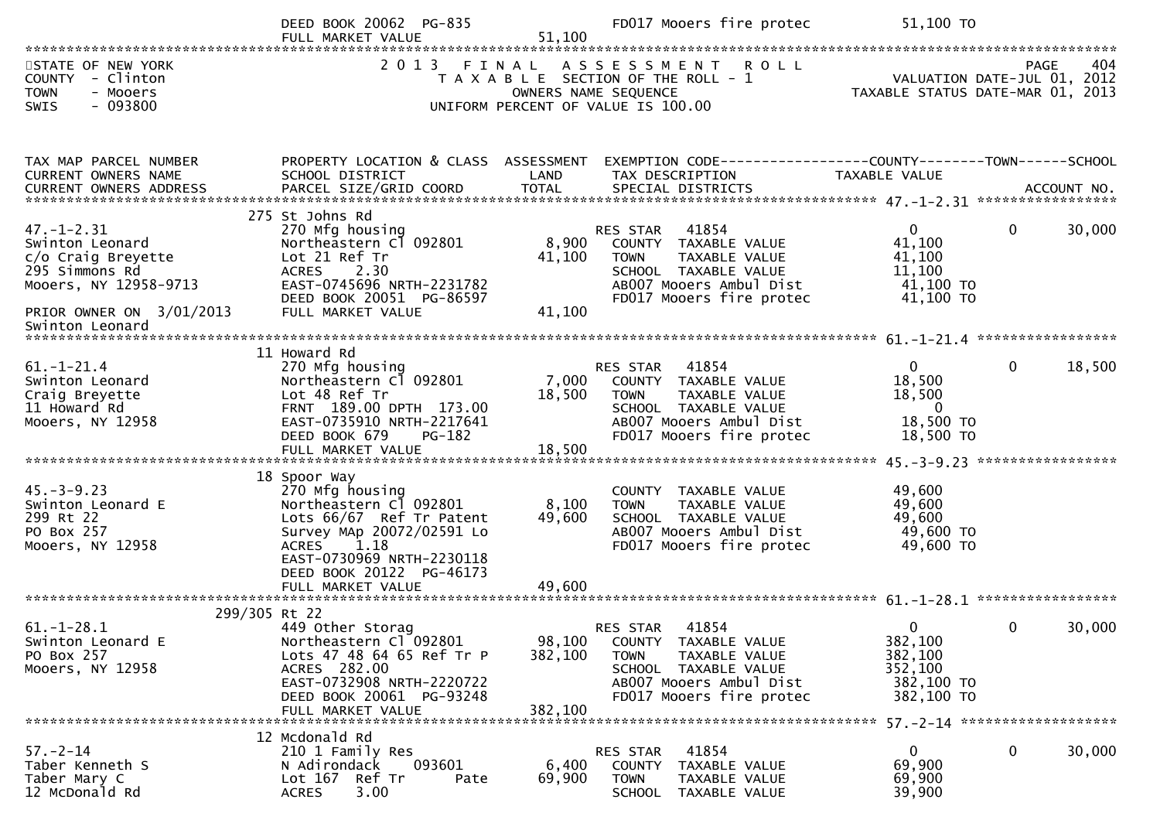|                                                                                                                                                     | DEED BOOK 20062 PG-835<br>FULL MARKET VALUE                                                                                                                                                         | 51,100                       | FD017 Mooers fire protec                                                                                                                                    | 51,100 TO                                                                                                                                                                                                                                                                                                                                                                                       |                                                 |
|-----------------------------------------------------------------------------------------------------------------------------------------------------|-----------------------------------------------------------------------------------------------------------------------------------------------------------------------------------------------------|------------------------------|-------------------------------------------------------------------------------------------------------------------------------------------------------------|-------------------------------------------------------------------------------------------------------------------------------------------------------------------------------------------------------------------------------------------------------------------------------------------------------------------------------------------------------------------------------------------------|-------------------------------------------------|
| STATE OF NEW YORK<br>COUNTY - Clinton<br><b>TOWN</b><br>- Mooers<br>$-093800$<br><b>SWIS</b>                                                        | 2 0 1 3                                                                                                                                                                                             |                              | FINAL ASSESSMENT<br><b>ROLL</b><br>T A X A B L E SECTION OF THE ROLL - 1<br>OWNERS NAME SEQUENCE<br>UNIFORM PERCENT OF VALUE IS 100.00                      | 404 PAGE<br>VALUATION DATE-JUL 01, 2012<br>TAXARLE STATUS DATE WATER 100                                                                                                                                                                                                                                                                                                                        | 404<br>PAGE<br>TAXABLE STATUS DATE-MAR 01, 2013 |
| TAX MAP PARCEL NUMBER<br>CURRENT OWNERS NAME                                                                                                        | PROPERTY LOCATION & CLASS ASSESSMENT<br>SCHOOL DISTRICT                                                                                                                                             | LAND                         | EXEMPTION CODE------------------COUNTY--------TOWN------SCHOOL<br>TAX DESCRIPTION                                                                           | TAXABLE VALUE                                                                                                                                                                                                                                                                                                                                                                                   |                                                 |
| $47. - 1 - 2.31$<br>Swinton Leonard<br>c/o Craig Breyette<br>295 Simmons Rd<br>Mooers, NY 12958-9713<br>PRIOR OWNER ON 3/01/2013<br>Swinton Leonard | 275 St Johns Rd<br>270 Mfg housing<br>Northeastern Cl 092801<br>Lot 21 Ref Tr<br><b>ACRES</b><br>2.30<br>EAST-0745696 NRTH-2231782<br>DEED BOOK 20051 PG-86597<br>FULL MARKET VALUE                 | 8,900<br>41,100<br>41,100    | 41854<br>RES STAR<br>COUNTY TAXABLE VALUE<br>TAXABLE VALUE<br><b>TOWN</b><br>SCHOOL TAXABLE VALUE<br>AB007 Mooers Ambul Dist<br>FD017 Mooers fire protec    | $\mathbf{0}$<br>41,100<br>41,100<br>11,100<br>41,100 TO<br>41,100 TO                                                                                                                                                                                                                                                                                                                            | $\mathbf{0}$<br>30,000                          |
|                                                                                                                                                     | 11 Howard Rd                                                                                                                                                                                        |                              |                                                                                                                                                             |                                                                                                                                                                                                                                                                                                                                                                                                 |                                                 |
| $61. - 1 - 21.4$<br>Swinton Leonard<br>Craig Breyette<br>11 Howard Rd<br>Mooers, NY 12958                                                           | 270 Mfg housing<br>Northeastern Cl 092801<br>Lot 48 Ref Tr<br>FRNT 189.00 DPTH 173.00<br>EAST-0735910 NRTH-2217641<br>DEED BOOK 679<br><b>PG-182</b>                                                | 18,500                       | RES STAR 41854<br>7,000 COUNTY TAXABLE VALUE<br><b>TOWN</b><br>TAXABLE VALUE<br>SCHOOL TAXABLE VALUE<br>AB007 Mooers Ambul Dist<br>FD017 Mooers fire protec | $\overline{0}$<br>18,500<br>18,500<br>- 0<br>18,500 TO<br>18,500 TO                                                                                                                                                                                                                                                                                                                             | $\mathbf 0$<br>18,500                           |
| $45. - 3 - 9.23$<br>Swinton Leonard E<br>299 Rt 22<br>PO Box 257<br>Mooers, NY 12958                                                                | 18 Spoor Way<br>270 Mfg housing<br>Northeastern Cl 092801<br>Lots 66/67 Ref Tr Patent<br>Survey MAp 20072/02591 Lo<br><b>ACRES</b><br>1.18<br>EAST-0730969 NRTH-2230118<br>DEED BOOK 20122 PG-46173 | 8,100<br>49,600              | COUNTY TAXABLE VALUE<br><b>TOWN</b><br>TAXABLE VALUE<br>SCHOOL TAXABLE VALUE<br>ABOO7 Mooers Ambul Dist<br>FD017 Mooers fire protec                         | 49,600<br>49,600<br>49,600<br>49,600 TO<br>49,600 TO                                                                                                                                                                                                                                                                                                                                            |                                                 |
| 299/305 Rt 22                                                                                                                                       |                                                                                                                                                                                                     |                              |                                                                                                                                                             |                                                                                                                                                                                                                                                                                                                                                                                                 |                                                 |
| $61. - 1 - 28.1$<br>Swinton Leonard E<br>PO Box 257<br>Mooers, NY 12958                                                                             | 449 Other Storag<br>Northeastern Cl 092801<br>Lots 47 48 64 65 Ref Tr P<br>ACRES 282.00<br>EAST-0732908 NRTH-2220722<br>DEED BOOK 20061 PG-93248<br>FULL MARKET VALUE                               | 98,100<br>382,100<br>382,100 | RES STAR<br>41854<br>COUNTY TAXABLE VALUE<br><b>TOWN</b><br>TAXABLE VALUE<br>SCHOOL TAXABLE VALUE<br>AB007 Mooers Ambul Dist<br>FD017 Mooers fire protec    | $\overline{0}$ and $\overline{0}$ and $\overline{0}$ and $\overline{0}$ and $\overline{0}$ and $\overline{0}$ and $\overline{0}$ and $\overline{0}$ and $\overline{0}$ and $\overline{0}$ and $\overline{0}$ and $\overline{0}$ and $\overline{0}$ and $\overline{0}$ and $\overline{0}$ and $\overline{0}$ and $\overline{0}$ and<br>382,100<br>382,100<br>352,100<br>382,100 TO<br>382,100 TO | 30,000<br>$\bf{0}$                              |
| $57 - 2 - 14$<br>Taber Kenneth S<br>Taber Mary C<br>12 McDonald Rd                                                                                  | 12 Mcdonald Rd<br>210 1 Family Res<br>093601<br>N Adirondack<br>Lot 167 Ref Tr<br>Pate<br>3.00<br><b>ACRES</b>                                                                                      | 6,400<br>69,900              | 41854<br><b>RES STAR</b><br>COUNTY TAXABLE VALUE<br>TAXABLE VALUE<br><b>TOWN</b><br>SCHOOL TAXABLE VALUE                                                    | $\mathbf{0}$<br>69,900<br>69,900<br>39,900                                                                                                                                                                                                                                                                                                                                                      | 0<br>30,000                                     |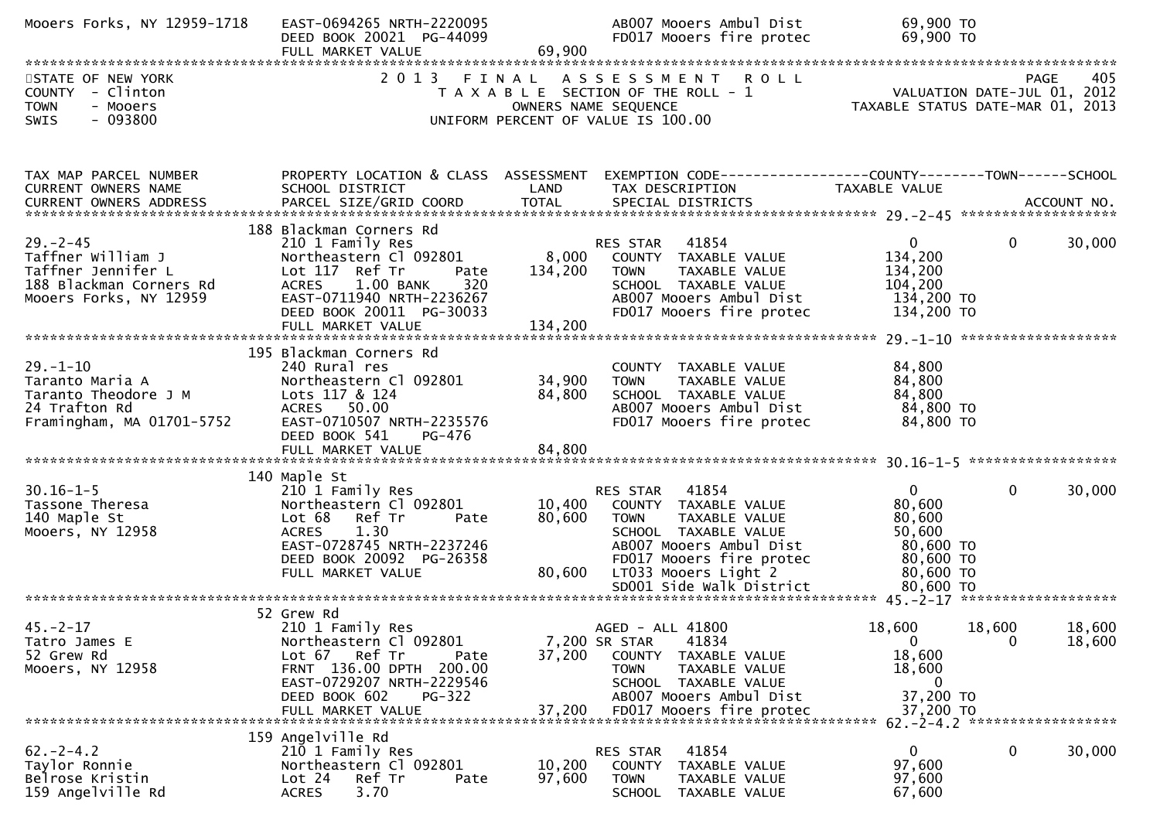| Mooers Forks, NY 12959-1718                                                                                    | EAST-0694265 NRTH-2220095<br>DEED BOOK 20021 PG-44099<br>FULL MARKET VALUE                                                                                                                                        | 69,900                      | AB007 Mooers Ambul Dist<br>FD017 Mooers fire protec                                                                                                                               | 69,900 TO<br>69,900 TO                                                                            |                  |
|----------------------------------------------------------------------------------------------------------------|-------------------------------------------------------------------------------------------------------------------------------------------------------------------------------------------------------------------|-----------------------------|-----------------------------------------------------------------------------------------------------------------------------------------------------------------------------------|---------------------------------------------------------------------------------------------------|------------------|
| STATE OF NEW YORK<br>COUNTY - Clinton<br>- Mooers<br><b>TOWN</b><br>$-093800$<br>SWIS                          | 2 0 1 3                                                                                                                                                                                                           | FINAL                       | A S S E S S M E N T R O L L<br>T A X A B L E SECTION OF THE ROLL - 1<br>OWNERS NAME SEQUENCE<br>UNIFORM PERCENT OF VALUE IS 100.00                                                | VALUATION DATE-JUL 01, 2012<br>TAXABLE STATUS DATE-MAR 01, 2013                                   | PAGE<br>405      |
| TAX MAP PARCEL NUMBER<br>CURRENT OWNERS NAME                                                                   | PROPERTY LOCATION & CLASS ASSESSMENT<br>SCHOOL DISTRICT                                                                                                                                                           | LAND                        | EXEMPTION CODE-----------------COUNTY--------TOWN------SCHOOL<br>TAX DESCRIPTION                                                                                                  | TAXABLE VALUE                                                                                     |                  |
| $29. - 2 - 45$<br>Taffner William J<br>Taffner Jennifer L<br>188 Blackman Corners Rd<br>Mooers Forks, NY 12959 | 188 Blackman Corners Rd<br>210 1 Family Res<br>Northeastern Cl 092801<br>Lot 117 Ref Tr<br>Pate<br>1.00 BANK<br>320<br><b>ACRES</b><br>EAST-0711940 NRTH-2236267<br>DEED BOOK 20011 PG-30033<br>FULL MARKET VALUE | 8,000<br>134,200<br>134,200 | 41854<br>RES STAR<br>COUNTY TAXABLE VALUE<br><b>TOWN</b><br>TAXABLE VALUE<br>SCHOOL TAXABLE VALUE<br>AB007 Mooers Ambul Dist<br>FD017 Mooers fire protec                          | 0<br>0<br>134,200<br>134,200<br>104,200<br>134,200 TO<br>134,200 TO                               | 30,000           |
| $29. - 1 - 10$<br>Taranto Maria A<br>Taranto Theodore J M<br>24 Trafton Rd<br>Framingham, MA 01701-5752        | 195 Blackman Corners Rd<br>240 Rural res<br>Northeastern Cl 092801<br>Lots 117 & 124<br>ACRES 50.00<br>EAST-0710507 NRTH-2235576<br>DEED BOOK 541<br>PG-476                                                       | 34,900<br>84,800            | COUNTY TAXABLE VALUE<br>TAXABLE VALUE<br><b>TOWN</b><br>SCHOOL TAXABLE VALUE<br>AB007 Mooers Ambul Dist<br>FD017 Mooers fire protec                                               | 84,800<br>84,800<br>84,800<br>84,800 TO<br>84,800 TO                                              |                  |
| $30.16 - 1 - 5$<br>Tassone Theresa<br>140 Maple St<br>Mooers, NY 12958                                         | 140 Maple St<br>210 1 Family Res<br>Northeastern Cl 092801<br>Ref Tr<br>Lot 68<br>Pate<br>1.30<br><b>ACRES</b><br>EAST-0728745 NRTH-2237246<br>DEED BOOK 20092 PG-26358<br>FULL MARKET VALUE                      | 10,400<br>80,600<br>80,600  | RES STAR<br>41854<br>COUNTY TAXABLE VALUE<br><b>TOWN</b><br>TAXABLE VALUE<br>SCHOOL TAXABLE VALUE<br>AB007 Mooers Ambul Dist<br>FD017 Mooers fire protec<br>LT033 Mooers Light 2  | $\mathbf{0}$<br>0<br>80,600<br>80,600<br>50,600<br>80,600 TO<br>80,600 TO<br>80,600 TO            | 30,000           |
| $45. -2 - 17$<br>Tatro James E<br>52 Grew Rd<br>Mooers, NY 12958                                               | 52 Grew Rd<br>210 1 Family Res<br>Northeastern Cl 092801<br>Lot 67 Ref Tr<br>Pate<br>FRNT 136.00 DPTH 200.00<br>EAST-0729207 NRTH-2229546<br>DEED BOOK 602<br>PG-322<br>FULL MARKET VALUE                         | 37,200<br>37,200            | AGED - ALL 41800<br>41834<br>7,200 SR STAR<br>COUNTY TAXABLE VALUE<br>TAXABLE VALUE<br><b>TOWN</b><br>SCHOOL TAXABLE VALUE<br>AB007 Mooers Ambul Dist<br>FD017 Mooers fire protec | 18,600<br>18,600<br>$\overline{0}$<br>0<br>18,600<br>18,600<br>$\bf{0}$<br>37,200 TO<br>37,200 TO | 18,600<br>18,600 |
| $62 - 2 - 4.2$<br>Taylor Ronnie<br>Belrose Kristin<br>159 Angelville Rd                                        | 159 Angelville Rd<br>210 1 Family Res<br>Northeastern Cl 092801<br>Lot 24<br>Ref Tr<br>Pate<br>3.70<br><b>ACRES</b>                                                                                               | 10,200<br>97,600            | 41854<br>RES STAR<br>COUNTY TAXABLE VALUE<br><b>TOWN</b><br>TAXABLE VALUE<br><b>SCHOOL</b><br>TAXABLE VALUE                                                                       | 0<br>0<br>97,600<br>97,600<br>67,600                                                              | 30,000           |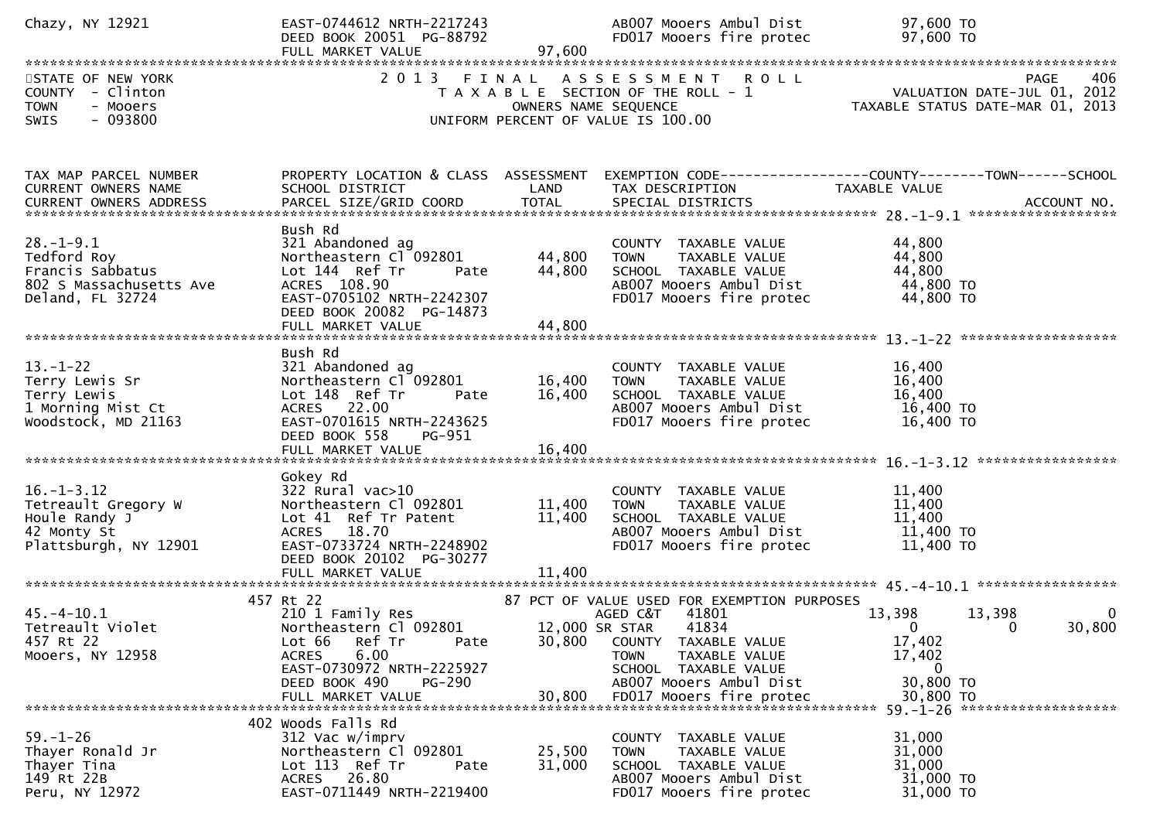| Chazy, NY 12921                                                                                   | EAST-0744612 NRTH-2217243<br>DEED BOOK 20051 PG-88792<br>FULL MARKET VALUE                                                                                                                      | 97,600                     | AB007 Mooers Ambul Dist<br>FD017 Mooers fire protec                                                                                                                                                                             | 97,600 TO<br>97,600 TO                                                                                                                                        |
|---------------------------------------------------------------------------------------------------|-------------------------------------------------------------------------------------------------------------------------------------------------------------------------------------------------|----------------------------|---------------------------------------------------------------------------------------------------------------------------------------------------------------------------------------------------------------------------------|---------------------------------------------------------------------------------------------------------------------------------------------------------------|
| STATE OF NEW YORK<br>COUNTY - Clinton<br><b>TOWN</b><br>- Mooers<br>$-093800$<br>SWIS             |                                                                                                                                                                                                 |                            | 2013 FINAL ASSESSMENT ROLL<br>UNIFORM PERCENT OF VALUE IS 100.00                                                                                                                                                                | 406<br><b>PAGE</b><br>TAGE HEROLL - 1<br>TAXABLE SECTION OF THE ROLL - 1 VALUATION DATE-JUL 01, 2012<br>OWNERS NAME SEQUENCE TAXABLE STATUS DATE-MAR 01, 2013 |
| TAX MAP PARCEL NUMBER<br>CURRENT OWNERS NAME                                                      | PROPERTY LOCATION & CLASS ASSESSMENT<br>SCHOOL DISTRICT                                                                                                                                         | LAND                       | TAX DESCRIPTION TAXABLE VALUE                                                                                                                                                                                                   | EXEMPTION CODE-----------------COUNTY--------TOWN------SCHOOL                                                                                                 |
| $28. - 1 - 9.1$<br>Tedford Roy<br>Francis Sabbatus<br>802 S Massachusetts Ave<br>Deland, FL 32724 | Bush Rd<br>321 Abandoned ag<br>Northeastern Cl 092801<br>Lot 144 Ref Tr<br>Pate<br>ACRES 108.90<br>EAST-0705102 NRTH-2242307<br>DEED BOOK 20082 PG-14873                                        | 44,800<br>44,800           | COUNTY TAXABLE VALUE<br>TOWN TAXABLE VALUE<br>SCHOOL TAXABLE VALUE<br>AB007 Mooers Ambul Dist<br>FD017 Mooers fire protec                                                                                                       | 44,800<br>44,800<br>44,800<br>44,800 TO<br>44,800 TO                                                                                                          |
| $13 - 1 - 22$<br>Terry Lewis Sr<br>Terry Lewis<br>1 Morning Mist Ct<br>Woodstock, MD 21163        | Bush Rd<br>321 Abandoned ag<br>Northeastern Cl 092801<br>Lot 148 Ref Tr<br>Pate<br>ACRES 22.00<br>EAST-0701615 NRTH-2243625<br>DEED BOOK 558<br>PG-951                                          | 16,400<br>16,400           | COUNTY TAXABLE VALUE<br><b>TOWN</b><br>TAXABLE VALUE<br>SCHOOL TAXABLE VALUE<br>AB007 Mooers Ambul Dist<br>FD017 Mooers fire protec                                                                                             | 16,400<br>16,400<br>16,400<br>16,400 TO<br>16,400 TO                                                                                                          |
| $16. - 1 - 3.12$<br>Tetreault Gregory W<br>Houle Randy J<br>42 Monty St<br>Plattsburgh, NY 12901  | Gokey Rd<br>$322$ Rural vac $>10$<br>Northeastern Cl 092801<br>Lot 41 Ref Tr Patent<br>ACRES 18.70<br>EAST-0733724 NRTH-2248902<br>DEED BOOK 20102 PG-30277<br>FULL MARKET VALUE                | 11,400<br>11,400<br>11,400 | COUNTY TAXABLE VALUE<br><b>TOWN</b><br>TAXABLE VALUE<br>SCHOOL TAXABLE VALUE<br>AB007 Mooers Ambul Dist<br>FD017 Mooers fire protec                                                                                             | 11,400<br>11,400<br>11,400<br>11,400 TO<br>$11,400$ TO                                                                                                        |
| $45. - 4 - 10.1$<br>Tetreault Violet<br>457 Rt 22<br>Mooers, NY 12958                             | 457 Rt 22<br>210 1 Family Res<br>Northeastern Cl 092801<br>Ref Tr<br>Lot 66<br>Pate<br>6.00<br><b>ACRES</b><br>EAST-0730972 NRTH-2225927<br>DEED BOOK 490<br><b>PG-290</b><br>FULL MARKET VALUE | 30,800<br>30,800           | 87 PCT OF VALUE USED FOR EXEMPTION PURPOSES<br>AGED C&T 41801<br>12,000 SR STAR<br>41834<br>COUNTY TAXABLE VALUE<br><b>TOWN</b><br>TAXABLE VALUE<br>SCHOOL TAXABLE VALUE<br>AB007 Mooers Ambul Dist<br>FD017 Mooers fire protec | 13,398<br>13,398<br>$\bf{0}$<br>30,800<br>$\overline{\phantom{0}}$<br>- 0<br>17,402<br>17,402<br>$\overline{0}$<br>30,800 TO<br>30,800 TO                     |
| $59. - 1 - 26$<br>Thayer Ronald Jr<br>Thayer Tina<br>149 Rt 22B<br>Peru, NY 12972                 | 402 Woods Falls Rd<br>312 Vac w/imprv<br>Northeastern Cl 092801<br>Lot 113 Ref Tr<br>Pate<br>ACRES 26.80<br>EAST-0711449 NRTH-2219400                                                           | 25,500<br>31,000           | COUNTY TAXABLE VALUE<br>TAXABLE VALUE<br><b>TOWN</b><br>SCHOOL TAXABLE VALUE<br>AB007 Mooers Ambul Dist<br>FD017 Mooers fire protec                                                                                             | 31,000<br>31,000<br>31,000<br>31,000 TO<br>31,000 TO                                                                                                          |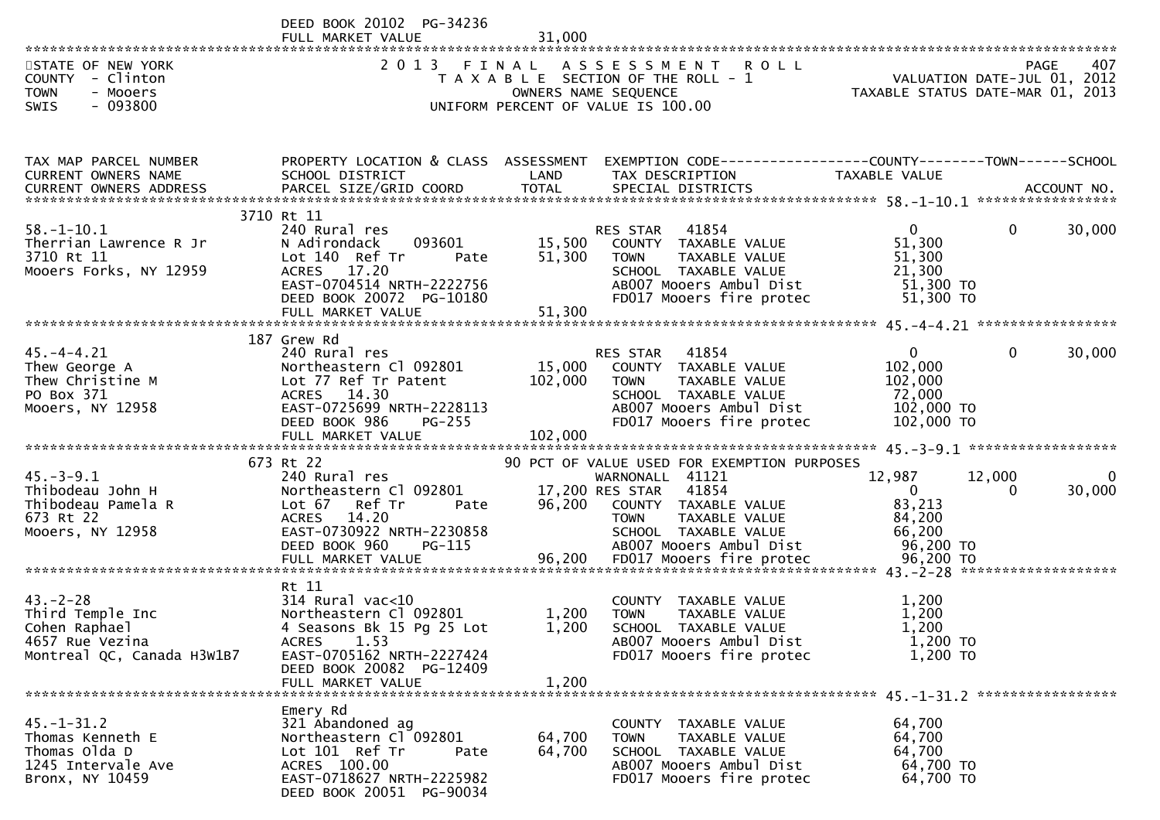|                                                                                                         | DEED BOOK 20102 PG-34236<br>FULL MARKET VALUE                                                                                                                       | 31,000           |                                                                                                                                                                                                       |                                                                            |                            |
|---------------------------------------------------------------------------------------------------------|---------------------------------------------------------------------------------------------------------------------------------------------------------------------|------------------|-------------------------------------------------------------------------------------------------------------------------------------------------------------------------------------------------------|----------------------------------------------------------------------------|----------------------------|
| STATE OF NEW YORK<br>COUNTY - Clinton<br><b>TOWN</b><br>- Mooers<br>$-093800$<br><b>SWIS</b>            |                                                                                                                                                                     |                  | 2013 FINAL ASSESSMENT ROLL<br>T A X A B L E SECTION OF THE ROLL - 1<br>OWNERS NAME SEQUENCE THE ROLL - 1 TAXABLE STATUS DATE-JUL 01, 2012<br>UNIFORM PERCENT OF VALUE IS 100.00                       |                                                                            | 407<br>PAGE                |
|                                                                                                         |                                                                                                                                                                     |                  |                                                                                                                                                                                                       |                                                                            |                            |
| TAX MAP PARCEL NUMBER<br>CURRENT OWNERS NAME                                                            | SCHOOL DISTRICT                                                                                                                                                     | LAND             | PROPERTY LOCATION & CLASS ASSESSMENT EXEMPTION CODE----------------COUNTY-------TOWN------SCHOOL<br>TAX DESCRIPTION                                                                                   | TAXABLE VALUE                                                              |                            |
|                                                                                                         | 3710 Rt 11                                                                                                                                                          |                  |                                                                                                                                                                                                       |                                                                            |                            |
| $58. - 1 - 10.1$<br>Therrian Lawrence R Jr<br>3710 Rt 11<br>Mooers Forks, NY 12959                      | 240 Rural res<br>093601<br>N Adirondack<br>Lot 140 Ref Tr<br>Pate<br>ACRES 17.20<br>EAST-0704514 NRTH-2222756<br>DEED BOOK 20072 PG-10180                           | 51,300           | 41854<br>RES STAR<br>15,500 COUNTY TAXABLE VALUE<br><b>TOWN</b><br>TAXABLE VALUE<br>SCHOOL TAXABLE VALUE<br>AB007 Mooers Ambul Dist<br>FD017 Mooers fire protec                                       | $\mathbf{0}$<br>51,300<br>51,300<br>21,300<br>51,300 TO<br>51,300 TO       | $\Omega$<br>30,000         |
|                                                                                                         |                                                                                                                                                                     |                  |                                                                                                                                                                                                       |                                                                            |                            |
| $45. -4 - 4.21$<br>Thew George A<br>Thew George A<br>Thew Christine M<br>PO Box 371<br>Mooers, NY 12958 | 187 Grew Rd<br>240 Rural res<br>Northeastern Cl 092801<br>Lot 77 Ref Tr Patent<br>ACRES 14.30<br>EAST-0725699 NRTH-2228113<br>DEED BOOK 986<br><b>PG-255</b>        | 102,000 TOWN     | RES STAR 41854<br>15,000 COUNTY TAXABLE VALUE<br>TAXABLE VALUE<br>SCHOOL TAXABLE VALUE<br>AB007 Mooers Ambul Dist<br>FD017 Mooers fire protec                                                         | $\overline{0}$<br>102,000<br>102,000<br>72,000<br>102,000 TO<br>102,000 TO | $\mathbf{0}$<br>30,000     |
|                                                                                                         | FULL MARKET VALUE                                                                                                                                                   | 102,000          |                                                                                                                                                                                                       |                                                                            |                            |
| $45. - 3 - 9.1$<br>Thibodeau John H<br>Thibodeau Pamela R<br>673 Rt 22<br>Mooers, NY 12958              | 673 Rt 22<br>240 Rural res<br>Northeastern Cl 092801<br>Lot 67 Ref Tr<br>Pate<br>ACRES 14.20<br>EAST-0730922 NRTH-2230858<br>DEED BOOK 960<br>PG-115                | 96,200           | 90 PCT OF VALUE USED FOR EXEMPTION PURPOSES<br>WARNONALL 41121<br>17,200 RES STAR<br>41854<br>COUNTY TAXABLE VALUE<br>TAXABLE VALUE<br><b>TOWN</b><br>SCHOOL TAXABLE VALUE<br>AB007 Mooers Ambul Dist | 12,987<br>$\overline{0}$<br>83,213<br>84,200<br>66,200<br>96,200 TO        | 0<br>12,000<br>30,000<br>0 |
|                                                                                                         |                                                                                                                                                                     |                  |                                                                                                                                                                                                       |                                                                            |                            |
| $43 - 2 - 28$<br>Third Temple Inc<br>Cohen Raphael<br>4657 Rue Vezina<br>Montreal QC, Canada H3W1B7     | Rt 11<br>$314$ Rural vac<10<br>Northeastern Cl 092801<br>4 Seasons Bk 15 Pg 25 Lot<br>1.53<br><b>ACRES</b><br>EAST-0705162 NRTH-2227424<br>DEED BOOK 20082 PG-12409 | 1,200<br>1,200   | COUNTY TAXABLE VALUE<br>TAXABLE VALUE<br>TOWN<br>SCHOOL TAXABLE VALUE<br>AB007 Mooers Ambul Dist<br>FD017 Mooers fire protec                                                                          | 1,200<br>1,200<br>1,200<br>1,200 TO<br>1,200 TO                            |                            |
|                                                                                                         | FULL MARKET VALUE                                                                                                                                                   | 1,200            |                                                                                                                                                                                                       |                                                                            |                            |
| $45. - 1 - 31.2$<br>Thomas Kenneth E<br>Thomas Olda D<br>1245 Intervale Ave<br>Bronx, NY 10459          | Emery Rd<br>321 Abandoned ag<br>Northeastern Cl 092801<br>Lot 101 Ref Tr<br>Pate<br>ACRES 100.00<br>EAST-0718627 NRTH-2225982                                       | 64,700<br>64,700 | COUNTY TAXABLE VALUE<br>TAXABLE VALUE<br><b>TOWN</b><br>SCHOOL TAXABLE VALUE<br>AB007 Mooers Ambul Dist<br>FD017 Mooers fire protec                                                                   | 64,700<br>64,700<br>64,700<br>64,700 TO<br>64,700 TO                       |                            |

DEED BOOK 20051 PG-90034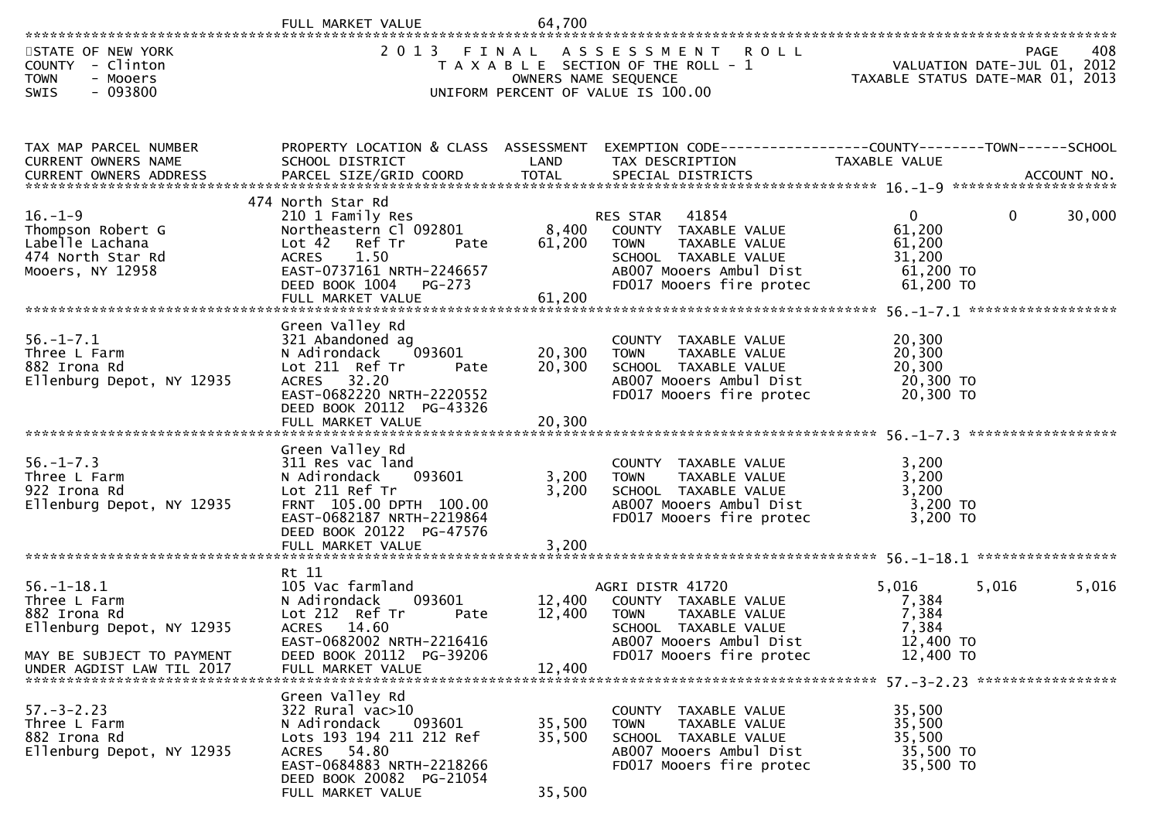|                                                                                                                                         | FULL MARKET VALUE                                                                                                                                                                        | 64,700                     |                                                                                                                                                          |                                                                      |                                            |
|-----------------------------------------------------------------------------------------------------------------------------------------|------------------------------------------------------------------------------------------------------------------------------------------------------------------------------------------|----------------------------|----------------------------------------------------------------------------------------------------------------------------------------------------------|----------------------------------------------------------------------|--------------------------------------------|
| STATE OF NEW YORK<br>COUNTY - Clinton<br><b>TOWN</b><br>- Mooers<br>$-093800$<br><b>SWIS</b>                                            | 2013 FINAL                                                                                                                                                                               | OWNERS NAME SEQUENCE       | A S S E S S M E N T<br><b>ROLL</b><br>T A X A B L E SECTION OF THE ROLL - 1<br>UNIFORM PERCENT OF VALUE IS 100.00                                        | TAXABLE STATUS DATE-MAR 01, 2013                                     | 408<br>PAGE<br>VALUATION DATE-JUL 01, 2012 |
| TAX MAP PARCEL NUMBER<br>CURRENT OWNERS NAME                                                                                            | PROPERTY LOCATION & CLASS ASSESSMENT<br>SCHOOL DISTRICT                                                                                                                                  | LAND                       | EXEMPTION CODE-----------------COUNTY-------TOWN------SCHOOL<br>TAX DESCRIPTION                                                                          | TAXABLE VALUE                                                        |                                            |
| $16. - 1 - 9$<br>Thompson Robert G<br>Labelle Lachana<br>474 North Star Rd<br>Mooers, NY 12958                                          | 474 North Star Rd<br>210 1 Family Res<br>Northeastern Cl 092801<br>Lot 42<br>Ref Tr<br>Pate<br>1.50<br><b>ACRES</b><br>EAST-0737161 NRTH-2246657<br>DEED BOOK 1004<br>$PG-273$           | 8,400<br>61,200            | 41854<br>RES STAR<br>COUNTY TAXABLE VALUE<br><b>TOWN</b><br>TAXABLE VALUE<br>SCHOOL TAXABLE VALUE<br>AB007 Mooers Ambul Dist<br>FD017 Mooers fire protec | $\mathbf{0}$<br>61,200<br>61,200<br>31,200<br>61,200 TO<br>61,200 TO | $\Omega$<br>30,000                         |
| $56. - 1 - 7.1$<br>Three L Farm<br>882 Irona Rd<br>Ellenburg Depot, NY 12935                                                            | Green Valley Rd<br>321 Abandoned ag<br>093601<br>N Adirondack<br>Lot 211 Ref Tr<br>Pate<br>ACRES 32.20<br>EAST-0682220 NRTH-2220552<br>DEED BOOK 20112 PG-43326<br>FULL MARKET VALUE     | 20,300<br>20,300<br>20,300 | COUNTY TAXABLE VALUE<br>TAXABLE VALUE<br><b>TOWN</b><br>SCHOOL TAXABLE VALUE<br>AB007 Mooers Ambul Dist<br>FD017 Mooers fire protec                      | 20,300<br>20,300<br>20,300<br>20,300 TO<br>20,300 TO                 | ******************                         |
| $56. - 1 - 7.3$<br>Three L Farm<br>922 Irona Rd<br>Ellenburg Depot, NY 12935                                                            | Green Valley Rd<br>311 Res vac land<br>093601<br>N Adirondack<br>Lot 211 Ref Tr<br>FRNT 105.00 DPTH 100.00<br>EAST-0682187 NRTH-2219864<br>DEED BOOK 20122 PG-47576<br>FULL MARKET VALUE | 3,200<br>3,200<br>3,200    | COUNTY TAXABLE VALUE<br>TAXABLE VALUE<br><b>TOWN</b><br>SCHOOL TAXABLE VALUE<br>AB007 Mooers Ambul Dist<br>FD017 Mooers fire protec                      | 3,200<br>3,200<br>3,200<br>3,200 TO<br>3,200 TO                      |                                            |
| $56. - 1 - 18.1$<br>Three L Farm<br>882 Irona Rd<br>Ellenburg Depot, NY 12935<br>MAY BE SUBJECT TO PAYMENT<br>UNDER AGDIST LAW TIL 2017 | Rt 11<br>105 Vac farmland<br>093601<br>N Adirondack<br>Lot 212 Ref Tr<br>Pate<br>ACRES 14.60<br>EAST-0682002 NRTH-2216416<br>DEED BOOK 20112 PG-39206<br>FULL MARKET VALUE               | 12,400<br>12,400<br>12,400 | AGRI DISTR 41720<br>COUNTY TAXABLE VALUE<br><b>TOWN</b><br>TAXABLE VALUE<br>SCHOOL TAXABLE VALUE<br>AB007 Mooers Ambul Dist<br>FD017 Mooers fire protec  | 5,016<br>7,384<br>7,384<br>7,384<br>12,400 TO<br>12,400 TO           | 5,016<br>5,016                             |
| $57. - 3 - 2.23$<br>Three L Farm<br>882 Irona Rd<br>Ellenburg Depot, NY 12935                                                           | Green Valley Rd<br>322 Rural vac>10<br>093601<br>N Adirondack<br>Lots 193 194 211 212 Ref<br>ACRES 54.80<br>EAST-0684883 NRTH-2218266<br>DEED BOOK 20082 PG-21054<br>FULL MARKET VALUE   | 35,500<br>35,500<br>35,500 | COUNTY TAXABLE VALUE<br>TAXABLE VALUE<br><b>TOWN</b><br>SCHOOL TAXABLE VALUE<br>AB007 Mooers Ambul Dist<br>FD017 Mooers fire protec                      | 35,500<br>35,500<br>35,500<br>35,500 TO<br>35,500 TO                 |                                            |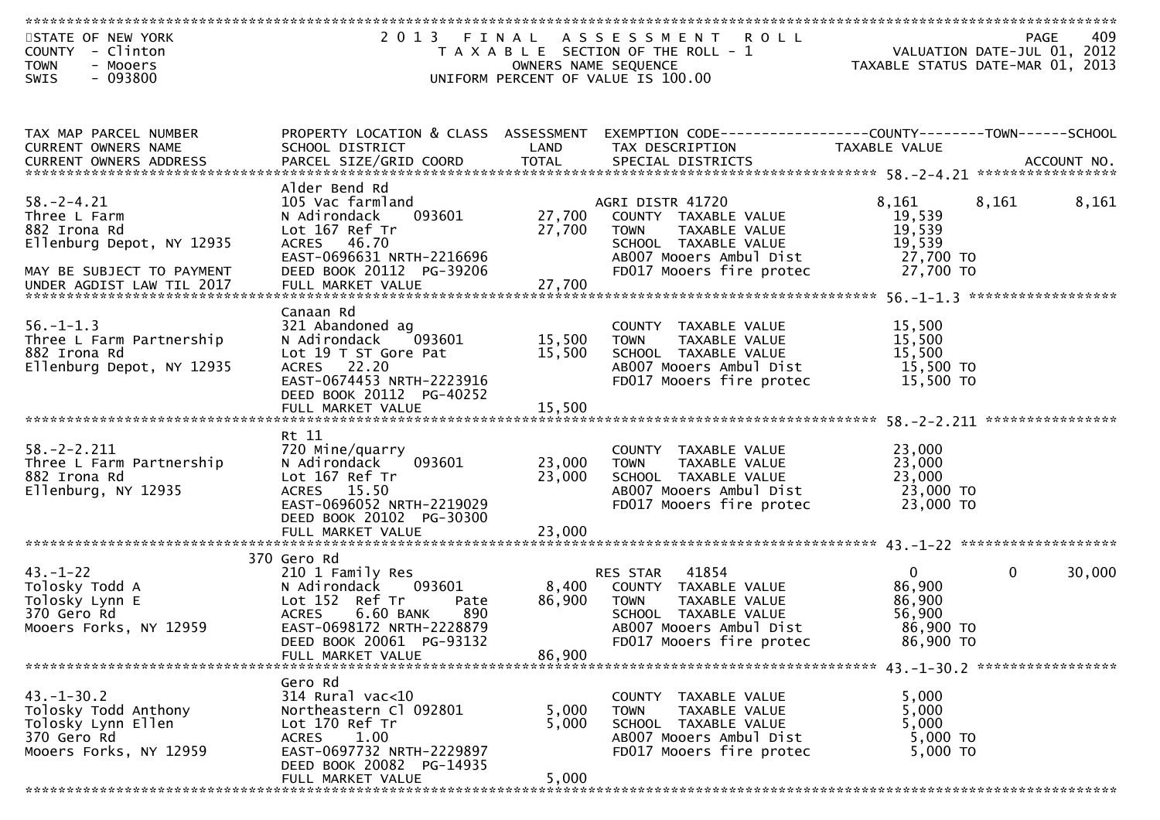| STATE OF NEW YORK          |                                      |                      | 2013 FINAL ASSESSMENT<br><b>ROLL</b>  |                                                                 | 409<br>PAGE           |
|----------------------------|--------------------------------------|----------------------|---------------------------------------|-----------------------------------------------------------------|-----------------------|
| COUNTY - Clinton           |                                      |                      | T A X A B L E SECTION OF THE ROLL - 1 | VALUATION DATE-JUL 01, 2012<br>TAXABLE STATUS DATE-MAR 01, 2013 |                       |
|                            |                                      |                      |                                       |                                                                 |                       |
| <b>TOWN</b><br>- Mooers    |                                      | OWNERS NAME SEQUENCE |                                       |                                                                 |                       |
| $-093800$<br>SWIS          |                                      |                      | UNIFORM PERCENT OF VALUE IS 100.00    |                                                                 |                       |
|                            |                                      |                      |                                       |                                                                 |                       |
|                            |                                      |                      |                                       |                                                                 |                       |
|                            |                                      |                      |                                       |                                                                 |                       |
| TAX MAP PARCEL NUMBER      | PROPERTY LOCATION & CLASS ASSESSMENT |                      |                                       |                                                                 |                       |
| <b>CURRENT OWNERS NAME</b> | SCHOOL DISTRICT                      | LAND                 | TAX DESCRIPTION                       | TAXABLE VALUE                                                   |                       |
|                            |                                      |                      |                                       |                                                                 |                       |
|                            |                                      |                      |                                       |                                                                 |                       |
|                            | Alder Bend Rd                        |                      |                                       |                                                                 |                       |
| $58. - 2 - 4.21$           | 105 Vac farmland                     |                      | AGRI DISTR 41720                      | 8,161                                                           | 8,161<br>8,161        |
| Three L Farm               | 093601<br>N Adirondack               |                      | 27,700 COUNTY TAXABLE VALUE           | 19,539                                                          |                       |
| 882 Irona Rd               | Lot 167 Ref Tr                       | 27,700               | TAXABLE VALUE<br>TOWN                 | 19,539                                                          |                       |
|                            |                                      |                      |                                       |                                                                 |                       |
| Ellenburg Depot, NY 12935  | ACRES 46.70                          |                      | SCHOOL TAXABLE VALUE                  | 19,539                                                          |                       |
|                            | EAST-0696631 NRTH-2216696            |                      | AB007 Mooers Ambul Dist               | 27,700 TO                                                       |                       |
| MAY BE SUBJECT TO PAYMENT  | DEED BOOK 20112 PG-39206             |                      | FD017 Mooers fire protec              | 27,700 TO                                                       |                       |
| UNDER AGDIST LAW TIL 2017  | FULL MARKET VALUE                    | 27,700               |                                       |                                                                 |                       |
|                            |                                      |                      |                                       |                                                                 |                       |
|                            | Canaan Rd                            |                      |                                       |                                                                 |                       |
| $56. - 1 - 1.3$            | 321 Abandoned ag                     |                      | COUNTY TAXABLE VALUE                  | 15,500                                                          |                       |
| Three L Farm Partnership   | 093601<br>N Adirondack               | 15,500               | TAXABLE VALUE<br><b>TOWN</b>          | 15,500                                                          |                       |
| 882 Irona Rd               | Lot 19 T ST Gore Pat                 | 15,500               | SCHOOL TAXABLE VALUE                  | 15,500                                                          |                       |
|                            |                                      |                      |                                       |                                                                 |                       |
| Ellenburg Depot, NY 12935  | ACRES 22.20                          |                      | AB007 Mooers Ambul Dist               | 15,500 TO                                                       |                       |
|                            | EAST-0674453 NRTH-2223916            |                      | FD017 Mooers fire protec              | 15,500 TO                                                       |                       |
|                            | DEED BOOK 20112 PG-40252             |                      |                                       |                                                                 |                       |
|                            |                                      |                      |                                       |                                                                 |                       |
|                            |                                      |                      |                                       |                                                                 |                       |
|                            | Rt 11                                |                      |                                       |                                                                 |                       |
| $58. - 2 - 2.211$          | 720 Mine/quarry                      |                      | COUNTY TAXABLE VALUE                  | 23,000                                                          |                       |
| Three L Farm Partnership   | 093601<br>N Adirondack               | 23,000               | TAXABLE VALUE<br><b>TOWN</b>          | 23,000                                                          |                       |
| 882 Irona Rd               | Lot 167 Ref Tr                       | 23,000               | SCHOOL TAXABLE VALUE                  | 23,000                                                          |                       |
| Ellenburg, NY 12935        | ACRES 15.50                          |                      | AB007 Mooers Ambul Dist               | 23,000 TO                                                       |                       |
|                            | EAST-0696052 NRTH-2219029            |                      | FD017 Mooers fire protec              | 23,000 TO                                                       |                       |
|                            | DEED BOOK 20102 PG-30300             |                      |                                       |                                                                 |                       |
|                            |                                      |                      |                                       |                                                                 |                       |
|                            | FULL MARKET VALUE                    | 23,000               |                                       |                                                                 |                       |
|                            |                                      |                      |                                       |                                                                 |                       |
|                            | 370 Gero Rd                          |                      |                                       |                                                                 |                       |
| $43. - 1 - 22$             | 210 1 Family Res                     |                      | 41854<br>RES STAR                     | $\overline{0}$                                                  | $\mathbf 0$<br>30,000 |
| Tolosky Todd A             | N Adirondack 093601                  | 8,400                | COUNTY TAXABLE VALUE                  | 86,900                                                          |                       |
| Tolosky Lynn E             | Lot 152 Ref Tr<br>Pate               | 86,900               | TAXABLE VALUE<br><b>TOWN</b>          | 86,900                                                          |                       |
| 370 Gero Rd                | <b>ACRES</b><br>6.60 BANK<br>890     |                      | SCHOOL TAXABLE VALUE                  | 56,900                                                          |                       |
| Mooers Forks, NY 12959     | EAST-0698172 NRTH-2228879            |                      | AB007 Mooers Ambul Dist               | 86,900 TO                                                       |                       |
|                            | DEED BOOK 20061 PG-93132             |                      | FD017 Mooers fire protec              | 86,900 TO                                                       |                       |
|                            | FULL MARKET VALUE                    | 86.900               |                                       |                                                                 |                       |
|                            |                                      |                      |                                       |                                                                 |                       |
|                            |                                      |                      |                                       |                                                                 |                       |
|                            | Gero Rd                              |                      |                                       |                                                                 |                       |
| $43. - 1 - 30.2$           | $314$ Rural vac<10                   |                      | COUNTY TAXABLE VALUE                  | 5,000                                                           |                       |
| Tolosky Todd Anthony       | Northeastern Cl 092801               | 5,000                | TAXABLE VALUE<br><b>TOWN</b>          | 5,000                                                           |                       |
| Tolosky Lynn Ellen         | Lot 170 Ref Tr                       | 5,000                | SCHOOL TAXABLE VALUE                  | 5,000                                                           |                       |
| 370 Gero Rd                | ACRES 1.00                           |                      | AB007 Mooers Ambul Dist               | 5,000 TO                                                        |                       |
| Mooers Forks, NY 12959     | EAST-0697732 NRTH-2229897            |                      | FD017 Mooers fire protec              | 5,000 TO                                                        |                       |
|                            | DEED BOOK 20082 PG-14935             |                      |                                       |                                                                 |                       |
|                            | FULL MARKET VALUE                    | 5,000                |                                       |                                                                 |                       |
|                            |                                      |                      |                                       |                                                                 |                       |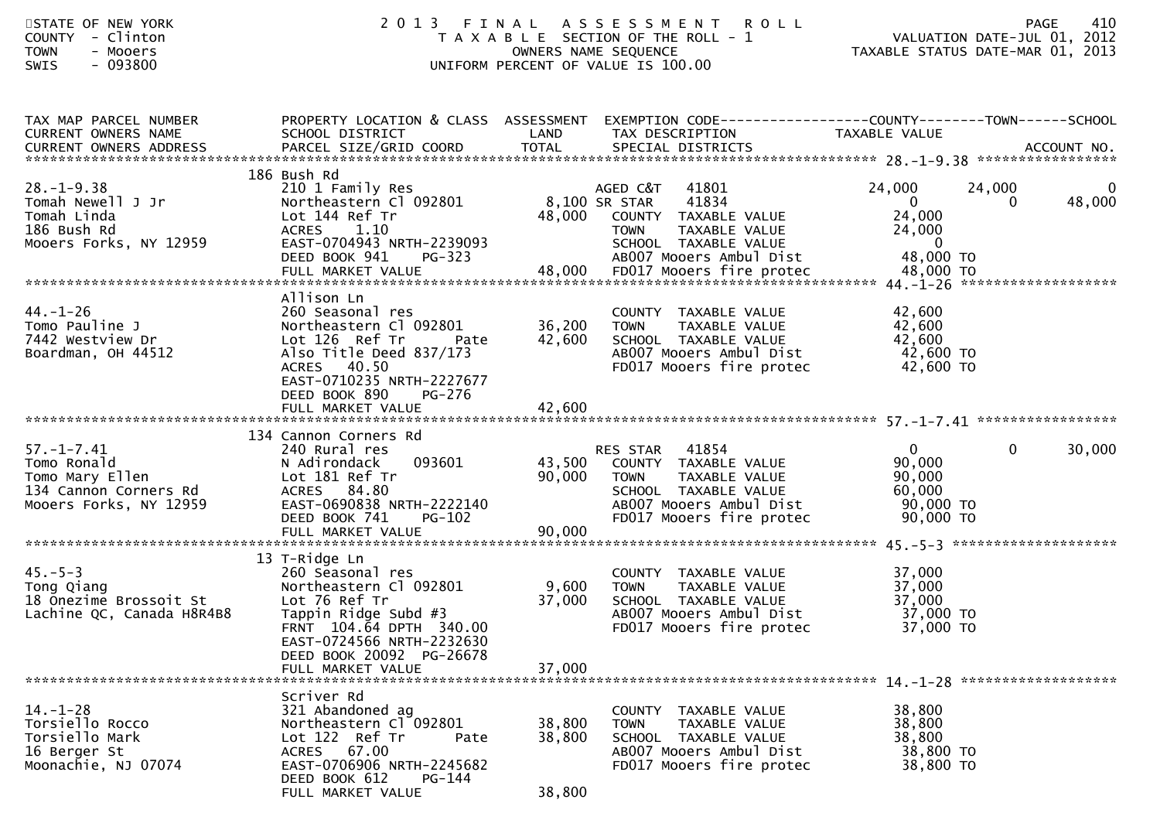| STATE OF NEW YORK<br>- Clinton<br><b>COUNTY</b><br><b>TOWN</b><br>- Mooers<br>$-093800$<br><b>SWIS</b>             | 2013                                                                                                                                                                                                          |                            | FINAL ASSESSMENT ROLL<br>T A X A B L E SECTION OF THE ROLL - 1<br>OWNERS NAME SEQUENCE<br>UNIFORM PERCENT OF VALUE IS 100.00                  |                                                                             | 410<br><b>PAGE</b><br>ROLL - 1<br>VALUATION DATE-JUL 01, 2012<br>TAXABLE STATUS DATE-MAR 01, 2013 |
|--------------------------------------------------------------------------------------------------------------------|---------------------------------------------------------------------------------------------------------------------------------------------------------------------------------------------------------------|----------------------------|-----------------------------------------------------------------------------------------------------------------------------------------------|-----------------------------------------------------------------------------|---------------------------------------------------------------------------------------------------|
| TAX MAP PARCEL NUMBER<br>CURRENT OWNERS NAME                                                                       | SCHOOL DISTRICT                                                                                                                                                                                               | LAND                       | PROPERTY LOCATION & CLASS ASSESSMENT EXEMPTION CODE----------------COUNTY-------TOWN------SCHOOL<br>TAX DESCRIPTION                           | TAXABLE VALUE                                                               |                                                                                                   |
| $28. - 1 - 9.38$<br>Tomah Newell J Jr<br>Tomah Linda<br>186 Bush Rd<br>Mooers Forks, NY 12959                      | 186 Bush Rd<br>210 1 Family Res<br>Northeastern Cl 092801<br>Lot 144 Ref Tr<br>ACRES 1.10<br>EAST-0704943 NRTH-2239093<br>DEED BOOK 941<br>PG-323                                                             | 8,100 SR STAR<br>48,000    | AGED C&T<br>41801<br>41834<br>COUNTY TAXABLE VALUE<br>TAXABLE VALUE<br><b>TOWN</b><br>SCHOOL TAXABLE VALUE<br>AB007 Mooers Ambul Dist         | 24,000<br>$\overline{0}$<br>24,000<br>24,000<br>$\overline{0}$<br>48,000 TO | 24,000<br>$\mathbf{0}$<br>48,000<br>$\Omega$                                                      |
| $44. - 1 - 26$<br>Tomo Pauline J<br>7442 Westview Dr<br>Boardman, OH 44512                                         | Allison Ln<br>260 Seasonal res<br>Northeastern Cl 092801<br>Lot 126 Ref Tr<br>Pate<br>Also Title Deed 837/173<br>ACRES 40.50<br>EAST-0710235 NRTH-2227677<br>DEED BOOK 890<br>PG-276                          | 36,200 TOWN<br>42,600      | COUNTY TAXABLE VALUE<br>TAXABLE VALUE<br>SCHOOL TAXABLE VALUE<br>AB007 Mooers Ambul Dist<br>FD017 Mooers fire protec                          | 42,600<br>42,600<br>42,600<br>42,600 TO<br>42,600 TO                        |                                                                                                   |
| $57. - 1 - 7.41$<br>J. -__--_<br>Tomo Ronald<br>Tomo Mary Ellen<br>134 Cannon Corners Rd<br>Mooers Forks, NY 12959 | 134 Cannon Corners Rd<br>240 Rural res<br>093601<br>N Adirondack<br>Lot 181 Ref Tr<br>ACRES 84.80<br>EAST-0690838 NRTH-2222140<br>DEED BOOK 741<br><b>PG-102</b>                                              | 90,000 TOWN                | RES STAR 41854<br>43,500 COUNTY TAXABLE VALUE<br>TAXABLE VALUE<br>SCHOOL TAXABLE VALUE<br>ABOO7 Mooers Ambul Dist<br>FD017 Mooers fire protec | $\overline{0}$<br>90,000<br>90,000<br>60,000<br>90,000 TO<br>90,000 TO      | $\mathbf 0$<br>30,000                                                                             |
| $45. - 5 - 3$<br>Tong Qiang<br>18 Onezime Brossoit St<br>Lachine QC, Canada H8R4B8                                 | 13 T-Ridge Ln<br>260 Seasonal res<br>Northeastern Cl 092801<br>Lot 76 Ref Tr<br>Tappin Ridge Subd #3<br>FRNT 104.64 DPTH 340.00<br>EAST-0724566 NRTH-2232630<br>DEED BOOK 20092 PG-26678<br>FULL MARKET VALUE | 9,600<br>37,000<br>37,000  | COUNTY TAXABLE VALUE<br><b>TOWN</b><br>TAXABLE VALUE<br>SCHOOL TAXABLE VALUE<br>AB007 Mooers Ambul Dist<br>FD017 Mooers fire protec           | 37,000<br>37,000<br>37,000<br>37,000 TO<br>37,000 TO                        |                                                                                                   |
| $14. - 1 - 28$<br>Torsiello Rocco<br>Torsiello Mark<br>16 Berger St<br>Moonachie, NJ 07074                         | Scriver Rd<br>321 Abandoned ag<br>Northeastern Cl 092801<br>Lot 122 Ref Tr<br>Pate<br>67.00<br>ACRES<br>EAST-0706906 NRTH-2245682<br>DEED BOOK 612<br>PG-144<br>FULL MARKET VALUE                             | 38,800<br>38,800<br>38,800 | COUNTY TAXABLE VALUE<br>TAXABLE VALUE<br><b>TOWN</b><br>SCHOOL TAXABLE VALUE<br>AB007 Mooers Ambul Dist<br>FD017 Mooers fire protec           | 38,800<br>38,800<br>38,800<br>38,800 TO<br>38,800 TO                        |                                                                                                   |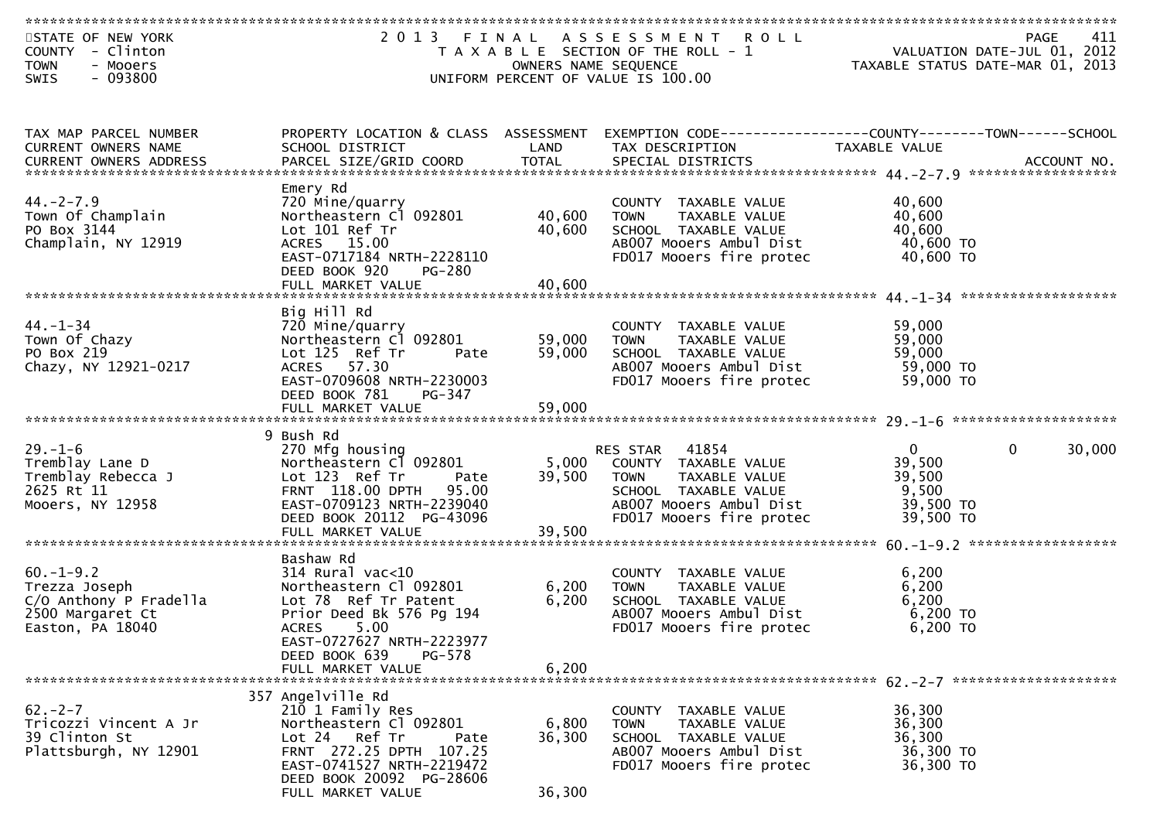| STATE OF NEW YORK<br>COUNTY - Clinton<br><b>TOWN</b><br>- Mooers<br>$-093800$<br>SWIS                                                                                              | 2 0 1 3                                                                                                                                                                      | OWNERS NAME SEQUENCE       | FINAL ASSESSMENT ROLL<br>T A X A B L E SECTION OF THE ROLL - 1<br>UNIFORM PERCENT OF VALUE IS 100.00                                                  |                                                                     | 411<br>PAGE<br>VALUATION DATE-JUL 01, 2012<br>TAXABLE STATUS DATE-MAR 01, 2013 |
|------------------------------------------------------------------------------------------------------------------------------------------------------------------------------------|------------------------------------------------------------------------------------------------------------------------------------------------------------------------------|----------------------------|-------------------------------------------------------------------------------------------------------------------------------------------------------|---------------------------------------------------------------------|--------------------------------------------------------------------------------|
|                                                                                                                                                                                    |                                                                                                                                                                              |                            |                                                                                                                                                       |                                                                     |                                                                                |
| TAX MAP PARCEL NUMBER<br>CURRENT OWNERS NAME<br>.4CCOUNT NO . PARCEL SIZE/GRID COORD TOTAL SPECIAL DISTRICTS SPERENT OWNERS ADDRESS PARCEL SIZE/GRID COORD TOTAL SPECIAL DISTRICTS | PROPERTY LOCATION & CLASS ASSESSMENT<br>SCHOOL DISTRICT                                                                                                                      | LAND                       | EXEMPTION CODE-----------------COUNTY-------TOWN-----SCHOOL<br>TAX DESCRIPTION                                                                        | TAXABLE VALUE                                                       |                                                                                |
| $44. -2 - 7.9$<br>Town Of Champlain<br>PO Box 3144<br>Champlain, NY 12919                                                                                                          | Emery Rd<br>720 Mine/quarry<br>Northeastern Cl 092801<br>Lot 101 Ref Tr<br>ACRES 15.00<br>EAST-0717184 NRTH-2228110<br>DEED BOOK 920<br>PG-280<br>FULL MARKET VALUE          | 40,600<br>40,600<br>40,600 | COUNTY TAXABLE VALUE<br><b>TOWN</b><br>TAXABLE VALUE<br>SCHOOL TAXABLE VALUE<br>ABOO7 Mooers Ambul Dist<br>FD017 Mooers fire protec                   | 40,600<br>40,600<br>40,600<br>40,600 TO<br>40,600 TO                |                                                                                |
|                                                                                                                                                                                    | Big Hill Rd                                                                                                                                                                  |                            |                                                                                                                                                       |                                                                     |                                                                                |
| $44. - 1 - 34$<br>Town Of Chazy<br>PO Box 219<br>Chazy, NY 12921-0217                                                                                                              | 720 Mine/quarry<br>Northeastern Cl 092801<br>Lot 125 Ref Tr<br>Pate<br>ACRES 57.30<br>EAST-0709608 NRTH-2230003<br>DEED BOOK 781<br>PG-347                                   | 59,000<br>59,000           | COUNTY TAXABLE VALUE<br><b>TOWN</b><br>TAXABLE VALUE<br>SCHOOL TAXABLE VALUE<br>AB007 Mooers Ambul Dist<br>FD017 Mooers fire protec                   | 59,000<br>59,000<br>59,000<br>59,000 TO<br>59,000 TO                |                                                                                |
|                                                                                                                                                                                    |                                                                                                                                                                              |                            |                                                                                                                                                       |                                                                     |                                                                                |
|                                                                                                                                                                                    | 9 Bush Rd                                                                                                                                                                    |                            |                                                                                                                                                       |                                                                     |                                                                                |
| $29. - 1 - 6$<br>Tremblay Lane D<br>Tremblay Rebecca J<br>2625 Rt 11<br>Mooers, NY 12958                                                                                           | 270 Mfg housing<br>Northeastern C1 092801<br>Lot 123 Ref Tr<br>Pate<br>FRNT 118.00 DPTH 95.00<br>EAST-0709123 NRTH-2239040<br>DEED BOOK 20112 PG-43096                       | 5,000<br>39,500            | RES STAR 41854<br>COUNTY TAXABLE VALUE<br>TAXABLE VALUE<br><b>TOWN</b><br>SCHOOL TAXABLE VALUE<br>AB007 Mooers Ambul Dist<br>FD017 Mooers fire protec | $\mathbf{0}$<br>39,500<br>39,500<br>9,500<br>39,500 TO<br>39,500 TO | 30,000<br>$\mathbf{0}$                                                         |
|                                                                                                                                                                                    | FULL MARKET VALUE                                                                                                                                                            | 39,500                     |                                                                                                                                                       |                                                                     |                                                                                |
|                                                                                                                                                                                    |                                                                                                                                                                              |                            |                                                                                                                                                       |                                                                     |                                                                                |
| $60. -1 - 9.2$<br>Trezza Joseph<br>C/O Anthony P Fradella<br>2500 Margaret Ct<br>Easton, PA 18040                                                                                  | Bashaw Rd<br>$314$ Rural vac<10<br>Northeastern Cl 092801<br>Lot 78 Ref Tr Patent<br>Prior Deed Bk 576 Pg 194<br><b>ACRES</b><br>5.00<br>EAST-0727627 NRTH-2223977           | 6,200<br>6,200             | COUNTY TAXABLE VALUE<br>TAXABLE VALUE<br><b>TOWN</b><br>SCHOOL TAXABLE VALUE<br>AB007 Mooers Ambul Dist<br>FD017 Mooers fire protec                   | 6,200<br>6,200<br>6,200<br>6,200 TO<br>$6,200$ TO                   |                                                                                |
|                                                                                                                                                                                    | DEED BOOK 639<br>PG-578                                                                                                                                                      | 6,200                      |                                                                                                                                                       |                                                                     |                                                                                |
|                                                                                                                                                                                    | FULL MARKET VALUE                                                                                                                                                            |                            |                                                                                                                                                       |                                                                     |                                                                                |
| $62 - 2 - 7$<br>Tricozzi Vincent A Jr<br>39 Clinton St<br>Plattsburgh, NY 12901                                                                                                    | 357 Angelville Rd<br>210 1 Family Res<br>Northeastern Cl 092801<br>Lot 24 Ref Tr<br>Pate<br>FRNT 272.25 DPTH 107.25<br>EAST-0741527 NRTH-2219472<br>DEED BOOK 20092 PG-28606 | 6,800<br>36,300            | COUNTY TAXABLE VALUE<br><b>TOWN</b><br>TAXABLE VALUE<br>SCHOOL TAXABLE VALUE<br>AB007 Mooers Ambul Dist<br>FD017 Mooers fire protec                   | 36,300<br>36,300<br>36,300<br>36,300 TO<br>36,300 TO                |                                                                                |
|                                                                                                                                                                                    | FULL MARKET VALUE                                                                                                                                                            | 36,300                     |                                                                                                                                                       |                                                                     |                                                                                |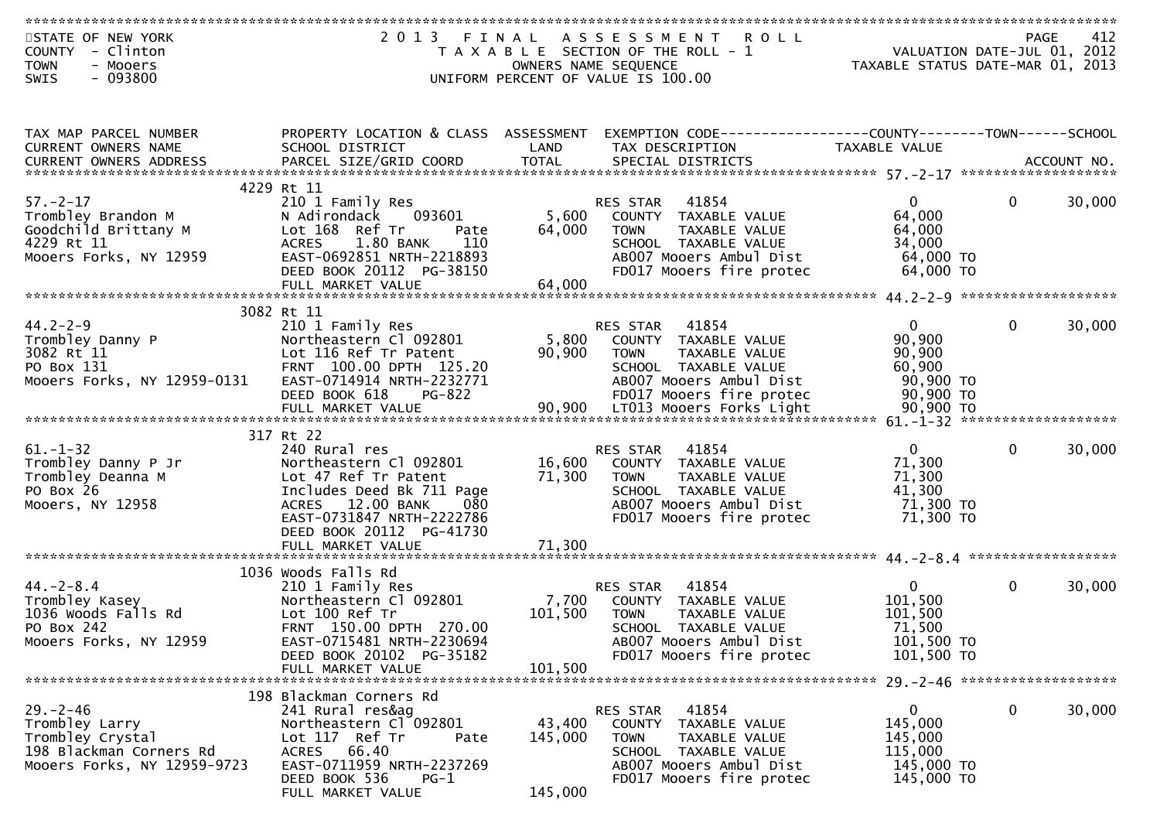| STATE OF NEW YORK           |                                      |         | 2013 FINAL ASSESSMENT ROLL                                  |                                                                              |              | 412    |
|-----------------------------|--------------------------------------|---------|-------------------------------------------------------------|------------------------------------------------------------------------------|--------------|--------|
| COUNTY - Clinton            |                                      |         | T A X A B L E SECTION OF THE ROLL - 1                       | PAGE 412<br>VALUATION DATE-JUL 01, 2012<br>TAXARLE STATUS DATE :::- 21, 2012 |              |        |
| <b>TOWN</b><br>- Mooers     |                                      |         | OWNERS NAME SEQUENCE                                        | TAXABLE STATUS DATE-MAR 01, 2013                                             |              |        |
| $-093800$<br>SWIS           |                                      |         | UNIFORM PERCENT OF VALUE IS 100.00                          |                                                                              |              |        |
|                             |                                      |         |                                                             |                                                                              |              |        |
|                             |                                      |         |                                                             |                                                                              |              |        |
|                             |                                      |         |                                                             |                                                                              |              |        |
| TAX MAP PARCEL NUMBER       | PROPERTY LOCATION & CLASS ASSESSMENT |         | EXEMPTION CODE-----------------COUNTY-------TOWN-----SCHOOL |                                                                              |              |        |
| CURRENT OWNERS NAME         | SCHOOL DISTRICT                      | LAND    | TAX DESCRIPTION                                             | TAXABLE VALUE                                                                |              |        |
| CURRENT OWNERS ADDRESS      |                                      |         |                                                             |                                                                              |              |        |
|                             |                                      |         |                                                             |                                                                              |              |        |
|                             | 4229 Rt 11                           |         |                                                             |                                                                              |              |        |
| $57. - 2 - 17$              | 210 1 Family Res                     |         | 41854<br>RES STAR                                           | $\mathbf{0}$                                                                 | $\bf{0}$     | 30,000 |
| Trombley Brandon M          | 093601<br>N Adirondack               | 5,600   | COUNTY TAXABLE VALUE                                        | 64,000                                                                       |              |        |
| Goodchild Brittany M        | Lot 168 Ref Tr<br>Pate               | 64,000  | <b>TOWN</b><br>TAXABLE VALUE                                | 64,000                                                                       |              |        |
| 4229 Rt 11                  | 1.80 BANK<br><b>ACRES</b><br>110     |         | SCHOOL TAXABLE VALUE                                        | 34,000                                                                       |              |        |
| Mooers Forks, NY 12959      | EAST-0692851 NRTH-2218893            |         | AB007 Mooers Ambul Dist                                     | 64,000 TO                                                                    |              |        |
|                             | DEED BOOK 20112 PG-38150             |         | FD017 Mooers fire protec                                    | 64,000 TO                                                                    |              |        |
|                             | FULL MARKET VALUE                    | 64,000  |                                                             |                                                                              |              |        |
|                             |                                      |         |                                                             |                                                                              |              |        |
|                             | 3082 Rt 11                           |         |                                                             |                                                                              |              |        |
| $44.2 - 2 - 9$              | 210 1 Family Res                     |         | 41854<br>RES STAR                                           | $\overline{0}$                                                               | $\mathbf{0}$ | 30,000 |
| Trombley Danny P            | Northeastern Cl 092801               | 5,800   | COUNTY TAXABLE VALUE                                        | 90,900                                                                       |              |        |
| 3082 Rt 11                  | Lot 116 Ref Tr Patent                | 90,900  | TAXABLE VALUE<br><b>TOWN</b>                                | 90,900                                                                       |              |        |
| PO Box 131                  | FRNT 100.00 DPTH 125.20              |         | SCHOOL TAXABLE VALUE                                        | 60,900                                                                       |              |        |
| Mooers Forks, NY 12959-0131 | EAST-0714914 NRTH-2232771            |         | AB007 Mooers Ambul Dist                                     | 90,900 TO                                                                    |              |        |
|                             | DEED BOOK 618<br><b>PG-822</b>       |         | FD017 Mooers fire protec                                    | 90,900 TO                                                                    |              |        |
|                             |                                      |         |                                                             |                                                                              |              |        |
|                             |                                      |         |                                                             |                                                                              |              |        |
|                             | 317 Rt 22                            |         |                                                             |                                                                              |              |        |
| $61. - 1 - 32$              | 240 Rural res                        |         | 41854<br>RES STAR                                           | $\overline{0}$                                                               | $\mathbf{0}$ | 30,000 |
| Trombley Danny P Jr         | Northeastern Cl 092801               | 16,600  | COUNTY TAXABLE VALUE                                        | 71,300                                                                       |              |        |
| Trombley Deanna M           | Lot 47 Ref Tr Patent                 | 71,300  | TAXABLE VALUE<br>TOWN                                       | 71,300                                                                       |              |        |
| PO Box 26                   | Includes Deed Bk 711 Page            |         | SCHOOL TAXABLE VALUE                                        | 41,300                                                                       |              |        |
| Mooers, NY 12958            | ACRES 12.00 BANK<br>080              |         | AB007 Mooers Ambul Dist                                     | 71,300 TO                                                                    |              |        |
|                             | EAST-0731847 NRTH-2222786            |         | FD017 Mooers fire protec                                    | 71,300 TO                                                                    |              |        |
|                             | DEED BOOK 20112 PG-41730             |         |                                                             |                                                                              |              |        |
|                             |                                      |         |                                                             |                                                                              |              |        |
|                             |                                      |         |                                                             |                                                                              |              |        |
|                             | 1036 Woods Falls Rd                  |         |                                                             |                                                                              |              |        |
| $44. - 2 - 8.4$             | 210 1 Family Res                     |         | RES STAR 41854                                              | $\overline{0}$                                                               | $\mathbf 0$  | 30,000 |
| Trombley Kasey              | Northeastern Cl 092801               | 7,700   | COUNTY TAXABLE VALUE                                        | 101,500                                                                      |              |        |
| 1036 Woods Falls Rd         | Lot 100 Ref Tr                       | 101,500 | <b>TOWN</b><br>TAXABLE VALUE                                | 101,500                                                                      |              |        |
| PO Box 242                  | FRNT 150.00 DPTH 270.00              |         | SCHOOL TAXABLE VALUE                                        | 71,500                                                                       |              |        |
|                             | EAST-0715481 NRTH-2230694            |         | AB007 Mooers Ambul Dist                                     | 101,500 TO                                                                   |              |        |
| Mooers Forks, NY 12959      |                                      |         |                                                             | 101,500 TO                                                                   |              |        |
|                             | DEED BOOK 20102 PG-35182             |         | FD017 Mooers fire protec                                    |                                                                              |              |        |
|                             | FULL MARKET VALUE                    | 101,500 |                                                             |                                                                              |              |        |
|                             | 198 Blackman Corners Rd              |         |                                                             |                                                                              |              |        |
| $29. - 2 - 46$              | 241 Rural res&ag                     |         | RES STAR 41854                                              | $\overline{0}$                                                               | $\mathbf 0$  | 30,000 |
| Trombley Larry              | Northeastern Cl 092801               | 43,400  | COUNTY TAXABLE VALUE                                        | 145,000                                                                      |              |        |
|                             |                                      |         |                                                             |                                                                              |              |        |
| Trombley Crystal            | Lot 117 Ref Tr<br>Pate               | 145,000 | TAXABLE VALUE<br><b>TOWN</b>                                | 145,000                                                                      |              |        |
| 198 Blackman Corners Rd     | ACRES 66.40                          |         | SCHOOL TAXABLE VALUE                                        | 115,000                                                                      |              |        |
| Mooers Forks, NY 12959-9723 | EAST-0711959 NRTH-2237269            |         | AB007 Mooers Ambul Dist                                     | 145,000 TO                                                                   |              |        |
|                             | DEED BOOK 536<br>PG-1                |         | FD017 Mooers fire protec                                    | 145,000 TO                                                                   |              |        |
|                             | FULL MARKET VALUE                    | 145,000 |                                                             |                                                                              |              |        |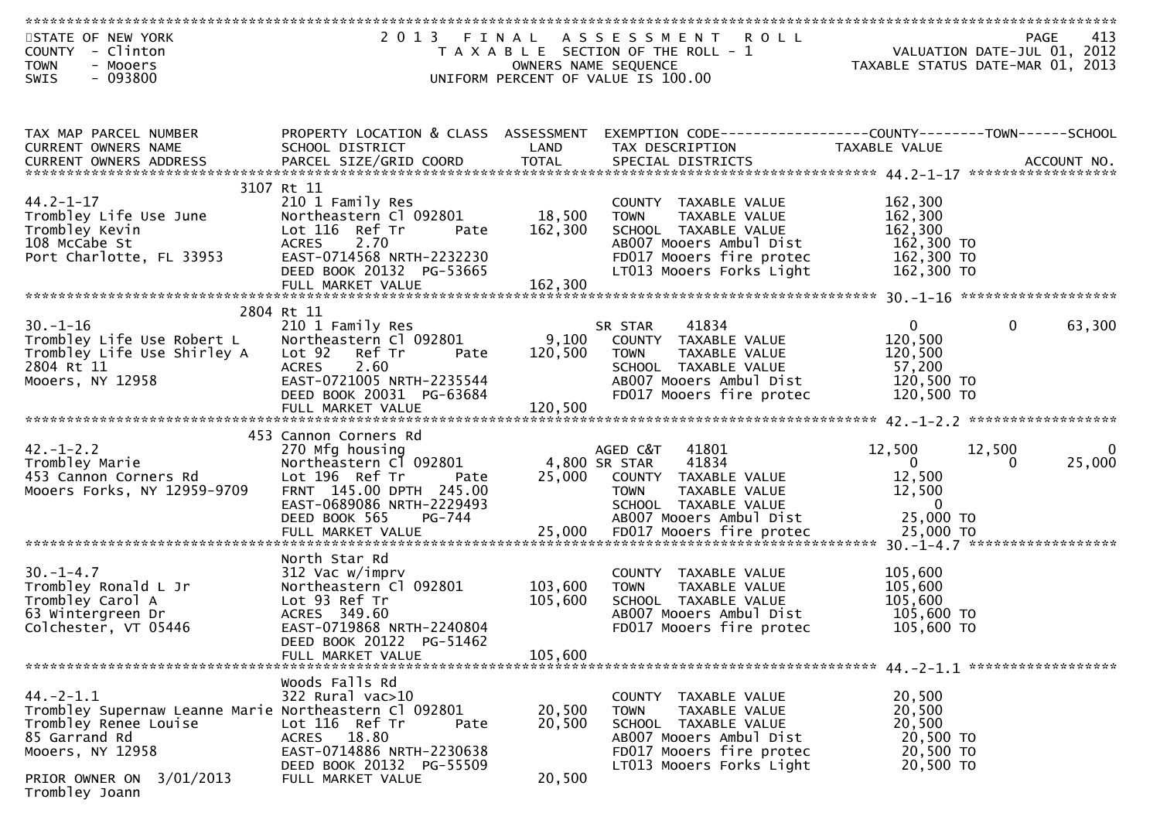| STATE OF NEW YORK                                                                                                                                                                              | 2 0 1 3                                           | FINAL   | A S S E S S M E N T<br><b>ROLL</b>                             |                        | 413<br><b>PAGE</b>               |
|------------------------------------------------------------------------------------------------------------------------------------------------------------------------------------------------|---------------------------------------------------|---------|----------------------------------------------------------------|------------------------|----------------------------------|
| COUNTY - Clinton                                                                                                                                                                               |                                                   |         | T A X A B L E SECTION OF THE ROLL - 1                          |                        | VALUATION DATE-JUL 01, 2012      |
| <b>TOWN</b><br>- Mooers                                                                                                                                                                        |                                                   |         | OWNERS NAME SEQUENCE                                           |                        | TAXABLE STATUS DATE-MAR 01, 2013 |
| $-093800$<br>SWIS                                                                                                                                                                              |                                                   |         | UNIFORM PERCENT OF VALUE IS 100.00                             |                        |                                  |
|                                                                                                                                                                                                |                                                   |         |                                                                |                        |                                  |
| TAX MAP PARCEL NUMBER                                                                                                                                                                          | PROPERTY LOCATION & CLASS ASSESSMENT              |         | EXEMPTION CODE------------------COUNTY--------TOWN------SCHOOL |                        |                                  |
| CURRENT OWNERS NAME                                                                                                                                                                            | SCHOOL DISTRICT                                   | LAND    | TAX DESCRIPTION                                                | TAXABLE VALUE          |                                  |
| <b>CURRENT OWNERS ADDRESS</b><br>CURRENT OWNERS ADDRESS PARCEL SIZE/GRID COORD TOTAL SPECIAL DISTRICTS (ALL PARTING ACCOUNT NOLL PARAGEL SIZE/GRID COORD TOTAL SPECIAL DISTRICTS (ALL PARTING) |                                                   |         |                                                                |                        |                                  |
|                                                                                                                                                                                                | 3107 Rt 11                                        |         |                                                                |                        |                                  |
| $44.2 - 1 - 17$                                                                                                                                                                                | 210 1 Family Res                                  |         | COUNTY TAXABLE VALUE                                           | 162,300                |                                  |
| Trombley Life Use June                                                                                                                                                                         | Northeastern Cl 092801                            | 18,500  | TAXABLE VALUE<br><b>TOWN</b>                                   | 162,300                |                                  |
| Trombley Kevin                                                                                                                                                                                 | Lot 116 Ref Tr<br>Pate                            | 162,300 | SCHOOL TAXABLE VALUE                                           | 162,300                |                                  |
| 108 McCabe St                                                                                                                                                                                  | <b>ACRES</b><br>2.70                              |         | AB007 Mooers Ambul Dist                                        | 162,300 TO             |                                  |
| Port Charlotte, FL 33953                                                                                                                                                                       | EAST-0714568 NRTH-2232230                         |         | FD017 Mooers fire protec                                       | 162,300 TO             |                                  |
|                                                                                                                                                                                                | DEED BOOK 20132 PG-53665<br>FULL MARKET VALUE     | 162,300 | LT013 Mooers Forks Light                                       | 162,300 TO             |                                  |
|                                                                                                                                                                                                |                                                   |         |                                                                |                        |                                  |
|                                                                                                                                                                                                | 2804 Rt 11                                        |         |                                                                |                        |                                  |
| $30. - 1 - 16$                                                                                                                                                                                 | 210 1 Family Res                                  |         | 41834<br>SR STAR                                               | $\mathbf{0}$           | $\mathbf{0}$<br>63,300           |
| Trombley Life Use Robert L                                                                                                                                                                     | Northeastern Cl 092801                            | 9,100   | COUNTY TAXABLE VALUE                                           | 120,500                |                                  |
| Trombley Life Use Shirley A                                                                                                                                                                    | Lot 92 Ref Tr<br>Pate                             | 120,500 | TAXABLE VALUE<br><b>TOWN</b>                                   | 120,500                |                                  |
| 2804 Rt 11<br>Mooers, NY 12958                                                                                                                                                                 | <b>ACRES</b><br>2.60<br>EAST-0721005 NRTH-2235544 |         | SCHOOL TAXABLE VALUE<br>AB007 Mooers Ambul Dist                | 57,200<br>120,500 TO   |                                  |
|                                                                                                                                                                                                | DEED BOOK 20031 PG-63684                          |         | FD017 Mooers fire protec                                       | 120,500 TO             |                                  |
|                                                                                                                                                                                                |                                                   |         |                                                                |                        |                                  |
|                                                                                                                                                                                                |                                                   |         |                                                                |                        |                                  |
|                                                                                                                                                                                                | 453 Cannon Corners Rd                             |         |                                                                |                        |                                  |
| $42. - 1 - 2.2$<br>Trombley Marie                                                                                                                                                              | 270 Mfg housing<br>Northeastern Cl 092801         |         | AGED C&T<br>41801<br>4,800 SR STAR<br>41834                    | 12,500<br>$\mathbf{0}$ | 12,500<br>25,000<br>0            |
| 453 Cannon Corners Rd                                                                                                                                                                          | Lot 196 Ref Tr<br>Pate                            | 25,000  | COUNTY TAXABLE VALUE                                           | 12,500                 |                                  |
| Mooers Forks, NY 12959-9709                                                                                                                                                                    | FRNT 145.00 DPTH 245.00                           |         | <b>TOWN</b><br>TAXABLE VALUE                                   | 12,500                 |                                  |
|                                                                                                                                                                                                | EAST-0689086 NRTH-2229493                         |         | SCHOOL TAXABLE VALUE                                           | $\Omega$               |                                  |
|                                                                                                                                                                                                | DEED BOOK 565<br>PG-744                           |         | AB007 Mooers Ambul Dist                                        | 25,000 TO              |                                  |
|                                                                                                                                                                                                |                                                   |         |                                                                |                        |                                  |
|                                                                                                                                                                                                | North Star Rd                                     |         |                                                                |                        |                                  |
| $30. - 1 - 4.7$                                                                                                                                                                                | 312 Vac w/imprv                                   |         | <b>COUNTY</b><br>TAXABLE VALUE                                 | 105,600                |                                  |
| Trombley Ronald L Jr                                                                                                                                                                           | Northeastern Cl 092801                            | 103,600 | TAXABLE VALUE<br><b>TOWN</b>                                   | 105,600                |                                  |
| Trombley Carol A                                                                                                                                                                               | Lot 93 Ref Tr                                     | 105,600 | SCHOOL TAXABLE VALUE                                           | 105,600                |                                  |
| 63 Wintergreen Dr                                                                                                                                                                              | ACRES 349.60                                      |         | AB007 Mooers Ambul Dist                                        | 105,600 TO             |                                  |
| Colchester, VT 05446                                                                                                                                                                           | EAST-0719868 NRTH-2240804                         |         | FD017 Mooers fire protec                                       | 105,600 TO             |                                  |
|                                                                                                                                                                                                | DEED BOOK 20122 PG-51462<br>FULL MARKET VALUE     | 105,600 |                                                                |                        |                                  |
|                                                                                                                                                                                                |                                                   |         |                                                                |                        |                                  |
|                                                                                                                                                                                                | Woods Falls Rd                                    |         |                                                                |                        |                                  |
| $44. -2 - 1.1$                                                                                                                                                                                 | 322 Rural vac>10                                  |         | COUNTY TAXABLE VALUE                                           | 20,500                 |                                  |
| Trombley Supernaw Leanne Marie Northeastern Cl 092801                                                                                                                                          |                                                   | 20,500  | <b>TOWN</b><br>TAXABLE VALUE                                   | 20,500                 |                                  |
| Trombley Renee Louise                                                                                                                                                                          | Lot 116 Ref Tr<br>Pate                            | 20,500  | SCHOOL TAXABLE VALUE                                           | 20,500                 |                                  |
| 85 Garrand Rd<br>Mooers, NY 12958                                                                                                                                                              | ACRES 18.80<br>EAST-0714886 NRTH-2230638          |         | AB007 Mooers Ambul Dist<br>FD017 Mooers fire protec            | 20,500 TO<br>20,500 TO |                                  |
|                                                                                                                                                                                                | DEED BOOK 20132 PG-55509                          |         | LT013 Mooers Forks Light                                       | 20,500 TO              |                                  |
| 3/01/2013<br>PRIOR OWNER ON                                                                                                                                                                    | FULL MARKET VALUE                                 | 20,500  |                                                                |                        |                                  |
| Trombley Joann                                                                                                                                                                                 |                                                   |         |                                                                |                        |                                  |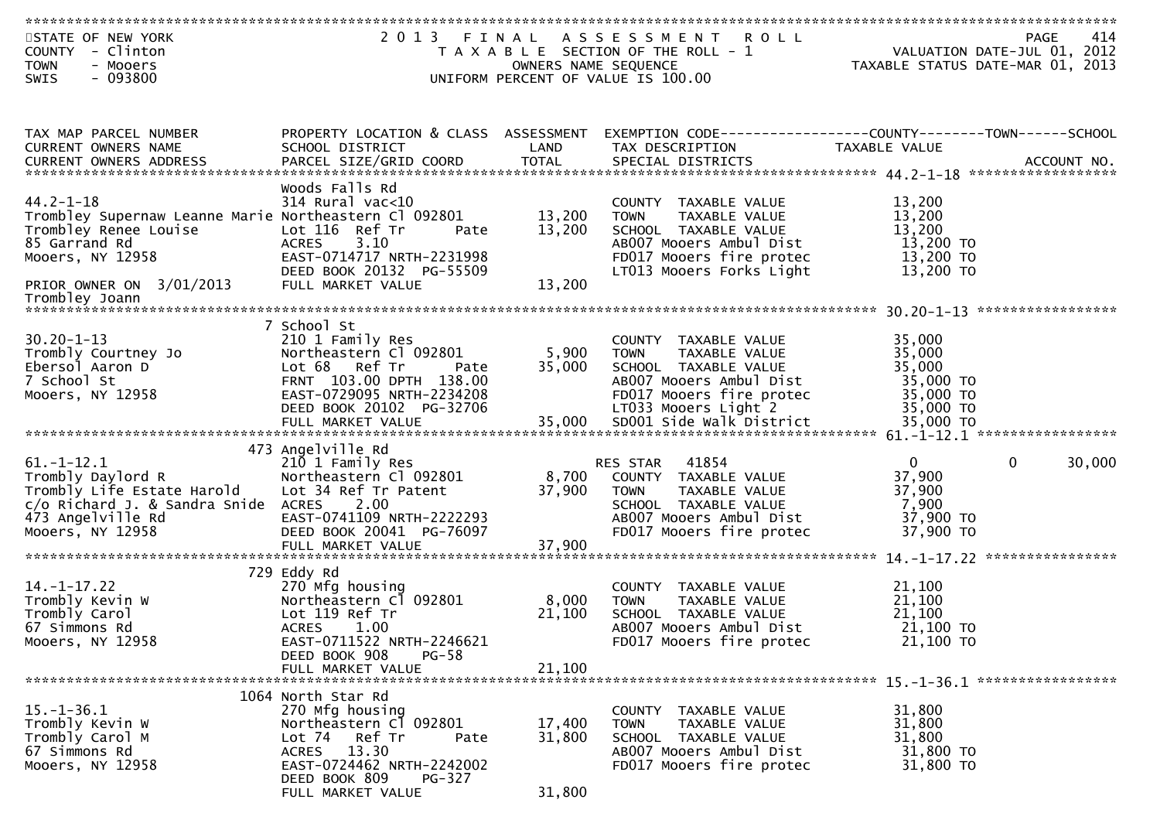| STATE OF NEW YORK<br>COUNTY - Clinton                                                                                                                         | 2013                                                  |                      | FINAL ASSESSMENT<br><b>ROLL</b><br>T A X A B L E SECTION OF THE ROLL - 1 |                        | 414<br><b>PAGE</b><br>VALUATION DATE-JUL 01, 2012 |
|---------------------------------------------------------------------------------------------------------------------------------------------------------------|-------------------------------------------------------|----------------------|--------------------------------------------------------------------------|------------------------|---------------------------------------------------|
| <b>TOWN</b><br>- Mooers<br>$-093800$                                                                                                                          |                                                       | OWNERS NAME SEQUENCE | UNIFORM PERCENT OF VALUE IS 100.00                                       |                        | TAXABLE STATUS DATE-MAR 01, 2013                  |
| SWIS                                                                                                                                                          |                                                       |                      |                                                                          |                        |                                                   |
|                                                                                                                                                               |                                                       |                      |                                                                          |                        |                                                   |
| TAX MAP PARCEL NUMBER                                                                                                                                         | PROPERTY LOCATION & CLASS ASSESSMENT                  |                      | EXEMPTION CODE------------------COUNTY--------TOWN------SCHOOL           |                        |                                                   |
| CURRENT OWNERS NAME                                                                                                                                           | SCHOOL DISTRICT                                       | LAND                 | TAX DESCRIPTION                                                          | TAXABLE VALUE          |                                                   |
| CURRENT OWNERS ADDRESS PARCEL SIZE/GRID COORD TOTAL SPECIAL DISTRICTS (ALL PARTING ACCOUNT NOLL PARAGEL SIZE/GRID COORD TOTAL SPECIAL DISTRICTS (ALL PARTING) |                                                       |                      |                                                                          |                        |                                                   |
|                                                                                                                                                               | Woods Falls Rd                                        |                      |                                                                          |                        |                                                   |
| $44.2 - 1 - 18$                                                                                                                                               | $314$ Rural vac<10                                    |                      | COUNTY TAXABLE VALUE                                                     | 13,200                 |                                                   |
| Trombley Supernaw Leanne Marie Northeastern Cl 092801                                                                                                         |                                                       | 13,200               | <b>TOWN</b><br>TAXABLE VALUE<br>SCHOOL TAXABLE VALUE                     | 13,200                 |                                                   |
| Trombley Renee Louise<br>85 Garrand Rd                                                                                                                        | Lot 116 Ref Tr<br>Pate<br><b>ACRES</b><br>3.10        | 13,200               | AB007 Mooers Ambul Dist                                                  | 13,200<br>13,200 TO    |                                                   |
| Mooers, NY 12958                                                                                                                                              | EAST-0714717 NRTH-2231998                             |                      | FD017 Mooers fire protec                                                 | 13,200 TO              |                                                   |
|                                                                                                                                                               | DEED BOOK 20132 PG-55509                              |                      | LT013 Mooers Forks Light                                                 | 13,200 TO              |                                                   |
| PRIOR OWNER ON 3/01/2013                                                                                                                                      | FULL MARKET VALUE                                     | 13,200               |                                                                          |                        |                                                   |
| Trombley Joann                                                                                                                                                |                                                       |                      |                                                                          |                        |                                                   |
|                                                                                                                                                               | 7 School St                                           |                      |                                                                          |                        |                                                   |
| $30.20 - 1 - 13$                                                                                                                                              | 210 1 Family Res                                      |                      | COUNTY TAXABLE VALUE                                                     | 35,000                 |                                                   |
| Trombly Courtney Jo<br>Ebersol Aaron D                                                                                                                        | Northeastern Cl 092801<br>Lot 68 Ref Tr<br>Pate       | 5,900<br>35,000      | TAXABLE VALUE<br>TOWN<br>SCHOOL TAXABLE VALUE                            | 35,000<br>35,000       |                                                   |
| 7 School St                                                                                                                                                   | FRNT 103.00 DPTH 138.00                               |                      | AB007 Mooers Ambul Dist                                                  | 35,000 TO              |                                                   |
| Mooers, NY 12958                                                                                                                                              | EAST-0729095 NRTH-2234208                             |                      | FD017 Mooers fire protec                                                 | 35,000 TO              |                                                   |
|                                                                                                                                                               | DEED BOOK 20102 PG-32706                              |                      | LT033 Mooers Light 2                                                     | 35,000 TO              |                                                   |
|                                                                                                                                                               |                                                       |                      |                                                                          |                        |                                                   |
|                                                                                                                                                               | 473 Angelville Rd                                     |                      |                                                                          |                        |                                                   |
| $61.-1-12.1$                                                                                                                                                  | 210 1 Family Res                                      |                      | 41854<br>RES STAR                                                        | $\overline{0}$         | $\mathbf 0$<br>30,000                             |
| Trombly Daylord R                                                                                                                                             | Northeastern Cl 092801                                | 8,700                | COUNTY TAXABLE VALUE                                                     | 37,900                 |                                                   |
| Trombly Life Estate Harold                                                                                                                                    | Lot 34 Ref Tr Patent                                  | 37,900               | <b>TOWN</b><br>TAXABLE VALUE                                             | 37,900                 |                                                   |
| c/o Richard J. & Sandra Snide ACRES                                                                                                                           | 2.00                                                  |                      | SCHOOL TAXABLE VALUE                                                     | 7,900                  |                                                   |
| 473 Angelville Rd<br>Mooers, NY 12958                                                                                                                         | EAST-0741109 NRTH-2222293<br>DEED BOOK 20041 PG-76097 |                      | AB007 Mooers Ambul Dist<br>FD017 Mooers fire protec                      | 37,900 TO<br>37,900 TO |                                                   |
|                                                                                                                                                               | FULL MARKET VALUE                                     | 37,900               |                                                                          |                        |                                                   |
|                                                                                                                                                               |                                                       |                      |                                                                          |                        |                                                   |
|                                                                                                                                                               | 729 Eddy Rd                                           |                      |                                                                          |                        |                                                   |
| $14. - 1 - 17.22$                                                                                                                                             | 270 Mfg housing<br>Northeastern Cl 092801             |                      | COUNTY TAXABLE VALUE                                                     | 21,100                 |                                                   |
| Trombly Kevin W<br>Trombly Carol                                                                                                                              | Lot 119 Ref Tr                                        | 8,000<br>21,100      | <b>TOWN</b><br>TAXABLE VALUE<br>SCHOOL TAXABLE VALUE                     | 21,100<br>21,100       |                                                   |
| 67 Simmons Rd                                                                                                                                                 | <b>ACRES</b><br>1.00                                  |                      | AB007 Mooers Ambul Dist                                                  | 21,100 TO              |                                                   |
| Mooers, NY 12958                                                                                                                                              | EAST-0711522 NRTH-2246621                             |                      | FD017 Mooers fire protec                                                 | 21,100 TO              |                                                   |
|                                                                                                                                                               | DEED BOOK 908<br>PG-58                                |                      |                                                                          |                        |                                                   |
|                                                                                                                                                               | FULL MARKET VALUE                                     | 21,100               |                                                                          |                        |                                                   |
|                                                                                                                                                               | 1064 North Star Rd                                    |                      |                                                                          |                        |                                                   |
| $15. - 1 - 36.1$                                                                                                                                              | 270 Mfg housing                                       |                      | COUNTY TAXABLE VALUE                                                     | 31,800                 |                                                   |
| Trombly Kevin W                                                                                                                                               | Northeastern C1 092801                                | 17,400               | TAXABLE VALUE<br><b>TOWN</b>                                             | 31,800                 |                                                   |
| Trombly Carol M                                                                                                                                               | Ref Tr<br>Lot $74$<br>Pate                            | 31,800               | SCHOOL TAXABLE VALUE                                                     | 31,800                 |                                                   |
| 67 Simmons Rd<br>Mooers, NY 12958                                                                                                                             | 13.30<br><b>ACRES</b><br>EAST-0724462 NRTH-2242002    |                      | AB007 Mooers Ambul Dist<br>FD017 Mooers fire protec                      | 31,800 TO<br>31,800 TO |                                                   |
|                                                                                                                                                               | DEED BOOK 809<br>PG-327                               |                      |                                                                          |                        |                                                   |
|                                                                                                                                                               | FULL MARKET VALUE                                     | 31,800               |                                                                          |                        |                                                   |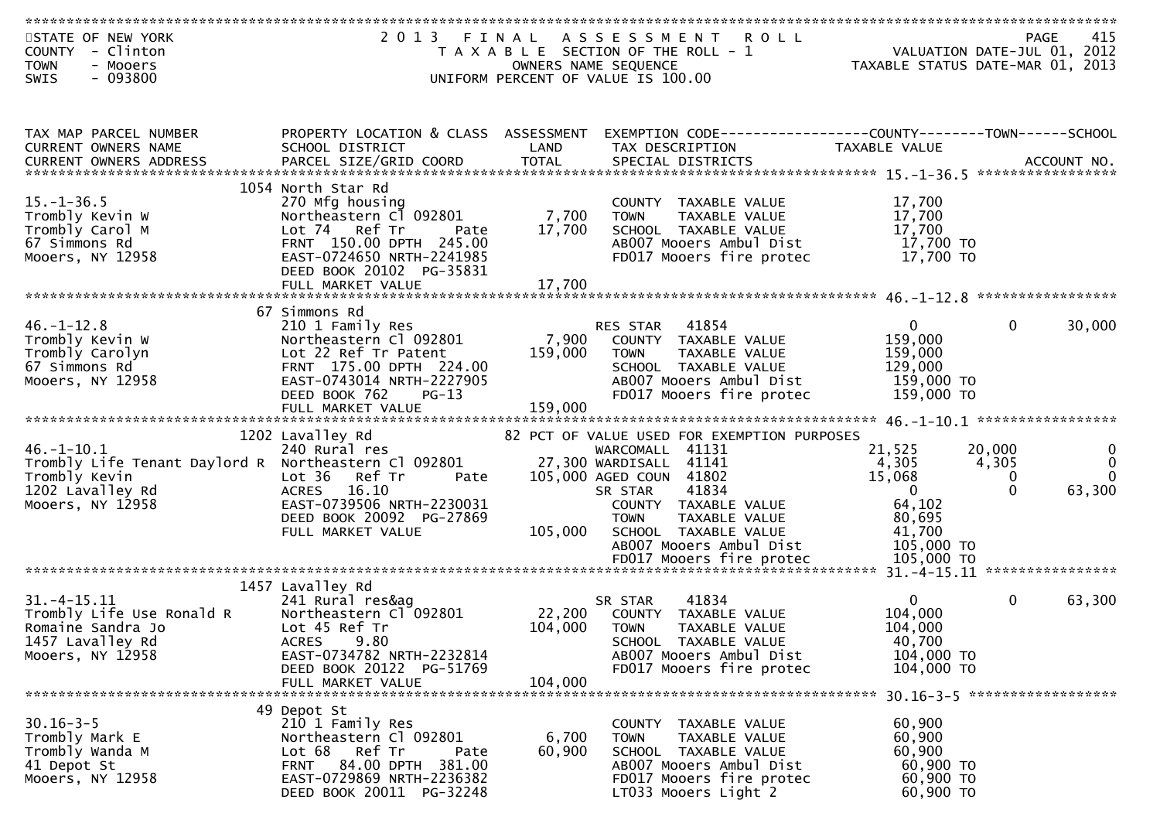| STATE OF NEW YORK<br>COUNTY - Clinton                |                                                      |                   | 2013 FINAL ASSESSMENT ROLL<br>T A X A B L E SECTION OF THE ROLL - 1 | PAGE 415<br>VALUATION DATE-JUL 01, 2012<br>TAXARLE STATUS DATE  2012 | 415                              |
|------------------------------------------------------|------------------------------------------------------|-------------------|---------------------------------------------------------------------|----------------------------------------------------------------------|----------------------------------|
| <b>TOWN</b><br>- Mooers                              |                                                      |                   | OWNERS NAME SEQUENCE                                                |                                                                      | TAXABLE STATUS DATE-MAR 01, 2013 |
| $-093800$<br>SWIS                                    |                                                      |                   | UNIFORM PERCENT OF VALUE IS 100.00                                  |                                                                      |                                  |
|                                                      |                                                      |                   |                                                                     |                                                                      |                                  |
|                                                      |                                                      |                   |                                                                     |                                                                      |                                  |
| TAX MAP PARCEL NUMBER                                | PROPERTY LOCATION & CLASS ASSESSMENT                 |                   | EXEMPTION CODE-----------------COUNTY-------TOWN------SCHOOL        |                                                                      |                                  |
| CURRENT OWNERS NAME                                  | SCHOOL DISTRICT                                      | LAND              | TAX DESCRIPTION                                                     | TAXABLE VALUE                                                        |                                  |
|                                                      |                                                      |                   |                                                                     |                                                                      |                                  |
|                                                      | 1054 North Star Rd                                   |                   |                                                                     |                                                                      |                                  |
| $15. - 1 - 36.5$<br>Trombly Kevin W                  | 270 Mfg housing<br>Northeastern Cl 092801            |                   | COUNTY TAXABLE VALUE                                                | 17,700<br>17,700                                                     |                                  |
| Trombly Carol M                                      | Lot 74 Ref Tr<br>Pate                                | 7,700<br>17,700   | TAXABLE VALUE<br><b>TOWN</b><br>SCHOOL TAXABLE VALUE                | 17,700                                                               |                                  |
| 67 Simmons Rd                                        | FRNT 150.00 DPTH 245.00                              |                   | AB007 Mooers Ambul Dist                                             | 17,700 TO                                                            |                                  |
| Mooers, NY 12958                                     | EAST-0724650 NRTH-2241985                            |                   | FD017 Mooers fire protec                                            | 17,700 TO                                                            |                                  |
|                                                      | DEED BOOK 20102 PG-35831                             |                   |                                                                     |                                                                      |                                  |
|                                                      | FULL MARKET VALUE                                    | 17,700            |                                                                     |                                                                      |                                  |
|                                                      | 67 Simmons Rd                                        |                   |                                                                     |                                                                      |                                  |
| $46. - 1 - 12.8$                                     | 210 1 Family Res                                     |                   | RES STAR<br>41854                                                   | $\mathbf{0}$                                                         | $\mathbf{0}$<br>30,000           |
| Trombly Kevin W                                      | Northeastern Cl 092801                               | 7,900             | COUNTY TAXABLE VALUE                                                | 159,000                                                              |                                  |
| Trombly Carolyn                                      | Lot 22 Ref Tr Patent                                 | 159,000           | TAXABLE VALUE<br><b>TOWN</b>                                        | 159,000                                                              |                                  |
| 67 Simmons Rd<br>Mooers, NY 12958                    | FRNT 175.00 DPTH 224.00<br>EAST-0743014 NRTH-2227905 |                   | SCHOOL TAXABLE VALUE<br>AB007 Mooers Ambul Dist                     | 129,000<br>159,000 TO                                                |                                  |
|                                                      | DEED BOOK 762<br>$PG-13$                             |                   | FD017 Mooers fire protec                                            | 159,000 TO                                                           |                                  |
|                                                      |                                                      |                   |                                                                     |                                                                      |                                  |
|                                                      |                                                      |                   |                                                                     |                                                                      |                                  |
| $46. - 1 - 10.1$                                     | 1202 Lavalley Rd<br>240 Rural res                    |                   | 82 PCT OF VALUE USED FOR EXEMPTION PURPOSES<br>WARCOMALL 41131      | 21,525                                                               | 20,000<br>0                      |
| Trombly Life Tenant Daylord R Northeastern Cl 092801 |                                                      |                   | 27,300 WARDISALL 41141                                              | 4,305                                                                | $\Omega$<br>4,305                |
| Trombly Kevin                                        | Lot 36 Ref Tr<br>Pate                                |                   | 105,000 AGED COUN 41802                                             | 15,068                                                               | $\Omega$<br>$\Omega$             |
| 1202 Lavalley Rd                                     | ACRES 16.10                                          |                   | 41834<br>SR STAR                                                    | $\Omega$                                                             | $\Omega$<br>63,300               |
| Mooers, NY 12958                                     | EAST-0739506 NRTH-2230031                            |                   | COUNTY TAXABLE VALUE                                                | 64,102                                                               |                                  |
|                                                      | DEED BOOK 20092 PG-27869                             |                   | TAXABLE VALUE<br><b>TOWN</b>                                        | 80,695                                                               |                                  |
|                                                      | FULL MARKET VALUE                                    | 105,000           | SCHOOL TAXABLE VALUE<br>AB007 Mooers Ambul Dist                     | 41,700<br>105,000 TO                                                 |                                  |
|                                                      |                                                      |                   | FD017 Mooers fire protec                                            | 105,000 TO                                                           |                                  |
|                                                      |                                                      |                   |                                                                     |                                                                      |                                  |
|                                                      | 1457 Lavalley Rd                                     |                   |                                                                     |                                                                      |                                  |
| $31. -4 - 15.11$                                     | 241 Rural res&ag<br>Northeastern Cl 092801           |                   | 41834<br>SR STAR                                                    | $\Omega$<br>104,000                                                  | $\mathbf{0}$<br>63,300           |
| Trombly Life Use Ronald R<br>Romaine Sandra Jo       | Lot 45 Ref Tr                                        | 22,200<br>104,000 | COUNTY TAXABLE VALUE<br><b>TOWN</b><br>TAXABLE VALUE                | 104,000                                                              |                                  |
| 1457 Lavalley Rd                                     | 9.80<br><b>ACRES</b>                                 |                   | SCHOOL TAXABLE VALUE                                                | 40,700                                                               |                                  |
| Mooers, NY 12958                                     | EAST-0734782 NRTH-2232814                            |                   | AB007 Mooers Ambul Dist                                             | 104,000 TO                                                           |                                  |
|                                                      | DEED BOOK 20122 PG-51769                             |                   | FD017 Mooers fire protec                                            | 104,000 TO                                                           |                                  |
|                                                      | FULL MARKET VALUE                                    | 104,000           |                                                                     |                                                                      | 30.16-3-5 ********************   |
|                                                      | 49 Depot St                                          |                   |                                                                     |                                                                      |                                  |
| $30.16 - 3 - 5$                                      | 210 1 Family Res                                     |                   | COUNTY TAXABLE VALUE                                                | 60,900                                                               |                                  |
| Trombly Mark E                                       | Northeastern Cl 092801                               | 6,700             | TAXABLE VALUE<br><b>TOWN</b>                                        | 60,900                                                               |                                  |
| Trombly Wanda M                                      | Ref Tr<br>Lot 68<br>Pate                             | 60,900            | SCHOOL TAXABLE VALUE                                                | 60,900                                                               |                                  |
| 41 Depot St<br>Mooers, NY 12958                      | FRNT 84.00 DPTH 381.00<br>EAST-0729869 NRTH-2236382  |                   | AB007 Mooers Ambul Dist<br>FD017 Mooers fire protec                 | 60,900 ТО<br>60,900 TO                                               |                                  |
|                                                      | DEED BOOK 20011 PG-32248                             |                   | LT033 Mooers Light 2                                                | 60,900 ТО                                                            |                                  |
|                                                      |                                                      |                   |                                                                     |                                                                      |                                  |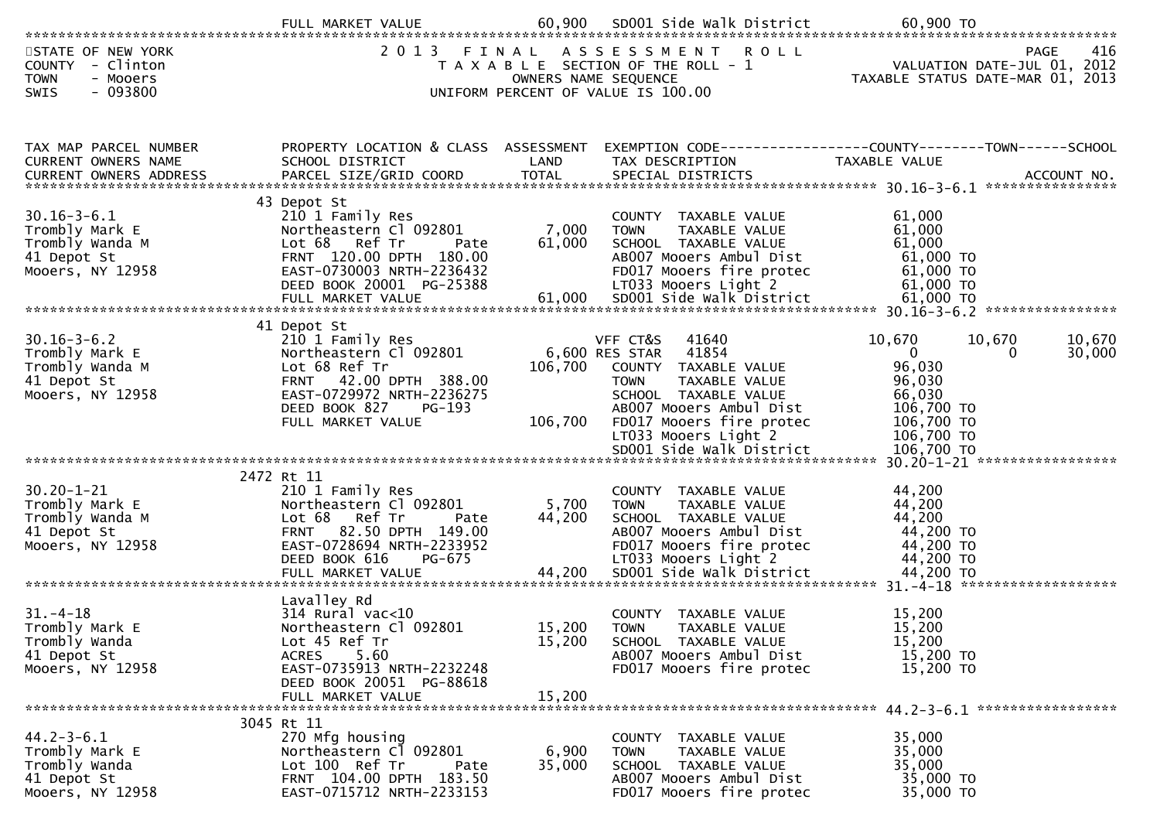|                                                                                           | FULL MARKET VALUE                                                                                                                                                                  | 60,900                        | SD001 Side Walk District                                                                                                                                                                                    | 60,900 TO                                                                                                                                                                                                                                 |
|-------------------------------------------------------------------------------------------|------------------------------------------------------------------------------------------------------------------------------------------------------------------------------------|-------------------------------|-------------------------------------------------------------------------------------------------------------------------------------------------------------------------------------------------------------|-------------------------------------------------------------------------------------------------------------------------------------------------------------------------------------------------------------------------------------------|
| STATE OF NEW YORK<br>COUNTY - Clinton<br><b>TOWN</b><br>- Mooers<br>$-093800$<br>SWIS     | 2 0 1 3                                                                                                                                                                            | FINAL<br>OWNERS NAME SEQUENCE | ASSESSMENT<br><b>ROLL</b><br>T A X A B L E SECTION OF THE ROLL - 1<br>UNIFORM PERCENT OF VALUE IS 100.00                                                                                                    | 416<br><b>PAGE</b><br>VALUATION DATE-JUL 01, 2012<br>TAXABLE STATUS DATE-MAR 01, 2013                                                                                                                                                     |
| TAX MAP PARCEL NUMBER<br>CURRENT OWNERS NAME                                              | PROPERTY LOCATION & CLASS ASSESSMENT<br>SCHOOL DISTRICT                                                                                                                            | LAND                          | TAX DESCRIPTION                                                                                                                                                                                             | EXEMPTION CODE-----------------COUNTY-------TOWN------SCHOOL<br><b>TAXABLE VALUE</b><br>.CURRENT OWNERS ADDRESS PARCEL SIZE/GRID COORD TOTAL SPECIAL DISTRICTS MOTHERS ADDRESS PARCEL SIZE/GRID COORD TOTAL SPECIAL DISTRICTS ACCOUNT NO. |
| $30.16 - 3 - 6.1$<br>Trombly Mark E<br>Trombly Wanda M<br>41 Depot St<br>Mooers, NY 12958 | 43 Depot St<br>210 1 Family Res<br>Northeastern Cl 092801<br>Lot 68 Ref Tr<br>Pate<br>FRNT 120.00 DPTH 180.00<br>EAST-0730003 NRTH-2236432<br>DEED BOOK 20001 PG-25388             | 7,000<br>61,000               | COUNTY TAXABLE VALUE<br>TAXABLE VALUE<br><b>TOWN</b><br>SCHOOL TAXABLE VALUE<br>AB007 Mooers Ambul Dist<br>FD017 Mooers fire protec<br>LT033 Mooers Light 2                                                 | 61,000<br>61,000<br>61,000<br>61,000 TO<br>61,000 TO<br>61,000 TO                                                                                                                                                                         |
| $30.16 - 3 - 6.2$<br>Trombly Mark E<br>Trombly Wanda M<br>41 Depot St<br>Mooers, NY 12958 | 41 Depot St<br>210 1 Family Res<br>Northeastern Cl 092801<br>Lot 68 Ref Tr<br>FRNT 42.00 DPTH 388.00<br>EAST-0729972 NRTH-2236275<br>DEED BOOK 827<br>PG-193<br>FULL MARKET VALUE  | 106,700<br>106,700            | VFF CT&S<br>41640<br>41854<br>6,600 RES STAR<br>COUNTY TAXABLE VALUE<br><b>TOWN</b><br>TAXABLE VALUE<br>SCHOOL TAXABLE VALUE<br>AB007 Mooers Ambul Dist<br>FD017 Mooers fire protec<br>LT033 Mooers Light 2 | 10,670<br>10,670<br>10,670<br>$\overline{0}$<br>30,000<br>$\Omega$<br>96,030<br>96,030<br>66,030<br>106,700 TO<br>106,700 TO<br>106,700 TO                                                                                                |
|                                                                                           |                                                                                                                                                                                    |                               | SD001 Side Walk District                                                                                                                                                                                    | 106,700 TO                                                                                                                                                                                                                                |
| $30.20 - 1 - 21$<br>Trombly Mark E<br>Trombly Wanda M<br>41 Depot St<br>Mooers, NY 12958  | 2472 Rt 11<br>210 1 Family Res<br>Northeastern Cl 092801<br>Lot 68 Ref Tr<br>Pate<br><b>FRNT</b><br>82.50 DPTH 149.00<br>EAST-0728694 NRTH-2233952<br>DEED BOOK 616<br>PG-675      | 5,700<br>44,200               | COUNTY TAXABLE VALUE<br>TAXABLE VALUE<br><b>TOWN</b><br>SCHOOL TAXABLE VALUE<br>AB007 Mooers Ambul Dist<br>FD017 Mooers fire protec<br>LT033 Mooers Light 2                                                 | 44,200<br>44,200<br>44,200<br>44,200 TO<br>44,200 TO<br>44,200 TO                                                                                                                                                                         |
| $31. - 4 - 18$<br>Trombly Mark E<br>Trombly Wanda<br>41 Depot St<br>Mooers, NY 12958      | Lavalley Rd<br>$314$ Rural vac<10<br>Northeastern Cl 092801<br>Lot 45 Ref Tr<br>5.60<br><b>ACRES</b><br>EAST-0735913 NRTH-2232248<br>DEED BOOK 20051 PG-88618<br>FULL MARKET VALUE | 15,200<br>15,200<br>15,200    | TAXABLE VALUE<br>COUNTY<br><b>TOWN</b><br>TAXABLE VALUE<br>SCHOOL TAXABLE VALUE<br>AB007 Mooers Ambul Dist<br>FD017 Mooers fire protec                                                                      | 15,200<br>15,200<br>15,200<br>15,200 TO<br>15,200 TO                                                                                                                                                                                      |
| $44.2 - 3 - 6.1$<br>Trombly Mark E<br>Trombly Wanda<br>41 Depot St<br>Mooers, NY 12958    | 3045 Rt 11<br>270 Mfg housing<br>Northeastern Cl 092801<br>Lot 100 Ref Tr<br>Pate<br>FRNT 104.00 DPTH 183.50<br>EAST-0715712 NRTH-2233153                                          | 6,900<br>35,000               | COUNTY TAXABLE VALUE<br>TAXABLE VALUE<br><b>TOWN</b><br>SCHOOL TAXABLE VALUE<br>AB007 Mooers Ambul Dist<br>FD017 Mooers fire protec                                                                         | 35,000<br>35,000<br>35,000<br>35,000 TO<br>35,000 TO                                                                                                                                                                                      |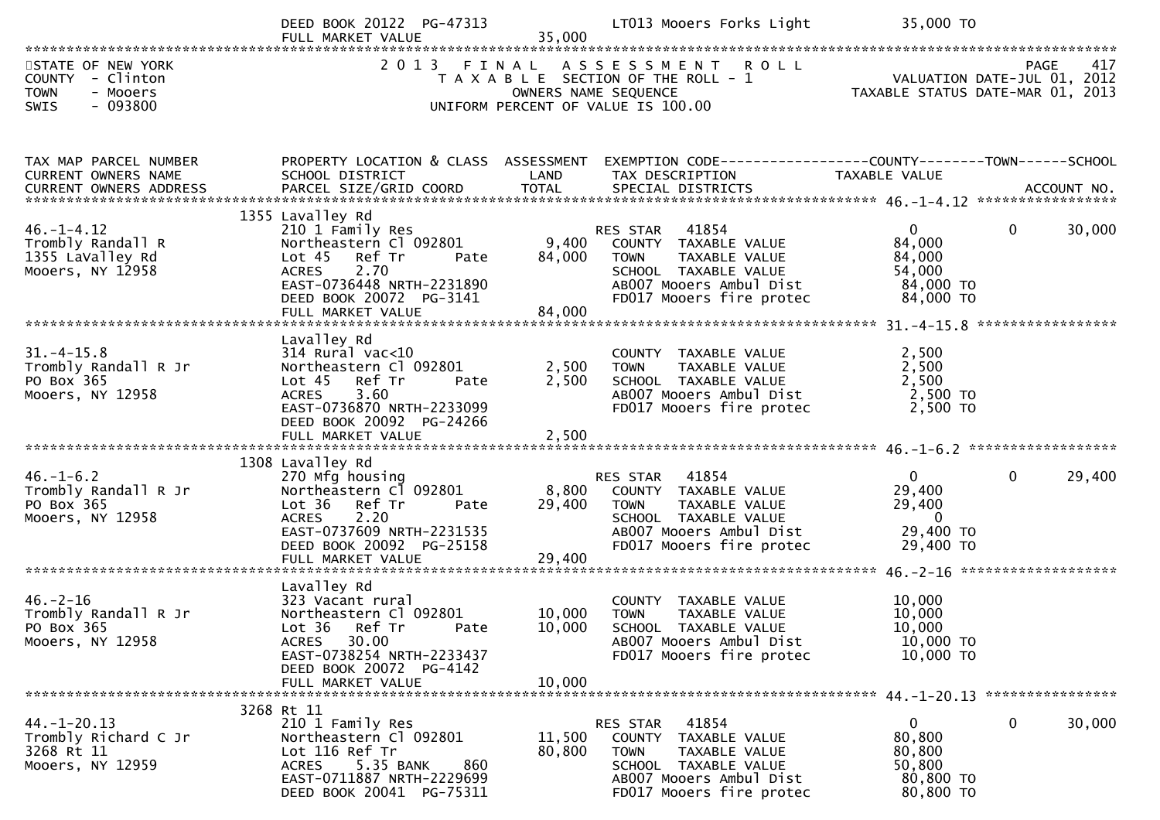|                                                                                             | DEED BOOK 20122 PG-47313<br>FULL MARKET VALUE                                                                                                                                                 | 35,000                    | LT013 Mooers Forks Light                                                                                                                                        | 35,000 TO                                                                                                   |                        |
|---------------------------------------------------------------------------------------------|-----------------------------------------------------------------------------------------------------------------------------------------------------------------------------------------------|---------------------------|-----------------------------------------------------------------------------------------------------------------------------------------------------------------|-------------------------------------------------------------------------------------------------------------|------------------------|
| STATE OF NEW YORK<br>COUNTY - Clinton<br><b>TOWN</b><br>- Mooers<br>- 093800<br><b>SWIS</b> |                                                                                                                                                                                               | OWNERS NAME SEQUENCE      | 2013 FINAL ASSESSMENT ROLL<br>T A X A B L E SECTION OF THE ROLL - 1<br>UNIFORM PERCENT OF VALUE IS 100.00                                                       | PAGE 417<br>VALUATION DATE-JUL 01, 2012<br>TAXARIF STATUS DATE WAS 2012<br>TAXABLE STATUS DATE-MAR 01, 2013 |                        |
| TAX MAP PARCEL NUMBER<br>CURRENT OWNERS NAME                                                | PROPERTY LOCATION & CLASS ASSESSMENT<br>SCHOOL DISTRICT                                                                                                                                       | LAND                      | EXEMPTION CODE------------------COUNTY--------TOWN------SCHOOL<br>TAX DESCRIPTION                                                                               | TAXABLE VALUE                                                                                               |                        |
| $46. - 1 - 4.12$<br>Trombly Randall R<br>1355 LaValley Rd<br>Mooers, NY 12958               | 1355 Lavalley Rd<br>210 1 Family Res<br>Northeastern Cl 092801<br>Lot 45 Ref Tr<br>Pate<br>2.70<br><b>ACRES</b><br>EAST-0736448 NRTH-2231890<br>DEED BOOK 20072 PG-3141<br>FULL MARKET VALUE  | 9,400<br>84,000<br>84,000 | 41854<br><b>RES STAR</b><br>COUNTY TAXABLE VALUE<br>TAXABLE VALUE<br><b>TOWN</b><br>SCHOOL TAXABLE VALUE<br>AB007 Mooers Ambul Dist<br>FD017 Mooers fire protec | $\mathbf{0}$<br>84,000<br>84,000<br>54,000<br>84,000 TO<br>84,000 TO                                        | 30,000<br>$\mathbf{0}$ |
| $31. - 4 - 15.8$<br>Trombly Randall R Jr<br>PO Box 365<br>Mooers, NY 12958                  | Lavalley Rd<br>$314$ Rural vac< $10$<br>Northeastern Cl 092801<br>Lot 45 Ref Tr<br>Pate<br>3.60<br><b>ACRES</b><br>EAST-0736870 NRTH-2233099<br>DEED BOOK 20092 PG-24266<br>FULL MARKET VALUE | 2,500<br>2,500<br>2,500   | COUNTY TAXABLE VALUE<br>TAXABLE VALUE<br><b>TOWN</b><br>SCHOOL TAXABLE VALUE<br>AB007 Mooers Ambul Dist<br>FD017 Mooers fire protec                             | 2,500<br>2,500<br>2,500<br>2,500 TO<br>2,500 TO                                                             |                        |
| $46. - 1 - 6.2$<br>Trombly Randall R Jr<br>PO Box 365<br>Mooers, NY 12958                   | 1308 Lavalley Rd<br>270 Mfg housing<br>Northeastern Cl 092801<br>Lot 36 Ref Tr<br>Pate<br><b>ACRES</b><br>2.20<br>EAST-0737609 NRTH-2231535<br>DEED BOOK 20092 PG-25158<br>FULL MARKET VALUE  | 8,800<br>29,400<br>29,400 | 41854<br>RES STAR<br>COUNTY TAXABLE VALUE<br>TAXABLE VALUE<br><b>TOWN</b><br>SCHOOL TAXABLE VALUE<br>AB007 Mooers Ambul Dist<br>FD017 Mooers fire protec        | $\overline{0}$<br>29,400<br>29,400<br>$\overline{\mathbf{0}}$<br>29,400 TO<br>29,400 TO                     | 29,400<br>$\mathbf{0}$ |
| $46. - 2 - 16$<br>Trombly Randall R Jr<br>PO Box 365<br>Mooers, NY 12958                    | Lavalley Rd<br>323 Vacant rural<br>Northeastern Cl 092801<br>Lot 36 Ref Tr<br>Pate<br>30.00<br>ACRES<br>EAST-0738254 NRTH-2233437<br>DEED BOOK 20072 PG-4142<br>FULL MARKET VALUE             | 10,000<br>10,000          | COUNTY<br>TAXABLE VALUE<br><b>TOWN</b><br>TAXABLE VALUE<br>10,000 SCHOOL TAXABLE VALUE<br>AB007 Mooers Ambul Dist<br>FD017 Mooers fire protec                   | 10,000<br>10,000<br>10,000<br>10,000 TO<br>10,000 TO                                                        |                        |
| $44. - 1 - 20.13$<br>Trombly Richard C Jr<br>3268 Rt 11<br>Mooers, NY 12959                 | 3268 Rt 11<br>210 1 Family Res<br>Northeastern Cl 092801<br>Lot 116 Ref Tr<br><b>ACRES</b><br>5.35 BANK<br>860<br>EAST-0711887 NRTH-2229699<br>DEED BOOK 20041 PG-75311                       | 11,500<br>80,800          | RES STAR<br>41854<br>COUNTY TAXABLE VALUE<br>TAXABLE VALUE<br>TOWN<br>SCHOOL TAXABLE VALUE<br>AB007 Mooers Ambul Dist<br>FD017 Mooers fire protec               | $\mathbf{0}$<br>80,800<br>80,800<br>50,800<br>80,800 TO<br>80,800 TO                                        | $\mathbf 0$<br>30,000  |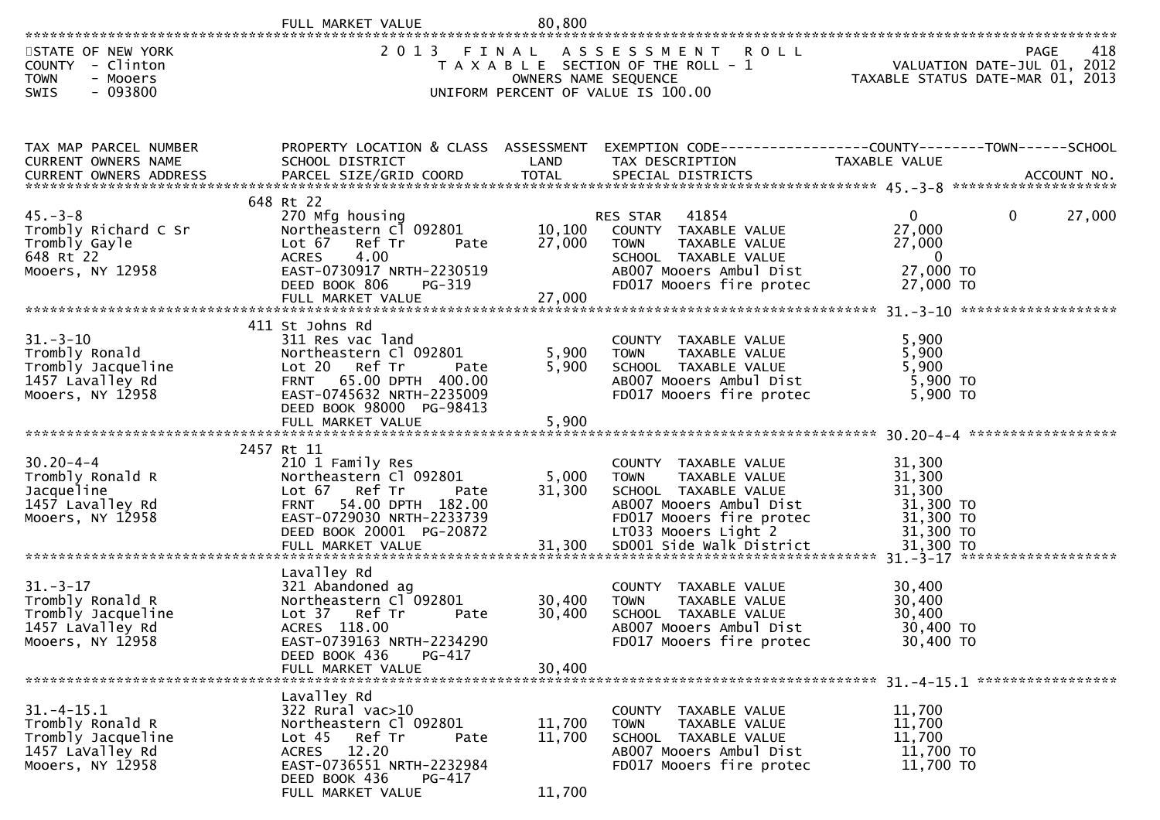|                                                                                                                                                                                                                                                                           | FULL MARKET VALUE                                                                                                                                                                            | 80,800                      |                                                                                                                                                             |                                                                          |             |
|---------------------------------------------------------------------------------------------------------------------------------------------------------------------------------------------------------------------------------------------------------------------------|----------------------------------------------------------------------------------------------------------------------------------------------------------------------------------------------|-----------------------------|-------------------------------------------------------------------------------------------------------------------------------------------------------------|--------------------------------------------------------------------------|-------------|
| STATE OF NEW YORK<br>COUNTY - Clinton<br><b>TOWN</b><br>- Mooers<br>- 093800<br><b>SWIS</b>                                                                                                                                                                               | 2013 FINAL                                                                                                                                                                                   | OWNERS NAME SEQUENCE        | ASSESSMENT ROLL<br>T A X A B L E SECTION OF THE ROLL - 1<br>UNIFORM PERCENT OF VALUE IS 100.00                                                              | VALUATION DATE-JUL 01, 2012<br>TAXABLE STATUS DATE-MAR $01, 2013$        | 418<br>PAGE |
| TAX MAP PARCEL NUMBER<br>CURRENT OWNERS NAME                                                                                                                                                                                                                              | SCHOOL DISTRICT                                                                                                                                                                              | LAND                        | PROPERTY LOCATION & CLASS ASSESSMENT EXEMPTION CODE----------------COUNTY-------TOWN------SCHOOL<br>TAX DESCRIPTION                                         | TAXABLE VALUE                                                            |             |
| $45. -3 - 8$<br>Trombly Richard C Sr<br>Trombly Gayle<br>648 Rt 22<br>Mooers, NY 12958                                                                                                                                                                                    | 648 Rt 22<br>270 Mfg housing<br>Northeastern Cl 092801<br>Lot $67$<br>Ref Tr<br>Pate<br>4.00<br><b>ACRES</b><br>EAST-0730917 NRTH-2230519<br>DEED BOOK 806<br>PG-319<br>FULL MARKET VALUE    | 10, 100<br>27,000<br>27,000 | 41854<br>RES STAR<br>COUNTY TAXABLE VALUE<br><b>TOWN</b><br>TAXABLE VALUE<br>SCHOOL TAXABLE VALUE<br>AB007 Mooers Ambul Dist<br>FD017 Mooers fire protec    | $\overline{0}$<br>27,000<br>27,000<br>$\Omega$<br>27,000 TO<br>27,000 TO | 0<br>27,000 |
| $31.-3-10$<br>Trombly Ronald<br>Trombly Jacqueline<br>1457 Lavalley Rd<br>Mooers, NY 12958                                                                                                                                                                                | 411 St Johns Rd<br>311 Res vac land<br>Northeastern Cl 092801<br>Lot 20 Ref Tr<br>Pate<br>FRNT 65.00 DPTH 400.00<br>EAST-0745632 NRTH-2235009<br>DEED BOOK 98000 PG-98413                    | 5,900<br>5,900              | COUNTY TAXABLE VALUE<br>TAXABLE VALUE<br><b>TOWN</b><br>SCHOOL TAXABLE VALUE<br>AB007 Mooers Ambul Dist<br>FD017 Mooers fire protec                         | 5,900<br>5,900<br>5,900<br>5,900 TO<br>5,900 TO                          |             |
| $30.20 - 4 - 4$<br>Trombly Ronald R<br>Jacqueline<br>1457 Lavalley Rd<br>Mooers, NY 12958<br>ے میں دوسرے میں دوسرے کے دوسرے کے دوسرے میں دوسرے میں دوسرے میں دوسرے میں دوسرے میں دوسرے میں دوسرے میں دوسرے<br>FULL MARKET VALUE 31,300 SDOO1 Side Walk District 51,300 TO | 2457 Rt 11<br>210 1 Family Res<br>Northeastern Cl 092801<br>Lot 67 Ref Tr<br>Pate<br>54.00 DPTH 182.00<br><b>FRNT</b><br>EAST-0729030 NRTH-2233739<br>DEED BOOK 20001 PG-20872               | 5,000<br>31,300             | COUNTY TAXABLE VALUE<br>TAXABLE VALUE<br><b>TOWN</b><br>SCHOOL TAXABLE VALUE<br>AB007 Mooers Ambul Dist<br>FD017 Mooers fire protec<br>LT033 Mooers Light 2 | 31,300<br>31,300<br>31,300<br>31,300 TO<br>31,300 TO<br>31,300 TO        |             |
| $31. - 3 - 17$<br>Trombly Ronald R<br>Trombly Jacqueline<br>1457 LaValley Rd<br>Mooers, NY 12958                                                                                                                                                                          | Lavalley Rd<br>321 Abandoned ag<br>Northeastern Cl <sup>-</sup> 092801<br>Lot 37 Ref Tr<br>Pate<br>ACRES 118.00<br>EAST-0739163 NRTH-2234290<br>DEED BOOK 436<br>PG-417<br>FULL MARKET VALUE | 30,400<br>30,400<br>30,400  | COUNTY TAXABLE VALUE<br>TAXABLE VALUE<br><b>TOWN</b><br>SCHOOL TAXABLE VALUE<br>AB007 Mooers Ambul Dist<br>FD017 Mooers fire protec                         | 30,400<br>30,400<br>30,400<br>30,400 TO<br>30,400 TO                     |             |
| $31.-4-15.1$<br>Trombly Ronald R<br>Trombly Jacqueline<br>1457 LaValley Rd<br>Mooers, NY 12958                                                                                                                                                                            | Lavalley Rd<br>322 Rural vac>10<br>Northeastern Cl 092801<br>Lot <sub>45</sub><br>Ref Tr<br>Pate<br>ACRES 12.20<br>EAST-0736551 NRTH-2232984<br>DEED BOOK 436<br>PG-417<br>FULL MARKET VALUE | 11,700<br>11,700<br>11,700  | COUNTY TAXABLE VALUE<br>TAXABLE VALUE<br><b>TOWN</b><br>SCHOOL TAXABLE VALUE<br>AB007 Mooers Ambul Dist<br>FD017 Mooers fire protec                         | 11,700<br>11,700<br>11,700<br>11,700 TO<br>11,700 TO                     |             |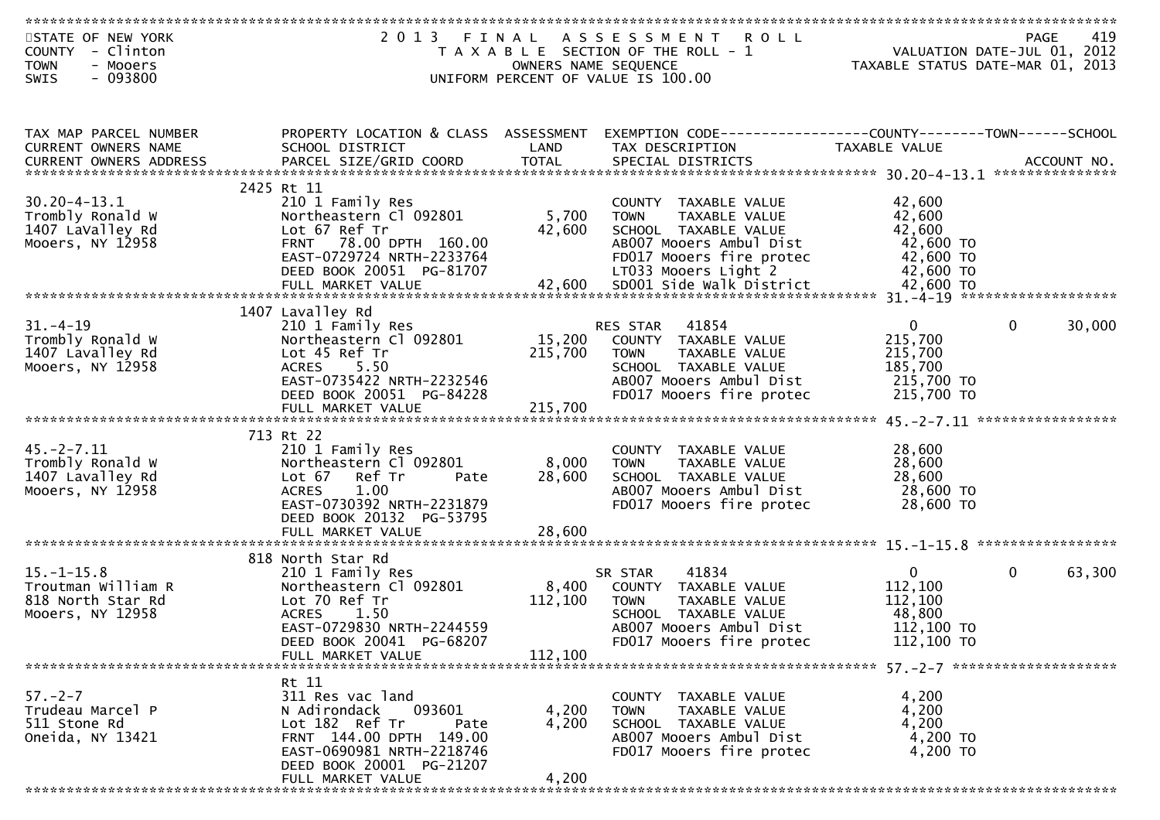| STATE OF NEW YORK             | 2 0 1 3                              | FINAL   | A S S E S S M E N T<br><b>ROLL</b>                           |                                  | <b>PAGE</b>  | 419    |
|-------------------------------|--------------------------------------|---------|--------------------------------------------------------------|----------------------------------|--------------|--------|
| - Clinton<br><b>COUNTY</b>    |                                      |         | T A X A B L E SECTION OF THE ROLL - 1                        | VALUATION DATE-JUL 01, 2012      |              |        |
| <b>TOWN</b><br>- Mooers       |                                      |         | OWNERS NAME SEQUENCE                                         | TAXABLE STATUS DATE-MAR 01, 2013 |              |        |
|                               |                                      |         |                                                              |                                  |              |        |
| $-093800$<br>SWIS             |                                      |         | UNIFORM PERCENT OF VALUE IS 100.00                           |                                  |              |        |
|                               |                                      |         |                                                              |                                  |              |        |
|                               |                                      |         |                                                              |                                  |              |        |
| TAX MAP PARCEL NUMBER         | PROPERTY LOCATION & CLASS ASSESSMENT |         | EXEMPTION CODE------------------COUNTY-------TOWN-----SCHOOL |                                  |              |        |
| CURRENT OWNERS NAME           | SCHOOL DISTRICT                      | LAND    | TAX DESCRIPTION                                              | TAXABLE VALUE                    |              |        |
| <b>CURRENT OWNERS ADDRESS</b> |                                      |         |                                                              |                                  |              |        |
|                               |                                      |         |                                                              |                                  |              |        |
|                               | 2425 Rt 11                           |         |                                                              |                                  |              |        |
| $30.20 - 4 - 13.1$            | 210 1 Family Res                     |         | COUNTY TAXABLE VALUE                                         | 42,600                           |              |        |
| Trombly Ronald W              | Northeastern Cl 092801               | 5,700   | <b>TOWN</b><br>TAXABLE VALUE                                 | 42,600                           |              |        |
|                               | Lot 67 Ref Tr                        |         |                                                              | 42,600                           |              |        |
| 1407 LaValley Rd              |                                      | 42,600  | SCHOOL TAXABLE VALUE                                         |                                  |              |        |
| Mooers, NY 12958              | FRNT 78.00 DPTH 160.00               |         | AB007 Mooers Ambul Dist                                      | 42,600 TO                        |              |        |
|                               | EAST-0729724 NRTH-2233764            |         | FD017 Mooers fire protec                                     | 42,600 TO                        |              |        |
|                               | DEED BOOK 20051 PG-81707             |         | LT033 Mooers Light 2                                         | 42,600 TO                        |              |        |
|                               | FULL MARKET VALUE                    | 42,600  | SD001 Side Walk District                                     | 42,600 TO                        |              |        |
|                               |                                      |         |                                                              |                                  |              |        |
|                               | 1407 Lavalley Rd                     |         |                                                              |                                  |              |        |
| $31. - 4 - 19$                | 210 1 Family Res                     |         | 41854<br>RES STAR                                            | $\mathbf{0}$                     | $\mathbf{0}$ | 30,000 |
| Trombly Ronald W              | Northeastern Cl 092801               | 15,200  | COUNTY TAXABLE VALUE                                         | 215,700                          |              |        |
| 1407 Lavalley Rd              | Lot 45 Ref Tr                        | 215,700 |                                                              | 215,700                          |              |        |
|                               |                                      |         | TAXABLE VALUE<br><b>TOWN</b>                                 |                                  |              |        |
| Mooers, NY 12958              | <b>ACRES</b><br>5.50                 |         | SCHOOL TAXABLE VALUE                                         | 185,700                          |              |        |
|                               | EAST-0735422 NRTH-2232546            |         | AB007 Mooers Ambul Dist                                      | 215,700 TO                       |              |        |
|                               | DEED BOOK 20051 PG-84228             |         | FD017 Mooers fire protec                                     | 215,700 TO                       |              |        |
|                               | FULL MARKET VALUE                    | 215,700 |                                                              |                                  |              |        |
|                               |                                      |         |                                                              |                                  |              |        |
|                               | 713 Rt 22                            |         |                                                              |                                  |              |        |
| $45. -2 - 7.11$               | 210 1 Family Res                     |         | COUNTY TAXABLE VALUE                                         | 28,600                           |              |        |
| Trombly Ronald W              | Northeastern Cl 092801               | 8,000   | TAXABLE VALUE<br><b>TOWN</b>                                 | 28,600                           |              |        |
| 1407 Lavalley Rd              | Lot 67 Ref Tr<br>Pate                | 28,600  | SCHOOL TAXABLE VALUE                                         | 28,600                           |              |        |
|                               | <b>ACRES</b>                         |         | AB007 Mooers Ambul Dist                                      |                                  |              |        |
| Mooers, NY 12958              | 1.00                                 |         |                                                              | 28,600 TO                        |              |        |
|                               | EAST-0730392 NRTH-2231879            |         | FD017 Mooers fire protec                                     | 28,600 TO                        |              |        |
|                               | DEED BOOK 20132 PG-53795             |         |                                                              |                                  |              |        |
|                               | FULL MARKET VALUE                    | 28,600  |                                                              |                                  |              |        |
|                               |                                      |         |                                                              |                                  |              |        |
|                               | 818 North Star Rd                    |         |                                                              |                                  |              |        |
| $15. - 1 - 15.8$              | 210 1 Family Res                     |         | 41834<br>SR STAR                                             | $\overline{0}$                   | $\mathbf{0}$ | 63,300 |
| Troutman William R            | Northeastern Cl 092801               | 8,400   | COUNTY TAXABLE VALUE                                         | 112,100                          |              |        |
| 818 North Star Rd             | Lot 70 Ref Tr                        | 112,100 | TAXABLE VALUE<br><b>TOWN</b>                                 | 112,100                          |              |        |
| Mooers, NY 12958              | <b>ACRES</b><br>1.50                 |         | SCHOOL TAXABLE VALUE                                         | 48,800                           |              |        |
|                               | EAST-0729830 NRTH-2244559            |         | AB007 Mooers Ambul Dist                                      | 112,100 TO                       |              |        |
|                               |                                      |         | FD017 Mooers fire protec                                     |                                  |              |        |
|                               | DEED BOOK 20041 PG-68207             |         |                                                              | 112,100 TO                       |              |        |
|                               | FULL MARKET VALUE                    | 112,100 |                                                              |                                  |              |        |
|                               |                                      |         |                                                              |                                  |              |        |
|                               | Rt 11                                |         |                                                              |                                  |              |        |
| $57. - 2 - 7$                 | 311 Res vac land                     |         | COUNTY TAXABLE VALUE                                         | 4,200                            |              |        |
| Trudeau Marcel P              | N Adirondack<br>093601               | 4,200   | <b>TOWN</b><br>TAXABLE VALUE                                 | 4,200                            |              |        |
| 511 Stone Rd                  | Lot 182 Ref Tr<br>Pate               | 4,200   | SCHOOL TAXABLE VALUE                                         | 4,200                            |              |        |
| Oneida, NY 13421              | FRNT 144.00 DPTH 149.00              |         | AB007 Mooers Ambul Dist                                      | 4,200 TO                         |              |        |
|                               | EAST-0690981 NRTH-2218746            |         | FD017 Mooers fire protec                                     | 4,200 TO                         |              |        |
|                               | DEED BOOK 20001 PG-21207             |         |                                                              |                                  |              |        |
|                               | FULL MARKET VALUE                    | 4,200   |                                                              |                                  |              |        |
|                               |                                      |         |                                                              |                                  |              |        |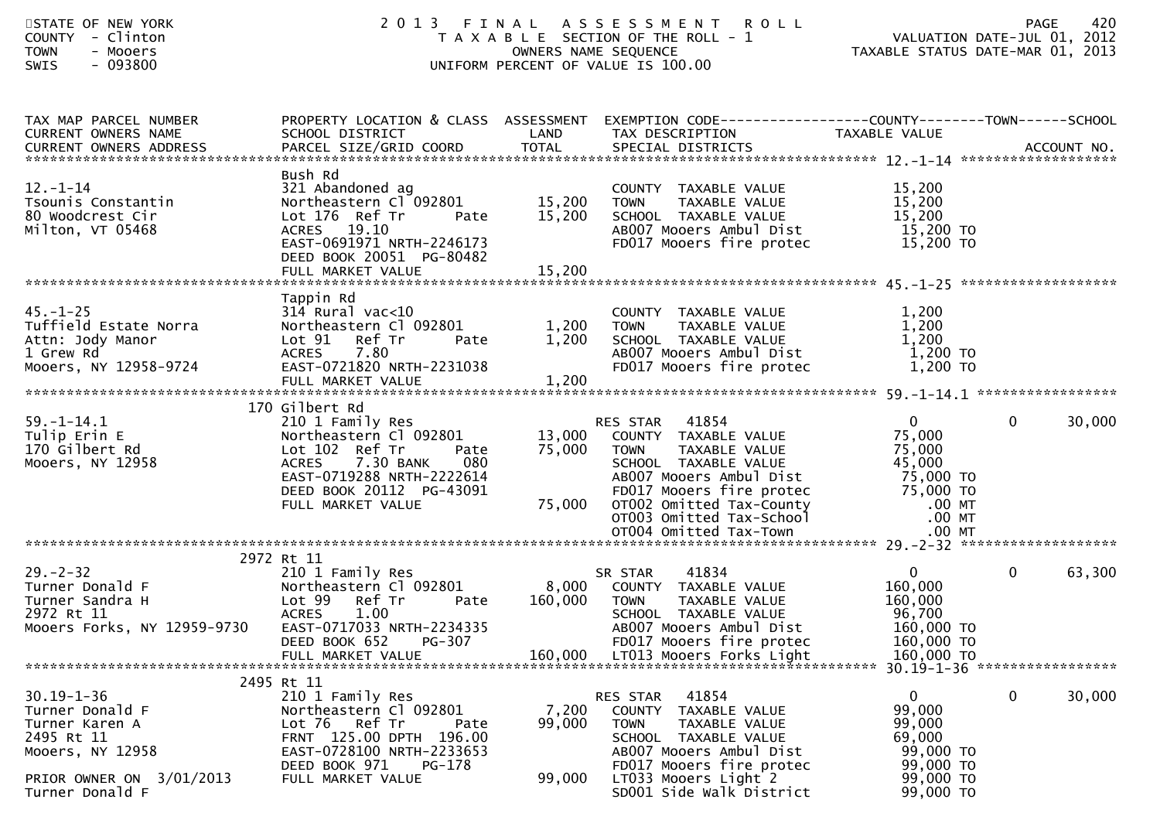| STATE OF NEW YORK<br>COUNTY - Clinton<br><b>TOWN</b><br>- Mooers<br><b>SWIS</b><br>- 093800                                            | 2 0 1 3                                                                                                                                                                                                  |                            | <b>ROLL</b><br>FINAL ASSESSMENT<br>T A X A B L E SECTION OF THE ROLL - 1<br>OWNERS NAME SEQUENCE<br>UNIFORM PERCENT OF VALUE IS 100.00                                                                                                  | VALUATION DATE-JUL 01, 2012<br>VALUATION DOLL 222 01, 2013<br>TAXABLE STATUS DATE-MAR 01, 2013           | 420<br><b>PAGE</b>                                        |
|----------------------------------------------------------------------------------------------------------------------------------------|----------------------------------------------------------------------------------------------------------------------------------------------------------------------------------------------------------|----------------------------|-----------------------------------------------------------------------------------------------------------------------------------------------------------------------------------------------------------------------------------------|----------------------------------------------------------------------------------------------------------|-----------------------------------------------------------|
| TAX MAP PARCEL NUMBER<br>CURRENT OWNERS NAME                                                                                           | SCHOOL DISTRICT                                                                                                                                                                                          | LAND                       | PROPERTY LOCATION & CLASS ASSESSMENT EXEMPTION CODE----------------COUNTY-------TOWN------SCHOOL<br>TAX DESCRIPTION                                                                                                                     | TAXABLE VALUE                                                                                            |                                                           |
| $12. - 1 - 14$<br>Tsounis Constantin<br>80 Woodcrest Cir<br>Milton, VT 05468                                                           | Bush Rd<br>321 Abandoned ag<br>Northeastern Cl 092801<br>Lot 176 Ref Tr<br>Pate<br>ACRES 19.10<br>EAST-0691971 NRTH-2246173<br>DEED BOOK 20051 PG-80482                                                  | 15,200<br>15,200           | COUNTY TAXABLE VALUE<br>TAXABLE VALUE<br>TOWN<br>SCHOOL TAXABLE VALUE<br>AB007 Mooers Ambul Dist<br>FD017 Mooers fire protec                                                                                                            | 15,200<br>15,200<br>15,200<br>15,200 TO<br>15,200 TO                                                     |                                                           |
| $45. - 1 - 25$<br>Tuffield Estate Norra<br>Attn: Jody Manor<br>1 Grew Rd<br>Mooers, NY 12958-9724                                      | Tappin Rd<br>$314$ Rural vac<10<br>Northeastern Cl 092801<br>Lot 91 Ref Tr<br>Pate<br><b>ACRES</b><br>7.80<br>EAST-0721820 NRTH-2231038<br>FULL MARKET VALUE                                             | 1,200<br>1,200<br>1,200    | COUNTY TAXABLE VALUE<br><b>TOWN</b><br>TAXABLE VALUE<br>SCHOOL TAXABLE VALUE<br>AB007 Mooers Ambul Dist<br>FD017 Mooers fire protec                                                                                                     | 1,200<br>1,200<br>1,200<br>1,200 TO<br>1,200 TO                                                          |                                                           |
| $59. - 1 - 14.1$<br>Tulip Erin E<br>170 Gilbert Rd<br>Mooers, NY 12958                                                                 | 170 Gilbert Rd<br>210 1 Family Res<br>Northeastern Cl 092801<br>Lot 102 Ref Tr<br>Pate<br>7.30 BANK<br><b>ACRES</b><br>080<br>EAST-0719288 NRTH-2222614<br>DEED BOOK 20112 PG-43091<br>FULL MARKET VALUE | 13,000<br>75,000<br>75,000 | RES STAR 41854<br>COUNTY TAXABLE VALUE<br>TAXABLE VALUE<br><b>TOWN</b><br>SCHOOL TAXABLE VALUE<br>AB007 Mooers Ambul Dist<br>FD017 Mooers fire protec<br>OTO02 Omitted Tax-County<br>OTO03 Omitted Tax-School<br>OTO04 Omitted Tax-Town | $\mathbf{0}$<br>75,000<br>75,000<br>45,000<br>75,000 TO<br>75,000 TO<br>$.00$ MT<br>$.00$ MT<br>$.00$ MT | $\mathbf{0}$<br>30,000                                    |
| $29. - 2 - 32$<br>Turner Donald F<br>Turner Sandra H<br>2972 Rt 11<br>Mooers Forks, NY 12959-9730                                      | 2972 Rt 11<br>210 1 Family Res<br>Northeastern Cl 092801<br>Lot 99<br>Ref Tr<br>Pate<br><b>ACRES</b><br>1.00<br>EAST-0717033 NRTH-2234335<br>PG-307<br>DEED BOOK 652                                     | 8,000<br>160,000           | 41834<br>SR STAR<br>COUNTY TAXABLE VALUE<br><b>TOWN</b><br>TAXABLE VALUE<br>SCHOOL TAXABLE VALUE<br>AB007 Mooers Ambul Dist<br>FD017 Mooers fire protec                                                                                 | $\mathbf{0}$<br>160,000<br>160,000<br>96,700<br>160,000 TO<br>160,000 TO<br>160,000 TO                   | $\overline{0}$<br>63,300<br>30.19-1-36 ****************** |
| $30.19 - 1 - 36$<br>Turner Donald F<br>Turner Karen A<br>2495 Rt 11<br>Mooers, NY 12958<br>PRIOR OWNER ON 3/01/2013<br>Turner Donald F | 2495 Rt 11<br>210 1 Family Res<br>Northeastern Cl 092801<br>Lot 76 Ref Tr<br>Pate<br>FRNT 125.00 DPTH 196.00<br>EAST-0728100 NRTH-2233653<br>DEED BOOK 971<br>PG-178<br>FULL MARKET VALUE                | 7,200<br>99,000<br>99,000  | RES STAR<br>41854<br><b>COUNTY</b><br>TAXABLE VALUE<br><b>TOWN</b><br>TAXABLE VALUE<br>SCHOOL TAXABLE VALUE<br>AB007 Mooers Ambul Dist<br>FD017 Mooers fire protec<br>LT033 Mooers Light 2<br>SD001 Side Walk District                  | $\mathbf{0}$<br>99,000<br>99,000<br>69,000<br>99,000 TO<br>99,000 TO<br>99,000 TO<br>99,000 TO           | $\mathbf 0$<br>30,000                                     |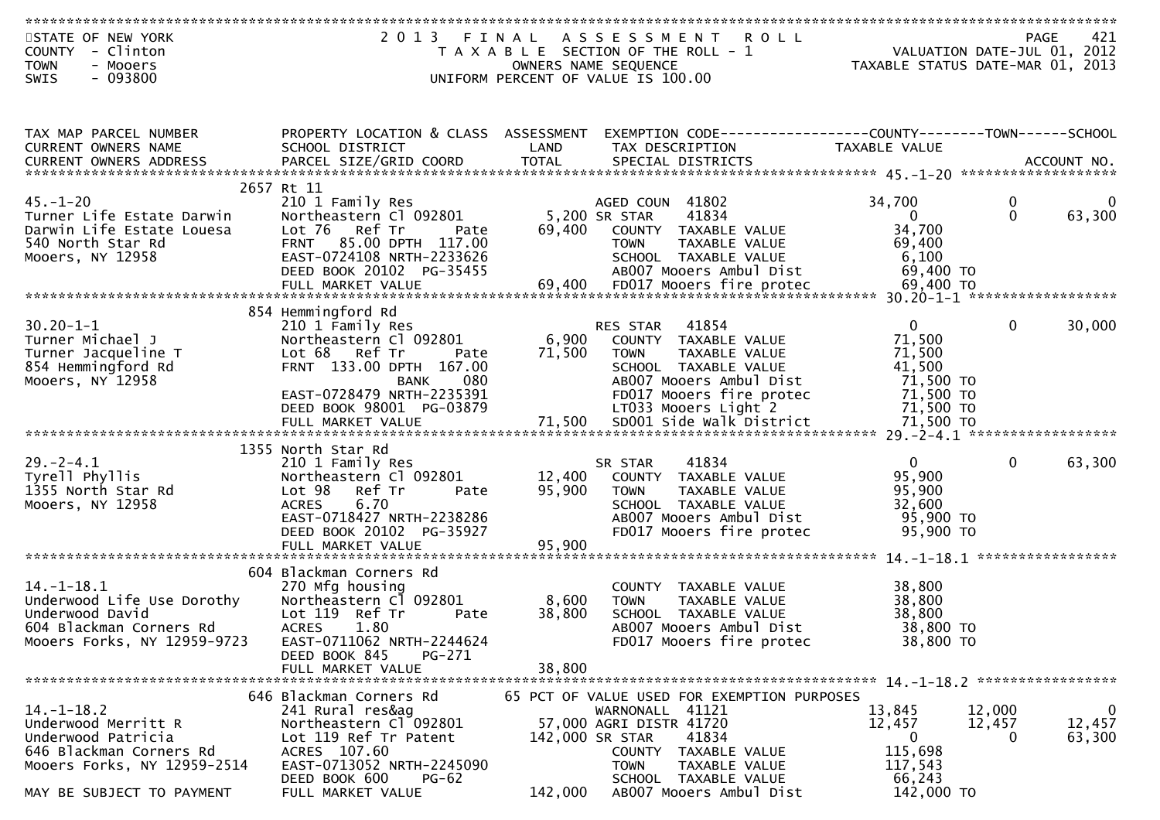| STATE OF NEW YORK                             | 2 0 1 3                               | FINAL           | A S S E S S M E N T<br><b>ROLL</b>                            |                          | 421<br><b>PAGE</b>               |
|-----------------------------------------------|---------------------------------------|-----------------|---------------------------------------------------------------|--------------------------|----------------------------------|
| - Clinton<br><b>COUNTY</b>                    |                                       |                 | T A X A B L E SECTION OF THE ROLL - 1                         |                          | VALUATION DATE-JUL 01, 2012      |
| <b>TOWN</b><br>- Mooers                       |                                       |                 | OWNERS NAME SEQUENCE                                          |                          | TAXABLE STATUS DATE-MAR 01, 2013 |
| $-093800$<br>SWIS                             |                                       |                 | UNIFORM PERCENT OF VALUE IS 100.00                            |                          |                                  |
|                                               |                                       |                 |                                                               |                          |                                  |
|                                               |                                       |                 |                                                               |                          |                                  |
| TAX MAP PARCEL NUMBER                         | PROPERTY LOCATION & CLASS ASSESSMENT  |                 | EXEMPTION CODE------------------COUNTY-------TOWN------SCHOOL |                          |                                  |
| CURRENT OWNERS NAME                           | SCHOOL DISTRICT                       | LAND            | TAX DESCRIPTION                                               | TAXABLE VALUE            |                                  |
| <b>CURRENT OWNERS ADDRESS</b>                 |                                       |                 |                                                               |                          |                                  |
|                                               |                                       |                 |                                                               |                          |                                  |
|                                               | 2657 Rt 11                            |                 |                                                               |                          |                                  |
| $45. - 1 - 20$                                | 210 1 Family Res                      |                 | AGED COUN 41802                                               | 34,700                   | 0<br>0                           |
| Turner Life Estate Darwin                     | Northeastern Cl 092801                |                 | 5,200 SR STAR<br>41834                                        | $\overline{0}$           | $\mathbf{0}$<br>63,300           |
| Darwin Life Estate Louesa                     | Lot 76 Ref Tr<br>Pate                 | 69,400          | COUNTY TAXABLE VALUE                                          | 34,700                   |                                  |
| 540 North Star Rd                             | 85.00 DPTH 117.00<br><b>FRNT</b>      |                 | TAXABLE VALUE<br><b>TOWN</b>                                  | 69,400                   |                                  |
| Mooers, NY 12958                              | EAST-0724108 NRTH-2233626             |                 | SCHOOL TAXABLE VALUE                                          | 6,100                    |                                  |
|                                               | DEED BOOK 20102 PG-35455              |                 | AB007 Mooers Ambul Dist                                       | 69,400 TO                |                                  |
|                                               |                                       |                 |                                                               |                          |                                  |
|                                               | 854 Hemmingford Rd                    |                 |                                                               |                          |                                  |
| $30.20 - 1 - 1$                               | 210 1 Family Res                      |                 | 41854<br>RES STAR                                             | $\overline{0}$           | $\mathbf{0}$<br>30,000           |
| Turner Michael J                              | Northeastern Cl 092801                | 6,900           | COUNTY TAXABLE VALUE                                          | 71,500                   |                                  |
| Turner Jacqueline T                           | Lot 68 Ref Tr<br>Pate                 | 71,500          | TAXABLE VALUE<br><b>TOWN</b>                                  | 71,500                   |                                  |
| 854 Hemmingford Rd                            | FRNT 133.00 DPTH 167.00               |                 | SCHOOL TAXABLE VALUE                                          | 41,500                   |                                  |
| Mooers, NY 12958                              | 080<br><b>BANK</b>                    |                 | AB007 Mooers Ambul Dist                                       | 71,500 TO                |                                  |
|                                               | EAST-0728479 NRTH-2235391             |                 | FD017 Mooers fire protec                                      | 71,500 TO                |                                  |
|                                               | DEED BOOK 98001 PG-03879              |                 | LT033 Mooers Light 2                                          | 71,500 TO                |                                  |
|                                               |                                       |                 |                                                               |                          |                                  |
|                                               |                                       |                 |                                                               |                          |                                  |
|                                               | 1355 North Star Rd                    |                 |                                                               |                          |                                  |
| $29. -2 - 4.1$                                | 210 1 Family Res                      |                 | 41834<br>SR STAR                                              | $\mathbf{0}$             | $\mathbf 0$<br>63,300            |
| Tyrell Phyllis                                | Northeastern Cl 092801                | 12,400          | COUNTY TAXABLE VALUE                                          | 95,900                   |                                  |
| 1355 North Star Rd                            | Lot 98<br>Ref Tr<br>Pate              | 95,900          | <b>TOWN</b><br>TAXABLE VALUE                                  | 95,900                   |                                  |
| Mooers, NY 12958                              | 6.70<br><b>ACRES</b>                  |                 | SCHOOL TAXABLE VALUE                                          | 32,600                   |                                  |
|                                               | EAST-0718427 NRTH-2238286             |                 | AB007 Mooers Ambul Dist                                       | 95,900 TO                |                                  |
|                                               | DEED BOOK 20102 PG-35927              |                 | FD017 Mooers fire protec                                      | 95,900 TO                |                                  |
|                                               |                                       |                 |                                                               |                          |                                  |
|                                               | 604 Blackman Corners Rd               |                 |                                                               |                          |                                  |
| $14. - 1 - 18.1$                              | 270 Mfg housing                       |                 | COUNTY TAXABLE VALUE                                          | 38,800                   |                                  |
| Underwood Life Use Dorothy                    | Northeastern Cl 092801                | 8,600           | <b>TOWN</b><br>TAXABLE VALUE                                  | 38,800                   |                                  |
| Underwood David                               | Lot 119 Ref Tr<br>Pate                | 38,800          | SCHOOL TAXABLE VALUE                                          | 38,800                   |                                  |
| 604 Blackman Corners Rd                       | 1.80<br><b>ACRES</b>                  |                 | AB007 Mooers Ambul Dist                                       | 38,800 TO                |                                  |
| Mooers Forks, NY 12959-9723                   | EAST-0711062 NRTH-2244624             |                 | FD017 Mooers fire protec                                      | 38,800 TO                |                                  |
|                                               | PG-271<br>DEED BOOK 845               |                 |                                                               |                          |                                  |
|                                               | FULL MARKET VALUE                     | 38,800          |                                                               |                          |                                  |
|                                               |                                       |                 |                                                               |                          |                                  |
|                                               | 646 Blackman Corners Rd               |                 | 65 PCT OF VALUE USED FOR EXEMPTION PURPOSES                   |                          |                                  |
| $14. - 1 - 18.2$                              | 241 Rural res&ag                      |                 | WARNONALL 41121                                               | 13,845                   | $\mathbf 0$<br>12,000            |
| Underwood Merritt R                           | Northeastern Cl 092801                |                 | 57,000 AGRI DISTR 41720                                       | 12,457<br>$\overline{0}$ | 12,457<br>12,457                 |
| Underwood Patricia<br>646 Blackman Corners Rd | Lot 119 Ref Tr Patent<br>ACRES 107.60 | 142,000 SR STAR | 41834<br>COUNTY TAXABLE VALUE                                 | 115,698                  | 63,300<br>0                      |
| Mooers Forks, NY 12959-2514                   | EAST-0713052 NRTH-2245090             |                 | TAXABLE VALUE<br><b>TOWN</b>                                  | 117,543                  |                                  |
|                                               | DEED BOOK 600<br>$PG-62$              |                 | SCHOOL TAXABLE VALUE                                          | 66,243                   |                                  |
| MAY BE SUBJECT TO PAYMENT                     | FULL MARKET VALUE                     | 142,000         | AB007 Mooers Ambul Dist                                       | 142,000 TO               |                                  |
|                                               |                                       |                 |                                                               |                          |                                  |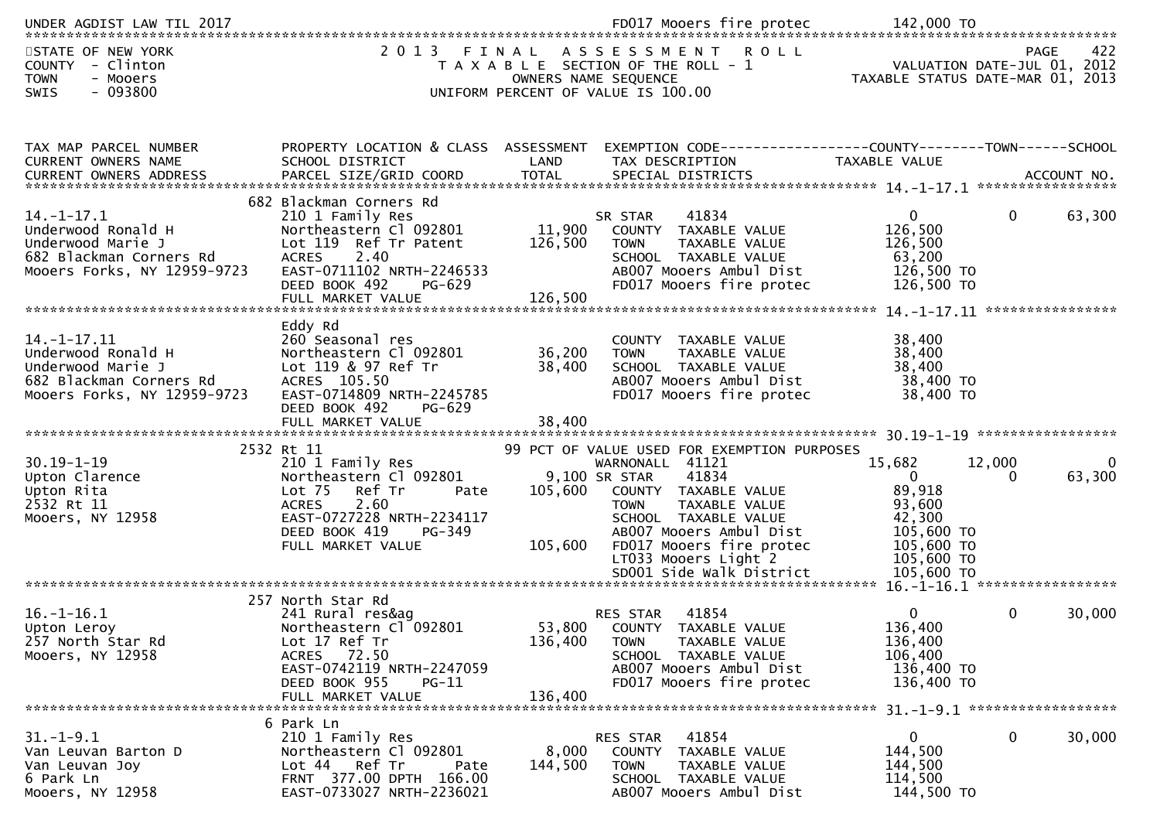| STATE OF NEW YORK<br>COUNTY - Clinton<br><b>TOWN</b><br>- Mooers<br><b>SWIS</b><br>$-093800$                          | 2013 FINAL                                                                                                                                                                             |                              | ASSESSMENT<br><b>ROLL</b><br>T A X A B L E SECTION OF THE ROLL - 1<br>OWNERS NAME SEQUENCE<br>UNIFORM PERCENT OF VALUE IS 100.00                                                                                                     | TAXABLE STATUS DATE-MAR 01, 2013                                                                             | <b>PAGE</b><br>VALUATION DATE-JUL 01, 2012 | 422         |
|-----------------------------------------------------------------------------------------------------------------------|----------------------------------------------------------------------------------------------------------------------------------------------------------------------------------------|------------------------------|--------------------------------------------------------------------------------------------------------------------------------------------------------------------------------------------------------------------------------------|--------------------------------------------------------------------------------------------------------------|--------------------------------------------|-------------|
| TAX MAP PARCEL NUMBER<br>CURRENT OWNERS NAME<br>CURRENT OWNERS ADDRESS                                                | PROPERTY LOCATION & CLASS ASSESSMENT<br>SCHOOL DISTRICT                                                                                                                                | LAND                         | EXEMPTION CODE------------------COUNTY--------TOWN------SCHOOL<br>TAX DESCRIPTION                                                                                                                                                    | TAXABLE VALUE                                                                                                |                                            |             |
| $14. - 1 - 17.1$<br>Underwood Ronald H<br>Underwood Marie J<br>682 Blackman Corners Rd<br>Mooers Forks, NY 12959-9723 | 682 Blackman Corners Rd<br>210 1 Family Res<br>Northeastern Cl 092801<br>Lot 119 Ref Tr Patent<br>2.40<br><b>ACRES</b><br>EAST-0711102 NRTH-2246533<br>DEED BOOK 492<br>PG-629         | 11,900<br>126,500            | 41834<br>SR STAR<br>COUNTY TAXABLE VALUE<br>TAXABLE VALUE<br><b>TOWN</b><br>SCHOOL TAXABLE VALUE<br>AB007 Mooers Ambul Dist<br>FD017 Mooers fire protec                                                                              | $\mathbf{0}$<br>126,500<br>126,500<br>63,200<br>126,500 TO<br>126,500 TO                                     | $\mathbf{0}$                               | 63,300      |
| 14. -1 -17. 11<br>Underwood Ronald H<br>Underwood Marie J<br>682 Blackman Corners Rd<br>Mooers Forks, NY 12959-9723   | Eddy Rd<br>260 Seasonal res<br>Northeastern Cl 092801<br>Lot 119 & 97 Ref Tr<br>ACRES 105.50<br>EAST-0714809 NRTH-2245785<br>DEED BOOK 492<br>PG-629                                   | 36,200<br>38,400             | TAXABLE VALUE<br>COUNTY<br>TAXABLE VALUE<br><b>TOWN</b><br>SCHOOL TAXABLE VALUE<br>AB007 Mooers Ambul Dist<br>FD017 Mooers fire protec                                                                                               | 38,400<br>38,400<br>38,400<br>38,400 TO<br>38,400 TO                                                         |                                            |             |
|                                                                                                                       | 2532 Rt 11                                                                                                                                                                             |                              | 99 PCT OF VALUE USED FOR EXEMPTION PURPOSES                                                                                                                                                                                          |                                                                                                              |                                            |             |
| $30.19 - 1 - 19$<br>Upton Clarence<br>Upton Rita<br>2532 Rt 11<br>Mooers, NY 12958                                    | 210 1 Family Res<br>Northeastern Cl 092801<br>Lot <sub>75</sub><br>Ref Tr<br>Pate<br><b>ACRES</b><br>2.60<br>EAST-0727228 NRTH-2234117<br>DEED BOOK 419<br>PG-349<br>FULL MARKET VALUE | 105,600<br>105,600           | WARNONALL 41121<br>41834<br>9,100 SR STAR<br>COUNTY TAXABLE VALUE<br>TAXABLE VALUE<br><b>TOWN</b><br>SCHOOL TAXABLE VALUE<br>AB007 Mooers Ambul Dist<br>FD017 Mooers fire protec<br>LT033 Mooers Light 2<br>SD001 Side Walk District | 15,682<br>$\mathbf{0}$<br>89,918<br>93,600<br>42,300<br>105,600 TO<br>105,600 TO<br>105,600 TO<br>105,600 TO | 12,000<br>$\Omega$                         | 0<br>63,300 |
|                                                                                                                       | 257 North Star Rd                                                                                                                                                                      |                              |                                                                                                                                                                                                                                      |                                                                                                              |                                            |             |
| $16. - 1 - 16.1$<br>Upton Leroy<br>257 North Star Rd<br>Mooers, NY 12958                                              | 241 Rural res&ag<br>Northeastern Cl 092801<br>Lot 17 Ref Tr<br>72.50<br>ACRES<br>EAST-0742119 NRTH-2247059<br>DEED BOOK 955<br><b>PG-11</b><br>FULL MARKET VALUE                       | 53,800<br>136,400<br>136,400 | 41854<br><b>RES STAR</b><br>COUNTY TAXABLE VALUE<br><b>TOWN</b><br>TAXABLE VALUE<br>SCHOOL TAXABLE VALUE<br>AB007 Mooers Ambul Dist<br>FD017 Mooers fire protec                                                                      | 0<br>136,400<br>136,400<br>106,400<br>136,400 TO<br>136,400 TO                                               | $\mathbf{0}$                               | 30,000      |
|                                                                                                                       |                                                                                                                                                                                        |                              |                                                                                                                                                                                                                                      |                                                                                                              |                                            |             |
| $31.-1-9.1$<br>Van Leuvan Barton D<br>Van Leuvan Joy<br>6 Park Ln<br>Mooers, NY 12958                                 | 6 Park Ln<br>210 1 Family Res<br>Northeastern Cl 092801<br>Lot 44 Ref Tr<br>Pate<br>FRNT 377.00 DPTH 166.00<br>EAST-0733027 NRTH-2236021                                               | 8,000<br>144,500             | 41854<br>RES STAR<br>COUNTY TAXABLE VALUE<br>TAXABLE VALUE<br><b>TOWN</b><br>SCHOOL TAXABLE VALUE<br>AB007 Mooers Ambul Dist                                                                                                         | $\mathbf{0}$<br>144,500<br>144,500<br>114,500<br>144,500 TO                                                  | $\bf{0}$                                   | 30,000      |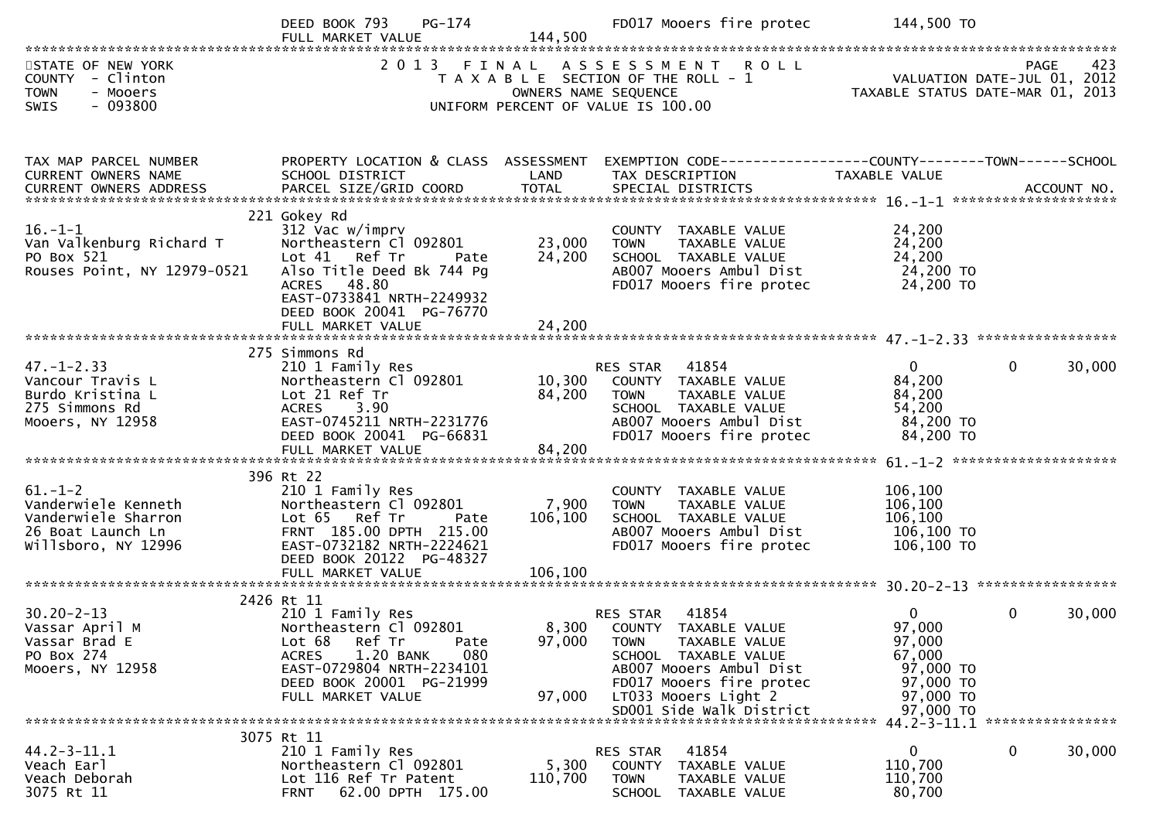|                                                                                                     | PG-174<br>DEED BOOK 793<br>FULL MARKET VALUE                                                                                                                                                           | 144,500                     | FD017 Mooers fire protec                                                                                                                                                                                           | 144,500 TO                                                                                       |                        |
|-----------------------------------------------------------------------------------------------------|--------------------------------------------------------------------------------------------------------------------------------------------------------------------------------------------------------|-----------------------------|--------------------------------------------------------------------------------------------------------------------------------------------------------------------------------------------------------------------|--------------------------------------------------------------------------------------------------|------------------------|
| STATE OF NEW YORK<br>COUNTY - Clinton<br><b>TOWN</b><br>- Mooers<br>$-093800$<br><b>SWIS</b>        |                                                                                                                                                                                                        | OWNERS NAME SEQUENCE        | 2013 FINAL ASSESSMENT ROLL<br>T A X A B L E SECTION OF THE ROLL - 1<br>UNIFORM PERCENT OF VALUE IS 100.00                                                                                                          | VALUATION DATE-JUL 01, 2012<br>TAXABLE STATUS DATE-MAR 01, 2013                                  | 423<br><b>PAGE</b>     |
| TAX MAP PARCEL NUMBER<br>CURRENT OWNERS NAME                                                        | PROPERTY LOCATION & CLASS ASSESSMENT<br>SCHOOL DISTRICT                                                                                                                                                | LAND                        | EXEMPTION CODE-----------------COUNTY--------TOWN------SCHOOL<br>TAX DESCRIPTION                                                                                                                                   | TAXABLE VALUE                                                                                    |                        |
| $16. - 1 - 1$<br>Van Valkenburg Richard T<br>PO Box 521<br>Rouses Point, NY 12979-0521              | 221 Gokey Rd<br>312 Vac w/imprv<br>Northeastern Cl 092801<br>Lot 41 Ref Tr<br>Pate<br>Also Title Deed Bk 744 Pg<br>ACRES 48.80<br>EAST-0733841 NRTH-2249932<br>DEED BOOK 20041 PG-76770                | 23,000<br>24,200            | COUNTY TAXABLE VALUE<br><b>TOWN</b><br>TAXABLE VALUE<br>SCHOOL TAXABLE VALUE<br>AB007 Mooers Ambul Dist<br>FD017 Mooers fire protec                                                                                | 24,200<br>24,200<br>24,200<br>24,200 TO<br>24,200 TO                                             |                        |
|                                                                                                     |                                                                                                                                                                                                        |                             |                                                                                                                                                                                                                    |                                                                                                  |                        |
| $47. - 1 - 2.33$<br>Vancour Travis L<br>Burdo Kristina L<br>275 Simmons Rd<br>Mooers, NY 12958      | 275 Simmons Rd<br>210 1 Family Res<br>Northeastern Cl 092801<br>Lot 21 Ref Tr<br>ACRES 3.90<br>EAST-0745211 NRTH-2231776<br>DEED BOOK 20041 PG-66831                                                   | 84,200                      | RES STAR 41854<br>10,300 COUNTY TAXABLE VALUE<br>TAXABLE VALUE<br><b>TOWN</b><br>SCHOOL TAXABLE VALUE<br>AB007 Mooers Ambul Dist<br>FD017 Mooers fire protec                                                       | $\overline{0}$<br>84,200<br>84,200<br>54,200<br>84,200 TO<br>84,200 TO                           | $\mathbf{0}$<br>30,000 |
| $61.-1-2$<br>Vanderwiele Kenneth<br>Vanderwiele Sharron<br>26 Boat Launch Ln<br>Willsboro, NY 12996 | 396 Rt 22<br>210 1 Family Res<br>Northeastern Cl 092801<br>Lot 65 Ref Tr<br>Pate<br>FRNT 185.00 DPTH 215.00<br>EAST-0732182 NRTH-2224621<br>DEED BOOK 20122 PG-48327<br>FULL MARKET VALUE              | 7,900<br>106,100<br>106,100 | COUNTY TAXABLE VALUE<br><b>TOWN</b><br>TAXABLE VALUE<br>SCHOOL TAXABLE VALUE<br>AB007 Mooers Ambul Dist<br>FD017 Mooers fire protec                                                                                | 106,100<br>106,100<br>106,100<br>106,100 TO<br>106,100 TO                                        |                        |
|                                                                                                     |                                                                                                                                                                                                        |                             |                                                                                                                                                                                                                    |                                                                                                  |                        |
| $30.20 - 2 - 13$<br>Vassar April M<br>Vassar Brad E<br>PO Box 274<br>Mooers, NY 12958               | 2426 Rt 11<br>210 1 Family Res<br>Northeastern Cl 092801<br>Ref Tr<br>Lot 68<br>Pate<br>1.20 BANK<br><b>ACRES</b><br>080<br>EAST-0729804 NRTH-2234101<br>DEED BOOK 20001 PG-21999<br>FULL MARKET VALUE | 97,000<br>97,000            | 41854<br>RES STAR<br>8,300 COUNTY TAXABLE VALUE<br><b>TOWN</b><br>TAXABLE VALUE<br>SCHOOL TAXABLE VALUE<br>AB007 Mooers Ambul Dist<br>FD017 Mooers fire protec<br>LT033 Mooers Light 2<br>SD001 Side Walk District | $\overline{0}$<br>97,000<br>97,000<br>67,000<br>97,000 TO<br>97,000 TO<br>97,000 TO<br>97,000 TO | $\Omega$<br>30,000     |
|                                                                                                     |                                                                                                                                                                                                        |                             |                                                                                                                                                                                                                    |                                                                                                  |                        |
| $44.2 - 3 - 11.1$<br>Veach Earl<br>Veach Deborah<br>3075 Rt 11                                      | 3075 Rt 11<br>210 1 Family Res<br>Northeastern Cl 092801<br>Lot 116 Ref Tr Patent<br>62.00 DPTH 175.00<br><b>FRNT</b>                                                                                  | 5,300<br>110,700            | 41854<br>RES STAR<br>COUNTY TAXABLE VALUE<br><b>TOWN</b><br>TAXABLE VALUE<br><b>SCHOOL</b><br>TAXABLE VALUE                                                                                                        | 0<br>110,700<br>110,700<br>80,700                                                                | 30,000<br>0            |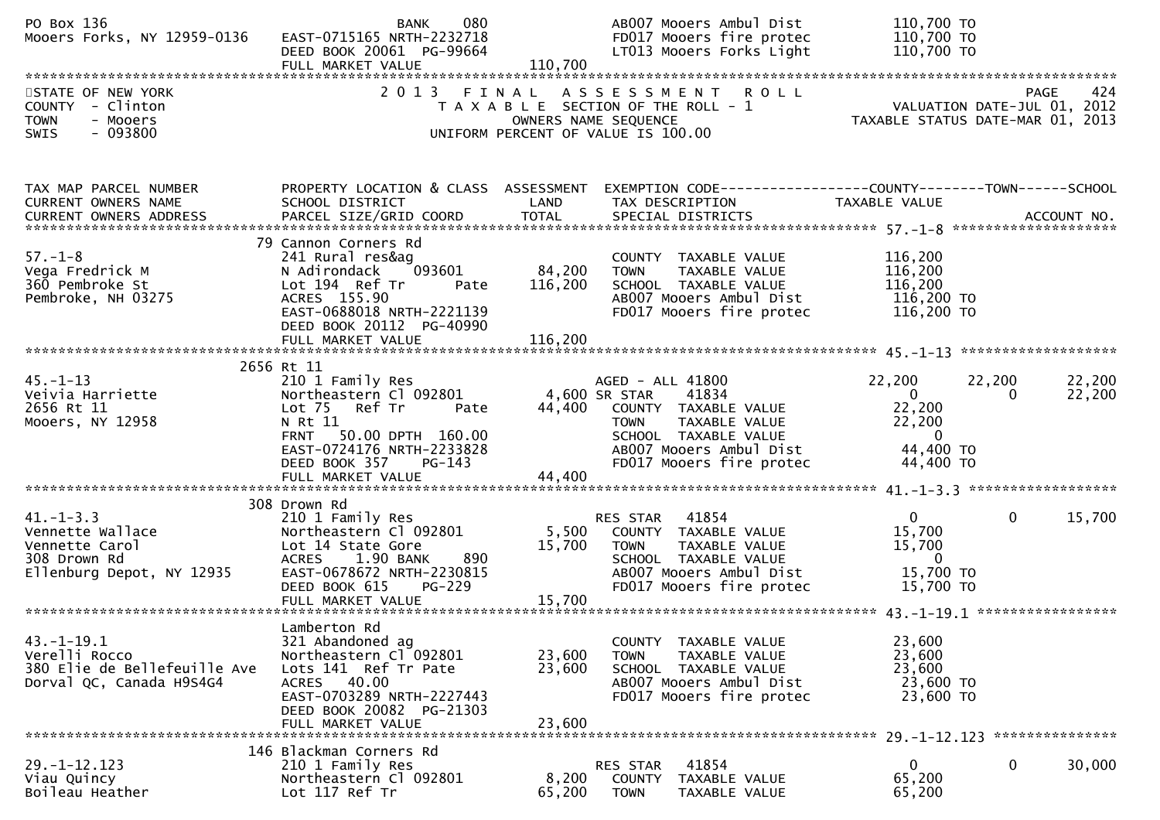| PO Box 136<br>Mooers Forks, NY 12959-0136                                                          | 080<br><b>BANK</b><br>EAST-0715165 NRTH-2232718<br>DEED BOOK 20061 PG-99664<br>FULL MARKET VALUE                                                                                                    | 110,700                      | ABOO7 Mooers Ambul Dist<br>FD017 Mooers fire protec<br>LT013 Mooers Forks Light                                                                                                          | 110,700 TO<br>110,700 TO<br>110,700 TO                                                 |                                                                                       |
|----------------------------------------------------------------------------------------------------|-----------------------------------------------------------------------------------------------------------------------------------------------------------------------------------------------------|------------------------------|------------------------------------------------------------------------------------------------------------------------------------------------------------------------------------------|----------------------------------------------------------------------------------------|---------------------------------------------------------------------------------------|
| STATE OF NEW YORK<br>COUNTY - Clinton<br><b>TOWN</b><br>- Mooers<br>$-093800$<br>SWIS              | 2 0 1 3                                                                                                                                                                                             | FINAL                        | ASSESSMENT ROLL<br>T A X A B L E SECTION OF THE ROLL - 1<br>OWNERS NAME SEQUENCE<br>UNIFORM PERCENT OF VALUE IS 100.00                                                                   |                                                                                        | 424<br><b>PAGE</b><br>VALUATION DATE-JUL 01, 2012<br>TAXABLE STATUS DATE-MAR 01, 2013 |
| TAX MAP PARCEL NUMBER<br>CURRENT OWNERS NAME<br><b>CURRENT OWNERS ADDRESS</b>                      | SCHOOL DISTRICT                                                                                                                                                                                     | LAND                         | PROPERTY LOCATION & CLASS ASSESSMENT EXEMPTION CODE----------------COUNTY-------TOWN------SCHOOL<br>TAX DESCRIPTION                                                                      | TAXABLE VALUE                                                                          |                                                                                       |
| $57. - 1 - 8$<br>Vega Fredrick M<br>360 Pembroke St<br>Pembroke, NH 03275                          | 79 Cannon Corners Rd<br>241 Rural res&ag<br>093601<br>N Adirondack<br>Lot 194 Ref Tr<br>Pate<br>ACRES 155.90<br>EAST-0688018 NRTH-2221139<br>DEED BOOK 20112 PG-40990<br>FULL MARKET VALUE          | 84,200<br>116,200<br>116,200 | COUNTY TAXABLE VALUE<br>TAXABLE VALUE<br><b>TOWN</b><br>SCHOOL TAXABLE VALUE<br>AB007 Mooers Ambul Dist<br>FD017 Mooers fire protec                                                      | 116,200<br>116,200<br>116,200<br>116,200 TO<br>116,200 TO                              |                                                                                       |
| $45. - 1 - 13$<br>Veivia Harriette<br>2656 Rt 11<br>Mooers, NY 12958                               | 2656 Rt 11<br>210 1 Family Res<br>Northeastern Cl 092801<br>Lot 75 Ref Tr<br>Pate<br>N Rt 11<br>FRNT 50.00 DPTH 160.00<br>EAST-0724176 NRTH-2233828<br>DEED BOOK 357<br>PG-143<br>FULL MARKET VALUE | 44,400                       | AGED - ALL 41800<br>4,600 SR STAR<br>41834<br>44,400 COUNTY TAXABLE VALUE<br>TAXABLE VALUE<br><b>TOWN</b><br>SCHOOL TAXABLE VALUE<br>AB007 Mooers Ambul Dist<br>FD017 Mooers fire protec | 22,200<br>$\mathbf{0}$<br>22,200<br>22,200<br>$\overline{0}$<br>44,400 TO<br>44,400 TO | 22,200<br>22,200<br>22,200<br>0                                                       |
|                                                                                                    |                                                                                                                                                                                                     |                              |                                                                                                                                                                                          |                                                                                        |                                                                                       |
| $41. - 1 - 3.3$<br>Vennette Wallace<br>Vennette Carol<br>308 Drown Rd<br>Ellenburg Depot, NY 12935 | 308 Drown Rd<br>210 1 Family Res<br>Northeastern Cl 092801<br>Lot 14 State Gore<br>890<br>ACRES 1.90 BANK<br>EAST-0678672 NRTH-2230815<br>DEED BOOK 615<br><b>PG-229</b>                            | 5,500<br>15,700              | RES STAR 41854<br>COUNTY TAXABLE VALUE<br><b>TOWN</b><br>TAXABLE VALUE<br>SCHOOL TAXABLE VALUE<br>AB007 Mooers Ambul Dist<br>FD017 Mooers fire protec                                    | $\mathbf{0}$<br>15,700<br>15,700<br>$\overline{0}$<br>15,700 TO<br>15,700 TO           | $\mathbf{0}$<br>15,700                                                                |
|                                                                                                    | FULL MARKET VALUE                                                                                                                                                                                   | 15,700                       |                                                                                                                                                                                          |                                                                                        |                                                                                       |
| $43.-1-19.1$<br>Verelli Rocco<br>380 Elie de Bellefeuille Ave<br>Dorval QC, Canada H9S4G4          | Lamberton Rd<br>321 Abandoned ag<br>Northeastern Cl 092801<br>Lots 141 Ref Tr Pate<br>ACRES 40.00<br>EAST-0703289 NRTH-2227443<br>DEED BOOK 20082 PG-21303<br>FULL MARKET VALUE                     | 23,600<br>23,600<br>23,600   | COUNTY TAXABLE VALUE<br>TAXABLE VALUE<br><b>TOWN</b><br>SCHOOL TAXABLE VALUE<br>AB007 Mooers Ambul Dist<br>FD017 Mooers fire protec                                                      | 23,600<br>23,600<br>23,600<br>23,600 TO<br>23,600 TO                                   |                                                                                       |
|                                                                                                    | 146 Blackman Corners Rd                                                                                                                                                                             |                              |                                                                                                                                                                                          | $29. - 1 - 12.123$                                                                     | ***************                                                                       |
| $29. - 1 - 12.123$<br>Viau Quincy<br>Boileau Heather                                               | 210 1 Family Res<br>Northeastern Cl 092801<br>Lot 117 Ref Tr                                                                                                                                        | 8,200<br>65,200              | 41854<br>RES STAR<br><b>COUNTY</b><br>TAXABLE VALUE<br><b>TOWN</b><br>TAXABLE VALUE                                                                                                      | 0<br>65,200<br>65,200                                                                  | 0<br>30,000                                                                           |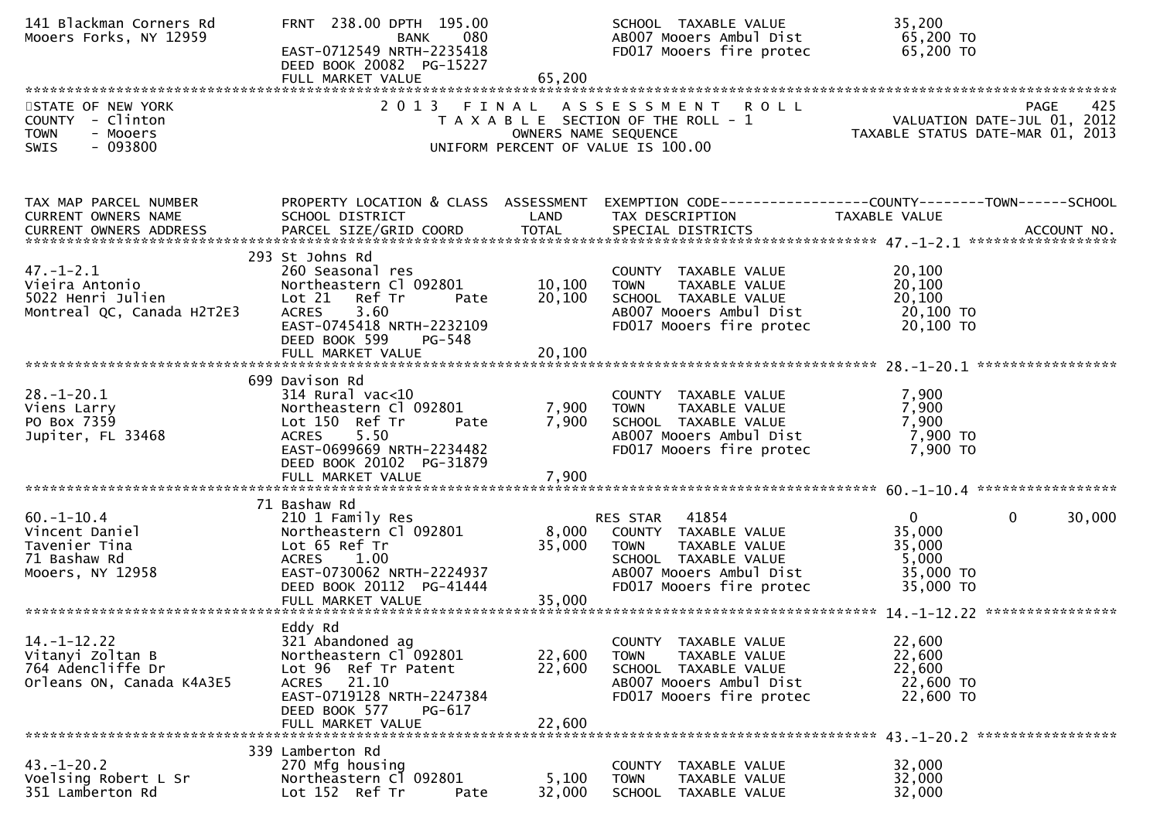| 141 Blackman Corners Rd<br>Mooers Forks, NY 12959                                       | FRNT 238.00 DPTH 195.00<br>080<br><b>BANK</b><br>EAST-0712549 NRTH-2235418<br>DEED BOOK 20082 PG-15227<br>FULL MARKET VALUE                                                                    | 65,200                     | SCHOOL TAXABLE VALUE<br>AB007 Mooers Ambul Dist<br>FD017 Mooers fire protec                                                                              | 35,200<br>65,200 TO<br>65,200 TO                                                       |
|-----------------------------------------------------------------------------------------|------------------------------------------------------------------------------------------------------------------------------------------------------------------------------------------------|----------------------------|----------------------------------------------------------------------------------------------------------------------------------------------------------|----------------------------------------------------------------------------------------|
| STATE OF NEW YORK<br>COUNTY - Clinton<br>- Mooers<br><b>TOWN</b><br>$-093800$<br>SWIS   |                                                                                                                                                                                                | OWNERS NAME SEQUENCE       | 2013 FINAL ASSESSMENT ROLL<br>T A X A B L E SECTION OF THE ROLL - 1<br>UNIFORM PERCENT OF VALUE IS 100.00                                                | 425<br>PAGE<br>VALUATION DATE-JUL 01, 2012<br>TAXABLE STATUS DATE-MAR 01, 2013         |
| TAX MAP PARCEL NUMBER<br>CURRENT OWNERS NAME                                            | PROPERTY LOCATION & CLASS ASSESSMENT<br>SCHOOL DISTRICT                                                                                                                                        | LAND                       | TAX DESCRIPTION                                                                                                                                          | EXEMPTION CODE------------------COUNTY--------TOWN------SCHOOL<br><b>TAXABLE VALUE</b> |
| $47. - 1 - 2.1$<br>Vieira Antonio<br>5022 Henri Julien<br>Montreal QC, Canada H2T2E3    | 293 St Johns Rd<br>260 Seasonal res<br>Northeastern Cl 092801<br>Ref Tr<br>Lot 21<br>Pate<br>3.60<br><b>ACRES</b><br>EAST-0745418 NRTH-2232109<br>DEED BOOK 599<br>PG-548<br>FULL MARKET VALUE | 10,100<br>20,100<br>20,100 | COUNTY TAXABLE VALUE<br><b>TOWN</b><br>TAXABLE VALUE<br>SCHOOL TAXABLE VALUE<br>AB007 Mooers Ambul Dist<br>FD017 Mooers fire protec                      | 20,100<br>20,100<br>20,100<br>20,100 TO<br>20,100 TO                                   |
| $28. - 1 - 20.1$<br>Viens Larry<br>PO Box 7359<br>Jupiter, FL 33468                     | 699 Davison Rd<br>$314$ Rural vac<10<br>Northeastern Cl 092801<br>Lot 150 Ref Tr<br>Pate<br><b>ACRES</b><br>5.50<br>EAST-0699669 NRTH-2234482<br>DEED BOOK 20102 PG-31879<br>FULL MARKET VALUE | 7,900<br>7,900<br>7,900    | COUNTY TAXABLE VALUE<br>TAXABLE VALUE<br><b>TOWN</b><br>SCHOOL TAXABLE VALUE<br>AB007 Mooers Ambul Dist<br>FD017 Mooers fire protec                      | 7,900<br>7,900<br>7,900<br>7,900 TO<br>7,900 TO                                        |
|                                                                                         | 71 Bashaw Rd                                                                                                                                                                                   |                            |                                                                                                                                                          |                                                                                        |
| $60. -1 - 10.4$<br>Vincent Daniel<br>Tavenier Tina<br>71 Bashaw Rd<br>Mooers, NY 12958  | 210 1 Family Res<br>Northeastern Cl 092801<br>Lot 65 Ref Tr<br>ACRES 1.00<br>EAST-0730062 NRTH-2224937<br>DEED BOOK 20112 PG-41444                                                             | 8,000<br>35,000            | 41854<br>RES STAR<br>COUNTY TAXABLE VALUE<br><b>TOWN</b><br>TAXABLE VALUE<br>SCHOOL TAXABLE VALUE<br>AB007 Mooers Ambul Dist<br>FD017 Mooers fire protec | $\Omega$<br>30,000<br>0<br>35,000<br>35,000<br>5,000<br>35,000 TO<br>35,000 TO         |
|                                                                                         | FULL MARKET VALUE                                                                                                                                                                              | 35,000                     |                                                                                                                                                          |                                                                                        |
| $14. - 1 - 12.22$<br>Vitanyi Zoltan B<br>764 Adencliffe Dr<br>Orleans ON, Canada K4A3E5 | Eddy Rd<br>321 Abandoned ag<br>Northeastern Cl 092801<br>Lot 96 Ref Tr Patent<br>ACRES 21.10<br>EAST-0719128 NRTH-2247384<br>DEED BOOK 577<br>PG-617<br>FULL MARKET VALUE                      | 22,600<br>22,600<br>22,600 | COUNTY TAXABLE VALUE<br><b>TOWN</b><br>TAXABLE VALUE<br>SCHOOL TAXABLE VALUE<br>AB007 Mooers Ambul Dist<br>FD017 Mooers fire protec                      | 22,600<br>22,600<br>22,600<br>22,600 TO<br>22,600 TO                                   |
|                                                                                         | 339 Lamberton Rd                                                                                                                                                                               |                            |                                                                                                                                                          |                                                                                        |
| $43. - 1 - 20.2$<br>Voelsing Robert L Sr<br>351 Lamberton Rd                            | 270 Mfg housing<br>Northeastern C1 092801<br>Lot 152 Ref Tr<br>Pate                                                                                                                            | 5,100<br>32,000            | COUNTY<br>TAXABLE VALUE<br><b>TOWN</b><br>TAXABLE VALUE<br>SCHOOL TAXABLE VALUE                                                                          | 32,000<br>32,000<br>32,000                                                             |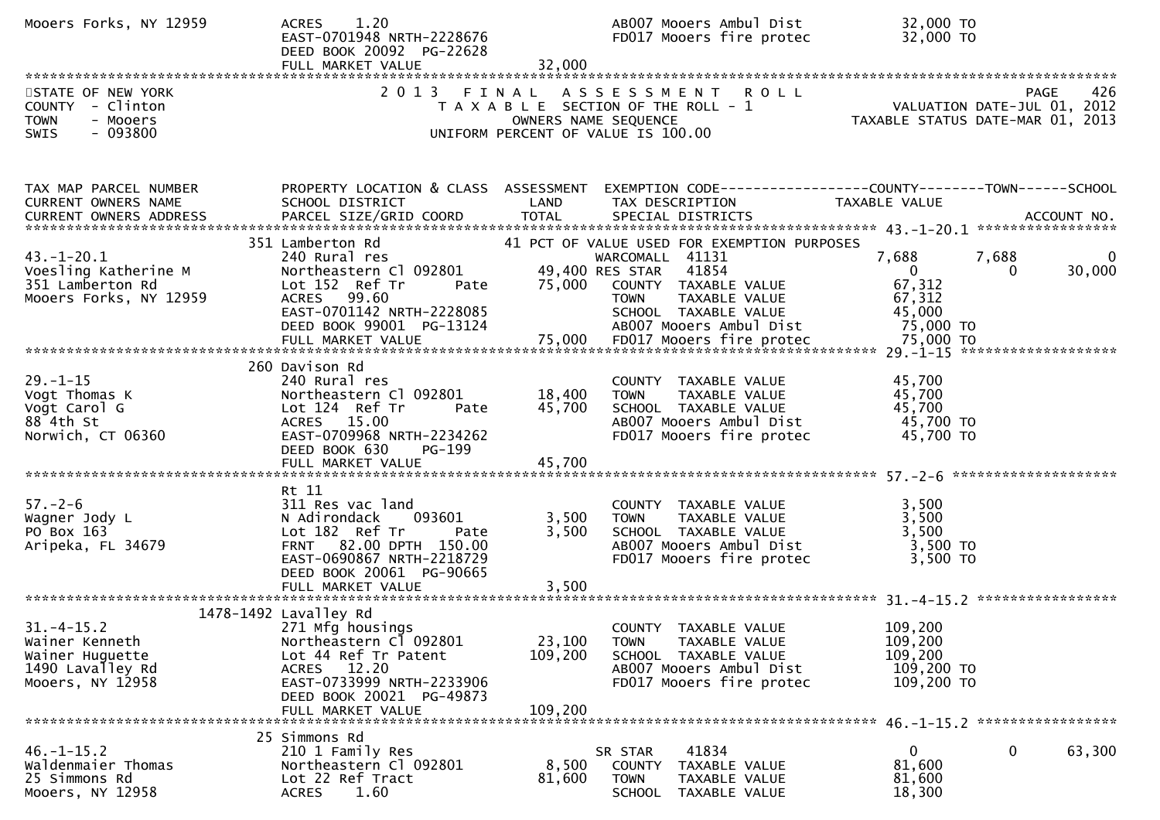| Mooers Forks, NY 12959                                                                    | 1.20<br><b>ACRES</b><br>EAST-0701948 NRTH-2228676<br>DEED BOOK 20092 PG-22628<br>FULL MARKET VALUE                                                                                       | 32,000                       | AB007 Mooers Ambul Dist<br>FD017 Mooers fire protec                                                                                                                                                | 32,000 TO<br>32,000 TO                                             |                             |
|-------------------------------------------------------------------------------------------|------------------------------------------------------------------------------------------------------------------------------------------------------------------------------------------|------------------------------|----------------------------------------------------------------------------------------------------------------------------------------------------------------------------------------------------|--------------------------------------------------------------------|-----------------------------|
| STATE OF NEW YORK<br>COUNTY - Clinton<br>TOWN<br>- Mooers<br>$-093800$<br><b>SWIS</b>     | 2 0 1 3                                                                                                                                                                                  | FINAL                        | ASSESSMENT ROLL<br>T A X A B L E SECTION OF THE ROLL - 1<br>$\frac{1}{2}$<br>OWNERS NAME SEQUENCE<br>UNIFORM PERCENT OF VALUE IS 100.00                                                            | VALUATION DATE-JUL 01, 2012<br>TAXABLE STATUS DATE-MAR 01, 2013    | 426<br>PAGE                 |
| TAX MAP PARCEL NUMBER<br>CURRENT OWNERS NAME                                              | PROPERTY LOCATION & CLASS ASSESSMENT<br>SCHOOL DISTRICT                                                                                                                                  | LAND                         | EXEMPTION CODE-----------------COUNTY-------TOWN------SCHOOL<br>TAX DESCRIPTION                                                                                                                    | TAXABLE VALUE                                                      |                             |
| $43. - 1 - 20.1$<br>Voesling Katherine M<br>351 Lamberton Rd<br>Mooers Forks, NY 12959    | 351 Lamberton Rd<br>240 Rural res<br>Northeastern C1 092801 49,400<br>Lot 152 Ref Tr Pate 75,000<br>ACRES 99.60<br>EAST-0701142 NRTH-2228085<br>DEED BOOK 99001 PG-13124                 |                              | 41 PCT OF VALUE USED FOR EXEMPTION PURPOSES<br>WARCOMALL 41131<br>49,400 RES STAR 41854<br>COUNTY TAXABLE VALUE<br>TAXABLE VALUE<br><b>TOWN</b><br>SCHOOL TAXABLE VALUE<br>AB007 Mooers Ambul Dist | 7,688<br>$\overline{0}$<br>67,312<br>67,312<br>45,000<br>75,000 TO | 7,688<br>30,000<br>$\bf{0}$ |
| $29. - 1 - 15$<br>Vogt Thomas K<br>Vogt Carol G<br>88 4th St<br>Norwich, CT 06360         | 260 Davison Rd<br>240 Rural res<br>Northeastern Cl 092801<br>Lot 124 Ref Tr<br>Pate<br>ACRES 15.00<br>EAST-0709968 NRTH-2234262<br>DEED BOOK 630<br>PG-199<br>FULL MARKET VALUE          | 18,400<br>45,700<br>45,700   | COUNTY TAXABLE VALUE<br><b>TOWN</b><br>TAXABLE VALUE<br>SCHOOL TAXABLE VALUE<br>AB007 Mooers Ambul Dist<br>FD017 Mooers fire protec                                                                | 45,700<br>45,700<br>45,700<br>45,700 TO<br>45,700 TO               |                             |
| $57. - 2 - 6$<br>Wagner Jody L<br>PO Box 163<br>Aripeka, FL 34679                         | Rt 11<br>311 Res vac land<br>093601<br>N Adirondack<br>Lot 182 Ref Tr<br>Pate<br>FRNT 82.00 DPTH 150.00<br>EAST-0690867 NRTH-2218729<br>DEED BOOK 20061 PG-90665                         | 3,500<br>3,500               | COUNTY TAXABLE VALUE<br>TAXABLE VALUE<br><b>TOWN</b><br>SCHOOL TAXABLE VALUE<br>AB007 Mooers Ambul Dist<br>FD017 Mooers fire protec                                                                | 3,500<br>3,500<br>3,500<br>3,500 TO<br>3,500 TO                    |                             |
| $31.-4-15.2$<br>Wainer Kenneth<br>Wainer Huguette<br>1490 Lavalley Rd<br>Mooers, NY 12958 | 1478-1492 Lavalley Rd<br>271 Mfg housings<br>Northeastern Cl 092801<br>Lot 44 Ref Tr Patent<br>ACRES 12.20<br>EAST-0733999 NRTH-2233906<br>DEED BOOK 20021 PG-49873<br>FULL MARKET VALUE | 23,100<br>109,200<br>109,200 | COUNTY TAXABLE VALUE<br>TAXABLE VALUE<br><b>TOWN</b><br>SCHOOL TAXABLE VALUE<br>AB007 Mooers Ambul Dist<br>FD017 Mooers fire protec                                                                | 109,200<br>109,200<br>109,200<br>109,200 TO<br>109,200 TO          |                             |
| $46. - 1 - 15.2$<br>Waldenmaier Thomas<br>25 Simmons Rd<br>Mooers, NY 12958               | 25 Simmons Rd<br>210 1 Family Res<br>Northeastern Cl 092801<br>Lot 22 Ref Tract<br>1.60<br><b>ACRES</b>                                                                                  | 8,500<br>81,600              | 41834<br>SR STAR<br>COUNTY TAXABLE VALUE<br><b>TOWN</b><br>TAXABLE VALUE<br>SCHOOL TAXABLE VALUE                                                                                                   | 0<br>81,600<br>81,600<br>18,300                                    | $\mathbf 0$<br>63,300       |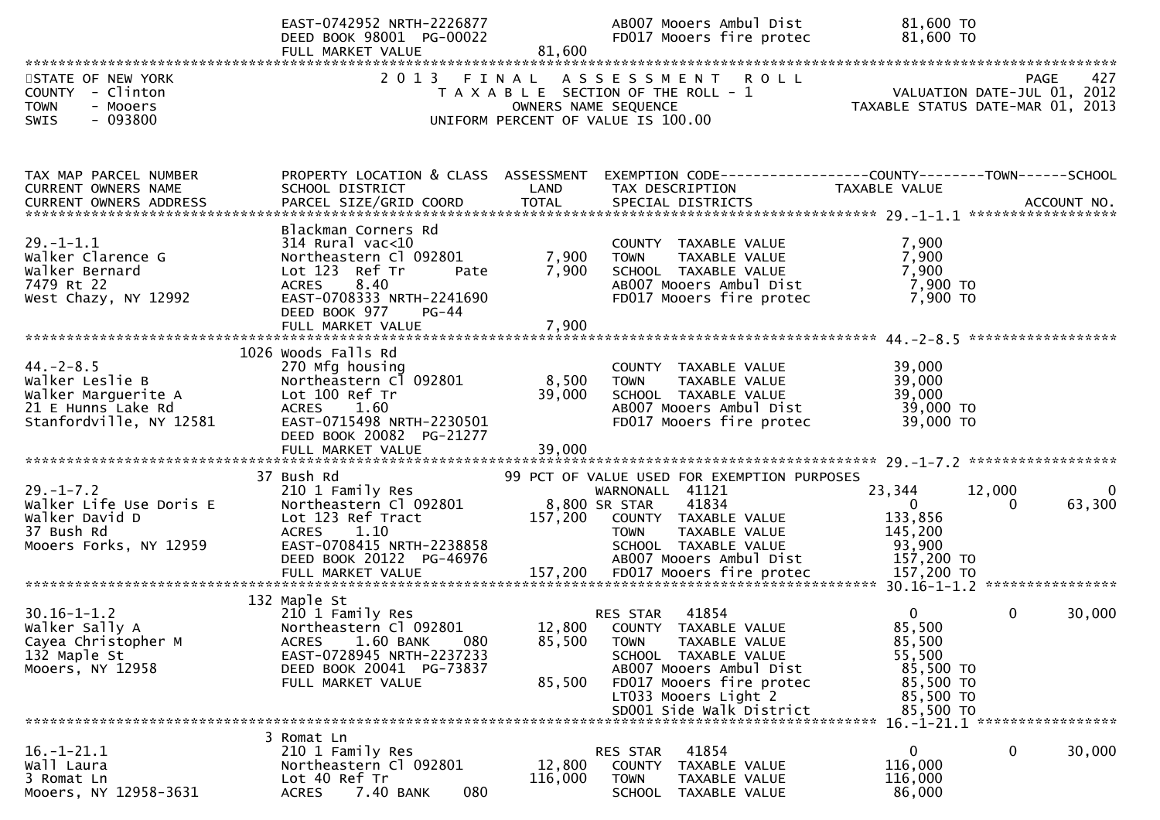|                                                                                                            | EAST-0742952 NRTH-2226877<br>DEED BOOK 98001 PG-00022<br>FULL MARKET VALUE                                                                                                                     | 81,600                     | AB007 Mooers Ambul Dist<br>FD017 Mooers fire protec                                                                                                                                                          | 81,600 TO<br>81,600 TO                                                                   |             |
|------------------------------------------------------------------------------------------------------------|------------------------------------------------------------------------------------------------------------------------------------------------------------------------------------------------|----------------------------|--------------------------------------------------------------------------------------------------------------------------------------------------------------------------------------------------------------|------------------------------------------------------------------------------------------|-------------|
| STATE OF NEW YORK<br>COUNTY - Clinton<br><b>TOWN</b><br>- Mooers<br>$-093800$<br>SWIS                      | 2013 FINAL                                                                                                                                                                                     |                            | ASSESSMENT ROLL<br>T A X A B L E SECTION OF THE ROLL - 1<br>OWNERS NAME SEQUENCE<br>UNIFORM PERCENT OF VALUE IS 100.00                                                                                       | <b>PAGE</b><br>VALUATION DATE-JUL 01, 2012<br>TAXABLE STATUS DATE-MAR 01, 2013           | 427         |
| TAX MAP PARCEL NUMBER<br>CURRENT OWNERS NAME                                                               | PROPERTY LOCATION & CLASS ASSESSMENT<br>SCHOOL DISTRICT                                                                                                                                        | LAND                       | TAX DESCRIPTION                                                                                                                                                                                              | EXEMPTION CODE-----------------COUNTY-------TOWN------SCHOOL<br>TAXABLE VALUE            |             |
| <b>CURRENT OWNERS ADDRESS</b>                                                                              |                                                                                                                                                                                                |                            |                                                                                                                                                                                                              |                                                                                          |             |
| $29. - 1 - 1.1$<br>Walker Clarence G<br>Walker Bernard<br>7479 Rt 22<br>West Chazy, NY 12992               | Blackman Corners Rd<br>$314$ Rural vac<10<br>Northeastern Cl 092801<br>Lot 123 Ref Tr<br>Pate<br>ACRES 8.40<br>EAST-0708333 NRTH-2241690<br>DEED BOOK 977<br><b>PG-44</b><br>FULL MARKET VALUE | 7,900<br>7,900<br>7,900    | COUNTY TAXABLE VALUE<br><b>TOWN</b><br>TAXABLE VALUE<br>SCHOOL TAXABLE VALUE<br>AB007 Mooers Ambul Dist<br>FD017 Mooers fire protec                                                                          | 7,900<br>7,900<br>7,900<br>7,900 TO<br>7,900 TO                                          |             |
|                                                                                                            | 1026 Woods Falls Rd                                                                                                                                                                            |                            |                                                                                                                                                                                                              |                                                                                          |             |
| $44. - 2 - 8.5$<br>Walker Leslie B<br>Walker Marguerite A<br>21 E Hunns Lake Rd<br>Stanfordville, NY 12581 | 270 Mfg housing<br>Northeastern Cl 092801<br>Lot 100 Ref Tr<br>ACRES 1.60<br>EAST-0715498 NRTH-2230501<br>DEED BOOK 20082 PG-21277<br>FULL MARKET VALUE                                        | 8,500<br>39,000<br>39,000  | COUNTY TAXABLE VALUE<br><b>TOWN</b><br>TAXABLE VALUE<br>SCHOOL TAXABLE VALUE<br>AB007 Mooers Ambul Dist<br>FD017 Mooers fire protec                                                                          | 39,000<br>39,000<br>39,000<br>39,000 TO<br>39,000 TO                                     |             |
|                                                                                                            |                                                                                                                                                                                                |                            |                                                                                                                                                                                                              |                                                                                          |             |
| $29. - 1 - 7.2$<br>Walker Life Use Doris E<br>Walker David D<br>37 Bush Rd<br>Mooers Forks, NY 12959       | 37 Bush Rd<br>210 1 Family Res<br>Northeastern Cl 092801<br>Lot 123 Ref Tract<br>ACRES 1.10<br>EAST-0708415 NRTH-2238858<br>DEED BOOK 20122 PG-46976                                           | 157,200                    | 99 PCT OF VALUE USED FOR EXEMPTION PURPOSES<br>WARNONALL 41121<br>8,800 SR STAR<br>41834<br>COUNTY TAXABLE VALUE<br>TAXABLE VALUE<br><b>TOWN</b><br>SCHOOL TAXABLE VALUE<br>AB007 Mooers Ambul Dist          | 23,344<br>12,000<br>$\Omega$<br>0<br>133,856<br>145,200<br>93,900<br>157,200 TO          | 0<br>63,300 |
|                                                                                                            |                                                                                                                                                                                                |                            |                                                                                                                                                                                                              |                                                                                          |             |
| $30.16 - 1 - 1.2$<br>Walker Sally A<br>Cayea Christopher M<br>132 Maple St<br>Mooers, NY 12958             | 132 Maple St<br>210 1 Family Res<br>Northeastern Cl 092801<br>1.60 BANK<br>080<br><b>ACRES</b><br>EAST-0728945 NRTH-2237233<br>DEED BOOK 20041 PG-73837<br>FULL MARKET VALUE                   | 12,800<br>85,500<br>85,500 | RES STAR<br>41854<br>COUNTY TAXABLE VALUE<br><b>TOWN</b><br>TAXABLE VALUE<br>SCHOOL TAXABLE VALUE<br>AB007 Mooers Ambul Dist<br>FD017 Mooers fire protec<br>LT033 Mooers Light 2<br>SD001 Side Walk District | 0<br>0<br>85,500<br>85,500<br>55,500<br>85,500 TO<br>85,500 TO<br>85,500 TO<br>85,500 TO | 30,000      |
|                                                                                                            | 3 Romat Ln                                                                                                                                                                                     |                            |                                                                                                                                                                                                              | 16. -1-21.1 ******************                                                           |             |
| $16. - 1 - 21.1$<br>Wall Laura<br>3 Romat Ln<br>Mooers, NY 12958-3631                                      | 210 1 Family Res<br>Northeastern Cl 092801<br>Lot 40 Ref Tr<br>080<br>7.40 BANK<br><b>ACRES</b>                                                                                                | 12,800<br>116,000          | 41854<br><b>RES STAR</b><br>COUNTY<br>TAXABLE VALUE<br><b>TOWN</b><br>TAXABLE VALUE<br><b>SCHOOL</b><br>TAXABLE VALUE                                                                                        | 0<br>0<br>116,000<br>116,000<br>86,000                                                   | 30,000      |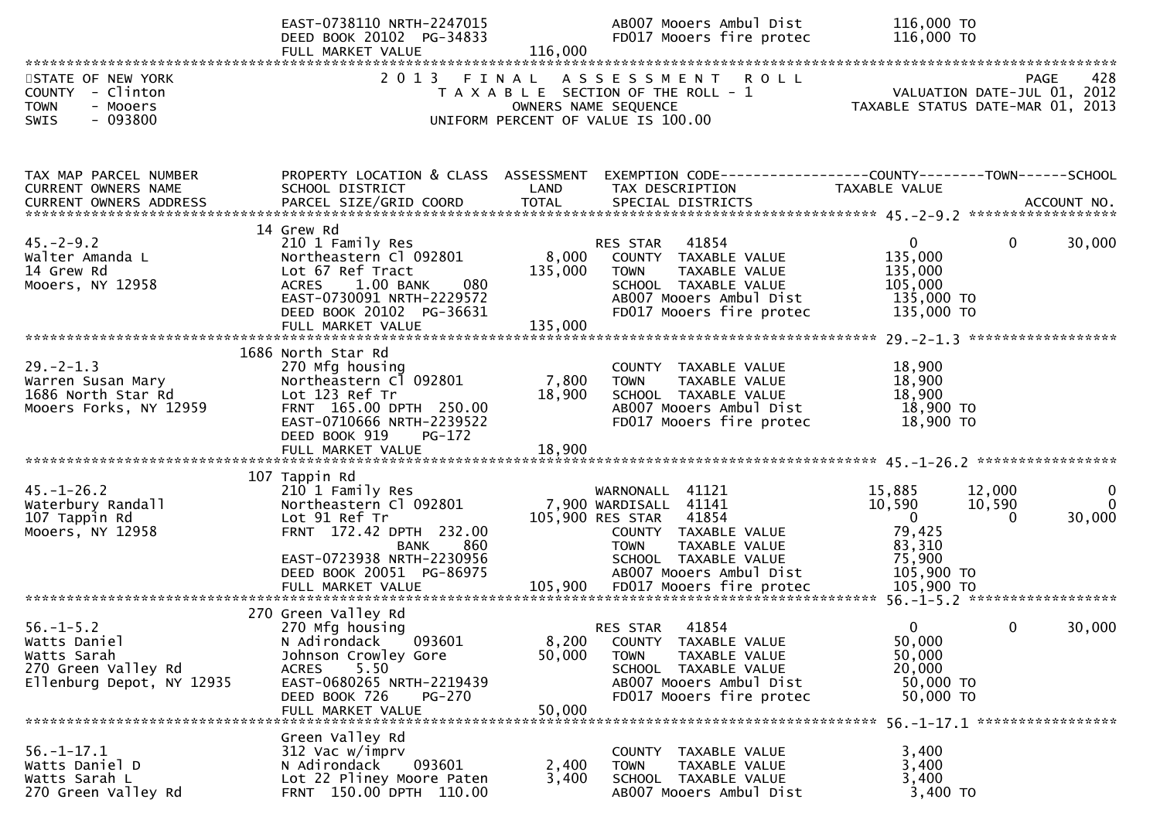|                                                                                                    | EAST-0738110 NRTH-2247015<br>DEED BOOK 20102 PG-34833<br>FULL MARKET VALUE                                                                                                                 | 116,000                   | AB007 Mooers Ambul Dist<br>FD017 Mooers fire protec                                                                                                                              | 116,000 TO<br>116,000 TO                                                                                       |                         |
|----------------------------------------------------------------------------------------------------|--------------------------------------------------------------------------------------------------------------------------------------------------------------------------------------------|---------------------------|----------------------------------------------------------------------------------------------------------------------------------------------------------------------------------|----------------------------------------------------------------------------------------------------------------|-------------------------|
| STATE OF NEW YORK<br>COUNTY - Clinton<br><b>TOWN</b><br>- Mooers<br>$-093800$<br>SWIS              | 2 0 1 3                                                                                                                                                                                    | FINAL                     | A S S E S S M E N T<br><b>ROLL</b><br>T A X A B L E SECTION OF THE ROLL - 1<br>OWNERS NAME SEQUENCE<br>UNIFORM PERCENT OF VALUE IS 100.00                                        | VALUATION DATE-JUL 01, 2012<br>TAXABLE STATUS DATE-MAR 01, 2013                                                | 428<br>PAGE             |
| TAX MAP PARCEL NUMBER<br>CURRENT OWNERS NAME                                                       | PROPERTY LOCATION & CLASS ASSESSMENT<br>SCHOOL DISTRICT                                                                                                                                    | LAND                      | EXEMPTION CODE-----------------COUNTY-------TOWN------SCHOOL<br>TAX DESCRIPTION                                                                                                  | TAXABLE VALUE                                                                                                  |                         |
| $45. -2 - 9.2$<br>Walter Amanda L<br>14 Grew Rd<br>Mooers, NY 12958                                | 14 Grew Rd<br>210 1 Family Res<br>Northeastern Cl 092801<br>Lot 67 Ref Tract<br>1.00 BANK<br>080<br><b>ACRES</b><br>EAST-0730091 NRTH-2229572<br>DEED BOOK 20102 PG-36631                  | 8,000<br>135,000          | 41854<br>RES STAR<br>COUNTY TAXABLE VALUE<br>TAXABLE VALUE<br><b>TOWN</b><br>SCHOOL TAXABLE VALUE<br>AB007 Mooers Ambul Dist<br>FD017 Mooers fire protec                         | $\mathbf{0}$<br>$\mathbf 0$<br>135,000<br>135,000<br>105,000<br>135,000 TO<br>135,000 TO                       | 30,000                  |
|                                                                                                    | 1686 North Star Rd                                                                                                                                                                         |                           |                                                                                                                                                                                  |                                                                                                                |                         |
| $29. - 2 - 1.3$<br>Warren Susan Mary<br>1686 North Star Rd<br>Mooers Forks, NY 12959               | 270 Mfg housing<br>Northeastern Cl 092801<br>Lot 123 Ref Tr<br>FRNT 165.00 DPTH 250.00<br>EAST-0710666 NRTH-2239522<br>DEED BOOK 919<br>$PG-172$                                           | 7,800<br>18,900           | COUNTY TAXABLE VALUE<br>TAXABLE VALUE<br><b>TOWN</b><br>SCHOOL TAXABLE VALUE<br>AB007 Mooers Ambul Dist<br>FD017 Mooers fire protec                                              | 18,900<br>18,900<br>18,900<br>18,900 TO<br>18,900 TO                                                           |                         |
|                                                                                                    |                                                                                                                                                                                            |                           |                                                                                                                                                                                  |                                                                                                                |                         |
| $45. - 1 - 26.2$<br>Waterbury Randall<br>107 Tappin Rd<br>Mooers, NY 12958                         | 107 Tappin Rd<br>210 1 Family Res<br>Northeastern Cl 092801<br>Lot 91 Ref Tr<br>FRNT 172.42 DPTH 232.00<br>860<br><b>BANK</b><br>EAST-0723938 NRTH-2230956<br>DEED BOOK 20051 PG-86975     |                           | WARNONALL 41121<br>7,900 WARDISALL 41141<br>105,900 RES STAR<br>41854<br>COUNTY TAXABLE VALUE<br>TAXABLE VALUE<br><b>TOWN</b><br>SCHOOL TAXABLE VALUE<br>AB007 Mooers Ambul Dist | 15,885<br>12,000<br>10,590<br>10,590<br>$\overline{0}$<br>$\Omega$<br>79,425<br>83,310<br>75,900<br>105,900 TO | 0<br>$\Omega$<br>30,000 |
|                                                                                                    |                                                                                                                                                                                            |                           |                                                                                                                                                                                  |                                                                                                                |                         |
| $56. - 1 - 5.2$<br>Watts Daniel<br>Watts Sarah<br>270 Green Valley Rd<br>Ellenburg Depot, NY 12935 | 270 Green Valley Rd<br>270 Mfg housing<br>N Adirondack 093601<br>Johnson Crowley Gore<br>5.50<br>ACRES<br>EAST-0680265 NRTH-2219439<br>DEED BOOK 726<br><b>PG-270</b><br>FULL MARKET VALUE | 8,200<br>50,000<br>50,000 | 41854<br><b>RES STAR</b><br>COUNTY TAXABLE VALUE<br><b>TOWN</b><br>TAXABLE VALUE<br>SCHOOL TAXABLE VALUE<br>AB007 Mooers Ambul Dist<br>FD017 Mooers fire protec                  | $\Omega$<br>$\mathbf 0$<br>50,000<br>50,000<br>20,000<br>50,000 TO<br>50,000 TO                                | 30,000                  |
| $56. - 1 - 17.1$<br>Watts Daniel D<br>Watts Sarah L<br>270 Green Valley Rd                         | Green Valley Rd<br>312 Vac w/imprv<br>N Adirondack<br>093601<br>Lot 22 Pliney Moore Paten<br>FRNT 150.00 DPTH 110.00                                                                       | 2,400<br>3,400            | COUNTY TAXABLE VALUE<br>TAXABLE VALUE<br><b>TOWN</b><br>SCHOOL TAXABLE VALUE<br>AB007 Mooers Ambul Dist                                                                          | 3,400<br>3,400<br>3,400<br>3,400 TO                                                                            |                         |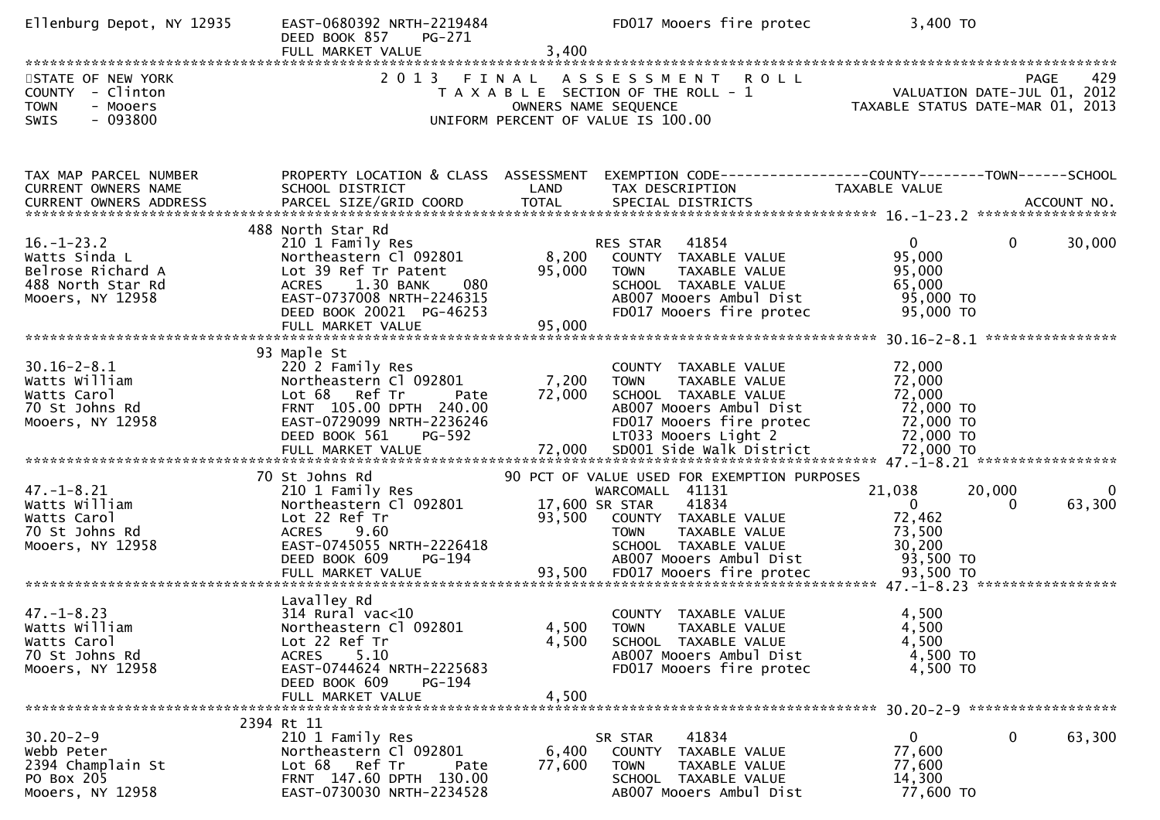| Ellenburg Depot, NY 12935                           | EAST-0680392 NRTH-2219484<br>DEED BOOK 857<br>PG-271<br>FULL MARKET VALUE | 3,400                | FD017 Mooers fire protec                                 | 3,400 TO                                                        |          |
|-----------------------------------------------------|---------------------------------------------------------------------------|----------------------|----------------------------------------------------------|-----------------------------------------------------------------|----------|
| STATE OF NEW YORK<br>COUNTY - Clinton               | 2013 FINAL                                                                |                      | ASSESSMENT ROLL<br>T A X A B L E SECTION OF THE ROLL - 1 | PAGE                                                            | 429      |
| <b>TOWN</b><br>- Mooers<br>$-093800$<br><b>SWIS</b> |                                                                           | OWNERS NAME SEQUENCE | UNIFORM PERCENT OF VALUE IS 100.00                       | VALUATION DATE-JUL 01, 2012<br>TAXABLE STATUS DATE-MAR 01, 2013 |          |
| TAX MAP PARCEL NUMBER                               | PROPERTY LOCATION & CLASS ASSESSMENT                                      |                      |                                                          | EXEMPTION CODE------------------COUNTY--------TOWN------SCHOOL  |          |
| CURRENT OWNERS NAME                                 | SCHOOL DISTRICT                                                           | LAND                 | TAX DESCRIPTION                                          | TAXABLE VALUE                                                   |          |
|                                                     | 488 North Star Rd                                                         |                      |                                                          |                                                                 |          |
| $16. - 1 - 23.2$                                    | 210 1 Family Res                                                          |                      | RES STAR<br>41854                                        | $\mathbf{0}$<br>30,000<br>$\overline{0}$<br>95,000              |          |
| Watts Sinda L<br>Belrose Richard A                  | Northeastern Cl 092801<br>Lot 39 Ref Tr Patent                            | 8,200<br>95,000      | COUNTY TAXABLE VALUE<br><b>TOWN</b><br>TAXABLE VALUE     | 95,000                                                          |          |
| 488 North Star Rd                                   | ACRES 1.30 BANK<br>080                                                    |                      | SCHOOL TAXABLE VALUE                                     | 65,000                                                          |          |
| Mooers, NY 12958                                    | EAST-0737008 NRTH-2246315<br>DEED BOOK 20021 PG-46253                     |                      | AB007 Mooers Ambul Dist<br>FD017 Mooers fire protec      | 95,000 TO<br>95,000 TO                                          |          |
|                                                     |                                                                           |                      |                                                          |                                                                 |          |
| $30.16 - 2 - 8.1$                                   | 93 Maple St<br>220 2 Family Res                                           |                      | COUNTY TAXABLE VALUE                                     | 72,000                                                          |          |
| Watts William                                       | Northeastern Cl 092801                                                    | 7,200                | <b>TOWN</b><br>TAXABLE VALUE                             | 72,000                                                          |          |
| Watts Carol                                         | Lot 68 Ref Tr<br>Pate                                                     | 72,000               | SCHOOL TAXABLE VALUE                                     | 72,000                                                          |          |
| 70 St Johns Rd<br>Mooers, NY 12958                  | FRNT 105.00 DPTH 240.00<br>EAST-0729099 NRTH-2236246                      |                      | AB007 Mooers Ambul Dist<br>FD017 Mooers fire protec      | 72,000 TO<br>72,000 TO                                          |          |
|                                                     | DEED BOOK 561<br>PG-592                                                   |                      | LT033 Mooers Light 2                                     | 72,000 TO                                                       |          |
|                                                     |                                                                           |                      |                                                          |                                                                 |          |
|                                                     | 70 St Johns Rd                                                            |                      | 90 PCT OF VALUE USED FOR EXEMPTION PURPOSES              |                                                                 |          |
| $47. - 1 - 8.21$<br>Watts William                   | 210 1 Family Res<br>Northeastern Cl 092801                                | 17,600 SR STAR       | WARCOMALL 41131<br>41834                                 | 21,038<br>20,000<br>63,300<br>$\Omega$<br>0                     | $\Omega$ |
| Watts Carol                                         | Lot 22 Ref Tr                                                             | 93,500               | COUNTY TAXABLE VALUE                                     | 72,462                                                          |          |
| 70 St Johns Rd                                      | ACRES<br>9.60                                                             |                      | TAXABLE VALUE<br><b>TOWN</b>                             | 73,500                                                          |          |
| Mooers, NY 12958                                    | EAST-0745055 NRTH-2226418<br><b>PG-194</b><br>DEED BOOK 609               |                      | SCHOOL TAXABLE VALUE<br>AB007 Mooers Ambul Dist          | 30,200<br>93,500 TO                                             |          |
|                                                     |                                                                           |                      |                                                          |                                                                 |          |
|                                                     | Lavalley Rd                                                               |                      |                                                          |                                                                 |          |
| $47. - 1 - 8.23$                                    | $314$ Rural vac<10                                                        |                      | COUNTY<br>TAXABLE VALUE                                  | 4,500                                                           |          |
| Watts William<br>Watts Carol                        | Northeastern Cl 092801<br>Lot 22 Ref Tr                                   | 4,500<br>4,500       | <b>TOWN</b><br>TAXABLE VALUE<br>SCHOOL TAXABLE VALUE     | 4,500<br>4,500                                                  |          |
| 70 St Johns Rd                                      | 5.10<br><b>ACRES</b>                                                      |                      | AB007 Mooers Ambul Dist                                  | 4,500 TO                                                        |          |
| Mooers, NY 12958                                    | EAST-0744624 NRTH-2225683                                                 |                      | FD017 Mooers fire protec                                 | 4,500 TO                                                        |          |
|                                                     | DEED BOOK 609<br><b>PG-194</b><br>FULL MARKET VALUE                       | 4,500                |                                                          |                                                                 |          |
|                                                     |                                                                           |                      |                                                          |                                                                 |          |
| $30.20 - 2 - 9$                                     | 2394 Rt 11<br>210 1 Family Res                                            |                      | 41834<br>SR STAR                                         | 0<br>63,300<br>0                                                |          |
| Webb Peter                                          | Northeastern Cl 092801                                                    | 6,400                | TAXABLE VALUE<br>COUNTY                                  | 77,600                                                          |          |
| 2394 Champlain St                                   | Lot 68 Ref Tr<br>Pate                                                     | 77,600               | TAXABLE VALUE<br><b>TOWN</b><br>SCHOOL TAXABLE VALUE     | 77,600                                                          |          |
| PO Box 205<br>Mooers, NY 12958                      | FRNT 147.60 DPTH 130.00<br>EAST-0730030 NRTH-2234528                      |                      | AB007 Mooers Ambul Dist                                  | 14,300<br>77,600 TO                                             |          |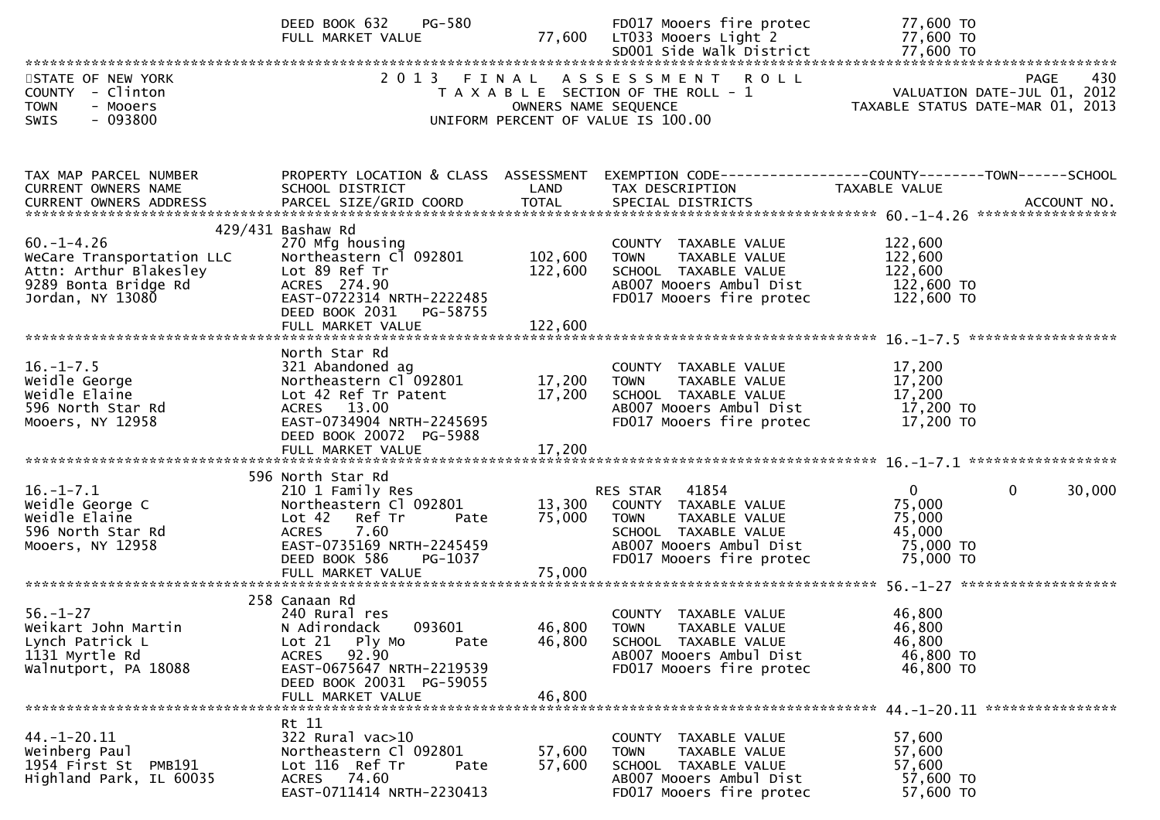|                                                                                                                    | PG-580<br>DEED BOOK 632<br>FULL MARKET VALUE                                                                                                                                               |                                 | FD017 Mooers fire protec<br>77,600 LT033 Mooers Light 2                                                                                               | 77,600 TO<br>77,600 TO                                                                                                                                                                                                                     |
|--------------------------------------------------------------------------------------------------------------------|--------------------------------------------------------------------------------------------------------------------------------------------------------------------------------------------|---------------------------------|-------------------------------------------------------------------------------------------------------------------------------------------------------|--------------------------------------------------------------------------------------------------------------------------------------------------------------------------------------------------------------------------------------------|
|                                                                                                                    |                                                                                                                                                                                            |                                 |                                                                                                                                                       |                                                                                                                                                                                                                                            |
| STATE OF NEW YORK<br>COUNTY - Clinton<br><b>TOWN</b><br>- Mooers<br>$-093800$<br><b>SWIS</b>                       | 2013 FINAL                                                                                                                                                                                 | OWNERS NAME SEQUENCE            | ASSESSMENT ROLL<br>T A X A B L E SECTION OF THE ROLL - 1<br>UNIFORM PERCENT OF VALUE IS 100.00                                                        | 430<br>PAGE<br>VALUATION DATE-JUL 01, 2012<br>TAXABLE STATUS DATE-MAR 01, 2013                                                                                                                                                             |
| TAX MAP PARCEL NUMBER<br>CURRENT OWNERS NAME                                                                       | PROPERTY LOCATION & CLASS ASSESSMENT<br>SCHOOL DISTRICT                                                                                                                                    | LAND                            | TAX DESCRIPTION                                                                                                                                       | EXEMPTION CODE-----------------COUNTY-------TOWN------SCHOOL<br>TAXABLE VALUE<br>.CURRENT OWNERS ADDRESS PARCEL SIZE/GRID COORD TOTAL SPECIAL DISTRICTS ACCOUNT NO ACCOUNT NO ACCOUNT NO AND ARCEL SIZE/GRID COORD TOTAL SPECIAL DISTRICTS |
| $60. -1 - 4.26$<br>WeCare Transportation LLC<br>Attn: Arthur Blakesley<br>9289 Bonta Bridge Rd<br>Jordan, NY 13080 | 429/431 Bashaw Rd<br>270 Mfg housing<br>Northeastern Cl 092801<br>Lot 89 Ref Tr<br>ACRES 274.90<br>EAST-0722314 NRTH-2222485<br>DEED BOOK 2031<br>PG-58755                                 | 102,600<br>122,600              | COUNTY TAXABLE VALUE<br>TAXABLE VALUE<br><b>TOWN</b><br>SCHOOL TAXABLE VALUE<br>AB007 Mooers Ambul Dist<br>FD017 Mooers fire protec                   | 122,600<br>122,600<br>122,600<br>122,600 TO<br>122,600 TO                                                                                                                                                                                  |
| $16. - 1 - 7.5$<br>Weidle George<br>Weidle Elaine<br>596 North Star Rd<br>Mooers, NY 12958                         | North Star Rd<br>321 Abandoned ag<br>Northeastern Cl <sup>-</sup> 092801<br>Lot 42 Ref Tr Patent<br>ACRES 13.00<br>EAST-0734904 NRTH-2245695<br>DEED BOOK 20072 PG-5988                    | 17,200<br>17,200                | COUNTY TAXABLE VALUE<br>TAXABLE VALUE<br><b>TOWN</b><br>SCHOOL TAXABLE VALUE<br>AB007 Mooers Ambul Dist<br>FD017 Mooers fire protec                   | 17,200<br>17,200<br>17,200<br>17,200 TO<br>17,200 TO                                                                                                                                                                                       |
| $16. - 1 - 7.1$<br>Weidle George C<br>Weidle Elaine<br>596 North Star Rd<br>Mooers, NY 12958                       | 596 North Star Rd<br>210 1 Family Res<br>Northeastern Cl 092801<br>Lot 42<br>Ref Tr<br>Pate<br>7.60<br>ACRES<br>EAST-0735169 NRTH-2245459<br>PG-1037<br>DEED BOOK 586<br>FULL MARKET VALUE | 13,300<br>75,000<br>75,000      | RES STAR 41854<br>COUNTY TAXABLE VALUE<br><b>TOWN</b><br>TAXABLE VALUE<br>SCHOOL TAXABLE VALUE<br>AB007 Mooers Ambul Dist<br>FD017 Mooers fire protec | $\mathbf 0$<br>$\mathbf 0$<br>30,000<br>75,000<br>75,000<br>45,000<br>75,000 TO<br>75,000 TO                                                                                                                                               |
| $56. - 1 - 27$<br>Weikart John Martin<br>Lynch Patrick L<br>1131 Myrtle Rd<br>Walnutport, PA 18088                 | 258 Canaan Rd<br>240 Rural res<br>N Adirondack<br>093601<br>$Lot 21$ Ply Mo<br>Pate<br>92.90<br>ACRES<br>EAST-0675647 NRTH-2219539<br>DEED BOOK 20031 PG-59055<br>FULL MARKET VALUE        | 46,800 TOWN<br>46,800<br>46,800 | COUNTY TAXABLE VALUE<br>TAXABLE VALUE<br>SCHOOL TAXABLE VALUE<br>AB007 Mooers Ambul Dist<br>FD017 Mooers fire protec                                  | 46,800<br>46,800<br>46,800<br>46,800 TO<br>46,800 TO                                                                                                                                                                                       |
| $44. - 1 - 20.11$<br>Weinberg Paul<br>1954 First St PMB191<br>Highland Park, IL 60035                              | Rt 11<br>322 Rural vac>10<br>Northeastern Cl 092801<br>Lot 116 Ref Tr<br>Pate<br>ACRES 74.60<br>EAST-0711414 NRTH-2230413                                                                  | 57,600<br>57,600                | COUNTY TAXABLE VALUE<br>TAXABLE VALUE<br><b>TOWN</b><br>SCHOOL TAXABLE VALUE<br>AB007 Mooers Ambul Dist<br>FD017 Mooers fire protec                   | 57,600<br>57,600<br>57,600<br>57,600 TO<br>57,600 TO                                                                                                                                                                                       |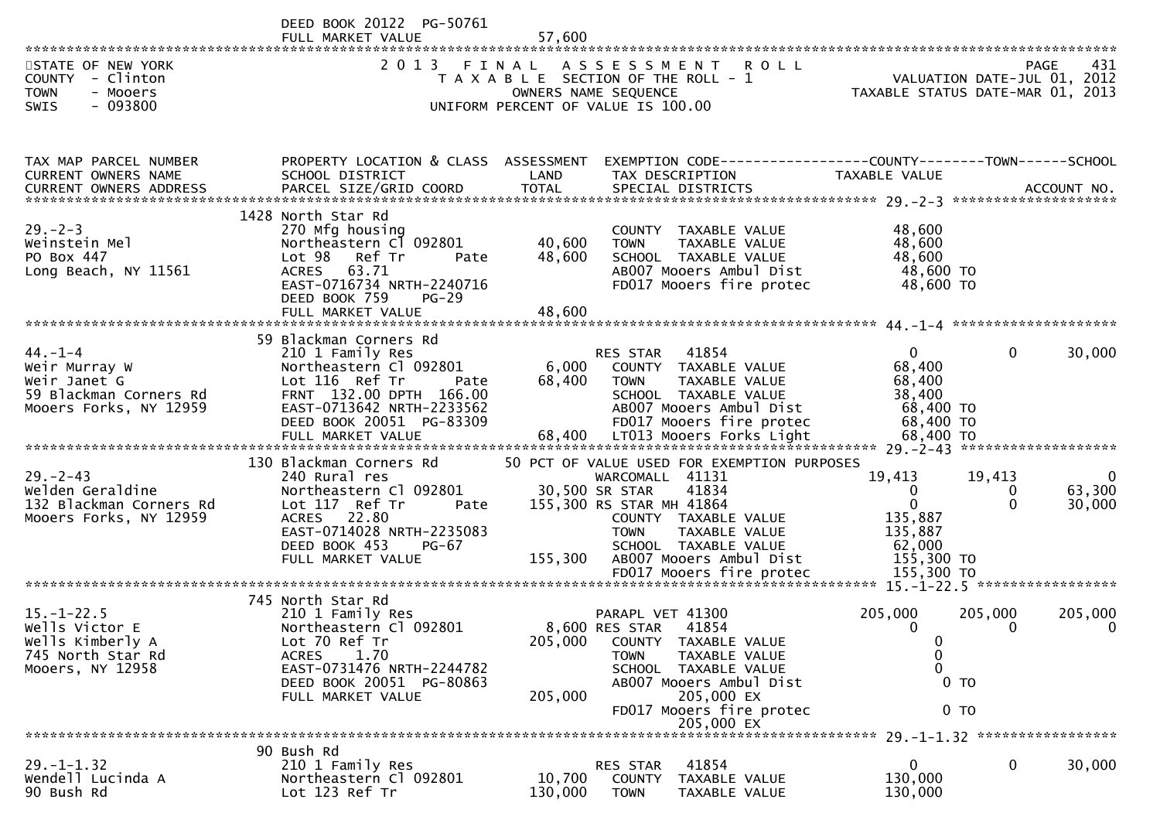DEED BOOK 20122 PG-50761<br>FULL MARKET VALUE FULL MARKET VALUE 57,600 \*\*\*\*\*\*\*\*\*\*\*\*\*\*\*\*\*\*\*\*\*\*\*\*\*\*\*\*\*\*\*\*\*\*\*\*\*\*\*\*\*\*\*\*\*\*\*\*\*\*\*\*\*\*\*\*\*\*\*\*\*\*\*\*\*\*\*\*\*\*\*\*\*\*\*\*\*\*\*\*\*\*\*\*\*\*\*\*\*\*\*\*\*\*\*\*\*\*\*\*\*\*\*\*\*\*\*\*\*\*\*\*\*\*\*\*\*\*\*\*\*\*\*\*\*\*\*\*\*\*\*\*431 STATE OF NEW YORK 2 0 1 3 F I N A L A S S E S S M E N T R O L L PAGE<br>2 0 1 3 F I N A L A S S E S S M E N T R O L L YALUATION DATE-JUL 0 VALUATION DATE-JUL 01, 2012 COUNTY - Clinton T A X A B L E SECTION OF THE ROLL - 1 VALUATION DATE-JUL 01, 2012 TOWN - Mooers OWNERS NAME SEQUENCE TAXABLE STATUS DATE-MAR 01, 2013SWIS - 093800 UNIFORM PERCENT OF VALUE IS 100.00TAX MAP PARCEL NUMBER PROPERTY LOCATION & CLASS ASSESSMENT EXEMPTION CODE------------------COUNTY--------TOWN------SCHOOLCURRENT OWNERS NAME SCHOOL DISTRICT LAND TAX DESCRIPTION TAXABLE VALUE<br>CURRENT OWNERS ARRRESS RARGEL STZE(CRIR)COORR TOTAL SRECIAL RISTRICTS CURRENT OWNERS ADDRESS PARCEL SIZE/GRID COORD TOTAL SPECIAL DISTRICTS ACCOUNT NO. \*\*\*\*\*\*\*\*\*\*\*\*\*\*\*\*\*\*\*\*\*\*\*\*\*\*\*\*\*\*\*\*\*\*\*\*\*\*\*\*\*\*\*\*\*\*\*\*\*\*\*\*\*\*\*\*\*\*\*\*\*\*\*\*\*\*\*\*\*\*\*\*\*\*\*\*\*\*\*\*\*\*\*\*\*\*\*\*\*\*\*\*\*\*\*\*\*\*\*\*\*\*\* 29.-2-3 \*\*\*\*\*\*\*\*\*\*\*\*\*\*\*\*\*\*\*\* 1428 North Star Rd270 Mfg housing 29.-2-3 270 Mfg housing COUNTY TAXABLE VALUE 48,60048.600 Weinstein Mel Northeastern Cl 092801 40,600 TOWN TAXABLE VALUE 48,60048,600 PO Box 447 Lot 98 Ref Tr Pate 48,600 SCHOOL TAXABLE VALUE<br>Long Beach. NY 11561 ACRES 63.71 AB007 Mooers Ambul Di: 48.600 TO Long Beach, NY 11561 ACRES 63.71 AB007 Mooers Ambul Dist 48,600 TO48.600 TO EAST-0716734 NRTH-2240716 FD017 Mooers fire protec 48,600 TODEED BOOK 759<br>FULL MARKET VALUE FULL MARKET VALUE 48,600 \*\*\*\*\*\*\*\*\*\*\*\*\*\*\*\*\*\*\*\*\*\*\*\*\*\*\*\*\*\*\*\*\*\*\*\*\*\*\*\*\*\*\*\*\*\*\*\*\*\*\*\*\*\*\*\*\*\*\*\*\*\*\*\*\*\*\*\*\*\*\*\*\*\*\*\*\*\*\*\*\*\*\*\*\*\*\*\*\*\*\*\*\*\*\*\*\*\*\*\*\*\*\* 44.-1-4 \*\*\*\*\*\*\*\*\*\*\*\*\*\*\*\*\*\*\*\* 59 Blackman Corners Rd44.-1-4 210 1 Family Res RES STAR <sup>41854</sup> <sup>0</sup> 0 30,000Weir Murray W Northeastern Cl 092801 6,000 COUNTY TAXABLE VALUE 68,400<br>Weir Janet G Lot 116 Ref Tr Pate 68.400 TOWN TAXABLE VALUE 68.400 68.400 Weir Janet G Lot 116 Ref Tr Pate 68,400 TOWN TAXABLE VALUE 68,400<br>EQ Blaskwar Germans Bd FRNT 122 00 BRTU 166 00 38,400 59 Blackman Corners Rd FRNT 132.00 DPTH 166.00 SCHOOL TAXABLE VALUE 38,40068,400 TO EAST-0713642 NRTH-2233562<br>DEED BOOK 20051 PG-83309 68,400 TO DEED BOOK 20051 PG-83309 FD017 Mooers fire protec<br>FULL MARKET VALUE 68,400 LT013 Mooers Forks Light 68.400 TO FULL MARKET VALUE 68,400 LT013 Mooers Forks Light 68,400 TO \*\*\*\*\*\*\*\*\*\*\*\*\*\*\*\*\*\*\*\*\*\*\*\*\*\*\*\*\*\*\*\*\*\*\*\*\*\*\*\*\*\*\*\*\*\*\*\*\*\*\*\*\*\*\*\*\*\*\*\*\*\*\*\*\*\*\*\*\*\*\*\*\*\*\*\*\*\*\*\*\*\*\*\*\*\*\*\*\*\*\*\*\*\*\*\*\*\*\*\*\*\*\* 29.-2-43 \*\*\*\*\*\*\*\*\*\*\*\*\*\*\*\*\*\*\* 130 Blackman Corners Rd 50 PCT OF VALUE USED FOR EXEMPTION PURPOSES29.-2-43 240 Rural res WARCOMALL <sup>41131</sup> 19,413 19,413 <sup>0</sup>63,300 Welden Geraldine Northeastern Cl 092801 30,500 SR STAR <sup>41834</sup> <sup>0</sup> 0 63,30030,000 132 Blackman Corners Rd Lot 117 Ref Tr Pate 155,300 RS STAR MH 41864 <sup>0</sup> 0 30,000Mooers Forks, NY 12959 ACRES 22.80 COUNTY TAXABLE VALUE 135,887135,887 EAST-0714028 NRTH-2235083<br>DEED BOOK 453 PG-67 62,000 DEED BOOK 453 PG-67 SCHOOL TAXABLE VALUE 62,000155,300 TO AB007 Mooers Ambul Dist 155,300 TO FD017 Mooers fire protec \*\*\*\*\*\*\*\*\*\*\*\*\*\*\*\*\*\*\*\*\*\*\*\*\*\*\*\*\*\*\*\*\*\*\*\*\*\*\*\*\*\*\*\*\*\*\*\*\*\*\*\*\*\*\*\*\*\*\*\*\*\*\*\*\*\*\*\*\*\*\*\*\*\*\*\*\*\*\*\*\*\*\*\*\*\*\*\*\*\*\*\*\*\*\*\*\*\*\*\*\*\*\* 15.-1-22.5 \*\*\*\*\*\*\*\*\*\*\*\*\*\*\*\*\* 745 North Star Rd210 1 Family Res 15.-1-22.5 210 1 Family Res PARAPL VET 41300 205,000 205,000 205,0000 Wells Victor E Northeastern Cl 092801 8,600 RES STAR <sup>41854</sup> <sup>0</sup> <sup>0</sup> <sup>0</sup>Wells Kimberly A Lot 70 Ref Tr 205,000 COUNTY TAXABLE VALUE <sup>0</sup>0 745 North Star Rd ACRES 1.70 TOWN TAXABLE VALUE <sup>0</sup> $\Omega$ Mooers, NY 12958 EAST-0731476 NRTH-2244782 SCHOOL TAXABLE VALUE <sup>0</sup>DEED BOOK 20051 PG-80863 AB007 Mooers Ambul<br>FULL MARKET VALUE 205,000 205,000 EX FULL MARKET VALUE FD017 Mooers fire protec 0 TO 205,000 EX \*\*\*\*\*\*\*\*\*\*\*\*\*\*\*\*\*\*\*\*\*\*\*\*\*\*\*\*\*\*\*\*\*\*\*\*\*\*\*\*\*\*\*\*\*\*\*\*\*\*\*\*\*\*\*\*\*\*\*\*\*\*\*\*\*\*\*\*\*\*\*\*\*\*\*\*\*\*\*\*\*\*\*\*\*\*\*\*\*\*\*\*\*\*\*\*\*\*\*\*\*\*\* 29.-1-1.32 \*\*\*\*\*\*\*\*\*\*\*\*\*\*\*\*\* 90 Bush Rd210 1 Family Res 29.-1-1.32 210 1 Family Res RES STAR <sup>41854</sup> <sup>0</sup> 0 30,000Wendell Lucinda A Northeastern Cl 092801 10,700 COUNTY TAXABLE VALUE 130,000

90 Bush Rd Lot 123 Ref Tr 130,000 TOWN TAXABLE VALUE 130,000

130,000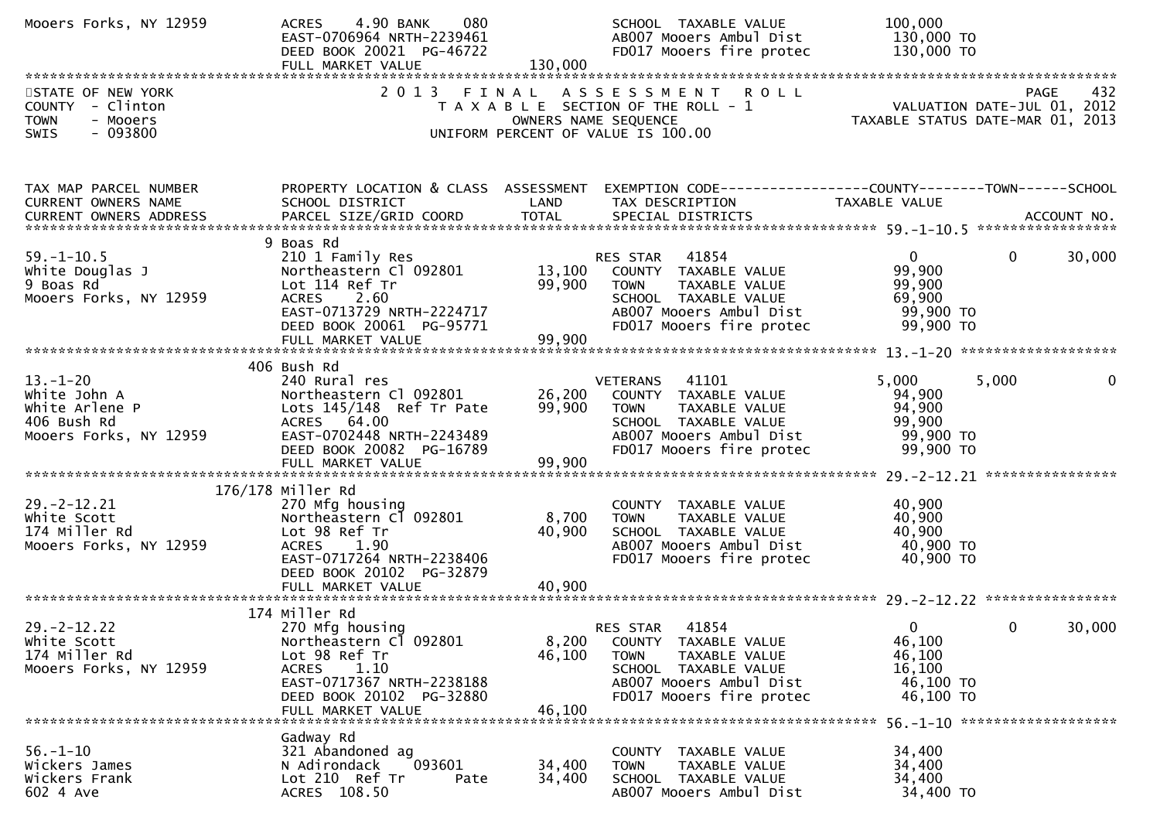| Mooers Forks, NY 12959                                                                       | 4.90 BANK<br>080<br><b>ACRES</b><br>EAST-0706964 NRTH-2239461<br>DEED BOOK 20021 PG-46722<br>FULL MARKET VALUE                                                                    | 130,000                    | SCHOOL TAXABLE VALUE<br>AB007 Mooers Ambul Dist<br>FD017 Mooers fire protec                                                                                  | 100,000<br>130,000 TO<br>130,000 TO                                         |                        |
|----------------------------------------------------------------------------------------------|-----------------------------------------------------------------------------------------------------------------------------------------------------------------------------------|----------------------------|--------------------------------------------------------------------------------------------------------------------------------------------------------------|-----------------------------------------------------------------------------|------------------------|
| STATE OF NEW YORK<br>COUNTY - Clinton<br><b>TOWN</b><br>- Mooers<br>$-093800$<br><b>SWIS</b> | 2 0 1 3                                                                                                                                                                           | FINAL                      | ASSESSMENT ROLL<br>T A X A B L E SECTION OF THE ROLL - 1<br>OWNERS NAME SEQUENCE<br>UNIFORM PERCENT OF VALUE IS 100.00                                       | 929 PAGE<br>VALUATION DATE-JUL 01, 2012<br>TAXARLE STATUS DATE USE 21, 2012 |                        |
| TAX MAP PARCEL NUMBER<br>CURRENT OWNERS NAME                                                 | SCHOOL DISTRICT                                                                                                                                                                   | LAND                       | PROPERTY LOCATION & CLASS ASSESSMENT EXEMPTION CODE----------------COUNTY-------TOWN------SCHOOL<br>TAX DESCRIPTION                                          | TAXABLE VALUE                                                               |                        |
| $59. - 1 - 10.5$<br>White Douglas J<br>9 Boas Rd<br>Mooers Forks, NY 12959                   | 9 Boas Rd<br>210 1 Family Res<br>Northeastern Cl 092801<br>Lot 114 Ref Tr<br><b>ACRES</b><br>2.60<br>EAST-0713729 NRTH-2224717<br>DEED BOOK 20061 PG-95771                        | 99,900                     | RES STAR 41854<br>13,100 COUNTY TAXABLE VALUE<br><b>TOWN</b><br>TAXABLE VALUE<br>SCHOOL TAXABLE VALUE<br>AB007 Mooers Ambul Dist<br>FD017 Mooers fire protec | $\mathbf{0}$<br>99,900<br>99,900<br>69,900<br>99,900 то<br>99,900 TO        | $\mathbf{0}$<br>30,000 |
|                                                                                              | 406 Bush Rd                                                                                                                                                                       |                            |                                                                                                                                                              |                                                                             |                        |
| $13.-1-20$<br>White John A<br>White Arlene P<br>406 Bush Rd<br>Mooers Forks, NY 12959        | 240 Rural res<br>Northeastern Cl 092801<br>Lots 145/148 Ref Tr Pate<br>ACRES 64.00<br>EAST-0702448 NRTH-2243489<br>DEED BOOK 20082 PG-16789<br>FULL MARKET VALUE                  | 26,200<br>99,900<br>99,900 | VETERANS 41101<br>COUNTY TAXABLE VALUE<br>TAXABLE VALUE<br><b>TOWN</b><br>SCHOOL TAXABLE VALUE<br>AB007 Mooers Ambul Dist<br>FD017 Mooers fire protec        | 5,000<br>94,900<br>94,900<br>99,900<br>99,900 TO<br>99,900 TO               | 5,000<br>0             |
|                                                                                              |                                                                                                                                                                                   |                            |                                                                                                                                                              |                                                                             |                        |
| $29. -2 - 12.21$<br>White Scott<br>174 Miller Rd<br>Mooers Forks, NY 12959                   | 176/178 Miller Rd<br>270 Mfg housing<br>Northeastern Cl 092801<br>Lot 98 Ref Tr<br>1.90<br><b>ACRES</b><br>EAST-0717264 NRTH-2238406<br>DEED BOOK 20102 PG-32879                  | 8,700<br>40,900            | COUNTY TAXABLE VALUE<br><b>TOWN</b><br>TAXABLE VALUE<br>SCHOOL TAXABLE VALUE<br>AB007 Mooers Ambul Dist<br>FD017 Mooers fire protec                          | 40,900<br>40,900<br>40,900<br>40,900 TO<br>40,900 TO                        |                        |
|                                                                                              |                                                                                                                                                                                   |                            |                                                                                                                                                              |                                                                             |                        |
| $29. -2 - 12.22$<br>white Scott<br>174 Miller Rd<br>Mooers Forks, NY 12959                   | 174 Miller Rd<br>270 Mfg housing<br>Northeastern Cl 092801<br>Lot 98 Ref Tr<br>1.10<br><b>ACRES</b><br>EAST-0717367 NRTH-2238188<br>DEED BOOK 20102 PG-32880<br>FULL MARKET VALUE | 8,200<br>46,100<br>46,100  | 41854<br>RES STAR<br>COUNTY TAXABLE VALUE<br><b>TOWN</b><br>TAXABLE VALUE<br>SCHOOL TAXABLE VALUE<br>AB007 Mooers Ambul Dist<br>FD017 Mooers fire protec     | $\mathbf 0$<br>46,100<br>46,100<br>16,100<br>46,100 TO<br>46,100 TO         | $\mathbf 0$<br>30,000  |
| $56. - 1 - 10$<br>Wickers James<br>Wickers Frank<br>602 4 Ave                                | Gadway Rd<br>321 Abandoned ag<br>N Adirondack<br>093601<br>Lot 210 Ref Tr<br>Pate<br>ACRES 108.50                                                                                 | 34,400<br>34,400           | COUNTY TAXABLE VALUE<br>TAXABLE VALUE<br>TOWN<br>SCHOOL TAXABLE VALUE<br>AB007 Mooers Ambul Dist                                                             | 34,400<br>34,400<br>34,400<br>34,400 TO                                     |                        |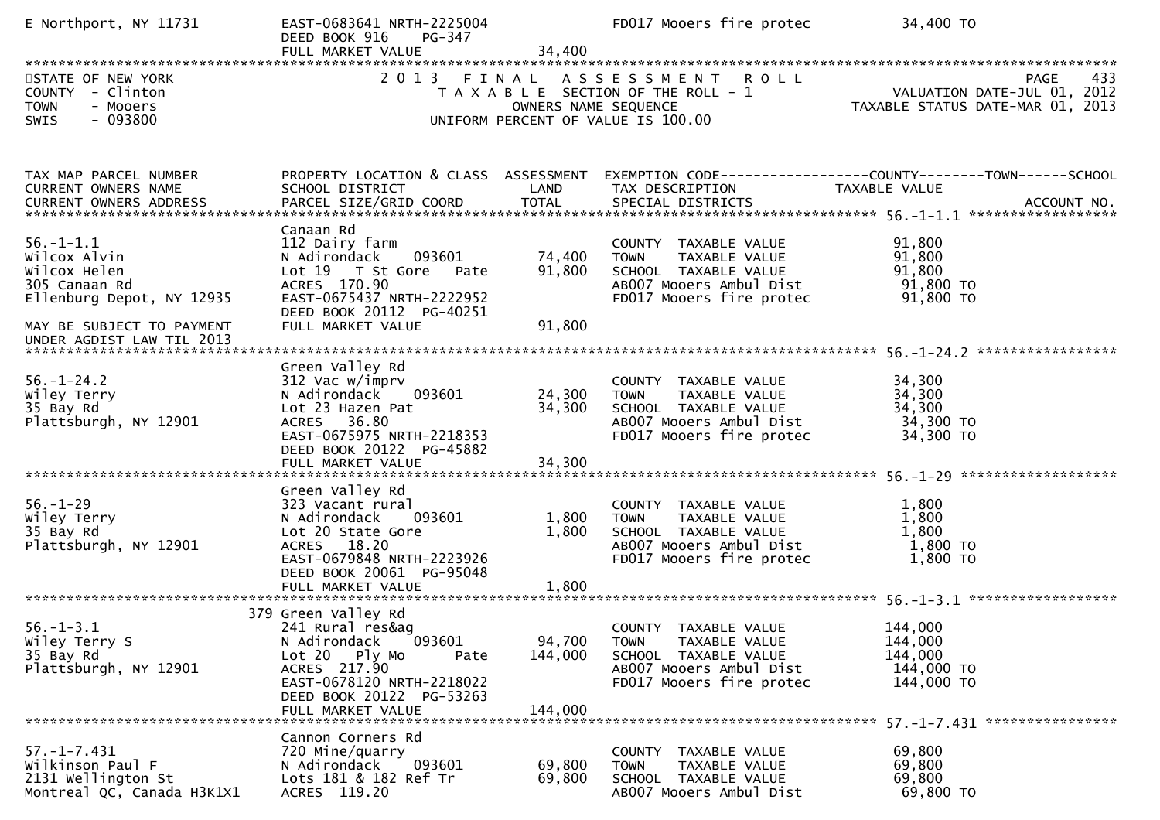| E Northport, NY 11731                                                                                                                                   | EAST-0683641 NRTH-2225004<br>DEED BOOK 916<br>PG-347<br>FULL MARKET VALUE                                                                                                                  | 34,400                        | FD017 Mooers fire protec                                                                                                            | 34,400 TO                                                                             |
|---------------------------------------------------------------------------------------------------------------------------------------------------------|--------------------------------------------------------------------------------------------------------------------------------------------------------------------------------------------|-------------------------------|-------------------------------------------------------------------------------------------------------------------------------------|---------------------------------------------------------------------------------------|
| STATE OF NEW YORK<br>COUNTY - Clinton<br><b>TOWN</b><br>- Mooers<br>$-093800$<br><b>SWIS</b>                                                            | 2 0 1 3                                                                                                                                                                                    | FINAL<br>OWNERS NAME SEQUENCE | ASSESSMENT ROLL<br>T A X A B L E SECTION OF THE ROLL - 1<br>UNIFORM PERCENT OF VALUE IS 100.00                                      | 433<br><b>PAGE</b><br>VALUATION DATE-JUL 01, 2012<br>TAXABLE STATUS DATE-MAR 01, 2013 |
| TAX MAP PARCEL NUMBER<br>CURRENT OWNERS NAME<br>CURRENT OWNERS ADDRESS                                                                                  | PROPERTY LOCATION & CLASS ASSESSMENT<br>SCHOOL DISTRICT                                                                                                                                    | LAND                          | TAX DESCRIPTION                                                                                                                     | EXEMPTION CODE------------------COUNTY--------TOWN------SCHOOL<br>TAXABLE VALUE       |
| $56. - 1 - 1.1$<br>Wilcox Alvin<br>Wilcox Helen<br>305 Canaan Rd<br>Ellenburg Depot, NY 12935<br>MAY BE SUBJECT TO PAYMENT<br>UNDER AGDIST LAW TIL 2013 | Canaan Rd<br>112 Dairy farm<br>093601<br>N Adirondack<br>Lot 19 T St Gore<br>Pate<br>ACRES 170.90<br>EAST-0675437 NRTH-2222952<br>DEED BOOK 20112 PG-40251<br>FULL MARKET VALUE            | 74,400<br>91,800<br>91,800    | COUNTY TAXABLE VALUE<br>TAXABLE VALUE<br><b>TOWN</b><br>SCHOOL TAXABLE VALUE<br>AB007 Mooers Ambul Dist<br>FD017 Mooers fire protec | 91,800<br>91,800<br>91,800<br>91,800 TO<br>91,800 TO                                  |
| $56. - 1 - 24.2$<br>Wiley Terry<br>35 Bay Rd<br>Plattsburgh, NY 12901                                                                                   | Green Valley Rd<br>312 Vac w/imprv<br>093601<br>N Adirondack<br>Lot 23 Hazen Pat<br>ACRES 36.80<br>EAST-0675975 NRTH-2218353<br>DEED BOOK 20122 PG-45882<br>FULL MARKET VALUE              | 24,300<br>34,300<br>34,300    | COUNTY TAXABLE VALUE<br>TAXABLE VALUE<br><b>TOWN</b><br>SCHOOL TAXABLE VALUE<br>AB007 Mooers Ambul Dist<br>FD017 Mooers fire protec | 34,300<br>34,300<br>34,300<br>34,300 TO<br>34,300 TO                                  |
| $56. - 1 - 29$<br>Wiley Terry<br>35 Bay Rd<br>Plattsburgh, NY 12901                                                                                     | Green Valley Rd<br>323 Vacant rural<br>N Adirondack<br>093601<br>Lot 20 State Gore<br>ACRES 18.20<br>EAST-0679848 NRTH-2223926<br>DEED BOOK 20061 PG-95048<br>FULL MARKET VALUE            | 1,800<br>1,800<br>1,800       | COUNTY TAXABLE VALUE<br>TAXABLE VALUE<br><b>TOWN</b><br>SCHOOL TAXABLE VALUE<br>AB007 Mooers Ambul Dist<br>FD017 Mooers fire protec | 1,800<br>1,800<br>1,800<br>1,800 TO<br>$1,800$ TO                                     |
| $56. - 1 - 3.1$<br>Wiley Terry S<br>35 Bay Rd<br>Plattsburgh, NY 12901                                                                                  | 379 Green Valley Rd<br>241 Rural res&ag<br>[093601]<br>N Adirondack<br>Lot 20 Ply Mo<br>Pate<br>ACRES 217.90<br>EAST-0678120 NRTH-2218022<br>DEED BOOK 20122 PG-53263<br>FULL MARKET VALUE | 94,700<br>144,000<br>144,000  | COUNTY TAXABLE VALUE<br><b>TOWN</b><br>TAXABLE VALUE<br>SCHOOL TAXABLE VALUE<br>AB007 Mooers Ambul Dist<br>FD017 Mooers fire protec | 144,000<br>144,000<br>144,000<br>144,000 TO<br>144,000 TO                             |
| $57. - 1 - 7.431$<br>Wilkinson Paul F<br>2131 Wellington St<br>Montreal QC, Canada H3K1X1                                                               | Cannon Corners Rd<br>720 Mine/quarry<br>093601<br>N Adirondack<br>Lots 181 & 182 Ref Tr<br>ACRES 119.20                                                                                    | 69,800<br>69,800              | COUNTY TAXABLE VALUE<br><b>TOWN</b><br>TAXABLE VALUE<br>SCHOOL TAXABLE VALUE<br>AB007 Mooers Ambul Dist                             | 69,800<br>69,800<br>69,800<br>69,800 TO                                               |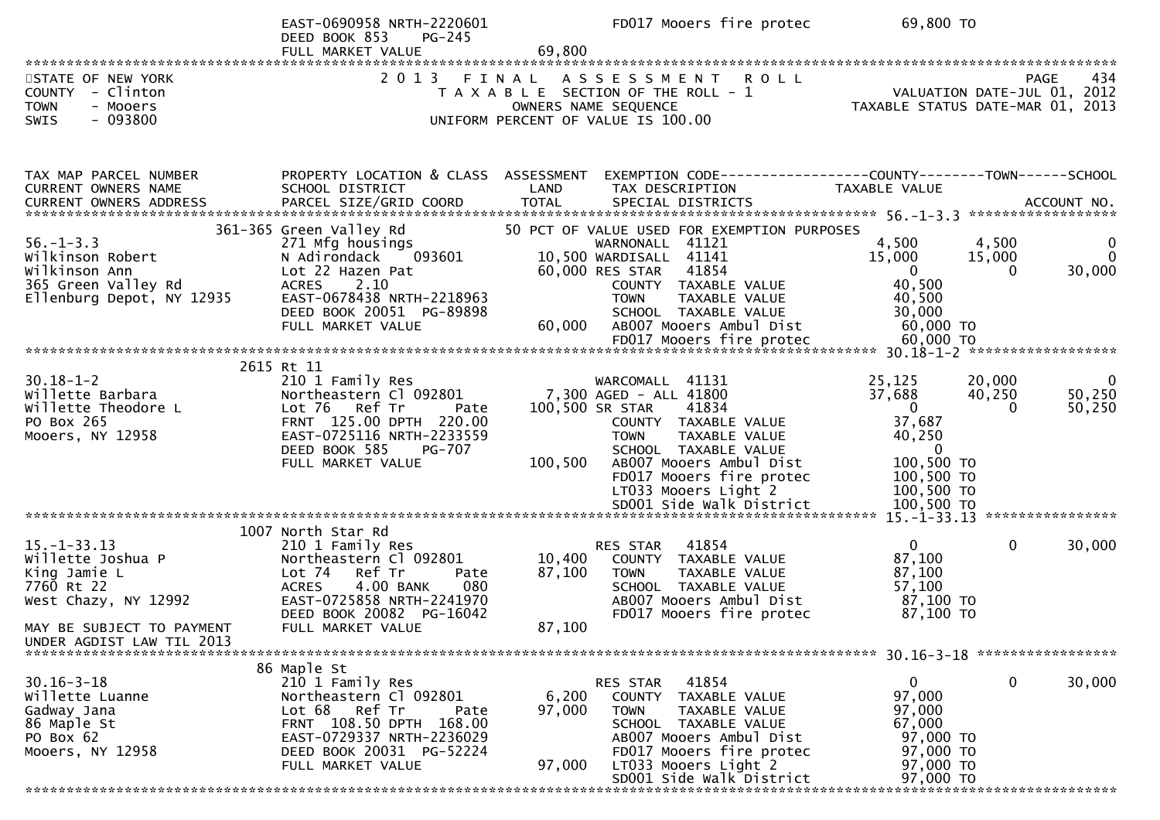|                                                                  | EAST-0690958 NRTH-2220601<br>DEED BOOK 853<br>PG-245    | 69,800  | FD017 Mooers fire protec                                                                         | 69,800 TO                        |              |                                                   |
|------------------------------------------------------------------|---------------------------------------------------------|---------|--------------------------------------------------------------------------------------------------|----------------------------------|--------------|---------------------------------------------------|
|                                                                  |                                                         |         |                                                                                                  |                                  |              |                                                   |
| STATE OF NEW YORK<br>COUNTY - Clinton<br><b>TOWN</b><br>- Mooers | 2 0 1 3                                                 |         | FINAL ASSESSMENT<br><b>ROLL</b><br>T A X A B L E SECTION OF THE ROLL - 1<br>OWNERS NAME SEQUENCE | TAXABLE STATUS DATE-MAR 01, 2013 |              | 434<br><b>PAGE</b><br>VALUATION DATE-JUL 01, 2012 |
| $-093800$<br><b>SWIS</b>                                         |                                                         |         | UNIFORM PERCENT OF VALUE IS 100.00                                                               |                                  |              |                                                   |
|                                                                  |                                                         |         |                                                                                                  |                                  |              |                                                   |
| TAX MAP PARCEL NUMBER<br>CURRENT OWNERS NAME                     | PROPERTY LOCATION & CLASS ASSESSMENT<br>SCHOOL DISTRICT | LAND    | EXEMPTION CODE-----------------COUNTY-------TOWN------SCHOOL<br>TAX DESCRIPTION                  | TAXABLE VALUE                    |              |                                                   |
|                                                                  |                                                         |         |                                                                                                  |                                  |              |                                                   |
|                                                                  |                                                         |         |                                                                                                  |                                  |              |                                                   |
|                                                                  | 361-365 Green Valley Rd                                 |         | 50 PCT OF VALUE USED FOR EXEMPTION PURPOSES                                                      |                                  |              |                                                   |
| $56. - 1 - 3.3$                                                  | 271 Mfg housings                                        |         | WARNONALL 41121                                                                                  | 4,500                            | 4,500        | $\bf{0}$                                          |
| Wilkinson Robert                                                 | 093601<br>N Adirondack                                  |         | 10,500 WARDISALL 41141                                                                           | 15,000                           | 15,000       | $\mathbf{0}$                                      |
| Wilkinson Ann                                                    | Lot 22 Hazen Pat                                        |         | 60,000 RES STAR<br>41854                                                                         | $\Omega$                         | $\Omega$     | 30,000                                            |
| 365 Green Valley Rd                                              | <b>ACRES</b><br>2.10                                    |         | COUNTY TAXABLE VALUE                                                                             | 40,500                           |              |                                                   |
| Ellenburg Depot, NY 12935                                        | EAST-0678438 NRTH-2218963                               |         | TAXABLE VALUE<br><b>TOWN</b>                                                                     | 40,500                           |              |                                                   |
|                                                                  | DEED BOOK 20051 PG-89898                                |         | SCHOOL TAXABLE VALUE                                                                             | 30,000                           |              |                                                   |
|                                                                  | FULL MARKET VALUE                                       | 60,000  | ABOO7 Mooers Ambul Dist                                                                          | 60,000 TO                        |              |                                                   |
|                                                                  |                                                         |         |                                                                                                  |                                  |              |                                                   |
|                                                                  |                                                         |         |                                                                                                  |                                  |              |                                                   |
|                                                                  | 2615 Rt 11                                              |         |                                                                                                  |                                  |              |                                                   |
| $30.18 - 1 - 2$                                                  | 210 1 Family Res                                        |         | WARCOMALL 41131                                                                                  | 25,125                           | 20,000       | -0                                                |
| willette Barbara                                                 | Northeastern Cl 092801                                  |         | 7,300 AGED - ALL 41800                                                                           | 37,688                           | 40,250       | 50,250                                            |
| Willette Theodore L                                              | Lot 76 Ref Tr<br>Pate                                   |         | 100,500 SR STAR<br>41834                                                                         | $\mathbf{0}$                     | $\Omega$     | 50,250                                            |
| PO Box 265                                                       | FRNT 125.00 DPTH 220.00                                 |         | COUNTY TAXABLE VALUE                                                                             | 37,687                           |              |                                                   |
| Mooers, NY 12958                                                 | EAST-0725116 NRTH-2233559                               |         | TAXABLE VALUE<br><b>TOWN</b>                                                                     | 40,250                           |              |                                                   |
|                                                                  | DEED BOOK 585<br><b>PG-707</b>                          |         | SCHOOL TAXABLE VALUE                                                                             | $\overline{0}$                   |              |                                                   |
|                                                                  | FULL MARKET VALUE                                       | 100,500 | AB007 Mooers Ambul Dist                                                                          | 100,500 TO                       |              |                                                   |
|                                                                  |                                                         |         | FD017 Mooers fire protec                                                                         | 100,500 TO                       |              |                                                   |
|                                                                  |                                                         |         | LT033 Mooers Light 2                                                                             | 100,500 TO                       |              |                                                   |
|                                                                  |                                                         |         | SD001 Side Walk District                                                                         | 100,500 ТО                       |              |                                                   |
|                                                                  | 1007 North Star Rd                                      |         |                                                                                                  |                                  |              |                                                   |
| $15. - 1 - 33.13$                                                | 210 1 Family Res                                        |         | 41854<br><b>RES STAR</b>                                                                         | $\mathbf{0}$                     | $\mathbf{0}$ | 30,000                                            |
| Willette Joshua P                                                | Northeastern Cl 092801                                  | 10,400  | COUNTY TAXABLE VALUE                                                                             | 87,100                           |              |                                                   |
| King Jamie L                                                     | Lot 74<br>Ref Tr<br>Pate                                | 87,100  | <b>TOWN</b><br>TAXABLE VALUE                                                                     | 87,100                           |              |                                                   |
| 7760 Rt 22                                                       | 4.00 BANK<br>080<br><b>ACRES</b>                        |         | SCHOOL TAXABLE VALUE                                                                             | 57,100                           |              |                                                   |
| West Chazy, NY 12992                                             | EAST-0725858 NRTH-2241970                               |         | AB007 Mooers Ambul Dist                                                                          | 87,100 то                        |              |                                                   |
|                                                                  | DEED BOOK 20082 PG-16042                                |         | FD017 Mooers fire protec                                                                         | 87,100 TO                        |              |                                                   |
| MAY BE SUBJECT TO PAYMENT                                        | FULL MARKET VALUE                                       | 87,100  |                                                                                                  |                                  |              |                                                   |
| UNDER AGDIST LAW TIL 2013                                        |                                                         |         |                                                                                                  |                                  |              |                                                   |
|                                                                  |                                                         |         |                                                                                                  |                                  |              |                                                   |
|                                                                  | 86 Maple St                                             |         |                                                                                                  |                                  |              |                                                   |
| $30.16 - 3 - 18$                                                 | 210 1 Family Res                                        |         | 41854<br>RES STAR                                                                                | $\mathbf{0}$                     | 0            | 30,000                                            |
| Willette Luanne                                                  | Northeastern Cl 092801                                  | 6,200   | COUNTY TAXABLE VALUE                                                                             | 97,000                           |              |                                                   |
| Gadway Jana                                                      | Ref Tr<br>Lot 68<br>Pate                                | 97,000  | TOWN<br>TAXABLE VALUE                                                                            | 97,000                           |              |                                                   |
| 86 Maple St                                                      | FRNT 108.50 DPTH 168.00                                 |         | SCHOOL TAXABLE VALUE                                                                             | 67,000                           |              |                                                   |
| PO Box 62                                                        | EAST-0729337 NRTH-2236029                               |         | AB007 Mooers Ambul Dist                                                                          | 97,000 TO                        |              |                                                   |
| Mooers, NY 12958                                                 | DEED BOOK 20031 PG-52224                                |         | FD017 Mooers fire protec                                                                         | 97,000 TO                        |              |                                                   |
|                                                                  | FULL MARKET VALUE                                       | 97,000  | LT033 Mooers Light 2                                                                             | 97,000 TO                        |              |                                                   |
|                                                                  |                                                         |         | SD001 Side Walk District                                                                         | 97,000 TO                        |              |                                                   |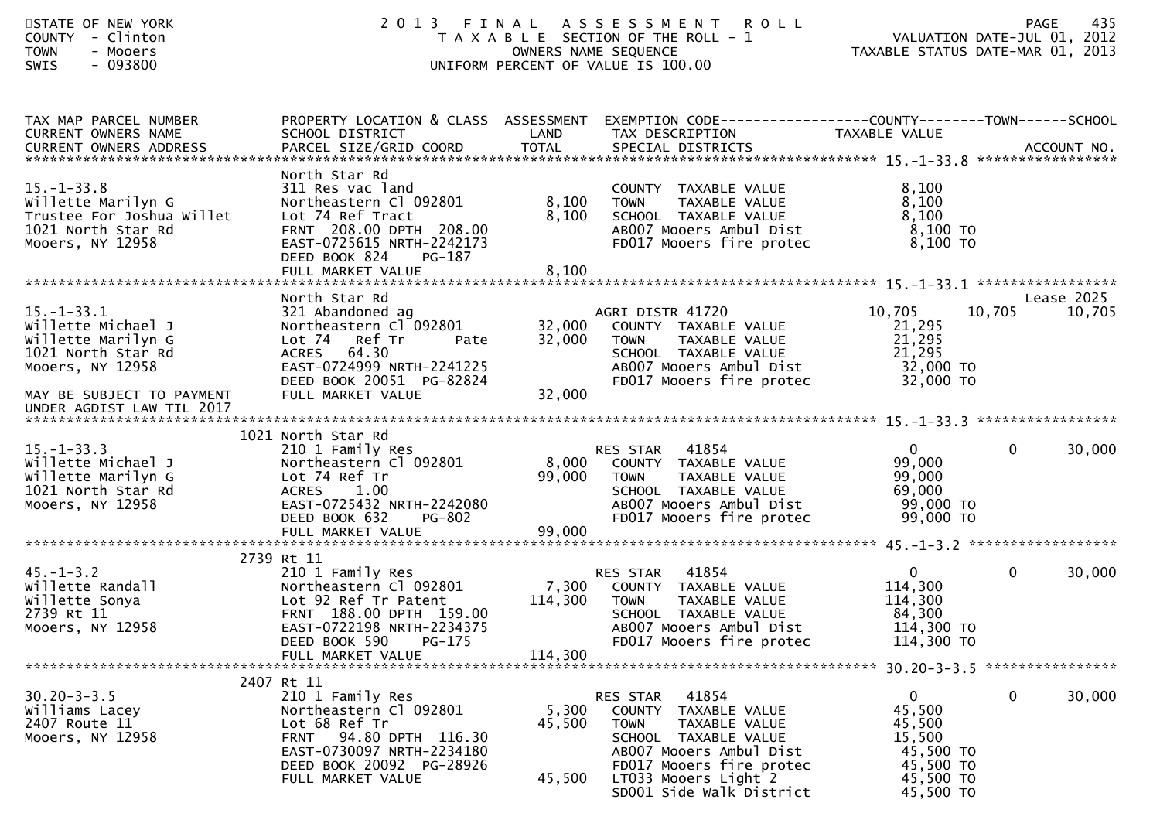| STATE OF NEW YORK<br>COUNTY - Clinton<br><b>TOWN</b><br>- Mooers<br>$-093800$<br>SWIS                         |                                                                                                                                                                                   |                           | 2013 FINAL ASSESSMENT<br><b>ROLL</b><br>T A X A B L E SECTION OF THE ROLL - 1<br>OWNERS NAME SEQUENCE<br>UNIFORM PERCENT OF VALUE IS 100.00                                                               | PAGE 435<br>ROLL - 1 VALUATION DATE-JUL 01, 2012<br>TAXABLE STATUS DATE-MAR 01, 2013           | 435<br>PAGE           |
|---------------------------------------------------------------------------------------------------------------|-----------------------------------------------------------------------------------------------------------------------------------------------------------------------------------|---------------------------|-----------------------------------------------------------------------------------------------------------------------------------------------------------------------------------------------------------|------------------------------------------------------------------------------------------------|-----------------------|
| TAX MAP PARCEL NUMBER<br>CURRENT OWNERS NAME                                                                  | SCHOOL DISTRICT<br><b>Example 2018 LAND</b>                                                                                                                                       |                           | PROPERTY LOCATION & CLASS ASSESSMENT EXEMPTION CODE----------------COUNTY-------TOWN------SCHOOL<br>TAX DESCRIPTION                                                                                       | TAXABLE VALUE                                                                                  |                       |
| $15. - 1 - 33.8$<br>Willette Marilyn G<br>Trustee For Joshua Willet<br>1021 North Star Rd<br>Mooers, NY 12958 | North Star Rd<br>311 Res vac land<br>Northeastern Cl 092801<br>Lot 74 Ref Tract<br>FRNT 208.00 DPTH 208.00<br>EAST-0725615 NRTH-2242173<br>DEED BOOK 824<br>PG-187                | 8,100<br>8,100            | COUNTY TAXABLE VALUE<br><b>TOWN</b><br>TAXABLE VALUE<br>SCHOOL TAXABLE VALUE<br>AB007 Mooers Ambul Dist<br>FD017 Mooers fire protec                                                                       | 8,100<br>8,100<br>8,100<br>8,100 TO<br>$8,100$ TO                                              |                       |
|                                                                                                               | North Star Rd                                                                                                                                                                     |                           |                                                                                                                                                                                                           |                                                                                                | Lease 2025            |
| $15. - 1 - 33.1$<br>Willette Michael J<br>Willette Marilyn G<br>1021 North Star Rd<br>Mooers, NY 12958        | 321 Abandoned ag<br>Northeastern Cl 092801<br>Lot 74 Ref Tr<br>Pate<br>ACRES 64.30<br>EAST-0724999 NRTH-2241225<br>DEED BOOK 20051 PG-82824                                       |                           | AGRI DISTR 41720<br>32,000 COUNTY TAXABLE VALUE<br>TAXABLE VALUE<br>32,000 TOWN<br>SCHOOL TAXABLE VALUE<br>AB007 Mooers Ambul Dist<br>FD017 Mooers fire protec                                            | 10,705<br>21,295<br>21,295<br>21,295<br>32,000 TO<br>32,000 TO                                 | 10,705<br>10,705      |
| MAY BE SUBJECT TO PAYMENT<br>UNDER AGDIST LAW TIL 2017                                                        | FULL MARKET VALUE                                                                                                                                                                 | 32,000                    |                                                                                                                                                                                                           |                                                                                                |                       |
|                                                                                                               | 1021 North Star Rd                                                                                                                                                                |                           |                                                                                                                                                                                                           |                                                                                                |                       |
| $15. - 1 - 33.3$<br>Willette Michael J<br>Willette Marilyn G<br>1021 North Star Rd<br>Mooers, NY 12958        | 210 1 Family Res<br>Northeastern Cl 092801<br>Lot 74 Ref Tr<br>ACRES 1.00<br>ACRES 1.00<br>EAST-0725432 NRTH-2242080<br>DEED BOOK 632 PG-802<br><b>PG-802</b><br>DEED BOOK 632    |                           | <b>RES STAR 41854</b><br>8,000 COUNTY TAXABLE VALUE<br>99,000 TOWN<br>TAXABLE VALUE<br>SCHOOL  TAXABLE VALUE<br>ABOO7 Mooers Ambul Dist<br>FD017 Mooers fire protec 99,000 TO                             | $\mathbf{0}$<br>99,000<br>99,000<br>69,000<br>99,000 TO                                        | $\mathbf 0$<br>30,000 |
|                                                                                                               |                                                                                                                                                                                   |                           |                                                                                                                                                                                                           |                                                                                                |                       |
|                                                                                                               | 2739 Rt 11                                                                                                                                                                        |                           |                                                                                                                                                                                                           |                                                                                                |                       |
| $45. - 1 - 3.2$<br>willette Randall<br>willette Sonya<br>2739 Rt 11<br>Mooers, NY 12958                       | 210 1 Family Res<br>Lot 92 Ref Tr Patent<br>FRNT 188.00 DPTH 159.00<br>EAST-0722198 NRTH-2234375<br>DEED BOOK 590<br>PG-175                                                       | 114,300 TOWN              | 41854<br>RES STAR<br>Northeastern Cl 092801 7,300 COUNTY TAXABLE VALUE<br>TAXABLE VALUE<br>SCHOOL TAXABLE VALUE<br>AB007 Mooers Ambul Dist<br>FD017 Mooers fire protec                                    | $0 \qquad \qquad$<br>114,300<br>114,300<br>84,300<br>114,300 TO<br>114,300 TO                  | $\mathbf 0$<br>30,000 |
|                                                                                                               | FULL MARKET VALUE                                                                                                                                                                 | 114,300                   |                                                                                                                                                                                                           |                                                                                                |                       |
| $30.20 - 3 - 3.5$<br>Williams Lacey<br>2407 Route 11<br>Mooers, NY 12958                                      | 2407 Rt 11<br>210 1 Family Res<br>Northeastern Cl 092801<br>Lot 68 Ref Tr<br>FRNT 94.80 DPTH 116.30<br>EAST-0730097 NRTH-2234180<br>DEED BOOK 20092 PG-28926<br>FULL MARKET VALUE | 5,300<br>45,500<br>45,500 | RES STAR 41854<br>COUNTY TAXABLE VALUE<br><b>TOWN</b><br>TAXABLE VALUE<br>SCHOOL TAXABLE VALUE<br>AB007 Mooers Ambul Dist<br>FD017 Mooers fire protec<br>LT033 Mooers Light 2<br>SD001 Side Walk District | $\mathbf{0}$<br>45,500<br>45,500<br>15,500<br>45,500 TO<br>45,500 TO<br>45,500 TO<br>45,500 TO | $\mathbf 0$<br>30,000 |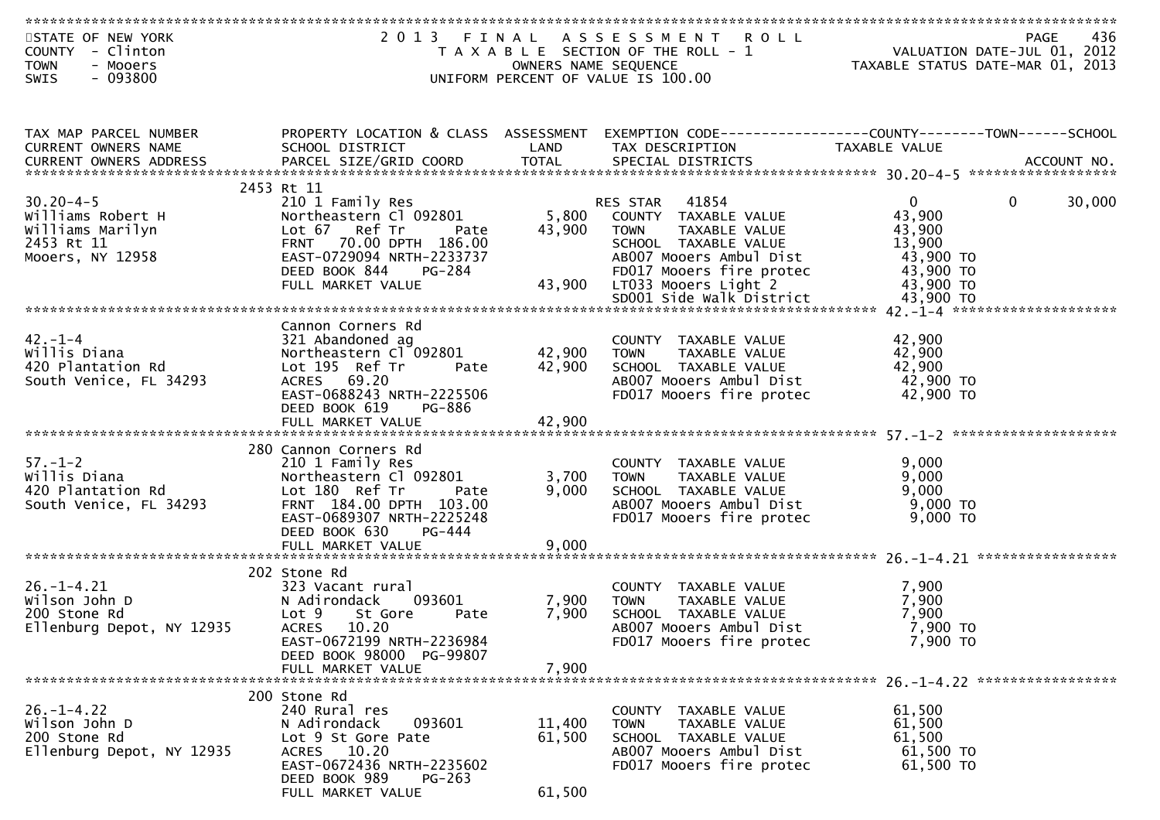| STATE OF NEW YORK<br>COUNTY - Clinton<br><b>TOWN</b><br>- Mooers              |                                                                                                                 | OWNERS NAME SEQUENCE | 2013 FINAL ASSESSMENT ROLL<br>T A X A B L E SECTION OF THE ROLL - 1                             | VALUATION DATE-JUL 01, 2012<br>TAXABLE STATUS DATE-MAR 01, 2013 | 436<br><b>PAGE</b>     |
|-------------------------------------------------------------------------------|-----------------------------------------------------------------------------------------------------------------|----------------------|-------------------------------------------------------------------------------------------------|-----------------------------------------------------------------|------------------------|
| $-093800$<br><b>SWIS</b>                                                      |                                                                                                                 |                      | UNIFORM PERCENT OF VALUE IS 100.00                                                              |                                                                 |                        |
|                                                                               |                                                                                                                 |                      |                                                                                                 |                                                                 |                        |
| TAX MAP PARCEL NUMBER<br>CURRENT OWNERS NAME                                  | PROPERTY LOCATION & CLASS ASSESSMENT<br>SCHOOL DISTRICT                                                         | LAND                 | EXEMPTION CODE-----------------COUNTY-------TOWN------SCHOOL<br>TAX DESCRIPTION                 | TAXABLE VALUE                                                   |                        |
|                                                                               | .CURRENT OWNERS ADDRESS PARCEL SIZE/GRID COORD TOTAL SPECIAL DISTRICTS ACCOUNT NO ACCOUNT NO ACCOUNT NO ACCOUNT |                      |                                                                                                 |                                                                 |                        |
|                                                                               | 2453 Rt 11                                                                                                      |                      |                                                                                                 |                                                                 |                        |
| $30.20 - 4 - 5$                                                               | 210 1 Family Res                                                                                                |                      | RES STAR 41854<br>5,800 COUNTY TAXABLE VALUE                                                    | $\overline{0}$                                                  | $\mathbf{0}$<br>30,000 |
| Williams Robert H                                                             | Northeastern Cl 092801                                                                                          |                      |                                                                                                 | 43,900                                                          |                        |
| Williams Marilyn<br>2453 Rt 11                                                | Lot 67 Ref Tr<br>Pate<br>FRNT 70.00 DPTH 186.00                                                                 | 43,900               | <b>TOWN</b><br>TAXABLE VALUE<br>SCHOOL TAXABLE VALUE                                            | 43,900<br>13,900                                                |                        |
| Mooers, NY 12958                                                              | EAST-0729094 NRTH-2233737                                                                                       |                      |                                                                                                 |                                                                 |                        |
|                                                                               |                                                                                                                 |                      | AB007 Mooers Ambul Dist<br>FD017 Mooers fire protec 43,900 TO<br>LT033 Mooers Light 2 43,900 TO |                                                                 |                        |
|                                                                               |                                                                                                                 |                      |                                                                                                 |                                                                 |                        |
|                                                                               |                                                                                                                 |                      |                                                                                                 |                                                                 |                        |
|                                                                               |                                                                                                                 |                      |                                                                                                 |                                                                 |                        |
| $42. -1 -4$                                                                   | Cannon Corners Rd                                                                                               |                      |                                                                                                 | 42,900                                                          |                        |
| Willis Diana                                                                  | 321 Abandoned ag<br>Northeastern Cl 092801                                                                      | 42,900 TOWN          | COUNTY TAXABLE VALUE<br>TAXABLE VALUE                                                           | 42,900                                                          |                        |
| 420 Plantation Rd                                                             | Lot 195 Ref Tr<br>Pate                                                                                          | 42,900               | SCHOOL TAXABLE VALUE                                                                            | 42,900                                                          |                        |
| South Venice, FL 34293                                                        | ACRES 69.20                                                                                                     |                      | AB007 Mooers Ambul Dist                                                                         | 42,900 TO                                                       |                        |
|                                                                               | EAST-0688243 NRTH-2225506                                                                                       |                      | FD017 Mooers fire protec                                                                        | 42,900 TO                                                       |                        |
|                                                                               | PG-886<br>DEED BOOK 619                                                                                         |                      |                                                                                                 |                                                                 |                        |
|                                                                               |                                                                                                                 |                      |                                                                                                 |                                                                 |                        |
|                                                                               | 280 Cannon Corners Rd                                                                                           |                      |                                                                                                 |                                                                 |                        |
| $57. - 1 - 2$                                                                 | 210 1 Family Res                                                                                                |                      | COUNTY TAXABLE VALUE                                                                            | 9,000                                                           |                        |
| Willis Diana                                                                  | Northeastern Cl 092801                                                                                          | 3,700                | TAXABLE VALUE<br><b>TOWN</b>                                                                    | 9,000                                                           |                        |
| 420 Plantation Rd                                                             | Lot 180 Ref Tr<br>Pate                                                                                          | 9,000                | SCHOOL TAXABLE VALUE                                                                            | 9,000                                                           |                        |
| South Venice, FL 34293                                                        | FRNT 184.00 DPTH 103.00                                                                                         |                      | AB007 Mooers Ambul Dist                                                                         | 9,000 TO                                                        |                        |
|                                                                               | EAST-0689307 NRTH-2225248                                                                                       |                      | FD017 Mooers fire protec                                                                        | 9,000 TO                                                        |                        |
|                                                                               | DEED BOOK 630<br>PG-444                                                                                         |                      |                                                                                                 |                                                                 |                        |
|                                                                               |                                                                                                                 |                      |                                                                                                 |                                                                 |                        |
| $26. -1 - 4.21$<br>wilson John D<br>and stone Rd<br>and stone Rd<br>and 12935 | 202 Stone Rd                                                                                                    |                      |                                                                                                 |                                                                 |                        |
|                                                                               | 323 Vacant rural                                                                                                |                      | COUNTY TAXABLE VALUE                                                                            | 7,900                                                           |                        |
|                                                                               | N Adirondack<br>093601                                                                                          | 7,900                | TAXABLE VALUE<br><b>TOWN</b>                                                                    | 7,900                                                           |                        |
|                                                                               | Lot 9<br>St Gore<br>Pate<br><b>ACRES</b><br>10.20                                                               | 7,900                | SCHOOL TAXABLE VALUE<br>AB007 Mooers Ambul Dist                                                 | 7,900<br>7,900 TO                                               |                        |
|                                                                               | EAST-0672199 NRTH-2236984                                                                                       |                      | FD017 Mooers fire protec                                                                        | $7,900$ TO                                                      |                        |
|                                                                               | DEED BOOK 98000 PG-99807                                                                                        |                      |                                                                                                 |                                                                 |                        |
|                                                                               | FULL MARKET VALUE                                                                                               | 7,900                |                                                                                                 |                                                                 |                        |
|                                                                               |                                                                                                                 |                      |                                                                                                 |                                                                 |                        |
|                                                                               | 200 Stone Rd                                                                                                    |                      |                                                                                                 |                                                                 |                        |
| $26. - 1 - 4.22$<br>Wilson John D                                             | 240 Rural res<br>N Adirondack<br>093601                                                                         | 11,400               | COUNTY TAXABLE VALUE<br>TAXABLE VALUE<br><b>TOWN</b>                                            | 61,500<br>61,500                                                |                        |
| 200 Stone Rd                                                                  | Lot 9 St Gore Pate                                                                                              | 61,500               | SCHOOL TAXABLE VALUE                                                                            | 61,500                                                          |                        |
| Ellenburg Depot, NY 12935                                                     | ACRES 10.20                                                                                                     |                      | AB007 Mooers Ambul Dist                                                                         | 61,500 TO                                                       |                        |
|                                                                               | EAST-0672436 NRTH-2235602                                                                                       |                      | FD017 Mooers fire protec                                                                        | 61,500 TO                                                       |                        |
|                                                                               | DEED BOOK 989<br><b>PG-263</b>                                                                                  |                      |                                                                                                 |                                                                 |                        |
|                                                                               | FULL MARKET VALUE                                                                                               | 61,500               |                                                                                                 |                                                                 |                        |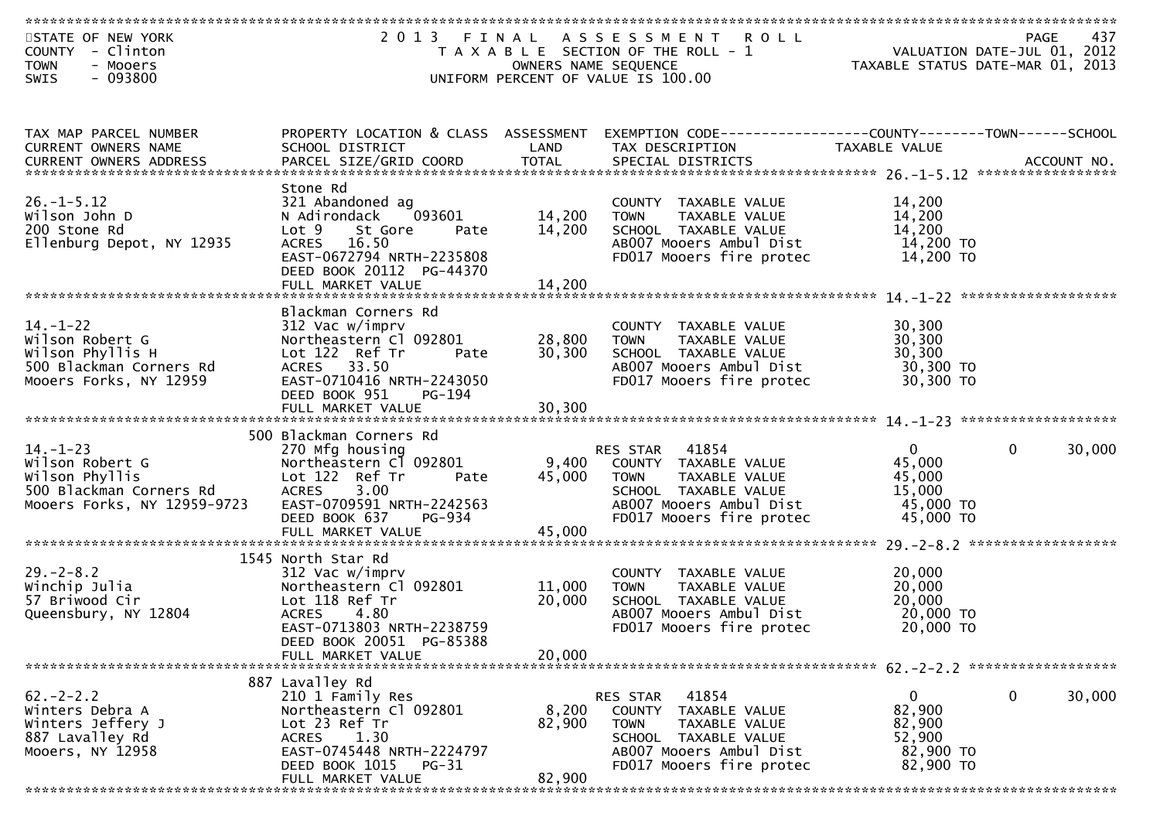| STATE OF NEW YORK<br>COUNTY - Clinton<br><b>TOWN</b><br>- Mooers                                                |                                                         | OWNERS NAME SEQUENCE | 2013 FINAL ASSESSMENT<br><b>ROLL</b><br>T A X A B L E SECTION OF THE ROLL - 1  | PAGE 437<br>VALUATION DATE-JUL 01, 2012<br>TAXARLE STATUS DATE :::- 21, 2012<br>TAXABLE STATUS DATE-MAR 01, 2013 | 437                    |
|-----------------------------------------------------------------------------------------------------------------|---------------------------------------------------------|----------------------|--------------------------------------------------------------------------------|------------------------------------------------------------------------------------------------------------------|------------------------|
| $-093800$<br>SWIS                                                                                               |                                                         |                      | UNIFORM PERCENT OF VALUE IS 100.00                                             |                                                                                                                  |                        |
|                                                                                                                 |                                                         |                      |                                                                                |                                                                                                                  |                        |
| TAX MAP PARCEL NUMBER<br>CURRENT OWNERS NAME                                                                    | PROPERTY LOCATION & CLASS ASSESSMENT<br>SCHOOL DISTRICT | LAND                 | EXEMPTION CODE-----------------COUNTY-------TOWN-----SCHOOL<br>TAX DESCRIPTION | <b>TAXABLE VALUE</b>                                                                                             |                        |
| .0URRENT OWNERS ADDRESS PARCEL SIZE/GRID COORD TOTAL SPECIAL DISTRICTS ACCOUNT NO ACCOUNT NO ACCOUNT NO ACCOUNT |                                                         |                      |                                                                                |                                                                                                                  |                        |
|                                                                                                                 | Stone Rd                                                |                      |                                                                                |                                                                                                                  |                        |
| $26. - 1 - 5.12$<br>Wilson John D                                                                               | 321 Abandoned ag<br>N Adirondack<br>093601              | 14,200               | COUNTY TAXABLE VALUE<br><b>TOWN</b><br>TAXABLE VALUE                           | 14,200<br>14,200                                                                                                 |                        |
| 200 Stone Rd                                                                                                    | Lot 9<br>St Gore<br>Pate                                | 14,200               | SCHOOL TAXABLE VALUE                                                           | 14,200                                                                                                           |                        |
| Ellenburg Depot, NY 12935                                                                                       | <b>ACRES</b><br>16.50                                   |                      | AB007 Mooers Ambul Dist                                                        | 14,200 TO                                                                                                        |                        |
|                                                                                                                 | EAST-0672794 NRTH-2235808<br>DEED BOOK 20112 PG-44370   |                      | FD017 Mooers fire protec                                                       | 14,200 TO                                                                                                        |                        |
|                                                                                                                 | FULL MARKET VALUE                                       | 14,200               |                                                                                |                                                                                                                  |                        |
|                                                                                                                 | Blackman Corners Rd                                     |                      |                                                                                |                                                                                                                  |                        |
| $14. - 1 - 22$                                                                                                  | 312 Vac w/imprv                                         |                      | COUNTY TAXABLE VALUE                                                           | 30,300                                                                                                           |                        |
| Wilson Robert G                                                                                                 | Northeastern Cl 092801                                  | 28,800               | TAXABLE VALUE<br><b>TOWN</b>                                                   | 30,300                                                                                                           |                        |
| Wilson Phyllis H                                                                                                | Lot 122 Ref Tr<br>Pate                                  | 30,300               | SCHOOL TAXABLE VALUE                                                           | 30,300                                                                                                           |                        |
| 500 Blackman Corners Rd                                                                                         | ACRES 33.50                                             |                      | AB007 Mooers Ambul Dist                                                        | 30,300 TO<br>30,300 TO                                                                                           |                        |
| Mooers Forks, NY 12959                                                                                          | EAST-0710416 NRTH-2243050<br>DEED BOOK 951<br>PG-194    |                      | FD017 Mooers fire protec                                                       |                                                                                                                  |                        |
|                                                                                                                 |                                                         |                      |                                                                                |                                                                                                                  |                        |
|                                                                                                                 | 500 Blackman Corners Rd                                 |                      |                                                                                |                                                                                                                  |                        |
| $14. - 1 - 23$                                                                                                  | 270 Mfg housing                                         |                      | 41854<br>RES STAR                                                              | $\mathbf{0}$                                                                                                     | $\mathbf{0}$<br>30,000 |
| Wilson Robert G                                                                                                 | Northeastern Cl 092801                                  | 9,400                | COUNTY TAXABLE VALUE                                                           | 45,000                                                                                                           |                        |
| Wilson Phyllis                                                                                                  | Lot 122 Ref Tr<br>Pate                                  | 45,000               | TAXABLE VALUE<br><b>TOWN</b>                                                   | 45,000                                                                                                           |                        |
| 500 Blackman Corners Rd                                                                                         | 3.00<br><b>ACRES</b>                                    |                      | SCHOOL TAXABLE VALUE                                                           | 15,000                                                                                                           |                        |
| Mooers Forks, NY 12959-9723                                                                                     | EAST-0709591 NRTH-2242563                               |                      | AB007 Mooers Ambul Dist                                                        | 45,000 TO                                                                                                        |                        |
|                                                                                                                 | DEED BOOK 637<br>PG-934<br>FULL MARKET VALUE            | 45,000               | FD017 Mooers fire protec                                                       | 45,000 TO                                                                                                        |                        |
|                                                                                                                 |                                                         |                      |                                                                                |                                                                                                                  |                        |
|                                                                                                                 | 1545 North Star Rd                                      |                      |                                                                                |                                                                                                                  |                        |
| $29. - 2 - 8.2$                                                                                                 | 312 Vac w/imprv                                         |                      | COUNTY TAXABLE VALUE                                                           | 20,000                                                                                                           |                        |
| Winchip Julia<br>57 Briwood Cir                                                                                 | Northeastern Cl 092801                                  | 11,000               | TAXABLE VALUE<br><b>TOWN</b>                                                   | 20,000                                                                                                           |                        |
| Queensbury, NY 12804                                                                                            | Lot 118 Ref Tr<br><b>ACRES</b><br>4.80                  | 20,000               | SCHOOL TAXABLE VALUE<br>AB007 Mooers Ambul Dist                                | 20,000<br>20,000 TO                                                                                              |                        |
|                                                                                                                 | EAST-0713803 NRTH-2238759                               |                      | FD017 Mooers fire protec                                                       | 20,000 TO                                                                                                        |                        |
|                                                                                                                 | DEED BOOK 20051 PG-85388                                |                      |                                                                                |                                                                                                                  |                        |
|                                                                                                                 | FULL MARKET VALUE                                       | 20,000               |                                                                                |                                                                                                                  |                        |
|                                                                                                                 |                                                         |                      |                                                                                |                                                                                                                  |                        |
| $62 - 2 - 2.2$                                                                                                  | 887 Lavalley Rd<br>210 1 Family Res                     |                      | 41854<br>RES STAR                                                              | 0                                                                                                                | 0<br>30,000            |
| Winters Debra A                                                                                                 | Northeastern Cl 092801                                  | 8,200                | COUNTY TAXABLE VALUE                                                           | 82,900                                                                                                           |                        |
| Winters Jeffery J                                                                                               | Lot 23 Ref Tr                                           | 82,900               | <b>TOWN</b><br>TAXABLE VALUE                                                   | 82,900                                                                                                           |                        |
| 887 Lavalley Rd                                                                                                 | 1.30<br>ACRES                                           |                      | SCHOOL TAXABLE VALUE                                                           | 52,900                                                                                                           |                        |
| Mooers, NY 12958                                                                                                | EAST-0745448 NRTH-2224797                               |                      | AB007 Mooers Ambul Dist                                                        | 82,900 TO                                                                                                        |                        |
|                                                                                                                 | DEED BOOK 1015<br>$PG-31$                               |                      | FD017 Mooers fire protec                                                       | 82,900 TO                                                                                                        |                        |
|                                                                                                                 | FULL MARKET VALUE                                       | 82,900<br>*******    |                                                                                |                                                                                                                  |                        |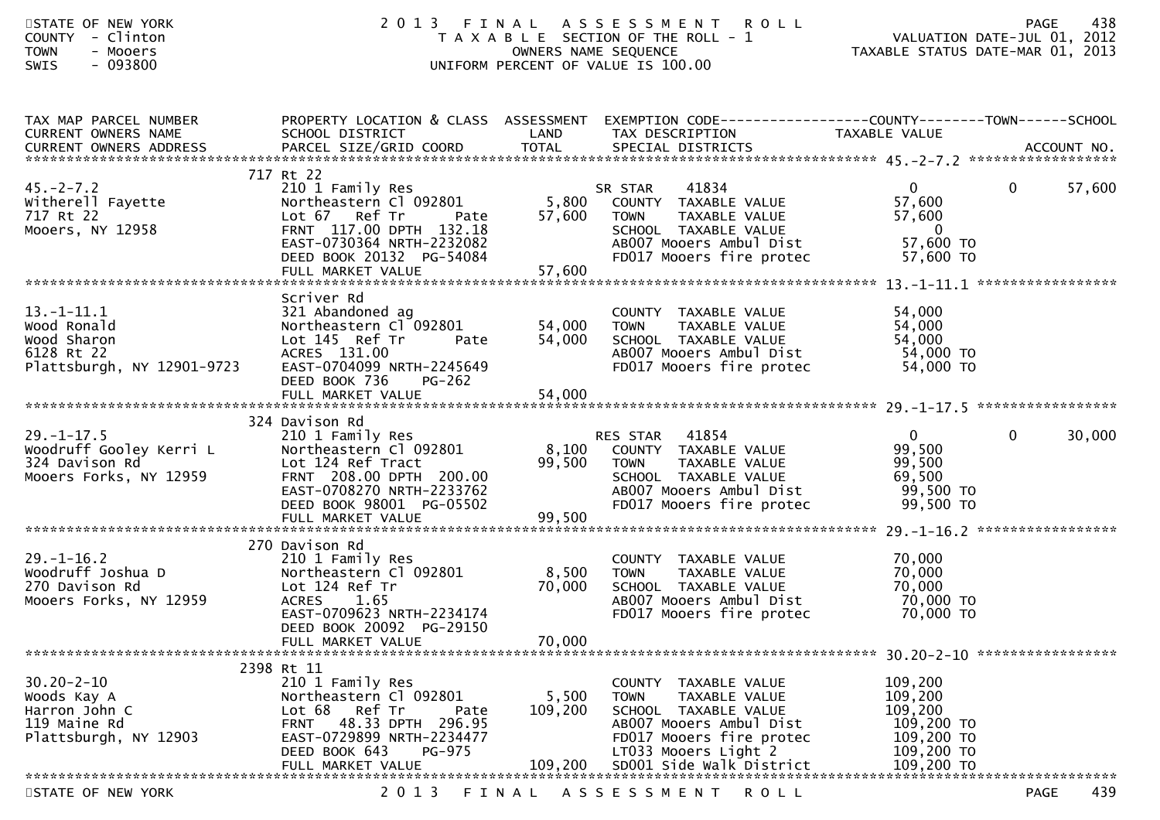| STATE OF NEW YORK<br>COUNTY - Clinton<br><b>TOWN</b><br>- Mooers<br>$-093800$<br><b>SWIS</b> | 2013                                                                                                                                                                                 | OWNERS NAME SEQUENCE      | FINAL ASSESSMENT ROLL<br>T A X A B L E SECTION OF THE ROLL - 1<br>UNIFORM PERCENT OF VALUE IS 100.00                                                           | VALUATION DATE-JUL 31, 2013<br>TAXABLE STATUS DATE-MAR 01, 2013                         | 438<br><b>PAGE</b>     |
|----------------------------------------------------------------------------------------------|--------------------------------------------------------------------------------------------------------------------------------------------------------------------------------------|---------------------------|----------------------------------------------------------------------------------------------------------------------------------------------------------------|-----------------------------------------------------------------------------------------|------------------------|
| TAX MAP PARCEL NUMBER<br>CURRENT OWNERS NAME                                                 | SCHOOL DISTRICT                                                                                                                                                                      | LAND                      | PROPERTY LOCATION & CLASS ASSESSMENT EXEMPTION CODE----------------COUNTY-------TOWN------SCHOOL<br>TAX DESCRIPTION                                            | TAXABLE VALUE                                                                           |                        |
|                                                                                              | 717 Rt 22                                                                                                                                                                            |                           |                                                                                                                                                                |                                                                                         |                        |
| $45. -2 - 7.2$<br>witherell Fayette<br>717 Rt 22<br>Mooers, NY 12958                         | 210 1 Family Res<br>Northeastern Cl 092801<br>Lot 67 Ref Tr<br>Pate<br>FRNT 117.00 DPTH 132.18<br>EAST-0730364 NRTH-2232082<br>DEED BOOK 20132 PG-54084                              | 5,800<br>57,600           | 41834<br>SR STAR<br>COUNTY TAXABLE VALUE<br><b>TOWN</b><br>TAXABLE VALUE<br>SCHOOL TAXABLE VALUE<br>AB007 Mooers Ambul Dist<br>FD017 Mooers fire protec        | $\overline{0}$<br>57,600<br>57,600<br>$\overline{\mathbf{0}}$<br>57,600 TO<br>57,600 TO | $\mathbf{0}$<br>57,600 |
|                                                                                              |                                                                                                                                                                                      |                           |                                                                                                                                                                |                                                                                         |                        |
| $13.-1-11.1$<br>Wood Ronald<br>Wood Sharon<br>6128 Rt 22<br>Plattsburgh, NY 12901-9723       | Scriver Rd<br>321 Abandoned ag<br>Northeastern Cl 092801<br>Lot 145 Ref Tr<br>Pate<br>ACRES 131.00<br>EAST-0704099 NRTH-2245649<br>DEED BOOK 736<br><b>PG-262</b>                    | 54,000 TOWN<br>54,000     | COUNTY TAXABLE VALUE<br>TAXABLE VALUE<br>SCHOOL TAXABLE VALUE<br>AB007 Mooers Ambul Dist<br>FD017 Mooers fire protec                                           | 54,000<br>54,000<br>54,000<br>54,000 TO<br>54,000 TO                                    |                        |
| $29. - 1 - 17.5$<br>Woodruff Gooley Kerri L<br>324 Davison Rd<br>Mooers Forks, NY 12959      | 324 Davison Rd<br>210 1 Family Res<br>Northeastern Cl 092801<br>Lot 124 Ref Tract<br>FRNT 208.00 DPTH 200.00<br>EAST-0708270 NRTH-2233762<br>DEED BOOK 98001 PG-05502                | 8,100<br>99,500           | 41854<br>RES STAR<br>COUNTY TAXABLE VALUE<br>TAXABLE VALUE<br><b>TOWN</b><br>SCHOOL TAXABLE VALUE<br>AB007 Mooers Ambul Dist<br>FD017 Mooers fire protec       | $\overline{0}$<br>99,500<br>99,500<br>69,500<br>99,500 TO<br>99,500 TO                  | $\mathbf{0}$<br>30,000 |
| $29. - 1 - 16.2$<br>Woodruff Joshua D<br>270 Davison Rd<br>Mooers Forks, NY 12959            | 270 Davison Rd<br>210 1 Family Res<br>Northeastern Cl 092801<br>Lot 124 Ref Tr<br><b>ACRES</b><br>1.65<br>EAST-0709623 NRTH-2234174<br>DEED BOOK 20092 PG-29150<br>FULL MARKET VALUE | 8,500<br>70,000<br>70,000 | COUNTY TAXABLE VALUE<br><b>TOWN</b><br>TAXABLE VALUE<br>SCHOOL TAXABLE VALUE<br>AB007 Mooers Ambul Dist<br>FD017 Mooers fire protec                            | 70,000<br>70,000<br>70,000<br>70,000 TO<br>70,000 TO                                    |                        |
|                                                                                              | 2398 Rt 11                                                                                                                                                                           |                           |                                                                                                                                                                |                                                                                         |                        |
| $30.20 - 2 - 10$<br>Woods Kay A<br>Harron John C<br>119 Maine Rd<br>Plattsburgh, NY 12903    | 210 1 Family Res<br>Northeastern Cl 092801<br>Lot 68<br>Ref Tr<br>Pate<br>48.33 DPTH 296.95<br><b>FRNT</b><br>EAST-0729899 NRTH-2234477<br>DEED BOOK 643<br><b>PG-975</b>            | 5,500<br>109,200          | COUNTY<br>TAXABLE VALUE<br><b>TOWN</b><br>TAXABLE VALUE<br>SCHOOL TAXABLE VALUE<br>AB007 Mooers Ambul Dist<br>FD017 Mooers fire protec<br>LT033 Mooers Light 2 | 109,200<br>109,200<br>109,200<br>109,200 TO<br>109,200 TO<br>109,200 TO                 |                        |
|                                                                                              | FULL MARKET VALUE                                                                                                                                                                    | 109,200                   | SD001 Side Walk District                                                                                                                                       | 109,200 TO                                                                              |                        |
| STATE OF NEW YORK                                                                            | 2 0 1 3                                                                                                                                                                              | FINAL                     | A S S E S S M E N T<br>R O L L                                                                                                                                 |                                                                                         | 439<br>PAGE            |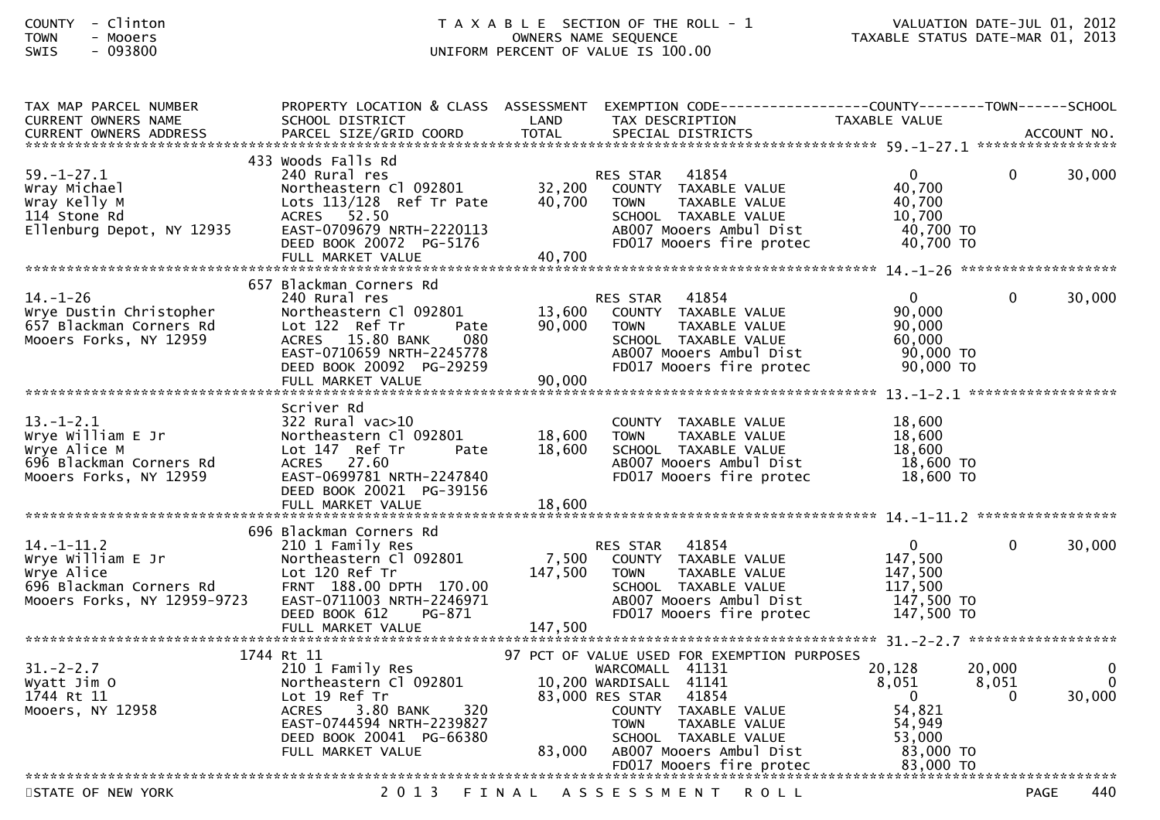## COUNTY - Clinton T A X A B L E SECTION OF THE ROLL - 1 VALUATION DATE-JUL 01, 2012TOWN - Mooers OWNERS NAME SEQUENCE TAXABLE STATUS DATE-MAR 01, 2013SWIS - 093800 UNIFORM PERCENT OF VALUE IS 100.00

| TAX MAP PARCEL NUMBER<br><b>CURRENT OWNERS NAME</b>                                                           | PROPERTY LOCATION & CLASS ASSESSMENT<br>SCHOOL DISTRICT                                                                                                                               | LAND                       | EXEMPTION        CODE------------------COUNTY-------TOWN------SCHOOL<br>TAX DESCRIPTION                                                                                                                      | <b>TAXABLE VALUE</b>                                                                |                      |                         |
|---------------------------------------------------------------------------------------------------------------|---------------------------------------------------------------------------------------------------------------------------------------------------------------------------------------|----------------------------|--------------------------------------------------------------------------------------------------------------------------------------------------------------------------------------------------------------|-------------------------------------------------------------------------------------|----------------------|-------------------------|
|                                                                                                               |                                                                                                                                                                                       |                            |                                                                                                                                                                                                              |                                                                                     |                      |                         |
| $59. - 1 - 27.1$<br>Wray Michael<br>Wray Kelly M<br>114 Stone Rd<br>Ellenburg Depot, NY 12935                 | 433 Woods Falls Rd<br>240 Rural res<br>Northeastern Cl 092801<br>Lots 113/128 Ref Tr Pate<br>ACRES 52.50<br>EAST-0709679 NRTH-2220113<br>DEED BOOK 20072 PG-5176<br>FULL MARKET VALUE | 32,200<br>40,700<br>40,700 | 41854<br><b>RES STAR</b><br>COUNTY TAXABLE VALUE<br><b>TOWN</b><br>TAXABLE VALUE<br>SCHOOL TAXABLE VALUE<br>AB007 Mooers Ambul Dist<br>FD017 Mooers fire protec                                              | $\mathbf{0}$<br>40,700<br>40,700<br>10,700<br>40,700 TO<br>$40,700$ TO              | 0                    | 30,000                  |
|                                                                                                               | 657 Blackman Corners Rd                                                                                                                                                               |                            |                                                                                                                                                                                                              |                                                                                     |                      |                         |
| $14. - 1 - 26$<br>Wrye Dustin Christopher<br>657 Blackman Corners Rd<br>Mooers Forks, NY 12959                | 240 Rural res<br>Northeastern Cl 092801<br>Lot 122 Ref Tr<br>Pate<br>ACRES 15.80 BANK<br>080<br>EAST-0710659 NRTH-2245778<br>DEED BOOK 20092 PG-29259<br>FULL MARKET VALUE            | 13,600<br>90.000<br>90,000 | 41854<br><b>RES STAR</b><br>COUNTY TAXABLE VALUE<br><b>TOWN</b><br>TAXABLE VALUE<br>SCHOOL TAXABLE VALUE<br>AB007 Mooers Ambul Dist<br>FD017 Mooers fire protec                                              | $\Omega$<br>90,000<br>90,000<br>60,000<br>90,000 TO<br>90,000 TO                    | $\Omega$             | 30,000                  |
|                                                                                                               |                                                                                                                                                                                       |                            |                                                                                                                                                                                                              |                                                                                     |                      |                         |
| $13.-1-2.1$<br>Wrye William E Jr<br>Wrye Alice M<br>696 Blackman Corners Rd<br>Mooers Forks, NY 12959         | Scriver Rd<br>$322$ Rural vac $>10$<br>Northeastern Cl 092801<br>Lot 147 Ref Tr<br>Pate<br>ACRES 27.60<br>EAST-0699781 NRTH-2247840<br>DEED BOOK 20021 PG-39156                       | 18,600<br>18,600           | COUNTY TAXABLE VALUE<br><b>TOWN</b><br>TAXABLE VALUE<br>SCHOOL TAXABLE VALUE<br>AB007 Mooers Ambul Dist<br>FD017 Mooers fire protec                                                                          | 18,600<br>18,600<br>18,600<br>18,600 TO<br>18,600 TO                                |                      |                         |
|                                                                                                               | 696 Blackman Corners Rd                                                                                                                                                               |                            |                                                                                                                                                                                                              |                                                                                     |                      |                         |
| $14. - 1 - 11.2$<br>Wrye William E Jr<br>Wrye Alice<br>696 Blackman Corners Rd<br>Mooers Forks, NY 12959-9723 | 210 1 Family Res<br>Northeastern Cl 092801<br>Lot 120 Ref Tr<br>FRNT 188.00 DPTH 170.00<br>EAST-0711003 NRTH-2246971<br>PG-871<br>DEED BOOK 612                                       | 7,500<br>147,500           | 41854<br><b>RES STAR</b><br>COUNTY TAXABLE VALUE<br><b>TOWN</b><br>TAXABLE VALUE<br>SCHOOL TAXABLE VALUE<br>AB007 Mooers Ambul Dist<br>FD017 Mooers fire protec                                              | $\mathbf{0}$<br>147,500<br>147,500<br>117,500<br>147,500 TO<br>147,500 TO           | 0                    | 30,000                  |
|                                                                                                               | FULL MARKET VALUE                                                                                                                                                                     | 147,500                    |                                                                                                                                                                                                              |                                                                                     |                      |                         |
|                                                                                                               | 1744 Rt 11                                                                                                                                                                            |                            | 97 PCT OF VALUE USED FOR EXEMPTION PURPOSES                                                                                                                                                                  |                                                                                     |                      |                         |
| $31. - 2 - 2.7$<br>Wyatt Jim O<br>1744 Rt 11<br>Mooers, NY 12958                                              | 210 1 Family Res<br>Northeastern Cl 092801<br>Lot 19 Ref Tr<br><b>ACRES</b><br>3.80 BANK<br>320<br>EAST-0744594 NRTH-2239827<br>DEED BOOK 20041 PG-66380<br>FULL MARKET VALUE         | 83,000                     | WARCOMALL 41131<br>10,200 WARDISALL 41141<br>83,000 RES STAR<br>41854<br>COUNTY TAXABLE VALUE<br><b>TOWN</b><br>TAXABLE VALUE<br>SCHOOL TAXABLE VALUE<br>AB007 Mooers Ambul Dist<br>FD017 Mooers fire protec | 20,128<br>8,051<br>$\Omega$<br>54,821<br>54,949<br>53,000<br>83,000 TO<br>83,000 TO | 20,000<br>8,051<br>0 | $\Omega$<br>0<br>30,000 |
|                                                                                                               |                                                                                                                                                                                       |                            |                                                                                                                                                                                                              |                                                                                     |                      |                         |
| STATE OF NEW YORK                                                                                             | 2 0 1 3                                                                                                                                                                               |                            | FINAL ASSESSMENT ROLL                                                                                                                                                                                        |                                                                                     | <b>PAGE</b>          | 440                     |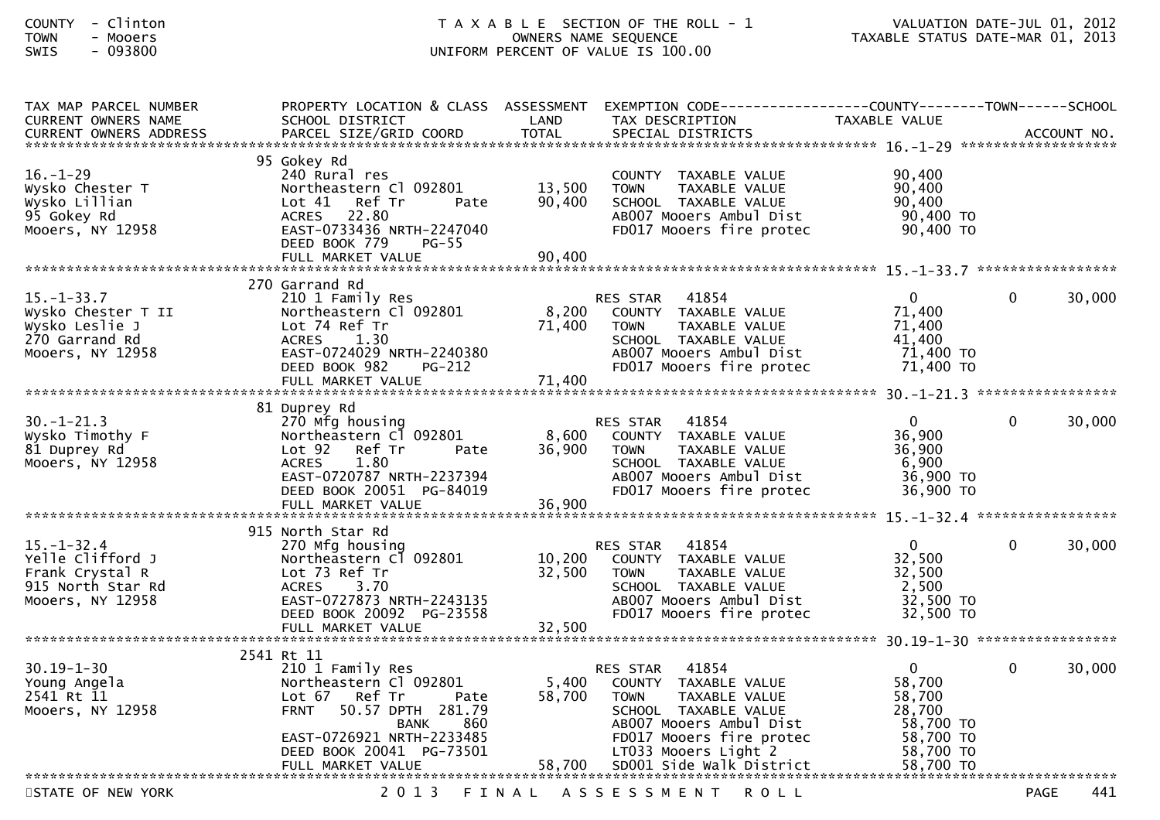### COUNTY - Clinton T A X A B L E SECTION OF THE ROLL - 1 VALUATION DATE-JUL 01, 2012TOWN - Mooers OWNERS NAME SEQUENCE TAXABLE STATUS DATE-MAR 01, 2013SWIS - 093800 UNIFORM PERCENT OF VALUE IS 100.00

| TAX MAP PARCEL NUMBER<br><b>CURRENT OWNERS NAME</b>                                              | PROPERTY LOCATION & CLASS ASSESSMENT<br>SCHOOL DISTRICT                                                                                                                                                 | LAND                       | EXEMPTION        CODE------------------COUNTY-------TOWN------SCHOOL<br>TAX DESCRIPTION                                                                                                                      | TAXABLE VALUE                                                                                  |                    |
|--------------------------------------------------------------------------------------------------|---------------------------------------------------------------------------------------------------------------------------------------------------------------------------------------------------------|----------------------------|--------------------------------------------------------------------------------------------------------------------------------------------------------------------------------------------------------------|------------------------------------------------------------------------------------------------|--------------------|
|                                                                                                  |                                                                                                                                                                                                         |                            |                                                                                                                                                                                                              |                                                                                                |                    |
|                                                                                                  |                                                                                                                                                                                                         |                            |                                                                                                                                                                                                              |                                                                                                |                    |
| $16. - 1 - 29$<br>Wysko Chester T<br>Wysko Lillian<br>95 Gokey Rd<br>Mooers, NY 12958            | 95 Gokey Rd<br>240 Rural res<br>Northeastern Cl 092801<br>Ref Tr<br>Lot $41$<br>Pate<br>ACRES 22.80<br>EAST-0733436 NRTH-2247040<br>DEED BOOK 779<br><b>PG-55</b><br>FULL MARKET VALUE                  | 13,500<br>90,400<br>90,400 | COUNTY TAXABLE VALUE<br><b>TOWN</b><br>TAXABLE VALUE<br>SCHOOL TAXABLE VALUE<br>AB007 Mooers Ambul Dist<br>FD017 Mooers fire protec                                                                          | 90,400<br>90,400<br>90,400<br>90,400 TO<br>90,400 TO                                           |                    |
|                                                                                                  |                                                                                                                                                                                                         |                            |                                                                                                                                                                                                              |                                                                                                |                    |
| $15. - 1 - 33.7$<br>Wysko Chester T II<br>Wysko Leslie J<br>270 Garrand Rd<br>Mooers, NY 12958   | 270 Garrand Rd<br>210 1 Family Res<br>Northeastern Cl 092801<br>Lot 74 Ref Tr<br><b>ACRES</b><br>1.30<br>EAST-0724029 NRTH-2240380<br>DEED BOOK 982<br>$PG-212$<br>FULL MARKET VALUE                    | 8,200<br>71,400<br>71,400  | 41854<br><b>RES STAR</b><br>COUNTY TAXABLE VALUE<br>TAXABLE VALUE<br>TOWN<br>SCHOOL TAXABLE VALUE<br>AB007 Mooers Ambul Dist<br>FD017 Mooers fire protec                                                     | $\mathbf{0}$<br>71,400<br>71,400<br>41,400<br>71,400 TO<br>71,400 TO                           | 30,000<br>$\Omega$ |
|                                                                                                  | 81 Duprey Rd                                                                                                                                                                                            |                            |                                                                                                                                                                                                              |                                                                                                |                    |
| $30. - 1 - 21.3$<br>Wysko Timothy F<br>81 Duprey Rd<br>Mooers, NY 12958                          | 270 Mfg housing<br>Northeastern Cl 092801<br>Lot <sub>92</sub><br>Ref Tr<br>Pate<br>1.80<br><b>ACRES</b><br>EAST-0720787 NRTH-2237394<br>DEED BOOK 20051 PG-84019<br>FULL MARKET VALUE                  | 8,600<br>36,900<br>36,900  | 41854<br>RES STAR<br>COUNTY TAXABLE VALUE<br><b>TOWN</b><br>TAXABLE VALUE<br>SCHOOL TAXABLE VALUE<br>AB007 Mooers Ambul Dist<br>FD017 Mooers fire protec                                                     | $\mathbf{0}$<br>36,900<br>36,900<br>6,900<br>36,900 TO<br>36,900 TO                            | 30,000<br>0        |
|                                                                                                  |                                                                                                                                                                                                         |                            |                                                                                                                                                                                                              |                                                                                                |                    |
| $15. - 1 - 32.4$<br>Yelle Clifford J<br>Frank Crystal R<br>915 North Star Rd<br>Mooers, NY 12958 | 915 North Star Rd<br>270 Mfg housing<br>Northeastern Cl 092801<br>Lot 73 Ref Tr<br>3.70<br><b>ACRES</b><br>EAST-0727873 NRTH-2243135<br>DEED BOOK 20092 PG-23558                                        | 10,200<br>32,500           | 41854<br><b>RES STAR</b><br>COUNTY TAXABLE VALUE<br><b>TOWN</b><br>TAXABLE VALUE<br>SCHOOL TAXABLE VALUE<br>AB007 Mooers Ambul Dist<br>FD017 Mooers fire protec                                              | $\mathbf{0}$<br>32,500<br>32,500<br>2,500<br>32,500 TO<br>32,500 TO                            | 30,000<br>0        |
|                                                                                                  | FULL MARKET VALUE                                                                                                                                                                                       | 32,500                     |                                                                                                                                                                                                              |                                                                                                |                    |
|                                                                                                  | 2541 Rt 11                                                                                                                                                                                              |                            |                                                                                                                                                                                                              |                                                                                                |                    |
| $30.19 - 1 - 30$<br>Young Angela<br>2541 Rt 11<br>Mooers, NY 12958                               | 210 1 Family Res<br>Northeastern Cl 092801<br>Lot 67<br>Ref Tr<br>Pate<br>50.57 DPTH 281.79<br><b>FRNT</b><br>860<br>BANK<br>EAST-0726921 NRTH-2233485<br>DEED BOOK 20041 PG-73501<br>FULL MARKET VALUE | 5,400<br>58,700<br>58,700  | 41854<br>RES STAR<br>COUNTY TAXABLE VALUE<br>TAXABLE VALUE<br><b>TOWN</b><br>SCHOOL TAXABLE VALUE<br>AB007 Mooers Ambul Dist<br>FD017 Mooers fire protec<br>LT033 Mooers Light 2<br>SD001 Side Walk District | $\mathbf{0}$<br>58,700<br>58,700<br>28,700<br>58,700 TO<br>58,700 TO<br>58,700 TO<br>58,700 TO | 30,000<br>0        |
|                                                                                                  |                                                                                                                                                                                                         |                            |                                                                                                                                                                                                              |                                                                                                |                    |
| STATE OF NEW YORK                                                                                | 2 0 1 3                                                                                                                                                                                                 | FINAL                      | A S S E S S M E N T<br>R O L L                                                                                                                                                                               |                                                                                                | <b>PAGE</b><br>441 |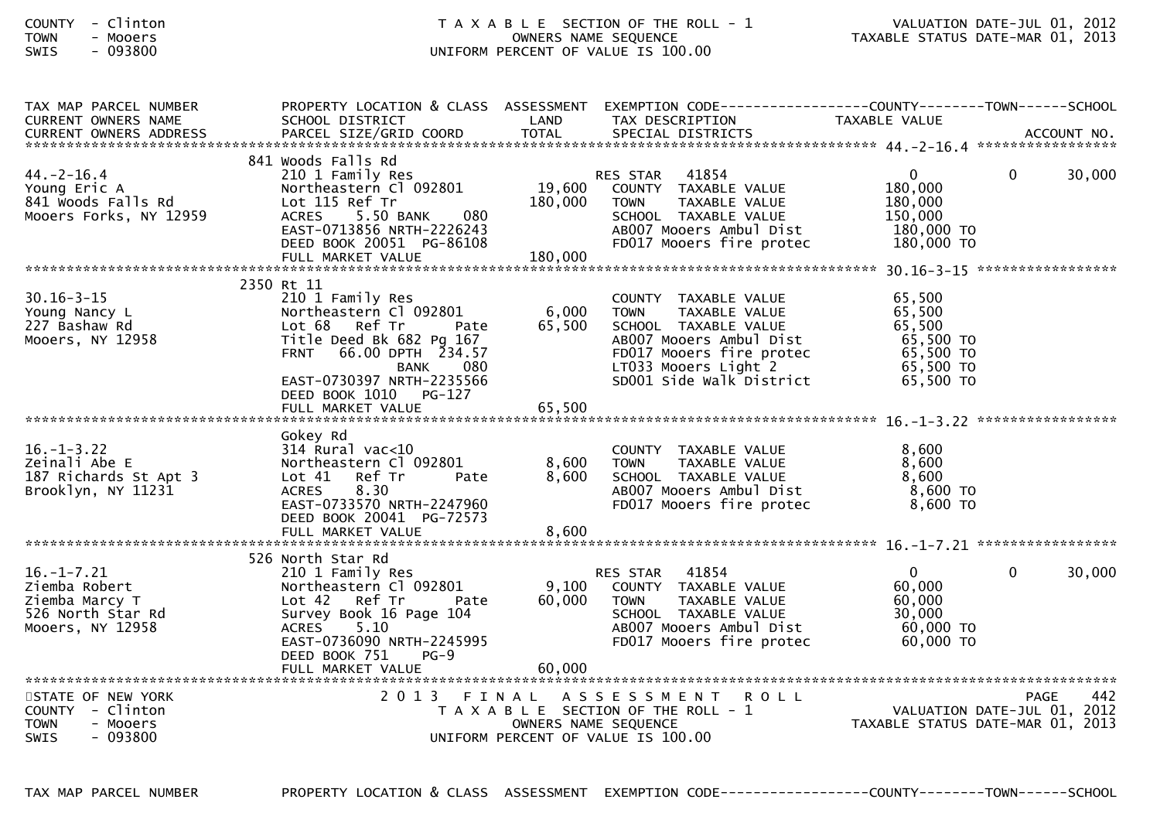| <b>COUNTY</b> | Clinton |
|---------------|---------|
| <b>TOWN</b>   | Mooers  |
| $\sim$ $\sim$ |         |

#### T A X A B L E SECTION OF THE ROLL - 1 VALUATION DATE-JUL 01, 2012<br>OWNERS NAME SEQUENCE TAXABLE STATUS DATE-MAR 01, 2013 TOWN - Mooers OWNERS NAME SEQUENCE TAXABLE STATUS DATE-MAR 01, 2013SWIS - 093800 CONTERNATION UNIFORM PERCENT OF VALUE IS 100.00

| TAX MAP PARCEL NUMBER<br>CURRENT OWNERS NAME | SCHOOL DISTRICT                               | LAND                 | PROPERTY LOCATION & CLASS ASSESSMENT EXEMPTION CODE---------------COUNTY-------TOWN-----SCHOOL<br>TAX DESCRIPTION | TAXABLE VALUE                                                   |          |        |
|----------------------------------------------|-----------------------------------------------|----------------------|-------------------------------------------------------------------------------------------------------------------|-----------------------------------------------------------------|----------|--------|
|                                              |                                               |                      |                                                                                                                   |                                                                 |          |        |
|                                              |                                               |                      |                                                                                                                   |                                                                 |          |        |
|                                              | 841 Woods Falls Rd                            |                      |                                                                                                                   |                                                                 |          |        |
| $44. -2 - 16.4$<br>Young Eric A              | 210 1 Family Res<br>Northeastern Cl 092801    | 19,600               | RES STAR 41854<br>COUNTY TAXABLE VALUE                                                                            | $\mathbf{0}$<br>180,000                                         | $\Omega$ | 30,000 |
| 841 Woods Falls Rd                           | Lot 115 Ref Tr                                | 180,000              | <b>TOWN</b><br>TAXABLE VALUE                                                                                      | 180,000                                                         |          |        |
| Mooers Forks, NY 12959                       | ACRES 5.50 BANK<br>080                        |                      | SCHOOL TAXABLE VALUE                                                                                              | 150,000                                                         |          |        |
|                                              | EAST-0713856 NRTH-2226243                     |                      | AB007 Mooers Ambul Dist                                                                                           | 180,000 TO                                                      |          |        |
|                                              | DEED BOOK 20051 PG-86108                      |                      | FD017 Mooers fire protec                                                                                          | 180,000 TO                                                      |          |        |
|                                              | FULL MARKET VALUE                             | 180,000              |                                                                                                                   |                                                                 |          |        |
|                                              | 2350 Rt 11                                    |                      |                                                                                                                   |                                                                 |          |        |
| $30.16 - 3 - 15$                             | 210 1 Family Res                              |                      | COUNTY TAXABLE VALUE                                                                                              | 65,500                                                          |          |        |
| Young Nancy L                                | Northeastern Cl 092801                        | 6,000                | <b>TOWN</b><br>TAXABLE VALUE                                                                                      | 65,500                                                          |          |        |
| 227 Bashaw Rd                                | Lot 68 Ref Tr<br>Pate                         | 65,500               | SCHOOL TAXABLE VALUE                                                                                              | 65,500                                                          |          |        |
| Mooers, NY 12958                             | Title Deed Bk 682 Pg 167                      |                      | AB007 Mooers Ambul Dist                                                                                           | 65,500 TO                                                       |          |        |
|                                              | FRNT 66.00 DPTH 234.57                        |                      | FD017 Mooers fire protec                                                                                          | 65,500 TO                                                       |          |        |
|                                              | 080<br>BANK<br>EAST-0730397 NRTH-2235566      |                      | LT033 Mooers Light 2<br>SD001 Side Walk District                                                                  | 65,500 TO<br>65,500 TO                                          |          |        |
|                                              | DEED BOOK 1010 PG-127                         |                      |                                                                                                                   |                                                                 |          |        |
|                                              | FULL MARKET VALUE                             | 65,500               |                                                                                                                   |                                                                 |          |        |
|                                              |                                               |                      |                                                                                                                   |                                                                 |          |        |
|                                              | Gokey Rd                                      |                      |                                                                                                                   |                                                                 |          |        |
| $16. - 1 - 3.22$                             | $314$ Rural vac< $10$                         |                      | COUNTY TAXABLE VALUE                                                                                              | 8,600                                                           |          |        |
| Zeinali Abe E                                | Northeastern Cl 092801                        | 8,600                | TAXABLE VALUE<br><b>TOWN</b>                                                                                      | 8,600<br>8,600                                                  |          |        |
| 187 Richards St Apt 3<br>Brooklyn, NY 11231  | Lot 41 Ref Tr<br>Pate<br>8.30<br><b>ACRES</b> | 8,600                | SCHOOL TAXABLE VALUE<br>AB007 Mooers Ambul Dist                                                                   | 8,600 TO                                                        |          |        |
|                                              | EAST-0733570 NRTH-2247960                     |                      | FD017 Mooers fire protec                                                                                          | $8,600$ TO                                                      |          |        |
|                                              | DEED BOOK 20041 PG-72573                      |                      |                                                                                                                   |                                                                 |          |        |
|                                              |                                               |                      |                                                                                                                   |                                                                 |          |        |
|                                              |                                               |                      |                                                                                                                   |                                                                 |          |        |
| $16. - 1 - 7.21$                             | 526 North Star Rd<br>210 1 Family Res         |                      | 41854<br>RES STAR                                                                                                 | $\overline{0}$                                                  | $\Omega$ | 30,000 |
| Ziemba Robert                                | Northeastern Cl 092801                        | 9,100                | COUNTY TAXABLE VALUE                                                                                              | 60,000                                                          |          |        |
| Ziemba Marcy T                               | Lot 42 Ref Tr<br>Pate                         | 60,000               | <b>TOWN</b><br>TAXABLE VALUE                                                                                      | 60,000                                                          |          |        |
| 526 North Star Rd                            | Survey Book 16 Page 104                       |                      | SCHOOL TAXABLE VALUE                                                                                              | 30,000                                                          |          |        |
| Mooers, NY 12958                             | ACRES 5.10                                    |                      | AB007 Mooers Ambul Dist                                                                                           | 60,000 TO                                                       |          |        |
|                                              | EAST-0736090 NRTH-2245995                     |                      | FD017 Mooers fire protec                                                                                          | 60,000 TO                                                       |          |        |
|                                              | DEED BOOK 751<br>$PG-9$<br>FULL MARKET VALUE  | 60,000               |                                                                                                                   |                                                                 |          |        |
|                                              |                                               |                      |                                                                                                                   |                                                                 |          |        |
| STATE OF NEW YORK                            |                                               |                      | 2013 FINAL ASSESSMENT ROLL                                                                                        |                                                                 | PAGE     | 442    |
| COUNTY - Clinton                             |                                               |                      | T A X A B L E SECTION OF THE ROLL - 1                                                                             | VALUATION DATE-JUL 01, 2012<br>TAXABLE STATUS DATE-MAR 01, 2013 |          |        |
| <b>TOWN</b><br>- Mooers                      |                                               | OWNERS NAME SEQUENCE |                                                                                                                   |                                                                 |          |        |
| <b>SWIS</b><br>$-093800$                     |                                               |                      | UNIFORM PERCENT OF VALUE IS 100.00                                                                                |                                                                 |          |        |
|                                              |                                               |                      |                                                                                                                   |                                                                 |          |        |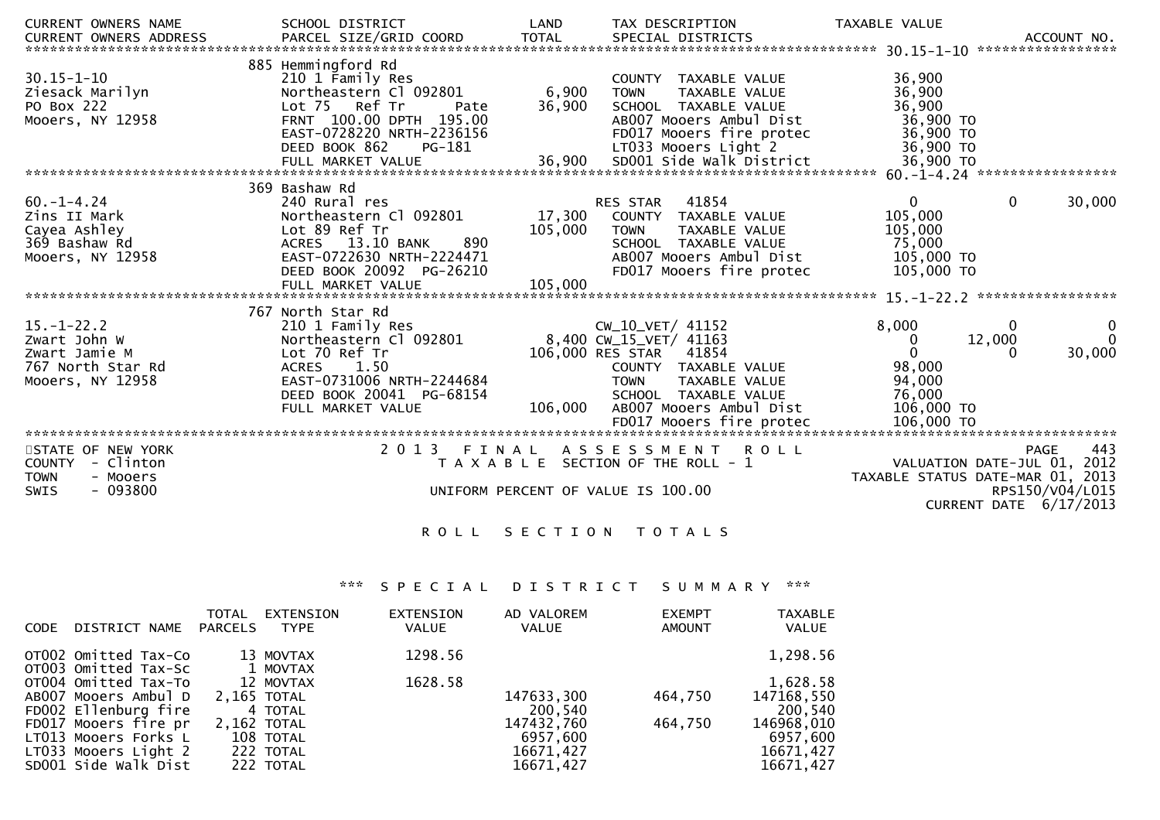| <b>CURRENT OWNERS NAME</b><br><b>CURRENT OWNERS ADDRESS</b>                                            | SCHOOL DISTRICT<br>PARCEL SIZE/GRID COORD                                                                                                                                    | LAND<br><b>TOTAL</b> |                                                                                     | TAX DESCRIPTION<br>SPECIAL DISTRICTS                                                                                                         | TAXABLE VALUE                                                                 |             | ACCOUNT NO.                                                                               |
|--------------------------------------------------------------------------------------------------------|------------------------------------------------------------------------------------------------------------------------------------------------------------------------------|----------------------|-------------------------------------------------------------------------------------|----------------------------------------------------------------------------------------------------------------------------------------------|-------------------------------------------------------------------------------|-------------|-------------------------------------------------------------------------------------------|
| $30.15 - 1 - 10$<br>Ziesack Marilyn<br>PO Box 222<br>Mooers, NY 12958                                  | 885 Hemmingford Rd<br>210 1 Family Res<br>Northeastern Cl 092801<br>Lot 75 Ref Tr<br>Pate<br>FRNT 100.00 DPTH 195.00<br>EAST-0728220 NRTH-2236156<br>DEED BOOK 862<br>PG-181 | 6,900<br>36,900      | <b>TOWN</b>                                                                         | COUNTY TAXABLE VALUE<br>TAXABLE VALUE<br>SCHOOL TAXABLE VALUE<br>AB007 Mooers Ambul Dist<br>FD017 Mooers fire protec<br>LT033 Mooers Light 2 | 36,900<br>36,900<br>36,900<br>36,900 TO<br>36,900 TO<br>36,900 TO             |             |                                                                                           |
|                                                                                                        | FULL MARKET VALUE                                                                                                                                                            | 36,900               |                                                                                     | SD001 Side Walk District                                                                                                                     | 36,900 TO                                                                     |             | 60. -1-4. 24 ******************                                                           |
|                                                                                                        | 369 Bashaw Rd                                                                                                                                                                |                      |                                                                                     |                                                                                                                                              |                                                                               |             |                                                                                           |
| $60. - 1 - 4.24$<br>Zins II Mark<br>Cayea Ashley<br>369 Bashaw Rd<br>Mooers, NY 12958                  | 240 Rural res<br>Northeastern Cl 092801<br>Lot 89 Ref Tr<br>13.10 BANK<br>890<br><b>ACRES</b><br>EAST-0722630 NRTH-2224471<br>DEED BOOK 20092 PG-26210                       | 17,300<br>105,000    | RES STAR<br><b>TOWN</b>                                                             | 41854<br>COUNTY TAXABLE VALUE<br><b>TAXABLE VALUE</b><br>SCHOOL TAXABLE VALUE<br>AB007 Mooers Ambul Dist<br>FD017 Mooers fire protec         | $\mathbf 0$<br>105,000<br>105,000<br>75,000<br>105,000 TO<br>105,000 TO       | $\mathbf 0$ | 30,000                                                                                    |
|                                                                                                        | FULL MARKET VALUE                                                                                                                                                            | 105,000              |                                                                                     |                                                                                                                                              |                                                                               |             |                                                                                           |
|                                                                                                        | 767 North Star Rd                                                                                                                                                            |                      |                                                                                     |                                                                                                                                              |                                                                               |             | 15. -1-22. 2 ******************                                                           |
| $15.-1-22.2$<br>Zwart John W<br>Zwart Jamie M<br>767 North Star Rd<br>Mooers, NY 12958                 | 210 1 Family Res<br>Northeastern Cl 092801<br>Lot 70 Ref Tr<br>ACRES 1.50<br>EAST-0731006 NRTH-2244684<br>DEED BOOK 20041 PG-68154<br>FULL MARKET VALUE                      | 106,000              | CW_10_VET/ 41152<br>8,400 CW_15_VET/ 41163<br>106,000 RES STAR 41854<br><b>TOWN</b> | COUNTY TAXABLE VALUE<br>TAXABLE VALUE<br>SCHOOL TAXABLE VALUE<br>AB007 Mooers Ambul Dist                                                     | 8,000<br>$\mathbf{0}$<br>$\Omega$<br>98,000<br>94,000<br>76,000<br>106,000 TO | 12,000      | 0<br>$\Omega$<br>30,000                                                                   |
|                                                                                                        |                                                                                                                                                                              |                      |                                                                                     |                                                                                                                                              |                                                                               |             |                                                                                           |
| STATE OF NEW YORK<br>- Clinton<br><b>COUNTY</b><br><b>TOWN</b><br>- Mooers<br>$-093800$<br><b>SWIS</b> | 2 0 1 3<br>FINAL<br>UNIFORM PERCENT OF VALUE IS 100.00                                                                                                                       |                      |                                                                                     | ASSESSMENT ROLL<br>T A X A B L E SECTION OF THE ROLL - 1                                                                                     | TAXABLE STATUS DATE-MAR 01, 2013                                              |             | 443<br>PAGE<br>VALUATION DATE-JUL 01, 2012<br>RPS150/V04/L015<br>CURRENT DATE $6/17/2013$ |

## \*\*\* S P E C I A L D I S T R I C T S U M M A R Y \*\*\*

| <b>CODE</b> | DISTRICT NAME                                                                                                                                | TOTAL<br>PARCELS | EXTENSION<br><b>TYPE</b>                                                     | EXTENSION<br><b>VALUE</b> | AD VALOREM<br><b>VALUE</b>                                   | <b>EXEMPT</b><br><b>AMOUNT</b> | <b>TAXABLE</b><br><b>VALUE</b>                                           |
|-------------|----------------------------------------------------------------------------------------------------------------------------------------------|------------------|------------------------------------------------------------------------------|---------------------------|--------------------------------------------------------------|--------------------------------|--------------------------------------------------------------------------|
|             | OT002 Omitted Tax-Co<br>OT003 Omitted Tax-Sc                                                                                                 |                  | 13 MOVTAX<br>1 MOVTAX                                                        | 1298.56                   |                                                              |                                | 1,298.56                                                                 |
|             | OT004 Omitted Tax-To<br>AB007 Mooers Ambul D<br>FD002 Ellenburg fire<br>FD017 Mooers fire pr<br>LT013 Mooers Forks L<br>LT033 Mooers Light 2 |                  | 12 MOVTAX<br>2,165 TOTAL<br>4 TOTAL<br>2,162 TOTAL<br>108 TOTAL<br>222 TOTAL | 1628.58                   | 147633,300<br>200,540<br>147432,760<br>6957,600<br>16671,427 | 464,750<br>464,750             | 1,628.58<br>147168,550<br>200,540<br>146968,010<br>6957,600<br>16671,427 |
|             | SD001 Side Walk Dist                                                                                                                         |                  | 222 TOTAL                                                                    |                           | 16671,427                                                    |                                | 16671,427                                                                |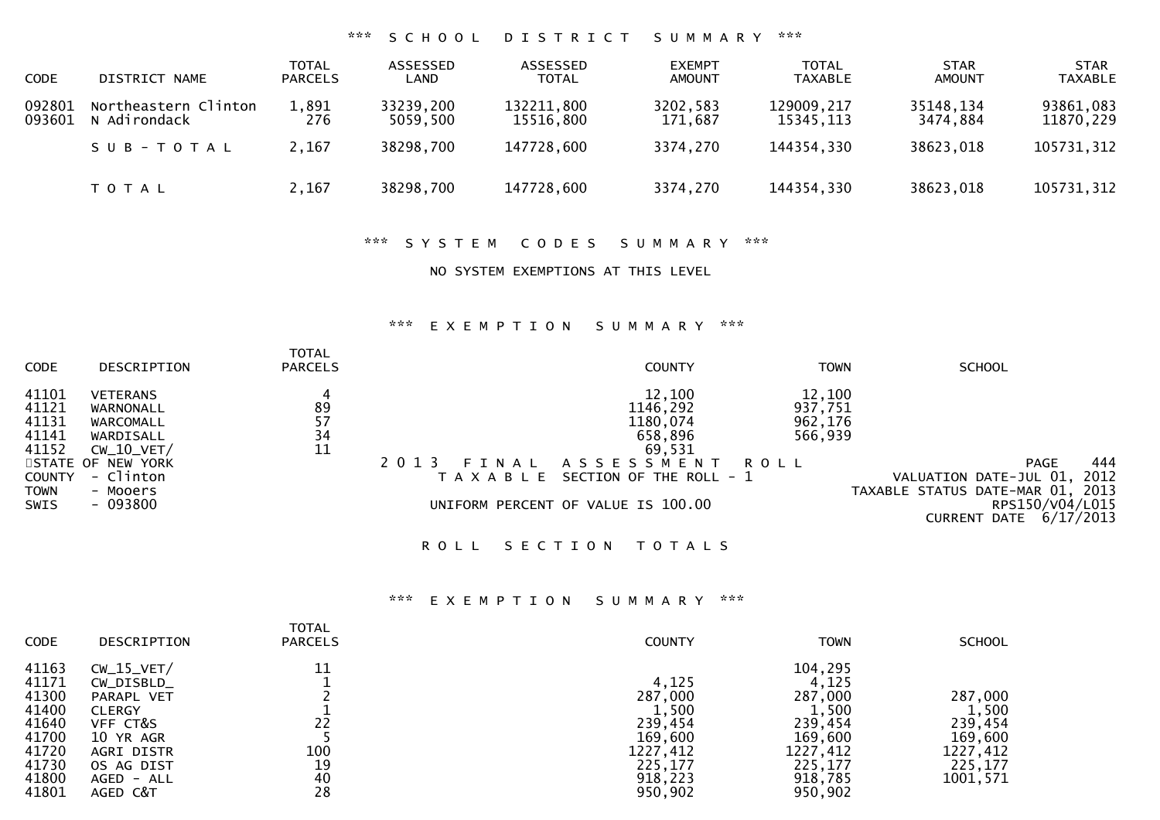#### \*\*\* S C H O O L D I S T R I C T S U M M A R Y \*\*\*

| CODE             | DISTRICT NAME                        | <b>TOTAL</b><br><b>PARCELS</b> | ASSESSED<br>LAND      | ASSESSED<br><b>TOTAL</b> | <b>EXEMPT</b><br><b>AMOUNT</b> | <b>TOTAL</b><br>TAXABLE | <b>STAR</b><br><b>AMOUNT</b> | <b>STAR</b><br><b>TAXABLE</b> |
|------------------|--------------------------------------|--------------------------------|-----------------------|--------------------------|--------------------------------|-------------------------|------------------------------|-------------------------------|
| 092801<br>093601 | Northeastern Clinton<br>N Adirondack | 1,891<br>276                   | 33239,200<br>5059,500 | 132211,800<br>15516.800  | 3202,583<br>171.687            | 129009,217<br>15345.113 | 35148,134<br>3474.884        | 93861,083<br>11870,229        |
|                  | SUB-TOTAL                            | 2,167                          | 38298,700             | 147728,600               | 3374,270                       | 144354,330              | 38623,018                    | 105731,312                    |
|                  | T O T A L                            | 2,167                          | 38298,700             | 147728,600               | 3374,270                       | 144354,330              | 38623,018                    | 105731,312                    |

#### \*\*\* S Y S T E M C O D E S S U M M A R Y \*\*\*

### NO SYSTEM EXEMPTIONS AT THIS LEVEL

### \*\*\* E X E M P T I O N S U M M A R Y \*\*\*

| <b>CODE</b>                                                                              | DESCRIPTION                                                                                                                      | <b>TOTAL</b><br><b>PARCELS</b> |                                   | <b>COUNTY</b>                                                                                                                               | <b>TOWN</b>                                     | <b>SCHOOL</b>                                                                                                |                          |
|------------------------------------------------------------------------------------------|----------------------------------------------------------------------------------------------------------------------------------|--------------------------------|-----------------------------------|---------------------------------------------------------------------------------------------------------------------------------------------|-------------------------------------------------|--------------------------------------------------------------------------------------------------------------|--------------------------|
| 41101<br>41121<br>41131<br>41141<br>41152<br><b>COUNTY</b><br><b>TOWN</b><br><b>SWIS</b> | <b>VETERANS</b><br>WARNONALL<br>WARCOMALL<br>WARDISALL<br>$CW_10_VET/$<br>STATE OF NEW YORK<br>- Clinton<br>- Mooers<br>- 093800 | 89<br>57<br>34<br>11           | 2 0 1 3<br>FINAL<br>T A X A B L E | 12,100<br>1146,292<br>1180,074<br>658,896<br>69,531<br>A S S E S S M E N T<br>SECTION OF THE ROLL - 1<br>UNIFORM PERCENT OF VALUE IS 100.00 | 12,100<br>937,751<br>962,176<br>566,939<br>ROLL | <b>PAGE</b><br>VALUATION DATE-JUL 01,<br>TAXABLE STATUS DATE-MAR 01, 2013<br>RPS150/V04/L015<br>CURRENT DATE | 444<br>2012<br>6/17/2013 |
|                                                                                          |                                                                                                                                  |                                |                                   |                                                                                                                                             |                                                 |                                                                                                              |                          |

ROLL SECTION TOTALS

| <b>CODE</b>                                                                            | DESCRIPTION                                                                                                                                  | <b>TOTAL</b><br><b>PARCELS</b>    | <b>COUNTY</b>                                                                                | <b>TOWN</b>                                                                                             | <b>SCHOOL</b>                                                             |
|----------------------------------------------------------------------------------------|----------------------------------------------------------------------------------------------------------------------------------------------|-----------------------------------|----------------------------------------------------------------------------------------------|---------------------------------------------------------------------------------------------------------|---------------------------------------------------------------------------|
| 41163<br>41171<br>41300<br>41400<br>41640<br>41700<br>41720<br>41730<br>41800<br>41801 | $CW_15_VET/$<br>$CW_DISBLD_$<br>PARAPL VET<br><b>CLERGY</b><br>VFF CT&S<br>10 YR AGR<br>AGRI DISTR<br>OS AG DIST<br>$AGED - ALL$<br>AGED C&T | 11<br>22<br>100<br>19<br>40<br>28 | 4,125<br>287,000<br>1,500<br>239,454<br>169,600<br>1227,412<br>225,177<br>918,223<br>950,902 | 104,295<br>4,125<br>287,000<br>1,500<br>239,454<br>169,600<br>1227,412<br>225,177<br>918,785<br>950,902 | 287,000<br>1,500<br>239,454<br>169,600<br>1227,412<br>225.177<br>1001,571 |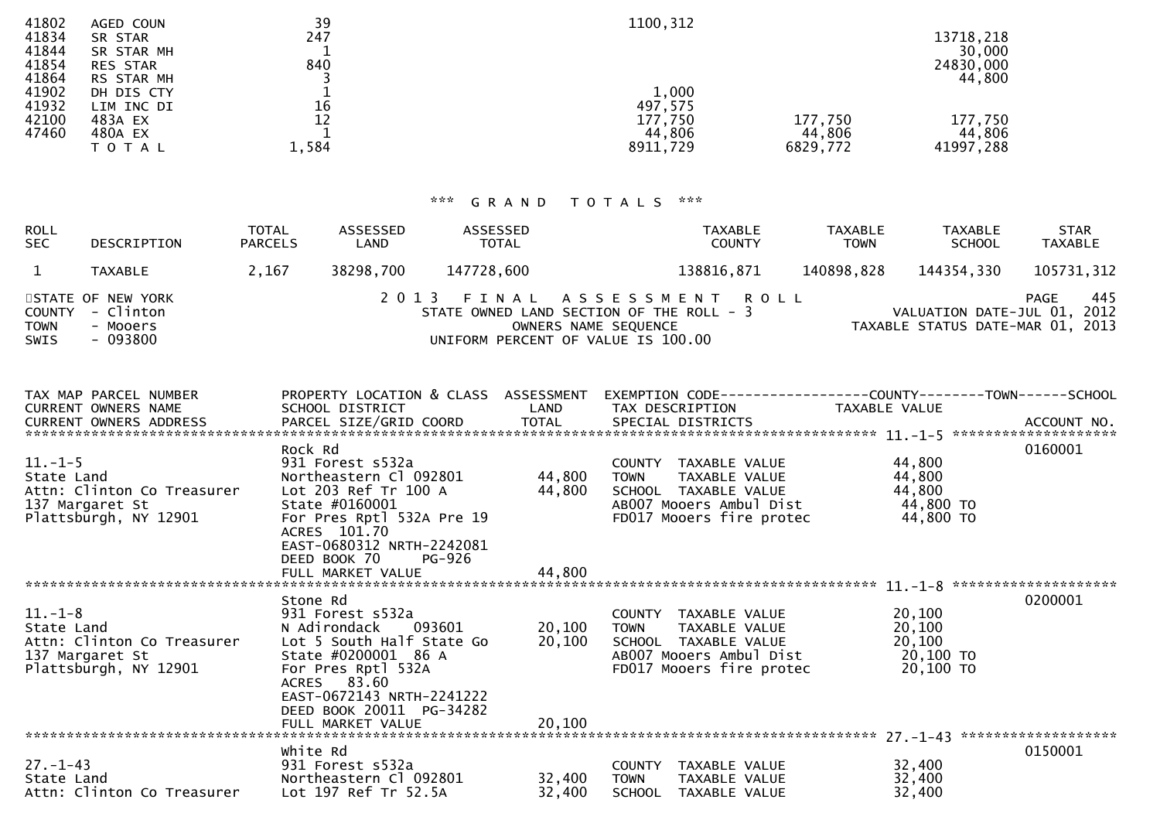| 41802 | AGED COUN       | 39    | 1100,312 |          |           |
|-------|-----------------|-------|----------|----------|-----------|
| 41834 | SR STAR         | 247   |          |          | 13718,218 |
| 41844 | SR STAR MH      |       |          |          | 30,000    |
| 41854 | <b>RES STAR</b> | 840   |          |          | 24830,000 |
| 41864 | RS STAR MH      |       |          |          | 44,800    |
| 41902 | DH DIS CTY      |       | 1,000    |          |           |
| 41932 | LIM INC DI      | 16    | 497,575  |          |           |
| 42100 | 483A EX         |       | 177,750  | 177,750  | 177,750   |
| 47460 | 480A EX         |       | 44,806   | 44,806   | 44,806    |
|       | T O T A L       | 1,584 | 8911,729 | 6829,772 | 41997,288 |
|       |                 |       |          |          |           |

| <b>ROLL</b><br><b>SEC</b>     | DESCRIPTION                                            | <b>TOTAL</b><br><b>PARCELS</b> | ASSESSED<br>LAND | ASSESSED<br><b>TOTAL</b> | <b>TAXABLE</b><br><b>COUNTY</b>                                                                                                      | TAXABLE<br><b>TOWN</b> | <b>TAXABLE</b><br><b>SCHOOL</b>                                 | <b>STAR</b><br><b>TAXABLE</b> |
|-------------------------------|--------------------------------------------------------|--------------------------------|------------------|--------------------------|--------------------------------------------------------------------------------------------------------------------------------------|------------------------|-----------------------------------------------------------------|-------------------------------|
|                               | TAXABLE                                                | 2.167                          | 38298.700        | 147728.600               | 138816,871                                                                                                                           | 140898,828             | 144354,330                                                      | 105731,312                    |
| COUNTY<br><b>TOWN</b><br>SWIS | STATE OF NEW YORK<br>- Clinton<br>- Mooers<br>- 093800 |                                |                  |                          | 2013 FINAL ASSESSMENT ROLL<br>STATE OWNED LAND SECTION OF THE ROLL - 3<br>OWNERS NAME SEQUENCE<br>UNIFORM PERCENT OF VALUE IS 100.00 |                        | VALUATION DATE-JUL 01, 2012<br>TAXABLE STATUS DATE-MAR 01, 2013 | 445<br>PAGE                   |

| TAX MAP PARCEL NUMBER                           |                                                       |        | PROPERTY LOCATION & CLASS ASSESSMENT EXEMPTION CODE----------------COUNTY-------TOWN------SCHOOL |           |         |
|-------------------------------------------------|-------------------------------------------------------|--------|--------------------------------------------------------------------------------------------------|-----------|---------|
|                                                 |                                                       |        |                                                                                                  |           |         |
|                                                 | Rock Rd                                               |        |                                                                                                  |           | 0160001 |
| $11.-1-5$                                       | 931 Forest s532a                                      |        | COUNTY TAXABLE VALUE                                                                             | 44,800    |         |
| State Land                                      | Northeastern C1 092801                                | 44,800 | TOWN<br>TAXABLE VALUE                                                                            | 44,800    |         |
| Attn: Clinton Co Treasurer Lot 203 Ref Tr 100 A |                                                       | 44,800 | SCHOOL TAXABLE VALUE                                                                             | 44,800    |         |
| 137 Margaret St                                 | State #0160001                                        |        | AB007 Mooers Ambul Dist                                                                          | 44,800 TO |         |
| Plattsburgh, NY 12901                           | For Pres Rptl 532A Pre 19<br>ACRES 101.70             |        | FD017 Mooers fire protec                                                                         | 44,800 TO |         |
|                                                 | EAST-0680312 NRTH-2242081<br>DEED BOOK 70<br>PG-926   |        |                                                                                                  |           |         |
|                                                 |                                                       |        |                                                                                                  |           |         |
|                                                 |                                                       |        |                                                                                                  |           |         |
|                                                 | Stone Rd                                              |        |                                                                                                  |           | 0200001 |
| $11.-1-8$                                       | 931 Forest s532a                                      |        | COUNTY TAXABLE VALUE                                                                             | 20,100    |         |
|                                                 |                                                       | 20,100 | TOWN<br>TAXABLE VALUE                                                                            | 20,100    |         |
|                                                 |                                                       | 20,100 | SCHOOL TAXABLE VALUE                                                                             | 20,100    |         |
| 137 Margaret St                                 | State #0200001 86 A                                   |        | AB007 Mooers Ambul Dist                                                                          | 20,100 TO |         |
| Plattsburgh, NY 12901                           | For Pres Rptl 532A<br>ACRES 83.60                     |        | FD017 Mooers fire protec                                                                         | 20,100 TO |         |
|                                                 | EAST-0672143 NRTH-2241222                             |        |                                                                                                  |           |         |
|                                                 | DEED BOOK 20011 PG-34282                              |        |                                                                                                  |           |         |
|                                                 | FULL MARKET VALUE                                     | 20,100 |                                                                                                  |           |         |
|                                                 |                                                       |        |                                                                                                  |           |         |
|                                                 | white Rd                                              |        |                                                                                                  |           | 0150001 |
| $27. - 1 - 43$                                  |                                                       |        | COUNTY TAXABLE VALUE                                                                             | 32,400    |         |
| State Land                                      | 931 Forest s532a<br>Northeastern Cl 092801      32,40 | 32,400 | TOWN<br>TAXABLE VALUE                                                                            | 32,400    |         |
| Attn: Clinton Co Treasurer Lot 197 Ref Tr 52.5A |                                                       | 32,400 | SCHOOL TAXABLE VALUE                                                                             | 32,400    |         |
|                                                 |                                                       |        |                                                                                                  |           |         |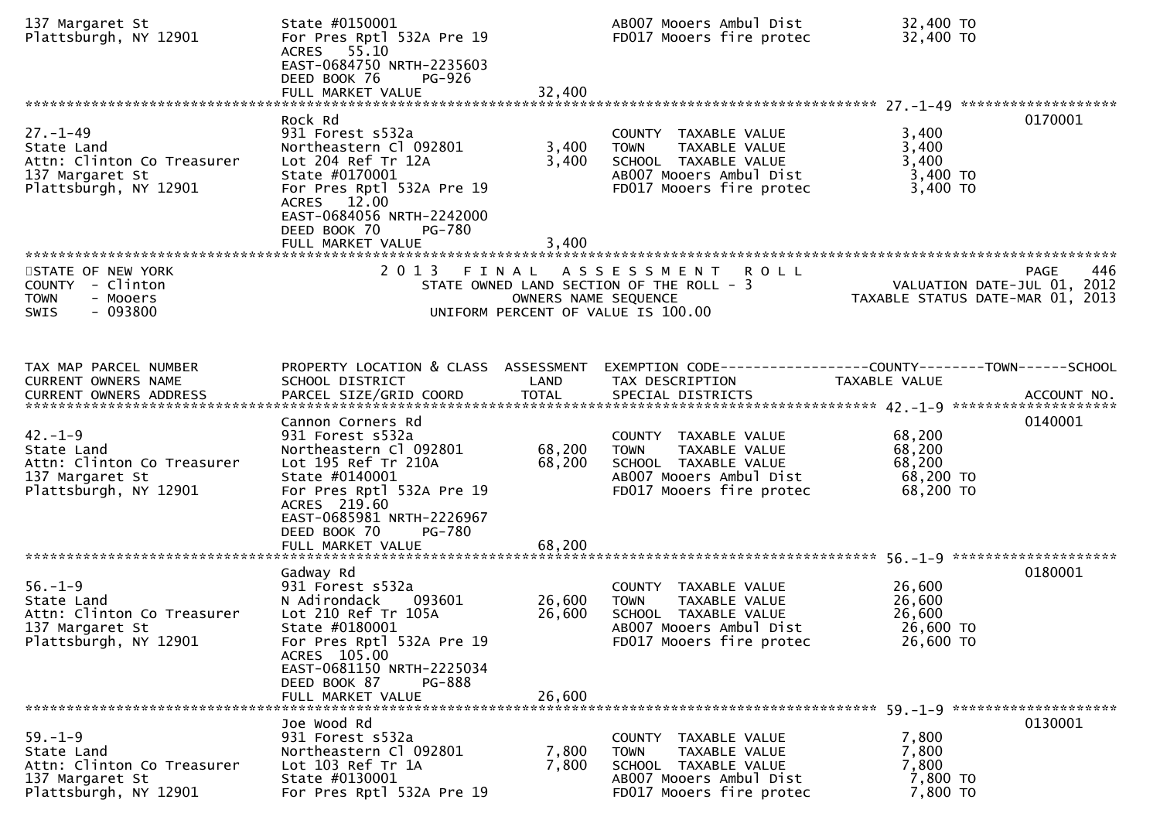| 137 Margaret St<br>Plattsburgh, NY 12901                                                               | State #0150001<br>For Pres Rptl 532A Pre 19<br>ACRES 55.10<br>EAST-0684750 NRTH-2235603<br>DEED BOOK 76<br><b>PG-926</b><br>FULL MARKET VALUE                                                                                            | 32,400                     | AB007 Mooers Ambul Dist<br>FD017 Mooers fire protec                                                                                 | 32,400 TO<br>32,400 TO                                          |             |
|--------------------------------------------------------------------------------------------------------|------------------------------------------------------------------------------------------------------------------------------------------------------------------------------------------------------------------------------------------|----------------------------|-------------------------------------------------------------------------------------------------------------------------------------|-----------------------------------------------------------------|-------------|
| $27. - 1 - 49$<br>State Land<br>Attn: Clinton Co Treasurer<br>137 Margaret St<br>Plattsburgh, NY 12901 | Rock Rd<br>931 Forest s532a<br>Northeastern Cl 092801<br>Lot 204 Ref Tr 12A<br>State #0170001<br>For Pres Rptl 532A Pre 19<br>ACRES 12.00<br>EAST-0684056 NRTH-2242000<br>DEED BOOK 70<br>PG-780<br>FULL MARKET VALUE                    | 3,400<br>3,400<br>3,400    | COUNTY TAXABLE VALUE<br><b>TOWN</b><br>TAXABLE VALUE<br>SCHOOL TAXABLE VALUE<br>AB007 Mooers Ambul Dist<br>FD017 Mooers fire protec | 3,400<br>3,400<br>3,400<br>3,400 TO<br>3,400 TO                 | 0170001     |
| STATE OF NEW YORK<br>COUNTY - Clinton<br><b>TOWN</b><br>- Mooers<br>$-093800$<br><b>SWIS</b>           |                                                                                                                                                                                                                                          | OWNERS NAME SEQUENCE       | 2013 FINAL ASSESSMENT ROLL<br>STATE OWNED LAND SECTION OF THE ROLL - 3<br>UNIFORM PERCENT OF VALUE IS 100.00                        | VALUATION DATE-JUL 01, 2012<br>TAXABLE STATUS DATE-MAR 01, 2013 | 446<br>PAGE |
| TAX MAP PARCEL NUMBER<br>CURRENT OWNERS NAME                                                           | PROPERTY LOCATION & CLASS ASSESSMENT<br>SCHOOL DISTRICT                                                                                                                                                                                  | LAND                       | EXEMPTION CODE-----------------COUNTY-------TOWN------SCHOOL<br>TAX DESCRIPTION                                                     | <b>TAXABLE VALUE</b>                                            |             |
| $42. - 1 - 9$<br>State Land<br>Attn: Clinton Co Treasurer<br>137 Margaret St<br>Plattsburgh, NY 12901  | Cannon Corners Rd<br>931 Forest s532a<br>Northeastern Cl 092801<br>Lot 195 Ref Tr 210A<br>State #0140001<br>For Pres Rptl 532A Pre 19<br>ACRES 219.60<br>EAST-0685981 NRTH-2226967<br>DEED BOOK 70<br><b>PG-780</b><br>FULL MARKET VALUE | 68,200<br>68,200<br>68,200 | COUNTY TAXABLE VALUE<br>TAXABLE VALUE<br><b>TOWN</b><br>SCHOOL TAXABLE VALUE<br>AB007 Mooers Ambul Dist<br>FD017 Mooers fire protec | 68,200<br>68,200<br>68,200<br>68,200 TO<br>68,200 TO            | 0140001     |
|                                                                                                        | Gadway Rd                                                                                                                                                                                                                                |                            |                                                                                                                                     |                                                                 | 0180001     |
| $56. - 1 - 9$<br>State Land<br>Attn: Clinton Co Treasurer<br>137 Margaret St<br>Plattsburgh, NY 12901  | 931 Forest s532a<br>093601<br>N Adirondack<br>Lot 210 Ref Tr 105A<br>State #0180001<br>For Pres Rptl 532A Pre 19<br>ACRES 105.00<br>EAST-0681150 NRTH-2225034<br>DEED BOOK 87<br>PG-888                                                  | 26,600<br>26,600           | COUNTY TAXABLE VALUE<br>TAXABLE VALUE<br><b>TOWN</b><br>SCHOOL TAXABLE VALUE<br>AB007 Mooers Ambul Dist<br>FD017 Mooers fire protec | 26,600<br>26,600<br>26,600<br>26,600 TO<br>26,600 TO            |             |
|                                                                                                        | FULL MARKET VALUE                                                                                                                                                                                                                        | 26,600                     |                                                                                                                                     |                                                                 |             |
| $59. - 1 - 9$<br>State Land<br>Attn: Clinton Co Treasurer<br>137 Margaret St<br>Plattsburgh, NY 12901  | Joe Wood Rd<br>931 Forest s532a<br>Northeastern Cl 092801<br>Lot 103 Ref Tr 1A<br>State #0130001<br>For Pres Rptl 532A Pre 19                                                                                                            | 7,800<br>7,800             | COUNTY TAXABLE VALUE<br><b>TOWN</b><br>TAXABLE VALUE<br>SCHOOL TAXABLE VALUE<br>AB007 Mooers Ambul Dist<br>FD017 Mooers fire protec | 7,800<br>7,800<br>7,800<br>7,800 TO<br>7,800 TO                 | 0130001     |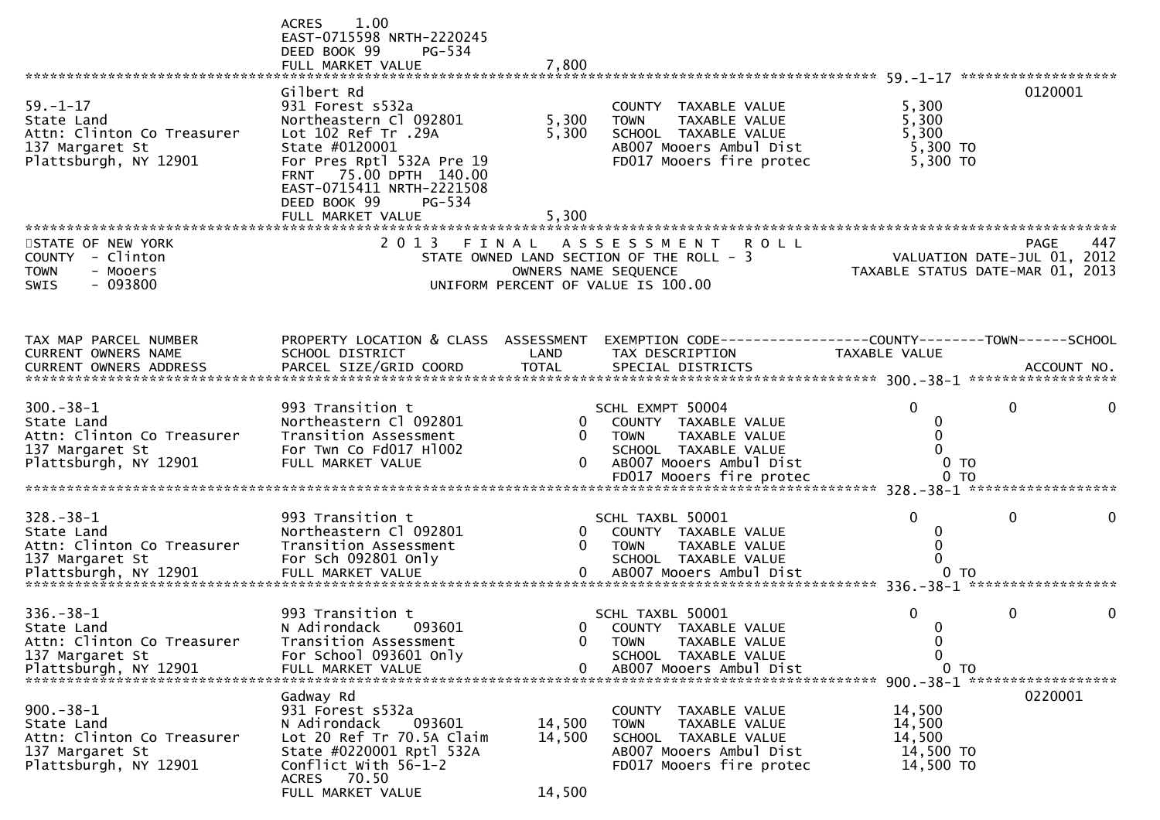|                                                                                                        | 1.00<br><b>ACRES</b><br>EAST-0715598 NRTH-2220245<br>DEED BOOK 99<br>PG-534<br>FULL MARKET VALUE                                                                                                                                     | 7,800                                    |                                                                                                                                     |                                                      |                                            |
|--------------------------------------------------------------------------------------------------------|--------------------------------------------------------------------------------------------------------------------------------------------------------------------------------------------------------------------------------------|------------------------------------------|-------------------------------------------------------------------------------------------------------------------------------------|------------------------------------------------------|--------------------------------------------|
| $59. - 1 - 17$<br>State Land<br>Attn: Clinton Co Treasurer<br>137 Margaret St<br>Plattsburgh, NY 12901 | Gilbert Rd<br>931 Forest s532a<br>Northeastern Cl 092801<br>Lot 102 Ref Tr .29A<br>State #0120001<br>For Pres Rptl 532A Pre 19<br>FRNT 75.00 DPTH 140.00<br>EAST-0715411 NRTH-2221508<br>DEED BOOK 99<br>PG-534<br>FULL MARKET VALUE | 5,300<br>5,300<br>5,300                  | COUNTY TAXABLE VALUE<br>TAXABLE VALUE<br><b>TOWN</b><br>SCHOOL TAXABLE VALUE<br>AB007 Mooers Ambul Dist<br>FD017 Mooers fire protec | 5,300<br>5,300<br>5,300<br>$5,300$ TO<br>5,300 TO    | 0120001                                    |
| STATE OF NEW YORK<br>COUNTY - Clinton<br><b>TOWN</b><br>- Mooers<br>$-093800$<br>SWIS                  | 2 0 1 3                                                                                                                                                                                                                              | FINAL<br>OWNERS NAME SEQUENCE            | A S S E S S M E N T<br><b>ROLL</b><br>STATE OWNED LAND SECTION OF THE ROLL - 3<br>UNIFORM PERCENT OF VALUE IS 100.00                | TAXABLE STATUS DATE-MAR 01, 2013                     | 447<br>PAGE<br>VALUATION DATE-JUL 01, 2012 |
| TAX MAP PARCEL NUMBER<br>CURRENT OWNERS NAME                                                           | PROPERTY LOCATION & CLASS ASSESSMENT<br>SCHOOL DISTRICT                                                                                                                                                                              | LAND                                     | EXEMPTION CODE------------------COUNTY--------TOWN------SCHOOL<br>TAX DESCRIPTION                                                   | <b>TAXABLE VALUE</b>                                 |                                            |
| $300 - 38 - 1$<br>State Land<br>Attn: Clinton Co Treasurer<br>137 Margaret St<br>Plattsburgh, NY 12901 | 993 Transition t<br>Northeastern Cl 092801<br>Transition Assessment<br>For Twn Co Fd017 H1002<br>FULL MARKET VALUE                                                                                                                   | $\mathbf{0}$<br>$\mathbf{0}$<br>$\Omega$ | SCHL EXMPT 50004<br>COUNTY TAXABLE VALUE<br><b>TOWN</b><br>TAXABLE VALUE<br>SCHOOL TAXABLE VALUE<br>AB007 Mooers Ambul Dist         | $\Omega$<br>0<br>0 <sub>T</sub>                      | 0<br>0                                     |
| $328 - 38 - 1$<br>State Land<br>Attn: Clinton Co Treasurer<br>137 Margaret St                          | 993 Transition t<br>Northeastern Cl 092801<br>Transition Assessment<br>For Sch 092801 Only                                                                                                                                           | $\mathbf{0}$<br>0                        | SCHL TAXBL 50001<br>COUNTY TAXABLE VALUE<br><b>TAXABLE VALUE</b><br>TOWN<br>SCHOOL TAXABLE VALUE                                    | $\Omega$<br>0 <sub>T</sub>                           | 0<br>******************                    |
| $336 - 38 - 1$<br>State Land<br>Attn: Clinton Co Treasurer<br>137 Margaret St<br>Plattsburgh, NY 12901 | 993 Transition t<br>N Adirondack<br>093601<br>Transition Assessment<br>For School 093601 Only<br>FULL MARKET VALUE                                                                                                                   | 0<br>0                                   | SCHL TAXBL 50001<br>0 COUNTY TAXABLE VALUE<br><b>TOWN</b><br>TAXABLE VALUE<br>SCHOOL TAXABLE VALUE<br>AB007 Mooers Ambul Dist       | 0<br>0<br>0<br>0<br>0 TO                             | $\mathbf{0}$<br>0                          |
| $900 - 38 - 1$<br>State Land<br>Attn: Clinton Co Treasurer<br>137 Margaret St<br>Plattsburgh, NY 12901 | Gadway Rd<br>931 Forest s532a<br>093601<br>N Adirondack<br>Lot 20 Ref Tr 70.5A Claim<br>State #0220001 Rptl 532A<br>Conflict With 56-1-2<br>ACRES 70.50<br>FULL MARKET VALUE                                                         | 14,500<br>14,500<br>14,500               | COUNTY TAXABLE VALUE<br><b>TOWN</b><br>TAXABLE VALUE<br>SCHOOL TAXABLE VALUE<br>AB007 Mooers Ambul Dist<br>FD017 Mooers fire protec | 14,500<br>14,500<br>14,500<br>14,500 TO<br>14,500 TO | 0220001                                    |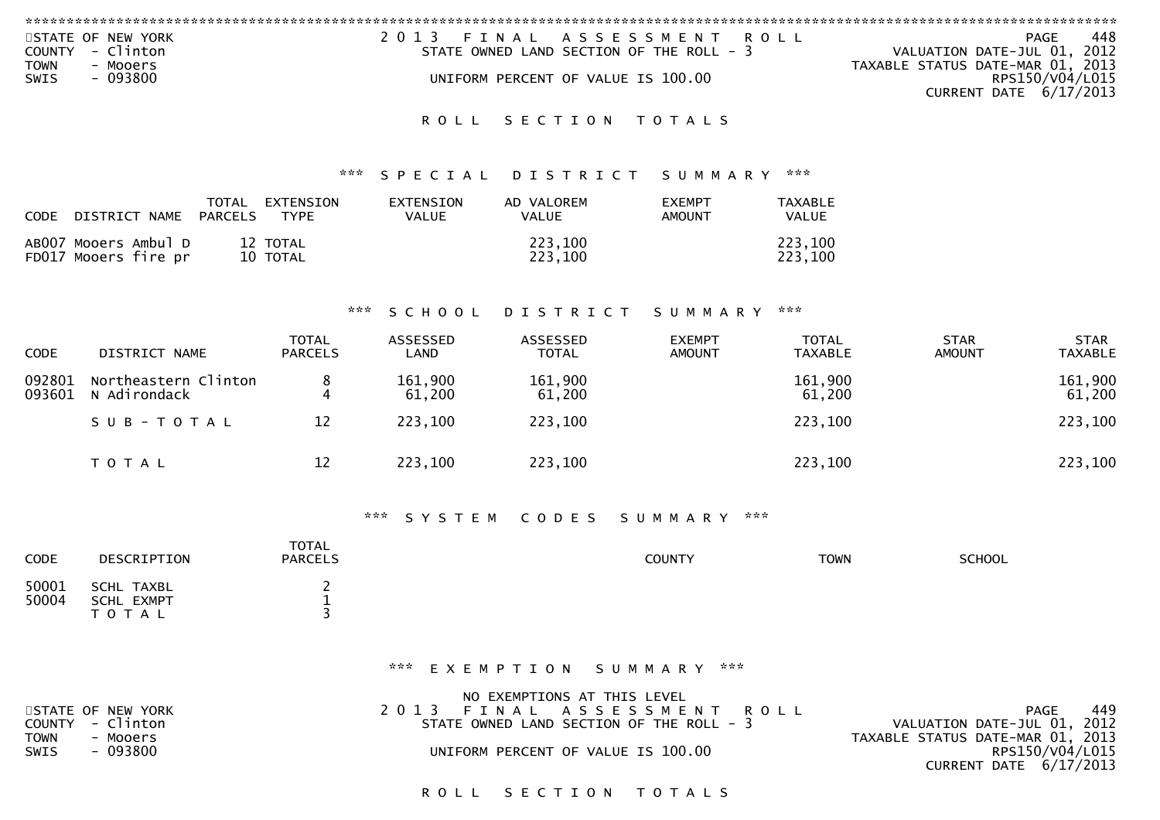| STATE OF NEW YORK        | 2013 FINAL ASSESSMENT ROLL               | 448<br>PAGE                      |
|--------------------------|------------------------------------------|----------------------------------|
| COUNTY - Clinton         | STATE OWNED LAND SECTION OF THE ROLL - 3 | VALUATION DATE-JUL 01, 2012      |
| TOWN<br>- Mooers         |                                          | TAXABLE STATUS DATE-MAR 01, 2013 |
| $-093800$<br><b>SWIS</b> | UNIFORM PERCENT OF VALUE IS 100.00       | RPS150/V04/L015                  |
|                          |                                          | CURRENT DATE $6/17/2013$         |
|                          |                                          |                                  |

### \*\*\* S P E C I A L D I S T R I C T S U M M A R Y \*\*\*

| CODE DISTRICT NAME PARCELS                   | TOTAL | EXTENSION<br><b>TYPE</b> | <b>EXTENSION</b><br><b>VALUE</b> | AD VALOREM<br><b>VALUE</b> | <b>FXEMPT</b><br>AMOUNT | TAXABLE<br>VALUE   |
|----------------------------------------------|-------|--------------------------|----------------------------------|----------------------------|-------------------------|--------------------|
| AB007 Mooers Ambul D<br>FD017 Mooers fire pr |       | 12 TOTAL<br>10 TOTAL     |                                  | 223,100<br>223,100         |                         | 223,100<br>223,100 |

#### \*\*\* S C H O O L D I S T R I C T S U M M A R Y \*\*\*

| <b>CODE</b>      | DISTRICT NAME                        | <b>TOTAL</b><br><b>PARCELS</b> | ASSESSED<br>LAND  | ASSESSED<br><b>TOTAL</b> | <b>EXEMPT</b><br><b>AMOUNT</b> | <b>TOTAL</b><br><b>TAXABLE</b> | <b>STAR</b><br><b>AMOUNT</b> | <b>STAR</b><br><b>TAXABLE</b> |
|------------------|--------------------------------------|--------------------------------|-------------------|--------------------------|--------------------------------|--------------------------------|------------------------------|-------------------------------|
| 092801<br>093601 | Northeastern Clinton<br>N Adirondack |                                | 161,900<br>61,200 | 161,900<br>61,200        |                                | 161,900<br>61,200              |                              | 161,900<br>61,200             |
|                  | SUB-TOTAL                            | 12                             | 223,100           | 223,100                  |                                | 223,100                        |                              | 223,100                       |
|                  | <b>TOTAL</b>                         | 12                             | 223,100           | 223,100                  |                                | 223,100                        |                              | 223,100                       |

#### \*\*\* S Y S T E M C O D E S S U M M A R Y \*\*\*

| <b>CODE</b>    | DESCRIPTION                           | <b>TOTAL</b><br><b>PARCELS</b> | <b>COUNTY</b> | <b>TOWN</b> | <b>SCHOOL</b> |
|----------------|---------------------------------------|--------------------------------|---------------|-------------|---------------|
| 50001<br>50004 | SCHL TAXBL<br>SCHL EXMPT<br>T O T A L |                                |               |             |               |

#### \*\*\* E X E M P T I O N S U M M A R Y \*\*\*

|             |                   | NO EXEMPTIONS AT THIS LEVEL              |                                  |
|-------------|-------------------|------------------------------------------|----------------------------------|
|             | STATE OF NEW YORK | 2013 FINAL ASSESSMENT ROLL               | 449<br>PAGE                      |
|             | COUNTY - Clinton  | STATE OWNED LAND SECTION OF THE ROLL - 3 | VALUATION DATE-JUL 01, 2012      |
| <b>TOWN</b> | - Mooers          |                                          | TAXABLE STATUS DATE-MAR 01, 2013 |
| SWIS        | - 093800          | UNIFORM PERCENT OF VALUE IS 100.00       | RPS150/V04/L015                  |
|             |                   |                                          | CURRENT DATE 6/17/2013           |

## ROLL SECTION TOTALS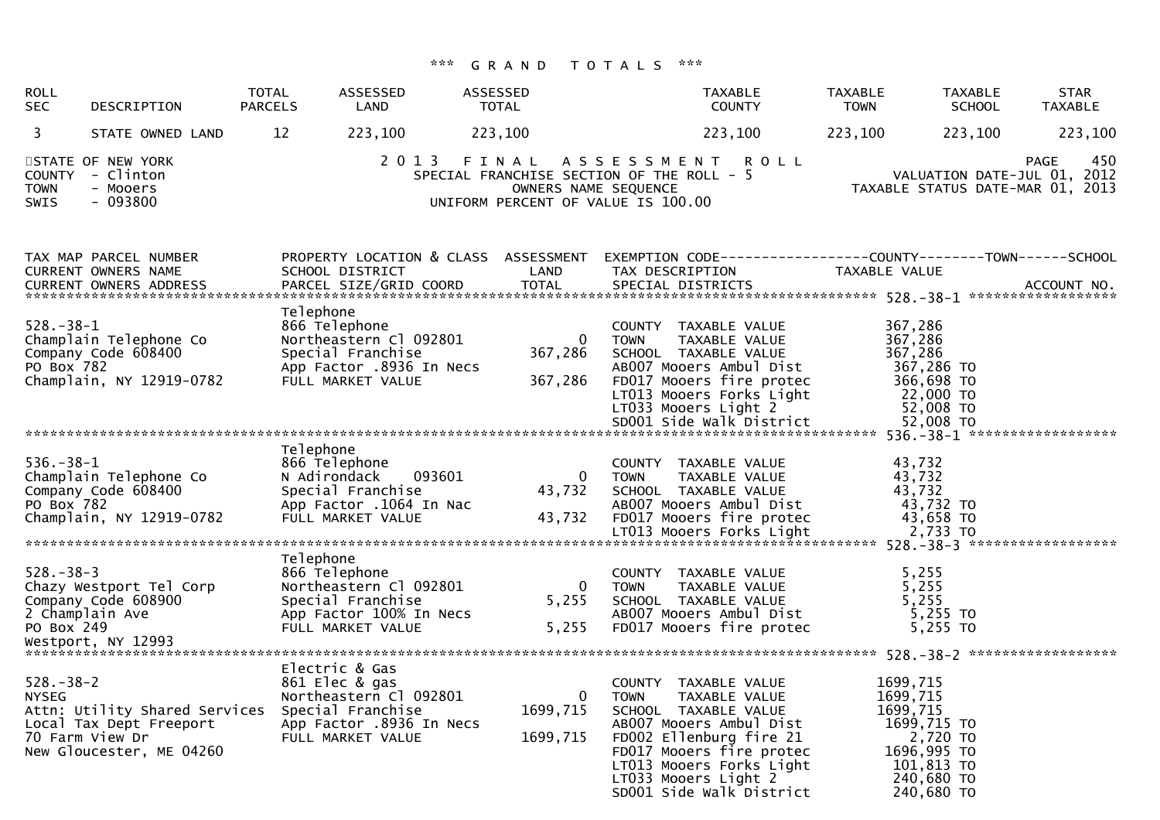| <b>ROLL</b><br><b>SEC</b>      | DESCRIPTION                                                                                                               | <b>TOTAL</b><br><b>PARCELS</b> | ASSESSED<br>LAND                                                                                              | ASSESSED<br>TOTAL                    | <b>TAXABLE</b><br><b>COUNTY</b>                                                                                                                                                                                                                | <b>TAXABLE</b><br><b>TOWN</b>                                                                            | <b>TAXABLE</b><br><b>SCHOOL</b> | <b>STAR</b><br><b>TAXABLE</b>                                                         |
|--------------------------------|---------------------------------------------------------------------------------------------------------------------------|--------------------------------|---------------------------------------------------------------------------------------------------------------|--------------------------------------|------------------------------------------------------------------------------------------------------------------------------------------------------------------------------------------------------------------------------------------------|----------------------------------------------------------------------------------------------------------|---------------------------------|---------------------------------------------------------------------------------------|
| 3                              | STATE OWNED LAND                                                                                                          | 12                             | 223,100                                                                                                       | 223,100                              | 223,100                                                                                                                                                                                                                                        | 223,100                                                                                                  | 223,100                         | 223,100                                                                               |
| <b>TOWN</b><br><b>SWIS</b>     | STATE OF NEW YORK<br>COUNTY - Clinton<br>- Mooers<br>$-093800$                                                            |                                | 2 0 1 3                                                                                                       | OWNERS NAME SEQUENCE                 | FINAL ASSESSMENT<br><b>ROLL</b><br>SPECIAL FRANCHISE SECTION OF THE ROLL - 5<br>UNIFORM PERCENT OF VALUE IS 100.00                                                                                                                             |                                                                                                          |                                 | 450<br><b>PAGE</b><br>VALUATION DATE-JUL 01, 2012<br>TAXABLE STATUS DATE-MAR 01, 2013 |
|                                | TAX MAP PARCEL NUMBER<br><b>CURRENT OWNERS NAME</b>                                                                       |                                | PROPERTY LOCATION & CLASS ASSESSMENT<br>SCHOOL DISTRICT                                                       | LAND                                 | EXEMPTION        CODE-----------------COUNTY-------TOWN------SCHOOL<br>TAX DESCRIPTION                                                                                                                                                         | TAXABLE VALUE                                                                                            |                                 |                                                                                       |
| $528. - 38 - 1$<br>PO Box 782  | Champlain Telephone Co<br>Company Code 608400<br>Champlain, NY 12919-0782                                                 | Telephone                      | 866 Telephone<br>Northeastern Cl 092801<br>Special Franchise<br>App Factor .8936 In Necs<br>FULL MARKET VALUE | $\Omega$<br>367,286<br>367,286       | COUNTY TAXABLE VALUE<br><b>TOWN</b><br>TAXABLE VALUE<br>SCHOOL TAXABLE VALUE<br>AB007 Mooers Ambul Dist<br>FD017 Mooers fire protec<br>LT013 Mooers Forks Light<br>LT033 Mooers Light 2<br>SD001 Side Walk District                            | 367,286<br>367,286<br>367,286<br>367,286 TO<br>366,698 TO<br>22,000 TO                                   | 52,008 TO<br>52,008 TO          |                                                                                       |
|                                |                                                                                                                           |                                |                                                                                                               |                                      |                                                                                                                                                                                                                                                |                                                                                                          |                                 |                                                                                       |
| $536. - 38 - 1$<br>PO Box 782  | Champlain Telephone Co<br>Company Code 608400                                                                             | Telephone                      | 866 Telephone<br>093601<br>N Adirondack<br>Special Franchise<br>App Factor .1064 In Nac                       | $\mathbf{0}$<br>43,732               | COUNTY TAXABLE VALUE<br>TAXABLE VALUE<br>TOWN<br>SCHOOL TAXABLE VALUE<br>AB007 Mooers Ambul Dist                                                                                                                                               | 43,732<br>43,732<br>43,732                                                                               | 43,732 TO                       |                                                                                       |
|                                |                                                                                                                           |                                |                                                                                                               |                                      |                                                                                                                                                                                                                                                |                                                                                                          |                                 |                                                                                       |
| $528 - 38 - 3$<br>PO Box 249   | Chazy Westport Tel Corp<br>Company Code 608900<br>2 Champlain Ave<br>Westport, NY 12993                                   | Telephone                      | 866 Telephone<br>Northeastern Cl 092801<br>Special Franchise<br>App Factor 100% In Necs<br>FULL MARKET VALUE  | $\mathbf{0}$<br>5,255<br>5,255       | COUNTY TAXABLE VALUE<br>TAXABLE VALUE<br><b>TOWN</b><br>SCHOOL TAXABLE VALUE<br>AB007 Mooers Ambul Dist<br>FD017 Mooers fire protec                                                                                                            | 5.255<br>5,255<br>5,255                                                                                  | 5,255 TO<br>5,255 TO            |                                                                                       |
|                                |                                                                                                                           |                                | Electric & Gas                                                                                                |                                      |                                                                                                                                                                                                                                                |                                                                                                          |                                 |                                                                                       |
| $528 - 38 - 2$<br><b>NYSEG</b> | Attn: Utility Shared Services Special Franchise<br>Local Tax Dept Freeport<br>70 Farm View Dr<br>New Gloucester, ME 04260 |                                | 861 Elec & gas<br>Northeastern Cl 092801<br>App Factor .8936 In Necs<br>FULL MARKET VALUE                     | $\mathbf{0}$<br>1699,715<br>1699,715 | COUNTY TAXABLE VALUE<br>TAXABLE VALUE<br><b>TOWN</b><br>SCHOOL TAXABLE VALUE<br>AB007 Mooers Ambul Dist<br>FD002 Ellenburg fire 21<br>FD017 Mooers fire protec<br>LT013 Mooers Forks Light<br>LT033 Mooers Light 2<br>SD001 Side Walk District | 1699,715<br>1699,715<br>1699,715<br>1699,715 TO<br>1696,995 TO<br>101,813 TO<br>240,680 TO<br>240,680 TO | 2,720 TO                        |                                                                                       |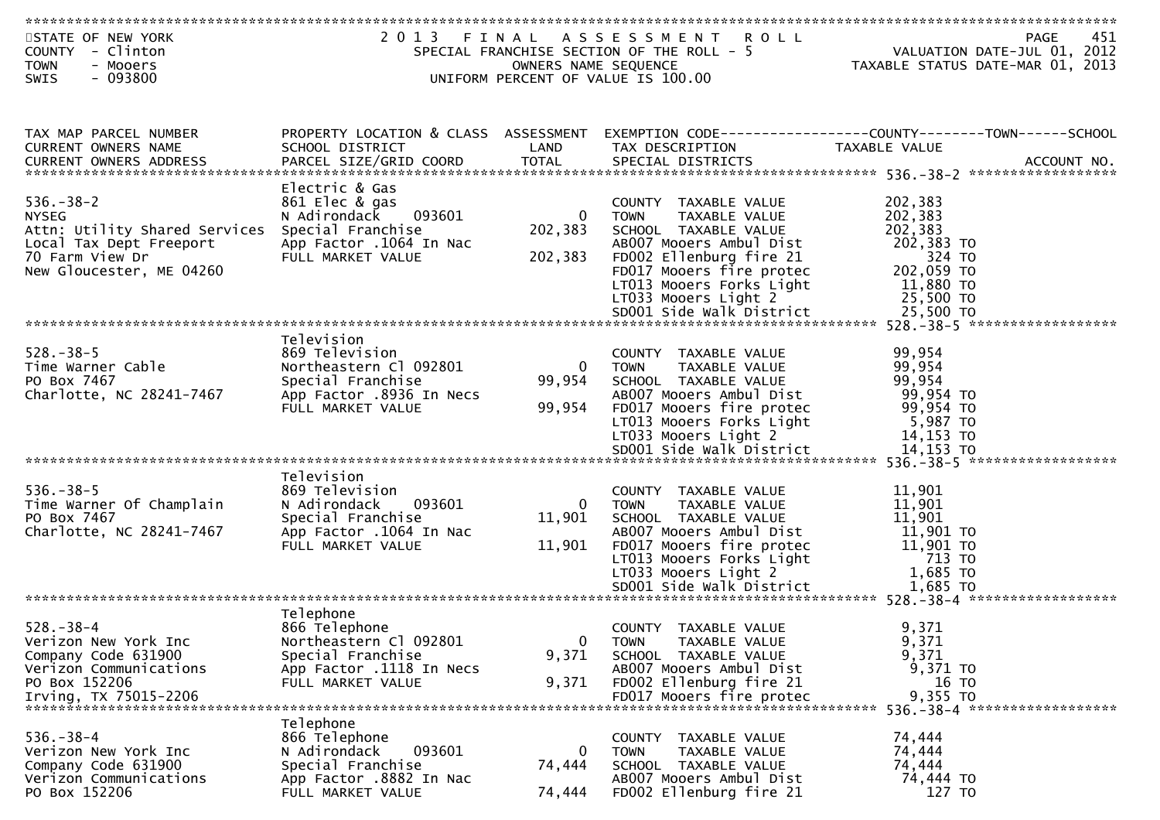| STATE OF NEW YORK<br>COUNTY - Clinton<br><b>TOWN</b><br>- Mooers<br>$-093800$<br><b>SWIS</b>                                               |                                                                                                                                 | OWNERS NAME SEQUENCE               | 2013 FINAL ASSESSMENT ROLL<br>SPECIAL FRANCHISE SECTION OF THE ROLL - 5<br>UNIFORM PERCENT OF VALUE IS 100.00                                                                                                              | 451<br>PAGE<br>VALUATION DATE-JUL 01, 2012<br>TAXABLE STATUS DATE-MAR 01, 2013                 |
|--------------------------------------------------------------------------------------------------------------------------------------------|---------------------------------------------------------------------------------------------------------------------------------|------------------------------------|----------------------------------------------------------------------------------------------------------------------------------------------------------------------------------------------------------------------------|------------------------------------------------------------------------------------------------|
|                                                                                                                                            |                                                                                                                                 |                                    |                                                                                                                                                                                                                            |                                                                                                |
| TAX MAP PARCEL NUMBER<br>CURRENT OWNERS NAME<br><b>CURRENT OWNERS ADDRESS</b>                                                              | PROPERTY LOCATION & CLASS ASSESSMENT<br>SCHOOL DISTRICT<br>PARCEL SIZE/GRID COORD                                               | LAND<br><b>TOTAL</b>               | TAX DESCRIPTION<br>SPECIAL DISTRICTS                                                                                                                                                                                       | EXEMPTION CODE-----------------COUNTY-------TOWN------SCHOOL<br>TAXABLE VALUE<br>ACCOUNT NO.   |
| $536. - 38 - 2$<br><b>NYSEG</b><br>Attn: Utility Shared Services<br>Local Tax Dept Freeport<br>70 Farm View Dr<br>New Gloucester, ME 04260 | Electric & Gas<br>861 Elec & gas<br>093601<br>N Adirondack<br>Special Franchise<br>App Factor .1064 In Nac<br>FULL MARKET VALUE | $\mathbf{0}$<br>202,383<br>202,383 | COUNTY TAXABLE VALUE<br>TAXABLE VALUE<br><b>TOWN</b><br>SCHOOL TAXABLE VALUE<br>AB007 Mooers Ambul Dist<br>FD002 Ellenburg fire 21<br>FD017 Mooers fire protec<br>LT013 Mooers Forks Light<br>LT033 Mooers Light 2         | 202,383<br>202,383<br>202,383<br>202,383 TO<br>324 TO<br>202,059 TO<br>11,880 TO<br>25,500 TO  |
| $528. - 38 - 5$<br>Time Warner Cable<br>PO Box 7467<br>Charlotte, NC 28241-7467                                                            | Television<br>869 Television<br>Northeastern Cl 092801<br>Special Franchise<br>App Factor .8936 In Necs<br>FULL MARKET VALUE    | $\overline{0}$<br>99,954<br>99,954 | COUNTY TAXABLE VALUE<br><b>TAXABLE VALUE</b><br><b>TOWN</b><br>SCHOOL TAXABLE VALUE<br>AB007 Mooers Ambul Dist<br>FD017 Mooers fire protec<br>LT013 Mooers Forks Light<br>LT033 Mooers Light 2<br>SD001 Side Walk District | 99,954<br>99,954<br>99,954<br>99,954 TO<br>99,954 TO<br>5,987 TO<br>14,153 TO<br>14,153 TO     |
|                                                                                                                                            |                                                                                                                                 |                                    |                                                                                                                                                                                                                            |                                                                                                |
| $536. - 38 - 5$<br>Time Warner Of Champlain<br>PO Box 7467<br>Charlotte, NC 28241-7467                                                     | Television<br>869 Television<br>093601<br>N Adirondack<br>Special Franchise<br>App Factor .1064 In Nac<br>FULL MARKET VALUE     | $\mathbf{0}$<br>11,901<br>11,901   | COUNTY TAXABLE VALUE<br><b>TOWN</b><br>TAXABLE VALUE<br>SCHOOL TAXABLE VALUE<br>AB007 Mooers Ambul Dist<br>FD017 Mooers fire protec<br>LT013 Mooers Forks Light<br>LT033 Mooers Light 2                                    | 11,901<br>11,901<br>11,901<br>11,901 TO<br>11,901 TO<br>713 TO<br>1,685 TO                     |
|                                                                                                                                            |                                                                                                                                 |                                    |                                                                                                                                                                                                                            |                                                                                                |
| $528. - 38 - 4$<br>Verizon New York Inc<br>Company Code 631900<br>Verizon Communications<br>PO Box 152206<br>Irving, TX 75015-2206         | Telephone<br>866 Telephone<br>Northeastern Cl 092801<br>Special Franchise<br>App Factor .1118 In Necs<br>FULL MARKET VALUE      | $\mathbf 0$<br>9,371<br>9,371      | COUNTY TAXABLE VALUE<br><b>TOWN</b><br>TAXABLE VALUE<br>SCHOOL TAXABLE VALUE<br>AB007 Mooers Ambul Dist<br>FD002 Ellenburg fire 21<br>FD017 Mooers fire protec                                                             | 9,371<br>9,371<br>9,371<br>9,371 TO<br>16 TO<br>9,355 TO<br>536. - 38 - 4 ******************** |
| $536. - 38 - 4$<br>Verizon New York Inc<br>Company Code 631900<br>Verizon Communications<br>PO Box 152206                                  | Telephone<br>866 Telephone<br>N Adirondack<br>093601<br>Special Franchise<br>App Factor .8882 In Nac<br>FULL MARKET VALUE       | 0<br>74,444<br>74,444              | COUNTY TAXABLE VALUE<br><b>TOWN</b><br>TAXABLE VALUE<br>SCHOOL TAXABLE VALUE<br>AB007 Mooers Ambul Dist<br>FD002 Ellenburg fire 21                                                                                         | 74,444<br>74,444<br>74,444<br>74,444 TO<br>127 TO                                              |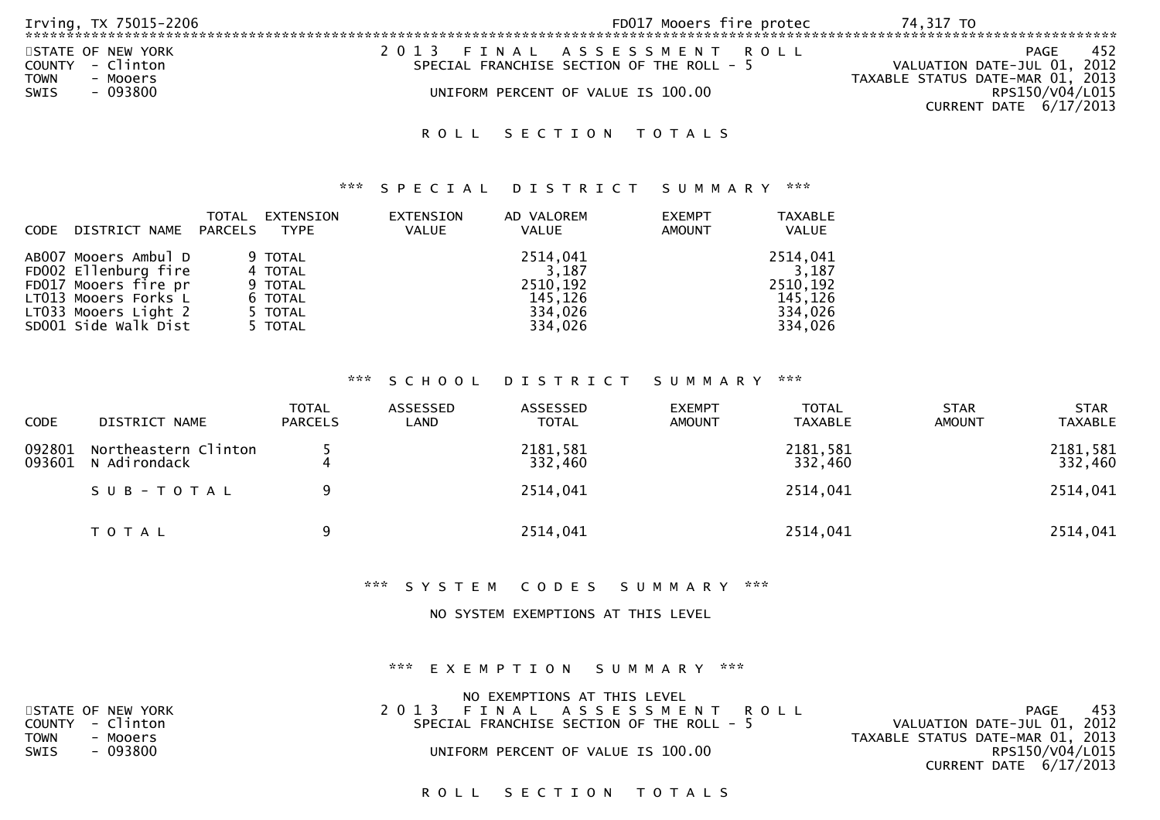| Irving, TX 75015-2206 | FD017 Mooers fire protec                  | 74.317 TO                        |
|-----------------------|-------------------------------------------|----------------------------------|
| STATE OF NEW YORK     | 2013 FINAL ASSESSMENT ROLL                | 452<br>PAGE                      |
| COUNTY - Clinton      | SPECIAL FRANCHISE SECTION OF THE ROLL - 5 | VALUATION DATE-JUL 01, 2012      |
| TOWN<br>- Mooers      |                                           | TAXABLE STATUS DATE-MAR 01, 2013 |
| - 093800<br>SWIS      | UNIFORM PERCENT OF VALUE IS 100.00        | RPS150/V04/L015                  |
|                       |                                           | CURRENT DATE 6/17/2013           |

#### \*\*\* S P E C I A L D I S T R I C T S U M M A R Y \*\*\*

|             |                      | TOTAL   | EXTENSION   | EXTENSION    | AD VALOREM | <b>EXEMPT</b> | <b>TAXABLE</b> |
|-------------|----------------------|---------|-------------|--------------|------------|---------------|----------------|
| <b>CODE</b> | DISTRICT NAME        | PARCELS | <b>TYPE</b> | <b>VALUE</b> | VALUE      | <b>AMOUNT</b> | <b>VALUE</b>   |
|             |                      |         |             |              |            |               |                |
|             | AB007 Mooers Ambul D |         | 9 TOTAL     |              | 2514,041   |               | 2514,041       |
|             | FD002 Ellenburg fire |         | 4 TOTAL     |              | 3.187      |               | 3.187          |
|             | FD017 Mooers fire pr |         | 9 TOTAL     |              | 2510.192   |               | 2510,192       |
|             | LT013 Mooers Forks L |         | 6 TOTAL     |              | 145.126    |               | 145,126        |
|             | LT033 Mooers Light 2 |         | 5 TOTAL     |              | 334,026    |               | 334,026        |
|             | SD001 Side Walk Dist |         | 5 TOTAL     |              | 334,026    |               | 334,026        |
|             |                      |         |             |              |            |               |                |

#### \*\*\* S C H O O L D I S T R I C T S U M M A R Y \*\*\*

| <b>CODE</b>      | DISTRICT NAME                        | <b>TOTAL</b><br><b>PARCELS</b> | ASSESSED<br>LAND | ASSESSED<br><b>TOTAL</b> | <b>EXEMPT</b><br><b>AMOUNT</b> | <b>TOTAL</b><br><b>TAXABLE</b> | <b>STAR</b><br><b>AMOUNT</b> | <b>STAR</b><br><b>TAXABLE</b> |
|------------------|--------------------------------------|--------------------------------|------------------|--------------------------|--------------------------------|--------------------------------|------------------------------|-------------------------------|
| 092801<br>093601 | Northeastern Clinton<br>N Adirondack |                                |                  | 2181,581<br>332,460      |                                | 2181,581<br>332,460            |                              | 2181,581<br>332,460           |
|                  | SUB-TOTAL                            | 9                              |                  | 2514,041                 |                                | 2514,041                       |                              | 2514,041                      |
|                  | T O T A L                            | 9                              |                  | 2514,041                 |                                | 2514,041                       |                              | 2514,041                      |

\*\*\* S Y S T E M C O D E S S U M M A R Y \*\*\*

#### NO SYSTEM EXEMPTIONS AT THIS LEVEL

#### \*\*\* E X E M P T I O N S U M M A R Y \*\*\*

|             |                   | NO EXEMPTIONS AT THIS LEVEL               |                                  |
|-------------|-------------------|-------------------------------------------|----------------------------------|
|             | STATE OF NEW YORK | 2013 FINAL ASSESSMENT ROLL                | 453<br>PAGE                      |
|             | COUNTY - Clinton  | SPECIAL FRANCHISE SECTION OF THE ROLL - 5 | VALUATION DATE-JUL 01, 2012      |
| <b>TOWN</b> | - Mooers          |                                           | TAXABLE STATUS DATE-MAR 01, 2013 |
| SWIS        | - 093800          | UNIFORM PERCENT OF VALUE IS 100.00        | RPS150/V04/L015                  |
|             |                   |                                           | CURRENT DATE 6/17/2013           |
|             |                   |                                           |                                  |

## ROLL SECTION TOTALS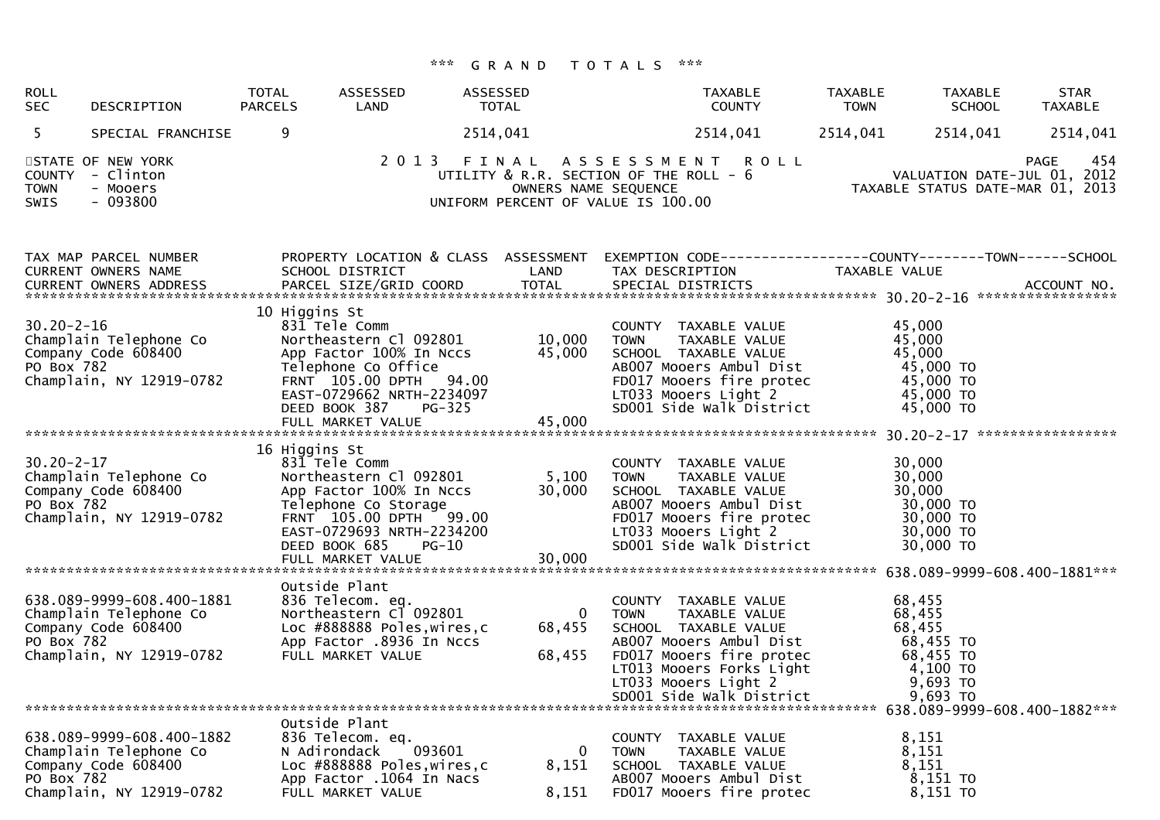| <b>ROLL</b><br><b>SEC</b>            | DESCRIPTION                                                                                            | TOTAL<br><b>PARCELS</b> | ASSESSED<br>LAND                                                                                                                                                                   | ASSESSED<br>TOTAL                                          | <b>TAXABLE</b><br><b>COUNTY</b>                                                                                                                                                                                                                                                                                     | <b>TAXABLE</b><br><b>TOWN</b>                                                                | <b>STAR</b><br>TAXABLE<br><b>SCHOOL</b><br>TAXABLE                             |
|--------------------------------------|--------------------------------------------------------------------------------------------------------|-------------------------|------------------------------------------------------------------------------------------------------------------------------------------------------------------------------------|------------------------------------------------------------|---------------------------------------------------------------------------------------------------------------------------------------------------------------------------------------------------------------------------------------------------------------------------------------------------------------------|----------------------------------------------------------------------------------------------|--------------------------------------------------------------------------------|
| 5                                    | SPECIAL FRANCHISE                                                                                      | 9                       |                                                                                                                                                                                    | 2514,041                                                   | 2514,041                                                                                                                                                                                                                                                                                                            | 2514,041<br>2514,041                                                                         | 2514,041                                                                       |
| <b>COUNTY</b><br><b>TOWN</b><br>SWIS | STATE OF NEW YORK<br>- Clinton<br>- Mooers<br>$-093800$                                                |                         | 2 0 1 3                                                                                                                                                                            | OWNERS NAME SEQUENCE<br>UNIFORM PERCENT OF VALUE IS 100.00 | FINAL ASSESSMENT<br><b>ROLL</b><br>UTILITY & R.R. SECTION OF THE ROLL - 6                                                                                                                                                                                                                                           |                                                                                              | 454<br>PAGE<br>VALUATION DATE-JUL 01, 2012<br>TAXABLE STATUS DATE JUL U1, 2011 |
|                                      | TAX MAP PARCEL NUMBER<br>CURRENT OWNERS NAME                                                           |                         | PROPERTY LOCATION & CLASS ASSESSMENT<br>SCHOOL DISTRICT                                                                                                                            | LAND                                                       | EXEMPTION CODE------------------COUNTY--------TOWN------SCHOOL<br>TAX DESCRIPTION<br>.4CCOUNT NO . PARCEL SIZE/GRID COORD TOTAL SPECIAL DISTRICTS . ACCOUNT NO . ACCOUNT NO . ACCOUNT NO . يتمكن بن المكتب المكتب المكتب المكتب المكتب المكتب المكتب المكتب المكتب المكتب المكتب المكتب المكتب المكتب المكتب المكتب | TAXABLE VALUE                                                                                |                                                                                |
| $30.20 - 2 - 16$<br>PO Box 782       | Champlain Telephone Co<br>Company Code 608400<br>Champlain, NY 12919-0782                              | 10 Higgins St           | 831 Tele Comm<br>Northeastern Cl 092801<br>App Factor 100% In Nccs<br>Telephone Co Office<br>FRNT 105.00 DPTH 94.00<br>EAST-0729662 NRTH-2234097<br>DEED BOOK 387<br><b>PG-325</b> | 10,000<br>45,000                                           | COUNTY TAXABLE VALUE<br>TAXABLE VALUE<br><b>TOWN</b><br>SCHOOL TAXABLE VALUE<br>AB007 Mooers Ambul Dist<br>FD017 Mooers fire protec<br>LT033 Mooers Light 2<br>SD001 Side Walk District                                                                                                                             | 45,000<br>45,000<br>45,000<br>45,000 TO<br>45,000 TO<br>45,000 TO<br>45,000 TO               |                                                                                |
|                                      |                                                                                                        |                         |                                                                                                                                                                                    |                                                            |                                                                                                                                                                                                                                                                                                                     |                                                                                              |                                                                                |
| $30.20 - 2 - 17$<br>PO Box 782       | Champlain Telephone Co<br>Company Code 608400<br>Champlain, NY 12919-0782                              | 16 Higgins St           | 831 Tele Comm<br>Northeastern Cl 092801<br>App Factor 100% In Nccs<br>Telephone Co Storage<br>FRNT 105.00 DPTH 99.00<br>EAST-0729693 NRTH-2234200<br>DEED BOOK 685<br>$PG-10$      | 5,100<br>30,000                                            | COUNTY TAXABLE VALUE<br><b>TOWN</b><br>TAXABLE VALUE<br>SCHOOL TAXABLE VALUE<br>AB007 Mooers Ambul Dist<br>FD017 Mooers fire protec<br>LT033 Mooers Light 2<br>SD001 Side Walk District                                                                                                                             | 30,000<br>30,000<br>30,000<br>30,000 TO<br>30,000 TO<br>30,000 TO<br>30,000 TO               |                                                                                |
|                                      |                                                                                                        |                         | FULL MARKET VALUE                                                                                                                                                                  | 30,000                                                     |                                                                                                                                                                                                                                                                                                                     |                                                                                              |                                                                                |
| PO Box 782                           | 638.089-9999-608.400-1881<br>Champlain Telephone Co<br>Company Code 608400<br>Champlain, NY 12919-0782 |                         | Outside Plant<br>836 Telecom. eq.<br>Northeastern Cl 092801<br>Loc #888888 Poles, wires, c<br>App Factor .8936 In Nccs<br>FULL MARKET VALUE                                        | $\overline{0}$<br>68,455<br>68,455                         | COUNTY TAXABLE VALUE<br>TAXABLE VALUE<br>TOWN<br>SCHOOL TAXABLE VALUE<br>AB007 Mooers Ambul Dist<br>FD017 Mooers fire protec<br>LT013 Mooers Forks Light<br>LT033 Mooers Light 2<br>SD001 Side Walk District                                                                                                        | 68,455<br>68,455<br>68,455<br>68,455 TO<br>68,455 TO<br>4,100 TO<br>$9,693$ TO<br>$9,693$ TO |                                                                                |
|                                      |                                                                                                        |                         | Outside Plant                                                                                                                                                                      |                                                            |                                                                                                                                                                                                                                                                                                                     |                                                                                              |                                                                                |
| PO Box 782                           | 638.089-9999-608.400-1882<br>Champlain Telephone Co<br>Company Code 608400<br>Champlain, NY 12919-0782 |                         | 836 Telecom. eq.<br>093601<br>N Adirondack<br>Loc #888888 Poles, wires, c<br>App Factor .1064 In Nacs<br>FULL MARKET VALUE                                                         | $\mathbf 0$<br>8,151<br>8,151                              | COUNTY TAXABLE VALUE<br><b>TOWN</b><br>TAXABLE VALUE<br>SCHOOL TAXABLE VALUE<br>AB007 Mooers Ambul Dist<br>FD017 Mooers fire protec                                                                                                                                                                                 | 8,151<br>8,151<br>8,151<br>8,151 TO<br>8,151 TO                                              |                                                                                |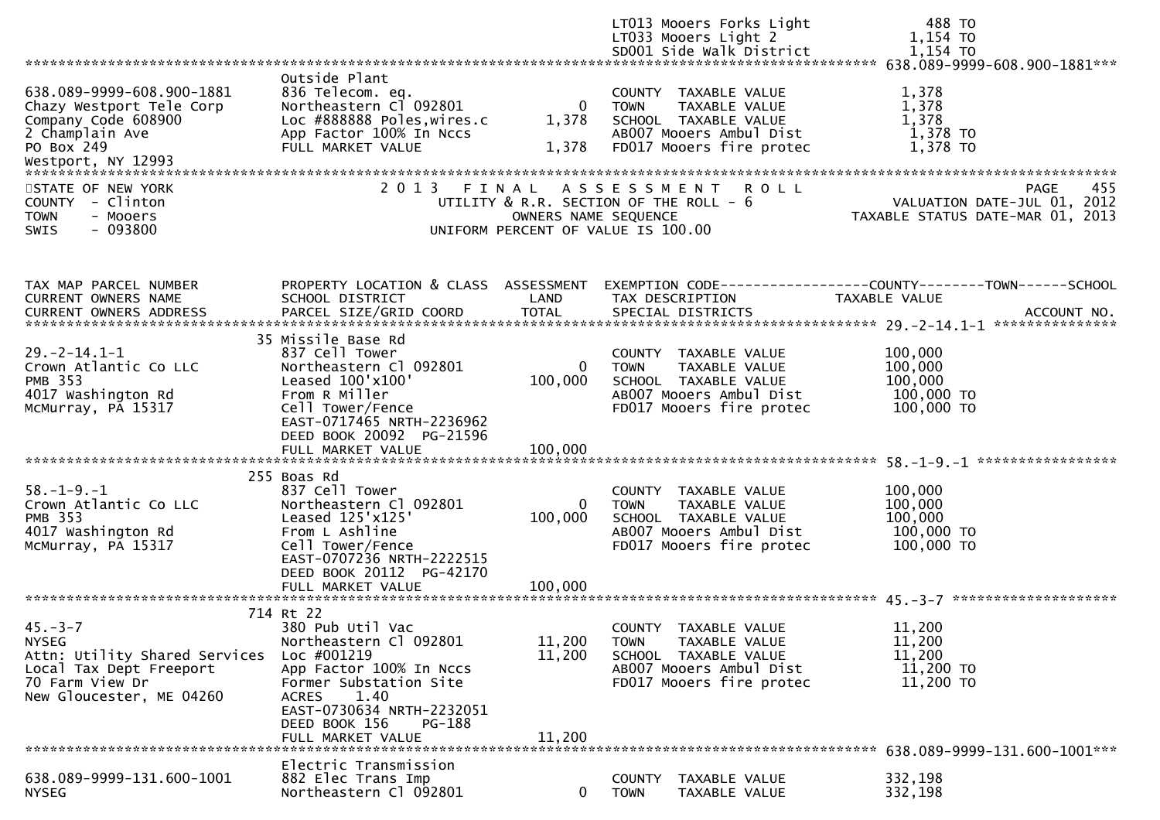|                                                                                                                                          |                                                                                                                                                                                                                                  |                               | LT013 Mooers Forks Light<br>LT033 Mooers Light 2<br>SD001 Side Walk District                                                        | 488 TO<br>1,154 TO<br>1,154 TO                                                               |
|------------------------------------------------------------------------------------------------------------------------------------------|----------------------------------------------------------------------------------------------------------------------------------------------------------------------------------------------------------------------------------|-------------------------------|-------------------------------------------------------------------------------------------------------------------------------------|----------------------------------------------------------------------------------------------|
|                                                                                                                                          |                                                                                                                                                                                                                                  |                               |                                                                                                                                     |                                                                                              |
| 638.089-9999-608.900-1881<br>Chazy Westport Tele Corp<br>Company Code 608900<br>2 Champlain Ave<br>PO Box 249                            | Outside Plant<br>836 Telecom. eq.<br>Northeastern Cl 092801<br>Loc #888888 Poles, wires.c<br>App Factor 100% In Nccs<br>FULL MARKET VALUE                                                                                        | 0<br>1,378<br>1,378           | COUNTY TAXABLE VALUE<br>TAXABLE VALUE<br><b>TOWN</b><br>SCHOOL TAXABLE VALUE<br>AB007 Mooers Ambul Dist<br>FD017 Mooers fire protec | 1,378<br>1,378<br>1,378<br>1,378 TO<br>1,378 TO                                              |
| STATE OF NEW YORK<br>COUNTY - Clinton<br><b>TOWN</b><br>- Mooers<br>$-093800$<br><b>SWIS</b>                                             | 2 0 1 3                                                                                                                                                                                                                          | FINAL<br>OWNERS NAME SEQUENCE | A S S E S S M E N T<br><b>ROLL</b><br>UTILITY & R.R. SECTION OF THE ROLL - 6<br>UNIFORM PERCENT OF VALUE IS 100.00                  | 455<br>PAGE<br>VALUATION DATE-JUL 01, 2012<br>TAXABLE STATUS DATE-MAR 01, 2013               |
| TAX MAP PARCEL NUMBER<br>CURRENT OWNERS NAME<br><b>CURRENT OWNERS ADDRESS</b>                                                            | PROPERTY LOCATION & CLASS ASSESSMENT<br>SCHOOL DISTRICT<br>PARCEL SIZE/GRID COORD                                                                                                                                                | LAND<br><b>TOTAL</b>          | TAX DESCRIPTION<br>SPECIAL DISTRICTS                                                                                                | EXEMPTION CODE-----------------COUNTY-------TOWN------SCHOOL<br>TAXABLE VALUE<br>ACCOUNT NO. |
| $29. -2 - 14.1 - 1$<br>Crown Atlantic Co LLC<br><b>PMB 353</b><br>4017 Washington Rd<br>McMurray, PA 15317                               | 35 Missile Base Rd<br>837 Cell Tower<br>Northeastern Cl 092801<br>Leased 100'x100'<br>From R Miller<br>Cell Tower/Fence<br>EAST-0717465 NRTH-2236962<br>DEED BOOK 20092 PG-21596                                                 | 0<br>100,000                  | COUNTY TAXABLE VALUE<br>TAXABLE VALUE<br><b>TOWN</b><br>SCHOOL TAXABLE VALUE<br>AB007 Mooers Ambul Dist<br>FD017 Mooers fire protec | 100,000<br>100,000<br>100,000<br>100,000 TO<br>100,000 TO                                    |
| $58. - 1 - 9. - 1$<br>Crown Atlantic Co LLC<br><b>PMB 353</b><br>4017 Washington Rd<br>McMurray, PA 15317                                | 255 Boas Rd<br>837 Cell Tower<br>Northeastern Cl 092801<br>Leased 125'x125'<br>From L Ashline<br>Cell Tower/Fence<br>EAST-0707236 NRTH-2222515<br>DEED BOOK 20112 PG-42170<br>FULL MARKET VALUE                                  | 0<br>100,000<br>100,000       | COUNTY TAXABLE VALUE<br>TAXABLE VALUE<br><b>TOWN</b><br>SCHOOL TAXABLE VALUE<br>AB007 Mooers Ambul Dist<br>FD017 Mooers fire protec | 100,000<br>100,000<br>100,000<br>100,000 TO<br>100,000 TO                                    |
| $45. - 3 - 7$<br><b>NYSEG</b><br>Attn: Utility Shared Services<br>Local Tax Dept Freeport<br>70 Farm View Dr<br>New Gloucester, ME 04260 | 714 Rt 22<br>380 Pub Util Vac<br>Northeastern Cl 092801<br>Loc #001219<br>App Factor 100% In Nccs<br>Former Substation Site<br>1.40<br><b>ACRES</b><br>EAST-0730634 NRTH-2232051<br>DEED BOOK 156<br>PG-188<br>FULL MARKET VALUE | 11,200<br>11,200<br>11,200    | COUNTY TAXABLE VALUE<br><b>TOWN</b><br>TAXABLE VALUE<br>SCHOOL TAXABLE VALUE<br>AB007 Mooers Ambul Dist<br>FD017 Mooers fire protec | 11,200<br>11,200<br>11,200<br>11,200 TO<br>11,200 TO                                         |
| 638.089-9999-131.600-1001<br><b>NYSEG</b>                                                                                                | Electric Transmission<br>882 Elec Trans Imp<br>Northeastern Cl 092801                                                                                                                                                            | 0                             | COUNTY TAXABLE VALUE<br>TAXABLE VALUE<br><b>TOWN</b>                                                                                | 332,198<br>332,198                                                                           |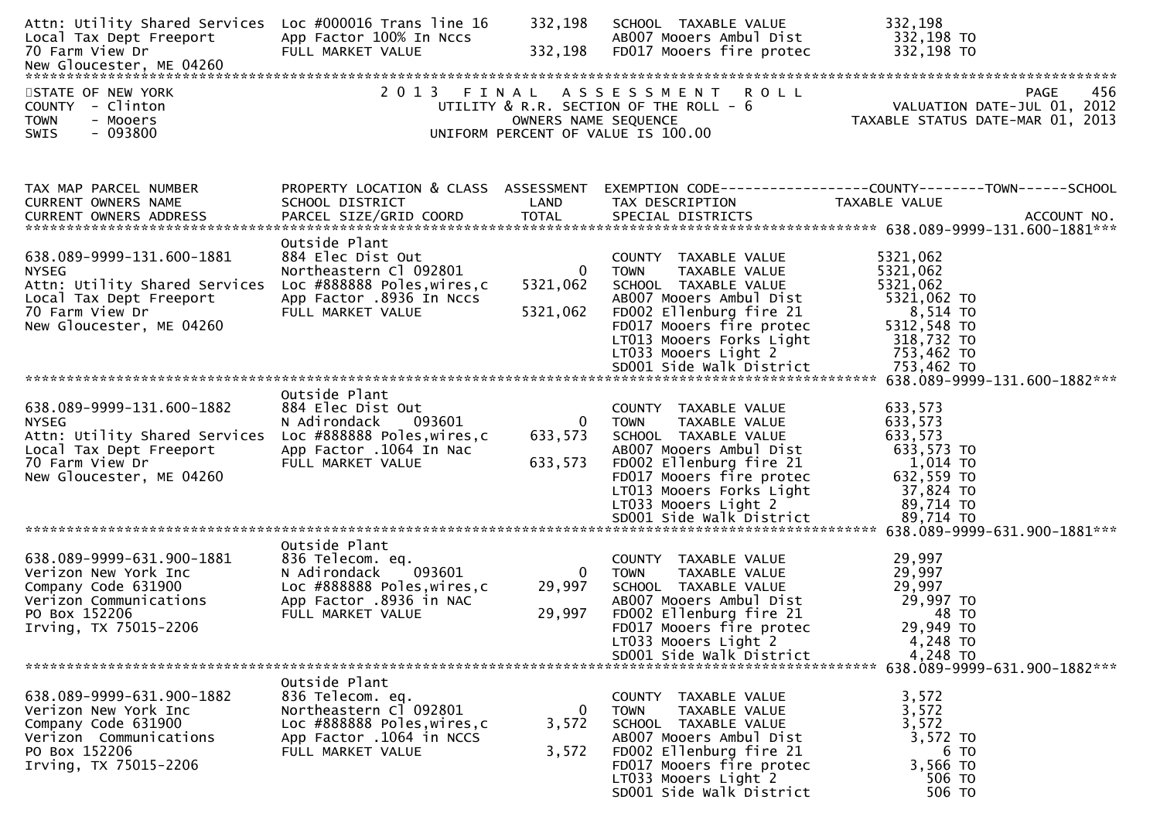| Attn: Utility Shared Services Loc #000016 Trans line 16<br>Local Tax Dept Freeport<br>70 Farm View Dr                                                | App Factor 100% In Nccs<br>FULL MARKET VALUE                                                                                                 | 332,198<br>332,198                   | SCHOOL TAXABLE VALUE<br>AB007 Mooers Ambul Dist<br>FD017 Mooers fire protec                                                                                                                                        | 332,198<br>332,198 TO<br>332,198 TO                                                                                            |
|------------------------------------------------------------------------------------------------------------------------------------------------------|----------------------------------------------------------------------------------------------------------------------------------------------|--------------------------------------|--------------------------------------------------------------------------------------------------------------------------------------------------------------------------------------------------------------------|--------------------------------------------------------------------------------------------------------------------------------|
| STATE OF NEW YORK<br>COUNTY - Clinton<br><b>TOWN</b><br>- Mooers<br>$-093800$<br>SWIS                                                                | 2013 FINAL                                                                                                                                   | OWNERS NAME SEQUENCE                 | ASSESSMENT ROLL<br>UTILITY & R.R. SECTION OF THE ROLL - 6<br>UNIFORM PERCENT OF VALUE IS 100.00                                                                                                                    | 456<br>PAGE<br>750 1702<br>VALUATION DATE-JUL 01, 2012<br>TAXARIF STATIIS DATE-MAP 01 2012<br>TAXABLE STATUS DATE-MAR 01, 2013 |
| TAX MAP PARCEL NUMBER<br>CURRENT OWNERS NAME<br><b>CURRENT OWNERS ADDRESS</b>                                                                        | PROPERTY LOCATION & CLASS ASSESSMENT<br>SCHOOL DISTRICT<br>PARCEL SIZE/GRID COORD                                                            | LAND<br><b>TOTAL</b>                 | TAX DESCRIPTION<br>SPECIAL DISTRICTS                                                                                                                                                                               | EXEMPTION CODE------------------COUNTY--------TOWN------SCHOOL<br>TAXABLE VALUE<br>ACCOUNT NO.                                 |
| 638.089-9999-131.600-1881<br><b>NYSEG</b><br>Attn: Utility Shared Services<br>Local Tax Dept Freeport<br>70 Farm View Dr<br>New Gloucester, ME 04260 | Outside Plant<br>884 Elec Dist Out<br>Northeastern Cl 092801<br>Loc #888888 Poles, wires, c<br>App Factor .8936 In Nccs<br>FULL MARKET VALUE | $\mathbf{0}$<br>5321,062<br>5321,062 | COUNTY TAXABLE VALUE<br>TAXABLE VALUE<br><b>TOWN</b><br>SCHOOL TAXABLE VALUE<br>AB007 Mooers Ambul Dist<br>FD002 Ellenburg fire 21<br>FD017 Mooers fire protec<br>LT013 Mooers Forks Light<br>LT033 Mooers Light 2 | 5321,062<br>5321,062<br>5321,062<br>5321,062 TO<br>8,514 то<br>5312,548 TO<br>318,732 TO<br>753,462 TO                         |
| 638.089-9999-131.600-1882<br><b>NYSEG</b><br>Attn: Utility Shared Services<br>Local Tax Dept Freeport<br>70 Farm View Dr<br>New Gloucester, ME 04260 | Outside Plant<br>884 Elec Dist Out<br>N Adirondack<br>093601<br>Loc #888888 Poles, wires, c<br>App Factor .1064 In Nac<br>FULL MARKET VALUE  | $\overline{0}$<br>633,573<br>633,573 | COUNTY TAXABLE VALUE<br>TAXABLE VALUE<br><b>TOWN</b><br>SCHOOL TAXABLE VALUE<br>AB007 Mooers Ambul Dist<br>FD002 Ellenburg fire 21<br>FD017 Mooers fire protec<br>LT013 Mooers Forks Light<br>LT033 Mooers Light 2 | 633,573<br>633,573<br>633,573<br>633,573 TO<br>1,014 TO<br>632,559 TO<br>37,824 TO<br>89,714 TO                                |
| 638.089-9999-631.900-1881<br>Verizon New York Inc<br>Company Code 631900<br>Verizon Communications<br>PO Box 152206<br>Irving, TX 75015-2206         | Outside Plant<br>836 Telecom. eq.<br>093601<br>N Adirondack<br>Loc #888888 Poles, wires, c<br>App Factor .8936 in NAC<br>FULL MARKET VALUE   | $\mathbf{0}$<br>29,997<br>29,997     | COUNTY TAXABLE VALUE<br>TAXABLE VALUE<br><b>TOWN</b><br>SCHOOL TAXABLE VALUE<br>AB007 Mooers Ambul Dist<br>FD002 Ellenburg fire 21<br>FD017 Mooers fire protec<br>LT033 Mooers Light 2<br>SD001 Side Walk District | 29,997<br>29,997<br>29,997<br>29,997 TO<br>48 TO<br>29,949 TO<br>4,248 TO<br>4,248 TO<br>638.089-9999-631.900-1882***          |
| 638.089-9999-631.900-1882<br>Verizon New York Inc<br>Company Code 631900<br>Verizon Communications<br>PO Box 152206<br>Irving, TX 75015-2206         | Outside Plant<br>836 Telecom. eq.<br>Northeastern Cl 092801<br>Loc #888888 Poles, wires, c<br>App Factor .1064 in NCCS<br>FULL MARKET VALUE  | 0<br>3,572<br>3,572                  | COUNTY TAXABLE VALUE<br><b>TOWN</b><br>TAXABLE VALUE<br>SCHOOL TAXABLE VALUE<br>AB007 Mooers Ambul Dist<br>FD002 Ellenburg fire 21<br>FD017 Mooers fire protec<br>LT033 Mooers Light 2<br>SD001 Side Walk District | 3,572<br>3,572<br>3,572<br>3,572 TO<br>6 TO<br>3,566 TO<br>506 TO<br>506 TO                                                    |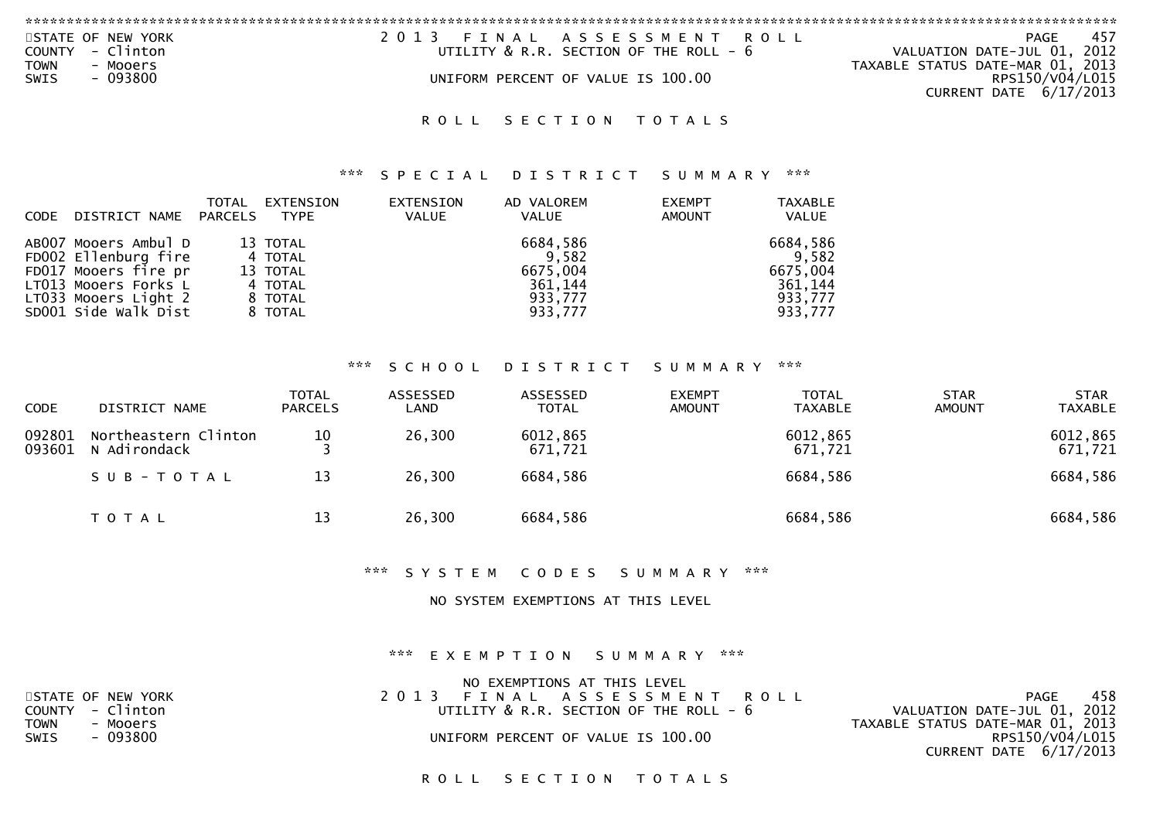| STATE OF NEW YORK        | 2013 FINAL ASSESSMENT ROLL                  | PAGE<br>457                      |
|--------------------------|---------------------------------------------|----------------------------------|
| - Clinton<br>COUNTY      | UTILITY $\&$ R.R. SECTION OF THE ROLL - $6$ | VALUATION DATE-JUL 01, 2012      |
| <b>TOWN</b><br>- Mooers  |                                             | TAXABLE STATUS DATE-MAR 01, 2013 |
| $-093800$<br><b>SWIS</b> | UNIFORM PERCENT OF VALUE IS 100.00          | RPS150/V04/L015                  |
|                          |                                             | CURRENT DATE 6/17/2013           |
|                          |                                             |                                  |

### \*\*\* S P E C I A L D I S T R I C T S U M M A R Y \*\*\*

| CODE DISTRICT NAME PARCELS                                                                                                                   | TOTAL | EXTENSION<br>TYPE                                                | <b>EXTENSION</b><br><b>VALUE</b> | AD VALOREM<br>VALUE                                            | <b>EXEMPT</b><br><b>AMOUNT</b> | <b>TAXABLE</b><br>VALUE                                        |
|----------------------------------------------------------------------------------------------------------------------------------------------|-------|------------------------------------------------------------------|----------------------------------|----------------------------------------------------------------|--------------------------------|----------------------------------------------------------------|
| AB007 Mooers Ambul D<br>FD002 Ellenburg fire<br>FD017 Mooers fire pr<br>LT013 Mooers Forks L<br>LT033 Mooers Light 2<br>SD001 Side Walk Dist |       | 13 TOTAL<br>4 TOTAL<br>13 TOTAL<br>4 TOTAL<br>8 TOTAL<br>8 TOTAL |                                  | 6684,586<br>9,582<br>6675,004<br>361,144<br>933,777<br>933,777 |                                | 6684,586<br>9,582<br>6675,004<br>361,144<br>933,777<br>933,777 |

## \*\*\* S C H O O L D I S T R I C T S U M M A R Y \*\*\*

| CODE             | DISTRICT NAME                        | <b>TOTAL</b><br><b>PARCELS</b> | ASSESSED<br>LAND | ASSESSED<br>TOTAL   | <b>EXEMPT</b><br><b>AMOUNT</b> | <b>TOTAL</b><br><b>TAXABLE</b> | <b>STAR</b><br><b>AMOUNT</b> | <b>STAR</b><br>TAXABLE |
|------------------|--------------------------------------|--------------------------------|------------------|---------------------|--------------------------------|--------------------------------|------------------------------|------------------------|
| 092801<br>093601 | Northeastern Clinton<br>N Adirondack | 10                             | 26,300           | 6012,865<br>671,721 |                                | 6012,865<br>671,721            |                              | 6012,865<br>671,721    |
|                  | SUB-TOTAL                            | 13                             | 26,300           | 6684,586            |                                | 6684,586                       |                              | 6684,586               |
|                  | T O T A L                            | 13                             | 26,300           | 6684,586            |                                | 6684,586                       |                              | 6684,586               |

\*\*\* S Y S T E M C O D E S S U M M A R Y \*\*\*

NO SYSTEM EXEMPTIONS AT THIS LEVEL

\*\*\* E X E M P T I O N S U M M A R Y \*\*\*

| NO EXEMPTIONS AT THIS LEVEL                 |                                  |
|---------------------------------------------|----------------------------------|
| 2013 FINAL ASSESSMENT ROLL                  | 458<br>PAGE                      |
| UTILITY $\&$ R.R. SECTION OF THE ROLL - $6$ | VALUATION DATE-JUL 01, 2012      |
|                                             | TAXABLE STATUS DATE-MAR 01, 2013 |
| UNIFORM PERCENT OF VALUE IS 100.00          | RPS150/V04/L015                  |
|                                             | CURRENT DATE $6/17/2013$         |
|                                             |                                  |

ROLL SECTION TOTALS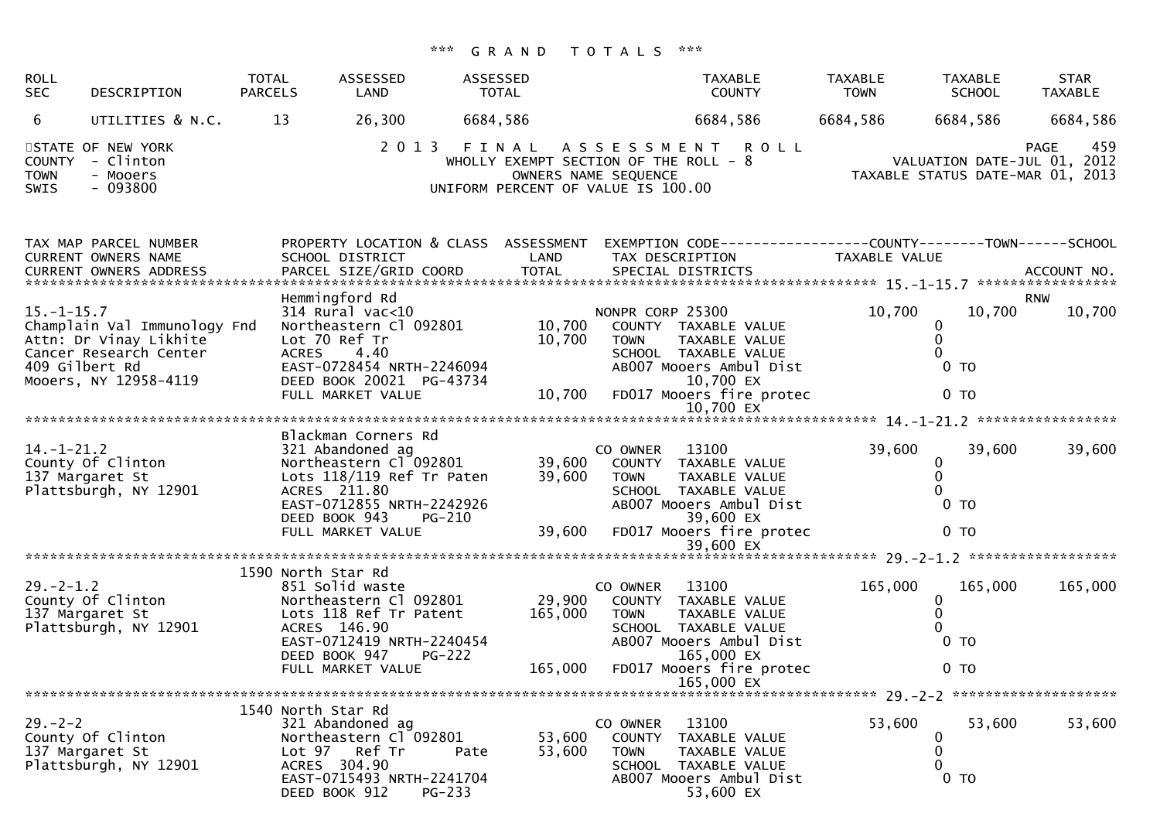| <b>ROLL</b><br><b>SEC</b>           | DESCRIPTION                                                                                               | <b>TOTAL</b><br><b>PARCELS</b> | ASSESSED<br>LAND                                                                                                                                             | ASSESSED<br>TOTAL |                                                            |                                 | <b>TAXABLE</b><br><b>COUNTY</b>                                                                                 | <b>TAXABLE</b><br><b>TOWN</b> | <b>TAXABLE</b><br><b>SCHOOL</b>                                 | <b>STAR</b><br>TAXABLE |
|-------------------------------------|-----------------------------------------------------------------------------------------------------------|--------------------------------|--------------------------------------------------------------------------------------------------------------------------------------------------------------|-------------------|------------------------------------------------------------|---------------------------------|-----------------------------------------------------------------------------------------------------------------|-------------------------------|-----------------------------------------------------------------|------------------------|
| 6                                   | UTILITIES & N.C.                                                                                          | 13                             | 26,300                                                                                                                                                       | 6684,586          |                                                            |                                 | 6684,586                                                                                                        | 6684,586                      | 6684,586                                                        | 6684,586               |
| <b>TOWN</b><br>SWIS                 | STATE OF NEW YORK<br>COUNTY - Clinton<br>- Mooers<br>$-093800$                                            |                                | 2013 FINAL                                                                                                                                                   |                   | OWNERS NAME SEQUENCE<br>UNIFORM PERCENT OF VALUE IS 100.00 |                                 | ASSESSMENT ROLL<br>WHOLLY EXEMPT SECTION OF THE ROLL - 8                                                        |                               | VALUATION DATE-JUL 01, 2012<br>TAXABLE STATUS DATE-MAR 01, 2013 | 459<br><b>PAGE</b>     |
|                                     | TAX MAP PARCEL NUMBER<br>CURRENT OWNERS NAME<br><b>CURRENT OWNERS ADDRESS</b>                             |                                | PROPERTY LOCATION & CLASS ASSESSMENT<br>SCHOOL DISTRICT                                                                                                      |                   | LAND                                                       |                                 | EXEMPTION CODE------------------COUNTY--------TOWN------SCHOOL<br>TAX DESCRIPTION                               | TAXABLE VALUE                 |                                                                 |                        |
|                                     |                                                                                                           |                                | Hemmingford Rd                                                                                                                                               |                   |                                                            |                                 |                                                                                                                 |                               |                                                                 | <b>RNW</b>             |
| $15. - 1 - 15.7$<br>409 Gilbert Rd  | Champlain Val Immunology Fnd<br>Attn: Dr Vinay Likhite<br>Cancer Research Center<br>Mooers, NY 12958-4119 | <b>ACRES</b>                   | $314$ Rural vac<10<br>Northeastern Cl 092801<br>Lot 70 Ref Tr<br>4.40<br>EAST-0728454 NRTH-2246094<br>DEED BOOK 20021 PG-43734                               |                   | 10,700<br>10,700                                           | NONPR CORP 25300<br><b>TOWN</b> | COUNTY TAXABLE VALUE<br>TAXABLE VALUE<br>SCHOOL TAXABLE VALUE<br>AB007 Mooers Ambul Dist<br>10,700 EX           | 10,700                        | 10,700<br>0<br>0<br>0<br>0 <sub>T</sub>                         | 10,700                 |
|                                     |                                                                                                           |                                | FULL MARKET VALUE                                                                                                                                            |                   | 10,700                                                     |                                 | FD017 Mooers fire protec                                                                                        |                               | 0 <sub>T</sub>                                                  |                        |
|                                     |                                                                                                           |                                |                                                                                                                                                              |                   |                                                            |                                 |                                                                                                                 |                               |                                                                 |                        |
| $14. - 1 - 21.2$<br>137 Margaret St | County Of Clinton<br>Plattsburgh, NY 12901                                                                |                                | Blackman Corners Rd<br>321 Abandoned ag<br>Northeastern Cl 092801<br>Lots 118/119 Ref Tr Paten<br>ACRES 211.80<br>EAST-0712855 NRTH-2242926<br>DEED BOOK 943 | PG-210            | 39,600<br>39,600                                           | CO OWNER<br><b>TOWN</b>         | 13100<br>COUNTY TAXABLE VALUE<br>TAXABLE VALUE<br>SCHOOL TAXABLE VALUE<br>AB007 Mooers Ambul Dist<br>39,600 EX  | 39,600                        | 39,600<br>0<br>0<br>0 <sub>T</sub>                              | 39,600                 |
|                                     |                                                                                                           |                                | FULL MARKET VALUE                                                                                                                                            |                   | 39,600                                                     |                                 | FD017 Mooers fire protec                                                                                        |                               | 0 <sub>T</sub>                                                  |                        |
|                                     |                                                                                                           | 1590 North Star Rd             |                                                                                                                                                              |                   |                                                            |                                 |                                                                                                                 |                               |                                                                 |                        |
| $29. -2 - 1.2$                      | County Of Clinton<br>137 Margaret St<br>Plattsburgh, NY 12901                                             |                                | 851 Solid waste<br>Northeastern Cl 092801<br>Lots 118 Ref Tr Patent<br>ACRES 146.90<br>EAST-0712419 NRTH-2240454<br>DEED BOOK 947<br>$PG-222$                |                   | 29,900<br>165,000                                          | CO OWNER<br><b>TOWN</b>         | 13100<br>COUNTY TAXABLE VALUE<br>TAXABLE VALUE<br>SCHOOL TAXABLE VALUE<br>AB007 Mooers Ambul Dist<br>165,000 EX | 165,000                       | 165,000<br>0<br>$\mathbf{0}$<br>0 <sub>T</sub>                  | 165,000                |
|                                     |                                                                                                           |                                | FULL MARKET VALUE                                                                                                                                            |                   | 165,000                                                    |                                 | FD017 Mooers fire protec<br>165,000 EX                                                                          |                               | 0 <sub>T</sub>                                                  |                        |
|                                     |                                                                                                           |                                |                                                                                                                                                              |                   |                                                            |                                 |                                                                                                                 |                               |                                                                 |                        |
| $29. - 2 - 2$                       | County Of Clinton<br>137 Margaret St<br>Plattsburgh, NY 12901                                             | 1540 North Star Rd             | 321 Abandoned ag<br>Northeastern Cl 092801<br>Lot 97 Ref Tr<br>ACRES 304.90<br>EAST-0715493 NRTH-2241704<br>DEED BOOK 912<br>PG-233                          | Pate              | 53,600<br>53,600                                           | CO OWNER<br><b>TOWN</b>         | 13100<br>COUNTY TAXABLE VALUE<br>TAXABLE VALUE<br>SCHOOL TAXABLE VALUE<br>AB007 Mooers Ambul Dist<br>53,600 EX  | 53,600                        | 53,600<br>0<br>0<br>0 <sub>T</sub>                              | 53,600                 |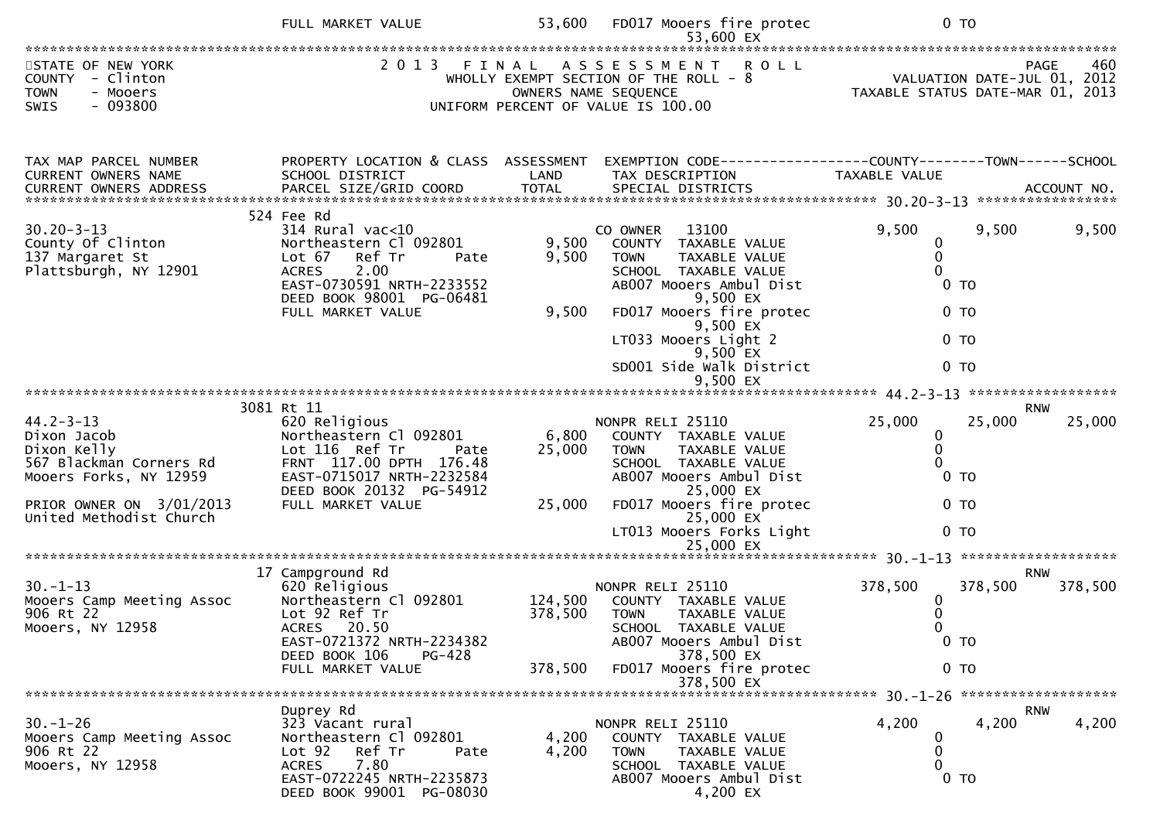|                                                                                                                                                           | FULL MARKET VALUE                                                                                                                                                                        | 53,600                    | FD017 Mooers fire protec                                                                                                                                                                                                                                     | 0 <sub>T</sub>                                                                                                         |
|-----------------------------------------------------------------------------------------------------------------------------------------------------------|------------------------------------------------------------------------------------------------------------------------------------------------------------------------------------------|---------------------------|--------------------------------------------------------------------------------------------------------------------------------------------------------------------------------------------------------------------------------------------------------------|------------------------------------------------------------------------------------------------------------------------|
| STATE OF NEW YORK<br><b>COUNTY</b><br>- Clinton<br><b>TOWN</b><br>- Mooers<br>$-093800$<br><b>SWIS</b>                                                    |                                                                                                                                                                                          |                           | 2013 FINAL ASSESSMENT ROLL<br>WHOLLY EXEMPT SECTION OF THE ROLL - 8<br>OWNERS NAME SEQUENCE<br>UNIFORM PERCENT OF VALUE IS 100.00                                                                                                                            | 460<br>PAGE 460<br>VALUATION DATE-JUL 01, 2012<br>TAXARLE STATUS BATE 101- 2012<br>TAXABLE STATUS DATE-MAR 01, 2013    |
| TAX MAP PARCEL NUMBER<br>CURRENT OWNERS NAME                                                                                                              | PROPERTY LOCATION & CLASS ASSESSMENT<br>SCHOOL DISTRICT<br>524 Fee Rd                                                                                                                    | LAND                      | TAX DESCRIPTION                                                                                                                                                                                                                                              | EXEMPTION CODE-----------------COUNTY-------TOWN------SCHOOL<br>TAXABLE VALUE                                          |
| $30.20 - 3 - 13$<br>County Of Clinton<br>137 Margaret St<br>Plattsburgh, NY 12901                                                                         | 314 Rural vac<10<br>Northeastern Cl 092801<br>Ref Tr<br>Lot $67$<br>Pate<br>2.00<br><b>ACRES</b><br>EAST-0730591 NRTH-2233552<br>DEED BOOK 98001 PG-06481<br>FULL MARKET VALUE           | 9,500<br>9,500<br>9,500   | CO OWNER<br>13100<br>COUNTY TAXABLE VALUE<br><b>TOWN</b><br>TAXABLE VALUE<br>SCHOOL TAXABLE VALUE<br>AB007 Mooers Ambul Dist<br>9,500 EX<br>FD017 Mooers fire protec<br>9,500 EX<br>LT033 Mooers Light 2<br>9,500 EX<br>SD001 Side Walk District<br>9,500 EX | 9,500<br>9,500<br>9,500<br>0<br>0<br>0<br>0 <sub>T</sub><br>0 <sub>T</sub><br>0 <sub>T</sub><br>0 <sub>T</sub>         |
|                                                                                                                                                           |                                                                                                                                                                                          |                           |                                                                                                                                                                                                                                                              |                                                                                                                        |
| $44.2 - 3 - 13$<br>Dixon Jacob<br>Dixon Kelly<br>567 Blackman Corners Rd<br>Mooers Forks, NY 12959<br>PRIOR OWNER ON 3/01/2013<br>United Methodist Church | 3081 Rt 11<br>620 Religious<br>Northeastern Cl 092801<br>Lot 116 Ref Tr<br>Pate<br>FRNT 117.00 DPTH 176.48<br>EAST-0715017 NRTH-2232584<br>DEED BOOK 20132 PG-54912<br>FULL MARKET VALUE | 6,800<br>25,000<br>25,000 | NONPR RELI 25110<br>COUNTY TAXABLE VALUE<br>TAXABLE VALUE<br><b>TOWN</b><br>SCHOOL TAXABLE VALUE<br>AB007 Mooers Ambul Dist<br>25,000 EX<br>FD017 Mooers fire protec<br>25,000 EX<br>LT013 Mooers Forks Light                                                | <b>RNW</b><br>25,000<br>25,000<br>25,000<br>0<br>$\mathbf 0$<br>$\Omega$<br>$0$ TO<br>0 <sub>T</sub><br>0 <sub>T</sub> |
|                                                                                                                                                           |                                                                                                                                                                                          |                           |                                                                                                                                                                                                                                                              |                                                                                                                        |
| $30. -1 - 13$<br>Mooers Camp Meeting Assoc<br>906 Rt 22<br>Mooers, NY 12958                                                                               | 17 Campground Rd<br>620 Religious<br>Northeastern Cl 092801<br>Lot 92 Ref Tr<br>ACRES 20.50<br>EAST-0721372 NRTH-2234382<br>DEED BOOK 106<br>PG-428                                      | 124,500<br>378,500        | NONPR RELI 25110<br>COUNTY TAXABLE VALUE<br><b>TOWN</b><br>TAXABLE VALUE<br>SCHOOL TAXABLE VALUE<br>AB007 Mooers Ambul Dist<br>378,500 EX                                                                                                                    | <b>RNW</b><br>378,500<br>378,500<br>378,500<br>0<br>0<br>$0$ TO                                                        |
|                                                                                                                                                           | FULL MARKET VALUE                                                                                                                                                                        | 378,500                   | FD017 Mooers fire protec<br>378,500 EX                                                                                                                                                                                                                       | 0 <sub>T</sub>                                                                                                         |
| $30. - 1 - 26$<br>Mooers Camp Meeting Assoc<br>906 Rt 22<br>Mooers, NY 12958                                                                              | Duprey Rd<br>323 Vacant rural<br>Northeastern Cl 092801<br>Lot 92 Ref Tr<br>Pate<br><b>ACRES</b><br>7.80<br>EAST-0722245 NRTH-2235873<br>DEED BOOK 99001 PG-08030                        | 4,200<br>4,200            | NONPR RELI 25110<br>COUNTY TAXABLE VALUE<br><b>TOWN</b><br>TAXABLE VALUE<br>SCHOOL TAXABLE VALUE<br>AB007 Mooers Ambul Dist<br>4,200 EX                                                                                                                      | <b>RNW</b><br>4,200<br>4,200<br>4,200<br>$\mathbf 0$<br>0<br>0<br>0 <sub>T</sub>                                       |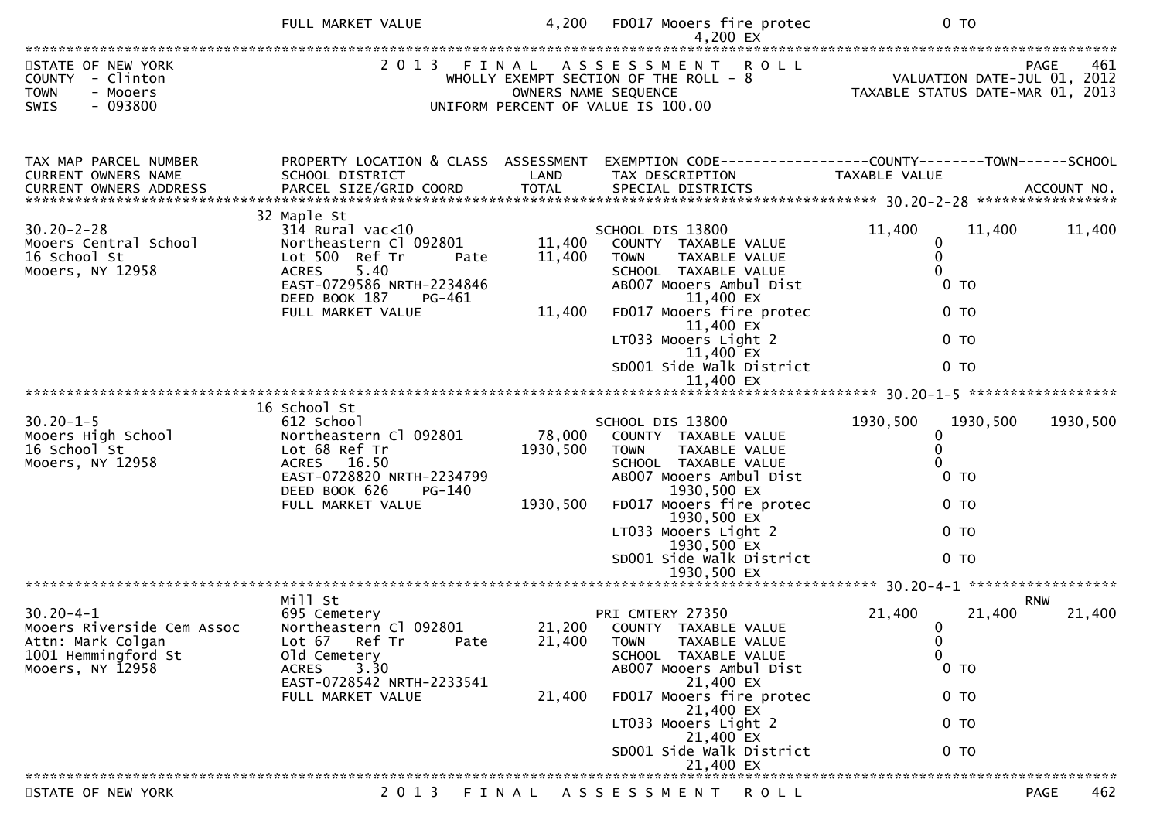|                                                                                                               | FULL MARKET VALUE                                                                                                                                                           | 4,200                          | FD017 Mooers fire protec                                                                                                                                                                                                                                               | 0 <sub>T</sub>                                                                                                                                |
|---------------------------------------------------------------------------------------------------------------|-----------------------------------------------------------------------------------------------------------------------------------------------------------------------------|--------------------------------|------------------------------------------------------------------------------------------------------------------------------------------------------------------------------------------------------------------------------------------------------------------------|-----------------------------------------------------------------------------------------------------------------------------------------------|
| STATE OF NEW YORK<br>COUNTY - Clinton<br><b>TOWN</b><br>- Mooers<br>- 093800<br>SWIS                          |                                                                                                                                                                             |                                | 2013 FINAL ASSESSMENT ROLL<br>WHOLLY EXEMPT SECTION OF THE ROLL - 8<br>OWNERS NAME SEQUENCE<br>UNIFORM PERCENT OF VALUE IS 100.00                                                                                                                                      | PAGE 461<br>VALUATION DATE-JUL 01, 2012<br>TAXARLE STATUS DATE  2017<br>TAXABLE STATUS DATE-MAR 01, 2013                                      |
| TAX MAP PARCEL NUMBER<br>CURRENT OWNERS NAME                                                                  | PROPERTY LOCATION & CLASS ASSESSMENT<br>SCHOOL DISTRICT<br>32 Maple St                                                                                                      | LAND                           | TAX DESCRIPTION                                                                                                                                                                                                                                                        | EXEMPTION CODE------------------COUNTY--------TOWN------SCHOOL<br>TAXABLE VALUE                                                               |
| $30.20 - 2 - 28$<br>Mooers Central School<br>16 School St<br>Mooers, NY 12958                                 | $314$ Rural vac<10<br>Northeastern Cl 092801<br>Lot 500 Ref Tr<br>Pate<br>5.40<br><b>ACRES</b><br>EAST-0729586 NRTH-2234846<br>DEED BOOK 187<br>PG-461<br>FULL MARKET VALUE | 11,400<br>11,400<br>11,400     | SCHOOL DIS 13800<br>COUNTY TAXABLE VALUE<br><b>TOWN</b><br>TAXABLE VALUE<br>SCHOOL TAXABLE VALUE<br>AB007 Mooers Ambul Dist<br>11,400 EX<br>FD017 Mooers fire protec<br>11,400 EX<br>LT033 Mooers Light 2<br>11,400 EX<br>SD001 Side walk District                     | 11,400<br>11,400<br>11,400<br>0<br>$\mathbf 0$<br>$\Omega$<br>0 <sub>T</sub><br>$0$ TO<br>$0$ TO<br>0 <sub>T</sub>                            |
|                                                                                                               |                                                                                                                                                                             |                                |                                                                                                                                                                                                                                                                        |                                                                                                                                               |
| $30.20 - 1 - 5$<br>30.20-1-5<br>Mooers High School<br>15 School St<br>Mooers, NY 12958                        | 16 School St<br>612 School<br>Northeastern Cl 092801<br>Lot 68 Ref Tr<br>ACRES 16.50<br>EAST-0728820 NRTH-2234799<br>DEED BOOK 626<br>PG-140<br>FULL MARKET VALUE           | 78,000<br>1930,500<br>1930,500 | SCHOOL DIS 13800<br>COUNTY TAXABLE VALUE<br>TAXABLE VALUE<br><b>TOWN</b><br>SCHOOL TAXABLE VALUE<br>AB007 Mooers Ambul Dist<br>1930,500 EX<br>FD017 Mooers fire protec<br>1930,500 EX<br>LT033 Mooers Light 2<br>1930,500 EX<br>SD001 Side Walk District               | 1930,500<br>1930,500<br>1930,500<br>0<br>0<br>0<br>$0$ TO<br>$0$ TO<br>0 <sub>T</sub><br>0 <sub>T</sub>                                       |
|                                                                                                               |                                                                                                                                                                             |                                | 1930,500 EX                                                                                                                                                                                                                                                            |                                                                                                                                               |
| $30.20 - 4 - 1$<br>Mooers Riverside Cem Assoc<br>Attn: Mark Colgan<br>1001 Hemmingford St<br>Mooers, NY 12958 | Mill St<br>695 Cemetery<br>Northeastern Cl 092801<br>Lot 67 Ref Tr<br>Pate<br>old Cemetery<br>3.30<br><b>ACRES</b><br>EAST-0728542 NRTH-2233541<br>FULL MARKET VALUE        | 21,400<br>21,400               | PRI CMTERY 27350<br>21,200 COUNTY TAXABLE VALUE<br>TAXABLE VALUE<br><b>TOWN</b><br>SCHOOL TAXABLE VALUE<br>AB007 Mooers Ambul Dist<br>21,400 EX<br>FD017 Mooers fire protec<br>21,400 EX<br>LT033 Mooers Light 2<br>21,400 EX<br>SD001 Side Walk District<br>21,400 EX | <b>RNW</b><br>21,400<br>21,400<br>21,400<br>$\overline{0}$<br>0<br>$\mathbf{0}$<br>0 <sub>T</sub><br>0 <sub>T</sub><br>0 <sub>T</sub><br>0 TO |
| STATE OF NEW YORK                                                                                             |                                                                                                                                                                             |                                | 2013 FINAL ASSESSMENT ROLL                                                                                                                                                                                                                                             | 462<br><b>PAGE</b>                                                                                                                            |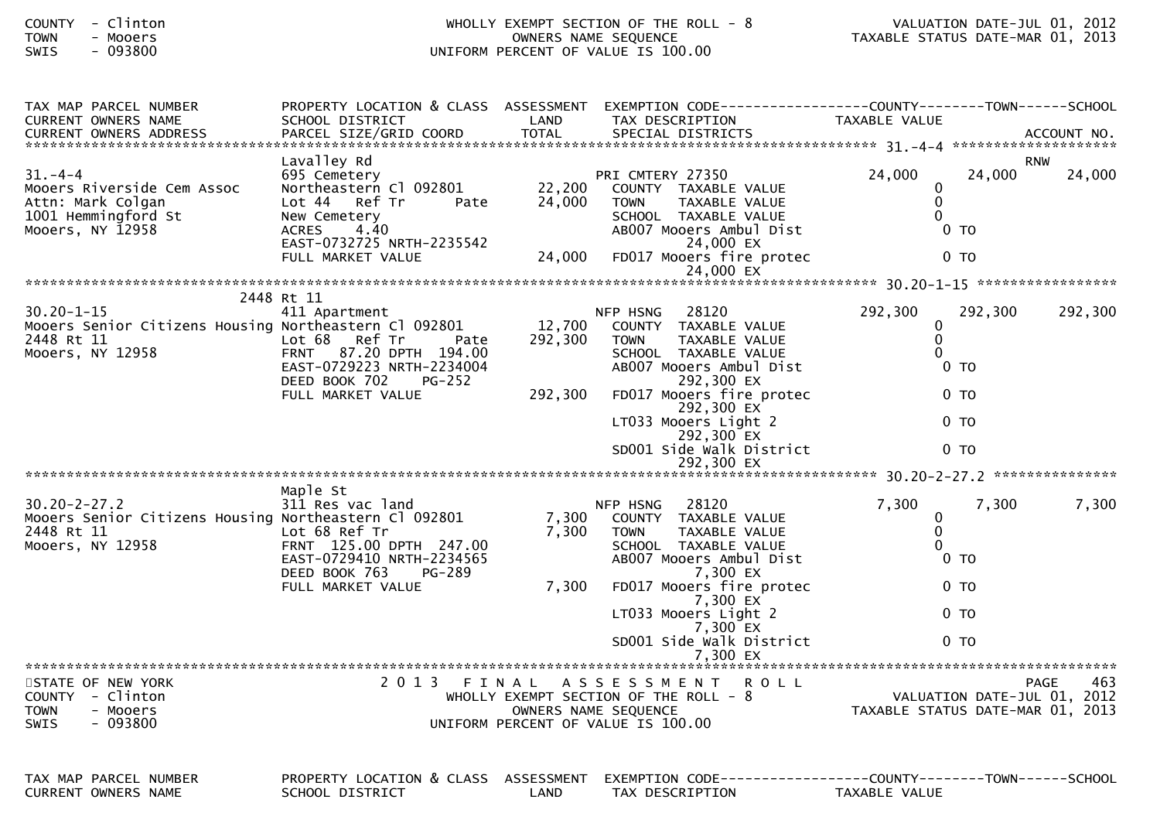| - Clinton<br><b>COUNTY</b><br><b>TOWN</b><br>- Mooers<br>$-093800$<br>SWIS                                    |                                                                                                                                                                              |                              | WHOLLY EXEMPT SECTION OF THE ROLL - 8<br>OWNERS NAME SEQUENCE<br>UNIFORM PERCENT OF VALUE IS 100.00                                                                                                                                                          | VALUATION DATE-JUL 01, 2012<br>VALUATION DATE-JUL 01, 2012<br>TAXABLE STATUS DATE-MAR 01, 2013                   |                      |  |
|---------------------------------------------------------------------------------------------------------------|------------------------------------------------------------------------------------------------------------------------------------------------------------------------------|------------------------------|--------------------------------------------------------------------------------------------------------------------------------------------------------------------------------------------------------------------------------------------------------------|------------------------------------------------------------------------------------------------------------------|----------------------|--|
| TAX MAP PARCEL NUMBER<br>CURRENT OWNERS NAME                                                                  | SCHOOL DISTRICT                                                                                                                                                              | LAND                         | PROPERTY LOCATION & CLASS ASSESSMENT EXEMPTION CODE----------------COUNTY-------TOWN------SCHOOL<br>TAX DESCRIPTION                                                                                                                                          | TAXABLE VALUE                                                                                                    |                      |  |
| $31. -4 -4$<br>Mooers Riverside Cem Assoc<br>Attn: Mark Colgan<br>1001 Hemmingford St<br>Mooers, NY 12958     | Lavalley Rd<br>695 Cemetery<br>Northeastern Cl 092801<br>Lot 44 Ref Tr<br>Pate<br>New Cemetery<br>4.40<br><b>ACRES</b><br>EAST-0732725 NRTH-2235542<br>FULL MARKET VALUE     | 22,200<br>24,000<br>24,000   | PRI CMTERY 27350<br>COUNTY TAXABLE VALUE<br><b>TOWN</b><br>TAXABLE VALUE<br>SCHOOL TAXABLE VALUE<br>AB007 Mooers Ambul Dist<br>24,000 EX<br>FD017 Mooers fire protec                                                                                         | 24,000<br>24,000<br>0<br>$\pmb{0}$<br>$\Omega$<br>0 <sub>T</sub><br>$0$ TO                                       | <b>RNW</b><br>24,000 |  |
|                                                                                                               |                                                                                                                                                                              |                              |                                                                                                                                                                                                                                                              |                                                                                                                  |                      |  |
| $30.20 - 1 - 15$<br>Mooers Senior Citizens Housing Northeastern Cl 092801<br>2448 Rt 11<br>Mooers, NY 12958   | 2448 Rt 11<br>411 Apartment<br>Lot 68 Ref Tr<br>Pate<br>87.20 DPTH 194.00<br><b>FRNT</b><br>EAST-0729223 NRTH-2234004<br>DEED BOOK 702<br><b>PG-252</b><br>FULL MARKET VALUE | 12,700<br>292,300<br>292,300 | NFP HSNG<br>28120<br>COUNTY TAXABLE VALUE<br>TAXABLE VALUE<br><b>TOWN</b><br>SCHOOL TAXABLE VALUE<br>AB007 Mooers Ambul Dist<br>292,300 EX<br>FD017 Mooers fire protec<br>292,300 EX<br>LT033 Mooers Light 2<br>292,300 EX<br>SD001 Side Walk District       | 292,300<br>292,300<br>0<br>0<br>$\Omega$<br>0 <sub>T</sub><br>0 <sub>T</sub><br>0 <sub>T</sub><br>0 <sub>T</sub> | 292,300              |  |
| $30.20 - 2 - 27.2$<br>Mooers Senior Citizens Housing Northeastern Cl 092801<br>2448 Rt 11<br>Mooers, NY 12958 | Maple St<br>311 Res vac land<br>Lot 68 Ref Tr<br>FRNT 125.00 DPTH 247.00<br>EAST-0729410 NRTH-2234565<br>DEED BOOK 763<br><b>PG-289</b><br>FULL MARKET VALUE                 | 7,300<br>7,300<br>7,300      | 28120<br>NFP HSNG<br>COUNTY TAXABLE VALUE<br>TAXABLE VALUE<br><b>TOWN</b><br>SCHOOL TAXABLE VALUE<br>AB007 Mooers Ambul Dist<br>7,300 EX<br>FD017 Mooers fire protec<br>7,300 EX<br>LT033 Mooers Light 2<br>7,300 EX<br>SD001 Side walk District<br>7,300 EX | 7,300<br>7,300<br>$\mathbf 0$<br>$\mathbf 0$<br>$\mathbf 0$<br>$0$ TO<br>$0$ TO<br>0 TO<br>0 <sub>T</sub>        | 7,300                |  |
| STATE OF NEW YORK<br>COUNTY - Clinton<br><b>TOWN</b><br>- Mooers<br>$-093800$<br><b>SWIS</b>                  |                                                                                                                                                                              |                              | 2013 FINAL ASSESSMENT ROLL<br>WHOLLY EXEMPT SECTION OF THE ROLL - 8<br>OWNERS NAME SEQUENCE<br>UNIFORM PERCENT OF VALUE IS 100.00                                                                                                                            | VALUATION DATE-JUL 01, 2012<br>TAXABLE STATUS DATE-MAR 01, 2013                                                  | 463<br>PAGE          |  |
| TAV MAD DADCEL NUMBER                                                                                         | DRODERTY LOCATION & CLASS ASSESSMENT EVEMPTION CODE.                                                                                                                         |                              |                                                                                                                                                                                                                                                              | $COLINTV$ $---TOLM$                                                                                              |                      |  |

TAX MAP PARCEL NUMBER PROPERTY LOCATION & CLASS ASSESSMENT EXEMPTION CODE------------------COUNTY--------TOWN------SCHOOLCURRENT OWNERS NAME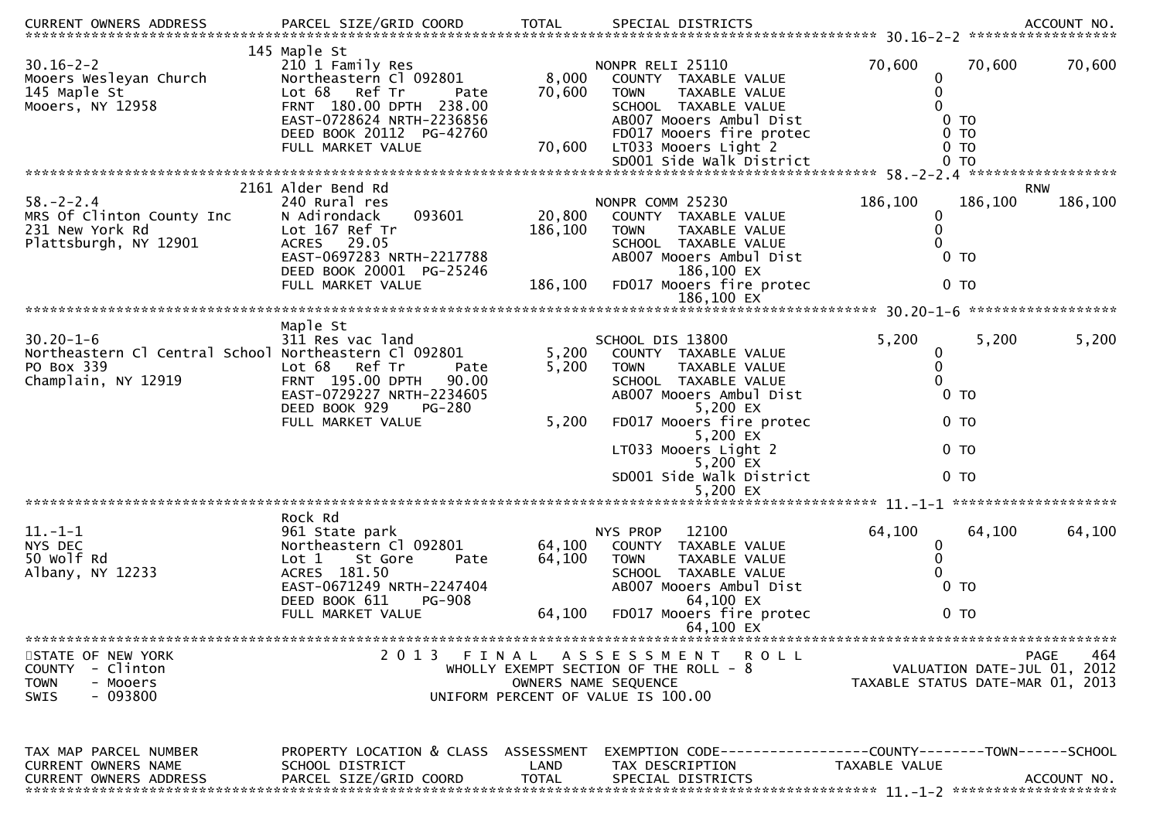| .CURRENT OWNERS ADDRESS PARCEL SIZE/GRID COORD TOTAL SPECIAL DISTRICTS ACCOUNT NO ACCOUNT NO ACCOUNT NO AND ART AND A SERVERS AND RESERVE TO A SERVERS AND RESERVE TO A SERVERS AND RESERVE TO A SERVERS AND TOTAL THE SPECIAL |                                                                                                                                                                                                 |                           |                                                                                                                                                                                                             |                                                                                               |                       |
|--------------------------------------------------------------------------------------------------------------------------------------------------------------------------------------------------------------------------------|-------------------------------------------------------------------------------------------------------------------------------------------------------------------------------------------------|---------------------------|-------------------------------------------------------------------------------------------------------------------------------------------------------------------------------------------------------------|-----------------------------------------------------------------------------------------------|-----------------------|
| $30.16 - 2 - 2$<br>Mooers Wesleyan Church<br>145 Maple St<br>Mooers, NY 12958                                                                                                                                                  | 145 Maple St<br>210 1 Family Res<br>Northeastern Cl 092801<br>Lot 68<br>Ref Tr<br>Pate<br>FRNT 180.00 DPTH 238.00<br>EAST-0728624 NRTH-2236856<br>DEED BOOK 20112 PG-42760<br>FULL MARKET VALUE | 8,000<br>70,600<br>70,600 | NONPR RELI 25110<br>COUNTY TAXABLE VALUE<br>TAXABLE VALUE<br><b>TOWN</b><br>SCHOOL TAXABLE VALUE<br>AB007 Mooers Ambul Dist<br>FD017 Mooers fire protec<br>LT033 Mooers Light 2<br>SD001 Side Walk District | 70,600<br>70,600<br>0<br>$\mathbf{0}$<br>0 <sub>T</sub><br>0 <sub>T</sub><br>$0$ TO<br>$0$ TO | 70,600                |
|                                                                                                                                                                                                                                |                                                                                                                                                                                                 |                           |                                                                                                                                                                                                             |                                                                                               |                       |
| $58. - 2 - 2.4$<br>MRS Of Clinton County Inc<br>231 New York Rd<br>Plattsburgh, NY 12901                                                                                                                                       | 2161 Alder Bend Rd<br>240 Rural res<br>093601<br>N Adirondack<br>Lot 167 Ref Tr<br>ACRES 29.05<br>EAST-0697283 NRTH-2217788<br>DEED BOOK 20001 PG-25246                                         | 20,800<br>186,100         | NONPR COMM 25230<br>COUNTY TAXABLE VALUE<br><b>TOWN</b><br>TAXABLE VALUE<br>SCHOOL TAXABLE VALUE<br>AB007 Mooers Ambul Dist<br>186,100 EX                                                                   | 186,100<br>186,100<br>0<br>0<br>0 <sub>T</sub>                                                | <b>RNW</b><br>186,100 |
|                                                                                                                                                                                                                                | FULL MARKET VALUE                                                                                                                                                                               | 186,100                   | FD017 Mooers fire protec<br>186,100 EX                                                                                                                                                                      | $0$ TO                                                                                        |                       |
|                                                                                                                                                                                                                                |                                                                                                                                                                                                 |                           |                                                                                                                                                                                                             |                                                                                               |                       |
| $30.20 - 1 - 6$<br>Northeastern Cl Central School Northeastern Cl 092801<br>PO Box 339<br>Champlain, NY 12919                                                                                                                  | Maple St<br>311 Res vac land<br>Lot 68 Ref Tr<br>Pate<br>FRNT 195.00 DPTH<br>90.00<br>EAST-0729227 NRTH-2234605<br>DEED BOOK 929<br>PG-280                                                      | 5,200<br>5,200            | SCHOOL DIS 13800<br>COUNTY TAXABLE VALUE<br>TAXABLE VALUE<br><b>TOWN</b><br>SCHOOL TAXABLE VALUE<br>AB007 Mooers Ambul Dist<br>5,200 EX                                                                     | 5,200<br>5,200<br>0<br>0<br>0<br>$0$ TO                                                       | 5,200                 |
|                                                                                                                                                                                                                                | FULL MARKET VALUE                                                                                                                                                                               | 5,200                     | FD017 Mooers fire protec<br>5,200 EX                                                                                                                                                                        | 0 <sub>T</sub>                                                                                |                       |
|                                                                                                                                                                                                                                |                                                                                                                                                                                                 |                           | LT033 Mooers Light 2<br>5,200 EX                                                                                                                                                                            | 0 <sub>T</sub>                                                                                |                       |
|                                                                                                                                                                                                                                |                                                                                                                                                                                                 |                           | SD001 Side Walk District<br>5,200 EX                                                                                                                                                                        | 0 <sub>T</sub>                                                                                |                       |
|                                                                                                                                                                                                                                | Rock Rd                                                                                                                                                                                         |                           |                                                                                                                                                                                                             |                                                                                               |                       |
| $11.-1-1$<br>NYS DEC<br>50 Wolf Rd<br>Albany, NY 12233                                                                                                                                                                         | 961 State park<br>Northeastern Cl 092801<br>Lot 1<br>St Gore<br>Pate<br>ACRES 181.50<br>EAST-0671249 NRTH-2247404<br>DEED BOOK 611<br><b>PG-908</b>                                             | 64,100<br>64,100          | 12100<br>NYS PROP<br>COUNTY TAXABLE VALUE<br>TAXABLE VALUE<br><b>TOWN</b><br>SCHOOL TAXABLE VALUE<br>AB007 Mooers Ambul Dist<br>64,100 EX                                                                   | 64,100<br>64,100<br>$\boldsymbol{0}$<br>$\Omega$<br>0 <sub>T</sub>                            | 64,100                |
|                                                                                                                                                                                                                                | FULL MARKET VALUE                                                                                                                                                                               | 64,100                    | FD017 Mooers fire protec<br>64,100 EX                                                                                                                                                                       | 0 <sub>T</sub>                                                                                |                       |
|                                                                                                                                                                                                                                |                                                                                                                                                                                                 |                           |                                                                                                                                                                                                             |                                                                                               |                       |
| STATE OF NEW YORK<br>COUNTY - Clinton<br><b>TOWN</b><br>- Mooers<br>- 093800<br><b>SWIS</b>                                                                                                                                    | 2 0 1 3                                                                                                                                                                                         | FINAL                     | A S S E S S M E N T<br><b>ROLL</b><br>WHOLLY EXEMPT SECTION OF THE ROLL - 8<br>OWNERS NAME SEQUENCE<br>UNIFORM PERCENT OF VALUE IS 100.00                                                                   | VALUATION DATE-JUL 01, 2012<br>TAXABLE STATUS DATE-MAR 01, 2013                               | 464<br><b>PAGE</b>    |
| TAX MAP PARCEL NUMBER<br>CURRENT OWNERS NAME<br><b>CURRENT OWNERS ADDRESS</b>                                                                                                                                                  | PROPERTY LOCATION & CLASS ASSESSMENT<br>SCHOOL DISTRICT<br>PARCEL SIZE/GRID COORD                                                                                                               | LAND<br><b>TOTAL</b>      | EXEMPTION CODE-----------------COUNTY-------TOWN------SCHOOL<br>TAX DESCRIPTION<br>SPECIAL DISTRICTS                                                                                                        | TAXABLE VALUE                                                                                 | ACCOUNT NO.           |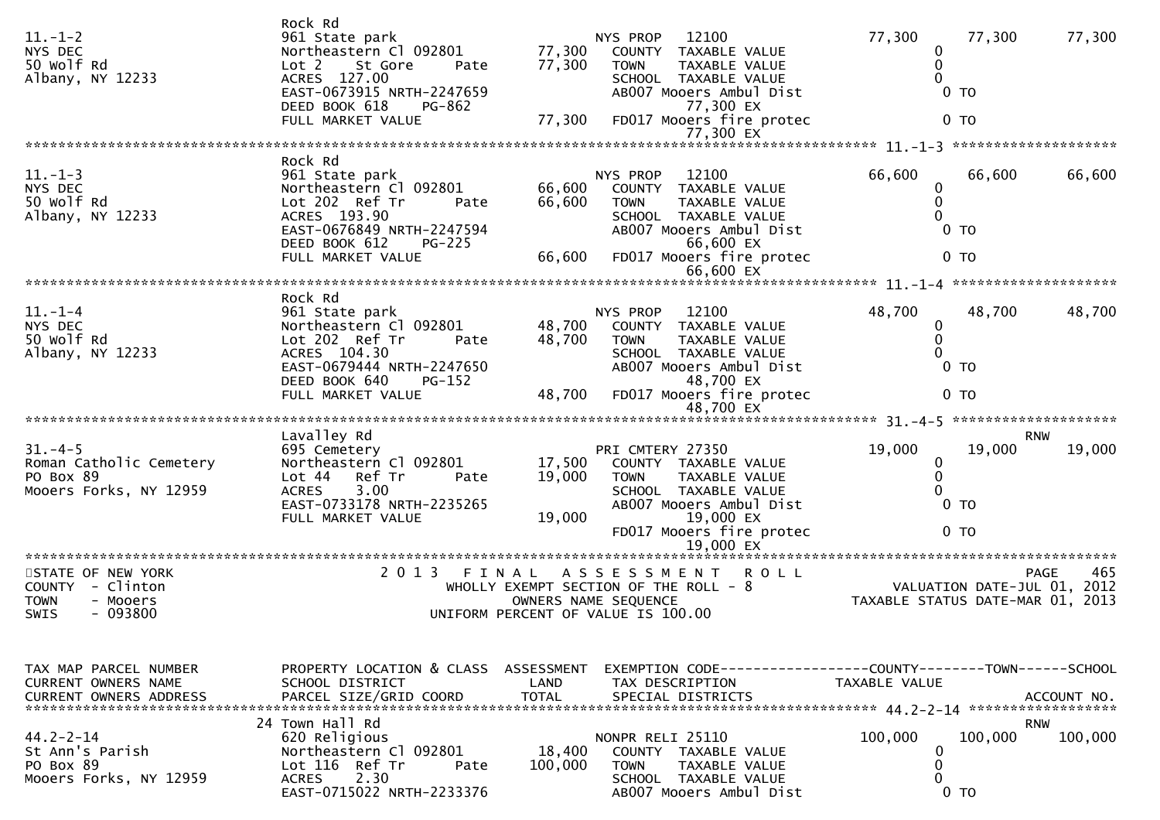| $11. - 1 - 2$<br>NYS DEC<br>50 Wolf Rd<br>Albany, NY 12233                                             | Rock Rd<br>961 State park<br>Northeastern Cl 092801<br>Lot 2<br>St Gore<br>Pate<br>ACRES 127.00<br>EAST-0673915 NRTH-2247659<br>DEED BOOK 618<br>PG-862<br>FULL MARKET VALUE | 77,300<br>77,300<br>77,300 | NYS PROP<br>12100<br><b>COUNTY</b><br>TAXABLE VALUE<br>TAXABLE VALUE<br><b>TOWN</b><br>SCHOOL TAXABLE VALUE<br>AB007 Mooers Ambul Dist<br>77,300 EX<br>FD017 Mooers fire protec<br>77,300 EX | 77,300<br>77,300<br>0<br>0<br>$0$ TO<br>0 <sub>T</sub>                        | 77,300                     |
|--------------------------------------------------------------------------------------------------------|------------------------------------------------------------------------------------------------------------------------------------------------------------------------------|----------------------------|----------------------------------------------------------------------------------------------------------------------------------------------------------------------------------------------|-------------------------------------------------------------------------------|----------------------------|
|                                                                                                        | Rock Rd                                                                                                                                                                      |                            |                                                                                                                                                                                              |                                                                               |                            |
| $11. - 1 - 3$<br>NYS DEC<br>50 Wolf Rd<br>Albany, NY 12233                                             | 961 State park<br>Northeastern Cl 092801<br>Lot 202 Ref Tr<br>Pate<br>ACRES 193.90<br>EAST-0676849 NRTH-2247594<br>DEED BOOK 612<br>$PG-225$<br>FULL MARKET VALUE            | 66,600<br>66,600<br>66,600 | NYS PROP<br>12100<br><b>COUNTY</b><br>TAXABLE VALUE<br><b>TOWN</b><br>TAXABLE VALUE<br>SCHOOL TAXABLE VALUE<br>AB007 Mooers Ambul Dist<br>66,600 EX<br>FD017 Mooers fire protec<br>66,600 EX | 66,600<br>66,600<br>0<br>0<br>$0$ TO<br>$0$ TO                                | 66,600                     |
|                                                                                                        |                                                                                                                                                                              |                            |                                                                                                                                                                                              |                                                                               |                            |
| $11. - 1 - 4$<br>NYS DEC<br>50 Wolf Rd<br>Albany, NY 12233                                             | Rock Rd<br>961 State park<br>Northeastern Cl 092801<br>Lot 202 Ref Tr<br>Pate<br>ACRES 104.30<br>EAST-0679444 NRTH-2247650<br>DEED BOOK 640<br>PG-152<br>FULL MARKET VALUE   | 48,700<br>48,700<br>48,700 | NYS PROP<br>12100<br>COUNTY<br>TAXABLE VALUE<br><b>TAXABLE VALUE</b><br><b>TOWN</b><br>SCHOOL TAXABLE VALUE<br>AB007 Mooers Ambul Dist<br>48,700 EX<br>FD017 Mooers fire protec              | 48,700<br>48,700<br>0<br>$\mathbf{0}$<br>$0$ TO<br>$0$ TO                     | 48,700                     |
|                                                                                                        |                                                                                                                                                                              |                            | 48,700 EX                                                                                                                                                                                    |                                                                               |                            |
| $31 - 4 - 5$<br>Roman Catholic Cemetery<br>PO Box 89<br>Mooers Forks, NY 12959                         | Lavalley Rd<br>695 Cemetery<br>Northeastern Cl 092801<br>Ref Tr<br>Lot 44<br>Pate<br>3.00<br><b>ACRES</b><br>EAST-0733178 NRTH-2235265<br>FULL MARKET VALUE                  | 17,500<br>19,000<br>19,000 | PRI CMTERY 27350<br>COUNTY TAXABLE VALUE<br><b>TOWN</b><br>TAXABLE VALUE<br>SCHOOL TAXABLE VALUE<br>AB007 Mooers Ambul Dist<br>19,000 EX<br>FD017 Mooers fire protec<br>19,000 EX            | 19,000<br>19,000<br>0<br>0<br>0 <sub>T</sub><br>0 <sub>T</sub>                | <b>RNW</b><br>19,000       |
| STATE OF NEW YORK<br><b>COUNTY</b><br>- Clinton<br><b>TOWN</b><br>- Mooers<br>$-093800$<br><b>SWIS</b> | 2 0 1 3                                                                                                                                                                      | FINAL                      | <b>ROLL</b><br>A S S E S S M E N T<br>WHOLLY EXEMPT SECTION OF THE ROLL - 8<br>OWNERS NAME SEQUENCE<br>UNIFORM PERCENT OF VALUE IS 100.00                                                    | VALUATION DATE-JUL 01, 2012<br>TAXABLE STATUS DATE-MAR 01,                    | <b>PAGE</b><br>465<br>2013 |
| TAX MAP PARCEL NUMBER<br><b>CURRENT OWNERS NAME</b>                                                    | PROPERTY LOCATION & CLASS<br>SCHOOL DISTRICT                                                                                                                                 | ASSESSMENT<br>LAND         | TAX DESCRIPTION                                                                                                                                                                              | EXEMPTION CODE-----------------COUNTY-------TOWN------SCHOOL<br>TAXABLE VALUE |                            |
| $44.2 - 2 - 14$<br>St Ann's Parish<br>PO Box 89<br>Mooers Forks, NY 12959                              | 24 Town Hall Rd<br>620 Religious<br>Northeastern Cl 092801<br>Lot 116 Ref Tr<br>Pate<br><b>ACRES</b><br>2.30<br>EAST-0715022 NRTH-2233376                                    | 18,400<br>100,000          | NONPR RELI 25110<br>COUNTY TAXABLE VALUE<br><b>TOWN</b><br>TAXABLE VALUE<br>SCHOOL TAXABLE VALUE<br>AB007 Mooers Ambul Dist                                                                  | 100,000<br>100,000<br>0<br>0<br>0<br>$0$ TO                                   | <b>RNW</b><br>100,000      |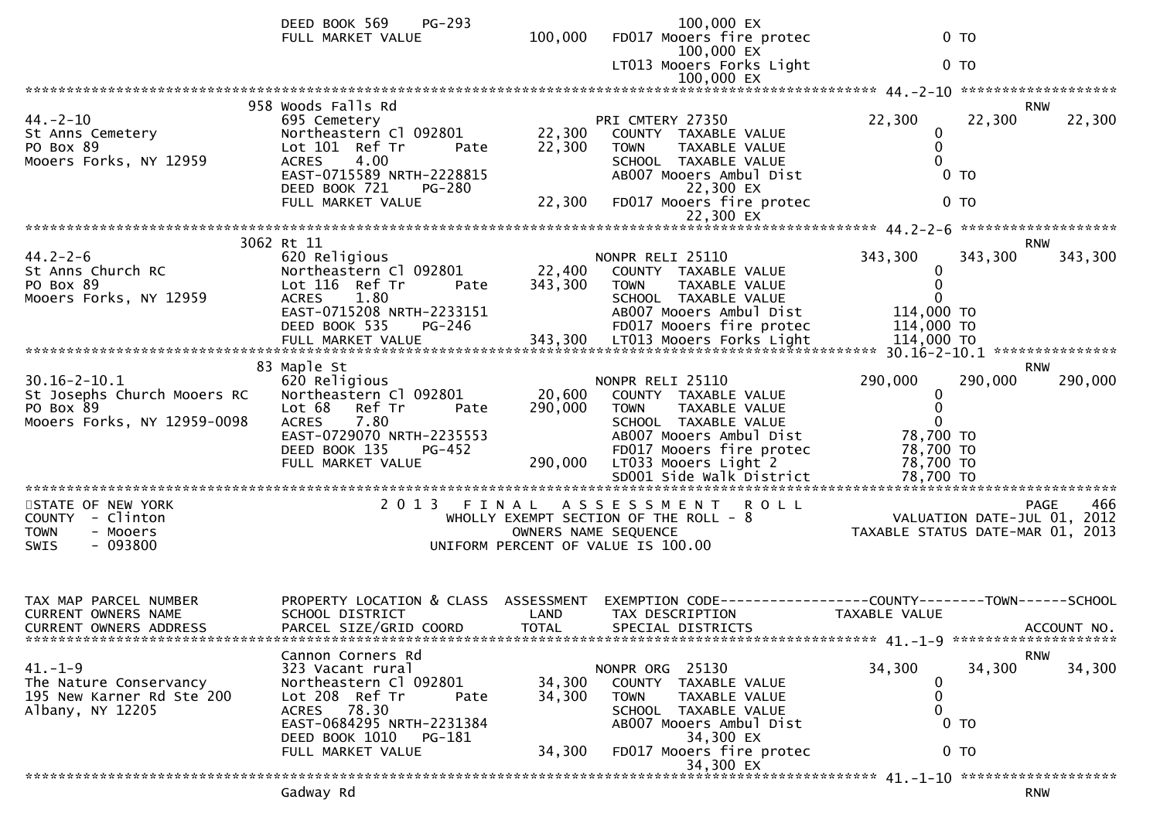|                                                                                               | <b>PG-293</b><br>DEED BOOK 569<br>FULL MARKET VALUE                                                                                                                                    | 100,000                    | 100,000 EX<br>FD017 Mooers fire protec<br>100,000 EX                                                                                                                                                                | 0 <sub>T</sub>                                                                                                            |                    |
|-----------------------------------------------------------------------------------------------|----------------------------------------------------------------------------------------------------------------------------------------------------------------------------------------|----------------------------|---------------------------------------------------------------------------------------------------------------------------------------------------------------------------------------------------------------------|---------------------------------------------------------------------------------------------------------------------------|--------------------|
|                                                                                               |                                                                                                                                                                                        |                            | LT013 Mooers Forks Light<br>100,000 EX                                                                                                                                                                              | 0 <sub>T</sub>                                                                                                            |                    |
|                                                                                               |                                                                                                                                                                                        |                            |                                                                                                                                                                                                                     |                                                                                                                           |                    |
| $44. - 2 - 10$<br>St Anns Cemetery<br>PO Box 89<br>Mooers Forks, NY 12959                     | 958 Woods Falls Rd<br>695 Cemetery<br>Northeastern Cl 092801<br>Lot 101 Ref Tr<br>Pate<br>4.00<br><b>ACRES</b><br>EAST-0715589 NRTH-2228815<br>DEED BOOK 721<br>PG-280                 | 22,300<br>22,300           | PRI CMTERY 27350<br>COUNTY TAXABLE VALUE<br>TAXABLE VALUE<br><b>TOWN</b><br>SCHOOL TAXABLE VALUE<br>AB007 Mooers Ambul Dist<br>22,300 EX                                                                            | <b>RNW</b><br>22,300<br>22,300<br>0<br>0<br>0 <sub>T</sub>                                                                | 22,300             |
|                                                                                               | FULL MARKET VALUE                                                                                                                                                                      | 22,300                     | FD017 Mooers fire protec                                                                                                                                                                                            | 0 <sub>T</sub>                                                                                                            |                    |
|                                                                                               |                                                                                                                                                                                        |                            |                                                                                                                                                                                                                     |                                                                                                                           |                    |
| $44.2 - 2 - 6$<br>St Anns Church RC<br>PO Box 89<br>Mooers Forks, NY 12959                    | 3062 Rt 11<br>620 Religious<br>Northeastern Cl 092801<br>Lot 116 Ref Tr<br>Pate<br>ACRES 1.80<br>EAST-0715208 NRTH-2233151<br>DEED BOOK 535<br><b>PG-246</b>                           | 22,400<br>343,300          | NONPR RELI 25110<br>COUNTY TAXABLE VALUE<br><b>TOWN</b><br>TAXABLE VALUE<br>SCHOOL TAXABLE VALUE<br>AB007 Mooers Ambul Dist<br>FD017 Mooers fire protec                                                             | <b>RNW</b><br>343,300<br>343,300<br>0<br>0<br>114,000 TO<br>114,000 TO                                                    | 343,300            |
|                                                                                               |                                                                                                                                                                                        |                            |                                                                                                                                                                                                                     |                                                                                                                           |                    |
| $30.16 - 2 - 10.1$<br>St Josephs Church Mooers RC<br>PO Box 89<br>Mooers Forks, NY 12959-0098 | 83 Maple St<br>620 Religious<br>Northeastern Cl 092801<br>Lot 68 Ref Tr<br>Pate<br><b>ACRES</b><br>7.80<br>EAST-0729070 NRTH-2235553<br>DEED BOOK 135<br>PG-452<br>FULL MARKET VALUE   | 20,600<br>290,000          | NONPR RELI 25110<br>COUNTY TAXABLE VALUE<br><b>TOWN</b><br>TAXABLE VALUE<br>SCHOOL TAXABLE VALUE<br>AB007 Mooers Ambul Dist<br>FD017 Mooers fire protec<br>290,000 LT033 Mooers Light 2<br>SD001 Side Walk District | <b>RNW</b><br>290,000<br>290,000<br>0<br>$\mathbf{0}$<br>$\mathbf{0}$<br>78,700 TO<br>78,700 TO<br>78,700 TO<br>78,700 TO | 290,000            |
| STATE OF NEW YORK<br>COUNTY - Clinton<br>- Mooers<br><b>TOWN</b><br>$-093800$<br>SWIS         | 2 0 1 3                                                                                                                                                                                | FINAL                      | A S S E S S M E N T<br><b>ROLL</b><br>WHOLLY EXEMPT SECTION OF THE ROLL $-8$<br>OWNERS NAME SEQUENCE<br>UNIFORM PERCENT OF VALUE IS 100.00                                                                          | VALUATION DATE-JUL 01, 2012<br>TAXABLE STATUS DATE-MAR 01, 2013                                                           | 466<br><b>PAGE</b> |
| TAX MAP PARCEL NUMBER<br><b>CURRENT OWNERS NAME</b><br>CURRENT OWNERS ADDRESS                 | PROPERTY LOCATION & CLASS ASSESSMENT<br>SCHOOL DISTRICT<br>PARCEL SIZE/GRID COORD                                                                                                      | LAND<br><b>TOTAL</b>       | TAX DESCRIPTION<br>SPECIAL DISTRICTS                                                                                                                                                                                | EXEMPTION CODE------------------COUNTY--------TOWN------SCHOOL<br>TAXABLE VALUE                                           | ACCOUNT NO.        |
| $41. - 1 - 9$<br>The Nature Conservancy<br>195 New Karner Rd Ste 200<br>Albany, NY 12205      | Cannon Corners Rd<br>323 Vacant rural<br>Northeastern Cl 092801<br>Lot 208 Ref Tr<br>Pate<br>ACRES 78.30<br>EAST-0684295 NRTH-2231384<br>DEED BOOK 1010<br>PG-181<br>FULL MARKET VALUE | 34,300<br>34,300<br>34,300 | NONPR ORG 25130<br>COUNTY TAXABLE VALUE<br><b>TOWN</b><br>TAXABLE VALUE<br>SCHOOL TAXABLE VALUE<br>AB007 Mooers Ambul Dist<br>34,300 EX<br>FD017 Mooers fire protec<br>34,300 EX                                    | <b>RNW</b><br>34,300<br>34,300<br>0<br>0<br>$0$ TO<br>0 <sub>T</sub>                                                      | 34,300             |
|                                                                                               | Gadway Rd                                                                                                                                                                              |                            |                                                                                                                                                                                                                     | <b>RNW</b>                                                                                                                |                    |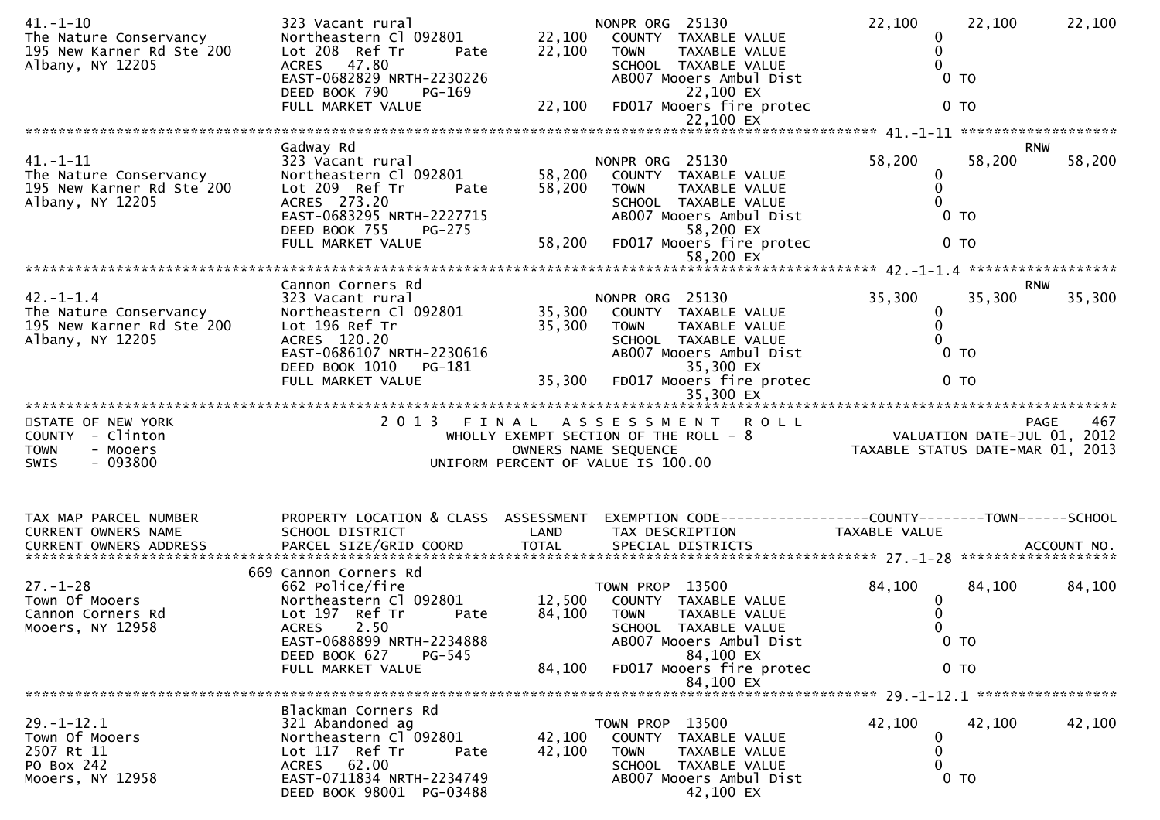| $41. - 1 - 10$<br>The Nature Conservancy<br>195 New Karner Rd Ste 200<br>Albany, NY 12205    | 323 Vacant rural<br>Northeastern Cl 092801<br>Lot 208 Ref Tr<br>Pate<br>ACRES 47.80<br>EAST-0682829 NRTH-2230226<br>DEED BOOK 790<br>PG-169<br>FULL MARKET VALUE                                         | 22,100<br>22,100<br>22,100 | NONPR ORG 25130<br>COUNTY TAXABLE VALUE<br>TAXABLE VALUE<br><b>TOWN</b><br>SCHOOL TAXABLE VALUE<br>AB007 Mooers Ambul Dist<br>22,100 EX<br>FD017 Mooers fire protec<br>22,100 EX | 22,100<br>$\bf{0}$<br>$\mathbf{0}$<br>$\Omega$<br>0 <sub>T</sub><br>0 <sub>T</sub> | 22,100               | 22,100 |
|----------------------------------------------------------------------------------------------|----------------------------------------------------------------------------------------------------------------------------------------------------------------------------------------------------------|----------------------------|----------------------------------------------------------------------------------------------------------------------------------------------------------------------------------|------------------------------------------------------------------------------------|----------------------|--------|
|                                                                                              |                                                                                                                                                                                                          |                            |                                                                                                                                                                                  |                                                                                    |                      |        |
| $41. - 1 - 11$<br>The Nature Conservancy<br>195 New Karner Rd Ste 200<br>Albany, NY 12205    | Gadway Rd<br>323 Vacant rural<br>Northeastern Cl 092801<br>Lot 209 Ref Tr<br>Pate<br>ACRES 273.20<br>EAST-0683295 NRTH-2227715<br>DEED BOOK 755<br>PG-275<br>FULL MARKET VALUE                           | 58,200<br>58,200<br>58,200 | NONPR ORG 25130<br>COUNTY TAXABLE VALUE<br><b>TOWN</b><br>TAXABLE VALUE<br>SCHOOL TAXABLE VALUE<br>AB007 Mooers Ambul Dist<br>58,200 EX<br>FD017 Mooers fire protec<br>58,200 EX | 58,200<br>0<br>0<br>$\Omega$<br>$0$ TO<br>$0$ TO                                   | <b>RNW</b><br>58,200 | 58,200 |
|                                                                                              |                                                                                                                                                                                                          |                            |                                                                                                                                                                                  |                                                                                    |                      |        |
| $42. - 1 - 1.4$<br>The Nature Conservancy<br>195 New Karner Rd Ste 200<br>Albany, NY 12205   | Cannon Corners Rd<br>323 Vacant rural<br>Northeastern Cl 092801<br>Lot 196 Ref Tr<br>ACRES 120.20<br>EAST-0686107 NRTH-2230616                                                                           | 35,300<br>35,300           | NONPR ORG 25130<br>COUNTY TAXABLE VALUE<br>TAXABLE VALUE<br>TOWN<br>SCHOOL TAXABLE VALUE<br>AB007 Mooers Ambul Dist                                                              | 35,300<br>0<br>0<br>$\Omega$<br>$0$ TO                                             | <b>RNW</b><br>35,300 | 35,300 |
|                                                                                              | DEED BOOK 1010<br>PG-181<br>FULL MARKET VALUE                                                                                                                                                            | 35,300                     | 35,300 EX<br>FD017 Mooers fire protec                                                                                                                                            | 0 <sub>T</sub>                                                                     |                      |        |
|                                                                                              |                                                                                                                                                                                                          |                            | 35,300 EX                                                                                                                                                                        |                                                                                    |                      |        |
| STATE OF NEW YORK<br>COUNTY - Clinton<br><b>TOWN</b><br>- Mooers<br>$-093800$<br><b>SWIS</b> | 2 0 1 3                                                                                                                                                                                                  | FINAL                      | ROLL<br>A S S E S S M E N T<br>WHOLLY EXEMPT SECTION OF THE ROLL - 8<br>OWNERS NAME SEQUENCE<br>UNIFORM PERCENT OF VALUE IS 100.00                                               | VALUATION DATE-JUL 01, 2012<br>TAXABLE STATUS DATE-MAR 01, 2013                    | PAGE                 | 467    |
| TAX MAP PARCEL NUMBER<br>CURRENT OWNERS NAME                                                 | PROPERTY LOCATION & CLASS ASSESSMENT<br>SCHOOL DISTRICT                                                                                                                                                  |                            |                                                                                                                                                                                  |                                                                                    |                      |        |
|                                                                                              |                                                                                                                                                                                                          | LAND                       | TAX DESCRIPTION                                                                                                                                                                  | TAXABLE VALUE                                                                      |                      |        |
| $27. - 1 - 28$<br>Town Of Mooers<br>Cannon Corners Rd<br>Mooers, NY 12958                    | 669 Cannon Corners Rd<br>662 Police/fire<br>Northeastern Cl 092801<br>Lot 197 Ref Tr<br>Pate<br>2.50<br><b>ACRES</b><br>EAST-0688899 NRTH-2234888<br>DEED BOOK 627<br><b>PG-545</b><br>FULL MARKET VALUE | 12,500<br>84,100<br>84,100 | TOWN PROP 13500<br>COUNTY TAXABLE VALUE<br>TAXABLE VALUE<br><b>TOWN</b><br>SCHOOL TAXABLE VALUE<br>AB007 Mooers Ambul Dist<br>84,100 EX<br>FD017 Mooers fire protec              | 84,100<br>$\bf{0}$<br>0<br>$\Omega$<br>0 <sub>T</sub><br>0 <sub>T</sub>            | 84,100               | 84,100 |
|                                                                                              |                                                                                                                                                                                                          |                            | 84,100 EX                                                                                                                                                                        |                                                                                    |                      |        |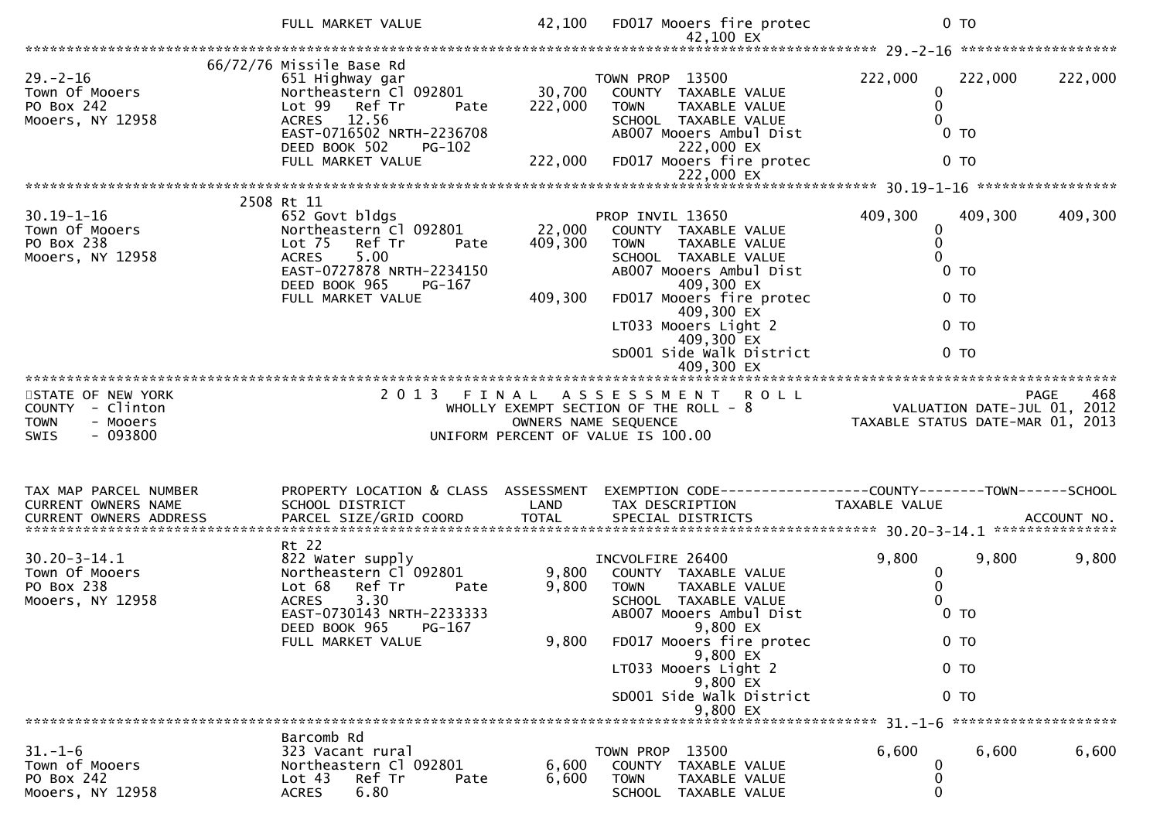|                                                                                       | FULL MARKET VALUE                                                                                                                                                                                    | 42,100                       | FD017 Mooers fire protec<br>42,100 EX                                                                                                                                                                                                                       | 0 <sub>T</sub>                                                                              |                            |
|---------------------------------------------------------------------------------------|------------------------------------------------------------------------------------------------------------------------------------------------------------------------------------------------------|------------------------------|-------------------------------------------------------------------------------------------------------------------------------------------------------------------------------------------------------------------------------------------------------------|---------------------------------------------------------------------------------------------|----------------------------|
|                                                                                       |                                                                                                                                                                                                      |                              |                                                                                                                                                                                                                                                             |                                                                                             |                            |
| $29. - 2 - 16$<br>Town Of Mooers<br>PO Box 242<br>Mooers, NY 12958                    | 66/72/76 Missile Base Rd<br>651 Highway gar<br>Northeastern Cl 092801<br>Lot 99 Ref Tr<br>Pate<br>12.56<br><b>ACRES</b><br>EAST-0716502 NRTH-2236708<br>DEED BOOK 502<br>PG-102<br>FULL MARKET VALUE | 30,700<br>222,000<br>222,000 | TOWN PROP 13500<br>COUNTY TAXABLE VALUE<br><b>TOWN</b><br>TAXABLE VALUE<br>SCHOOL TAXABLE VALUE<br>AB007 Mooers Ambul Dist<br>222,000 EX<br>FD017 Mooers fire protec                                                                                        | 222,000<br>222,000<br>0<br>0<br>0 <sub>T</sub><br>0 <sub>T</sub>                            | 222,000                    |
|                                                                                       |                                                                                                                                                                                                      |                              | 222,000 EX                                                                                                                                                                                                                                                  |                                                                                             |                            |
|                                                                                       | 2508 Rt 11                                                                                                                                                                                           |                              |                                                                                                                                                                                                                                                             |                                                                                             |                            |
| $30.19 - 1 - 16$<br>Town Of Mooers<br>PO Box 238<br>Mooers, NY 12958                  | 652 Govt bldgs<br>Northeastern Cl 092801<br>Ref Tr<br>Lot <sub>75</sub><br>Pate<br>5.00<br><b>ACRES</b><br>EAST-0727878 NRTH-2234150<br>DEED BOOK 965<br>PG-167<br>FULL MARKET VALUE                 | 22,000<br>409,300<br>409,300 | PROP INVIL 13650<br>COUNTY TAXABLE VALUE<br><b>TOWN</b><br>TAXABLE VALUE<br>SCHOOL TAXABLE VALUE<br>AB007 Mooers Ambul Dist<br>409,300 EX<br>FD017 Mooers fire protec                                                                                       | 409,300<br>409,300<br>0<br>0<br>0 <sub>T</sub><br>0 <sub>T</sub>                            | 409,300                    |
|                                                                                       |                                                                                                                                                                                                      |                              | 409,300 EX<br>LT033 Mooers Light 2<br>409,300 EX<br>SD001 Side Walk District                                                                                                                                                                                | 0 TO<br>0 <sub>T</sub>                                                                      |                            |
|                                                                                       |                                                                                                                                                                                                      |                              |                                                                                                                                                                                                                                                             |                                                                                             |                            |
| STATE OF NEW YORK<br>COUNTY - Clinton<br>- Mooers<br><b>TOWN</b><br>$-093800$<br>SWIS | 2 0 1 3<br>FINAL                                                                                                                                                                                     |                              | <b>ROLL</b><br>A S S E S S M E N T<br>WHOLLY EXEMPT SECTION OF THE ROLL - 8<br>OWNERS NAME SEQUENCE<br>UNIFORM PERCENT OF VALUE IS 100.00                                                                                                                   | VALUATION DATE-JUL 01,<br>TAXABLE STATUS DATE-MAR 01, 2013                                  | 468<br><b>PAGE</b><br>2012 |
| TAX MAP PARCEL NUMBER<br>CURRENT OWNERS NAME                                          | PROPERTY LOCATION & CLASS ASSESSMENT<br>SCHOOL DISTRICT                                                                                                                                              | LAND                         | EXEMPTION CODE------------------COUNTY--------TOWN------SCHOOL<br>TAX DESCRIPTION                                                                                                                                                                           | TAXABLE VALUE                                                                               |                            |
| $30.20 - 3 - 14.1$<br>Town Of Mooers<br>PO Box 238<br>Mooers, NY 12958                | Rt 22<br>822 Water supply<br>Northeastern Cl 092801<br>Lot 68<br>Ref Tr<br>Pate<br>3.30<br><b>ACRES</b><br>EAST-0730143 NRTH-2233333<br>DEED BOOK 965 PG-167<br>FULL MARKET VALUE                    | 9,800<br>9,800<br>9,800      | INCVOLFIRE 26400<br>COUNTY TAXABLE VALUE<br><b>TOWN</b><br>TAXABLE VALUE<br>SCHOOL TAXABLE VALUE<br>AB007 Mooers Ambul Dist<br>9,800 EX<br>FD017 Mooers fire protec<br>9,800 EX<br>LT033 Mooers Light 2<br>9,800 EX<br>SD001 Side Walk District<br>9,800 EX | 9,800<br>9,800<br>0<br>0 <sub>T</sub><br>0 <sub>T</sub><br>0 <sub>T</sub><br>0 <sub>T</sub> | 9,800                      |
|                                                                                       |                                                                                                                                                                                                      |                              |                                                                                                                                                                                                                                                             |                                                                                             |                            |
| $31. - 1 - 6$<br>Town of Mooers<br>PO Box 242<br>Mooers, NY 12958                     | Barcomb Rd<br>323 Vacant rural<br>Northeastern Cl 092801<br>Ref Tr<br>Lot 43<br>Pate<br>6.80<br><b>ACRES</b>                                                                                         | 6,600<br>6,600               | TOWN PROP 13500<br>COUNTY TAXABLE VALUE<br><b>TOWN</b><br>TAXABLE VALUE<br>SCHOOL TAXABLE VALUE                                                                                                                                                             | 6,600<br>6,600<br>0<br>0                                                                    | 6,600                      |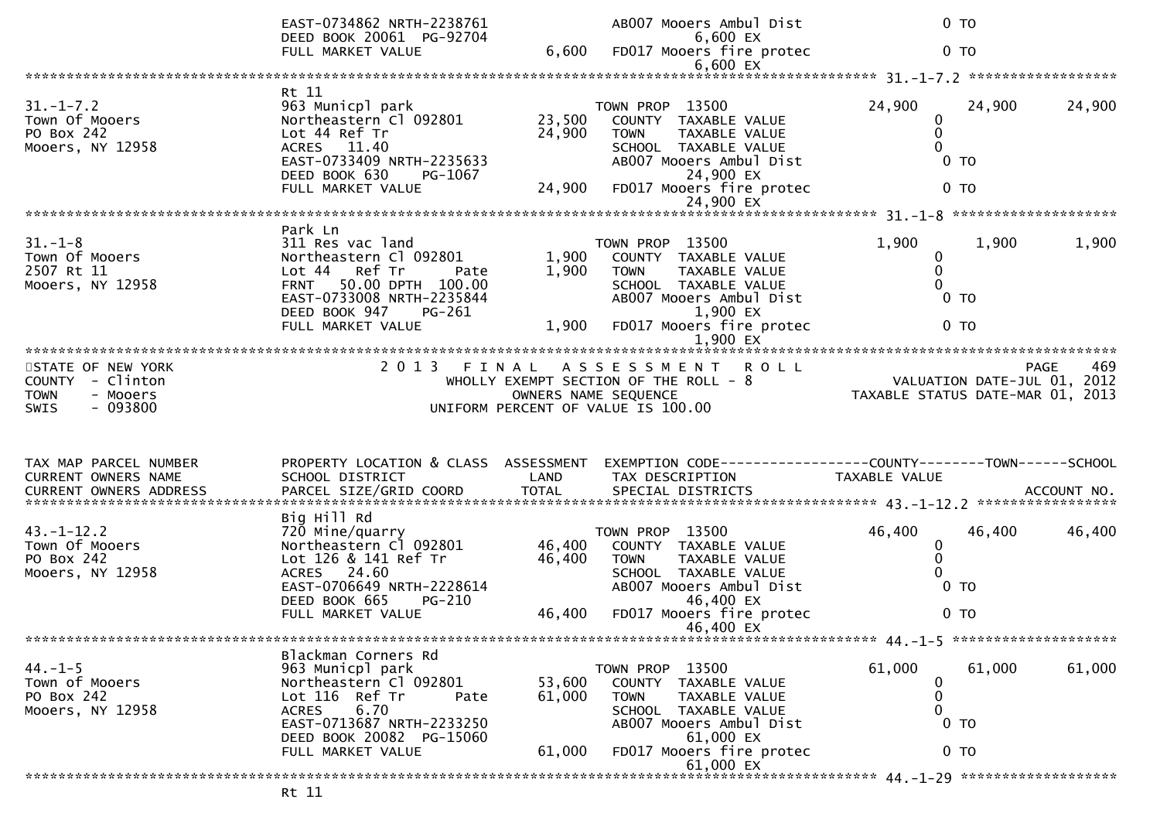|                                                                                              | EAST-0734862 NRTH-2238761<br>DEED BOOK 20061 PG-92704                                                                                                                         |                            | AB007 Mooers Ambul Dist<br>6,600 EX                                                                                                                                 | 0 <sub>T</sub>                                                   |        |        |
|----------------------------------------------------------------------------------------------|-------------------------------------------------------------------------------------------------------------------------------------------------------------------------------|----------------------------|---------------------------------------------------------------------------------------------------------------------------------------------------------------------|------------------------------------------------------------------|--------|--------|
|                                                                                              | FULL MARKET VALUE                                                                                                                                                             | 6,600                      | FD017 Mooers fire protec<br>$6,600$ EX                                                                                                                              | 0 <sub>T</sub>                                                   |        |        |
|                                                                                              |                                                                                                                                                                               |                            |                                                                                                                                                                     |                                                                  |        |        |
| $31. - 1 - 7.2$<br>Town Of Mooers<br>PO Box 242<br>Mooers, NY 12958                          | Rt 11<br>963 Municpl park<br>Northeastern Cl 092801<br>Lot 44 Ref Tr<br>ACRES 11.40<br>EAST-0733409 NRTH-2235633<br>DEED BOOK 630<br>PG-1067<br>FULL MARKET VALUE             | 23,500<br>24,900<br>24,900 | TOWN PROP 13500<br>COUNTY TAXABLE VALUE<br><b>TOWN</b><br>TAXABLE VALUE<br>SCHOOL TAXABLE VALUE<br>AB007 Mooers Ambul Dist<br>24,900 EX<br>FD017 Mooers fire protec | 24,900<br>0<br>0<br>$\Omega$<br>0 <sub>T</sub><br>0 <sub>T</sub> | 24,900 | 24,900 |
|                                                                                              |                                                                                                                                                                               |                            | 24,900 EX                                                                                                                                                           |                                                                  |        |        |
| $31. - 1 - 8$<br>Town Of Mooers<br>2507 Rt 11<br>Mooers, NY 12958                            | Park Ln<br>311 Res vac land<br>Northeastern Cl 092801<br>Ref Tr<br>Lot 44<br>Pate<br>50.00 DPTH 100.00<br><b>FRNT</b><br>EAST-0733008 NRTH-2235844<br>DEED BOOK 947<br>PG-261 | 1,900<br>1,900             | TOWN PROP 13500<br>COUNTY TAXABLE VALUE<br><b>TOWN</b><br><b>TAXABLE VALUE</b><br>SCHOOL TAXABLE VALUE<br>AB007 Mooers Ambul Dist<br>1,900 EX                       | 1,900<br>0<br>$\mathbf{0}$<br>0<br>0 <sub>T</sub>                | 1,900  | 1,900  |
|                                                                                              | FULL MARKET VALUE                                                                                                                                                             | 1,900                      | FD017 Mooers fire protec<br>$1,900$ EX                                                                                                                              | 0 <sub>T</sub>                                                   |        |        |
|                                                                                              |                                                                                                                                                                               |                            |                                                                                                                                                                     |                                                                  |        |        |
| STATE OF NEW YORK<br>COUNTY - Clinton<br><b>TOWN</b><br>- Mooers<br>$-093800$<br><b>SWIS</b> |                                                                                                                                                                               |                            | 2013 FINAL ASSESSMENT ROLL<br>WHOLLY EXEMPT SECTION OF THE ROLL - 8<br>OWNERS NAME SEQUENCE<br>UNIFORM PERCENT OF VALUE IS 100.00                                   | VALUATION DATE-JUL 01, 2012<br>TAXABLE STATUS DATE-MAR 01, 2013  | PAGE   | 469    |
| TAX MAP PARCEL NUMBER<br>CURRENT OWNERS NAME                                                 | PROPERTY LOCATION & CLASS ASSESSMENT<br>SCHOOL DISTRICT                                                                                                                       | LAND                       | EXEMPTION CODE-----------------COUNTY-------TOWN------SCHOOL<br>TAX DESCRIPTION                                                                                     | TAXABLE VALUE                                                    |        |        |
|                                                                                              | Big Hill Rd                                                                                                                                                                   |                            |                                                                                                                                                                     |                                                                  |        |        |
| $43. - 1 - 12.2$<br>Town Of Mooers<br>PO Box 242<br>Mooers, NY 12958                         | 720 Mine/quarry<br>Northeastern Cl 092801<br>Lot 126 & 141 Ref Tr<br>ACRES 24.60<br>EAST-0706649 NRTH-2228614<br>DEED BOOK 665<br>PG-210                                      | 46,400<br>46,400           | TOWN PROP 13500<br>COUNTY TAXABLE VALUE<br>TAXABLE VALUE<br><b>TOWN</b><br>SCHOOL TAXABLE VALUE<br>AB007 Mooers Ambul Dist<br>46,400 EX                             | 46,400<br>0<br>0<br>$\Omega$<br>0 <sub>T</sub>                   | 46,400 | 46,400 |
|                                                                                              | FULL MARKET VALUE                                                                                                                                                             | 46,400                     | FD017 Mooers fire protec<br>46,400 EX                                                                                                                               | 0 <sub>T</sub>                                                   |        |        |
|                                                                                              |                                                                                                                                                                               |                            |                                                                                                                                                                     |                                                                  |        |        |
| $44. -1 - 5$<br>Town of Mooers<br>PO Box 242<br>Mooers, NY 12958                             | Blackman Corners Rd<br>963 Municpl park<br>Northeastern Cl 092801<br>Lot 116 Ref Tr<br>Pate<br>6.70<br><b>ACRES</b><br>EAST-0713687 NRTH-2233250<br>DEED BOOK 20082 PG-15060  | 53,600<br>61,000           | TOWN PROP 13500<br>COUNTY TAXABLE VALUE<br>TAXABLE VALUE<br><b>TOWN</b><br>SCHOOL TAXABLE VALUE<br>AB007 Mooers Ambul Dist<br>61,000 EX                             | 61,000<br>0<br>0<br>0<br>0 <sub>T</sub>                          | 61,000 | 61,000 |
|                                                                                              | FULL MARKET VALUE                                                                                                                                                             | 61,000                     | FD017 Mooers fire protec<br>61,000 EX                                                                                                                               | 0 <sub>T</sub>                                                   |        |        |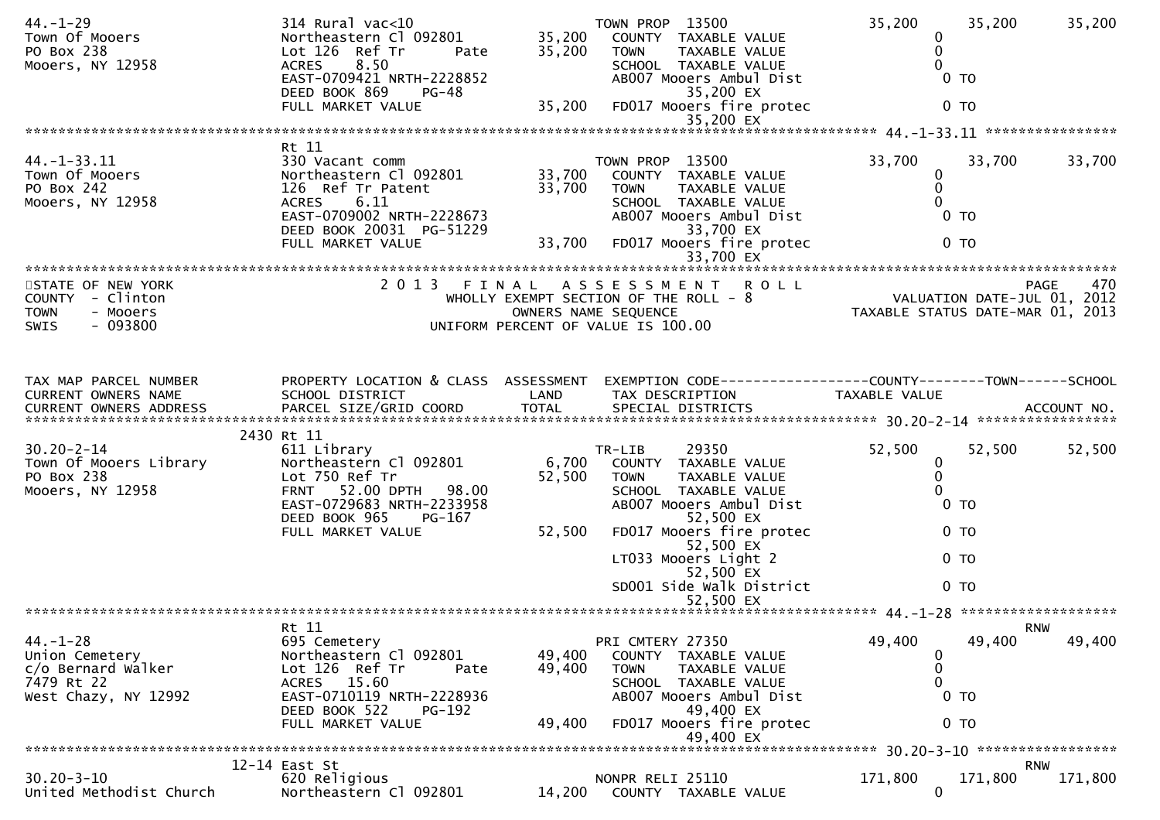| $44. - 1 - 29$                        | 314 Rural vac<10                      |                 | TOWN PROP 13500                         | 35,200<br>35,200                                                             | 35,200             |
|---------------------------------------|---------------------------------------|-----------------|-----------------------------------------|------------------------------------------------------------------------------|--------------------|
| Town Of Mooers                        | Northeastern Cl 092801                | 35,200          | COUNTY TAXABLE VALUE                    | 0                                                                            |                    |
| PO Box 238                            | Lot 126 Ref Tr<br>Pate                | 35,200          | TAXABLE VALUE<br>TOWN                   | $\mathbf{0}$                                                                 |                    |
| Mooers, NY 12958                      | ACRES 8.50                            |                 | SCHOOL TAXABLE VALUE                    |                                                                              |                    |
|                                       | EAST-0709421 NRTH-2228852             |                 | AB007 Mooers Ambul Dist                 | 0 <sub>T</sub>                                                               |                    |
|                                       | DEED BOOK 869<br>PG-48                |                 | 35,200 EX                               |                                                                              |                    |
|                                       | FULL MARKET VALUE                     | 35,200          | FD017 Mooers fire protec<br>35,200 EX   | 0 <sub>T</sub>                                                               |                    |
|                                       |                                       |                 |                                         |                                                                              |                    |
|                                       | Rt 11                                 |                 |                                         |                                                                              |                    |
| $44. -1 - 33.11$                      | 330 Vacant comm                       |                 | TOWN PROP 13500                         | 33,700<br>33,700                                                             | 33,700             |
| Town Of Mooers                        | Northeastern Cl 092801                | 33,700          | COUNTY TAXABLE VALUE                    | 0                                                                            |                    |
| PO Box 242                            | 126 Ref Tr Patent                     | 33,700          | TAXABLE VALUE<br><b>TOWN</b>            | $\mathbf{0}$                                                                 |                    |
| Mooers, NY 12958                      | 6.11<br>ACRES                         |                 | SCHOOL TAXABLE VALUE                    |                                                                              |                    |
|                                       | EAST-0709002 NRTH-2228673             |                 | AB007 Mooers Ambul Dist                 | 0 <sub>T</sub>                                                               |                    |
|                                       | DEED BOOK 20031 PG-51229              |                 | 33,700 EX                               |                                                                              |                    |
|                                       | FULL MARKET VALUE                     | 33,700          | FD017 Mooers fire protec                | 0 <sub>T</sub>                                                               |                    |
|                                       |                                       |                 |                                         |                                                                              |                    |
|                                       |                                       |                 | 2013 FINAL ASSESSMENT ROLL              |                                                                              | <b>PAGE</b><br>470 |
| STATE OF NEW YORK<br>COUNTY - Clinton |                                       |                 | WHOLLY EXEMPT SECTION OF THE ROLL - 8   | 470 PAGE<br>VALUATION DATE-JUL 01, 2012<br>TAXARLE STATUS DATE USE 101, 2012 |                    |
| - Mooers<br><b>TOWN</b>               |                                       |                 | OWNERS NAME SEQUENCE                    | TAXABLE STATUS DATE-MAR 01, 2013                                             |                    |
| $-093800$<br><b>SWIS</b>              |                                       |                 | UNIFORM PERCENT OF VALUE IS 100.00      |                                                                              |                    |
|                                       |                                       |                 |                                         |                                                                              |                    |
|                                       |                                       |                 |                                         |                                                                              |                    |
|                                       |                                       |                 |                                         |                                                                              |                    |
| TAX MAP PARCEL NUMBER                 | PROPERTY LOCATION & CLASS ASSESSMENT  |                 |                                         |                                                                              |                    |
| CURRENT OWNERS NAME                   | SCHOOL DISTRICT                       | LAND            | TAX DESCRIPTION                         | <b>TAXABLE VALUE</b>                                                         |                    |
|                                       |                                       |                 |                                         |                                                                              |                    |
|                                       |                                       |                 |                                         |                                                                              |                    |
|                                       |                                       |                 |                                         |                                                                              |                    |
|                                       | 2430 Rt 11                            |                 |                                         |                                                                              |                    |
| $30.20 - 2 - 14$                      | 611 Library<br>Northeastern Cl 092801 |                 | 29350<br>TR-LIB<br>COUNTY TAXABLE VALUE | 52,500<br>52,500<br>$\mathbf 0$                                              | 52,500             |
| Town Of Mooers Library<br>PO Box 238  | Lot 750 Ref Tr                        | 6,700<br>52,500 | <b>TOWN</b><br>TAXABLE VALUE            | 0                                                                            |                    |
| Mooers, NY 12958                      | 52.00 DPTH 98.00<br><b>FRNT</b>       |                 | SCHOOL TAXABLE VALUE                    |                                                                              |                    |
|                                       | EAST-0729683 NRTH-2233958             |                 | AB007 Mooers Ambul Dist                 | 0 <sub>T</sub>                                                               |                    |
|                                       | DEED BOOK 965<br>$PG-167$             |                 | 52,500 EX                               |                                                                              |                    |
|                                       | FULL MARKET VALUE                     | 52,500          | FD017 Mooers fire protec                | 0 <sub>T</sub>                                                               |                    |
|                                       |                                       |                 | 52,500 EX                               |                                                                              |                    |
|                                       |                                       |                 | LT033 Mooers Light 2                    | 0 <sub>T</sub>                                                               |                    |
|                                       |                                       |                 | 52,500 EX                               |                                                                              |                    |
|                                       |                                       |                 | SD001 Side Walk District                | 0 <sub>T</sub>                                                               |                    |
|                                       |                                       |                 | 52,500 EX                               |                                                                              |                    |
|                                       | Rt 11                                 |                 |                                         | <b>RNW</b>                                                                   |                    |
| $44. - 1 - 28$                        | 695 Cemetery                          |                 | PRI CMTERY 27350                        | 49,400<br>49,400                                                             | 49,400             |
| Union Cemetery                        | Northeastern Cl 092801                | 49,400          | COUNTY TAXABLE VALUE                    | 0                                                                            |                    |
| c/o Bernard Walker                    | Lot 126 Ref Tr<br>Pate                | 49,400          | <b>TOWN</b><br>TAXABLE VALUE            | 0                                                                            |                    |
| 7479 Rt 22                            | ACRES 15.60                           |                 | SCHOOL TAXABLE VALUE                    | 0                                                                            |                    |
| West Chazy, NY 12992                  | EAST-0710119 NRTH-2228936             |                 | AB007 Mooers Ambul Dist                 | 0 <sub>T</sub>                                                               |                    |
|                                       | DEED BOOK 522<br><b>PG-192</b>        |                 | 49,400 EX                               |                                                                              |                    |
|                                       | FULL MARKET VALUE                     | 49,400          | FD017 Mooers fire protec<br>49,400 EX   | 0 <sub>T</sub>                                                               |                    |
|                                       |                                       |                 |                                         |                                                                              |                    |
|                                       | 12-14 East St                         |                 |                                         |                                                                              | <b>RNW</b>         |
| $30.20 - 3 - 10$                      | 620 Religious                         |                 | NONPR RELI 25110                        | 171,800<br>171,800                                                           | 171,800            |
| United Methodist Church               | Northeastern Cl 092801                | 14,200          | COUNTY TAXABLE VALUE                    | $\mathbf 0$                                                                  |                    |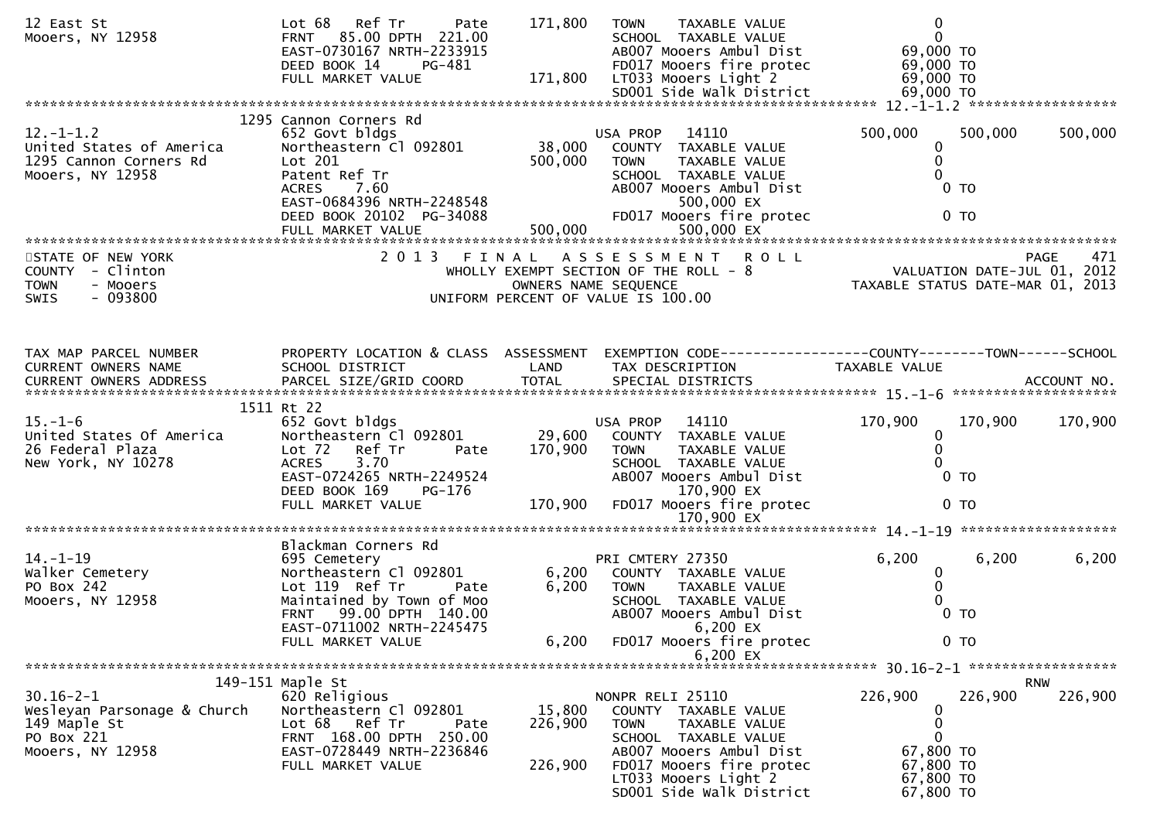| 12 East St<br>Mooers, NY 12958                                                               | Lot 68<br>Ref Tr<br>Pate<br>85.00 DPTH 221.00<br><b>FRNT</b><br>EAST-0730167 NRTH-2233915<br>DEED BOOK 14<br>PG-481<br>FULL MARKET VALUE                                              | 171,800<br>171,800 | TAXABLE VALUE<br><b>TOWN</b><br>SCHOOL TAXABLE VALUE<br>AB007 Mooers Ambul Dist<br>FD017 Mooers fire protec<br>LT033 Mooers Light 2                             | $\mathbf 0$<br>$\mathbf 0$<br>69,000 TO<br>69,000 TO<br>69,000 TO           |                    |
|----------------------------------------------------------------------------------------------|---------------------------------------------------------------------------------------------------------------------------------------------------------------------------------------|--------------------|-----------------------------------------------------------------------------------------------------------------------------------------------------------------|-----------------------------------------------------------------------------|--------------------|
|                                                                                              |                                                                                                                                                                                       |                    |                                                                                                                                                                 |                                                                             |                    |
| $12. - 1 - 1.2$<br>United States of America<br>1295 Cannon Corners Rd<br>Mooers, NY 12958    | 1295 Cannon Corners Rd<br>652 Govt bldgs<br>Northeastern Cl 092801<br>Lot 201<br>Patent Ref Tr<br><b>ACRES</b><br>7.60<br>EAST-0684396 NRTH-2248548<br>DEED BOOK 20102 PG-34088       | 38,000<br>500,000  | USA PROP<br>14110<br>COUNTY TAXABLE VALUE<br>TAXABLE VALUE<br>TOWN<br>SCHOOL TAXABLE VALUE<br>AB007 Mooers Ambul Dist<br>500,000 EX<br>FD017 Mooers fire protec | 500,000<br>500,000<br>0<br>$\mathbf{0}$<br>0 <sub>T</sub><br>0 <sub>T</sub> | 500,000            |
|                                                                                              |                                                                                                                                                                                       |                    |                                                                                                                                                                 |                                                                             |                    |
| STATE OF NEW YORK<br>COUNTY - Clinton<br><b>TOWN</b><br>- Mooers<br>$-093800$<br><b>SWIS</b> | 2013 FINAL                                                                                                                                                                            |                    | <b>ROLL</b><br>A S S E S S M E N T<br>WHOLLY EXEMPT SECTION OF THE ROLL - 8<br>OWNERS NAME SEQUENCE<br>UNIFORM PERCENT OF VALUE IS 100.00                       | VALUATION DATE-JUL 01, 2012<br>TAXABLE STATUS DATE-MAR 01, 2013             | 471<br><b>PAGE</b> |
| TAX MAP PARCEL NUMBER                                                                        |                                                                                                                                                                                       |                    | PROPERTY LOCATION & CLASS ASSESSMENT EXEMPTION CODE----------------COUNTY--------TOWN------SCHOOL                                                               |                                                                             |                    |
| CURRENT OWNERS NAME                                                                          | SCHOOL DISTRICT                                                                                                                                                                       | LAND               | TAX DESCRIPTION                                                                                                                                                 | TAXABLE VALUE                                                               |                    |
| $15. - 1 - 6$<br>United States Of America<br>26 Federal Plaza<br>New York, NY 10278          | 1511 Rt 22<br>652 Govt bldgs<br>Northeastern Cl 092801<br>Lot <sub>72</sub><br>Ref Tr<br>Pate<br><b>ACRES</b><br>3.70<br>EAST-0724265 NRTH-2249524                                    | 29,600<br>170,900  | USA PROP 14110<br>COUNTY TAXABLE VALUE<br><b>TOWN</b><br>TAXABLE VALUE<br>SCHOOL TAXABLE VALUE<br>AB007 Mooers Ambul Dist                                       | 170,900<br>170,900<br>$\bf{0}$<br>0 <sub>T</sub>                            | 170,900            |
|                                                                                              | DEED BOOK 169<br>PG-176<br>FULL MARKET VALUE                                                                                                                                          | 170,900            | 170,900 EX<br>FD017 Mooers fire protec                                                                                                                          | 0 <sub>T</sub>                                                              |                    |
|                                                                                              |                                                                                                                                                                                       |                    |                                                                                                                                                                 |                                                                             |                    |
| $14. - 1 - 19$<br>Walker Cemetery<br>PO Box 242<br>Mooers, NY 12958                          | Blackman Corners Rd<br>695 Cemetery<br>Northeastern Cl 092801<br>Lot 119 Ref Tr<br>Pate<br>Maintained by Town of Moo<br>99.00 DPTH 140.00<br><b>FRNT</b><br>EAST-0711002 NRTH-2245475 | 6,200<br>6,200     | PRI CMTERY 27350<br>COUNTY TAXABLE VALUE<br>TAXABLE VALUE<br><b>TOWN</b><br>SCHOOL TAXABLE VALUE<br>AB007 Mooers Ambul Dist<br>6,200 EX                         | 6,200<br>6,200<br>0<br>0<br>$0$ TO                                          | 6,200              |
|                                                                                              | FULL MARKET VALUE                                                                                                                                                                     | 6,200              | FD017 Mooers fire protec<br>6,200 EX                                                                                                                            | $0$ TO                                                                      |                    |
|                                                                                              |                                                                                                                                                                                       |                    |                                                                                                                                                                 |                                                                             |                    |
|                                                                                              | 149-151 Maple St                                                                                                                                                                      |                    |                                                                                                                                                                 |                                                                             | <b>RNW</b>         |
| $30.16 - 2 - 1$<br>Wesleyan Parsonage & Church<br>149 Maple St<br>PO Box 221                 | 620 Religious<br>Northeastern Cl 092801<br>Lot 68 Ref Tr<br>Pate<br>FRNT 168.00 DPTH 250.00                                                                                           | 15,800<br>226,900  | NONPR RELI 25110<br>COUNTY TAXABLE VALUE<br>TAXABLE VALUE<br><b>TOWN</b><br>SCHOOL TAXABLE VALUE                                                                | 226,900<br>226,900<br>0<br>0<br>0                                           | 226,900            |
| Mooers, NY 12958                                                                             | EAST-0728449 NRTH-2236846<br>FULL MARKET VALUE                                                                                                                                        | 226,900            | AB007 Mooers Ambul Dist<br>FD017 Mooers fire protec<br>LT033 Mooers Light 2<br>SD001 Side Walk District                                                         | 67,800 TO<br>67,800 TO<br>67,800 TO<br>67,800 TO                            |                    |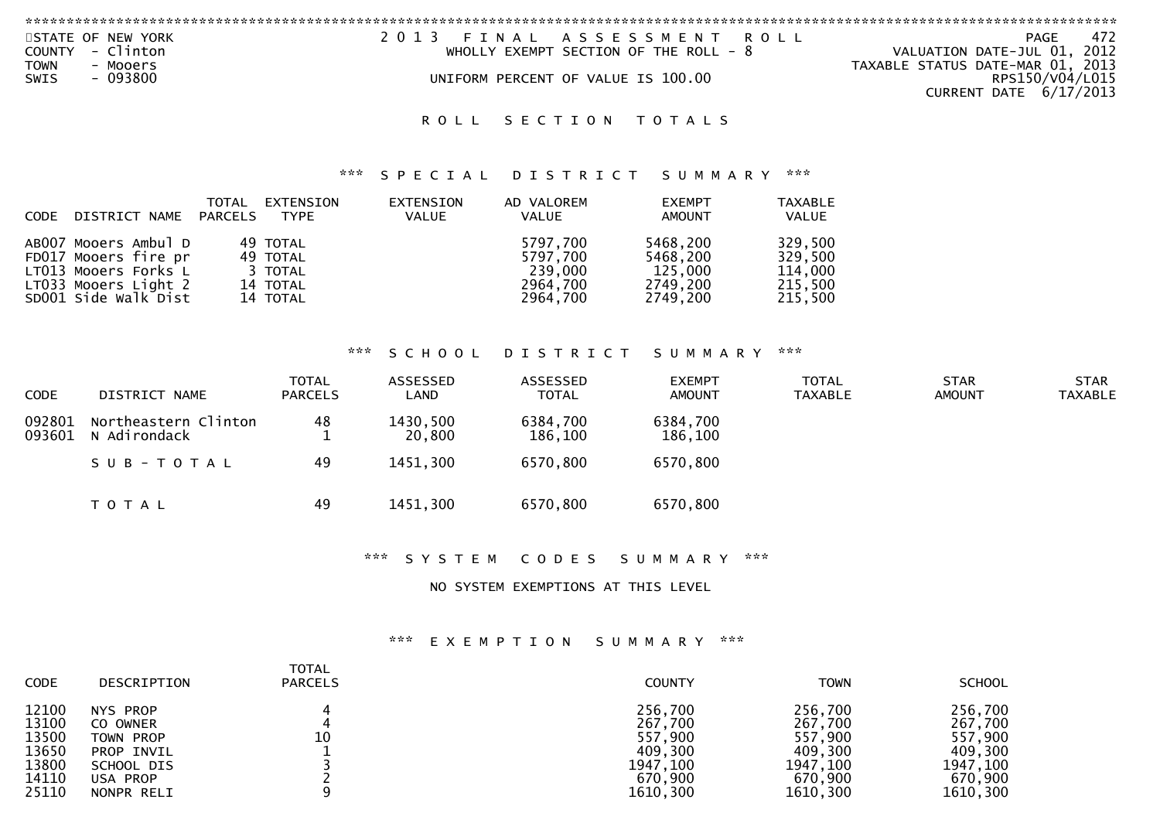| STATE OF NEW YORK        | 2013 FINAL ASSESSMENT ROLL             | PAGE                             |
|--------------------------|----------------------------------------|----------------------------------|
| COUNTY - Clinton         | WHOLLY EXEMPT SECTION OF THE ROLL $-8$ | VALUATION DATE-JUL 01, 2012      |
| <b>TOWN</b><br>- Mooers  |                                        | TAXABLE STATUS DATE-MAR 01, 2013 |
| $-093800$<br><b>SWIS</b> | UNIFORM PERCENT OF VALUE IS 100.00     | RPS150/V04/L015                  |
|                          |                                        | CURRENT DATE $6/17/2013$         |
|                          |                                        |                                  |

#### \*\*\* S P E C I A L D I S T R I C T S U M M A R Y \*\*\*

| CODE DISTRICT NAME PARCELS                                                                                           | TOTAL | EXTENSION<br>TYPE                                       | EXTENSION<br>VALUE | AD VALOREM<br>VALUE                                     | <b>EXEMPT</b><br><b>AMOUNT</b>                          | <b>TAXABLE</b><br>VALUE                             |
|----------------------------------------------------------------------------------------------------------------------|-------|---------------------------------------------------------|--------------------|---------------------------------------------------------|---------------------------------------------------------|-----------------------------------------------------|
| AB007 Mooers Ambul D<br>FD017 Mooers fire pr<br>LT013 Mooers Forks L<br>LT033 Mooers Light 2<br>SD001 Side Walk Dist |       | 49 TOTAL<br>49 TOTAL<br>3 TOTAL<br>14 TOTAL<br>14 TOTAL |                    | 5797.700<br>5797.700<br>239,000<br>2964,700<br>2964.700 | 5468,200<br>5468.200<br>125,000<br>2749,200<br>2749.200 | 329,500<br>329,500<br>114,000<br>215,500<br>215,500 |

### \*\*\* S C H O O L D I S T R I C T S U M M A R Y \*\*\*

| <b>CODE</b>      | DISTRICT NAME                        | <b>TOTAL</b><br><b>PARCELS</b> | ASSESSED<br>LAND   | ASSESSED<br><b>TOTAL</b> | <b>EXEMPT</b><br><b>AMOUNT</b> | TOTAL<br><b>TAXABLE</b> | <b>STAR</b><br><b>AMOUNT</b> | STAR<br><b>TAXABLE</b> |
|------------------|--------------------------------------|--------------------------------|--------------------|--------------------------|--------------------------------|-------------------------|------------------------------|------------------------|
| 092801<br>093601 | Northeastern Clinton<br>N Adirondack | 48                             | 1430,500<br>20,800 | 6384,700<br>186,100      | 6384,700<br>186,100            |                         |                              |                        |
|                  | SUB-TOTAL                            | 49                             | 1451,300           | 6570,800                 | 6570,800                       |                         |                              |                        |
|                  | <b>TOTAL</b>                         | 49                             | 1451,300           | 6570,800                 | 6570,800                       |                         |                              |                        |

\*\*\* S Y S T E M C O D E S S U M M A R Y \*\*\*

NO SYSTEM EXEMPTIONS AT THIS LEVEL

| <b>CODE</b> | DESCRIPTION | <b>TOTAL</b><br><b>PARCELS</b> | <b>COUNTY</b> | <b>TOWN</b> | <b>SCHOOL</b> |
|-------------|-------------|--------------------------------|---------------|-------------|---------------|
| 12100       | NYS PROP    | 10                             | 256,700       | 256,700     | 256,700       |
| 13100       | CO OWNER    |                                | 267,700       | 267,700     | 267,700       |
| 13500       | TOWN PROP   |                                | 557,900       | 557,900     | 557,900       |
| 13650       | PROP INVIL  |                                | 409,300       | 409,300     | 409,300       |
| 13800       | SCHOOL DIS  |                                | 1947, 100     | 1947, 100   | 1947,100      |
| 14110       | USA PROP    |                                | 670,900       | 670.900     | 670,900       |
| 25110       | NONPR RELI  |                                | 1610,300      | 1610,300    | 1610,300      |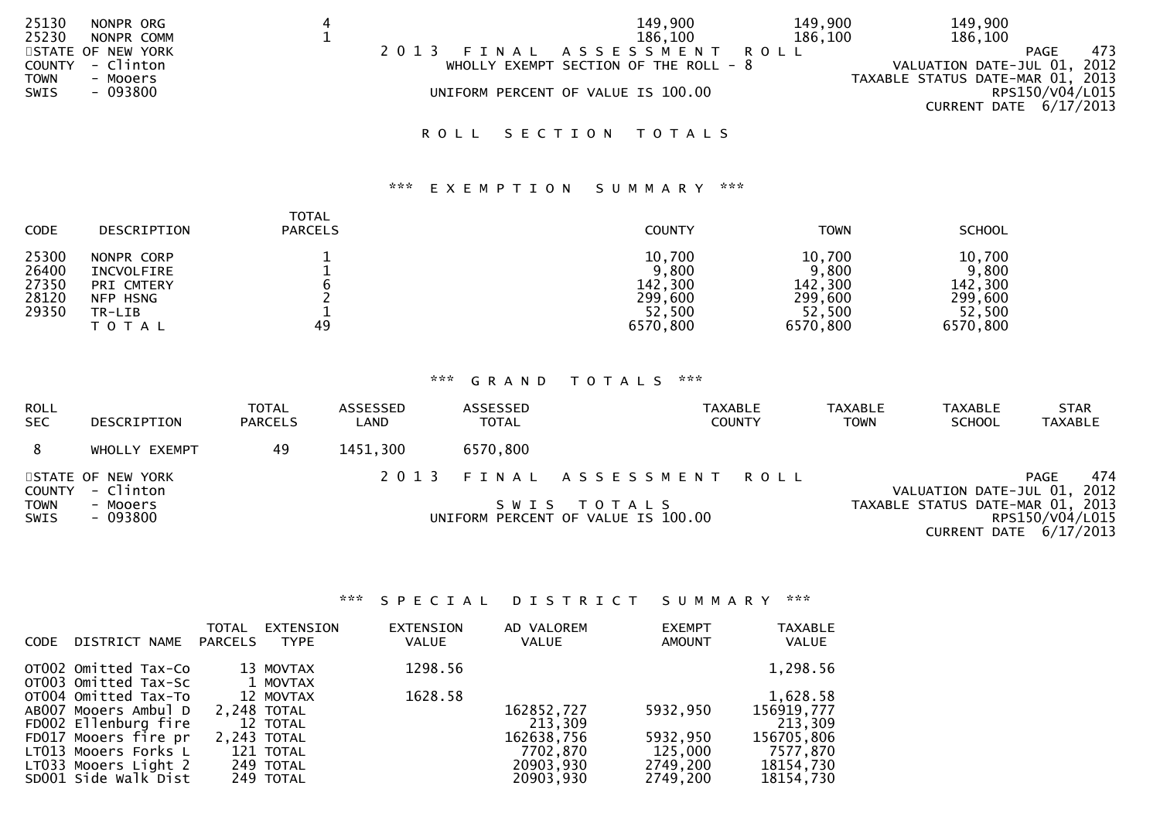| 25130 | NONPR ORG         |         | 149,900                                 | 149,900 | 149,900                          |                 |
|-------|-------------------|---------|-----------------------------------------|---------|----------------------------------|-----------------|
| 25230 | NONPR COMM        |         | 186.100                                 | 186,100 | 186,100                          |                 |
|       | STATE OF NEW YORK | 2 0 1 3 | FINAL ASSESSMENT                        | R O L L |                                  | 473<br>PAGE     |
|       | COUNTY - Clinton  |         | WHOLLY EXEMPT SECTION OF THE ROLL - $8$ |         | VALUATION DATE-JUL 01, 2012      |                 |
| TOWN  | - Mooers          |         |                                         |         | TAXABLE STATUS DATE-MAR 01, 2013 |                 |
| SWIS  | $-093800$         |         | UNIFORM PERCENT OF VALUE IS 100.00      |         |                                  | RPS150/V04/L015 |
|       |                   |         |                                         |         | CURRENT DATE 6/17/2013           |                 |
|       |                   |         |                                         |         |                                  |                 |

### \*\*\* E X E M P T I O N S U M M A R Y \*\*\*

| <b>CODE</b>                               | DESCRIPTION                                                                  | <b>TOTAL</b><br><b>PARCELS</b> | <b>COUNTY</b>                                               | <b>TOWN</b>                                                 | <b>SCHOOL</b>                                               |
|-------------------------------------------|------------------------------------------------------------------------------|--------------------------------|-------------------------------------------------------------|-------------------------------------------------------------|-------------------------------------------------------------|
| 25300<br>26400<br>27350<br>28120<br>29350 | NONPR CORP<br>INCVOLFIRE<br>PRI CMTERY<br>NFP HSNG<br>TR-LIB<br><b>TOTAL</b> | 49                             | 10,700<br>9,800<br>142,300<br>299,600<br>52,500<br>6570,800 | 10,700<br>9,800<br>142,300<br>299,600<br>52,500<br>6570,800 | 10,700<br>9,800<br>142,300<br>299,600<br>52,500<br>6570,800 |

## \*\*\* G R A N D T O T A L S \*\*\*

| <b>ROLL</b><br><b>SEC</b>  | DESCRIPTION                           | <b>TOTAL</b><br><b>PARCELS</b> | ASSESSED<br>LAND                                  | ASSESSED<br><b>TOTAL</b> | <b>TAXABLE</b><br><b>COUNTY</b> | TAXABLE<br><b>TOWN</b> | <b>TAXABLE</b><br><b>SCHOOL</b>                                                 | <b>STAR</b><br><b>TAXABLE</b>                     |  |
|----------------------------|---------------------------------------|--------------------------------|---------------------------------------------------|--------------------------|---------------------------------|------------------------|---------------------------------------------------------------------------------|---------------------------------------------------|--|
|                            | WHOLLY EXEMPT                         | 49                             | 1451,300                                          | 6570,800                 |                                 |                        |                                                                                 |                                                   |  |
|                            | STATE OF NEW YORK<br>COUNTY - Clinton |                                |                                                   |                          | 2013 FINAL ASSESSMENT ROLL      |                        |                                                                                 | 474<br><b>PAGE</b><br>VALUATION DATE-JUL 01, 2012 |  |
| <b>TOWN</b><br><b>SWIS</b> | - Mooers<br>- 093800                  |                                | SWIS TOTALS<br>UNIFORM PERCENT OF VALUE IS 100.00 |                          |                                 |                        | TAXABLE STATUS DATE-MAR 01, 2013<br>RPS150/V04/L015<br>CURRENT DATE $6/17/2013$ |                                                   |  |

### \*\*\* S P E C I A L D I S T R I C T S U M M A R Y \*\*\*

| <b>CODE</b> | DISTRICT NAME                                | <b>TOTAL</b><br><b>PARCELS</b> | <b>EXTENSION</b><br><b>TYPE</b> | EXTENSION<br><b>VALUE</b> | AD VALOREM<br><b>VALUE</b> | <b>EXEMPT</b><br><b>AMOUNT</b> | <b>TAXABLE</b><br><b>VALUE</b> |
|-------------|----------------------------------------------|--------------------------------|---------------------------------|---------------------------|----------------------------|--------------------------------|--------------------------------|
|             | OT002 Omitted Tax-Co                         |                                | 13 MOVTAX                       | 1298.56                   |                            |                                | 1,298.56                       |
|             | OT003 Omitted Tax-Sc                         |                                | 1 MOVTAX                        |                           |                            |                                |                                |
|             | OT004 Omitted Tax-To                         |                                | 12 MOVTAX                       | 1628.58                   |                            |                                | 1,628.58                       |
|             | AB007 Mooers Ambul D<br>FD002 Ellenburg fire |                                | 2.248 TOTAL<br>12 TOTAL         |                           | 162852,727<br>213,309      | 5932,950                       | 156919,777<br>213,309          |
|             | FD017 Mooers fire pr                         |                                | 2,243 TOTAL                     |                           | 162638,756                 | 5932,950                       | 156705,806                     |
|             | LT013 Mooers Forks L                         |                                | 121 TOTAL                       |                           | 7702,870                   | 125,000                        | 7577,870                       |
|             | LT033 Mooers Light 2<br>SD001 Side Walk Dist |                                | 249 TOTAL<br>249 TOTAL          |                           | 20903,930<br>20903,930     | 2749,200<br>2749.200           | 18154,730<br>18154,730         |
|             |                                              |                                |                                 |                           |                            |                                |                                |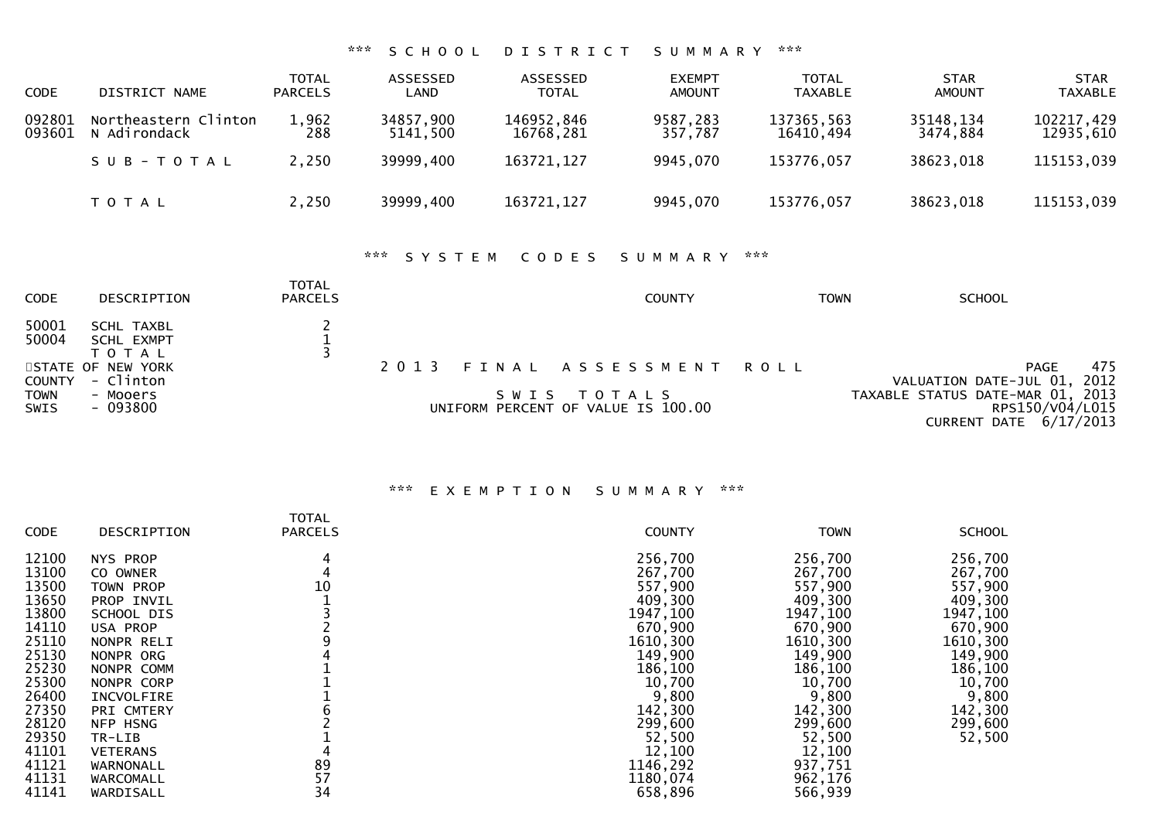## \*\*\* S C H O O L D I S T R I C T S U M M A R Y \*\*\*

| <b>CODE</b>      | DISTRICT NAME                        | <b>TOTAL</b><br><b>PARCELS</b> | ASSESSED<br>LAND      | ASSESSED<br><b>TOTAL</b> | <b>EXEMPT</b><br><b>AMOUNT</b> | TOTAL<br><b>TAXABLE</b> | <b>STAR</b><br>AMOUNT | <b>STAR</b><br><b>TAXABLE</b> |
|------------------|--------------------------------------|--------------------------------|-----------------------|--------------------------|--------------------------------|-------------------------|-----------------------|-------------------------------|
| 092801<br>093601 | Northeastern Clinton<br>N Adirondack | 1,962<br>288                   | 34857,900<br>5141,500 | 146952,846<br>16768,281  | 9587,283<br>357,787            | 137365,563<br>16410,494 | 35148,134<br>3474,884 | 102217,429<br>12935,610       |
|                  | SUB-TOTAL                            | 2,250                          | 39999.400             | 163721,127               | 9945,070                       | 153776,057              | 38623,018             | 115153,039                    |
|                  | T O T A L                            | 2,250                          | 39999,400             | 163721,127               | 9945,070                       | 153776,057              | 38623,018             | 115153,039                    |

## \*\*\* S Y S T E M C O D E S S U M M A R Y \*\*\*

| <b>CODE</b>                | DESCRIPTION                                  | TOTAL<br><b>PARCELS</b> | <b>COUNTY</b>                                     | TOWN | <b>SCHOOL</b>                                                                 |
|----------------------------|----------------------------------------------|-------------------------|---------------------------------------------------|------|-------------------------------------------------------------------------------|
| 50001<br>50004             | SCHL TAXBL<br><b>SCHL EXMPT</b><br>T O T A L |                         |                                                   |      |                                                                               |
| COUNTY                     | STATE OF NEW YORK<br>- Clinton               |                         | 2013 FINAL ASSESSMENT ROLL                        |      | 475<br>PAGE<br>VALUATION DATE-JUL 01, 2012                                    |
| <b>TOWN</b><br><b>SWIS</b> | - Mooers<br>- 093800                         |                         | SWIS TOTALS<br>UNIFORM PERCENT OF VALUE IS 100.00 |      | TAXABLE STATUS DATE-MAR 01, 2013<br>RPS150/V04/L015<br>CURRENT DATE 6/17/2013 |

| <b>CODE</b> | <b>DESCRIPTION</b> | <b>TOTAL</b><br><b>PARCELS</b> | <b>COUNTY</b> | <b>TOWN</b> | <b>SCHOOL</b> |
|-------------|--------------------|--------------------------------|---------------|-------------|---------------|
| 12100       | NYS PROP           | 4                              | 256,700       | 256,700     | 256,700       |
| 13100       | CO OWNER           |                                | 267,700       | 267,700     | 267,700       |
| 13500       | TOWN PROP          | 10                             | 557,900       | 557,900     | 557,900       |
| 13650       | PROP INVIL         |                                | 409,300       | 409,300     | 409,300       |
| 13800       | SCHOOL DIS         |                                | 1947,100      | 1947, 100   | 1947, 100     |
| 14110       | USA PROP           |                                | 670,900       | 670,900     | 670,900       |
| 25110       | NONPR RELI         |                                | 1610,300      | 1610,300    | 1610,300      |
| 25130       | NONPR ORG          |                                | 149,900       | 149,900     | 149,900       |
| 25230       | NONPR COMM         |                                | 186,100       | 186,100     | 186,100       |
| 25300       | NONPR CORP         |                                | 10,700        | 10,700      | 10,700        |
| 26400       | INCVOLFIRE         |                                | 9,800         | 9,800       | 9,800         |
| 27350       | <b>PRI CMTERY</b>  |                                | 142,300       | 142,300     | 142,300       |
| 28120       | NFP HSNG           |                                | 299,600       | 299,600     | 299,600       |
| 29350       | TR-LIB             |                                | 52,500        | 52,500      | 52,500        |
| 41101       | <b>VETERANS</b>    |                                | 12,100        | 12,100      |               |
| 41121       | WARNONALL          | 89                             | 1146,292      | 937,751     |               |
| 41131       | WARCOMALL          | 57                             | 1180,074      | 962,176     |               |
| 41141       | WARDISALL          | 34                             | 658,896       | 566,939     |               |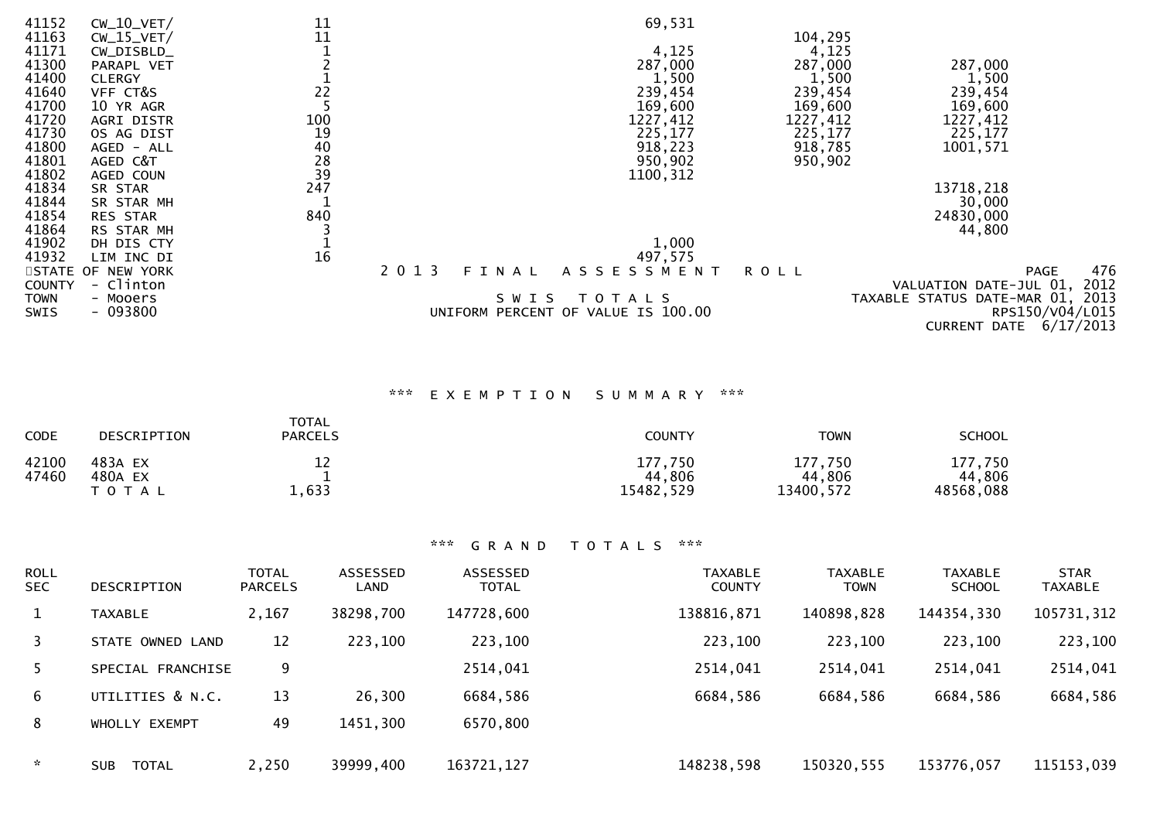| 41152         | $CW_10_VET/$      | 11             |                  | 69,531                             |             |                                  |     |
|---------------|-------------------|----------------|------------------|------------------------------------|-------------|----------------------------------|-----|
| 41163         | $CW_15_VET/$      | 11             |                  |                                    | 104,295     |                                  |     |
| 41171         | $CW_DISBN$        |                |                  | 4,125                              | 4,125       |                                  |     |
| 41300         | PARAPL VET        |                |                  | 287,000                            | 287,000     | 287,000                          |     |
| 41400         | <b>CLERGY</b>     |                |                  | 1,500                              | 1,500       | 1,500                            |     |
| 41640         | VFF CT&S          | 22             |                  | 239,454                            | 239,454     | 239,454                          |     |
| 41700         | 10 YR AGR         |                |                  | 169,600                            | 169,600     | 169,600                          |     |
| 41720         | AGRI DISTR        | 100            |                  | 1227,412                           | 1227,412    | 1227,412                         |     |
| 41730         | OS AG DIST        | 19             |                  | 225,177                            | 225,177     | 225,177                          |     |
| 41800         | AGED - ALL        |                |                  | 918,223                            | 918,785     | 1001,571                         |     |
| 41801         | AGED C&T          | 40<br>28<br>39 |                  | 950,902                            | 950,902     |                                  |     |
| 41802         | AGED COUN         |                |                  | 1100, 312                          |             |                                  |     |
| 41834         | SR STAR           | 247            |                  |                                    |             | 13718,218                        |     |
| 41844         | SR STAR MH        |                |                  |                                    |             | 30,000                           |     |
| 41854         | <b>RES STAR</b>   | 840            |                  |                                    |             | 24830,000                        |     |
| 41864         | RS STAR MH        |                |                  |                                    |             | 44,800                           |     |
| 41902         | DH DIS CTY        |                |                  | 1,000                              |             |                                  |     |
| 41932         | LIM INC DI        | 16             |                  | 497,575                            |             |                                  |     |
|               | STATE OF NEW YORK |                | 2 0 1 3<br>FINAL | ASSESSMENT                         | <b>ROLL</b> | PAGE                             | 476 |
| <b>COUNTY</b> | - Clinton         |                |                  |                                    |             | VALUATION DATE-JUL 01, 2012      |     |
| <b>TOWN</b>   | - Mooers          |                | SWIS             | T O T A L S                        |             | TAXABLE STATUS DATE-MAR 01, 2013 |     |
| <b>SWIS</b>   | $-093800$         |                |                  | UNIFORM PERCENT OF VALUE IS 100.00 |             | RPS150/V04/L015                  |     |
|               |                   |                |                  |                                    |             | CURRENT DATE 6/17/2013           |     |

# \*\*\* E X E M P T I O N S U M M A R Y \*\*\*

| CODE           | DESCRIPTION                     | <b>TOTAL</b><br><b>PARCELS</b> | <b>COUNTY</b>                  | <b>TOWN</b>                    | <b>SCHOOL</b>                  |
|----------------|---------------------------------|--------------------------------|--------------------------------|--------------------------------|--------------------------------|
| 42100<br>47460 | 483A EX<br>480A EX<br>T O T A L | 12<br>1,633                    | 177,750<br>44,806<br>15482,529 | 177,750<br>44,806<br>13400,572 | 177,750<br>44,806<br>48568,088 |

| <b>ROLL</b><br><b>SEC</b> | DESCRIPTION                | <b>TOTAL</b><br><b>PARCELS</b> | ASSESSED<br>LAND | <b>ASSESSED</b><br><b>TOTAL</b> | <b>TAXABLE</b><br><b>COUNTY</b> | <b>TAXABLE</b><br><b>TOWN</b> | <b>TAXABLE</b><br><b>SCHOOL</b> | <b>STAR</b><br><b>TAXABLE</b> |
|---------------------------|----------------------------|--------------------------------|------------------|---------------------------------|---------------------------------|-------------------------------|---------------------------------|-------------------------------|
|                           | <b>TAXABLE</b>             | 2,167                          | 38298,700        | 147728,600                      | 138816,871                      | 140898,828                    | 144354,330                      | 105731,312                    |
| 3                         | STATE OWNED LAND           | 12                             | 223,100          | 223,100                         | 223,100                         | 223,100                       | 223,100                         | 223,100                       |
| 5.                        | SPECIAL FRANCHISE          | 9                              |                  | 2514,041                        | 2514,041                        | 2514,041                      | 2514,041                        | 2514,041                      |
| 6                         | UTILITIES & N.C.           | 13                             | 26,300           | 6684,586                        | 6684,586                        | 6684,586                      | 6684,586                        | 6684,586                      |
| 8                         | WHOLLY EXEMPT              | 49                             | 1451,300         | 6570,800                        |                                 |                               |                                 |                               |
| $\sim$                    | <b>TOTAL</b><br><b>SUB</b> | 2,250                          | 39999,400        | 163721, 127                     | 148238,598                      | 150320,555                    | 153776,057                      | 115153,039                    |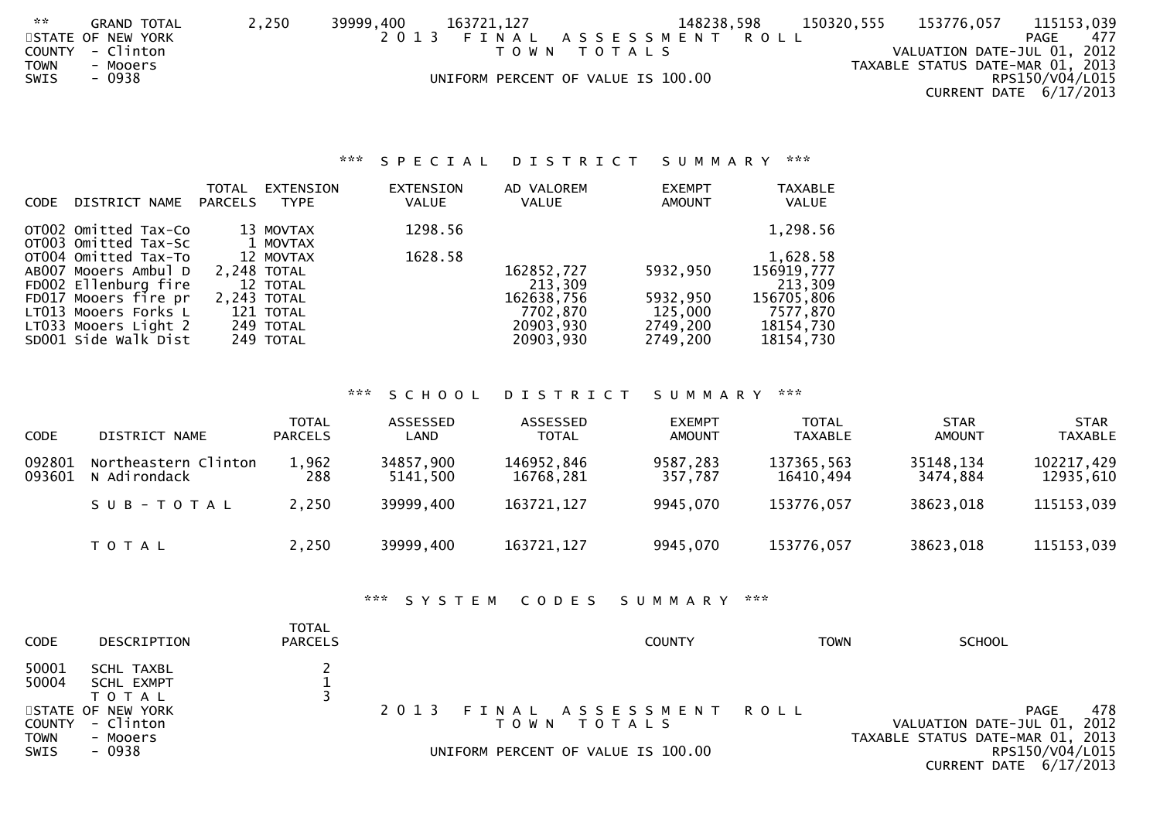| 2.25 | <b>GRAND TOTAL</b> | 2,250 | 39999,400 | 163721,127 |                                    | 148238,598            | 150320,555 | 153776,057                       | 115153,039             |  |
|------|--------------------|-------|-----------|------------|------------------------------------|-----------------------|------------|----------------------------------|------------------------|--|
|      | STATE OF NEW YORK  |       | 2013      |            |                                    | FINAL ASSESSMENT ROLL |            |                                  | 477<br>PAGE            |  |
|      | COUNTY - Clinton   |       |           | T O W N    | T O T A L S                        |                       |            | VALUATION DATE-JUL 01, 2012      |                        |  |
| TOWN | - Mooers           |       |           |            |                                    |                       |            | TAXABLE STATUS DATE-MAR 01, 2013 |                        |  |
| SWIS | - 0938             |       |           |            | UNIFORM PERCENT OF VALUE IS 100.00 |                       |            |                                  | RPS150/V04/L015        |  |
|      |                    |       |           |            |                                    |                       |            |                                  | CURRENT DATE 6/17/2013 |  |

## \*\*\* S P E C I A L D I S T R I C T S U M M A R Y \*\*\*

| <b>CODE</b> | DISTRICT NAME                                | TOTAL<br><b>PARCELS</b> | <b>EXTENSION</b><br><b>TYPE</b> | <b>EXTENSION</b><br><b>VALUE</b> | AD VALOREM<br><b>VALUE</b> | <b>EXEMPT</b><br><b>AMOUNT</b> | <b>TAXABLE</b><br><b>VALUE</b> |
|-------------|----------------------------------------------|-------------------------|---------------------------------|----------------------------------|----------------------------|--------------------------------|--------------------------------|
|             | OTO02 Omitted Tax-Co<br>OT003 Omitted Tax-Sc |                         | 13 MOVTAX<br>1 MOVTAX           | 1298.56                          |                            |                                | 1,298.56                       |
|             | OT004 Omitted Tax-To                         |                         | 12 MOVTAX                       | 1628.58                          |                            |                                | 1,628.58                       |
|             | AB007 Mooers Ambul D<br>FD002 Ellenburg fire |                         | 2.248 TOTAL<br>12 TOTAL         |                                  | 162852,727<br>213,309      | 5932,950                       | 156919,777<br>213,309          |
|             | FD017 Mooers fire pr                         |                         | 2,243 TOTAL                     |                                  | 162638,756                 | 5932,950                       | 156705,806                     |
|             | LT013 Mooers Forks L                         |                         | 121 TOTAL                       |                                  | 7702,870                   | 125,000                        | 7577,870                       |
|             | LT033 Mooers Light 2<br>SD001 Side Walk Dist |                         | 249 TOTAL<br>249 TOTAL          |                                  | 20903,930<br>20903,930     | 2749,200<br>2749,200           | 18154,730<br>18154,730         |
|             |                                              |                         |                                 |                                  |                            |                                |                                |

## \*\*\* S C H O O L D I S T R I C T S U M M A R Y \*\*\*

| <b>CODE</b>      | DISTRICT NAME                        | <b>TOTAL</b><br><b>PARCELS</b> | ASSESSED<br>LAND      | ASSESSED<br><b>TOTAL</b> | <b>EXEMPT</b><br><b>AMOUNT</b> | <b>TOTAL</b><br><b>TAXABLE</b> | <b>STAR</b><br><b>AMOUNT</b> | <b>STAR</b><br><b>TAXABLE</b> |
|------------------|--------------------------------------|--------------------------------|-----------------------|--------------------------|--------------------------------|--------------------------------|------------------------------|-------------------------------|
| 092801<br>093601 | Northeastern Clinton<br>N Adirondack | 1,962<br>288                   | 34857,900<br>5141.500 | 146952,846<br>16768,281  | 9587,283<br>357,787            | 137365,563<br>16410.494        | 35148,134<br>3474.884        | 102217,429<br>12935,610       |
|                  | $SUB - TO TAL$                       | 2,250                          | 39999,400             | 163721,127               | 9945,070                       | 153776,057                     | 38623,018                    | 115153,039                    |
|                  | T O T A L                            | 2,250                          | 39999,400             | 163721, 127              | 9945,070                       | 153776,057                     | 38623,018                    | 115153,039                    |

## \*\*\* S Y S T E M C O D E S S U M M A R Y \*\*\*

| <b>CODE</b>         | DESCRIPTION                                  | <b>TOTAL</b><br><b>PARCELS</b> | <b>COUNTY</b>                             | TOWN | <b>SCHOOL</b>                                                                  |
|---------------------|----------------------------------------------|--------------------------------|-------------------------------------------|------|--------------------------------------------------------------------------------|
| 50001<br>50004      | SCHL TAXBL<br><b>SCHL EXMPT</b><br>T O T A L |                                |                                           |      |                                                                                |
| COUNTY              | STATE OF NEW YORK<br>- Clinton               |                                | 2013 FINAL ASSESSMENT ROLL<br>TOWN TOTALS |      | 478<br>PAGE<br>VALUATION DATE-JUL 01, 2012<br>TAXABLE STATUS DATE-MAR 01, 2013 |
| <b>TOWN</b><br>SWIS | - Mooers<br>- 0938                           |                                | UNIFORM PERCENT OF VALUE IS 100.00        |      | RPS150/V04/L015<br>CURRENT DATE 6/17/2013                                      |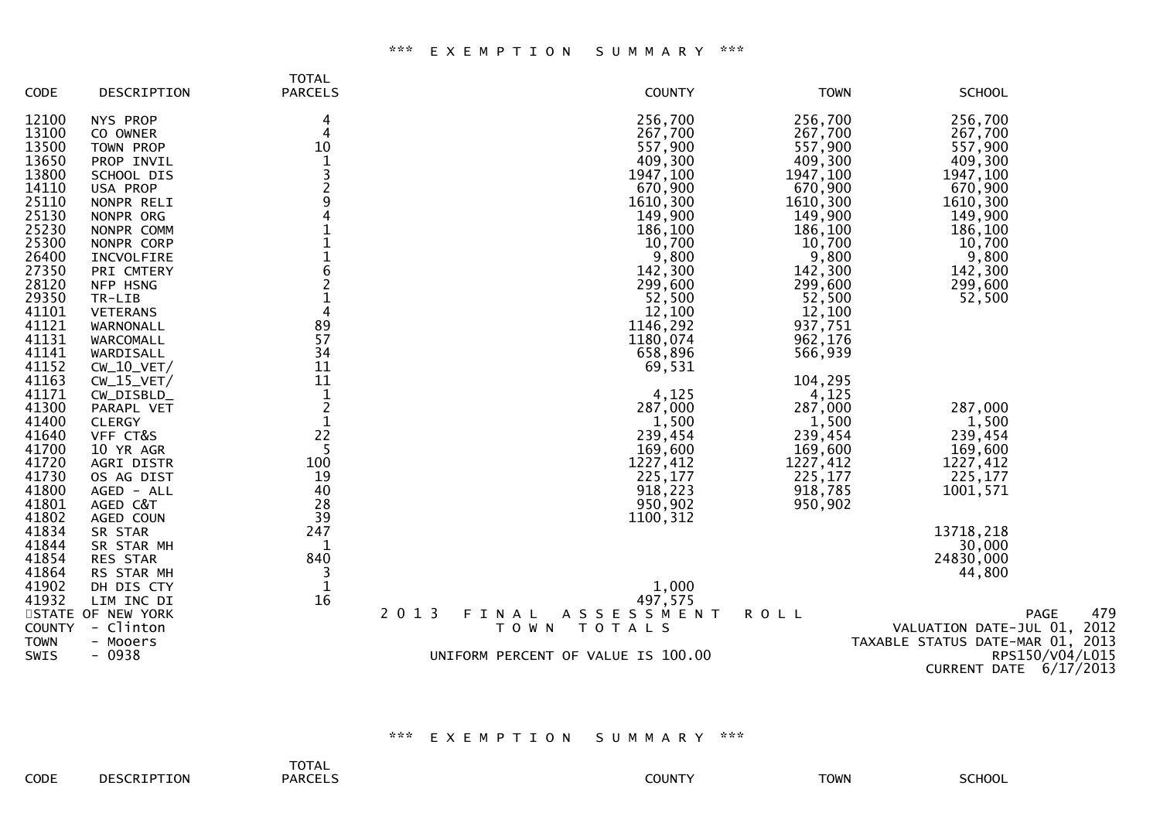#### \*\*\* E X E M P T I O N S U M M A R Y \*\*\*

|               |                   | <b>TOTAL</b>   |                                    |             |                                  |
|---------------|-------------------|----------------|------------------------------------|-------------|----------------------------------|
| CODE          | DESCRIPTION       | <b>PARCELS</b> | <b>COUNTY</b>                      | <b>TOWN</b> | <b>SCHOOL</b>                    |
| 12100         | NYS PROP          | 4              | 256,700                            | 256,700     | 256,700                          |
| 13100         | CO OWNER          |                | 267,700                            | 267,700     | 267,700                          |
| 13500         | TOWN PROP         | 10             | 557,900                            | 557,900     | 557,900                          |
| 13650         | PROP INVIL        |                | 409,300                            | 409,300     | 409,300                          |
| 13800         | SCHOOL DIS        |                | 1947,100                           | 1947,100    | 1947,100                         |
| 14110         | USA PROP          | $\overline{c}$ | 670,900                            | 670,900     | 670,900                          |
| 25110         | NONPR RELI        | 9              | 1610,300                           | 1610,300    | 1610,300                         |
| 25130         | NONPR ORG         | 4              | 149,900                            | 149,900     | 149,900                          |
| 25230         | NONPR COMM        |                | 186,100                            | 186,100     | 186,100                          |
| 25300         | NONPR CORP        | $\mathbf{1}$   | 10,700                             | 10,700      | 10,700                           |
| 26400         | INCVOLFIRE        | $\frac{1}{6}$  | 9,800                              | 9,800       | 9,800                            |
| 27350         | PRI CMTERY        |                | 142,300                            | 142,300     | 142,300                          |
| 28120         | NFP HSNG          | $\overline{2}$ | 299,600                            | 299,600     | 299,600                          |
| 29350         | TR-LIB            | $\mathbf{1}$   | 52,500                             | 52,500      | 52,500                           |
| 41101         | <b>VETERANS</b>   | $\overline{4}$ | 12,100                             | 12,100      |                                  |
| 41121         | WARNONALL         | 89             | 1146,292                           | 937,751     |                                  |
| 41131         | WARCOMALL         | 57             | 1180,074                           | 962,176     |                                  |
| 41141         | WARDISALL         | 34             | 658,896                            | 566,939     |                                  |
| 41152         | $CW_10_VET/$      | 11             | 69,531                             |             |                                  |
| 41163         | $CW_15_VET/$      | 11             |                                    | 104,295     |                                  |
| 41171         | CW_DISBLD_        | $\mathbf 1$    | 4,125                              | 4,125       |                                  |
| 41300         | PARAPL VET        | $\overline{c}$ | 287,000                            | 287,000     | 287,000                          |
| 41400         | <b>CLERGY</b>     | $\mathbf{1}$   | 1,500                              | 1,500       | 1,500                            |
| 41640         | VFF CT&S          | 22             | 239,454                            | 239,454     | 239,454                          |
| 41700         | 10 YR AGR         | 5              | 169,600                            | 169,600     | 169,600                          |
| 41720         | AGRI DISTR        | 100            | 1227,412                           | 1227,412    | 1227,412                         |
| 41730         | OS AG DIST        | 19             | 225,177                            | 225,177     | 225,177                          |
| 41800         | AGED - ALL        | 40             | 918,223                            | 918,785     | 1001,571                         |
| 41801         | AGED C&T          | 28             | 950,902                            | 950,902     |                                  |
| 41802         | AGED COUN         | 39             | 1100, 312                          |             |                                  |
| 41834         | SR STAR           | 247            |                                    |             | 13718,218                        |
| 41844         | SR STAR MH        | 1              |                                    |             | 30,000                           |
| 41854         | RES STAR          | 840            |                                    |             | 24830,000                        |
| 41864         | RS STAR MH        | 3              |                                    |             | 44,800                           |
| 41902         | DH DIS CTY        | 1              | 1,000                              |             |                                  |
| 41932         | LIM INC DI        | 16             | 497,575                            |             |                                  |
|               | STATE OF NEW YORK | 2 0 1 3        | ASSESSMENT<br>FINAL                | <b>ROLL</b> | 479<br>PAGE                      |
| <b>COUNTY</b> | - Clinton         |                | T O W N<br>T O T A L S             |             | VALUATION DATE-JUL 01, 2012      |
| <b>TOWN</b>   | - Mooers          |                |                                    |             | TAXABLE STATUS DATE-MAR 01, 2013 |
| <b>SWIS</b>   | - 0938            |                | UNIFORM PERCENT OF VALUE IS 100.00 |             | RPS150/V04/L015                  |
|               |                   |                |                                    |             | CURRENT DATE 6/17/2013           |